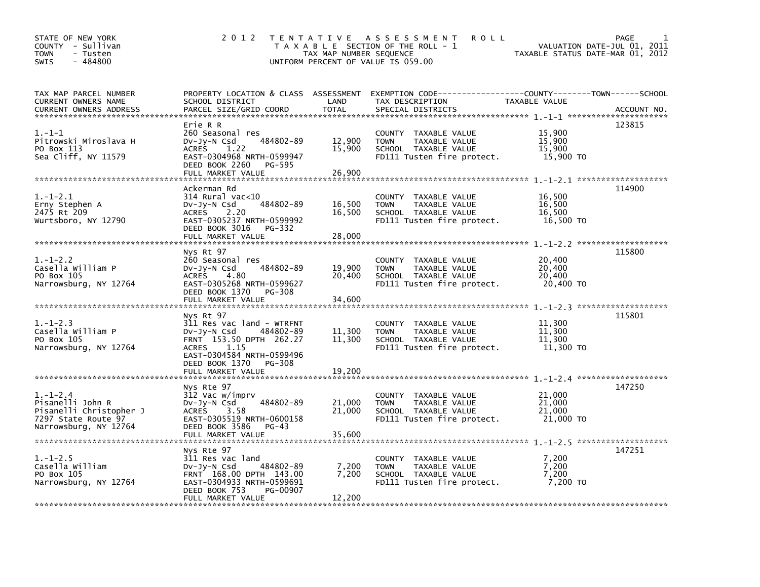| STATE OF NEW YORK<br>COUNTY - Sullivan<br>TOWN<br>- Tusten<br>$-484800$<br><b>SWIS</b>                    | 2 0 1 2                                                                                                                                                                                          | TAX MAP NUMBER SEQUENCE    | TENTATIVE ASSESSMENT<br><b>ROLL</b><br>T A X A B L E SECTION OF THE ROLL - 1<br>UNIFORM PERCENT OF VALUE IS 059.00                      | TAXABLE STATUS DATE-MAR 01, 2012        | PAGE<br>1<br>VALUATION DATE-JUL 01, 2011 |
|-----------------------------------------------------------------------------------------------------------|--------------------------------------------------------------------------------------------------------------------------------------------------------------------------------------------------|----------------------------|-----------------------------------------------------------------------------------------------------------------------------------------|-----------------------------------------|------------------------------------------|
| TAX MAP PARCEL NUMBER<br>CURRENT OWNERS NAME<br><b>CURRENT OWNERS ADDRESS</b>                             | SCHOOL DISTRICT<br>PARCEL SIZE/GRID COORD                                                                                                                                                        | LAND<br><b>TOTAL</b>       | PROPERTY LOCATION & CLASS ASSESSMENT EXEMPTION CODE---------------COUNTY-------TOWN------SCHOOL<br>TAX DESCRIPTION<br>SPECIAL DISTRICTS | TAXABLE VALUE                           | ACCOUNT NO.                              |
| $1.-1-1$<br>Pitrowski Miroslava H<br>PO Box 113<br>Sea Cliff, NY 11579                                    | Erie R R<br>260 Seasonal res<br>484802-89<br>DV-Jy-N Csd<br><b>ACRES</b><br>1.22<br>EAST-0304968 NRTH-0599947<br>DEED BOOK 2260<br>PG-595<br>FULL MARKET VALUE                                   | 12,900<br>15,900<br>26,900 | COUNTY TAXABLE VALUE<br>TAXABLE VALUE<br><b>TOWN</b><br>SCHOOL TAXABLE VALUE<br>FD111 Tusten fire protect.                              | 15,900<br>15,900<br>15,900<br>15,900 TO | 123815                                   |
| $1.-1-2.1$<br>Erny Stephen A<br>2475 Rt 209<br>Wurtsboro, NY 12790                                        | Ackerman Rd<br>314 Rural vac<10<br>484802-89<br>$Dv-Jy-N$ Csd<br><b>ACRES</b><br>2.20<br>EAST-0305237 NRTH-0599992<br>DEED BOOK 3016<br>PG-332<br>FULL MARKET VALUE                              | 16,500<br>16,500<br>28,000 | COUNTY TAXABLE VALUE<br>TAXABLE VALUE<br><b>TOWN</b><br>SCHOOL TAXABLE VALUE<br>FD111 Tusten fire protect.                              | 16,500<br>16,500<br>16,500<br>16,500 TO | 114900                                   |
| $1.-1-2.2$<br>Casella William P<br>PO Box 105<br>Narrowsburg, NY 12764                                    | Nys Rt 97<br>260 Seasonal res<br>484802-89<br>$Dv-Jy-N$ Csd<br><b>ACRES</b><br>4.80<br>EAST-0305268 NRTH-0599627<br>DEED BOOK 1370<br>PG-308<br>FULL MARKET VALUE                                | 19,900<br>20,400<br>34,600 | COUNTY TAXABLE VALUE<br>TAXABLE VALUE<br><b>TOWN</b><br>SCHOOL TAXABLE VALUE<br>FD111 Tusten fire protect.                              | 20,400<br>20,400<br>20,400<br>20,400 TO | 115800                                   |
| $1. - 1 - 2.3$<br>Casella William P<br>PO Box 105<br>Narrowsburg, NY 12764                                | Nys Rt 97<br>311 Res vac land - WTRFNT<br>DV-Jy-N Csd<br>484802-89<br>FRNT 153.50 DPTH 262.27<br>1.15<br><b>ACRES</b><br>EAST-0304584 NRTH-0599496<br>DEED BOOK 1370 PG-308<br>FULL MARKET VALUE | 11,300<br>11,300<br>19,200 | COUNTY TAXABLE VALUE<br><b>TOWN</b><br>TAXABLE VALUE<br>SCHOOL TAXABLE VALUE<br>FD111 Tusten fire protect.                              | 11,300<br>11,300<br>11,300<br>11,300 TO | 115801                                   |
| $1.-1-2.4$<br>Pisanelli John R<br>Pisanelli Christopher J<br>7297 State Route 97<br>Narrowsburg, NY 12764 | Nys Rte 97<br>312 Vac w/imprv<br>484802-89<br>DV-Jy-N Csd<br>3.58<br><b>ACRES</b><br>EAST-0305519 NRTH-0600158<br>DEED BOOK 3586<br>PG-43<br>FULL MARKET VALUE                                   | 21,000<br>21,000<br>35,600 | COUNTY TAXABLE VALUE<br><b>TOWN</b><br>TAXABLE VALUE<br>SCHOOL TAXABLE VALUE<br>FD111 Tusten fire protect.                              | 21,000<br>21,000<br>21,000<br>21,000 TO | 147250                                   |
| $1.-1-2.5$<br>Casella William<br>PO Box 105<br>Narrowsburg, NY 12764                                      | Nys Rte 97<br>311 Res vac land<br>484802-89<br>DV-Jy-N Csd<br>FRNT 168.00 DPTH 143.00<br>EAST-0304933 NRTH-0599691<br>DEED BOOK 753<br>PG-00907<br>FULL MARKET VALUE                             | 7,200<br>7,200<br>12,200   | COUNTY TAXABLE VALUE<br><b>TOWN</b><br>TAXABLE VALUE<br>SCHOOL TAXABLE VALUE<br>FD111 Tusten fire protect.                              | 7,200<br>7,200<br>7,200<br>7,200 TO     | 147251                                   |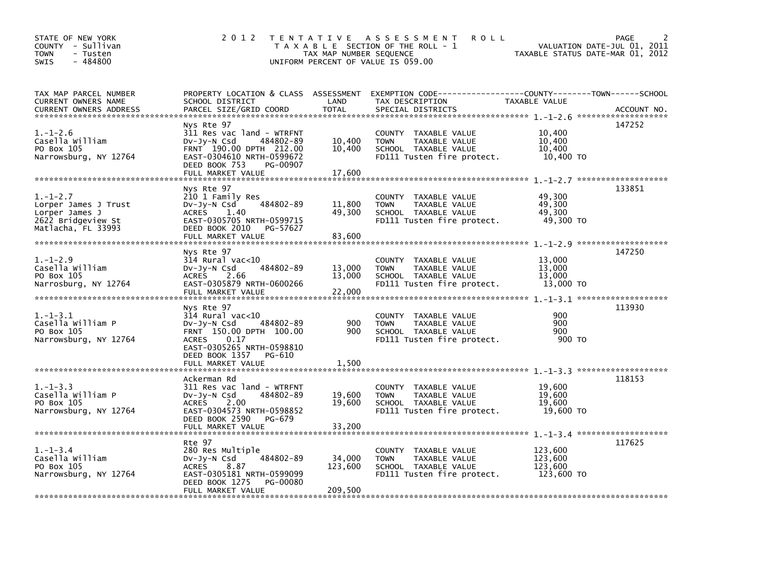| STATE OF NEW YORK<br>COUNTY - Sullivan<br>- Tusten<br><b>TOWN</b><br>$-484800$<br>SWIS               | 2 0 1 2                                                                                                                                                            | TAX MAP NUMBER SEQUENCE      | TENTATIVE ASSESSMENT<br><b>ROLL</b><br>T A X A B L E SECTION OF THE ROLL - 1<br>UNIFORM PERCENT OF VALUE IS 059.00   | VALUATION DATE-JUL 01, 2011<br>TAXABLE STATUS DATE-MAR 01, 2012 | 2<br>PAGE   |
|------------------------------------------------------------------------------------------------------|--------------------------------------------------------------------------------------------------------------------------------------------------------------------|------------------------------|----------------------------------------------------------------------------------------------------------------------|-----------------------------------------------------------------|-------------|
| TAX MAP PARCEL NUMBER<br>CURRENT OWNERS NAME<br><b>CURRENT OWNERS ADDRESS</b>                        | PROPERTY LOCATION & CLASS ASSESSMENT<br>SCHOOL DISTRICT<br>PARCEL SIZE/GRID COORD                                                                                  | LAND<br><b>TOTAL</b>         | EXEMPTION CODE-----------------COUNTY-------TOWN------SCHOOL<br>TAX DESCRIPTION<br>SPECIAL DISTRICTS                 | TAXABLE VALUE                                                   | ACCOUNT NO. |
| $1.-1-2.6$<br>Casella William<br>PO Box 105<br>Narrowsburg, NY 12764                                 | Nys Rte 97<br>311 Res vac land - WTRFNT<br>$Dv-Jy-N$ Csd<br>484802-89<br>FRNT 190.00 DPTH 212.00<br>EAST-0304610 NRTH-0599672<br>DEED BOOK 753<br>PG-00907         | 10,400<br>10,400             | COUNTY TAXABLE VALUE<br><b>TOWN</b><br>TAXABLE VALUE<br>SCHOOL TAXABLE VALUE<br>FD111 Tusten fire protect.           | 10,400<br>10,400<br>10,400<br>10,400 TO                         | 147252      |
|                                                                                                      | FULL MARKET VALUE                                                                                                                                                  | 17,600                       |                                                                                                                      |                                                                 |             |
| $1. - 1 - 2.7$<br>Lorper James J Trust<br>Lorper James J<br>2622 Bridgeview St<br>Matlacha, FL 33993 | Nys Rte 97<br>210 1 Family Res<br>484802-89<br>DV-JY-N Csd<br><b>ACRES</b><br>1.40<br>EAST-0305705 NRTH-0599715<br>DEED BOOK 2010<br>PG-57627<br>FULL MARKET VALUE | 11,800<br>49,300<br>83,600   | COUNTY TAXABLE VALUE<br><b>TOWN</b><br>TAXABLE VALUE<br>SCHOOL TAXABLE VALUE<br>FD111 Tusten fire protect.           | 49,300<br>49,300<br>49,300<br>49,300 TO                         | 133851      |
|                                                                                                      | Nys Rte 97                                                                                                                                                         |                              |                                                                                                                      |                                                                 | 147250      |
| $1. - 1 - 2.9$<br>Casella William<br>PO Box 105<br>Narrosburg, NY 12764                              | $314$ Rural vac<10<br>484802-89<br>DV-Jy-N Csd<br>ACRES<br>2.66<br>EAST-0305879 NRTH-0600266<br>FULL MARKET VALUE                                                  | 13,000<br>13,000<br>22,000   | COUNTY TAXABLE VALUE<br>TAXABLE VALUE<br><b>TOWN</b><br>SCHOOL TAXABLE VALUE<br>FD111 Tusten fire protect.           | 13,000<br>13,000<br>13,000<br>13,000 TO                         |             |
|                                                                                                      | Nys Rte 97                                                                                                                                                         |                              |                                                                                                                      |                                                                 | 113930      |
| $1. - 1 - 3.1$<br>Casella William P<br>PO Box 105<br>Narrowsburg, NY 12764                           | 314 Rural vac<10<br>DV-Jy-N Csd<br>484802-89<br>FRNT 150.00 DPTH 100.00<br><b>ACRES</b><br>0.17<br>EAST-0305265 NRTH-0598810<br>DEED BOOK 1357<br>PG-610           | 900<br>900                   | <b>COUNTY</b><br>TAXABLE VALUE<br><b>TOWN</b><br>TAXABLE VALUE<br>SCHOOL TAXABLE VALUE<br>FD111 Tusten fire protect. | 900<br>900<br>900<br>900 TO                                     |             |
|                                                                                                      | FULL MARKET VALUE                                                                                                                                                  | 1,500                        |                                                                                                                      |                                                                 |             |
| $1. - 1 - 3.3$<br>Casella William P<br>PO Box 105<br>Narrowsburg, NY 12764                           | Ackerman Rd<br>311 Res vac land - WTRFNT<br>DV-Jy-N Csd<br>484802-89<br><b>ACRES</b><br>2.00<br>EAST-0304573 NRTH-0598852<br>DEED BOOK 2590<br>PG-679              | 19,600<br>19,600             | COUNTY TAXABLE VALUE<br><b>TOWN</b><br>TAXABLE VALUE<br>SCHOOL TAXABLE VALUE<br>FD111 Tusten fire protect.           | 19,600<br>19,600<br>19,600<br>19,600 TO                         | 118153      |
|                                                                                                      | Rte 97                                                                                                                                                             |                              |                                                                                                                      |                                                                 | 117625      |
| $1. - 1 - 3.4$<br>Casella William<br>PO Box 105<br>Narrowsburg, NY 12764                             | 280 Res Multiple<br>$Dv-Jy-N$ Csd<br>484802-89<br><b>ACRES</b><br>8.87<br>EAST-0305181 NRTH-0599099<br>DEED BOOK 1275<br>PG-00080<br>FULL MARKET VALUE             | 34,000<br>123,600<br>209,500 | <b>COUNTY</b><br>TAXABLE VALUE<br>TAXABLE VALUE<br><b>TOWN</b><br>SCHOOL TAXABLE VALUE<br>FD111 Tusten fire protect. | 123,600<br>123,600<br>123,600<br>123,600 TO                     |             |
|                                                                                                      |                                                                                                                                                                    |                              |                                                                                                                      |                                                                 |             |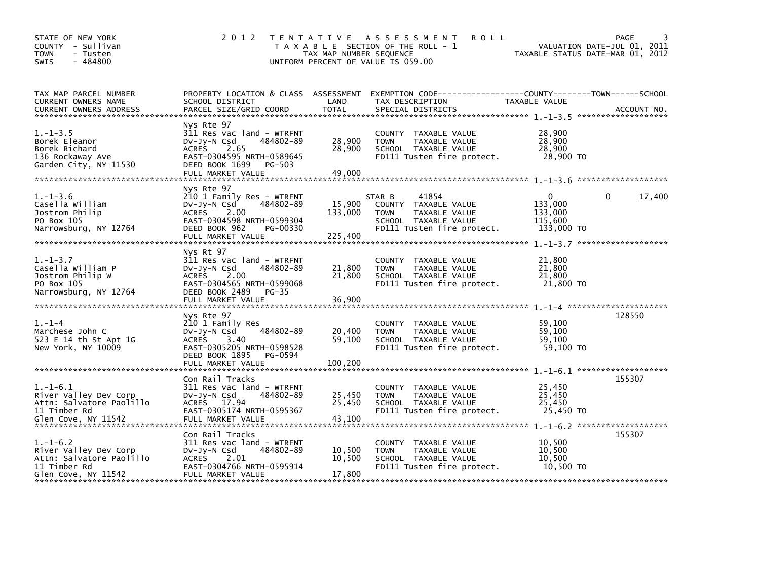| STATE OF NEW YORK<br>COUNTY - Sullivan<br><b>TOWN</b><br>- Tusten<br>$-484800$<br><b>SWIS</b>          | 2 0 1 2                                                                                                                                                                     | T E N T A T I V E<br>TAX MAP NUMBER SEQUENCE | A S S E S S M E N T<br><b>ROLL</b><br>T A X A B L E SECTION OF THE ROLL - 1<br>UNIFORM PERCENT OF VALUE IS 059.00             | TAXABLE STATUS DATE-MAR 01, 2012                        | <b>PAGE</b><br>VALUATION DATE-JUL 01, 2011 |
|--------------------------------------------------------------------------------------------------------|-----------------------------------------------------------------------------------------------------------------------------------------------------------------------------|----------------------------------------------|-------------------------------------------------------------------------------------------------------------------------------|---------------------------------------------------------|--------------------------------------------|
| TAX MAP PARCEL NUMBER<br>CURRENT OWNERS NAME<br><b>CURRENT OWNERS ADDRESS</b>                          | PROPERTY LOCATION & CLASS ASSESSMENT<br>SCHOOL DISTRICT<br>PARCEL SIZE/GRID COORD                                                                                           | LAND<br><b>TOTAL</b>                         | EXEMPTION CODE-----------------COUNTY-------TOWN------SCHOOL<br>TAX DESCRIPTION<br>SPECIAL DISTRICTS                          | TAXABLE VALUE                                           | ACCOUNT NO.                                |
| $1. - 1 - 3.5$<br>Borek Eleanor<br>Borek Richard<br>136 Rockaway Ave<br>Garden City, NY 11530          | Nys Rte 97<br>311 Res vac land - WTRFNT<br>484802-89<br>DV-Jy-N Csd<br><b>ACRES</b><br>2.65<br>EAST-0304595 NRTH-0589645<br>DEED BOOK 1699<br>PG-503<br>FULL MARKET VALUE   | 28,900<br>28,900<br>49,000                   | COUNTY TAXABLE VALUE<br><b>TOWN</b><br>TAXABLE VALUE<br>SCHOOL TAXABLE VALUE<br>FD111 Tusten fire protect.                    | 28,900<br>28,900<br>28,900<br>28,900 TO                 |                                            |
| $1. - 1 - 3.6$<br>Casella William<br>Jostrom Philip<br>PO Box 105<br>Narrowsburg, NY 12764             | Nys Rte 97<br>210 1 Family Res - WTRFNT<br>DV-Jy-N Csd<br>484802-89<br>2.00<br>ACRES<br>EAST-0304598 NRTH-0599304<br>DEED BOOK 962<br>PG-00330<br>FULL MARKET VALUE         | 15,900<br>133,000<br>225,400                 | 41854<br>STAR B<br>COUNTY TAXABLE VALUE<br>TAXABLE VALUE<br><b>TOWN</b><br>SCHOOL TAXABLE VALUE<br>FD111 Tusten fire protect. | $\Omega$<br>133,000<br>133,000<br>115,600<br>133,000 TO | 17,400<br>0                                |
| $1. - 1 - 3.7$<br>Casella William P<br>Jostrom Philip W<br>PO Box 105<br>Narrowsburg, NY 12764         | Nys Rt 97<br>311 Res vac land - WTRFNT<br>484802-89<br>$Dv-Jy-N$ Csd<br><b>ACRES</b><br>2.00<br>EAST-0304565 NRTH-0599068<br>DEED BOOK 2489<br>$PG-35$<br>FULL MARKET VALUE | 21,800<br>21,800<br>36,900                   | COUNTY TAXABLE VALUE<br>TAXABLE VALUE<br><b>TOWN</b><br>SCHOOL TAXABLE VALUE<br>FD111 Tusten fire protect.                    | 21,800<br>21,800<br>21.800<br>21,800 TO                 |                                            |
| $1. - 1 - 4$<br>Marchese John C<br>523 E 14 th St Apt 1G<br>New York, NY 10009                         | Nys Rte 97<br>210 1 Family Res<br>484802-89<br>DV-Jy-N Csd<br>ACRES 3.40<br>EAST-0305205 NRTH-0598528<br>DEED BOOK 1895<br>PG-0594<br>FULL MARKET VALUE                     | 20,400<br>59.100<br>100,200                  | COUNTY TAXABLE VALUE<br><b>TOWN</b><br>TAXABLE VALUE<br>SCHOOL TAXABLE VALUE<br>FD111 Tusten fire protect.                    | 59,100<br>59,100<br>59,100<br>59,100 TO                 | 128550                                     |
| $1.-1-6.1$<br>River Valley Dev Corp<br>Attn: Salvatore Paolillo<br>11 Timber Rd<br>Glen Cove, NY 11542 | Con Rail Tracks<br>311 Res vac land - WTRFNT<br>DV-Jy-N Csd<br>484802-89<br>ACRES 17.94<br>EAST-0305174 NRTH-0595367<br>FULL MARKET VALUE                                   | 25,450<br>25,450<br>43,100                   | COUNTY TAXABLE VALUE<br>TAXABLE VALUE<br><b>TOWN</b><br>SCHOOL TAXABLE VALUE<br>FD111 Tusten fire protect.                    | 25,450<br>25,450<br>25,450<br>25,450 TO                 | 155307                                     |
| $1.-1-6.2$<br>River Valley Dev Corp<br>Attn: Salvatore Paolillo<br>11 Timber Rd<br>Glen Cove, NY 11542 | Con Rail Tracks<br>311 Res vac land - WTRFNT<br>DV-Jy-N Csd<br>484802-89<br>ACRES 2.01<br>EAST-0304766 NRTH-0595914<br>FULL MARKET VALUE                                    | 10,500<br>10,500<br>17,800                   | COUNTY TAXABLE VALUE<br>TAXABLE VALUE<br><b>TOWN</b><br>SCHOOL TAXABLE VALUE<br>FD111 Tusten fire protect.                    | 10,500<br>10,500<br>10,500<br>10,500 TO                 | 155307                                     |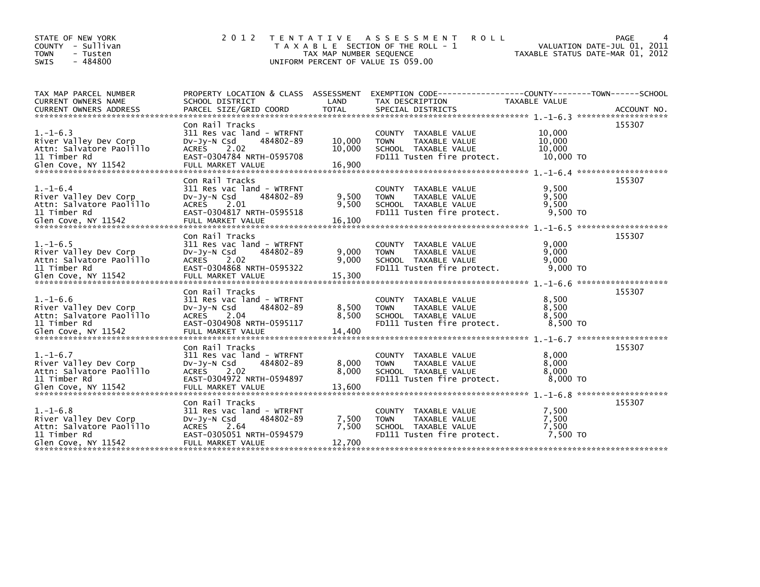| STATE OF NEW YORK<br>- Sullivan<br><b>COUNTY</b><br><b>TOWN</b><br>- Tusten<br>$-484800$<br>SWIS           | 2 0 1 2                                                                                                                                            | T E N T A T I V E<br>TAX MAP NUMBER SEQUENCE | A S S E S S M E N T<br><b>ROLL</b><br>T A X A B L E SECTION OF THE ROLL - 1<br>UNIFORM PERCENT OF VALUE IS 059.00           |                                                     | PAGE<br>VALUATION DATE-JUL 01, 2011<br>TAXABLE STATUS DATE-MAR 01, 2012 |
|------------------------------------------------------------------------------------------------------------|----------------------------------------------------------------------------------------------------------------------------------------------------|----------------------------------------------|-----------------------------------------------------------------------------------------------------------------------------|-----------------------------------------------------|-------------------------------------------------------------------------|
| TAX MAP PARCEL NUMBER<br><b>CURRENT OWNERS NAME</b>                                                        | PROPERTY LOCATION & CLASS ASSESSMENT<br>SCHOOL DISTRICT                                                                                            | LAND                                         | EXEMPTION CODE-----------------COUNTY-------TOWN------SCHOOL<br>TAX DESCRIPTION                                             | TAXABLE VALUE                                       | ACCOUNT NO.<br>********************                                     |
| $1. - 1 - 6.3$<br>River Valley Dev Corp<br>Attn: Salvatore Paolillo<br>11 Timber Rd                        | Con Rail Tracks<br>311 Res vac land - WTRFNT<br>DV-Jy-N Csd<br>484802-89<br>2.02<br>ACRES<br>EAST-0304784 NRTH-0595708                             | 10,000<br>10,000                             | COUNTY<br>TAXABLE VALUE<br><b>TOWN</b><br>TAXABLE VALUE<br>SCHOOL TAXABLE VALUE<br>FD111 Tusten fire protect.               | 10,000<br>10,000<br>10,000<br>10,000 TO             | 155307<br>*******************                                           |
| $1. - 1 - 6.4$<br>River Valley Dev Corp<br>Attn: Salvatore Paolillo<br>11 Timber Rd                        | Con Rail Tracks<br>311 Res vac land - WTRFNT<br>$Dv-Jy-N$ Csd<br>484802-89<br>2.01<br>ACRES<br>EAST-0304817 NRTH-0595518                           | 9,500<br>9,500                               | <b>COUNTY</b><br>TAXABLE VALUE<br><b>TAXABLE VALUE</b><br><b>TOWN</b><br>SCHOOL TAXABLE VALUE<br>FD111 Tusten fire protect. | 9,500<br>9,500<br>9,500<br>$9,500$ TO               | 155307                                                                  |
| $1. - 1 - 6.5$<br>River Valley Dev Corp<br>Attn: Salvatore Paolillo<br>11 Timber Rd                        | Con Rail Tracks<br>311 Res vac land - WTRFNT<br>484802-89<br>DV-Jy-N Csd<br>2.02<br>ACRES<br>EAST-0304868 NRTH-0595322<br>FULL MARKET VALUE        | 9,000<br>9,000                               | <b>COUNTY</b><br>TAXABLE VALUE<br>TAXABLE VALUE<br><b>TOWN</b><br>SCHOOL TAXABLE VALUE<br>FD111 Tusten fire protect.        | 9,000<br>9,000<br>9,000<br>$9,000$ TO<br>$1.-1-6.6$ | 155307<br>*******************                                           |
| $1. - 1 - 6.6$<br>River Valley Dev Corp<br>Attn: Salvatore Paolillo<br>11 Timber Rd                        | Con Rail Tracks<br>311 Res vac land - WTRFNT<br>484802-89<br>DV-Jy-N Csd<br>ACRES<br>2.04<br>EAST-0304908 NRTH-0595117                             | 8,500<br>8,500<br>14,400                     | <b>COUNTY</b><br>TAXABLE VALUE<br>TAXABLE VALUE<br><b>TOWN</b><br>SCHOOL TAXABLE VALUE<br>FD111 Tusten fire protect.        | 8,500<br>8,500<br>8.500<br>8,500 TO                 | 155307<br>*******************                                           |
| $1. - 1 - 6.7$<br>River Valley Dev Corp<br>Attn: Salvatore Paolillo<br>11 Timber Rd                        | Con Rail Tracks<br>311 Res vac land - WTRFNT<br>484802-89<br>DV-Jy-N Csd<br>ACRES<br>2.02<br>EAST-0304972 NRTH-0594897                             | 8,000<br>8,000<br>13,600                     | <b>COUNTY</b><br>TAXABLE VALUE<br><b>TOWN</b><br>TAXABLE VALUE<br>SCHOOL TAXABLE VALUE<br>FD111 Tusten fire protect.        | 8,000<br>8,000<br>8,000<br>$8,000$ TO               | 155307                                                                  |
| $1. - 1 - 6.8$<br>River Valley Dev Corp<br>Attn: Salvatore Paolillo<br>11 Timber Rd<br>Glen Cove, NY 11542 | Con Rail Tracks<br>311 Res vac land - WTRFNT<br>484802-89<br>DV-Jy-N Csd<br><b>ACRES</b><br>2.64<br>EAST-0305051 NRTH-0594579<br>FULL MARKET VALUE | 7,500<br>7,500<br>12,700                     | TAXABLE VALUE<br><b>COUNTY</b><br>TAXABLE VALUE<br><b>TOWN</b><br>SCHOOL TAXABLE VALUE<br>FD111 Tusten fire protect.        | 7,500<br>7,500<br>7,500<br>7,500 TO                 | 155307                                                                  |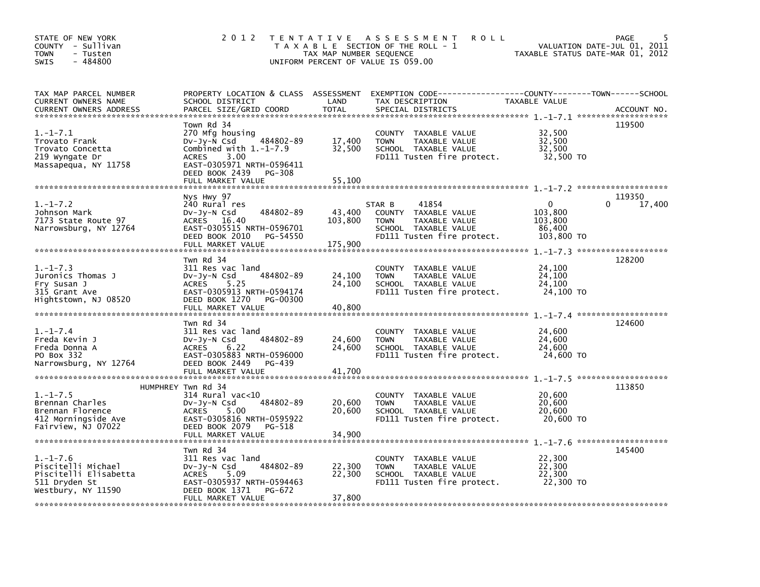| STATE OF NEW YORK<br>COUNTY - Sullivan<br>- Tusten<br><b>TOWN</b><br>$-484800$<br><b>SWIS</b>        | 2 0 1 2                                                                                                                                                                                     | TAX MAP NUMBER SEQUENCE    | TENTATIVE ASSESSMENT<br><b>ROLL</b><br>T A X A B L E SECTION OF THE ROLL - 1<br>UNIFORM PERCENT OF VALUE IS 059.00            | VALUATION DATE-JUL 01, 2011<br>TAXABLE STATUS DATE-MAR 01, 2012 | PAGE<br>5                               |
|------------------------------------------------------------------------------------------------------|---------------------------------------------------------------------------------------------------------------------------------------------------------------------------------------------|----------------------------|-------------------------------------------------------------------------------------------------------------------------------|-----------------------------------------------------------------|-----------------------------------------|
| TAX MAP PARCEL NUMBER<br><b>CURRENT OWNERS NAME</b><br><b>CURRENT OWNERS ADDRESS</b>                 | PROPERTY LOCATION & CLASS ASSESSMENT<br>SCHOOL DISTRICT<br>PARCEL SIZE/GRID COORD                                                                                                           | LAND<br><b>TOTAL</b>       | EXEMPTION CODE-----------------COUNTY-------TOWN------SCHOOL<br>TAX DESCRIPTION<br>SPECIAL DISTRICTS                          | TAXABLE VALUE                                                   | ACCOUNT NO.                             |
| $1.-1-7.1$<br>Trovato Frank<br>Trovato Concetta<br>219 Wyngate Dr<br>Massapequa, NY 11758            | Town Rd 34<br>270 Mfg housing<br>484802-89<br>DV-Jy-N Csd<br>Combined with $1.-1-7.9$<br>3.00<br><b>ACRES</b><br>EAST-0305971 NRTH-0596411<br>DEED BOOK 2439<br>PG-308<br>FULL MARKET VALUE | 17,400<br>32,500<br>55,100 | COUNTY TAXABLE VALUE<br><b>TOWN</b><br>TAXABLE VALUE<br>SCHOOL TAXABLE VALUE<br>FD111 Tusten fire protect.                    | 32,500<br>32,500<br>32,500<br>32,500 TO                         | 119500                                  |
| $1. - 1 - 7.2$<br>Johnson Mark<br>7173 State Route 97<br>Narrowsburg, NY 12764                       | Nys Hwy 97<br>240 Rural res<br>484802-89<br>DV-Jy-N Csd<br>ACRES 16.40<br>EAST-0305515 NRTH-0596701<br>DEED BOOK 2010<br>PG-54550                                                           | 43,400<br>103,800          | 41854<br>STAR B<br>COUNTY TAXABLE VALUE<br>TAXABLE VALUE<br><b>TOWN</b><br>SCHOOL TAXABLE VALUE<br>FD111 Tusten fire protect. | 0<br>0<br>103,800<br>103,800<br>86,400<br>103,800 TO            | 119350<br>17,400<br>******************* |
| $1.-1-7.3$<br>Juronics Thomas J<br>Fry Susan J<br>315 Grant Ave<br>Hightstown, NJ 08520              | Twn Rd 34<br>311 Res vac land<br>484802-89<br>DV-JV-N Csd<br><b>ACRES</b><br>5.25<br>EAST-0305913 NRTH-0594174<br>DEED BOOK 1270<br>PG-00300<br>FULL MARKET VALUE                           | 24,100<br>24,100<br>40,800 | COUNTY TAXABLE VALUE<br>TAXABLE VALUE<br><b>TOWN</b><br>SCHOOL TAXABLE VALUE<br>FD111 Tusten fire protect.                    | 24,100<br>24,100<br>24,100<br>24,100 TO                         | 128200                                  |
| $1.-1-7.4$<br>Freda Kevin J<br>Freda Donna A<br>PO Box 332<br>Narrowsburg, NY 12764                  | Twn Rd 34<br>311 Res vac land<br>484802-89<br>DV-Jy-N Csd<br><b>ACRES</b><br>6.22<br>EAST-0305883 NRTH-0596000<br>DEED BOOK 2449<br>PG-439                                                  | 24,600<br>24,600           | COUNTY TAXABLE VALUE<br><b>TOWN</b><br>TAXABLE VALUE<br>SCHOOL TAXABLE VALUE<br>FD111 Tusten fire protect.                    | 24,600<br>24,600<br>24,600<br>24,600 TO                         | 124600                                  |
| $1. - 1 - 7.5$<br>Brennan Charles<br>Brennan Florence<br>412 Morningside Ave<br>Fairview, NJ 07022   | HUMPHREY Twn Rd 34<br>$314$ Rural vac< $10$<br>484802-89<br>DV-JV-N Csd<br>5.00<br><b>ACRES</b><br>EAST-0305816 NRTH-0595922<br>DEED BOOK 2079<br>PG-518<br>FULL MARKET VALUE               | 20,600<br>20,600<br>34,900 | COUNTY TAXABLE VALUE<br><b>TOWN</b><br>TAXABLE VALUE<br>SCHOOL TAXABLE VALUE<br>FD111 Tusten fire protect.                    | 20,600<br>20,600<br>20,600<br>20,600 TO                         | 113850                                  |
| $1. - 1 - 7.6$<br>Piscitelli Michael<br>Piscitelli Elisabetta<br>511 Dryden St<br>Westbury, NY 11590 | Twn Rd 34<br>311 Res vac land<br>484802-89<br>DV-Jy-N Csd<br><b>ACRES</b><br>5.09<br>EAST-0305937 NRTH-0594463<br>DEED BOOK 1371<br>PG-672<br>FULL MARKET VALUE                             | 22,300<br>22,300<br>37,800 | COUNTY TAXABLE VALUE<br><b>TOWN</b><br>TAXABLE VALUE<br>SCHOOL TAXABLE VALUE<br>FD111 Tusten fire protect.                    | 22,300<br>22,300<br>22,300<br>22,300 TO                         | 145400                                  |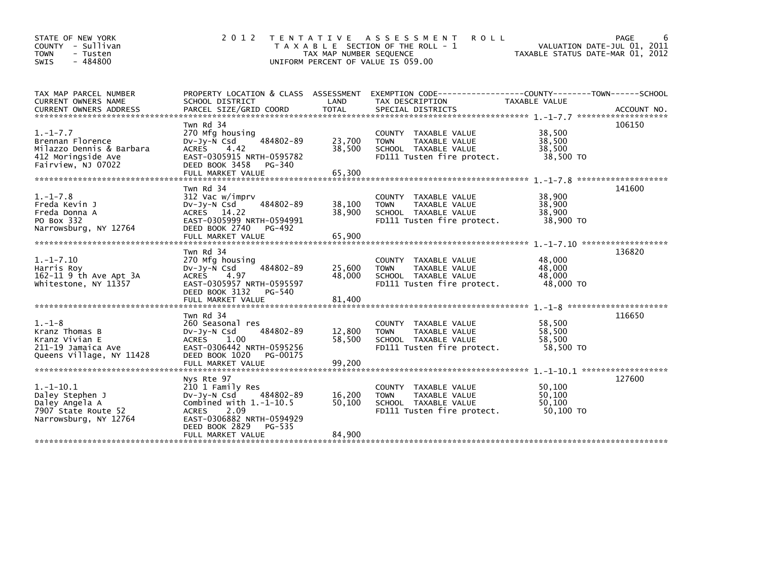| STATE OF NEW YORK<br>COUNTY - Sullivan<br><b>TOWN</b><br>- Tusten<br>$-484800$<br>SWIS                     | 2 0 1 2                                                                                                                                                                                         | TAX MAP NUMBER SEQUENCE    | TENTATIVE ASSESSMENT<br><b>ROLL</b><br>T A X A B L E SECTION OF THE ROLL - 1<br>UNIFORM PERCENT OF VALUE IS 059.00 | VALUATION DATE-JUL 01, 2011<br>TAXABLE STATUS DATE-MAR 01, 2012      | PAGE<br>6                     |
|------------------------------------------------------------------------------------------------------------|-------------------------------------------------------------------------------------------------------------------------------------------------------------------------------------------------|----------------------------|--------------------------------------------------------------------------------------------------------------------|----------------------------------------------------------------------|-------------------------------|
| TAX MAP PARCEL NUMBER<br><b>CURRENT OWNERS NAME</b><br><b>CURRENT OWNERS ADDRESS</b>                       | PROPERTY LOCATION & CLASS ASSESSMENT EXEMPTION CODE----<br>SCHOOL DISTRICT<br>PARCEL SIZE/GRID COORD                                                                                            | LAND<br><b>TOTAL</b>       | TAX DESCRIPTION<br>SPECIAL DISTRICTS                                                                               | --------------COUNTY--------TOWN------SCHOOL<br><b>TAXABLE VALUE</b> | ACCOUNT NO.                   |
| $1. - 1 - 7.7$<br>Brennan Florence<br>Milazzo Dennis & Barbara<br>412 Moringside Ave<br>Fairview, NJ 07022 | Twn Rd 34<br>270 Mfg housing<br>484802-89<br>$Dv-Jy-N$ Csd<br><b>ACRES</b><br>4.42<br>EAST-0305915 NRTH-0595782<br>DEED BOOK 3458<br>PG-340                                                     | 23,700<br>38,500           | COUNTY TAXABLE VALUE<br>TAXABLE VALUE<br><b>TOWN</b><br>SCHOOL TAXABLE VALUE<br>FD111 Tusten fire protect.         | 38,500<br>38,500<br>38,500<br>38,500 TO                              | 106150                        |
| $1. - 1 - 7.8$<br>Freda Kevin J<br>Freda Donna A<br>PO Box 332<br>Narrowsburg, NY 12764                    | Twn Rd 34<br>312 Vac w/imprv<br>484802-89<br>$Dv-Jv-N$ Csd<br>ACRES 14.22<br>EAST-0305999 NRTH-0594991<br>DEED BOOK 2740<br>PG-492                                                              | 38,100<br>38,900           | COUNTY TAXABLE VALUE<br><b>TAXABLE VALUE</b><br><b>TOWN</b><br>SCHOOL TAXABLE VALUE<br>FD111 Tusten fire protect.  | 38,900<br>38,900<br>38,900<br>38,900 TO                              | *******************<br>141600 |
|                                                                                                            | FULL MARKET VALUE                                                                                                                                                                               | 65,900                     |                                                                                                                    |                                                                      | 136820                        |
| $1. - 1 - 7.10$<br>Harris Roy<br>162-11 9 th Ave Apt 3A<br>Whitestone, NY 11357                            | Twn Rd 34<br>270 Mfg housing<br>484802-89<br>$Dv-Jv-N$ Csd<br>4.97<br><b>ACRES</b><br>EAST-0305957 NRTH-0595597<br>DEED BOOK 3132<br>PG-540<br>FULL MARKET VALUE                                | 25,600<br>48,000<br>81,400 | COUNTY TAXABLE VALUE<br>TAXABLE VALUE<br><b>TOWN</b><br>SCHOOL TAXABLE VALUE<br>FD111 Tusten fire protect.         | 48,000<br>48,000<br>48,000<br>48,000 TO                              |                               |
|                                                                                                            | Twn Rd 34                                                                                                                                                                                       |                            |                                                                                                                    | $1 - 1 - 8$ ***********************                                  | 116650                        |
| $1. - 1 - 8$<br>Kranz Thomas B<br>Kranz Vivian E<br>211-19 Jamaica Ave<br>Queens Village, NY 11428         | 260 Seasonal res<br>484802-89<br>$Dv-Jy-N$ Csd<br><b>ACRES</b><br>1.00<br>EAST-0306442 NRTH-0595256<br>DEED BOOK 1020<br>PG-00175                                                               | 12,800<br>58,500           | COUNTY TAXABLE VALUE<br><b>TOWN</b><br>TAXABLE VALUE<br>SCHOOL TAXABLE VALUE<br>FD111 Tusten fire protect.         | 58,500<br>58,500<br>58,500<br>58,500 TO                              |                               |
|                                                                                                            | FULL MARKET VALUE                                                                                                                                                                               | 99,200                     |                                                                                                                    |                                                                      |                               |
| $1.-1-10.1$<br>Daley Stephen J<br>Daley Angela A<br>7907 State Route 52<br>Narrowsburg, NY 12764           | Nys Rte 97<br>210 1 Family Res<br>484802-89<br>$Dv-Jy-N$ Csd<br>Combined with $1.-1-10.5$<br>2.09<br><b>ACRES</b><br>EAST-0306882 NRTH-0594929<br>DEED BOOK 2829<br>PG-535<br>FULL MARKET VALUE | 16.200<br>50,100<br>84,900 | COUNTY TAXABLE VALUE<br><b>TOWN</b><br>TAXABLE VALUE<br>SCHOOL TAXABLE VALUE<br>FD111 Tusten fire protect.         | 50.100<br>50.100<br>50,100<br>50,100 TO                              | 127600                        |
|                                                                                                            |                                                                                                                                                                                                 |                            |                                                                                                                    |                                                                      |                               |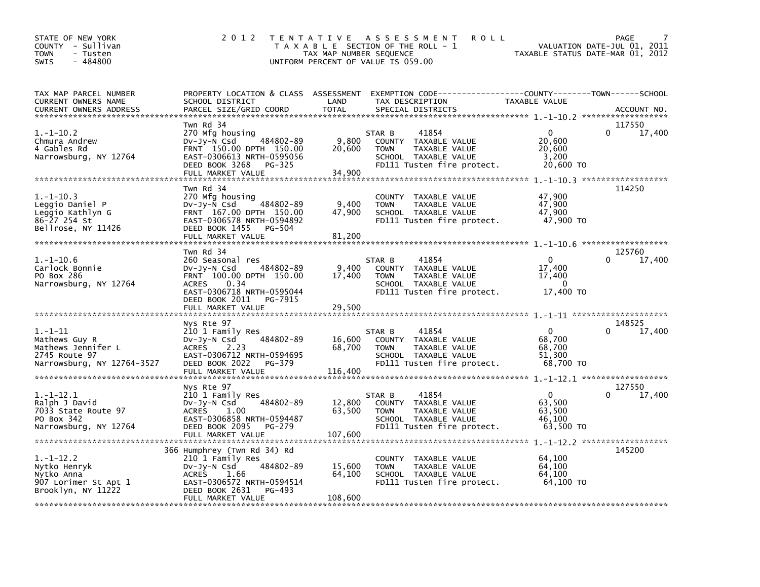| STATE OF NEW YORK<br>COUNTY - Sullivan<br>TOWN<br>- Tusten<br>$-484800$<br><b>SWIS</b>          | 2 0 1 2                                                                                                                                                                                    | T E N T A T I V E<br>TAX MAP NUMBER SEQUENCE | A S S E S S M E N T<br><b>ROLL</b><br>T A X A B L E SECTION OF THE ROLL - 1<br>UNIFORM PERCENT OF VALUE IS 059.00                        | TAXABLE STATUS DATE-MAR 01, 2012                    | PAGE<br>7<br>VALUATION DATE-JUL 01, 2011 |
|-------------------------------------------------------------------------------------------------|--------------------------------------------------------------------------------------------------------------------------------------------------------------------------------------------|----------------------------------------------|------------------------------------------------------------------------------------------------------------------------------------------|-----------------------------------------------------|------------------------------------------|
| TAX MAP PARCEL NUMBER<br>CURRENT OWNERS NAME<br><b>CURRENT OWNERS ADDRESS</b>                   | SCHOOL DISTRICT<br>PARCEL SIZE/GRID COORD                                                                                                                                                  | LAND<br><b>TOTAL</b>                         | PROPERTY LOCATION & CLASS ASSESSMENT EXEMPTION CODE----------------COUNTY-------TOWN------SCHOOL<br>TAX DESCRIPTION<br>SPECIAL DISTRICTS | TAXABLE VALUE                                       | ACCOUNT NO.                              |
| $1.-1-10.2$<br>Chmura Andrew<br>4 Gables Rd<br>Narrowsburg, NY 12764                            | Twn Rd 34<br>270 Mfg housing<br>484802-89<br>$Dv-Jv-N$ Csd<br>FRNT 150.00 DPTH 150.00<br>EAST-0306613 NRTH-0595056<br>DEED BOOK 3268<br>PG-325<br>FULL MARKET VALUE                        | 9,800<br>20,600<br>34.900                    | 41854<br>STAR B<br>COUNTY TAXABLE VALUE<br>TAXABLE VALUE<br><b>TOWN</b><br>SCHOOL TAXABLE VALUE<br>FD111 Tusten fire protect.            | 0<br>20,600<br>20,600<br>3,200<br>20,600 TO         | 117550<br>0<br>17,400                    |
| $1.-1-10.3$<br>Leggio Daniel P<br>Leggio Kathlyn G<br>86-27 254 St<br>Bellrose, NY 11426        | Twn Rd 34<br>270 Mfg housing<br>484802-89<br>$Dv-Jv-N$ Csd<br>FRNT 167.00 DPTH 150.00<br>EAST-0306578 NRTH-0594892<br>DEED BOOK 1455<br>PG-504<br>FULL MARKET VALUE                        | 9,400<br>47,900<br>81,200                    | COUNTY TAXABLE VALUE<br>TAXABLE VALUE<br><b>TOWN</b><br>SCHOOL TAXABLE VALUE<br>FD111 Tusten fire protect.                               | 47,900<br>47,900<br>47,900<br>47,900 TO             | 114250                                   |
| $1.-1-10.6$<br>Carlock Bonnie<br>PO Box 286<br>Narrowsburg, NY 12764                            | Twn Rd 34<br>260 Seasonal res<br>484802-89<br>$Dv-Jy-N$ Csd<br>FRNT 100.00 DPTH 150.00<br>0.34<br><b>ACRES</b><br>EAST-0306718 NRTH-0595044<br>DEED BOOK 2011 PG-7915<br>FULL MARKET VALUE | 9,400<br>17,400<br>29,500                    | 41854<br>STAR B<br>COUNTY TAXABLE VALUE<br><b>TOWN</b><br>TAXABLE VALUE<br>SCHOOL TAXABLE VALUE<br>FD111 Tusten fire protect.            | $\mathbf 0$<br>17,400<br>17,400<br>0<br>17,400 TO   | 125760<br>17,400                         |
| $1.-1-11$<br>Mathews Guy R<br>Mathews Jennifer L<br>2745 Route 97<br>Narrowsburg, NY 12764-3527 | Nys Rte 97<br>210 1 Family Res<br>484802-89<br>$Dv-Jv-N$ Csd<br><b>ACRES</b><br>2.23<br>EAST-0306712 NRTH-0594695<br>DEED BOOK 2022<br>PG-379<br>FULL MARKET VALUE                         | 16,600<br>68,700<br>116,400                  | 41854<br>STAR B<br>COUNTY TAXABLE VALUE<br><b>TOWN</b><br>TAXABLE VALUE<br>SCHOOL TAXABLE VALUE<br>FD111 Tusten fire protect.            | $\Omega$<br>68.700<br>68,700<br>51,300<br>68,700 TO | 148525<br>0<br>17,400                    |
| $1.-1-12.1$<br>Ralph J David<br>7033 State Route 97<br>PO Box 342<br>Narrowsburg, NY 12764      | Nys Rte 97<br>210 1 Family Res<br>484802-89<br>$Dv-Jy-N$ Csd<br>1.00<br><b>ACRES</b><br>EAST-0306858 NRTH-0594487<br>DEED BOOK 2095<br>PG-279<br>FULL MARKET VALUE                         | 12,800<br>63,500<br>107,600                  | 41854<br>STAR B<br>COUNTY TAXABLE VALUE<br><b>TOWN</b><br>TAXABLE VALUE<br>SCHOOL TAXABLE VALUE<br>FD111 Tusten fire protect.            | $\Omega$<br>63,500<br>63,500<br>46,100<br>63,500 TO | 127550<br>0<br>17,400                    |
| $1.-1-12.2$<br>Nytko Henryk<br>Nytko Anna<br>907 Lorimer St Apt 1<br>Brooklyn, NY 11222         | 366 Humphrey (Twn Rd 34) Rd<br>210 1 Family Res<br>484802-89<br>$Dv-Jy-N$ Csd<br>ACRES<br>1.66<br>EAST-0306572 NRTH-0594514<br>DEED BOOK 2631<br>PG-493<br>FULL MARKET VALUE               | 15,600<br>64,100<br>108,600                  | COUNTY TAXABLE VALUE<br><b>TOWN</b><br>TAXABLE VALUE<br>SCHOOL TAXABLE VALUE<br>FD111 Tusten fire protect.                               | 64,100<br>64,100<br>64,100<br>64,100 TO             | 145200                                   |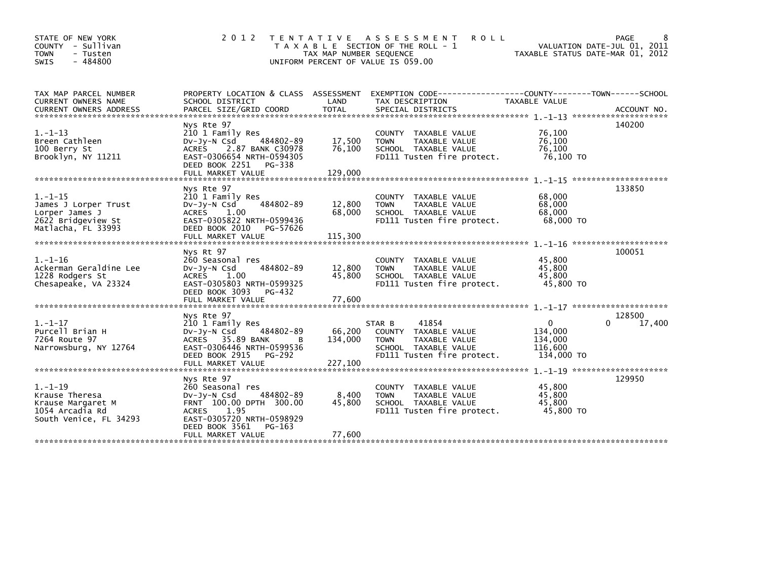| STATE OF NEW YORK<br>COUNTY - Sullivan<br><b>TOWN</b><br>- Tusten<br>$-484800$<br><b>SWIS</b>       | 2 0 1 2                                                                                                                                                                                       | TAX MAP NUMBER SEQUENCE      | TENTATIVE ASSESSMENT<br><b>ROLL</b><br>T A X A B L E SECTION OF THE ROLL - 1<br>UNIFORM PERCENT OF VALUE IS 059.00                   | TAXABLE STATUS DATE-MAR 01, 2012                            | 8<br>PAGE<br>VALUATION DATE-JUL 01, 2011 |
|-----------------------------------------------------------------------------------------------------|-----------------------------------------------------------------------------------------------------------------------------------------------------------------------------------------------|------------------------------|--------------------------------------------------------------------------------------------------------------------------------------|-------------------------------------------------------------|------------------------------------------|
| TAX MAP PARCEL NUMBER<br>CURRENT OWNERS NAME                                                        | SCHOOL DISTRICT                                                                                                                                                                               | LAND                         | PROPERTY LOCATION & CLASS ASSESSMENT EXEMPTION CODE-----------------COUNTY-------TOWN------SCHOOL<br>TAX DESCRIPTION                 | <b>TAXABLE VALUE</b>                                        |                                          |
| $1. - 1 - 13$<br>Breen Cathleen<br>100 Berry St<br>Brooklyn, NY 11211                               | Nys Rte 97<br>210 1 Family Res<br>484802-89<br>$Dv-Jy-N$ Csd<br>2.87 BANK C30978<br>ACRES<br>EAST-0306654 NRTH-0594305<br>DEED BOOK 2251<br>PG-338                                            | 17,500<br>76,100             | COUNTY TAXABLE VALUE<br>TAXABLE VALUE<br><b>TOWN</b><br>SCHOOL TAXABLE VALUE<br>FD111 Tusten fire protect.                           | 76,100<br>76,100<br>76,100<br>76,100 TO                     | 140200                                   |
| $1. - 1 - 15$<br>James J Lorper Trust<br>Lorper James J<br>2622 Bridgeview St<br>Matlacha, FL 33993 | Nys Rte 97<br>210 1 Family Res<br>484802-89<br>$Dv-Jy-N$ Csd<br><b>ACRES</b><br>1.00<br>EAST-0305822 NRTH-0599436<br>DEED BOOK 2010<br>PG-57626<br>FULL MARKET VALUE                          | 12,800<br>68,000<br>115,300  | COUNTY TAXABLE VALUE<br><b>TOWN</b><br>TAXABLE VALUE<br>SCHOOL TAXABLE VALUE<br>FD111 Tusten fire protect.                           | 68,000<br>68,000<br>68,000<br>68,000 TO                     | 133850                                   |
| $1. - 1 - 16$<br>Ackerman Geraldine Lee<br>1228 Rodgers St<br>Chesapeake, VA 23324                  | Nys Rt 97<br>260 Seasonal res<br>$Dv-Jv-N$ Csd<br>484802-89<br><b>ACRES</b><br>1.00<br>EAST-0305803 NRTH-0599325<br>DEED BOOK 3093<br>PG-432<br>FULL MARKET VALUE                             | 12,800<br>45.800<br>77,600   | COUNTY TAXABLE VALUE<br><b>TOWN</b><br>TAXABLE VALUE<br>SCHOOL TAXABLE VALUE<br>FD111 Tusten fire protect.                           | 45,800<br>45,800<br>45.800<br>45,800 TO                     | 100051                                   |
| $1. - 1 - 17$<br>Purcell Brian H<br>7264 Route 97<br>Narrowsburg, NY 12764                          | Nys Rte 97<br>210 1 Family Res<br>484802-89<br>$Dv-Jy-N$ Csd<br>ACRES 35.89 BANK<br><sub>R</sub><br>EAST-0306446 NRTH-0599536<br>DEED BOOK 2915<br>PG-292<br>FULL MARKET VALUE                | 66,200<br>134,000<br>227,100 | STAR B<br>41854<br>COUNTY TAXABLE VALUE<br><b>TAXABLE VALUE</b><br><b>TOWN</b><br>SCHOOL TAXABLE VALUE<br>FD111 Tusten fire protect. | $\mathbf{0}$<br>134,000<br>134,000<br>116,600<br>134,000 TO | 128500<br>$\Omega$<br>17,400             |
| $1. - 1 - 19$<br>Krause Theresa<br>Krause Margaret M<br>1054 Arcadia Rd<br>South Venice, FL 34293   | Nys Rte 97<br>260 Seasonal res<br>484802-89<br>$Dv-Jy-N$ Csd<br>FRNT 100.00 DPTH 300.00<br><b>ACRES</b><br>1.95<br>EAST-0305720 NRTH-0598929<br>DEED BOOK 3561<br>PG-163<br>FULL MARKET VALUE | 8,400<br>45,800<br>77,600    | COUNTY TAXABLE VALUE<br><b>TOWN</b><br>TAXABLE VALUE<br>SCHOOL TAXABLE VALUE<br>FD111 Tusten fire protect.                           | 45,800<br>45,800<br>45.800<br>45,800 TO                     | 129950                                   |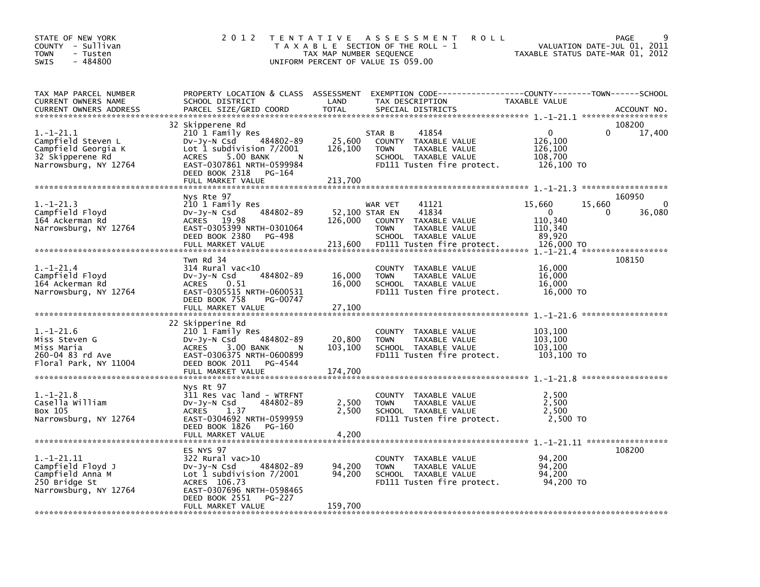| STATE OF NEW YORK<br>COUNTY - Sullivan<br><b>TOWN</b><br>- Tusten<br>$-484800$<br><b>SWIS</b>         | 2 0 1 2                                                                                                                                                                                 | TAX MAP NUMBER SEQUENCE      | TENTATIVE ASSESSMENT<br><b>ROLL</b><br>T A X A B L E SECTION OF THE ROLL - 1<br>UNIFORM PERCENT OF VALUE IS 059.00                                        | TAXABLE STATUS DATE-MAR 01, 2012                                     | PAGE<br>VALUATION DATE-JUL 01, 2011  |
|-------------------------------------------------------------------------------------------------------|-----------------------------------------------------------------------------------------------------------------------------------------------------------------------------------------|------------------------------|-----------------------------------------------------------------------------------------------------------------------------------------------------------|----------------------------------------------------------------------|--------------------------------------|
| TAX MAP PARCEL NUMBER<br>CURRENT OWNERS NAME<br><b>CURRENT OWNERS ADDRESS</b>                         | SCHOOL DISTRICT<br>PARCEL SIZE/GRID COORD                                                                                                                                               | LAND<br>TOTAL                | PROPERTY LOCATION & CLASS ASSESSMENT EXEMPTION CODE----------------COUNTY-------TOWN-----SCHOOL<br>TAX DESCRIPTION<br>SPECIAL DISTRICTS                   | <b>TAXABLE VALUE</b>                                                 | ACCOUNT NO.                          |
| $1.-1-21.1$<br>Campfield Steven L<br>Campfield Georgia K<br>32 Skipperene Rd<br>Narrowsburg, NY 12764 | 32 Skipperene Rd<br>210 1 Family Res<br>484802-89<br>Dv-Jy-N Csd<br>Lot 1 subdivision 7/2001<br>5.00 BANK<br><b>ACRES</b><br>N<br>EAST-0307861 NRTH-0599984<br>DEED BOOK 2318 PG-164    | 25,600<br>126,100            | 41854<br>STAR B<br>COUNTY TAXABLE VALUE<br>TAXABLE VALUE<br><b>TOWN</b><br>SCHOOL TAXABLE VALUE<br>FD111 Tusten fire protect.                             | $\mathbf{0}$<br>126,100<br>126,100<br>108,700<br>126,100 TO          | 108200<br>17,400<br>$\Omega$         |
| $1.-1-21.3$<br>Campfield Floyd<br>164 Ackerman Rd<br>Narrowsburg, NY 12764                            | Nys Rte 97<br>210 1 Family Res<br>484802-89<br>DV-Jy-N Csd<br>ACRES 19.98<br>EAST-0305399 NRTH-0301064<br>DEED BOOK 2380 PG-498<br>FULL MARKET VALUE                                    | 126,000<br>213,600           | 41121<br>WAR VET<br>52,100 STAR EN<br>41834<br>COUNTY TAXABLE VALUE<br>TAXABLE VALUE<br><b>TOWN</b><br>SCHOOL TAXABLE VALUE<br>FD111 Tusten fire protect. | 15,660<br>$\mathbf{0}$<br>110,340<br>110,340<br>89,920<br>126,000 TO | 160950<br>15,660<br>0<br>36,080<br>0 |
| $1. - 1 - 21.4$<br>Campfield Floyd<br>164 Ackerman Rd<br>Narrowsburg, NY 12764                        | Twn Rd 34<br>$314$ Rural vac< $10$<br>484802-89<br>DV-JY-N Csd<br><b>ACRES</b><br>0.51<br>EAST-0305515 NRTH-0600531<br>DEED BOOK 758<br>PG-00747<br>FULL MARKET VALUE                   | 16,000<br>16,000<br>27,100   | COUNTY TAXABLE VALUE<br><b>TOWN</b><br>TAXABLE VALUE<br>SCHOOL TAXABLE VALUE<br>FD111 Tusten fire protect.                                                | 16,000<br>16,000<br>16,000<br>16,000 TO                              | 108150                               |
| $1.-1-21.6$<br>Miss Steven G<br>Miss Maria<br>260-04 83 rd Ave<br>Floral Park, NY 11004               | 22 Skipperine Rd<br>210 1 Family Res<br>484802-89<br>DV-Jy-N Csd<br>ACRES 3.00 BANK<br>$\overline{N}$<br>EAST-0306375 NRTH-0600899<br>DEED BOOK 2011<br>PG-4544<br>FULL MARKET VALUE    | 20,800<br>103,100<br>174,700 | COUNTY TAXABLE VALUE<br><b>TOWN</b><br>TAXABLE VALUE<br>SCHOOL TAXABLE VALUE<br>FD111 Tusten fire protect.                                                | 103,100<br>103,100<br>103,100<br>103,100 TO                          |                                      |
| $1.-1-21.8$<br>Casella William<br>Box 105<br>Narrowsburg, NY 12764                                    | Nys Rt 97<br>311 Res vac land - WTRFNT<br>$Dv-Jv-N$ Csd<br>484802-89<br>ACRES<br>1.37<br>EAST-0304692 NRTH-0599959<br>DEED BOOK 1826<br>PG-160<br>FULL MARKET VALUE                     | 2,500<br>2,500<br>4,200      | COUNTY TAXABLE VALUE<br><b>TOWN</b><br>TAXABLE VALUE<br>SCHOOL TAXABLE VALUE<br>FD111 Tusten fire protect.                                                | 2,500<br>2,500<br>2,500<br>2,500 TO                                  |                                      |
| $1.-1-21.11$<br>Campfield Floyd J<br>Campfield Anna M<br>250 Bridge St<br>Narrowsburg, NY 12764       | ES NYS 97<br>322 Rural vac>10<br>DV-Jy-N Csd<br>484802-89<br>Lot $1$ subdivision $7/2001$<br>ACRES 106.73<br>EAST-0307696 NRTH-0598465<br>DEED BOOK 2551<br>PG-227<br>FULL MARKET VALUE | 94,200<br>94,200<br>159,700  | COUNTY TAXABLE VALUE<br>TAXABLE VALUE<br><b>TOWN</b><br>SCHOOL TAXABLE VALUE<br>FD111 Tusten fire protect.                                                | 94,200<br>94,200<br>94,200<br>94,200 TO                              | 108200                               |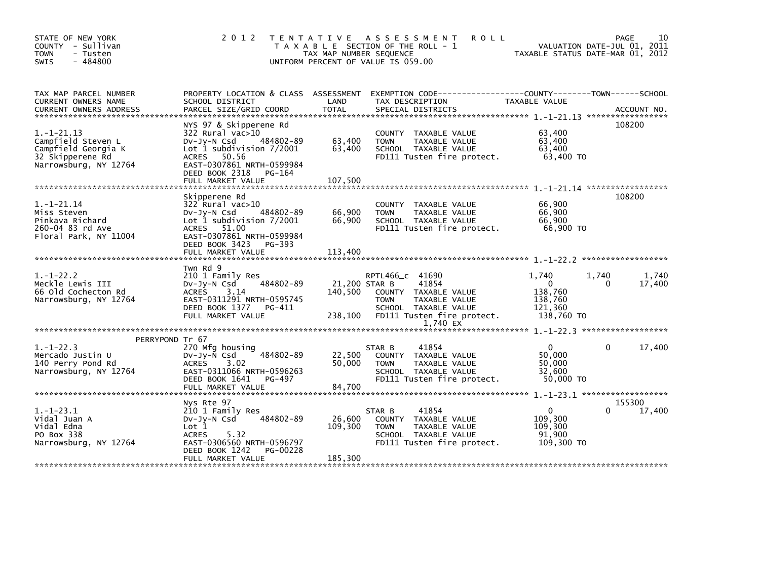| STATE OF NEW YORK<br>COUNTY - Sullivan<br><b>TOWN</b><br>- Tusten<br>$-484800$<br><b>SWIS</b>                                                                                                                                        | 2 0 1 2                                                                                                                                                 | TENTATIVE ASSESSMENT<br>T A X A B L E SECTION OF THE ROLL - 1<br>UNIFORM PERCENT OF VALUE IS 059.00 | TAX MAP NUMBER SEQUENCE             |                                | <b>ROLL</b>                                                                                                      | TAXABLE STATUS DATE-MAR 01, 2012                                 |                   | PAGE<br>10<br>VALUATION DATE-JUL 01, 2011 |
|--------------------------------------------------------------------------------------------------------------------------------------------------------------------------------------------------------------------------------------|---------------------------------------------------------------------------------------------------------------------------------------------------------|-----------------------------------------------------------------------------------------------------|-------------------------------------|--------------------------------|------------------------------------------------------------------------------------------------------------------|------------------------------------------------------------------|-------------------|-------------------------------------------|
| TAX MAP PARCEL NUMBER<br>CURRENT OWNERS NAME<br>.CURRENT OWNERS ADDRESS PARCEL SIZE/GRID COORD TOTAL SPECIAL DISTRICTS AND MELLICULARENT OWNERS ADDRESS PARCEL SIZE/GRID COORD TOTAL SPECIAL DISTRICTS AND MANAGEMENT ON ACCOUNT NO. | PROPERTY LOCATION & CLASS ASSESSMENT<br>SCHOOL DISTRICT                                                                                                 |                                                                                                     | LAND                                | TAX DESCRIPTION                |                                                                                                                  | TAXABLE VALUE                                                    |                   |                                           |
| $1. - 1 - 21.13$<br>Campfield Steven L<br>Campfield Georgia K<br>32 Skipperene Rd<br>Narrowsburg, NY 12764                                                                                                                           | NYS 97 & Skipperene Rd<br>322 Rural vac>10<br>$Dv-Jy-N$ Csd<br>Lot 1 subdivision $7/2001$<br>ACRES 50.56<br>EAST-0307861 NRTH-0599984<br>DEED BOOK 2318 | 484802-89<br>PG-164                                                                                 | 63,400<br>63,400                    | <b>TOWN</b>                    | COUNTY TAXABLE VALUE<br>TAXABLE VALUE<br>SCHOOL TAXABLE VALUE<br>FD111 Tusten fire protect.                      | 63,400<br>63,400<br>63,400<br>63,400 TO                          |                   | 108200                                    |
|                                                                                                                                                                                                                                      |                                                                                                                                                         |                                                                                                     |                                     |                                |                                                                                                                  |                                                                  |                   |                                           |
| $1.-1-21.14$<br>Miss Steven<br>Pinkava Richard<br>260-04 83 rd Ave<br>Floral Park, NY 11004                                                                                                                                          | Skipperene Rd<br>$322$ Rural vac $>10$<br>$Dv-Jy-N$ Csd<br>Lot 1 subdivision $7/2001$<br>ACRES 51.00<br>EAST-0307861 NRTH-0599984                       | 484802-89                                                                                           | 66,900<br>66,900                    | <b>TOWN</b>                    | COUNTY TAXABLE VALUE<br>TAXABLE VALUE<br>SCHOOL TAXABLE VALUE<br>FD111 Tusten fire protect.                      | 66,900<br>66,900<br>66.900<br>66,900 TO                          |                   | 108200                                    |
|                                                                                                                                                                                                                                      | DEED BOOK 3423<br>FULL MARKET VALUE                                                                                                                     | PG-393                                                                                              | 113,400                             |                                |                                                                                                                  |                                                                  |                   |                                           |
|                                                                                                                                                                                                                                      |                                                                                                                                                         |                                                                                                     |                                     |                                |                                                                                                                  |                                                                  |                   |                                           |
| $1. - 1 - 22.2$<br>Meckle Lewis III<br>66 Old Cochecton Rd<br>Narrowsburg, NY 12764                                                                                                                                                  | Twn Rd 9<br>210 1 Family Res<br>$Dv-Jy-N$ Csd<br><b>ACRES</b><br>3.14<br>EAST-0311291 NRTH-0595745<br>DEED BOOK 1377 PG-411<br>FULL MARKET VALUE        | 484802-89                                                                                           | 21,200 STAR B<br>140.500<br>238,100 | RPTL466_C 41690<br><b>TOWN</b> | 41854<br>COUNTY TAXABLE VALUE<br>TAXABLE VALUE<br>SCHOOL TAXABLE VALUE<br>FD111 Tusten fire protect.<br>1,740 EX | 1,740<br>$\Omega$<br>138,760<br>138,760<br>121,360<br>138,760 TO | 1,740<br>$\Omega$ | 1,740<br>17,400                           |
|                                                                                                                                                                                                                                      |                                                                                                                                                         |                                                                                                     |                                     |                                |                                                                                                                  |                                                                  |                   |                                           |
| PERRYPOND Tr 67<br>$1.-1-22.3$<br>Mercado Justin U<br>140 Perry Pond Rd<br>Narrowsburg, NY 12764                                                                                                                                     | 270 Mfg housing<br>$Dv-Jy-N$ Csd<br>3.02<br><b>ACRES</b><br>EAST-0311066 NRTH-0596263<br>DEED BOOK 1641<br>FULL MARKET VALUE                            | 484802-89<br>PG-497                                                                                 | 22,500<br>50.000<br>84.700          | STAR B<br><b>TOWN</b>          | 41854<br>COUNTY TAXABLE VALUE<br>TAXABLE VALUE<br>SCHOOL TAXABLE VALUE<br>FD111 Tusten fire protect.             | $\mathbf{0}$<br>50,000<br>50,000<br>32,600<br>50,000 TO          | $\mathbf{0}$      | 17,400                                    |
|                                                                                                                                                                                                                                      | Nys Rte 97                                                                                                                                              |                                                                                                     |                                     |                                |                                                                                                                  |                                                                  |                   | 155300                                    |
| $1. - 1 - 23.1$<br>Vidal Juan A<br>Vidal Edna<br>PO Box 338<br>Narrowsburg, NY 12764                                                                                                                                                 | 210 1 Family Res<br>$Dv-Jv-N$ Csd<br>Lot 1<br>5.32<br><b>ACRES</b><br>EAST-0306560 NRTH-0596797<br>DEED BOOK 1242                                       | 484802-89<br><b>PG-00228</b>                                                                        | 26,600<br>109,300                   | STAR B<br><b>TOWN</b>          | 41854<br>COUNTY TAXABLE VALUE<br>TAXABLE VALUE<br>SCHOOL TAXABLE VALUE<br>FD111 Tusten fire protect.             | $\Omega$<br>109,300<br>109,300<br>91,900<br>109,300 TO           | 0                 | 17,400                                    |
|                                                                                                                                                                                                                                      | FULL MARKET VALUE                                                                                                                                       |                                                                                                     | 185,300                             |                                |                                                                                                                  |                                                                  |                   |                                           |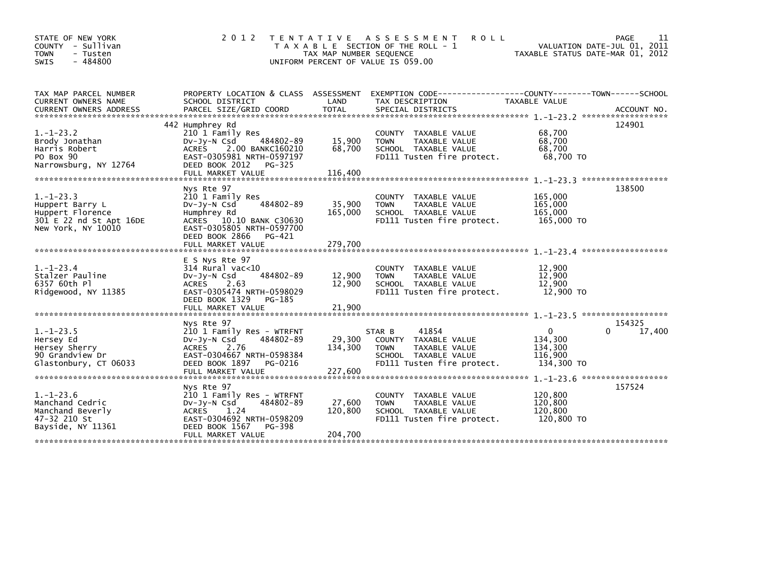| STATE OF NEW YORK<br>COUNTY - Sullivan<br><b>TOWN</b><br>- Tusten<br>$-484800$<br><b>SWIS</b>           | 2 0 1 2                                                                                                                                                                              | TAX MAP NUMBER SEQUENCE      | TENTATIVE ASSESSMENT<br><b>ROLL</b><br>T A X A B L E SECTION OF THE ROLL - 1<br>UNIFORM PERCENT OF VALUE IS 059.00               | TAXABLE STATUS DATE-MAR 01, 2012                            | PAGE<br>11<br>VALUATION DATE-JUL 01, 2011 |
|---------------------------------------------------------------------------------------------------------|--------------------------------------------------------------------------------------------------------------------------------------------------------------------------------------|------------------------------|----------------------------------------------------------------------------------------------------------------------------------|-------------------------------------------------------------|-------------------------------------------|
| TAX MAP PARCEL NUMBER<br>CURRENT OWNERS NAME                                                            | SCHOOL DISTRICT                                                                                                                                                                      | LAND                         | PROPERTY LOCATION & CLASS ASSESSMENT EXEMPTION CODE----------------COUNTY-------TOWN------SCHOOL<br>TAX DESCRIPTION              | TAXABLE VALUE                                               |                                           |
| $1. - 1 - 23.2$<br>Brody Jonathan<br>Harris Robert<br>PO Box 90<br>Narrowsburg, NY 12764                | 442 Humphrey Rd<br>210 1 Family Res<br>484802-89<br>DV-Jy-N Csd<br>ACRES 2.00 BANKC160210<br>EAST-0305981 NRTH-0597197<br>DEED BOOK 2012<br>PG-325                                   | 15,900<br>68,700             | COUNTY TAXABLE VALUE<br>TAXABLE VALUE<br><b>TOWN</b><br>SCHOOL TAXABLE VALUE<br>FD111 Tusten fire protect.                       | 68,700<br>68,700<br>68,700<br>68,700 TO                     | 124901                                    |
| $1. - 1 - 23.3$<br>Huppert Barry L<br>Huppert Florence<br>301 E 22 nd St Apt 16DE<br>New York, NY 10010 | Nys Rte 97<br>210 1 Family Res<br>484802-89<br>$Dv-Jy-N$ Csd<br>Humphrey Rd<br>ACRES 10.10 BANK C30630<br>EAST-0305805 NRTH-0597700<br>DEED BOOK 2866<br>PG-421<br>FULL MARKET VALUE | 35,900<br>165,000<br>279,700 | COUNTY<br>TAXABLE VALUE<br>TAXABLE VALUE<br><b>TOWN</b><br>SCHOOL TAXABLE VALUE<br>FD111 Tusten fire protect.                    | 165,000<br>165,000<br>165,000<br>165,000 TO                 | 138500                                    |
| $1. - 1 - 23.4$<br>Stalzer Pauline<br>6357 60th Pl<br>Ridgewood, NY 11385                               | E S Nys Rte 97<br>$314$ Rural vac<10<br>484802-89<br>DV-Jy-N Csd<br><b>ACRES</b><br>2.63<br>EAST-0305474 NRTH-0598029<br>DEED BOOK 1329<br>PG-185<br>FULL MARKET VALUE               | 12,900<br>12,900<br>21,900   | COUNTY TAXABLE VALUE<br>TAXABLE VALUE<br><b>TOWN</b><br>SCHOOL TAXABLE VALUE<br>FD111 Tusten fire protect.                       | 12,900<br>12,900<br>12,900<br>12,900 TO                     |                                           |
| $1. - 1 - 23.5$<br>Hersey Ed<br>Hersey Sherry<br>90 Grandview Dr<br>Glastonbury, CT 06033               | Nys Rte 97<br>210 1 Family Res - WTRFNT<br>484802-89<br>$Dv-Jy-N$ Csd<br>ACRES 2.76<br>EAST-0304667 NRTH-0598384<br>DEED BOOK 1897<br>PG-0216                                        | 29,300<br>134,300            | 41854<br>STAR B<br>COUNTY<br>TAXABLE VALUE<br>TAXABLE VALUE<br><b>TOWN</b><br>SCHOOL TAXABLE VALUE<br>FD111 Tusten fire protect. | $\mathbf{0}$<br>134,300<br>134,300<br>116,900<br>134,300 TO | 154325<br>17,400                          |
| $1. - 1 - 23.6$<br>Manchand Cedric<br>Manchand Beverly<br>47-32 210 St<br>Bayside, NY 11361             | Nys Rte 97<br>210 1 Family Res - WTRFNT<br>484802-89<br>$Dv-Jy-N$ Csd<br><b>ACRES</b><br>1.24<br>EAST-0304692 NRTH-0598209<br>DEED BOOK 1567<br>PG-398<br>FULL MARKET VALUE          | 27,600<br>120,800<br>204,700 | <b>COUNTY</b><br>TAXABLE VALUE<br>TAXABLE VALUE<br><b>TOWN</b><br>SCHOOL TAXABLE VALUE<br>FD111 Tusten fire protect.             | 120,800<br>120,800<br>120,800<br>120,800 TO                 | 157524                                    |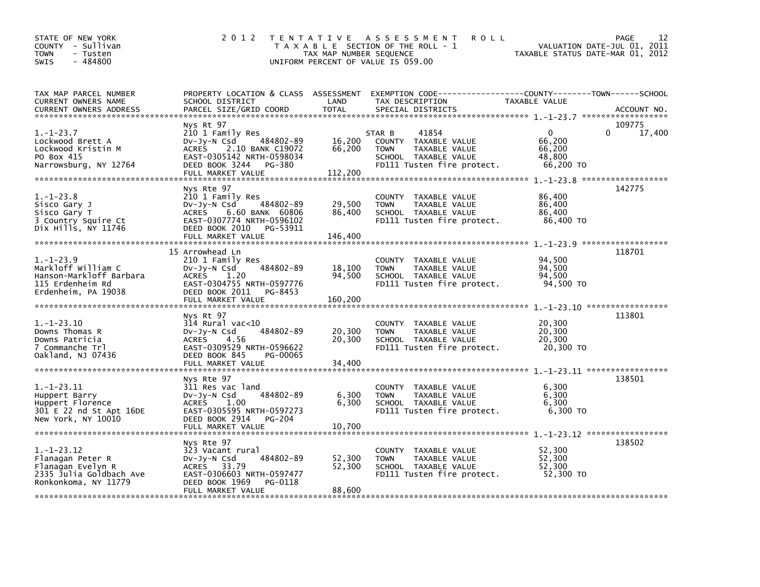| STATE OF NEW YORK<br>COUNTY - Sullivan<br>- Tusten<br><b>TOWN</b><br>$-484800$<br><b>SWIS</b>                | 2 0 1 2                                                                                                                                                                 | TAX MAP NUMBER SEQUENCE     | TENTATIVE ASSESSMENT<br><b>ROLL</b><br>T A X A B L E SECTION OF THE ROLL - 1<br>UNIFORM PERCENT OF VALUE IS 059.00                       | VALUATION DATE-JUL 01, 2011<br>TAXABLE STATUS DATE-MAR 01, 2012 | PAGE<br>12       |
|--------------------------------------------------------------------------------------------------------------|-------------------------------------------------------------------------------------------------------------------------------------------------------------------------|-----------------------------|------------------------------------------------------------------------------------------------------------------------------------------|-----------------------------------------------------------------|------------------|
| TAX MAP PARCEL NUMBER<br>CURRENT OWNERS NAME<br><b>CURRENT OWNERS ADDRESS</b>                                | SCHOOL DISTRICT<br>PARCEL SIZE/GRID COORD                                                                                                                               | LAND<br><b>TOTAL</b>        | PROPERTY LOCATION & CLASS ASSESSMENT EXEMPTION CODE----------------COUNTY-------TOWN------SCHOOL<br>TAX DESCRIPTION<br>SPECIAL DISTRICTS | TAXABLE VALUE                                                   | ACCOUNT NO.      |
| $1. - 1 - 23.7$<br>Lockwood Brett A<br>Lockwood Kristin M<br>PO Box 415<br>Narrowsburg, NY 12764             | Nys Rt 97<br>210 1 Family Res<br>484802-89<br>DV-Jy-N Csd<br>2.10 BANK C19072<br>ACRES<br>EAST-0305142 NRTH-0598034<br>DEED BOOK 3244 PG-380<br>FULL MARKET VALUE       | 16,200<br>66,200<br>112,200 | 41854<br>STAR B<br>COUNTY TAXABLE VALUE<br><b>TOWN</b><br>TAXABLE VALUE<br>SCHOOL TAXABLE VALUE<br>FD111 Tusten fire protect.            | $\mathbf{0}$<br>0<br>66,200<br>66.200<br>48,800<br>66,200 TO    | 109775<br>17,400 |
| $1. - 1 - 23.8$<br>Sisco Gary J<br>Sisco Gary T<br>3 Country Squire Ct<br>Dix Hills, NY 11746                | Nys Rte 97<br>210 1 Family Res<br>484802-89<br>DV-Jy-N Csd<br>ACRES 6.60 BANK 60806<br>EAST-0307774 NRTH-0596102<br>DEED BOOK 2010<br>PG-53911<br>FULL MARKET VALUE     | 29,500<br>86,400<br>146,400 | COUNTY TAXABLE VALUE<br><b>TOWN</b><br>TAXABLE VALUE<br>SCHOOL TAXABLE VALUE<br>FD111 Tusten fire protect.                               | 86,400<br>86,400<br>86,400<br>86,400 TO                         | 142775           |
| $1. - 1 - 23.9$<br>Markloff William C<br>Hanson-Markloff Barbara<br>115 Erdenheim Rd<br>Erdenheim, PA 19038  | 15 Arrowhead Ln<br>210 1 Family Res<br>484802-89<br>DV-Jy-N Csd<br>ACRES<br>1.20<br>EAST-0304755 NRTH-0597776<br>DEED BOOK 2011<br>PG-8453<br>FULL MARKET VALUE         | 18,100<br>94,500<br>160,200 | COUNTY TAXABLE VALUE<br>TAXABLE VALUE<br><b>TOWN</b><br>SCHOOL TAXABLE VALUE<br>FD111 Tusten fire protect.                               | 94,500<br>94,500<br>94,500<br>94,500 TO                         | 118701           |
| $1.-1-23.10$<br>Downs Thomas R<br>Downs Patricia<br>7 Commanche Trl<br>Oakland, NJ 07436                     | Nys Rt 97<br>$314$ Rural vac< $10$<br>484802-89<br>$Dv-Jy-N$ Csd<br><b>ACRES</b><br>4.56<br>EAST-0309529 NRTH-0596622<br>DEED BOOK 845<br>PG-00065<br>FULL MARKET VALUE | 20,300<br>20,300<br>34,400  | COUNTY TAXABLE VALUE<br><b>TAXABLE VALUE</b><br><b>TOWN</b><br>SCHOOL TAXABLE VALUE<br>FD111 Tusten fire protect.                        | 20,300<br>20,300<br>20,300<br>20,300 TO                         | 113801           |
| $1. -1 - 23.11$<br>Huppert Barry<br>Huppert Florence<br>301 E 22 nd St Apt 16DE<br>New York, NY 10010        | Nys Rte 97<br>311 Res vac land<br>484802-89<br>$Dv-Jy-N$ Csd<br>1.00<br><b>ACRES</b><br>EAST-0305595 NRTH-0597273<br>DEED BOOK 2914<br>PG-204<br>FULL MARKET VALUE      | 6,300<br>6,300<br>10,700    | COUNTY TAXABLE VALUE<br>TAXABLE VALUE<br><b>TOWN</b><br>SCHOOL TAXABLE VALUE<br>FD111 Tusten fire protect.                               | 6,300<br>6,300<br>6.300<br>6,300 TO                             | 138501           |
| $1. - 1 - 23.12$<br>Flanagan Peter R<br>Flanagan Evelyn R<br>2335 Julia Goldbach Ave<br>Ronkonkoma, NY 11779 | Nys Rte 97<br>323 Vacant rural<br>484802-89<br>$Dv-Jy-N$ Csd<br>ACRES 33.79<br>EAST-0306603 NRTH-0597477<br>DEED BOOK 1969<br>PG-0118<br>FULL MARKET VALUE              | 52,300<br>52,300<br>88,600  | COUNTY TAXABLE VALUE<br><b>TOWN</b><br>TAXABLE VALUE<br>SCHOOL TAXABLE VALUE<br>FD111 Tusten fire protect.                               | 52,300<br>52,300<br>52,300<br>52,300 TO                         | 138502           |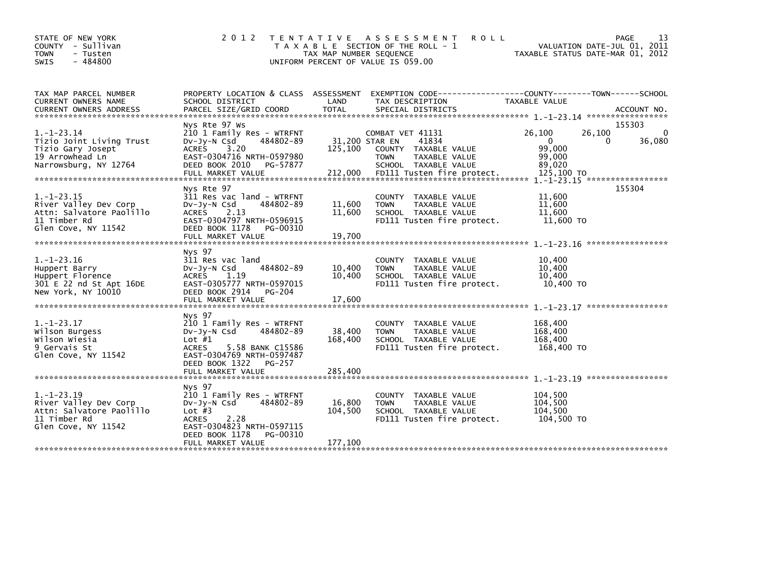| STATE OF NEW YORK<br>COUNTY - Sullivan<br><b>TOWN</b><br>- Tusten<br>$-484800$<br><b>SWIS</b>                | 2 0 1 2                                                                                                                                                                                         | TAX MAP NUMBER SEQUENCE              | TENTATIVE ASSESSMENT<br><b>ROLL</b><br>T A X A B L E SECTION OF THE ROLL - 1<br>UNIFORM PERCENT OF VALUE IS 059.00                      | VALUATION DATE-JUL 01, 2011<br>TAXABLE STATUS DATE-MAR 01, 2012                  | 13<br><b>PAGE</b>            |
|--------------------------------------------------------------------------------------------------------------|-------------------------------------------------------------------------------------------------------------------------------------------------------------------------------------------------|--------------------------------------|-----------------------------------------------------------------------------------------------------------------------------------------|----------------------------------------------------------------------------------|------------------------------|
| TAX MAP PARCEL NUMBER<br>CURRENT OWNERS NAME<br><b>CURRENT OWNERS ADDRESS</b>                                | PROPERTY LOCATION & CLASS ASSESSMENT<br>SCHOOL DISTRICT<br>PARCEL SIZE/GRID COORD                                                                                                               | LAND<br><b>TOTAL</b>                 | TAX DESCRIPTION<br>SPECIAL DISTRICTS                                                                                                    | TAXABLE VALUE                                                                    | ACCOUNT NO.                  |
| $1.-1-23.14$<br>Tizio Joint Living Trust<br>Tizio Gary Josept<br>19 Arrowhead Ln<br>Narrowsburg, NY 12764    | Nys Rte 97 Ws<br>210 1 Family Res - WTRFNT<br>$Dv-Jy-N$ Csd<br>484802-89<br>3.20<br><b>ACRES</b><br>EAST-0304716 NRTH-0597980<br>DEED BOOK 2010<br>PG-57877<br>FULL MARKET VALUE                | 31,200 STAR EN<br>125,100<br>212,000 | COMBAT VET 41131<br>41834<br>COUNTY TAXABLE VALUE<br><b>TOWN</b><br>TAXABLE VALUE<br>SCHOOL TAXABLE VALUE<br>FD111 Tusten fire protect. | 26,100<br>26,100<br>$\mathbf 0$<br>0<br>99.000<br>99,000<br>89,020<br>125,100 TO | 155303<br>$\Omega$<br>36,080 |
| $1. - 1 - 23.15$<br>River Valley Dev Corp<br>Attn: Salvatore Paolillo<br>11 Timber Rd<br>Glen Cove, NY 11542 | Nys Rte 97<br>311 Res vac land - WTRFNT<br>484802-89<br>DV-Jy-N Csd<br>2.13<br><b>ACRES</b><br>EAST-0304797 NRTH-0596915<br>DEED BOOK 1178<br>PG-00310<br>FULL MARKET VALUE                     | 11,600<br>11,600<br>19,700           | <b>COUNTY</b><br>TAXABLE VALUE<br>TAXABLE VALUE<br><b>TOWN</b><br>SCHOOL TAXABLE VALUE<br>FD111 Tusten fire protect.                    | 11,600<br>11,600<br>11,600<br>11,600 TO                                          | 155304                       |
| $1. - 1 - 23.16$<br>Huppert Barry<br>Huppert Florence<br>301 E 22 nd St Apt 16DE<br>New York, NY 10010       | Nys 97<br>311 Res vac land<br>484802-89<br>$Dv-Jy-N$ Csd<br>1.19<br><b>ACRES</b><br>EAST-0305777 NRTH-0597015<br>DEED BOOK 2914<br>PG-204<br>FULL MARKET VALUE                                  | 10,400<br>10,400<br>17,600           | COUNTY TAXABLE VALUE<br>TAXABLE VALUE<br><b>TOWN</b><br>SCHOOL TAXABLE VALUE<br>FD111 Tusten fire protect.                              | 10,400<br>10,400<br>10,400<br>10,400 TO                                          |                              |
| $1.-1-23.17$<br>Wilson Burgess<br>wilson Wiesia<br>9 Gervais St<br>Glen Cove, NY 11542                       | Nys 97<br>210 1 Family Res - WTRFNT<br>484802-89<br>$Dv-Jv-N$ Csd<br>Lot $#1$<br>ACRES<br>5.58 BANK C15586<br>EAST-0304769 NRTH-0597487<br>DEED BOOK 1322<br><b>PG-257</b><br>FULL MARKET VALUE | 38,400<br>168,400<br>285,400         | COUNTY TAXABLE VALUE<br>TAXABLE VALUE<br><b>TOWN</b><br>SCHOOL TAXABLE VALUE<br>FD111 Tusten fire protect.                              | 168,400<br>168,400<br>168,400<br>168,400 TO                                      |                              |
| 1. -1-23.19<br>River Valley Dev Corp<br>Attn: Salvatore Paolillo<br>11 Timber Rd<br>Glen Cove, NY 11542      | Nys 97<br>210 1 Family Res - WTRFNT<br>484802-89<br>$Dv-Jy-N$ Csd<br>Lot $#3$<br>2.28<br><b>ACRES</b><br>EAST-0304823 NRTH-0597115<br>DEED BOOK 1178<br>PG-00310<br>FULL MARKET VALUE           | 16,800<br>104,500<br>177,100         | COUNTY TAXABLE VALUE<br>TAXABLE VALUE<br><b>TOWN</b><br>SCHOOL TAXABLE VALUE<br>FD111 Tusten fire protect.                              | 104,500<br>104,500<br>104.500<br>104,500 TO                                      |                              |
|                                                                                                              |                                                                                                                                                                                                 |                                      |                                                                                                                                         |                                                                                  |                              |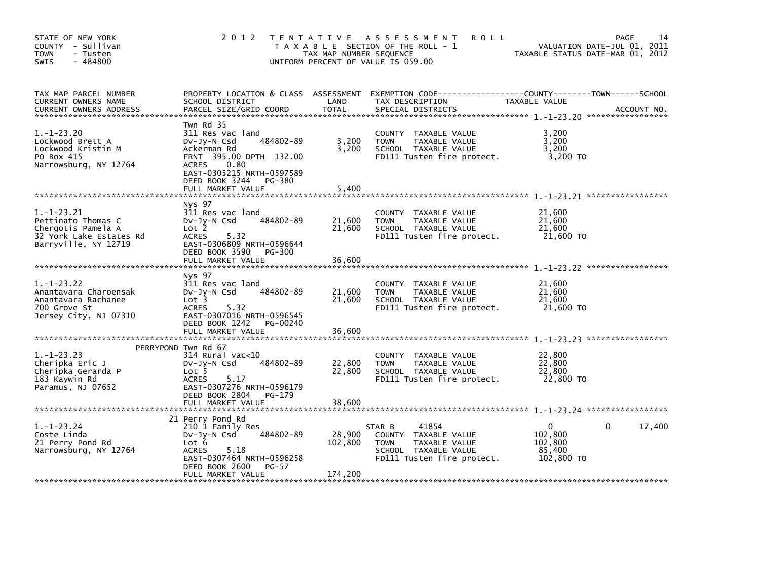| STATE OF NEW YORK<br>COUNTY - Sullivan<br>- Tusten<br><b>TOWN</b><br>$-484800$<br>SWIS                          | 2012 TENTATIVE                                                                                                                                                                                            | TAX MAP NUMBER SEQUENCE      | A S S E S S M E N T<br><b>ROLL</b><br>T A X A B L E SECTION OF THE ROLL - 1<br>UNIFORM PERCENT OF VALUE IS 059.00             | TAXABLE STATUS DATE-MAR 01, 2012                | 14<br>PAGE<br>VALUATION DATE-JUL 01, 2011 |
|-----------------------------------------------------------------------------------------------------------------|-----------------------------------------------------------------------------------------------------------------------------------------------------------------------------------------------------------|------------------------------|-------------------------------------------------------------------------------------------------------------------------------|-------------------------------------------------|-------------------------------------------|
| TAX MAP PARCEL NUMBER<br>CURRENT OWNERS NAME<br><b>CURRENT OWNERS ADDRESS</b>                                   | PROPERTY LOCATION & CLASS ASSESSMENT<br>SCHOOL DISTRICT<br>PARCEL SIZE/GRID COORD                                                                                                                         | LAND<br><b>TOTAL</b>         | TAX DESCRIPTION<br>SPECIAL DISTRICTS                                                                                          | TAXABLE VALUE                                   | ACCOUNT NO.                               |
| $1.-1-23.20$<br>Lockwood Brett A<br>Lockwood Kristin M<br>PO Box 415<br>Narrowsburg, NY 12764                   | Twn Rd 35<br>311 Res vac land<br>484802-89<br>DV-Jy-N Csd<br>Ackerman Rd<br>FRNT 395.00 DPTH 132.00<br><b>ACRES</b><br>0.80<br>EAST-0305215 NRTH-0597589<br>DEED BOOK 3244<br>PG-380<br>FULL MARKET VALUE | 3,200<br>3,200<br>5,400      | COUNTY TAXABLE VALUE<br>TAXABLE VALUE<br><b>TOWN</b><br>SCHOOL TAXABLE VALUE<br>FD111 Tusten fire protect.                    | 3,200<br>3,200<br>3,200<br>3,200 TO             |                                           |
| $1. - 1 - 23.21$<br>Pettinato Thomas C<br>Chergotis Pamela A<br>32 York Lake Estates Rd<br>Barryville, NY 12719 | Nys 97<br>311 Res vac land<br>484802-89<br>DV-Jy-N Csd<br>Lot 2<br><b>ACRES</b><br>5.32<br>EAST-0306809 NRTH-0596644<br>DEED BOOK 3590<br>PG-300<br>FULL MARKET VALUE                                     | 21,600<br>21,600<br>36,600   | COUNTY TAXABLE VALUE<br>TAXABLE VALUE<br><b>TOWN</b><br>SCHOOL TAXABLE VALUE<br>FD111 Tusten fire protect.                    | 21,600<br>21,600<br>21,600<br>21,600 TO         |                                           |
| $1. - 1 - 23.22$<br>Anantavara Charoensak<br>Anantavara Rachanee<br>700 Grove St<br>Jersey City, NJ 07310       | Nys 97<br>311 Res vac land<br>484802-89<br>$Dv-Jy-N$ Csd<br>Lot <sub>3</sub><br><b>ACRES</b><br>5.32<br>EAST-0307016 NRTH-0596545<br>DEED BOOK 1242<br>PG-00240<br>FULL MARKET VALUE                      | 21,600<br>21,600<br>36,600   | COUNTY TAXABLE VALUE<br><b>TOWN</b><br>TAXABLE VALUE<br>SCHOOL TAXABLE VALUE<br>FD111 Tusten fire protect.                    | 21,600<br>21,600<br>21,600<br>21,600 TO         |                                           |
| $1. - 1 - 23.23$<br>Cheripka Eric J<br>Cheripka Gerarda P<br>183 Kaywin Rd<br>Paramus, NJ 07652                 | PERRYPOND Twn Rd 67<br>314 Rural vac<10<br>484802-89<br>$Dv-Jy-N$ Csd<br>Lot 5<br><b>ACRES</b><br>5.17<br>EAST-0307276 NRTH-0596179<br>DEED BOOK 2804<br>PG-179<br>FULL MARKET VALUE                      | 22,800<br>22,800<br>38,600   | COUNTY TAXABLE VALUE<br>TAXABLE VALUE<br><b>TOWN</b><br>SCHOOL TAXABLE VALUE<br>FD111 Tusten fire protect.                    | 22,800<br>22,800<br>22,800<br>22,800 TO         |                                           |
| $1. - 1 - 23.24$<br>Coste Linda<br>21 Perry Pond Rd<br>Narrowsburg, NY 12764                                    | 21 Perry Pond Rd<br>210 1 Family Res<br>484802-89<br>DV-Jy-N Csd<br>Lot 6<br>5.18<br><b>ACRES</b><br>EAST-0307464 NRTH-0596258<br>DEED BOOK 2600<br>$PG-57$<br>FULL MARKET VALUE                          | 28,900<br>102,800<br>174,200 | 41854<br>STAR B<br>COUNTY TAXABLE VALUE<br>TAXABLE VALUE<br><b>TOWN</b><br>SCHOOL TAXABLE VALUE<br>FD111 Tusten fire protect. | 0<br>102.800<br>102,800<br>85,400<br>102,800 TO | 17,400<br>0                               |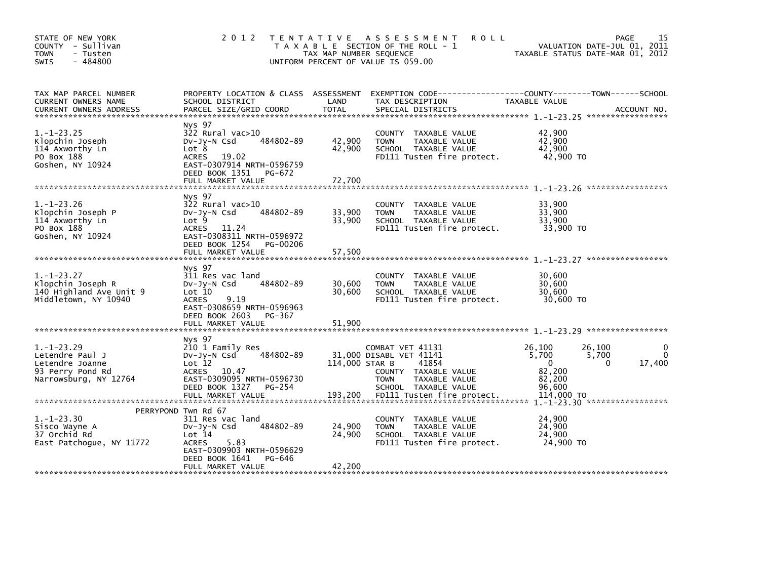| STATE OF NEW YORK<br>COUNTY - Sullivan<br><b>TOWN</b><br>- Tusten<br>$-484800$<br><b>SWIS</b>       | 2 0 1 2                                                                                                                                                                                    | T E N T A T I V E<br>TAX MAP NUMBER SEQUENCE | <b>ROLL</b><br>A S S E S S M E N T<br>T A X A B L E SECTION OF THE ROLL - 1<br>UNIFORM PERCENT OF VALUE IS 059.00                                                  | VALUATION DATE-JUL 01, 2011<br>TAXABLE STATUS DATE-MAR 01, 2012                                        | 15<br>PAGE  |
|-----------------------------------------------------------------------------------------------------|--------------------------------------------------------------------------------------------------------------------------------------------------------------------------------------------|----------------------------------------------|--------------------------------------------------------------------------------------------------------------------------------------------------------------------|--------------------------------------------------------------------------------------------------------|-------------|
| TAX MAP PARCEL NUMBER<br>CURRENT OWNERS NAME<br><b>CURRENT OWNERS ADDRESS</b>                       | PROPERTY LOCATION & CLASS ASSESSMENT<br>SCHOOL DISTRICT<br>PARCEL SIZE/GRID COORD                                                                                                          | LAND<br><b>TOTAL</b>                         | TAX DESCRIPTION<br>SPECIAL DISTRICTS                                                                                                                               | TAXABLE VALUE                                                                                          | ACCOUNT NO. |
| $1.-1-23.25$<br>Klopchin Joseph<br>114 Axworthy Ln<br>PO Box 188<br>Goshen, NY 10924                | Nys 97<br>$322$ Rural vac $>10$<br>484802-89<br>$Dv-Jv-N$ Csd<br>Lot 8<br><b>ACRES</b><br>19.02<br>EAST-0307914 NRTH-0596759<br>DEED BOOK 1351 PG-672<br>FULL MARKET VALUE                 | 42,900<br>42,900<br>72.700                   | COUNTY TAXABLE VALUE<br><b>TOWN</b><br>TAXABLE VALUE<br>SCHOOL TAXABLE VALUE<br>FD111 Tusten fire protect.                                                         | 42,900<br>42,900<br>42,900<br>42,900 TO                                                                |             |
| $1. - 1 - 23.26$<br>Klopchin Joseph P<br>114 Axworthy Ln<br>PO Box 188<br>Goshen, NY 10924          | Nys 97<br>$322$ Rural vac $>10$<br>484802-89<br>$Dv-Jv-N$ Csd<br>Lot <sub>9</sub><br><b>ACRES</b><br>11.24<br>EAST-0308311 NRTH-0596972<br>DEED BOOK 1254<br>PG-00206<br>FULL MARKET VALUE | 33,900<br>33,900<br>57,500                   | <b>COUNTY</b><br>TAXABLE VALUE<br><b>TOWN</b><br>TAXABLE VALUE<br>SCHOOL TAXABLE VALUE<br>FD111 Tusten fire protect.                                               | 33.900<br>33,900<br>33,900<br>33,900 TO                                                                |             |
| $1. - 1 - 23.27$<br>Klopchin Joseph R<br>140 Highland Ave Unit 9<br>Middletown, NY 10940            | Nys 97<br>311 Res vac land<br>484802-89<br>$Dv-Jv-N$ Csd<br>Lot 10<br>9.19<br><b>ACRES</b><br>EAST-0308659 NRTH-0596963<br>DEED BOOK 2603<br>PG-367<br>FULL MARKET VALUE                   | 30,600<br>30,600<br>51,900                   | <b>COUNTY</b><br>TAXABLE VALUE<br><b>TOWN</b><br>TAXABLE VALUE<br>SCHOOL TAXABLE VALUE<br>FD111 Tusten fire protect.                                               | 30,600<br>30,600<br>30,600<br>30,600 TO                                                                |             |
| $1. - 1 - 23.29$<br>Letendre Paul J<br>Letendre Joanne<br>93 Perry Pond Rd<br>Narrowsburg, NY 12764 | Nys 97<br>210 1 Family Res<br>484802-89<br>$Dv-Jy-N$ Csd<br>Lot 12<br>ACRES 10.47<br>EAST-0309095 NRTH-0596730<br>DEED BOOK 1327<br>PG-254<br>FULL MARKET VALUE                            | 114,000 STAR B<br>193,200                    | COMBAT VET 41131<br>31,000 DISABL VET 41141<br>41854<br>COUNTY TAXABLE VALUE<br><b>TOWN</b><br>TAXABLE VALUE<br>SCHOOL TAXABLE VALUE<br>FD111 Tusten fire protect. | 26,100<br>26,100<br>5,700<br>5,700<br>$\Omega$<br>$\Omega$<br>82,200<br>82.200<br>96,600<br>114,000 TO | 17,400      |
| $1. - 1 - 23.30$<br>Sisco Wayne A<br>37 Orchid Rd<br>East Patchoque, NY 11772                       | PERRYPOND Twn Rd 67<br>311 Res vac land<br>484802-89<br>$Dv-Jv-N$ Csd<br>Lot 14<br>5.83<br><b>ACRES</b><br>EAST-0309903 NRTH-0596629<br>DEED BOOK 1641<br>PG-646<br>FULL MARKET VALUE      | 24,900<br>24,900<br>42,200                   | COUNTY TAXABLE VALUE<br>TAXABLE VALUE<br><b>TOWN</b><br>SCHOOL TAXABLE VALUE<br>FD111 Tusten fire protect.                                                         | 24,900<br>24,900<br>24,900<br>24,900 TO                                                                |             |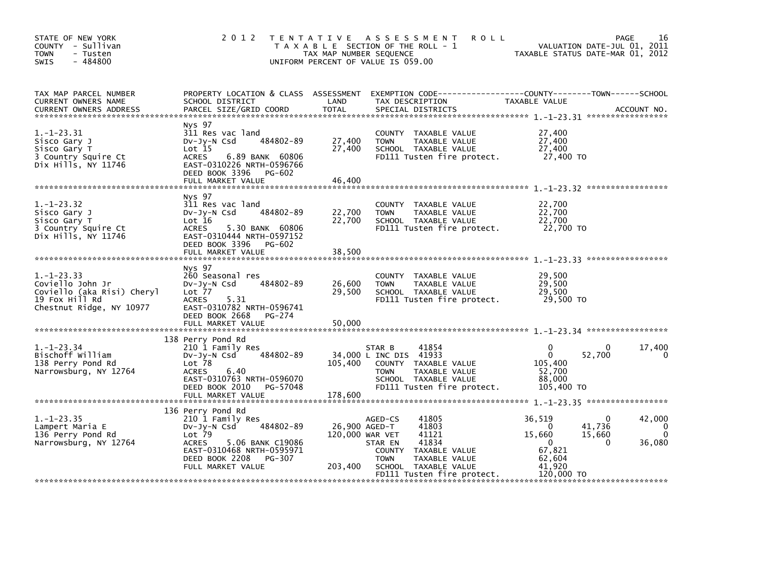| STATE OF NEW YORK<br>COUNTY - Sullivan<br><b>TOWN</b><br>- Tusten<br>$-484800$<br>SWIS                       |                                                                                                                                                                                      | TAX MAP NUMBER SEQUENCE    | 2012 TENTATIVE ASSESSMENT<br><b>ROLL</b><br>T A X A B L E SECTION OF THE ROLL - 1<br>UNIFORM PERCENT OF VALUE IS 059.00                                                               | VALUATION DATE-JUL 01, 2011<br>TAXABLE STATUS DATE-MAR 01, 2012                                                                      | PAGE<br>16                        |
|--------------------------------------------------------------------------------------------------------------|--------------------------------------------------------------------------------------------------------------------------------------------------------------------------------------|----------------------------|---------------------------------------------------------------------------------------------------------------------------------------------------------------------------------------|--------------------------------------------------------------------------------------------------------------------------------------|-----------------------------------|
| TAX MAP PARCEL NUMBER<br>CURRENT OWNERS NAME<br><b>CURRENT OWNERS ADDRESS</b>                                | SCHOOL DISTRICT<br>PARCEL SIZE/GRID COORD                                                                                                                                            | LAND<br>TOTAL              | PROPERTY LOCATION & CLASS ASSESSMENT EXEMPTION CODE---------------COUNTY-------TOWN-----SCHOOL<br>TAX DESCRIPTION<br>SPECIAL DISTRICTS                                                | TAXABLE VALUE                                                                                                                        | ACCOUNT NO.                       |
| $1.-1-23.31$<br>Sisco Gary J<br>Sisco Gary T<br>3 Country Squire Ct<br>Dix Hills, NY 11746                   | Nys 97<br>311 Res vac land<br>484802-89<br>DV-JY-N Csd<br>$Lot$ $15$<br><b>ACRES</b><br>6.89 BANK 60806<br>EAST-0310226 NRTH-0596766<br>DEED BOOK 3396 PG-602<br>FULL MARKET VALUE   | 27,400<br>27,400<br>46,400 | COUNTY TAXABLE VALUE<br>SCHOOL TAXABLE VALUE<br>FD111 Tuston film<br>CONNO CONSIDER VALUE 27,400<br>SCHOOL TAXABLE VALUE 27,400<br>FD111 Tusten fire protect. 27,400 TO               | 27,400<br>27,400                                                                                                                     |                                   |
| $1.-1-23.32$<br>Sisco Gary J<br>Sisco Gary T<br>3 Country Squire Ct<br>Dix Hills, NY 11746                   | Nys 97<br>311 Res vac land<br>DV-Jy-N Csd 484802-89<br>Lot $16$<br>ACRES<br>5.30 BANK 60806<br>EAST-0310444 NRTH-0597152<br>DEED BOOK 3396 PG-602<br>FULL MARKET VALUE               | 22,700<br>22,700<br>38,500 | COUNTY TAXABLE VALUE<br>TAXABLE VALUE<br><b>TOWN</b><br>SCHOOL TAXABLE VALUE<br>FD111 Tusten fire protect.                                                                            | 22,700<br>22,700<br>22,700<br>22,700<br>22,700 TO                                                                                    |                                   |
| $1.-1-23.33$<br>Coviello John Jr<br>Coviello (aka Risi) Cheryl<br>19 Fox Hill Rd<br>Chestnut Ridge, NY 10977 | Nys 97<br>260 Seasonal res<br>DV-Jy-N Csd 484802-89<br>Lot 77<br><b>ACRES</b><br>5.31<br>EAST-0310782 NRTH-0596741<br>DEED BOOK 2668<br>PG-274<br>FULL MARKET VALUE                  | 26,600<br>29,500<br>50,000 | COUNTY TAXABLE VALUE<br>TAXABLE VALUE<br><b>TOWN</b><br>SCHOOL TAXABLE VALUE<br>FD111 Tusten fire protect. 29,500 TO                                                                  | 29,500<br>29,500<br>29,500                                                                                                           |                                   |
| $1. - 1 - 23.34$<br>Bischoff William<br>138 Perry Pond Rd<br>Narrowsburg, NY 12764                           | 138 Perry Pond Rd<br>210 1 Family Res<br>DV-Jy-N Csd 484802-89<br>Lot 78<br>6.40<br>ACRES<br>EAST-0310763 NRTH-0596070<br>DEED BOOK 2010<br>PG-57048<br>FULL MARKET VALUE            | 105,400<br>178,600         | 41854<br>STAR B<br>34,000 L INC DIS 41933<br>COUNTY TAXABLE VALUE<br>TAXABLE VALUE<br><b>TOWN</b><br>SCHOOL TAXABLE VALUE<br>FD111 Tusten fire protect.                               | 0<br>0<br>$\Omega$<br>52,700<br>105,400<br>52,700<br>88,000<br>105,400 TO                                                            | 17,400<br>0                       |
| $1.-1-23.35$<br>Lampert Maria E<br>136 Perry Pond Rd<br>Narrowsburg, NY 12764                                | 136 Perry Pond Rd<br>210 1 Family Res<br>DV-Jy-N Csd 484802-89<br>$Lot$ $79$<br>ACRES<br>5.06 BANK C19086<br>EAST-0310468 NRTH-0595971<br>DEED BOOK 2208 PG-307<br>FULL MARKET VALUE | 120,000 WAR VET<br>203,400 | 41805<br>AGED-CS<br>26,900 AGED-T<br>41803<br>41121<br>41834<br>STAR EN<br>COUNTY TAXABLE VALUE<br>TAXABLE VALUE<br><b>TOWN</b><br>SCHOOL TAXABLE VALUE<br>FD111 Tusten fire protect. | 36,519<br>$\Omega$<br>$\Omega$<br>41,736<br>15,660<br>15,660<br>$\Omega$<br>$\mathbf{0}$<br>67,821<br>62,604<br>41,920<br>120,000 TO | 42,000<br>0<br>$\Omega$<br>36,080 |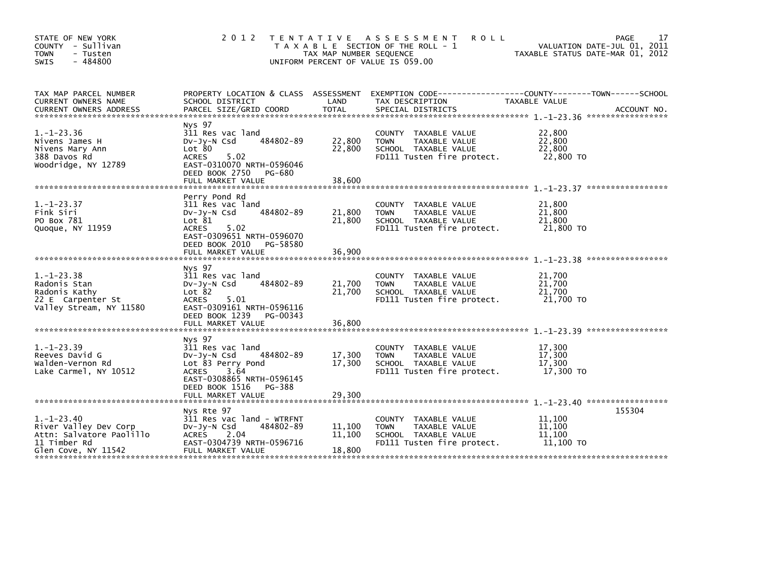| STATE OF NEW YORK<br>COUNTY - Sullivan<br>- Tusten<br><b>TOWN</b><br>$-484800$<br><b>SWIS</b>                | 2 0 1 2                                                                                                                                                                             | TAX MAP NUMBER SEQUENCE    | TENTATIVE ASSESSMENT<br><b>ROLL</b><br>T A X A B L E SECTION OF THE ROLL - 1<br>UNIFORM PERCENT OF VALUE IS 059.00 | VALUATION DATE-JUL 01, 2011<br>TAXABLE STATUS DATE-MAR 01, 2012 | 17<br>PAGE |
|--------------------------------------------------------------------------------------------------------------|-------------------------------------------------------------------------------------------------------------------------------------------------------------------------------------|----------------------------|--------------------------------------------------------------------------------------------------------------------|-----------------------------------------------------------------|------------|
| TAX MAP PARCEL NUMBER<br>CURRENT OWNERS NAME                                                                 | SCHOOL DISTRICT                                                                                                                                                                     | LAND                       | PROPERTY LOCATION & CLASS ASSESSMENT EXEMPTION CODE---------------COUNTY-------TOWN-----SCHOOL<br>TAX DESCRIPTION  | TAXABLE VALUE                                                   |            |
| $1. - 1 - 23.36$<br>Nivens James H<br>Nivens Mary Ann<br>388 Davos Rd<br>Woodridge, NY 12789                 | Nys 97<br>311 Res vac land<br>484802-89<br>$Dv-Jy-N$ Csd<br>Lot 80<br>5.02<br><b>ACRES</b><br>EAST-0310070 NRTH-0596046<br>DEED BOOK 2750<br>PG-680<br>FULL MARKET VALUE            | 22,800<br>22,800<br>38,600 | COUNTY TAXABLE VALUE<br><b>TOWN</b><br>TAXABLE VALUE<br>SCHOOL TAXABLE VALUE<br>FD111 Tusten fire protect.         | 22,800<br>22,800<br>22,800<br>22,800 TO                         |            |
| $1. - 1 - 23.37$<br>Fink Siri<br>PO Box 781<br>Quoque, NY 11959                                              | Perry Pond Rd<br>311 Res vac land<br>484802-89<br>$Dv-Jy-N$ Csd<br>Lot 81<br><b>ACRES</b><br>5.02<br>EAST-0309651 NRTH-0596070<br>DEED BOOK 2010<br>PG-58580<br>FULL MARKET VALUE   | 21,800<br>21,800<br>36,900 | COUNTY TAXABLE VALUE<br><b>TOWN</b><br>TAXABLE VALUE<br>SCHOOL TAXABLE VALUE<br>FD111 Tusten fire protect.         | 21,800<br>21,800<br>21,800<br>21,800 TO                         |            |
| $1. - 1 - 23.38$<br>Radonis Stan<br>Radonis Kathy<br>22 E Carpenter St<br>Valley Stream, NY 11580            | Nys 97<br>311 Res vac land<br>484802-89<br>$Dv-Jv-N$ Csd<br>Lot 82<br>ACRES<br>5.01<br>EAST-0309161 NRTH-0596116<br>DEED BOOK 1239<br>PG-00343                                      | 21,700<br>21,700           | COUNTY TAXABLE VALUE<br>TAXABLE VALUE<br><b>TOWN</b><br>SCHOOL TAXABLE VALUE<br>FD111 Tusten fire protect.         | 21,700<br>21,700<br>21,700<br>21,700 TO                         |            |
| $1. - 1 - 23.39$<br>Reeves David G<br>Walden-Vernon Rd<br>Lake Carmel, NY 10512                              | Nys 97<br>311 Res vac land<br>484802-89<br>$Dv-Jy-N$ Csd<br>Lot 83 Perry Pond<br>3.64<br><b>ACRES</b><br>EAST-0308865 NRTH-0596145<br>DEED BOOK 1516<br>PG-388<br>FULL MARKET VALUE | 17,300<br>17,300<br>29,300 | COUNTY<br>TAXABLE VALUE<br>TAXABLE VALUE<br><b>TOWN</b><br>SCHOOL TAXABLE VALUE<br>FD111 Tusten fire protect.      | 17.300<br>17,300<br>17,300<br>17,300 TO                         |            |
| $1. - 1 - 23.40$<br>River Valley Dev Corp<br>Attn: Salvatore Paolillo<br>11 Timber Rd<br>Glen Cove, NY 11542 | Nys Rte 97<br>311 Res vac land - WTRFNT<br>484802-89<br>$Dv-Jy-N$ Csd<br><b>ACRES</b><br>2.04<br>EAST-0304739 NRTH-0596716<br>FULL MARKET VALUE                                     | 11,100<br>11,100<br>18,800 | COUNTY TAXABLE VALUE<br>TAXABLE VALUE<br><b>TOWN</b><br>SCHOOL TAXABLE VALUE<br>FD111 Tusten fire protect.         | 11,100<br>11,100<br>11,100<br>11,100 TO                         | 155304     |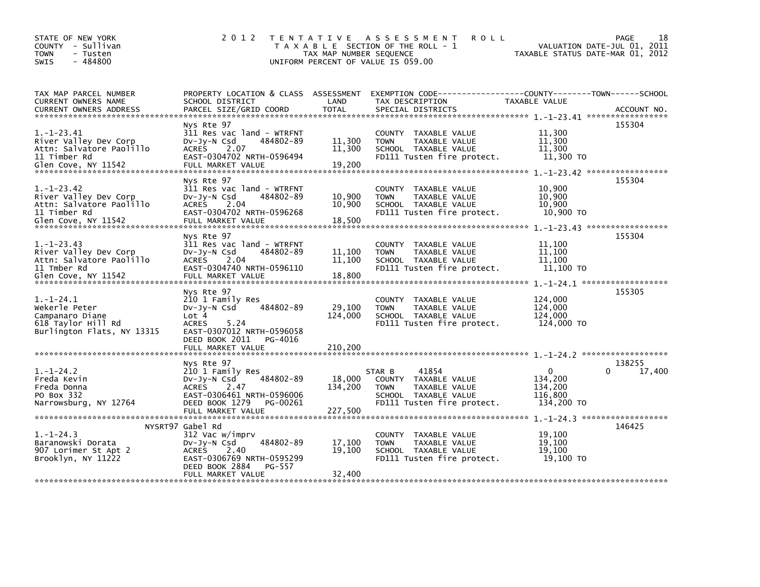| STATE OF NEW YORK<br>COUNTY - Sullivan<br>- Tusten<br><b>TOWN</b><br>$-484800$<br><b>SWIS</b>                | 2 0 1 2                                                                                                                                                                      | TAX MAP NUMBER SEQUENCE      | TENTATIVE ASSESSMENT<br><b>ROLL</b><br>T A X A B L E SECTION OF THE ROLL - 1<br>UNIFORM PERCENT OF VALUE IS 059.00                   | TAXABLE STATUS DATE-MAR 01, 2012                                                           | 18<br>PAGE<br>VALUATION DATE-JUL 01, 2011 |
|--------------------------------------------------------------------------------------------------------------|------------------------------------------------------------------------------------------------------------------------------------------------------------------------------|------------------------------|--------------------------------------------------------------------------------------------------------------------------------------|--------------------------------------------------------------------------------------------|-------------------------------------------|
| TAX MAP PARCEL NUMBER<br>CURRENT OWNERS NAME<br><b>CURRENT OWNERS ADDRESS</b>                                | PROPERTY LOCATION & CLASS ASSESSMENT<br>SCHOOL DISTRICT<br>PARCEL SIZE/GRID COORD                                                                                            | LAND<br><b>TOTAL</b>         | EXEMPTION CODE-----------------COUNTY-------TOWN------SCHOOL<br>TAX DESCRIPTION<br>SPECIAL DISTRICTS                                 | TAXABLE VALUE                                                                              | ACCOUNT NO.                               |
| $1. - 1 - 23.41$<br>River Valley Dev Corp<br>Attn: Salvatore Paolillo<br>11 Timber Rd<br>Glen Cove, NY 11542 | Nys Rte 97<br>311 Res vac land - WTRFNT<br>484802-89<br>$Dv-Jy-N$ Csd<br>ACRES<br>2.07<br>EAST-0304702 NRTH-0596494<br>FULL MARKET VALUE                                     | 11,300<br>11,300<br>19,200   | COUNTY TAXABLE VALUE<br>TAXABLE VALUE<br><b>TOWN</b><br>SCHOOL TAXABLE VALUE<br>FD111 Tusten fire protect.                           | 11,300<br>11,300<br>11,300<br>11,300 TO                                                    | 155304                                    |
| $1.-1-23.42$<br>River Valley Dev Corp<br>Attn: Salvatore Paolillo<br>11 Timber Rd<br>Glen Cove, NY 11542     | Nys Rte 97<br>311 Res vac land - WTRFNT<br>$Dv-Jy-N$ Csd<br>484802-89<br>2.04<br><b>ACRES</b><br>EAST-0304702 NRTH-0596268<br>FULL MARKET VALUE                              | 10,900<br>10,900<br>18,500   | COUNTY TAXABLE VALUE<br>TAXABLE VALUE<br><b>TOWN</b><br>SCHOOL TAXABLE VALUE<br>FD111 Tusten fire protect.                           | 10,900<br>10,900<br>10,900<br>10,900 TO                                                    | 155304                                    |
| $1. - 1 - 23.43$<br>River Valley Dev Corp<br>Attn: Salvatore Paolillo<br>11 Tmber Rd<br>Glen Cove, NY 11542  | Nys Rte 97<br>311 Res vac land - WTRFNT<br>DV-Jy-N Csd<br>484802-89<br>ACRES 2.04<br>EAST-0304740 NRTH-0596110<br>FULL MARKET VALUE                                          | 11,100<br>11,100<br>18,800   | <b>COUNTY</b><br>TAXABLE VALUE<br>TAXABLE VALUE<br><b>TOWN</b><br>SCHOOL TAXABLE VALUE<br>FD111 Tusten fire protect.                 | 11,100<br>11,100<br>11,100<br>11,100 TO                                                    | 155304                                    |
| $1. - 1 - 24.1$<br>Wekerle Peter<br>Campanaro Diane<br>618 Taylor Hill Rd<br>Burlington Flats, NY 13315      | Nys Rte 97<br>210 1 Family Res<br>484802-89<br>$Dv-Jy-N$ Csd<br>Lot 4<br><b>ACRES</b><br>5.24<br>EAST-0307012 NRTH-0596058<br>DEED BOOK 2011<br>PG-4016<br>FULL MARKET VALUE | 29,100<br>124,000<br>210.200 | COUNTY TAXABLE VALUE<br><b>TOWN</b><br>TAXABLE VALUE<br>SCHOOL TAXABLE VALUE<br>FD111 Tusten fire protect.                           | 124,000<br>124,000<br>124,000<br>124,000 TO                                                | 155305                                    |
| $1. - 1 - 24.2$<br>Freda Kevin<br>Freda Donna<br>PO Box 332<br>Narrowsburg, NY 12764                         | Nys Rte 97<br>210 1 Family Res<br>484802-89<br>DV-Jy-N Csd<br><b>ACRES</b><br>2.47<br>EAST-0306461 NRTH-0596006<br>DEED BOOK 1279<br>PG-00261                                | 18,000<br>134,200            | STAR B<br>41854<br>COUNTY TAXABLE VALUE<br><b>TAXABLE VALUE</b><br><b>TOWN</b><br>SCHOOL TAXABLE VALUE<br>FD111 Tusten fire protect. | $\Omega$<br>134,200<br>134,200<br>116,800<br>134,200 TO<br>1. -1-24.3 ******************** | 138255<br>17,400<br>0                     |
| $1. - 1 - 24.3$<br>Baranowski Dorata<br>907 Lorimer St Apt 2<br>Brooklyn, NY 11222                           | NYSRT97 Gabel Rd<br>312 Vac w/imprv<br>484802-89<br>$Dv-Jy-N$ Csd<br><b>ACRES</b><br>2.40<br>EAST-0306769 NRTH-0595299<br>DEED BOOK 2884<br>PG-557<br>FULL MARKET VALUE      | 17,100<br>19,100<br>32,400   | COUNTY TAXABLE VALUE<br>TAXABLE VALUE<br><b>TOWN</b><br>SCHOOL TAXABLE VALUE<br>FD111 Tusten fire protect.                           | 19,100<br>19.100<br>19,100<br>19,100 TO                                                    | 146425                                    |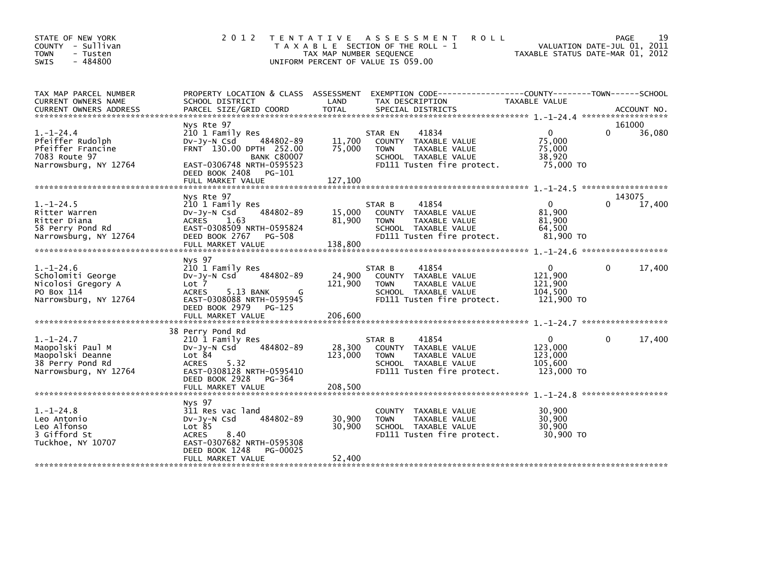| STATE OF NEW YORK<br>COUNTY - Sullivan<br>- Tusten<br><b>TOWN</b><br>$-484800$<br><b>SWIS</b>        | 2 0 1 2                                                                                                                                                                    | T E N T A T I V E<br>TAX MAP NUMBER SEQUENCE<br>UNIFORM PERCENT OF VALUE IS 059.00 | A S S E S S M E N T<br>T A X A B L E SECTION OF THE ROLL - 1                                                                   | <b>ROLL</b>                                                 | 19<br><b>PAGE</b><br>VALUATION DATE-JUL 01, 2011<br>TAXABLE STATUS DATE-MAR 01, 2012 |
|------------------------------------------------------------------------------------------------------|----------------------------------------------------------------------------------------------------------------------------------------------------------------------------|------------------------------------------------------------------------------------|--------------------------------------------------------------------------------------------------------------------------------|-------------------------------------------------------------|--------------------------------------------------------------------------------------|
| TAX MAP PARCEL NUMBER<br>CURRENT OWNERS NAME<br><b>CURRENT OWNERS ADDRESS</b>                        | PROPERTY LOCATION & CLASS ASSESSMENT<br>SCHOOL DISTRICT<br>PARCEL SIZE/GRID COORD                                                                                          | LAND<br><b>TOTAL</b>                                                               | TAX DESCRIPTION<br>SPECIAL DISTRICTS                                                                                           | <b>TAXABLE VALUE</b>                                        | ACCOUNT NO.                                                                          |
|                                                                                                      | Nys Rte 97                                                                                                                                                                 |                                                                                    |                                                                                                                                |                                                             | 161000                                                                               |
| $1. - 1 - 24.4$<br>Pfeiffer Rudolph<br>Pfeiffer Francine<br>7083 Route 97<br>Narrowsburg, NY 12764   | 210 1 Family Res<br>Dv-Jy-N Csd<br>FRNT 130.00 DPTH 252.00<br><b>BANK C80007</b><br>EAST-0306748 NRTH-0595523                                                              | 11,700<br>484802-89<br>75,000                                                      | 41834<br>STAR EN<br>COUNTY TAXABLE VALUE<br>TAXABLE VALUE<br><b>TOWN</b><br>SCHOOL TAXABLE VALUE<br>FD111 Tusten fire protect. | $\mathbf{0}$<br>75,000<br>75,000<br>38,920<br>75.000 TO     | 36,080                                                                               |
|                                                                                                      | DEED BOOK 2408<br>PG-101<br>FULL MARKET VALUE                                                                                                                              | 127,100                                                                            |                                                                                                                                |                                                             |                                                                                      |
|                                                                                                      |                                                                                                                                                                            |                                                                                    |                                                                                                                                |                                                             |                                                                                      |
|                                                                                                      | Nys Rte 97                                                                                                                                                                 |                                                                                    |                                                                                                                                |                                                             | 143075                                                                               |
| $1. - 1 - 24.5$<br>Ritter Warren<br>Ritter Diana<br>58 Perry Pond Rd                                 | 210 1 Family Res<br>$Dv-Jv-N$ Csd<br>ACRES<br>1.63<br>EAST-0308509 NRTH-0595824                                                                                            | 484802-89<br>15,000<br>81,900                                                      | 41854<br>STAR B<br>COUNTY TAXABLE VALUE<br>TAXABLE VALUE<br><b>TOWN</b><br>SCHOOL TAXABLE VALUE                                | $\Omega$<br>81,900<br>81,900<br>64,500                      | 17,400                                                                               |
| Narrowsburg, NY 12764                                                                                | DEED BOOK 2767<br>PG-508<br>FULL MARKET VALUE                                                                                                                              | 138,800                                                                            | FD111 Tusten fire protect.                                                                                                     | 81,900 TO                                                   |                                                                                      |
|                                                                                                      |                                                                                                                                                                            |                                                                                    |                                                                                                                                |                                                             |                                                                                      |
| $1. - 1 - 24.6$<br>Scholomiti George<br>Nicolosi Gregory A<br>PO Box 114<br>Narrowsburg, NY 12764    | Nys 97<br>210 1 Family Res<br>484802-89<br>DV-Jy-N Csd<br>Lot 7<br><b>ACRES</b><br>5.13 BANK<br>EAST-0308088 NRTH-0595945<br>DEED BOOK 2979<br>PG-125<br>FULL MARKET VALUE | 24,900<br>121,900<br>206,600                                                       | 41854<br>STAR B<br>COUNTY TAXABLE VALUE<br><b>TOWN</b><br>TAXABLE VALUE<br>SCHOOL TAXABLE VALUE<br>FD111 Tusten fire protect.  | $\mathbf{0}$<br>121,900<br>121,900<br>104,500<br>121,900 TO | 17,400<br>0                                                                          |
|                                                                                                      |                                                                                                                                                                            |                                                                                    |                                                                                                                                |                                                             |                                                                                      |
| $1. - 1 - 24.7$<br>Maopolski Paul M<br>Maopolski Deanne<br>38 Perry Pond Rd<br>Narrowsburg, NY 12764 | 38 Perry Pond Rd<br>210 1 Family Res<br>$Dv-Jv-N$ Csd<br>Lot 84<br>5.32<br><b>ACRES</b><br>EAST-0308128 NRTH-0595410<br>DEED BOOK 2928<br>PG-364<br>FULL MARKET VALUE      | 484802-89<br>28,300<br>123,000<br>208,500                                          | 41854<br>STAR B<br>COUNTY TAXABLE VALUE<br>TAXABLE VALUE<br><b>TOWN</b><br>SCHOOL TAXABLE VALUE<br>FD111 Tusten fire protect.  | $\mathbf{0}$<br>123,000<br>123,000<br>105,600<br>123,000 TO | 17,400<br>0<br>******************                                                    |
|                                                                                                      | Nys 97                                                                                                                                                                     |                                                                                    |                                                                                                                                |                                                             |                                                                                      |
| $1. - 1 - 24.8$<br>Leo Antonio<br>Leo Alfonso<br>3 Gifford St<br>Tuckhoe, NY 10707                   | 311 Res vac land<br>$Dv-Jy-N$ Csd<br>Lot 85<br><b>ACRES</b><br>8.40<br>EAST-0307682 NRTH-0595308<br>DEED BOOK 1248                                                         | 484802-89<br>30,900<br>30,900<br>PG-00025                                          | COUNTY TAXABLE VALUE<br><b>TAXABLE VALUE</b><br><b>TOWN</b><br>SCHOOL TAXABLE VALUE<br>FD111 Tusten fire protect.              | 30,900<br>30.900<br>30,900<br>30,900 TO                     |                                                                                      |
|                                                                                                      | FULL MARKET VALUE                                                                                                                                                          | 52,400                                                                             |                                                                                                                                |                                                             |                                                                                      |
|                                                                                                      |                                                                                                                                                                            |                                                                                    |                                                                                                                                |                                                             |                                                                                      |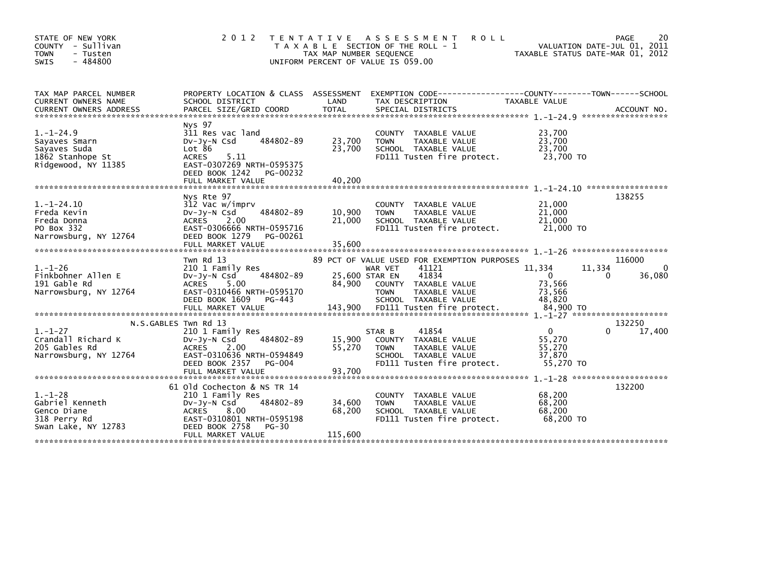| STATE OF NEW YORK<br>COUNTY - Sullivan<br><b>TOWN</b><br>- Tusten<br>$-484800$<br><b>SWIS</b>                                                                                                                         | 2 0 1 2                                                                                                                                                                              | T E N T A T I V E<br>TAX MAP NUMBER SEQUENCE | ASSESSMENT<br><b>ROLL</b><br>T A X A B L E SECTION OF THE ROLL - 1<br>UNIFORM PERCENT OF VALUE IS 059.00                                                                                      | TAXABLE STATUS DATE-MAR 01, 2012                                 | 2 <sub>C</sub><br>PAGE<br>VALUATION DATE-JUL 01, 2011 |
|-----------------------------------------------------------------------------------------------------------------------------------------------------------------------------------------------------------------------|--------------------------------------------------------------------------------------------------------------------------------------------------------------------------------------|----------------------------------------------|-----------------------------------------------------------------------------------------------------------------------------------------------------------------------------------------------|------------------------------------------------------------------|-------------------------------------------------------|
| TAX MAP PARCEL NUMBER<br><b>CURRENT OWNERS NAME</b><br>CURRENT OWNERS ADDRESS PARCEL SIZE/GRID COORD TOTAL SPECIAL DISTRICTS (CORRENT OWNERS ADDRESS PARCEL SIZE/GRID COORD TOTAL SPECIAL DISTRICTS (2011) ACCOUNT NO | PROPERTY LOCATION & CLASS ASSESSMENT<br>SCHOOL DISTRICT                                                                                                                              | LAND                                         | EXEMPTION        CODE-----------------COUNTY-------TOWN------SCHOOL<br>TAX DESCRIPTION                                                                                                        | TAXABLE VALUE                                                    |                                                       |
| $1. - 1 - 24.9$<br>Sayaves Smarn<br>Sayaves Suda<br>1862 Stanhope St<br>Ridgewood, NY 11385                                                                                                                           | <b>NVS 97</b><br>311 Res vac land<br>DV-Jy-N Csd<br>484802-89<br>Lot 86<br>5.11<br><b>ACRES</b><br>EAST-0307269 NRTH-0595375<br>DEED BOOK 1242<br>PG-00232<br>FULL MARKET VALUE      | 23,700<br>23,700<br>40.200                   | <b>COUNTY</b><br>TAXABLE VALUE<br>TAXABLE VALUE<br><b>TOWN</b><br>SCHOOL TAXABLE VALUE<br>FD111 Tusten fire protect.                                                                          | 23,700<br>23,700<br>23,700<br>23,700 TO                          |                                                       |
| $1. - 1 - 24.10$<br>Freda Kevin<br>Freda Donna<br>PO Box 332<br>Narrowsburg, NY 12764                                                                                                                                 | Nys Rte 97<br>312 Vac w/imprv<br>$Dv-Jv-N$ Csd<br>484802-89<br><b>ACRES</b><br>2.00<br>EAST-0306666 NRTH-0595716<br>DEED BOOK 1279<br>PG-00261<br>FULL MARKET VALUE                  | 10,900<br>21,000<br>35,600                   | TAXABLE VALUE<br><b>COUNTY</b><br><b>TAXABLE VALUE</b><br><b>TOWN</b><br>SCHOOL TAXABLE VALUE<br>FD111 Tusten fire protect.                                                                   | 21,000<br>21,000<br>21,000<br>21,000 TO                          | 138255                                                |
| $1. - 1 - 26$<br>Finkbohner Allen E<br>191 Gable Rd<br>Narrowsburg, NY 12764                                                                                                                                          | Twn Rd 13<br>210 1 Family Res<br>484802-89<br>$Dv-Jy-N$ Csd<br><b>ACRES</b><br>5.00<br>EAST-0310466 NRTH-0595170<br>DEED BOOK 1609<br>PG-443<br>FULL MARKET VALUE                    | 25,600 STAR EN<br>84.900<br>143,900          | 89 PCT OF VALUE USED FOR EXEMPTION PURPOSES<br>41121<br>WAR VET<br>41834<br>COUNTY TAXABLE VALUE<br><b>TAXABLE VALUE</b><br><b>TOWN</b><br>SCHOOL TAXABLE VALUE<br>FD111 Tusten fire protect. | 11,334<br>$\mathbf 0$<br>73,566<br>73.566<br>48.820<br>84,900 TO | 116000<br>11,334<br>36,080<br>$\Omega$                |
| $1. - 1 - 27$<br>Crandall Richard K<br>205 Gables Rd<br>Narrowsburg, NY 12764                                                                                                                                         | N.S.GABLES Twn Rd 13<br>210 1 Family Res<br>484802-89<br>$Dv-Jy-N$ Csd<br><b>ACRES</b><br>2.00<br>EAST-0310636 NRTH-0594849<br>DEED BOOK 2357<br><b>PG-004</b>                       | 15,900<br>55,270                             | 41854<br>STAR B<br>COUNTY TAXABLE VALUE<br>TAXABLE VALUE<br><b>TOWN</b><br>SCHOOL TAXABLE VALUE<br>FD111 Tusten fire protect.                                                                 | $\mathbf{0}$<br>55,270<br>55,270<br>37,870<br>55.270 TO          | 132250<br>17,400                                      |
| $1. - 1 - 28$<br>Gabriel Kenneth<br>Genco Diane<br>318 Perry Rd<br>Swan Lake, NY 12783                                                                                                                                | 61 old Cochecton & NS TR 14<br>210 1 Family Res<br>484802-89<br>$Dv-Jy-N$ Csd<br><b>ACRES</b><br>8.00<br>EAST-0310801 NRTH-0595198<br>DEED BOOK 2758<br>$PG-30$<br>FULL MARKET VALUE | 34,600<br>68,200<br>115,600                  | <b>COUNTY</b><br>TAXABLE VALUE<br><b>TAXABLE VALUE</b><br><b>TOWN</b><br>SCHOOL TAXABLE VALUE<br>FD111 Tusten fire protect.                                                                   | 68,200<br>68,200<br>68,200<br>68,200 TO                          | 132200                                                |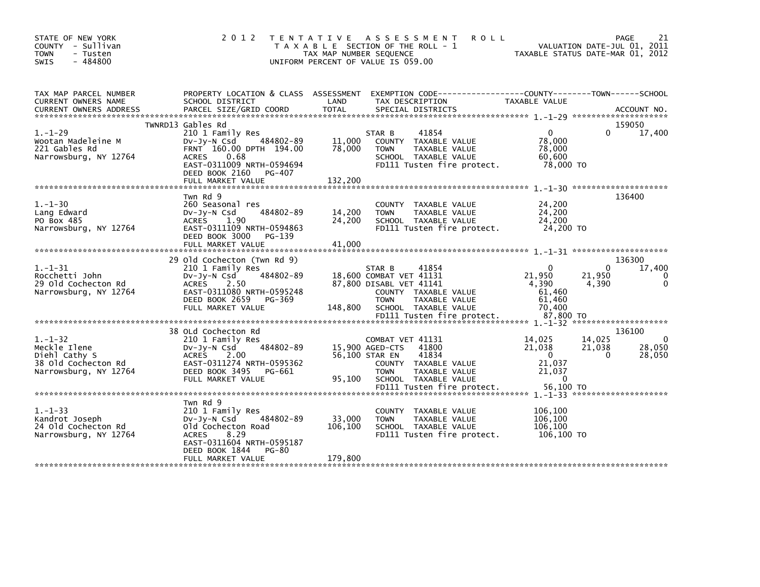| STATE OF NEW YORK<br>COUNTY - Sullivan<br><b>TOWN</b><br>- Tusten<br>$-484800$<br>SWIS         | 2 0 1 2                                                                                                                                                                                     | TENTATIVE ASSESSMENT<br>T A X A B L E SECTION OF THE ROLL - 1<br>TAX MAP NUMBER SEQUENCE<br>UNIFORM PERCENT OF VALUE IS 059.00 | <b>ROLL</b>                                                                                                   | TAXABLE STATUS DATE-MAR 01, 2012                                          |                             | PAGE<br>21<br>VALUATION DATE-JUL 01, 2011 |
|------------------------------------------------------------------------------------------------|---------------------------------------------------------------------------------------------------------------------------------------------------------------------------------------------|--------------------------------------------------------------------------------------------------------------------------------|---------------------------------------------------------------------------------------------------------------|---------------------------------------------------------------------------|-----------------------------|-------------------------------------------|
| TAX MAP PARCEL NUMBER<br>CURRENT OWNERS NAME                                                   | PROPERTY LOCATION & CLASS ASSESSMENT<br>SCHOOL DISTRICT                                                                                                                                     | LAND                                                                                                                           | EXEMPTION CODE------------------COUNTY--------TOWN------SCHOOL<br>TAX DESCRIPTION                             | <b>TAXABLE VALUE</b>                                                      |                             |                                           |
| $1. - 1 - 29$<br>Wootan Madeleine M<br>221 Gables Rd<br>Narrowsburg, NY 12764                  | TWNRD13 Gables Rd<br>210 1 Family Res<br>484802-89<br>DV-Jy-N Csd<br>FRNT 160.00 DPTH 194.00<br>ACRES<br>0.68<br>EAST-0311009 NRTH-0594694<br>DEED BOOK 2160<br>PG-407<br>FULL MARKET VALUE | STAR B<br>11,000<br>78,000<br><b>TOWN</b><br>132,200                                                                           | 41854<br>COUNTY TAXABLE VALUE<br>TAXABLE VALUE<br>SCHOOL TAXABLE VALUE<br>FD111 Tusten fire protect.          | $\mathbf{0}$<br>78,000<br>78,000<br>60,600<br>78,000 TO                   | 0                           | 159050<br>17,400                          |
| $1. - 1 - 30$<br>Lang Edward<br>PO Box 485<br>Narrowsburg, NY 12764                            | Twn Rd 9<br>260 Seasonal res<br>484802-89<br>DV-Jy-N Csd<br>1.90<br>ACRES<br>EAST-0311109 NRTH-0594863<br>DEED BOOK 3000<br>PG-139<br>FULL MARKET VALUE                                     | 14,200<br><b>TOWN</b><br>24,200<br>41,000                                                                                      | COUNTY TAXABLE VALUE<br>TAXABLE VALUE<br>SCHOOL TAXABLE VALUE<br>FD111 Tusten fire protect.                   | 24,200<br>24,200<br>24,200<br>24,200 TO                                   |                             | 136400                                    |
| $1. - 1 - 31$<br>Rocchetti John<br>29 Old Cochecton Rd<br>Narrowsburg, NY 12764                | 29 Old Cochecton (Twn Rd 9)<br>210 1 Family Res<br>484802-89<br>DV-JY-N Csd<br><b>ACRES</b><br>2.50<br>EAST-0311080 NRTH-0595248<br>DEED BOOK 2659<br>PG-369<br>FULL MARKET VALUE           | STAR B<br>18,600 COMBAT VET 41131<br>87,800 DISABL VET 41141<br><b>TOWN</b><br>148,800                                         | 41854<br>COUNTY TAXABLE VALUE<br>TAXABLE VALUE<br>SCHOOL TAXABLE VALUE<br>FD111 Tusten fire protect.          | $\Omega$<br>21,950<br>4,390<br>61,460<br>61,460<br>70,400<br>87,800 TO    | $\Omega$<br>21,950<br>4,390 | 136300<br>17,400                          |
|                                                                                                |                                                                                                                                                                                             |                                                                                                                                |                                                                                                               |                                                                           |                             |                                           |
| $1. - 1 - 32$<br>Meckle Ilene<br>Diehl Cathy S<br>38 Old Cochecton Rd<br>Narrowsburg, NY 12764 | 38 OLd Cochecton Rd<br>210 1 Family Res<br>484802-89<br>DV-JY-N Csd<br>2.00<br><b>ACRES</b><br>EAST-0311274 NRTH-0595362<br>DEED BOOK 3495<br>PG-661<br>FULL MARKET VALUE                   | COMBAT VET 41131<br>15,900 AGED-CTS<br>56,100 STAR EN<br><b>TOWN</b><br>95,100                                                 | 41800<br>41834<br>COUNTY TAXABLE VALUE<br>TAXABLE VALUE<br>SCHOOL TAXABLE VALUE<br>FD111 Tusten fire protect. | 14,025<br>21,038<br>$\Omega$<br>21,037<br>21,037<br>$\Omega$<br>56.100 TO | 14,025<br>21,038<br>0       | 136100<br>0<br>28,050<br>28,050           |
|                                                                                                |                                                                                                                                                                                             |                                                                                                                                |                                                                                                               |                                                                           |                             |                                           |
| $1. - 1 - 33$<br>Kandrot Joseph<br>24 Old Cochecton Rd<br>Narrowsburg, NY 12764                | Twn Rd 9<br>210 1 Family Res<br>484802-89<br>$Dv-Jy-N$ Csd<br>Old Cochecton Road<br><b>ACRES</b><br>8.29<br>EAST-0311604 NRTH-0595187                                                       | 33,000<br><b>TOWN</b><br>106,100                                                                                               | COUNTY TAXABLE VALUE<br>TAXABLE VALUE<br>SCHOOL TAXABLE VALUE<br>FD111 Tusten fire protect.                   | 106,100<br>106.100<br>106,100<br>106,100 TO                               |                             |                                           |
|                                                                                                | DEED BOOK 1844<br>PG-80<br>FULL MARKET VALUE                                                                                                                                                | 179,800                                                                                                                        |                                                                                                               |                                                                           |                             |                                           |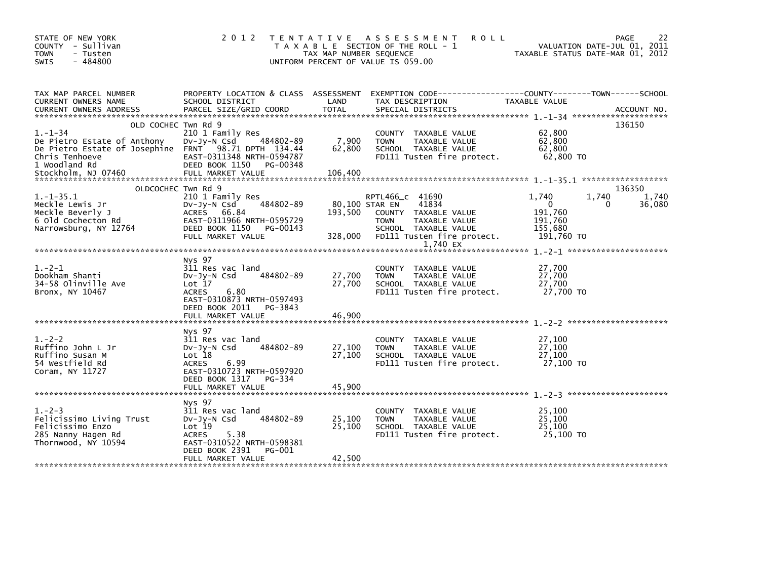| STATE OF NEW YORK<br>COUNTY - Sullivan<br><b>TOWN</b><br>- Tusten<br>$-484800$<br><b>SWIS</b>                                                                                         | 2 0 1 2                                                                                                                                                                  | TAX MAP NUMBER SEQUENCE    | TENTATIVE ASSESSMENT<br><b>ROLL</b><br>T A X A B L E SECTION OF THE ROLL - 1<br>UNIFORM PERCENT OF VALUE IS 059.00                                       | VALUATION DATE-JUL 01, 2011<br>TAXABLE STATUS DATE-MAR 01, 2012               | 22<br>PAGE           |
|---------------------------------------------------------------------------------------------------------------------------------------------------------------------------------------|--------------------------------------------------------------------------------------------------------------------------------------------------------------------------|----------------------------|----------------------------------------------------------------------------------------------------------------------------------------------------------|-------------------------------------------------------------------------------|----------------------|
| TAX MAP PARCEL NUMBER<br>CURRENT OWNERS NAME<br><b>CURRENT OWNERS ADDRESS</b>                                                                                                         | PROPERTY LOCATION & CLASS ASSESSMENT<br>SCHOOL DISTRICT<br>PARCEL SIZE/GRID COORD                                                                                        | LAND<br>TOTAL              | EXEMPTION CODE------------------COUNTY--------TOWN------SCHOOL<br>TAX DESCRIPTION<br>SPECIAL DISTRICTS                                                   | TAXABLE VALUE                                                                 | ACCOUNT NO.          |
| OLD COCHEC Twn Rd 9<br>$1. - 1 - 34$<br>De Pietro Estate of Anthony<br>De Pietro Estate of Josephine FRNT 98.71 DPTH 134.44<br>Chris Tenhoeve<br>1 Woodland Rd<br>Stockholm, NJ 07460 | 210 1 Family Res<br>484802-89<br>Dv-Jy-N Csd<br>EAST-0311348 NRTH-0594787<br>DEED BOOK 1150 PG-00348<br>FULL MARKET VALUE                                                | 7,900<br>62,800<br>106,400 | COUNTY TAXABLE VALUE<br>TAXABLE VALUE<br><b>TOWN</b><br>SCHOOL TAXABLE VALUE<br>FD111 Tusten fire protect.                                               | 62,800<br>62,800<br>62.800<br>62,800 TO                                       | 136150               |
| OLDCOCHEC Twn Rd 9                                                                                                                                                                    |                                                                                                                                                                          |                            |                                                                                                                                                          |                                                                               | 136350               |
| $1.-1-35.1$<br>Meckle Lewis Jr<br>Meckle Beverly J<br>6 Old Cochecton Rd<br>Narrowsburg, NY 12764                                                                                     | 210 1 Family Res<br>484802-89<br>DV-Jy-N Csd<br>ACRES 66.84<br>EAST-0311966 NRTH-0595729<br>DEED BOOK 1150<br>PG-00143<br>FULL MARKET VALUE                              | 193,500<br>328,000         | RPTL466_C 41690<br>80,100 STAR EN<br>41834<br>COUNTY TAXABLE VALUE<br>TAXABLE VALUE<br><b>TOWN</b><br>SCHOOL TAXABLE VALUE<br>FD111 Tusten fire protect. | 1,740<br>1,740<br>$\mathbf{0}$<br>191,760<br>191,760<br>155,680<br>191,760 TO | 1,740<br>36,080<br>0 |
|                                                                                                                                                                                       |                                                                                                                                                                          |                            | 1,740 EX                                                                                                                                                 |                                                                               |                      |
| $1. -2 - 1$<br>Dookham Shanti<br>34-58 Olinville Ave<br>Bronx, NY 10467                                                                                                               | Nys 97<br>311 Res vac land<br>484802-89<br>$Dv-Jy-N$ Csd<br>Lot 17<br>6.80<br><b>ACRES</b><br>EAST-0310873 NRTH-0597493<br>DEED BOOK 2011<br>PG-3843                     | 27,700<br>27,700           | COUNTY TAXABLE VALUE<br>TAXABLE VALUE<br><b>TOWN</b><br>SCHOOL TAXABLE VALUE<br>FD111 Tusten fire protect.                                               | 27,700<br>27,700<br>27,700<br>27,700 TO                                       |                      |
|                                                                                                                                                                                       | FULL MARKET VALUE                                                                                                                                                        | 46,900                     |                                                                                                                                                          |                                                                               |                      |
| $1. -2 - 2$<br>Ruffino John L Jr<br>Ruffino Susan M<br>54 Westfield Rd<br>Coram, NY 11727                                                                                             | Nys 97<br>311 Res vac land<br>484802-89<br>$Dv-Jy-N$ Csd<br>Lot 18<br><b>ACRES</b><br>6.99<br>EAST-0310723 NRTH-0597920<br>DEED BOOK 1317 PG-334<br>FULL MARKET VALUE    | 27,100<br>27,100<br>45,900 | COUNTY TAXABLE VALUE<br><b>TOWN</b><br>TAXABLE VALUE<br>SCHOOL TAXABLE VALUE<br>FD111 Tusten fire protect.                                               | 27,100<br>27,100<br>27,100<br>27.100 TO                                       |                      |
| $1. -2 - 3$<br>Felicissimo Living Trust<br>Felicissimo Enzo<br>285 Nanny Hagen Rd<br>Thornwood, NY 10594                                                                              | Nys 97<br>311 Res vac land<br>484802-89<br>$Dv-Jv-N$ Csd<br>Lot 19<br>5.38<br><b>ACRES</b><br>EAST-0310522 NRTH-0598381<br>DEED BOOK 2391<br>PG-001<br>FULL MARKET VALUE | 25,100<br>25,100<br>42,500 | COUNTY TAXABLE VALUE<br>TAXABLE VALUE<br><b>TOWN</b><br>SCHOOL TAXABLE VALUE<br>FD111 Tusten fire protect.                                               | 25,100<br>25,100<br>25,100<br>25,100 TO                                       |                      |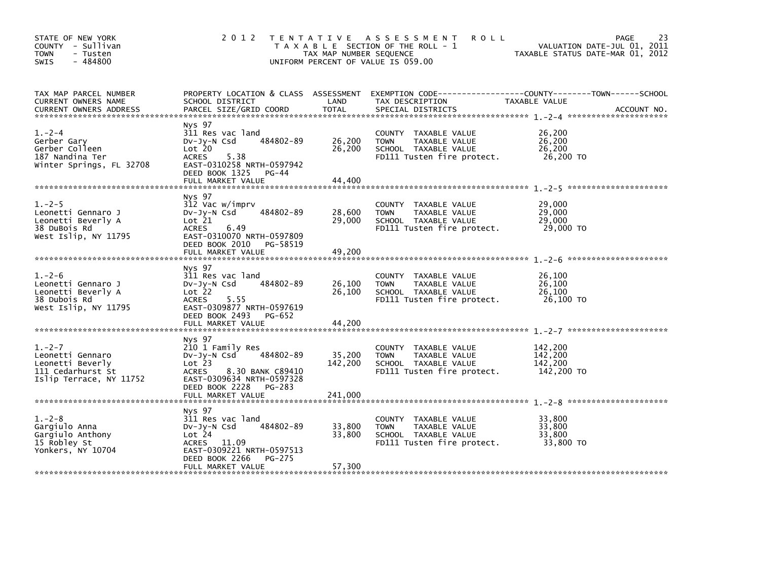| STATE OF NEW YORK<br>COUNTY - Sullivan<br><b>TOWN</b><br>- Tusten<br>$-484800$<br><b>SWIS</b>       |                                                                                                                                                                        | TAX MAP NUMBER SEQUENCE    | 2012 TENTATIVE ASSESSMENT<br><b>ROLL</b><br>T A X A B L E SECTION OF THE ROLL - 1<br>UNIFORM PERCENT OF VALUE IS 059.00 | 23<br><b>PAGE</b><br>VALUATION DATE-JUL 01, 2011<br>TAXABLE STATUS DATE-MAR 01, 2012                               |
|-----------------------------------------------------------------------------------------------------|------------------------------------------------------------------------------------------------------------------------------------------------------------------------|----------------------------|-------------------------------------------------------------------------------------------------------------------------|--------------------------------------------------------------------------------------------------------------------|
| TAX MAP PARCEL NUMBER<br>CURRENT OWNERS NAME                                                        | SCHOOL DISTRICT                                                                                                                                                        | LAND                       | TAX DESCRIPTION                                                                                                         | PROPERTY LOCATION & CLASS ASSESSMENT EXEMPTION CODE-----------------COUNTY-------TOWN------SCHOOL<br>TAXABLE VALUE |
| $1. -2 - 4$<br>Gerber Gary<br>Gerber Colleen<br>187 Nandina Ter<br>Winter Springs, FL 32708         | Nys 97<br>311 Res vac land<br>484802-89<br>$Dv-Jy-N$ Csd<br>Lot 20<br><b>ACRES</b><br>5.38<br>EAST-0310258 NRTH-0597942<br>DEED BOOK 1325 PG-44<br>FULL MARKET VALUE   | 26,200<br>26,200<br>44,400 | COUNTY TAXABLE VALUE<br><b>TOWN</b><br>TAXABLE VALUE<br>SCHOOL TAXABLE VALUE<br>FD111 Tusten fire protect.              | 26,200<br>26.200<br>26,200<br>26,200 TO                                                                            |
| $1.-2-5$<br>Leonetti Gennaro J<br>Leonetti Beverly A<br>38 DuBois Rd<br>West Islip, NY 11795        | Nys 97<br>312 Vac w/imprv<br>484802-89<br>$Dv-Jy-N$ Csd<br>Lot 21<br>6.49<br><b>ACRES</b><br>EAST-0310070 NRTH-0597809<br>DEED BOOK 2010 PG-58519<br>FULL MARKET VALUE | 28,600<br>29,000<br>49,200 | COUNTY TAXABLE VALUE<br>TAXABLE VALUE<br><b>TOWN</b><br>SCHOOL TAXABLE VALUE<br>FD111 Tusten fire protect.              | 29,000<br>29,000<br>29,000<br>29,000 TO                                                                            |
| $1. -2 - 6$<br>Leonetti Gennaro J<br>Leonetti Beverly A<br>38 Dubois Rd<br>West Islip, NY 11795     | Nys 97<br>311 Res vac land<br>484802-89<br>$Dv-Jy-N$ Csd<br>Lot 22<br>5.55<br>ACRES<br>EAST-0309877 NRTH-0597619<br>DEED BOOK 2493 PG-652<br>FULL MARKET VALUE         | 26,100<br>26,100<br>44,200 | COUNTY TAXABLE VALUE<br>TAXABLE VALUE<br><b>TOWN</b><br>SCHOOL TAXABLE VALUE<br>FD111 Tusten fire protect.              | 26,100<br>26,100<br>26,100<br>26,100 TO                                                                            |
| $1. -2 - 7$<br>Leonetti Gennaro<br>Leonetti Beverly<br>111 Cedarhurst St<br>Islip Terrace, NY 11752 | Nys 97<br>210 1 Family Res<br>484802-89<br>$Dv-Jy-N$ Csd<br>Lot 23<br>8.30 BANK C89410<br>ACRES<br>EAST-0309634 NRTH-0597328<br>DEED BOOK 2228 PG-283                  | 35,200<br>142,200          | COUNTY TAXABLE VALUE<br>TAXABLE VALUE<br><b>TOWN</b><br>SCHOOL TAXABLE VALUE<br>FD111 Tusten fire protect.              | 142,200<br>142,200<br>142,200<br>142,200 TO                                                                        |
| $1. - 2 - 8$<br>Gargiulo Anna<br>Gargiulo Anthony<br>15 Robley St<br>Yonkers, NY 10704              | Nys 97<br>311 Res vac land<br>484802-89<br>$Dv-Jy-N$ Csd<br>Lot 24<br>ACRES 11.09<br>EAST-0309221 NRTH-0597513<br>DEED BOOK 2266<br>PG-275<br>FULL MARKET VALUE        | 33,800<br>33,800<br>57,300 | COUNTY TAXABLE VALUE<br>TAXABLE VALUE<br><b>TOWN</b><br>SCHOOL TAXABLE VALUE<br>FD111 Tusten fire protect.              | 33.800<br>33,800<br>33,800<br>33.800 TO                                                                            |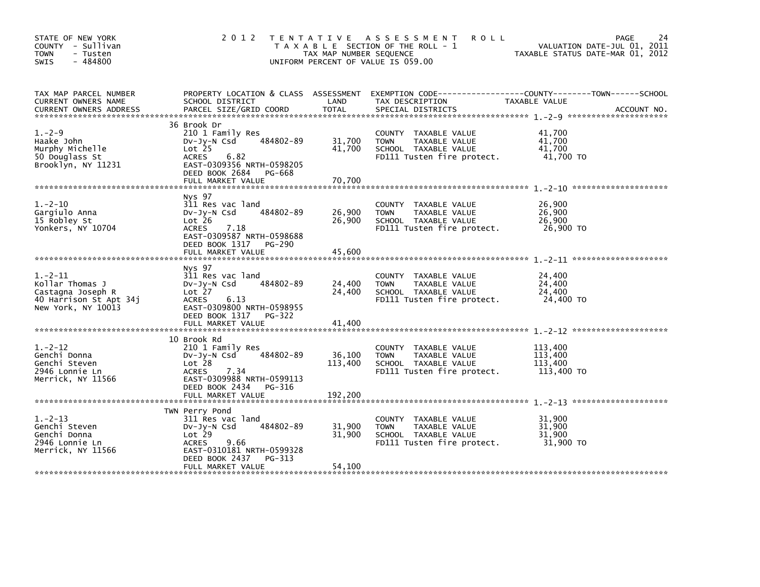| STATE OF NEW YORK<br>COUNTY - Sullivan<br>- Tusten<br><b>TOWN</b><br>$-484800$<br><b>SWIS</b>     | 2 0 1 2                                                                                                                                                                               | TAX MAP NUMBER SEQUENCE    | TENTATIVE ASSESSMENT<br><b>ROLL</b><br>T A X A B L E SECTION OF THE ROLL - 1<br>UNIFORM PERCENT OF VALUE IS 059.00 | 24<br><b>PAGE</b><br>VALUATION DATE-JUL 01, 2011<br>TAXABLE STATUS DATE-MAR 01, 2012 |
|---------------------------------------------------------------------------------------------------|---------------------------------------------------------------------------------------------------------------------------------------------------------------------------------------|----------------------------|--------------------------------------------------------------------------------------------------------------------|--------------------------------------------------------------------------------------|
| TAX MAP PARCEL NUMBER<br>CURRENT OWNERS NAME<br><b>CURRENT OWNERS ADDRESS</b>                     | PROPERTY LOCATION & CLASS ASSESSMENT<br>SCHOOL DISTRICT<br>PARCEL SIZE/GRID COORD                                                                                                     | LAND<br>TOTAL              | TAX DESCRIPTION<br>SPECIAL DISTRICTS                                                                               | TAXABLE VALUE<br>ACCOUNT NO.                                                         |
| $1. -2 - 9$<br>Haake John<br>Murphy Michelle<br>50 Douglass St<br>Brooklyn, NY 11231              | 36 Brook Dr<br>210 1 Family Res<br>484802-89<br>$Dv-Jy-N$ Csd<br>Lot <sub>25</sub><br><b>ACRES</b><br>6.82<br>EAST-0309356 NRTH-0598205<br>DEED BOOK 2684 PG-668<br>FULL MARKET VALUE | 31,700<br>41,700<br>70,700 | COUNTY TAXABLE VALUE<br>TAXABLE VALUE<br><b>TOWN</b><br>SCHOOL TAXABLE VALUE<br>FD111 Tusten fire protect.         | 41,700<br>41.700<br>41,700<br>41,700 TO                                              |
| $1. -2 - 10$<br>Gargiulo Anna<br>15 Robley St<br>Yonkers, NY 10704                                | Nys 97<br>311 Res vac land<br>484802-89<br>DV-Jy-N Csd<br>Lot 26<br><b>ACRES</b><br>7.18<br>EAST-0309587 NRTH-0598688<br>DEED BOOK 1317 PG-290<br>FULL MARKET VALUE                   | 26,900<br>26,900<br>45,600 | COUNTY TAXABLE VALUE<br>TAXABLE VALUE<br><b>TOWN</b><br>SCHOOL TAXABLE VALUE<br>FD111 Tusten fire protect.         | 26,900<br>26,900<br>26,900<br>26,900 TO                                              |
| $1.-2-11$<br>Kollar Thomas J<br>Castagna Joseph R<br>40 Harrison St Apt 34j<br>New York, NY 10013 | Nys 97<br>311 Res vac land<br>484802-89<br>$Dv-Jy-N$ Csd<br>Lot 27<br><b>ACRES</b><br>6.13<br>EAST-0309800 NRTH-0598955<br>DEED BOOK 1317 PG-322<br>FULL MARKET VALUE                 | 24,400<br>24,400<br>41,400 | COUNTY<br>TAXABLE VALUE<br>TAXABLE VALUE<br><b>TOWN</b><br>SCHOOL TAXABLE VALUE<br>FD111 Tusten fire protect.      | 24,400<br>24,400<br>24,400<br>24,400 TO                                              |
| $1. -2 - 12$<br>Genchi Donna<br>Genchi Steven<br>2946 Lonnie Ln<br>Merrick, NY 11566              | 10 Brook Rd<br>210 1 Family Res<br>484802-89<br>DV-Jy-N Csd<br>Lot 28<br>7.34<br><b>ACRES</b><br>EAST-0309988 NRTH-0599113<br>DEED BOOK 2434<br>PG-316                                | 36,100<br>113,400          | COUNTY<br>TAXABLE VALUE<br><b>TOWN</b><br>TAXABLE VALUE<br>SCHOOL TAXABLE VALUE<br>FD111 Tusten fire protect.      | 113,400<br>113.400<br>113,400<br>113,400 TO                                          |
| $1. -2 - 13$<br>Genchi Steven<br>Genchi Donna<br>2946 Lonnie Ln<br>Merrick, NY 11566              | TWN Perry Pond<br>311 Res vac land<br>484802-89<br>DV-Jy-N Csd<br>Lot 29<br><b>ACRES</b><br>9.66<br>EAST-0310181 NRTH-0599328<br>DEED BOOK 2437<br>$PG-313$<br>FULL MARKET VALUE      | 31,900<br>31,900<br>54,100 | COUNTY<br>TAXABLE VALUE<br>TAXABLE VALUE<br><b>TOWN</b><br>SCHOOL TAXABLE VALUE<br>FD111 Tusten fire protect.      | 31.900<br>31,900<br>31,900<br>31,900 TO                                              |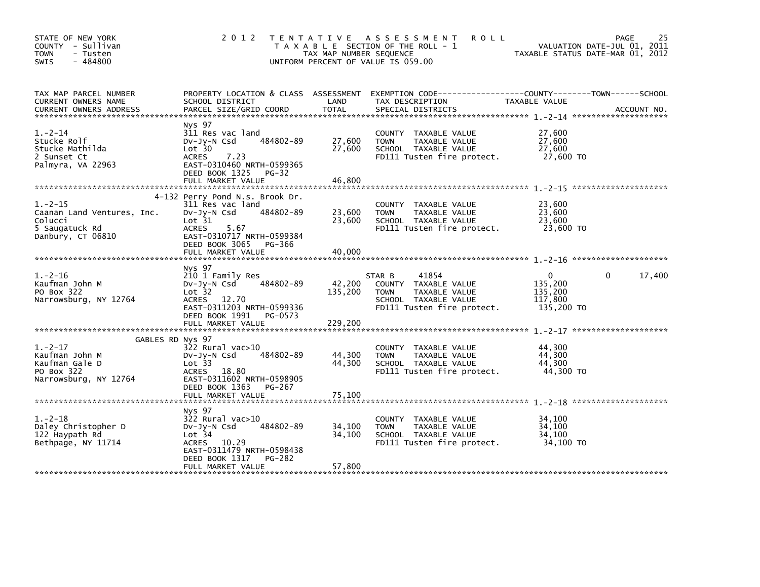| STATE OF NEW YORK<br>COUNTY - Sullivan<br>- Tusten<br><b>TOWN</b><br>$-484800$<br><b>SWIS</b>               | 2 0 1 2                                                                                                                                                                                        | TAX MAP NUMBER SEQUENCE    | TENTATIVE ASSESSMENT<br><b>ROLL</b><br>T A X A B L E SECTION OF THE ROLL - 1<br>UNIFORM PERCENT OF VALUE IS 059.00            | TAXABLE STATUS DATE-MAR 01, 2012                 | 25<br><b>PAGE</b><br>VALUATION DATE-JUL 01, 2011 |
|-------------------------------------------------------------------------------------------------------------|------------------------------------------------------------------------------------------------------------------------------------------------------------------------------------------------|----------------------------|-------------------------------------------------------------------------------------------------------------------------------|--------------------------------------------------|--------------------------------------------------|
| TAX MAP PARCEL NUMBER<br>CURRENT OWNERS NAME<br><b>CURRENT OWNERS ADDRESS</b>                               | PROPERTY LOCATION & CLASS ASSESSMENT<br>SCHOOL DISTRICT<br>PARCEL SIZE/GRID COORD                                                                                                              | LAND<br>TOTAL              | TAX DESCRIPTION<br>SPECIAL DISTRICTS                                                                                          | TAXABLE VALUE                                    | ACCOUNT NO.                                      |
| $1.-2-14$<br>Stucke Rolf<br>Stucke Mathilda<br>2 Sunset Ct<br>Palmyra, VA 22963                             | Nys 97<br>311 Res vac land<br>484802-89<br>$Dv-Jy-N$ Csd<br>Lot 30<br><b>ACRES</b><br>7.23<br>EAST-0310460 NRTH-0599365<br>DEED BOOK 1325 PG-32<br>FULL MARKET VALUE                           | 27,600<br>27,600<br>46.800 | COUNTY TAXABLE VALUE<br>TAXABLE VALUE<br><b>TOWN</b><br>SCHOOL TAXABLE VALUE<br>FD111 Tusten fire protect.                    | 27,600<br>27,600<br>27,600<br>27,600 TO          |                                                  |
| $1. -2 - 15$<br>Caanan Land Ventures, Inc.<br>Colucci<br>5 Saugatuck Rd<br>Danbury, CT 06810                | 4-132 Perry Pond N.s. Brook Dr.<br>311 Res vac land<br>484802-89<br>$Dv-Jy-N$ Csd<br>Lot 31<br><b>ACRES</b><br>5.67<br>EAST-0310717 NRTH-0599384<br>DEED BOOK 3065 PG-366<br>FULL MARKET VALUE | 23,600<br>23,600<br>40,000 | COUNTY TAXABLE VALUE<br>TAXABLE VALUE<br><b>TOWN</b><br>SCHOOL TAXABLE VALUE<br>FD111 Tusten fire protect.                    | 23,600<br>23,600<br>23,600<br>23,600 TO          |                                                  |
|                                                                                                             | Nys 97                                                                                                                                                                                         |                            |                                                                                                                               |                                                  |                                                  |
| $1. -2 - 16$<br>Kaufman John M<br>PO Box 322<br>Narrowsburg, NY 12764                                       | 210 1 Family Res<br>484802-89<br>DV-JY-N Csd<br>Lot <sub>32</sub><br>ACRES 12.70<br>EAST-0311203 NRTH-0599336<br>DEED BOOK 1991 PG-0573                                                        | 42,200<br>135,200          | 41854<br>STAR B<br>COUNTY TAXABLE VALUE<br>TAXABLE VALUE<br><b>TOWN</b><br>SCHOOL TAXABLE VALUE<br>FD111 Tusten fire protect. | 0<br>135,200<br>135,200<br>117.800<br>135,200 TO | 17,400<br>$\Omega$                               |
|                                                                                                             | FULL MARKET VALUE                                                                                                                                                                              | 229,200                    |                                                                                                                               |                                                  |                                                  |
| GABLES RD Nys 97<br>$1. -2 - 17$<br>Kaufman John M<br>Kaufman Gale D<br>PO Box 322<br>Narrowsburg, NY 12764 | 322 Rural vac>10<br>484802-89<br>$Dv-Jy-N$ Csd<br>Lot 33<br>ACRES 18.80<br>EAST-0311602 NRTH-0598905                                                                                           | 44,300<br>44,300           | COUNTY TAXABLE VALUE<br><b>TOWN</b><br>TAXABLE VALUE<br>SCHOOL TAXABLE VALUE<br>FD111 Tusten fire protect.                    | 44,300<br>44.300<br>44,300<br>44,300 TO          |                                                  |
|                                                                                                             | DEED BOOK 1363<br>PG-267                                                                                                                                                                       |                            |                                                                                                                               |                                                  |                                                  |
| $1. -2 - 18$<br>Daley Christopher D<br>122 Haypath Rd<br>Bethpage, NY 11714                                 | Nys 97<br>$322$ Rural vac $>10$<br>484802-89<br>$Dv-Jy-N$ Csd<br>Lot 34<br>ACRES 10.29<br>EAST-0311479 NRTH-0598438<br>DEED BOOK 1317<br>PG-282<br>FULL MARKET VALUE                           | 34,100<br>34,100<br>57,800 | COUNTY<br>TAXABLE VALUE<br>TAXABLE VALUE<br><b>TOWN</b><br>SCHOOL TAXABLE VALUE<br>FD111 Tusten fire protect.                 | 34.100<br>34,100<br>34,100<br>34.100 TO          |                                                  |
|                                                                                                             |                                                                                                                                                                                                |                            |                                                                                                                               |                                                  |                                                  |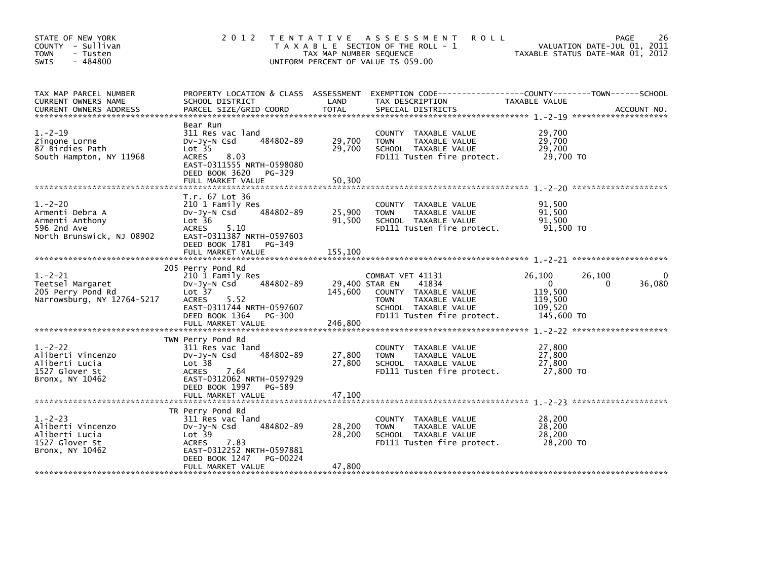| STATE OF NEW YORK<br>COUNTY - Sullivan<br><b>TOWN</b><br>- Tusten<br>$-484800$<br><b>SWIS</b>  | 2 0 1 2                                                                                                                                                                              | TAX MAP NUMBER SEQUENCE     | TENTATIVE ASSESSMENT<br><b>ROLL</b><br>T A X A B L E SECTION OF THE ROLL - 1<br>UNIFORM PERCENT OF VALUE IS 059.00                      | VALUATION DATE-JUL 01, 2011<br>TAXABLE STATUS DATE-MAR 01, 2012                                 | 26<br>PAGE  |
|------------------------------------------------------------------------------------------------|--------------------------------------------------------------------------------------------------------------------------------------------------------------------------------------|-----------------------------|-----------------------------------------------------------------------------------------------------------------------------------------|-------------------------------------------------------------------------------------------------|-------------|
| TAX MAP PARCEL NUMBER<br>CURRENT OWNERS NAME<br><b>CURRENT OWNERS ADDRESS</b>                  | PROPERTY LOCATION & CLASS ASSESSMENT<br>SCHOOL DISTRICT<br>PARCEL SIZE/GRID COORD                                                                                                    | LAND<br><b>TOTAL</b>        | EXEMPTION CODE-----------------COUNTY-------TOWN------SCHOOL<br>TAX DESCRIPTION<br>SPECIAL DISTRICTS                                    | TAXABLE VALUE                                                                                   | ACCOUNT NO. |
| $1.-2-19$<br>Zingone Lorne<br>87 Birdies Path<br>South Hampton, NY 11968                       | Bear Run<br>311 Res vac land<br>484802-89<br>$Dv-Jy-N$ Csd<br>Lot <sub>35</sub><br><b>ACRES</b><br>8.03<br>EAST-0311555 NRTH-0598080<br>DEED BOOK 3620 PG-329<br>FULL MARKET VALUE   | 29,700<br>29,700<br>50,300  | COUNTY TAXABLE VALUE<br><b>TOWN</b><br>TAXABLE VALUE<br>SCHOOL TAXABLE VALUE<br>FD111 Tusten fire protect.                              | 29,700<br>29,700<br>29,700<br>29,700 TO                                                         |             |
| $1. -2 - 20$<br>Armenti Debra A<br>Armenti Anthony<br>596 2nd Ave<br>North Brunswick, NJ 08902 | T.r. 67 Lot 36<br>210 1 Family Res<br>484802-89<br>DV-Jy-N Csd<br>Lot 36<br><b>ACRES</b><br>5.10<br>EAST-0311387 NRTH-0597603<br>DEED BOOK 1781 PG-349<br>FULL MARKET VALUE          | 25,900<br>91,500<br>155,100 | COUNTY TAXABLE VALUE<br><b>TOWN</b><br>TAXABLE VALUE<br>SCHOOL TAXABLE VALUE<br>FD111 Tusten fire protect.                              | 91,500<br>91,500<br>91,500<br>91,500 TO                                                         |             |
| $1. -2 - 21$<br>Teetsel Margaret<br>205 Perry Pond Rd<br>Narrowsburg, NY 12764-5217            | 205 Perry Pond Rd<br>210 1 Family Res<br>484802-89<br>$Dv-Jy-N$ Csd<br>Lot 37<br><b>ACRES</b><br>5.52<br>EAST-0311744 NRTH-0597607<br>DEED BOOK 1364 PG-300                          | 29,400 STAR EN<br>145,600   | COMBAT VET 41131<br>41834<br>COUNTY TAXABLE VALUE<br>TAXABLE VALUE<br><b>TOWN</b><br>SCHOOL TAXABLE VALUE<br>FD111 Tusten fire protect. | 26,100<br>26,100<br>$\overline{\mathbf{0}}$<br>0<br>119,500<br>119,500<br>109,520<br>145,600 TO | 36,080      |
| $1. -2 - 22$<br>Aliberti Vincenzo<br>Aliberti Lucia<br>1527 Glover St<br>Bronx, NY 10462       | TWN Perry Pond Rd<br>311 Res vac land<br>484802-89<br>$Dv-Jy-N$ Csd<br>Lot <sub>38</sub><br>ACRES<br>7.64<br>EAST-0312062 NRTH-0597929<br>DEED BOOK 1997 PG-589<br>FULL MARKET VALUE | 27,800<br>27,800<br>47,100  | COUNTY TAXABLE VALUE<br>TAXABLE VALUE<br><b>TOWN</b><br>SCHOOL TAXABLE VALUE<br>FD111 Tusten fire protect.                              | 27,800<br>27,800<br>27,800<br>27,800 TO                                                         |             |
| $1. -2 - 23$<br>Aliberti Vincenzo<br>Aliberti Lucia<br>1527 Glover St<br>Bronx, NY 10462       | TR Perry Pond Rd<br>311 Res vac land<br>484802-89<br>$Dv-Jy-N$ Csd<br>Lot 39<br>7.83<br><b>ACRES</b><br>EAST-0312252 NRTH-0597881<br>DEED BOOK 1247<br>PG-00224<br>FULL MARKET VALUE | 28,200<br>28,200<br>47,800  | COUNTY TAXABLE VALUE<br>TAXABLE VALUE<br><b>TOWN</b><br>SCHOOL TAXABLE VALUE<br>FD111 Tusten fire protect.                              | 28,200<br>28,200<br>28,200<br>28,200 TO                                                         |             |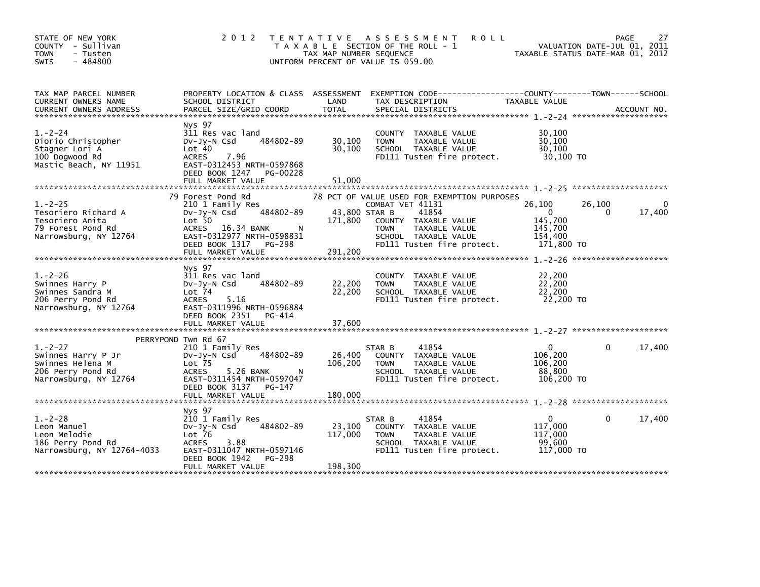| STATE OF NEW YORK<br>COUNTY - Sullivan<br><b>TOWN</b><br>- Tusten<br>$-484800$<br><b>SWIS</b>        |                                                                                                                                                                         | TAX MAP NUMBER SEQUENCE             | 2012 TENTATIVE ASSESSMENT<br><b>ROLL</b><br>T A X A B L E SECTION OF THE ROLL - 1<br>UNIFORM PERCENT OF VALUE IS 059.00                 | VALUATION DATE-JUL 01, 2011<br>TAXABLE STATUS DATE-MAR 01, 2012       | PAGE                 | 27     |
|------------------------------------------------------------------------------------------------------|-------------------------------------------------------------------------------------------------------------------------------------------------------------------------|-------------------------------------|-----------------------------------------------------------------------------------------------------------------------------------------|-----------------------------------------------------------------------|----------------------|--------|
| TAX MAP PARCEL NUMBER<br>CURRENT OWNERS NAME                                                         | SCHOOL DISTRICT                                                                                                                                                         | LAND                                | PROPERTY LOCATION & CLASS ASSESSMENT EXEMPTION CODE----------------COUNTY-------TOWN------SCHOOL<br>TAX DESCRIPTION                     | TAXABLE VALUE                                                         |                      |        |
| $1. -2 - 24$<br>Diorio Christopher<br>Stagner Lori A<br>100 Dogwood Rd<br>Mastic Beach, NY 11951     | Nys 97<br>311 Res vac land<br>484802-89<br>$Dv-Jy-N$ Csd<br>Lot 40<br>7.96<br><b>ACRES</b><br>EAST-0312453 NRTH-0597868<br>DEED BOOK 1247 PG-00228<br>FULL MARKET VALUE | 30,100<br>30,100<br>51,000          | COUNTY TAXABLE VALUE<br>TAXABLE VALUE<br><b>TOWN</b><br>SCHOOL TAXABLE VALUE<br>FD111 Tusten fire protect.                              | 30,100<br>30,100<br>30,100<br>30,100 TO                               |                      |        |
|                                                                                                      | 79 Forest Pond Rd                                                                                                                                                       |                                     | 78 PCT OF VALUE USED FOR EXEMPTION PURPOSES                                                                                             |                                                                       |                      |        |
| $1. -2 - 25$<br>Tesoriero Richard A<br>Tesoriero Anita<br>79 Forest Pond Rd<br>Narrowsburg, NY 12764 | 210 1 Family Res<br>484802-89<br>DV-JY-N Csd<br>Lot 50<br>ACRES 16.34 BANK<br>N<br>EAST-0312977 NRTH-0598831<br>DEED BOOK 1317 PG-298<br>FULL MARKET VALUE              | 43,800 STAR B<br>171,800<br>291,200 | COMBAT VET 41131<br>41854<br>COUNTY TAXABLE VALUE<br>TAXABLE VALUE<br><b>TOWN</b><br>SCHOOL TAXABLE VALUE<br>FD111 Tusten fire protect. | 26,100<br>$\mathbf{0}$<br>145,700<br>145,700<br>154,400<br>171,800 TO | 26,100<br>$\Omega$   | 17,400 |
|                                                                                                      |                                                                                                                                                                         |                                     |                                                                                                                                         |                                                                       | ******************** |        |
| $1. -2 - 26$<br>Swinnes Harry P<br>Swinnes Sandra M<br>206 Perry Pond Rd<br>Narrowsburg, NY 12764    | Nys 97<br>311 Res vac land<br>484802-89<br>DV-Jy-N Csd<br>$Lot$ 74<br><b>ACRES</b><br>5.16<br>EAST-0311996 NRTH-0596884<br>DEED BOOK 2351 PG-414                        | 22,200<br>22,200                    | COUNTY TAXABLE VALUE<br><b>TOWN</b><br>TAXABLE VALUE<br>SCHOOL TAXABLE VALUE<br>FD111 Tusten fire protect.                              | 22,200<br>22,200<br>22,200<br>22,200 TO                               |                      |        |
|                                                                                                      | FULL MARKET VALUE                                                                                                                                                       | 37,600                              |                                                                                                                                         |                                                                       |                      |        |
|                                                                                                      | PERRYPOND Twn Rd 67                                                                                                                                                     |                                     |                                                                                                                                         |                                                                       |                      |        |
| $1. -2 - 27$<br>Swinnes Harry P Jr<br>Swinnes Helena M<br>206 Perry Pond Rd<br>Narrowsburg, NY 12764 | 210 1 Family Res<br>484802-89<br>$Dv-Jy-N$ Csd<br>Lot <sub>75</sub><br>5.26 BANK<br><b>ACRES</b><br>N<br>EAST-0311454 NRTH-0597047<br>DEED BOOK 3137 PG-147             | 26,400<br>106,200                   | 41854<br>STAR B<br>COUNTY TAXABLE VALUE<br>TAXABLE VALUE<br>TOWN<br>SCHOOL TAXABLE VALUE<br>FD111 Tusten fire protect.                  | 0<br>106,200<br>106,200<br>88,800<br>106,200 TO                       | 0                    | 17,400 |
|                                                                                                      |                                                                                                                                                                         |                                     |                                                                                                                                         |                                                                       |                      |        |
|                                                                                                      | Nys 97                                                                                                                                                                  |                                     |                                                                                                                                         |                                                                       |                      |        |
| $1. -2 - 28$<br>Leon Manuel<br>Leon Melodie<br>186 Perry Pond Rd<br>Narrowsburg, NY 12764-4033       | 210 1 Family Res<br>484802-89<br>DV-Jy-N Csd<br>Lot <sub>76</sub><br>3.88<br><b>ACRES</b><br>EAST-0311047 NRTH-0597146<br>DEED BOOK 1942<br>PG-298                      | 23,100<br>117,000                   | 41854<br>STAR B<br>COUNTY TAXABLE VALUE<br><b>TOWN</b><br>TAXABLE VALUE<br>SCHOOL TAXABLE VALUE<br>FD111 Tusten fire protect.           | $\Omega$<br>117,000<br>117,000<br>99.600<br>117,000 TO                | 0                    | 17,400 |
|                                                                                                      | FULL MARKET VALUE                                                                                                                                                       | 198,300                             |                                                                                                                                         |                                                                       |                      |        |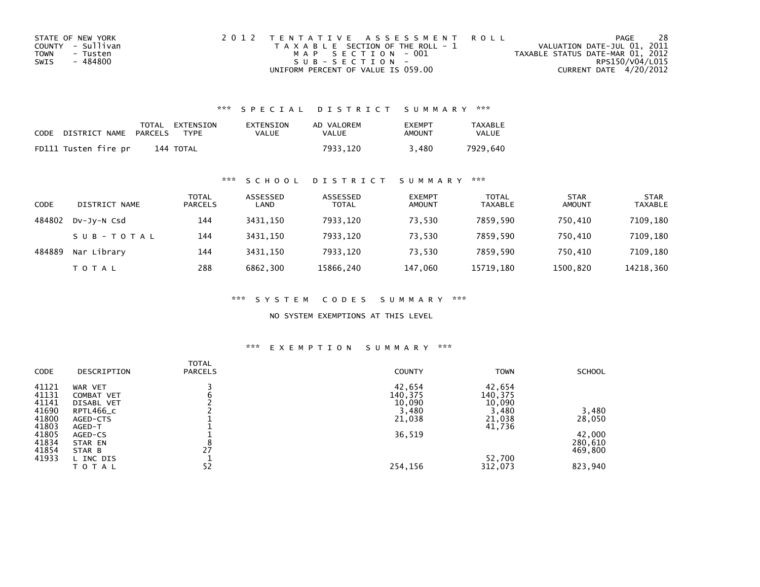| STATE OF NEW YORK | 2012 TENTATIVE ASSESSMENT ROLL        | PAGE                             | 28 |
|-------------------|---------------------------------------|----------------------------------|----|
| COUNTY - Sullivan | T A X A B L E SECTION OF THE ROLL - 1 | VALUATION DATE-JUL 01, 2011      |    |
| TOWN<br>- Tusten  | MAP SECTION - 001                     | TAXABLE STATUS DATE-MAR 01, 2012 |    |
| - 484800<br>SWIS  | $SUB - SECTION -$                     | RPS150/V04/L015                  |    |
|                   | UNIFORM PERCENT OF VALUE IS 059.00    | CURRENT DATE 4/20/2012           |    |

## \*\*\* S P E C I A L D I S T R I C T S U M M A R Y \*\*\*

| CODE | DISTRICT NAME        | PARCELS | TOTAL EXTENSION<br>TYPF | EXTENSION<br>VALUE | AD VALOREM<br>VALUE | <b>EXEMPT</b><br>AMOUNT | <b>TAXABLE</b><br><b>VALUE</b> |
|------|----------------------|---------|-------------------------|--------------------|---------------------|-------------------------|--------------------------------|
|      | FD111 Tusten fire pr |         | 144 TOTAL               |                    | 7933.120            | 3.480                   | 7929.640                       |

## \*\*\* S C H O O L D I S T R I C T S U M M A R Y \*\*\*

| CODE   | DISTRICT NAME | TOTAL<br><b>PARCELS</b> | ASSESSED<br>LAND | ASSESSED<br><b>TOTAL</b> | <b>EXEMPT</b><br><b>AMOUNT</b> | <b>TOTAL</b><br><b>TAXABLE</b> | <b>STAR</b><br><b>AMOUNT</b> | <b>STAR</b><br><b>TAXABLE</b> |
|--------|---------------|-------------------------|------------------|--------------------------|--------------------------------|--------------------------------|------------------------------|-------------------------------|
| 484802 | DV-Jy-N Csd   | 144                     | 3431.150         | 7933,120                 | 73,530                         | 7859.590                       | 750.410                      | 7109,180                      |
|        | SUB-TOTAL     | 144                     | 3431.150         | 7933,120                 | 73,530                         | 7859.590                       | 750.410                      | 7109,180                      |
| 484889 | Nar Library   | 144                     | 3431.150         | 7933,120                 | 73.530                         | 7859.590                       | 750.410                      | 7109,180                      |
|        | <b>TOTAL</b>  | 288                     | 6862,300         | 15866,240                | 147,060                        | 15719.180                      | 1500,820                     | 14218,360                     |

\*\*\* S Y S T E M C O D E S S U M M A R Y \*\*\*

NO SYSTEM EXEMPTIONS AT THIS LEVEL

## \*\*\* E X E M P T I O N S U M M A R Y \*\*\*

| <b>CODE</b> | DESCRIPTION | <b>TOTAL</b><br><b>PARCELS</b> | <b>COUNTY</b> | <b>TOWN</b> | <b>SCHOOL</b> |
|-------------|-------------|--------------------------------|---------------|-------------|---------------|
| 41121       | WAR VET     |                                | 42,654        | 42,654      |               |
| 41131       | COMBAT VET  | b                              | 140,375       | 140,375     |               |
| 41141       | DISABL VET  |                                | 10,090        | 10,090      |               |
| 41690       | RPTL466_C   |                                | 3,480         | 3,480       | 3,480         |
| 41800       | AGED-CTS    |                                | 21,038        | 21,038      | 28,050        |
| 41803       | AGED-T      |                                |               | 41,736      |               |
| 41805       | AGED-CS     |                                | 36,519        |             | 42,000        |
| 41834       | STAR EN     | Ō                              |               |             | 280,610       |
| 41854       | STAR B      | 27                             |               |             | 469,800       |
| 41933       | L INC DIS   |                                |               | 52,700      |               |
|             | TOTAL       | 52                             | 254,156       | 312,073     | 823,940       |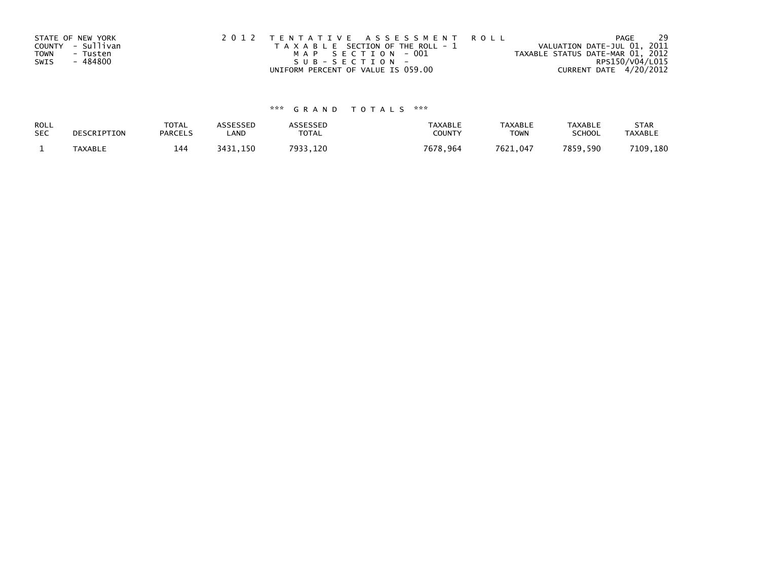| STATE OF NEW YORK | 2012 TENTATIVE ASSESSMENT ROLL        | 29<br>PAGE                       |
|-------------------|---------------------------------------|----------------------------------|
| COUNTY - Sullivan | T A X A B L E SECTION OF THE ROLL - 1 | VALUATION DATE-JUL 01, 2011      |
| TOWN<br>- Tusten  | MAP SECTION - 001                     | TAXABLE STATUS DATE-MAR 01, 2012 |
| - 484800<br>SWIS  | $SUB - SECTION -$                     | RPS150/V04/L015                  |
|                   | UNIFORM PERCENT OF VALUE IS 059.00    | CURRENT DATE 4/20/2012           |

## \*\*\* G R A N D T O T A L S \*\*\*

| ROLL       | DESCRIPTION    | <b>TOTAL</b>   | ASSESSED | <b>ASSESSED</b> | <b>TAXABLE</b> | <b>TAXABLE</b> | <b>TAXABLE</b> | <b>STAR</b>    |
|------------|----------------|----------------|----------|-----------------|----------------|----------------|----------------|----------------|
| <b>SEC</b> |                | <b>PARCELS</b> | LAND     | TOTAL           | <b>COUNTY</b>  | <b>TOWN</b>    | <b>SCHOOL</b>  | <b>TAXABLE</b> |
|            | <b>TAXABLE</b> | 144            | 3431,150 | 7933.120        | 7678,964       | 7621.047       | 7859.590       | 7109,180       |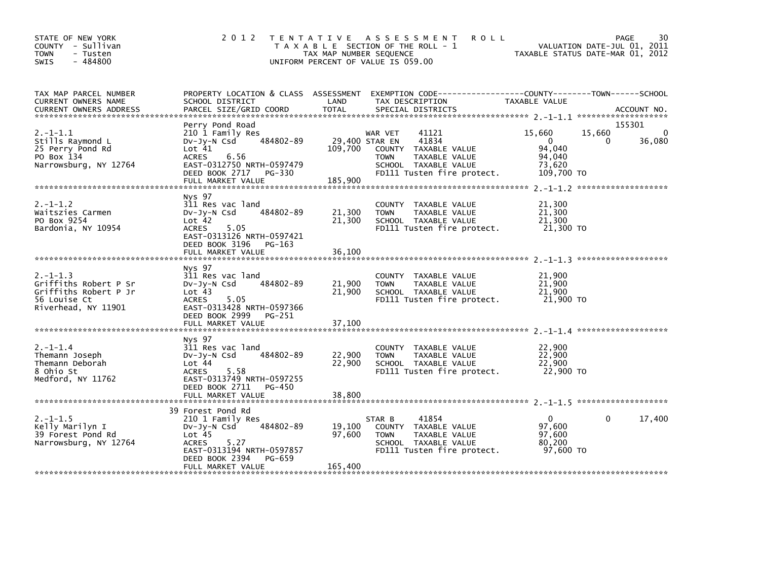| STATE OF NEW YORK<br>COUNTY - Sullivan<br>- Tusten<br><b>TOWN</b><br>$-484800$<br>SWIS                 | 2 0 1 2                                                                                                                                                                                        | TENTATIVE ASSESSMENT<br><b>ROLL</b><br>T A X A B L E SECTION OF THE ROLL - 1<br>TAX MAP NUMBER SEQUENCE<br>UNIFORM PERCENT OF VALUE IS 059.00                                   | <b>PAGE</b><br>30<br>VALUATION DATE-JUL 01, 2011<br>TAXABLE STATUS DATE-MAR 01, 2012                              |
|--------------------------------------------------------------------------------------------------------|------------------------------------------------------------------------------------------------------------------------------------------------------------------------------------------------|---------------------------------------------------------------------------------------------------------------------------------------------------------------------------------|-------------------------------------------------------------------------------------------------------------------|
| TAX MAP PARCEL NUMBER<br>CURRENT OWNERS NAME                                                           | SCHOOL DISTRICT                                                                                                                                                                                | PROPERTY LOCATION & CLASS ASSESSMENT EXEMPTION CODE----------------COUNTY-------TOWN------SCHOOL<br>LAND<br>TAX DESCRIPTION                                                     | TAXABLE VALUE                                                                                                     |
| $2. -1 - 1.1$<br>Stills Raymond L<br>25 Perry Pond Rd<br>PO Box 134<br>Narrowsburg, NY 12764           | Perry Pond Road<br>210 1 Family Res<br>484802-89<br>$Dv-Jy-N$ Csd<br>Lot 41<br>6.56<br><b>ACRES</b><br>EAST-0312750 NRTH-0597479<br>DEED BOOK 2717 PG-330<br>FULL MARKET VALUE                 | 41121<br>WAR VET<br>29,400 STAR EN<br>41834<br>109,700<br>COUNTY TAXABLE VALUE<br>TAXABLE VALUE<br><b>TOWN</b><br>SCHOOL TAXABLE VALUE<br>FD111 Tusten fire protect.<br>185,900 | 155301<br>15,660<br>15,660<br>$\mathbf{0}$<br>$\Omega$<br>36,080<br>0<br>94,040<br>94,040<br>73,620<br>109,700 TO |
| $2. -1 - 1.2$<br>Waitszies Carmen<br>PO Box 9254<br>Bardonia, NY 10954                                 | Nys 97<br>311 Res vac land<br>484802-89<br>$Dv-Jv-N$ Csd<br>Lot 42<br>5.05<br>ACRES<br>EAST-0313126 NRTH-0597421<br>DEED BOOK 3196 PG-163<br>FULL MARKET VALUE                                 | COUNTY TAXABLE VALUE<br>21,300<br>TAXABLE VALUE<br><b>TOWN</b><br>21,300<br>SCHOOL TAXABLE VALUE<br>FD111 Tusten fire protect.<br>36,100                                        | 21,300<br>21,300<br>21,300<br>21.300 TO                                                                           |
| $2. -1 - 1.3$<br>Griffiths Robert P Sr<br>Griffiths Robert P Jr<br>56 Louise Ct<br>Riverhead, NY 11901 | Nys 97<br>311 Res vac land<br>484802-89<br>$Dv-Jv-N$ Csd<br>Lot 43<br>5.05<br>ACRES<br>EAST-0313428 NRTH-0597366<br>DEED BOOK 2999<br>PG-251                                                   | COUNTY TAXABLE VALUE<br>21,900<br><b>TOWN</b><br>TAXABLE VALUE<br>21,900<br>SCHOOL TAXABLE VALUE<br>FD111 Tusten fire protect.                                                  | 21,900<br>21,900<br>21,900<br>21.900 TO                                                                           |
| $2. -1 - 1.4$<br>Themann Joseph<br>Themann Deborah<br>8 Ohio St<br>Medford, NY 11762                   | Nys 97<br>311 Res vac land<br>484802-89<br>$Dv-Jv-N$ Csd<br>Lot 44<br>5.58<br><b>ACRES</b><br>EAST-0313749 NRTH-0597255<br>DEED BOOK 2711<br>PG-450                                            | COUNTY TAXABLE VALUE<br>22,900<br><b>TOWN</b><br>TAXABLE VALUE<br>22,900<br>SCHOOL TAXABLE VALUE<br>FD111 Tusten fire protect.                                                  | 22,900<br>22,900<br>22,900<br>22,900 TO                                                                           |
| $2. -1 - 1.5$<br>Kelly Marilyn I<br>39 Forest Pond Rd<br>Narrowsburg, NY 12764                         | 39 Forest Pond Rd<br>210 1 Family Res<br>484802-89<br>$Dv-Jy-N$ Csd<br>Lot <sub>45</sub><br>5.27<br><b>ACRES</b><br>EAST-0313194 NRTH-0597857<br>DEED BOOK 2394<br>PG-659<br>FULL MARKET VALUE | 41854<br>STAR B<br>19,100<br>COUNTY TAXABLE VALUE<br>97,600<br>TAXABLE VALUE<br><b>TOWN</b><br>SCHOOL TAXABLE VALUE<br>FD111 Tusten fire protect.<br>165,400                    | 17,400<br>0<br>0<br>97,600<br>97,600<br>80,200<br>97,600 TO                                                       |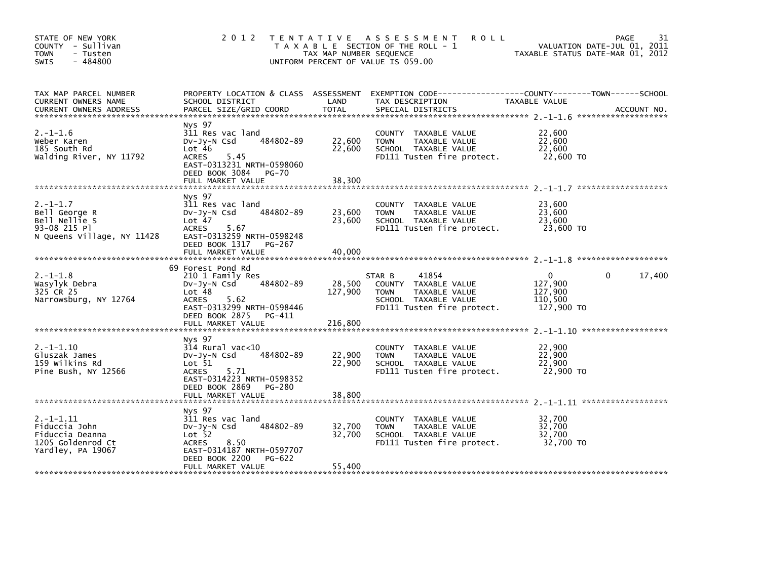| STATE OF NEW YORK<br>COUNTY - Sullivan<br><b>TOWN</b><br>- Tusten<br>$-484800$<br>SWIS        | 2 0 1 2                                                                                                                                                        | TAX MAP NUMBER SEQUENCE    | TENTATIVE ASSESSMENT<br><b>ROLL</b><br>T A X A B L E SECTION OF THE ROLL - 1<br>UNIFORM PERCENT OF VALUE IS 059.00            | TAXABLE STATUS DATE-MAR 01, 2012                        | 31<br>PAGE<br>VALUATION DATE-JUL 01, 2011 |
|-----------------------------------------------------------------------------------------------|----------------------------------------------------------------------------------------------------------------------------------------------------------------|----------------------------|-------------------------------------------------------------------------------------------------------------------------------|---------------------------------------------------------|-------------------------------------------|
| TAX MAP PARCEL NUMBER<br>CURRENT OWNERS NAME<br><b>CURRENT OWNERS ADDRESS</b>                 | PROPERTY LOCATION & CLASS ASSESSMENT<br>SCHOOL DISTRICT<br>PARCEL SIZE/GRID COORD                                                                              | LAND<br><b>TOTAL</b>       | TAX DESCRIPTION<br>SPECIAL DISTRICTS                                                                                          | TAXABLE VALUE                                           | ACCOUNT NO.                               |
| $2. -1 - 1.6$<br>Weber Karen<br>185 South Rd<br>Walding River, NY 11792                       | Nys 97<br>311 Res vac land<br>484802-89<br>$Dv-Jy-N$ Csd<br>Lot 46<br><b>ACRES</b><br>5.45<br>EAST-0313231 NRTH-0598060<br>DEED BOOK 3084 PG-70                | 22,600<br>22,600           | COUNTY TAXABLE VALUE<br>TAXABLE VALUE<br><b>TOWN</b><br>SCHOOL TAXABLE VALUE<br>FD111 Tusten fire protect.                    | 22,600<br>22,600<br>22,600<br>22,600 TO                 |                                           |
|                                                                                               | FULL MARKET VALUE                                                                                                                                              | 38,300                     |                                                                                                                               |                                                         |                                           |
| $2. -1 - 1.7$<br>Bell George R<br>Bell Nellie S<br>93-08 215 PT<br>N Queens Village, NY 11428 | Nys 97<br>311 Res vac land<br>484802-89<br>$Dv-Jv-N$ Csd<br>Lot <sub>47</sub><br><b>ACRES</b><br>5.67<br>EAST-0313259 NRTH-0598248                             | 23,600<br>23,600           | COUNTY TAXABLE VALUE<br>TAXABLE VALUE<br><b>TOWN</b><br>SCHOOL TAXABLE VALUE<br>FD111 Tusten fire protect.                    | 23,600<br>23,600<br>23,600<br>23,600 TO                 |                                           |
|                                                                                               | DEED BOOK 1317 PG-267<br>FULL MARKET VALUE                                                                                                                     | 40,000                     |                                                                                                                               |                                                         |                                           |
|                                                                                               | 69 Forest Pond Rd                                                                                                                                              |                            |                                                                                                                               |                                                         |                                           |
| $2. -1 - 1.8$<br>Wasylyk Debra<br>325 CR 25<br>Narrowsburg, NY 12764                          | 210 1 Family Res<br>484802-89<br>$Dv-Jy-N$ Csd<br>Lot 48<br>5.62<br><b>ACRES</b><br>EAST-0313299 NRTH-0598446<br>DEED BOOK 2875 PG-411                         | 28,500<br>127,900          | 41854<br>STAR B<br>COUNTY TAXABLE VALUE<br><b>TOWN</b><br>TAXABLE VALUE<br>SCHOOL TAXABLE VALUE<br>FD111 Tusten fire protect. | $\Omega$<br>127,900<br>127,900<br>110,500<br>127,900 TO | 17,400<br>0                               |
|                                                                                               | FULL MARKET VALUE                                                                                                                                              | 216,800                    |                                                                                                                               |                                                         |                                           |
| $2. -1 - 1.10$<br>Gluszak James<br>159 Wilkins Rd<br>Pine Bush, NY 12566                      | Nys 97<br>$314$ Rural vac< $10$<br>484802-89<br>$Dv-Jv-N$ Csd<br>Lot 51<br><b>ACRES</b><br>5.71<br>EAST-0314223 NRTH-0598352                                   | 22,900<br>22,900           | COUNTY<br>TAXABLE VALUE<br>TAXABLE VALUE<br><b>TOWN</b><br>SCHOOL TAXABLE VALUE<br>FD111 Tusten fire protect.                 | 22,900<br>22,900<br>22,900<br>22,900 TO                 |                                           |
|                                                                                               | DEED BOOK 2869 PG-280                                                                                                                                          |                            |                                                                                                                               |                                                         |                                           |
| $2. -1 - 1.11$<br>Fiduccia John<br>Fiduccia Deanna<br>1205 Goldenrod Ct<br>Yardley, PA 19067  | Nys 97<br>311 Res vac land<br>484802-89<br>$Dv-Jy-N$ Csd<br>Lot <sub>52</sub><br>8.50<br><b>ACRES</b><br>EAST-0314187 NRTH-0597707<br>DEED BOOK 2200<br>PG-622 | 32,700<br>32,700<br>55,400 | COUNTY TAXABLE VALUE<br>TAXABLE VALUE<br><b>TOWN</b><br>SCHOOL TAXABLE VALUE<br>FD111 Tusten fire protect.                    | 32,700<br>32,700<br>32,700<br>32,700 TO                 |                                           |
|                                                                                               | FULL MARKET VALUE                                                                                                                                              |                            |                                                                                                                               |                                                         |                                           |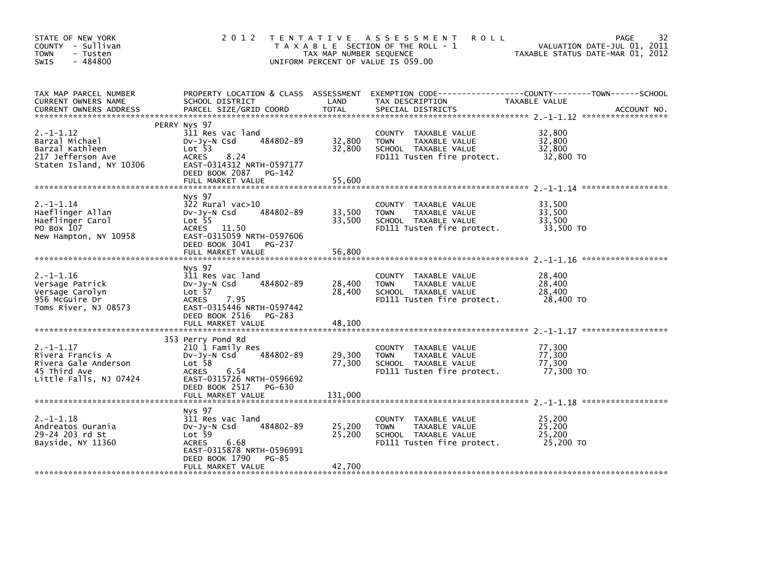| STATE OF NEW YORK<br>COUNTY - Sullivan<br><b>TOWN</b><br>- Tusten<br>$-484800$<br><b>SWIS</b>        | 2 0 1 2                                                                                                                                                                     | TAX MAP NUMBER SEQUENCE    | TENTATIVE ASSESSMENT<br><b>ROLL</b><br>T A X A B L E SECTION OF THE ROLL - 1<br>UNIFORM PERCENT OF VALUE IS 059.00 | 32<br><b>PAGE</b><br>VALUATION DATE-JUL 01, 2011<br>TAXABLE STATUS DATE-MAR 01, 2012 |
|------------------------------------------------------------------------------------------------------|-----------------------------------------------------------------------------------------------------------------------------------------------------------------------------|----------------------------|--------------------------------------------------------------------------------------------------------------------|--------------------------------------------------------------------------------------|
| TAX MAP PARCEL NUMBER<br>CURRENT OWNERS NAME<br>CURRENT OWNERS ADDRESS                               | PROPERTY LOCATION & CLASS ASSESSMENT<br>SCHOOL DISTRICT<br>PARCEL SIZE/GRID COORD                                                                                           | LAND<br><b>TOTAL</b>       | TAX DESCRIPTION<br>SPECIAL DISTRICTS                                                                               | TAXABLE VALUE<br>ACCOUNT NO.                                                         |
| $2. -1 - 1.12$<br>Barzal Michael<br>Barzal Kathleen<br>217 Jefferson Ave<br>Staten Island, NY 10306  | PERRY Nys 97<br>311 Res vac land<br>484802-89<br>$Dv-Jy-N$ Csd<br>Lot 53<br><b>ACRES</b><br>8.24<br>EAST-0314312 NRTH-0597177<br>DEED BOOK 2087 PG-142<br>FULL MARKET VALUE | 32,800<br>32,800<br>55,600 | COUNTY TAXABLE VALUE<br>TAXABLE VALUE<br><b>TOWN</b><br>SCHOOL TAXABLE VALUE<br>FD111 Tusten fire protect.         | 32,800<br>32,800<br>32,800<br>32,800 TO                                              |
| $2. -1 - 1.14$                                                                                       | Nys 97<br>$322$ Rural vac $>10$                                                                                                                                             |                            | COUNTY TAXABLE VALUE                                                                                               | 33,500                                                                               |
| Haeflinger Allan<br>Haeflinger Carol<br>PO Box 107<br>New Hampton, NY 10958                          | 484802-89<br>$Dv-Jy-N$ Csd<br>Lot <sub>55</sub><br>ACRES 11.50<br>EAST-0315059 NRTH-0597606<br>DEED BOOK 3041 PG-237                                                        | 33,500<br>33,500           | <b>TOWN</b><br>TAXABLE VALUE<br>SCHOOL TAXABLE VALUE<br>FD111 Tusten fire protect.                                 | 33,500<br>33,500<br>33,500 TO                                                        |
|                                                                                                      | FULL MARKET VALUE                                                                                                                                                           | 56,800                     |                                                                                                                    |                                                                                      |
| $2. -1 - 1.16$<br>Versage Patrick<br>Versage Carolyn<br>956 McGuire Dr<br>Toms River, NJ 08573       | Nys 97<br>311 Res vac land<br>484802-89<br>$Dv-Jv-N$ Csd<br>Lot 57<br>7.95<br><b>ACRES</b><br>EAST-0315446 NRTH-0597442<br>DEED BOOK 2516 PG-283                            | 28,400<br>28,400           | COUNTY TAXABLE VALUE<br>TAXABLE VALUE<br><b>TOWN</b><br>SCHOOL TAXABLE VALUE<br>FD111 Tusten fire protect.         | 28,400<br>28,400<br>28,400<br>28,400 TO                                              |
|                                                                                                      | FULL MARKET VALUE                                                                                                                                                           | 48,100                     |                                                                                                                    |                                                                                      |
| $2. -1 - 1.17$<br>Rivera Francis A<br>Rivera Gale Anderson<br>45 Third Ave<br>Little Falls, NJ 07424 | 353 Perry Pond Rd<br>210 1 Family Res<br>484802-89<br>$Dv-Jy-N$ Csd<br>Lot <sub>58</sub><br><b>ACRES</b><br>6.54<br>EAST-0315726 NRTH-0596692<br>DEED BOOK 2517 PG-630      | 29,300<br>77,300           | COUNTY TAXABLE VALUE<br>TAXABLE VALUE<br><b>TOWN</b><br>SCHOOL TAXABLE VALUE<br>FD111 Tusten fire protect.         | 77,300<br>77,300<br>77,300<br>77,300 TO                                              |
|                                                                                                      |                                                                                                                                                                             |                            |                                                                                                                    |                                                                                      |
| $2. -1 - 1.18$<br>Andreatos Ourania<br>29-24 203 rd St<br>Bayside, NY 11360                          | Nys 97<br>311 Res vac land<br>484802-89<br>$Dv-Jv-N$ Csd<br>Lot 59<br>6.68<br><b>ACRES</b><br>EAST-0315878 NRTH-0596991<br>DEED BOOK 1790<br>PG-85<br>FULL MARKET VALUE     | 25,200<br>25,200<br>42,700 | TAXABLE VALUE<br>COUNTY<br>TAXABLE VALUE<br><b>TOWN</b><br>SCHOOL TAXABLE VALUE<br>FD111 Tusten fire protect.      | 25.200<br>25,200<br>25,200<br>25,200 TO                                              |
|                                                                                                      |                                                                                                                                                                             |                            |                                                                                                                    |                                                                                      |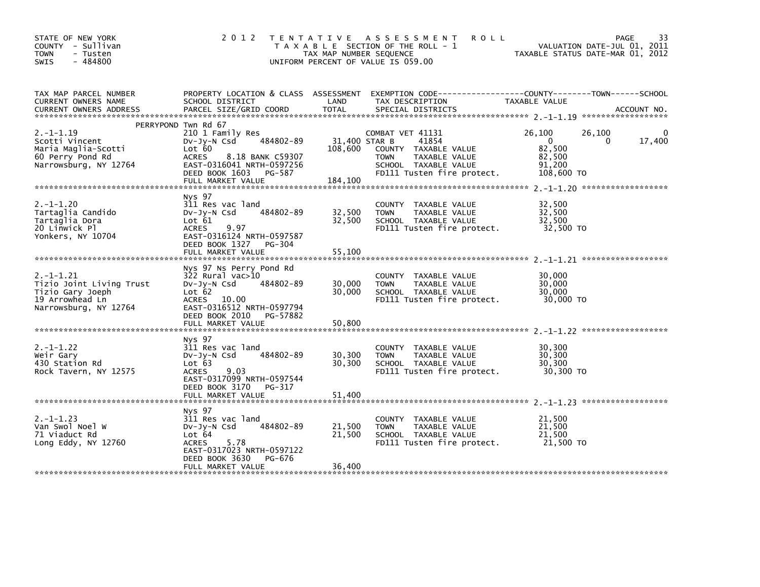| STATE OF NEW YORK<br>COUNTY - Sullivan<br><b>TOWN</b><br>- Tusten<br>$-484800$<br><b>SWIS</b>              | 2 0 1 2                                                                                                                                                                                        | TAX MAP NUMBER SEQUENCE             | TENTATIVE ASSESSMENT<br><b>ROLL</b><br>T A X A B L E SECTION OF THE ROLL - 1<br>UNIFORM PERCENT OF VALUE IS 059.00                      | VALUATION DATE-JUL 01, 2011<br>TAXABLE STATUS DATE-MAR 01, 2012                      | 33<br><b>PAGE</b> |
|------------------------------------------------------------------------------------------------------------|------------------------------------------------------------------------------------------------------------------------------------------------------------------------------------------------|-------------------------------------|-----------------------------------------------------------------------------------------------------------------------------------------|--------------------------------------------------------------------------------------|-------------------|
| TAX MAP PARCEL NUMBER<br>CURRENT OWNERS NAME<br><b>CURRENT OWNERS ADDRESS</b>                              | PROPERTY LOCATION & CLASS ASSESSMENT<br>SCHOOL DISTRICT<br>PARCEL SIZE/GRID COORD                                                                                                              | LAND<br><b>TOTAL</b>                | EXEMPTION CODE------------------COUNTY--------TOWN------SCHOOL<br>TAX DESCRIPTION<br>SPECIAL DISTRICTS                                  | TAXABLE VALUE                                                                        | ACCOUNT NO.       |
| $2. -1 - 1.19$<br>Scotti Vincent<br>Maria Maglia-Scotti<br>60 Perry Pond Rd<br>Narrowsburg, NY 12764       | PERRYPOND Twn Rd 67<br>210 1 Family Res<br>484802-89<br>$Dv-Jy-N$ Csd<br>Lot 60<br><b>ACRES</b><br>8.18 BANK C59307<br>EAST-0316041 NRTH-0597256<br>DEED BOOK 1603 PG-587<br>FULL MARKET VALUE | 31.400 STAR B<br>108,600<br>184,100 | COMBAT VET 41131<br>41854<br>COUNTY TAXABLE VALUE<br>TAXABLE VALUE<br><b>TOWN</b><br>SCHOOL TAXABLE VALUE<br>FD111 Tusten fire protect. | 26,100<br>26,100<br>$\Omega$<br>$\Omega$<br>82,500<br>82,500<br>91,200<br>108,600 TO | 17,400            |
| $2. -1 - 1.20$<br>Tartaglia Candido<br>Tartaglia Dora<br>20 Linwick Pl<br>Yonkers, NY 10704                | Nys 97<br>311 Res vac land<br>484802-89<br>$Dv-Jv-N$ Csd<br>Lot 61<br>9.97<br><b>ACRES</b><br>EAST-0316124 NRTH-0597587<br>DEED BOOK 1327 PG-304<br>FULL MARKET VALUE                          | 32,500<br>32,500<br>55,100          | COUNTY<br>TAXABLE VALUE<br><b>TOWN</b><br>TAXABLE VALUE<br>SCHOOL TAXABLE VALUE<br>FD111 Tusten fire protect.                           | 32,500<br>32,500<br>32,500<br>32,500 TO                                              |                   |
| $2. -1 - 1.21$<br>Tizio Joint Living Trust<br>Tizio Gary Joeph<br>19 Arrowhead Ln<br>Narrowsburg, NY 12764 | Nys 97 Ns Perry Pond Rd<br>322 Rural vac>10<br>484802-89<br>$Dv-Jy-N$ Csd<br>Lot 62<br>ACRES 10.00<br>EAST-0316512 NRTH-0597794<br>DEED BOOK 2010 PG-57882<br>FULL MARKET VALUE                | 30,000<br>30,000<br>50,800          | COUNTY TAXABLE VALUE<br>TAXABLE VALUE<br><b>TOWN</b><br>SCHOOL TAXABLE VALUE<br>FD111 Tusten fire protect.                              | 30,000<br>30,000<br>30,000<br>30,000 TO                                              |                   |
| $2. -1 - 1.22$<br>Weir Gary<br>430 Station Rd<br>Rock Tavern, NY 12575                                     | Nys 97<br>311 Res vac land<br>484802-89<br>$Dv-Jv-N$ Csd<br>Lot 63<br>9.03<br><b>ACRES</b><br>EAST-0317099 NRTH-0597544<br>DEED BOOK 3170<br>PG-317<br>FULL MARKET VALUE                       | 30,300<br>30,300<br>51,400          | TAXABLE VALUE<br>COUNTY<br>TAXABLE VALUE<br><b>TOWN</b><br>SCHOOL TAXABLE VALUE<br>FD111 Tusten fire protect.                           | 30,300<br>30,300<br>30,300<br>30,300 TO                                              |                   |
| $2. -1 - 1.23$<br>Van Swol Noel W<br>71 Viaduct Rd<br>Long Eddy, NY $12760$                                | Nys 97<br>311 Res vac land<br>484802-89<br>$Dv-Jv-N$ Csd<br>Lot 64<br><b>ACRES</b><br>5.78<br>EAST-0317023 NRTH-0597122<br>DEED BOOK 3630<br>PG-676<br>FULL MARKET VALUE                       | 21,500<br>21,500<br>36,400          | COUNTY<br>TAXABLE VALUE<br>TAXABLE VALUE<br><b>TOWN</b><br>SCHOOL TAXABLE VALUE<br>FD111 Tusten fire protect.                           | 21,500<br>21,500<br>21,500<br>21,500 TO                                              |                   |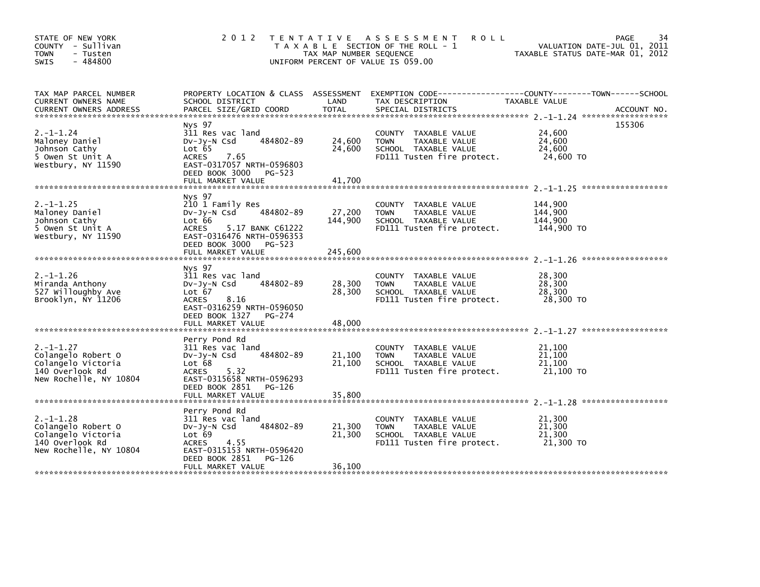| STATE OF NEW YORK<br>COUNTY - Sullivan<br>- Tusten<br><b>TOWN</b><br>$-484800$<br><b>SWIS</b>           | 2 0 1 2                                                                                                                                                                              | T E N T A T I V E<br>TAX MAP NUMBER SEQUENCE | A S S E S S M E N T<br><b>ROLL</b><br>T A X A B L E SECTION OF THE ROLL - 1<br>UNIFORM PERCENT OF VALUE IS 059.00    | VALUATION DATE-JUL 01, 2011<br>TAXABLE STATUS DATE-MAR 01, 2012 | 34<br><b>PAGE</b> |
|---------------------------------------------------------------------------------------------------------|--------------------------------------------------------------------------------------------------------------------------------------------------------------------------------------|----------------------------------------------|----------------------------------------------------------------------------------------------------------------------|-----------------------------------------------------------------|-------------------|
| TAX MAP PARCEL NUMBER<br>CURRENT OWNERS NAME<br><b>CURRENT OWNERS ADDRESS</b>                           | PROPERTY LOCATION & CLASS ASSESSMENT<br>SCHOOL DISTRICT<br>PARCEL SIZE/GRID COORD                                                                                                    | LAND<br><b>TOTAL</b>                         | TAX DESCRIPTION<br>SPECIAL DISTRICTS                                                                                 | TAXABLE VALUE                                                   | ACCOUNT NO.       |
| $2. -1 - 1.24$<br>Maloney Daniel<br>Johnson Cathy<br>5 Owen St Unit A<br>Westbury, NY 11590             | Nys 97<br>311 Res vac land<br>484802-89<br>$Dv-Jv-N$ Csd<br>Lot 65<br>7.65<br><b>ACRES</b><br>EAST-0317057 NRTH-0596803<br>DEED BOOK 3000<br>PG-523<br>FULL MARKET VALUE             | 24,600<br>24,600<br>41,700                   | COUNTY TAXABLE VALUE<br>TAXABLE VALUE<br><b>TOWN</b><br>SCHOOL TAXABLE VALUE<br>FD111 Tusten fire protect.           | 24.600<br>24,600<br>24,600<br>24,600 TO                         | 155306            |
| $2. -1 - 1.25$<br>Maloney Daniel<br>Johnson Cathy<br>5 Owen St Unit A<br>Westbury, NY 11590             | Nys 97<br>210 1 Family Res<br>484802-89<br>$Dv-Jy-N$ Csd<br>Lot 66<br>5.17 BANK C61222<br><b>ACRES</b><br>EAST-0316476 NRTH-0596353<br>DEED BOOK 3000<br>PG-523<br>FULL MARKET VALUE | 27,200<br>144,900<br>245,600                 | COUNTY<br>TAXABLE VALUE<br>TAXABLE VALUE<br><b>TOWN</b><br>SCHOOL TAXABLE VALUE<br>FD111 Tusten fire protect.        | 144,900<br>144,900<br>144,900<br>144,900 TO                     |                   |
| $2. -1 - 1.26$<br>Miranda Anthony<br>527 Willoughby Ave<br>Brooklyn, NY 11206                           | Nys 97<br>311 Res vac land<br>484802-89<br>DV-Jy-N Csd<br>Lot 67<br>8.16<br><b>ACRES</b><br>EAST-0316259 NRTH-0596050<br>DEED BOOK 1327<br>PG-274<br>FULL MARKET VALUE               | 28,300<br>28,300<br>48,000                   | COUNTY TAXABLE VALUE<br>TAXABLE VALUE<br><b>TOWN</b><br>SCHOOL TAXABLE VALUE<br>FD111 Tusten fire protect.           | 28,300<br>28,300<br>28,300<br>28,300 TO                         |                   |
| $2. -1 - 1.27$<br>Colangelo Robert O<br>Colangelo Victoria<br>140 Overlook Rd<br>New Rochelle, NY 10804 | Perry Pond Rd<br>311 Res vac land<br>484802-89<br>DV-Jy-N Csd<br>Lot 68<br>5.32<br><b>ACRES</b><br>EAST-0315658 NRTH-0596293<br>DEED BOOK 2851<br>PG-126<br>FULL MARKET VALUE        | 21,100<br>21,100<br>35,800                   | COUNTY TAXABLE VALUE<br><b>TOWN</b><br>TAXABLE VALUE<br>SCHOOL TAXABLE VALUE<br>FD111 Tusten fire protect.           | 21,100<br>21,100<br>21,100<br>21,100 TO                         |                   |
| $2. -1 - 1.28$<br>Colangelo Robert O<br>Colangelo Victoria<br>140 Overlook Rd<br>New Rochelle, NY 10804 | Perry Pond Rd<br>311 Res vac land<br>484802-89<br>$Dv-Jv-N$ Csd<br>Lot 69<br><b>ACRES</b><br>4.55<br>EAST-0315153 NRTH-0596420<br>DEED BOOK 2851<br>PG-126<br>FULL MARKET VALUE      | 21,300<br>21,300<br>36,100                   | <b>COUNTY</b><br>TAXABLE VALUE<br>TAXABLE VALUE<br><b>TOWN</b><br>SCHOOL TAXABLE VALUE<br>FD111 Tusten fire protect. | 21,300<br>21,300<br>21,300<br>21,300 TO                         |                   |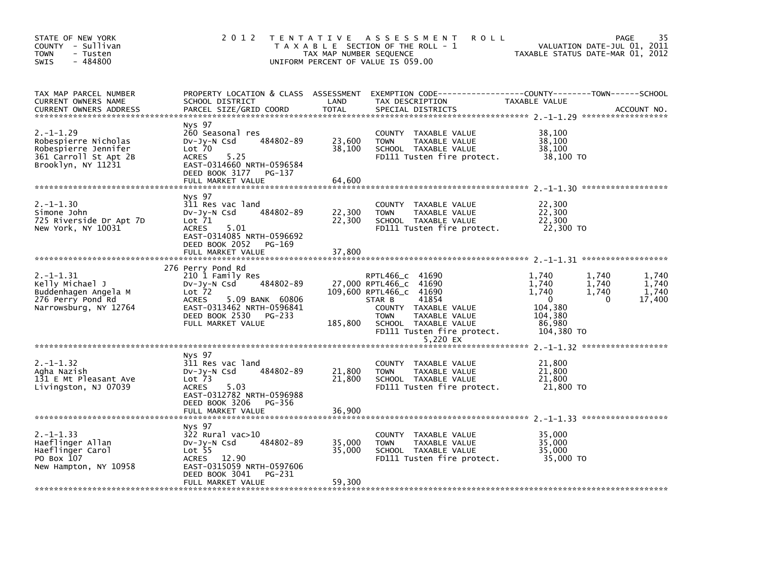| STATE OF NEW YORK<br>COUNTY - Sullivan<br><b>TOWN</b><br>- Tusten<br>$-484800$<br>SWIS                        |                                                                                                                                                                                                    | TAX MAP NUMBER SEQUENCE    | 2012 TENTATIVE ASSESSMENT<br><b>ROLL</b><br>T A X A B L E SECTION OF THE ROLL - 1<br>UNIFORM PERCENT OF VALUE IS 059.00                                                                               | VALUATION DATE-JUL 01, 2011<br>TAXABLE STATUS DATE-MAR 01, 2012                                                  | 35<br>PAGE                                    |
|---------------------------------------------------------------------------------------------------------------|----------------------------------------------------------------------------------------------------------------------------------------------------------------------------------------------------|----------------------------|-------------------------------------------------------------------------------------------------------------------------------------------------------------------------------------------------------|------------------------------------------------------------------------------------------------------------------|-----------------------------------------------|
| TAX MAP PARCEL NUMBER<br>CURRENT OWNERS NAME<br>CURRENT OWNERS ADDRESS                                        | PROPERTY LOCATION & CLASS ASSESSMENT<br>SCHOOL DISTRICT<br>PARCEL SIZE/GRID COORD                                                                                                                  | LAND<br><b>TOTAL</b>       | EXEMPTION CODE-----------------COUNTY-------TOWN------SCHOOL<br>TAX DESCRIPTION<br>SPECIAL DISTRICTS                                                                                                  | TAXABLE VALUE                                                                                                    | ACCOUNT NO.                                   |
| $2. -1 - 1.29$<br>Robespierre Nicholas<br>Robespierre Jennifer<br>361 Carroll St Apt 2B<br>Brooklyn, NY 11231 | Nys 97<br>260 Seasonal res<br>Dv-Jy-N Csd<br>484802-89<br>Lot 70<br>5.25<br><b>ACRES</b><br>EAST-0314660 NRTH-0596584<br>DEED BOOK 3177<br>PG-137                                                  | 23,600<br>38,100           | COUNTY TAXABLE VALUE<br><b>TOWN</b><br>TAXABLE VALUE<br>SCHOOL TAXABLE VALUE<br>FD111 Tusten fire protect.                                                                                            | 38,100<br>38,100<br>38,100<br>38,100 TO                                                                          |                                               |
|                                                                                                               | FULL MARKET VALUE                                                                                                                                                                                  | 64,600                     |                                                                                                                                                                                                       |                                                                                                                  |                                               |
| $2. -1 - 1.30$<br>Simone John<br>725 Riverside Dr Apt 7D<br>New York, NY 10031                                | Nys 97<br>311 Res vac land<br>484802-89<br>DV-Jy-N Csd<br>Lot 71<br><b>ACRES</b><br>5.01<br>EAST-0314085 NRTH-0596692<br>DEED BOOK 2052<br>PG-169<br>FULL MARKET VALUE                             | 22,300<br>22,300<br>37,800 | COUNTY TAXABLE VALUE<br><b>TOWN</b><br>TAXABLE VALUE<br>SCHOOL TAXABLE VALUE<br>FD111 Tusten fire protect.                                                                                            | 22,300<br>22,300<br>22,300<br>22,300 TO                                                                          |                                               |
|                                                                                                               |                                                                                                                                                                                                    |                            |                                                                                                                                                                                                       |                                                                                                                  |                                               |
| $2. -1 - 1.31$<br>Kelly Michael J<br>Buddenhagen Angela M<br>276 Perry Pond Rd<br>Narrowsburg, NY 12764       | 276 Perry Pond Rd<br>210 1 Family Res<br>484802-89<br>$Dv-Jy-N$ Csd<br>Lot <sub>72</sub><br>ACRES<br>5.09 BANK 60806<br>EAST-0313462 NRTH-0596841<br>DEED BOOK 2530<br>PG-233<br>FULL MARKET VALUE | 185,800                    | RPTL466_C 41690<br>27,000 RPTL466_C 41690<br>109,600 RPTL466_C 41690<br>41854<br>STAR B<br>COUNTY TAXABLE VALUE<br><b>TOWN</b><br>TAXABLE VALUE<br>SCHOOL TAXABLE VALUE<br>FD111 Tusten fire protect. | 1,740<br>1,740<br>1,740<br>1,740<br>1,740<br>1,740<br>$\mathbf{0}$<br>104,380<br>104,380<br>86,980<br>104,380 TO | 1,740<br>1,740<br>1,740<br>17,400<br>$\Omega$ |
|                                                                                                               |                                                                                                                                                                                                    |                            | 5,220 EX                                                                                                                                                                                              |                                                                                                                  |                                               |
| $2. -1 - 1.32$<br>Agha Nazish<br>131 E Mt Pleasant Ave<br>Livingston, NJ 07039                                | <b>NVS 97</b><br>311 Res vac land<br>484802-89<br>$Dv-Jv-N$ Csd<br>Lot <sub>73</sub><br>5.03<br>ACRES<br>EAST-0312782 NRTH-0596988                                                                 | 21,800<br>21,800           | COUNTY TAXABLE VALUE<br>TAXABLE VALUE<br><b>TOWN</b><br>SCHOOL TAXABLE VALUE<br>FD111 Tusten fire protect.                                                                                            | 21,800<br>21,800<br>21,800<br>21,800 TO                                                                          |                                               |
|                                                                                                               | DEED BOOK 3206<br>PG-356<br>FULL MARKET VALUE                                                                                                                                                      | 36,900                     |                                                                                                                                                                                                       |                                                                                                                  |                                               |
| $2. -1 - 1.33$<br>Haeflinger Allan<br>Haeflinger Carol<br>PO Box 107<br>New Hampton, NY 10958                 | Nys 97<br>322 Rural vac>10<br>484802-89<br>$Dv-Jy-N$ Csd<br>Lot <sub>55</sub><br>ACRES 12.90<br>EAST-0315059 NRTH-0597606<br>DEED BOOK 3041<br>PG-231<br>FULL MARKET VALUE                         | 35,000<br>35,000<br>59,300 | COUNTY TAXABLE VALUE<br><b>TOWN</b><br>TAXABLE VALUE<br>SCHOOL TAXABLE VALUE<br>FD111 Tusten fire protect.                                                                                            | 35,000<br>35,000<br>35,000<br>35,000 TO                                                                          |                                               |
|                                                                                                               |                                                                                                                                                                                                    |                            |                                                                                                                                                                                                       |                                                                                                                  |                                               |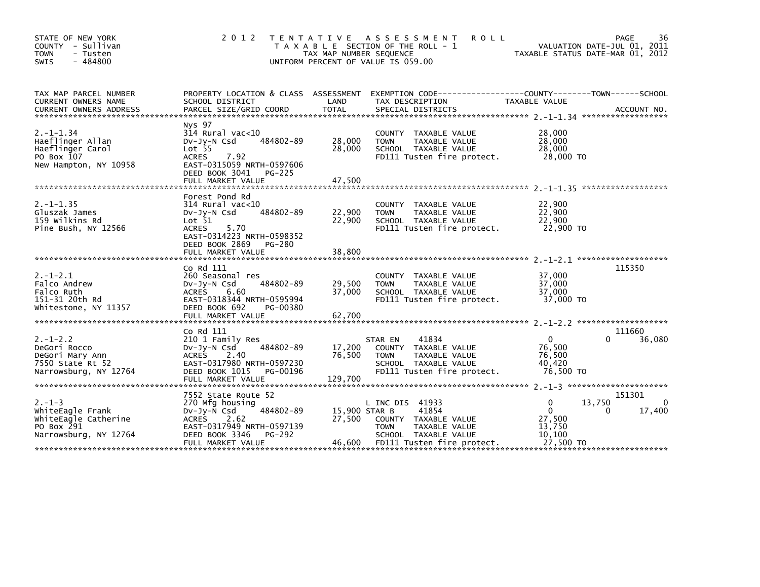| STATE OF NEW YORK<br>COUNTY - Sullivan<br>- Tusten<br><b>TOWN</b><br>- 484800<br>SWIS           | 2 0 1 2                                                                                                                                                                               | T E N T A T I V E<br>TAX MAP NUMBER SEQUENCE | A S S E S S M E N T<br><b>ROLL</b><br>T A X A B L E SECTION OF THE ROLL - 1<br>UNIFORM PERCENT OF VALUE IS 059.00                      | TAXABLE STATUS DATE-MAR 01, 2012                                          | 36<br>PAGE<br>VALUATION DATE-JUL 01, 2011 |
|-------------------------------------------------------------------------------------------------|---------------------------------------------------------------------------------------------------------------------------------------------------------------------------------------|----------------------------------------------|----------------------------------------------------------------------------------------------------------------------------------------|---------------------------------------------------------------------------|-------------------------------------------|
| TAX MAP PARCEL NUMBER<br>CURRENT OWNERS NAME<br><b>CURRENT OWNERS ADDRESS</b>                   | PROPERTY LOCATION & CLASS ASSESSMENT<br>SCHOOL DISTRICT<br>PARCEL SIZE/GRID COORD                                                                                                     | LAND<br><b>TOTAL</b>                         | EXEMPTION        CODE-----------------COUNTY-------TOWN------SCHOOL<br>TAX DESCRIPTION<br>SPECIAL DISTRICTS                            | TAXABLE VALUE                                                             | ACCOUNT NO.                               |
| $2. -1 - 1.34$<br>Haeflinger Allan<br>Haeflinger Carol<br>PO Box 107<br>New Hampton, NY 10958   | Nys 97<br>$314$ Rural vac<10<br>484802-89<br>$Dv-Jy-N$ Csd<br>Lot <sub>55</sub><br>7.92<br><b>ACRES</b><br>EAST-0315059 NRTH-0597606<br>DEED BOOK 3041<br>PG-225<br>FULL MARKET VALUE | 28,000<br>28,000<br>47,500                   | COUNTY TAXABLE VALUE<br>TAXABLE VALUE<br><b>TOWN</b><br>SCHOOL TAXABLE VALUE<br>FD111 Tusten fire protect.                             | 28,000<br>28,000<br>28,000<br>28,000 TO                                   |                                           |
| $2. -1 - 1.35$<br>Gluszak James<br>159 wilkins Rd<br>Pine Bush, NY 12566                        | Forest Pond Rd<br>$314$ Rural vac<10<br>484802-89<br>$Dv-Jy-N$ Csd<br>Lot 51<br>5.70<br>ACRES<br>EAST-0314223 NRTH-0598352<br>DEED BOOK 2869<br>PG-280<br>FULL MARKET VALUE           | 22,900<br>22,900<br>38,800                   | COUNTY TAXABLE VALUE<br><b>TOWN</b><br>TAXABLE VALUE<br>SCHOOL TAXABLE VALUE<br>FD111 Tusten fire protect.                             | 22,900<br>22,900<br>22,900<br>22,900 TO                                   |                                           |
| $2. -1 - 2.1$<br>Falco Andrew<br>Falco Ruth<br>151-31 20th Rd<br>Whitestone, NY 11357           | Co Rd 111<br>260 Seasonal res<br>484802-89<br>$Dv-Jv-N$ Csd<br><b>ACRES</b><br>6.60<br>EAST-0318344 NRTH-0595994<br>DEED BOOK 692<br>PG-00380<br>FULL MARKET VALUE                    | 29,500<br>37,000<br>62,700                   | COUNTY TAXABLE VALUE<br><b>TOWN</b><br>TAXABLE VALUE<br>SCHOOL TAXABLE VALUE<br>FD111 Tusten fire protect.                             | 37,000<br>37,000<br>37.000<br>37,000 TO                                   | 115350                                    |
| $2. - 1 - 2.2$<br>DeGori Rocco<br>DeGori Mary Ann<br>7550 State Rt 52<br>Narrowsburg, NY 12764  | Co Rd 111<br>210 1 Family Res<br>484802-89<br>$Dv-Jy-N$ Csd<br>2.40<br><b>ACRES</b><br>EAST-0317980 NRTH-0597230<br>DEED BOOK 1015<br>PG-00196<br>FULL MARKET VALUE                   | 17,200<br>76,500<br>129,700                  | 41834<br>STAR EN<br>COUNTY TAXABLE VALUE<br>TAXABLE VALUE<br><b>TOWN</b><br>SCHOOL TAXABLE VALUE<br>FD111 Tusten fire protect.         | $\mathbf{0}$<br>76.500<br>76,500<br>40.420<br>76,500 TO                   | 111660<br>$\Omega$<br>36,080              |
| $2. - 1 - 3$<br>whiteEagle Frank<br>WhiteEagle Catherine<br>PO Box 291<br>Narrowsburg, NY 12764 | 7552 State Route 52<br>270 Mfg housing<br>484802-89<br>$Dv-Jy-N$ Csd<br><b>ACRES</b><br>2.62<br>EAST-0317949 NRTH-0597139<br>DEED BOOK 3346<br>PG-292<br>FULL MARKET VALUE            | 15,900 STAR B<br>27,500<br>46,600            | L INC DIS 41933<br>41854<br>COUNTY TAXABLE VALUE<br><b>TOWN</b><br>TAXABLE VALUE<br>SCHOOL TAXABLE VALUE<br>FD111 Tusten fire protect. | $\Omega$<br>13,750<br>$\Omega$<br>27,500<br>13,750<br>10,100<br>27,500 TO | 151301<br>0<br>17,400<br>0                |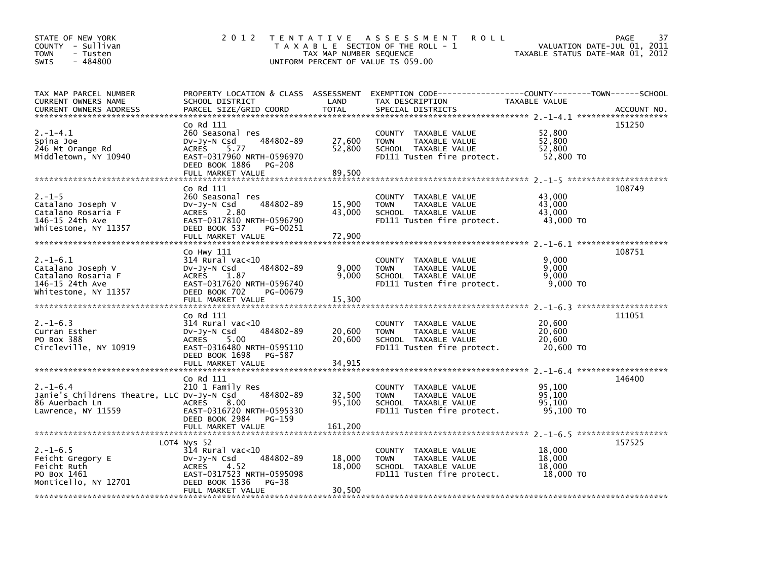| STATE OF NEW YORK<br>COUNTY - Sullivan<br>TOWN<br>- Tusten<br>$-484800$<br>SWIS                     | 2 0 1 2                                                                                                                                                                  | TAX MAP NUMBER SEQUENCE    | TENTATIVE ASSESSMENT<br><b>ROLL</b><br>T A X A B L E SECTION OF THE ROLL - 1<br>UNIFORM PERCENT OF VALUE IS 059.00                     | VALUATION DATE-JUL 01, 2011<br>TAXABLE STATUS DATE-MAR 01, 2012 | PAGE<br>37  |
|-----------------------------------------------------------------------------------------------------|--------------------------------------------------------------------------------------------------------------------------------------------------------------------------|----------------------------|----------------------------------------------------------------------------------------------------------------------------------------|-----------------------------------------------------------------|-------------|
| TAX MAP PARCEL NUMBER<br>CURRENT OWNERS NAME<br><b>CURRENT OWNERS ADDRESS</b>                       | SCHOOL DISTRICT<br>PARCEL SIZE/GRID COORD                                                                                                                                | LAND<br><b>TOTAL</b>       | PROPERTY LOCATION & CLASS ASSESSMENT EXEMPTION CODE---------------COUNTY-------TOWN-----SCHOOL<br>TAX DESCRIPTION<br>SPECIAL DISTRICTS | TAXABLE VALUE                                                   | ACCOUNT NO. |
| $2. -1 - 4.1$<br>Spina Joe<br>246 Mt Orange Rd<br>Middletown, NY 10940                              | Co Rd 111<br>260 Seasonal res<br>484802-89<br>$Dv-Jv-N$ Csd<br>5.77<br><b>ACRES</b><br>EAST-0317960 NRTH-0596970<br>DEED BOOK 1886<br><b>PG-208</b><br>FULL MARKET VALUE | 27,600<br>52,800<br>89,500 | COUNTY TAXABLE VALUE<br>TAXABLE VALUE<br><b>TOWN</b><br>SCHOOL TAXABLE VALUE<br>FD111 Tusten fire protect.                             | 52,800<br>52,800<br>52.800<br>52,800 TO                         | 151250      |
| $2. - 1 - 5$<br>Catalano Joseph V<br>Catalano Rosaria F<br>146-15 24th Ave<br>Whitestone, NY 11357  | Co Rd 111<br>260 Seasonal res<br>484802-89<br>$Dv-Jy-N$ Csd<br>ACRES 2.80<br>EAST-0317810 NRTH-0596790<br>DEED BOOK 537<br>PG-00251<br>FULL MARKET VALUE                 | 15,900<br>43,000<br>72,900 | COUNTY TAXABLE VALUE<br><b>TOWN</b><br>TAXABLE VALUE<br>SCHOOL TAXABLE VALUE<br>FD111 Tusten fire protect.                             | 43,000<br>43,000<br>43,000<br>43,000 TO                         | 108749      |
| $2. -1 - 6.1$<br>Catalano Joseph V<br>Catalano Rosaria F<br>146-15 24th Ave<br>Whitestone, NY 11357 | Co Hwy 111<br>$314$ Rural vac<10<br>484802-89<br>DV-Jy-N Csd<br>ACRES 1.87<br>EAST-0317620 NRTH-0596740<br>DEED BOOK 702<br>PG-00679<br>FULL MARKET VALUE                | 9,000<br>9.000<br>15,300   | COUNTY TAXABLE VALUE<br>TAXABLE VALUE<br><b>TOWN</b><br>SCHOOL TAXABLE VALUE<br>FD111 Tusten fire protect.                             | 9,000<br>9,000<br>9.000<br>$9.000$ TO                           | 108751      |
| $2. -1 - 6.3$<br>Curran Esther<br>PO Box 388<br>Circleville, NY 10919                               | Co Rd 111<br>$314$ Rural vac<10<br>484802-89<br>$Dv-Jy-N$ Csd<br><b>ACRES</b><br>5.00<br>EAST-0316480 NRTH-0595110<br>DEED BOOK 1698<br>PG-587                           | 20,600<br>20,600           | COUNTY TAXABLE VALUE<br>TAXABLE VALUE<br><b>TOWN</b><br>SCHOOL TAXABLE VALUE<br>FD111 Tusten fire protect.                             | 20,600<br>20,600<br>20,600<br>20,600 TO                         | 111051      |
| $2. -1 - 6.4$<br>Janie's Childrens Theatre, LLC Dv-Jy-N Csd<br>86 Auerbach Ln<br>Lawrence, NY 11559 | Co Rd 111<br>210 1 Family Res<br>484802-89<br><b>ACRES</b><br>8.00<br>EAST-0316720 NRTH-0595330<br>DEED BOOK 2984<br>PG-159                                              | 32,500<br>95,100           | COUNTY TAXABLE VALUE<br>TAXABLE VALUE<br><b>TOWN</b><br>SCHOOL TAXABLE VALUE<br>FD111 Tusten fire protect.                             | 95,100<br>95.100<br>95,100<br>95,100 TO                         | 146400      |
| $2. -1 - 6.5$<br>Feicht Gregory E<br>Feicht Ruth<br>PO Box 1461<br>Monticello, NY 12701             | LOT4 Nys 52<br>$314$ Rural vac< $10$<br>484802-89<br>$Dv-Jy-N$ Csd<br>4.52<br><b>ACRES</b><br>EAST-0317523 NRTH-0595098<br>DEED BOOK 1536<br>PG-38<br>FULL MARKET VALUE  | 18,000<br>18,000<br>30,500 | COUNTY TAXABLE VALUE<br><b>TOWN</b><br>TAXABLE VALUE<br>SCHOOL TAXABLE VALUE<br>FD111 Tusten fire protect.                             | 18,000<br>18,000<br>18,000<br>18,000 TO                         | 157525      |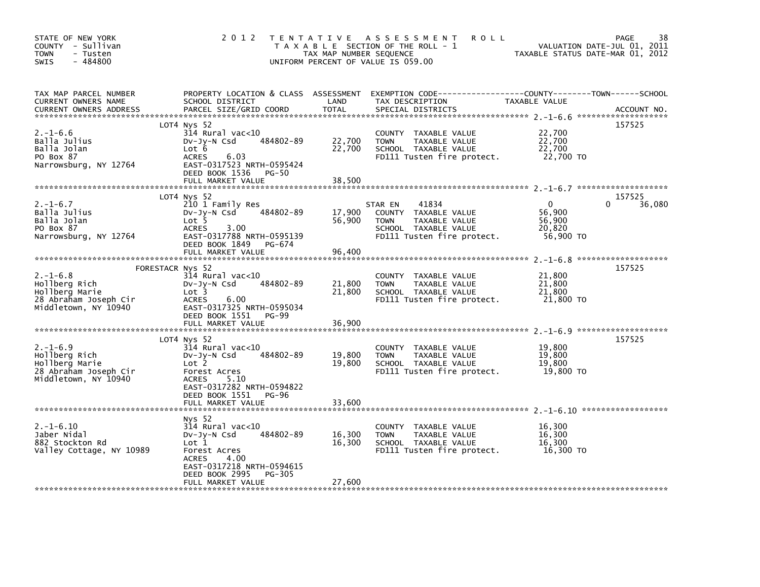| STATE OF NEW YORK<br>COUNTY - Sullivan<br>- Tusten<br><b>TOWN</b><br>$-484800$<br><b>SWIS</b>                         | 2 0 1 2                                                                                                                                                               | T E N T A T I V E<br>TAX MAP NUMBER SEQUENCE | ASSESSMENT<br><b>ROLL</b><br>T A X A B L E SECTION OF THE ROLL - 1<br>UNIFORM PERCENT OF VALUE IS 059.00                               | TAXABLE STATUS DATE-MAR 01, 2012                        | 38<br>PAGE<br>VALUATION DATE-JUL 01, 2011 |
|-----------------------------------------------------------------------------------------------------------------------|-----------------------------------------------------------------------------------------------------------------------------------------------------------------------|----------------------------------------------|----------------------------------------------------------------------------------------------------------------------------------------|---------------------------------------------------------|-------------------------------------------|
| TAX MAP PARCEL NUMBER<br>CURRENT OWNERS NAME<br><b>CURRENT OWNERS ADDRESS</b>                                         | SCHOOL DISTRICT<br>PARCEL SIZE/GRID COORD                                                                                                                             | LAND<br><b>TOTAL</b>                         | PROPERTY LOCATION & CLASS ASSESSMENT EXEMPTION CODE---------------COUNTY-------TOWN-----SCHOOL<br>TAX DESCRIPTION<br>SPECIAL DISTRICTS | TAXABLE VALUE                                           | ACCOUNT NO.                               |
| $2. -1 - 6.6$<br>Balla Julius<br>Balla Jolan<br>PO Box 87<br>Narrowsburg, NY 12764                                    | LOT4 Nys 52<br>314 Rural vac<10<br>484802-89<br>DV-JV-N Csd<br>Lot 6<br>6.03<br>ACRES<br>EAST-0317523 NRTH-0595424<br>DEED BOOK 1536<br>PG-50                         | 22,700<br>22,700                             | COUNTY TAXABLE VALUE<br><b>TOWN</b><br>TAXABLE VALUE<br>SCHOOL TAXABLE VALUE<br>FD111 Tusten fire protect.                             | 22,700<br>22,700<br>22,700<br>22,700 TO                 | 157525                                    |
|                                                                                                                       | FULL MARKET VALUE                                                                                                                                                     | 38,500                                       |                                                                                                                                        |                                                         |                                           |
| $2. -1 - 6.7$<br>Balla Julius<br>Balla Jolan<br>PO Box 87<br>Narrowsburg, NY 12764                                    | LOT4 Nys 52<br>210 1 Family Res<br>484802-89<br>$Dv-Jv-N$ Csd<br>Lot 5<br><b>ACRES</b><br>3.00<br>EAST-0317788 NRTH-0595139<br>DEED BOOK 1849<br>PG-674               | 17,900<br>56,900                             | 41834<br>STAR EN<br>COUNTY TAXABLE VALUE<br>TAXABLE VALUE<br><b>TOWN</b><br>SCHOOL TAXABLE VALUE<br>FD111 Tusten fire protect.         | $\mathbf{0}$<br>56,900<br>56,900<br>20,820<br>56,900 TO | 157525<br>36,080                          |
|                                                                                                                       | FULL MARKET VALUE                                                                                                                                                     | 96,400                                       |                                                                                                                                        |                                                         |                                           |
| FORESTACR Nys 52<br>$2. -1 - 6.8$<br>Hollberg Rich<br>Hollberg Marie<br>28 Abraham Joseph Cir<br>Middletown, NY 10940 | $314$ Rural vac<10<br>484802-89<br>$Dv-Jy-N$ Csd<br>Lot 3<br><b>ACRES</b><br>6.00<br>EAST-0317325 NRTH-0595034<br>DEED BOOK 1551<br>PG-99<br>FULL MARKET VALUE        | 21,800<br>21,800<br>36,900                   | COUNTY TAXABLE VALUE<br>TAXABLE VALUE<br><b>TOWN</b><br>SCHOOL TAXABLE VALUE<br>FD111 Tusten fire protect.                             | 21,800<br>21,800<br>21,800<br>21,800 TO                 | 157525                                    |
|                                                                                                                       | LOT4 Nys 52                                                                                                                                                           |                                              |                                                                                                                                        |                                                         | 157525                                    |
| $2. -1 - 6.9$<br>Hollberg Rich<br>Hollberg Marie<br>28 Abraham Joseph Cir<br>Middletown, NY 10940                     | $314$ Rural vac<10<br>484802-89<br>$Dv-Jy-N$ Csd<br>Lot 2<br>Forest Acres<br><b>ACRES</b><br>5.10<br>EAST-0317282 NRTH-0594822                                        | 19,800<br>19,800                             | COUNTY TAXABLE VALUE<br><b>TOWN</b><br>TAXABLE VALUE<br>SCHOOL TAXABLE VALUE<br>FD111 Tusten fire protect.                             | 19,800<br>19,800<br>19,800<br>19,800 TO                 |                                           |
|                                                                                                                       | DEED BOOK 1551<br>PG-96                                                                                                                                               |                                              |                                                                                                                                        |                                                         |                                           |
|                                                                                                                       | FULL MARKET VALUE                                                                                                                                                     | 33,600                                       |                                                                                                                                        |                                                         |                                           |
| $2. -1 - 6.10$<br>Jaber Nidal<br>882 Stockton Rd<br>Valley Cottage, NY 10989                                          | Nys 52<br>$314$ Rural vac< $10$<br>484802-89<br>Dv-Jy-N Csd<br>Lot 1<br>Forest Acres<br><b>ACRES</b><br>4.00<br>EAST-0317218 NRTH-0594615<br>DEED BOOK 2995<br>PG-305 | 16,300<br>16,300                             | COUNTY TAXABLE VALUE<br>TAXABLE VALUE<br><b>TOWN</b><br>SCHOOL TAXABLE VALUE<br>FD111 Tusten fire protect.                             | 16,300<br>16,300<br>16,300<br>16,300 TO                 |                                           |
|                                                                                                                       | FULL MARKET VALUE                                                                                                                                                     | 27,600                                       |                                                                                                                                        |                                                         |                                           |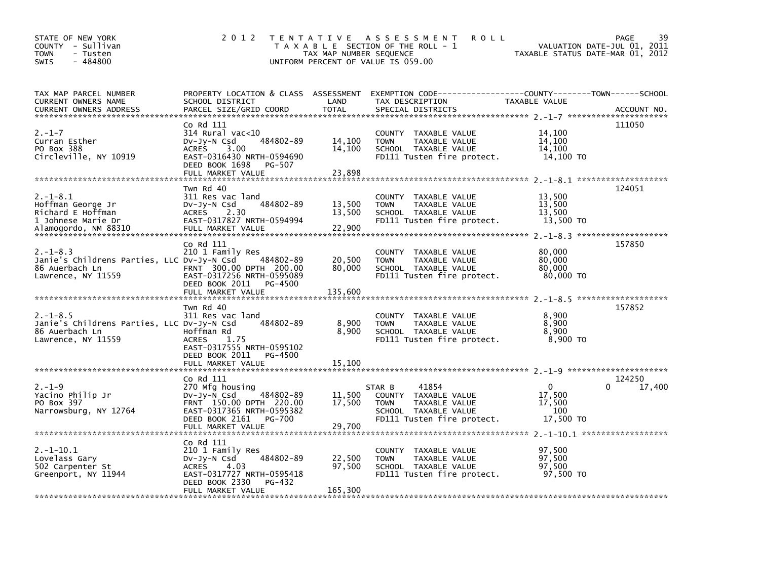| STATE OF NEW YORK<br>COUNTY - Sullivan<br>TOWN<br>- Tusten<br>$-484800$<br><b>SWIS</b>                | 2 0 1 2                                                                                                                                                             | TAX MAP NUMBER SEQUENCE     | TENTATIVE ASSESSMENT<br><b>ROLL</b><br>T A X A B L E SECTION OF THE ROLL - 1<br>UNIFORM PERCENT OF VALUE IS 059.00            | TAXABLE STATUS DATE-MAR 01, 2012                     | 39<br><b>PAGE</b><br>VALUATION DATE-JUL 01, 2011 |
|-------------------------------------------------------------------------------------------------------|---------------------------------------------------------------------------------------------------------------------------------------------------------------------|-----------------------------|-------------------------------------------------------------------------------------------------------------------------------|------------------------------------------------------|--------------------------------------------------|
| TAX MAP PARCEL NUMBER<br>CURRENT OWNERS NAME<br><b>CURRENT OWNERS ADDRESS</b>                         | PROPERTY LOCATION & CLASS ASSESSMENT<br>SCHOOL DISTRICT<br>PARCEL SIZE/GRID COORD                                                                                   | LAND<br><b>TOTAL</b>        | EXEMPTION CODE-----------------COUNTY-------TOWN------SCHOOL<br>TAX DESCRIPTION<br>SPECIAL DISTRICTS                          | TAXABLE VALUE                                        | ACCOUNT NO.                                      |
| $2. - 1 - 7$<br>Curran Esther<br>PO Box 388<br>Circleville, NY 10919                                  | Co Rd 111<br>$314$ Rural vac<10<br>484802-89<br>$Dv-Jy-N$ Csd<br>ACRES<br>3.00<br>EAST-0316430 NRTH-0594690<br>DEED BOOK 1698<br>PG-507<br>FULL MARKET VALUE        | 14,100<br>14.100<br>23,898  | COUNTY TAXABLE VALUE<br>TAXABLE VALUE<br><b>TOWN</b><br>SCHOOL TAXABLE VALUE<br>FD111 Tusten fire protect.                    | 14.100<br>14,100<br>14.100<br>14,100 TO              | 111050                                           |
| $2. -1 - 8.1$<br>Hoffman George Jr<br>Richard E Hoffman<br>1 Johnese Marie Dr<br>Alamogordo, NM 88310 | Twn Rd 40<br>311 Res vac land<br>484802-89<br>$Dv-Jy-N$ Csd<br>ACRES 2.30<br>EAST-0317827 NRTH-0594994<br>FULL MARKET VALUE                                         | 13,500<br>13,500<br>22,900  | COUNTY TAXABLE VALUE<br><b>TOWN</b><br>TAXABLE VALUE<br>SCHOOL TAXABLE VALUE<br>FD111 Tusten fire protect.                    | 13,500<br>13,500<br>13,500<br>13,500 TO              | 124051                                           |
| $2. -1 - 8.3$<br>Janie's Childrens Parties, LLC Dv-Jy-N Csd<br>86 Auerbach Ln<br>Lawrence, NY 11559   | Co Rd 111<br>210 1 Family Res<br>484802-89<br>FRNT 300.00 DPTH 200.00<br>EAST-0317256 NRTH-0595089<br>DEED BOOK 2011<br>PG-4500<br>FULL MARKET VALUE                | 20,500<br>80,000<br>135,600 | COUNTY TAXABLE VALUE<br><b>TOWN</b><br>TAXABLE VALUE<br>SCHOOL TAXABLE VALUE<br>FD111 Tusten fire protect.                    | 80,000<br>80,000<br>80,000<br>80,000 TO              | 157850                                           |
| $2. -1 - 8.5$<br>Janie's Childrens Parties, LLC Dv-Jy-N Csd<br>86 Auerbach Ln<br>Lawrence, NY 11559   | Twn Rd 40<br>311 Res vac land<br>484802-89<br>Hoffman Rd<br>1.75<br><b>ACRES</b><br>EAST-0317555 NRTH-0595102<br>DEED BOOK 2011<br>PG-4500<br>FULL MARKET VALUE     | 8,900<br>8,900<br>15,100    | COUNTY TAXABLE VALUE<br><b>TOWN</b><br>TAXABLE VALUE<br>SCHOOL TAXABLE VALUE<br>FD111 Tusten fire protect.                    | 8,900<br>8,900<br>8.900<br>8,900 TO                  | 157852                                           |
|                                                                                                       |                                                                                                                                                                     |                             |                                                                                                                               |                                                      |                                                  |
| $2. - 1 - 9$<br>Yacino Philip Jr<br>PO Box 397<br>Narrowsburg, NY 12764                               | Co Rd 111<br>270 Mfg housing<br>484802-89<br>$Dv-Jv-N$ Csd<br>FRNT 150.00 DPTH 220.00<br>EAST-0317365 NRTH-0595382<br>DEED BOOK 2161<br>PG-700<br>FULL MARKET VALUE | 11,500<br>17,500<br>29,700  | 41854<br>STAR B<br>COUNTY TAXABLE VALUE<br><b>TOWN</b><br>TAXABLE VALUE<br>SCHOOL TAXABLE VALUE<br>FD111 Tusten fire protect. | $\mathbf{0}$<br>17,500<br>17,500<br>100<br>17,500 TO | 124250<br>17,400                                 |
| $2. -1 - 10.1$<br>Lovelass Gary<br>502 Carpenter St<br>Greenport, NY 11944                            | Co Rd 111<br>210 1 Family Res<br>484802-89<br>$Dv-Jy-N$ Csd<br>4.03<br>ACRES<br>EAST-0317727 NRTH-0595418<br>DEED BOOK 2330<br>PG-432<br>FULL MARKET VALUE          | 22,500<br>97,500<br>165,300 | COUNTY TAXABLE VALUE<br><b>TOWN</b><br>TAXABLE VALUE<br>SCHOOL TAXABLE VALUE<br>FD111 Tusten fire protect.                    | 97.500<br>97,500<br>97,500<br>97,500 TO              |                                                  |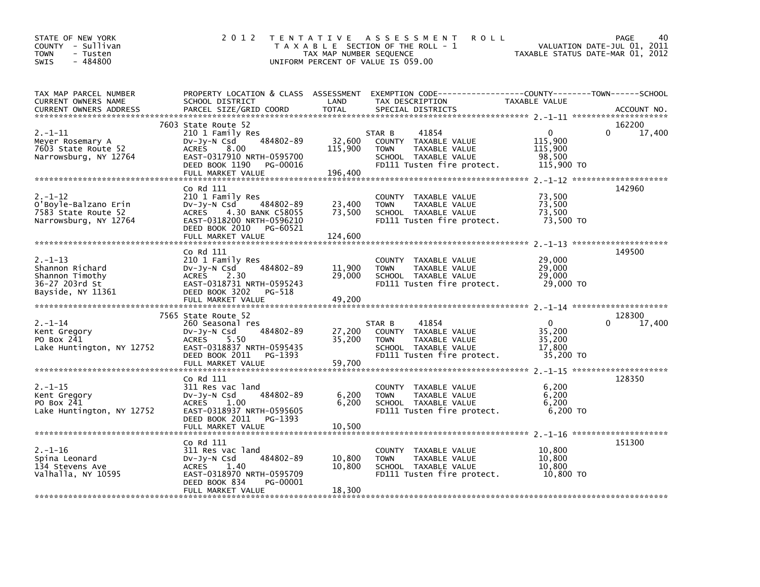| STATE OF NEW YORK<br>COUNTY - Sullivan<br><b>TOWN</b><br>- Tusten<br>$-484800$<br><b>SWIS</b> | 2 0 1 2                                                                                                                                                             | TAX MAP NUMBER SEQUENCE      | <b>ROLL</b><br>TENTATIVE ASSESSMENT<br>T A X A B L E SECTION OF THE ROLL - 1<br>UNIFORM PERCENT OF VALUE IS 059.00                      | TAXABLE STATUS DATE-MAR 01, 2012                          | PAGE<br>40<br>VALUATION DATE-JUL 01, 2011 |
|-----------------------------------------------------------------------------------------------|---------------------------------------------------------------------------------------------------------------------------------------------------------------------|------------------------------|-----------------------------------------------------------------------------------------------------------------------------------------|-----------------------------------------------------------|-------------------------------------------|
| TAX MAP PARCEL NUMBER<br><b>CURRENT OWNERS NAME</b><br><b>CURRENT OWNERS ADDRESS</b>          | SCHOOL DISTRICT<br>PARCEL SIZE/GRID COORD                                                                                                                           | LAND<br><b>TOTAL</b>         | PROPERTY LOCATION & CLASS ASSESSMENT EXEMPTION CODE---------------COUNTY-------TOWN------SCHOOL<br>TAX DESCRIPTION<br>SPECIAL DISTRICTS | TAXABLE VALUE                                             | ACCOUNT NO.                               |
| $2. - 1 - 11$<br>Meyer Rosemary A<br>7603 State Route 52<br>Narrowsburg, NY 12764             | 7603 State Route 52<br>210 1 Family Res<br>484802-89<br>Dv-Jy-N Csd<br>ACRES 8.00<br>EAST-0317910 NRTH-0595700<br>DEED BOOK 1190<br>PG-00016<br>FULL MARKET VALUE   | 32,600<br>115,900<br>196,400 | 41854<br>STAR B<br>COUNTY TAXABLE VALUE<br>TAXABLE VALUE<br>TOWN<br>SCHOOL TAXABLE VALUE<br>FD111 Tusten fire protect.                  | $\Omega$<br>115,900<br>115,900<br>98,500<br>115,900 TO    | 162200<br>$\Omega$<br>17,400              |
| $2. - 1 - 12$<br>O'Boyle-Balzano Erin<br>7583 State Route 52<br>Narrowsburg, NY 12764         | Co Rd 111<br>210 1 Family Res<br>484802-89<br>DV-Jy-N Csd<br>ACRES 4.30 BANK C58055<br>EAST-0318200 NRTH-0596210<br>DEED BOOK 2010<br>PG-60521<br>FULL MARKET VALUE | 23,400<br>73,500<br>124,600  | COUNTY TAXABLE VALUE<br>TAXABLE VALUE<br><b>TOWN</b><br>SCHOOL TAXABLE VALUE<br>FD111 Tusten fire protect.                              | 73,500<br>73,500<br>73,500<br>73,500 TO                   | 142960                                    |
| $2. - 1 - 13$<br>Shannon Richard<br>Shannon Timothy<br>36-27 203rd St<br>Bayside, NY 11361    | Co Rd 111<br>210 1 Family Res<br>484802-89<br>Dv-Jy-N Csd<br>ACRES 2.30<br>EAST-0318731 NRTH-0595243<br>DEED BOOK 3202<br>PG-518<br>FULL MARKET VALUE               | 11,900<br>29.000<br>49,200   | COUNTY TAXABLE VALUE<br>TAXABLE VALUE<br><b>TOWN</b><br>SCHOOL TAXABLE VALUE<br>FD111 Tusten fire protect.                              | 29,000<br>29,000<br>29,000<br>29,000 TO                   | 149500                                    |
| $2. - 1 - 14$<br>Kent Gregory<br>PO Box 241<br>Lake Huntington, NY 12752                      | 7565 State Route 52<br>260 Seasonal res<br>484802-89<br>DV-Jy-N Csd<br>ACRES<br>5.50<br>EAST-0318837 NRTH-0595435<br>DEED BOOK 2011<br>PG-1393<br>FULL MARKET VALUE | 27,200<br>35,200<br>59,700   | STAR B<br>41854<br>COUNTY TAXABLE VALUE<br>TAXABLE VALUE<br><b>TOWN</b><br>SCHOOL TAXABLE VALUE<br>FD111 Tusten fire protect.           | $\overline{0}$<br>35.200<br>35,200<br>17.800<br>35,200 TO | 128300<br>$\Omega$<br>17,400              |
| $2. -1 - 15$<br>Kent Gregory<br>PO Box 241<br>Lake Huntington, NY 12752                       | Co Rd 111<br>311 Res vac land<br>484802-89<br>$Dv-Jy-N$ Csd<br>1.00<br><b>ACRES</b><br>EAST-0318937 NRTH-0595605<br>DEED BOOK 2011<br>PG-1393<br>FULL MARKET VALUE  | 6,200<br>6,200<br>10,500     | COUNTY TAXABLE VALUE<br><b>TAXABLE VALUE</b><br><b>TOWN</b><br>SCHOOL TAXABLE VALUE<br>FD111 Tusten fire protect.                       | 6,200<br>6.200<br>6,200<br>6,200 TO                       | 128350                                    |
| $2. - 1 - 16$<br>Spina Leonard<br>134 Stevens Ave<br>Valhalla, NY 10595                       | Co Rd 111<br>311 Res vac land<br>484802-89<br>$Dv-Jy-N$ Csd<br>1.40<br>ACRES<br>EAST-0318970 NRTH-0595709<br>DEED BOOK 834<br>PG-00001<br>FULL MARKET VALUE         | 10,800<br>10.800<br>18.300   | COUNTY TAXABLE VALUE<br>TAXABLE VALUE<br><b>TOWN</b><br>SCHOOL TAXABLE VALUE<br>FD111 Tusten fire protect.                              | 10,800<br>10,800<br>10.800<br>10,800 TO                   | 151300                                    |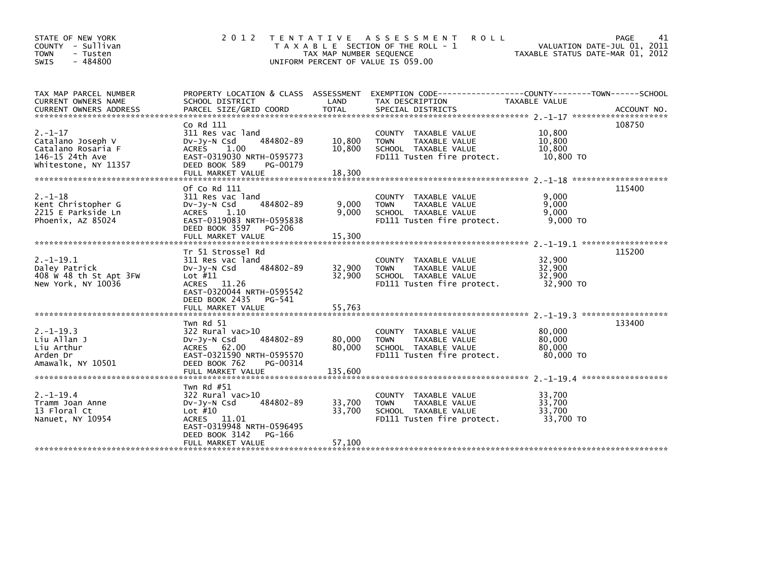| STATE OF NEW YORK<br>COUNTY - Sullivan<br><b>TOWN</b><br>- Tusten<br>$-484800$<br><b>SWIS</b>      | 2 0 1 2                                                                                                                                                                     | T E N T A T I V E<br>TAX MAP NUMBER SEQUENCE | A S S E S S M E N T<br><b>ROLL</b><br>T A X A B L E SECTION OF THE ROLL - 1<br>UNIFORM PERCENT OF VALUE IS 059.00    | VALUATION DATE-JUL 01, 2011<br>TAXABLE STATUS DATE-MAR 01, 2012 | PAGE<br>41 |
|----------------------------------------------------------------------------------------------------|-----------------------------------------------------------------------------------------------------------------------------------------------------------------------------|----------------------------------------------|----------------------------------------------------------------------------------------------------------------------|-----------------------------------------------------------------|------------|
| TAX MAP PARCEL NUMBER<br><b>CURRENT OWNERS NAME</b>                                                | SCHOOL DISTRICT                                                                                                                                                             | LAND                                         | PROPERTY LOCATION & CLASS ASSESSMENT EXEMPTION CODE----------------COUNTY-------TOWN-----SCHOOL<br>TAX DESCRIPTION   | TAXABLE VALUE                                                   |            |
| $2. -1 - 17$<br>Catalano Joseph V<br>Catalano Rosaria F<br>146-15 24th Ave<br>Whitestone, NY 11357 | Co Rd 111<br>311 Res vac land<br>484802-89<br>$Dv-Jy-N$ Csd<br>1.00<br><b>ACRES</b><br>EAST-0319030 NRTH-0595773<br>DEED BOOK 589<br>PG-00179<br>FULL MARKET VALUE          | 10,800<br>10,800<br>18,300                   | COUNTY TAXABLE VALUE<br>TAXABLE VALUE<br><b>TOWN</b><br>SCHOOL TAXABLE VALUE<br>FD111 Tusten fire protect.           | 10,800<br>10,800<br>10.800<br>10,800 TO                         | 108750     |
| $2. - 1 - 18$<br>Kent Christopher G<br>2215 E Parkside Ln<br>Phoenix, AZ 85024                     | Of Co Rd 111<br>311 Res vac land<br>484802-89<br>$Dv-Jy-N$ Csd<br>1.10<br><b>ACRES</b><br>EAST-0319083 NRTH-0595838<br>DEED BOOK 3597<br><b>PG-206</b><br>FULL MARKET VALUE | 9,000<br>9,000<br>15,300                     | COUNTY TAXABLE VALUE<br><b>TOWN</b><br>TAXABLE VALUE<br>SCHOOL TAXABLE VALUE<br>FD111 Tusten fire protect.           | 9.000<br>9,000<br>9,000<br>9,000 TO                             | 115400     |
| $2. -1 - 19.1$<br>Daley Patrick<br>408 W 48 th St Apt 3FW<br>New York, NY 10036                    | Tr 51 Strossel Rd<br>311 Res vac land<br>484802-89<br>DV-Jy-N Csd<br>Lot $#11$<br>ACRES 11.26<br>EAST-0320044 NRTH-0595542<br>DEED BOOK 2435<br>PG-541<br>FULL MARKET VALUE | 32,900<br>32,900<br>55,763                   | COUNTY<br>TAXABLE VALUE<br><b>TAXABLE VALUE</b><br><b>TOWN</b><br>SCHOOL TAXABLE VALUE<br>FD111 Tusten fire protect. | 32,900<br>32.900<br>32.900<br>32,900 TO                         | 115200     |
| $2. -1 - 19.3$<br>Liu Allan J<br>Liu Arthur<br>Arden Dr<br>Amawalk, NY 10501                       | Twn Rd 51<br>$322$ Rural vac $>10$<br>484802-89<br>$Dv-Jy-N$ Csd<br>ACRES 62.00<br>EAST-0321590 NRTH-0595570<br>DEED BOOK 762<br>PG-00314                                   | 80,000<br>80,000                             | COUNTY TAXABLE VALUE<br><b>TOWN</b><br>TAXABLE VALUE<br>SCHOOL TAXABLE VALUE<br>FD111 Tusten fire protect.           | 80,000<br>80,000<br>80,000<br>80,000 TO                         | 133400     |
| $2. -1 - 19.4$<br>Tramm Joan Anne<br>13 Floral Ct<br>Nanuet, NY 10954                              | Twn Rd #51<br>$322$ Rural vac $>10$<br>484802-89<br>$Dv-Jy-N$ Csd<br>Lot $#10$<br>ACRES 11.01<br>EAST-0319948 NRTH-0596495<br>DEED BOOK 3142<br>PG-166<br>FULL MARKET VALUE | 33,700<br>33,700<br>57,100                   | COUNTY TAXABLE VALUE<br><b>TOWN</b><br>TAXABLE VALUE<br>SCHOOL TAXABLE VALUE<br>FD111 Tusten fire protect.           | 33,700<br>33.700<br>33,700<br>33,700 TO                         |            |
|                                                                                                    |                                                                                                                                                                             |                                              |                                                                                                                      |                                                                 |            |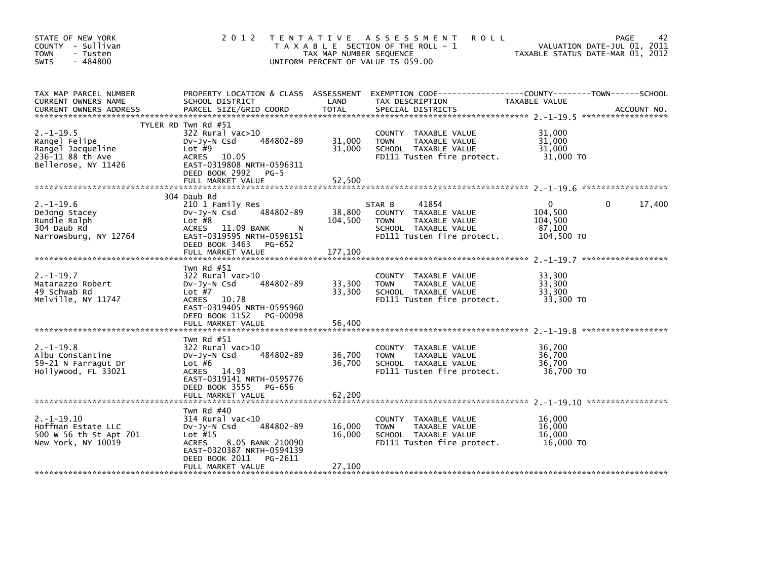| STATE OF NEW YORK<br>COUNTY - Sullivan<br><b>TOWN</b><br>- Tusten<br>$-484800$<br>SWIS          | 2 0 1 2                                                                                                                                                                         | TAX MAP NUMBER SEQUENCE | TENTATIVE ASSESSMENT<br><b>ROLL</b><br>T A X A B L E SECTION OF THE ROLL - 1<br>UNIFORM PERCENT OF VALUE IS 059.00            | TAXABLE STATUS DATE-MAR 01, 2012                           | 42<br><b>PAGE</b><br>VALUATION DATE-JUL 01, 2011 |
|-------------------------------------------------------------------------------------------------|---------------------------------------------------------------------------------------------------------------------------------------------------------------------------------|-------------------------|-------------------------------------------------------------------------------------------------------------------------------|------------------------------------------------------------|--------------------------------------------------|
| TAX MAP PARCEL NUMBER<br>CURRENT OWNERS NAME                                                    | PROPERTY LOCATION & CLASS ASSESSMENT<br>SCHOOL DISTRICT                                                                                                                         | LAND                    | TAX DESCRIPTION                                                                                                               | TAXABLE VALUE                                              |                                                  |
| $2. -1 - 19.5$<br>Rangel Felipe<br>Rangel Jacqueline<br>236-11 88 th Ave<br>Bellerose, NY 11426 | TYLER RD Twn Rd #51<br>322 Rural vac>10<br>484802-89<br>$Dv-Jv-N$ Csd<br>Lot $#9$<br>ACRES 10.05<br>EAST-0319808 NRTH-0596311<br>DEED BOOK 2992 PG-5                            | 31,000<br>31,000        | COUNTY TAXABLE VALUE<br>TAXABLE VALUE<br><b>TOWN</b><br>SCHOOL TAXABLE VALUE<br>FD111 Tusten fire protect.                    | 31,000<br>31,000<br>31,000<br>31,000 TO                    |                                                  |
|                                                                                                 |                                                                                                                                                                                 |                         |                                                                                                                               |                                                            |                                                  |
| $2. -1 - 19.6$<br>DeJong Stacey<br>Rundle Ralph<br>304 Daub Rd<br>Narrowsburg, NY 12764         | 304 Daub Rd<br>210 1 Family Res<br>484802-89<br>$Dv-Jy-N$ Csd<br>Lot $#8$<br>ACRES 11.09 BANK<br>N<br>EAST-0319595 NRTH-0596151<br>DEED BOOK 3463 PG-652                        | 38,800<br>104,500       | 41854<br>STAR B<br>COUNTY TAXABLE VALUE<br>TAXABLE VALUE<br><b>TOWN</b><br>SCHOOL TAXABLE VALUE<br>FD111 Tusten fire protect. | $\mathbf{0}$<br>104,500<br>104,500<br>87,100<br>104,500 TO | 17,400<br>$\Omega$                               |
|                                                                                                 | FULL MARKET VALUE                                                                                                                                                               | 177,100                 |                                                                                                                               |                                                            |                                                  |
| $2. - 1 - 19.7$<br>Matarazzo Robert<br>49 Schwab Rd<br>Melville, NY 11747                       | Twn Rd $#51$<br>322 Rural vac>10<br>484802-89<br>$Dv-Jv-N$ Csd<br>Lot $#7$<br>ACRES 10.78<br>EAST-0319405 NRTH-0595960<br>DEED BOOK 1152 PG-00098                               | 33,300<br>33,300        | COUNTY TAXABLE VALUE<br><b>TOWN</b><br>TAXABLE VALUE<br>SCHOOL TAXABLE VALUE<br>FD111 Tusten fire protect.                    | 33.300<br>33,300<br>33,300<br>33,300 TO                    |                                                  |
|                                                                                                 | FULL MARKET VALUE                                                                                                                                                               | 56,400                  |                                                                                                                               |                                                            |                                                  |
| $2. -1 - 19.8$<br>Albu Constantine<br>59-21 N Farragut Dr<br>Hollywood, FL 33021                | Twn Rd $#51$<br>322 Rural vac>10<br>484802-89<br>$Dv-Jv-N$ Csd<br>Lot $#6$<br>ACRES 14.93<br>EAST-0319141 NRTH-0595776<br>DEED BOOK 3555 PG-656                                 | 36,700<br>36,700        | COUNTY TAXABLE VALUE<br>TAXABLE VALUE<br><b>TOWN</b><br>SCHOOL TAXABLE VALUE<br>FD111 Tusten fire protect.                    | 36.700<br>36,700<br>36,700<br>36,700 TO                    |                                                  |
|                                                                                                 |                                                                                                                                                                                 |                         |                                                                                                                               |                                                            |                                                  |
| $2. -1 - 19.10$<br>Hoffman Estate LLC<br>500 W 56 th St Apt 701<br>New York, NY 10019           | Twn Rd $#40$<br>$314$ Rural vac $<$ 10<br>484802-89<br>$Dv-Jy-N$ Csd<br>Lot $#15$<br>8.05 BANK 210090<br><b>ACRES</b><br>EAST-0320387 NRTH-0594139<br>DEED BOOK 2011<br>PG-2611 | 16,000<br>16,000        | TAXABLE VALUE<br>COUNTY<br>TAXABLE VALUE<br><b>TOWN</b><br>SCHOOL TAXABLE VALUE<br>FD111 Tusten fire protect.                 | 16.000<br>16.000<br>16,000<br>16,000 TO                    |                                                  |
|                                                                                                 | FULL MARKET VALUE                                                                                                                                                               | 27,100                  |                                                                                                                               |                                                            |                                                  |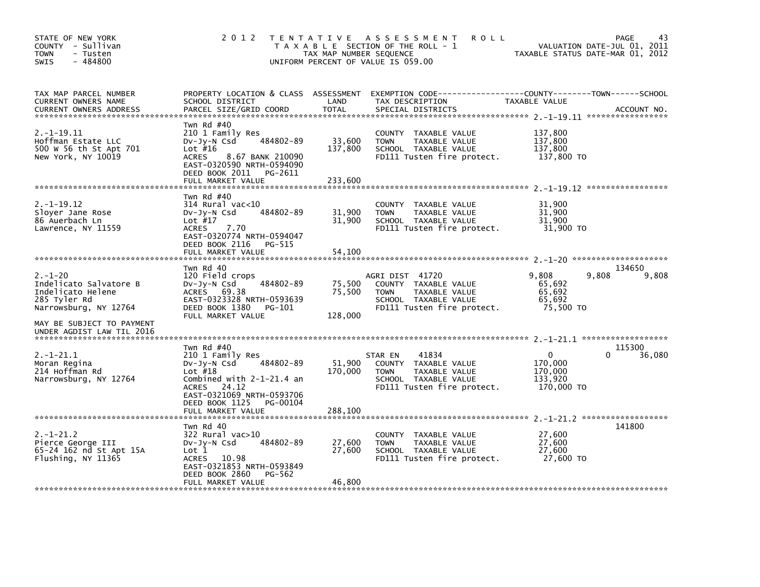| STATE OF NEW YORK<br>COUNTY - Sullivan<br><b>TOWN</b><br>- Tusten<br>$-484800$<br>SWIS                                             | 2 0 1 2                                                                                                                                                                                          | T E N T A T I V E<br>TAX MAP NUMBER SEQUENCE | A S S E S S M E N T<br><b>ROLL</b><br>T A X A B L E SECTION OF THE ROLL - 1<br>UNIFORM PERCENT OF VALUE IS 059.00              | TAXABLE STATUS DATE-MAR 01, 2012                 | <b>PAGE</b><br>43<br>VALUATION DATE-JUL 01, 2011 |
|------------------------------------------------------------------------------------------------------------------------------------|--------------------------------------------------------------------------------------------------------------------------------------------------------------------------------------------------|----------------------------------------------|--------------------------------------------------------------------------------------------------------------------------------|--------------------------------------------------|--------------------------------------------------|
| TAX MAP PARCEL NUMBER<br>CURRENT OWNERS NAME<br><b>CURRENT OWNERS ADDRESS</b>                                                      | PROPERTY LOCATION & CLASS ASSESSMENT<br>SCHOOL DISTRICT<br>PARCEL SIZE/GRID COORD                                                                                                                | LAND<br><b>TOTAL</b>                         | EXEMPTION CODE-----------------COUNTY-------TOWN------SCHOOL<br>TAX DESCRIPTION<br>SPECIAL DISTRICTS                           | TAXABLE VALUE                                    | ACCOUNT NO.                                      |
| $2.-1-19.11$<br>Hoffman Estate LLC<br>500 W 56 th St Apt 701<br>New York, NY 10019                                                 | Twn Rd #40<br>210 1 Family Res<br>484802-89<br>$Dv-Jy-N$ Csd<br>Lot $#16$<br>8.67 BANK 210090<br><b>ACRES</b><br>EAST-0320590 NRTH-0594090<br>DEED BOOK 2011 PG-2611<br>FULL MARKET VALUE        | 33,600<br>137,800<br>233,600                 | COUNTY TAXABLE VALUE<br><b>TOWN</b><br>TAXABLE VALUE<br>SCHOOL TAXABLE VALUE<br>FD111 Tusten fire protect.                     | 137,800<br>137,800<br>137.800<br>137,800 TO      |                                                  |
| $2. -1 - 19.12$<br>Sloyer Jane Rose<br>86 Auerbach Ln<br>Lawrence, NY 11559                                                        | Twn Rd $#40$<br>$314$ Rural vac<10<br>484802-89<br>$Dv-Jy-N$ Csd<br>Lot $#17$<br><b>ACRES</b><br>7.70<br>EAST-0320774 NRTH-0594047<br>DEED BOOK 2116<br>PG-515<br>FULL MARKET VALUE              | 31,900<br>31,900<br>54,100                   | COUNTY TAXABLE VALUE<br><b>TOWN</b><br>TAXABLE VALUE<br>SCHOOL TAXABLE VALUE<br>FD111 Tusten fire protect.                     | 31,900<br>31,900<br>31,900<br>31,900 TO          |                                                  |
| $2. - 1 - 20$<br>Indelicato Salvatore B<br>Indelicato Helene<br>285 Tyler Rd<br>Narrowsburg, NY 12764<br>MAY BE SUBJECT TO PAYMENT | Twn Rd 40<br>120 Field crops<br>484802-89<br>$Dv-Jy-N$ Csd<br><b>ACRES</b><br>69.38<br>EAST-0323328 NRTH-0593639<br>DEED BOOK 1380<br>PG-101<br>FULL MARKET VALUE                                | 75,500<br>75,500<br>128,000                  | AGRI DIST 41720<br>COUNTY TAXABLE VALUE<br>TAXABLE VALUE<br><b>TOWN</b><br>SCHOOL TAXABLE VALUE<br>FD111 Tusten fire protect.  | 9,808<br>65,692<br>65,692<br>65,692<br>75,500 TO | 134650<br>9,808<br>9,808                         |
| UNDER AGDIST LAW TIL 2016<br>$2. -1 - 21.1$<br>Moran Regina<br>214 Hoffman Rd<br>Narrowsburg, NY 12764                             | Twn Rd #40<br>210 1 Family Res<br>484802-89<br>DV-Jy-N Csd<br>Lot $#18$<br>Combined with $2-1-21.4$ an<br>ACRES 24.12<br>EAST-0321069 NRTH-0593706<br>DEED BOOK 1125<br>PG-00104                 | 51,900<br>170,000                            | 41834<br>STAR EN<br>COUNTY TAXABLE VALUE<br>TAXABLE VALUE<br><b>TOWN</b><br>SCHOOL TAXABLE VALUE<br>FD111 Tusten fire protect. | 0<br>170,000<br>170,000<br>133,920<br>170,000 TO | 115300<br>36,080<br>0                            |
| $2. - 1 - 21.2$<br>Pierce George III<br>65-24 162 nd St Apt 15A<br>Flushing, NY 11365                                              | FULL MARKET VALUE<br>Twn Rd 40<br>322 Rural vac>10<br>484802-89<br>$Dv-Jy-N$ Csd<br>Lot 1<br><b>ACRES</b><br>10.98<br>EAST-0321853 NRTH-0593849<br>DEED BOOK 2860<br>PG-562<br>FULL MARKET VALUE | 288,100<br>27,600<br>27,600<br>46,800        | <b>COUNTY</b><br>TAXABLE VALUE<br><b>TOWN</b><br>TAXABLE VALUE<br>SCHOOL TAXABLE VALUE<br>FD111 Tusten fire protect.           | 27,600<br>27,600<br>27,600<br>27,600 TO          | 141800                                           |
|                                                                                                                                    |                                                                                                                                                                                                  |                                              |                                                                                                                                |                                                  |                                                  |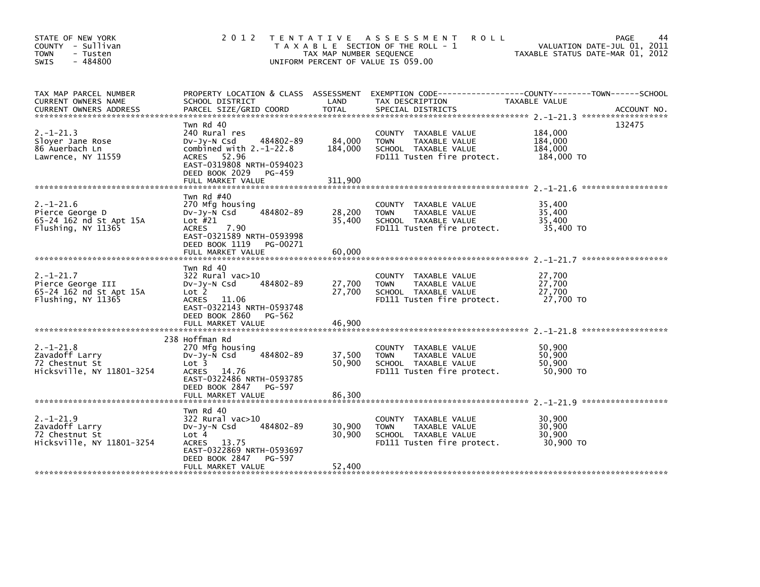| STATE OF NEW YORK<br>COUNTY - Sullivan<br>- Tusten<br><b>TOWN</b><br>$-484800$<br><b>SWIS</b> | 2 0 1 2                                                                                                                                                                         | TAX MAP NUMBER SEQUENCE      | TENTATIVE ASSESSMENT<br><b>ROLL</b><br>T A X A B L E SECTION OF THE ROLL - 1<br>UNIFORM PERCENT OF VALUE IS 059.00   | PAGE<br>VALUATION DATE-JUL 01, 2011<br>TAXABLE STATUS DATE-MAR 01, 2012                                                           |
|-----------------------------------------------------------------------------------------------|---------------------------------------------------------------------------------------------------------------------------------------------------------------------------------|------------------------------|----------------------------------------------------------------------------------------------------------------------|-----------------------------------------------------------------------------------------------------------------------------------|
| TAX MAP PARCEL NUMBER<br>CURRENT OWNERS NAME<br><b>CURRENT OWNERS ADDRESS</b>                 | SCHOOL DISTRICT<br>PARCEL SIZE/GRID COORD                                                                                                                                       | LAND<br><b>TOTAL</b>         | TAX DESCRIPTION<br>SPECIAL DISTRICTS                                                                                 | PROPERTY LOCATION & CLASS ASSESSMENT EXEMPTION CODE-----------------COUNTY-------TOWN------SCHOOL<br>TAXABLE VALUE<br>ACCOUNT NO. |
| $2. -1 - 21.3$<br>Sloyer Jane Rose<br>86 Auerbach Ln<br>Lawrence, NY 11559                    | Twn Rd 40<br>240 Rural res<br>484802-89<br>$Dv-Jy-N$ Csd<br>combined with $2.-1-22.8$<br>ACRES 52.96<br>EAST-0319808 NRTH-0594023<br>DEED BOOK 2029 PG-459<br>FULL MARKET VALUE | 84,000<br>184,000<br>311,900 | COUNTY TAXABLE VALUE<br>TAXABLE VALUE<br><b>TOWN</b><br>SCHOOL TAXABLE VALUE<br>FD111 Tusten fire protect.           | 132475<br>184,000<br>184,000<br>184,000<br>184,000 TO                                                                             |
|                                                                                               |                                                                                                                                                                                 |                              |                                                                                                                      | ******************                                                                                                                |
| $2. - 1 - 21.6$<br>Pierce George D<br>65-24 162 nd St Apt 15A<br>Flushing, NY 11365           | Twn Rd #40<br>270 Mfg housing<br>484802-89<br>DV-Jy-N Csd<br>Lot $#21$<br><b>ACRES</b><br>7.90<br>EAST-0321589 NRTH-0593998                                                     | 28,200<br>35,400             | COUNTY TAXABLE VALUE<br>TAXABLE VALUE<br><b>TOWN</b><br>SCHOOL TAXABLE VALUE<br>FD111 Tusten fire protect.           | 35,400<br>35,400<br>35,400<br>35,400 TO                                                                                           |
|                                                                                               | DEED BOOK 1119 PG-00271<br>FULL MARKET VALUE                                                                                                                                    | 60,000                       |                                                                                                                      |                                                                                                                                   |
| $2. - 1 - 21.7$<br>Pierce George III<br>65-24 162 nd St Apt 15A<br>Flushing, NY 11365         | Twn Rd 40<br>322 Rural vac>10<br>484802-89<br>DV-Jy-N Csd<br>Lot 2<br><b>ACRES</b><br>11.06<br>EAST-0322143 NRTH-0593748<br>DEED BOOK 2860 PG-562                               | 27,700<br>27,700             | COUNTY TAXABLE VALUE<br>TAXABLE VALUE<br><b>TOWN</b><br>SCHOOL TAXABLE VALUE<br>FD111 Tusten fire protect.           | 27,700<br>27,700<br>27,700<br>27,700 TO                                                                                           |
|                                                                                               | FULL MARKET VALUE                                                                                                                                                               | 46,900                       |                                                                                                                      |                                                                                                                                   |
| $2. -1 - 21.8$<br>Zavadoff Larry<br>72 Chestnut St<br>Hicksville, NY 11801-3254               | 238 Hoffman Rd<br>270 Mtg housing<br>484802-89<br>$Dv-Jy-N$ Csd<br>Lot <sub>3</sub><br><b>ACRES</b><br>14.76<br>EAST-0322486 NRTH-0593785<br>DEED BOOK 2847 PG-597              | 37,500<br>50,900             | TAXABLE VALUE<br><b>COUNTY</b><br><b>TOWN</b><br>TAXABLE VALUE<br>SCHOOL TAXABLE VALUE<br>FD111 Tusten fire protect. | 50,900<br>50,900<br>50,900<br>50,900 TO                                                                                           |
|                                                                                               | FULL MARKET VALUE                                                                                                                                                               | 86,300                       |                                                                                                                      |                                                                                                                                   |
| $2. -1 - 21.9$<br>Zavadoff Larry<br>72 Chestnut St<br>Hicksville, NY 11801-3254               | Twn Rd 40<br>322 Rural vac>10<br>484802-89<br>$Dv-Jy-N$ Csd<br>Lot 4<br>13.75<br><b>ACRES</b><br>EAST-0322869 NRTH-0593697<br>DEED BOOK 2847<br>PG-597                          | 30,900<br>30,900             | COUNTY<br>TAXABLE VALUE<br><b>TOWN</b><br>TAXABLE VALUE<br>SCHOOL TAXABLE VALUE<br>FD111 Tusten fire protect.        | 30,900<br>30,900<br>30,900<br>30.900 TO                                                                                           |
|                                                                                               | FULL MARKET VALUE                                                                                                                                                               | 52,400                       |                                                                                                                      |                                                                                                                                   |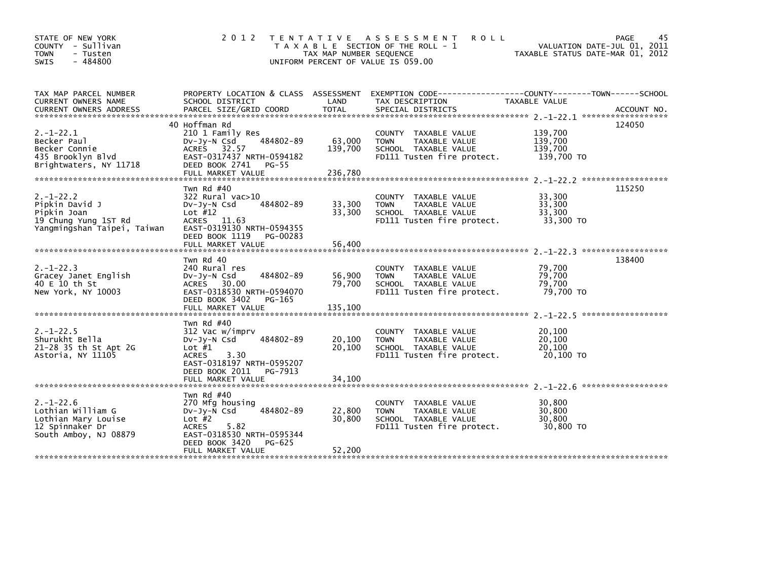| STATE OF NEW YORK<br>COUNTY - Sullivan<br><b>TOWN</b><br>- Tusten<br>$-484800$<br><b>SWIS</b>           | 2 0 1 2                                                                                                                                                                    | T E N T A T I V E<br>TAX MAP NUMBER SEQUENCE | ASSESSMENT<br><b>ROLL</b><br>T A X A B L E SECTION OF THE ROLL - 1<br>UNIFORM PERCENT OF VALUE IS 059.00   | TAXABLE STATUS DATE-MAR 01, 2012            | PAGE<br>45<br>VALUATION DATE-JUL 01, 2011 |
|---------------------------------------------------------------------------------------------------------|----------------------------------------------------------------------------------------------------------------------------------------------------------------------------|----------------------------------------------|------------------------------------------------------------------------------------------------------------|---------------------------------------------|-------------------------------------------|
| TAX MAP PARCEL NUMBER<br>CURRENT OWNERS NAME                                                            | PROPERTY LOCATION & CLASS ASSESSMENT<br>SCHOOL DISTRICT                                                                                                                    | LAND                                         | EXEMPTION CODE-----------------COUNTY-------TOWN------SCHOOL<br>TAX DESCRIPTION                            | TAXABLE VALUE                               |                                           |
| $2. -1 - 22.1$<br>Becker Paul<br>Becker Connie<br>435 Brooklyn Blvd<br>Brightwaters, NY 11718           | 40 Hoffman Rd<br>210 1 Family Res<br>484802-89<br>$Dv-Jy-N$ Csd<br>ACRES 32.57<br>EAST-0317437 NRTH-0594182<br>DEED BOOK 2741<br>$PG-55$<br>FULL MARKET VALUE              | 63,000<br>139.700<br>236,780                 | COUNTY TAXABLE VALUE<br>TAXABLE VALUE<br><b>TOWN</b><br>SCHOOL TAXABLE VALUE<br>FD111 Tusten fire protect. | 139,700<br>139,700<br>139.700<br>139,700 TO | 124050                                    |
| $2. -1 - 22.2$<br>Pipkin David J<br>Pipkin Joan<br>19 Chung Yung 1ST Rd<br>Yangmingshan Taipei, Taiwan  | Twn Rd $#40$<br>322 Rural vac>10<br>484802-89<br>$Dv-Jy-N$ Csd<br>Lot $#12$<br>ACRES 11.63<br>EAST-0319130 NRTH-0594355<br>DEED BOOK 1119<br>PG-00283<br>FULL MARKET VALUE | 33,300<br>33,300<br>56,400                   | COUNTY TAXABLE VALUE<br><b>TOWN</b><br>TAXABLE VALUE<br>SCHOOL TAXABLE VALUE<br>FD111 Tusten fire protect. | 33,300<br>33,300<br>33,300<br>33,300 TO     | 115250                                    |
| $2. -1 - 22.3$<br>Gracey Janet English<br>40 E 10 th St<br>New York, NY 10003                           | Twn Rd 40<br>240 Rural res<br>484802-89<br>$Dv-Jy-N$ Csd<br>ACRES 30.00<br>EAST-0318530 NRTH-0594070<br>DEED BOOK 3402<br>PG-165<br>FULL MARKET VALUE                      | 56,900<br>79,700<br>135,100                  | COUNTY TAXABLE VALUE<br>TAXABLE VALUE<br><b>TOWN</b><br>SCHOOL TAXABLE VALUE<br>FD111 Tusten fire protect. | 79,700<br>79,700<br>79,700<br>79,700 TO     | 138400                                    |
| $2. -1 - 22.5$<br>Shurukht Bella<br>21-28 35 th St Apt 2G<br>Astoria, NY 11105                          | Twn Rd $#40$<br>312 Vac w/imprv<br>484802-89<br>$Dv-Jy-N$ Csd<br>Lot $#1$<br>ACRES<br>3.30<br>EAST-0318197 NRTH-0595207<br>DEED BOOK 2011<br>PG-7913<br>FULL MARKET VALUE  | 20,100<br>20,100<br>34.100                   | COUNTY TAXABLE VALUE<br><b>TOWN</b><br>TAXABLE VALUE<br>SCHOOL TAXABLE VALUE<br>FD111 Tusten fire protect. | 20,100<br>20,100<br>20,100<br>20.100 TO     |                                           |
| $2. - 1 - 22.6$<br>Lothian William G<br>Lothian Mary Louise<br>12 Spinnaker Dr<br>South Amboy, NJ 08879 | Twn Rd $#40$<br>270 Mfg housing<br>484802-89<br>$Dv-Jv-N$ Csd<br>Lot $#2$<br>5.82<br>ACRES<br>EAST-0318530 NRTH-0595344<br>DEED BOOK 3420<br>PG-625<br>FULL MARKET VALUE   | 22,800<br>30,800<br>52,200                   | COUNTY TAXABLE VALUE<br>TAXABLE VALUE<br><b>TOWN</b><br>SCHOOL TAXABLE VALUE<br>FD111 Tusten fire protect. | 30,800<br>30,800<br>30,800<br>30,800 TO     |                                           |
|                                                                                                         |                                                                                                                                                                            |                                              |                                                                                                            |                                             |                                           |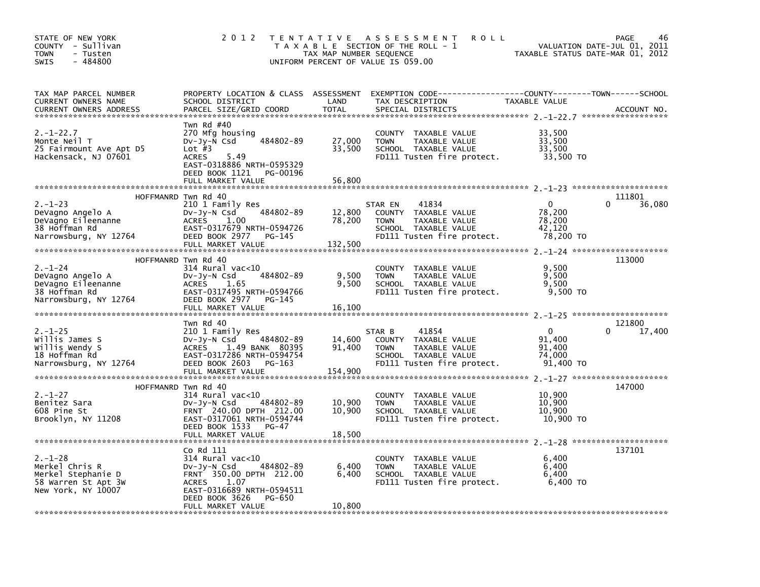| STATE OF NEW YORK<br>COUNTY - Sullivan<br><b>TOWN</b><br>- Tusten<br>$-484800$<br><b>SWIS</b>      | 2 0 1 2                                                                                                                                                                                           | TAX MAP NUMBER SEQUENCE     | TENTATIVE ASSESSMENT<br><b>ROLL</b><br>T A X A B L E SECTION OF THE ROLL - 1<br>UNIFORM PERCENT OF VALUE IS 059.00                        | TAXABLE STATUS DATE-MAR 01, 2012                        | PAGE<br>46<br>VALUATION DATE-JUL 01, 2011 |
|----------------------------------------------------------------------------------------------------|---------------------------------------------------------------------------------------------------------------------------------------------------------------------------------------------------|-----------------------------|-------------------------------------------------------------------------------------------------------------------------------------------|---------------------------------------------------------|-------------------------------------------|
| TAX MAP PARCEL NUMBER<br>CURRENT OWNERS NAME<br><b>CURRENT OWNERS ADDRESS</b>                      | SCHOOL DISTRICT<br>PARCEL SIZE/GRID COORD                                                                                                                                                         | LAND<br>TOTAL               | PROPERTY LOCATION & CLASS ASSESSMENT EXEMPTION CODE-----------------COUNTY-------TOWN------SCHOOL<br>TAX DESCRIPTION<br>SPECIAL DISTRICTS | <b>TAXABLE VALUE</b>                                    | ACCOUNT NO.                               |
| $2. - 1 - 22.7$<br>Monte Neil T<br>25 Fairmount Ave Apt D5<br>Hackensack, NJ 07601                 | Twn Rd #40<br>270 Mfg housing<br>484802-89<br>$Dv-Jy-N$ Csd<br>Lot $#3$<br>5.49<br><b>ACRES</b><br>EAST-0318886 NRTH-0595329<br>DEED BOOK 1121 PG-00196<br>FULL MARKET VALUE                      | 27,000<br>33,500<br>56,800  | COUNTY TAXABLE VALUE<br>TAXABLE VALUE<br><b>TOWN</b><br>SCHOOL TAXABLE VALUE<br>FD111 Tusten fire protect.                                | 33,500<br>33,500<br>33,500<br>33,500 TO                 |                                           |
|                                                                                                    | HOFFMANRD Twn Rd 40                                                                                                                                                                               |                             |                                                                                                                                           |                                                         | 111801                                    |
| $2. - 1 - 23$<br>DeVagno Angelo A<br>DeVagno Eileenanne<br>38 Hoffman Rd<br>Narrowsburg, NY 12764  | 210 1 Family Res<br>484802-89<br>DV-Jy-N Csd<br><b>ACRES</b><br>1.00<br>EAST-0317679 NRTH-0594726<br>DEED BOOK 2977 PG-145<br>FULL MARKET VALUE                                                   | 12,800<br>78,200<br>132,500 | 41834<br>STAR EN<br>COUNTY TAXABLE VALUE<br>TAXABLE VALUE<br><b>TOWN</b><br>SCHOOL TAXABLE VALUE<br>FD111 Tusten fire protect.            | $\mathbf{0}$<br>78,200<br>78,200<br>42,120<br>78,200 TO | 36,080<br>0                               |
|                                                                                                    |                                                                                                                                                                                                   |                             |                                                                                                                                           |                                                         |                                           |
| $2. - 1 - 24$<br>DeVagno Angelo A<br>DeVagno Eileenanne<br>38 Hoffman Rd<br>Narrowsburg, NY 12764  | HOFFMANRD Twn Rd 40<br>314 Rural vac<10<br>Dv-Jy-N Csd<br>484802-89<br><b>ACRES</b><br>1.65<br>EAST-0317495 NRTH-0594766<br>DEED BOOK 2977 PG-145<br>FULL MARKET VALUE                            | 9,500<br>9,500<br>16,100    | COUNTY TAXABLE VALUE<br><b>TOWN</b><br>TAXABLE VALUE<br>SCHOOL TAXABLE VALUE<br>FD111 Tusten fire protect.                                | 9,500<br>9,500<br>9,500<br>9,500 TO                     | 113000                                    |
|                                                                                                    |                                                                                                                                                                                                   |                             |                                                                                                                                           |                                                         |                                           |
| $2. -1 - 25$<br>willis James S<br>willis Wendy S<br>18 Hoffman Rd<br>Narrowsburg, NY 12764         | Twn Rd 40<br>210 1 Family Res<br>484802-89<br>DV-Jy-N Csd<br>ACRES 1.49 BANK 80395<br>EAST-0317286 NRTH-0594754<br>DEED BOOK 2603<br>PG-163<br>FULL MARKET VALUE                                  | 14,600<br>91,400<br>154,900 | 41854<br>STAR B<br>COUNTY TAXABLE VALUE<br><b>TOWN</b><br>TAXABLE VALUE<br>SCHOOL TAXABLE VALUE<br>FD111 Tusten fire protect.             | $\mathbf{0}$<br>91,400<br>91,400<br>74.000<br>91,400 TO | 121800<br>17,400                          |
|                                                                                                    | HOFFMANRD Twn Rd 40                                                                                                                                                                               |                             |                                                                                                                                           |                                                         | 147000                                    |
| $2. - 1 - 27$<br>Benitez Sara<br>608 Pine St<br>Brooklyn, NY 11208                                 | 314 Rural vac<10<br>DV-Jy-N Csd<br>484802-89<br>FRNT 240.00 DPTH 212.00<br>EAST-0317061 NRTH-0594744<br>DEED BOOK 1533<br>PG-47                                                                   | 10,900<br>10,900            | COUNTY TAXABLE VALUE<br><b>TOWN</b><br>TAXABLE VALUE<br>SCHOOL TAXABLE VALUE<br>FD111 Tusten fire protect.                                | 10,900<br>10,900<br>10,900<br>10,900 TO                 |                                           |
|                                                                                                    | FULL MARKET VALUE                                                                                                                                                                                 | 18,500                      |                                                                                                                                           |                                                         |                                           |
| $2. - 1 - 28$<br>Merkel Chris R<br>Merkel Stephanie D<br>58 Warren St Apt 3W<br>New York, NY 10007 | Co Rd 111<br>$314$ Rural vac< $10$<br>484802-89<br>$Dv-Jy-N$ Csd<br>FRNT 350.00 DPTH 212.00<br><b>ACRES</b><br>1.07<br>EAST-0316689 NRTH-0594511<br>DEED BOOK 3626<br>PG-650<br>FULL MARKET VALUE | 6,400<br>6,400<br>10,800    | COUNTY TAXABLE VALUE<br><b>TOWN</b><br>TAXABLE VALUE<br>SCHOOL TAXABLE VALUE<br>FD111 Tusten fire protect.                                | 6,400<br>6,400<br>6,400<br>6,400 TO                     | 137101                                    |
|                                                                                                    |                                                                                                                                                                                                   |                             |                                                                                                                                           |                                                         |                                           |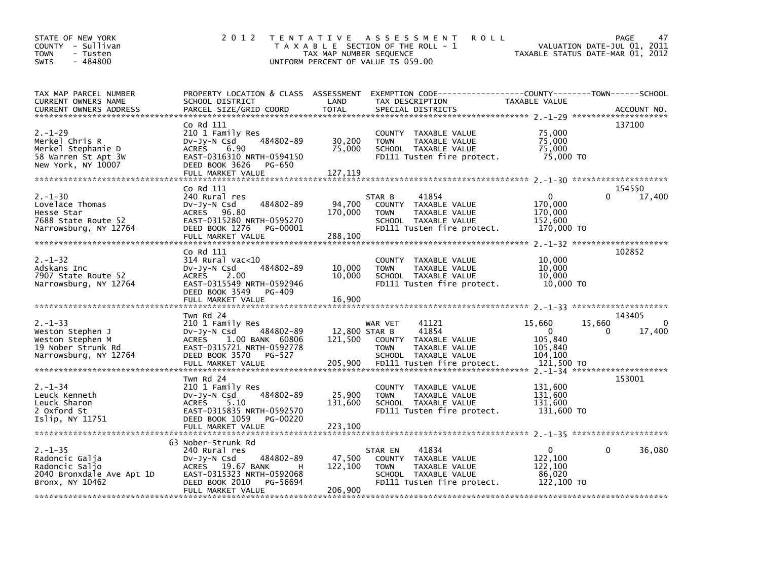| STATE OF NEW YORK<br>COUNTY - Sullivan<br>TOWN<br>- Tusten<br>$-484800$<br><b>SWIS</b>              | 2 0 1 2                                                                                                                                                                      | TAX MAP NUMBER SEQUENCE             | TENTATIVE ASSESSMENT<br><b>ROLL</b><br>T A X A B L E SECTION OF THE ROLL - 1<br>UNIFORM PERCENT OF VALUE IS 059.00                      | TAXABLE STATUS DATE-MAR 01, 2012                           | PAGE<br>47<br>VALUATION DATE-JUL 01, 2011                                          |
|-----------------------------------------------------------------------------------------------------|------------------------------------------------------------------------------------------------------------------------------------------------------------------------------|-------------------------------------|-----------------------------------------------------------------------------------------------------------------------------------------|------------------------------------------------------------|------------------------------------------------------------------------------------|
| TAX MAP PARCEL NUMBER<br>CURRENT OWNERS NAME<br><b>CURRENT OWNERS ADDRESS</b>                       | SCHOOL DISTRICT<br>PARCEL SIZE/GRID COORD                                                                                                                                    | LAND<br><b>TOTAL</b>                | PROPERTY LOCATION & CLASS ASSESSMENT EXEMPTION CODE---------------COUNTY-------TOWN------SCHOOL<br>TAX DESCRIPTION<br>SPECIAL DISTRICTS | TAXABLE VALUE                                              | ACCOUNT NO.                                                                        |
| $2. - 1 - 29$<br>Merkel Chris R<br>Merkel Stephanie D<br>58 Warren St Apt 3W<br>New York, NY 10007  | Co Rd 111<br>210 1 Family Res<br>484802-89<br>DV-Jy-N Csd<br>6.90<br><b>ACRES</b><br>EAST-0316310 NRTH-0594150<br>DEED BOOK 3626<br>PG-650<br>FULL MARKET VALUE              | 30,200<br>75,000<br>127, 119        | COUNTY TAXABLE VALUE<br>TAXABLE VALUE<br><b>TOWN</b><br>SCHOOL TAXABLE VALUE<br>FD111 Tusten fire protect.                              | 75,000<br>75,000<br>75.000<br>75,000 TO                    | 137100                                                                             |
| $2. - 1 - 30$<br>Lovelace Thomas<br>Hesse Star<br>7688 State Route 52<br>Narrowsburg, NY 12764      | Co Rd 111<br>240 Rural res<br>484802-89<br>DV-Jy-N Csd<br>ACRES 96.80<br>EAST-0315280 NRTH-0595270<br>DEED BOOK 1276<br>PG-00001<br>FULL MARKET VALUE                        | 94,700<br>170,000<br>288,100        | 41854<br>STAR B<br>COUNTY TAXABLE VALUE<br>TAXABLE VALUE<br><b>TOWN</b><br>SCHOOL TAXABLE VALUE<br>FD111 Tusten fire protect.           | $\Omega$<br>170,000<br>170,000<br>152,600<br>170,000 TO    | 154550<br>0<br>17,400                                                              |
| $2. - 1 - 32$<br>Adskans Inc<br>7907 State Route 52<br>Narrowsburg, NY 12764                        | Co Rd 111<br>$314$ Rural vac<10<br>484802-89<br>$Dv-Jy-N$ Csd<br>ACRES 2.00<br>EAST-0315549 NRTH-0592946<br>DEED BOOK 3549<br>PG-409<br>FULL MARKET VALUE                    | 10,000<br>10,000<br>16,900          | COUNTY TAXABLE VALUE<br>TAXABLE VALUE<br><b>TOWN</b><br>SCHOOL TAXABLE VALUE<br>FD111 Tusten fire protect.                              | 10,000<br>10,000<br>10,000<br>10,000 TO                    | 102852                                                                             |
| $2. -1 - 33$<br>Weston Stephen J<br>Weston Stephen M<br>19 Nober Strunk Rd<br>Narrowsburg, NY 12764 | Twn Rd 24<br>210 1 Family Res<br>484802-89<br>$Dv-Jv-N$ Csd<br><b>ACRES</b><br>1.00 BANK 60806<br>EAST-0315721 NRTH-0592778<br>DEED BOOK 3570<br>PG-527<br>FULL MARKET VALUE | 12,800 STAR B<br>121,500<br>205,900 | 41121<br>WAR VET<br>41854<br>COUNTY TAXABLE VALUE<br><b>TOWN</b><br>TAXABLE VALUE<br>SCHOOL TAXABLE VALUE<br>FD111 Tusten fire protect. | 15,660<br>0<br>105,840<br>105,840<br>104,100<br>121,500 TO | 143405<br>15,660<br>0<br>$\Omega$<br>17,400<br>$2. -1 - 34$ ********************** |
| $2. - 1 - 34$<br>Leuck Kenneth<br>Leuck Sharon<br>2 Oxford St<br>Islip, NY 11751                    | Twn Rd 24<br>210 1 Family Res<br>484802-89<br>DV-Jy-N Csd<br>5.10<br><b>ACRES</b><br>EAST-0315835 NRTH-0592570<br>DEED BOOK 1059<br>PG-00220                                 | 25,900<br>131,600                   | COUNTY TAXABLE VALUE<br>TAXABLE VALUE<br><b>TOWN</b><br>SCHOOL TAXABLE VALUE<br>FD111 Tusten fire protect.                              | 131,600<br>131,600<br>131,600<br>131,600 TO                | 153001                                                                             |
| $2. - 1 - 35$<br>Radoncic Galja<br>Radoncic Saljo<br>2040 Bronxdale Ave Apt 1D<br>Bronx, NY 10462   | 63 Nober-Strunk Rd<br>240 Rural res<br>Dv-Jy-N Csd<br>484802-89<br>ACRES 19.67 BANK<br>н<br>EAST-0315323 NRTH-0592068<br>DEED BOOK 2010<br>PG-56694<br>FULL MARKET VALUE     | 47,500<br>122,100<br>206,900        | 41834<br>STAR EN<br>COUNTY TAXABLE VALUE<br>TAXABLE VALUE<br><b>TOWN</b><br>SCHOOL TAXABLE VALUE<br>FD111 Tusten fire protect.          | $\Omega$<br>122,100<br>122,100<br>86,020<br>122,100 TO     | 0<br>36,080                                                                        |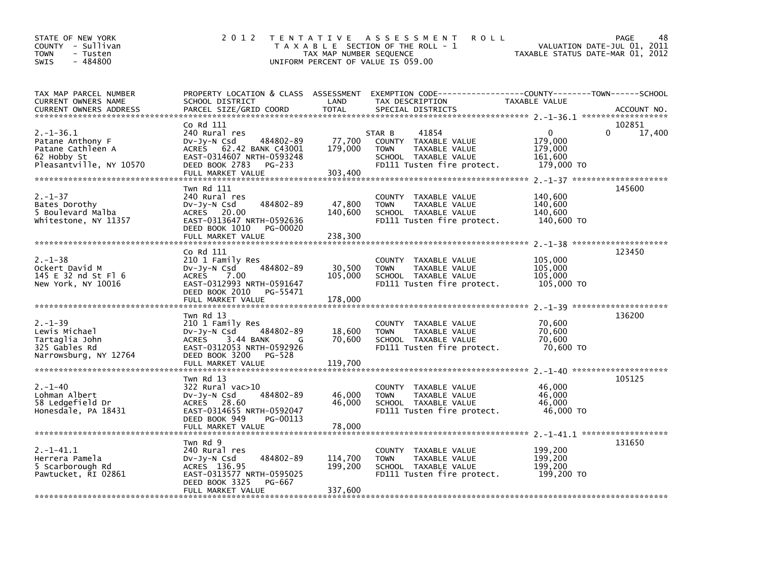| STATE OF NEW YORK<br>COUNTY - Sullivan<br>- Tusten<br>TOWN<br>$-484800$<br>SWIS                   | 2 0 1 2                                                                                                                                                                     | TAX MAP NUMBER SEQUENCE       | TENTATIVE ASSESSMENT<br><b>ROLL</b><br>T A X A B L E SECTION OF THE ROLL - 1<br>UNIFORM PERCENT OF VALUE IS 059.00            | TAXABLE STATUS DATE-MAR 01, 2012                           | 48<br>PAGE<br>VALUATION DATE-JUL 01, 2011 |
|---------------------------------------------------------------------------------------------------|-----------------------------------------------------------------------------------------------------------------------------------------------------------------------------|-------------------------------|-------------------------------------------------------------------------------------------------------------------------------|------------------------------------------------------------|-------------------------------------------|
| TAX MAP PARCEL NUMBER<br>CURRENT OWNERS NAME                                                      | PROPERTY LOCATION & CLASS ASSESSMENT<br>SCHOOL DISTRICT                                                                                                                     | LAND                          | EXEMPTION CODE-----------------COUNTY-------TOWN------SCHOOL<br>TAX DESCRIPTION                                               | TAXABLE VALUE                                              |                                           |
| $2. -1 - 36.1$<br>Patane Anthony F<br>Patane Cathleen A<br>62 Hobby St<br>Pleasantville, NY 10570 | Co Rd 111<br>240 Rural res<br>484802-89<br>$Dv-Jy-N$ Csd<br><b>ACRES</b><br>62.42 BANK C43001<br>EAST-0314607 NRTH-0593248<br>DEED BOOK 2783<br>PG-233<br>FULL MARKET VALUE | 77,700<br>179,000<br>303,400  | 41854<br>STAR B<br>COUNTY TAXABLE VALUE<br>TAXABLE VALUE<br><b>TOWN</b><br>SCHOOL TAXABLE VALUE<br>FD111 Tusten fire protect. | $\mathbf 0$<br>179,000<br>179,000<br>161.600<br>179,000 TO | 102851<br>17,400                          |
| $2. - 1 - 37$<br>Bates Dorothy<br>5 Boulevard Malba<br>Whitestone, NY 11357                       | Twn Rd 111<br>240 Rural res<br>484802-89<br>DV-Jy-N Csd<br>ACRES 20.00<br>EAST-0313647 NRTH-0592636<br>DEED BOOK 1010<br>PG-00020<br>FULL MARKET VALUE                      | 47,800<br>140,600<br>238,300  | COUNTY TAXABLE VALUE<br><b>TOWN</b><br>TAXABLE VALUE<br>SCHOOL TAXABLE VALUE<br>FD111 Tusten fire protect.                    | 140,600<br>140,600<br>140,600<br>140,600 TO                | 145600                                    |
| $2. - 1 - 38$<br>Ockert David M<br>145 E 32 nd St Fl 6<br>New York, NY 10016                      | Co Rd 111<br>210 1 Family Res<br>484802-89<br>DV-Jy-N Csd<br>ACRES 7.00<br>EAST-0312993 NRTH-0591647<br>DEED BOOK 2010<br>PG-55471<br>FULL MARKET VALUE                     | 30,500<br>105,000<br>178,000  | COUNTY TAXABLE VALUE<br><b>TOWN</b><br>TAXABLE VALUE<br>SCHOOL TAXABLE VALUE<br>FD111 Tusten fire protect.                    | 105,000<br>105,000<br>105,000<br>105,000 TO                | 123450                                    |
| $2. - 1 - 39$<br>Lewis Michael<br>Tartaglia John<br>325 Gables Rd<br>Narrowsburg, NY 12764        | Twn Rd 13<br>210 1 Family Res<br>484802-89<br>$Dv-Jy-N$ Csd<br><b>ACRES</b><br>3.44 BANK<br>G<br>EAST-0312053 NRTH-0592926<br>DEED BOOK 3200<br>PG-528<br>FULL MARKET VALUE | 18,600<br>70,600<br>119,700   | COUNTY TAXABLE VALUE<br><b>TOWN</b><br>TAXABLE VALUE<br>SCHOOL TAXABLE VALUE<br>FD111 Tusten fire protect.                    | 70,600<br>70,600<br>70,600<br>70,600 TO                    | 136200                                    |
| $2. - 1 - 40$<br>Lohman Albert<br>58 Ledgefield Dr<br>Honesdale, PA 18431                         | Twn Rd 13<br>322 Rural vac>10<br>484802-89<br>$Dv-Jy-N$ Csd<br>ACRES 28.60<br>EAST-0314655 NRTH-0592047<br>DEED BOOK 949<br>PG-00113<br>FULL MARKET VALUE                   | 46,000<br>46,000<br>78,000    | COUNTY TAXABLE VALUE<br><b>TOWN</b><br>TAXABLE VALUE<br>SCHOOL TAXABLE VALUE<br>FD111 Tusten fire protect.                    | 46,000<br>46,000<br>46,000<br>46,000 TO                    | 105125                                    |
| $2. -1 - 41.1$<br>Herrera Pamela<br>5 Scarborough Rd<br>Pawtucket, RI 02861                       | Twn Rd 9<br>240 Rural res<br>484802-89<br>$Dv-Jy-N$ Csd<br>ACRES 136.95<br>EAST-0313577 NRTH-0595025<br>DEED BOOK 3325<br>PG-667<br>FULL MARKET VALUE                       | 114,700<br>199,200<br>337,600 | COUNTY TAXABLE VALUE<br><b>TOWN</b><br>TAXABLE VALUE<br>SCHOOL TAXABLE VALUE<br>FD111 Tusten fire protect.                    | 199,200<br>199,200<br>199,200<br>199,200 TO                | 131650                                    |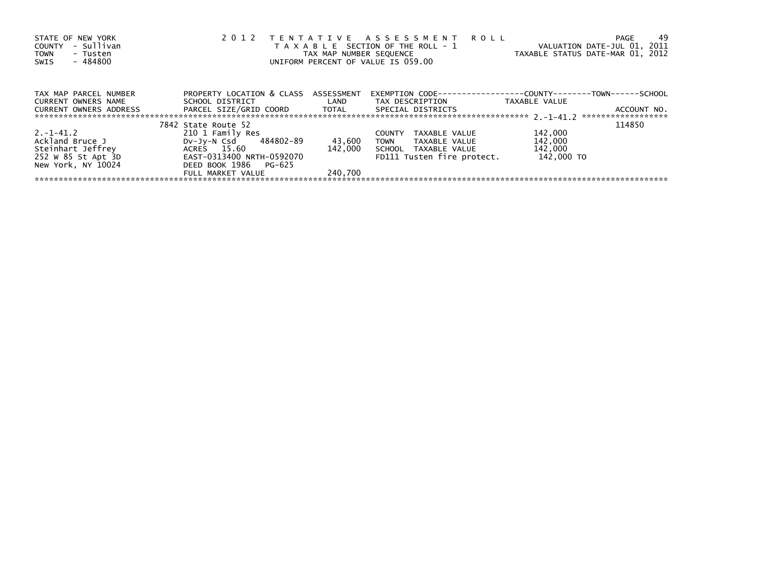| STATE OF NEW YORK<br>- Sullivan<br>COUNTY<br>TOWN<br>- Tusten<br>- 484800<br>SWIS | 2 0 1 2                              | TAX MAP NUMBER SEQUENCE | TENTATIVE ASSESSMENT ROLL<br>T A X A B L E SECTION OF THE ROLL - 1<br>UNIFORM PERCENT OF VALUE IS 059.00 | VALUATION DATE-JUL 01, 2011<br>TAXABLE STATUS DATE-MAR 01, 2012 | -49<br>PAGE                       |
|-----------------------------------------------------------------------------------|--------------------------------------|-------------------------|----------------------------------------------------------------------------------------------------------|-----------------------------------------------------------------|-----------------------------------|
| TAX MAP PARCEL NUMBER                                                             | PROPERTY LOCATION & CLASS ASSESSMENT |                         | EXEMPTION        CODE-----------------COUNTY--------TOWN------SCHOOL                                     |                                                                 |                                   |
| CURRENT OWNERS NAME                                                               | SCHOOL DISTRICT                      | <b>Example 12</b>       | TAX DESCRIPTION                                                                                          | TAXABLE VALUE                                                   |                                   |
| CURRENT OWNERS ADDRESS                                                            | PARCEL SIZE/GRID COORD       TOTAL   |                         | SPECIAL DISTRICTS                                                                                        |                                                                 | ACCOUNT NO.<br>****************** |
|                                                                                   | 7842 State Route 52                  |                         |                                                                                                          |                                                                 | 114850                            |
| $2. -1 - 41.2$                                                                    | 210 1 Family Res                     |                         | TAXABLE VALUE<br><b>COUNTY</b>                                                                           | 142,000                                                         |                                   |
| Ackland Bruce J                                                                   | DV-Jy-N Csd 484802-89                | 43,600                  | TOWN<br>TAXABLE VALUE                                                                                    | 142,000                                                         |                                   |
| Steinhart Jeffrey                                                                 | ACRES 15.60                          | 142.000                 | SCHOOL TAXABLE VALUE                                                                                     | 142,000                                                         |                                   |
| 252 W 85 St Apt 3D                                                                | EAST-0313400 NRTH-0592070            |                         | FD111 Tusten fire protect.                                                                               | 142,000 TO                                                      |                                   |
| New York, NY 10024                                                                | DEED BOOK 1986 PG-625                |                         |                                                                                                          |                                                                 |                                   |
|                                                                                   | FULL MARKET VALUE                    | 240.700                 |                                                                                                          |                                                                 |                                   |
|                                                                                   |                                      |                         |                                                                                                          |                                                                 |                                   |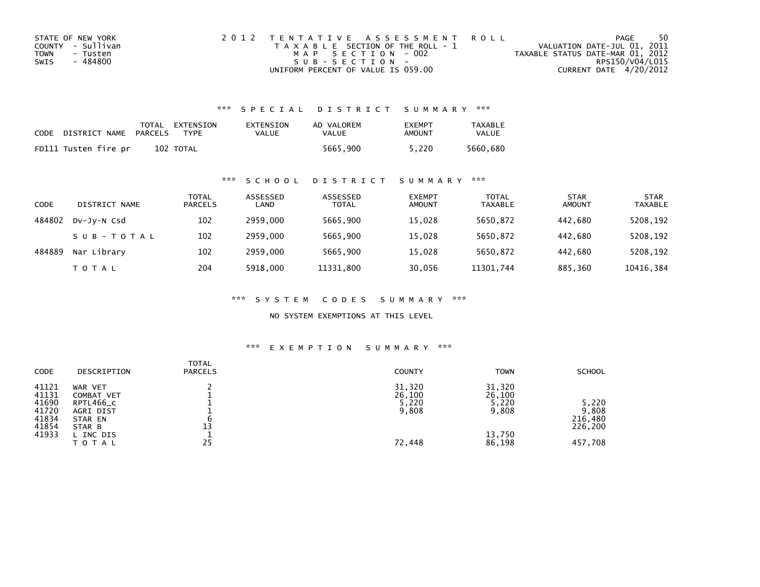| STATE OF NEW YORK | 2012 TENTATIVE ASSESSMENT ROLL        | PAGE                             | 50              |
|-------------------|---------------------------------------|----------------------------------|-----------------|
| COUNTY - Sullivan | T A X A B L E SECTION OF THE ROLL - 1 | VALUATION DATE-JUL 01, 2011      |                 |
| TOWN<br>- Tusten  | MAP SECTION - 002                     | TAXABLE STATUS DATE-MAR 01, 2012 |                 |
| - 484800<br>SWIS  | $SUB - SECTION -$                     |                                  | RPS150/V04/L015 |
|                   | UNIFORM PERCENT OF VALUE IS 059.00    | CURRENT DATE 4/20/2012           |                 |

## \*\*\* S P E C I A L D I S T R I C T S U M M A R Y \*\*\*

| CODE | DISTRICT NAME PARCELS | TOTAL EXTENSION<br><b>TYPF</b> | EXTENSION<br>VALUE | AD VALOREM<br>VALUE | <b>FXFMPT</b><br>AMOUNT | <b>TAXABLE</b><br>VALUE |
|------|-----------------------|--------------------------------|--------------------|---------------------|-------------------------|-------------------------|
|      | FD111 Tusten fire pr  | 102 TOTAL                      |                    | 5665.900            | 5.220                   | 5660.680                |

## \*\*\* S C H O O L D I S T R I C T S U M M A R Y \*\*\*

| CODE   | DISTRICT NAME | TOTAL<br><b>PARCELS</b> | ASSESSED<br>LAND | ASSESSED<br><b>TOTAL</b> | <b>EXEMPT</b><br><b>AMOUNT</b> | <b>TOTAL</b><br><b>TAXABLE</b> | <b>STAR</b><br><b>AMOUNT</b> | <b>STAR</b><br><b>TAXABLE</b> |
|--------|---------------|-------------------------|------------------|--------------------------|--------------------------------|--------------------------------|------------------------------|-------------------------------|
| 484802 | DV-JV-N Csd   | 102                     | 2959,000         | 5665.900                 | 15,028                         | 5650.872                       | 442.680                      | 5208,192                      |
|        | SUB-TOTAL     | 102                     | 2959,000         | 5665,900                 | 15,028                         | 5650,872                       | 442.680                      | 5208,192                      |
| 484889 | Nar Library   | 102                     | 2959.000         | 5665,900                 | 15,028                         | 5650,872                       | 442.680                      | 5208,192                      |
|        | T O T A L     | 204                     | 5918,000         | 11331,800                | 30,056                         | 11301,744                      | 885,360                      | 10416,384                     |

\*\*\* S Y S T E M C O D E S S U M M A R Y \*\*\*

NO SYSTEM EXEMPTIONS AT THIS LEVEL

#### \*\*\* E X E M P T I O N S U M M A R Y \*\*\*

| <b>CODE</b>                                                 | DESCRIPTION                                                                                | <b>TOTAL</b><br><b>PARCELS</b> | <b>COUNTY</b>                                | <b>TOWN</b>                                            | <b>SCHOOL</b>                                   |
|-------------------------------------------------------------|--------------------------------------------------------------------------------------------|--------------------------------|----------------------------------------------|--------------------------------------------------------|-------------------------------------------------|
| 41121<br>41131<br>41690<br>41720<br>41834<br>41854<br>41933 | WAR VET<br>COMBAT VET<br>RPTL466_C<br>AGRI DIST<br>STAR EN<br>STAR B<br>L INC DIS<br>TOTAL | 13<br>25                       | 31,320<br>26,100<br>5,220<br>9,808<br>72,448 | 31,320<br>26,100<br>5,220<br>9,808<br>13,750<br>86,198 | 5,220<br>9,808<br>216,480<br>226,200<br>457,708 |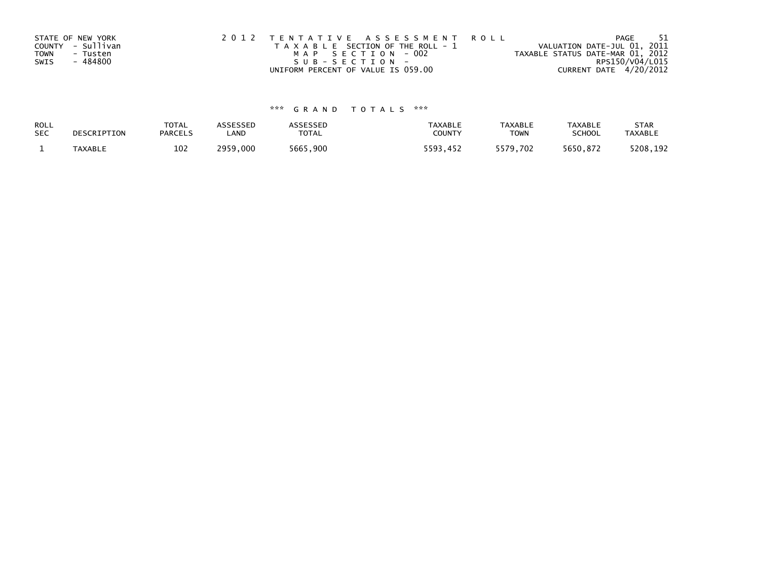| STATE OF NEW YORK | 2012 TENTATIVE ASSESSMENT ROLL        | PAGE                             | -51             |
|-------------------|---------------------------------------|----------------------------------|-----------------|
| COUNTY - Sullivan | T A X A B L E SECTION OF THE ROLL - 1 | VALUATION DATE-JUL 01, 2011      |                 |
| TOWN<br>- Tusten  | MAP SECTION - 002                     | TAXABLE STATUS DATE-MAR 01, 2012 |                 |
| - 484800<br>SWIS  | SUB-SECTION-                          |                                  | RPS150/V04/L015 |
|                   | UNIFORM PERCENT OF VALUE IS 059.00    | CURRENT DATE 4/20/2012           |                 |

# \*\*\* G R A N D T O T A L S \*\*\*

| ROLL       | DESCRIPTION    | <b>TOTAL</b>   | ASSESSED | ASSESSED | <b>TAXABLE</b> | <b>TAXABLE</b> | <b>TAXABLE</b> | <b>STAR</b>    |
|------------|----------------|----------------|----------|----------|----------------|----------------|----------------|----------------|
| <b>SEC</b> |                | <b>PARCELS</b> | LAND     | TOTAL    | <b>COUNTY</b>  | <b>TOWN</b>    | <b>SCHOOL</b>  | <b>TAXABLE</b> |
|            | <b>TAXABLE</b> | 102            | 2959.000 | 5665,900 | 5593.452       | 5579,702       | 5650.872       | 5208,192       |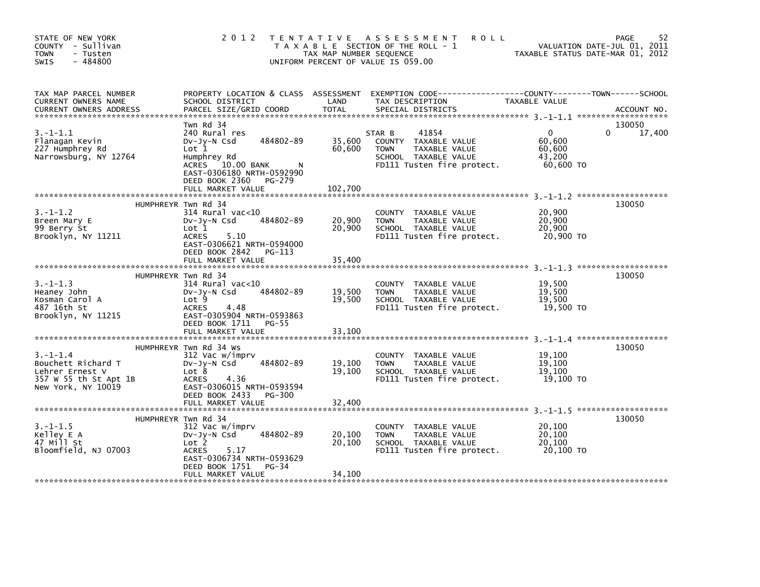| STATE OF NEW YORK<br>COUNTY - Sullivan<br><b>TOWN</b><br>- Tusten<br>$-484800$<br><b>SWIS</b>          | 2 0 1 2                                                                                                                                                                                               | TAX MAP NUMBER SEQUENCE              | TENTATIVE ASSESSMENT<br><b>ROLL</b><br>T A X A B L E SECTION OF THE ROLL - 1<br>UNIFORM PERCENT OF VALUE IS 059.00                   |                                                         | 52<br>PAGE<br>VALUATION DATE-JUL 01, 2011<br>TAXABLE STATUS DATE-MAR 01, 2012 |
|--------------------------------------------------------------------------------------------------------|-------------------------------------------------------------------------------------------------------------------------------------------------------------------------------------------------------|--------------------------------------|--------------------------------------------------------------------------------------------------------------------------------------|---------------------------------------------------------|-------------------------------------------------------------------------------|
| TAX MAP PARCEL NUMBER<br>CURRENT OWNERS NAME<br><b>CURRENT OWNERS ADDRESS</b>                          | PROPERTY LOCATION & CLASS ASSESSMENT<br>SCHOOL DISTRICT<br>PARCEL SIZE/GRID COORD                                                                                                                     | LAND<br><b>TOTAL</b>                 | EXEMPTION CODE-----------------COUNTY-------TOWN------SCHOOL<br>TAX DESCRIPTION<br>SPECIAL DISTRICTS                                 | <b>TAXABLE VALUE</b>                                    | ACCOUNT NO.                                                                   |
| $3.-1-1.1$<br>Flanagan Kevin<br>227 Humphrey Rd<br>Narrowsburg, NY 12764                               | Twn Rd 34<br>240 Rural res<br>484802-89<br>$Dv-Jv-N$ Csd<br>Lot 1<br>Humphrey Rd<br>ACRES 10.00 BANK<br>EAST-0306180 NRTH-0592990<br>DEED BOOK 2360<br>PG-279<br>FULL MARKET VALUE                    | 35,600<br>60,600<br>102,700          | 41854<br>STAR B<br>COUNTY TAXABLE VALUE<br><b>TOWN</b><br><b>TAXABLE VALUE</b><br>SCHOOL TAXABLE VALUE<br>FD111 Tusten fire protect. | $\mathbf{0}$<br>60,600<br>60,600<br>43,200<br>60,600 TO | 130050<br>17,400<br>$\Omega$                                                  |
| $3. - 1 - 1.2$<br>Breen Mary E<br>99 Berry St<br>Brooklyn, NY 11211                                    | HUMPHREYR Twn Rd 34<br>$314$ Rural vac<10<br>484802-89<br>$Dv-Jy-N$ Csd<br>Lot 1<br><b>ACRES</b><br>5.10<br>EAST-0306621 NRTH-0594000<br>DEED BOOK 2842<br>PG-113<br>FULL MARKET VALUE                | 20,900<br>20,900<br>35,400           | TAXABLE VALUE<br><b>COUNTY</b><br>TAXABLE VALUE<br><b>TOWN</b><br>SCHOOL TAXABLE VALUE<br>FD111 Tusten fire protect.                 | 20,900<br>20,900<br>20.900<br>20,900 TO                 | 130050                                                                        |
| $3. - 1 - 1.3$<br>Heaney John<br>Kosman Carol A<br>487 16th St<br>Brooklyn, NY 11215                   | HUMPHREYR Twn Rd 34<br>$314$ Rural vac<10<br>484802-89<br>DV-Jy-N Csd<br>Lot 9<br><b>ACRES</b><br>4.48<br>EAST-0305904 NRTH-0593863<br>DEED BOOK 1711<br>PG-55                                        | 19,500<br>19,500                     | <b>COUNTY</b><br>TAXABLE VALUE<br>TAXABLE VALUE<br><b>TOWN</b><br>SCHOOL TAXABLE VALUE<br>FD111 Tusten fire protect.                 | 19,500<br>19,500<br>19,500<br>19,500 TO                 | 130050                                                                        |
| $3. - 1 - 1.4$<br>Bouchett Richard T<br>Lehrer Ernest V<br>357 W 55 th St Apt 1B<br>New York, NY 10019 | FULL MARKET VALUE<br>HUMPHREYR Twn Rd 34 Ws<br>312 Vac w/imprv<br>$Dv-Jv-N$ Csd<br>484802-89<br>Lot 8<br>4.36<br><b>ACRES</b><br>EAST-0306015 NRTH-0593594<br>DEED BOOK 2433<br>PG-300                | 33,100<br>19,100<br>19,100           | <b>COUNTY</b><br>TAXABLE VALUE<br>TAXABLE VALUE<br><b>TOWN</b><br>SCHOOL TAXABLE VALUE<br>FD111 Tusten fire protect.                 | 19,100<br>19,100<br>19,100<br>19,100 TO                 | 130050                                                                        |
| $3.-1-1.5$<br>Kelley E A<br>47 Mill St<br>Bloomfield, NJ 07003                                         | FULL MARKET VALUE<br>HUMPHREYR Twn Rd 34<br>312 Vac w/imprv<br>484802-89<br>DV-Jy-N Csd<br>Lot 2<br><b>ACRES</b><br>5.17<br>EAST-0306734 NRTH-0593629<br>DEED BOOK 1751<br>PG-34<br>FULL MARKET VALUE | 32,400<br>20,100<br>20,100<br>34,100 | <b>COUNTY</b><br>TAXABLE VALUE<br><b>TOWN</b><br>TAXABLE VALUE<br>SCHOOL TAXABLE VALUE<br>FD111 Tusten fire protect.                 | 20,100<br>20,100<br>20,100<br>20,100 TO                 | 130050                                                                        |
|                                                                                                        |                                                                                                                                                                                                       |                                      |                                                                                                                                      |                                                         |                                                                               |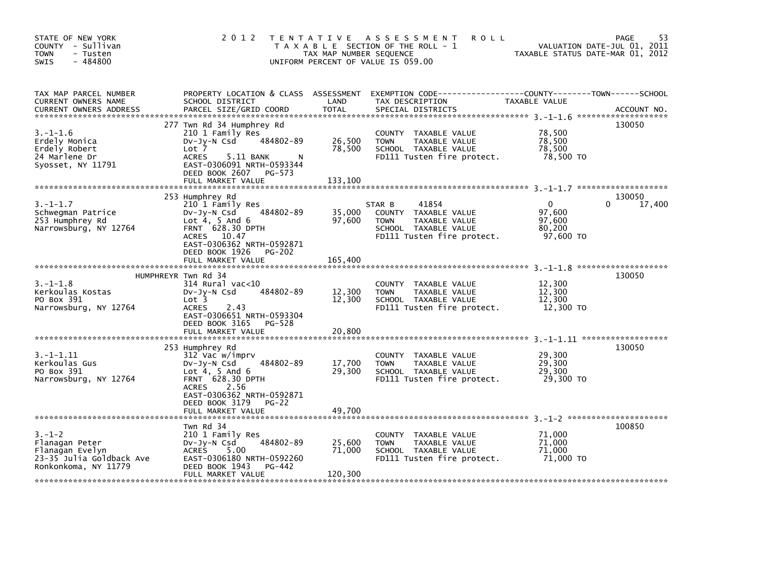| STATE OF NEW YORK<br>COUNTY - Sullivan<br><b>TOWN</b><br>- Tusten<br>$-484800$<br>SWIS                | 2012                                                                                                                                                                                                          | T E N T A T I V E<br>TAX MAP NUMBER SEQUENCE | ASSESSMENT<br><b>ROLL</b><br>T A X A B L E SECTION OF THE ROLL - 1<br>UNIFORM PERCENT OF VALUE IS 059.00                      |                                                         | 53<br>PAGE<br>VALUATION DATE-JUL 01, 2011<br>TAXABLE STATUS DATE-MAR 01, 2012 |
|-------------------------------------------------------------------------------------------------------|---------------------------------------------------------------------------------------------------------------------------------------------------------------------------------------------------------------|----------------------------------------------|-------------------------------------------------------------------------------------------------------------------------------|---------------------------------------------------------|-------------------------------------------------------------------------------|
| TAX MAP PARCEL NUMBER<br>CURRENT OWNERS NAME<br><b>CURRENT OWNERS ADDRESS</b>                         | PROPERTY LOCATION & CLASS ASSESSMENT<br>SCHOOL DISTRICT<br>PARCEL SIZE/GRID COORD                                                                                                                             | LAND<br><b>TOTAL</b>                         | EXEMPTION CODE-----------------COUNTY-------TOWN------SCHOOL<br>TAX DESCRIPTION<br>SPECIAL DISTRICTS                          | TAXABLE VALUE                                           | ACCOUNT NO.                                                                   |
| $3. - 1 - 1.6$<br>Erdely Monica<br>Erdely Robert<br>24 Marlene Dr<br>Syosset, NY 11791                | 277 Twn Rd 34 Humphrey Rd<br>210 1 Family Res<br>484802-89<br>DV-Jy-N Csd<br>Lot 7<br><b>ACRES</b><br>5.11 BANK<br>N<br>EAST-0306091 NRTH-0593344<br>DEED BOOK 2607 PG-573<br>FULL MARKET VALUE               | 26,500<br>78,500<br>133.100                  | COUNTY TAXABLE VALUE<br><b>TOWN</b><br>TAXABLE VALUE<br>SCHOOL TAXABLE VALUE<br>FD111 Tusten fire protect.                    | 78,500<br>78,500<br>78,500<br>78,500 TO                 | 130050                                                                        |
| $3. - 1 - 1.7$<br>Schwegman Patrice<br>253 Humphrey Rd<br>Narrowsburg, NY 12764                       | 253 Humphrey Rd<br>210 1 Family Res<br>484802-89<br>DV-Jy-N Csd<br>Lot $4, 5$ And $6$<br>FRNT 628.30 DPTH<br>ACRES 10.47<br>EAST-0306362 NRTH-0592871<br>DEED BOOK 1926<br><b>PG-202</b><br>FULL MARKET VALUE | 35,000<br>97,600<br>165,400                  | 41854<br>STAR B<br>COUNTY TAXABLE VALUE<br><b>TOWN</b><br>TAXABLE VALUE<br>SCHOOL TAXABLE VALUE<br>FD111 Tusten fire protect. | $\mathbf{0}$<br>97,600<br>97,600<br>80,200<br>97,600 TO | 130050<br>17,400<br>0                                                         |
| $3. - 1 - 1.8$<br>Kerkoulas Kostas<br>PO Box 391<br>Narrowsburg, NY 12764                             | HUMPHREYR Twn Rd 34<br>314 Rural vac<10<br>484802-89<br>$Dv-Jy-N$ Csd<br>Lot <sub>3</sub><br><b>ACRES</b><br>2.43<br>EAST-0306651 NRTH-0593304<br>DEED BOOK 3165<br>PG-528<br>FULL MARKET VALUE               | 12,300<br>12,300<br>20,800                   | COUNTY TAXABLE VALUE<br><b>TOWN</b><br>TAXABLE VALUE<br>SCHOOL TAXABLE VALUE<br>FD111 Tusten fire protect.                    | 12,300<br>12,300<br>12,300<br>12,300 TO                 | 130050                                                                        |
| $3. -1 - 1.11$<br>Kerkoulas Gus<br>PO Box 391<br>Narrowsburg, NY 12764                                | 253 Humphrey Rd<br>312 Vac w/imprv<br>484802-89<br>$Dv-Jy-N$ Csd<br>Lot $4, 5$ And $6$<br>FRNT 628.30 DPTH<br>ACRES 2.56<br>EAST-0306362 NRTH-0592871<br>DEED BOOK 3179<br>PG-22<br>FULL MARKET VALUE         | 17,700<br>29,300<br>49.700                   | COUNTY TAXABLE VALUE<br>TAXABLE VALUE<br><b>TOWN</b><br>SCHOOL TAXABLE VALUE<br>FD111 Tusten fire protect.                    | 29,300<br>29,300<br>29,300<br>29,300 TO                 | 130050                                                                        |
| $3. - 1 - 2$<br>Flanagan Peter<br>Flanagan Evelyn<br>23-35 Julia Goldback Ave<br>Ronkonkoma, NY 11779 | Twn Rd 34<br>210 1 Family Res<br>484802-89<br>DV-Jy-N Csd<br><b>ACRES</b><br>5.00<br>EAST-0306180 NRTH-0592260<br>DEED BOOK 1943<br>PG-442<br>FULL MARKET VALUE                                               | 25,600<br>71,000<br>120,300                  | COUNTY TAXABLE VALUE<br><b>TOWN</b><br>TAXABLE VALUE<br>SCHOOL TAXABLE VALUE<br>FD111 Tusten fire protect.                    | 71,000<br>71,000<br>71,000<br>71,000 TO                 | 100850                                                                        |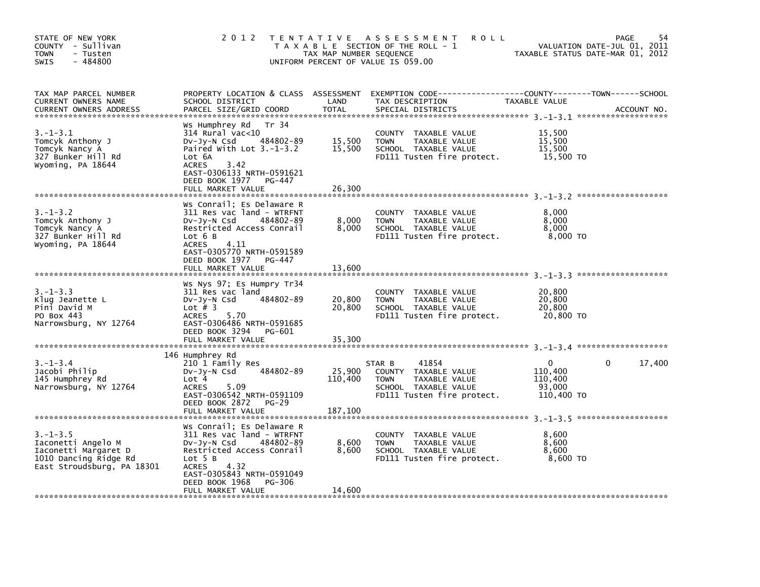| STATE OF NEW YORK<br>COUNTY - Sullivan<br>- Tusten<br>TOWN<br>$-484800$<br>SWIS                                     | 2 0 1 2                                                                                                                                                                                                                          | TAX MAP NUMBER SEQUENCE    | TENTATIVE ASSESSMENT<br><b>ROLL</b><br>T A X A B L E SECTION OF THE ROLL - 1<br>UNIFORM PERCENT OF VALUE IS 059.00            |                                                 | 54<br>PAGE<br>VALUATION DATE-JUL 01, 2011<br>TAXABLE STATUS DATE-MAR 01, 2012 |
|---------------------------------------------------------------------------------------------------------------------|----------------------------------------------------------------------------------------------------------------------------------------------------------------------------------------------------------------------------------|----------------------------|-------------------------------------------------------------------------------------------------------------------------------|-------------------------------------------------|-------------------------------------------------------------------------------|
| TAX MAP PARCEL NUMBER<br>CURRENT OWNERS NAME<br><b>CURRENT OWNERS ADDRESS</b>                                       | PROPERTY LOCATION & CLASS ASSESSMENT<br>SCHOOL DISTRICT<br>PARCEL SIZE/GRID COORD                                                                                                                                                | LAND<br><b>TOTAL</b>       | EXEMPTION        CODE-----------------COUNTY--------TOWN------SCHOOL<br>TAX DESCRIPTION<br>SPECIAL DISTRICTS                  | <b>TAXABLE VALUE</b>                            | ACCOUNT NO.                                                                   |
| $3.-1-3.1$<br>Tomcyk Anthony J<br>Tomcyk Nancy A<br>327 Bunker Hill Rd<br>Wyoming, PA 18644                         | Ws Humphrey Rd<br>Tr 34<br>$314$ Rural vac< $10$<br>Dv-Jy-N Csd<br>484802-89<br>Paired With Lot $3.-1-3.2$<br>Lot 6A<br>3.42<br><b>ACRES</b><br>EAST-0306133 NRTH-0591621<br>DEED BOOK 1977<br>PG-447<br>FULL MARKET VALUE       | 15,500<br>15,500<br>26,300 | COUNTY TAXABLE VALUE<br>TAXABLE VALUE<br><b>TOWN</b><br>SCHOOL TAXABLE VALUE<br>FD111 Tusten fire protect.                    | 15,500<br>15,500<br>15,500<br>15,500 TO         |                                                                               |
| $3. - 1 - 3.2$<br>Tomcyk Anthony J<br>Tomcyk Nancy A<br>327 Bunker Hill Rd<br>Wyoming, PA 18644                     | Ws Conrail; Es Delaware R<br>311 Res vac land - WTRFNT<br>484802-89<br>DV-Jy-N Csd<br>Restricted Access Conrail<br>Lot 6 B<br>4.11<br>ACRES<br>EAST-0305770 NRTH-0591589<br>DEED BOOK 1977<br>PG-447<br>FULL MARKET VALUE        | 8,000<br>8,000<br>13,600   | COUNTY TAXABLE VALUE<br>TAXABLE VALUE<br><b>TOWN</b><br>SCHOOL TAXABLE VALUE<br>FD111 Tusten fire protect.                    | 8,000<br>8,000<br>8,000<br>8,000 TO             |                                                                               |
| $3. - 1 - 3.3$<br>Klug Jeanette L<br>Pini David M<br>PO Box 443<br>Narrowsburg, NY 12764                            | Ws Nys 97; Es Humpry Tr34<br>311 Res vac land<br>484802-89<br>DV-Jy-N Csd<br>Lot $#$ 3<br><b>ACRES</b><br>5.70<br>EAST-0306486 NRTH-0591685<br>DEED BOOK 3294<br>PG-601<br>FULL MARKET VALUE                                     | 20,800<br>20,800<br>35,300 | COUNTY<br>TAXABLE VALUE<br>TAXABLE VALUE<br><b>TOWN</b><br>SCHOOL TAXABLE VALUE<br>FD111 Tusten fire protect.                 | 20,800<br>20,800<br>20.800<br>20,800 TO         |                                                                               |
| $3. - 1 - 3.4$<br>Jacobi Philip<br>145 Humphrey Rd<br>Narrowsburg, NY 12764                                         | 146 Humphrey Rd<br>210 1 Family Res<br>484802-89<br>DV-Jy-N Csd<br>Lot 4<br>5.09<br><b>ACRES</b><br>EAST-0306542 NRTH-0591109<br>DEED BOOK 2872<br>$PG-29$                                                                       | 25,900<br>110,400          | 41854<br>STAR B<br>COUNTY TAXABLE VALUE<br>TAXABLE VALUE<br><b>TOWN</b><br>SCHOOL TAXABLE VALUE<br>FD111 Tusten fire protect. | 0<br>110,400<br>110,400<br>93,000<br>110,400 TO | 17,400<br>0<br>*******************                                            |
| $3. - 1 - 3.5$<br>Iaconetti Angelo M<br>Iaconetti Margaret D<br>1010 Dancing Ridge Rd<br>East Stroudsburg, PA 18301 | Ws Conrail; Es Delaware R<br>311 Res vac land - WTRFNT<br>DV-Jy-N Csd<br>484802-89<br>Restricted Access Conrail<br>Lot 5 B<br><b>ACRES</b><br>4.32<br>EAST-0305843 NRTH-0591049<br>DEED BOOK 1968<br>PG-306<br>FULL MARKET VALUE | 8,600<br>8,600<br>14,600   | COUNTY TAXABLE VALUE<br><b>TOWN</b><br>TAXABLE VALUE<br>SCHOOL TAXABLE VALUE<br>FD111 Tusten fire protect.                    | 8,600<br>8,600<br>8,600<br>8,600 TO             |                                                                               |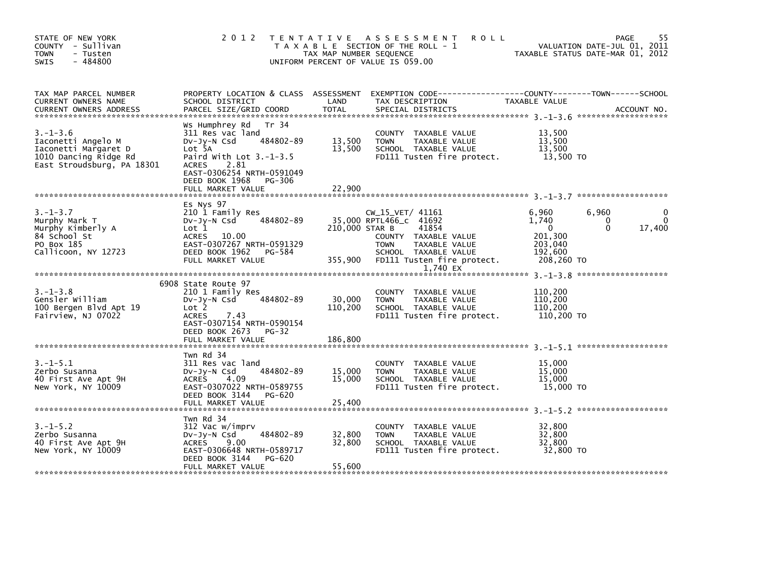| STATE OF NEW YORK<br>COUNTY - Sullivan<br><b>TOWN</b><br>- Tusten<br>$-484800$<br><b>SWIS</b>                       |                                                                                                                                                                                                                   | TAX MAP NUMBER SEQUENCE      | 2012 TENTATIVE ASSESSMENT<br><b>ROLL</b><br>T A X A B L E SECTION OF THE ROLL - 1<br>UNIFORM PERCENT OF VALUE IS 059.00 |                                                      | 55<br>PAGE<br>VALUATION DATE-JUL 01, 2011<br>TAXABLE STATUS DATE-MAR 01, 2012 |
|---------------------------------------------------------------------------------------------------------------------|-------------------------------------------------------------------------------------------------------------------------------------------------------------------------------------------------------------------|------------------------------|-------------------------------------------------------------------------------------------------------------------------|------------------------------------------------------|-------------------------------------------------------------------------------|
| TAX MAP PARCEL NUMBER<br>CURRENT OWNERS NAME                                                                        | SCHOOL DISTRICT                                                                                                                                                                                                   | LAND                         | PROPERTY LOCATION & CLASS ASSESSMENT EXEMPTION CODE----------------COUNTY-------TOWN-----SCHOOL<br>TAX DESCRIPTION      | TAXABLE VALUE                                        |                                                                               |
| $3. - 1 - 3.6$<br>Iaconetti Angelo M<br>Iaconetti Margaret D<br>1010 Dancing Ridge Rd<br>East Stroudsburg, PA 18301 | Ws Humphrey Rd Tr 34<br>311 Res vac land<br>484802-89<br>DV-Jy-N Csd<br>Lot 5A<br>Paird With Lot $3.-1-3.5$<br><b>ACRES</b><br>2.81<br>EAST-0306254 NRTH-0591049<br>DEED BOOK 1968<br>PG-306<br>FULL MARKET VALUE | 13,500<br>13,500<br>22,900   | COUNTY TAXABLE VALUE<br>TAXABLE VALUE<br>TOWN<br>SCHOOL TAXABLE VALUE<br>FD111 Tusten fire protect.                     | 13,500<br>13,500<br>13,500<br>13.500 TO              |                                                                               |
|                                                                                                                     | Es Nys 97                                                                                                                                                                                                         |                              |                                                                                                                         |                                                      |                                                                               |
| $3. - 1 - 3.7$<br>Murphy Mark T<br>Murphy Kimberly A<br>84 School St<br>PO Box 185                                  | 210 1 Family Res<br>484802-89<br>$Dv-Jy-N$ Csd<br>Lot 1<br>ACRES 10.00<br>EAST-0307267 NRTH-0591329                                                                                                               | 210,000 STAR B               | CW_15_VET/ 41161<br>35,000 RPTL466_C 41692<br>41854<br>COUNTY TAXABLE VALUE<br><b>TOWN</b><br>TAXABLE VALUE             | 6,960<br>1.740<br>$\mathbf{0}$<br>201,300<br>203,040 | 6,960<br>$\Omega$<br>0<br>$\Omega$<br>17,400                                  |
| Callicoon, NY 12723                                                                                                 | DEED BOOK 1962<br>PG-584<br>FULL MARKET VALUE                                                                                                                                                                     | 355,900                      | SCHOOL TAXABLE VALUE<br>FD111 Tusten fire protect.<br>1.740 EX                                                          | 192,600<br>208,260 TO                                |                                                                               |
|                                                                                                                     |                                                                                                                                                                                                                   |                              |                                                                                                                         |                                                      |                                                                               |
| $3. - 1 - 3.8$<br>Gensler William<br>100 Bergen Blvd Apt 19<br>Fairview, NJ 07022                                   | 6908 State Route 97<br>210 1 Family Res<br>484802-89<br>$Dv-Jv-N$ Csd<br>Lot <sub>2</sub><br><b>ACRES</b><br>7.43<br>EAST-0307154 NRTH-0590154<br>DEED BOOK 2673<br><b>PG-32</b><br>FULL MARKET VALUE             | 30,000<br>110,200<br>186,800 | COUNTY TAXABLE VALUE<br><b>TOWN</b><br>TAXABLE VALUE<br>SCHOOL TAXABLE VALUE<br>FD111 Tusten fire protect.              | 110,200<br>110,200<br>110,200<br>110,200 TO          |                                                                               |
|                                                                                                                     |                                                                                                                                                                                                                   |                              |                                                                                                                         |                                                      |                                                                               |
| $3. -1 - 5.1$<br>Zerbo Susanna<br>40 First Ave Apt 9H<br>New York, NY 10009                                         | Twn Rd 34<br>311 Res vac land<br>484802-89<br>DV-Jy-N Csd<br>ACRES<br>4.09<br>EAST-0307022 NRTH-0589755<br>DEED BOOK 3144<br>PG-620<br>FULL MARKET VALUE                                                          | 15,000<br>15,000<br>25,400   | COUNTY TAXABLE VALUE<br>TAXABLE VALUE<br><b>TOWN</b><br>SCHOOL TAXABLE VALUE<br>FD111 Tusten fire protect.              | 15,000<br>15,000<br>15,000<br>15,000 TO              |                                                                               |
|                                                                                                                     |                                                                                                                                                                                                                   |                              |                                                                                                                         |                                                      |                                                                               |
| $3. - 1 - 5.2$<br>Zerbo Susanna<br>40 First Ave Apt 9H<br>New York, NY 10009                                        | Twn Rd 34<br>312 Vac w/imprv<br>484802-89<br>DV-Jy-N Csd<br>ACRES<br>9.00<br>EAST-0306648 NRTH-0589717<br>DEED BOOK 3144<br>PG-620                                                                                | 32,800<br>32,800             | COUNTY TAXABLE VALUE<br>TAXABLE VALUE<br><b>TOWN</b><br>SCHOOL TAXABLE VALUE<br>FD111 Tusten fire protect.              | 32,800<br>32,800<br>32,800<br>32,800 TO              |                                                                               |
|                                                                                                                     | FULL MARKET VALUE                                                                                                                                                                                                 | 55,600                       |                                                                                                                         |                                                      |                                                                               |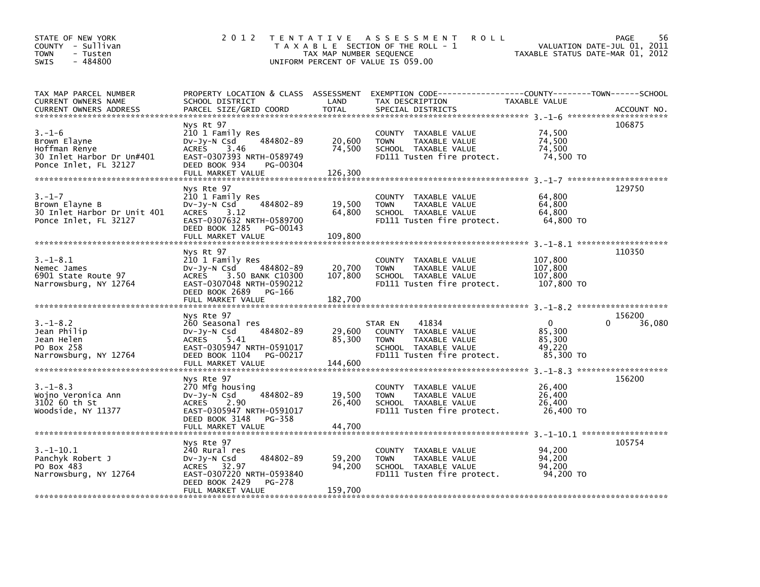| STATE OF NEW YORK<br>COUNTY - Sullivan<br><b>TOWN</b><br>- Tusten<br>$-484800$<br><b>SWIS</b>                                                                                                                                                                                  | 2 0 1 2                                                                                                                                                            | TAX MAP NUMBER SEQUENCE      | TENTATIVE ASSESSMENT<br><b>ROLL</b><br>T A X A B L E SECTION OF THE ROLL - 1<br>UNIFORM PERCENT OF VALUE IS 059.00             | TAXABLE STATUS DATE-MAR 01, 2012                          | 56<br>PAGE<br>VALUATION DATE-JUL 01, 2011 |
|--------------------------------------------------------------------------------------------------------------------------------------------------------------------------------------------------------------------------------------------------------------------------------|--------------------------------------------------------------------------------------------------------------------------------------------------------------------|------------------------------|--------------------------------------------------------------------------------------------------------------------------------|-----------------------------------------------------------|-------------------------------------------|
| TAX MAP PARCEL NUMBER<br>CURRENT OWNERS NAME<br>.CURRENT OWNERS ADDRESS PARCEL SIZE/GRID COORD TOTAL SPECIAL DISTRICTS (ACCOUNT NO ACCOUNT NO ACCOUNT NO AND REALLY SERVER AND REALLY SERVER AND REALLY SERVER AND REALLY SERVER AND REALLY SERVER AND THAT AND REALLY AND REA | SCHOOL DISTRICT                                                                                                                                                    | LAND                         | PROPERTY LOCATION & CLASS ASSESSMENT EXEMPTION CODE-----------------COUNTY-------TOWN------SCHOOL<br>TAX DESCRIPTION           | TAXABLE VALUE                                             |                                           |
| $3. - 1 - 6$<br>Brown Elayne<br>Hoffman Renye<br>30 Inlet Harbor Dr Un#401<br>Ponce Inlet, FL 32127                                                                                                                                                                            | Nys Rt 97<br>210 1 Family Res<br>484802-89<br>$Dv-Jy-N$ Csd<br>3.46<br><b>ACRES</b><br>EAST-0307393 NRTH-0589749<br>DEED BOOK 934<br>PG-00304<br>FULL MARKET VALUE | 20,600<br>74,500<br>126,300  | COUNTY TAXABLE VALUE<br>TAXABLE VALUE<br><b>TOWN</b><br>SCHOOL TAXABLE VALUE<br>FD111 Tusten fire protect.                     | 74,500<br>74.500<br>74,500<br>74,500 TO                   | 106875                                    |
| $3. - 1 - 7$<br>Brown Elayne B<br>30 Inlet Harbor Dr Unit 401<br>Ponce Inlet, FL 32127                                                                                                                                                                                         | Nys Rte 97<br>210 1 Family Res<br>484802-89<br>$Dv-Jy-N$ Csd<br>ACRES 3.12<br>EAST-0307632 NRTH-0589700<br>DEED BOOK 1285<br>PG-00143<br>FULL MARKET VALUE         | 19,500<br>64,800<br>109.800  | COUNTY TAXABLE VALUE<br>TAXABLE VALUE<br><b>TOWN</b><br>SCHOOL TAXABLE VALUE<br>FD111 Tusten fire protect.                     | 64,800<br>64,800<br>64,800<br>64,800 TO                   | 129750                                    |
| $3. - 1 - 8.1$<br>Nemec James<br>6901 State Route 97<br>Narrowsburg, NY 12764                                                                                                                                                                                                  | Nys Rt 97<br>210 1 Family Res<br>DV-Jy-N Csd<br>484802-89<br>ACRES 3.50 BANK C10300<br>EAST-0307048 NRTH-0590212<br>DEED BOOK 2689<br>PG-166<br>FULL MARKET VALUE  | 20,700<br>107,800<br>182,700 | COUNTY TAXABLE VALUE<br>TAXABLE VALUE<br><b>TOWN</b><br>SCHOOL TAXABLE VALUE<br>FD111 Tusten fire protect.                     | 107,800<br>107,800<br>107.800<br>107,800 TO               | 110350                                    |
| $3. - 1 - 8.2$<br>Jean Philip<br>Jean Helen<br>PO Box 258<br>Narrowsburg, NY 12764                                                                                                                                                                                             | Nys Rte 97<br>260 Seasonal res<br>484802-89<br>$Dv-Jy-N$ Csd<br>ACRES 5.41<br>EAST-0305947 NRTH-0591017<br>DEED BOOK 1104<br>PG-00217<br>FULL MARKET VALUE         | 29,600<br>85,300<br>144,600  | 41834<br>STAR EN<br>COUNTY TAXABLE VALUE<br>TAXABLE VALUE<br><b>TOWN</b><br>SCHOOL TAXABLE VALUE<br>FD111 Tusten fire protect. | $\overline{0}$<br>85,300<br>85.300<br>49,220<br>85,300 TO | 156200<br>0<br>36,080                     |
| $3. - 1 - 8.3$<br>Wojno Veronica Ann<br>3102 60 th St<br>Woodside, NY 11377                                                                                                                                                                                                    | Nys Rte 97<br>270 Mfg housing<br>484802-89<br>DV-Jy-N Csd<br>2.90<br><b>ACRES</b><br>EAST-0305947 NRTH-0591017<br>DEED BOOK 3148<br>PG-358<br>FULL MARKET VALUE    | 19,500<br>26,400<br>44,700   | COUNTY TAXABLE VALUE<br>TAXABLE VALUE<br><b>TOWN</b><br>SCHOOL TAXABLE VALUE<br>FD111 Tusten fire protect.                     | 26,400<br>26,400<br>26,400<br>26,400 TO                   | 156200                                    |
| $3.-1-10.1$<br>Panchyk Robert J<br>PO Box 483<br>Narrowsburg, NY 12764                                                                                                                                                                                                         | Nys Rte 97<br>240 Rural res<br>484802-89<br>$Dv-Jy-N$ Csd<br>ACRES 32.97<br>EAST-0307220 NRTH-0593840<br>DEED BOOK 2429<br>PG-278<br>FULL MARKET VALUE             | 59,200<br>94,200<br>159,700  | COUNTY TAXABLE VALUE<br>TAXABLE VALUE<br><b>TOWN</b><br>SCHOOL TAXABLE VALUE<br>FD111 Tusten fire protect.                     | 94.200<br>94,200<br>94.200<br>94,200 TO                   | 105754                                    |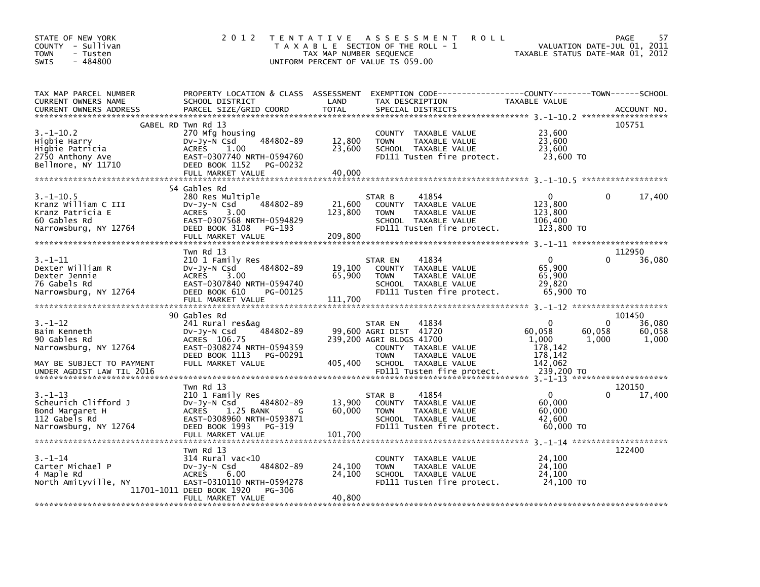| STATE OF NEW YORK<br>- Sullivan<br><b>COUNTY</b><br>TOWN<br>- Tusten<br>$-484800$<br><b>SWIS</b>    | 2 0 1 2                                                                                                                                                                         | T E N T A T I V E<br>TAX MAP NUMBER SEQUENCE | A S S E S S M E N T<br><b>ROLL</b><br>T A X A B L E SECTION OF THE ROLL - 1<br>UNIFORM PERCENT OF VALUE IS 059.00                                      | TAXABLE STATUS DATE-MAR 01, 2012                                       | 57<br>PAGE<br>VALUATION DATE-JUL 01, 2011         |
|-----------------------------------------------------------------------------------------------------|---------------------------------------------------------------------------------------------------------------------------------------------------------------------------------|----------------------------------------------|--------------------------------------------------------------------------------------------------------------------------------------------------------|------------------------------------------------------------------------|---------------------------------------------------|
| TAX MAP PARCEL NUMBER<br>CURRENT OWNERS NAME<br><b>CURRENT OWNERS ADDRESS</b>                       | PROPERTY LOCATION & CLASS ASSESSMENT<br>SCHOOL DISTRICT<br>PARCEL SIZE/GRID COORD                                                                                               | LAND<br><b>TOTAL</b>                         | EXEMPTION CODE-----------------COUNTY-------TOWN------SCHOOL<br>TAX DESCRIPTION<br>SPECIAL DISTRICTS                                                   | TAXABLE VALUE                                                          | ACCOUNT NO.                                       |
|                                                                                                     |                                                                                                                                                                                 |                                              |                                                                                                                                                        |                                                                        |                                                   |
| $3.-1-10.2$<br>Higbie Harry<br>Higbie Patricia<br>2750 Anthony Ave<br>Bellmore, NY 11710            | GABEL RD Twn Rd 13<br>270 Mfg housing<br>484802-89<br>Dv-Jy-N Csd<br><b>ACRES</b><br>1.00<br>EAST-0307740 NRTH-0594760<br>DEED BOOK 1152<br>PG-00232<br>FULL MARKET VALUE       | 12,800<br>23,600<br>40,000                   | COUNTY<br>TAXABLE VALUE<br>TAXABLE VALUE<br><b>TOWN</b><br>SCHOOL TAXABLE VALUE<br>FD111 Tusten fire protect.                                          | 23,600<br>23,600<br>23,600<br>23,600 TO                                | 105751                                            |
|                                                                                                     |                                                                                                                                                                                 |                                              |                                                                                                                                                        |                                                                        |                                                   |
| $3. - 1 - 10.5$<br>Kranz William C III<br>Kranz Patricia E<br>60 Gables Rd<br>Narrowsburg, NY 12764 | 54 Gables Rd<br>280 Res Multiple<br>484802-89<br>$Dv-Jy-N$ Csd<br><b>ACRES</b><br>3.00<br>EAST-0307568 NRTH-0594829<br>DEED BOOK 3108<br>PG-193<br>FULL MARKET VALUE            | 21,600<br>123,800<br>209,800                 | 41854<br>STAR B<br>COUNTY TAXABLE VALUE<br>TAXABLE VALUE<br><b>TOWN</b><br>SCHOOL TAXABLE VALUE<br>FD111 Tusten fire protect.                          | 0<br>123,800<br>123,800<br>106,400<br>123,800 TO                       | 17,400<br>0                                       |
|                                                                                                     |                                                                                                                                                                                 |                                              |                                                                                                                                                        |                                                                        |                                                   |
| $3. - 1 - 11$<br>Dexter William R<br>Dexter Jennie<br>76 Gabels Rd<br>Narrowsburg, NY 12764         | Twn Rd 13<br>210 1 Family Res<br>484802-89<br>$Dv-Jv-N$ Csd<br><b>ACRES</b><br>3.00<br>EAST-0307840 NRTH-0594740<br>DEED BOOK 610<br>PG-00125<br>FULL MARKET VALUE              | 19,100<br>65,900<br>111,700                  | 41834<br>STAR EN<br>COUNTY<br>TAXABLE VALUE<br><b>TOWN</b><br>TAXABLE VALUE<br>SCHOOL TAXABLE VALUE<br>FD111 Tusten fire protect.                      | $\mathbf{0}$<br>65,900<br>65,900<br>29,820<br>65,900 TO                | 112950<br>36,080                                  |
|                                                                                                     |                                                                                                                                                                                 |                                              |                                                                                                                                                        |                                                                        |                                                   |
| 3. –1–12<br>Baim Kenneth<br>90 Gables Rd<br>Narrowsburg, NY 12764<br>MAY BE SUBJECT TO PAYMENT      | 90 Gables Rd<br>241 Rural res&aq<br>484802-89<br>$Dv-Jy-N$ Csd<br>ACRES 106.75<br>EAST-0308274 NRTH-0594359<br>DEED BOOK 1113<br>PG-00291<br>FULL MARKET VALUE                  | 405,400                                      | 41834<br>STAR EN<br>99,600 AGRI DIST 41720<br>239,200 AGRI BLDGS 41700<br>COUNTY TAXABLE VALUE<br><b>TOWN</b><br>TAXABLE VALUE<br>SCHOOL TAXABLE VALUE | $\Omega$<br>60,058<br>60,058<br>1,000<br>178,142<br>178,142<br>142,062 | 101450<br>36,080<br>0<br>60,058<br>1,000<br>1.000 |
|                                                                                                     | Twn Rd 13                                                                                                                                                                       |                                              |                                                                                                                                                        |                                                                        | 120150                                            |
| $3. - 1 - 13$<br>Scheurich Clifford J<br>Bond Margaret H<br>112 Gabels Rd<br>Narrowsburg, NY 12764  | 210 1 Family Res<br>484802-89<br>DV-Jy-N Csd<br><b>ACRES</b><br>1.25 BANK<br>G<br>EAST-0308960 NRTH-0593871<br>DEED BOOK 1993<br>PG-319<br>FULL MARKET VALUE                    | 13,900<br>60,000<br>101,700                  | 41854<br>STAR B<br><b>COUNTY</b><br>TAXABLE VALUE<br><b>TOWN</b><br>TAXABLE VALUE<br>SCHOOL TAXABLE VALUE<br>FD111 Tusten fire protect.                | $\Omega$<br>60,000<br>60,000<br>42,600<br>60,000 TO                    | 17,400                                            |
|                                                                                                     |                                                                                                                                                                                 |                                              |                                                                                                                                                        |                                                                        |                                                   |
| $3 - 1 - 14$<br>Carter Michael P<br>4 Maple Rd<br>North Amityville, NY                              | Twn Rd 13<br>$314$ Rural vac< $10$<br>484802-89<br>DV-Jy-N Csd<br><b>ACRES</b><br>6.00<br>EAST-0310110 NRTH-0594278<br>11701-1011 DEED BOOK 1920<br>PG-306<br>FULL MARKET VALUE | 24,100<br>24,100<br>40,800                   | COUNTY<br>TAXABLE VALUE<br><b>TOWN</b><br>TAXABLE VALUE<br>SCHOOL TAXABLE VALUE<br>FD111 Tusten fire protect.                                          | 24,100<br>24,100<br>24,100<br>24,100 TO                                | 122400                                            |
|                                                                                                     |                                                                                                                                                                                 |                                              |                                                                                                                                                        |                                                                        |                                                   |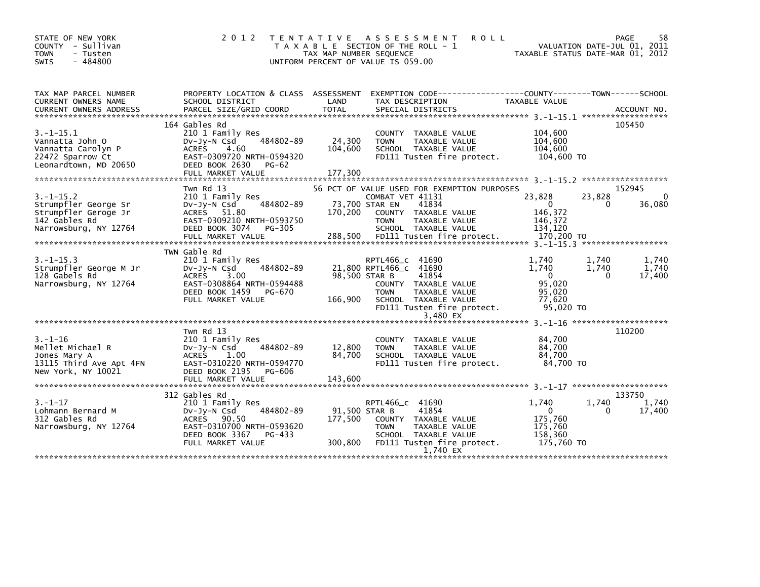| STATE OF NEW YORK<br>COUNTY - Sullivan<br><b>TOWN</b><br>- Tusten<br>$-484800$<br><b>SWIS</b>            | 2 0 1 2                                                                                                                                                                | T E N T A T I V E<br>TAX MAP NUMBER SEQUENCE<br>UNIFORM PERCENT OF VALUE IS 059.00 | A S S E S S M E N T<br>T A X A B L E SECTION OF THE ROLL - 1                                                                                                                           | <b>ROLL</b><br>TAXABLE STATUS DATE-MAR 01, 2012                             | PAGE<br>VALUATION DATE-JUL 01, 2011 | 58                       |
|----------------------------------------------------------------------------------------------------------|------------------------------------------------------------------------------------------------------------------------------------------------------------------------|------------------------------------------------------------------------------------|----------------------------------------------------------------------------------------------------------------------------------------------------------------------------------------|-----------------------------------------------------------------------------|-------------------------------------|--------------------------|
| TAX MAP PARCEL NUMBER<br>CURRENT OWNERS NAME                                                             | PROPERTY LOCATION & CLASS ASSESSMENT<br>SCHOOL DISTRICT                                                                                                                | LAND                                                                               | EXEMPTION CODE-----------------COUNTY-------TOWN------SCHOOL<br>TAX DESCRIPTION                                                                                                        | TAXABLE VALUE                                                               |                                     |                          |
| $3. -1 - 15.1$<br>Vannatta John O<br>Vannatta Carolyn P<br>22472 Sparrow Ct<br>Leonardtown, MD 20650     | 164 Gables Rd<br>210 1 Family Res<br>484802-89<br>$Dv-Jy-N$ Csd<br><b>ACRES</b><br>4.60<br>EAST-0309720 NRTH-0594320<br>DEED BOOK 2630<br>PG-62<br>FULL MARKET VALUE   | 24,300<br>104,600<br>177,300                                                       | COUNTY TAXABLE VALUE<br>TAXABLE VALUE<br><b>TOWN</b><br>SCHOOL TAXABLE VALUE<br>FD111 Tusten fire protect.                                                                             | 104,600<br>104,600<br>104,600<br>104,600 TO                                 | 105450                              |                          |
| $3. -1 - 15.2$<br>Strumpfler George Sr<br>Strumpfler Geroge Jr<br>142 Gables Rd<br>Narrowsburg, NY 12764 | Twn Rd 13<br>210 1 Family Res<br>484802-89<br>$Dv-Jy-N$ Csd<br>ACRES 51.80<br>EAST-0309210 NRTH-0593750<br>DEED BOOK 3074<br>PG-305<br>FULL MARKET VALUE               | 73,700 STAR EN<br>170,200<br>288,500                                               | 56 PCT OF VALUE USED FOR EXEMPTION PURPOSES<br>COMBAT VET 41131<br>41834<br>COUNTY TAXABLE VALUE<br><b>TOWN</b><br>TAXABLE VALUE<br>SCHOOL TAXABLE VALUE<br>FD111 Tusten fire protect. | 23,828<br>$\Omega$<br>146,372<br>146,372<br>134,120<br>170,200 TO           | 152945<br>23,828<br>0               | 0<br>36,080              |
| $3. -1 - 15.3$<br>Strumpfler George M Jr<br>128 Gabels Rd<br>Narrowsburg, NY 12764                       | TWN Gable Rd<br>210 1 Family Res<br>484802-89<br>$Dv-Jv-N$ Csd<br><b>ACRES</b><br>3.00<br>EAST-0308864 NRTH-0594488<br>DEED BOOK 1459<br>PG-670<br>FULL MARKET VALUE   | 98.500 STAR B<br>166,900                                                           | RPTL466_c 41690<br>21,800 RPTL466_C 41690<br>41854<br>COUNTY TAXABLE VALUE<br><b>TOWN</b><br>TAXABLE VALUE<br>SCHOOL TAXABLE VALUE<br>FD111 Tusten fire protect.<br>3.480 EX           | 1.740<br>1.740<br>$\overline{0}$<br>95,020<br>95,020<br>77,620<br>95,020 TO | 1.740<br>1.740<br>$\Omega$          | 1.740<br>1.740<br>17,400 |
| $3. - 1 - 16$<br>Mellet Michael R<br>Jones Mary A<br>13115 Third Ave Apt 4FN<br>New York, NY 10021       | Twn Rd 13<br>210 1 Family Res<br>484802-89<br>$Dv-Jv-N$ Csd<br><b>ACRES</b><br>1.00<br>EAST-0310220 NRTH-0594770<br>DEED BOOK 2195<br>PG-606<br>FULL MARKET VALUE      | 12,800<br>84,700<br>143,600                                                        | COUNTY TAXABLE VALUE<br>TAXABLE VALUE<br><b>TOWN</b><br>SCHOOL TAXABLE VALUE<br>FD111 Tusten fire protect.                                                                             | 84,700<br>84,700<br>84.700<br>84.700 TO                                     | 110200                              |                          |
| $3. - 1 - 17$<br>Lohmann Bernard M<br>312 Gables Rd<br>Narrowsburg, NY 12764                             | 312 Gables Rd<br>210 1 Family Res<br>484802-89<br>$Dv-Jy-N$ Csd<br><b>ACRES</b><br>90.50<br>EAST-0310700 NRTH-0593620<br>DEED BOOK 3367<br>PG-433<br>FULL MARKET VALUE | 91,500 STAR B<br>177,500<br>300,800                                                | RPTL466_c 41690<br>41854<br>COUNTY TAXABLE VALUE<br><b>TOWN</b><br>TAXABLE VALUE<br>SCHOOL TAXABLE VALUE<br>FD111 Tusten fire protect.<br>1,740 EX                                     | 1.740<br>$\Omega$<br>175,760<br>175,760<br>158,360<br>175,760 TO            | 133750<br>1,740<br>0                | 1,740<br>17,400          |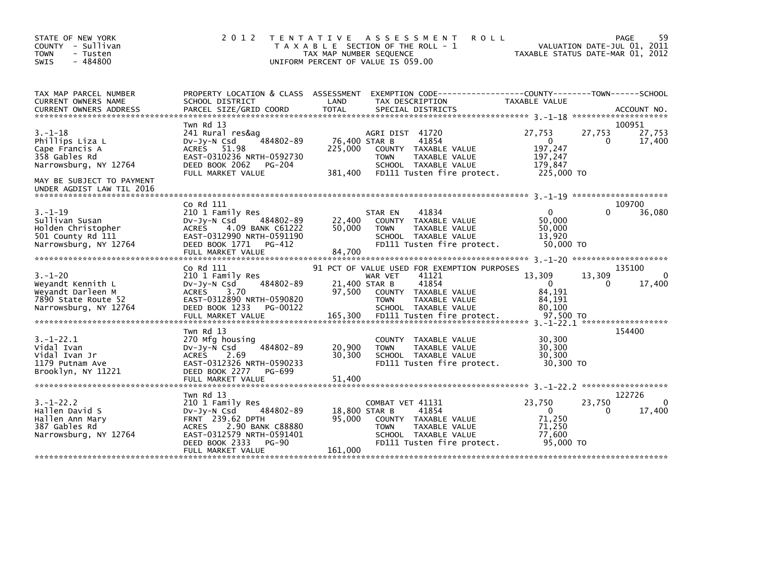| STATE OF NEW YORK<br>COUNTY - Sullivan<br>- Tusten<br><b>TOWN</b><br>$-484800$<br><b>SWIS</b>           | 2 0 1 2                                                                                                                                                                                    | TENTATIVE ASSESSMENT<br><b>ROLL</b><br>T A X A B L E SECTION OF THE ROLL - 1<br>TAX MAP NUMBER SEQUENCE<br>UNIFORM PERCENT OF VALUE IS 059.00                                                                                | PAGE<br>VALUATION DATE-JUL 01, 2011<br>TAXABLE STATUS DATE-MAR 01, 2012                                            | 59       |
|---------------------------------------------------------------------------------------------------------|--------------------------------------------------------------------------------------------------------------------------------------------------------------------------------------------|------------------------------------------------------------------------------------------------------------------------------------------------------------------------------------------------------------------------------|--------------------------------------------------------------------------------------------------------------------|----------|
| TAX MAP PARCEL NUMBER<br>CURRENT OWNERS NAME                                                            | SCHOOL DISTRICT                                                                                                                                                                            | PROPERTY LOCATION & CLASS ASSESSMENT EXEMPTION CODE----------------COUNTY-------TOWN------SCHOOL<br>LAND<br>TAX DESCRIPTION                                                                                                  | TAXABLE VALUE                                                                                                      |          |
| $3. - 1 - 18$<br>Phillips Liza L<br>Cape Francis A<br>358 Gables Rd<br>Narrowsburg, NY 12764            | Twn Rd 13<br>241 Rural res&ag<br>484802-89<br>$Dv-Jy-N$ Csd<br>ACRES 51.98<br>EAST-0310236 NRTH-0592730<br>DEED BOOK 2062<br>PG-204<br>FULL MARKET VALUE                                   | AGRI DIST 41720<br>41854<br>76,400 STAR B<br>225,000<br>COUNTY TAXABLE VALUE<br><b>TOWN</b><br>TAXABLE VALUE<br>SCHOOL TAXABLE VALUE<br>381,400<br>FD111 Tusten fire protect.                                                | 100951<br>27,753<br>27,753<br>27,753<br>17,400<br>$\mathbf{0}$<br>0<br>197,247<br>197,247<br>179.847<br>225,000 TO |          |
| MAY BE SUBJECT TO PAYMENT<br>UNDER AGDIST LAW TIL 2016                                                  |                                                                                                                                                                                            |                                                                                                                                                                                                                              |                                                                                                                    |          |
| $3. - 1 - 19$<br>Sullivan Susan<br>Holden Christopher<br>501 County Rd 111<br>Narrowsburg, NY 12764     | Co Rd 111<br>210 1 Family Res<br>484802-89<br>$Dv-Jy-N$ Csd<br><b>ACRES</b><br>4.09 BANK C61222<br>EAST-0312990 NRTH-0591190<br>DEED BOOK 1771<br>PG-412<br>FULL MARKET VALUE              | STAR EN<br>41834<br>22,400<br>COUNTY TAXABLE VALUE<br>50,000<br><b>TOWN</b><br>TAXABLE VALUE<br>SCHOOL TAXABLE VALUE<br>FD111 Tusten fire protect.<br>84,700                                                                 | 109700<br>36,080<br>$\Omega$<br>0<br>50,000<br>50.000<br>13,920<br>50,000 TO                                       |          |
| $3. - 1 - 20$<br>Weyandt Kennith L<br>Weyandt Darleen M<br>7890 State Route 52<br>Narrowsburg, NY 12764 | Co Rd 111<br>210 1 Family Res<br>484802-89<br>DV-Jy-N Csd<br><b>ACRES</b><br>3.70<br>EAST-0312890 NRTH-0590820<br>DEED BOOK 1233<br>PG-00122<br>FULL MARKET VALUE                          | 91 PCT OF VALUE USED FOR EXEMPTION PURPOSES<br>41121<br>WAR VET<br>41854<br>21,400 STAR B<br>97,500<br>COUNTY TAXABLE VALUE<br>TAXABLE VALUE<br><b>TOWN</b><br>SCHOOL TAXABLE VALUE<br>165,300<br>FD111 Tusten fire protect. | 135100<br>13,309<br>13,309<br>17,400<br>$\Omega$<br>$\mathbf{0}$<br>84,191<br>84,191<br>80.100<br>97,500 TO        | 0        |
| $3. - 1 - 22.1$<br>Vidal Ivan<br>Vidal Ivan Jr<br>1179 Putnam Ave<br>Brooklyn, NY 11221                 | Twn Rd 13<br>270 Mfg housing<br>484802-89<br>$Dv-Jy-N$ Csd<br><b>ACRES</b><br>2.69<br>EAST-0312326 NRTH-0590233<br>DEED BOOK 2277<br>PG-699<br>FULL MARKET VALUE                           | COUNTY TAXABLE VALUE<br>20,900<br>TAXABLE VALUE<br><b>TOWN</b><br>30,300<br>SCHOOL TAXABLE VALUE<br>FD111 Tusten fire protect.<br>51,400                                                                                     | 154400<br>30,300<br>30,300<br>30,300<br>30.300 TO                                                                  |          |
|                                                                                                         | Twn Rd 13                                                                                                                                                                                  |                                                                                                                                                                                                                              | 122726                                                                                                             |          |
| $3. - 1 - 22.2$<br>Hallen David S<br>Hallen Ann Mary<br>387 Gables Rd<br>Narrowsburg, NY 12764          | 210 1 Family Res<br>484802-89<br>$Dv-Jy-N$ Csd<br>FRNT 239.62 DPTH<br>2.90 BANK C88880<br><b>ACRES</b><br>EAST-0312579 NRTH-0591401<br>DEED BOOK 2333<br><b>PG-90</b><br>FULL MARKET VALUE | COMBAT VET 41131<br>18,800 STAR B<br>41854<br>95,000<br>COUNTY TAXABLE VALUE<br>TAXABLE VALUE<br><b>TOWN</b><br>SCHOOL TAXABLE VALUE<br>FD111 Tusten fire protect.<br>161,000                                                | 23,750<br>23,750<br>17,400<br>$\mathbf{0}$<br>0<br>71,250<br>71.250<br>77,600<br>95,000 TO                         | $\Omega$ |
|                                                                                                         |                                                                                                                                                                                            |                                                                                                                                                                                                                              |                                                                                                                    |          |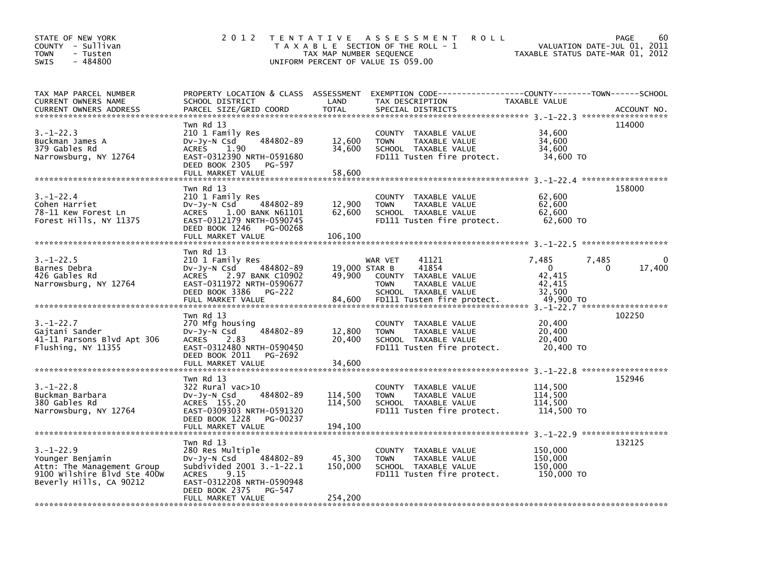| STATE OF NEW YORK<br>COUNTY - Sullivan<br><b>TOWN</b><br>- Tusten<br>$-484800$<br><b>SWIS</b>                               | 2 0 1 2                                                                                                                                                                                                             | TAX MAP NUMBER SEQUENCE                 | TENTATIVE ASSESSMENT<br><b>ROLL</b><br>T A X A B L E SECTION OF THE ROLL - 1<br>UNIFORM PERCENT OF VALUE IS 059.00                      | VALUATION DATE-JUL 01, 2011<br>TAXABLE STATUS DATE-MAR 01, 2012               | PAGE<br>60       |
|-----------------------------------------------------------------------------------------------------------------------------|---------------------------------------------------------------------------------------------------------------------------------------------------------------------------------------------------------------------|-----------------------------------------|-----------------------------------------------------------------------------------------------------------------------------------------|-------------------------------------------------------------------------------|------------------|
| TAX MAP PARCEL NUMBER<br>CURRENT OWNERS NAME<br><b>CURRENT OWNERS ADDRESS</b>                                               | PROPERTY LOCATION & CLASS ASSESSMENT<br>SCHOOL DISTRICT<br>PARCEL SIZE/GRID COORD                                                                                                                                   | LAND<br><b>TOTAL</b>                    | TAX DESCRIPTION<br>SPECIAL DISTRICTS                                                                                                    | TAXABLE VALUE                                                                 | ACCOUNT NO.      |
| $3. - 1 - 22.3$<br>Buckman James A<br>379 Gables Rd<br>Narrowsburg, NY 12764                                                | Twn Rd 13<br>210 1 Family Res<br>484802-89<br>DV-Jy-N Csd<br><b>ACRES</b><br>1.90<br>EAST-0312390 NRTH-0591680<br>DEED BOOK 2305<br>PG-597<br>FULL MARKET VALUE                                                     | 12,600<br>34,600<br>58,600              | COUNTY TAXABLE VALUE<br><b>TOWN</b><br>TAXABLE VALUE<br>SCHOOL TAXABLE VALUE<br>FD111 Tusten fire protect.                              | 34,600<br>34,600<br>34,600<br>34,600 TO                                       | 114000           |
| $3. - 1 - 22.4$<br>Cohen Harriet<br>78-11 Kew Forest Ln<br>Forest Hills, NY 11375                                           | Twn Rd 13<br>210 1 Family Res<br>484802-89<br>DV-Jy-N Csd<br><b>ACRES</b><br>1.00 BANK N61101<br>EAST-0312179 NRTH-0590745<br>DEED BOOK 1246<br>PG-00268<br>FULL MARKET VALUE                                       | 12,900<br>62,600<br>106,100             | COUNTY TAXABLE VALUE<br><b>TOWN</b><br>TAXABLE VALUE<br>SCHOOL TAXABLE VALUE<br>FD111 Tusten fire protect.                              | 62,600<br>62,600<br>62,600<br>62,600 TO                                       | 158000           |
| $3. - 1 - 22.5$<br>Barnes Debra<br>426 Gables Rd<br>Narrowsburg, NY 12764                                                   | Twn Rd 13<br>210 1 Family Res<br>484802-89<br>DV-Jy-N Csd<br>2.97 BANK C10902<br><b>ACRES</b><br>EAST-0311972 NRTH-0590677<br>DEED BOOK 3386<br><b>PG-222</b><br>FULL MARKET VALUE                                  | 19.000 STAR B<br>49,900<br>84,600       | 41121<br>WAR VET<br>41854<br>COUNTY TAXABLE VALUE<br>TAXABLE VALUE<br><b>TOWN</b><br>SCHOOL TAXABLE VALUE<br>FD111 Tusten fire protect. | 7,485<br>7,485<br>0<br>42,415<br>42,415<br>32,500<br>49,900 TO                | 0<br>17,400<br>0 |
| $3. - 1 - 22.7$<br>Gajtani Sander<br>41-11 Parsons Blvd Apt 306<br>Flushing, NY 11355                                       | Twn Rd 13<br>270 Mfg housing<br>484802-89<br>$Dv-Jy-N$ Csd<br>2.83<br><b>ACRES</b><br>EAST-0312480 NRTH-0590450<br>DEED BOOK 2011<br>PG-2692                                                                        | 12,800<br>20,400                        | COUNTY TAXABLE VALUE<br>TAXABLE VALUE<br><b>TOWN</b><br>SCHOOL TAXABLE VALUE<br>FD111 Tusten fire protect.                              | 3. -1-22. 7 ********************<br>20,400<br>20,400<br>20,400<br>20,400 TO   | 102250           |
| $3. - 1 - 22.8$<br>Buckman Barbara<br>380 Gables Rd<br>Narrowsburg, NY 12764                                                | FULL MARKET VALUE<br>Twn Rd 13<br>322 Rural vac>10<br>484802-89<br>$Dv-Jy-N$ Csd<br>ACRES 155.20<br>EAST-0309303 NRTH-0591320<br>DEED BOOK 1228<br>PG-00237                                                         | 34,600<br>114,500<br>114,500            | COUNTY TAXABLE VALUE<br><b>TAXABLE VALUE</b><br><b>TOWN</b><br>SCHOOL TAXABLE VALUE<br>FD111 Tusten fire protect.                       | 3. -1-22.8 *******************<br>114,500<br>114.500<br>114.500<br>114,500 TO | 152946           |
| $3. - 1 - 22.9$<br>Younger Benjamin<br>Attn: The Management Group<br>9100 Wilshire Blvd Ste 400W<br>Beverly Hills, CA 90212 | FULL MARKET VALUE<br>Twn Rd 13<br>280 Res Multiple<br>484802-89<br>$Dv-Jy-N$ Csd<br>Subdivided 2001 3.-1-22.1<br>9.15<br><b>ACRES</b><br>EAST-0312208 NRTH-0590948<br>DEED BOOK 2375<br>PG-547<br>FULL MARKET VALUE | 194.100<br>45,300<br>150,000<br>254,200 | COUNTY TAXABLE VALUE<br><b>TOWN</b><br>TAXABLE VALUE<br>SCHOOL TAXABLE VALUE<br>FD111 Tusten fire protect.                              | 3. -1-22.9 *******************<br>150,000<br>150,000<br>150,000<br>150,000 TO | 132125           |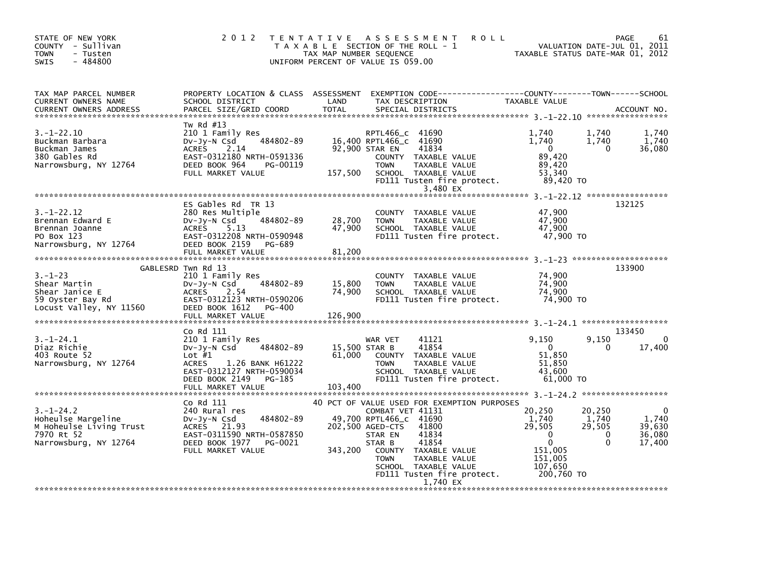| STATE OF NEW YORK<br>COUNTY - Sullivan<br><b>TOWN</b><br>- Tusten<br>$-484800$<br><b>SWIS</b>           | 2012                                                                                                                                                                                    | T E N T A T I V E<br>TAX MAP NUMBER SEQUENCE | <b>ROLL</b><br>ASSESSMENT<br>T A X A B L E SECTION OF THE ROLL - 1<br>UNIFORM PERCENT OF VALUE IS 059.00                                                                                                                                                                                |                                                                                                     | PAGE<br>61<br>VALUATION DATE-JUL 01, 2011<br>TAXABLE STATUS DATE-MAR 01, 2012          |
|---------------------------------------------------------------------------------------------------------|-----------------------------------------------------------------------------------------------------------------------------------------------------------------------------------------|----------------------------------------------|-----------------------------------------------------------------------------------------------------------------------------------------------------------------------------------------------------------------------------------------------------------------------------------------|-----------------------------------------------------------------------------------------------------|----------------------------------------------------------------------------------------|
| TAX MAP PARCEL NUMBER<br>CURRENT OWNERS NAME<br><b>CURRENT OWNERS ADDRESS</b>                           | PROPERTY LOCATION & CLASS ASSESSMENT<br>SCHOOL DISTRICT<br>PARCEL SIZE/GRID COORD                                                                                                       | LAND<br><b>TOTAL</b>                         | EXEMPTION CODE-----------------COUNTY-------TOWN------SCHOOL<br>TAX DESCRIPTION<br>SPECIAL DISTRICTS                                                                                                                                                                                    | TAXABLE VALUE                                                                                       | ACCOUNT NO.                                                                            |
| $3. - 1 - 22.10$<br>Buckman Barbara<br>Buckman James<br>380 Gables Rd<br>Narrowsburg, NY 12764          | Tw Rd #13<br>210 1 Family Res<br>484802-89<br>DV-Jy-N Csd<br><b>ACRES</b><br>2.14<br>EAST-0312180 NRTH-0591336<br>DEED BOOK 964<br>PG-00119<br>FULL MARKET VALUE                        | 157,500                                      | RPTL466_C 41690<br>16,400 RPTL466_C 41690<br>92,900 STAR EN<br>41834<br>COUNTY TAXABLE VALUE<br><b>TOWN</b><br>TAXABLE VALUE<br>SCHOOL TAXABLE VALUE<br>FD111 Tusten fire protect.<br>3,480 EX                                                                                          | 1,740<br>1,740<br>$\mathbf{0}$<br>89,420<br>89.420<br>53,340<br>89,420 TO                           | 1,740<br>1,740<br>1,740<br>1,740<br>36,080<br>$\Omega$                                 |
| $3. - 1 - 22.12$<br>Brennan Edward E<br>Brennan Joanne<br>PO Box 123<br>Narrowsburg, NY 12764           | ES Gables Rd TR 13<br>280 Res Multiple<br>484802-89<br>$Dv-Jy-N$ Csd<br><b>ACRES</b><br>5.13<br>EAST-0312208 NRTH-0590948<br>DEED BOOK 2159<br>PG-689<br>FULL MARKET VALUE              | 28,700<br>47,900<br>81,200                   | COUNTY TAXABLE VALUE<br><b>TOWN</b><br>TAXABLE VALUE<br>SCHOOL TAXABLE VALUE<br>FD111 Tusten fire protect.                                                                                                                                                                              | 47,900<br>47,900<br>47,900<br>47,900 TO                                                             | 132125                                                                                 |
| $3. - 1 - 23$<br>Shear Martin<br>Shear Janice E<br>59 Oyster Bay Rd<br>Locust Valley, NY 11560          | GABLESRD Twn Rd 13<br>210 1 Family Res<br>484802-89<br>$Dv-Jy-N$ Csd<br><b>ACRES</b><br>2.54<br>EAST-0312123 NRTH-0590206<br>DEED BOOK 1612<br>PG-400<br>FULL MARKET VALUE              | 15,800<br>74.900<br>126,900                  | COUNTY TAXABLE VALUE<br>TAXABLE VALUE<br><b>TOWN</b><br>SCHOOL TAXABLE VALUE<br>FD111 Tusten fire protect.                                                                                                                                                                              | 74,900<br>74,900<br>74,900<br>74,900 TO                                                             | 133900                                                                                 |
| $3.-1-24.1$<br>Diaz Richie<br>403 Route 52<br>Narrowsburg, NY 12764                                     | Co Rd 111<br>210 1 Family Res<br>484802-89<br>DV-Jy-N Csd<br>Lot $#1$<br><b>ACRES</b><br>1.26 BANK H61222<br>EAST-0312127 NRTH-0590034<br>DEED BOOK 2149<br>PG-185<br>FULL MARKET VALUE | 61,000<br>103,400                            | 41121<br>WAR VET<br>41854<br>15,500 STAR B<br>COUNTY TAXABLE VALUE<br>TAXABLE VALUE<br><b>TOWN</b><br>SCHOOL TAXABLE VALUE<br>FD111 Tusten fire protect.                                                                                                                                | 9,150<br>$\Omega$<br>51,850<br>51,850<br>43.600<br>61.000 TO                                        | 133450<br>9,150<br>$\Omega$<br>17,400<br>0                                             |
| $3. - 1 - 24.2$<br>Hoheulse Margeline<br>M Hoheulse Living Trust<br>7970 Rt 52<br>Narrowsburg, NY 12764 | Co Rd 111<br>240 Rural res<br>484802-89<br>DV-Jy-N Csd<br>ACRES 21.93<br>EAST-0311590 NRTH-0587850<br>DEED BOOK 1977<br>PG-0021<br>FULL MARKET VALUE                                    | 343,200                                      | 40 PCT OF VALUE USED FOR EXEMPTION PURPOSES<br>COMBAT VET 41131<br>49,700 RPTL466_C 41690<br>202,500 AGED-CTS<br>41800<br>41834<br>STAR EN<br>41854<br>STAR B<br>COUNTY TAXABLE VALUE<br>TAXABLE VALUE<br><b>TOWN</b><br>SCHOOL TAXABLE VALUE<br>FD111 Tusten fire protect.<br>1.740 EX | 20,250<br>1,740<br>29,505<br>$\Omega$<br>$\mathbf 0$<br>151,005<br>151,005<br>107,650<br>200,760 TO | 20,250<br>0<br>1,740<br>1,740<br>29,505<br>39,630<br>36,080<br>0<br>$\Omega$<br>17,400 |
|                                                                                                         |                                                                                                                                                                                         |                                              |                                                                                                                                                                                                                                                                                         |                                                                                                     |                                                                                        |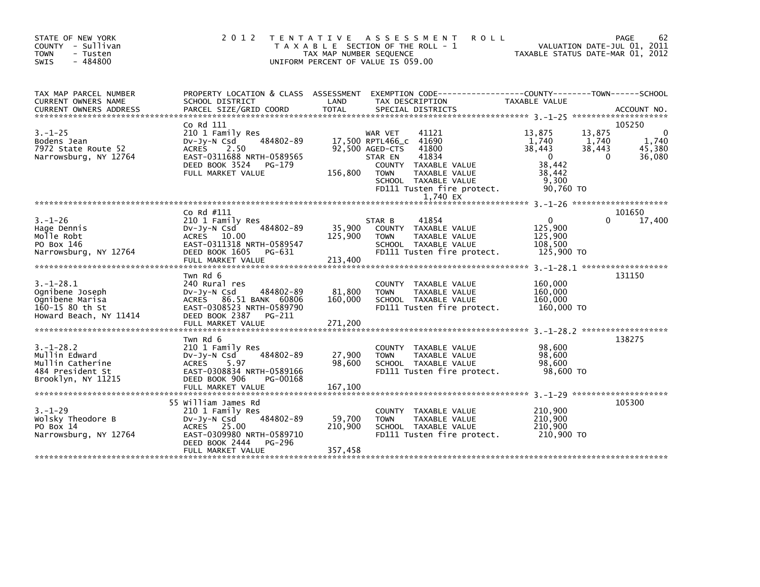| STATE OF NEW YORK<br>COUNTY - Sullivan<br><b>TOWN</b><br>- Tusten<br>- 484800<br><b>SWIS</b>       | 2 0 1 2                                                                                                                                                            | T E N T A T I V E<br>TAX MAP NUMBER SEQUENCE | <b>ROLL</b><br>ASSESSMENT<br>T A X A B L E SECTION OF THE ROLL - 1<br>UNIFORM PERCENT OF VALUE IS 059.00                                                                                                                       |                                                                                    | PAGE<br>62<br>VALUATION DATE-JUL 01, 2011<br>TAXABLE STATUS DATE-MAR 01, 2012 |
|----------------------------------------------------------------------------------------------------|--------------------------------------------------------------------------------------------------------------------------------------------------------------------|----------------------------------------------|--------------------------------------------------------------------------------------------------------------------------------------------------------------------------------------------------------------------------------|------------------------------------------------------------------------------------|-------------------------------------------------------------------------------|
| TAX MAP PARCEL NUMBER<br>CURRENT OWNERS NAME<br><b>CURRENT OWNERS ADDRESS</b>                      | PROPERTY LOCATION & CLASS ASSESSMENT<br>SCHOOL DISTRICT<br>PARCEL SIZE/GRID COORD                                                                                  | LAND<br>TOTAL                                | EXEMPTION CODE-----------------COUNTY-------TOWN------SCHOOL<br>TAX DESCRIPTION<br>SPECIAL DISTRICTS                                                                                                                           | TAXABLE VALUE                                                                      | ACCOUNT NO.                                                                   |
| $3. - 1 - 25$<br>Bodens Jean<br>7972 State Route 52<br>Narrowsburg, NY 12764                       | Co Rd 111<br>210 1 Family Res<br>484802-89<br>$Dv-Jy-N$ Csd<br><b>ACRES</b><br>2.50<br>EAST-0311688 NRTH-0589565<br>DEED BOOK 3524<br>PG-179<br>FULL MARKET VALUE  | 156,800                                      | 41121<br>WAR VET<br>17,500 RPTL466_C<br>41690<br>92,500 AGED-CTS<br>41800<br>41834<br>STAR EN<br>COUNTY TAXABLE VALUE<br><b>TAXABLE VALUE</b><br><b>TOWN</b><br>SCHOOL TAXABLE VALUE<br>FD111 Tusten fire protect.<br>1,740 EX | 13,875<br>1,740<br>38,443<br>$\mathbf 0$<br>38.442<br>38,442<br>9,300<br>90,760 TO | 105250<br>13,875<br>0<br>1,740<br>1,740<br>38,443<br>45,380<br>0<br>36,080    |
|                                                                                                    |                                                                                                                                                                    |                                              |                                                                                                                                                                                                                                |                                                                                    |                                                                               |
| $3. - 1 - 26$<br>Hage Dennis<br>Molle Robt<br>PO Box 146<br>Narrowsburg, NY 12764                  | Co Rd #111<br>210 1 Family Res<br>484802-89<br>$Dv-Jy-N$ Csd<br>ACRES 10.00<br>EAST-0311318 NRTH-0589547<br>DEED BOOK 1605<br>PG-631<br>FULL MARKET VALUE          | 35,900<br>125,900<br>213,400                 | 41854<br>STAR B<br>COUNTY TAXABLE VALUE<br>TAXABLE VALUE<br>TOWN<br>SCHOOL TAXABLE VALUE<br>FD111 Tusten fire protect.                                                                                                         | $\Omega$<br>125,900<br>125,900<br>108.500<br>125,900 TO                            | 101650<br>17,400<br>0                                                         |
| $3. - 1 - 28.1$<br>Ognibene Joseph<br>Ognibene Marisa<br>160-15 80 th St<br>Howard Beach, NY 11414 | Twn Rd 6<br>240 Rural res<br>484802-89<br>$Dv-Jy-N$ Csd<br>ACRES 86.51 BANK 60806<br>EAST-0308523 NRTH-0589790<br>DEED BOOK 2387<br>PG-211<br>FULL MARKET VALUE    | 81,800<br>160,000<br>271,200                 | <b>COUNTY</b><br>TAXABLE VALUE<br><b>TAXABLE VALUE</b><br><b>TOWN</b><br>SCHOOL TAXABLE VALUE<br>FD111 Tusten fire protect.                                                                                                    | 160,000<br>160,000<br>160,000<br>160,000 TO                                        | 131150                                                                        |
| $3. - 1 - 28.2$<br>Mullin Edward<br>Mullin Catherine<br>484 President St<br>Brooklyn, NY 11215     | Twn Rd 6<br>210 1 Family Res<br>484802-89<br>DV-Jy-N Csd<br><b>ACRES</b><br>5.97<br>EAST-0308834 NRTH-0589166<br>DEED BOOK 906<br>PG-00168<br>FULL MARKET VALUE    | 27,900<br>98,600<br>167,100                  | TAXABLE VALUE<br><b>COUNTY</b><br><b>TOWN</b><br>TAXABLE VALUE<br>SCHOOL TAXABLE VALUE<br>FD111 Tusten fire protect.                                                                                                           | 98,600<br>98,600<br>98,600<br>98,600 TO                                            | ******************<br>138275                                                  |
| $3. - 1 - 29$<br>Wolsky Theodore B<br>PO Box 14<br>Narrowsburg, NY 12764                           | 55 William James Rd<br>210 1 Family Res<br>484802-89<br>$Dv-Jv-N$ Csd<br>ACRES 25.00<br>EAST-0309980 NRTH-0589710<br>DEED BOOK 2444<br>PG-296<br>FULL MARKET VALUE | 59,700<br>210,900<br>357,458                 | COUNTY TAXABLE VALUE<br>TAXABLE VALUE<br><b>TOWN</b><br>SCHOOL TAXABLE VALUE<br>FD111 Tusten fire protect.                                                                                                                     | 210,900<br>210,900<br>210.900<br>210,900 TO                                        | 105300                                                                        |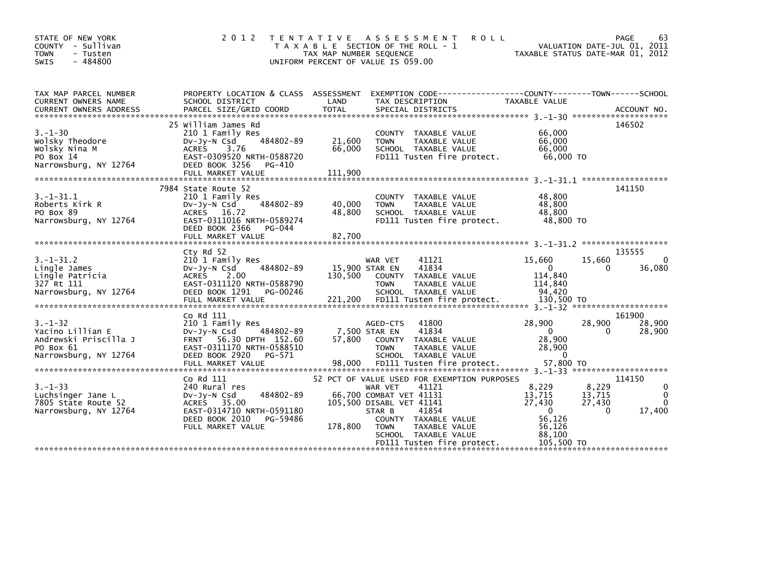| STATE OF NEW YORK<br>COUNTY - Sullivan<br><b>TOWN</b><br>- Tusten | 2 0 1 2                                                 | TAX MAP NUMBER SEQUENCE | TENTATIVE ASSESSMENT<br>T A X A B L E SECTION OF THE ROLL - 1                   | <b>ROLL</b>            | PAGE<br>63<br>VALUATION DATE-JUL 01, 2011<br>TAXABLE STATUS DATE-MAR 01, 2012 |
|-------------------------------------------------------------------|---------------------------------------------------------|-------------------------|---------------------------------------------------------------------------------|------------------------|-------------------------------------------------------------------------------|
| $-484800$<br><b>SWIS</b>                                          |                                                         |                         | UNIFORM PERCENT OF VALUE IS 059.00                                              |                        |                                                                               |
| TAX MAP PARCEL NUMBER<br>CURRENT OWNERS NAME                      | PROPERTY LOCATION & CLASS ASSESSMENT<br>SCHOOL DISTRICT | LAND                    | EXEMPTION CODE-----------------COUNTY-------TOWN------SCHOOL<br>TAX DESCRIPTION | TAXABLE VALUE          |                                                                               |
|                                                                   |                                                         |                         |                                                                                 |                        |                                                                               |
|                                                                   | 25 William James Rd                                     |                         |                                                                                 |                        | 146502                                                                        |
| $3. - 1 - 30$                                                     | 210 1 Family Res                                        |                         | COUNTY TAXABLE VALUE                                                            | 66,000                 |                                                                               |
| Wolsky Theodore                                                   | 484802-89<br>$Dv-Jy-N$ Csd                              | 21,600                  | <b>TOWN</b><br>TAXABLE VALUE                                                    | 66,000                 |                                                                               |
| Wolsky Nina M                                                     | 3.76<br><b>ACRES</b>                                    | 66,000                  | SCHOOL TAXABLE VALUE                                                            | 66,000                 |                                                                               |
| PO Box 14<br>Narrowsburg, NY 12764                                | EAST-0309520 NRTH-0588720<br>DEED BOOK 3256<br>PG-410   |                         | FD111 Tusten fire protect.                                                      | 66,000 TO              |                                                                               |
|                                                                   | FULL MARKET VALUE                                       | 111,900                 |                                                                                 |                        |                                                                               |
|                                                                   |                                                         |                         |                                                                                 |                        |                                                                               |
|                                                                   | 7984 State Route 52                                     |                         |                                                                                 |                        | 141150                                                                        |
| $3.-1-31.1$<br>Roberts Kirk R                                     | 210 1 Family Res<br>484802-89<br>$Dv-Jy-N$ Csd          | 40,000                  | COUNTY TAXABLE VALUE<br>TAXABLE VALUE<br><b>TOWN</b>                            | 48,800<br>48,800       |                                                                               |
| PO Box 89                                                         | ACRES 16.72                                             | 48,800                  | SCHOOL TAXABLE VALUE                                                            | 48,800                 |                                                                               |
| Narrowsburg, NY 12764                                             | EAST-0311016 NRTH-0589274                               |                         | FD111 Tusten fire protect.                                                      | 48.800 TO              |                                                                               |
|                                                                   | DEED BOOK 2366<br>PG-044                                |                         |                                                                                 |                        |                                                                               |
|                                                                   |                                                         |                         |                                                                                 |                        |                                                                               |
|                                                                   | Cty Rd 52                                               |                         |                                                                                 |                        | 135555                                                                        |
| $3. - 1 - 31.2$                                                   | 210 1 Family Res                                        |                         | 41121<br>WAR VET                                                                | 15,660                 | 15,660<br>0                                                                   |
| Lingle James                                                      | 484802-89<br>$Dv-Jy-N$ Csd                              |                         | 41834<br>15,900 STAR EN                                                         | $\Omega$               | 36,080<br>0                                                                   |
| Lingle Patricia                                                   | <b>ACRES</b><br>2.00                                    | 130.500                 | COUNTY TAXABLE VALUE                                                            | 114,840                |                                                                               |
| 327 Rt 111                                                        | EAST-0311120 NRTH-0588790                               |                         | <b>TOWN</b><br>TAXABLE VALUE                                                    | 114,840                |                                                                               |
| Narrowsburg, NY 12764                                             | DEED BOOK 1291<br>PG-00246                              |                         | SCHOOL TAXABLE VALUE                                                            | 94,420                 |                                                                               |
|                                                                   |                                                         |                         |                                                                                 |                        |                                                                               |
|                                                                   | Co Rd 111                                               |                         |                                                                                 |                        | 161900                                                                        |
| $3. - 1 - 32$                                                     | 210 1 Family Res                                        |                         | 41800<br>AGED-CTS                                                               | 28,900                 | 28,900<br>28,900                                                              |
| Yacino Lillian E<br>Andrewski Priscilla J                         | 484802-89<br>$Dv-Jy-N$ Csd<br>FRNT 56.30 DPTH 152.60    | 57,800                  | 41834<br>7,500 STAR EN<br>COUNTY TAXABLE VALUE                                  | $\mathbf{0}$<br>28,900 | 28,900<br>$\Omega$                                                            |
| PO Box 61                                                         | EAST-0311170 NRTH-0588510                               |                         | <b>TOWN</b><br>TAXABLE VALUE                                                    | 28,900                 |                                                                               |
| Narrowsburg, NY 12764                                             | DEED BOOK 2920<br>PG-571                                |                         | SCHOOL TAXABLE VALUE                                                            | $\Omega$               |                                                                               |
|                                                                   | FULL MARKET VALUE                                       | 98,000                  | FD111 Tusten fire protect.                                                      | 57,800 TO              |                                                                               |
|                                                                   |                                                         |                         |                                                                                 |                        |                                                                               |
| $3. - 1 - 33$                                                     | Co Rd 111<br>240 Rural res                              |                         | 52 PCT OF VALUE USED FOR EXEMPTION PURPOSES<br>WAR VET<br>41121                 | 8,229                  | 114150<br>8,229<br>0                                                          |
| Luchsinger Jane L                                                 | 484802-89<br>$Dv-Jy-N$ Csd                              |                         | 66,700 COMBAT VET 41131                                                         | 13,715                 | 13,715<br>$\Omega$                                                            |
| 7805 State Route 52                                               | ACRES 35.00                                             |                         | 105,500 DISABL VET 41141                                                        | 27,430                 | 27,430<br>0                                                                   |
| Narrowsburg, NY 12764                                             | EAST-0314710 NRTH-0591180                               |                         | 41854<br>STAR B                                                                 | $\Omega$               | 17,400<br>$\Omega$                                                            |
|                                                                   | DEED BOOK 2010<br>PG-59486                              |                         | COUNTY TAXABLE VALUE                                                            | 56,126                 |                                                                               |
|                                                                   | FULL MARKET VALUE                                       | 178,800                 | <b>TOWN</b><br>TAXABLE VALUE                                                    | 56,126                 |                                                                               |
|                                                                   |                                                         |                         | SCHOOL TAXABLE VALUE<br>FD111 Tusten fire protect.                              | 88,100<br>105,500 TO   |                                                                               |
|                                                                   |                                                         |                         |                                                                                 |                        |                                                                               |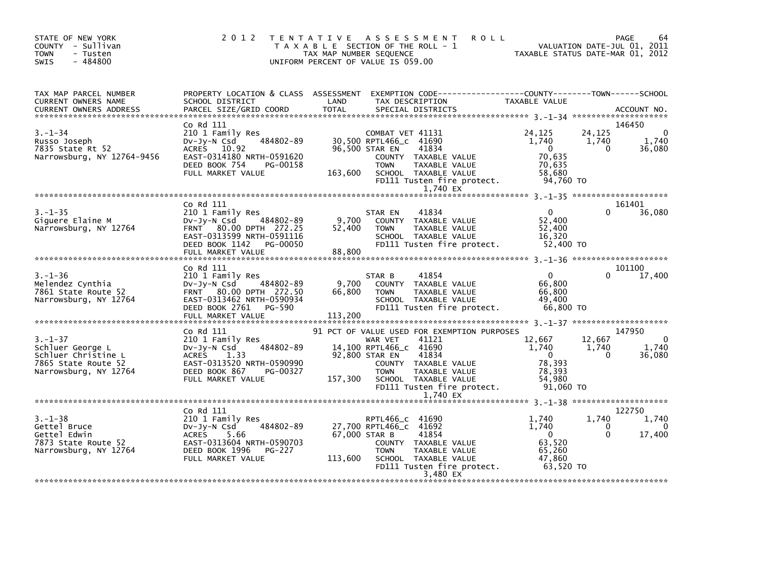| TAX MAP PARCEL NUMBER PROPERTY LOCATION & CLASS ASSESSMENT EXEMPTION CODE-----------------COUNTY--------TOWN-----SCHOOL CURRENT OWNERS NAME SCHOOL DISTRICT LAND TAX DESCRIPTION TAXABLE VALUE<br>CURRENT OWNERS ADDRESS PARCEL S<br>CURRENT OWNERS NAME<br>CURRENT OWNERS ADDRESS<br>146450<br>Co Rd 111<br>COMBAT VET 41131 24,125 24<br>DV-Jy-N Call Family Res COMBAT VET 41131 24,125 24<br>DV-Jy-N Call 484802-89 30,500 RPTL466_c 41690 1,740 1<br>ACRES 10.92 96,500 STAR EN 41834 0<br>DEED BOOK 754 PG-00158 TOWN TAXABLE VALUE 70,635<br>P<br>24,125<br>$3. - 1 - 34$<br>$\sim$ 0<br>Russo Joseph<br>1,740<br>www.usepn<br>7835 State Rt 52<br>Margaret -<br>$\Omega$<br>36,080<br>Narrowsburg, NY 12764-9456 | 1,740             |
|--------------------------------------------------------------------------------------------------------------------------------------------------------------------------------------------------------------------------------------------------------------------------------------------------------------------------------------------------------------------------------------------------------------------------------------------------------------------------------------------------------------------------------------------------------------------------------------------------------------------------------------------------------------------------------------------------------------------------|-------------------|
|                                                                                                                                                                                                                                                                                                                                                                                                                                                                                                                                                                                                                                                                                                                          |                   |
|                                                                                                                                                                                                                                                                                                                                                                                                                                                                                                                                                                                                                                                                                                                          |                   |
| 1,740 EX                                                                                                                                                                                                                                                                                                                                                                                                                                                                                                                                                                                                                                                                                                                 |                   |
| 161401<br>Co Rd 111                                                                                                                                                                                                                                                                                                                                                                                                                                                                                                                                                                                                                                                                                                      |                   |
| CU THE 210 1 Family Res<br>210 1 Family Res<br>DV-Jy-N CSd 484802-89 9,700 COUNTY TAXABLE VALUE<br>FRNT 80.00 DPTH 272.25 52,400 TOWN TAXABLE VALUE<br>EAST-0313599 NRTH-0591116 SCHOOL TAXABLE VALUE<br>DEED BOOK 1142 PG-00050 FD111 T<br>$3. - 1 - 35$<br>$\overline{0}$<br>$\Omega$<br>36,080<br>ɔ.-⊥-ɔɔ<br>Giguere Elaine M<br>Narrowsburg, NY 12764<br>52,400<br>52,400<br>16,320                                                                                                                                                                                                                                                                                                                                  |                   |
|                                                                                                                                                                                                                                                                                                                                                                                                                                                                                                                                                                                                                                                                                                                          |                   |
| 101100<br>Co Rd 111<br>210 1 Family Res<br>3.-1-36<br>Melendez Cynthia 210 1 Family Res STAR B 41854 0<br>Melendez Cynthia 210 1 Family Res STAR B 41854 0<br>7861 State Route 52 FRNT 80.00 DPTH 272.50 66,800 TOWN TAXABLE VALUE 66,800<br>Narrowsburg, NY 12764 EAST-0313462 N                                                                                                                                                                                                                                                                                                                                                                                                                                        |                   |
| 147950                                                                                                                                                                                                                                                                                                                                                                                                                                                                                                                                                                                                                                                                                                                   |                   |
| 3.-1-37<br>3.-1-37<br>210 1 Family Res<br>210 1 Family Res<br>210 1 Family Res<br>210 1 Family Res<br>210 1 Family Res<br>210 1 Family Res<br>21 AAR VET 41121<br>22,667<br>22,800 STAR EN 41834<br>22,800 STAR EN 41834<br>22,800 STAR EN 41834<br>22,8<br>$\begin{bmatrix} 12,667 & 12,667 \\ 1,740 & 1,740 \\ 0 & 0 \end{bmatrix}$<br>$\sim$ 0<br>1.740<br>36,080<br>1,740 EX                                                                                                                                                                                                                                                                                                                                         |                   |
|                                                                                                                                                                                                                                                                                                                                                                                                                                                                                                                                                                                                                                                                                                                          |                   |
| Co Rd 111<br>122750<br>0.1-38<br>Gettel Bruce 210 1 Family Res<br>Gettel Bruce 22 Dunder Space 28 27,700 RPTL466_c<br>Gettel Edwin 252<br>7873 State Route 52 EAST-0313604 NRTH-0590703<br>Narrowsburg, NY 12764 DEED BOOK 1996 PG-227<br>FILL MAPYET VALUE<br>1,740<br>1,740<br>$\mathbf 0$<br>1,740<br>$\ddot{o}$<br>$\Omega$<br>17,400<br>63,520<br>65,260<br>47,860<br>113,600 SCHOOL TAXABLE VALUE<br>FULL MARKET VALUE<br>FD111 Tusten fire protect. $63,520$ TO<br>3,480 EX                                                                                                                                                                                                                                       | 1,740<br>$\Omega$ |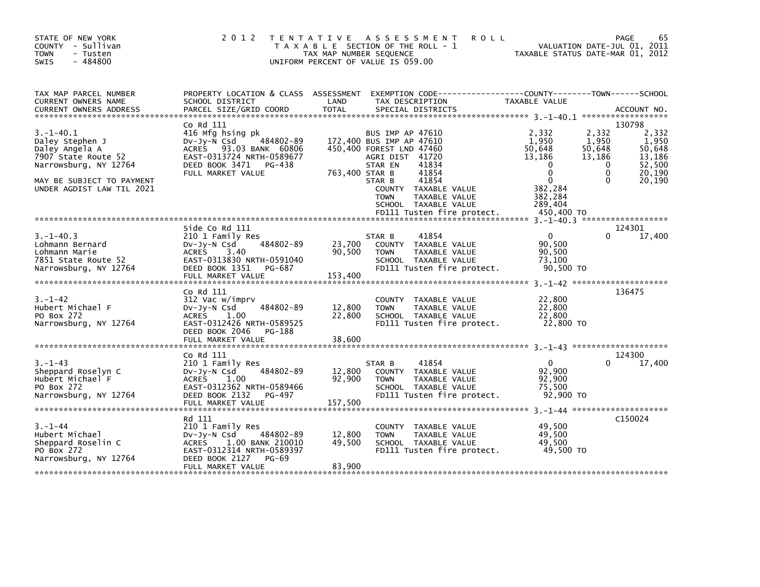| STATE OF NEW YORK<br>COUNTY - Sullivan<br><b>TOWN</b><br>- Tusten<br>$-484800$<br><b>SWIS</b>                                                                  | 2 0 1 2                                                                                                                                                        | TAX MAP NUMBER SEQUENCE     | TENTATIVE ASSESSMENT<br><b>ROLL</b><br>T A X A B L E SECTION OF THE ROLL - 1<br>UNIFORM PERCENT OF VALUE IS 059.00                                                                                                                                        | TAXABLE STATUS DATE-MAR 01, 2012                                                                                          |                                                                 | 65<br><b>PAGE</b><br>VALUATION DATE-JUL 01, 2011                           |
|----------------------------------------------------------------------------------------------------------------------------------------------------------------|----------------------------------------------------------------------------------------------------------------------------------------------------------------|-----------------------------|-----------------------------------------------------------------------------------------------------------------------------------------------------------------------------------------------------------------------------------------------------------|---------------------------------------------------------------------------------------------------------------------------|-----------------------------------------------------------------|----------------------------------------------------------------------------|
| TAX MAP PARCEL NUMBER<br>CURRENT OWNERS NAME<br><b>CURRENT OWNERS ADDRESS</b>                                                                                  | PROPERTY LOCATION & CLASS ASSESSMENT<br>SCHOOL DISTRICT<br>PARCEL SIZE/GRID COORD                                                                              | LAND<br><b>TOTAL</b>        | EXEMPTION CODE-----------------COUNTY-------TOWN------SCHOOL<br>TAX DESCRIPTION<br>SPECIAL DISTRICTS                                                                                                                                                      | TAXABLE VALUE                                                                                                             |                                                                 | ACCOUNT NO.                                                                |
|                                                                                                                                                                |                                                                                                                                                                |                             |                                                                                                                                                                                                                                                           |                                                                                                                           |                                                                 |                                                                            |
| $3. - 1 - 40.1$<br>Daley Stephen J<br>Daley Angela A<br>7907 State Route 52<br>Narrowsburg, NY 12764<br>MAY BE SUBJECT TO PAYMENT<br>UNDER AGDIST LAW TIL 2021 | Co Rd 111<br>416 Mfg hsing pk<br>484802-89<br>Dv-Jy-N Csd<br>ACRES 93.03 BANK 60806<br>EAST-0313724 NRTH-0589677<br>DEED BOOK 3471 PG-438<br>FULL MARKET VALUE | 763,400 STAR B              | BUS IMP AP 47610<br>172,400 BUS IMP AP 47610<br>450,400 FOREST LND 47460<br>AGRI DIST 41720<br>41834<br>STAR EN<br>41854<br>41854<br>STAR B<br>COUNTY TAXABLE VALUE<br><b>TOWN</b><br>TAXABLE VALUE<br>SCHOOL TAXABLE VALUE<br>FD111 Tusten fire protect. | 2,332<br>1,950<br>50,648<br>13,186<br>$\Omega$<br>$\Omega$<br>$\mathbf{0}$<br>382,284<br>382,284<br>289,404<br>450,400 TO | 2,332<br>1,950<br>50,648<br>13,186<br>0<br>$\Omega$<br>$\Omega$ | 130798<br>2,332<br>1,950<br>50,648<br>13,186<br>52,500<br>20,190<br>20,190 |
|                                                                                                                                                                |                                                                                                                                                                |                             |                                                                                                                                                                                                                                                           |                                                                                                                           |                                                                 |                                                                            |
| $3. - 1 - 40.3$<br>Lohmann Bernard<br>Lohmann Marie<br>7851 State Route 52<br>Narrowsburg, NY 12764                                                            | Side Co Rd 111<br>210 1 Family Res<br>484802-89<br>$Dv-Jv-N$ Csd<br><b>ACRES</b><br>3.40<br>EAST-0313830 NRTH-0591040<br>DEED BOOK 1351 PG-687                 | 23,700<br>90,500            | 41854<br>STAR B<br>COUNTY TAXABLE VALUE<br>TAXABLE VALUE<br><b>TOWN</b><br>SCHOOL TAXABLE VALUE<br>FD111 Tusten fire protect.                                                                                                                             | $\Omega$<br>90,500<br>90,500<br>73,100<br>90,500 TO                                                                       | 0                                                               | 124301<br>17,400                                                           |
|                                                                                                                                                                | FULL MARKET VALUE                                                                                                                                              | 153,400                     |                                                                                                                                                                                                                                                           |                                                                                                                           |                                                                 |                                                                            |
| $3. - 1 - 42$<br>Hubert Michael F<br>PO Box 272<br>Narrowsburg, NY 12764                                                                                       | Co Rd 111<br>312 Vac w/imprv<br>484802-89<br>$Dv-Jy-N$ Csd<br><b>ACRES</b><br>1.00<br>EAST-0312426 NRTH-0589525<br>DEED BOOK 2046<br>PG-188                    | 12,800<br>22,800            | TAXABLE VALUE<br>COUNTY<br><b>TOWN</b><br>TAXABLE VALUE<br>SCHOOL TAXABLE VALUE<br>FD111 Tusten fire protect.                                                                                                                                             | 22,800<br>22,800<br>22,800<br>22,800 TO                                                                                   |                                                                 | 136475                                                                     |
|                                                                                                                                                                | FULL MARKET VALUE                                                                                                                                              | 38,600                      |                                                                                                                                                                                                                                                           |                                                                                                                           |                                                                 |                                                                            |
|                                                                                                                                                                | Co Rd 111                                                                                                                                                      |                             |                                                                                                                                                                                                                                                           |                                                                                                                           |                                                                 | 124300                                                                     |
| $3. - 1 - 43$<br>Sheppard Roselyn C<br>Hubert Michael F<br>PO Box 272<br>Narrowsburg, NY 12764                                                                 | 210 1 Family Res<br>484802-89<br>DV-JY-N Csd<br><b>ACRES</b><br>1.00<br>EAST-0312362 NRTH-0589466<br>DEED BOOK 2132<br>PG-497<br>FULL MARKET VALUE             | 12,800<br>92,900<br>157,500 | 41854<br>STAR B<br>COUNTY TAXABLE VALUE<br><b>TOWN</b><br>TAXABLE VALUE<br>SCHOOL TAXABLE VALUE<br>FD111 Tusten fire protect.                                                                                                                             | $\mathbf 0$<br>92,900<br>92,900<br>75,500<br>92,900 TO                                                                    | 0                                                               | 17,400                                                                     |
|                                                                                                                                                                | Rd 111                                                                                                                                                         |                             |                                                                                                                                                                                                                                                           |                                                                                                                           |                                                                 | C <sub>150024</sub>                                                        |
| $3. - 1 - 44$<br>Hubert Michael<br>Sheppard Roselin C<br>PO Box 272<br>Narrowsburg, NY 12764                                                                   | 210 1 Family Res<br>484802-89<br>$Dv-Jy-N$ Csd<br>1.00 BANK 210010<br><b>ACRES</b><br>EAST-0312314 NRTH-0589397<br>DEED BOOK 2127<br>PG-69                     | 12,800<br>49,500            | COUNTY TAXABLE VALUE<br><b>TOWN</b><br>TAXABLE VALUE<br>SCHOOL TAXABLE VALUE<br>FD111 Tusten fire protect.                                                                                                                                                | 49,500<br>49.500<br>49,500<br>49,500 TO                                                                                   |                                                                 |                                                                            |
|                                                                                                                                                                | FULL MARKET VALUE                                                                                                                                              | 83,900                      |                                                                                                                                                                                                                                                           |                                                                                                                           |                                                                 |                                                                            |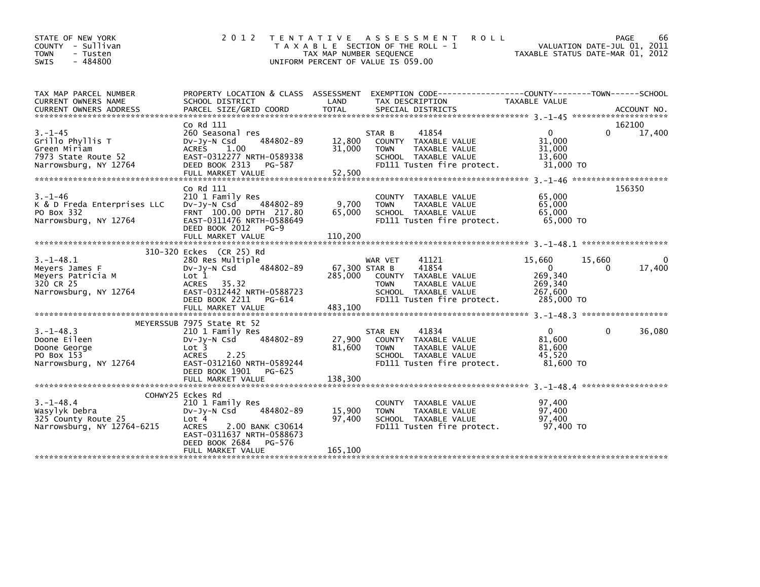| STATE OF NEW YORK<br>COUNTY - Sullivan<br><b>TOWN</b><br>- Tusten<br>$-484800$<br><b>SWIS</b>     | 2 0 1 2                                                                                                                                                                                     | TAX MAP NUMBER SEQUENCE             | <b>ROLL</b><br>TENTATIVE ASSESSMENT<br>T A X A B L E SECTION OF THE ROLL - 1<br>UNIFORM PERCENT OF VALUE IS 059.00                      | TAXABLE STATUS DATE-MAR 01, 2012                                            | PAGE<br>66<br>VALUATION DATE-JUL 01, 2011 |
|---------------------------------------------------------------------------------------------------|---------------------------------------------------------------------------------------------------------------------------------------------------------------------------------------------|-------------------------------------|-----------------------------------------------------------------------------------------------------------------------------------------|-----------------------------------------------------------------------------|-------------------------------------------|
| TAX MAP PARCEL NUMBER<br>CURRENT OWNERS NAME                                                      | SCHOOL DISTRICT                                                                                                                                                                             | LAND                                | PROPERTY LOCATION & CLASS ASSESSMENT EXEMPTION CODE---------------COUNTY-------TOWN------SCHOOL<br>TAX DESCRIPTION                      | TAXABLE VALUE                                                               |                                           |
| $3. - 1 - 45$<br>Grillo Phyllis T<br>Green Miriam<br>7973 State Route 52<br>Narrowsburg, NY 12764 | Co Rd 111<br>260 Seasonal res<br>484802-89<br>$Dv-Jv-N$ Csd<br>ACRES 1.00<br>EAST-0312277 NRTH-0589338<br>DEED BOOK 2313<br>PG-587<br>FULL MARKET VALUE                                     | 12,800<br>31,000<br>52,500          | 41854<br>STAR B<br>COUNTY TAXABLE VALUE<br>TAXABLE VALUE<br><b>TOWN</b><br>SCHOOL TAXABLE VALUE<br>FD111 Tusten fire protect.           | $\mathbf{0}$<br>31.000<br>31,000<br>13,600<br>31,000 TO                     | 162100<br>$\Omega$<br>17,400              |
| $3. - 1 - 46$<br>K & D Freda Enterprises LLC<br>PO Box 332<br>Narrowsburg, NY 12764               | Co Rd 111<br>210 1 Family Res<br>484802-89<br>$Dv-Jv-N$ Csd<br>FRNT 100.00 DPTH 217.80<br>EAST-0311476 NRTH-0588649<br>DEED BOOK 2012<br>$PG-9$<br>FULL MARKET VALUE                        | 9,700<br>65,000<br>110,200          | COUNTY TAXABLE VALUE<br><b>TOWN</b><br><b>TAXABLE VALUE</b><br>SCHOOL TAXABLE VALUE<br>FD111 Tusten fire protect.                       | 65,000<br>65,000<br>65,000<br>65,000 TO                                     | 156350                                    |
| $3. -1 - 48.1$<br>Meyers James F<br>Meyers Patricia M<br>320 CR 25<br>Narrowsburg, NY 12764       | 310-320 Eckes (CR 25) Rd<br>280 Res Multiple<br>484802-89<br>$Dv-Jy-N$ Csd<br>Lot 1<br>ACRES<br>35.32<br>EAST-0312442 NRTH-0588723<br>DEED BOOK 2211<br>PG-614<br>FULL MARKET VALUE         | 67,300 STAR B<br>285,000<br>483,100 | 41121<br>WAR VET<br>41854<br>COUNTY TAXABLE VALUE<br><b>TOWN</b><br>TAXABLE VALUE<br>SCHOOL TAXABLE VALUE<br>FD111 Tusten fire protect. | 15,660<br>15,660<br>$\Omega$<br>269,340<br>269,340<br>267,600<br>285,000 TO | 0<br>17,400<br>$\Omega$                   |
| $3. - 1 - 48.3$<br>Doone Eileen<br>Doone George<br>PO Box 153<br>Narrowsburg, NY 12764            | MEYERSSUB 7975 State Rt 52<br>210 1 Family Res<br>484802-89<br>$Dv-Jy-N$ Csd<br>Lot 3<br>2.25<br><b>ACRES</b><br>EAST-0312160 NRTH-0589244<br>DEED BOOK 1901<br>PG-625<br>FULL MARKET VALUE | 27,900<br>81,600<br>138,300         | 41834<br>STAR EN<br>COUNTY TAXABLE VALUE<br><b>TOWN</b><br>TAXABLE VALUE<br>SCHOOL TAXABLE VALUE<br>FD111 Tusten fire protect.          | $\mathbf{0}$<br>81,600<br>81,600<br>45.520<br>81,600 TO                     | 36,080<br>0                               |
| $3. - 1 - 48.4$<br>Wasylyk Debra<br>325 County Route 25<br>Narrowsburg, NY 12764-6215             | COHWY25 Eckes Rd<br>210 1 Family Res<br>484802-89<br>DV-JV-N Csd<br>Lot 4<br>2.00 BANK C30614<br><b>ACRES</b><br>EAST-0311637 NRTH-0588673<br>DEED BOOK 2684<br>PG-576<br>FULL MARKET VALUE | 15,900<br>97,400<br>165,100         | COUNTY TAXABLE VALUE<br>TAXABLE VALUE<br><b>TOWN</b><br>SCHOOL TAXABLE VALUE<br>FD111 Tusten fire protect.                              | 97,400<br>97,400<br>97.400<br>97,400 TO                                     |                                           |
|                                                                                                   |                                                                                                                                                                                             |                                     |                                                                                                                                         |                                                                             |                                           |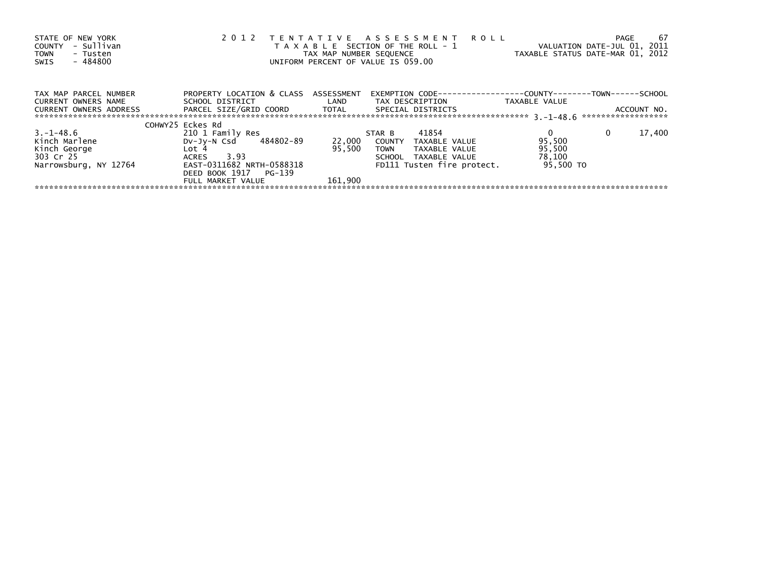| STATE OF NEW YORK<br>- Sullivan<br>COUNTY<br><b>TOWN</b><br>- Tusten<br>$-484800$<br>SWIS | 2 0 1 2                      | TAX MAP NUMBER SEQUENCE | TENTATIVE ASSESSMENT ROLL<br>T A X A B L E SECTION OF THE ROLL - 1<br>UNIFORM PERCENT OF VALUE IS 059.00 | TAXABLE STATUS DATE-MAR 01, 2012 | -67<br>PAGE<br>VALUATION DATE-JUL 01, 2011 |
|-------------------------------------------------------------------------------------------|------------------------------|-------------------------|----------------------------------------------------------------------------------------------------------|----------------------------------|--------------------------------------------|
| TAX MAP PARCEL NUMBER                                                                     | PROPERTY LOCATION & CLASS    | ASSESSMENT              |                                                                                                          |                                  |                                            |
| <b>CURRENT OWNERS NAME</b>                                                                | SCHOOL DISTRICT              | LAND                    | TAX DESCRIPTION                                                                                          | TAXABLE VALUE                    |                                            |
| <b>CURRENT OWNERS ADDRESS</b>                                                             | PARCEL SIZE/GRID COORD TOTAL |                         | SPECIAL DISTRICTS                                                                                        |                                  | ACCOUNT NO.                                |
|                                                                                           |                              |                         |                                                                                                          |                                  | ******************                         |
|                                                                                           | COHWY25 Eckes Rd             |                         |                                                                                                          |                                  |                                            |
| 3. – 1–48.6                                                                               | 210 1 Family Res             |                         | 41854<br>STAR B                                                                                          |                                  | 17,400<br>0                                |
| Kinch Marlene                                                                             | 484802-89<br>DV-Jy-N Csd     | 22,000                  | COUNTY<br>TAXABLE VALUE                                                                                  | 95,500                           |                                            |
| Kinch George                                                                              | Lot 4                        | 95,500                  | <b>TOWN</b><br>TAXABLE VALUE                                                                             | 95,500                           |                                            |
| 303 Cr 25                                                                                 | 3.93<br>ACRES                |                         | SCHOOL TAXABLE VALUE                                                                                     | 78,100                           |                                            |
| Narrowsburg, NY 12764                                                                     | EAST-0311682 NRTH-0588318    |                         | FD111 Tusten fire protect.                                                                               | 95.500 TO                        |                                            |
|                                                                                           | DEED BOOK 1917<br>PG-139     |                         |                                                                                                          |                                  |                                            |
|                                                                                           | FULL MARKET VALUE            | 161.900                 |                                                                                                          |                                  |                                            |
|                                                                                           |                              |                         |                                                                                                          |                                  |                                            |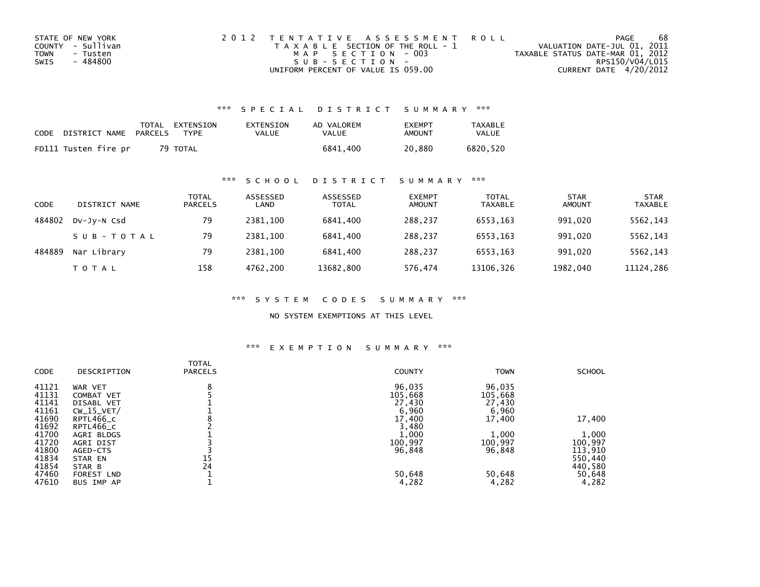| STATE OF NEW YORK | 2012 TENTATIVE ASSESSMENT ROLL        | PAGE                             | 68              |
|-------------------|---------------------------------------|----------------------------------|-----------------|
| COUNTY - Sullivan | T A X A B L E SECTION OF THE ROLL - 1 | VALUATION DATE-JUL 01, 2011      |                 |
| TOWN<br>- Tusten  | MAP SECTION - 003                     | TAXABLE STATUS DATE-MAR 01, 2012 |                 |
| - 484800<br>SWIS  | $SUB - SECTION -$                     |                                  | RPS150/V04/L015 |
|                   | UNIFORM PERCENT OF VALUE IS 059.00    | CURRENT DATE 4/20/2012           |                 |

## \*\*\* S P E C I A L D I S T R I C T S U M M A R Y \*\*\*

| CODE DISTRICT NAME PARCELS | TOTAL EXTENSION<br>TYPF | EXTENSION<br>VALUE | AD VALOREM<br>VALUE | <b>FXFMPT</b><br>AMOUNT | <b>TAXABLE</b><br><b>VALUE</b> |
|----------------------------|-------------------------|--------------------|---------------------|-------------------------|--------------------------------|
| FD111 Tusten fire pr       | 79 TOTAL                |                    | 6841.400            | 20.880                  | 6820.520                       |

#### \*\*\* S C H O O L D I S T R I C T S U M M A R Y \*\*\*

| CODE   | DISTRICT NAME | TOTAL<br><b>PARCELS</b> | ASSESSED<br>LAND | ASSESSED<br><b>TOTAL</b> | <b>EXEMPT</b><br><b>AMOUNT</b> | <b>TOTAL</b><br><b>TAXABLE</b> | <b>STAR</b><br><b>AMOUNT</b> | <b>STAR</b><br><b>TAXABLE</b> |
|--------|---------------|-------------------------|------------------|--------------------------|--------------------------------|--------------------------------|------------------------------|-------------------------------|
| 484802 | DV-JV-N Csd   | 79                      | 2381.100         | 6841.400                 | 288.237                        | 6553.163                       | 991,020                      | 5562,143                      |
|        | SUB-TOTAL     | 79                      | 2381.100         | 6841.400                 | 288,237                        | 6553,163                       | 991,020                      | 5562,143                      |
| 484889 | Nar Library   | 79                      | 2381.100         | 6841.400                 | 288.237                        | 6553.163                       | 991.020                      | 5562,143                      |
|        | <b>TOTAL</b>  | 158                     | 4762.200         | 13682,800                | 576,474                        | 13106,326                      | 1982,040                     | 11124,286                     |

\*\*\* S Y S T E M C O D E S S U M M A R Y \*\*\*

NO SYSTEM EXEMPTIONS AT THIS LEVEL

# \*\*\* E X E M P T I O N S U M M A R Y \*\*\*

|             |                   | <b>TOTAL</b>   |               |             |               |
|-------------|-------------------|----------------|---------------|-------------|---------------|
| <b>CODE</b> | DESCRIPTION       | <b>PARCELS</b> | <b>COUNTY</b> | <b>TOWN</b> | <b>SCHOOL</b> |
| 41121       | WAR VET           | 8              | 96,035        | 96,035      |               |
| 41131       | COMBAT VET        |                | 105,668       | 105,668     |               |
| 41141       | DISABL VET        |                | 27,430        | 27,430      |               |
| 41161       | $CW_15_VET/$      |                | 6,960         | 6,960       |               |
| 41690       | RPTL466_C         |                | 17,400        | 17,400      | 17,400        |
| 41692       | RPTL466_C         |                | 3,480         |             |               |
| 41700       | AGRI BLDGS        |                | 1,000         | 1,000       | 1,000         |
| 41720       | AGRI DIST         |                | 100,997       | 100,997     | 100,997       |
| 41800       | AGED-CTS          |                | 96,848        | 96,848      | 113,910       |
| 41834       | STAR EN           | 15             |               |             | 550,440       |
| 41854       | STAR B            | 24             |               |             | 440,580       |
| 47460       | <b>FOREST LND</b> |                | 50,648        | 50,648      | 50,648        |
| 47610       | BUS IMP AP        |                | 4,282         | 4,282       | 4,282         |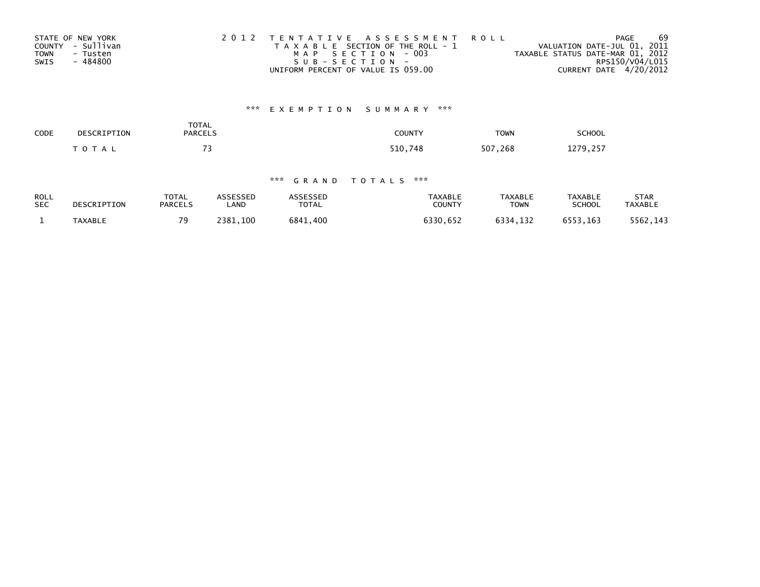| STATE OF NEW YORK       | 2012 TENTATIVE ASSESSMENT ROLL        | PAGE                             | 69 |
|-------------------------|---------------------------------------|----------------------------------|----|
| COUNTY - Sullivan       | T A X A B L E SECTION OF THE ROLL - 1 | VALUATION DATE-JUL 01, 2011      |    |
| <b>TOWN</b><br>- Tusten | MAP SECTION - 003                     | TAXABLE STATUS DATE-MAR 01, 2012 |    |
| SWIS<br>- 484800        | SUB-SECTION-                          | RPS150/V04/L015                  |    |
|                         | UNIFORM PERCENT OF VALUE IS 059.00    | CURRENT DATE 4/20/2012           |    |

# \*\*\* E X E M P T I O N S U M M A R Y \*\*\*

| SCHOOL   | <b>TOWN</b>   | COUNTY  | TOTAL<br><b>PARCELS</b> | DESCRIPTION  | CODE |
|----------|---------------|---------|-------------------------|--------------|------|
| 1279,257 | 507<br>268, ' | 510,748 | --                      | <b>TOTAL</b> |      |

## \*\*\* G R A N D T O T A L S \*\*\*

| <b>ROLL</b> | DESCRIPTION | <b>TOTAL</b>   | <b>ASSESSED</b> | <b>ASSESSED</b> | <b>TAXABLE</b> | <b>TAXABLE</b> | <b>TAXABLE</b> | STAR           |
|-------------|-------------|----------------|-----------------|-----------------|----------------|----------------|----------------|----------------|
| <b>SEC</b>  |             | <b>PARCELS</b> | LAND            | <b>TOTAL</b>    | COUNTY         | <b>TOWN</b>    | <b>SCHOOL</b>  | <b>TAXABLE</b> |
|             | TAXABLE     | 70             | 2381.100        | 6841.400        | 6330,652       | 6334.132       | 6553.163       | 5562,143       |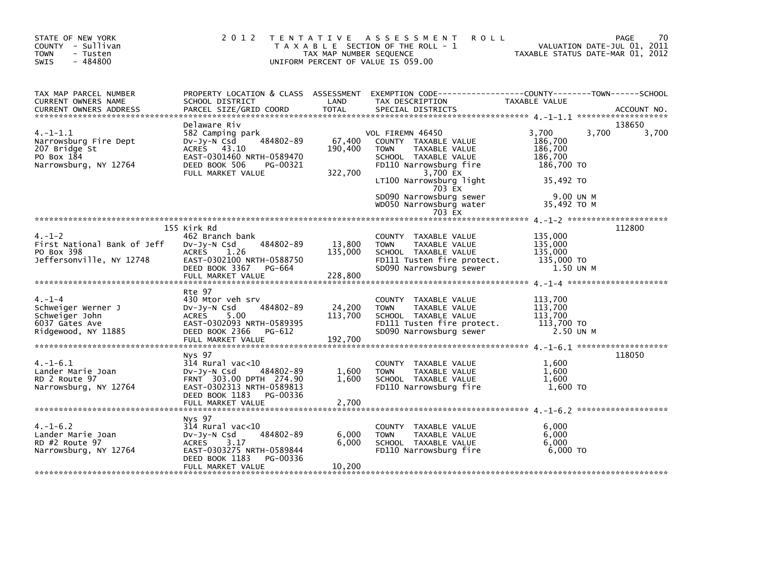| STATE OF NEW YORK<br>COUNTY - Sullivan<br><b>TOWN</b><br>- Tusten<br>$-484800$<br><b>SWIS</b>  |                                                                                                                                                            | TAX MAP NUMBER SEQUENCE      | 2012 TENTATIVE ASSESSMENT<br><b>ROLL</b><br>T A X A B L E SECTION OF THE ROLL - 1<br>UNIFORM PERCENT OF VALUE IS 059.00                                                                                                           | VALUATION DATE-JUL 01, 2011<br>TAXABLE STATUS DATE-MAR 01, 2012                                        | 70<br>PAGE      |
|------------------------------------------------------------------------------------------------|------------------------------------------------------------------------------------------------------------------------------------------------------------|------------------------------|-----------------------------------------------------------------------------------------------------------------------------------------------------------------------------------------------------------------------------------|--------------------------------------------------------------------------------------------------------|-----------------|
| TAX MAP PARCEL NUMBER<br>CURRENT OWNERS NAME                                                   | SCHOOL DISTRICT                                                                                                                                            | LAND                         | PROPERTY LOCATION & CLASS ASSESSMENT EXEMPTION CODE----------------COUNTY-------TOWN------SCHOOL<br>TAX DESCRIPTION                                                                                                               | TAXABLE VALUE                                                                                          |                 |
| $4. -1 - 1.1$<br>Narrowsburg Fire Dept<br>207 Bridge St<br>PO Box 184<br>Narrowsburg, NY 12764 | Delaware Riv<br>582 Camping park<br>484802-89<br>Dv-Jy-N Csd<br>ACRES 43.10<br>EAST-0301460 NRTH-0589470<br>DEED BOOK 506<br>PG-00321<br>FULL MARKET VALUE | 67,400<br>190,400<br>322,700 | VOL FIREMN 46450<br>COUNTY TAXABLE VALUE<br><b>TOWN</b><br>TAXABLE VALUE<br>SCHOOL TAXABLE VALUE<br>FD110 Narrowsburg fire<br>3,700 EX<br>LT100 Narrowsburg light<br>703 EX<br>SD090 Narrowsburg sewer<br>WD050 Narrowsburg water | 3.700<br>3,700<br>186,700<br>186,700<br>186,700<br>186,700 TO<br>35,492 TO<br>9.00 UN M<br>35,492 TO M | 138650<br>3,700 |
|                                                                                                | 155 Kirk Rd                                                                                                                                                |                              | 703 EX                                                                                                                                                                                                                            |                                                                                                        | 112800          |
| $4. - 1 - 2$<br>First National Bank of Jeff<br>PO Box 398<br>Jeffersonville, NY 12748          | 462 Branch bank<br>DV-Jy-N Csd<br>484802-89<br><b>ACRES</b><br>1.26<br>EAST-0302100 NRTH-0588750<br>DEED BOOK 3367 PG-664                                  | 13,800<br>135,000            | COUNTY TAXABLE VALUE<br><b>TOWN</b><br>TAXABLE VALUE<br>SCHOOL TAXABLE VALUE<br>FD111 Tusten fire protect.<br>SD090 Narrowsburg sewer                                                                                             | 135,000<br>135,000<br>135,000<br>135,000 TO<br>1.50 UN M                                               |                 |
|                                                                                                | Rte 97                                                                                                                                                     |                              |                                                                                                                                                                                                                                   |                                                                                                        |                 |
| $4. - 1 - 4$<br>Schweiger Werner J<br>Schweiger John<br>6037 Gates Ave<br>Ridgewood, NY 11885  | 430 Mtor veh srv<br>484802-89<br>$Dv-Jy-N$ Csd<br>ACRES 5.00<br>EAST-0302093 NRTH-0589395<br>DEED BOOK 2366<br>PG-612<br>FULL MARKET VALUE                 | 24,200<br>113,700<br>192,700 | COUNTY TAXABLE VALUE<br><b>TOWN</b><br>TAXABLE VALUE<br>SCHOOL TAXABLE VALUE<br>FD111 Tusten fire protect.<br>SD090 Narrowsburg sewer                                                                                             | 113,700<br>113,700<br>113,700<br>113.700 TO<br>2.50 UN M                                               |                 |
|                                                                                                | Nys 97                                                                                                                                                     |                              |                                                                                                                                                                                                                                   |                                                                                                        | 118050          |
| $4. -1 - 6.1$<br>Lander Marie Joan<br>RD 2 Route 97<br>Narrowsburg, NY 12764                   | $314$ Rural vac<10<br>484802-89<br>DV-Jy-N Csd<br>FRNT 303.00 DPTH 274.90<br>EAST-0302313 NRTH-0589813<br>DEED BOOK 1183 PG-00336<br>FULL MARKET VALUE     | 1,600<br>1,600<br>2,700      | COUNTY TAXABLE VALUE<br>TAXABLE VALUE<br><b>TOWN</b><br>SCHOOL TAXABLE VALUE<br>FD110 Narrowsburg fire                                                                                                                            | 1.600<br>1.600<br>1,600<br>1,600 TO                                                                    |                 |
|                                                                                                |                                                                                                                                                            |                              |                                                                                                                                                                                                                                   |                                                                                                        |                 |
| $4. -1 - 6.2$<br>Lander Marie Joan<br>RD #2 Route 97<br>Narrowsburg, NY 12764                  | Nys 97<br>$314$ Rural vac< $10$<br>484802-89<br>$Dv-Jy-N$ Csd<br>ACRES<br>3.17<br>EAST-0303275 NRTH-0589844<br>PG-00336<br>DEED BOOK 1183                  | 6,000<br>6,000               | COUNTY TAXABLE VALUE<br>TAXABLE VALUE<br><b>TOWN</b><br>SCHOOL TAXABLE VALUE<br>FD110 Narrowsburg fire                                                                                                                            | 6,000<br>6,000<br>6,000<br>6,000 TO                                                                    |                 |
|                                                                                                | FULL MARKET VALUE                                                                                                                                          | 10,200                       |                                                                                                                                                                                                                                   |                                                                                                        |                 |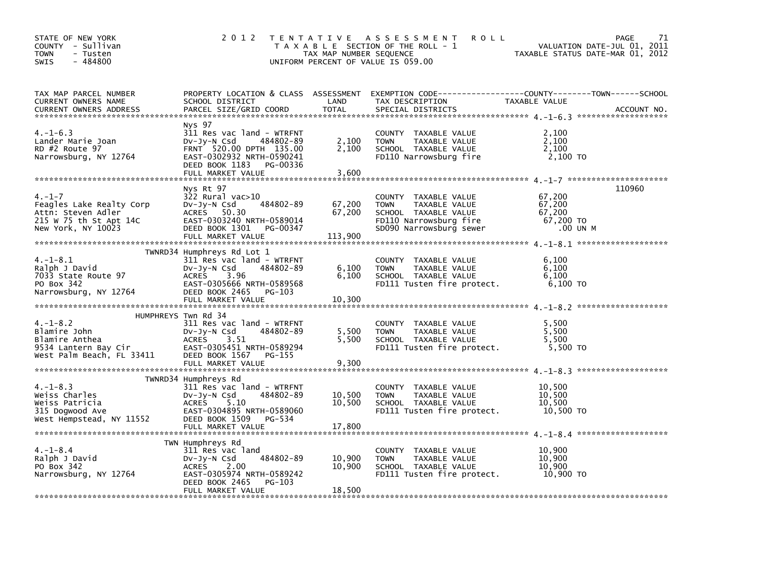| STATE OF NEW YORK<br>COUNTY - Sullivan<br>TOWN<br>- Tusten<br>$-484800$<br>SWIS                               |                                                                                                                                                                                   | TAX MAP NUMBER SEQUENCE    | 2012 TENTATIVE ASSESSMENT<br><b>ROLL</b><br>T A X A B L E SECTION OF THE ROLL - 1<br>UNIFORM PERCENT OF VALUE IS 059.00                | TAXABLE STATUS DATE-MAR 01, 2012                    | 71<br>PAGE<br>VALUATION DATE-JUL 01, 2011 |
|---------------------------------------------------------------------------------------------------------------|-----------------------------------------------------------------------------------------------------------------------------------------------------------------------------------|----------------------------|----------------------------------------------------------------------------------------------------------------------------------------|-----------------------------------------------------|-------------------------------------------|
| TAX MAP PARCEL NUMBER<br>CURRENT OWNERS NAME<br><b>CURRENT OWNERS ADDRESS</b>                                 | SCHOOL DISTRICT<br>PARCEL SIZE/GRID COORD                                                                                                                                         | LAND<br><b>TOTAL</b>       | PROPERTY LOCATION & CLASS ASSESSMENT EXEMPTION CODE---------------COUNTY-------TOWN-----SCHOOL<br>TAX DESCRIPTION<br>SPECIAL DISTRICTS | TAXABLE VALUE                                       | ACCOUNT NO.                               |
| $4. -1 - 6.3$<br>Lander Marie Joan<br>RD #2 Route 97<br>Narrowsburg, NY 12764                                 | Nys 97<br>311 Res vac land - WTRFNT<br>DV-JY-N Csd<br>484802-89<br>FRNT 520.00 DPTH 135.00<br>EAST-0302932 NRTH-0590241<br>DEED BOOK 1183 PG-00336<br>FULL MARKET VALUE           | 2,100<br>2,100<br>3,600    | COUNTY TAXABLE VALUE<br>TAXABLE VALUE<br><b>TOWN</b><br>SCHOOL TAXABLE VALUE<br>FD110 Narrowsburg fire                                 | 2,100<br>2,100<br>2,100<br>2,100 TO                 |                                           |
|                                                                                                               |                                                                                                                                                                                   |                            |                                                                                                                                        |                                                     |                                           |
| $4. -1 - 7$<br>Feagles Lake Realty Corp<br>Attn: Steven Adler<br>215 W 75 th St Apt 14C<br>New York, NY 10023 | Nys Rt 97<br>322 Rural vac>10<br>DV-Jy-N Csd 484802-89<br>ACRES 50.30<br>EAST-0303240 NRTH-0589014<br>DEED BOOK 1301 PG-00347                                                     | 67,200<br>67,200           | COUNTY TAXABLE VALUE<br><b>TOWN</b><br>TAXABLE VALUE<br>SCHOOL TAXABLE VALUE<br>FD110 Narrowsburg fire<br>SD090 Narrowsburg sewer      | 67,200<br>67,200<br>67,200<br>67,200 TO<br>.00 UN M | 110960                                    |
|                                                                                                               | TWNRD34 Humphreys Rd Lot 1                                                                                                                                                        |                            |                                                                                                                                        |                                                     |                                           |
| $4. -1 - 8.1$<br>Ralph J David<br>7033 State Route 97<br>PO Box 342<br>Narrowsburg, NY 12764                  | 311 Res vac land - WTRFNT<br>DV-Jy-N Csd<br>484802-89<br>ACRES<br>3.96<br>EAST-0305666 NRTH-0589568<br>DEED BOOK 2465 PG-103                                                      | 6,100<br>6,100             | COUNTY TAXABLE VALUE<br><b>TOWN</b><br>TAXABLE VALUE<br>SCHOOL TAXABLE VALUE<br>FD111 Tusten fire protect.                             | 6,100<br>6,100<br>6,100<br>6,100 TO                 |                                           |
|                                                                                                               |                                                                                                                                                                                   |                            |                                                                                                                                        |                                                     |                                           |
| $4. -1 - 8.2$<br>Blamire John<br>Blamire Anthea<br>9534 Lantern Bay Cir<br>West Palm Beach, FL 33411          | HUMPHREYS Twn Rd 34<br>311 Res vac land - WTRFNT<br>$Dv-Jy-N$ Csd<br>484802-89<br><b>ACRES</b><br>3.51<br>EAST-0305451 NRTH-0589294<br>DEED BOOK 1567 PG-155<br>FULL MARKET VALUE | 5,500<br>5,500<br>9,300    | COUNTY TAXABLE VALUE<br>TAXABLE VALUE<br><b>TOWN</b><br>SCHOOL TAXABLE VALUE<br>FD111 Tusten fire protect.                             | 5,500<br>5,500<br>5,500<br>5,500 TO                 |                                           |
|                                                                                                               |                                                                                                                                                                                   |                            |                                                                                                                                        |                                                     |                                           |
| $4. -1 - 8.3$<br>Weiss Charles<br>Weiss Patricia<br>315 Dogwood Ave<br>West Hempstead, NY 11552               | TWNRD34 Humphreys Rd<br>311 Res vac land - WTRFNT<br>484802-89<br>$Dv-Jy-N$ Csd<br>ACRES<br>5.10<br>EAST-0304895 NRTH-0589060<br>DEED BOOK 1509 PG-534<br>FULL MARKET VALUE       | 10,500<br>10,500<br>17,800 | COUNTY TAXABLE VALUE<br><b>TOWN</b><br>TAXABLE VALUE<br>SCHOOL TAXABLE VALUE<br>FD111 Tusten fire protect.                             | 10,500<br>10.500<br>10,500<br>10,500 TO             |                                           |
| $4. -1 - 8.4$<br>Ralph J David<br>PO Box 342<br>Narrowsburg, NY 12764                                         | TWN Humphreys Rd<br>311 Res vac land<br>484802-89<br>$Dv-Jy-N$ Csd<br>ACRES<br>2.00<br>EAST-0305974 NRTH-0589242<br>DEED BOOK 2465<br>PG-103<br>FULL MARKET VALUE                 | 10,900<br>10,900<br>18,500 | COUNTY TAXABLE VALUE<br>TAXABLE VALUE<br>TOWN<br>SCHOOL TAXABLE VALUE<br>FD111 Tusten fire protect.                                    | 10,900<br>10,900<br>10,900<br>10,900 TO             |                                           |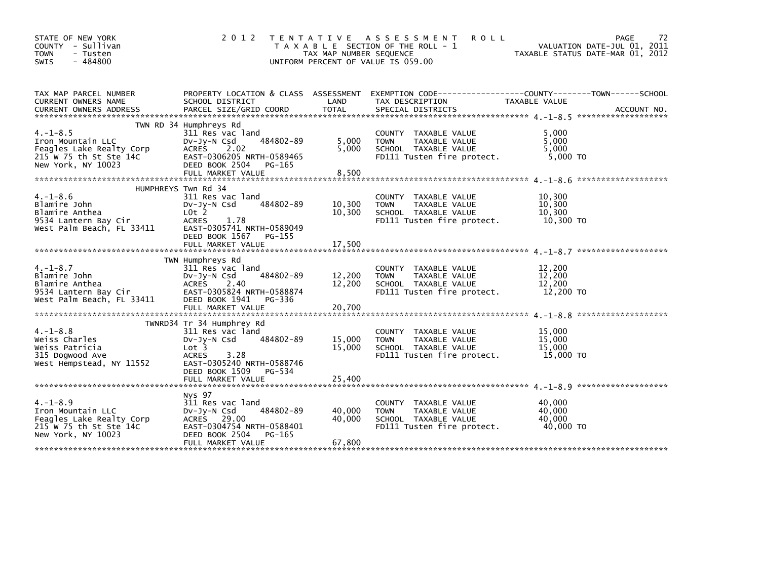| STATE OF NEW YORK<br>COUNTY - Sullivan<br><b>TOWN</b><br>- Tusten<br>$-484800$<br>SWIS                         | 2 0 1 2                                                                                                                                                                                    | T E N T A T I V E<br>TAX MAP NUMBER SEQUENCE | ASSESSMENT<br><b>ROLL</b><br>T A X A B L E SECTION OF THE ROLL - 1<br>UNIFORM PERCENT OF VALUE IS 059.00   |                                         | 72<br>PAGE<br>VALUATION DATE-JUL 01, 2011<br>TAXABLE STATUS DATE-MAR 01, 2012 |
|----------------------------------------------------------------------------------------------------------------|--------------------------------------------------------------------------------------------------------------------------------------------------------------------------------------------|----------------------------------------------|------------------------------------------------------------------------------------------------------------|-----------------------------------------|-------------------------------------------------------------------------------|
| TAX MAP PARCEL NUMBER<br>CURRENT OWNERS NAME<br><b>CURRENT OWNERS ADDRESS</b>                                  | PROPERTY LOCATION & CLASS ASSESSMENT<br>SCHOOL DISTRICT<br>PARCEL SIZE/GRID COORD                                                                                                          | LAND<br><b>TOTAL</b>                         | EXEMPTION CODE-----------------COUNTY-------TOWN------SCHOOL<br>TAX DESCRIPTION<br>SPECIAL DISTRICTS       | TAXABLE VALUE                           | ACCOUNT NO.                                                                   |
| $4. -1 - 8.5$<br>Iron Mountain LLC<br>Feagles Lake Realty Corp<br>215 W 75 th St Ste 14C<br>New York, NY 10023 | TWN RD 34 Humphreys Rd<br>311 Res vac land<br>484802-89<br>$Dv-Jy-N$ Csd<br>ACRES<br>2.02<br>EAST-0306205 NRTH-0589465<br>DEED BOOK 2504<br>PG-165                                         | 5,000<br>5,000                               | COUNTY TAXABLE VALUE<br>TAXABLE VALUE<br><b>TOWN</b><br>SCHOOL TAXABLE VALUE<br>FD111 Tusten fire protect. | 5.000<br>5.000<br>5,000<br>5,000 TO     | *******************                                                           |
| $4. -1 - 8.6$<br>Blamire John<br>Blamire Anthea<br>9534 Lantern Bay Cir<br>West Palm Beach, FL 33411           | HUMPHREYS Twn Rd 34<br>311 Res vac land<br>484802-89<br>$Dv-Jy-N$ Csd<br>$L0t$ 2<br><b>ACRES</b><br>1.78<br>EAST-0305741 NRTH-0589049<br>DEED BOOK 1567<br>PG-155<br>FULL MARKET VALUE     | 10,300<br>10,300<br>17,500                   | COUNTY TAXABLE VALUE<br>TAXABLE VALUE<br><b>TOWN</b><br>SCHOOL TAXABLE VALUE<br>FD111 Tusten fire protect. | 10,300<br>10.300<br>10,300<br>10,300 TO |                                                                               |
| $4. -1 - 8.7$<br>Blamire John<br>Blamire Anthea<br>9534 Lantern Bay Cir<br>West Palm Beach, FL 33411           | TWN Humphreys Rd<br>311 Res vac land<br>484802-89<br>$Dv-Jy-N$ Csd<br>2.40<br>ACRES<br>EAST-0305824 NRTH-0588874<br>DEED BOOK 1941<br>PG-336                                               | 12,200<br>12,200                             | COUNTY TAXABLE VALUE<br>TAXABLE VALUE<br><b>TOWN</b><br>SCHOOL TAXABLE VALUE<br>FD111 Tusten fire protect. | 12,200<br>12,200<br>12,200<br>12,200 TO | *******************                                                           |
| $4. -1 - 8.8$<br>Weiss Charles<br>Weiss Patricia<br>315 Dogwood Ave<br>West Hempstead, NY 11552                | TWNRD34 Tr 34 Humphrey Rd<br>311 Res vac land<br>484802-89<br>$Dv-Jy-N$ Csd<br>Lot 3<br>3.28<br><b>ACRES</b><br>EAST-0305240 NRTH-0588746<br>DEED BOOK 1509<br>PG-534<br>FULL MARKET VALUE | 15,000<br>15,000<br>25,400                   | COUNTY TAXABLE VALUE<br>TAXABLE VALUE<br><b>TOWN</b><br>SCHOOL TAXABLE VALUE<br>FD111 Tusten fire protect. | 15,000<br>15,000<br>15,000<br>15,000 TO |                                                                               |
| $4. -1 - 8.9$<br>Iron Mountain LLC<br>Feagles Lake Realty Corp<br>215 W 75 th St Ste 14C<br>New York, NY 10023 | Nys 97<br>311 Res vac land<br>484802-89<br>$Dv-Jy-N$ Csd<br>ACRES 29.00<br>EAST-0304754 NRTH-0588401<br>DEED BOOK 2504<br>PG-165<br>FULL MARKET VALUE                                      | 40,000<br>40,000<br>67,800                   | COUNTY TAXABLE VALUE<br><b>TOWN</b><br>TAXABLE VALUE<br>SCHOOL TAXABLE VALUE<br>FD111 Tusten fire protect. | 40,000<br>40.000<br>40,000<br>40,000 TO |                                                                               |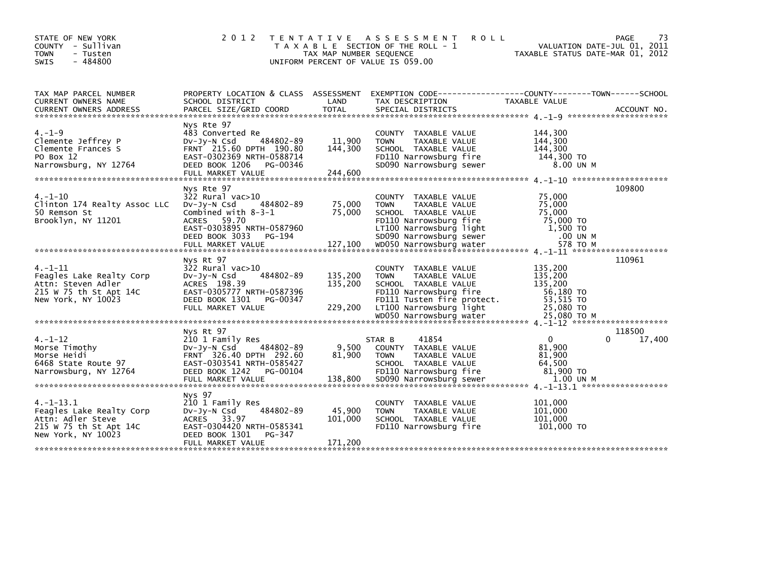| STATE OF NEW YORK                                                                                                                                                                                                              | 2 0 1 2                                               | T E N T A T I V E       | A S S E S S M E N T<br><b>ROLL</b>                           |                                                                 | 73<br><b>PAGE</b> |
|--------------------------------------------------------------------------------------------------------------------------------------------------------------------------------------------------------------------------------|-------------------------------------------------------|-------------------------|--------------------------------------------------------------|-----------------------------------------------------------------|-------------------|
| COUNTY - Sullivan<br><b>TOWN</b><br>- Tusten                                                                                                                                                                                   |                                                       | TAX MAP NUMBER SEQUENCE | T A X A B L E SECTION OF THE ROLL - 1                        | VALUATION DATE-JUL 01, 2011<br>TAXABLE STATUS DATE-MAR 01, 2012 |                   |
| - 484800<br><b>SWIS</b>                                                                                                                                                                                                        |                                                       |                         | UNIFORM PERCENT OF VALUE IS 059.00                           |                                                                 |                   |
|                                                                                                                                                                                                                                |                                                       |                         |                                                              |                                                                 |                   |
|                                                                                                                                                                                                                                |                                                       |                         |                                                              |                                                                 |                   |
| TAX MAP PARCEL NUMBER                                                                                                                                                                                                          | PROPERTY LOCATION & CLASS ASSESSMENT                  |                         | EXEMPTION CODE-----------------COUNTY-------TOWN------SCHOOL |                                                                 |                   |
| CURRENT OWNERS NAME                                                                                                                                                                                                            | SCHOOL DISTRICT                                       | LAND                    | TAX DESCRIPTION                                              | TAXABLE VALUE                                                   |                   |
| .CURRENT OWNERS ADDRESS PARCEL SIZE/GRID COORD TOTAL SPECIAL DISTRICTS (ACCOUNT NO ACCOUNT NO ACCOUNT NO AND FARABALLY SERIES AND RESEARCH TOTAL SERIES AND RESEARCH STRAIN AND A SERIES AND RESEARCH TO A SAN ARE AND THE SAM |                                                       |                         |                                                              |                                                                 |                   |
|                                                                                                                                                                                                                                | Nys Rte 97                                            |                         |                                                              |                                                                 |                   |
| $4. - 1 - 9$                                                                                                                                                                                                                   | 483 Converted Re                                      |                         | COUNTY TAXABLE VALUE                                         | 144,300                                                         |                   |
| Clemente Jeffrey P                                                                                                                                                                                                             | 484802-89<br>$Dv-Jv-N$ Csd                            | 11,900                  | TAXABLE VALUE<br><b>TOWN</b>                                 | 144,300                                                         |                   |
| Clemente Frances S                                                                                                                                                                                                             | FRNT 215.60 DPTH 190.80                               | 144,300                 | SCHOOL TAXABLE VALUE                                         | 144,300                                                         |                   |
| PO Box 12                                                                                                                                                                                                                      | EAST-0302369 NRTH-0588714                             |                         | FD110 Narrowsburg fire                                       | 144,300 TO                                                      |                   |
| Narrowsburg, NY 12764                                                                                                                                                                                                          | DEED BOOK 1206 PG-00346<br>FULL MARKET VALUE          | 244,600                 | SD090 Narrowsburg sewer                                      | 8.00 UN M                                                       |                   |
|                                                                                                                                                                                                                                |                                                       |                         |                                                              |                                                                 |                   |
|                                                                                                                                                                                                                                | Nys Rte 97                                            |                         |                                                              |                                                                 | 109800            |
| $4. - 1 - 10$                                                                                                                                                                                                                  | $322$ Rural vac $>10$                                 |                         | COUNTY TAXABLE VALUE                                         | 75,000                                                          |                   |
| Clinton 174 Realty Assoc LLC                                                                                                                                                                                                   | 484802-89<br>$Dv-Jy-N$ Csd                            | 75,000                  | TAXABLE VALUE<br><b>TOWN</b>                                 | 75,000                                                          |                   |
| 50 Remson St                                                                                                                                                                                                                   | Combined with $8-3-1$                                 | 75,000                  | SCHOOL TAXABLE VALUE                                         | 75,000                                                          |                   |
| Brooklyn, NY 11201                                                                                                                                                                                                             | ACRES 59.70<br>EAST-0303895 NRTH-0587960              |                         | FD110 Narrowsburg fire<br>LT100 Narrowsburg light            | 75,000 TO<br>1,500 TO                                           |                   |
|                                                                                                                                                                                                                                | DEED BOOK 3033<br>PG-194                              |                         | SD090 Narrowsburg sewer                                      | .00 UN M                                                        |                   |
|                                                                                                                                                                                                                                |                                                       |                         |                                                              |                                                                 |                   |
|                                                                                                                                                                                                                                |                                                       |                         |                                                              |                                                                 |                   |
|                                                                                                                                                                                                                                | Nys Rt 97                                             |                         |                                                              |                                                                 | 110961            |
| $4. -1 - 11$                                                                                                                                                                                                                   | 322 Rural vac>10                                      |                         | COUNTY TAXABLE VALUE                                         | 135,200                                                         |                   |
| Feagles Lake Realty Corp<br>Attn: Steven Adler                                                                                                                                                                                 | 484802-89<br>DV-Jy-N Csd<br>ACRES 198.39              | 135,200<br>135,200      | TAXABLE VALUE<br><b>TOWN</b><br>SCHOOL TAXABLE VALUE         | 135,200<br>135.200                                              |                   |
| 215 W 75 th St Apt 14C                                                                                                                                                                                                         | EAST-0305777 NRTH-0587396                             |                         | FD110 Narrowsburg fire                                       | 56,180 TO                                                       |                   |
| New York, NY 10023                                                                                                                                                                                                             | DEED BOOK 1301<br>PG-00347                            |                         | FD111 Tusten fire protect.                                   | 53,515 TO                                                       |                   |
|                                                                                                                                                                                                                                | FULL MARKET VALUE                                     | 229,200                 | LT100 Narrowsburg light                                      | 25,080 TO                                                       |                   |
|                                                                                                                                                                                                                                |                                                       |                         |                                                              |                                                                 |                   |
|                                                                                                                                                                                                                                | Nys Rt 97                                             |                         |                                                              |                                                                 | 118500            |
| $4. - 1 - 12$                                                                                                                                                                                                                  | 210 1 Family Res                                      |                         | 41854<br>STAR B                                              | $\mathbf{0}$                                                    | 17,400<br>0       |
| Morse Timothy                                                                                                                                                                                                                  | 484802-89<br>DV-JY-N Csd                              | 9,500                   | COUNTY TAXABLE VALUE                                         | 81,900                                                          |                   |
| Morse Heidi                                                                                                                                                                                                                    | FRNT 326.40 DPTH 292.60                               | 81,900                  | <b>TOWN</b><br>TAXABLE VALUE                                 | 81,900                                                          |                   |
| 6468 State Route 97                                                                                                                                                                                                            | EAST-0303541 NRTH-0585427                             |                         | SCHOOL TAXABLE VALUE                                         | 64,500                                                          |                   |
| Narrowsburg, NY 12764                                                                                                                                                                                                          | DEED BOOK 1242<br>PG-00104                            | 138,800                 | FD110 Narrowsburg fire<br>SD090 Narrowsburg sewer            | 81,900 TO<br>1.00 UN M                                          |                   |
|                                                                                                                                                                                                                                | FULL MARKET VALUE                                     |                         |                                                              |                                                                 |                   |
|                                                                                                                                                                                                                                | Nys 97                                                |                         |                                                              |                                                                 |                   |
| 4. –1–13.1                                                                                                                                                                                                                     | 210 1 Family Res                                      |                         | COUNTY TAXABLE VALUE                                         | 101,000                                                         |                   |
| Feagles Lake Realty Corp                                                                                                                                                                                                       | 484802-89<br>$Dv-Jy-N$ Csd                            | 45,900                  | <b>TOWN</b><br>TAXABLE VALUE                                 | 101,000                                                         |                   |
| Attn: Adler Steve                                                                                                                                                                                                              | ACRES 33.97                                           | 101,000                 | SCHOOL TAXABLE VALUE                                         | 101,000                                                         |                   |
| 215 W 75 th St Apt 14C<br>New York, NY 10023                                                                                                                                                                                   | EAST-0304420 NRTH-0585341<br>DEED BOOK 1301<br>PG-347 |                         | FD110 Narrowsburg fire                                       | 101,000 TO                                                      |                   |
|                                                                                                                                                                                                                                | FULL MARKET VALUE                                     | 171.200                 |                                                              |                                                                 |                   |
|                                                                                                                                                                                                                                |                                                       |                         |                                                              |                                                                 |                   |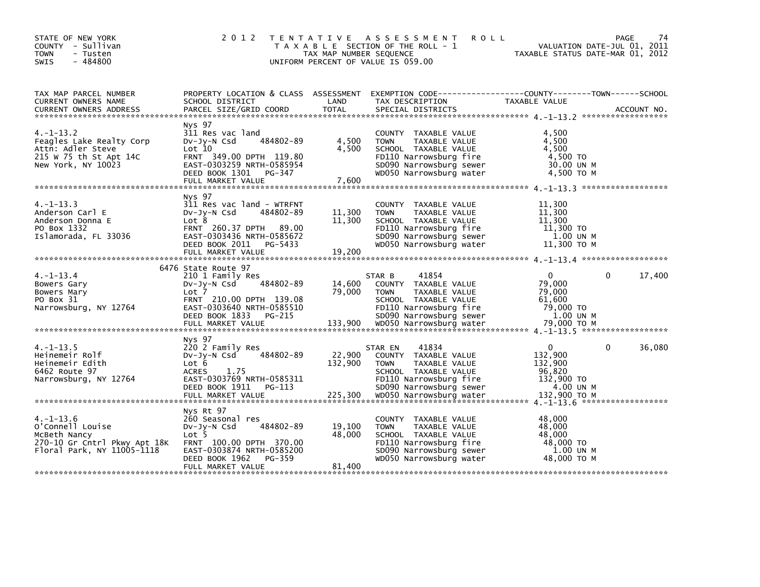| STATE OF NEW YORK<br>COUNTY - Sullivan<br>- Tusten<br><b>TOWN</b><br>- 484800<br><b>SWIS</b>                                                                                                                                                                                                                               |                                                                                                                                                                             | TAX MAP NUMBER SEQUENCE              | 2012 TENTATIVE ASSESSMENT ROLL<br>T A X A B L E SECTION OF THE ROLL - 1<br>UNIFORM PERCENT OF VALUE IS 059.00                                                                      | 1 VALUATION DATE-JUL 01, 2011<br>TAXABLE STATUS DATE-MAR 01, 2012   | 74<br>PAGE |
|----------------------------------------------------------------------------------------------------------------------------------------------------------------------------------------------------------------------------------------------------------------------------------------------------------------------------|-----------------------------------------------------------------------------------------------------------------------------------------------------------------------------|--------------------------------------|------------------------------------------------------------------------------------------------------------------------------------------------------------------------------------|---------------------------------------------------------------------|------------|
| TAX MAP PARCEL NUMBER<br>CURRENT OWNERS NAME<br>CONNERT OWNERS ADDRESS FORCEL SIZE/GRID COORD TOTAL SPECIAL DISTRICTS TO A ACCOUNT NO.<br>EURRENT OWNERS ADDRESS PARCEL SIZE/GRID COORD TOTAL SPECIAL DISTRICTS 4.-1-13.2 ******************************                                                                   |                                                                                                                                                                             |                                      |                                                                                                                                                                                    |                                                                     |            |
| $4. -1 - 13.2$<br>Feagles Lake Realty Corp<br>Attn: Adler Steve<br>215 W 75 th St Apt 14C<br>New York, NY 10023                                                                                                                                                                                                            | Nys 97<br>311 Res vac land<br>484802-89<br>DV-Jy-N Csd<br>Lot 10<br>FRNT 349.00 DPTH 119.80<br>EAST-0303259 NRTH-0585954<br>DEED BOOK 1301 PG-347<br>FULL MARKET VALUE      | 4,500<br>4,500<br>7,600              | COUNTY TAXABLE VALUE<br><b>TOWN</b><br>TAXABLE VALUE<br>SCHOOL TAXABLE VALUE<br>FD110 Narrowsburg fire<br>SD090 Narrowsburg sewer 30.00 UN M<br>WD050 Narrowsburg water 4,500 TO M | 4,500<br>4,500<br>4,500<br>4,500 TO                                 |            |
| $4. -1 - 13.3$<br>Anderson Carl E<br>Anderson Donna E<br>PO Box 1332<br>Islamorada, FL 33036                                                                                                                                                                                                                               | Nys 97<br>311 Res vac land - WTRFNT<br>DV-Jy-N Csd 484802-89<br>Lot 8<br>FRNT 260.37 DPTH 89.00<br>EAST-0303436 NRTH-0585672<br>DEED BOOK 2011 PG-5433<br>FULL MARKET VALUE | 11,300<br>11,300<br>$-5433$ $19,200$ | COUNTY TAXABLE VALUE<br><b>TOWN</b><br>TAXABLE VALUE<br>SCHOOL TAXABLE VALUE<br>FD110 Narrowsburg fire<br>SD090 Narrowsburg sewer<br>WD050 Narrowsburg water                       | 11,300<br>11,300<br>11,300<br>11,300 TO<br>1.00 UN M<br>11,300 TO M |            |
| $4. -1 - 13.4$<br>Bowers Gary<br>Bowers Mary<br>PO Box 31<br>Narrowsburg, NY 12764<br>90 Box 31 [1,600 FRNT 210.00 DPTH 139.08 [1,600 FOR TAXABLE VALUE 61,600 [1,600 FOR TAXABLE VALUE Narrowsburg, NY<br>Narrowsburg, NY 12764 EAST-0303640 NRTH-0585510 [133,900 FOR SDOP Narrowsburg fire 79,000 TO<br>FULL MARKET VAL | 6476 State Route 97<br>210 1 Family Res<br>484802-89<br>DV-JY-N Csd<br>Lot 7<br>FRNT 210.00 DPTH 139.08                                                                     | 14,600<br>79,000                     | 41854<br>STAR B<br>COUNTY TAXABLE VALUE<br><b>TOWN</b><br>TAXABLE VALUE<br>SCHOOL TAXABLE VALUE                                                                                    | $\overline{0}$<br>$\Omega$<br>79.000<br>79,000<br>61,600            | 17,400     |
| $4. -1 - 13.5$<br>Heinemeir Rolf<br>Heinemeir Edith<br>6462 Route 97<br>462 Route 97 (1.75 ACRES 1.75 (1.75 SCHOOL TAXABLE VALUE )<br>Narrowsburg, NY 12764 (1.75 EAST-0303769 NRTH-0585311 FD110 Narrowsburg fire 132,900 TO<br>FULL MARKET VALUE 225,300 WD050 Narrowsburg water 132,900 TO M<br>FULL MARKET             | Nys 97<br>220 2 Family Res<br>DV-Jy-N Csd<br>$ACRES$ 1.75<br>$FACTES$ 1.75                                                                                                  | 484802-89 22,900<br>132,900          | 41834<br>STAR EN<br>COUNTY TAXABLE VALUE<br>TOWN<br>TAXABLE VALUE                                                                                                                  | $\overline{0}$<br>$\Omega$<br>132,900<br>132,900<br>96,820          | 36,080     |
| $4. -1 - 13.6$<br>O'Connell Louise<br>McBeth Nancy<br>270-10 Gr Cntrl Pkwy Apt 18K FRNT 100.00 DPTH 370.00<br>Floral Park, NY 11005-1118                                                                                                                                                                                   | Nys Rt 97<br>260 Seasonal res<br>484802-89<br>DV-JV-N Csd<br>Lot 5<br>EAST-0303874 NRTH-0585200<br>DEED BOOK 1962 PG-359                                                    | 19,100<br>48,000                     | COUNTY TAXABLE VALUE<br><b>TOWN</b><br>TAXABLE VALUE<br>SCHOOL TAXABLE VALUE<br>FD110 Narrowsburg fire<br>SD090 Narrowsburg sewer<br>WD050 Narrowsburg water                       | 48,000<br>48,000<br>48,000<br>48,000 TO<br>1.00 UN M<br>48,000 TO M |            |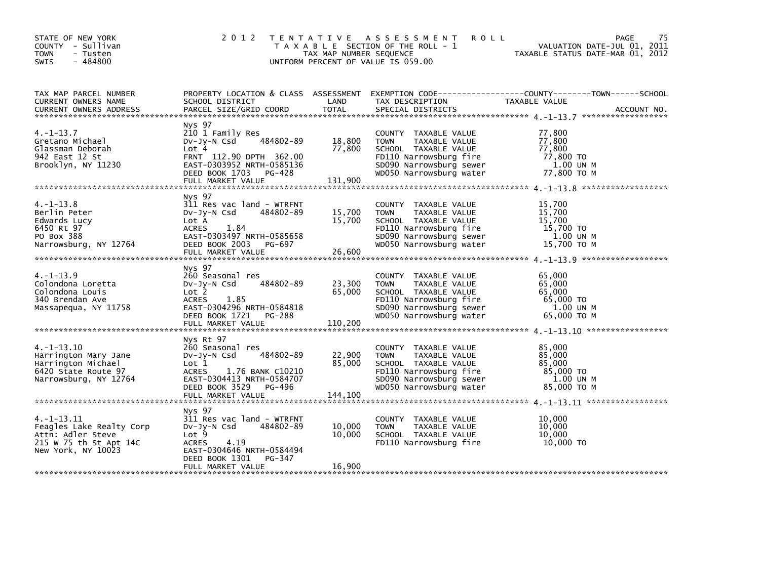| STATE OF NEW YORK<br>COUNTY - Sullivan<br><b>TOWN</b><br>- Tusten<br>$-484800$<br><b>SWIS</b>                    |                                                                                                                                                                                  | TAX MAP NUMBER SEQUENCE    | 2012 TENTATIVE ASSESSMENT<br><b>ROLL</b><br>T A X A B L E SECTION OF THE ROLL - 1<br>UNIFORM PERCENT OF VALUE IS 059.00                                      | 75<br>PAGE<br>VALUATION DATE-JUL 01, 2011<br>TAXABLE STATUS DATE-MAR 01, 2012   |
|------------------------------------------------------------------------------------------------------------------|----------------------------------------------------------------------------------------------------------------------------------------------------------------------------------|----------------------------|--------------------------------------------------------------------------------------------------------------------------------------------------------------|---------------------------------------------------------------------------------|
| TAX MAP PARCEL NUMBER<br>CURRENT OWNERS NAME                                                                     | PROPERTY LOCATION & CLASS ASSESSMENT<br>SCHOOL DISTRICT                                                                                                                          | LAND                       | TAX DESCRIPTION                                                                                                                                              | EXEMPTION CODE------------------COUNTY--------TOWN------SCHOOL<br>TAXABLE VALUE |
| $4. -1 - 13.7$<br>Gretano Michael<br>Glassman Deborah<br>942 East 12 St<br>Brooklyn, NY 11230                    | Nys 97<br>210 1 Family Res<br>484802-89<br>$Dv-Jy-N$ Csd<br>Lot 4<br>FRNT 112.90 DPTH 362.00<br>EAST-0303952 NRTH-0585136<br>DEED BOOK 1703 PG-428                               | 18,800<br>77,800           | COUNTY TAXABLE VALUE<br><b>TOWN</b><br>TAXABLE VALUE<br>SCHOOL TAXABLE VALUE<br>FD110 Narrowsburg fire<br>SD090 Narrowsburg sewer<br>WD050 Narrowsburg water | 77.800<br>77,800<br>77,800<br>77,800 TO<br>1.00 UN M<br>77,800 ТО М             |
| $4. -1 - 13.8$<br>Berlin Peter<br>Edwards Lucy<br>6450 Rt 97<br>PO Box 388<br>Narrowsburg, NY 12764              | Nys 97<br>311 Res vac land - WTRFNT<br>484802-89<br>$Dv-Jy-N$ Csd<br>Lot A<br>1.84<br><b>ACRES</b><br>EAST-0303497 NRTH-0585658<br>DEED BOOK 2003 PG-697<br>FULL MARKET VALUE    | 15,700<br>15,700<br>26,600 | COUNTY TAXABLE VALUE<br><b>TOWN</b><br>TAXABLE VALUE<br>SCHOOL TAXABLE VALUE<br>FD110 Narrowsburg fire<br>SD090 Narrowsburg sewer<br>WD050 Narrowsburg water | 15,700<br>15,700<br>15,700<br>15,700 TO<br>1.00 UN M<br>15,700 TO M             |
| $4. -1 - 13.9$<br>Colondona Loretta<br>Colondona Louis<br>340 Brendan Ave<br>Massapequa, NY 11758                | Nys 97<br>260 Seasonal res<br>484802-89<br>$Dv-Jy-N$ Csd<br>Lot 2<br>1.85<br><b>ACRES</b><br>EAST-0304296 NRTH-0584818<br>DEED BOOK 1721 PG-288                                  | 23,300<br>65,000           | COUNTY TAXABLE VALUE<br>TAXABLE VALUE<br><b>TOWN</b><br>SCHOOL TAXABLE VALUE<br>FD110 Narrowsburg fire<br>SD090 Narrowsburg sewer<br>WD050 Narrowsburg water | 65.000<br>65,000<br>65,000<br>65,000 TO<br>1.00 UN M<br>65,000 ТО М             |
| $4. -1 - 13.10$<br>Harrington Mary Jane<br>Harrington Michael<br>6420 State Route 97<br>Narrowsburg, NY 12764    | Nys Rt 97<br>260 Seasonal res<br>$Dv-Jy-N$ Csd<br>484802-89<br>Lot 1<br><b>ACRES</b><br>1.76 BANK C10210<br>EAST-0304413 NRTH-0584707<br>DEED BOOK 3529 PG-496                   | 22,900<br>85,000           | COUNTY TAXABLE VALUE<br><b>TOWN</b><br>TAXABLE VALUE<br>SCHOOL TAXABLE VALUE<br>FD110 Narrowsburg fire<br>SD090 Narrowsburg sewer<br>WD050 Narrowsburg water | 85,000<br>85,000<br>85,000<br>85,000 TO<br>1.00 UN M<br>85,000 TO M             |
| $4. -1 - 13.11$<br>Feagles Lake Realty Corp<br>Attn: Adler Steve<br>215 W 75 th St Apt 14C<br>New York, NY 10023 | Nys 97<br>311 Res vac land - WTRFNT<br>484802-89<br>$Dv-Jy-N$ Csd<br>Lot 9<br>4.19<br><b>ACRES</b><br>EAST-0304646 NRTH-0584494<br>DEED BOOK 1301<br>PG-347<br>FULL MARKET VALUE | 10,000<br>10,000<br>16,900 | COUNTY TAXABLE VALUE<br><b>TOWN</b><br>TAXABLE VALUE<br>SCHOOL TAXABLE VALUE<br>FD110 Narrowsburg fire                                                       | 10,000<br>10,000<br>10,000<br>10,000 TO                                         |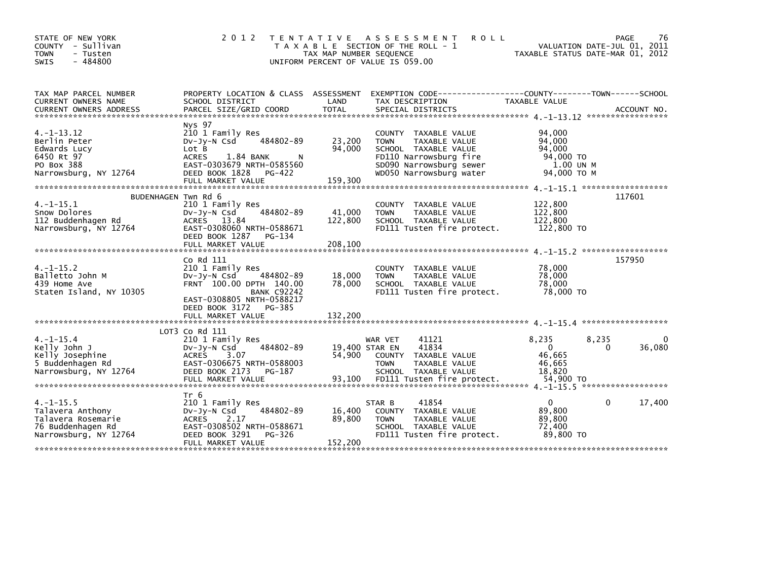| STATE OF NEW YORK<br>COUNTY - Sullivan<br>- Tusten<br><b>TOWN</b><br>- 484800<br>SWIS                  | 2 0 1 2                                                                                                                                                                                    | T E N T A T I V E<br>TAX MAP NUMBER SEQUENCE<br>UNIFORM PERCENT OF VALUE IS 059.00 | A S S E S S M E N T<br><b>ROLL</b><br>T A X A B L E SECTION OF THE ROLL - 1                                                                                  | TAXABLE STATUS DATE-MAR 01, 2012                                      | 76<br>PAGE<br>VALUATION DATE-JUL 01, 2011 |
|--------------------------------------------------------------------------------------------------------|--------------------------------------------------------------------------------------------------------------------------------------------------------------------------------------------|------------------------------------------------------------------------------------|--------------------------------------------------------------------------------------------------------------------------------------------------------------|-----------------------------------------------------------------------|-------------------------------------------|
| TAX MAP PARCEL NUMBER<br>CURRENT OWNERS NAME<br><b>CURRENT OWNERS ADDRESS</b>                          | PROPERTY LOCATION & CLASS ASSESSMENT<br>SCHOOL DISTRICT<br>PARCEL SIZE/GRID COORD                                                                                                          | LAND<br><b>TOTAL</b>                                                               | EXEMPTION CODE-----------------COUNTY-------TOWN------SCHOOL<br>TAX DESCRIPTION<br>SPECIAL DISTRICTS                                                         | TAXABLE VALUE                                                         | ACCOUNT NO.                               |
| $4. -1 - 13.12$<br>Berlin Peter<br>Edwards Lucy<br>6450 Rt 97<br>PO Box 388<br>Narrowsburg, NY 12764   | Nys 97<br>210 1 Family Res<br>484802-89<br>$Dv-Jv-N$ Csd<br>Lot B<br><b>ACRES</b><br>1.84 BANK<br>EAST-0303679 NRTH-0585560<br>DEED BOOK 1828<br>PG-422<br>FULL MARKET VALUE               | 23,200<br>94,000<br>N<br>159,300                                                   | COUNTY TAXABLE VALUE<br>TAXABLE VALUE<br><b>TOWN</b><br>SCHOOL TAXABLE VALUE<br>FD110 Narrowsburg fire<br>SD090 Narrowsburg sewer<br>WD050 Narrowsburg water | 94,000<br>94,000<br>94,000<br>94,000 TO<br>1.00 UN M<br>94,000 TO M   |                                           |
| BUDENHAGEN Twn Rd 6<br>$4. -1 - 15.1$<br>Snow Dolores<br>112 Buddenhagen Rd<br>Narrowsburg, NY 12764   | 210 1 Family Res<br>484802-89<br>$Dv-Jy-N$ Csd<br><b>ACRES</b><br>13.84<br>EAST-0308060 NRTH-0588671<br>DEED BOOK 1287<br>PG-134<br>FULL MARKET VALUE                                      | 41,000<br>122,800<br>208,100                                                       | COUNTY TAXABLE VALUE<br><b>TOWN</b><br>TAXABLE VALUE<br>SCHOOL TAXABLE VALUE<br>FD111 Tusten fire protect.                                                   | 122,800<br>122,800<br>122,800<br>122,800 TO                           | 117601                                    |
| $4. -1 - 15.2$<br>Balletto John M<br>439 Home Ave<br>Staten Island, NY 10305                           | Co Rd 111<br>210 1 Family Res<br>484802-89<br>$Dv-Jv-N$ Csd<br>FRNT 100.00 DPTH 140.00<br><b>BANK C92242</b><br>EAST-0308805 NRTH-0588217<br>DEED BOOK 3172<br>PG-385<br>FULL MARKET VALUE | 18,000<br>78,000<br>132,200                                                        | COUNTY TAXABLE VALUE<br>TAXABLE VALUE<br><b>TOWN</b><br>SCHOOL TAXABLE VALUE<br>FD111 Tusten fire protect.                                                   | 78,000<br>78,000<br>78,000<br>78,000 TO                               | 157950                                    |
| $4. -1 - 15.4$<br>Kelly John J<br>Kelly Josephine<br>5 Buddenhagen Rd<br>Narrowsburg, NY 12764         | $LOT3$ Co Rd $111$<br>210 1 Family Res<br>484802-89<br>$Dv-Jy-N$ Csd<br>3.07<br><b>ACRES</b><br>EAST-0306675 NRTH-0588003<br>DEED BOOK 2173<br>PG-187<br>FULL MARKET VALUE                 | 19,400 STAR EN<br>54,900<br>93,100                                                 | 41121<br>WAR VET<br>41834<br>COUNTY<br>TAXABLE VALUE<br><b>TOWN</b><br>TAXABLE VALUE<br>SCHOOL TAXABLE VALUE<br>FD111 Tusten fire protect.                   | 8,235<br>8,235<br>$\Omega$<br>46,665<br>46,665<br>18.820<br>54,900 TO | 0<br>36,080<br>0                          |
| $4. -1 - 15.5$<br>Talavera Anthony<br>Talavera Rosemarie<br>76 Buddenhagen Rd<br>Narrowsburg, NY 12764 | Tr 6<br>210 1 Family Res<br>484802-89<br>DV-Jy-N Csd<br>ACRES<br>2.17<br>EAST-0308502 NRTH-0588671<br>DEED BOOK 3291<br>PG-326<br>FULL MARKET VALUE                                        | 16,400<br>89,800<br>152,200                                                        | 41854<br>STAR B<br>COUNTY TAXABLE VALUE<br><b>TOWN</b><br>TAXABLE VALUE<br>SCHOOL TAXABLE VALUE<br>FD111 Tusten fire protect.                                | $\Omega$<br>89,800<br>89,800<br>72.400<br>89,800 TO                   | 0<br>17,400                               |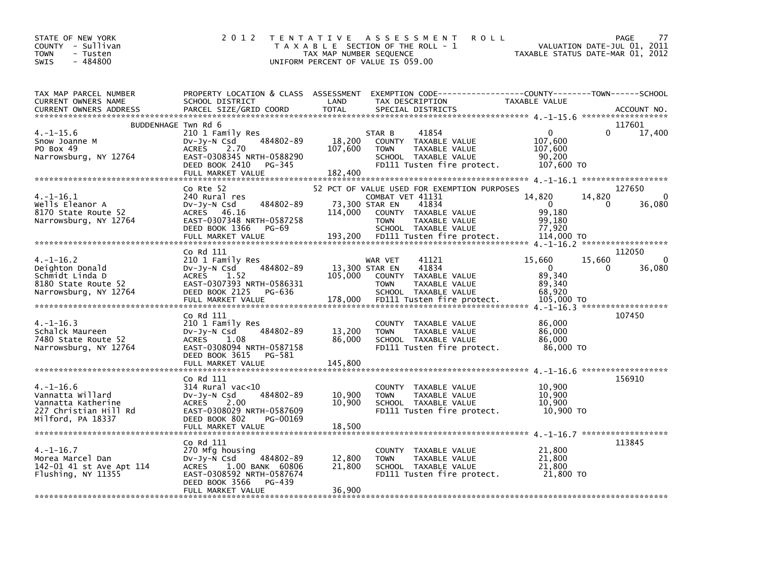| STATE OF NEW YORK<br>COUNTY - Sullivan<br>- Tusten<br><b>TOWN</b><br>$-484800$<br><b>SWIS</b>           | 2 0 1 2                                                                                                                                                        | TAX MAP NUMBER SEQUENCE      | TENTATIVE ASSESSMENT<br>T A X A B L E SECTION OF THE ROLL - 1<br>UNIFORM PERCENT OF VALUE IS 059.00                                                                        | <b>ROLL</b>                                                        | PAGE<br>77<br>VALUATION DATE-JUL 01,<br>2011<br>TAXABLE STATUS DATE-MAR 01, 2012 |
|---------------------------------------------------------------------------------------------------------|----------------------------------------------------------------------------------------------------------------------------------------------------------------|------------------------------|----------------------------------------------------------------------------------------------------------------------------------------------------------------------------|--------------------------------------------------------------------|----------------------------------------------------------------------------------|
| TAX MAP PARCEL NUMBER<br>CURRENT OWNERS NAME<br><b>CURRENT OWNERS ADDRESS</b>                           | SCHOOL DISTRICT<br>PARCEL SIZE/GRID COORD                                                                                                                      | LAND<br><b>TOTAL</b>         | PROPERTY LOCATION & CLASS ASSESSMENT EXEMPTION CODE----------------COUNTY-------TOWN-----SCHOOL<br>TAX DESCRIPTION<br>SPECIAL DISTRICTS                                    | <b>TAXABLE VALUE</b>                                               | ACCOUNT NO.                                                                      |
| BUDDENHAGE Twn Rd 6                                                                                     |                                                                                                                                                                |                              |                                                                                                                                                                            |                                                                    | 117601                                                                           |
| $4. -1 - 15.6$<br>Snow Joanne M<br>PO Box 49<br>Narrowsburg, NY 12764                                   | 210 1 Family Res<br>484802-89<br>DV-Jy-N Csd<br>ACRES 2.70<br>EAST-0308345 NRTH-0588290<br>DEED BOOK 2410<br>PG-345<br>FULL MARKET VALUE                       | 18,200<br>107,600<br>182,400 | 41854<br>STAR B<br>COUNTY TAXABLE VALUE<br>TAXABLE VALUE<br><b>TOWN</b><br>SCHOOL TAXABLE VALUE<br>FD111 Tusten fire protect.                                              | 0<br>107,600<br>107,600<br>90.200<br>107,600 TO                    | 17,400<br>0                                                                      |
|                                                                                                         |                                                                                                                                                                |                              |                                                                                                                                                                            |                                                                    |                                                                                  |
| $4. -1 - 16.1$<br>Wells Eleanor A<br>8170 State Route 52<br>Narrowsburg, NY 12764                       | Co Rte 52<br>240 Rural res<br>484802-89<br>DV-JY-N Csd<br>ACRES 46.16<br>EAST-0307348 NRTH-0587258<br>DEED BOOK 1366 PG-69                                     | 114,000                      | 52 PCT OF VALUE USED FOR EXEMPTION PURPOSES<br>COMBAT VET 41131<br>73,300 STAR EN<br>41834<br>COUNTY TAXABLE VALUE<br><b>TOWN</b><br>TAXABLE VALUE<br>SCHOOL TAXABLE VALUE | 14,820<br>$\overline{0}$<br>99,180<br>99.180<br>77,920             | 127650<br>14,820<br>$\Omega$<br>$\mathbf{0}$<br>36,080                           |
|                                                                                                         |                                                                                                                                                                |                              |                                                                                                                                                                            |                                                                    |                                                                                  |
| $4. -1 - 16.2$<br>Deighton Donald<br>Schmidt Linda D<br>8180 State Route 52<br>Narrowsburg, NY 12764    | Co Rd 111<br>210 1 Family Res<br>484802-89<br>DV-JY-N Csd<br>ACRES 1.52<br>EAST-0307393 NRTH-0586331<br>DEED BOOK 2125<br>PG-636<br>FULL MARKET VALUE          | 105,000<br>178,000           | 41121<br>WAR VET<br>13,300 STAR EN<br>41834<br>COUNTY TAXABLE VALUE<br><b>TOWN</b><br>TAXABLE VALUE<br>SCHOOL TAXABLE VALUE<br>FD111 Tusten fire protect.                  | 15,660<br>$\mathbf{0}$<br>89,340<br>89.340<br>68,920<br>105,000 TO | 112050<br>15,660<br>$\Omega$<br>36,080<br>0                                      |
|                                                                                                         | Co Rd 111                                                                                                                                                      |                              |                                                                                                                                                                            |                                                                    | 107450                                                                           |
| $4. -1 - 16.3$<br>Schalck Maureen<br>7480 State Route 52<br>Narrowsburg, NY 12764                       | 210 1 Family Res<br>484802-89<br>Dv-Jy-N Csd<br>ACRES 1.08<br>EAST-0308094 NRTH-0587158<br>DEED BOOK 3615 PG-581                                               | 13,200<br>86,000             | COUNTY TAXABLE VALUE<br>TAXABLE VALUE<br><b>TOWN</b><br>SCHOOL TAXABLE VALUE<br>FD111 Tusten fire protect.                                                                 | 86,000<br>86,000<br>86.000<br>86,000 TO                            |                                                                                  |
|                                                                                                         | FULL MARKET VALUE                                                                                                                                              | 145,800                      |                                                                                                                                                                            |                                                                    |                                                                                  |
| $4. - 1 - 16.6$<br>Vannatta Willard<br>Vannatta Katherine<br>227 Christian Hill Rd<br>Milford, PA 18337 | Co Rd 111<br>$314$ Rural vac< $10$<br>484802-89<br>$Dv-Jy-N$ Csd<br>ACRES 2.00<br>EAST-0308029 NRTH-0587609<br>DEED BOOK 802<br>PG-00169                       | 10,900<br>10,900             | COUNTY TAXABLE VALUE<br><b>TOWN</b><br>TAXABLE VALUE<br>SCHOOL TAXABLE VALUE<br>FD111 Tusten fire protect.                                                                 | 10,900<br>10,900<br>10,900<br>10,900 TO                            | 156910                                                                           |
|                                                                                                         | Co Rd 111                                                                                                                                                      |                              |                                                                                                                                                                            |                                                                    | 113845                                                                           |
| $4. -1 - 16.7$<br>Morea Marcel Dan<br>142-01 41 st Ave Apt 114<br>Flushing, NY 11355                    | 270 Mfg housing<br>484802-89<br>$Dv-Jy-N$ Csd<br><b>ACRES</b><br>1.00 BANK 60806<br>EAST-0308592 NRTH-0587674<br>DEED BOOK 3566<br>PG-439<br>FULL MARKET VALUE | 12,800<br>21,800<br>36,900   | COUNTY TAXABLE VALUE<br><b>TOWN</b><br>TAXABLE VALUE<br>SCHOOL TAXABLE VALUE<br>FD111 Tusten fire protect.                                                                 | 21,800<br>21,800<br>21,800<br>21,800 TO                            |                                                                                  |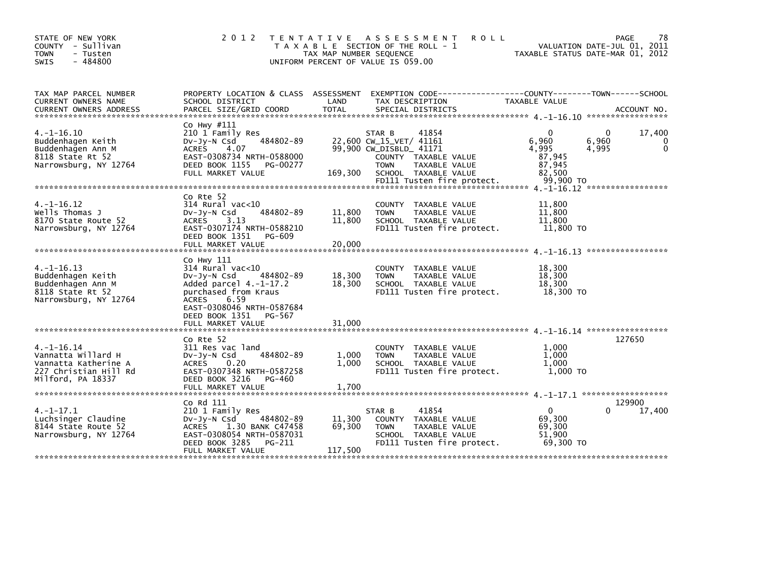| STATE OF NEW YORK<br>COUNTY - Sullivan<br>- Tusten<br><b>TOWN</b><br>$-484800$<br><b>SWIS</b>               | 2 0 1 2                                                                                                                                                                                                      | T E N T A T I V E<br>TAX MAP NUMBER SEQUENCE | A S S E S S M E N T<br><b>ROLL</b><br>T A X A B L E SECTION OF THE ROLL - 1<br>UNIFORM PERCENT OF VALUE IS 059.00                                                                   | TAXABLE STATUS DATE-MAR 01, 2012                                            | 78<br>PAGE<br>VALUATION DATE-JUL 01, 2011 |
|-------------------------------------------------------------------------------------------------------------|--------------------------------------------------------------------------------------------------------------------------------------------------------------------------------------------------------------|----------------------------------------------|-------------------------------------------------------------------------------------------------------------------------------------------------------------------------------------|-----------------------------------------------------------------------------|-------------------------------------------|
| TAX MAP PARCEL NUMBER<br>CURRENT OWNERS NAME<br><b>CURRENT OWNERS ADDRESS</b>                               | SCHOOL DISTRICT<br>PARCEL SIZE/GRID COORD                                                                                                                                                                    | LAND<br><b>TOTAL</b>                         | PROPERTY LOCATION & CLASS ASSESSMENT EXEMPTION CODE-----------------COUNTY-------TOWN------SCHOOL<br>TAX DESCRIPTION<br>SPECIAL DISTRICTS                                           | TAXABLE VALUE                                                               | ACCOUNT NO.                               |
| $4. -1 - 16.10$<br>Buddenhagen Keith<br>Buddenhagen Ann M<br>8118 State Rt 52<br>Narrowsburg, NY 12764      | Co Hwy #111<br>210 1 Family Res<br>484802-89<br>$Dv-Jy-N$ Csd<br><b>ACRES</b><br>4.07<br>EAST-0308734 NRTH-0588000<br>DEED BOOK 1155<br>PG-00277<br>FULL MARKET VALUE                                        | 169,300                                      | STAR B<br>41854<br>22,600 CW_15_VET/ 41161<br>99,900 CW_DISBLD_ 41171<br>COUNTY TAXABLE VALUE<br><b>TOWN</b><br>TAXABLE VALUE<br>SCHOOL TAXABLE VALUE<br>FD111 Tusten fire protect. | 6,960<br>6,960<br>4.995<br>4,995<br>87,945<br>87,945<br>82.500<br>99,900 TO | 17,400<br>0<br>0<br>$\mathbf 0$           |
|                                                                                                             |                                                                                                                                                                                                              |                                              |                                                                                                                                                                                     |                                                                             |                                           |
| $4. -1 - 16.12$<br>Wells Thomas J<br>8170 State Route 52<br>Narrowsburg, NY 12764                           | Co Rte 52<br>$314$ Rural vac<10<br>484802-89<br>$Dv-Jy-N$ Csd<br>3.13<br><b>ACRES</b><br>EAST-0307174 NRTH-0588210<br>DEED BOOK 1351<br>PG-609                                                               | 11,800<br>11,800                             | TAXABLE VALUE<br>COUNTY<br>TAXABLE VALUE<br><b>TOWN</b><br>SCHOOL TAXABLE VALUE<br>FD111 Tusten fire protect.                                                                       | 11,800<br>11,800<br>11,800<br>11,800 TO                                     |                                           |
|                                                                                                             |                                                                                                                                                                                                              |                                              |                                                                                                                                                                                     |                                                                             |                                           |
| $4. -1 - 16.13$<br>Buddenhagen Keith<br>Buddenhagen Ann M<br>8118 State Rt 52<br>Narrowsburg, NY 12764      | Co Hwy 111<br>314 Rural vac<10<br>484802-89<br>$Dv-Jv-N$ Csd<br>Added parcel $4.-1-17.2$<br>purchased from Kraus<br>6.59<br>ACRES<br>EAST-0308046 NRTH-0587684<br>DEED BOOK 1351 PG-567<br>FULL MARKET VALUE | 18,300<br>18,300<br>31,000                   | COUNTY<br>TAXABLE VALUE<br><b>TOWN</b><br>TAXABLE VALUE<br>SCHOOL TAXABLE VALUE<br>FD111 Tusten fire protect.                                                                       | 18,300<br>18,300<br>18,300<br>18,300 TO                                     |                                           |
|                                                                                                             | Co Rte 52                                                                                                                                                                                                    |                                              |                                                                                                                                                                                     |                                                                             | 127650                                    |
| $4. -1 - 16.14$<br>Vannatta Willard H<br>Vannatta Katherine A<br>227 Christian Hill Rd<br>Milford, PA 18337 | 311 Res vac land<br>484802-89<br>DV-Jy-N Csd<br>0.20<br><b>ACRES</b><br>EAST-0307348 NRTH-0587258<br>DEED BOOK 3216<br>PG-460                                                                                | 1,000<br>1,000                               | COUNTY TAXABLE VALUE<br>TAXABLE VALUE<br><b>TOWN</b><br>SCHOOL TAXABLE VALUE<br>FD111 Tusten fire protect.                                                                          | 1.000<br>1.000<br>1.000<br>$1,000$ TO                                       |                                           |
|                                                                                                             | FULL MARKET VALUE                                                                                                                                                                                            | 1,700                                        |                                                                                                                                                                                     |                                                                             |                                           |
| $4. -1 - 17.1$<br>Luchsinger Claudine<br>8144 State Route 52<br>Narrowsburg, NY 12764                       | Co Rd 111<br>210 1 Family Res<br>484802-89<br>Dv-Jy-N Csd<br>1.30 BANK C47458<br><b>ACRES</b><br>EAST-0308054 NRTH-0587031<br>DEED BOOK 3285<br>PG-211<br>FULL MARKET VALUE                                  | 11,300<br>69,300<br>117,500                  | 41854<br>STAR B<br>COUNTY<br>TAXABLE VALUE<br><b>TOWN</b><br>TAXABLE VALUE<br>SCHOOL TAXABLE VALUE<br>FD111 Tusten fire protect.                                                    | $\Omega$<br>69,300<br>69,300<br>51.900<br>69,300 TO                         | 129900<br>17,400<br>0                     |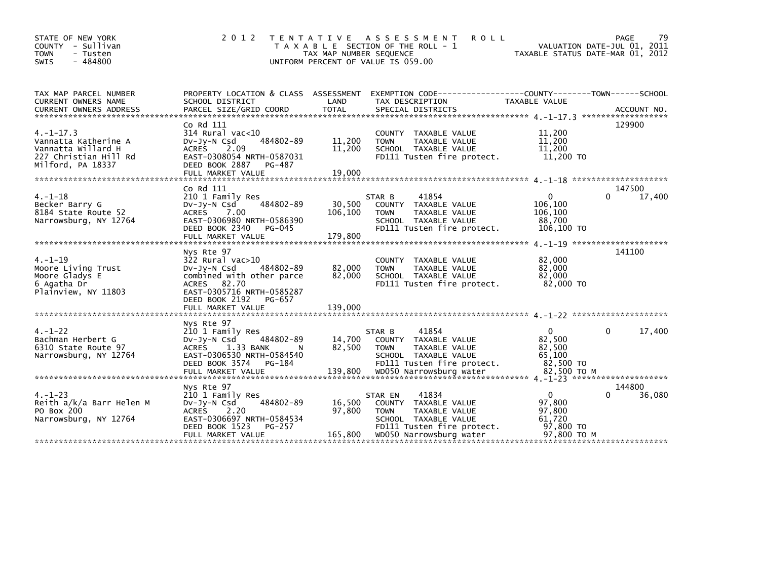| STATE OF NEW YORK<br>COUNTY - Sullivan<br><b>TOWN</b><br>- Tusten<br>$-484800$<br><b>SWIS</b>              | 2 0 1 2                                                                                                                                                                                                                       | TAX MAP NUMBER SEQUENCE     | TENTATIVE ASSESSMENT<br><b>ROLL</b><br>T A X A B L E SECTION OF THE ROLL - 1<br>UNIFORM PERCENT OF VALUE IS 059.00             | TAXABLE STATUS DATE-MAR 01, 2012                        | 79<br>PAGE<br>VALUATION DATE-JUL 01, 2011 |
|------------------------------------------------------------------------------------------------------------|-------------------------------------------------------------------------------------------------------------------------------------------------------------------------------------------------------------------------------|-----------------------------|--------------------------------------------------------------------------------------------------------------------------------|---------------------------------------------------------|-------------------------------------------|
| TAX MAP PARCEL NUMBER<br>CURRENT OWNERS NAME                                                               | PROPERTY LOCATION & CLASS ASSESSMENT<br>SCHOOL DISTRICT<br>CURRENT OWNERS ADDRESS PARCEL SIZE/GRID COORD TOTAL SPECIAL DISTRICTS (ALL OURRENT OWNERS ADDRESS PARCEL SIZE/GRID COORD TOTAL SPECIAL DISTRICTS (2001) ACCOUNT NO | LAND                        | EXEMPTION        CODE-----------------COUNTY-------TOWN------SCHOOL<br>TAX DESCRIPTION                                         | <b>TAXABLE VALUE</b>                                    |                                           |
| $4. -1 - 17.3$<br>Vannatta Katherine A<br>Vannatta Willard H<br>227 Christian Hill Rd<br>Milford, PA 18337 | Co Rd 111<br>314 Rural vac<10<br>484802-89<br>DV-Jy-N Csd<br>2.09<br><b>ACRES</b><br>EAST-0308054 NRTH-0587031<br>DEED BOOK 2887<br>PG-487                                                                                    | 11,200<br>11,200            | COUNTY TAXABLE VALUE<br>TAXABLE VALUE<br><b>TOWN</b><br>SCHOOL TAXABLE VALUE<br>FD111 Tusten fire protect.                     | 11,200<br>11,200<br>11,200<br>11,200 TO                 | 129900                                    |
|                                                                                                            |                                                                                                                                                                                                                               |                             |                                                                                                                                |                                                         |                                           |
| $4. - 1 - 18$                                                                                              | Co Rd 111<br>210 1 Family Res                                                                                                                                                                                                 |                             | STAR B<br>41854                                                                                                                | $\mathbf{0}$                                            | 147500<br>17,400<br>0                     |
| Becker Barry G<br>8184 State Route 52<br>Narrowsburg, NY 12764                                             | 484802-89<br>$Dv-Jy-N$ Csd<br>7.00<br><b>ACRES</b><br>EAST-0306980 NRTH-0586390<br>DEED BOOK 2340<br>PG-045                                                                                                                   | 30,500<br>106,100           | COUNTY TAXABLE VALUE<br><b>TOWN</b><br>TAXABLE VALUE<br>SCHOOL TAXABLE VALUE<br>FD111 Tusten fire protect.                     | 106,100<br>106,100<br>88.700<br>106,100 TO              |                                           |
|                                                                                                            | FULL MARKET VALUE                                                                                                                                                                                                             | 179,800                     |                                                                                                                                |                                                         |                                           |
| $4. -1 - 19$<br>Moore Living Trust<br>Moore Gladys E<br>6 Agatha Dr<br>Plainview, NY 11803                 | Nys Rte 97<br>$322$ Rural vac $>10$<br>484802-89<br>$Dv-Jy-N$ Csd<br>combined with other parce<br>ACRES 82.70<br>EAST-0305716 NRTH-0585287<br>DEED BOOK 2192<br>PG-657<br>FULL MARKET VALUE                                   | 82,000<br>82,000<br>139,000 | COUNTY TAXABLE VALUE<br>TAXABLE VALUE<br><b>TOWN</b><br>SCHOOL TAXABLE VALUE<br>FD111 Tusten fire protect.                     | 82,000<br>82,000<br>82.000<br>82,000 TO                 | 141100                                    |
|                                                                                                            |                                                                                                                                                                                                                               |                             |                                                                                                                                |                                                         |                                           |
| $4. - 1 - 22$<br>Bachman Herbert G<br>6310 State Route 97<br>Narrowsburg, NY 12764                         | Nys Rte 97<br>210 1 Family Res<br>484802-89<br>Dv-Jy-N Csd<br><b>ACRES</b><br>1.33 BANK<br>-N<br>EAST-0306530 NRTH-0584540                                                                                                    | 14,700<br>82,500            | 41854<br>STAR B<br>COUNTY TAXABLE VALUE<br><b>TOWN</b><br>TAXABLE VALUE<br>SCHOOL TAXABLE VALUE                                | $\mathbf{0}$<br>82,500<br>82,500<br>65,100              | 17,400<br>0                               |
|                                                                                                            | DEED BOOK 3574<br>PG-184                                                                                                                                                                                                      |                             | FD111 Tusten fire protect.                                                                                                     | 82,500 TO                                               |                                           |
|                                                                                                            |                                                                                                                                                                                                                               |                             |                                                                                                                                |                                                         |                                           |
| $4. - 1 - 23$<br>Reith a/k/a Barr Helen M<br>PO Box 200<br>Narrowsburg, NY 12764                           | Nys Rte 97<br>210 1 Family Res<br>484802-89<br>$Dv-Jy-N$ Csd<br>2.20<br><b>ACRES</b><br>EAST-0306697 NRTH-0584534<br>DEED BOOK 1523<br>PG-257                                                                                 | 16,500<br>97,800            | 41834<br>STAR EN<br>COUNTY TAXABLE VALUE<br><b>TOWN</b><br>TAXABLE VALUE<br>SCHOOL TAXABLE VALUE<br>FD111 Tusten fire protect. | $\mathbf{0}$<br>97,800<br>97,800<br>61,720<br>97,800 TO | 144800<br>36,080                          |
|                                                                                                            | FULL MARKET VALUE                                                                                                                                                                                                             | 165,800                     | WD050 Narrowsburg water                                                                                                        | 97.800 TO M                                             |                                           |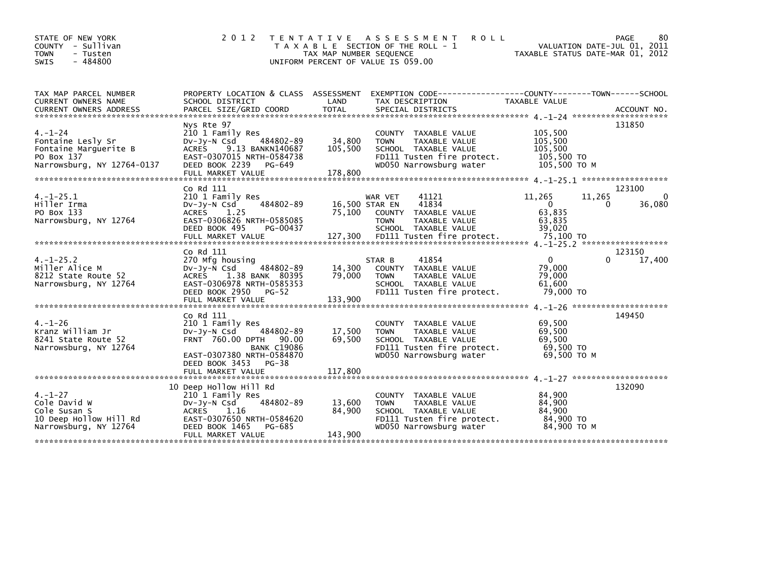| STATE OF NEW YORK<br>COUNTY - Sullivan<br><b>TOWN</b><br>- Tusten<br>$-484800$<br><b>SWIS</b>           | 2 0 1 2                                                                                                                                                                      | TAX MAP NUMBER SEQUENCE      | TENTATIVE ASSESSMENT<br><b>ROLL</b><br>T A X A B L E SECTION OF THE ROLL - 1<br>UNIFORM PERCENT OF VALUE IS 059.00                           | TAXABLE STATUS DATE-MAR 01, 2012                               | 80<br><b>PAGE</b><br>VALUATION DATE-JUL 01, 2011 |
|---------------------------------------------------------------------------------------------------------|------------------------------------------------------------------------------------------------------------------------------------------------------------------------------|------------------------------|----------------------------------------------------------------------------------------------------------------------------------------------|----------------------------------------------------------------|--------------------------------------------------|
| TAX MAP PARCEL NUMBER<br>CURRENT OWNERS NAME                                                            | PROPERTY LOCATION & CLASS ASSESSMENT<br>SCHOOL DISTRICT                                                                                                                      | LAND                         | EXEMPTION CODE-----------------COUNTY-------TOWN------SCHOOL<br>TAX DESCRIPTION                                                              | <b>TAXABLE VALUE</b>                                           |                                                  |
| $4. - 1 - 24$<br>Fontaine Lesly Sr<br>Fontaine Marquerite B<br>PO Box 137<br>Narrowsburg, NY 12764-0137 | Nys Rte 97<br>210 1 Family Res<br>DV-JY-N Csd<br>484802-89<br>9.13 BANKN140687<br><b>ACRES</b><br>EAST-0307015 NRTH-0584738<br>DEED BOOK 2239<br>PG-649<br>FULL MARKET VALUE | 34,800<br>105,500<br>178,800 | COUNTY TAXABLE VALUE<br><b>TOWN</b><br>TAXABLE VALUE<br>SCHOOL TAXABLE VALUE<br>FD111 Tusten fire protect.<br>WD050 Narrowsburg water        | 105,500<br>105,500<br>105,500<br>105,500 TO<br>105,500 TO M    | 131850                                           |
| $4. -1 - 25.1$<br>Hiller Irma<br>PO Box 133<br>Narrowsburg, NY 12764                                    | Co Rd 111<br>210 1 Family Res<br>484802-89<br>$Dv-Jy-N$ Csd<br><b>ACRES</b><br>1.25<br>EAST-0306826 NRTH-0585085<br>DEED BOOK 495<br>PG-00437                                | 75,100                       | WAR VET<br>41121<br>41834<br>16,500 STAR EN<br>COUNTY TAXABLE VALUE<br>TAXABLE VALUE<br><b>TOWN</b><br>SCHOOL TAXABLE VALUE                  | 11,265<br>11,265<br>$\mathbf{0}$<br>63,835<br>63,835<br>39,020 | 123100<br>$\mathbf{0}$<br>36,080<br>0            |
| $4. -1 - 25.2$<br>Miller Alice M<br>8212 State Route 52<br>Narrowsburg, NY 12764                        | Co Rd 111<br>270 Mfg housing<br>484802-89<br>$Dv-Jv-N$ Csd<br><b>ACRES</b><br>1.38 BANK 80395<br>EAST-0306978 NRTH-0585353<br>DEED BOOK 2950 PG-52                           | 14,300<br>79,000             | 41854<br>STAR B<br>COUNTY TAXABLE VALUE<br><b>TOWN</b><br>TAXABLE VALUE<br>SCHOOL TAXABLE VALUE<br>FD111 Tusten fire protect.                | $\mathbf{0}$<br>79,000<br>79,000<br>61,600<br>79,000 TO        | 123150<br>$\Omega$<br>17,400                     |
| $4. - 1 - 26$<br>Kranz William Jr<br>8241 State Route 52<br>Narrowsburg, NY 12764                       | Co Rd 111<br>210 1 Family Res<br>$Dv-Jv-N$ Csd<br>484802-89<br>FRNT 760.00 DPTH 90.00<br><b>BANK C19086</b><br>EAST-0307380 NRTH-0584870<br>DEED BOOK 3453<br>$PG-38$        | 17,500<br>69.500             | COUNTY TAXABLE VALUE<br><b>TAXABLE VALUE</b><br><b>TOWN</b><br>SCHOOL TAXABLE VALUE<br>FD111 Tusten fire protect.<br>WD050 Narrowsburg water | 69.500<br>69,500<br>69.500<br>69,500 TO<br>69.500 ТО М         | 149450                                           |
| $4. - 1 - 27$<br>Cole David W<br>Cole Susan S<br>10 Deep Hollow Hill Rd<br>Narrowsburg, NY 12764        | 10 Deep Hollow Hill Rd<br>210 1 Family Res<br>484802-89<br>DV-JY-N Csd<br>ACRES<br>1.16<br>EAST-0307650 NRTH-0584620<br>DEED BOOK 1465<br>PG-685<br>FULL MARKET VALUE        | 13,600<br>84,900<br>143,900  | COUNTY TAXABLE VALUE<br>TAXABLE VALUE<br><b>TOWN</b><br>SCHOOL TAXABLE VALUE<br>FD111 Tusten fire protect.<br>WD050 Narrowsburg water        | 84.900<br>84,900<br>84,900<br>84,900 TO<br>84,900 TO M         | 132090                                           |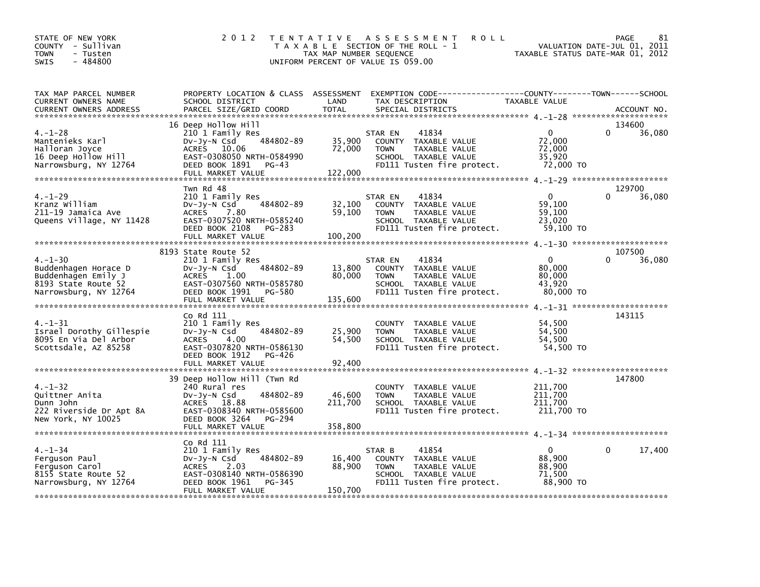| STATE OF NEW YORK<br>COUNTY - Sullivan<br>- Tusten<br>TOWN<br>$-484800$<br>SWIS                              | 2 0 1 2                                                                                                                                                         | TAX MAP NUMBER SEQUENCE     | <b>ROLL</b><br>TENTATIVE ASSESSMENT<br>T A X A B L E SECTION OF THE ROLL - 1<br>UNIFORM PERCENT OF VALUE IS 059.00                       | TAXABLE STATUS DATE-MAR 01, 2012                        | 81<br>PAGE<br>VALUATION DATE-JUL 01, 2011 |
|--------------------------------------------------------------------------------------------------------------|-----------------------------------------------------------------------------------------------------------------------------------------------------------------|-----------------------------|------------------------------------------------------------------------------------------------------------------------------------------|---------------------------------------------------------|-------------------------------------------|
| TAX MAP PARCEL NUMBER<br><b>CURRENT OWNERS NAME</b><br><b>CURRENT OWNERS ADDRESS</b>                         | SCHOOL DISTRICT<br>PARCEL SIZE/GRID COORD                                                                                                                       | LAND<br><b>TOTAL</b>        | PROPERTY LOCATION & CLASS ASSESSMENT EXEMPTION CODE----------------COUNTY-------TOWN------SCHOOL<br>TAX DESCRIPTION<br>SPECIAL DISTRICTS | TAXABLE VALUE                                           | ACCOUNT NO.                               |
| $4. - 1 - 28$<br>Mantenieks Karl<br>Halloran Joyce<br>16 Deep Hollow Hill<br>Narrowsburg, NY 12764           | 16 Deep Hollow Hill<br>210 1 Family Res<br>484802-89<br>Dv-Jy-N Csd<br>ACRES 10.06<br>EAST-0308050 NRTH-0584990<br>DEED BOOK 1891<br>PG-43<br>FULL MARKET VALUE | 35,900<br>72,000<br>122,000 | STAR EN<br>41834<br>COUNTY TAXABLE VALUE<br><b>TOWN</b><br>TAXABLE VALUE<br>SCHOOL TAXABLE VALUE<br>FD111 Tusten fire protect.           | $\Omega$<br>72,000<br>72,000<br>35,920<br>72.000 TO     | 134600<br>$\Omega$<br>36,080              |
| $4. - 1 - 29$<br>Kranz William<br>211-19 Jamaica Ave<br>Queens Village, NY 11428                             | Twn Rd 48<br>210 1 Family Res<br>484802-89<br>DV-Jy-N Csd<br>ACRES 7.80<br>EAST-0307520 NRTH-0585240<br>DEED BOOK 2108 PG-283<br>FULL MARKET VALUE              | 32,100<br>59,100<br>100,200 | STAR EN<br>41834<br>COUNTY TAXABLE VALUE<br><b>TOWN</b><br>TAXABLE VALUE<br>SCHOOL TAXABLE VALUE<br>FD111 Tusten fire protect.           | $\mathbf{0}$<br>59,100<br>59,100<br>23,020<br>59,100 TO | 129700<br>$\Omega$<br>36,080              |
|                                                                                                              | 8193 State Route 52                                                                                                                                             |                             |                                                                                                                                          |                                                         | 107500                                    |
| $4. - 1 - 30$<br>Buddenhagen Horace D<br>Buddenhagen Emily J<br>8193 State Route 52<br>Narrowsburg, NY 12764 | 210 1 Family Res<br>484802-89<br>Dv-Jy-N Csd<br>ACRES 1.00<br>EAST-0307560 NRTH-0585780<br>DEED BOOK 1991 PG-580<br>FULL MARKET VALUE                           | 13,800<br>80,000<br>135,600 | 41834<br>STAR EN<br>COUNTY TAXABLE VALUE<br>TAXABLE VALUE<br><b>TOWN</b><br>SCHOOL TAXABLE VALUE<br>FD111 Tusten fire protect.           | $\mathbf{0}$<br>80,000<br>80,000<br>43.920<br>80,000 TO | $\Omega$<br>36,080                        |
|                                                                                                              |                                                                                                                                                                 |                             |                                                                                                                                          |                                                         |                                           |
| $4. - 1 - 31$<br>Israel Dorothy Gillespie<br>8095 En Via Del Arbor<br>Scottsdale, AZ 85258                   | Co Rd 111<br>210 1 Family Res<br>484802-89<br>DV-JY-N Csd<br>ACRES 4.00<br>EAST-0307820 NRTH-0586130<br>DEED BOOK 1912 PG-426                                   | 25,900<br>54,500            | COUNTY TAXABLE VALUE<br>TAXABLE VALUE<br><b>TOWN</b><br>SCHOOL TAXABLE VALUE<br>FD111 Tusten fire protect.                               | 54,500<br>54,500<br>54,500<br>54,500 TO                 | 143115                                    |
|                                                                                                              |                                                                                                                                                                 |                             |                                                                                                                                          |                                                         |                                           |
| $4. - 1 - 32$<br>Quittner Anita<br>Dunn John<br>222 Riverside Dr Apt 8A<br>New York, NY 10025                | 39 Deep Hollow Hill (Twn Rd<br>240 Rural res<br>484802-89<br>Dv-Jy-N Csd<br>ACRES 18.88<br>EAST-0308340 NRTH-0585600<br>DEED BOOK 3264 PG-294                   | 46,600<br>211,700           | COUNTY TAXABLE VALUE<br><b>TOWN</b><br>TAXABLE VALUE<br>SCHOOL TAXABLE VALUE<br>FD111 Tusten fire protect.                               | 211,700<br>211,700<br>211.700<br>211,700 TO             | 147800                                    |
|                                                                                                              | Co Rd 111                                                                                                                                                       |                             |                                                                                                                                          |                                                         |                                           |
| $4. - 1 - 34$<br>Ferguson Paul<br>Ferguson Carol<br>8155 State Route 52<br>Narrowsburg, NY 12764             | 210 1 Family Res<br>484802-89<br>$Dv-Jy-N$ Csd<br>ACRES 2.03<br>EAST-0308140 NRTH-0586390<br>DEED BOOK 1961<br>PG-345<br>FULL MARKET VALUE                      | 16,400<br>88,900<br>150,700 | 41854<br>STAR B<br>COUNTY TAXABLE VALUE<br><b>TOWN</b><br>TAXABLE VALUE<br>SCHOOL TAXABLE VALUE<br>FD111 Tusten fire protect.            | $\Omega$<br>88,900<br>88.900<br>71.500<br>88,900 TO     | $\mathbf{0}$<br>17,400                    |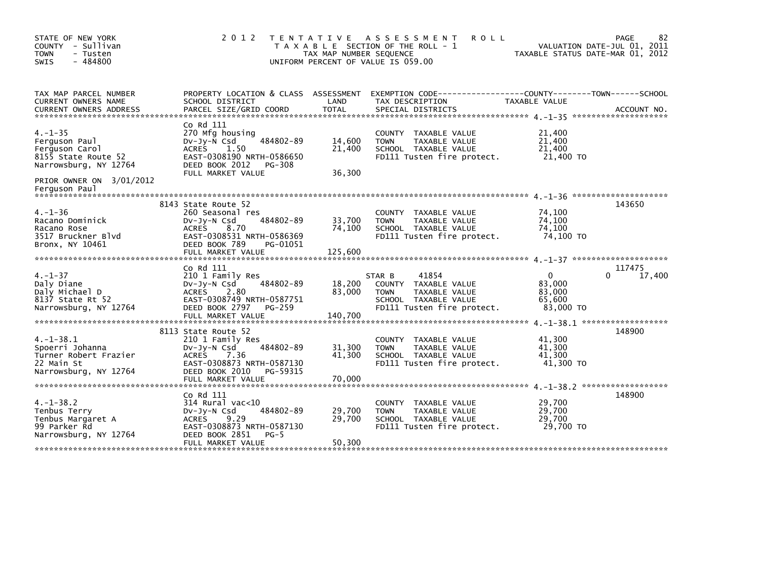| STATE OF NEW YORK<br>COUNTY - Sullivan<br><b>TOWN</b><br>- Tusten<br>$-484800$<br>SWIS            | 2 0 1 2                                                                                                                                                                     | TAX MAP NUMBER SEQUENCE     | TENTATIVE ASSESSMENT<br><b>ROLL</b><br>T A X A B L E SECTION OF THE ROLL - 1<br>UNIFORM PERCENT OF VALUE IS 059.00                       | TAXABLE STATUS DATE-MAR 01, 2012                    | 82<br>PAGE<br>VALUATION DATE-JUL 01, 2011 |
|---------------------------------------------------------------------------------------------------|-----------------------------------------------------------------------------------------------------------------------------------------------------------------------------|-----------------------------|------------------------------------------------------------------------------------------------------------------------------------------|-----------------------------------------------------|-------------------------------------------|
| TAX MAP PARCEL NUMBER<br>CURRENT OWNERS NAME<br>CURRENT OWNERS ADDRESS                            | SCHOOL DISTRICT<br>PARCEL SIZE/GRID COORD                                                                                                                                   | LAND<br><b>TOTAL</b>        | PROPERTY LOCATION & CLASS ASSESSMENT EXEMPTION CODE----------------COUNTY-------TOWN------SCHOOL<br>TAX DESCRIPTION<br>SPECIAL DISTRICTS | TAXABLE VALUE                                       | ACCOUNT NO.                               |
| $4. -1 - 35$<br>Ferguson Paul<br>Ferguson Carol<br>8155 State Route 52<br>Narrowsburg, NY 12764   | Co Rd 111<br>270 Mfg housing<br>484802-89<br>$Dv-Jy-N$ Csd<br><b>ACRES</b><br>1.50<br>EAST-0308190 NRTH-0586650<br>DEED BOOK 2012<br>PG-308<br>FULL MARKET VALUE            | 14,600<br>21,400<br>36,300  | COUNTY TAXABLE VALUE<br>TAXABLE VALUE<br><b>TOWN</b><br>SCHOOL TAXABLE VALUE<br>FD111 Tusten fire protect.                               | 21,400<br>21,400<br>21,400<br>21,400 TO             |                                           |
| PRIOR OWNER ON 3/01/2012<br>Ferguson Paul                                                         |                                                                                                                                                                             |                             |                                                                                                                                          |                                                     |                                           |
| $4. - 1 - 36$<br>Racano Dominick<br>Racano Rose<br>3517 Bruckner Blvd<br>Bronx, NY 10461          | 8143 State Route 52<br>260 Seasonal res<br>484802-89<br>$Dv-Jy-N$ Csd<br>ACRES<br>8.70<br>EAST-0308531 NRTH-0586369<br>DEED BOOK 789<br>PG-01051<br>FULL MARKET VALUE       | 33,700<br>74,100<br>125,600 | COUNTY TAXABLE VALUE<br>TAXABLE VALUE<br><b>TOWN</b><br>SCHOOL TAXABLE VALUE<br>FD111 Tusten fire protect.                               | 74,100<br>74,100<br>74,100<br>74.100 TO             | 143650                                    |
| $4. - 1 - 37$<br>Daly Diane<br>Daly Michael D<br>8137 State Rt 52<br>Narrowsburg, NY 12764        | Co Rd 111<br>210 1 Family Res<br>484802-89<br>DV-Jy-N Csd<br><b>ACRES</b><br>2.80<br>EAST-0308749 NRTH-0587751<br>DEED BOOK 2797<br>PG-259<br>FULL MARKET VALUE             | 18,200<br>83,000<br>140,700 | 41854<br>STAR B<br>COUNTY TAXABLE VALUE<br>TAXABLE VALUE<br><b>TOWN</b><br>SCHOOL TAXABLE VALUE<br>FD111 Tusten fire protect.            | $\Omega$<br>83,000<br>83,000<br>65.600<br>83,000 TO | 117475<br>17,400<br>0                     |
| $4. -1 - 38.1$<br>Spoerri Johanna<br>Turner Robert Frazier<br>22 Main St<br>Narrowsburg, NY 12764 | 8113 State Route 52<br>210 1 Family Res<br>484802-89<br>DV-Jy-N Csd<br><b>ACRES</b><br>7.36<br>EAST-0308873 NRTH-0587130<br>DEED BOOK 2010<br>PG-59315<br>FULL MARKET VALUE | 31,300<br>41,300<br>70,000  | COUNTY TAXABLE VALUE<br><b>TOWN</b><br>TAXABLE VALUE<br>SCHOOL TAXABLE VALUE<br>FD111 Tusten fire protect.                               | 41,300<br>41,300<br>41,300<br>41,300 TO             | 148900                                    |
| $4. - 1 - 38.2$<br>Tenbus Terry<br>Tenbus Margaret A<br>99 Parker Rd<br>Narrowsburg, NY 12764     | Co Rd 111<br>$314$ Rural vac< $10$<br>484802-89<br>$Dv-Jy-N$ Csd<br><b>ACRES</b><br>9.29<br>EAST-0308873 NRTH-0587130<br>DEED BOOK 2851<br>$PG-5$<br>FULL MARKET VALUE      | 29,700<br>29,700<br>50,300  | <b>COUNTY</b><br>TAXABLE VALUE<br>TAXABLE VALUE<br><b>TOWN</b><br>SCHOOL TAXABLE VALUE<br>FD111 Tusten fire protect.                     | 29,700<br>29,700<br>29,700<br>29.700 TO             | 148900                                    |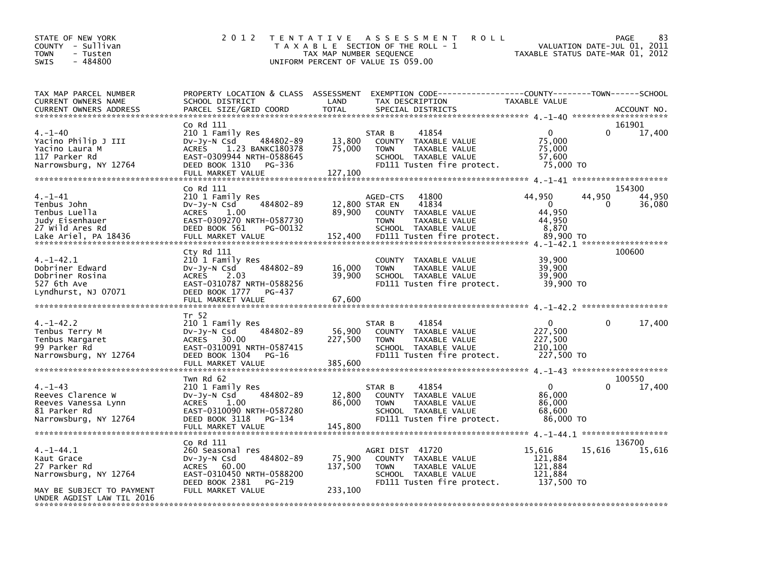| STATE OF NEW YORK<br>COUNTY - Sullivan<br>TOWN<br>- Tusten<br>$-484800$<br>SWIS                                             | 2 0 1 2                                                                                                                                                                               | T E N T A T I V E<br>TAX MAP NUMBER SEQUENCE | A S S E S S M E N T<br><b>ROLL</b><br>T A X A B L E SECTION OF THE ROLL - 1<br>UNIFORM PERCENT OF VALUE IS 059.00                                  | TAXABLE STATUS DATE-MAR 01, 2012                                | PAGE<br>VALUATION DATE-JUL 01, 2011 | 83               |
|-----------------------------------------------------------------------------------------------------------------------------|---------------------------------------------------------------------------------------------------------------------------------------------------------------------------------------|----------------------------------------------|----------------------------------------------------------------------------------------------------------------------------------------------------|-----------------------------------------------------------------|-------------------------------------|------------------|
| TAX MAP PARCEL NUMBER<br>CURRENT OWNERS NAME<br><b>CURRENT OWNERS ADDRESS</b>                                               | PROPERTY LOCATION & CLASS ASSESSMENT<br>SCHOOL DISTRICT<br>PARCEL SIZE/GRID COORD                                                                                                     | LAND<br><b>TOTAL</b>                         | EXEMPTION CODE-----------------COUNTY-------TOWN------SCHOOL<br>TAX DESCRIPTION<br>SPECIAL DISTRICTS                                               | <b>TAXABLE VALUE</b>                                            |                                     | ACCOUNT NO.      |
| $4. - 1 - 40$<br>Yacino Philip J III<br>Yacino Laura M<br>117 Parker Rd<br>Narrowsburg, NY 12764                            | Co Rd 111<br>210 1 Family Res<br>484802-89<br>DV-Jy-N Csd<br>1.23 BANKC180378<br><b>ACRES</b><br>EAST-0309944 NRTH-0588645<br>DEED BOOK 1310<br>PG-336                                | 13,800<br>75,000                             | STAR B<br>41854<br>TAXABLE VALUE<br><b>COUNTY</b><br><b>TOWN</b><br>TAXABLE VALUE<br>SCHOOL TAXABLE VALUE<br>FD111 Tusten fire protect.            | $\mathbf{0}$<br>75,000<br>75,000<br>57,600<br>75,000 TO         | 161901<br>$\Omega$                  | 17,400           |
| 4. –1–41<br>Tenbus John<br>Tenbus Luella<br>Judy Eisenhauer<br>27 Wild Ares Rd<br>Lake Ariel, PA 18436                      | Co Rd 111<br>210 1 Family Res<br>484802-89<br>DV-Jy-N Csd<br><b>ACRES</b><br>1.00<br>EAST-0309270 NRTH-0587730<br>DEED BOOK 561<br>PG-00132<br>FULL MARKET VALUE                      | 12,800 STAR EN<br>89,900<br>152,400          | 41800<br>AGED-CTS<br>41834<br><b>COUNTY</b><br>TAXABLE VALUE<br><b>TOWN</b><br>TAXABLE VALUE<br>SCHOOL TAXABLE VALUE<br>FD111 Tusten fire protect. | 44,950<br>$\mathbf 0$<br>44,950<br>44,950<br>8,870<br>89.900 TO | 154300<br>44,950<br>0               | 44,950<br>36,080 |
| 4. –1–42.1<br>Dobriner Edward<br>Dobriner Rosina<br>527 6th Ave<br>Lyndhurst, NJ 07071                                      | Cty Rd 111<br>210 1 Family Res<br>484802-89<br>DV-Jy-N Csd<br><b>ACRES</b><br>2.03<br>EAST-0310787 NRTH-0588256<br>DEED BOOK 1777<br>PG-437<br>FULL MARKET VALUE                      | 16,000<br>39,900<br>67,600                   | <b>COUNTY</b><br>TAXABLE VALUE<br><b>TOWN</b><br>TAXABLE VALUE<br>SCHOOL TAXABLE VALUE<br>FD111 Tusten fire protect.                               | 39,900<br>39,900<br>39,900<br>39,900 TO                         | 100600                              |                  |
| $4. - 1 - 42.2$<br>Tenbus Terry M<br>Tenbus Margaret<br>99 Parker Rd<br>Narrowsburg, NY 12764                               | Tr 52<br>210 1 Family Res<br>484802-89<br>$Dv-Jy-N$ Csd<br><b>ACRES</b><br>30.00<br>EAST-0310091 NRTH-0587415<br>DEED BOOK 1304<br>PG-16<br>FULL MARKET VALUE                         | 56,900<br>227,500<br>385,600                 | STAR B<br>41854<br>TAXABLE VALUE<br><b>COUNTY</b><br><b>TOWN</b><br>TAXABLE VALUE<br>SCHOOL TAXABLE VALUE<br>FD111 Tusten fire protect.            | 0<br>227,500<br>227,500<br>210,100<br>227,500 TO                | 0                                   | 17,400           |
| $4. - 1 - 43$<br>Reeves Clarence W<br>Reeves Vanessa Lynn<br>81 Parker Rd<br>Narrowsburg, NY 12764                          | Twn Rd 62<br>210 1 Family Res<br>484802-89<br>DV-Jy-N Csd<br><b>ACRES</b><br>1.00<br>EAST-0310090 NRTH-0587280<br>DEED BOOK 3118<br>PG-134                                            | 12,800<br>86,000                             | STAR B<br>41854<br>TAXABLE VALUE<br><b>COUNTY</b><br><b>TOWN</b><br>TAXABLE VALUE<br>SCHOOL TAXABLE VALUE<br>FD111 Tusten fire protect.            | $\Omega$<br>86,000<br>86,000<br>68,600<br>86,000 TO             | 100550<br>0                         | 17,400           |
| 4. –1–44.1<br>Kaut Grace<br>27 Parker Rd<br>Narrowsburg, NY 12764<br>MAY BE SUBJECT TO PAYMENT<br>UNDER AGDIST LAW TIL 2016 | FULL MARKET VALUE<br>Co Rd 111<br>260 Seasonal res<br>484802-89<br>DV-Jy-N Csd<br><b>ACRES</b><br>60.00<br>EAST-0310450 NRTH-0588200<br>DEED BOOK 2381<br>PG-219<br>FULL MARKET VALUE | 145,800<br>75,900<br>137,500<br>233,100      | AGRI DIST 41720<br>COUNTY TAXABLE VALUE<br><b>TOWN</b><br>TAXABLE VALUE<br>SCHOOL TAXABLE VALUE<br>FD111 Tusten fire protect.                      | 15,616<br>121,884<br>121,884<br>121,884<br>137,500 TO           | 136700<br>15,616                    | 15,616           |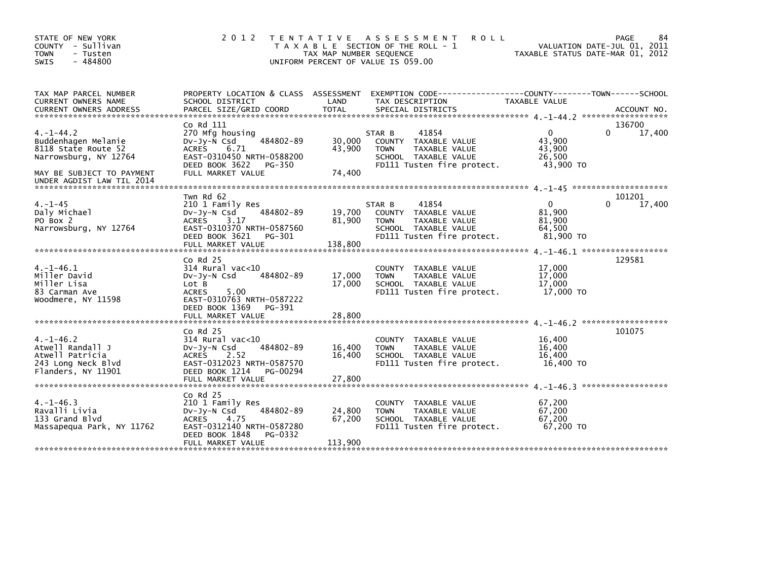| STATE OF NEW YORK<br>COUNTY - Sullivan<br><b>TOWN</b><br>- Tusten<br>$-484800$<br><b>SWIS</b>                                                   | 2 0 1 2                                                                                                                                                                         | T E N T A T I V E<br>TAX MAP NUMBER SEQUENCE | A S S E S S M E N T<br><b>ROLL</b><br>T A X A B L E SECTION OF THE ROLL - 1<br>UNIFORM PERCENT OF VALUE IS 059.00             | VALUATION DATE-JUL 01, 2011<br>TAXABLE STATUS DATE-MAR 01, 2012           | 84<br>PAGE       |
|-------------------------------------------------------------------------------------------------------------------------------------------------|---------------------------------------------------------------------------------------------------------------------------------------------------------------------------------|----------------------------------------------|-------------------------------------------------------------------------------------------------------------------------------|---------------------------------------------------------------------------|------------------|
| TAX MAP PARCEL NUMBER<br>CURRENT OWNERS NAME                                                                                                    | SCHOOL DISTRICT                                                                                                                                                                 | LAND                                         | PROPERTY LOCATION & CLASS ASSESSMENT EXEMPTION CODE----------------COUNTY-------TOWN------SCHOOL<br>TAX DESCRIPTION           | <b>TAXABLE VALUE</b>                                                      |                  |
| $4. -1 - 44.2$<br>Buddenhagen Melanie<br>8118 State Route 52<br>Narrowsburg, NY 12764<br>MAY BE SUBJECT TO PAYMENT<br>UNDER AGDIST LAW TIL 2014 | Co Rd 111<br>270 Mfg housing<br>484802-89<br>$Dv-Jy-N$ Csd<br><b>ACRES</b><br>6.71<br>EAST-0310450 NRTH-0588200<br>DEED BOOK 3622<br>PG-350<br>FULL MARKET VALUE                | 30,000<br>43,900<br>74,400                   | 41854<br>STAR B<br>COUNTY TAXABLE VALUE<br><b>TOWN</b><br>TAXABLE VALUE<br>SCHOOL TAXABLE VALUE<br>FD111 Tusten fire protect. | $\mathbf 0$<br>$\Omega$<br>43,900<br>43,900<br>26,500<br>43,900 TO        | 136700<br>17,400 |
| $4. - 1 - 45$<br>Daly Michael<br>PO Box 2<br>Narrowsburg, NY 12764                                                                              | Twn Rd 62<br>210 1 Family Res<br>484802-89<br>$Dv-Jy-N$ Csd<br><b>ACRES</b><br>3.17<br>EAST-0310370 NRTH-0587560<br>DEED BOOK 3621<br>PG-301<br>FULL MARKET VALUE               | 19,700<br>81,900<br>138,800                  | 41854<br>STAR B<br>COUNTY TAXABLE VALUE<br>TAXABLE VALUE<br><b>TOWN</b><br>SCHOOL TAXABLE VALUE<br>FD111 Tusten fire protect. | $\mathbf{0}$<br>$\Omega$<br>81.900<br>81,900<br>64,500<br>81,900 TO       | 101201<br>17,400 |
| $4. -1 - 46.1$<br>Miller David<br>Miller Lisa<br>83 Carman Ave<br>Woodmere, NY 11598                                                            | $CO$ Rd $25$<br>$314$ Rural vac<10<br>484802-89<br>$Dv-Jv-N$ Csd<br>Lot B<br>5.00<br><b>ACRES</b><br>EAST-0310763 NRTH-0587222<br>DEED BOOK 1369<br>PG-391<br>FULL MARKET VALUE | 17,000<br>17,000<br>28,800                   | COUNTY TAXABLE VALUE<br>TAXABLE VALUE<br><b>TOWN</b><br>SCHOOL TAXABLE VALUE<br>FD111 Tusten fire protect.                    | 17,000<br>17,000<br>17,000<br>17.000 TO                                   | 129581           |
| $4. -1 - 46.2$<br>Atwell Randall J<br>Atwell Patricia<br>243 Long Neck Blvd<br>Flanders, NY 11901                                               | $Co$ Rd $25$<br>$314$ Rural vac< $10$<br>484802-89<br>$Dv-Jy-N$ Csd<br>2.52<br><b>ACRES</b><br>EAST-0312023 NRTH-0587570<br>DEED BOOK 1214<br>PG-00294<br>FULL MARKET VALUE     | 16,400<br>16,400<br>27,800                   | COUNTY TAXABLE VALUE<br>TAXABLE VALUE<br><b>TOWN</b><br>SCHOOL TAXABLE VALUE<br>FD111 Tusten fire protect.                    | 4. -1-46.2 *******************<br>16,400<br>16,400<br>16,400<br>16,400 TO | 101075           |
| $4. -1 - 46.3$<br>Ravalli Livia<br>133 Grand Blvd<br>Massapequa Park, NY 11762                                                                  | $Co$ Rd $25$<br>210 1 Family Res<br>484802-89<br>DV-Jy-N Csd<br>ACRES<br>4.75<br>EAST-0312140 NRTH-0587280<br>DEED BOOK 1848<br>PG-0332<br>FULL MARKET VALUE                    | 24,800<br>67,200<br>113,900                  | COUNTY TAXABLE VALUE<br>TAXABLE VALUE<br><b>TOWN</b><br>SCHOOL TAXABLE VALUE<br>FD111 Tusten fire protect.                    | 67,200<br>67,200<br>67,200<br>67,200 TO                                   |                  |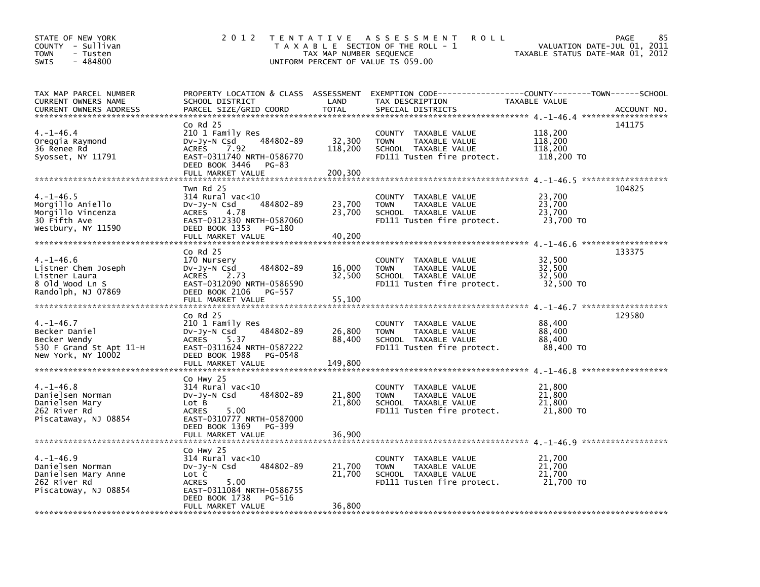| STATE OF NEW YORK<br>COUNTY - Sullivan<br><b>TOWN</b><br>- Tusten<br>$-484800$<br><b>SWIS</b>     | 2 0 1 2                                                                                                                                                                    | TAX MAP NUMBER SEQUENCE      | TENTATIVE ASSESSMENT<br><b>ROLL</b><br>T A X A B L E SECTION OF THE ROLL - 1<br>UNIFORM PERCENT OF VALUE IS 059.00 | VALUATION DATE-JUL 01, 2011<br>TAXABLE STATUS DATE-MAR 01, 2012 | 85<br>PAGE  |
|---------------------------------------------------------------------------------------------------|----------------------------------------------------------------------------------------------------------------------------------------------------------------------------|------------------------------|--------------------------------------------------------------------------------------------------------------------|-----------------------------------------------------------------|-------------|
| TAX MAP PARCEL NUMBER<br>CURRENT OWNERS NAME<br><b>CURRENT OWNERS ADDRESS</b>                     | PROPERTY LOCATION & CLASS ASSESSMENT<br>SCHOOL DISTRICT<br>PARCEL SIZE/GRID COORD                                                                                          | LAND<br><b>TOTAL</b>         | EXEMPTION        CODE-----------------COUNTY-------TOWN------SCHOOL<br>TAX DESCRIPTION<br>SPECIAL DISTRICTS        | TAXABLE VALUE                                                   | ACCOUNT NO. |
| $4. -1 - 46.4$<br>Oreggia Raymond<br>36 Renee Rd<br>Syosset, NY 11791                             | $Co$ Rd $25$<br>210 1 Family Res<br>484802-89<br>DV-Jy-N Csd<br>7.92<br><b>ACRES</b><br>EAST-0311740 NRTH-0586770<br>DEED BOOK 3446<br>PG-83<br>FULL MARKET VALUE          | 32,300<br>118,200<br>200,300 | COUNTY TAXABLE VALUE<br><b>TOWN</b><br>TAXABLE VALUE<br>SCHOOL TAXABLE VALUE<br>FD111 Tusten fire protect.         | 118,200<br>118,200<br>118,200<br>118,200 TO                     | 141175      |
| $4. -1 - 46.5$<br>Morgillo Aniello<br>Morgillo Vincenza<br>30 Fifth Ave<br>Westbury, NY 11590     | Twn Rd 25<br>314 Rural vac<10<br>Dv-Jy-N Csd<br>484802-89<br>4.78<br>ACRES<br>EAST-0312330 NRTH-0587060<br>DEED BOOK 1353<br>PG-180<br>FULL MARKET VALUE                   | 23,700<br>23,700<br>40,200   | COUNTY TAXABLE VALUE<br><b>TOWN</b><br>TAXABLE VALUE<br>SCHOOL TAXABLE VALUE<br>FD111 Tusten fire protect.         | 23,700<br>23,700<br>23,700<br>23,700 TO                         | 104825      |
| $4. - 1 - 46.6$<br>Listner Chem Joseph<br>Listner Laura<br>8 Old Wood Ln S<br>Randolph, NJ 07869  | $Co$ Rd $25$<br>170 Nursery<br>484802-89<br>$Dv-Jy-N$ Csd<br>ACRES<br>2.73<br>EAST-0312090 NRTH-0586590<br>DEED BOOK 2106<br>PG-557<br>FULL MARKET VALUE                   | 16,000<br>32,500<br>55,100   | COUNTY TAXABLE VALUE<br>TAXABLE VALUE<br><b>TOWN</b><br>SCHOOL TAXABLE VALUE<br>FD111 Tusten fire protect.         | 32,500<br>32,500<br>32,500<br>32,500 TO                         | 133375      |
| $4. -1 - 46.7$<br>Becker Daniel<br>Becker Wendy<br>530 F Grand St Apt 11-H<br>New York, NY 10002  | Co Rd 25<br>210 1 Family Res<br>484802-89<br>DV-Jy-N Csd<br>5.37<br>ACRES<br>EAST-0311624 NRTH-0587222<br>DEED BOOK 1988<br>PG-0548<br>FULL MARKET VALUE                   | 26,800<br>88,400<br>149,800  | COUNTY TAXABLE VALUE<br>TAXABLE VALUE<br><b>TOWN</b><br>SCHOOL TAXABLE VALUE<br>FD111 Tusten fire protect.         | 88,400<br>88,400<br>88,400<br>88,400 TO                         | 129580      |
| $4. -1 - 46.8$<br>Danielsen Norman<br>Danielsen Mary<br>262 River Rd<br>Piscataway, NJ 08854      | Co Hwy 25<br>314 Rural vac<10<br>484802-89<br>DV-Jy-N Csd<br>Lot B<br>5.00<br><b>ACRES</b><br>EAST-0310777 NRTH-0587000<br>DEED BOOK 1369<br>PG-399<br>FULL MARKET VALUE   | 21,800<br>21,800<br>36,900   | COUNTY TAXABLE VALUE<br><b>TOWN</b><br>TAXABLE VALUE<br>SCHOOL TAXABLE VALUE<br>FD111 Tusten fire protect.         | 21,800<br>21,800<br>21,800<br>21,800 TO                         |             |
| $4. -1 - 46.9$<br>Danielsen Norman<br>Danielsen Mary Anne<br>262 River Rd<br>Piscatoway, NJ 08854 | Co Hwy 25<br>$314$ Rural vac<10<br>484802-89<br>DV-Jy-N Csd<br>Lot C<br>5.00<br><b>ACRES</b><br>EAST-0311084 NRTH-0586755<br>DEED BOOK 1738<br>PG-516<br>FULL MARKET VALUE | 21,700<br>21,700<br>36,800   | COUNTY TAXABLE VALUE<br><b>TOWN</b><br>TAXABLE VALUE<br>SCHOOL TAXABLE VALUE<br>FD111 Tusten fire protect.         | 21,700<br>21,700<br>21,700<br>21,700 TO                         |             |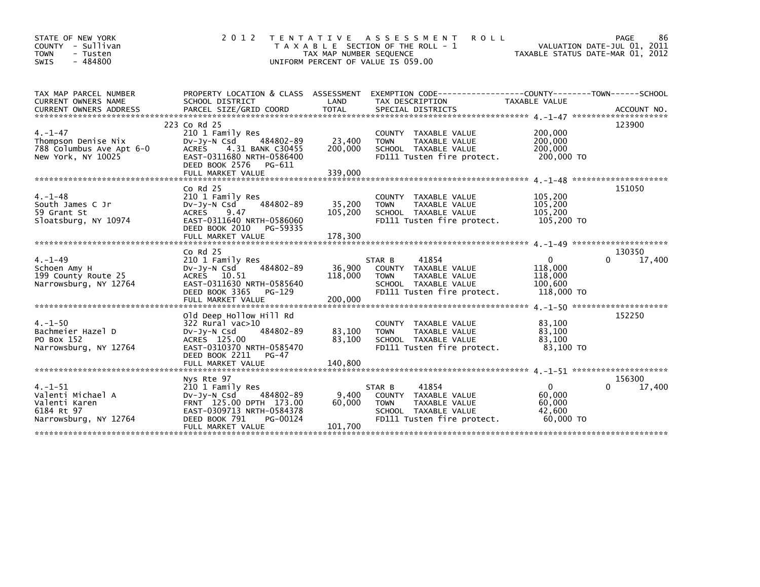| STATE OF NEW YORK<br>COUNTY - Sullivan<br><b>TOWN</b><br>- Tusten<br>- 484800<br><b>SWIS</b> | 2 0 1 2                                                                                                                                                                | T E N T A T I V E<br>TAX MAP NUMBER SEQUENCE | A S S E S S M E N T<br><b>ROLL</b><br>T A X A B L E SECTION OF THE ROLL - 1<br>UNIFORM PERCENT OF VALUE IS 059.00             | VALUATION DATE-JUL 01, 2011<br>TAXABLE STATUS DATE-MAR 01, 2012 | PAGE<br>86            |
|----------------------------------------------------------------------------------------------|------------------------------------------------------------------------------------------------------------------------------------------------------------------------|----------------------------------------------|-------------------------------------------------------------------------------------------------------------------------------|-----------------------------------------------------------------|-----------------------|
| TAX MAP PARCEL NUMBER<br>CURRENT OWNERS NAME                                                 | PROPERTY LOCATION & CLASS ASSESSMENT<br>SCHOOL DISTRICT                                                                                                                | LAND                                         | EXEMPTION CODE-----------------COUNTY--------TOWN------SCHOOL<br>TAX DESCRIPTION                                              | TAXABLE VALUE                                                   |                       |
| $4. - 1 - 47$<br>Thompson Denise Nix<br>788 Columbus Ave Apt 6-0<br>New York, NY 10025       | 223 Co Rd 25<br>210 1 Family Res<br>484802-89<br>Dv-Jy-N Csd<br><b>ACRES</b><br>4.31 BANK C30455<br>EAST-0311680 NRTH-0586400<br>DEED BOOK 2576<br>PG-611              | 23,400<br>200,000                            | COUNTY TAXABLE VALUE<br>TAXABLE VALUE<br><b>TOWN</b><br>SCHOOL TAXABLE VALUE<br>FD111 Tusten fire protect.                    | 200,000<br>200,000<br>200,000<br>200,000 TO                     | 123900                |
| $4. - 1 - 48$<br>South James C Jr<br>59 Grant St<br>Sloatsburg, NY 10974                     | $Co$ Rd $25$<br>210 1 Family Res<br>484802-89<br>$Dv-Jy-N$ Csd<br><b>ACRES</b><br>9.47<br>EAST-0311640 NRTH-0586060<br>DEED BOOK 2010<br>PG-59335                      | 35,200<br>105,200                            | COUNTY TAXABLE VALUE<br><b>TAXABLE VALUE</b><br><b>TOWN</b><br>SCHOOL TAXABLE VALUE<br>FD111 Tusten fire protect.             | 105,200<br>105,200<br>105,200<br>105,200 TO                     | 151050                |
|                                                                                              |                                                                                                                                                                        |                                              |                                                                                                                               |                                                                 |                       |
| $4. - 1 - 49$<br>Schoen Amy H<br>199 County Route 25<br>Narrowsburg, NY 12764                | $CO$ Rd $25$<br>210 1 Family Res<br>484802-89<br>DV-Jy-N Csd<br>ACRES 10.51<br>EAST-0311630 NRTH-0585640<br>DEED BOOK 3365<br>PG-129                                   | 36,900<br>118,000                            | 41854<br>STAR B<br>COUNTY TAXABLE VALUE<br><b>TOWN</b><br>TAXABLE VALUE<br>SCHOOL TAXABLE VALUE<br>FD111 Tusten fire protect. | 0<br>118,000<br>118,000<br>100,600<br>118,000 TO                | 130350<br>0<br>17,400 |
| $4. - 1 - 50$<br>Bachmeier Hazel D<br>PO Box 152<br>Narrowsburg, NY 12764                    | Old Deep Hollow Hill Rd<br>$322$ Rural vac $>10$<br>484802-89<br>$Dv-Jy-N$ Csd<br>ACRES 125.00<br>EAST-0310370 NRTH-0585470<br>DEED BOOK 2211<br>PG-47                 | 83,100<br>83,100                             | COUNTY TAXABLE VALUE<br>TAXABLE VALUE<br><b>TOWN</b><br>SCHOOL TAXABLE VALUE<br>FD111 Tusten fire protect.                    | 83,100<br>83,100<br>83,100<br>83.100 TO                         | 152250                |
| $4. - 1 - 51$<br>Valenti Michael A<br>Valenti Karen<br>6184 Rt 97<br>Narrowsburg, NY 12764   | Nys Rte 97<br>210 1 Family Res<br>484802-89<br>$Dv-Jy-N$ Csd<br>FRNT 125.00 DPTH 173.00<br>EAST-0309713 NRTH-0584378<br>DEED BOOK 791<br>PG-00124<br>FULL MARKET VALUE | 9,400<br>60,000<br>101,700                   | 41854<br>STAR B<br>COUNTY TAXABLE VALUE<br>TAXABLE VALUE<br><b>TOWN</b><br>SCHOOL TAXABLE VALUE<br>FD111 Tusten fire protect. | $\mathbf{0}$<br>60,000<br>60,000<br>42,600<br>60,000 TO         | 156300<br>17,400<br>0 |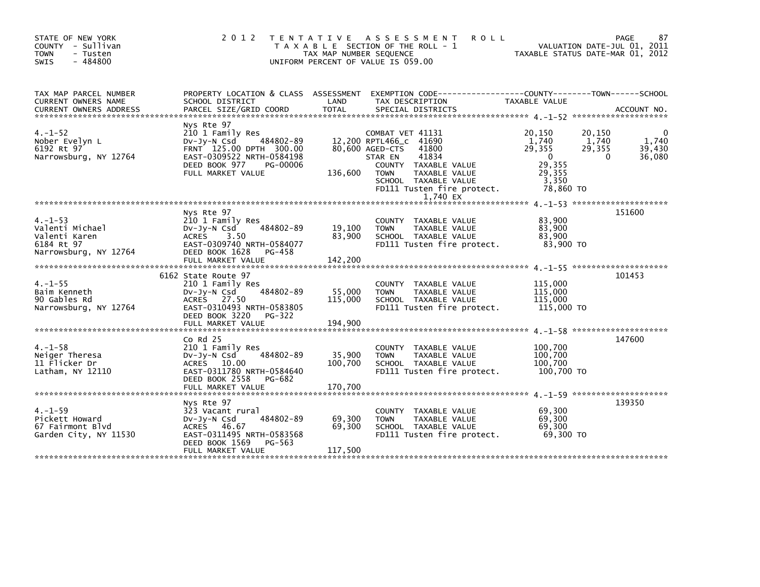| 87<br>VALUATION DATE-JUL 01, 2011<br>TAXABLE STATUS DATE-MAR 01, 2012                            |
|--------------------------------------------------------------------------------------------------|
| PROPERTY LOCATION & CLASS ASSESSMENT EXEMPTION CODE----------------COUNTY-------TOWN------SCHOOL |
| 1,740<br>39.430<br>36,080                                                                        |
| 151600                                                                                           |
|                                                                                                  |
|                                                                                                  |
|                                                                                                  |
|                                                                                                  |
|                                                                                                  |
| 139350                                                                                           |
| 101453<br>147600                                                                                 |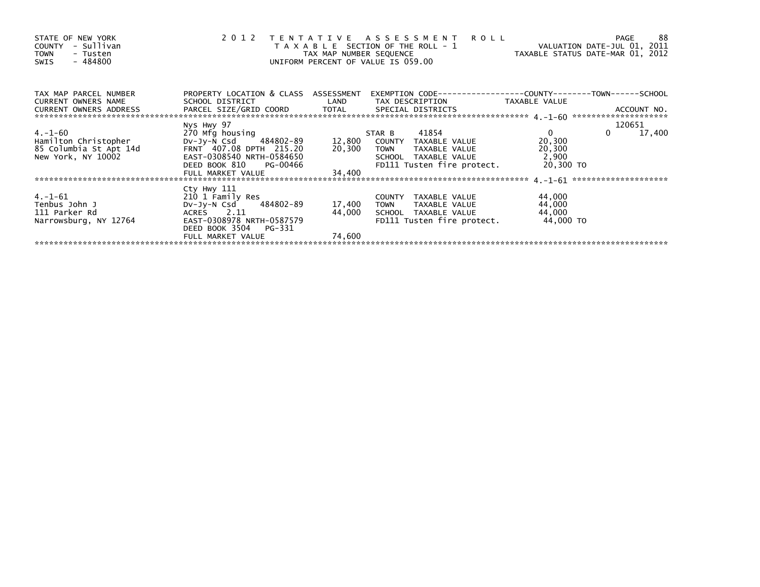| STATE OF NEW YORK<br>- Sullivan<br><b>COUNTY</b><br><b>TOWN</b><br>- Tusten<br>$-484800$<br>SWIS |                                                       | TAX MAP NUMBER SEQUENCE | 2012 TENTATIVE ASSESSMENT ROLL<br>T A X A B L E SECTION OF THE ROLL - 1<br>UNIFORM PERCENT OF VALUE IS 059.00 | VALUATION DATE-JUL 01, 2011<br>TAXABLE STATUS DATE-MAR 01, 2012 | 88<br>PAGE         |
|--------------------------------------------------------------------------------------------------|-------------------------------------------------------|-------------------------|---------------------------------------------------------------------------------------------------------------|-----------------------------------------------------------------|--------------------|
| TAX MAP PARCEL NUMBER                                                                            | PROPERTY LOCATION & CLASS ASSESSMENT                  |                         |                                                                                                               |                                                                 |                    |
| CURRENT OWNERS NAME                                                                              | SCHOOL DISTRICT                                       |                         | LAND TAX DESCRIPTION                                                                                          | TAXABLE VALUE                                                   |                    |
|                                                                                                  | Nys Hwy 97                                            |                         |                                                                                                               |                                                                 | 120651             |
| 4.-1-60                                                                                          | 270 Mfg housing                                       |                         | STAR B 41854                                                                                                  | $\mathbf{0}$                                                    | $\Omega$<br>17,400 |
| Hamilton Christopher                                                                             |                                                       |                         | اد Mrg nousing (270 Mrg nousing )<br>Dv-Jy-N Csd (484802-89 12,800 COUNTY TAXABLE VALUE                       | 20,300                                                          |                    |
| 85 Columbia St Apt 14d                                                                           | FRNT 407.08 DPTH 215.20                               | 20,300                  | TOWN TAXABLE VALUE                                                                                            | 20,300                                                          |                    |
| New York, NY 10002                                                                               | EAST-0308540 NRTH-0584650                             |                         | SCHOOL TAXABLE VALUE                                                                                          | 2,900                                                           |                    |
|                                                                                                  | DEED BOOK 810 PG-00466                                |                         | FD111 Tusten fire protect. 20,300 TO                                                                          |                                                                 |                    |
|                                                                                                  | FULL MARKET VALUE                                     | 34,400                  |                                                                                                               |                                                                 |                    |
|                                                                                                  |                                                       |                         |                                                                                                               |                                                                 |                    |
|                                                                                                  | Cty Hwy 111                                           |                         |                                                                                                               |                                                                 |                    |
| 4.-1-61<br>Tenbus John J                                                                         | 210 1 Family Res                                      |                         | COUNTY TAXABLE VALUE                                                                                          | 44,000                                                          |                    |
|                                                                                                  | DV-Jy-N Csd 484802-89                                 | 17,400                  | TOWN TAXABLE VALUE                                                                                            | 44,000                                                          |                    |
| 111 Parker Rd                                                                                    | ACRES 2.11                                            | 44,000                  | SCHOOL TAXABLE VALUE                                                                                          | 44,000                                                          |                    |
| Narrowsburg, NY 12764                                                                            | EAST-0308978 NRTH-0587579<br>DEED BOOK 3504<br>PG-331 |                         | FD111 Tusten fire protect.                                                                                    | 44,000 TO                                                       |                    |
|                                                                                                  |                                                       | 74,600                  |                                                                                                               |                                                                 |                    |
|                                                                                                  | FULL MARKET VALUE                                     |                         |                                                                                                               |                                                                 |                    |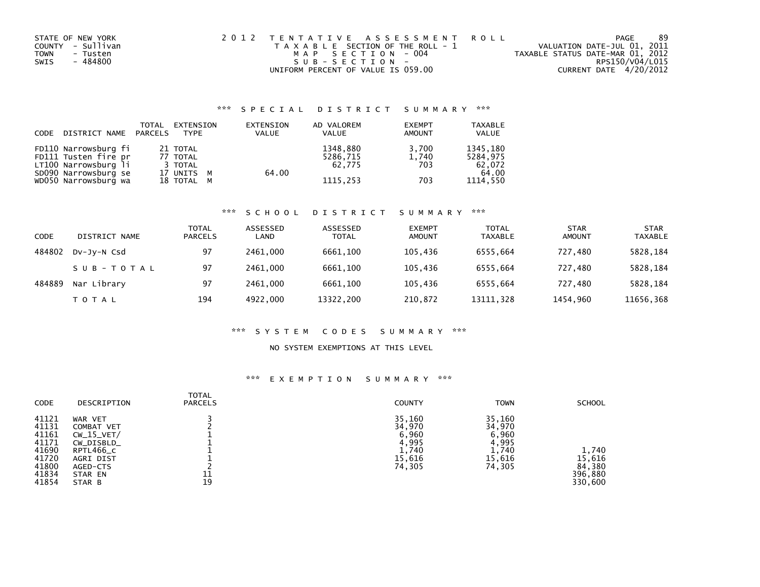| STATE OF NEW YORK | 2012 TENTATIVE ASSESSMENT ROLL        |                                  | PAGE | 89 |
|-------------------|---------------------------------------|----------------------------------|------|----|
| COUNTY - Sullivan | T A X A B L E SECTION OF THE ROLL - 1 | VALUATION DATE-JUL 01, 2011      |      |    |
| TOWN<br>- Tusten  | MAP SECTION - 004                     | TAXABLE STATUS DATE-MAR 01, 2012 |      |    |
| - 484800<br>SWIS  | SUB-SECTION-                          | RPS150/V04/L015                  |      |    |
|                   | UNIFORM PERCENT OF VALUE IS 059.00    | CURRENT DATE 4/20/2012           |      |    |

### \*\*\* S P E C I A L D I S T R I C T S U M M A R Y \*\*\*

| CODE | DISTRICT NAME PARCELS | TOTAL | EXTENSION<br><b>TYPE</b> | EXTENSION<br><b>VALUE</b> | AD VALOREM<br>VALUE | <b>EXEMPT</b><br><b>AMOUNT</b> | <b>TAXABLE</b><br><b>VALUE</b> |
|------|-----------------------|-------|--------------------------|---------------------------|---------------------|--------------------------------|--------------------------------|
|      | FD110 Narrowsburg fi  |       | 21 TOTAL                 |                           | 1348,880            | 3.700                          | 1345,180                       |
|      | FD111 Tusten fire pr  |       | 77 TOTAL                 |                           | 5286,715            | 1,740                          | 5284.975                       |
|      | LT100 Narrowsburg li  |       | 3 TOTAL                  |                           | 62.775              | 703                            | 62,072                         |
|      | SD090 Narrowsburg se  |       | 17 UNITS M               | 64.00                     |                     |                                | 64.00                          |
|      | WD050 Narrowsburg wa  |       | 18 TOTAL M               |                           | 1115.253            | 703                            | 1114.550                       |

# \*\*\* S C H O O L D I S T R I C T S U M M A R Y \*\*\*

| CODE   | DISTRICT NAME | TOTAL<br><b>PARCELS</b> | ASSESSED<br>LAND | ASSESSED<br><b>TOTAL</b> | <b>EXEMPT</b><br>AMOUNT | <b>TOTAL</b><br><b>TAXABLE</b> | <b>STAR</b><br>AMOUNT | <b>STAR</b><br><b>TAXABLE</b> |
|--------|---------------|-------------------------|------------------|--------------------------|-------------------------|--------------------------------|-----------------------|-------------------------------|
| 484802 | DV-JV-N Csd   | 97                      | 2461.000         | 6661.100                 | 105.436                 | 6555.664                       | 727.480               | 5828,184                      |
|        | SUB-TOTAL     | 97                      | 2461.000         | 6661.100                 | 105.436                 | 6555.664                       | 727.480               | 5828,184                      |
| 484889 | Nar Library   | 97                      | 2461.000         | 6661.100                 | 105.436                 | 6555.664                       | 727.480               | 5828,184                      |
|        | TOTAL         | 194                     | 4922,000         | 13322,200                | 210,872                 | 13111,328                      | 1454,960              | 11656,368                     |

#### \*\*\* S Y S T E M C O D E S S U M M A R Y \*\*\*

#### NO SYSTEM EXEMPTIONS AT THIS LEVEL

### \*\*\* E X E M P T I O N S U M M A R Y \*\*\*

| CODE                                                                          | DESCRIPTION                                                                                                    | TOTAL<br><b>PARCELS</b> | <b>COUNTY</b>                                                   | <b>TOWN</b>                                                     | <b>SCHOOL</b>                                   |
|-------------------------------------------------------------------------------|----------------------------------------------------------------------------------------------------------------|-------------------------|-----------------------------------------------------------------|-----------------------------------------------------------------|-------------------------------------------------|
| 41121<br>41131<br>41161<br>41171<br>41690<br>41720<br>41800<br>41834<br>41854 | WAR VET<br>COMBAT VET<br>$CW_15_VET/$<br>CW_DISBLD_<br>RPTL466_C<br>AGRI DIST<br>AGED-CTS<br>STAR EN<br>STAR B | 11<br>19                | 35,160<br>34,970<br>6,960<br>4,995<br>1,740<br>15,616<br>74,305 | 35,160<br>34,970<br>6,960<br>4,995<br>1,740<br>15,616<br>74,305 | 1,740<br>15,616<br>84,380<br>396,880<br>330,600 |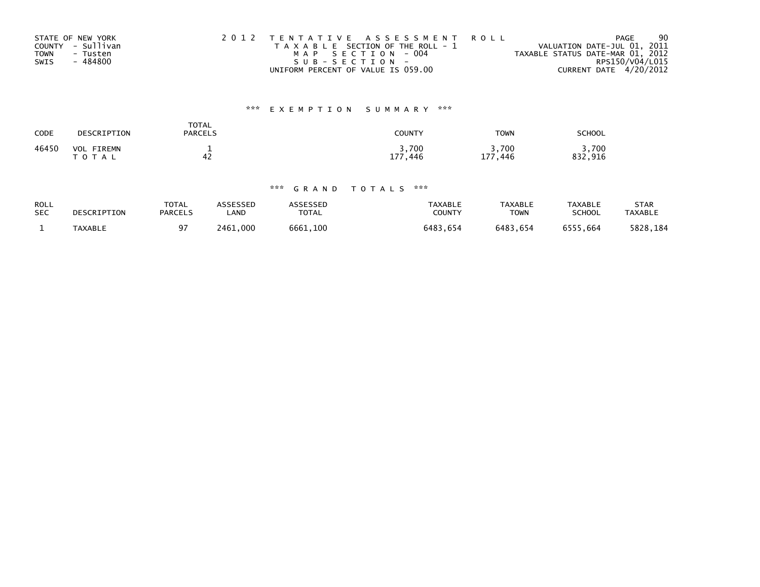|      | STATE OF NEW YORK | 2012 TENTATIVE ASSESSMENT ROLL        | <b>PAGE</b>                      | 90 |
|------|-------------------|---------------------------------------|----------------------------------|----|
|      | COUNTY - Sullivan | T A X A B L E SECTION OF THE ROLL - 1 | VALUATION DATE-JUL 01, 2011      |    |
| TOWN | - Tusten          | MAP SECTION - 004                     | TAXABLE STATUS DATE-MAR 01, 2012 |    |
| SWIS | - 484800          | SUB-SECTION-                          | RPS150/V04/L015                  |    |
|      |                   | UNIFORM PERCENT OF VALUE IS 059.00    | CURRENT DATE 4/20/2012           |    |

# \*\*\* E X E M P T I O N S U M M A R Y \*\*\*

| CODE  | DESCRIPTION                        | TOTAL<br><b>PARCELS</b> | COUNTY              | <b>TOWN</b>                        | <b>SCHOOL</b>        |
|-------|------------------------------------|-------------------------|---------------------|------------------------------------|----------------------|
| 46450 | VOL<br><b>FIREMN</b><br>тот<br>A L | 42                      | 3,700<br>177<br>446 | 3,700<br>177<br>.446<br><b>. .</b> | .700<br>. 916<br>832 |

### \*\*\* G R A N D T O T A L S \*\*\*

| <b>ROLL</b> | DESCRIPTION    | <b>TOTAL</b>   | <b>ASSESSED</b> | <b>ASSESSED</b> | <b>TAXABLE</b> | TAXABLE     | <b>TAXABLE</b> | <b>STAR</b>    |
|-------------|----------------|----------------|-----------------|-----------------|----------------|-------------|----------------|----------------|
| <b>SEC</b>  |                | <b>PARCELS</b> | <b>_AND</b>     | <b>TOTAL</b>    | <b>COUNTY</b>  | <b>TOWN</b> | <b>SCHOOL</b>  | <b>TAXABLE</b> |
|             | <b>TAXABLE</b> | 97             | 2461.000        | 6661.100        | 6483.654       | 6483.654    | 6555.664       | 5828.184       |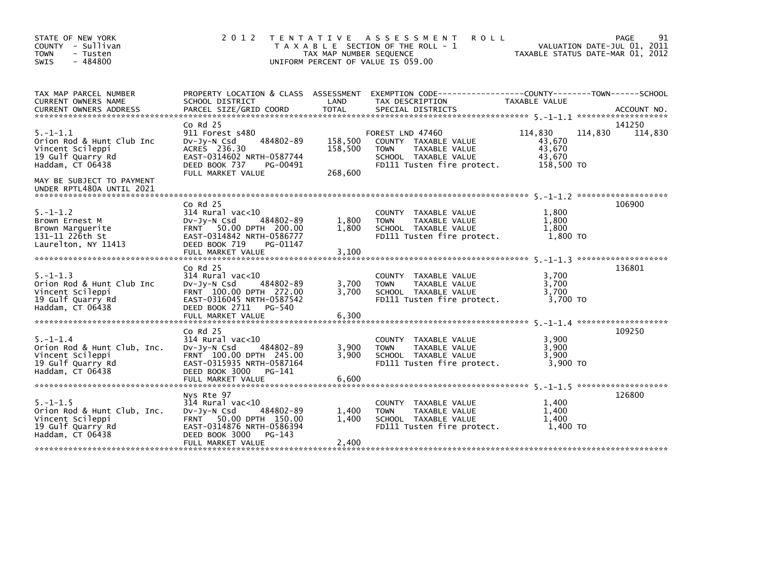| STATE OF NEW YORK<br>COUNTY - Sullivan<br><b>TOWN</b><br>- Tusten<br>$-484800$<br>SWIS                                                | 2 0 1 2                                                                                                                                                                   | TAX MAP NUMBER SEQUENCE       | TENTATIVE ASSESSMENT<br><b>ROLL</b><br>T A X A B L E SECTION OF THE ROLL - 1<br>UNIFORM PERCENT OF VALUE IS 059.00             |                                                     | 91<br>PAGE<br>VALUATION DATE-JUL 01, 2011<br>TAXABLE STATUS DATE-MAR 01, 2012 |
|---------------------------------------------------------------------------------------------------------------------------------------|---------------------------------------------------------------------------------------------------------------------------------------------------------------------------|-------------------------------|--------------------------------------------------------------------------------------------------------------------------------|-----------------------------------------------------|-------------------------------------------------------------------------------|
| TAX MAP PARCEL NUMBER<br>CURRENT OWNERS NAME                                                                                          | SCHOOL DISTRICT                                                                                                                                                           | LAND                          | PROPERTY LOCATION & CLASS ASSESSMENT EXEMPTION CODE----------------COUNTY-------TOWN------SCHOOL<br>TAX DESCRIPTION            | TAXABLE VALUE                                       |                                                                               |
| $5. - 1 - 1.1$<br>Orion Rod & Hunt Club Inc<br>Vincent Scileppi<br>19 Gulf Quarry Rd<br>Haddam, CT 06438<br>MAY BE SUBJECT TO PAYMENT | $Co$ Rd $25$<br>911 Forest s480<br>484802-89<br>$Dv-Jy-N$ Csd<br>ACRES 236.30<br>EAST-0314602 NRTH-0587744<br>DEED BOOK 737<br>PG-00491<br>FULL MARKET VALUE              | 158,500<br>158,500<br>268,600 | FOREST LND 47460<br>COUNTY TAXABLE VALUE<br>TAXABLE VALUE<br><b>TOWN</b><br>SCHOOL TAXABLE VALUE<br>FD111 Tusten fire protect. | 114,830<br>43,670<br>43,670<br>43,670<br>158,500 TO | 141250<br>114,830<br>114,830                                                  |
| UNDER RPTL480A UNTIL 2021                                                                                                             |                                                                                                                                                                           |                               |                                                                                                                                |                                                     |                                                                               |
| $5. - 1 - 1.2$<br>Brown Ernest M<br>Brown Marquerite<br>131-11 226th St<br>Laurelton, NY 11413                                        | $Co$ Rd $25$<br>$314$ Rural vac<10<br>484802-89<br>$Dv-Jy-N$ Csd<br>FRNT 50.00 DPTH 200.00<br>EAST-0314842 NRTH-0586777<br>DEED BOOK 719<br>PG-01147<br>FULL MARKET VALUE | 1,800<br>1,800<br>3,100       | COUNTY TAXABLE VALUE<br>TAXABLE VALUE<br><b>TOWN</b><br>SCHOOL TAXABLE VALUE<br>FD111 Tusten fire protect.                     | 1,800<br>1,800<br>1.800<br>1.800 TO                 | 106900                                                                        |
|                                                                                                                                       | $Co$ Rd $25$                                                                                                                                                              |                               |                                                                                                                                |                                                     | 136801                                                                        |
| $5. - 1 - 1.3$<br>Orion Rod & Hunt Club Inc<br>Vincent Scileppi<br>19 Gulf Quarry Rd<br>Haddam. CT 06438                              | $314$ Rural vac<10<br>$Dv$ -J $v$ -N Csd<br>484802-89<br>FRNT 100.00 DPTH 272.00<br>EAST-0316045 NRTH-0587542<br>DEED BOOK 2711<br>PG-540<br>FULL MARKET VALUE            | 3.700<br>3.700<br>6,300       | COUNTY TAXABLE VALUE<br><b>TOWN</b><br>TAXABLE VALUE<br>SCHOOL TAXABLE VALUE<br>FD111 Tusten fire protect.                     | 3,700<br>3,700<br>3.700<br>3,700 TO                 |                                                                               |
|                                                                                                                                       | $Co$ Rd $25$                                                                                                                                                              |                               |                                                                                                                                |                                                     | 109250                                                                        |
| $5. - 1 - 1.4$<br>Orion Rod & Hunt Club, Inc.<br>Vincent Scileppi<br>19 Gulf Quarry Rd<br>Haddam, CT 06438                            | $314$ Rural vac<10<br>$Dv-Jy-N$ Csd<br>484802-89<br>FRNT 100.00 DPTH 245.00<br>EAST-0315935 NRTH-0587164<br>DEED BOOK 3000 PG-141                                         | 3,900<br>3.900                | COUNTY TAXABLE VALUE<br>TAXABLE VALUE<br><b>TOWN</b><br>SCHOOL TAXABLE VALUE<br>FD111 Tusten fire protect.                     | 3,900<br>3.900<br>3.900<br>3,900 TO                 |                                                                               |
|                                                                                                                                       | FULL MARKET VALUE                                                                                                                                                         | 6,600                         |                                                                                                                                |                                                     |                                                                               |
| $5. -1 - 1.5$<br>Orion Rod & Hunt Club, Inc.<br>Vincent Scileppi<br>19 Gulf Quarry Rd<br>Haddam, CT 06438                             | Nys Rte 97<br>314 Rural vac<10<br>484802-89<br>$Dv-Jy-N$ Csd<br>FRNT 50.00 DPTH 150.00<br>EAST-0314876 NRTH-0586394<br>DEED BOOK 3000<br>PG-143<br>FULL MARKET VALUE      | 1,400<br>1,400<br>2,400       | TAXABLE VALUE<br><b>COUNTY</b><br>TAXABLE VALUE<br><b>TOWN</b><br>SCHOOL TAXABLE VALUE<br>FD111 Tusten fire protect.           | 1.400<br>1,400<br>1,400<br>1,400 TO                 | 126800                                                                        |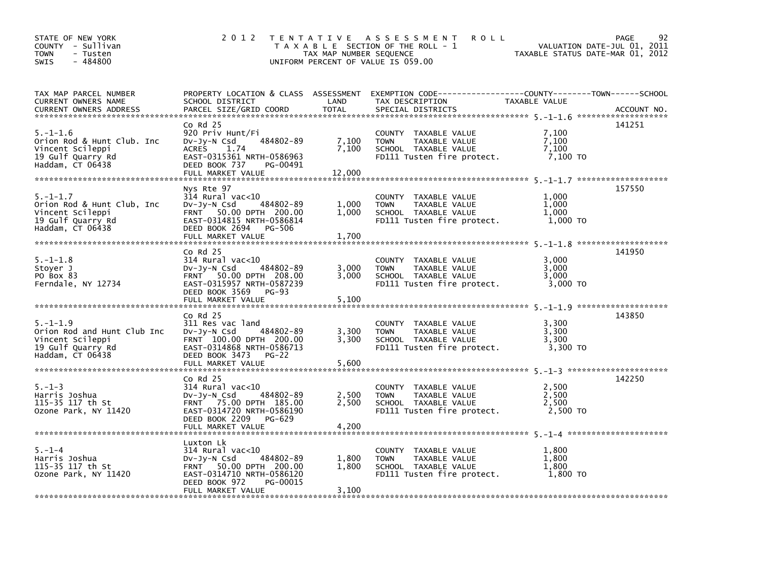| STATE OF NEW YORK<br>COUNTY - Sullivan<br><b>TOWN</b><br>- Tusten<br>$-484800$<br><b>SWIS</b>              | 2 0 1 2                                                                                                                                                                       | TAX MAP NUMBER SEQUENCE  | TENTATIVE ASSESSMENT<br><b>ROLL</b><br>T A X A B L E SECTION OF THE ROLL - 1<br>UNIFORM PERCENT OF VALUE IS 059.00                       | VALUATION DATE-JUL 01, 2011<br>TAXABLE STATUS DATE-MAR 01, 2012 | 92<br><b>PAGE</b> |
|------------------------------------------------------------------------------------------------------------|-------------------------------------------------------------------------------------------------------------------------------------------------------------------------------|--------------------------|------------------------------------------------------------------------------------------------------------------------------------------|-----------------------------------------------------------------|-------------------|
| TAX MAP PARCEL NUMBER<br>CURRENT OWNERS NAME<br>CURRENT OWNERS ADDRESS                                     | SCHOOL DISTRICT<br>PARCEL SIZE/GRID COORD                                                                                                                                     | LAND<br><b>TOTAL</b>     | PROPERTY LOCATION & CLASS ASSESSMENT EXEMPTION CODE----------------COUNTY-------TOWN------SCHOOL<br>TAX DESCRIPTION<br>SPECIAL DISTRICTS | TAXABLE VALUE                                                   | ACCOUNT NO.       |
| $5. - 1 - 1.6$<br>Orion Rod & Hunt Club. Inc<br>Vincent Scileppi<br>19 Gulf Quarry Rd<br>Haddam, CT 06438  | $CO$ Rd $25$<br>920 Priv Hunt/Fi<br>484802-89<br>DV-Jy-N Csd<br>ACRES<br>1.74<br>EAST-0315361 NRTH-0586963<br>DEED BOOK 737<br>PG-00491<br>FULL MARKET VALUE                  | 7,100<br>7,100<br>12,000 | COUNTY TAXABLE VALUE<br>TAXABLE VALUE<br><b>TOWN</b><br>SCHOOL TAXABLE VALUE<br>FD111 Tusten fire protect.                               | 7.100<br>7,100<br>7,100<br>7,100 TO                             | 141251            |
| $5. - 1 - 1.7$<br>Orion Rod & Hunt Club, Inc<br>Vincent Scileppi<br>19 Gulf Quarry Rd<br>Haddam, CT 06438  | Nys Rte 97<br>$314$ Rural vac<10<br>484802-89<br>DV-Jy-N Csd<br>FRNT 50.00 DPTH 200.00<br>EAST-0314815 NRTH-0586814<br>DEED BOOK 2694<br>PG-506<br>FULL MARKET VALUE          | 1,000<br>1,000<br>1,700  | COUNTY TAXABLE VALUE<br><b>TOWN</b><br>TAXABLE VALUE<br>SCHOOL TAXABLE VALUE<br>FD111 Tusten fire protect.                               | 1.000<br>1.000<br>1,000<br>1,000 TO                             | 157550            |
| $5. - 1 - 1.8$<br>Stoyer J<br>PO Box 83<br>Ferndale, NY 12734                                              | $Co$ Rd $25$<br>$314$ Rural vac<10<br>$Dv-Jy-N$ Csd<br>484802-89<br>FRNT 50.00 DPTH 208.00<br>EAST-0315957 NRTH-0587239<br>DEED BOOK 3569<br>PG-93<br>FULL MARKET VALUE       | 3,000<br>3,000<br>5,100  | COUNTY TAXABLE VALUE<br>TAXABLE VALUE<br><b>TOWN</b><br>SCHOOL TAXABLE VALUE<br>FD111 Tusten fire protect.                               | 3,000<br>3,000<br>3.000<br>3,000 TO                             | 141950            |
| $5. - 1 - 1.9$<br>Orion Rod and Hunt Club Inc<br>Vincent Scileppi<br>19 Gulf Quarry Rd<br>Haddam, CT 06438 | $Co$ Rd $25$<br>311 Res vac land<br>$Dv-Jv-N$ Csd<br>484802-89<br>FRNT 100.00 DPTH 200.00<br>EAST-0314868 NRTH-0586713<br>DEED BOOK 3473<br>PG-22<br>FULL MARKET VALUE        | 3,300<br>3,300<br>5,600  | COUNTY TAXABLE VALUE<br><b>TAXABLE VALUE</b><br><b>TOWN</b><br>SCHOOL TAXABLE VALUE<br>FD111 Tusten fire protect.                        | 3,300<br>3.300<br>3.300<br>3,300 TO                             | 143850            |
| $5. - 1 - 3$<br>Harris Joshua<br>115-35 117 th St<br>Ozone Park, NY 11420                                  | $Co$ Rd $25$<br>$314$ Rural vac< $10$<br>484802-89<br>$Dv-Jv-N$ Csd<br>FRNT 75.00 DPTH 185.00<br>EAST-0314720 NRTH-0586190<br>DEED BOOK 2209<br>$PG-629$<br>FULL MARKET VALUE | 2,500<br>2,500<br>4,200  | COUNTY TAXABLE VALUE<br>TAXABLE VALUE<br><b>TOWN</b><br>SCHOOL TAXABLE VALUE<br>FD111 Tusten fire protect.                               | 2,500<br>2,500<br>2.500<br>2,500 TO                             | 142250            |
| $5. - 1 - 4$<br>Harris Joshua<br>115-35 117 th St<br>Ozone Park, NY 11420                                  | Luxton Lk<br>$314$ Rural vac< $10$<br>484802-89<br>$Dv-Jy-N$ Csd<br>FRNT 50.00 DPTH 200.00<br>EAST-0314710 NRTH-0586120<br>DEED BOOK 972<br>PG-00015<br>FULL MARKET VALUE     | 1,800<br>1,800<br>3,100  | COUNTY TAXABLE VALUE<br><b>TOWN</b><br>TAXABLE VALUE<br>SCHOOL TAXABLE VALUE<br>FD111 Tusten fire protect.                               | 1.800<br>1,800<br>1,800<br>1,800 TO                             |                   |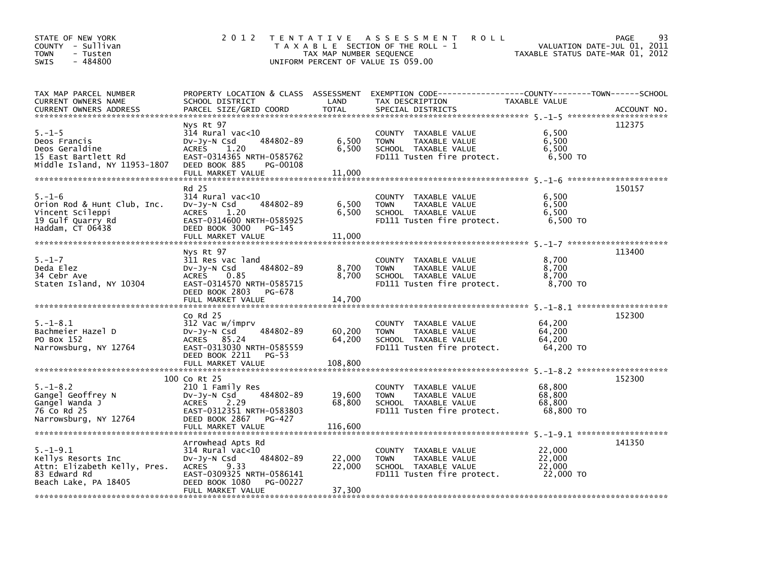| STATE OF NEW YORK<br>COUNTY - Sullivan<br><b>TOWN</b><br>- Tusten<br>$-484800$<br><b>SWIS</b>                | 2 0 1 2                                                                                                                                                                          | TAX MAP NUMBER SEQUENCE    | TENTATIVE ASSESSMENT<br><b>ROLL</b><br>T A X A B L E SECTION OF THE ROLL - 1<br>UNIFORM PERCENT OF VALUE IS 059.00                        | TAXABLE STATUS DATE-MAR 01, 2012        | 93<br><b>PAGE</b><br>VALUATION DATE-JUL 01, 2011 |
|--------------------------------------------------------------------------------------------------------------|----------------------------------------------------------------------------------------------------------------------------------------------------------------------------------|----------------------------|-------------------------------------------------------------------------------------------------------------------------------------------|-----------------------------------------|--------------------------------------------------|
| TAX MAP PARCEL NUMBER<br>CURRENT OWNERS NAME<br><b>CURRENT OWNERS ADDRESS</b>                                | SCHOOL DISTRICT<br>PARCEL SIZE/GRID COORD                                                                                                                                        | LAND<br><b>TOTAL</b>       | PROPERTY LOCATION & CLASS ASSESSMENT EXEMPTION CODE-----------------COUNTY-------TOWN------SCHOOL<br>TAX DESCRIPTION<br>SPECIAL DISTRICTS | TAXABLE VALUE                           | ACCOUNT NO.                                      |
| $5. - 1 - 5$<br>Deos Francis<br>Deos Geraldine<br>15 East Bartlett Rd                                        | Nys Rt 97<br>$314$ Rural vac<10<br>484802-89<br>$Dv-Jy-N$ Csd<br>1.20<br><b>ACRES</b><br>EAST-0314365 NRTH-0585762                                                               | 6,500<br>6,500             | COUNTY TAXABLE VALUE<br><b>TOWN</b><br>TAXABLE VALUE<br>SCHOOL TAXABLE VALUE<br>FD111 Tusten fire protect.                                | 6,500<br>6,500<br>6,500<br>6,500 TO     | 112375                                           |
| Middle Island, NY 11953-1807                                                                                 | DEED BOOK 885<br>PG-00108<br>FULL MARKET VALUE                                                                                                                                   | 11,000                     |                                                                                                                                           |                                         |                                                  |
| $5. - 1 - 6$<br>Orion Rod & Hunt Club, Inc.<br>Vincent Scileppi<br>19 Gulf Quarry Rd<br>Haddam, CT 06438     | Rd 25<br>314 Rural vac<10<br>484802-89<br>$Dv-Jy-N$ Csd<br>ACRES 1.20<br>EAST-0314600 NRTH-0585925<br>DEED BOOK 3000<br>PG-145<br>FULL MARKET VALUE                              | 6,500<br>6,500<br>11,000   | COUNTY TAXABLE VALUE<br>TAXABLE VALUE<br><b>TOWN</b><br>SCHOOL TAXABLE VALUE<br>FD111 Tusten fire protect.                                | 6,500<br>6,500<br>6,500<br>6,500 TO     | 150157                                           |
| $5. - 1 - 7$<br>Deda Elez<br>34 Cebr Ave<br>Staten Island, NY 10304                                          | Nys Rt 97<br>311 Res vac land<br>484802-89<br>$Dv-Jy-N$ Csd<br>ACRES 0.85<br>EAST-0314570 NRTH-0585715<br>DEED BOOK 2803<br>PG-678                                               | 8,700<br>8,700             | COUNTY TAXABLE VALUE<br><b>TOWN</b><br>TAXABLE VALUE<br>SCHOOL TAXABLE VALUE<br>FD111 Tusten fire protect.                                | 8,700<br>8,700<br>8,700<br>8,700 TO     | 113400                                           |
|                                                                                                              | FULL MARKET VALUE                                                                                                                                                                | 14,700                     |                                                                                                                                           |                                         |                                                  |
| $5. - 1 - 8.1$<br>Bachmeier Hazel D<br>PO Box 152<br>Narrowsburg, NY 12764                                   | $Co$ Rd $25$<br>312 Vac w/imprv<br>484802-89<br>$Dv-Jy-N$ Csd<br>ACRES 85.24<br>EAST-0313030 NRTH-0585559<br>DEED BOOK 2211 PG-53                                                | 60,200<br>64,200           | COUNTY TAXABLE VALUE<br>TAXABLE VALUE<br><b>TOWN</b><br>SCHOOL TAXABLE VALUE<br>FD111 Tusten fire protect.                                | 64,200<br>64,200<br>64.200<br>64,200 TO | 152300                                           |
|                                                                                                              |                                                                                                                                                                                  |                            |                                                                                                                                           |                                         |                                                  |
| $5. - 1 - 8.2$<br>Gangel Geoffrey N<br>Gangel Wanda J<br>76 Co Rd 25<br>Narrowsburg, NY 12764                | 100 Co Rt 25<br>210 1 Family Res<br>484802-89<br>$Dv-Jy-N$ Csd<br><b>ACRES</b><br>2.29<br>EAST-0312351 NRTH-0583803<br>DEED BOOK 2867<br>PG-427                                  | 19,600<br>68,800           | COUNTY TAXABLE VALUE<br><b>TOWN</b><br>TAXABLE VALUE<br>SCHOOL TAXABLE VALUE<br>FD111 Tusten fire protect.                                | 68,800<br>68,800<br>68,800<br>68,800 TO | 152300                                           |
| $5. - 1 - 9.1$<br>Kellys Resorts Inc<br>Attn: Elizabeth Kelly, Pres.<br>83 Edward Rd<br>Beach Lake, PA 18405 | Arrowhead Apts Rd<br>$314$ Rural vac< $10$<br>484802-89<br>$Dv-Jy-N$ Csd<br><b>ACRES</b><br>9.33<br>EAST-0309325 NRTH-0586141<br>DEED BOOK 1080<br>PG-00227<br>FULL MARKET VALUE | 22,000<br>22,000<br>37,300 | COUNTY TAXABLE VALUE<br><b>TOWN</b><br>TAXABLE VALUE<br>SCHOOL TAXABLE VALUE<br>FD111 Tusten fire protect.                                | 22,000<br>22,000<br>22,000<br>22,000 TO | 141350                                           |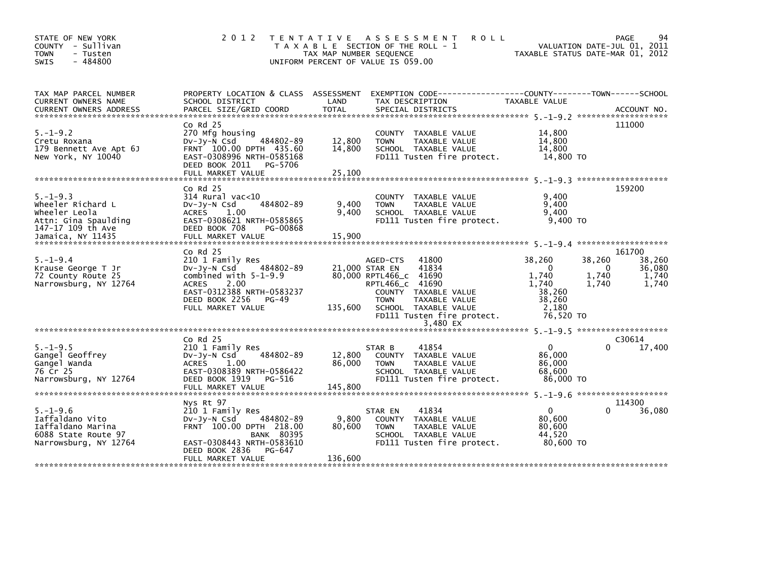| STATE OF NEW YORK<br>COUNTY - Sullivan<br>- Tusten<br>TOWN<br>$-484800$<br><b>SWIS</b>                 | 2 0 1 2                                                                                                                                                              | T E N T A T I V E<br>TAX MAP NUMBER SEQUENCE | A S S E S S M E N T<br><b>ROLL</b><br>T A X A B L E SECTION OF THE ROLL - 1<br>UNIFORM PERCENT OF VALUE IS 059.00              |                                                         | 94<br><b>PAGE</b><br>VALUATION DATE-JUL 01, 2011<br>TAXABLE STATUS DATE-MAR 01, 2012 |
|--------------------------------------------------------------------------------------------------------|----------------------------------------------------------------------------------------------------------------------------------------------------------------------|----------------------------------------------|--------------------------------------------------------------------------------------------------------------------------------|---------------------------------------------------------|--------------------------------------------------------------------------------------|
| TAX MAP PARCEL NUMBER<br>CURRENT OWNERS NAME                                                           | SCHOOL DISTRICT                                                                                                                                                      | LAND                                         | PROPERTY LOCATION & CLASS ASSESSMENT EXEMPTION CODE---------------COUNTY-------TOWN-----SCHOOL<br>TAX DESCRIPTION              | TAXABLE VALUE                                           |                                                                                      |
| $5. - 1 - 9.2$<br>Cretu Roxana<br>179 Bennett Ave Apt 6J<br>New York, NY 10040                         | $Co$ Rd $25$<br>270 Mfg housing<br>$Dv-Jv-N$ Csd<br>484802-89<br>FRNT 100.00 DPTH 435.60<br>EAST-0308996 NRTH-0585168<br>DEED BOOK 2011<br>PG-5706                   | 12,800<br>14,800                             | COUNTY TAXABLE VALUE<br>TAXABLE VALUE<br><b>TOWN</b><br>SCHOOL TAXABLE VALUE<br>FD111 Tusten fire protect.                     | 14,800<br>14,800<br>14,800<br>14,800 TO                 | 111000                                                                               |
|                                                                                                        |                                                                                                                                                                      |                                              |                                                                                                                                |                                                         |                                                                                      |
| $5. - 1 - 9.3$<br>Wheeler Richard L<br>Wheeler Leola<br>Attn: Gina Spaulding<br>147-17 109 th Ave      | $Co$ Rd $25$<br>$314$ Rural vac<10<br>484802-89<br>$Dv-Jy-N$ Csd<br>ACRES 1.00<br>EAST-0308621 NRTH-0585865<br>DEED BOOK 708<br>PG-00868                             | 9,400<br>9,400                               | COUNTY TAXABLE VALUE<br>TAXABLE VALUE<br><b>TOWN</b><br>SCHOOL TAXABLE VALUE<br>FD111 Tusten fire protect.                     | 9.400<br>9,400<br>9,400<br>9.400 TO                     | 159200                                                                               |
| Jamaica, NY 11435                                                                                      |                                                                                                                                                                      |                                              |                                                                                                                                |                                                         |                                                                                      |
| $5. - 1 - 9.4$<br>Krause George T Jr<br>72 County Route 25<br>Narrowsburg, NY 12764                    | $Co$ Rd $25$<br>210 1 Family Res<br>484802-89<br>$Dv-Jy-N$ Csd<br>combined with $5-1-9.9$<br><b>ACRES</b><br>2.00                                                    |                                              | 41800<br>AGED-CTS<br>41834<br>21,000 STAR EN<br>80,000 RPTL466_c 41690<br>RPTL466_c 41690                                      | 38,260<br>$\Omega$<br>1,740<br>1,740                    | 161700<br>38,260<br>38,260<br>36,080<br>$\Omega$<br>1,740<br>1,740<br>1.740<br>1,740 |
|                                                                                                        | EAST-0312388 NRTH-0583237<br>DEED BOOK 2256<br>PG-49<br>FULL MARKET VALUE                                                                                            | 135,600                                      | COUNTY TAXABLE VALUE<br><b>TOWN</b><br>TAXABLE VALUE<br>SCHOOL TAXABLE VALUE<br>FD111 Tusten fire protect.<br>3,480 EX         | 38,260<br>38,260<br>2.180<br>76,520 TO                  |                                                                                      |
|                                                                                                        | $Co$ Rd $25$                                                                                                                                                         |                                              |                                                                                                                                |                                                         | C30614                                                                               |
| $5. - 1 - 9.5$<br>Gangel Geoffrey<br>Gangel Wanda<br>76 Cr 25<br>Narrowsburg, NY 12764                 | 210 1 Family Res<br>484802-89<br>DV-Jy-N Csd<br>1.00<br>ACRES<br>EAST-0308389 NRTH-0586422<br>DEED BOOK 1919 PG-516                                                  | 12,800<br>86,000                             | 41854<br>STAR B<br>COUNTY TAXABLE VALUE<br><b>TOWN</b><br>TAXABLE VALUE<br>SCHOOL TAXABLE VALUE<br>FD111 Tusten fire protect.  | $\mathbf{0}$<br>86,000<br>86,000<br>68,600<br>86,000 TO | 17,400<br>0                                                                          |
|                                                                                                        |                                                                                                                                                                      |                                              |                                                                                                                                |                                                         |                                                                                      |
| $5. - 1 - 9.6$<br>Iaffaldano Vito<br>Iaffaldano Marina<br>6088 State Route 97<br>Narrowsburg, NY 12764 | Nys Rt 97<br>210 1 Family Res<br>484802-89<br>$Dv-Jy-N$ Csd<br>FRNT 100.00 DPTH 218.00<br><b>BANK 80395</b><br>EAST-0308443 NRTH-0583610<br>DEED BOOK 2836<br>PG-647 | 9,800<br>80,600                              | 41834<br>STAR EN<br>COUNTY TAXABLE VALUE<br>TAXABLE VALUE<br><b>TOWN</b><br>SCHOOL TAXABLE VALUE<br>FD111 Tusten fire protect. | $\mathbf{0}$<br>80,600<br>80,600<br>44,520<br>80.600 TO | 114300<br>0<br>36,080                                                                |
|                                                                                                        | FULL MARKET VALUE                                                                                                                                                    | 136,600                                      |                                                                                                                                |                                                         |                                                                                      |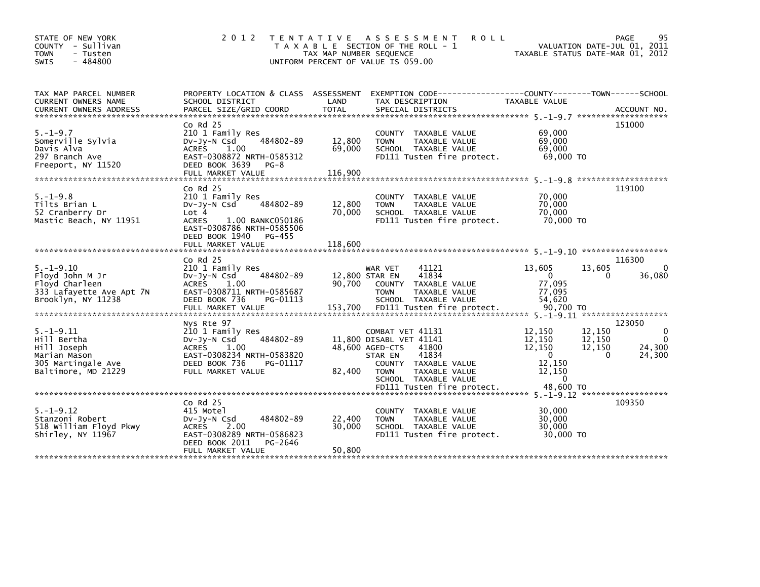| STATE OF NEW YORK<br>COUNTY - Sullivan<br>- Tusten<br><b>TOWN</b><br>$-484800$<br><b>SWIS</b>             | 2 0 1 2                                                                                                                                                               | TAX MAP NUMBER SEQUENCE             | TENTATIVE ASSESSMENT<br><b>ROLL</b><br>T A X A B L E SECTION OF THE ROLL - 1<br>UNIFORM PERCENT OF VALUE IS 059.00                                                          |                                                                            | PAGE<br>95<br>VALUATION DATE-JUL 01, 2011<br>TAXABLE STATUS DATE-MAR 01, 2012                |
|-----------------------------------------------------------------------------------------------------------|-----------------------------------------------------------------------------------------------------------------------------------------------------------------------|-------------------------------------|-----------------------------------------------------------------------------------------------------------------------------------------------------------------------------|----------------------------------------------------------------------------|----------------------------------------------------------------------------------------------|
| TAX MAP PARCEL NUMBER<br>CURRENT OWNERS NAME                                                              | SCHOOL DISTRICT                                                                                                                                                       | LAND                                | PROPERTY LOCATION & CLASS ASSESSMENT EXEMPTION CODE---------------COUNTY-------TOWN-----SCHOOL<br>TAX DESCRIPTION                                                           | TAXABLE VALUE                                                              | ACCOUNT NO.<br>*******************                                                           |
| $5. - 1 - 9.7$<br>Somerville Sylvia<br>Davis Alva<br>297 Branch Ave<br>Freeport, NY 11520                 | $Co$ Rd $25$<br>210 1 Family Res<br>484802-89<br>$Dv-Jv-N$ Csd<br><b>ACRES</b><br>1.00<br>EAST-0308872 NRTH-0585312<br>DEED BOOK 3639<br>$PG-8$                       | 12,800<br>69,000                    | COUNTY TAXABLE VALUE<br><b>TOWN</b><br>TAXABLE VALUE<br>SCHOOL TAXABLE VALUE<br>FD111 Tusten fire protect.                                                                  | 69,000<br>69,000<br>69,000<br>69,000 TO                                    | 151000                                                                                       |
|                                                                                                           | FULL MARKET VALUE                                                                                                                                                     | 116,900                             |                                                                                                                                                                             |                                                                            |                                                                                              |
| $5. - 1 - 9.8$<br>Tilts Brian L<br>52 Cranberry Dr<br>Mastic Beach, NY 11951                              | $Co$ Rd $25$<br>210 1 Family Res<br>484802-89<br>$Dv-Jv-N$ Csd<br>Lot 4<br><b>ACRES</b><br>1.00 BANKC050186<br>EAST-0308786 NRTH-0585506<br>DEED BOOK 1940<br>PG-455  | 12,800<br>70,000                    | COUNTY TAXABLE VALUE<br><b>TAXABLE VALUE</b><br><b>TOWN</b><br>SCHOOL TAXABLE VALUE<br>FD111 Tusten fire protect.                                                           | 70,000<br>70,000<br>70.000<br>70,000 TO                                    | 119100                                                                                       |
|                                                                                                           | FULL MARKET VALUE                                                                                                                                                     | 118,600                             |                                                                                                                                                                             |                                                                            |                                                                                              |
| $5. - 1 - 9.10$<br>Floyd John M Jr<br>Floyd Charleen<br>333 Lafayette Ave Apt 7N<br>Brooklyn, NY 11238    | $Co$ Rd $25$<br>210 1 Family Res<br>484802-89<br>$Dv-Jy-N$ Csd<br>1.00<br><b>ACRES</b><br>EAST-0308711 NRTH-0585687<br>DEED BOOK 736<br>PG-01113<br>FULL MARKET VALUE | 12,800 STAR EN<br>90,700<br>153,700 | 41121<br>WAR VET<br>41834<br><b>COUNTY</b><br>TAXABLE VALUE<br>TAXABLE VALUE<br><b>TOWN</b><br>SCHOOL TAXABLE VALUE<br>FD111 Tusten fire protect.                           | 13,605<br>$\mathbf{0}$<br>77,095<br>77,095<br>54,620<br>90,700 TO          | 116300<br>13,605<br>$\Omega$<br>36,080<br>0                                                  |
| $5. -1 - 9.11$<br>Hill Bertha<br>Hill Joseph<br>Marian Mason<br>305 Martingale Ave<br>Baltimore, MD 21229 | Nys Rte 97<br>210 1 Family Res<br>484802-89<br>$Dv-Jy-N$ Csd<br><b>ACRES</b><br>1.00<br>EAST-0308234 NRTH-0583820<br>DEED BOOK 736<br>PG-01117<br>FULL MARKET VALUE   | 82,400                              | COMBAT VET 41131<br>11,800 DISABL VET 41141<br>48,600 AGED-CTS<br>41800<br>41834<br>STAR EN<br>COUNTY TAXABLE VALUE<br>TAXABLE VALUE<br><b>TOWN</b><br>SCHOOL TAXABLE VALUE | 12,150<br>12,150<br>12,150<br>$\Omega$<br>12,150<br>12,150<br>$\mathbf{0}$ | 123050<br>$\Omega$<br>12,150<br>12,150<br>$\Omega$<br>12,150<br>24,300<br>24,300<br>$\Omega$ |
|                                                                                                           |                                                                                                                                                                       |                                     | FD111 Tusten fire protect.                                                                                                                                                  | 48,600 TO                                                                  |                                                                                              |
| $5. - 1 - 9.12$<br>Stanzoni Robert<br>518 William Floyd Pkwy<br>Shirley, NY 11967                         | $Co$ Rd $25$<br>415 Motel<br>484802-89<br>$Dv-Jy-N$ Csd<br>2.00<br><b>ACRES</b><br>EAST-0308289 NRTH-0586823<br>DEED BOOK 2011<br>PG-2646<br>FULL MARKET VALUE        | 22,400<br>30,000<br>50,800          | COUNTY TAXABLE VALUE<br>TAXABLE VALUE<br><b>TOWN</b><br>SCHOOL TAXABLE VALUE<br>FD111 Tusten fire protect.                                                                  | 30,000<br>30,000<br>30,000<br>30,000 TO                                    | 109350                                                                                       |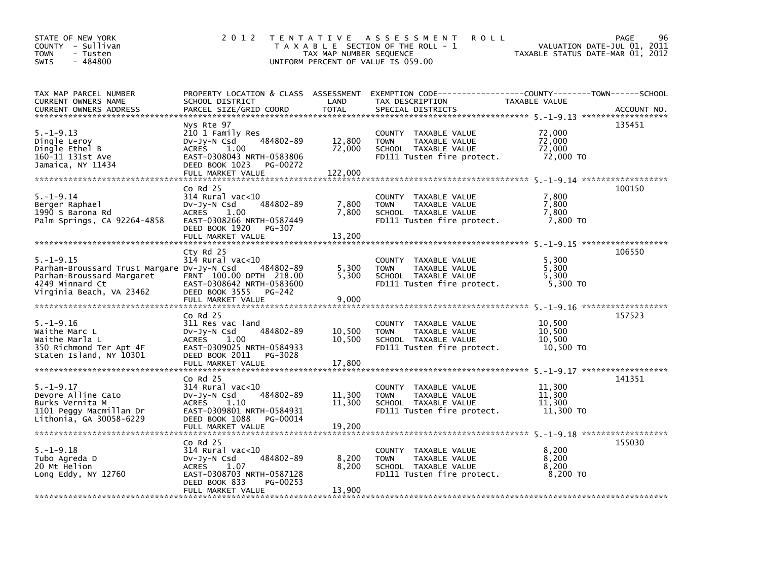| STATE OF NEW YORK<br>COUNTY - Sullivan<br><b>TOWN</b><br>- Tusten<br>$-484800$<br><b>SWIS</b>                                            | 2 0 1 2                                                                                                                                                                | TAX MAP NUMBER SEQUENCE     | TENTATIVE ASSESSMENT<br><b>ROLL</b><br>T A X A B L E SECTION OF THE ROLL - 1<br>UNIFORM PERCENT OF VALUE IS 059.00 | VALUATION DATE-JUL 01,<br>TAXABLE STATUS DATE-MAR 01, 2012 | 96<br><b>PAGE</b><br>2011 |
|------------------------------------------------------------------------------------------------------------------------------------------|------------------------------------------------------------------------------------------------------------------------------------------------------------------------|-----------------------------|--------------------------------------------------------------------------------------------------------------------|------------------------------------------------------------|---------------------------|
| TAX MAP PARCEL NUMBER<br>CURRENT OWNERS NAME<br><b>CURRENT OWNERS ADDRESS</b>                                                            | PROPERTY LOCATION & CLASS ASSESSMENT<br>SCHOOL DISTRICT<br>PARCEL SIZE/GRID COORD                                                                                      | LAND<br><b>TOTAL</b>        | EXEMPTION        CODE-----------------COUNTY-------TOWN------SCHOOL<br>TAX DESCRIPTION<br>SPECIAL DISTRICTS        | TAXABLE VALUE                                              | ACCOUNT NO.               |
| $5. - 1 - 9.13$<br>Dingle Leroy<br>Dingle Ethel B<br>160-11 131st Ave<br>Jamaica, NY 11434                                               | Nys Rte 97<br>210 1 Family Res<br>484802-89<br>$Dv-Jy-N$ Csd<br><b>ACRES</b><br>1.00<br>EAST-0308043 NRTH-0583806<br>DEED BOOK 1023<br>PG-00272<br>FULL MARKET VALUE   | 12,800<br>72,000<br>122,000 | COUNTY TAXABLE VALUE<br>TAXABLE VALUE<br><b>TOWN</b><br>SCHOOL TAXABLE VALUE<br>FD111 Tusten fire protect.         | 72,000<br>72,000<br>72,000<br>72,000 TO                    | 135451                    |
| $5. - 1 - 9.14$<br>Berger Raphael<br>1990 S Barona Rd<br>Palm Springs, CA 92264-4858                                                     | $co$ Rd $25$<br>$314$ Rural vac<10<br>DV-Jy-N Csd<br>484802-89<br>ACRES 1.00<br>EAST-0308266 NRTH-0587449<br>DEED BOOK 1920<br>PG-307<br>FULL MARKET VALUE             | 7,800<br>7,800<br>13,200    | COUNTY TAXABLE VALUE<br>TAXABLE VALUE<br><b>TOWN</b><br>SCHOOL TAXABLE VALUE<br>FD111 Tusten fire protect.         | 7,800<br>7.800<br>7,800<br>7.800 TO                        | 100150                    |
| $5. -1 - 9.15$<br>Parham-Broussard Trust Margare Dv-Jy-N Csd<br>Parham-Broussard Margaret<br>4249 Minnard Ct<br>Virginia Beach, VA 23462 | Cty Rd 25<br>$314$ Rural vac< $10$<br>484802-89<br>FRNT 100.00 DPTH 218.00<br>EAST-0308642 NRTH-0583600<br>DEED BOOK 3555<br>PG-242                                    | 5,300<br>5,300              | COUNTY TAXABLE VALUE<br><b>TAXABLE VALUE</b><br><b>TOWN</b><br>SCHOOL TAXABLE VALUE<br>FD111 Tusten fire protect.  | 5,300<br>5,300<br>5.300<br>5,300 TO                        | 106550                    |
|                                                                                                                                          | FULL MARKET VALUE                                                                                                                                                      | 9,000                       |                                                                                                                    |                                                            |                           |
| $5. - 1 - 9.16$<br>Waithe Marc L<br>Waithe Marla L<br>350 Richmond Ter Apt 4F<br>Staten Island, NY 10301                                 | $Co$ Rd $25$<br>311 Res vac land<br>484802-89<br>$Dv-Jy-N$ Csd<br><b>ACRES</b><br>1.00<br>EAST-0309025 NRTH-0584933<br>DEED BOOK 2011<br>PG-3028<br>FULL MARKET VALUE  | 10,500<br>10,500<br>17,800  | COUNTY TAXABLE VALUE<br><b>TOWN</b><br>TAXABLE VALUE<br>SCHOOL TAXABLE VALUE<br>FD111 Tusten fire protect.         | 10,500<br>10,500<br>10,500<br>10,500 TO                    | 157523                    |
|                                                                                                                                          |                                                                                                                                                                        |                             |                                                                                                                    |                                                            |                           |
| $5. - 1 - 9.17$<br>Devore Alline Cato<br>Burks Vernita M<br>1101 Peggy Macmillan Dr<br>Lithonia, GA 30058-6229                           | $Co$ Rd $25$<br>314 Rural vac<10<br>484802-89<br>$Dv-Jv-N$ Csd<br><b>ACRES</b><br>1.10<br>EAST-0309801 NRTH-0584931<br>DEED BOOK 1088<br>PG-00014<br>FULL MARKET VALUE | 11,300<br>11,300<br>19,200  | COUNTY TAXABLE VALUE<br><b>TOWN</b><br>TAXABLE VALUE<br>SCHOOL TAXABLE VALUE<br>FD111 Tusten fire protect.         | 11,300<br>11,300<br>11,300<br>11,300 TO                    | 141351                    |
| $5. - 1 - 9.18$<br>Tubo Agreda D<br>20 Mt Helion<br>Long Eddy, $NY$ 12760                                                                | $Co$ Rd $25$<br>314 Rural vac<10<br>484802-89<br>$Dv-Jy-N$ Csd<br><b>ACRES</b><br>1.07<br>EAST-0308703 NRTH-0587128<br>DEED BOOK 833<br>PG-00253<br>FULL MARKET VALUE  | 8,200<br>8,200<br>13,900    | COUNTY TAXABLE VALUE<br><b>TOWN</b><br>TAXABLE VALUE<br>SCHOOL TAXABLE VALUE<br>FD111 Tusten fire protect.         | 8.200<br>8,200<br>8,200<br>8,200 TO                        | 155030                    |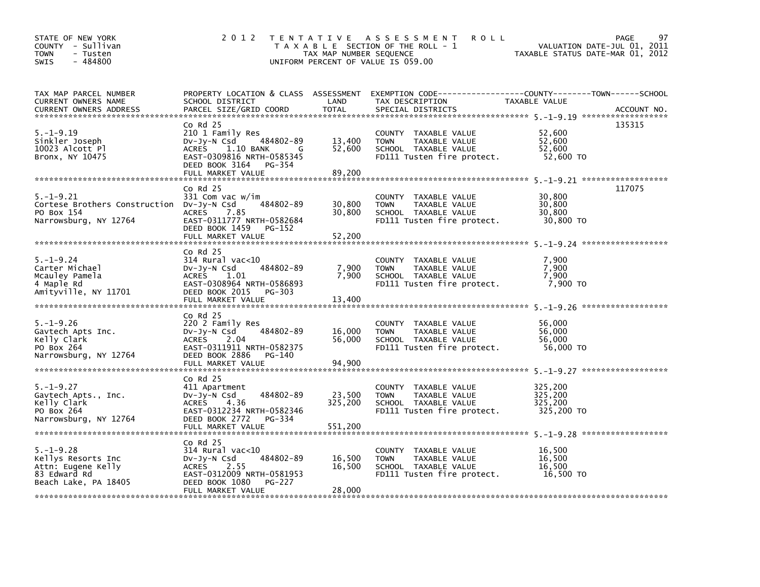| STATE OF NEW YORK<br>COUNTY - Sullivan<br><b>TOWN</b><br>- Tusten<br>$-484800$<br><b>SWIS</b>       | 2 0 1 2                                                                                                                                                                          | TAX MAP NUMBER SEQUENCE      | TENTATIVE ASSESSMENT<br><b>ROLL</b><br>T A X A B L E SECTION OF THE ROLL - 1<br>UNIFORM PERCENT OF VALUE IS 059.00                       | VALUATION DATE-JUL 01, 2011<br>TAXABLE STATUS DATE-MAR 01, 2012 | 97<br><b>PAGE</b> |
|-----------------------------------------------------------------------------------------------------|----------------------------------------------------------------------------------------------------------------------------------------------------------------------------------|------------------------------|------------------------------------------------------------------------------------------------------------------------------------------|-----------------------------------------------------------------|-------------------|
| TAX MAP PARCEL NUMBER<br>CURRENT OWNERS NAME<br><b>CURRENT OWNERS ADDRESS</b>                       | SCHOOL DISTRICT<br>PARCEL SIZE/GRID COORD                                                                                                                                        | LAND<br><b>TOTAL</b>         | PROPERTY LOCATION & CLASS ASSESSMENT EXEMPTION CODE----------------COUNTY-------TOWN------SCHOOL<br>TAX DESCRIPTION<br>SPECIAL DISTRICTS | TAXABLE VALUE                                                   | ACCOUNT NO.       |
| $5. - 1 - 9.19$<br>Sinkler Joseph<br>10023 Alcott Pl<br>Bronx, NY 10475                             | $Co$ Rd $25$<br>210 1 Family Res<br>484802-89<br>$Dv-Jy-N$ Csd<br><b>ACRES</b><br>1.10 BANK<br>G<br>EAST-0309816 NRTH-0585345<br>DEED BOOK 3164<br>PG-354<br>FULL MARKET VALUE   | 13,400<br>52,600<br>89,200   | COUNTY TAXABLE VALUE<br>TAXABLE VALUE<br><b>TOWN</b><br>SCHOOL TAXABLE VALUE<br>FD111 Tusten fire protect.                               | 52,600<br>52,600<br>52.600<br>52,600 TO                         | 135315            |
| $5. - 1 - 9.21$<br>Cortese Brothers Construction Dv-Jy-N Csd<br>PO Box 154<br>Narrowsburg, NY 12764 | $CO$ Rd $25$<br>331 Com vac w/im<br>484802-89<br><b>ACRES</b><br>7.85<br>EAST-0311777 NRTH-0582684<br>DEED BOOK 1459<br>PG-152<br>FULL MARKET VALUE                              | 30,800<br>30,800<br>52,200   | COUNTY TAXABLE VALUE<br>TAXABLE VALUE<br><b>TOWN</b><br>SCHOOL TAXABLE VALUE<br>FD111 Tusten fire protect.                               | 30,800<br>30,800<br>30,800<br>30,800 TO                         | 117075            |
| $5. - 1 - 9.24$<br>Carter Michael<br>Mcauley Pamela<br>4 Maple Rd<br>Amityville, NY 11701           | $CO$ Rd $25$<br>$314$ Rural vac<10<br>$Dv-Jy-N$ Csd<br>484802-89<br>1.01<br><b>ACRES</b><br>EAST-0308964 NRTH-0586893<br>DEED BOOK 2015<br>PG-303<br>FULL MARKET VALUE           | 7,900<br>7,900<br>13,400     | COUNTY TAXABLE VALUE<br><b>TOWN</b><br>TAXABLE VALUE<br>SCHOOL TAXABLE VALUE<br>FD111 Tusten fire protect.                               | 7,900<br>7,900<br>7.900<br>7,900 TO                             |                   |
| $5. - 1 - 9.26$<br>Gavtech Apts Inc.<br>Kelly Clark<br>PO Box 264<br>Narrowsburg, NY 12764          | $Co$ Rd $25$<br>220 2 Family Res<br>484802-89<br>$Dv-Jy-N$ Csd<br><b>ACRES</b><br>2.04<br>EAST-0311911 NRTH-0582375<br>DEED BOOK 2886<br>PG-140<br>FULL MARKET VALUE             | 16,000<br>56,000<br>94.900   | COUNTY TAXABLE VALUE<br>TAXABLE VALUE<br><b>TOWN</b><br>SCHOOL TAXABLE VALUE<br>FD111 Tusten fire protect.                               | 56,000<br>56,000<br>56.000<br>56,000 TO                         |                   |
| $5. - 1 - 9.27$<br>Gavtech Apts., Inc.<br>Kelly Clark<br>PO Box 264<br>Narrowsburg, NY 12764        | $Co$ Rd $25$<br>411 Apartment<br>484802-89<br>$Dv-Jy-N$ Csd<br>4.36<br><b>ACRES</b><br>EAST-0312234 NRTH-0582346<br>DEED BOOK 2772<br>PG-334<br>FULL MARKET VALUE                | 23,500<br>325,200<br>551,200 | COUNTY TAXABLE VALUE<br>TAXABLE VALUE<br><b>TOWN</b><br>SCHOOL TAXABLE VALUE<br>FD111 Tusten fire protect.                               | 325,200<br>325.200<br>325,200<br>325,200 TO                     |                   |
| $5. - 1 - 9.28$<br>Kellys Resorts Inc<br>Attn: Eugene Kelly<br>83 Edward Rd<br>Beach Lake, PA 18405 | $CO$ Rd $25$<br>$314$ Rural vac< $10$<br>484802-89<br>$Dv-Jy-N$ Csd<br><b>ACRES</b><br>2.55<br>EAST-0312009 NRTH-0581953<br>DEED BOOK 1080<br><b>PG-227</b><br>FULL MARKET VALUE | 16,500<br>16,500<br>28,000   | COUNTY TAXABLE VALUE<br>TAXABLE VALUE<br><b>TOWN</b><br>SCHOOL TAXABLE VALUE<br>FD111 Tusten fire protect.                               | 16,500<br>16,500<br>16,500<br>16,500 TO                         |                   |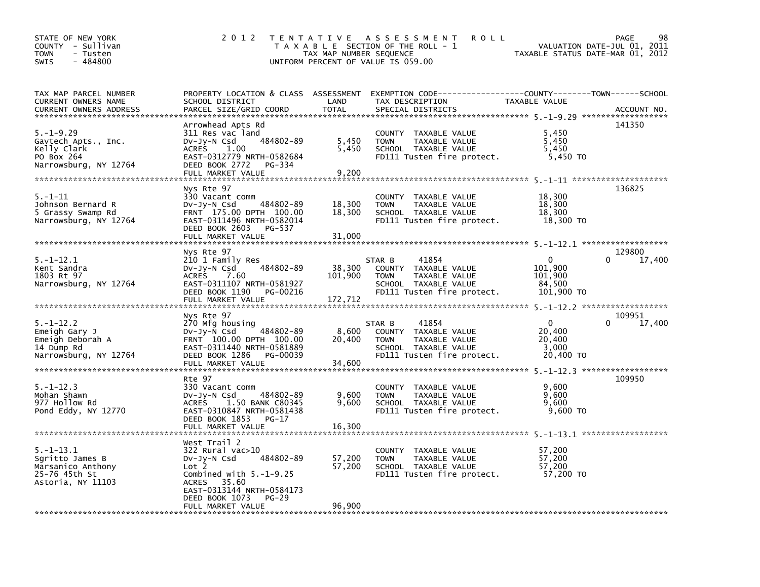| STATE OF NEW YORK<br>COUNTY - Sullivan<br><b>TOWN</b><br>- Tusten<br>$-484800$<br>SWIS        | 2 0 1 2                                                                                                                                                                       | TAX MAP NUMBER SEQUENCE      | TENTATIVE ASSESSMENT<br><b>ROLL</b><br>T A X A B L E SECTION OF THE ROLL - 1<br>UNIFORM PERCENT OF VALUE IS 059.00            | TAXABLE STATUS DATE-MAR 01, 2012                       | 98<br>PAGE<br>VALUATION DATE-JUL 01, 2011 |
|-----------------------------------------------------------------------------------------------|-------------------------------------------------------------------------------------------------------------------------------------------------------------------------------|------------------------------|-------------------------------------------------------------------------------------------------------------------------------|--------------------------------------------------------|-------------------------------------------|
| TAX MAP PARCEL NUMBER<br><b>CURRENT OWNERS NAME</b><br><b>CURRENT OWNERS ADDRESS</b>          | PROPERTY LOCATION & CLASS ASSESSMENT<br>SCHOOL DISTRICT<br>PARCEL SIZE/GRID COORD                                                                                             | LAND<br><b>TOTAL</b>         | TAX DESCRIPTION<br>SPECIAL DISTRICTS                                                                                          | <b>TAXABLE VALUE</b>                                   | ACCOUNT NO.                               |
| $5. - 1 - 9.29$<br>Gavtech Apts., Inc.<br>Kelly Clark<br>PO Box 264<br>Narrowsburg, NY 12764  | Arrowhead Apts Rd<br>311 Res vac land<br>484802-89<br>DV-Jy-N Csd<br>1.00<br>ACRES<br>EAST-0312779 NRTH-0582684<br>DEED BOOK 2772<br>PG-334<br>FULL MARKET VALUE              | 5,450<br>5,450<br>9,200      | COUNTY TAXABLE VALUE<br><b>TOWN</b><br>TAXABLE VALUE<br>SCHOOL TAXABLE VALUE<br>FD111 Tusten fire protect.                    | 5.450<br>5,450<br>5,450<br>5,450 TO                    | 141350                                    |
| $5. - 1 - 11$<br>Johnson Bernard R<br>5 Grassy Swamp Rd<br>Narrowsburg, NY 12764              | Nys Rte 97<br>330 Vacant comm<br>484802-89<br>DV-Jy-N Csd<br>FRNT 175.00 DPTH 100.00<br>EAST-0311496 NRTH-0582014<br>DEED BOOK 2603<br>PG-537<br>FULL MARKET VALUE            | 18,300<br>18,300<br>31.000   | COUNTY TAXABLE VALUE<br><b>TOWN</b><br>TAXABLE VALUE<br>SCHOOL TAXABLE VALUE<br>FD111 Tusten fire protect.                    | 18,300<br>18,300<br>18,300<br>18,300 TO                | 136825                                    |
| $5. - 1 - 12.1$<br>Kent Sandra<br>1803 Rt 97<br>Narrowsburg, NY 12764                         | Nys Rte 97<br>210 1 Family Res<br>$Dv-Jv-N$ Csd<br>484802-89<br><b>ACRES</b><br>7.60<br>EAST-0311107 NRTH-0581927<br>DEED BOOK 1190<br>PG-00216<br>FULL MARKET VALUE          | 38,300<br>101,900<br>172,712 | 41854<br>STAR B<br>COUNTY TAXABLE VALUE<br><b>TOWN</b><br>TAXABLE VALUE<br>SCHOOL TAXABLE VALUE<br>FD111 Tusten fire protect. | 0<br>101,900<br>101,900<br>84,500<br>101,900 TO        | 129800<br>$\Omega$<br>17,400              |
| $5. - 1 - 12.2$<br>Emeigh Gary J<br>Emeigh Deborah A<br>14 Dump Rd<br>Narrowsburg, NY 12764   | Nys Rte 97<br>270 Mfg housing<br>484802-89<br>DV-Jy-N Csd<br>FRNT 100.00 DPTH 100.00<br>EAST-0311440 NRTH-0581889<br>DEED BOOK 1286<br>PG-00039<br>FULL MARKET VALUE          | 8,600<br>20,400<br>34,600    | 41854<br>STAR B<br>COUNTY TAXABLE VALUE<br><b>TOWN</b><br>TAXABLE VALUE<br>SCHOOL TAXABLE VALUE<br>FD111 Tusten fire protect. | $\mathbf{0}$<br>20,400<br>20,400<br>3,000<br>20,400 TO | 109951<br>$\Omega$<br>17,400              |
| $5. - 1 - 12.3$<br>Mohan Shawn<br>977 Hollow Rd<br>Pond Eddy, NY 12770                        | Rte 97<br>330 Vacant comm<br>484802-89<br>$Dv-Jy-N$ Csd<br><b>ACRES</b><br>1.50 BANK C80345<br>EAST-0310847 NRTH-0581438<br>DEED BOOK 1853<br>$PG-17$<br>FULL MARKET VALUE    | 9,600<br>9,600<br>16,300     | COUNTY TAXABLE VALUE<br>TAXABLE VALUE<br><b>TOWN</b><br>SCHOOL TAXABLE VALUE<br>FD111 Tusten fire protect.                    | 9,600<br>9.600<br>9.600<br>$9,600$ TO                  | 109950                                    |
| $5. - 1 - 13.1$<br>Sqritto James B<br>Marsanico Anthony<br>25-76 45th St<br>Astoria, NY 11103 | West Trail 2<br>322 Rural vac>10<br>484802-89<br>$Dv-Jy-N$ Csd<br>Lot 2<br>Combined with $5.-1-9.25$<br>ACRES 35.60<br>EAST-0313144 NRTH-0584173<br>DEED BOOK 1073<br>$PG-29$ | 57,200<br>57,200             | COUNTY TAXABLE VALUE<br><b>TOWN</b><br>TAXABLE VALUE<br>SCHOOL TAXABLE VALUE<br>FD111 Tusten fire protect.                    | 57,200<br>57.200<br>57,200<br>57,200 TO                |                                           |
|                                                                                               | FULL MARKET VALUE                                                                                                                                                             | 96,900                       |                                                                                                                               |                                                        |                                           |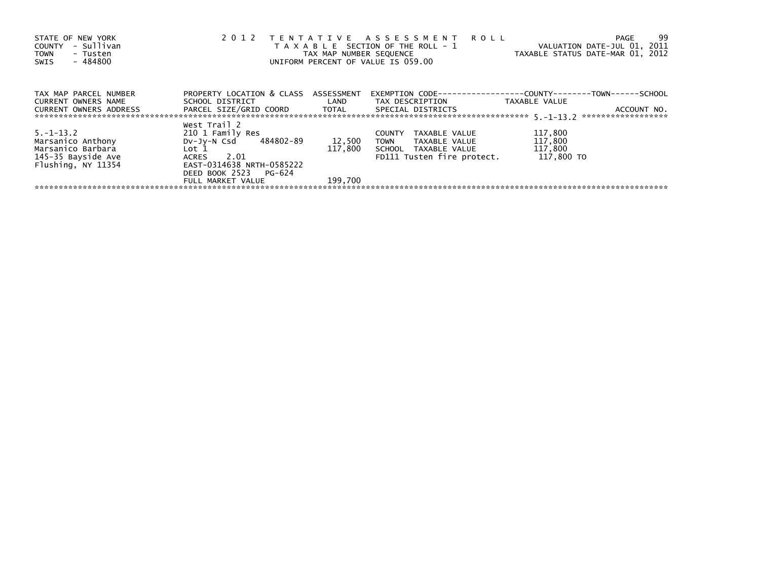| STATE OF NEW YORK<br>- Sullivan<br>COUNTY<br><b>TOWN</b><br>- Tusten<br>$-484800$<br>SWIS | 2 0 1 2                                         | TAX MAP NUMBER SEQUENCE | TENTATIVE ASSESSMENT ROLL<br>T A X A B L E SECTION OF THE ROLL - 1<br>UNIFORM PERCENT OF VALUE IS 059.00 | -99<br>PAGE<br>VALUATION DATE-JUL 01, 2011<br>TAXABLE STATUS DATE-MAR 01, 2012 |
|-------------------------------------------------------------------------------------------|-------------------------------------------------|-------------------------|----------------------------------------------------------------------------------------------------------|--------------------------------------------------------------------------------|
| TAX MAP PARCEL NUMBER                                                                     | PROPERTY LOCATION & CLASS                       | ASSESSMENT              |                                                                                                          | EXEMPTION        CODE-----------------COUNTY-------TOWN------SCHOOL            |
| CURRENT OWNERS NAME<br>CURRENT OWNERS ADDRESS                                             | SCHOOL DISTRICT<br>PARCEL SIZE/GRID COORD TOTAL | <b>Example 12</b>       | TAX DESCRIPTION<br>SPECIAL DISTRICTS                                                                     | TAXABLE VALUE<br>ACCOUNT NO.                                                   |
|                                                                                           | West Trail 2                                    |                         |                                                                                                          |                                                                                |
| $5. -1 - 13.2$                                                                            | 210 1 Family Res                                |                         | TAXABLE VALUE<br><b>COUNTY</b>                                                                           | 117,800                                                                        |
| Marsanico Anthony                                                                         | DV-Jy-N Csd 484802-89                           | 12,500                  | <b>TOWN</b><br>TAXABLE VALUE                                                                             | 117,800                                                                        |
| Marsanico Barbara                                                                         | Lot 1                                           | 117.800                 | SCHOOL TAXABLE VALUE                                                                                     | 117,800                                                                        |
| 145-35 Bayside Ave                                                                        | 2.01<br>ACRES                                   |                         | FD111 Tusten fire protect.                                                                               | 117,800 TO                                                                     |
| Flushing, NY 11354                                                                        | EAST-0314638 NRTH-0585222                       |                         |                                                                                                          |                                                                                |
|                                                                                           | DEED BOOK 2523 PG-624                           |                         |                                                                                                          |                                                                                |
|                                                                                           | FULL MARKET VALUE                               | 199.700                 |                                                                                                          |                                                                                |
|                                                                                           |                                                 |                         |                                                                                                          |                                                                                |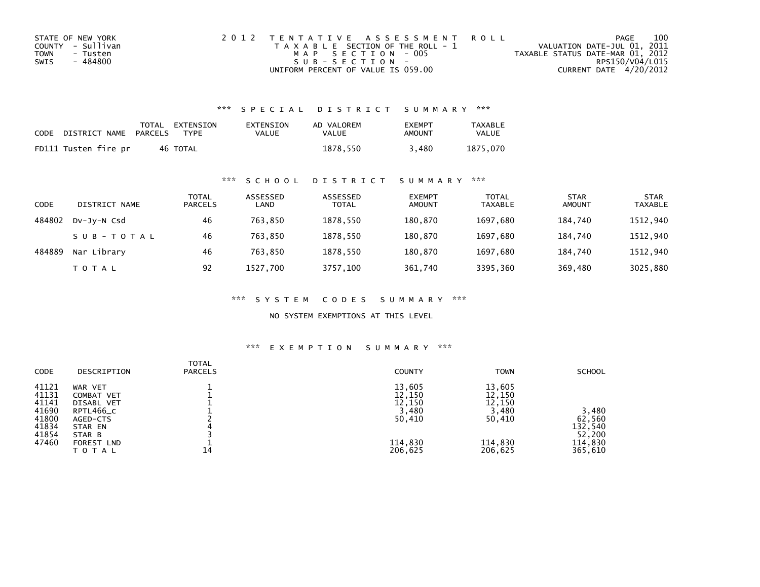| STATE OF NEW YORK | 2012 TENTATIVE ASSESSMENT ROLL        | PAGE                             | 100             |
|-------------------|---------------------------------------|----------------------------------|-----------------|
| COUNTY - Sullivan | T A X A B L E SECTION OF THE ROLL - 1 | VALUATION DATE-JUL 01, 2011      |                 |
| TOWN<br>- Tusten  | MAP SECTION - 005                     | TAXABLE STATUS DATE-MAR 01, 2012 |                 |
| - 484800<br>SWIS  | $SUB - SECTION -$                     |                                  | RPS150/V04/L015 |
|                   | UNIFORM PERCENT OF VALUE IS 059.00    | CURRENT DATE 4/20/2012           |                 |

### \*\*\* S P E C I A L D I S T R I C T S U M M A R Y \*\*\*

| CODE | DISTRICT NAME        | PARCELS | TOTAL EXTENSION<br>TYPF | EXTENSION<br>VALUE | AD VALOREM<br>VALUE | <b>EXEMPT</b><br>AMOUNT | <b>TAXABLE</b><br><b>VALUE</b> |
|------|----------------------|---------|-------------------------|--------------------|---------------------|-------------------------|--------------------------------|
|      | FD111 Tusten fire pr |         | 46 TOTAL                |                    | 1878.550            | 3.480                   | 1875.070                       |

### \*\*\* S C H O O L D I S T R I C T S U M M A R Y \*\*\*

| <b>CODE</b> | DISTRICT NAME | <b>TOTAL</b><br><b>PARCELS</b> | ASSESSED<br>LAND | ASSESSED<br><b>TOTAL</b> | <b>EXEMPT</b><br><b>AMOUNT</b> | <b>TOTAL</b><br>TAXABLE | <b>STAR</b><br><b>AMOUNT</b> | <b>STAR</b><br>TAXABLE |
|-------------|---------------|--------------------------------|------------------|--------------------------|--------------------------------|-------------------------|------------------------------|------------------------|
| 484802      | DV-Jy-N Csd   | 46                             | 763.850          | 1878.550                 | 180.870                        | 1697.680                | 184.740                      | 1512,940               |
|             | SUB-TOTAL     | 46                             | 763,850          | 1878,550                 | 180,870                        | 1697.680                | 184.740                      | 1512,940               |
| 484889      | Nar Library   | 46                             | 763.850          | 1878.550                 | 180.870                        | 1697.680                | 184.740                      | 1512,940               |
|             | <b>TOTAL</b>  | 92                             | 1527,700         | 3757,100                 | 361,740                        | 3395,360                | 369,480                      | 3025,880               |

\*\*\* S Y S T E M C O D E S S U M M A R Y \*\*\*

NO SYSTEM EXEMPTIONS AT THIS LEVEL

#### \*\*\* E X E M P T I O N S U M M A R Y \*\*\*

| <b>CODE</b> | DESCRIPTION       | <b>TOTAL</b><br><b>PARCELS</b> | <b>COUNTY</b> | <b>TOWN</b> | <b>SCHOOL</b> |
|-------------|-------------------|--------------------------------|---------------|-------------|---------------|
| 41121       | WAR VET           |                                | 13,605        | 13,605      |               |
| 41131       | COMBAT VET        |                                | 12,150        | 12,150      |               |
| 41141       | <b>DISABL VET</b> |                                | 12,150        | 12,150      |               |
| 41690       | RPTL466_C         |                                | 3,480         | 3,480       | 3,480         |
| 41800       | AGED-CTS          |                                | 50,410        | 50,410      | 62,560        |
| 41834       | STAR EN           |                                |               |             | 132,540       |
| 41854       | STAR B            |                                |               |             | 52,200        |
| 47460       | FOREST LND        |                                | 114,830       | 114,830     | 114,830       |
|             | TOTAL             | 14                             | 206,625       | 206,625     | 365,610       |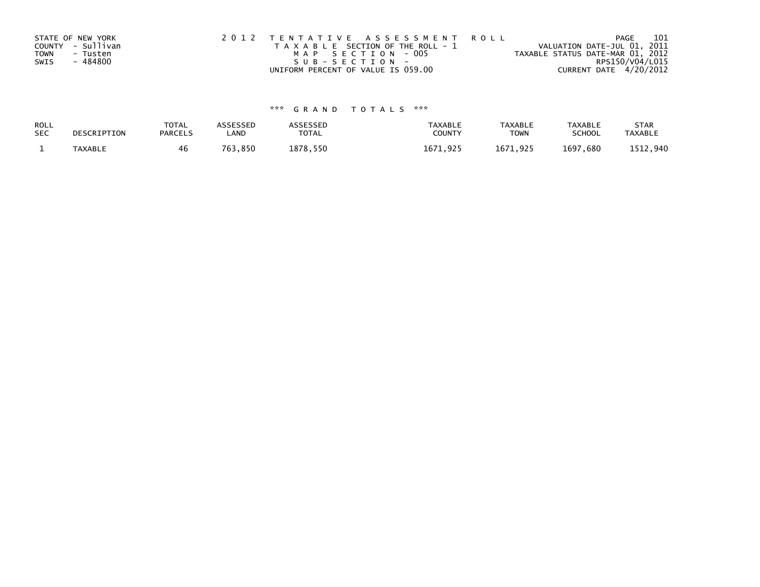|      | STATE OF NEW YORK | 2012 TENTATIVE ASSESSMENT ROLL        | 101<br>PAGE                      |
|------|-------------------|---------------------------------------|----------------------------------|
|      | COUNTY - Sullivan | T A X A B L E SECTION OF THE ROLL - 1 | VALUATION DATE-JUL 01, 2011      |
| TOWN | - Tusten          | MAP SECTION - 005                     | TAXABLE STATUS DATE-MAR 01, 2012 |
| SWIS | - 484800          | $SUB - SECTION -$                     | RPS150/V04/L015                  |
|      |                   | UNIFORM PERCENT OF VALUE IS 059.00    | CURRENT DATE 4/20/2012           |

# \*\*\* G R A N D T O T A L S \*\*\*

| ROLL<br><b>SEC</b> | DESCRIPTION    | <b>TOTAL</b><br><b>PARCELS</b> | ASSESSEP<br>LAND | <b>\SSESSED</b><br>TOTAL | <b>TAXABLE</b><br><b>COUNT</b> | <b>TAXABLE</b><br><b>TOWN</b> | TAXABLE<br><b>SCHOOL</b> | <b>STAR</b><br><b>TAXABLE</b> |
|--------------------|----------------|--------------------------------|------------------|--------------------------|--------------------------------|-------------------------------|--------------------------|-------------------------------|
|                    | <b>TAXABLE</b> | 46                             | .850<br>762      | 878<br>550               | 167<br>ດາເ                     | .671<br>o di r                | 1697<br>,680             | . 940                         |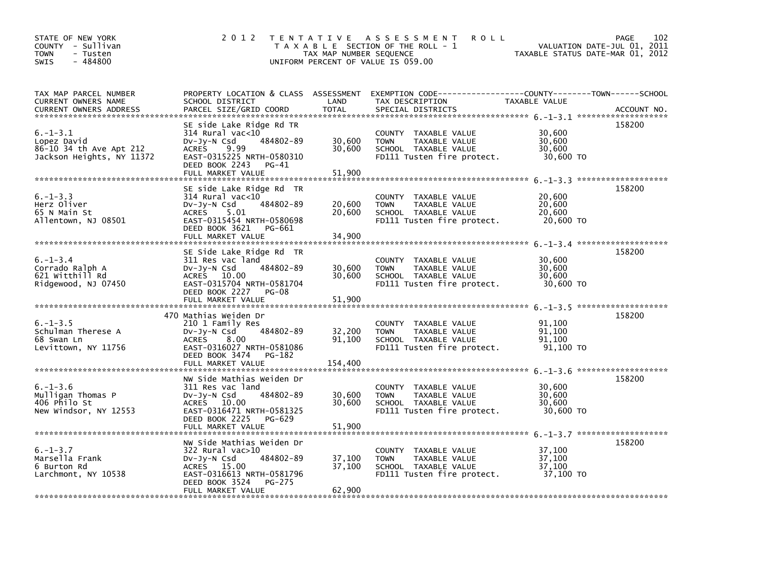| STATE OF NEW YORK<br>COUNTY - Sullivan<br><b>TOWN</b><br>- Tusten<br>$-484800$<br>SWIS | 2 0 1 2                                                                                                                                                                              | T E N T A T I V E<br>TAX MAP NUMBER SEQUENCE | A S S E S S M E N T<br><b>ROLL</b><br>T A X A B L E SECTION OF THE ROLL - 1<br>UNIFORM PERCENT OF VALUE IS 059.00                        | VALUATION DATE-JUL 01, 2011<br>TAXABLE STATUS DATE-MAR 01, 2012 | 102<br>PAGE |
|----------------------------------------------------------------------------------------|--------------------------------------------------------------------------------------------------------------------------------------------------------------------------------------|----------------------------------------------|------------------------------------------------------------------------------------------------------------------------------------------|-----------------------------------------------------------------|-------------|
| TAX MAP PARCEL NUMBER<br>CURRENT OWNERS NAME<br><b>CURRENT OWNERS ADDRESS</b>          | SCHOOL DISTRICT<br>PARCEL SIZE/GRID COORD                                                                                                                                            | LAND<br><b>TOTAL</b>                         | PROPERTY LOCATION & CLASS ASSESSMENT EXEMPTION CODE----------------COUNTY-------TOWN------SCHOOL<br>TAX DESCRIPTION<br>SPECIAL DISTRICTS | TAXABLE VALUE                                                   | ACCOUNT NO. |
| $6. -1 - 3.1$<br>Lopez David<br>86-10 34 th Ave Apt 212<br>Jackson Heights, NY 11372   | SE side Lake Ridge Rd TR<br>$314$ Rural vac< $10$<br>484802-89<br>DV-Jy-N Csd<br><b>ACRES</b><br>9.99<br>EAST-0315225 NRTH-0580310<br>DEED BOOK 2243<br>$PG-41$<br>FULL MARKET VALUE | 30,600<br>30,600<br>51.900                   | COUNTY TAXABLE VALUE<br><b>TOWN</b><br>TAXABLE VALUE<br>SCHOOL TAXABLE VALUE<br>FD111 Tusten fire protect.                               | 30,600<br>30,600<br>30,600<br>30,600 TO                         | 158200      |
|                                                                                        | SE side Lake Ridge Rd TR                                                                                                                                                             |                                              |                                                                                                                                          |                                                                 | 158200      |
| $6. -1 - 3.3$<br>Herz Oliver<br>65 N Main St<br>Allentown, NJ 08501                    | $314$ Rural vac< $10$<br>484802-89<br>DV-Jy-N Csd<br>ACRES 5.01<br>EAST-0315454 NRTH-0580698<br>DEED BOOK 3621<br>PG-661                                                             | 20,600<br>20,600                             | COUNTY TAXABLE VALUE<br><b>TOWN</b><br>TAXABLE VALUE<br>SCHOOL TAXABLE VALUE<br>FD111 Tusten fire protect.                               | 20,600<br>20,600<br>20,600<br>20,600 TO                         |             |
|                                                                                        | FULL MARKET VALUE                                                                                                                                                                    | 34,900                                       |                                                                                                                                          |                                                                 |             |
| $6. - 1 - 3.4$<br>Corrado Ralph A<br>621 Witthill Rd<br>Ridgewood, NJ 07450            | SE Side Lake Ridge Rd TR<br>311 Res vac land<br>484802-89<br>DV-Jy-N Csd<br>ACRES 10.00<br>EAST-0315704 NRTH-0581704<br>DEED BOOK 2227 PG-08<br>FULL MARKET VALUE                    | 30,600<br>30,600<br>51,900                   | COUNTY TAXABLE VALUE<br>TAXABLE VALUE<br><b>TOWN</b><br>SCHOOL TAXABLE VALUE<br>FD111 Tusten fire protect.                               | 30,600<br>30,600<br>30,600<br>30,600 TO                         | 158200      |
| $6. -1 - 3.5$<br>Schulman Therese A<br>68 Swan Ln<br>Levittown, NY 11756               | 470 Mathias Weiden Dr<br>210 1 Family Res<br>484802-89<br>$Dv-Jy-N$ Csd<br><b>ACRES</b><br>8.00<br>EAST-0316027 NRTH-0581086<br>DEED BOOK 3474<br>PG-182<br>FULL MARKET VALUE        | 32,200<br>91,100                             | COUNTY TAXABLE VALUE<br><b>TOWN</b><br><b>TAXABLE VALUE</b><br>SCHOOL TAXABLE VALUE<br>FD111 Tusten fire protect.                        | 91,100<br>91.100<br>91.100<br>91,100 TO                         | 158200      |
|                                                                                        |                                                                                                                                                                                      | 154,400                                      |                                                                                                                                          |                                                                 |             |
| $6. - 1 - 3.6$<br>Mulligan Thomas P<br>406 Philo St<br>New Windsor, NY 12553           | NW Side Mathias Weiden Dr<br>311 Res vac land<br>484802-89<br>$Dv-Jy-N$ Csd<br>ACRES 10.00<br>EAST-0316471 NRTH-0581325<br>DEED BOOK 2225<br>PG-629<br>FULL MARKET VALUE             | 30,600<br>30,600<br>51,900                   | COUNTY TAXABLE VALUE<br><b>TOWN</b><br>TAXABLE VALUE<br>SCHOOL TAXABLE VALUE<br>FD111 Tusten fire protect.                               | 30,600<br>30,600<br>30,600<br>30,600 TO                         | 158200      |
|                                                                                        | NW Side Mathias Weiden Dr                                                                                                                                                            |                                              |                                                                                                                                          |                                                                 | 158200      |
| $6. - 1 - 3.7$<br>Marsella Frank<br>6 Burton Rd<br>Larchmont, NY 10538                 | 322 Rural vac>10<br>484802-89<br>$Dv-Jy-N$ Csd<br>ACRES 15.00<br>EAST-0316613 NRTH-0581796<br>DEED BOOK 3524<br>PG-275                                                               | 37,100<br>37,100                             | COUNTY TAXABLE VALUE<br><b>TOWN</b><br>TAXABLE VALUE<br>SCHOOL TAXABLE VALUE<br>FD111 Tusten fire protect.                               | 37,100<br>37,100<br>37,100<br>37,100 TO                         |             |
|                                                                                        | FULL MARKET VALUE                                                                                                                                                                    | 62,900                                       |                                                                                                                                          |                                                                 |             |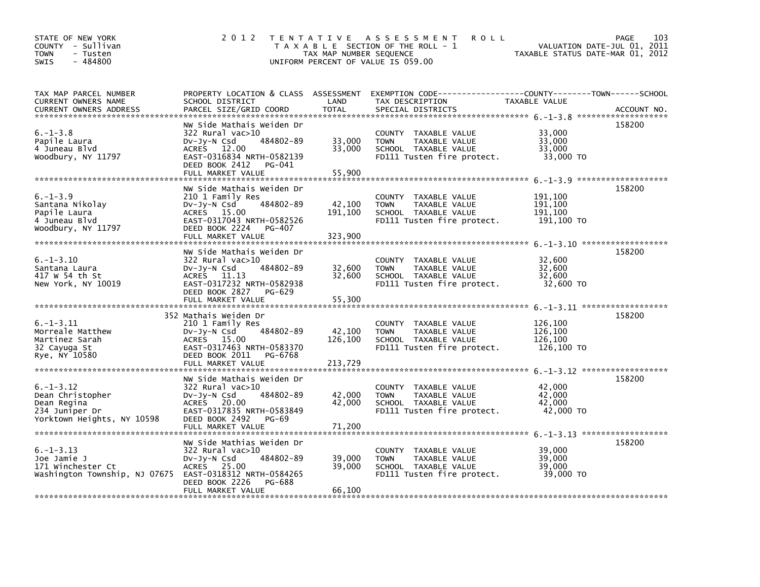| STATE OF NEW YORK<br>COUNTY - Sullivan<br>- Tusten<br><b>TOWN</b><br>$-484800$<br><b>SWIS</b>                 | 2 0 1 2                                                                                                                                                                                 | T E N T A T I V E<br>TAX MAP NUMBER SEQUENCE | A S S E S S M E N T<br><b>ROLL</b><br>T A X A B L E SECTION OF THE ROLL - 1<br>UNIFORM PERCENT OF VALUE IS 059.00                       | VALUATION DATE-JUL 01, 2011<br>TAXABLE STATUS DATE-MAR 01, 2012 | <b>PAGE</b><br>103 |
|---------------------------------------------------------------------------------------------------------------|-----------------------------------------------------------------------------------------------------------------------------------------------------------------------------------------|----------------------------------------------|-----------------------------------------------------------------------------------------------------------------------------------------|-----------------------------------------------------------------|--------------------|
| TAX MAP PARCEL NUMBER<br>CURRENT OWNERS NAME<br>CURRENT OWNERS ADDRESS                                        | SCHOOL DISTRICT<br>PARCEL SIZE/GRID COORD                                                                                                                                               | LAND<br><b>TOTAL</b>                         | PROPERTY LOCATION & CLASS ASSESSMENT EXEMPTION CODE---------------COUNTY-------TOWN------SCHOOL<br>TAX DESCRIPTION<br>SPECIAL DISTRICTS | TAXABLE VALUE                                                   | ACCOUNT NO.        |
| $6. -1 - 3.8$<br>Papile Laura<br>4 Juneau Blyd<br>Woodbury, NY 11797                                          | NW Side Mathais Weiden Dr<br>$322$ Rural vac $>10$<br>484802-89<br>$Dv-Jy-N$ Csd<br><b>ACRES</b><br>12.00<br>EAST-0316834 NRTH-0582139<br>DEED BOOK 2412<br>PG-041<br>FULL MARKET VALUE | 33,000<br>33,000<br>55,900                   | COUNTY TAXABLE VALUE<br><b>TOWN</b><br>TAXABLE VALUE<br>SCHOOL TAXABLE VALUE<br>FD111 Tusten fire protect.                              | 33.000<br>33,000<br>33.000<br>33,000 TO                         | 158200             |
| $6. -1 - 3.9$<br>Santana Nikolay<br>Papile Laura<br>4 Juneau Blvd<br>Woodbury, NY 11797                       | NW Side Mathais Weiden Dr<br>210 1 Family Res<br>484802-89<br>DV-Jy-N Csd<br>ACRES 15.00<br>EAST-0317043 NRTH-0582526<br>DEED BOOK 2224<br>PG-407<br>FULL MARKET VALUE                  | 42,100<br>191,100<br>323,900                 | COUNTY TAXABLE VALUE<br><b>TOWN</b><br>TAXABLE VALUE<br>SCHOOL TAXABLE VALUE<br>FD111 Tusten fire protect.                              | 191,100<br>191.100<br>191,100<br>191,100 TO                     | 158200             |
| $6. - 1 - 3.10$<br>Santana Laura<br>417 W 54 th St<br>New York, NY 10019                                      | NW Side Mathais Weiden Dr<br>322 Rural vac>10<br>$Dv-Jv-N$ Csd<br>484802-89<br>ACRES 11.13<br>EAST-0317232 NRTH-0582938<br>DEED BOOK 2827<br>PG-629<br>FULL MARKET VALUE                | 32,600<br>32,600<br>55,300                   | COUNTY TAXABLE VALUE<br>TAXABLE VALUE<br><b>TOWN</b><br>SCHOOL TAXABLE VALUE<br>FD111 Tusten fire protect.                              | 32,600<br>32,600<br>32,600<br>32,600 TO                         | 158200             |
| $6. -1 - 3.11$<br>Morreale Matthew<br>Martinez Sarah<br>32 Cayuga St<br>Rye, NY 10580                         | 352 Mathais Weiden Dr<br>210 1 Family Res<br>484802-89<br>DV-Jy-N Csd<br>ACRES 15.00<br>EAST-0317463 NRTH-0583370<br>DEED BOOK 2011<br>PG-6768<br>FULL MARKET VALUE                     | 42,100<br>126,100<br>213,729                 | COUNTY TAXABLE VALUE<br><b>TOWN</b><br>TAXABLE VALUE<br>SCHOOL TAXABLE VALUE<br>FD111 Tusten fire protect.                              | 126,100<br>126,100<br>126,100<br>126,100 TO                     | 158200             |
| $6. -1 - 3.12$<br>Dean Christopher<br>Dean Regina<br>234 Juniper Dr<br>Yorktown Heights, NY 10598             | NW Side Mathais Weiden Dr<br>322 Rural vac>10<br>484802-89<br>$Dv-Jy-N$ Csd<br>ACRES 20.00<br>EAST-0317835 NRTH-0583849<br>DEED BOOK 2492<br>PG-69                                      | 42,000<br>42,000                             | COUNTY TAXABLE VALUE<br><b>TOWN</b><br>TAXABLE VALUE<br>SCHOOL TAXABLE VALUE<br>FD111 Tusten fire protect.                              | 42,000<br>42.000<br>42,000<br>42,000 TO                         | 158200             |
| $6. -1 - 3.13$<br>Joe Jamie J<br>171 Winchester Ct<br>Washington Township, NJ 07675 EAST-0318312 NRTH-0584265 | NW Side Mathias Weiden Dr<br>322 Rural vac>10<br>$Dv-Jv-N$ Csd<br>484802-89<br>ACRES 25.00<br>DEED BOOK 2226<br>PG-688<br>FULL MARKET VALUE                                             | 39,000<br>39,000<br>66,100                   | COUNTY TAXABLE VALUE<br>TAXABLE VALUE<br><b>TOWN</b><br>SCHOOL TAXABLE VALUE<br>FD111 Tusten fire protect.                              | 39,000<br>39,000<br>39,000<br>39,000 TO                         | 158200             |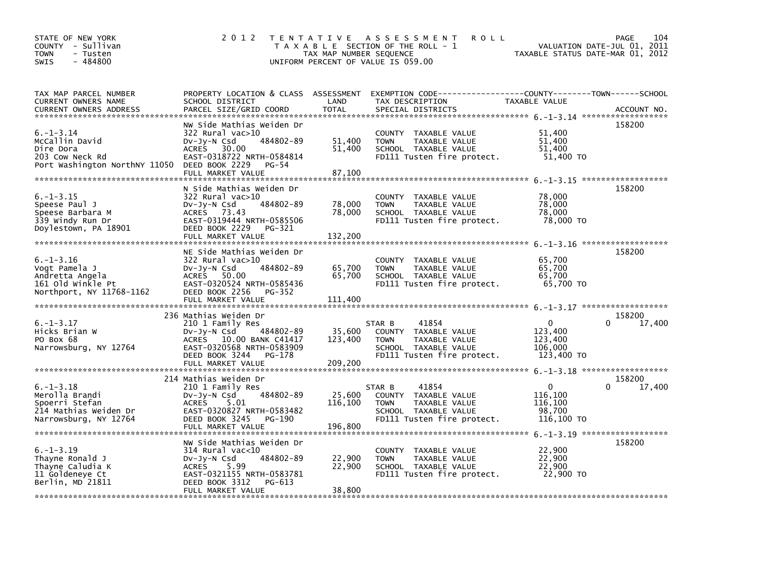| STATE OF NEW YORK<br>COUNTY - Sullivan<br><b>TOWN</b><br>- Tusten<br>$-484800$<br><b>SWIS</b>        | 2 0 1 2                                                                                                                                                                                | T E N T A T I V E<br>TAX MAP NUMBER SEQUENCE | A S S E S S M E N T<br><b>ROLL</b><br>T A X A B L E SECTION OF THE ROLL - 1<br>UNIFORM PERCENT OF VALUE IS 059.00             | TAXABLE STATUS DATE-MAR 01, 2012                            | PAGE<br>104<br>VALUATION DATE-JUL 01, 2011 |
|------------------------------------------------------------------------------------------------------|----------------------------------------------------------------------------------------------------------------------------------------------------------------------------------------|----------------------------------------------|-------------------------------------------------------------------------------------------------------------------------------|-------------------------------------------------------------|--------------------------------------------|
| TAX MAP PARCEL NUMBER<br>CURRENT OWNERS NAME<br><b>CURRENT OWNERS ADDRESS</b>                        | PROPERTY LOCATION & CLASS ASSESSMENT<br>SCHOOL DISTRICT<br>PARCEL SIZE/GRID COORD                                                                                                      | LAND<br><b>TOTAL</b>                         | EXEMPTION CODE-----------------COUNTY-------TOWN------SCHOOL<br>TAX DESCRIPTION<br>SPECIAL DISTRICTS                          | TAXABLE VALUE                                               | ACCOUNT NO.                                |
| $6. - 1 - 3.14$<br>McCallin David<br>Dire Dora<br>203 Cow Neck Rd<br>Port Washington NorthNY 11050   | NW Side Mathias Weiden Dr<br>$322$ Rural vac $>10$<br>484802-89<br>$Dv-Jy-N$ Csd<br><b>ACRES</b><br>30.00<br>EAST-0318722 NRTH-0584814<br>DEED BOOK 2229<br>PG-54<br>FULL MARKET VALUE | 51,400<br>51,400<br>87,100                   | COUNTY TAXABLE VALUE<br>TAXABLE VALUE<br><b>TOWN</b><br>SCHOOL TAXABLE VALUE<br>FD111 Tusten fire protect.                    | 51.400<br>51,400<br>51,400<br>51,400 TO                     | 158200                                     |
| $6. -1 - 3.15$<br>Speese Paul J<br>Speese Barbara M<br>339 Windy Run Dr<br>Doylestown, PA 18901      | N Side Mathias Weiden Dr<br>$322$ Rural vac $>10$<br>484802-89<br>$Dv-Jv-N$ Csd<br>ACRES 73.43<br>EAST-0319444 NRTH-0585506<br>DEED BOOK 2229<br>PG-321<br>FULL MARKET VALUE           | 78,000<br>78,000<br>132,200                  | COUNTY TAXABLE VALUE<br>TAXABLE VALUE<br><b>TOWN</b><br>SCHOOL TAXABLE VALUE<br>FD111 Tusten fire protect.                    | 78,000<br>78,000<br>78,000<br>78,000 TO                     | 158200                                     |
| $6. - 1 - 3.16$<br>Vogt Pamela J<br>Andretta Angela<br>161 old winkle Pt<br>Northport, NY 11768-1162 | NE Side Mathias Weiden Dr<br>$322$ Rural vac $>10$<br>484802-89<br>DV-Jy-N Csd<br>ACRES 50.00<br>EAST-0320524 NRTH-0585436<br>DEED BOOK 2256<br>PG-352                                 | 65,700<br>65,700                             | COUNTY TAXABLE VALUE<br><b>TOWN</b><br>TAXABLE VALUE<br>SCHOOL TAXABLE VALUE<br>FD111 Tusten fire protect.                    | 65,700<br>65,700<br>65,700<br>65,700 TO                     | 158200                                     |
|                                                                                                      | FULL MARKET VALUE                                                                                                                                                                      | 111,400                                      |                                                                                                                               |                                                             |                                            |
| $6. -1 - 3.17$<br>Hicks Brian W<br>PO Box 68<br>Narrowsburg, NY 12764                                | 236 Mathias Weiden Dr<br>210 1 Family Res<br>DV-Jy-N Csd<br>484802-89<br>ACRES 10.00 BANK C41417<br>EAST-0320568 NRTH-0583909<br>DEED BOOK 3244<br>PG-178                              | 35,600<br>123,400                            | 41854<br>STAR B<br>COUNTY TAXABLE VALUE<br>TAXABLE VALUE<br><b>TOWN</b><br>SCHOOL TAXABLE VALUE<br>FD111 Tusten fire protect. | $\mathbf{0}$<br>123,400<br>123,400<br>106,000<br>123,400 TO | 158200<br>17,400<br>0                      |
|                                                                                                      | 214 Mathias Weiden Dr                                                                                                                                                                  |                                              |                                                                                                                               |                                                             | 158200                                     |
| $6. -1 - 3.18$<br>Merolla Brandi<br>Spoerri Stefan<br>214 Mathias Weiden Dr<br>Narrowsburg, NY 12764 | 210 1 Family Res<br>484802-89<br>$Dv-Jy-N$ Csd<br>5.01<br><b>ACRES</b><br>EAST-0320827 NRTH-0583482<br>DEED BOOK 3245<br>PG-190                                                        | 25,600<br>116,100                            | 41854<br>STAR B<br>COUNTY TAXABLE VALUE<br>TAXABLE VALUE<br><b>TOWN</b><br>SCHOOL TAXABLE VALUE<br>FD111 Tusten fire protect. | $\mathbf{0}$<br>116,100<br>116,100<br>98,700<br>116,100 TO  | $\Omega$<br>17,400                         |
| $6. -1 - 3.19$<br>Thayne Ronald J<br>Thayne Caludia K<br>11 Goldeneye Ct<br>Berlin, MD 21811         | NW Side Mathias Weiden Dr<br>$314$ Rural vac<10<br>484802-89<br>$Dv-Jy-N$ Csd<br><b>ACRES</b><br>5.99<br>EAST-0321155 NRTH-0583781<br>DEED BOOK 3312<br>PG-613<br>FULL MARKET VALUE    | 22,900<br>22,900<br>38,800                   | COUNTY TAXABLE VALUE<br>TAXABLE VALUE<br><b>TOWN</b><br>SCHOOL TAXABLE VALUE<br>FD111 Tusten fire protect.                    | 22,900<br>22,900<br>22,900<br>22,900 TO                     | 158200                                     |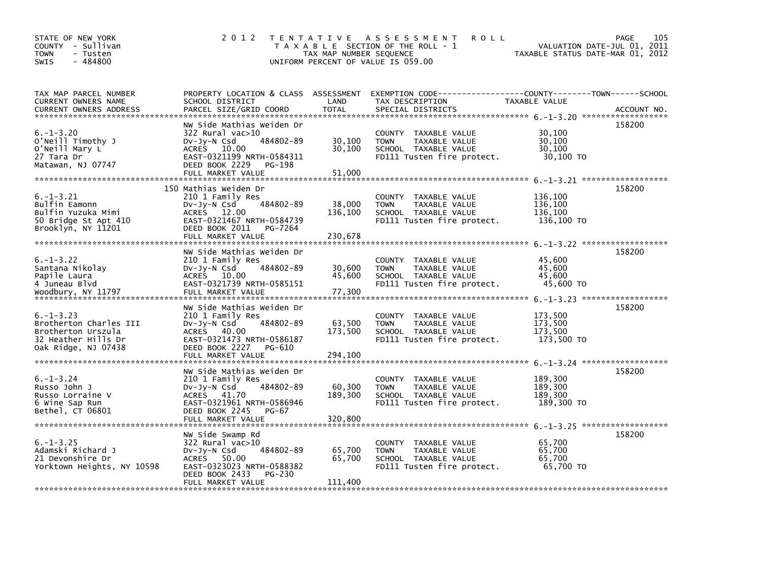| STATE OF NEW YORK<br>COUNTY - Sullivan<br>- Tusten<br><b>TOWN</b><br>$-484800$<br><b>SWIS</b>                 | 2 0 1 2                                                                                                                                                                       | TAX MAP NUMBER SEQUENCE      | TENTATIVE ASSESSMENT<br><b>ROLL</b><br>T A X A B L E SECTION OF THE ROLL - 1<br>UNIFORM PERCENT OF VALUE IS 059.00                       | VALUATION DATE-JUL 01, 2011<br>TAXABLE STATUS DATE-MAR 01, 2012 | 105<br><b>PAGE</b> |
|---------------------------------------------------------------------------------------------------------------|-------------------------------------------------------------------------------------------------------------------------------------------------------------------------------|------------------------------|------------------------------------------------------------------------------------------------------------------------------------------|-----------------------------------------------------------------|--------------------|
| TAX MAP PARCEL NUMBER<br><b>CURRENT OWNERS NAME</b><br>CURRENT OWNERS ADDRESS                                 | SCHOOL DISTRICT<br>PARCEL SIZE/GRID COORD                                                                                                                                     | LAND<br><b>TOTAL</b>         | PROPERTY LOCATION & CLASS ASSESSMENT EXEMPTION CODE----------------COUNTY-------TOWN------SCHOOL<br>TAX DESCRIPTION<br>SPECIAL DISTRICTS | <b>TAXABLE VALUE</b>                                            | ACCOUNT NO.        |
| $6. - 1 - 3.20$<br>O'Neill Timothy J<br>O'Neill Mary L<br>27 Tara Dr<br>Matawan, NJ 07747                     | NW Side Mathias Weiden Dr<br>$322$ Rural vac $>10$<br>$Dv-Jv-N$ Csd<br>484802-89<br>ACRES 10.00<br>EAST-0321199 NRTH-0584311<br>DEED BOOK 2229<br>PG-198<br>FULL MARKET VALUE | 30,100<br>30,100<br>51.000   | COUNTY TAXABLE VALUE<br><b>TAXABLE VALUE</b><br><b>TOWN</b><br>SCHOOL TAXABLE VALUE<br>FD111 Tusten fire protect.                        | 30,100<br>30,100<br>30,100<br>30,100 TO                         | 158200             |
| $6. - 1 - 3.21$<br>Bulfin Eamonn<br>Bulfin Yuzuka Mimi<br>50 Bridge St Apt 410<br>Brooklyn, NY 11201          | 150 Mathias Weiden Dr<br>210 1 Family Res<br>484802-89<br>$Dv-Jy-N$ Csd<br>ACRES 12.00<br>EAST-0321467 NRTH-0584739<br>DEED BOOK 2011<br>PG-7264<br>FULL MARKET VALUE         | 38,000<br>136,100<br>230,678 | COUNTY TAXABLE VALUE<br><b>TOWN</b><br><b>TAXABLE VALUE</b><br>SCHOOL TAXABLE VALUE<br>FD111 Tusten fire protect.                        | 136,100<br>136,100<br>136,100<br>136,100 TO                     | 158200             |
| $6. - 1 - 3.22$<br>Santana Nikolay<br>Papile Laura<br>4 Juneau Blvd<br>Woodbury, NY 11797                     | NW Side Mathias Weiden Dr<br>210 1 Family Res<br>484802-89<br>$Dv-Jy-N$ Csd<br>ACRES 10.00<br>EAST-0321739 NRTH-0585151<br>FULL MARKET VALUE                                  | 30,600<br>45,600<br>77,300   | COUNTY TAXABLE VALUE<br><b>TOWN</b><br>TAXABLE VALUE<br>SCHOOL TAXABLE VALUE<br>FD111 Tusten fire protect.                               | 45,600<br>45,600<br>45.600<br>45,600 TO                         | 158200             |
| $6. - 1 - 3.23$<br>Brotherton Charles III<br>Brotherton Urszula<br>32 Heather Hills Dr<br>Oak Ridge, NJ 07438 | NW Side Mathias Weiden Dr<br>210 1 Family Res<br>484802-89<br>$Dv-Jy-N$ Csd<br>ACRES 40.00<br>EAST-0321473 NRTH-0586187<br>DEED BOOK 2227<br>PG-610<br>FULL MARKET VALUE      | 63,500<br>173,500<br>294.100 | COUNTY TAXABLE VALUE<br>TAXABLE VALUE<br><b>TOWN</b><br>SCHOOL TAXABLE VALUE<br>FD111 Tusten fire protect.                               | 173,500<br>173,500<br>173,500<br>173,500 TO                     | 158200             |
| $6. - 1 - 3.24$<br>Russo John J<br>Russo Lorraine V<br>6 Wine Sap Run<br>Bethel, CT 06801                     | NW Side Mathias Weiden Dr<br>210 1 Family Res<br>484802-89<br>DV-Jy-N Csd<br>ACRES 41.70<br>EAST-0321961 NRTH-0586946<br>DEED BOOK 2245 PG-67<br>FULL MARKET VALUE            | 60,300<br>189,300<br>320,800 | COUNTY TAXABLE VALUE<br>TAXABLE VALUE<br><b>TOWN</b><br>SCHOOL TAXABLE VALUE<br>FD111 Tusten fire protect.                               | 189,300<br>189,300<br>189.300<br>189,300 TO                     | 158200             |
| $6. -1 - 3.25$<br>Adamski Richard J<br>21 Devonshire Dr<br>Yorktown Heights, NY 10598                         | NW Side Swamp Rd<br>322 Rural vac>10<br>484802-89<br>$Dv-Jy-N$ Csd<br>50.00<br>ACRES<br>EAST-0323023 NRTH-0588382<br>DEED BOOK 2433<br>PG-230<br>FULL MARKET VALUE            | 65,700<br>65,700<br>111,400  | COUNTY TAXABLE VALUE<br>TAXABLE VALUE<br><b>TOWN</b><br>SCHOOL TAXABLE VALUE<br>FD111 Tusten fire protect.                               | 65,700<br>65,700<br>65,700<br>65,700 TO                         | 158200             |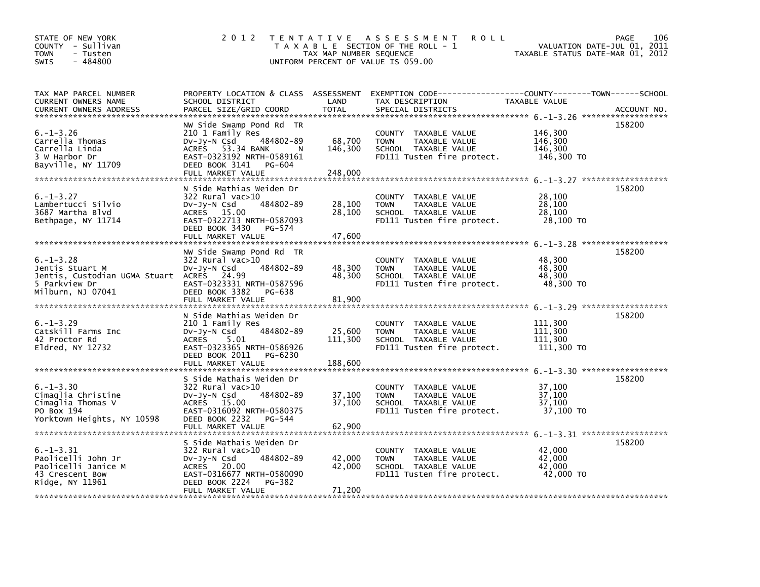| STATE OF NEW YORK<br>COUNTY - Sullivan<br><b>TOWN</b><br>- Tusten<br>$-484800$<br><b>SWIS</b>                        | 2 0 1 2                                                                                                                                                                        | TAX MAP NUMBER SEQUENCE      | TENTATIVE ASSESSMENT<br><b>ROLL</b><br>T A X A B L E SECTION OF THE ROLL - 1<br>UNIFORM PERCENT OF VALUE IS 059.00 | TAXABLE STATUS DATE-MAR 01, 2012            | 106<br><b>PAGE</b><br>VALUATION DATE-JUL 01, 2011 |
|----------------------------------------------------------------------------------------------------------------------|--------------------------------------------------------------------------------------------------------------------------------------------------------------------------------|------------------------------|--------------------------------------------------------------------------------------------------------------------|---------------------------------------------|---------------------------------------------------|
| TAX MAP PARCEL NUMBER<br>CURRENT OWNERS NAME<br><b>CURRENT OWNERS ADDRESS</b>                                        | PROPERTY LOCATION & CLASS ASSESSMENT<br>SCHOOL DISTRICT<br>PARCEL SIZE/GRID COORD                                                                                              | LAND<br><b>TOTAL</b>         | EXEMPTION CODE-----------------COUNTY-------TOWN------SCHOOL<br>TAX DESCRIPTION<br>SPECIAL DISTRICTS               | TAXABLE VALUE                               | ACCOUNT NO.                                       |
| $6. - 1 - 3.26$<br>Carrella Thomas<br>Carrella Linda<br>3 W Harbor Dr<br>Bayville, NY 11709                          | NW Side Swamp Pond Rd TR<br>210 1 Family Res<br>484802-89<br>$Dv-Jv-N$ Csd<br>ACRES 53.34 BANK<br>N<br>EAST-0323192 NRTH-0589161<br>DEED BOOK 3141 PG-604<br>FULL MARKET VALUE | 68,700<br>146,300<br>248,000 | COUNTY TAXABLE VALUE<br>TAXABLE VALUE<br><b>TOWN</b><br>SCHOOL TAXABLE VALUE<br>FD111 Tusten fire protect.         | 146,300<br>146,300<br>146,300<br>146,300 TO | 158200                                            |
| $6. - 1 - 3.27$<br>Lambertucci Silvio<br>3687 Martha Blvd<br>Bethpage, NY 11714                                      | N Side Mathias Weiden Dr<br>322 Rural vac>10<br>DV-Jy-N Csd<br>484802-89<br>ACRES 15.00<br>EAST-0322713 NRTH-0587093<br>DEED BOOK 3430 PG-574<br>FULL MARKET VALUE             | 28,100<br>28,100<br>47,600   | COUNTY TAXABLE VALUE<br>TAXABLE VALUE<br><b>TOWN</b><br>SCHOOL TAXABLE VALUE<br>FD111 Tusten fire protect.         | 28,100<br>28,100<br>28,100<br>28,100 TO     | 158200                                            |
| $6. -1 - 3.28$<br>Jentis Stuart M<br>Jentis, Custodian UGMA Stuart ACRES 24.99<br>5 Parkview Dr<br>Milburn, NJ 07041 | NW Side Swamp Pond Rd TR<br>$322$ Rural vac $>10$<br>$Dv-Jy-N$ Csd<br>484802-89<br>EAST-0323331 NRTH-0587596<br>DEED BOOK 3382<br>PG-638<br>FULL MARKET VALUE                  | 48,300<br>48,300<br>81,900   | COUNTY TAXABLE VALUE<br><b>TOWN</b><br>TAXABLE VALUE<br>SCHOOL TAXABLE VALUE<br>FD111 Tusten fire protect.         | 48,300<br>48,300<br>48,300<br>48,300 TO     | 158200                                            |
| $6. -1 - 3.29$<br>Catskill Farms Inc<br>42 Proctor Rd<br>Eldred, NY 12732                                            | N Side Mathias Weiden Dr<br>210 1 Family Res<br>484802-89<br>DV-Jy-N Csd<br><b>ACRES</b><br>5.01<br>EAST-0323365 NRTH-0586926<br>DEED BOOK 2011<br>PG-6230                     | 25,600<br>111,300            | COUNTY TAXABLE VALUE<br><b>TOWN</b><br>TAXABLE VALUE<br>SCHOOL TAXABLE VALUE<br>FD111 Tusten fire protect.         | 111,300<br>111.300<br>111,300<br>111,300 TO | 158200                                            |
| $6. - 1 - 3.30$<br>Cimaglia Christine<br>Cimaglia Thomas V<br>PO Box 194<br>Yorktown Heights, NY 10598               | S Side Mathais Weiden Dr<br>322 Rural vac>10<br>484802-89<br>Dv-Jy-N Csd<br>ACRES 15.00<br>EAST-0316092 NRTH-0580375<br>DEED BOOK 2232<br>PG-544<br>FULL MARKET VALUE          | 37,100<br>37,100<br>62,900   | COUNTY TAXABLE VALUE<br><b>TOWN</b><br>TAXABLE VALUE<br>SCHOOL TAXABLE VALUE<br>FD111 Tusten fire protect.         | 37,100<br>37,100<br>37,100<br>37,100 TO     | 158200                                            |
| $6. -1 - 3.31$<br>Paolicelli John Jr<br>Paolicelli Janice M<br>43 Crescent Bow<br>Ridge, NY 11961                    | S Side Mathais Weiden Dr<br>322 Rural vac>10<br>$Dv-Jy-N$ Csd<br>484802-89<br>ACRES<br>20.00<br>EAST-0316677 NRTH-0580090<br>DEED BOOK 2224<br>PG-382<br>FULL MARKET VALUE     | 42,000<br>42,000<br>71,200   | COUNTY TAXABLE VALUE<br><b>TOWN</b><br>TAXABLE VALUE<br>SCHOOL TAXABLE VALUE<br>FD111 Tusten fire protect.         | 42.000<br>42,000<br>42,000<br>42,000 TO     | 158200                                            |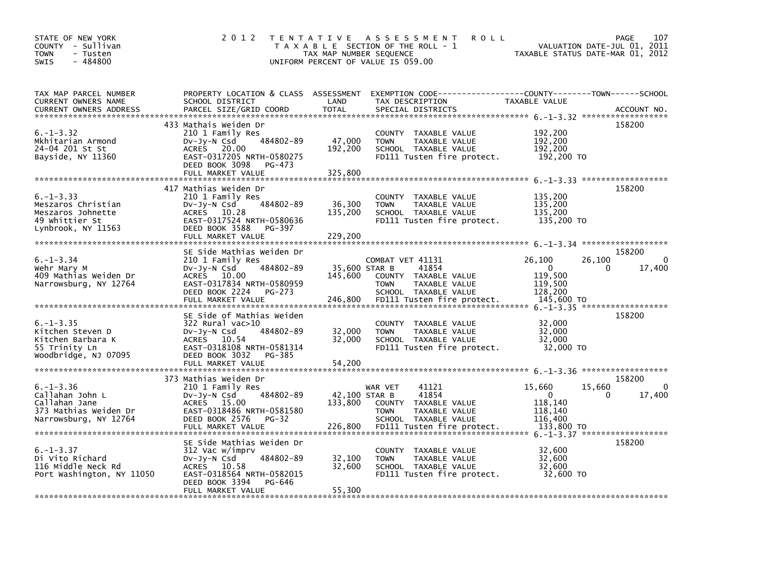| STATE OF NEW YORK<br>COUNTY - Sullivan<br>- Tusten<br><b>TOWN</b><br>$-484800$<br><b>SWIS</b>         | 2 0 1 2                                                                                                                                                                     | T E N T A T I V E<br>TAX MAP NUMBER SEQUENCE | A S S E S S M E N T<br><b>ROLL</b><br>T A X A B L E SECTION OF THE ROLL - 1<br>UNIFORM PERCENT OF VALUE IS 059.00                       |                                                                       | PAGE<br>107<br>VALUATION DATE-JUL 01, 2011<br>TAXABLE STATUS DATE-MAR 01, 2012 |
|-------------------------------------------------------------------------------------------------------|-----------------------------------------------------------------------------------------------------------------------------------------------------------------------------|----------------------------------------------|-----------------------------------------------------------------------------------------------------------------------------------------|-----------------------------------------------------------------------|--------------------------------------------------------------------------------|
| TAX MAP PARCEL NUMBER<br>CURRENT OWNERS NAME<br><b>CURRENT OWNERS ADDRESS</b>                         | SCHOOL DISTRICT<br>PARCEL SIZE/GRID COORD                                                                                                                                   | LAND<br><b>TOTAL</b>                         | PROPERTY LOCATION & CLASS ASSESSMENT EXEMPTION CODE---------------COUNTY-------TOWN------SCHOOL<br>TAX DESCRIPTION<br>SPECIAL DISTRICTS | TAXABLE VALUE                                                         | ACCOUNT NO.                                                                    |
| $6. -1 - 3.32$<br>Mkhitarian Armond<br>24-04 201 St St<br>Bayside, NY 11360                           | 433 Mathais Weiden Dr<br>210 1 Family Res<br>484802-89<br>DV-Jy-N Csd<br>ACRES 20.00<br>EAST-0317205 NRTH-0580275<br>DEED BOOK 3098<br>PG-473<br>FULL MARKET VALUE          | 47,000<br>192,200<br>325,800                 | COUNTY TAXABLE VALUE<br>TAXABLE VALUE<br><b>TOWN</b><br>SCHOOL TAXABLE VALUE<br>FD111 Tusten fire protect.                              | 192,200<br>192,200<br>192,200<br>192,200 TO                           | 158200                                                                         |
| $6. -1 - 3.33$<br>Meszaros Christian<br>Meszaros Johnette<br>49 Whittier St<br>Lynbrook, NY 11563     | 417 Mathias Weiden Dr<br>210 1 Family Res<br>484802-89<br>DV-Jy-N Csd<br>ACRES 10.28<br>EAST-0317524 NRTH-0580636<br>DEED BOOK 3588<br>PG-397<br>FULL MARKET VALUE          | 36,300<br>135,200<br>229,200                 | COUNTY TAXABLE VALUE<br><b>TOWN</b><br>TAXABLE VALUE<br>SCHOOL TAXABLE VALUE<br>FD111 Tusten fire protect.                              | 135,200<br>135,200<br>135,200<br>135,200 TO                           | 158200                                                                         |
| $6. - 1 - 3.34$<br>Wehr Mary M<br>409 Mathias Weiden Dr<br>Narrowsburg, NY 12764                      | SE Side Mathias Weiden Dr<br>210 1 Family Res<br>484802-89<br>Dv-Jy-N Csd<br>ACRES 10.00<br>EAST-0317834 NRTH-0580959<br>DEED BOOK 2224<br>PG-273<br>FULL MARKET VALUE      | 35,600 STAR B<br>145,600<br>246,800          | COMBAT VET 41131<br>41854<br>COUNTY TAXABLE VALUE<br><b>TOWN</b><br>TAXABLE VALUE<br>SCHOOL TAXABLE VALUE<br>FD111 Tusten fire protect. | 26,100<br>$\mathbf{0}$<br>119,500<br>119,500<br>128,200<br>145,600 TO | 158200<br>26,100<br>0<br>17,400<br>0                                           |
| $6. -1 - 3.35$<br>Kitchen Steven D<br>Kitchen Barbara K<br>55 Trinity Ln<br>Woodbridge, NJ 07095      | SE Side of Mathias Weiden<br>$322$ Rural vac $>10$<br>484802-89<br>DV-Jy-N Csd<br>ACRES 10.54<br>EAST-0318108 NRTH-0581314<br>DEED BOOK 3032<br>PG-385<br>FULL MARKET VALUE | 32,000<br>32,000<br>54,200                   | COUNTY TAXABLE VALUE<br>TAXABLE VALUE<br><b>TOWN</b><br>SCHOOL TAXABLE VALUE<br>FD111 Tusten fire protect.                              | 32,000<br>32,000<br>32,000<br>32,000 TO                               | 158200                                                                         |
| $6. - 1 - 3.36$<br>Callahan John L<br>Callahan Jane<br>373 Mathias Weiden Dr<br>Narrowsburg, NY 12764 | 373 Mathias Weiden Dr<br>210 1 Family Res<br>484802-89<br>DV-Jy-N Csd<br>ACRES 15.00<br>EAST-0318486 NRTH-0581580<br>DEED BOOK 2576<br>PG-32                                | 42,100 STAR B<br>133,800                     | 41121<br>WAR VET<br>41854<br>COUNTY TAXABLE VALUE<br>TAXABLE VALUE<br><b>TOWN</b><br>SCHOOL TAXABLE VALUE                               | 15,660<br>$\mathbf{0}$<br>118,140<br>118,140<br>116,400               | 158200<br>15,660<br>0<br>17,400<br>0                                           |
| $6. -1 - 3.37$<br>Di Vito Richard<br>116 Middle Neck Rd<br>Port Washington, NY 11050                  | SE Side Mathias Weiden Dr<br>312 Vac w/imprv<br>484802-89<br>DV-Jy-N Csd<br>ACRES 10.58<br>EAST-0318564 NRTH-0582015<br>DEED BOOK 3394<br>PG-646<br>FULL MARKET VALUE       | 32,100<br>32,600<br>55,300                   | COUNTY TAXABLE VALUE<br>TAXABLE VALUE<br><b>TOWN</b><br>SCHOOL TAXABLE VALUE<br>FD111 Tusten fire protect.                              | 32,600<br>32,600<br>32,600<br>32,600 TO                               | 158200                                                                         |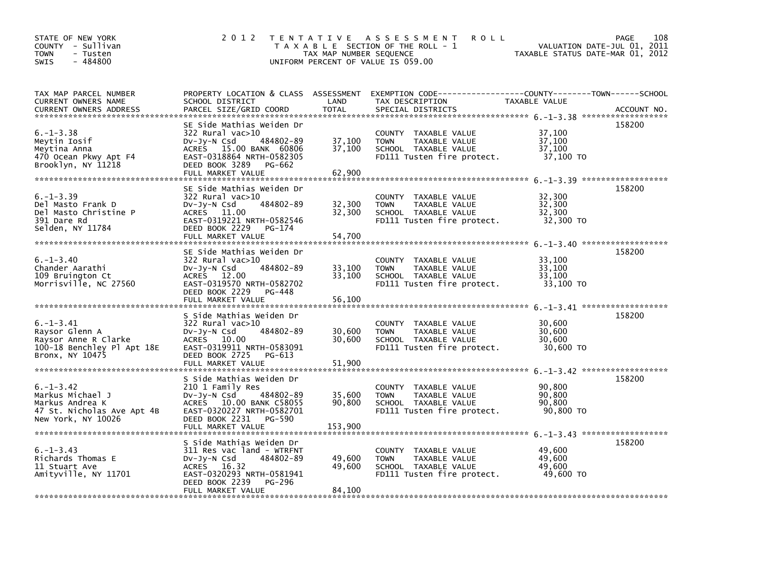| STATE OF NEW YORK<br>COUNTY - Sullivan<br><b>TOWN</b><br>- Tusten<br>$-484800$<br><b>SWIS</b>              | 2 0 1 2                                                                                                                                                                                  | TAX MAP NUMBER SEQUENCE    | <b>ROLL</b><br>TENTATIVE ASSESSMENT<br>T A X A B L E SECTION OF THE ROLL - 1<br>UNIFORM PERCENT OF VALUE IS 059.00 | TAXABLE STATUS DATE-MAR 01, 2012        | 108<br>PAGE<br>VALUATION DATE-JUL 01, 2011 |
|------------------------------------------------------------------------------------------------------------|------------------------------------------------------------------------------------------------------------------------------------------------------------------------------------------|----------------------------|--------------------------------------------------------------------------------------------------------------------|-----------------------------------------|--------------------------------------------|
| TAX MAP PARCEL NUMBER<br>CURRENT OWNERS NAME<br><b>CURRENT OWNERS ADDRESS</b>                              | PROPERTY LOCATION & CLASS ASSESSMENT<br>SCHOOL DISTRICT<br>PARCEL SIZE/GRID COORD                                                                                                        | LAND<br><b>TOTAL</b>       | TAX DESCRIPTION<br>SPECIAL DISTRICTS                                                                               | TAXABLE VALUE                           | ACCOUNT NO.                                |
| $6. - 1 - 3.38$<br>Meytin Iosif<br>Meytina Anna<br>470 Ocean Pkwy Apt F4<br>Brooklyn, NY 11218             | SE Side Mathias Weiden Dr<br>$322$ Rural vac $>10$<br>484802-89<br>$Dv-Jy-N$ Csd<br>ACRES 15.00 BANK 60806<br>EAST-0318864 NRTH-0582305<br>DEED BOOK 3289<br>PG-662<br>FULL MARKET VALUE | 37,100<br>37,100<br>62,900 | COUNTY TAXABLE VALUE<br>TAXABLE VALUE<br><b>TOWN</b><br>SCHOOL TAXABLE VALUE<br>FD111 Tusten fire protect.         | 37,100<br>37,100<br>37,100<br>37,100 TO | 158200                                     |
| $6. -1 - 3.39$<br>Del Masto Frank D<br>Del Masto Christine P<br>391 Dare Rd<br>Selden, NY 11784            | SE Side Mathias Weiden Dr<br>$322$ Rural vac $>10$<br>484802-89<br>$Dv-Jy-N$ Csd<br>ACRES 11.00<br>EAST-0319221 NRTH-0582546<br>DEED BOOK 2229<br>PG-174<br>FULL MARKET VALUE            | 32,300<br>32,300<br>54,700 | COUNTY TAXABLE VALUE<br>TAXABLE VALUE<br><b>TOWN</b><br>SCHOOL TAXABLE VALUE<br>FD111 Tusten fire protect.         | 32,300<br>32,300<br>32,300<br>32,300 TO | 158200                                     |
| $6. - 1 - 3.40$<br>Chander Aarathi<br>109 Bruington Ct<br>Morrisville, NC 27560                            | SE Side Mathias Weiden Dr<br>$322$ Rural vac $>10$<br>Dv-Jy-N Csd<br>484802-89<br>ACRES 12.00<br>EAST-0319570 NRTH-0582702<br>DEED BOOK 2229<br>PG-448<br>FULL MARKET VALUE              | 33,100<br>33.100<br>56,100 | COUNTY TAXABLE VALUE<br>TAXABLE VALUE<br><b>TOWN</b><br>SCHOOL TAXABLE VALUE<br>FD111 Tusten fire protect.         | 33,100<br>33,100<br>33.100<br>33,100 TO | 158200                                     |
| $6. -1 - 3.41$<br>Raysor Glenn A<br>Raysor Anne R Clarke<br>100-18 Benchley Pl Apt 18E<br>Bronx, NY 10475  | S Side Mathias Weiden Dr<br>$322$ Rural vac $>10$<br>484802-89<br>$Dv-Jy-N$ Csd<br>ACRES 10.00<br>EAST-0319911 NRTH-0583091<br>DEED BOOK 2725<br>PG-613                                  | 30,600<br>30,600           | COUNTY TAXABLE VALUE<br>TAXABLE VALUE<br><b>TOWN</b><br>SCHOOL TAXABLE VALUE<br>FD111 Tusten fire protect.         | 30,600<br>30,600<br>30,600<br>30,600 TO | 158200                                     |
| $6. - 1 - 3.42$<br>Markus Michael J<br>Markus Andrea K<br>47 St. Nicholas Ave Apt 4B<br>New York, NY 10026 | S Side Mathias Weiden Dr<br>210 1 Family Res<br>DV-Jy-N Csd<br>484802-89<br>10.00 BANK C58055<br>ACRES<br>EAST-0320227 NRTH-0582701<br>DEED BOOK 2231<br>PG-590                          | 35,600<br>90,800           | COUNTY TAXABLE VALUE<br>TAXABLE VALUE<br><b>TOWN</b><br>SCHOOL TAXABLE VALUE<br>FD111 Tusten fire protect.         | 90,800<br>90.800<br>90,800<br>90,800 TO | 158200                                     |
| $6. -1 - 3.43$<br>Richards Thomas E<br>11 Stuart Ave<br>Amityville, NY 11701                               | S Side Mathias Weiden Dr<br>311 Res vac land - WTRFNT<br>484802-89<br>$Dv-Jv-N$ Csd<br>ACRES 16.32<br>EAST-0320293 NRTH-0581941<br>DEED BOOK 2239<br><b>PG-296</b><br>FULL MARKET VALUE  | 49,600<br>49,600<br>84,100 | COUNTY TAXABLE VALUE<br>TAXABLE VALUE<br><b>TOWN</b><br>SCHOOL TAXABLE VALUE<br>FD111 Tusten fire protect.         | 49.600<br>49,600<br>49.600<br>49,600 TO | 158200                                     |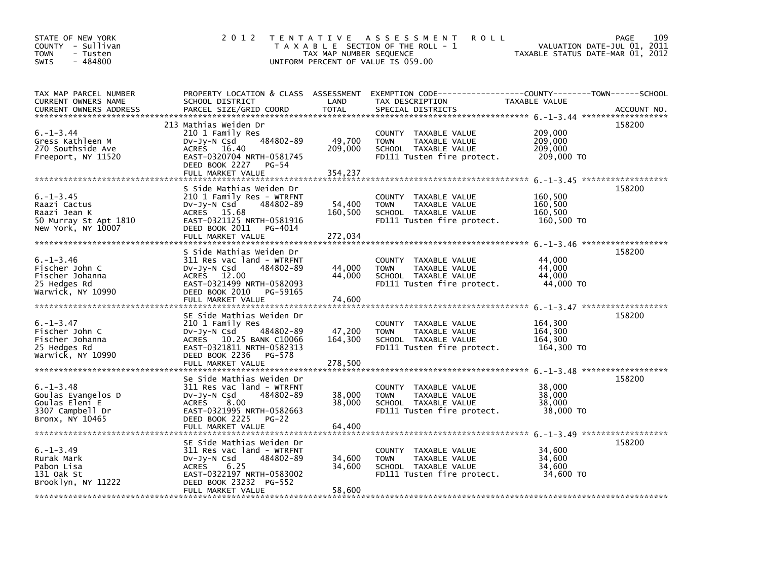| STATE OF NEW YORK<br>COUNTY - Sullivan<br>- Tusten<br><b>TOWN</b><br>- 484800<br>SWIS          | 2 0 1 2                                                                                                                                                                                          | TAX MAP NUMBER SEQUENCE      | TENTATIVE ASSESSMENT<br><b>ROLL</b><br>T A X A B L E SECTION OF THE ROLL - 1<br>UNIFORM PERCENT OF VALUE IS 059.00 | VALUATION DATE-JUL 01, 2011<br>TAXABLE STATUS DATE-MAR 01, 2012 | PAGE<br>109 |
|------------------------------------------------------------------------------------------------|--------------------------------------------------------------------------------------------------------------------------------------------------------------------------------------------------|------------------------------|--------------------------------------------------------------------------------------------------------------------|-----------------------------------------------------------------|-------------|
| TAX MAP PARCEL NUMBER<br>CURRENT OWNERS NAME<br>CURRENT OWNERS ADDRESS                         | PROPERTY LOCATION & CLASS ASSESSMENT<br>SCHOOL DISTRICT<br>PARCEL SIZE/GRID COORD                                                                                                                | LAND<br><b>TOTAL</b>         | TAX DESCRIPTION<br>SPECIAL DISTRICTS                                                                               | TAXABLE VALUE                                                   | ACCOUNT NO. |
| $6. - 1 - 3.44$<br>Gress Kathleen M<br>270 Southside Ave<br>Freeport, NY 11520                 | 213 Mathias Weiden Dr<br>210 1 Family Res<br>484802-89<br>DV-Jy-N Csd<br>ACRES 16.40<br>EAST-0320704 NRTH-0581745<br>DEED BOOK 2227<br>PG-54<br>FULL MARKET VALUE                                | 49,700<br>209,000<br>354,237 | COUNTY TAXABLE VALUE<br>TAXABLE VALUE<br><b>TOWN</b><br>SCHOOL TAXABLE VALUE<br>FD111 Tusten fire protect.         | 209,000<br>209,000<br>209,000<br>209,000 TO                     | 158200      |
| $6. -1 - 3.45$<br>Raazi Cactus<br>Raazi Jean K<br>50 Murray St Apt 1810<br>New York, NY 10007  | S Side Mathias Weiden Dr<br>210 1 Family Res - WTRFNT<br>DV-Jy-N Csd<br>484802-89<br>ACRES 15.68<br>EAST-0321125 NRTH-0581916<br>DEED BOOK 2011<br>PG-4014<br>FULL MARKET VALUE                  | 54,400<br>160,500<br>272,034 | COUNTY TAXABLE VALUE<br><b>TOWN</b><br>TAXABLE VALUE<br>SCHOOL TAXABLE VALUE<br>FD111 Tusten fire protect.         | 160,500<br>160,500<br>160,500<br>160,500 TO                     | 158200      |
| $6. - 1 - 3.46$<br>Fischer John C<br>Fischer Johanna<br>25 Hedges Rd<br>Warwick, NY 10990      | S Side Mathias Weiden Dr<br>311 Res vac land - WTRFNT<br>DV-Jy-N Csd<br>484802-89<br>ACRES 12.00<br>EAST-0321499 NRTH-0582093<br>DEED BOOK 2010 PG-59165<br>FULL MARKET VALUE                    | 44,000<br>44,000<br>74,600   | COUNTY TAXABLE VALUE<br><b>TOWN</b><br>TAXABLE VALUE<br>SCHOOL TAXABLE VALUE<br>FD111 Tusten fire protect.         | 44,000<br>44,000<br>44,000<br>44,000 TO                         | 158200      |
| $6. - 1 - 3.47$<br>Fischer John C<br>Fischer Johanna<br>25 Hedges Rd<br>Warwick, NY 10990      | SE Side Mathias Weiden Dr<br>210 1 Family Res<br>Dv-Jy-N Csd<br>484802-89<br>ACRES 10.25 BANK C10066<br>EAST-0321811 NRTH-0582313<br>DEED BOOK 2236<br>PG-578                                    | 47,200<br>164,300            | COUNTY TAXABLE VALUE<br>TAXABLE VALUE<br><b>TOWN</b><br>SCHOOL TAXABLE VALUE<br>FD111 Tusten fire protect.         | 164,300<br>164,300<br>164,300<br>164,300 TO                     | 158200      |
| $6. - 1 - 3.48$<br>Goulas Evangelos D<br>Goulas Eleni E<br>3307 Campbell Dr<br>Bronx, NY 10465 | Se Side Mathias Weiden Dr<br>311 Res vac land - WTRFNT<br>484802-89<br>$Dv-Jy-N$ Csd<br><b>ACRES</b><br>8.00<br>EAST-0321995 NRTH-0582663<br>DEED BOOK 2225<br><b>PG-22</b><br>FULL MARKET VALUE | 38,000<br>38,000<br>64,400   | COUNTY TAXABLE VALUE<br><b>TAXABLE VALUE</b><br><b>TOWN</b><br>SCHOOL TAXABLE VALUE<br>FD111 Tusten fire protect.  | 38,000<br>38,000<br>38,000<br>38,000 TO                         | 158200      |
| $6. -1 - 3.49$<br>Rurak Mark<br>Pabon Lisa<br>131 Oak St<br>Brooklyn, NY 11222                 | SE Side Mathias Weiden Dr<br>311 Res vac land - WTRFNT<br>$Dv-Jy-N$ Csd<br>484802-89<br>6.25<br><b>ACRES</b><br>EAST-0322197 NRTH-0583002<br>DEED BOOK 23232 PG-552<br>FULL MARKET VALUE         | 34,600<br>34,600<br>58,600   | COUNTY TAXABLE VALUE<br><b>TOWN</b><br>TAXABLE VALUE<br>SCHOOL TAXABLE VALUE<br>FD111 Tusten fire protect.         | 34,600<br>34,600<br>34,600<br>34,600 TO                         | 158200      |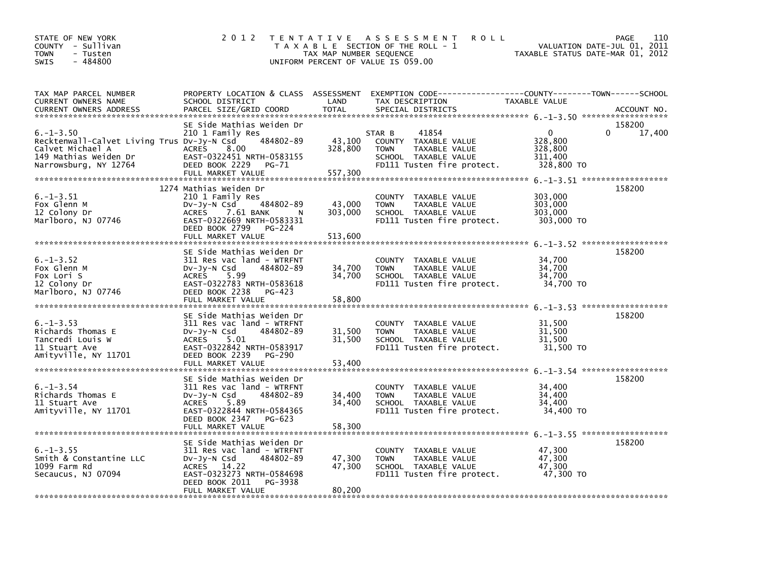| STATE OF NEW YORK<br>COUNTY - Sullivan<br>- Tusten<br><b>TOWN</b><br>$-484800$<br><b>SWIS</b>                                       | 2 0 1 2                                                                                                                                                                                    | TAX MAP NUMBER SEQUENCE      | TENTATIVE ASSESSMENT<br><b>ROLL</b><br>T A X A B L E SECTION OF THE ROLL - 1<br>UNIFORM PERCENT OF VALUE IS 059.00            | TAXABLE STATUS DATE-MAR 01, 2012                            | 110<br><b>PAGE</b><br>VALUATION DATE-JUL 01, 2011 |
|-------------------------------------------------------------------------------------------------------------------------------------|--------------------------------------------------------------------------------------------------------------------------------------------------------------------------------------------|------------------------------|-------------------------------------------------------------------------------------------------------------------------------|-------------------------------------------------------------|---------------------------------------------------|
| TAX MAP PARCEL NUMBER<br>CURRENT OWNERS NAME                                                                                        | PROPERTY LOCATION & CLASS ASSESSMENT<br>SCHOOL DISTRICT                                                                                                                                    | LAND                         | EXEMPTION CODE-----------------COUNTY-------TOWN------SCHOOL<br>TAX DESCRIPTION                                               | TAXABLE VALUE                                               |                                                   |
| $6. - 1 - 3.50$<br>Recktenwall-Calvet Living Trus DV-Jy-N Csd<br>Calvet Michael A<br>149 Mathias Weiden Dr<br>Narrowsburg, NY 12764 | SE Side Mathias Weiden Dr<br>210 1 Family Res<br>484802-89<br><b>ACRES</b><br>8.00<br>EAST-0322451 NRTH-0583155<br>DEED BOOK 2229<br>PG-71<br>FULL MARKET VALUE                            | 43,100<br>328,800<br>557,300 | STAR B<br>41854<br>COUNTY TAXABLE VALUE<br>TAXABLE VALUE<br><b>TOWN</b><br>SCHOOL TAXABLE VALUE<br>FD111 Tusten fire protect. | $\mathbf{0}$<br>328,800<br>328,800<br>311,400<br>328,800 TO | 158200<br>$\Omega$<br>17,400                      |
| $6. -1 - 3.51$<br>Fox Glenn M<br>12 Colony Dr<br>Marlboro, NJ 07746                                                                 | 1274 Mathias Weiden Dr<br>210 1 Family Res<br>$Dv-Jy-N$ Csd<br>484802-89<br>7.61 BANK<br><b>ACRES</b><br>N<br>EAST-0322669 NRTH-0583331<br>DEED BOOK 2799<br>PG-224<br>FULL MARKET VALUE   | 43,000<br>303,000<br>513.600 | COUNTY TAXABLE VALUE<br><b>TOWN</b><br>TAXABLE VALUE<br>SCHOOL TAXABLE VALUE<br>FD111 Tusten fire protect.                    | 303,000<br>303,000<br>303,000<br>303,000 TO                 | 158200                                            |
| $6. - 1 - 3.52$<br>Fox Glenn M<br>Fox Lori S<br>12 Colony Dr<br>Marlboro, NJ 07746                                                  | SE Side Mathias Weiden Dr<br>311 Res vac land - WTRFNT<br>DV-Jy-N Csd<br>484802-89<br><b>ACRES</b><br>5.99<br>EAST-0322783 NRTH-0583618<br>DEED BOOK 2238<br>PG-423<br>FULL MARKET VALUE   | 34,700<br>34,700<br>58,800   | COUNTY TAXABLE VALUE<br><b>TOWN</b><br>TAXABLE VALUE<br>SCHOOL TAXABLE VALUE<br>FD111 Tusten fire protect.                    | 34,700<br>34,700<br>34,700<br>34,700 TO                     | 158200                                            |
| $6. -1 - 3.53$<br>Richards Thomas E<br>Tancredi Louis W<br>11 Stuart Ave<br>Amityville, NY 11701                                    | SE Side Mathias Weiden Dr<br>311 Res vac land - WTRFNT<br>$Dv-Jy-N$ Csd<br>484802-89<br><b>ACRES</b><br>5.01<br>EAST-0322842 NRTH-0583917<br>DEED BOOK 2239<br>PG-290<br>FULL MARKET VALUE | 31,500<br>31,500<br>53.400   | COUNTY TAXABLE VALUE<br>TAXABLE VALUE<br><b>TOWN</b><br>SCHOOL TAXABLE VALUE<br>FD111 Tusten fire protect.                    | 31,500<br>31,500<br>31.500<br>31,500 TO                     | $6. -1 - 3.53$ ********************<br>158200     |
| $6. - 1 - 3.54$<br>Richards Thomas E<br>11 Stuart Ave<br>Amityville, NY 11701                                                       | SE Side Mathias Weiden Dr<br>311 Res vac land - WTRFNT<br>$Dv-Jy-N$ Csd<br>484802-89<br><b>ACRES</b><br>5.89<br>EAST-0322844 NRTH-0584365<br>DEED BOOK 2347<br>PG-623<br>FULL MARKET VALUE | 34,400<br>34,400<br>58,300   | COUNTY TAXABLE VALUE<br><b>TOWN</b><br>TAXABLE VALUE<br>SCHOOL TAXABLE VALUE<br>FD111 Tusten fire protect.                    | 34,400<br>34,400<br>34,400<br>34,400 TO                     | 158200                                            |
| $6. -1 - 3.55$<br>Smith & Constantine LLC<br>1099 Farm Rd<br>Secaucus, NJ 07094                                                     | SE Side Mathias Weiden Dr<br>311 Res vac land - WTRFNT<br>484802-89<br>$Dv-Jy-N$ Csd<br>ACRES 14.22<br>EAST-0323273 NRTH-0584698<br>DEED BOOK 2011<br>PG-3938<br>FULL MARKET VALUE         | 47,300<br>47,300<br>80,200   | COUNTY TAXABLE VALUE<br><b>TOWN</b><br>TAXABLE VALUE<br>SCHOOL TAXABLE VALUE<br>FD111 Tusten fire protect.                    | 47.300<br>47,300<br>47,300<br>47,300 TO                     | 158200                                            |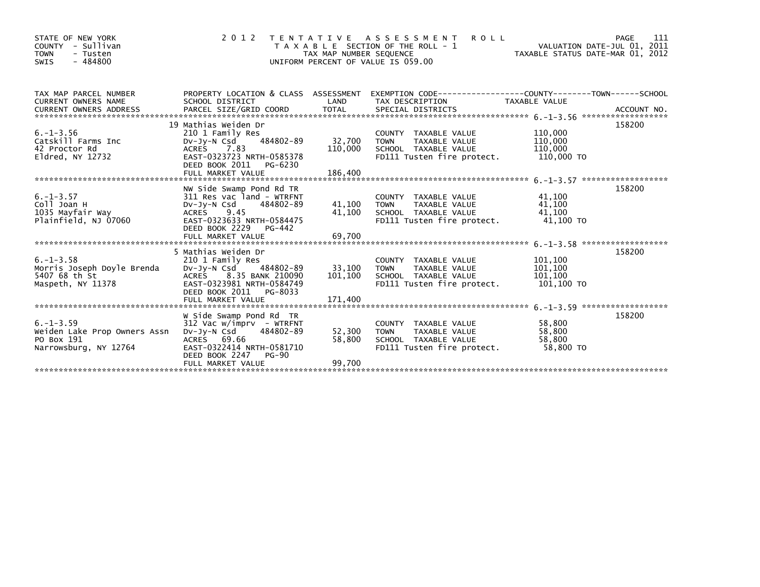| COUNTY - Sullivan<br><b>TOWN</b><br>- Tusten<br>$-484800$<br>SWIS                     |                                                                                                                                                                            | TAX MAP NUMBER SEQUENCE      | TENTATIVE ASSESSMENT<br><b>ROLL</b><br>T A X A B L E SECTION OF THE ROLL - 1<br>UNIFORM PERCENT OF VALUE IS 059.00  | VALUATION DATE-JUL 01, 2011<br>TAXABLE STATUS DATE-MAR 01, 2012 | PAGE<br>111 |
|---------------------------------------------------------------------------------------|----------------------------------------------------------------------------------------------------------------------------------------------------------------------------|------------------------------|---------------------------------------------------------------------------------------------------------------------|-----------------------------------------------------------------|-------------|
| TAX MAP PARCEL NUMBER<br><b>CURRENT OWNERS NAME</b>                                   | SCHOOL DISTRICT                                                                                                                                                            | LAND                         | PROPERTY LOCATION & CLASS ASSESSMENT EXEMPTION CODE----------------COUNTY-------TOWN------SCHOOL<br>TAX DESCRIPTION | TAXABLE VALUE                                                   |             |
| $6. - 1 - 3.56$<br>Catskill Farms Inc<br>42 Proctor Rd<br>Eldred, NY 12732            | 19 Mathias Weiden Dr<br>210 1 Family Res<br>484802-89<br>DV-Jy-N Csd<br>ACRES 7.83<br>EAST-0323723 NRTH-0585378<br>DEED BOOK 2011 PG-6230<br>FULL MARKET VALUE             | 32,700<br>110,000<br>186,400 | COUNTY TAXABLE VALUE<br><b>TOWN</b><br>TAXABLE VALUE<br>SCHOOL TAXABLE VALUE<br>FD111 Tusten fire protect.          | 110,000<br>110,000<br>110,000<br>110,000 TO                     | 158200      |
| $6. - 1 - 3.57$<br>Coll Joan H<br>1035 Mayfair Way<br>Plainfield, NJ 07060            | NW Side Swamp Pond Rd TR<br>311 Res vac land - WTRFNT<br>484802-89<br>Dv-Jy-N Csd<br>ACRES 9.45<br>EAST-0323633 NRTH-0584475<br>DEED BOOK 2229 PG-442                      | 41,100                       | COUNTY TAXABLE VALUE<br>TAXABLE VALUE<br><b>TOWN</b><br>41,100 SCHOOL TAXABLE VALUE<br>FD111 Tusten fire protect.   | 41,100<br>41,100<br>41,100<br>41,100 TO                         | 158200      |
| $6. - 1 - 3.58$<br>Morris Joseph Doyle Brenda<br>5407 68 th St<br>Maspeth, NY 11378   | 5 Mathias Weiden Dr<br>210 1 Family Res<br>DV-JV-N Csd 484802-89<br>ACRES 8.35 BANK 210090<br>EAST-0323981 NRTH-0584749<br>DEED BOOK 2011 PG-8033                          | 33,100 TOWN                  | COUNTY TAXABLE VALUE<br>TAXABLE VALUE<br>101,100 SCHOOL TAXABLE VALUE<br>FD111 Tusten fire protect.                 | 101,100<br>101,100<br>101,100<br>101,100 TO                     | 158200      |
| $6. -1 - 3.59$<br>Weiden Lake Prop Owners Assn<br>PO Box 191<br>Narrowsburg, NY 12764 | W Side Swamp Pond Rd TR<br>$312$ Vac w/imprv - WTRFNT<br>484802-89<br>DV-JY-N Csd<br>ACRES 69.66<br>EAST-0322414 NRTH-0581710<br>DEED BOOK 2247 PG-90<br>FULL MARKET VALUE | 52,300<br>58,800<br>99,700   | COUNTY TAXABLE VALUE<br><b>TOWN</b><br>TAXABLE VALUE<br>SCHOOL TAXABLE VALUE<br>FD111 Tusten fire protect.          | 58,800<br>58.800<br>58,800<br>58,800 TO                         | 158200      |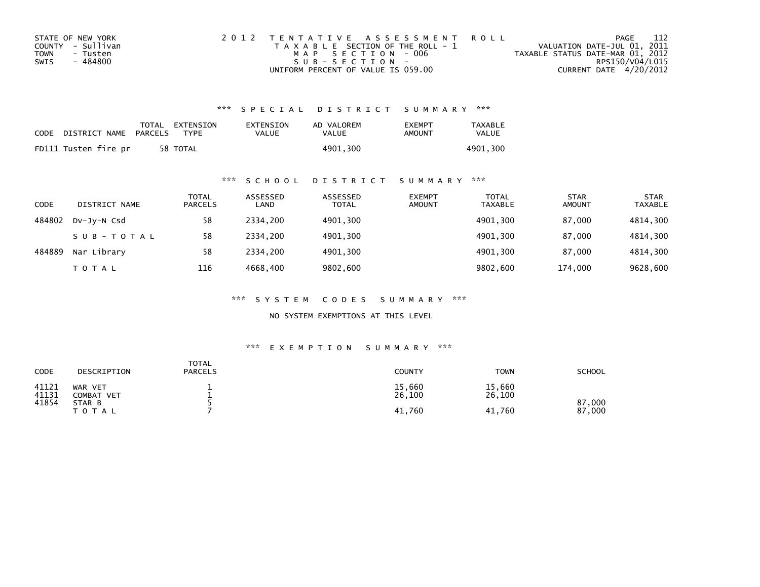| STATE OF NEW YORK | 2012 TENTATIVE ASSESSMENT ROLL        | PAGE                             | - 112           |
|-------------------|---------------------------------------|----------------------------------|-----------------|
| COUNTY - Sullivan | T A X A B L E SECTION OF THE ROLL - 1 | VALUATION DATE-JUL 01, 2011      |                 |
| TOWN<br>- Tusten  | MAP SECTION - 006                     | TAXABLE STATUS DATE-MAR 01, 2012 |                 |
| - 484800<br>SWIS  | $SUB - SECTION -$                     |                                  | RPS150/V04/L015 |
|                   | UNIFORM PERCENT OF VALUE IS 059.00    | CURRENT DATE 4/20/2012           |                 |

| CODE | DISTRICT NAME        | PARCELS | TOTAL EXTENSION<br><b>TYPF</b> | EXTENSION<br>VALUE | AD VALOREM<br>VALUE | <b>FXFMPT</b><br>AMOUNT | <b>TAXABLE</b><br>VALUE |
|------|----------------------|---------|--------------------------------|--------------------|---------------------|-------------------------|-------------------------|
|      | FD111 Tusten fire pr |         | 58 TOTAL                       |                    | 4901.300            |                         | 4901.300                |

## \*\*\* S C H O O L D I S T R I C T S U M M A R Y \*\*\*

| <b>CODE</b> | DISTRICT NAME | TOTAL<br><b>PARCELS</b> | ASSESSED<br>LAND | ASSESSED<br><b>TOTAL</b> | <b>EXEMPT</b><br><b>AMOUNT</b> | <b>TOTAL</b><br><b>TAXABLE</b> | STAR<br><b>AMOUNT</b> | <b>STAR</b><br>TAXABLE |
|-------------|---------------|-------------------------|------------------|--------------------------|--------------------------------|--------------------------------|-----------------------|------------------------|
| 484802      | DV-JY-N Csd   | 58                      | 2334.200         | 4901,300                 |                                | 4901,300                       | 87.000                | 4814,300               |
|             | SUB-TOTAL     | 58                      | 2334.200         | 4901,300                 |                                | 4901.300                       | 87.000                | 4814,300               |
| 484889      | Nar Library   | 58                      | 2334.200         | 4901,300                 |                                | 4901,300                       | 87,000                | 4814,300               |
|             | TOTAL         | 116                     | 4668.400         | 9802,600                 |                                | 9802,600                       | 174.000               | 9628,600               |

\*\*\* S Y S T E M C O D E S S U M M A R Y \*\*\*

NO SYSTEM EXEMPTIONS AT THIS LEVEL

| <b>CODE</b>    | DESCRIPTION                  | <b>TOTAL</b><br><b>PARCELS</b> | <b>COUNTY</b>    | <b>TOWN</b>      | <b>SCHOOL</b>    |
|----------------|------------------------------|--------------------------------|------------------|------------------|------------------|
| 41121<br>41131 | WAR VET<br><b>COMBAT VET</b> |                                | 15,660<br>26,100 | 15,660<br>26,100 |                  |
| 41854          | STAR B<br><b>TOTAL</b>       |                                | 41,760           | 41,760           | 87,000<br>87,000 |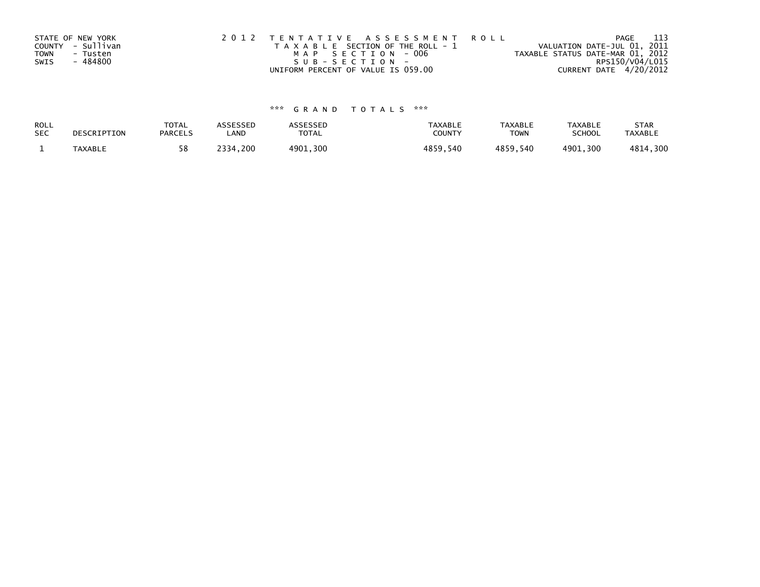|      | STATE OF NEW YORK | 2012 TENTATIVE ASSESSMENT ROLL        |                                  | PAGE | -113 |
|------|-------------------|---------------------------------------|----------------------------------|------|------|
|      | COUNTY - Sullivan | T A X A B L E SECTION OF THE ROLL - 1 | VALUATION DATE-JUL 01, 2011      |      |      |
| TOWN | - Tusten          | MAP SECTION - 006                     | TAXABLE STATUS DATE-MAR 01, 2012 |      |      |
| SWIS | - 484800          | SUB-SECTION-                          | RPS150/V04/L015                  |      |      |
|      |                   | UNIFORM PERCENT OF VALUE IS 059.00    | CURRENT DATE 4/20/2012           |      |      |

| ROLL       | DESCRIPTION | <b>TOTAL</b>   | ASSESSED | <b>\SSESSED</b> | <b>TAXABLE</b> | <b>TAXABLE</b> | <b>TAXABLE</b> | <b>STAR</b>    |
|------------|-------------|----------------|----------|-----------------|----------------|----------------|----------------|----------------|
| <b>SEC</b> |             | <b>PARCELS</b> | LAND     | TOTAL           | <b>COUNT</b>   | <b>TOWN</b>    | <b>SCHOOL</b>  | <b>TAXABLE</b> |
|            | TAXABLE     | 58             | 2334,200 | 4901,300        | 4859.540       | 4859,540       | 4901,300       | 4814,300       |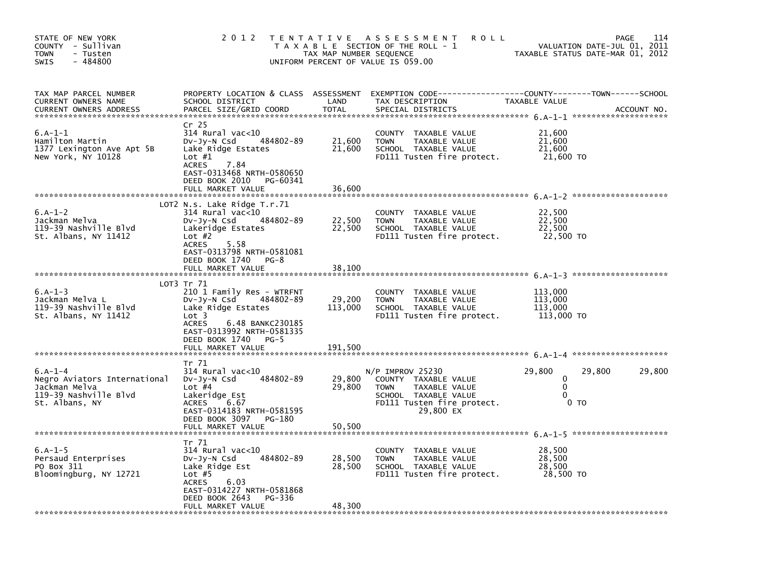| STATE OF NEW YORK<br>COUNTY - Sullivan<br><b>TOWN</b><br>- Tusten<br>$-484800$<br><b>SWIS</b>         | 2 0 1 2                                                                                                                                                                                                              | T E N T A T I V E<br>TAX MAP NUMBER SEQUENCE | A S S E S S M E N T<br><b>ROLL</b><br>T A X A B L E SECTION OF THE ROLL - 1<br>UNIFORM PERCENT OF VALUE IS 059.00                             |                                                          | 114<br>PAGE<br>VALUATION DATE-JUL 01, 2011<br>TAXABLE STATUS DATE-MAR 01, 2012 |
|-------------------------------------------------------------------------------------------------------|----------------------------------------------------------------------------------------------------------------------------------------------------------------------------------------------------------------------|----------------------------------------------|-----------------------------------------------------------------------------------------------------------------------------------------------|----------------------------------------------------------|--------------------------------------------------------------------------------|
| TAX MAP PARCEL NUMBER<br><b>CURRENT OWNERS NAME</b><br><b>CURRENT OWNERS ADDRESS</b>                  | SCHOOL DISTRICT<br>PARCEL SIZE/GRID COORD                                                                                                                                                                            | LAND<br><b>TOTAL</b>                         | PROPERTY LOCATION & CLASS ASSESSMENT EXEMPTION CODE---------------COUNTY-------TOWN-----SCHOOL<br>TAX DESCRIPTION<br>SPECIAL DISTRICTS        | TAXABLE VALUE                                            | ACCOUNT NO.                                                                    |
| $6.A-1-1$<br>Hamilton Martin<br>1377 Lexington Ave Apt 5B<br>New York, NY 10128                       | Cr 25<br>314 Rural vac<10<br>484802-89<br>DV-Jy-N Csd<br>Lake Ridge Estates<br>Lot $#1$<br><b>ACRES</b><br>7.84<br>EAST-0313468 NRTH-0580650<br>DEED BOOK 2010<br>PG-60341<br>FULL MARKET VALUE                      | 21,600<br>21,600<br>36,600                   | COUNTY<br>TAXABLE VALUE<br><b>TOWN</b><br>TAXABLE VALUE<br>SCHOOL TAXABLE VALUE<br>FD111 Tusten fire protect.                                 | 21,600<br>21,600<br>21,600<br>21,600 TO                  |                                                                                |
|                                                                                                       |                                                                                                                                                                                                                      |                                              |                                                                                                                                               |                                                          |                                                                                |
| $6.A-1-2$<br>Jackman Melva<br>119-39 Nashville Blvd<br>St. Albans, NY 11412                           | LOT2 N.S. Lake Ridge T.r.71<br>314 Rural vac<10<br>484802-89<br>DV-Jy-N Csd<br>Lakeridge Estates<br>Lot $#2$<br><b>ACRES</b><br>5.58<br>EAST-0313798 NRTH-0581081                                                    | 22,500<br>22,500                             | COUNTY TAXABLE VALUE<br><b>TOWN</b><br>TAXABLE VALUE<br>SCHOOL TAXABLE VALUE<br>FD111 Tusten fire protect.                                    | 22,500<br>22,500<br>22.500<br>22,500 TO                  |                                                                                |
|                                                                                                       | DEED BOOK 1740<br>$PG-8$<br>FULL MARKET VALUE                                                                                                                                                                        | 38,100                                       |                                                                                                                                               |                                                          |                                                                                |
|                                                                                                       |                                                                                                                                                                                                                      |                                              |                                                                                                                                               |                                                          |                                                                                |
| $6.A-1-3$<br>Jackman Melva L<br>119-39 Nashville Blvd<br>St. Albans, NY 11412                         | LOT3 Tr 71<br>210 1 Family Res - WTRFNT<br>DV-Jy-N Csd<br>484802-89<br>Lake Ridge Estates<br>Lot 3<br><b>ACRES</b><br>6.48 BANKC230185<br>EAST-0313992 NRTH-0581335<br>DEED BOOK 1740<br>$PG-5$<br>FULL MARKET VALUE | 29,200<br>113,000<br>191,500                 | COUNTY TAXABLE VALUE<br><b>TOWN</b><br>TAXABLE VALUE<br>SCHOOL TAXABLE VALUE<br>FD111 Tusten fire protect.                                    | 113,000<br>113,000<br>113,000<br>113,000 TO              |                                                                                |
|                                                                                                       |                                                                                                                                                                                                                      |                                              |                                                                                                                                               |                                                          |                                                                                |
| $6.A-1-4$<br>Negro Aviators International<br>Jackman Melva<br>119-39 Nashville Blvd<br>St. Albans, NY | Tr 71<br>$314$ Rural vac<10<br>Dv-Jy-N Csd<br>484802-89<br>Lot $#4$<br>Lakeridge Est<br><b>ACRES</b><br>6.67<br>EAST-0314183 NRTH-0581595<br>DEED BOOK 3097 PG-180<br>FULL MARKET VALUE                              | 29,800<br>29,800<br>50,500                   | $N/P$ IMPROV 25230<br>COUNTY TAXABLE VALUE<br>TAXABLE VALUE<br><b>TOWN</b><br>SCHOOL TAXABLE VALUE<br>FD111 Tusten fire protect.<br>29,800 EX | 29,800<br>0<br>$\mathbf 0$<br>$\Omega$<br>0 <sub>T</sub> | 29,800<br>29,800                                                               |
|                                                                                                       |                                                                                                                                                                                                                      |                                              |                                                                                                                                               |                                                          |                                                                                |
| $6.A-1-5$<br>Persaud Enterprises<br>PO Box 311<br>Bloomingburg, NY 12721                              | Tr 71<br>314 Rural vac<10<br>484802-89<br>Dv-Jy-N Csd<br>Lake Ridge Est<br>Lot $#5$<br><b>ACRES</b><br>6.03<br>EAST-0314227 NRTH-0581868<br>DEED BOOK 2643<br>PG-336                                                 | 28,500<br>28,500                             | COUNTY TAXABLE VALUE<br><b>TOWN</b><br>TAXABLE VALUE<br>SCHOOL TAXABLE VALUE<br>FD111 Tusten fire protect.                                    | 28,500<br>28,500<br>28,500<br>28,500 TO                  |                                                                                |
|                                                                                                       | FULL MARKET VALUE                                                                                                                                                                                                    | 48,300                                       |                                                                                                                                               |                                                          |                                                                                |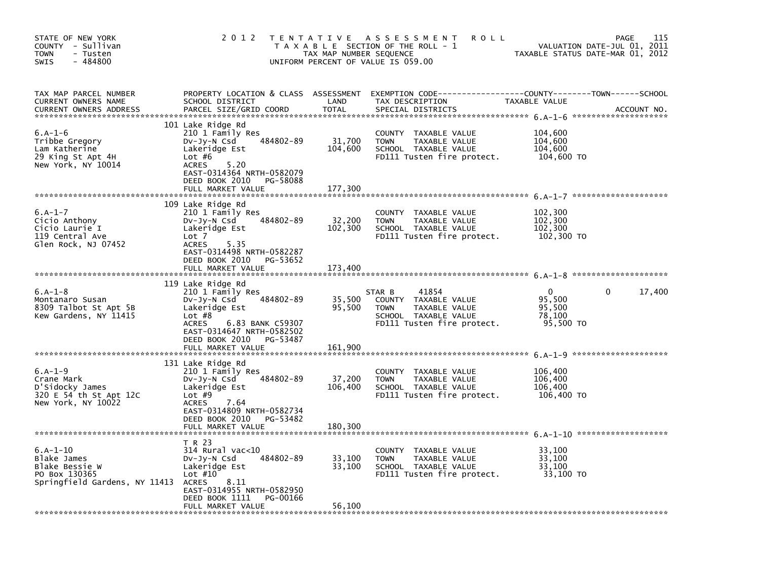| STATE OF NEW YORK<br>COUNTY - Sullivan<br><b>TOWN</b><br>- Tusten<br>$-484800$<br><b>SWIS</b> | 2 0 1 2                                                                                                                                                                                                            | T E N T A T I V E<br>TAX MAP NUMBER SEQUENCE | <b>ROLL</b><br>A S S E S S M E N T<br>T A X A B L E SECTION OF THE ROLL - 1<br>UNIFORM PERCENT OF VALUE IS 059.00             | VALUATION DATE-JUL 01,<br>TAXABLE STATUS DATE-MAR 01, 2012 | 115<br>PAGE<br>2011    |
|-----------------------------------------------------------------------------------------------|--------------------------------------------------------------------------------------------------------------------------------------------------------------------------------------------------------------------|----------------------------------------------|-------------------------------------------------------------------------------------------------------------------------------|------------------------------------------------------------|------------------------|
| TAX MAP PARCEL NUMBER<br>CURRENT OWNERS NAME<br><b>CURRENT OWNERS ADDRESS</b>                 | PROPERTY LOCATION & CLASS ASSESSMENT<br>SCHOOL DISTRICT<br>PARCEL SIZE/GRID COORD                                                                                                                                  | LAND<br><b>TOTAL</b>                         | EXEMPTION CODE-----------------COUNTY-------TOWN------SCHOOL<br>TAX DESCRIPTION<br>SPECIAL DISTRICTS                          | TAXABLE VALUE                                              | ACCOUNT NO.            |
| $6.A-1-6$<br>Tribbe Gregory<br>Lam Katherine<br>29 King St Apt 4H<br>New York, NY 10014       | 101 Lake Ridge Rd<br>210 1 Family Res<br>484802-89<br>DV-Jy-N Csd<br>Lakeridge Est<br>Lot $#6$<br>5.20<br><b>ACRES</b><br>EAST-0314364 NRTH-0582079<br>DEED BOOK 2010<br>PG-58088<br>FULL MARKET VALUE             | 31,700<br>104,600<br>177,300                 | COUNTY TAXABLE VALUE<br><b>TOWN</b><br>TAXABLE VALUE<br>SCHOOL TAXABLE VALUE<br>FD111 Tusten fire protect.                    | 104,600<br>104,600<br>104,600<br>104,600 TO                |                        |
| $6.A-1-7$<br>Cicio Anthony<br>Cicio Laurie I<br>119 Central Ave<br>Glen Rock, NJ 07452        | 109 Lake Ridge Rd<br>210 1 Family Res<br>484802-89<br>DV-Jy-N Csd<br>Lakeridge Est<br>Lot 7<br>5.35<br><b>ACRES</b><br>EAST-0314498 NRTH-0582287<br>DEED BOOK 2010<br>PG-53652<br>FULL MARKET VALUE                | 32,200<br>102,300<br>173,400                 | COUNTY<br>TAXABLE VALUE<br>TAXABLE VALUE<br><b>TOWN</b><br>SCHOOL TAXABLE VALUE<br>FD111 Tusten fire protect.                 | 102,300<br>102,300<br>102,300<br>102,300 TO                |                        |
| $6.A-1-8$<br>Montanaro Susan<br>8309 Talbot St Apt 5B<br>Kew Gardens, NY 11415                | 119 Lake Ridge Rd<br>210 1 Family Res<br>484802-89<br>DV-JY-N Csd<br>Lakeridge Est<br>Lot $#8$<br><b>ACRES</b><br>6.83 BANK C59307<br>EAST-0314647 NRTH-0582502<br>DEED BOOK 2010<br>PG-53487<br>FULL MARKET VALUE | 35,500<br>95,500<br>161.900                  | 41854<br>STAR B<br>COUNTY TAXABLE VALUE<br><b>TOWN</b><br>TAXABLE VALUE<br>SCHOOL TAXABLE VALUE<br>FD111 Tusten fire protect. | 0<br>95,500<br>95,500<br>78,100<br>95,500 TO               | 17,400<br>$\mathbf{0}$ |
| $6.A-1-9$<br>Crane Mark<br>D'Sidocky James<br>320 E 54 th St Apt 12C<br>New York, NY 10022    | 131 Lake Ridge Rd<br>210 1 Family Res<br>484802-89<br>DV-Jy-N Csd<br>Lakeridge Est<br>Lot $#9$<br><b>ACRES</b><br>7.64<br>EAST-0314809 NRTH-0582734<br>DEED BOOK 2010<br>PG-53482<br>FULL MARKET VALUE             | 37,200<br>106,400<br>180,300                 | COUNTY TAXABLE VALUE<br><b>TOWN</b><br>TAXABLE VALUE<br>SCHOOL TAXABLE VALUE<br>FD111 Tusten fire protect.                    | 106,400<br>106,400<br>106,400<br>106,400 TO                |                        |
| $6.A-1-10$<br>Blake James<br>Blake Bessie W<br>PO Box 130365<br>Springfield Gardens, NY 11413 | T R 23<br>$314$ Rural vac< $10$<br>484802-89<br>$Dv-Jy-N$ Csd<br>Lakeridge Est<br>Lot $#10$<br>8.11<br>ACRES<br>EAST-0314955 NRTH-0582950<br>DEED BOOK 1111<br>PG-00166<br>FULL MARKET VALUE                       | 33,100<br>33,100<br>56,100                   | COUNTY TAXABLE VALUE<br>TAXABLE VALUE<br><b>TOWN</b><br>SCHOOL TAXABLE VALUE<br>FD111 Tusten fire protect.                    | 33,100<br>33,100<br>33,100<br>33,100 TO                    |                        |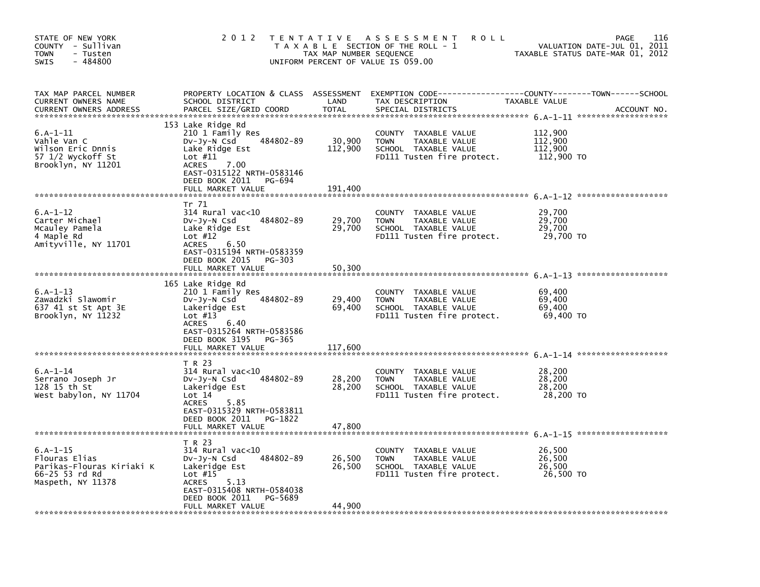| STATE OF NEW YORK<br>COUNTY - Sullivan<br><b>TOWN</b><br>- Tusten<br>$-484800$<br><b>SWIS</b>   | 2 0 1 2                                                                                                                                                                                                | T E N T A T I V E<br>TAX MAP NUMBER SEQUENCE | A S S E S S M E N T<br><b>ROLL</b><br>T A X A B L E SECTION OF THE ROLL - 1<br>UNIFORM PERCENT OF VALUE IS 059.00    |                                             | 116<br><b>PAGE</b><br>2011<br>VALUATION DATE-JUL 01,<br>TAXABLE STATUS DATE-MAR 01, 2012 |
|-------------------------------------------------------------------------------------------------|--------------------------------------------------------------------------------------------------------------------------------------------------------------------------------------------------------|----------------------------------------------|----------------------------------------------------------------------------------------------------------------------|---------------------------------------------|------------------------------------------------------------------------------------------|
| TAX MAP PARCEL NUMBER<br>CURRENT OWNERS NAME<br><b>CURRENT OWNERS ADDRESS</b>                   | PROPERTY LOCATION & CLASS ASSESSMENT<br>SCHOOL DISTRICT<br>PARCEL SIZE/GRID COORD                                                                                                                      | LAND<br>TOTAL                                | EXEMPTION        CODE-----------------COUNTY-------TOWN------SCHOOL<br>TAX DESCRIPTION<br>SPECIAL DISTRICTS          | TAXABLE VALUE                               | ACCOUNT NO.                                                                              |
| $6. A - 1 - 11$<br>Vahle Van C<br>Wilson Eric Dnnis<br>57 1/2 Wyckoff St<br>Brooklyn, NY 11201  | 153 Lake Ridge Rd<br>210 1 Family Res<br>484802-89<br>DV-Jy-N Csd<br>Lake Ridge Est<br>Lot $#11$<br>7.00<br><b>ACRES</b><br>EAST-0315122 NRTH-0583146<br>DEED BOOK 2011<br>PG-694<br>FULL MARKET VALUE | 30,900<br>112,900<br>191,400                 | COUNTY TAXABLE VALUE<br><b>TOWN</b><br>TAXABLE VALUE<br>SCHOOL TAXABLE VALUE<br>FD111 Tusten fire protect.           | 112,900<br>112,900<br>112,900<br>112,900 TO |                                                                                          |
|                                                                                                 |                                                                                                                                                                                                        |                                              |                                                                                                                      |                                             |                                                                                          |
| $6.A-1-12$<br>Carter Michael<br>Mcauley Pamela<br>4 Maple Rd<br>Amityville, NY 11701            | Tr 71<br>$314$ Rural vac<10<br>484802-89<br>DV-Jy-N Csd<br>Lake Ridge Est<br>Lot $#12$<br><b>ACRES</b><br>6.50<br>EAST-0315194 NRTH-0583359                                                            | 29,700<br>29,700                             | <b>COUNTY</b><br>TAXABLE VALUE<br>TAXABLE VALUE<br><b>TOWN</b><br>SCHOOL TAXABLE VALUE<br>FD111 Tusten fire protect. | 29,700<br>29,700<br>29,700<br>29,700 TO     |                                                                                          |
|                                                                                                 | DEED BOOK 2015<br>PG-303<br>FULL MARKET VALUE                                                                                                                                                          | 50,300                                       |                                                                                                                      |                                             |                                                                                          |
| $6.A-1-13$<br>Zawadzki Slawomir<br>637 41 st St Apt 3E<br>Brooklyn, NY 11232                    | 165 Lake Ridge Rd<br>210 1 Family Res<br>484802-89<br>DV-Jy-N Csd<br>Lakeridge Est<br>Lot $#13$<br>6.40<br><b>ACRES</b><br>EAST-0315264 NRTH-0583586<br>DEED BOOK 3195<br>PG-365<br>FULL MARKET VALUE  | 29,400<br>69,400<br>117,600                  | <b>COUNTY</b><br>TAXABLE VALUE<br><b>TOWN</b><br>TAXABLE VALUE<br>SCHOOL TAXABLE VALUE<br>FD111 Tusten fire protect. | 69,400<br>69,400<br>69,400<br>69,400 TO     |                                                                                          |
| $6.A-1-14$<br>Serrano Joseph Jr<br>128 15 th St<br>West babylon, NY 11704                       | T R 23<br>$314$ Rural vac< $10$<br>484802-89<br>DV-Jy-N Csd<br>Lakeridge Est<br>Lot 14<br>5.85<br><b>ACRES</b><br>EAST-0315329 NRTH-0583811<br>DEED BOOK 2011<br>PG-1822<br>FULL MARKET VALUE          | 28,200<br>28,200<br>47,800                   | COUNTY TAXABLE VALUE<br><b>TOWN</b><br>TAXABLE VALUE<br>SCHOOL TAXABLE VALUE<br>FD111 Tusten fire protect.           | 28,200<br>28,200<br>28,200<br>28,200 TO     |                                                                                          |
| $6.A-1-15$<br>Flouras Elias<br>Parikas-Flouras Kiriaki K<br>66-25 53 rd Rd<br>Maspeth, NY 11378 | T R 23<br>$314$ Rural vac<10<br>484802-89<br>$Dv-Jy-N$ Csd<br>Lakeridge Est<br>Lot $#15$<br><b>ACRES</b><br>5.13<br>EAST-0315408 NRTH-0584038<br>DEED BOOK 2011<br>PG-5689<br>FULL MARKET VALUE        | 26,500<br>26,500<br>44,900                   | COUNTY TAXABLE VALUE<br><b>TOWN</b><br>TAXABLE VALUE<br>SCHOOL TAXABLE VALUE<br>FD111 Tusten fire protect.           | 26,500<br>26,500<br>26,500<br>26,500 TO     |                                                                                          |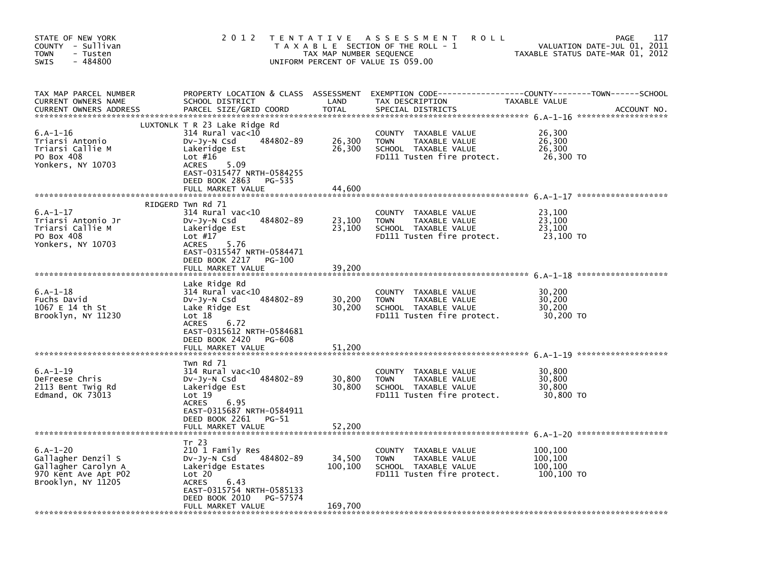| STATE OF NEW YORK<br>COUNTY - Sullivan<br><b>TOWN</b><br>- Tusten<br>$-484800$<br>SWIS                | 2 0 1 2                                                                                                                                                                                                               | T E N T A T I V E<br>TAX MAP NUMBER SEQUENCE<br>UNIFORM PERCENT OF VALUE IS 059.00 | A S S E S S M E N T<br><b>ROLL</b><br>T A X A B L E SECTION OF THE ROLL - 1                                   |                                             | 117<br>PAGE<br>2011<br>VALUATION DATE-JUL 01,<br>TAXABLE STATUS DATE-MAR 01, 2012 |
|-------------------------------------------------------------------------------------------------------|-----------------------------------------------------------------------------------------------------------------------------------------------------------------------------------------------------------------------|------------------------------------------------------------------------------------|---------------------------------------------------------------------------------------------------------------|---------------------------------------------|-----------------------------------------------------------------------------------|
| TAX MAP PARCEL NUMBER<br>CURRENT OWNERS NAME<br><b>CURRENT OWNERS ADDRESS</b>                         | PROPERTY LOCATION & CLASS ASSESSMENT<br>SCHOOL DISTRICT<br>PARCEL SIZE/GRID COORD                                                                                                                                     | LAND<br><b>TOTAL</b>                                                               | TAX DESCRIPTION<br>SPECIAL DISTRICTS                                                                          | <b>TAXABLE VALUE</b>                        | ACCOUNT NO.                                                                       |
| $6.A-1-16$<br>Triarsi Antonio<br>Triarsi Callie M<br>PO Box 408<br>Yonkers, NY 10703                  | LUXTONLK T R 23 Lake Ridge Rd<br>$314$ Rural vac<10<br>484802-89<br>$Dv-Jy-N$ Csd<br>Lakeridge Est<br>Lot $#16$<br>5.09<br><b>ACRES</b><br>EAST-0315477 NRTH-0584255<br>DEED BOOK 2863<br>PG-535<br>FULL MARKET VALUE | 26,300<br>26,300<br>44,600                                                         | COUNTY TAXABLE VALUE<br><b>TOWN</b><br>TAXABLE VALUE<br>SCHOOL TAXABLE VALUE<br>FD111 Tusten fire protect.    | 26,300<br>26,300<br>26,300<br>26,300 TO     |                                                                                   |
|                                                                                                       | RIDGERD Twn Rd 71                                                                                                                                                                                                     |                                                                                    |                                                                                                               |                                             |                                                                                   |
| $6.A-1-17$<br>Triarsi Antonio Jr<br>Triarsi Callie M<br>PO Box 408<br>Yonkers, NY 10703               | 314 Rural vac<10<br>484802-89<br>DV-Jy-N Csd<br>Lakeridge Est<br>Lot $#17$<br><b>ACRES</b><br>5.76<br>EAST-0315547 NRTH-0584471                                                                                       | 23,100<br>23,100                                                                   | COUNTY<br>TAXABLE VALUE<br>TAXABLE VALUE<br><b>TOWN</b><br>SCHOOL TAXABLE VALUE<br>FD111 Tusten fire protect. | 23,100<br>23,100<br>23,100<br>23,100 TO     |                                                                                   |
|                                                                                                       | DEED BOOK 2217<br>PG-100<br>FULL MARKET VALUE                                                                                                                                                                         | 39,200                                                                             |                                                                                                               |                                             |                                                                                   |
| $6.A-1-18$<br>Fuchs David<br>1067 E 14 th St<br>Brooklyn, NY 11230                                    | Lake Ridge Rd<br>314 Rural vac<10<br>484802-89<br>DV-Jy-N Csd<br>Lake Ridge Est<br>Lot 18<br><b>ACRES</b><br>6.72<br>EAST-0315612 NRTH-0584681<br>DEED BOOK 2420<br>PG-608<br>FULL MARKET VALUE                       | 30,200<br>30,200<br>51,200                                                         | <b>COUNTY</b><br>TAXABLE VALUE<br>TAXABLE VALUE<br>TOWN<br>SCHOOL TAXABLE VALUE<br>FD111 Tusten fire protect. | 30,200<br>30,200<br>30,200<br>30,200 TO     |                                                                                   |
|                                                                                                       | Twn Rd 71                                                                                                                                                                                                             |                                                                                    |                                                                                                               |                                             |                                                                                   |
| $6.A-1-19$<br>DeFreese Chris<br>2113 Bent Twig Rd<br>Edmand, OK 73013                                 | 314 Rural vac<10<br>484802-89<br>DV-Jy-N Csd<br>Lakeridge Est<br>Lot 19<br>6.95<br>ACRES<br>EAST-0315687 NRTH-0584911<br>DEED BOOK 2261<br>PG-51                                                                      | 30,800<br>30,800                                                                   | COUNTY TAXABLE VALUE<br><b>TOWN</b><br>TAXABLE VALUE<br>SCHOOL TAXABLE VALUE<br>FD111 Tusten fire protect.    | 30,800<br>30,800<br>30,800<br>30,800 TO     |                                                                                   |
|                                                                                                       | FULL MARKET VALUE                                                                                                                                                                                                     | 52,200                                                                             |                                                                                                               |                                             |                                                                                   |
| $6.A-1-20$<br>Gallagher Denzil S<br>Gallagher Carolyn A<br>970 Kent Ave Apt P02<br>Brooklyn, NY 11205 | Tr 23<br>210 1 Family Res<br>484802-89<br>$Dv-Jy-N$ Csd<br>Lakeridge Estates<br>Lot 20<br><b>ACRES</b><br>6.43<br>EAST-0315754 NRTH-0585133<br>DEED BOOK 2010<br>PG-57574                                             | 34,500<br>100,100                                                                  | COUNTY TAXABLE VALUE<br><b>TOWN</b><br>TAXABLE VALUE<br>SCHOOL TAXABLE VALUE<br>FD111 Tusten fire protect.    | 100,100<br>100,100<br>100,100<br>100,100 TO |                                                                                   |
|                                                                                                       | FULL MARKET VALUE                                                                                                                                                                                                     | 169,700                                                                            |                                                                                                               |                                             |                                                                                   |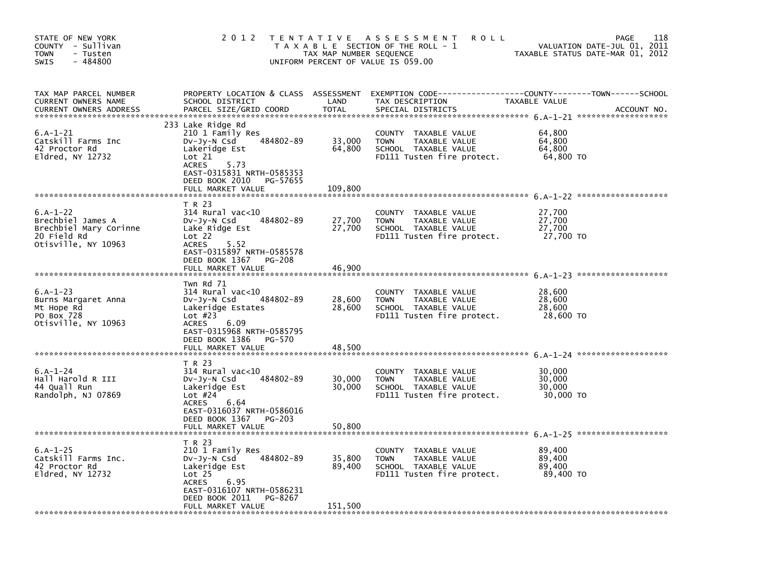| STATE OF NEW YORK<br>COUNTY - Sullivan<br>TOWN<br>- Tusten<br>$-484800$<br>SWIS                 | 2 0 1 2                                                                                                                                                                                                                | T E N T A T I V E<br>TAX MAP NUMBER SEQUENCE | A S S E S S M E N T<br><b>ROLL</b><br>T A X A B L E SECTION OF THE ROLL - 1<br>UNIFORM PERCENT OF VALUE IS 059.00 |                                         | 118<br><b>PAGE</b><br>VALUATION DATE-JUL 01, 2011<br>TAXABLE STATUS DATE-MAR 01, 2012 |
|-------------------------------------------------------------------------------------------------|------------------------------------------------------------------------------------------------------------------------------------------------------------------------------------------------------------------------|----------------------------------------------|-------------------------------------------------------------------------------------------------------------------|-----------------------------------------|---------------------------------------------------------------------------------------|
| TAX MAP PARCEL NUMBER<br>CURRENT OWNERS NAME<br><b>CURRENT OWNERS ADDRESS</b>                   | PROPERTY LOCATION & CLASS ASSESSMENT<br>SCHOOL DISTRICT<br>PARCEL SIZE/GRID COORD                                                                                                                                      | LAND<br><b>TOTAL</b>                         | EXEMPTION CODE-----------------COUNTY-------TOWN------SCHOOL<br>TAX DESCRIPTION<br>SPECIAL DISTRICTS              | TAXABLE VALUE                           | ACCOUNT NO.                                                                           |
| $6.A-1-21$<br>Catskill Farms Inc<br>42 Proctor Rd<br>Eldred, NY 12732                           | 233 Lake Ridge Rd<br>210 1 Family Res<br>484802-89<br>DV-Jy-N Csd<br>Lakeridge Est<br>Lot 21<br>5.73<br><b>ACRES</b><br>EAST-0315831 NRTH-0585353<br>DEED BOOK 2010<br>PG-57655<br>FULL MARKET VALUE                   | 33,000<br>64,800<br>109,800                  | COUNTY TAXABLE VALUE<br><b>TOWN</b><br>TAXABLE VALUE<br>SCHOOL TAXABLE VALUE<br>FD111 Tusten fire protect.        | 64,800<br>64,800<br>64,800<br>64,800 TO |                                                                                       |
| $6.A-1-22$<br>Brechbiel James A<br>Brechbiel Mary Corinne<br>20 Field Rd<br>Otisville, NY 10963 | T R 23<br>314 Rural vac<10<br>484802-89<br>DV-Jy-N Csd<br>Lake Ridge Est<br>Lot 22<br>5.52<br><b>ACRES</b><br>EAST-0315897 NRTH-0585578<br>DEED BOOK 1367<br><b>PG-208</b>                                             | 27,700<br>27,700                             | COUNTY<br>TAXABLE VALUE<br>TAXABLE VALUE<br><b>TOWN</b><br>SCHOOL TAXABLE VALUE<br>FD111 Tusten fire protect.     | 27,700<br>27,700<br>27,700<br>27,700 TO |                                                                                       |
| $6.A-1-23$<br>Burns Margaret Anna<br>Mt Hope Rd<br>PO Box 728<br>Otisville, NY 10963            | FULL MARKET VALUE<br>Twn Rd 71<br>314 Rural vac<10<br>484802-89<br>DV-Jy-N Csd<br>Lakeridge Estates<br>Lot $#23$<br>6.09<br><b>ACRES</b><br>EAST-0315968 NRTH-0585795<br>DEED BOOK 1386<br>PG-570<br>FULL MARKET VALUE | 46,900<br>28,600<br>28,600<br>48,500         | COUNTY TAXABLE VALUE<br><b>TOWN</b><br>TAXABLE VALUE<br>SCHOOL TAXABLE VALUE<br>FD111 Tusten fire protect.        | 28,600<br>28,600<br>28,600<br>28,600 TO |                                                                                       |
| $6.A-1-24$<br>Hall Harold R III<br>44 Quall Run<br>Randolph, NJ 07869                           | T R 23<br>$314$ Rural vac< $10$<br>484802-89<br>DV-Jy-N Csd<br>Lakeridge Est<br>Lot $#24$<br>6.64<br><b>ACRES</b><br>EAST-0316037 NRTH-0586016<br>DEED BOOK 1367<br><b>PG-203</b><br>FULL MARKET VALUE                 | 30,000<br>30,000<br>50,800                   | COUNTY TAXABLE VALUE<br><b>TOWN</b><br>TAXABLE VALUE<br>SCHOOL TAXABLE VALUE<br>FD111 Tusten fire protect.        | 30,000<br>30,000<br>30,000<br>30,000 TO |                                                                                       |
| $6.A-1-25$<br>Catskill Farms Inc.<br>42 Proctor Rd<br>Eldred, NY 12732                          | T R 23<br>210 1 Family Res<br>484802-89<br>$Dv-Jy-N$ Csd<br>Lakeridge Est<br>Lot <sub>25</sub><br><b>ACRES</b><br>6.95<br>EAST-0316107 NRTH-0586231<br>DEED BOOK 2011<br>PG-8267<br>FULL MARKET VALUE                  | 35,800<br>89,400<br>151,500                  | COUNTY TAXABLE VALUE<br><b>TOWN</b><br>TAXABLE VALUE<br>SCHOOL TAXABLE VALUE<br>FD111 Tusten fire protect.        | 89,400<br>89,400<br>89,400<br>89,400 TO |                                                                                       |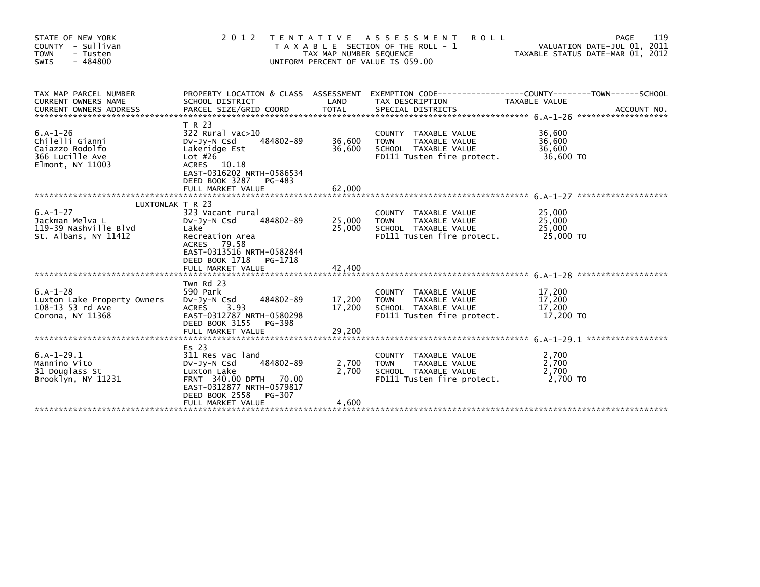| STATE OF NEW YORK<br>COUNTY - Sullivan<br><b>TOWN</b><br>- Tusten<br>$-484800$<br>SWIS             | 2 0 1 2                                                                                                                                                                             | TAX MAP NUMBER SEQUENCE    | TENTATIVE ASSESSMENT<br><b>ROLL</b><br>T A X A B L E SECTION OF THE ROLL - 1<br>UNIFORM PERCENT OF VALUE IS 059.00 | TAXABLE STATUS DATE-MAR 01, 2012        | 119<br><b>PAGE</b><br>VALUATION DATE-JUL 01, 2011 |
|----------------------------------------------------------------------------------------------------|-------------------------------------------------------------------------------------------------------------------------------------------------------------------------------------|----------------------------|--------------------------------------------------------------------------------------------------------------------|-----------------------------------------|---------------------------------------------------|
| TAX MAP PARCEL NUMBER<br><b>CURRENT OWNERS NAME</b>                                                | PROPERTY LOCATION & CLASS ASSESSMENT<br>SCHOOL DISTRICT                                                                                                                             | LAND                       | EXEMPTION CODE------------------COUNTY--------TOWN------SCHOOL<br>TAX DESCRIPTION                                  | TAXABLE VALUE                           |                                                   |
| $6.A-1-26$<br>Chilelli Gianni<br>Caiazzo Rodolfo<br>366 Lucille Ave<br>Elmont, NY 11003            | T R 23<br>$322$ Rural vac $>10$<br>484802-89<br>DV-JV-N Csd<br>Lakeridge Est<br>Lot $#26$<br>ACRES 10.18<br>EAST-0316202 NRTH-0586534<br>DEED BOOK 3287 PG-483<br>FULL MARKET VALUE | 36,600<br>36,600<br>62.000 | COUNTY TAXABLE VALUE<br>TAXABLE VALUE<br><b>TOWN</b><br>SCHOOL TAXABLE VALUE<br>FD111 Tusten fire protect.         | 36,600<br>36,600<br>36,600<br>36,600 TO |                                                   |
| LUXTONLAK T R 23<br>$6.A-1-27$<br>Jackman Melva L<br>119-39 Nashville Blvd<br>St. Albans, NY 11412 | 323 Vacant rural<br>484802-89<br>DV-JY-N Csd<br>Lake<br>Recreation Area<br>ACRES 79.58<br>EAST-0313516 NRTH-0582844<br>DEED BOOK 1718<br>PG-1718                                    | 25,000<br>25,000           | COUNTY TAXABLE VALUE<br>TAXABLE VALUE<br>TOWN<br>SCHOOL TAXABLE VALUE<br>FD111 Tusten fire protect.                | 25,000<br>25,000<br>25,000<br>25,000 TO |                                                   |
| $6.A-1-28$<br>Luxton Lake Property Owners<br>108-13 53 rd Ave<br>Corona, NY 11368                  | Twn Rd 23<br>590 Park<br>DV-Jy-N Csd 484802-89<br>ACRES 3.93<br>EAST-0312787 NRTH-0580298<br>DEED BOOK 3155 PG-398<br>FULL MARKET VALUE                                             | 17,200<br>17,200<br>29,200 | COUNTY TAXABLE VALUE<br><b>TOWN</b><br>TAXABLE VALUE<br>SCHOOL TAXABLE VALUE<br>FD111 Tusten fire protect.         | 17,200<br>17,200<br>17,200<br>17,200 TO |                                                   |
| $6.A-1-29.1$<br>Mannino Vito<br>31 Douglass St<br>Brooklyn, NY 11231                               | Es 23<br>311 Res vac land<br>484802-89<br>$Dv-Jv-N$ Csd<br>Luxton Lake<br>FRNT 340.00 DPTH 70.00<br>EAST-0312877 NRTH-0579817<br>DEED BOOK 2558<br>PG-307<br>FULL MARKET VALUE      | 2,700<br>2.700<br>4,600    | COUNTY TAXABLE VALUE<br>TAXABLE VALUE<br><b>TOWN</b><br>SCHOOL TAXABLE VALUE<br>FD111 Tusten fire protect.         | 2,700<br>2,700<br>2,700<br>2.700 TO     |                                                   |
|                                                                                                    |                                                                                                                                                                                     |                            |                                                                                                                    |                                         |                                                   |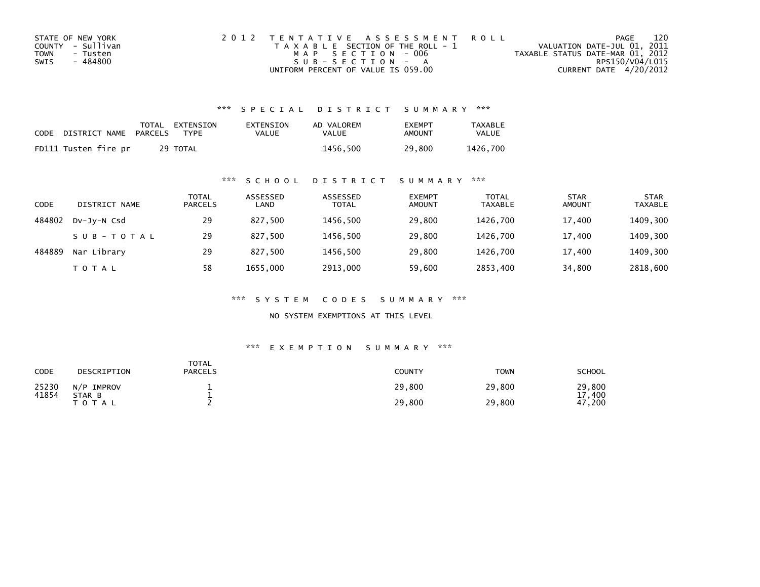| STATE OF NEW YORK | 2012 TENTATIVE ASSESSMENT ROLL        | PAGE                             | 120 |  |
|-------------------|---------------------------------------|----------------------------------|-----|--|
| COUNTY - Sullivan | T A X A B L E SECTION OF THE ROLL - 1 | VALUATION DATE-JUL 01, 2011      |     |  |
| TOWN<br>- Tusten  | MAP SECTION - 006                     | TAXABLE STATUS DATE-MAR 01, 2012 |     |  |
| - 484800<br>SWIS  | $SUB - SECTION - A$                   | RPS150/V04/L015                  |     |  |
|                   | UNIFORM PERCENT OF VALUE IS 059.00    | CURRENT DATE 4/20/2012           |     |  |

| CODE DISTRICT NAME PARCELS | TOTAL EXTENSION<br>TYPF | EXTENSION<br><b>VALUE</b> | AD VALOREM<br>VALUE | <b>FXFMPT</b><br>AMOUNT | TAXABLE<br><b>VALUE</b> |
|----------------------------|-------------------------|---------------------------|---------------------|-------------------------|-------------------------|
| FD111 Tusten fire pr       | 29 TOTAL                |                           | 1456.500            | 29,800                  | 1426.700                |

#### \*\*\* S C H O O L D I S T R I C T S U M M A R Y \*\*\*

| CODE   | DISTRICT NAME | TOTAL<br><b>PARCELS</b> | ASSESSED<br>LAND | ASSESSED<br><b>TOTAL</b> | <b>EXEMPT</b><br><b>AMOUNT</b> | <b>TOTAL</b><br><b>TAXABLE</b> | <b>STAR</b><br><b>AMOUNT</b> | <b>STAR</b><br><b>TAXABLE</b> |
|--------|---------------|-------------------------|------------------|--------------------------|--------------------------------|--------------------------------|------------------------------|-------------------------------|
| 484802 | DV-JV-N Csd   | 29                      | 827.500          | 1456,500                 | 29,800                         | 1426.700                       | 17,400                       | 1409,300                      |
|        | SUB-TOTAL     | 29                      | 827.500          | 1456,500                 | 29,800                         | 1426,700                       | 17,400                       | 1409,300                      |
| 484889 | Nar Library   | 29                      | 827,500          | 1456,500                 | 29,800                         | 1426.700                       | 17,400                       | 1409,300                      |
|        | T O T A L     | 58                      | 1655,000         | 2913,000                 | 59,600                         | 2853,400                       | 34,800                       | 2818,600                      |

\*\*\* S Y S T E M C O D E S S U M M A R Y \*\*\*

NO SYSTEM EXEMPTIONS AT THIS LEVEL

| CODE           | DESCRIPTION          | TOTAL<br><b>PARCELS</b> | <b>COUNTY</b> | <b>TOWN</b> | SCHOOL         |
|----------------|----------------------|-------------------------|---------------|-------------|----------------|
| 25230<br>41854 | N/P IMPROV<br>STAR B |                         | 29.800        | 29,800      | 29,800<br>.400 |
|                | T O T A L            |                         | 29,800        | 29,800      | 47,200         |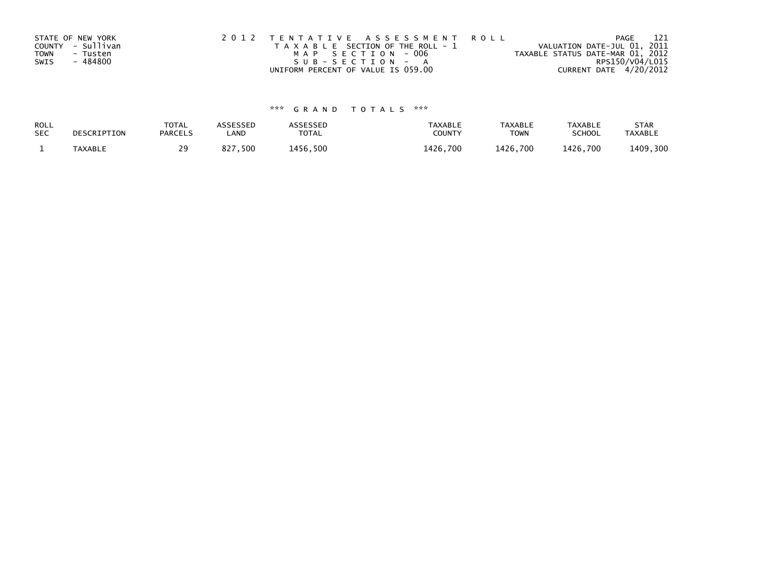|      | STATE OF NEW YORK | 2012 TENTATIVE ASSESSMENT ROLL        | 121<br>PAGE                      |
|------|-------------------|---------------------------------------|----------------------------------|
|      | COUNTY - Sullivan | T A X A B L E SECTION OF THE ROLL - 1 | VALUATION DATE-JUL 01, 2011      |
| TOWN | - Tusten          | MAP SECTION - 006                     | TAXABLE STATUS DATE-MAR 01, 2012 |
| SWIS | - 484800          | SUB-SECTION - A                       | RPS150/V04/L015                  |
|      |                   | UNIFORM PERCENT OF VALUE IS 059.00    | CURRENT DATE 4/20/2012           |

| ROLL       | DESCRIPTION    | <b>TOTAL</b>   | ASSESSED    | ASSESSED | <b>TAXABLE</b> | <b>TAXABLE</b> | <b>TAXABLE</b> | <b>STAR</b>    |
|------------|----------------|----------------|-------------|----------|----------------|----------------|----------------|----------------|
| <b>SEC</b> |                | <b>PARCELS</b> | LAND        | TOTAL    | <b>COUNTY</b>  | <b>TOWN</b>    | <b>SCHOOL</b>  | <b>TAXABLE</b> |
|            | <b>TAXABLE</b> | 29             | ,500<br>827 | 1456.500 | 1426.700       | 1426.700       | 1426.700       | 1409,300       |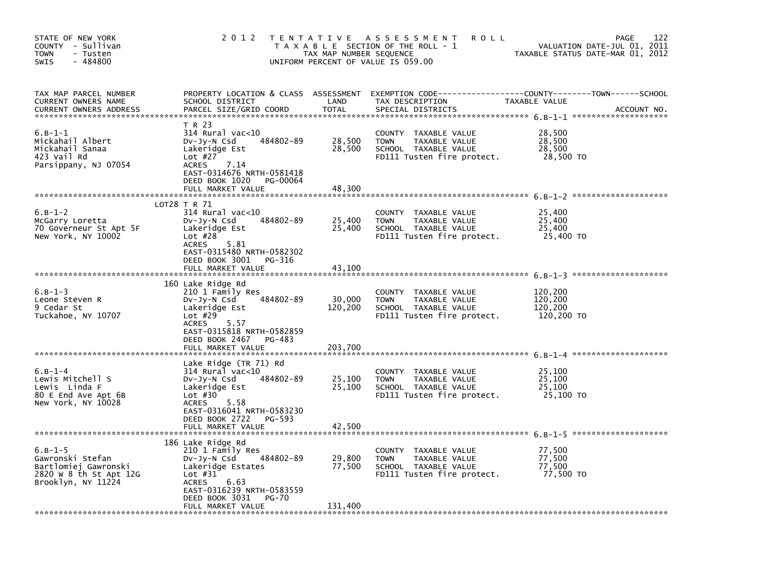| STATE OF NEW YORK<br>COUNTY - Sullivan<br>- Tusten<br><b>TOWN</b><br>$-484800$<br>SWIS                | 2 0 1 2                                                                                                                                                                                               | T E N T A T I V E<br>TAX MAP NUMBER SEQUENCE<br>UNIFORM PERCENT OF VALUE IS 059.00 | A S S E S S M E N T<br><b>ROLL</b><br>T A X A B L E SECTION OF THE ROLL - 1                                                              | PAGE<br>VALUATION DATE-JUL 01, 2011<br>TAXABLE STATUS DATE-MAR 01, 2012 | 122         |
|-------------------------------------------------------------------------------------------------------|-------------------------------------------------------------------------------------------------------------------------------------------------------------------------------------------------------|------------------------------------------------------------------------------------|------------------------------------------------------------------------------------------------------------------------------------------|-------------------------------------------------------------------------|-------------|
| TAX MAP PARCEL NUMBER<br>CURRENT OWNERS NAME<br><b>CURRENT OWNERS ADDRESS</b>                         | SCHOOL DISTRICT<br>PARCEL SIZE/GRID COORD                                                                                                                                                             | LAND<br><b>TOTAL</b>                                                               | PROPERTY LOCATION & CLASS ASSESSMENT EXEMPTION CODE----------------COUNTY-------TOWN------SCHOOL<br>TAX DESCRIPTION<br>SPECIAL DISTRICTS | TAXABLE VALUE                                                           | ACCOUNT NO. |
| $6.B-1-1$<br>Mickahail Albert<br>Mickahail Sanaa<br>423 Vail Rd<br>Parsippany, NJ 07054               | T R 23<br>$314$ Rural vac<10<br>484802-89<br>DV-Jy-N Csd<br>Lakeridge Est<br>Lot $#27$<br><b>ACRES</b><br>7.14<br>EAST-0314676 NRTH-0581418<br>DEED BOOK 1020<br>PG-00064<br>FULL MARKET VALUE        | 28,500<br>28,500<br>48,300                                                         | COUNTY TAXABLE VALUE<br><b>TOWN</b><br>TAXABLE VALUE<br>SCHOOL TAXABLE VALUE<br>FD111 Tusten fire protect.                               | 28,500<br>28,500<br>28,500<br>28,500 TO                                 |             |
|                                                                                                       |                                                                                                                                                                                                       |                                                                                    |                                                                                                                                          |                                                                         |             |
| $6.B-1-2$<br>McGarry Loretta<br>70 Governeur St Apt 5F<br>New York, NY 10002                          | LOT28 T R 71<br>$314$ Rural vac< $10$<br>484802-89<br>DV-Jy-N Csd<br>Lakeridge Est<br>Lot $#28$<br><b>ACRES</b><br>5.81<br>EAST-0315480 NRTH-0582302                                                  | 25,400<br>25,400                                                                   | COUNTY<br>TAXABLE VALUE<br><b>TOWN</b><br>TAXABLE VALUE<br>SCHOOL TAXABLE VALUE<br>FD111 Tusten fire protect.                            | 25,400<br>25,400<br>25.400<br>25,400 TO                                 |             |
|                                                                                                       | DEED BOOK 3001<br>PG-316                                                                                                                                                                              |                                                                                    |                                                                                                                                          |                                                                         |             |
|                                                                                                       | FULL MARKET VALUE                                                                                                                                                                                     | 43.100                                                                             |                                                                                                                                          |                                                                         |             |
| $6. B - 1 - 3$<br>Leone Steven R<br>9 Cedar St<br>Tuckahoe, NY 10707                                  | 160 Lake Ridge Rd<br>210 1 Family Res<br>484802-89<br>DV-Jy-N Csd<br>Lakeridge Est<br>Lot $#29$<br>5.57<br><b>ACRES</b><br>EAST-0315818 NRTH-0582859<br>DEED BOOK 2467<br>PG-483<br>FULL MARKET VALUE | 30,000<br>120,200<br>203.700                                                       | COUNTY TAXABLE VALUE<br><b>TOWN</b><br>TAXABLE VALUE<br>SCHOOL TAXABLE VALUE<br>FD111 Tusten fire protect.                               | 120,200<br>120,200<br>120,200<br>120,200 TO                             |             |
|                                                                                                       | Lake Ridge (TR 71) Rd                                                                                                                                                                                 |                                                                                    |                                                                                                                                          |                                                                         |             |
| $6. B - 1 - 4$<br>Lewis Mitchell S<br>Lewis Linda F<br>80 E End Ave Apt 6B<br>New York, NY 10028      | $314$ Rural vac<10<br>484802-89<br>DV-Jy-N Csd<br>Lakeridge Est<br>Lot $#30$<br><b>ACRES</b><br>5.58<br>EAST-0316041 NRTH-0583230<br>DEED BOOK 2722<br>PG-593<br>FULL MARKET VALUE                    | 25,100<br>25,100<br>42,500                                                         | COUNTY TAXABLE VALUE<br>TAXABLE VALUE<br><b>TOWN</b><br>SCHOOL TAXABLE VALUE<br>FD111 Tusten fire protect.                               | 25,100<br>25,100<br>25,100<br>25,100 TO                                 |             |
|                                                                                                       |                                                                                                                                                                                                       |                                                                                    |                                                                                                                                          |                                                                         |             |
| $6.B-1-5$<br>Gawronski Stefan<br>Bartlomiej Gawronski<br>2820 W 8 th St Apt 12G<br>Brooklyn, NY 11224 | 186 Lake Ridge Rd<br>210 1 Family Res<br>484802-89<br>DV-Jy-N Csd<br>Lakeridge Estates<br>Lot $#31$<br>6.63<br><b>ACRES</b><br>EAST-0316239 NRTH-0583559<br>DEED BOOK 3031<br><b>PG-70</b>            | 29,800<br>77,500                                                                   | COUNTY TAXABLE VALUE<br>TAXABLE VALUE<br><b>TOWN</b><br>SCHOOL TAXABLE VALUE<br>FD111 Tusten fire protect.                               | 77,500<br>77,500<br>77.500<br>77,500 TO                                 |             |
|                                                                                                       | FULL MARKET VALUE                                                                                                                                                                                     | 131,400                                                                            |                                                                                                                                          |                                                                         |             |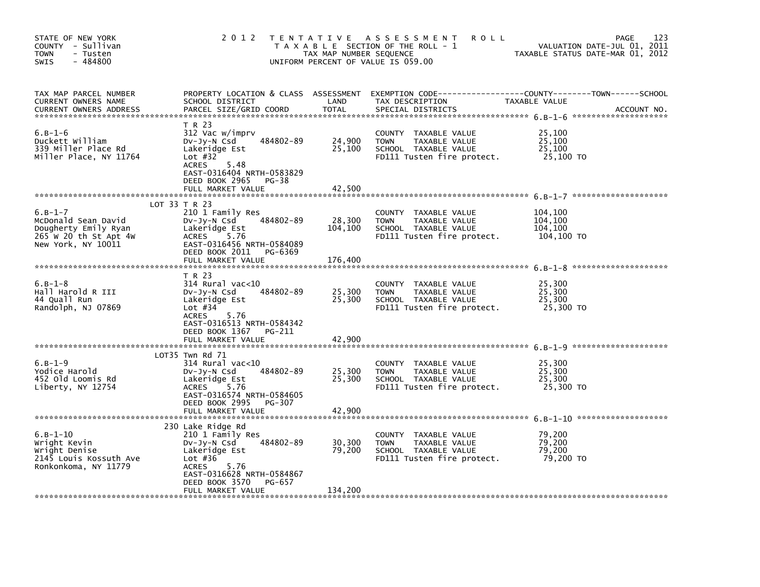| STATE OF NEW YORK<br>COUNTY - Sullivan<br><b>TOWN</b><br>- Tusten<br>$-484800$<br><b>SWIS</b>           | 2 0 1 2                                                                                                                                                                                  | TAX MAP NUMBER SEQUENCE    | TENTATIVE ASSESSMENT<br><b>ROLL</b><br>T A X A B L E SECTION OF THE ROLL - 1<br>UNIFORM PERCENT OF VALUE IS 059.00 | VALUATION DATE-JUL 01, 2011<br>TAXABLE STATUS DATE-MAR 01, 2012 | 123<br>PAGE |
|---------------------------------------------------------------------------------------------------------|------------------------------------------------------------------------------------------------------------------------------------------------------------------------------------------|----------------------------|--------------------------------------------------------------------------------------------------------------------|-----------------------------------------------------------------|-------------|
| TAX MAP PARCEL NUMBER<br>CURRENT OWNERS NAME<br>CURRENT OWNERS ADDRESS                                  | PROPERTY LOCATION & CLASS ASSESSMENT<br>SCHOOL DISTRICT<br>PARCEL SIZE/GRID COORD                                                                                                        | LAND<br><b>TOTAL</b>       | EXEMPTION CODE-----------------COUNTY-------TOWN------SCHOOL<br>TAX DESCRIPTION<br>SPECIAL DISTRICTS               | TAXABLE VALUE                                                   | ACCOUNT NO. |
| $6. B - 1 - 6$<br>Duckett William<br>339 Miller Place Rd<br>Miller Place, NY 11764                      | T R 23<br>312 Vac w/imprv<br>484802-89<br>DV-Jy-N Csd<br>Lakeridge Est<br>Lot $#32$<br><b>ACRES</b><br>5.48<br>EAST-0316404 NRTH-0583829<br>DEED BOOK 2965<br>PG-38<br>FULL MARKET VALUE | 24,900<br>25,100<br>42,500 | COUNTY TAXABLE VALUE<br><b>TOWN</b><br>TAXABLE VALUE<br>SCHOOL TAXABLE VALUE<br>FD111 Tusten fire protect.         | 25,100<br>25.100<br>25,100<br>25,100 TO                         |             |
|                                                                                                         |                                                                                                                                                                                          |                            |                                                                                                                    |                                                                 |             |
| $6.B-1-7$<br>McDonald Sean David<br>Dougherty Emily Ryan<br>265 W 20 th St Apt 4W<br>New York, NY 10011 | LOT 33 T R 23<br>210 1 Family Res<br>484802-89<br>$Dv-Jy-N$ Csd<br>Lakeridge Est<br>5.76<br><b>ACRES</b><br>EAST-0316456 NRTH-0584089<br>DEED BOOK 2011<br>PG-6369                       | 28,300<br>104,100          | COUNTY TAXABLE VALUE<br><b>TOWN</b><br>TAXABLE VALUE<br>SCHOOL TAXABLE VALUE<br>FD111 Tusten fire protect.         | 104,100<br>104,100<br>104,100<br>104,100 TO                     |             |
|                                                                                                         | FULL MARKET VALUE                                                                                                                                                                        | 176,400                    |                                                                                                                    |                                                                 |             |
| $6. B - 1 - 8$<br>Hall Harold R III<br>44 Quall Run<br>Randolph, NJ 07869                               | T R 23<br>$314$ Rural vac< $10$<br>484802-89<br>DV-Jy-N Csd<br>Lakeridge Est<br>Lot $#34$<br><b>ACRES</b><br>5.76<br>EAST-0316513 NRTH-0584342<br>DEED BOOK 1367 PG-211                  | 25,300<br>25,300           | COUNTY TAXABLE VALUE<br>TAXABLE VALUE<br><b>TOWN</b><br>SCHOOL TAXABLE VALUE<br>FD111 Tusten fire protect.         | 25,300<br>25,300<br>25,300<br>25,300 TO                         |             |
|                                                                                                         | FULL MARKET VALUE                                                                                                                                                                        | 42,900                     |                                                                                                                    |                                                                 |             |
|                                                                                                         |                                                                                                                                                                                          |                            |                                                                                                                    |                                                                 |             |
| $6.B-1-9$<br>Yodice Harold<br>452 Old Loomis Rd<br>Liberty, NY 12754                                    | LOT35 Twn Rd 71<br>314 Rural vac<10<br>484802-89<br>$Dv-Jv-N$ Csd<br>Lakeridge Est<br><b>ACRES</b><br>5.76<br>EAST-0316574 NRTH-0584605<br>DEED BOOK 2995<br>PG-307                      | 25,300<br>25,300           | COUNTY TAXABLE VALUE<br><b>TOWN</b><br>TAXABLE VALUE<br>SCHOOL TAXABLE VALUE<br>FD111 Tusten fire protect.         | 25,300<br>25,300<br>25,300<br>25,300 TO                         |             |
|                                                                                                         | FULL MARKET VALUE                                                                                                                                                                        | 42,900                     |                                                                                                                    |                                                                 |             |
| $6. B - 1 - 10$<br>Wright Kevin<br>Wright Denise<br>2145 Louis Kossuth Ave<br>Ronkonkoma, NY 11779      | 230 Lake Ridge Rd<br>210 1 Family Res<br>484802-89<br>DV-Jy-N Csd<br>Lakeridge Est<br>Lot $#36$<br><b>ACRES</b><br>5.76<br>EAST-0316628 NRTH-0584867<br>DEED BOOK 3570<br>PG-657         | 30,300<br>79,200           | COUNTY TAXABLE VALUE<br><b>TOWN</b><br>TAXABLE VALUE<br>SCHOOL TAXABLE VALUE<br>FD111 Tusten fire protect.         | 79,200<br>79,200<br>79,200<br>79,200 TO                         |             |
|                                                                                                         | FULL MARKET VALUE                                                                                                                                                                        | 134,200                    |                                                                                                                    |                                                                 |             |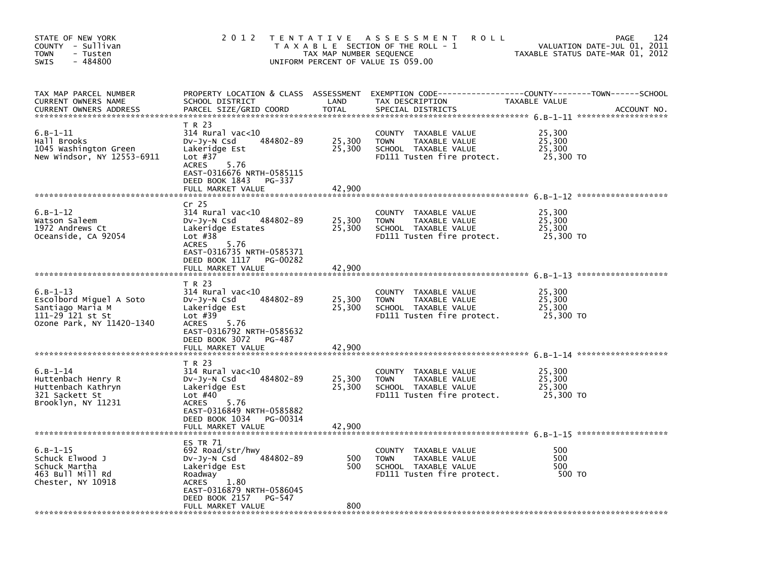| STATE OF NEW YORK<br>COUNTY - Sullivan<br><b>TOWN</b><br>- Tusten<br>$-484800$<br><b>SWIS</b>                   | 2 0 1 2                                                                                                                                                                                         | T E N T A T I V E<br>TAX MAP NUMBER SEQUENCE | A S S E S S M E N T<br><b>ROLL</b><br>T A X A B L E SECTION OF THE ROLL - 1<br>UNIFORM PERCENT OF VALUE IS 059.00 |                                         | 124<br>PAGE<br>VALUATION DATE-JUL 01, 2011<br>TAXABLE STATUS DATE-MAR 01, 2012 |
|-----------------------------------------------------------------------------------------------------------------|-------------------------------------------------------------------------------------------------------------------------------------------------------------------------------------------------|----------------------------------------------|-------------------------------------------------------------------------------------------------------------------|-----------------------------------------|--------------------------------------------------------------------------------|
| TAX MAP PARCEL NUMBER<br>CURRENT OWNERS NAME<br><b>CURRENT OWNERS ADDRESS</b>                                   | PROPERTY LOCATION & CLASS ASSESSMENT EXEMPTION CODE-----<br>SCHOOL DISTRICT<br>PARCEL SIZE/GRID COORD                                                                                           | LAND<br><b>TOTAL</b>                         | TAX DESCRIPTION<br>SPECIAL DISTRICTS                                                                              | TAXABLE VALUE                           | ------------COUNTY--------TOWN------SCHOOL<br>ACCOUNT NO.                      |
| $6.B-1-11$<br>Hall Brooks<br>1045 Washington Green<br>New Windsor, NY 12553-6911                                | T R 23<br>$314$ Rural vac<10<br>484802-89<br>$Dv-Jy-N$ Csd<br>Lakeridge Est<br>Lot $#37$<br><b>ACRES</b><br>5.76<br>EAST-0316676 NRTH-0585115<br>DEED BOOK 1843<br>PG-337                       | 25,300<br>25,300                             | TAXABLE VALUE<br>COUNTY<br>TAXABLE VALUE<br><b>TOWN</b><br>SCHOOL TAXABLE VALUE<br>FD111 Tusten fire protect.     | 25,300<br>25,300<br>25,300<br>25,300 TO |                                                                                |
|                                                                                                                 | FULL MARKET VALUE                                                                                                                                                                               | 42,900                                       |                                                                                                                   |                                         |                                                                                |
| $6.B-1-12$<br>Watson Saleem<br>1972 Andrews Ct<br>Oceanside, CA 92054                                           | Cr <sub>25</sub><br>314 Rural vac<10<br>484802-89<br>$Dv-Jy-N$ Csd<br>Lakeridge Estates<br>Lot $#38$<br><b>ACRES</b><br>5.76<br>EAST-0316735 NRTH-0585371                                       | 25,300<br>25,300                             | COUNTY<br>TAXABLE VALUE<br><b>TOWN</b><br>TAXABLE VALUE<br>SCHOOL TAXABLE VALUE<br>FD111 Tusten fire protect.     | 25,300<br>25,300<br>25,300<br>25,300 TO |                                                                                |
|                                                                                                                 | DEED BOOK 1117<br>PG-00282<br>FULL MARKET VALUE                                                                                                                                                 | 42,900                                       |                                                                                                                   |                                         |                                                                                |
| $6. B - 1 - 13$<br>Escolbord Miquel A Soto<br>Santiago Maria M<br>111-29 121 st St<br>Ozone Park, NY 11420-1340 | T R 23<br>$314$ Rural vac< $10$<br>484802-89<br>DV-Jy-N Csd<br>Lakeridge Est<br>Lot $#39$<br>5.76<br><b>ACRES</b><br>EAST-0316792 NRTH-0585632<br>DEED BOOK 3072<br>PG-487<br>FULL MARKET VALUE | 25,300<br>25,300<br>42.900                   | COUNTY TAXABLE VALUE<br>TAXABLE VALUE<br><b>TOWN</b><br>SCHOOL TAXABLE VALUE<br>FD111 Tusten fire protect.        | 25,300<br>25,300<br>25,300<br>25,300 TO |                                                                                |
| $6. B - 1 - 14$<br>Huttenbach Henry R<br>Huttenbach Kathryn<br>321 Sackett St<br>Brooklyn, NY 11231             | T R 23<br>314 Rural vac<10<br>484802-89<br>DV-Jy-N Csd<br>Lakeridge Est<br>Lot $#40$<br>5.76<br><b>ACRES</b><br>EAST-0316849 NRTH-0585882<br>DEED BOOK 1034<br>PG-00314<br>FULL MARKET VALUE    | 25,300<br>25,300<br>42,900                   | COUNTY TAXABLE VALUE<br><b>TOWN</b><br>TAXABLE VALUE<br>SCHOOL TAXABLE VALUE<br>FD111 Tusten fire protect.        | 25,300<br>25,300<br>25,300<br>25,300 TO |                                                                                |
| $6.B-1-15$<br>Schuck Elwood J<br>Schuck Martha<br>463 Bull Mill Rd<br>Chester, NY 10918                         | ES TR 71<br>692 Road/str/hwy<br>484802-89<br>$Dv-Jy-N$ Csd<br>Lakeridge Est<br>Roadway<br><b>ACRES</b><br>1.80<br>EAST-0316879 NRTH-0586045<br>DEED BOOK 2157<br>PG-547<br>FULL MARKET VALUE    | 500<br>500<br>800                            | COUNTY TAXABLE VALUE<br>TAXABLE VALUE<br><b>TOWN</b><br>SCHOOL TAXABLE VALUE<br>FD111 Tusten fire protect.        | 500<br>500<br>500<br>500 TO             |                                                                                |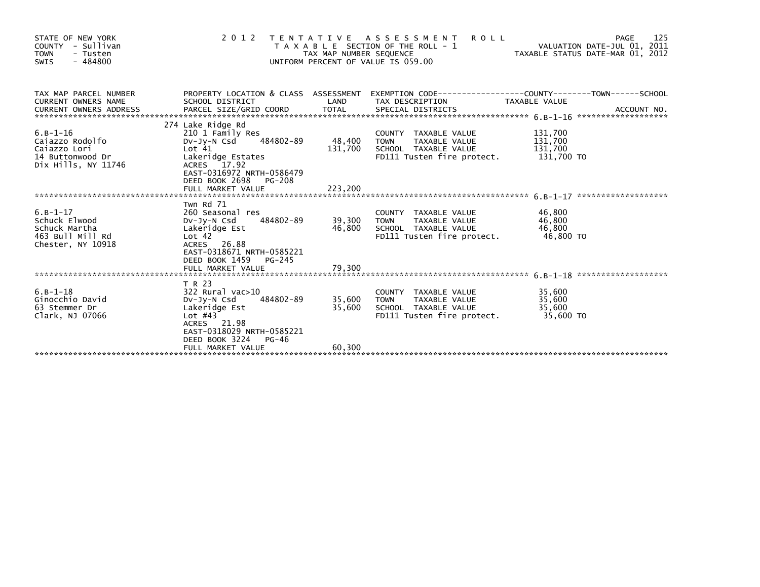| STATE OF NEW YORK<br>COUNTY - Sullivan<br><b>TOWN</b><br>- Tusten<br>$-484800$<br>SWIS        |                                                                                                                                                                                  | TAX MAP NUMBER SEQUENCE | <b>ROLL</b><br>2012 TENTATIVE ASSESSMENT<br>T A X A B L E SECTION OF THE ROLL - 1<br>UNIFORM PERCENT OF VALUE IS 059.00                               |                            | 125<br>PAGE |
|-----------------------------------------------------------------------------------------------|----------------------------------------------------------------------------------------------------------------------------------------------------------------------------------|-------------------------|-------------------------------------------------------------------------------------------------------------------------------------------------------|----------------------------|-------------|
| TAX MAP PARCEL NUMBER<br><b>CURRENT OWNERS NAME</b><br>CURRENT OWNERS ADDRESS                 | SCHOOL DISTRICT                                                                                                                                                                  |                         | PROPERTY LOCATION & CLASS ASSESSMENT EXEMPTION CODE----------------COUNTY-------TOWN------SCHOOL<br>LAND TAX DESCRIPTION                              | TAXABLE VALUE              |             |
| $6. B - 1 - 16$<br>Caiazzo Rodolfo<br>Caiazzo Lori<br>14 Buttonwood Dr<br>Dix Hills, NY 11746 | 274 Lake Ridge Rd<br>210 1 Family Res<br>DV-Jy-N Csd 484802-89<br>Lot <sub>41</sub><br>Lakeridge Estates<br>ACRES 17.92<br>EAST-0316972 NRTH-0586479<br>DEED BOOK 2698<br>PG-208 | 48,400 TOWN<br>131,700  | COUNTY TAXABLE VALUE       131,700<br>TOWN  TAXABLE VALUE      131,700<br>SCHOOL TAXABLE VALUE       131,700<br>FD111 Tusten fire protect. 131,700 TO |                            |             |
| $6. B - 1 - 17$<br>Schuck Elwood<br>Schuck Martha<br>463 Bull Mill Rd<br>Chester, NY 10918    | Twn Rd 71<br>Lakeridge Est<br>Lot 42<br>ACRES 26.88<br>EAST-0318671 NRTH-0585221                                                                                                 |                         | COUNTY TAXABLE VALUE<br>TAXABLE VALUE 46,800                                                                                                          | 46,800                     |             |
|                                                                                               | DEED BOOK 1459 PG-245<br>FULL MARKET VALUE                                                                                                                                       | 79,300                  |                                                                                                                                                       |                            |             |
| $6. B - 1 - 18$<br>Ginocchio David<br>63 Stemmer Dr<br>Clark, NJ 07066                        | T R 23<br>$322$ Rural vac $>10$<br>484802-89<br>DV-JY-N Csd<br>Lakeridge Est<br>Lot $#43$<br>ACRES 21.98<br>EAST-0318029 NRTH-0585221<br>DEED BOOK 3224 PG-46                    | 35,600 TOWN<br>35,600   | COUNTY TAXABLE VALUE<br>TOWN      TAXABLE VALUE<br>SCHOOL TAXABLE VALUE<br>FD111 Tusten fire protect. 35,600 TO                                       | 35,600<br>35,600<br>35,600 |             |
|                                                                                               | FULL MARKET VALUE                                                                                                                                                                | 60,300                  |                                                                                                                                                       |                            |             |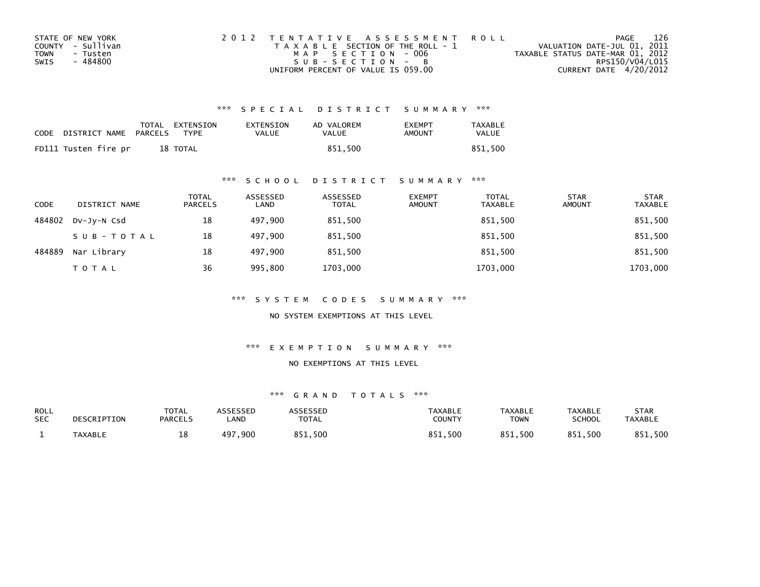| STATE OF NEW YORK       | 2012 TENTATIVE ASSESSMENT ROLL        | PAGE                             | 126 |
|-------------------------|---------------------------------------|----------------------------------|-----|
| COUNTY - Sullivan       | T A X A B L E SECTION OF THE ROLL - 1 | VALUATION DATE-JUL 01, 2011      |     |
| <b>TOWN</b><br>- Tusten | MAP SECTION - 006                     | TAXABLE STATUS DATE-MAR 01, 2012 |     |
| - 484800<br>SWIS        | SUB-SECTION - B                       | RPS150/V04/L015                  |     |
|                         | UNIFORM PERCENT OF VALUE IS 059.00    | CURRENT DATE 4/20/2012           |     |

| CODE | DISTRICT NAME        | PARCELS | TOTAL EXTENSION<br>TYPF | EXTENSION<br>VALUE | AD VALOREM<br>VALUE | <b>EXEMPT</b><br>AMOUNT | <b>TAXABLE</b><br>VALUE |
|------|----------------------|---------|-------------------------|--------------------|---------------------|-------------------------|-------------------------|
|      | FD111 Tusten fire pr |         | 18 TOTAL                |                    | 851.500             |                         | 851,500                 |

#### \*\*\* S C H O O L D I S T R I C T S U M M A R Y \*\*\*

| <b>CODE</b> | DISTRICT NAME | <b>TOTAL</b><br><b>PARCELS</b> | ASSESSED<br>LAND | ASSESSED<br><b>TOTAL</b> | <b>EXEMPT</b><br><b>AMOUNT</b> | <b>TOTAL</b><br><b>TAXABLE</b> | <b>STAR</b><br><b>AMOUNT</b> | <b>STAR</b><br><b>TAXABLE</b> |
|-------------|---------------|--------------------------------|------------------|--------------------------|--------------------------------|--------------------------------|------------------------------|-------------------------------|
| 484802      | DV-JY-N Csd   | 18                             | 497.900          | 851,500                  |                                | 851,500                        |                              | 851,500                       |
|             | SUB-TOTAL     | 18                             | 497.900          | 851.500                  |                                | 851,500                        |                              | 851,500                       |
| 484889      | Nar Library   | 18                             | 497.900          | 851.500                  |                                | 851.500                        |                              | 851,500                       |
|             | <b>TOTAL</b>  | 36                             | 995,800          | 1703,000                 |                                | 1703,000                       |                              | 1703,000                      |

\*\*\* S Y S T E M C O D E S S U M M A R Y \*\*\*

NO SYSTEM EXEMPTIONS AT THIS LEVEL

\*\*\* E X E M P T I O N S U M M A R Y \*\*\*

#### NO EXEMPTIONS AT THIS LEVEL

| <b>ROLL</b><br><b>SEC</b> | DESCRIPTION    | TOTAL<br><b>PARCELS</b> | <b>\SSESSED</b><br><b>_AND</b> | <b>ARRESSED</b><br><b>TOTAL</b> | <b>TAXABLE</b><br><b>COUNTY</b> | <b>TAXABLE</b><br><b>TOWN</b> | <b>TAXABLE</b><br>SCHOOL | STAR<br><b>TAXABLE</b> |
|---------------------------|----------------|-------------------------|--------------------------------|---------------------------------|---------------------------------|-------------------------------|--------------------------|------------------------|
|                           | <b>TAXABLE</b> | ᅭᇰ                      | . 900<br>497                   | 851,500                         | ,500<br><b>OC1</b>              | 851,500                       | 851,500                  | .500<br>R5             |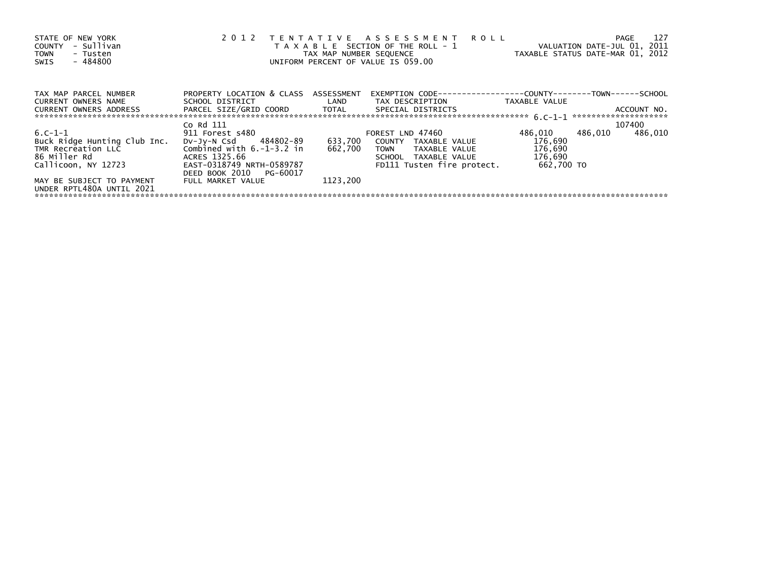| STATE OF NEW YORK<br>- Sullivan<br>COUNTY<br><b>TOWN</b><br>- Tusten<br>$-484800$<br>SWIS | 2012                                                                                                           | TAX MAP NUMBER SEQUENCE | TENTATIVE ASSESSMENT ROLL<br>T A X A B L E SECTION OF THE ROLL - 1<br>TAXABLE STATUS DATE-MAR 01, 2012<br>UNIFORM PERCENT OF VALUE IS 059.00 |            | PAGE<br>VALUATION DATE-JUL 01, 2011 | 127 |
|-------------------------------------------------------------------------------------------|----------------------------------------------------------------------------------------------------------------|-------------------------|----------------------------------------------------------------------------------------------------------------------------------------------|------------|-------------------------------------|-----|
| TAX MAP PARCEL NUMBER                                                                     | PROPERTY LOCATION & CLASS ASSESSMENT                                                                           |                         | EXEMPTION        CODE-----------------COUNTY-------TOWN------SCHOOL                                                                          |            |                                     |     |
| CURRENT OWNERS NAME                                                                       |                                                                                                                |                         | SCHOOL DISTRICT                          LAND         TAX DESCRIPTION                   TAXABLE VALUE                                        |            |                                     |     |
| CURRENT OWNERS ADDRESS                                                                    | PARCEL SIZE/GRID COORD TOTAL SPECIAL DISTRICTS                                                                 |                         |                                                                                                                                              |            | ACCOUNT NO.                         |     |
|                                                                                           |                                                                                                                |                         |                                                                                                                                              |            |                                     |     |
|                                                                                           | Co Rd 111                                                                                                      |                         |                                                                                                                                              |            | 107400                              |     |
| $6. C-1-1$                                                                                | 911 Forest s480 and the state of the state of the state of the state of the state of the state of the state of |                         | FOREST LND 47460                                                                                                                             | 486,010    | 486,010<br>486.010                  |     |
| Buck Ridge Hunting Club Inc.                                                              |                                                                                                                |                         | DV-Jy-N Csd 484802-89 633,700 COUNTY TAXABLE VALUE                                                                                           | 176,690    |                                     |     |
| TMR Recreation LLC                                                                        | Combined with $6.-1-3.2$ in                                                                                    | 662.700                 | TOWN TAXABLE VALUE                                                                                                                           | 176,690    |                                     |     |
| 86 Miller Rd                                                                              | ACRES 1325.66                                                                                                  |                         | SCHOOL TAXABLE VALUE                                                                                                                         | 176,690    |                                     |     |
| Callicoon, NY 12723                                                                       | EAST-0318749 NRTH-0589787                                                                                      |                         | FD111 Tusten fire protect.                                                                                                                   | 662,700 TO |                                     |     |
|                                                                                           | DEED BOOK 2010 PG-60017                                                                                        |                         |                                                                                                                                              |            |                                     |     |
| MAY BE SUBJECT TO PAYMENT                                                                 | FULL MARKET VALUE                                                                                              | 1123.200                |                                                                                                                                              |            |                                     |     |
| UNDER RPTL480A UNTIL 2021                                                                 |                                                                                                                |                         |                                                                                                                                              |            |                                     |     |
|                                                                                           |                                                                                                                |                         |                                                                                                                                              |            |                                     |     |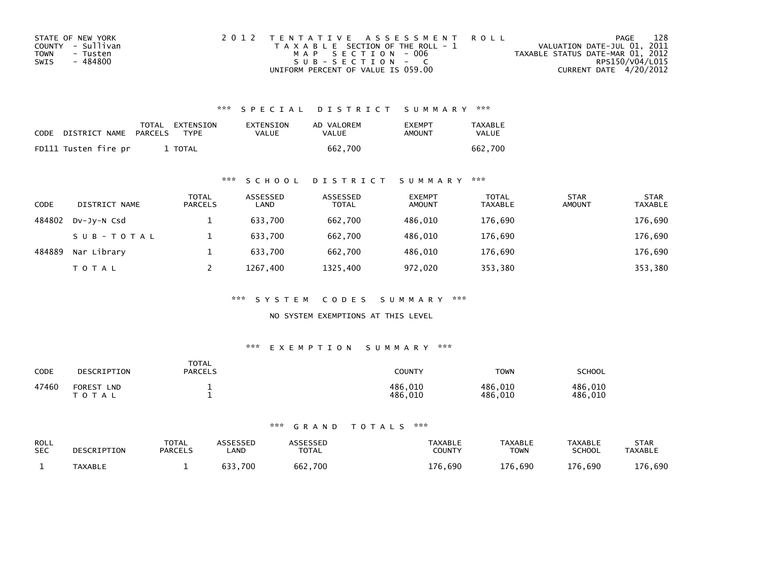| STATE OF NEW YORK | 2012 TENTATIVE ASSESSMENT ROLL        | PAGE                             | 128 |
|-------------------|---------------------------------------|----------------------------------|-----|
| COUNTY - Sullivan | T A X A B L E SECTION OF THE ROLL - 1 | VALUATION DATE-JUL 01, 2011      |     |
| TOWN<br>- Tusten  | MAP SECTION - 006                     | TAXABLE STATUS DATE-MAR 01, 2012 |     |
| - 484800<br>SWIS  | $SUB - SECTION - C$                   | RPS150/V04/L015                  |     |
|                   | UNIFORM PERCENT OF VALUE IS 059.00    | CURRENT DATE 4/20/2012           |     |

| CODE | DISTRICT NAME PARCELS | TOTAL EXTENSION<br><b>TYPF</b> | EXTENSION<br>VALUE | AD VALOREM<br>VALUE | <b>FXFMPT</b><br>AMOUNT | <b>TAXABLE</b><br><b>VALUE</b> |
|------|-----------------------|--------------------------------|--------------------|---------------------|-------------------------|--------------------------------|
|      | FD111 Tusten fire pr  | TOTAL                          |                    | 662.700             |                         | 662.700                        |

#### \*\*\* S C H O O L D I S T R I C T S U M M A R Y \*\*\*

| <b>CODE</b> | DISTRICT NAME | TOTAL<br><b>PARCELS</b> | ASSESSED<br>LAND | ASSESSED<br><b>TOTAL</b> | <b>EXEMPT</b><br><b>AMOUNT</b> | <b>TOTAL</b><br><b>TAXABLE</b> | <b>STAR</b><br><b>AMOUNT</b> | <b>STAR</b><br><b>TAXABLE</b> |
|-------------|---------------|-------------------------|------------------|--------------------------|--------------------------------|--------------------------------|------------------------------|-------------------------------|
| 484802      | DV-JY-N Csd   |                         | 633.700          | 662.700                  | 486.010                        | 176,690                        |                              | 176,690                       |
|             | SUB-TOTAL     |                         | 633.700          | 662.700                  | 486.010                        | 176,690                        |                              | 176,690                       |
| 484889      | Nar Library   |                         | 633.700          | 662.700                  | 486.010                        | 176.690                        |                              | 176,690                       |
|             | TOTAL         |                         | 1267.400         | 1325,400                 | 972,020                        | 353,380                        |                              | 353,380                       |

\*\*\* S Y S T E M C O D E S S U M M A R Y \*\*\*

NO SYSTEM EXEMPTIONS AT THIS LEVEL

#### \*\*\* E X E M P T I O N S U M M A R Y \*\*\*

| CODE  | DESCRIPTION                                         | <b>TOTAL</b><br><b>PARCELS</b> | COUNTY                 | <b>TOWN</b>        | SCHOOL             |
|-------|-----------------------------------------------------|--------------------------------|------------------------|--------------------|--------------------|
| 47460 | <b>FOREST</b><br><b>LND</b><br><sup>-</sup> O T A L |                                | 486,010<br>486<br>.010 | 486,010<br>486,010 | 486,010<br>486.010 |

| <b>ROLL</b> | DESCRIPTION    | <b>TOTAL</b>   | ASSESSED | <b>\SSESSED</b> | <b>TAXABLE</b> | <b>TAXABLE</b> | <b>TAXABLE</b> | <b>STAR</b>    |
|-------------|----------------|----------------|----------|-----------------|----------------|----------------|----------------|----------------|
| <b>SEC</b>  |                | <b>PARCELS</b> | .AND     | <b>TOTAL</b>    | COUNTY         | <b>TOWN</b>    | <b>SCHOOL</b>  | <b>TAXABLE</b> |
|             | <b>TAXABLE</b> |                | 700      | 662,700         | 176<br>.690    | 176.690        | 176,690        | 176,690        |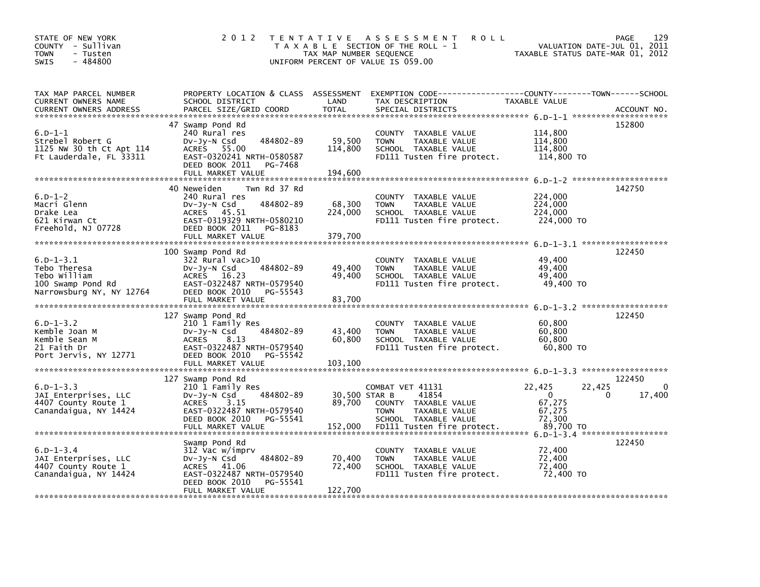| STATE OF NEW YORK<br>COUNTY - Sullivan<br>- Tusten<br><b>TOWN</b><br>$-484800$<br><b>SWIS</b> | 2 0 1 2                                                                                                                                                                   | T E N T A T I V E<br>TAX MAP NUMBER SEQUENCE | A S S E S S M E N T<br><b>ROLL</b><br>T A X A B L E SECTION OF THE ROLL - 1<br>UNIFORM PERCENT OF VALUE IS 059.00 | TAXABLE STATUS DATE-MAR 01, 2012                               | 129<br>PAGE<br>VALUATION DATE-JUL 01, 2011 |
|-----------------------------------------------------------------------------------------------|---------------------------------------------------------------------------------------------------------------------------------------------------------------------------|----------------------------------------------|-------------------------------------------------------------------------------------------------------------------|----------------------------------------------------------------|--------------------------------------------|
| TAX MAP PARCEL NUMBER<br>CURRENT OWNERS NAME<br><b>CURRENT OWNERS ADDRESS</b>                 | PROPERTY LOCATION & CLASS ASSESSMENT<br>SCHOOL DISTRICT<br>PARCEL SIZE/GRID COORD                                                                                         | LAND<br><b>TOTAL</b>                         | EXEMPTION CODE-----------------COUNTY-------TOWN------SCHOOL<br>TAX DESCRIPTION<br>SPECIAL DISTRICTS              | TAXABLE VALUE                                                  | ACCOUNT NO.                                |
| $6.D-1-1$<br>Strebel Robert G<br>1125 NW 30 th Ct Apt 114<br>Ft Lauderdale, FL 33311          | 47 Swamp Pond Rd<br>240 Rural res<br>484802-89<br>DV-Jy-N Csd<br>ACRES 55.00<br>EAST-0320241 NRTH-0580587<br>DEED BOOK 2011<br>PG-7468<br>FULL MARKET VALUE               | 59,500<br>114,800<br>194,600                 | COUNTY TAXABLE VALUE<br>TAXABLE VALUE<br><b>TOWN</b><br>SCHOOL TAXABLE VALUE<br>FD111 Tusten fire protect.        | 114,800<br>114,800<br>114,800<br>114,800 TO                    | 152800                                     |
| $6.D-1-2$<br>Macri Glenn<br>Drake Lea<br>621 Kirwan Ct<br>Freehold, NJ 07728                  | 40 Neweiden<br>Twn Rd 37 Rd<br>240 Rural res<br>484802-89<br>DV-JY-N Csd<br>ACRES 45.51<br>EAST-0319329 NRTH-0580210<br>DEED BOOK 2011<br>PG-8183<br>FULL MARKET VALUE    | 68,300<br>224,000<br>379.700                 | COUNTY TAXABLE VALUE<br>TAXABLE VALUE<br><b>TOWN</b><br>SCHOOL TAXABLE VALUE<br>FD111 Tusten fire protect.        | 224,000<br>224,000<br>224,000<br>224,000 TO                    | 142750                                     |
| $6.D-1-3.1$<br>Tebo Theresa<br>Tebo William<br>100 Swamp Pond Rd<br>Narrowsburg NY, NY 12764  | 100 Swamp Pond Rd<br>322 Rural vac>10<br>484802-89<br>Dv-Jy-N Csd<br>ACRES 16.23<br>EAST-0322487 NRTH-0579540<br>DEED BOOK 2010<br>PG-55543                               | 49,400<br>49,400                             | COUNTY TAXABLE VALUE<br><b>TOWN</b><br>TAXABLE VALUE<br>SCHOOL TAXABLE VALUE<br>FD111 Tusten fire protect.        | 49,400<br>49,400<br>49,400<br>49.400 TO                        | 122450                                     |
| $6.D - 1 - 3.2$<br>Kemble Joan M<br>Kemble Sean M<br>21 Faith Dr<br>Port Jervis, NY 12771     | 127 Swamp Pond Rd<br>210 1 Family Res<br>484802-89<br>DV-JY-N Csd<br><b>ACRES</b><br>8.13<br>EAST-0322487 NRTH-0579540<br>DEED BOOK 2010<br>PG-55542<br>FULL MARKET VALUE | 43,400<br>60,800<br>103,100                  | COUNTY TAXABLE VALUE<br><b>TOWN</b><br>TAXABLE VALUE<br>SCHOOL TAXABLE VALUE<br>FD111 Tusten fire protect.        | 60,800<br>60,800<br>60,800<br>60.800 TO                        | 122450                                     |
| $6.D - 1 - 3.3$<br>JAI Enterprises, LLC<br>4407 County Route 1<br>Canandaigua, NY 14424       | 127 Swamp Pond Rd<br>210 1 Family Res<br>484802-89<br>$Dv-Jy-N$ Csd<br>3.15<br><b>ACRES</b><br>EAST-0322487 NRTH-0579540<br>DEED BOOK 2010<br>PG-55541                    | 30,500 STAR B<br>89,700                      | COMBAT VET 41131<br>41854<br>COUNTY TAXABLE VALUE<br><b>TOWN</b><br>TAXABLE VALUE<br>SCHOOL TAXABLE VALUE         | 22,425<br>22,425<br>$\mathbf{0}$<br>67,275<br>67,275<br>72,300 | 122450<br>0<br>17,400<br>0                 |
| $6.D - 1 - 3.4$<br>JAI Enterprises, LLC<br>4407 County Route 1<br>Canandaigua, NY 14424       | Swamp Pond Rd<br>312 Vac w/imprv<br>484802-89<br>$Dv-Jy-N$ Csd<br>ACRES 41.06<br>EAST-0322487 NRTH-0579540<br>DEED BOOK 2010<br>PG-55541<br>FULL MARKET VALUE             | 70,400<br>72,400<br>122,700                  | COUNTY TAXABLE VALUE<br><b>TOWN</b><br>TAXABLE VALUE<br>SCHOOL TAXABLE VALUE<br>FD111 Tusten fire protect.        | 72,400<br>72,400<br>72,400<br>72,400 TO                        | 122450                                     |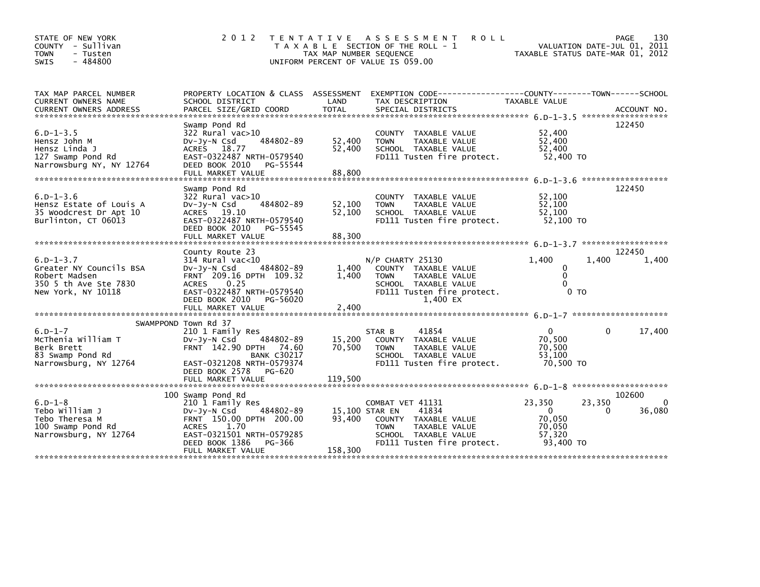| STATE OF NEW YORK<br>COUNTY - Sullivan<br><b>TOWN</b><br>- Tusten<br>$-484800$<br><b>SWIS</b>                                                                                                                                                                                  | 2 0 1 2                                                                                                                                                                                              | TAX MAP NUMBER SEQUENCE     | TENTATIVE ASSESSMENT<br><b>ROLL</b><br>T A X A B L E SECTION OF THE ROLL - 1<br>UNIFORM PERCENT OF VALUE IS 059.00                                        | TAXABLE STATUS DATE-MAR 01, 2012                              | PAGE<br>130<br>VALUATION DATE-JUL 01, 2011 |
|--------------------------------------------------------------------------------------------------------------------------------------------------------------------------------------------------------------------------------------------------------------------------------|------------------------------------------------------------------------------------------------------------------------------------------------------------------------------------------------------|-----------------------------|-----------------------------------------------------------------------------------------------------------------------------------------------------------|---------------------------------------------------------------|--------------------------------------------|
| TAX MAP PARCEL NUMBER<br>CURRENT OWNERS NAME<br>.CURRENT OWNERS ADDRESS PARCEL SIZE/GRID COORD TOTAL SPECIAL DISTRICTS (ACCOUNT NO ACCOUNT NO ACCOUNT NO AND FREE ALL SERIES AND RESEARCH TOTAL SERIES AND RESEARCH AND A SERIES AND RESEARCH TO A SERIES AND RESEARCH TO A SE | PROPERTY LOCATION & CLASS ASSESSMENT<br>SCHOOL DISTRICT                                                                                                                                              | LAND                        | EXEMPTION CODE-----------------COUNTY-------TOWN------SCHOOL<br>TAX DESCRIPTION                                                                           | <b>TAXABLE VALUE</b>                                          |                                            |
| $6. D - 1 - 3.5$<br>Hensz John M<br>Hensz Linda J<br>127 Swamp Pond Rd<br>Narrowsburg NY, NY 12764                                                                                                                                                                             | Swamp Pond Rd<br>$322$ Rural vac $>10$<br>484802-89<br>DV-JY-N Csd<br>ACRES 18.77<br>EAST-0322487 NRTH-0579540<br>DEED BOOK 2010<br>PG-55544<br>FULL MARKET VALUE                                    | 52,400<br>52,400<br>88,800  | COUNTY TAXABLE VALUE<br>TAXABLE VALUE<br><b>TOWN</b><br>SCHOOL TAXABLE VALUE<br>FD111 Tusten fire protect.                                                | 52,400<br>52,400<br>52.400<br>52,400 TO                       | 122450                                     |
| $6. D - 1 - 3.6$<br>Hensz Estate of Louis A<br>35 Woodcrest Dr Apt 10<br>Burlinton, CT 06013                                                                                                                                                                                   | Swamp Pond Rd<br>322 Rural vac>10<br>DV-Jy-N Csd<br>484802-89<br>ACRES 19.10<br>EAST-0322487 NRTH-0579540<br>DEED BOOK 2010<br>PG-55545<br>FULL MARKET VALUE                                         | 52,100<br>52.100<br>88,300  | COUNTY TAXABLE VALUE<br>TAXABLE VALUE<br><b>TOWN</b><br>SCHOOL TAXABLE VALUE<br>FD111 Tusten fire protect.                                                | 52,100<br>52,100<br>52.100<br>52,100 TO                       | 122450                                     |
| $6. D - 1 - 3.7$<br>Greater NY Councils BSA<br>Robert Madsen<br>350 5 th Ave Ste 7830<br>New York, NY 10118                                                                                                                                                                    | County Route 23<br>314 Rural vac<10<br>484802-89<br>DV-Jy-N Csd<br>FRNT 209.16 DPTH 109.32<br>0.25<br><b>ACRES</b><br>EAST-0322487 NRTH-0579540<br>DEED BOOK 2010<br>PG-56020<br>FULL MARKET VALUE   | 1,400<br>1,400<br>2,400     | N/P CHARTY 25130<br>COUNTY TAXABLE VALUE<br>TAXABLE VALUE<br><b>TOWN</b><br>SCHOOL TAXABLE VALUE<br>FD111 Tusten fire protect.<br>1.400 EX                | 1.400<br>0<br>$\mathbf{0}$<br>0<br>0 <sub>T</sub>             | 122450<br>1.400<br>1,400                   |
| $6.D-1-7$<br>McThenia William T<br>Berk Brett<br>83 Swamp Pond Rd<br>Narrowsburg, NY 12764                                                                                                                                                                                     | SWAMPPOND Town Rd 37<br>210 1 Family Res<br>484802-89<br>DV-Jy-N Csd<br>FRNT 142.90 DPTH 74.60<br><b>BANK C30217</b><br>EAST-0321208 NRTH-0579374<br>DEED BOOK 2578<br>PG-620<br>FULL MARKET VALUE   | 15,200<br>70,500<br>119,500 | STAR B<br>41854<br>COUNTY TAXABLE VALUE<br><b>TOWN</b><br>TAXABLE VALUE<br>SCHOOL TAXABLE VALUE<br>FD111 Tusten fire protect.                             | $\mathbf{0}$<br>70,500<br>70,500<br>53.100<br>70,500 TO       | 17,400<br>0                                |
| $6.D-1-8$<br>Tebo William J<br>Tebo Theresa M<br>100 Swamp Pond Rd<br>Narrowsburg, NY 12764                                                                                                                                                                                    | 100 Swamp Pond Rd<br>210 1 Family Res<br>484802-89<br>$Dv-Jy-N$ Csd<br>FRNT 150.00 DPTH 200.00<br>1.70<br><b>ACRES</b><br>EAST-0321501 NRTH-0579285<br>DEED BOOK 1386<br>PG-366<br>FULL MARKET VALUE | 93,400<br>158,300           | COMBAT VET 41131<br>41834<br>15,100 STAR EN<br>COUNTY TAXABLE VALUE<br><b>TOWN</b><br>TAXABLE VALUE<br>SCHOOL TAXABLE VALUE<br>FD111 Tusten fire protect. | 23,350<br>$\Omega$<br>70,050<br>70,050<br>57,320<br>93,400 TO | 102600<br>23,350<br>0<br>36,080<br>0       |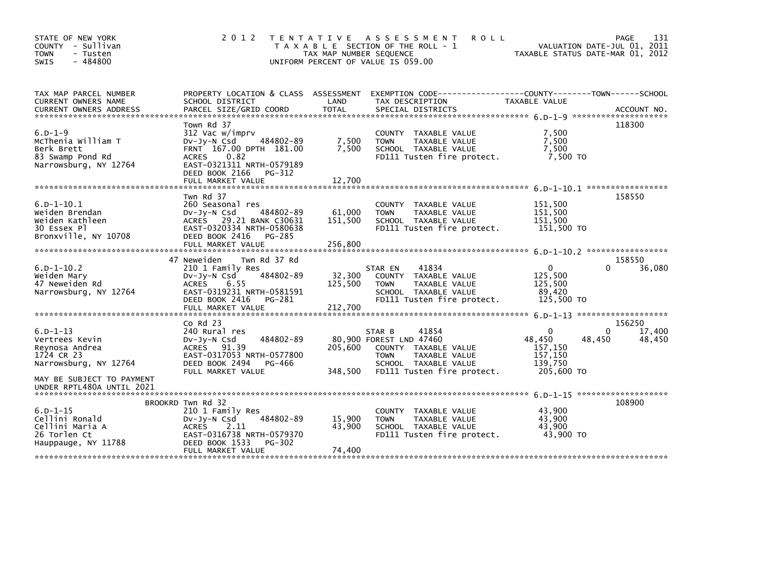| STATE OF NEW YORK<br>COUNTY - Sullivan<br><b>TOWN</b><br>- Tusten<br>$-484800$<br><b>SWIS</b>   | 2 0 1 2                                                                                                                                                                           | TAX MAP NUMBER SEQUENCE      | TENTATIVE ASSESSMENT<br><b>ROLL</b><br>T A X A B L E SECTION OF THE ROLL - 1<br>UNIFORM PERCENT OF VALUE IS 059.00                                       |                                                                        | 131<br>PAGE<br>VALUATION DATE-JUL 01, 2011<br>TAXABLE STATUS DATE-MAR 01, 2012 |
|-------------------------------------------------------------------------------------------------|-----------------------------------------------------------------------------------------------------------------------------------------------------------------------------------|------------------------------|----------------------------------------------------------------------------------------------------------------------------------------------------------|------------------------------------------------------------------------|--------------------------------------------------------------------------------|
| TAX MAP PARCEL NUMBER<br>CURRENT OWNERS NAME                                                    | PROPERTY LOCATION & CLASS ASSESSMENT EXEMPTION CODE--<br>SCHOOL DISTRICT                                                                                                          | LAND                         | TAX DESCRIPTION                                                                                                                                          | ----------------COUNTY--------TOWN------SCHOOL<br><b>TAXABLE VALUE</b> |                                                                                |
| $6. D - 1 - 9$<br>McThenia William T<br>Berk Brett<br>83 Swamp Pond Rd<br>Narrowsburg, NY 12764 | Town Rd 37<br>312 Vac w/imprv<br>DV-Jy-N Csd<br>484802-89<br>FRNT 167.00 DPTH 181.00<br>ACRES 0.82<br>EAST-0321311 NRTH-0579189<br>DEED BOOK 2166<br>PG-312                       | 7,500<br>7,500               | COUNTY TAXABLE VALUE<br>TAXABLE VALUE<br><b>TOWN</b><br>SCHOOL TAXABLE VALUE<br>FD111 Tusten fire protect.                                               | 7,500<br>7,500<br>7,500<br>7.500 TO                                    | 118300                                                                         |
| $6.D - 1 - 10.1$<br>Weiden Brendan<br>Weiden Kathleen<br>30 Essex Pl<br>Bronxville, NY 10708    | Twn Rd 37<br>260 Seasonal res<br>$Dv-Jy-N$ Csd<br>484802-89<br>ACRES 29.21 BANK C30631<br>EAST-0320334 NRTH-0580638<br>DEED BOOK 2416<br>PG-285<br>FULL MARKET VALUE              | 61.000<br>151.500<br>256,800 | COUNTY TAXABLE VALUE<br><b>TOWN</b><br>TAXABLE VALUE<br>SCHOOL TAXABLE VALUE<br>FD111 Tusten fire protect.                                               | 151,500<br>151,500<br>151,500<br>151,500 TO                            | 158550                                                                         |
| $6.D - 1 - 10.2$<br>Weiden Marv<br>47 Neweiden Rd<br>Narrowsburg, NY 12764                      | 47 Neweiden<br>Twn Rd 37 Rd<br>210 1 Family Res<br>484802-89<br>DV-JV-N Csd<br><b>ACRES</b><br>6.55<br>EAST-0319231 NRTH-0581591<br>DEED BOOK 2416<br>PG-281<br>FULL MARKET VALUE | 32,300<br>125,500<br>212,700 | 41834<br>STAR EN<br>COUNTY TAXABLE VALUE<br><b>TOWN</b><br>TAXABLE VALUE<br>SCHOOL TAXABLE VALUE<br>FD111 Tusten fire protect.                           | $\Omega$<br>125,500<br>125,500<br>89.420<br>125,500 TO                 | 158550<br>$\Omega$<br>36,080                                                   |
|                                                                                                 | $CO$ Rd $23$                                                                                                                                                                      |                              |                                                                                                                                                          |                                                                        | 156250                                                                         |
| $6.D - 1 - 13$<br>Vertrees Kevin<br>Reynosa Andrea<br>1724 CR 23<br>Narrowsburg, NY 12764       | 240 Rural res<br>484802-89<br>$Dv-Jy-N$ Csd<br>ACRES 91.39<br>EAST-0317053 NRTH-0577800<br>DEED BOOK 2494<br>PG-466<br>FULL MARKET VALUE                                          | 205.600<br>348,500           | 41854<br>STAR B<br>80,900 FOREST LND 47460<br>COUNTY TAXABLE VALUE<br><b>TOWN</b><br>TAXABLE VALUE<br>SCHOOL TAXABLE VALUE<br>FD111 Tusten fire protect. | $\Omega$<br>48,450<br>157,150<br>157,150<br>139,750<br>205,600 TO      | 0<br>17,400<br>48,450<br>48,450                                                |
| MAY BE SUBJECT TO PAYMENT<br>UNDER RPTL480A UNTIL 2021                                          |                                                                                                                                                                                   |                              |                                                                                                                                                          |                                                                        |                                                                                |
| $6.D - 1 - 15$<br>Cellini Ronald<br>Cellini Maria A<br>26 Torlen Ct<br>Hauppauge, NY 11788      | BROOKRD Twn Rd 32<br>210 1 Family Res<br>484802-89<br>DV-Jy-N Csd<br><b>ACRES</b><br>- 2.11<br>EAST-0316738 NRTH-0579370<br>DEED BOOK 1533<br>PG-302<br>FULL MARKET VALUE         | 15,900<br>43,900<br>74,400   | COUNTY TAXABLE VALUE<br>TAXABLE VALUE<br><b>TOWN</b><br>SCHOOL TAXABLE VALUE<br>FD111 Tusten fire protect.                                               | 43,900<br>43,900<br>43.900<br>43.900 TO                                | 108900                                                                         |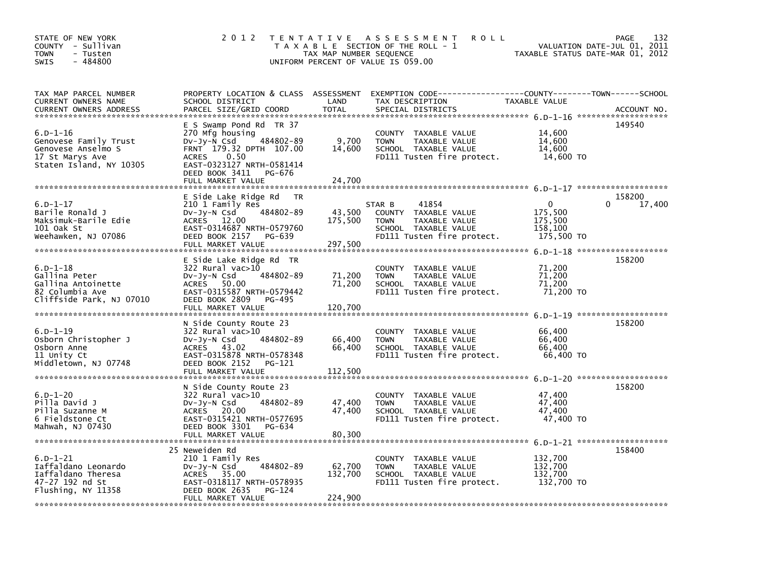| STATE OF NEW YORK<br>COUNTY - Sullivan<br><b>TOWN</b><br>- Tusten<br>$-484800$<br>SWIS                  | 2 0 1 2                                                                                                                                                                                                 | TAX MAP NUMBER SEQUENCE      | TENTATIVE ASSESSMENT<br><b>ROLL</b><br>T A X A B L E SECTION OF THE ROLL - 1<br>UNIFORM PERCENT OF VALUE IS 059.00            |                                                             | 132<br>PAGE<br>VALUATION DATE-JUL 01, 2011<br>TAXABLE STATUS DATE-MAR 01, 2012 |
|---------------------------------------------------------------------------------------------------------|---------------------------------------------------------------------------------------------------------------------------------------------------------------------------------------------------------|------------------------------|-------------------------------------------------------------------------------------------------------------------------------|-------------------------------------------------------------|--------------------------------------------------------------------------------|
| TAX MAP PARCEL NUMBER<br>CURRENT OWNERS NAME<br><b>CURRENT OWNERS ADDRESS</b>                           | PROPERTY LOCATION & CLASS ASSESSMENT<br>SCHOOL DISTRICT<br>PARCEL SIZE/GRID COORD                                                                                                                       | LAND<br><b>TOTAL</b>         | EXEMPTION CODE-----------------COUNTY-------TOWN------SCHOOL<br>TAX DESCRIPTION<br>SPECIAL DISTRICTS                          | TAXABLE VALUE                                               | ACCOUNT NO.                                                                    |
| $6.D-1-16$<br>Genovese Family Trust<br>Genovese Anselmo S<br>17 St Marys Ave<br>Staten Island, NY 10305 | E S Swamp Pond Rd TR 37<br>270 Mfg housing<br>484802-89<br>DV-Jy-N Csd<br>FRNT 179.32 DPTH 107.00<br>0.50<br><b>ACRES</b><br>EAST-0323127 NRTH-0581414<br>DEED BOOK 3411<br>PG-676<br>FULL MARKET VALUE | 9,700<br>14,600<br>24,700    | COUNTY TAXABLE VALUE<br><b>TOWN</b><br>TAXABLE VALUE<br>SCHOOL TAXABLE VALUE<br>FD111 Tusten fire protect.                    | 14,600<br>14,600<br>14,600<br>14,600 TO                     | 149540                                                                         |
|                                                                                                         | E Side Lake Ridge Rd<br><b>TR</b>                                                                                                                                                                       |                              |                                                                                                                               |                                                             | 158200                                                                         |
| $6.D - 1 - 17$<br>Barile Ronald J<br>Maksimuk-Barile Edie<br>101 Oak St<br>Weehawken, NJ 07086          | 210 1 Family Res<br>484802-89<br>$Dv-Jy-N$ Csd<br>ACRES 12.00<br>EAST-0314687 NRTH-0579760<br>DEED BOOK 2157<br>PG-639<br>FULL MARKET VALUE                                                             | 43,500<br>175,500<br>297,500 | 41854<br>STAR B<br>COUNTY TAXABLE VALUE<br><b>TOWN</b><br>TAXABLE VALUE<br>SCHOOL TAXABLE VALUE<br>FD111 Tusten fire protect. | $\mathbf{0}$<br>175,500<br>175,500<br>158,100<br>175,500 TO | 17,400<br>0                                                                    |
| $6.D-1-18$<br>Gallina Peter<br>Gallina Antoinette<br>82 Columbia Ave<br>Cliffside Park, NJ 07010        | E Side Lake Ridge Rd TR<br>$322$ Rural vac $>10$<br>484802-89<br>DV-Jy-N Csd<br>ACRES<br>50.00<br>EAST-0315587 NRTH-0579442<br>DEED BOOK 2809<br>PG-495                                                 | 71,200<br>71,200             | <b>COUNTY</b><br>TAXABLE VALUE<br>TAXABLE VALUE<br><b>TOWN</b><br>SCHOOL TAXABLE VALUE<br>FD111 Tusten fire protect.          | 71,200<br>71,200<br>71,200<br>71,200 TO                     | 158200                                                                         |
|                                                                                                         | FULL MARKET VALUE                                                                                                                                                                                       | 120,700                      |                                                                                                                               |                                                             |                                                                                |
| $6.D - 1 - 19$<br>Osborn Christopher J<br>Osborn Anne<br>11 Unity Ct<br>Middletown, NJ 07748            | N Side County Route 23<br>322 Rural vac>10<br>484802-89<br>DV-Jy-N Csd<br>ACRES 43.02<br>EAST-0315878 NRTH-0578348<br>DEED BOOK 2152<br>PG-121<br>FULL MARKET VALUE                                     | 66,400<br>66,400<br>112,500  | <b>COUNTY</b><br>TAXABLE VALUE<br><b>TOWN</b><br>TAXABLE VALUE<br>SCHOOL TAXABLE VALUE<br>FD111 Tusten fire protect.          | 66,400<br>66,400<br>66,400<br>66,400 TO                     | 158200                                                                         |
|                                                                                                         | N Side County Route 23                                                                                                                                                                                  |                              |                                                                                                                               |                                                             | 158200                                                                         |
| $6.D - 1 - 20$<br>Pilla David J<br>Pilla Suzanne M<br>6 Fieldstone Ct<br>Mahwah, NJ 07430               | 322 Rural vac>10<br>484802-89<br>DV-Jy-N Csd<br>ACRES 20.00<br>EAST-0315421 NRTH-0577695<br>DEED BOOK 3301<br>PG-634<br>FULL MARKET VALUE                                                               | 47,400<br>47,400<br>80,300   | <b>COUNTY</b><br>TAXABLE VALUE<br><b>TOWN</b><br>TAXABLE VALUE<br>SCHOOL TAXABLE VALUE<br>FD111 Tusten fire protect.          | 47,400<br>47,400<br>47,400<br>47,400 TO                     |                                                                                |
|                                                                                                         |                                                                                                                                                                                                         |                              |                                                                                                                               |                                                             | 158400                                                                         |
| $6.D-1-21$<br>Iaffaldano Leonardo<br>Iaffaldano Theresa<br>47-27 192 nd St<br>Flushing, NY 11358        | 25 Neweiden Rd<br>210 1 Family Res<br>484802-89<br>DV-Jy-N Csd<br>ACRES 35.00<br>EAST-0318117 NRTH-0578935<br>DEED BOOK 2635<br>PG-124                                                                  | 62,700<br>132,700            | COUNTY TAXABLE VALUE<br><b>TOWN</b><br>TAXABLE VALUE<br>SCHOOL TAXABLE VALUE<br>FD111 Tusten fire protect.                    | 132,700<br>132,700<br>132,700<br>132,700 TO                 |                                                                                |
|                                                                                                         | FULL MARKET VALUE                                                                                                                                                                                       | 224,900                      |                                                                                                                               |                                                             |                                                                                |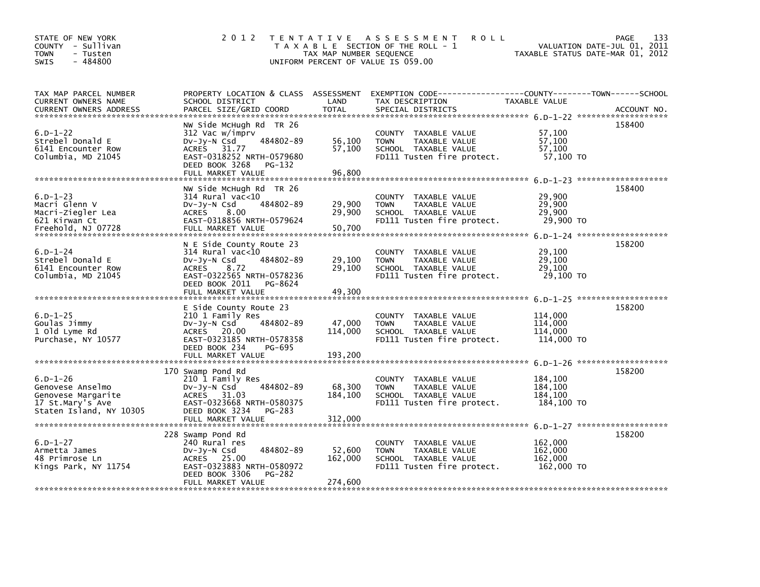| STATE OF NEW YORK<br>COUNTY - Sullivan<br><b>TOWN</b><br>- Tusten<br>$-484800$<br>SWIS                  | 2 0 1 2                                                                                                                                                                         | T E N T A T I V E<br>TAX MAP NUMBER SEQUENCE | A S S E S S M E N T<br><b>ROLL</b><br>T A X A B L E SECTION OF THE ROLL - 1<br>UNIFORM PERCENT OF VALUE IS 059.00    |                                             | 133<br>PAGE<br>VALUATION DATE-JUL 01, 2011<br>TAXABLE STATUS DATE-MAR 01, 2012 |
|---------------------------------------------------------------------------------------------------------|---------------------------------------------------------------------------------------------------------------------------------------------------------------------------------|----------------------------------------------|----------------------------------------------------------------------------------------------------------------------|---------------------------------------------|--------------------------------------------------------------------------------|
| TAX MAP PARCEL NUMBER<br><b>CURRENT OWNERS NAME</b>                                                     | PROPERTY LOCATION & CLASS ASSESSMENT<br>SCHOOL DISTRICT                                                                                                                         | LAND                                         | EXEMPTION CODE-----------------COUNTY-------TOWN------SCHOOL<br>TAX DESCRIPTION                                      | TAXABLE VALUE                               |                                                                                |
|                                                                                                         |                                                                                                                                                                                 |                                              |                                                                                                                      |                                             |                                                                                |
| $6.D - 1 - 22$<br>Strebel Donald E<br>6141 Encounter Row<br>Columbia, MD 21045                          | NW Side McHugh Rd TR 26<br>312 Vac w/imprv<br>484802-89<br>$Dv-Jy-N$ Csd<br><b>ACRES</b><br>31.77<br>EAST-0318252 NRTH-0579680<br>DEED BOOK 3268<br>PG-132<br>FULL MARKET VALUE | 56,100<br>57,100<br>96,800                   | COUNTY TAXABLE VALUE<br>TAXABLE VALUE<br><b>TOWN</b><br>SCHOOL TAXABLE VALUE<br>FD111 Tusten fire protect.           | 57,100<br>57.100<br>57,100<br>57,100 TO     | 158400                                                                         |
|                                                                                                         | NW Side McHugh Rd TR 26                                                                                                                                                         |                                              |                                                                                                                      |                                             | 158400                                                                         |
| $6.D - 1 - 23$<br>Macri Glenn V<br>Macri-Ziegler Lea<br>621 Kirwan Ct<br>Freehold, NJ 07728             | $314$ Rural vac<10<br>484802-89<br>Dv-Jy-N Csd<br><b>ACRES</b><br>8.00<br>EAST-0318856 NRTH-0579624<br>FULL MARKET VALUE                                                        | 29,900<br>29,900<br>50,700                   | COUNTY TAXABLE VALUE<br><b>TOWN</b><br>TAXABLE VALUE<br>SCHOOL TAXABLE VALUE<br>FD111 Tusten fire protect.           | 29,900<br>29,900<br>29,900<br>29,900 TO     |                                                                                |
|                                                                                                         | N E Side County Route 23                                                                                                                                                        |                                              |                                                                                                                      |                                             | 158200                                                                         |
| $6. D - 1 - 24$<br>Strebel Donald E<br>6141 Encounter Row<br>Columbia, MD 21045                         | $314$ Rural vac< $10$<br>484802-89<br>$Dv-Jy-N$ Csd<br><b>ACRES</b><br>8.72<br>EAST-0322565 NRTH-0578236<br>DEED BOOK 2011<br>PG-8624<br>FULL MARKET VALUE                      | 29,100<br>29,100<br>49,300                   | COUNTY TAXABLE VALUE<br>TAXABLE VALUE<br><b>TOWN</b><br>SCHOOL TAXABLE VALUE<br>FD111 Tusten fire protect.           | 29,100<br>29,100<br>29,100<br>29,100 TO     |                                                                                |
|                                                                                                         |                                                                                                                                                                                 |                                              |                                                                                                                      |                                             | 158200                                                                         |
| $6.D - 1 - 25$<br>Goulas Jimmy<br>1 old Lyme Rd<br>Purchase, NY 10577                                   | E Side County Route 23<br>210 1 Family Res<br>484802-89<br>DV-Jy-N Csd<br><b>ACRES</b><br>20.00<br>EAST-0323185 NRTH-0578358<br>DEED BOOK 234<br>PG-695                         | 47,000<br>114,000                            | <b>COUNTY</b><br>TAXABLE VALUE<br><b>TOWN</b><br>TAXABLE VALUE<br>SCHOOL TAXABLE VALUE<br>FD111 Tusten fire protect. | 114,000<br>114,000<br>114,000<br>114,000 TO |                                                                                |
|                                                                                                         | FULL MARKET VALUE                                                                                                                                                               | 193,200                                      |                                                                                                                      |                                             |                                                                                |
| $6.D - 1 - 26$<br>Genovese Anselmo<br>Genovese Margarite<br>17 St.Mary's Ave<br>Staten Island, NY 10305 | 170 Swamp Pond Rd<br>210 1 Family Res<br>484802-89<br>DV-Jy-N Csd<br>ACRES<br>31.03<br>EAST-0323668 NRTH-0580375<br>DEED BOOK 3234<br><b>PG-283</b><br>FULL MARKET VALUE        | 68,300<br>184,100<br>312,000                 | TAXABLE VALUE<br><b>COUNTY</b><br>TAXABLE VALUE<br><b>TOWN</b><br>SCHOOL TAXABLE VALUE<br>FD111 Tusten fire protect. | 184,100<br>184,100<br>184,100<br>184,100 TO | 158200<br>6.0-1-27 *********************                                       |
|                                                                                                         | 228 Swamp Pond Rd                                                                                                                                                               |                                              |                                                                                                                      |                                             | 158200                                                                         |
| $6.D - 1 - 27$<br>Armetta James<br>48 Primrose Ln<br>Kings Park, NY 11754                               | 240 Rural res<br>484802-89<br>DV-Jy-N Csd<br>ACRES 25.00<br>EAST-0323883 NRTH-0580972<br>DEED BOOK 3306<br>PG-282                                                               | 52,600<br>162,000                            | COUNTY TAXABLE VALUE<br>TAXABLE VALUE<br><b>TOWN</b><br>SCHOOL TAXABLE VALUE<br>FD111 Tusten fire protect.           | 162,000<br>162,000<br>162,000<br>162,000 TO |                                                                                |
|                                                                                                         | FULL MARKET VALUE                                                                                                                                                               | 274,600                                      |                                                                                                                      |                                             |                                                                                |
|                                                                                                         |                                                                                                                                                                                 |                                              |                                                                                                                      |                                             |                                                                                |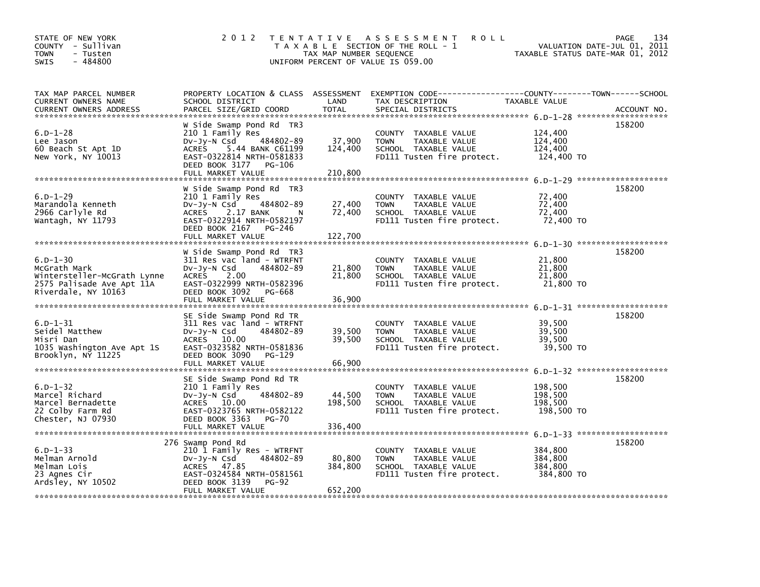| STATE OF NEW YORK<br>COUNTY - Sullivan<br>- Tusten<br><b>TOWN</b><br>$-484800$<br><b>SWIS</b>                     | 2 0 1 2                                                                                                                                                                            | TAX MAP NUMBER SEQUENCE      | <b>ROLL</b><br>TENTATIVE ASSESSMENT<br>T A X A B L E SECTION OF THE ROLL - 1<br>UNIFORM PERCENT OF VALUE IS 059.00 |                                             | PAGE<br>134<br>VALUATION DATE-JUL 01, 2011<br>TAXABLE STATUS DATE-MAR 01, 2012 |
|-------------------------------------------------------------------------------------------------------------------|------------------------------------------------------------------------------------------------------------------------------------------------------------------------------------|------------------------------|--------------------------------------------------------------------------------------------------------------------|---------------------------------------------|--------------------------------------------------------------------------------|
| TAX MAP PARCEL NUMBER<br>CURRENT OWNERS NAME<br><b>CURRENT OWNERS ADDRESS</b>                                     | PROPERTY LOCATION & CLASS ASSESSMENT<br>SCHOOL DISTRICT<br>PARCEL SIZE/GRID COORD                                                                                                  | LAND<br><b>TOTAL</b>         | EXEMPTION CODE-----------------COUNTY-------TOWN------SCHOOL<br>TAX DESCRIPTION<br>SPECIAL DISTRICTS               | TAXABLE VALUE                               | ACCOUNT NO.                                                                    |
| $6.D - 1 - 28$<br>Lee Jason<br>60 Beach St Apt 1D<br>New York, NY 10013                                           | W Side Swamp Pond Rd TR3<br>210 1 Family Res<br>484802-89<br>DV-Jy-N Csd<br>ACRES 5.44 BANK C61199<br>EAST-0322814 NRTH-0581833<br>DEED BOOK 3177<br>PG-106<br>FULL MARKET VALUE   | 37,900<br>124,400<br>210,800 | COUNTY TAXABLE VALUE<br>TAXABLE VALUE<br><b>TOWN</b><br>SCHOOL TAXABLE VALUE<br>FD111 Tusten fire protect.         | 124,400<br>124,400<br>124,400<br>124,400 TO | 158200                                                                         |
| $6.D - 1 - 29$<br>Marandola Kenneth<br>2966 Carlyle Rd<br>Wantagh, NY 11793                                       | W Side Swamp Pond Rd TR3<br>210 1 Family Res<br>484802-89<br>$Dv-Jy-N$ Csd<br>ACRES 2.17 BANK<br>N N<br>EAST-0322914 NRTH-0582197<br>DEED BOOK 2167<br>PG-246<br>FULL MARKET VALUE | 27,400<br>72,400<br>122,700  | COUNTY TAXABLE VALUE<br><b>TOWN</b><br>TAXABLE VALUE<br>SCHOOL TAXABLE VALUE<br>FD111 Tusten fire protect.         | 72,400<br>72,400<br>72,400<br>72,400 TO     | 158200<br>6.D-1-30 *********************                                       |
| $6.D - 1 - 30$<br>McGrath Mark<br>Wintersteller-McGrath Lynne<br>2575 Palisade Ave Apt 11A<br>Riverdale, NY 10163 | W Side Swamp Pond Rd TR3<br>311 Res vac land - WTRFNT<br>$Dv-Jy-N$ Csd<br>484802-89<br>ACRES 2.00<br>EAST-0322999 NRTH-0582396<br>DEED BOOK 3092<br>PG-668<br>FULL MARKET VALUE    | 21,800<br>21,800<br>36,900   | COUNTY TAXABLE VALUE<br><b>TOWN</b><br>TAXABLE VALUE<br>SCHOOL TAXABLE VALUE<br>FD111 Tusten fire protect.         | 21,800<br>21,800<br>21,800<br>21,800 TO     | 158200                                                                         |
| $6.D - 1 - 31$<br>Seidel Matthew<br>Misri Dan<br>1035 Washington Ave Apt 1S<br>Brooklyn, NY 11225                 | SE Side Swamp Pond Rd TR<br>311 Res vac land - WTRFNT<br>484802-89<br>$Dv-Jy-N$ Csd<br>ACRES 10.00<br>EAST-0323582 NRTH-0581836<br>DEED BOOK 3090<br>PG-129<br>FULL MARKET VALUE   | 39,500<br>39.500<br>66,900   | COUNTY TAXABLE VALUE<br>TAXABLE VALUE<br><b>TOWN</b><br>SCHOOL TAXABLE VALUE<br>FD111 Tusten fire protect.         | 39,500<br>39,500<br>39.500<br>39,500 TO     | 158200                                                                         |
| $6.D - 1 - 32$<br>Marcel Richard<br>Marcel Bernadette<br>22 Colby Farm Rd<br>Chester, NJ 07930                    | SE Side Swamp Pond Rd TR<br>210 1 Family Res<br>484802-89<br>DV-Jy-N Csd<br>ACRES 10.00<br>EAST-0323765 NRTH-0582122<br>DEED BOOK 3363<br><b>PG-70</b><br>FULL MARKET VALUE        | 44,500<br>198,500<br>336,400 | COUNTY TAXABLE VALUE<br>TAXABLE VALUE<br><b>TOWN</b><br>SCHOOL TAXABLE VALUE<br>FD111 Tusten fire protect.         | 198,500<br>198,500<br>198,500<br>198,500 TO | 158200                                                                         |
| $6. D - 1 - 33$<br>Melman Arnold<br>Melman Lois<br>23 Agnes Cir<br>Ardsley, NY 10502                              | 276 Swamp Pond Rd<br>210 1 Family Res - WTRFNT<br>$Dv-Jy-N$ Csd<br>484802-89<br>ACRES 47.85<br>EAST-0324584 NRTH-0581561<br>DEED BOOK 3139<br><b>PG-92</b><br>FULL MARKET VALUE    | 80,800<br>384,800<br>652,200 | COUNTY TAXABLE VALUE<br>TAXABLE VALUE<br><b>TOWN</b><br>SCHOOL TAXABLE VALUE<br>FD111 Tusten fire protect.         | 384,800<br>384,800<br>384,800<br>384,800 TO | 158200                                                                         |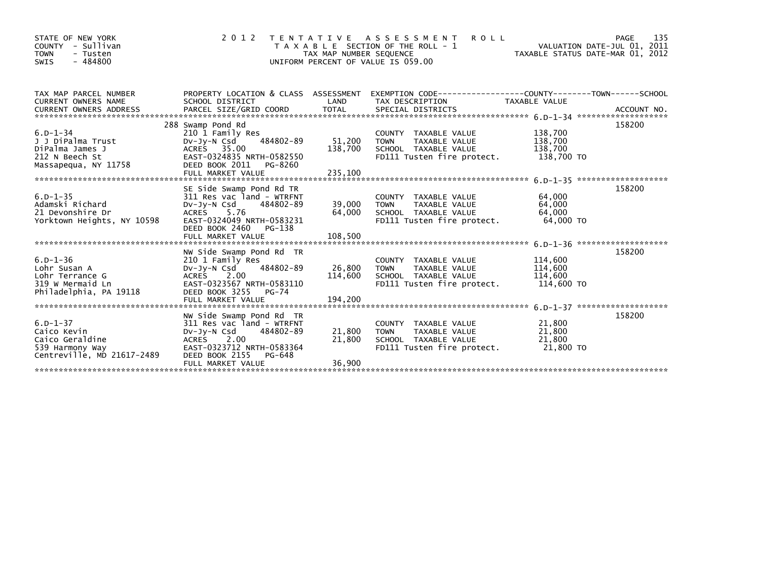| STATE OF NEW YORK<br>COUNTY - Sullivan<br><b>TOWN</b><br>- Tusten<br>$-484800$<br>SWIS             | 2 0 1 2                                                                                                                                                                         | TAX MAP NUMBER SEQUENCE         | TENTATIVE ASSESSMENT ROLL<br>T A X A B L E SECTION OF THE ROLL - 1<br>UNIFORM PERCENT OF VALUE IS 059.00            | VALUATION DATE-JUL 01, 2011<br>TAXABLE STATUS DATE-MAR 01, 2012 | PAGE<br>135 |
|----------------------------------------------------------------------------------------------------|---------------------------------------------------------------------------------------------------------------------------------------------------------------------------------|---------------------------------|---------------------------------------------------------------------------------------------------------------------|-----------------------------------------------------------------|-------------|
| TAX MAP PARCEL NUMBER<br><b>CURRENT OWNERS NAME</b>                                                | SCHOOL DISTRICT                                                                                                                                                                 | LAND                            | PROPERTY LOCATION & CLASS ASSESSMENT EXEMPTION CODE----------------COUNTY-------TOWN------SCHOOL<br>TAX DESCRIPTION | TAXABLE VALUE                                                   |             |
| $6. D - 1 - 34$<br>J J DiPalma Trust<br>DiPalma James J<br>212 N Beech St<br>Massapequa, NY 11758  | 288 Swamp Pond Rd<br>210 1 Family Res<br>484802-89<br>DV-Jy-N Csd<br>ACRES 35.00<br>EAST-0324835 NRTH-0582550<br>DEED BOOK 2011 PG-8260                                         | 51,200                          | COUNTY TAXABLE VALUE<br>TAXABLE VALUE<br><b>TOWN</b><br>138,700 SCHOOL TAXABLE VALUE<br>FD111 Tusten fire protect.  | 138,700<br>138,700<br>138,700<br>138,700 TO                     | 158200      |
| $6. D - 1 - 35$<br>Adamski Richard<br>21 Devonshire Dr<br>Yorktown Heights, NY 10598               | SE Side Swamp Pond Rd TR<br>311 Res vac land - WTRFNT<br>Dv-Jy-N Csd 484802-89<br>ACRES 5.76<br>EAST-0324049 NRTH-0583231<br>DEED BOOK 2460 PG-138                              | 39,000 TOWN<br>64,000           | COUNTY TAXABLE VALUE<br>TAXABLE VALUE<br>SCHOOL TAXABLE VALUE<br>FD111 Tusten fire protect.                         | 64,000<br>64,000<br>64.000<br>64.000 TO                         | 158200      |
| $6.D - 1 - 36$<br>Lohr Susan A<br>Lohr Terrance G<br>319 W Mermaid Ln<br>Philadelphia, PA 19118    | NW Side Swamp Pond Rd TR<br>210 1 Family Res<br>484802-89<br>DV-JY-N Csd<br>ACRES 2.00<br>EAST-0323567 NRTH-0583110<br>DEED BOOK 3255 PG-74                                     | 26.800 TOWN                     | COUNTY TAXABLE VALUE<br>TAXABLE VALUE<br>114,600 SCHOOL TAXABLE VALUE<br>FD111 Tusten fire protect.                 | 114,600<br>114,600<br>114,600<br>114,600 TO                     | 158200      |
| $6. D - 1 - 37$<br>Caico Kevin<br>Caico Geraldine<br>539 Harmony Way<br>Centreville, MD 21617-2489 | NW Side Swamp Pond Rd TR<br>311 Res vac land - WTRFNT<br>484802-89<br>$Dv-Jv-N$ Csd<br>ACRES 2.00<br>EAST-0323712 NRTH-0583364<br>DEED BOOK 2155<br>PG-648<br>FULL MARKET VALUE | 21,800 TOWN<br>21,800<br>36,900 | COUNTY TAXABLE VALUE<br>TAXABLE VALUE<br>SCHOOL TAXABLE VALUE<br>FD111 Tusten fire protect.                         | 21,800<br>21,800<br>21,800<br>21,800 TO                         | 158200      |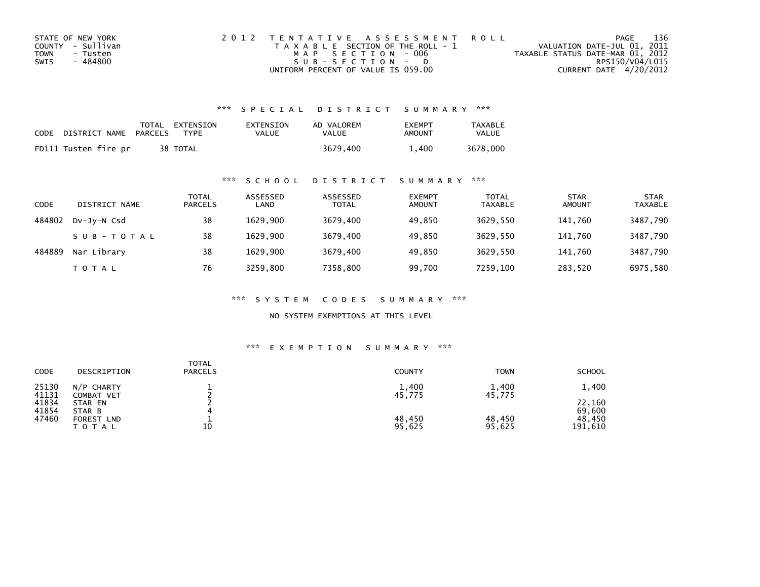| STATE OF NEW YORK | 2012 TENTATIVE ASSESSMENT ROLL        | PAGE                             | 136             |
|-------------------|---------------------------------------|----------------------------------|-----------------|
| COUNTY - Sullivan | T A X A B L E SECTION OF THE ROLL - 1 | VALUATION DATE-JUL 01, 2011      |                 |
| TOWN<br>- Tusten  | MAP SECTION - 006                     | TAXABLE STATUS DATE-MAR 01, 2012 |                 |
| - 484800<br>SWIS  | $SUB - SECTION - D$                   |                                  | RPS150/V04/L015 |
|                   | UNIFORM PERCENT OF VALUE IS 059.00    | CURRENT DATE 4/20/2012           |                 |

| CODE | DISTRICT NAME        | PARCELS | TOTAL EXTENSION<br>TYPF | EXTENSION<br>VALUE | AD VALOREM<br>VALUE | <b>EXEMPT</b><br>AMOUNT | <b>TAXABLE</b><br><b>VALUE</b> |
|------|----------------------|---------|-------------------------|--------------------|---------------------|-------------------------|--------------------------------|
|      | FD111 Tusten fire pr |         | 38 TOTAL                |                    | 3679.400            | 1,400                   | 3678,000                       |

#### \*\*\* S C H O O L D I S T R I C T S U M M A R Y \*\*\*

| CODE   | DISTRICT NAME | TOTAL<br><b>PARCELS</b> | ASSESSED<br>LAND | ASSESSED<br><b>TOTAL</b> | <b>EXEMPT</b><br><b>AMOUNT</b> | <b>TOTAL</b><br><b>TAXABLE</b> | STAR<br><b>AMOUNT</b> | <b>STAR</b><br>TAXABLE |
|--------|---------------|-------------------------|------------------|--------------------------|--------------------------------|--------------------------------|-----------------------|------------------------|
| 484802 | DV-JY-N Csd   | 38                      | 1629.900         | 3679.400                 | 49.850                         | 3629.550                       | 141.760               | 3487,790               |
|        | SUB-TOTAL     | 38                      | 1629.900         | 3679.400                 | 49.850                         | 3629.550                       | 141.760               | 3487,790               |
| 484889 | Nar Library   | 38                      | 1629.900         | 3679,400                 | 49,850                         | 3629,550                       | 141.760               | 3487,790               |
|        | TOTAL         | 76                      | 3259.800         | 7358,800                 | 99,700                         | 7259,100                       | 283,520               | 6975,580               |

\*\*\* S Y S T E M C O D E S S U M M A R Y \*\*\*

NO SYSTEM EXEMPTIONS AT THIS LEVEL

| CODE           | DESCRIPTION                       | <b>TOTAL</b><br><b>PARCELS</b> | <b>COUNTY</b>    | <b>TOWN</b>      | <b>SCHOOL</b>     |
|----------------|-----------------------------------|--------------------------------|------------------|------------------|-------------------|
| 25130<br>41131 | $N/P$ CHARTY<br><b>COMBAT VET</b> |                                | 1,400<br>45,775  | 1,400<br>45,775  | 1,400             |
| 41834<br>41854 | STAR EN<br>STAR B                 |                                |                  |                  | 72,160<br>69,600  |
| 47460          | FOREST LND<br>TOTAL               | 10                             | 48,450<br>95,625 | 48,450<br>95,625 | 48,450<br>191,610 |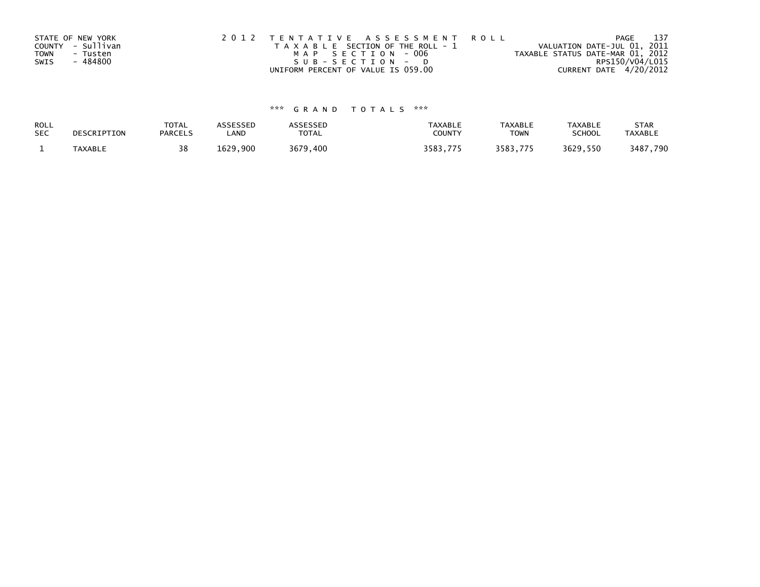| STATE OF NEW YORK |          | 2012 TENTATIVE ASSESSMENT ROLL        |  |                                  | PAGE                   | 137 |
|-------------------|----------|---------------------------------------|--|----------------------------------|------------------------|-----|
| COUNTY - Sullivan |          | T A X A B L E SECTION OF THE ROLL - 1 |  | VALUATION DATE-JUL 01, 2011      |                        |     |
| <b>TOWN</b>       | - Tusten | MAP SECTION - 006                     |  | TAXABLE STATUS DATE-MAR 01, 2012 |                        |     |
| SWIS              | - 484800 | SUB-SECTION-D                         |  |                                  | RPS150/V04/L015        |     |
|                   |          | UNIFORM PERCENT OF VALUE IS 059.00    |  |                                  | CURRENT DATE 4/20/2012 |     |

| ROLL       | DESCRIPTION | <b>TOTAL</b>   | ASSESSED | <b>ASSESSED</b> | <b>TAXABLE</b> | <b>TAXABLE</b> | <b>TAXABLE</b> | <b>STAR</b>    |
|------------|-------------|----------------|----------|-----------------|----------------|----------------|----------------|----------------|
| <b>SEC</b> |             | <b>PARCELS</b> | LAND     | TOTAL           | <b>COUNTY</b>  | <b>TOWN</b>    | <b>SCHOOL</b>  | <b>TAXABLE</b> |
|            | TAXABLE     | 38             | 1629.900 | 3679,400        | 3583.775       | 3583.775       | 3629.550       | 3487,790       |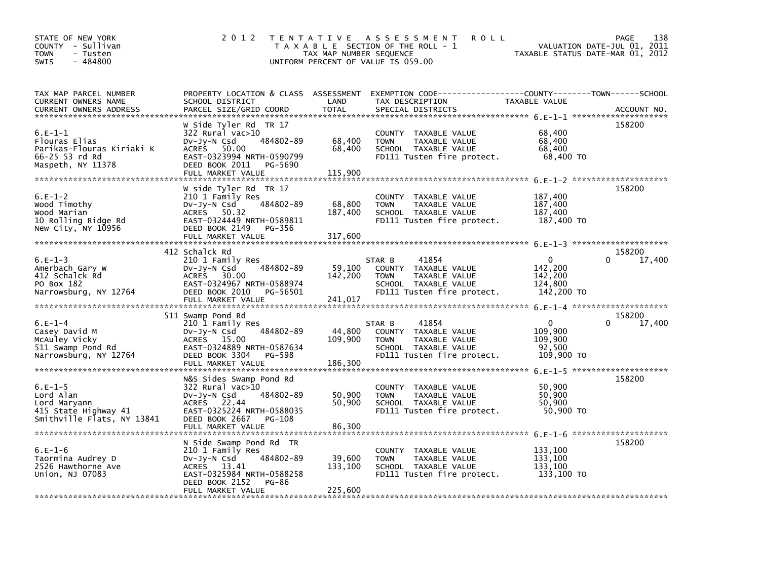| STATE OF NEW YORK<br>COUNTY - Sullivan<br><b>TOWN</b><br>- Tusten<br>$-484800$<br><b>SWIS</b>  | 2 0 1 2                                                                                                                                                                | TAX MAP NUMBER SEQUENCE      | TENTATIVE ASSESSMENT<br><b>ROLL</b><br>T A X A B L E SECTION OF THE ROLL - 1<br>UNIFORM PERCENT OF VALUE IS 059.00            | VALUATION DATE-JUL 01, 2011<br>TAXABLE STATUS DATE-MAR 01, 2012 | 138<br>PAGE                  |
|------------------------------------------------------------------------------------------------|------------------------------------------------------------------------------------------------------------------------------------------------------------------------|------------------------------|-------------------------------------------------------------------------------------------------------------------------------|-----------------------------------------------------------------|------------------------------|
| TAX MAP PARCEL NUMBER<br>CURRENT OWNERS NAME<br><b>CURRENT OWNERS ADDRESS</b>                  | PROPERTY LOCATION & CLASS ASSESSMENT<br>SCHOOL DISTRICT<br>PARCEL SIZE/GRID COORD                                                                                      | LAND<br><b>TOTAL</b>         | EXEMPTION CODE------------------COUNTY--------TOWN------SCHOOL<br>TAX DESCRIPTION<br>SPECIAL DISTRICTS                        | TAXABLE VALUE                                                   | ACCOUNT NO.                  |
| $6.E-1-1$<br>Flouras Elias<br>Parikas-Flouras Kiriaki K<br>66-25 53 rd Rd<br>Maspeth, NY 11378 | W Side Tyler Rd TR 17<br>$322$ Rural vac $>10$<br>Dv-Jy-N Csd<br>484802-89<br>ACRES 50.00<br>EAST-0323994 NRTH-0590799<br>DEED BOOK 2011<br>PG-5690                    | 68,400<br>68,400             | COUNTY TAXABLE VALUE<br>TAXABLE VALUE<br><b>TOWN</b><br>SCHOOL TAXABLE VALUE<br>FD111 Tusten fire protect.                    | 68,400<br>68,400<br>68,400<br>68,400 TO                         | 158200                       |
| $6.E-1-2$<br>Wood Timothy<br>Wood Marian<br>10 Rolling Ridge Rd<br>New City, NY 10956          | W side Tyler Rd TR 17<br>210 1 Family Res<br>484802-89<br>DV-Jy-N Csd<br>ACRES 50.32<br>EAST-0324449 NRTH-0589811<br>DEED BOOK 2149 PG-356                             | 68,800<br>187,400            | COUNTY TAXABLE VALUE<br>TAXABLE VALUE<br><b>TOWN</b><br>SCHOOL TAXABLE VALUE<br>FD111 Tusten fire protect.                    | 187,400<br>187,400<br>187,400<br>187,400 TO                     | 158200                       |
| $6.E-1-3$<br>Amerbach Gary W<br>412 Schalck Rd<br>PO Box 182<br>Narrowsburg, NY 12764          | 412 Schalck Rd<br>210 1 Family Res<br>484802-89<br>$Dv-Jy-N$ Csd<br>ACRES 30.00<br>EAST-0324967 NRTH-0588974<br>DEED BOOK 2010<br>PG-56501<br>FULL MARKET VALUE        | 59,100<br>142,200<br>241,017 | 41854<br>STAR B<br>COUNTY TAXABLE VALUE<br>TAXABLE VALUE<br><b>TOWN</b><br>SCHOOL TAXABLE VALUE<br>FD111 Tusten fire protect. | $\mathbf{0}$<br>142.200<br>142,200<br>124,800<br>142,200 TO     | 158200<br>17,400<br>$\Omega$ |
| $6.E-1-4$<br>Casey David M<br>McAuley Vicky<br>511 Swamp Pond Rd<br>Narrowsburg, NY 12764      | 511 Swamp Pond Rd<br>210 1 Family Res<br>484802-89<br>DV-Jy-N Csd<br>ACRES 15.00<br>EAST-0324889 NRTH-0587634<br>DEED BOOK 3304<br>PG-598<br>FULL MARKET VALUE         | 44,800<br>109,900<br>186,300 | STAR B<br>41854<br>COUNTY TAXABLE VALUE<br>TAXABLE VALUE<br><b>TOWN</b><br>SCHOOL TAXABLE VALUE<br>FD111 Tusten fire protect. | $\mathbf{0}$<br>109.900<br>109,900<br>92,500<br>109,900 TO      | 158200<br>$\Omega$<br>17,400 |
| $6.E-1-5$<br>Lord Alan<br>Lord Maryann<br>415 State Highway 41<br>Smithville Flats, NY 13841   | N&S Sides Swamp Pond Rd<br>322 Rural vac>10<br>484802-89<br>$Dv-Jv-N$ Csd<br>ACRES 22.44<br>EAST-0325224 NRTH-0588035<br>DEED BOOK 2667<br>PG-108<br>FULL MARKET VALUE | 50,900<br>50,900<br>86,300   | COUNTY TAXABLE VALUE<br><b>TAXABLE VALUE</b><br><b>TOWN</b><br>SCHOOL TAXABLE VALUE<br>FD111 Tusten fire protect.             | 50,900<br>50.900<br>50.900<br>50,900 TO                         | 158200                       |
| $6.E-1-6$<br>Taormina Audrey D<br>2526 Hawthorne Ave<br>Union, NJ 07083                        | N Side Swamp Pond Rd TR<br>210 1 Family Res<br>484802-89<br>$Dv-Jy-N$ Csd<br>ACRES 13.41<br>EAST-0325984 NRTH-0588258<br>DEED BOOK 2152<br>PG-86<br>FULL MARKET VALUE  | 39,600<br>133,100<br>225,600 | COUNTY TAXABLE VALUE<br>TAXABLE VALUE<br><b>TOWN</b><br>SCHOOL TAXABLE VALUE<br>FD111 Tusten fire protect.                    | 133,100<br>133,100<br>133,100<br>133,100 TO                     | 158200                       |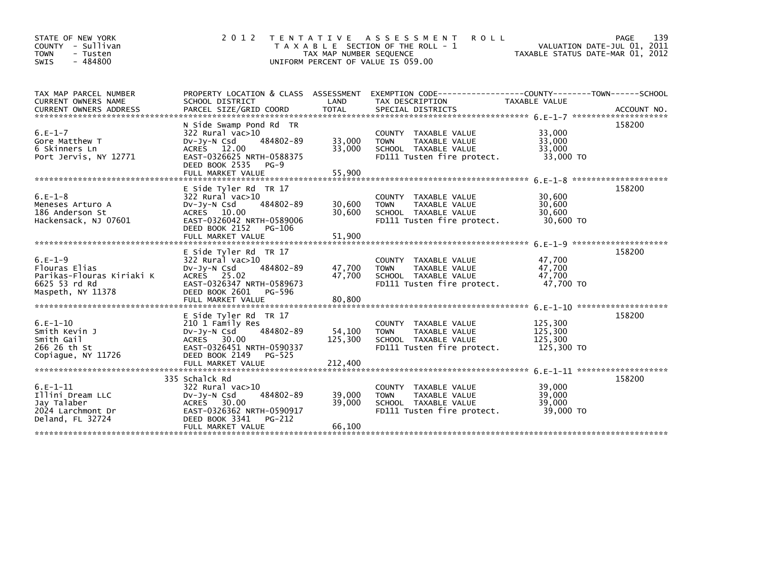| STATE OF NEW YORK<br>- Sullivan<br>COUNTY<br><b>TOWN</b><br>- Tusten<br>$-484800$<br><b>SWIS</b> | 2 0 1 2                                                                                                                                                                   | TAX MAP NUMBER SEQUENCE    | TENTATIVE ASSESSMENT<br><b>ROLL</b><br>T A X A B L E SECTION OF THE ROLL - 1<br>UNIFORM PERCENT OF VALUE IS 059.00 |                                             | 139<br>PAGE<br>VALUATION DATE-JUL 01, 2011<br>TAXABLE STATUS DATE-MAR 01, 2012 |
|--------------------------------------------------------------------------------------------------|---------------------------------------------------------------------------------------------------------------------------------------------------------------------------|----------------------------|--------------------------------------------------------------------------------------------------------------------|---------------------------------------------|--------------------------------------------------------------------------------|
| TAX MAP PARCEL NUMBER<br>CURRENT OWNERS NAME                                                     | PROPERTY LOCATION & CLASS ASSESSMENT<br>SCHOOL DISTRICT                                                                                                                   | LAND                       | EXEMPTION CODE------------------COUNTY--------TOWN------SCHOOL<br>TAX DESCRIPTION                                  | TAXABLE VALUE                               |                                                                                |
| $6.E-1-7$<br>Gore Matthew T<br>6 Skinners Ln<br>Port Jervis, NY 12771                            | N Side Swamp Pond Rd TR<br>322 Rural vac>10<br>484802-89<br>$Dv-Jv-N$ Csd<br>ACRES 12.00<br>EAST-0326625 NRTH-0588375<br>DEED BOOK 2535<br>$PG-9$<br>FULL MARKET VALUE    | 33,000<br>33,000<br>55.900 | COUNTY TAXABLE VALUE<br>TAXABLE VALUE<br><b>TOWN</b><br>SCHOOL TAXABLE VALUE<br>FD111 Tusten fire protect.         | 33,000<br>33,000<br>33,000<br>33,000 TO     | 158200                                                                         |
| $6.E-1-8$<br>Meneses Arturo A<br>186 Anderson St<br>Hackensack, NJ 07601                         | E Side Tyler Rd TR 17<br>$322$ Rural vac $>10$<br>484802-89<br>$Dv-Jy-N$ Csd<br>ACRES 10.00<br>EAST-0326042 NRTH-0589006<br>DEED BOOK 2152<br>PG-106<br>FULL MARKET VALUE | 30,600<br>30,600<br>51,900 | COUNTY TAXABLE VALUE<br>TAXABLE VALUE<br><b>TOWN</b><br>SCHOOL TAXABLE VALUE<br>FD111 Tusten fire protect.         | 30,600<br>30,600<br>30,600<br>30,600 TO     | 158200                                                                         |
| $6.E-1-9$<br>Flouras Elias<br>Parikas-Flouras Kiriaki K<br>6625 53 rd Rd<br>Maspeth, NY 11378    | E Side Tyler Rd TR 17<br>322 Rural vac>10<br>$Dv-Jv-N$ Csd<br>484802-89<br>ACRES 25.02<br>EAST-0326347 NRTH-0589673<br>DEED BOOK 2601<br>PG-596<br>FULL MARKET VALUE      | 47,700<br>47.700<br>80,800 | COUNTY TAXABLE VALUE<br><b>TOWN</b><br>TAXABLE VALUE<br>SCHOOL TAXABLE VALUE<br>FD111 Tusten fire protect.         | 47,700<br>47,700<br>47.700<br>47,700 TO     | 158200                                                                         |
| $6.E-1-10$<br>Smith Kevin J<br>Smith Gail<br>266 26 th St<br>Copiaque, NY 11726                  | E Side Tyler Rd TR 17<br>210 1 Family Res<br>484802-89<br>$Dv-Jy-N$ Csd<br>ACRES 30.00<br>EAST-0326451 NRTH-0590337<br>DEED BOOK 2149<br>PG-525                           | 54,100<br>125,300          | COUNTY TAXABLE VALUE<br><b>TOWN</b><br>TAXABLE VALUE<br>SCHOOL TAXABLE VALUE<br>FD111 Tusten fire protect.         | 125,300<br>125,300<br>125.300<br>125,300 TO | 158200                                                                         |
| $6.E-1-11$<br>Illini Dream LLC<br>Jav Talaber<br>2024 Larchmont Dr<br>Deland, FL 32724           | 335 Schalck Rd<br>$322$ Rural vac $>10$<br>484802-89<br>$Dv-Jy-N$ Csd<br>ACRES 30.00<br>EAST-0326362 NRTH-0590917<br>DEED BOOK 3341<br>PG-212<br>FULL MARKET VALUE        | 39,000<br>39,000<br>66,100 | COUNTY TAXABLE VALUE<br><b>TOWN</b><br>TAXABLE VALUE<br>SCHOOL TAXABLE VALUE<br>FD111 Tusten fire protect.         | 39,000<br>39,000<br>39,000<br>39,000 TO     | 158200                                                                         |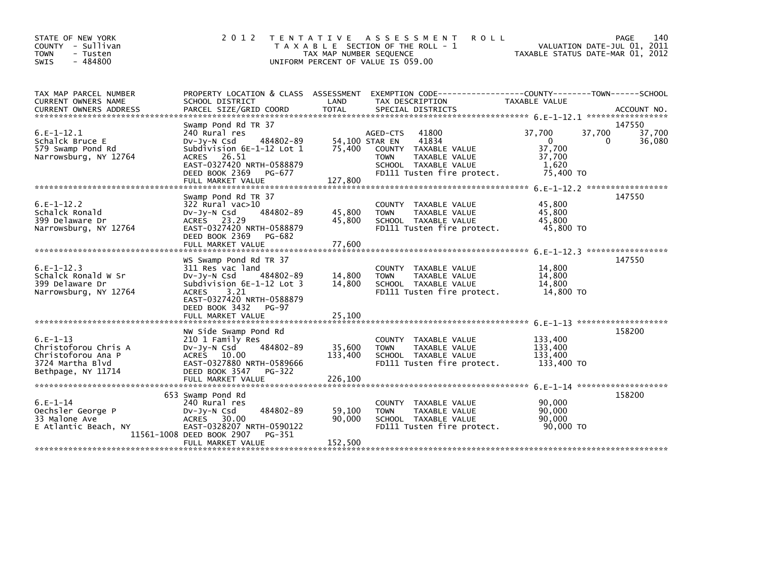| STATE OF NEW YORK<br>COUNTY - Sullivan<br><b>TOWN</b><br>- Tusten<br>$-484800$<br>SWIS             | 2 0 1 2                                                                                                                                                                                    | T E N T A T I V E<br>TAX MAP NUMBER SEQUENCE<br>UNIFORM PERCENT OF VALUE IS 059.00 | A S S E S S M E N T<br><b>ROLL</b><br>T A X A B L E SECTION OF THE ROLL - 1                                                              |                                                                  | PAGE<br>140<br>VALUATION DATE-JUL 01, 2011<br>TAXABLE STATUS DATE-MAR 01, 2012 |
|----------------------------------------------------------------------------------------------------|--------------------------------------------------------------------------------------------------------------------------------------------------------------------------------------------|------------------------------------------------------------------------------------|------------------------------------------------------------------------------------------------------------------------------------------|------------------------------------------------------------------|--------------------------------------------------------------------------------|
| TAX MAP PARCEL NUMBER<br>CURRENT OWNERS NAME                                                       | PROPERTY LOCATION & CLASS ASSESSMENT<br>SCHOOL DISTRICT                                                                                                                                    | LAND                                                                               | EXEMPTION        CODE-----------------COUNTY-------TOWN------SCHOOL<br>TAX DESCRIPTION                                                   | TAXABLE VALUE                                                    |                                                                                |
|                                                                                                    |                                                                                                                                                                                            |                                                                                    |                                                                                                                                          |                                                                  |                                                                                |
| $6.E-1-12.1$<br>Schalck Bruce E<br>579 Swamp Pond Rd<br>Narrowsburg, NY 12764                      | Swamp Pond Rd TR 37<br>240 Rural res<br>484802-89<br>DV-Jy-N Csd<br>Subdivision 6E-1-12 Lot 1<br>ACRES 26.51<br>EAST-0327420 NRTH-0588879<br>DEED BOOK 2369<br>PG-677<br>FULL MARKET VALUE | 54,100 STAR EN<br>75,400<br>127,800                                                | 41800<br>AGED-CTS<br>41834<br>COUNTY TAXABLE VALUE<br><b>TOWN</b><br>TAXABLE VALUE<br>SCHOOL TAXABLE VALUE<br>FD111 Tusten fire protect. | 37,700<br>$\mathbf{0}$<br>37,700<br>37,700<br>1,620<br>75,400 TO | 147550<br>37,700<br>37,700<br>36,080<br>0                                      |
|                                                                                                    |                                                                                                                                                                                            |                                                                                    |                                                                                                                                          |                                                                  |                                                                                |
| $6.E-1-12.2$<br>Schalck Ronald<br>399 Delaware Dr<br>Narrowsburg, NY 12764                         | Swamp Pond Rd TR 37<br>$322$ Rural vac $>10$<br>$Dv-Jy-N$ Csd<br>484802-89<br>ACRES 23.29<br>EAST-0327420 NRTH-0588879<br>DEED BOOK 2369<br>PG-682<br>FULL MARKET VALUE                    | 45,800<br>45,800<br>77,600                                                         | COUNTY TAXABLE VALUE<br>TAXABLE VALUE<br><b>TOWN</b><br>SCHOOL TAXABLE VALUE<br>FD111 Tusten fire protect.                               | 45,800<br>45,800<br>45.800<br>45,800 TO                          | 147550                                                                         |
|                                                                                                    |                                                                                                                                                                                            |                                                                                    |                                                                                                                                          |                                                                  |                                                                                |
| $6.E-1-12.3$<br>Schalck Ronald W Sr<br>399 Delaware Dr<br>Narrowsburg, NY 12764                    | WS Swamp Pond Rd TR 37<br>311 Res vac land<br>484802-89<br>$Dv-Jy-N$ Csd<br>Subdivision 6E-1-12 Lot 3<br>3.21<br><b>ACRES</b><br>EAST-0327420 NRTH-0588879<br>DEED BOOK 3432<br>PG-97      | 14,800<br>14,800                                                                   | <b>COUNTY</b><br>TAXABLE VALUE<br>TAXABLE VALUE<br><b>TOWN</b><br>SCHOOL TAXABLE VALUE<br>FD111 Tusten fire protect.                     | 14,800<br>14,800<br>14,800<br>14.800 TO                          | 147550                                                                         |
|                                                                                                    | FULL MARKET VALUE                                                                                                                                                                          | 25.100                                                                             |                                                                                                                                          |                                                                  |                                                                                |
| $6.E-1-13$<br>Christoforou Chris A<br>Christoforou Ana P<br>3724 Martha Blvd<br>Bethpage, NY 11714 | NW Side Swamp Pond Rd<br>210 1 Family Res<br>484802-89<br>$Dv-Jy-N$ Csd<br>ACRES 10.00<br>EAST-0327880 NRTH-0589666<br>DEED BOOK 3547<br>PG-322                                            | 35,600<br>133,400                                                                  | COUNTY TAXABLE VALUE<br><b>TOWN</b><br>TAXABLE VALUE<br>SCHOOL TAXABLE VALUE<br>FD111 Tusten fire protect.                               | 133,400<br>133,400<br>133.400<br>133,400 TO                      | 158200                                                                         |
|                                                                                                    | FULL MARKET VALUE                                                                                                                                                                          | 226,100                                                                            |                                                                                                                                          |                                                                  |                                                                                |
|                                                                                                    |                                                                                                                                                                                            |                                                                                    |                                                                                                                                          |                                                                  |                                                                                |
| $6.E-1-14$<br>Oechsler George P<br>33 Malone Ave<br>E Atlantic Beach, NY                           | 653 Swamp Pond Rd<br>240 Rural res<br>484802-89<br>DV-Jy-N Csd<br>ACRES 30.00<br>EAST-0328207 NRTH-0590122<br>11561-1008 DEED BOOK 2907<br>PG-351                                          | 59,100<br>90,000                                                                   | COUNTY TAXABLE VALUE<br>TAXABLE VALUE<br><b>TOWN</b><br>SCHOOL TAXABLE VALUE<br>FD111 Tusten fire protect.                               | 90,000<br>90,000<br>90,000<br>90.000 TO                          | 158200                                                                         |
|                                                                                                    | FULL MARKET VALUE                                                                                                                                                                          | 152,500                                                                            |                                                                                                                                          |                                                                  |                                                                                |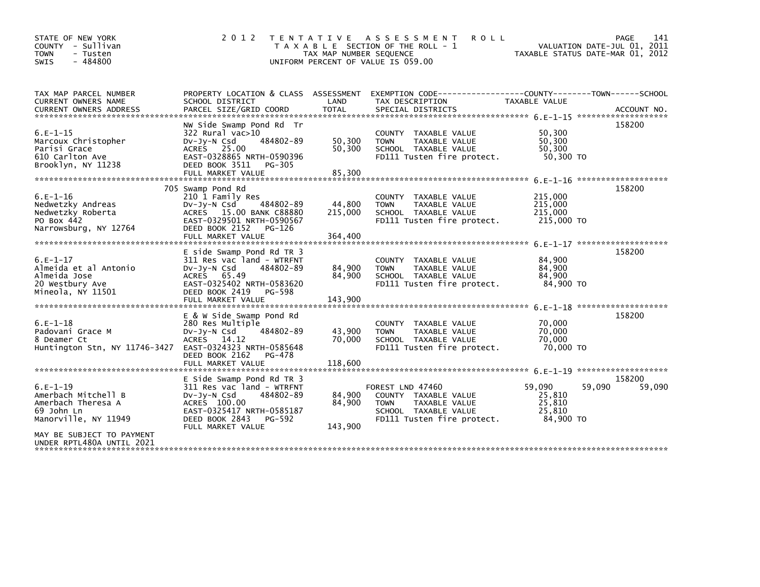| STATE OF NEW YORK<br>COUNTY - Sullivan<br><b>TOWN</b><br>- Tusten<br>$-484800$<br>SWIS                                     | 2 0 1 2                                                                                                                                                                            | TAX MAP NUMBER SEQUENCE      | TENTATIVE ASSESSMENT<br><b>ROLL</b><br>T A X A B L E SECTION OF THE ROLL - 1<br>UNIFORM PERCENT OF VALUE IS 059.00                       |                                                   | 141<br>PAGE<br>VALUATION DATE-JUL 01, 2011<br>TAXABLE STATUS DATE-MAR 01, 2012 |
|----------------------------------------------------------------------------------------------------------------------------|------------------------------------------------------------------------------------------------------------------------------------------------------------------------------------|------------------------------|------------------------------------------------------------------------------------------------------------------------------------------|---------------------------------------------------|--------------------------------------------------------------------------------|
| TAX MAP PARCEL NUMBER<br>CURRENT OWNERS NAME<br><b>CURRENT OWNERS ADDRESS</b>                                              | SCHOOL DISTRICT<br>PARCEL SIZE/GRID COORD                                                                                                                                          | LAND<br><b>TOTAL</b>         | PROPERTY LOCATION & CLASS ASSESSMENT EXEMPTION CODE----------------COUNTY-------TOWN------SCHOOL<br>TAX DESCRIPTION<br>SPECIAL DISTRICTS | <b>TAXABLE VALUE</b>                              | ACCOUNT NO.                                                                    |
| $6.E-1-15$<br>Marcoux Christopher<br>Parisi Grace<br>610 Carlton Ave<br>Brooklyn, NY 11238                                 | NW Side Swamp Pond Rd Tr<br>$322$ Rural vac $>10$<br>484802-89<br>$Dv-Jy-N$ Csd<br>ACRES 25.00<br>EAST-0328865 NRTH-0590396<br>DEED BOOK 3511<br>PG-305                            | 50,300<br>50,300             | COUNTY TAXABLE VALUE<br><b>TOWN</b><br>TAXABLE VALUE<br>SCHOOL TAXABLE VALUE<br>FD111 Tusten fire protect.                               | 50,300<br>50.300<br>50.300<br>50,300 TO           | 158200                                                                         |
| $6.E-1-16$<br>Nedwetzky Andreas<br>Nedwetzky Roberta<br>PO Box 442<br>Narrowsburg, NY 12764                                | 705 Swamp Pond Rd<br>210 1 Family Res<br>484802-89<br>$Dv-Jy-N$ Csd<br>ACRES 15.00 BANK C88880<br>EAST-0329501 NRTH-0590567<br>DEED BOOK 2152<br>PG-126<br>FULL MARKET VALUE       | 44,800<br>215,000<br>364,400 | COUNTY TAXABLE VALUE<br><b>TAXABLE VALUE</b><br><b>TOWN</b><br>SCHOOL TAXABLE VALUE<br>FD111 Tusten fire protect.                        | 215,000<br>215,000<br>215,000<br>215,000 TO       | *******************<br>158200                                                  |
| $6.E-1-17$<br>Almeida et al Antonio<br>Almeida Jose<br>20 Westbury Ave<br>Mineola, NY 11501                                | E side Swamp Pond Rd TR 3<br>311 Res vac land - WTRFNT<br>484802-89<br>$Dv-Jy-N$ Csd<br>ACRES 65.49<br>EAST-0325402 NRTH-0583620<br>DEED BOOK 2419<br>PG-598<br>FULL MARKET VALUE  | 84,900<br>84,900<br>143.900  | COUNTY TAXABLE VALUE<br><b>TOWN</b><br><b>TAXABLE VALUE</b><br>SCHOOL TAXABLE VALUE<br>FD111 Tusten fire protect.                        | 84,900<br>84,900<br>84,900<br>84,900 TO           | 6.F-1-17 ********************<br>158200                                        |
| $6. E - 1 - 18$<br>Padovani Grace M<br>8 Deamer Ct<br>Huntington Stn, NY 11746-3427                                        | E & W Side Swamp Pond Rd<br>280 Res Multiple<br>484802-89<br>$Dv-Jy-N$ Csd<br>ACRES 14.12<br>EAST-0324323 NRTH-0585648<br>DEED BOOK 2162<br>PG-478                                 | 43,900<br>70,000             | COUNTY TAXABLE VALUE<br><b>TAXABLE VALUE</b><br><b>TOWN</b><br>SCHOOL TAXABLE VALUE<br>FD111 Tusten fire protect.                        | 70.000<br>70,000<br>70,000<br>70,000 TO           | 158200                                                                         |
| $6.E-1-19$<br>Amerbach Mitchell B<br>Amerbach Theresa A<br>69 John Ln<br>Manorville, NY 11949<br>MAY BE SUBJECT TO PAYMENT | E Side Swamp Pond Rd TR 3<br>311 Res vac land - WTRFNT<br>$Dv-Jv-N$ Csd<br>484802-89<br>ACRES 100.00<br>EAST-0325417 NRTH-0585187<br>DEED BOOK 2843<br>PG-592<br>FULL MARKET VALUE | 84,900<br>84,900<br>143,900  | FOREST LND 47460<br>COUNTY TAXABLE VALUE<br><b>TOWN</b><br>TAXABLE VALUE<br>SCHOOL TAXABLE VALUE<br>FD111 Tusten fire protect.           | 59,090<br>25,810<br>25,810<br>25,810<br>84.900 TO | 158200<br>59,090<br>59,090                                                     |
| UNDER RPTL480A UNTIL 2021                                                                                                  |                                                                                                                                                                                    |                              |                                                                                                                                          |                                                   |                                                                                |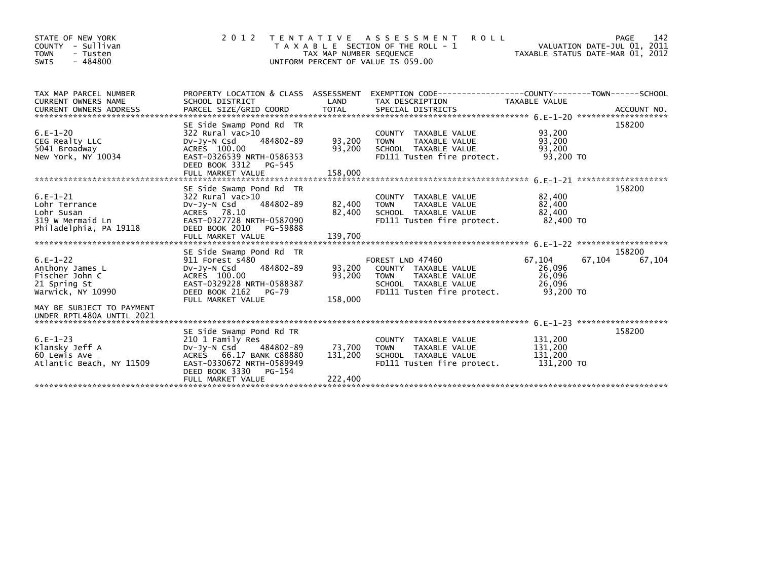| STATE OF NEW YORK<br>COUNTY - Sullivan<br>- Tusten<br><b>TOWN</b><br>$-484800$<br>SWIS | 2 0 1 2                                               | TAX MAP NUMBER SEQUENCE<br>UNIFORM PERCENT OF VALUE IS 059.00 | TENTATIVE ASSESSMENT<br><b>ROLL</b><br>T A X A B L E SECTION OF THE ROLL - 1                     |                    | 142<br>PAGE<br>VALUATION DATE-JUL 01, 2011<br>TAXABLE STATUS DATE-MAR 01, 2012 |
|----------------------------------------------------------------------------------------|-------------------------------------------------------|---------------------------------------------------------------|--------------------------------------------------------------------------------------------------|--------------------|--------------------------------------------------------------------------------|
| TAX MAP PARCEL NUMBER                                                                  |                                                       |                                                               | PROPERTY LOCATION & CLASS ASSESSMENT EXEMPTION CODE----------------COUNTY-------TOWN------SCHOOL |                    |                                                                                |
| <b>CURRENT OWNERS NAME</b>                                                             | SCHOOL DISTRICT                                       | LAND                                                          | TAX DESCRIPTION                                                                                  | TAXABLE VALUE      |                                                                                |
|                                                                                        | SE Side Swamp Pond Rd TR                              |                                                               |                                                                                                  |                    | 158200                                                                         |
| $6.E-1-20$                                                                             | 322 Rural vac>10                                      |                                                               | COUNTY TAXABLE VALUE                                                                             | 93,200             |                                                                                |
| CEG Realty LLC                                                                         | 484802-89<br>Dv-Jy-N Csd                              | 93,200                                                        | TAXABLE VALUE<br><b>TOWN</b>                                                                     | 93,200             |                                                                                |
| 5041 Broadway                                                                          | ACRES 100.00                                          | 93,200                                                        | SCHOOL TAXABLE VALUE                                                                             | 93.200             |                                                                                |
| New York, NY 10034                                                                     | EAST-0326539 NRTH-0586353<br>DEED BOOK 3312<br>PG-545 |                                                               | FD111 Tusten fire protect.                                                                       | 93,200 TO          |                                                                                |
|                                                                                        | FULL MARKET VALUE                                     | 158,000                                                       |                                                                                                  |                    |                                                                                |
|                                                                                        |                                                       |                                                               |                                                                                                  |                    |                                                                                |
|                                                                                        | SE Side Swamp Pond Rd TR                              |                                                               |                                                                                                  |                    | 158200                                                                         |
| $6.E-1-21$                                                                             | 322 Rural vac>10<br>484802-89                         |                                                               | COUNTY TAXABLE VALUE                                                                             | 82,400             |                                                                                |
| Lohr Terrance<br>Lohr Susan                                                            | $Dv-Jv-N$ Csd<br>ACRES 78.10                          | 82,400<br>82,400                                              | TAXABLE VALUE<br><b>TOWN</b><br>SCHOOL TAXABLE VALUE                                             | 82,400<br>82,400   |                                                                                |
| 319 w Mermaid Ln                                                                       | EAST-0327728 NRTH-0587090                             |                                                               | FD111 Tusten fire protect.                                                                       | 82,400 TO          |                                                                                |
| Philadelphia, PA 19118                                                                 | DEED BOOK 2010 PG-59888                               |                                                               |                                                                                                  |                    |                                                                                |
|                                                                                        | FULL MARKET VALUE                                     | 139,700                                                       |                                                                                                  |                    |                                                                                |
|                                                                                        |                                                       |                                                               |                                                                                                  |                    | 158200                                                                         |
| $6.E-1-22$                                                                             | SE Side Swamp Pond Rd TR<br>911 Forest s480           |                                                               | FOREST LND 47460                                                                                 | 67,104             | 67,104<br>67,104                                                               |
| Anthony James L                                                                        | 484802-89<br>$Dv-Jv-N$ Csd                            | 93,200                                                        | COUNTY TAXABLE VALUE                                                                             | 26,096             |                                                                                |
| Fischer John C                                                                         | ACRES 100.00                                          | 93,200                                                        | <b>TOWN</b><br>TAXABLE VALUE                                                                     | 26,096             |                                                                                |
| 21 Spring St                                                                           | EAST-0329228 NRTH-0588387                             |                                                               | SCHOOL TAXABLE VALUE                                                                             | 26,096             |                                                                                |
| Warwick, NY 10990                                                                      | DEED BOOK 2162<br>PG-79                               |                                                               | FD111 Tusten fire protect.                                                                       | 93,200 TO          |                                                                                |
|                                                                                        | FULL MARKET VALUE                                     | 158,000                                                       |                                                                                                  |                    |                                                                                |
| MAY BE SUBJECT TO PAYMENT<br>UNDER RPTL480A UNTIL 2021                                 |                                                       |                                                               |                                                                                                  |                    |                                                                                |
|                                                                                        |                                                       |                                                               |                                                                                                  |                    |                                                                                |
|                                                                                        | SE Side Swamp Pond Rd TR                              |                                                               |                                                                                                  |                    | 158200                                                                         |
| $6.E-1-23$<br>Klansky Jeff A                                                           | 210 1 Family Res<br>484802-89<br>DV-Jy-N Csd          | 73,700                                                        | COUNTY TAXABLE VALUE<br>TAXABLE VALUE<br><b>TOWN</b>                                             | 131,200<br>131,200 |                                                                                |
| 60 Lewis Ave                                                                           | ACRES 66.17 BANK C88880                               | 131,200                                                       | SCHOOL TAXABLE VALUE                                                                             | 131,200            |                                                                                |
| Atlantic Beach, NY 11509                                                               | EAST-0330672 NRTH-0589949                             |                                                               | FD111 Tusten fire protect.                                                                       | 131,200 TO         |                                                                                |
|                                                                                        | DEED BOOK 3330<br>$PG-154$                            |                                                               |                                                                                                  |                    |                                                                                |
|                                                                                        | FULL MARKET VALUE                                     | 222,400                                                       |                                                                                                  |                    |                                                                                |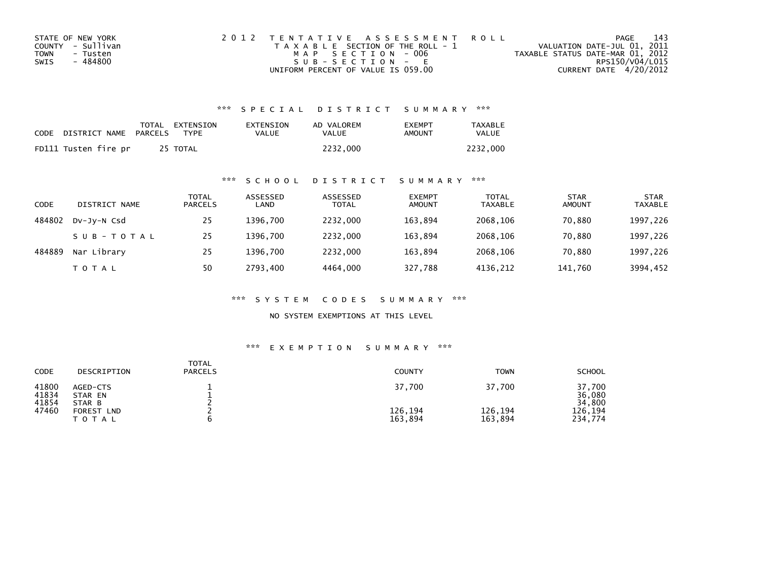| STATE OF NEW YORK | 2012 TENTATIVE ASSESSMENT ROLL        | PAGE                             | 143 |
|-------------------|---------------------------------------|----------------------------------|-----|
| COUNTY - Sullivan | T A X A B L E SECTION OF THE ROLL - 1 | VALUATION DATE-JUL 01, 2011      |     |
| TOWN<br>- Tusten  | MAP SECTION - 006                     | TAXABLE STATUS DATE-MAR 01, 2012 |     |
| - 484800<br>SWIS  | $SUB - SECTION - E$                   | RPS150/V04/L015                  |     |
|                   | UNIFORM PERCENT OF VALUE IS 059.00    | CURRENT DATE 4/20/2012           |     |

| CODE | DISTRICT NAME        | PARCELS | TOTAL EXTENSION<br><b>TYPF</b> | EXTENSION<br><b>VALUE</b> | AD VALOREM<br>VALUE | <b>FXFMPT</b><br>AMOUNT | <b>TAXABLE</b><br>VALUE |
|------|----------------------|---------|--------------------------------|---------------------------|---------------------|-------------------------|-------------------------|
|      | FD111 Tusten fire pr |         | 25 TOTAL                       |                           | 2232.000            |                         | 2232.000                |

## \*\*\* S C H O O L D I S T R I C T S U M M A R Y \*\*\*

| <b>CODE</b> | DISTRICT NAME | TOTAL<br><b>PARCELS</b> | ASSESSED<br>LAND | ASSESSED<br><b>TOTAL</b> | <b>EXEMPT</b><br><b>AMOUNT</b> | <b>TOTAL</b><br><b>TAXABLE</b> | <b>STAR</b><br><b>AMOUNT</b> | <b>STAR</b><br><b>TAXABLE</b> |
|-------------|---------------|-------------------------|------------------|--------------------------|--------------------------------|--------------------------------|------------------------------|-------------------------------|
| 484802      | DV-JV-N Csd   | 25                      | 1396.700         | 2232.000                 | 163,894                        | 2068.106                       | 70,880                       | 1997,226                      |
|             | SUB-TOTAL     | 25                      | 1396.700         | 2232,000                 | 163,894                        | 2068,106                       | 70,880                       | 1997,226                      |
| 484889      | Nar Library   | 25                      | 1396.700         | 2232,000                 | 163,894                        | 2068.106                       | 70,880                       | 1997,226                      |
|             | <b>TOTAL</b>  | 50                      | 2793,400         | 4464.000                 | 327,788                        | 4136,212                       | 141,760                      | 3994,452                      |

\*\*\* S Y S T E M C O D E S S U M M A R Y \*\*\*

NO SYSTEM EXEMPTIONS AT THIS LEVEL

| CODE                    | DESCRIPTION                   | <b>TOTAL</b><br><b>PARCELS</b> | <b>COUNTY</b>      | <b>TOWN</b>        | <b>SCHOOL</b>              |
|-------------------------|-------------------------------|--------------------------------|--------------------|--------------------|----------------------------|
| 41800<br>41834<br>41854 | AGED-CTS<br>STAR EN<br>STAR B |                                | 37,700             | 37,700             | 37,700<br>36,080<br>34,800 |
| 47460                   | FOREST<br><b>LND</b><br>TOTAL |                                | 126,194<br>163,894 | 126,194<br>163,894 | 126.194<br>234,774         |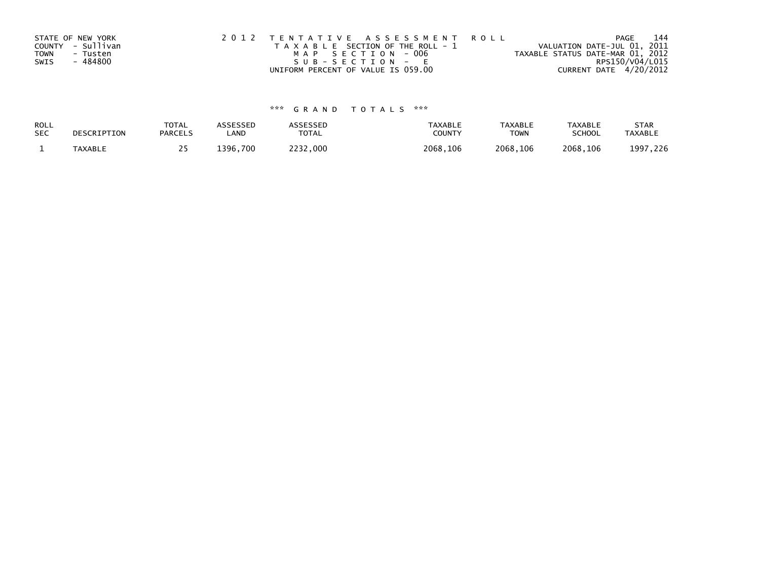|      | STATE OF NEW YORK | 2012 TENTATIVE ASSESSMENT ROLL        | PAGE                             | 144 |
|------|-------------------|---------------------------------------|----------------------------------|-----|
|      | COUNTY - Sullivan | T A X A B L E SECTION OF THE ROLL - 1 | VALUATION DATE-JUL 01, 2011      |     |
| TOWN | - Tusten          | MAP SECTION - 006                     | TAXABLE STATUS DATE-MAR 01, 2012 |     |
| SWIS | - 484800          | SUB-SECTION - E                       | RPS150/V04/L015                  |     |
|      |                   | UNIFORM PERCENT OF VALUE IS 059.00    | CURRENT DATE 4/20/2012           |     |

| ROLL       | DESCRIPTION    | <b>TOTAL</b>   | ASSESSED | ASSESSED | <b>TAXABLE</b> | <b>TAXABLE</b> | <b>TAXABLE</b> | <b>STAR</b>    |
|------------|----------------|----------------|----------|----------|----------------|----------------|----------------|----------------|
| <b>SEC</b> |                | <b>PARCELS</b> | LAND     | TOTAL    | <b>COUNTY</b>  | TOWN           | <b>SCHOOL</b>  | <b>TAXABLE</b> |
|            | <b>TAXABLE</b> |                | 1396.700 | 2232,000 | 2068,106       | 2068.106       | 2068.106       | 1997,226       |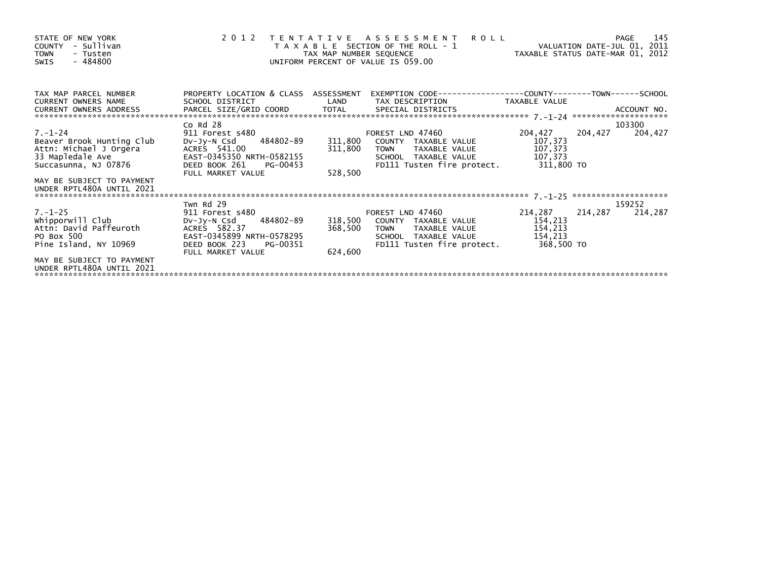| STATE OF NEW YORK<br>- Sullivan<br><b>COUNTY</b><br><b>TOWN</b><br>- Tusten<br>$-484800$<br><b>SWIS</b>          | 2012 TENTATIVE ASSESSMENT<br><b>ROLL</b><br>PAGE<br>VALUATION DATE-JUL 01, 2011<br>T A X A B L E SECTION OF THE ROLL - 1<br>VALUATION DATE SUL 01, 2012<br>TAX MAP NUMBER SEQUENCE<br>UNIFORM PERCENT OF VALUE IS 059.00 |                               |                                                                                                                                                   |                                          |         |         |  |
|------------------------------------------------------------------------------------------------------------------|--------------------------------------------------------------------------------------------------------------------------------------------------------------------------------------------------------------------------|-------------------------------|---------------------------------------------------------------------------------------------------------------------------------------------------|------------------------------------------|---------|---------|--|
| TAX MAP PARCEL NUMBER<br><b>CURRENT OWNERS NAME</b><br>CURRENT OWNERS ADDRESS                                    | PROPERTY LOCATION & CLASS ASSESSMENT<br>SCHOOL DISTRICT                                                                                                                                                                  | LAND                          | EXEMPTION CODE-----------------COUNTY-------TOWN------SCHOOL<br>TAX DESCRIPTION TAXABLE VALUE                                                     |                                          |         |         |  |
|                                                                                                                  | $Co$ Rd $28$                                                                                                                                                                                                             |                               |                                                                                                                                                   |                                          |         | 103300  |  |
| $7. - 1 - 24$<br>Beaver Brook Hunting Club<br>Attn: Michael J Orgera<br>33 Mapledale Ave<br>Succasunna, NJ 07876 | 911 Forest s480<br>DV-Jy-N Csd 484802-89<br>ACRES 541.00<br>EAST-0345350 NRTH-0582155<br>DEED BOOK 261<br>PG-00453<br>FULL MARKET VALUE                                                                                  | 311,800<br>311,800<br>528,500 | FOREST LND 47460<br>COUNTY TAXABLE VALUE<br>TOWN TAXABLE VALUE<br>SCHOOL TAXABLE VALUE<br>FD111 Tusten fire protect. 311,800 TO                   | 204,427<br>107,373<br>107,373<br>107,373 | 204,427 | 204,427 |  |
| MAY BE SUBJECT TO PAYMENT<br>UNDER RPTL480A UNTIL 2021                                                           |                                                                                                                                                                                                                          |                               |                                                                                                                                                   |                                          |         |         |  |
|                                                                                                                  | Twn Rd 29                                                                                                                                                                                                                |                               |                                                                                                                                                   |                                          |         | 159252  |  |
| $7. - 1 - 25$<br>whipporwill Club<br>Attn: David Paffeuroth<br>PO Box 500<br>Pine Island, NY 10969               | 911 Forest s480<br>484802-89<br>DV-Jy-N Csd<br>ACRES 582.37<br>EAST-0345899 NRTH-0578295<br>DEED BOOK 223<br>PG-00351<br>FULL MARKET VALUE                                                                               | 368,500<br>624.600            | FOREST LND 47460<br>318,500 COUNTY TAXABLE VALUE<br><b>TOWN</b><br>TAXABLE VALUE<br>SCHOOL TAXABLE VALUE<br>FD111 Tusten fire protect. 368,500 TO | 214,287<br>154,213<br>154,213<br>154,213 | 214,287 | 214,287 |  |
| MAY BE SUBJECT TO PAYMENT<br>UNDER RPTL480A UNTIL 2021                                                           |                                                                                                                                                                                                                          |                               |                                                                                                                                                   |                                          |         |         |  |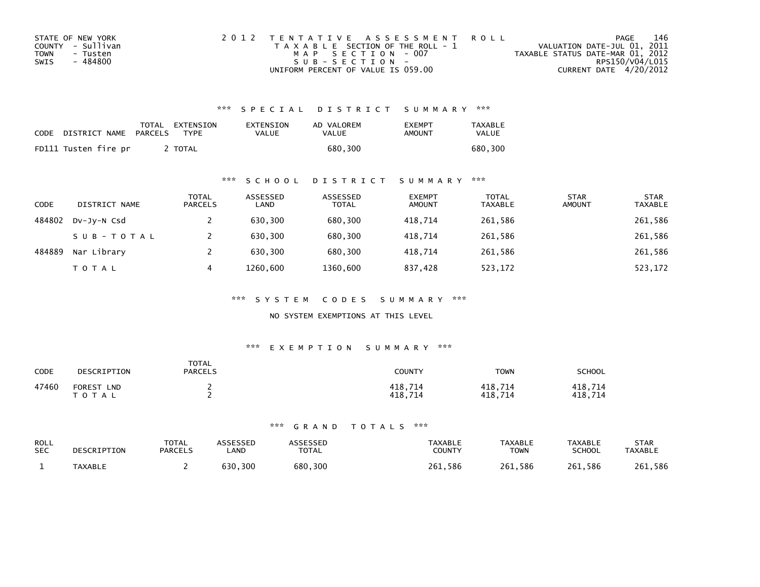| STATE OF NEW YORK | 2012 TENTATIVE ASSESSMENT ROLL        | PAGE                             | 146 |
|-------------------|---------------------------------------|----------------------------------|-----|
| COUNTY - Sullivan | T A X A B L E SECTION OF THE ROLL - 1 | VALUATION DATE-JUL 01, 2011      |     |
| TOWN<br>- Tusten  | MAP SECTION - 007                     | TAXABLE STATUS DATE-MAR 01, 2012 |     |
| - 484800<br>SWIS  | $SUB - SECTION -$                     | RPS150/V04/L015                  |     |
|                   | UNIFORM PERCENT OF VALUE IS 059.00    | CURRENT DATE 4/20/2012           |     |

| CODE | DISTRICT NAME        | PARCELS | TOTAL EXTENSION<br><b>TYPF</b> | EXTENSION<br>VALUE | AD VALOREM<br>VALUE | <b>FXFMPT</b><br>AMOUNT | <b>TAXABLE</b><br><b>VALUE</b> |
|------|----------------------|---------|--------------------------------|--------------------|---------------------|-------------------------|--------------------------------|
|      | FD111 Tusten fire pr |         | <b>TOTAL</b>                   |                    | 680.300             |                         | 680.300                        |

### \*\*\* S C H O O L D I S T R I C T S U M M A R Y \*\*\*

| <b>CODE</b> | DISTRICT NAME | <b>TOTAL</b><br><b>PARCELS</b> | ASSESSED<br>LAND | ASSESSED<br><b>TOTAL</b> | <b>EXEMPT</b><br><b>AMOUNT</b> | <b>TOTAL</b><br><b>TAXABLE</b> | <b>STAR</b><br><b>AMOUNT</b> | <b>STAR</b><br><b>TAXABLE</b> |
|-------------|---------------|--------------------------------|------------------|--------------------------|--------------------------------|--------------------------------|------------------------------|-------------------------------|
| 484802      | DV-JY-N Csd   |                                | 630,300          | 680,300                  | 418.714                        | 261,586                        |                              | 261,586                       |
|             | SUB-TOTAL     |                                | 630.300          | 680.300                  | 418.714                        | 261,586                        |                              | 261,586                       |
| 484889      | Nar Library   |                                | 630.300          | 680.300                  | 418.714                        | 261.586                        |                              | 261,586                       |
|             | TOTAL         | 4                              | 1260,600         | 1360,600                 | 837,428                        | 523,172                        |                              | 523,172                       |

\*\*\* S Y S T E M C O D E S S U M M A R Y \*\*\*

NO SYSTEM EXEMPTIONS AT THIS LEVEL

#### \*\*\* E X E M P T I O N S U M M A R Y \*\*\*

| CODE  | DESCRIPTION                              | <b>TOTAL</b><br><b>PARCELS</b> | COUNTY             | <b>TOWN</b>        | SCHOOL             |
|-------|------------------------------------------|--------------------------------|--------------------|--------------------|--------------------|
| 47460 | <b>FOREST</b><br><b>LND</b><br>T O T A L |                                | 418,714<br>418.714 | 418,714<br>418,714 | 418,714<br>418.714 |

| ROLL       | DESCRIPTION | <b>TOTAL</b>   | ASSESSED | <b>\SSESSED</b> | <b>TAXABLE</b> | <b>TAXABLE</b> | <b>TAXABLE</b> | <b>STAR</b>    |
|------------|-------------|----------------|----------|-----------------|----------------|----------------|----------------|----------------|
| <b>SEC</b> |             | <b>PARCELS</b> | _AND     | <b>TOTAL</b>    | COUNTY         | <b>TOWN</b>    | <b>SCHOOL</b>  | <b>TAXABLE</b> |
|            | TAXABLE     |                | 630,300  | 680,300         | 261.586        | 261,586        | 261,586        | 261,586        |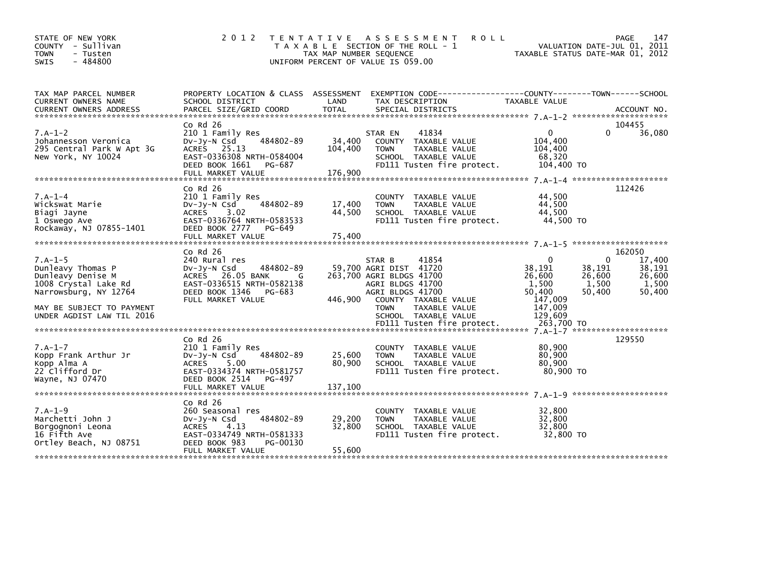| STATE OF NEW YORK<br>COUNTY - Sullivan<br><b>TOWN</b><br>- Tusten<br>$-484800$<br><b>SWIS</b>                                                                  | 2 0 1 2                                                                                                                                                              | <b>ROLL</b><br>T E N T A T I V E<br>ASSESSMENT<br>T A X A B L E SECTION OF THE ROLL - 1<br>TAX MAP NUMBER SEQUENCE<br>UNIFORM PERCENT OF VALUE IS 059.00                                                 | PAGE<br>VALUATION DATE-JUL 01, 2011<br>TAXABLE STATUS DATE-MAR 01, 2012                                                                       | 147                                           |
|----------------------------------------------------------------------------------------------------------------------------------------------------------------|----------------------------------------------------------------------------------------------------------------------------------------------------------------------|----------------------------------------------------------------------------------------------------------------------------------------------------------------------------------------------------------|-----------------------------------------------------------------------------------------------------------------------------------------------|-----------------------------------------------|
| TAX MAP PARCEL NUMBER<br>CURRENT OWNERS NAME<br><b>CURRENT OWNERS ADDRESS</b>                                                                                  | PROPERTY LOCATION & CLASS ASSESSMENT<br>SCHOOL DISTRICT<br>PARCEL SIZE/GRID COORD                                                                                    | LAND<br>TAX DESCRIPTION<br><b>TOTAL</b><br>SPECIAL DISTRICTS                                                                                                                                             | EXEMPTION CODE-----------------COUNTY-------TOWN------SCHOOL<br>TAXABLE VALUE<br>ACCOUNT NO.                                                  |                                               |
| $7.A-1-2$<br>Johannesson Veronica<br>295 Central Park W Apt 3G<br>New York, NY 10024                                                                           | $Co$ Rd $26$<br>210 1 Family Res<br>484802-89<br>$Dv-Jv-N$ Csd<br>ACRES 25.13<br>EAST-0336308 NRTH-0584004<br>DEED BOOK 1661<br>PG-687<br>FULL MARKET VALUE          | 41834<br>STAR EN<br>34,400<br>COUNTY TAXABLE VALUE<br>104,400<br>TAXABLE VALUE<br><b>TOWN</b><br>SCHOOL TAXABLE VALUE<br>FD111 Tusten fire protect.<br>176,900                                           | 104455<br>0<br>0<br>104,400<br>104,400<br>68,320<br>104,400 TO                                                                                | 36,080                                        |
| $7.A-1-4$<br>Wickswat Marie<br>Biagi Jayne<br>1 Oswego Ave<br>Rockaway, NJ 07855-1401                                                                          | $Co$ Rd $26$<br>210 1 Family Res<br>484802-89<br>DV-Jy-N Csd<br>ACRES<br>3.02<br>EAST-0336764 NRTH-0583533<br>DEED BOOK 2777<br>PG-649<br>FULL MARKET VALUE          | COUNTY TAXABLE VALUE<br>17,400<br>TAXABLE VALUE<br><b>TOWN</b><br>44,500<br>SCHOOL TAXABLE VALUE<br>FD111 Tusten fire protect.<br>75,400                                                                 | 112426<br>44,500<br>44,500<br>44,500<br>44,500 TO                                                                                             |                                               |
| $7.A-1-5$<br>Dunleavy Thomas P<br>Dunleavy Denise M<br>1008 Crystal Lake Rd<br>Narrowsburg, NY 12764<br>MAY BE SUBJECT TO PAYMENT<br>UNDER AGDIST LAW TIL 2016 | $Co$ Rd $26$<br>240 Rural res<br>484802-89<br>$Dv-Jy-N$ Csd<br>ACRES 26.05 BANK<br>G<br>EAST-0336515 NRTH-0582138<br>DEED BOOK 1346<br>PG-683<br>FULL MARKET VALUE   | 41854<br>STAR B<br>59,700 AGRI DIST 41720<br>263,700 AGRI BLDGS 41700<br>AGRI BLDGS 41700<br>AGRI BLDGS 41700<br>446,900<br>COUNTY TAXABLE VALUE<br><b>TOWN</b><br>TAXABLE VALUE<br>SCHOOL TAXABLE VALUE | 162050<br>$\Omega$<br>$\Omega$<br>38,191<br>38,191<br>26,600<br>26,600<br>1,500<br>1,500<br>50,400<br>50,400<br>147,009<br>147,009<br>129,609 | 17,400<br>38,191<br>26,600<br>1,500<br>50,400 |
| $7.A-1-7$<br>Kopp Frank Arthur Jr<br>Kopp Alma A<br>22 Clifford Dr<br>Wayne, NJ 07470                                                                          | $CO$ Rd $26$<br>210 1 Family Res<br>484802-89<br>$Dv-Jy-N$ Csd<br><b>ACRES</b><br>5.00<br>EAST-0334374 NRTH-0581757<br>DEED BOOK 2514<br>PG-497<br>FULL MARKET VALUE | COUNTY TAXABLE VALUE<br>25,600<br><b>TOWN</b><br>TAXABLE VALUE<br>80,900<br>SCHOOL TAXABLE VALUE<br>FD111 Tusten fire protect.<br>137,100                                                                | 129550<br>80,900<br>80,900<br>80.900<br>80,900 TO                                                                                             |                                               |
| $7.A-1-9$<br>Marchetti John J<br>Borgognoni Leona<br>16 Fifth Ave<br>Ortley Beach, NJ 08751                                                                    | $CO$ Rd $26$<br>260 Seasonal res<br>484802-89<br>DV-Jy-N Csd<br><b>ACRES</b><br>4.13<br>EAST-0334749 NRTH-0581333<br>DEED BOOK 983<br>PG-00130<br>FULL MARKET VALUE  | COUNTY TAXABLE VALUE<br>29,200<br><b>TOWN</b><br>TAXABLE VALUE<br>32.800<br>SCHOOL TAXABLE VALUE<br>FD111 Tusten fire protect.<br>55,600                                                                 | 32,800<br>32,800<br>32.800<br>32,800 TO                                                                                                       |                                               |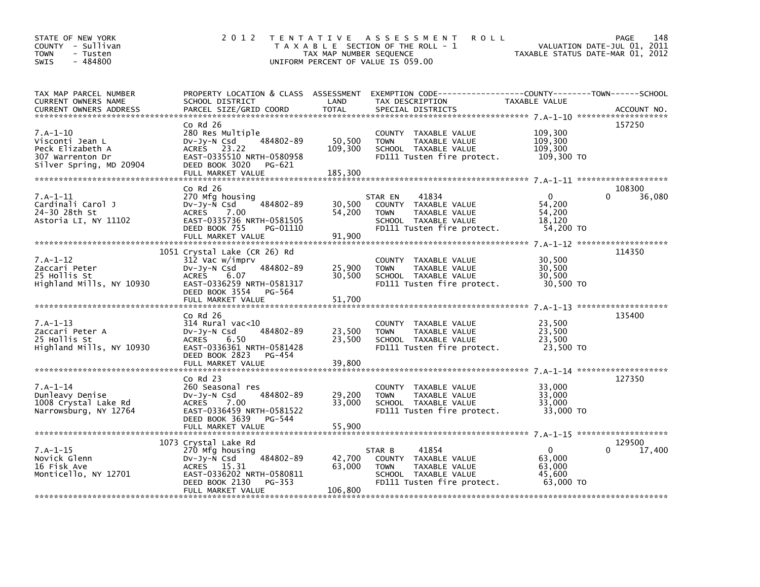| STATE OF NEW YORK<br>COUNTY - Sullivan<br><b>TOWN</b><br>- Tusten<br>$-484800$<br><b>SWIS</b>    | 2 0 1 2                                                                                                                                                            | TAX MAP NUMBER SEQUENCE      | TENTATIVE ASSESSMENT<br><b>ROLL</b><br>T A X A B L E SECTION OF THE ROLL - 1<br>UNIFORM PERCENT OF VALUE IS 059.00                      | VALUATION DATE-JUL 01,<br>TAXABLE STATUS DATE-MAR 01, 2012 | 148<br>PAGE<br>2011 |
|--------------------------------------------------------------------------------------------------|--------------------------------------------------------------------------------------------------------------------------------------------------------------------|------------------------------|-----------------------------------------------------------------------------------------------------------------------------------------|------------------------------------------------------------|---------------------|
| TAX MAP PARCEL NUMBER<br>CURRENT OWNERS NAME<br><b>CURRENT OWNERS ADDRESS</b>                    | SCHOOL DISTRICT<br>PARCEL SIZE/GRID COORD                                                                                                                          | LAND<br><b>TOTAL</b>         | PROPERTY LOCATION & CLASS ASSESSMENT EXEMPTION CODE---------------COUNTY-------TOWN------SCHOOL<br>TAX DESCRIPTION<br>SPECIAL DISTRICTS | TAXABLE VALUE                                              | ACCOUNT NO.         |
| $7.A-1-10$<br>Visconti Jean L<br>Peck Elizabeth A<br>307 Warrenton Dr<br>Silver Spring, MD 20904 | $Co$ Rd $26$<br>280 Res Multiple<br>484802-89<br>DV-JV-N Csd<br>ACRES 23.22<br>EAST-0335510 NRTH-0580958<br>DEED BOOK 3020<br>PG-621<br>FULL MARKET VALUE          | 50,500<br>109,300<br>185,300 | COUNTY TAXABLE VALUE<br>TAXABLE VALUE<br><b>TOWN</b><br>SCHOOL TAXABLE VALUE<br>FD111 Tusten fire protect.                              | 109,300<br>109,300<br>109,300<br>109,300 TO                | 157250              |
|                                                                                                  | $Co$ Rd $26$                                                                                                                                                       |                              |                                                                                                                                         |                                                            | 108300              |
| $7.A-1-11$<br>Cardinali Carol J<br>24-30 28th St<br>Astoria LI, NY 11102                         | 270 Mfg housing<br>DV-JY-N Csd<br>484802-89<br>ACRES<br>7.00<br>EAST-0335736 NRTH-0581505<br>DEED BOOK 755<br>PG-01110<br>FULL MARKET VALUE                        | 30,500<br>54,200<br>91,900   | 41834<br>STAR EN<br>COUNTY TAXABLE VALUE<br>TAXABLE VALUE<br><b>TOWN</b><br>SCHOOL TAXABLE VALUE<br>FD111 Tusten fire protect.          | $\mathbf{0}$<br>54,200<br>54,200<br>18.120<br>54,200 TO    | $\Omega$<br>36,080  |
|                                                                                                  |                                                                                                                                                                    |                              |                                                                                                                                         |                                                            |                     |
| $7.A-1-12$<br>Zaccari Peter<br>25 Hollis St<br>Highland Mills, NY 10930                          | 1051 Crystal Lake (CR 26) Rd<br>312 Vac w/imprv<br>484802-89<br>DV-Jy-N Csd<br><b>ACRES</b><br>6.07<br>EAST-0336259 NRTH-0581317<br>DEED BOOK 3554<br>PG-564       | 25,900<br>30,500             | COUNTY TAXABLE VALUE<br>TAXABLE VALUE<br><b>TOWN</b><br>SCHOOL TAXABLE VALUE<br>FD111 Tusten fire protect.                              | 30,500<br>30,500<br>30,500<br>30,500 TO                    | 114350              |
|                                                                                                  | FULL MARKET VALUE                                                                                                                                                  | 51,700                       |                                                                                                                                         |                                                            |                     |
| $7.A-1-13$<br>Zaccari Peter A<br>25 Hollis St<br>Highland Mills, NY 10930                        | Co Rd 26<br>$314$ Rural vac<10<br>484802-89<br>DV-JY-N Csd<br><b>ACRES</b><br>6.50<br>EAST-0336361 NRTH-0581428                                                    | 23,500<br>23,500             | COUNTY TAXABLE VALUE<br><b>TOWN</b><br>TAXABLE VALUE<br>SCHOOL TAXABLE VALUE<br>FD111 Tusten fire protect.                              | 23,500<br>23,500<br>23,500<br>23,500 TO                    | 135400              |
|                                                                                                  | DEED BOOK 2823<br>PG-454                                                                                                                                           |                              |                                                                                                                                         |                                                            |                     |
|                                                                                                  | FULL MARKET VALUE<br>$Co$ Rd $23$                                                                                                                                  | 39,800                       |                                                                                                                                         |                                                            | 127350              |
| $7.A-1-14$<br>Dunleavy Denise<br>1008 Crystal Lake Rd<br>Narrowsburg, NY 12764                   | 260 Seasonal res<br>484802-89<br>$Dv-Jy-N$ Csd<br><b>ACRES</b><br>7.00<br>EAST-0336459 NRTH-0581522<br>DEED BOOK 3639<br>PG-544<br>FULL MARKET VALUE               | 29,200<br>33,000<br>55,900   | COUNTY TAXABLE VALUE<br><b>TOWN</b><br>TAXABLE VALUE<br>SCHOOL TAXABLE VALUE<br>FD111 Tusten fire protect.                              | 33,000<br>33.000<br>33,000<br>33,000 TO                    |                     |
|                                                                                                  |                                                                                                                                                                    |                              |                                                                                                                                         |                                                            |                     |
| $7.A-1-15$<br>Novick Glenn<br>16 Fisk Ave<br>Monticello, NY 12701                                | 1073 Crystal Lake Rd<br>270 Mfg housing<br>$Dv-Jy-N$ Csd<br>484802-89<br>ACRES 15.31<br>EAST-0336202 NRTH-0580811<br>DEED BOOK 2130<br>PG-353<br>FULL MARKET VALUE | 42,700<br>63,000<br>106,800  | 41854<br>STAR B<br>COUNTY TAXABLE VALUE<br>TAXABLE VALUE<br><b>TOWN</b><br>SCHOOL TAXABLE VALUE<br>FD111 Tusten fire protect.           | $\Omega$<br>63,000<br>63,000<br>45.600<br>63,000 TO        | 129500<br>17,400    |
|                                                                                                  |                                                                                                                                                                    |                              |                                                                                                                                         |                                                            |                     |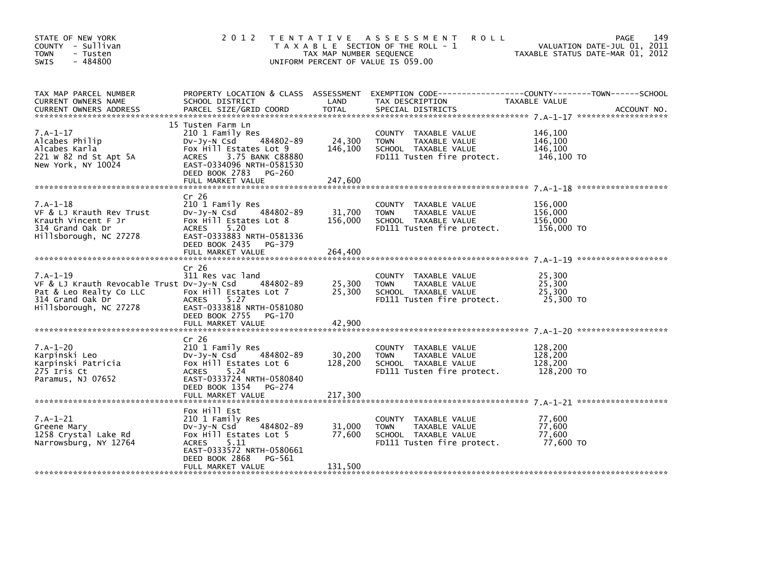| STATE OF NEW YORK<br>COUNTY - Sullivan<br><b>TOWN</b><br>- Tusten<br>$-484800$<br><b>SWIS</b>                                     |                                                                                                                                                                                              | TAX MAP NUMBER SEQUENCE      | 2012 TENTATIVE ASSESSMENT<br><b>ROLL</b><br>T A X A B L E SECTION OF THE ROLL - 1<br>UNIFORM PERCENT OF VALUE IS 059.00 | 149<br><b>PAGE</b><br>VALUATION DATE-JUL 01, 2011<br>TAXABLE STATUS DATE-MAR 01, 2012                              |
|-----------------------------------------------------------------------------------------------------------------------------------|----------------------------------------------------------------------------------------------------------------------------------------------------------------------------------------------|------------------------------|-------------------------------------------------------------------------------------------------------------------------|--------------------------------------------------------------------------------------------------------------------|
| TAX MAP PARCEL NUMBER<br>CURRENT OWNERS NAME                                                                                      | SCHOOL DISTRICT                                                                                                                                                                              | LAND                         | TAX DESCRIPTION                                                                                                         | PROPERTY LOCATION & CLASS ASSESSMENT EXEMPTION CODE-----------------COUNTY-------TOWN------SCHOOL<br>TAXABLE VALUE |
| $7.A-1-17$<br>Alcabes Philip<br>Alcabes Karla<br>221 W 82 nd St Apt 5A<br>New York, NY 10024                                      | 15 Tusten Farm Ln<br>210 1 Family Res<br>484802-89<br>DV-Jy-N Csd<br>Fox Hill Estates Lot 9<br><b>ACRES</b><br>3.75 BANK C88880<br>EAST-0334096 NRTH-0581530<br>DEED BOOK 2783 PG-260        | 24,300<br>146,100            | COUNTY TAXABLE VALUE<br><b>TOWN</b><br>TAXABLE VALUE<br>SCHOOL TAXABLE VALUE<br>FD111 Tusten fire protect.              | 146,100<br>146,100<br>146,100<br>146,100 TO                                                                        |
| $7.A-1-18$<br>VF & LJ Krauth Rev Trust<br>Krauth Vincent F Jr<br>314 Grand Oak Dr<br>Hillsborough, NC 27278                       | Cr 26<br>210 1 Family Res<br>DV-Jy-N Csd<br>484802-89<br>Fox Hill Estates Lot 8<br><b>ACRES</b><br>5.20<br>EAST-0333883 NRTH-0581336<br>DEED BOOK 2435 PG-379<br>FULL MARKET VALUE           | 31,700<br>156,000<br>264,400 | COUNTY TAXABLE VALUE<br><b>TOWN</b><br>TAXABLE VALUE<br>SCHOOL TAXABLE VALUE<br>FD111 Tusten fire protect.              | 156,000<br>156,000<br>156,000<br>156,000 TO                                                                        |
| $7.A-1-19$<br>VF & LJ Krauth Revocable Trust Dv-Jy-N Csd<br>Pat & Leo Realty Co LLC<br>314 Grand Oak Dr<br>Hillsborough, NC 27278 | Cr <sub>26</sub><br>311 Res vac land<br>484802-89<br>Fox Hill Estates Lot 7<br><b>ACRES</b><br>5.27<br>EAST-0333818 NRTH-0581080<br>DEED BOOK 2755 PG-170                                    | 25,300<br>25,300             | COUNTY TAXABLE VALUE<br><b>TOWN</b><br>TAXABLE VALUE<br>SCHOOL TAXABLE VALUE<br>FD111 Tusten fire protect.              | 25,300<br>25,300<br>25,300<br>25,300 TO                                                                            |
| $7.A-1-20$<br>Karpinski Leo<br>Karpinski Patricia<br>275 Iris Ct<br>Paramus, NJ 07652                                             | Cr <sub>26</sub><br>210 1 Family Res<br>484802-89<br>DV-Jy-N Csd<br>Fox Hill Estates Lot 6<br><b>ACRES</b><br>5.24<br>EAST-0333724 NRTH-0580840<br>DEED BOOK 1354 PG-274                     | 30,200<br>128,200            | COUNTY TAXABLE VALUE<br>TAXABLE VALUE<br><b>TOWN</b><br>SCHOOL TAXABLE VALUE<br>FD111 Tusten fire protect.              | 128.200<br>128,200<br>128,200<br>128,200 TO                                                                        |
| $7.A-1-21$<br>Greene Mary<br>1258 Crystal Lake Rd<br>Narrowsburg, NY 12764                                                        | Fox Hill Est<br>210 1 Family Res<br>484802-89<br>DV-Jy-N Csd<br>Fox Hill Estates Lot 5<br><b>ACRES</b><br>5.11<br>EAST-0333572 NRTH-0580661<br>DEED BOOK 2868<br>PG-561<br>FULL MARKET VALUE | 31,000<br>77,600<br>131,500  | COUNTY TAXABLE VALUE<br><b>TOWN</b><br>TAXABLE VALUE<br>SCHOOL TAXABLE VALUE<br>FD111 Tusten fire protect.              | 77,600<br>77,600<br>77,600<br>77,600 TO                                                                            |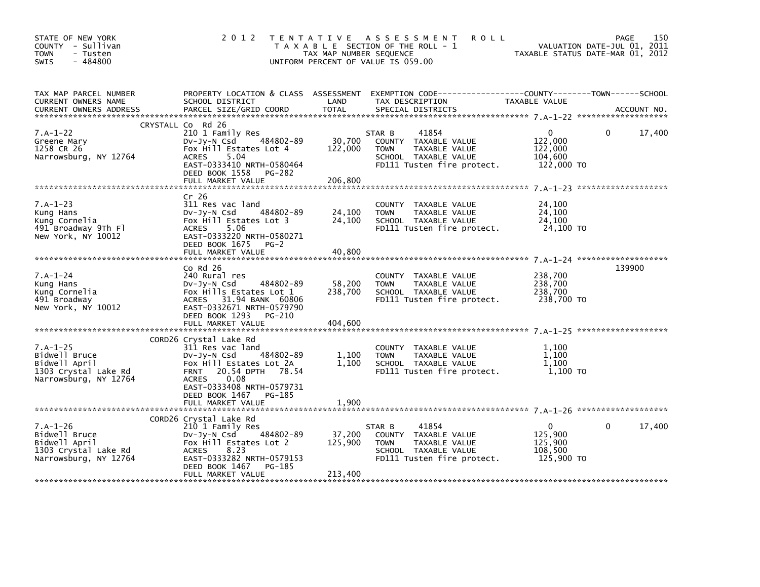| STATE OF NEW YORK<br>COUNTY - Sullivan<br><b>TOWN</b><br>- Tusten<br>$-484800$<br>SWIS        |                                                                                                                                                                                                                       | TAX MAP NUMBER SEQUENCE      | 2012 TENTATIVE ASSESSMENT<br><b>ROLL</b><br>T A X A B L E SECTION OF THE ROLL - 1<br>UNIFORM PERCENT OF VALUE IS 059.00       |                                                             | 150<br>PAGE<br>VALUATION DATE-JUL U1, ZUII<br>TAXABLE STATUS DATE-MAR 01, 2012 |
|-----------------------------------------------------------------------------------------------|-----------------------------------------------------------------------------------------------------------------------------------------------------------------------------------------------------------------------|------------------------------|-------------------------------------------------------------------------------------------------------------------------------|-------------------------------------------------------------|--------------------------------------------------------------------------------|
| TAX MAP PARCEL NUMBER<br>CURRENT OWNERS NAME<br><b>CURRENT OWNERS ADDRESS</b>                 | PROPERTY LOCATION & CLASS ASSESSMENT<br>SCHOOL DISTRICT<br>PARCEL SIZE/GRID COORD                                                                                                                                     | LAND<br><b>TOTAL</b>         | EXEMPTION CODE-----------------COUNTY-------TOWN------SCHOOL<br>TAX DESCRIPTION<br>SPECIAL DISTRICTS                          | TAXABLE VALUE                                               | ACCOUNT NO.                                                                    |
|                                                                                               | CRYSTALL Co Rd 26                                                                                                                                                                                                     |                              |                                                                                                                               |                                                             |                                                                                |
| $7.A-1-22$<br>Greene Mary<br>1258 CR 26<br>Narrowsburg, NY 12764                              | 210 1 Family Res<br>DV-JV-N Csd 484802-89<br>Fox Hill Estates Lot 4<br>5.04<br>ACRES<br>EAST-0333410 NRTH-0580464<br>DEED BOOK 1558 PG-282                                                                            | 30,700<br>122,000            | 41854<br>STAR B<br>COUNTY TAXABLE VALUE<br>TAXABLE VALUE<br><b>TOWN</b><br>SCHOOL TAXABLE VALUE<br>FD111 Tusten fire protect. | $\mathbf{0}$<br>122,000<br>122,000<br>104,600<br>122,000 TO | 17,400<br>$\Omega$                                                             |
|                                                                                               | FULL MARKET VALUE                                                                                                                                                                                                     | 206,800                      |                                                                                                                               |                                                             |                                                                                |
| $7.A-1-23$<br>Kung Hans<br>Kung Cornelia<br>491 Broadway 9Th Fl<br>New York, NY 10012         | Cr 26<br>311 Res vac land<br>DV-Jy-N Csd 484802-89<br>Fox Hill Estates Lot 3<br><b>ACRES</b><br>5.06<br>EAST-0333220 NRTH-0580271<br>DEED BOOK 1675 PG-2                                                              | 24,100<br>24,100             | COUNTY TAXABLE VALUE<br>TAXABLE VALUE<br><b>TOWN</b><br>SCHOOL TAXABLE VALUE<br>FD111 Tusten fire protect.                    | 24,100<br>24,100<br>24,100<br>$24,100$ TO                   |                                                                                |
|                                                                                               | FULL MARKET VALUE                                                                                                                                                                                                     | 40,800                       |                                                                                                                               |                                                             |                                                                                |
| $7.A-1-24$<br>Kung Hans<br>Kung Cornelia<br>491 Broadway<br>New York, NY 10012                | $Co$ Rd $26$<br>240 Rural res<br>DV-Jy-N Csd 484802-89<br>Fox Hills Estates Lot 1<br>ACRES 31.94 BANK 60806<br>EAST-0332671 NRTH-0579790<br>DEED BOOK 1293<br>PG-210<br>FULL MARKET VALUE                             | 58,200<br>238,700<br>404,600 | COUNTY TAXABLE VALUE<br>TOWN<br>TAXABLE VALUE<br>SCHOOL TAXABLE VALUE<br>FD111 Tusten fire protect.                           | 238,700<br>238,700<br>238,700<br>238,700 TO                 | 139900                                                                         |
|                                                                                               |                                                                                                                                                                                                                       |                              |                                                                                                                               |                                                             |                                                                                |
| $7.A-1-25$<br>Bidwell Bruce<br>Bidwell April<br>1303 Crystal Lake Rd<br>Narrowsburg, NY 12764 | CORD26 Crystal Lake Rd<br>311 Res vac land<br>484802-89<br>DV-Jy-N Csd<br>Fox Hill Estates Lot 2A<br>20.54 DPTH 78.54<br><b>FRNT</b><br>0.08<br><b>ACRES</b><br>EAST-0333408 NRTH-0579731<br>DEED BOOK 1467<br>PG-185 | 1,100<br>1,100               | COUNTY TAXABLE VALUE<br><b>TOWN</b><br>TAXABLE VALUE<br>SCHOOL TAXABLE VALUE<br>FD111 Tusten fire protect. 1,100 TO           | 1,100<br>1,100<br>1,100                                     |                                                                                |
|                                                                                               |                                                                                                                                                                                                                       |                              |                                                                                                                               |                                                             |                                                                                |
| $7.A-1-26$<br>Bidwell Bruce<br>Bidwell April<br>1303 Crystal Lake Rd<br>Narrowsburg, NY 12764 | CORD26 Crystal Lake Rd<br>210 1 Family Res<br>484802-89<br>DV-JY-N Csd<br>Fox Hill Estates Lot 2<br>ACRES<br>8.23<br>EAST-0333282 NRTH-0579153<br>DEED BOOK 1467<br>PG-185<br>FULL MARKET VALUE                       | 37,200<br>125,900<br>213,400 | 41854<br>STAR B<br>COUNTY TAXABLE VALUE<br><b>TOWN</b><br>TAXABLE VALUE<br>SCHOOL TAXABLE VALUE<br>FD111 Tusten fire protect. | $\Omega$<br>125,900<br>125,900<br>108,500<br>125,900 TO     | 17,400<br>$\mathbf{0}$                                                         |
|                                                                                               |                                                                                                                                                                                                                       |                              |                                                                                                                               |                                                             |                                                                                |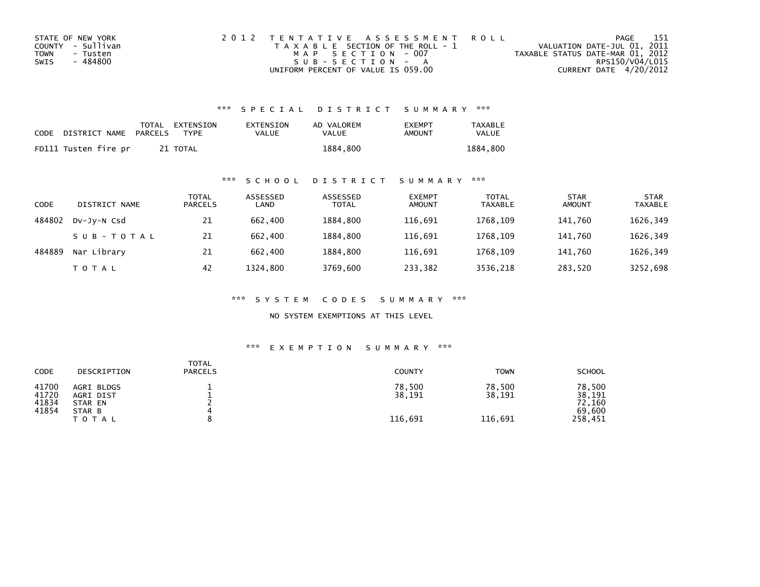| STATE OF NEW YORK | 2012 TENTATIVE ASSESSMENT ROLL        | PAGE                             | - 151 |
|-------------------|---------------------------------------|----------------------------------|-------|
| COUNTY - Sullivan | T A X A B L E SECTION OF THE ROLL - 1 | VALUATION DATE-JUL 01, 2011      |       |
| TOWN<br>- Tusten  | MAP SECTION - 007                     | TAXABLE STATUS DATE-MAR 01, 2012 |       |
| - 484800<br>SWIS  | $SUB - SECTION - A$                   | RPS150/V04/L015                  |       |
|                   | UNIFORM PERCENT OF VALUE IS 059.00    | CURRENT DATE 4/20/2012           |       |

| CODE | DISTRICT NAME PARCELS | TOTAL EXTENSION<br>TYPF | EXTENSION<br>VALUE | AD VALOREM<br>VALUE | <b>FXFMPT</b><br>AMOUNT | <b>TAXABLE</b><br>VALUE |
|------|-----------------------|-------------------------|--------------------|---------------------|-------------------------|-------------------------|
|      | FD111 Tusten fire pr  | 21 TOTAL                |                    | 1884,800            |                         | 1884.800                |

## \*\*\* S C H O O L D I S T R I C T S U M M A R Y \*\*\*

| CODE   | DISTRICT NAME | TOTAL<br><b>PARCELS</b> | ASSESSED<br>LAND | ASSESSED<br><b>TOTAL</b> | <b>EXEMPT</b><br><b>AMOUNT</b> | <b>TOTAL</b><br><b>TAXABLE</b> | <b>STAR</b><br><b>AMOUNT</b> | <b>STAR</b><br><b>TAXABLE</b> |
|--------|---------------|-------------------------|------------------|--------------------------|--------------------------------|--------------------------------|------------------------------|-------------------------------|
| 484802 | DV-JY-N Csd   | 21                      | 662,400          | 1884.800                 | 116.691                        | 1768.109                       | 141.760                      | 1626,349                      |
|        | SUB-TOTAL     | 21                      | 662,400          | 1884.800                 | 116,691                        | 1768.109                       | 141.760                      | 1626,349                      |
| 484889 | Nar Library   | 21                      | 662,400          | 1884.800                 | 116,691                        | 1768.109                       | 141.760                      | 1626,349                      |
|        | T O T A L     | 42                      | 1324,800         | 3769,600                 | 233,382                        | 3536,218                       | 283,520                      | 3252,698                      |

\*\*\* S Y S T E M C O D E S S U M M A R Y \*\*\*

NO SYSTEM EXEMPTIONS AT THIS LEVEL

| CODE                             | DESCRIPTION                                                  | <b>TOTAL</b><br><b>PARCELS</b> | <b>COUNTY</b>               | <b>TOWN</b>                 | <b>SCHOOL</b>                                   |
|----------------------------------|--------------------------------------------------------------|--------------------------------|-----------------------------|-----------------------------|-------------------------------------------------|
| 41700<br>41720<br>41834<br>41854 | AGRI BLDGS<br>AGRI DIST<br>STAR EN<br>STAR B<br><b>TOTAL</b> |                                | 78,500<br>38,191<br>116,691 | 78,500<br>38,191<br>116,691 | 78,500<br>38,191<br>72,160<br>69.600<br>258,451 |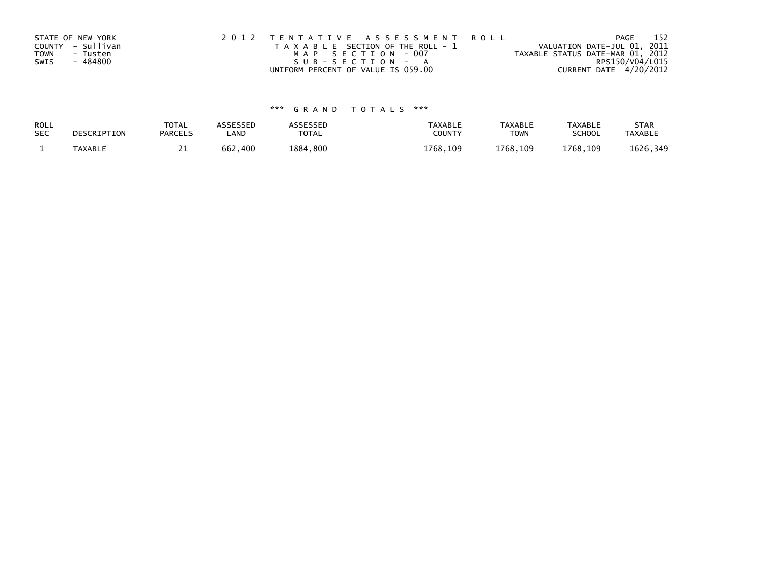| STATE OF NEW YORK |          | 2012 TENTATIVE ASSESSMENT ROLL        |  |                                  | PAGE                   | -152 |
|-------------------|----------|---------------------------------------|--|----------------------------------|------------------------|------|
| COUNTY - Sullivan |          | T A X A B L E SECTION OF THE ROLL - 1 |  | VALUATION DATE-JUL 01, 2011      |                        |      |
| <b>TOWN</b>       | - Tusten | MAP SECTION - 007                     |  | TAXABLE STATUS DATE-MAR 01, 2012 |                        |      |
| SWIS              | - 484800 | SUB-SECTION - A                       |  |                                  | RPS150/V04/L015        |      |
|                   |          | UNIFORM PERCENT OF VALUE IS 059.00    |  |                                  | CURRENT DATE 4/20/2012 |      |

| ROLL       | DESCRIPTION    | <b>TOTAL</b>   | ASSESSED | ASSESSED | <b>TAXABLE</b> | <b>TAXABLE</b> | <b>TAXABLE</b> | <b>STAR</b>    |
|------------|----------------|----------------|----------|----------|----------------|----------------|----------------|----------------|
| <b>SEC</b> |                | <b>PARCELS</b> | _AND     | TOTAL    | <b>COUNTY</b>  | <b>TOWN</b>    | <b>SCHOOL</b>  | <b>TAXABLE</b> |
|            | <b>TAXABLE</b> | <u>_ _</u>     | 662,400  | 1884,800 | 1768.109       | 1768,109       | 1768.109       | 1626,349       |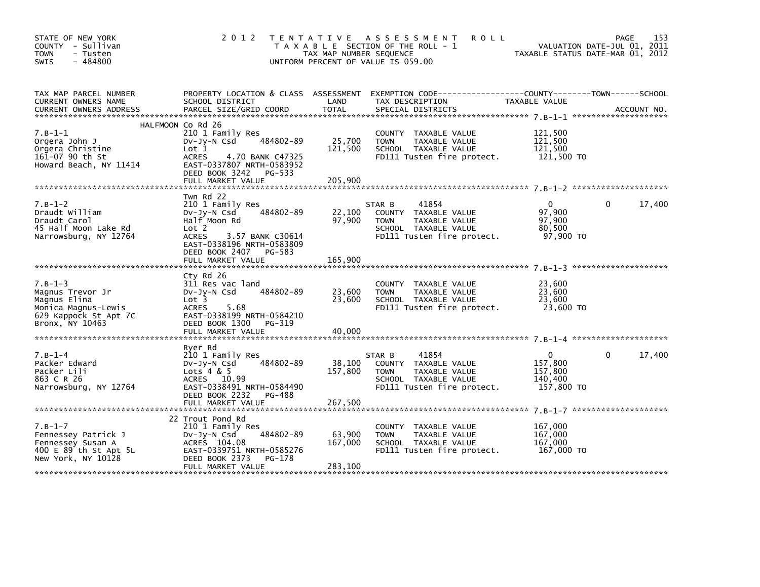| STATE OF NEW YORK<br>COUNTY - Sullivan<br>- Tusten<br><b>TOWN</b><br>$-484800$<br>SWIS                           | 2012                                                                                                                                                                                              | TAX MAP NUMBER SEQUENCE      | TENTATIVE ASSESSMENT<br><b>ROLL</b><br>T A X A B L E SECTION OF THE ROLL - 1<br>UNIFORM PERCENT OF VALUE IS 059.00            | TAXABLE STATUS DATE-MAR 01, 2012                              | 153<br>PAGE<br>VALUATION DATE-JUL 01, 2011 |
|------------------------------------------------------------------------------------------------------------------|---------------------------------------------------------------------------------------------------------------------------------------------------------------------------------------------------|------------------------------|-------------------------------------------------------------------------------------------------------------------------------|---------------------------------------------------------------|--------------------------------------------|
| TAX MAP PARCEL NUMBER<br>CURRENT OWNERS NAME                                                                     | SCHOOL DISTRICT                                                                                                                                                                                   | <b>LAND</b>                  | PROPERTY LOCATION & CLASS ASSESSMENT EXEMPTION CODE----------------COUNTY-------TOWN-----SCHOOL<br>TAX DESCRIPTION            | TAXABLE VALUE                                                 |                                            |
| $7. B - 1 - 1$<br>Orgera John J<br>Orgera Christine<br>161-07 90 th St<br>Howard Beach, NY 11414                 | HALFMOON Co Rd 26<br>210 1 Family Res<br>484802-89<br>$Dv-Jy-N$ Csd<br>Lot 1<br><b>ACRES</b><br>4.70 BANK C47325<br>EAST-0337807 NRTH-0583952<br>DEED BOOK 3242 PG-533                            | 25,700<br>121,500            | COUNTY TAXABLE VALUE<br>TAXABLE VALUE<br><b>TOWN</b><br>SCHOOL TAXABLE VALUE<br>FD111 Tusten fire protect.                    | 121,500<br>121,500<br>121,500<br>121,500 TO                   |                                            |
| $7.B-1-2$<br>Draudt William<br>Draudt Carol<br>45 Half Moon Lake Rd<br>Narrowsburg, NY 12764                     | Twn Rd 22<br>210 1 Family Res<br>484802-89<br>DV-Jy-N Csd<br>Half Moon Rd<br>Lot 2<br><b>ACRES</b><br>3.57 BANK C30614<br>EAST-0338196 NRTH-0583809<br>DEED BOOK 2407 PG-583<br>FULL MARKET VALUE | 22,100<br>97,900<br>165,900  | STAR B<br>41854<br>COUNTY TAXABLE VALUE<br><b>TOWN</b><br>TAXABLE VALUE<br>SCHOOL TAXABLE VALUE<br>FD111 Tusten fire protect. | $\mathbf{0}$<br>97,900<br>97,900<br>80,500<br>97,900 TO       | $\Omega$<br>17,400                         |
| $7.B-1-3$<br>Magnus Trevor Jr<br>Magnus Elina<br>Monica Magnus-Lewis<br>629 Kappock St Apt 7C<br>Bronx, NY 10463 | Cty Rd 26<br>311 Res vac land<br>484802-89<br>DV-Jy-N Csd<br>Lot 3<br><b>ACRES</b><br>5.68<br>EAST-0338199 NRTH-0584210<br>DEED BOOK 1300 PG-319<br>FULL MARKET VALUE                             | 23,600<br>23,600<br>40,000   | COUNTY TAXABLE VALUE<br><b>TOWN</b><br>TAXABLE VALUE<br>SCHOOL TAXABLE VALUE<br>FD111 Tusten fire protect.                    | 23,600<br>23,600<br>23,600<br>23,600 TO                       |                                            |
| $7. B - 1 - 4$<br>Packer Edward<br>Packer Lili<br>863 C R 26<br>Narrowsburg, NY 12764                            | Ryer Rd<br>210 1 Family Res<br>484802-89<br>DV-Jy-N Csd<br>Lots $4 & 5$<br>ACRES 10.99<br>EAST-0338491 NRTH-0584490<br>DEED BOOK 2232 PG-488<br>FULL MARKET VALUE                                 | 38,100<br>157,800<br>267,500 | 41854<br>STAR B<br>COUNTY TAXABLE VALUE<br>TAXABLE VALUE<br><b>TOWN</b><br>SCHOOL TAXABLE VALUE<br>FD111 Tusten fire protect. | $\overline{0}$<br>157.800<br>157,800<br>140,400<br>157,800 TO | 17,400<br>$\Omega$                         |
| $7. B - 1 - 7$<br>Fennessey Patrick J<br>Fennessey Susan A<br>400 E 89 th St Apt 5L<br>New York, NY 10128        | 22 Trout Pond Rd<br>210 1 Family Res<br>484802-89<br>DV-Jy-N Csd<br>ACRES 104.08<br>EAST-0339751 NRTH-0585276<br>DEED BOOK 2373 PG-178<br>FULL MARKET VALUE                                       | 63,900<br>167,000<br>283,100 | COUNTY TAXABLE VALUE<br>TAXABLE VALUE<br>TOWN<br>SCHOOL TAXABLE VALUE<br>FD111 Tusten fire protect.                           | 167,000<br>167,000<br>167,000<br>167,000 TO                   |                                            |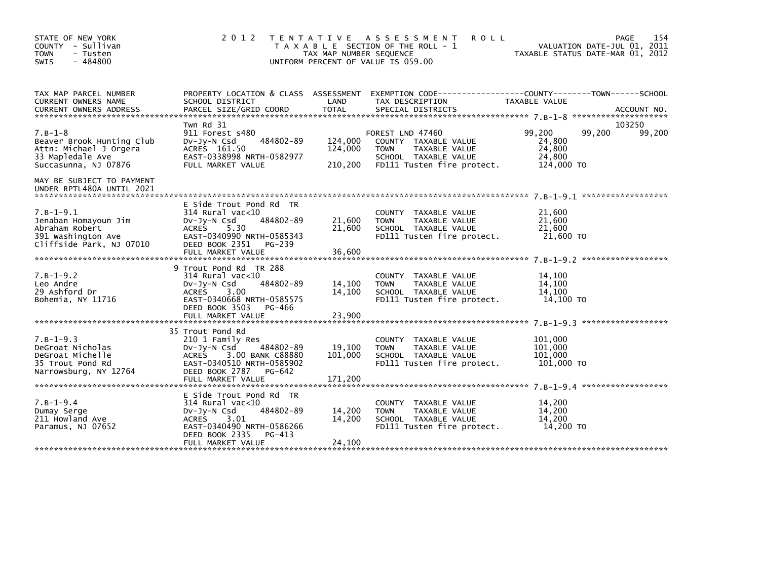| STATE OF NEW YORK<br>COUNTY - Sullivan<br><b>TOWN</b><br>- Tusten<br>$-484800$<br><b>SWIS</b>                | 2 0 1 2<br>TENTATIVE ASSESSMENT<br>T A X A B L E SECTION OF THE ROLL - 1<br>TAX MAP NUMBER SEQUENCE<br>UNIFORM PERCENT OF VALUE IS 059.00                                       | 154<br><b>ROLL</b><br><b>PAGE</b><br>VALUATION DATE-JUL 01, 2011<br>TAXABLE STATUS DATE-MAR 01, 2012 |                                                                                                                                |                                                              |                  |
|--------------------------------------------------------------------------------------------------------------|---------------------------------------------------------------------------------------------------------------------------------------------------------------------------------|------------------------------------------------------------------------------------------------------|--------------------------------------------------------------------------------------------------------------------------------|--------------------------------------------------------------|------------------|
| TAX MAP PARCEL NUMBER<br>CURRENT OWNERS NAME                                                                 | PROPERTY LOCATION & CLASS ASSESSMENT<br>SCHOOL DISTRICT                                                                                                                         | LAND                                                                                                 | EXEMPTION CODE-----------------COUNTY-------TOWN------SCHOOL<br>TAX DESCRIPTION                                                | TAXABLE VALUE                                                |                  |
| $7.B-1-8$<br>Beaver Brook Hunting Club<br>Attn: Michael J Orgera<br>33 Mapledale Ave<br>Succasunna, NJ 07876 | Twn Rd 31<br>911 Forest s480<br>484802-89<br>$Dv-Jy-N$ Csd<br>ACRES 161.50<br>EAST-0338998 NRTH-0582977<br>FULL MARKET VALUE                                                    | 124,000<br>124,000<br>210,200                                                                        | FOREST LND 47460<br>COUNTY TAXABLE VALUE<br>TAXABLE VALUE<br><b>TOWN</b><br>SCHOOL TAXABLE VALUE<br>FD111 Tusten fire protect. | 99,200<br>99,200<br>24,800<br>24,800<br>24,800<br>124,000 TO | 103250<br>99,200 |
| MAY BE SUBJECT TO PAYMENT<br>UNDER RPTL480A UNTIL 2021                                                       |                                                                                                                                                                                 |                                                                                                      |                                                                                                                                |                                                              |                  |
| $7.B-1-9.1$<br>Jenaban Homayoun Jim<br>Abraham Robert<br>391 Washington Ave<br>Cliffside Park, NJ 07010      | E Side Trout Pond Rd TR<br>314 Rural vac<10<br>484802-89<br>$Dv-Jv-N$ Csd<br>5.30<br><b>ACRES</b><br>EAST-0340990 NRTH-0585343<br>DEED BOOK 2351<br>PG-239<br>FULL MARKET VALUE | 21,600<br>21,600<br>36,600                                                                           | COUNTY TAXABLE VALUE<br>TAXABLE VALUE<br><b>TOWN</b><br>SCHOOL TAXABLE VALUE<br>FD111 Tusten fire protect.                     | 21,600<br>21,600<br>21,600<br>21,600 TO                      |                  |
| $7.B-1-9.2$<br>Leo Andre<br>29 Ashford Dr<br>Bohemia, NY 11716                                               | 9 Trout Pond Rd TR 288<br>314 Rural vac<10<br>484802-89<br>$Dv-Jy-N$ Csd<br><b>ACRES</b><br>3.00<br>EAST-0340668 NRTH-0585575<br>DEED BOOK 3503<br>PG-466<br>FULL MARKET VALUE  | 14,100<br>14,100<br>23,900                                                                           | COUNTY TAXABLE VALUE<br>TAXABLE VALUE<br><b>TOWN</b><br>SCHOOL TAXABLE VALUE<br>FD111 Tusten fire protect.                     | 14,100<br>14,100<br>14.100<br>14,100 TO                      |                  |
| $7.B-1-9.3$<br>DeGroat Nicholas<br>DeGroat Michelle<br>35 Trout Pond Rd<br>Narrowsburg, NY 12764             | 35 Trout Pond Rd<br>210 1 Family Res<br>DV-Jy-N Csd<br>484802-89<br>3.00 BANK C88880<br>ACRES<br>EAST-0340510 NRTH-0585902<br>DEED BOOK 2787 PG-642<br>FULL MARKET VALUE        | 19,100<br>101,000<br>171,200                                                                         | COUNTY TAXABLE VALUE<br><b>TOWN</b><br>TAXABLE VALUE<br>SCHOOL TAXABLE VALUE<br>FD111 Tusten fire protect.                     | 101,000<br>101,000<br>101,000<br>101,000 TO                  |                  |
| $7. B - 1 - 9.4$<br>Dumay Serge<br>211 Howland Ave<br>Paramus, NJ 07652                                      | E Side Trout Pond Rd TR<br>314 Rural vac<10<br>484802-89<br>$Dv-Jy-N$ Csd<br>ACRES<br>3.01<br>EAST-0340490 NRTH-0586266<br>DEED BOOK 2335<br>PG-413<br>FULL MARKET VALUE        | 14,200<br>14,200<br>24,100                                                                           | COUNTY TAXABLE VALUE<br><b>TOWN</b><br>TAXABLE VALUE<br>SCHOOL TAXABLE VALUE<br>FD111 Tusten fire protect.                     | 14,200<br>14,200<br>14,200<br>14.200 TO                      |                  |
|                                                                                                              |                                                                                                                                                                                 |                                                                                                      |                                                                                                                                |                                                              |                  |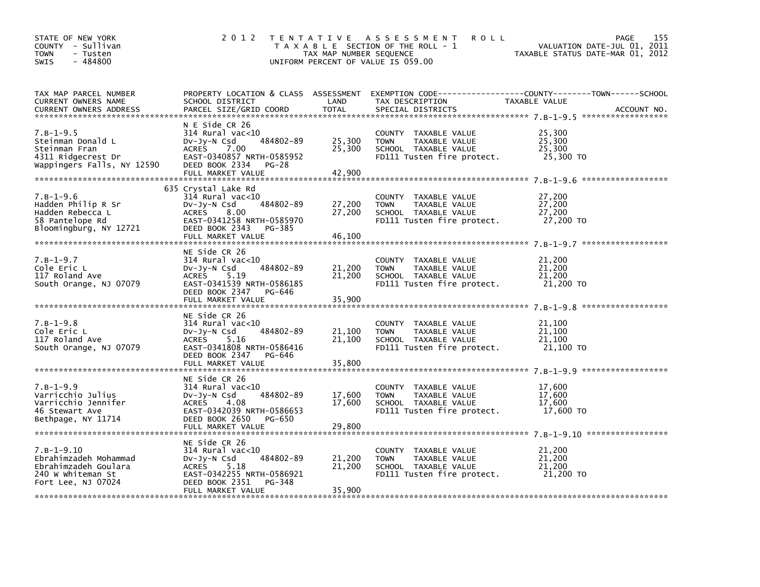| STATE OF NEW YORK<br>COUNTY - Sullivan<br><b>TOWN</b><br>- Tusten<br>$-484800$<br><b>SWIS</b>                 | 2 0 1 2                                                                                                                                                                    | TAX MAP NUMBER SEQUENCE    | TENTATIVE ASSESSMENT<br><b>ROLL</b><br>T A X A B L E SECTION OF THE ROLL - 1<br>UNIFORM PERCENT OF VALUE IS 059.00 | VALUATION DATE-JUL 01, 2011<br>TAXABLE STATUS DATE-MAR 01, 2012 | 155<br>PAGE |
|---------------------------------------------------------------------------------------------------------------|----------------------------------------------------------------------------------------------------------------------------------------------------------------------------|----------------------------|--------------------------------------------------------------------------------------------------------------------|-----------------------------------------------------------------|-------------|
| TAX MAP PARCEL NUMBER<br>CURRENT OWNERS NAME<br><b>CURRENT OWNERS ADDRESS</b>                                 | PROPERTY LOCATION & CLASS ASSESSMENT<br>SCHOOL DISTRICT<br>PARCEL SIZE/GRID COORD                                                                                          | LAND<br><b>TOTAL</b>       | TAX DESCRIPTION<br>SPECIAL DISTRICTS                                                                               | TAXABLE VALUE                                                   | ACCOUNT NO. |
| $7.B-1-9.5$<br>Steinman Donald L<br>Steinman Fran<br>4311 Ridgecrest Dr<br>Wappingers Falls, NY 12590         | N E Side CR 26<br>$314$ Rural vac<10<br>484802-89<br>DV-Jy-N Csd<br><b>ACRES</b><br>7.00<br>EAST-0340857 NRTH-0585952<br>DEED BOOK 2334<br>$PG-28$<br>FULL MARKET VALUE    | 25,300<br>25,300<br>42,900 | COUNTY TAXABLE VALUE<br>TAXABLE VALUE<br><b>TOWN</b><br>SCHOOL TAXABLE VALUE<br>FD111 Tusten fire protect.         | 25,300<br>25,300<br>25,300<br>25,300 TO                         |             |
| $7.B-1-9.6$<br>Hadden Philip R Sr<br>Hadden Rebecca L<br>58 Pantelope Rd<br>Bloomingburg, NY 12721            | 635 Crystal Lake Rd<br>$314$ Rural vac<10<br>484802-89<br>Dv-Jy-N Csd<br>ACRES 8.00<br>EAST-0341258 NRTH-0585970<br>DEED BOOK 2343<br>PG-385<br>FULL MARKET VALUE          | 27,200<br>27,200<br>46,100 | COUNTY TAXABLE VALUE<br><b>TOWN</b><br>TAXABLE VALUE<br>SCHOOL TAXABLE VALUE<br>FD111 Tusten fire protect.         | 27,200<br>27,200<br>27,200<br>27,200 TO                         |             |
| $7.B-1-9.7$<br>Cole Eric L<br>117 Roland Ave<br>South Orange, NJ 07079                                        | NE Side CR 26<br>$314$ Rural vac<10<br>484802-89<br>DV-JY-N Csd<br>ACRES<br>5.19<br>EAST-0341539 NRTH-0586185<br>DEED BOOK 2347<br>PG-646<br>FULL MARKET VALUE             | 21,200<br>21,200<br>35,900 | COUNTY TAXABLE VALUE<br>TAXABLE VALUE<br><b>TOWN</b><br>SCHOOL TAXABLE VALUE<br>FD111 Tusten fire protect.         | 21,200<br>21,200<br>21,200<br>21,200 TO                         |             |
| $7.B-1-9.8$<br>Cole Eric L<br>117 Roland Ave<br>South Orange, NJ 07079                                        | NE Side CR 26<br>$314$ Rural vac<10<br>484802-89<br>$Dv-Jy-N$ Csd<br>ACRES<br>5.16<br>EAST-0341808 NRTH-0586416<br>DEED BOOK 2347<br>PG-646<br>FULL MARKET VALUE           | 21,100<br>21,100<br>35,800 | COUNTY TAXABLE VALUE<br>TAXABLE VALUE<br><b>TOWN</b><br>SCHOOL TAXABLE VALUE<br>FD111 Tusten fire protect.         | 21,100<br>21,100<br>21,100<br>21,100 TO                         |             |
| $7.B-1-9.9$<br>Varricchio Julius<br>Varricchio Jennifer<br>46 Stewart Ave<br>Bethpage, NY 11714               | NE Side CR 26<br>$314$ Rural vac< $10$<br>484802-89<br>$Dv-Jy-N$ Csd<br><b>ACRES</b><br>4.08<br>EAST-0342039 NRTH-0586653<br>DEED BOOK 2650<br>PG-650<br>FULL MARKET VALUE | 17,600<br>17,600<br>29,800 | COUNTY TAXABLE VALUE<br>TAXABLE VALUE<br><b>TOWN</b><br>SCHOOL TAXABLE VALUE<br>FD111 Tusten fire protect.         | 17,600<br>17,600<br>17,600<br>17,600 TO                         |             |
| $7. B - 1 - 9.10$<br>Ebrahimzadeh Mohammad<br>Ebrahimzadeh Goulara<br>240 W Whiteman St<br>Fort Lee, NJ 07024 | NE Side CR 26<br>$314$ Rural vac< $10$<br>484802-89<br>$Dv-Jy-N$ Csd<br>ACRES<br>5.18<br>EAST-0342255 NRTH-0586921<br>DEED BOOK 2351<br>PG-348<br>FULL MARKET VALUE        | 21,200<br>21,200<br>35,900 | COUNTY<br>TAXABLE VALUE<br>TAXABLE VALUE<br><b>TOWN</b><br>SCHOOL TAXABLE VALUE<br>FD111 Tusten fire protect.      | 21,200<br>21,200<br>21,200<br>21,200 TO                         |             |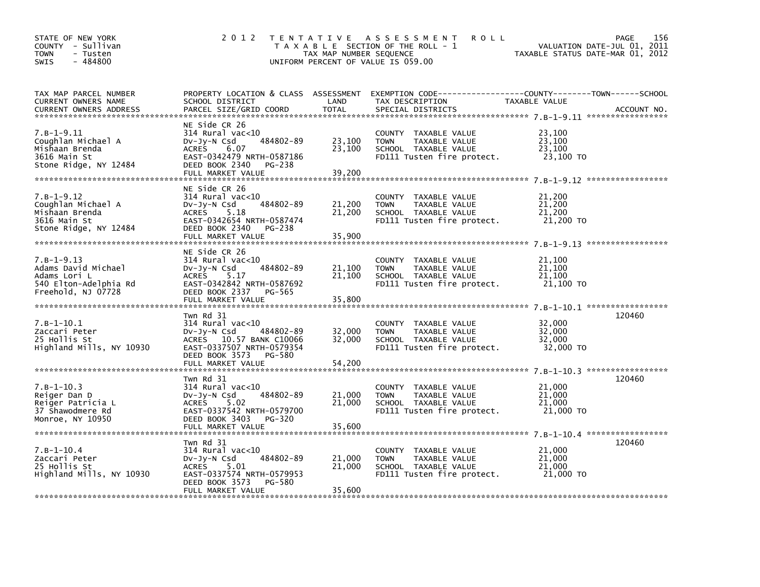| STATE OF NEW YORK<br>COUNTY - Sullivan<br><b>TOWN</b><br>- Tusten<br>$-484800$<br><b>SWIS</b>      | 2 0 1 2                                                                                                                                                                 | TAX MAP NUMBER SEQUENCE    | TENTATIVE ASSESSMENT<br><b>ROLL</b><br>T A X A B L E SECTION OF THE ROLL - 1<br>UNIFORM PERCENT OF VALUE IS 059.00                       | VALUATION DATE-JUL 01, 2011<br>TAXABLE STATUS DATE-MAR 01, 2012 | 156<br><b>PAGE</b> |
|----------------------------------------------------------------------------------------------------|-------------------------------------------------------------------------------------------------------------------------------------------------------------------------|----------------------------|------------------------------------------------------------------------------------------------------------------------------------------|-----------------------------------------------------------------|--------------------|
| TAX MAP PARCEL NUMBER<br>CURRENT OWNERS NAME<br><b>CURRENT OWNERS ADDRESS</b>                      | SCHOOL DISTRICT<br>PARCEL SIZE/GRID COORD                                                                                                                               | LAND<br><b>TOTAL</b>       | PROPERTY LOCATION & CLASS ASSESSMENT EXEMPTION CODE----------------COUNTY-------TOWN------SCHOOL<br>TAX DESCRIPTION<br>SPECIAL DISTRICTS | TAXABLE VALUE                                                   | ACCOUNT NO.        |
| $7. B - 1 - 9.11$<br>Coughlan Michael A<br>Mishaan Brenda<br>3616 Main St<br>Stone Ridge, NY 12484 | NE Side CR 26<br>$314$ Rural vac<10<br>484802-89<br>$Dv-Jv-N$ Csd<br><b>ACRES</b><br>6.07<br>EAST-0342479 NRTH-0587186<br>DEED BOOK 2340<br>PG-238<br>FULL MARKET VALUE | 23,100<br>23,100<br>39,200 | COUNTY TAXABLE VALUE<br>TAXABLE VALUE<br><b>TOWN</b><br>SCHOOL TAXABLE VALUE<br>FD111 Tusten fire protect.                               | 23,100<br>23.100<br>23,100<br>23,100 TO                         |                    |
| $7. B - 1 - 9.12$<br>Coughlan Michael A<br>Mishaan Brenda<br>3616 Main St<br>Stone Ridge, NY 12484 | NE Side CR 26<br>$314$ Rural vac<10<br>484802-89<br>DV-Jy-N Csd<br>ACRES 5.18<br>EAST-0342654 NRTH-0587474<br>DEED BOOK 2340<br>PG-238<br>FULL MARKET VALUE             | 21,200<br>21,200<br>35,900 | COUNTY TAXABLE VALUE<br>TAXABLE VALUE<br><b>TOWN</b><br>SCHOOL TAXABLE VALUE<br>FD111 Tusten fire protect.                               | 21,200<br>21,200<br>21,200<br>21,200 TO                         |                    |
| $7.B-1-9.13$<br>Adams David Michael<br>Adams Lori L<br>540 Elton-Adelphia Rd<br>Freehold, NJ 07728 | NE Side CR 26<br>$314$ Rural vac<10<br>484802-89<br>DV-Jy-N Csd<br><b>ACRES</b><br>5.17<br>EAST-0342842 NRTH-0587692<br>DEED BOOK 2337 PG-565<br>FULL MARKET VALUE      | 21,100<br>21,100<br>35,800 | COUNTY TAXABLE VALUE<br>TAXABLE VALUE<br><b>TOWN</b><br>SCHOOL TAXABLE VALUE<br>FD111 Tusten fire protect.                               | 21,100<br>21,100<br>21,100<br>21,100 TO                         |                    |
| $7.B-1-10.1$<br>Zaccari Peter<br>25 Hollis St<br>Highland Mills, NY 10930                          | Twn Rd 31<br>$314$ Rural vac< $10$<br>DV-Jy-N Csd<br>484802-89<br>ACRES 10.57 BANK C10066<br>EAST-0337507 NRTH-0579354<br>DEED BOOK 3573<br>PG-580<br>FULL MARKET VALUE | 32,000<br>32,000<br>54,200 | COUNTY TAXABLE VALUE<br><b>TOWN</b><br>TAXABLE VALUE<br>SCHOOL TAXABLE VALUE<br>FD111 Tusten fire protect.                               | 32,000<br>32,000<br>32,000<br>32,000 TO                         | 120460             |
| $7.B-1-10.3$<br>Reiger Dan D<br>Reiger Patricia L<br>37 Shawodmere Rd<br>Monroe, NY 10950          | Twn Rd 31<br>$314$ Rural vac< $10$<br>484802-89<br>DV-Jy-N Csd<br>ACRES 5.02<br>EAST-0337542 NRTH-0579700<br>DEED BOOK 3403<br>PG-320<br>FULL MARKET VALUE              | 21,000<br>21,000<br>35,600 | COUNTY TAXABLE VALUE<br>TAXABLE VALUE<br><b>TOWN</b><br>SCHOOL TAXABLE VALUE<br>FD111 Tusten fire protect.                               | 21,000<br>21,000<br>21,000<br>21,000 TO                         | 120460             |
| $7.B-1-10.4$<br>Zaccari Peter<br>25 Hollis St<br>Highland Mills, NY 10930                          | Twn Rd 31<br>$314$ Rural vac< $10$<br>484802-89<br>DV-Jy-N Csd<br><b>ACRES</b><br>5.01<br>EAST-0337574 NRTH-0579953<br>DEED BOOK 3573<br>PG-580<br>FULL MARKET VALUE    | 21,000<br>21,000<br>35,600 | COUNTY TAXABLE VALUE<br><b>TOWN</b><br>TAXABLE VALUE<br>SCHOOL TAXABLE VALUE<br>FD111 Tusten fire protect.                               | 21,000<br>21,000<br>21,000<br>21,000 TO                         | 120460             |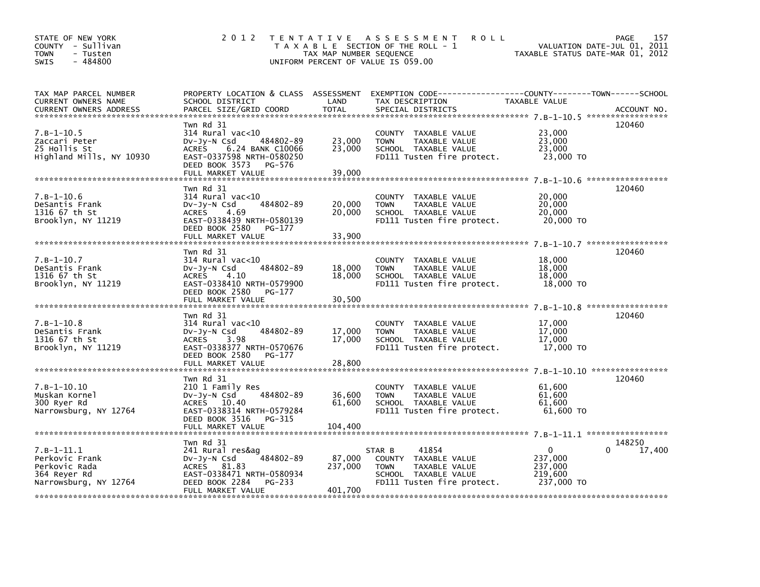| STATE OF NEW YORK<br>COUNTY - Sullivan<br><b>TOWN</b><br>- Tusten<br>$-484800$<br><b>SWIS</b> | 2 0 1 2                                                                                                                                                                         | TAX MAP NUMBER SEQUENCE      | TENTATIVE ASSESSMENT<br><b>ROLL</b><br>T A X A B L E SECTION OF THE ROLL - 1<br>UNIFORM PERCENT OF VALUE IS 059.00            | VALUATION DATE-JUL 01, 2011<br>TAXABLE STATUS DATE-MAR 01, 2012 | 157<br>PAGE      |
|-----------------------------------------------------------------------------------------------|---------------------------------------------------------------------------------------------------------------------------------------------------------------------------------|------------------------------|-------------------------------------------------------------------------------------------------------------------------------|-----------------------------------------------------------------|------------------|
| TAX MAP PARCEL NUMBER<br>CURRENT OWNERS NAME<br><b>CURRENT OWNERS ADDRESS</b>                 | PROPERTY LOCATION & CLASS ASSESSMENT<br>SCHOOL DISTRICT<br>PARCEL SIZE/GRID COORD                                                                                               | LAND<br><b>TOTAL</b>         | EXEMPTION CODE-----------------COUNTY-------TOWN------SCHOOL<br>TAX DESCRIPTION<br>SPECIAL DISTRICTS                          | TAXABLE VALUE                                                   | ACCOUNT NO.      |
| $7.B-1-10.5$<br>Zaccari Peter<br>25 Hollis St<br>Highland Mills, NY 10930                     | Twn Rd 31<br>$314$ Rural vac<10<br>484802-89<br>$Dv-Jy-N$ Csd<br>6.24 BANK C10066<br><b>ACRES</b><br>EAST-0337598 NRTH-0580250<br>DEED BOOK 3573<br>PG-576<br>FULL MARKET VALUE | 23,000<br>23,000<br>39,000   | COUNTY<br>TAXABLE VALUE<br>TAXABLE VALUE<br><b>TOWN</b><br>SCHOOL TAXABLE VALUE<br>FD111 Tusten fire protect.                 | 23,000<br>23,000<br>23,000<br>23,000 TO                         | 120460           |
|                                                                                               | Twn Rd 31                                                                                                                                                                       |                              |                                                                                                                               |                                                                 | 120460           |
| $7.B-1-10.6$<br>DeSantis Frank<br>1316 67 th St<br>Brooklyn, NY 11219                         | $314$ Rural vac<10<br>$Dv-Jv-N$ Csd<br>484802-89<br>4.69<br><b>ACRES</b><br>EAST-0338439 NRTH-0580139<br>DEED BOOK 2580<br>PG-177<br>FULL MARKET VALUE                          | 20,000<br>20,000<br>33,900   | COUNTY TAXABLE VALUE<br><b>TAXABLE VALUE</b><br><b>TOWN</b><br>SCHOOL TAXABLE VALUE<br>FD111 Tusten fire protect.             | 20,000<br>20,000<br>20,000<br>20,000 TO                         |                  |
|                                                                                               |                                                                                                                                                                                 |                              |                                                                                                                               |                                                                 |                  |
| $7.B-1-10.7$<br>DeSantis Frank<br>1316 67 th St<br>Brooklyn, NY 11219                         | Twn Rd 31<br>$314$ Rural vac<10<br>484802-89<br>$Dv-Jy-N$ Csd<br><b>ACRES</b><br>4.10<br>EAST-0338410 NRTH-0579900<br>DEED BOOK 2580<br>PG-177<br>FULL MARKET VALUE             | 18,000<br>18,000<br>30,500   | COUNTY TAXABLE VALUE<br>TAXABLE VALUE<br><b>TOWN</b><br>SCHOOL TAXABLE VALUE<br>FD111 Tusten fire protect.                    | 18,000<br>18,000<br>18,000<br>18,000 TO                         | 120460           |
|                                                                                               | Twn Rd 31                                                                                                                                                                       |                              |                                                                                                                               | 7.8-1-10.8 ******************                                   | 120460           |
| $7.B-1-10.8$<br>DeSantis Frank<br>1316 67 th St<br>Brooklyn, NY 11219                         | $314$ Rural vac<10<br>484802-89<br>$Dv-Jy-N$ Csd<br><b>ACRES</b><br>3.98<br>EAST-0338377 NRTH-0570676<br>DEED BOOK 2580<br>PG-177                                               | 17,000<br>17,000             | COUNTY TAXABLE VALUE<br><b>TAXABLE VALUE</b><br><b>TOWN</b><br>SCHOOL TAXABLE VALUE<br>FD111 Tusten fire protect.             | 17,000<br>17,000<br>17,000<br>17,000 TO                         |                  |
|                                                                                               | FULL MARKET VALUE                                                                                                                                                               | 28,800                       |                                                                                                                               |                                                                 | **************** |
| $7. B - 1 - 10.10$<br>Muskan Kornel<br>300 Ryer Rd<br>Narrowsburg, NY 12764                   | Twn Rd 31<br>210 1 Family Res<br>484802-89<br>$Dv-Jy-N$ Csd<br>ACRES 10.40<br>EAST-0338314 NRTH-0579284<br>DEED BOOK 3516<br>PG-315<br>FULL MARKET VALUE                        | 36,600<br>61,600<br>104,400  | COUNTY TAXABLE VALUE<br><b>TOWN</b><br>TAXABLE VALUE<br>SCHOOL TAXABLE VALUE<br>FD111 Tusten fire protect.                    | 61,600<br>61,600<br>61,600<br>61,600 TO                         | 120460           |
|                                                                                               | Twn Rd 31                                                                                                                                                                       |                              |                                                                                                                               |                                                                 | 148250           |
| $7.B-1-11.1$<br>Perkovic Frank<br>Perkovic Rada<br>364 Reyer Rd<br>Narrowsburg, NY 12764      | 241 Rural res&ag<br>484802-89<br>$Dv-Jv-N$ Csd<br>ACRES 81.83<br>EAST-0338471 NRTH-0580934<br>DEED BOOK 2284<br>PG-233<br>FULL MARKET VALUE                                     | 87,000<br>237,000<br>401.700 | 41854<br>STAR B<br>COUNTY TAXABLE VALUE<br><b>TOWN</b><br>TAXABLE VALUE<br>SCHOOL TAXABLE VALUE<br>FD111 Tusten fire protect. | $\Omega$<br>237,000<br>237,000<br>219,600<br>237,000 TO         | 17,400           |
|                                                                                               |                                                                                                                                                                                 |                              |                                                                                                                               |                                                                 |                  |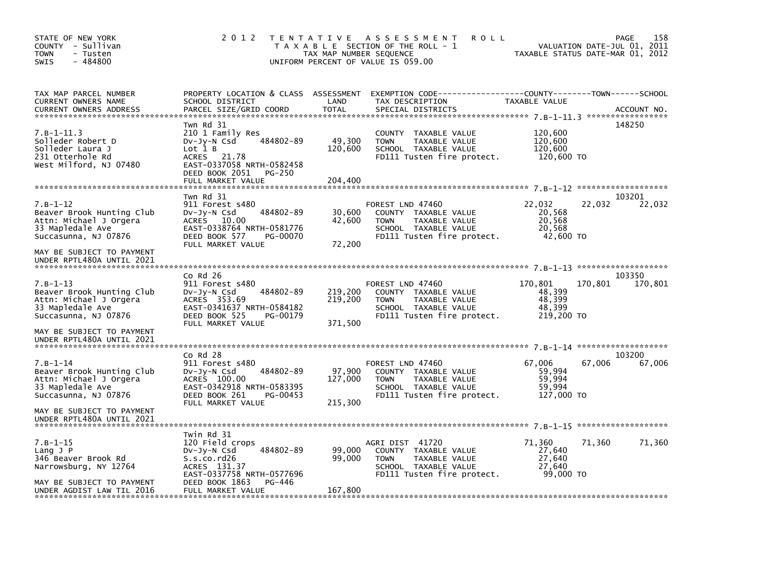| STATE OF NEW YORK<br>COUNTY - Sullivan<br>- Tusten<br><b>TOWN</b><br>$-484800$<br><b>SWIS</b>                                        | 2 0 1 2                                                                                                                                                                | T E N T A T I V E<br>TAX MAP NUMBER SEQUENCE | A S S E S S M E N T<br>ROLL<br>T A X A B L E SECTION OF THE ROLL - 1<br>UNIFORM PERCENT OF VALUE IS 059.00                     | VALUATION DATE-JUL 01, 2011<br>TAXABLE STATUS DATE-MAR 01, 2012 | 158<br><b>PAGE</b> |
|--------------------------------------------------------------------------------------------------------------------------------------|------------------------------------------------------------------------------------------------------------------------------------------------------------------------|----------------------------------------------|--------------------------------------------------------------------------------------------------------------------------------|-----------------------------------------------------------------|--------------------|
| TAX MAP PARCEL NUMBER<br>CURRENT OWNERS NAME<br><b>CURRENT OWNERS ADDRESS</b>                                                        | PROPERTY LOCATION & CLASS ASSESSMENT<br>SCHOOL DISTRICT<br>PARCEL SIZE/GRID COORD                                                                                      | LAND<br><b>TOTAL</b>                         | EXEMPTION CODE-----------------COUNTY-------TOWN------SCHOOL<br>TAX DESCRIPTION<br>SPECIAL DISTRICTS                           | TAXABLE VALUE                                                   | ACCOUNT NO.        |
| $7.B-1-11.3$<br>Solleder Robert D<br>Solleder Laura J<br>231 Otterhole Rd<br>West Milford, NJ 07480                                  | Twn Rd 31<br>210 1 Family Res<br>484802-89<br>$Dv-Jy-N$ Csd<br>Lot 1 B<br>ACRES 21.78<br>EAST-0337058 NRTH-0582458<br>DEED BOOK 2051<br>PG-250<br>FULL MARKET VALUE    | 49,300<br>120,600<br>204,400                 | COUNTY TAXABLE VALUE<br><b>TOWN</b><br>TAXABLE VALUE<br>SCHOOL TAXABLE VALUE<br>FD111 Tusten fire protect.                     | 120,600<br>120,600<br>120,600<br>120,600 TO                     | 148250             |
| $7.B-1-12$<br>Beaver Brook Hunting Club<br>Attn: Michael J Orgera<br>33 Mapledale Ave<br>Succasunna, NJ 07876                        | Twn Rd 31<br>911 Forest s480<br>484802-89<br>$Dv-Jy-N$ Csd<br>ACRES 10.00<br>EAST-0338764 NRTH-0581776<br>DEED BOOK 577<br>PG-00070<br>FULL MARKET VALUE               | 30,600<br>42,600<br>72,200                   | FOREST LND 47460<br>COUNTY TAXABLE VALUE<br>TAXABLE VALUE<br><b>TOWN</b><br>SCHOOL TAXABLE VALUE<br>FD111 Tusten fire protect. | 22,032<br>22,032<br>20,568<br>20,568<br>20,568<br>42,600 TO     | 103201<br>22,032   |
| MAY BE SUBJECT TO PAYMENT<br>UNDER RPTL480A UNTIL 2021                                                                               |                                                                                                                                                                        |                                              |                                                                                                                                |                                                                 |                    |
| $7. B - 1 - 13$<br>Beaver Brook Hunting Club<br>Attn: Michael J Orgera<br>33 Mapledale Ave<br>Succasunna, NJ 07876                   | Co Rd 26<br>911 Forest s480<br>484802-89<br>DV-Jy-N Csd<br>ACRES 353.69<br>EAST-0341637 NRTH-0584182<br>DEED BOOK 525<br>PG-00179<br>FULL MARKET VALUE                 | 219,200<br>219,200<br>371,500                | FOREST LND 47460<br>COUNTY TAXABLE VALUE<br><b>TOWN</b><br>TAXABLE VALUE<br>SCHOOL TAXABLE VALUE<br>FD111 Tusten fire protect. | 170,801<br>170,801<br>48,399<br>48.399<br>48,399<br>219,200 TO  | 103350<br>170,801  |
| MAY BE SUBJECT TO PAYMENT<br>UNDER RPTL480A UNTIL 2021                                                                               |                                                                                                                                                                        |                                              |                                                                                                                                |                                                                 |                    |
| $7. B - 1 - 14$<br>Beaver Brook Hunting Club<br>Attn: Michael J Orgera<br>33 Mapledale Ave<br>Succasunna, NJ 07876                   | $Co$ Rd $28$<br>911 Forest s480<br>484802-89<br>$Dv-Jy-N$ Csd<br>ACRES 100.00<br>EAST-0342918 NRTH-0583395<br>DEED BOOK 261<br>PG-00453<br>FULL MARKET VALUE           | 97,900<br>127,000<br>215,300                 | FOREST LND 47460<br>COUNTY TAXABLE VALUE<br><b>TOWN</b><br>TAXABLE VALUE<br>SCHOOL TAXABLE VALUE<br>FD111 Tusten fire protect. | 67.006<br>67,006<br>59,994<br>59,994<br>59,994<br>127,000 TO    | 103200<br>67,006   |
| MAY BE SUBJECT TO PAYMENT<br>UNDER RPTL480A UNTIL 2021                                                                               |                                                                                                                                                                        |                                              |                                                                                                                                |                                                                 |                    |
| $7.B-1-15$<br>$Lang$ J $P$<br>346 Beaver Brook Rd<br>Narrowsburg, NY 12764<br>MAY BE SUBJECT TO PAYMENT<br>UNDER AGDIST LAW TIL 2016 | Twin Rd 31<br>120 Field crops<br>484802-89<br>DV-Jy-N Csd<br>S.s.co.rd26<br>ACRES 131.37<br>EAST-0337758 NRTH-0577696<br>DEED BOOK 1863<br>PG-446<br>FULL MARKET VALUE | 99,000<br>99,000<br>167,800                  | AGRI DIST 41720<br>COUNTY TAXABLE VALUE<br><b>TOWN</b><br>TAXABLE VALUE<br>SCHOOL TAXABLE VALUE<br>FD111 Tusten fire protect.  | 71,360<br>71,360<br>27,640<br>27,640<br>27,640<br>99,000 TO     | 71,360             |
|                                                                                                                                      |                                                                                                                                                                        |                                              |                                                                                                                                |                                                                 |                    |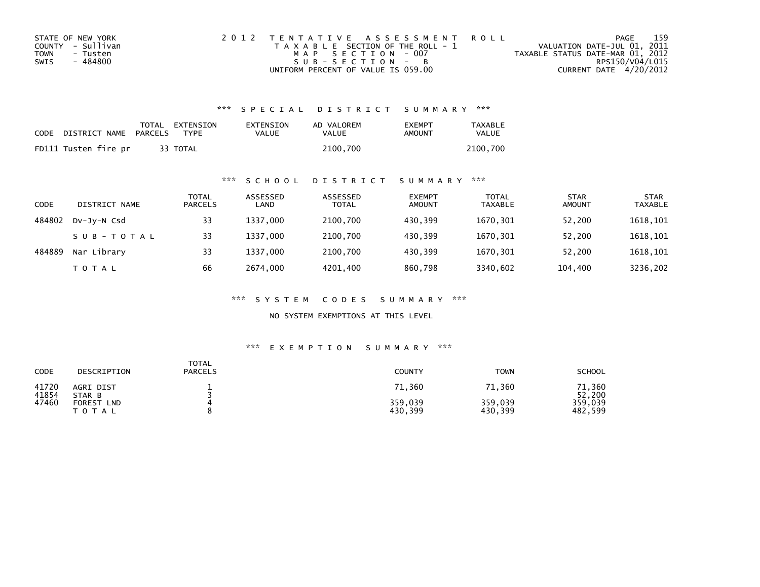| STATE OF NEW YORK | 2012 TENTATIVE ASSESSMENT ROLL        | PAGE                             | 159 |
|-------------------|---------------------------------------|----------------------------------|-----|
| COUNTY - Sullivan | T A X A B L E SECTION OF THE ROLL - 1 | VALUATION DATE-JUL 01, 2011      |     |
| TOWN<br>- Tusten  | MAP SECTION - 007                     | TAXABLE STATUS DATE-MAR 01, 2012 |     |
| - 484800<br>SWIS  | $SUB - SECTION - B$                   | RPS150/V04/L015                  |     |
|                   | UNIFORM PERCENT OF VALUE IS 059.00    | CURRENT DATE 4/20/2012           |     |

| CODE | DISTRICT NAME PARCELS | TOTAL EXTENSION<br><b>TYPF</b> | EXTENSION<br>VALUE | AD VALOREM<br>VALUE | <b>FXFMPT</b><br>AMOUNT | <b>TAXABLE</b><br><b>VALUE</b> |
|------|-----------------------|--------------------------------|--------------------|---------------------|-------------------------|--------------------------------|
|      | FD111 Tusten fire pr  | 33 TOTAL                       |                    | 2100.700            |                         | 2100.700                       |

### \*\*\* S C H O O L D I S T R I C T S U M M A R Y \*\*\*

| CODE   | DISTRICT NAME | TOTAL<br><b>PARCELS</b> | ASSESSED<br>LAND | ASSESSED<br><b>TOTAL</b> | <b>EXEMPT</b><br><b>AMOUNT</b> | <b>TOTAL</b><br><b>TAXABLE</b> | <b>STAR</b><br><b>AMOUNT</b> | <b>STAR</b><br><b>TAXABLE</b> |
|--------|---------------|-------------------------|------------------|--------------------------|--------------------------------|--------------------------------|------------------------------|-------------------------------|
| 484802 | DV-Jy-N Csd   | 33                      | 1337.000         | 2100,700                 | 430.399                        | 1670,301                       | 52,200                       | 1618,101                      |
|        | SUB-TOTAL     | 33                      | 1337.000         | 2100,700                 | 430.399                        | 1670,301                       | 52.200                       | 1618,101                      |
| 484889 | Nar Library   | 33                      | 1337.000         | 2100,700                 | 430.399                        | 1670,301                       | 52.200                       | 1618,101                      |
|        | T O T A L     | 66                      | 2674,000         | 4201,400                 | 860,798                        | 3340,602                       | 104,400                      | 3236,202                      |

\*\*\* S Y S T E M C O D E S S U M M A R Y \*\*\*

NO SYSTEM EXEMPTIONS AT THIS LEVEL

| CODE           | DESCRIPTION                              | TOTAL<br><b>PARCELS</b> | <b>COUNTY</b>      | <b>TOWN</b>        | <b>SCHOOL</b>      |
|----------------|------------------------------------------|-------------------------|--------------------|--------------------|--------------------|
| 41720<br>41854 | AGRI DIST<br>STAR B                      |                         | 71,360             | 71,360             | 71,360<br>52,200   |
| 47460          | <b>FOREST</b><br><b>LND</b><br>T O T A L |                         | 359,039<br>430,399 | 359,039<br>430,399 | 359,039<br>482,599 |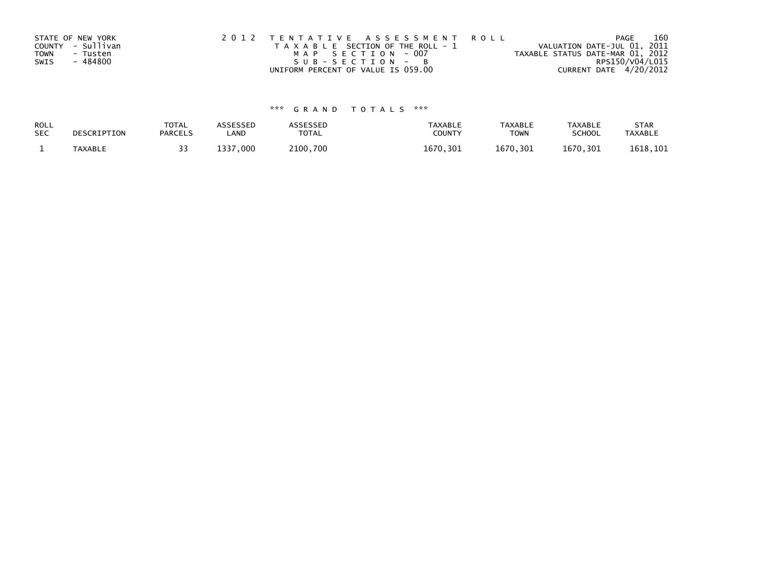| STATE OF NEW YORK       | 2012 TENTATIVE ASSESSMENT ROLL        | PAGE                             | 160             |
|-------------------------|---------------------------------------|----------------------------------|-----------------|
| COUNTY - Sullivan       | T A X A B L E SECTION OF THE ROLL - 1 | VALUATION DATE-JUL 01, 2011      |                 |
| <b>TOWN</b><br>- Tusten | MAP SECTION - 007                     | TAXABLE STATUS DATE-MAR 01, 2012 |                 |
| - 484800<br>SWIS        | $SUB - SECTION - B$                   |                                  | RPS150/V04/L015 |
|                         | UNIFORM PERCENT OF VALUE IS 059.00    | CURRENT DATE 4/20/2012           |                 |

| ROLL       | DESCRIPTION | <b>TOTAL</b>   | ASSESSED     | ASSESSED | <b>TAXABLE</b> | <b>TAXABLE</b> | <b>TAXABLE</b> | <b>STAR</b>    |
|------------|-------------|----------------|--------------|----------|----------------|----------------|----------------|----------------|
| <b>SEC</b> |             | <b>PARCELS</b> | LAND         | TOTAL    | <b>COUNTY</b>  | <b>TOWN</b>    | <b>SCHOOL</b>  | <b>TAXABLE</b> |
|            | TAXABLE     |                | .000<br>1337 | 2100.700 | 1670.301       | 1670,301       | 1670,301       | 1618,101       |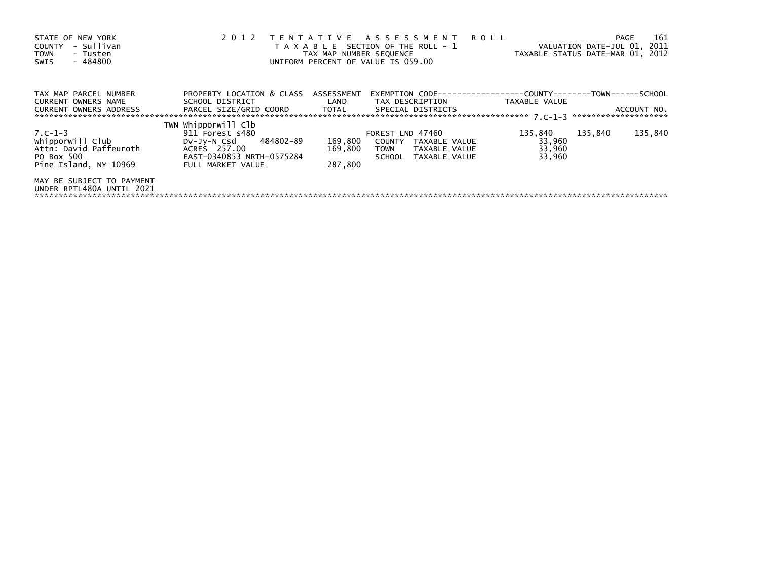| STATE OF NEW YORK<br>- Sullivan<br>COUNTY<br>- Tusten<br><b>TOWN</b><br>- 484800<br>SWIS            | 2 0 1 2                                                                                                                           | TAX MAP NUMBER SEQUENCE       | TENTATIVE ASSESSMENT ROLL<br>T A X A B L E SECTION OF THE ROLL - 1<br>UNIFORM PERCENT OF VALUE IS 059.00 |                                       | 161<br>PAGE<br>VALUATION DATE-JUL 01, 2011<br>TAXABLE STATUS DATE-MAR 01, 2012 |
|-----------------------------------------------------------------------------------------------------|-----------------------------------------------------------------------------------------------------------------------------------|-------------------------------|----------------------------------------------------------------------------------------------------------|---------------------------------------|--------------------------------------------------------------------------------|
| TAX MAP PARCEL NUMBER<br>CURRENT OWNERS NAME                                                        | PROPERTY LOCATION & CLASS ASSESSMENT<br>SCHOOL DISTRICT                                                                           |                               |                                                                                                          |                                       |                                                                                |
| CURRENT OWNERS ADDRESS                                                                              | PARCEL SIZE/GRID COORD TOTAL SPECIAL DISTRICTS                                                                                    |                               |                                                                                                          |                                       | ACCOUNT NO.                                                                    |
| $7. C - 1 - 3$<br>whipporwill Club<br>Attn: David Paffeuroth<br>PO Box 500<br>Pine Island, NY 10969 | TWN Whipporwill Clb<br>911 Forest s480<br>DV-Jy-N Csd 484802-89<br>ACRES 257.00<br>EAST-0340853 NRTH-0575284<br>FULL MARKET VALUE | 169,800<br>169,800<br>287.800 | FOREST LND 47460<br>COUNTY TAXABLE VALUE<br>TOWN TAXABLE VALUE<br>SCHOOL TAXABLE VALUE                   | 135,840<br>33,960<br>33,960<br>33,960 | 135,840<br>135,840                                                             |
| MAY BE SUBJECT TO PAYMENT<br>UNDER RPTL480A UNTIL 2021                                              |                                                                                                                                   |                               |                                                                                                          |                                       |                                                                                |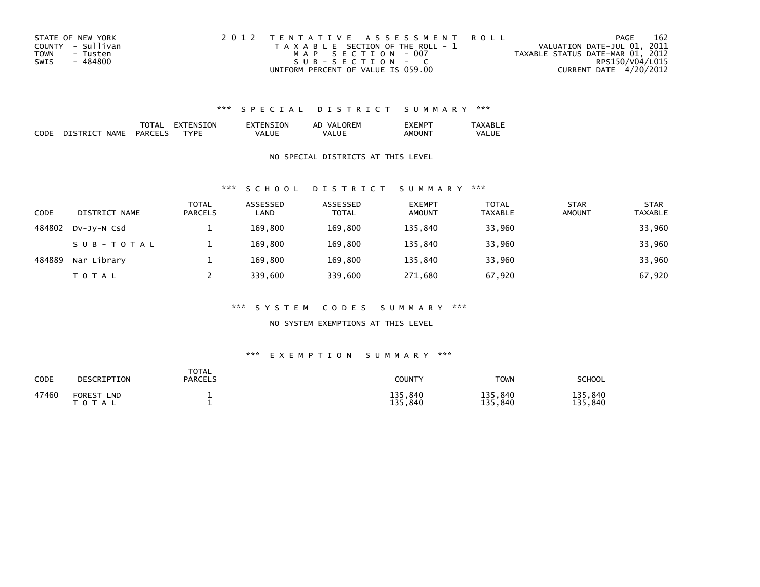| STATE OF NEW YORK       | 2012 TENTATIVE ASSESSMENT ROLL        | PAGE                             | 162 |
|-------------------------|---------------------------------------|----------------------------------|-----|
| COUNTY - Sullivan       | T A X A B L E SECTION OF THE ROLL - 1 | VALUATION DATE-JUL 01, 2011      |     |
| <b>TOWN</b><br>- Tusten | MAP SECTION - 007                     | TAXABLE STATUS DATE-MAR 01, 2012 |     |
| - 484800<br>SWIS        | SUB-SECTION - C                       | RPS150/V04/L015                  |     |
|                         | UNIFORM PERCENT OF VALUE IS 059.00    | CURRENT DATE 4/20/2012           |     |

|                    |                              | 'I AL                 | 'ΩN<br>או - |         | ORFM<br>VA<br>ΑL | .EMP               | $\overline{\phantom{a}}$ |
|--------------------|------------------------------|-----------------------|-------------|---------|------------------|--------------------|--------------------------|
| <b>CODE</b><br>___ | <b>NAMF</b><br><b>DISTRT</b> | PART<br>$\sim$ $\sim$ | ™D⊩         | . / A L | Ш<br>VA.         | AMOUN <sup>-</sup> | <b>VALUE</b>             |

### NO SPECIAL DISTRICTS AT THIS LEVEL

#### \*\*\* S C H O O L D I S T R I C T S U M M A R Y \*\*\*

| CODE   | DISTRICT NAME | <b>TOTAL</b><br><b>PARCELS</b> | ASSESSED<br>LAND | ASSESSED<br><b>TOTAL</b> | <b>EXEMPT</b><br><b>AMOUNT</b> | <b>TOTAL</b><br><b>TAXABLE</b> | <b>STAR</b><br><b>AMOUNT</b> | <b>STAR</b><br><b>TAXABLE</b> |
|--------|---------------|--------------------------------|------------------|--------------------------|--------------------------------|--------------------------------|------------------------------|-------------------------------|
| 484802 | DV-JY-N Csd   |                                | 169.800          | 169,800                  | 135,840                        | 33,960                         |                              | 33,960                        |
|        | SUB-TOTAL     |                                | 169,800          | 169,800                  | 135,840                        | 33,960                         |                              | 33,960                        |
| 484889 | Nar Library   |                                | 169.800          | 169.800                  | 135.840                        | 33,960                         |                              | 33,960                        |
|        | T O T A L     |                                | 339,600          | 339,600                  | 271,680                        | 67,920                         |                              | 67,920                        |

#### \*\*\* S Y S T E M C O D E S S U M M A R Y \*\*\*

#### NO SYSTEM EXEMPTIONS AT THIS LEVEL

| CODE  | DESCRIPTION                    | <b>TOTAL</b><br><b>PARCELS</b> | COUNTY             | <b>TOWN</b>        | <b>SCHOOL</b>      |
|-------|--------------------------------|--------------------------------|--------------------|--------------------|--------------------|
| 47460 | <b>FOREST LND</b><br>T O T A L |                                | 135,840<br>135,840 | 135,840<br>135,840 | 135,840<br>135,840 |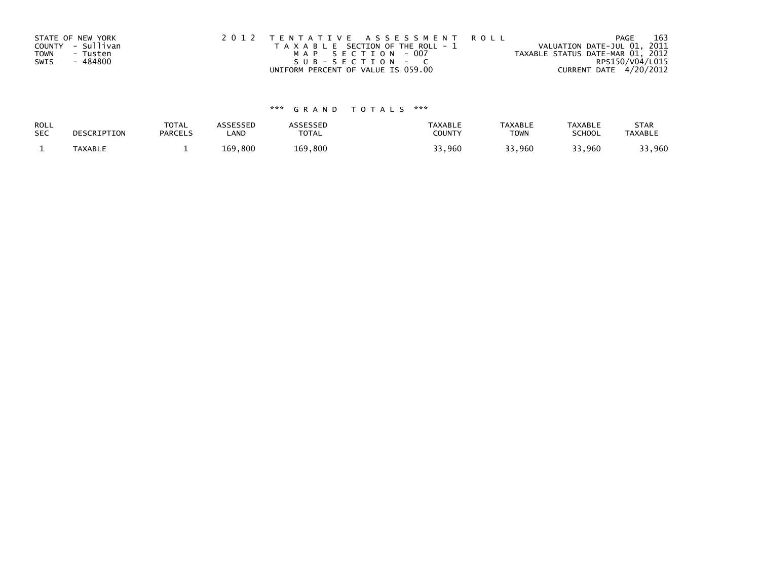| STATE OF NEW YORK       | 2012 TENTATIVE ASSESSMENT ROLL        | PAGE                             | 163             |
|-------------------------|---------------------------------------|----------------------------------|-----------------|
| COUNTY - Sullivan       | T A X A B L E SECTION OF THE ROLL - 1 | VALUATION DATE-JUL 01, 2011      |                 |
| <b>TOWN</b><br>- Tusten | MAP SECTION - 007                     | TAXABLE STATUS DATE-MAR 01, 2012 |                 |
| - 484800<br>SWIS        | SUB-SECTION - C                       |                                  | RPS150/V04/L015 |
|                         | UNIFORM PERCENT OF VALUE IS 059.00    | CURRENT DATE 4/20/2012           |                 |

| <b>ROLL</b> | DESCRIPTION | <b>TOTAL</b>   | ASSESSED | <b>ASSESSED</b> | <b>TAXABLE</b> | <b>TAXABLE</b> | <b>TAXABLE</b> | <b>STAR</b>    |
|-------------|-------------|----------------|----------|-----------------|----------------|----------------|----------------|----------------|
| <b>SEC</b>  |             | <b>PARCELS</b> | ∟AND     | TOTAL           | <b>COUNTY</b>  | <b>TOWN</b>    | <b>SCHOOL</b>  | <b>TAXABLE</b> |
|             | TAXABLE     |                | 169,800  | 169,800         | 33,960         | 33,960         | 33,960         | 33,960         |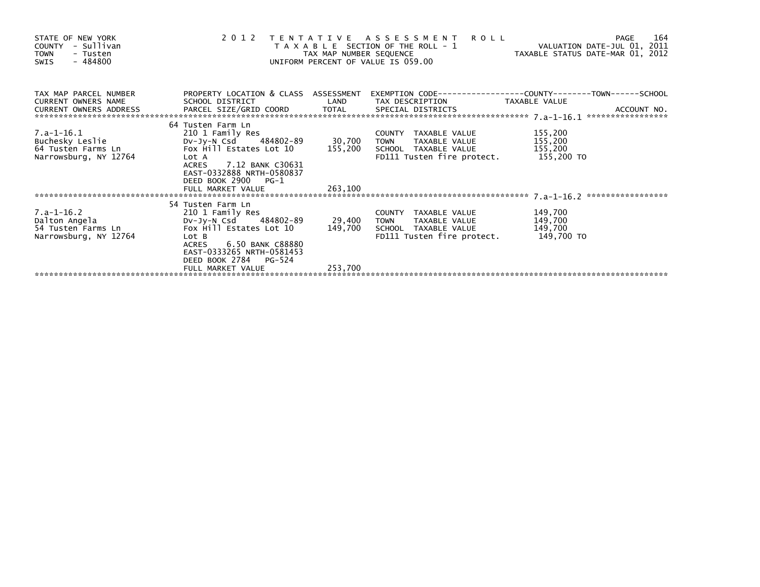| STATE OF NEW YORK<br>- Sullivan<br>COUNTY<br><b>TOWN</b><br>- Tusten<br>$-484800$<br>SWIS | 2012                                                                                                                                                                                         | TAX MAP NUMBER SEQUENCE | TENTATIVE ASSESSMENT<br><b>ROLL</b><br>T A X A B L E SECTION OF THE ROLL - 1<br>UNIFORM PERCENT OF VALUE IS 059.00 | VALUATION DATE-JUL 01, 2011<br>TAXABLE STATUS DATE-MAR 01, 2012 | 164<br><b>PAGE</b> |
|-------------------------------------------------------------------------------------------|----------------------------------------------------------------------------------------------------------------------------------------------------------------------------------------------|-------------------------|--------------------------------------------------------------------------------------------------------------------|-----------------------------------------------------------------|--------------------|
| TAX MAP PARCEL NUMBER<br>CURRENT OWNERS NAME<br>CURRENT OWNERS ADDRESS                    | PROPERTY LOCATION & CLASS ASSESSMENT<br>SCHOOL DISTRICT                                                                                                                                      | LAND                    | TAX DESCRIPTION                                                                                                    | TAXABLE VALUE                                                   |                    |
| $7.a-1-16.1$<br>Buchesky Leslie<br>64 Tusten Farms Ln<br>Narrowsburg, NY 12764            | 64 Tusten Farm Ln<br>210 1 Family Res<br>DV-JV-N Csd 484802-89<br>Fox Hill Estates Lot $10$ 155,200<br>Lot A<br>ACRES 7.12 BANK C30631<br>EAST-0332888 NRTH-0580837<br>DEED BOOK 2900 PG-1   | 30,700                  | COUNTY TAXABLE VALUE<br>TOWN<br>TAXABLE VALUE<br>SCHOOL TAXABLE VALUE<br>FD111 Tusten fire protect. 155,200 TO     | 155,200<br>155,200<br>155,200                                   |                    |
|                                                                                           | FULL MARKET VALUE                                                                                                                                                                            | 263,100                 |                                                                                                                    |                                                                 |                    |
| 7.a-1-16.2<br>Dalton Angela<br>54 Tusten Farms Ln<br>Narrowsburg, NY 12764                | 54 Tusten Farm Ln<br>210 1 Family Res<br>DV-Jy-N Csd 484802-89<br>Fox Hill Estates Lot 10<br>Lot B<br>6.50 BANK C88880<br><b>ACRES</b><br>EAST-0333265 NRTH-0581453<br>DEED BOOK 2784 PG-524 | 29,400<br>149,700       | COUNTY TAXABLE VALUE<br><b>TOWN</b><br>TAXABLE VALUE<br>SCHOOL TAXABLE VALUE<br>FD111 Tusten fire protect.         | 149,700<br>149,700<br>149,700<br>149,700 TO                     |                    |
|                                                                                           | FULL MARKET VALUE                                                                                                                                                                            | 253,700                 |                                                                                                                    |                                                                 |                    |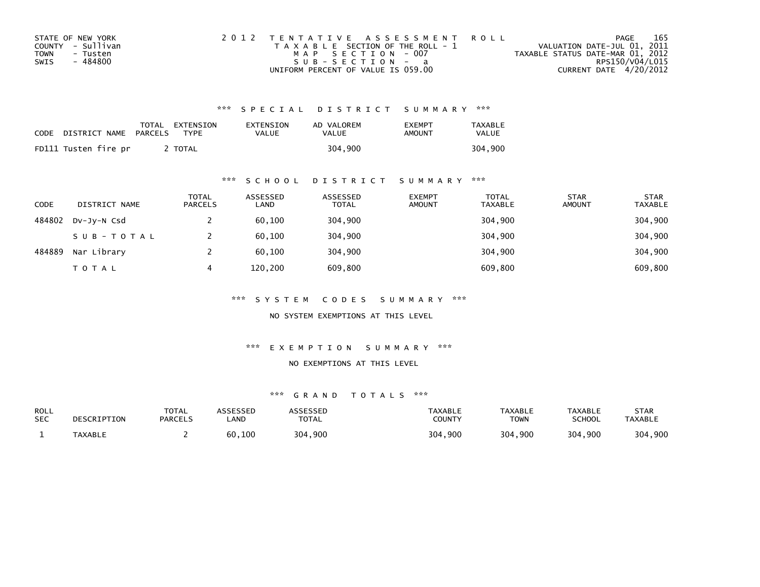| STATE OF NEW YORK | 2012 TENTATIVE ASSESSMENT ROLL        | PAGE                             | 165 |
|-------------------|---------------------------------------|----------------------------------|-----|
| COUNTY - Sullivan | T A X A B L E SECTION OF THE ROLL - 1 | VALUATION DATE-JUL 01, 2011      |     |
| TOWN<br>- Tusten  | MAP SECTION - 007                     | TAXABLE STATUS DATE-MAR 01, 2012 |     |
| - 484800<br>SWIS  | SUB-SECTION - a                       | RPS150/V04/L015                  |     |
|                   | UNIFORM PERCENT OF VALUE IS 059.00    | CURRENT DATE 4/20/2012           |     |

| CODE | DISTRICT NAME        | PARCELS | TOTAL EXTENSION<br><b>TYPF</b> | EXTENSION<br>VALUE | AD VALOREM<br>VALUE | <b>FXFMPT</b><br>AMOUNT | <b>TAXABLE</b><br><b>VALUE</b> |
|------|----------------------|---------|--------------------------------|--------------------|---------------------|-------------------------|--------------------------------|
|      | FD111 Tusten fire pr |         | <b>TOTAL</b>                   |                    | 304.900             |                         | 304.900                        |

### \*\*\* S C H O O L D I S T R I C T S U M M A R Y \*\*\*

| <b>CODE</b> | DISTRICT NAME | <b>TOTAL</b><br><b>PARCELS</b> | ASSESSED<br>LAND | ASSESSED<br><b>TOTAL</b> | <b>EXEMPT</b><br><b>AMOUNT</b> | <b>TOTAL</b><br><b>TAXABLE</b> | <b>STAR</b><br><b>AMOUNT</b> | <b>STAR</b><br><b>TAXABLE</b> |
|-------------|---------------|--------------------------------|------------------|--------------------------|--------------------------------|--------------------------------|------------------------------|-------------------------------|
| 484802      | DV-Jy-N Csd   |                                | 60,100           | 304,900                  |                                | 304,900                        |                              | 304,900                       |
|             | SUB-TOTAL     |                                | 60,100           | 304,900                  |                                | 304,900                        |                              | 304,900                       |
| 484889      | Nar Library   |                                | 60,100           | 304,900                  |                                | 304,900                        |                              | 304,900                       |
|             | <b>TOTAL</b>  | 4                              | 120,200          | 609,800                  |                                | 609,800                        |                              | 609,800                       |

\*\*\* S Y S T E M C O D E S S U M M A R Y \*\*\*

NO SYSTEM EXEMPTIONS AT THIS LEVEL

\*\*\* E X E M P T I O N S U M M A R Y \*\*\*

#### NO EXEMPTIONS AT THIS LEVEL

| ROLL<br><b>SEC</b> | DESCRIPTION | <b>TOTAL</b><br><b>PARCELS</b> | ASSESSEN<br>.AND | <b>ASSESSED</b><br><b>TOTAL</b> | <b>TAXABLE</b><br>COUNTY | <b>TAXABLE</b><br>TOWN | TAXABLE<br><b>SCHOOL</b> | STAR<br><b>TAXABLE</b> |
|--------------------|-------------|--------------------------------|------------------|---------------------------------|--------------------------|------------------------|--------------------------|------------------------|
|                    | TAXABLE     |                                | 60,100           | 304,900                         | 304,900                  | 304,900                | 304,900                  | 304,900                |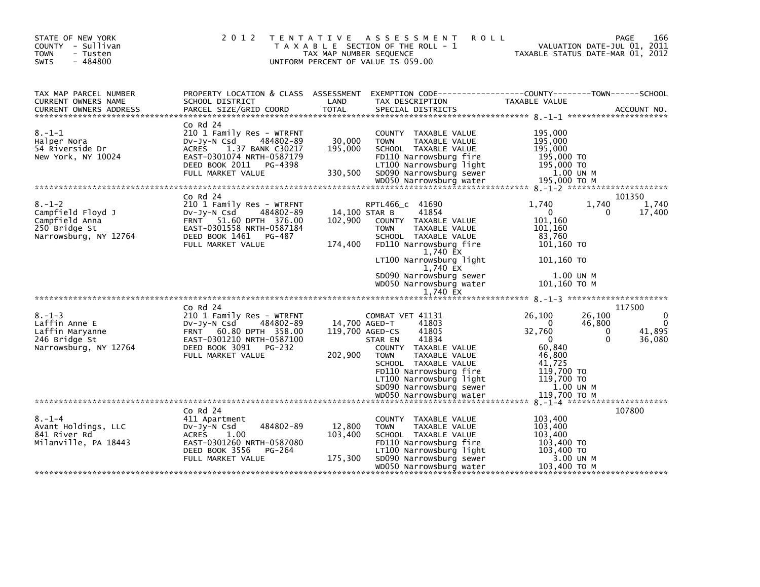| STATE OF NEW YORK<br>COUNTY - Sullivan<br><b>TOWN</b><br>- Tusten<br>$-484800$<br>SWIS        | 2 0 1 2                                                                                                                                                                        | TAX MAP NUMBER SEQUENCE      | TENTATIVE ASSESSMENT<br><b>ROLL</b><br>T A X A B L E SECTION OF THE ROLL - 1<br>UNIFORM PERCENT OF VALUE IS 059.00                                                         |                                                                           | 166<br>PAGE<br>VALUATION DATE-JUL 01, 2011<br>TAXABLE STATUS DATE-MAR 01, 2012 |
|-----------------------------------------------------------------------------------------------|--------------------------------------------------------------------------------------------------------------------------------------------------------------------------------|------------------------------|----------------------------------------------------------------------------------------------------------------------------------------------------------------------------|---------------------------------------------------------------------------|--------------------------------------------------------------------------------|
| TAX MAP PARCEL NUMBER<br>CURRENT OWNERS NAME<br>CURRENT OWNERS ADDRESS                        | PROPERTY LOCATION & CLASS ASSESSMENT<br>SCHOOL DISTRICT<br>PARCEL SIZE/GRID COORD                                                                                              | LAND<br><b>TOTAL</b>         | EXEMPTION CODE------------------COUNTY--------TOWN------SCHOOL<br>TAX DESCRIPTION<br>SPECIAL DISTRICTS                                                                     | TAXABLE VALUE                                                             | ACCOUNT NO.                                                                    |
| $8. - 1 - 1$<br>Halper Nora<br>54 Riverside Dr<br>New York, NY 10024                          | $Co$ Rd $24$<br>210 1 Family Res - WTRFNT<br>Dv-Jy-N Csd<br>484802-89<br>ACRES<br>1.37 BANK C30217<br>EAST-0301074 NRTH-0587179<br>DEED BOOK 2011 PG-4398<br>FULL MARKET VALUE | 30,000<br>195,000<br>330,500 | COUNTY TAXABLE VALUE<br>TAXABLE VALUE<br><b>TOWN</b><br>SCHOOL TAXABLE VALUE<br>FD110 Narrowsburg fire<br>LT100 Narrowsburg light<br>SD090 Narrowsburg sewer               | 195,000<br>195,000<br>195,000<br>195,000 TO<br>195,000 TO<br>1.00 UN M    |                                                                                |
|                                                                                               |                                                                                                                                                                                |                              |                                                                                                                                                                            |                                                                           |                                                                                |
| $8. - 1 - 2$<br>Campfield Floyd J<br>Campfield Anna<br>250 Bridge St<br>Narrowsburg, NY 12764 | Co Rd 24<br>210 1 Family Res - WTRFNT<br>Dv-Jy-N Csd<br>484802-89<br>FRNT 51.60 DPTH 376.00<br>EAST-0301558 NRTH-0587184<br>DEED BOOK 1461 PG-487<br>FULL MARKET VALUE         | 102,900<br>174,400           | RPTL466_c 41690<br>14,100 STAR B<br>41854<br>COUNTY TAXABLE VALUE<br><b>TOWN</b><br>TAXABLE VALUE<br>SCHOOL TAXABLE VALUE<br>FD110 Narrowsburg fire<br>1,740 EX            | 1.740<br>$\mathbf 0$<br>101,160<br>101,160<br>83,760<br>101,160 TO        | 101350<br>1,740<br>1,740<br>17,400<br>0                                        |
|                                                                                               |                                                                                                                                                                                |                              | LT100 Narrowsburg light<br>1,740 EX<br>SD090 Narrowsburg sewer<br>WD050 Narrowsburg water<br>1,740 EX                                                                      | 101.160 TO<br>1.00 UN M<br>101,160 ТО М                                   |                                                                                |
|                                                                                               | $Co$ Rd $24$                                                                                                                                                                   |                              |                                                                                                                                                                            |                                                                           | 117500                                                                         |
| $8. - 1 - 3$<br>Laffin Anne E<br>Laffin Maryanne<br>246 Bridge St<br>Narrowsburg, NY 12764    | 210 1 Family Res - WTRFNT<br>484802-89<br>DV-Jy-N Csd<br>60.80 DPTH 358.00<br><b>FRNT</b><br>EAST-0301210 NRTH-0587100<br>DEED BOOK 3091<br>PG-232<br>FULL MARKET VALUE        | 202,900                      | COMBAT VET 41131<br>41803<br>14,700 AGED-T<br>119,700 AGED-CS<br>41805<br>41834<br>STAR EN<br>COUNTY TAXABLE VALUE<br><b>TOWN</b><br>TAXABLE VALUE<br>SCHOOL TAXABLE VALUE | 26,100<br>$\Omega$<br>32,760<br>$\mathbf 0$<br>60,840<br>46,800<br>41,725 | 26,100<br>0<br>46,800<br>41,895<br>$\Omega$<br>0<br>36,080                     |
|                                                                                               |                                                                                                                                                                                |                              | FD110 Narrowsburg fire<br>LT100 Narrowsburg light<br>SD090 Narrowsburg sewer<br>WD050 Narrowsburg water                                                                    | 119,700 TO<br>119,700 TO<br>1.00 UN M<br>119.700 TO M                     |                                                                                |
| $8. - 1 - 4$<br>Avant Holdings, LLC<br>841 River Rd<br>Milanville, PA 18443                   | $Co$ Rd $24$<br>411 Apartment<br>484802-89<br>$Dv-Jy-N$ Csd<br><b>ACRES</b><br>1.00<br>EAST-0301260 NRTH-0587080<br>DEED BOOK 3556<br>PG-264                                   | 12,800<br>103,400            | COUNTY TAXABLE VALUE<br><b>TOWN</b><br>TAXABLE VALUE<br>SCHOOL TAXABLE VALUE<br>FD110 Narrowsburg fire<br>LT100 Narrowsburg light                                          | 103,400<br>103,400<br>103,400<br>103,400 TO<br>103,400 TO                 | 107800                                                                         |
|                                                                                               | FULL MARKET VALUE                                                                                                                                                              | 175,300                      | SD090 Narrowsburg sewer<br>WD050 Narrowsburg water                                                                                                                         | 3.00 UN M<br>103,400 ТО М                                                 |                                                                                |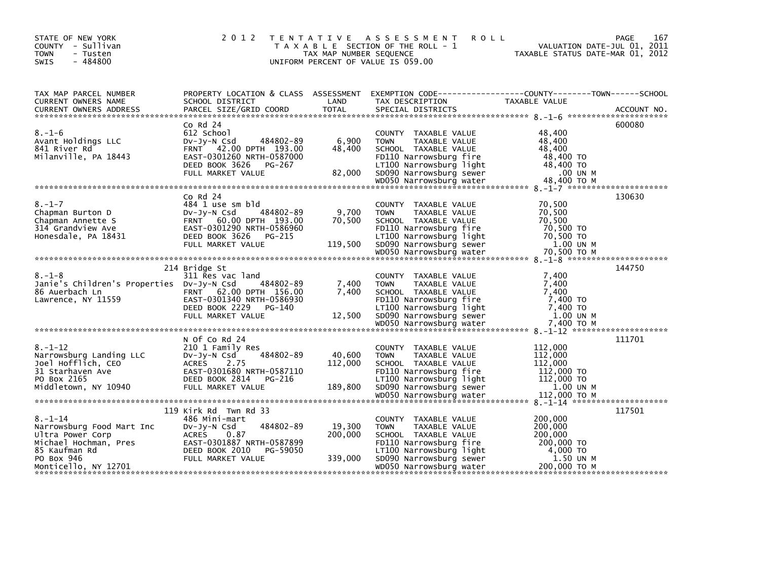| STATE OF NEW YORK<br>COUNTY - Sullivan<br><b>TOWN</b><br>- Tusten<br>SWIS<br>$-484800$                                                                                                   | 2 0 1 2                                                                                                                                                              | TAX MAP NUMBER SEQUENCE      | TENTATIVE ASSESSMENT<br><b>ROLL</b><br>T A X A B L E SECTION OF THE ROLL - 1<br>UNIFORM PERCENT OF VALUE IS 059.00                                                                      | PAGE<br>167<br>VALUATION DATE-JUL 01, 2011<br>TAXABLE STATUS DATE-MAR 01, 2012                                   |
|------------------------------------------------------------------------------------------------------------------------------------------------------------------------------------------|----------------------------------------------------------------------------------------------------------------------------------------------------------------------|------------------------------|-----------------------------------------------------------------------------------------------------------------------------------------------------------------------------------------|------------------------------------------------------------------------------------------------------------------|
| TAX MAP PARCEL NUMBER<br>CURRENT OWNERS NAME<br>CURRENT OWNERS ADDRESS                                                                                                                   | SCHOOL DISTRICT                                                                                                                                                      | LAND                         | TAX DESCRIPTION                                                                                                                                                                         | PROPERTY LOCATION & CLASS ASSESSMENT EXEMPTION CODE---------------COUNTY-------TOWN------SCHOOL<br>TAXABLE VALUE |
| $8. - 1 - 6$<br>Avant Holdings LLC<br>841 River Rd<br>Milanville, PA 18443                                                                                                               | $Co$ Rd $24$<br>612 School<br>484802-89<br>$Dv-Jv-N$ Csd<br>FRNT 42.00 DPTH 193.00<br>EAST-0301260 NRTH-0587000<br>DEED BOOK 3626<br>PG-267<br>FULL MARKET VALUE     | 6,900<br>48,400<br>82,000    | COUNTY TAXABLE VALUE<br><b>TOWN</b><br>TAXABLE VALUE<br>SCHOOL TAXABLE VALUE<br>FD110 Narrowsburg fire<br>LT100 Narrowsburg light<br>SD090 Narrowsburg sewer                            | 600080<br>48,400<br>48,400<br>48,400<br>48,400 TO<br>48,400 TO<br>.00 UN M                                       |
|                                                                                                                                                                                          |                                                                                                                                                                      |                              |                                                                                                                                                                                         |                                                                                                                  |
| $8. - 1 - 7$<br>Chapman Burton D<br>Chapman Annette S<br>314 Grandview Ave<br>Honesdale, PA 18431                                                                                        | $CO$ Rd $24$<br>484 1 use sm bld<br>DV-Jy-N Csd<br>484802-89<br>FRNT 60.00 DPTH 193.00<br>EAST-0301290 NRTH-0586960<br>DEED BOOK 3626<br>PG-215<br>FULL MARKET VALUE | 9,700<br>70.500<br>119,500   | COUNTY TAXABLE VALUE<br>TAXABLE VALUE<br><b>TOWN</b><br>SCHOOL TAXABLE VALUE<br>FD110 Narrowsburg fire<br>LT100 Narrowsburg light<br>SD090 Narrowsburg sewer                            | 130630<br>70,500<br>70,500<br>70,500<br>70,500 TO<br>70,500 TO<br>1.00 UN M                                      |
|                                                                                                                                                                                          |                                                                                                                                                                      |                              |                                                                                                                                                                                         |                                                                                                                  |
| $8. - 1 - 8$<br>Janie's Children's Properties Dv-Jy-N Csd<br>86 Auerbach Ln<br>Lawrence, NY 11559                                                                                        | 214 Bridge St<br>311 Res vac land<br>484802-89<br>FRNT 62.00 DPTH 156.00<br>EAST-0301340 NRTH-0586930<br>DEED BOOK 2229<br>PG-140<br>FULL MARKET VALUE               | 7,400<br>7.400<br>12,500     | COUNTY TAXABLE VALUE<br><b>TOWN</b><br>TAXABLE VALUE<br>SCHOOL TAXABLE VALUE<br>FD110 Narrowsburg fire<br>LT100 Narrowsburg light<br>SD090 Narrowsburg sewer                            | 144750<br>7.400<br>7,400<br>7,400<br>7,400 TO<br>7,400 TO<br>1.00 UN M                                           |
|                                                                                                                                                                                          |                                                                                                                                                                      |                              |                                                                                                                                                                                         |                                                                                                                  |
| $8. - 1 - 12$<br>Narrowsburg Landing LLC<br>Joel Hofflich, CEO<br>31 Starhaven Ave<br>PO Box 2165<br>Middletown, NY 10940                                                                | N Of Co Rd 24<br>210 1 Family Res<br>484802-89<br>DV-JV-N Csd<br>ACRES 2.75<br>EAST-0301680 NRTH-0587110<br>DEED BOOK 2814<br>PG-216<br>FULL MARKET VALUE            | 40,600<br>112,000<br>189,800 | COUNTY TAXABLE VALUE<br><b>TOWN</b><br>TAXABLE VALUE<br>SCHOOL TAXABLE VALUE<br>FD110 Narrowsburg fire<br>LT100 Narrowsburg light<br>SD090 Narrowsburg sewer                            | 111701<br>112,000<br>112,000<br>112,000<br>112,000 TO<br>112,000 TO<br>1.00 UN M                                 |
|                                                                                                                                                                                          |                                                                                                                                                                      |                              |                                                                                                                                                                                         |                                                                                                                  |
| $8. - 1 - 14$<br>Narrowsburg Food Mart Inc<br>Ultra Power Corp<br>Michael Hochman, Pres<br>Michael Hochman, Pres<br>85 Kaufman Rd<br>85 Kaufman Rd<br>PO Box 946<br>Monticello, NY 12701 | 119 Kirk Rd Twn Rd 33<br>486 Mini-mart<br>484802-89<br>DV-JV-N Csd<br><b>ACRES</b><br>0.87<br>FULL MARKET VALUE                                                      | 19,300<br>200,000<br>339,000 | COUNTY TAXABLE VALUE<br><b>TOWN</b><br>TAXABLE VALUE<br>SCHOOL TAXABLE VALUE<br>FD110 Narrowsburg fire<br>LT100 Narrowsburg light<br>SD090 Narrowsburg sewer<br>WD050 Narrowsburg water | 117501<br>200,000<br>200,000<br>200,000<br>200,000 TO<br>4,000 TO<br>1.50 UN M<br>200,000 ТО М                   |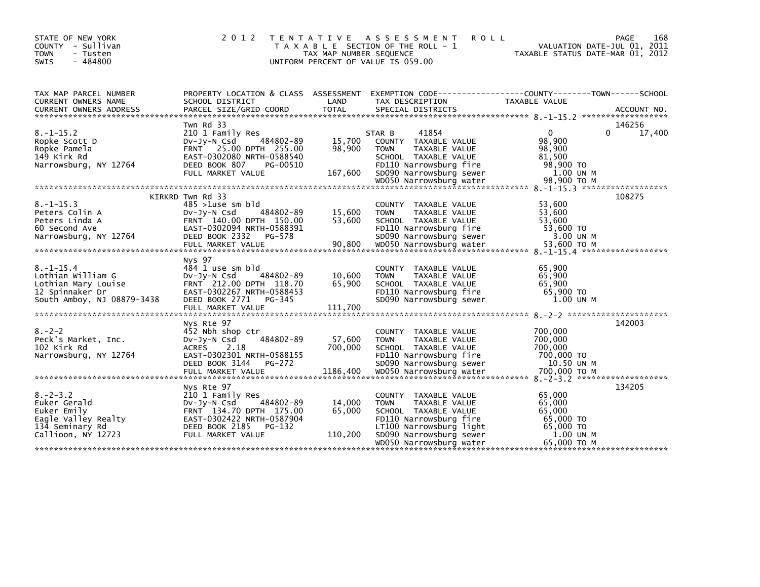| STATE OF NEW YORK<br>- Sullivan<br>COUNTY<br><b>TOWN</b><br>- Tusten<br>$-484800$<br>SWIS                    | 2 0 1 2                                                                                                                                                            | T E N T A T I V E<br>TAX MAP NUMBER SEQUENCE | A S S E S S M E N T<br><b>ROLL</b><br>T A X A B L E SECTION OF THE ROLL - 1<br>UNIFORM PERCENT OF VALUE IS 059.00                                    | VALUATION DATE-JUL 01, 2011<br>TAXABLE STATUS DATE-MAR 01, 2012                  | 168<br>PAGE      |
|--------------------------------------------------------------------------------------------------------------|--------------------------------------------------------------------------------------------------------------------------------------------------------------------|----------------------------------------------|------------------------------------------------------------------------------------------------------------------------------------------------------|----------------------------------------------------------------------------------|------------------|
| TAX MAP PARCEL NUMBER<br><b>CURRENT OWNERS NAME</b>                                                          | SCHOOL DISTRICT                                                                                                                                                    | LAND                                         | PROPERTY LOCATION & CLASS ASSESSMENT EXEMPTION CODE----------------COUNTY-------TOWN------SCHOOL<br>TAX DESCRIPTION                                  | TAXABLE VALUE                                                                    |                  |
| $8. -1 - 15.2$<br>Ropke Scott D<br>Ropke Pamela<br>149 Kirk Rd<br>Narrowsburg, NY 12764                      | Twn Rd 33<br>210 1 Family Res<br>484802-89<br>DV-Jy-N Csd<br>FRNT 25.00 DPTH 255.00<br>EAST-0302080 NRTH-0588540<br>DEED BOOK 807<br>PG-00510<br>FULL MARKET VALUE | 15,700<br>98,900<br>167,600                  | STAR B<br>41854<br>COUNTY TAXABLE VALUE<br><b>TOWN</b><br>TAXABLE VALUE<br>SCHOOL TAXABLE VALUE<br>FD110 Narrowsburg fire<br>SD090 Narrowsburg sewer | $\mathbf{0}$<br>$\Omega$<br>98,900<br>98,900<br>81,500<br>98,900 TO<br>1.00 UN M | 146256<br>17,400 |
|                                                                                                              |                                                                                                                                                                    |                                              |                                                                                                                                                      |                                                                                  |                  |
| $8. -1 - 15.3$<br>Peters Colin A<br>Peters Linda A<br>60 Second Ave<br>Narrowsburg, NY 12764                 | KIRKRD Twn Rd 33<br>$485 > 1$ use sm bld<br>484802-89<br>DV-Jy-N Csd<br>FRNT 140.00 DPTH 150.00<br>EAST-0302094 NRTH-0588391<br>DEED BOOK 2332<br>PG-578           | 15,600<br>53,600                             | COUNTY TAXABLE VALUE<br>TAXABLE VALUE<br><b>TOWN</b><br>SCHOOL TAXABLE VALUE<br>FD110 Narrowsburg fire<br>SD090 Narrowsburg sewer                    | 53,600<br>53,600<br>53,600<br>53,600 TO<br>3.00 UN M                             | 108275           |
| $8. - 1 - 15.4$<br>Lothian William G<br>Lothian Mary Louise<br>12 Spinnaker Dr<br>South Amboy, NJ 08879-3438 | Nys 97<br>484 1 use sm bld<br>484802-89<br>DV-Jy-N Csd<br>FRNT 212.00 DPTH 118.70<br>EAST-0302267 NRTH-0588453<br>DEED BOOK 2771 PG-345<br>FULL MARKET VALUE       | 10,600<br>65,900<br>111,700                  | TAXABLE VALUE<br>COUNTY<br><b>TOWN</b><br>TAXABLE VALUE<br>SCHOOL TAXABLE VALUE<br>FD110 Narrowsburg fire<br>SD090 Narrowsburg sewer                 | 65,900<br>65.900<br>65,900<br>65,900 TO<br>1.00 UN M                             |                  |
| $8. - 2 - 2$<br>Peck's Market, Inc.<br>102 Kirk Rd<br>Narrowsburg, NY 12764                                  | Nys Rte 97<br>452 Nbh shop ctr<br>484802-89<br>DV-Jy-N Csd<br>2.18<br><b>ACRES</b><br>EAST-0302301 NRTH-0588155<br>DEED BOOK 3144<br>PG-272                        | 57,600<br>700,000                            | TAXABLE VALUE<br><b>COUNTY</b><br><b>TOWN</b><br>TAXABLE VALUE<br>SCHOOL TAXABLE VALUE<br>FD110 Narrowsburg fire<br>SD090 Narrowsburg sewer          | 700,000<br>700,000<br>700,000<br>700,000 TO<br>10.50 UN M                        | 142003           |
|                                                                                                              | Nys Rte 97                                                                                                                                                         |                                              |                                                                                                                                                      |                                                                                  | 134205           |
| $8. - 2 - 3.2$<br>Euker Gerald<br>Euker Emily<br>Eagle Valley Realty<br>134 Seminary Rd                      | 210 1 Family Res<br>484802-89<br>DV-JY-N Csd<br>FRNT 134.70 DPTH 175.00<br>EAST-0302422 NRTH-0587904<br>DEED BOOK 2185<br>PG-132                                   | 14,000<br>65,000                             | COUNTY TAXABLE VALUE<br><b>TOWN</b><br>TAXABLE VALUE<br>SCHOOL TAXABLE VALUE<br>FD110 Narrowsburg fire<br>LT100 Narrowsburg light                    | 65,000<br>65,000<br>65,000<br>65,000 TO<br>65,000 TO                             |                  |
| Callioon, NY 12723                                                                                           | FULL MARKET VALUE                                                                                                                                                  | 110,200                                      | SD090 Narrowsburg sewer<br>WD050 Narrowsburg water                                                                                                   | 1.00 UN M<br>65.000 ТО М                                                         |                  |
|                                                                                                              |                                                                                                                                                                    |                                              |                                                                                                                                                      |                                                                                  |                  |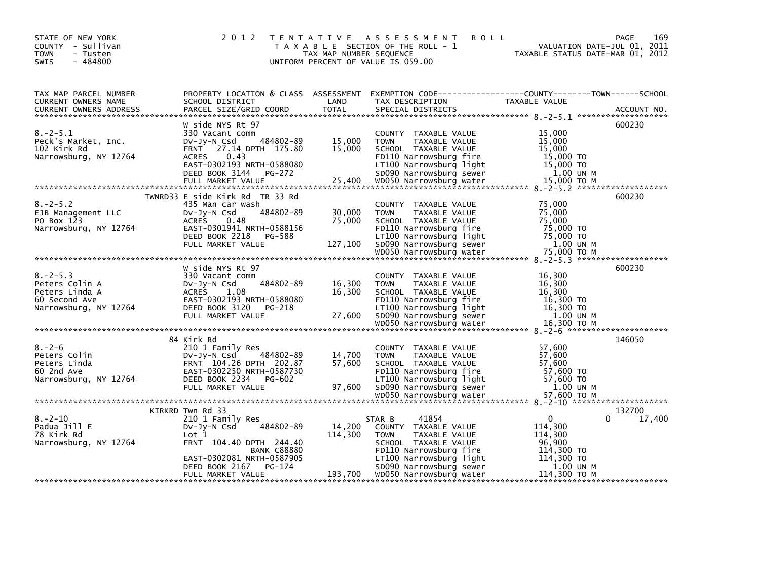| STATE OF NEW YORK<br>COUNTY - Sullivan<br>- Tusten<br><b>TOWN</b><br>$-484800$<br><b>SWIS</b>                                                                                                                                                                                                                                                                      | 2 0 1 2                                                                                                                          |                   | TENTATIVE ASSESSMENT ROLL<br>T A X A B L E SECTION OF THE ROLL - 1 VALUATION DATE-JUL 01, 2011<br>TAX MAP NUMBER SEQUENCE CONTRANABLE STATUS DATE-MAR 01, 2012<br>UNIFORM PERCENT OF VALUE IS 059.00 | VALUATION DATE-JUL 01, 2011                | 169<br>PAGE      |
|--------------------------------------------------------------------------------------------------------------------------------------------------------------------------------------------------------------------------------------------------------------------------------------------------------------------------------------------------------------------|----------------------------------------------------------------------------------------------------------------------------------|-------------------|------------------------------------------------------------------------------------------------------------------------------------------------------------------------------------------------------|--------------------------------------------|------------------|
|                                                                                                                                                                                                                                                                                                                                                                    |                                                                                                                                  |                   |                                                                                                                                                                                                      |                                            |                  |
| TAX MAP PARCEL NUMBER<br>TAX MARE TRANSPORT THE CONTROL DESCRIPTION CONTROL TO A THE CONTRESS CONTRESS CONTRESS CONTRESS CONTRESS CONTR<br>CURRENT OWNERS ADDRESS PARCEL SIZE/GRID COORD TOTAL SPECIAL DISTRICTS TAXABLE VALUE (ALUE ACCOUNT NO.<br>*********                                                                                                      |                                                                                                                                  |                   | PROPERTY LOCATION & CLASS ASSESSMENT EXEMPTION CODE---------------COUNTY-------TOWN-----SCHOOL                                                                                                       |                                            |                  |
|                                                                                                                                                                                                                                                                                                                                                                    | W side NYS Rt 97                                                                                                                 |                   |                                                                                                                                                                                                      |                                            | 600230           |
| Peck's Market, Inc.<br>Peck's Market, Inc.<br>102 Kirk Rd<br>Narrowsburg (1996) 2016 FRNT 27.14<br>Narrowsburg, NY 12764<br>EAST-0302193 NRTH-0588080<br>EAST-0302193 NRTH-0588080<br>DEED BOOK 3144 PG-272 25,400 Marrowsburg sewer 1.00 UN M<br>FULL MARKET VALUE 25,400 WD050 Narrowsburg water 15,000 TO M<br>FULL MARKET VALUE 25,400 WD050 Narrowsburg water | mm<br>484802-89 15,000<br>330 Vacant comm<br>FRNT 27.14 DPTH 175.80<br>ACRES 0.43                                                | 15,000            | COUNTY TAXABLE VALUE<br>TAXABLE VALUE<br><b>TOWN</b><br>SCHOOL TAXABLE VALUE<br>FD110 Narrowsburg fire                                                                                               | 15,000<br>15,000<br>15.000<br>$15,000$ TO  |                  |
|                                                                                                                                                                                                                                                                                                                                                                    |                                                                                                                                  |                   |                                                                                                                                                                                                      |                                            |                  |
| $8 - 2 - 5.2$<br>EJB Management LLC<br>PO Box 123<br>PO BOX 123<br>Narrowsburg, NY 12764 EAST-0301941 NRTH-0588156 FOLD Narrowsburg Fire (1110 Narrowsburg Fight 75,000 TO<br>DEED BOOK 218 PG-588 LT100 Narrowsburg Tight 75,000 TO<br>FULL MARKET VALUE 127,100 SD090 Narrowsburg sewer                                                                          | TWNRD33 E side Kirk Rd TR 33 Rd<br>435 Man car wash<br>484802-89<br>Dv-Jy-N Csd<br>ACRES 0.48                                    | 30,000<br>75,000  | COUNTY TAXABLE VALUE<br><b>TOWN</b><br>TAXABLE VALUE<br>SCHOOL TAXABLE VALUE                                                                                                                         | 75,000<br>75,000<br>75,000                 | 600230           |
|                                                                                                                                                                                                                                                                                                                                                                    |                                                                                                                                  |                   |                                                                                                                                                                                                      |                                            |                  |
| $8. - 2 - 5.3$<br>Peters Colin A<br>Peters Cornica<br>Peters Linda A<br>60 Second Ave<br>Narrowsburg, NY 12764<br>FULL MARKET VALUE<br>EXECT-0302193 NRTH-0588080<br>Marrowsburg Tipe EXEL BOOK 3120 PG-218<br>EXEL MARKET VALUE 27,600 SD090 Narrowsburg sewer 1.00 UN M<br>WOD50 Narrowsburg water 16,300 TO M<br>EXEL MARKET VALUE 27,600 SD090 Narrows         | W side NYS Rt 97<br>330 Vacant comm<br>DV-Jy-N Csd<br>DV-Jy-N Csd<br>ACRES 1.08<br>EAST-0302193 N<br>DEED BOOK 3120<br>484802-89 | 16,300<br>16,300  | COUNTY TAXABLE VALUE<br>TAXABLE VALUE<br><b>TOWN</b><br>SCHOOL TAXABLE VALUE                                                                                                                         | 16,300<br>16,300<br>16,300                 | 600230           |
|                                                                                                                                                                                                                                                                                                                                                                    |                                                                                                                                  |                   |                                                                                                                                                                                                      |                                            |                  |
| $8. - 2 - 6$<br>Peters Colin<br>Peters Linda<br>PETRIC PRIMING PRIMING PRIMING PRIMING PRIMING PRIMING PRIMING PRIMING PRIMING PRIMING PRIMING PRIMING PRIMING P<br>Marrowsburg, NY 12764 DEED BOOK 2234 PG-602 DET DO Narrowsburg Fight 57,600 TO<br>PULL MARKET VALUE 97,600 SD0                                                                                 | 84 Kirk Rd<br>210 1 Family Res<br>DV-Jy-N Csd 484802-89<br>FRNT 104.26 DPTH 202.87                                               | 14,700<br>57,600  | COUNTY TAXABLE VALUE<br>TAXABLE VALUE<br><b>TOWN</b><br>SCHOOL TAXABLE VALUE                                                                                                                         | 57,600<br>57.600<br>57,600                 | 146050           |
|                                                                                                                                                                                                                                                                                                                                                                    |                                                                                                                                  |                   |                                                                                                                                                                                                      |                                            |                  |
| $8. - 2 - 10$                                                                                                                                                                                                                                                                                                                                                      | KIRKRD Twn Rd 33<br>210 1 Family Res                                                                                             |                   | 41854<br>STAR B                                                                                                                                                                                      | $\Omega$<br>U                              | 132700<br>17,400 |
| Padua Jill E<br>78 Kirk Rd<br>Narrowsburg, NY 12764                                                                                                                                                                                                                                                                                                                | 484802-89<br>DV-Jy-N Csd<br>Lot 1<br>FRNT 104.40 DPTH 244.40<br><b>BANK C88880</b>                                               | 14,200<br>114,300 | COUNTY TAXABLE VALUE<br><b>TOWN</b><br>TAXABLE VALUE<br>SCHOOL TAXABLE VALUE                                                                                                                         | 114,300<br>114,300<br>96,900<br>114,300 то |                  |
|                                                                                                                                                                                                                                                                                                                                                                    | EAST-0302081 NRTH-0587905<br>DEED BOOK 2167 PG-174<br>FULL MARKET VALUE                                                          | 193,700           | FD110 Narrowsburg fire<br>LT100 Narrowsburg light<br>SD090 Narrowsburg sewer<br>WD050 Narrowsburg water                                                                                              | $114,300$ TO<br>1.00 UN M<br>114,300 то м  |                  |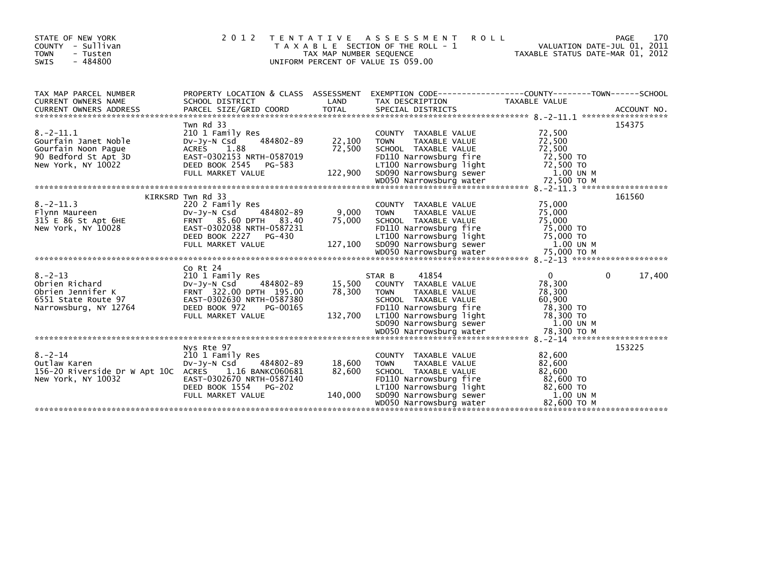| STATE OF NEW YORK<br>COUNTY - Sullivan<br><b>TOWN</b><br>- Tusten<br>$-484800$<br>SWIS                                                                                                                                                                 | 2 0 1 2                                                                   | TAX MAP NUMBER SEQUENCE         | TENTATIVE ASSESSMENT ROLL<br>T A X A B L E SECTION OF THE ROLL - 1<br>UNIFORM PERCENT OF VALUE IS 059.00                                      | VALUATION DATE-JUL 01, 2011<br>TAXABLE STATUS DATE-MAR 01, 2012 | 170<br>PAGE            |
|--------------------------------------------------------------------------------------------------------------------------------------------------------------------------------------------------------------------------------------------------------|---------------------------------------------------------------------------|---------------------------------|-----------------------------------------------------------------------------------------------------------------------------------------------|-----------------------------------------------------------------|------------------------|
| TAX MAP PARCEL NUMBER<br>CURRENT OWNERS NAME                                                                                                                                                                                                           | SCHOOL DISTRICT                                                           | LAND                            | PROPERTY LOCATION & CLASS ASSESSMENT EXEMPTION CODE----------------COUNTY-------TOWN------SCHOOL<br>TAX DESCRIPTION TAXABLE VALUE             |                                                                 |                        |
|                                                                                                                                                                                                                                                        |                                                                           |                                 |                                                                                                                                               |                                                                 |                        |
|                                                                                                                                                                                                                                                        | Twn Rd 33                                                                 |                                 |                                                                                                                                               |                                                                 | 154375                 |
| $8. -2 - 11.1$<br>Gourfain Janet Noble<br>Gourfain Noon Paque                                                                                                                                                                                          | 210 1 Family Res                                                          | $484802 - 89$ 22, 100<br>72,500 | COUNTY TAXABLE VALUE<br><b>TOWN</b><br>TAXABLE VALUE<br>SCHOOL TAXABLE VALUE                                                                  | 72,500<br>72,500<br>72,500                                      |                        |
| 90 Bedford St Apt 3D<br>New York, NY 10022 DEED BOOK 2545 PG-583<br>TIOO Narrowsburg Tight 72,500 TO<br>FULL MARKET VALUE 122,900 SD090 Narrowsburg sewer 1.00 UN M<br>WOD50 Narrowsburg water 72,500 TO M<br>WOD50 Narrowsburg water 72               |                                                                           |                                 |                                                                                                                                               |                                                                 |                        |
|                                                                                                                                                                                                                                                        |                                                                           |                                 |                                                                                                                                               |                                                                 |                        |
|                                                                                                                                                                                                                                                        |                                                                           |                                 |                                                                                                                                               |                                                                 | 161560                 |
|                                                                                                                                                                                                                                                        |                                                                           |                                 | COUNTY TAXABLE VALUE<br><b>TOWN</b><br>TAXABLE VALUE<br>SCHOOL TAXABLE VALUE                                                                  | 75,000<br>75,000<br>75,000                                      |                        |
|                                                                                                                                                                                                                                                        |                                                                           |                                 |                                                                                                                                               |                                                                 |                        |
| New York, NY 10028<br>New York, NY 10028<br>Mew York, NY 10028<br>Mew York, NY 10028<br>DEED BOOK 2227 PG-430<br>FULL MARKET VALUE<br>FULL MARKET VALUE<br>The Same Supplem Supplem Supplem Supplem Supplem Supplem Supplem Supplem Supplem            |                                                                           |                                 |                                                                                                                                               |                                                                 |                        |
|                                                                                                                                                                                                                                                        | Co Rt 24                                                                  |                                 |                                                                                                                                               |                                                                 |                        |
| 8.-2-13<br>Obrien Richard<br>Obrien Jennifer K<br>6551 State Route 97<br>Narrowsburg, NY 12764<br>2000 DPTH 195.00<br>22.00 DPTH 195.00<br>22.00 DPTH 195.00<br>22.00 DPTH 195.00<br>22.00 DPTH 195.00<br>22.00 DPTH 195.00<br>22.00 DPTH 195.00<br>22 |                                                                           | 78,300                          | 41854<br>STAR B<br>15,500 COUNTY TAXABLE VALUE<br><b>TOWN</b><br>TAXABLE VALUE<br>SCHOOL TAXABLE VALUE                                        | $\mathbf{0}$<br>78,300<br>78,300<br>60,900                      | $\mathbf{0}$<br>17,400 |
| Narrowsburg, NY 12764 ERSIT-0302030 INTILESSES FOLLO NATIONS ENGLISHED THE 2000 CONTROVERS FOLLO NATIONS FOR T<br>FULL MARKET VALUE 132,700 LT100 Narrowsburg Tight 78,300 TO<br>FULL MARKET VALUE 132,700 SD090 Narrowsburg sewer 1                   |                                                                           |                                 |                                                                                                                                               |                                                                 |                        |
|                                                                                                                                                                                                                                                        |                                                                           |                                 |                                                                                                                                               |                                                                 |                        |
|                                                                                                                                                                                                                                                        | Nys Rte 97                                                                |                                 |                                                                                                                                               |                                                                 | 153225                 |
| $8. - 2 - 14$<br>Outlaw Karen<br>156-20 Riverside Dr W Apt 10C ACRES 1.16 BANKC060681<br>New York, NY 10032                                                                                                                                            | 210 1 Family Res<br>DV-Jy-N Csd<br>484802-89<br>EAST-0302670 NRTH-0587140 | 18,600<br>82,600                | COUNTY TAXABLE VALUE<br><b>TOWN</b><br>TAXABLE VALUE<br>SCHOOL TAXABLE VALUE                                                                  | 82,600<br>82,600<br>82,600                                      |                        |
|                                                                                                                                                                                                                                                        |                                                                           |                                 | FD110 Narrowsburg fire 82,600 TO<br>LT100 Narrowsburg light 82,600 TO<br>SD090 Narrowsburg sewer 1.00 UN<br>WD050 Narrowsburg water 82,600 TO | 1.00 UN M<br>82,600 TO M                                        |                        |
|                                                                                                                                                                                                                                                        |                                                                           |                                 |                                                                                                                                               |                                                                 |                        |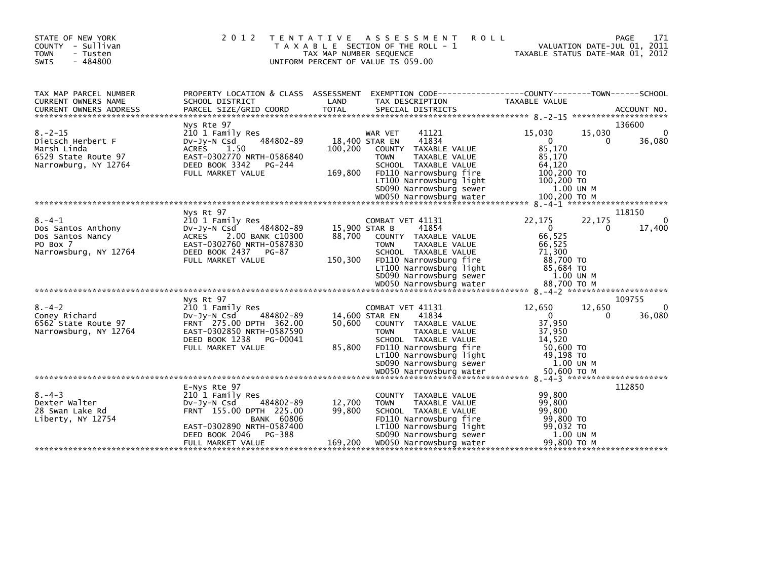| <b>TOWN</b><br>- Tusten<br>$-484800$<br><b>SWIS</b>                                              |                                                                                                                                                                                              | TAX MAP NUMBER SEQUENCE            | T A X A B L E SECTION OF THE ROLL - 1<br>UNIFORM PERCENT OF VALUE IS 059.00                                                                                                                                 | TAXABLE STATUS DATE-MAR 01, 2012                                                              |             | VALUATION DATE-JUL 01, 2011 |
|--------------------------------------------------------------------------------------------------|----------------------------------------------------------------------------------------------------------------------------------------------------------------------------------------------|------------------------------------|-------------------------------------------------------------------------------------------------------------------------------------------------------------------------------------------------------------|-----------------------------------------------------------------------------------------------|-------------|-----------------------------|
| TAX MAP PARCEL NUMBER<br>CURRENT OWNERS NAME                                                     | PROPERTY LOCATION & CLASS ASSESSMENT<br>SCHOOL DISTRICT                                                                                                                                      | LAND                               | EXEMPTION CODE-----------------COUNTY-------TOWN------SCHOOL<br>TAX DESCRIPTION                                                                                                                             | <b>TAXABLE VALUE</b>                                                                          |             |                             |
|                                                                                                  | Nys Rte 97                                                                                                                                                                                   |                                    |                                                                                                                                                                                                             |                                                                                               |             | 136600                      |
| $8. - 2 - 15$<br>Dietsch Herbert F<br>Marsh Linda<br>6529 State Route 97<br>Narrowburg, NY 12764 | 210 1 Family Res<br>484802-89<br>$Dv-Jy-N$ Csd<br><b>ACRES</b><br>1.50<br>EAST-0302770 NRTH-0586840<br>DEED BOOK 3342<br>PG-244<br>FULL MARKET VALUE                                         | 100,200<br>169,800                 | 41121<br>WAR VET<br>41834<br>18,400 STAR EN<br>COUNTY TAXABLE VALUE<br>TAXABLE VALUE<br><b>TOWN</b><br>SCHOOL TAXABLE VALUE<br>FD110 Narrowsburg fire<br>LT100 Narrowsburg light<br>SD090 Narrowsburg sewer | 15,030<br>$\mathbf 0$<br>85,170<br>85,170<br>64.120<br>100,200 TO<br>100,200 TO<br>1.00 UN M  | 15,030<br>0 | $\mathbf{0}$<br>36,080      |
|                                                                                                  |                                                                                                                                                                                              |                                    |                                                                                                                                                                                                             |                                                                                               |             |                             |
| $8. - 4 - 1$<br>Dos Santos Anthony<br>Dos Santos Nancy<br>PO Box 7<br>Narrowsburg, NY 12764      | Nys Rt 97<br>210 1 Family Res<br>$Dv-Jv-N$ Csd<br>484802-89<br>2.00 BANK C10300<br><b>ACRES</b><br>EAST-0302760 NRTH-0587830<br>DEED BOOK 2437<br>PG-87<br>FULL MARKET VALUE                 | 15,900 STAR B<br>88,700<br>150,300 | COMBAT VET 41131<br>41854<br>COUNTY TAXABLE VALUE<br><b>TOWN</b><br>TAXABLE VALUE<br>SCHOOL TAXABLE VALUE<br>FD110 Narrowsburg fire<br>LT100 Narrowsburg light<br>SD090 Narrowsburg sewer                   | 22,175<br>$\overline{0}$<br>66,525<br>66.525<br>71,300<br>88,700 TO<br>85,684 TO<br>1.00 UN M | 22,175<br>0 | 118150<br>0<br>17,400       |
|                                                                                                  | Nys Rt 97                                                                                                                                                                                    |                                    |                                                                                                                                                                                                             |                                                                                               |             | 109755                      |
| $8. - 4 - 2$<br>Coney Richard<br>6562 State Route 97<br>Narrowsburg, NY 12764                    | 210 1 Family Res<br>484802-89<br>$Dv-Jv-N$ Csd<br>FRNT 275.00 DPTH 362.00<br>EAST-0302850 NRTH-0587590<br>DEED BOOK 1238<br>PG-00041<br>FULL MARKET VALUE                                    | 50.600<br>85,800                   | COMBAT VET 41131<br>41834<br>14,600 STAR EN<br>COUNTY TAXABLE VALUE<br><b>TOWN</b><br>TAXABLE VALUE<br>SCHOOL TAXABLE VALUE<br>FD110 Narrowsburg fire<br>LT100 Narrowsburg light<br>SD090 Narrowsburg sewer | 12.650<br>$\Omega$<br>37,950<br>37.950<br>14.520<br>50,600 TO<br>49,198 TO<br>1.00 UN M       | 12,650<br>0 | $\Omega$<br>36,080          |
|                                                                                                  |                                                                                                                                                                                              |                                    |                                                                                                                                                                                                             |                                                                                               |             |                             |
| $8. - 4 - 3$<br>Dexter Walter<br>28 Swan Lake Rd<br>Liberty, NY 12754                            | E-Nys Rte 97<br>210 1 Family Res<br>$Dv-Jv-N$ Csd<br>484802-89<br>FRNT 155.00 DPTH 225.00<br><b>BANK 60806</b><br>EAST-0302890 NRTH-0587400<br>PG-388<br>DEED BOOK 2046<br>FULL MARKET VALUE | 12,700<br>99,800<br>169,200        | COUNTY TAXABLE VALUE<br><b>TOWN</b><br>TAXABLE VALUE<br>SCHOOL TAXABLE VALUE<br>FD110 Narrowsburg fire<br>LT100 Narrowsburg light<br>SD090 Narrowsburg sewer<br>WD050 Narrowsburg water                     | 99,800<br>99,800<br>99.800<br>99,800 TO<br>99,032 TO<br>1.00 UN M<br>99.800 ТО М              |             | 112850                      |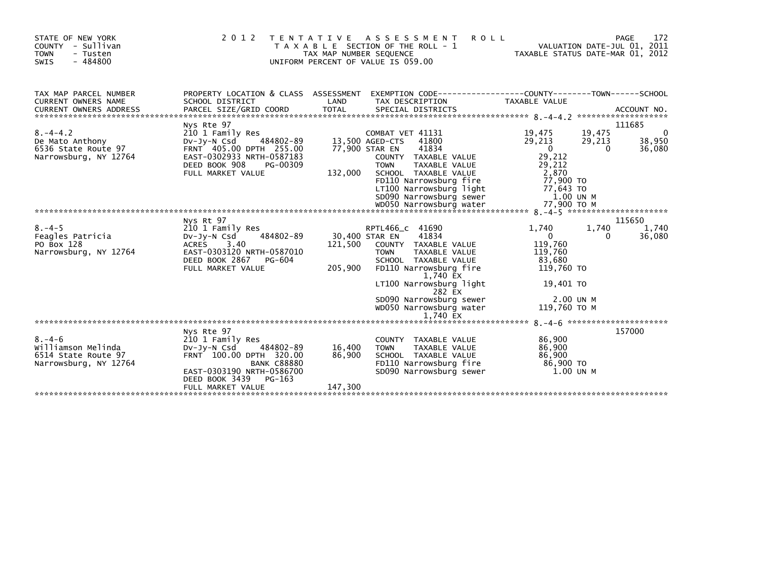| STATE OF NEW YORK<br>COUNTY - Sullivan<br><b>TOWN</b><br>- Tusten<br>$-484800$<br>SWIS | 2012                                                                                                                                                                 | TAX MAP NUMBER SEQUENCE | TENTATIVE ASSESSMENT<br>T A X A B L E SECTION OF THE ROLL - 1<br>UNIFORM PERCENT OF VALUE IS 059.00                                                                                                                                     | <b>ROLL</b>                                                                                          | 172<br>PAGE<br>VALUATION DATE-JUL 01, 2011<br>TAXABLE STATUS DATE-MAR 01, 2012 |
|----------------------------------------------------------------------------------------|----------------------------------------------------------------------------------------------------------------------------------------------------------------------|-------------------------|-----------------------------------------------------------------------------------------------------------------------------------------------------------------------------------------------------------------------------------------|------------------------------------------------------------------------------------------------------|--------------------------------------------------------------------------------|
| TAX MAP PARCEL NUMBER<br>CURRENT OWNERS NAME                                           | PROPERTY LOCATION & CLASS ASSESSMENT EXEMPTION CODE----------------COUNTY-------TOWN------SCHOOL<br>SCHOOL DISTRICT                                                  | LAND                    | TAX DESCRIPTION                                                                                                                                                                                                                         | <b>TAXABLE VALUE</b>                                                                                 |                                                                                |
| $8. - 4 - 4.2$<br>De Mato Anthony<br>6536 State Route 97<br>Narrowsburg, NY 12764      | Nys Rte 97<br>210 1 Family Res<br>484802-89<br>DV-JV-N Csd<br>FRNT 405.00 DPTH 255.00<br>EAST-0302933 NRTH-0587183<br>DEED BOOK 908<br>PG-00309<br>FULL MARKET VALUE | 132,000                 | COMBAT VET 41131<br>41800<br>13,500 AGED-CTS<br>77,900 STAR EN<br>41834<br>COUNTY TAXABLE VALUE<br><b>TOWN</b><br>TAXABLE VALUE<br>SCHOOL TAXABLE VALUE<br>FD110 Narrowsburg fire<br>LT100 Narrowsburg light<br>SD090 Narrowsburg sewer | 19,475<br>29,213<br>$\mathbf{0}$<br>29,212<br>29,212<br>2,870<br>77.900 TO<br>77,643 TO<br>1.00 UN M | 111685<br>0<br>19,475<br>38,950<br>29,213<br>36,080<br>$\Omega$                |
|                                                                                        | Nys Rt 97                                                                                                                                                            |                         |                                                                                                                                                                                                                                         |                                                                                                      | 115650                                                                         |
| $8. - 4 - 5$<br>Feagles Patricia<br>PO Box 128<br>Narrowsburg, NY 12764                | 210 1 Family Res<br>484802-89<br>$Dv-Jy-N$ Csd<br>ACRES 3.40<br>EAST-0303120 NRTH-0587010<br>DEED BOOK 2867<br>PG-604<br>FULL MARKET VALUE                           | 121,500<br>205,900      | RPTL466_c 41690<br>41834<br>30,400 STAR EN<br>COUNTY TAXABLE VALUE<br><b>TOWN</b><br>TAXABLE VALUE<br>SCHOOL TAXABLE VALUE<br>FD110 Narrowsburg fire<br>1,740 EX                                                                        | 1,740<br>$\mathbf{0}$<br>119,760<br>119,760<br>83,680<br>119,760 TO                                  | 1,740<br>1,740<br>36,080<br>0                                                  |
|                                                                                        |                                                                                                                                                                      |                         | LT100 Narrowsburg light<br>282 EX<br>SD090 Narrowsburg sewer<br>WD050 Narrowsburg water<br>1.740 EX                                                                                                                                     | 19,401 TO<br>2.00 UN M<br>119.760 ТО М                                                               |                                                                                |
|                                                                                        | Nys Rte 97                                                                                                                                                           |                         |                                                                                                                                                                                                                                         |                                                                                                      | 157000                                                                         |
| $8. - 4 - 6$<br>Williamson Melinda<br>6514 State Route 97<br>Narrowsburg, NY 12764     | 210 1 Family Res<br>$Dv-Jv-N$ Csd<br>484802-89<br>FRNT 100.00 DPTH 320.00<br><b>BANK C88880</b><br>EAST-0303190 NRTH-0586700<br>DEED BOOK 3439<br>PG-163             | 16,400<br>86,900        | COUNTY TAXABLE VALUE<br>TAXABLE VALUE<br><b>TOWN</b><br>SCHOOL TAXABLE VALUE<br>FD110 Narrowsburg fire<br>SD090 Narrowsburg sewer                                                                                                       | 86,900<br>86,900<br>86,900<br>86,900 TO<br>1.00 UN M                                                 |                                                                                |
|                                                                                        | FULL MARKET VALUE                                                                                                                                                    | 147,300                 |                                                                                                                                                                                                                                         |                                                                                                      |                                                                                |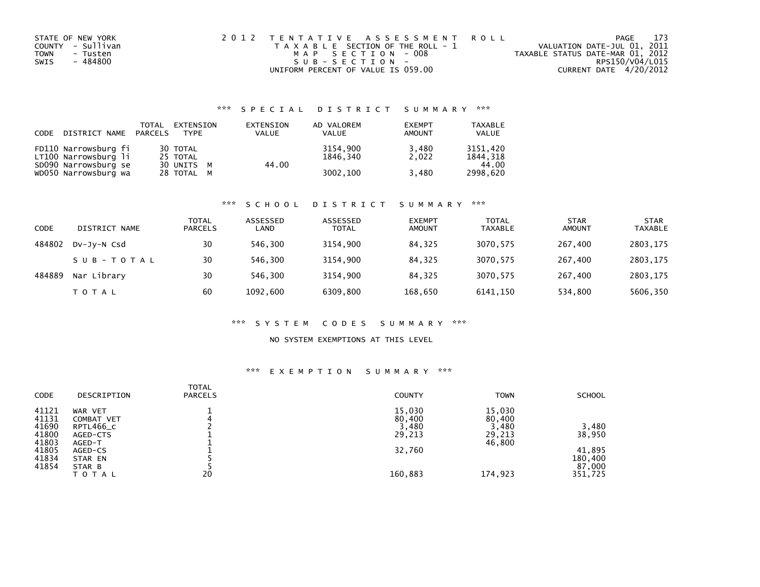| STATE OF NEW YORK       | 2012 TENTATIVE ASSESSMENT ROLL        |                                  | PAGE | 173 |
|-------------------------|---------------------------------------|----------------------------------|------|-----|
| COUNTY - Sullivan       | T A X A B L E SECTION OF THE ROLL - 1 | VALUATION DATE-JUL 01, 2011      |      |     |
| <b>TOWN</b><br>- Tusten | MAP SECTION - 008                     | TAXABLE STATUS DATE-MAR 01, 2012 |      |     |
| - 484800<br>SWIS        | SUB-SECTION-                          | RPS150/V04/L015                  |      |     |
|                         | UNIFORM PERCENT OF VALUE IS 059.00    | CURRENT DATE 4/20/2012           |      |     |

| CODE | DISTRICT NAME PARCELS                        | TOTAL | EXTENSION<br><b>TYPF</b> | EXTENSION<br><b>VALUE</b> | AD VALOREM<br><b>VALUE</b> | <b>EXEMPT</b><br>AMOUNT | <b>TAXABLE</b><br><b>VALUE</b> |
|------|----------------------------------------------|-------|--------------------------|---------------------------|----------------------------|-------------------------|--------------------------------|
|      | FD110 Narrowsburg fi<br>LT100 Narrowsburg li |       | 30 TOTAL<br>25 TOTAL     |                           | 3154,900<br>1846.340       | 3,480<br>2.022          | 3151.420<br>1844.318           |
|      | SD090 Narrowsburg se<br>WD050 Narrowsburg wa |       | 30 UNITS M<br>28 TOTAL M | 44.00                     | 3002,100                   | 3,480                   | 44.00<br>2998.620              |

#### \*\*\* S C H O O L D I S T R I C T S U M M A R Y \*\*\*

| CODE   | DISTRICT NAME | <b>TOTAL</b><br><b>PARCELS</b> | ASSESSED<br>LAND | ASSESSED<br><b>TOTAL</b> | <b>EXEMPT</b><br><b>AMOUNT</b> | <b>TOTAL</b><br><b>TAXABLE</b> | <b>STAR</b><br><b>AMOUNT</b> | <b>STAR</b><br><b>TAXABLE</b> |
|--------|---------------|--------------------------------|------------------|--------------------------|--------------------------------|--------------------------------|------------------------------|-------------------------------|
| 484802 | DV-JV-N Csd   | 30                             | 546.300          | 3154,900                 | 84.325                         | 3070,575                       | 267,400                      | 2803,175                      |
|        | SUB-TOTAL     | 30                             | 546.300          | 3154,900                 | 84,325                         | 3070,575                       | 267,400                      | 2803,175                      |
| 484889 | Nar Library   | 30                             | 546,300          | 3154.900                 | 84,325                         | 3070,575                       | 267,400                      | 2803,175                      |
|        | T O T A L     | 60                             | 1092,600         | 6309,800                 | 168,650                        | 6141,150                       | 534,800                      | 5606,350                      |

#### \*\*\* S Y S T E M C O D E S S U M M A R Y \*\*\*

### NO SYSTEM EXEMPTIONS AT THIS LEVEL

| <b>CODE</b> | DESCRIPTION       | <b>TOTAL</b><br><b>PARCELS</b> | <b>COUNTY</b> | <b>TOWN</b> | <b>SCHOOL</b> |
|-------------|-------------------|--------------------------------|---------------|-------------|---------------|
| 41121       | WAR VET           |                                | 15,030        | 15,030      |               |
| 41131       | <b>COMBAT VET</b> |                                | 80,400        | 80,400      |               |
| 41690       | RPTL466_C         |                                | 3,480         | 3,480       | 3,480         |
| 41800       | AGED-CTS          |                                | 29,213        | 29,213      | 38,950        |
| 41803       | AGED-T            |                                |               | 46,800      |               |
| 41805       | AGED-CS           |                                | 32,760        |             | 41,895        |
| 41834       | STAR EN           |                                |               |             | 180,400       |
| 41854       | STAR B            |                                |               |             | 87,000        |
|             | TOTAL             | 20                             | 160,883       | 174,923     | 351,725       |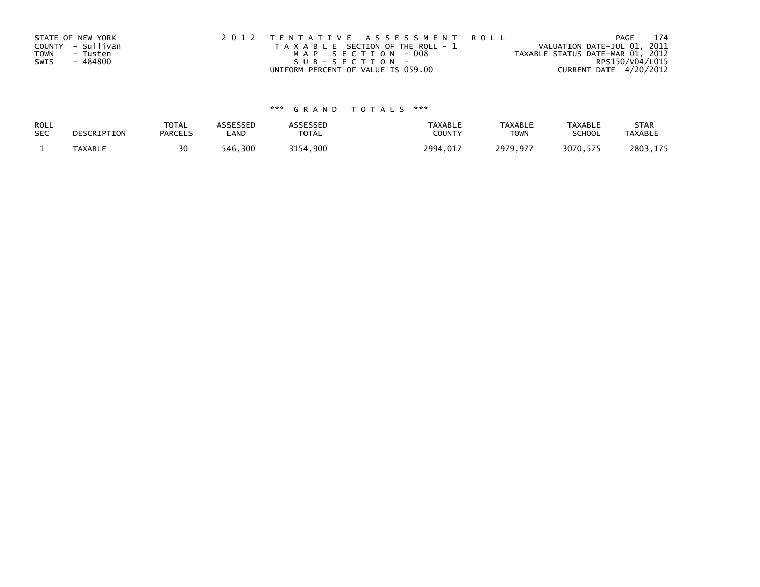| STATE OF NEW YORK<br>COUNTY - Sullivan<br><b>TOWN</b><br>- Tusten<br>- 484800<br>SWIS | 2012 TENTATIVE ASSESSMENT ROLL<br>T A X A B L E SECTION OF THE ROLL - 1<br>MAP SECTION - 008<br>SUB-SECTION- | PAGE<br>VALUATION DATE-JUL 01, 2011<br>TAXABLE STATUS DATE-MAR 01, 2012<br>RPS150/V04/L015 | 174 |
|---------------------------------------------------------------------------------------|--------------------------------------------------------------------------------------------------------------|--------------------------------------------------------------------------------------------|-----|
|                                                                                       | UNIFORM PERCENT OF VALUE IS 059.00                                                                           | CURRENT DATE 4/20/2012                                                                     |     |

| ROLL       | DESCRIPTION | <b>TOTAL</b>   | ASSESSED | <b>ASSESSED</b> | <b>TAXABLE</b> | <b>TAXABLE</b> | <b>TAXABLE</b> | <b>STAR</b>    |
|------------|-------------|----------------|----------|-----------------|----------------|----------------|----------------|----------------|
| <b>SEC</b> |             | <b>PARCELS</b> | ∟AND     | TOTAL           | <b>COUNT</b>   | <b>TOWN</b>    | <b>SCHOOL</b>  | <b>TAXABLE</b> |
|            | TAXABLE     | 30             | 546,300  | 3154,900        | 2994,017       | 2979,977       | 3070,575       | 2803,175       |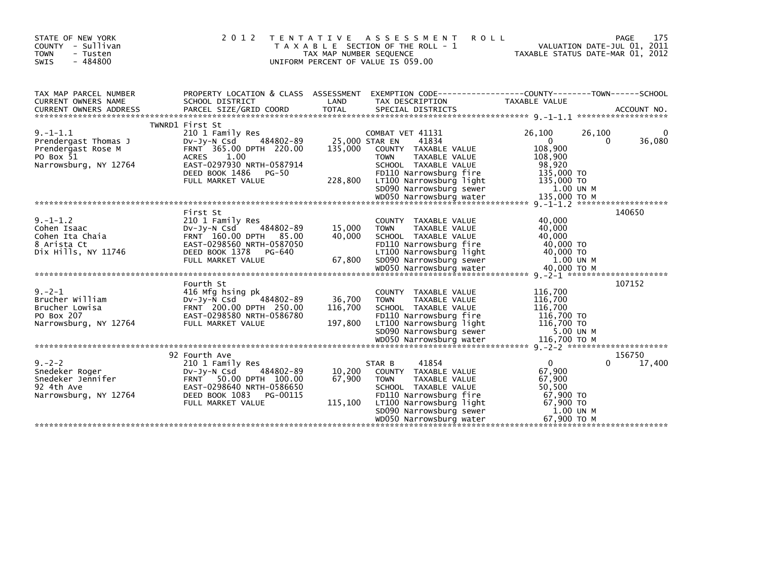| STATE OF NEW YORK<br>COUNTY - Sullivan<br><b>TOWN</b><br>- Tusten<br>SWIS<br>$-484800$            | 2 0 1 2                                                                                                                                                                                                  | T E N T A T I V E<br>TAX MAP NUMBER SEQUENCE | A S S E S S M E N T<br><b>ROLL</b><br>T A X A B L E SECTION OF THE ROLL - 1<br>UNIFORM PERCENT OF VALUE IS 059.00                                                                                          | TAXABLE STATUS DATE-MAR 01, 2012                                                                            | 175<br>PAGE<br>VALUATION DATE-JUL 01, 2011 |
|---------------------------------------------------------------------------------------------------|----------------------------------------------------------------------------------------------------------------------------------------------------------------------------------------------------------|----------------------------------------------|------------------------------------------------------------------------------------------------------------------------------------------------------------------------------------------------------------|-------------------------------------------------------------------------------------------------------------|--------------------------------------------|
| TAX MAP PARCEL NUMBER<br><b>CURRENT OWNERS NAME</b>                                               | SCHOOL DISTRICT                                                                                                                                                                                          | LAND                                         | PROPERTY LOCATION & CLASS ASSESSMENT EXEMPTION CODE----------------COUNTY-------TOWN------SCHOOL<br>TAX DESCRIPTION                                                                                        | <b>TAXABLE VALUE</b>                                                                                        |                                            |
| $9. -1 - 1.1$<br>Prendergast Thomas J<br>Prendergast Rose M<br>PO Box 51<br>Narrowsburg, NY 12764 | TWNRD1 First St<br>210 1 Family Res<br>484802-89<br>$Dv-Jv-N$ Csd<br>FRNT 365.00 DPTH 220.00<br>1.00<br><b>ACRES</b><br>EAST-0297930 NRTH-0587914<br>DEED BOOK 1486<br><b>PG-50</b><br>FULL MARKET VALUE | 25,000 STAR EN<br>135,000<br>228,800         | COMBAT VET 41131<br>41834<br>COUNTY TAXABLE VALUE<br>TAXABLE VALUE<br><b>TOWN</b><br>SCHOOL TAXABLE VALUE<br>FD110 Narrowsburg fire<br>LT100 Narrowsburg light<br>SD090 Narrowsburg sewer                  | 26,100<br>26,100<br>$\overline{0}$<br>108,900<br>108,900<br>98,920<br>135,000 TO<br>135,000 TO<br>1.00 UN M | 36,080<br>0                                |
| $9. -1 - 1.2$<br>Cohen Isaac<br>Cohen Ita Chaia<br>8 Arista Ct<br>Dix Hills, NY 11746             | First St<br>210 1 Family Res<br>484802-89<br>DV-JY-N Csd<br>FRNT 160.00 DPTH 85.00<br>EAST-0298560 NRTH-0587050<br>DEED BOOK 1378<br>PG-640<br>FULL MARKET VALUE                                         | 15,000<br>40,000<br>67,800                   | COUNTY TAXABLE VALUE<br>TAXABLE VALUE<br><b>TOWN</b><br>SCHOOL TAXABLE VALUE<br>FD110 Narrowsburg fire<br>LT100 Narrowsburg light<br>SD090 Narrowsburg sewer                                               | 40,000<br>40,000<br>40,000<br>40,000 TO<br>40,000 TO<br>1.00 UN M                                           | 140650                                     |
| $9. -2 - 1$<br>Brucher William<br>Brucher Lowisa<br>PO Box 207<br>Narrowsburg, NY 12764           | Fourth St<br>416 Mfg hsing pk<br>$Dv-Jv-N$ Csd<br>484802-89<br>FRNT 200.00 DPTH 250.00<br>EAST-0298580 NRTH-0586780<br>FULL MARKET VALUE                                                                 | 36,700<br>116,700<br>197,800                 | COUNTY TAXABLE VALUE<br><b>TAXABLE VALUE</b><br><b>TOWN</b><br>SCHOOL TAXABLE VALUE<br>FD110 Narrowsburg fire<br>LT100 Narrowsburg light<br>SD090 Narrowsburg sewer                                        | 116,700<br>116,700<br>116,700<br>116,700 TO<br>116,700 TO<br>5.00 UN M                                      | 107152                                     |
| $9 - 2 - 2$<br>Snedeker Roger<br>Snedeker Jennifer<br>92 4th Ave<br>Narrowsburg, NY 12764         | 92 Fourth Ave<br>210 1 Family Res<br>484802-89<br>$Dv-Jv-N$ Csd<br>FRNT 50.00 DPTH 100.00<br>EAST-0298640 NRTH-0586650<br>DEED BOOK 1083<br>PG-00115<br>FULL MARKET VALUE                                | 10,200<br>67,900<br>115,100                  | 41854<br>STAR B<br>COUNTY TAXABLE VALUE<br><b>TOWN</b><br>TAXABLE VALUE<br>SCHOOL TAXABLE VALUE<br>FD110 Narrowsburg fire<br>LT100 Narrowsburg light<br>SD090 Narrowsburg sewer<br>WD050 Narrowsburg water | $\Omega$<br>67,900<br>67,900<br>50,500<br>67,900 TO<br>67,900 TO<br>1.00 UN M<br>67.900 ТО М                | 156750<br>17,400<br>0                      |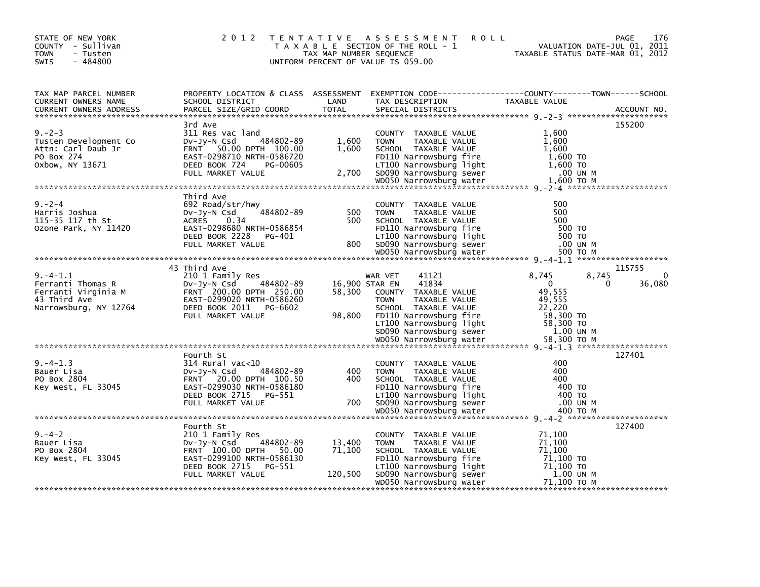| STATE OF NEW YORK<br>COUNTY - Sullivan<br><b>TOWN</b><br>- Tusten<br>$-484800$<br>SWIS             |                                                                                                                                                                     | TAX MAP NUMBER SEQUENCE     | 2012 TENTATIVE ASSESSMENT<br><b>ROLL</b><br>T A X A B L E SECTION OF THE ROLL - 1<br>UNIFORM PERCENT OF VALUE IS 059.00                                      | 176<br>PAGE<br>VALUATION DATE-JUL 01, 2011<br>VALUATION DATE-JUL 01, 2011<br>TAXABLE STATUS DATE-MAR 01, 2012     |
|----------------------------------------------------------------------------------------------------|---------------------------------------------------------------------------------------------------------------------------------------------------------------------|-----------------------------|--------------------------------------------------------------------------------------------------------------------------------------------------------------|-------------------------------------------------------------------------------------------------------------------|
| TAX MAP PARCEL NUMBER<br>CURRENT OWNERS NAME                                                       | SCHOOL DISTRICT                                                                                                                                                     | LAND                        | TAX DESCRIPTION                                                                                                                                              | PROPERTY LOCATION & CLASS ASSESSMENT EXEMPTION CODE----------------COUNTY-------TOWN------SCHOOL<br>TAXABLE VALUE |
| $9. -2 - 3$<br>Tusten Development Co<br>Attn: Carl Daub Jr<br>PO Box 274                           | 3rd Ave<br>311 Res vac land<br>DV-Jy-N Csd 484802-89<br>FRNT 50.00 DPTH 100.00<br>EAST-0298710 NRTH-0586720                                                         | 1,600<br>1.600              | COUNTY TAXABLE VALUE<br><b>TOWN</b><br>TAXABLE VALUE<br>SCHOOL TAXABLE VALUE<br>FD110 Narrowsburg fire                                                       | 155200<br>1,600<br>1,600<br>1.600<br>1,600 TO                                                                     |
| $9. -2 - 4$<br>Harris Joshua<br>115-35 117 th St<br>Ozone Park, NY 11420                           | Third Ave<br>692 Road/str/hwy<br>DV-Jy-N Csd 484802-89<br>ACRES<br>0.34<br>EAST-0298680 NRTH-0586854<br>DEED BOOK 2228 PG-401<br>FULL MARKET VALUE                  | 500<br>500<br>800           | COUNTY TAXABLE VALUE<br><b>TOWN</b><br>TAXABLE VALUE<br>SCHOOL TAXABLE VALUE<br>FD110 Narrowsburg fire                                                       | 500<br>500<br>500<br>500 TO<br>500 TO<br>.00 UN M<br>500 TO M                                                     |
|                                                                                                    |                                                                                                                                                                     |                             |                                                                                                                                                              |                                                                                                                   |
| $9. -4 - 1.1$<br>Ferranti Thomas R<br>Ferranti Virginia M<br>43 Third Ave<br>Narrowsburg, NY 12764 | 43 Third Ave<br>210 1 Family Res<br>484802-89<br>DV-Jy-N Csd<br>FRNT 200.00 DPTH 250.00<br>EAST-0299020 NRTH-0586260<br>DEED BOOK 2011 PG-6602<br>FULL MARKET VALUE | 58,300<br>98,800            | 41121<br>WAR VET<br>16,900 STAR EN<br>41834<br>COUNTY TAXABLE VALUE<br><b>TOWN</b><br>TAXABLE VALUE<br>SCHOOL TAXABLE VALUE<br>FD110 Narrowsburg fire        | 115755<br>$\Omega$<br>8,745<br>8,745<br>36,080<br>$\overline{0}$<br>0<br>49,555<br>49,555<br>22,220<br>58,300 TO  |
|                                                                                                    |                                                                                                                                                                     |                             |                                                                                                                                                              |                                                                                                                   |
| $9. - 4 - 1.3$<br>Bauer Lisa<br>PO Box 2804<br>Key West, FL 33045                                  | Fourth St<br>$314$ Rural vac<10<br>484802-89<br>$Dv-Jv-N$ Csd<br>FRNT 20.00 DPTH 100.50<br>EAST-0299030 NRTH-0586180<br>DEED BOOK 2715 PG-551<br>FULL MARKET VALUE  | 400<br>400<br>700           | COUNTY TAXABLE VALUE<br>TAXABLE VALUE<br><b>TOWN</b><br>SCHOOL TAXABLE VALUE                                                                                 | 127401<br>400<br>400<br>400<br>400 то<br>400 TO<br>.00 UN M                                                       |
|                                                                                                    |                                                                                                                                                                     |                             |                                                                                                                                                              | 400 то м                                                                                                          |
| $9. - 4 - 2$<br>Bauer Lisa<br>PO Box 2804<br>Key West, FL 33045                                    | Fourth St<br>210 1 Family Res<br>484802-89<br>$Dv-Jy-N$ Csd<br>FRNT 100.00 DPTH 50.00<br>EAST-0299100 NRTH-0586130<br>DEED BOOK 2715 PG-551<br>FULL MARKET VALUE    | 13,400<br>71,100<br>120,500 | COUNTY TAXABLE VALUE<br>TAXABLE VALUE<br><b>TOWN</b><br>SCHOOL TAXABLE VALUE<br>FD110 Narrowsburg fire<br>LT100 Narrowsburg light<br>SD090 Narrowsburg sewer | 127400<br>71,100<br>71,100<br>71,100<br>71,100 TO<br>71,100 TO<br>1.00 UN M                                       |
|                                                                                                    |                                                                                                                                                                     |                             | WD050 Narrowsburg water                                                                                                                                      | 71,100 то м                                                                                                       |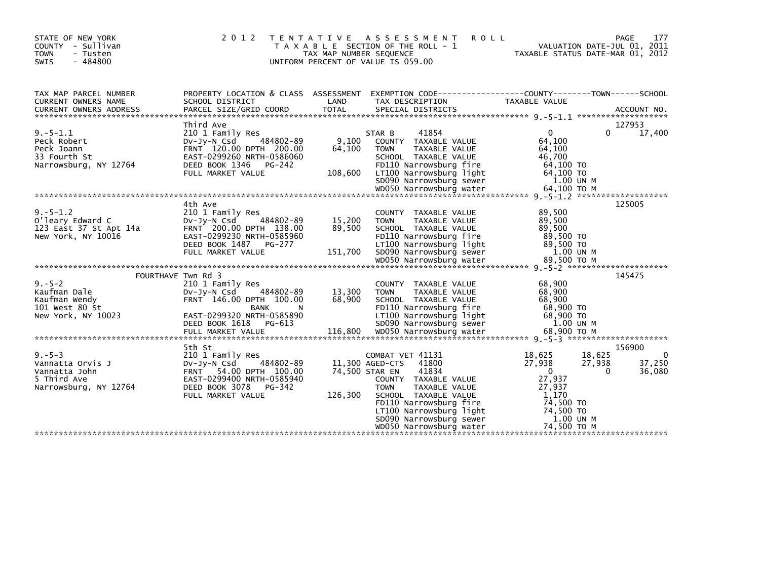| STATE OF NEW YORK<br>COUNTY - Sullivan<br><b>TOWN</b><br>- Tusten<br>$-484800$<br><b>SWIS</b> | 2 0 1 2                                                                                                                                                                  | TAX MAP NUMBER SEQUENCE   | TENTATIVE ASSESSMENT<br><b>ROLL</b><br>T A X A B L E SECTION OF THE ROLL - 1<br>UNIFORM PERCENT OF VALUE IS 059.00                                                                                                                                                          |                                                                                                        | 177<br><b>PAGE</b><br>VALUATION DATE-JUL 01, 2011<br>TAXABLE STATUS DATE-MAR 01, 2012 |
|-----------------------------------------------------------------------------------------------|--------------------------------------------------------------------------------------------------------------------------------------------------------------------------|---------------------------|-----------------------------------------------------------------------------------------------------------------------------------------------------------------------------------------------------------------------------------------------------------------------------|--------------------------------------------------------------------------------------------------------|---------------------------------------------------------------------------------------|
| TAX MAP PARCEL NUMBER<br>CURRENT OWNERS NAME                                                  | PROPERTY LOCATION & CLASS ASSESSMENT<br>SCHOOL DISTRICT                                                                                                                  | LAND                      | EXEMPTION CODE-----------------COUNTY-------TOWN------SCHOOL<br>TAX DESCRIPTION                                                                                                                                                                                             | TAXABLE VALUE                                                                                          |                                                                                       |
|                                                                                               |                                                                                                                                                                          |                           |                                                                                                                                                                                                                                                                             |                                                                                                        |                                                                                       |
| $9. - 5 - 1.1$<br>Peck Robert<br>Peck Joann<br>33 Fourth St<br>Narrowsburg, NY 12764          | Third Ave<br>210 1 Family Res<br>484802-89<br>$Dv-Jv-N$ Csd<br>FRNT 120.00 DPTH 200.00<br>EAST-0299260 NRTH-0586060<br>DEED BOOK 1346<br>PG-242                          | 9,100<br>64,100           | 41854<br>STAR B<br>COUNTY TAXABLE VALUE<br>TAXABLE VALUE<br><b>TOWN</b><br>SCHOOL TAXABLE VALUE<br>FD110 Narrowsburg fire                                                                                                                                                   | $\mathbf 0$<br>64.100<br>64,100<br>46,700<br>64,100 TO                                                 | 127953<br>17,400<br>$\Omega$                                                          |
|                                                                                               |                                                                                                                                                                          |                           |                                                                                                                                                                                                                                                                             |                                                                                                        |                                                                                       |
| $9. - 5 - 1.2$<br>O'leary Edward C<br>123 East 37 St Apt 14a<br>New York, NY 10016            | 4th Ave<br>210 1 Family Res<br>DV-Jy-N Csd<br>484802-89<br>FRNT 200.00 DPTH 138.00<br>EAST-0299230 NRTH-0585960                                                          | 15,200<br>89,500          | COUNTY TAXABLE VALUE<br><b>TOWN</b><br><b>TAXABLE VALUE</b><br>SCHOOL TAXABLE VALUE<br>FD110 Narrowsburg fire                                                                                                                                                               | 89,500<br>89,500<br>89.500<br>89,500 TO                                                                | 125005                                                                                |
|                                                                                               |                                                                                                                                                                          |                           |                                                                                                                                                                                                                                                                             |                                                                                                        |                                                                                       |
| FOURTHAVE Twn Rd 3                                                                            |                                                                                                                                                                          |                           |                                                                                                                                                                                                                                                                             |                                                                                                        | 145475                                                                                |
| $9. - 5 - 2$<br>Kaufman Dale<br>Kaufman Wendy<br>101 West 80 St<br>New York, NY 10023         | 210 1 Family Res<br>484802-89<br>DV-JY-N Csd<br>FRNT 146.00 DPTH 100.00<br><b>BANK</b><br>N<br>EAST-0299320 NRTH-0585890<br>DEED BOOK 1618<br>PG-613                     | 13,300<br>68,900          | COUNTY TAXABLE VALUE<br><b>TOWN</b><br>TAXABLE VALUE<br>SCHOOL TAXABLE VALUE<br>FD110 Narrowsburg fire<br>LT100 Narrowsburg light<br>SD090 Narrowsburg sewer                                                                                                                | 68,900<br>68,900<br>68,900<br>68,900 TO<br>68,900 TO<br>1.00 UN M                                      |                                                                                       |
|                                                                                               |                                                                                                                                                                          |                           |                                                                                                                                                                                                                                                                             |                                                                                                        |                                                                                       |
| $9. - 5 - 3$<br>Vannatta Orvis J<br>Vannatta John<br>5 Third Ave<br>Narrowsburg, NY 12764     | 5th St<br>210 1 Family Res<br>484802-89<br>DV-Jy-N Csd<br><b>FRNT</b><br>54.00 DPTH 100.00<br>EAST-0299400 NRTH-0585940<br>DEED BOOK 3078<br>PG-342<br>FULL MARKET VALUE | 74,500 STAR EN<br>126,300 | COMBAT VET 41131<br>11,300 AGED-CTS<br>41800<br>41834<br>COUNTY TAXABLE VALUE<br>TAXABLE VALUE<br><b>TOWN</b><br>SCHOOL TAXABLE VALUE<br>FD110 Narrowsburg fire<br>LT100 Narrowsburg light<br>LT100 Narrowsburg light<br>SD090 Narrowsburg sewer<br>WD050 Narrowsburg water | 18.625<br>27,938<br>$\overline{0}$<br>27,937<br>27,937<br>1,170<br>74,500 TO<br>74,500 TO<br>1.00 UN M | 156900<br>18,625<br>$\mathbf 0$<br>27,938<br>37,250<br>$\Omega$<br>36,080             |
|                                                                                               |                                                                                                                                                                          |                           |                                                                                                                                                                                                                                                                             |                                                                                                        |                                                                                       |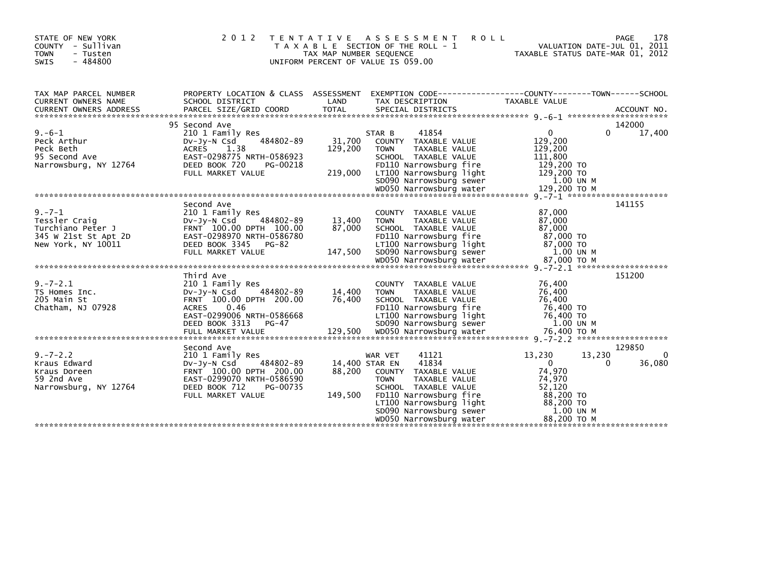| STATE OF NEW YORK<br>COUNTY - Sullivan<br><b>TOWN</b><br>- Tusten<br>$-484800$<br><b>SWIS</b>    | 2 0 1 2<br>T E N T A T I V E                                                                                                                                         | TAX MAP NUMBER SEQUENCE             | A S S E S S M E N T<br><b>ROLL</b><br>T A X A B L E SECTION OF THE ROLL - 1<br>UNIFORM PERCENT OF VALUE IS 059.00                                                                                                    | VALUATION DATE-JUL 01, 2011<br>TAXABLE STATUS DATE-MAR 01, 2012                                                      | 178<br>PAGE                       |
|--------------------------------------------------------------------------------------------------|----------------------------------------------------------------------------------------------------------------------------------------------------------------------|-------------------------------------|----------------------------------------------------------------------------------------------------------------------------------------------------------------------------------------------------------------------|----------------------------------------------------------------------------------------------------------------------|-----------------------------------|
| TAX MAP PARCEL NUMBER<br>CURRENT OWNERS NAME                                                     | SCHOOL DISTRICT                                                                                                                                                      | LAND                                | PROPERTY LOCATION & CLASS ASSESSMENT EXEMPTION CODE----------------COUNTY-------TOWN------SCHOOL<br>TAX DESCRIPTION                                                                                                  | TAXABLE VALUE                                                                                                        |                                   |
| $9. -6 - 1$<br>Peck Arthur<br>Peck Beth<br>95 Second Ave<br>Narrowsburg, NY 12764                | 95 Second Ave<br>210 1 Family Res<br>484802-89<br>$Dv-Jy-N$ Csd<br>ACRES 1.38<br>EAST-0298775 NRTH-0586923<br>DEED BOOK 720<br>PG-00218<br>FULL MARKET VALUE         | 31,700<br>129,200<br>219,000        | 41854<br>STAR B<br>COUNTY TAXABLE VALUE<br><b>TOWN</b><br>TAXABLE VALUE<br>SCHOOL TAXABLE VALUE<br>FD110 Narrowsburg fire<br>LT100 Narrowsburg light<br>SD090 Narrowsburg sewer                                      | $\mathbf{0}$<br>129,200<br>129,200<br>111,800<br>129,200 TO<br>129,200 TO<br>1.00 UN M                               | 142000<br>17,400<br>$\Omega$      |
|                                                                                                  |                                                                                                                                                                      |                                     |                                                                                                                                                                                                                      |                                                                                                                      |                                   |
| $9. - 7 - 1$<br>Tessler Craig<br>Turchiano Peter J<br>345 W 21st St Apt 2D<br>New York, NY 10011 | Second Ave<br>210 1 Family Res<br>484802-89<br>DV-Jy-N Csd<br>FRNT 100.00 DPTH 100.00<br>EAST-0298970 NRTH-0586780<br>DEED BOOK 3345 PG-82<br>FULL MARKET VALUE      | 13,400<br>87,000<br>147,500         | COUNTY TAXABLE VALUE<br>TAXABLE VALUE<br><b>TOWN</b><br>SCHOOL TAXABLE VALUE<br>FD110 Narrowsburg fire<br>LT100 Narrowsburg light<br>SD090 Narrowsburg sewer                                                         | 87,000<br>87,000<br>87,000<br>87,000 TO<br>87,000 TO<br>1.00 UN M                                                    | 141155                            |
| $9. -7 - 2.1$<br>TS Homes Inc.<br>205 Main St<br>Chatham, NJ 07928                               | Third Ave<br>210 1 Family Res<br>DV-Jy-N Csd<br>484802-89<br>FRNT 100.00 DPTH 200.00<br><b>ACRES</b><br>0.46<br>EAST-0299006 NRTH-0586668<br>DEED BOOK 3313<br>PG-47 | 14,400<br>76,400                    | COUNTY TAXABLE VALUE<br><b>TOWN</b><br>TAXABLE VALUE<br>SCHOOL TAXABLE VALUE<br>FD110 Narrowsburg fire<br>LT100 Narrowsburg light<br>SD090 Narrowsburg sewer                                                         | 76,400<br>76,400<br>76,400<br>76,400 TO<br>76,400 TO<br>1.00 UN M                                                    | 151200                            |
| $9. - 7 - 2.2$<br>Kraus Edward<br>Kraus Doreen<br>59 2nd Ave<br>Narrowsburg, NY 12764            | Second Ave<br>210 1 Family Res<br>484802-89<br>DV-Jy-N Csd<br>FRNT 100.00 DPTH 200.00<br>EAST-0299070 NRTH-0586590<br>DEED BOOK 712<br>PG-00735<br>FULL MARKET VALUE | 14,400 STAR EN<br>88,200<br>149,500 | 41121<br>WAR VET<br>41834<br>COUNTY TAXABLE VALUE<br><b>TOWN</b><br>TAXABLE VALUE<br>SCHOOL TAXABLE VALUE<br>FD110 Narrowsburg fire<br>LT100 Narrowsburg light<br>SD090 Narrowsburg sewer<br>WD050 Narrowsburg water | 13,230<br>13,230<br>$\mathbf{0}$<br>74,970<br>74,970<br>52,120<br>88,200 TO<br>88,200 TO<br>1.00 UN M<br>88,200 TO M | 129850<br>0<br>$\Omega$<br>36,080 |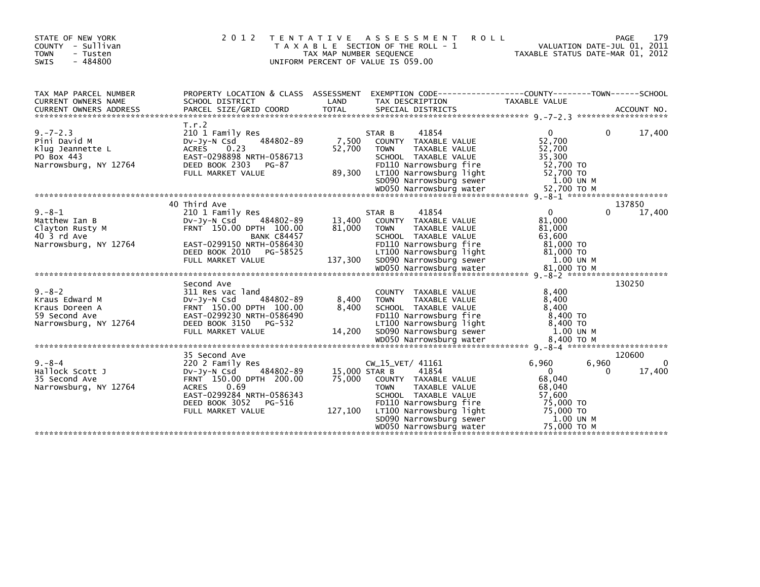| STATE OF NEW YORK<br>COUNTY - Sullivan<br><b>TOWN</b><br>- Tusten<br>$-484800$<br>SWIS    |                                                                                                                                                                                                  | TAX MAP NUMBER SEQUENCE            | 2012 TENTATIVE ASSESSMENT<br><b>ROLL</b><br>T A X A B L E SECTION OF THE ROLL - 1<br>UNIFORM PERCENT OF VALUE IS 059.00                                                                                              |                                                                                                       | 179<br>PAGE<br>VALUATION DATE-JUL 01, 2011<br>TAXABLE STATUS DATE-MAR 01, 2012 |
|-------------------------------------------------------------------------------------------|--------------------------------------------------------------------------------------------------------------------------------------------------------------------------------------------------|------------------------------------|----------------------------------------------------------------------------------------------------------------------------------------------------------------------------------------------------------------------|-------------------------------------------------------------------------------------------------------|--------------------------------------------------------------------------------|
| TAX MAP PARCEL NUMBER<br>CURRENT OWNERS NAME                                              | SCHOOL DISTRICT                                                                                                                                                                                  | LAND                               | PROPERTY LOCATION & CLASS ASSESSMENT EXEMPTION CODE----------------COUNTY-------TOWN------SCHOOL<br>TAX DESCRIPTION                                                                                                  | TAXABLE VALUE                                                                                         |                                                                                |
| $9. - 7 - 2.3$<br>Pini David M<br>Klug Jeannette L<br>PO Box 443<br>Narrowsburg, NY 12764 | T.r.2<br>210 1 Family Res<br>484802-89<br>$Dv-Jy-N$ Csd<br>0.23<br><b>ACRES</b><br>EAST-0298898 NRTH-0586713<br>DEED BOOK 2303<br>PG-87<br>FULL MARKET VALUE                                     | 7,500<br>52,700<br>89,300          | STAR B<br>41854<br>COUNTY TAXABLE VALUE<br><b>TOWN</b><br>TAXABLE VALUE<br>SCHOOL TAXABLE VALUE<br>FD110 Narrowsburg fire<br>LT100 Narrowsburg light<br>SD090 Narrowsburg sewer                                      | $\overline{0}$<br>52,700<br>52,700<br>35,300<br>52,700 TO<br>52,700 TO<br>1.00 UN M                   | 17,400<br>$\Omega$                                                             |
|                                                                                           | 40 Third Ave                                                                                                                                                                                     |                                    |                                                                                                                                                                                                                      |                                                                                                       |                                                                                |
| $9. - 8 - 1$<br>Matthew Ian B<br>Clayton Rusty M<br>40 3 rd Ave<br>Narrowsburg, NY 12764  | 210 1 Family Res<br>484802-89<br>$Dv-Jy-N$ Csd<br>FRNT 150.00 DPTH 100.00<br><b>BANK C84457</b><br>EAST-0299150 NRTH-0586430<br>DEED BOOK 2010<br>PG-58525<br>FULL MARKET VALUE                  | 13,400<br>81,000<br>137,300        | 41854<br>STAR B<br>COUNTY TAXABLE VALUE<br>TAXABLE VALUE<br><b>TOWN</b><br>SCHOOL TAXABLE VALUE<br>FD110 Narrowsburg fire<br>LT100 Narrowsburg light<br>SD090 Narrowsburg sewer                                      | $\mathbf{0}$<br>81,000<br>81,000<br>63,600<br>81,000 TO<br>81,000 TO<br>1.00 UN M                     | 137850<br>17,400<br>0                                                          |
|                                                                                           |                                                                                                                                                                                                  |                                    |                                                                                                                                                                                                                      |                                                                                                       |                                                                                |
| $9 - 8 - 2$<br>Kraus Edward M<br>Kraus Doreen A<br>59 Second Ave<br>Narrowsburg, NY 12764 | Second Ave<br>311 Res vac land<br>484802-89<br>$Dv-Jy-N$ Csd<br>FRNT 150.00 DPTH 100.00<br>EAST-0299230 NRTH-0586490<br>DEED BOOK 3150<br>PG-532<br>FULL MARKET VALUE                            | 8,400<br>8,400<br>14,200           | COUNTY TAXABLE VALUE<br>TAXABLE VALUE<br><b>TOWN</b><br>SCHOOL TAXABLE VALUE<br>FD110 Narrowsburg fire<br>LT100 Narrowsburg light<br>SD090 Narrowsburg sewer                                                         | 8,400<br>8,400<br>8.400<br>8,400 TO<br>8,400 TO<br>1.00 UN M                                          | 130250                                                                         |
|                                                                                           |                                                                                                                                                                                                  |                                    |                                                                                                                                                                                                                      |                                                                                                       |                                                                                |
| $9. - 8 - 4$<br>Hallock Scott J<br>35 Second Ave<br>Narrowsburg, NY 12764                 | 35 Second Ave<br>220 2 Family Res<br>484802-89<br>$Dv-Jv-N$ Csd<br>FRNT 150.00 DPTH 200.00<br>0.69<br><b>ACRES</b><br>EAST-0299284 NRTH-0586343<br>DEED BOOK 3052<br>PG-516<br>FULL MARKET VALUE | 15,000 STAR B<br>75,000<br>127,100 | CW_15_VET/ 41161<br>41854<br>COUNTY TAXABLE VALUE<br><b>TOWN</b><br>TAXABLE VALUE<br>SCHOOL TAXABLE VALUE<br>FD110 Narrowsburg fire<br>LT100 Narrowsburg light<br>SD090 Narrowsburg sewer<br>WD050 Narrowsburg water | 6,960<br>$\Omega$<br>68,040<br>68,040<br>57,600<br>75,000 TO<br>75,000 TO<br>1.00 UN M<br>75,000 TO M | 120600<br>6,960<br>17,400<br>0                                                 |
|                                                                                           |                                                                                                                                                                                                  |                                    |                                                                                                                                                                                                                      |                                                                                                       |                                                                                |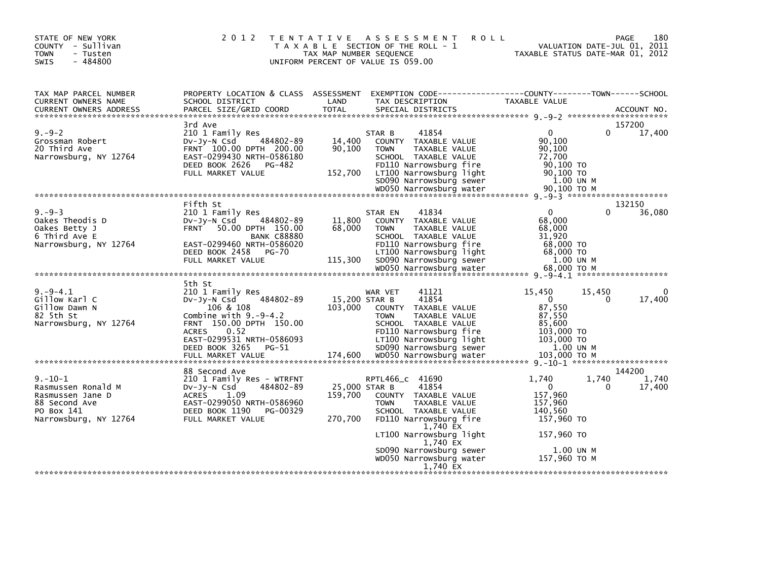| STATE OF NEW YORK<br>COUNTY - Sullivan<br><b>TOWN</b><br>- Tusten<br>$-484800$<br>SWIS                          | 2 0 1 2<br>T E N T A T I V E                                                                                                                             | TAX MAP NUMBER SEQUENCE             | <b>ROLL</b><br>A S S E S S M E N T<br>T A X A B L E SECTION OF THE ROLL - 1<br>UNIFORM PERCENT OF VALUE IS 059.00                  | TAXABLE STATUS DATE-MAR 01, 2012                                 | 180<br><b>PAGE</b><br>VALUATION DATE-JUL 01, 2011 |
|-----------------------------------------------------------------------------------------------------------------|----------------------------------------------------------------------------------------------------------------------------------------------------------|-------------------------------------|------------------------------------------------------------------------------------------------------------------------------------|------------------------------------------------------------------|---------------------------------------------------|
| TAX MAP PARCEL NUMBER<br><b>CURRENT OWNERS NAME</b><br><b>CURRENT OWNERS ADDRESS</b>                            | PROPERTY LOCATION & CLASS ASSESSMENT<br>SCHOOL DISTRICT<br>PARCEL SIZE/GRID COORD                                                                        | LAND<br><b>TOTAL</b>                | EXEMPTION CODE-----------------COUNTY-------TOWN------SCHOOL<br>TAX DESCRIPTION<br>SPECIAL DISTRICTS                               | TAXABLE VALUE                                                    | ACCOUNT NO.                                       |
|                                                                                                                 | 3rd Ave                                                                                                                                                  |                                     |                                                                                                                                    |                                                                  | 157200                                            |
| $9. - 9 - 2$<br>Grossman Robert<br>20 Third Ave<br>Narrowsburg, NY 12764                                        | 210 1 Family Res<br>484802-89<br>$Dv-Jy-N$ Csd<br>FRNT 100.00 DPTH 200.00<br>EAST-0299430 NRTH-0586180<br>DEED BOOK 2626<br>PG-482                       | 14,400<br>90,100                    | 41854<br>STAR B<br>COUNTY TAXABLE VALUE<br>TAXABLE VALUE<br><b>TOWN</b><br>SCHOOL TAXABLE VALUE<br>FD110 Narrowsburg fire          | $\mathbf{0}$<br>90,100<br>90,100<br>72,700<br>90,100 TO          | 0<br>17,400                                       |
|                                                                                                                 | FULL MARKET VALUE                                                                                                                                        | 152,700                             | LT100 Narrowsburg light<br>SD090 Narrowsburg sewer<br>WD050 Narrowsburg water                                                      | 90,100 TO<br>1.00 UN M<br>90,100 ТО М                            |                                                   |
|                                                                                                                 |                                                                                                                                                          |                                     |                                                                                                                                    |                                                                  |                                                   |
|                                                                                                                 | Fifth St                                                                                                                                                 |                                     |                                                                                                                                    |                                                                  | 132150                                            |
| $9. - 9 - 3$<br>Oakes Theodis D<br>Oakes Betty J<br>6 Third Ave E                                               | 210 1 Family Res<br>484802-89<br>$Dv-Jy-N$ Csd<br>FRNT 50.00 DPTH 150.00<br><b>BANK C88880</b>                                                           | 11,800<br>68,000                    | 41834<br>STAR EN<br>COUNTY TAXABLE VALUE<br>TAXABLE VALUE<br><b>TOWN</b><br>SCHOOL TAXABLE VALUE                                   | $\Omega$<br>68,000<br>68,000<br>31,920                           | 36,080<br>0                                       |
| Narrowsburg, NY 12764                                                                                           | EAST-0299460 NRTH-0586020<br>DEED BOOK 2458<br><b>PG-70</b><br>FULL MARKET VALUE                                                                         | 115,300                             | FD110 Narrowsburg fire<br>LT100 Narrowsburg light<br>SD090 Narrowsburg sewer                                                       | 68,000 TO<br>68,000 TO<br>1.00 UN M                              |                                                   |
|                                                                                                                 |                                                                                                                                                          |                                     | WD050 Narrowsburg water                                                                                                            | 68,000 ТО М                                                      |                                                   |
|                                                                                                                 |                                                                                                                                                          |                                     |                                                                                                                                    |                                                                  |                                                   |
| $9. - 9 - 4.1$<br>Gillow Karl C<br>Gillow Dawn N<br>82 5th St                                                   | 5th St<br>210 1 Family Res<br>484802-89<br>$Dv-Jy-N$ Csd<br>106 & 108<br>Combine with $9.-9-4.2$                                                         | 15,200 STAR B<br>103,000            | 41121<br>WAR VET<br>41854<br>COUNTY TAXABLE VALUE<br>TAXABLE VALUE<br><b>TOWN</b>                                                  | 15,450<br>$\Omega$<br>87,550<br>87,550                           | 15,450<br>0<br>17,400<br>0                        |
| Narrowsburg, NY 12764                                                                                           | FRNT 150.00 DPTH 150.00<br><b>ACRES</b><br>0.52<br>EAST-0299531 NRTH-0586093<br>DEED BOOK 3265<br>PG-51<br>FULL MARKET VALUE                             | 174,600                             | SCHOOL TAXABLE VALUE<br>FD110 Narrowsburg fire<br>LT100 Narrowsburg light<br>SD090 Narrowsburg sewer<br>WD050 Narrowsburg water    | 85,600<br>103,000 TO<br>103,000 TO<br>1.00 UN M<br>103.000 ТО М  |                                                   |
|                                                                                                                 |                                                                                                                                                          |                                     |                                                                                                                                    |                                                                  |                                                   |
|                                                                                                                 | 88 Second Ave                                                                                                                                            |                                     |                                                                                                                                    |                                                                  | 144200                                            |
| $9. - 10 - 1$<br>Rasmussen Ronald M<br>Rasmussen Jane D<br>88 Second Ave<br>PO Box 141<br>Narrowsburg, NY 12764 | 210 1 Family Res - WTRFNT<br>484802-89<br>$Dv-Jv-N$ Csd<br>ACRES<br>1.09<br>EAST-0299050 NRTH-0586960<br>DEED BOOK 1190<br>PG-00329<br>FULL MARKET VALUE | 25,000 STAR B<br>159,700<br>270,700 | RPTL466_C 41690<br>41854<br>COUNTY TAXABLE VALUE<br><b>TOWN</b><br>TAXABLE VALUE<br>SCHOOL TAXABLE VALUE<br>FD110 Narrowsburg fire | 1,740<br>$\Omega$<br>157,960<br>157,960<br>140,560<br>157,960 TO | 1,740<br>1,740<br>0<br>17,400                     |
|                                                                                                                 |                                                                                                                                                          |                                     | 1,740 EX<br>LT100 Narrowsburg light                                                                                                | 157,960 TO                                                       |                                                   |
|                                                                                                                 |                                                                                                                                                          |                                     | 1,740 EX<br>SD090 Narrowsburg sewer<br>WD050 Narrowsburg water                                                                     | 1.00 UN M<br>157,960 ТО М                                        |                                                   |
|                                                                                                                 |                                                                                                                                                          |                                     | 1,740 EX                                                                                                                           |                                                                  |                                                   |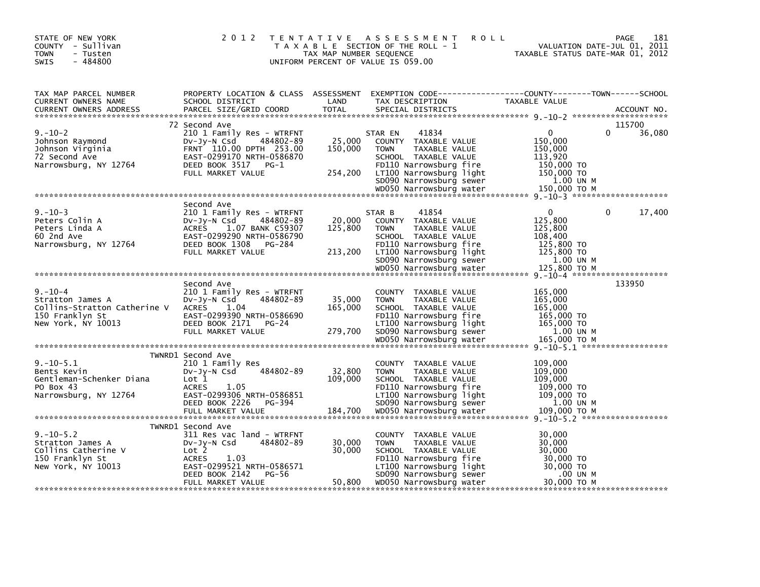| STATE OF NEW YORK<br>COUNTY - Sullivan<br><b>TOWN</b><br>- Tusten<br>$-484800$<br>SWIS                     | 2 0 1 2                                                                                                                                                                                 | T E N T A T I V E<br>TAX MAP NUMBER SEQUENCE | ASSESSMENT<br><b>ROLL</b><br>T A X A B L E SECTION OF THE ROLL - 1<br>UNIFORM PERCENT OF VALUE IS 059.00                                                                                | 181<br>PAGE<br>VALUATION DATE-JUL 01, 2011<br>TAXABLE STATUS DATE-MAR 01, 2012                              |
|------------------------------------------------------------------------------------------------------------|-----------------------------------------------------------------------------------------------------------------------------------------------------------------------------------------|----------------------------------------------|-----------------------------------------------------------------------------------------------------------------------------------------------------------------------------------------|-------------------------------------------------------------------------------------------------------------|
| TAX MAP PARCEL NUMBER<br>CURRENT OWNERS NAME<br><b>CURRENT OWNERS ADDRESS</b>                              | PROPERTY LOCATION & CLASS ASSESSMENT<br>SCHOOL DISTRICT<br>PARCEL SIZE/GRID COORD                                                                                                       | LAND<br><b>TOTAL</b>                         | TAX DESCRIPTION<br>SPECIAL DISTRICTS                                                                                                                                                    | EXEMPTION CODE-----------------COUNTY-------TOWN------SCHOOL<br>TAXABLE VALUE<br>ACCOUNT NO.                |
| $9. - 10 - 2$<br>Johnson Raymond<br>Johnson Virginia<br>72 Second Ave<br>Narrowsburg, NY 12764             | 72 Second Ave<br>210 1 Family Res - WTRFNT<br>484802-89<br>DV-Jy-N Csd<br>FRNT 110.00 DPTH 253.00<br>EAST-0299170 NRTH-0586870<br>DEED BOOK 3517<br>PG-1<br>FULL MARKET VALUE           | 25,000<br>150,000<br>254,200                 | 41834<br>STAR EN<br>COUNTY TAXABLE VALUE<br><b>TOWN</b><br>TAXABLE VALUE<br>SCHOOL TAXABLE VALUE<br>FD110 Narrowsburg fire<br>LT100 Narrowsburg light<br>SD090 Narrowsburg sewer        | 115700<br>36,080<br>$\Omega$<br>0<br>150,000<br>150,000<br>113,920<br>150,000 TO<br>150,000 TO<br>1.00 UN M |
|                                                                                                            |                                                                                                                                                                                         |                                              |                                                                                                                                                                                         |                                                                                                             |
| $9. - 10 - 3$<br>Peters Colin A<br>Peters Linda A<br>60 2nd Ave<br>Narrowsburg, NY 12764                   | Second Ave<br>210 1 Family Res - WTRFNT<br>484802-89<br>$Dv-Jy-N$ Csd<br><b>ACRES</b><br>1.07 BANK C59307<br>EAST-0299290 NRTH-0586790<br>DEED BOOK 1308<br>PG-284<br>FULL MARKET VALUE | 20,000<br>125,800<br>213,200                 | 41854<br>STAR B<br>COUNTY TAXABLE VALUE<br><b>TOWN</b><br>TAXABLE VALUE<br>SCHOOL TAXABLE VALUE<br>FD110 Narrowsburg fire<br>LT100 Narrowsburg light<br>SD090 Narrowsburg sewer         | 0<br>17,400<br>0<br>125,800<br>125,800<br>108,400<br>125,800 TO<br>125,800 TO<br>1.00 UN M                  |
|                                                                                                            |                                                                                                                                                                                         |                                              |                                                                                                                                                                                         |                                                                                                             |
| $9. - 10 - 4$<br>Stratton James A<br>Collins-Stratton Catherine V<br>150 Franklyn St<br>New York, NY 10013 | Second Ave<br>210 1 Family Res - WTRFNT<br>484802-89<br>DV-Jy-N Csd<br><b>ACRES</b><br>1.04<br>EAST-0299390 NRTH-0586690<br>DEED BOOK 2171<br>PG-24<br>FULL MARKET VALUE                | 35,000<br>165,000<br>279,700                 | COUNTY TAXABLE VALUE<br><b>TOWN</b><br>TAXABLE VALUE<br>SCHOOL TAXABLE VALUE<br>FD110 Narrowsburg fire<br>LT100 Narrowsburg light<br>SD090 Narrowsburg sewer                            | 133950<br>165,000<br>165,000<br>165,000<br>165,000 TO<br>165,000 TO<br>1.00 UN M                            |
|                                                                                                            |                                                                                                                                                                                         |                                              |                                                                                                                                                                                         |                                                                                                             |
| $9. - 10 - 5.1$<br>Bents Kevin<br>Gentleman-Schenker Diana<br>PO Box 43<br>Narrowsburg, NY 12764           | TWNRD1 Second Ave<br>210 1 Family Res<br>484802-89<br>DV-Jy-N Csd<br>Lot 1<br><b>ACRES</b><br>1.05<br>EAST-0299306 NRTH-0586851<br>DEED BOOK 2226<br>PG-394<br>FULL MARKET VALUE        | 32,800<br>109,000<br>184,700                 | COUNTY TAXABLE VALUE<br><b>TOWN</b><br>TAXABLE VALUE<br>SCHOOL TAXABLE VALUE<br>FD110 Narrowsburg fire<br>LT100 Narrowsburg light<br>SD090 Narrowsburg sewer<br>WD050 Narrowsburg water | 109,000<br>109,000<br>109,000<br>109,000 TO<br>109,000 TO<br>1.00 UN M<br>109,000 ТО М                      |
|                                                                                                            | TWNRD1 Second Ave                                                                                                                                                                       |                                              |                                                                                                                                                                                         |                                                                                                             |
| $9. - 10 - 5.2$<br>Stratton James A<br>Collins Catherine V<br>150 Franklyn St<br>New York, NY 10013        | 311 Res vac land - WTRFNT<br>$Dv-Jy-N$ Csd<br>484802-89<br>Lot 2<br><b>ACRES</b><br>1.03<br>EAST-0299521 NRTH-0586571<br>DEED BOOK 2142<br>PG-56                                        | 30,000<br>30,000                             | COUNTY TAXABLE VALUE<br><b>TOWN</b><br>TAXABLE VALUE<br>SCHOOL TAXABLE VALUE<br>FD110 Narrowsburg fire<br>LT100 Narrowsburg light<br>SD090 Narrowsburg sewer                            | 30,000<br>30,000<br>30,000<br>30,000 TO<br>30,000 TO<br>.00 UN M                                            |
|                                                                                                            | FULL MARKET VALUE                                                                                                                                                                       | 50,800                                       | WD050 Narrowsburg water                                                                                                                                                                 | 30,000 TO M                                                                                                 |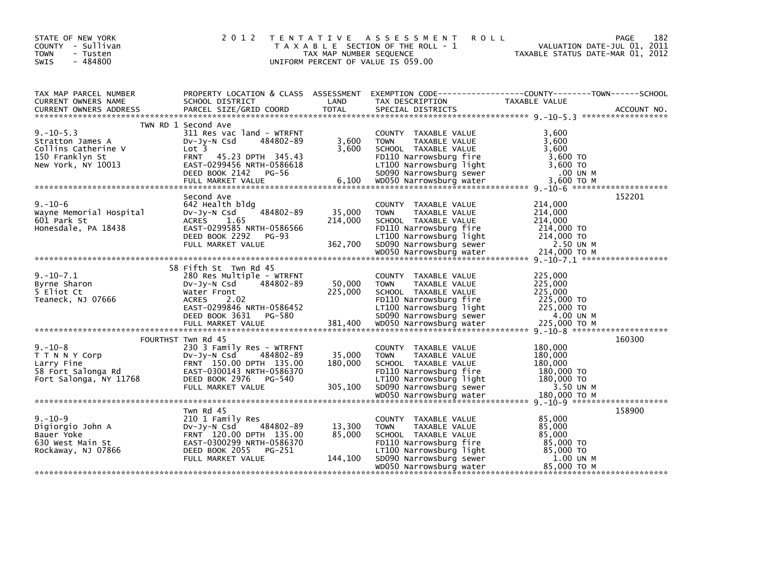| STATE OF NEW YORK<br>COUNTY - Sullivan<br><b>TOWN</b><br>- Tusten<br>$-484800$<br><b>SWIS</b>       | 2 0 1 2                                                                                                                                                                                     | TAX MAP NUMBER SEQUENCE      | TENTATIVE ASSESSMENT<br><b>ROLL</b><br>T A X A B L E SECTION OF THE ROLL - 1<br>UNIFORM PERCENT OF VALUE IS 059.00                                           | <b>PAGE</b><br>VALUATION DATE-JUL 01, 2011<br>TAXABLE STATUS DATE-MAR 01, 2012                                    | 182 |
|-----------------------------------------------------------------------------------------------------|---------------------------------------------------------------------------------------------------------------------------------------------------------------------------------------------|------------------------------|--------------------------------------------------------------------------------------------------------------------------------------------------------------|-------------------------------------------------------------------------------------------------------------------|-----|
| TAX MAP PARCEL NUMBER<br>CURRENT OWNERS NAME                                                        | SCHOOL DISTRICT                                                                                                                                                                             | LAND                         | TAX DESCRIPTION                                                                                                                                              | PROPERTY LOCATION & CLASS ASSESSMENT EXEMPTION CODE----------------COUNTY-------TOWN------SCHOOL<br>TAXABLE VALUE |     |
| $9. - 10 - 5.3$<br>Stratton James A<br>Collins Catherine V<br>150 Franklyn St<br>New York, NY 10013 | TWN RD 1 Second Ave<br>311 Res vac land - WTRFNT<br>484802-89<br>$Dv-Jy-N$ Csd<br>Lot <sub>3</sub><br><b>FRNT</b><br>45.23 DPTH 345.43<br>EAST-0299456 NRTH-0586618<br>DEED BOOK 2142 PG-56 | 3,600<br>3,600               | COUNTY TAXABLE VALUE<br><b>TOWN</b><br>TAXABLE VALUE<br>SCHOOL TAXABLE VALUE<br>FD110 Narrowsburg fire<br>LT100 Narrowsburg light<br>SD090 Narrowsburg sewer | 3,600<br>3.600<br>3,600<br>3,600 TO<br>3,600 TO<br>.00 UN M                                                       |     |
| $9. - 10 - 6$<br>Wayne Memorial Hospital<br>601 Park St<br>Honesdale, PA 18438                      | Second Ave<br>642 Health bldg<br>484802-89<br>$Dv-Jy-N$ Csd<br><b>ACRES</b><br>1.65<br>EAST-0299585 NRTH-0586566<br>DEED BOOK 2292<br>PG-93<br>FULL MARKET VALUE                            | 35,000<br>214,000<br>362,700 | COUNTY TAXABLE VALUE<br><b>TOWN</b><br>TAXABLE VALUE<br>SCHOOL TAXABLE VALUE<br>FD110 Narrowsburg fire<br>LT100 Narrowsburg light<br>SD090 Narrowsburg sewer | 152201<br>214,000<br>214,000<br>214,000<br>214,000 TO<br>214,000 TO<br>2.50 UN M                                  |     |
|                                                                                                     |                                                                                                                                                                                             |                              |                                                                                                                                                              |                                                                                                                   |     |
| $9. - 10 - 7.1$<br>Byrne Sharon<br>5 Eliot Ct<br>Teaneck, NJ 07666                                  | 58 Fifth St Twn Rd 45<br>280 Res Multiple - WTRFNT<br>Dv-Jy-N Csd<br>484802-89<br>Water Front<br><b>ACRES</b><br>2.02<br>EAST-0299846 NRTH-0586452<br>DEED BOOK 3631<br>PG-580              | 50,000<br>225,000            | COUNTY TAXABLE VALUE<br><b>TOWN</b><br>TAXABLE VALUE<br>SCHOOL TAXABLE VALUE<br>FD110 Narrowsburg fire<br>LT100 Narrowsburg light<br>SD090 Narrowsburg sewer | 225,000<br>225,000<br>225,000<br>225,000 TO<br>225,000 TO<br>4.00 UN M                                            |     |
|                                                                                                     |                                                                                                                                                                                             |                              |                                                                                                                                                              | 160300                                                                                                            |     |
| $9. - 10 - 8$<br>T T N N Y Corp<br>Larry Fine<br>58 Fort Salonga Rd<br>Fort Salonga, NY 11768       | FOURTHST Twn Rd 45<br>230 3 Family Res - WTRFNT<br>484802-89<br>$Dv-Jy-N$ Csd<br>FRNT 150.00 DPTH 135.00<br>EAST-0300143 NRTH-0586370<br>DEED BOOK 2976 PG-540<br>FULL MARKET VALUE         | 35,000<br>180,000<br>305,100 | COUNTY TAXABLE VALUE<br><b>TOWN</b><br>TAXABLE VALUE<br>SCHOOL TAXABLE VALUE<br>FD110 Narrowsburg fire<br>LT100 Narrowsburg light<br>SD090 Narrowsburg sewer | 180,000<br>180,000<br>180,000<br>180,000 TO<br>180,000 TO<br>3.50 UN M                                            |     |
|                                                                                                     |                                                                                                                                                                                             |                              |                                                                                                                                                              |                                                                                                                   |     |
| $9. - 10 - 9$<br>Digiorgio John A<br>Bauer Yoke<br>630 West Main St<br>Rockaway, NJ 07866           | Twn Rd 45<br>210 1 Family Res<br>484802-89<br>$Dv-Jy-N$ Csd<br>FRNT 120.00 DPTH 135.00<br>EAST-0300299 NRTH-0586370<br>DEED BOOK 2055<br>PG-251<br>FULL MARKET VALUE                        | 13,300<br>85,000<br>144,100  | COUNTY TAXABLE VALUE<br><b>TOWN</b><br>TAXABLE VALUE<br>SCHOOL TAXABLE VALUE<br>FD110 Narrowsburg fire<br>LT100 Narrowsburg light<br>SD090 Narrowsburg sewer | 158900<br>85,000<br>85,000<br>85,000<br>85,000 TO<br>85,000 TO<br>1.00 UN M                                       |     |
|                                                                                                     |                                                                                                                                                                                             |                              | WD050 Narrowsburg water                                                                                                                                      | 85,000 TO M                                                                                                       |     |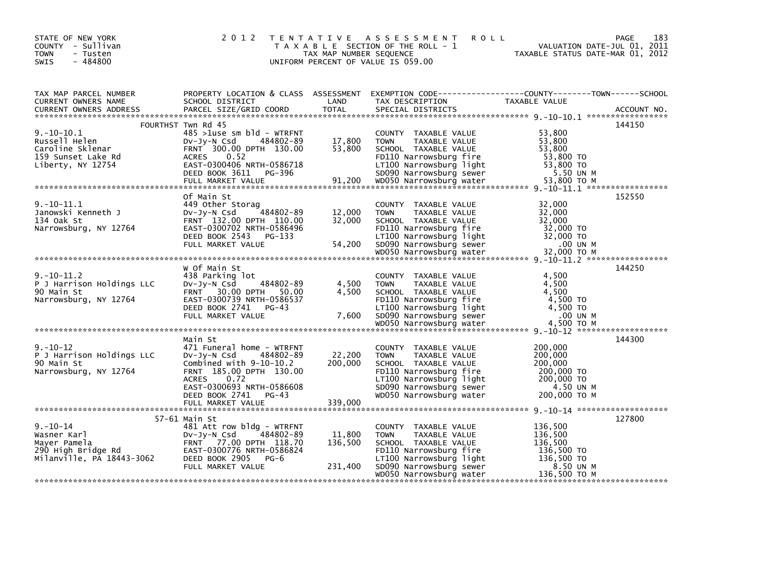| STATE OF NEW YORK<br>COUNTY - Sullivan<br><b>TOWN</b><br>- Tusten<br>$-484800$<br><b>SWIS</b> | 2 0 1 2                                                                                                                                                                  | TAX MAP NUMBER SEQUENCE | <b>ROLL</b><br>TENTATIVE ASSESSMENT<br>T A X A B L E SECTION OF THE ROLL - 1<br>UNIFORM PERCENT OF VALUE IS 059.00                                                                      | PAGE<br>183<br>VALUATION DATE-JUL 01, 2011<br>VALUATION DATE-JUL 01, 2011<br>TAXABLE STATUS DATE-MAR 01, 2012                                                                                                                                                                      |  |
|-----------------------------------------------------------------------------------------------|--------------------------------------------------------------------------------------------------------------------------------------------------------------------------|-------------------------|-----------------------------------------------------------------------------------------------------------------------------------------------------------------------------------------|------------------------------------------------------------------------------------------------------------------------------------------------------------------------------------------------------------------------------------------------------------------------------------|--|
| TAX MAP PARCEL NUMBER<br>CURRENT OWNERS NAME<br><b>CURRENT OWNERS ADDRESS</b>                 | الملكات الملك للمناسبة للملكة بالملكة المستوى بالملكة الملكة الملكة الملكة الملكة الملكة الملكة الت<br>  PARCEL SIZE/GRID COORD   TOTAL                                  | <b>TOTAL</b>            | TAX DESCRIPTION<br>SPECIAL DISTRICTS                                                                                                                                                    | PROPERTY LOCATION & CLASS ASSESSMENT EXEMPTION CODE---------------COUNTY-------TOWN------SCHOOL<br>TAXABLE VALUE<br>ACCOUNT NO.                                                                                                                                                    |  |
|                                                                                               | FOURTHST Twn Rd 45                                                                                                                                                       |                         |                                                                                                                                                                                         | 144150                                                                                                                                                                                                                                                                             |  |
| $9.-10-10.1$<br>Russell Helen<br>Caroline Sklenar<br>159 Sunset Lake Rd                       | $485 > 1$ use sm bld - WTRFNT<br>DV-Jy-N Csd<br>484802-89<br>FRNT 300.00 DPTH 130.00<br>0.52<br><b>ACRES</b>                                                             | 17,800<br>53,800        | COUNTY TAXABLE VALUE<br>TAXABLE VALUE<br><b>TOWN</b><br>SCHOOL TAXABLE VALUE<br>FD110 Narrowsburg fire                                                                                  | 53,800<br>53,800<br>53,800<br>53,800 TO<br>139 Sunset Lake Runder Morrowsking it and the control of the Maria Control of the Castro-Condon Castro 1988-20<br>Liberty, NY 12754 EXEL BOOK 3611 PG-396 SDO90 Narrowsburg sewer 53,800 TO<br>FULL MARKET VALUE 91,200 WDO50 Narr      |  |
|                                                                                               | Of Main St                                                                                                                                                               |                         |                                                                                                                                                                                         | 152550                                                                                                                                                                                                                                                                             |  |
| $9. - 10 - 11.1$<br>Janowski Kenneth J<br>134 Oak St<br>Narrowsburg, NY 12764                 | 449 Other Storag<br>484802-89<br>Dv-Jy-N Csd<br>FRNT 132.00 DPTH 110.00<br>EAST-0300702 NRTH-0586496                                                                     | 12,000<br>32,000        | COUNTY TAXABLE VALUE<br><b>TOWN</b><br>TAXABLE VALUE<br>SCHOOL TAXABLE VALUE<br>FD110 Narrowsburg fire                                                                                  | 32,000<br>32,000<br>32.000<br>32,000 TO<br>Narrowsburg, NY 12764 EAST-0300702 NRTH-0586496 FDIIU Narrowsburg Tire 32,000 TO<br>DEED BOOK 2543 PG-133 E-130 LT100 Narrowsburg light 32,000 TO<br>FULL MARKET VALUE 54,200 SD090 Narrowsburg sewer 32,000 TO M<br>****************** |  |
|                                                                                               |                                                                                                                                                                          |                         |                                                                                                                                                                                         |                                                                                                                                                                                                                                                                                    |  |
|                                                                                               |                                                                                                                                                                          |                         |                                                                                                                                                                                         |                                                                                                                                                                                                                                                                                    |  |
| $9. - 10 - 11.2$<br>P J Harrison Holdings LLC<br>90 Main St                                   | W Of Main St<br>438 Parking lot<br>484802-89<br>DV-JY-N Csd<br>FRNT 30.00 DPTH 50.00                                                                                     | 4,500<br>4,500          | COUNTY TAXABLE VALUE<br><b>TOWN</b><br>TAXABLE VALUE<br>SCHOOL TAXABLE VALUE                                                                                                            | 144250<br>4,500<br>4,500<br>4.500                                                                                                                                                                                                                                                  |  |
|                                                                                               |                                                                                                                                                                          |                         |                                                                                                                                                                                         |                                                                                                                                                                                                                                                                                    |  |
|                                                                                               |                                                                                                                                                                          |                         |                                                                                                                                                                                         |                                                                                                                                                                                                                                                                                    |  |
| $9. - 10 - 12$<br>P J Harrison Holdings LLC<br>90 Main St<br>Narrowsburg, NY 12764            | Main St<br>471 Funeral home - WTRFNT<br>DV-Jy-N Csd 484802-89<br>Combined with 9-10-10.2<br>FRNT 185.00 DPTH 130.00<br>0.72<br><b>ACRES</b><br>EAST-0300693 NRTH-0586608 | 22,200<br>200,000       | COUNTY TAXABLE VALUE<br><b>TOWN</b><br>TAXABLE VALUE<br>SCHOOL TAXABLE VALUE<br>FD110 Narrowsburg fire<br>LT100 Narrowsburg light<br>SD090 Narrowsburg sewer<br>WD050 Narrowsburg sewer | 144300<br>200,000<br>200,000<br>200,000<br>200,000 TO<br>200,000 TO<br>4.50 UN M                                                                                                                                                                                                   |  |
|                                                                                               | DEED BOOK 2741<br>PG-43<br>FULL MARKET VALUE                                                                                                                             | 339,000                 | WD050 Narrowsburg water                                                                                                                                                                 | 200,000 TO M                                                                                                                                                                                                                                                                       |  |
|                                                                                               | $57-61$ Main St                                                                                                                                                          |                         |                                                                                                                                                                                         | 127800                                                                                                                                                                                                                                                                             |  |
|                                                                                               |                                                                                                                                                                          | 11,800<br>136,500       | COUNTY TAXABLE VALUE<br><b>TOWN</b><br>TAXABLE VALUE<br>SCHOOL TAXABLE VALUE<br>FD110 Narrowsburg fire                                                                                  | 136,500<br>136,500<br>136,500<br>136,500 TO                                                                                                                                                                                                                                        |  |
|                                                                                               | FULL MARKET VALUE                                                                                                                                                        | 231,400                 | FDIIU Naiiowaana<br>LT100 Narrowsburg light<br>Decemburg sewer<br>SD090 Narrowsburg sewer<br>WD050 Narrowsburg water                                                                    | 136,500 TO<br>8.50 UN M<br>136,500 ТО М                                                                                                                                                                                                                                            |  |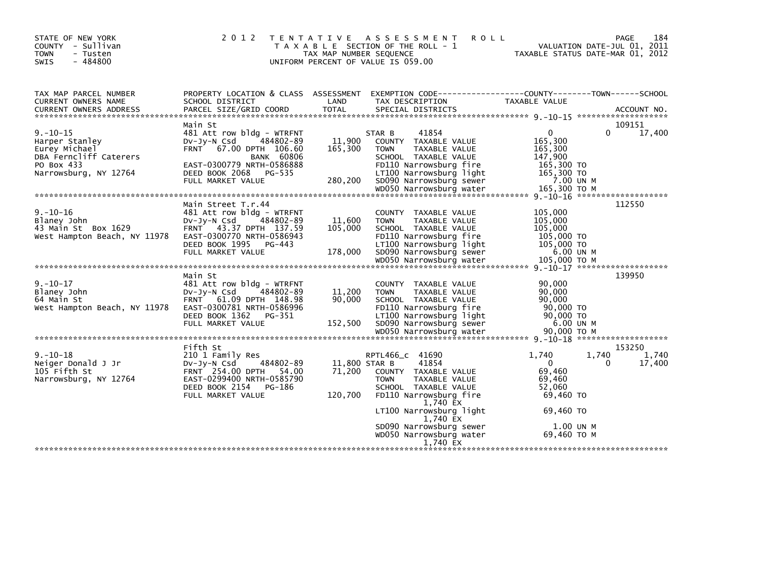| STATE OF NEW YORK<br>- Sullivan<br>COUNTY<br><b>TOWN</b><br>- Tusten<br>$-484800$<br><b>SWIS</b>                   | 2 0 1 2                                                                                                                                                                                                 | T E N T A T I V E<br>TAX MAP NUMBER SEQUENCE | A S S E S S M E N T<br>T A X A B L E SECTION OF THE ROLL - 1<br>UNIFORM PERCENT OF VALUE IS 059.00                                                                                                                                          | <b>ROLL</b>                                                                                            | 184<br>PAGE<br>VALUATION DATE-JUL 01, 2011<br>TAXABLE STATUS DATE-MAR 01, 2012 |
|--------------------------------------------------------------------------------------------------------------------|---------------------------------------------------------------------------------------------------------------------------------------------------------------------------------------------------------|----------------------------------------------|---------------------------------------------------------------------------------------------------------------------------------------------------------------------------------------------------------------------------------------------|--------------------------------------------------------------------------------------------------------|--------------------------------------------------------------------------------|
| TAX MAP PARCEL NUMBER<br>CURRENT OWNERS NAME<br><b>CURRENT OWNERS ADDRESS</b>                                      | PROPERTY LOCATION & CLASS ASSESSMENT<br>SCHOOL DISTRICT<br>PARCEL SIZE/GRID COORD                                                                                                                       | LAND<br><b>TOTAL</b>                         | EXEMPTION CODE-----------------COUNTY-------TOWN------SCHOOL<br>TAX DESCRIPTION<br>SPECIAL DISTRICTS                                                                                                                                        | TAXABLE VALUE                                                                                          | ACCOUNT NO.                                                                    |
| $9. - 10 - 15$<br>Harper Stanley<br>Eurey Michael<br>DBA Ferncliff Caterers<br>PO Box 433<br>Narrowsburg, NY 12764 | Main St<br>481 Att row bldg - WTRFNT<br>DV-Jy-N Csd<br>484802-89<br>67.00 DPTH 106.60<br><b>FRNT</b><br><b>BANK 60806</b><br>EAST-0300779 NRTH-0586888<br>DEED BOOK 2068<br>PG-535<br>FULL MARKET VALUE | 11,900<br>165,300<br>280,200                 | STAR B<br>41854<br>COUNTY TAXABLE VALUE<br><b>TOWN</b><br>TAXABLE VALUE<br>SCHOOL TAXABLE VALUE<br>FD110 Narrowsburg fire<br>LT100 Narrowsburg light<br>SD090 Narrowsburg sewer<br>WD050 Narrowsburg water                                  | $\mathbf{0}$<br>165,300<br>165,300<br>147,900<br>165,300 TO<br>165,300 TO<br>7.00 UN M<br>165,300 ТО М | 109151<br>0<br>17,400                                                          |
| $9. - 10 - 16$<br>Blaney John<br>43 Main St Box 1629<br>West Hampton Beach, NY 11978                               | Main Street T.r.44<br>481 Att row bldg - WTRFNT<br>$Dv-Jy-N$ Csd<br>484802-89<br>FRNT 43.37 DPTH 137.59<br>EAST-0300770 NRTH-0586943<br>DEED BOOK 1995<br>PG-443<br>FULL MARKET VALUE                   | 11,600<br>105,000<br>178,000                 | COUNTY TAXABLE VALUE<br>TAXABLE VALUE<br><b>TOWN</b><br>SCHOOL TAXABLE VALUE<br>FD110 Narrowsburg fire<br>LT100 Narrowsburg light<br>SD090 Narrowsburg sewer                                                                                | 105,000<br>105,000<br>105,000<br>105,000 TO<br>105,000 TO<br>6.00 UN M<br>105,000 ТО М                 | 112550                                                                         |
| $9. - 10 - 17$<br>Blaney John<br>64 Main St<br>West Hampton Beach, NY 11978                                        | Main St<br>481 Att row bldg - WTRFNT<br>484802-89<br>$Dv-Jy-N$ Csd<br>61.09 DPTH 148.98<br><b>FRNT</b><br>EAST-0300781 NRTH-0586996<br>DEED BOOK 1362<br>PG-351<br>FULL MARKET VALUE                    | 11,200<br>90,000<br>152,500                  | COUNTY TAXABLE VALUE<br><b>TOWN</b><br><b>TAXABLE VALUE</b><br>SCHOOL TAXABLE VALUE<br>FD110 Narrowsburg fire<br>LT100 Narrowsburg light<br>SD090 Narrowsburg sewer                                                                         | 90,000<br>90,000<br>90,000<br>90,000 TO<br>90,000 TO<br>6.00 UN M                                      | 9. -10-17 *********************<br>139950                                      |
| $9. - 10 - 18$<br>Neiger Donald J Jr<br>105 Fifth St<br>Narrowsburg, NY 12764                                      | Fifth St<br>210 1 Family Res<br>484802-89<br>DV-JV-N Csd<br>FRNT 254.00 DPTH 54.00<br>EAST-0299400 NRTH-0585790<br>DEED BOOK 2154<br>PG-186<br>FULL MARKET VALUE                                        | 11.800 STAR B<br>71,200<br>120,700           | RPTL466 c 41690<br>41854<br>COUNTY TAXABLE VALUE<br><b>TOWN</b><br>TAXABLE VALUE<br>SCHOOL TAXABLE VALUE<br>FD110 Narrowsburg fire<br>1,740 EX<br>LT100 Narrowsburg light<br>1,740 EX<br>SD090 Narrowsburg sewer<br>WD050 Narrowsburg water | 1.740<br>$\Omega$<br>69,460<br>69,460<br>52,060<br>69,460 TO<br>69,460 TO<br>1.00 UN M<br>69,460 ТО М  | 153250<br>1,740<br>1,740<br>17,400<br>0                                        |
|                                                                                                                    |                                                                                                                                                                                                         |                                              | 1.740 EX                                                                                                                                                                                                                                    |                                                                                                        |                                                                                |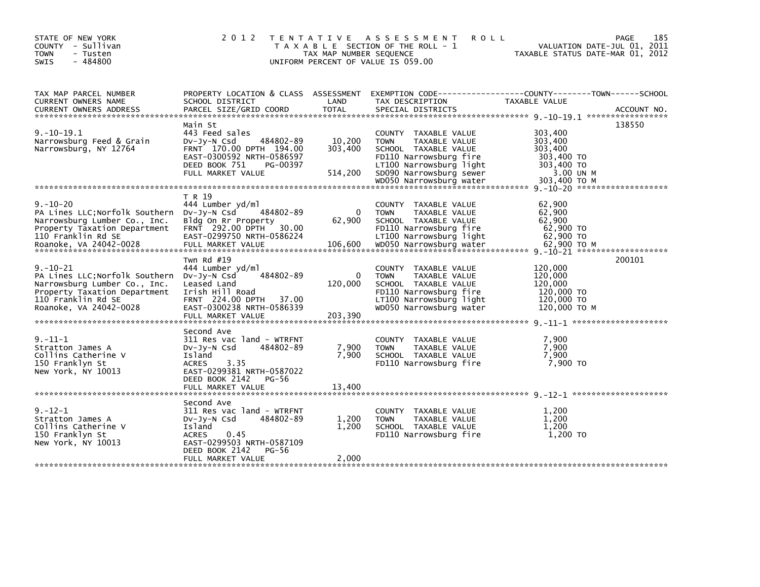| 2 0 1 2                                                                                                                                                                              |                                    |                                                                                                                                                              | PAGE<br>VALUATION DATE-JUL 01, 2011<br>TAXABLE STATUS DATE-MAR 01, 2012                                                                                                | 185                                                                                                                                                                                                                                                                                      |
|--------------------------------------------------------------------------------------------------------------------------------------------------------------------------------------|------------------------------------|--------------------------------------------------------------------------------------------------------------------------------------------------------------|------------------------------------------------------------------------------------------------------------------------------------------------------------------------|------------------------------------------------------------------------------------------------------------------------------------------------------------------------------------------------------------------------------------------------------------------------------------------|
| SCHOOL DISTRICT                                                                                                                                                                      | LAND                               | TAX DESCRIPTION                                                                                                                                              | TAXABLE VALUE                                                                                                                                                          |                                                                                                                                                                                                                                                                                          |
| Main St<br>443 Feed sales<br>484802-89<br>$Dv-Jy-N$ Csd<br>FRNT 170.00 DPTH 194.00<br>EAST-0300592 NRTH-0586597<br>DEED BOOK 751<br>PG-00397<br>FULL MARKET VALUE                    | 10,200<br>303,400<br>514,200       | COUNTY TAXABLE VALUE<br>TAXABLE VALUE<br><b>TOWN</b><br>SCHOOL TAXABLE VALUE<br>FD110 Narrowsburg fire<br>LT100 Narrowsburg light<br>SD090 Narrowsburg sewer | 303,400<br>303,400<br>303,400<br>303,400 TO<br>303,400 TO<br>3.00 UN M                                                                                                 | 138550                                                                                                                                                                                                                                                                                   |
|                                                                                                                                                                                      |                                    |                                                                                                                                                              |                                                                                                                                                                        |                                                                                                                                                                                                                                                                                          |
| T R 19<br>444 Lumber yd/ml<br>DV-JY-N Csd<br>484802-89<br>Bldg On Rr Property<br>FRNT 292.00 DPTH<br>30.00<br>EAST-0299750 NRTH-0586224                                              | $\Omega$<br>62,900                 | COUNTY TAXABLE VALUE<br><b>TOWN</b><br>TAXABLE VALUE<br>SCHOOL TAXABLE VALUE<br>FD110 Narrowsburg fire<br>LT100 Narrowsburg light                            | 62,900<br>62,900<br>62.900<br>62,900 TO<br>62,900 TO                                                                                                                   |                                                                                                                                                                                                                                                                                          |
| Twn Rd #19<br>444 Lumber yd/ml<br>484802-89<br>Dv-Jy-N Csd<br>Leased Land<br>Irish Hill Road<br>FRNT 224.00 DPTH 37.00<br>EAST-0300238 NRTH-0586339<br>FULL MARKET VALUE             | $\mathbf{0}$<br>120,000<br>203,390 | COUNTY TAXABLE VALUE<br><b>TOWN</b><br>TAXABLE VALUE<br>SCHOOL TAXABLE VALUE<br>FD110 Narrowsburg fire<br>LT100 Narrowsburg light<br>WD050 Narrowsburg water | 120,000<br>120,000<br>120,000<br>120,000 TO<br>120,000 TO<br>120,000 TO M                                                                                              | 200101                                                                                                                                                                                                                                                                                   |
| Second Ave<br>311 Res vac land - WTRFNT<br>484802-89<br>$Dv-Jy-N$ Csd<br>Island<br><b>ACRES</b><br>3.35<br>EAST-0299381 NRTH-0587022<br>DEED BOOK 2142<br>PG-56<br>FULL MARKET VALUE | 7,900<br>7,900<br>13,400           | COUNTY TAXABLE VALUE<br>TAXABLE VALUE<br><b>TOWN</b><br>SCHOOL TAXABLE VALUE<br>FD110 Narrowsburg fire                                                       | 7,900<br>7,900<br>7,900<br>7.900 TO                                                                                                                                    |                                                                                                                                                                                                                                                                                          |
| Second Ave<br>311 Res vac land - WTRFNT<br>484802-89<br>DV-Jy-N Csd<br>Island<br>0.45<br><b>ACRES</b><br>EAST-0299503 NRTH-0587109<br>DEED BOOK 2142<br>PG-56<br>FULL MARKET VALUE   | 1,200<br>1,200<br>2,000            | COUNTY<br>TAXABLE VALUE<br><b>TOWN</b><br>TAXABLE VALUE<br>SCHOOL TAXABLE VALUE<br>FD110 Narrowsburg fire                                                    | 1.200<br>1,200<br>1,200<br>1,200 TO                                                                                                                                    |                                                                                                                                                                                                                                                                                          |
|                                                                                                                                                                                      |                                    |                                                                                                                                                              | TENTATIVE ASSESSMENT<br>T A X A B L E SECTION OF THE ROLL - 1<br>TAX MAP NUMBER SEQUENCE<br>UNIFORM PERCENT OF VALUE IS 059.00<br>PROPERTY LOCATION & CLASS ASSESSMENT | <b>ROLL</b><br>.CURRENT OWNERS ADDRESS PARCEL SIZE/GRID COORD TOTAL SPECIAL DISTRICTS AND MELL ACCOUNT NO ACCOUNT NO AND ART AND MALL SERVER AND RESERVE TO A SERVER AND RESERVE TO A SALE OF THE SERVER AND RESERVE TO A SALE AND THE SALE S<br>WD050 Narrowsburg water<br>303,400 ТО М |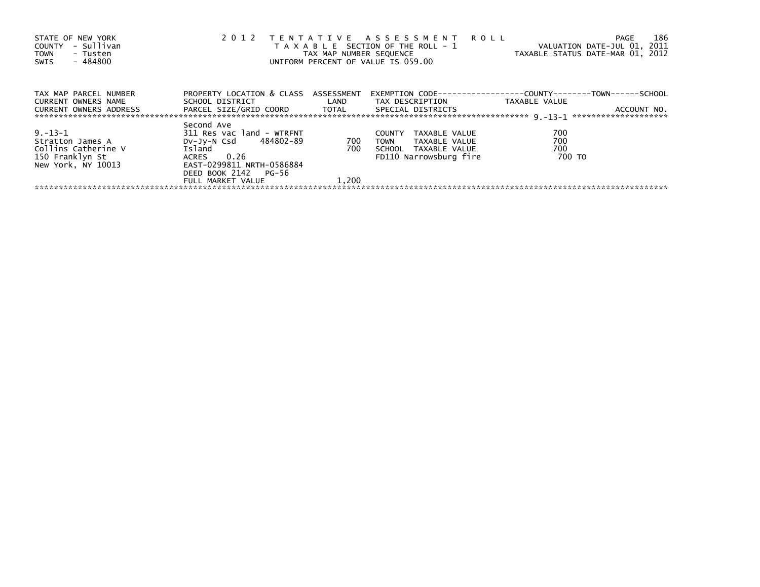| STATE OF NEW YORK<br>- Sullivan<br>COUNTY<br><b>TOWN</b><br>- Tusten<br>$-484800$<br>SWIS |                                                              |       | 2012 TENTATIVE ASSESSMENT ROLL<br>T A X A B L E SECTION OF THE ROLL - 1<br>UNIFORM PERCENT OF VALUE IS 059.00 | 186<br>PAGE<br>VALUATION DATE-JUL 01, 2011<br>TAX MAP NUMBER SEQUENCE TAXABLE STATUS DATE-MAR 01, 2012 |
|-------------------------------------------------------------------------------------------|--------------------------------------------------------------|-------|---------------------------------------------------------------------------------------------------------------|--------------------------------------------------------------------------------------------------------|
| TAX MAP PARCEL NUMBER<br>CURRENT OWNERS NAME                                              | PROPERTY LOCATION & CLASS ASSESSMENT<br>SCHOOL DISTRICT LAND |       | TAX DESCRIPTION                                                                                               | EXEMPTION        CODE-----------------COUNTY-------TOWN------SCHOOL<br>TAXABLE VALUE                   |
| <b>CURRENT OWNERS ADDRESS</b>                                                             | PARCEL SIZE/GRID COORD TOTAL SPECIAL DISTRICTS               |       |                                                                                                               | ACCOUNT NO.                                                                                            |
|                                                                                           | Second Ave                                                   |       |                                                                                                               |                                                                                                        |
| $9. - 13 - 1$                                                                             | 311 Res vac land - WTRFNT                                    |       | <b>COUNTY</b><br>TAXABLE VALUE                                                                                | 700                                                                                                    |
| Stratton James A                                                                          | DV-Jy-N Csd 484802-89                                        | 700   | TOWN<br>TAXABLE VALUE                                                                                         | 700                                                                                                    |
| Collins Catherine V                                                                       | Island                                                       | 700   | SCHOOL TAXABLE VALUE                                                                                          | 700                                                                                                    |
| 150 Franklyn St                                                                           | ACRES 0.26                                                   |       | FD110 Narrowsburg fire                                                                                        | 700 TO                                                                                                 |
| New York, NY 10013                                                                        | EAST-0299811 NRTH-0586884                                    |       |                                                                                                               |                                                                                                        |
|                                                                                           | DEED BOOK 2142 PG-56                                         |       |                                                                                                               |                                                                                                        |
|                                                                                           | FULL MARKET VALUE                                            | 1.200 |                                                                                                               |                                                                                                        |
|                                                                                           |                                                              |       |                                                                                                               |                                                                                                        |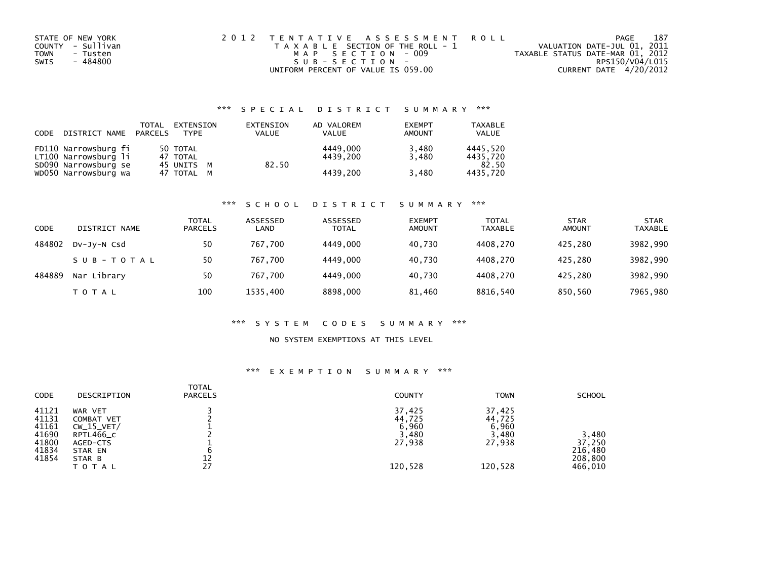| STATE OF NEW YORK | 2012 TENTATIVE ASSESSMENT ROLL        | PAGE                             | 187 |
|-------------------|---------------------------------------|----------------------------------|-----|
| COUNTY - Sullivan | T A X A B L E SECTION OF THE ROLL - 1 | VALUATION DATE-JUL 01, 2011      |     |
| TOWN<br>- Tusten  | MAP SECTION - 009                     | TAXABLE STATUS DATE-MAR 01, 2012 |     |
| - 484800<br>SWIS  | SUB-SECTION-                          | RPS150/V04/L015                  |     |
|                   | UNIFORM PERCENT OF VALUE IS 059.00    | CURRENT DATE 4/20/2012           |     |

# \*\*\* S P E C I A L D I S T R I C T S U M M A R Y \*\*\*

| CODE | DISTRICT NAME PARCELS                        | TOTAL | EXTENSION<br><b>TYPF</b> | EXTENSION<br><b>VALUE</b> | AD VALOREM<br><b>VALUE</b> | <b>EXEMPT</b><br>AMOUNT | <b>TAXABLE</b><br><b>VALUE</b> |
|------|----------------------------------------------|-------|--------------------------|---------------------------|----------------------------|-------------------------|--------------------------------|
|      | FD110 Narrowsburg fi<br>LT100 Narrowsburg li |       | 50 TOTAL<br>47 TOTAL     |                           | 4449.000<br>4439.200       | 3,480<br>3.480          | 4445.520<br>4435.720           |
|      | SD090 Narrowsburg se<br>WD050 Narrowsburg wa |       | 45 UNITS M<br>47 TOTAL M | 82.50                     | 4439.200                   | 3,480                   | 82.50<br>4435.720              |

### \*\*\* S C H O O L D I S T R I C T S U M M A R Y \*\*\*

| CODE   | DISTRICT NAME | <b>TOTAL</b><br><b>PARCELS</b> | ASSESSED<br>LAND | ASSESSED<br><b>TOTAL</b> | <b>EXEMPT</b><br>AMOUNT | <b>TOTAL</b><br><b>TAXABLE</b> | <b>STAR</b><br><b>AMOUNT</b> | <b>STAR</b><br><b>TAXABLE</b> |
|--------|---------------|--------------------------------|------------------|--------------------------|-------------------------|--------------------------------|------------------------------|-------------------------------|
| 484802 | DV-JV-N Csd   | 50                             | 767.700          | 4449.000                 | 40.730                  | 4408.270                       | 425.280                      | 3982,990                      |
|        | SUB-TOTAL     | 50                             | 767,700          | 4449.000                 | 40.730                  | 4408.270                       | 425.280                      | 3982,990                      |
| 484889 | Nar Library   | 50                             | 767,700          | 4449.000                 | 40.730                  | 4408.270                       | 425.280                      | 3982,990                      |
|        | T O T A L     | 100                            | 1535,400         | 8898,000                 | 81,460                  | 8816,540                       | 850,560                      | 7965,980                      |

### \*\*\* S Y S T E M C O D E S S U M M A R Y \*\*\*

### NO SYSTEM EXEMPTIONS AT THIS LEVEL

### \*\*\* E X E M P T I O N S U M M A R Y \*\*\*

| <b>CODE</b> | DESCRIPTION  | <b>TOTAL</b><br><b>PARCELS</b> | <b>COUNTY</b> | <b>TOWN</b> | <b>SCHOOL</b> |
|-------------|--------------|--------------------------------|---------------|-------------|---------------|
| 41121       | WAR VET      |                                | 37,425        | 37,425      |               |
| 41131       | COMBAT VET   |                                | 44,725        | 44,725      |               |
| 41161       | $CW_15_VET/$ |                                | 6,960         | 6,960       |               |
| 41690       | RPTL466_C    |                                | 3,480         | 3,480       | 3,480         |
| 41800       | AGED-CTS     |                                | 27,938        | 27,938      | 37,250        |
| 41834       | STAR EN      | b                              |               |             | 216,480       |
| 41854       | STAR B       | 12                             |               |             | 208,800       |
|             | ΤΟΤΑL        | 27                             | 120,528       | 120,528     | 466,010       |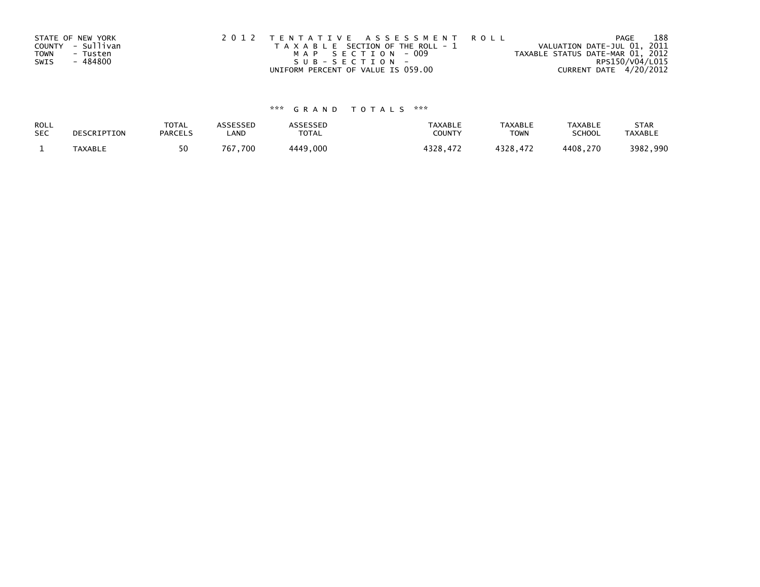|      | STATE OF NEW YORK | 2012 TENTATIVE ASSESSMENT ROLL        | 188<br><b>PAGE</b>               |
|------|-------------------|---------------------------------------|----------------------------------|
|      | COUNTY - Sullivan | T A X A B L E SECTION OF THE ROLL - 1 | VALUATION DATE-JUL 01, 2011      |
| TOWN | - Tusten          | MAP SECTION - 009                     | TAXABLE STATUS DATE-MAR 01, 2012 |
| SWIS | - 484800          | SUB-SECTION-                          | RPS150/V04/L015                  |
|      |                   | UNIFORM PERCENT OF VALUE IS 059.00    | CURRENT DATE 4/20/2012           |

# \*\*\* G R A N D T O T A L S \*\*\*

| ROLL       | DESCRIPTION | <b>TOTAL</b>   | ASSESSED | ASSESSED | <b>TAXABLE</b> | <b>TAXABLE</b> | <b>TAXABLE</b> | <b>STAR</b>    |
|------------|-------------|----------------|----------|----------|----------------|----------------|----------------|----------------|
| <b>SEC</b> |             | <b>PARCELS</b> | ∟AND     | TOTAL    | <b>COUNTY</b>  | TOWN           | <b>SCHOOL</b>  | <b>TAXABLE</b> |
|            | TAXABLE     | 50             | 767.700  | 4449,000 | 4328.472       | 4328.472       | 4408.270       | 3982,990       |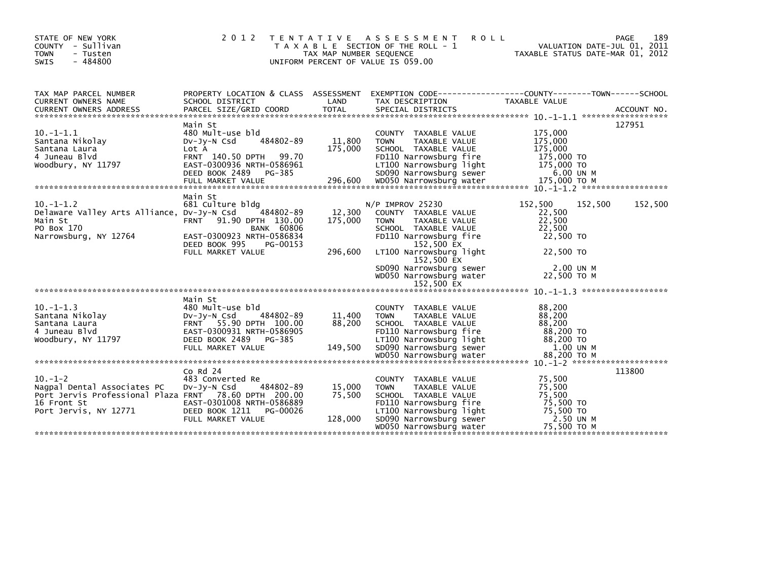| STATE OF NEW YORK<br>COUNTY - Sullivan<br><b>TOWN</b><br>- Tusten<br>- 484800<br>SWIS                                                                                                                                                                                                                             | 2 0 1 2                                                                                                                                                                | T E N T A T I V E<br>TAX MAP NUMBER SEQUENCE | <b>ROLL</b><br>A S S E S S M E N T<br>T A X A B L E SECTION OF THE ROLL - 1<br>UNIFORM PERCENT OF VALUE IS 059.00                                                                                                                                     | VALUATION DATE-JUL 01, 2011<br>TAXABLE STATUS DATE-MAR 01, 2012                                        | 189<br>PAGE |
|-------------------------------------------------------------------------------------------------------------------------------------------------------------------------------------------------------------------------------------------------------------------------------------------------------------------|------------------------------------------------------------------------------------------------------------------------------------------------------------------------|----------------------------------------------|-------------------------------------------------------------------------------------------------------------------------------------------------------------------------------------------------------------------------------------------------------|--------------------------------------------------------------------------------------------------------|-------------|
| TAX MAP PARCEL NUMBER<br>CURRENT OWNERS NAME                                                                                                                                                                                                                                                                      | PROPERTY LOCATION & CLASS ASSESSMENT<br>SCHOOL DISTRICT                                                                                                                | LAND                                         | EXEMPTION CODE-----------------COUNTY-------TOWN------SCHOOL<br>TAX DESCRIPTION                                                                                                                                                                       | TAXABLE VALUE                                                                                          |             |
| $10. -1 - 1.1$<br>Santana Nikolay<br>Santana Laura<br>4 Juneau Blvd<br>Woodbury, NY 11797<br>Woodbury, NY 11797 EAST-0300936 NRTH-0586961 LT100 Narrowsburg light 175,000 TO<br>DEED BOOK 2489 PG-385 SDO90 Narrowsburg sewer 6.00 UN M<br>EULL MARKET VALUE 296,600 WDO50 Narrowsburg water 175,000 TO M<br>**** | Main St<br>480 Mult-use bld<br>484802-89<br>$Dv-Jy-N$ Csd<br>Lot A<br>FRNT 140.50 DPTH 99.70                                                                           | 11,800<br>175,000                            | COUNTY TAXABLE VALUE<br><b>TOWN</b><br>TAXABLE VALUE<br>SCHOOL TAXABLE VALUE<br>FD110 Narrowsburg fire                                                                                                                                                | 175,000<br>175,000<br>175,000<br>175,000 TO                                                            | 127951      |
| $10 - 1 - 1.2$<br>Delaware Valley Arts Alliance, DV-Jy-N Csd<br>Main St<br>PO Box 170<br>Narrowsburg, NY 12764                                                                                                                                                                                                    | Main St<br>681 Culture bldg<br>484802-89<br>FRNT 91.90 DPTH 130.00<br><b>BANK 60806</b><br>EAST-0300923 NRTH-0586834<br>DEED BOOK 995<br>PG-00153<br>FULL MARKET VALUE | 12,300<br>175,000<br>296,600                 | N/P IMPROV 25230<br>COUNTY TAXABLE VALUE<br><b>TOWN</b><br>TAXABLE VALUE<br>SCHOOL TAXABLE VALUE<br>FD110 Narrowsburg fire<br>152,500 EX<br>LT100 Narrowsburg light<br>152,500 EX<br>SD090 Narrowsburg sewer<br>WD050 Narrowsburg water<br>152,500 EX | 152,500<br>152,500<br>22,500<br>22,500<br>22,500<br>22,500 TO<br>22,500 TO<br>2.00 UN M<br>22,500 TO M | 152,500     |
|                                                                                                                                                                                                                                                                                                                   |                                                                                                                                                                        |                                              |                                                                                                                                                                                                                                                       |                                                                                                        |             |
| $10. -1 - 1.3$<br>Santana Nikolay<br>Santana Laura<br>4 Juneau Blvd<br>Woodbury, NY 11797                                                                                                                                                                                                                         | Main St<br>480 Mult-use bld<br>484802-89<br>$Dv-Jv-N$ Csd<br>FRNT 55.90 DPTH 100.00<br>EAST-0300931 NRTH-0586905<br>DEED BOOK 2489 PG-385                              | 11,400<br>88,200                             | COUNTY TAXABLE VALUE<br><b>TOWN</b><br>TAXABLE VALUE<br>SCHOOL TAXABLE VALUE<br>FD110 Narrowsburg fire<br>LT100 Narrowsburg light                                                                                                                     | 88,200<br>88,200<br>88,200<br>88,200 TO<br>88,200 TO                                                   |             |
|                                                                                                                                                                                                                                                                                                                   |                                                                                                                                                                        |                                              |                                                                                                                                                                                                                                                       |                                                                                                        |             |
| $10. -1 - 2$<br>Nagpal Dental Associates PC<br>Port Jervis Professional Plaza FRNT 78.60 DPTH 200.00<br>16 Front St<br>Port Jervis, NY 12771                                                                                                                                                                      | Co Rd 24<br>483 Converted Re<br>484802-89<br>DV-Jy-N Csd<br>EAST-0301008 NRTH-0586889<br>DEED BOOK 1211 PG-00026<br>FULL MARKET VALUE                                  | 15,000<br>75,500<br>128,000                  | COUNTY TAXABLE VALUE<br>TAXABLE VALUE<br><b>TOWN</b><br>SCHOOL TAXABLE VALUE<br>FD110 Narrowsburg fire<br>LT100 Narrowsburg light<br>SD090 Narrowsburg sewer<br>WD050 Narrowsburg water                                                               | 75,500<br>75,500<br>75,500<br>75,500 TO<br>75,500 TO<br>2.50 UN M<br>75,500 TO M                       | 113800      |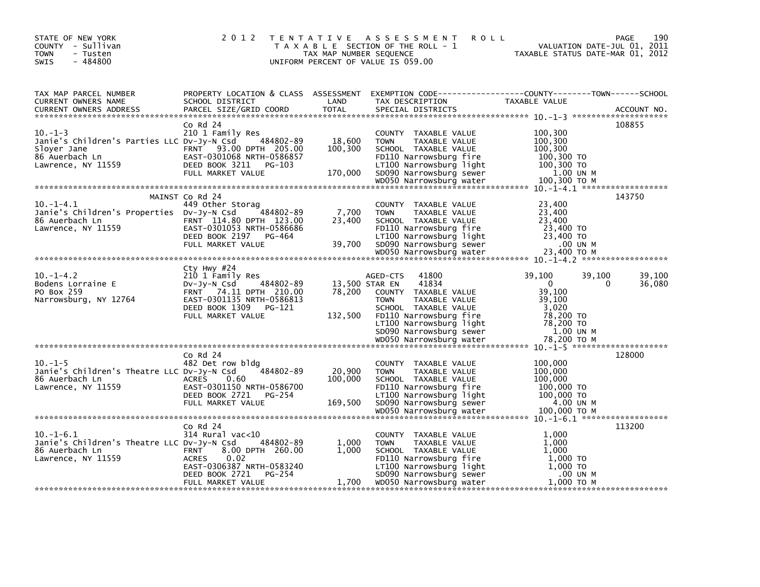| STATE OF NEW YORK<br>COUNTY - Sullivan<br><b>TOWN</b><br>- Tusten<br>$-484800$<br>SWIS                                      | 2 0 1 2                                                                                                                                                             | TAX MAP NUMBER SEQUENCE      | <b>ROLL</b><br>TENTATIVE ASSESSMENT<br>T A X A B L E SECTION OF THE ROLL - 1<br>UNIFORM PERCENT OF VALUE IS 059.00                                                                                           | TAXABLE STATUS DATE-MAR 01, 2012                                                           | 190<br>PAGE<br>VALUATION DATE-JUL 01, 2011 |
|-----------------------------------------------------------------------------------------------------------------------------|---------------------------------------------------------------------------------------------------------------------------------------------------------------------|------------------------------|--------------------------------------------------------------------------------------------------------------------------------------------------------------------------------------------------------------|--------------------------------------------------------------------------------------------|--------------------------------------------|
| TAX MAP PARCEL NUMBER<br>CURRENT OWNERS NAME<br><b>CURRENT OWNERS ADDRESS</b>                                               | SCHOOL DISTRICT<br>PARCEL SIZE/GRID COORD                                                                                                                           | LAND<br><b>TOTAL</b>         | PROPERTY LOCATION & CLASS ASSESSMENT EXEMPTION CODE----------------COUNTY-------TOWN------SCHOOL<br>TAX DESCRIPTION<br>SPECIAL DISTRICTS                                                                     | TAXABLE VALUE                                                                              | ACCOUNT NO.                                |
| $10. -1 - 3$<br>Janie's Children's Parties LLC Dv-Jy-N Csd 484802-89<br>Sloyer Jane<br>86 Auerbach Ln<br>Lawrence, NY 11559 | $Co$ Rd $24$<br>210 1 Family Res<br>FRNT 93.00 DPTH 205.00<br>EAST-0301068 NRTH-0586857<br>DEED BOOK 3211 PG-103                                                    | 18,600<br>100,300            | COUNTY TAXABLE VALUE<br><b>TOWN</b><br>TAXABLE VALUE<br>SCHOOL TAXABLE VALUE<br>FD110 Narrowsburg fire<br>LT100 Narrowsburg light                                                                            | 100,300<br>100,300<br>100,300<br>100,300 TO<br>100,300 TO                                  | 108855                                     |
|                                                                                                                             | FULL MARKET VALUE                                                                                                                                                   | 170,000                      | SD090 Narrowsburg sewer<br>WD050 Narrowsburg water                                                                                                                                                           | 1.00 UN M<br>100,300 TO M                                                                  |                                            |
| $10. -1 - 4.1$<br>Janie's Children's Properties DV-Jy-N Csd<br>86 Auerbach Ln<br>Lawrence, NY 11559                         | MAINST Co Rd 24<br>449 Other Storag<br>484802-89<br>FRNT 114.80 DPTH 123.00<br>EAST-0301053 NRTH-0586686<br>DEED BOOK 2197 PG-464<br>FULL MARKET VALUE              | 7,700<br>23,400<br>39,700    | COUNTY TAXABLE VALUE<br>TAXABLE VALUE<br><b>TOWN</b><br>SCHOOL TAXABLE VALUE<br>FD110 Narrowsburg fire<br>LT100 Narrowsburg light<br>SD090 Narrowsburg sewer<br>WD050 Narrowsburg water                      | 23,400<br>23,400<br>23,400<br>23,400 TO<br>23,400 TO<br>.00 UN M<br>23,400 ТО М            | 143750                                     |
|                                                                                                                             |                                                                                                                                                                     |                              |                                                                                                                                                                                                              |                                                                                            |                                            |
| $10. -1 - 4.2$<br>Bodens Lorraine E<br>PO Box 259<br>Narrowsburg, NY 12764                                                  | Cty Hwy #24<br>210 1 Family Res<br>484802-89<br>DV-Jy-N Csd<br>FRNT 74.11 DPTH 210.00<br>EAST-0301135 NRTH-0586813<br>DEED BOOK 1309<br>PG-121<br>FULL MARKET VALUE | 78,200<br>132,500            | 41800<br>AGED-CTS<br>41834<br>13,500 STAR EN<br>COUNTY TAXABLE VALUE<br>TAXABLE VALUE<br><b>TOWN</b><br>SCHOOL TAXABLE VALUE<br>FD110 Narrowsburg fire<br>LT100 Narrowsburg light<br>SD090 Narrowsburg sewer | 39,100<br>$\mathbf{0}$<br>39,100<br>39,100<br>3,020<br>78,200 TO<br>78,200 TO<br>1.00 UN M | 39,100<br>39,100<br>36,080<br>0            |
|                                                                                                                             |                                                                                                                                                                     |                              |                                                                                                                                                                                                              |                                                                                            |                                            |
| $10. -1 - 5$<br>Janie's Children's Theatre LLC DV-Jy-N Csd<br>86 Auerbach Ln<br>Lawrence, NY 11559                          | $Co$ Rd $24$<br>482 Det row bldg<br>484802-89<br><b>ACRES</b><br>0.60<br>EAST-0301150 NRTH-0586700<br>DEED BOOK 2721<br>PG-254<br>FULL MARKET VALUE                 | 20,900<br>100,000<br>169,500 | COUNTY TAXABLE VALUE<br>TAXABLE VALUE<br><b>TOWN</b><br>SCHOOL TAXABLE VALUE<br>FD110 Narrowsburg fire<br>LT100 Narrowsburg light<br>SD090 Narrowsburg sewer<br>WD050 Narrowsburg water                      | 100,000<br>100,000<br>100,000<br>100,000 TO<br>100,000 TO<br>4.00 UN M<br>100,000 TO M     | 128000                                     |
|                                                                                                                             |                                                                                                                                                                     |                              |                                                                                                                                                                                                              |                                                                                            |                                            |
| $10.-1-6.1$<br>Janie's Children's Theatre LLC DV-Jy-N Csd<br>86 Auerbach Ln<br>Lawrence, NY 11559                           | $Co$ Rd $24$<br>314 Rural vac<10<br>484802-89<br>8.00 DPTH 260.00<br><b>FRNT</b><br>0.02<br>ACRES<br>EAST-0306387 NRTH-0583240<br>DEED BOOK 2721<br>PG-254          | 1,000<br>1,000               | COUNTY TAXABLE VALUE<br>TAXABLE VALUE<br><b>TOWN</b><br>SCHOOL TAXABLE VALUE<br>FD110 Narrowsburg fire<br>LT100 Narrowsburg light<br>SD090 Narrowsburg sewer                                                 | 1,000<br>1,000<br>1.000<br>1,000 TO<br>1,000 TO<br>.00 UN M                                | 113200                                     |
|                                                                                                                             | FULL MARKET VALUE                                                                                                                                                   | 1,700                        | WD050 Narrowsburg water                                                                                                                                                                                      | 1,000 ТО М                                                                                 |                                            |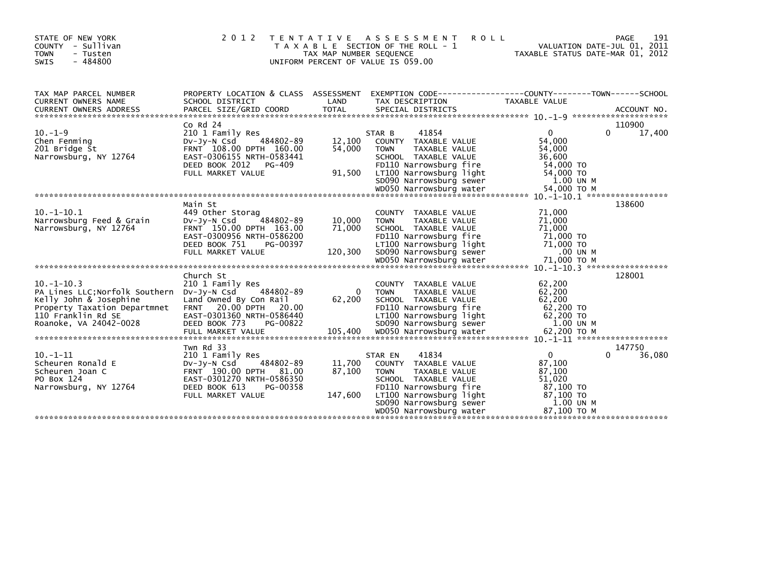| STATE OF NEW YORK<br>- Sullivan<br>COUNTY<br><b>TOWN</b><br>- Tusten<br>$-484800$<br><b>SWIS</b>                                                                                                                                                                                                                                                                                                                                  | 2 0 1 2                                                                                                                                                               | TAX MAP NUMBER SEQUENCE     | <b>ROLL</b><br>TENTATIVE ASSESSMENT<br>T A X A B L E SECTION OF THE ROLL - 1<br>UNIFORM PERCENT OF VALUE IS 059.00                                                                                          | VALUATION DATE-JUL 01, 2011<br>TAXABLE STATUS DATE-MAR 01, 2012                       | 191<br><b>PAGE</b>    |
|-----------------------------------------------------------------------------------------------------------------------------------------------------------------------------------------------------------------------------------------------------------------------------------------------------------------------------------------------------------------------------------------------------------------------------------|-----------------------------------------------------------------------------------------------------------------------------------------------------------------------|-----------------------------|-------------------------------------------------------------------------------------------------------------------------------------------------------------------------------------------------------------|---------------------------------------------------------------------------------------|-----------------------|
| TAX MAP PARCEL NUMBER<br>CURRENT OWNERS NAME                                                                                                                                                                                                                                                                                                                                                                                      | SCHOOL DISTRICT                                                                                                                                                       | LAND                        | PROPERTY LOCATION & CLASS ASSESSMENT EXEMPTION CODE----------------COUNTY-------TOWN------SCHOOL<br>TAX DESCRIPTION                                                                                         | TAXABLE VALUE                                                                         |                       |
| $10. -1 - 9$<br>Chen Fenming<br>201 Bridge St<br>Narrowsburg, NY 12764                                                                                                                                                                                                                                                                                                                                                            | Co Rd $24$<br>210 1 Family Res<br>484802-89<br>$Dv-Jy-N$ Csd<br>FRNT 108.00 DPTH 160.00<br>EAST-0306155 NRTH-0583441<br>DEED BOOK 2012<br>PG-409<br>FULL MARKET VALUE | 12,100<br>54,000<br>91,500  | 41854<br>STAR B<br>COUNTY TAXABLE VALUE<br>TAXABLE VALUE<br><b>TOWN</b><br>SCHOOL TAXABLE VALUE<br>FD110 Narrowsburg fire<br>LT100 Narrowsburg light<br>SD090 Narrowsburg sewer                             | $\mathbf{0}$<br>54,000<br>54,000<br>36,600<br>54,000 TO<br>54,000 TO<br>1.00 UN M     | 110900<br>17,400<br>0 |
| $10. -1 - 10.1$<br>Narrowsburg Feed & Grain<br>Narrowsburg, NY 12764                                                                                                                                                                                                                                                                                                                                                              | Main St<br>449 Other Storag<br>$Dv-Jv-N$ Csd<br>484802-89<br>FRNT 150.00 DPTH 163.00<br>EAST-0300956 NRTH-0586200<br>DEED BOOK 751<br>PG-00397<br>FULL MARKET VALUE   | 10,000<br>71,000<br>120,300 | COUNTY TAXABLE VALUE<br><b>TOWN</b><br>TAXABLE VALUE<br>SCHOOL TAXABLE VALUE<br>FD110 Narrowsburg fire<br>LT100 Narrowsburg light<br>SD090 Narrowsburg sewer                                                | 71,000<br>71,000<br>71,000<br>71,000 TO<br>71,000 TO<br>.00 UN M                      | 138600                |
| $10. -1 - 10.3$<br>PA Lines LLC;Norfolk Southern DV-Jy-N Csd<br>Kelly John & Josephine<br>Property Taxation Departmnet FRNT 20.00 DPTH 20.00<br>110 Franklin Rd SE<br>Roanoke, VA 24042-0028<br>105,400 WD050 Nutricus with the contract of the COVID-105,400 NUCLE Nutricus of the COVID-105,400 NUCLE 105,400<br>And Morald Marrowsburg water 62,200 TO M (62,200 TO M) = 62,200 Nutricus Server of the contract of the contrac | Church St<br>210 1 Family Res<br>484802-89<br>Land Owned By Con Rail<br>EAST-0301360 NRTH-0586440<br>DEED BOOK 773<br>PG-00822                                        | $\Omega$<br>62,200          | COUNTY TAXABLE VALUE<br><b>TOWN</b><br>TAXABLE VALUE<br>SCHOOL TAXABLE VALUE<br>FD110 Narrowsburg fire<br>LT100 Narrowsburg light<br>SD090 Narrowsburg sewer                                                | 62,200<br>62,200<br>62,200<br>62,200 TO<br>62,200 TO<br>1.00 UN M                     | 128001                |
| $10. -1 - 11$<br>Scheuren Ronald E<br>Scheuren Joan C<br>PO Box 124<br>Narrowsburg, NY 12764                                                                                                                                                                                                                                                                                                                                      | Twn Rd 33<br>210 1 Family Res<br>484802-89<br>DV-Jy-N Csd<br>FRNT 190.00 DPTH 81.00<br>EAST-0301270 NRTH-0586350<br>DEED BOOK 613<br>PG-00358<br>FULL MARKET VALUE    | 11,700<br>87,100<br>147,600 | 41834<br>STAR EN<br>COUNTY TAXABLE VALUE<br><b>TOWN</b><br>TAXABLE VALUE<br>SCHOOL TAXABLE VALUE<br>FD110 Narrowsburg fire<br>LT100 Narrowsburg light<br>SD090 Narrowsburg sewer<br>WD050 Narrowsburg water | 0<br>87,100<br>87,100<br>51,020<br>87,100 TO<br>87,100 TO<br>1.00 UN M<br>87.100 ТО М | 147750<br>36,080      |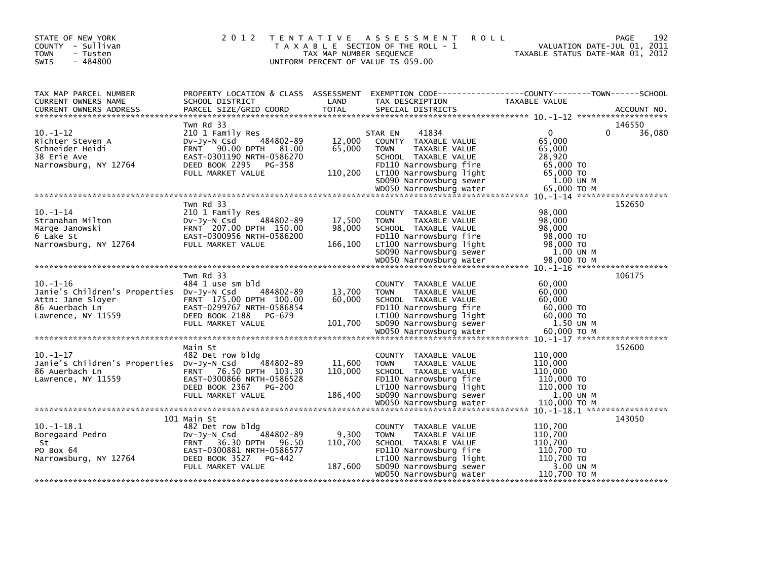| STATE OF NEW YORK<br>COUNTY - Sullivan<br><b>TOWN</b><br>- Tusten<br>$-484800$<br>SWIS                                  | 2 0 1 2<br>T E N T A T I V E                                                                                                                                                      | TAX MAP NUMBER SEQUENCE      | ASSESSMENT<br><b>ROLL</b><br>T A X A B L E SECTION OF THE ROLL - 1<br>UNIFORM PERCENT OF VALUE IS 059.00                                                                                       |                                                                                        | 192<br>PAGE<br>VALUATION DATE-JUL 01, 2011<br>TAXABLE STATUS DATE-MAR 01, 2012 |
|-------------------------------------------------------------------------------------------------------------------------|-----------------------------------------------------------------------------------------------------------------------------------------------------------------------------------|------------------------------|------------------------------------------------------------------------------------------------------------------------------------------------------------------------------------------------|----------------------------------------------------------------------------------------|--------------------------------------------------------------------------------|
| TAX MAP PARCEL NUMBER<br>CURRENT OWNERS NAME                                                                            | PROPERTY LOCATION & CLASS ASSESSMENT<br>SCHOOL DISTRICT                                                                                                                           | LAND                         | EXEMPTION CODE-----------------COUNTY-------TOWN------SCHOOL<br>TAX DESCRIPTION                                                                                                                | TAXABLE VALUE                                                                          |                                                                                |
|                                                                                                                         |                                                                                                                                                                                   |                              |                                                                                                                                                                                                |                                                                                        |                                                                                |
| $10. -1 - 12$<br>Richter Steven A<br>Schneider Heidi<br>38 Erie Ave<br>Narrowsburg, NY 12764                            | Twn Rd 33<br>210 1 Family Res<br>484802-89<br>$Dv-Jv-N$ Csd<br>FRNT 90.00 DPTH 81.00<br>EAST-0301190 NRTH-0586270<br>DEED BOOK 2295<br>PG-358<br>FULL MARKET VALUE                | 12,000<br>65,000<br>110,200  | 41834<br>STAR EN<br>COUNTY TAXABLE VALUE<br>TAXABLE VALUE<br><b>TOWN</b><br>SCHOOL TAXABLE VALUE<br>FD110 Narrowsburg fire<br>LT100 Narrowsburg light                                          | $\Omega$<br>65,000<br>65,000<br>28,920<br>65,000 TO<br>65,000 TO                       | 146550<br>36,080<br>0                                                          |
|                                                                                                                         |                                                                                                                                                                                   |                              | SD090 Narrowsburg sewer                                                                                                                                                                        | 1.00 UN M                                                                              |                                                                                |
|                                                                                                                         |                                                                                                                                                                                   |                              |                                                                                                                                                                                                |                                                                                        |                                                                                |
| $10. - 1 - 14$<br>Stranahan Milton<br>Marge Janowski<br>6 Lake St<br>Narrowsburg, NY 12764                              | Twn Rd 33<br>210 1 Family Res<br>484802-89<br>$Dv-Jy-N$ Csd<br>FRNT 207.00 DPTH 150.00<br>EAST-0300956 NRTH-0586200<br>FULL MARKET VALUE                                          | 17,500<br>98,000<br>166,100  | COUNTY TAXABLE VALUE<br><b>TOWN</b><br>TAXABLE VALUE<br>SCHOOL TAXABLE VALUE<br>FD110 Narrowsburg fire<br>LT100 Narrowsburg light<br>SD090 Narrowsburg sewer                                   | 98,000<br>98,000<br>98,000<br>98,000 TO<br>98,000 TO<br>1.00 UN M                      | 152650                                                                         |
|                                                                                                                         |                                                                                                                                                                                   |                              | WD050 Narrowsburg water                                                                                                                                                                        | 98,000 ТО М                                                                            |                                                                                |
| $10. -1 - 16$<br>Janie's Children's Properties Dv-Jy-N Csd<br>Attn: Jane Slover<br>86 Auerbach Ln<br>Lawrence, NY 11559 | Twn Rd 33<br>484 1 use sm bld<br>484802-89<br>FRNT 175.00 DPTH 100.00<br>EAST-0299767 NRTH-0586854<br>DEED BOOK 2188<br>PG-679<br>FULL MARKET VALUE                               | 13,700<br>60,000<br>101,700  | COUNTY TAXABLE VALUE<br>TAXABLE VALUE<br><b>TOWN</b><br>SCHOOL TAXABLE VALUE<br>FD110 Narrowsburg fire<br>LT100 Narrowsburg light<br>SD090 Narrowsburg sewer                                   | 60,000<br>60,000<br>60,000<br>60,000 TO<br>60,000 TO<br>1.50 UN M                      | 106175                                                                         |
|                                                                                                                         |                                                                                                                                                                                   |                              | WD050 Narrowsburg water                                                                                                                                                                        | 60.000 ТО М                                                                            |                                                                                |
| $10. - 1 - 17$<br>Janie's Children's Properties Dv-Jy-N Csd<br>86 Auerbach Ln<br>Lawrence, NY 11559                     | Main St<br>482 Det row bldg<br>484802-89<br>FRNT 76.50 DPTH 103.30<br>EAST-0300866 NRTH-0586528<br>DEED BOOK 2367<br>PG-200<br>FULL MARKET VALUE                                  | 11,600<br>110,000<br>186,400 | COUNTY TAXABLE VALUE<br><b>TAXABLE VALUE</b><br><b>TOWN</b><br>SCHOOL TAXABLE VALUE<br>FD110 Narrowsburg fire<br>LT100 Narrowsburg light<br>SD090 Narrowsburg sewer<br>WD050 Narrowsburg water | 110,000<br>110,000<br>110,000<br>110,000 TO<br>110,000 TO<br>1.00 UN M<br>110,000 TO M | 152600                                                                         |
|                                                                                                                         |                                                                                                                                                                                   |                              |                                                                                                                                                                                                |                                                                                        |                                                                                |
| $10. -1 - 18.1$<br>Boregaard Pedro<br>St<br>PO Box 64<br>Narrowsburg, NY 12764                                          | 101 Main St<br>482 Det row bldg<br>484802-89<br>$Dv-Jy-N$ Csd<br><b>FRNT</b><br>36.30 DPTH<br>96.50<br>EAST-0300881 NRTH-0586577<br>DEED BOOK 3527<br>PG-442<br>FULL MARKET VALUE | 9,300<br>110,700<br>187,600  | COUNTY TAXABLE VALUE<br>TAXABLE VALUE<br><b>TOWN</b><br>SCHOOL TAXABLE VALUE<br>FD110 Narrowsburg fire<br>LT100 Narrowsburg light<br>SD090 Narrowsburg sewer                                   | 110,700<br>110,700<br>110,700<br>110,700 TO<br>110,700 TO<br>3.00 UN M                 | 143050                                                                         |
|                                                                                                                         |                                                                                                                                                                                   |                              | WD050 Narrowsburg water                                                                                                                                                                        | 110,700 TO M                                                                           |                                                                                |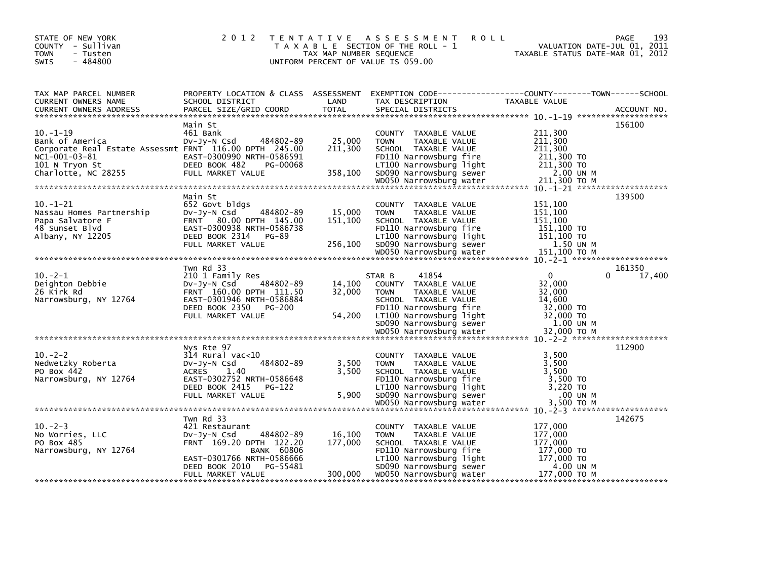| STATE OF NEW YORK<br>COUNTY - Sullivan<br>- Tusten<br><b>TOWN</b><br>- 484800<br>SWIS                                                                | 2 0 1 2                                                                                                                                                                              | TAX MAP NUMBER SEQUENCE      | TENTATIVE ASSESSMENT<br><b>ROLL</b><br>T A X A B L E SECTION OF THE ROLL - 1<br>UNIFORM PERCENT OF VALUE IS 059.00                                                                      | <b>PAGE</b><br>VALUATION DATE-JUL 01, 2011<br>TAXABLE STATUS DATE-MAR 01, 2012                                   | 193    |
|------------------------------------------------------------------------------------------------------------------------------------------------------|--------------------------------------------------------------------------------------------------------------------------------------------------------------------------------------|------------------------------|-----------------------------------------------------------------------------------------------------------------------------------------------------------------------------------------|------------------------------------------------------------------------------------------------------------------|--------|
| TAX MAP PARCEL NUMBER<br>CURRENT OWNERS NAME                                                                                                         | SCHOOL DISTRICT                                                                                                                                                                      | LAND                         | TAX DESCRIPTION                                                                                                                                                                         | PROPERTY LOCATION & CLASS ASSESSMENT EXEMPTION CODE----------------COUNTY-------TOWN-----SCHOOL<br>TAXABLE VALUE |        |
| $10. -1 - 19$<br>Bank of America<br>Corporate Real Estate Assessmt FRNT 116.00 DPTH 245.00<br>NC1-001-03-81<br>101 N Tryon St<br>Charlotte, NC 28255 | Main St<br>461 Bank<br>484802-89<br>Dv-Jy-N Csd<br>EAST-0300990 NRTH-0586591<br>DEED BOOK 482<br>PG-00068<br>FULL MARKET VALUE                                                       | 25,000<br>211,300<br>358,100 | COUNTY TAXABLE VALUE<br>TAXABLE VALUE<br><b>TOWN</b><br>SCHOOL TAXABLE VALUE<br>FD110 Narrowsburg fire<br>LT100 Narrowsburg light<br>SD090 Narrowsburg sewer                            | 156100<br>211,300<br>211,300<br>211,300<br>211,300 TO<br>$211,300$ TO<br>2.00 UN M                               |        |
| $10. -1 - 21$<br>Nassau Homes Partnership<br>Papa Salvatore F<br>48 Sunset Blvd<br>Albany, NY 12205                                                  | Main St<br>652 Govt bldgs<br>484802-89<br>DV-JY-N Csd<br>FRNT 80.00 DPTH 145.00<br>EAST-0300938 NRTH-0586738<br>DEED BOOK 2314 PG-89<br>FULL MARKET VALUE                            | 15,000<br>151,100<br>256,100 | COUNTY TAXABLE VALUE<br><b>TOWN</b><br>TAXABLE VALUE<br>SCHOOL TAXABLE VALUE<br>FD110 Narrowsburg fire<br>LT100 Narrowsburg light<br>SD090 Narrowsburg iignt<br>WD050 Narrowsburg sewer | 139500<br>151,100<br>151,100<br>151.100<br>151,100 TO<br>151,100 TO<br>1.50 UN M                                 |        |
| $10.-2-1$<br>Deighton Debbie<br>26 Kirk Rd<br>Narrowsburg, NY 12764                                                                                  | Twn Rd 33<br>210 1 Family Res<br>DV-Jy-N Csd<br>484802-89<br>FRNT 160.00 DPTH 111.50<br>EAST-0301946 NRTH-0586884<br>DEED BOOK 2350 PG-200<br>FULL MARKET VALUE                      | 14,100<br>32,000<br>54,200   | 41854<br>STAR B<br>COUNTY TAXABLE VALUE<br><b>TOWN</b><br>TAXABLE VALUE<br>SCHOOL TAXABLE VALUE<br>FD110 Narrowsburg fire<br>LT100 Narrowsburg light<br>SD090 Narrowsburg sewer         | 161350<br>$\mathbf{0}$<br>0<br>32,000<br>32,000<br>14,600<br>32,000 TO<br>32,000 TO<br>1.00 UN M                 | 17,400 |
| $10. -2 - 2$<br>Nedwetzky Roberta<br>PO Box 442<br>Narrowsburg, NY 12764                                                                             | Nys Rte 97<br>$314$ Rural vac<10<br>484802-89<br>$Dv-Jv-N$ Csd<br>ACRES 1.40<br>EAST-0302752 NRTH-0586648<br>DEED BOOK 2415 PG-122<br>FULL MARKET VALUE                              | 3,500<br>3,500<br>5,900      | COUNTY TAXABLE VALUE<br><b>TOWN</b><br>TAXABLE VALUE<br>SCHOOL TAXABLE VALUE<br>FD110 Narrowsburg fire<br>LT100 Narrowsburg light<br>SD090 Narrowsburg sewer                            | 112900<br>3,500<br>3,500<br>3,500<br>3,500 TO<br>$3,220$ TO<br>.00 UN M                                          |        |
| $10. -2 - 3$<br>No Worries, LLC<br>PO Box 485<br>Narrowsburg, NY 12764                                                                               | Twn Rd 33<br>421 Restaurant<br>484802-89<br>DV-Jy-N Csd<br>FRNT 169.20 DPTH 122.20<br><b>BANK 60806</b><br>EAST-0301766 NRTH-0586666<br>DEED BOOK 2010 PG-55481<br>FULL MARKET VALUE | 16,100<br>177,000<br>300,000 | COUNTY TAXABLE VALUE<br><b>TOWN</b><br>TAXABLE VALUE<br>SCHOOL TAXABLE VALUE<br>FD110 Narrowsburg fire<br>LT100 Narrowsburg light<br>SD090 Narrowsburg sewer<br>WD050 Narrowsburg water | 142675<br>177,000<br>177,000<br>177,000<br>177,000 то<br>177,000 TO<br>4.00 UN M<br>177,000 ТО М                 |        |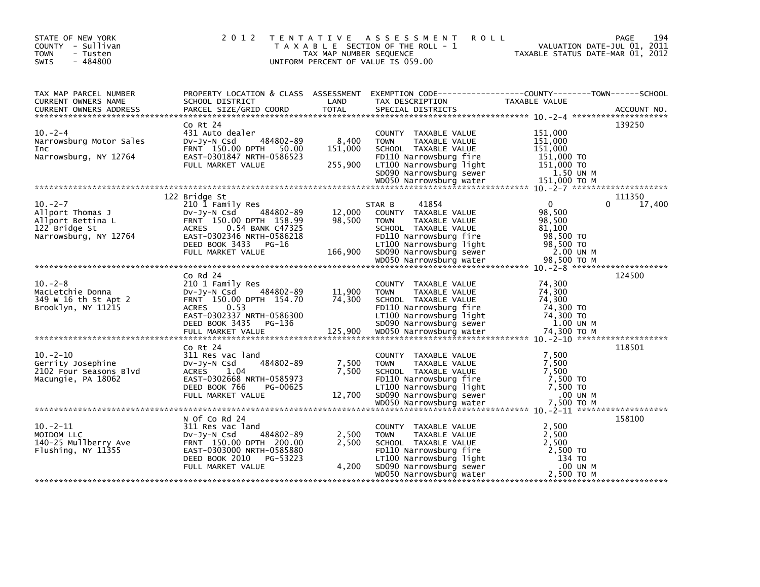| STATE OF NEW YORK<br>COUNTY - Sullivan<br><b>TOWN</b><br>- Tusten<br>$-484800$<br><b>SWIS</b>   | 2 0 1 2                                                                                                                                                                                                | T E N T A T I V E<br>TAX MAP NUMBER SEQUENCE | A S S E S S M E N T<br><b>ROLL</b><br>T A X A B L E SECTION OF THE ROLL - 1<br>UNIFORM PERCENT OF VALUE IS 059.00                                                                                          | VALUATION DATE-JUL 01, 2011<br>TAXABLE STATUS DATE-MAR 01, 2012                                   | 194<br><b>PAGE</b> |
|-------------------------------------------------------------------------------------------------|--------------------------------------------------------------------------------------------------------------------------------------------------------------------------------------------------------|----------------------------------------------|------------------------------------------------------------------------------------------------------------------------------------------------------------------------------------------------------------|---------------------------------------------------------------------------------------------------|--------------------|
| TAX MAP PARCEL NUMBER<br>CURRENT OWNERS NAME<br><b>CURRENT OWNERS ADDRESS</b>                   | SCHOOL DISTRICT<br>PARCEL SIZE/GRID COORD                                                                                                                                                              | LAND<br><b>TOTAL</b>                         | PROPERTY LOCATION & CLASS ASSESSMENT EXEMPTION CODE----------------COUNTY-------TOWN------SCHOOL<br>TAX DESCRIPTION<br>SPECIAL DISTRICTS                                                                   | <b>TAXABLE VALUE</b>                                                                              | ACCOUNT NO.        |
| $10. -2 - 4$<br>Narrowsburg Motor Sales<br><b>Inc</b><br>Narrowsburg, NY 12764                  | Co Rt 24<br>431 Auto dealer<br>484802-89<br>DV-Jy-N Csd<br>FRNT 150.00 DPTH 50.00<br>EAST-0301847 NRTH-0586523<br>FULL MARKET VALUE                                                                    | 8,400<br>151,000<br>255,900                  | COUNTY TAXABLE VALUE<br><b>TOWN</b><br>TAXABLE VALUE<br>SCHOOL TAXABLE VALUE<br>FD110 Narrowsburg fire<br>LT100 Narrowsburg light<br>SD090 Narrowsburg sewer                                               | 151,000<br>151,000<br>151.000<br>151,000 TO<br>151,000 TO<br>1.50 UN M                            | 139250             |
| $10. -2 - 7$<br>Allport Thomas J<br>Allport Bettina L<br>122 Bridge St<br>Narrowsburg, NY 12764 | 122 Bridge St<br>210 1 Family Res<br>484802-89<br>DV-Jy-N Csd<br>FRNT 150.00 DPTH 158.99<br><b>ACRES</b><br>0.54 BANK C47325<br>EAST-0302346 NRTH-0586218<br>DEED BOOK 3433 PG-16<br>FULL MARKET VALUE | 12,000<br>98,500<br>166,900                  | 41854<br>STAR B<br>COUNTY TAXABLE VALUE<br>TAXABLE VALUE<br><b>TOWN</b><br>SCHOOL TAXABLE VALUE<br>FD110 Narrowsburg fire<br>LT100 Narrowsburg light<br>SD090 Narrowsburg sewer<br>WD050 Narrowsburg water | $\Omega$<br>0<br>98,500<br>98,500<br>81.100<br>98,500 TO<br>98,500 TO<br>2.00 UN M<br>98,500 ТО М | 111350<br>17,400   |
|                                                                                                 |                                                                                                                                                                                                        |                                              |                                                                                                                                                                                                            |                                                                                                   |                    |
| $10. -2 - 8$<br>MacLetchie Donna<br>349 W 16 th St Apt 2<br>Brooklyn, NY 11215                  | $CO$ Rd $24$<br>210 1 Family Res<br>DV-Jy-N Csd<br>484802-89<br>FRNT 150.00 DPTH 154.70<br>0.53<br><b>ACRES</b><br>EAST-0302337 NRTH-0586300<br>DEED BOOK 3435 PG-136                                  | 11,900<br>74,300                             | COUNTY TAXABLE VALUE<br><b>TAXABLE VALUE</b><br><b>TOWN</b><br>SCHOOL TAXABLE VALUE<br>FD110 Narrowsburg fire<br>LT100 Narrowsburg light<br>SD090 Narrowsburg sewer                                        | 74,300<br>74,300<br>74.300<br>74,300 TO<br>74,300 TO<br>1.00 UN M                                 | 124500             |
| $10 - 2 - 10$<br>Gerrity Josephine<br>2102 Four Seasons Blvd<br>Macungie, PA 18062              | Co Rt 24<br>311 Res vac land<br>484802-89<br>$Dv-Jy-N$ Csd<br><b>ACRES</b><br>1.04<br>EAST-0302668 NRTH-0585973<br>DEED BOOK 766<br>PG-00625<br>FULL MARKET VALUE                                      | 7,500<br>7,500<br>12,700                     | COUNTY TAXABLE VALUE<br><b>TOWN</b><br>TAXABLE VALUE<br>SCHOOL TAXABLE VALUE<br>FD110 Narrowsburg fire<br>LT100 Narrowsburg light<br>SD090 Narrowsburg sewer                                               | 7,500<br>7,500<br>7,500<br>7,500 TO<br>7.500 TO<br>.00 UN M                                       | 118501             |
|                                                                                                 | N Of Co Rd 24                                                                                                                                                                                          |                                              |                                                                                                                                                                                                            |                                                                                                   | 158100             |
| $10. -2 - 11$<br>MOIDOM LLC<br>140-25 Mullberry Ave<br>Flushing, NY 11355                       | 311 Res vac land<br>$Dv-Jy-N$ Csd<br>484802-89<br>FRNT 150.00 DPTH 200.00<br>EAST-0303000 NRTH-0585880<br>DEED BOOK 2010 PG-53223<br>FULL MARKET VALUE                                                 | 2,500<br>2,500<br>4,200                      | COUNTY TAXABLE VALUE<br>TAXABLE VALUE<br><b>TOWN</b><br>SCHOOL TAXABLE VALUE<br>FD110 Narrowsburg fire<br>LT100 Narrowsburg light<br>SD090 Narrowsburg sewer                                               | 2,500<br>2,500<br>2,500<br>2,500 TO<br>134 TO<br>.00 UN M                                         |                    |
|                                                                                                 |                                                                                                                                                                                                        |                                              | WD050 Narrowsburg water                                                                                                                                                                                    | 2,500 TO M                                                                                        |                    |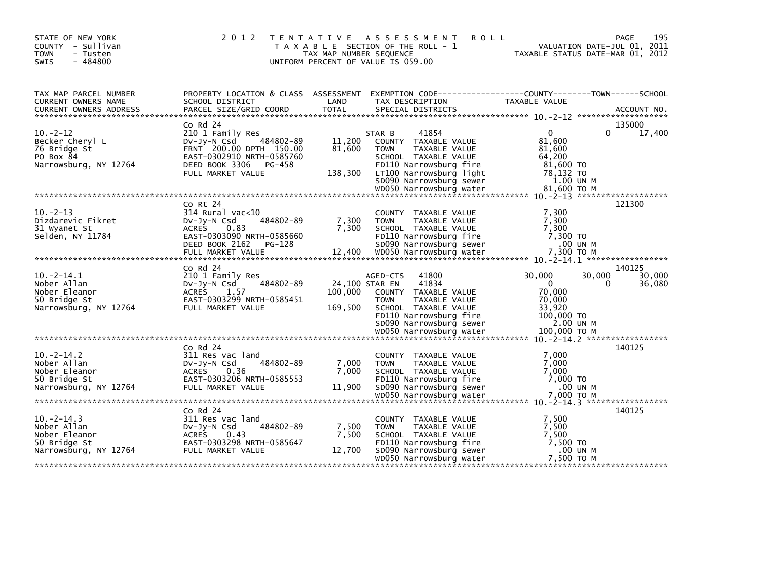| STATE OF NEW YORK<br>COUNTY - Sullivan<br><b>TOWN</b><br>- Tusten<br>$-484800$<br><b>SWIS</b> | 2 0 1 2                                                                                                                                                                                                                                                                                                                                                          | T E N T A T I V E<br>TAX MAP NUMBER SEQUENCE | A S S E S S M E N T<br>T A X A B L E SECTION OF THE ROLL - 1<br>UNIFORM PERCENT OF VALUE IS 059.00                                                                     | <b>ROLL</b><br>TAXABLE STATUS DATE-MAR 01, 2012                             | 195<br><b>PAGE</b><br>VALUATION DATE-JUL 01, 2011 |
|-----------------------------------------------------------------------------------------------|------------------------------------------------------------------------------------------------------------------------------------------------------------------------------------------------------------------------------------------------------------------------------------------------------------------------------------------------------------------|----------------------------------------------|------------------------------------------------------------------------------------------------------------------------------------------------------------------------|-----------------------------------------------------------------------------|---------------------------------------------------|
| TAX MAP PARCEL NUMBER<br>CURRENT OWNERS NAME                                                  | PROPERTY LOCATION & CLASS ASSESSMENT<br>SCHOOL DISTRICT                                                                                                                                                                                                                                                                                                          | LAND                                         | EXEMPTION CODE-----------------COUNTY-------TOWN------SCHOOL<br>TAX DESCRIPTION                                                                                        | TAXABLE VALUE                                                               |                                                   |
|                                                                                               |                                                                                                                                                                                                                                                                                                                                                                  |                                              |                                                                                                                                                                        |                                                                             |                                                   |
| $10. -2 - 12$<br>Becker Cheryl L<br>76 Bridge St                                              | $CO$ Rd $24$<br>210 1 Family Res<br>$Dv-Jy-N$ Csd<br>484802-89<br>FRNT 200.00 DPTH 150.00                                                                                                                                                                                                                                                                        | 11,200<br>81,600                             | 41854<br>STAR B<br>COUNTY TAXABLE VALUE<br>TAXABLE VALUE<br><b>TOWN</b>                                                                                                | $\Omega$<br>81.600<br>81,600                                                | 135000<br>$\Omega$<br>17,400                      |
| PO Box 84<br>Narrowsburg, NY 12764                                                            | EAST-0302910 NRTH-0585760<br>DEED BOOK 3306 PG-458<br>FULL MARKET VALUE                                                                                                                                                                                                                                                                                          | 138,300                                      | SCHOOL TAXABLE VALUE<br>FD110 Narrowsburg fire<br>LT100 Narrowsburg light                                                                                              | 64,200<br>81,600 TO<br>78,132 TO                                            |                                                   |
|                                                                                               |                                                                                                                                                                                                                                                                                                                                                                  |                                              | SD090 Narrowsburg sewer                                                                                                                                                | 1.00 UN M                                                                   |                                                   |
| $10 - 2 - 13$<br>Dizdarevic Fikret<br>31 Wyanet St<br>Selden, NY 11784                        | Co Rt 24<br>$314$ Rural vac<10<br>484802-89<br>$Dv-Jv-N$ Csd<br>0.83<br><b>ACRES</b><br>EAST-0303090 NRTH-0585660<br>DEED BOOK 2162<br>PG-128<br>FULL MARKET VALUE                                                                                                                                                                                               | 7,300<br>7,300<br>12,400                     | COUNTY TAXABLE VALUE<br>TAXABLE VALUE<br><b>TOWN</b><br>SCHOOL TAXABLE VALUE<br>FD110 Narrowsburg fire<br>SD090 Narrowsburg sewer<br>WD050 Narrowsburg water           | 7.300<br>7,300<br>7,300<br>7,300 TO<br>.00 UN M<br>7,300 ТО М               | 121300                                            |
|                                                                                               |                                                                                                                                                                                                                                                                                                                                                                  |                                              |                                                                                                                                                                        |                                                                             |                                                   |
| $10.-2-14.1$<br>Nober Allan<br>Nober Eleanor<br>50 Bridge St<br>Narrowsburg, NY 12764         | $Co$ Rd $24$<br>210 1 Family Res<br>484802-89<br>$Dv-Jy-N$ Csd<br>ACRES 1.57<br>EAST-0303299 NRTH-0585451<br>FULL MARKET VALUE<br>wooso warrowsburg water 100,000 TO M باسم معلم wooso Narrowsburg water 100,000 TO M باسم معلمين بين بين المعاملة معلمين بين المعاملة مع المعاملة المعاملة مع المعاملة مع المعاملة مع المعاملة مع المعاملة مع المعاملة مع المعا | 24,100 STAR EN<br>100,000<br>169,500         | 41800<br>AGED-CTS<br>41834<br>COUNTY TAXABLE VALUE<br><b>TOWN</b><br><b>TAXABLE VALUE</b><br>SCHOOL TAXABLE VALUE<br>FD110 Narrowsburg fire<br>SD090 Narrowsburg sewer | 30,000<br>$\Omega$<br>70,000<br>70.000<br>33,920<br>100,000 TO<br>2.00 UN M | 140125<br>30,000<br>30,000<br>36,080<br>0         |
|                                                                                               | $CO$ Rd $24$                                                                                                                                                                                                                                                                                                                                                     |                                              |                                                                                                                                                                        |                                                                             | 140125                                            |
| $10 - 2 - 14.2$<br>Nober Allan<br>Nober Eleanor<br>50 Bridge St<br>Narrowsburg, NY 12764      | 311 Res vac land<br>484802-89<br>$Dv-Jv-N$ Csd<br><b>ACRES</b><br>0.36<br>EAST-0303206 NRTH-0585553<br>FULL MARKET VALUE                                                                                                                                                                                                                                         | 7,000<br>7,000<br>11,900                     | COUNTY TAXABLE VALUE<br><b>TAXABLE VALUE</b><br><b>TOWN</b><br>SCHOOL TAXABLE VALUE<br>FD110 Narrowsburg fire<br>SD090 Narrowsburg sewer                               | 7,000<br>7.000<br>7,000<br>7,000 TO<br>.00 UN M                             |                                                   |
|                                                                                               |                                                                                                                                                                                                                                                                                                                                                                  |                                              |                                                                                                                                                                        |                                                                             |                                                   |
| $10 - 2 - 14.3$<br>Nober Allan<br>Nober Eleanor<br>50 Bridge St<br>Narrowsburg, NY 12764      | $CO$ Rd $24$<br>311 Res vac land<br>484802-89<br>DV-Jy-N Csd<br><b>ACRES</b><br>0.43<br>EAST-0303298 NRTH-0585647<br>FULL MARKET VALUE                                                                                                                                                                                                                           | 7,500<br>7,500<br>12,700                     | COUNTY TAXABLE VALUE<br><b>TOWN</b><br>TAXABLE VALUE<br>SCHOOL TAXABLE VALUE<br>FD110 Narrowsburg fire<br>SD090 Narrowsburg sewer<br>WD050 Narrowsburg water           | 7,500<br>7,500<br>7,500<br>7,500 TO<br>.00 UN M<br>7,500 TO M               | 140125                                            |
|                                                                                               |                                                                                                                                                                                                                                                                                                                                                                  |                                              |                                                                                                                                                                        |                                                                             |                                                   |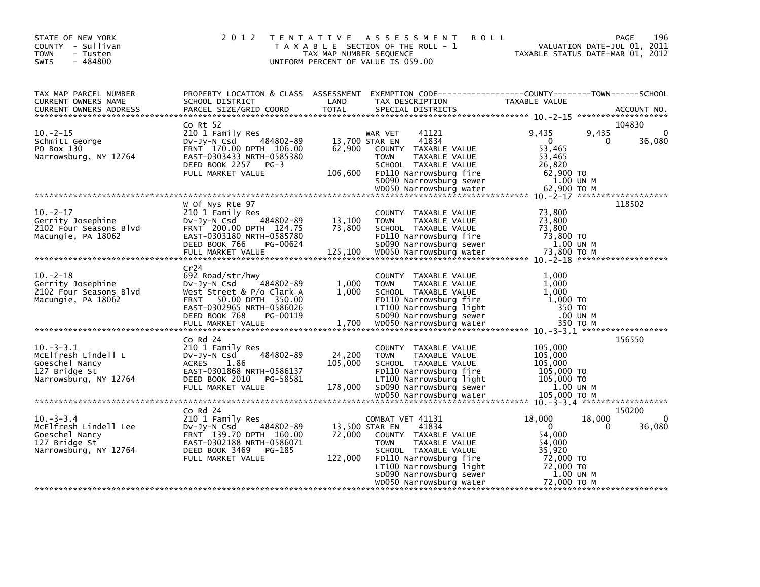| STATE OF NEW YORK<br>COUNTY - Sullivan<br><b>TOWN</b><br>- Tusten<br>$-484800$<br><b>SWIS</b>       | 2 0 1 2                                                                                                                                                                     | T E N T A T I V E<br>TAX MAP NUMBER SEQUENCE | A S S E S S M E N T<br><b>ROLL</b><br>T A X A B L E SECTION OF THE ROLL - 1<br>UNIFORM PERCENT OF VALUE IS 059.00                                                        | VALUATION DATE-JUL 01, 2011<br>TAXABLE STATUS DATE-MAR 01, 2012                                 | 196<br>PAGE           |
|-----------------------------------------------------------------------------------------------------|-----------------------------------------------------------------------------------------------------------------------------------------------------------------------------|----------------------------------------------|--------------------------------------------------------------------------------------------------------------------------------------------------------------------------|-------------------------------------------------------------------------------------------------|-----------------------|
| TAX MAP PARCEL NUMBER<br>CURRENT OWNERS NAME<br><b>CURRENT OWNERS ADDRESS</b>                       | PROPERTY LOCATION & CLASS ASSESSMENT<br>SCHOOL DISTRICT<br>PARCEL SIZE/GRID COORD                                                                                           | LAND<br><b>TOTAL</b>                         | TAX DESCRIPTION<br>SPECIAL DISTRICTS                                                                                                                                     | TAXABLE VALUE                                                                                   | ACCOUNT NO.           |
| $10 - 2 - 15$<br>Schmitt George<br>PO Box 130<br>Narrowsburg, NY 12764                              | $Co$ Rt $52$<br>210 1 Family Res<br>484802-89<br>DV-Jy-N Csd<br>FRNT 170.00 DPTH 106.00<br>EAST-0303433 NRTH-0585380<br>DEED BOOK 2257<br>$PG-3$<br>FULL MARKET VALUE       | 13,700 STAR EN<br>62,900<br>106,600          | 41121<br>WAR VET<br>41834<br>TAXABLE VALUE<br><b>COUNTY</b><br><b>TOWN</b><br>TAXABLE VALUE<br>SCHOOL TAXABLE VALUE<br>FD110 Narrowsburg fire<br>SD090 Narrowsburg sewer | 9,435<br>9,435<br>$\overline{0}$<br>0<br>53,465<br>53,465<br>26,820<br>$62,900$ TO<br>1.00 UN M | 104830<br>0<br>36,080 |
|                                                                                                     |                                                                                                                                                                             |                                              | WD050 Narrowsburg water                                                                                                                                                  | 62,900 ТО М                                                                                     |                       |
| $10. -2 - 17$<br>Gerrity Josephine<br>2102 Four Seasons Blvd<br>Macungie, PA 18062                  | w of Nys Rte 97<br>210 1 Family Res<br>$Dv-Jy-N$ Csd<br>484802-89<br>FRNT 200.00 DPTH 124.75<br>EAST-0303180 NRTH-0585780<br>DEED BOOK 766<br>PG-00624<br>FULL MARKET VALUE | 13,100<br>73,800<br>125,100                  | COUNTY TAXABLE VALUE<br><b>TOWN</b><br>TAXABLE VALUE<br>SCHOOL TAXABLE VALUE<br>FD110 Narrowsburg fire<br>SD090 Narrowsburg sewer<br>WD050 Narrowsburg water             | 73,800<br>73,800<br>73,800<br>73,800 TO<br>1.00 UN M<br>73,800 то м                             | 118502                |
| $10 - 2 - 18$<br>Gerrity Josephine<br>2102 Four Seasons Blvd<br>Macungie, PA 18062                  | Cr24<br>692 Road/str/hwy<br>484802-89<br>DV-JY-N Csd<br>West Street & P/o Clark A<br>FRNT 50.00 DPTH 350.00<br>EAST-0302965 NRTH-0586026<br>DEED BOOK 768<br>PG-00119       | 1,000<br>1,000                               | COUNTY TAXABLE VALUE<br>TAXABLE VALUE<br><b>TOWN</b><br>SCHOOL TAXABLE VALUE<br>FD110 Narrowsburg fire<br>LT100 Narrowsburg light<br>SD090 Narrowsburg sewer             | 1,000<br>1,000<br>1,000<br>1,000 TO<br>350 TO<br>.00 UN M                                       |                       |
|                                                                                                     | $CO$ Rd $24$                                                                                                                                                                |                                              |                                                                                                                                                                          |                                                                                                 | 156550                |
| $10. -3 - 3.1$<br>MCElfresh Lindell L<br>Goeschel Nancy<br>127 Bridge St<br>Narrowsburg, NY 12764   | 210 1 Family Res<br>$Dv-Jv-N$ Csd<br>484802-89<br><b>ACRES</b><br>1.86<br>EAST-0301868 NRTH-0586137<br>DEED BOOK 2010<br>PG-58581<br>FULL MARKET VALUE                      | 24,200<br>105,000<br>178,000                 | COUNTY TAXABLE VALUE<br>TAXABLE VALUE<br><b>TOWN</b><br>SCHOOL TAXABLE VALUE<br>FD110 Narrowsburg fire<br>LT100 Narrowsburg light<br>SD090 Narrowsburg sewer             | 105,000<br>105,000<br>105,000<br>105,000 TO<br>105,000 TO<br>1.00 UN M                          |                       |
|                                                                                                     | $CO$ Rd $24$                                                                                                                                                                |                                              |                                                                                                                                                                          |                                                                                                 | 150200                |
| $10 - 3 - 3.4$<br>MCElfresh Lindell Lee<br>Goeschel Nancy<br>127 Bridge St<br>Narrowsburg, NY 12764 | 210 1 Family Res<br>484802-89<br>$Dv-Jy-N$ Csd<br>FRNT 139.70 DPTH 160.00<br>EAST-0302188 NRTH-0586071<br>DEED BOOK 3469<br>PG-185<br>FULL MARKET VALUE                     | 13,500 STAR EN<br>72,000<br>122,000          | COMBAT VET 41131<br>41834<br>COUNTY TAXABLE VALUE<br><b>TOWN</b><br>TAXABLE VALUE<br>SCHOOL TAXABLE VALUE<br>FD110 Narrowsburg fire                                      | 18,000<br>18,000<br>$\mathbf{0}$<br>$\Omega$<br>54,000<br>54,000<br>35,920<br>72,000 TO         | 0<br>36,080           |
|                                                                                                     |                                                                                                                                                                             |                                              | LT100 Narrowsburg light<br>SD090 Narrowsburg sewer<br>WD050 Narrowsburg water                                                                                            | 72,000 TO<br>1.00 UN M<br>72,000 TO M                                                           |                       |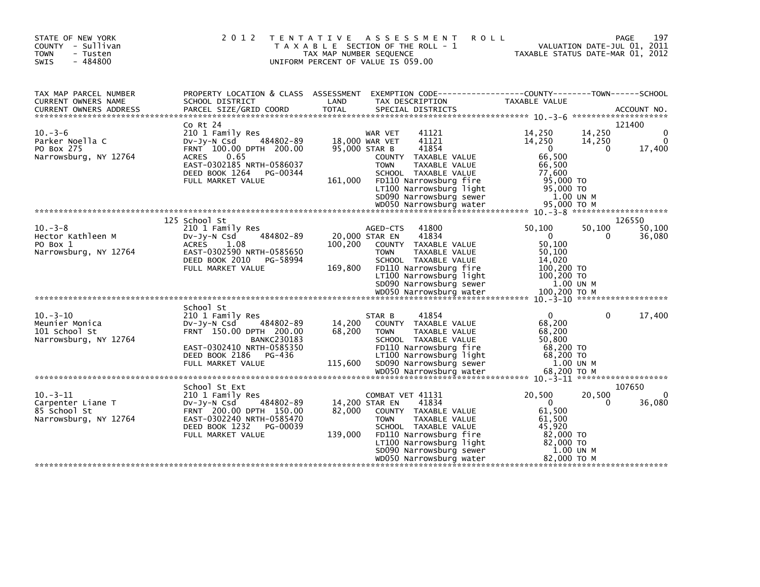| STATE OF NEW YORK<br>COUNTY - Sullivan<br><b>TOWN</b><br>- Tusten<br>$-484800$<br><b>SWIS</b> | 2 0 1 2                                                                                                                                                                                     | A S S E S S M E N T<br>T E N T A T I V E<br>T A X A B L E SECTION OF THE ROLL - 1<br>TAX MAP NUMBER SEQUENCE<br>UNIFORM PERCENT OF VALUE IS 059.00                                                                                                                          | 197<br><b>ROLL</b><br><b>PAGE</b><br>VALUATION DATE-JUL 01, 2011<br>TAXABLE STATUS DATE-MAR 01, 2012                                                                                         |
|-----------------------------------------------------------------------------------------------|---------------------------------------------------------------------------------------------------------------------------------------------------------------------------------------------|-----------------------------------------------------------------------------------------------------------------------------------------------------------------------------------------------------------------------------------------------------------------------------|----------------------------------------------------------------------------------------------------------------------------------------------------------------------------------------------|
| TAX MAP PARCEL NUMBER<br>CURRENT OWNERS NAME                                                  | PROPERTY LOCATION & CLASS ASSESSMENT<br>SCHOOL DISTRICT                                                                                                                                     | LAND<br>TAX DESCRIPTION                                                                                                                                                                                                                                                     | EXEMPTION CODE------------------COUNTY--------TOWN------SCHOOL<br>TAXABLE VALUE                                                                                                              |
| $10. -3 - 6$<br>Parker Noella C<br>PO Box 275<br>Narrowsburg, NY 12764                        | Co Rt 24<br>210 1 Family Res<br>484802-89<br>DV-Jy-N Csd<br>FRNT 100.00 DPTH 200.00<br><b>ACRES</b><br>0.65<br>EAST-0302185 NRTH-0586037<br>DEED BOOK 1264<br>PG-00344<br>FULL MARKET VALUE | 41121<br>WAR VET<br>41121<br>18,000 WAR VET<br>41854<br>95,000 STAR B<br>COUNTY TAXABLE VALUE<br><b>TOWN</b><br>TAXABLE VALUE<br>SCHOOL TAXABLE VALUE<br>FD110 Narrowsburg fire<br>161,000<br>LT100 Narrowsburg light<br>SD090 Narrowsburg sewer<br>WD050 Narrowsburg water | 121400<br>14,250<br>$\Omega$<br>14,250<br>14,250<br>$\Omega$<br>14,250<br>$\Omega$<br>$\Omega$<br>17,400<br>66,500<br>66,500<br>77,600<br>95,000 TO<br>95,000 TO<br>1.00 UN M<br>95,000 ТО М |
|                                                                                               |                                                                                                                                                                                             |                                                                                                                                                                                                                                                                             |                                                                                                                                                                                              |
| $10 - 3 - 8$<br>Hector Kathleen M<br>PO Box 1<br>Narrowsburg, NY 12764                        | 125 School St<br>210 1 Family Res<br>484802-89<br>$Dv-Jy-N$ Csd<br><b>ACRES</b><br>1.08<br>EAST-0302590 NRTH-0585650<br>DEED BOOK 2010<br>PG-58994<br>FULL MARKET VALUE                     | 41800<br>AGED-CTS<br>41834<br>20,000 STAR EN<br>100,200<br>COUNTY TAXABLE VALUE<br>TAXABLE VALUE<br><b>TOWN</b><br>SCHOOL TAXABLE VALUE<br>FD110 Narrowsburg fire<br>169,800<br>LT100 Narrowsburg light<br>SD090 Narrowsburg sewer                                          | 126550<br>50,100<br>50,100<br>50,100<br>$\Omega$<br>$\Omega$<br>36,080<br>50,100<br>50,100<br>14,020<br>100,200 TO<br>100,200 TO<br>1.00 UN M                                                |
| $10. -3 - 10$<br>Meunier Monica<br>101 School St<br>Narrowsburg, NY 12764                     | School St<br>210 1 Family Res<br>484802-89<br>$Dv-Jy-N$ Csd<br>FRNT 150.00 DPTH 200.00<br><b>BANKC230183</b><br>EAST-0302410 NRTH-0585350<br>DEED BOOK 2186<br>PG-436<br>FULL MARKET VALUE  | 41854<br>STAR B<br>14,200<br>COUNTY TAXABLE VALUE<br>68,200<br><b>TAXABLE VALUE</b><br><b>TOWN</b><br>SCHOOL TAXABLE VALUE<br>FD110 Narrowsburg fire<br>LT100 Narrowsburg light<br>SD090 Narrowsburg sewer<br>115,600                                                       | $\mathbf{0}$<br>$\Omega$<br>17,400<br>68,200<br>68,200<br>50,800<br>68,200 TO<br>68,200 TO<br>1.00 UN M                                                                                      |
|                                                                                               |                                                                                                                                                                                             |                                                                                                                                                                                                                                                                             |                                                                                                                                                                                              |
| $10. -3 - 11$<br>Carpenter Liane T<br>85 School St<br>Narrowsburg, NY 12764                   | School St Ext<br>210 1 Family Res<br>DV-Jy-N Csd<br>484802-89<br>FRNT 200.00 DPTH 150.00<br>EAST-0302240 NRTH-0585470<br>DEED BOOK 1232<br>PG-00039<br>FULL MARKET VALUE                    | COMBAT VET 41131<br>41834<br>14,200 STAR EN<br>82.000<br>COUNTY TAXABLE VALUE<br><b>TAXABLE VALUE</b><br><b>TOWN</b><br>SCHOOL TAXABLE VALUE<br>139,000<br>FD110 Narrowsburg fire<br>LT100 Narrowsburg light<br>SD090 Narrowsburg sewer<br>WD050 Narrowsburg water          | 107650<br>20,500<br>20,500<br>0<br>$\mathbf{0}$<br>36,080<br>$\Omega$<br>61,500<br>61.500<br>45,920<br>82,000 TO<br>82,000 TO<br>1.00 UN M<br>82,000 TO M                                    |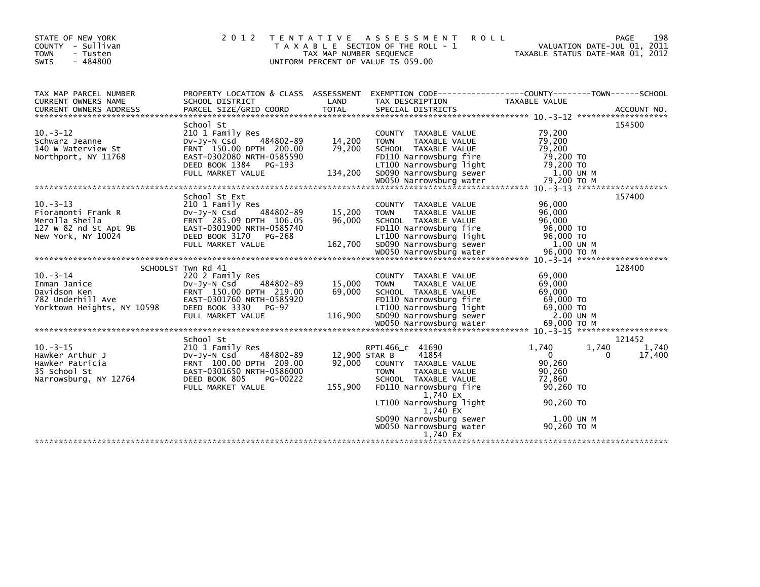| STATE OF NEW YORK<br>COUNTY - Sullivan<br>- Tusten<br><b>TOWN</b><br>$-484800$<br>SWIS               | 2 0 1 2                                                                                                                                                                    | T E N T A T I V E<br>TAX MAP NUMBER SEQUENCE | ASSESSMENT<br><b>ROLL</b><br>T A X A B L E SECTION OF THE ROLL - 1<br>UNIFORM PERCENT OF VALUE IS 059.00                                                                                | TAXABLE STATUS DATE-MAR 01, 2012                                                 | 198<br>PAGE<br>VALUATION DATE-JUL 01, 2011     |
|------------------------------------------------------------------------------------------------------|----------------------------------------------------------------------------------------------------------------------------------------------------------------------------|----------------------------------------------|-----------------------------------------------------------------------------------------------------------------------------------------------------------------------------------------|----------------------------------------------------------------------------------|------------------------------------------------|
| TAX MAP PARCEL NUMBER<br>CURRENT OWNERS NAME                                                         | SCHOOL DISTRICT                                                                                                                                                            | LAND                                         | PROPERTY LOCATION & CLASS ASSESSMENT EXEMPTION CODE----------------COUNTY-------TOWN------SCHOOL<br>TAX DESCRIPTION                                                                     | TAXABLE VALUE                                                                    |                                                |
| $10 - 3 - 12$<br>Schwarz Jeanne<br>140 W Waterview St<br>Northport, NY 11768                         | School St<br>210 1 Family Res<br>Dv-Jy-N Csd<br>484802-89<br>FRNT 150.00 DPTH 200.00<br>EAST-0302080 NRTH-0585590<br>DEED BOOK 1384 PG-193<br>FULL MARKET VALUE            | 14,200<br>79.200<br>134,200                  | COUNTY TAXABLE VALUE<br>TAXABLE VALUE<br><b>TOWN</b><br>SCHOOL TAXABLE VALUE<br>FD110 Narrowsburg fire<br>LT100 Narrowsburg light<br>SD090 Narrowsburg sewer                            | 79,200<br>79,200<br>79.200<br>79,200 TO<br>79,200 TO<br>1.00 UN M                | 154500                                         |
|                                                                                                      |                                                                                                                                                                            |                                              |                                                                                                                                                                                         |                                                                                  |                                                |
| $10 - 3 - 13$<br>Fioramonti Frank R<br>Merolla Sheila<br>127 W 82 nd St Apt 9B<br>New York, NY 10024 | School St Ext<br>210 1 Family Res<br>$Dv-Jy-N$ Csd<br>484802-89<br>FRNT 285.09 DPTH 106.05<br>EAST-0301900 NRTH-0585740<br>DEED BOOK 3170 PG-268<br>FULL MARKET VALUE      | 15,200<br>96,000<br>162,700                  | COUNTY TAXABLE VALUE<br><b>TOWN</b><br>TAXABLE VALUE<br>SCHOOL TAXABLE VALUE<br>FD110 Narrowsburg fire<br>LT100 Narrowsburg light<br>SD090 Narrowsburg sewer<br>WD050 Narrowsburg water | 96,000<br>96,000<br>96,000<br>96,000 TO<br>96,000 TO<br>1.00 UN M<br>96,000 ТО М | 157400                                         |
|                                                                                                      |                                                                                                                                                                            |                                              |                                                                                                                                                                                         |                                                                                  |                                                |
| $10 - 3 - 14$<br>Inman Janice<br>Davidson Ken<br>782 Underhill Ave<br>Yorktown Heights, NY 10598     | SCHOOLST Twn Rd 41<br>220 2 Family Res<br>484802-89<br>DV-JV-N Csd<br>FRNT 150.00 DPTH 219.00<br>EAST-0301760 NRTH-0585920<br>DEED BOOK 3330<br>PG-97<br>FULL MARKET VALUE | 15,000<br>69,000<br>116,900                  | COUNTY TAXABLE VALUE<br>TAXABLE VALUE<br><b>TOWN</b><br>SCHOOL TAXABLE VALUE<br>FD110 Narrowsburg fire<br>LT100 Narrowsburg light<br>SD090 Narrowsburg sewer                            | 69,000<br>69,000<br>69,000<br>69,000 TO<br>69,000 TO<br>2.00 UN M                | 128400                                         |
|                                                                                                      |                                                                                                                                                                            |                                              |                                                                                                                                                                                         |                                                                                  |                                                |
| $10 - 3 - 15$<br>Hawker Arthur J<br>Hawker Patricia<br>35 School St<br>Narrowsburg, NY 12764         | School St<br>210 1 Family Res<br>$Dv-Jy-N$ Csd<br>484802-89<br>FRNT 100.00 DPTH 209.00<br>EAST-0301650 NRTH-0586000<br>DEED BOOK 805<br>PG-00222<br>FULL MARKET VALUE      | 12,900 STAR B<br>92,000<br>155,900           | RPTL466_c 41690<br>41854<br>COUNTY TAXABLE VALUE<br><b>TOWN</b><br>TAXABLE VALUE<br>SCHOOL TAXABLE VALUE<br>FD110 Narrowsburg fire                                                      | 1,740<br>$\Omega$<br>90,260<br>90,260<br>72,860<br>90,260 TO                     | 121452<br>1,740<br>1,740<br>17,400<br>$\Omega$ |
|                                                                                                      |                                                                                                                                                                            |                                              | 1,740 EX<br>LT100 Narrowsburg light<br>1,740 EX<br>SD090 Narrowsburg sewer                                                                                                              | 90.260 TO<br>1.00 UN M                                                           |                                                |
|                                                                                                      |                                                                                                                                                                            |                                              | WD050 Narrowsburg water<br>1.740 EX                                                                                                                                                     | 90.260 TO M                                                                      |                                                |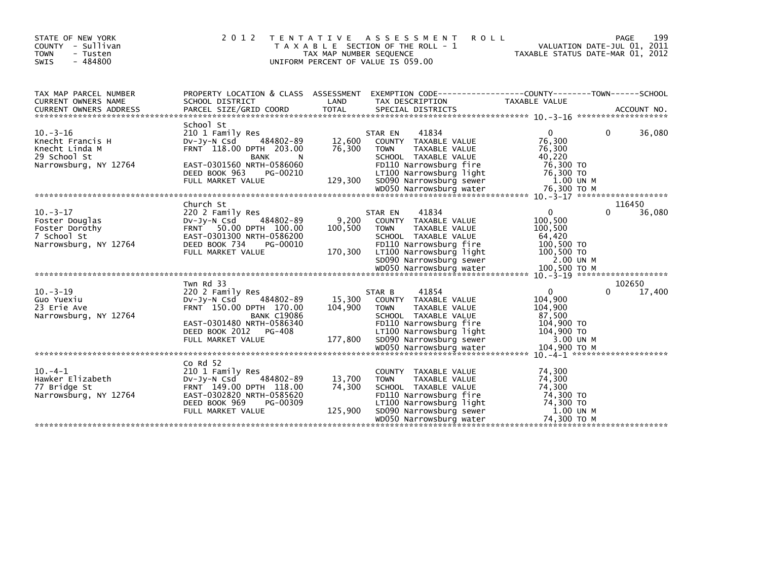| STATE OF NEW YORK<br>COUNTY - Sullivan<br><b>TOWN</b><br>- Tusten<br>SWIS<br>$-484800$       | 2 0 1 2                                                                                                                                                                                    | T E N T A T I V E<br>TAX MAP NUMBER SEQUENCE | A S S E S S M E N T<br><b>ROLL</b><br>T A X A B L E SECTION OF THE ROLL - 1<br>UNIFORM PERCENT OF VALUE IS 059.00                                                                                           |                                                                                                  | 199<br>PAGE<br>VALUATION DATE-JUL 01, 2011<br>TAXABLE STATUS DATE-MAR 01, 2012 |
|----------------------------------------------------------------------------------------------|--------------------------------------------------------------------------------------------------------------------------------------------------------------------------------------------|----------------------------------------------|-------------------------------------------------------------------------------------------------------------------------------------------------------------------------------------------------------------|--------------------------------------------------------------------------------------------------|--------------------------------------------------------------------------------|
| TAX MAP PARCEL NUMBER<br>CURRENT OWNERS NAME                                                 | PROPERTY LOCATION & CLASS ASSESSMENT EXEMPTION CODE----------------COUNTY-------TOWN------SCHOOL<br>SCHOOL DISTRICT                                                                        | LAND                                         | TAX DESCRIPTION                                                                                                                                                                                             | TAXABLE VALUE                                                                                    |                                                                                |
| $10. -3 - 16$<br>Knecht Francis H<br>Knecht Linda M<br>29 School St<br>Narrowsburg, NY 12764 | School St<br>210 1 Family Res<br>484802-89<br>$Dv-Jv-N$ Csd<br>FRNT 118.00 DPTH 203.00<br><b>BANK</b><br>N.<br>EAST-0301560 NRTH-0586060<br>DEED BOOK 963<br>PG-00210<br>FULL MARKET VALUE | 12,600<br>76,300<br>129,300                  | 41834<br>STAR EN<br>COUNTY TAXABLE VALUE<br><b>TOWN</b><br>TAXABLE VALUE<br>SCHOOL TAXABLE VALUE<br>FD110 Narrowsburg fire<br>LT100 Narrowsburg light<br>SD090 Narrowsburg sewer<br>WD050 Narrowsburg water | $\mathbf{0}$<br>76,300<br>76,300<br>40,220<br>76,300 TO<br>76,300 TO<br>1.00 UN M<br>76,300 ТО М | 36,080<br>$\Omega$                                                             |
|                                                                                              |                                                                                                                                                                                            |                                              |                                                                                                                                                                                                             |                                                                                                  |                                                                                |
| $10. -3 - 17$<br>Foster Douglas<br>Foster Dorothy<br>7 School St<br>Narrowsburg, NY 12764    | Church St<br>220 2 Family Res<br>484802-89<br>$Dv-Jy-N$ Csd<br>FRNT 50.00 DPTH 100.00<br>EAST-0301300 NRTH-0586200<br>DEED BOOK 734<br>PG-00010<br>FULL MARKET VALUE                       | 9,200<br>100,500<br>170,300                  | 41834<br>STAR EN<br>COUNTY TAXABLE VALUE<br><b>TOWN</b><br>TAXABLE VALUE<br>SCHOOL TAXABLE VALUE<br>FD110 Narrowsburg fire<br>LT100 Narrowsburg light<br>SD090 Narrowsburg sewer                            | $\Omega$<br>100,500<br>100,500<br>64,420<br>100,500 TO<br>100,500 TO<br>2.00 UN M                | 116450<br>36,080<br>$\Omega$                                                   |
|                                                                                              | Twn Rd 33                                                                                                                                                                                  |                                              |                                                                                                                                                                                                             |                                                                                                  | 102650                                                                         |
| $10 - 3 - 19$<br>Guo Yuexiu<br>23 Erie Ave<br>Narrowsburg, NY 12764                          | 220 2 Family Res<br>484802-89<br>$Dv-Jy-N$ Csd<br>FRNT 150.00 DPTH 170.00<br><b>BANK C19086</b><br>EAST-0301480 NRTH-0586340<br>DEED BOOK 2012 PG-408<br>FULL MARKET VALUE                 | 15,300<br>104,900<br>177,800                 | 41854<br>STAR B<br>COUNTY TAXABLE VALUE<br>TAXABLE VALUE<br><b>TOWN</b><br>SCHOOL TAXABLE VALUE<br>FD110 Narrowsburg fire<br>LT100 Narrowsburg light<br>SD090 Narrowsburg sewer                             | $\mathbf{0}$<br>104,900<br>104,900<br>87,500<br>104,900 TO<br>104,900 TO<br>3.00 UN M            | 17,400<br>$\Omega$                                                             |
|                                                                                              |                                                                                                                                                                                            |                                              |                                                                                                                                                                                                             |                                                                                                  |                                                                                |
| $10. -4 - 1$<br>Hawker Elizabeth<br>77 Bridge St<br>Narrowsburg, NY 12764                    | $Co$ Rd $52$<br>210 1 Family Res<br>484802-89<br>DV-JY-N Csd<br>FRNT 149.00 DPTH 118.00<br>EAST-0302820 NRTH-0585620<br>DEED BOOK 969<br>PG-00309<br>FULL MARKET VALUE                     | 13,700<br>74,300<br>125,900                  | COUNTY TAXABLE VALUE<br><b>TAXABLE VALUE</b><br><b>TOWN</b><br>SCHOOL TAXABLE VALUE<br>FD110 Narrowsburg fire<br>LT100 Narrowsburg light<br>SD090 Narrowsburg sewer<br>WD050 Narrowsburg water              | 74,300<br>74,300<br>74,300<br>74,300 TO<br>74,300 TO<br>1.00 UN M<br>74,300 ТО М                 |                                                                                |
|                                                                                              |                                                                                                                                                                                            |                                              |                                                                                                                                                                                                             |                                                                                                  |                                                                                |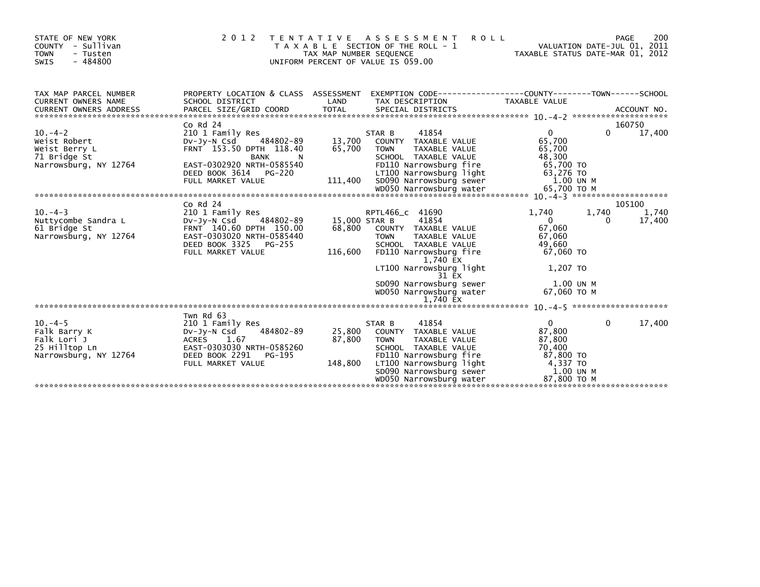| STATE OF NEW YORK<br>COUNTY - Sullivan<br><b>TOWN</b><br>- Tusten<br>$-484800$<br><b>SWIS</b> | 2 0 1 2                                                                                                                                                                          | TAX MAP NUMBER SEQUENCE            | <b>ROLL</b><br>TENTATIVE ASSESSMENT<br>T A X A B L E SECTION OF THE ROLL - 1<br>UNIFORM PERCENT OF VALUE IS 059.00                                                                                                                                   | VALUATION DATE-JUL 01, 2011<br>TAXABLE STATUS DATE-MAR 01, 2012                                               | 200<br>PAGE                    |
|-----------------------------------------------------------------------------------------------|----------------------------------------------------------------------------------------------------------------------------------------------------------------------------------|------------------------------------|------------------------------------------------------------------------------------------------------------------------------------------------------------------------------------------------------------------------------------------------------|---------------------------------------------------------------------------------------------------------------|--------------------------------|
| TAX MAP PARCEL NUMBER<br>CURRENT OWNERS NAME                                                  | SCHOOL DISTRICT                                                                                                                                                                  | LAND                               | PROPERTY LOCATION & CLASS ASSESSMENT EXEMPTION CODE----------------COUNTY-------TOWN------SCHOOL<br>TAX DESCRIPTION                                                                                                                                  | <b>TAXABLE VALUE</b>                                                                                          |                                |
| $10. -4 - 2$<br>Weist Robert<br>Weist Berry L<br>71 Bridge St<br>Narrowsburg, NY 12764        | $Co$ Rd $24$<br>210 1 Family Res<br>484802-89<br>DV-JY-N Csd<br>FRNT 153.50 DPTH 118.40<br>BANK<br>N.<br>EAST-0302920 NRTH-0585540<br>DEED BOOK 3614 PG-220<br>FULL MARKET VALUE | 13,700<br>65,700<br>111,400        | 41854<br>STAR B<br>COUNTY TAXABLE VALUE<br>TAXABLE VALUE<br><b>TOWN</b><br>SCHOOL TAXABLE VALUE<br>FD110 Narrowsburg fire<br>LT100 Narrowsburg light<br>SD090 Narrowsburg sewer                                                                      | $\overline{0}$<br>65,700<br>65,700<br>48,300<br>65,700 TO<br>63,276 TO<br>1.00 UN M                           | 160750<br>0<br>17,400          |
| $10. -4 - 3$<br>Nuttycombe Sandra L<br>61 Bridge St<br>Narrowsburg, NY 12764                  | $CO$ Rd $24$<br>210 1 Family Res<br>484802-89<br>DV-JY-N Csd<br>FRNT 140.60 DPTH 150.00<br>EAST-0303020 NRTH-0585440<br>DEED BOOK 3325 PG-255<br>FULL MARKET VALUE               | 15,000 STAR B<br>68,800<br>116,600 | RPTL466_C 41690<br>41854<br>COUNTY TAXABLE VALUE<br>TAXABLE VALUE<br><b>TOWN</b><br>SCHOOL TAXABLE VALUE<br>FD110 Narrowsburg fire<br>1,740 EX<br>LT100 Narrowsburg light<br>31 EX<br>SD090 Narrowsburg sewer<br>WD050 Narrowsburg water<br>1,740 EX | 1.740<br>1.740<br>$\Omega$<br>67,060<br>67,060<br>49.660<br>67,060 TO<br>1,207 TO<br>1.00 UN M<br>67.060 TO M | 105100<br>1,740<br>17,400<br>0 |
| $10. -4 - 5$<br>Falk Barry K<br>Falk Lori J<br>25 Hilltop Ln<br>Narrowsburg, NY 12764         | Twn Rd 63<br>210 1 Family Res<br>484802-89<br>DV-Jy-N Csd<br>ACRES 1.67<br>EAST-0303030 NRTH-0585260<br>DEED BOOK 2291<br>PG-195<br>FULL MARKET VALUE                            | 25,800<br>87,800<br>148,800        | 41854<br>STAR B<br>COUNTY TAXABLE VALUE<br><b>TOWN</b><br>TAXABLE VALUE<br>SCHOOL TAXABLE VALUE<br>FD110 Narrowsburg fire<br>LT100 Narrowsburg light<br>SD090 Narrowsburg sewer<br>WD050 Narrowsburg water                                           | $\overline{0}$<br>87,800<br>87,800<br>70,400<br>87,800 TO<br>4,337 TO<br>1.00 UN M<br>87,800 ТО М             | $\Omega$<br>17,400             |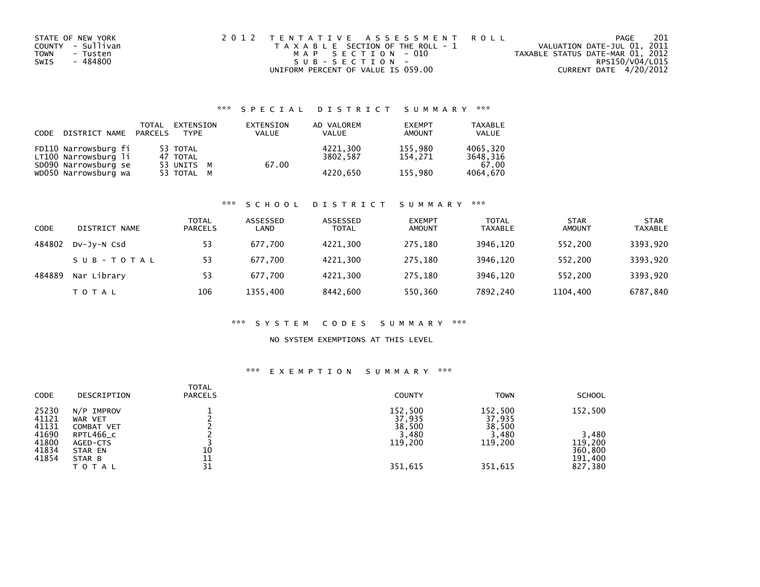| STATE OF NEW YORK       | 2012 TENTATIVE ASSESSMENT ROLL        |                                  | PAGE            | 201 |
|-------------------------|---------------------------------------|----------------------------------|-----------------|-----|
| COUNTY - Sullivan       | T A X A B L E SECTION OF THE ROLL - 1 | VALUATION DATE-JUL 01, 2011      |                 |     |
| <b>TOWN</b><br>- Tusten | MAP SECTION - 010                     | TAXABLE STATUS DATE-MAR 01, 2012 |                 |     |
| - 484800<br>SWIS        | SUB-SECTION-                          |                                  | RPS150/V04/L015 |     |
|                         | UNIFORM PERCENT OF VALUE IS 059.00    | CURRENT DATE 4/20/2012           |                 |     |

# \*\*\* S P E C I A L D I S T R I C T S U M M A R Y \*\*\*

| CODE | DISTRICT NAME PARCELS                        | TOTAL | EXTENSION<br><b>TYPF</b> | EXTENSION<br><b>VALUE</b> | AD VALOREM<br>VALUE  | <b>EXEMPT</b><br>AMOUNT | <b>TAXABLE</b><br><b>VALUE</b> |
|------|----------------------------------------------|-------|--------------------------|---------------------------|----------------------|-------------------------|--------------------------------|
|      | FD110 Narrowsburg fi<br>LT100 Narrowsburg li |       | 53 TOTAL<br>47 TOTAL     |                           | 4221.300<br>3802.587 | 155.980<br>154.271      | 4065.320<br>3648.316           |
|      | SD090 Narrowsburg se<br>WD050 Narrowsburg wa |       | 53 UNITS M<br>53 TOTAL M | 67.00                     | 4220.650             | 155,980                 | 67.00<br>4064,670              |

### \*\*\* S C H O O L D I S T R I C T S U M M A R Y \*\*\*

| CODE   | DISTRICT NAME | <b>TOTAL</b><br><b>PARCELS</b> | ASSESSED<br>LAND | ASSESSED<br><b>TOTAL</b> | <b>EXEMPT</b><br><b>AMOUNT</b> | <b>TOTAL</b><br><b>TAXABLE</b> | <b>STAR</b><br><b>AMOUNT</b> | <b>STAR</b><br><b>TAXABLE</b> |
|--------|---------------|--------------------------------|------------------|--------------------------|--------------------------------|--------------------------------|------------------------------|-------------------------------|
| 484802 | DV-JY-N Csd   | 53                             | 677.700          | 4221.300                 | 275.180                        | 3946.120                       | 552.200                      | 3393,920                      |
|        | SUB-TOTAL     | 53                             | 677.700          | 4221.300                 | 275.180                        | 3946.120                       | 552.200                      | 3393,920                      |
| 484889 | Nar Library   | 53                             | 677.700          | 4221,300                 | 275.180                        | 3946.120                       | 552.200                      | 3393,920                      |
|        | T O T A L     | 106                            | 1355,400         | 8442,600                 | 550,360                        | 7892,240                       | 1104,400                     | 6787,840                      |

### \*\*\* S Y S T E M C O D E S S U M M A R Y \*\*\*

### NO SYSTEM EXEMPTIONS AT THIS LEVEL

# \*\*\* E X E M P T I O N S U M M A R Y \*\*\*

| <b>CODE</b>             | DESCRIPTION                           | <b>TOTAL</b><br><b>PARCELS</b> | <b>COUNTY</b>               | <b>TOWN</b>                 | <b>SCHOOL</b>                 |
|-------------------------|---------------------------------------|--------------------------------|-----------------------------|-----------------------------|-------------------------------|
| 25230<br>41121<br>41131 | $N/P$ IMPROV<br>WAR VET<br>COMBAT VET |                                | 152,500<br>37,935<br>38,500 | 152,500<br>37,935<br>38,500 | 152,500                       |
| 41690                   | RPTL466_C                             |                                | 3,480                       | 3,480                       | 3,480                         |
| 41800<br>41834<br>41854 | AGED-CTS<br>STAR EN<br>STAR B         | 10<br>11                       | 119,200                     | 119,200                     | 119,200<br>360,800<br>191,400 |
|                         | <b>TOTAL</b>                          | 31                             | 351,615                     | 351,615                     | 827,380                       |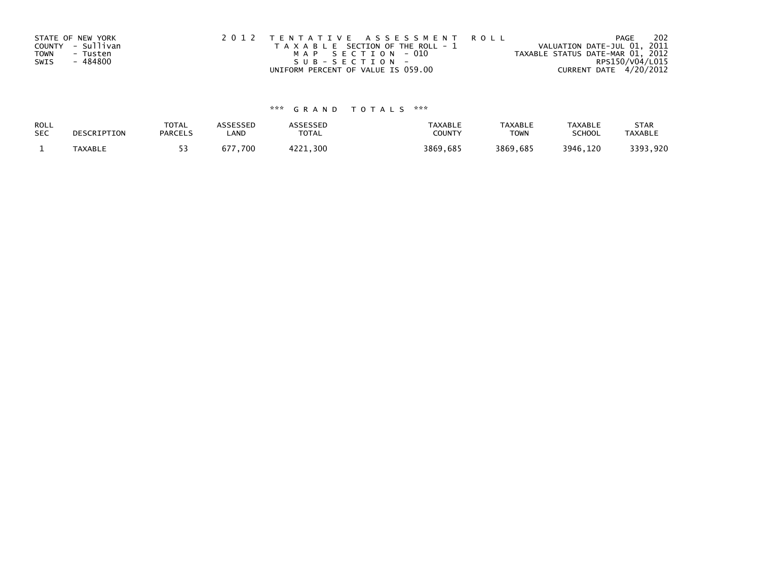|      | STATE OF NEW YORK | 2012 TENTATIVE ASSESSMENT ROLL        | 202<br>PAGE                      |
|------|-------------------|---------------------------------------|----------------------------------|
|      | COUNTY - Sullivan | T A X A B L E SECTION OF THE ROLL - 1 | VALUATION DATE-JUL 01, 2011      |
| TOWN | - Tusten          | MAP SECTION - 010                     | TAXABLE STATUS DATE-MAR 01, 2012 |
| SWIS | - 484800          | SUB-SECTION-                          | RPS150/V04/L015                  |
|      |                   | UNIFORM PERCENT OF VALUE IS 059.00    | CURRENT DATE 4/20/2012           |

# \*\*\* G R A N D T O T A L S \*\*\*

| ROLL       | DESCRIPTION    | <b>TOTAL</b>   | ASSESSED                      | <b>\SSESSED</b> | TAXABLE  | <b>TAXABLE</b> | <b>TAXABLE</b> | <b>STAR</b>    |
|------------|----------------|----------------|-------------------------------|-----------------|----------|----------------|----------------|----------------|
| <b>SEC</b> |                | <b>PARCELS</b> | LAND                          | TOTAL           | COUNTY   | <b>TOWN</b>    | <b>SCHOOL</b>  | <b>TAXABLE</b> |
|            | <b>TAXABLE</b> |                | $^{\prime}$ , 700 $\,$<br>677 | , 300<br>1771   | 3869,685 | 3869,685       | 3946,120       | 3393,920       |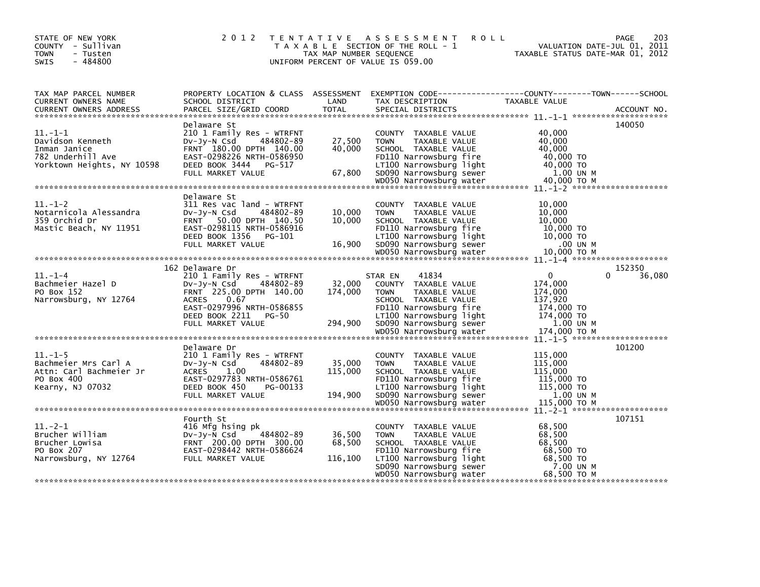| STATE OF NEW YORK<br>COUNTY - Sullivan<br><b>TOWN</b><br>- Tusten<br>$-484800$<br><b>SWIS</b>    | 2 0 1 2<br>T E N T A T I V E                                                                                                                                                                          | TAX MAP NUMBER SEQUENCE      | A S S E S S M E N T<br><b>ROLL</b><br>T A X A B L E SECTION OF THE ROLL - 1<br>UNIFORM PERCENT OF VALUE IS 059.00                                                                                           | VALUATION DATE-JUL 01, 2011<br>TAXABLE STATUS DATE-MAR 01, 2012                                    | 203<br><b>PAGE</b>    |
|--------------------------------------------------------------------------------------------------|-------------------------------------------------------------------------------------------------------------------------------------------------------------------------------------------------------|------------------------------|-------------------------------------------------------------------------------------------------------------------------------------------------------------------------------------------------------------|----------------------------------------------------------------------------------------------------|-----------------------|
| TAX MAP PARCEL NUMBER<br>CURRENT OWNERS NAME<br><b>CURRENT OWNERS ADDRESS</b>                    | SCHOOL DISTRICT<br>PARCEL SIZE/GRID COORD                                                                                                                                                             | LAND<br><b>TOTAL</b>         | PROPERTY LOCATION & CLASS ASSESSMENT EXEMPTION CODE----------------COUNTY-------TOWN------SCHOOL<br>TAX DESCRIPTION<br>SPECIAL DISTRICTS                                                                    | TAXABLE VALUE                                                                                      | ACCOUNT NO.           |
|                                                                                                  |                                                                                                                                                                                                       |                              |                                                                                                                                                                                                             |                                                                                                    |                       |
| $11.-1-1$<br>Davidson Kenneth<br>Inman Janice<br>782 Underhill Ave<br>Yorktown Heights, NY 10598 | Delaware St<br>210 1 Family Res - WTRFNT<br>$Dv-Jv-N$ Csd<br>484802-89<br>FRNT 180.00 DPTH 140.00<br>EAST-0298226 NRTH-0586950<br>DEED BOOK 3444 PG-517<br>FULL MARKET VALUE                          | 27,500<br>40,000<br>67,800   | COUNTY TAXABLE VALUE<br>TAXABLE VALUE<br><b>TOWN</b><br>SCHOOL TAXABLE VALUE<br>FD110 Narrowsburg fire<br>LT100 Narrowsburg light<br>SD090 Narrowsburg sewer                                                | 40,000<br>40,000<br>40,000<br>40,000 TO<br>40,000 TO<br>1.00 UN M                                  | 140050                |
|                                                                                                  | Delaware St                                                                                                                                                                                           |                              |                                                                                                                                                                                                             |                                                                                                    |                       |
| $11.-1-2$<br>Notarnicola Alessandra<br>359 Orchid Dr<br>Mastic Beach, NY 11951                   | 311 Res vac land - WTRFNT<br>484802-89<br>DV-Jy-N Csd<br>FRNT 50.00 DPTH 140.50<br>EAST-0298115 NRTH-0586916<br>DEED BOOK 1356<br>PG-101                                                              | 10,000<br>10,000             | COUNTY TAXABLE VALUE<br>TAXABLE VALUE<br><b>TOWN</b><br>SCHOOL TAXABLE VALUE<br>FD110 Narrowsburg fire<br>LT100 Narrowsburg light                                                                           | 10,000<br>10,000<br>10.000<br>10,000 TO<br>10,000 TO                                               |                       |
|                                                                                                  | FULL MARKET VALUE                                                                                                                                                                                     | 16,900                       | SD090 Narrowsburg sewer                                                                                                                                                                                     | .00 UN M                                                                                           |                       |
|                                                                                                  |                                                                                                                                                                                                       |                              | WD050 Narrowsburg water                                                                                                                                                                                     | 10,000 ТО М                                                                                        |                       |
|                                                                                                  |                                                                                                                                                                                                       |                              |                                                                                                                                                                                                             |                                                                                                    |                       |
| $11.-1-4$<br>Bachmeier Hazel D<br>PO Box 152<br>Narrowsburg, NY 12764                            | 162 Delaware Dr<br>210 1 Family Res - WTRFNT<br>484802-89<br>Dv-Jy-N Csd<br>FRNT 225.00 DPTH 140.00<br><b>ACRES</b><br>0.67<br>EAST-0297996 NRTH-0586855<br>DEED BOOK 2211 PG-50<br>FULL MARKET VALUE | 32,000<br>174,000<br>294,900 | 41834<br>STAR EN<br>COUNTY TAXABLE VALUE<br><b>TOWN</b><br>TAXABLE VALUE<br>SCHOOL TAXABLE VALUE<br>FD110 Narrowsburg fire<br>LT100 Narrowsburg light<br>SD090 Narrowsburg sewer<br>WD050 Narrowsburg water | $\Omega$<br>174,000<br>174,000<br>137,920<br>174,000 TO<br>174,000 TO<br>1.00 UN M<br>174,000 TO M | 152350<br>36,080<br>0 |
|                                                                                                  |                                                                                                                                                                                                       |                              |                                                                                                                                                                                                             |                                                                                                    |                       |
| $11.-1-5$<br>Bachmeier Mrs Carl A<br>Attn: Carl Bachmeier Jr<br>PO Box 400<br>Kearny, NJ 07032   | Delaware Dr<br>210 1 Family Res - WTRFNT<br>DV-JV-N Csd<br>484802-89<br><b>ACRES</b><br>1.00<br>EAST-0297783 NRTH-0586761<br>DEED BOOK 450<br>PG-00133<br>FULL MARKET VALUE                           | 35,000<br>115,000<br>194,900 | COUNTY TAXABLE VALUE<br><b>TOWN</b><br>TAXABLE VALUE<br>SCHOOL TAXABLE VALUE<br>FD110 Narrowsburg fire<br>LT100 Narrowsburg light<br>SD090 Narrowsburg sewer                                                | 115,000<br>115,000<br>115,000<br>115,000 TO<br>115,000 TO<br>1.00 UN M                             | 101200                |
|                                                                                                  |                                                                                                                                                                                                       |                              |                                                                                                                                                                                                             |                                                                                                    |                       |
| $11.-2-1$<br>Brucher William<br>Brucher Lowisa<br>PO Box 207<br>Narrowsburg, NY 12764            | Fourth St<br>416 Mfg hsing pk<br>$Dv-Jv-N$ Csd<br>484802-89<br>FRNT 200.00 DPTH 300.00<br>EAST-0298442 NRTH-0586624<br>FULL MARKET VALUE                                                              | 36,500<br>68,500<br>116,100  | COUNTY TAXABLE VALUE<br><b>TAXABLE VALUE</b><br><b>TOWN</b><br>SCHOOL TAXABLE VALUE<br>FD110 Narrowsburg fire<br>LT100 Narrowsburg light<br>SD090 Narrowsburg sewer<br>WD050 Narrowsburg water              | 68,500<br>68,500<br>68,500<br>68,500 TO<br>68,500 TO<br>7.00 UN M<br>68.500 ТО М                   | 107151                |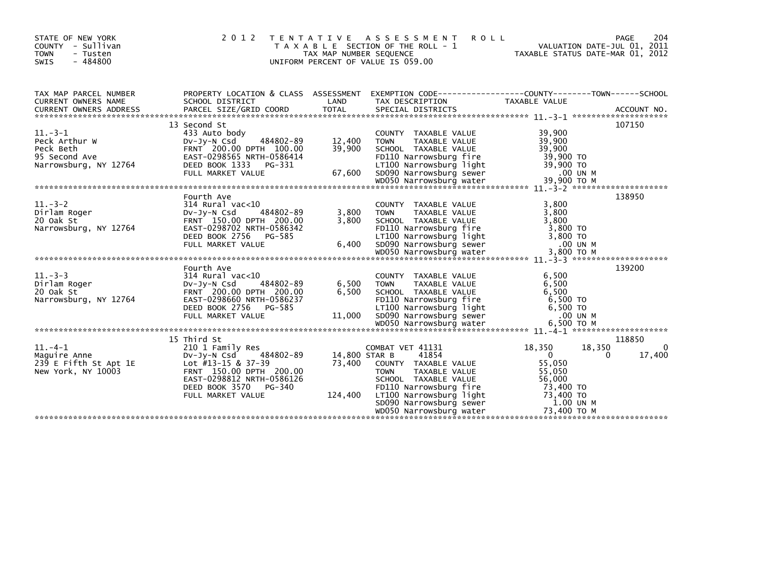| STATE OF NEW YORK<br>COUNTY - Sullivan<br><b>TOWN</b><br>- Tusten<br>$-484800$<br><b>SWIS</b>                                                       | 2 0 1 2<br>T E N T A T I V E                                                                                                                                                            | TAX MAP NUMBER SEQUENCE            | A S S E S S M E N T<br>ROLL<br>T A X A B L E SECTION OF THE ROLL - 1<br>UNIFORM PERCENT OF VALUE IS 059.00                                                                                                           | VALUATION DATE-JUL 01, 2011<br>TAXABLE STATUS DATE-MAR 01, 2012                                                     | PAGE<br>204                           |
|-----------------------------------------------------------------------------------------------------------------------------------------------------|-----------------------------------------------------------------------------------------------------------------------------------------------------------------------------------------|------------------------------------|----------------------------------------------------------------------------------------------------------------------------------------------------------------------------------------------------------------------|---------------------------------------------------------------------------------------------------------------------|---------------------------------------|
| TAX MAP PARCEL NUMBER<br>CURRENT OWNERS NAME                                                                                                        | SCHOOL DISTRICT                                                                                                                                                                         | LAND                               | PROPERTY LOCATION & CLASS ASSESSMENT EXEMPTION CODE----------------COUNTY-------TOWN------SCHOOL<br>TAX DESCRIPTION                                                                                                  | TAXABLE VALUE                                                                                                       |                                       |
| CUNNERS AND TRINING AND TOTAL TITUE OF THE SPECIAL DISTRICTS ACCOUNT NO.<br>TITAL SPECIAL DISTRICTS ACCOUNT NO. ACCOUNT NO. ACCOUNT NO. ACCOUNT NO. |                                                                                                                                                                                         |                                    |                                                                                                                                                                                                                      |                                                                                                                     |                                       |
| $11.-3-1$<br>Peck Arthur W<br>Peck Beth<br>95 Second Ave                                                                                            | 13 Second St<br>433 Auto body<br>484802-89<br>DV-Jy-N Csd<br>FRNT 200.00 DPTH 100.00<br>EAST-0298565 NRTH-0586414                                                                       | 12,400<br>39,900                   | COUNTY TAXABLE VALUE<br><b>TOWN</b><br>TAXABLE VALUE<br>SCHOOL TAXABLE VALUE<br>FD110 Narrowsburg fire                                                                                                               | 39,900<br>39,900<br>39,900<br>39,900 TO                                                                             | 107150                                |
|                                                                                                                                                     |                                                                                                                                                                                         |                                    |                                                                                                                                                                                                                      |                                                                                                                     |                                       |
|                                                                                                                                                     |                                                                                                                                                                                         |                                    |                                                                                                                                                                                                                      |                                                                                                                     |                                       |
|                                                                                                                                                     |                                                                                                                                                                                         |                                    |                                                                                                                                                                                                                      |                                                                                                                     |                                       |
| $11. - 3 - 2$<br>Dirlam Roger<br>20 Oak St<br>Narrowsburg, NY 12764                                                                                 | Fourth Ave<br>$314$ Rural vac<10<br>$Dv-Jv-N$ Csd<br>484802-89<br>FRNT 150.00 DPTH 200.00<br>EAST-0298702 NRTH-0586342                                                                  | 3,800<br>3,800                     | COUNTY TAXABLE VALUE<br><b>TOWN</b><br>TAXABLE VALUE<br>SCHOOL TAXABLE VALUE<br>FD110 Narrowsburg fire                                                                                                               | 3.800<br>3,800<br>3,800<br>3,800 TO                                                                                 | 138950                                |
|                                                                                                                                                     |                                                                                                                                                                                         |                                    |                                                                                                                                                                                                                      |                                                                                                                     |                                       |
| $11. -3 -3$<br>Dirlam Roger<br>$20$ Oak St<br>Narrowsburg, NY 12764                                                                                 | Fourth Ave<br>314 Rural vac<10<br>484802-89<br>Dv-Jy-N Csd<br>FRNT 200.00 DPTH 200.00<br>EAST-0298660 NRTH-0586237<br>DEED BOOK 2756 PG-585                                             | 6,500<br>6,500                     | COUNTY TAXABLE VALUE<br><b>TOWN</b><br>TAXABLE VALUE<br>SCHOOL TAXABLE VALUE<br>FD110 Narrowsburg fire<br>LT100 Narrowsburg light                                                                                    | 6,500<br>6,500<br>6,500<br>6,500 TO<br>6,500 TO                                                                     | 139200                                |
|                                                                                                                                                     |                                                                                                                                                                                         |                                    |                                                                                                                                                                                                                      |                                                                                                                     |                                       |
| $11. -4-1$<br>Maguire Anne<br>239 E Fifth St Apt 1E<br>New York, NY 10003                                                                           | 15 Third St<br>210 1 Family Res<br>484802-89<br>Dv-Jy-N Csd<br>Lot #13-15 & 37-39<br>FRNT 150.00 DPTH 200.00<br>EAST-0298812 NRTH-0586126<br>DEED BOOK 3570 PG-340<br>FULL MARKET VALUE | 14,800 STAR B<br>73,400<br>124,400 | COMBAT VET 41131<br>41854<br>COUNTY TAXABLE VALUE<br>TAXABLE VALUE<br><b>TOWN</b><br>SCHOOL TAXABLE VALUE<br>FD110 Narrowsburg fire<br>LT100 Narrowsburg light<br>SD090 Narrowsburg sewer<br>WD050 Narrowsburg water | 18,350<br>18,350<br>$\mathbf 0$<br>55,050<br>55,050<br>56,000<br>73,400 TO<br>73,400 TO<br>1.00 UN M<br>73,400 TO M | 118850<br>0<br>17,400<br>$\mathbf{0}$ |
|                                                                                                                                                     |                                                                                                                                                                                         |                                    |                                                                                                                                                                                                                      |                                                                                                                     |                                       |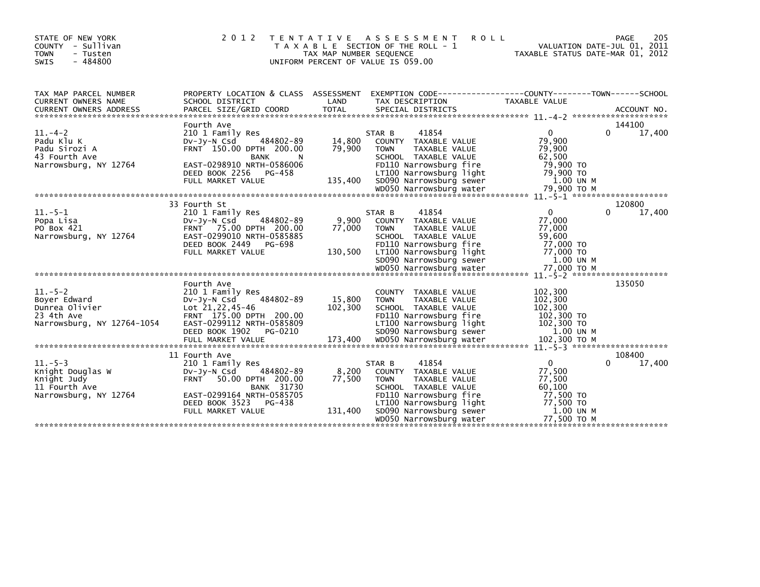| STATE OF NEW YORK<br>COUNTY - Sullivan<br><b>TOWN</b><br>- Tusten<br>SWIS<br>$-484800$     | 2 0 1 2                                                                                                                                                                                    | T E N T A T I V E<br>TAX MAP NUMBER SEQUENCE | A S S E S S M E N T<br><b>ROLL</b><br>T A X A B L E SECTION OF THE ROLL - 1<br>UNIFORM PERCENT OF VALUE IS 059.00                                                                                          | VALUATION DATE-JUL 01, 2011<br>TAXABLE STATUS DATE-MAR 01, 2012                              | 205<br>PAGE                  |
|--------------------------------------------------------------------------------------------|--------------------------------------------------------------------------------------------------------------------------------------------------------------------------------------------|----------------------------------------------|------------------------------------------------------------------------------------------------------------------------------------------------------------------------------------------------------------|----------------------------------------------------------------------------------------------|------------------------------|
| TAX MAP PARCEL NUMBER<br>CURRENT OWNERS NAME                                               | SCHOOL DISTRICT                                                                                                                                                                            | LAND                                         | PROPERTY LOCATION & CLASS ASSESSMENT EXEMPTION CODE----------------COUNTY-------TOWN------SCHOOL<br>TAX DESCRIPTION                                                                                        | TAXABLE VALUE                                                                                |                              |
| $11. - 4 - 2$<br>Padu Klu K<br>Padu Sirozi A<br>43 Fourth Ave<br>Narrowsburg, NY 12764     | Fourth Ave<br>210 1 Family Res<br>484802-89<br>$Dv-Jy-N$ Csd<br>FRNT 150.00 DPTH 200.00<br>BANK<br>N.<br>EAST-0298910 NRTH-0586006<br>DEED BOOK 2256 PG-458<br>FULL MARKET VALUE           | 14,800<br>79,900<br>135,400                  | 41854<br>STAR B<br>COUNTY TAXABLE VALUE<br><b>TOWN</b><br>TAXABLE VALUE<br>SCHOOL TAXABLE VALUE<br>FD110 Narrowsburg fire<br>LT100 Narrowsburg light<br>SD090 Narrowsburg sewer                            | $\Omega$<br>79,900<br>79,900<br>62,500<br>79,900 TO<br>79,900 TO<br>1.00 UN M                | 144100<br>17,400<br>0        |
| $11.-5-1$<br>Popa Lisa<br>PO Box 421<br>Narrowsburg, NY 12764                              | 33 Fourth St<br>210 1 Family Res<br>484802-89<br>$Dv-Jy-N$ Csd<br>FRNT 75.00 DPTH 200.00<br>EAST-0299010 NRTH-0585885<br>DEED BOOK 2449<br>PG-698<br>FULL MARKET VALUE                     | 9,900<br>77.000<br>130,500                   | 41854<br>STAR B<br>COUNTY TAXABLE VALUE<br><b>TAXABLE VALUE</b><br><b>TOWN</b><br>SCHOOL TAXABLE VALUE<br>FD110 Narrowsburg fire<br>LT100 Narrowsburg light<br>SD090 Narrowsburg sewer                     | $\Omega$<br>77,000<br>77,000<br>59,600<br>77,000 TO<br>77,000 TO<br>1.00 UN M                | 120800<br>17,400<br>0        |
| $11.-5-2$<br>Boyer Edward<br>Dunrea Olivier<br>23 4th Ave<br>Narrowsburg, NY 12764-1054    | Fourth Ave<br>210 1 Family Res<br>484802-89<br>$Dv-Jv-N$ Csd<br>Lot 21,22,45-46<br>FRNT 175.00 DPTH 200.00<br>EAST-0299112 NRTH-0585809<br>DEED BOOK 1902<br>PG-0210                       | 15,800<br>102,300                            | COUNTY TAXABLE VALUE<br>TAXABLE VALUE<br><b>TOWN</b><br>SCHOOL TAXABLE VALUE<br>FD110 Narrowsburg fire<br>LT100 Narrowsburg light<br>SD090 Narrowsburg sewer                                               | 102,300<br>102,300<br>102,300<br>102,300 TO<br>102,300 TO<br>1.00 UN M                       | 135050                       |
| $11. - 5 - 3$<br>Knight Douglas W<br>Knight Judy<br>11 Fourth Ave<br>Narrowsburg, NY 12764 | 11 Fourth Ave<br>210 1 Family Res<br>484802-89<br>DV-JY-N Csd<br>FRNT 50.00 DPTH 200.00<br><b>BANK 31730</b><br>EAST-0299164 NRTH-0585705<br>DEED BOOK 3523<br>PG-438<br>FULL MARKET VALUE | 8,200<br>77,500<br>131,400                   | 41854<br>STAR B<br>COUNTY TAXABLE VALUE<br><b>TOWN</b><br>TAXABLE VALUE<br>SCHOOL TAXABLE VALUE<br>FD110 Narrowsburg fire<br>LT100 Narrowsburg light<br>SD090 Narrowsburg sewer<br>WD050 Narrowsburg water | $\Omega$<br>77,500<br>77,500<br>60,100<br>77,500 TO<br>77,500 TO<br>1.00 UN M<br>77,500 TO M | 108400<br>17,400<br>$\Omega$ |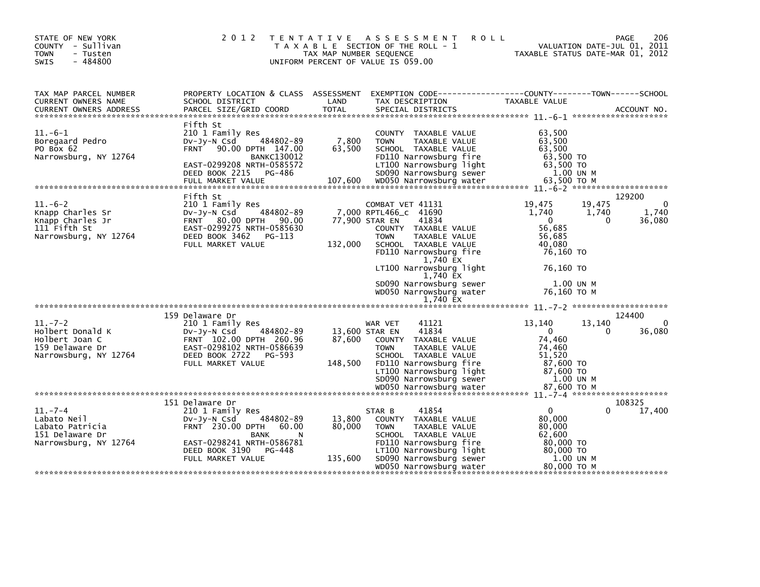| STATE OF NEW YORK<br>COUNTY - Sullivan<br><b>TOWN</b><br>- Tusten<br>$-484800$<br><b>SWIS</b>   |                                                                                                                                                                | TAX MAP NUMBER SEQUENCE | 2012 TENTATIVE ASSESSMENT<br><b>ROLL</b><br>T A X A B L E SECTION OF THE ROLL - 1<br>UNIFORM PERCENT OF VALUE IS 059.00                                      | VALUATION DATE-JUL 01, 2011<br>TAXABLE STATUS DATE-MAR 01, 2012               | 206<br>PAGE                                |
|-------------------------------------------------------------------------------------------------|----------------------------------------------------------------------------------------------------------------------------------------------------------------|-------------------------|--------------------------------------------------------------------------------------------------------------------------------------------------------------|-------------------------------------------------------------------------------|--------------------------------------------|
| TAX MAP PARCEL NUMBER<br>CURRENT OWNERS NAME                                                    | PROPERTY LOCATION & CLASS ASSESSMENT<br>SCHOOL DISTRICT                                                                                                        | LAND                    | EXEMPTION CODE-----------------COUNTY-------TOWN------SCHOOL<br>TAX DESCRIPTION                                                                              | TAXABLE VALUE                                                                 |                                            |
| $11.-6-1$<br>Boregaard Pedro<br>PO Box 62<br>Narrowsburg, NY 12764                              | Fifth St<br>210 1 Family Res<br>484802-89<br>DV-Jy-N Csd<br>FRNT 90.00 DPTH 147.00<br><b>BANKC130012</b><br>EAST-0299208 NRTH-0585572<br>DEED BOOK 2215 PG-486 | 7,800<br>63,500         | COUNTY TAXABLE VALUE<br>TAXABLE VALUE<br><b>TOWN</b><br>SCHOOL TAXABLE VALUE<br>FD110 Narrowsburg fire<br>LT100 Narrowsburg light<br>SD090 Narrowsburg sewer | 63.500<br>63,500<br>63,500<br>63,500 TO<br>63,500 TO<br>1.00 UN M             |                                            |
| $11.-6-2$<br>Knapp Charles Sr<br>Knapp Charles Jr<br>111 Fifth St<br>Narrowsburg, NY 12764      | Fifth St<br>210 1 Family Res<br>484802-89<br>$Dv-Jv-N$ Csd<br>FRNT 80.00 DPTH 90.00<br>EAST-0299275 NRTH-0585630<br>DEED BOOK 3462<br>PG-113                   |                         | COMBAT VET 41131<br>7,000 RPTL466_c 41690<br>77,900 STAR EN<br>41834<br>COUNTY TAXABLE VALUE<br><b>TOWN</b><br>TAXABLE VALUE                                 | 19,475<br>19,475<br>1,740<br>1,740<br>$\mathbf{0}$<br>56,685<br>56,685        | 129200<br>$\Omega$<br>1,740<br>36,080<br>0 |
|                                                                                                 | FULL MARKET VALUE                                                                                                                                              | 132,000                 | SCHOOL TAXABLE VALUE<br>FD110 Narrowsburg fire<br>1,740 EX<br>LT100 Narrowsburg light<br>1,740 EX<br>SD090 Narrowsburg sewer<br>WD050 Narrowsburg water      | 40,080<br>76,160 TO<br>76.160 TO<br>1.00 UN M<br>76,160 ТО М                  |                                            |
|                                                                                                 |                                                                                                                                                                |                         | 1,740 EX                                                                                                                                                     |                                                                               |                                            |
|                                                                                                 | 159 Delaware Dr                                                                                                                                                |                         |                                                                                                                                                              |                                                                               | 124400                                     |
| $11. - 7 - 2$<br>Holbert Donald K<br>Holbert Joan C<br>159 Delaware Dr<br>Narrowsburg, NY 12764 | 210 1 Family Res<br>484802-89<br>DV-JY-N Csd<br>FRNT 102.00 DPTH 260.96<br>EAST-0298102 NRTH-0586639<br>DEED BOOK 2722<br>PG-593<br>FULL MARKET VALUE          | 87,600<br>148,500       | 41121<br>WAR VET<br>41834<br>13,600 STAR EN<br>COUNTY TAXABLE VALUE<br>TAXABLE VALUE<br><b>TOWN</b><br>SCHOOL TAXABLE VALUE<br>FD110 Narrowsburg fire        | 13,140<br>13.140<br>$\overline{0}$<br>74,460<br>74,460<br>51,520<br>87,600 TO | $\Omega$<br>36,080<br>0                    |
|                                                                                                 |                                                                                                                                                                |                         | LT100 Narrowsburg light<br>SD090 Narrowsburg sewer                                                                                                           | 87,600 TO<br>1.00 UN M                                                        |                                            |
| $11. -7 - 4$                                                                                    | 151 Delaware Dr<br>210 1 Family Res                                                                                                                            |                         | 41854<br>STAR B                                                                                                                                              | $\mathbf{0}$                                                                  | 108325<br>17,400<br>0                      |
| Labato Neil<br>Labato Patricia<br>151 Delaware Dr                                               | 484802-89<br>DV-Jy-N Csd<br>FRNT 230.00 DPTH 60.00<br><b>BANK</b>                                                                                              | 13,800<br>80,000        | COUNTY TAXABLE VALUE<br>TAXABLE VALUE<br><b>TOWN</b><br>SCHOOL TAXABLE VALUE                                                                                 | 80,000<br>80,000<br>62,600                                                    |                                            |
| Narrowsburg, NY 12764                                                                           | EAST-0298241 NRTH-0586781<br>DEED BOOK 3190<br>PG-448<br>FULL MARKET VALUE                                                                                     | 135,600                 | FD110 Narrowsburg fire<br>LT100 Narrowsburg light<br>SD090 Narrowsburg sewer<br>WD050 Narrowsburg water                                                      | 80,000 TO<br>80,000 TO<br>1.00 UN M<br>80,000 TO M                            |                                            |
|                                                                                                 |                                                                                                                                                                |                         |                                                                                                                                                              |                                                                               |                                            |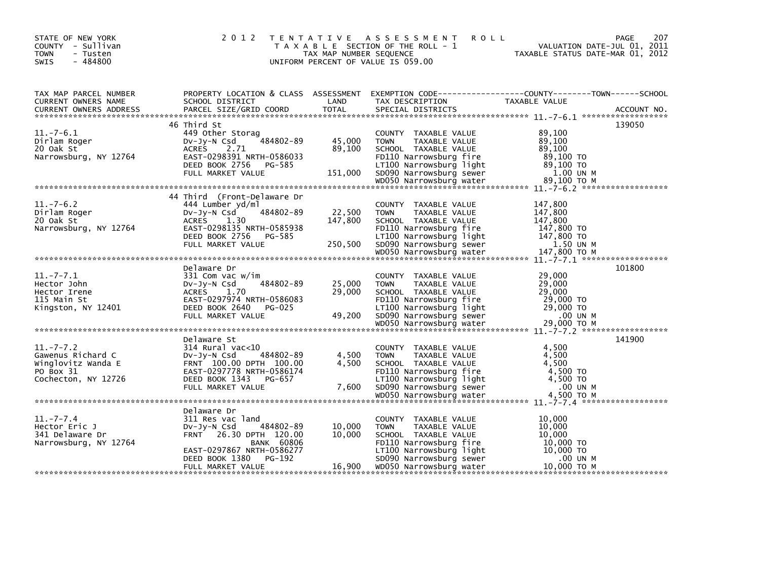| STATE OF NEW YORK<br>COUNTY - Sullivan<br>- Tusten<br><b>TOWN</b><br>$-484800$<br>SWIS |                                                                                                                                                           | TAX MAP NUMBER SEQUENCE | 2012 TENTATIVE ASSESSMENT ROLL<br>T A X A B L E SECTION OF THE ROLL - 1<br>UNIFORM PERCENT OF VALUE IS 059.00                                                | 207<br>PAGE<br>VALUATION DATE-JUL 01, 2011<br>TAXABLE STATUS DATE-MAR 01, 2012                                                                                                                                                                                                               |
|----------------------------------------------------------------------------------------|-----------------------------------------------------------------------------------------------------------------------------------------------------------|-------------------------|--------------------------------------------------------------------------------------------------------------------------------------------------------------|----------------------------------------------------------------------------------------------------------------------------------------------------------------------------------------------------------------------------------------------------------------------------------------------|
| TAX MAP PARCEL NUMBER<br>CURRENT OWNERS NAME                                           |                                                                                                                                                           |                         |                                                                                                                                                              | CURRENT OWNERS ADDRESS FARCEL SIZE/GRID COORD TOTAL SPECIAL DISTRICTS (2001) ACCOUNT NO.<br>CURRENT OWNERS ADDRESS FARCEL SIZE/GRID COORD TOTAL SPECIAL DISTRICTS (2001) 27-6.1 **************************                                                                                   |
| $11.-7-6.1$<br>Dirlam Roger<br>20 Oak St<br>Narrowsburg, NY 12764                      | 46 Third St<br>449 Other Storag<br>484802-89<br>DV-Jy-N Csd<br>ACRES<br>2.71<br>EAST-0298391 NRTH-0586033                                                 | 45,000<br>89,100        | COUNTY TAXABLE VALUE<br><b>TOWN</b><br>TAXABLE VALUE<br>SCHOOL TAXABLE VALUE<br>FD110 Narrowsburg fire                                                       | 139050<br>89,100<br>89,100<br>89,100<br>89,100 TO<br>11100 Nationsburg 11ght<br>DEED BOOK 2756 PG-585 151,000 SD090 Narrowsburg 11ght<br>FULL MARKET VALUE 151,000 SD090 Narrowsburg sewer 1.00 UN M<br>empty attack and the serve that the server and the server and the server of the serv |
| $11.-7-6.2$<br>Dirlam Roger<br>20 Oak St<br>Narrowsburg, NY 12764                      | 44 Third (Front-Delaware Dr<br>444 Lumber yd/ml<br>484802-89<br>DV-JV-N Csd<br>ACRES 1.30<br>EAST-0298135 NRTH-0585938                                    | 22,500<br>147,800       | COUNTY TAXABLE VALUE<br><b>TOWN</b><br>TAXABLE VALUE<br>SCHOOL TAXABLE VALUE<br>FD110 Narrowsburg fire                                                       | 147,800<br>147,800<br>147,800<br>147,800 TO<br>Narrowsburg, NY 12764 EAST-0298135 NRTH-0585938 FDIIU Narrowsburg Tire 147,800 IO<br>DEED BOOK 2756 PG-585 250,500 SDO90 Narrowsburg 1ight 147,800 TO<br>FULL MARKET VALUE 250,500 SDO90 Narrowsburg sewer 147,800 TO M<br>************       |
| $11.-7-7.1$<br>Hector John<br>Hector Irene<br>115 Main St<br>Kingston, NY 12401        | Delaware Dr<br>331 Com vac w/im<br>484802-89<br>DV-Jy-N Csd<br>ACRES 1.70<br>EAST-0297974 NRTH-0586083<br>DEED BOOK 2640 PG-025                           | 25,000<br>29,000        | COUNTY TAXABLE VALUE<br><b>TOWN</b><br>TAXABLE VALUE<br>SCHOOL TAXABLE VALUE<br>FD110 Narrowsburg fire<br>LT100 Narrowsburg light                            | 101800<br>29,000<br>29,000<br>29,000<br>29,000 TO<br>29,000 TO                                                                                                                                                                                                                               |
| $11.-7-7.2$<br>Gawenus Richard C<br>Winglovitz Wanda E<br>PO Box 31                    | Delaware St<br>314 Rural vac<10<br>DV-Jy-N Csd 484802-89<br>FRNT 100.00 DPTH 100.00<br>484802-89<br>EAST-0297778 NRTH-0586174                             | 4,500<br>4,500          | COUNTY TAXABLE VALUE<br>TOWN<br>TAXABLE VALUE<br>SCHOOL TAXABLE VALUE<br>FD110 Narrowsburg fire                                                              | 141900<br>4,500<br>4,500<br>4,500<br>4,500 TO<br>PU BOX 31<br>Cochecton, NY 12726 DEED BOOK 1343 PG-657 DEEP NOW DEEN COCHECTON, NY 12726 DEED BOOK 1343 PG-657 DO<br>FULL MARKET VALUE 7,600 SD090 Narrowsburg sewer 4,500 TO<br>words arrowsburg water 4,500 TO M<br>********************  |
| $11. - 7 - 7.4$<br>Hector Eric J<br>341 Delaware Dr<br>Narrowsburg, NY 12764           | Delaware Dr<br>311 Res vac land<br>484802-89<br>DV-Jy-N Csd<br>FRNT 26.30 DPTH 120.00<br>BANK 60806<br>EAST-0297867 NRTH-0586277<br>DEED BOOK 1380 PG-192 | 10,000<br>10,000        | COUNTY TAXABLE VALUE<br><b>TOWN</b><br>TAXABLE VALUE<br>SCHOOL TAXABLE VALUE<br>FD110 Narrowsburg fire<br>LT100 Narrowsburg light<br>SD090 Narrowsburg sewer | 10,000<br>10,000<br>10,000<br>10,000 TO<br>$10,000$ TO<br>.00 UN M<br>10,000 ТО М                                                                                                                                                                                                            |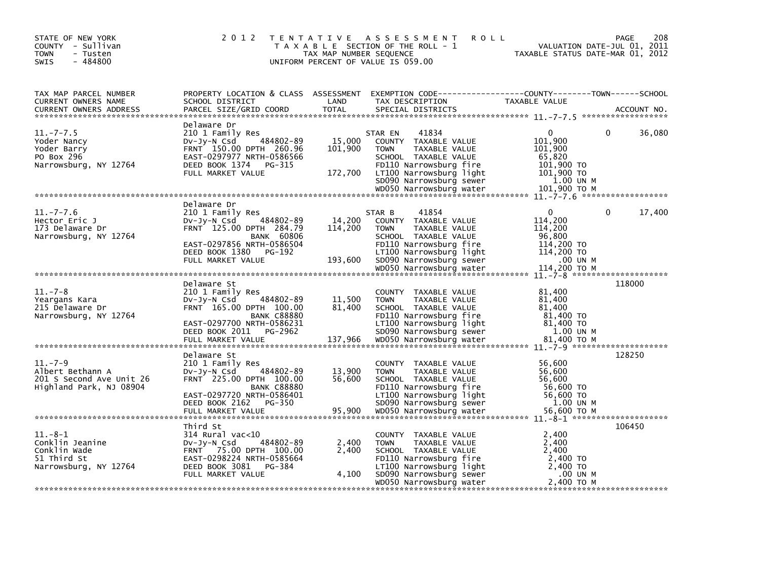| STATE OF NEW YORK<br>COUNTY - Sullivan<br><b>TOWN</b><br>- Tusten<br>$-484800$<br>SWIS   | 2 0 1 2                                                                                                                                                                                     | TAX MAP NUMBER SEQUENCE      | TENTATIVE ASSESSMENT<br><b>ROLL</b><br>T A X A B L E SECTION OF THE ROLL - 1<br>UNIFORM PERCENT OF VALUE IS 059.00                                                                                          | TAXABLE STATUS DATE-MAR 01, 2012                                                           | 208<br>PAGE<br>VALUATION DATE-JUL 01, 2011 |
|------------------------------------------------------------------------------------------|---------------------------------------------------------------------------------------------------------------------------------------------------------------------------------------------|------------------------------|-------------------------------------------------------------------------------------------------------------------------------------------------------------------------------------------------------------|--------------------------------------------------------------------------------------------|--------------------------------------------|
| TAX MAP PARCEL NUMBER<br>CURRENT OWNERS NAME<br><b>CURRENT OWNERS ADDRESS</b>            | PROPERTY LOCATION & CLASS ASSESSMENT EXEMPTION CODE----------------COUNTY-------TOWN------SCHOOL<br>SCHOOL DISTRICT<br>PARCEL SIZE/GRID COORD                                               | LAND<br><b>TOTAL</b>         | TAX DESCRIPTION<br>SPECIAL DISTRICTS                                                                                                                                                                        | TAXABLE VALUE                                                                              | ACCOUNT NO.                                |
| $11. -7 - 7.5$<br>Yoder Nancy<br>Yoder Barry<br>PO Box 296<br>Narrowsburg, NY 12764      | Delaware Dr<br>210 1 Family Res<br>484802-89<br>DV-Jy-N Csd<br>FRNT 150.00 DPTH 260.96<br>EAST-0297977 NRTH-0586566<br>DEED BOOK 1374<br>PG-315<br>FULL MARKET VALUE                        | 15,000<br>101,900<br>172,700 | 41834<br>STAR EN<br>COUNTY TAXABLE VALUE<br><b>TOWN</b><br>TAXABLE VALUE<br>SCHOOL TAXABLE VALUE<br>FD110 Narrowsburg fire<br>LT100 Narrowsburg light<br>SD090 Narrowsburg sewer<br>WD050 Narrowsburg water | 0<br>101.900<br>101,900<br>65,820<br>101,900 TO<br>101,900 TO<br>1.00 UN M<br>101.900 ТО М | 0<br>36,080                                |
|                                                                                          |                                                                                                                                                                                             |                              |                                                                                                                                                                                                             |                                                                                            | $11. - 7 - 7.6$ *******************        |
| $11. - 7 - 7.6$<br>Hector Eric J<br>173 Delaware Dr<br>Narrowsburg, NY 12764             | Delaware Dr<br>210 1 Family Res<br>484802-89<br>$Dv-Jy-N$ Csd<br>FRNT 125.00 DPTH 284.79<br><b>BANK 60806</b><br>EAST-0297856 NRTH-0586504<br>DEED BOOK 1380<br>PG-192<br>FULL MARKET VALUE | 14,200<br>114,200<br>193,600 | 41854<br>STAR B<br>COUNTY TAXABLE VALUE<br><b>TOWN</b><br>TAXABLE VALUE<br>SCHOOL TAXABLE VALUE<br>FD110 Narrowsburg fire<br>LT100 Narrowsburg light<br>SD090 Narrowsburg sewer                             | 0<br>114,200<br>114,200<br>96,800<br>114,200 TO<br>114,200 TO<br>.00 UN M<br>114.200 TO M  | 0<br>17,400                                |
|                                                                                          |                                                                                                                                                                                             |                              |                                                                                                                                                                                                             |                                                                                            | $11 - 7 - 8$ **********************        |
| $11. - 7 - 8$<br>Yeargans Kara<br>215 Delaware Dr<br>Narrowsburg, NY 12764               | Delaware St<br>210 1 Family Res<br>DV-Jy-N Csd<br>484802-89<br>FRNT 165.00 DPTH 100.00<br><b>BANK C88880</b><br>EAST-0297700 NRTH-0586231<br>DEED BOOK 2011<br>PG-2962                      | 11,500<br>81.400             | COUNTY TAXABLE VALUE<br>TAXABLE VALUE<br><b>TOWN</b><br>SCHOOL TAXABLE VALUE<br>FD110 Narrowsburg fire<br>LT100 Narrowsburg light<br>SD090 Narrowsburg sewer                                                | 81,400<br>81,400<br>81.400<br>81,400 TO<br>81,400 TO<br>1.00 UN M                          | 118000                                     |
|                                                                                          |                                                                                                                                                                                             |                              |                                                                                                                                                                                                             |                                                                                            |                                            |
| $11. - 7 - 9$<br>Albert Bethann A<br>201 S Second Ave Unit 26<br>Highland Park, NJ 08904 | Delaware St<br>210 1 Family Res<br>484802-89<br>DV-Jy-N Csd<br>FRNT 225.00 DPTH 100.00<br><b>BANK C88880</b><br>EAST-0297720 NRTH-0586401<br>DEED BOOK 2162<br>PG-350<br>FULL MARKET VALUE  | 13,900<br>56,600<br>95,900   | COUNTY TAXABLE VALUE<br>TAXABLE VALUE<br><b>TOWN</b><br>SCHOOL TAXABLE VALUE<br>FD110 Narrowsburg fire<br>LT100 Narrowsburg light<br>SD090 Narrowsburg sewer<br>WD050 Narrowsburg water                     | 56,600<br>56,600<br>56,600<br>56,600 TO<br>56,600 TO<br>1.00 UN M<br>56,600 TO M           | 128250                                     |
|                                                                                          |                                                                                                                                                                                             |                              |                                                                                                                                                                                                             |                                                                                            |                                            |
| $11.-8-1$<br>Conklin Jeanine<br>Conklin Wade<br>51 Third St<br>Narrowsburg, NY 12764     | Third St<br>$314$ Rural vac< $10$<br>484802-89<br>$Dv-Jy-N$ Csd<br>FRNT 75.00 DPTH 100.00<br>EAST-0298224 NRTH-0585664<br>DEED BOOK 3081<br>PG-384<br>FULL MARKET VALUE                     | 2,400<br>2,400<br>4,100      | COUNTY TAXABLE VALUE<br><b>TOWN</b><br>TAXABLE VALUE<br>SCHOOL TAXABLE VALUE<br>FD110 Narrowsburg fire<br>LT100 Narrowsburg light<br>SD090 Narrowsburg sewer                                                | 2,400<br>2,400<br>2,400<br>2,400 TO<br>2,400 TO<br>.00 UN M                                | 106450                                     |
|                                                                                          |                                                                                                                                                                                             |                              | WD050 Narrowsburg water                                                                                                                                                                                     | 2,400 TO M                                                                                 |                                            |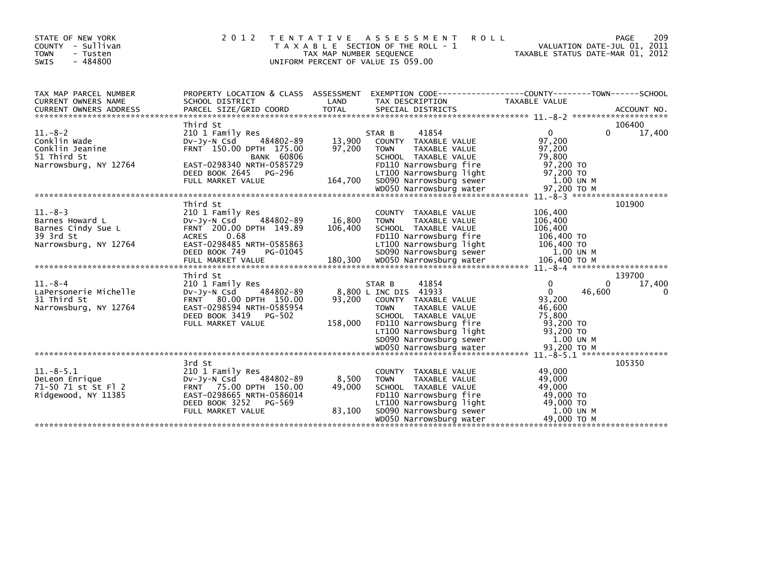| STATE OF NEW YORK<br>COUNTY - Sullivan<br><b>TOWN</b><br>- Tusten<br>$-484800$<br><b>SWIS</b> | 2 0 1 2                                                                                                                                                                                  | <b>TENTATIVE</b><br>TAX MAP NUMBER SEQUENCE | A S S E S S M E N T<br><b>ROLL</b><br>T A X A B L E SECTION OF THE ROLL - 1<br>UNIFORM PERCENT OF VALUE IS 059.00                                                                                        | VALUATION DATE-JUL 01, 2011<br>TAXABLE STATUS DATE-MAR 01, 2012                                         | 209<br>PAGE                       |
|-----------------------------------------------------------------------------------------------|------------------------------------------------------------------------------------------------------------------------------------------------------------------------------------------|---------------------------------------------|----------------------------------------------------------------------------------------------------------------------------------------------------------------------------------------------------------|---------------------------------------------------------------------------------------------------------|-----------------------------------|
| TAX MAP PARCEL NUMBER<br><b>CURRENT OWNERS NAME</b>                                           | PROPERTY LOCATION & CLASS ASSESSMENT<br>SCHOOL DISTRICT                                                                                                                                  | LAND                                        | TAX DESCRIPTION                                                                                                                                                                                          | TAXABLE VALUE                                                                                           |                                   |
| $11.-8-2$<br>Conklin Wade<br>Conklin Jeanine<br>51 Third St<br>Narrowsburg, NY 12764          | Third St<br>210 1 Family Res<br>484802-89<br>$Dv-Jv-N$ Csd<br>FRNT 150.00 DPTH 175.00<br><b>BANK 60806</b><br>EAST-0298340 NRTH-0585729<br>PG-296<br>DEED BOOK 2645<br>FULL MARKET VALUE | 13,900<br>97,200<br>164.700                 | 41854<br>STAR B<br>COUNTY TAXABLE VALUE<br>TAXABLE VALUE<br><b>TOWN</b><br>SCHOOL TAXABLE VALUE<br>FD110 Narrowsburg fire<br>LT100 Narrowsburg light<br>SD090 Narrowsburg sewer                          | $\overline{0}$<br>97,200<br>97,200<br>79,800<br>97,200 TO<br>97.200 TO<br>1.00 UN M                     | 106400<br>$\Omega$<br>17,400      |
| $11. - 8 - 3$<br>Barnes Howard L<br>Barnes Cindy Sue L<br>39 3rd St<br>Narrowsburg, NY 12764  | Third St<br>210 1 Family Res<br>484802-89<br>$Dv-Jv-N$ Csd<br>FRNT 200.00 DPTH 149.89<br><b>ACRES</b><br>0.68<br>EAST-0298485 NRTH-0585863<br>DEED BOOK 749<br>PG-01045                  | 16,800<br>106,400                           | COUNTY TAXABLE VALUE<br>TAXABLE VALUE<br><b>TOWN</b><br>SCHOOL TAXABLE VALUE<br>FD110 Narrowsburg fire<br>LT100 Narrowsburg light<br>SD090 Narrowsburg sewer                                             | 106,400<br>106,400<br>106,400<br>106,400 TO<br>106,400 TO<br>1.00 UN M                                  | 101900                            |
| $11.-8-4$<br>LaPersonerie Michelle<br>31 Third St<br>Narrowsburg, NY 12764                    | Third St<br>210 1 Family Res<br>$Dv-Jv-N$ Csd<br>484802-89<br>FRNT 80.00 DPTH 150.00<br>EAST-0298594 NRTH-0585954<br>DEED BOOK 3419<br>PG-502<br>FULL MARKET VALUE                       | 93,200<br>158,000                           | 41854<br>STAR B<br>8,800 L INC DIS 41933<br>COUNTY TAXABLE VALUE<br>TAXABLE VALUE<br><b>TOWN</b><br>SCHOOL TAXABLE VALUE<br>FD110 Narrowsburg fire<br>LT100 Narrowsburg light<br>SD090 Narrowsburg sewer | $\Omega$<br>$\mathbf{0}$<br>46,600<br>93,200<br>46,600<br>75.800<br>93,200 TO<br>93,200 TO<br>1.00 UN M | 139700<br>17,400<br>0<br>$\Omega$ |
| $11.-8-5.1$<br>DeLeon Enrique<br>71-50 71 st St Fl 2<br>Ridgewood, NY 11385                   | 3rd St<br>210 1 Family Res<br>484802-89<br>$Dv-Jv-N$ Csd<br>FRNT 75.00 DPTH 150.00<br>EAST-0298665 NRTH-0586014<br>DEED BOOK 3252<br>PG-569<br>FULL MARKET VALUE                         | 8,500<br>49,000<br>83,100                   | COUNTY TAXABLE VALUE<br>TAXABLE VALUE<br><b>TOWN</b><br>SCHOOL TAXABLE VALUE<br>FD110 Narrowsburg fire<br>LT100 Narrowsburg light<br>SD090 Narrowsburg sewer<br>WD050 Narrowsburg water                  | 49,000<br>49,000<br>49,000<br>49,000 TO<br>49,000 TO<br>1.00 UN M<br>49,000 TO M                        | 105350                            |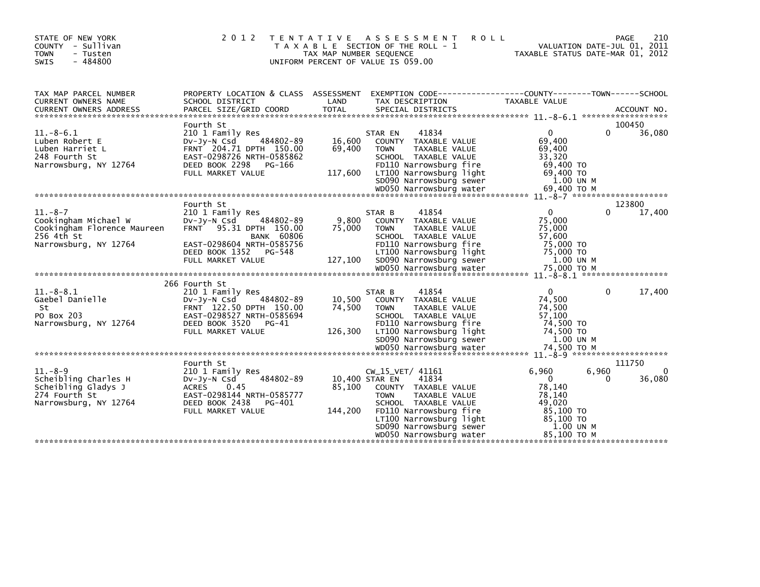| STATE OF NEW YORK<br>COUNTY - Sullivan<br><b>TOWN</b><br>- Tusten<br>$-484800$<br><b>SWIS</b>               | 2 0 1 2<br>T E N T A T I V E                                                                                                                                             | TAX MAP NUMBER SEQUENCE             | <b>ROLL</b><br>A S S E S S M E N T<br>T A X A B L E SECTION OF THE ROLL - 1<br>UNIFORM PERCENT OF VALUE IS 059.00                                                                                                     | TAXABLE STATUS DATE-MAR 01, 2012                                                                      | 210<br>PAGE<br>VALUATION DATE-JUL 01, 2011 |
|-------------------------------------------------------------------------------------------------------------|--------------------------------------------------------------------------------------------------------------------------------------------------------------------------|-------------------------------------|-----------------------------------------------------------------------------------------------------------------------------------------------------------------------------------------------------------------------|-------------------------------------------------------------------------------------------------------|--------------------------------------------|
| TAX MAP PARCEL NUMBER<br><b>CURRENT OWNERS NAME</b>                                                         | PROPERTY LOCATION & CLASS ASSESSMENT<br>SCHOOL DISTRICT                                                                                                                  | LAND                                | EXEMPTION CODE-----------------COUNTY-------TOWN------SCHOOL<br>TAX DESCRIPTION                                                                                                                                       | TAXABLE VALUE                                                                                         |                                            |
| $11.-8-6.1$<br>Luben Robert E<br>Luben Harriet L<br>248 Fourth St<br>Narrowsburg, NY 12764                  | Fourth St<br>210 1 Family Res<br>484802-89<br>DV-Jy-N Csd<br>FRNT 204.71 DPTH 150.00<br>EAST-0298726 NRTH-0585862<br>DEED BOOK 2298<br>PG-166<br>FULL MARKET VALUE       | 16.600<br>69,400<br>117,600         | 41834<br>STAR EN<br>COUNTY TAXABLE VALUE<br>TAXABLE VALUE<br><b>TOWN</b><br>SCHOOL TAXABLE VALUE<br>FD110 Narrowsburg fire<br>LT100 Narrowsburg light<br>SD090 Narrowsburg sewer                                      | $\Omega$<br>69,400<br>69,400<br>33,320<br>69,400 TO<br>69,400 TO<br>1.00 UN M                         | 100450<br>0<br>36,080                      |
|                                                                                                             |                                                                                                                                                                          |                                     |                                                                                                                                                                                                                       |                                                                                                       |                                            |
|                                                                                                             | Fourth St                                                                                                                                                                |                                     |                                                                                                                                                                                                                       |                                                                                                       | 123800                                     |
| $11. - 8 - 7$<br>Cookingham Michael W<br>Cookingham Florence Maureen<br>256 4th St<br>Narrowsburg, NY 12764 | 210 1 Family Res<br>$Dv-Jv-N$ Csd<br>484802-89<br>FRNT 95.31 DPTH 150.00<br><b>BANK 60806</b><br>EAST-0298604 NRTH-0585756<br>DEED BOOK 1352 PG-548<br>FULL MARKET VALUE | 9,800<br>75.000<br>127,100          | 41854<br>STAR B<br>COUNTY TAXABLE VALUE<br>TAXABLE VALUE<br><b>TOWN</b><br>SCHOOL TAXABLE VALUE<br>FD110 Narrowsburg fire<br>LT100 Narrowsburg light<br>SD090 Narrowsburg sewer                                       | $\mathbf{0}$<br>75.000<br>75,000<br>57.600<br>75,000 TO<br>75,000 TO<br>1.00 UN M                     | 0<br>17,400                                |
|                                                                                                             |                                                                                                                                                                          |                                     |                                                                                                                                                                                                                       |                                                                                                       |                                            |
|                                                                                                             | 266 Fourth St                                                                                                                                                            |                                     |                                                                                                                                                                                                                       |                                                                                                       |                                            |
| $11.-8-.8.1$<br>Gaebel Danielle<br>St<br>PO Box 203<br>Narrowsburg, NY 12764                                | 210 1 Family Res<br>484802-89<br>$Dv-Jy-N$ Csd<br>FRNT 122.50 DPTH 150.00<br>EAST-0298527 NRTH-0585694<br>DEED BOOK 3520<br>PG-41<br>FULL MARKET VALUE                   | 10,500<br>74,500<br>126,300         | 41854<br>STAR B<br>COUNTY TAXABLE VALUE<br>TAXABLE VALUE<br><b>TOWN</b><br>SCHOOL TAXABLE VALUE<br>FD110 Narrowsburg fire<br>LT100 Narrowsburg light<br>SD090 Narrowsburg sewer                                       | $\Omega$<br>74,500<br>74,500<br>57,100<br>74,500 TO<br>74,500 TO<br>1.00 UN M                         | $\Omega$<br>17,400                         |
|                                                                                                             |                                                                                                                                                                          |                                     |                                                                                                                                                                                                                       |                                                                                                       |                                            |
|                                                                                                             | Fourth St                                                                                                                                                                |                                     |                                                                                                                                                                                                                       |                                                                                                       | 111750                                     |
| $11. - 8 - 9$<br>Scheibling Charles H<br>Scheibling Gladys J<br>274 Fourth St<br>Narrowsburg, NY 12764      | 210 1 Family Res<br>484802-89<br>DV-Jy-N Csd<br><b>ACRES</b><br>0.45<br>EAST-0298144 NRTH-0585777<br>DEED BOOK 2438<br>PG-401<br>FULL MARKET VALUE                       | 10,400 STAR EN<br>85,100<br>144,200 | $CW_15_VET/41161$<br>41834<br>COUNTY TAXABLE VALUE<br><b>TOWN</b><br>TAXABLE VALUE<br>SCHOOL TAXABLE VALUE<br>FD110 Narrowsburg fire<br>LT100 Narrowsburg light<br>SD090 Narrowsburg sewer<br>WD050 Narrowsburg water | 6,960<br>$\Omega$<br>78,140<br>78,140<br>49.020<br>85,100 TO<br>85,100 TO<br>1.00 UN M<br>85.100 TO M | 6,960<br>0<br>36,080<br>0                  |
|                                                                                                             |                                                                                                                                                                          |                                     |                                                                                                                                                                                                                       |                                                                                                       |                                            |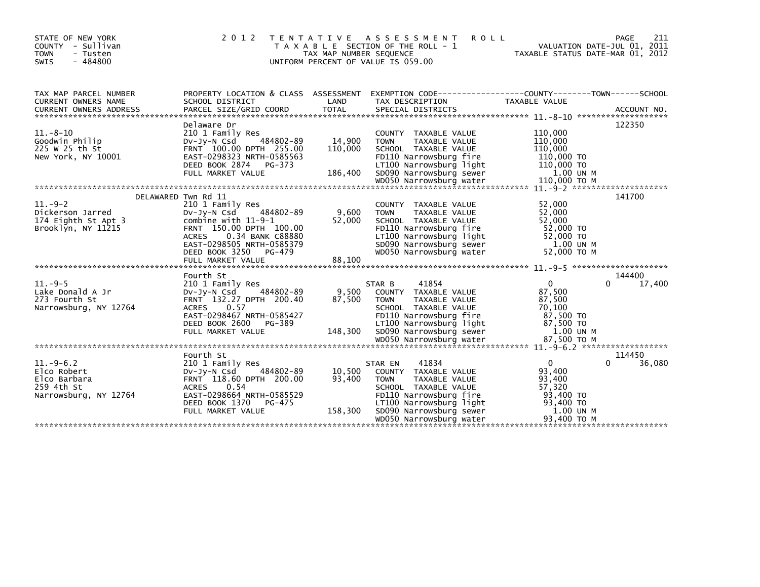| STATE OF NEW YORK<br>COUNTY - Sullivan<br><b>TOWN</b><br>- Tusten<br>SWIS<br>$-484800$ | 2012                                                                                                                                                                                                         | TAX MAP NUMBER SEQUENCE      | TENTATIVE ASSESSMENT<br><b>ROLL</b><br>T A X A B L E SECTION OF THE ROLL - 1<br>UNIFORM PERCENT OF VALUE IS 059.00                                                                                          | TAXABLE STATUS DATE-MAR 01, 2012                                                             | 211<br>PAGE<br>VALUATION DATE-JUL 01, 2011 |
|----------------------------------------------------------------------------------------|--------------------------------------------------------------------------------------------------------------------------------------------------------------------------------------------------------------|------------------------------|-------------------------------------------------------------------------------------------------------------------------------------------------------------------------------------------------------------|----------------------------------------------------------------------------------------------|--------------------------------------------|
| TAX MAP PARCEL NUMBER<br><b>CURRENT OWNERS NAME</b>                                    | SCHOOL DISTRICT                                                                                                                                                                                              | LAND                         | PROPERTY LOCATION & CLASS ASSESSMENT EXEMPTION CODE----------------COUNTY-------TOWN------SCHOOL<br>TAX DESCRIPTION                                                                                         | <b>TAXABLE VALUE</b>                                                                         |                                            |
| $11.-8-10$<br>Goodwin Philip<br>225 W 25 th St<br>New York, NY 10001                   | Delaware Dr<br>210 1 Family Res<br>484802-89<br>$Dv-Jy-N$ Csd<br>FRNT 100.00 DPTH 255.00<br>EAST-0298323 NRTH-0585563<br>DEED BOOK 2874 PG-373<br>FULL MARKET VALUE                                          | 14,900<br>110,000<br>186,400 | COUNTY TAXABLE VALUE<br>TAXABLE VALUE<br><b>TOWN</b><br>SCHOOL TAXABLE VALUE<br>FD110 Narrowsburg fire<br>LT100 Narrowsburg light<br>SD090 Narrowsburg sewer                                                | 110,000<br>110,000<br>110,000<br>110,000 TO<br>110,000 TO<br>1.00 UN M                       | 122350                                     |
| $11. - 9 - 2$<br>Dickerson Jarred<br>174 Eighth St Apt 3<br>Brooklyn, NY 11215         | DELAWARED Twn Rd 11<br>210 1 Family Res<br>DV-Jy-N Csd 484802-89<br>combine with 11-9-1<br>FRNT 150.00 DPTH 100.00<br>0.34 BANK C88880<br><b>ACRES</b><br>EAST-0298505 NRTH-0585379<br>DEED BOOK 3250 PG-479 | 9,600<br>52,000              | COUNTY TAXABLE VALUE<br><b>TOWN</b><br>TAXABLE VALUE<br>SCHOOL TAXABLE VALUE<br>FD110 Narrowsburg fire<br>LT100 Narrowsburg light<br>SD090 Narrowsburg sewer<br>WD050 Narrowsburg water                     | 52,000<br>52,000<br>52,000<br>52,000 TO<br>52,000 TO<br>1.00 UN M<br>52,000 TO M             | 141700                                     |
|                                                                                        |                                                                                                                                                                                                              |                              |                                                                                                                                                                                                             |                                                                                              |                                            |
| $11. -9-5$<br>Lake Donald A Jr<br>273 Fourth St<br>Narrowsburg, NY 12764               | Fourth St<br>210 1 Family Res<br>484802-89<br>$Dv-Jv-N$ Csd<br>FRNT 132.27 DPTH 200.40<br>0.57<br><b>ACRES</b><br>EAST-0298467 NRTH-0585427<br>DEED BOOK 2600<br>PG-389<br>FULL MARKET VALUE                 | 9,500<br>87,500<br>148,300   | 41854<br>STAR B<br>COUNTY TAXABLE VALUE<br><b>TAXABLE VALUE</b><br><b>TOWN</b><br>SCHOOL TAXABLE VALUE<br>FD110 Narrowsburg fire<br>LT100 Narrowsburg light<br>SD090 Narrowsburg sewer                      | $\overline{0}$<br>87,500<br>87,500<br>70.100<br>87,500 TO<br>87,500 TO<br>1.00 UN M          | 144400<br>17,400<br>0                      |
|                                                                                        |                                                                                                                                                                                                              |                              |                                                                                                                                                                                                             |                                                                                              |                                            |
| $11.-9-6.2$<br>Elco Robert<br>Elco Barbara<br>259 4th St<br>Narrowsburg, NY 12764      | Fourth St<br>210 1 Family Res<br>484802-89<br>DV-Jy-N Csd<br>FRNT 118.60 DPTH 200.00<br>0.54<br><b>ACRES</b><br>EAST-0298664 NRTH-0585529<br>DEED BOOK 1370<br>PG-475<br>FULL MARKET VALUE                   | 10,500<br>93,400<br>158,300  | 41834<br>STAR EN<br>COUNTY TAXABLE VALUE<br><b>TOWN</b><br>TAXABLE VALUE<br>SCHOOL TAXABLE VALUE<br>FD110 Narrowsburg fire<br>LT100 Narrowsburg light<br>SD090 Narrowsburg sewer<br>WD050 Narrowsburg water | $\Omega$<br>93,400<br>93,400<br>57,320<br>93,400 TO<br>93,400 TO<br>1.00 UN M<br>93,400 TO M | 114450<br>36,080<br>0                      |
|                                                                                        |                                                                                                                                                                                                              |                              |                                                                                                                                                                                                             |                                                                                              |                                            |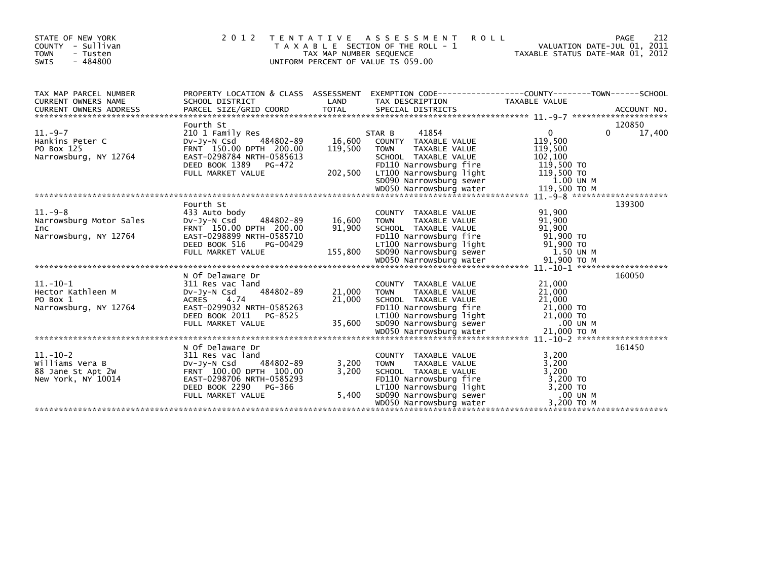| STATE OF NEW YORK<br>- Sullivan<br>COUNTY<br><b>TOWN</b><br>- Tusten<br>$-484800$<br>SWIS | 2 0 1 2                                                                                              | TAX MAP NUMBER SEQUENCE | TENTATIVE ASSESSMENT<br><b>ROLL</b><br>T A X A B L E SECTION OF THE ROLL - 1<br>UNIFORM PERCENT OF VALUE IS 059.00 | TAXABLE STATUS DATE-MAR 01, 2012              | 212<br>PAGE<br>VALUATION DATE-JUL 01, 2011 |
|-------------------------------------------------------------------------------------------|------------------------------------------------------------------------------------------------------|-------------------------|--------------------------------------------------------------------------------------------------------------------|-----------------------------------------------|--------------------------------------------|
| TAX MAP PARCEL NUMBER                                                                     | PROPERTY LOCATION & CLASS ASSESSMENT                                                                 |                         | EXEMPTION CODE-----------------COUNTY-------TOWN------SCHOOL                                                       |                                               |                                            |
| CURRENT OWNERS NAME                                                                       | SCHOOL DISTRICT                                                                                      | LAND                    | TAX DESCRIPTION                                                                                                    | TAXABLE VALUE                                 |                                            |
|                                                                                           | Fourth St                                                                                            |                         |                                                                                                                    |                                               | 120850                                     |
| $11.-9-7$<br>Hankins Peter C<br>PO Box 125<br>Narrowsburg, NY 12764                       | 210 1 Family Res<br>484802-89<br>DV-Jy-N Csd<br>FRNT 150.00 DPTH 200.00<br>EAST-0298784 NRTH-0585613 | 16,600<br>119,500       | STAR B<br>41854<br>COUNTY TAXABLE VALUE<br><b>TOWN</b><br>TAXABLE VALUE<br>SCHOOL TAXABLE VALUE                    | $\mathbf{0}$<br>119,500<br>119,500<br>102,100 | 17,400<br>0                                |
|                                                                                           | DEED BOOK 1389 PG-472<br>FULL MARKET VALUE                                                           | 202,500                 | FD110 Narrowsburg fire<br>LT100 Narrowsburg light<br>SD090 Narrowsburg sewer                                       | 119,500 TO<br>119,500 TO<br>1.00 UN M         |                                            |
|                                                                                           |                                                                                                      |                         |                                                                                                                    |                                               |                                            |
|                                                                                           | Fourth St                                                                                            |                         |                                                                                                                    |                                               | 139300                                     |
| $11.-9-8$<br>Narrowsburg Motor Sales<br>Inc<br>Narrowsburg, NY 12764                      | 433 Auto body<br>Dv-Jy-N Csd<br>484802-89<br>FRNT 150.00 DPTH 200.00<br>EAST-0298899 NRTH-0585710    | 16,600<br>91,900        | COUNTY TAXABLE VALUE<br>TAXABLE VALUE<br><b>TOWN</b><br>SCHOOL TAXABLE VALUE<br>FD110 Narrowsburg fire             | 91,900<br>91,900<br>91.900<br>91,900 TO       |                                            |
|                                                                                           | DEED BOOK 516<br>PG-00429<br>FULL MARKET VALUE                                                       | 155,800                 | LT100 Narrowsburg light<br>SD090 Narrowsburg sewer                                                                 | 91,900 TO<br>1.50 UN M                        |                                            |
|                                                                                           | N Of Delaware Dr                                                                                     |                         |                                                                                                                    |                                               | 160050                                     |
| $11.-10-1$<br>Hector Kathleen M<br>PO Box 1                                               | 311 Res vac land<br>484802-89<br>DV-JV-N Csd<br><b>ACRES</b><br>4.74                                 | 21,000<br>21,000        | COUNTY TAXABLE VALUE<br><b>TAXABLE VALUE</b><br><b>TOWN</b><br>SCHOOL TAXABLE VALUE                                | 21,000<br>21,000<br>21,000                    |                                            |
| Narrowsburg, NY 12764                                                                     | EAST-0299032 NRTH-0585263<br>DEED BOOK 2011<br>PG-8525<br>FULL MARKET VALUE                          | 35,600                  | FD110 Narrowsburg fire<br>LT100 Narrowsburg light<br>SD090 Narrowsburg light<br>SD090 Narrowsburg sewer            | 21,000 TO<br>21,000 TO<br>$.00$ UN M          |                                            |
|                                                                                           |                                                                                                      |                         |                                                                                                                    |                                               |                                            |
| $11.-10-2$<br>Williams Vera B                                                             | N Of Delaware Dr<br>311 Res vac land<br>484802-89<br>DV-JV-N Csd                                     | 3,200                   | COUNTY TAXABLE VALUE<br>TAXABLE VALUE<br><b>TOWN</b>                                                               | 3,200<br>3,200                                | 161450                                     |
| 88 Jane St Apt 2W<br>New York, NY 10014                                                   | FRNT 100.00 DPTH 100.00<br>EAST-0298706 NRTH-0585293<br>DEED BOOK 2290<br>PG-366                     | 3.200<br>5,400          | SCHOOL TAXABLE VALUE<br>FD110 Narrowsburg fire<br>LT100 Narrowsburg light<br>SD090 Narrowsburg sewer               | 3.200<br>3,200 TO<br>3,200 TO<br>.00 UN M     |                                            |
|                                                                                           | FULL MARKET VALUE                                                                                    |                         | WD050 Narrowsburg water                                                                                            | 3,200 TO M                                    |                                            |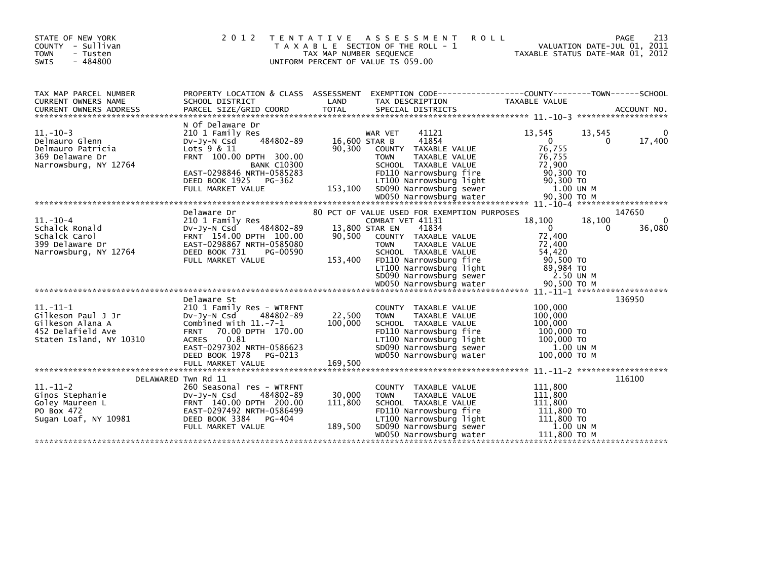| STATE OF NEW YORK<br>COUNTY - Sullivan<br><b>TOWN</b><br>- Tusten<br>$-484800$<br><b>SWIS</b>            | 2 0 1 2                                                                                                                                                                                                         | T E N T A T I V E<br>TAX MAP NUMBER SEQUENCE | A S S E S S M E N T<br><b>ROLL</b><br>T A X A B L E SECTION OF THE ROLL - 1<br>UNIFORM PERCENT OF VALUE IS 059.00                                                                                                                                                                     | VALUATION DATE-JUL 01, 2011<br>TAXABLE STATUS DATE-MAR 01, 2012                                                           | <b>PAGE</b><br>213    |
|----------------------------------------------------------------------------------------------------------|-----------------------------------------------------------------------------------------------------------------------------------------------------------------------------------------------------------------|----------------------------------------------|---------------------------------------------------------------------------------------------------------------------------------------------------------------------------------------------------------------------------------------------------------------------------------------|---------------------------------------------------------------------------------------------------------------------------|-----------------------|
| TAX MAP PARCEL NUMBER<br>CURRENT OWNERS NAME                                                             | SCHOOL DISTRICT                                                                                                                                                                                                 | LAND                                         | PROPERTY LOCATION & CLASS ASSESSMENT EXEMPTION CODE----------------COUNTY-------TOWN------SCHOOL<br>TAX DESCRIPTION                                                                                                                                                                   | <b>TAXABLE VALUE</b>                                                                                                      |                       |
| $11.-10-3$<br>Delmauro Glenn<br>Delmauro Patricia<br>369 Delaware Dr<br>Narrowsburg, NY 12764            | N Of Delaware Dr<br>210 1 Family Res<br>484802-89<br>$Dv-Jy-N$ Csd<br>Lots $9 & 11$<br>FRNT 100.00 DPTH 300.00<br><b>BANK C10300</b><br>EAST-0298846 NRTH-0585283<br>DEED BOOK 1925 PG-362<br>FULL MARKET VALUE | 16,600 STAR B<br>90,300<br>153,100           | 41121<br>WAR VET<br>41854<br>COUNTY TAXABLE VALUE<br>TAXABLE VALUE<br><b>TOWN</b><br>SCHOOL TAXABLE VALUE<br>FD110 Narrowsburg fire<br>LT100 Narrowsburg light<br>SD090 Narrowsburg sewer                                                                                             | 13,545<br>13,545<br>$\Omega$<br>$\Omega$<br>76,755<br>76,755<br>72,900<br>90,300 TO<br>$90,300$ TO<br>1.00 UN M           | 0<br>17,400           |
|                                                                                                          |                                                                                                                                                                                                                 |                                              |                                                                                                                                                                                                                                                                                       |                                                                                                                           |                       |
| $11.-10-4$<br>Schalck Ronald<br>Schalck Carol<br>399 Delaware Dr<br>Narrowsburg, NY 12764                | Delaware Dr<br>210 1 Family Res<br>484802-89<br>$Dv-Jv-N$ Csd<br>FRNT 154.00 DPTH 100.00<br>EAST-0298867 NRTH-0585080<br>DEED BOOK 731<br>PG-00590<br>FULL MARKET VALUE                                         | 90.500<br>153,400                            | 80 PCT OF VALUE USED FOR EXEMPTION PURPOSES<br>COMBAT VET 41131<br>13,800 STAR EN<br>41834<br>COUNTY TAXABLE VALUE<br><b>TOWN</b><br>TAXABLE VALUE<br>SCHOOL TAXABLE VALUE<br>FD110 Narrowsburg fire<br>LT100 Narrowsburg light<br>SD090 Narrowsburg sewer<br>WD050 Narrowsburg water | 18,100<br>18,100<br>$\mathbf{0}$<br>0<br>72.400<br>72,400<br>54,420<br>90,500 TO<br>89,984 TO<br>2.50 UN M<br>90.500 TO M | 147650<br>0<br>36,080 |
|                                                                                                          |                                                                                                                                                                                                                 |                                              |                                                                                                                                                                                                                                                                                       |                                                                                                                           |                       |
| $11. - 11 - 1$<br>Gilkeson Paul J Jr<br>Gilkeson Alana A<br>452 Delafield Ave<br>Staten Island, NY 10310 | Delaware St<br>210 1 Family Res - WTRFNT<br>Dv-Jy-N Csd<br>484802-89<br>Combined with $11.-7-1$<br>FRNT 70.00 DPTH 170.00<br>0.81<br><b>ACRES</b><br>EAST-0297302 NRTH-0586623<br>DEED BOOK 1978<br>PG-0213     | 22,500<br>100,000                            | COUNTY TAXABLE VALUE<br><b>TOWN</b><br>TAXABLE VALUE<br>SCHOOL TAXABLE VALUE<br>FD110 Narrowsburg fire<br>LT100 Narrowsburg light<br>SD090 Narrowsburg sewer<br>WD050 Narrowsburg water                                                                                               | 100,000<br>100,000<br>100,000<br>100,000 TO<br>100,000 TO<br>1.00 UN M<br>100,000 ТО М                                    | 136950                |
|                                                                                                          | FULL MARKET VALUE                                                                                                                                                                                               | 169,500                                      |                                                                                                                                                                                                                                                                                       |                                                                                                                           |                       |
| $11.-11-2$<br>Ginos Stephanie<br>Goley Maureen L<br>PO Box 472<br>Sugan Loaf, NY 10981                   | DELAWARED Twn Rd 11<br>260 Seasonal res - WTRFNT<br>484802-89<br>$Dv-Jy-N$ Csd<br>FRNT 140.00 DPTH 200.00<br>EAST-0297492 NRTH-0586499<br>DEED BOOK 3384 PG-404<br>FULL MARKET VALUE                            | 30,000<br>111,800<br>189,500                 | COUNTY TAXABLE VALUE<br><b>TOWN</b><br>TAXABLE VALUE<br>SCHOOL TAXABLE VALUE<br>FD110 Narrowsburg fire<br>LT100 Narrowsburg light<br>SD090 Narrowsburg sewer<br>WD050 Narrowsburg water                                                                                               | 111,800<br>111,800<br>111,800<br>111,800 TO<br>111,800 TO<br>1.00 UN M<br>111,800 ТО М                                    | 116100                |
|                                                                                                          |                                                                                                                                                                                                                 |                                              |                                                                                                                                                                                                                                                                                       |                                                                                                                           |                       |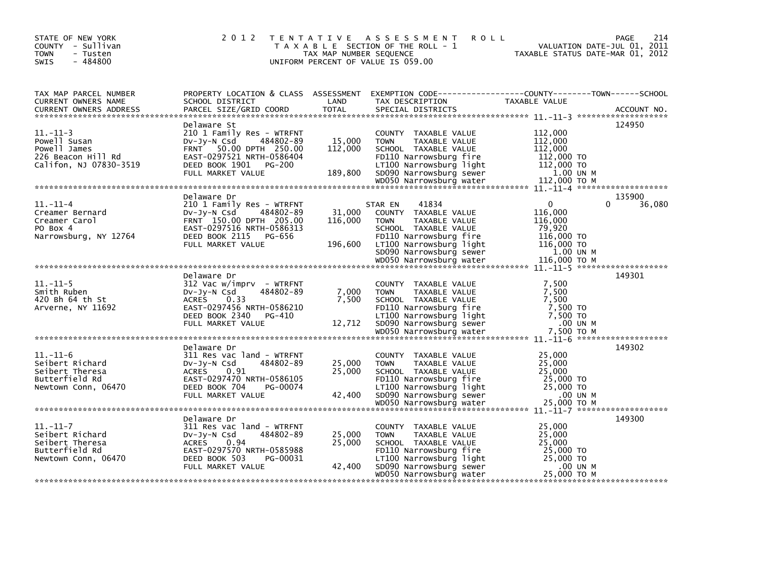| STATE OF NEW YORK<br>COUNTY - Sullivan<br><b>TOWN</b><br>- Tusten<br>$-484800$<br><b>SWIS</b>  | 2 0 1 2                                                                                                                                                                        | TAX MAP NUMBER SEQUENCE      | TENTATIVE ASSESSMENT<br><b>ROLL</b><br>T A X A B L E SECTION OF THE ROLL - 1<br>UNIFORM PERCENT OF VALUE IS 059.00                                                                                                 | VALUATION DATE-JUL 01, 2011<br>TAXABLE STATUS DATE-MAR 01, 2012                                                               | PAGE<br>214      |
|------------------------------------------------------------------------------------------------|--------------------------------------------------------------------------------------------------------------------------------------------------------------------------------|------------------------------|--------------------------------------------------------------------------------------------------------------------------------------------------------------------------------------------------------------------|-------------------------------------------------------------------------------------------------------------------------------|------------------|
| TAX MAP PARCEL NUMBER<br>CURRENT OWNERS NAME<br><b>CURRENT OWNERS ADDRESS</b>                  | PROPERTY LOCATION & CLASS ASSESSMENT<br>SCHOOL DISTRICT<br>PARCEL SIZE/GRID COORD                                                                                              | LAND<br><b>TOTAL</b>         | EXEMPTION CODE------------------COUNTY--------TOWN------SCHOOL<br>TAX DESCRIPTION<br>SPECIAL DISTRICTS                                                                                                             | TAXABLE VALUE                                                                                                                 | ACCOUNT NO.      |
| $11. - 11 - 3$<br>Powell Susan<br>Powell James<br>226 Beacon Hill Rd<br>Califon, NJ 07830-3519 | Delaware St<br>210 1 Family Res - WTRFNT<br>$Dv-Jv-N$ Csd<br>484802-89<br>FRNT 50.00 DPTH 250.00<br>EAST-0297521 NRTH-0586404<br>DEED BOOK 1901    PG-200<br>FULL MARKET VALUE | 15,000<br>112,000<br>189,800 | COUNTY TAXABLE VALUE<br><b>TOWN</b><br>TAXABLE VALUE<br>SCHOOL TAXABLE VALUE<br>FD110 Narrowsburg fire<br>LT100 Narrowsburg light<br>SD090 Narrowsburg sewer                                                       | 112,000<br>112,000<br>112,000<br>112,000 TO<br>112,000 TO<br>1.00 UN M<br>112,000 TO M<br>$11. - 11 - 4$ ******************** | 124950           |
| $11.-11-4$<br>Creamer Bernard<br>Creamer Carol<br>PO Box 4<br>Narrowsburg, NY 12764            | Delaware Dr<br>210 1 Family Res - WTRFNT<br>DV-JV-N Csd<br>484802-89<br>FRNT 150.00 DPTH 205.00<br>EAST-0297516 NRTH-0586313<br>DEED BOOK 2115<br>PG-656<br>FULL MARKET VALUE  | 31,000<br>116,000<br>196,600 | 41834<br>STAR EN<br>COUNTY TAXABLE VALUE<br><b>TOWN</b><br><b>TAXABLE VALUE</b><br>SCHOOL TAXABLE VALUE<br>FD110 Narrowsburg fire<br>LT100 Narrowsburg light<br>SD090 Narrowsburg sewer<br>WD050 Narrowsburg water | $\mathbf{0}$<br>0<br>116,000<br>116,000<br>79,920<br>116,000 TO<br>116,000 TO<br>1.00 UN M<br>116,000 ТО М                    | 135900<br>36,080 |
|                                                                                                | Delaware Dr                                                                                                                                                                    |                              |                                                                                                                                                                                                                    |                                                                                                                               | 149301           |
| $11. - 11 - 5$<br>Smith Ruben<br>420 Bh 64 th St<br>Arverne, NY 11692                          | $312$ Vac w/imprv - WTRFNT<br>Dv-Jy-N Csd<br>484802-89<br><b>ACRES</b><br>0.33<br>EAST-0297456 NRTH-0586210<br>DEED BOOK 2340 PG-410<br>FULL MARKET VALUE                      | 7,000<br>7.500<br>12,712     | COUNTY TAXABLE VALUE<br><b>TOWN</b><br>TAXABLE VALUE<br>SCHOOL TAXABLE VALUE<br>FD110 Narrowsburg fire<br>LT100 Narrowsburg light<br>SD090 Narrowsburg sewer                                                       | 7,500<br>7,500<br>7.500<br>7,500 TO<br>7,500 TO<br>.00 UN M                                                                   |                  |
|                                                                                                | Delaware Dr                                                                                                                                                                    |                              |                                                                                                                                                                                                                    |                                                                                                                               | 149302           |
| $11. - 11 - 6$<br>Seibert Richard<br>Seibert Theresa<br>Butterfield Rd<br>Newtown Conn, 06470  | 311 Res vac land - WTRFNT<br>$Dv-Jv-N$ Csd<br>484802-89<br><b>ACRES</b><br>0.91<br>EAST-0297470 NRTH-0586105<br>DEED BOOK 704<br>PG-00074<br>FULL MARKET VALUE                 | 25,000<br>25,000<br>42,400   | COUNTY TAXABLE VALUE<br><b>TOWN</b><br>TAXABLE VALUE<br>SCHOOL TAXABLE VALUE<br>FD110 Narrowsburg fire<br>LT100 Narrowsburg light<br>SD090 Narrowsburg sewer<br>WD050 Narrowsburg water                            | 25,000<br>25,000<br>25,000<br>25,000 TO<br>25,000 TO<br>.00 UN M<br>25,000 TO M                                               |                  |
|                                                                                                |                                                                                                                                                                                |                              |                                                                                                                                                                                                                    |                                                                                                                               |                  |
| $11.-11-7$<br>Seibert Richard<br>Seibert Theresa<br>Butterfield Rd<br>Newtown Conn, 06470      | Delaware Dr<br>311 Res vac land - WTRFNT<br>484802-89<br>DV-Jy-N Csd<br><b>ACRES</b><br>0.94<br>EAST-0297570 NRTH-0585988<br>DEED BOOK 503<br>PG-00031<br>FULL MARKET VALUE    | 25,000<br>25,000<br>42,400   | COUNTY TAXABLE VALUE<br>TAXABLE VALUE<br><b>TOWN</b><br>SCHOOL TAXABLE VALUE<br>FD110 Narrowsburg fire<br>LT100 Narrowsburg light<br>SD090 Narrowsburg sewer                                                       | 25,000<br>25,000<br>25,000<br>25,000 TO<br>25,000 TO<br>.00 UN M                                                              | 149300           |
|                                                                                                |                                                                                                                                                                                |                              | WD050 Narrowsburg water                                                                                                                                                                                            | 25,000 ТО М                                                                                                                   |                  |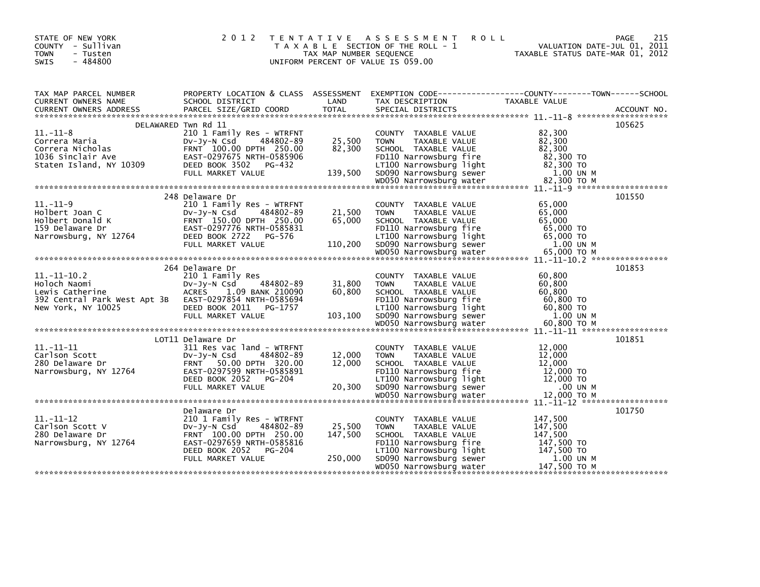| STATE OF NEW YORK<br>COUNTY - Sullivan<br><b>TOWN</b><br>- Tusten<br>$-484800$<br>SWIS                                                                                                         | 2 0 1 2                                               | TAX MAP NUMBER SEQUENCE | TENTATIVE ASSESSMENT<br><b>ROLL</b><br>T A X A B L E SECTION OF THE ROLL - 1<br>UNIFORM PERCENT OF VALUE IS 059.00 | 215<br>PAGE<br>VALUATION DATE-JUL 01, 2011<br>TAXABLE STATUS DATE-MAR 01, 2012                                                                                                                                                           |  |
|------------------------------------------------------------------------------------------------------------------------------------------------------------------------------------------------|-------------------------------------------------------|-------------------------|--------------------------------------------------------------------------------------------------------------------|------------------------------------------------------------------------------------------------------------------------------------------------------------------------------------------------------------------------------------------|--|
| TAX MAP PARCEL NUMBER<br>CURRENT OWNERS NAME                                                                                                                                                   |                                                       | LAND                    |                                                                                                                    |                                                                                                                                                                                                                                          |  |
|                                                                                                                                                                                                | DELAWARED Twn Rd 11                                   |                         |                                                                                                                    | 105625                                                                                                                                                                                                                                   |  |
| $11. - 11 - 8$<br>Correra Maria                                                                                                                                                                | 210 1 Family Res - WTRFNT<br>484802-89<br>Dv-Jy-N Csd | 25,500<br>82,300        | COUNTY TAXABLE VALUE<br>TAXABLE VALUE<br><b>TOWN</b>                                                               | 82,300<br>82,300                                                                                                                                                                                                                         |  |
|                                                                                                                                                                                                |                                                       |                         | SCHOOL TAXABLE VALUE<br>FD110 Narrowsburg fire                                                                     | 82,300<br>82,300 TO                                                                                                                                                                                                                      |  |
|                                                                                                                                                                                                |                                                       |                         |                                                                                                                    |                                                                                                                                                                                                                                          |  |
|                                                                                                                                                                                                |                                                       |                         |                                                                                                                    |                                                                                                                                                                                                                                          |  |
|                                                                                                                                                                                                | 248 Delaware Dr                                       |                         |                                                                                                                    | 101550                                                                                                                                                                                                                                   |  |
| $11.-11-9$<br>Holbert Joan C<br>Holbert Donald K<br>Holbert Donald K<br>150.00 DPTH 250.00<br>159 Delaware Dr<br>Narrowsburg, NY 12764<br>DEED BOOK 2722<br>PG-576<br>DEED BOOK 2722<br>PG-576 | 210 1 Family Res - WTRFNT                             | 21,500<br>65,000        | COUNTY TAXABLE VALUE<br><b>TOWN</b><br>TAXABLE VALUE<br>SCHOOL TAXABLE VALUE                                       | 65,000<br>65,000<br>65,000                                                                                                                                                                                                               |  |
|                                                                                                                                                                                                |                                                       |                         | FD110 Narrowsburg fire                                                                                             | 65,000 TO                                                                                                                                                                                                                                |  |
|                                                                                                                                                                                                |                                                       |                         |                                                                                                                    | Narrowsburg, NY 12764<br>Narrowsburg 110,200 EULL MARKET VALUE<br>FULL MARKET VALUE 110,200 SD090 Narrowsburg sewer 1.00 UN M<br>WOOSO Narrowsburg water 65,000 TO M<br>WOOSO Narrowsburg water 65,000 TO M<br>************************* |  |
|                                                                                                                                                                                                |                                                       |                         |                                                                                                                    |                                                                                                                                                                                                                                          |  |
|                                                                                                                                                                                                | 264 Delaware Dr                                       |                         |                                                                                                                    | 101853                                                                                                                                                                                                                                   |  |
| $11.-11-.10.2$<br>Holoch Naomi                                                                                                                                                                 | 210 1 Family Res                                      | 31,800                  | COUNTY TAXABLE VALUE<br><b>TOWN</b><br>TAXABLE VALUE                                                               | 60,800<br>60,800                                                                                                                                                                                                                         |  |
| Lewis Catherine                                                                                                                                                                                | Dv-Jy-N Csd 484802-89<br>ACRES ___1.09 BANK 210090    | 60,800                  | SCHOOL TAXABLE VALUE                                                                                               | 60,800                                                                                                                                                                                                                                   |  |
| 392 Central Park West Apt 3B EAST-0297854 NRTH-0585694                                                                                                                                         |                                                       |                         | FD110 Narrowsburg fire                                                                                             | 60,800 TO                                                                                                                                                                                                                                |  |
| New York, NY 10025 DEED BOOK 2011 PG-1757                                                                                                                                                      | FULL MARKET VALUE                                     |                         | LT100 Narrowsburg light<br>103,100 SD090 Narrowsburg sewer                                                         | 60,800 TO<br>1.00 UN M                                                                                                                                                                                                                   |  |
|                                                                                                                                                                                                |                                                       |                         |                                                                                                                    |                                                                                                                                                                                                                                          |  |
|                                                                                                                                                                                                |                                                       |                         |                                                                                                                    |                                                                                                                                                                                                                                          |  |
|                                                                                                                                                                                                | LOT11 Delaware Dr                                     |                         |                                                                                                                    | 101851                                                                                                                                                                                                                                   |  |
| $11.-11-11$<br>Carlson Scott                                                                                                                                                                   | 311 Res vac land - WTRFNT<br>DV-JV-N Csd<br>484802-89 | 12,000                  | COUNTY TAXABLE VALUE<br><b>TOWN</b><br>TAXABLE VALUE                                                               | 12,000<br>12,000                                                                                                                                                                                                                         |  |
| 280 Delaware Dr                                                                                                                                                                                | FRNT 50.00 DPTH 320.00                                | 12,000                  | SCHOOL TAXABLE VALUE                                                                                               | 12,000                                                                                                                                                                                                                                   |  |
| Narrowsburg, NY 12764                                                                                                                                                                          | EAST-0297599 NRTH-0585891                             |                         | FD110 Narrowsburg fire                                                                                             | 12,000 TO                                                                                                                                                                                                                                |  |
|                                                                                                                                                                                                | DEED BOOK 2052 PG-204<br>FULL MARKET VALUE            | 20,300                  | LT100 Narrowsburg light<br>SD090 Narrowsburg sewer                                                                 | $12,000$ TO<br>.00 UN M                                                                                                                                                                                                                  |  |
|                                                                                                                                                                                                |                                                       |                         |                                                                                                                    |                                                                                                                                                                                                                                          |  |
|                                                                                                                                                                                                |                                                       |                         |                                                                                                                    |                                                                                                                                                                                                                                          |  |
| $11.-11-12$                                                                                                                                                                                    | Delaware Dr<br>210 1 Family Res - WTRFNT              |                         | COUNTY TAXABLE VALUE                                                                                               | 101750<br>147,500                                                                                                                                                                                                                        |  |
| Carlson Scott V                                                                                                                                                                                | DV-JV-N Csd<br>484802-89                              | 25,500                  | <b>TOWN</b><br>TAXABLE VALUE                                                                                       | 147,500                                                                                                                                                                                                                                  |  |
| 280 Delaware Dr                                                                                                                                                                                | FRNT 100.00 DPTH 250.00                               | 147,500                 | SCHOOL TAXABLE VALUE                                                                                               | 147,500                                                                                                                                                                                                                                  |  |
| Narrowsburg, NY 12764                                                                                                                                                                          | EAST-0297659 NRTH-0585816                             |                         | FD110 Narrowsburg fire                                                                                             | 147,500 TO                                                                                                                                                                                                                               |  |
|                                                                                                                                                                                                | DEED BOOK 2052 PG-204<br>FULL MARKET VALUE            | 250,000                 | LT100 Narrowsburg light<br>SD090 Narrowsburg sewer                                                                 | 147,500 TO<br>1.00 UN M                                                                                                                                                                                                                  |  |
|                                                                                                                                                                                                |                                                       |                         | WD050 Narrowsburg water                                                                                            | 147,500 ТО М                                                                                                                                                                                                                             |  |
|                                                                                                                                                                                                |                                                       |                         |                                                                                                                    |                                                                                                                                                                                                                                          |  |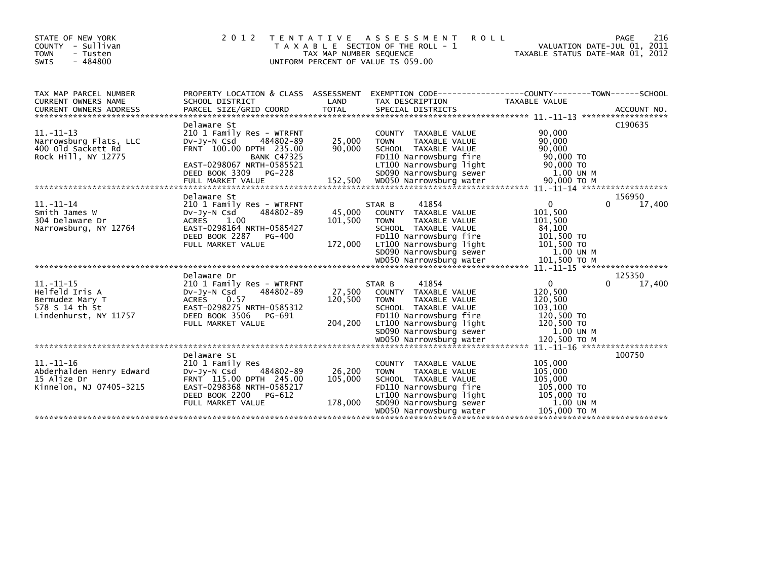| STATE OF NEW YORK<br>COUNTY<br>- Sullivan<br>- Tusten<br><b>TOWN</b><br>$-484800$<br><b>SWIS</b>                                                                                                              | 2 0 1 2<br>T E N T A T I V E                                                                                                                                                       | TAX MAP NUMBER SEQUENCE      | A S S E S S M E N T<br><b>ROLL</b><br>T A X A B L E SECTION OF THE ROLL - 1<br>UNIFORM PERCENT OF VALUE IS 059.00                                                                       | TAXABLE STATUS DATE-MAR 01, 2012                                                                       | 216<br><b>PAGE</b><br>VALUATION DATE-JUL 01, 2011 |
|---------------------------------------------------------------------------------------------------------------------------------------------------------------------------------------------------------------|------------------------------------------------------------------------------------------------------------------------------------------------------------------------------------|------------------------------|-----------------------------------------------------------------------------------------------------------------------------------------------------------------------------------------|--------------------------------------------------------------------------------------------------------|---------------------------------------------------|
| TAX MAP PARCEL NUMBER<br>CURRENT OWNERS NAME<br>CURRENT OWNERS ADDRESS FORCEL SIZE/GRID COORD TOTAL SPECIAL DISTRICTS (2000) ACCOUNT NO.<br>A SECIAL SECIAL SECIAL SECIAL SECIAL SECIAL DISTRICTS ACCOUNT NO. | SCHOOL DISTRICT                                                                                                                                                                    | LAND                         | PROPERTY LOCATION & CLASS ASSESSMENT EXEMPTION CODE----------------COUNTY-------TOWN------SCHOOL<br>TAX DESCRIPTION                                                                     | TAXABLE VALUE                                                                                          |                                                   |
| $11. - 11 - 13$<br>Narrowsburg Flats, LLC<br>400 old Sackett Rd<br>Rock Hill, NY 12775                                                                                                                        | Delaware St<br>210 1 Family Res - WTRFNT<br>484802-89<br>$Dv$ -J $v$ -N Csd<br>FRNT 100.00 DPTH 235.00<br><b>BANK C47325</b><br>EAST-0298067 NRTH-0585521<br>DEED BOOK 3309 PG-228 | 25,000<br>90,000             | COUNTY TAXABLE VALUE<br><b>TOWN</b><br>TAXABLE VALUE<br>SCHOOL TAXABLE VALUE<br>FD110 Narrowsburg fire<br>LT100 Narrowsburg light<br>SD090 Narrowsburg sewer                            | 90,000<br>90,000<br>90.000<br>90,000 TO<br>90,000 TO<br>1.00 UN M                                      | C190635                                           |
|                                                                                                                                                                                                               | Delaware St                                                                                                                                                                        |                              |                                                                                                                                                                                         |                                                                                                        | 156950                                            |
| $11. - 11 - 14$<br>Smith James W<br>304 Delaware Dr<br>Narrowsburg, NY 12764                                                                                                                                  | 210 1 Family Res - WTRFNT<br>484802-89<br>DV-Jy-N Csd<br>1.00<br><b>ACRES</b><br>EAST-0298164 NRTH-0585427<br>DEED BOOK 2287<br>PG-400<br>FULL MARKET VALUE                        | 45,000<br>101,500<br>172,000 | 41854<br>STAR B<br>COUNTY TAXABLE VALUE<br><b>TOWN</b><br>TAXABLE VALUE<br>SCHOOL TAXABLE VALUE<br>FD110 Narrowsburg fire<br>LT100 Narrowsburg light<br>SD090 Narrowsburg sewer         | $\mathbf{0}$<br>101,500<br>101,500<br>84,100<br>101,500 TO<br>101,500 TO<br>1.00 UN M                  | $\Omega$<br>17,400                                |
|                                                                                                                                                                                                               |                                                                                                                                                                                    |                              |                                                                                                                                                                                         |                                                                                                        |                                                   |
| $11. - 11 - 15$<br>Helfeld Iris A<br>Bermudez Mary T<br>578 S 14 th St<br>Lindenhurst, NY 11757                                                                                                               | Delaware Dr<br>210 1 Family Res - WTRFNT<br>484802-89<br>Dv-Jy-N Csd<br><b>ACRES</b><br>0.57<br>EAST-0298275 NRTH-0585312<br>DEED BOOK 3506<br>PG-691<br>FULL MARKET VALUE         | 27,500<br>120,500<br>204,200 | 41854<br>STAR B<br>COUNTY TAXABLE VALUE<br><b>TOWN</b><br>TAXABLE VALUE<br>SCHOOL TAXABLE VALUE<br>FD110 Narrowsburg fire<br>LT100 Narrowsburg light<br>SD090 Narrowsburg sewer         | $\mathbf{0}$<br>120,500<br>120,500<br>103,100<br>120,500 TO<br>120,500 TO<br>1.00 UN M<br>120.500 TO M | 125350<br>17,400<br><sup>0</sup>                  |
|                                                                                                                                                                                                               |                                                                                                                                                                                    |                              |                                                                                                                                                                                         |                                                                                                        | $11. -11 - 16$ *******************                |
| 11. -11-16<br>Abderhalden Henry Edward<br>15 Alize Dr<br>Kinnelon, NJ 07405-3215                                                                                                                              | Delaware St<br>210 1 Family Res<br>DV-JV-N Csd<br>484802-89<br>FRNT 115.00 DPTH 245.00<br>EAST-0298368 NRTH-0585217<br>DEED BOOK 2200<br>PG-612<br>FULL MARKET VALUE               | 26,200<br>105,000<br>178,000 | COUNTY TAXABLE VALUE<br><b>TOWN</b><br>TAXABLE VALUE<br>SCHOOL TAXABLE VALUE<br>FD110 Narrowsburg fire<br>LT100 Narrowsburg light<br>SD090 Narrowsburg sewer<br>WD050 Narrowsburg water | 105,000<br>105,000<br>105,000<br>105,000 TO<br>105,000 TO<br>1.00 UN M<br>105.000 TO M                 | 100750                                            |
|                                                                                                                                                                                                               |                                                                                                                                                                                    |                              |                                                                                                                                                                                         |                                                                                                        |                                                   |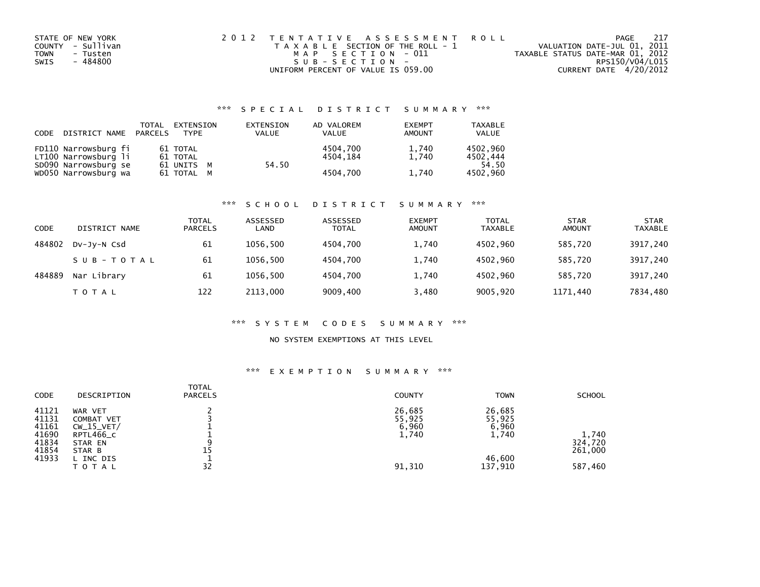| STATE OF NEW YORK | 2012 TENTATIVE ASSESSMENT ROLL        | 217<br>PAGE                      |
|-------------------|---------------------------------------|----------------------------------|
| COUNTY - Sullivan | T A X A B L E SECTION OF THE ROLL - 1 | VALUATION DATE-JUL 01, 2011      |
| TOWN<br>- Tusten  | MAP SECTION - 011                     | TAXABLE STATUS DATE-MAR 01, 2012 |
| - 484800<br>SWIS  | SUB-SECTION-                          | RPS150/V04/L015                  |
|                   | UNIFORM PERCENT OF VALUE IS 059.00    | CURRENT DATE 4/20/2012           |

## \*\*\* S P E C I A L D I S T R I C T S U M M A R Y \*\*\*

| CODE | DISTRICT NAME PARCELS                        | TOTAL | EXTENSION<br><b>TYPF</b> | EXTENSION<br><b>VALUE</b> | AD VALOREM<br><b>VALUE</b> | <b>EXEMPT</b><br>AMOUNT | <b>TAXABLE</b><br><b>VALUE</b> |
|------|----------------------------------------------|-------|--------------------------|---------------------------|----------------------------|-------------------------|--------------------------------|
|      | FD110 Narrowsburg fi<br>LT100 Narrowsburg li |       | 61 TOTAL<br>61 TOTAL     |                           | 4504.700<br>4504.184       | 1,740<br>1.740          | 4502.960<br>4502.444           |
|      | SD090 Narrowsburg se<br>WD050 Narrowsburg wa |       | 61 UNITS M<br>61 TOTAL M | 54.50                     | 4504.700                   | 1,740                   | 54.50<br>4502,960              |

### \*\*\* S C H O O L D I S T R I C T S U M M A R Y \*\*\*

| CODE   | DISTRICT NAME | TOTAL<br><b>PARCELS</b> | ASSESSED<br>LAND | ASSESSED<br><b>TOTAL</b> | <b>EXEMPT</b><br><b>AMOUNT</b> | <b>TOTAL</b><br><b>TAXABLE</b> | <b>STAR</b><br><b>AMOUNT</b> | <b>STAR</b><br><b>TAXABLE</b> |
|--------|---------------|-------------------------|------------------|--------------------------|--------------------------------|--------------------------------|------------------------------|-------------------------------|
| 484802 | DV-JY-N Csd   | 61                      | 1056.500         | 4504.700                 | 1,740                          | 4502.960                       | 585,720                      | 3917,240                      |
|        | SUB-TOTAL     | 61                      | 1056.500         | 4504.700                 | 1,740                          | 4502.960                       | 585.720                      | 3917,240                      |
| 484889 | Nar Library   | 61                      | 1056.500         | 4504.700                 | 1,740                          | 4502.960                       | 585.720                      | 3917,240                      |
|        | T O T A L     | 122                     | 2113,000         | 9009,400                 | 3,480                          | 9005,920                       | 1171,440                     | 7834,480                      |

### \*\*\* S Y S T E M C O D E S S U M M A R Y \*\*\*

## NO SYSTEM EXEMPTIONS AT THIS LEVEL

## \*\*\* E X E M P T I O N S U M M A R Y \*\*\*

| <b>CODE</b> | DESCRIPTION  | <b>TOTAL</b><br><b>PARCELS</b> | <b>COUNTY</b> | <b>TOWN</b> | <b>SCHOOL</b> |
|-------------|--------------|--------------------------------|---------------|-------------|---------------|
| 41121       | WAR VET      |                                | 26,685        | 26,685      |               |
| 41131       | COMBAT VET   |                                | 55,925        | 55,925      |               |
| 41161       | $CW_15_VET/$ |                                | 6,960         | 6,960       |               |
| 41690       | RPTL466_C    |                                | 1,740         | 1,740       | 1,740         |
| 41834       | STAR EN      | a                              |               |             | 324,720       |
| 41854       | STAR B       | 15                             |               |             | 261,000       |
| 41933       | L INC DIS    |                                |               | 46,600      |               |
|             | TOTAL        | 32                             | 91,310        | 137,910     | 587,460       |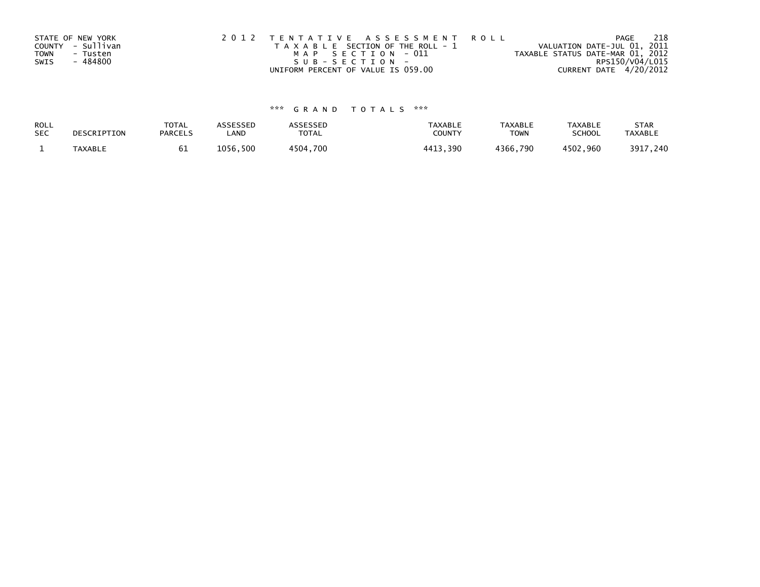| STATE OF NEW YORK       | 2012 TENTATIVE ASSESSMENT ROLL |                                       |                                  | PAGE            | 218 |
|-------------------------|--------------------------------|---------------------------------------|----------------------------------|-----------------|-----|
| COUNTY - Sullivan       |                                | T A X A B L E SECTION OF THE ROLL - 1 | VALUATION DATE-JUL 01, 2011      |                 |     |
| <b>TOWN</b><br>- Tusten |                                | MAP SECTION - 011                     | TAXABLE STATUS DATE-MAR 01, 2012 |                 |     |
| - 484800<br>SWIS        |                                | SUB-SECTION-                          |                                  | RPS150/V04/L015 |     |
|                         |                                | UNIFORM PERCENT OF VALUE IS 059.00    | CURRENT DATE 4/20/2012           |                 |     |

# \*\*\* G R A N D T O T A L S \*\*\*

| ROLL       | DESCRIPTION | <b>TOTAL</b>   | ASSESSED | <b>ASSESSED</b> | <b>TAXABLE</b> | <b>TAXABLE</b> | <b>TAXABLE</b> | <b>STAR</b>    |
|------------|-------------|----------------|----------|-----------------|----------------|----------------|----------------|----------------|
| <b>SEC</b> |             | <b>PARCELS</b> | LAND     | TOTAL           | <b>COUNT</b>   | <b>TOWN</b>    | <b>SCHOOL</b>  | <b>TAXABLE</b> |
|            | TAXABLE     | ⊾ס             | 1056,500 | 4504.700        | 4413<br>. 390  | 4366,790       | 4502,960       | 3917,240       |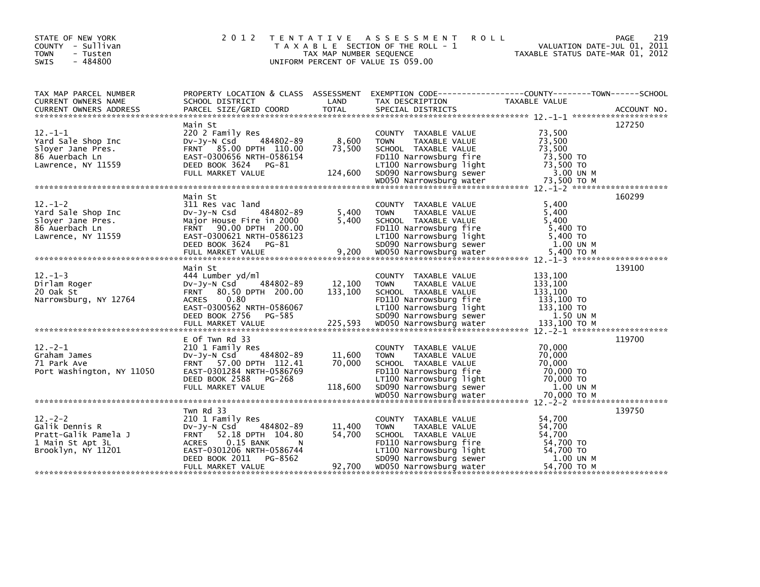| STATE OF NEW YORK<br>COUNTY - Sullivan<br><b>TOWN</b><br>- Tusten<br>$-484800$<br><b>SWIS</b>    | 2 0 1 2                                                                                                                                                                 | TAX MAP NUMBER SEQUENCE     | TENTATIVE ASSESSMENT<br><b>ROLL</b><br>T A X A B L E SECTION OF THE ROLL - 1<br>UNIFORM PERCENT OF VALUE IS 059.00                                                                      | 219<br><b>PAGE</b><br>VALUATION DATE-JUL 01, 2011<br>TAXABLE STATUS DATE-MAR 01, 2012                                   |
|--------------------------------------------------------------------------------------------------|-------------------------------------------------------------------------------------------------------------------------------------------------------------------------|-----------------------------|-----------------------------------------------------------------------------------------------------------------------------------------------------------------------------------------|-------------------------------------------------------------------------------------------------------------------------|
| TAX MAP PARCEL NUMBER<br>CURRENT OWNERS NAME                                                     | SCHOOL DISTRICT                                                                                                                                                         | LAND                        | TAX DESCRIPTION                                                                                                                                                                         | PROPERTY LOCATION & CLASS ASSESSMENT EXEMPTION CODE---------------COUNTY-------TOWN------SCHOOL<br><b>TAXABLE VALUE</b> |
|                                                                                                  |                                                                                                                                                                         |                             |                                                                                                                                                                                         |                                                                                                                         |
| $12. -1 - 1$<br>Yard Sale Shop Inc<br>Sloyer Jane Pres.<br>86 Auerbach Ln                        | Main St<br>220 2 Family Res<br>484802-89<br>$Dv$ -J $v$ -N Csd<br>FRNT 85.00 DPTH 110.00<br>EAST-0300656 NRTH-0586154                                                   | 8,600<br>73,500             | COUNTY TAXABLE VALUE<br><b>TOWN</b><br>TAXABLE VALUE<br>SCHOOL TAXABLE VALUE<br>FD110 Narrowsburg fire                                                                                  | 127250<br>73,500<br>73.500<br>73.500<br>73,500 TO                                                                       |
|                                                                                                  |                                                                                                                                                                         |                             |                                                                                                                                                                                         |                                                                                                                         |
| $12 - 1 - 2$<br>Yard Sale Shop Inc<br>Slover Jane Pres.<br>86 Auerbach Ln<br>Lawrence, NY 11559  | Main St<br>311 Res vac land<br>484802-89<br>$Dv-Jv-N$ Csd<br>Major House Fire in 2000<br>FRNT 90.00 DPTH 200.00<br>EAST-0300621 NRTH-0586123<br>DEED BOOK 3624 PG-81    | 5,400<br>5,400              | COUNTY TAXABLE VALUE<br><b>TOWN</b><br>TAXABLE VALUE<br>SCHOOL TAXABLE VALUE<br>FD110 Narrowsburg fire<br>LT100 Narrowsburg light<br>SD090 Narrowsburg sewer                            | 160299<br>5.400<br>5,400<br>5,400<br>5.400 TO<br>5,400 TO<br>1.00 UN M                                                  |
|                                                                                                  |                                                                                                                                                                         |                             |                                                                                                                                                                                         | 139100                                                                                                                  |
| $12. - 1 - 3$<br>Dirlam Roger<br>20 Oak St<br>Narrowsburg, NY 12764                              | Main St<br>444 Lumber yd/ml<br>DV-JV-N Csd<br>484802-89<br>FRNT 80.50 DPTH 200.00<br>0.80<br><b>ACRES</b><br>EAST-0300562 NRTH-0586067<br>DEED BOOK 2756 PG-585         | 12,100<br>133,100           | COUNTY TAXABLE VALUE<br><b>TOWN</b><br>TAXABLE VALUE<br>SCHOOL TAXABLE VALUE<br>FD110 Narrowsburg fire<br>LT100 Narrowsburg light<br>SD090 Narrowsburg sewer                            | 133,100<br>133,100<br>133,100<br>133,100 TO<br>133,100 TO<br>1.50 UN M                                                  |
|                                                                                                  |                                                                                                                                                                         |                             |                                                                                                                                                                                         |                                                                                                                         |
| $12 - 2 - 1$<br>Graham James<br>71 Park Ave<br>Port Washington, NY 11050                         | E Of Twn Rd 33<br>210 1 Family Res<br>484802-89<br>$Dv-Jy-N$ Csd<br>FRNT 57.00 DPTH 112.41<br>EAST-0301284 NRTH-0586769<br>DEED BOOK 2588 PG-268<br>FULL MARKET VALUE   | 11,600<br>70,000<br>118,600 | COUNTY TAXABLE VALUE<br><b>TOWN</b><br>TAXABLE VALUE<br>SCHOOL TAXABLE VALUE<br>FD110 Narrowsburg fire<br>LT100 Narrowsburg light<br>SD090 Narrowsburg sewer                            | 119700<br>70,000<br>70,000<br>70,000<br>70.000 TO<br>70,000 TO<br>1.00 UN M                                             |
|                                                                                                  |                                                                                                                                                                         |                             |                                                                                                                                                                                         |                                                                                                                         |
| $12 - 2 - 2$<br>Galik Dennis R<br>Pratt-Galik Pamela J<br>1 Main St Apt 3L<br>Brooklyn, NY 11201 | Twn Rd 33<br>210 1 Family Res<br>$Dv-Jv-N$ Csd<br>484802-89<br>FRNT 52.18 DPTH 104.80<br>ACRES 0.15 BANK<br>N<br>EAST-0301206 NRTH-0586744<br>DEED BOOK 2011<br>PG-8562 | 11,400<br>54,700<br>92,700  | COUNTY TAXABLE VALUE<br><b>TOWN</b><br>TAXABLE VALUE<br>SCHOOL TAXABLE VALUE<br>FD110 Narrowsburg fire<br>LT100 Narrowsburg light<br>SD090 Narrowsburg sewer<br>WD050 Narrowsburg water | 139750<br>54,700<br>54,700<br>54,700<br>54,700 TO<br>54,700 TO<br>1.00 UN M<br>54,700 TO M                              |
|                                                                                                  | FULL MARKET VALUE                                                                                                                                                       |                             |                                                                                                                                                                                         |                                                                                                                         |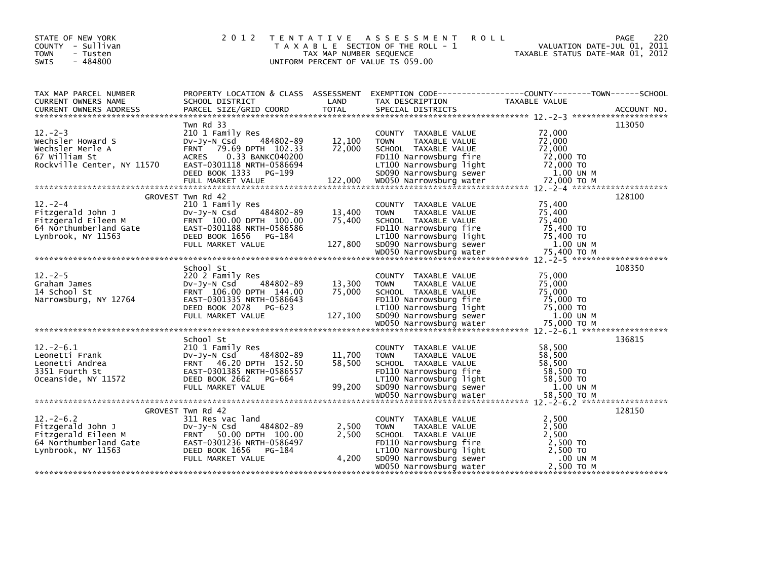| STATE OF NEW YORK<br>COUNTY - Sullivan<br><b>TOWN</b><br>- Tusten<br>$-484800$<br><b>SWIS</b> | 2 0 1 2<br>T E N T A T I V E                              | TAX MAP NUMBER SEQUENCE | A S S E S S M E N T<br><b>ROLL</b><br>T A X A B L E SECTION OF THE ROLL - 1<br>UNIFORM PERCENT OF VALUE IS 059.00 | <b>PAGE</b><br>VALUATION DATE-JUL 01, 2011<br>TAXABLE STATUS DATE-MAR 01, 2012                                                                                                                                                          | 220 |
|-----------------------------------------------------------------------------------------------|-----------------------------------------------------------|-------------------------|-------------------------------------------------------------------------------------------------------------------|-----------------------------------------------------------------------------------------------------------------------------------------------------------------------------------------------------------------------------------------|-----|
| TAX MAP PARCEL NUMBER<br>CURRENT OWNERS NAME                                                  | SCHOOL DISTRICT                                           | LAND                    | TAX DESCRIPTION                                                                                                   | PROPERTY LOCATION & CLASS ASSESSMENT EXEMPTION CODE---------------COUNTY-------TOWN------SCHOOL<br>TAXABLE VALUE                                                                                                                        |     |
|                                                                                               |                                                           |                         |                                                                                                                   |                                                                                                                                                                                                                                         |     |
|                                                                                               | Twn Rd 33                                                 |                         |                                                                                                                   | 113050                                                                                                                                                                                                                                  |     |
| $12 - 2 - 3$                                                                                  | 210 1 Family Res                                          |                         | COUNTY TAXABLE VALUE                                                                                              | 72,000                                                                                                                                                                                                                                  |     |
| Wechsler Howard S<br>Wechsler Merle A                                                         | 484802-89<br>$Dv$ -J $v$ -N Csd<br>FRNT 79.69 DPTH 102.33 | 12,100<br>72,000        | TAXABLE VALUE<br><b>TOWN</b><br>SCHOOL TAXABLE VALUE                                                              | 72.000<br>72,000                                                                                                                                                                                                                        |     |
| 67 William St                                                                                 | 0.33 BANKC040200<br>ACRES                                 |                         | FD110 Narrowsburg fire                                                                                            | 72,000 TO                                                                                                                                                                                                                               |     |
|                                                                                               |                                                           |                         |                                                                                                                   |                                                                                                                                                                                                                                         |     |
|                                                                                               |                                                           |                         |                                                                                                                   |                                                                                                                                                                                                                                         |     |
|                                                                                               |                                                           |                         |                                                                                                                   | Rockville Center, NY 11570 EAST-0301118 NRTH-0586694 LT100 Narrowsburg light 72,000 TO<br>DEED BOOK 1333 PG-199 SD090 Narrowsburg sewer 1.00 UN M<br>FULL MARKET VALUE 122,000 WD050 Narrowsburg water 72,000 TO M<br>***************** |     |
|                                                                                               | GROVEST Twn Rd 42                                         |                         |                                                                                                                   | 128100                                                                                                                                                                                                                                  |     |
| $12 - 2 - 4$<br>Fitzgerald John J                                                             | 210 1 Family Res<br>484802-89<br>DV-Jy-N Csd              | 13,400                  | COUNTY TAXABLE VALUE<br>TAXABLE VALUE<br><b>TOWN</b>                                                              | 75,400<br>75,400                                                                                                                                                                                                                        |     |
| Fitzgerald Eileen M                                                                           | FRNT 100.00 DPTH 100.00                                   | 75,400                  | SCHOOL TAXABLE VALUE                                                                                              | 75,400                                                                                                                                                                                                                                  |     |
| 64 Northumberland Gate                                                                        | EAST-0301188 NRTH-0586586<br>DEED BOOK 1656 PG-184        |                         | FD110 Narrowsburg fire                                                                                            | 75,400 TO<br>75,400 TO                                                                                                                                                                                                                  |     |
| Lynbrook, NY 11563                                                                            | FULL MARKET VALUE                                         | 127,800                 | LT100 Narrowsburg light<br>SD090 Narrowsburg sewer                                                                | 1.00 UN M                                                                                                                                                                                                                               |     |
|                                                                                               |                                                           |                         |                                                                                                                   |                                                                                                                                                                                                                                         |     |
|                                                                                               |                                                           |                         |                                                                                                                   |                                                                                                                                                                                                                                         |     |
| $12 - 2 - 5$                                                                                  | School St<br>220 2 Family Res                             |                         | COUNTY TAXABLE VALUE                                                                                              | 108350<br>75,000                                                                                                                                                                                                                        |     |
| Graham James                                                                                  | DV-Jy-N Csd<br>484802-89                                  | 13,300                  | <b>TOWN</b><br>TAXABLE VALUE                                                                                      | 75,000                                                                                                                                                                                                                                  |     |
| 14 School St                                                                                  | FRNT 106.00 DPTH 144.00                                   | 75,000                  | SCHOOL TAXABLE VALUE                                                                                              | 75,000                                                                                                                                                                                                                                  |     |
| Narrowsburg, NY 12764                                                                         | EAST-0301335 NRTH-0586643<br>DEED BOOK 2078 PG-623        |                         | FD110 Narrowsburg fire                                                                                            | 75,000 TO<br>75,000 TO                                                                                                                                                                                                                  |     |
|                                                                                               | FULL MARKET VALUE                                         | 127,100                 | LT100 Narrowsburg light<br>SD090 Narrowsburg sewer                                                                | 1.00 UN M                                                                                                                                                                                                                               |     |
|                                                                                               |                                                           |                         |                                                                                                                   |                                                                                                                                                                                                                                         |     |
|                                                                                               | School St                                                 |                         |                                                                                                                   | 136815                                                                                                                                                                                                                                  |     |
| $12 - 2 - 6.1$                                                                                | 210 1 Family Res                                          |                         | COUNTY TAXABLE VALUE                                                                                              | 58,500                                                                                                                                                                                                                                  |     |
| Leonetti Frank                                                                                | $Dv-Jv-N$ Csd<br>484802-89                                | 11,700                  | <b>TOWN</b><br>TAXABLE VALUE                                                                                      | 58,500                                                                                                                                                                                                                                  |     |
| Leonetti Andrea<br>3351 Fourth St                                                             | FRNT 46.20 DPTH 152.50<br>EAST-0301385 NRTH-0586557       | 58,500                  | SCHOOL TAXABLE VALUE<br>FD110 Narrowsburg fire                                                                    | 58,500<br>58,500 TO                                                                                                                                                                                                                     |     |
| Oceanside, NY 11572                                                                           | DEED BOOK 2662 PG-664                                     |                         | LT100 Narrowsburg light                                                                                           | 58,500 TO                                                                                                                                                                                                                               |     |
|                                                                                               | FULL MARKET VALUE                                         | 99,200                  | SD090 Narrowsburg sewer                                                                                           | 1.00 UN M                                                                                                                                                                                                                               |     |
|                                                                                               |                                                           |                         |                                                                                                                   |                                                                                                                                                                                                                                         |     |
|                                                                                               | GROVEST Twn Rd 42                                         |                         |                                                                                                                   | 128150                                                                                                                                                                                                                                  |     |
| $12. -2 - 6.2$                                                                                | 311 Res vac land                                          |                         | COUNTY TAXABLE VALUE                                                                                              | 2,500                                                                                                                                                                                                                                   |     |
| Fitzgerald John J<br>Fitzgerald Eileen M                                                      | 484802-89<br>DV-JV-N Csd<br>FRNT 50.00 DPTH 100.00        | 2,500<br>2,500          | <b>TOWN</b><br>TAXABLE VALUE<br>SCHOOL TAXABLE VALUE                                                              | 2,500<br>2,500                                                                                                                                                                                                                          |     |
| 64 Northumberland Gate EAST-0301236 NRTH-0586497                                              |                                                           |                         | FD110 Narrowsburg fire                                                                                            | 2,500 TO                                                                                                                                                                                                                                |     |
| Lynbrook, NY 11563                                                                            | DEED BOOK 1656 PG-184                                     |                         | LT100 Narrowsburg light                                                                                           | 2,500 TO                                                                                                                                                                                                                                |     |
|                                                                                               | FULL MARKET VALUE                                         | 4,200                   | SD090 Narrowsburg sewer<br>WD050 Narrowsburg water                                                                | .00 UN M<br>2,500 TO M                                                                                                                                                                                                                  |     |
|                                                                                               |                                                           |                         |                                                                                                                   |                                                                                                                                                                                                                                         |     |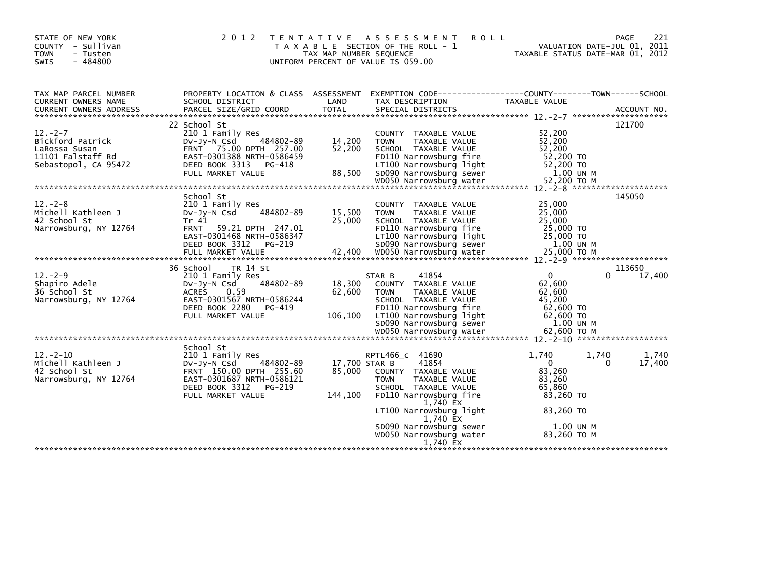| STATE OF NEW YORK<br>COUNTY - Sullivan<br>- Tusten<br><b>TOWN</b><br>$-484800$<br><b>SWIS</b>  | 2 0 1 2                                                                                                                                                                       | <b>TENTATIVE</b><br>TAX MAP NUMBER SEQUENCE<br>UNIFORM PERCENT OF VALUE IS 059.00 | A S S E S S M E N T<br>T A X A B L E SECTION OF THE ROLL - 1                                                                                                                                                                                            | <b>ROLL</b><br>VALUATION DATE-JUL 01, 2011<br>TAXABLE STATUS DATE-MAR 01, 2012                                     | 221<br><b>PAGE</b>    |
|------------------------------------------------------------------------------------------------|-------------------------------------------------------------------------------------------------------------------------------------------------------------------------------|-----------------------------------------------------------------------------------|---------------------------------------------------------------------------------------------------------------------------------------------------------------------------------------------------------------------------------------------------------|--------------------------------------------------------------------------------------------------------------------|-----------------------|
| TAX MAP PARCEL NUMBER<br>CURRENT OWNERS NAME                                                   | PROPERTY LOCATION & CLASS ASSESSMENT<br>SCHOOL DISTRICT                                                                                                                       | LAND                                                                              | TAX DESCRIPTION                                                                                                                                                                                                                                         | <b>TAXABLE VALUE</b>                                                                                               |                       |
| $12 - 2 - 7$<br>Bickford Patrick<br>LaRossa Susan<br>11101 Falstaff Rd<br>Sebastopol, CA 95472 | 22 School St<br>210 1 Family Res<br>484802-89<br>$Dv-Jy-N$ Csd<br>FRNT 75.00 DPTH 257.00<br>EAST-0301388 NRTH-0586459<br>DEED BOOK 3313<br>PG-418<br>FULL MARKET VALUE        | 14,200<br>52,200<br>88,500                                                        | COUNTY TAXABLE VALUE<br>TAXABLE VALUE<br><b>TOWN</b><br>SCHOOL TAXABLE VALUE<br>FD110 Narrowsburg fire<br>LT100 Narrowsburg light<br>SD090 Narrowsburg sewer                                                                                            | 52,200<br>52,200<br>52,200<br>52,200 TO<br>52,200 TO<br>1.00 UN M                                                  | 121700                |
| $12. - 2 - 8$<br>Michell Kathleen J<br>42 School St<br>Narrowsburg, NY 12764                   | School St<br>210 1 Family Res<br>484802-89<br>$Dv-Jv-N$ Csd<br>Tr 41<br>FRNT 59.21 DPTH 247.01<br>EAST-0301468 NRTH-0586347<br>DEED BOOK 3312<br>PG-219                       | 15,500<br>25,000                                                                  | COUNTY TAXABLE VALUE<br><b>TOWN</b><br>TAXABLE VALUE<br>SCHOOL TAXABLE VALUE<br>FD110 Narrowsburg fire<br>LT100 Narrowsburg light<br>SD090 Narrowsburg sewer                                                                                            | 25,000<br>25,000<br>25,000<br>25,000 TO<br>25,000 TO<br>1.00 UN M                                                  | 145050                |
| $12 - 2 - 9$<br>Shapiro Adele<br>36 School St<br>Narrowsburg, NY 12764                         | 36 School<br>TR 14 St<br>210 1 Family Res<br>484802-89<br>$Dv-Jy-N$ Csd<br><b>ACRES</b><br>0.59<br>EAST-0301567 NRTH-0586244<br>DEED BOOK 2280<br>PG-419<br>FULL MARKET VALUE | 18,300<br>62,600<br>106,100                                                       | 41854<br>STAR B<br>COUNTY TAXABLE VALUE<br>TAXABLE VALUE<br><b>TOWN</b><br>SCHOOL TAXABLE VALUE<br>FD110 Narrowsburg fire<br>LT100 Narrowsburg light<br>SD090 Narrowsburg sewer                                                                         | $\Omega$<br>62,600<br>62,600<br>45,200<br>62,600 TO<br>62,600 TO<br>1.00 UN M                                      | 113650<br>0<br>17,400 |
| $12 - 2 - 10$<br>Michell Kathleen J<br>42 School St<br>Narrowsburg, NY 12764                   | School St<br>210 1 Family Res<br>$Dv-Jv-N$ Csd<br>484802-89<br>FRNT 150.00 DPTH 255.60<br>EAST-0301687 NRTH-0586121<br>DEED BOOK 3312<br>PG-219<br>FULL MARKET VALUE          | 17,700 STAR B<br>85,000<br>144,100                                                | RPTL466 c 41690<br>41854<br>COUNTY TAXABLE VALUE<br>TAXABLE VALUE<br><b>TOWN</b><br>SCHOOL TAXABLE VALUE<br>FD110 Narrowsburg fire<br>1,740 EX<br>LT100 Narrowsburg light<br>1,740 EX<br>SD090 Narrowsburg sewer<br>WD050 Narrowsburg water<br>1.740 EX | 1.740<br>1.740<br>$\mathbf{0}$<br>83,260<br>83,260<br>65.860<br>83,260 TO<br>83,260 TO<br>1.00 UN M<br>83,260 TO M | 1,740<br>17,400<br>0  |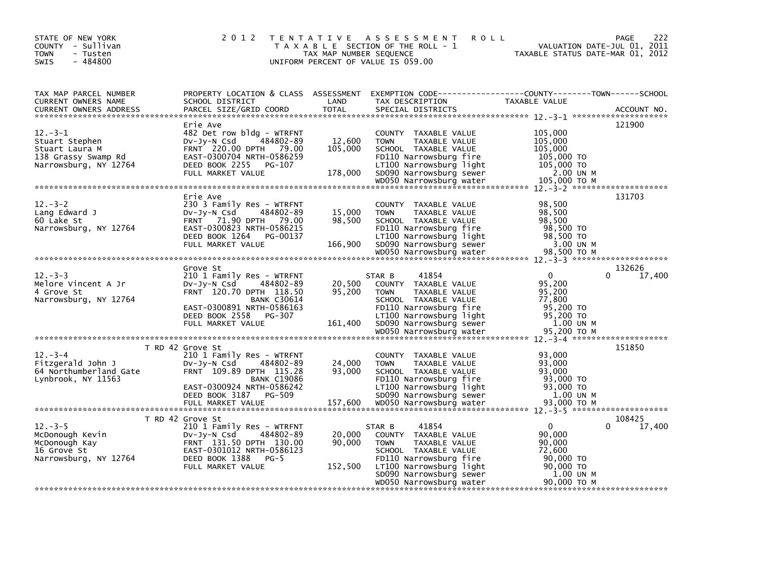| STATE OF NEW YORK<br>COUNTY - Sullivan<br><b>TOWN</b><br>- Tusten<br>$-484800$<br>SWIS                                                                                                                                                                                                                                             | 2 0 1 2                                                                                                                                                                                         | T E N T A T I V E<br>TAX MAP NUMBER SEQUENCE | A S S E S S M E N T<br><b>ROLL</b><br>T A X A B L E SECTION OF THE ROLL - 1<br>UNIFORM PERCENT OF VALUE IS 059.00                                                                       | VALUATION DATE-JUL 01, 2011<br>TAXABLE STATUS DATE-MAR 01, 2012                  | 222<br>PAGE      |
|------------------------------------------------------------------------------------------------------------------------------------------------------------------------------------------------------------------------------------------------------------------------------------------------------------------------------------|-------------------------------------------------------------------------------------------------------------------------------------------------------------------------------------------------|----------------------------------------------|-----------------------------------------------------------------------------------------------------------------------------------------------------------------------------------------|----------------------------------------------------------------------------------|------------------|
| TAX MAP PARCEL NUMBER<br>CURRENT OWNERS NAME<br><b>CURRENT OWNERS ADDRESS</b>                                                                                                                                                                                                                                                      | SCHOOL DISTRICT<br>PARCEL SIZE/GRID COORD                                                                                                                                                       | LAND<br><b>TOTAL</b>                         | PROPERTY LOCATION & CLASS ASSESSMENT EXEMPTION CODE----------------COUNTY-------TOWN-----SCHOOL<br>TAX DESCRIPTION<br>SPECIAL DISTRICTS                                                 | TAXABLE VALUE                                                                    | ACCOUNT NO.      |
| $12 - 3 - 1$<br>Stuart Stephen<br>Stuart Laura M<br>138 Grassy Swamp Rd<br>Narrowsburg, NY 12764<br>010,000 WDOSO Narrowsburg water 105,000 TO M هو المستحدة بين مستحدة بين المستحدة بين مستحدة بين من المستحدة بين من المستخدمة بين من المستخدمة بين من المستخدمة بين من المستخدمة بين من المستخدمة بين المستخدمة بين المستخدمة م | Erie Ave<br>482 Det row bldg - WTRFNT<br>484802-89<br>DV-Jy-N Csd<br>FRNT 220.00 DPTH 79.00<br>EAST-0300704 NRTH-0586259<br>DEED BOOK 2255<br>PG-107<br>FULL MARKET VALUE                       | 12,600<br>105,000<br>178,000                 | COUNTY TAXABLE VALUE<br>TAXABLE VALUE<br><b>TOWN</b><br>SCHOOL TAXABLE VALUE<br>FD110 Narrowsburg fire<br>LT100 Narrowsburg light<br>SD090 Narrowsburg sewer                            | 105,000<br>105,000<br>105,000<br>105,000 TO<br>105,000 TO<br>2.00 UN M           | 121900           |
| $12 - 3 - 2$<br>Lang Edward J<br>60 Lake St<br>Narrowsburg, NY 12764                                                                                                                                                                                                                                                               | Erie Ave<br>230 3 Family Res - WTRFNT<br>$Dv-Jv-N$ Csd<br>484802-89<br>FRNT 71.90 DPTH 79.00<br>EAST-0300823 NRTH-0586215<br>DEED BOOK 1264 PG-00137<br>FULL MARKET VALUE                       | 15,000<br>98,500<br>166,900                  | COUNTY TAXABLE VALUE<br>TAXABLE VALUE<br><b>TOWN</b><br>SCHOOL TAXABLE VALUE<br>FD110 Narrowsburg fire<br>LT100 Narrowsburg light<br>SD090 Narrowsburg sewer<br>WD050 Narrowsburg water | 98,500<br>98,500<br>98,500<br>98,500 TO<br>98,500 TO<br>3.00 UN M<br>98,500 ТО М | 131703           |
|                                                                                                                                                                                                                                                                                                                                    |                                                                                                                                                                                                 |                                              |                                                                                                                                                                                         |                                                                                  |                  |
| $12 - 3 - 3$<br>Melore Vincent A Jr<br>4 Grove St<br>Narrowsburg, NY 12764                                                                                                                                                                                                                                                         | Grove St<br>210 1 Family Res - WTRFNT<br>484802-89<br>$Dv-Jv-N$ Csd<br>FRNT 120.70 DPTH 118.50<br><b>BANK C30614</b><br>EAST-0300891 NRTH-0586163<br>DEED BOOK 2558 PG-307<br>FULL MARKET VALUE | 20,500<br>95,200<br>161,400                  | 41854<br>STAR B<br>COUNTY TAXABLE VALUE<br><b>TOWN</b><br>TAXABLE VALUE<br>SCHOOL TAXABLE VALUE<br>FD110 Narrowsburg fire<br>LT100 Narrowsburg light<br>SD090 Narrowsburg sewer         | 0<br>0<br>95,200<br>95,200<br>77,800<br>95,200 TO<br>95,200 TO<br>1.00 UN M      | 132626<br>17,400 |
|                                                                                                                                                                                                                                                                                                                                    |                                                                                                                                                                                                 |                                              |                                                                                                                                                                                         |                                                                                  |                  |
| $12 - 3 - 4$<br>Fitzgerald John J<br>64 Northumberland Gate<br>Lynbrook, NY 11563                                                                                                                                                                                                                                                  | T RD 42 Grove St<br>210 1 Family Res - WTRFNT<br>DV-Jy-N Csd<br>484802-89<br>FRNT 109.89 DPTH 115.28<br><b>BANK C19086</b><br>EAST-0300924 NRTH-0586242                                         | 24,000<br>93,000                             | COUNTY TAXABLE VALUE<br><b>TOWN</b><br>TAXABLE VALUE<br>SCHOOL TAXABLE VALUE<br>FD110 Narrowsburg fire<br>LT100 Narrowsburg light                                                       | 93,000<br>93,000<br>93,000<br>93,000 TO<br>93,000 TO                             | 151850           |
|                                                                                                                                                                                                                                                                                                                                    | DEED BOOK 3187<br>PG-509                                                                                                                                                                        |                                              | SD090 Narrowsburg sewer                                                                                                                                                                 | 1.00 UN M                                                                        |                  |
| $12 - 3 - 5$<br>McDonough Kevin<br>McDonough Kay<br>16 Grove St<br>Narrowsburg, NY 12764                                                                                                                                                                                                                                           | T RD 42 Grove St<br>210 1 Family Res - WTRFNT<br>484802-89<br>$Dv-Jy-N$ Csd<br>FRNT 131.50 DPTH 130.00<br>EAST-0301012 NRTH-0586123<br>DEED BOOK 1388<br>$PG-5$                                 | 20,000<br>90,000                             | 41854<br>STAR B<br>COUNTY TAXABLE VALUE<br><b>TOWN</b><br>TAXABLE VALUE<br>SCHOOL TAXABLE VALUE<br>FD110 Narrowsburg fire                                                               | 0<br>90.000<br>90,000<br>72,600<br>90,000 TO                                     | 108425<br>17,400 |
|                                                                                                                                                                                                                                                                                                                                    | FULL MARKET VALUE                                                                                                                                                                               | 152,500                                      | LT100 Narrowsburg light<br>SD090 Narrowsburg sewer<br>WD050 Narrowsburg water                                                                                                           | 90,000 TO<br>1.00 UN M<br>90.000 TO M                                            |                  |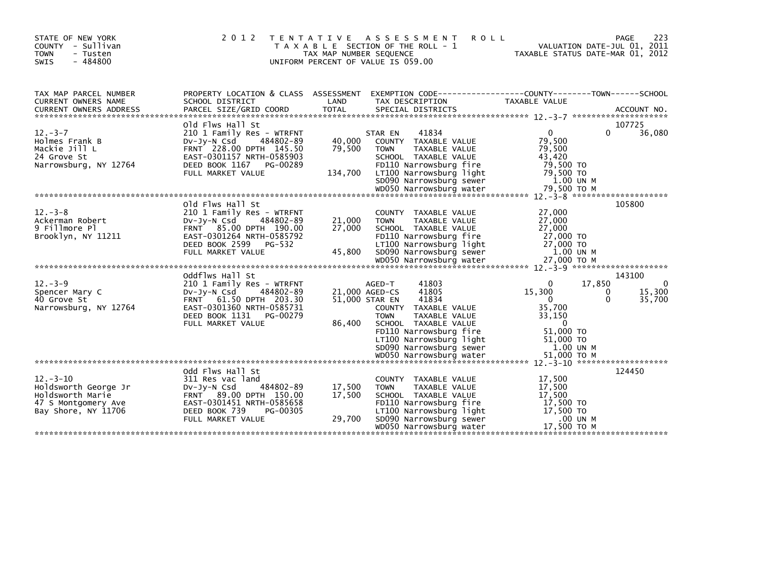| STATE OF NEW YORK<br>COUNTY - Sullivan<br><b>TOWN</b><br>- Tusten<br>$-484800$<br><b>SWIS</b>           | 2 0 1 2                                                                                                                                                                           | TAX MAP NUMBER SEQUENCE     | TENTATIVE ASSESSMENT<br><b>ROLL</b><br>T A X A B L E SECTION OF THE ROLL - 1<br>UNIFORM PERCENT OF VALUE IS 059.00                                                                                                                           | VALUATION DATE-JUL 01, 2011<br>TAXABLE STATUS DATE-MAR 01, 2012                                                          | 223<br>PAGE                               |
|---------------------------------------------------------------------------------------------------------|-----------------------------------------------------------------------------------------------------------------------------------------------------------------------------------|-----------------------------|----------------------------------------------------------------------------------------------------------------------------------------------------------------------------------------------------------------------------------------------|--------------------------------------------------------------------------------------------------------------------------|-------------------------------------------|
| TAX MAP PARCEL NUMBER<br><b>CURRENT OWNERS NAME</b>                                                     | SCHOOL DISTRICT                                                                                                                                                                   | LAND                        | PROPERTY LOCATION & CLASS ASSESSMENT EXEMPTION CODE----------------COUNTY-------TOWN-----SCHOOL<br>TAX DESCRIPTION                                                                                                                           | <b>TAXABLE VALUE</b>                                                                                                     |                                           |
| $12 - 3 - 7$<br>Holmes Frank B<br>Mackie Jill L<br>24 Grove St<br>Narrowsburg, NY 12764                 | old Flws Hall St<br>210 1 Family Res - WTRFNT<br>484802-89<br>DV-Jy-N Csd<br>FRNT 228.00 DPTH 145.50<br>EAST-0301157 NRTH-0585903<br>DEED BOOK 1167 PG-00289<br>FULL MARKET VALUE | 40,000<br>79,500<br>134,700 | 41834<br>STAR EN<br>COUNTY TAXABLE VALUE<br>TAXABLE VALUE<br><b>TOWN</b><br>SCHOOL TAXABLE VALUE<br>FD110 Narrowsburg fire<br>LT100 Narrowsburg light<br>SD090 Narrowsburg sewer                                                             | $\overline{0}$<br>$\Omega$<br>79,500<br>79,500<br>43,420<br>79,500 TO<br>79,500 TO<br>1.00 UN M                          | 107725<br>36,080                          |
| $12 - 3 - 8$<br>Ackerman Robert<br>9 Fillmore Pl<br>Brooklyn, NY 11211                                  | Old Flws Hall St<br>210 1 Family Res - WTRFNT<br>484802-89<br>$Dv-Jv-N$ Csd<br>FRNT 85.00 DPTH 190.00<br>EAST-0301264 NRTH-0585792<br>DEED BOOK 2599 PG-532<br>FULL MARKET VALUE  | 21,000<br>27,000<br>45,800  | COUNTY TAXABLE VALUE<br><b>TOWN</b><br>TAXABLE VALUE<br>SCHOOL TAXABLE VALUE<br>FD110 Narrowsburg fire<br>LT100 Narrowsburg light<br>SD090 Narrowsburg sewer                                                                                 | 27,000<br>27,000<br>27,000<br>27,000 TO<br>27,000 TO<br>1.00 UN M                                                        | 105800                                    |
| $12 - 3 - 9$<br>Spencer Mary C<br>40 Grove St<br>Narrowsburg, NY 12764                                  | Oddflws Hall St<br>210 1 Family Res - WTRFNT<br>484802-89<br>DV-JY-N Csd<br>FRNT 61.50 DPTH 203.30<br>EAST-0301360 NRTH-0585731<br>DEED BOOK 1131 PG-00279<br>FULL MARKET VALUE   | 86,400                      | 41803<br>AGED-T<br>41805<br>21,000 AGED-CS<br>41834<br>51,000 STAR EN<br>COUNTY TAXABLE VALUE<br><b>TOWN</b><br><b>TAXABLE VALUE</b><br>SCHOOL TAXABLE VALUE<br>FD110 Narrowsburg fire<br>LT100 Narrowsburg light<br>SD090 Narrowsburg sewer | 17,850<br>0<br>15,300<br>0<br>$\Omega$<br>$\mathbf{0}$<br>35,700<br>33,150<br>- 0<br>51,000 TO<br>51,000 TO<br>1.00 UN M | 143100<br>$\mathbf 0$<br>15,300<br>35,700 |
| $12 - 3 - 10$<br>Holdsworth George Jr<br>Holdsworth Marie<br>47 S Montgomery Ave<br>Bay Shore, NY 11706 | odd Flws Hall St<br>311 Res vac land<br>484802-89<br>DV-JY-N Csd<br>FRNT 89.00 DPTH 150.00<br>EAST-0301451 NRTH-0585658<br>DEED BOOK 739<br>PG-00305<br>FULL MARKET VALUE         | 17,500<br>17,500<br>29,700  | COUNTY TAXABLE VALUE<br><b>TOWN</b><br>TAXABLE VALUE<br>SCHOOL TAXABLE VALUE<br>FD110 Narrowsburg fire<br>LT100 Narrowsburg light<br>SD090 Narrowsburg sewer<br>WD050 Narrowsburg water                                                      | 17,500<br>17,500<br>17,500<br>17,500 TO<br>17,500 TO<br>.00 UN M<br>17,500 ТО М                                          | 124450                                    |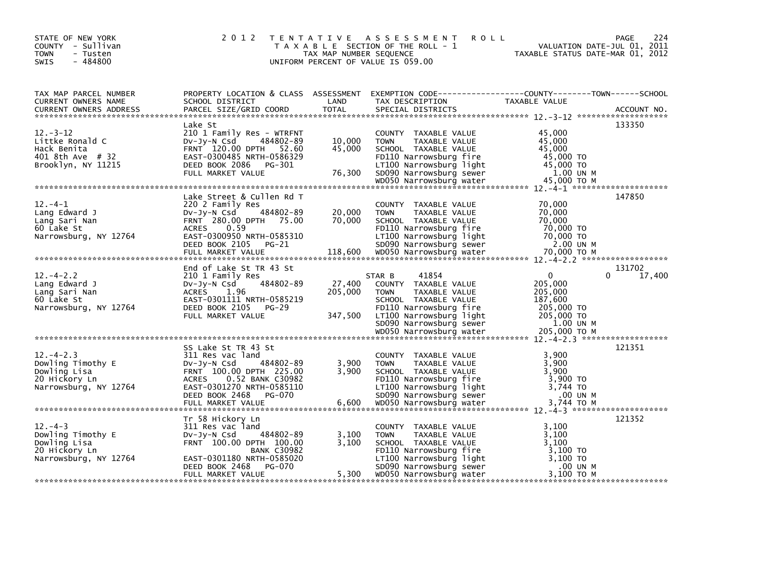| STATE OF NEW YORK<br>COUNTY - Sullivan<br><b>TOWN</b><br>- Tusten<br>$-484800$<br><b>SWIS</b>  | 2 0 1 2                                                                                                                                                                                                  | TAX MAP NUMBER SEQUENCE      | TENTATIVE ASSESSMENT<br><b>ROLL</b><br>T A X A B L E SECTION OF THE ROLL - 1<br>UNIFORM PERCENT OF VALUE IS 059.00                                                                                         | VALUATION DATE-JUL 01, 2011<br>TAXABLE STATUS DATE-MAR 01, 2012                                        | 224<br>PAGE           |
|------------------------------------------------------------------------------------------------|----------------------------------------------------------------------------------------------------------------------------------------------------------------------------------------------------------|------------------------------|------------------------------------------------------------------------------------------------------------------------------------------------------------------------------------------------------------|--------------------------------------------------------------------------------------------------------|-----------------------|
| TAX MAP PARCEL NUMBER<br>CURRENT OWNERS NAME<br><b>CURRENT OWNERS ADDRESS</b>                  | PROPERTY LOCATION & CLASS ASSESSMENT<br>SCHOOL DISTRICT<br>PARCEL SIZE/GRID COORD                                                                                                                        | LAND<br><b>TOTAL</b>         | EXEMPTION        CODE------------------COUNTY-------TOWN------SCHOOL<br>TAX DESCRIPTION<br>SPECIAL DISTRICTS                                                                                               | TAXABLE VALUE                                                                                          | ACCOUNT NO.           |
| $12 - 3 - 12$<br>Littke Ronald C<br>Hack Benita<br>401 8th Ave # 32<br>Brooklyn, NY 11215      | Lake St<br>210 1 Family Res - WTRFNT<br>484802-89<br>DV-Jy-N Csd<br>FRNT 120.00 DPTH 52.60<br>EAST-0300485 NRTH-0586329<br>DEED BOOK 2086<br>PG-301<br>FULL MARKET VALUE                                 | 10,000<br>45,000<br>76,300   | COUNTY TAXABLE VALUE<br>TAXABLE VALUE<br><b>TOWN</b><br>SCHOOL TAXABLE VALUE<br>FD110 Narrowsburg fire<br>LT100 Narrowsburg light<br>SD090 Narrowsburg sewer                                               | 45,000<br>45,000<br>45,000<br>45,000 TO<br>45,000 TO<br>1.00 UN M                                      | 133350                |
| $12. -4 - 1$<br>Lang Edward J<br>Lang Sari Nan<br>60 Lake St<br>Narrowsburg, NY 12764          | Lake Street & Cullen Rd T<br>220 2 Family Res<br>484802-89<br>Dv-Jy-N Csd<br>FRNT 280.00 DPTH 75.00<br>0.59<br><b>ACRES</b><br>EAST-0300950 NRTH-0585310<br>DEED BOOK 2105<br>PG-21<br>FULL MARKET VALUE | 20,000<br>70.000<br>118,600  | COUNTY TAXABLE VALUE<br>TAXABLE VALUE<br><b>TOWN</b><br>SCHOOL TAXABLE VALUE<br>FD110 Narrowsburg fire<br>LT100 Narrowsburg light<br>SD090 Narrowsburg sewer<br>WD050 Narrowsburg water                    | 70,000<br>70,000<br>70.000<br>70,000 TO<br>70,000 TO<br>2.00 UN M<br>70,000 ТО М                       | 147850                |
| $12. - 4 - 2.2$<br>Lang Edward J<br>Lang Sari Nan<br>60 Lake St<br>Narrowsburg, NY 12764       | End of Lake St TR 43 St<br>210 1 Family Res<br>484802-89<br>$Dv-Jv-N$ Csd<br>ACRES<br>1.96<br>EAST-0301111 NRTH-0585219<br>DEED BOOK 2105 PG-29<br>FULL MARKET VALUE                                     | 27,400<br>205,000<br>347,500 | 41854<br>STAR B<br>COUNTY TAXABLE VALUE<br><b>TOWN</b><br>TAXABLE VALUE<br>SCHOOL TAXABLE VALUE<br>FD110 Narrowsburg fire<br>LT100 Narrowsburg light<br>SD090 Narrowsburg sewer<br>WD050 Narrowsburg water | $\mathbf{0}$<br>205,000<br>205,000<br>187,600<br>205,000 TO<br>205,000 TO<br>1.00 UN M<br>205,000 ТО М | 131702<br>17,400<br>0 |
| $12. - 4 - 2.3$<br>Dowling Timothy E<br>Dowling Lisa<br>20 Hickory Ln<br>Narrowsburg, NY 12764 | SS Lake St TR 43 St<br>311 Res vac land<br>484802-89<br>$Dv-Jy-N$ Csd<br>FRNT 100.00 DPTH 225.00<br>ACRES 0.52 BANK C30982<br>EAST-0301270 NRTH-0585110<br>DEED BOOK 2468<br>PG-070                      | 3,900<br>3,900               | COUNTY TAXABLE VALUE<br>TAXABLE VALUE<br><b>TOWN</b><br>SCHOOL TAXABLE VALUE<br>FD110 Narrowsburg fire<br>LT100 Narrowsburg light<br>SD090 Narrowsburg sewer                                               | 3,900<br>3,900<br>3.900<br>3,900 TO<br>3,744 TO<br>.00 UN M                                            | 121351                |
| $12 - 4 - 3$<br>Dowling Timothy E<br>Dowling Lisa<br>20 Hickory Ln<br>Narrowsburg, NY 12764    | Tr 58 Hickory Ln<br>311 Res vac land<br>484802-89<br>$Dv-Jv-N$ Csd<br>FRNT 100.00 DPTH 100.00<br><b>BANK C30982</b><br>EAST-0301180 NRTH-0585020<br>DEED BOOK 2468<br>PG-070<br>FULL MARKET VALUE        | 3,100<br>3.100<br>5,300      | COUNTY TAXABLE VALUE<br><b>TOWN</b><br>TAXABLE VALUE<br>SCHOOL TAXABLE VALUE<br>FD110 Narrowsburg fire<br>LT100 Narrowsburg light<br>SD090 Narrowsburg sewer<br>WD050 Narrowsburg water                    | 3,100<br>3,100<br>3,100<br>3,100 TO<br>3,100 TO<br>.00 UN M<br>3,100 TO M                              | 121352                |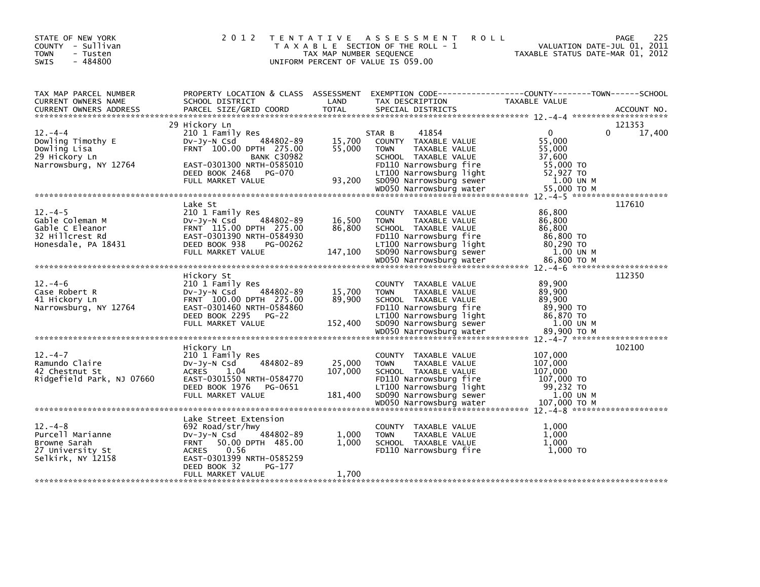| STATE OF NEW YORK<br>COUNTY - Sullivan<br><b>TOWN</b><br>- Tusten<br>$-484800$<br><b>SWIS</b> | 2 0 1 2                                                                                                                                                                | TAX MAP NUMBER SEQUENCE     | TENTATIVE ASSESSMENT<br><b>ROLL</b><br>T A X A B L E SECTION OF THE ROLL - 1<br>UNIFORM PERCENT OF VALUE IS 059.00                                                                      | TAXABLE STATUS DATE-MAR 01, 2012                                                 | 225<br>PAGE<br>VALUATION DATE-JUL 01, 2011 |
|-----------------------------------------------------------------------------------------------|------------------------------------------------------------------------------------------------------------------------------------------------------------------------|-----------------------------|-----------------------------------------------------------------------------------------------------------------------------------------------------------------------------------------|----------------------------------------------------------------------------------|--------------------------------------------|
| TAX MAP PARCEL NUMBER<br>CURRENT OWNERS NAME<br><b>CURRENT OWNERS ADDRESS</b>                 | PROPERTY LOCATION & CLASS ASSESSMENT<br>SCHOOL DISTRICT<br>PARCEL SIZE/GRID COORD                                                                                      | LAND<br><b>TOTAL</b>        | EXEMPTION CODE-----------------COUNTY-------TOWN------SCHOOL<br>TAX DESCRIPTION<br>SPECIAL DISTRICTS                                                                                    | TAXABLE VALUE                                                                    | ACCOUNT NO.                                |
|                                                                                               | 29 Hickory Ln                                                                                                                                                          |                             |                                                                                                                                                                                         |                                                                                  | 121353                                     |
| $12. -4 -4$                                                                                   | 210 1 Family Res                                                                                                                                                       |                             | 41854<br>STAR B                                                                                                                                                                         | $\mathbf{0}$                                                                     | 17,400<br>$\Omega$                         |
| Dowling Timothy E<br>Dowling Lisa<br>29 Hickory Ln                                            | 484802-89<br>$Dv-Jy-N$ Csd<br>FRNT 100.00 DPTH 275.00<br><b>BANK C30982</b>                                                                                            | 15,700<br>55,000            | COUNTY TAXABLE VALUE<br>TAXABLE VALUE<br><b>TOWN</b><br>SCHOOL TAXABLE VALUE                                                                                                            | 55,000<br>55,000<br>37,600                                                       |                                            |
| Narrowsburg, NY 12764                                                                         | EAST-0301300 NRTH-0585010<br>DEED BOOK 2468 PG-070<br>FULL MARKET VALUE                                                                                                | 93,200                      | FD110 Narrowsburg fire<br>LT100 Narrowsburg light<br>SD090 Narrowsburg sewer                                                                                                            | 55,000 TO<br>52,927 TO<br>1.00 UN M                                              |                                            |
|                                                                                               |                                                                                                                                                                        |                             | WD050 Narrowsburg water                                                                                                                                                                 | 55,000 TO M                                                                      |                                            |
| $12 - 4 - 5$                                                                                  | Lake St<br>210 1 Family Res                                                                                                                                            |                             | COUNTY TAXABLE VALUE                                                                                                                                                                    | 86,800                                                                           | 117610                                     |
| Gable Coleman M<br>Gable C Eleanor<br>32 Hillcrest Rd                                         | 484802-89<br>$Dv-Jv-N$ Csd<br>FRNT 115.00 DPTH 275.00<br>EAST-0301390 NRTH-0584930                                                                                     | 16,500<br>86,800            | TAXABLE VALUE<br><b>TOWN</b><br>SCHOOL TAXABLE VALUE<br>FD110 Narrowsburg fire                                                                                                          | 86,800<br>86,800<br>86,800 TO                                                    |                                            |
| Honesdale, PA 18431                                                                           | DEED BOOK 938<br>PG-00262<br>FULL MARKET VALUE                                                                                                                         | 147,100                     | LT100 Narrowsburg light<br>SD090 Narrowsburg sewer<br>WD050 Narrowsburg water                                                                                                           | 80,290 TO<br>1.00 UN M<br>86,800 ТО М                                            |                                            |
|                                                                                               |                                                                                                                                                                        |                             |                                                                                                                                                                                         |                                                                                  |                                            |
| $12 - 4 - 6$<br>Case Robert R<br>41 Hickory Ln<br>Narrowsburg, NY 12764                       | Hickory St<br>210 1 Family Res<br>484802-89<br>$Dv-Jy-N$ Csd<br>FRNT 100.00 DPTH 275.00<br>EAST-0301460 NRTH-0584860<br>DEED BOOK 2295<br>$PG-22$<br>FULL MARKET VALUE | 15,700<br>89,900<br>152,400 | COUNTY TAXABLE VALUE<br><b>TOWN</b><br>TAXABLE VALUE<br>SCHOOL TAXABLE VALUE<br>FD110 Narrowsburg fire<br>LT100 Narrowsburg light<br>SD090 Narrowsburg sewer<br>WD050 Narrowsburg water | 89,900<br>89,900<br>89,900<br>89,900 TO<br>86,870 TO<br>1.00 UN M<br>89.900 ТО М | 112350                                     |
|                                                                                               |                                                                                                                                                                        |                             |                                                                                                                                                                                         |                                                                                  |                                            |
| $12. -4 - 7$<br>Ramundo Claire<br>42 Chestnut St<br>Ridgefield Park, NJ 07660                 | Hickory Ln<br>210 1 Family Res<br>$Dv-Jv-N$ Csd<br>484802-89<br><b>ACRES</b><br>1.04<br>EAST-0301550 NRTH-0584770<br>DEED BOOK 1976<br>PG-0651                         | 25,000<br>107,000           | COUNTY TAXABLE VALUE<br>TAXABLE VALUE<br><b>TOWN</b><br>SCHOOL TAXABLE VALUE<br>FD110 Narrowsburg fire<br>LT100 Narrowsburg light                                                       | 107,000<br>107,000<br>107,000<br>107,000 TO<br>99,232 TO                         | 102100                                     |
|                                                                                               | FULL MARKET VALUE                                                                                                                                                      | 181,400                     | SD090 Narrowsburg sewer                                                                                                                                                                 | 1.00 UN M                                                                        |                                            |
|                                                                                               |                                                                                                                                                                        |                             |                                                                                                                                                                                         |                                                                                  |                                            |
| $12 - 4 - 8$<br>Purcell Marianne<br>Browne Sarah<br>27 University St<br>Selkirk, NY 12158     | Lake Street Extension<br>692 Road/str/hwy<br>484802-89<br>Dv-Jy-N Csd<br>50.00 DPTH 485.00<br><b>FRNT</b><br>0.56<br><b>ACRES</b><br>EAST-0301399 NRTH-0585259         | 1,000<br>1.000              | COUNTY TAXABLE VALUE<br>TAXABLE VALUE<br><b>TOWN</b><br>SCHOOL TAXABLE VALUE<br>FD110 Narrowsburg fire                                                                                  | 1,000<br>1,000<br>1.000<br>1,000 TO                                              |                                            |
|                                                                                               | DEED BOOK 32<br>PG-177<br>FULL MARKET VALUE                                                                                                                            | 1,700                       |                                                                                                                                                                                         |                                                                                  |                                            |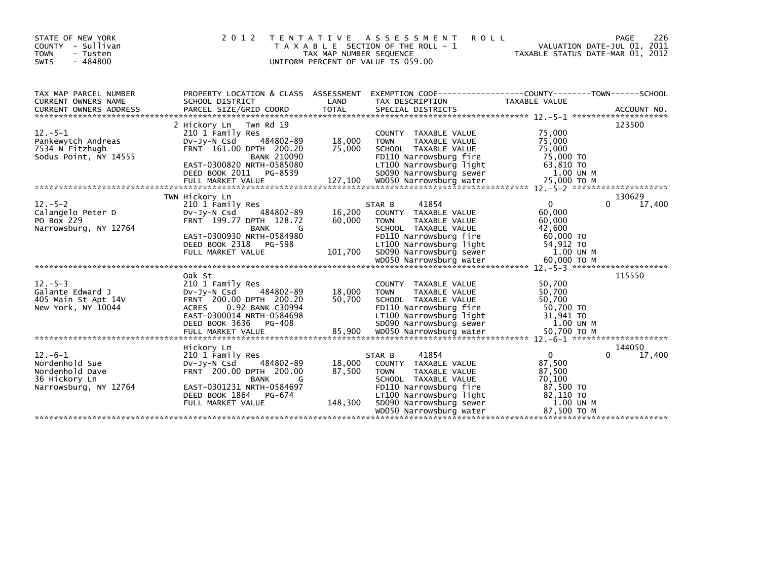| STATE OF NEW YORK<br>COUNTY<br>- Sullivan<br><b>TOWN</b><br>- Tusten<br>$-484800$<br><b>SWIS</b> | 2 0 1 2                                                                                                                                                                        | T E N T A T I V E<br>TAX MAP NUMBER SEQUENCE | ASSESSMENT<br><b>ROLL</b><br>T A X A B L E SECTION OF THE ROLL - 1<br>UNIFORM PERCENT OF VALUE IS 059.00                                                     | TAXABLE STATUS DATE-MAR 01, 2012                                  | 226<br>PAGE<br>VALUATION DATE-JUL 01, 2011 |
|--------------------------------------------------------------------------------------------------|--------------------------------------------------------------------------------------------------------------------------------------------------------------------------------|----------------------------------------------|--------------------------------------------------------------------------------------------------------------------------------------------------------------|-------------------------------------------------------------------|--------------------------------------------|
| TAX MAP PARCEL NUMBER<br>CURRENT OWNERS NAME                                                     | PROPERTY LOCATION & CLASS ASSESSMENT<br>SCHOOL DISTRICT                                                                                                                        | LAND                                         | EXEMPTION        CODE-----------------COUNTY-------TOWN------SCHOOL<br>TAX DESCRIPTION                                                                       | TAXABLE VALUE                                                     |                                            |
|                                                                                                  |                                                                                                                                                                                |                                              |                                                                                                                                                              |                                                                   |                                            |
|                                                                                                  | 2 Hickory Ln Twn Rd 19                                                                                                                                                         |                                              |                                                                                                                                                              |                                                                   | 123500                                     |
| $12.-5-1$<br>Pankewytch Andreas<br>7534 N Fitzhugh<br>Sodus Point, NY 14555                      | 210 1 Family Res<br>484802-89<br>$Dv-Jv-N$ Csd<br>FRNT 161.00 DPTH 200.20<br><b>BANK 210090</b><br>EAST-0300820 NRTH-0585080                                                   | 18,000<br>75,000                             | COUNTY TAXABLE VALUE<br><b>TOWN</b><br>TAXABLE VALUE<br>SCHOOL TAXABLE VALUE<br>FD110 Narrowsburg fire<br>LT100 Narrowsburg light                            | 75,000<br>75,000<br>75,000<br>75,000 TO<br>63,810 TO              |                                            |
|                                                                                                  | DEED BOOK 2011 PG-8539                                                                                                                                                         |                                              | SD090 Narrowsburg light<br>WD050 Narrowsburg sewer                                                                                                           | 1.00 UN M                                                         |                                            |
|                                                                                                  |                                                                                                                                                                                |                                              |                                                                                                                                                              |                                                                   |                                            |
|                                                                                                  | TWN Hickory Ln                                                                                                                                                                 |                                              |                                                                                                                                                              |                                                                   | 130629                                     |
| $12. - 5 - 2$<br>Calangelo Peter D<br>PO Box 229<br>Narrowsburg, NY 12764                        | 210 1 Family Res<br>$Dv-Jv-N$ Csd<br>484802-89<br>FRNT 199.77 DPTH 128.72<br><b>BANK</b><br>G<br>EAST-0300930 NRTH-0584980<br>DEED BOOK 2318 PG-598                            | 16,200<br>60,000                             | 41854<br>STAR B<br>COUNTY TAXABLE VALUE<br><b>TOWN</b><br>TAXABLE VALUE<br>SCHOOL TAXABLE VALUE<br>FD110 Narrowsburg fire<br>LT100 Narrowsburg light         | $\Omega$<br>60,000<br>60,000<br>42.600<br>60,000 TO<br>54,912 TO  | 17,400<br>$\Omega$                         |
|                                                                                                  | FULL MARKET VALUE                                                                                                                                                              | 101,700                                      | SD090 Narrowsburg sewer                                                                                                                                      | 1.00 UN M                                                         |                                            |
|                                                                                                  |                                                                                                                                                                                |                                              |                                                                                                                                                              |                                                                   |                                            |
| $12. - 5 - 3$<br>Galante Edward J<br>405 Main St Apt 14V<br>New York, NY 10044                   | Oak St<br>210 1 Family Res<br>DV-Jy-N Csd<br>484802-89<br>FRNT 200.00 DPTH 200.20<br>0.92 BANK C30994<br><b>ACRES</b><br>EAST-0300014 NRTH-0584698<br>DEED BOOK 3636<br>PG-408 | 18,000<br>50,700                             | COUNTY TAXABLE VALUE<br>TAXABLE VALUE<br><b>TOWN</b><br>SCHOOL TAXABLE VALUE<br>FD110 Narrowsburg fire<br>LT100 Narrowsburg light<br>SD090 Narrowsburg sewer | 50,700<br>50,700<br>50.700<br>50,700 TO<br>31,941 TO<br>1.00 UN M | 115550                                     |
|                                                                                                  |                                                                                                                                                                                |                                              |                                                                                                                                                              |                                                                   |                                            |
| $12. -6 - 1$<br>Nordenhold Sue<br>Nordenhold Dave<br>36 Hickory Ln                               | Hickory Ln<br>210 1 Family Res<br>484802-89<br>$Dv-Jv-N$ Csd<br>FRNT 200.00 DPTH 200.00<br><b>BANK</b><br>G                                                                    | 18,000<br>87,500                             | 41854<br>STAR B<br>COUNTY TAXABLE VALUE<br><b>TOWN</b><br>TAXABLE VALUE<br>SCHOOL TAXABLE VALUE                                                              | 0<br>87,500<br>87,500<br>70.100                                   | 144050<br>17,400                           |
| Narrowsburg, NY 12764                                                                            | EAST-0301231 NRTH-0584697<br>DEED BOOK 1864 PG-674<br>FULL MARKET VALUE                                                                                                        | 148,300                                      | FD110 Narrowsburg fire<br>LT100 Narrowsburg light<br>SD090 Narrowsburg sewer<br>WD050 Narrowsburg water                                                      | 87,500 TO<br>82,110 TO<br>1.00 UN M<br>87.500 TO M                |                                            |
|                                                                                                  |                                                                                                                                                                                |                                              |                                                                                                                                                              |                                                                   |                                            |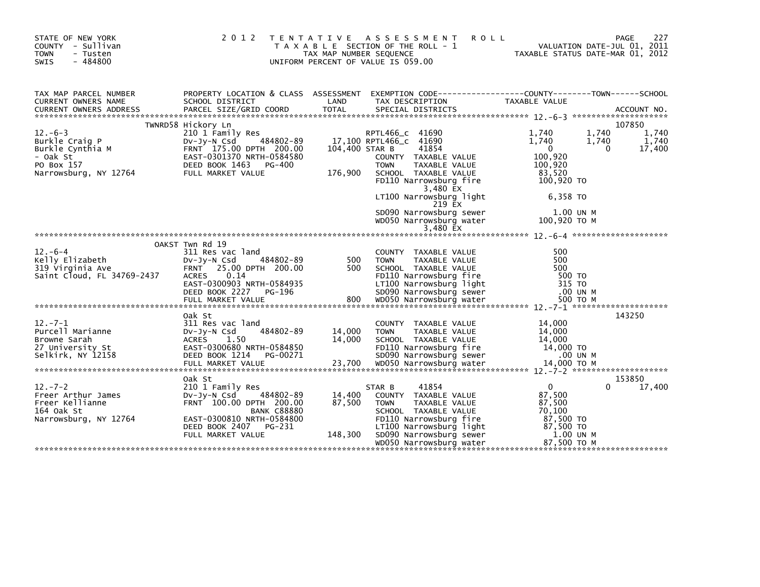| STATE OF NEW YORK<br>COUNTY - Sullivan<br><b>TOWN</b><br>- Tusten<br>$-484800$<br><b>SWIS</b>      | 2 0 1 2                                                                                                                                                            | TAX MAP NUMBER SEQUENCE   | TENTATIVE ASSESSMENT<br><b>ROLL</b><br>T A X A B L E SECTION OF THE ROLL - 1<br>UNIFORM PERCENT OF VALUE IS 059.00                                           |                                                                              | 227<br>PAGE<br>VALUATION DATE-JUL 01, 2011<br>TAXABLE STATUS DATE-MAR 01, 2012 |
|----------------------------------------------------------------------------------------------------|--------------------------------------------------------------------------------------------------------------------------------------------------------------------|---------------------------|--------------------------------------------------------------------------------------------------------------------------------------------------------------|------------------------------------------------------------------------------|--------------------------------------------------------------------------------|
| TAX MAP PARCEL NUMBER<br>CURRENT OWNERS NAME                                                       | SCHOOL DISTRICT                                                                                                                                                    | LAND                      | PROPERTY LOCATION & CLASS ASSESSMENT EXEMPTION CODE----------------COUNTY-------TOWN------SCHOOL<br>TAX DESCRIPTION                                          | TAXABLE VALUE                                                                |                                                                                |
|                                                                                                    | TWNRD58 Hickory Ln                                                                                                                                                 |                           |                                                                                                                                                              |                                                                              | 107850                                                                         |
| $12.-6-3$<br>Burkle Craig P<br>Burkle Cynthia M<br>- Oak St<br>PO Box 157<br>Narrowsburg, NY 12764 | 210 1 Family Res<br>484802-89<br>$Dv-Jy-N$ Csd<br>FRNT 175.00 DPTH 200.00<br>EAST-0301370 NRTH-0584580<br>DEED BOOK 1463<br>PG-400<br>FULL MARKET VALUE            | 104,400 STAR B<br>176,900 | RPTL466_C 41690<br>17,100 RPTL466_C 41690<br>41854<br>COUNTY TAXABLE VALUE<br><b>TOWN</b><br>TAXABLE VALUE<br>SCHOOL TAXABLE VALUE<br>FD110 Narrowsburg fire | 1.740<br>1,740<br>$\mathbf{0}$<br>100,920<br>100.920<br>83,520<br>100,920 TO | 1.740<br>1,740<br>1,740<br>1,740<br>17,400<br>$\Omega$                         |
|                                                                                                    |                                                                                                                                                                    |                           | 3,480 EX<br>LT100 Narrowsburg light<br>219 EX                                                                                                                | 6,358 TO                                                                     |                                                                                |
|                                                                                                    |                                                                                                                                                                    |                           | SD090 Narrowsburg sewer<br>WD050 Narrowsburg water                                                                                                           | 1.00 UN M<br>100,920 ТО М                                                    |                                                                                |
|                                                                                                    |                                                                                                                                                                    |                           |                                                                                                                                                              |                                                                              |                                                                                |
| $12 - 6 - 4$<br>Kelly Elizabeth<br>319 Virginia Ave<br>Saint Cloud, FL 34769-2437                  | OAKST Twn Rd 19<br>311 Res vac land<br>$Dv-Jv-N$ Csd<br>484802-89<br>FRNT 25.00 DPTH 200.00<br>ACRES 0.14<br>EAST-0300903 NRTH-0584935<br>DEED BOOK 2227<br>PG-196 | 500<br>500                | COUNTY TAXABLE VALUE<br>TAXABLE VALUE<br><b>TOWN</b><br>SCHOOL TAXABLE VALUE<br>FD110 Narrowsburg fire<br>LT100 Narrowsburg light<br>SD090 Narrowsburg sewer | 500<br>500<br>500<br>500 TO<br>315 TO<br>.00 UN M                            |                                                                                |
| $12 - 7 - 1$<br>Purcell Marianne<br>Browne Sarah<br>27 University St<br>Selkirk, NY 12158          | Oak St<br>311 Res vac land<br>484802-89<br>$Dv-Jv-N$ Csd<br>ACRES 1.50<br>EAST-0300680 NRTH-0584850<br>DEED BOOK 1214 PG-00271                                     | 14,000<br>14,000          | COUNTY TAXABLE VALUE<br>TAXABLE VALUE<br><b>TOWN</b><br>SCHOOL TAXABLE VALUE<br>FD110 Narrowsburg fire<br>SD090 Narrowsburg sewer                            | 14,000<br>14,000<br>14,000<br>14,000 TO<br>.00 UN M                          | 143250                                                                         |
|                                                                                                    | Oak St                                                                                                                                                             |                           |                                                                                                                                                              |                                                                              | 153850                                                                         |
| $12 - 7 - 2$<br>Freer Arthur James<br>Freer Kellianne<br>164 Oak St<br>Narrowsburg, NY 12764       | 210 1 Family Res<br>484802-89<br>$Dv-Jy-N$ Csd<br>FRNT 100.00 DPTH 200.00<br><b>BANK C88880</b><br>EAST-0300810 NRTH-0584800                                       | 14,400<br>87,500          | 41854<br>STAR B<br>COUNTY TAXABLE VALUE<br><b>TOWN</b><br>TAXABLE VALUE<br>SCHOOL TAXABLE VALUE<br>FD110 Narrowsburg fire                                    | $\mathbf{0}$<br>87,500<br>87,500<br>70,100<br>87,500 TO                      | 17,400<br>0                                                                    |
|                                                                                                    | DEED BOOK 2407<br>PG-231<br>FULL MARKET VALUE                                                                                                                      | 148,300                   | LT100 Narrowsburg light<br>SD090 Narrowsburg sewer<br>WD050 Narrowsburg water                                                                                | 87,500 TO<br>1.00 UN M<br>87,500 ТО М                                        |                                                                                |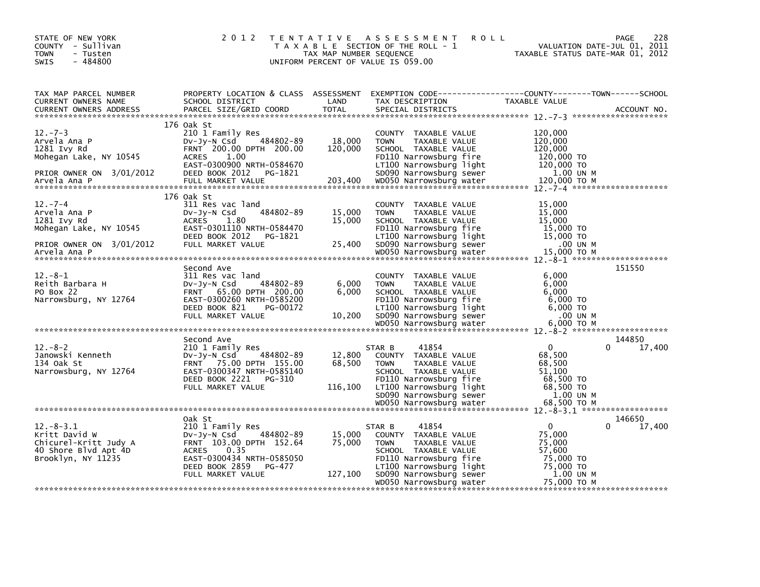| STATE OF NEW YORK<br>COUNTY - Sullivan<br><b>TOWN</b><br>- Tusten<br>$-484800$<br>SWIS                 | 2 0 1 2                                                                                                                                                                              | TAX MAP NUMBER SEQUENCE     | TENTATIVE ASSESSMENT<br><b>ROLL</b><br>T A X A B L E SECTION OF THE ROLL - 1<br>UNIFORM PERCENT OF VALUE IS 059.00                                                              | VALUATION DATE-JUL 01, 2011<br>TAXABLE STATUS DATE-MAR 01, 2012               | 228<br>PAGE                  |
|--------------------------------------------------------------------------------------------------------|--------------------------------------------------------------------------------------------------------------------------------------------------------------------------------------|-----------------------------|---------------------------------------------------------------------------------------------------------------------------------------------------------------------------------|-------------------------------------------------------------------------------|------------------------------|
| TAX MAP PARCEL NUMBER<br>CURRENT OWNERS NAME<br><b>CURRENT OWNERS ADDRESS</b>                          | PROPERTY LOCATION & CLASS ASSESSMENT<br>SCHOOL DISTRICT<br>PARCEL SIZE/GRID COORD                                                                                                    | LAND<br>TOTAL               | EXEMPTION CODE------------------COUNTY--------TOWN------SCHOOL<br>TAX DESCRIPTION<br>SPECIAL DISTRICTS                                                                          | TAXABLE VALUE                                                                 | ACCOUNT NO.                  |
|                                                                                                        | 176 Oak St                                                                                                                                                                           |                             |                                                                                                                                                                                 |                                                                               |                              |
| $12. -7 - 3$<br>Arvela Ana P<br>1281 Ivy Rd<br>Mohegan Lake, NY 10545                                  | 210 1 Family Res<br>484802-89<br>DV-Jy-N Csd<br>FRNT 200.00 DPTH 200.00<br><b>ACRES</b><br>1.00<br>EAST-0300900 NRTH-0584670                                                         | 18,000<br>120,000           | COUNTY TAXABLE VALUE<br><b>TOWN</b><br>TAXABLE VALUE<br>SCHOOL TAXABLE VALUE<br>FD110 Narrowsburg fire<br>LT100 Narrowsburg light                                               | 120,000<br>120,000<br>120,000<br>120,000 TO<br>120,000 TO                     |                              |
| PRIOR OWNER ON 3/01/2012                                                                               | DEED BOOK 2012<br>PG-1821                                                                                                                                                            |                             | SD090 Narrowsburg sewer                                                                                                                                                         | 1.00 UN M                                                                     |                              |
| $12 - 7 - 4$<br>Arvela Ana P<br>1281 Ivy Rd<br>Mohegan Lake, NY 10545                                  | 176 Oak St<br>311 Res vac land<br>484802-89<br>DV-Jy-N Csd<br><b>ACRES</b><br>1.80<br>EAST-0301110 NRTH-0584470<br>DEED BOOK 2012 PG-1821                                            | 15,000<br>15,000            | COUNTY TAXABLE VALUE<br>TAXABLE VALUE<br><b>TOWN</b><br>SCHOOL TAXABLE VALUE<br>FD110 Narrowsburg fire<br>LT100 Narrowsburg light                                               | 15,000<br>15,000<br>15,000<br>15,000 TO<br>15,000 TO                          |                              |
| PRIOR OWNER ON 3/01/2012<br>Arvela Ana P                                                               | FULL MARKET VALUE                                                                                                                                                                    | 25,400                      | SD090 Narrowsburg sewer<br>WD050 Narrowsburg water                                                                                                                              | .00 UN M<br>15,000 TO M                                                       |                              |
|                                                                                                        | Second Ave                                                                                                                                                                           |                             |                                                                                                                                                                                 |                                                                               | 151550                       |
| $12 - 8 - 1$<br>Reith Barbara H<br>PO Box 22<br>Narrowsburg, NY 12764                                  | 311 Res vac land<br>484802-89<br>DV-Jy-N Csd<br>FRNT 65.00 DPTH 200.00<br>EAST-0300260 NRTH-0585200<br>DEED BOOK 821<br>PG-00172<br>FULL MARKET VALUE                                | 6,000<br>6,000<br>10,200    | COUNTY TAXABLE VALUE<br>TAXABLE VALUE<br><b>TOWN</b><br>SCHOOL TAXABLE VALUE<br>FD110 Narrowsburg fire<br>LT100 Narrowsburg light                                               | 6.000<br>6,000<br>6,000<br>6,000 TO<br>6,000 TO<br>.00 UN M<br>6.000 TO M     |                              |
|                                                                                                        |                                                                                                                                                                                      |                             |                                                                                                                                                                                 |                                                                               |                              |
| $12 - 8 - 2$<br>Janowski Kenneth<br>134 Oak St<br>Narrowsburg, NY 12764                                | Second Ave<br>210 1 Family Res<br>484802-89<br>DV-Jy-N Csd<br>FRNT 75.00 DPTH 155.00<br>EAST-0300347 NRTH-0585140<br>DEED BOOK 2221<br>PG-310<br>FULL MARKET VALUE                   | 12,800<br>68,500<br>116,100 | 41854<br>STAR B<br>COUNTY TAXABLE VALUE<br><b>TOWN</b><br>TAXABLE VALUE<br>SCHOOL TAXABLE VALUE<br>FD110 Narrowsburg fire<br>LT100 Narrowsburg light<br>SD090 Narrowsburg sewer | $\Omega$<br>68,500<br>68,500<br>51,100<br>68,500 TO<br>68,500 TO<br>1.00 UN M | 144850<br>17,400             |
|                                                                                                        |                                                                                                                                                                                      |                             |                                                                                                                                                                                 |                                                                               |                              |
| $12 - 8 - 3.1$<br>Kritt David W<br>Chicurel-Kritt Judy A<br>40 Shore Blvd Apt 4D<br>Brooklyn, NY 11235 | Oak St<br>210 1 Family Res<br>484802-89<br>DV-Jy-N Csd<br>FRNT 103.00 DPTH 152.64<br><b>ACRES</b><br>0.35<br>EAST-0300434 NRTH-0585050<br>DEED BOOK 2859 PG-477<br>FULL MARKET VALUE | 15,000<br>75,000<br>127,100 | 41854<br>STAR B<br>COUNTY TAXABLE VALUE<br>TAXABLE VALUE<br><b>TOWN</b><br>SCHOOL TAXABLE VALUE<br>FD110 Narrowsburg fire<br>LT100 Narrowsburg light<br>SD090 Narrowsburg sewer | $\Omega$<br>75,000<br>75,000<br>57,600<br>75,000 TO<br>75,000 TO<br>1.00 UN M | 146650<br>$\Omega$<br>17,400 |
|                                                                                                        |                                                                                                                                                                                      |                             | WD050 Narrowsburg water                                                                                                                                                         | 75,000 TO M                                                                   |                              |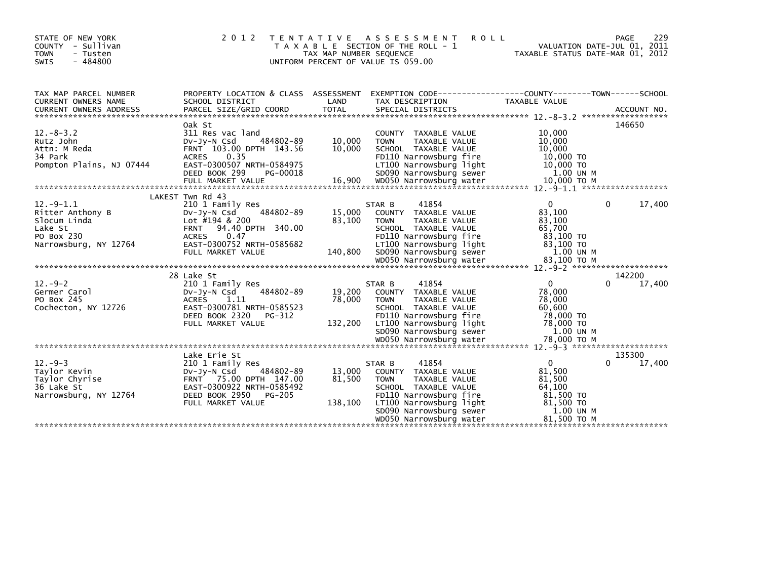| STATE OF NEW YORK<br>COUNTY - Sullivan<br><b>TOWN</b><br>- Tusten<br><b>SWIS</b><br>$-484800$     | 2 0 1 2                                                                                                                                                                                            | T E N T A T I V E<br>TAX MAP NUMBER SEQUENCE | <b>ROLL</b><br>A S S E S S M E N T<br>T A X A B L E SECTION OF THE ROLL - 1<br>UNIFORM PERCENT OF VALUE IS 059.00                                                                                          | TAXABLE STATUS DATE-MAR 01, 2012                                                                 | 229<br>PAGE<br>VALUATION DATE-JUL 01, 2011 |
|---------------------------------------------------------------------------------------------------|----------------------------------------------------------------------------------------------------------------------------------------------------------------------------------------------------|----------------------------------------------|------------------------------------------------------------------------------------------------------------------------------------------------------------------------------------------------------------|--------------------------------------------------------------------------------------------------|--------------------------------------------|
| TAX MAP PARCEL NUMBER<br>CURRENT OWNERS NAME                                                      | PROPERTY LOCATION & CLASS ASSESSMENT<br>SCHOOL DISTRICT                                                                                                                                            | LAND                                         | EXEMPTION CODE------------------COUNTY--------TOWN------SCHOOL<br>TAX DESCRIPTION                                                                                                                          | <b>TAXABLE VALUE</b>                                                                             |                                            |
| $12. - 8 - 3.2$<br>Rutz John<br>Attn: M Reda<br>34 Park<br>Pompton Plains, NJ 07444               | Oak St<br>311 Res vac land<br>484802-89<br>$Dv-Jv-N$ Csd<br>FRNT 103.00 DPTH 143.56<br>0.35<br><b>ACRES</b><br>EAST-0300507 NRTH-0584975<br>DEED BOOK 299<br>PG-00018                              | 10,000<br>10,000                             | COUNTY TAXABLE VALUE<br>TAXABLE VALUE<br><b>TOWN</b><br>SCHOOL TAXABLE VALUE<br>FD110 Narrowsburg fire<br>LT100 Narrowsburg light<br>SD090 Narrowsburg sewer                                               | 10,000<br>10,000<br>10,000<br>10,000 TO<br>10,000 TO<br>1.00 UN M                                | 146650                                     |
| $12.-9-1.1$<br>Ritter Anthony B<br>Slocum Linda<br>Lake St<br>PO Box 230<br>Narrowsburg, NY 12764 | LAKEST Twn Rd 43<br>210 1 Family Res<br>484802-89<br>$Dv-Jy-N$ Csd<br>Lot #194 & 200<br><b>FRNT</b><br>94.40 DPTH 340.00<br><b>ACRES</b><br>0.47<br>EAST-0300752 NRTH-0585682<br>FULL MARKET VALUE | 15,000<br>83,100<br>140,800                  | 41854<br>STAR B<br>COUNTY TAXABLE VALUE<br>TAXABLE VALUE<br><b>TOWN</b><br>SCHOOL TAXABLE VALUE<br>FD110 Narrowsburg fire<br>LT100 Narrowsburg light<br>SD090 Narrowsburg sewer                            | $\mathbf{0}$<br>83,100<br>83,100<br>65,700<br>83,100 TO<br>83,100 TO<br>1.00 UN M                | 17,400<br>0                                |
| $12. - 9 - 2$<br>Germer Carol<br>PO Box 245<br>Cochecton, NY 12726                                | 28 Lake St<br>210 1 Family Res<br>484802-89<br>$Dv-Jy-N$ Csd<br>1.11<br><b>ACRES</b><br>EAST-0300781 NRTH-0585523<br>DEED BOOK 2320<br>PG-312<br>FULL MARKET VALUE                                 | 19,200<br>78,000<br>132,200                  | 41854<br>STAR B<br>COUNTY TAXABLE VALUE<br><b>TOWN</b><br>TAXABLE VALUE<br>SCHOOL TAXABLE VALUE<br>FD110 Narrowsburg fire<br>LT100 Narrowsburg light<br>SD090 Narrowsburg sewer                            | $\Omega$<br>78,000<br>78,000<br>60,600<br>78,000 TO<br>78,000 TO<br>1.00 UN M                    | 142200<br>17,400<br>0                      |
| $12. -9 - 3$<br>Taylor Kevin<br>Taylor Chyrise<br>36 Lake St<br>Narrowsburg, NY 12764             | Lake Erie St<br>210 1 Family Res<br>484802-89<br>DV-JV-N Csd<br>FRNT 75.00 DPTH 147.00<br>EAST-0300922 NRTH-0585492<br>DEED BOOK 2950<br>PG-205<br>FULL MARKET VALUE                               | 13.000<br>81,500<br>138,100                  | 41854<br>STAR B<br>COUNTY TAXABLE VALUE<br><b>TOWN</b><br>TAXABLE VALUE<br>SCHOOL TAXABLE VALUE<br>FD110 Narrowsburg fire<br>LT100 Narrowsburg light<br>SD090 Narrowsburg sewer<br>WD050 Narrowsburg water | $\mathbf{0}$<br>81,500<br>81,500<br>64,100<br>81,500 TO<br>81,500 TO<br>1.00 UN M<br>81,500 ТО М | 135300<br>17,400<br>$\Omega$               |
|                                                                                                   |                                                                                                                                                                                                    |                                              |                                                                                                                                                                                                            |                                                                                                  |                                            |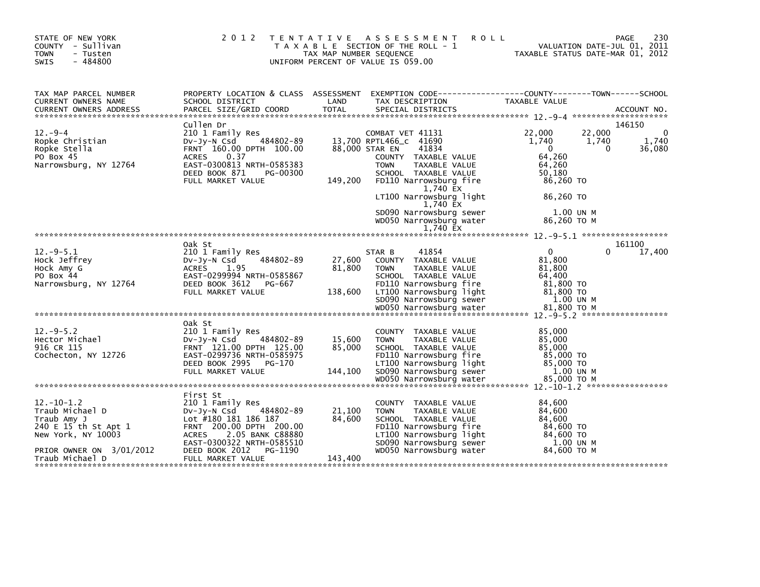| STATE OF NEW YORK<br>COUNTY - Sullivan<br><b>TOWN</b><br>- Tusten<br>$-484800$<br>SWIS | 2 0 1 2                                                 | T E N T A T I V E<br>TAX MAP NUMBER SEQUENCE | A S S E S S M E N T<br><b>ROLL</b><br>T A X A B L E SECTION OF THE ROLL - 1<br>UNIFORM PERCENT OF VALUE IS 059.00 | 230<br><b>PAGE</b><br>VALUATION DATE-JUL 01, 2011<br>TAXABLE STATUS DATE-MAR 01, 2012 |
|----------------------------------------------------------------------------------------|---------------------------------------------------------|----------------------------------------------|-------------------------------------------------------------------------------------------------------------------|---------------------------------------------------------------------------------------|
| TAX MAP PARCEL NUMBER<br>CURRENT OWNERS NAME                                           | PROPERTY LOCATION & CLASS ASSESSMENT<br>SCHOOL DISTRICT | LAND                                         | TAX DESCRIPTION                                                                                                   | EXEMPTION CODE-----------------COUNTY-------TOWN------SCHOOL<br>TAXABLE VALUE         |
|                                                                                        |                                                         |                                              |                                                                                                                   |                                                                                       |
| $12. -9 - 4$                                                                           | Cullen Dr<br>210 1 Family Res                           |                                              | COMBAT VET 41131                                                                                                  | 146150<br>22,000<br>22,000<br>$\mathbf{0}$                                            |
| Ropke Christian                                                                        | 484802-89<br>$Dv-Jv-N$ Csd                              |                                              | 13,700 RPTL466_C 41690                                                                                            | 1,740<br>1,740<br>1,740                                                               |
| Ropke Stella                                                                           | FRNT 160.00 DPTH 100.00                                 |                                              | 88,000 STAR EN<br>41834                                                                                           | 36,080<br>$\Omega$<br>$\Omega$                                                        |
| PO Box 45                                                                              | 0.37<br><b>ACRES</b>                                    |                                              | COUNTY TAXABLE VALUE                                                                                              | 64,260                                                                                |
| Narrowsburg, NY 12764                                                                  | EAST-0300813 NRTH-0585383                               |                                              | <b>TOWN</b><br>TAXABLE VALUE                                                                                      | 64,260                                                                                |
|                                                                                        | DEED BOOK 871<br>PG-00300                               |                                              | SCHOOL TAXABLE VALUE                                                                                              | 50,180                                                                                |
|                                                                                        | FULL MARKET VALUE                                       | 149,200                                      | FD110 Narrowsburg fire                                                                                            | 86,260 TO                                                                             |
|                                                                                        |                                                         |                                              | 1,740 EX<br>LT100 Narrowsburg light<br>1,740 EX                                                                   | 86.260 TO                                                                             |
|                                                                                        |                                                         |                                              | SD090 Narrowsburg sewer                                                                                           | 1.00 UN M                                                                             |
|                                                                                        |                                                         |                                              | WD050 Narrowsburg water                                                                                           | 86,260 ТО М                                                                           |
|                                                                                        |                                                         |                                              | 1.740 EX                                                                                                          |                                                                                       |
|                                                                                        |                                                         |                                              |                                                                                                                   |                                                                                       |
| $12.-9-5.1$                                                                            | Oak St                                                  |                                              | 41854                                                                                                             | 161100<br>$\Omega$<br>0                                                               |
| Hock Jeffrey                                                                           | 210 1 Family Res<br>484802-89<br>$Dv-Jy-N$ Csd          | 27,600                                       | STAR B<br>COUNTY TAXABLE VALUE                                                                                    | 17,400<br>81.800                                                                      |
| Hock Amy G                                                                             | 1.95<br><b>ACRES</b>                                    | 81,800                                       | <b>TOWN</b><br>TAXABLE VALUE                                                                                      | 81,800                                                                                |
| PO Box 44                                                                              | EAST-0299994 NRTH-0585867                               |                                              | SCHOOL TAXABLE VALUE                                                                                              | 64,400                                                                                |
| Narrowsburg, NY 12764                                                                  | DEED BOOK 3612<br>PG-667                                |                                              | FD110 Narrowsburg fire                                                                                            | 81,800 TO                                                                             |
|                                                                                        | FULL MARKET VALUE                                       | 138,600                                      | LT100 Narrowsburg light                                                                                           | 81,800 TO                                                                             |
|                                                                                        |                                                         |                                              | SD090 Narrowsburg sewer                                                                                           | 1.00 UN M                                                                             |
|                                                                                        |                                                         |                                              |                                                                                                                   |                                                                                       |
|                                                                                        |                                                         |                                              |                                                                                                                   |                                                                                       |
| $12.-9-5.2$                                                                            | Oak St<br>210 1 Family Res                              |                                              | COUNTY TAXABLE VALUE                                                                                              | 85,000                                                                                |
| Hector Michael                                                                         | 484802-89<br>DV-Jy-N Csd                                | 15,600                                       | <b>TOWN</b><br>TAXABLE VALUE                                                                                      | 85,000                                                                                |
| 916 CR 115                                                                             | FRNT 121.00 DPTH 125.00                                 | 85,000                                       | SCHOOL TAXABLE VALUE                                                                                              | 85,000                                                                                |
| Cochecton, NY 12726                                                                    | EAST-0299736 NRTH-0585975                               |                                              | FD110 Narrowsburg fire                                                                                            | 85,000 TO                                                                             |
|                                                                                        | DEED BOOK 2995<br>PG-170                                |                                              | LT100 Narrowsburg light                                                                                           | 85,000 TO                                                                             |
|                                                                                        | FULL MARKET VALUE                                       | 144,100                                      | SD090 Narrowsburg sewer                                                                                           | 1.00 UN M                                                                             |
|                                                                                        |                                                         |                                              | WD050 Narrowsburg water                                                                                           | 85,000 TO M                                                                           |
|                                                                                        |                                                         |                                              |                                                                                                                   |                                                                                       |
| $12. - 10 - 1.2$                                                                       | First St<br>210 1 Family Res                            |                                              | COUNTY TAXABLE VALUE                                                                                              | 84,600                                                                                |
| Traub Michael D                                                                        | 484802-89<br>$Dv-Jy-N$ Csd                              | 21,100                                       | TAXABLE VALUE<br><b>TOWN</b>                                                                                      | 84.600                                                                                |
| Traub Amy J                                                                            | Lot #180 181 186 187                                    | 84,600                                       | SCHOOL TAXABLE VALUE                                                                                              | 84.600                                                                                |
| 240 E 15 th St Apt 1                                                                   | FRNT 200.00 DPTH 200.00                                 |                                              | FD110 Narrowsburg fire                                                                                            | 84,600 TO                                                                             |
| New York, NY 10003                                                                     | 2.05 BANK C88880<br><b>ACRES</b>                        |                                              | LT100 Narrowsburg light                                                                                           | 84,600 TO                                                                             |
|                                                                                        | EAST-0300322 NRTH-0585510                               |                                              | SD090 Narrowsburg sewer                                                                                           | 1.00 UN M                                                                             |
| PRIOR OWNER ON 3/01/2012                                                               | DEED BOOK 2012<br>PG-1190                               |                                              | WD050 Narrowsburg water                                                                                           | 84.600 TO M                                                                           |
| Traub Michael D                                                                        | FULL MARKET VALUE                                       | 143,400                                      |                                                                                                                   |                                                                                       |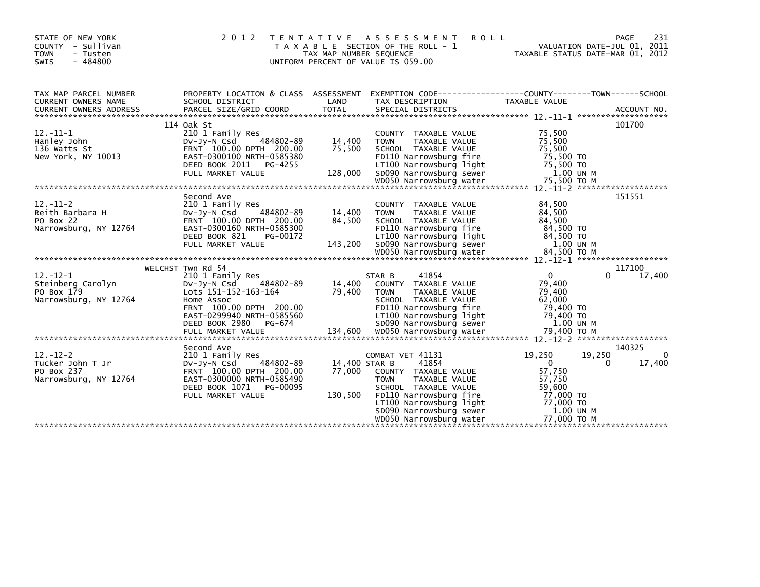| STATE OF NEW YORK<br>COUNTY - Sullivan<br><b>TOWN</b><br>- Tusten<br>$-484800$<br><b>SWIS</b>                                                                                                                                                                                                                                         | 2 0 1 2                                                                                                                                                                                     | T E N T A T I V E<br>TAX MAP NUMBER SEQUENCE | ASSESSMENT<br><b>ROLL</b><br>T A X A B L E SECTION OF THE ROLL - 1<br>UNIFORM PERCENT OF VALUE IS 059.00                                                                                                             | VALUATION DATE-JUL 01, 2011<br>TAXABLE STATUS DATE-MAR 01, 2012                                                                  | 231<br>PAGE           |
|---------------------------------------------------------------------------------------------------------------------------------------------------------------------------------------------------------------------------------------------------------------------------------------------------------------------------------------|---------------------------------------------------------------------------------------------------------------------------------------------------------------------------------------------|----------------------------------------------|----------------------------------------------------------------------------------------------------------------------------------------------------------------------------------------------------------------------|----------------------------------------------------------------------------------------------------------------------------------|-----------------------|
| TAX MAP PARCEL NUMBER<br>CURRENT OWNERS NAME                                                                                                                                                                                                                                                                                          | PROPERTY LOCATION & CLASS ASSESSMENT<br>SCHOOL DISTRICT                                                                                                                                     | LAND                                         | EXEMPTION CODE------------------COUNTY--------TOWN------SCHOOL<br>TAX DESCRIPTION                                                                                                                                    | TAXABLE VALUE                                                                                                                    |                       |
| $12. - 11 - 1$<br>Hanley John<br>136 Watts St<br>New York, NY 10013<br>$FULL$ $FULL$ $FULL$ $T28,000$ $SDO90$ $SDO90$ $SDO90$ $SDO90$ $SDO90$ $SDO90$ $SDO90$ $SDO90$ $SDO90$ $SDO90$ $SDO90$ $SDO90$ $SDO90$ $SDO90$ $SDO90$ $SDO90$ $SDO90$ $SDO90$ $SDO90$ $SDO90$ $SDO90$ $SDO90$ $SDO90$ $SDO90$ $SDO90$ $SDO90$ $SDO90$ $SDO90$ | 114 Oak St<br>210 1 Family Res<br>484802-89<br>DV-JY-N Csd<br>FRNT 100.00 DPTH 200.00<br>EAST-0300100 NRTH-0585380<br>DEED BOOK 2011 PG-4255                                                | 14,400<br>75,500                             | COUNTY TAXABLE VALUE<br><b>TOWN</b><br>TAXABLE VALUE<br>SCHOOL TAXABLE VALUE<br>FD110 Narrowsburg fire<br>LT100 Narrowsburg light                                                                                    | 75,500<br>75,500<br>75,500<br>75,500 TO<br>75,500 TO                                                                             | 101700                |
| $12. - 11 - 2$<br>Reith Barbara H<br>PO Box 22<br>Narrowsburg, NY 12764                                                                                                                                                                                                                                                               | Second Ave<br>210 1 Family Res<br>484802-89<br>DV-JV-N Csd<br>FRNT 100.00 DPTH 200.00<br>EAST-0300160 NRTH-0585300<br>DEED BOOK 821<br>PG-00172<br>FULL MARKET VALUE                        | 14,400<br>84,500<br>143,200                  | COUNTY TAXABLE VALUE<br><b>TOWN</b><br>TAXABLE VALUE<br>SCHOOL TAXABLE VALUE<br>FD110 Narrowsburg fire<br>LT100 Narrowsburg light<br>SD090 Narrowsburg sewer                                                         | 84,500<br>84,500<br>84.500<br>84,500 TO<br>84,500 TO<br>1.00 UN M                                                                | 151551                |
| $12 - 12 - 1$<br>Steinberg Carolyn<br>PO Box 179<br>Narrowsburg, NY 12764                                                                                                                                                                                                                                                             | WELCHST Twn Rd 54<br>210 1 Family Res<br>484802-89<br>DV-JV-N Csd<br>Lots 151-152-163-164<br>Home Assoc<br>FRNT 100.00 DPTH 200.00<br>EAST-0299940 NRTH-0585560<br>DEED BOOK 2980<br>PG-674 | 14,400<br>79,400                             | STAR B<br>41854<br>COUNTY TAXABLE VALUE<br>TAXABLE VALUE<br><b>TOWN</b><br>SCHOOL TAXABLE VALUE<br>FD110 Narrowsburg fire<br>LT100 Narrowsburg light<br>SD090 Narrowsburg sewer                                      | $\mathbf{0}$<br>$\Omega$<br>79.400<br>79,400<br>62,000<br>79,400 TO<br>79,400 TO<br>1.00 UN M                                    | 117100<br>17,400      |
| $12 - 12 - 2$<br>Tucker John T Jr<br>PO Box 237<br>Narrowsburg, NY 12764                                                                                                                                                                                                                                                              | Second Ave<br>210 1 Family Res<br>484802-89<br>DV-Jy-N Csd<br>FRNT 100.00 DPTH 200.00<br>EAST-0300000 NRTH-0585490<br>DEED BOOK 1071<br>PG-00095<br>FULL MARKET VALUE                       | 14,400 STAR B<br>77,000<br>130,500           | COMBAT VET 41131<br>41854<br>COUNTY TAXABLE VALUE<br>TAXABLE VALUE<br><b>TOWN</b><br>SCHOOL TAXABLE VALUE<br>FD110 Narrowsburg fire<br>LT100 Narrowsburg light<br>SD090 Narrowsburg sewer<br>WD050 Narrowsburg water | 19,250<br>19,250<br>$\mathbf{0}$<br>$\Omega$<br>57,750<br>57,750<br>59,600<br>77,000 TO<br>77,000 TO<br>1.00 UN M<br>77,000 TO M | 140325<br>0<br>17,400 |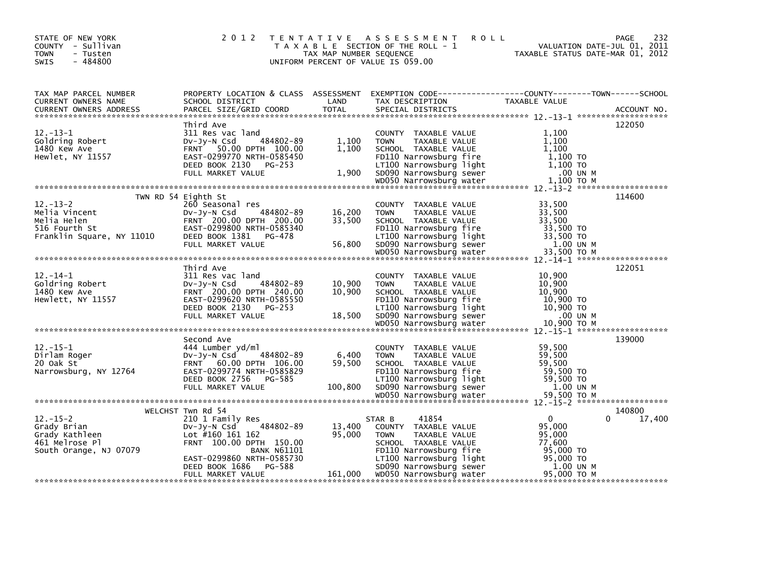| STATE OF NEW YORK<br>COUNTY - Sullivan<br><b>TOWN</b><br>- Tusten<br>$-484800$<br>SWIS                                                             | 2 0 1 2                                                                                                                                                                                                           | TAX MAP NUMBER SEQUENCE   | TENTATIVE ASSESSMENT ROLL<br>T A X A B L E SECTION OF THE ROLL - 1<br>UNIFORM PERCENT OF VALUE IS 059.00                                                                                                                                                                                                                                    | PAGE<br>VALUATION DATE-JUL 01, 2011<br>TAXABLE STATUS DATE-MAR 01, 2012                                                                                                                                                                                                     | 232 |
|----------------------------------------------------------------------------------------------------------------------------------------------------|-------------------------------------------------------------------------------------------------------------------------------------------------------------------------------------------------------------------|---------------------------|---------------------------------------------------------------------------------------------------------------------------------------------------------------------------------------------------------------------------------------------------------------------------------------------------------------------------------------------|-----------------------------------------------------------------------------------------------------------------------------------------------------------------------------------------------------------------------------------------------------------------------------|-----|
|                                                                                                                                                    |                                                                                                                                                                                                                   |                           |                                                                                                                                                                                                                                                                                                                                             | TAX MAP PARCEL NUMBER PROPERTY LOCATION & CLASS ASSESSMENT EXEMPTION CODE-----------------COUNTY-------TOWN-----SCHOOL<br>CURRENT OWNERS NAME SCHOOL DISTRICT LAND TAX DESCRIPTION TAXABLE VALUE<br>CURRENT OWNERS ADDRESS PARCEL SI                                        |     |
| $12 - 13 - 1$<br>--: --<br>Goldring Robert<br>1480 Kew Ave<br>Hewlet, NY 11557                                                                     | Third Ave<br>311 Res vac land                                                                                                                                                                                     |                           | COUNTY TAXABLE VALUE                                                                                                                                                                                                                                                                                                                        | 122050<br>1,100<br>12.-13-1<br>12.-13-1<br>Coldring Robert by The State of Taxable value<br>1480 Kew Ave FRNT 50.00 DPTH 100.00<br>1,100 SCHOOL TAXABLE VALUE<br>1,100 TO EAST-0299770 NRTH-0585450<br>DEED BOOK 2130 PG-253 FULL MARKET VALUE<br>FULL MARKET               |     |
| $12.-13-2$                                                                                                                                         | TWN RD 54 Eighth St<br>260 Seasonal res<br>260 Seasonal res<br>Dv-Jy-N Csd     484802-89<br>FRNT  200.00 DPTH  200.00                                                                                             |                           | COUNTY TAXABLE VALUE                                                                                                                                                                                                                                                                                                                        | 114600<br>33,500                                                                                                                                                                                                                                                            |     |
| 12.-14-1<br>Goldring Robert 200.00 DV-Jy-N Csd 484802-89<br>1480 Kew Ave FRNT 200.00 DPTH 240.00<br>Hewlett, NY 11557<br>FAST-0299620 NRTH-0585550 | Third Ave                                                                                                                                                                                                         | 10,900<br>10,900          | COUNTY TAXABLE VALUE<br><b>TOWN</b><br>TAXABLE VALUE<br>SCHOOL TAXABLE VALUE                                                                                                                                                                                                                                                                | 122051<br>10,900<br>10,900<br>10,900<br>1480 Kew Ave ERNT 200.00 DPTH 240.00<br>Hewlett, NY 11557 EAST-0299620 NRTH-0585550 EAST-0299620 NRTH-0585550 EAST-0299620 NRTH-0585550 FEDD BOED BOOK 2130<br>DEED BORKET VALUE 18,500 SD090 Narrowsburg light 10,900 TO<br>FULL M |     |
|                                                                                                                                                    |                                                                                                                                                                                                                   |                           |                                                                                                                                                                                                                                                                                                                                             |                                                                                                                                                                                                                                                                             |     |
| $12.-15-1$<br>Dirlam Roger<br>20 Oak St                                                                                                            | Second Ave<br>444 Lumber yd/ml<br>$484802 - 89$<br>DV-Jy-N Csd<br>FRNT 60.00 DPTH 106.00                                                                                                                          | 6,400<br>59,500<br>59,500 | COUNTY TAXABLE VALUE<br>TAXABLE VALUE<br><b>TOWN</b><br>SCHOOL TAXABLE VALUE                                                                                                                                                                                                                                                                | 139000<br>59,500<br>59,500<br>59,500                                                                                                                                                                                                                                        |     |
|                                                                                                                                                    |                                                                                                                                                                                                                   |                           |                                                                                                                                                                                                                                                                                                                                             |                                                                                                                                                                                                                                                                             |     |
| $12.-15-2$<br>Grady Brian<br>Grady Kathleen<br>461 Melrose Pl<br>South Orange, NJ 07079                                                            | WELCHST Twn Rd 54<br>210 1 Family Res<br>484802-89<br>DV-Jy-N Csd<br>Lot #160 161 162<br>FRNT 100.00 DPTH 150.00<br><b>BANK N61101</b><br>EAST-0299860 NRTH-0585730<br>DEED BOOK 1686 PG-588<br>FULL MARKET VALUE | 13,400<br>95,000          | 41854<br>STAR B<br>COUNTY TAXABLE VALUE<br><b>TOWN</b><br>TAXABLE VALUE<br>SCHOOL TAXABLE VALUE<br>WE ALLO NATION SUITS THE 110 NATIONS OF THE 110 NATIONS OF THE 1100 NATIONS SUITS THE 195,000 TO<br>1.00 UTIDO NATIONS SUPPLY 1.00 UN M<br>588 50090 NATIONS SUPPLY 1.00 UN M<br>1.00 UN M<br>1.00 UN MOSS NATIONS SUPPLY 1.00 UN M<br>1 | 140800<br>$\Omega$<br>17,400<br>95.000<br>95,000<br>77,600                                                                                                                                                                                                                  |     |
|                                                                                                                                                    |                                                                                                                                                                                                                   |                           |                                                                                                                                                                                                                                                                                                                                             |                                                                                                                                                                                                                                                                             |     |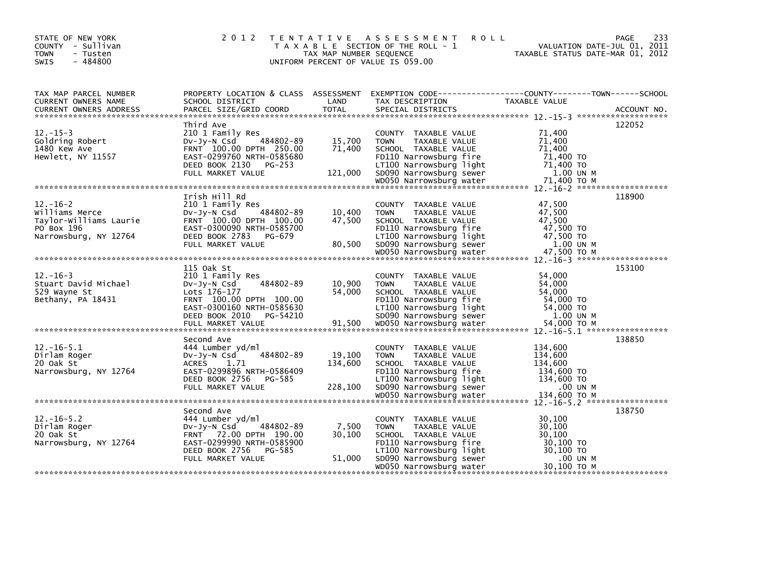| STATE OF NEW YORK<br>COUNTY - Sullivan<br><b>TOWN</b><br>- Tusten<br>$-484800$<br>SWIS | 2 0 1 2                                                                                                                                                              | TAX MAP NUMBER SEQUENCE      | <b>ROLL</b><br>TENTATIVE ASSESSMENT<br>T A X A B L E SECTION OF THE ROLL - 1<br>UNIFORM PERCENT OF VALUE IS 059.00                                           | PAGE<br>VALUATION DATE-JUL 01, 2011<br>TAXABLE STATUS DATE-MAR 01, 2012                                                  | 233 |
|----------------------------------------------------------------------------------------|----------------------------------------------------------------------------------------------------------------------------------------------------------------------|------------------------------|--------------------------------------------------------------------------------------------------------------------------------------------------------------|--------------------------------------------------------------------------------------------------------------------------|-----|
| TAX MAP PARCEL NUMBER<br>CURRENT OWNERS NAME                                           | SCHOOL DISTRICT                                                                                                                                                      | LAND                         | TAX DESCRIPTION                                                                                                                                              | PROPERTY LOCATION & CLASS ASSESSMENT EXEMPTION CODE----------------COUNTY-------TOWN------SCHOOL<br><b>TAXABLE VALUE</b> |     |
| $12. - 15 - 3$<br>Goldring Robert<br>1480 Kew Ave<br>Hewlett, NY 11557                 | Third Ave<br>210 1 Family Res<br>484802-89<br>$Dv-Jv-N$ Csd<br>FRNT 100.00 DPTH 250.00<br>EAST-0299760 NRTH-0585680<br>DEED BOOK 2130<br>PG-253<br>FULL MARKET VALUE | 15,700<br>71,400<br>121,000  | COUNTY TAXABLE VALUE<br><b>TOWN</b><br>TAXABLE VALUE<br>SCHOOL TAXABLE VALUE<br>FD110 Narrowsburg fire<br>LT100 Narrowsburg light<br>SD090 Narrowsburg sewer | 122052<br>71,400<br>71,400<br>71.400<br>71,400 TO<br>71,400 TO<br>1.00 UN M                                              |     |
| $12. - 16 - 2$<br>Williams Merce<br>Taylor-Williams Laurie                             | Irish Hill Rd<br>210 1 Family Res<br>484802-89<br>$Dv-Jy-N$ Csd<br>FRNT 100.00 DPTH 100.00                                                                           | 10,400<br>47,500             | COUNTY TAXABLE VALUE<br>TAXABLE VALUE<br><b>TOWN</b><br>SCHOOL TAXABLE VALUE                                                                                 | 118900<br>47.500<br>47,500<br>47,500                                                                                     |     |
| PO Box 196<br>Narrowsburg, NY 12764                                                    | EAST-0300090 NRTH-0585700<br>DEED BOOK 2783<br>PG-679<br>FULL MARKET VALUE                                                                                           | 80,500                       | FD110 Narrowsburg fire<br>LT100 Narrowsburg light<br>SD090 Narrowsburg sewer                                                                                 | 47,500 TO<br>47,500 TO<br>1.00 UN M                                                                                      |     |
| $12. - 16 - 3$<br>Stuart David Michael<br>529 Wayne St<br>Bethany, PA 18431            | 115 Oak St<br>210 1 Family Res<br>484802-89<br>$Dv-Jy-N$ Csd<br>Lots 176-177<br>FRNT 100.00 DPTH 100.00<br>EAST-0300160 NRTH-0585630<br>DEED BOOK 2010<br>PG-54210   | 10,900<br>54,000             | COUNTY TAXABLE VALUE<br><b>TOWN</b><br>TAXABLE VALUE<br>SCHOOL TAXABLE VALUE<br>FD110 Narrowsburg fire<br>LT100 Narrowsburg light<br>SD090 Narrowsburg sewer | 153100<br>54.000<br>54,000<br>54,000<br>54,000 TO<br>54,000 TO<br>1.00 UN M                                              |     |
|                                                                                        |                                                                                                                                                                      |                              |                                                                                                                                                              |                                                                                                                          |     |
| $12. - 16 - 5.1$<br>Dirlam Roger<br>20 Oak St<br>Narrowsburg, NY 12764                 | Second Ave<br>444 Lumber vd/ml<br>484802-89<br>$Dv-Jv-N$ Csd<br><b>ACRES</b><br>1.71<br>EAST-0299896 NRTH-0586409<br>DEED BOOK 2756<br>PG-585<br>FULL MARKET VALUE   | 19,100<br>134,600<br>228,100 | COUNTY TAXABLE VALUE<br><b>TOWN</b><br>TAXABLE VALUE<br>SCHOOL TAXABLE VALUE<br>FD110 Narrowsburg fire<br>LT100 Narrowsburg light<br>SD090 Narrowsburg sewer | 138850<br>134,600<br>134,600<br>134,600<br>134.600 TO<br>134,600 TO<br>.00 UN M                                          |     |
|                                                                                        |                                                                                                                                                                      |                              |                                                                                                                                                              |                                                                                                                          |     |
| $12. - 16 - 5.2$<br>Dirlam Roger<br>20 Oak St<br>Narrowsburg, NY 12764                 | Second Ave<br>444 Lumber yd/ml<br>$Dv-Jv-N$ Csd<br>484802-89<br>FRNT 72.00 DPTH 190.00<br>EAST-0299990 NRTH-0585900<br>DEED BOOK 2756<br>PG-585                      | 7,500<br>30,100              | COUNTY TAXABLE VALUE<br><b>TOWN</b><br>TAXABLE VALUE<br>SCHOOL TAXABLE VALUE<br>FD110 Narrowsburg fire<br>LT100 Narrowsburg light                            | 138750<br>30,100<br>30.100<br>30,100<br>30,100 TO<br>30,100 TO                                                           |     |
|                                                                                        | FULL MARKET VALUE                                                                                                                                                    | 51,000                       | SD090 Narrowsburg sewer<br>WD050 Narrowsburg water                                                                                                           | .00 UN M<br>30,100 ТО М                                                                                                  |     |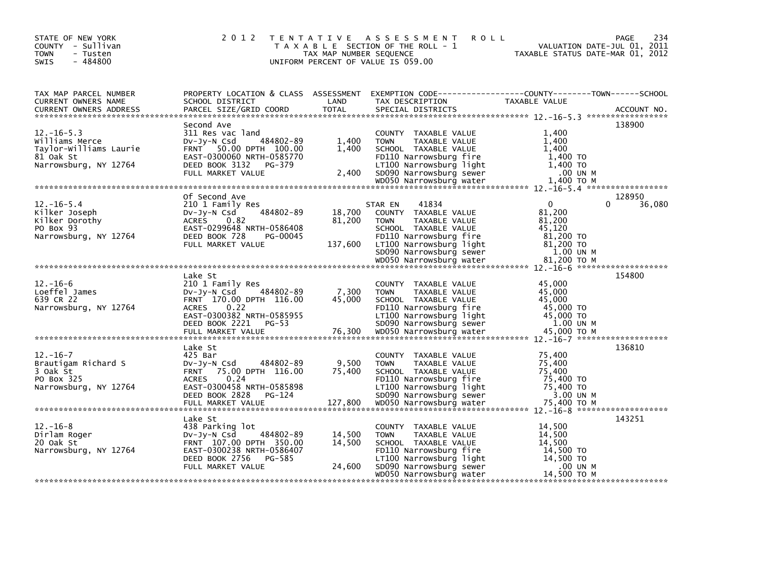| STATE OF NEW YORK<br>COUNTY - Sullivan<br><b>TOWN</b><br>- Tusten<br>$-484800$<br>SWIS             | 2 0 1 2                                                                                                                                                           | TAX MAP NUMBER SEQUENCE     | TENTATIVE ASSESSMENT<br><b>ROLL</b><br>T A X A B L E SECTION OF THE ROLL - 1<br>UNIFORM PERCENT OF VALUE IS 059.00                                                                      | VALUATION DATE-JUL 01, 2011<br>TAXABLE STATUS DATE-MAR 01, 2012                        | 234<br><b>PAGE</b> |
|----------------------------------------------------------------------------------------------------|-------------------------------------------------------------------------------------------------------------------------------------------------------------------|-----------------------------|-----------------------------------------------------------------------------------------------------------------------------------------------------------------------------------------|----------------------------------------------------------------------------------------|--------------------|
| TAX MAP PARCEL NUMBER<br>CURRENT OWNERS NAME                                                       | SCHOOL DISTRICT                                                                                                                                                   | LAND                        | PROPERTY LOCATION & CLASS ASSESSMENT EXEMPTION CODE----------------COUNTY-------TOWN------SCHOOL<br>TAX DESCRIPTION                                                                     | <b>TAXABLE VALUE</b>                                                                   |                    |
| $12. - 16 - 5.3$<br>Williams Merce<br>Taylor-Williams Laurie<br>81 Oak St<br>Narrowsburg, NY 12764 | Second Ave<br>311 Res vac land<br>484802-89<br>DV-Jy-N Csd<br>FRNT 50.00 DPTH 100.00<br>EAST-0300060 NRTH-0585770<br>DEED BOOK 3132 PG-379<br>FULL MARKET VALUE   | 1,400<br>1,400<br>2,400     | COUNTY TAXABLE VALUE<br>TAXABLE VALUE<br><b>TOWN</b><br>SCHOOL TAXABLE VALUE<br>FD110 Narrowsburg fire<br>LT100 Narrowsburg light<br>SD090 Narrowsburg sewer                            | 1,400<br>1,400<br>1.400<br>1,400 TO<br>1,400 TO<br>.00 UN M                            | 138900             |
| $12. - 16 - 5.4$<br>Kilker Joseph<br>Kilker Dorothy<br>PO Box 93<br>Narrowsburg, NY 12764          | Of Second Ave<br>210 1 Family Res<br>484802-89<br>DV-JY-N Csd<br>ACRES 0.82<br>EAST-0299648 NRTH-0586408<br>DEED BOOK 728<br>PG-00045<br>FULL MARKET VALUE        | 18,700<br>81,200<br>137,600 | 41834<br>STAR EN<br>COUNTY TAXABLE VALUE<br><b>TOWN</b><br>TAXABLE VALUE<br>SCHOOL TAXABLE VALUE<br>FD110 Narrowsburg fire<br>LT100 Narrowsburg light<br>SD090 Narrowsburg sewer        | $\mathbf{0}$<br>0<br>81,200<br>81,200<br>45.120<br>81,200 TO<br>81,200 TO<br>1.00 UN M | 128950<br>36,080   |
|                                                                                                    |                                                                                                                                                                   |                             |                                                                                                                                                                                         |                                                                                        |                    |
| $12. - 16 - 6$<br>Loeffel James<br>639 CR 22<br>Narrowsburg, NY 12764                              | Lake St<br>210 1 Family Res<br>DV-Jy-N Csd<br>484802-89<br>FRNT 170.00 DPTH 116.00<br>0.22<br><b>ACRES</b><br>EAST-0300382 NRTH-0585955<br>DEED BOOK 2221 PG-53   | 7,300<br>45,000             | COUNTY TAXABLE VALUE<br><b>TOWN</b><br>TAXABLE VALUE<br>SCHOOL TAXABLE VALUE<br>FD110 Narrowsburg fire<br>LT100 Narrowsburg light<br>SD090 Narrowsburg sewer                            | 45,000<br>45,000<br>45.000<br>45,000 TO<br>45,000 TO<br>1.00 UN M                      | 154800             |
| $12. - 16 - 7$<br>Brautigam Richard S<br>3 Oak St<br>PO Box 325<br>Narrowsburg, NY 12764           | Lake St<br>425 Bar<br>484802-89<br>$Dv-Jy-N$ Csd<br>FRNT 75.00 DPTH 116.00<br>0.24<br><b>ACRES</b><br>EAST-0300458 NRTH-0585898<br>DEED BOOK 2828 PG-124          | 9,500<br>75,400             | COUNTY TAXABLE VALUE<br><b>TOWN</b><br>TAXABLE VALUE<br>SCHOOL TAXABLE VALUE<br>FD110 Narrowsburg fire<br>LT100 Narrowsburg light<br>SD090 Narrowsburg sewer                            | 75,400<br>75,400<br>75,400<br>75,400 TO<br>75,400 TO<br>3.00 UN M                      | 136810             |
| $12. - 16 - 8$<br>Dirlam Roger<br>20 Oak St<br>Narrowsburg, NY 12764                               | Lake St<br>438 Parking lot<br>484802-89<br>$Dv-Jv-N$ Csd<br>FRNT 107.00 DPTH 350.00<br>EAST-0300238 NRTH-0586407<br>DEED BOOK 2756<br>PG-585<br>FULL MARKET VALUE | 14,500<br>14,500<br>24,600  | COUNTY TAXABLE VALUE<br>TAXABLE VALUE<br><b>TOWN</b><br>SCHOOL TAXABLE VALUE<br>FD110 Narrowsburg fire<br>LT100 Narrowsburg light<br>SD090 Narrowsburg sewer<br>WD050 Narrowsburg water | 14,500<br>14,500<br>14,500<br>14,500 TO<br>14,500 TO<br>.00 UN M<br>14,500 TO M        | 143251             |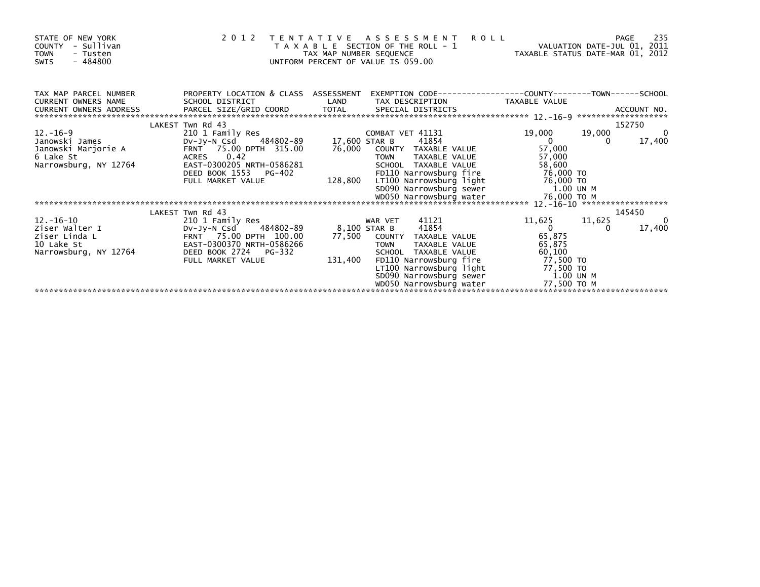| STATE OF NEW YORK<br>- Sullivan<br><b>COUNTY</b><br><b>TOWN</b><br>- Tusten<br>$-484800$<br><b>SWIS</b> |                                                                                         | 2012 TENTATIVE ASSESSMENT<br><b>ROLL</b><br>T A X A B L E SECTION OF THE ROLL - 1<br>TAX MAP NUMBER SEQUENCE<br>UNIFORM PERCENT OF VALUE IS 059.00 | VALUATION DATE-JUL 01, 2011<br>VALUATION DATE-JUL UI, 2011<br>TAXABLE STATUS DATE-MAR 01, 2012 | 235<br>PAGE              |
|---------------------------------------------------------------------------------------------------------|-----------------------------------------------------------------------------------------|----------------------------------------------------------------------------------------------------------------------------------------------------|------------------------------------------------------------------------------------------------|--------------------------|
| TAX MAP PARCEL NUMBER<br>CURRENT OWNERS NAME<br>CURRENT OWNERS ADDRESS                                  | PROPERTY LOCATION & CLASS ASSESSMENT<br>SCHOOL DISTRICT<br>PARCEL SIZE/GRID COORD TOTAL | LAND<br>TAX DESCRIPTION<br>SPECIAL DISTRICTS                                                                                                       | EXEMPTION        CODE-----------------COUNTY-------TOWN------SCHOOL<br>TAXABLE VALUE           | ACCOUNT NO.              |
|                                                                                                         | LAKEST Twn Rd 43                                                                        |                                                                                                                                                    |                                                                                                | 152750                   |
| $12 - 16 - 9$                                                                                           | 210 1 Family Res                                                                        | COMBAT VET 41131                                                                                                                                   | 19,000<br>19,000                                                                               | $\overline{\phantom{0}}$ |
| Janowski James                                                                                          | Dv-Jy-N Csd                                                                             | 484802-89 17,600 STAR B<br>41854                                                                                                                   | $\overline{0}$<br>$\Omega$                                                                     | 17,400                   |
| Janowski Marjorie A                                                                                     | FRNT 75.00 DPTH 315.00<br>ACRES 0.42                                                    | 76,000<br>COUNTY TAXABLE VALUE<br><b>TOWN</b>                                                                                                      | 57,000                                                                                         |                          |
| 6 Lake St                                                                                               | EAST-0300205 NRTH-0586281                                                               | TAXABLE VALUE<br>SCHOOL TAXABLE VALUE                                                                                                              | 57,000<br>58,600                                                                               |                          |
| Narrowsburg, NY 12764                                                                                   | DEED BOOK 1553<br>PG-402                                                                | FD110 Narrowsburg fire                                                                                                                             | 76,000 TO                                                                                      |                          |
|                                                                                                         | FULL MARKET VALUE                                                                       | 128,800                                                                                                                                            |                                                                                                |                          |
|                                                                                                         |                                                                                         |                                                                                                                                                    | 1.00 UN M                                                                                      |                          |
|                                                                                                         |                                                                                         |                                                                                                                                                    |                                                                                                |                          |
|                                                                                                         |                                                                                         |                                                                                                                                                    |                                                                                                |                          |
|                                                                                                         | LAKEST Twn Rd 43                                                                        |                                                                                                                                                    |                                                                                                | 145450                   |
| 12.-16-10                                                                                               | 210 1 Family Res                                                                        | 41121<br>WAR VET                                                                                                                                   | 11,625<br>11,625                                                                               | 0                        |
| Ziser Walter I                                                                                          | DV-Jy-N Csd 484802-89                                                                   | 8,100 STAR B<br>41854                                                                                                                              | $\overline{0}$                                                                                 | 17,400                   |
| Ziser Linda L                                                                                           | FRNT 75.00 DPTH 100.00                                                                  | 77,500 COUNTY TAXABLE VALUE                                                                                                                        | 65,875                                                                                         |                          |
| 10 Lake St                                                                                              | EAST-0300370 NRTH-0586266                                                               | TAXABLE VALUE<br><b>TOWN</b>                                                                                                                       | 65,875                                                                                         |                          |
| Narrowsburg, NY 12764                                                                                   | DEED BOOK 2724 PG-332                                                                   | SCHOOL TAXABLE VALUE                                                                                                                               | 60,100                                                                                         |                          |
|                                                                                                         | FULL MARKET VALUE                                                                       | 131,400<br>FD110 Narrowsburg fire                                                                                                                  | 77,500 TO                                                                                      |                          |
|                                                                                                         |                                                                                         | LT100 Narrowsburg light 77,500 TO                                                                                                                  |                                                                                                |                          |
|                                                                                                         |                                                                                         | SD090 Narrowsburg sewer 1.00 UN M<br>WD050 Narrowsburg water                                                                                       | 77,500 то м                                                                                    |                          |
|                                                                                                         |                                                                                         |                                                                                                                                                    |                                                                                                |                          |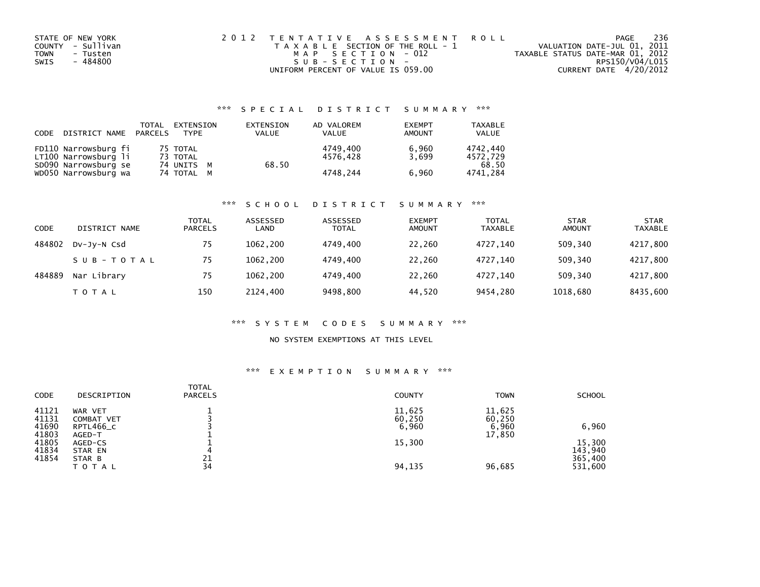| STATE OF NEW YORK       | 2012 TENTATIVE ASSESSMENT ROLL        | PAGE                             | 236 |
|-------------------------|---------------------------------------|----------------------------------|-----|
| COUNTY - Sullivan       | T A X A B L E SECTION OF THE ROLL - 1 | VALUATION DATE-JUL 01, 2011      |     |
| <b>TOWN</b><br>- Tusten | MAP SECTION - 012                     | TAXABLE STATUS DATE-MAR 01, 2012 |     |
| - 484800<br>SWIS        | SUB-SECTION-                          | RPS150/V04/L015                  |     |
|                         | UNIFORM PERCENT OF VALUE IS 059.00    | CURRENT DATE 4/20/2012           |     |

## \*\*\* S P E C I A L D I S T R I C T S U M M A R Y \*\*\*

| CODE | DISTRICT NAME                                | TOTAL<br>PARCELS | EXTENSION<br><b>TYPF</b> | EXTENSION<br><b>VALUE</b> | AD VALOREM<br>VALUE  | <b>EXEMPT</b><br><b>AMOUNT</b> | TAXABLE<br><b>VALUE</b> |
|------|----------------------------------------------|------------------|--------------------------|---------------------------|----------------------|--------------------------------|-------------------------|
|      | FD110 Narrowsburg fi<br>LT100 Narrowsburg li |                  | 75 TOTAL<br>73 TOTAL     |                           | 4749.400<br>4576.428 | 6.960<br>3.699                 | 4742.440<br>4572.729    |
|      | SD090 Narrowsburg se<br>WD050 Narrowsburg wa |                  | 74 UNITS M<br>74 TOTAL M | 68.50                     | 4748.244             | 6.960                          | 68.50<br>4741.284       |

### \*\*\* S C H O O L D I S T R I C T S U M M A R Y \*\*\*

| CODE   | DISTRICT NAME | TOTAL<br><b>PARCELS</b> | ASSESSED<br>LAND | ASSESSED<br><b>TOTAL</b> | <b>EXEMPT</b><br><b>AMOUNT</b> | <b>TOTAL</b><br><b>TAXABLE</b> | <b>STAR</b><br><b>AMOUNT</b> | <b>STAR</b><br><b>TAXABLE</b> |
|--------|---------------|-------------------------|------------------|--------------------------|--------------------------------|--------------------------------|------------------------------|-------------------------------|
| 484802 | DV-JV-N Csd   | 75                      | 1062.200         | 4749.400                 | 22,260                         | 4727.140                       | 509,340                      | 4217,800                      |
|        | SUB-TOTAL     | 75                      | 1062.200         | 4749.400                 | 22,260                         | 4727.140                       | 509.340                      | 4217,800                      |
| 484889 | Nar Library   | 75                      | 1062.200         | 4749.400                 | 22,260                         | 4727.140                       | 509,340                      | 4217,800                      |
|        | T O T A L     | 150                     | 2124.400         | 9498,800                 | 44,520                         | 9454,280                       | 1018,680                     | 8435,600                      |

### \*\*\* S Y S T E M C O D E S S U M M A R Y \*\*\*

## NO SYSTEM EXEMPTIONS AT THIS LEVEL

### \*\*\* E X E M P T I O N S U M M A R Y \*\*\*

| <b>CODE</b>             | DESCRIPTION                        | <b>TOTAL</b><br><b>PARCELS</b> | <b>COUNTY</b>             | <b>TOWN</b>               | <b>SCHOOL</b>      |
|-------------------------|------------------------------------|--------------------------------|---------------------------|---------------------------|--------------------|
| 41121<br>41131<br>41690 | WAR VET<br>COMBAT VET<br>RPTL466_C |                                | 11,625<br>60,250<br>6,960 | 11,625<br>60,250<br>6,960 | 6,960              |
| 41803<br>41805          | AGED-T<br>AGED-CS                  |                                | 15,300                    | 17,850                    | 15,300             |
| 41834<br>41854          | STAR EN<br>STAR B                  | 4<br>21                        |                           |                           | 143,940<br>365,400 |
|                         | <b>TOTAL</b>                       | 34                             | 94,135                    | 96,685                    | 531,600            |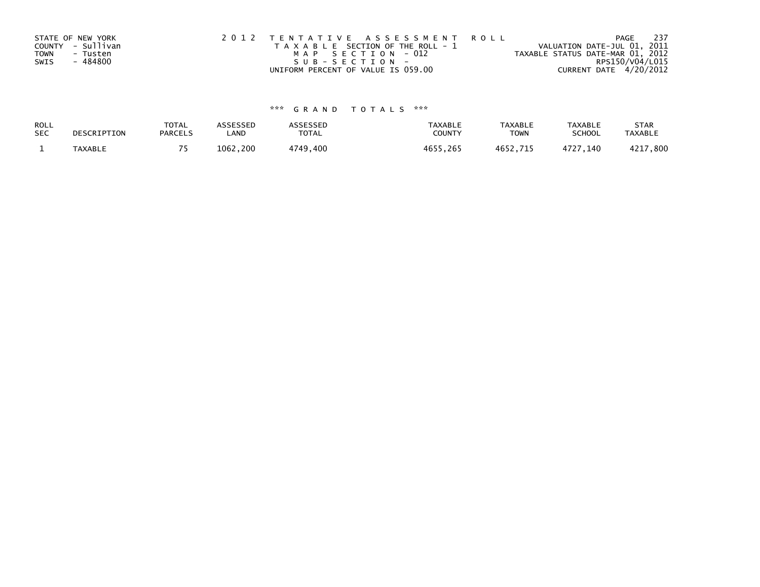|             | STATE OF NEW YORK | 2012 TENTATIVE ASSESSMENT ROLL        | PAGE                             | 237 |
|-------------|-------------------|---------------------------------------|----------------------------------|-----|
|             | COUNTY - Sullivan | T A X A B L E SECTION OF THE ROLL - 1 | VALUATION DATE-JUL 01, 2011      |     |
| <b>TOWN</b> | - Tusten          | MAP SECTION - 012                     | TAXABLE STATUS DATE-MAR 01, 2012 |     |
| SWIS        | - 484800          | SUB-SECTION-                          | RPS150/V04/L015                  |     |
|             |                   | UNIFORM PERCENT OF VALUE IS 059.00    | CURRENT DATE 4/20/2012           |     |

# \*\*\* G R A N D T O T A L S \*\*\*

| ROLL       | DESCRIPTION | <b>TOTAL</b>   | ASSESSED | ASSESSED | <b>TAXABLE</b> | <b>TAXABLE</b> | <b>TAXABLE</b> | <b>STAR</b>    |
|------------|-------------|----------------|----------|----------|----------------|----------------|----------------|----------------|
| <b>SEC</b> |             | <b>PARCELS</b> | LAND     | TOTAL    | <b>COUNTY</b>  | <b>TOWN</b>    | <b>SCHOOL</b>  | <b>TAXABLE</b> |
|            | TAXABLE     |                | 1062,200 | 4749,400 | 4655,265       | 4652,715       | 4727.140       | 4217,800       |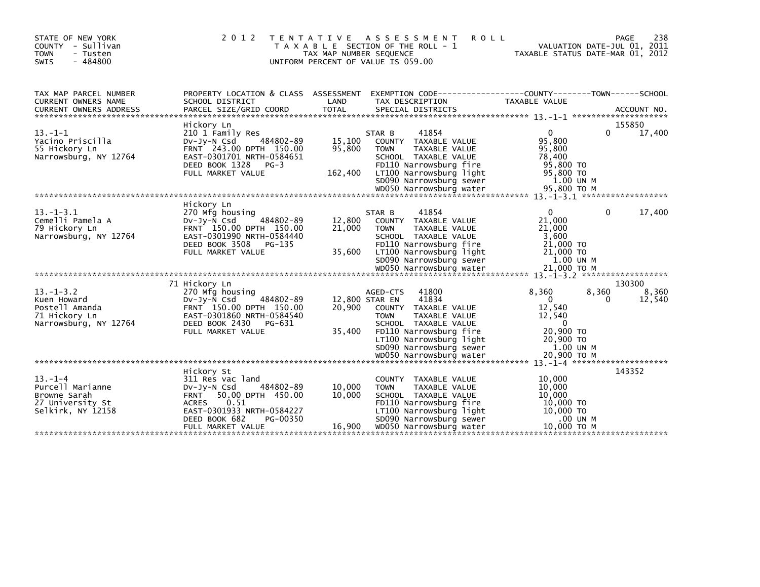| STATE OF NEW YORK<br>COUNTY - Sullivan<br><b>TOWN</b><br>- Tusten<br>$-484800$<br><b>SWIS</b> |                                                                                                                                                                                                         | TAX MAP NUMBER SEQUENCE     | 2012 TENTATIVE ASSESSMENT<br><b>ROLL</b><br>T A X A B L E SECTION OF THE ROLL - 1<br>UNIFORM PERCENT OF VALUE IS 059.00                                                                                      | 238<br>PAGE<br>VALUATION DATE-JUL 01, 2011<br>TAXABLE STATUS DATE-MAR 01, 2012                                                      |
|-----------------------------------------------------------------------------------------------|---------------------------------------------------------------------------------------------------------------------------------------------------------------------------------------------------------|-----------------------------|--------------------------------------------------------------------------------------------------------------------------------------------------------------------------------------------------------------|-------------------------------------------------------------------------------------------------------------------------------------|
| TAX MAP PARCEL NUMBER<br><b>CURRENT OWNERS NAME</b>                                           | PROPERTY LOCATION & CLASS ASSESSMENT<br>SCHOOL DISTRICT                                                                                                                                                 | LAND                        | TAX DESCRIPTION                                                                                                                                                                                              | EXEMPTION CODE------------------COUNTY--------TOWN------SCHOOL<br><b>TAXABLE VALUE</b>                                              |
| $13. -1 - 1$<br>Yacino Priscilla<br>55 Hickory Ln<br>Narrowsburg, NY 12764                    | Hickory Ln<br>210 1 Family Res<br>484802-89<br>$Dv-Jv-N$ Csd<br>FRNT 243.00 DPTH 150.00<br>EAST-0301701 NRTH-0584651<br>DEED BOOK 1328<br>$PG-3$<br>FULL MARKET VALUE                                   | 15,100<br>95,800<br>162,400 | 41854<br>STAR B<br>COUNTY TAXABLE VALUE<br>TAXABLE VALUE<br><b>TOWN</b><br>SCHOOL TAXABLE VALUE<br>FD110 Narrowsburg fire<br>LT100 Narrowsburg light<br>SD090 Narrowsburg sewer                              | 155850<br>17,400<br>$\mathbf{0}$<br>$\Omega$<br>95,800<br>95,800<br>78,400<br>95,800 TO<br>95,800 TO<br>1.00 UN M                   |
| $13 - 1 - 3.1$<br>Cemelli Pamela A<br>79 Hickory Ln<br>Narrowsburg, NY 12764                  | Hickory Ln<br>270 Mfg housing<br>484802-89<br>$Dv-Jv-N$ Csd<br>FRNT 150.00 DPTH 150.00<br>EAST-0301990 NRTH-0584440<br>DEED BOOK 3508<br>PG-135<br>FULL MARKET VALUE                                    | 12.800<br>21,000<br>35,600  | 41854<br>STAR B<br>COUNTY TAXABLE VALUE<br><b>TOWN</b><br>TAXABLE VALUE<br>SCHOOL TAXABLE VALUE<br>FD110 Narrowsburg fire<br>LT100 Narrowsburg light<br>SD090 Narrowsburg sewer<br>WD050 Narrowsburg water   | $\mathbf{0}$<br>0<br>17,400<br>21,000<br>21,000<br>3,600<br>21,000 TO<br>21,000 TO<br>1.00 UN M<br>21,000 ТО М                      |
|                                                                                               |                                                                                                                                                                                                         |                             |                                                                                                                                                                                                              |                                                                                                                                     |
| $13 - 1 - 3.2$<br>Kuen Howard<br>Postell Amanda<br>71 Hickory Ln<br>Narrowsburg, NY 12764     | 71 Hickory Ln<br>270 Mfg housing<br>$Dv-Jv-N$ Csd<br>484802-89<br>FRNT 150.00 DPTH 150.00<br>EAST-0301860 NRTH-0584540<br>DEED BOOK 2430<br>PG-631<br>FULL MARKET VALUE                                 | 20,900<br>35,400            | 41800<br>AGED-CTS<br>41834<br>12,800 STAR EN<br>COUNTY TAXABLE VALUE<br>TAXABLE VALUE<br><b>TOWN</b><br>SCHOOL TAXABLE VALUE<br>FD110 Narrowsburg fire<br>LT100 Narrowsburg light<br>SD090 Narrowsburg sewer | 130300<br>8,360<br>8.360<br>8,360<br>$\Omega$<br>12,540<br>0<br>12,540<br>12,540<br>$\Omega$<br>20,900 TO<br>20,900 TO<br>1.00 UN M |
|                                                                                               |                                                                                                                                                                                                         |                             | WD050 Narrowsburg water                                                                                                                                                                                      | 20,900 ТО М                                                                                                                         |
| $13. - 1 - 4$<br>Purcell Marianne<br>Browne Sarah<br>27 University St<br>Selkirk, NY 12158    | Hickory St<br>311 Res vac land<br>484802-89<br>$Dv-Jy-N$ Csd<br><b>FRNT</b><br>50.00 DPTH 450.00<br>0.51<br><b>ACRES</b><br>EAST-0301933 NRTH-0584227<br>DEED BOOK 682<br>PG-00350<br>FULL MARKET VALUE | 10,000<br>10,000<br>16,900  | COUNTY TAXABLE VALUE<br><b>TOWN</b><br>TAXABLE VALUE<br>SCHOOL TAXABLE VALUE<br>FD110 Narrowsburg fire<br>LT100 Narrowsburg light<br>SD090 Narrowsburg sewer<br>WD050 Narrowsburg water                      | 143352<br>10,000<br>10,000<br>10,000<br>10,000 TO<br>10,000 TO<br>.00 UN M<br>10,000 ТО М                                           |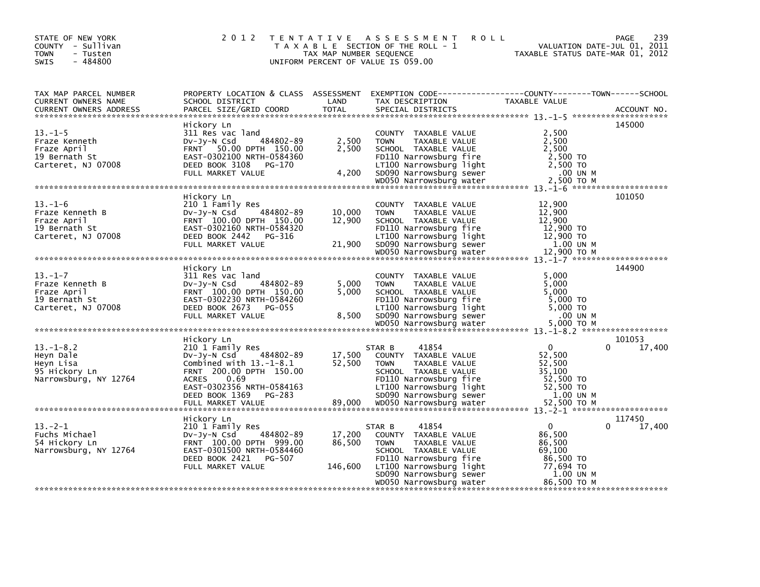| STATE OF NEW YORK<br>COUNTY - Sullivan<br>- Tusten<br>TOWN<br>$-484800$<br><b>SWIS</b> | 2 0 1 2                                                                                                                                                                                               | TAX MAP NUMBER SEQUENCE     | TENTATIVE ASSESSMENT<br><b>ROLL</b><br>T A X A B L E SECTION OF THE ROLL - 1<br>UNIFORM PERCENT OF VALUE IS 059.00                                                                                             | VALUATION DATE-JUL 01, 2011<br>TAXABLE STATUS DATE-MAR 01, 2012                                       | PAGE<br>239      |
|----------------------------------------------------------------------------------------|-------------------------------------------------------------------------------------------------------------------------------------------------------------------------------------------------------|-----------------------------|----------------------------------------------------------------------------------------------------------------------------------------------------------------------------------------------------------------|-------------------------------------------------------------------------------------------------------|------------------|
| TAX MAP PARCEL NUMBER<br>CURRENT OWNERS NAME<br><b>CURRENT OWNERS ADDRESS</b>          | PROPERTY LOCATION & CLASS ASSESSMENT<br>SCHOOL DISTRICT<br>PARCEL SIZE/GRID COORD                                                                                                                     | LAND<br><b>TOTAL</b>        | EXEMPTION CODE------------------COUNTY--------TOWN------SCHOOL<br>TAX DESCRIPTION<br>SPECIAL DISTRICTS                                                                                                         | TAXABLE VALUE                                                                                         | ACCOUNT NO.      |
| $13. - 1 - 5$<br>Fraze Kenneth<br>Fraze April<br>19 Bernath St<br>Carteret, NJ 07008   | Hickory Ln<br>311 Res vac land<br>484802-89<br>DV-Jy-N Csd<br>FRNT 50.00 DPTH 150.00<br>EAST-0302100 NRTH-0584360<br>DEED BOOK 3108<br>PG-170<br>FULL MARKET VALUE                                    | 2,500<br>2,500<br>4,200     | COUNTY TAXABLE VALUE<br><b>TOWN</b><br>TAXABLE VALUE<br>SCHOOL TAXABLE VALUE<br>FD110 Narrowsburg fire<br>LT100 Narrowsburg light<br>SD090 Narrowsburg sewer                                                   | 2,500<br>2,500<br>2,500<br>2,500 TO<br>2,500 TO<br>.00 UN M                                           | 145000           |
| $13. - 1 - 6$<br>Fraze Kenneth B<br>Fraze April<br>19 Bernath St<br>Carteret, NJ 07008 | Hickory Ln<br>210 1 Family Res<br>484802-89<br>DV-Jy-N Csd<br>FRNT 100.00 DPTH 150.00<br>EAST-0302160 NRTH-0584320<br>DEED BOOK 2442 PG-316<br>FULL MARKET VALUE                                      | 10,000<br>12,900<br>21,900  | COUNTY TAXABLE VALUE<br><b>TOWN</b><br>TAXABLE VALUE<br>SCHOOL TAXABLE VALUE<br>FD110 Narrowsburg fire<br>LT100 Narrowsburg light<br>SD090 Narrowsburg sewer<br>wposo wa www.grader<br>wposo Narrowsburg water | 12,900<br>12,900<br>12,900<br>12,900 TO<br>12,900 TO<br>1.00 UN M<br>12,900 TO M                      | 101050           |
|                                                                                        |                                                                                                                                                                                                       |                             |                                                                                                                                                                                                                |                                                                                                       |                  |
| $13. - 1 - 7$<br>Fraze Kenneth B<br>Fraze April<br>19 Bernath St<br>Carteret, NJ 07008 | Hickory Ln<br>311 Res vac land<br>484802-89<br>$Dv-Jv-N$ Csd<br>FRNT 100.00 DPTH 150.00<br>EAST-0302230 NRTH-0584260<br>DEED BOOK 2673 PG-055<br>FULL MARKET VALUE                                    | 5,000<br>5,000<br>8,500     | COUNTY TAXABLE VALUE<br>TAXABLE VALUE<br><b>TOWN</b><br>SCHOOL TAXABLE VALUE<br>FD110 Narrowsburg fire<br>LT100 Narrowsburg light<br>SD090 Narrowsburg sewer                                                   | 5,000<br>5,000<br>5,000<br>5,000 TO<br>5,000 TO<br>.00 UN M                                           | 144900           |
|                                                                                        |                                                                                                                                                                                                       |                             | wD050 Narrowsburg water                                                                                                                                                                                        | 5,000 TO M                                                                                            |                  |
| $13. - 1 - 8.2$<br>Heyn Dale<br>Heyn Lisa<br>95 Hickory Ln<br>Narrowsburg, NY 12764    | Hickory Ln<br>210 1 Family Res<br>484802-89<br>$Dv-Jy-N$ Csd<br>Combined with $13.-1-8.1$<br>FRNT 200.00 DPTH 150.00<br>0.69<br><b>ACRES</b><br>EAST-0302356 NRTH-0584163<br>DEED BOOK 1369<br>PG-283 | 17,500<br>52,500            | 41854<br>STAR B<br>COUNTY TAXABLE VALUE<br><b>TOWN</b><br>TAXABLE VALUE<br>SCHOOL TAXABLE VALUE<br>FD110 Narrowsburg fire<br>LT100 Narrowsburg light<br>SD090 Narrowsburg sewer                                | $\Omega$<br>0<br>52,500<br>52,500<br>35,100<br>52,500 TO<br>52,500 TO<br>1.00 UN M                    | 101053<br>17,400 |
|                                                                                        |                                                                                                                                                                                                       |                             |                                                                                                                                                                                                                |                                                                                                       |                  |
| $13 - 2 - 1$<br>Fuchs Michael<br>54 Hickory Ln<br>Narrowsburg, NY 12764                | Hickory Ln<br>210 1 Family Res<br>484802-89<br>DV-Jy-N Csd<br>FRNT 100.00 DPTH 999.00<br>EAST-0301500 NRTH-0584460<br>DEED BOOK 2421 PG-507<br>FULL MARKET VALUE                                      | 17,200<br>86,500<br>146,600 | 41854<br>STAR B<br>COUNTY TAXABLE VALUE<br><b>TOWN</b><br>TAXABLE VALUE<br>SCHOOL TAXABLE VALUE<br>FD110 Narrowsburg fire<br>LT100 Narrowsburg light<br>SD090 Narrowsburg sewer<br>WD050 Narrowsburg water     | $\mathbf{0}$<br>0<br>86,500<br>86,500<br>69,100<br>86,500 TO<br>77,694 TO<br>1.00 UN M<br>86,500 ТО М | 117450<br>17,400 |
|                                                                                        |                                                                                                                                                                                                       |                             |                                                                                                                                                                                                                |                                                                                                       |                  |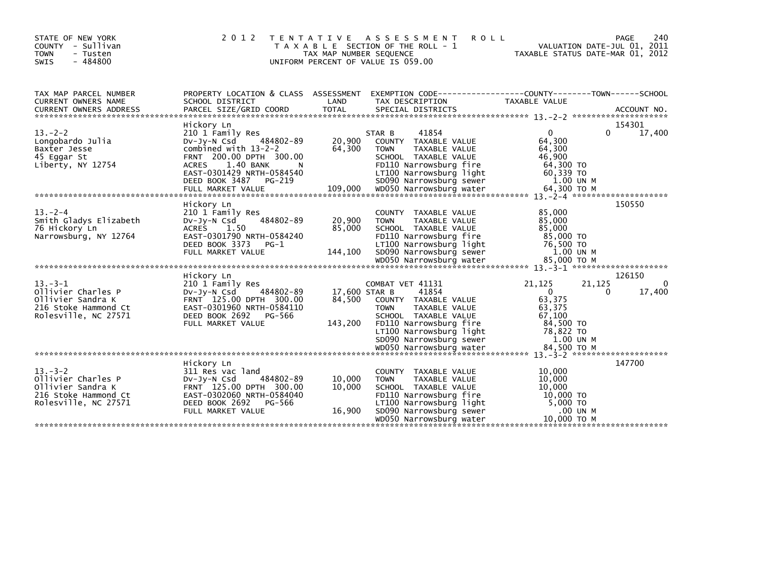| STATE OF NEW YORK<br>COUNTY - Sullivan<br>- Tusten<br><b>TOWN</b><br>$-484800$<br><b>SWIS</b>           | 2 0 1 2                                                                                                                                                                                               | T E N T A T I V E<br>TAX MAP NUMBER SEQUENCE | A S S E S S M E N T<br><b>ROLL</b><br>T A X A B L E SECTION OF THE ROLL - 1<br>UNIFORM PERCENT OF VALUE IS 059.00                                                                         | TAXABLE STATUS DATE-MAR 01, 2012                                                        | 240<br>PAGE<br>VALUATION DATE-JUL 01, 2011  |
|---------------------------------------------------------------------------------------------------------|-------------------------------------------------------------------------------------------------------------------------------------------------------------------------------------------------------|----------------------------------------------|-------------------------------------------------------------------------------------------------------------------------------------------------------------------------------------------|-----------------------------------------------------------------------------------------|---------------------------------------------|
| TAX MAP PARCEL NUMBER<br>CURRENT OWNERS NAME                                                            | PROPERTY LOCATION & CLASS ASSESSMENT<br>SCHOOL DISTRICT                                                                                                                                               | LAND                                         | EXEMPTION        CODE-----------------COUNTY-------TOWN------SCHOOL<br>TAX DESCRIPTION                                                                                                    | TAXABLE VALUE                                                                           |                                             |
| $13 - 2 - 2$<br>Longobardo Julia<br>Baxter Jesse<br>45 Eggar St<br>Liberty, NY 12754                    | Hickory Ln<br>210 1 Family Res<br>484802-89<br>DV-JY-N Csd<br>combined with $13-2-2$<br>FRNT 200.00 DPTH 300.00<br>1.40 BANK<br><b>ACRES</b><br>EAST-0301429 NRTH-0584540<br>DEED BOOK 3487<br>PG-219 | 20,900<br>64,300<br>N                        | 41854<br>STAR B<br>COUNTY TAXABLE VALUE<br><b>TOWN</b><br>TAXABLE VALUE<br>SCHOOL TAXABLE VALUE<br>FD110 Narrowsburg fire<br>LT100 Narrowsburg light<br>SD090 Narrowsburg sewer           | $\Omega$<br>64,300<br>64,300<br>46,900<br>64,300 TO<br>60,339 TO<br>1.00 UN M           | 154301<br>0<br>17,400                       |
| $13 - 2 - 4$<br>Smith Gladys Elizabeth<br>76 Hickory Ln<br>Narrowsburg, NY 12764                        | Hickory Ln<br>210 1 Family Res<br>484802-89<br>$Dv-Jv-N$ Csd<br>ACRES<br>1.50<br>EAST-0301790 NRTH-0584240<br>DEED BOOK 3373<br>$PG-1$<br>FULL MARKET VALUE                                           | 20,900<br>85,000<br>144,100                  | COUNTY TAXABLE VALUE<br>TAXABLE VALUE<br><b>TOWN</b><br>SCHOOL TAXABLE VALUE<br>FD110 Narrowsburg fire<br>LT100 Narrowsburg light<br>SD090 Narrowsburg sewer                              | 85,000<br>85,000<br>85,000<br>85,000 TO<br>76,500 TO<br>1.00 UN M                       | 150550                                      |
| $13 - 3 - 1$<br>Ollivier Charles P<br>Ollivier Sandra K<br>216 Stoke Hammond Ct<br>Rolesville, NC 27571 | Hickory Ln<br>210 1 Family Res<br>484802-89<br>DV-JY-N Csd<br>FRNT 125.00 DPTH 300.00<br>EAST-0301960 NRTH-0584110<br>DEED BOOK 2692<br>PG-566<br>FULL MARKET VALUE                                   | 17.600 STAR B<br>84,500<br>143,200           | COMBAT VET 41131<br>41854<br>COUNTY TAXABLE VALUE<br><b>TOWN</b><br>TAXABLE VALUE<br>SCHOOL TAXABLE VALUE<br>FD110 Narrowsburg fire<br>LT100 Narrowsburg light<br>SD090 Narrowsburg sewer | 21,125<br>$\Omega$<br>63,375<br>63,375<br>67,100<br>84,500 TO<br>78,822 TO<br>1.00 UN M | 126150<br>21,125<br>0<br>17,400<br>$\Omega$ |
| $13 - 3 - 2$<br>Ollivier Charles P<br>Ollivier Sandra K<br>216 Stoke Hammond Ct<br>Rolesville, NC 27571 | Hickory Ln<br>311 Res vac land<br>484802-89<br>DV-Jy-N Csd<br>FRNT 125.00 DPTH 300.00<br>EAST-0302060 NRTH-0584040<br>DEED BOOK 2692<br>PG-566<br>FULL MARKET VALUE                                   | 10,000<br>10,000<br>16,900                   | COUNTY TAXABLE VALUE<br><b>TOWN</b><br>TAXABLE VALUE<br>SCHOOL TAXABLE VALUE<br>FD110 Narrowsburg fire<br>LT100 Narrowsburg light<br>SD090 Narrowsburg sewer<br>WD050 Narrowsburg water   | 10,000<br>10,000<br>10,000<br>10,000 TO<br>5,000 TO<br>.00 UN M<br>10,000 то м          | 147700                                      |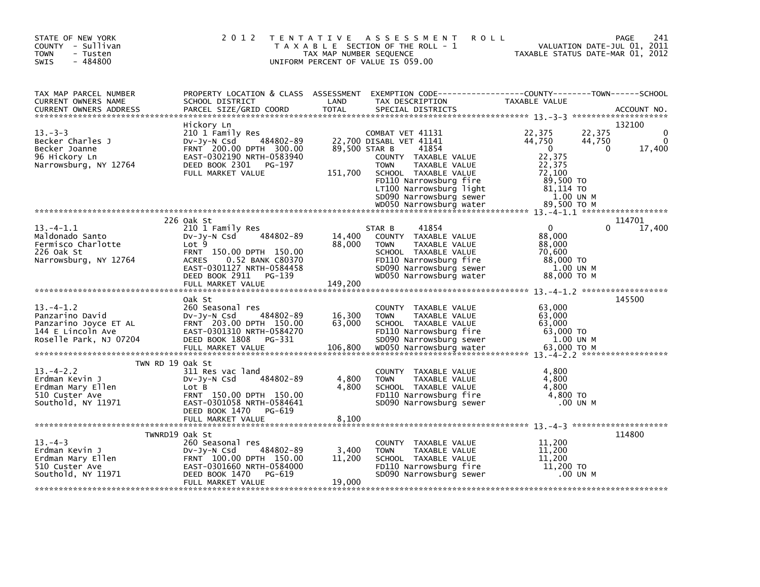| STATE OF NEW YORK<br>COUNTY - Sullivan<br><b>TOWN</b><br>- Tusten<br>$-484800$<br><b>SWIS</b>                      | 2 0 1 2                                                                                                                                                                                                       | TAX MAP NUMBER SEQUENCE     | TENTATIVE ASSESSMENT<br><b>ROLL</b><br>T A X A B L E SECTION OF THE ROLL - 1<br>UNIFORM PERCENT OF VALUE IS 059.00                                                                                                   | VALUATION DATE-JUL 01, 2011<br>TAXABLE STATUS DATE-MAR 01, 2012                                                             | 241<br>PAGE                       |
|--------------------------------------------------------------------------------------------------------------------|---------------------------------------------------------------------------------------------------------------------------------------------------------------------------------------------------------------|-----------------------------|----------------------------------------------------------------------------------------------------------------------------------------------------------------------------------------------------------------------|-----------------------------------------------------------------------------------------------------------------------------|-----------------------------------|
| TAX MAP PARCEL NUMBER<br>CURRENT OWNERS NAME<br><b>CURRENT OWNERS ADDRESS</b>                                      | SCHOOL DISTRICT<br>PARCEL SIZE/GRID COORD                                                                                                                                                                     | LAND<br><b>TOTAL</b>        | PROPERTY LOCATION & CLASS ASSESSMENT EXEMPTION CODE----------------COUNTY-------TOWN-----SCHOOL<br>TAX DESCRIPTION<br>SPECIAL DISTRICTS                                                                              | TAXABLE VALUE                                                                                                               | ACCOUNT NO.                       |
| $13 - 3 - 3$<br>Becker Charles J<br>Becker Joanne<br>96 Hickory Ln<br>Narrowsburg, NY 12764                        | Hickory Ln<br>210 1 Family Res<br>484802-89<br>DV-Jy-N Csd<br>FRNT 200.00 DPTH 300.00<br>EAST-0302190 NRTH-0583940<br>DEED BOOK 2301<br>PG-197<br>FULL MARKET VALUE                                           | 89,500 STAR B<br>151,700    | COMBAT VET 41131<br>22,700 DISABL VET 41141<br>41854<br>COUNTY TAXABLE VALUE<br><b>TOWN</b><br>TAXABLE VALUE<br>SCHOOL TAXABLE VALUE<br>FD110 Narrowsburg fire<br>LT100 Narrowsburg light<br>SD090 Narrowsburg sewer | 22,375<br>22,375<br>44,750<br>44,750<br>$\overline{0}$<br>22,375<br>22,375<br>72,100<br>89,500 TO<br>81,114 TO<br>1.00 UN M | 132100<br>0<br>17,400<br>$\Omega$ |
| $13 - 4 - 1.1$<br>Maldonado Santo<br>Fermisco Charlotte<br>226 Oak St<br>Narrowsburg, NY 12764                     | 226 Oak St<br>210 1 Family Res<br>484802-89<br>DV-Jy-N Csd<br>Lot 9<br>FRNT 150.00 DPTH 150.00<br>0.52 BANK C80370<br><b>ACRES</b><br>EAST-0301127 NRTH-0584458<br>DEED BOOK 2911 PG-139<br>FULL MARKET VALUE | 14,400<br>88,000<br>149,200 | 41854<br>STAR B<br>COUNTY TAXABLE VALUE<br><b>TOWN</b><br>TAXABLE VALUE<br>SCHOOL TAXABLE VALUE<br>FD110 Narrowsburg fire<br>SD090 Narrowsburg sewer<br>WD050 Narrowsburg water                                      | $\Omega$<br>88,000<br>88,000<br>70,600<br>88,000 TO<br>1.00 UN M<br>88,000 TO M                                             | 114701<br>17,400<br>0             |
| $13. -4 - 1.2$<br>Panzarino David<br>Panzarino Joyce ET AL<br>144 E Lincoln Ave<br>Roselle Park, NJ 07204          | Oak St<br>260 Seasonal res<br>$Dv-Jv-N$ Csd<br>484802-89<br>FRNT 203.00 DPTH 150.00<br>EAST-0301310 NRTH-0584270<br>DEED BOOK 1808<br>PG-331                                                                  | 16,300<br>63,000            | COUNTY TAXABLE VALUE<br><b>TOWN</b><br>TAXABLE VALUE<br>SCHOOL TAXABLE VALUE<br>FD110 Narrowsburg fire<br>SD090 Narrowsburg sewer                                                                                    | 63,000<br>63,000<br>63,000<br>$63,000$ TO<br>1.00 UN M                                                                      | 145500                            |
| TWN RD 19 Oak St<br>$13. - 4 - 2.2$<br>Erdman Kevin J<br>Erdman Mary Ellen<br>510 Custer Ave<br>Southold, NY 11971 | 311 Res vac land<br>484802-89<br>$Dv-Jy-N$ Csd<br>Lot B<br>FRNT 150.00 DPTH 150.00<br>EAST-0301058 NRTH-0584641<br>DEED BOOK 1470 PG-619                                                                      | 4,800<br>4,800              | COUNTY TAXABLE VALUE<br>TAXABLE VALUE<br>TOWN<br>SCHOOL TAXABLE VALUE<br>FD110 Narrowsburg fire<br>SD090 Narrowsburg sewer                                                                                           | 4,800<br>4,800<br>4,800<br>4,800 TO<br>.00 UN M                                                                             |                                   |
| TWNRD19 Oak St<br>$13 - 4 - 3$<br>Erdman Kevin J<br>Erdman Mary Ellen<br>510 Custer Ave<br>Southold, NY 11971      | 260 Seasonal res<br>484802-89<br>$Dv-Jy-N$ Csd<br>FRNT 100.00 DPTH 150.00<br>EAST-0301660 NRTH-0584000<br>DEED BOOK 1470<br>PG-619<br>FULL MARKET VALUE                                                       | 3,400<br>11,200<br>19,000   | COUNTY TAXABLE VALUE<br><b>TAXABLE VALUE</b><br><b>TOWN</b><br>SCHOOL TAXABLE VALUE<br>FD110 Narrowsburg fire<br>SD090 Narrowsburg sewer                                                                             | 11,200<br>11,200<br>11,200<br>11,200 TO<br>.00 UN M                                                                         | 114800                            |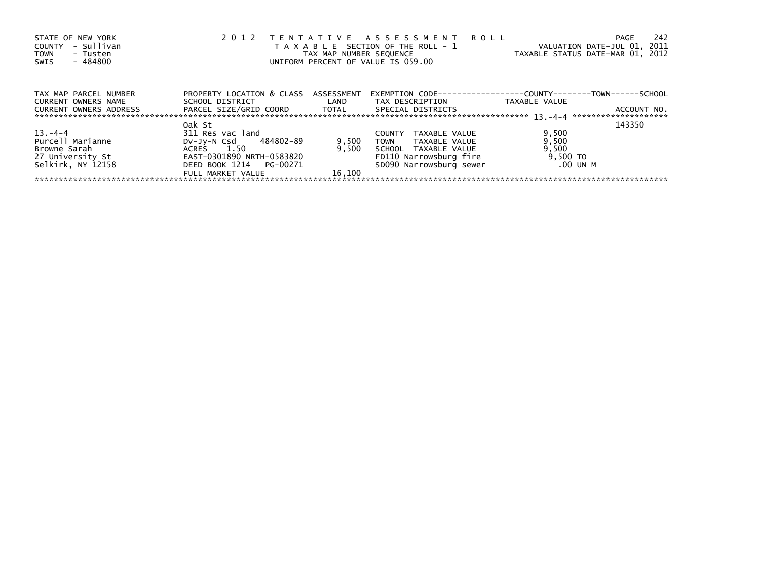| STATE OF NEW YORK<br>- Sullivan<br>COUNTY<br>- Tusten<br><b>TOWN</b><br>- 484800<br>SWIS |                                      |                  | 2012 TENTATIVE ASSESSMENT ROLL<br>T A X A B L E SECTION OF THE ROLL - 1<br>TAX MAP NUMBER SEQUENCE<br>UNIFORM PERCENT OF VALUE IS 059.00 | -242<br>PAGE<br>VALUATION DATE-JUL 01, 2011<br>TAXABLE STATUS DATE-MAR 01, 2012 |
|------------------------------------------------------------------------------------------|--------------------------------------|------------------|------------------------------------------------------------------------------------------------------------------------------------------|---------------------------------------------------------------------------------|
| TAX MAP PARCEL NUMBER                                                                    | PROPERTY LOCATION & CLASS ASSESSMENT |                  |                                                                                                                                          | EXEMPTION        CODE-----------------COUNTY--------TOWN------SCHOOL            |
| CURRENT OWNERS NAME                                                                      | SCHOOL DISTRICT                      | <b>Example 1</b> | TAX DESCRIPTION                                                                                                                          | TAXABLE VALUE                                                                   |
| CURRENT OWNERS ADDRESS                                                                   |                                      |                  | SPECIAL DISTRICTS                                                                                                                        | ACCOUNT NO.                                                                     |
|                                                                                          | Oak St                               |                  |                                                                                                                                          | 143350                                                                          |
| $13 - 4 - 4$                                                                             | 311 Res vac land                     |                  | TAXABLE VALUE<br><b>COUNTY</b>                                                                                                           | 9,500                                                                           |
| Purcell Marianne                                                                         | DV-Jy-N Csd 484802-89                | 9,500            | TOWN<br>TAXABLE VALUE                                                                                                                    | 9,500                                                                           |
| Browne Sarah                                                                             | ACRES 1.50                           | 9.500            | SCHOOL TAXABLE VALUE                                                                                                                     | 9,500                                                                           |
| 27 University St                                                                         | EAST-0301890 NRTH-0583820            |                  | FD110 Narrowsburg fire                                                                                                                   | 9,500 TO                                                                        |
| Selkirk, NY 12158                                                                        | DEED BOOK 1214 PG-00271              |                  | SD090 Narrowsburg sewer                                                                                                                  | .00 UN M                                                                        |
|                                                                                          | FULL MARKET VALUE                    | 16.100           |                                                                                                                                          |                                                                                 |
|                                                                                          |                                      |                  |                                                                                                                                          |                                                                                 |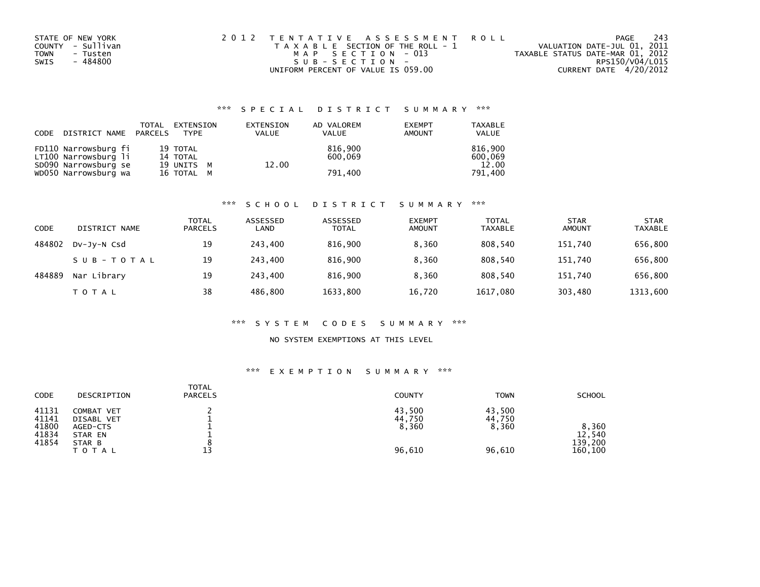| STATE OF NEW YORK |          | 2012 TENTATIVE ASSESSMENT ROLL        |  |                                  | PAGE                   | - 243 |
|-------------------|----------|---------------------------------------|--|----------------------------------|------------------------|-------|
| COUNTY - Sullivan |          | T A X A B L E SECTION OF THE ROLL - 1 |  | VALUATION DATE-JUL 01, 2011      |                        |       |
| TOWN              | - Tusten | MAP SECTION - 013                     |  | TAXABLE STATUS DATE-MAR 01, 2012 |                        |       |
| SWIS              | - 484800 | SUB-SECTION-                          |  |                                  | RPS150/V04/L015        |       |
|                   |          | UNIFORM PERCENT OF VALUE IS 059.00    |  |                                  | CURRENT DATE 4/20/2012 |       |

## \*\*\* S P E C I A L D I S T R I C T S U M M A R Y \*\*\*

| CODE | DISTRICT NAME PARCELS                        | TOTAL | EXTENSION<br>TYPF    | EXTENSION<br><b>VALUE</b> | AD VALOREM<br><b>VALUE</b> | <b>EXEMPT</b><br>AMOUNT | <b>TAXABLE</b><br><b>VALUE</b> |
|------|----------------------------------------------|-------|----------------------|---------------------------|----------------------------|-------------------------|--------------------------------|
|      | FD110 Narrowsburg fi<br>LT100 Narrowsburg li |       | 19 TOTAL<br>14 TOTAL |                           | 816.900<br>600.069         |                         | 816.900                        |
|      | SD090 Narrowsburg se                         |       | 19 UNITS M           | 12.00                     |                            |                         | 600,069<br>12.00               |
|      | WD050 Narrowsburg wa                         |       | 16 TOTAL M           |                           | 791,400                    |                         | 791,400                        |

### \*\*\* S C H O O L D I S T R I C T S U M M A R Y \*\*\*

| CODE   | DISTRICT NAME | <b>TOTAL</b><br><b>PARCELS</b> | ASSESSED<br>LAND | ASSESSED<br>TOTAL | <b>EXEMPT</b><br><b>AMOUNT</b> | <b>TOTAL</b><br><b>TAXABLE</b> | <b>STAR</b><br><b>AMOUNT</b> | <b>STAR</b><br><b>TAXABLE</b> |
|--------|---------------|--------------------------------|------------------|-------------------|--------------------------------|--------------------------------|------------------------------|-------------------------------|
| 484802 | DV-JV-N Csd   | 19                             | 243.400          | 816.900           | 8.360                          | 808.540                        | 151,740                      | 656,800                       |
|        | SUB-TOTAL     | 19                             | 243.400          | 816.900           | 8.360                          | 808.540                        | 151.740                      | 656,800                       |
| 484889 | Nar Library   | 19                             | 243.400          | 816.900           | 8,360                          | 808.540                        | 151,740                      | 656,800                       |
|        | T O T A L     | 38                             | 486.800          | 1633,800          | 16,720                         | 1617,080                       | 303,480                      | 1313,600                      |

### \*\*\* S Y S T E M C O D E S S U M M A R Y \*\*\*

## NO SYSTEM EXEMPTIONS AT THIS LEVEL

## \*\*\* E X E M P T I O N S U M M A R Y \*\*\*

| CODE<br>DESCRIPTION                                                                                                    | <b>TOTAL</b><br><b>PARCELS</b><br>COUNTY             | <b>TOWN</b><br><b>SCHOOL</b>                                                 |  |
|------------------------------------------------------------------------------------------------------------------------|------------------------------------------------------|------------------------------------------------------------------------------|--|
| 41131<br>COMBAT VET<br>41141<br>DISABL VET<br>41800<br>AGED-CTS<br>41834<br>STAR EN<br>41854<br>STAR B<br><b>TOTAL</b> | 43,500<br>44,750<br>8,360<br>$\circ$<br>13<br>96,610 | 43.500<br>44,750<br>8,360<br>8,360<br>12,540<br>139,200<br>96,610<br>160,100 |  |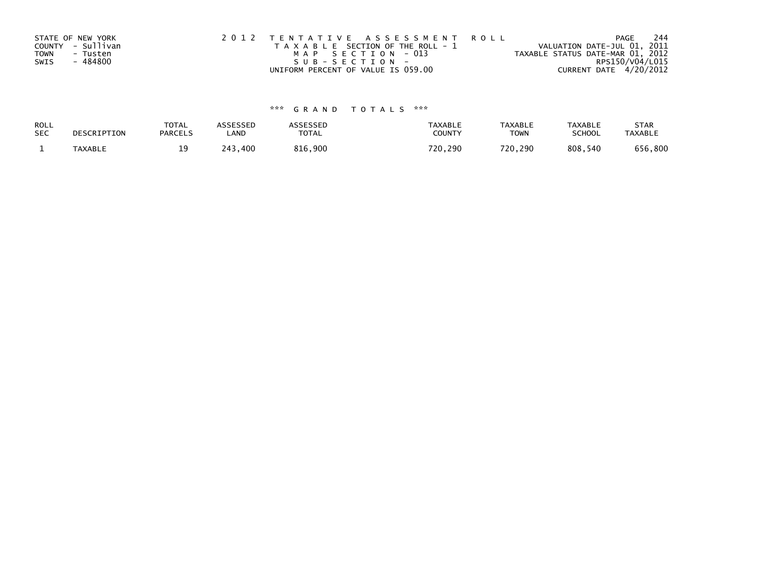|      | STATE OF NEW YORK | 2012 TENTATIVE ASSESSMENT ROLL        | 244<br>PAGE                      |
|------|-------------------|---------------------------------------|----------------------------------|
|      | COUNTY - Sullivan | T A X A B L E SECTION OF THE ROLL - 1 | VALUATION DATE-JUL 01, 2011      |
| TOWN | - Tusten          | MAP SECTION - 013                     | TAXABLE STATUS DATE-MAR 01, 2012 |
| SWIS | - 484800          | SUB-SECTION-                          | RPS150/V04/L015                  |
|      |                   | UNIFORM PERCENT OF VALUE IS 059.00    | CURRENT DATE 4/20/2012           |

# \*\*\* G R A N D T O T A L S \*\*\*

| ROLL       | DESCRIPTION | <b>TOTAL</b>   | ASSESSED | <b>ASSESSED</b> | <b>TAXABLE</b> | <b>TAXABLE</b> | <b>TAXABLE</b> | <b>STAR</b>    |
|------------|-------------|----------------|----------|-----------------|----------------|----------------|----------------|----------------|
| <b>SEC</b> |             | <b>PARCELS</b> | ∟AND     | TOTAL           | <b>COUNTY</b>  | TOWN           | <b>SCHOOL</b>  | <b>TAXABLE</b> |
|            | TAXABLE     |                | 243.400  | 816,900         | 720,290        | 720.290        | 808,540        | 656,800        |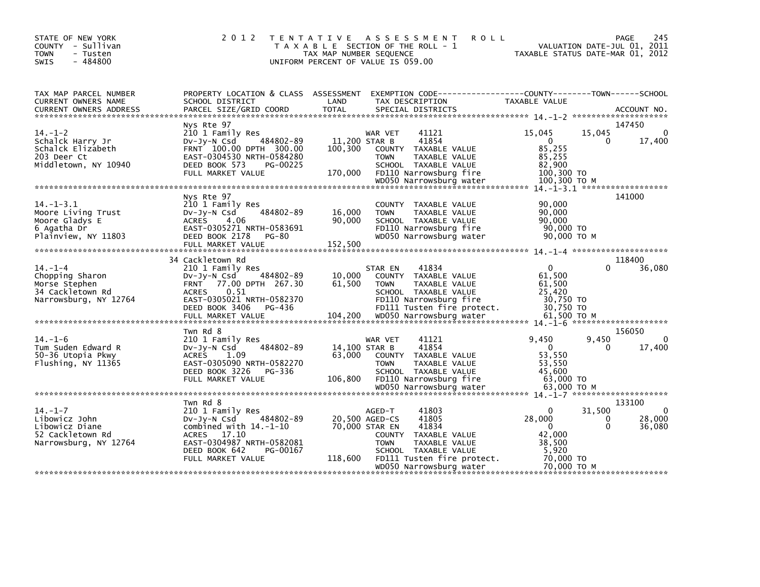| STATE OF NEW YORK<br>COUNTY - Sullivan<br>- Tusten<br><b>TOWN</b><br>$-484800$<br><b>SWIS</b>  | 2 0 1 2                                                                                                                                                                                      | T E N T A T I V E<br>TAX MAP NUMBER SEQUENCE | <b>ROLL</b><br>A S S E S S M E N T<br>T A X A B L E SECTION OF THE ROLL - 1<br>UNIFORM PERCENT OF VALUE IS 059.00                                                                           | TAXABLE STATUS DATE-MAR 01, 2012                                                                      | 245<br>PAGE<br>VALUATION DATE-JUL 01, 2011              |
|------------------------------------------------------------------------------------------------|----------------------------------------------------------------------------------------------------------------------------------------------------------------------------------------------|----------------------------------------------|---------------------------------------------------------------------------------------------------------------------------------------------------------------------------------------------|-------------------------------------------------------------------------------------------------------|---------------------------------------------------------|
| TAX MAP PARCEL NUMBER<br>CURRENT OWNERS NAME                                                   | PROPERTY LOCATION & CLASS ASSESSMENT<br>SCHOOL DISTRICT                                                                                                                                      | LAND                                         | TAX DESCRIPTION                                                                                                                                                                             | TAXABLE VALUE                                                                                         |                                                         |
| $14. - 1 - 2$<br>Schalck Harry Jr<br>Schalck Elizabeth<br>203 Deer Ct<br>Middletown, NY 10940  | Nys Rte 97<br>210 1 Family Res<br>484802-89<br>$Dv-Jy-N$ Csd<br>FRNT 100.00 DPTH 300.00<br>EAST-0304530 NRTH-0584280<br>DEED BOOK 573<br>PG-00225<br>FULL MARKET VALUE                       | 11,200 STAR B<br>100,300<br>170,000          | WAR VET<br>41121<br>41854<br>COUNTY TAXABLE VALUE<br>TAXABLE VALUE<br><b>TOWN</b><br>SCHOOL TAXABLE VALUE<br>FD110 Narrowsburg fire                                                         | 15,045<br>15,045<br>$\mathbf{0}$<br>85,255<br>85,255<br>82.900<br>100,300 TO                          | 147450<br>$\mathbf 0$<br>0<br>17,400                    |
|                                                                                                |                                                                                                                                                                                              |                                              |                                                                                                                                                                                             |                                                                                                       |                                                         |
| $14. -1 - 3.1$<br>Moore Living Trust<br>Moore Gladys E<br>6 Agatha Dr<br>Plainview, NY 11803   | Nys Rte 97<br>210 1 Family Res<br>484802-89<br>$Dv-Jy-N$ Csd<br><b>ACRES</b><br>4.06<br>EAST-0305271 NRTH-0583691<br>DEED BOOK 2178<br>PG-80<br>FULL MARKET VALUE                            | 16,000<br>90,000<br>152,500                  | COUNTY TAXABLE VALUE<br>TAXABLE VALUE<br><b>TOWN</b><br>SCHOOL TAXABLE VALUE<br>FD110 Narrowsburg fire<br>WD050 Narrowsburg water                                                           | 90,000<br>90,000<br>90.000<br>90,000 TO<br>90,000 ТО М                                                | 141000                                                  |
|                                                                                                | 34 Cackletown Rd                                                                                                                                                                             |                                              |                                                                                                                                                                                             |                                                                                                       | 118400                                                  |
| $14. - 1 - 4$<br>Chopping Sharon<br>Morse Stephen<br>34 Cackletown Rd<br>Narrowsburg, NY 12764 | 210 1 Family Res<br>484802-89<br>$Dv-Jy-N$ Csd<br>FRNT 77.00 DPTH 267.30<br>0.51<br><b>ACRES</b><br>EAST-0305021 NRTH-0582370<br>DEED BOOK 3406<br>PG-436<br>FULL MARKET VALUE               | 10,000<br>61,500                             | 41834<br>STAR EN<br>COUNTY TAXABLE VALUE<br>TAXABLE VALUE<br><b>TOWN</b><br>SCHOOL TAXABLE VALUE<br>FD110 Narrowsburg fire<br>FDI11 Tusten fire protect.<br>104,200 WD050 Narrowsburg water | $\Omega$<br>61,500<br>61,500<br>25,420<br>30,750 TO<br>30,750 TO<br>61,500 ТО М                       | 0<br>36,080                                             |
|                                                                                                | Twn Rd 8                                                                                                                                                                                     |                                              |                                                                                                                                                                                             |                                                                                                       | 156050                                                  |
| $14. - 1 - 6$<br>Tum Suden Edward R<br>50-36 Utopia Pkwy<br>Flushing, NY 11365                 | 210 1 Family Res<br>484802-89<br>$Dv-Jy-N$ Csd<br><b>ACRES</b><br>1.09<br>EAST-0305090 NRTH-0582270<br>DEED BOOK 3226<br>PG-336<br>FULL MARKET VALUE                                         | 14,100 STAR B<br>63,000<br>106,800           | WAR VET<br>41121<br>41854<br>COUNTY TAXABLE VALUE<br><b>TOWN</b><br>TAXABLE VALUE<br>SCHOOL TAXABLE VALUE<br>FD110 Narrowsburg fire                                                         | 9,450<br>9,450<br>$\Omega$<br>53,550<br>53,550<br>45.600<br>63,000 TO                                 | 0<br>17,400<br>0                                        |
|                                                                                                |                                                                                                                                                                                              |                                              | WD050 Narrowsburg water                                                                                                                                                                     | 63,000 ТО М                                                                                           |                                                         |
| $14. - 1 - 7$<br>Libowicz John<br>Libowicz Diane<br>52 Cackletown Rd<br>Narrowsburg, NY 12764  | Twn Rd 8<br>210 1 Family Res<br>484802-89<br>DV-Jy-N Csd<br>combined with $14.-1-10$<br><b>ACRES</b><br>17.10<br>EAST-0304987 NRTH-0582081<br>DEED BOOK 642<br>PG-00167<br>FULL MARKET VALUE | 20,500 AGED-CS<br>70,000 STAR EN<br>118,600  | 41803<br>AGED-T<br>41805<br>41834<br>COUNTY TAXABLE VALUE<br><b>TOWN</b><br>TAXABLE VALUE<br>SCHOOL TAXABLE VALUE<br>FD111 Tusten fire protect.<br>WD050 Narrowsburg water                  | 31,500<br>$\mathbf{0}$<br>28,000<br>$\Omega$<br>42,000<br>38,500<br>5,920<br>70,000 TO<br>70,000 TO M | 133100<br>$\Omega$<br>28,000<br>0<br>$\Omega$<br>36,080 |
|                                                                                                |                                                                                                                                                                                              |                                              |                                                                                                                                                                                             |                                                                                                       |                                                         |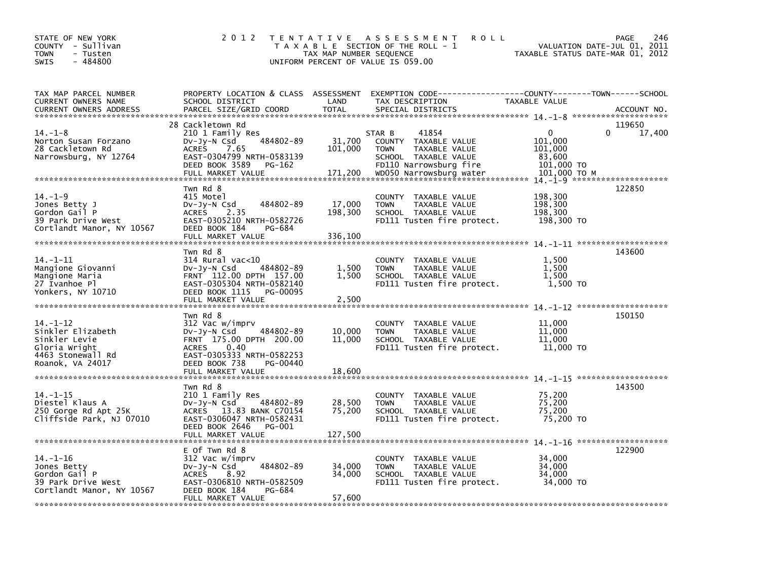| STATE OF NEW YORK<br>COUNTY - Sullivan<br>TOWN<br>- Tusten<br>$-484800$<br><b>SWIS</b>                    | 2 0 1 2                                                                                                                                                                                   | TAX MAP NUMBER SEQUENCE      | TENTATIVE ASSESSMENT<br><b>ROLL</b><br>T A X A B L E SECTION OF THE ROLL - 1<br>UNIFORM PERCENT OF VALUE IS 059.00                                   | TAXABLE STATUS DATE-MAR 01, 2012                                       | 246<br>PAGE<br>VALUATION DATE-JUL 01, 2011 |
|-----------------------------------------------------------------------------------------------------------|-------------------------------------------------------------------------------------------------------------------------------------------------------------------------------------------|------------------------------|------------------------------------------------------------------------------------------------------------------------------------------------------|------------------------------------------------------------------------|--------------------------------------------|
| TAX MAP PARCEL NUMBER<br>CURRENT OWNERS NAME<br><b>CURRENT OWNERS ADDRESS</b>                             | PROPERTY LOCATION & CLASS ASSESSMENT<br>SCHOOL DISTRICT<br>PARCEL SIZE/GRID COORD                                                                                                         | LAND<br><b>TOTAL</b>         | EXEMPTION CODE-----------------COUNTY-------TOWN------SCHOOL<br>TAX DESCRIPTION<br>SPECIAL DISTRICTS                                                 | TAXABLE VALUE                                                          | ACCOUNT NO.                                |
| $14. - 1 - 8$<br>Norton Susan Forzano<br>28 Cackletown Rd<br>Narrowsburg, NY 12764                        | 28 Cackletown Rd<br>210 1 Family Res<br>484802-89<br>$Dv-Jy-N$ Csd<br><b>ACRES</b><br>7.65<br>EAST-0304799 NRTH-0583139<br>DEED BOOK 3589<br>PG-162<br>FULL MARKET VALUE                  | 31,700<br>101,000<br>171,200 | 41854<br>STAR B<br>COUNTY TAXABLE VALUE<br><b>TOWN</b><br>TAXABLE VALUE<br>SCHOOL TAXABLE VALUE<br>FD110 Narrowsburg fire<br>WD050 Narrowsburg water | $\Omega$<br>101,000<br>101,000<br>83,600<br>101,000 TO<br>101,000 TO M | 119650<br>17,400                           |
| $14. - 1 - 9$<br>Jones Betty J<br>Gordon Gail P<br>39 Park Drive West<br>Cortlandt Manor, NY 10567        | Twn Rd 8<br>415 Motel<br>484802-89<br>DV-Jy-N Csd<br>2.35<br><b>ACRES</b><br>EAST-0305210 NRTH-0582726<br>DEED BOOK 184<br>PG-684<br>FULL MARKET VALUE                                    | 17,000<br>198,300<br>336,100 | COUNTY TAXABLE VALUE<br>TAXABLE VALUE<br><b>TOWN</b><br>SCHOOL TAXABLE VALUE<br>FD111 Tusten fire protect.                                           | 198,300<br>198,300<br>198,300<br>198,300 TO                            | 122850                                     |
| $14. - 1 - 11$<br>Mangione Giovanni<br>Mangione Maria<br>27 Ivanhoe Pl<br>Yonkers, NY 10710               | Twn Rd 8<br>314 Rural vac<10<br>484802-89<br>DV-Jy-N Csd<br>FRNT 112.00 DPTH 157.00<br>EAST-0305304 NRTH-0582140<br>DEED BOOK 1115<br>PG-00095<br>FULL MARKET VALUE                       | 1,500<br>1,500<br>2,500      | COUNTY TAXABLE VALUE<br><b>TOWN</b><br>TAXABLE VALUE<br>SCHOOL TAXABLE VALUE<br>FD111 Tusten fire protect.                                           | 1,500<br>1,500<br>1,500<br>1,500 TO                                    | 143600                                     |
| 14. –1–12<br>Sinkler Elizabeth<br>Sinkler Levie<br>Gloria Wright<br>4463 Stonewall Rd<br>Roanok, VA 24017 | Twn Rd 8<br>312 Vac w/imprv<br>DV-Jy-N Csd<br>484802-89<br>FRNT 175.00 DPTH 200.00<br>0.40<br><b>ACRES</b><br>EAST-0305333 NRTH-0582253<br>DEED BOOK 738<br>PG-00440<br>FULL MARKET VALUE | 10,000<br>11,000<br>18,600   | TAXABLE VALUE<br><b>COUNTY</b><br><b>TOWN</b><br>TAXABLE VALUE<br>SCHOOL TAXABLE VALUE<br>FD111 Tusten fire protect.                                 | 11,000<br>11,000<br>11,000<br>11,000 TO                                | 150150                                     |
| $14. - 1 - 15$<br>Diestel Klaus A<br>250 Gorge Rd Apt 25K<br>Cliffside Park, NJ 07010                     | Twn Rd 8<br>210 1 Family Res<br>484802-89<br>$Dv-Jy-N$ Csd<br>ACRES 13.83 BANK C70154<br>EAST-0306047 NRTH-0582431<br>DEED BOOK 2646<br>PG-001<br>FULL MARKET VALUE                       | 28,500<br>75,200<br>127,500  | COUNTY TAXABLE VALUE<br><b>TOWN</b><br>TAXABLE VALUE<br>SCHOOL TAXABLE VALUE<br>FD111 Tusten fire protect.                                           | 75,200<br>75,200<br>75,200<br>75,200 TO                                | 143500                                     |
| 14. –1–16<br>Jones Betty<br>Gordon Gail P<br>39 Park Drive West<br>Cortlandt Manor, NY 10567              | E Of Twn Rd 8<br>312 Vac w/imprv<br>484802-89<br>$Dv-Jy-N$ Csd<br><b>ACRES</b><br>8.92<br>EAST-0306810 NRTH-0582509<br>DEED BOOK 184<br>PG-684<br>FULL MARKET VALUE                       | 34,000<br>34,000<br>57,600   | <b>COUNTY</b><br>TAXABLE VALUE<br>TAXABLE VALUE<br><b>TOWN</b><br>SCHOOL TAXABLE VALUE<br>FD111 Tusten fire protect.                                 | 34,000<br>34,000<br>34,000<br>34,000 TO                                | 122900                                     |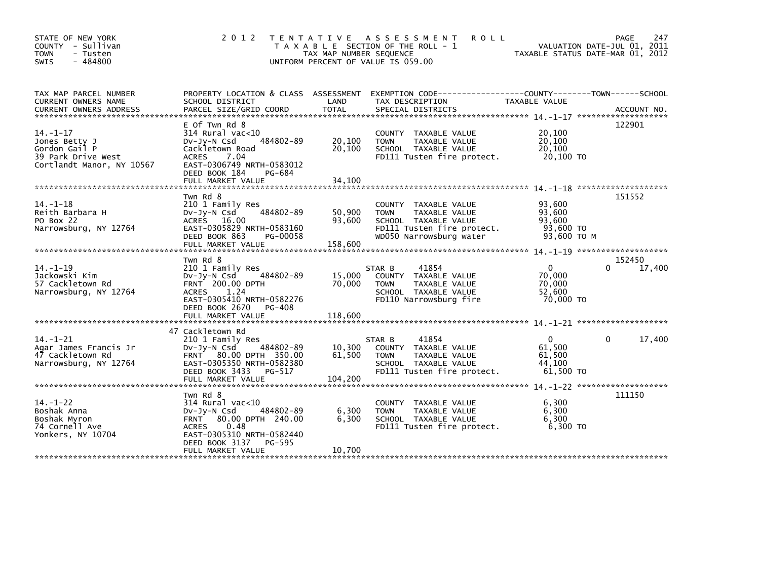| STATE OF NEW YORK<br>COUNTY - Sullivan<br>- Tusten<br>TOWN<br>$-484800$<br><b>SWIS</b>                         | 2 0 1 2                                                                                                                                                                                                   | TAX MAP NUMBER SEQUENCE<br>UNIFORM PERCENT OF VALUE IS 059.00 | <b>ROLL</b><br>TENTATIVE ASSESSMENT<br>T A X A B L E SECTION OF THE ROLL - 1                                                          | VALUATION DATE-JUL 01, 2011<br>TAXABLE STATUS DATE-MAR 01, 2012 | 247<br>PAGE           |
|----------------------------------------------------------------------------------------------------------------|-----------------------------------------------------------------------------------------------------------------------------------------------------------------------------------------------------------|---------------------------------------------------------------|---------------------------------------------------------------------------------------------------------------------------------------|-----------------------------------------------------------------|-----------------------|
| TAX MAP PARCEL NUMBER<br>CURRENT OWNERS NAME                                                                   | PROPERTY LOCATION & CLASS ASSESSMENT<br>SCHOOL DISTRICT                                                                                                                                                   | LAND                                                          | EXEMPTION CODE-----------------COUNTY-------TOWN------SCHOOL<br>TAX DESCRIPTION                                                       | TAXABLE VALUE                                                   |                       |
| $14. - 1 - 17$<br>Jones Betty J<br>Gordon Gail P<br>39 Park Drive West<br>Cortlandt Manor, NY 10567            | E Of Twn Rd 8<br>$314$ Rural vac<10<br>484802-89<br>$Dv-Jy-N$ Csd<br>Cackletown Road<br><b>ACRES</b><br>7.04<br>EAST-0306749 NRTH-0583012<br>DEED BOOK 184<br>PG-684                                      | 20,100<br>20,100                                              | COUNTY TAXABLE VALUE<br>TAXABLE VALUE<br><b>TOWN</b><br>SCHOOL TAXABLE VALUE<br>FD111 Tusten fire protect.                            | 20,100<br>20,100<br>20,100<br>20.100 TO                         | 122901                |
| $14. - 1 - 18$<br>Reith Barbara H<br>PO Box 22<br>Narrowsburg, NY 12764                                        | Twn Rd 8<br>210 1 Family Res<br>484802-89<br>DV-Jy-N Csd<br>ACRES 16.00<br>EAST-0305829 NRTH-0583160<br>DEED BOOK 863<br>PG-00058                                                                         | 50,900<br>93,600                                              | COUNTY TAXABLE VALUE<br>TAXABLE VALUE<br><b>TOWN</b><br>SCHOOL TAXABLE VALUE<br>FD111 Tusten fire protect.<br>WD050 Narrowsburg water | 93,600<br>93,600<br>93,600<br>93,600 TO<br>93,600 ТО М          | 151552                |
| ******************************<br>$14. - 1 - 19$<br>Jackowski Kim<br>57 Cackletown Rd<br>Narrowsburg, NY 12764 | Twn Rd 8<br>210 1 Family Res<br>484802-89<br>DV-Jy-N Csd<br><b>FRNT</b> 200.00 DPTH<br><b>ACRES</b><br>1.24<br>EAST-0305410 NRTH-0582276<br>DEED BOOK 2670<br>PG-408                                      | 15,000<br>70,000                                              | 41854<br>STAR B<br>COUNTY TAXABLE VALUE<br>TAXABLE VALUE<br><b>TOWN</b><br>SCHOOL TAXABLE VALUE<br>FD110 Narrowsburg fire             | 0<br>70,000<br>70,000<br>52,600<br>70,000 TO                    | 152450<br>0<br>17,400 |
| $14. - 1 - 21$<br>Agar James Francis Jr<br>47 Cackletown Rd<br>Narrowsburg, NY 12764                           | 47 Cackletown Rd<br>210 1 Family Res<br>$Dv-Jy-N$ Csd<br>484802-89<br>FRNT 80.00 DPTH 350.00<br>EAST-0305350 NRTH-0582380<br>DEED BOOK 3433<br>PG-517<br>FULL MARKET VALUE                                | 10,300<br>61,500<br>104,200                                   | 41854<br>STAR B<br>COUNTY TAXABLE VALUE<br>TAXABLE VALUE<br><b>TOWN</b><br>SCHOOL TAXABLE VALUE<br>FD111 Tusten fire protect.         | $\mathbf{0}$<br>61,500<br>61,500<br>44,100<br>61,500 TO         | 17,400<br>0           |
| $14. - 1 - 22$<br>Boshak Anna<br>Boshak Myron<br>74 Cornell Ave<br>Yonkers, NY 10704                           | Twn Rd 8<br>$314$ Rural vac< $10$<br>484802-89<br>$Dv-Jy-N$ Csd<br>80.00 DPTH 240.00<br><b>FRNT</b><br><b>ACRES</b><br>0.48<br>EAST-0305310 NRTH-0582440<br>DEED BOOK 3137<br>PG-595<br>FULL MARKET VALUE | 6,300<br>6,300<br>10,700                                      | COUNTY TAXABLE VALUE<br><b>TOWN</b><br>TAXABLE VALUE<br>SCHOOL TAXABLE VALUE<br>FD111 Tusten fire protect.                            | 6,300<br>6,300<br>6,300<br>$6,300$ TO                           | 111150                |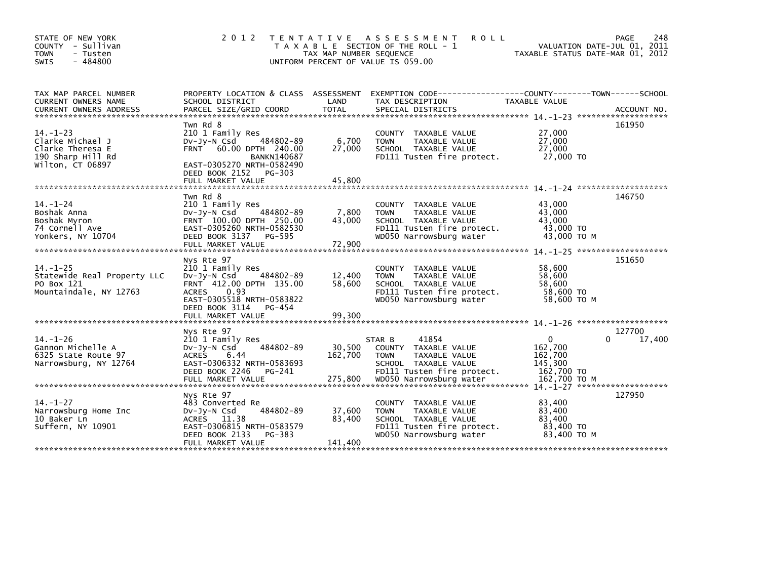| STATE OF NEW YORK<br>COUNTY - Sullivan<br><b>TOWN</b><br>- Tusten<br>$-484800$<br><b>SWIS</b>   | 2 0 1 2                                                                                                                                                                                            | T E N T A T I V E<br>TAX MAP NUMBER SEQUENCE<br>UNIFORM PERCENT OF VALUE IS 059.00 | <b>ROLL</b><br>A S S E S S M E N T<br>T A X A B L E SECTION OF THE ROLL - 1                                                                                 | VALUATION DATE-JUL 01, 2011<br>TAXABLE STATUS DATE-MAR 01, 2012                               | 248<br>PAGE      |
|-------------------------------------------------------------------------------------------------|----------------------------------------------------------------------------------------------------------------------------------------------------------------------------------------------------|------------------------------------------------------------------------------------|-------------------------------------------------------------------------------------------------------------------------------------------------------------|-----------------------------------------------------------------------------------------------|------------------|
| TAX MAP PARCEL NUMBER<br>CURRENT OWNERS NAME                                                    | PROPERTY LOCATION & CLASS ASSESSMENT<br>SCHOOL DISTRICT                                                                                                                                            | LAND                                                                               | EXEMPTION        CODE-----------------COUNTY-------TOWN------SCHOOL<br>TAX DESCRIPTION                                                                      | TAXABLE VALUE                                                                                 |                  |
| $14. - 1 - 23$<br>Clarke Michael J<br>Clarke Theresa E<br>190 Sharp Hill Rd<br>Wilton, CT 06897 | Twn Rd 8<br>210 1 Family Res<br>484802-89<br>$Dv-Jv-N$ Csd<br>60.00 DPTH 240.00<br><b>FRNT</b><br><b>BANKN140687</b><br>EAST-0305270 NRTH-0582490<br>DEED BOOK 2152<br>PG-303<br>FULL MARKET VALUE | 6,700<br>27,000<br>45,800                                                          | COUNTY TAXABLE VALUE<br><b>TOWN</b><br>TAXABLE VALUE<br>SCHOOL TAXABLE VALUE<br>FD111 Tusten fire protect.                                                  | 27,000<br>27,000<br>27,000<br>27,000 TO                                                       | 161950           |
| $14. - 1 - 24$<br>Boshak Anna<br>Boshak Myron<br>74 Cornell Ave                                 | Twn Rd 8<br>210 1 Family Res<br>$Dv-Jy-N$ Csd<br>484802-89<br>FRNT 100.00 DPTH 250.00<br>EAST-0305260 NRTH-0582530                                                                                 | 7,800<br>43,000                                                                    | COUNTY TAXABLE VALUE<br>TAXABLE VALUE<br><b>TOWN</b><br>SCHOOL TAXABLE VALUE<br>FD111 Tusten fire protect.                                                  | $14 - 1 - 24$ *********************<br>43,000<br>43,000<br>43,000<br>43,000 TO                | 146750           |
| Yonkers, NY 10704                                                                               | DEED BOOK 3137<br>PG-595<br>FULL MARKET VALUE                                                                                                                                                      | 72,900                                                                             | WD050 Narrowsburg water                                                                                                                                     | 43,000 TO M                                                                                   |                  |
| $14. - 1 - 25$<br>Statewide Real Property LLC<br>PO Box 121<br>Mountaindale, NY 12763           | Nys Rte 97<br>210 1 Family Res<br>484802-89<br>$Dv-Jv-N$ Csd<br>FRNT 412.00 DPTH 135.00<br>0.93<br><b>ACRES</b><br>EAST-0305518 NRTH-0583822<br>DEED BOOK 3114<br>PG-454                           | 12,400<br>58,600                                                                   | COUNTY TAXABLE VALUE<br>TAXABLE VALUE<br><b>TOWN</b><br>SCHOOL TAXABLE VALUE<br>FD111 Tusten fire protect.<br>WD050 Narrowsburg water                       | 58,600<br>58,600<br>58,600<br>58,600 TO<br>58,600 TO M                                        | 151650           |
|                                                                                                 | FULL MARKET VALUE                                                                                                                                                                                  | 99,300                                                                             |                                                                                                                                                             | $14. - 1 - 26$ *********************                                                          |                  |
| $14. - 1 - 26$<br>Gannon Michelle A<br>6325 State Route 97<br>Narrowsburg, NY 12764             | Nys Rte 97<br>210 1 Family Res<br>484802-89<br>$Dv-Jy-N$ Csd<br><b>ACRES</b><br>6.44<br>EAST-0306332 NRTH-0583693<br>DEED BOOK 2246<br>PG-241<br>FULL MARKET VALUE                                 | 30,500<br>162,700<br>275,800                                                       | 41854<br>STAR B<br>TAXABLE VALUE<br>COUNTY<br>TAXABLE VALUE<br><b>TOWN</b><br>SCHOOL TAXABLE VALUE<br>FD111 Tusten fire protect.<br>WD050 Narrowsburg water | $\mathbf 0$<br>162,700<br>162,700<br>145,300<br>162,700 TO<br>162.700 TO M                    | 127700<br>17,400 |
| $14. - 1 - 27$<br>Narrowsburg Home Inc<br>10 Baker Ln<br>Suffern, NY 10901                      | Nys Rte 97<br>483 Converted Re<br>484802-89<br>$Dv-Jv-N$ Csd<br>ACRES 11.38<br>EAST-0306815 NRTH-0583579<br>DEED BOOK 2133<br>PG-383<br>FULL MARKET VALUE                                          | 37,600<br>83,400<br>141,400                                                        | COUNTY TAXABLE VALUE<br>TAXABLE VALUE<br><b>TOWN</b><br>SCHOOL TAXABLE VALUE<br>FD111 Tusten fire protect.<br>WD050 Narrowsburg water                       | $14 - 1 - 27$ *********************<br>83,400<br>83,400<br>83,400<br>83,400 TO<br>83,400 TO M | 127950           |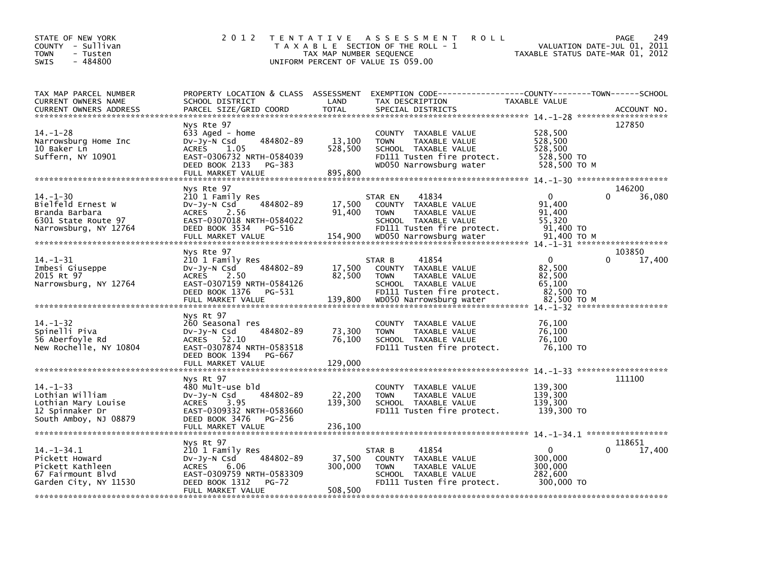| STATE OF NEW YORK<br>COUNTY - Sullivan<br><b>TOWN</b><br>- Tusten<br>$-484800$<br><b>SWIS</b>         | 2 0 1 2                                                                                                                                                            | TAX MAP NUMBER SEQUENCE      | TENTATIVE ASSESSMENT<br><b>ROLL</b><br>T A X A B L E SECTION OF THE ROLL - 1<br>UNIFORM PERCENT OF VALUE IS 059.00                    | VALUATION DATE-JUL 01, 2011<br>TAXABLE STATUS DATE-MAR 01, 2012     | 249<br><b>PAGE</b> |
|-------------------------------------------------------------------------------------------------------|--------------------------------------------------------------------------------------------------------------------------------------------------------------------|------------------------------|---------------------------------------------------------------------------------------------------------------------------------------|---------------------------------------------------------------------|--------------------|
| TAX MAP PARCEL NUMBER<br>CURRENT OWNERS NAME<br>CURRENT OWNERS ADDRESS                                | PROPERTY LOCATION & CLASS ASSESSMENT<br>SCHOOL DISTRICT<br>PARCEL SIZE/GRID COORD                                                                                  | LAND<br><b>TOTAL</b>         | EXEMPTION CODE------------------COUNTY--------TOWN------SCHOOL<br>TAX DESCRIPTION<br>SPECIAL DISTRICTS                                | TAXABLE VALUE                                                       | ACCOUNT NO.        |
| $14. - 1 - 28$<br>Narrowsburg Home Inc<br>10 Baker Ln<br>Suffern, NY 10901                            | Nys Rte 97<br>633 Aged - home<br>484802-89<br>$Dv-Jy-N$ Csd<br><b>ACRES</b><br>1.05<br>EAST-0306732 NRTH-0584039<br>DEED BOOK 2133<br>PG-383<br>FULL MARKET VALUE  | 13,100<br>528,500<br>895,800 | COUNTY TAXABLE VALUE<br><b>TOWN</b><br>TAXABLE VALUE<br>SCHOOL TAXABLE VALUE<br>FD111 Tusten fire protect.<br>WD050 Narrowsburg water | 528,500<br>528,500<br>528,500<br>528,500 TO<br>528,500 TO M         | 127850             |
| $14. - 1 - 30$<br>Bielfeld Ernest W<br>Branda Barbara<br>6301 State Route 97<br>Narrowsburg, NY 12764 | Nys Rte 97<br>210 1 Family Res<br>484802-89<br>DV-Jy-N Csd<br>ACRES 2.56<br>EAST-0307018 NRTH-0584022<br>DEED BOOK 3534<br>PG-516                                  | 17,500<br>91,400             | 41834<br>STAR EN<br>COUNTY TAXABLE VALUE<br><b>TOWN</b><br>TAXABLE VALUE<br>SCHOOL TAXABLE VALUE<br>FD111 Tusten fire protect.        | 0<br>$\Omega$<br>91,400<br>91,400<br>55,320<br>91,400 TO            | 146200<br>36,080   |
| 14. –1–31<br>Imbesi Giuseppe<br>2015 Rt 97<br>Narrowsburg, NY 12764                                   | Nys Rte 97<br>210 1 Family Res<br>484802-89<br>DV-Jy-N Csd<br>2.50<br>ACRES<br>EAST-0307159 NRTH-0584126<br>DEED BOOK 1376<br>PG-531                               | 17,500<br>82,500             | 41854<br>STAR B<br>COUNTY TAXABLE VALUE<br><b>TAXABLE VALUE</b><br><b>TOWN</b><br>SCHOOL TAXABLE VALUE<br>FD111 Tusten fire protect.  | 0<br>$\Omega$<br>82,500<br>82,500<br>65,100<br>82,500 TO            | 103850<br>17,400   |
| $14. - 1 - 32$<br>Spinelli Piva<br>56 Aberfoyle Rd<br>New Rochelle, NY 10804                          | Nys Rt 97<br>260 Seasonal res<br>484802-89<br>$Dv-Jy-N$ Csd<br>ACRES 52.10<br>EAST-0307874 NRTH-0583518<br>DEED BOOK 1394<br>PG-667<br>FULL MARKET VALUE           | 73,300<br>76,100<br>129,000  | COUNTY TAXABLE VALUE<br>TAXABLE VALUE<br><b>TOWN</b><br>SCHOOL TAXABLE VALUE<br>FD111 Tusten fire protect.                            | 76,100<br>76,100<br>76,100<br>76,100 TO                             |                    |
| $14. - 1 - 33$<br>Lothian William<br>Lothian Mary Louise<br>12 Spinnaker Dr<br>South Amboy, NJ 08879  | Nys Rt 97<br>480 Mult-use bld<br>484802-89<br>$Dv-Jy-N$ Csd<br>3.95<br><b>ACRES</b><br>EAST-0309332 NRTH-0583660<br>DEED BOOK 3476<br>PG-256                       | 22,200<br>139,300            | COUNTY TAXABLE VALUE<br><b>TOWN</b><br>TAXABLE VALUE<br>SCHOOL TAXABLE VALUE<br>FD111 Tusten fire protect.                            | 139,300<br>139,300<br>139,300<br>139,300 TO                         | 111100             |
| $14. - 1 - 34.1$<br>Pickett Howard<br>Pickett Kathleen<br>67 Fairmount Blvd<br>Garden City, NY 11530  | Nys Rt 97<br>210 1 Family Res<br>484802-89<br>$Dv-Jy-N$ Csd<br><b>ACRES</b><br>6.06<br>EAST-0309759 NRTH-0583309<br>DEED BOOK 1312<br>$PG-72$<br>FULL MARKET VALUE | 37,500<br>300,000<br>508,500 | STAR B<br>41854<br>COUNTY TAXABLE VALUE<br><b>TOWN</b><br>TAXABLE VALUE<br>SCHOOL TAXABLE VALUE<br>FD111 Tusten fire protect.         | $\Omega$<br>$\Omega$<br>300,000<br>300,000<br>282.600<br>300,000 TO | 118651<br>17,400   |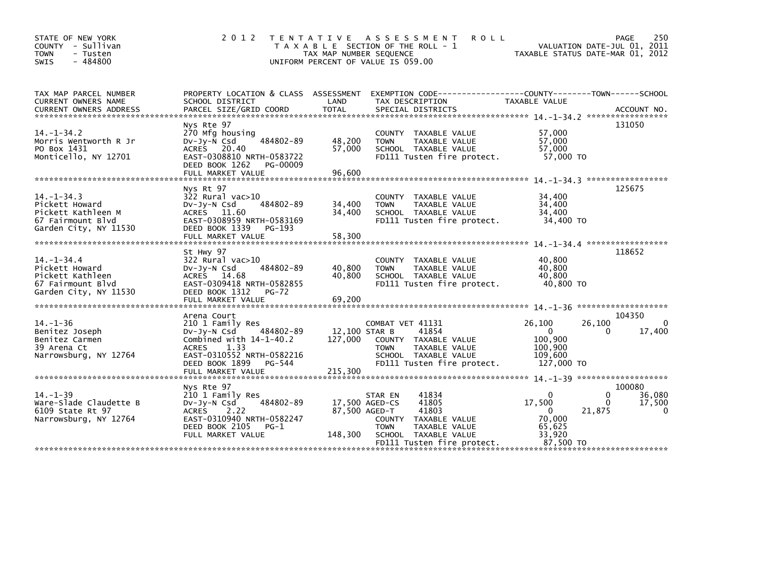| STATE OF NEW YORK<br>COUNTY - Sullivan<br><b>TOWN</b><br>- Tusten<br>$-484800$<br><b>SWIS</b>         | 2 0 1 2                                                                                                                                                                                          | T E N T A T I V E<br>TAX MAP NUMBER SEQUENCE | A S S E S S M E N T<br><b>ROLL</b><br>T A X A B L E SECTION OF THE ROLL - 1<br>UNIFORM PERCENT OF VALUE IS 059.00                                                                             | TAXABLE STATUS DATE-MAR 01, 2012                                                    | 250<br>PAGE<br>VALUATION DATE-JUL 01, 2011     |
|-------------------------------------------------------------------------------------------------------|--------------------------------------------------------------------------------------------------------------------------------------------------------------------------------------------------|----------------------------------------------|-----------------------------------------------------------------------------------------------------------------------------------------------------------------------------------------------|-------------------------------------------------------------------------------------|------------------------------------------------|
| TAX MAP PARCEL NUMBER<br>CURRENT OWNERS NAME<br><b>CURRENT OWNERS ADDRESS</b>                         | SCHOOL DISTRICT<br>PARCEL SIZE/GRID COORD                                                                                                                                                        | LAND<br><b>TOTAL</b>                         | PROPERTY LOCATION & CLASS ASSESSMENT EXEMPTION CODE----------------COUNTY-------TOWN------SCHOOL<br>TAX DESCRIPTION<br>SPECIAL DISTRICTS                                                      | TAXABLE VALUE                                                                       | ACCOUNT NO.                                    |
| $14. -1 - 34.2$<br>Morris Wentworth R Jr<br>PO Box 1431<br>Monticello, NY 12701                       | Nys Rte 97<br>270 Mfg housing<br>$Dv-Jv-N$ Csd<br>484802-89<br><b>ACRES</b><br>20.40<br>EAST-0308810 NRTH-0583722<br>DEED BOOK 1262<br>PG-00009<br>FULL MARKET VALUE                             | 48,200<br>57,000<br>96,600                   | COUNTY TAXABLE VALUE<br>TAXABLE VALUE<br><b>TOWN</b><br>SCHOOL TAXABLE VALUE<br>FD111 Tusten fire protect.                                                                                    | 57,000<br>57,000<br>57,000<br>57,000 TO                                             | 131050                                         |
| $14. -1 - 34.3$<br>Pickett Howard<br>Pickett Kathleen M<br>67 Fairmount Blvd<br>Garden City, NY 11530 | Nys Rt 97<br>$322$ Rural vac $>10$<br>484802-89<br>DV-Jy-N Csd<br>ACRES 11.60<br>EAST-0308959 NRTH-0583169<br>DEED BOOK 1339<br>PG-193<br>FULL MARKET VALUE                                      | 34,400<br>34,400<br>58,300                   | COUNTY TAXABLE VALUE<br>TAXABLE VALUE<br><b>TOWN</b><br>SCHOOL TAXABLE VALUE<br>FD111 Tusten fire protect.                                                                                    | 34,400<br>34,400<br>34,400<br>34,400 TO                                             | 125675<br>$14. -1 - 34. 4$ ******************* |
| $14. - 1 - 34.4$<br>Pickett Howard<br>Pickett Kathleen<br>67 Fairmount Blvd<br>Garden City, NY 11530  | St Hwy 97<br>322 Rural vac>10<br>484802-89<br>$Dv-Jy-N$ Csd<br>ACRES 14.68<br>EAST-0309418 NRTH-0582855<br>DEED BOOK 1312<br>$PG-72$                                                             | 40,800<br>40,800                             | COUNTY TAXABLE VALUE<br><b>TOWN</b><br>TAXABLE VALUE<br>SCHOOL TAXABLE VALUE<br>FD111 Tusten fire protect.                                                                                    | 40,800<br>40.800<br>40,800<br>40,800 TO                                             | 118652                                         |
| $14. - 1 - 36$<br>Benitez Joseph<br>Benitez Carmen<br>39 Arena Ct<br>Narrowsburg, NY 12764            | Arena Court<br>210 1 Family Res<br>484802-89<br>$Dv-Jy-N$ Csd<br>Combined with $14-1-40.2$<br>1.33<br><b>ACRES</b><br>EAST-0310552 NRTH-0582216<br>DEED BOOK 1899<br>PG-544<br>FULL MARKET VALUE | 127,000<br>215,300                           | COMBAT VET 41131<br>41854<br>12,100 STAR B<br>COUNTY TAXABLE VALUE<br>TAXABLE VALUE<br><b>TOWN</b><br>SCHOOL TAXABLE VALUE<br>FD111 Tusten fire protect.                                      | 26,100<br>26,100<br>$\Omega$<br>100,900<br>100,900<br>109.600<br>127,000 TO         | 104350<br>$\Omega$<br>17,400<br>0              |
| $14. - 1 - 39$<br>Ware-Slade Claudette B<br>6109 State Rt 97<br>Narrowsburg, NY 12764                 | Nys Rte 97<br>210 1 Family Res<br>484802-89<br>DV-Jy-N Csd<br><b>ACRES</b><br>2.22<br>EAST-0310940 NRTH-0582247<br>DEED BOOK 2105<br>$PG-1$<br>FULL MARKET VALUE                                 | 148,300                                      | 41834<br>STAR EN<br>17,500 AGED-CS<br>41805<br>41803<br>87,500 AGED-T<br><b>COUNTY</b><br>TAXABLE VALUE<br>TAXABLE VALUE<br><b>TOWN</b><br>SCHOOL TAXABLE VALUE<br>FD111 Tusten fire protect. | $\Omega$<br>17,500<br>21,875<br>$\Omega$<br>70,000<br>65,625<br>33,920<br>87.500 TO | 100080<br>0<br>36,080<br>0<br>17,500<br>0      |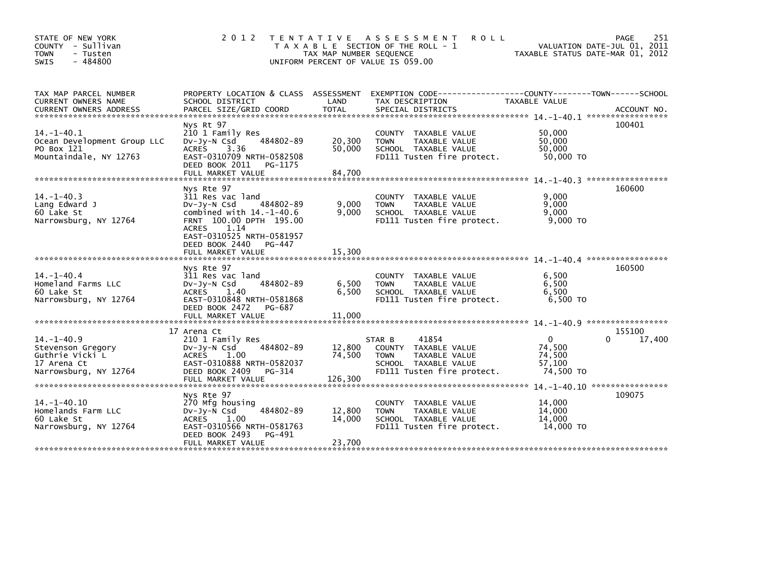| STATE OF NEW YORK<br>- Sullivan<br><b>COUNTY</b><br><b>TOWN</b><br>- Tusten<br>$-484800$<br><b>SWIS</b> | 2 0 1 2                                                                                                                                                                                                                      | T E N T A T I V E<br>TAX MAP NUMBER SEQUENCE<br>UNIFORM PERCENT OF VALUE IS 059.00 | A S S E S S M E N T<br><b>ROLL</b><br>T A X A B L E SECTION OF THE ROLL - 1                                                   | TAXABLE STATUS DATE-MAR 01, 2012                        | 251<br>PAGE<br>VALUATION DATE-JUL 01, 2011 |
|---------------------------------------------------------------------------------------------------------|------------------------------------------------------------------------------------------------------------------------------------------------------------------------------------------------------------------------------|------------------------------------------------------------------------------------|-------------------------------------------------------------------------------------------------------------------------------|---------------------------------------------------------|--------------------------------------------|
| TAX MAP PARCEL NUMBER<br>CURRENT OWNERS NAME<br><b>CURRENT OWNERS ADDRESS</b>                           | PROPERTY LOCATION & CLASS ASSESSMENT<br>SCHOOL DISTRICT<br>PARCEL SIZE/GRID COORD                                                                                                                                            | LAND<br><b>TOTAL</b>                                                               | EXEMPTION CODE-----------------COUNTY-------TOWN------SCHOOL<br>TAX DESCRIPTION<br>SPECIAL DISTRICTS                          | TAXABLE VALUE                                           | ACCOUNT NO.                                |
|                                                                                                         |                                                                                                                                                                                                                              |                                                                                    |                                                                                                                               |                                                         |                                            |
| $14. - 1 - 40.1$<br>Ocean Development Group LLC<br>PO Box 121<br>Mountaindale, NY 12763                 | Nys Rt 97<br>210 1 Family Res<br>484802-89<br>$Dv-Jy-N$ Csd<br>3.36<br><b>ACRES</b><br>EAST-0310709 NRTH-0582508<br>DEED BOOK 2011<br>PG-1175                                                                                | 20,300<br>50,000                                                                   | COUNTY TAXABLE VALUE<br>TAXABLE VALUE<br><b>TOWN</b><br>SCHOOL TAXABLE VALUE<br>FD111 Tusten fire protect.                    | 50,000<br>50,000<br>50,000<br>50,000 TO                 | 100401                                     |
|                                                                                                         | FULL MARKET VALUE                                                                                                                                                                                                            | 84,700                                                                             |                                                                                                                               |                                                         |                                            |
| $14. -1 - 40.3$<br>Lang Edward J<br>60 Lake St<br>Narrowsburg, NY 12764                                 | Nys Rte 97<br>311 Res vac land<br>Dv-Jy-N Csd<br>484802-89<br>combined with $14. -1 - 40.6$<br>FRNT 100.00 DPTH 195.00<br>1.14<br><b>ACRES</b><br>EAST-0310525 NRTH-0581957<br>DEED BOOK 2440<br>PG-447<br>FULL MARKET VALUE | 9,000<br>9.000<br>15,300                                                           | <b>COUNTY</b><br>TAXABLE VALUE<br>TAXABLE VALUE<br><b>TOWN</b><br>SCHOOL TAXABLE VALUE<br>FD111 Tusten fire protect.          | 9,000<br>9,000<br>9,000<br>9,000 TO                     | 160600                                     |
|                                                                                                         |                                                                                                                                                                                                                              |                                                                                    |                                                                                                                               |                                                         | *****************                          |
| $14 - 1 - 40.4$<br>Homeland Farms LLC<br>60 Lake St<br>Narrowsburg, NY 12764                            | Nys Rte 97<br>311 Res vac land<br>484802-89<br>DV-Jy-N Csd<br><b>ACRES</b><br>1.40<br>EAST-0310848 NRTH-0581868<br>DEED BOOK 2472<br>PG-687<br>FULL MARKET VALUE                                                             | 6,500<br>6.500<br>11,000                                                           | COUNTY TAXABLE VALUE<br>TAXABLE VALUE<br><b>TOWN</b><br>SCHOOL TAXABLE VALUE<br>FD111 Tusten fire protect.                    | 6,500<br>6,500<br>6.500<br>6,500 TO                     | 160500                                     |
|                                                                                                         |                                                                                                                                                                                                                              |                                                                                    |                                                                                                                               |                                                         |                                            |
| $14. -1 - 40.9$<br>Stevenson Gregory<br>Guthrie Vicki L<br>17 Arena Ct<br>Narrowsburg, NY 12764         | 17 Arena Ct<br>210 1 Family Res<br>484802-89<br>$Dv-Jy-N$ Csd<br><b>ACRES</b><br>1.00<br>EAST-0310888 NRTH-0582037<br>DEED BOOK 2409<br>PG-314<br>FULL MARKET VALUE                                                          | 12,800<br>74,500<br>126,300                                                        | 41854<br>STAR B<br>COUNTY TAXABLE VALUE<br>TAXABLE VALUE<br><b>TOWN</b><br>SCHOOL TAXABLE VALUE<br>FD111 Tusten fire protect. | $\mathbf{0}$<br>74,500<br>74,500<br>57,100<br>74,500 TO | 155100<br>17,400                           |
|                                                                                                         |                                                                                                                                                                                                                              |                                                                                    |                                                                                                                               |                                                         |                                            |
| $14. - 1 - 40.10$<br>Homelands Farm LLC<br>60 Lake St<br>Narrowsburg, NY 12764                          | Nys Rte 97<br>270 Mfg housing<br>484802-89<br>$Dv-Jy-N$ Csd<br>1.00<br><b>ACRES</b><br>EAST-0310566 NRTH-0581763<br>DEED BOOK 2493<br>PG-491<br>FULL MARKET VALUE                                                            | 12,800<br>14,000<br>23,700                                                         | TAXABLE VALUE<br><b>COUNTY</b><br>TAXABLE VALUE<br><b>TOWN</b><br>SCHOOL TAXABLE VALUE<br>FD111 Tusten fire protect.          | 14,000<br>14,000<br>14,000<br>14,000 TO                 | 109075                                     |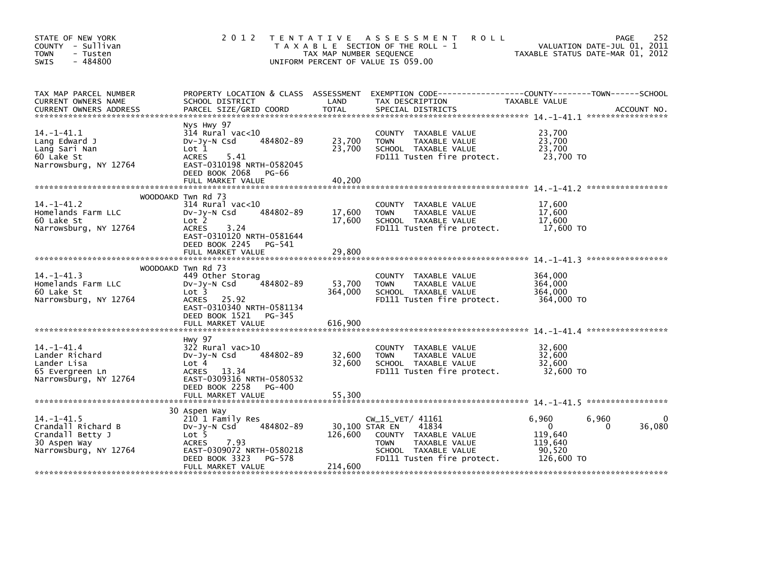| STATE OF NEW YORK<br>COUNTY - Sullivan<br>- Tusten<br><b>TOWN</b><br>- 484800<br><b>SWIS</b>       | 2 0 1 2                                                                                                                                                                   | TAX MAP NUMBER SEQUENCE    | TENTATIVE ASSESSMENT<br><b>ROLL</b><br>T A X A B L E SECTION OF THE ROLL - 1<br>UNIFORM PERCENT OF VALUE IS 059.00                      | VALUATION DATE-JUL 01, 2011<br>TAXABLE STATUS DATE-MAR 01, 2012                          | 252<br>PAGE        |
|----------------------------------------------------------------------------------------------------|---------------------------------------------------------------------------------------------------------------------------------------------------------------------------|----------------------------|-----------------------------------------------------------------------------------------------------------------------------------------|------------------------------------------------------------------------------------------|--------------------|
| TAX MAP PARCEL NUMBER<br>CURRENT OWNERS NAME                                                       | PROPERTY LOCATION & CLASS ASSESSMENT<br>SCHOOL DISTRICT                                                                                                                   | LAND                       | TAX DESCRIPTION                                                                                                                         | TAXABLE VALUE                                                                            |                    |
| $14 - 1 - 41.1$<br>Lang Edward J<br>Lang Sari Nan<br>60 Lake St<br>Narrowsburg, NY 12764           | Nys Hwy 97<br>$314$ Rural vac<10<br>484802-89<br>$Dv-Jy-N$ Csd<br>Lot 1<br><b>ACRES</b><br>5.41<br>EAST-0310198 NRTH-0582045<br>DEED BOOK 2068 PG-66<br>FULL MARKET VALUE | 23,700<br>23,700<br>40.200 | COUNTY TAXABLE VALUE<br>TAXABLE VALUE<br><b>TOWN</b><br>SCHOOL TAXABLE VALUE<br>FD111 Tusten fire protect.                              | 23.700<br>23,700<br>23,700<br>23,700 TO                                                  |                    |
|                                                                                                    |                                                                                                                                                                           |                            |                                                                                                                                         |                                                                                          |                    |
| $14. -1 - 41.2$<br>Homelands Farm LLC<br>60 Lake St<br>Narrowsburg, NY 12764                       | WOODOAKD Twn Rd 73<br>$314$ Rural vac< $10$<br>484802-89<br>DV-Jy-N Csd<br>Lot 2<br>3.24<br><b>ACRES</b><br>EAST-0310120 NRTH-0581644                                     | 17,600<br>17,600           | COUNTY<br>TAXABLE VALUE<br><b>TOWN</b><br>TAXABLE VALUE<br>SCHOOL TAXABLE VALUE<br>FD111 Tusten fire protect.                           | 17.600<br>17,600<br>17,600<br>17,600 TO                                                  |                    |
|                                                                                                    | DEED BOOK 2245 PG-541<br>FULL MARKET VALUE                                                                                                                                | 29,800                     |                                                                                                                                         |                                                                                          |                    |
|                                                                                                    |                                                                                                                                                                           |                            |                                                                                                                                         |                                                                                          |                    |
| $14. -1 - 41.3$<br>Homelands Farm LLC<br>60 Lake St<br>Narrowsburg, NY 12764                       | WOODOAKD Twn Rd 73<br>449 Other Storag<br>484802-89<br>$Dv-Jy-N$ Csd<br>Lot 3<br>ACRES 25.92<br>EAST-0310340 NRTH-0581134<br>DEED BOOK 1521 PG-345                        | 53,700<br>364,000          | TAXABLE VALUE<br>COUNTY<br>TAXABLE VALUE<br><b>TOWN</b><br>SCHOOL TAXABLE VALUE<br>FD111 Tusten fire protect.                           | 364.000<br>364,000<br>364,000<br>364,000 TO                                              |                    |
|                                                                                                    |                                                                                                                                                                           |                            |                                                                                                                                         |                                                                                          |                    |
| $14. -1 - 41.4$<br>Lander Richard<br>Lander Lisa<br>65 Evergreen Ln<br>Narrowsburg, NY 12764       | Hwy 97<br>$322$ Rural vac $>10$<br>484802-89<br>$Dv-Jy-N$ Csd<br>Lot 4<br><b>ACRES</b><br>13.34<br>EAST-0309316 NRTH-0580532                                              | 32,600<br>32,600           | COUNTY<br>TAXABLE VALUE<br>TAXABLE VALUE<br><b>TOWN</b><br>SCHOOL TAXABLE VALUE<br>FD111 Tusten fire protect.                           | 32,600<br>32,600<br>32,600<br>32,600 TO                                                  |                    |
|                                                                                                    | DEED BOOK 2258<br>PG-400                                                                                                                                                  |                            |                                                                                                                                         |                                                                                          |                    |
|                                                                                                    |                                                                                                                                                                           |                            |                                                                                                                                         |                                                                                          |                    |
| $14. -1 - 41.5$<br>Crandall Richard B<br>Crandall Betty J<br>30 Aspen Way<br>Narrowsburg, NY 12764 | 30 Aspen Way<br>210 1 Family Res<br>484802-89<br>$Dv-Jy-N$ Csd<br>Lot <sub>5</sub><br>7.93<br><b>ACRES</b><br>EAST-0309072 NRTH-0580218<br>DEED BOOK 3323<br>PG-578       | 30,100 STAR EN<br>126,600  | CW_15_VET/ 41161<br>41834<br>COUNTY TAXABLE VALUE<br>TAXABLE VALUE<br><b>TOWN</b><br>SCHOOL TAXABLE VALUE<br>FD111 Tusten fire protect. | 6,960<br>6,960<br>$\mathbf{0}$<br>$\Omega$<br>119,640<br>119.640<br>90,520<br>126,600 TO | $\Omega$<br>36,080 |
|                                                                                                    | FULL MARKET VALUE                                                                                                                                                         | 214,600                    |                                                                                                                                         |                                                                                          |                    |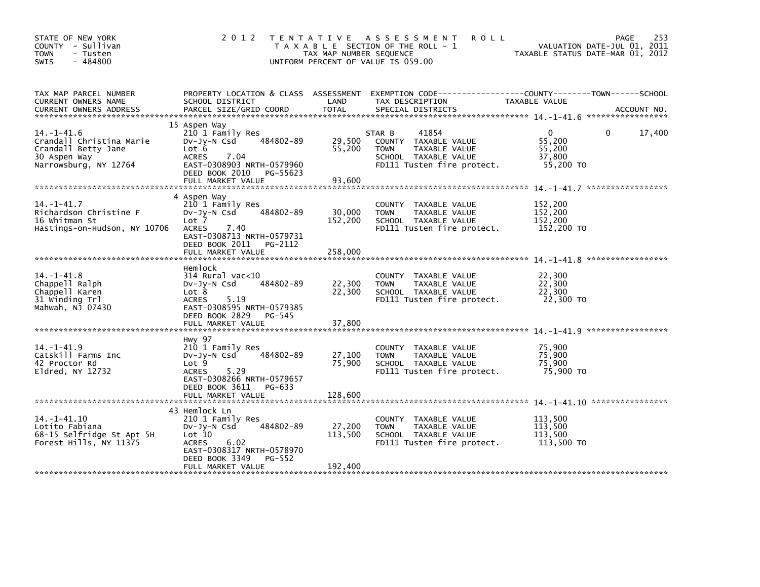| STATE OF NEW YORK<br>COUNTY - Sullivan<br><b>TOWN</b><br>- Tusten<br>$-484800$<br>SWIS                      | 2 0 1 2                                                                                                                                                                         | TAX MAP NUMBER SEQUENCE      | TENTATIVE ASSESSMENT<br><b>ROLL</b><br>T A X A B L E SECTION OF THE ROLL - 1<br>UNIFORM PERCENT OF VALUE IS 059.00            | VALUATION DATE-JUL 01, 2011<br>TAXABLE STATUS DATE-MAR 01, 2012 | 253<br><b>PAGE</b> |
|-------------------------------------------------------------------------------------------------------------|---------------------------------------------------------------------------------------------------------------------------------------------------------------------------------|------------------------------|-------------------------------------------------------------------------------------------------------------------------------|-----------------------------------------------------------------|--------------------|
| TAX MAP PARCEL NUMBER<br>CURRENT OWNERS NAME                                                                | PROPERTY LOCATION & CLASS ASSESSMENT<br>SCHOOL DISTRICT                                                                                                                         | LAND                         | EXEMPTION CODE------------------COUNTY--------TOWN------SCHOOL<br>TAX DESCRIPTION                                             | TAXABLE VALUE                                                   |                    |
| $14 - 1 - 41.6$<br>Crandall Christina Marie<br>Crandall Betty Jane<br>30 Aspen Way<br>Narrowsburg, NY 12764 | 15 Aspen Way<br>210 1 Family Res<br>484802-89<br>$Dv-Jy-N$ Csd<br>Lot 6<br><b>ACRES</b><br>7.04<br>EAST-0308903 NRTH-0579960<br>DEED BOOK 2010 PG-55623<br>FULL MARKET VALUE    | 29,500<br>55,200<br>93,600   | 41854<br>STAR B<br>COUNTY TAXABLE VALUE<br>TAXABLE VALUE<br><b>TOWN</b><br>SCHOOL TAXABLE VALUE<br>FD111 Tusten fire protect. | $\Omega$<br>55,200<br>55,200<br>37,800<br>55,200 TO             | 17,400<br>$\Omega$ |
| $14. - 1 - 41.7$<br>Richardson Christine F<br>16 Whitman St<br>Hastings-on-Hudson, NY 10706                 | 4 Aspen Way<br>210 1 Family Res<br>484802-89<br>$Dv-Jy-N$ Csd<br>Lot 7<br><b>ACRES</b><br>7.40<br>EAST-0308713 NRTH-0579731<br>DEED BOOK 2011 PG-2112<br>FULL MARKET VALUE      | 30,000<br>152,200<br>258,000 | COUNTY TAXABLE VALUE<br>TAXABLE VALUE<br><b>TOWN</b><br>SCHOOL TAXABLE VALUE<br>FD111 Tusten fire protect.                    | 152,200<br>152,200<br>152,200<br>152,200 TO                     |                    |
| $14. - 1 - 41.8$<br>Chappell Ralph<br>Chappell Karen<br>31 Winding Trl<br>Mahwah, NJ 07430                  | Hemlock<br>$314$ Rural vac<10<br>484802-89<br>$Dv-Jv-N$ Csd<br>Lot 8<br>5.19<br><b>ACRES</b><br>EAST-0308595 NRTH-0579385<br>DEED BOOK 2829 PG-545<br>FULL MARKET VALUE         | 22,300<br>22,300<br>37,800   | COUNTY<br>TAXABLE VALUE<br><b>TOWN</b><br>TAXABLE VALUE<br>SCHOOL TAXABLE VALUE<br>FD111 Tusten fire protect.                 | 22,300<br>22,300<br>22,300<br>22,300 TO                         |                    |
| $14. -1 - 41.9$<br>Catskill Farms Inc<br>42 Proctor Rd<br>$E1dred$ , NY 12732                               | <b>Hwy 97</b><br>210 1 Family Res<br>484802-89<br>$Dv-Jy-N$ Csd<br>Lot 9<br><b>ACRES</b><br>5.29<br>EAST-0308266 NRTH-0579657<br>DEED BOOK 3611<br>PG-633                       | 27,100<br>75,900             | COUNTY<br>TAXABLE VALUE<br>TAXABLE VALUE<br><b>TOWN</b><br>SCHOOL TAXABLE VALUE<br>FD111 Tusten fire protect.                 | 75.900<br>75,900<br>75,900<br>75,900 TO                         |                    |
| $14. - 1 - 41.10$<br>Lotito Fabiana<br>68-15 Selfridge St Apt 5H<br>Forest Hills, NY 11375                  | 43 Hemlock Ln<br>210 1 Family Res<br>484802-89<br>$Dv-Jy-N$ Csd<br>Lot 10<br>6.02<br><b>ACRES</b><br>EAST-0308317 NRTH-0578970<br>DEED BOOK 3349<br>PG-552<br>FULL MARKET VALUE | 27,200<br>113,500<br>192,400 | TAXABLE VALUE<br>COUNTY<br>TAXABLE VALUE<br><b>TOWN</b><br>SCHOOL TAXABLE VALUE<br>FD111 Tusten fire protect.                 | 113.500<br>113,500<br>113,500<br>113,500 TO                     |                    |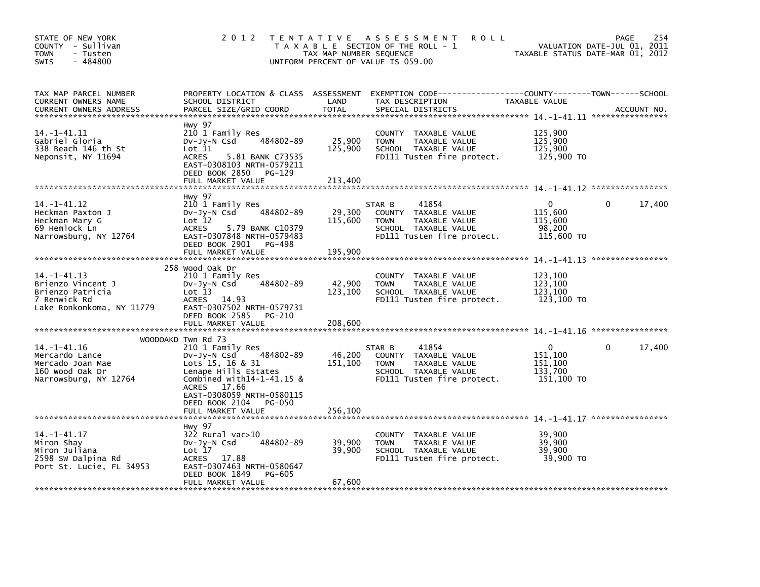| STATE OF NEW YORK<br>COUNTY - Sullivan<br><b>TOWN</b><br>- Tusten<br>$-484800$<br>SWIS              | 2 0 1 2                                                                                                                                                                            | TAX MAP NUMBER SEQUENCE      | TENTATIVE ASSESSMENT<br><b>ROLL</b><br>T A X A B L E SECTION OF THE ROLL - 1<br>UNIFORM PERCENT OF VALUE IS 059.00            |                                                         | 254<br>PAGE<br>VALUATION DATE-JUL 01, 2011<br>TAXABLE STATUS DATE-MAR 01, 2012 |
|-----------------------------------------------------------------------------------------------------|------------------------------------------------------------------------------------------------------------------------------------------------------------------------------------|------------------------------|-------------------------------------------------------------------------------------------------------------------------------|---------------------------------------------------------|--------------------------------------------------------------------------------|
| TAX MAP PARCEL NUMBER<br>CURRENT OWNERS NAME<br><b>CURRENT OWNERS ADDRESS</b>                       | PROPERTY LOCATION & CLASS ASSESSMENT<br>SCHOOL DISTRICT<br>PARCEL SIZE/GRID COORD                                                                                                  | LAND<br><b>TOTAL</b>         | EXEMPTION CODE-----------------COUNTY-------TOWN------SCHOOL<br>TAX DESCRIPTION<br>SPECIAL DISTRICTS                          | TAXABLE VALUE                                           | ACCOUNT NO.                                                                    |
| 14. -1-41.11<br>Gabriel Gloria<br>338 Beach 146 th St<br>Neponsit, NY 11694                         | Hwy 97<br>210 1 Family Res<br>484802-89<br>Dv-Jy-N Csd<br>Lot 11<br><b>ACRES</b><br>5.81 BANK C73535<br>EAST-0308103 NRTH-0579211<br>DEED BOOK 2850<br>PG-129<br>FULL MARKET VALUE | 25,900<br>125,900<br>213,400 | COUNTY TAXABLE VALUE<br><b>TOWN</b><br>TAXABLE VALUE<br>SCHOOL TAXABLE VALUE<br>FD111 Tusten fire protect.                    | 125,900<br>125,900<br>125,900<br>125,900 TO             |                                                                                |
|                                                                                                     |                                                                                                                                                                                    |                              |                                                                                                                               |                                                         |                                                                                |
| 14. –1–41.12<br>Heckman Paxton J<br>Heckman Mary G<br>69 Hemlock Ln<br>Narrowsburg, NY 12764        | Hwy 97<br>210 1 Family Res<br>484802-89<br>$Dv-Jy-N$ Csd<br>Lot 12<br>ACRES<br>5.79 BANK C10379<br>EAST-0307848 NRTH-0579483<br>DEED BOOK 2901<br>PG-498<br>FULL MARKET VALUE      | 29,300<br>115,600<br>195,900 | 41854<br>STAR B<br>COUNTY TAXABLE VALUE<br><b>TOWN</b><br>TAXABLE VALUE<br>SCHOOL TAXABLE VALUE<br>FD111 Tusten fire protect. | 0<br>115,600<br>115,600<br>98,200<br>115,600 TO         | $\mathbf{0}$<br>17,400                                                         |
|                                                                                                     |                                                                                                                                                                                    |                              |                                                                                                                               |                                                         |                                                                                |
| 14. -1-41. 13<br>Brienzo Vincent J<br>Brienzo Patricia<br>7 Renwick Rd<br>Lake Ronkonkoma, NY 11779 | 258 Wood Oak Dr<br>210 1 Family Res<br>484802-89<br>$Dv-Jy-N$ Csd<br>Lot 13<br>ACRES<br>14.93<br>EAST-0307502 NRTH-0579731<br>DEED BOOK 2585<br>PG-210<br>FULL MARKET VALUE        | 42,900<br>123,100<br>208,600 | COUNTY<br>TAXABLE VALUE<br>TAXABLE VALUE<br><b>TOWN</b><br>SCHOOL TAXABLE VALUE<br>FD111 Tusten fire protect.                 | 123,100<br>123,100<br>123,100<br>123,100 TO             |                                                                                |
|                                                                                                     | WOODOAKD Twn Rd 73                                                                                                                                                                 |                              |                                                                                                                               |                                                         |                                                                                |
| $14. - 1 - 41.16$<br>Mercardo Lance<br>Mercado Joan Mae<br>160 wood Oak Dr<br>Narrowsburg, NY 12764 | 210 1 Family Res<br>484802-89<br>Dv-Jy-N Csd<br>Lots 15, 16 & 31<br>Lenape Hills Estates<br>Combined with $14-1-41.15$ &<br>ACRES 17.66<br>EAST-0308059 NRTH-0580115               | 46,200<br>151,100            | 41854<br>STAR B<br>COUNTY TAXABLE VALUE<br>TAXABLE VALUE<br><b>TOWN</b><br>SCHOOL TAXABLE VALUE<br>FD111 Tusten fire protect. | $\Omega$<br>151,100<br>151,100<br>133.700<br>151,100 TO | 17,400<br>0                                                                    |
|                                                                                                     | DEED BOOK 2104<br>PG-050<br>FULL MARKET VALUE                                                                                                                                      | 256,100                      |                                                                                                                               |                                                         |                                                                                |
|                                                                                                     |                                                                                                                                                                                    |                              |                                                                                                                               |                                                         |                                                                                |
| $14. - 1 - 41.17$<br>Miron Shay<br>Miron Juliana<br>2598 SW Dalpina Rd<br>Port St. Lucie, FL 34953  | Hwy 97<br>322 Rural vac>10<br>484802-89<br>$Dv-Jy-N$ Csd<br>Lot 17<br><b>ACRES</b><br>17.88<br>EAST-0307463 NRTH-0580647<br>DEED BOOK 1849<br><b>PG-605</b><br>FULL MARKET VALUE   | 39,900<br>39,900<br>67,600   | <b>COUNTY</b><br>TAXABLE VALUE<br>TAXABLE VALUE<br><b>TOWN</b><br>SCHOOL TAXABLE VALUE<br>FD111 Tusten fire protect.          | 39,900<br>39,900<br>39,900<br>39,900 TO                 |                                                                                |
|                                                                                                     |                                                                                                                                                                                    |                              |                                                                                                                               |                                                         |                                                                                |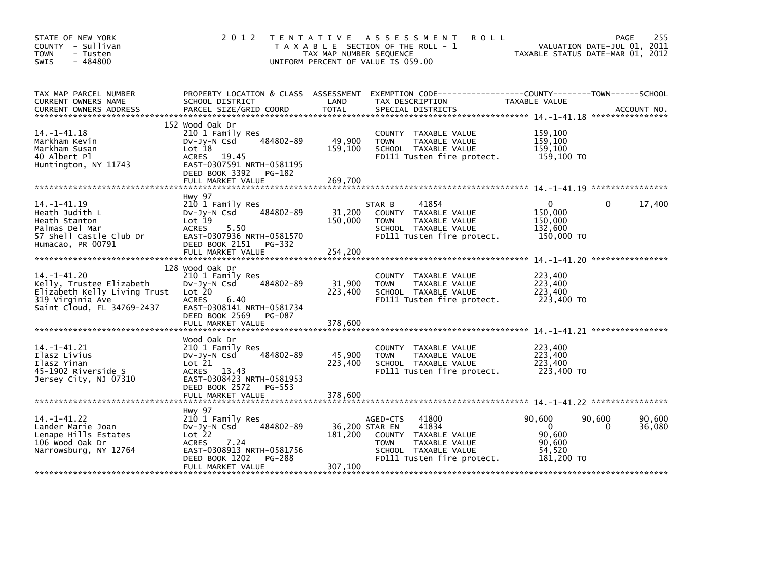| STATE OF NEW YORK<br>COUNTY - Sullivan<br>- Tusten<br><b>TOWN</b><br>$-484800$<br>SWIS                                          | 2 0 1 2                                                                                                                                                               | TAX MAP NUMBER SEQUENCE      | TENTATIVE ASSESSMENT<br>T A X A B L E SECTION OF THE ROLL - 1<br>UNIFORM PERCENT OF VALUE IS 059.00                                                        | <b>ROLL</b>                                                    | 255<br>PAGE<br>VALUATION DATE-JUL 01, 2011<br>TAXABLE STATUS DATE-MAR 01, 2012 |
|---------------------------------------------------------------------------------------------------------------------------------|-----------------------------------------------------------------------------------------------------------------------------------------------------------------------|------------------------------|------------------------------------------------------------------------------------------------------------------------------------------------------------|----------------------------------------------------------------|--------------------------------------------------------------------------------|
| TAX MAP PARCEL NUMBER<br>CURRENT OWNERS NAME                                                                                    | PROPERTY LOCATION & CLASS ASSESSMENT<br>SCHOOL DISTRICT                                                                                                               | LAND                         | TAX DESCRIPTION                                                                                                                                            | TAXABLE VALUE                                                  |                                                                                |
| $14. - 1 - 41.18$<br>Markham Kevin<br>Markham Susan<br>40 Albert Pl<br>Huntington, NY 11743                                     | 152 Wood Oak Dr<br>210 1 Family Res<br>484802-89<br>$Dv-Jy-N$ Csd<br>Lot 18<br>ACRES 19.45<br>EAST-0307591 NRTH-0581195<br>DEED BOOK 3392 PG-182<br>FULL MARKET VALUE | 49,900<br>159,100<br>269,700 | COUNTY TAXABLE VALUE<br><b>TOWN</b><br>TAXABLE VALUE<br>SCHOOL TAXABLE VALUE<br>FD111 Tusten fire protect.                                                 | 159,100<br>159,100<br>159,100<br>159,100 TO                    |                                                                                |
|                                                                                                                                 |                                                                                                                                                                       |                              |                                                                                                                                                            |                                                                |                                                                                |
| $14. - 1 - 41.19$<br>Heath Judith L<br>Heath Stanton<br>Palmas Del Mar<br>57 Shell Castle Club Dr<br>Humacao, PR 00791          | Hwy 97<br>210 1 Family Res<br>484802-89<br>$Dv-Jy-N$ Csd<br>Lot 19<br><b>ACRES</b><br>5.50<br>EAST-0307936 NRTH-0581570<br>DEED BOOK 2151 PG-332                      | 31,200<br>150,000            | 41854<br>STAR B<br>COUNTY TAXABLE VALUE<br><b>TOWN</b><br>TAXABLE VALUE<br>SCHOOL TAXABLE VALUE<br>FD111 Tusten fire protect.                              | $\Omega$<br>150,000<br>150,000<br>132,600<br>150,000 TO        | 17,400<br>0                                                                    |
|                                                                                                                                 | FULL MARKET VALUE                                                                                                                                                     | 254,200                      |                                                                                                                                                            |                                                                |                                                                                |
| $14. - 1 - 41.20$<br>Kelly, Trustee Elizabeth<br>Elizabeth Kelly Living Trust<br>319 Virginia Ave<br>Saint Cloud, FL 34769-2437 | 128 Wood Oak Dr<br>210 1 Family Res<br>484802-89<br>$Dv-Jy-N$ Csd<br>Lot 20<br><b>ACRES</b><br>6.40<br>EAST-0308141 NRTH-0581734<br>DEED BOOK 2569<br>PG-087          | 31,900<br>223,400            | COUNTY TAXABLE VALUE<br>TAXABLE VALUE<br><b>TOWN</b><br>SCHOOL TAXABLE VALUE<br>FD111 Tusten fire protect.                                                 | 223,400<br>223,400<br>223,400<br>223,400 TO                    |                                                                                |
|                                                                                                                                 | FULL MARKET VALUE                                                                                                                                                     | 378,600                      |                                                                                                                                                            |                                                                |                                                                                |
| $14. -1 - 41.21$<br>Ilasz Livius<br>Ilasz Yinan<br>45-1902 Riverside S<br>Jersey City, NJ 07310                                 | Wood Oak Dr<br>210 1 Family Res<br>484802-89<br>$Dv-Jy-N$ Csd<br>Lot 21<br>ACRES 13.43<br>EAST-0308423 NRTH-0581953<br>DEED BOOK 2572<br>PG-553                       | 45,900<br>223,400            | COUNTY TAXABLE VALUE<br>TAXABLE VALUE<br><b>TOWN</b><br>SCHOOL TAXABLE VALUE<br>FD111 Tusten fire protect.                                                 | 223,400<br>223,400<br>223,400<br>223,400 TO                    |                                                                                |
|                                                                                                                                 | FULL MARKET VALUE                                                                                                                                                     | 378,600                      |                                                                                                                                                            |                                                                |                                                                                |
| $14. - 1 - 41.22$<br>Lander Marie Joan<br>Lenape Hills Estates<br>106 Wood Oak Dr<br>Narrowsburg, NY 12764                      | <b>Hwy 97</b><br>210 1 Family Res<br>484802-89<br>$Dv-Jy-N$ Csd<br>Lot 22<br><b>ACRES</b><br>7.24<br>EAST-0308913 NRTH-0581756<br>DEED BOOK 1202<br>PG-288            | 181,200                      | AGED-CTS<br>41800<br>36,200 STAR EN<br>41834<br>COUNTY TAXABLE VALUE<br>TAXABLE VALUE<br><b>TOWN</b><br>SCHOOL TAXABLE VALUE<br>FD111 Tusten fire protect. | 90,600<br>$\Omega$<br>90.600<br>90.600<br>54,520<br>181,200 TO | 90,600<br>90,600<br>36,080<br>0                                                |
|                                                                                                                                 | FULL MARKET VALUE                                                                                                                                                     | 307,100                      |                                                                                                                                                            |                                                                |                                                                                |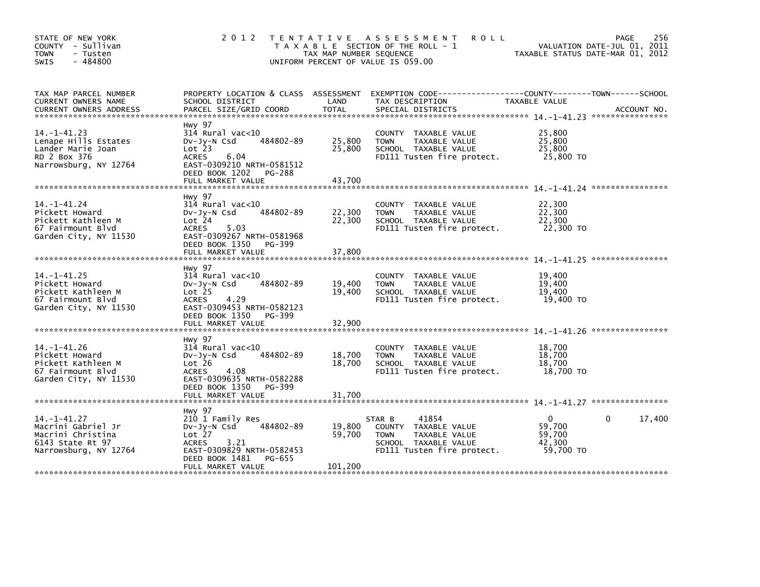| STATE OF NEW YORK<br>COUNTY - Sullivan<br><b>TOWN</b><br>- Tusten<br>$-484800$<br><b>SWIS</b>             | 2 0 1 2                                                                                                                                                                         | T E N T A T I V E<br>TAX MAP NUMBER SEQUENCE | ASSESSMENT<br><b>ROLL</b><br>T A X A B L E SECTION OF THE ROLL - 1<br>UNIFORM PERCENT OF VALUE IS 059.00                      | TAXABLE STATUS DATE-MAR 01, 2012                    | 256<br><b>PAGE</b><br>VALUATION DATE-JUL 01, 2011 |
|-----------------------------------------------------------------------------------------------------------|---------------------------------------------------------------------------------------------------------------------------------------------------------------------------------|----------------------------------------------|-------------------------------------------------------------------------------------------------------------------------------|-----------------------------------------------------|---------------------------------------------------|
| TAX MAP PARCEL NUMBER<br>CURRENT OWNERS NAME<br><b>CURRENT OWNERS ADDRESS</b>                             | PROPERTY LOCATION & CLASS ASSESSMENT<br>SCHOOL DISTRICT<br>PARCEL SIZE/GRID COORD                                                                                               | LAND<br><b>TOTAL</b>                         | EXEMPTION CODE------------------COUNTY--------TOWN------SCHOOL<br>TAX DESCRIPTION<br>SPECIAL DISTRICTS                        | TAXABLE VALUE                                       | ACCOUNT NO.                                       |
| $14. -1 - 41.23$<br>Lenape Hills Estates<br>Lander Marie Joan<br>RD 2 Box 376<br>Narrowsburg, NY 12764    | <b>Hwy 97</b><br>$314$ Rural vac<10<br>484802-89<br>DV-Jy-N Csd<br>Lot 23<br><b>ACRES</b><br>6.04<br>EAST-0309210 NRTH-0581512<br>DEED BOOK 1202<br>PG-288<br>FULL MARKET VALUE | 25,800<br>25,800<br>43,700                   | COUNTY TAXABLE VALUE<br><b>TOWN</b><br>TAXABLE VALUE<br>SCHOOL TAXABLE VALUE<br>FD111 Tusten fire protect.                    | 25,800<br>25,800<br>25,800<br>25,800 TO             |                                                   |
|                                                                                                           |                                                                                                                                                                                 |                                              |                                                                                                                               |                                                     |                                                   |
| 14. –1–41.24<br>Pickett Howard<br>Pickett Kathleen M<br>67 Fairmount Blvd<br>Garden City, NY 11530        | <b>Hwy 97</b><br>$314$ Rural vac< $10$<br>484802-89<br>$Dv-Jy-N$ Csd<br>Lot 24<br><b>ACRES</b><br>5.03<br>EAST-0309267 NRTH-0581968<br>DEED BOOK 1350<br>PG-399                 | 22,300<br>22,300                             | <b>COUNTY</b><br>TAXABLE VALUE<br>TAXABLE VALUE<br><b>TOWN</b><br>SCHOOL TAXABLE VALUE<br>FD111 Tusten fire protect.          | 22,300<br>22,300<br>22,300<br>22,300 TO             |                                                   |
|                                                                                                           | FULL MARKET VALUE                                                                                                                                                               | 37,800                                       |                                                                                                                               |                                                     |                                                   |
| $14. - 1 - 41.25$<br>Pickett Howard<br>Pickett Kathleen M<br>67 Fairmount Blvd<br>Garden City, NY 11530   | <b>Hwy 97</b><br>$314$ Rural vac< $10$<br>484802-89<br>$Dv-Jy-N$ Csd<br>Lot <sub>25</sub><br><b>ACRES</b><br>4.29<br>EAST-0309453 NRTH-0582123                                  | 19,400<br>19,400                             | <b>COUNTY</b><br>TAXABLE VALUE<br><b>TOWN</b><br>TAXABLE VALUE<br>SCHOOL TAXABLE VALUE<br>FD111 Tusten fire protect.          | 19,400<br>19,400<br>19,400<br>19,400 TO             |                                                   |
|                                                                                                           | DEED BOOK 1350<br>PG-399<br>FULL MARKET VALUE                                                                                                                                   | 32,900                                       |                                                                                                                               |                                                     |                                                   |
| $14. - 1 - 41.26$<br>Pickett Howard<br>Pickett Kathleen M<br>67 Fairmount Blvd<br>Garden City, NY 11530   | Hwy 97<br>$314$ Rural vac<10<br>484802-89<br>$Dv-Jy-N$ Csd<br>Lot 26<br>4.08<br><b>ACRES</b><br>EAST-0309635 NRTH-0582288<br>DEED BOOK 1350<br>PG-399                           | 18,700<br>18,700                             | <b>COUNTY</b><br>TAXABLE VALUE<br>TAXABLE VALUE<br><b>TOWN</b><br>SCHOOL TAXABLE VALUE<br>FD111 Tusten fire protect.          | 18,700<br>18,700<br>18,700<br>18,700 TO             |                                                   |
|                                                                                                           | FULL MARKET VALUE                                                                                                                                                               | 31,700                                       |                                                                                                                               |                                                     |                                                   |
|                                                                                                           | <b>Hwy 97</b>                                                                                                                                                                   |                                              |                                                                                                                               |                                                     |                                                   |
| $14. - 1 - 41.27$<br>Macrini Gabriel Jr<br>Macrini Christina<br>6143 State Rt 97<br>Narrowsburg, NY 12764 | 210 1 Family Res<br>484802-89<br>$Dv-Jy-N$ Csd<br>Lot 27<br>3.21<br><b>ACRES</b><br>EAST-0309829 NRTH-0582453<br>DEED BOOK 1481<br>PG-655                                       | 19,800<br>59,700                             | 41854<br>STAR B<br>COUNTY TAXABLE VALUE<br><b>TOWN</b><br>TAXABLE VALUE<br>SCHOOL TAXABLE VALUE<br>FD111 Tusten fire protect. | $\Omega$<br>59,700<br>59,700<br>42.300<br>59,700 TO | 17,400<br>0                                       |
|                                                                                                           | FULL MARKET VALUE                                                                                                                                                               | 101,200                                      |                                                                                                                               |                                                     |                                                   |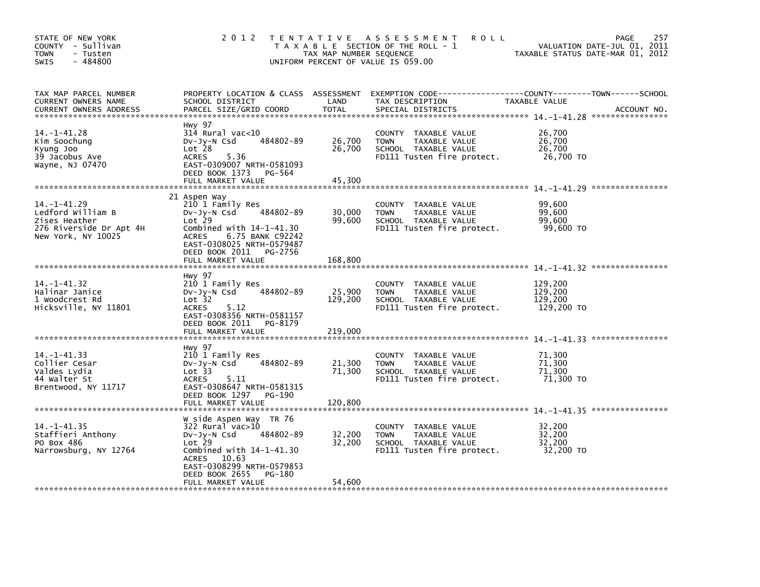| STATE OF NEW YORK<br>COUNTY - Sullivan<br><b>TOWN</b><br>- Tusten<br>$-484800$<br>SWIS                   | 2 0 1 2                                                                                                                                                                                                               | T E N T A T I V E<br>TAX MAP NUMBER SEQUENCE | ASSESSMENT<br><b>ROLL</b><br>T A X A B L E SECTION OF THE ROLL - 1<br>UNIFORM PERCENT OF VALUE IS 059.00   | TAXABLE STATUS DATE-MAR 01, 2012            | 257<br><b>PAGE</b><br>VALUATION DATE-JUL 01, 2011 |
|----------------------------------------------------------------------------------------------------------|-----------------------------------------------------------------------------------------------------------------------------------------------------------------------------------------------------------------------|----------------------------------------------|------------------------------------------------------------------------------------------------------------|---------------------------------------------|---------------------------------------------------|
| TAX MAP PARCEL NUMBER<br>CURRENT OWNERS NAME<br><b>CURRENT OWNERS ADDRESS</b>                            | PROPERTY LOCATION & CLASS ASSESSMENT<br>SCHOOL DISTRICT<br>PARCEL SIZE/GRID COORD                                                                                                                                     | LAND<br><b>TOTAL</b>                         | TAX DESCRIPTION<br>SPECIAL DISTRICTS                                                                       | TAXABLE VALUE                               | ACCOUNT NO.                                       |
| 14. -1-41. 28<br>Kim Soochung<br>Kyung Joo<br>39 Jacobus Ave<br>Wayne, NJ 07470                          | Hwy 97<br>$314$ Rural vac< $10$<br>484802-89<br>DV-Jy-N Csd<br>Lot <sub>28</sub><br><b>ACRES</b><br>5.36<br>EAST-0309007 NRTH-0581093<br>DEED BOOK 1373<br>PG-564<br>FULL MARKET VALUE                                | 26,700<br>26,700<br>45,300                   | COUNTY TAXABLE VALUE<br><b>TOWN</b><br>TAXABLE VALUE<br>SCHOOL TAXABLE VALUE<br>FD111 Tusten fire protect. | 26,700<br>26,700<br>26,700<br>26,700 TO     |                                                   |
| $14. - 1 - 41.29$<br>Ledford William B<br>Zises Heather<br>276 Riverside Dr Apt 4H<br>New York, NY 10025 | 21 Aspen Way<br>210 1 Family Res<br>484802-89<br>DV-Jy-N Csd<br>Lot 29<br>Combined with $14-1-41.30$<br><b>ACRES</b><br>6.75 BANK C92242<br>EAST-0308025 NRTH-0579487<br>DEED BOOK 2011 PG-2756<br>FULL MARKET VALUE  | 30,000<br>99,600<br>168,800                  | COUNTY TAXABLE VALUE<br>TAXABLE VALUE<br><b>TOWN</b><br>SCHOOL TAXABLE VALUE<br>FD111 Tusten fire protect. | 99,600<br>99,600<br>99,600<br>99.600 TO     |                                                   |
| $14. - 1 - 41.32$<br>Halinar Janice<br>1 Woodcrest Rd<br>Hicksville, NY 11801                            | Hwy 97<br>210 1 Family Res<br>484802-89<br>DV-Jy-N Csd<br>Lot <sub>32</sub><br><b>ACRES</b><br>5.12<br>EAST-0308356 NRTH-0581157<br>DEED BOOK 2011<br>PG-8179<br>FULL MARKET VALUE                                    | 25,900<br>129,200<br>219,000                 | COUNTY TAXABLE VALUE<br>TAXABLE VALUE<br><b>TOWN</b><br>SCHOOL TAXABLE VALUE<br>FD111 Tusten fire protect. | 129,200<br>129,200<br>129,200<br>129,200 TO |                                                   |
| 14. -1-41.33<br>Collier Cesar<br>Valdes Lydia<br>44 Walter St<br>Brentwood, NY 11717                     | Hwy 97<br>210 1 Family Res<br>484802-89<br>$Dv-Jy-N$ Csd<br>Lot 33<br><b>ACRES</b><br>5.11<br>EAST-0308647 NRTH-0581315<br>DEED BOOK 1297<br>PG-190<br>FULL MARKET VALUE                                              | 21,300<br>71,300<br>120.800                  | COUNTY TAXABLE VALUE<br><b>TOWN</b><br>TAXABLE VALUE<br>SCHOOL TAXABLE VALUE<br>FD111 Tusten fire protect. | 71,300<br>71,300<br>71,300<br>71,300 TO     |                                                   |
| $14. - 1 - 41.35$<br>Staffieri Anthony<br>PO Box 486<br>Narrowsburg, NY 12764                            | W side Aspen Way TR 76<br>$322$ Rural vac $>10$<br>484802-89<br>DV-Jy-N Csd<br>$Lot$ 29<br>Combined with $14-1-41.30$<br>10.63<br>ACRES<br>EAST-0308299 NRTH-0579853<br>DEED BOOK 2655<br>PG-180<br>FULL MARKET VALUE | 32,200<br>32,200<br>54,600                   | COUNTY TAXABLE VALUE<br><b>TOWN</b><br>TAXABLE VALUE<br>SCHOOL TAXABLE VALUE<br>FD111 Tusten fire protect. | 32,200<br>32,200<br>32,200<br>32,200 TO     |                                                   |
|                                                                                                          |                                                                                                                                                                                                                       |                                              |                                                                                                            |                                             |                                                   |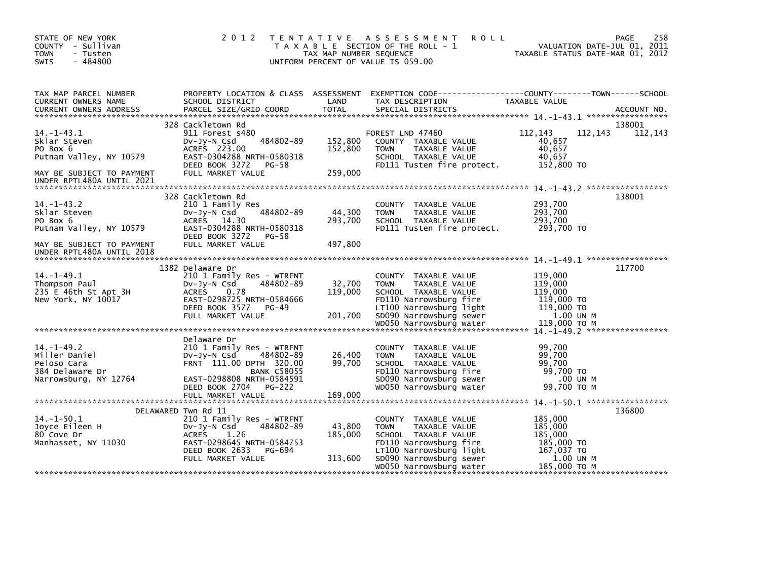| STATE OF NEW YORK<br>COUNTY - Sullivan<br><b>TOWN</b><br>- Tusten<br>$-484800$<br>SWIS                                            |                                                                                                                                                                                      | TAX MAP NUMBER SEQUENCE       | 2012 TENTATIVE ASSESSMENT<br><b>ROLL</b><br>T A X A B L E SECTION OF THE ROLL - 1<br>UNIFORM PERCENT OF VALUE IS 059.00                                                                 | VALUATION DATE-JUL 01, 2011<br>TAXABLE STATUS DATE-MAR 01, 2012                        | 258<br>PAGE       |
|-----------------------------------------------------------------------------------------------------------------------------------|--------------------------------------------------------------------------------------------------------------------------------------------------------------------------------------|-------------------------------|-----------------------------------------------------------------------------------------------------------------------------------------------------------------------------------------|----------------------------------------------------------------------------------------|-------------------|
| TAX MAP PARCEL NUMBER<br>CURRENT OWNERS NAME                                                                                      | SCHOOL DISTRICT                                                                                                                                                                      | LAND                          | PROPERTY LOCATION & CLASS ASSESSMENT EXEMPTION CODE---------------COUNTY-------TOWN-----SCHOOL<br>TAX DESCRIPTION                                                                       | TAXABLE VALUE                                                                          |                   |
| $14. -1 - 43.1$<br>Sklar Steven<br>PO Box 6<br>Putnam Valley, NY 10579<br>MAY BE SUBJECT TO PAYMENT<br>UNDER RPTL480A UNTIL 2021  | 328 Cackletown Rd<br>911 Forest s480<br>484802-89<br>$Dv-Jy-N$ Csd<br>ACRES 223.00<br>EAST-0304288 NRTH-0580318<br>DEED BOOK 3272<br>PG-58<br>FULL MARKET VALUE                      | 152,800<br>152,800<br>259.000 | FOREST LND 47460<br>COUNTY TAXABLE VALUE<br><b>TOWN</b><br>TAXABLE VALUE<br>SCHOOL TAXABLE VALUE<br>FD111 Tusten fire protect.                                                          | 112,143<br>112,143<br>40,657<br>40,657<br>40,657<br>152,800 TO                         | 138001<br>112,143 |
| $14. - 1 - 43.2$<br>Sklar Steven<br>PO Box 6<br>Putnam Valley, NY 10579<br>MAY BE SUBJECT TO PAYMENT<br>UNDER RPTL480A UNTIL 2018 | 328 Cackletown Rd<br>210 1 Family Res<br>484802-89<br>$Dv-Jy-N$ Csd<br>ACRES 14.30<br>EAST-0304288 NRTH-0580318<br>DEED BOOK 3272<br>PG-58<br>FULL MARKET VALUE                      | 44,300<br>293,700<br>497.800  | COUNTY TAXABLE VALUE<br>TAXABLE VALUE<br><b>TOWN</b><br>SCHOOL TAXABLE VALUE<br>FD111 Tusten fire protect.                                                                              | 293,700<br>293,700<br>293,700<br>293.700 TO                                            | 138001            |
| $14. -1 - 49.1$<br>Thompson Paul<br>235 E 46th St Apt 3H<br>New York, NY 10017                                                    | 1382 Delaware Dr<br>210 1 Family Res - WTRFNT<br>$Dv-Jy-N$ Csd<br>484802-89<br><b>ACRES</b><br>0.78<br>EAST-0298725 NRTH-0584666<br>DEED BOOK 3577<br>PG-49<br>FULL MARKET VALUE     | 32,700<br>119,000<br>201,700  | COUNTY TAXABLE VALUE<br>TAXABLE VALUE<br><b>TOWN</b><br>SCHOOL TAXABLE VALUE<br>FD110 Narrowsburg fire<br>LT100 Narrowsburg light<br>SD090 Narrowsburg sewer                            | 119,000<br>119,000<br>119,000<br>119,000 TO<br>119,000 TO<br>1.00 UN M                 | 117700            |
| $14. -1 - 49.2$<br>Miller Daniel<br>Peloso Cara<br>384 Delaware Dr<br>Narrowsburg, NY 12764                                       | Delaware Dr<br>210 1 Family Res - WTRFNT<br>$Dv-Jv-N$ Csd<br>484802-89<br>FRNT 111.00 DPTH 320.00<br><b>BANK C58055</b><br>EAST-0298808 NRTH-0584591<br>DEED BOOK 2704 PG-222        | 26,400<br>99,700              | COUNTY TAXABLE VALUE<br><b>TOWN</b><br>TAXABLE VALUE<br>SCHOOL TAXABLE VALUE<br>FD110 Narrowsburg fire<br>SD090 Narrowsburg sewer<br>WD050 Narrowsburg water                            | 99,700<br>99,700<br>99,700<br>99,700 TO<br>.00 UN M<br>99,700 ТО М                     |                   |
| $14. - 1 - 50.1$<br>Joyce Eileen H<br>80 Cove Dr<br>Manhasset, NY 11030                                                           | DELAWARED Twn Rd 11<br>210 1 Family Res - WTRFNT<br>484802-89<br>$Dv-Jv-N$ Csd<br><b>ACRES</b><br>1.26<br>EAST-0298645 NRTH-0584753<br>DEED BOOK 2633<br>PG-694<br>FULL MARKET VALUE | 43,800<br>185,000<br>313,600  | COUNTY TAXABLE VALUE<br><b>TOWN</b><br>TAXABLE VALUE<br>SCHOOL TAXABLE VALUE<br>FD110 Narrowsburg fire<br>LT100 Narrowsburg light<br>SD090 Narrowsburg sewer<br>WD050 Narrowsburg water | 185,000<br>185,000<br>185,000<br>185,000 TO<br>167,037 TO<br>1.00 UN M<br>185,000 TO M | 136800            |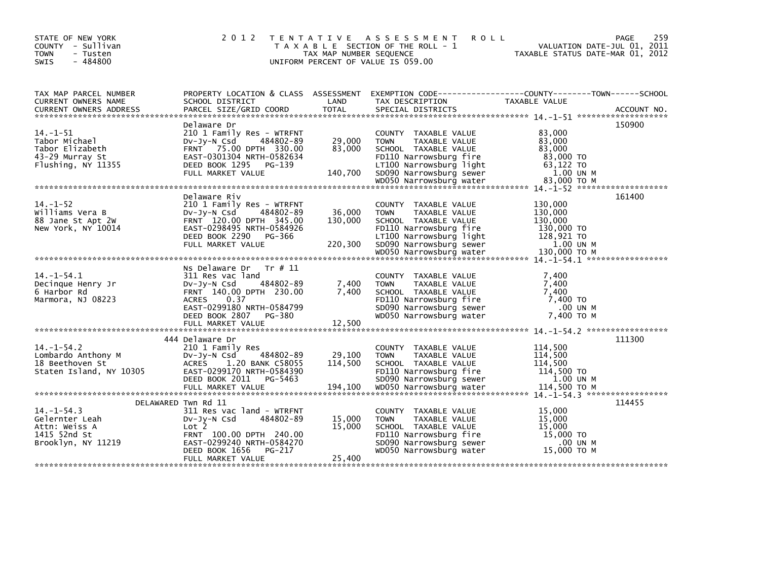| STATE OF NEW YORK<br>COUNTY - Sullivan<br><b>TOWN</b><br>- Tusten<br>$-484800$<br><b>SWIS</b> | 2 0 1 2                                                                                                                                                                                 | TAX MAP NUMBER SEQUENCE      | TENTATIVE ASSESSMENT<br><b>ROLL</b><br>T A X A B L E SECTION OF THE ROLL - 1<br>UNIFORM PERCENT OF VALUE IS 059.00                                                  | 259<br>PAGE<br>VALUATION DATE-JUL 01, 2011<br>TAXABLE STATUS DATE-MAR 01, 2012                                          |
|-----------------------------------------------------------------------------------------------|-----------------------------------------------------------------------------------------------------------------------------------------------------------------------------------------|------------------------------|---------------------------------------------------------------------------------------------------------------------------------------------------------------------|-------------------------------------------------------------------------------------------------------------------------|
| TAX MAP PARCEL NUMBER<br>CURRENT OWNERS NAME                                                  | SCHOOL DISTRICT                                                                                                                                                                         | LAND                         | TAX DESCRIPTION                                                                                                                                                     | PROPERTY LOCATION & CLASS ASSESSMENT EXEMPTION CODE---------------COUNTY-------TOWN------SCHOOL<br><b>TAXABLE VALUE</b> |
|                                                                                               |                                                                                                                                                                                         |                              |                                                                                                                                                                     |                                                                                                                         |
| $14. -1 - 51$<br>Tabor Michael<br>Tabor Elizabeth<br>43-29 Murray St<br>Flushing, NY 11355    | Delaware Dr<br>210 1 Family Res - WTRFNT<br>484802-89<br>DV-JY-N Csd<br>FRNT 75.00 DPTH 330.00<br>EAST-0301304 NRTH-0582634<br>DEED BOOK 1295<br>PG-139<br>FULL MARKET VALUE            | 29,000<br>83,000<br>140,700  | COUNTY TAXABLE VALUE<br><b>TOWN</b><br>TAXABLE VALUE<br>SCHOOL TAXABLE VALUE<br>FD110 Narrowsburg fire<br>LT100 Narrowsburg light<br>SD090 Narrowsburg sewer        | 150900<br>83.000<br>83,000<br>83.000<br>83,000 TO<br>63,122 TO<br>1.00 UN M                                             |
|                                                                                               |                                                                                                                                                                                         |                              | WD050 Narrowsburg water                                                                                                                                             | 83,000 TO M                                                                                                             |
| $14. - 1 - 52$<br>Williams Vera B<br>88 Jane St Apt 2W<br>New York, NY 10014                  | Delaware Riv<br>210 1 Family Res - WTRFNT<br>$Dv-Jy-N$ Csd<br>484802-89<br>FRNT 120.00 DPTH 345.00<br>EAST-0298495 NRTH-0584926<br>DEED BOOK 2290<br>PG-366<br>FULL MARKET VALUE        | 36,000<br>130,000<br>220,300 | COUNTY TAXABLE VALUE<br>TAXABLE VALUE<br><b>TOWN</b><br>SCHOOL TAXABLE VALUE<br>FD110 Narrowsburg fire<br>LT100 Narrowsburg light<br>SD090 Narrowsburg sewer        | 161400<br>130,000<br>130,000<br>130,000<br>130,000 TO<br>128,921 TO<br>1.00 UN M                                        |
|                                                                                               |                                                                                                                                                                                         |                              | WD050 Narrowsburg water                                                                                                                                             | 130,000 ТО М                                                                                                            |
| $14. -1 - 54.1$<br>Decinque Henry Jr<br>6 Harbor Rd<br>Marmora, NJ 08223                      | Tr # 11<br>Ns Delaware Dr<br>311 Res vac land<br>484802-89<br>$Dv-Jy-N$ Csd<br>FRNT 140.00 DPTH 230.00<br>0.37<br><b>ACRES</b><br>EAST-0299180 NRTH-0584799<br>DEED BOOK 2807<br>PG-380 | 7,400<br>7,400               | COUNTY TAXABLE VALUE<br><b>TAXABLE VALUE</b><br><b>TOWN</b><br>SCHOOL TAXABLE VALUE<br>FD110 Narrowsburg fire<br>SD090 Narrowsburg sewer<br>WD050 Narrowsburg water | 7,400<br>7.400<br>7,400<br>7,400 TO<br>.00 UN M<br>7.400 TO M                                                           |
|                                                                                               | FULL MARKET VALUE                                                                                                                                                                       | 12,500                       |                                                                                                                                                                     |                                                                                                                         |
| $14. - 1 - 54.2$<br>Lombardo Anthony M<br>18 Beethoven St<br>Staten Island, NY 10305          | 444 Delaware Dr<br>210 1 Family Res<br>484802-89<br>DV-JY-N Csd<br>ACRES 1.20 BANK C58055<br>EAST-0299170 NRTH-0584390<br>DEED BOOK 2011<br>PG-5463                                     | 29,100<br>114.500            | COUNTY TAXABLE VALUE<br><b>TOWN</b><br>TAXABLE VALUE<br>SCHOOL TAXABLE VALUE<br>FD110 Narrowsburg fire<br>SD090 Narrowsburg sewer                                   | 111300<br>114,500<br>114,500<br>114,500<br>114,500 TO<br>1.00 UN M                                                      |
|                                                                                               |                                                                                                                                                                                         |                              |                                                                                                                                                                     |                                                                                                                         |
| $14. - 1 - 54.3$<br>Gelernter Leah<br>Attn: Weiss A<br>1415 52nd St<br>Brooklyn, NY 11219     | DELAWARED Twn Rd 11<br>311 Res vac land - WTRFNT<br>484802-89<br>$Dv-Jy-N$ Csd<br>Lot 2<br>FRNT 100.00 DPTH 240.00<br>EAST-0299240 NRTH-0584270<br>DEED BOOK 1656<br>PG-217             | 15,000<br>15,000             | COUNTY TAXABLE VALUE<br><b>TAXABLE VALUE</b><br><b>TOWN</b><br>SCHOOL TAXABLE VALUE<br>FD110 Narrowsburg fire<br>SD090 Narrowsburg sewer<br>WD050 Narrowsburg water | 114455<br>15,000<br>15,000<br>15,000<br>15,000 TO<br>.00 UN M<br>15.000 ТО М                                            |
|                                                                                               | FULL MARKET VALUE                                                                                                                                                                       | 25,400                       |                                                                                                                                                                     |                                                                                                                         |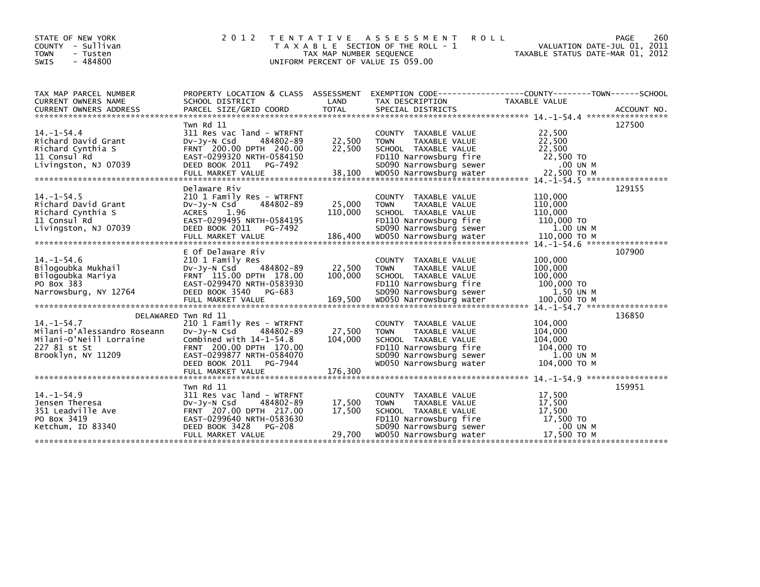| STATE OF NEW YORK<br>COUNTY - Sullivan<br><b>TOWN</b><br>- Tusten<br><b>SWIS</b><br>$-484800$                                                                                                                                        | 2 0 1 2                                                                                                                                                                                                               | T E N T A T I V E<br>TAX MAP NUMBER SEQUENCE | A S S E S S M E N T<br><b>ROLL</b><br>T A X A B L E SECTION OF THE ROLL - 1<br>UNIFORM PERCENT OF VALUE IS 059.00                                            | VALUATION DATE-JUL 01, 2011<br>TAXABLE STATUS DATE-MAR 01, 2012          | 260<br><b>PAGE</b> |
|--------------------------------------------------------------------------------------------------------------------------------------------------------------------------------------------------------------------------------------|-----------------------------------------------------------------------------------------------------------------------------------------------------------------------------------------------------------------------|----------------------------------------------|--------------------------------------------------------------------------------------------------------------------------------------------------------------|--------------------------------------------------------------------------|--------------------|
| TAX MAP PARCEL NUMBER<br>CURRENT OWNERS NAME                                                                                                                                                                                         | PROPERTY LOCATION & CLASS ASSESSMENT<br>SCHOOL DISTRICT                                                                                                                                                               | LAND                                         | EXEMPTION        CODE-----------------COUNTY-------TOWN------SCHOOL<br>TAX DESCRIPTION                                                                       | TAXABLE VALUE                                                            |                    |
| $14. - 1 - 54.4$<br>Richard David Grant<br>Richard Cynthia S<br>11 Consul Rd<br>Livingston, NJ 07039<br>22,500 TO M<br>FULL MARKET VALUE 38,100 WD050 Narrowsburg water 22,500 TO M 73.500 Noter 22,500 TO M 22,500 TO M 23,500 TO M | Twn Rd 11<br>311 Res vac land - WTRFNT<br>$Dv-Jy-N$ Csd<br>484802-89<br>FRNT 200.00 DPTH 240.00<br>EAST-0299320 NRTH-0584150<br>DEED BOOK 2011<br>PG-7492                                                             | 22,500<br>22,500                             | COUNTY TAXABLE VALUE<br><b>TOWN</b><br>TAXABLE VALUE<br>SCHOOL TAXABLE VALUE<br>FD110 Narrowsburg fire<br>SD090 Narrowsburg sewer                            | 22,500<br>22,500<br>22,500<br>22,500 TO<br>.00 UN M                      | 127500             |
| $14. -1 - 54.5$<br>Richard David Grant<br>Richard Cynthia S<br>11 Consul Rd<br>Livingston, NJ 07039                                                                                                                                  | Delaware Riv<br>210 1 Family Res - WTRFNT<br>484802-89<br>DV-Jy-N Csd<br>ACRES 1.96<br>EAST-0299495 NRTH-0584195<br>DEED BOOK 2011 PG-7492                                                                            | 25,000<br>110,000                            | COUNTY TAXABLE VALUE<br>TAXABLE VALUE<br><b>TOWN</b><br>SCHOOL TAXABLE VALUE<br>FD110 Narrowsburg fire<br>SD090 Narrowsburg sewer                            | 110,000<br>110,000<br>110,000<br>110,000 TO<br>1.00 UN M                 | 129155             |
| $14. -1 - 54.6$<br>Bilogoubka Mukhail<br>Bilogoubka Mariya<br>PO Box 383<br>Narrowsburg, NY 12764                                                                                                                                    | E Of Delaware Riv<br>210 1 Family Res<br>$Dv-Jy-N$ Csd<br>484802-89<br>FRNT 115.00 DPTH 178.00<br>EAST-0299470 NRTH-0583930<br>DEED BOOK 3540<br>PG-683                                                               | 22,500<br>100,000                            | COUNTY TAXABLE VALUE<br><b>TOWN</b><br>TAXABLE VALUE<br>SCHOOL TAXABLE VALUE<br>FD110 Narrowsburg fire<br>SD090 Narrowsburg sewer                            | 100,000<br>100,000<br>100,000<br>100,000 TO<br>1.50 UN M                 | 107900             |
| $14. - 1 - 54.7$<br>Milani-D'Alessandro Roseann<br>Milani-O'Neill Lorraine<br>227 81 st St<br>Brooklyn, NY 11209                                                                                                                     | DELAWARED Twn Rd 11<br>210 1 Family Res - WTRFNT<br>$Dv-Jy-N$ Csd<br>484802-89<br>Combined with $14-1-54.8$<br>FRNT 200.00 DPTH 170.00<br>EAST-0299877 NRTH-0584070<br>DEED BOOK 2011<br>PG-7944<br>FULL MARKET VALUE | 27,500<br>104,000<br>176,300                 | COUNTY TAXABLE VALUE<br><b>TOWN</b><br>TAXABLE VALUE<br>SCHOOL TAXABLE VALUE<br>FD110 Narrowsburg fire<br>SD090 Narrowsburg sewer<br>WD050 Narrowsburg water | 104,000<br>104,000<br>104,000<br>104,000 TO<br>1.00 UN M<br>104,000 ТО М | 136850             |
| $14. - 1 - 54.9$<br>Jensen Theresa<br>351 Leadville Ave<br>PO Box 3419<br>Ketchum, ID 83340                                                                                                                                          | Twn Rd 11<br>311 Res vac land - WTRFNT<br>DV-Jy-N Csd<br>484802-89<br>FRNT 207.00 DPTH 217.00<br>EAST-0299640 NRTH-0583630<br>DEED BOOK 3428<br>PG-208<br>FULL MARKET VALUE                                           | 17,500<br>17,500<br>29,700                   | COUNTY TAXABLE VALUE<br>TAXABLE VALUE<br><b>TOWN</b><br>SCHOOL TAXABLE VALUE<br>FD110 Narrowsburg fire<br>SD090 Narrowsburg sewer<br>WD050 Narrowsburg water | 17,500<br>17,500<br>17,500<br>17,500 TO<br>.00 UN M<br>17,500 TO M       | 159951             |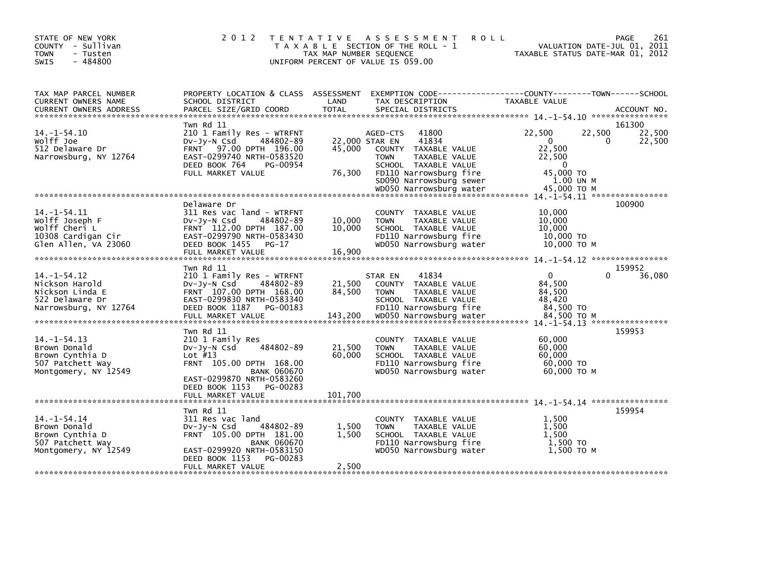| STATE OF NEW YORK<br>COUNTY - Sullivan<br><b>TOWN</b><br>- Tusten<br>$-484800$<br><b>SWIS</b>      | 2 0 1 2                                                                                                                                                                                 | T E N T A T I V E<br>TAX MAP NUMBER SEQUENCE | A S S E S S M E N T<br><b>ROLL</b><br>T A X A B L E SECTION OF THE ROLL - 1<br>UNIFORM PERCENT OF VALUE IS 059.00                                                                                            | 261<br><b>PAGE</b><br>VALUATION DATE-JUL 01, 2011<br>TAXABLE STATUS DATE-MAR 01, 2012                                                        |  |
|----------------------------------------------------------------------------------------------------|-----------------------------------------------------------------------------------------------------------------------------------------------------------------------------------------|----------------------------------------------|--------------------------------------------------------------------------------------------------------------------------------------------------------------------------------------------------------------|----------------------------------------------------------------------------------------------------------------------------------------------|--|
| TAX MAP PARCEL NUMBER<br>CURRENT OWNERS NAME                                                       | PROPERTY LOCATION & CLASS ASSESSMENT<br>SCHOOL DISTRICT                                                                                                                                 | LAND                                         | TAX DESCRIPTION                                                                                                                                                                                              | EXEMPTION CODE-----------------COUNTY-------TOWN------SCHOOL<br>TAXABLE VALUE                                                                |  |
| $14. - 1 - 54.10$<br>Wolff Joe<br>512 Delaware Dr<br>Narrowsburg, NY 12764                         | Twn Rd 11<br>210 1 Family Res - WTRFNT<br>484802-89<br>$Dv-Jy-N$ Csd<br>97.00 DPTH 196.00<br><b>FRNT</b><br>EAST-0299740 NRTH-0583520<br>DEED BOOK 764<br>PG-00954<br>FULL MARKET VALUE | 45,000<br>76,300                             | 41800<br>AGED-CTS<br>41834<br>22,000 STAR EN<br>COUNTY TAXABLE VALUE<br>TAXABLE VALUE<br><b>TOWN</b><br>SCHOOL TAXABLE VALUE<br>FD110 Narrowsburg fire<br>SD090 Narrowsburg sewer<br>WD050 Narrowsburg water | 161300<br>22,500<br>22,500<br>22,500<br>$\mathbf{0}$<br>22,500<br>0<br>22,500<br>22,500<br>$\Omega$<br>45,000 TO<br>1.00 UN M<br>45,000 TO M |  |
|                                                                                                    |                                                                                                                                                                                         |                                              |                                                                                                                                                                                                              |                                                                                                                                              |  |
| $14. -1 - 54.11$<br>Wolff Joseph F<br>Wolff Cheri L<br>10308 Cardigan Cir<br>Glen Allen, VA 23060  | Delaware Dr<br>311 Res vac land - WTRFNT<br>DV-Jy-N Csd<br>484802-89<br>FRNT 112.00 DPTH 187.00<br>EAST-0299790 NRTH-0583430<br>DEED BOOK 1455 PG-17<br>FULL MARKET VALUE               | 10,000<br>10,000<br>16,900                   | COUNTY TAXABLE VALUE<br><b>TOWN</b><br>TAXABLE VALUE<br>SCHOOL TAXABLE VALUE<br>FD110 Narrowsburg fire<br>WD050 Narrowsburg water                                                                            | 100900<br>10,000<br>10,000<br>10,000<br>$10,000$ TO<br>10,000 ТО М                                                                           |  |
|                                                                                                    | Twn Rd 11                                                                                                                                                                               |                                              |                                                                                                                                                                                                              | 159952                                                                                                                                       |  |
| $14. - 1 - 54.12$<br>Nickson Harold<br>Nickson Linda E<br>522 Delaware Dr<br>Narrowsburg, NY 12764 | 210 1 Family Res - WTRFNT<br>484802-89<br>$Dv-Jy-N$ Csd<br>FRNT 107.00 DPTH 168.00<br>EAST-0299830 NRTH-0583340<br>DEED BOOK 1187<br>PG-00183<br>FULL MARKET VALUE                      | 21,500<br>84,500<br>143,200                  | 41834<br>STAR EN<br>COUNTY TAXABLE VALUE<br><b>TOWN</b><br>TAXABLE VALUE<br>SCHOOL TAXABLE VALUE<br>FD110 Narrowsburg fire<br>WD050 Narrowsburg water                                                        | $\mathbf{0}$<br>36,080<br>0<br>84,500<br>84,500<br>48,420<br>84.500 TO<br>84.500 TO M                                                        |  |
|                                                                                                    |                                                                                                                                                                                         |                                              |                                                                                                                                                                                                              |                                                                                                                                              |  |
| $14. - 1 - 54.13$<br>Brown Donald<br>Brown Cynthia D<br>507 Patchett Way<br>Montgomery, NY 12549   | Twn Rd 11<br>210 1 Family Res<br>484802-89<br>$Dv-Jy-N$ Csd<br>Lot $#13$<br>FRNT 105.00 DPTH 168.00<br><b>BANK 060670</b><br>EAST-0299870 NRTH-0583260<br>DEED BOOK 1153<br>PG-00283    | 21,500<br>60.000                             | COUNTY TAXABLE VALUE<br>TAXABLE VALUE<br><b>TOWN</b><br>SCHOOL TAXABLE VALUE<br>FD110 Narrowsburg fire<br>WD050 Narrowsburg water                                                                            | 159953<br>60,000<br>60,000<br>60.000<br>60,000 TO<br>60,000 ТО М                                                                             |  |
|                                                                                                    |                                                                                                                                                                                         |                                              |                                                                                                                                                                                                              |                                                                                                                                              |  |
| $14. - 1 - 54.14$<br>Brown Donald<br>Brown Cynthia D<br>507 Patchett Way<br>Montgomery, NY 12549   | Twn Rd 11<br>311 Res vac land<br>484802-89<br>$Dv-Jy-N$ Csd<br>FRNT 105.00 DPTH 181.00<br><b>BANK 060670</b><br>EAST-0299920 NRTH-0583150<br>DEED BOOK 1153<br>PG-00283                 | 1,500<br>1,500                               | COUNTY TAXABLE VALUE<br>TAXABLE VALUE<br><b>TOWN</b><br>SCHOOL TAXABLE VALUE<br>FD110 Narrowsburg fire<br>WD050 Narrowsburg water                                                                            | 159954<br>1.500<br>1,500<br>1.500<br>1.500 TO<br>1,500 TO M                                                                                  |  |
|                                                                                                    | FULL MARKET VALUE                                                                                                                                                                       | 2,500                                        |                                                                                                                                                                                                              |                                                                                                                                              |  |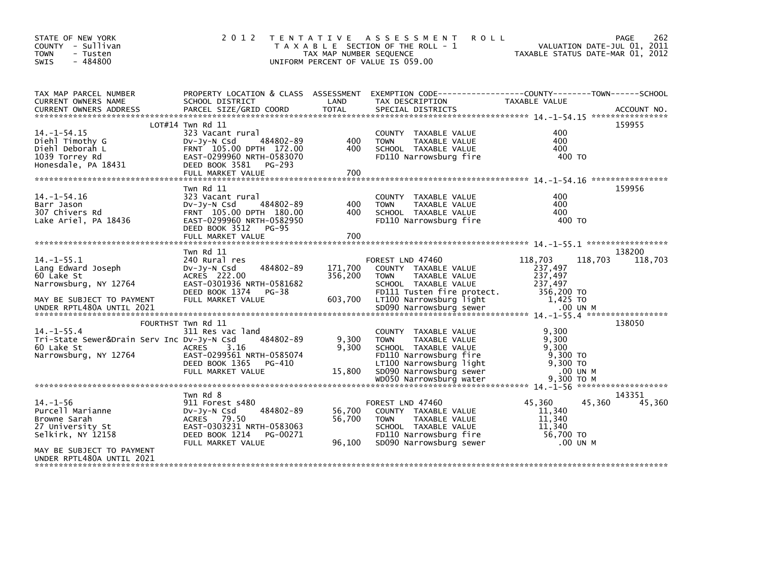| STATE OF NEW YORK<br>COUNTY - Sullivan<br><b>TOWN</b><br>- Tusten<br>$-484800$<br><b>SWIS</b>                                                                                                                                                               | 2 0 1 2                                                                                                                                        | TAX MAP NUMBER SEQUENCE | TENTATIVE ASSESSMENT<br><b>ROLL</b><br>T A X A B L E SECTION OF THE ROLL - 1<br>UNIFORM PERCENT OF VALUE IS 059.00                |                                                        | 262<br><b>PAGE</b><br>VALUATION DATE-JUL 01, 2011<br>TAXABLE STATUS DATE-MAR 01, 2012 |
|-------------------------------------------------------------------------------------------------------------------------------------------------------------------------------------------------------------------------------------------------------------|------------------------------------------------------------------------------------------------------------------------------------------------|-------------------------|-----------------------------------------------------------------------------------------------------------------------------------|--------------------------------------------------------|---------------------------------------------------------------------------------------|
| TAX MAP PARCEL NUMBER                                                                                                                                                                                                                                       |                                                                                                                                                |                         | PROPERTY LOCATION & CLASS ASSESSMENT EXEMPTION CODE---------------COUNTY-------TOWN-----SCHOOL                                    |                                                        |                                                                                       |
| CURRENT OWNERS NAME<br>CURRENT OWNERS ADDRESS                                                                                                                                                                                                               | SCHOOL DISTRICT                                                                                                                                | LAND                    | TAX DESCRIPTION                                                                                                                   | TAXABLE VALUE                                          |                                                                                       |
|                                                                                                                                                                                                                                                             | $LOT#14$ Twn Rd 11                                                                                                                             |                         |                                                                                                                                   |                                                        | 159955                                                                                |
| $14. -1 - 54.15$<br>Diehl Timothy G<br>Diehl Deborah L<br>1039 Torrey Rd<br>Honesdale, PA 18431                                                                                                                                                             | 323 Vacant rural<br>$Dv-Jy-N$ Csd<br>484802-89<br>FRNT 105.00 DPTH 172.00<br>EAST-0299960 NRTH-0583070<br>DEED BOOK 3581 PG-293                | 400<br>400              | COUNTY TAXABLE VALUE<br>TAXABLE VALUE<br><b>TOWN</b><br>SCHOOL TAXABLE VALUE<br>FD110 Narrowsburg fire                            | 400<br>400<br>400<br>400 TO                            |                                                                                       |
|                                                                                                                                                                                                                                                             |                                                                                                                                                |                         |                                                                                                                                   |                                                        |                                                                                       |
| $14. - 1 - 54.16$<br>Barr Jason<br>307 Chivers Rd<br>Lake Ariel, PA 18436                                                                                                                                                                                   | Twn Rd 11<br>323 Vacant rural<br>$Dv-Jy-N$ Csd<br>484802-89<br>FRNT 105.00 DPTH 180.00<br>EAST-0299960 NRTH-0582950<br>DEED BOOK 3512<br>PG-95 | 400<br>400              | COUNTY TAXABLE VALUE<br>TAXABLE VALUE<br><b>TOWN</b><br>SCHOOL TAXABLE VALUE<br>FD110 Narrowsburg fire                            | 400<br>400<br>400<br>400 TO                            | 159956                                                                                |
|                                                                                                                                                                                                                                                             |                                                                                                                                                |                         |                                                                                                                                   |                                                        |                                                                                       |
|                                                                                                                                                                                                                                                             | Twn Rd 11                                                                                                                                      |                         |                                                                                                                                   |                                                        | 138200                                                                                |
| $14. -1 - 55.1$<br>Lang Edward Joseph<br>60 Lake St<br>Narrowsburg, NY 12764                                                                                                                                                                                | 240 Rural res<br>484802-89<br>$Dv-Jv-N$ Csd<br>ACRES 222.00<br>EAST-0301936 NRTH-0581682<br>DEED BOOK 1374<br>PG-38                            | 171,700<br>356,200      | FOREST LND 47460<br>COUNTY TAXABLE VALUE<br><b>TOWN</b><br>TAXABLE VALUE<br>SCHOOL TAXABLE VALUE<br>FD111 Tusten fire protect.    | 118,703<br>237,497<br>237,497<br>237.497<br>356,200 TO | 118,703<br>118,703                                                                    |
| MAY BE SUBJECT TO PAYMENT<br>WHO RESULTS AND THE TABLE TO A MARKET STATES OF THE STATE STATES TO A SUPPLY THE RESULTS OF THE STATES OF THE STATES OF THE STATES OF THE STATES OF THE STATES OF THE STATES OF THE STATES OF THE STATE STATES OF THE STATE ST | FULL MARKET VALUE                                                                                                                              | 603,700                 | LT100 Narrowsburg light                                                                                                           | 1,425 TO                                               |                                                                                       |
|                                                                                                                                                                                                                                                             | FOURTHST Twn Rd 11                                                                                                                             |                         |                                                                                                                                   |                                                        | 138050                                                                                |
| $14. - 1 - 55.4$<br>Tri-State Sewer&Drain Serv Inc Dv-Jy-N Csd<br>60 Lake St<br>Narrowsburg, NY 12764                                                                                                                                                       | 311 Res vac land<br>484802-89<br>ACRES<br>3.16<br>EAST-0299561 NRTH-0585074<br>DEED BOOK 1365<br>PG-410                                        | 9,300<br>9,300          | COUNTY TAXABLE VALUE<br>TAXABLE VALUE<br><b>TOWN</b><br>SCHOOL TAXABLE VALUE<br>FD110 Narrowsburg fire<br>LT100 Narrowsburg light | 9,300<br>9,300<br>9.300<br>$9,300$ TO<br>9,300 TO      |                                                                                       |
|                                                                                                                                                                                                                                                             | FULL MARKET VALUE                                                                                                                              | 15,800                  | SD090 Narrowsburg sewer                                                                                                           | .00 UN M                                               |                                                                                       |
|                                                                                                                                                                                                                                                             |                                                                                                                                                |                         | WD050 Narrowsburg water                                                                                                           | 9,300 TO M                                             |                                                                                       |
| $14. - 1 - 56$<br>Purcell Marianne                                                                                                                                                                                                                          | Twn Rd 8<br>911 Forest s480<br>484802-89<br>$Dv-Jy-N$ Csd                                                                                      | 56,700                  | FOREST LND 47460<br>COUNTY TAXABLE VALUE                                                                                          | 45,360<br>11,340                                       | 143351<br>45,360<br>45,360                                                            |
| Browne Sarah<br>27 University St<br>Selkirk, NY 12158                                                                                                                                                                                                       | ACRES 79.50<br>EAST-0303231 NRTH-0583063<br>DEED BOOK 1214<br>PG-00271<br>FULL MARKET VALUE                                                    | 56,700<br>96,100        | TAXABLE VALUE<br><b>TOWN</b><br>SCHOOL TAXABLE VALUE<br>FD110 Narrowsburg fire<br>SD090 Narrowsburg sewer                         | 11,340<br>11,340<br>56,700 TO<br>.00 UN M              |                                                                                       |
| MAY BE SUBJECT TO PAYMENT<br>UNDER RPTL480A UNTIL 2021                                                                                                                                                                                                      |                                                                                                                                                |                         |                                                                                                                                   |                                                        |                                                                                       |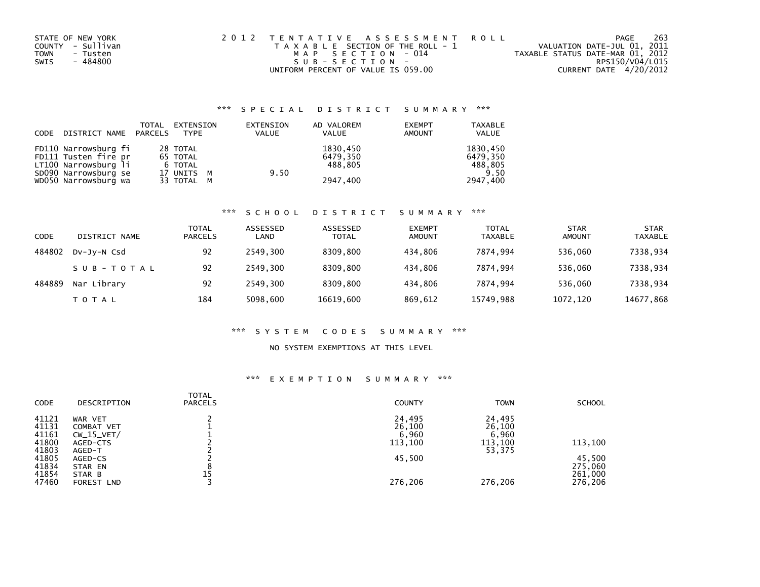| STATE OF NEW YORK       | 2012 TENTATIVE ASSESSMENT ROLL        | PAGE                             | 263 |
|-------------------------|---------------------------------------|----------------------------------|-----|
| COUNTY - Sullivan       | T A X A B L E SECTION OF THE ROLL - 1 | VALUATION DATE-JUL 01, 2011      |     |
| <b>TOWN</b><br>- Tusten | MAP SECTION - 014                     | TAXABLE STATUS DATE-MAR 01, 2012 |     |
| - 484800<br>SWIS        | SUB-SECTION-                          | RPS150/V04/L015                  |     |
|                         | UNIFORM PERCENT OF VALUE IS 059.00    | CURRENT DATE 4/20/2012           |     |

## \*\*\* S P E C I A L D I S T R I C T S U M M A R Y \*\*\*

| CODE | DISTRICT NAME PARCELS                                                                        | TOTAL | EXTENSION<br>TYPE                             | EXTENSION<br><b>VALUE</b> | AD VALOREM<br>VALUE             | <b>EXEMPT</b><br><b>AMOUNT</b> | <b>TAXABLE</b><br>VALUE                 |
|------|----------------------------------------------------------------------------------------------|-------|-----------------------------------------------|---------------------------|---------------------------------|--------------------------------|-----------------------------------------|
|      | FD110 Narrowsburg fi<br>FD111 Tusten fire pr<br>LT100 Narrowsburg li<br>SD090 Narrowsburg se |       | 28 TOTAL<br>65 TOTAL<br>6 TOTAL<br>17 UNITS M | 9.50                      | 1830,450<br>6479.350<br>488.805 |                                | 1830,450<br>6479,350<br>488,805<br>9.50 |
|      | WD050 Narrowsburg wa                                                                         |       | 33 TOTAL M                                    |                           | 2947.400                        |                                | 2947,400                                |

# \*\*\* S C H O O L D I S T R I C T S U M M A R Y \*\*\*

| CODE   | DISTRICT NAME | TOTAL<br><b>PARCELS</b> | ASSESSED<br>LAND | ASSESSED<br><b>TOTAL</b> | <b>EXEMPT</b><br>AMOUNT | <b>TOTAL</b><br><b>TAXABLE</b> | <b>STAR</b><br>AMOUNT | <b>STAR</b><br><b>TAXABLE</b> |
|--------|---------------|-------------------------|------------------|--------------------------|-------------------------|--------------------------------|-----------------------|-------------------------------|
| 484802 | DV-Jy-N Csd   | 92                      | 2549.300         | 8309.800                 | 434.806                 | 7874.994                       | 536,060               | 7338,934                      |
|        | SUB-TOTAL     | 92                      | 2549.300         | 8309.800                 | 434.806                 | 7874.994                       | 536.060               | 7338,934                      |
| 484889 | Nar Library   | 92                      | 2549.300         | 8309.800                 | 434.806                 | 7874.994                       | 536.060               | 7338,934                      |
|        | TOTAL         | 184                     | 5098,600         | 16619,600                | 869,612                 | 15749,988                      | 1072,120              | 14677,868                     |

#### \*\*\* S Y S T E M C O D E S S U M M A R Y \*\*\*

#### NO SYSTEM EXEMPTIONS AT THIS LEVEL

## \*\*\* E X E M P T I O N S U M M A R Y \*\*\*

| CODE                    | DESCRIPTION                           | TOTAL<br><b>PARCELS</b> | <b>COUNTY</b>             | <b>TOWN</b>               | <b>SCHOOL</b>                |
|-------------------------|---------------------------------------|-------------------------|---------------------------|---------------------------|------------------------------|
| 41121<br>41131<br>41161 | WAR VET<br>COMBAT VET<br>$CW_15_VET/$ |                         | 24,495<br>26,100<br>6,960 | 24,495<br>26,100<br>6,960 |                              |
| 41800<br>41803          | AGED-CTS<br>AGED-T                    |                         | 113,100                   | 113,100<br>53,375         | 113,100                      |
| 41805<br>41834<br>41854 | AGED-CS<br>STAR EN<br>STAR B          | 15                      | 45,500                    |                           | 45,500<br>275,060<br>261,000 |
| 47460                   | FOREST LND                            |                         | 276,206                   | 276.206                   | 276,206                      |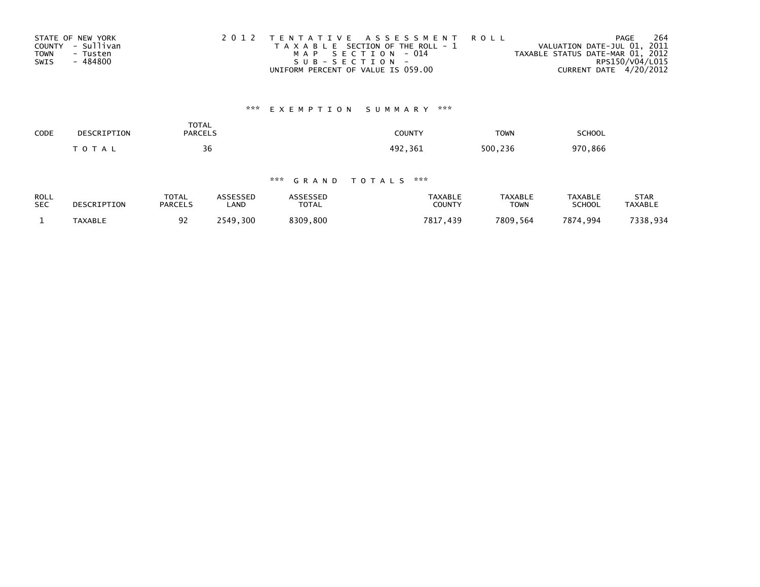| STATE OF NEW YORK       | 2012 TENTATIVE ASSESSMENT ROLL        | 264<br>PAGE                      |
|-------------------------|---------------------------------------|----------------------------------|
| COUNTY - Sullivan       | T A X A B L E SECTION OF THE ROLL - 1 | VALUATION DATE-JUL 01, 2011      |
| <b>TOWN</b><br>- Tusten | MAP SECTION - 014                     | TAXABLE STATUS DATE-MAR 01, 2012 |
| SWIS<br>- 484800        | SUB-SECTION-                          | RPS150/V04/L015                  |
|                         | UNIFORM PERCENT OF VALUE IS 059.00    | CURRENT DATE 4/20/2012           |

# \*\*\* E X E M P T I O N S U M M A R Y \*\*\*

| CODE<br>$ -$ | DESCRIPTION         | <b>TOTAL</b><br><b>PARCELS</b> | <b>COUNTY</b> | <b>TOWN</b> | <b>SCHOOL</b> |  |
|--------------|---------------------|--------------------------------|---------------|-------------|---------------|--|
|              | 10T<br>$\mathbf{A}$ | $\overline{\phantom{a}}$<br>36 | 497<br>, 361  | 500<br>236  | 970<br>. 866  |  |

## \*\*\* G R A N D T O T A L S \*\*\*

| ROLL       | DESCRIPTION    | <b>TOTAL</b>   | ASSESSED | <b>ASSESSED</b> | TAXABLE       | <b>TAXABLE</b> | <b>TAXABLE</b> | STAR           |
|------------|----------------|----------------|----------|-----------------|---------------|----------------|----------------|----------------|
| <b>SEC</b> |                | <b>PARCELS</b> | ∟AND     | <b>TOTAL</b>    | <b>COUNTY</b> | TOWN           | <b>SCHOOL</b>  | <b>TAXABLE</b> |
|            | <b>TAXABLE</b> | 92             | 2549.300 | 8309.800        | 7817<br>.439  | 7809.564       | 7874.994       | 7338,934       |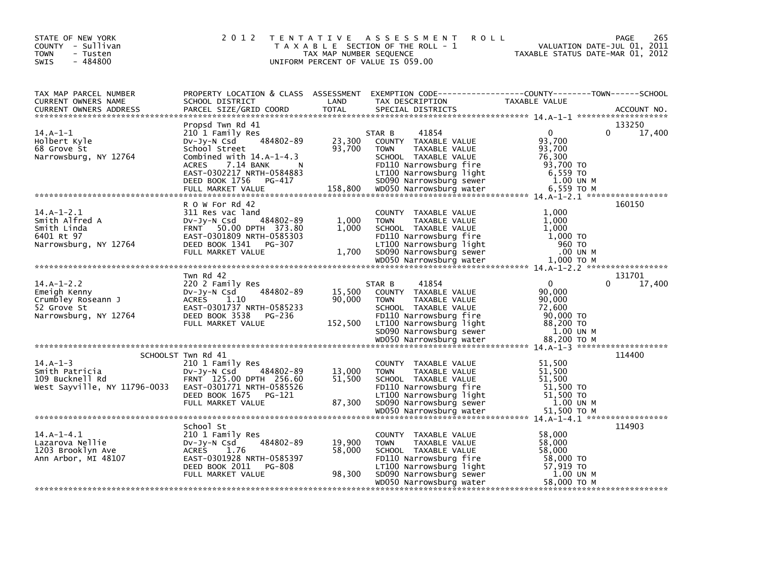| STATE OF NEW YORK<br>COUNTY - Sullivan<br><b>TOWN</b><br>- Tusten<br>$-484800$<br><b>SWIS</b> | 2 0 1 2                                                                                                                                                                                                    | TAX MAP NUMBER SEQUENCE     | TENTATIVE ASSESSMENT<br><b>ROLL</b><br>T A X A B L E SECTION OF THE ROLL - 1<br>UNIFORM PERCENT OF VALUE IS 059.00                                                                      | PAGE<br>VALUATION DATE-JUL 01, 2011<br>TAXABLE STATUS DATE-MAR 01, 2012                                                  | 265         |
|-----------------------------------------------------------------------------------------------|------------------------------------------------------------------------------------------------------------------------------------------------------------------------------------------------------------|-----------------------------|-----------------------------------------------------------------------------------------------------------------------------------------------------------------------------------------|--------------------------------------------------------------------------------------------------------------------------|-------------|
| TAX MAP PARCEL NUMBER<br>CURRENT OWNERS NAME<br><b>CURRENT OWNERS ADDRESS</b>                 | SCHOOL DISTRICT<br>PARCEL SIZE/GRID COORD                                                                                                                                                                  | LAND<br><b>TOTAL</b>        | TAX DESCRIPTION<br>SPECIAL DISTRICTS                                                                                                                                                    | PROPERTY LOCATION & CLASS ASSESSMENT EXEMPTION CODE----------------COUNTY-------TOWN------SCHOOL<br><b>TAXABLE VALUE</b> | ACCOUNT NO. |
| $14.A-1-1$<br>Holbert Kyle<br>68 Grove St<br>Narrowsburg, NY 12764                            | Propsd Twn Rd 41<br>210 1 Family Res<br>484802-89<br>Dv-Jy-N Csd<br>School Street<br>Combined with $14.A-1-4.3$<br>7.14 BANK<br><b>ACRES</b><br>N<br>EAST-0302217 NRTH-0584883<br>DEED BOOK 1756<br>PG-417 | 23,300<br>93,700            | 41854<br>STAR B<br>COUNTY TAXABLE VALUE<br><b>TOWN</b><br>TAXABLE VALUE<br>SCHOOL TAXABLE VALUE<br>FD110 Narrowsburg fire<br>LT100 Narrowsburg light<br>SD090 Narrowsburg sewer         | 133250<br>$\Omega$<br>$\mathbf{0}$<br>93,700<br>93,700<br>76,300<br>93.700 TO<br>6,559 TO<br>1.00 UN M                   | 17,400      |
|                                                                                               |                                                                                                                                                                                                            |                             |                                                                                                                                                                                         |                                                                                                                          |             |
| $14.A-1-2.1$<br>Smith Alfred A<br>Smith Linda<br>6401 Rt 97<br>Narrowsburg, NY 12764          | R O W For Rd 42<br>311 Res vac land<br>484802-89<br>$Dv-Jv-N$ Csd<br>FRNT 50.00 DPTH 373.80<br>EAST-0301809 NRTH-0585303<br>DEED BOOK 1341<br>PG-307<br>FULL MARKET VALUE                                  | 1,000<br>1,000<br>1.700     | COUNTY TAXABLE VALUE<br><b>TOWN</b><br><b>TAXABLE VALUE</b><br>SCHOOL TAXABLE VALUE<br>FD110 Narrowsburg fire<br>LT100 Narrowsburg light<br>SD090 Narrowsburg sewer                     | 160150<br>1.000<br>1,000<br>1,000<br>1,000 TO<br>960 то<br>.00 UN M                                                      |             |
|                                                                                               |                                                                                                                                                                                                            |                             |                                                                                                                                                                                         |                                                                                                                          |             |
| $14.A-1-2.2$<br>Emeigh Kenny<br>Crumbley Roseann J<br>52 Grove St<br>Narrowsburg, NY 12764    | Twn Rd 42<br>220 2 Family Res<br>484802-89<br>$Dv-Jy-N$ Csd<br><b>ACRES</b><br>1.10<br>EAST-0301737 NRTH-0585233<br>DEED BOOK 3538<br>PG-236<br>FULL MARKET VALUE                                          | 15,500<br>90,000<br>152,500 | 41854<br>STAR B<br>COUNTY TAXABLE VALUE<br><b>TOWN</b><br>TAXABLE VALUE<br>SCHOOL TAXABLE VALUE<br>FD110 Narrowsburg fire<br>LT100 Narrowsburg light<br>SD090 Narrowsburg sewer         | 131701<br>$\Omega$<br>0<br>90,000<br>90,000<br>72,600<br>90,000 TO<br>88,200 TO<br>1.00 UN M                             | 17,400      |
|                                                                                               |                                                                                                                                                                                                            |                             |                                                                                                                                                                                         |                                                                                                                          |             |
| $14.A-1-3$<br>Smith Patricia<br>109 Bucknell Rd<br>West Sayville, NY 11796-0033               | SCHOOLST Twn Rd 41<br>210 1 Family Res<br>484802-89<br>$Dv-Jy-N$ Csd<br>FRNT 125.00 DPTH 256.60<br>EAST-0301771 NRTH-0585526<br>DEED BOOK 1675<br>PG-121<br>FULL MARKET VALUE                              | 13,000<br>51,500<br>87,300  | COUNTY TAXABLE VALUE<br>TAXABLE VALUE<br><b>TOWN</b><br>SCHOOL TAXABLE VALUE<br>FD110 Narrowsburg fire<br>LT100 Narrowsburg light<br>SD090 Narrowsburg sewer<br>WD050 Narrowsburg water | 114400<br>51,500<br>51,500<br>51,500<br>$51,500$ TO<br>51,500 TO<br>1.00 UN M<br>51,500 TO M                             |             |
| $14.A-1-4.1$<br>Lazarova Nellie<br>1203 Brooklyn Ave<br>Ann Arbor, MI 48107                   | School St<br>210 1 Family Res<br>484802-89<br>$Dv-Jy-N$ Csd<br><b>ACRES</b><br>1.76<br>EAST-0301928 NRTH-0585397<br>DEED BOOK 2011<br><b>PG-808</b><br>FULL MARKET VALUE                                   | 19,900<br>58,000<br>98,300  | COUNTY TAXABLE VALUE<br>TAXABLE VALUE<br><b>TOWN</b><br>SCHOOL TAXABLE VALUE<br>FD110 Narrowsburg fire<br>LT100 Narrowsburg light<br>SD090 Narrowsburg sewer<br>WD050 Narrowsburg water | 114903<br>58,000<br>58,000<br>58,000<br>58,000 TO<br>57,919 TO<br>1.00 UN M<br>58,000 TO M                               |             |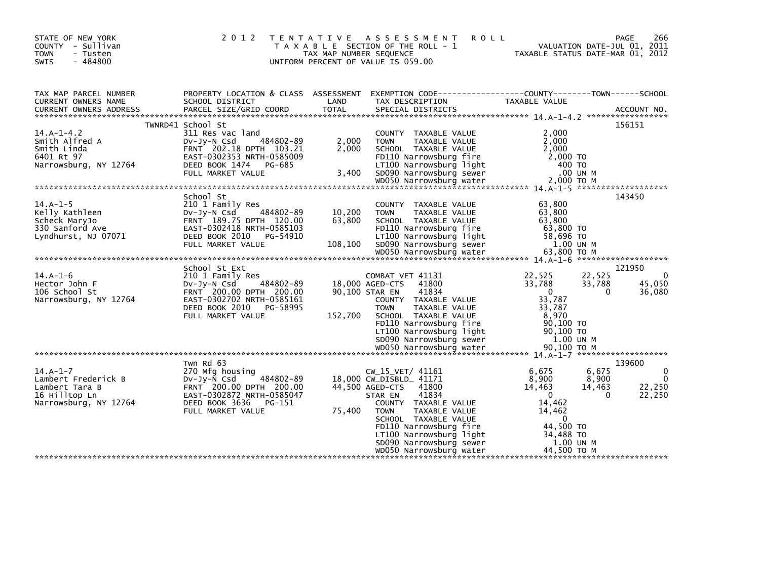| STATE OF NEW YORK<br>COUNTY - Sullivan<br>- Tusten<br><b>TOWN</b><br>$-484800$<br><b>SWIS</b>                                                                                                                                                                                  | 2 0 1 2                                                                                                                                                                                                                                                                                                                     | T E N T A T I V E<br>TAX MAP NUMBER SEQUENCE | ASSESSMENT<br><b>ROLL</b><br>T A X A B L E SECTION OF THE ROLL - 1<br>UNIFORM PERCENT OF VALUE IS 059.00                                                                                                                                                                                        | VALUATION DATE-JUL 01, 2011<br>TAXABLE STATUS DATE-MAR 01, 2012                                                                           | PAGE<br>266                                                  |
|--------------------------------------------------------------------------------------------------------------------------------------------------------------------------------------------------------------------------------------------------------------------------------|-----------------------------------------------------------------------------------------------------------------------------------------------------------------------------------------------------------------------------------------------------------------------------------------------------------------------------|----------------------------------------------|-------------------------------------------------------------------------------------------------------------------------------------------------------------------------------------------------------------------------------------------------------------------------------------------------|-------------------------------------------------------------------------------------------------------------------------------------------|--------------------------------------------------------------|
| TAX MAP PARCEL NUMBER<br>CURRENT OWNERS NAME<br>.CURRENT OWNERS ADDRESS PARCEL SIZE/GRID COORD TOTAL SPECIAL DISTRICTS (ACCOUNT NO ACCOUNT NO ACCOUNT NO AND FREE ALL SERIES AND RESEARCH TOTAL SERIES AND RESEARCH AND A SERIES AND RESEARCH TO A SERIES AND RESEARCH THE SER | SCHOOL DISTRICT                                                                                                                                                                                                                                                                                                             | LAND                                         | PROPERTY LOCATION & CLASS ASSESSMENT EXEMPTION CODE----------------COUNTY-------TOWN------SCHOOL<br>TAX DESCRIPTION                                                                                                                                                                             | TAXABLE VALUE                                                                                                                             |                                                              |
|                                                                                                                                                                                                                                                                                | TWNRD41 School St                                                                                                                                                                                                                                                                                                           |                                              |                                                                                                                                                                                                                                                                                                 |                                                                                                                                           | 156151                                                       |
| $14.A-1-4.2$<br>Smith Alfred A<br>Smith Linda<br>6401 Rt 97<br>Narrowsburg, NY 12764                                                                                                                                                                                           | 311 Res vac land<br>484802-89<br>$Dv-Jy-N$ Csd<br>FRNT 202.18 DPTH 103.21<br>EAST-0302353 NRTH-0585009<br>DEED BOOK 1474 PG-685<br>FULL MARKET VALUE                                                                                                                                                                        | 2,000<br>2,000<br>3,400                      | COUNTY TAXABLE VALUE<br>TAXABLE VALUE<br><b>TOWN</b><br>SCHOOL TAXABLE VALUE<br>FD110 Narrowsburg fire<br>LT100 Narrowsburg light<br>SD090 Narrowsburg sewer                                                                                                                                    | 2,000<br>2.000<br>2.000<br>2,000 TO<br>400 TO<br>.00 UN M                                                                                 |                                                              |
|                                                                                                                                                                                                                                                                                |                                                                                                                                                                                                                                                                                                                             |                                              |                                                                                                                                                                                                                                                                                                 |                                                                                                                                           |                                                              |
| $14.A-1-5$<br>Kelly Kathleen<br>Scheck MaryJo<br>330 Sanford Ave<br>Lyndhurst, NJ 07071<br>$14.A-1-6$<br>Hector John F<br>106 School St<br>Narrowsburg, NY 12764                                                                                                               | School St<br>210 1 Family Res<br>484802-89<br>DV-Jy-N Csd<br>FRNT 189.75 DPTH 120.00<br>EAST-0302418 NRTH-0585103<br>DEED BOOK 2010<br>PG-54910<br>FULL MARKET VALUE<br>School St Ext<br>210 1 Family Res<br>DV-JY-N Csd<br>484802-89<br>FRNT 200.00 DPTH 200.00<br>EAST-0302702 NRTH-0585161<br>DEED BOOK 2010<br>PG-58995 | 10,200<br>63,800<br>108,100                  | COUNTY TAXABLE VALUE<br>TAXABLE VALUE<br><b>TOWN</b><br>SCHOOL TAXABLE VALUE<br>FD110 Narrowsburg fire<br>LT100 Narrowsburg light<br>SD090 Narrowsburg sewer<br>COMBAT VET 41131<br>41800<br>18,000 AGED-CTS<br>41834<br>90,100 STAR EN<br>COUNTY TAXABLE VALUE<br><b>TOWN</b><br>TAXABLE VALUE | 63,800<br>63,800<br>63,800<br>63,800 TO<br>58,696 TO<br>1.00 UN M<br>22,525<br>22,525<br>33,788<br>33,788<br>$\Omega$<br>33,787<br>33,787 | 143450<br>121950<br>$\Omega$<br>45,050<br>36,080<br>$\Omega$ |
|                                                                                                                                                                                                                                                                                | FULL MARKET VALUE                                                                                                                                                                                                                                                                                                           | 152,700                                      | SCHOOL TAXABLE VALUE<br>FD110 Narrowsburg fire<br>LT100 Narrowsburg light<br>SD090 Narrowsburg sewer                                                                                                                                                                                            | 8,970<br>$90,100$ TO<br>90,100 TO<br>1.00 UN M                                                                                            |                                                              |
|                                                                                                                                                                                                                                                                                | Twn Rd 63                                                                                                                                                                                                                                                                                                                   |                                              |                                                                                                                                                                                                                                                                                                 |                                                                                                                                           | 139600                                                       |
| $14.A-1-7$<br>Lambert Frederick B<br>Lambert Tara B<br>16 Hilltop Ln<br>Narrowsburg, NY 12764                                                                                                                                                                                  | 270 Mfg housing<br>$Dv-Jy-N$ Csd<br>484802-89<br>FRNT 200.00 DPTH 200.00<br>EAST-0302872 NRTH-0585047<br>DEED BOOK 3636<br>PG-151<br>FULL MARKET VALUE                                                                                                                                                                      | 75,400                                       | $CW_15_VET/41161$<br>18,000 CW_DISBLD_ 41171<br>44,500 AGED-CTS 41800<br>41834<br>STAR EN<br>COUNTY TAXABLE VALUE<br><b>TOWN</b><br>TAXABLE VALUE<br>SCHOOL TAXABLE VALUE<br>FD110 Narrowsburg fire<br>LT100 Narrowsburg light                                                                  | 6,675<br>6,675<br>8,900<br>8,900<br>14,463<br>14,463<br>$\Omega$<br>14,462<br>14,462<br>$\Omega$<br>44,500 TO<br>34,488 TO                | $\mathbf{0}$<br>$\Omega$<br>22,250<br>22,250<br>$\Omega$     |
|                                                                                                                                                                                                                                                                                |                                                                                                                                                                                                                                                                                                                             |                                              | SD090 Narrowsburg sewer<br>WD050 Narrowsburg water                                                                                                                                                                                                                                              | 1.00 UN M<br>44,500 TO M                                                                                                                  |                                                              |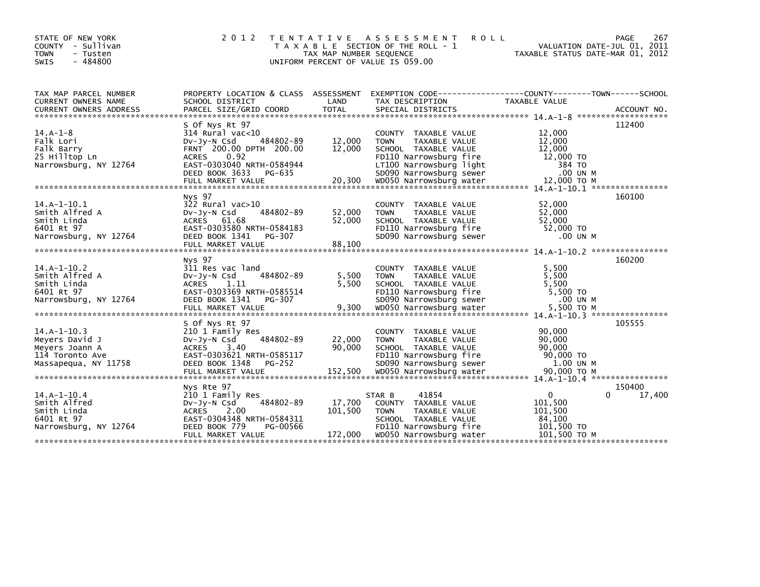| STATE OF NEW YORK<br>COUNTY - Sullivan<br><b>TOWN</b><br>- Tusten<br>$-484800$<br><b>SWIS</b> | 2 0 1 2                                                                                                                                                                           | T E N T A T I V E<br>TAX MAP NUMBER SEQUENCE | A S S E S S M E N T<br><b>ROLL</b><br>T A X A B L E SECTION OF THE ROLL - 1<br>UNIFORM PERCENT OF VALUE IS 059.00                                            | VALUATION DATE-JUL 01, 2011<br>TAXABLE STATUS DATE-MAR 01, 2012                                | 267<br>PAGE      |
|-----------------------------------------------------------------------------------------------|-----------------------------------------------------------------------------------------------------------------------------------------------------------------------------------|----------------------------------------------|--------------------------------------------------------------------------------------------------------------------------------------------------------------|------------------------------------------------------------------------------------------------|------------------|
| TAX MAP PARCEL NUMBER<br>CURRENT OWNERS NAME<br><b>CURRENT OWNERS ADDRESS</b>                 | PROPERTY LOCATION & CLASS ASSESSMENT<br>SCHOOL DISTRICT<br>PARCEL SIZE/GRID COORD                                                                                                 | LAND<br><b>TOTAL</b>                         | EXEMPTION CODE-----------------COUNTY-------TOWN------SCHOOL<br>TAX DESCRIPTION<br>SPECIAL DISTRICTS                                                         | TAXABLE VALUE                                                                                  | ACCOUNT NO.      |
| $14.A-1-8$<br>Falk Lori<br>Falk Barry<br>25 Hilltop Ln<br>Narrowsburg, NY 12764               | S Of Nys Rt 97<br>$314$ Rural vac< $10$<br>484802-89<br>$Dv-Jv-N$ Csd<br>FRNT 200.00 DPTH 200.00<br><b>ACRES</b><br>0.92<br>EAST-0303040 NRTH-0584944<br>DEED BOOK 3633<br>PG-635 | 12,000<br>12,000                             | COUNTY TAXABLE VALUE<br>TAXABLE VALUE<br><b>TOWN</b><br>SCHOOL TAXABLE VALUE<br>FD110 Narrowsburg fire<br>LT100 Narrowsburg light<br>SD090 Narrowsburg sewer | 12,000<br>12,000<br>12,000<br>12,000 TO<br>384 TO<br>.00 UN M                                  | 112400           |
| $14.A-1-10.1$<br>Smith Alfred A<br>Smith Linda<br>6401 Rt 97<br>Narrowsburg, NY 12764         | Nys 97<br>$322$ Rural vac $>10$<br>484802-89<br>$Dv-Jv-N$ Csd<br>ACRES 61.68<br>EAST-0303580 NRTH-0584183<br>DEED BOOK 1341<br>PG-307<br>FULL MARKET VALUE                        | 52,000<br>52,000<br>88,100                   | COUNTY TAXABLE VALUE<br>TAXABLE VALUE<br><b>TOWN</b><br>SCHOOL TAXABLE VALUE<br>FD110 Narrowsburg fire<br>SD090 Narrowsburg sewer                            | 52.000<br>52,000<br>52,000<br>52,000 TO<br>.00 UN M                                            | 160100           |
| $14.A-1-10.2$<br>Smith Alfred A<br>Smith Linda<br>6401 Rt 97<br>Narrowsburg, NY 12764         | Nys 97<br>311 Res vac land<br>484802-89<br>$Dv-Jv-N$ Csd<br>1.11<br>ACRES<br>EAST-0303369 NRTH-0585514<br>DEED BOOK 1341<br>PG-307                                                | 5,500<br>5,500                               | COUNTY TAXABLE VALUE<br><b>TOWN</b><br>TAXABLE VALUE<br>SCHOOL TAXABLE VALUE<br>FD110 Narrowsburg fire<br>SD090 Narrowsburg sewer                            | 5,500<br>5.500<br>5,500<br>5,500 TO<br>.00 UN M<br>5,500 TO M<br>14.A-1-10.3 ***************** | 160200           |
| $14.A-1-10.3$<br>Meyers David J<br>Meyers Joann A<br>114 Toronto Ave<br>Massapequa, NY 11758  | S Of Nys Rt 97<br>210 1 Family Res<br>484802-89<br>$Dv-Jy-N$ Csd<br>ACRES 3.40<br>EAST-0303621 NRTH-0585117<br>DEED BOOK 1348<br>PG-252                                           | 22,000<br>90,000                             | COUNTY TAXABLE VALUE<br>TAXABLE VALUE<br><b>TOWN</b><br>SCHOOL TAXABLE VALUE<br>FD110 Narrowsburg fire<br>SD090 Narrowsburg sewer                            | 90,000<br>90,000<br>90,000<br>90,000 TO<br>1.00 UN M                                           | 105555           |
| $14.A-1-10.4$<br>Smith Alfred<br>Smith Linda<br>6401 Rt 97<br>Narrowsburg, NY 12764           | Nys Rte 97<br>210 1 Family Res<br>484802-89<br>$Dv-Jy-N$ Csd<br>ACRES<br>2.00<br>EAST-0304348 NRTH-0584311<br>DEED BOOK 779<br>PG-00566<br>FULL MARKET VALUE                      | 17,700<br>101,500<br>172,000                 | 41854<br>STAR B<br>COUNTY TAXABLE VALUE<br>TAXABLE VALUE<br><b>TOWN</b><br>SCHOOL TAXABLE VALUE<br>FD110 Narrowsburg fire<br>WD050 Narrowsburg water         | $\mathbf{0}$<br>101,500<br>101,500<br>84,100<br>101,500 TO<br>101,500 ТО М                     | 150400<br>17,400 |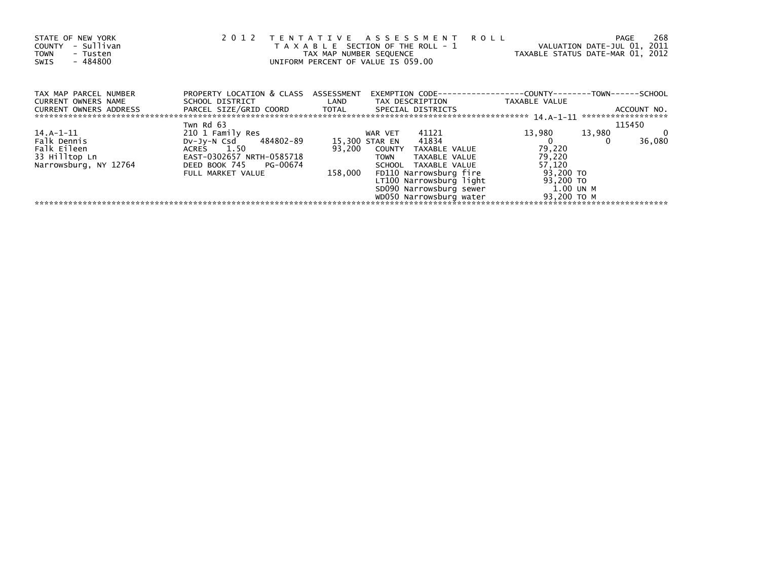| STATE OF NEW YORK<br>- Sullivan<br><b>COUNTY</b><br><b>TOWN</b><br>- Tusten<br>- 484800<br>SWIS | 2 0 1 2                                                      |         | TENTATIVE ASSESSMENT<br>T A X A B L E SECTION OF THE ROLL - 1<br>UNIFORM PERCENT OF VALUE IS 059.00 | <b>ROLL</b><br>VALUATION DATE-JUL 01, 2011<br>TAX MAP NUMBER SEQUENCE TAXABLE STATUS DATE-MAR 01, 2012 | 268<br>PAGE                        |
|-------------------------------------------------------------------------------------------------|--------------------------------------------------------------|---------|-----------------------------------------------------------------------------------------------------|--------------------------------------------------------------------------------------------------------|------------------------------------|
| TAX MAP PARCEL NUMBER<br><b>CURRENT OWNERS NAME</b>                                             | PROPERTY LOCATION & CLASS ASSESSMENT<br>SCHOOL DISTRICT LAND |         |                                                                                                     |                                                                                                        |                                    |
| CURRENT OWNERS ADDRESS                                                                          | PARCEL SIZE/GRID COORD TOTAL SPECIAL DISTRICTS               |         |                                                                                                     |                                                                                                        | ACCOUNT NO.<br>******************* |
|                                                                                                 | Twn Rd 63                                                    |         |                                                                                                     |                                                                                                        | 115450                             |
| 14.A-1-11                                                                                       | 210 1 Family Res                                             |         | 41121<br>WAR VET                                                                                    | 13,980<br>13,980                                                                                       | 0<br>36,080                        |
| Falk Dennis                                                                                     | DV-Jy-N Csd 484802-89                                        |         | 15,300 STAR EN 41834                                                                                |                                                                                                        |                                    |
| Falk Eileen                                                                                     | ACRES 1.50                                                   | 93,200  | COUNTY TAXABLE VALUE                                                                                | 79,220                                                                                                 |                                    |
| 33 Hilltop Ln                                                                                   | EAST-0302657 NRTH-0585718                                    |         | <b>TOWN</b><br>TAXABLE VALUE                                                                        | 79,220                                                                                                 |                                    |
| Narrowsburg, NY 12764                                                                           | DEED BOOK 745 PG-00674                                       |         | SCHOOL TAXABLE VALUE                                                                                | 57,120                                                                                                 |                                    |
|                                                                                                 | FULL MARKET VALUE                                            | 158,000 | FD110 Narrowsburg fire                                                                              | 93,200 TO                                                                                              |                                    |
|                                                                                                 |                                                              |         | LT100 Narrowsburg light                                                                             | 93,200 TO                                                                                              |                                    |
|                                                                                                 |                                                              |         |                                                                                                     | SD090 Narrowsburg sewer 1.00 UN M                                                                      |                                    |
|                                                                                                 |                                                              |         | WD050 Narrowsburg water                                                                             | 93,200 TO M                                                                                            |                                    |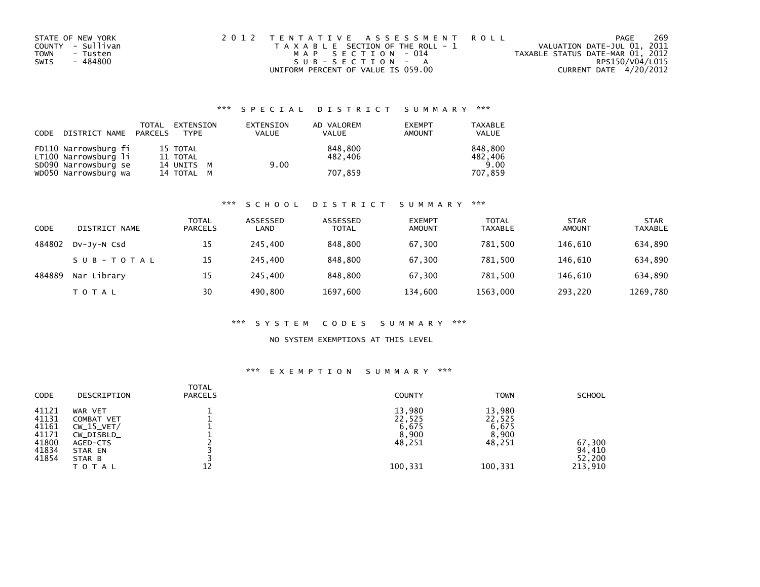| STATE OF NEW YORK       | 2012 TENTATIVE ASSESSMENT ROLL        | PAGE                             | 269 |
|-------------------------|---------------------------------------|----------------------------------|-----|
| COUNTY - Sullivan       | T A X A B L E SECTION OF THE ROLL - 1 | VALUATION DATE-JUL 01, 2011      |     |
| <b>TOWN</b><br>- Tusten | MAP SECTION - 014                     | TAXABLE STATUS DATE-MAR 01, 2012 |     |
| - 484800<br>SWIS        | SUB-SECTION - A                       | RPS150/V04/L015                  |     |
|                         | UNIFORM PERCENT OF VALUE IS 059.00    | CURRENT DATE 4/20/2012           |     |

## \*\*\* S P E C I A L D I S T R I C T S U M M A R Y \*\*\*

| CODE DISTRICT NAME PARCELS | TOTAL | EXTENSION<br>TYPF | EXTENSION<br><b>VALUE</b> | AD VALOREM<br><b>VALUE</b> | <b>EXEMPT</b><br>AMOUNT | <b>TAXABLE</b><br>VALUE |
|----------------------------|-------|-------------------|---------------------------|----------------------------|-------------------------|-------------------------|
| FD110 Narrowsburg fi       |       | 15 TOTAL          |                           | 848.800                    |                         | 848.800                 |
| LT100 Narrowsburg li       |       | 11 TOTAL          |                           | 482.406                    |                         | 482,406                 |
| SD090 Narrowsburg se       |       | 14 UNITS M        | 9.00                      |                            |                         | 9.00                    |
| WD050 Narrowsburg wa       |       | 14 TOTAL M        |                           | 707.859                    |                         | 707.859                 |

#### \*\*\* S C H O O L D I S T R I C T S U M M A R Y \*\*\*

| CODE   | DISTRICT NAME | <b>TOTAL</b><br><b>PARCELS</b> | ASSESSED<br>LAND | ASSESSED<br>TOTAL | <b>EXEMPT</b><br>AMOUNT | <b>TOTAL</b><br><b>TAXABLE</b> | <b>STAR</b><br><b>AMOUNT</b> | <b>STAR</b><br><b>TAXABLE</b> |
|--------|---------------|--------------------------------|------------------|-------------------|-------------------------|--------------------------------|------------------------------|-------------------------------|
| 484802 | DV-JV-N Csd   | 15                             | 245.400          | 848,800           | 67.300                  | 781.500                        | 146.610                      | 634,890                       |
|        | SUB-TOTAL     | 15                             | 245,400          | 848,800           | 67,300                  | 781.500                        | 146.610                      | 634,890                       |
| 484889 | Nar Library   | 15                             | 245.400          | 848,800           | 67,300                  | 781.500                        | 146.610                      | 634,890                       |
|        | <b>TOTAL</b>  | 30                             | 490,800          | 1697,600          | 134,600                 | 1563,000                       | 293,220                      | 1269,780                      |

#### \*\*\* S Y S T E M C O D E S S U M M A R Y \*\*\*

#### NO SYSTEM EXEMPTIONS AT THIS LEVEL

#### \*\*\* E X E M P T I O N S U M M A R Y \*\*\*

| <b>CODE</b>                                                 | DESCRIPTION                                                                                   | <b>TOTAL</b><br><b>PARCELS</b> | <b>COUNTY</b>                                           | <b>TOWN</b>                                             | <b>SCHOOL</b>                         |
|-------------------------------------------------------------|-----------------------------------------------------------------------------------------------|--------------------------------|---------------------------------------------------------|---------------------------------------------------------|---------------------------------------|
| 41121<br>41131<br>41161<br>41171<br>41800<br>41834<br>41854 | WAR VET<br>COMBAT VET<br>$CW_15_VET/$<br>CW_DISBLD_<br>AGED-CTS<br>STAR EN<br>STAR B<br>TOTAL |                                | 13,980<br>22,525<br>6,675<br>8,900<br>48,251<br>100,331 | 13,980<br>22,525<br>6,675<br>8,900<br>48,251<br>100,331 | 67,300<br>94,410<br>52,200<br>213,910 |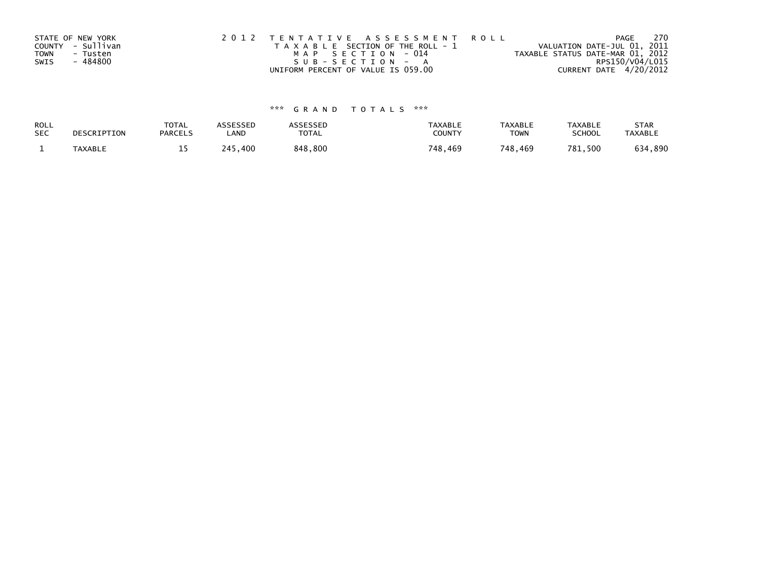|             | STATE OF NEW YORK | 2012 TENTATIVE ASSESSMENT ROLL        | PAGE                             | -270 |
|-------------|-------------------|---------------------------------------|----------------------------------|------|
|             | COUNTY - Sullivan | T A X A B L E SECTION OF THE ROLL - 1 | VALUATION DATE-JUL 01, 2011      |      |
| <b>TOWN</b> | - Tusten          | MAP SECTION - 014                     | TAXABLE STATUS DATE-MAR 01, 2012 |      |
| SWIS        | - 484800          | $SUB - SECTION - A$                   | RPS150/V04/L015                  |      |
|             |                   | UNIFORM PERCENT OF VALUE IS 059.00    | CURRENT DATE 4/20/2012           |      |

# \*\*\* G R A N D T O T A L S \*\*\*

| ROLL       | DESCRIPTION | <b>TOTAL</b>   | ASSESSED | ASSESSED | <b>TAXABLE</b> | <b>TAXABLE</b> | <b>TAXABLE</b> | <b>STAR</b>    |
|------------|-------------|----------------|----------|----------|----------------|----------------|----------------|----------------|
| <b>SEC</b> |             | <b>PARCELS</b> | LAND     | TOTAL    | <b>COUNTY</b>  | <b>TOWN</b>    | <b>SCHOOL</b>  | <b>TAXABLE</b> |
|            | TAXABLE     |                | 245,400  | 848,800  | 748,469        | 748,469        | 781,500        | 634,890        |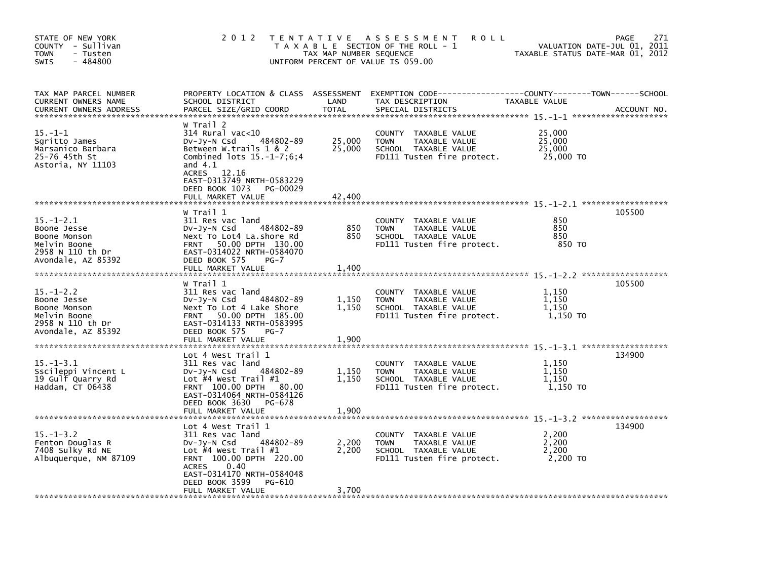| STATE OF NEW YORK<br>COUNTY - Sullivan<br>- Tusten<br><b>TOWN</b><br>$-484800$<br>SWIS                   | 2 0 1 2                                                                                                                                                                                                                            | TAX MAP NUMBER SEQUENCE    | TENTATIVE ASSESSMENT<br><b>ROLL</b><br>T A X A B L E SECTION OF THE ROLL - 1<br>UNIFORM PERCENT OF VALUE IS 059.00                     | TAXABLE STATUS DATE-MAR 01, 2012        | 271<br>PAGE<br>VALUATION DATE-JUL 01, 2011 |
|----------------------------------------------------------------------------------------------------------|------------------------------------------------------------------------------------------------------------------------------------------------------------------------------------------------------------------------------------|----------------------------|----------------------------------------------------------------------------------------------------------------------------------------|-----------------------------------------|--------------------------------------------|
| TAX MAP PARCEL NUMBER<br>CURRENT OWNERS NAME<br><b>CURRENT OWNERS ADDRESS</b>                            | SCHOOL DISTRICT<br>PARCEL SIZE/GRID COORD                                                                                                                                                                                          | LAND<br><b>TOTAL</b>       | PROPERTY LOCATION & CLASS ASSESSMENT EXEMPTION CODE---------------COUNTY-------TOWN-----SCHOOL<br>TAX DESCRIPTION<br>SPECIAL DISTRICTS | TAXABLE VALUE                           | ACCOUNT NO.                                |
| $15. - 1 - 1$<br>Sgritto James<br>Marsanico Barbara<br>25-76 45th St<br>Astoria, NY 11103                | W Trail 2<br>314 Rural vac<10<br>Dv-Jy-N Csd<br>484802-89<br>Between W.trails 1 & 2<br>Combined $\frac{1}{5}$ -1-7;6;4<br>and $4.1$<br>ACRES 12.16<br>EAST-0313749 NRTH-0583229<br>DEED BOOK 1073<br>PG-00029<br>FULL MARKET VALUE | 25,000<br>25,000<br>42.400 | COUNTY TAXABLE VALUE<br>TAXABLE VALUE<br><b>TOWN</b><br>SCHOOL TAXABLE VALUE<br>FD111 Tusten fire protect.                             | 25,000<br>25,000<br>25,000<br>25,000 TO |                                            |
|                                                                                                          |                                                                                                                                                                                                                                    |                            |                                                                                                                                        |                                         |                                            |
| $15. - 1 - 2.1$<br>Boone Jesse<br>Boone Monson<br>Melvin Boone<br>2958 N 110 th Dr<br>Avondale, AZ 85392 | W Trail 1<br>311 Res vac land<br>484802-89<br>$Dv-Jy-N$ Csd<br>Next To Lot4 La.shore Rd<br>50.00 DPTH 130.00<br><b>FRNT</b><br>EAST-0314022 NRTH-0584070<br>DEED BOOK 575<br>$PG-7$<br>FULL MARKET VALUE                           | 850<br>850<br>1,400        | COUNTY TAXABLE VALUE<br>TAXABLE VALUE<br><b>TOWN</b><br>SCHOOL TAXABLE VALUE<br>FD111 Tusten fire protect.                             | 850<br>850<br>850<br>850 TO             | 105500                                     |
|                                                                                                          |                                                                                                                                                                                                                                    |                            |                                                                                                                                        |                                         |                                            |
| $15. - 1 - 2.2$<br>Boone Jesse<br>Boone Monson<br>Melvin Boone<br>2958 N 110 th Dr<br>Avondale, AZ 85392 | W Trail 1<br>311 Res vac land<br>484802-89<br>$Dv-Jy-N$ Csd<br>Next To Lot 4 Lake Shore<br>50.00 DPTH 185.00<br><b>FRNT</b><br>EAST-0314133 NRTH-0583995<br>DEED BOOK 575<br>$PG-7$                                                | 1,150<br>1,150             | COUNTY TAXABLE VALUE<br>TAXABLE VALUE<br><b>TOWN</b><br>SCHOOL TAXABLE VALUE<br>FD111 Tusten fire protect.                             | 1,150<br>1,150<br>1.150<br>1,150 TO     | 105500                                     |
|                                                                                                          | FULL MARKET VALUE                                                                                                                                                                                                                  | 1,900                      |                                                                                                                                        |                                         |                                            |
| $15. - 1 - 3.1$<br>Sscileppi Vincent L<br>19 Gulf Quarry Rd<br>Haddam, CT 06438                          | Lot 4 West Trail 1<br>311 Res vac land<br>484802-89<br>DV-Jy-N Csd<br>Lot #4 West Trail #1<br>FRNT 100.00 DPTH<br>80.00<br>EAST-0314064 NRTH-0584126<br>DEED BOOK 3630<br>PG-678                                                   | 1,150<br>1,150             | TAXABLE VALUE<br><b>COUNTY</b><br>TAXABLE VALUE<br><b>TOWN</b><br>SCHOOL TAXABLE VALUE<br>FD111 Tusten fire protect.                   | 1,150<br>1,150<br>1,150<br>1,150 TO     | 134900                                     |
|                                                                                                          | FULL MARKET VALUE                                                                                                                                                                                                                  | 1,900                      |                                                                                                                                        |                                         |                                            |
| $15. - 1 - 3.2$<br>Fenton Douglas R<br>7408 Sulky Rd NE<br>Albuquerque, NM 87109                         | Lot 4 West Trail 1<br>311 Res vac land<br>$Dv-Jy-N$ Csd<br>484802-89<br>Lot $#4$ West Trail $#1$<br>FRNT 100.00 DPTH 220.00<br><b>ACRES</b><br>0.40<br>EAST-0314170 NRTH-0584048<br>DEED BOOK 3599<br>PG-610                       | 2,200<br>2,200             | COUNTY TAXABLE VALUE<br>TAXABLE VALUE<br><b>TOWN</b><br>SCHOOL TAXABLE VALUE<br>FD111 Tusten fire protect.                             | 2,200<br>2,200<br>2.200<br>2,200 TO     | 134900                                     |
|                                                                                                          | FULL MARKET VALUE                                                                                                                                                                                                                  | 3,700                      |                                                                                                                                        |                                         |                                            |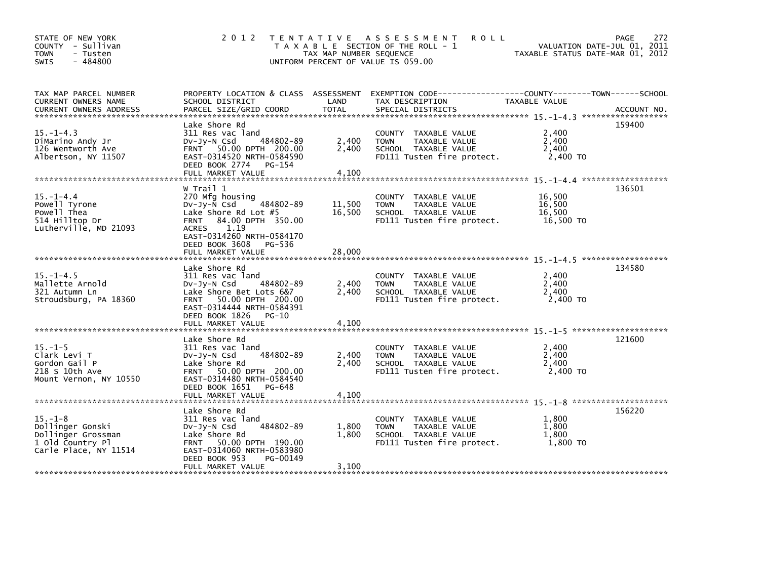| STATE OF NEW YORK<br>COUNTY - Sullivan<br><b>TOWN</b><br>- Tusten<br>$-484800$<br>SWIS               |                                                                                                                                                                                                            | TAX MAP NUMBER SEQUENCE | 2012 TENTATIVE ASSESSMENT<br><b>ROLL</b><br>T A X A B L E SECTION OF THE ROLL - 1<br>UNIFORM PERCENT OF VALUE IS 059.00 | VALUATION DATE-JUL 01, 2011<br>TAXABLE STATUS DATE-MAR 01, 2012 | 272<br><b>PAGE</b> |
|------------------------------------------------------------------------------------------------------|------------------------------------------------------------------------------------------------------------------------------------------------------------------------------------------------------------|-------------------------|-------------------------------------------------------------------------------------------------------------------------|-----------------------------------------------------------------|--------------------|
| TAX MAP PARCEL NUMBER<br>CURRENT OWNERS NAME                                                         | SCHOOL DISTRICT                                                                                                                                                                                            | LAND                    | PROPERTY LOCATION & CLASS ASSESSMENT EXEMPTION CODE----------------COUNTY-------TOWN-----SCHOOL<br>TAX DESCRIPTION      | <b>TAXABLE VALUE</b>                                            |                    |
| $15. - 1 - 4.3$<br>DiMarino Andy Jr<br>126 Wentworth Ave<br>Albertson, NY 11507                      | Lake Shore Rd<br>311 Res vac land<br>484802-89<br>DV-Jy-N Csd<br>FRNT 50.00 DPTH 200.00<br>EAST-0314520 NRTH-0584590<br>DEED BOOK 2774 PG-154<br>FULL MARKET VALUE                                         | 2,400<br>2,400<br>4,100 | COUNTY TAXABLE VALUE<br>TAXABLE VALUE<br><b>TOWN</b><br>SCHOOL TAXABLE VALUE<br>FD111 Tusten fire protect.              | 2,400<br>2,400<br>2,400<br>2,400 TO                             | 159400             |
| $15. - 1 - 4.4$<br>Powell Tyrone<br>Powell Thea<br>514 Hilltop Dr<br>Lutherville, MD 21093           | W Trail 1<br>270 Mfg housing<br>$-484802-89$<br>$Dv-Jy-N$ Csd<br>Lake Shore Rd Lot #5<br>84.00 DPTH 350.00<br><b>FRNT</b><br>1.19<br><b>ACRES</b><br>EAST-0314260 NRTH-0584170<br>DEED BOOK 3608<br>PG-536 | 11,500<br>16,500        | COUNTY TAXABLE VALUE<br>TAXABLE VALUE<br><b>TOWN</b><br>SCHOOL TAXABLE VALUE<br>FD111 Tusten fire protect.              | 16,500<br>16,500<br>16.500<br>16,500 TO                         | 136501             |
|                                                                                                      | FULL MARKET VALUE                                                                                                                                                                                          | 28,000                  |                                                                                                                         |                                                                 |                    |
| $15. - 1 - 4.5$<br>Mallette Arnold<br>321 Autumn Ln<br>Stroudsburg, PA 18360                         | Lake Shore Rd<br>311 Res vac land<br>484802-89<br>Dv-Jy-N Csd<br>Lake Shore Bet Lots 6&7<br>FRNT 50.00 DPTH 200.00<br>EAST-0314444 NRTH-0584391<br>DEED BOOK 1826 PG-10                                    | 2,400<br>2,400          | COUNTY TAXABLE VALUE<br>TAXABLE VALUE<br><b>TOWN</b><br>SCHOOL TAXABLE VALUE<br>FD111 Tusten fire protect.              | 2,400<br>2,400<br>2,400<br>2,400 TO                             | 134580             |
|                                                                                                      |                                                                                                                                                                                                            |                         |                                                                                                                         |                                                                 | 121600             |
| $15. - 1 - 5$<br>Clark Levi T<br>Gordon Gail P<br>218 S 10th Ave<br>Mount Vernon, NY 10550           | Lake Shore Rd<br>311 Res vac land<br>484802-89<br>$Dv-Jy-N$ Csd<br>Lake Shore Rd<br>FRNT 50.00 DPTH 200.00<br>EAST-0314480 NRTH-0584540<br>DEED BOOK 1651 PG-648                                           | 2,400<br>2.400          | COUNTY TAXABLE VALUE<br><b>TOWN</b><br>TAXABLE VALUE<br>SCHOOL TAXABLE VALUE<br>FD111 Tusten fire protect.              | 2.400<br>2.400<br>2,400<br>2,400 TO                             |                    |
|                                                                                                      | Lake Shore Rd                                                                                                                                                                                              |                         |                                                                                                                         |                                                                 | 156220             |
| $15. - 1 - 8$<br>Dollinger Gonski<br>Dollinger Grossman<br>1 old Country Pl<br>Carle Place, NY 11514 | 311 Res vac land<br>484802-89<br>$Dv-Jy-N$ Csd<br>Lake Shore Rd<br>FRNT 50.00 DPTH 190.00<br>EAST-0314060 NRTH-0583980                                                                                     | 1,800<br>1,800          | COUNTY TAXABLE VALUE<br>TAXABLE VALUE<br><b>TOWN</b><br>SCHOOL TAXABLE VALUE<br>FD111 Tusten fire protect.              | 1,800<br>1.800<br>1,800<br>1.800 TO                             |                    |
|                                                                                                      | PG-00149<br>DEED BOOK 953<br>FULL MARKET VALUE                                                                                                                                                             | 3,100                   |                                                                                                                         |                                                                 |                    |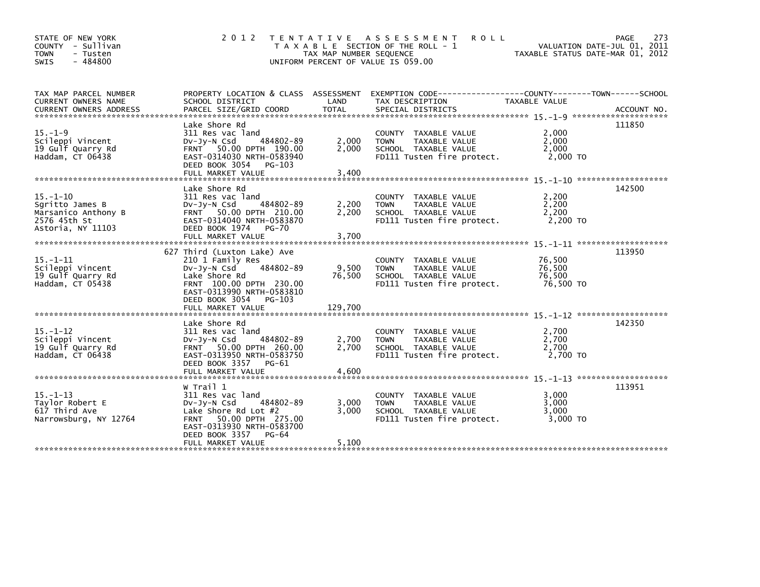| STATE OF NEW YORK<br>COUNTY - Sullivan<br>- Tusten<br><b>TOWN</b><br>$-484800$<br><b>SWIS</b> | 2 0 1 2                                                                                                                                                                                                | T E N T A T I V E<br>TAX MAP NUMBER SEQUENCE | A S S E S S M E N T<br><b>ROLL</b><br>T A X A B L E SECTION OF THE ROLL - 1<br>UNIFORM PERCENT OF VALUE IS 059.00                        | VALUATION DATE-JUL 01, 2011<br>TAXABLE STATUS DATE-MAR 01, 2012 | 273<br><b>PAGE</b> |
|-----------------------------------------------------------------------------------------------|--------------------------------------------------------------------------------------------------------------------------------------------------------------------------------------------------------|----------------------------------------------|------------------------------------------------------------------------------------------------------------------------------------------|-----------------------------------------------------------------|--------------------|
| TAX MAP PARCEL NUMBER<br><b>CURRENT OWNERS NAME</b><br><b>CURRENT OWNERS ADDRESS</b>          | SCHOOL DISTRICT<br>PARCEL SIZE/GRID COORD                                                                                                                                                              | LAND<br><b>TOTAL</b>                         | PROPERTY LOCATION & CLASS ASSESSMENT EXEMPTION CODE----------------COUNTY-------TOWN------SCHOOL<br>TAX DESCRIPTION<br>SPECIAL DISTRICTS | <b>TAXABLE VALUE</b>                                            | ACCOUNT NO.        |
| $15. - 1 - 9$<br>Scileppi Vincent<br>19 Gulf Quarry Rd<br>Haddam, CT 06438                    | Lake Shore Rd<br>311 Res vac land<br>484802-89<br>$Dv-Jy-N$ Csd<br>FRNT 50.00 DPTH 190.00<br>EAST-0314030 NRTH-0583940<br>DEED BOOK 3054<br>PG-103                                                     | 2,000<br>2,000                               | COUNTY TAXABLE VALUE<br><b>TAXABLE VALUE</b><br><b>TOWN</b><br>SCHOOL TAXABLE VALUE<br>FD111 Tusten fire protect.                        | 2,000<br>2,000<br>2,000<br>2,000 TO                             | 111850             |
| $15. - 1 - 10$<br>Sqritto James B<br>Marsanico Anthony B<br>2576 45th St<br>Astoria, NY 11103 | Lake Shore Rd<br>311 Res vac land<br>484802-89<br>$Dv-Jy-N$ Csd<br>FRNT 50.00 DPTH 210.00<br>EAST-0314040 NRTH-0583870<br>DEED BOOK 1974<br><b>PG-70</b><br>FULL MARKET VALUE                          | 2,200<br>2,200<br>3,700                      | COUNTY TAXABLE VALUE<br><b>TOWN</b><br>TAXABLE VALUE<br>SCHOOL TAXABLE VALUE<br>FD111 Tusten fire protect.                               | 2.200<br>2,200<br>2,200<br>2,200 TO                             | 142500             |
| $15. - 1 - 11$<br>Scileppi Vincent<br>19 Gulf Quarry Rd<br>Haddam, CT 05438                   | 627 Third (Luxton Lake) Ave<br>210 1 Family Res<br>484802-89<br>DV-Jy-N Csd<br>Lake Shore Rd<br>FRNT 100.00 DPTH 230.00<br>EAST-0313990 NRTH-0583810<br>DEED BOOK 3054<br>PG-103                       | 9,500<br>76,500                              | COUNTY TAXABLE VALUE<br>TAXABLE VALUE<br><b>TOWN</b><br>SCHOOL TAXABLE VALUE<br>FD111 Tusten fire protect.                               | 76,500<br>76,500<br>76.500<br>76,500 TO                         | 113950             |
| $15. - 1 - 12$<br>Scileppi Vincent<br>19 Gulf Quarry Rd<br>Haddam, CT 06438                   | Lake Shore Rd<br>311 Res vac land<br>$Dv-Jv-N$ Csd<br>484802-89<br>FRNT 50.00 DPTH 260.00<br>EAST-0313950 NRTH-0583750<br>DEED BOOK 3357<br>$PG-61$<br>FULL MARKET VALUE                               | 2,700<br>2,700<br>4,600                      | COUNTY TAXABLE VALUE<br>TAXABLE VALUE<br><b>TOWN</b><br>SCHOOL TAXABLE VALUE<br>FD111 Tusten fire protect.                               | 2,700<br>2,700<br>2,700<br>2,700 TO                             | 142350             |
| $15. - 1 - 13$<br>Taylor Robert E<br>617 Third Ave<br>Narrowsburg, NY 12764                   | W Trail 1<br>311 Res vac land<br>484802-89<br>$Dv-Jy-N$ Csd<br>Lake Shore Rd Lot $#2$<br>50.00 DPTH 275.00<br><b>FRNT</b><br>EAST-0313930 NRTH-0583700<br>DEED BOOK 3357<br>PG-64<br>FULL MARKET VALUE | 3,000<br>3,000<br>5,100                      | COUNTY TAXABLE VALUE<br><b>TOWN</b><br>TAXABLE VALUE<br>SCHOOL TAXABLE VALUE<br>FD111 Tusten fire protect.                               | 3,000<br>3,000<br>3,000<br>3,000 TO                             | 113951             |
|                                                                                               |                                                                                                                                                                                                        |                                              |                                                                                                                                          |                                                                 |                    |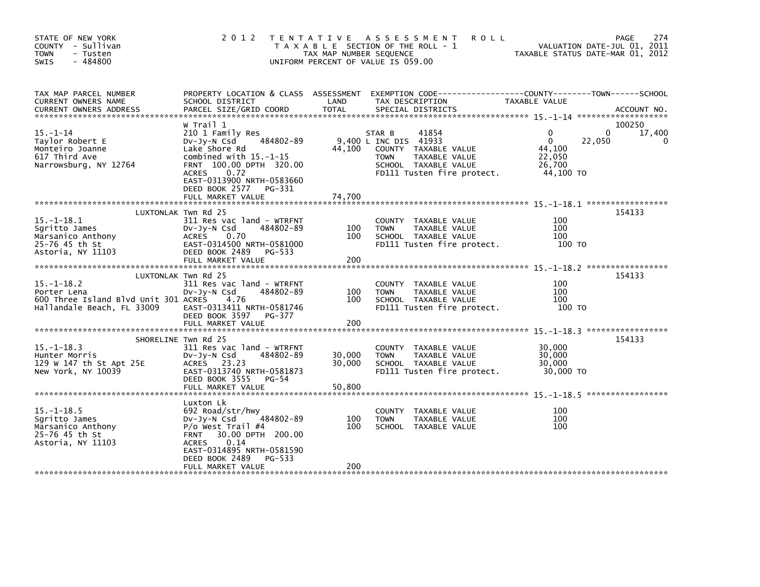| STATE OF NEW YORK<br>COUNTY - Sullivan<br><b>TOWN</b><br>- Tusten<br>$-484800$<br><b>SWIS</b>         | 2 0 1 2                                                                                                                                                                                                                                 | TAX MAP NUMBER SEQUENCE    | TENTATIVE ASSESSMENT<br><b>ROLL</b><br>T A X A B L E SECTION OF THE ROLL - 1<br>UNIFORM PERCENT OF VALUE IS 059.00                                     | VALUATION DATE-JUL 01, 2011<br>TAXABLE STATUS DATE-MAR 01, 2012    | 274<br>PAGE                       |
|-------------------------------------------------------------------------------------------------------|-----------------------------------------------------------------------------------------------------------------------------------------------------------------------------------------------------------------------------------------|----------------------------|--------------------------------------------------------------------------------------------------------------------------------------------------------|--------------------------------------------------------------------|-----------------------------------|
| TAX MAP PARCEL NUMBER<br>CURRENT OWNERS NAME<br>CURRENT OWNERS ADDRESS                                | PROPERTY LOCATION & CLASS ASSESSMENT<br>SCHOOL DISTRICT<br>PARCEL SIZE/GRID COORD                                                                                                                                                       | LAND<br><b>TOTAL</b>       | EXEMPTION CODE------------------COUNTY--------TOWN------SCHOOL<br>TAX DESCRIPTION<br>SPECIAL DISTRICTS                                                 | TAXABLE VALUE                                                      | ACCOUNT NO.                       |
| $15. - 1 - 14$<br>Taylor Robert E<br>Monteiro Joanne<br>617 Third Ave<br>Narrowsburg, NY 12764        | W Trail 1<br>210 1 Family Res<br>484802-89<br>DV-Jy-N Csd<br>Lake Shore Rd<br>combined with $15.-1-15$<br>FRNT 100.00 DPTH 320.00<br><b>ACRES</b><br>0.72<br>EAST-0313900 NRTH-0583660<br>DEED BOOK 2577<br>PG-331<br>FULL MARKET VALUE | 44,100<br>74,700           | 41854<br>STAR B<br>9,400 L INC DIS 41933<br>COUNTY TAXABLE VALUE<br>TAXABLE VALUE<br><b>TOWN</b><br>SCHOOL TAXABLE VALUE<br>FD111 Tusten fire protect. | $\Omega$<br>0<br>22,050<br>44,100<br>22,050<br>26,700<br>44,100 TO | 100250<br>17,400<br>$\Omega$<br>0 |
|                                                                                                       |                                                                                                                                                                                                                                         |                            |                                                                                                                                                        |                                                                    |                                   |
| $15. - 1 - 18.1$<br>Sgritto James<br>Marsanico Anthony<br>25-76 45 th St<br>Astoria, NY 11103         | LUXTONLAK Twn Rd 25<br>311 Res vac land - WTRFNT<br>$Dv-Jy-N$ Csd<br>484802-89<br><b>ACRES</b><br>0.70<br>EAST-0314500 NRTH-0581000<br>DEED BOOK 2489<br>PG-533<br>FULL MARKET VALUE                                                    | 100<br>100<br>200          | COUNTY TAXABLE VALUE<br>TAXABLE VALUE<br><b>TOWN</b><br>SCHOOL TAXABLE VALUE<br>FD111 Tusten fire protect.                                             | 100<br>100<br>100<br>100 TO                                        | 154133                            |
|                                                                                                       | LUXTONLAK Twn Rd 25                                                                                                                                                                                                                     |                            |                                                                                                                                                        |                                                                    | 154133                            |
| $15. - 1 - 18.2$<br>Porter Lena<br>600 Three Island Blvd Unit 301 ACRES<br>Hallandale Beach, FL 33009 | 311 Res vac land - WTRFNT<br>DV-Jy-N Csd<br>484802-89<br>4.76<br>EAST-0313411 NRTH-0581746<br>DEED BOOK 3597 PG-377                                                                                                                     | 100<br>100                 | COUNTY TAXABLE VALUE<br>TAXABLE VALUE<br><b>TOWN</b><br>SCHOOL TAXABLE VALUE<br>FD111 Tusten fire protect.                                             | 100<br>100<br>100<br>100 TO                                        |                                   |
|                                                                                                       |                                                                                                                                                                                                                                         |                            |                                                                                                                                                        |                                                                    |                                   |
| $15. - 1 - 18.3$<br>Hunter Morris<br>129 W 147 th St Apt 25E<br>New York, NY 10039                    | SHORELINE Twn Rd 25<br>311 Res vac land - WTRFNT<br>484802-89<br>$Dv-Jy-N$ Csd<br>ACRES 23.23<br>EAST-0313740 NRTH-0581873<br>DEED BOOK 3555<br>PG-54<br>FULL MARKET VALUE                                                              | 30,000<br>30,000<br>50,800 | COUNTY TAXABLE VALUE<br>TAXABLE VALUE<br><b>TOWN</b><br>SCHOOL TAXABLE VALUE<br>FD111 Tusten fire protect.                                             | 30,000<br>30,000<br>30,000<br>30,000 TO                            | 154133                            |
|                                                                                                       | Luxton Lk                                                                                                                                                                                                                               |                            |                                                                                                                                                        |                                                                    |                                   |
| $15. -1 - 18.5$<br>Sgritto James<br>Marsanico Anthony<br>25-76 45 th St<br>Astoria, NY 11103          | 692 Road/str/hwy<br>484802-89<br>DV-JV-N Csd<br>$P/O$ West Trail #4<br>FRNT 30.00 DPTH 200.00<br>0.14<br><b>ACRES</b><br>EAST-0314895 NRTH-0581590<br>DEED BOOK 2489<br>PG-533                                                          | 100<br>100                 | COUNTY TAXABLE VALUE<br>TAXABLE VALUE<br><b>TOWN</b><br>SCHOOL TAXABLE VALUE                                                                           | 100<br>100<br>100                                                  |                                   |
|                                                                                                       | FULL MARKET VALUE                                                                                                                                                                                                                       | 200                        |                                                                                                                                                        |                                                                    |                                   |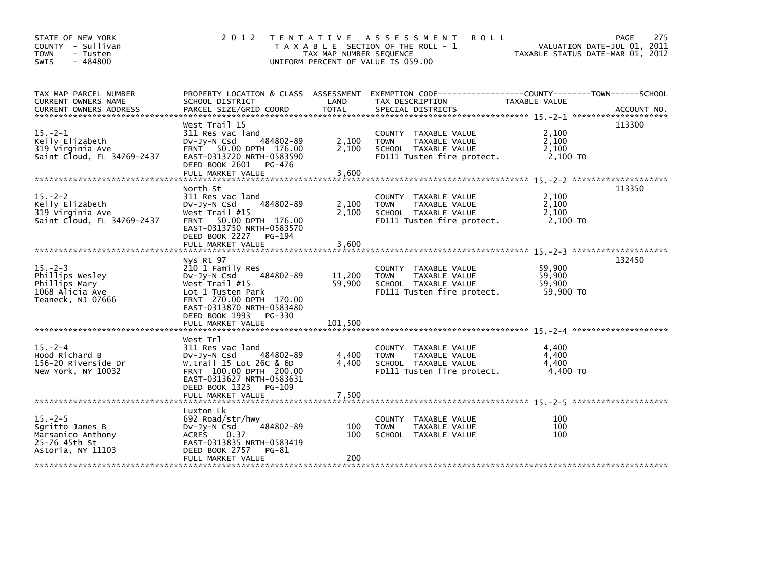| STATE OF NEW YORK<br>COUNTY - Sullivan<br>- Tusten<br><b>TOWN</b><br>$-484800$<br>SWIS     | 2 0 1 2                                                                                                                                                                                                      | TAX MAP NUMBER SEQUENCE     | TENTATIVE ASSESSMENT<br><b>ROLL</b><br>T A X A B L E SECTION OF THE ROLL - 1<br>UNIFORM PERCENT OF VALUE IS 059.00 | VALUATION DATE-JUL 01, 2011<br>TAXABLE STATUS DATE-MAR 01, 2012 | 275<br>PAGE |
|--------------------------------------------------------------------------------------------|--------------------------------------------------------------------------------------------------------------------------------------------------------------------------------------------------------------|-----------------------------|--------------------------------------------------------------------------------------------------------------------|-----------------------------------------------------------------|-------------|
| TAX MAP PARCEL NUMBER<br>CURRENT OWNERS NAME                                               | SCHOOL DISTRICT                                                                                                                                                                                              | LAND                        | PROPERTY LOCATION & CLASS ASSESSMENT EXEMPTION CODE---------------COUNTY-------TOWN-----SCHOOL<br>TAX DESCRIPTION  | TAXABLE VALUE                                                   |             |
| $15. -2 - 1$<br>Kelly Elizabeth<br>319 Virginia Ave<br>Saint Cloud, FL 34769-2437          | West Trail 15<br>311 Res vac land<br>484802-89<br>DV-Jy-N Csd<br>FRNT 50.00 DPTH 176.00<br>EAST-0313720 NRTH-0583590<br>DEED BOOK 2601<br>PG-476<br>FULL MARKET VALUE                                        | 2,100<br>2,100<br>3,600     | COUNTY TAXABLE VALUE<br>TAXABLE VALUE<br><b>TOWN</b><br>SCHOOL TAXABLE VALUE<br>FD111 Tusten fire protect.         | 2,100<br>2,100<br>2,100<br>2,100 TO                             | 113300      |
| $15 - 2 - 2$<br>Kelly Elizabeth<br>319 Virginia Ave<br>Saint Cloud, FL 34769-2437          | North St<br>311 Res vac land<br>484802-89<br>DV-Jy-N Csd<br>West Trail #15<br>50.00 DPTH 176.00<br><b>FRNT</b><br>EAST-0313750 NRTH-0583570<br>DEED BOOK 2227<br>PG-194<br>FULL MARKET VALUE                 | 2,100<br>2,100<br>3,600     | COUNTY TAXABLE VALUE<br><b>TAXABLE VALUE</b><br><b>TOWN</b><br>SCHOOL TAXABLE VALUE<br>FD111 Tusten fire protect.  | 2,100<br>2.100<br>2,100<br>2,100 TO                             | 113350      |
| $15. -2 - 3$<br>Phillips Wesley<br>Phillips Mary<br>1068 Alicia Ave<br>Teaneck, NJ 07666   | Nys Rt 97<br>210 1 Family Res<br>484802-89<br>Dv-Jy-N Csd<br>West $Train  #15$<br>Lot 1 Tusten Park<br>FRNT 270.00 DPTH 170.00<br>EAST-0313870 NRTH-0583480<br>DEED BOOK 1993<br>PG-330<br>FULL MARKET VALUE | 11,200<br>59,900<br>101,500 | COUNTY TAXABLE VALUE<br><b>TOWN</b><br>TAXABLE VALUE<br>SCHOOL TAXABLE VALUE<br>FD111 Tusten fire protect.         | 59,900<br>59,900<br>59,900<br>59,900 TO                         | 132450      |
| $15. - 2 - 4$<br>Hood Richard B<br>156-20 Riverside Dr<br>New York, NY 10032               | West Trl<br>311 Res vac land<br>484802-89<br>$Dv-Jy-N$ Csd<br>W.trail 15 Lot 26C & 6D<br>FRNT 100.00 DPTH 200.00<br>EAST-0313627 NRTH-0583631<br>DEED BOOK 1323<br>PG-109<br>FULL MARKET VALUE               | 4,400<br>4,400<br>7,500     | COUNTY TAXABLE VALUE<br>TAXABLE VALUE<br><b>TOWN</b><br>SCHOOL TAXABLE VALUE<br>FD111 Tusten fire protect.         | 4.400<br>4,400<br>4,400<br>4,400 TO                             |             |
| $15. -2 - 5$<br>Sgritto James B<br>Marsanico Anthony<br>25-76 45th St<br>Astoria, NY 11103 | Luxton Lk<br>692 Road/str/hwy<br>484802-89<br>DV-Jy-N Csd<br><b>ACRES</b><br>0.37<br>EAST-0313835 NRTH-0583419<br>DEED BOOK 2757<br>PG-81<br>FULL MARKET VALUE                                               | 100<br>100<br>200           | COUNTY TAXABLE VALUE<br>TAXABLE VALUE<br><b>TOWN</b><br>SCHOOL TAXABLE VALUE                                       | 100<br>100<br>100                                               |             |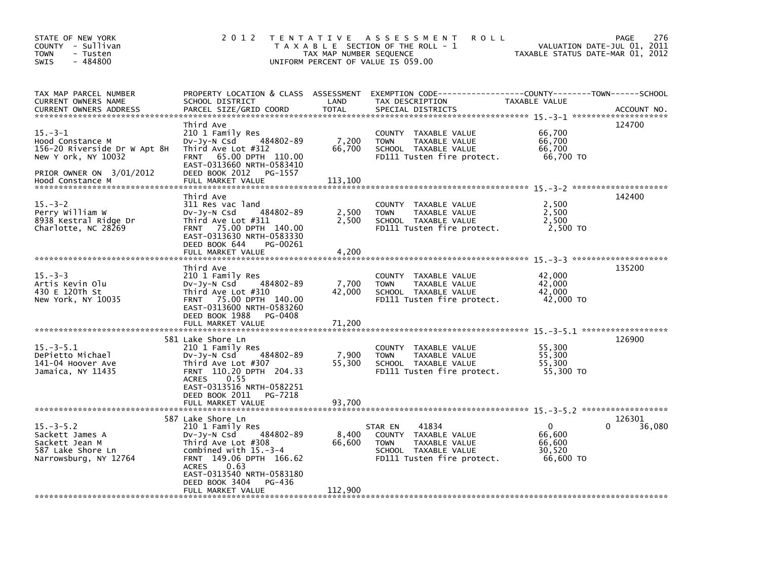| STATE OF NEW YORK<br>COUNTY - Sullivan<br><b>TOWN</b><br>- Tusten<br>$-484800$<br><b>SWIS</b>                                           | 2 0 1 2                                                                                                                                                                                                                                               | T E N T A T I V E<br>TAX MAP NUMBER SEQUENCE | A S S E S S M E N T<br><b>ROLL</b><br>T A X A B L E SECTION OF THE ROLL - 1<br>UNIFORM PERCENT OF VALUE IS 059.00              | TAXABLE STATUS DATE-MAR 01, 2012                    | 276<br><b>PAGE</b><br>VALUATION DATE-JUL 01, 2011 |
|-----------------------------------------------------------------------------------------------------------------------------------------|-------------------------------------------------------------------------------------------------------------------------------------------------------------------------------------------------------------------------------------------------------|----------------------------------------------|--------------------------------------------------------------------------------------------------------------------------------|-----------------------------------------------------|---------------------------------------------------|
| TAX MAP PARCEL NUMBER<br>CURRENT OWNERS NAME<br><b>CURRENT OWNERS ADDRESS</b>                                                           | PROPERTY LOCATION & CLASS ASSESSMENT<br>SCHOOL DISTRICT<br>PARCEL SIZE/GRID COORD                                                                                                                                                                     | LAND<br><b>TOTAL</b>                         | EXEMPTION CODE-----------------COUNTY-------TOWN------SCHOOL<br>TAX DESCRIPTION<br>SPECIAL DISTRICTS                           | TAXABLE VALUE                                       | ACCOUNT NO.                                       |
| $15. -3 - 1$<br>Hood Constance M<br>156-20 Riverside Dr W Apt 8H<br>New Y ork, NY 10032<br>PRIOR OWNER ON 3/01/2012<br>Hood Constance M | Third Ave<br>210 1 Family Res<br>484802-89<br>DV-Jy-N Csd<br>Third Ave Lot #312<br>FRNT 65.00 DPTH 110.00<br>EAST-0313660 NRTH-0583410<br>DEED BOOK 2012<br>PG-1557<br>FULL MARKET VALUE                                                              | 7,200<br>66,700<br>113,100                   | COUNTY TAXABLE VALUE<br>TAXABLE VALUE<br><b>TOWN</b><br>SCHOOL TAXABLE VALUE<br>FD111 Tusten fire protect.                     | 66,700<br>66,700<br>66,700<br>66,700 TO             | 124700                                            |
| $15. - 3 - 2$<br>Perry William W<br>8938 Kestral Ridge Dr<br>Charlotte, NC 28269                                                        | Third Ave<br>311 Res vac land<br>484802-89<br>$Dv-Jy-N$ Csd<br>Third Ave Lot #311<br>FRNT 75.00 DPTH 140.00<br>EAST-0313630 NRTH-0583330<br>DEED BOOK 644<br>PG-00261<br>FULL MARKET VALUE                                                            | 2,500<br>2,500<br>4,200                      | COUNTY TAXABLE VALUE<br>TAXABLE VALUE<br><b>TOWN</b><br>SCHOOL TAXABLE VALUE<br>FD111 Tusten fire protect.                     | 2,500<br>2,500<br>2,500<br>2,500 TO                 | 142400                                            |
| $15. -3 - 3$<br>Artis Kevin Olu<br>430 E 120Th St<br>New York, NY 10035                                                                 | Third Ave<br>210 1 Family Res<br>484802-89<br>DV-Jy-N Csd<br>Third Ave Lot #310<br>FRNT 75.00 DPTH 140.00<br>EAST-0313600 NRTH-0583260<br>DEED BOOK 1988<br>PG-0408<br>FULL MARKET VALUE                                                              | 7,700<br>42,000<br>71.200                    | COUNTY<br>TAXABLE VALUE<br>TAXABLE VALUE<br><b>TOWN</b><br>SCHOOL TAXABLE VALUE<br>FD111 Tusten fire protect.                  | 42,000<br>42,000<br>42,000<br>42,000 TO             | 135200                                            |
| $15. - 3 - 5.1$<br>DePietto Michael<br>141-04 Hoover Ave<br>Jamaica, NY 11435                                                           | 581 Lake Shore Ln<br>210 1 Family Res<br>484802-89<br>DV-Jy-N Csd<br>Third Ave Lot #307<br>FRNT 110.20 DPTH 204.33<br><b>ACRES</b><br>0.55<br>EAST-0313516 NRTH-0582251<br>DEED BOOK 2011<br>PG-7218<br>FULL MARKET VALUE                             | 7,900<br>55,300<br>93,700                    | COUNTY TAXABLE VALUE<br><b>TOWN</b><br>TAXABLE VALUE<br>SCHOOL TAXABLE VALUE<br>FD111 Tusten fire protect.                     | 55,300<br>55,300<br>55,300<br>55,300 TO             | 126900                                            |
| $15 - 3 - 5.2$<br>Sackett James A<br>Sackett Jean M<br>587 Lake Shore Ln<br>Narrowsburg, NY 12764                                       | 587 Lake Shore Ln<br>210 1 Family Res<br>484802-89<br>$Dv-Jy-N$ Csd<br>Third Ave Lot #308<br>combined with $15.-3-4$<br>FRNT 149.06 DPTH 166.62<br>0.63<br><b>ACRES</b><br>EAST-0313540 NRTH-0583180<br>DEED BOOK 3404<br>PG-436<br>FULL MARKET VALUE | 8,400<br>66,600<br>112,900                   | 41834<br>STAR EN<br>COUNTY TAXABLE VALUE<br>TAXABLE VALUE<br><b>TOWN</b><br>SCHOOL TAXABLE VALUE<br>FD111 Tusten fire protect. | $\Omega$<br>66,600<br>66,600<br>30.520<br>66,600 TO | 126301<br>36,080<br>0                             |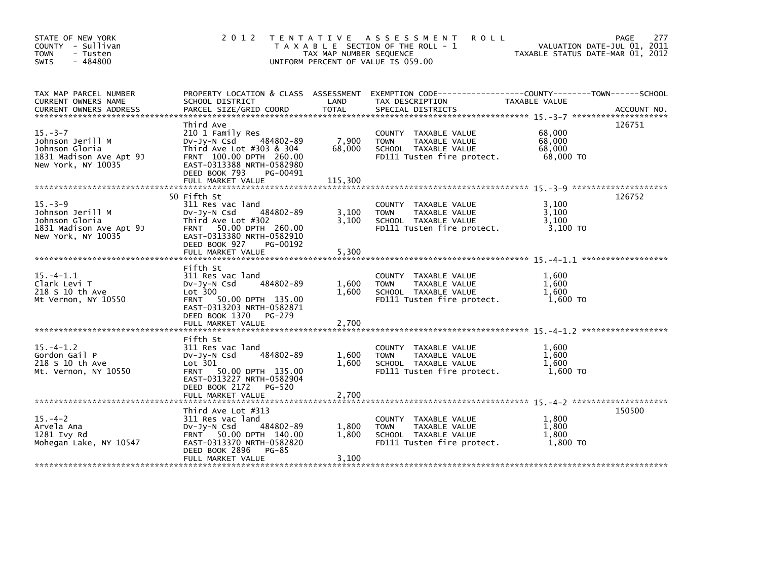| STATE OF NEW YORK<br>COUNTY - Sullivan<br><b>TOWN</b><br>- Tusten<br>$-484800$<br><b>SWIS</b>        |                                                                                                                                                                                                 | TAX MAP NUMBER SEQUENCE    | 2012 TENTATIVE ASSESSMENT<br><b>ROLL</b><br>T A X A B L E SECTION OF THE ROLL - 1<br>UNIFORM PERCENT OF VALUE IS 059.00 | VALUATION DATE-JUL 01, 2011<br>TAXABLE STATUS DATE-MAR 01, 2012 | 277<br>PAGE |
|------------------------------------------------------------------------------------------------------|-------------------------------------------------------------------------------------------------------------------------------------------------------------------------------------------------|----------------------------|-------------------------------------------------------------------------------------------------------------------------|-----------------------------------------------------------------|-------------|
| TAX MAP PARCEL NUMBER<br>CURRENT OWNERS NAME                                                         | SCHOOL DISTRICT                                                                                                                                                                                 | LAND                       | PROPERTY LOCATION & CLASS ASSESSMENT EXEMPTION CODE----------------COUNTY-------TOWN------SCHOOL<br>TAX DESCRIPTION     | TAXABLE VALUE                                                   |             |
| $15. - 3 - 7$<br>Johnson Jerill M<br>Johnson Gloria<br>1831 Madison Ave Apt 9J<br>New York, NY 10035 | Third Ave<br>210 1 Family Res<br>DV-JY-N Csd<br>484802-89<br>Third Ave Lot #303 & 304<br>FRNT 100.00 DPTH 260.00<br>EAST-0313388 NRTH-0582980<br>DEED BOOK 793<br>PG-00491<br>FULL MARKET VALUE | 7,900<br>68,000<br>115,300 | COUNTY TAXABLE VALUE<br>TAXABLE VALUE<br><b>TOWN</b><br>SCHOOL TAXABLE VALUE<br>FD111 Tusten fire protect.              | 68,000<br>68,000<br>68,000<br>68,000 TO                         | 126751      |
|                                                                                                      |                                                                                                                                                                                                 |                            |                                                                                                                         |                                                                 |             |
| $15. -3 - 9$<br>Johnson Jerill M<br>Johnson Gloria<br>1831 Madison Ave Apt 9J<br>New York, NY 10035  | 50 Fifth St<br>311 Res vac land<br>484802-89<br>$Dv-Jy-N$ Csd<br>Third Ave Lot #302<br>FRNT 50.00 DPTH 260.00<br>EAST-0313380 NRTH-0582910<br>DEED BOOK 927<br>PG-00192                         | 3,100<br>3,100             | COUNTY TAXABLE VALUE<br>TAXABLE VALUE<br><b>TOWN</b><br>SCHOOL TAXABLE VALUE<br>FD111 Tusten fire protect.              | 3,100<br>3,100<br>3,100<br>3,100 TO                             | 126752      |
|                                                                                                      | FULL MARKET VALUE                                                                                                                                                                               | 5,300                      |                                                                                                                         |                                                                 |             |
| $15. -4 - 1.1$<br>Clark Levi T<br>218 S 10 th Ave<br>Mt Vernon, NY 10550                             | Fifth St<br>311 Res vac land<br>484802-89<br>$Dv-Jy-N$ Csd<br>Lot 300<br>FRNT 50.00 DPTH 135.00<br>EAST-0313203 NRTH-0582871<br>DEED BOOK 1370 PG-279<br>FULL MARKET VALUE                      | 1,600<br>1,600<br>2,700    | COUNTY TAXABLE VALUE<br>TAXABLE VALUE<br><b>TOWN</b><br>SCHOOL TAXABLE VALUE<br>FD111 Tusten fire protect.              | 1.600<br>1,600<br>1,600<br>1,600 TO                             |             |
|                                                                                                      |                                                                                                                                                                                                 |                            |                                                                                                                         |                                                                 |             |
| $15. -4 - 1.2$<br>Gordon Gail P<br>218 S 10 th Ave<br>Mt. Vernon, NY 10550                           | Fifth St<br>311 Res vac land<br>484802-89<br>DV-Jy-N Csd<br>Lot 301<br>FRNT 50.00 DPTH 135.00<br>EAST-0313227 NRTH-0582904                                                                      | 1,600<br>1,600             | COUNTY TAXABLE VALUE<br><b>TOWN</b><br>TAXABLE VALUE<br>SCHOOL TAXABLE VALUE<br>FD111 Tusten fire protect.              | 1.600<br>1,600<br>1.600<br>1,600 TO                             |             |
|                                                                                                      | DEED BOOK 2172<br>PG-520<br>FULL MARKET VALUE                                                                                                                                                   | 2,700                      |                                                                                                                         |                                                                 |             |
|                                                                                                      |                                                                                                                                                                                                 |                            |                                                                                                                         |                                                                 |             |
| $15. - 4 - 2$<br>Arvela Ana<br>1281 Ivy Rd<br>Mohegan Lake, NY 10547                                 | Third Ave Lot #313<br>311 Res vac land<br>$Dv-Jy-N$ Csd<br>484802-89<br>FRNT 50.00 DPTH 140.00<br>EAST-0313370 NRTH-0582820<br>$PG-85$<br>DEED BOOK 2896                                        | 1,800<br>1,800             | COUNTY TAXABLE VALUE<br>TAXABLE VALUE<br><b>TOWN</b><br>SCHOOL TAXABLE VALUE<br>FD111 Tusten fire protect.              | 1,800<br>1,800<br>1.800<br>1,800 TO                             | 150500      |
|                                                                                                      | FULL MARKET VALUE                                                                                                                                                                               | 3,100                      |                                                                                                                         |                                                                 |             |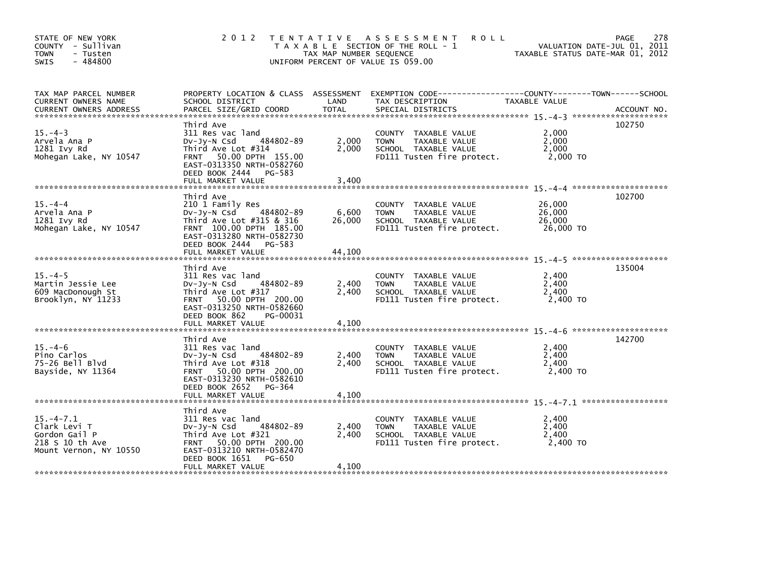| STATE OF NEW YORK<br>COUNTY - Sullivan<br><b>TOWN</b><br>- Tusten<br>$-484800$<br><b>SWIS</b>                                                                                                                                                                                  | 2 0 1 2                                                                                                                                                                                       | TAX MAP NUMBER SEQUENCE   | TENTATIVE ASSESSMENT<br><b>ROLL</b><br>T A X A B L E SECTION OF THE ROLL - 1<br>UNIFORM PERCENT OF VALUE IS 059.00 | VALUATION DATE-JUL 01, 2011<br>TAXABLE STATUS DATE-MAR 01, 2012 | 278<br>PAGE |
|--------------------------------------------------------------------------------------------------------------------------------------------------------------------------------------------------------------------------------------------------------------------------------|-----------------------------------------------------------------------------------------------------------------------------------------------------------------------------------------------|---------------------------|--------------------------------------------------------------------------------------------------------------------|-----------------------------------------------------------------|-------------|
| TAX MAP PARCEL NUMBER<br>CURRENT OWNERS NAME<br>.CURRENT OWNERS ADDRESS PARCEL SIZE/GRID COORD TOTAL SPECIAL DISTRICTS (ACCOUNT NO ACCOUNT NO AND PARCEL SIZE/GRID COORD TOTAL SPECIAL DISTRICTS (2001) AND ACCOUNT NO AND A SERVER AND RELATION ASSEMBLY AND RELATION AND PAR | PROPERTY LOCATION & CLASS ASSESSMENT<br>SCHOOL DISTRICT                                                                                                                                       | LAND                      | EXEMPTION CODE-----------------COUNTY-------TOWN------SCHOOL<br>TAX DESCRIPTION                                    | <b>TAXABLE VALUE</b>                                            |             |
| $15. -4-3$<br>Arvela Ana P<br>1281 Ivy Rd<br>Mohegan Lake, NY 10547                                                                                                                                                                                                            | Third Ave<br>311 Res vac land<br>484802-89<br>$Dv-Jy-N$ Csd<br>Third Ave Lot #314<br>FRNT 50.00 DPTH 155.00<br>EAST-0313350 NRTH-0582760<br>DEED BOOK 2444 PG-583<br>FULL MARKET VALUE        | 2,000<br>2.000<br>3,400   | COUNTY TAXABLE VALUE<br><b>TOWN</b><br>TAXABLE VALUE<br>SCHOOL TAXABLE VALUE<br>FD111 Tusten fire protect.         | 2,000<br>2.000<br>2,000<br>2,000 TO                             | 102750      |
| $15. -4 - 4$<br>Arvela Ana P<br>1281 Ivy Rd<br>Mohegan Lake, NY 10547                                                                                                                                                                                                          | Third Ave<br>210 1 Family Res<br>484802-89<br>DV-JY-N Csd<br>Third Ave Lot $#315$ & 316<br>FRNT 100.00 DPTH 185.00<br>EAST-0313280 NRTH-0582730<br>DEED BOOK 2444 PG-583<br>FULL MARKET VALUE | 6,600<br>26,000<br>44,100 | COUNTY TAXABLE VALUE<br>TAXABLE VALUE<br><b>TOWN</b><br>SCHOOL TAXABLE VALUE<br>FD111 Tusten fire protect.         | 26,000<br>26,000<br>26,000<br>26,000 TO                         | 102700      |
| $15. -4-5$<br>Martin Jessie Lee<br>609 MacDonough St<br>Brooklyn, NY 11233                                                                                                                                                                                                     | Third Ave<br>311 Res vac land<br>484802-89<br>$Dv-Jy-N$ Csd<br>Third Ave Lot #317<br>FRNT 50.00 DPTH 200.00<br>EAST-0313250 NRTH-0582660<br>DEED BOOK 862<br>PG-00031<br>FULL MARKET VALUE    | 2,400<br>2,400<br>4,100   | COUNTY TAXABLE VALUE<br>TAXABLE VALUE<br><b>TOWN</b><br>SCHOOL TAXABLE VALUE<br>FD111 Tusten fire protect.         | 2,400<br>2,400<br>2,400<br>2,400 TO                             | 135004      |
| $15. -4-6$<br>Pino Carlos<br>75-26 Bell Blvd<br>Bayside, NY 11364                                                                                                                                                                                                              | Third Ave<br>311 Res vac land<br>484802-89<br>$Dv-Jy-N$ Csd<br>Third Ave Lot #318<br>FRNT 50.00 DPTH 200.00<br>EAST-0313230 NRTH-0582610<br>DEED BOOK 2652 PG-364                             | 2,400<br>2,400            | COUNTY TAXABLE VALUE<br><b>TOWN</b><br>TAXABLE VALUE<br>SCHOOL TAXABLE VALUE<br>FD111 Tusten fire protect.         | 2,400<br>2,400<br>2,400<br>2,400 TO                             | 142700      |
| $15. -4 - 7.1$<br>Clark Levi T<br>Gordon Gail P<br>218 S 10 th Ave<br>Mount Vernon, NY 10550                                                                                                                                                                                   | Third Ave<br>311 Res vac land<br>484802-89<br>$Dv-Jy-N$ Csd<br>Third Ave Lot #321<br>FRNT 50.00 DPTH 200.00<br>EAST-0313210 NRTH-0582470<br>DEED BOOK 1651<br>PG-650<br>FULL MARKET VALUE     | 2,400<br>2.400<br>4,100   | COUNTY TAXABLE VALUE<br><b>TOWN</b><br>TAXABLE VALUE<br>SCHOOL TAXABLE VALUE<br>FD111 Tusten fire protect.         | 2,400<br>2,400<br>2,400<br>2,400 TO                             |             |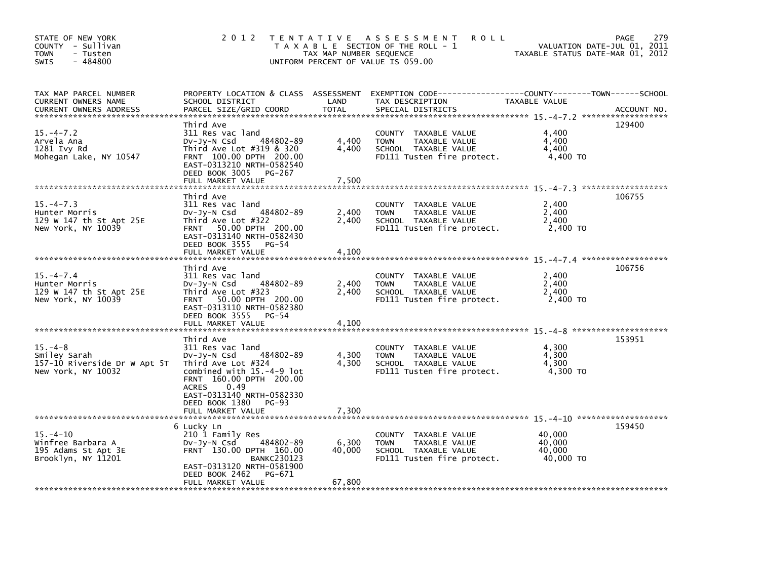| STATE OF NEW YORK<br>COUNTY - Sullivan<br>- Tusten<br><b>TOWN</b><br>$-484800$<br>SWIS | 2012                                                                                                                                                                                       | TAX MAP NUMBER SEQUENCE | TENTATIVE ASSESSMENT<br><b>ROLL</b><br>T A X A B L E SECTION OF THE ROLL - 1<br>UNIFORM PERCENT OF VALUE IS 059.00 | TAXABLE STATUS DATE-MAR 01, 2012        | 279<br><b>PAGE</b><br>VALUATION DATE-JUL 01, 2011 |
|----------------------------------------------------------------------------------------|--------------------------------------------------------------------------------------------------------------------------------------------------------------------------------------------|-------------------------|--------------------------------------------------------------------------------------------------------------------|-----------------------------------------|---------------------------------------------------|
| TAX MAP PARCEL NUMBER<br>CURRENT OWNERS NAME<br><b>CURRENT OWNERS ADDRESS</b>          | PROPERTY LOCATION & CLASS ASSESSMENT<br>SCHOOL DISTRICT<br>PARCEL SIZE/GRID COORD                                                                                                          | LAND<br><b>TOTAL</b>    | EXEMPTION CODE-----------------COUNTY-------TOWN------SCHOOL<br>TAX DESCRIPTION<br>SPECIAL DISTRICTS               | TAXABLE VALUE                           | ACCOUNT NO.                                       |
| $15. -4 - 7.2$<br>Arvela Ana<br>1281 Ivy Rd<br>Mohegan Lake, NY 10547                  | Third Ave<br>311 Res vac land<br>484802-89<br>$Dv-Jy-N$ Csd<br>Third Ave Lot #319 & 320<br>FRNT 100.00 DPTH 200.00<br>EAST-0313210 NRTH-0582540<br>DEED BOOK 3005<br>PG-267                | 4,400<br>4.400          | COUNTY TAXABLE VALUE<br><b>TOWN</b><br>TAXABLE VALUE<br>SCHOOL TAXABLE VALUE<br>FD111 Tusten fire protect.         | 4,400<br>4,400<br>4.400<br>4,400 TO     | 129400                                            |
|                                                                                        | FULL MARKET VALUE                                                                                                                                                                          | 7,500                   |                                                                                                                    |                                         |                                                   |
| $15. -4 - 7.3$<br>Hunter Morris<br>129 W 147 th St Apt 25E<br>New York, NY 10039       | Third Ave<br>311 Res vac land<br>484802-89<br>$Dv-Jy-N$ Csd<br>Third Ave Lot #322<br>FRNT 50.00 DPTH 200.00<br>EAST-0313140 NRTH-0582430<br>DEED BOOK 3555<br>$PG-54$<br>FULL MARKET VALUE | 2,400<br>2,400<br>4,100 | COUNTY TAXABLE VALUE<br>TAXABLE VALUE<br><b>TOWN</b><br>SCHOOL TAXABLE VALUE<br>FD111 Tusten fire protect.         | 2,400<br>2,400<br>2,400<br>2,400 TO     | 106755                                            |
|                                                                                        | Third Ave                                                                                                                                                                                  |                         |                                                                                                                    |                                         | 106756                                            |
| $15. -4 - 7.4$<br>Hunter Morris<br>129 W 147 th St Apt 25E<br>New York, NY 10039       | 311 Res vac land<br>484802-89<br>$Dv-Jy-N$ Csd<br>Third Ave Lot #323<br>50.00 DPTH 200.00<br><b>FRNT</b><br>EAST-0313110 NRTH-0582380<br>DEED BOOK 3555<br>$PG-54$<br>FULL MARKET VALUE    | 2,400<br>2,400<br>4,100 | COUNTY TAXABLE VALUE<br><b>TOWN</b><br>TAXABLE VALUE<br>SCHOOL TAXABLE VALUE<br>FD111 Tusten fire protect.         | 2,400<br>2,400<br>2,400<br>2,400 TO     |                                                   |
|                                                                                        | Third Ave                                                                                                                                                                                  |                         |                                                                                                                    |                                         | 153951                                            |
| $15. -4 - 8$<br>Smiley Sarah<br>157-10 Riverside Dr W Apt 5T<br>New York, NY 10032     | 311 Res vac land<br>484802-89<br>$Dv-Jy-N$ Csd<br>Third Ave Lot #324<br>combined with 15.-4-9 lot<br>FRNT 160.00 DPTH 200.00<br>0.49<br><b>ACRES</b><br>EAST-0313140 NRTH-0582330          | 4,300<br>4,300          | COUNTY TAXABLE VALUE<br><b>TOWN</b><br>TAXABLE VALUE<br>SCHOOL TAXABLE VALUE<br>FD111 Tusten fire protect.         | 4,300<br>4,300<br>4,300<br>4,300 TO     |                                                   |
|                                                                                        | DEED BOOK 1380<br>PG-93<br>FULL MARKET VALUE                                                                                                                                               | 7,300                   |                                                                                                                    |                                         |                                                   |
|                                                                                        |                                                                                                                                                                                            |                         |                                                                                                                    |                                         | 159450                                            |
| $15. - 4 - 10$<br>Winfree Barbara A<br>195 Adams St Apt 3E<br>Brooklyn, NY 11201       | 6 Lucky Ln<br>210 1 Family Res<br>484802-89<br>$Dv-Jy-N$ Csd<br>FRNT 130.00 DPTH 160.00<br><b>BANKC230123</b><br>EAST-0313120 NRTH-0581900<br>DEED BOOK 2462<br>PG-671                     | 6,300<br>40.000         | COUNTY TAXABLE VALUE<br><b>TOWN</b><br>TAXABLE VALUE<br>SCHOOL TAXABLE VALUE<br>FD111 Tusten fire protect.         | 40,000<br>40,000<br>40,000<br>40,000 TO |                                                   |
|                                                                                        | FULL MARKET VALUE                                                                                                                                                                          | 67,800                  |                                                                                                                    |                                         |                                                   |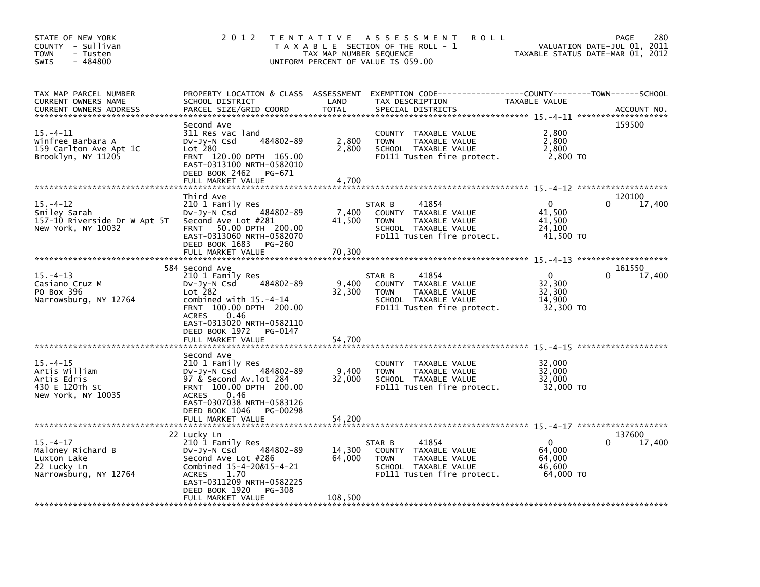| STATE OF NEW YORK<br>COUNTY - Sullivan<br><b>TOWN</b><br>- Tusten<br>$-484800$<br><b>SWIS</b> | 2 0 1 2                                                                                                                                                                                                                                 | TAX MAP NUMBER SEQUENCE     | TENTATIVE ASSESSMENT<br><b>ROLL</b><br>T A X A B L E SECTION OF THE ROLL - 1<br>UNIFORM PERCENT OF VALUE IS 059.00                        | TAXABLE STATUS DATE-MAR 01, 2012                    | 280<br>PAGE<br>VALUATION DATE-JUL 01, 2011 |
|-----------------------------------------------------------------------------------------------|-----------------------------------------------------------------------------------------------------------------------------------------------------------------------------------------------------------------------------------------|-----------------------------|-------------------------------------------------------------------------------------------------------------------------------------------|-----------------------------------------------------|--------------------------------------------|
| TAX MAP PARCEL NUMBER<br>CURRENT OWNERS NAME<br>CURRENT OWNERS ADDRESS                        | SCHOOL DISTRICT<br>PARCEL SIZE/GRID COORD                                                                                                                                                                                               | LAND<br><b>TOTAL</b>        | PROPERTY LOCATION & CLASS ASSESSMENT EXEMPTION CODE-----------------COUNTY-------TOWN------SCHOOL<br>TAX DESCRIPTION<br>SPECIAL DISTRICTS | TAXABLE VALUE                                       | ACCOUNT NO.                                |
| $15. - 4 - 11$<br>Winfree Barbara A<br>159 Carlton Ave Apt 1C<br>Brooklyn, NY 11205           | Second Ave<br>311 Res vac land<br>484802-89<br>$Dv-Jy-N$ Csd<br>Lot 280<br>FRNT 120.00 DPTH 165.00<br>EAST-0313100 NRTH-0582010<br>DEED BOOK 2462<br>PG-671<br>FULL MARKET VALUE                                                        | 2,800<br>2,800<br>4,700     | COUNTY TAXABLE VALUE<br><b>TOWN</b><br>TAXABLE VALUE<br>SCHOOL TAXABLE VALUE<br>FD111 Tusten fire protect.                                | 2,800<br>2,800<br>2,800<br>2,800 TO                 | 159500                                     |
|                                                                                               | Third Ave                                                                                                                                                                                                                               |                             |                                                                                                                                           |                                                     | 120100                                     |
| $15. - 4 - 12$<br>Smiley Sarah<br>157-10 Riverside Dr W Apt 5T<br>New York, NY 10032          | 210 1 Family Res<br>484802-89<br>DV-Jy-N Csd<br>Second Ave Lot #281<br>FRNT 50.00 DPTH 200.00<br>EAST-0313060 NRTH-0582070<br>DEED BOOK 1683<br>PG-260<br>FULL MARKET VALUE                                                             | 7,400<br>41,500<br>70,300   | 41854<br>STAR B<br>COUNTY TAXABLE VALUE<br><b>TOWN</b><br>TAXABLE VALUE<br>SCHOOL TAXABLE VALUE<br>FD111 Tusten fire protect.             | $\Omega$<br>41.500<br>41,500<br>24,100<br>41,500 TO | 17,400<br>0                                |
|                                                                                               |                                                                                                                                                                                                                                         |                             |                                                                                                                                           |                                                     |                                            |
| $15. - 4 - 13$<br>Casiano Cruz M<br>PO Box 396<br>Narrowsburg, NY 12764                       | 584 Second Ave<br>210 1 Family Res<br>484802-89<br>DV-Jy-N Csd<br>Lot 282<br>combined with $15.-4-14$<br>FRNT 100.00 DPTH 200.00<br><b>ACRES</b><br>0.46<br>EAST-0313020 NRTH-0582110<br>DEED BOOK 1972<br>PG-0147<br>FULL MARKET VALUE | 9.400<br>32,300<br>54,700   | 41854<br>STAR B<br>COUNTY TAXABLE VALUE<br><b>TOWN</b><br>TAXABLE VALUE<br>SCHOOL TAXABLE VALUE<br>FD111 Tusten fire protect.             | $\Omega$<br>32,300<br>32,300<br>14,900<br>32,300 TO | 161550<br>17,400<br>0                      |
|                                                                                               | Second Ave                                                                                                                                                                                                                              |                             |                                                                                                                                           |                                                     |                                            |
| $15. - 4 - 15$<br>Artis William<br>Artis Edris<br>430 E 120Th St<br>New York, NY 10035        | 210 1 Family Res<br>484802-89<br>$Dv-Jy-N$ Csd<br>97 & Second Av.lot 284<br>FRNT 100.00 DPTH 200.00<br><b>ACRES</b><br>0.46<br>EAST-0307038 NRTH-0583126<br>DEED BOOK 1046<br>PG-00298<br>FULL MARKET VALUE                             | 9,400<br>32,000<br>54,200   | COUNTY TAXABLE VALUE<br>TAXABLE VALUE<br><b>TOWN</b><br>SCHOOL TAXABLE VALUE<br>FD111 Tusten fire protect.                                | 32,000<br>32,000<br>32,000<br>32,000 TO             |                                            |
|                                                                                               |                                                                                                                                                                                                                                         |                             |                                                                                                                                           |                                                     |                                            |
| $15. - 4 - 17$<br>Maloney Richard B<br>Luxton Lake<br>22 Lucky Ln<br>Narrowsburg, NY 12764    | 22 Lucky Ln<br>210 1 Family Res<br>484802-89<br>Dv-Jy-N Csd<br>Second Ave Lot #286<br>Combined 15-4-20&15-4-21<br>1.70<br><b>ACRES</b><br>EAST-0311209 NRTH-0582225<br>DEED BOOK 1920<br>PG-308<br>FULL MARKET VALUE                    | 14,300<br>64,000<br>108,500 | 41854<br>STAR B<br>COUNTY TAXABLE VALUE<br>TAXABLE VALUE<br><b>TOWN</b><br>SCHOOL TAXABLE VALUE<br>FD111 Tusten fire protect.             | $\Omega$<br>64,000<br>64,000<br>46,600<br>64,000 TO | 137600<br>17,400                           |
|                                                                                               |                                                                                                                                                                                                                                         |                             |                                                                                                                                           |                                                     |                                            |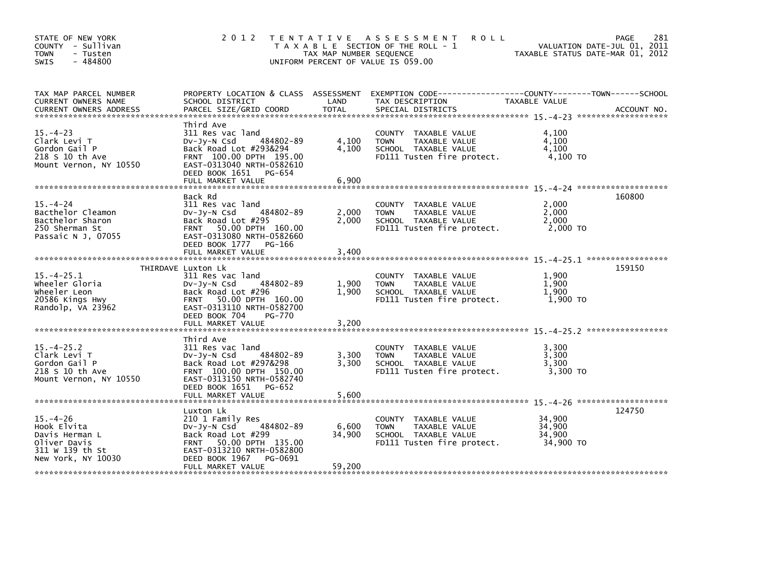| STATE OF NEW YORK<br>COUNTY - Sullivan<br>- Tusten<br><b>TOWN</b><br>$-484800$<br><b>SWIS</b>            | 2 0 1 2                                                                                                                                                                                     | T E N T A T I V E<br>TAX MAP NUMBER SEQUENCE | A S S E S S M E N T<br><b>ROLL</b><br>T A X A B L E SECTION OF THE ROLL - 1<br>UNIFORM PERCENT OF VALUE IS 059.00 |                                         | 281<br>PAGE<br>VALUATION DATE-JUL 01, 2011<br>TAXABLE STATUS DATE-MAR 01, 2012 |
|----------------------------------------------------------------------------------------------------------|---------------------------------------------------------------------------------------------------------------------------------------------------------------------------------------------|----------------------------------------------|-------------------------------------------------------------------------------------------------------------------|-----------------------------------------|--------------------------------------------------------------------------------|
| TAX MAP PARCEL NUMBER<br>CURRENT OWNERS NAME                                                             | PROPERTY LOCATION & CLASS ASSESSMENT<br>SCHOOL DISTRICT                                                                                                                                     | LAND                                         | EXEMPTION        CODE------------------COUNTY--------TOWN------SCHOOL<br>TAX DESCRIPTION                          | TAXABLE VALUE                           |                                                                                |
| $15. - 4 - 23$<br>Clark Levi T<br>Gordon Gail P<br>218 S 10 th Ave<br>Mount Vernon, NY 10550             | Third Ave<br>311 Res vac land<br>484802-89<br>$Dv-Jy-N$ Csd<br>Back Road Lot #293&294<br>FRNT 100.00 DPTH 195.00<br>EAST-0313040 NRTH-0582610<br>DEED BOOK 1651 PG-654<br>FULL MARKET VALUE | 4,100<br>4,100<br>6,900                      | COUNTY TAXABLE VALUE<br><b>TOWN</b><br>TAXABLE VALUE<br>SCHOOL TAXABLE VALUE<br>FD111 Tusten fire protect.        | 4.100<br>4,100<br>4,100<br>4,100 TO     |                                                                                |
|                                                                                                          | Back Rd                                                                                                                                                                                     |                                              |                                                                                                                   |                                         | 160800                                                                         |
| $15. - 4 - 24$<br>Bacthelor Cleamon<br>Bacthelor Sharon<br>250 Sherman St<br>Passaic N J, 07055          | 311 Res vac land<br>484802-89<br>$Dv-Jy-N$ Csd<br>Back Road Lot #295<br>FRNT 50.00 DPTH 160.00<br>EAST-0313080 NRTH-0582660                                                                 | 2,000<br>2,000                               | COUNTY TAXABLE VALUE<br><b>TOWN</b><br>TAXABLE VALUE<br>SCHOOL TAXABLE VALUE<br>FD111 Tusten fire protect.        | 2,000<br>2,000<br>2,000<br>2,000 TO     |                                                                                |
|                                                                                                          | DEED BOOK 1777 PG-166<br>FULL MARKET VALUE                                                                                                                                                  | 3,400                                        |                                                                                                                   |                                         |                                                                                |
|                                                                                                          | THIRDAVE Luxton Lk                                                                                                                                                                          |                                              |                                                                                                                   |                                         | 159150                                                                         |
| $15. -4 - 25.1$<br>wheeler Gloria<br>Wheeler Leon<br>20586 Kings Hwy<br>Randolp, VA 23962                | 311 Res vac land<br>484802-89<br>$Dv-Jy-N$ Csd<br>Back Road Lot #296<br>50.00 DPTH 160.00<br><b>FRNT</b><br>EAST-0313110 NRTH-0582700<br>DEED BOOK 704<br>PG-770                            | 1,900<br>1,900                               | COUNTY TAXABLE VALUE<br><b>TOWN</b><br>TAXABLE VALUE<br>SCHOOL TAXABLE VALUE<br>FD111 Tusten fire protect.        | 1,900<br>1,900<br>1,900<br>1.900 TO     |                                                                                |
|                                                                                                          | FULL MARKET VALUE                                                                                                                                                                           | 3,200                                        |                                                                                                                   |                                         |                                                                                |
| $15. -4 - 25.2$<br>Clark Levi T<br>Gordon Gail P<br>218 S 10 th Ave<br>Mount Vernon, NY 10550            | Third Ave<br>311 Res vac land<br>$Dv-Jy-N$ Csd<br>484802-89<br>Back Road Lot #297&298<br>FRNT 100.00 DPTH 150.00<br>EAST-0313150 NRTH-0582740                                               | 3,300<br>3,300                               | COUNTY TAXABLE VALUE<br>TAXABLE VALUE<br><b>TOWN</b><br>SCHOOL TAXABLE VALUE<br>FD111 Tusten fire protect.        | 3.300<br>3,300<br>3,300<br>3,300 TO     |                                                                                |
|                                                                                                          | DEED BOOK 1651 PG-652<br>FULL MARKET VALUE                                                                                                                                                  | 5,600                                        |                                                                                                                   |                                         |                                                                                |
|                                                                                                          | Luxton Lk                                                                                                                                                                                   |                                              |                                                                                                                   |                                         | 124750                                                                         |
| $15. - 4 - 26$<br>Hook Elvita<br>Davis Herman L<br>Oliver Davis<br>311 W 139 th St<br>New York, NY 10030 | 210 1 Family Res<br>484802-89<br>DV-Jy-N Csd<br>Back Road Lot #299<br>50.00 DPTH 135.00<br><b>FRNT</b><br>EAST-0313210 NRTH-0582800<br>DEED BOOK 1967<br>PG-0691                            | 6,600<br>34,900                              | COUNTY TAXABLE VALUE<br><b>TOWN</b><br>TAXABLE VALUE<br>SCHOOL TAXABLE VALUE<br>FD111 Tusten fire protect.        | 34,900<br>34,900<br>34,900<br>34,900 TO |                                                                                |
|                                                                                                          | FULL MARKET VALUE                                                                                                                                                                           | 59,200                                       |                                                                                                                   |                                         |                                                                                |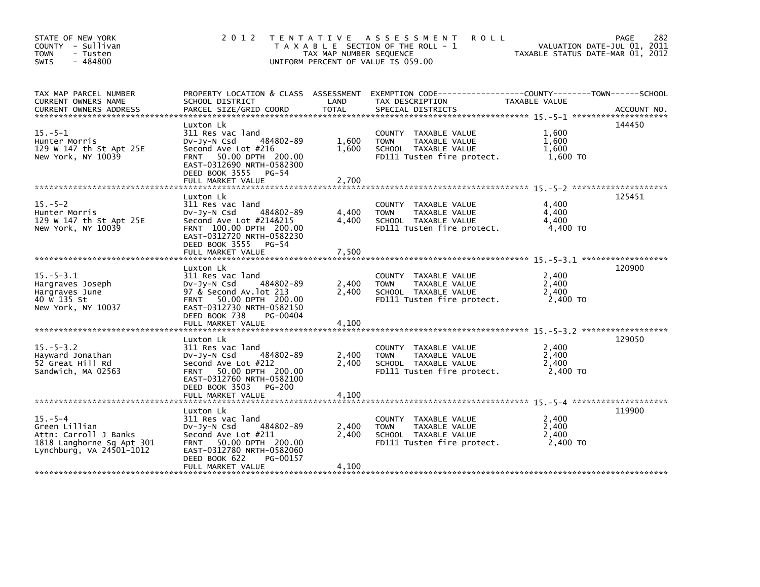| STATE OF NEW YORK<br>COUNTY - Sullivan<br><b>TOWN</b><br>- Tusten<br>$-484800$<br><b>SWIS</b>                    | 2 0 1 2                                                                                                                                                                                                          | TAX MAP NUMBER SEQUENCE          | TENTATIVE ASSESSMENT<br><b>ROLL</b><br>T A X A B L E SECTION OF THE ROLL - 1<br>UNIFORM PERCENT OF VALUE IS 059.00                        | TAXABLE STATUS DATE-MAR 01, 2012    | 282<br>PAGE<br>VALUATION DATE-JUL 01, 2011 |
|------------------------------------------------------------------------------------------------------------------|------------------------------------------------------------------------------------------------------------------------------------------------------------------------------------------------------------------|----------------------------------|-------------------------------------------------------------------------------------------------------------------------------------------|-------------------------------------|--------------------------------------------|
| TAX MAP PARCEL NUMBER<br>CURRENT OWNERS NAME<br>CURRENT OWNERS ADDRESS                                           | SCHOOL DISTRICT<br>PARCEL SIZE/GRID COORD                                                                                                                                                                        | LAND<br><b>TOTAL</b>             | PROPERTY LOCATION & CLASS ASSESSMENT EXEMPTION CODE-----------------COUNTY-------TOWN------SCHOOL<br>TAX DESCRIPTION<br>SPECIAL DISTRICTS | TAXABLE VALUE                       | ACCOUNT NO.                                |
| $15 - 5 - 1$<br>Hunter Morris<br>129 W 147 th St Apt 25E<br>New York, NY 10039                                   | Luxton Lk<br>311 Res vac land<br>484802-89<br>$Dv-Jy-N$ Csd<br>Second Ave Lot #216<br>FRNT 50.00 DPTH 200.00<br>EAST-0312690 NRTH-0582300<br>DEED BOOK 3555 PG-54<br>FULL MARKET VALUE                           | 1,600<br>1,600<br>2,700          | COUNTY TAXABLE VALUE<br><b>TOWN</b><br>TAXABLE VALUE<br>SCHOOL TAXABLE VALUE<br>FD111 Tusten fire protect.                                | 1.600<br>1.600<br>1,600<br>1,600 TO | 144450                                     |
| $15. - 5 - 2$<br>Hunter Morris<br>129 W 147 th St Apt 25E<br>New York, NY 10039                                  | Luxton Lk<br>311 Res vac land<br>484802-89<br>DV-Jy-N Csd<br>Second Ave Lot #214&215<br>FRNT 100.00 DPTH 200.00<br>EAST-0312720 NRTH-0582230<br>DEED BOOK 3555 PG-54<br>FULL MARKET VALUE                        | 4,400<br>4.400<br>7,500          | COUNTY TAXABLE VALUE<br><b>TOWN</b><br>TAXABLE VALUE<br>SCHOOL TAXABLE VALUE<br>FD111 Tusten fire protect.                                | 4,400<br>4,400<br>4,400<br>4,400 TO | 125451                                     |
| $15 - 5 - 3.1$<br>Hargraves Joseph<br>Hargraves June<br>40 W 135 St<br>New York, NY 10037                        | Luxton Lk<br>311 Res vac land<br>$Dv-Jy-N$ Csd<br>484802-89<br>97 & Second Av. lot 213<br>FRNT 50.00 DPTH 200.00<br>EAST-0312730 NRTH-0582150<br>DEED BOOK 738<br>PG-00404<br>FULL MARKET VALUE                  | 2,400<br>2,400<br>4,100          | COUNTY TAXABLE VALUE<br>TAXABLE VALUE<br><b>TOWN</b><br>SCHOOL TAXABLE VALUE<br>FD111 Tusten fire protect.                                | 2.400<br>2,400<br>2,400<br>2.400 TO | 120900                                     |
| $15. - 5 - 3.2$<br>Hayward Jonathan<br>52 Great Hill Rd<br>Sandwich, MA 02563                                    | Luxton Lk<br>311 Res vac land<br>484802-89<br>DV-Jy-N Csd<br>Second Ave Lot #212<br>FRNT 50.00 DPTH 200.00<br>EAST-0312760 NRTH-0582100<br>DEED BOOK 3503 PG-200                                                 | 2.400<br>2,400                   | COUNTY TAXABLE VALUE<br><b>TOWN</b><br>TAXABLE VALUE<br>SCHOOL TAXABLE VALUE<br>FD111 Tusten fire protect.                                | 2,400<br>2,400<br>2,400<br>2,400 TO | 129050                                     |
| $15. - 5 - 4$<br>Green Lillian<br>Attn: Carroll J Banks<br>1818 Langhorne Sq Apt 301<br>Lynchburg, VA 24501-1012 | FULL MARKET VALUE<br>Luxton Lk<br>311 Res vac land<br>484802-89<br>$Dv-Jy-N$ Csd<br>Second Ave Lot #211<br>FRNT 50.00 DPTH 200.00<br>EAST-0312780 NRTH-0582060<br>DEED BOOK 622<br>PG-00157<br>FULL MARKET VALUE | 4,100<br>2,400<br>2,400<br>4,100 | COUNTY TAXABLE VALUE<br>TAXABLE VALUE<br><b>TOWN</b><br>SCHOOL TAXABLE VALUE<br>FD111 Tusten fire protect.                                | 2,400<br>2,400<br>2,400<br>2.400 TO | 119900                                     |
|                                                                                                                  |                                                                                                                                                                                                                  |                                  |                                                                                                                                           |                                     |                                            |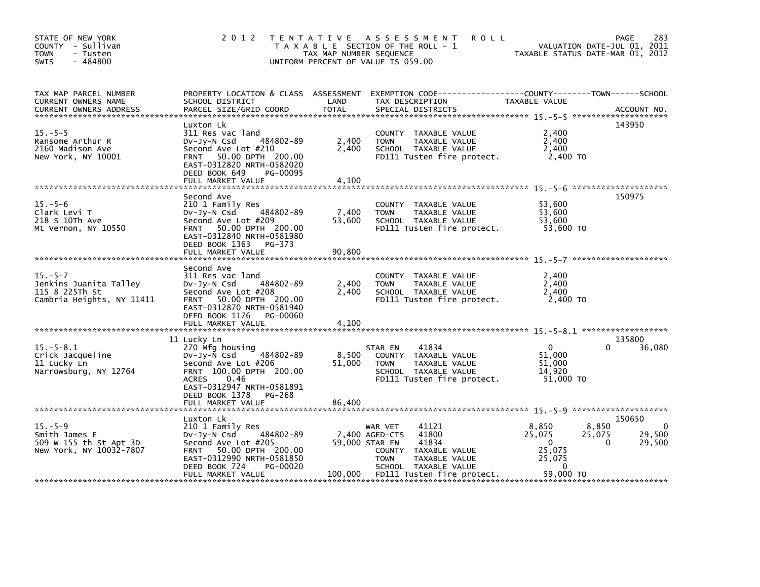| STATE OF NEW YORK<br>COUNTY - Sullivan<br><b>TOWN</b><br>- Tusten<br>SWIS<br>- 484800  |                                                                                                                                                                                             | TAX MAP NUMBER SEQUENCE | 2012 TENTATIVE ASSESSMENT<br><b>ROLL</b><br>T A X A B L E SECTION OF THE ROLL - 1<br>UNIFORM PERCENT OF VALUE IS 059.00                                | TAXABLE STATUS DATE-MAR 01, 2012                                                     | 283<br>PAGE<br>VALUATION DATE-JUL 01, 2011                |
|----------------------------------------------------------------------------------------|---------------------------------------------------------------------------------------------------------------------------------------------------------------------------------------------|-------------------------|--------------------------------------------------------------------------------------------------------------------------------------------------------|--------------------------------------------------------------------------------------|-----------------------------------------------------------|
| TAX MAP PARCEL NUMBER<br>CURRENT OWNERS NAME<br><b>CURRENT OWNERS ADDRESS</b>          | PROPERTY LOCATION & CLASS ASSESSMENT<br>SCHOOL DISTRICT<br>PARCEL SIZE/GRID COORD                                                                                                           | LAND<br><b>TOTAL</b>    | EXEMPTION CODE-----------------COUNTY-------TOWN------SCHOOL<br>TAX DESCRIPTION<br>SPECIAL DISTRICTS                                                   | TAXABLE VALUE                                                                        | ACCOUNT NO.                                               |
| $15. - 5 - 5$<br>Ransome Arthur R<br>2160 Madison Ave<br>New York, NY 10001            | Luxton Lk<br>311 Res vac land<br>484802-89<br>DV-Jy-N Csd<br>Second Ave Lot #210<br>FRNT 50.00 DPTH 200.00<br>EAST-0312820 NRTH-0582020<br>DEED BOOK 649<br>PG-00095<br>FULL MARKET VALUE   | 2,400<br>2,400<br>4,100 | COUNTY TAXABLE VALUE<br><b>TOWN</b><br>TAXABLE VALUE<br>SCHOOL TAXABLE VALUE<br>FD111 Tusten fire protect.                                             | 2,400<br>2.400<br>2,400<br>2,400 TO                                                  | 143950                                                    |
|                                                                                        |                                                                                                                                                                                             |                         |                                                                                                                                                        |                                                                                      |                                                           |
| $15. - 5 - 6$<br>Clark Levi T<br>218 S 10Th Ave<br>Mt Vernon, NY 10550                 | Second Ave<br>210 1 Family Res<br>484802-89<br>$Dv-Jv-N$ Csd<br>Second Ave Lot #209<br>FRNT 50.00 DPTH 200.00<br>EAST-0312840 NRTH-0581980<br>DEED BOOK 1363 PG-373                         | 7,400<br>53,600         | COUNTY TAXABLE VALUE<br><b>TOWN</b><br>TAXABLE VALUE<br>SCHOOL TAXABLE VALUE<br>FD111 Tusten fire protect.                                             | 53,600<br>53,600<br>53,600<br>53,600 TO                                              | 150975                                                    |
|                                                                                        | FULL MARKET VALUE                                                                                                                                                                           | 90.800                  |                                                                                                                                                        |                                                                                      |                                                           |
| $15. - 5 - 7$<br>Jenkins Juanita Talley<br>115 8 225Th St<br>Cambria Heights, NY 11411 | Second Ave<br>311 Res vac land<br>484802-89<br>DV-Jy-N Csd<br>Second Ave Lot #208<br>FRNT 50.00 DPTH 200.00<br>EAST-0312870 NRTH-0581940<br>DEED BOOK 1176<br>PG-00060<br>FULL MARKET VALUE | 2,400<br>2.400<br>4,100 | COUNTY TAXABLE VALUE<br>TAXABLE VALUE<br><b>TOWN</b><br>SCHOOL TAXABLE VALUE<br>FD111 Tusten fire protect.                                             | 2,400<br>2,400<br>2,400<br>2,400 TO                                                  |                                                           |
|                                                                                        |                                                                                                                                                                                             |                         |                                                                                                                                                        |                                                                                      | 135800                                                    |
| $15. - 5 - 8.1$<br>Crick Jacqueline<br>11 Lucky Ln<br>Narrowsburg, NY 12764            | 11 Lucky Ln<br>270 Mfg housing<br>DV-Jy-N Csd 484802-89<br>Second Ave Lot #206<br>FRNT 100.00 DPTH 200.00<br>0.46<br><b>ACRES</b><br>EAST-0312947 NRTH-0581891<br>DEED BOOK 1378<br>PG-268  | 8,500<br>51,000         | 41834<br>STAR EN<br>COUNTY TAXABLE VALUE<br>TAXABLE VALUE<br><b>TOWN</b><br>SCHOOL TAXABLE VALUE<br>FD111 Tusten fire protect.                         | $\overline{0}$<br>51,000<br>51,000<br>14,920<br>51,000 TO                            | 36,080<br>0                                               |
|                                                                                        | FULL MARKET VALUE                                                                                                                                                                           | 86,400                  |                                                                                                                                                        |                                                                                      |                                                           |
| $15. - 5 - 9$<br>Smith James E<br>509 W 155 th St Apt 3D<br>New York, NY 10032-7807    | Luxton Lk<br>210 1 Family Res<br>484802-89<br>DV-Jy-N Csd<br>Second Ave Lot #205<br>FRNT 50.00 DPTH 200.00<br>EAST-0312990 NRTH-0581850<br>DEED BOOK 724<br>PG-00020                        |                         | 41121<br>WAR VET<br>41800<br>7,400 AGED-CTS<br>59,000 STAR EN<br>41834<br>COUNTY TAXABLE VALUE<br><b>TOWN</b><br>TAXABLE VALUE<br>SCHOOL TAXABLE VALUE | 8,850<br>8,850<br>25,075<br>25,075<br>$\overline{0}$<br>25,075<br>25,075<br>$\Omega$ | 150650<br>$\mathbf 0$<br>29,500<br>$\mathbf{0}$<br>29,500 |
|                                                                                        | FULL MARKET VALUE                                                                                                                                                                           |                         | 100,000 FD111 Tusten fire protect.                                                                                                                     | 59,000 TO                                                                            |                                                           |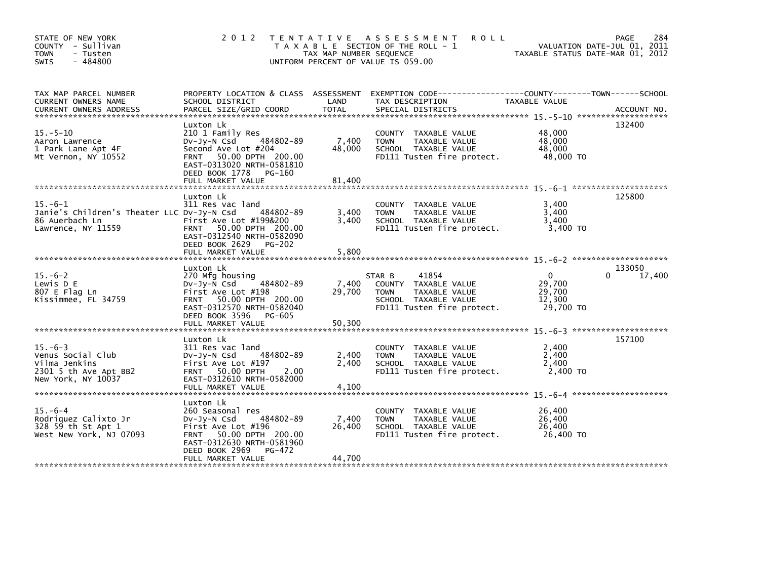| STATE OF NEW YORK<br>COUNTY - Sullivan<br><b>TOWN</b><br>- Tusten<br>$-484800$<br>SWIS             | 2 0 1 2                                                                                                                                                                                           | T E N T A T I V E<br>TAX MAP NUMBER SEQUENCE | A S S E S S M E N T<br><b>ROLL</b><br>T A X A B L E SECTION OF THE ROLL - 1<br>UNIFORM PERCENT OF VALUE IS 059.00             | TAXABLE STATUS DATE-MAR 01, 2012                    | 284<br>PAGE<br>VALUATION DATE-JUL 01, 2011 |
|----------------------------------------------------------------------------------------------------|---------------------------------------------------------------------------------------------------------------------------------------------------------------------------------------------------|----------------------------------------------|-------------------------------------------------------------------------------------------------------------------------------|-----------------------------------------------------|--------------------------------------------|
| TAX MAP PARCEL NUMBER<br>CURRENT OWNERS NAME<br><b>CURRENT OWNERS ADDRESS</b>                      | PROPERTY LOCATION & CLASS ASSESSMENT<br>SCHOOL DISTRICT<br>PARCEL SIZE/GRID COORD                                                                                                                 | LAND<br><b>TOTAL</b>                         | EXEMPTION CODE------------------COUNTY--------TOWN------SCHOOL<br>TAX DESCRIPTION<br>SPECIAL DISTRICTS                        | TAXABLE VALUE                                       | ACCOUNT NO.                                |
| $15. - 5 - 10$<br>Aaron Lawrence<br>1 Park Lane Apt 4F<br>Mt Vernon, NY 10552                      | Luxton Lk<br>210 1 Family Res<br>484802-89<br>DV-JY-N Csd<br>Second Ave Lot #204<br>FRNT 50.00 DPTH 200.00<br>EAST-0313020 NRTH-0581810<br>DEED BOOK 1778<br>PG-160<br>FULL MARKET VALUE          | 7,400<br>48,000<br>81,400                    | COUNTY TAXABLE VALUE<br><b>TOWN</b><br>TAXABLE VALUE<br>SCHOOL TAXABLE VALUE<br>FD111 Tusten fire protect.                    | 48,000<br>48,000<br>48,000<br>48,000 TO             | 132400                                     |
| $15. -6 - 1$<br>Janie's Children's Theater LLC Dv-Jy-N Csd<br>86 Auerbach Ln<br>Lawrence, NY 11559 | Luxton Lk<br>311 Res vac land<br>484802-89<br>First Ave Lot #199&200<br>FRNT 50.00 DPTH 200.00<br>EAST-0312540 NRTH-0582090<br>DEED BOOK 2629<br>$PG-202$<br>FULL MARKET VALUE                    | 3,400<br>3,400<br>5,800                      | COUNTY TAXABLE VALUE<br><b>TOWN</b><br>TAXABLE VALUE<br>SCHOOL TAXABLE VALUE<br>FD111 Tusten fire protect.                    | 3,400<br>3,400<br>3,400<br>3,400 TO                 | 125800                                     |
| $15. -6 - 2$<br>Lewis D E<br>807 E Flag Ln<br>Kissimmee, FL 34759                                  | Luxton Lk<br>270 Mfg housing<br>484802-89<br>$Dv-Jv-N$ Csd<br>First Ave Lot #198<br>FRNT 50.00 DPTH 200.00<br>EAST-0312570 NRTH-0582040<br>DEED BOOK 3596<br>PG-605<br>FULL MARKET VALUE          | 7,400<br>29,700<br>50,300                    | 41854<br>STAR B<br>COUNTY TAXABLE VALUE<br><b>TOWN</b><br>TAXABLE VALUE<br>SCHOOL TAXABLE VALUE<br>FD111 Tusten fire protect. | $\Omega$<br>29,700<br>29,700<br>12,300<br>29,700 TO | 133050<br>17,400<br>0                      |
| $15. -6 - 3$<br>Venus Social Club<br>Vilma Jenkins<br>2301 5 th Ave Apt BB2<br>New York, NY 10037  | Luxton Lk<br>311 Res vac land<br>DV-Jy-N Csd<br>484802-89<br>First Ave Lot #197<br>FRNT 50.00 DPTH<br>2.00<br>EAST-0312610 NRTH-0582000                                                           | 2,400<br>2.400                               | COUNTY TAXABLE VALUE<br>TAXABLE VALUE<br><b>TOWN</b><br>SCHOOL TAXABLE VALUE<br>FD111 Tusten fire protect.                    | 2,400<br>2,400<br>2,400<br>2,400 TO                 | 157100                                     |
| $15. -6 - 4$<br>Rodriquez Calixto Jr<br>328 59 th St Apt 1<br>West New York, NJ 07093              | Luxton Lk<br>260 Seasonal res<br>484802-89<br>DV-Jy-N Csd<br>First Ave Lot #196<br>50.00 DPTH 200.00<br><b>FRNT</b><br>EAST-0312630 NRTH-0581960<br>DEED BOOK 2969<br>PG-472<br>FULL MARKET VALUE | 7,400<br>26,400<br>44,700                    | COUNTY TAXABLE VALUE<br>TAXABLE VALUE<br><b>TOWN</b><br>SCHOOL TAXABLE VALUE<br>FD111 Tusten fire protect.                    | 26,400<br>26,400<br>26,400<br>26,400 TO             |                                            |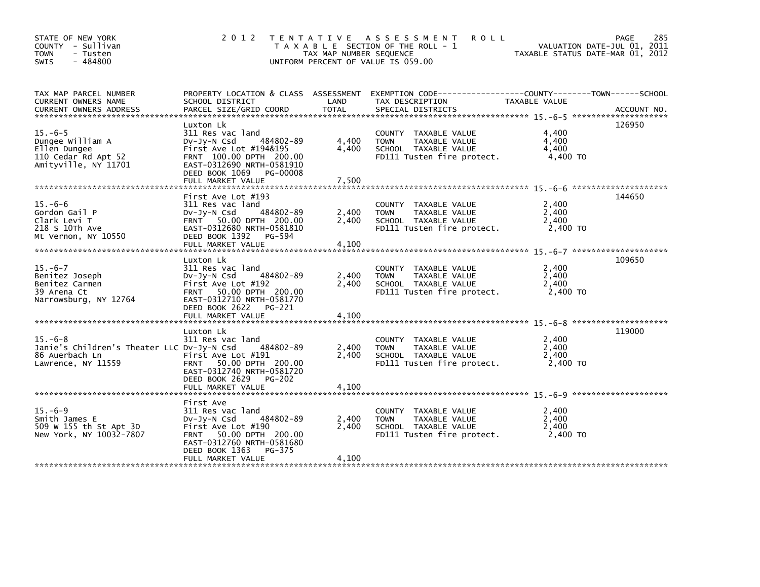| STATE OF NEW YORK<br>COUNTY - Sullivan<br><b>TOWN</b><br>- Tusten<br>$-484800$<br><b>SWIS</b>                | 2012                                                                                                                                                                                               | TAX MAP NUMBER SEQUENCE | TENTATIVE ASSESSMENT<br><b>ROLL</b><br>T A X A B L E SECTION OF THE ROLL - 1<br>UNIFORM PERCENT OF VALUE IS 059.00                     | VALUATION DATE-JUL 01, 2011<br>TAXABLE STATUS DATE-MAR 01, 2012 | 285<br>PAGE |
|--------------------------------------------------------------------------------------------------------------|----------------------------------------------------------------------------------------------------------------------------------------------------------------------------------------------------|-------------------------|----------------------------------------------------------------------------------------------------------------------------------------|-----------------------------------------------------------------|-------------|
| TAX MAP PARCEL NUMBER<br>CURRENT OWNERS NAME<br>CURRENT OWNERS ADDRESS                                       | SCHOOL DISTRICT<br>PARCEL SIZE/GRID COORD                                                                                                                                                          | LAND<br><b>TOTAL</b>    | PROPERTY LOCATION & CLASS ASSESSMENT EXEMPTION CODE---------------COUNTY-------TOWN-----SCHOOL<br>TAX DESCRIPTION<br>SPECIAL DISTRICTS | TAXABLE VALUE                                                   | ACCOUNT NO. |
| $15. -6-5$<br>Dungee William A<br>Ellen Dungee<br>110 Cedar Rd Apt 52<br>Amityville, NY 11701                | Luxton Lk<br>311 Res vac land<br>484802-89<br>$Dv-Jy-N$ Csd<br>First Ave Lot $#194&195$<br>FRNT 100.00 DPTH 200.00<br>EAST-0312690 NRTH-0581910<br>DEED BOOK 1069<br>PG-00008<br>FULL MARKET VALUE | 4,400<br>4,400<br>7,500 | COUNTY TAXABLE VALUE<br>TAXABLE VALUE<br><b>TOWN</b><br>SCHOOL TAXABLE VALUE<br>FD111 Tusten fire protect.                             | 4,400<br>4,400<br>4,400<br>4.400 TO                             | 126950      |
|                                                                                                              |                                                                                                                                                                                                    |                         |                                                                                                                                        |                                                                 | 144650      |
| $15. -6 - 6$<br>Gordon Gail P<br>Clark Levi T<br>218 S 10Th Ave<br>Mt Vernon, NY 10550                       | First Ave Lot #193<br>311 Res vac land<br>DV-Jy-N Csd<br>484802-89<br>FRNT 50.00 DPTH 200.00<br>EAST-0312680 NRTH-0581810<br>DEED BOOK 1392 PG-594                                                 | 2,400<br>2,400          | COUNTY TAXABLE VALUE<br>TAXABLE VALUE<br>TOWN<br>SCHOOL TAXABLE VALUE<br>FD111 Tusten fire protect.                                    | 2,400<br>2,400<br>2,400<br>2,400 TO                             |             |
|                                                                                                              | FULL MARKET VALUE                                                                                                                                                                                  | 4,100                   |                                                                                                                                        |                                                                 |             |
|                                                                                                              | Luxton Lk                                                                                                                                                                                          |                         |                                                                                                                                        |                                                                 | 109650      |
| $15. -6 - 7$<br>Benitez Joseph<br>Benitez Carmen<br>39 Arena Ct<br>Narrowsburg, NY 12764                     | 311 Res vac land<br>484802-89<br>$Dv-Jy-N$ Csd<br>First Ave Lot #192<br>FRNT 50.00 DPTH 200.00<br>EAST-0312710 NRTH-0581770<br>DEED BOOK 2622 PG-221                                               | 2,400<br>2.400          | COUNTY TAXABLE VALUE<br><b>TOWN</b><br>TAXABLE VALUE<br>SCHOOL TAXABLE VALUE<br>FD111 Tusten fire protect.                             | 2,400<br>2,400<br>2.400<br>2,400 TO                             |             |
|                                                                                                              | FULL MARKET VALUE                                                                                                                                                                                  | 4,100                   |                                                                                                                                        |                                                                 |             |
|                                                                                                              | Luxton Lk                                                                                                                                                                                          |                         |                                                                                                                                        |                                                                 | 119000      |
| $15. -6 - 8$<br>Janie's Children's Theater LLC Dv-Jy-N Csd 484802-89<br>86 Auerbach Ln<br>Lawrence, NY 11559 | 311 Res vac land<br>First Ave Lot #191<br>FRNT 50.00 DPTH 200.00<br>EAST-0312740 NRTH-0581720<br>DEED BOOK 2629 PG-202                                                                             | 2,400<br>2.400          | COUNTY TAXABLE VALUE<br>TAXABLE VALUE<br>TOWN<br>SCHOOL TAXABLE VALUE<br>FD111 Tusten fire protect.                                    | 2,400<br>2,400<br>2,400<br>2,400 TO                             |             |
|                                                                                                              | First Ave                                                                                                                                                                                          |                         |                                                                                                                                        |                                                                 |             |
| $15. -6-9$<br>Smith James E<br>509 W 155 th St Apt 3D<br>New York, NY 10032-7807                             | 311 Res vac land<br>484802-89<br>$Dv-Jy-N$ Csd<br>First Ave Lot #190<br>FRNT 50.00 DPTH 200.00<br>EAST-0312760 NRTH-0581680<br>DEED BOOK 1363<br>PG-375                                            | 2,400<br>2,400          | COUNTY TAXABLE VALUE<br>TAXABLE VALUE<br><b>TOWN</b><br>SCHOOL TAXABLE VALUE<br>FD111 Tusten fire protect.                             | 2,400<br>2,400<br>2,400<br>2,400 TO                             |             |
|                                                                                                              | FULL MARKET VALUE                                                                                                                                                                                  | 4,100                   |                                                                                                                                        |                                                                 |             |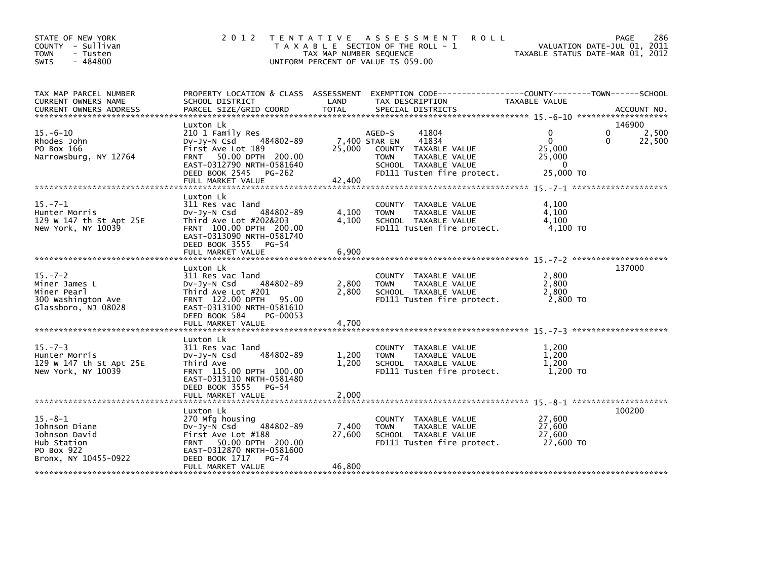| STATE OF NEW YORK<br>COUNTY - Sullivan<br><b>TOWN</b><br>- Tusten<br>$-484800$<br>SWIS               | 2 0 1 2                                                                                                                                                                                    | TAX MAP NUMBER SEQUENCE   | TENTATIVE ASSESSMENT<br><b>ROLL</b><br>T A X A B L E SECTION OF THE ROLL - 1<br>UNIFORM PERCENT OF VALUE IS 059.00                                      | TAXABLE STATUS DATE-MAR 01, 2012                               | 286<br>PAGE<br>VALUATION DATE-JUL 01, 2011        |
|------------------------------------------------------------------------------------------------------|--------------------------------------------------------------------------------------------------------------------------------------------------------------------------------------------|---------------------------|---------------------------------------------------------------------------------------------------------------------------------------------------------|----------------------------------------------------------------|---------------------------------------------------|
| TAX MAP PARCEL NUMBER<br>CURRENT OWNERS NAME                                                         | PROPERTY LOCATION & CLASS ASSESSMENT<br>SCHOOL DISTRICT                                                                                                                                    | LAND                      | EXEMPTION CODE-----------------COUNTY-------TOWN------SCHOOL<br>TAX DESCRIPTION                                                                         | TAXABLE VALUE                                                  |                                                   |
| $15. -6 - 10$<br>Rhodes John<br>PO Box 166<br>Narrowsburg, NY 12764                                  | Luxton Lk<br>210 1 Family Res<br>484802-89<br>DV-Jy-N Csd<br>First Ave Lot 189<br>FRNT 50.00 DPTH 200.00<br>EAST-0312790 NRTH-0581640<br>DEED BOOK 2545 PG-262<br>FULL MARKET VALUE        | 25,000<br>42,400          | 41804<br>AGED-S<br>7,400 STAR EN<br>41834<br>COUNTY TAXABLE VALUE<br><b>TOWN</b><br>TAXABLE VALUE<br>SCHOOL TAXABLE VALUE<br>FD111 Tusten fire protect. | 0<br>$\mathbf{0}$<br>25,000<br>25,000<br>$\Omega$<br>25,000 TO | 146900<br>$\Omega$<br>2,500<br>$\Omega$<br>22,500 |
| $15. -7 - 1$<br>Hunter Morris<br>129 W 147 th St Apt 25E<br>New York, NY 10039                       | Luxton Lk<br>311 Res vac land<br>484802-89<br>$Dv-Jy-N$ Csd<br>Third Ave Lot #202&203<br>FRNT 100.00 DPTH 200.00<br>EAST-0313090 NRTH-0581740<br>DEED BOOK 3555 PG-54<br>FULL MARKET VALUE | 4,100<br>4,100<br>6,900   | COUNTY TAXABLE VALUE<br>TAXABLE VALUE<br><b>TOWN</b><br>SCHOOL TAXABLE VALUE<br>FD111 Tusten fire protect.                                              | 4,100<br>4.100<br>4,100<br>4.100 TO                            |                                                   |
| $15. - 7 - 2$<br>Miner James L<br>Miner Pearl<br>300 Washington Ave<br>Glassboro, NJ 08028           | Luxton Lk<br>311 Res vac land<br>484802-89<br>$Dv-Jy-N$ Csd<br>Third Ave Lot #201<br>FRNT 122.00 DPTH<br>95.00<br>EAST-0313100 NRTH-0581610<br>DEED BOOK 584<br>PG-00053                   | 2,800<br>2,800            | COUNTY TAXABLE VALUE<br><b>TOWN</b><br>TAXABLE VALUE<br>SCHOOL TAXABLE VALUE<br>FD111 Tusten fire protect.                                              | 2,800<br>2,800<br>2,800<br>2.800 TO                            | 137000                                            |
| $15. -7 - 3$<br>Hunter Morris<br>129 W 147 th St Apt 25E<br>New York, NY 10039                       | Luxton Lk<br>311 Res vac land<br>484802-89<br>$Dv-Jy-N$ Csd<br>Third Ave<br>FRNT 115.00 DPTH 100.00<br>EAST-0313110 NRTH-0581480<br>DEED BOOK 3555<br>$PG-54$                              | 1.200<br>1,200            | COUNTY TAXABLE VALUE<br><b>TOWN</b><br>TAXABLE VALUE<br>SCHOOL TAXABLE VALUE<br>FD111 Tusten fire protect.                                              | 1,200<br>1,200<br>1,200<br>1,200 TO                            |                                                   |
| $15. - 8 - 1$<br>Johnson Diane<br>Johnson David<br>Hub Station<br>PO Box 922<br>Bronx, NY 10455-0922 | Luxton Lk<br>270 Mfg housing<br>484802-89<br>$Dv-Jy-N$ Csd<br>First Ave Lot #188<br>FRNT 50.00 DPTH 200.00<br>EAST-0312870 NRTH-0581600<br>DEED BOOK 1717<br>$PG-74$<br>FULL MARKET VALUE  | 7,400<br>27,600<br>46,800 | COUNTY TAXABLE VALUE<br><b>TOWN</b><br>TAXABLE VALUE<br>SCHOOL TAXABLE VALUE<br>FD111 Tusten fire protect.                                              | 27,600<br>27,600<br>27,600<br>27.600 TO                        | 100200                                            |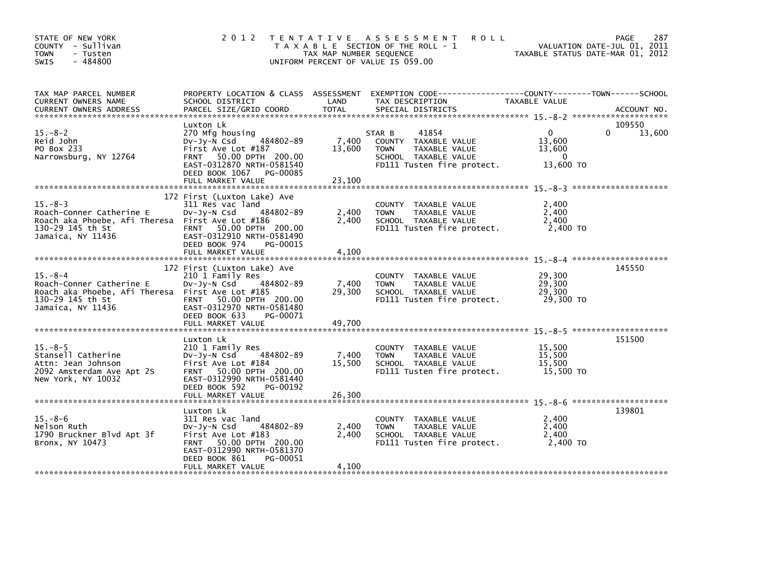| STATE OF NEW YORK<br>COUNTY - Sullivan<br><b>TOWN</b><br>- Tusten<br>$-484800$<br><b>SWIS</b>                                          | 2 0 1 2                                                                                                                                                                                    | TAX MAP NUMBER SEQUENCE   | TENTATIVE ASSESSMENT<br><b>ROLL</b><br>T A X A B L E SECTION OF THE ROLL - 1<br>UNIFORM PERCENT OF VALUE IS 059.00            | TAXABLE STATUS DATE-MAR 01, 2012                   | 287<br><b>PAGE</b><br>VALUATION DATE-JUL 01, 2011 |
|----------------------------------------------------------------------------------------------------------------------------------------|--------------------------------------------------------------------------------------------------------------------------------------------------------------------------------------------|---------------------------|-------------------------------------------------------------------------------------------------------------------------------|----------------------------------------------------|---------------------------------------------------|
| TAX MAP PARCEL NUMBER<br>CURRENT OWNERS NAME                                                                                           | PROPERTY LOCATION & CLASS ASSESSMENT<br>SCHOOL DISTRICT                                                                                                                                    | LAND                      | EXEMPTION CODE------------------COUNTY--------TOWN------SCHOOL<br>TAX DESCRIPTION                                             | TAXABLE VALUE                                      |                                                   |
| $15. - 8 - 2$<br>Reid John<br>PO Box 233<br>Narrowsburg, NY 12764                                                                      | Luxton Lk<br>270 Mfg housing<br>484802-89<br>$Dv-Jy-N$ Csd<br>First Ave Lot #187<br>FRNT 50.00 DPTH 200.00<br>EAST-0312870 NRTH-0581540<br>DEED BOOK 1067 PG-00085<br>FULL MARKET VALUE    | 7,400<br>13,600<br>23,100 | 41854<br>STAR B<br>COUNTY TAXABLE VALUE<br>TAXABLE VALUE<br><b>TOWN</b><br>SCHOOL TAXABLE VALUE<br>FD111 Tusten fire protect. | $\mathbf{0}$<br>13,600<br>13,600<br>0<br>13,600 TO | 109550<br>13,600<br>0                             |
| $15. - 8 - 3$<br>Roach-Conner Catherine E<br>Roach aka Phoebe, Afi Theresa First Ave Lot #186<br>130-29 145 th St<br>Jamaica, NY 11436 | 172 First (Luxton Lake) Ave<br>311 Res vac land<br>484802-89<br>$Dv-Jy-N$ Csd<br>FRNT 50.00 DPTH 200.00<br>EAST-0312910 NRTH-0581490<br>DEED BOOK 974<br>PG-00015<br>FULL MARKET VALUE     | 2,400<br>2.400<br>4,100   | COUNTY TAXABLE VALUE<br>TAXABLE VALUE<br><b>TOWN</b><br>SCHOOL TAXABLE VALUE<br>FD111 Tusten fire protect.                    | 2,400<br>2,400<br>2,400<br>2,400 TO                |                                                   |
| $15 - 8 - 4$<br>Roach-Conner Catherine E<br>Roach aka Phoebe, Afi Theresa First Ave Lot #185<br>130-29 145 th St<br>Jamaica, NY 11436  | 172 First (Luxton Lake) Ave<br>210 1 Family Res<br>484802-89<br>$Dv-Jy-N$ Csd<br>FRNT 50.00 DPTH 200.00<br>EAST-0312970 NRTH-0581480<br>DEED BOOK 633<br>PG-00071<br>FULL MARKET VALUE     | 7,400<br>29,300<br>49,700 | COUNTY TAXABLE VALUE<br><b>TOWN</b><br>TAXABLE VALUE<br>SCHOOL TAXABLE VALUE<br>FD111 Tusten fire protect.                    | 29,300<br>29,300<br>29,300<br>29,300 TO            | 145550                                            |
| $15. - 8 - 5$<br>Stansell Catherine<br>Attn: Jean Johnson<br>2092 Amsterdam Ave Apt 2S<br>New York, NY 10032                           | Luxton Lk<br>210 1 Family Res<br>484802-89<br>DV-Jy-N Csd<br>First Ave Lot #184<br>FRNT 50.00 DPTH 200.00<br>EAST-0312990 NRTH-0581440<br>DEED BOOK 592<br>PG-00192<br>FULL MARKET VALUE   | 7,400<br>15,500<br>26,300 | COUNTY TAXABLE VALUE<br>TAXABLE VALUE<br><b>TOWN</b><br>SCHOOL TAXABLE VALUE<br>FD111 Tusten fire protect.                    | 15,500<br>15,500<br>15,500<br>15.500 TO            | 151500                                            |
| $15. -8 - 6$<br>Nelson Ruth<br>1790 Bruckner Blvd Apt 3f<br>Bronx, NY 10473                                                            | Luxton Lk<br>311 Res vac land<br>484802-89<br>$Dv-Jy-N$ Csd<br>First Ave Lot #183<br>FRNT 50.00 DPTH 200.00<br>EAST-0312990 NRTH-0581370<br>DEED BOOK 861<br>PG-00051<br>FULL MARKET VALUE | 2,400<br>2,400<br>4,100   | COUNTY TAXABLE VALUE<br>TAXABLE VALUE<br><b>TOWN</b><br>SCHOOL TAXABLE VALUE<br>FD111 Tusten fire protect.                    | 2,400<br>2,400<br>2,400<br>2,400 TO                | 139801                                            |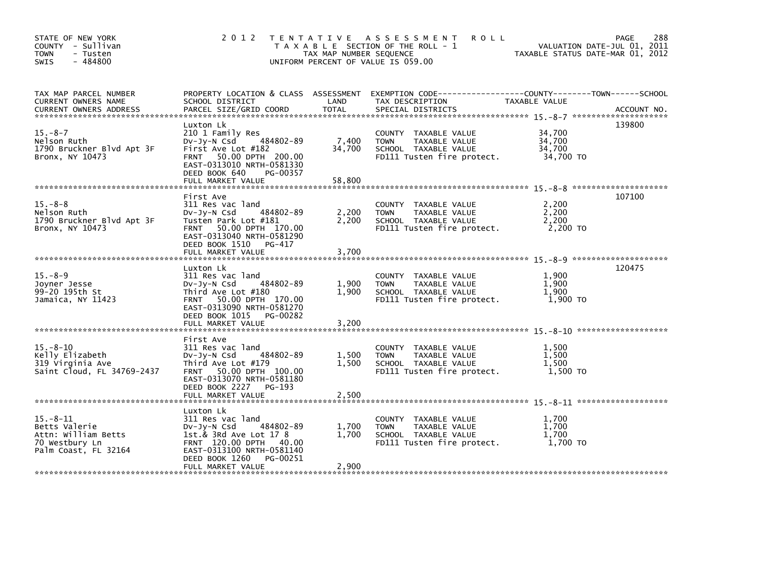| STATE OF NEW YORK<br>COUNTY - Sullivan<br><b>TOWN</b><br>- Tusten<br>$-484800$<br><b>SWIS</b>   |                                                                                                                                                                                            | TAX MAP NUMBER SEQUENCE   | 2012 TENTATIVE ASSESSMENT<br><b>ROLL</b><br>T A X A B L E SECTION OF THE ROLL - 1<br>UNIFORM PERCENT OF VALUE IS 059.00 | TAXABLE STATUS DATE-MAR 01, 2012        | 288<br><b>PAGE</b><br>VALUATION DATE-JUL 01, 2011 |
|-------------------------------------------------------------------------------------------------|--------------------------------------------------------------------------------------------------------------------------------------------------------------------------------------------|---------------------------|-------------------------------------------------------------------------------------------------------------------------|-----------------------------------------|---------------------------------------------------|
| TAX MAP PARCEL NUMBER<br>CURRENT OWNERS NAME                                                    | PROPERTY LOCATION & CLASS ASSESSMENT<br>SCHOOL DISTRICT                                                                                                                                    | LAND                      | EXEMPTION CODE------------------COUNTY--------TOWN------SCHOOL<br>TAX DESCRIPTION                                       | TAXABLE VALUE                           |                                                   |
| $15. - 8 - 7$<br>Nelson Ruth<br>1790 Bruckner Blvd Apt 3F<br>Bronx, NY 10473                    | Luxton Lk<br>210 1 Family Res<br>484802-89<br>$Dv-Jy-N$ Csd<br>First Ave Lot #182<br>FRNT 50.00 DPTH 200.00<br>EAST-0313010 NRTH-0581330<br>DEED BOOK 640<br>PG-00357<br>FULL MARKET VALUE | 7,400<br>34,700<br>58,800 | COUNTY TAXABLE VALUE<br><b>TOWN</b><br>TAXABLE VALUE<br>SCHOOL TAXABLE VALUE<br>FD111 Tusten fire protect.              | 34,700<br>34,700<br>34,700<br>34,700 TO | 139800                                            |
| $15. - 8 - 8$<br>Nelson Ruth<br>1790 Bruckner Blvd Apt 3F<br>Bronx, NY 10473                    | First Ave<br>311 Res vac land<br>DV-Jy-N Csd<br>484802-89<br>Tusten Park Lot #181<br>FRNT 50.00 DPTH 170.00<br>EAST-0313040 NRTH-0581290<br>DEED BOOK 1510 PG-417                          | 2,200<br>2,200            | COUNTY TAXABLE VALUE<br>TAXABLE VALUE<br><b>TOWN</b><br>SCHOOL TAXABLE VALUE<br>FD111 Tusten fire protect.              | 2.200<br>2,200<br>2,200<br>2.200 TO     | 107100                                            |
|                                                                                                 | FULL MARKET VALUE                                                                                                                                                                          | 3,700                     |                                                                                                                         |                                         |                                                   |
| $15 - 8 - 9$<br>Joyner Jesse<br>99-20 195th St<br>Jamaica, NY 11423                             | Luxton Lk<br>311 Res vac land<br>484802-89<br>$Dv-Jy-N$ Csd<br>Third Ave Lot #180<br>FRNT 50.00 DPTH 170.00<br>EAST-0313090 NRTH-0581270<br>DEED BOOK 1015 PG-00282<br>FULL MARKET VALUE   | 1,900<br>1.900            | COUNTY TAXABLE VALUE<br>TAXABLE VALUE<br><b>TOWN</b><br>SCHOOL TAXABLE VALUE<br>FD111 Tusten fire protect.              | 1,900<br>1,900<br>1,900<br>1,900 TO     | 120475                                            |
|                                                                                                 |                                                                                                                                                                                            | 3,200                     |                                                                                                                         |                                         |                                                   |
| $15. - 8 - 10$<br>Kelly Elizabeth<br>319 Virginia Ave<br>Saint Cloud, FL 34769-2437             | First Ave<br>311 Res vac land<br>484802-89<br>$Dv-Jy-N$ Csd<br>Third Ave Lot #179<br>FRNT 50.00 DPTH 100.00<br>EAST-0313070 NRTH-0581180<br>DEED BOOK 2227<br>PG-193                       | 1,500<br>1,500            | COUNTY TAXABLE VALUE<br><b>TOWN</b><br>TAXABLE VALUE<br>SCHOOL TAXABLE VALUE<br>FD111 Tusten fire protect.              | 1,500<br>1,500<br>1,500<br>1,500 TO     |                                                   |
|                                                                                                 |                                                                                                                                                                                            |                           |                                                                                                                         |                                         |                                                   |
| $15 - 8 - 11$<br>Betts Valerie<br>Attn: William Betts<br>70 Westbury Ln<br>Palm Coast, FL 32164 | Luxton Lk<br>311 Res vac land<br>484802-89<br>$Dv-Jy-N$ Csd<br>1st.& 3Rd Ave Lot 17 8<br>FRNT 120.00 DPTH 40.00<br>EAST-0313100 NRTH-0581140<br>DEED BOOK 1260<br>PG-00251                 | 1,700<br>1.700            | COUNTY TAXABLE VALUE<br>TAXABLE VALUE<br><b>TOWN</b><br>SCHOOL TAXABLE VALUE<br>FD111 Tusten fire protect.              | 1.700<br>1,700<br>1.700<br>1,700 TO     |                                                   |
|                                                                                                 | FULL MARKET VALUE                                                                                                                                                                          | 2,900                     |                                                                                                                         |                                         |                                                   |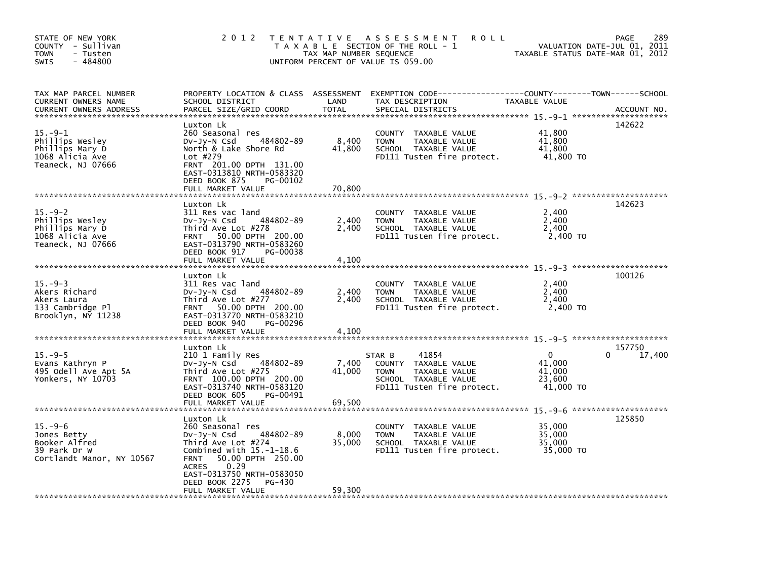| STATE OF NEW YORK<br>COUNTY - Sullivan<br>TOWN<br>- Tusten<br>$-484800$<br>SWIS             | 2 0 1 2                                                                                                                                                                                                    | TAX MAP NUMBER SEQUENCE   | TENTATIVE ASSESSMENT<br><b>ROLL</b><br>T A X A B L E SECTION OF THE ROLL - 1<br>UNIFORM PERCENT OF VALUE IS 059.00                       | TAXABLE STATUS DATE-MAR 01, 2012             | 289<br>PAGE<br>VALUATION DATE-JUL 01, 2011 |
|---------------------------------------------------------------------------------------------|------------------------------------------------------------------------------------------------------------------------------------------------------------------------------------------------------------|---------------------------|------------------------------------------------------------------------------------------------------------------------------------------|----------------------------------------------|--------------------------------------------|
| TAX MAP PARCEL NUMBER<br>CURRENT OWNERS NAME<br><b>CURRENT OWNERS ADDRESS</b>               | SCHOOL DISTRICT<br>PARCEL SIZE/GRID COORD                                                                                                                                                                  | LAND<br><b>TOTAL</b>      | PROPERTY LOCATION & CLASS ASSESSMENT EXEMPTION CODE----------------COUNTY-------TOWN------SCHOOL<br>TAX DESCRIPTION<br>SPECIAL DISTRICTS | TAXABLE VALUE                                | ACCOUNT NO.                                |
| $15. -9-1$<br>Phillips Wesley<br>Phillips Mary D<br>1068 Alicia Ave<br>Teaneck, NJ 07666    | Luxton Lk<br>260 Seasonal res<br>484802-89<br>$Dv-Jy-N$ Csd<br>North & Lake Shore Rd<br>Lot #279<br>FRNT 201.00 DPTH 131.00<br>EAST-0313810 NRTH-0583320<br>DEED BOOK 875<br>PG-00102<br>FULL MARKET VALUE | 8,400<br>41,800<br>70.800 | COUNTY TAXABLE VALUE<br><b>TOWN</b><br>TAXABLE VALUE<br>SCHOOL TAXABLE VALUE<br>FD111 Tusten fire protect.                               | 41,800<br>41,800<br>41,800<br>41,800 TO      | 142622                                     |
|                                                                                             |                                                                                                                                                                                                            |                           |                                                                                                                                          |                                              |                                            |
| $15. - 9 - 2$<br>Phillips Wesley<br>Phillips Mary D<br>1068 Alicia Ave<br>Teaneck, NJ 07666 | Luxton Lk<br>311 Res vac land<br>484802-89<br>DV-Jy-N Csd<br>Third Ave Lot #278<br>50.00 DPTH 200.00<br><b>FRNT</b><br>EAST-0313790 NRTH-0583260                                                           | 2,400<br>2,400            | COUNTY TAXABLE VALUE<br><b>TOWN</b><br>TAXABLE VALUE<br>SCHOOL TAXABLE VALUE<br>FD111 Tusten fire protect.                               | 2,400<br>2,400<br>2,400<br>2,400 TO          | 142623                                     |
|                                                                                             | DEED BOOK 917<br>PG-00038<br>FULL MARKET VALUE                                                                                                                                                             | 4,100                     |                                                                                                                                          |                                              |                                            |
| $15. -9 - 3$<br>Akers Richard<br>Akers Laura<br>133 Cambridge Pl<br>Brooklyn, NY 11238      | Luxton Lk<br>311 Res vac land<br>484802-89<br>$Dv-Jy-N$ Csd<br>Third Ave Lot #277<br>FRNT 50.00 DPTH 200.00<br>EAST-0313770 NRTH-0583210<br>DEED BOOK 940<br>PG-00296<br>FULL MARKET VALUE                 | 2,400<br>2,400<br>4,100   | COUNTY TAXABLE VALUE<br><b>TOWN</b><br>TAXABLE VALUE<br>SCHOOL TAXABLE VALUE<br>FD111 Tusten fire protect.                               | 2,400<br>2,400<br>2,400<br>2,400 TO          | 100126                                     |
|                                                                                             |                                                                                                                                                                                                            |                           |                                                                                                                                          |                                              |                                            |
| $15. -9-5$<br>Evans Kathryn P<br>495 Odell Ave Apt 5A<br>Yonkers, NY 10703                  | Luxton Lk<br>210 1 Family Res<br>484802-89<br>DV-Jy-N Csd<br>Third Ave Lot #275<br>FRNT 100.00 DPTH 200.00<br>EAST-0313740 NRTH-0583120<br>DEED BOOK 605<br>PG-00491<br>FULL MARKET VALUE                  | 7,400<br>41,000<br>69,500 | STAR B<br>41854<br>COUNTY TAXABLE VALUE<br><b>TOWN</b><br>TAXABLE VALUE<br>SCHOOL TAXABLE VALUE<br>FD111 Tusten fire protect.            | 0<br>41,000<br>41,000<br>23,600<br>41,000 TO | 157750<br>17,400                           |
|                                                                                             |                                                                                                                                                                                                            |                           |                                                                                                                                          |                                              |                                            |
| $15. -9-6$<br>Jones Betty<br>Booker Alfred<br>39 Park Dr W<br>Cortlandt Manor, NY 10567     | Luxton Lk<br>260 Seasonal res<br>484802-89<br>DV-Jy-N Csd<br>Third Ave Lot #274<br>Combined with $15.-1-18.6$<br>50.00 DPTH 250.00<br><b>FRNT</b><br>0.29<br><b>ACRES</b><br>EAST-0313750 NRTH-0583050     | 8,000<br>35,000           | COUNTY TAXABLE VALUE<br><b>TOWN</b><br>TAXABLE VALUE<br>SCHOOL TAXABLE VALUE<br>FD111 Tusten fire protect.                               | 35,000<br>35,000<br>35,000<br>35,000 TO      | 125850                                     |
|                                                                                             | DEED BOOK 2275<br>PG-430<br>FULL MARKET VALUE                                                                                                                                                              | 59,300                    |                                                                                                                                          |                                              |                                            |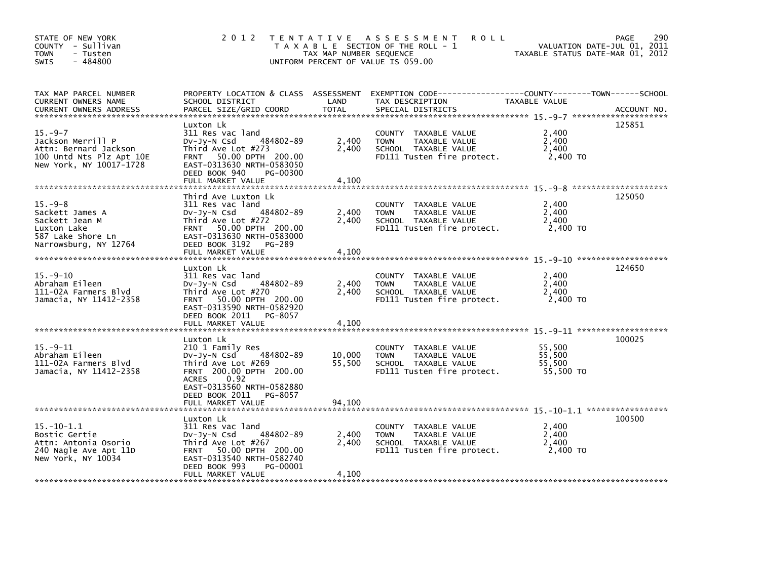| STATE OF NEW YORK<br>COUNTY - Sullivan<br><b>TOWN</b><br>- Tusten<br>- 484800<br>SWIS                             |                                                                                                                                                                                                                   | TAX MAP NUMBER SEQUENCE    | 2012 TENTATIVE ASSESSMENT<br><b>ROLL</b><br>T A X A B L E SECTION OF THE ROLL - 1<br>UNIFORM PERCENT OF VALUE IS 059.00 | TAXABLE STATUS DATE-MAR 01, 2012        | 290<br>PAGE<br>VALUATION DATE-JUL 01, 2011 |
|-------------------------------------------------------------------------------------------------------------------|-------------------------------------------------------------------------------------------------------------------------------------------------------------------------------------------------------------------|----------------------------|-------------------------------------------------------------------------------------------------------------------------|-----------------------------------------|--------------------------------------------|
| TAX MAP PARCEL NUMBER<br>CURRENT OWNERS NAME<br><b>CURRENT OWNERS ADDRESS</b>                                     | PROPERTY LOCATION & CLASS ASSESSMENT<br>SCHOOL DISTRICT<br>PARCEL SIZE/GRID COORD                                                                                                                                 | LAND<br><b>TOTAL</b>       | EXEMPTION CODE-----------------COUNTY-------TOWN------SCHOOL<br>TAX DESCRIPTION<br>SPECIAL DISTRICTS                    | TAXABLE VALUE                           | ACCOUNT NO.                                |
| $15. -9 - 7$<br>Jackson Merrill P<br>Attn: Bernard Jackson<br>100 Untd Nts Plz Apt 10E<br>New York, NY 10017-1728 | Luxton Lk<br>311 Res vac land<br>484802-89<br>$Dv-Jy-N$ Csd<br>Third Ave Lot #273<br>FRNT 50.00 DPTH 200.00<br>EAST-0313630 NRTH-0583050<br>DEED BOOK 940<br>PG-00300<br>FULL MARKET VALUE                        | 2,400<br>2,400<br>4,100    | COUNTY TAXABLE VALUE<br>TAXABLE VALUE<br><b>TOWN</b><br>SCHOOL TAXABLE VALUE<br>FD111 Tusten fire protect.              | 2,400<br>2,400<br>2,400<br>2,400 TO     | 125851                                     |
| $15. -9 - 8$<br>Sackett James A<br>Sackett Jean M<br>Luxton Lake<br>587 Lake Shore Ln<br>Narrowsburg, NY 12764    | Third Ave Luxton Lk<br>311 Res vac land<br>$Dv-Jy-N$ Csd<br>484802-89<br>Third Ave Lot #272<br>FRNT 50.00 DPTH 200.00<br>EAST-0313630 NRTH-0583000<br>DEED BOOK 3192<br>PG-289<br>FULL MARKET VALUE               | 2,400<br>2,400<br>4,100    | COUNTY TAXABLE VALUE<br><b>TOWN</b><br>TAXABLE VALUE<br>SCHOOL TAXABLE VALUE<br>FD111 Tusten fire protect.              | 2,400<br>2,400<br>2,400<br>2,400 TO     | 125050                                     |
| $15. -9 - 10$<br>Abraham Eileen<br>111-02A Farmers Blvd<br>Jamacia, NY 11412-2358                                 | Luxton Lk<br>311 Res vac land<br>484802-89<br>$Dv-Jv-N$ Csd<br>Third Ave Lot #270<br>FRNT 50.00 DPTH 200.00<br>EAST-0313590 NRTH-0582920<br>DEED BOOK 2011<br>PG-8057<br>FULL MARKET VALUE                        | 2,400<br>2,400<br>4,100    | COUNTY TAXABLE VALUE<br><b>TOWN</b><br>TAXABLE VALUE<br>SCHOOL TAXABLE VALUE<br>FD111 Tusten fire protect.              | 2,400<br>2,400<br>2,400<br>2,400 TO     | 124650                                     |
| $15. -9 - 11$<br>Abraham Eileen<br>111-02A Farmers Blvd<br>Jamacia, NY 11412-2358                                 | Luxton Lk<br>210 1 Family Res<br>484802-89<br>DV-JY-N Csd<br>Third Ave Lot #269<br>FRNT 200.00 DPTH 200.00<br>0.92<br><b>ACRES</b><br>EAST-0313560 NRTH-0582880<br>DEED BOOK 2011<br>PG-8057<br>FULL MARKET VALUE | 10.000<br>55,500<br>94,100 | COUNTY TAXABLE VALUE<br><b>TOWN</b><br>TAXABLE VALUE<br>SCHOOL TAXABLE VALUE<br>FD111 Tusten fire protect.              | 55,500<br>55,500<br>55,500<br>55.500 TO | 100025                                     |
| $15.-10-1.1$<br>Bostic Gertie<br>Attn: Antonia Osorio<br>240 Nagle Ave Apt 11D<br>New York, NY 10034              | Luxton Lk<br>311 Res vac land<br>484802-89<br>DV-Jy-N Csd<br>Third Ave Lot #267<br>FRNT 50.00 DPTH 200.00<br>EAST-0313540 NRTH-0582740<br>DEED BOOK 993<br>PG-00001<br>FULL MARKET VALUE                          | 2,400<br>2,400<br>4,100    | COUNTY TAXABLE VALUE<br><b>TOWN</b><br>TAXABLE VALUE<br>SCHOOL TAXABLE VALUE<br>FD111 Tusten fire protect.              | 2,400<br>2,400<br>2,400<br>2,400 TO     | 100500                                     |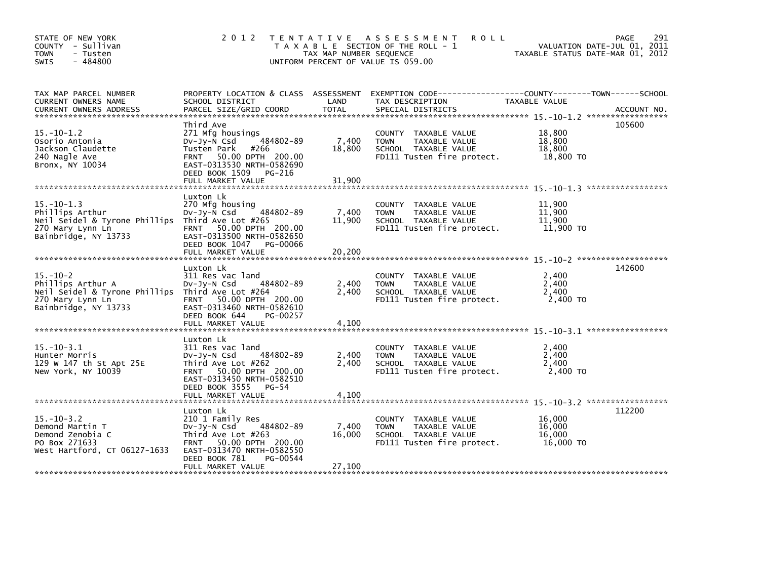| STATE OF NEW YORK<br>COUNTY - Sullivan<br>- Tusten<br><b>TOWN</b><br>$-484800$<br>SWIS                                              |                                                                                                                                                                       | TAX MAP NUMBER SEQUENCE | 2012 TENTATIVE ASSESSMENT<br><b>ROLL</b><br>T A X A B L E SECTION OF THE ROLL - 1<br>UNIFORM PERCENT OF VALUE IS 059.00 | VALUATION DATE-JUL 01, 2011<br>TAXABLE STATUS DATE-MAR 01, 2012 | 291<br>PAGE |
|-------------------------------------------------------------------------------------------------------------------------------------|-----------------------------------------------------------------------------------------------------------------------------------------------------------------------|-------------------------|-------------------------------------------------------------------------------------------------------------------------|-----------------------------------------------------------------|-------------|
| TAX MAP PARCEL NUMBER<br>CURRENT OWNERS NAME                                                                                        | SCHOOL DISTRICT                                                                                                                                                       | LAND                    | PROPERTY LOCATION & CLASS ASSESSMENT EXEMPTION CODE----------------COUNTY-------TOWN-----SCHOOL<br>TAX DESCRIPTION      | TAXABLE VALUE                                                   |             |
| $15 - 10 - 1.2$<br>Osorio Antonia<br>Jackson Claudette<br>240 Nagle Ave<br>Bronx, NY 10034                                          | Third Ave<br>271 Mfg housings<br>484802-89<br>DV-Jy-N Csd<br>Tusten Park<br>#266<br>FRNT 50.00 DPTH 200.00<br>EAST-0313530 NRTH-0582690<br>DEED BOOK 1509 PG-216      | 7,400<br>18,800         | COUNTY TAXABLE VALUE<br><b>TOWN</b><br>TAXABLE VALUE<br>SCHOOL TAXABLE VALUE<br>FD111 Tusten fire protect.              | 18,800<br>18,800<br>18,800<br>18,800 TO                         | 105600      |
| $15.-10-1.3$<br>Phillips Arthur<br>Neil Seidel & Tyrone Phillips Third Ave Lot #265<br>270 Mary Lynn Ln<br>Bainbridge, NY 13733     | Luxton Lk<br>270 Mfg housing<br>484802-89<br>$Dv-Jy-N$ Csd<br>FRNT 50.00 DPTH 200.00<br>EAST-0313500 NRTH-0582650<br>DEED BOOK 1047 PG-00066                          | 7,400<br>11,900         | COUNTY TAXABLE VALUE<br><b>TOWN</b><br>TAXABLE VALUE<br>SCHOOL TAXABLE VALUE<br>FD111 Tusten fire protect.              | 11,900<br>11,900<br>11,900<br>11,900 TO                         |             |
| $15. - 10 - 2$<br>Phillips Arthur A<br>Neil Seidel & Tyrone Phillips Third Ave Lot #264<br>270 Mary Lynn Ln<br>Bainbridge, NY 13733 | Luxton Lk<br>311 Res vac land<br>484802-89<br>DV-Jy-N Csd<br>FRNT 50.00 DPTH 200.00<br>EAST-0313460 NRTH-0582610<br>DEED BOOK 644<br>PG-00257                         | 2,400<br>2,400          | COUNTY TAXABLE VALUE<br><b>TOWN</b><br>TAXABLE VALUE<br>SCHOOL TAXABLE VALUE<br>FD111 Tusten fire protect.              | 2,400<br>2,400<br>2,400<br>2.400 TO                             | 142600      |
| $15 - 10 - 3.1$<br>Hunter Morris<br>129 W 147 th St Apt 25E<br>New York, NY 10039                                                   | Luxton Lk<br>311 Res vac land<br>484802-89<br>$Dv-Jy-N$ Csd<br>Third Ave Lot #262<br>FRNT 50.00 DPTH 200.00<br>EAST-0313450 NRTH-0582510<br>DEED BOOK 3555 PG-54      | 2,400<br>2,400          | COUNTY TAXABLE VALUE<br><b>TOWN</b><br>TAXABLE VALUE<br>SCHOOL TAXABLE VALUE<br>FD111 Tusten fire protect.              | 2,400<br>2,400<br>2,400<br>2,400 TO                             |             |
| $15. - 10 - 3.2$<br>Demond Martin T<br>Demond Zenobia C<br>PO Box 271633<br>West Hartford, CT 06127-1633                            | Luxton Lk<br>210 1 Family Res<br>$Dv-Jy-N$ Csd<br>484802-89<br>Third Ave Lot #263<br>FRNT 50.00 DPTH 200.00<br>EAST-0313470 NRTH-0582550<br>PG-00544<br>DEED BOOK 781 | 7,400<br>16,000         | COUNTY TAXABLE VALUE<br><b>TOWN</b><br>TAXABLE VALUE<br>SCHOOL TAXABLE VALUE<br>FD111 Tusten fire protect.              | 16,000<br>16,000<br>16,000<br>16,000 TO                         | 112200      |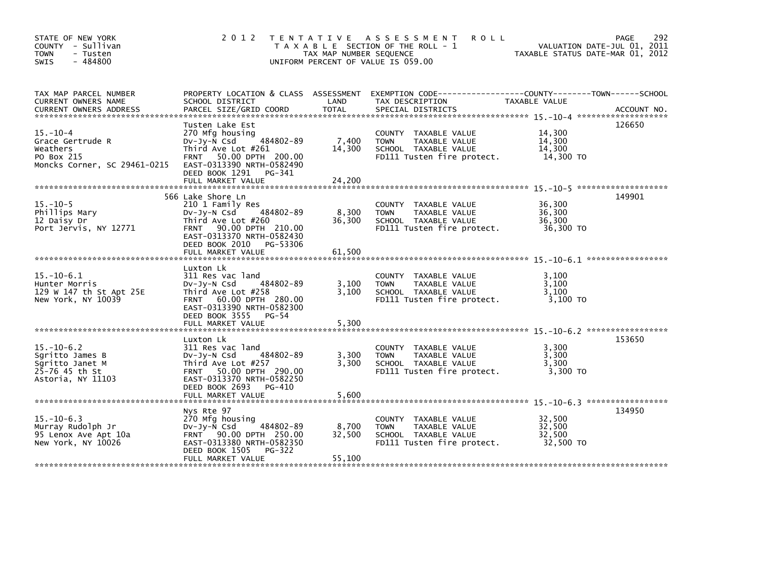| STATE OF NEW YORK<br>COUNTY - Sullivan<br>- Tusten<br>TOWN<br>$-484800$<br>SWIS              | 2 0 1 2                                                                                                                                                                                        | T E N T A T I V E<br>TAX MAP NUMBER SEQUENCE<br>UNIFORM PERCENT OF VALUE IS 059.00 | A S S E S S M E N T<br><b>ROLL</b><br>T A X A B L E SECTION OF THE ROLL - 1                                          | VALUATION DATE-JUL 01, 2011<br>TAXABLE STATUS DATE-MAR 01, 2012 | 292<br>PAGE |
|----------------------------------------------------------------------------------------------|------------------------------------------------------------------------------------------------------------------------------------------------------------------------------------------------|------------------------------------------------------------------------------------|----------------------------------------------------------------------------------------------------------------------|-----------------------------------------------------------------|-------------|
| TAX MAP PARCEL NUMBER<br>CURRENT OWNERS NAME                                                 | PROPERTY LOCATION & CLASS ASSESSMENT<br>SCHOOL DISTRICT                                                                                                                                        | LAND                                                                               | EXEMPTION CODE-----------------COUNTY-------TOWN------SCHOOL<br>TAX DESCRIPTION                                      | TAXABLE VALUE                                                   |             |
| $15. - 10 - 4$<br>Grace Gertrude R<br>Weathers<br>PO Box 215<br>Moncks Corner, SC 29461-0215 | Tusten Lake Est<br>270 Mfg housing<br>$Dv-Jv-N$ Csd<br>484802-89<br>Third Ave Lot #261<br>FRNT 50.00 DPTH 200.00<br>EAST-0313390 NRTH-0582490<br>DEED BOOK 1291<br>PG-341<br>FULL MARKET VALUE | 7,400<br>14,300<br>24,200                                                          | COUNTY TAXABLE VALUE<br><b>TOWN</b><br>TAXABLE VALUE<br>SCHOOL TAXABLE VALUE<br>FD111 Tusten fire protect.           | 14,300<br>14,300<br>14,300<br>14,300 TO                         | 126650      |
|                                                                                              |                                                                                                                                                                                                |                                                                                    |                                                                                                                      |                                                                 |             |
| $15. - 10 - 5$<br>Phillips Mary<br>12 Daisy Dr<br>Port Jervis, NY 12771                      | 566 Lake Shore Ln<br>210 1 Family Res<br>484802-89<br>$Dv-Jv-N$ Csd<br>Third Ave Lot #260<br>FRNT 90.00 DPTH 210.00<br>EAST-0313370 NRTH-0582430<br>DEED BOOK 2010<br>PG-53306                 | 8,300<br>36,300                                                                    | COUNTY TAXABLE VALUE<br>TAXABLE VALUE<br><b>TOWN</b><br>SCHOOL TAXABLE VALUE<br>FD111 Tusten fire protect.           | 36,300<br>36,300<br>36,300<br>36,300 TO                         | 149901      |
|                                                                                              | FULL MARKET VALUE                                                                                                                                                                              | 61,500                                                                             |                                                                                                                      |                                                                 |             |
| $15 - 10 - 6.1$<br>Hunter Morris<br>129 W 147 th St Apt 25E<br>New York, NY 10039            | Luxton Lk<br>311 Res vac land<br>484802-89<br>DV-Jy-N Csd<br>Third Ave Lot #258<br>FRNT 60.00 DPTH 280.00<br>EAST-0313390 NRTH-0582300<br>DEED BOOK 3555<br>PG-54<br>FULL MARKET VALUE         | 3,100<br>3,100<br>5,300                                                            | COUNTY TAXABLE VALUE<br>TAXABLE VALUE<br><b>TOWN</b><br>SCHOOL TAXABLE VALUE<br>FD111 Tusten fire protect.           | 3.100<br>3,100<br>3,100<br>3,100 TO                             |             |
|                                                                                              |                                                                                                                                                                                                |                                                                                    |                                                                                                                      |                                                                 |             |
| $15 - 10 - 6.2$<br>Sgritto James B<br>Sqritto Janet M<br>25-76 45 th St<br>Astoria, NY 11103 | Luxton Lk<br>311 Res vac land<br>484802-89<br>$Dv-Jy-N$ Csd<br>Third Ave Lot #257<br>FRNT 50.00 DPTH 290.00<br>EAST-0313370 NRTH-0582250<br>DEED BOOK 2693<br>PG-410                           | 3,300<br>3,300                                                                     | <b>COUNTY</b><br>TAXABLE VALUE<br>TAXABLE VALUE<br><b>TOWN</b><br>SCHOOL TAXABLE VALUE<br>FD111 Tusten fire protect. | 3,300<br>3,300<br>3,300<br>3,300 TO                             | 153650      |
|                                                                                              | FULL MARKET VALUE                                                                                                                                                                              | 5.600                                                                              |                                                                                                                      |                                                                 |             |
| $15. - 10 - 6.3$<br>Murray Rudolph Jr<br>95 Lenox Ave Apt 10a<br>New York, NY 10026          | Nys Rte 97<br>270 Mfg housing<br>DV-Jy-N Csd<br>484802-89<br>FRNT 90.00 DPTH 250.00<br>EAST-0313380 NRTH-0582350<br>DEED BOOK 1505<br>PG-322<br>FULL MARKET VALUE                              | 8,700<br>32,500<br>55,100                                                          | COUNTY TAXABLE VALUE<br>TAXABLE VALUE<br><b>TOWN</b><br>SCHOOL TAXABLE VALUE<br>FD111 Tusten fire protect.           | 32,500<br>32,500<br>32,500<br>32.500 TO                         | 134950      |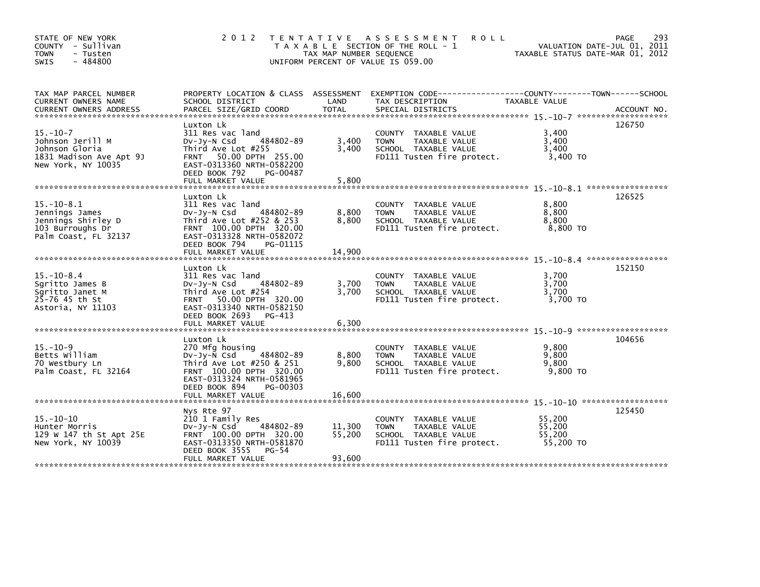| STATE OF NEW YORK<br>COUNTY - Sullivan<br>- Tusten<br><b>TOWN</b><br>$-484800$<br><b>SWIS</b>         | 2 0 1 2                                                                                                                                                                                  | T E N T A T I V E<br>TAX MAP NUMBER SEQUENCE<br>UNIFORM PERCENT OF VALUE IS 059.00 | A S S E S S M E N T<br><b>ROLL</b><br>T A X A B L E SECTION OF THE ROLL - 1                                       | TAXABLE STATUS DATE-MAR 01, 2012        | 293<br>PAGE<br>VALUATION DATE-JUL 01, 2011 |
|-------------------------------------------------------------------------------------------------------|------------------------------------------------------------------------------------------------------------------------------------------------------------------------------------------|------------------------------------------------------------------------------------|-------------------------------------------------------------------------------------------------------------------|-----------------------------------------|--------------------------------------------|
| TAX MAP PARCEL NUMBER<br>CURRENT OWNERS NAME                                                          | SCHOOL DISTRICT                                                                                                                                                                          | LAND                                                                               | PROPERTY LOCATION & CLASS ASSESSMENT EXEMPTION CODE---------------COUNTY-------TOWN-----SCHOOL<br>TAX DESCRIPTION | TAXABLE VALUE                           |                                            |
| $15. - 10 - 7$<br>Johnson Jerill M<br>Johnson Gloria<br>1831 Madison Ave Apt 9J<br>New York, NY 10035 | Luxton Lk<br>311 Res vac land<br>484802-89<br>DV-JV-N Csd<br>Third Ave Lot #255<br>FRNT 50.00 DPTH 255.00<br>EAST-0313360 NRTH-0582200<br>DEED BOOK 792<br>PG-00487<br>FULL MARKET VALUE | 3,400<br>3,400<br>5,800                                                            | COUNTY TAXABLE VALUE<br><b>TAXABLE VALUE</b><br><b>TOWN</b><br>SCHOOL TAXABLE VALUE<br>FD111 Tusten fire protect. | 3,400<br>3,400<br>3,400<br>3,400 TO     | 126750                                     |
|                                                                                                       | Luxton Lk                                                                                                                                                                                |                                                                                    |                                                                                                                   |                                         | 126525                                     |
| $15. - 10 - 8.1$<br>Jennings James<br>Jennings Shirley D<br>103 Burroughs Dr<br>Palm Coast, FL 32137  | 311 Res vac land<br>484802-89<br>$Dv-Jy-N$ Csd<br>Third Ave Lot $#252$ & 253<br>FRNT 100.00 DPTH 320.00<br>EAST-0313328 NRTH-0582072<br>DEED BOOK 794<br>PG-01115                        | 8,800<br>8,800                                                                     | COUNTY TAXABLE VALUE<br>TAXABLE VALUE<br><b>TOWN</b><br>SCHOOL TAXABLE VALUE<br>FD111 Tusten fire protect.        | 8,800<br>8,800<br>8,800<br>8,800 TO     |                                            |
|                                                                                                       | FULL MARKET VALUE                                                                                                                                                                        | 14,900                                                                             |                                                                                                                   |                                         |                                            |
| $15 - 10 - 8.4$<br>Sgritto James B<br>Sgritto Janet M<br>25-76 45 th St<br>Astoria, NY 11103          | Luxton Lk<br>311 Res vac land<br>484802-89<br>DV-Jy-N Csd<br>Third Ave Lot #254<br>FRNT 50.00 DPTH 320.00<br>EAST-0313340 NRTH-0582150<br>DEED BOOK 2693<br>PG-413<br>FULL MARKET VALUE  | 3,700<br>3,700<br>6,300                                                            | COUNTY TAXABLE VALUE<br>TAXABLE VALUE<br><b>TOWN</b><br>SCHOOL TAXABLE VALUE<br>FD111 Tusten fire protect.        | 3,700<br>3,700<br>3,700<br>3,700 TO     | 152150                                     |
|                                                                                                       | Luxton Lk                                                                                                                                                                                |                                                                                    |                                                                                                                   |                                         | 104656                                     |
| $15. - 10 - 9$<br>Betts William<br>70 Westbury Ln<br>Palm Coast, FL 32164                             | 270 Mfg housing<br>484802-89<br>$Dv-Jy-N$ Csd<br>Third Ave Lot #250 & 251<br>FRNT 100.00 DPTH 320.00<br>EAST-0313324 NRTH-0581965<br>DEED BOOK 894<br>PG-00303                           | 8,800<br>9,800                                                                     | COUNTY TAXABLE VALUE<br>TAXABLE VALUE<br><b>TOWN</b><br>SCHOOL TAXABLE VALUE<br>FD111 Tusten fire protect.        | 9,800<br>9,800<br>9,800<br>9,800 TO     |                                            |
|                                                                                                       | FULL MARKET VALUE                                                                                                                                                                        | 16,600                                                                             |                                                                                                                   |                                         |                                            |
| $15. - 10 - 10$<br>Hunter Morris<br>129 W 147 th St Apt 25E<br>New York, NY 10039                     | Nys Rte 97<br>210 1 Family Res<br>DV-Jy-N Csd<br>484802-89<br>FRNT 100.00 DPTH 320.00<br>EAST-0313350 NRTH-0581870<br>DEED BOOK 3555<br>$PG-54$<br>FULL MARKET VALUE                     | 11,300<br>55,200<br>93,600                                                         | COUNTY TAXABLE VALUE<br>TAXABLE VALUE<br><b>TOWN</b><br>SCHOOL TAXABLE VALUE<br>FD111 Tusten fire protect.        | 55,200<br>55,200<br>55,200<br>55,200 TO | 125450                                     |
|                                                                                                       |                                                                                                                                                                                          |                                                                                    |                                                                                                                   |                                         |                                            |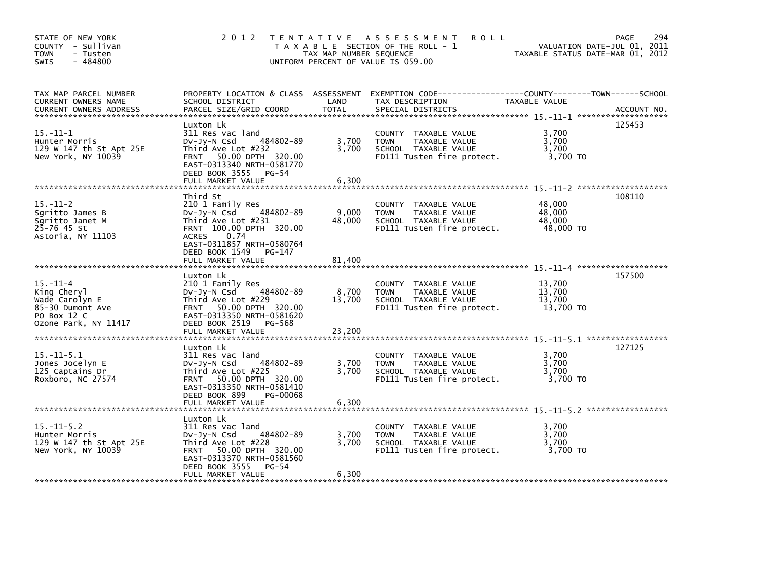| STATE OF NEW YORK<br>COUNTY - Sullivan<br><b>TOWN</b><br>- Tusten<br>$-484800$<br>SWIS                     | 2 0 1 2                                                                                                                                                                                                         | TAX MAP NUMBER SEQUENCE   | TENTATIVE ASSESSMENT<br><b>ROLL</b><br>T A X A B L E SECTION OF THE ROLL - 1<br>UNIFORM PERCENT OF VALUE IS 059.00 |                                         | 294<br>PAGE<br>VALUATION DATE-JUL 01, 2011<br>TAXABLE STATUS DATE-MAR 01, 2012 |
|------------------------------------------------------------------------------------------------------------|-----------------------------------------------------------------------------------------------------------------------------------------------------------------------------------------------------------------|---------------------------|--------------------------------------------------------------------------------------------------------------------|-----------------------------------------|--------------------------------------------------------------------------------|
| TAX MAP PARCEL NUMBER<br>CURRENT OWNERS NAME<br><b>CURRENT OWNERS ADDRESS</b>                              | PROPERTY LOCATION & CLASS ASSESSMENT<br>SCHOOL DISTRICT<br>PARCEL SIZE/GRID COORD                                                                                                                               | LAND<br><b>TOTAL</b>      | TAX DESCRIPTION<br>SPECIAL DISTRICTS                                                                               | TAXABLE VALUE                           | ACCOUNT NO.                                                                    |
| $15. - 11 - 1$<br>Hunter Morris<br>129 W 147 th St Apt 25E<br>New York, NY 10039                           | Luxton Lk<br>311 Res vac land<br>484802-89<br>DV-Jy-N Csd<br>Third Ave Lot #232<br>FRNT 50.00 DPTH 320.00<br>EAST-0313340 NRTH-0581770<br>DEED BOOK 3555 PG-54<br>FULL MARKET VALUE                             | 3,700<br>3,700<br>6,300   | COUNTY TAXABLE VALUE<br><b>TOWN</b><br>TAXABLE VALUE<br>SCHOOL TAXABLE VALUE<br>FD111 Tusten fire protect.         | 3,700<br>3,700<br>3,700<br>3,700 TO     | 125453                                                                         |
| $15. - 11 - 2$<br>Sgritto James B<br>Sgritto Janet M<br>$25 - 76$ 45 St<br>Astoria, NY 11103               | Third St<br>210 1 Family Res<br>484802-89<br>DV-Jy-N Csd<br>Third Ave Lot #231<br>FRNT 100.00 DPTH 320.00<br>0.74<br><b>ACRES</b><br>EAST-0311857 NRTH-0580764<br>DEED BOOK 1549<br>PG-147<br>FULL MARKET VALUE | 9,000<br>48,000<br>81,400 | COUNTY TAXABLE VALUE<br><b>TOWN</b><br>TAXABLE VALUE<br>SCHOOL TAXABLE VALUE<br>FD111 Tusten fire protect.         | 48,000<br>48,000<br>48,000<br>48,000 TO | 108110                                                                         |
| $15. - 11 - 4$<br>King Cheryl<br>Wade Carolyn E<br>85-30 Dumont Ave<br>PO Box 12 C<br>Ozone Park, NY 11417 | Luxton Lk<br>210 1 Family Res<br>484802-89<br>$Dv-Jy-N$ Csd<br>Third Ave Lot #229<br>FRNT 50.00 DPTH 320.00<br>EAST-0313350 NRTH-0581620<br>DEED BOOK 2519 PG-568<br>FULL MARKET VALUE                          | 8,700<br>13,700<br>23,200 | COUNTY TAXABLE VALUE<br><b>TOWN</b><br>TAXABLE VALUE<br>SCHOOL TAXABLE VALUE<br>FD111 Tusten fire protect.         | 13,700<br>13,700<br>13,700<br>13,700 TO | 157500                                                                         |
| $15.-11-5.1$<br>Jones Jocelyn E<br>125 Captains Dr<br>Roxboro, NC 27574                                    | Luxton Lk<br>311 Res vac land<br>484802-89<br>$Dv-Jy-N$ Csd<br>Third Ave Lot #225<br>FRNT 50.00 DPTH 320.00<br>EAST-0313350 NRTH-0581410<br>DEED BOOK 899<br>PG-00068<br>FULL MARKET VALUE                      | 3,700<br>3.700<br>6,300   | COUNTY TAXABLE VALUE<br>TAXABLE VALUE<br><b>TOWN</b><br>SCHOOL TAXABLE VALUE<br>FD111 Tusten fire protect.         | 3,700<br>3,700<br>3,700<br>3,700 TO     | 127125                                                                         |
| $15. -11 - 5.2$<br>Hunter Morris<br>129 W 147 th St Apt 25E<br>New York, NY 10039                          | Luxton Lk<br>311 Res vac land<br>484802-89<br>DV-Jy-N Csd<br>Third Ave Lot #228<br>FRNT 50.00 DPTH 320.00<br>EAST-0313370 NRTH-0581560<br>DEED BOOK 3555<br>$PG-54$<br>FULL MARKET VALUE                        | 3,700<br>3,700<br>6,300   | COUNTY TAXABLE VALUE<br><b>TOWN</b><br>TAXABLE VALUE<br>SCHOOL TAXABLE VALUE<br>FD111 Tusten fire protect.         | 3,700<br>3,700<br>3,700<br>3,700 TO     |                                                                                |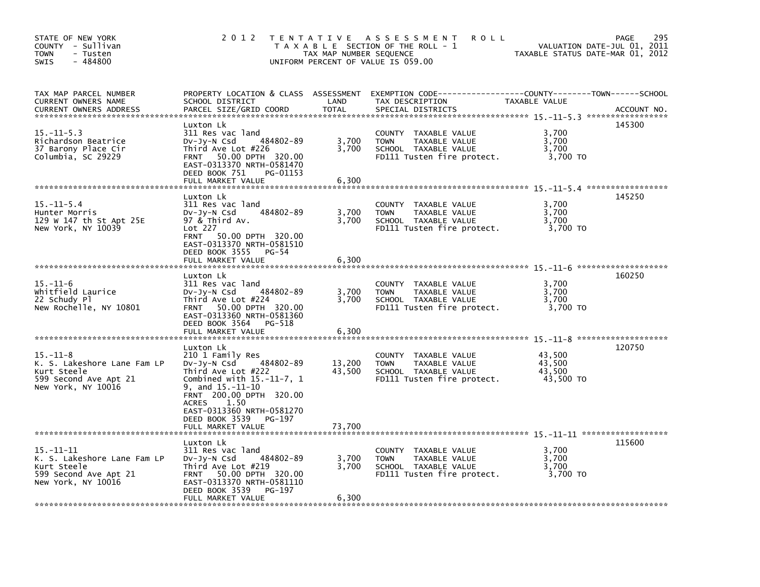| STATE OF NEW YORK<br>COUNTY - Sullivan<br><b>TOWN</b><br>- Tusten<br>$-484800$<br>SWIS                       | 2 0 1 2                                                                                                                                                                                                                                                                | TAX MAP NUMBER SEQUENCE    | TENTATIVE ASSESSMENT<br><b>ROLL</b><br>T A X A B L E SECTION OF THE ROLL - 1<br>UNIFORM PERCENT OF VALUE IS 059.00   | TAXABLE STATUS DATE-MAR 01, 2012        | 295<br><b>PAGE</b><br>VALUATION DATE-JUL 01, 2011 |
|--------------------------------------------------------------------------------------------------------------|------------------------------------------------------------------------------------------------------------------------------------------------------------------------------------------------------------------------------------------------------------------------|----------------------------|----------------------------------------------------------------------------------------------------------------------|-----------------------------------------|---------------------------------------------------|
| TAX MAP PARCEL NUMBER<br><b>CURRENT OWNERS NAME</b><br><b>CURRENT OWNERS ADDRESS</b>                         | PROPERTY LOCATION & CLASS ASSESSMENT<br>SCHOOL DISTRICT<br>PARCEL SIZE/GRID COORD                                                                                                                                                                                      | LAND<br><b>TOTAL</b>       | TAX DESCRIPTION<br>SPECIAL DISTRICTS                                                                                 | TAXABLE VALUE                           | ACCOUNT NO.                                       |
| $15. - 11 - 5.3$<br>Richardson Beatrice<br>37 Barony Place Cir<br>Columbia, SC 29229                         | Luxton Lk<br>311 Res vac land<br>484802-89<br>$Dv-Jy-N$ Csd<br>Third Ave Lot #226<br>50.00 DPTH 320.00<br><b>FRNT</b><br>EAST-0313370 NRTH-0581470<br>DEED BOOK 751<br>PG-01153<br>FULL MARKET VALUE                                                                   | 3,700<br>3,700<br>6,300    | COUNTY TAXABLE VALUE<br><b>TOWN</b><br>TAXABLE VALUE<br>SCHOOL TAXABLE VALUE<br>FD111 Tusten fire protect.           | 3,700<br>3,700<br>3,700<br>3,700 TO     | 145300                                            |
| $15. - 11 - 5.4$<br>Hunter Morris<br>129 W 147 th St Apt 25E<br>New York, NY 10039                           | Luxton Lk<br>311 Res vac land<br>484802-89<br>$Dv-Jy-N$ Csd<br>97 & Third Av.<br>Lot 227<br>50.00 DPTH 320.00<br><b>FRNT</b><br>EAST-0313370 NRTH-0581510<br>DEED BOOK 3555<br>PG-54<br>FULL MARKET VALUE                                                              | 3,700<br>3,700<br>6,300    | COUNTY TAXABLE VALUE<br>TAXABLE VALUE<br><b>TOWN</b><br>SCHOOL TAXABLE VALUE<br>FD111 Tusten fire protect.           | 3.700<br>3,700<br>3,700<br>3,700 TO     | 145250                                            |
| $15. - 11 - 6$<br>Whitfield Laurice<br>22 Schudy Pl<br>New Rochelle, NY 10801                                | Luxton Lk<br>311 Res vac land<br>484802-89<br>$Dv-Jy-N$ Csd<br>Third Ave Lot #224<br>FRNT 50.00 DPTH 320.00<br>EAST-0313360 NRTH-0581360<br>DEED BOOK 3564 PG-518<br>FULL MARKET VALUE                                                                                 | 3,700<br>3.700<br>6,300    | <b>COUNTY</b><br>TAXABLE VALUE<br>TAXABLE VALUE<br><b>TOWN</b><br>SCHOOL TAXABLE VALUE<br>FD111 Tusten fire protect. | 3,700<br>3,700<br>3,700<br>3,700 TO     | 160250                                            |
| $15. - 11 - 8$<br>K. S. Lakeshore Lane Fam LP<br>Kurt Steele<br>599 Second Ave Apt 21<br>New York, NY 10016  | Luxton Lk<br>210 1 Family Res<br>484802-89<br>DV-Jy-N Csd<br>Third Ave Lot #222<br>Combined with $15.-11-7$ , 1<br>9, and $15.-11-10$<br>FRNT 200.00 DPTH 320.00<br><b>ACRES</b><br>1.50<br>EAST-0313360 NRTH-0581270<br>DEED BOOK 3539<br>PG-197<br>FULL MARKET VALUE | 13,200<br>43,500<br>73.700 | COUNTY TAXABLE VALUE<br><b>TOWN</b><br>TAXABLE VALUE<br>SCHOOL TAXABLE VALUE<br>FD111 Tusten fire protect.           | 43,500<br>43,500<br>43,500<br>43,500 TO | 120750                                            |
| $15. - 11 - 11$<br>K. S. Lakeshore Lane Fam LP<br>Kurt Steele<br>599 Second Ave Apt 21<br>New York, NY 10016 | Luxton Lk<br>311 Res vac land<br>484802-89<br>$Dv-Jy-N$ Csd<br>Third Ave Lot #219<br>50.00 DPTH 320.00<br><b>FRNT</b><br>EAST-0313370 NRTH-0581110<br>DEED BOOK 3539<br>PG-197<br>FULL MARKET VALUE                                                                    | 3,700<br>3.700<br>6,300    | TAXABLE VALUE<br>COUNTY<br><b>TAXABLE VALUE</b><br><b>TOWN</b><br>SCHOOL TAXABLE VALUE<br>FD111 Tusten fire protect. | 3,700<br>3.700<br>3,700<br>3,700 TO     | 115600                                            |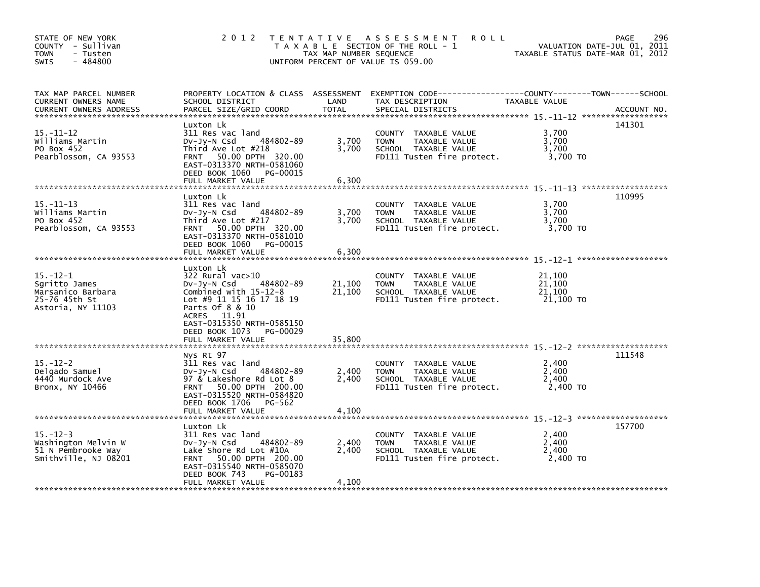| STATE OF NEW YORK<br>COUNTY - Sullivan<br><b>TOWN</b><br>- Tusten<br>$-484800$<br><b>SWIS</b> |                                                                                                                                                                                                | TAX MAP NUMBER SEQUENCE | 2012 TENTATIVE ASSESSMENT<br><b>ROLL</b><br>T A X A B L E SECTION OF THE ROLL - 1<br>UNIFORM PERCENT OF VALUE IS 059.00                | TAXABLE STATUS DATE-MAR 01, 2012        | 296<br>PAGE<br>VALUATION DATE-JUL 01, 2011 |
|-----------------------------------------------------------------------------------------------|------------------------------------------------------------------------------------------------------------------------------------------------------------------------------------------------|-------------------------|----------------------------------------------------------------------------------------------------------------------------------------|-----------------------------------------|--------------------------------------------|
| TAX MAP PARCEL NUMBER<br>CURRENT OWNERS NAME<br><b>CURRENT OWNERS ADDRESS</b>                 | SCHOOL DISTRICT<br>PARCEL SIZE/GRID COORD                                                                                                                                                      | LAND<br><b>TOTAL</b>    | PROPERTY LOCATION & CLASS ASSESSMENT EXEMPTION CODE---------------COUNTY-------TOWN-----SCHOOL<br>TAX DESCRIPTION<br>SPECIAL DISTRICTS | TAXABLE VALUE                           | ACCOUNT NO.                                |
| $15. - 11 - 12$<br>Williams Martin<br>PO Box 452<br>Pearblossom, CA 93553                     | Luxton Lk<br>311 Res vac land<br>484802-89<br>DV-Jy-N Csd<br>Third Ave Lot #218<br>FRNT 50.00 DPTH 320.00<br>EAST-0313370 NRTH-0581060<br>DEED BOOK 1060<br>PG-00015                           | 3,700<br>3,700          | COUNTY TAXABLE VALUE<br><b>TOWN</b><br>TAXABLE VALUE<br>SCHOOL TAXABLE VALUE<br>FD111 Tusten fire protect.                             | 3,700<br>3,700<br>3,700<br>3,700 TO     | 141301                                     |
|                                                                                               | FULL MARKET VALUE                                                                                                                                                                              | 6,300                   |                                                                                                                                        |                                         |                                            |
| $15. - 11 - 13$<br>Williams Martin<br>PO Box 452<br>Pearblossom, CA 93553                     | Luxton Lk<br>311 Res vac land<br>484802-89<br>$Dv-Jy-N$ Csd<br>Third Ave Lot #217<br>FRNT 50.00 DPTH 320.00<br>EAST-0313370 NRTH-0581010<br>DEED BOOK 1060<br>PG-00015<br>FULL MARKET VALUE    | 3,700<br>3.700<br>6,300 | COUNTY TAXABLE VALUE<br>TAXABLE VALUE<br><b>TOWN</b><br>SCHOOL TAXABLE VALUE<br>FD111 Tusten fire protect.                             | 3,700<br>3,700<br>3,700<br>3,700 TO     | 110995                                     |
|                                                                                               |                                                                                                                                                                                                |                         |                                                                                                                                        |                                         |                                            |
| $15. - 12 - 1$<br>Sqritto James<br>Marsanico Barbara<br>25-76 45th St<br>Astoria, NY 11103    | Luxton Lk<br>322 Rural vac>10<br>484802-89<br>$Dv-Jy-N$ Csd<br>Combined with 15-12-8<br>Lot #9 11 15 16 17 18 19<br>Parts of 8 & 10<br>ACRES 11.91<br>EAST-0315350 NRTH-0585150                | 21,100<br>21,100        | COUNTY TAXABLE VALUE<br><b>TAXABLE VALUE</b><br><b>TOWN</b><br>SCHOOL TAXABLE VALUE<br>FD111 Tusten fire protect.                      | 21,100<br>21,100<br>21,100<br>21,100 TO |                                            |
|                                                                                               | DEED BOOK 1073 PG-00029<br>FULL MARKET VALUE                                                                                                                                                   | 35,800                  |                                                                                                                                        |                                         |                                            |
| $15. - 12 - 2$<br>Delgado Samuel<br>4440 Murdock Ave<br>Bronx, NY 10466                       | Nys Rt 97<br>311 Res vac land<br>484802-89<br>$Dv-Jv-N$ Csd<br>97 & Lakeshore Rd Lot 8<br>FRNT 50.00 DPTH 200.00<br>EAST-0315520 NRTH-0584820<br>DEED BOOK 1706<br>PG-562<br>FULL MARKET VALUE | 2,400<br>2,400<br>4,100 | COUNTY TAXABLE VALUE<br>TAXABLE VALUE<br><b>TOWN</b><br>SCHOOL TAXABLE VALUE<br>FD111 Tusten fire protect.                             | 2,400<br>2,400<br>2,400<br>2,400 TO     | 111548                                     |
|                                                                                               | Luxton Lk                                                                                                                                                                                      |                         |                                                                                                                                        |                                         | 157700                                     |
| $15. - 12 - 3$<br>Washington Melvin W<br>51 N Pembrooke Way<br>Smithville, NJ 08201           | 311 Res vac land<br>DV-Jy-N Csd<br>484802-89<br>Lake Shore Rd Lot #10A<br>50.00 DPTH 200.00<br><b>FRNT</b><br>EAST-0315540 NRTH-0585070<br>DEED BOOK 743<br>PG-00183                           | 2,400<br>2,400          | COUNTY TAXABLE VALUE<br>TAXABLE VALUE<br><b>TOWN</b><br>SCHOOL TAXABLE VALUE<br>FD111 Tusten fire protect.                             | 2,400<br>2,400<br>2,400<br>2.400 TO     |                                            |
|                                                                                               | FULL MARKET VALUE                                                                                                                                                                              | 4,100                   |                                                                                                                                        |                                         |                                            |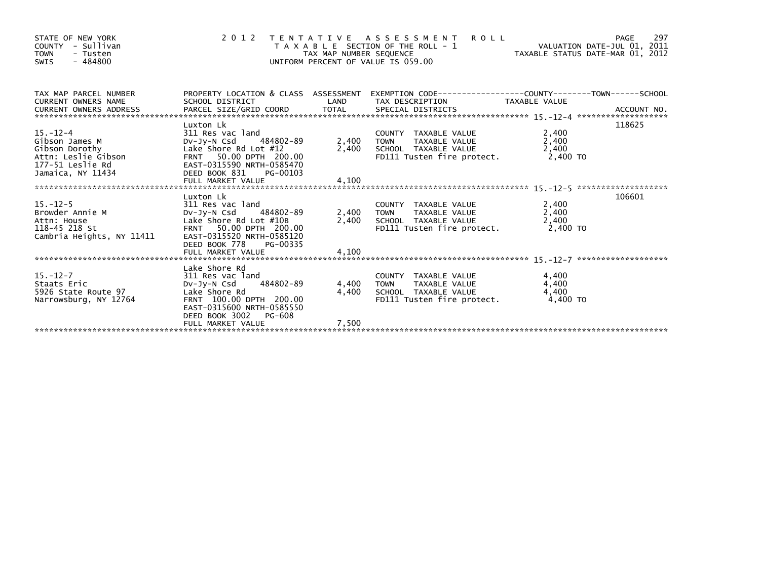| STATE OF NEW YORK<br>- Sullivan<br>COUNTY<br><b>TOWN</b><br>- Tusten<br>$-484800$<br><b>SWIS</b>             |                                                                                                                                                                      | TAX MAP NUMBER SEQUENCE | <b>ROLL</b><br>2012 TENTATIVE ASSESSMENT<br>T A X A B L E SECTION OF THE ROLL - 1<br>UNIFORM PERCENT OF VALUE IS 059.00 |                         | 297<br>PAGE |
|--------------------------------------------------------------------------------------------------------------|----------------------------------------------------------------------------------------------------------------------------------------------------------------------|-------------------------|-------------------------------------------------------------------------------------------------------------------------|-------------------------|-------------|
| TAX MAP PARCEL NUMBER<br><b>CURRENT OWNERS NAME</b><br>CURRENT OWNERS ADDRESS                                | SCHOOL DISTRICT                                                                                                                                                      | LAND                    | PROPERTY LOCATION & CLASS ASSESSMENT EXEMPTION CODE----------------COUNTY-------TOWN------SCHOOL<br>TAX DESCRIPTION     | TAXABLE VALUE           |             |
| 15.-12-4<br>Gibson James M<br>Gibson Dorothy<br>Attn: Leslie Gibson<br>177-51 Leslie Rd<br>Jamaica, NY 11434 | Luxton Lk<br>311 Res vac land<br>DV-Jy-N Csd 484802-89<br>Lake Shore Rd Lot #12<br>FRNT 50.00 DPTH 200.00<br>EAST-0315590 NRTH-0585470<br>DEED BOOK 831<br>PG-00103  | 2,400 TOWN              | COUNTY TAXABLE VALUE<br>TAXABLE VALUE<br>2,400 SCHOOL TAXABLE VALUE<br>FD111 Tusten fire protect. 2,400 TO              | 2,400<br>2,400<br>2,400 | 118625      |
|                                                                                                              |                                                                                                                                                                      |                         |                                                                                                                         |                         |             |
| 15.-12-5<br>Browder Annie M<br>Attn: House<br>118-45 218 St<br>Cambria Heights, NY 11411                     | Luxton Lk<br>311 Res vac land<br>DV-Jy-N Csd 484802-89<br>Lake Shore Rd Lot #10B<br>FRNT 50.00 DPTH 200.00<br>EAST-0315520 NRTH-0585120<br>DEED BOOK 778<br>PG-00335 | 2,400 TOWN              | COUNTY TAXABLE VALUE<br>TOWN TAXABLE VALUE<br>2,400 SCHOOL TAXABLE VALUE<br>FD111 Tusten fire protect. 2,400 TO         | 2,400<br>2,400<br>2,400 | 106601      |
|                                                                                                              | Lake Shore Rd                                                                                                                                                        |                         |                                                                                                                         |                         |             |
| 15.-12-7<br>Staats Eric<br>5926 State Route 97<br>Narrowsburg, NY 12764                                      | 311 Res vac land<br>DV-Jy-N Csd 484802-89<br>Lake Shore Rd<br>FRNT 100.00 DPTH 200.00<br>EAST-0315600 NRTH-0585550<br>DEED BOOK 3002 PG-608                          | 4,400 TOWN<br>4,400     | COUNTY TAXABLE VALUE<br>TOWN TAXABLE VALUE<br>SCHOOL TAXABLE VALUE<br>FD111 Tusten fire protect. 4,400 TO               | 4,400<br>4,400<br>4,400 |             |
|                                                                                                              | FULL MARKET VALUE                                                                                                                                                    | 7,500                   |                                                                                                                         |                         |             |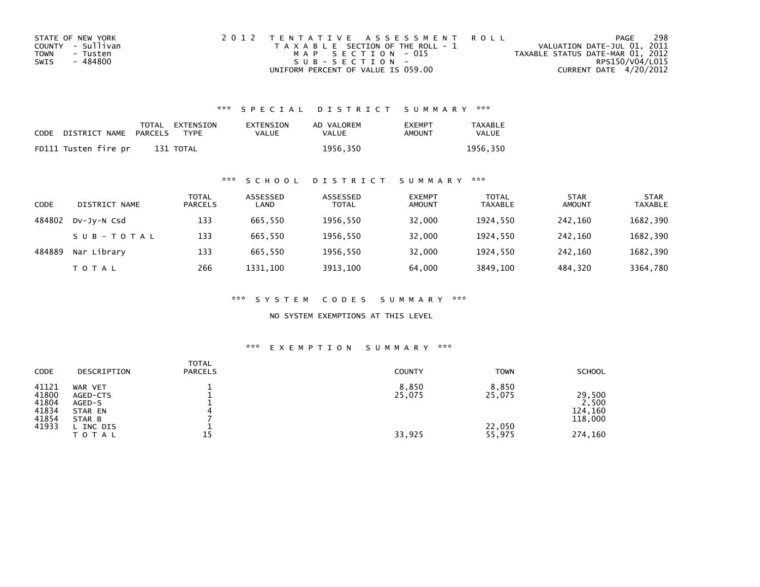| STATE OF NEW YORK | 2012 TENTATIVE ASSESSMENT ROLL        | PAGE                             | 298 |
|-------------------|---------------------------------------|----------------------------------|-----|
| COUNTY - Sullivan | T A X A B L E SECTION OF THE ROLL - 1 | VALUATION DATE-JUL 01, 2011      |     |
| TOWN<br>- Tusten  | MAP SECTION - 015                     | TAXABLE STATUS DATE-MAR 01, 2012 |     |
| - 484800<br>SWIS  | $SUB - SECTION -$                     | RPS150/V04/L015                  |     |
|                   | UNIFORM PERCENT OF VALUE IS 059.00    | CURRENT DATE 4/20/2012           |     |

## \*\*\* S P E C I A L D I S T R I C T S U M M A R Y \*\*\*

| CODE | DISTRICT NAME        | PARCELS | TOTAL EXTENSION<br><b>TYPF</b> | EXTENSION<br>VALUE | AD VALOREM<br>VALUE | <b>EXEMPT</b><br>AMOUNT | <b>TAXABLE</b><br>VALUE |
|------|----------------------|---------|--------------------------------|--------------------|---------------------|-------------------------|-------------------------|
|      | FD111 Tusten fire pr |         | 131 TOTAL                      |                    | 1956.350            |                         | 1956.350                |

## \*\*\* S C H O O L D I S T R I C T S U M M A R Y \*\*\*

| CODE   | DISTRICT NAME | TOTAL<br><b>PARCELS</b> | ASSESSED<br>LAND | ASSESSED<br><b>TOTAL</b> | <b>EXEMPT</b><br><b>AMOUNT</b> | <b>TOTAL</b><br><b>TAXABLE</b> | <b>STAR</b><br><b>AMOUNT</b> | <b>STAR</b><br><b>TAXABLE</b> |
|--------|---------------|-------------------------|------------------|--------------------------|--------------------------------|--------------------------------|------------------------------|-------------------------------|
| 484802 | DV-JV-N Csd   | 133                     | 665.550          | 1956,550                 | 32,000                         | 1924.550                       | 242.160                      | 1682,390                      |
|        | SUB-TOTAL     | 133                     | 665.550          | 1956,550                 | 32,000                         | 1924.550                       | 242,160                      | 1682,390                      |
| 484889 | Nar Library   | 133                     | 665.550          | 1956,550                 | 32,000                         | 1924.550                       | 242.160                      | 1682,390                      |
|        | T O T A L     | 266                     | 1331.100         | 3913,100                 | 64.000                         | 3849.100                       | 484.320                      | 3364,780                      |

\*\*\* S Y S T E M C O D E S S U M M A R Y \*\*\*

NO SYSTEM EXEMPTIONS AT THIS LEVEL

## \*\*\* E X E M P T I O N S U M M A R Y \*\*\*

| CODE                                      | DESCRIPTION                                        | <b>TOTAL</b><br><b>PARCELS</b> | <b>COUNTY</b>   | <b>TOWN</b>      | <b>SCHOOL</b>                         |
|-------------------------------------------|----------------------------------------------------|--------------------------------|-----------------|------------------|---------------------------------------|
| 41121<br>41800<br>41804<br>41834<br>41854 | WAR VET<br>AGED-CTS<br>AGED-S<br>STAR EN<br>STAR B |                                | 8,850<br>25,075 | 8,850<br>25,075  | 29,500<br>2,500<br>124,160<br>118,000 |
| 41933                                     | . INC DIS<br><b>TOTAL</b>                          | 15                             | 33,925          | 22,050<br>55,975 | 274,160                               |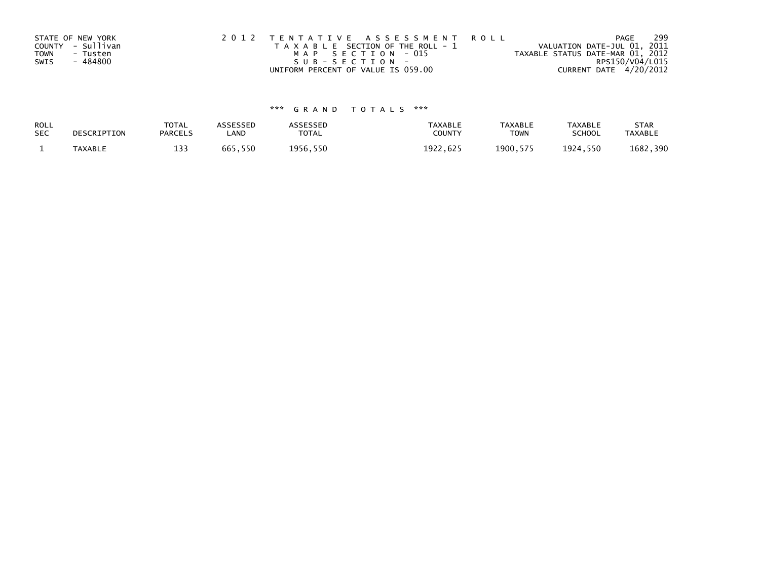|             | STATE OF NEW YORK | 2012 TENTATIVE ASSESSMENT ROLL        | PAGE                             | 299 |
|-------------|-------------------|---------------------------------------|----------------------------------|-----|
|             | COUNTY - Sullivan | T A X A B L E SECTION OF THE ROLL - 1 | VALUATION DATE-JUL 01, 2011      |     |
| <b>TOWN</b> | - Tusten          | MAP SECTION - 015                     | TAXABLE STATUS DATE-MAR 01, 2012 |     |
| SWIS        | - 484800          | SUB-SECTION-                          | RPS150/V04/L015                  |     |
|             |                   | UNIFORM PERCENT OF VALUE IS 059.00    | CURRENT DATE 4/20/2012           |     |

## \*\*\* G R A N D T O T A L S \*\*\*

| ROLL       | DESCRIPTION    | <b>TOTAL</b>   | ASSESSED | ASSESSED | <b>TAXABLE</b> | <b>TAXABLE</b> | <b>TAXABLE</b> | <b>STAR</b>    |
|------------|----------------|----------------|----------|----------|----------------|----------------|----------------|----------------|
| <b>SEC</b> |                | <b>PARCELS</b> | LAND     | TOTAL    | <b>COUNTY</b>  | <b>TOWN</b>    | <b>SCHOOL</b>  | <b>TAXABLE</b> |
|            | <b>TAXABLE</b> | 1 ጋ ጋ<br>دد⊥   | 665,550  | 1956,550 | 1922.625       | 1900.575       | 1924,550       | 1682,390       |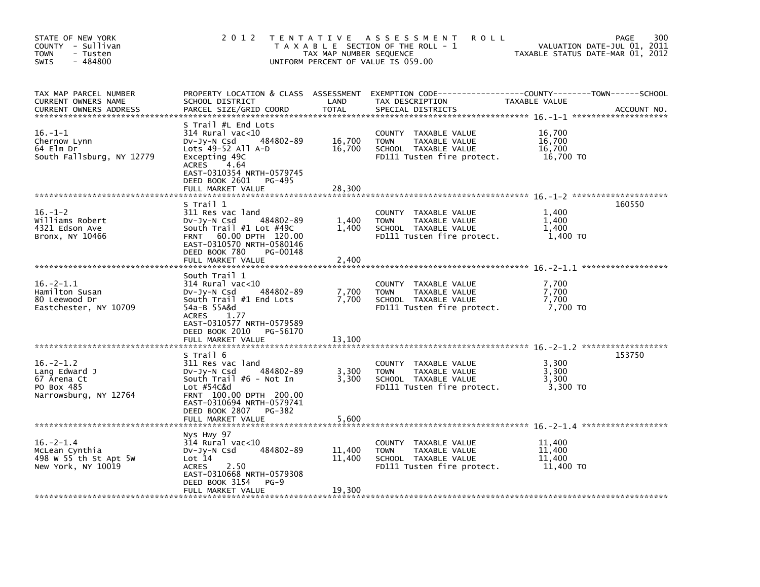| STATE OF NEW YORK<br>COUNTY - Sullivan<br><b>TOWN</b><br>- Tusten<br>$-484800$<br><b>SWIS</b> | 2 0 1 2                                                                                                                                                                                                       | TAX MAP NUMBER SEQUENCE    | TENTATIVE ASSESSMENT<br><b>ROLL</b><br>T A X A B L E SECTION OF THE ROLL - 1<br>UNIFORM PERCENT OF VALUE IS 059.00 | TAXABLE STATUS DATE-MAR 01, 2012        | 300<br><b>PAGE</b><br>VALUATION DATE-JUL 01, 2011 |
|-----------------------------------------------------------------------------------------------|---------------------------------------------------------------------------------------------------------------------------------------------------------------------------------------------------------------|----------------------------|--------------------------------------------------------------------------------------------------------------------|-----------------------------------------|---------------------------------------------------|
| TAX MAP PARCEL NUMBER<br>CURRENT OWNERS NAME<br><b>CURRENT OWNERS ADDRESS</b>                 | PROPERTY LOCATION & CLASS ASSESSMENT<br>SCHOOL DISTRICT<br>PARCEL SIZE/GRID COORD                                                                                                                             | LAND<br><b>TOTAL</b>       | EXEMPTION CODE-----------------COUNTY-------TOWN------SCHOOL<br>TAX DESCRIPTION<br>SPECIAL DISTRICTS               | TAXABLE VALUE                           | ACCOUNT NO.                                       |
| $16. - 1 - 1$<br>Chernow Lynn<br>64 Elm Dr<br>South Fallsburg, NY 12779                       | S Trail #L End Lots<br>$314$ Rural vac< $10$<br>DV-Jy-N Csd<br>484802-89<br>Lots $49-52$ All A-D<br>Excepting 49C<br>ACRES<br>4.64<br>EAST-0310354 NRTH-0579745<br>DEED BOOK 2601 PG-495<br>FULL MARKET VALUE | 16,700<br>16,700<br>28,300 | COUNTY TAXABLE VALUE<br>TAXABLE VALUE<br><b>TOWN</b><br>SCHOOL TAXABLE VALUE<br>FD111 Tusten fire protect.         | 16,700<br>16,700<br>16,700<br>16,700 TO |                                                   |
|                                                                                               |                                                                                                                                                                                                               |                            |                                                                                                                    |                                         |                                                   |
| $16. - 1 - 2$<br>Williams Robert<br>4321 Edson Ave<br>Bronx, NY 10466                         | S Trail 1<br>311 Res vac land<br>484802-89<br>$Dv-Jy-N$ Csd<br>South $Train  #1$ Lot $#49C$<br>FRNT 60.00 DPTH 120.00<br>EAST-0310570 NRTH-0580146<br>DEED BOOK 780<br>PG-00148                               | 1,400<br>1,400             | COUNTY TAXABLE VALUE<br>TAXABLE VALUE<br><b>TOWN</b><br>SCHOOL TAXABLE VALUE<br>FD111 Tusten fire protect.         | 1,400<br>1,400<br>1,400<br>1,400 TO     | 160550                                            |
|                                                                                               | FULL MARKET VALUE                                                                                                                                                                                             | 2.400                      |                                                                                                                    |                                         |                                                   |
| $16. -2 - 1.1$<br>Hamilton Susan<br>80 Leewood Dr<br>Eastchester, NY 10709                    | South Trail 1<br>$314$ Rural vac<10<br>484802-89<br>DV-Jy-N Csd<br>South Trail #1 End Lots<br>54a-B 55A&d<br><b>ACRES</b><br>1.77<br>EAST-0310577 NRTH-0579589                                                | 7,700<br>7,700             | COUNTY TAXABLE VALUE<br>TAXABLE VALUE<br><b>TOWN</b><br>SCHOOL TAXABLE VALUE<br>FD111 Tusten fire protect.         | 7,700<br>7,700<br>7,700<br>7,700 TO     |                                                   |
|                                                                                               | DEED BOOK 2010<br>PG-56170<br>FULL MARKET VALUE                                                                                                                                                               | 13,100                     |                                                                                                                    |                                         |                                                   |
| $16. -2 - 1.2$<br>Lang Edward J<br>67 Arena Ct<br>PO Box 485<br>Narrowsburg, NY 12764         | S Trail 6<br>311 Res vac land<br>484802-89<br>$Dv-Jv-N$ Csd<br>South $Train$ #6 - Not In<br>Lot #54C&d<br>FRNT 100.00 DPTH 200.00<br>EAST-0310694 NRTH-0579741                                                | 3,300<br>3,300             | COUNTY<br>TAXABLE VALUE<br><b>TOWN</b><br>TAXABLE VALUE<br>SCHOOL TAXABLE VALUE<br>FD111 Tusten fire protect.      | 3,300<br>3,300<br>3,300<br>3,300 TO     | 153750                                            |
|                                                                                               | DEED BOOK 2807<br>PG-382<br>FULL MARKET VALUE                                                                                                                                                                 | 5.600                      |                                                                                                                    |                                         |                                                   |
|                                                                                               |                                                                                                                                                                                                               |                            |                                                                                                                    |                                         |                                                   |
| $16. - 2 - 1.4$<br>McLean Cynthia<br>498 W 55 th St Apt 5W<br>New York, NY 10019              | Nys Hwy 97<br>314 Rural vac<10<br>484802-89<br>$Dv-Jy-N$ Csd<br>Lot 14<br><b>ACRES</b><br>2.50<br>EAST-0310668 NRTH-0579308<br>DEED BOOK 3154<br>$PG-9$                                                       | 11,400<br>11,400<br>19,300 | COUNTY<br>TAXABLE VALUE<br>TAXABLE VALUE<br><b>TOWN</b><br>SCHOOL TAXABLE VALUE<br>FD111 Tusten fire protect.      | 11,400<br>11,400<br>11,400<br>11,400 TO |                                                   |
|                                                                                               | FULL MARKET VALUE                                                                                                                                                                                             |                            |                                                                                                                    |                                         |                                                   |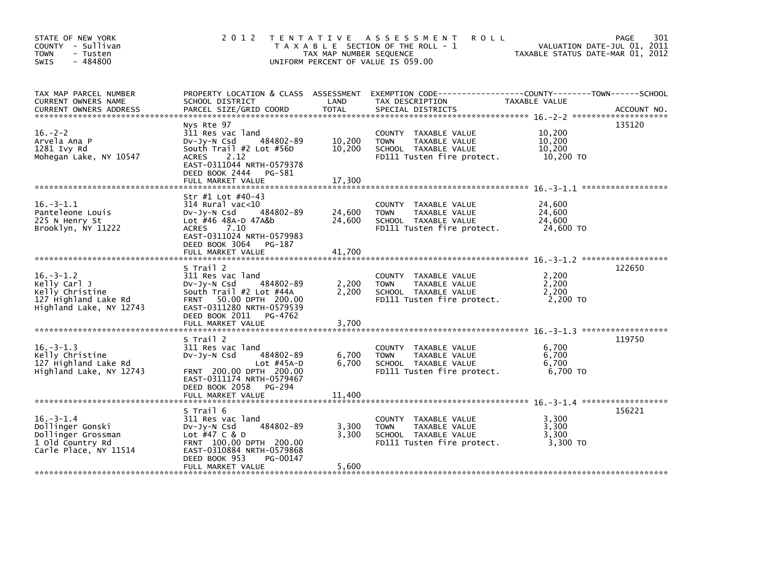| STATE OF NEW YORK<br>COUNTY - Sullivan<br><b>TOWN</b><br>- Tusten<br>$-484800$<br><b>SWIS</b>          |                                                                                                                                                                                        | TAX MAP NUMBER SEQUENCE | 2012 TENTATIVE ASSESSMENT<br><b>ROLL</b><br>T A X A B L E SECTION OF THE ROLL - 1<br>UNIFORM PERCENT OF VALUE IS 059.00 | VALUATION DATE-JUL 01, 2011<br>TAXABLE STATUS DATE-MAR 01, 2012 | 301<br>PAGE |
|--------------------------------------------------------------------------------------------------------|----------------------------------------------------------------------------------------------------------------------------------------------------------------------------------------|-------------------------|-------------------------------------------------------------------------------------------------------------------------|-----------------------------------------------------------------|-------------|
| TAX MAP PARCEL NUMBER<br>CURRENT OWNERS NAME                                                           | SCHOOL DISTRICT                                                                                                                                                                        | LAND                    | PROPERTY LOCATION & CLASS ASSESSMENT EXEMPTION CODE----------------COUNTY-------TOWN-----SCHOOL<br>TAX DESCRIPTION      | <b>TAXABLE VALUE</b>                                            |             |
| $16. -2 - 2$<br>Arvela Ana P<br>1281 Ivy Rd<br>Mohegan Lake, NY 10547                                  | Nys Rte 97<br>311 Res vac land<br>484802-89<br>$Dv-Jy-N$ Csd<br>South Trail #2 Lot #56D<br><b>ACRES</b><br>2.12<br>EAST-0311044 NRTH-0579378<br>DEED BOOK 2444    PG-581               | 10,200<br>10,200        | COUNTY TAXABLE VALUE<br>TAXABLE VALUE<br><b>TOWN</b><br>SCHOOL TAXABLE VALUE<br>FD111 Tusten fire protect.              | 10,200<br>10,200<br>10,200<br>10,200 TO                         | 135120      |
|                                                                                                        |                                                                                                                                                                                        |                         |                                                                                                                         |                                                                 |             |
| $16. - 3 - 1.1$<br>Panteleone Louis<br>225 N Henry St<br>Brooklyn, NY 11222                            | Str #1 Lot #40-43<br>314 Rural vac<10<br>484802-89<br>$Dv-Jy-N$ Csd<br>Lot #46 48A-D 47A&b<br>7.10<br>ACRES<br>EAST-0311024 NRTH-0579983                                               | 24,600<br>24,600        | COUNTY TAXABLE VALUE<br><b>TOWN</b><br>TAXABLE VALUE<br>SCHOOL TAXABLE VALUE<br>FD111 Tusten fire protect.              | 24,600<br>24,600<br>24,600<br>24,600 TO                         |             |
|                                                                                                        | DEED BOOK 3064 PG-187<br>FULL MARKET VALUE                                                                                                                                             | 41,700                  |                                                                                                                         |                                                                 |             |
|                                                                                                        |                                                                                                                                                                                        |                         |                                                                                                                         |                                                                 |             |
| $16. - 3 - 1.2$<br>Kelly Carl J<br>Kelly Christine<br>127 Highland Lake Rd<br>Highland Lake, NY 12743  | S Trail 2<br>311 Res vac land<br>484802-89<br>$Dv-Jv-N$ Csd<br>South Trail #2 Lot #44A<br>FRNT 50.00 DPTH 200.00<br>EAST-0311280 NRTH-0579539<br>DEED BOOK 2011 PG-4762                | 2,200<br>2,200          | COUNTY TAXABLE VALUE<br><b>TOWN</b><br>TAXABLE VALUE<br>SCHOOL TAXABLE VALUE<br>FD111 Tusten fire protect.              | 2,200<br>2,200<br>2,200<br>2,200 TO                             | 122650      |
|                                                                                                        |                                                                                                                                                                                        |                         |                                                                                                                         |                                                                 |             |
| $16. -3 - 1.3$<br>Kelly Christine<br>127 Highland Lake Rd<br>Highland Lake, NY 12743                   | S Trail 2<br>311 Res vac land<br>484802-89<br>$Dv-Jv-N$ Csd<br>Lot $#45A-D$<br>FRNT 200.00 DPTH 200.00<br>EAST-0311174 NRTH-0579467<br>DEED BOOK 2058 PG-294                           | 6,700<br>6,700          | COUNTY TAXABLE VALUE<br>TAXABLE VALUE<br><b>TOWN</b><br>SCHOOL TAXABLE VALUE<br>FD111 Tusten fire protect.              | 6,700<br>6,700<br>6,700<br>6,700 TO                             | 119750      |
|                                                                                                        |                                                                                                                                                                                        |                         |                                                                                                                         |                                                                 |             |
| $16. - 3 - 1.4$<br>Dollinger Gonski<br>Dollinger Grossman<br>1 Old Country Rd<br>Carle Place, NY 11514 | S Trail 6<br>311 Res vac land<br>484802-89<br>$Dv-Jv-N$ Csd<br>Lot #47 C & D<br>FRNT 100.00 DPTH 200.00<br>EAST-0310884 NRTH-0579868<br>DEED BOOK 953<br>PG-00147<br>FULL MARKET VALUE | 3,300<br>3,300<br>5,600 | COUNTY TAXABLE VALUE<br><b>TOWN</b><br>TAXABLE VALUE<br>SCHOOL TAXABLE VALUE<br>FD111 Tusten fire protect.              | 3,300<br>3.300<br>3,300<br>3,300 TO                             | 156221      |
|                                                                                                        |                                                                                                                                                                                        |                         |                                                                                                                         |                                                                 |             |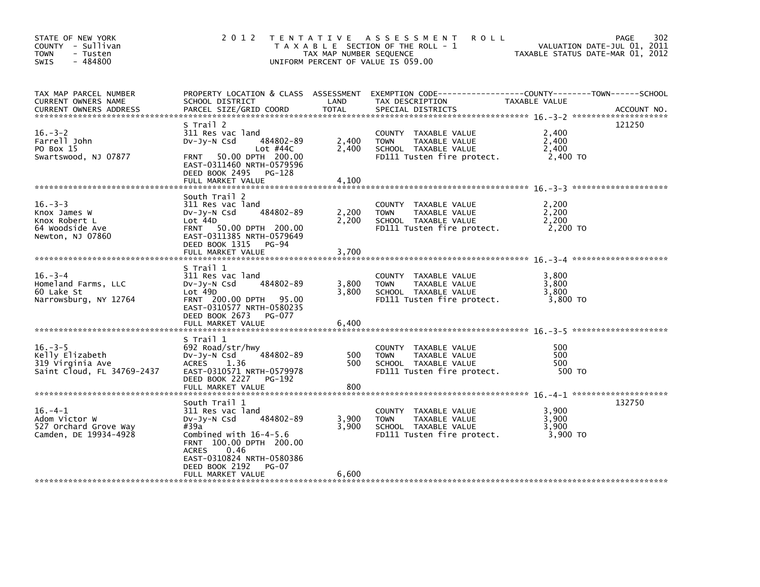| STATE OF NEW YORK<br>COUNTY - Sullivan<br><b>TOWN</b><br>- Tusten<br>$-484800$<br>SWIS |                                                                                                                                                                                                                                          | TAX MAP NUMBER SEQUENCE | 2012 TENTATIVE ASSESSMENT<br><b>ROLL</b><br>T A X A B L E SECTION OF THE ROLL - 1<br>UNIFORM PERCENT OF VALUE IS 059.00           | VALUATION DATE-JUL 01, 2011<br>TAXABLE STATUS DATE-MAR 01, 2012 | 302<br>PAGE |
|----------------------------------------------------------------------------------------|------------------------------------------------------------------------------------------------------------------------------------------------------------------------------------------------------------------------------------------|-------------------------|-----------------------------------------------------------------------------------------------------------------------------------|-----------------------------------------------------------------|-------------|
| TAX MAP PARCEL NUMBER<br>CURRENT OWNERS NAME<br><b>CURRENT OWNERS ADDRESS</b>          | PARCEL SIZE/GRID COORD                                                                                                                                                                                                                   | <b>TOTAL</b>            | SPECIAL DISTRICTS                                                                                                                 |                                                                 | ACCOUNT NO. |
| $16. - 3 - 2$<br>Farrell John<br>PO Box 15<br>Swartswood, NJ 07877                     | S Trail 2<br>311 Res vac land<br>484802-89<br>$Dv-Jv-N$ Csd<br>Lot #44C<br>FRNT 50.00 DPTH 200.00<br>EAST-0311460 NRTH-0579596<br>DEED BOOK 2495 PG-128<br>FULL MARKET VALUE                                                             | 2,400<br>2,400<br>4,100 | COUNTY TAXABLE VALUE<br><b>TOWN</b><br>TAXABLE VALUE<br>TUWN TTAXABLE VALUE<br>SCHOOL TAXABLE VALUE<br>FD111 Tusten fire protect. | 2,400<br>2,400<br>2,400<br>2,400 TO                             | 121250      |
| $16. - 3 - 3$<br>Knox James W<br>Knox Robert L<br>64 Woodside Ave<br>Newton, NJ 07860  | South Trail 2<br>311 Res vac land<br>DV-Jy-N Csd 484802-89<br>Lot 44D<br>FRNT 50.00 DPTH 200.00<br>EAST-0311385 NRTH-0579649<br>DEED BOOK 1315 PG-94<br>FULL MARKET VALUE                                                                | 2,200<br>2,200<br>3,700 | COUNTY TAXABLE VALUE<br>TAXABLE VALUE<br><b>TOWN</b><br>SCHOOL TAXABLE VALUE<br>FD111 Tusten fire protect.                        | 2,200<br>2,200<br>2,200<br>2,200 TO                             |             |
| $16. - 3 - 4$<br>Homeland Farms, LLC<br>60 Lake St<br>Narrowsburg, NY 12764            | S Trail 1<br>311 Res vac land<br>Dv-Jy-N Csd 484802-89<br>Lot 49D<br>FRNT 200.00 DPTH 95.00<br>EAST-0310577 NRTH-0580235<br>DEED BOOK 2673 PG-077<br>FULL MARKET VALUE                                                                   | 3,800<br>3.800<br>6,400 | COUNTY TAXABLE VALUE<br>TOWN<br>TAXABLE VALUE<br>SCHOOL TAXABLE VALUE<br>FD111 Tusten fire protect.                               | 3,800<br>3,800<br>3.800<br>3,800 TO                             |             |
| $16. -3 - 5$<br>Kelly Elizabeth<br>319 Virginia Ave<br>Saint Cloud, FL 34769-2437      | S Trail 1<br>692 Road/str/hwy<br>DV-Jy-N Csd 484802-89<br>ACRES 1.36<br>EAST-0310571 NRTH-0579978<br>DEED BOOK 2227<br>PG-192<br>FULL MARKET VALUE                                                                                       | 500<br>500<br>800       | COUNTY TAXABLE VALUE<br><b>TOWN</b><br>TAXABLE VALUE<br>SCHOOL TAXABLE VALUE<br>FD111 Tusten fire protect.                        | 500<br>500<br>500<br>500 TO                                     |             |
| $16. -4 - 1$<br>Adom Victor W<br>527 Orchard Grove Way<br>Camden, DE 19934-4928        | South Trail 1<br>311 Res vac land<br>484802-89<br>$Dv$ -J $v$ -N Csd<br>#39a<br>Combined with $16-4-5.6$<br>FRNT 100.00 DPTH 200.00<br><b>ACRES</b><br>0.46<br>EAST-0310824 NRTH-0580386<br>DEED BOOK 2192<br>PG-07<br>FULL MARKET VALUE | 3,900<br>3,900<br>6,600 | COUNTY TAXABLE VALUE<br><b>TOWN</b><br>TAXABLE VALUE<br>SCHOOL TAXABLE VALUE<br>FD111 Tusten fire protect.                        | 3,900<br>3,900<br>3,900<br>3.900 TO                             | 132750      |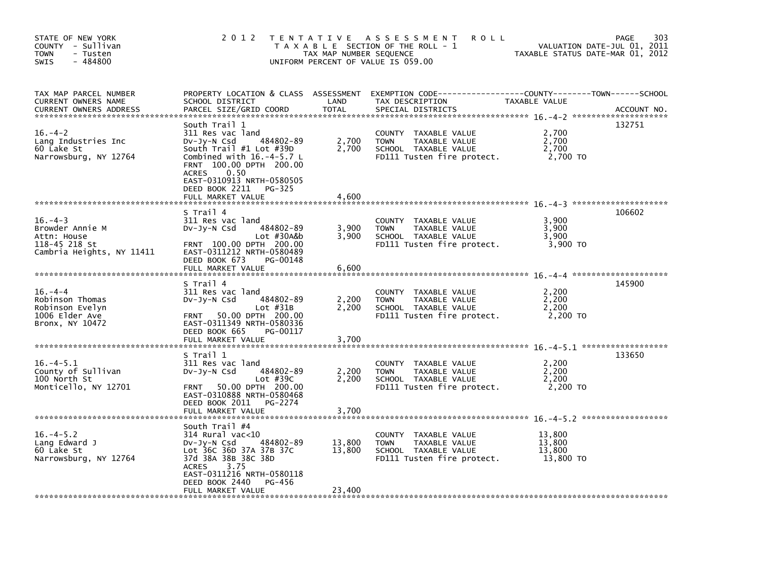| STATE OF NEW YORK<br>COUNTY - Sullivan<br><b>TOWN</b><br>- Tusten<br>$-484800$<br><b>SWIS</b> | 2 0 1 2                                                                                                                                                                                                                                                  | TAX MAP NUMBER SEQUENCE | TENTATIVE ASSESSMENT<br><b>ROLL</b><br>T A X A B L E SECTION OF THE ROLL - 1<br>UNIFORM PERCENT OF VALUE IS 059.00          | VALUATION DATE-JUL 01, 2011<br>TAXABLE STATUS DATE-MAR 01, 2012 | 303<br>PAGE |
|-----------------------------------------------------------------------------------------------|----------------------------------------------------------------------------------------------------------------------------------------------------------------------------------------------------------------------------------------------------------|-------------------------|-----------------------------------------------------------------------------------------------------------------------------|-----------------------------------------------------------------|-------------|
| TAX MAP PARCEL NUMBER<br>CURRENT OWNERS NAME<br><b>CURRENT OWNERS ADDRESS</b>                 | PROPERTY LOCATION & CLASS ASSESSMENT<br>SCHOOL DISTRICT<br>PARCEL SIZE/GRID COORD                                                                                                                                                                        | LAND<br><b>TOTAL</b>    | EXEMPTION CODE-----------------COUNTY-------TOWN------SCHOOL<br>TAX DESCRIPTION<br>SPECIAL DISTRICTS                        | TAXABLE VALUE                                                   | ACCOUNT NO. |
| $16. - 4 - 2$<br>Lang Industries Inc<br>60 Lake St<br>Narrowsburg, NY 12764                   | South Trail 1<br>311 Res vac land<br>484802-89<br>DV-Jy-N Csd<br>South Trail #1 Lot #39D<br>Combined with $16.-4-5.7$ L<br>FRNT 100.00 DPTH 200.00<br>0.50<br><b>ACRES</b><br>EAST-0310913 NRTH-0580505<br>DEED BOOK 2211<br>PG-325<br>FULL MARKET VALUE | 2,700<br>2,700<br>4.600 | COUNTY TAXABLE VALUE<br><b>TAXABLE VALUE</b><br><b>TOWN</b><br>SCHOOL TAXABLE VALUE<br>FD111 Tusten fire protect.           | 2,700<br>2,700<br>2,700<br>2,700 TO                             | 132751      |
|                                                                                               |                                                                                                                                                                                                                                                          |                         |                                                                                                                             |                                                                 |             |
| $16. -4 - 3$<br>Browder Annie M<br>Attn: House<br>118-45 218 St<br>Cambria Heights, NY 11411  | S Trail 4<br>311 Res vac land<br>484802-89<br>DV-Jy-N Csd<br>Lot #30A&b<br>FRNT 100.00 DPTH 200.00<br>EAST-0311212 NRTH-0580489<br>DEED BOOK 673<br>PG-00148                                                                                             | 3,900<br>3,900          | <b>COUNTY</b><br>TAXABLE VALUE<br><b>TAXABLE VALUE</b><br><b>TOWN</b><br>SCHOOL TAXABLE VALUE<br>FD111 Tusten fire protect. | 3,900<br>3.900<br>3,900<br>3,900 TO                             | 106602      |
|                                                                                               | FULL MARKET VALUE                                                                                                                                                                                                                                        | 6,600                   |                                                                                                                             |                                                                 |             |
| $16. -4 -4$<br>Robinson Thomas<br>Robinson Evelyn<br>1006 Elder Ave<br>Bronx, NY 10472        | S Trail 4<br>311 Res vac land<br>484802-89<br>DV-Jy-N Csd<br>$Lot$ #31B<br>50.00 DPTH 200.00<br><b>FRNT</b><br>EAST-0311349 NRTH-0580336<br>DEED BOOK 665<br>PG-00117                                                                                    | 2,200<br>2,200          | <b>COUNTY</b><br>TAXABLE VALUE<br><b>TOWN</b><br>TAXABLE VALUE<br>SCHOOL TAXABLE VALUE<br>FD111 Tusten fire protect.        | 2,200<br>2,200<br>2,200<br>2,200 TO                             | 145900      |
|                                                                                               | FULL MARKET VALUE                                                                                                                                                                                                                                        | 3,700                   |                                                                                                                             |                                                                 |             |
| $16. -4 - 5.1$                                                                                | S Trail 1<br>311 Res vac land                                                                                                                                                                                                                            |                         | <b>COUNTY</b><br>TAXABLE VALUE                                                                                              | 2.200                                                           | 133650      |
| County of Sullivan<br>100 North St<br>Monticello, NY 12701                                    | 484802-89<br>DV-JY-N Csd<br>Lot $#39C$<br>50.00 DPTH 200.00<br><b>FRNT</b><br>EAST-0310888 NRTH-0580468<br>DEED BOOK 2011<br>PG-2274<br>FULL MARKET VALUE                                                                                                | 2,200<br>2,200<br>3,700 | TAXABLE VALUE<br><b>TOWN</b><br>SCHOOL TAXABLE VALUE<br>FD111 Tusten fire protect.                                          | 2,200<br>2,200<br>2,200 TO                                      |             |
|                                                                                               |                                                                                                                                                                                                                                                          |                         |                                                                                                                             |                                                                 |             |
| $16. -4 - 5.2$<br>Lang Edward J<br>60 Lake St<br>Narrowsburg, NY 12764                        | South Trail #4<br>314 Rural vac<10<br>DV-Jy-N Csd<br>484802-89<br>Lot 36C 36D 37A 37B 37C<br>37d 38A 38B 38C 38D<br>3.75<br><b>ACRES</b><br>EAST-0311216 NRTH-0580118                                                                                    | 13,800<br>13,800        | COUNTY TAXABLE VALUE<br>TAXABLE VALUE<br><b>TOWN</b><br>SCHOOL TAXABLE VALUE<br>FD111 Tusten fire protect.                  | 13,800<br>13,800<br>13,800<br>13,800 TO                         |             |
|                                                                                               | DEED BOOK 2440<br>PG-456<br>FULL MARKET VALUE                                                                                                                                                                                                            | 23,400                  |                                                                                                                             |                                                                 |             |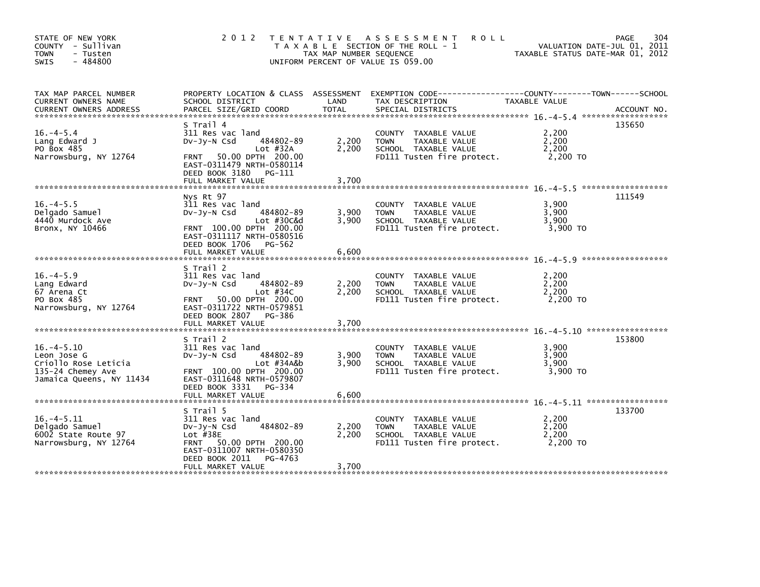| STATE OF NEW YORK<br>COUNTY - Sullivan<br><b>TOWN</b><br>- Tusten<br>$-484800$<br><b>SWIS</b>           | 2 0 1 2                                                                                                                                                                                  | TAX MAP NUMBER SEOUENCE | TENTATIVE ASSESSMENT<br><b>ROLL</b><br>T A X A B L E SECTION OF THE ROLL - 1<br>UNIFORM PERCENT OF VALUE IS 059.00 | TAXABLE STATUS DATE-MAR 01, 2012    | 304<br><b>PAGE</b><br>VALUATION DATE-JUL 01, 2011 |
|---------------------------------------------------------------------------------------------------------|------------------------------------------------------------------------------------------------------------------------------------------------------------------------------------------|-------------------------|--------------------------------------------------------------------------------------------------------------------|-------------------------------------|---------------------------------------------------|
| TAX MAP PARCEL NUMBER<br>CURRENT OWNERS NAME<br><b>CURRENT OWNERS ADDRESS</b>                           | PROPERTY LOCATION & CLASS ASSESSMENT<br>SCHOOL DISTRICT<br>PARCEL SIZE/GRID COORD                                                                                                        | LAND<br><b>TOTAL</b>    | EXEMPTION CODE-----------------COUNTY-------TOWN------SCHOOL<br>TAX DESCRIPTION<br>SPECIAL DISTRICTS               | TAXABLE VALUE                       | ACCOUNT NO.                                       |
| $16. -4 - 5.4$<br>Lang Edward J<br>PO Box 485<br>Narrowsburg, NY 12764                                  | S Trail 4<br>311 Res vac land<br>484802-89<br>$Dv-Jy-N$ Csd<br>Lot $#32A$<br>50.00 DPTH 200.00<br><b>FRNT</b><br>EAST-0311479 NRTH-0580114<br>DEED BOOK 3180 PG-111<br>FULL MARKET VALUE | 2,200<br>2,200          | COUNTY TAXABLE VALUE<br><b>TOWN</b><br>TAXABLE VALUE<br>SCHOOL TAXABLE VALUE<br>FD111 Tusten fire protect.         | 2,200<br>2,200<br>2,200<br>2,200 TO | 135650                                            |
|                                                                                                         |                                                                                                                                                                                          | 3,700                   |                                                                                                                    |                                     |                                                   |
| $16. -4 - 5.5$<br>Delgado Samuel<br>4440 Murdock Ave<br>Bronx, NY 10466                                 | Nys Rt 97<br>311 Res vac land<br>DV-Jy-N Csd<br>484802-89<br>Lot #30C&d<br>FRNT 100.00 DPTH 200.00<br>EAST-0311117 NRTH-0580516                                                          | 3,900<br>3,900          | COUNTY TAXABLE VALUE<br>TAXABLE VALUE<br><b>TOWN</b><br>SCHOOL TAXABLE VALUE<br>FD111 Tusten fire protect.         | 3.900<br>3,900<br>3,900<br>3,900 TO | 111549                                            |
|                                                                                                         | DEED BOOK 1706 PG-562<br>FULL MARKET VALUE                                                                                                                                               | 6,600                   |                                                                                                                    |                                     |                                                   |
| $16. -4 - 5.9$<br>Lang Edward<br>67 Arena Ct<br>PO Box 485<br>Narrowsburg, NY 12764                     | S Trail 2<br>311 Res vac land<br>484802-89<br>DV-JV-N Csd<br>Lot $#34C$<br>50.00 DPTH 200.00<br><b>FRNT</b><br>EAST-0311722 NRTH-0579851<br>DEED BOOK 2807 PG-386<br>FULL MARKET VALUE   | 2,200<br>2,200<br>3,700 | COUNTY<br>TAXABLE VALUE<br>TAXABLE VALUE<br><b>TOWN</b><br>SCHOOL TAXABLE VALUE<br>FD111 Tusten fire protect.      | 2.200<br>2,200<br>2,200<br>2,200 TO |                                                   |
|                                                                                                         | S Trail 2                                                                                                                                                                                |                         |                                                                                                                    |                                     | 153800                                            |
| $16. -4 - 5.10$<br>Leon Jose G<br>Criollo Rose Leticia<br>135-24 Chemey Ave<br>Jamaica Queens, NY 11434 | 311 Res vac land<br>484802-89<br>$Dv-Jv-N$ Csd<br>Lot #34A&b<br>FRNT 100.00 DPTH 200.00<br>EAST-0311648 NRTH-0579807<br>DEED BOOK 3331<br>PG-334                                         | 3.900<br>3,900          | TAXABLE VALUE<br>COUNTY<br><b>TOWN</b><br>TAXABLE VALUE<br>SCHOOL TAXABLE VALUE<br>FD111 Tusten fire protect.      | 3,900<br>3,900<br>3,900<br>3,900 TO |                                                   |
|                                                                                                         | FULL MARKET VALUE                                                                                                                                                                        | 6,600                   |                                                                                                                    |                                     |                                                   |
| $16. -4 - 5.11$<br>Delgado Samuel<br>6002 State Route 97<br>Narrowsburg, NY 12764                       | S Trail 5<br>311 Res vac land<br>484802-89<br>$Dv-Jy-N$ Csd<br>Lot $#38E$<br>FRNT 50.00 DPTH 200.00<br>EAST-0311007 NRTH-0580350<br>DEED BOOK 2011<br>PG-4763                            | 2,200<br>2.200          | COUNTY<br>TAXABLE VALUE<br><b>TOWN</b><br>TAXABLE VALUE<br>SCHOOL TAXABLE VALUE<br>FD111 Tusten fire protect.      | 2,200<br>2,200<br>2,200<br>2,200 TO | 133700                                            |
|                                                                                                         | FULL MARKET VALUE                                                                                                                                                                        | 3,700                   |                                                                                                                    |                                     |                                                   |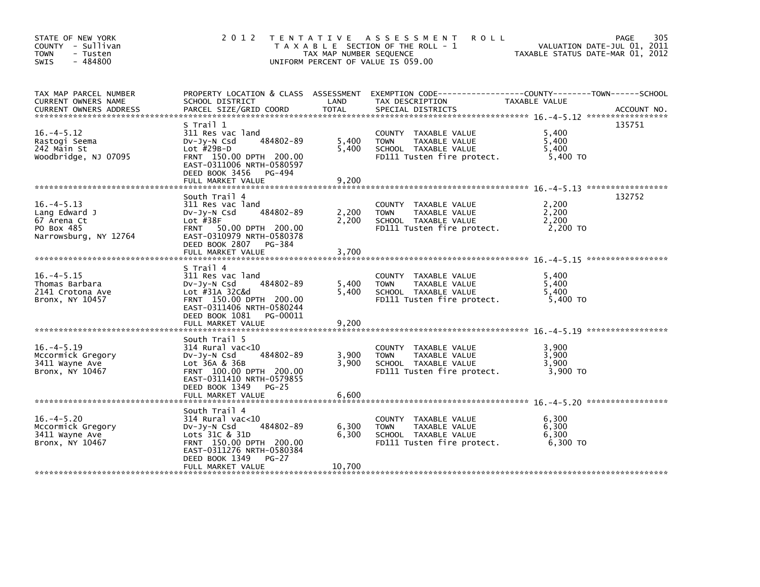| STATE OF NEW YORK<br>COUNTY - Sullivan<br><b>TOWN</b><br>- Tusten<br>$-484800$<br><b>SWIS</b> | 2 0 1 2                                                                                                                                                                               | TAX MAP NUMBER SEQUENCE | TENTATIVE ASSESSMENT<br><b>ROLL</b><br>T A X A B L E SECTION OF THE ROLL - 1<br>UNIFORM PERCENT OF VALUE IS 059.00 | VALUATION DATE-JUL 01, 2011<br>TAXABLE STATUS DATE-MAR 01, 2012 | 305<br><b>PAGE</b> |
|-----------------------------------------------------------------------------------------------|---------------------------------------------------------------------------------------------------------------------------------------------------------------------------------------|-------------------------|--------------------------------------------------------------------------------------------------------------------|-----------------------------------------------------------------|--------------------|
| TAX MAP PARCEL NUMBER<br>CURRENT OWNERS NAME                                                  | PROPERTY LOCATION & CLASS ASSESSMENT<br>SCHOOL DISTRICT                                                                                                                               | LAND                    | EXEMPTION CODE-----------------COUNTY-------TOWN------SCHOOL<br>TAX DESCRIPTION                                    | TAXABLE VALUE                                                   |                    |
| $16. -4 - 5.12$<br>Rastogi Seema<br>242 Main St<br>Woodbridge, NJ 07095                       | S Trail 1<br>311 Res vac land<br>484802-89<br>$Dv-Jv-N$ Csd<br>Lot $#29B-D$<br>FRNT 150.00 DPTH 200.00<br>EAST-0311006 NRTH-0580597<br>DEED BOOK 3456 PG-494<br>FULL MARKET VALUE     | 5,400<br>5,400<br>9,200 | COUNTY TAXABLE VALUE<br><b>TOWN</b><br>TAXABLE VALUE<br>SCHOOL TAXABLE VALUE<br>FD111 Tusten fire protect.         | 5,400<br>5,400<br>5,400<br>5,400 TO                             | 135751             |
|                                                                                               |                                                                                                                                                                                       |                         |                                                                                                                    |                                                                 |                    |
| $16. -4 - 5.13$<br>Lang Edward J<br>67 Arena Ct<br>PO Box 485<br>Narrowsburg, NY 12764        | South Trail 4<br>311 Res vac land<br>484802-89<br>$Dv-Jv-N$ Csd<br>Lot $#38F$<br>FRNT 50.00 DPTH 200.00<br>EAST-0310979 NRTH-0580378<br>DEED BOOK 2807 PG-384                         | 2,200<br>2,200          | COUNTY TAXABLE VALUE<br>TAXABLE VALUE<br><b>TOWN</b><br>SCHOOL TAXABLE VALUE<br>FD111 Tusten fire protect.         | 2.200<br>2,200<br>2,200<br>2,200 TO                             | 132752             |
|                                                                                               | FULL MARKET VALUE                                                                                                                                                                     | 3,700                   |                                                                                                                    |                                                                 |                    |
| $16. -4 - 5.15$<br>Thomas Barbara<br>2141 Crotona Ave<br>Bronx, NY 10457                      | S Trail 4<br>311 Res vac land<br>484802-89<br>$Dv-Jy-N$ Csd<br>Lot #31A 32C&d<br>FRNT 150.00 DPTH 200.00<br>EAST-0311406 NRTH-0580244<br>DEED BOOK 1081 PG-00011<br>FULL MARKET VALUE | 5,400<br>5.400<br>9,200 | COUNTY TAXABLE VALUE<br><b>TOWN</b><br>TAXABLE VALUE<br>SCHOOL TAXABLE VALUE<br>FD111 Tusten fire protect.         | 5.400<br>5,400<br>5,400<br>5,400 TO                             |                    |
| $16. -4 - 5.19$<br>Mccormick Gregory<br>3411 Wayne Ave<br>Bronx, NY 10467                     | South Trail 5<br>$314$ Rural vac< $10$<br>484802-89<br>$Dv-Jy-N$ Csd<br>Lot 36A & 36B<br>FRNT 100.00 DPTH 200.00<br>EAST-0311410 NRTH-0579855<br>DEED BOOK 1349<br>$PG-25$            | 3,900<br>3,900          | COUNTY TAXABLE VALUE<br><b>TOWN</b><br>TAXABLE VALUE<br>SCHOOL TAXABLE VALUE<br>FD111 Tusten fire protect.         | 3,900<br>3,900<br>3,900<br>3,900 TO                             |                    |
|                                                                                               | FULL MARKET VALUE                                                                                                                                                                     | 6,600                   |                                                                                                                    |                                                                 |                    |
| $16. -4 - 5.20$<br>Mccormick Gregory<br>3411 Wayne Ave<br>Bronx, NY 10467                     | South Trail 4<br>314 Rural vac<10<br>484802-89<br>$Dv-Jy-N$ Csd<br>Lots 31C & 31D<br>FRNT 150.00 DPTH 200.00<br>EAST-0311276 NRTH-0580384<br>DEED BOOK 1349<br>$PG-27$                | 6,300<br>6,300          | COUNTY TAXABLE VALUE<br><b>TOWN</b><br>TAXABLE VALUE<br>SCHOOL TAXABLE VALUE<br>FD111 Tusten fire protect.         | 6,300<br>6,300<br>6,300<br>6,300 TO                             |                    |
|                                                                                               | FULL MARKET VALUE                                                                                                                                                                     | 10,700                  |                                                                                                                    |                                                                 |                    |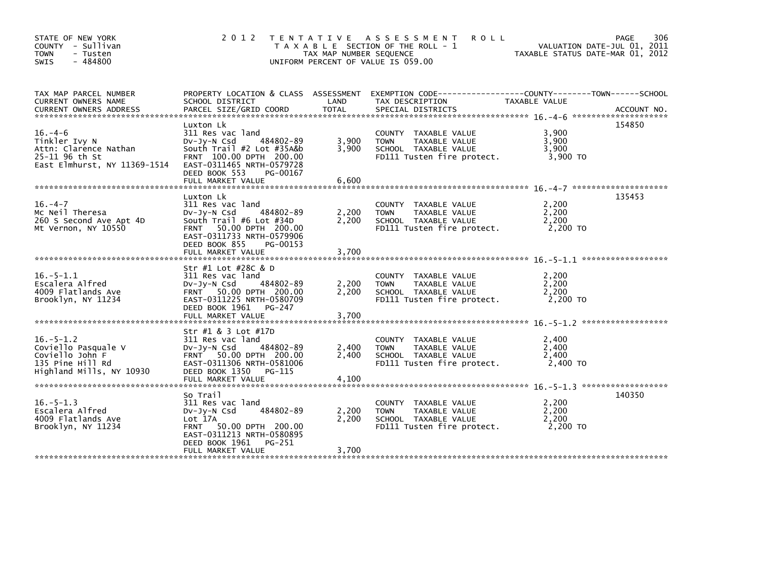| STATE OF NEW YORK<br>COUNTY - Sullivan<br><b>TOWN</b><br>- Tusten<br>$-484800$<br><b>SWIS</b>             | 2012 TENTATIVE                                                                                                                                                                                     | TAX MAP NUMBER SEQUENCE | A S S E S S M E N T<br><b>ROLL</b><br>T A X A B L E SECTION OF THE ROLL - 1<br>UNIFORM PERCENT OF VALUE IS 059.00  |                                     | 306<br><b>PAGE</b><br>VALUATION DATE-JUL 01, 2011<br>TAXABLE STATUS DATE-MAR 01, 2012 |
|-----------------------------------------------------------------------------------------------------------|----------------------------------------------------------------------------------------------------------------------------------------------------------------------------------------------------|-------------------------|--------------------------------------------------------------------------------------------------------------------|-------------------------------------|---------------------------------------------------------------------------------------|
| TAX MAP PARCEL NUMBER<br>CURRENT OWNERS NAME                                                              | SCHOOL DISTRICT                                                                                                                                                                                    | LAND                    | PROPERTY LOCATION & CLASS ASSESSMENT EXEMPTION CODE----------------COUNTY-------TOWN-----SCHOOL<br>TAX DESCRIPTION | <b>TAXABLE VALUE</b>                |                                                                                       |
| $16. -4-6$<br>Tinkler Ivy N<br>Attn: Clarence Nathan<br>25-11 96 th St<br>East Elmhurst, NY 11369-1514    | Luxton Lk<br>311 Res vac land<br>484802-89<br>$Dv-Jy-N$ Csd<br>South Trail #2 Lot #35A&b<br>FRNT 100.00 DPTH 200.00<br>EAST-0311465 NRTH-0579728<br>DEED BOOK 553<br>PG-00167<br>FULL MARKET VALUE | 3,900<br>3.900<br>6,600 | COUNTY TAXABLE VALUE<br>TAXABLE VALUE<br><b>TOWN</b><br>SCHOOL TAXABLE VALUE<br>FD111 Tusten fire protect.         | 3.900<br>3,900<br>3.900<br>3,900 TO | 154850                                                                                |
| $16. -4 - 7$<br>Mc Neil Theresa<br>260 S Second Ave Apt 4D<br>Mt Vernon, NY 10550                         | Luxton Lk<br>311 Res vac land<br>484802-89<br>$Dv-Jy-N$ Csd<br>South Trail #6 Lot #34D<br>FRNT 50.00 DPTH 200.00<br>EAST-0311733 NRTH-0579906<br>DEED BOOK 855<br>PG-00153<br>FULL MARKET VALUE    | 2,200<br>2,200<br>3,700 | COUNTY TAXABLE VALUE<br>TAXABLE VALUE<br><b>TOWN</b><br>SCHOOL TAXABLE VALUE<br>FD111 Tusten fire protect.         | 2,200<br>2.200<br>2,200<br>2,200 TO | 135453                                                                                |
| $16. - 5 - 1.1$<br>Escalera Alfred<br>4009 Flatlands Ave<br>Brooklyn, NY 11234                            | Str #1 Lot #28C & D<br>311 Res vac land<br>DV-JY-N Csd<br>484802-89<br>FRNT 50.00 DPTH 200.00<br>EAST-0311225 NRTH-0580709<br>DEED BOOK 1961<br>PG-247<br>FULL MARKET VALUE                        | 2,200<br>2,200<br>3,700 | COUNTY TAXABLE VALUE<br>TAXABLE VALUE<br><b>TOWN</b><br>SCHOOL TAXABLE VALUE<br>FD111 Tusten fire protect.         | 2,200<br>2,200<br>2.200<br>2,200 TO |                                                                                       |
| $16. - 5 - 1.2$<br>Coviello Pasquale V<br>Coviello John F<br>135 Pine Hill Rd<br>Highland Mills, NY 10930 | Str #1 & 3 Lot #17D<br>311 Res vac land<br>$Dv-Jy-N$ Csd<br>484802-89<br>FRNT 50.00 DPTH 200.00<br>EAST-0311306 NRTH-0581006<br>DEED BOOK 1350<br>PG-115<br>FULL MARKET VALUE                      | 2,400<br>2,400<br>4,100 | COUNTY TAXABLE VALUE<br><b>TOWN</b><br>TAXABLE VALUE<br>SCHOOL TAXABLE VALUE<br>FD111 Tusten fire protect.         | 2,400<br>2,400<br>2,400<br>2,400 TO |                                                                                       |
| $16. - 5 - 1.3$<br>Escalera Alfred<br>4009 Flatlands Ave<br>Brooklyn, NY 11234                            | So Trail<br>311 Res vac land<br>484802-89<br>DV-Jy-N Csd<br>Lot 17A<br>50.00 DPTH 200.00<br><b>FRNT</b><br>EAST-0311213 NRTH-0580895<br>DEED BOOK 1961<br>PG-251<br>FULL MARKET VALUE              | 2,200<br>2,200<br>3,700 | COUNTY TAXABLE VALUE<br><b>TOWN</b><br>TAXABLE VALUE<br>SCHOOL TAXABLE VALUE<br>FD111 Tusten fire protect.         | 2,200<br>2,200<br>2,200<br>2,200 TO | 140350                                                                                |
|                                                                                                           |                                                                                                                                                                                                    |                         |                                                                                                                    |                                     |                                                                                       |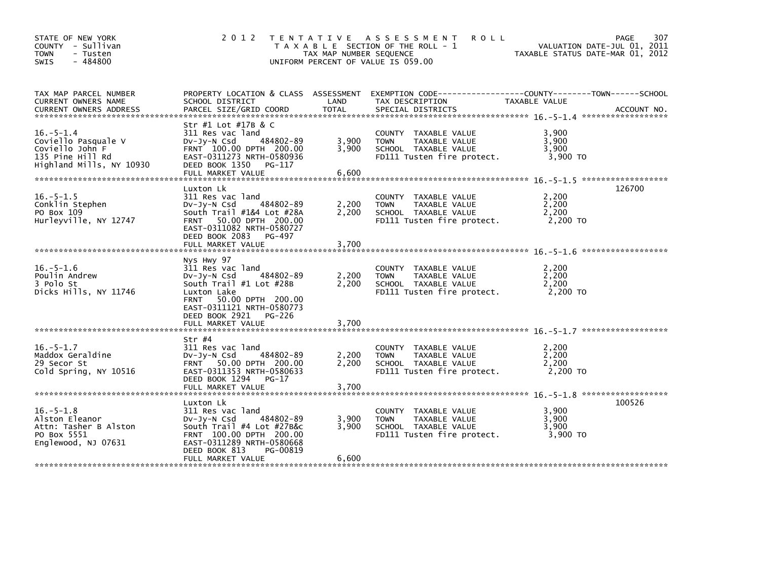| STATE OF NEW YORK<br>COUNTY - Sullivan<br>TOWN<br>- Tusten<br>$-484800$<br><b>SWIS</b>                    | 2 0 1 2                                                                                                                                                                                          | TAX MAP NUMBER SEQUENCE | TENTATIVE ASSESSMENT<br><b>ROLL</b><br>T A X A B L E SECTION OF THE ROLL - 1<br>UNIFORM PERCENT OF VALUE IS 059.00                      | VALUATION DATE-JUL 01, 2011<br>TAXABLE STATUS DATE-MAR 01, 2012 | 307<br><b>PAGE</b> |
|-----------------------------------------------------------------------------------------------------------|--------------------------------------------------------------------------------------------------------------------------------------------------------------------------------------------------|-------------------------|-----------------------------------------------------------------------------------------------------------------------------------------|-----------------------------------------------------------------|--------------------|
| TAX MAP PARCEL NUMBER<br>CURRENT OWNERS NAME<br><b>CURRENT OWNERS ADDRESS</b>                             | SCHOOL DISTRICT<br>PARCEL SIZE/GRID COORD                                                                                                                                                        | LAND<br><b>TOTAL</b>    | PROPERTY LOCATION & CLASS ASSESSMENT EXEMPTION CODE---------------COUNTY-------TOWN------SCHOOL<br>TAX DESCRIPTION<br>SPECIAL DISTRICTS | <b>TAXABLE VALUE</b>                                            | ACCOUNT NO.        |
| $16. - 5 - 1.4$<br>Coviello Pasquale V<br>Coviello John F<br>135 Pine Hill Rd<br>Highland Mills, NY 10930 | Str #1 Lot #17B & C<br>311 Res vac land<br>484802-89<br>$Dv-Jy-N$ Csd<br>FRNT 100.00 DPTH 200.00<br>EAST-0311273 NRTH-0580936<br>DEED BOOK 1350<br>PG-117                                        | 3,900<br>3,900<br>6,600 | COUNTY TAXABLE VALUE<br>TAXABLE VALUE<br><b>TOWN</b><br>SCHOOL TAXABLE VALUE<br>FD111 Tusten fire protect.                              | 3,900<br>3,900<br>3,900<br>3,900 TO                             |                    |
|                                                                                                           | FULL MARKET VALUE                                                                                                                                                                                |                         |                                                                                                                                         |                                                                 |                    |
| $16. - 5 - 1.5$<br>Conklin Stephen<br>PO Box 109<br>Hurleyville, NY 12747                                 | Luxton Lk<br>311 Res vac land<br>484802-89<br>$Dv-Jy-N$ Csd<br>South Trail #1&4 Lot #28A<br>FRNT 50.00 DPTH 200.00<br>EAST-0311082 NRTH-0580727                                                  | 2,200<br>2,200          | COUNTY TAXABLE VALUE<br>TAXABLE VALUE<br><b>TOWN</b><br>SCHOOL TAXABLE VALUE<br>FD111 Tusten fire protect.                              | 2,200<br>2,200<br>2,200<br>2,200 TO                             | 126700             |
|                                                                                                           | DEED BOOK 2083 PG-497<br>FULL MARKET VALUE                                                                                                                                                       | 3,700                   |                                                                                                                                         |                                                                 |                    |
| $16. - 5 - 1.6$<br>Poulin Andrew<br>3 Polo St<br>Dicks Hills, NY 11746                                    | Nys Hwy 97<br>311 Res vac land<br>$Dv-Jy-N$ Csd<br>484802-89<br>South Trail #1 Lot #28B<br>Luxton Lake<br>50.00 DPTH 200.00<br><b>FRNT</b><br>EAST-0311121 NRTH-0580773<br>DEED BOOK 2921 PG-226 | 2,200<br>2,200          | COUNTY TAXABLE VALUE<br><b>TOWN</b><br>TAXABLE VALUE<br>SCHOOL TAXABLE VALUE<br>FD111 Tusten fire protect.                              | 2,200<br>2,200<br>2,200<br>2,200 TO                             |                    |
|                                                                                                           | FULL MARKET VALUE                                                                                                                                                                                | 3.700                   |                                                                                                                                         |                                                                 |                    |
| $16. - 5 - 1.7$<br>Maddox Geraldine<br>29 Secor St<br>Cold Spring, NY 10516                               | Str #4<br>311 Res vac land<br>484802-89<br>DV-Jy-N Csd<br>FRNT 50.00 DPTH 200.00<br>EAST-0311353 NRTH-0580633<br>DEED BOOK 1294<br>PG-17<br>FULL MARKET VALUE                                    | 2,200<br>2,200<br>3,700 | COUNTY TAXABLE VALUE<br>TAXABLE VALUE<br><b>TOWN</b><br>SCHOOL TAXABLE VALUE<br>FD111 Tusten fire protect.                              | 2,200<br>2,200<br>2,200<br>2.200 TO                             |                    |
|                                                                                                           |                                                                                                                                                                                                  |                         |                                                                                                                                         |                                                                 |                    |
| $16. - 5 - 1.8$<br>Alston Eleanor<br>Attn: Tasher B Alston<br>PO Box 5551<br>Englewood, NJ 07631          | Luxton Lk<br>311 Res vac land<br>484802-89<br>$Dv-Jv-N$ Csd<br>South $Train  #4$ Lot $#27B&c$<br>FRNT 100.00 DPTH 200.00<br>EAST-0311289 NRTH-0580668<br>DEED BOOK 813<br>PG-00819               | 3,900<br>3,900          | COUNTY TAXABLE VALUE<br><b>TOWN</b><br>TAXABLE VALUE<br>SCHOOL TAXABLE VALUE<br>FD111 Tusten fire protect.                              | 3,900<br>3.900<br>3,900<br>3.900 TO                             | 100526             |
|                                                                                                           | FULL MARKET VALUE                                                                                                                                                                                | 6,600                   |                                                                                                                                         |                                                                 |                    |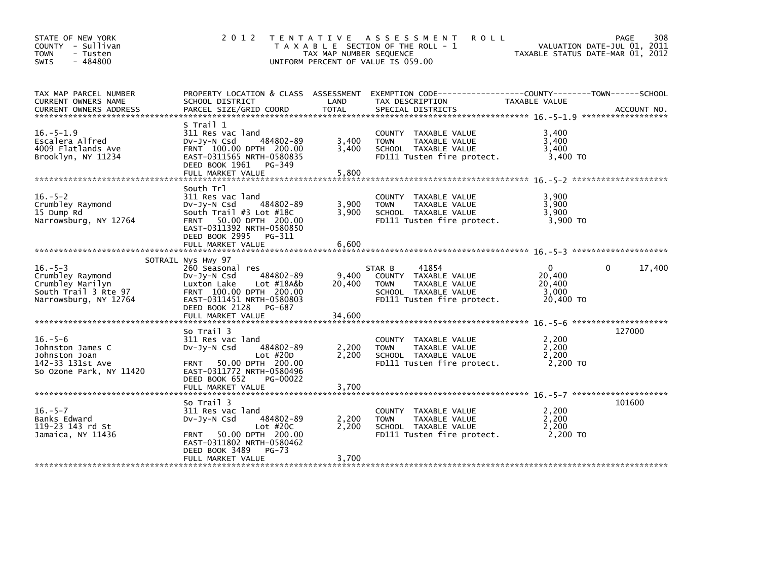| STATE OF NEW YORK<br>COUNTY - Sullivan<br><b>TOWN</b><br>- Tusten<br>$-484800$<br><b>SWIS</b>          | 2 0 1 2                                                                                                                                                                                        | TAX MAP NUMBER SEQUENCE | TENTATIVE ASSESSMENT<br><b>ROLL</b><br>T A X A B L E SECTION OF THE ROLL - 1<br>UNIFORM PERCENT OF VALUE IS 059.00            | TAXABLE STATUS DATE-MAR 01, 2012                       | 308<br>PAGE<br>VALUATION DATE-JUL 01, 2011 |
|--------------------------------------------------------------------------------------------------------|------------------------------------------------------------------------------------------------------------------------------------------------------------------------------------------------|-------------------------|-------------------------------------------------------------------------------------------------------------------------------|--------------------------------------------------------|--------------------------------------------|
| TAX MAP PARCEL NUMBER<br>CURRENT OWNERS NAME                                                           | PROPERTY LOCATION & CLASS ASSESSMENT<br>SCHOOL DISTRICT                                                                                                                                        | LAND                    | EXEMPTION CODE-----------------COUNTY-------TOWN------SCHOOL<br>TAX DESCRIPTION                                               | TAXABLE VALUE                                          |                                            |
| $16. - 5 - 1.9$<br>Escalera Alfred<br>4009 Flatlands Ave<br>Brooklyn, NY 11234                         | S Trail 1<br>311 Res vac land<br>484802-89<br>$Dv-Jy-N$ Csd<br>FRNT 100.00 DPTH 200.00<br>EAST-0311565 NRTH-0580835<br>DEED BOOK 1961<br>PG-349<br>FULL MARKET VALUE                           | 3,400<br>3.400<br>5,800 | COUNTY TAXABLE VALUE<br><b>TOWN</b><br>TAXABLE VALUE<br>SCHOOL TAXABLE VALUE<br>FD111 Tusten fire protect.                    | 3.400<br>3,400<br>3,400<br>3,400 TO                    |                                            |
| $16. - 5 - 2$<br>Crumbley Raymond<br>15 Dump Rd<br>Narrowsburg, NY 12764                               | South Trl<br>311 Res vac land<br>484802-89<br>$Dv-Jy-N$ Csd<br>South Trail #3 Lot #18C<br>FRNT 50.00 DPTH 200.00<br>EAST-0311392 NRTH-0580850<br>DEED BOOK 2995<br>PG-311<br>FULL MARKET VALUE | 3,900<br>3,900<br>6,600 | COUNTY TAXABLE VALUE<br>TAXABLE VALUE<br><b>TOWN</b><br>SCHOOL TAXABLE VALUE<br>FD111 Tusten fire protect.                    | 3.900<br>3,900<br>3,900<br>3,900 TO                    |                                            |
|                                                                                                        |                                                                                                                                                                                                |                         |                                                                                                                               |                                                        |                                            |
| $16. - 5 - 3$<br>Crumbley Raymond<br>Crumbley Marilyn<br>South Trail 3 Rte 97<br>Narrowsburg, NY 12764 | SOTRAIL Nys Hwy 97<br>260 Seasonal res<br>484802-89<br>$Dv-Jy-N$ Csd<br>Luxton Lake<br>Lot #18A&b<br>FRNT 100.00 DPTH 200.00<br>EAST-0311451 NRTH-0580803<br>DEED BOOK 2128<br>PG-687          | 9,400<br>20,400         | 41854<br>STAR B<br>COUNTY TAXABLE VALUE<br>TAXABLE VALUE<br><b>TOWN</b><br>SCHOOL TAXABLE VALUE<br>FD111 Tusten fire protect. | $\mathbf{0}$<br>20,400<br>20,400<br>3,000<br>20,400 TO | 17,400<br>0                                |
|                                                                                                        | FULL MARKET VALUE                                                                                                                                                                              | 34,600                  |                                                                                                                               |                                                        |                                            |
| $16. - 5 - 6$<br>Johnston James C<br>Johnston Joan<br>142-33 131st Ave<br>So Ozone Park, NY 11420      | So Trail 3<br>311 Res vac land<br>484802-89<br>$Dv-Jv-N$ Csd<br>Lot $#20D$<br>FRNT 50.00 DPTH 200.00<br>EAST-0311772 NRTH-0580496<br>DEED BOOK 652<br>PG-00022                                 | 2,200<br>2,200          | COUNTY TAXABLE VALUE<br>TAXABLE VALUE<br><b>TOWN</b><br>SCHOOL TAXABLE VALUE<br>FD111 Tusten fire protect.                    | 2,200<br>2,200<br>2,200<br>2.200 TO                    | 127000                                     |
|                                                                                                        | FULL MARKET VALUE                                                                                                                                                                              | 3,700                   |                                                                                                                               |                                                        |                                            |
| $16. - 5 - 7$<br>Banks Edward<br>119-23 143 rd St<br>Jamaica, NY 11436                                 | So Trail 3<br>311 Res vac land<br>484802-89<br>$Dv-Jv-N$ Csd<br>Lot $#20C$<br>50.00 DPTH 200.00<br><b>FRNT</b><br>EAST-0311802 NRTH-0580462<br>DEED BOOK 3489<br>$PG-73$                       | 2,200<br>2,200          | COUNTY TAXABLE VALUE<br>TAXABLE VALUE<br><b>TOWN</b><br>SCHOOL TAXABLE VALUE<br>FD111 Tusten fire protect.                    | 2,200<br>2,200<br>2,200<br>2,200 TO                    | 101600                                     |
|                                                                                                        | FULL MARKET VALUE                                                                                                                                                                              | 3,700                   |                                                                                                                               |                                                        |                                            |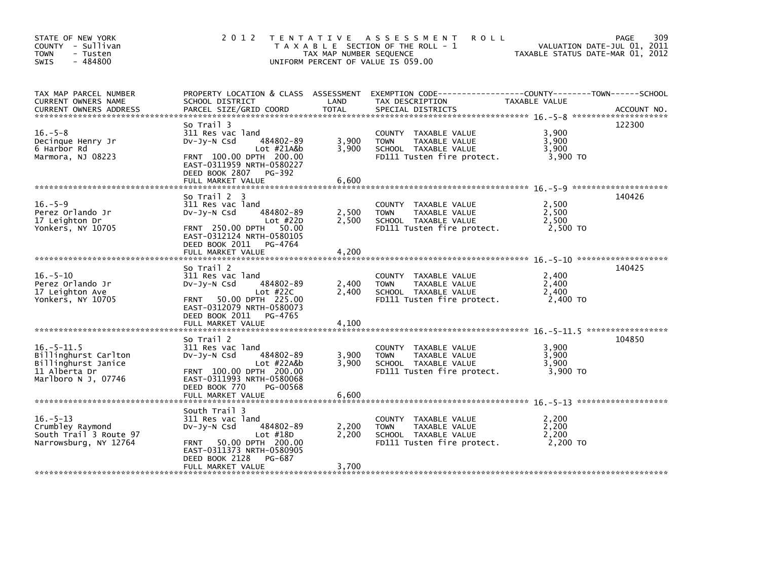| STATE OF NEW YORK<br>COUNTY - Sullivan<br><b>TOWN</b><br>- Tusten<br>$-484800$<br><b>SWIS</b>                                                                                                                                                                                  | 2 0 1 2                                                                                                                                                                  | TAX MAP NUMBER SEQUENCE | TENTATIVE ASSESSMENT<br><b>ROLL</b><br>T A X A B L E SECTION OF THE ROLL - 1<br>UNIFORM PERCENT OF VALUE IS 059.00  | TAXABLE STATUS DATE-MAR 01, 2012    | 309<br><b>PAGE</b><br>VALUATION DATE-JUL 01, 2011 |
|--------------------------------------------------------------------------------------------------------------------------------------------------------------------------------------------------------------------------------------------------------------------------------|--------------------------------------------------------------------------------------------------------------------------------------------------------------------------|-------------------------|---------------------------------------------------------------------------------------------------------------------|-------------------------------------|---------------------------------------------------|
| TAX MAP PARCEL NUMBER<br>CURRENT OWNERS NAME<br>.CURRENT OWNERS ADDRESS PARCEL SIZE/GRID COORD TOTAL SPECIAL DISTRICTS (ACCOUNT NO ACCOUNT NO AND REALLY SERVER AND REALLY SERVER AND REALLY SERVER AND REALLY SERVER AND REALLY AND REALLY AND REALLY AND REALLY AND REALLY A | SCHOOL DISTRICT                                                                                                                                                          | LAND                    | PROPERTY LOCATION & CLASS ASSESSMENT EXEMPTION CODE----------------COUNTY-------TOWN------SCHOOL<br>TAX DESCRIPTION | <b>TAXABLE VALUE</b>                |                                                   |
| $16. - 5 - 8$<br>Decinque Henry Jr<br>6 Harbor Rd<br>Marmora, NJ 08223                                                                                                                                                                                                         | So Trail 3<br>311 Res vac land<br>484802-89<br>DV-Jy-N Csd<br>Lot #21A&b<br>FRNT 100.00 DPTH 200.00<br>EAST-0311959 NRTH-0580227<br>DEED BOOK 2807 PG-392                | 3,900<br>3,900<br>6,600 | COUNTY TAXABLE VALUE<br><b>TOWN</b><br>TAXABLE VALUE<br>SCHOOL TAXABLE VALUE<br>FD111 Tusten fire protect.          | 3.900<br>3,900<br>3,900<br>3,900 TO | 122300                                            |
|                                                                                                                                                                                                                                                                                | FULL MARKET VALUE                                                                                                                                                        |                         |                                                                                                                     |                                     |                                                   |
| $16. - 5 - 9$<br>Perez Orlando Jr<br>17 Leighton Dr<br>Yonkers, NY 10705                                                                                                                                                                                                       | So Trail 2 3<br>311 Res vac land<br>484802-89<br>DV-Jy-N Csd<br>Lot $#22D$<br>FRNT 250.00 DPTH<br>50.00<br>EAST-0312124 NRTH-0580105<br>DEED BOOK 2011 PG-4764           | 2,500<br>2,500          | COUNTY TAXABLE VALUE<br><b>TOWN</b><br>TAXABLE VALUE<br>SCHOOL TAXABLE VALUE<br>FD111 Tusten fire protect.          | 2.500<br>2,500<br>2,500<br>2,500 TO | 140426                                            |
|                                                                                                                                                                                                                                                                                | FULL MARKET VALUE                                                                                                                                                        | 4,200                   |                                                                                                                     |                                     |                                                   |
| $16. - 5 - 10$<br>Perez Orlando Jr<br>17 Leighton Ave<br>Yonkers, NY 10705                                                                                                                                                                                                     | So Trail 2<br>311 Res vac land<br>DV-Jy-N Csd<br>484802-89<br>Lot $#22C$<br>50.00 DPTH 225.00<br><b>FRNT</b><br>EAST-0312079 NRTH-0580073<br>DEED BOOK 2011 PG-4765      | 2,400<br>2,400          | COUNTY TAXABLE VALUE<br><b>TOWN</b><br>TAXABLE VALUE<br>SCHOOL TAXABLE VALUE<br>FD111 Tusten fire protect.          | 2,400<br>2,400<br>2,400<br>2.400 TO | 140425                                            |
|                                                                                                                                                                                                                                                                                | FULL MARKET VALUE                                                                                                                                                        | 4,100                   |                                                                                                                     |                                     |                                                   |
| $16. - 5 - 11.5$<br>Billinghurst Carlton<br>Billinghurst Janice<br>11 Alberta Dr<br>Marlboro N J, 07746                                                                                                                                                                        | So Trail 2<br>311 Res vac land<br>DV-Jy-N Csd<br>484802-89<br>Lot #22A&b<br>FRNT 100.00 DPTH 200.00<br>EAST-0311993 NRTH-0580068                                         | 3,900<br>3,900          | COUNTY TAXABLE VALUE<br>TAXABLE VALUE<br><b>TOWN</b><br>SCHOOL TAXABLE VALUE<br>FD111 Tusten fire protect.          | 3.900<br>3,900<br>3,900<br>3,900 TO | 104850                                            |
|                                                                                                                                                                                                                                                                                | DEED BOOK 770<br>PG-00568<br>FULL MARKET VALUE                                                                                                                           | 6,600                   |                                                                                                                     |                                     |                                                   |
| $16. - 5 - 13$<br>Crumbley Raymond<br>South Trail 3 Route 97<br>Narrowsburg, NY 12764                                                                                                                                                                                          | South Trail 3<br>311 Res vac land<br>484802-89<br>DV-Jy-N Csd<br>Lot $#18D$<br>50.00 DPTH 200.00<br><b>FRNT</b><br>EAST-0311373 NRTH-0580905<br>DEED BOOK 2128<br>PG-687 | 2,200<br>2.200          | COUNTY TAXABLE VALUE<br><b>TOWN</b><br>TAXABLE VALUE<br>SCHOOL TAXABLE VALUE<br>FD111 Tusten fire protect.          | 2.200<br>2,200<br>2,200<br>2,200 TO |                                                   |
|                                                                                                                                                                                                                                                                                | FULL MARKET VALUE                                                                                                                                                        | 3,700                   |                                                                                                                     |                                     |                                                   |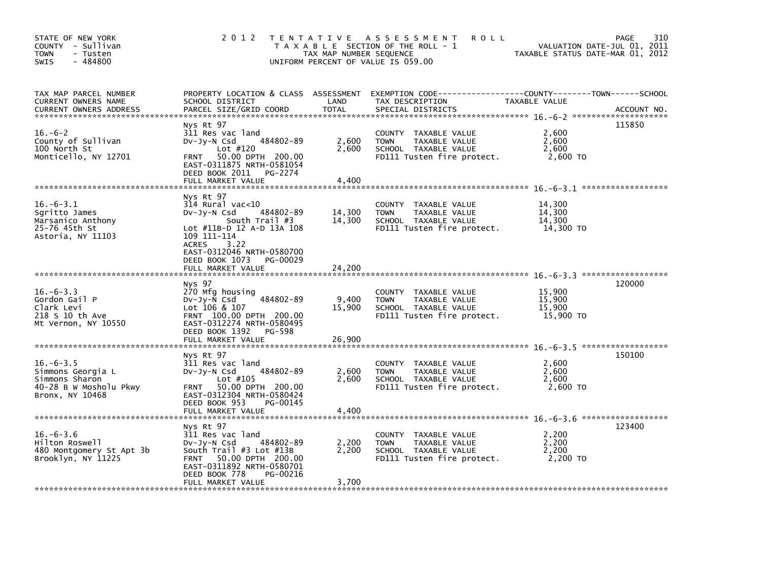| STATE OF NEW YORK<br>COUNTY - Sullivan<br><b>TOWN</b><br>- Tusten<br>$-484800$<br>SWIS              |                                                                                                                                                                                         | TAX MAP NUMBER SEQUENCE   | 2012 TENTATIVE ASSESSMENT<br><b>ROLL</b><br>T A X A B L E SECTION OF THE ROLL - 1<br>UNIFORM PERCENT OF VALUE IS 059.00                | TAXABLE STATUS DATE-MAR 01, 2012        | 310<br>PAGE<br>VALUATION DATE-JUL 01, 2011 |
|-----------------------------------------------------------------------------------------------------|-----------------------------------------------------------------------------------------------------------------------------------------------------------------------------------------|---------------------------|----------------------------------------------------------------------------------------------------------------------------------------|-----------------------------------------|--------------------------------------------|
| TAX MAP PARCEL NUMBER<br>CURRENT OWNERS NAME<br><b>CURRENT OWNERS ADDRESS</b>                       | SCHOOL DISTRICT<br>PARCEL SIZE/GRID COORD                                                                                                                                               | LAND<br><b>TOTAL</b>      | PROPERTY LOCATION & CLASS ASSESSMENT EXEMPTION CODE---------------COUNTY-------TOWN-----SCHOOL<br>TAX DESCRIPTION<br>SPECIAL DISTRICTS | TAXABLE VALUE                           | ACCOUNT NO.                                |
| $16.-6-2$<br>County of Sullivan<br>100 North St<br>Monticello, NY 12701                             | Nys Rt 97<br>311 Res vac land<br>484802-89<br>$Dv-Jv-N$ Csd<br>Lot #120<br>50.00 DPTH 200.00<br><b>FRNT</b><br>EAST-0311875 NRTH-0581054<br>DEED BOOK 2011 PG-2274<br>FULL MARKET VALUE | 2,600<br>2.600<br>4,400   | COUNTY TAXABLE VALUE<br>TAXABLE VALUE<br><b>TOWN</b><br>SCHOOL TAXABLE VALUE<br>FD111 Tusten fire protect.                             | 2,600<br>2,600<br>2.600<br>2,600 TO     | 115850                                     |
|                                                                                                     |                                                                                                                                                                                         |                           |                                                                                                                                        |                                         |                                            |
| $16. -6 - 3.1$<br>Sqritto James<br>Marsanico Anthony<br>25-76 45th St<br>Astoria, NY 11103          | Nys Rt 97<br>$314$ Rural vac<10<br>484802-89<br>DV-Jy-N Csd<br>South Trail #3<br>Lot #11B-D 12 A-D 13A 108<br>109 111-114<br>ACRES<br>3.22                                              | 14,300<br>14,300          | COUNTY TAXABLE VALUE<br>TAXABLE VALUE<br><b>TOWN</b><br>SCHOOL TAXABLE VALUE<br>FD111 Tusten fire protect.                             | 14,300<br>14,300<br>14,300<br>14,300 TO |                                            |
|                                                                                                     | EAST-0312046 NRTH-0580700<br>DEED BOOK 1073<br>PG-00029<br>FULL MARKET VALUE                                                                                                            | 24,200                    |                                                                                                                                        |                                         |                                            |
| $16. - 6 - 3.3$<br>Gordon Gail P<br>Clark Levi<br>218 S 10 th Ave<br>Mt Vernon, NY 10550            | Nys 97<br>270 Mfg housing<br>484802-89<br>Dv-Jy-N Csd<br>Lot $106 & 107$<br>FRNT 100.00 DPTH 200.00<br>EAST-0312274 NRTH-0580495<br>DEED BOOK 1392 PG-598                               | 9,400<br>15,900<br>26,900 | COUNTY TAXABLE VALUE<br><b>TOWN</b><br>TAXABLE VALUE<br>SCHOOL TAXABLE VALUE<br>FD111 Tusten fire protect.                             | 15,900<br>15,900<br>15,900<br>15,900 TO | 120000                                     |
|                                                                                                     | FULL MARKET VALUE                                                                                                                                                                       |                           |                                                                                                                                        |                                         |                                            |
| $16. - 6 - 3.5$<br>Simmons Georgia L<br>Simmons Sharon<br>40-28 B W Mosholu Pkwy<br>Bronx, NY 10468 | Nys Rt 97<br>311 Res vac land<br>484802-89<br>$Dv-Jv-N$ Csd<br>Lot #105<br>FRNT 50.00 DPTH 200.00<br>EAST-0312304 NRTH-0580424                                                          | 2,600<br>2,600            | COUNTY TAXABLE VALUE<br>TAXABLE VALUE<br><b>TOWN</b><br>SCHOOL TAXABLE VALUE<br>FD111 Tusten fire protect.                             | 2,600<br>2,600<br>2,600<br>2,600 TO     | 150100                                     |
|                                                                                                     | DEED BOOK 953<br>PG-00145<br>FULL MARKET VALUE                                                                                                                                          | 4,400                     |                                                                                                                                        |                                         |                                            |
|                                                                                                     | Nys Rt 97                                                                                                                                                                               |                           |                                                                                                                                        |                                         | 123400                                     |
| $16. - 6 - 3.6$<br>Hilton Roswell<br>480 Montgomery St Apt 3b<br>Brooklyn, NY 11225                 | 311 Res vac land<br>484802-89<br>$Dv-Jy-N$ Csd<br>South $Train  #3$ Lot $#13B$<br>FRNT 50.00 DPTH 200.00<br>EAST-0311892 NRTH-0580701<br>DEED BOOK 778<br>PG-00216                      | 2,200<br>2,200            | COUNTY TAXABLE VALUE<br>TAXABLE VALUE<br><b>TOWN</b><br>SCHOOL TAXABLE VALUE<br>FD111 Tusten fire protect.                             | 2,200<br>2,200<br>2,200<br>2,200 TO     |                                            |
|                                                                                                     | FULL MARKET VALUE                                                                                                                                                                       | 3,700                     |                                                                                                                                        |                                         |                                            |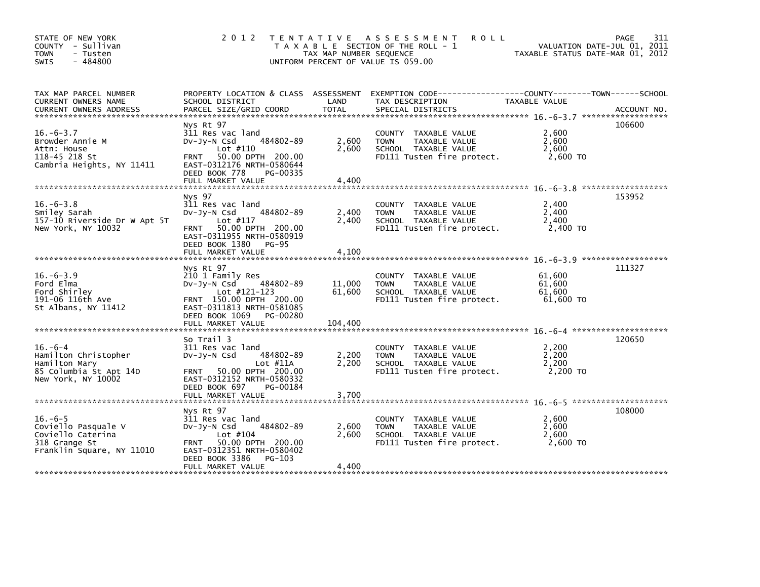|                                                                                                                                                                |                                                    |                                                                              | VALUATION DATE-JUL 01, 2011<br>TAXABLE STATUS DATE-MAR 01, 2012                                                                     | 311<br>PAGE                                                                                                                                                                                                                                                          |
|----------------------------------------------------------------------------------------------------------------------------------------------------------------|----------------------------------------------------|------------------------------------------------------------------------------|-------------------------------------------------------------------------------------------------------------------------------------|----------------------------------------------------------------------------------------------------------------------------------------------------------------------------------------------------------------------------------------------------------------------|
| SCHOOL DISTRICT                                                                                                                                                | LAND                                               | TAX DESCRIPTION                                                              | TAXABLE VALUE                                                                                                                       |                                                                                                                                                                                                                                                                      |
| Nys Rt 97<br>311 Res vac land<br>484802-89<br>$Dv-Jv-N$ Csd<br>Lot #110<br>FRNT 50.00 DPTH 200.00<br>EAST-0312176 NRTH-0580644<br>DEED BOOK 778<br>PG-00335    | 2,600<br>2,600                                     | COUNTY TAXABLE VALUE<br><b>TOWN</b><br>TAXABLE VALUE<br>SCHOOL TAXABLE VALUE | 2,600<br>2,600<br>2,600<br>2,600 TO                                                                                                 | 106600                                                                                                                                                                                                                                                               |
|                                                                                                                                                                |                                                    |                                                                              |                                                                                                                                     |                                                                                                                                                                                                                                                                      |
| 311 Res vac land<br>484802-89<br>$Dv-Jv-N$ Csd<br>Lot #117<br>FRNT 50.00 DPTH 200.00<br>EAST-0311955 NRTH-0580919                                              | 2,400<br>2.400                                     | COUNTY TAXABLE VALUE<br>TAXABLE VALUE<br><b>TOWN</b><br>SCHOOL TAXABLE VALUE | 2,400<br>2,400<br>2,400<br>2,400 TO                                                                                                 | 153952                                                                                                                                                                                                                                                               |
|                                                                                                                                                                |                                                    |                                                                              |                                                                                                                                     |                                                                                                                                                                                                                                                                      |
| Nys Rt 97<br>210 1 Family Res<br>$Dv-Jv-N$ Csd<br>484802-89<br>Lot #121-123<br>FRNT 150.00 DPTH 200.00<br>EAST-0311813 NRTH-0581085<br>DEED BOOK 1069 PG-00280 | 11,000<br>61,600                                   | COUNTY TAXABLE VALUE<br><b>TOWN</b><br>TAXABLE VALUE<br>SCHOOL TAXABLE VALUE | 61,600<br>61,600<br>61,600<br>61.600 TO                                                                                             | 111327                                                                                                                                                                                                                                                               |
| So Trail 3                                                                                                                                                     |                                                    |                                                                              |                                                                                                                                     | 120650                                                                                                                                                                                                                                                               |
| 484802-89<br>$Dv-Jy-N$ Csd<br>Lot #11A<br>FRNT 50.00 DPTH 200.00<br>EAST-0312152 NRTH-0580332<br>DEED BOOK 697<br>PG-00184                                     | 2,200<br>2,200                                     | COUNTY TAXABLE VALUE<br><b>TOWN</b><br>TAXABLE VALUE<br>SCHOOL TAXABLE VALUE | 2,200<br>2,200<br>2,200<br>2,200 TO                                                                                                 |                                                                                                                                                                                                                                                                      |
|                                                                                                                                                                |                                                    |                                                                              |                                                                                                                                     |                                                                                                                                                                                                                                                                      |
| Nys Rt 97<br>311 Res vac land<br>$Dv-Jv-N$ Csd<br>484802-89<br>Lot #104<br>FRNT 50.00 DPTH 200.00<br>EAST-0312351 NRTH-0580402                                 | 2,600<br>2,600                                     | COUNTY TAXABLE VALUE<br><b>TOWN</b><br>TAXABLE VALUE<br>SCHOOL TAXABLE VALUE | 2,600<br>2,600<br>2,600<br>2,600 TO                                                                                                 | 108000                                                                                                                                                                                                                                                               |
| DEED BOOK 3386 PG-103<br>FULL MARKET VALUE                                                                                                                     | 4,400                                              |                                                                              |                                                                                                                                     |                                                                                                                                                                                                                                                                      |
|                                                                                                                                                                | Nys 97<br>DEED BOOK 1380 PG-95<br>311 Res vac land |                                                                              | 2012 TENTATIVE ASSESSMENT<br>T A X A B L E SECTION OF THE ROLL - 1<br>TAX MAP NUMBER SEQUENCE<br>UNIFORM PERCENT OF VALUE IS 059.00 | <b>ROLL</b><br>PROPERTY LOCATION & CLASS ASSESSMENT EXEMPTION CODE---------------COUNTY-------TOWN------SCHOOL<br>FD111 Tusten fire protect.<br>FD111 Tusten fire protect.<br>FD111 Tusten fire protect.<br>FD111 Tusten fire protect.<br>FD111 Tusten fire protect. |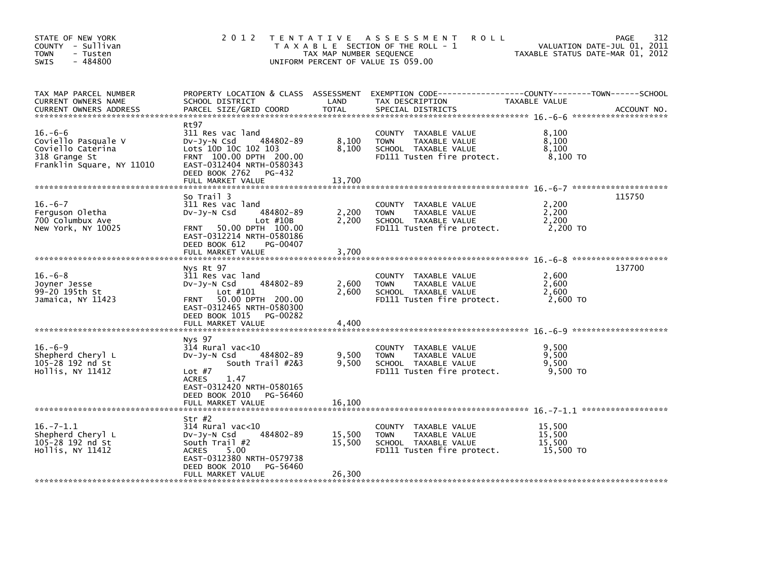| STATE OF NEW YORK<br>COUNTY - Sullivan<br><b>TOWN</b><br>- Tusten<br>$-484800$<br>SWIS               | 2 0 1 2                                                                                                                                                                               | TAX MAP NUMBER SEQUENCE    | TENTATIVE ASSESSMENT<br><b>ROLL</b><br>T A X A B L E SECTION OF THE ROLL - 1<br>UNIFORM PERCENT OF VALUE IS 059.00 | TAXABLE STATUS DATE-MAR 01, 2012        | 312<br>PAGE<br>VALUATION DATE-JUL 01, 2011 |
|------------------------------------------------------------------------------------------------------|---------------------------------------------------------------------------------------------------------------------------------------------------------------------------------------|----------------------------|--------------------------------------------------------------------------------------------------------------------|-----------------------------------------|--------------------------------------------|
| TAX MAP PARCEL NUMBER<br><b>CURRENT OWNERS NAME</b><br><b>CURRENT OWNERS ADDRESS</b>                 | PROPERTY LOCATION & CLASS ASSESSMENT<br>SCHOOL DISTRICT<br>PARCEL SIZE/GRID COORD                                                                                                     | LAND<br><b>TOTAL</b>       | EXEMPTION CODE-----------------COUNTY-------TOWN------SCHOOL<br>TAX DESCRIPTION<br>SPECIAL DISTRICTS               | TAXABLE VALUE                           | ACCOUNT NO.                                |
| $16. -6-6$<br>Coviello Pasquale V<br>Coviello Caterina<br>318 Grange St<br>Franklin Square, NY 11010 | Rt97<br>311 Res vac land<br>484802-89<br>DV-Jy-N Csd<br>Lots 10D 10C 102 103<br>FRNT 100.00 DPTH 200.00<br>EAST-0312404 NRTH-0580343<br>DEED BOOK 2762 PG-432<br>FULL MARKET VALUE    | 8,100<br>8,100<br>13,700   | COUNTY TAXABLE VALUE<br><b>TOWN</b><br>TAXABLE VALUE<br>SCHOOL TAXABLE VALUE<br>FD111 Tusten fire protect.         | 8,100<br>8,100<br>8,100<br>8,100 TO     |                                            |
| $16. -6 - 7$<br>Ferguson Oletha<br>700 Columbux Ave<br>New York, NY 10025                            | So Trail 3<br>311 Res vac land<br>DV-Jy-N Csd<br>484802-89<br>Lot $#10B$<br>FRNT 50.00 DPTH 100.00<br>EAST-0312214 NRTH-0580186<br>DEED BOOK 612<br>PG-00407                          | 2,200<br>2,200             | COUNTY TAXABLE VALUE<br><b>TOWN</b><br>TAXABLE VALUE<br>SCHOOL TAXABLE VALUE<br>FD111 Tusten fire protect.         | 2,200<br>2,200<br>2,200<br>2,200 TO     | 115750                                     |
|                                                                                                      | FULL MARKET VALUE                                                                                                                                                                     | 3,700                      |                                                                                                                    |                                         |                                            |
| $16.-6-8$<br>Joyner Jesse<br>99-20 195th St<br>Jamaica, NY 11423                                     | Nys Rt 97<br>311 Res vac land<br>484802-89<br>$Dv-Jy-N$ Csd<br>Lot #101<br>FRNT 50.00 DPTH 200.00<br>EAST-0312465 NRTH-0580300<br>DEED BOOK 1015<br>PG-00282<br>FULL MARKET VALUE     | 2,600<br>2.600<br>4,400    | COUNTY TAXABLE VALUE<br><b>TOWN</b><br>TAXABLE VALUE<br>SCHOOL TAXABLE VALUE<br>FD111 Tusten fire protect.         | 2,600<br>2,600<br>2.600<br>2,600 TO     | 137700                                     |
|                                                                                                      |                                                                                                                                                                                       |                            |                                                                                                                    |                                         |                                            |
| $16. -6 - 9$<br>Shepherd Cheryl L<br>105-28 192 nd St<br>Hollis, NY 11412                            | Nys 97<br>$314$ Rural vac<10<br>484802-89<br>DV-Jy-N Csd<br>South Trail #2&3<br>Lot $#7$<br>1.47<br><b>ACRES</b><br>EAST-0312420 NRTH-0580165                                         | 9,500<br>9,500             | COUNTY TAXABLE VALUE<br><b>TOWN</b><br>TAXABLE VALUE<br>SCHOOL TAXABLE VALUE<br>FD111 Tusten fire protect.         | 9,500<br>9,500<br>9,500<br>9,500 TO     |                                            |
|                                                                                                      | DEED BOOK 2010<br>PG-56460<br>FULL MARKET VALUE                                                                                                                                       | 16,100                     |                                                                                                                    |                                         |                                            |
| $16. -7 - 1.1$<br>Shepherd Cheryl L<br>105-28 192 nd St<br>Hollis, NY 11412                          | Str $#2$<br>314 Rural vac<10<br>484802-89<br>DV-JY-N Csd<br>South $Train  #2$<br><b>ACRES</b><br>5.00<br>EAST-0312380 NRTH-0579738<br>DEED BOOK 2010<br>PG-56460<br>FULL MARKET VALUE | 15,500<br>15,500<br>26,300 | COUNTY TAXABLE VALUE<br>TAXABLE VALUE<br><b>TOWN</b><br>SCHOOL TAXABLE VALUE<br>FD111 Tusten fire protect.         | 15,500<br>15,500<br>15,500<br>15,500 TO |                                            |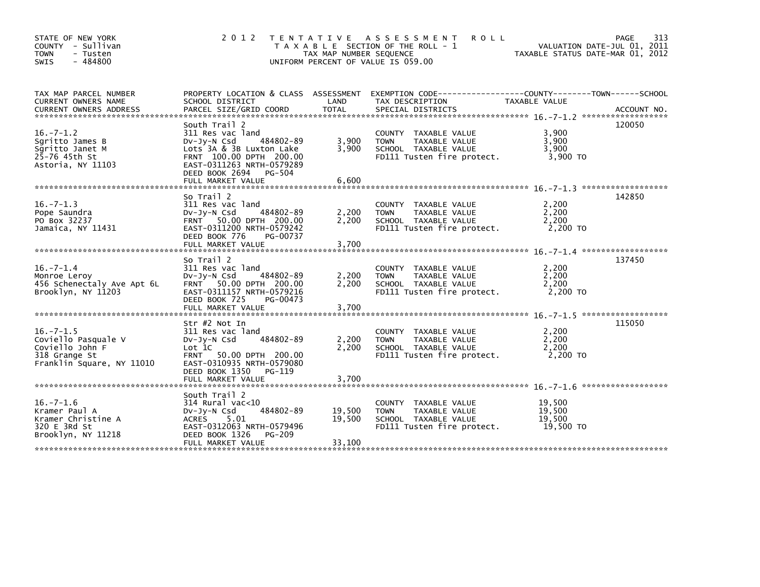| STATE OF NEW YORK<br>COUNTY - Sullivan<br><b>TOWN</b><br>- Tusten<br>$-484800$<br><b>SWIS</b>          | 2 0 1 2                                                                                                                                                                                              | T E N T A T I V E<br>TAX MAP NUMBER SEQUENCE | A S S E S S M E N T<br><b>ROLL</b><br>T A X A B L E SECTION OF THE ROLL - 1<br>UNIFORM PERCENT OF VALUE IS 059.00                         | VALUATION DATE-JUL 01, 2011<br>TAXABLE STATUS DATE-MAR 01, 2012 | 313<br>PAGE |
|--------------------------------------------------------------------------------------------------------|------------------------------------------------------------------------------------------------------------------------------------------------------------------------------------------------------|----------------------------------------------|-------------------------------------------------------------------------------------------------------------------------------------------|-----------------------------------------------------------------|-------------|
| TAX MAP PARCEL NUMBER<br>CURRENT OWNERS NAME<br><b>CURRENT OWNERS ADDRESS</b>                          | SCHOOL DISTRICT<br>PARCEL SIZE/GRID COORD                                                                                                                                                            | LAND<br><b>TOTAL</b>                         | PROPERTY LOCATION & CLASS ASSESSMENT EXEMPTION CODE-----------------COUNTY-------TOWN------SCHOOL<br>TAX DESCRIPTION<br>SPECIAL DISTRICTS | <b>TAXABLE VALUE</b>                                            | ACCOUNT NO. |
| $16. -7 - 1.2$<br>Sqritto James B<br>Sgritto Janet M<br>25-76 45th St<br>Astoria, NY 11103             | South Trail 2<br>311 Res vac land<br>484802-89<br>$Dv-Jy-N$ Csd<br>Lots 3A & 3B Luxton Lake<br>FRNT 100.00 DPTH 200.00<br>EAST-0311263 NRTH-0579289<br>DEED BOOK 2694<br>PG-504<br>FULL MARKET VALUE | 3,900<br>3,900<br>6,600                      | COUNTY TAXABLE VALUE<br>TAXABLE VALUE<br><b>TOWN</b><br>SCHOOL TAXABLE VALUE<br>FD111 Tusten fire protect.                                | 3,900<br>3,900<br>3,900<br>3,900 TO                             | 120050      |
| $16. - 7 - 1.3$<br>Pope Saundra<br>PO Box 32237<br>Jamaica, NY 11431                                   | So Trail 2<br>311 Res vac land<br>484802-89<br>$Dv-Jy-N$ Csd<br>FRNT 50.00 DPTH 200.00<br>EAST-0311200 NRTH-0579242<br>DEED BOOK 776<br>PG-00737<br>FULL MARKET VALUE                                | 2,200<br>2,200<br>3,700                      | COUNTY TAXABLE VALUE<br>TAXABLE VALUE<br><b>TOWN</b><br>SCHOOL TAXABLE VALUE<br>FD111 Tusten fire protect.                                | 2,200<br>2,200<br>2,200<br>2,200 TO                             | 142850      |
|                                                                                                        |                                                                                                                                                                                                      |                                              |                                                                                                                                           |                                                                 |             |
| $16. -7 - 1.4$<br>Monroe Leroy<br>456 Schenectaly Ave Apt 6L<br>Brooklyn, NY 11203                     | So Trail 2<br>311 Res vac land<br>484802-89<br>$Dv-Jv-N$ Csd<br>FRNT 50.00 DPTH 200.00<br>EAST-0311157 NRTH-0579216<br>DEED BOOK 725<br>PG-00473                                                     | 2,200<br>2,200                               | TAXABLE VALUE<br>COUNTY<br><b>TOWN</b><br>TAXABLE VALUE<br>SCHOOL TAXABLE VALUE<br>FD111 Tusten fire protect.                             | 2,200<br>2.200<br>2,200<br>2,200 TO                             | 137450      |
|                                                                                                        |                                                                                                                                                                                                      |                                              |                                                                                                                                           |                                                                 |             |
| $16. -7 - 1.5$<br>Coviello Pasquale V<br>Coviello John F<br>318 Grange St<br>Franklin Square, NY 11010 | Str #2 Not In<br>311 Res vac land<br>484802-89<br>$Dv-Jv-N$ Csd<br>Lot 1C<br>FRNT 50.00 DPTH 200.00<br>EAST-0310935 NRTH-0579080                                                                     | 2,200<br>2,200                               | <b>COUNTY</b><br>TAXABLE VALUE<br>TAXABLE VALUE<br><b>TOWN</b><br>SCHOOL TAXABLE VALUE<br>FD111 Tusten fire protect.                      | 2,200<br>2,200<br>2,200<br>2,200 TO                             | 115050      |
|                                                                                                        | DEED BOOK 1350<br>PG-119<br>FULL MARKET VALUE                                                                                                                                                        | 3,700                                        |                                                                                                                                           |                                                                 |             |
| $16. - 7 - 1.6$<br>Kramer Paul A<br>Kramer Christine A<br>320 E 3Rd St<br>Brooklyn, NY 11218           | South Trail 2<br>314 Rural vac<10<br>484802-89<br>$Dv-Jv-N$ Csd<br>5.01<br><b>ACRES</b><br>EAST-0312063 NRTH-0579496<br>DEED BOOK 1326<br>PG-209<br>FULL MARKET VALUE                                | 19,500<br>19,500<br>33,100                   | <b>COUNTY</b><br>TAXABLE VALUE<br>TAXABLE VALUE<br><b>TOWN</b><br>SCHOOL TAXABLE VALUE<br>FD111 Tusten fire protect.                      | 19,500<br>19.500<br>19,500<br>19,500 TO                         |             |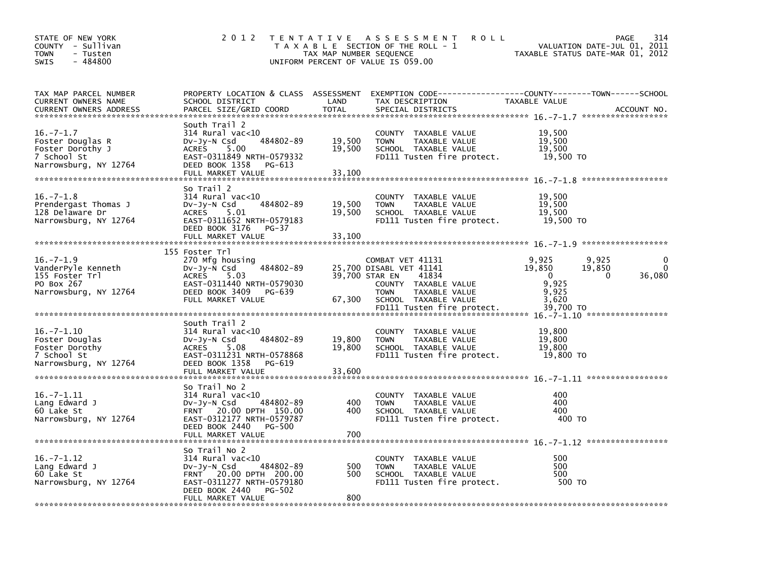| STATE OF NEW YORK<br>COUNTY - Sullivan<br><b>TOWN</b><br>- Tusten<br>$-484800$<br><b>SWIS</b>   | 2 0 1 2                                                                                                                                                                 | TAX MAP NUMBER SEQUENCE    | TENTATIVE ASSESSMENT<br><b>ROLL</b><br>T A X A B L E SECTION OF THE ROLL - 1<br>UNIFORM PERCENT OF VALUE IS 059.00                                                 | VALUATION DATE-JUL 01, 2011<br>TAXABLE STATUS DATE-MAR 01, 2012                                        | PAGE<br>314             |
|-------------------------------------------------------------------------------------------------|-------------------------------------------------------------------------------------------------------------------------------------------------------------------------|----------------------------|--------------------------------------------------------------------------------------------------------------------------------------------------------------------|--------------------------------------------------------------------------------------------------------|-------------------------|
| TAX MAP PARCEL NUMBER<br>CURRENT OWNERS NAME<br><b>CURRENT OWNERS ADDRESS</b>                   | SCHOOL DISTRICT<br>PARCEL SIZE/GRID COORD                                                                                                                               | LAND<br><b>TOTAL</b>       | PROPERTY LOCATION & CLASS ASSESSMENT EXEMPTION CODE---------------COUNTY-------TOWN-----SCHOOL<br>TAX DESCRIPTION<br>SPECIAL DISTRICTS                             | TAXABLE VALUE                                                                                          | ACCOUNT NO.             |
| $16. - 7 - 1.7$<br>Foster Douglas R<br>Foster Dorothy J<br>7 School St<br>Narrowsburg, NY 12764 | South Trail 2<br>$314$ Rural vac<10<br>484802-89<br>$Dv-Jy-N$ Csd<br>5.00<br><b>ACRES</b><br>EAST-0311849 NRTH-0579332<br>DEED BOOK 1358<br>PG-613<br>FULL MARKET VALUE | 19,500<br>19,500<br>33,100 | COUNTY TAXABLE VALUE<br><b>TOWN</b><br>TAXABLE VALUE<br>SCHOOL TAXABLE VALUE<br>FD111 Tusten fire protect.                                                         | 19,500<br>19,500<br>19,500<br>19,500 TO                                                                |                         |
| $16. - 7 - 1.8$<br>Prendergast Thomas J<br>128 Delaware Dr<br>Narrowsburg, NY 12764             | So Trail 2<br>$314$ Rural vac<10<br>484802-89<br>$Dv-Jy-N$ Csd<br>5.01<br><b>ACRES</b><br>EAST-0311652 NRTH-0579183<br>DEED BOOK 3176<br>PG-37<br>FULL MARKET VALUE     | 19,500<br>19,500<br>33,100 | COUNTY TAXABLE VALUE<br><b>TOWN</b><br>TAXABLE VALUE<br>SCHOOL TAXABLE VALUE<br>FD111 Tusten fire protect.                                                         | 19,500<br>19,500<br>19,500<br>19,500 TO                                                                |                         |
| $16. -7 - 1.9$<br>VanderPyle Kenneth<br>155 Foster Trl<br>PO Box 267<br>Narrowsburg, NY 12764   | 155 Foster Trl<br>270 Mfg housing<br>484802-89<br>DV-Jy-N Csd<br>5.03<br><b>ACRES</b><br>EAST-0311440 NRTH-0579030<br>DEED BOOK 3409<br>PG-639<br>FULL MARKET VALUE     | 39,700 STAR EN<br>67,300   | COMBAT VET 41131<br>25,700 DISABL VET 41141<br>41834<br>COUNTY TAXABLE VALUE<br><b>TOWN</b><br>TAXABLE VALUE<br>SCHOOL TAXABLE VALUE<br>FD111 Tusten fire protect. | 9,925<br>9,925<br>19,850<br>19,850<br>$\Omega$<br>$\mathbf{0}$<br>9.925<br>9,925<br>3.620<br>39,700 TO | 0<br>$\Omega$<br>36,080 |
| $16. -7 - 1.10$<br>Foster Douglas<br>Foster Dorothy<br>7 School St<br>Narrowsburg, NY 12764     | South Trail 2<br>$314$ Rural vac<10<br>$Dv-Jv-N$ Csd<br>484802-89<br>ACRES<br>5.08<br>EAST-0311231 NRTH-0578868<br>DEED BOOK 1358<br>PG-619<br>FULL MARKET VALUE        | 19,800<br>19,800<br>33,600 | COUNTY TAXABLE VALUE<br><b>TOWN</b><br>TAXABLE VALUE<br>SCHOOL TAXABLE VALUE<br>FD111 Tusten fire protect.                                                         | 19.800<br>19,800<br>19.800<br>19,800 TO                                                                |                         |
| $16. -7 - 1.11$<br>Lang Edward J<br>60 Lake St<br>Narrowsburg, NY 12764                         | So Trail No 2<br>314 Rural vac<10<br>484802-89<br>$Dv-Jy-N$ Csd<br>FRNT 20.00 DPTH 150.00<br>EAST-0312177 NRTH-0579787<br>DEED BOOK 2440<br>PG-500<br>FULL MARKET VALUE | 400<br>400<br>700          | COUNTY TAXABLE VALUE<br><b>TOWN</b><br>TAXABLE VALUE<br>SCHOOL TAXABLE VALUE<br>FD111 Tusten fire protect.                                                         | 400<br>400<br>400<br>400 TO                                                                            |                         |
| $16. -7 - 1.12$<br>Lang Edward J<br>60 Lake St<br>Narrowsburg, NY 12764                         | So Trail No 2<br>314 Rural vac<10<br>484802-89<br>DV-Jy-N Csd<br>FRNT 20.00 DPTH 200.00<br>EAST-0311277 NRTH-0579180<br>DEED BOOK 2440<br>PG-502<br>FULL MARKET VALUE   | 500<br>500<br>800          | COUNTY TAXABLE VALUE<br><b>TOWN</b><br>TAXABLE VALUE<br>SCHOOL TAXABLE VALUE<br>FD111 Tusten fire protect.                                                         | 500<br>500<br>500<br>500 TO                                                                            |                         |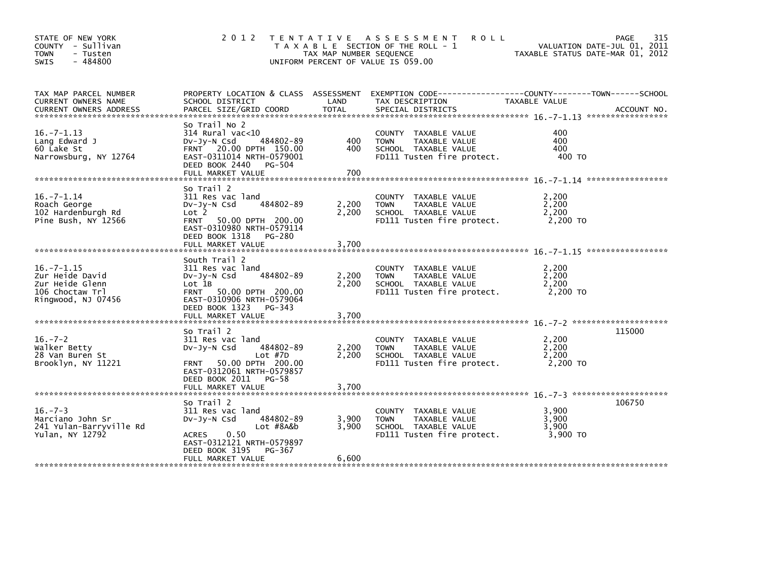| STATE OF NEW YORK<br>COUNTY - Sullivan<br><b>TOWN</b><br>- Tusten<br>$-484800$<br><b>SWIS</b>  | 2 0 1 2                                                                                                                                                                           | TAX MAP NUMBER SEQUENCE | TENTATIVE ASSESSMENT<br>R O L L<br>T A X A B L E SECTION OF THE ROLL - 1<br>UNIFORM PERCENT OF VALUE IS 059.00    | VALUATION DATE-JUL 01, 2011<br>TAXABLE STATUS DATE-MAR 01, 2012 | 315<br>PAGE |
|------------------------------------------------------------------------------------------------|-----------------------------------------------------------------------------------------------------------------------------------------------------------------------------------|-------------------------|-------------------------------------------------------------------------------------------------------------------|-----------------------------------------------------------------|-------------|
| TAX MAP PARCEL NUMBER<br>CURRENT OWNERS NAME                                                   | SCHOOL DISTRICT                                                                                                                                                                   | LAND                    | PROPERTY LOCATION & CLASS ASSESSMENT EXEMPTION CODE---------------COUNTY-------TOWN-----SCHOOL<br>TAX DESCRIPTION | TAXABLE VALUE                                                   |             |
| $16. -7 - 1.13$<br>Lang Edward J<br>60 Lake St<br>Narrowsburg, NY 12764                        | So Trail No 2<br>$314$ Rural vac<10<br>484802-89<br>$Dv-Jy-N$ Csd<br>FRNT 20.00 DPTH 150.00<br>EAST-0311014 NRTH-0579001<br>DEED BOOK 2440<br>PG-504                              | 400<br>400              | COUNTY TAXABLE VALUE<br>TAXABLE VALUE<br><b>TOWN</b><br>SCHOOL TAXABLE VALUE<br>FD111 Tusten fire protect.        | 400<br>400<br>400<br>400 TO                                     |             |
| $16. -7 - 1.14$<br>Roach George<br>102 Hardenburgh Rd<br>Pine Bush, NY 12566                   | So Trail 2<br>311 Res vac land<br>484802-89<br>$Dv-Jy-N$ Csd<br>Lot 2<br>FRNT 50.00 DPTH 200.00<br>EAST-0310980 NRTH-0579114<br>DEED BOOK 1318<br>PG-280<br>FULL MARKET VALUE     | 2,200<br>2,200<br>3,700 | COUNTY TAXABLE VALUE<br>TAXABLE VALUE<br><b>TOWN</b><br>SCHOOL TAXABLE VALUE<br>FD111 Tusten fire protect.        | 2,200<br>2,200<br>2,200<br>2,200 TO                             |             |
| $16. -7 - 1.15$<br>Zur Heide David<br>Zur Heide Glenn<br>106 Choctaw Trl<br>Ringwood, NJ 07456 | South Trail 2<br>311 Res vac land<br>484802-89<br>$Dv-Jy-N$ Csd<br>Lot 1B<br>FRNT 50.00 DPTH 200.00<br>EAST-0310906 NRTH-0579064<br>DEED BOOK 1323<br>PG-343<br>FULL MARKET VALUE | 2,200<br>2,200<br>3,700 | COUNTY TAXABLE VALUE<br>TAXABLE VALUE<br><b>TOWN</b><br>SCHOOL TAXABLE VALUE<br>FD111 Tusten fire protect.        | 2,200<br>2,200<br>2,200<br>2.200 TO                             |             |
| $16. - 7 - 2$<br>Walker Betty<br>28 Van Buren St<br>Brooklyn, NY 11221                         | So Trail 2<br>311 Res vac land<br>484802-89<br>$Dv-Jy-N$ Csd<br>$Lot$ #7D<br>FRNT 50.00 DPTH 200.00<br>EAST-0312061 NRTH-0579857<br>DEED BOOK 2011 PG-58<br>FULL MARKET VALUE     | 2,200<br>2,200<br>3,700 | COUNTY TAXABLE VALUE<br>TAXABLE VALUE<br><b>TOWN</b><br>SCHOOL TAXABLE VALUE<br>FD111 Tusten fire protect.        | 2,200<br>2,200<br>2,200<br>2.200 TO                             | 115000      |
| $16. - 7 - 3$<br>Marciano John Sr<br>241 Yulan-Barryville Rd<br>Yulan, NY 12792                | So Trail 2<br>311 Res vac land<br>484802-89<br>$Dv-Jv-N$ Csd<br>Lot #8A&b<br>0.50<br><b>ACRES</b><br>EAST-0312121 NRTH-0579897<br>DEED BOOK 3195<br>PG-367<br>FULL MARKET VALUE   | 3,900<br>3,900<br>6,600 | COUNTY TAXABLE VALUE<br>TAXABLE VALUE<br><b>TOWN</b><br>SCHOOL TAXABLE VALUE<br>FD111 Tusten fire protect.        | 3,900<br>3.900<br>3,900<br>3.900 TO                             | 106750      |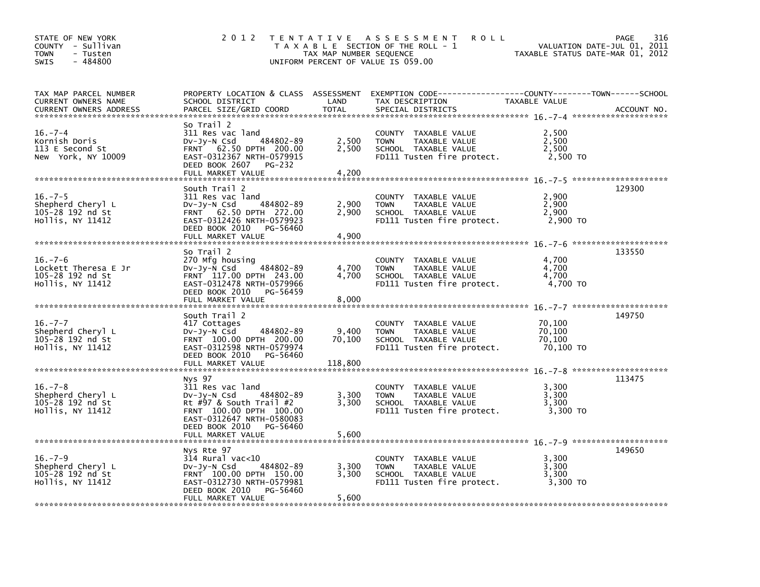| STATE OF NEW YORK<br>COUNTY - Sullivan<br><b>TOWN</b><br>- Tusten<br>$-484800$<br><b>SWIS</b>                   | 2 0 1 2                                                                                                                                                                                     | TAX MAP NUMBER SEQUENCE    | <b>ROLL</b><br>TENTATIVE ASSESSMENT<br>T A X A B L E SECTION OF THE ROLL - 1<br>UNIFORM PERCENT OF VALUE IS 059.00                       | VALUATION DATE-JUL 01, 2011<br>TAXABLE STATUS DATE-MAR 01, 2012 | 316<br>PAGE |
|-----------------------------------------------------------------------------------------------------------------|---------------------------------------------------------------------------------------------------------------------------------------------------------------------------------------------|----------------------------|------------------------------------------------------------------------------------------------------------------------------------------|-----------------------------------------------------------------|-------------|
| TAX MAP PARCEL NUMBER<br>CURRENT OWNERS NAME<br><b>CURRENT OWNERS ADDRESS</b><br>****************************** | SCHOOL DISTRICT<br>PARCEL SIZE/GRID COORD                                                                                                                                                   | LAND<br><b>TOTAL</b>       | PROPERTY LOCATION & CLASS ASSESSMENT EXEMPTION CODE----------------COUNTY-------TOWN------SCHOOL<br>TAX DESCRIPTION<br>SPECIAL DISTRICTS | TAXABLE VALUE                                                   | ACCOUNT NO. |
| $16. - 7 - 4$<br>Kornish Doris<br>113 E Second St<br>New York, NY 10009                                         | So Trail 2<br>311 Res vac land<br>484802-89<br>$Dv-Jy-N$ Csd<br>62.50 DPTH 200.00<br><b>FRNT</b><br>EAST-0312367 NRTH-0579915<br>DEED BOOK 2607<br>PG-232<br>FULL MARKET VALUE              | 2,500<br>2,500<br>4,200    | COUNTY TAXABLE VALUE<br>TAXABLE VALUE<br><b>TOWN</b><br>SCHOOL TAXABLE VALUE<br>FD111 Tusten fire protect.                               | 2,500<br>2,500<br>2,500<br>2,500 TO                             |             |
| $16. -7 - 5$<br>Shepherd Cheryl L<br>105-28 192 nd St<br>Hollis, NY 11412                                       | South Trail 2<br>311 Res vac land<br>484802-89<br>$Dv-Jy-N$ Csd<br>FRNT 62.50 DPTH 272.00<br>EAST-0312426 NRTH-0579923<br>DEED BOOK 2010<br>PG-56460<br>FULL MARKET VALUE                   | 2,900<br>2,900<br>4,900    | COUNTY TAXABLE VALUE<br><b>TOWN</b><br>TAXABLE VALUE<br>SCHOOL TAXABLE VALUE<br>FD111 Tusten fire protect.                               | 2,900<br>2,900<br>2,900<br>2,900 TO                             | 129300      |
| $16. - 7 - 6$<br>Lockett Theresa E Jr<br>105-28 192 nd St<br>Hollis, NY 11412                                   | So Trail 2<br>270 Mfg housing<br>484802-89<br>$Dv-Jy-N$ Csd<br>FRNT 117.00 DPTH 243.00<br>EAST-0312478 NRTH-0579966<br>DEED BOOK 2010<br>PG-56459<br>FULL MARKET VALUE                      | 4,700<br>4,700<br>8,000    | COUNTY TAXABLE VALUE<br><b>TOWN</b><br>TAXABLE VALUE<br>SCHOOL TAXABLE VALUE<br>FD111 Tusten fire protect.                               | 4,700<br>4,700<br>4.700<br>4,700 TO                             | 133550      |
| $16. -7 - 7$<br>Shepherd Cheryl L<br>105-28 192 nd St<br>Hollis, NY 11412                                       | South Trail 2<br>417 Cottages<br>484802-89<br>$Dv-Jy-N$ Csd<br>FRNT 100.00 DPTH 200.00<br>EAST-0312598 NRTH-0579974<br>DEED BOOK 2010<br>PG-56460<br>FULL MARKET VALUE                      | 9,400<br>70,100<br>118,800 | COUNTY TAXABLE VALUE<br><b>TOWN</b><br>TAXABLE VALUE<br>SCHOOL TAXABLE VALUE<br>FD111 Tusten fire protect.                               | 70,100<br>70,100<br>70,100<br>70,100 TO                         | 149750      |
| $16. - 7 - 8$<br>Shepherd Cheryl L<br>105-28 192 nd St<br>Hollis, NY 11412                                      | Nys 97<br>311 Res vac land<br>$Dv-Jv-N$ Csd<br>484802-89<br>Rt #97 & South Trail #2<br>FRNT 100.00 DPTH 100.00<br>EAST-0312647 NRTH-0580083<br>DEED BOOK 2010 PG-56460<br>FULL MARKET VALUE | 3,300<br>3,300<br>5,600    | COUNTY TAXABLE VALUE<br>TAXABLE VALUE<br><b>TOWN</b><br>SCHOOL TAXABLE VALUE<br>FD111 Tusten fire protect.                               | 3,300<br>3,300<br>3,300<br>3,300 TO                             | 113475      |
| $16. - 7 - 9$<br>Shepherd Cheryl L<br>105-28 192 nd St<br>Hollis, NY 11412                                      | Nys Rte 97<br>$314$ Rural vac<10<br>484802-89<br>$Dv-Jy-N$ Csd<br>FRNT 100.00 DPTH 150.00<br>EAST-0312730 NRTH-0579981<br>DEED BOOK 2010<br>PG-56460<br>FULL MARKET VALUE                   | 3,300<br>3,300<br>5,600    | COUNTY TAXABLE VALUE<br>TAXABLE VALUE<br>TOWN<br>SCHOOL TAXABLE VALUE<br>FD111 Tusten fire protect.                                      | 3,300<br>3,300<br>3,300<br>3,300 TO                             | 149650      |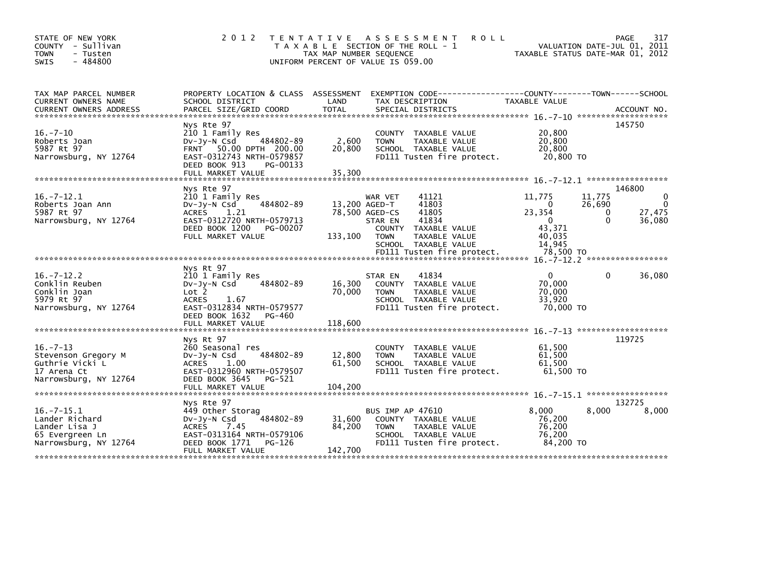| STATE OF NEW YORK<br>COUNTY - Sullivan<br>- Tusten<br><b>TOWN</b><br>$-484800$<br><b>SWIS</b>   | 2 0 1 2                                                                                                                                                              | TAX MAP NUMBER SEQUENCE     | TENTATIVE ASSESSMENT<br>T A X A B L E SECTION OF THE ROLL - 1<br>UNIFORM PERCENT OF VALUE IS 059.00                                                                                    | <b>ROLL</b>                                                        | VALUATION DATE-JUL 01, 2011<br>TAXABLE STATUS DATE-MAR 01, 2012 | 317<br>PAGE                                 |
|-------------------------------------------------------------------------------------------------|----------------------------------------------------------------------------------------------------------------------------------------------------------------------|-----------------------------|----------------------------------------------------------------------------------------------------------------------------------------------------------------------------------------|--------------------------------------------------------------------|-----------------------------------------------------------------|---------------------------------------------|
| TAX MAP PARCEL NUMBER<br>CURRENT OWNERS NAME<br><b>CURRENT OWNERS ADDRESS</b>                   | PROPERTY LOCATION & CLASS ASSESSMENT EXEMPTION CODE----------------COUNTY-------TOWN------SCHOOL<br>SCHOOL DISTRICT<br>PARCEL SIZE/GRID COORD                        | LAND<br><b>TOTAL</b>        | TAX DESCRIPTION<br>SPECIAL DISTRICTS                                                                                                                                                   | <b>TAXABLE VALUE</b>                                               |                                                                 | ACCOUNT NO.                                 |
| $16. -7 - 10$<br>Roberts Joan<br>5987 Rt 97<br>Narrowsburg, NY 12764                            | Nys Rte 97<br>210 1 Family Res<br>484802-89<br>DV-JV-N Csd<br>FRNT 50.00 DPTH 200.00<br>EAST-0312743 NRTH-0579857<br>DEED BOOK 913<br>PG-00133<br>FULL MARKET VALUE  | 2,600<br>20,800<br>35,300   | COUNTY TAXABLE VALUE<br>TAXABLE VALUE<br><b>TOWN</b><br>SCHOOL TAXABLE VALUE<br>FD111 Tusten fire protect.                                                                             | 20,800<br>20,800<br>20,800                                         | 20,800 TO                                                       | 145750                                      |
| $16 - 7 - 12.1$<br>Roberts Joan Ann<br>5987 Rt 97<br>Narrowsburg, NY 12764                      | Nys Rte 97<br>210 1 Family Res<br>484802-89<br>$Dv-Jy-N$ Csd<br>1.21<br><b>ACRES</b><br>EAST-0312720 NRTH-0579713<br>DEED BOOK 1200<br>PG-00207<br>FULL MARKET VALUE | 13,200 AGED-T<br>133,100    | 41121<br>WAR VET<br>41803<br>78,500 AGED-CS<br>41805<br>41834<br>STAR EN<br>COUNTY TAXABLE VALUE<br><b>TOWN</b><br>TAXABLE VALUE<br>SCHOOL TAXABLE VALUE<br>FD111 Tusten fire protect. | 11,775<br>0<br>23,354<br>$\mathbf 0$<br>43,371<br>40,035<br>14.945 | 11,775<br>26,690<br>0<br>0<br>78,500 TO                         | 146800<br>0<br>$\Omega$<br>27,475<br>36,080 |
| $16. -7 - 12.2$<br>Conklin Reuben<br>Conklin Joan<br>5979 Rt 97<br>Narrowsburg, NY 12764        | Nys Rt 97<br>210 1 Family Res<br>484802-89<br>$Dv-Jy-N$ Csd<br>Lot <sub>2</sub><br><b>ACRES</b><br>1.67<br>EAST-0312834 NRTH-0579577<br>DEED BOOK 1632<br>PG-460     | 16,300<br>70,000            | 41834<br>STAR EN<br><b>COUNTY</b><br>TAXABLE VALUE<br><b>TAXABLE VALUE</b><br><b>TOWN</b><br>SCHOOL TAXABLE VALUE<br>FD111 Tusten fire protect.                                        | $\mathbf{0}$<br>70.000<br>70,000<br>33,920                         | $\Omega$<br>70,000 TO                                           | 36,080                                      |
| $16. -7 - 13$<br>Stevenson Gregory M<br>Guthrie Vicki L<br>17 Arena Ct<br>Narrowsburg, NY 12764 | Nys Rt 97<br>260 Seasonal res<br>484802-89<br>DV-Jy-N Csd<br><b>ACRES</b><br>1.00<br>EAST-0312960 NRTH-0579507<br>DEED BOOK 3645<br>PG-521                           | 12,800<br>61,500            | <b>COUNTY</b><br>TAXABLE VALUE<br>TAXABLE VALUE<br><b>TOWN</b><br>SCHOOL TAXABLE VALUE<br>FD111 Tusten fire protect.                                                                   | 61,500<br>61,500<br>61,500                                         | $16. - 7 - 13$ *********************<br>$61,500$ TO             | 119725                                      |
|                                                                                                 | FULL MARKET VALUE<br>Nys Rte 97                                                                                                                                      | 104,200                     |                                                                                                                                                                                        |                                                                    |                                                                 | 132725                                      |
| $16. -7 - 15.1$<br>Lander Richard<br>Lander Lisa J<br>65 Evergreen Ln<br>Narrowsburg, NY 12764  | 449 Other Storag<br>484802-89<br>$Dv-Jy-N$ Csd<br>7.45<br><b>ACRES</b><br>EAST-0313164 NRTH-0579106<br>DEED BOOK 1771<br>PG-126<br>FULL MARKET VALUE                 | 31,600<br>84,200<br>142,700 | BUS IMP AP 47610<br>COUNTY TAXABLE VALUE<br><b>TOWN</b><br>TAXABLE VALUE<br>SCHOOL TAXABLE VALUE<br>FD111 Tusten fire protect.                                                         | 8,000<br>76,200<br>76,200<br>76,200                                | 8.000<br>84,200 TO                                              | 8,000                                       |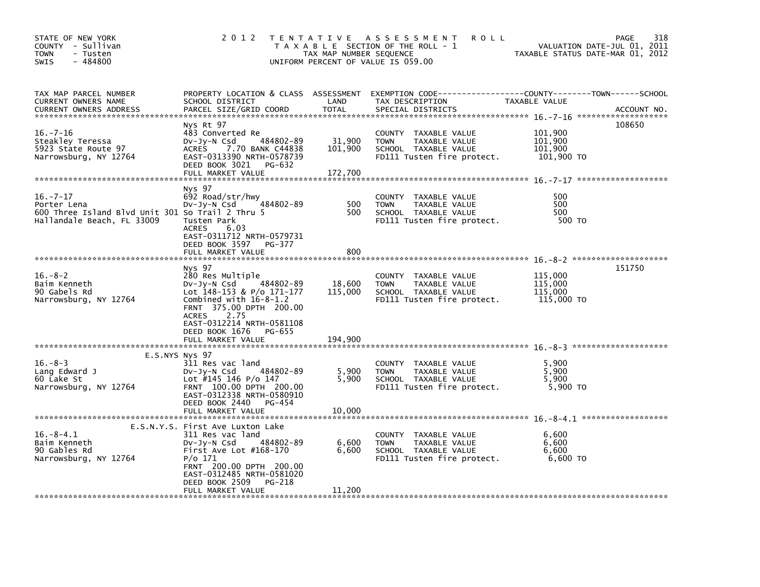| STATE OF NEW YORK<br>COUNTY - Sullivan<br><b>TOWN</b><br>- Tusten<br>- 484800<br>SWIS                          | 2 0 1 2                                                                                                                                                                                                     | T E N T A T I V E<br>TAX MAP NUMBER SEQUENCE | A S S E S S M E N T<br><b>ROLL</b><br>T A X A B L E SECTION OF THE ROLL - 1<br>UNIFORM PERCENT OF VALUE IS 059.00                        | TAXABLE STATUS DATE-MAR 01, 2012            | 318<br>PAGE<br>VALUATION DATE-JUL 01, 2011 |
|----------------------------------------------------------------------------------------------------------------|-------------------------------------------------------------------------------------------------------------------------------------------------------------------------------------------------------------|----------------------------------------------|------------------------------------------------------------------------------------------------------------------------------------------|---------------------------------------------|--------------------------------------------|
| TAX MAP PARCEL NUMBER<br><b>CURRENT OWNERS NAME</b><br><b>CURRENT OWNERS ADDRESS</b>                           | SCHOOL DISTRICT<br>PARCEL SIZE/GRID COORD                                                                                                                                                                   | LAND<br><b>TOTAL</b>                         | PROPERTY LOCATION & CLASS ASSESSMENT EXEMPTION CODE----------------COUNTY-------TOWN------SCHOOL<br>TAX DESCRIPTION<br>SPECIAL DISTRICTS | TAXABLE VALUE                               | ACCOUNT NO.                                |
| $16. - 7 - 16$<br>Steakley Teressa<br>5923 State Route 97<br>Narrowsburg, NY 12764                             | Nys Rt 97<br>483 Converted Re<br>484802-89<br>$Dv-Jy-N$ Csd<br>7.70 BANK C44838<br>ACRES<br>EAST-0313390 NRTH-0578739<br>DEED BOOK 3021<br>PG-632<br>FULL MARKET VALUE                                      | 31,900<br>101,900<br>172,700                 | COUNTY TAXABLE VALUE<br><b>TOWN</b><br>TAXABLE VALUE<br>SCHOOL TAXABLE VALUE<br>FD111 Tusten fire protect.                               | 101,900<br>101,900<br>101,900<br>101,900 TO | 108650                                     |
|                                                                                                                |                                                                                                                                                                                                             |                                              |                                                                                                                                          |                                             |                                            |
| $16. -7 - 17$<br>Porter Lena<br>600 Three Island Blvd Unit 301 So Trail 2 Thru 5<br>Hallandale Beach, FL 33009 | Nys 97<br>692 Road/str/hwy<br>484802-89<br>Dv-Jy-N Csd<br>Tusten Park<br><b>ACRES</b><br>6.03<br>EAST-0311712 NRTH-0579731                                                                                  | 500<br>500                                   | <b>COUNTY</b><br>TAXABLE VALUE<br><b>TOWN</b><br>TAXABLE VALUE<br>SCHOOL TAXABLE VALUE<br>FD111 Tusten fire protect.                     | 500<br>500<br>500<br>500 TO                 |                                            |
|                                                                                                                | DEED BOOK 3597<br>PG-377<br>FULL MARKET VALUE                                                                                                                                                               | 800                                          |                                                                                                                                          |                                             |                                            |
| $16. - 8 - 2$<br>Baim Kenneth<br>90 Gabels Rd<br>Narrowsburg, NY 12764                                         | Nys 97<br>280 Res Multiple<br>DV-Jy-N Csd<br>484802-89<br>Lot 148-153 & P/o 171-177<br>Combined with $16-8-1.2$<br>FRNT 375.00 DPTH 200.00<br>2.75<br><b>ACRES</b><br>EAST-0312214 NRTH-0581108             | 18,600<br>115,000                            | COUNTY TAXABLE VALUE<br>TAXABLE VALUE<br><b>TOWN</b><br>SCHOOL TAXABLE VALUE<br>FD111 Tusten fire protect.                               | 115,000<br>115,000<br>115,000<br>115,000 TO | 151750                                     |
|                                                                                                                | DEED BOOK 1676<br>PG-655<br>FULL MARKET VALUE                                                                                                                                                               | 194,900                                      |                                                                                                                                          |                                             |                                            |
|                                                                                                                |                                                                                                                                                                                                             |                                              |                                                                                                                                          |                                             |                                            |
| E.S.NYS Nys 97<br>$16. - 8 - 3$<br>Lang Edward J<br>60 Lake St<br>Narrowsburg, NY 12764                        | 311 Res vac land<br>484802-89<br>$Dv-Jy-N$ Csd<br>Lot #145 146 P/o 147<br>FRNT 100.00 DPTH 200.00<br>EAST-0312338 NRTH-0580910<br>DEED BOOK 2440<br>PG-454<br>FULL MARKET VALUE                             | 5,900<br>5,900<br>10,000                     | TAXABLE VALUE<br>COUNTY<br><b>TOWN</b><br>TAXABLE VALUE<br>SCHOOL TAXABLE VALUE<br>FD111 Tusten fire protect.                            | 5,900<br>5,900<br>5,900<br>5,900 TO         |                                            |
|                                                                                                                |                                                                                                                                                                                                             |                                              |                                                                                                                                          |                                             |                                            |
| $16.-8-4.1$<br>Baim Kenneth<br>90 Gables Rd<br>Narrowsburg, NY 12764                                           | E.S.N.Y.S. First Ave Luxton Lake<br>311 Res vac land<br>DV-Jy-N Csd<br>484802-89<br>First Ave Lot $#168-170$<br>P/o 171<br>FRNT 200.00 DPTH 200.00<br>EAST-0312485 NRTH-0581020<br>DEED BOOK 2509<br>PG-218 | 6,600<br>6,600                               | COUNTY TAXABLE VALUE<br><b>TOWN</b><br>TAXABLE VALUE<br>SCHOOL TAXABLE VALUE<br>FD111 Tusten fire protect.                               | 6,600<br>6,600<br>6,600<br>6,600 TO         |                                            |
|                                                                                                                | FULL MARKET VALUE                                                                                                                                                                                           | 11,200                                       |                                                                                                                                          |                                             |                                            |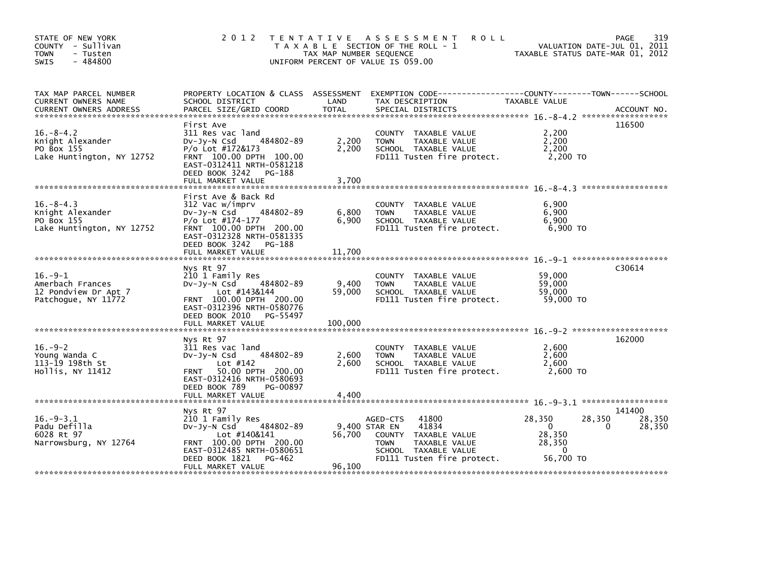| STATE OF NEW YORK<br>COUNTY - Sullivan<br><b>TOWN</b><br>- Tusten<br>$-484800$<br><b>SWIS</b> |                                                                                                                                                                                                | TAX MAP NUMBER SEQUENCE  | 2012 TENTATIVE ASSESSMENT<br><b>ROLL</b><br>T A X A B L E SECTION OF THE ROLL - 1<br>UNIFORM PERCENT OF VALUE IS 059.00                                          | TAXABLE STATUS DATE-MAR 01, 2012                                    | 319<br>PAGE<br>VALUATION DATE-JUL 01, 2011 |
|-----------------------------------------------------------------------------------------------|------------------------------------------------------------------------------------------------------------------------------------------------------------------------------------------------|--------------------------|------------------------------------------------------------------------------------------------------------------------------------------------------------------|---------------------------------------------------------------------|--------------------------------------------|
| TAX MAP PARCEL NUMBER<br>CURRENT OWNERS NAME                                                  | SCHOOL DISTRICT                                                                                                                                                                                | LAND                     | PROPERTY LOCATION & CLASS ASSESSMENT EXEMPTION CODE-----------------COUNTY-------TOWN------SCHOOL<br>TAX DESCRIPTION                                             | TAXABLE VALUE                                                       |                                            |
| $16. - 8 - 4.2$<br>Knight Alexander<br>PO Box 155<br>Lake Huntington, NY 12752                | First Ave<br>311 Res vac land<br>484802-89<br>DV-Jy-N Csd<br>P/o Lot #172&173<br>FRNT 100.00 DPTH 100.00<br>EAST-0312411 NRTH-0581218<br>DEED BOOK 3242 PG-188<br>FULL MARKET VALUE            | 2,200<br>2,200<br>3,700  | COUNTY TAXABLE VALUE<br><b>TOWN</b><br>TAXABLE VALUE<br>SCHOOL TAXABLE VALUE<br>FD111 Tusten fire protect.                                                       | 2,200<br>2,200<br>2,200<br>2,200 TO                                 | 116500                                     |
| $16. - 8 - 4.3$<br>Knight Alexander<br>PO Box 155<br>Lake Huntington, NY 12752                | First Ave & Back Rd<br>312 Vac w/imprv<br>484802-89<br>DV-Jy-N Csd<br>$P/O$ Lot #174-177<br>FRNT 100.00 DPTH 200.00<br>EAST-0312328 NRTH-0581335<br>DEED BOOK 3242 PG-188<br>FULL MARKET VALUE | 6,800<br>6,900<br>11,700 | COUNTY TAXABLE VALUE<br>TAXABLE VALUE<br><b>TOWN</b><br>SCHOOL TAXABLE VALUE<br>FD111 Tusten fire protect.                                                       | 6.900<br>6,900<br>6,900<br>6.900 TO                                 |                                            |
| $16. -9 - 1$<br>Amerbach Frances<br>12 Pondview Dr Apt 7<br>Patchoque, NY 11772               | Nys Rt 97<br>210 1 Family Res<br>484802-89<br>DV-Jy-N Csd<br>Lot #143&144<br>FRNT 100.00 DPTH 200.00<br>EAST-0312396 NRTH-0580776<br>DEED BOOK 2010 PG-55497                                   | 9,400<br>59,000          | COUNTY TAXABLE VALUE<br>TAXABLE VALUE<br><b>TOWN</b><br>SCHOOL TAXABLE VALUE<br>FD111 Tusten fire protect.                                                       | 59,000<br>59,000<br>59,000<br>59,000 TO                             | C30614                                     |
| $16.-9-2$<br>Young Wanda C<br>113-19 198th St<br>Hollis, NY 11412                             | Nys Rt 97<br>311 Res vac land<br>484802-89<br>$Dv-Jy-N$ Csd<br>Lot $#142$<br>50.00 DPTH 200.00<br><b>FRNT</b><br>EAST-0312416 NRTH-0580693<br>DEED BOOK 789<br>PG-00897                        | 2,600<br>2,600           | COUNTY TAXABLE VALUE<br><b>TOWN</b><br>TAXABLE VALUE<br>SCHOOL TAXABLE VALUE<br>FD111 Tusten fire protect.                                                       | 2,600<br>2,600<br>2,600<br>2,600 TO                                 | 162000                                     |
|                                                                                               | FULL MARKET VALUE<br>Nys Rt 97                                                                                                                                                                 | 4,400                    |                                                                                                                                                                  |                                                                     | 141400                                     |
| $16. - 9 - 3.1$<br>Padu Defilla<br>6028 Rt 97<br>Narrowsburg, NY 12764                        | 210 1 Family Res<br>484802-89<br>DV-JV-N Csd<br>Lot #140&141<br>FRNT 100.00 DPTH 200.00<br>EAST-0312485 NRTH-0580651<br>DEED BOOK 1821<br>$PG-462$<br>FULL MARKET VALUE                        | 56,700<br>96,100         | 41800<br>AGED-CTS<br>41834<br>9,400 STAR EN<br>COUNTY TAXABLE VALUE<br><b>TAXABLE VALUE</b><br><b>TOWN</b><br>SCHOOL TAXABLE VALUE<br>FD111 Tusten fire protect. | 28,350<br>$\mathbf{0}$<br>28,350<br>28,350<br>$\Omega$<br>56.700 TO | 28,350<br>28,350<br>28,350<br>0            |
|                                                                                               |                                                                                                                                                                                                |                          |                                                                                                                                                                  |                                                                     |                                            |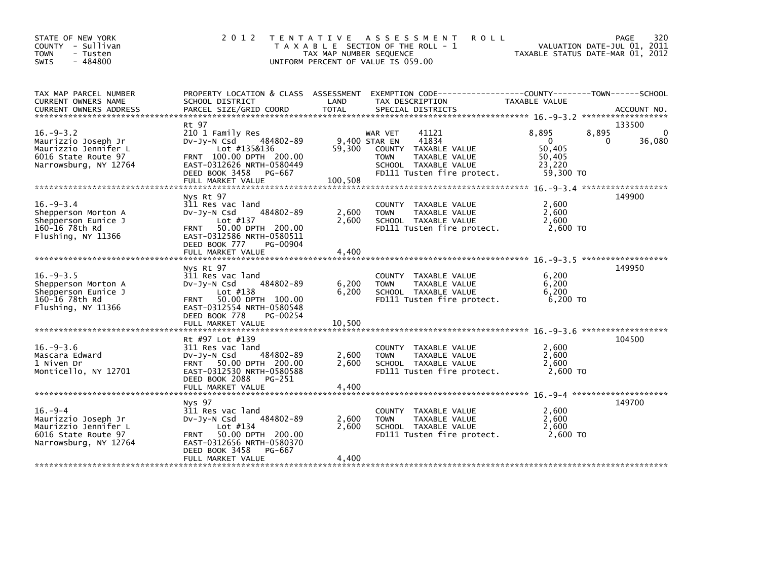| STATE OF NEW YORK<br>COUNTY - Sullivan<br><b>TOWN</b><br>- Tusten<br>$-484800$<br><b>SWIS</b>                 | 2 0 1 2                                                                                                                                                                                    | TAX MAP NUMBER SEQUENCE  | TENTATIVE ASSESSMENT<br><b>ROLL</b><br>T A X A B L E SECTION OF THE ROLL - 1<br>UNIFORM PERCENT OF VALUE IS 059.00                                          | VALUATION DATE-JUL 01, 2011<br>TAXABLE STATUS DATE-MAR 01, 2012           | 320<br><b>PAGE</b>                |
|---------------------------------------------------------------------------------------------------------------|--------------------------------------------------------------------------------------------------------------------------------------------------------------------------------------------|--------------------------|-------------------------------------------------------------------------------------------------------------------------------------------------------------|---------------------------------------------------------------------------|-----------------------------------|
| TAX MAP PARCEL NUMBER<br>CURRENT OWNERS NAME<br>CURRENT OWNERS ADDRESS                                        | SCHOOL DISTRICT                                                                                                                                                                            | LAND                     | PROPERTY LOCATION & CLASS ASSESSMENT EXEMPTION CODE----------------COUNTY-------TOWN-----SCHOOL<br>TAX DESCRIPTION                                          | TAXABLE VALUE                                                             |                                   |
| $16. -9 - 3.2$<br>Maurizzio Joseph Jr<br>Maurizzio Jennifer L<br>6016 State Route 97<br>Narrowsburg, NY 12764 | Rt 97<br>210 1 Family Res<br>$Dv-Jv-N$ Csd<br>484802-89<br>Lot #135&136<br>FRNT 100.00 DPTH 200.00<br>EAST-0312626 NRTH-0580449<br>DEED BOOK 3458<br>PG-667                                | 59,300                   | 41121<br>WAR VET<br>41834<br>9,400 STAR EN<br>COUNTY<br>TAXABLE VALUE<br><b>TOWN</b><br>TAXABLE VALUE<br>SCHOOL TAXABLE VALUE<br>FD111 Tusten fire protect. | 8,895<br>8,895<br>$\mathbf{0}$<br>50,405<br>50,405<br>23,220<br>59,300 TO | 133500<br>$\Omega$<br>36,080<br>0 |
| $16. -9 - 3.4$<br>Shepperson Morton A<br>Shepperson Eunice J<br>160-16 78th Rd<br>Flushing, NY 11366          | Nys Rt 97<br>311 Res vac land<br>484802-89<br>DV-Jy-N Csd<br>Lot #137<br>FRNT 50.00 DPTH 200.00<br>EAST-0312586 NRTH-0580511<br>DEED BOOK 777<br>PG-00904<br>FULL MARKET VALUE             | 2,600<br>2,600<br>4,400  | COUNTY TAXABLE VALUE<br><b>TOWN</b><br>TAXABLE VALUE<br>SCHOOL TAXABLE VALUE<br>FD111 Tusten fire protect.                                                  | 2,600<br>2,600<br>2.600<br>2,600 TO                                       | 149900                            |
| $16. -9 - 3.5$<br>Shepperson Morton A<br>Shepperson Eunice J<br>160-16 78th Rd<br>Flushing, NY 11366          | Nys Rt 97<br>311 Res vac land<br>484802-89<br>DV-Jy-N Csd<br>Lot $#138$<br>50.00 DPTH 100.00<br><b>FRNT</b><br>EAST-0312554 NRTH-0580548<br>DEED BOOK 778<br>PG-00254<br>FULL MARKET VALUE | 6,200<br>6.200<br>10,500 | COUNTY TAXABLE VALUE<br>TAXABLE VALUE<br><b>TOWN</b><br>SCHOOL TAXABLE VALUE<br>FD111 Tusten fire protect.                                                  | 6,200<br>6,200<br>6,200<br>$6,200$ TO                                     | 149950                            |
| $16. - 9 - 3.6$<br>Mascara Edward<br>1 Niven Dr<br>Monticello, NY 12701                                       | Rt #97 Lot #139<br>311 Res vac land<br>484802-89<br>$Dv-Jy-N$ Csd<br>FRNT 50.00 DPTH 200.00<br>EAST-0312530 NRTH-0580588<br>DEED BOOK 2088 PG-251                                          | 2,600<br>2.600           | COUNTY TAXABLE VALUE<br><b>TOWN</b><br>TAXABLE VALUE<br>SCHOOL TAXABLE VALUE<br>FD111 Tusten fire protect.                                                  | 2,600<br>2,600<br>2,600<br>2,600 TO                                       | 104500                            |
| $16. - 9 - 4$<br>Maurizzio Joseph Jr<br>Maurizzio Jennifer L<br>6016 State Route 97<br>Narrowsburg, NY 12764  | Nys 97<br>311 Res vac land<br>484802-89<br>Dv-Jy-N Csd<br>Lot $#134$<br>FRNT 50.00 DPTH 200.00<br>EAST-0312656 NRTH-0580370<br>DEED BOOK 3458<br>PG-667<br>FULL MARKET VALUE               | 2,600<br>2,600<br>4,400  | COUNTY TAXABLE VALUE<br>TAXABLE VALUE<br><b>TOWN</b><br>SCHOOL TAXABLE VALUE<br>FD111 Tusten fire protect.                                                  | 2,600<br>2,600<br>2,600<br>2,600 TO                                       | 149700                            |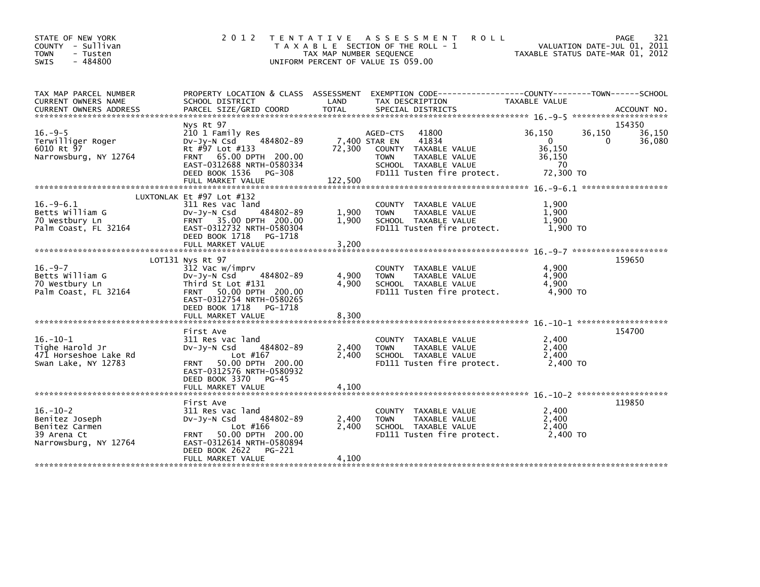| STATE OF NEW YORK<br>COUNTY - Sullivan<br><b>TOWN</b><br>- Tusten<br>$-484800$<br>SWIS                                                                                                                                                                                         | 2 0 1 2                                                                                                                                                                                   | TAX MAP NUMBER SEQUENCE | TENTATIVE ASSESSMENT<br><b>ROLL</b><br>T A X A B L E SECTION OF THE ROLL - 1<br>UNIFORM PERCENT OF VALUE IS 059.00                                        |                                                                          | 321<br>PAGE<br>VALUATION DATE-JUL 01, 2011<br>TAXABLE STATUS DATE-MAR 01, 2012 |
|--------------------------------------------------------------------------------------------------------------------------------------------------------------------------------------------------------------------------------------------------------------------------------|-------------------------------------------------------------------------------------------------------------------------------------------------------------------------------------------|-------------------------|-----------------------------------------------------------------------------------------------------------------------------------------------------------|--------------------------------------------------------------------------|--------------------------------------------------------------------------------|
| TAX MAP PARCEL NUMBER<br>CURRENT OWNERS NAME<br>.CURRENT OWNERS ADDRESS PARCEL SIZE/GRID COORD TOTAL SPECIAL DISTRICTS AND MELL ACCOUNT NO ACCOUNT NO AND A SERVER AND RELATION ASSEMBLY AND A SERVER AND RELATION ASSEMBLY AND RELATION ASSEMBLY AND RELATION ASSEMBLY AND TH | PROPERTY LOCATION & CLASS ASSESSMENT<br>SCHOOL DISTRICT                                                                                                                                   | LAND                    | EXEMPTION CODE-----------------COUNTY--------TOWN------SCHOOL<br>TAX DESCRIPTION                                                                          | TAXABLE VALUE                                                            |                                                                                |
| $16. -9-5$<br>Terwilliger Roger<br>6010 Rt 97<br>Narrowsburg, NY 12764                                                                                                                                                                                                         | Nys Rt 97<br>210 1 Family Res<br>484802-89<br>DV-Jy-N Csd<br>Rt #97 Lot #133<br>FRNT 65.00 DPTH 200.00<br>EAST-0312688 NRTH-0580334<br>DEED BOOK 1536<br>PG-308<br>FULL MARKET VALUE      | 72,300<br>122,500       | 41800<br>AGED-CTS<br>7,400 STAR EN<br>41834<br>COUNTY TAXABLE VALUE<br>TAXABLE VALUE<br><b>TOWN</b><br>SCHOOL TAXABLE VALUE<br>FD111 Tusten fire protect. | 36,150<br>$\overline{\mathbf{0}}$<br>36,150<br>36,150<br>70<br>72.300 TO | 154350<br>36,150<br>36,150<br>36,080<br>0                                      |
| $16. -9-6.1$<br>Betts William G<br>70 Westbury Ln<br>Palm Coast, FL 32164                                                                                                                                                                                                      | LUXTONLAK Et #97 Lot #132<br>311 Res vac land<br>$Dv-Jv-N$ Csd<br>484802-89<br>FRNT 35.00 DPTH 200.00<br>EAST-0312732 NRTH-0580304<br>DEED BOOK 1718<br>PG-1718<br>FULL MARKET VALUE      | 1,900<br>1.900<br>3,200 | COUNTY TAXABLE VALUE<br>TAXABLE VALUE<br><b>TOWN</b><br>SCHOOL TAXABLE VALUE<br>FD111 Tusten fire protect.                                                | 1,900<br>1,900<br>1.900<br>1,900 TO                                      |                                                                                |
| $16. -9 - 7$<br>Betts William G<br>70 Westbury Ln<br>Palm Coast, FL 32164                                                                                                                                                                                                      | LOT131 Nys Rt 97<br>312 Vac w/imprv<br>DV-Jy-N Csd 484802-89<br>Third St Lot #131<br>FRNT 50.00 DPTH 200.00<br>EAST-0312754 NRTH-0580265<br>DEED BOOK 1718 PG-1718<br>FULL MARKET VALUE   | 4,900<br>4,900<br>8,300 | COUNTY TAXABLE VALUE<br><b>TOWN</b><br>TAXABLE VALUE<br>SCHOOL TAXABLE VALUE<br>FD111 Tusten fire protect.                                                | 4,900<br>4,900<br>4.900<br>4,900 TO                                      | 159650                                                                         |
| $16. - 10 - 1$<br>Tighe Harold Jr<br>471 Horseshoe Lake Rd<br>Swan Lake, NY 12783                                                                                                                                                                                              | First Ave<br>311 Res vac land<br>484802-89<br>$Dv-Jv-N$ Csd<br>Lot #167<br>50.00 DPTH 200.00<br><b>FRNT</b><br>EAST-0312576 NRTH-0580932<br>DEED BOOK 3370 PG-45                          | 2,400<br>2.400          | COUNTY TAXABLE VALUE<br><b>TOWN</b><br>TAXABLE VALUE<br>SCHOOL TAXABLE VALUE<br>FD111 Tusten fire protect.                                                | 2,400<br>2,400<br>2,400<br>2,400 TO                                      | 154700                                                                         |
| $16. - 10 - 2$<br>Benitez Joseph<br>Benitez Carmen<br>39 Arena Ct<br>Narrowsburg, NY 12764                                                                                                                                                                                     | First Ave<br>311 Res vac land<br>484802-89<br>$Dv-Jy-N$ Csd<br>Lot #166<br>50.00 DPTH 200.00<br><b>FRNT</b><br>EAST-0312614 NRTH-0580894<br>DEED BOOK 2622<br>PG-221<br>FULL MARKET VALUE | 2,400<br>2,400<br>4,100 | COUNTY TAXABLE VALUE<br>TAXABLE VALUE<br><b>TOWN</b><br>SCHOOL TAXABLE VALUE<br>FD111 Tusten fire protect.                                                | 2,400<br>2,400<br>2,400<br>2,400 TO                                      | 119850                                                                         |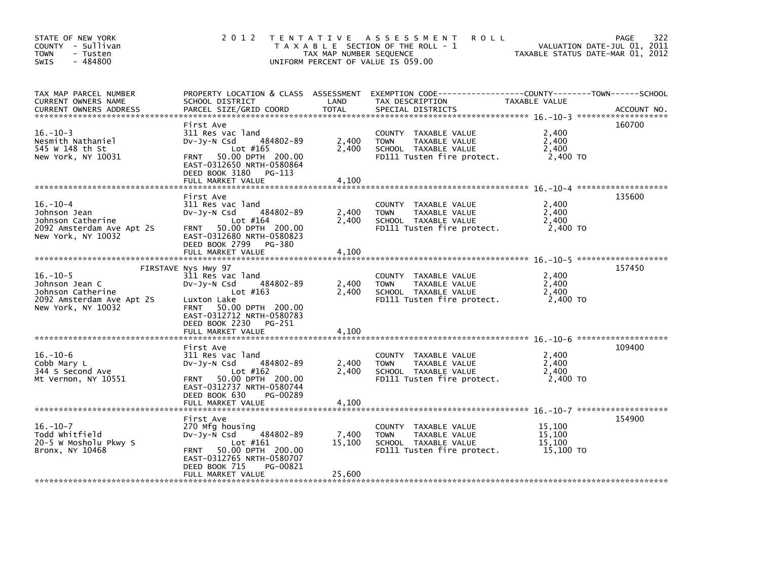| STATE OF NEW YORK<br>COUNTY - Sullivan<br><b>TOWN</b><br>- Tusten<br>$-484800$<br>SWIS                   | 2012 TENTATIVE                                                                                                                                                                                             | TAX MAP NUMBER SEQUENCE   | ASSESSMENT<br><b>ROLL</b><br>T A X A B L E SECTION OF THE ROLL - 1<br>UNIFORM PERCENT OF VALUE IS 059.00   |                                         | 322<br>PAGE<br>VALUATION DATE-JUL 01, 2011<br>TAXABLE STATUS DATE-MAR 01, 2012 |
|----------------------------------------------------------------------------------------------------------|------------------------------------------------------------------------------------------------------------------------------------------------------------------------------------------------------------|---------------------------|------------------------------------------------------------------------------------------------------------|-----------------------------------------|--------------------------------------------------------------------------------|
| TAX MAP PARCEL NUMBER<br>CURRENT OWNERS NAME<br><b>CURRENT OWNERS ADDRESS</b>                            | PROPERTY LOCATION & CLASS ASSESSMENT<br>SCHOOL DISTRICT<br>PARCEL SIZE/GRID COORD                                                                                                                          | LAND<br><b>TOTAL</b>      | EXEMPTION CODE-----------------COUNTY-------TOWN------SCHOOL<br>TAX DESCRIPTION<br>SPECIAL DISTRICTS       | TAXABLE VALUE                           | ACCOUNT NO.                                                                    |
| $16. - 10 - 3$<br>Nesmith Nathaniel<br>545 W 148 th St<br>New York, NY 10031                             | First Ave<br>311 Res vac land<br>484802-89<br>$Dv-Jy-N$ Csd<br>Lot #165<br>50.00 DPTH 200.00<br><b>FRNT</b><br>EAST-0312650 NRTH-0580864<br>DEED BOOK 3180<br>PG-113<br>FULL MARKET VALUE                  | 2,400<br>2,400<br>4,100   | COUNTY TAXABLE VALUE<br><b>TOWN</b><br>TAXABLE VALUE<br>SCHOOL TAXABLE VALUE<br>FD111 Tusten fire protect. | 2,400<br>2,400<br>2,400<br>2,400 TO     | 160700                                                                         |
| $16. - 10 - 4$<br>Johnson Jean<br>Johnson Catherine<br>2092 Amsterdam Ave Apt 2S<br>New York, NY 10032   | First Ave<br>311 Res vac land<br>484802-89<br>$Dv-Jy-N$ Csd<br>Lot $#164$<br>50.00 DPTH 200.00<br><b>FRNT</b><br>EAST-0312680 NRTH-0580823<br>DEED BOOK 2799<br>PG-380<br>FULL MARKET VALUE                | 2,400<br>2,400<br>4,100   | COUNTY TAXABLE VALUE<br>TAXABLE VALUE<br><b>TOWN</b><br>SCHOOL TAXABLE VALUE<br>FD111 Tusten fire protect. | 2,400<br>2,400<br>2,400<br>2,400 TO     | 135600                                                                         |
| $16. - 10 - 5$<br>Johnson Jean C<br>Johnson Catherine<br>2092 Amsterdam Ave Apt 2S<br>New York, NY 10032 | FIRSTAVE Nys Hwy 97<br>311 Res vac land<br>484802-89<br>$Dv-Jy-N$ Csd<br>Lot $#163$<br>Luxton Lake<br>FRNT 50.00 DPTH 200.00<br>EAST-0312712 NRTH-0580783<br>DEED BOOK 2230<br>PG-251<br>FULL MARKET VALUE | 2,400<br>2.400<br>4,100   | COUNTY TAXABLE VALUE<br><b>TOWN</b><br>TAXABLE VALUE<br>SCHOOL TAXABLE VALUE<br>FD111 Tusten fire protect. | 2,400<br>2,400<br>2.400<br>2,400 TO     | 157450                                                                         |
| $16. - 10 - 6$<br>Cobb Mary L<br>344 S Second Ave<br>Mt Vernon, NY 10551                                 | First Ave<br>311 Res vac land<br>484802-89<br>DV-Jy-N Csd<br>Lot $#162$<br>50.00 DPTH 200.00<br><b>FRNT</b><br>EAST-0312737 NRTH-0580744<br>DEED BOOK 630<br>PG-00289<br>FULL MARKET VALUE                 | 2,400<br>2.400<br>4,100   | COUNTY TAXABLE VALUE<br><b>TOWN</b><br>TAXABLE VALUE<br>SCHOOL TAXABLE VALUE<br>FD111 Tusten fire protect. | 2,400<br>2,400<br>2.400<br>2,400 TO     | 109400                                                                         |
| $16. - 10 - 7$<br>Todd whitfield<br>20-5 W Mosholu Pkwy S<br>Bronx, NY 10468                             | First Ave<br>270 Mfg housing<br>484802-89<br>DV-Jy-N Csd<br>Lot $#161$<br>50.00 DPTH 200.00<br><b>FRNT</b><br>EAST-0312765 NRTH-0580707<br>DEED BOOK 715<br>PG-00821<br>FULL MARKET VALUE                  | 7,400<br>15,100<br>25,600 | COUNTY TAXABLE VALUE<br><b>TOWN</b><br>TAXABLE VALUE<br>SCHOOL TAXABLE VALUE<br>FD111 Tusten fire protect. | 15,100<br>15,100<br>15,100<br>15,100 TO | 154900                                                                         |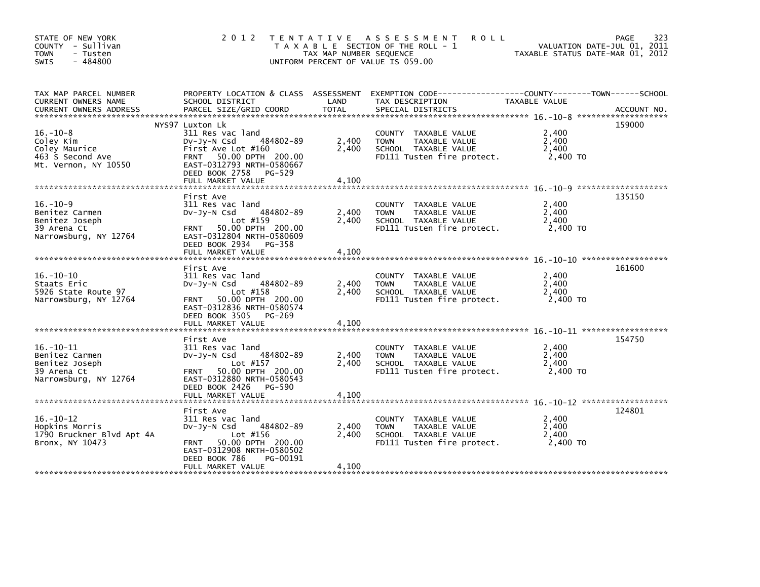| STATE OF NEW YORK<br>COUNTY - Sullivan<br>- Tusten<br><b>TOWN</b><br>$-484800$<br><b>SWIS</b> | 2 0 1 2                                                                                                                                                                                      | TAX MAP NUMBER SEQUENCE | TENTATIVE ASSESSMENT<br><b>ROLL</b><br>T A X A B L E SECTION OF THE ROLL - 1<br>UNIFORM PERCENT OF VALUE IS 059.00 | TAXABLE STATUS DATE-MAR 01, 2012    | 323<br>PAGE<br>VALUATION DATE-JUL 01, 2011 |
|-----------------------------------------------------------------------------------------------|----------------------------------------------------------------------------------------------------------------------------------------------------------------------------------------------|-------------------------|--------------------------------------------------------------------------------------------------------------------|-------------------------------------|--------------------------------------------|
| TAX MAP PARCEL NUMBER<br>CURRENT OWNERS NAME                                                  | PROPERTY LOCATION & CLASS ASSESSMENT<br>SCHOOL DISTRICT                                                                                                                                      | LAND                    | EXEMPTION        CODE------------------COUNTY-------TOWN------SCHOOL<br>TAX DESCRIPTION                            | TAXABLE VALUE                       |                                            |
| $16. - 10 - 8$<br>Coley Kim<br>Coley Maurice<br>463 S Second Ave<br>Mt. Vernon, NY 10550      | NYS97 Luxton Lk<br>311 Res vac land<br>484802-89<br>$Dv-Jy-N$ Csd<br>First Ave Lot #160<br>FRNT 50.00 DPTH 200.00<br>EAST-0312793 NRTH-0580667<br>DEED BOOK 2758 PG-529<br>FULL MARKET VALUE | 2,400<br>2,400<br>4.100 | COUNTY TAXABLE VALUE<br><b>TOWN</b><br>TAXABLE VALUE<br>SCHOOL TAXABLE VALUE<br>FD111 Tusten fire protect.         | 2,400<br>2,400<br>2,400<br>2,400 TO | 159000                                     |
| $16. - 10 - 9$<br>Benitez Carmen<br>Benitez Joseph<br>39 Arena Ct<br>Narrowsburg, NY 12764    | First Ave<br>311 Res vac land<br>484802-89<br>DV-JY-N Csd<br>Lot $#159$<br>50.00 DPTH 200.00<br><b>FRNT</b><br>EAST-0312804 NRTH-0580609<br>DEED BOOK 2934 PG-358                            | 2,400<br>2,400          | COUNTY TAXABLE VALUE<br>TAXABLE VALUE<br><b>TOWN</b><br>SCHOOL TAXABLE VALUE<br>FD111 Tusten fire protect.         | 2.400<br>2,400<br>2,400<br>2,400 TO | 135150                                     |
|                                                                                               | FULL MARKET VALUE                                                                                                                                                                            | 4,100                   |                                                                                                                    |                                     |                                            |
| $16. - 10 - 10$<br>Staats Eric<br>5926 State Route 97<br>Narrowsburg, NY 12764                | First Ave<br>311 Res vac land<br>484802-89<br>$Dv-Jy-N$ Csd<br>Lot $#158$<br>50.00 DPTH 200.00<br><b>FRNT</b><br>EAST-0312836 NRTH-0580574<br>DEED BOOK 3505 PG-269                          | 2,400<br>2,400          | COUNTY TAXABLE VALUE<br>TAXABLE VALUE<br><b>TOWN</b><br>SCHOOL TAXABLE VALUE<br>FD111 Tusten fire protect.         | 2,400<br>2,400<br>2,400<br>2,400 TO | 161600                                     |
|                                                                                               | FULL MARKET VALUE                                                                                                                                                                            | 4,100                   |                                                                                                                    |                                     |                                            |
| $16. - 10 - 11$<br>Benitez Carmen<br>Benitez Joseph<br>39 Arena Ct<br>Narrowsburg, NY 12764   | First Ave<br>311 Res vac land<br>484802-89<br>$Dv-Jv-N$ Csd<br>Lot #157<br>50.00 DPTH 200.00<br><b>FRNT</b><br>EAST-0312880 NRTH-0580543<br>DEED BOOK 2426 PG-590                            | 2,400<br>2,400          | COUNTY TAXABLE VALUE<br><b>TOWN</b><br>TAXABLE VALUE<br>SCHOOL TAXABLE VALUE<br>FD111 Tusten fire protect.         | 2,400<br>2,400<br>2,400<br>2,400 TO | 154750                                     |
|                                                                                               | FULL MARKET VALUE                                                                                                                                                                            | 4,100                   |                                                                                                                    |                                     |                                            |
| $16. - 10 - 12$<br>Hopkins Morris<br>1790 Bruckner Blvd Apt 4A<br>Bronx, NY 10473             | First Ave<br>311 Res vac land<br>484802-89<br>Dv-Jy-N Csd<br>Lot #156<br>50.00 DPTH 200.00<br><b>FRNT</b><br>EAST-0312908 NRTH-0580502<br>DEED BOOK 786<br>PG-00191<br>FULL MARKET VALUE     | 2,400<br>2.400<br>4,100 | COUNTY TAXABLE VALUE<br><b>TAXABLE VALUE</b><br><b>TOWN</b><br>SCHOOL TAXABLE VALUE<br>FD111 Tusten fire protect.  | 2,400<br>2,400<br>2,400<br>2.400 TO | 124801                                     |
|                                                                                               |                                                                                                                                                                                              |                         |                                                                                                                    |                                     |                                            |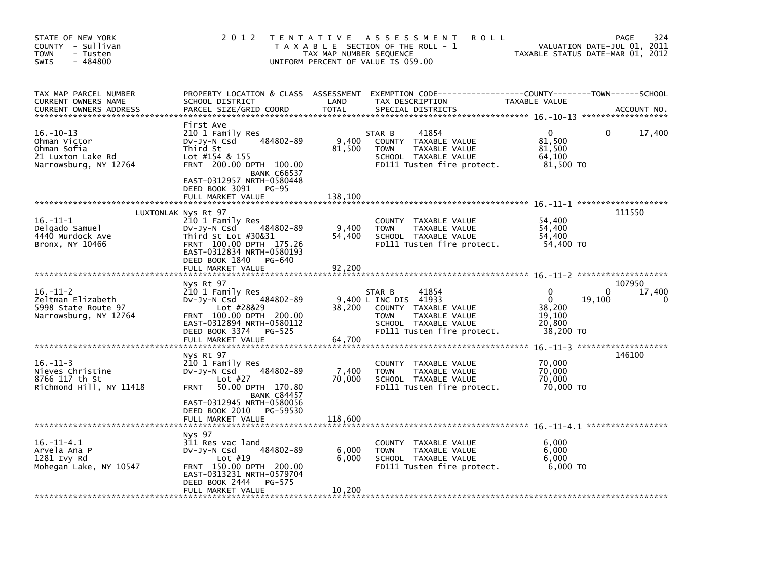| STATE OF NEW YORK<br>COUNTY - Sullivan<br><b>TOWN</b><br>- Tusten<br>$-484800$<br><b>SWIS</b>                     | 2 0 1 2                                                                                                                                                                                                                        | TAX MAP NUMBER SEQUENCE    | TENTATIVE ASSESSMENT<br><b>ROLL</b><br>T A X A B L E SECTION OF THE ROLL - 1<br>UNIFORM PERCENT OF VALUE IS 059.00                                     | VALUATION DATE-JUL 01, 2011<br>TAXABLE STATUS DATE-MAR 01, 2012    | 324<br>PAGE           |
|-------------------------------------------------------------------------------------------------------------------|--------------------------------------------------------------------------------------------------------------------------------------------------------------------------------------------------------------------------------|----------------------------|--------------------------------------------------------------------------------------------------------------------------------------------------------|--------------------------------------------------------------------|-----------------------|
| TAX MAP PARCEL NUMBER<br>CURRENT OWNERS NAME<br><b>CURRENT OWNERS ADDRESS</b>                                     | PROPERTY LOCATION & CLASS ASSESSMENT<br>SCHOOL DISTRICT<br>PARCEL SIZE/GRID COORD                                                                                                                                              | LAND<br><b>TOTAL</b>       | TAX DESCRIPTION<br>SPECIAL DISTRICTS                                                                                                                   | TAXABLE VALUE                                                      | ACCOUNT NO.           |
| $16. - 10 - 13$<br>Ohman Victor<br>Ohman Sofia<br>21 Luxton Lake Rd<br>Narrowsburg, NY 12764                      | First Ave<br>210 1 Family Res<br>484802-89<br>$Dv-Jy-N$ Csd<br>Third St<br>Lot #154 & 155<br>FRNT 200.00 DPTH 100.00<br><b>BANK C66537</b><br>EAST-0312957 NRTH-0580448<br>DEED BOOK 3091<br><b>PG-95</b><br>FULL MARKET VALUE | 9.400<br>81,500<br>138,100 | 41854<br>STAR B<br>COUNTY TAXABLE VALUE<br><b>TOWN</b><br>TAXABLE VALUE<br>SCHOOL TAXABLE VALUE<br>FD111 Tusten fire protect.                          | 0<br>81,500<br>81,500<br>64,100<br>81,500 TO                       | 17,400<br>0           |
|                                                                                                                   |                                                                                                                                                                                                                                |                            |                                                                                                                                                        |                                                                    |                       |
| $16. - 11 - 1$<br>Delgado Samuel<br>4440 Murdock Ave<br>Bronx, NY 10466                                           | LUXTONLAK Nys Rt 97<br>210 1 Family Res<br>484802-89<br>$Dv-Jy-N$ Csd<br>Third St Lot $#30&31$<br>FRNT 100.00 DPTH 175.26<br>EAST-0312834 NRTH-0580193<br>DEED BOOK 1840<br>PG-640<br>FULL MARKET VALUE                        | 9,400<br>54,400<br>92,200  | COUNTY TAXABLE VALUE<br><b>TOWN</b><br>TAXABLE VALUE<br>SCHOOL TAXABLE VALUE<br>FD111 Tusten fire protect.                                             | 54,400<br>54,400<br>54,400<br>54,400 TO                            | 111550                |
|                                                                                                                   |                                                                                                                                                                                                                                |                            |                                                                                                                                                        |                                                                    |                       |
| $16. - 11 - 2$<br>Zeltman Elizabeth<br>5998 State Route 97<br>Narrowsburg, NY 12764                               | Nys Rt 97<br>210 1 Family Res<br>484802-89<br>DV-Jy-N Csd<br>Lot #28&29<br>FRNT 100.00 DPTH 200.00<br>EAST-0312894 NRTH-0580112<br>DEED BOOK 3374<br>PG-525                                                                    | 38,200                     | 41854<br>STAR B<br>9.400 L INC DIS 41933<br>COUNTY TAXABLE VALUE<br>TAXABLE VALUE<br><b>TOWN</b><br>SCHOOL TAXABLE VALUE<br>FD111 Tusten fire protect. | 0<br>$\Omega$<br>19,100<br>38,200<br>19,100<br>20.800<br>38,200 TO | 107950<br>17,400<br>0 |
|                                                                                                                   | FULL MARKET VALUE                                                                                                                                                                                                              | 64,700                     |                                                                                                                                                        |                                                                    |                       |
| ******************************<br>$16. - 11 - 3$<br>Nieves Christine<br>8766 117 th St<br>Richmond Hill, NY 11418 | Nys Rt 97<br>210 1 Family Res<br>484802-89<br>DV-Jy-N Csd<br>Lot $#27$<br>50.00 DPTH 170.80<br><b>FRNT</b><br><b>BANK C84457</b><br>EAST-0312945 NRTH-0580056                                                                  | 7,400<br>70,000            | <b>COUNTY</b><br>TAXABLE VALUE<br><b>TOWN</b><br>TAXABLE VALUE<br>SCHOOL TAXABLE VALUE<br>FD111 Tusten fire protect.                                   | 70,000<br>70,000<br>70.000<br>70,000 TO                            | 146100                |
|                                                                                                                   | DEED BOOK 2010<br>PG-59530                                                                                                                                                                                                     |                            |                                                                                                                                                        |                                                                    |                       |
|                                                                                                                   | FULL MARKET VALUE                                                                                                                                                                                                              | 118,600                    |                                                                                                                                                        |                                                                    |                       |
| $16. - 11 - 4.1$<br>Arvela Ana P<br>1281 Ivy Rd<br>Mohegan Lake, NY 10547                                         | Nys 97<br>311 Res vac land<br>484802-89<br>DV-Jy-N Csd<br>Lot $#19$<br>FRNT 150.00 DPTH 200.00<br>EAST-0313231 NRTH-0579704<br>DEED BOOK 2444<br>PG-575<br>FULL MARKET VALUE                                                   | 6,000<br>6,000<br>10,200   | TAXABLE VALUE<br><b>COUNTY</b><br><b>TOWN</b><br>TAXABLE VALUE<br>SCHOOL TAXABLE VALUE<br>FD111 Tusten fire protect.                                   | 6,000<br>6,000<br>6.000<br>$6,000$ TO                              |                       |
|                                                                                                                   |                                                                                                                                                                                                                                |                            |                                                                                                                                                        |                                                                    |                       |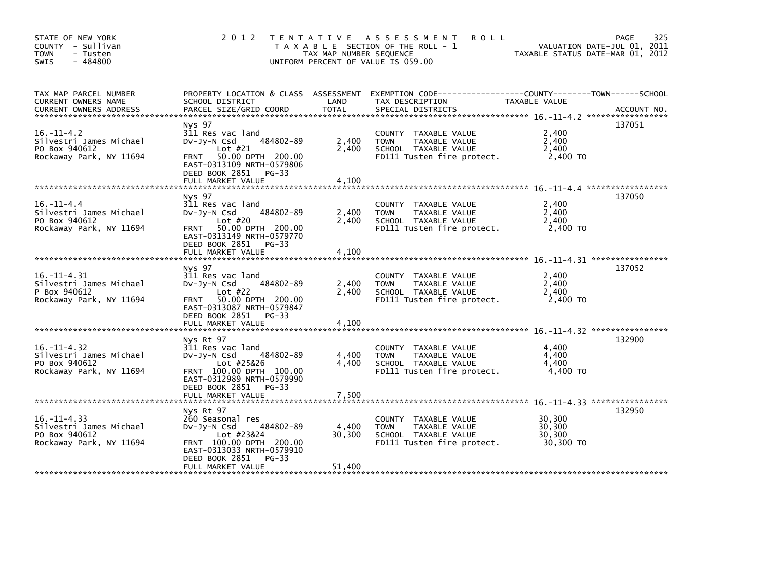| STATE OF NEW YORK<br>COUNTY - Sullivan<br><b>TOWN</b><br>- Tusten<br>$-484800$<br>SWIS  | 2 0 1 2                                                                                                                                                                             | TAX MAP NUMBER SEQUENCE   | TENTATIVE ASSESSMENT<br><b>ROLL</b><br>T A X A B L E SECTION OF THE ROLL - 1<br>UNIFORM PERCENT OF VALUE IS 059.00                       | TAXABLE STATUS DATE-MAR 01, 2012        | 325<br>PAGE<br>VALUATION DATE-JUL 01, 2011 |
|-----------------------------------------------------------------------------------------|-------------------------------------------------------------------------------------------------------------------------------------------------------------------------------------|---------------------------|------------------------------------------------------------------------------------------------------------------------------------------|-----------------------------------------|--------------------------------------------|
| TAX MAP PARCEL NUMBER<br>CURRENT OWNERS NAME<br><b>CURRENT OWNERS ADDRESS</b>           | SCHOOL DISTRICT<br>PARCEL SIZE/GRID COORD                                                                                                                                           | LAND<br><b>TOTAL</b>      | PROPERTY LOCATION & CLASS ASSESSMENT EXEMPTION CODE----------------COUNTY-------TOWN------SCHOOL<br>TAX DESCRIPTION<br>SPECIAL DISTRICTS | TAXABLE VALUE                           | ACCOUNT NO.                                |
| $16. - 11 - 4.2$<br>Silvestri James Michael<br>PO Box 940612<br>Rockaway Park, NY 11694 | Nys 97<br>311 Res vac land<br>484802-89<br>$Dv$ -J $v$ -N Csd<br>Lot $#21$<br>FRNT 50.00 DPTH 200.00<br>EAST-0313109 NRTH-0579806<br>DEED BOOK 2851 PG-33                           | 2,400<br>2,400            | COUNTY TAXABLE VALUE<br><b>TAXABLE VALUE</b><br><b>TOWN</b><br>SCHOOL TAXABLE VALUE<br>FD111 Tusten fire protect.                        | 2,400<br>2.400<br>2,400<br>2,400 TO     | 137051                                     |
|                                                                                         | FULL MARKET VALUE                                                                                                                                                                   | 4,100                     |                                                                                                                                          |                                         |                                            |
| $16. - 11 - 4.4$<br>Silvestri James Michael<br>PO Box 940612<br>Rockaway Park, NY 11694 | Nys 97<br>311 Res vac land<br>484802-89<br>DV-Jy-N Csd<br>Lot $#20$<br>FRNT 50.00 DPTH 200.00<br>EAST-0313149 NRTH-0579770                                                          | 2,400<br>2,400            | COUNTY TAXABLE VALUE<br>TAXABLE VALUE<br><b>TOWN</b><br>SCHOOL TAXABLE VALUE<br>FD111 Tusten fire protect.                               | 2,400<br>2,400<br>2.400<br>2,400 TO     | 137050                                     |
|                                                                                         | DEED BOOK 2851 PG-33<br>FULL MARKET VALUE                                                                                                                                           | 4,100                     |                                                                                                                                          |                                         |                                            |
| $16. - 11 - 4.31$<br>Silvestri James Michael<br>P Box 940612<br>Rockaway Park, NY 11694 | Nys 97<br>311 Res vac land<br>484802-89<br>DV-Jy-N Csd<br>Lot $#22$<br>50.00 DPTH 200.00<br><b>FRNT</b><br>EAST-0313087 NRTH-0579847<br>DEED BOOK 2851 PG-33                        | 2,400<br>2.400            | COUNTY TAXABLE VALUE<br>TAXABLE VALUE<br><b>TOWN</b><br>SCHOOL TAXABLE VALUE<br>FD111 Tusten fire protect.                               | 2,400<br>2,400<br>2.400<br>2,400 TO     | 137052                                     |
|                                                                                         | FULL MARKET VALUE                                                                                                                                                                   | 4,100                     |                                                                                                                                          |                                         |                                            |
| $16. -11 - 4.32$<br>Silvestri James Michael<br>PO Box 940612<br>Rockaway Park, NY 11694 | Nys Rt 97<br>311 Res vac land<br>484802-89<br>$Dv-Jy-N$ Csd<br>Lot #25&26<br>FRNT 100.00 DPTH 100.00<br>EAST-0312989 NRTH-0579990<br>DEED BOOK 2851 PG-33                           | 4,400<br>4,400            | COUNTY TAXABLE VALUE<br>TAXABLE VALUE<br><b>TOWN</b><br>SCHOOL TAXABLE VALUE<br>FD111 Tusten fire protect.                               | 4,400<br>4,400<br>4,400<br>4,400 TO     | 132900                                     |
|                                                                                         |                                                                                                                                                                                     | 7,500                     |                                                                                                                                          |                                         |                                            |
| $16. -11 - 4.33$<br>Silvestri James Michael<br>PO Box 940612<br>Rockaway Park, NY 11694 | Nys Rt 97<br>260 Seasonal res<br>$Dv-Jy-N$ Csd<br>484802-89<br>Lot #23&24<br>FRNT 100.00 DPTH 200.00<br>EAST-0313033 NRTH-0579910<br>DEED BOOK 2851<br>$PG-33$<br>FULL MARKET VALUE | 4,400<br>30,300<br>51,400 | COUNTY<br>TAXABLE VALUE<br><b>TOWN</b><br>TAXABLE VALUE<br>SCHOOL TAXABLE VALUE<br>FD111 Tusten fire protect.                            | 30,300<br>30,300<br>30,300<br>30.300 TO | 132950                                     |
|                                                                                         |                                                                                                                                                                                     |                           |                                                                                                                                          |                                         |                                            |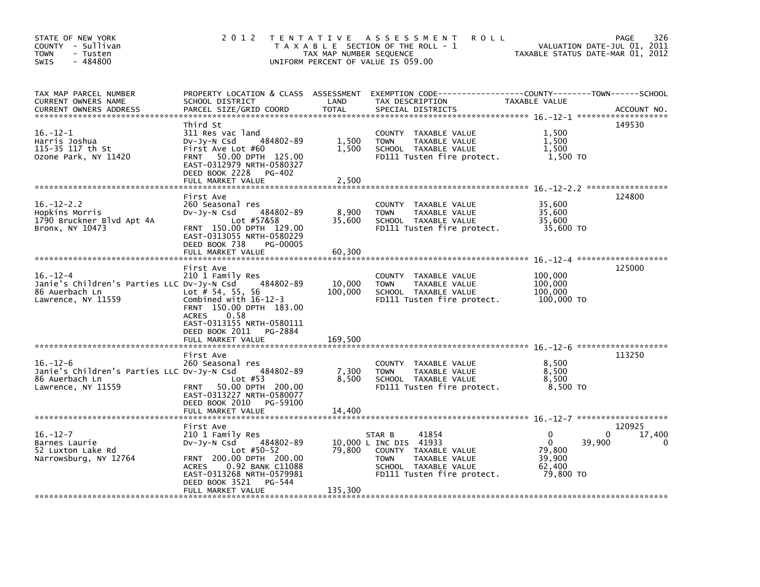| STATE OF NEW YORK<br>COUNTY - Sullivan<br><b>TOWN</b><br>- Tusten<br>$-484800$<br><b>SWIS</b>        | 2 0 1 2                                                                                                                                                                                                                                       | TAX MAP NUMBER SEQUENCE     | TENTATIVE ASSESSMENT<br><b>ROLL</b><br>T A X A B L E SECTION OF THE ROLL - 1<br>UNIFORM PERCENT OF VALUE IS 059.00                                      | TAXABLE STATUS DATE-MAR 01, 2012                                    | 326<br><b>PAGE</b><br>VALUATION DATE-JUL 01, 2011 |
|------------------------------------------------------------------------------------------------------|-----------------------------------------------------------------------------------------------------------------------------------------------------------------------------------------------------------------------------------------------|-----------------------------|---------------------------------------------------------------------------------------------------------------------------------------------------------|---------------------------------------------------------------------|---------------------------------------------------|
| TAX MAP PARCEL NUMBER<br><b>CURRENT OWNERS NAME</b><br><b>CURRENT OWNERS ADDRESS</b>                 | PROPERTY LOCATION & CLASS ASSESSMENT<br>SCHOOL DISTRICT<br>PARCEL SIZE/GRID COORD                                                                                                                                                             | LAND<br><b>TOTAL</b>        | TAX DESCRIPTION<br>SPECIAL DISTRICTS                                                                                                                    | TAXABLE VALUE                                                       | ACCOUNT NO.                                       |
| $16. - 12 - 1$<br>Harris Joshua<br>115-35 117 th St<br>Ozone Park, NY 11420                          | Third St<br>311 Res vac land<br>484802-89<br>$Dv-Jy-N$ Csd<br>First Ave Lot #60<br>FRNT 50.00 DPTH 125.00<br>EAST-0312979 NRTH-0580327<br>DEED BOOK 2228<br>PG-402<br>FULL MARKET VALUE                                                       | 1,500<br>1,500<br>2,500     | TAXABLE VALUE<br>COUNTY<br>TAXABLE VALUE<br><b>TOWN</b><br>SCHOOL TAXABLE VALUE<br>FD111 Tusten fire protect.                                           | 1,500<br>1.500<br>1,500<br>1,500 TO                                 | 149530                                            |
| $16. - 12 - 2.2$<br>Hopkins Morris<br>1790 Bruckner Blvd Apt 4A<br>Bronx, NY 10473                   | First Ave<br>260 Seasonal res<br>484802-89<br>DV-Jy-N Csd<br>Lot #57&58<br>FRNT 150.00 DPTH 129.00<br>EAST-0313055 NRTH-0580229<br>DEED BOOK 738<br><b>PG-00005</b>                                                                           | 8,900<br>35,600             | <b>COUNTY</b><br>TAXABLE VALUE<br><b>TAXABLE VALUE</b><br><b>TOWN</b><br>SCHOOL TAXABLE VALUE<br>FD111 Tusten fire protect.                             | 35,600<br>35,600<br>35,600<br>35,600 TO                             | 124800                                            |
| $16. - 12 - 4$<br>Janie's Children's Parties LLC Dv-Jy-N Csd<br>86 Auerbach Ln<br>Lawrence, NY 11559 | FULL MARKET VALUE<br>First Ave<br>210 1 Family Res<br>484802-89<br>Lot $#$ 54, 55, 56<br>Combined with $16-12-3$<br>FRNT 150.00 DPTH 183.00<br>0.58<br><b>ACRES</b><br>EAST-0313155 NRTH-0580111<br>DEED BOOK 2011<br>PG-2884                 | 60,300<br>10,000<br>100,000 | <b>COUNTY</b><br>TAXABLE VALUE<br>TAXABLE VALUE<br><b>TOWN</b><br>SCHOOL TAXABLE VALUE<br>FD111 Tusten fire protect.                                    | 100,000<br>100,000<br>100,000<br>100,000 TO                         | 125000                                            |
| $16. - 12 - 6$<br>Janie's Children's Parties LLC Dv-Jy-N Csd<br>86 Auerbach Ln<br>Lawrence, NY 11559 | FULL MARKET VALUE<br>First Ave<br>260 Seasonal res<br>484802-89<br>Lot $#53$<br>50.00 DPTH 200.00<br><b>FRNT</b><br>EAST-0313227 NRTH-0580077<br>DEED BOOK 2010<br>PG-59100                                                                   | 169,500<br>7,300<br>8,500   | TAXABLE VALUE<br>COUNTY<br><b>TOWN</b><br>TAXABLE VALUE<br>SCHOOL TAXABLE VALUE<br>FD111 Tusten fire protect.                                           | 8.500<br>8,500<br>8,500<br>8.500 TO                                 | 113250                                            |
| $16. - 12 - 7$<br>Barnes Laurie<br>52 Luxton Lake Rd<br>Narrowsburg, NY 12764                        | FULL MARKET VALUE<br>First Ave<br>210 1 Family Res<br>484802-89<br>$Dv-Jy-N$ Csd<br>Lot $#50-52$<br>FRNT 200.00 DPTH 200.00<br>0.92 BANK C11088<br><b>ACRES</b><br>EAST-0313268 NRTH-0579981<br>DEED BOOK 3521<br>PG-544<br>FULL MARKET VALUE | 14,400<br>79,800<br>135,300 | 41854<br>STAR B<br>10,000 L INC DIS 41933<br>COUNTY TAXABLE VALUE<br>TAXABLE VALUE<br><b>TOWN</b><br>SCHOOL TAXABLE VALUE<br>FD111 Tusten fire protect. | $\Omega$<br>$\mathbf{0}$<br>79,800<br>39,900<br>62,400<br>79,800 TO | 120925<br>17,400<br>$\Omega$<br>39,900<br>0       |
|                                                                                                      |                                                                                                                                                                                                                                               |                             |                                                                                                                                                         |                                                                     |                                                   |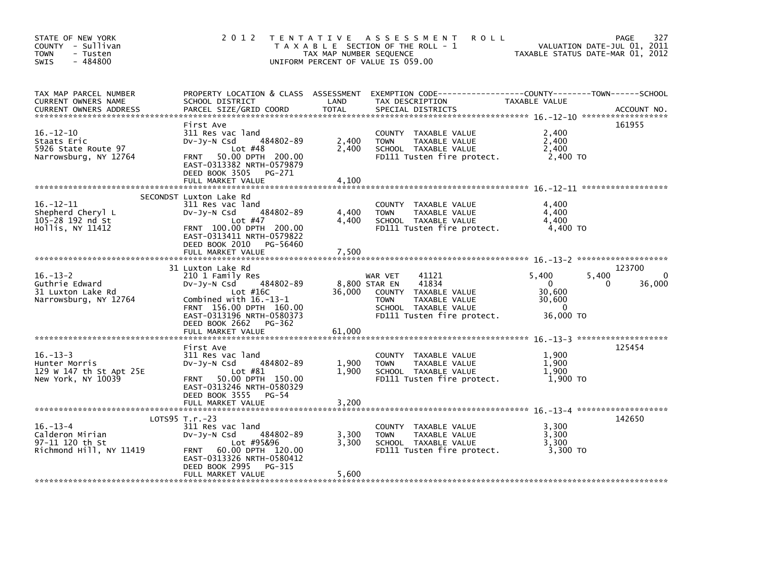| STATE OF NEW YORK<br>COUNTY - Sullivan<br>- Tusten<br><b>TOWN</b><br>$-484800$<br>SWIS | 2 0 1 2                                                                                                                                                                                                              | TAX MAP NUMBER SEQUENCE | TENTATIVE ASSESSMENT<br><b>ROLL</b><br>T A X A B L E SECTION OF THE ROLL - 1<br>UNIFORM PERCENT OF VALUE IS 059.00                                              |                                                                    | 327<br>PAGE<br>VALUATION DATE-JUL 01, 2011<br>TAXABLE STATUS DATE-MAR 01, 2012 |
|----------------------------------------------------------------------------------------|----------------------------------------------------------------------------------------------------------------------------------------------------------------------------------------------------------------------|-------------------------|-----------------------------------------------------------------------------------------------------------------------------------------------------------------|--------------------------------------------------------------------|--------------------------------------------------------------------------------|
| TAX MAP PARCEL NUMBER<br>CURRENT OWNERS NAME<br><b>CURRENT OWNERS ADDRESS</b>          | PROPERTY LOCATION & CLASS ASSESSMENT<br>SCHOOL DISTRICT<br>PARCEL SIZE/GRID COORD                                                                                                                                    | LAND<br><b>TOTAL</b>    | TAX DESCRIPTION<br>SPECIAL DISTRICTS                                                                                                                            | TAXABLE VALUE                                                      | ACCOUNT NO.                                                                    |
| $16. - 12 - 10$<br>Staats Eric<br>5926 State Route 97<br>Narrowsburg, NY 12764         | First Ave<br>311 Res vac land<br>484802-89<br>$Dv-Jy-N$ Csd<br>Lot $#48$<br>50.00 DPTH 200.00<br><b>FRNT</b><br>EAST-0313382 NRTH-0579879<br>DEED BOOK 3505 PG-271<br>FULL MARKET VALUE                              | 2,400<br>2,400<br>4.100 | COUNTY TAXABLE VALUE<br><b>TOWN</b><br>TAXABLE VALUE<br>SCHOOL TAXABLE VALUE<br>FD111 Tusten fire protect.                                                      | 2,400<br>2,400<br>2,400<br>2,400 TO                                | 161955                                                                         |
| $16. - 12 - 11$<br>Shepherd Cheryl L<br>105-28 192 nd St<br>Hollis, NY 11412           | SECONDST Luxton Lake Rd<br>311 Res vac land<br>484802-89<br>$Dv-Jy-N$ Csd<br>Lot $#47$<br>FRNT 100.00 DPTH 200.00<br>EAST-0313411 NRTH-0579822<br>DEED BOOK 2010<br>PG-56460<br>FULL MARKET VALUE                    | 4,400<br>4,400<br>7,500 | COUNTY TAXABLE VALUE<br>TAXABLE VALUE<br><b>TOWN</b><br>SCHOOL TAXABLE VALUE<br>FD111 Tusten fire protect.                                                      | 4,400<br>4,400<br>4,400<br>4,400 TO                                |                                                                                |
| $16. - 13 - 2$<br>Guthrie Edward<br>31 Luxton Lake Rd<br>Narrowsburg, NY 12764         | 31 Luxton Lake Rd<br>210 1 Family Res<br>484802-89<br>DV-Jy-N Csd<br>Lot $#16C$<br>Combined with $16.-13-1$<br>FRNT 156.00 DPTH 160.00<br>EAST-0313196 NRTH-0580373<br>DEED BOOK 2662<br>PG-362<br>FULL MARKET VALUE | 36,000<br>61,000        | 41121<br>WAR VET<br>41834<br>8,800 STAR EN<br>COUNTY TAXABLE VALUE<br><b>TAXABLE VALUE</b><br><b>TOWN</b><br>SCHOOL TAXABLE VALUE<br>FD111 Tusten fire protect. | 5.400<br>$\mathbf{0}$<br>30,600<br>30,600<br>$\Omega$<br>36,000 TO | 123700<br>5,400<br>36,000<br>0                                                 |
| $16. - 13 - 3$<br>Hunter Morris<br>129 W 147 th St Apt 25E<br>New York, NY 10039       | First Ave<br>311 Res vac land<br>484802-89<br>$Dv-Jy-N$ Csd<br>Lot $#81$<br>50.00 DPTH 150.00<br><b>FRNT</b><br>EAST-0313246 NRTH-0580329<br>DEED BOOK 3555<br>PG-54<br>FULL MARKET VALUE                            | 1,900<br>1.900<br>3,200 | COUNTY TAXABLE VALUE<br><b>TAXABLE VALUE</b><br><b>TOWN</b><br>SCHOOL TAXABLE VALUE<br>FD111 Tusten fire protect.                                               | 1,900<br>1,900<br>1.900<br>1,900 TO                                | 125454                                                                         |
| $16. - 13 - 4$<br>Calderon Mirian<br>97-11 120 th St<br>Richmond Hill, NY 11419        | $LOTS95 T.r.-23$<br>311 Res vac land<br>484802-89<br>$Dv-Jy-N$ Csd<br>Lot #95&96<br>60.00 DPTH 120.00<br><b>FRNT</b><br>EAST-0313326 NRTH-0580412<br>DEED BOOK 2995<br>PG-315<br>FULL MARKET VALUE                   | 3,300<br>3,300<br>5,600 | COUNTY TAXABLE VALUE<br>TAXABLE VALUE<br><b>TOWN</b><br>SCHOOL TAXABLE VALUE<br>FD111 Tusten fire protect.                                                      | 3,300<br>3,300<br>3,300<br>3,300 TO                                | 142650                                                                         |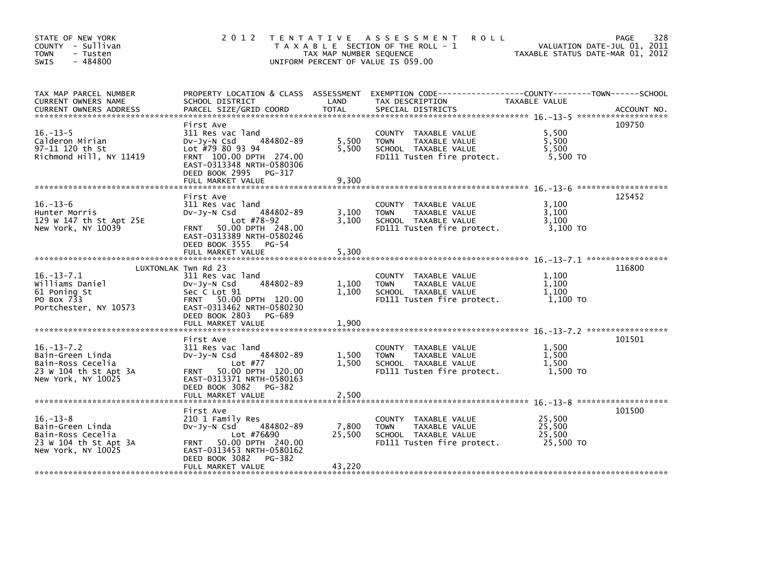| STATE OF NEW YORK<br>COUNTY - Sullivan<br><b>TOWN</b><br>- Tusten<br>$-484800$<br><b>SWIS</b>            | 2 0 1 2                                                                                                                                                                                     | T E N T A T I V E<br>TAX MAP NUMBER SEQUENCE | A S S E S S M E N T<br><b>ROLL</b><br>T A X A B L E SECTION OF THE ROLL - 1<br>UNIFORM PERCENT OF VALUE IS 059.00 | TAXABLE STATUS DATE-MAR 01, 2012        | 328<br><b>PAGE</b><br>VALUATION DATE-JUL 01, 2011 |
|----------------------------------------------------------------------------------------------------------|---------------------------------------------------------------------------------------------------------------------------------------------------------------------------------------------|----------------------------------------------|-------------------------------------------------------------------------------------------------------------------|-----------------------------------------|---------------------------------------------------|
| TAX MAP PARCEL NUMBER<br>CURRENT OWNERS NAME                                                             | PROPERTY LOCATION & CLASS ASSESSMENT<br>SCHOOL DISTRICT                                                                                                                                     | LAND                                         | EXEMPTION CODE-----------------COUNTY-------TOWN------SCHOOL<br>TAX DESCRIPTION                                   | TAXABLE VALUE                           |                                                   |
| $16. - 13 - 5$<br>Calderon Mirian<br>97-11 120 th St<br>Richmond Hill, NY 11419                          | First Ave<br>311 Res vac land<br>484802-89<br>$Dv-Jv-N$ Csd<br>Lot #79 80 93 94<br>FRNT 100.00 DPTH 274.00<br>EAST-0313348 NRTH-0580306<br>DEED BOOK 2995 PG-317<br>FULL MARKET VALUE       | 5,500<br>5.500<br>9,300                      | COUNTY TAXABLE VALUE<br>TAXABLE VALUE<br><b>TOWN</b><br>SCHOOL TAXABLE VALUE<br>FD111 Tusten fire protect.        | 5.500<br>5,500<br>5.500<br>5,500 TO     | 109750                                            |
| $16. - 13 - 6$<br>Hunter Morris<br>129 W 147 th St Apt 25E<br>New York, NY 10039                         | First Ave<br>311 Res vac land<br>484802-89<br>$Dv-Jv-N$ Csd<br>Lot $#78-92$<br>50.00 DPTH 248.00<br><b>FRNT</b><br>EAST-0313389 NRTH-0580246<br>DEED BOOK 3555 PG-54                        | 3.100<br>3,100                               | COUNTY TAXABLE VALUE<br><b>TOWN</b><br>TAXABLE VALUE<br>SCHOOL TAXABLE VALUE<br>FD111 Tusten fire protect.        | 3.100<br>3,100<br>3,100<br>3,100 TO     | 125452                                            |
|                                                                                                          | FULL MARKET VALUE                                                                                                                                                                           | 5,300                                        |                                                                                                                   |                                         |                                                   |
| $16. - 13 - 7.1$<br>Williams Daniel<br>61 Poning St<br>PO Box 733<br>Portchester, NY 10573               | LUXTONLAK Twn Rd 23<br>311 Res vac land<br>484802-89<br>$Dv-Jy-N$ Csd<br>Sec C Lot 91<br>FRNT 50.00 DPTH 120.00<br>EAST-0313462 NRTH-0580230<br>DEED BOOK 2803<br>PG-689                    | 1,100<br>1,100                               | COUNTY TAXABLE VALUE<br><b>TOWN</b><br>TAXABLE VALUE<br>SCHOOL TAXABLE VALUE<br>FD111 Tusten fire protect.        | 1,100<br>1,100<br>1,100<br>1.100 TO     | 116800                                            |
|                                                                                                          | FULL MARKET VALUE                                                                                                                                                                           | 1,900                                        |                                                                                                                   |                                         |                                                   |
| $16. - 13 - 7.2$<br>Bain-Green Linda<br>Bain-Ross Cecelia<br>23 W 104 th St Apt 3A<br>New York, NY 10025 | First Ave<br>311 Res vac land<br>484802-89<br>$Dv-Jy-N$ Csd<br>Lot #77<br>50.00 DPTH 120.00<br><b>FRNT</b><br>EAST-0313371 NRTH-0580163<br>DEED BOOK 3082<br>PG-382                         | 1,500<br>1,500                               | COUNTY<br>TAXABLE VALUE<br>TAXABLE VALUE<br><b>TOWN</b><br>SCHOOL TAXABLE VALUE<br>FD111 Tusten fire protect.     | 1,500<br>1,500<br>1,500<br>1,500 TO     | 101501                                            |
|                                                                                                          | FULL MARKET VALUE                                                                                                                                                                           | 2,500                                        |                                                                                                                   |                                         |                                                   |
| $16. - 13 - 8$<br>Bain-Green Linda<br>Bain-Ross Cecelia<br>23 W 104 th St Apt 3A<br>New York, NY 10025   | First Ave<br>210 1 Family Res<br>484802-89<br>$Dv-Jy-N$ Csd<br>Lot #76&90<br>50.00 DPTH 240.00<br><b>FRNT</b><br>EAST-0313453 NRTH-0580162<br>DEED BOOK 3082<br>PG-382<br>FULL MARKET VALUE | 7,800<br>25,500<br>43,220                    | COUNTY TAXABLE VALUE<br><b>TOWN</b><br>TAXABLE VALUE<br>SCHOOL TAXABLE VALUE<br>FD111 Tusten fire protect.        | 25,500<br>25,500<br>25,500<br>25,500 TO | 101500                                            |
|                                                                                                          |                                                                                                                                                                                             |                                              |                                                                                                                   |                                         |                                                   |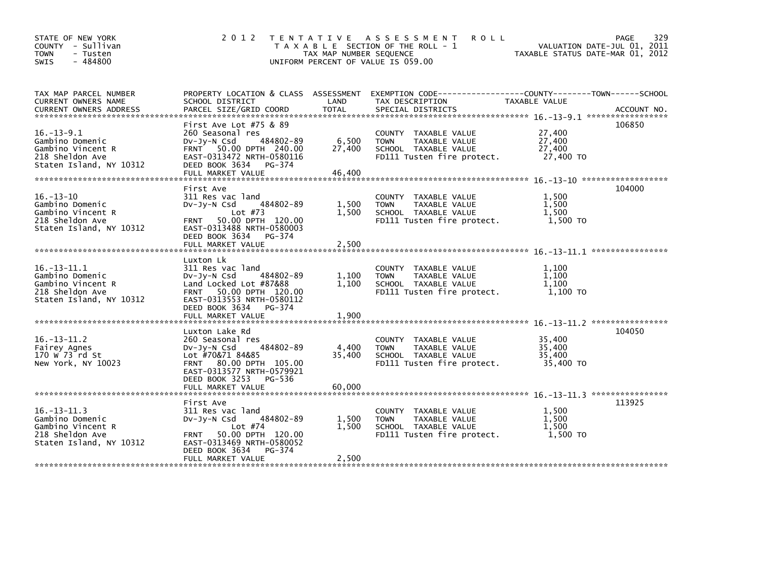| STATE OF NEW YORK<br>COUNTY - Sullivan<br><b>TOWN</b><br>- Tusten<br>$-484800$<br><b>SWIS</b>           | 2 0 1 2                                                                                                                                                                                                | TAX MAP NUMBER SEQUENCE   | TENTATIVE ASSESSMENT<br><b>ROLL</b><br>T A X A B L E SECTION OF THE ROLL - 1<br>UNIFORM PERCENT OF VALUE IS 059.00   | VALUATION DATE-JUL 01, 2011<br>TAXABLE STATUS DATE-MAR 01, 2012 | 329<br>PAGE |
|---------------------------------------------------------------------------------------------------------|--------------------------------------------------------------------------------------------------------------------------------------------------------------------------------------------------------|---------------------------|----------------------------------------------------------------------------------------------------------------------|-----------------------------------------------------------------|-------------|
| TAX MAP PARCEL NUMBER<br>CURRENT OWNERS NAME                                                            | SCHOOL DISTRICT                                                                                                                                                                                        | LAND                      | PROPERTY LOCATION & CLASS ASSESSMENT EXEMPTION CODE----------------COUNTY-------TOWN------SCHOOL<br>TAX DESCRIPTION  | TAXABLE VALUE                                                   |             |
| $16. - 13 - 9.1$<br>Gambino Domenic<br>Gambino Vincent R<br>218 Sheldon Ave<br>Staten Island, NY 10312  | First Ave Lot $#75$ & 89<br>260 Seasonal res<br>484802-89<br>$Dv-Jy-N$ Csd<br>FRNT 50.00 DPTH 240.00<br>EAST-0313472 NRTH-0580116<br>DEED BOOK 3634<br>PG-374<br>FULL MARKET VALUE                     | 6,500<br>27,400<br>46,400 | COUNTY TAXABLE VALUE<br><b>TOWN</b><br>TAXABLE VALUE<br>SCHOOL TAXABLE VALUE<br>FD111 Tusten fire protect.           | 27,400<br>27,400<br>27,400<br>27,400 TO                         | 106850      |
| $16. - 13 - 10$<br>Gambino Domenic<br>Gambino Vincent R<br>218 Sheldon Ave<br>Staten Island, NY 10312   | First Ave<br>311 Res vac land<br>484802-89<br>$Dv-Jv-N$ Csd<br>Lot $#73$<br>50.00 DPTH 120.00<br><b>FRNT</b><br>EAST-0313488 NRTH-0580003<br>DEED BOOK 3634 PG-374<br>FULL MARKET VALUE                | 1,500<br>1,500<br>2,500   | COUNTY TAXABLE VALUE<br><b>TOWN</b><br>TAXABLE VALUE<br>SCHOOL TAXABLE VALUE<br>FD111 Tusten fire protect.           | 1,500<br>1,500<br>1,500<br>1,500 TO                             | 104000      |
| $16. - 13 - 11.1$<br>Gambino Domenic<br>Gambino Vincent R<br>218 Sheldon Ave<br>Staten Island, NY 10312 | Luxton Lk<br>311 Res vac land<br>484802-89<br>$Dv-Jy-N$ Csd<br>Land Locked Lot #87&88<br>FRNT 50.00 DPTH 120.00<br>EAST-0313553 NRTH-0580112<br>DEED BOOK 3634<br>PG-374<br>FULL MARKET VALUE          | 1,100<br>1,100<br>1,900   | <b>COUNTY</b><br>TAXABLE VALUE<br><b>TOWN</b><br>TAXABLE VALUE<br>SCHOOL TAXABLE VALUE<br>FD111 Tusten fire protect. | 1,100<br>1,100<br>1,100<br>1.100 TO                             |             |
| $16. - 13 - 11.2$<br>Fairey Agnes<br>170 W 73 rd St<br>New York, NY 10023                               | Luxton Lake Rd<br>260 Seasonal res<br>484802-89<br>$Dv-Jy-N$ Csd<br>Lot #70&71 84&85<br>80.00 DPTH 105.00<br><b>FRNT</b><br>EAST-0313577 NRTH-0579921<br>DEED BOOK 3253<br>PG-536<br>FULL MARKET VALUE | 4,400<br>35,400<br>60,000 | COUNTY TAXABLE VALUE<br><b>TOWN</b><br>TAXABLE VALUE<br>SCHOOL TAXABLE VALUE<br>FD111 Tusten fire protect.           | 35,400<br>35,400<br>35,400<br>35,400 TO                         | 104050      |
| $16. - 13 - 11.3$<br>Gambino Domenic<br>Gambino Vincent R<br>218 Sheldon Ave<br>Staten Island, NY 10312 | First Ave<br>311 Res vac land<br>484802-89<br>$Dv-Jy-N$ Csd<br>Lot $#74$<br>50.00 DPTH 120.00<br><b>FRNT</b><br>EAST-0313469 NRTH-0580052<br>DEED BOOK 3634<br>PG-374<br>FULL MARKET VALUE             | 1,500<br>1,500<br>2,500   | COUNTY TAXABLE VALUE<br><b>TOWN</b><br>TAXABLE VALUE<br>SCHOOL TAXABLE VALUE<br>FD111 Tusten fire protect.           | 1,500<br>1.500<br>1,500<br>1,500 TO                             | 113925      |
|                                                                                                         |                                                                                                                                                                                                        |                           |                                                                                                                      |                                                                 |             |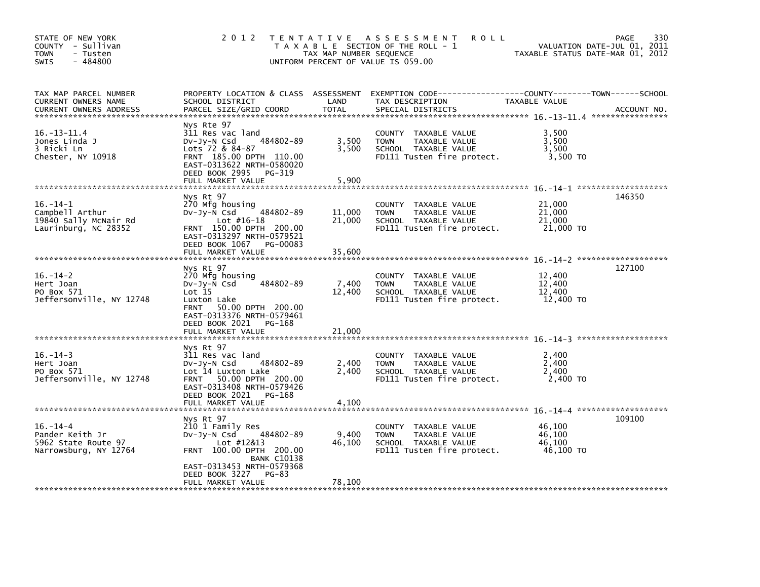| STATE OF NEW YORK<br>COUNTY - Sullivan<br><b>TOWN</b><br>- Tusten<br>$-484800$<br>SWIS |                                                                                                                                                                                           | TAX MAP NUMBER SEQUENCE    | 2012 TENTATIVE ASSESSMENT<br><b>ROLL</b><br>T A X A B L E SECTION OF THE ROLL - 1<br>UNIFORM PERCENT OF VALUE IS 059.00 |                                         | 330<br>PAGE<br>VALUATION DATE-JUL 01, 2011<br>TAXABLE STATUS DATE-MAR 01, 2012 |
|----------------------------------------------------------------------------------------|-------------------------------------------------------------------------------------------------------------------------------------------------------------------------------------------|----------------------------|-------------------------------------------------------------------------------------------------------------------------|-----------------------------------------|--------------------------------------------------------------------------------|
| TAX MAP PARCEL NUMBER<br>CURRENT OWNERS NAME<br><b>CURRENT OWNERS ADDRESS</b>          | PROPERTY LOCATION & CLASS ASSESSMENT<br>SCHOOL DISTRICT<br>PARCEL SIZE/GRID COORD                                                                                                         | LAND<br><b>TOTAL</b>       | TAX DESCRIPTION<br>SPECIAL DISTRICTS                                                                                    | TAXABLE VALUE                           | ACCOUNT NO.                                                                    |
| $16. - 13 - 11.4$<br>Jones Linda J<br>3 Ricki Ln<br>Chester, NY 10918                  | Nys Rte 97<br>311 Res vac land<br>$Dv-Jv-N$ Csd<br>484802-89<br>Lots 72 & 84-87<br>FRNT 185.00 DPTH 110.00<br>EAST-0313622 NRTH-0580020<br>DEED BOOK 2995<br>PG-319                       | 3,500<br>3,500             | COUNTY TAXABLE VALUE<br><b>TOWN</b><br>TAXABLE VALUE<br>SCHOOL TAXABLE VALUE<br>FD111 Tusten fire protect.              | 3,500<br>3,500<br>3,500<br>3,500 TO     |                                                                                |
|                                                                                        | FULL MARKET VALUE<br>Nys Rt 97                                                                                                                                                            | 5.900                      |                                                                                                                         |                                         | 146350                                                                         |
| $16. - 14 - 1$<br>Campbell Arthur<br>19840 Sally McNair Rd<br>Laurinburg, NC 28352     | 270 Mfg housing<br>Dv-Jy-N Csd 484802-89<br>Lot $#16-18$<br>FRNT 150.00 DPTH 200.00<br>EAST-0313297 NRTH-0579521<br>DEED BOOK 1067<br>PG-00083<br>FULL MARKET VALUE                       | 11,000<br>21,000<br>35,600 | COUNTY TAXABLE VALUE<br><b>TOWN</b><br>TAXABLE VALUE<br>SCHOOL TAXABLE VALUE<br>FD111 Tusten fire protect.              | 21,000<br>21,000<br>21,000<br>21,000 TO |                                                                                |
|                                                                                        | Nys Rt 97                                                                                                                                                                                 |                            |                                                                                                                         |                                         | 127100                                                                         |
| $16. - 14 - 2$<br>Hert Joan<br>PO Box 571<br>Jeffersonville, NY 12748                  | 270 Mfg housing<br>484802-89<br>$Dv-Jy-N$ Csd<br>Lot 15<br>Luxton Lake<br>FRNT 50.00 DPTH 200.00<br>EAST-0313376 NRTH-0579461<br>DEED BOOK 2021<br>PG-168                                 | 7,400<br>12,400            | COUNTY TAXABLE VALUE<br><b>TOWN</b><br>TAXABLE VALUE<br>SCHOOL TAXABLE VALUE<br>FD111 Tusten fire protect.              | 12,400<br>12,400<br>12,400<br>12,400 TO |                                                                                |
|                                                                                        | FULL MARKET VALUE                                                                                                                                                                         | 21,000                     |                                                                                                                         |                                         |                                                                                |
| $16. - 14 - 3$<br>Hert Joan<br>PO Box 571<br>Jeffersonville, NY 12748                  | Nys Rt 97<br>311 Res vac land<br>484802-89<br>$Dv-Jv-N$ Csd<br>Lot 14 Luxton Lake<br>FRNT 50.00 DPTH 200.00<br>EAST-0313408 NRTH-0579426<br>DEED BOOK 2021<br>PG-168<br>FULL MARKET VALUE | 2,400<br>2,400<br>4,100    | COUNTY TAXABLE VALUE<br><b>TOWN</b><br>TAXABLE VALUE<br>SCHOOL TAXABLE VALUE<br>FD111 Tusten fire protect.              | 2,400<br>2,400<br>2,400<br>2,400 TO     |                                                                                |
|                                                                                        | Nys Rt 97                                                                                                                                                                                 |                            |                                                                                                                         |                                         | 109100                                                                         |
| $16. - 14 - 4$<br>Pander Keith Jr<br>5962 State Route 97<br>Narrowsburg, NY 12764      | 210 1 Family Res<br>484802-89<br>DV-Jy-N Csd<br>Lot #12&13<br>FRNT 100.00 DPTH 200.00<br><b>BANK C10138</b><br>EAST-0313453 NRTH-0579368<br>DEED BOOK 3227<br>PG-83                       | 9,400<br>46,100            | COUNTY TAXABLE VALUE<br><b>TOWN</b><br>TAXABLE VALUE<br>SCHOOL TAXABLE VALUE<br>FD111 Tusten fire protect.              | 46,100<br>46.100<br>46,100<br>46,100 TO |                                                                                |
|                                                                                        | FULL MARKET VALUE                                                                                                                                                                         | 78,100                     |                                                                                                                         |                                         |                                                                                |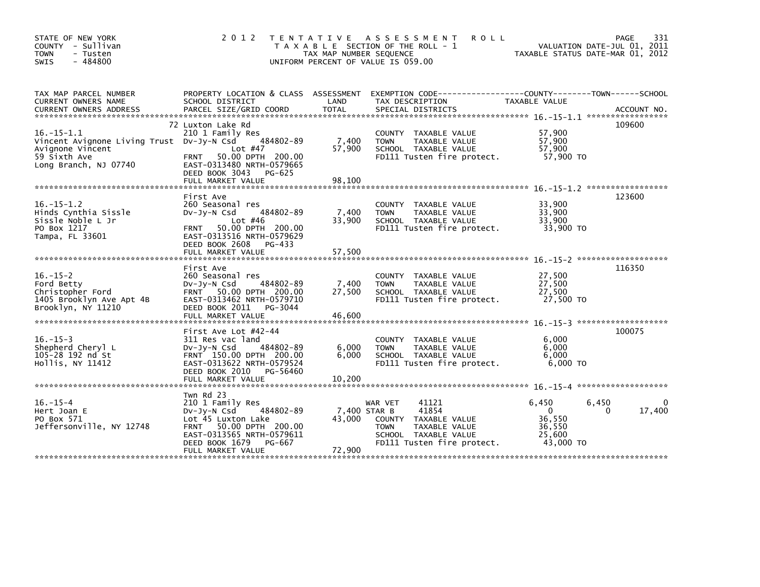| STATE OF NEW YORK<br>COUNTY - Sullivan<br><b>TOWN</b><br>- Tusten<br>$-484800$<br><b>SWIS</b>                             | 2 0 1 2                                                                                                                                                                                           | T E N T A T I V E<br>TAX MAP NUMBER SEQUENCE | A S S E S S M E N T<br><b>ROLL</b><br>T A X A B L E SECTION OF THE ROLL - 1<br>UNIFORM PERCENT OF VALUE IS 059.00                       | VALUATION DATE-JUL 01, 2011<br>TAXABLE STATUS DATE-MAR 01, 2012                 | 331<br>PAGE                        |
|---------------------------------------------------------------------------------------------------------------------------|---------------------------------------------------------------------------------------------------------------------------------------------------------------------------------------------------|----------------------------------------------|-----------------------------------------------------------------------------------------------------------------------------------------|---------------------------------------------------------------------------------|------------------------------------|
| TAX MAP PARCEL NUMBER<br>CURRENT OWNERS NAME                                                                              | PROPERTY LOCATION & CLASS ASSESSMENT<br>SCHOOL DISTRICT                                                                                                                                           | LAND                                         | EXEMPTION CODE-----------------COUNTY-------TOWN------SCHOOL<br>TAX DESCRIPTION                                                         | TAXABLE VALUE                                                                   |                                    |
| $16. -15 - 1.1$<br>Vincent Avignone Living Trust Dv-Jy-N Csd<br>Avignone Vincent<br>59 Sixth Ave<br>Long Branch, NJ 07740 | 72 Luxton Lake Rd<br>210 1 Family Res<br>484802-89<br>Lot $#47$<br>50.00 DPTH 200.00<br><b>FRNT</b><br>EAST-0313480 NRTH-0579665<br>DEED BOOK 3043<br>PG-625                                      | 7,400<br>57,900                              | COUNTY TAXABLE VALUE<br>TAXABLE VALUE<br><b>TOWN</b><br>SCHOOL TAXABLE VALUE<br>FD111 Tusten fire protect.                              | 57,900<br>57,900<br>57,900<br>57,900 TO                                         | 109600                             |
| $16. -15 - 1.2$<br>Hinds Cynthia Sissle<br>Sissle Noble L Jr<br>PO Box 1217<br>Tampa, FL 33601                            | First Ave<br>260 Seasonal res<br>484802-89<br>$Dv-Jv-N$ Csd<br>Lot $#46$<br>50.00 DPTH 200.00<br>FRNT<br>EAST-0313516 NRTH-0579629<br>DEED BOOK 2608<br>PG-433<br>FULL MARKET VALUE               | 7,400<br>33,900<br>57.500                    | COUNTY TAXABLE VALUE<br>TAXABLE VALUE<br><b>TOWN</b><br>SCHOOL TAXABLE VALUE<br>FD111 Tusten fire protect.                              | 33,900<br>33,900<br>33,900<br>33,900 TO                                         | 123600                             |
| $16. - 15 - 2$<br>Ford Betty<br>Christopher Ford<br>1405 Brooklyn Ave Apt 4B<br>Brooklyn, NY 11210                        | First Ave<br>260 Seasonal res<br>484802-89<br>$Dv-Jy-N$ Csd<br><b>FRNT</b><br>50.00 DPTH 200.00<br>EAST-0313462 NRTH-0579710<br>DEED BOOK 2011<br>PG-3044                                         | 7,400<br>27,500                              | COUNTY TAXABLE VALUE<br>TAXABLE VALUE<br><b>TOWN</b><br>SCHOOL TAXABLE VALUE<br>FD111 Tusten fire protect.                              | $16. - 15 - 2$ *********************<br>27,500<br>27,500<br>27,500<br>27,500 TO | 116350                             |
| $16. - 15 - 3$<br>Shepherd Cheryl L<br>105-28 192 nd St<br>Hollis, NY 11412                                               | First Ave Lot #42-44<br>311 Res vac land<br>$Dv-Jv-N$ Csd<br>484802-89<br>FRNT 150.00 DPTH 200.00<br>EAST-0313622 NRTH-0579524<br>DEED BOOK 2010<br>PG-56460<br>FULL MARKET VALUE                 | 6,000<br>6.000<br>10,200                     | COUNTY TAXABLE VALUE<br><b>TOWN</b><br><b>TAXABLE VALUE</b><br>SCHOOL TAXABLE VALUE<br>FD111 Tusten fire protect.                       | 6.000<br>6,000<br>6.000<br>$6.000$ TO                                           | 100075                             |
| $16. - 15 - 4$<br>Hert Joan E<br>PO Box 571<br>Jeffersonville, NY 12748                                                   | Twn Rd 23<br>210 1 Family Res<br>DV-Jy-N Csd<br>484802-89<br>Lot 45 Luxton Lake<br>50.00 DPTH 200.00<br><b>FRNT</b><br>EAST-0313565 NRTH-0579611<br>DEED BOOK 1679<br>PG-667<br>FULL MARKET VALUE | 7,400 STAR B<br>43,000<br>72,900             | 41121<br>WAR VET<br>41854<br>COUNTY TAXABLE VALUE<br><b>TOWN</b><br>TAXABLE VALUE<br>SCHOOL TAXABLE VALUE<br>FD111 Tusten fire protect. | 6,450<br>6,450<br>$\mathbf{0}$<br>36,550<br>36,550<br>25,600<br>43,000 TO       | $\mathbf{0}$<br>17,400<br>$\Omega$ |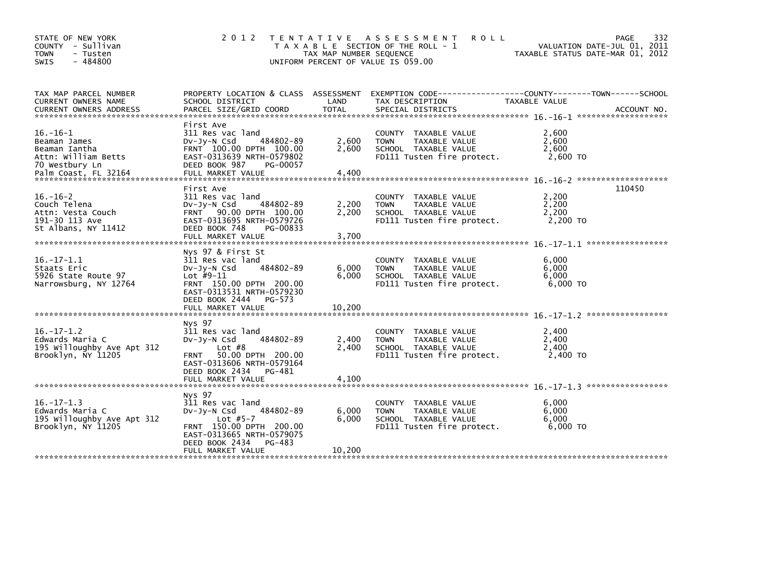| STATE OF NEW YORK<br>COUNTY - Sullivan<br><b>TOWN</b><br>- Tusten<br>$-484800$<br><b>SWIS</b>                    | 2 0 1 2                                                                                                                                                                                     | TAX MAP NUMBER SEQUENCE  | TENTATIVE ASSESSMENT<br><b>ROLL</b><br>T A X A B L E SECTION OF THE ROLL - 1<br>UNIFORM PERCENT OF VALUE IS 059.00 | TAXABLE STATUS DATE-MAR 01, 2012      | 332<br>PAGE<br>VALUATION DATE-JUL 01, 2011 |
|------------------------------------------------------------------------------------------------------------------|---------------------------------------------------------------------------------------------------------------------------------------------------------------------------------------------|--------------------------|--------------------------------------------------------------------------------------------------------------------|---------------------------------------|--------------------------------------------|
| TAX MAP PARCEL NUMBER<br>CURRENT OWNERS NAME<br>CURRENT OWNERS ADDRESS                                           | PROPERTY LOCATION & CLASS ASSESSMENT<br>SCHOOL DISTRICT<br>PARCEL SIZE/GRID COORD                                                                                                           | LAND<br><b>TOTAL</b>     | EXEMPTION CODE-----------------COUNTY-------TOWN------SCHOOL<br>TAX DESCRIPTION<br>SPECIAL DISTRICTS               | TAXABLE VALUE                         | ACCOUNT NO.                                |
| $16. - 16 - 1$<br>Beaman James<br>Beaman Iantha<br>Attn: William Betts<br>70 Westbury Ln<br>Palm Coast, FL 32164 | First Ave<br>311 Res vac land<br>484802-89<br>$Dv-Jy-N$ Csd<br>FRNT 100.00 DPTH 100.00<br>EAST-0313639 NRTH-0579802<br>DEED BOOK 987<br>PG-00057<br>FULL MARKET VALUE                       | 2,600<br>2,600<br>4,400  | COUNTY TAXABLE VALUE<br><b>TOWN</b><br>TAXABLE VALUE<br>SCHOOL TAXABLE VALUE<br>FD111 Tusten fire protect.         | 2,600<br>2,600<br>2,600<br>2,600 TO   |                                            |
| $16. - 16 - 2$<br>Couch Telena<br>Attn: Vesta Couch<br>191-30 113 Ave<br>St Albans, NY 11412                     | First Ave<br>311 Res vac land<br>$Dv-Jy-N$ Csd<br>484802-89<br>90.00 DPTH 100.00<br><b>FRNT</b><br>EAST-0313695 NRTH-0579726<br>DEED BOOK 748<br>PG-00833<br>FULL MARKET VALUE              | 2,200<br>2,200<br>3,700  | COUNTY TAXABLE VALUE<br><b>TOWN</b><br>TAXABLE VALUE<br>SCHOOL TAXABLE VALUE<br>FD111 Tusten fire protect.         | 2,200<br>2,200<br>2,200<br>2,200 TO   | 110450                                     |
| $16. -17 - 1.1$<br>Staats Eric<br>5926 State Route 97<br>Narrowsburg, NY 12764                                   | Nys 97 & First St<br>311 Res vac land<br>484802-89<br>$Dv-Jy-N$ Csd<br>$Lot$ #9-11<br>FRNT 150.00 DPTH 200.00<br>EAST-0313531 NRTH-0579230<br>DEED BOOK 2444<br>PG-573<br>FULL MARKET VALUE | 6,000<br>6,000<br>10,200 | COUNTY TAXABLE VALUE<br>TAXABLE VALUE<br><b>TOWN</b><br>SCHOOL TAXABLE VALUE<br>FD111 Tusten fire protect.         | 6,000<br>6,000<br>6,000<br>6,000 TO   |                                            |
|                                                                                                                  |                                                                                                                                                                                             |                          |                                                                                                                    |                                       |                                            |
| $16. - 17 - 1.2$<br>Edwards Maria C<br>195 Willoughby Ave Apt 312<br>Brooklyn, NY 11205                          | Nys 97<br>311 Res vac land<br>484802-89<br>DV-JY-N Csd<br>Lot $#8$<br>50.00 DPTH 200.00<br><b>FRNT</b><br>EAST-0313606 NRTH-0579164<br>DEED BOOK 2434<br>PG-481<br>FULL MARKET VALUE        | 2,400<br>2,400<br>4,100  | TAXABLE VALUE<br>COUNTY<br>TAXABLE VALUE<br><b>TOWN</b><br>SCHOOL TAXABLE VALUE<br>FD111 Tusten fire protect.      | 2,400<br>2,400<br>2,400<br>2,400 TO   |                                            |
|                                                                                                                  |                                                                                                                                                                                             |                          |                                                                                                                    |                                       |                                            |
| $16. -17 - 1.3$<br>Edwards Maria C<br>195 Willoughby Ave Apt 312<br>Brooklyn, NY 11205                           | Nys 97<br>311 Res vac land<br>484802-89<br>$Dv-Jy-N$ Csd<br>Lot $#5-7$<br>FRNT 150.00 DPTH 200.00<br>EAST-0313665 NRTH-0579075<br>DEED BOOK 2434<br>PG-483                                  | 6,000<br>6,000           | COUNTY TAXABLE VALUE<br><b>TOWN</b><br>TAXABLE VALUE<br>SCHOOL TAXABLE VALUE<br>FD111 Tusten fire protect.         | 6,000<br>6,000<br>6.000<br>$6,000$ TO |                                            |
|                                                                                                                  | FULL MARKET VALUE                                                                                                                                                                           | 10,200                   |                                                                                                                    |                                       |                                            |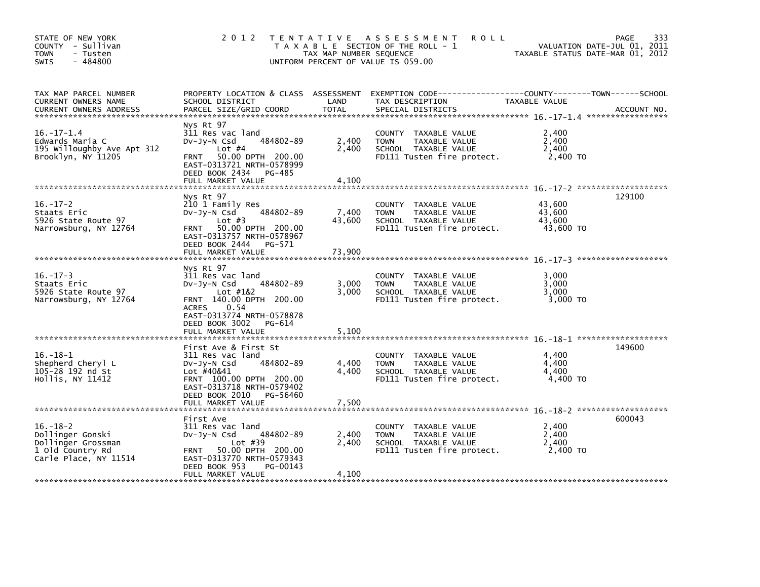| STATE OF NEW YORK<br>COUNTY - Sullivan<br>- Tusten<br><b>TOWN</b><br>$-484800$<br>SWIS                | 2 0 1 2                                                                                                                                                                           | TAX MAP NUMBER SEQUENCE | TENTATIVE ASSESSMENT<br><b>ROLL</b><br>T A X A B L E SECTION OF THE ROLL - 1<br>UNIFORM PERCENT OF VALUE IS 059.00 |                                         | 333<br>PAGE<br>VALUATION DATE-JUL 01, 2011<br>TAXABLE STATUS DATE-MAR 01, 2012 |
|-------------------------------------------------------------------------------------------------------|-----------------------------------------------------------------------------------------------------------------------------------------------------------------------------------|-------------------------|--------------------------------------------------------------------------------------------------------------------|-----------------------------------------|--------------------------------------------------------------------------------|
| TAX MAP PARCEL NUMBER<br>CURRENT OWNERS NAME<br><b>CURRENT OWNERS ADDRESS</b>                         | PROPERTY LOCATION & CLASS ASSESSMENT<br>SCHOOL DISTRICT<br>PARCEL SIZE/GRID COORD                                                                                                 | LAND<br><b>TOTAL</b>    | TAX DESCRIPTION<br>SPECIAL DISTRICTS                                                                               | TAXABLE VALUE                           | ACCOUNT NO.                                                                    |
| $16. - 17 - 1.4$<br>Edwards Maria C<br>195 Willoughby Ave Apt 312<br>Brooklyn, NY 11205               | Nys Rt 97<br>311 Res vac land<br>484802-89<br>DV-Jy-N Csd<br>Lot $#4$<br>50.00 DPTH 200.00<br><b>FRNT</b><br>EAST-0313721 NRTH-0578999<br>DEED BOOK 2434<br>PG-485                | 2,400<br>2,400          | COUNTY TAXABLE VALUE<br>TAXABLE VALUE<br><b>TOWN</b><br>SCHOOL TAXABLE VALUE<br>FD111 Tusten fire protect.         | 2,400<br>2,400<br>2,400<br>2,400 TO     |                                                                                |
|                                                                                                       | FULL MARKET VALUE                                                                                                                                                                 | 4,100                   |                                                                                                                    |                                         |                                                                                |
| $16. - 17 - 2$<br>Staats Eric<br>5926 State Route 97<br>Narrowsburg, NY 12764                         | Nys Rt 97<br>210 1 Family Res<br>484802-89<br>DV-Jy-N Csd<br>Lot $#3$<br>FRNT 50.00 DPTH 200.00<br>EAST-0313757 NRTH-0578967<br>DEED BOOK 2444<br>PG-571                          | 7,400<br>43,600         | COUNTY TAXABLE VALUE<br><b>TOWN</b><br>TAXABLE VALUE<br>SCHOOL TAXABLE VALUE<br>FD111 Tusten fire protect.         | 43,600<br>43,600<br>43.600<br>43,600 TO | 129100                                                                         |
|                                                                                                       | FULL MARKET VALUE                                                                                                                                                                 | 73,900                  |                                                                                                                    |                                         |                                                                                |
| $16. - 17 - 3$<br>Staats Eric<br>5926 State Route 97<br>Narrowsburg, NY 12764                         | Nys Rt 97<br>311 Res vac land<br>484802-89<br>DV-Jy-N Csd<br>Lot #1&2<br>FRNT 140.00 DPTH 200.00<br>0.54<br><b>ACRES</b><br>EAST-0313774 NRTH-0578878<br>DEED BOOK 3002<br>PG-614 | 3,000<br>3,000          | COUNTY TAXABLE VALUE<br><b>TOWN</b><br>TAXABLE VALUE<br>SCHOOL TAXABLE VALUE<br>FD111 Tusten fire protect.         | 3.000<br>3,000<br>3,000<br>3,000 TO     |                                                                                |
|                                                                                                       | FULL MARKET VALUE                                                                                                                                                                 | 5,100                   |                                                                                                                    |                                         |                                                                                |
| 16. –18–1<br>Shepherd Cheryl L<br>105-28 192 nd St<br>Hollis, NY 11412                                | First Ave & First St<br>311 Res vac land<br>484802-89<br>$Dv-Jy-N$ Csd<br>Lot #40&41<br>FRNT 100.00 DPTH 200.00<br>EAST-0313718 NRTH-0579402<br>DEED BOOK 2010<br>PG-56460        | 4,400<br>4.400          | COUNTY TAXABLE VALUE<br><b>TOWN</b><br>TAXABLE VALUE<br>SCHOOL TAXABLE VALUE<br>FD111 Tusten fire protect.         | 4,400<br>4,400<br>4,400<br>4,400 TO     | 149600                                                                         |
|                                                                                                       | FULL MARKET VALUE                                                                                                                                                                 | 7,500                   |                                                                                                                    |                                         |                                                                                |
| $16. - 18 - 2$<br>Dollinger Gonski<br>Dollinger Grossman<br>1 old Country Rd<br>Carle Place, NY 11514 | First Ave<br>311 Res vac land<br>484802-89<br>$Dv-Jy-N$ Csd<br>Lot $#39$<br>50.00 DPTH 200.00<br><b>FRNT</b><br>EAST-0313770 NRTH-0579343<br>DEED BOOK 953<br>PG-00143            | 2,400<br>2,400          | COUNTY TAXABLE VALUE<br><b>TOWN</b><br>TAXABLE VALUE<br>SCHOOL TAXABLE VALUE<br>FD111 Tusten fire protect.         | 2,400<br>2,400<br>2,400<br>2,400 TO     | 600043                                                                         |
|                                                                                                       | FULL MARKET VALUE                                                                                                                                                                 | 4,100                   |                                                                                                                    |                                         |                                                                                |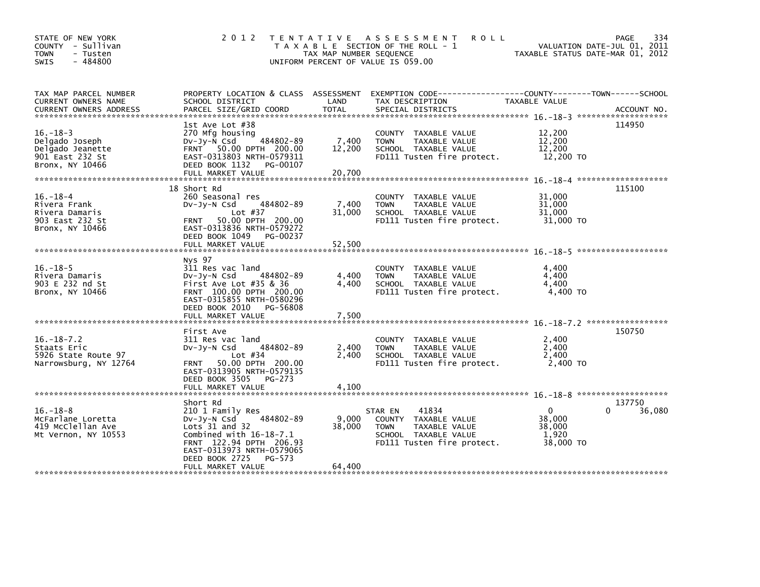| STATE OF NEW YORK<br>COUNTY - Sullivan<br><b>TOWN</b><br>- Tusten<br>$-484800$<br><b>SWIS</b> | 2 0 1 2                                                                                                                                                                                                              | TAX MAP NUMBER SEQUENCE   | TENTATIVE ASSESSMENT<br><b>ROLL</b><br>T A X A B L E SECTION OF THE ROLL - 1<br>UNIFORM PERCENT OF VALUE IS 059.00                | TAXABLE STATUS DATE-MAR 01, 2012                     | PAGE<br>334<br>VALUATION DATE-JUL 01, 2011 |
|-----------------------------------------------------------------------------------------------|----------------------------------------------------------------------------------------------------------------------------------------------------------------------------------------------------------------------|---------------------------|-----------------------------------------------------------------------------------------------------------------------------------|------------------------------------------------------|--------------------------------------------|
| TAX MAP PARCEL NUMBER<br>CURRENT OWNERS NAME<br><b>CURRENT OWNERS ADDRESS</b>                 | PROPERTY LOCATION & CLASS ASSESSMENT<br>SCHOOL DISTRICT<br>PARCEL SIZE/GRID COORD                                                                                                                                    | LAND<br><b>TOTAL</b>      | EXEMPTION CODE----------<br>TAX DESCRIPTION<br>SPECIAL DISTRICTS                                                                  | -----COUNTY--------TOWN------SCHOOL<br>TAXABLE VALUE | ACCOUNT NO.                                |
| $16. - 18 - 3$<br>Delgado Joseph<br>Delgado Jeanette<br>901 East 232 St<br>Bronx, NY 10466    | 1st Ave Lot #38<br>270 Mfg housing<br>484802-89<br>$Dv-Jv-N$ Csd<br>FRNT 50.00 DPTH 200.00<br>EAST-0313803 NRTH-0579311<br>DEED BOOK 1132<br>PG-00107                                                                | 7,400<br>12,200           | COUNTY TAXABLE VALUE<br><b>TOWN</b><br>TAXABLE VALUE<br>SCHOOL TAXABLE VALUE<br>FD111 Tusten fire protect.                        | 12,200<br>12,200<br>12,200<br>12,200 TO              | 114950                                     |
| $16. - 18 - 4$<br>Rivera Frank<br>Rivera Damaris<br>903 East 232 St<br>Bronx. NY 10466        | 18 Short Rd<br>260 Seasonal res<br>484802-89<br>$Dv-Jv-N$ Csd<br>Lot $#37$<br>50.00 DPTH 200.00<br><b>FRNT</b><br>EAST-0313836 NRTH-0579272<br>DEED BOOK 1049<br>PG-00237                                            | 7,400<br>31,000           | COUNTY TAXABLE VALUE<br><b>TAXABLE VALUE</b><br><b>TOWN</b><br>SCHOOL TAXABLE VALUE<br>FD111 Tusten fire protect.                 | 31,000<br>31.000<br>31,000<br>31,000 TO              | 115100                                     |
| $16. - 18 - 5$<br>Rivera Damaris<br>903 E 232 nd St<br>Bronx, NY 10466                        | Nys 97<br>311 Res vac land<br>484802-89<br>DV-Jy-N Csd<br>First Ave Lot $#35$ & 36<br>FRNT 100.00 DPTH 200.00<br>EAST-0315855 NRTH-0580296<br>DEED BOOK 2010 PG-56808                                                | 4,400<br>4.400            | COUNTY TAXABLE VALUE<br>TAXABLE VALUE<br><b>TOWN</b><br>SCHOOL TAXABLE VALUE<br>FD111 Tusten fire protect.                        | 4,400<br>4,400<br>4,400<br>4,400 TO                  |                                            |
| $16. - 18 - 7.2$<br>Staats Eric<br>5926 State Route 97<br>Narrowsburg, NY 12764               | First Ave<br>311 Res vac land<br>484802-89<br>DV-Jy-N Csd<br>Lot $#34$<br>50.00 DPTH 200.00<br><b>FRNT</b><br>EAST-0313905 NRTH-0579135<br>DEED BOOK 3505<br>PG-273<br>FULL MARKET VALUE                             | 2,400<br>2.400<br>4,100   | COUNTY TAXABLE VALUE<br>TAXABLE VALUE<br><b>TOWN</b><br>SCHOOL TAXABLE VALUE<br>FD111 Tusten fire protect.                        | 2,400<br>2,400<br>2.400<br>2,400 TO                  | 150750                                     |
| $16. - 18 - 8$<br>McFarlane Loretta<br>419 McClellan Ave<br>Mt Vernon, NY 10553               | Short Rd<br>210 1 Family Res<br>484802-89<br>DV-Jy-N Csd<br>Lots $31$ and $32$<br>Combined with $16-18-7.1$<br>FRNT 122.94 DPTH 206.93<br>EAST-0313973 NRTH-0579065<br>DEED BOOK 2725<br>PG-573<br>FULL MARKET VALUE | 9,000<br>38,000<br>64,400 | 41834<br>STAR EN<br>COUNTY<br>TAXABLE VALUE<br><b>TOWN</b><br>TAXABLE VALUE<br>SCHOOL TAXABLE VALUE<br>FD111 Tusten fire protect. | 0<br>38,000<br>38,000<br>1,920<br>38,000 TO          | 137750<br>36,080<br>0                      |
|                                                                                               |                                                                                                                                                                                                                      |                           |                                                                                                                                   |                                                      |                                            |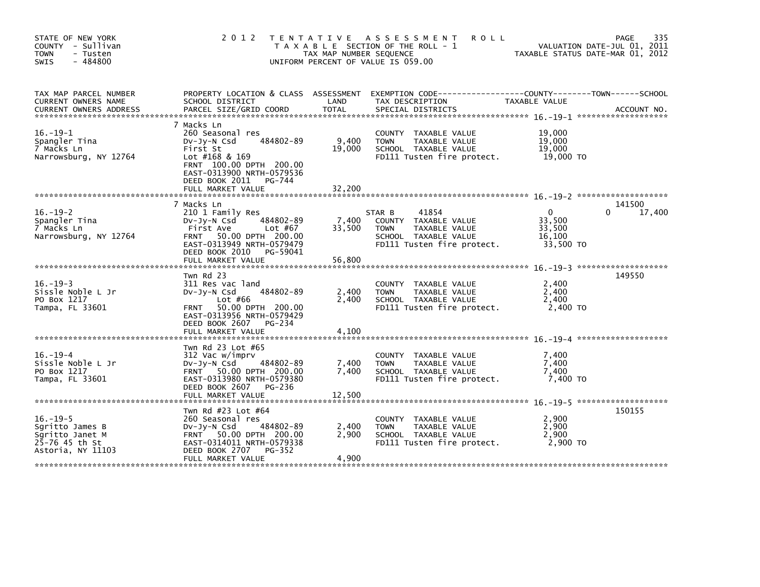| STATE OF NEW YORK<br>COUNTY - Sullivan<br><b>TOWN</b><br>- Tusten<br>$-484800$<br><b>SWIS</b> | 2 0 1 2                                                                                                                                                                                             | TAX MAP NUMBER SEQUENCE   | TENTATIVE ASSESSMENT<br><b>ROLL</b><br>T A X A B L E SECTION OF THE ROLL - 1<br>UNIFORM PERCENT OF VALUE IS 059.00            | TAXABLE STATUS DATE-MAR 01, 2012                    | 335<br>PAGE<br>VALUATION DATE-JUL 01, 2011 |
|-----------------------------------------------------------------------------------------------|-----------------------------------------------------------------------------------------------------------------------------------------------------------------------------------------------------|---------------------------|-------------------------------------------------------------------------------------------------------------------------------|-----------------------------------------------------|--------------------------------------------|
| TAX MAP PARCEL NUMBER<br>CURRENT OWNERS NAME<br>CURRENT OWNERS ADDRESS                        | PROPERTY LOCATION & CLASS ASSESSMENT<br>SCHOOL DISTRICT                                                                                                                                             | LAND                      | EXEMPTION CODE-----------------COUNTY-------TOWN------SCHOOL<br>TAX DESCRIPTION                                               | TAXABLE VALUE                                       |                                            |
| $16. - 19 - 1$<br>Spangler Tina<br>7 Macks Ln<br>Narrowsburg, NY 12764                        | 7 Macks Ln<br>260 Seasonal res<br>484802-89<br>Dv-Jy-N Csd<br>First St<br>Lot $#168$ & 169<br>FRNT 100.00 DPTH 200.00<br>EAST-0313900 NRTH-0579536<br>DEED BOOK 2011<br>PG-744<br>FULL MARKET VALUE | 9,400<br>19,000<br>32,200 | COUNTY TAXABLE VALUE<br>TAXABLE VALUE<br><b>TOWN</b><br>SCHOOL TAXABLE VALUE<br>FD111 Tusten fire protect.                    | 19,000<br>19,000<br>19,000<br>19,000 TO             |                                            |
|                                                                                               | 7 Macks Ln                                                                                                                                                                                          |                           |                                                                                                                               |                                                     | 141500                                     |
| $16. - 19 - 2$<br>Spangler Tina<br>7 Macks Ln<br>Narrowsburg, NY 12764                        | 210 1 Family Res<br>484802-89<br>$Dv-Jy-N$ Csd<br>Lot #67<br>First Ave<br>50.00 DPTH 200.00<br><b>FRNT</b><br>EAST-0313949 NRTH-0579479<br>DEED BOOK 2010 PG-59041                                  | 7,400<br>33,500           | 41854<br>STAR B<br>COUNTY TAXABLE VALUE<br>TAXABLE VALUE<br><b>TOWN</b><br>SCHOOL TAXABLE VALUE<br>FD111 Tusten fire protect. | $\Omega$<br>33,500<br>33,500<br>16.100<br>33,500 TO | 17,400<br>0.                               |
|                                                                                               | FULL MARKET VALUE                                                                                                                                                                                   | 56,800                    |                                                                                                                               |                                                     |                                            |
| $16. - 19 - 3$<br>Sissle Noble L Jr<br>PO Box 1217<br>Tampa, FL 33601                         | Twn Rd 23<br>311 Res vac land<br>484802-89<br>$Dv-Jy-N$ Csd<br>Lot $#66$<br>50.00 DPTH 200.00<br><b>FRNT</b><br>EAST-0313956 NRTH-0579429<br>DEED BOOK 2607<br>PG-234<br>FULL MARKET VALUE          | 2,400<br>2.400<br>4,100   | COUNTY TAXABLE VALUE<br><b>TOWN</b><br>TAXABLE VALUE<br>SCHOOL TAXABLE VALUE<br>FD111 Tusten fire protect.                    | 2,400<br>2,400<br>2.400<br>2,400 TO                 | 149550                                     |
|                                                                                               |                                                                                                                                                                                                     |                           |                                                                                                                               |                                                     |                                            |
| $16. - 19 - 4$<br>Sissle Noble L Jr<br>PO Box 1217<br>Tampa, FL 33601                         | Twn Rd 23 Lot #65<br>312 Vac w/imprv<br>$Dv-Jy-N$ Csd<br>484802-89<br>FRNT 50.00 DPTH 200.00<br>EAST-0313980 NRTH-0579380<br>DEED BOOK 2607<br>PG-236<br>FULL MARKET VALUE                          | 7,400<br>7,400<br>12,500  | COUNTY TAXABLE VALUE<br><b>TOWN</b><br>TAXABLE VALUE<br>SCHOOL TAXABLE VALUE<br>FD111 Tusten fire protect.                    | 7,400<br>7,400<br>7,400<br>7,400 TO                 |                                            |
|                                                                                               | Twn Rd #23 Lot #64                                                                                                                                                                                  |                           |                                                                                                                               |                                                     | 150155                                     |
| $16. - 19 - 5$<br>Sgritto James B<br>Sqritto Janet M<br>25-76 45 th St<br>Astoria, NY 11103   | 260 Seasonal res<br>DV-Jy-N Csd<br>484802-89<br>FRNT 50.00 DPTH 200.00<br>EAST-0314011 NRTH-0579338<br>DEED BOOK 2707<br>PG-352                                                                     | 2,400<br>2,900            | COUNTY TAXABLE VALUE<br><b>TOWN</b><br>TAXABLE VALUE<br>SCHOOL TAXABLE VALUE<br>FD111 Tusten fire protect.                    | 2,900<br>2,900<br>2.900<br>2.900 TO                 |                                            |
|                                                                                               | FULL MARKET VALUE                                                                                                                                                                                   | 4,900                     |                                                                                                                               |                                                     |                                            |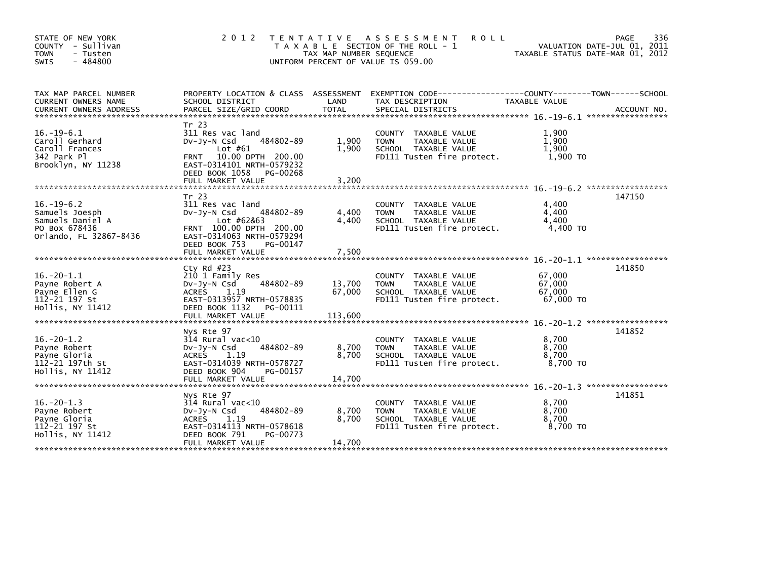| STATE OF NEW YORK<br>COUNTY - Sullivan<br><b>TOWN</b><br>- Tusten<br>$-484800$<br><b>SWIS</b>     | 2 0 1 2                                                                                                                                                                                | T E N T A T I V E<br>TAX MAP NUMBER SEQUENCE | A S S E S S M E N T<br><b>ROLL</b><br>T A X A B L E SECTION OF THE ROLL - 1<br>UNIFORM PERCENT OF VALUE IS 059.00    | TAXABLE STATUS DATE-MAR 01, 2012        | 336<br><b>PAGE</b><br>VALUATION DATE-JUL 01, 2011 |
|---------------------------------------------------------------------------------------------------|----------------------------------------------------------------------------------------------------------------------------------------------------------------------------------------|----------------------------------------------|----------------------------------------------------------------------------------------------------------------------|-----------------------------------------|---------------------------------------------------|
| TAX MAP PARCEL NUMBER<br>CURRENT OWNERS NAME<br><b>CURRENT OWNERS ADDRESS</b>                     | PROPERTY LOCATION & CLASS ASSESSMENT<br>SCHOOL DISTRICT<br>PARCEL SIZE/GRID COORD                                                                                                      | LAND<br><b>TOTAL</b>                         | EXEMPTION CODE-----------------COUNTY-------TOWN------SCHOOL<br>TAX DESCRIPTION<br>SPECIAL DISTRICTS                 | TAXABLE VALUE                           | ACCOUNT NO.                                       |
| $16. - 19 - 6.1$<br>Caroll Gerhard<br>Caroll Frances<br>342 Park Pl<br>Brooklyn, NY 11238         | Tr 23<br>311 Res vac land<br>484802-89<br>DV-Jy-N Csd<br>Lot $#61$<br>10.00 DPTH 200.00<br><b>FRNT</b><br>EAST-0314101 NRTH-0579232<br>DEED BOOK 1058<br>PG-00268<br>FULL MARKET VALUE | 1,900<br>1,900<br>3.200                      | COUNTY TAXABLE VALUE<br><b>TOWN</b><br>TAXABLE VALUE<br>SCHOOL TAXABLE VALUE<br>FD111 Tusten fire protect.           | 1,900<br>1.900<br>1,900<br>1,900 TO     |                                                   |
| $16. - 19 - 6.2$<br>Samuels Joesph<br>Samuels Daniel A<br>PO Box 678436<br>Orlando, FL 32867-8436 | Tr 23<br>311 Res vac land<br>484802-89<br>$Dv-Jv-N$ Csd<br>Lot #62&63<br>FRNT 100.00 DPTH 200.00<br>EAST-0314063 NRTH-0579294<br>DEED BOOK 753<br>PG-00147<br>FULL MARKET VALUE        | 4,400<br>4,400<br>7,500                      | COUNTY TAXABLE VALUE<br><b>TOWN</b><br>TAXABLE VALUE<br>SCHOOL TAXABLE VALUE<br>FD111 Tusten fire protect.           | 4,400<br>4,400<br>4,400<br>4,400 TO     | 147150                                            |
| $16. -20 - 1.1$<br>Payne Robert A<br>Payne Ellen G<br>112-21 197 St<br>Hollis, NY 11412           | Cty Rd $#23$<br>210 1 Family Res<br>484802-89<br>$Dv-Jy-N$ Csd<br><b>ACRES</b><br>1.19<br>EAST-0313957 NRTH-0578835<br>DEED BOOK 1132<br>PG-00111<br>FULL MARKET VALUE                 | 13,700<br>67.000<br>113,600                  | COUNTY TAXABLE VALUE<br><b>TOWN</b><br>TAXABLE VALUE<br>SCHOOL TAXABLE VALUE<br>FD111 Tusten fire protect.           | 67,000<br>67,000<br>67.000<br>67,000 TO | *****************<br>141850                       |
| $16.-20-1.2$<br>Payne Robert<br>Payne Gloria<br>112-21 197th St<br>Hollis, NY 11412               | Nys Rte 97<br>$314$ Rural vac<10<br>484802-89<br>$Dv-Jv-N$ Csd<br><b>ACRES</b><br>1.19<br>EAST-0314039 NRTH-0578727<br>DEED BOOK 904<br>PG-00157<br>FULL MARKET VALUE                  | 8,700<br>8,700<br>14.700                     | COUNTY TAXABLE VALUE<br><b>TOWN</b><br>TAXABLE VALUE<br>SCHOOL TAXABLE VALUE<br>FD111 Tusten fire protect.           | 8,700<br>8.700<br>8,700<br>8.700 TO     | 141852                                            |
| $16. -20 - 1.3$<br>Payne Robert<br>Payne Gloria<br>112-21 197 St<br>Hollis, NY 11412              | Nys Rte 97<br>$314$ Rural vac< $10$<br>484802-89<br>$Dv-Jy-N$ Csd<br><b>ACRES</b><br>1.19<br>EAST-0314113 NRTH-0578618<br>DEED BOOK 791<br>PG-00773<br>FULL MARKET VALUE               | 8,700<br>8,700<br>14.700                     | TAXABLE VALUE<br><b>COUNTY</b><br>TAXABLE VALUE<br><b>TOWN</b><br>SCHOOL TAXABLE VALUE<br>FD111 Tusten fire protect. | 8,700<br>8,700<br>8,700<br>8.700 TO     | 141851                                            |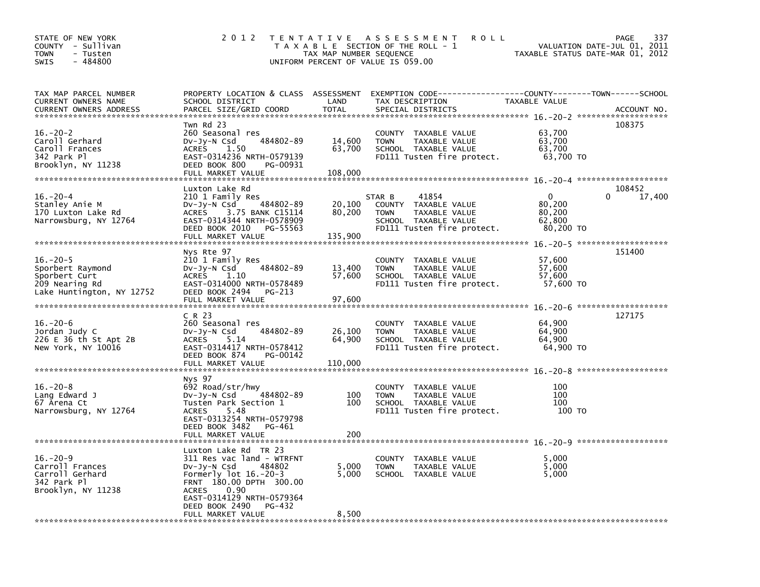| STATE OF NEW YORK<br>COUNTY - Sullivan<br><b>TOWN</b><br>- Tusten<br>- 484800<br><b>SWIS</b>                                | 2 0 1 2                                                                                                                                                                                                           | T E N T A T I V E<br>TAX MAP NUMBER SEQUENCE | <b>ROLL</b><br>A S S E S S M E N T<br>T A X A B L E SECTION OF THE ROLL - 1<br>UNIFORM PERCENT OF VALUE IS 059.00             |                                                     | 337<br>PAGE<br>VALUATION DATE-JUL 01, 2011<br>TAXABLE STATUS DATE-MAR 01, 2012 |
|-----------------------------------------------------------------------------------------------------------------------------|-------------------------------------------------------------------------------------------------------------------------------------------------------------------------------------------------------------------|----------------------------------------------|-------------------------------------------------------------------------------------------------------------------------------|-----------------------------------------------------|--------------------------------------------------------------------------------|
| TAX MAP PARCEL NUMBER<br>CURRENT OWNERS NAME<br><b>CURRENT OWNERS ADDRESS</b><br>******************************             | PROPERTY LOCATION & CLASS ASSESSMENT<br>SCHOOL DISTRICT<br>PARCEL SIZE/GRID COORD                                                                                                                                 | LAND<br><b>TOTAL</b>                         | EXEMPTION CODE-----------------COUNTY-------TOWN------SCHOOL<br>TAX DESCRIPTION<br>SPECIAL DISTRICTS                          | TAXABLE VALUE                                       | ACCOUNT NO.                                                                    |
| $16. -20 - 2$<br>Caroll Gerhard<br>Caroll Frances<br>342 Park Pl<br>Brooklyn, NY 11238                                      | Twn Rd 23<br>260 Seasonal res<br>484802-89<br>DV-Jy-N Csd<br><b>ACRES</b><br>1.50<br>EAST-0314236 NRTH-0579139<br>DEED BOOK 800<br>PG-00931<br>FULL MARKET VALUE                                                  | 14,600<br>63,700<br>108,000                  | COUNTY TAXABLE VALUE<br><b>TOWN</b><br>TAXABLE VALUE<br>SCHOOL TAXABLE VALUE<br>FD111 Tusten fire protect.                    | 63,700<br>63,700<br>63,700<br>63,700 TO             | 108375                                                                         |
|                                                                                                                             |                                                                                                                                                                                                                   |                                              |                                                                                                                               |                                                     |                                                                                |
| $16. - 20 - 4$<br>Stanley Anie M<br>170 Luxton Lake Rd<br>Narrowsburg, NY 12764                                             | Luxton Lake Rd<br>210 1 Family Res<br>484802-89<br>$Dv-Jy-N$ Csd<br>3.75 BANK C15114<br>ACRES<br>EAST-0314344 NRTH-0578909<br>DEED BOOK 2010<br>PG-55563                                                          | 20,100<br>80,200                             | 41854<br>STAR B<br>COUNTY TAXABLE VALUE<br><b>TOWN</b><br>TAXABLE VALUE<br>SCHOOL TAXABLE VALUE<br>FD111 Tusten fire protect. | $\Omega$<br>80,200<br>80,200<br>62,800<br>80,200 TO | 108452<br>17,400                                                               |
| ******************************                                                                                              | FULL MARKET VALUE                                                                                                                                                                                                 | 135,900                                      |                                                                                                                               |                                                     |                                                                                |
| $16. - 20 - 5$<br>Sporbert Raymond<br>Sporbert Curt<br>209 Nearing Rd<br>Lake Huntington, NY 12752                          | Nys Rte 97<br>210 1 Family Res<br>484802-89<br>DV-Jy-N Csd<br><b>ACRES</b><br>1.10<br>EAST-0314000 NRTH-0578489<br>DEED BOOK 2494<br>PG-213<br>FULL MARKET VALUE                                                  | 13,400<br>57,600<br>97,600                   | COUNTY TAXABLE VALUE<br><b>TOWN</b><br>TAXABLE VALUE<br>SCHOOL TAXABLE VALUE<br>FD111 Tusten fire protect.                    | 57,600<br>57,600<br>57,600<br>57,600 TO             | 151400                                                                         |
| *****************************                                                                                               | C R 23                                                                                                                                                                                                            |                                              |                                                                                                                               |                                                     | 127175                                                                         |
| $16. -20 - 6$<br>Jordan Judy C<br>226 E 36 th St Apt 2B<br>New York, NY 10016                                               | 260 Seasonal res<br>484802-89<br>$Dv-Jv-N$ Csd<br>5.14<br>ACRES<br>EAST-0314417 NRTH-0578412<br>DEED BOOK 874<br>PG-00142<br>FULL MARKET VALUE                                                                    | 26,100<br>64,900<br>110,000                  | COUNTY<br>TAXABLE VALUE<br>TAXABLE VALUE<br><b>TOWN</b><br>SCHOOL TAXABLE VALUE<br>FD111 Tusten fire protect.                 | 64,900<br>64,900<br>64,900<br>64,900 TO             |                                                                                |
| ******************************                                                                                              | Nys 97                                                                                                                                                                                                            |                                              |                                                                                                                               |                                                     |                                                                                |
| $16. -20 - 8$<br>Lang Edward J<br>67 Arena Ct<br>Narrowsburg, NY 12764                                                      | 692 Road/str/hwy<br>484802-89<br>DV-Jy-N Csd<br>Tusten Park Section 1<br>5.48<br><b>ACRES</b><br>EAST-0313254 NRTH-0579798<br>DEED BOOK 3482<br>PG-461                                                            | 100<br>100                                   | COUNTY TAXABLE VALUE<br><b>TOWN</b><br>TAXABLE VALUE<br>SCHOOL TAXABLE VALUE<br>FD111 Tusten fire protect.                    | 100<br>100<br>100<br>100 TO                         |                                                                                |
|                                                                                                                             | FULL MARKET VALUE                                                                                                                                                                                                 | 200                                          |                                                                                                                               |                                                     |                                                                                |
| $16. -20 - 9$<br>Carroll Frances<br>Carroll Gerhard<br>342 Park Pl<br>Brooklyn, NY 11238                                    | Luxton Lake Rd TR 23<br>311 Res vac land - WTRFNT<br>DV-Jy-N Csd<br>484802<br>Formerly $lot$ 16.-20-3<br>FRNT 180.00 DPTH 300.00<br>0.90<br><b>ACRES</b><br>EAST-0314129 NRTH-0579364<br>DEED BOOK 2490<br>PG-432 | 5,000<br>5,000                               | COUNTY<br>TAXABLE VALUE<br><b>TOWN</b><br>TAXABLE VALUE<br>SCHOOL TAXABLE VALUE                                               | 5,000<br>5,000<br>5,000                             |                                                                                |
| والمحاولة مؤلفا مؤلفا مؤلفا مؤلفا مؤلفا مؤلفا مؤلفا مؤلفا مؤلفا مؤلفا مؤلفا مؤلفا مؤلفا مؤلفا مؤلفا مؤلفا مؤلفا مؤلفا مؤلفا | FULL MARKET VALUE<br>والداماته والداوات والداوات والدارات والداوات والداوات والدام                                                                                                                                | 8,500                                        |                                                                                                                               |                                                     |                                                                                |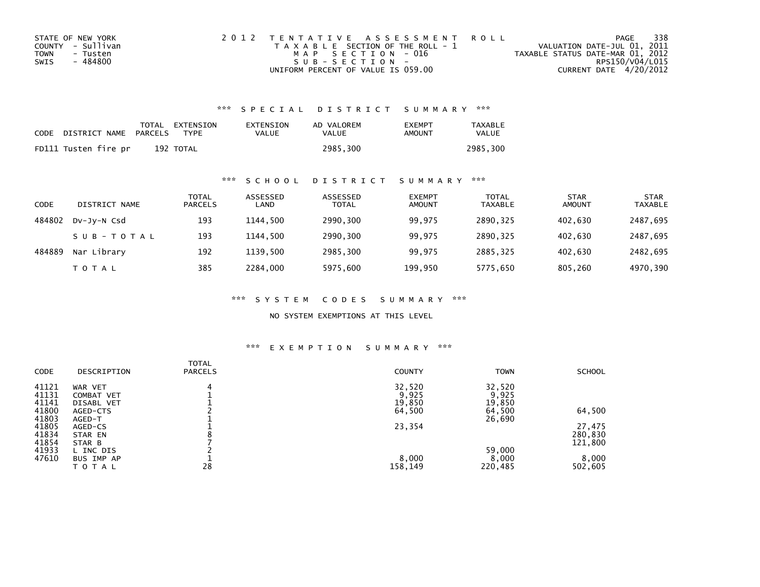| STATE OF NEW YORK | 2012 TENTATIVE ASSESSMENT ROLL        | PAGE                             | 338             |
|-------------------|---------------------------------------|----------------------------------|-----------------|
| COUNTY - Sullivan | T A X A B L E SECTION OF THE ROLL - 1 | VALUATION DATE-JUL 01, 2011      |                 |
| TOWN<br>- Tusten  | MAP SECTION - 016                     | TAXABLE STATUS DATE-MAR 01, 2012 |                 |
| - 484800<br>SWIS  | $SUB - SECTION -$                     |                                  | RPS150/V04/L015 |
|                   | UNIFORM PERCENT OF VALUE IS 059.00    | CURRENT DATE 4/20/2012           |                 |

### \*\*\* S P E C I A L D I S T R I C T S U M M A R Y \*\*\*

| CODE | DISTRICT NAME        | PARCELS | TOTAL EXTENSION<br><b>TYPF</b> | EXTENSION<br>VALUE | AD VALOREM<br>VALUE | <b>EXEMPT</b><br>AMOUNT | <b>TAXABLE</b><br>VALUE |
|------|----------------------|---------|--------------------------------|--------------------|---------------------|-------------------------|-------------------------|
|      | FD111 Tusten fire pr |         | 192 TOTAL                      |                    | 2985.300            |                         | 2985.300                |

### \*\*\* S C H O O L D I S T R I C T S U M M A R Y \*\*\*

| CODE   | DISTRICT NAME | TOTAL<br><b>PARCELS</b> | ASSESSED<br>LAND | ASSESSED<br><b>TOTAL</b> | <b>EXEMPT</b><br><b>AMOUNT</b> | <b>TOTAL</b><br><b>TAXABLE</b> | <b>STAR</b><br><b>AMOUNT</b> | <b>STAR</b><br><b>TAXABLE</b> |
|--------|---------------|-------------------------|------------------|--------------------------|--------------------------------|--------------------------------|------------------------------|-------------------------------|
| 484802 | DV-Jy-N Csd   | 193                     | 1144.500         | 2990,300                 | 99.975                         | 2890.325                       | 402.630                      | 2487,695                      |
|        | SUB-TOTAL     | 193                     | 1144.500         | 2990,300                 | 99,975                         | 2890.325                       | 402,630                      | 2487,695                      |
| 484889 | Nar Library   | 192                     | 1139.500         | 2985,300                 | 99.975                         | 2885.325                       | 402.630                      | 2482,695                      |
|        | T O T A L     | 385                     | 2284.000         | 5975,600                 | 199,950                        | 5775,650                       | 805,260                      | 4970,390                      |

\*\*\* S Y S T E M C O D E S S U M M A R Y \*\*\*

NO SYSTEM EXEMPTIONS AT THIS LEVEL

### \*\*\* E X E M P T I O N S U M M A R Y \*\*\*

| DESCRIPTION       | <b>PARCELS</b>                                                    | <b>COUNTY</b> | <b>TOWN</b>                                  | <b>SCHOOL</b>                                          |
|-------------------|-------------------------------------------------------------------|---------------|----------------------------------------------|--------------------------------------------------------|
| WAR VET           | 4                                                                 | 32,520        | 32,520                                       |                                                        |
| COMBAT VET        |                                                                   |               |                                              |                                                        |
| <b>DISABL VET</b> |                                                                   |               |                                              |                                                        |
| AGED-CTS          |                                                                   |               |                                              | 64,500                                                 |
|                   |                                                                   |               |                                              |                                                        |
|                   |                                                                   |               |                                              | 27,475                                                 |
|                   |                                                                   |               |                                              | 280,830                                                |
|                   |                                                                   |               |                                              | 121,800                                                |
|                   |                                                                   |               |                                              |                                                        |
|                   |                                                                   |               |                                              | 8,000                                                  |
| <b>TOTAL</b>      | 28                                                                | 158,149       | 220,485                                      | 502,605                                                |
|                   | AGED-T<br>AGED-CS<br>STAR EN<br>STAR B<br>L INC DIS<br>BUS IMP AP | TOTAL         | 9,925<br>19,850<br>64,500<br>23,354<br>8,000 | 9,925<br>19,850<br>64,500<br>26,690<br>59,000<br>8,000 |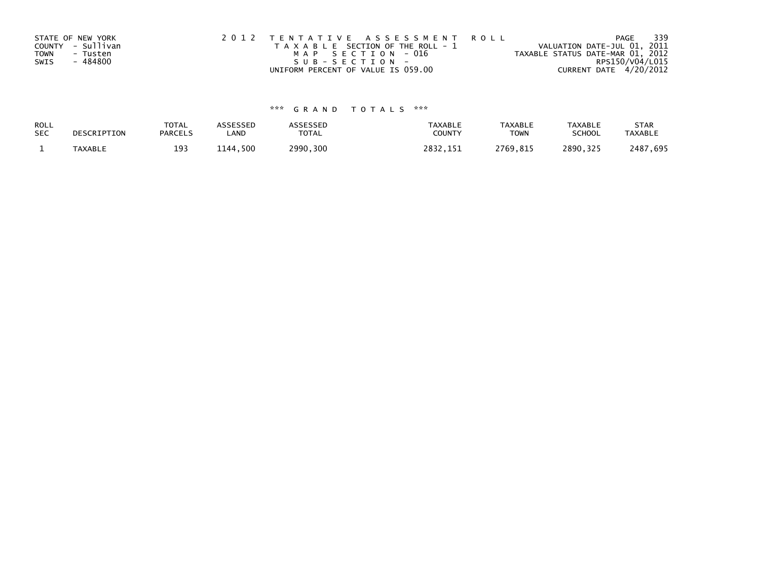| STATE OF NEW YORK       | 2012 TENTATIVE ASSESSMENT ROLL        | PAGE                             | - 339 |
|-------------------------|---------------------------------------|----------------------------------|-------|
| COUNTY - Sullivan       | T A X A B L E SECTION OF THE ROLL - 1 | VALUATION DATE-JUL 01, 2011      |       |
| <b>TOWN</b><br>- Tusten | MAP SECTION - 016                     | TAXABLE STATUS DATE-MAR 01, 2012 |       |
| - 484800<br>SWIS        | SUB-SECTION-                          | RPS150/V04/L015                  |       |
|                         | UNIFORM PERCENT OF VALUE IS 059.00    | CURRENT DATE 4/20/2012           |       |

# \*\*\* G R A N D T O T A L S \*\*\*

| ROLL       | DESCRIPTION    | <b>TOTAL</b>   | ASSESSED      | <b>ASSESSED</b> | <b>TAXABLE</b> | <b>TAXABLE</b> | <b>TAXABLE</b> | <b>STAR</b>    |
|------------|----------------|----------------|---------------|-----------------|----------------|----------------|----------------|----------------|
| <b>SEC</b> |                | <b>PARCELS</b> | ∟AND          | TOTAL           | <b>COUNT</b>   | <b>TOWN</b>    | <b>SCHOOL</b>  | <b>TAXABLE</b> |
|            | <b>TAXABLE</b> | 193            | ,500<br>1144. | 2990,300        | 2832           | 2769,815       | 2890.325       | 2487.695       |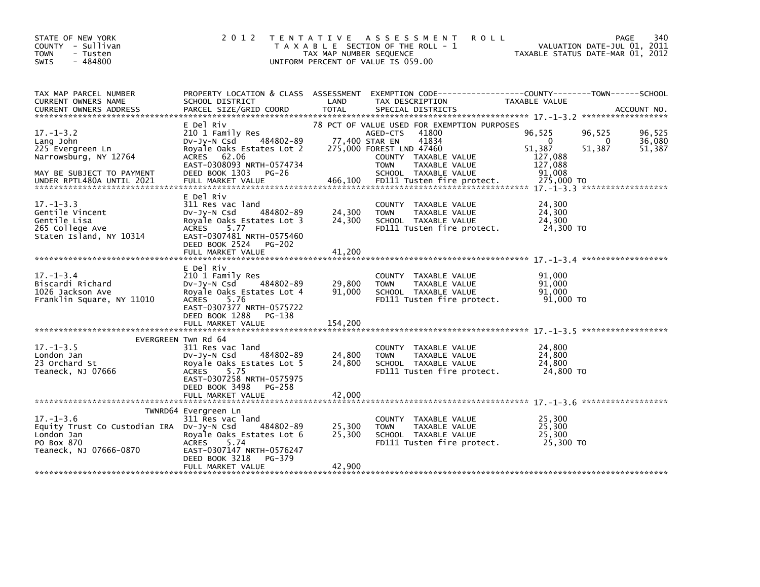| STATE OF NEW YORK<br>COUNTY - Sullivan<br><b>TOWN</b><br>- Tusten<br>$-484800$<br>SWIS                             | 2 0 1 2                                                                                                                                                                                     | TAX MAP NUMBER SEQUENCE    | TENTATIVE ASSESSMENT<br><b>ROLL</b><br>T A X A B L E SECTION OF THE ROLL - 1<br>UNIFORM PERCENT OF VALUE IS 059.00                                                                                      | VALUATION DATE-JUL 01, 2011<br>TAXABLE STATUS DATE-MAR 01, 2012                                                   | 340<br>PAGE                |
|--------------------------------------------------------------------------------------------------------------------|---------------------------------------------------------------------------------------------------------------------------------------------------------------------------------------------|----------------------------|---------------------------------------------------------------------------------------------------------------------------------------------------------------------------------------------------------|-------------------------------------------------------------------------------------------------------------------|----------------------------|
| TAX MAP PARCEL NUMBER<br>CURRENT OWNERS NAME                                                                       | SCHOOL DISTRICT                                                                                                                                                                             | LAND                       | TAX DESCRIPTION                                                                                                                                                                                         | PROPERTY LOCATION & CLASS ASSESSMENT EXEMPTION CODE----------------COUNTY-------TOWN------SCHOOL<br>TAXABLE VALUE |                            |
| $17. - 1 - 3.2$<br>Lang John<br>225 Evergreen Ln<br>Narrowsburg, NY 12764<br>MAY BE SUBJECT TO PAYMENT             | E Del Riv<br>210 1 Family Res<br>484802-89<br>DV-Jy-N Csd<br>Royale Oaks Estates Lot 2<br>ACRES 62.06<br>EAST-0308093 NRTH-0574734<br>DEED BOOK 1303 PG-26                                  |                            | 78 PCT OF VALUE USED FOR EXEMPTION PURPOSES<br>AGED-CTS<br>41800<br>41834<br>77,400 STAR EN<br>275,000 FOREST LND 47460<br>COUNTY TAXABLE VALUE<br><b>TOWN</b><br>TAXABLE VALUE<br>SCHOOL TAXABLE VALUE | 96,525<br>96,525<br>$\mathbf{0}$<br>$\mathbf{0}$<br>51,387<br>51,387<br>127,088<br>127,088<br>91,008              | 96,525<br>36,080<br>51,387 |
| $17. - 1 - 3.3$<br>Gentile Vincent<br>Gentile Lisa<br>265 College Ave<br>Staten Island, NY 10314                   | E Del Riv<br>311 Res vac land<br>484802-89<br>$Dv-Jy-N$ Csd<br>Royale Oaks Estates Lot 3<br><b>ACRES</b><br>5.77<br>EAST-0307481 NRTH-0575460<br>DEED BOOK 2524 PG-202<br>FULL MARKET VALUE | 24,300<br>24,300<br>41,200 | COUNTY TAXABLE VALUE<br>TAXABLE VALUE<br><b>TOWN</b><br>SCHOOL TAXABLE VALUE<br>FD111 Tusten fire protect.                                                                                              | 24,300<br>24,300<br>24,300<br>24,300 TO                                                                           |                            |
| $17. - 1 - 3.4$<br>Biscardi Richard<br>1026 Jackson Ave<br>Franklin Square, NY 11010                               | E Del Riv<br>210 1 Family Res<br>$Dv-Jy-N$ Csd<br>484802-89<br>Royale Oaks Estates Lot 4<br>ACRES<br>5.76<br>EAST-0307377 NRTH-0575722<br>DEED BOOK 1288<br>PG-138                          | 29,800<br>91,000           | COUNTY TAXABLE VALUE<br>TAXABLE VALUE<br><b>TOWN</b><br>SCHOOL TAXABLE VALUE<br>FD111 Tusten fire protect.                                                                                              | 91.000<br>91,000<br>91,000<br>91,000 TO                                                                           |                            |
| $17. - 1 - 3.5$<br>London Jan<br>23 Orchard St<br>Teaneck, NJ 07666                                                | EVERGREEN Twn Rd 64<br>311 Res vac land<br>484802-89<br>$Dv-Jy-N$ Csd<br>Royale Oaks Estates Lot 5<br>5.75<br>ACRES<br>EAST-0307258 NRTH-0575975<br>DEED BOOK 3498<br>PG-258                | 24,800<br>24,800           | COUNTY TAXABLE VALUE<br>TAXABLE VALUE<br><b>TOWN</b><br>SCHOOL TAXABLE VALUE<br>FD111 Tusten fire protect.                                                                                              | 24,800<br>24,800<br>24,800<br>24,800 TO                                                                           |                            |
| $17. - 1 - 3.6$<br>Equity Trust Co Custodian IRA Dv-Jy-N Csd<br>London Jan<br>PO Box 870<br>Teaneck, NJ 07666-0870 | TWNRD64 Evergreen Ln<br>311 Res vac land<br>484802-89<br>Royale Oaks Estates Lot 6<br><b>ACRES</b><br>5.74<br>EAST-0307147 NRTH-0576247<br>DEED BOOK 3218<br>PG-379<br>FULL MARKET VALUE    | 25,300<br>25,300<br>42,900 | COUNTY TAXABLE VALUE<br><b>TOWN</b><br>TAXABLE VALUE<br>SCHOOL TAXABLE VALUE<br>FD111 Tusten fire protect.                                                                                              | 25,300<br>25,300<br>25,300<br>25,300 TO                                                                           |                            |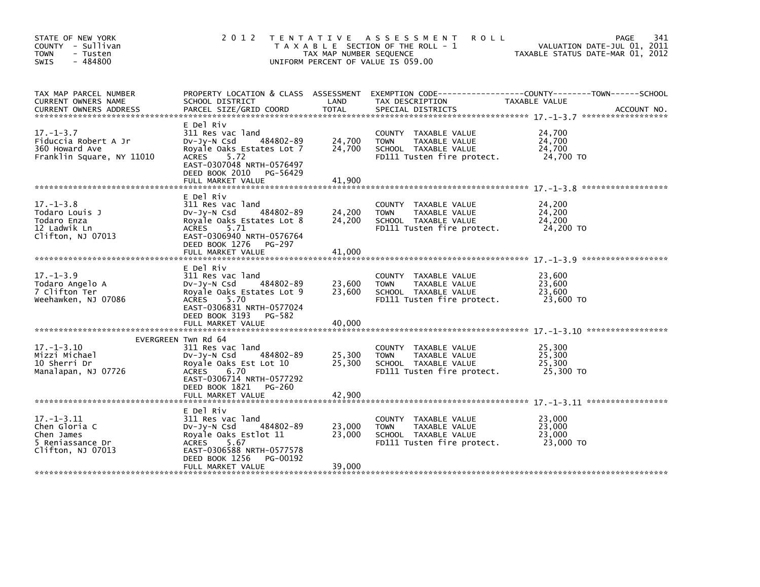| STATE OF NEW YORK<br>COUNTY - Sullivan<br><b>TOWN</b><br>- Tusten<br>$-484800$<br><b>SWIS</b> | 2 0 1 2                                                                                                                                                                                       | TAX MAP NUMBER SEQUENCE    | TENTATIVE ASSESSMENT<br><b>ROLL</b><br>T A X A B L E SECTION OF THE ROLL - 1<br>UNIFORM PERCENT OF VALUE IS 059.00 | 341<br><b>PAGE</b><br>VALUATION DATE-JUL 01, 2011<br>TAXABLE STATUS DATE-MAR 01, 2012 |
|-----------------------------------------------------------------------------------------------|-----------------------------------------------------------------------------------------------------------------------------------------------------------------------------------------------|----------------------------|--------------------------------------------------------------------------------------------------------------------|---------------------------------------------------------------------------------------|
| TAX MAP PARCEL NUMBER<br>CURRENT OWNERS NAME<br><b>CURRENT OWNERS ADDRESS</b>                 | PROPERTY LOCATION & CLASS ASSESSMENT<br>SCHOOL DISTRICT<br>PARCEL SIZE/GRID COORD                                                                                                             | LAND<br><b>TOTAL</b>       | TAX DESCRIPTION<br>SPECIAL DISTRICTS                                                                               | TAXABLE VALUE<br>ACCOUNT NO.                                                          |
| $17. - 1 - 3.7$<br>Fiduccia Robert A Jr<br>360 Howard Ave<br>Franklin Square, NY 11010        | E Del Riv<br>311 Res vac land<br>484802-89<br>$Dv-Jy-N$ Csd<br>Royale Oaks Estates Lot 7<br><b>ACRES</b><br>5.72<br>EAST-0307048 NRTH-0576497<br>DEED BOOK 2010 PG-56429<br>FULL MARKET VALUE | 24,700<br>24,700<br>41.900 | COUNTY TAXABLE VALUE<br><b>TOWN</b><br>TAXABLE VALUE<br>SCHOOL TAXABLE VALUE<br>FD111 Tusten fire protect.         | 24,700<br>24,700<br>24,700<br>24,700 TO                                               |
|                                                                                               | E Del Riv                                                                                                                                                                                     |                            |                                                                                                                    |                                                                                       |
| $17. - 1 - 3.8$<br>Todaro Louis J<br>Todaro Enza<br>12 Ladwik Ln<br>Clifton, NJ 07013         | 311 Res vac land<br>$Dv-Jy-N$ Csd<br>484802-89<br>Royale Oaks Estates Lot 8<br><b>ACRES</b><br>5.71<br>EAST-0306940 NRTH-0576764<br>DEED BOOK 1276 PG-297                                     | 24,200<br>24,200           | COUNTY TAXABLE VALUE<br>TAXABLE VALUE<br>TOWN<br>SCHOOL TAXABLE VALUE<br>FD111 Tusten fire protect.                | 24,200<br>24,200<br>24,200<br>24,200 TO                                               |
|                                                                                               | FULL MARKET VALUE                                                                                                                                                                             | 41.000                     |                                                                                                                    |                                                                                       |
| $17. - 1 - 3.9$<br>Todaro Angelo A<br>7 Clifton Ter<br>Weehawken, NJ 07086                    | E Del Riv<br>311 Res vac land<br>484802-89<br>$Dv-Jy-N$ Csd<br>Royale Oaks Estates Lot 9<br><b>ACRES</b><br>5.70<br>EAST-0306831 NRTH-0577024<br>DEED BOOK 3193 PG-582                        | 23,600<br>23,600           | COUNTY TAXABLE VALUE<br>TAXABLE VALUE<br><b>TOWN</b><br>SCHOOL TAXABLE VALUE<br>FD111 Tusten fire protect.         | 23,600<br>23,600<br>23,600<br>23,600 TO                                               |
|                                                                                               | FULL MARKET VALUE                                                                                                                                                                             | 40,000                     |                                                                                                                    |                                                                                       |
| $17. - 1 - 3.10$<br>Mizzi Michael<br>10 Sherri Dr<br>Manalapan, NJ 07726                      | EVERGREEN Twn Rd 64<br>311 Res vac land<br>484802-89<br>$Dv-Jy-N$ Csd<br>Royale Oaks Est Lot 10<br>6.70<br><b>ACRES</b><br>EAST-0306714 NRTH-0577292<br>DEED BOOK 1821 PG-260                 | 25,300<br>25,300           | COUNTY TAXABLE VALUE<br>TAXABLE VALUE<br><b>TOWN</b><br>SCHOOL TAXABLE VALUE<br>FD111 Tusten fire protect.         | 25,300<br>25,300<br>25,300<br>25,300 TO                                               |
|                                                                                               | FULL MARKET VALUE                                                                                                                                                                             | 42,900                     |                                                                                                                    |                                                                                       |
| $17. - 1 - 3.11$<br>Chen Gloria C<br>Chen James<br>5 Reniassance Dr<br>Clifton, NJ 07013      | E Del Riv<br>311 Res vac land<br>484802-89<br>DV-Jy-N Csd<br>Royale Oaks Estlot 11<br><b>ACRES</b><br>5.67<br>EAST-0306588 NRTH-0577578<br>DEED BOOK 1256<br>PG-00192                         | 23,000<br>23,000           | COUNTY<br>TAXABLE VALUE<br>TAXABLE VALUE<br><b>TOWN</b><br>SCHOOL TAXABLE VALUE<br>FD111 Tusten fire protect.      | 23,000<br>23,000<br>23,000<br>23,000 TO                                               |
|                                                                                               | FULL MARKET VALUE                                                                                                                                                                             | 39,000                     |                                                                                                                    |                                                                                       |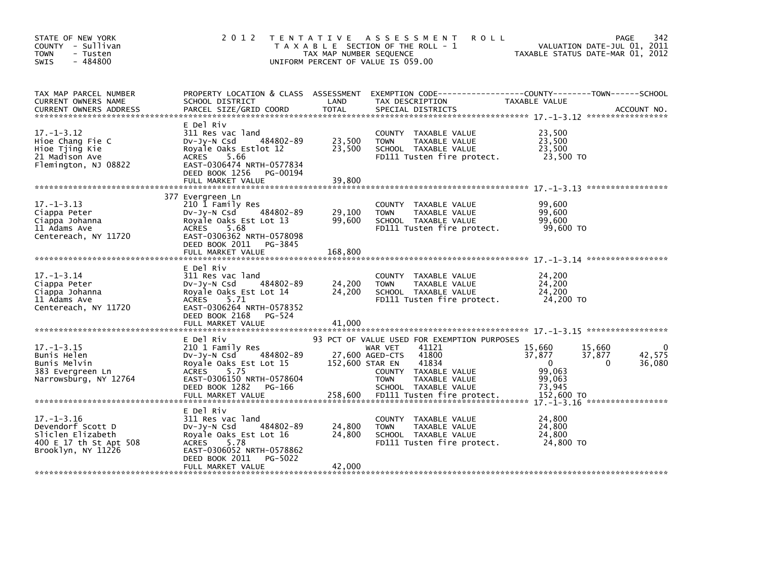| STATE OF NEW YORK<br>COUNTY - Sullivan<br><b>TOWN</b><br>- Tusten<br>$-484800$<br><b>SWIS</b>              | 2 0 1 2                                                                                                                                                                                      | T E N T A T I V E<br>TAX MAP NUMBER SEQUENCE | A S S E S S M E N T<br><b>ROLL</b><br>T A X A B L E SECTION OF THE ROLL - 1<br>UNIFORM PERCENT OF VALUE IS 059.00                                                                    | VALUATION DATE-JUL 01, 2011<br>TAXABLE STATUS DATE-MAR 01, 2012                     | 342<br>PAGE      |
|------------------------------------------------------------------------------------------------------------|----------------------------------------------------------------------------------------------------------------------------------------------------------------------------------------------|----------------------------------------------|--------------------------------------------------------------------------------------------------------------------------------------------------------------------------------------|-------------------------------------------------------------------------------------|------------------|
| TAX MAP PARCEL NUMBER<br>CURRENT OWNERS NAME                                                               | PROPERTY LOCATION & CLASS ASSESSMENT<br>SCHOOL DISTRICT                                                                                                                                      | LAND                                         | EXEMPTION CODE------------------COUNTY--------TOWN------SCHOOL<br>TAX DESCRIPTION                                                                                                    | TAXABLE VALUE                                                                       |                  |
| $17. - 1 - 3.12$<br>Hioe Chang Fie C<br>Hioe Tjing Kie<br>21 Madison Ave<br>Flemington, NJ 08822           | E Del Riv<br>311 Res vac land<br>484802-89<br>$Dv-Jy-N$ Csd<br>Royale Oaks Estlot 12<br><b>ACRES</b><br>5.66<br>EAST-0306474 NRTH-0577834<br>DEED BOOK 1256<br>PG-00194<br>FULL MARKET VALUE | 23,500<br>23,500<br>39,800                   | COUNTY TAXABLE VALUE<br>TAXABLE VALUE<br><b>TOWN</b><br>SCHOOL TAXABLE VALUE<br>FD111 Tusten fire protect.                                                                           | 23,500<br>23,500<br>23,500<br>23,500 TO                                             |                  |
| $17. - 1 - 3.13$<br>Ciappa Peter<br>Ciappa Johanna<br>11 Adams Ave<br>Centereach, NY 11720                 | 377 Evergreen Ln<br>210 1 Family Res<br>484802-89<br>DV-JY-N Csd<br>Royale Oaks Est Lot 13<br><b>ACRES</b><br>5.68<br>EAST-0306362 NRTH-0578098<br>DEED BOOK 2011 PG-3845                    | 29,100<br>99,600                             | <b>COUNTY</b><br>TAXABLE VALUE<br>TAXABLE VALUE<br><b>TOWN</b><br>SCHOOL TAXABLE VALUE<br>FD111 Tusten fire protect.                                                                 | 99.600<br>99,600<br>99,600<br>99.600 TO                                             |                  |
|                                                                                                            | FULL MARKET VALUE                                                                                                                                                                            | 168,800                                      |                                                                                                                                                                                      |                                                                                     |                  |
| $17. - 1 - 3.14$<br>Ciappa Peter<br>Ciappa Johanna<br>11 Adams Ave<br>Centereach, NY 11720                 | E Del Riv<br>311 Res vac land<br>484802-89<br>$Dv-Jy-N$ Csd<br>Royale Oaks Est Lot 14<br><b>ACRES</b><br>5.71<br>EAST-0306264 NRTH-0578352<br>DEED BOOK 2168<br>PG-524                       | 24,200<br>24,200                             | COUNTY TAXABLE VALUE<br>TAXABLE VALUE<br><b>TOWN</b><br>SCHOOL TAXABLE VALUE<br>FD111 Tusten fire protect.                                                                           | 24,200<br>24,200<br>24,200<br>24,200 TO                                             |                  |
|                                                                                                            | FULL MARKET VALUE                                                                                                                                                                            | 41,000                                       |                                                                                                                                                                                      |                                                                                     |                  |
| $17. - 1 - 3.15$<br>Bunis Helen<br>Bunis Melvin<br>383 Evergreen Ln<br>Narrowsburg, NY 12764               | E Del Riv<br>210 1 Family Res<br>484802-89<br>$Dv-Jy-N$ Csd<br>Royale Oaks Est Lot 15<br><b>ACRES</b><br>5.75<br>EAST-0306150 NRTH-0578604<br>DEED BOOK 1282<br>PG-166                       | 152,600 STAR EN                              | 93 PCT OF VALUE USED FOR EXEMPTION PURPOSES<br>41121<br>WAR VET<br>41800<br>27,600 AGED-CTS<br>41834<br>COUNTY TAXABLE VALUE<br><b>TOWN</b><br>TAXABLE VALUE<br>SCHOOL TAXABLE VALUE | 15,660<br>15,660<br>37,877<br>37,877<br>0<br>$\Omega$<br>99,063<br>99,063<br>73,945 | 42,575<br>36,080 |
|                                                                                                            |                                                                                                                                                                                              |                                              |                                                                                                                                                                                      |                                                                                     |                  |
| $17. - 1 - 3.16$<br>Devendorf Scott D<br>Sliclen Elizabeth<br>400 E 17 th St Apt 508<br>Brooklyn, NY 11226 | E Del Riv<br>311 Res vac land<br>484802-89<br>DV-Jy-N Csd<br>Royale Oaks Est Lot 16<br><b>ACRES</b><br>5.78<br>EAST-0306052 NRTH-0578862<br>DEED BOOK 2011<br>PG-5022                        | 24,800<br>24,800                             | COUNTY TAXABLE VALUE<br>TAXABLE VALUE<br><b>TOWN</b><br>SCHOOL TAXABLE VALUE<br>FD111 Tusten fire protect.                                                                           | 24,800<br>24,800<br>24,800<br>24,800 TO                                             |                  |
|                                                                                                            | FULL MARKET VALUE                                                                                                                                                                            | 42,000                                       |                                                                                                                                                                                      |                                                                                     |                  |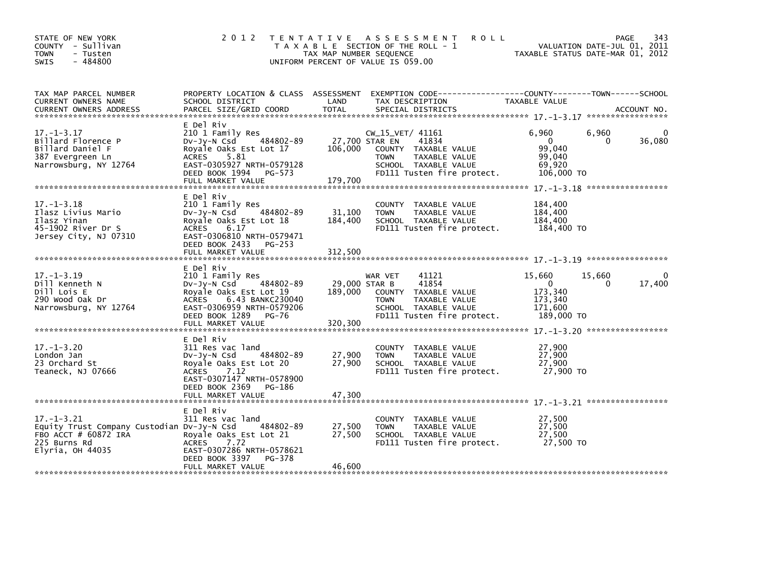| STATE OF NEW YORK<br>COUNTY - Sullivan<br>- Tusten<br><b>TOWN</b><br>$-484800$<br><b>SWIS</b>                              | 2 0 1 2<br>T E N T A T I V E                                                                                                                                                    | TAX MAP NUMBER SEQUENCE              | A S S E S S M E N T<br><b>ROLL</b><br>T A X A B L E SECTION OF THE ROLL - 1<br>UNIFORM PERCENT OF VALUE IS 059.00                       | VALUATION DATE-JUL 01, 2011<br>TAXABLE STATUS DATE-MAR 01, 2012                             | 343<br>PAGE        |
|----------------------------------------------------------------------------------------------------------------------------|---------------------------------------------------------------------------------------------------------------------------------------------------------------------------------|--------------------------------------|-----------------------------------------------------------------------------------------------------------------------------------------|---------------------------------------------------------------------------------------------|--------------------|
| TAX MAP PARCEL NUMBER<br>CURRENT OWNERS NAME                                                                               | SCHOOL DISTRICT                                                                                                                                                                 | LAND                                 | PROPERTY LOCATION & CLASS ASSESSMENT EXEMPTION CODE-----------------COUNTY-------TOWN-----SCHOOL<br>TAX DESCRIPTION                     | TAXABLE VALUE                                                                               |                    |
| $17. - 1 - 3.17$<br>Billard Florence P<br>Billard Daniel F<br>387 Evergreen Ln<br>Narrowsburg, NY 12764                    | E Del Riv<br>210 1 Family Res<br>484802-89<br>Dv-Jy-N Csd<br>Royale Oaks Est Lot 17<br>ACRES 5.81<br>EAST-0305927 NRTH-0579128<br>DEED BOOK 1994 PG-573<br>FULL MARKET VALUE    | 27,700 STAR EN<br>106,000<br>179,700 | CW_15_VET/ 41161<br>41834<br>COUNTY TAXABLE VALUE<br>TAXABLE VALUE<br><b>TOWN</b><br>SCHOOL TAXABLE VALUE<br>FD111 Tusten fire protect. | 6,960<br>6,960<br>$\mathbf{0}$<br>$\Omega$<br>99.040<br>99,040<br>69,920<br>106,000 TO      | $\Omega$<br>36,080 |
| $17. - 1 - 3.18$<br>Ilasz Livius Mario<br>Ilasz Yinan<br>45-1902 River Dr S<br>Jersey City, NJ 07310                       | E Del Riv<br>210 1 Family Res<br>484802-89<br>Dv-Jy-N Csd<br>Royale Oaks Est Lot 18<br>ACRES 6.17<br>EAST-0306810 NRTH-0579471<br>DEED BOOK 2433<br>PG-253<br>FULL MARKET VALUE | 31,100<br>184,400<br>312,500         | COUNTY TAXABLE VALUE<br>TAXABLE VALUE<br><b>TOWN</b><br>SCHOOL TAXABLE VALUE<br>FD111 Tusten fire protect.                              | 184,400<br>184,400<br>184,400<br>184,400 TO                                                 |                    |
|                                                                                                                            | E Del Riv                                                                                                                                                                       |                                      |                                                                                                                                         |                                                                                             |                    |
| $17. - 1 - 3.19$<br>Dill Kenneth N<br>Dill Lois E<br>290 Wood Oak Dr<br>Narrowsburg, NY 12764                              | 210 1 Family Res<br>$Dv-Jy-N$ Csd<br>484802-89<br>Royale Oaks Est Lot 19<br>ACRES 6.43 BANKC230040<br>EAST-0306959 NRTH-0579206<br>DEED BOOK 1289 PG-76                         | 29,000 STAR B<br>189,000             | 41121<br>WAR VET<br>41854<br>COUNTY TAXABLE VALUE<br>TAXABLE VALUE<br><b>TOWN</b><br>SCHOOL TAXABLE VALUE<br>FD111 Tusten fire protect. | 15,660<br>15,660<br>$\mathbf{0}$<br>$\Omega$<br>173,340<br>173,340<br>171,600<br>189,000 TO | $\Omega$<br>17,400 |
|                                                                                                                            |                                                                                                                                                                                 |                                      |                                                                                                                                         |                                                                                             |                    |
| $17. - 1 - 3.20$<br>London Jan<br>23 Orchard St<br>Teaneck, NJ 07666                                                       | E Del Riv<br>311 Res vac land<br>484802-89<br>$Dv-Jy-N$ Csd<br>Royale Oaks Est Lot 20<br>ACRES<br>7.12<br>EAST-0307147 NRTH-0578900<br>DEED BOOK 2369 PG-186                    | 27,900<br>27,900                     | COUNTY TAXABLE VALUE<br><b>TOWN</b><br>TAXABLE VALUE<br>SCHOOL TAXABLE VALUE<br>FD111 Tusten fire protect.                              | 27,900<br>27,900<br>27,900<br>27,900 то                                                     |                    |
|                                                                                                                            | E Del Riv                                                                                                                                                                       |                                      |                                                                                                                                         |                                                                                             |                    |
| $17. - 1 - 3.21$<br>Equity Trust Company Custodian DV-Jy-N Csd<br>FBO ACCT # 60872 IRA<br>225 Burns Rd<br>Elyria, OH 44035 | 311 Res vac land<br>484802-89<br>Royale Oaks Est Lot 21<br><b>ACRES</b><br>7.72<br>EAST-0307286 NRTH-0578621                                                                    | 27,500<br>27,500                     | COUNTY TAXABLE VALUE<br><b>TOWN</b><br>TAXABLE VALUE<br>SCHOOL TAXABLE VALUE<br>FD111 Tusten fire protect.                              | 27,500<br>27.500<br>27,500<br>27,500 TO                                                     |                    |
|                                                                                                                            | DEED BOOK 3397<br>PG-378<br>FULL MARKET VALUE                                                                                                                                   | 46,600                               |                                                                                                                                         |                                                                                             |                    |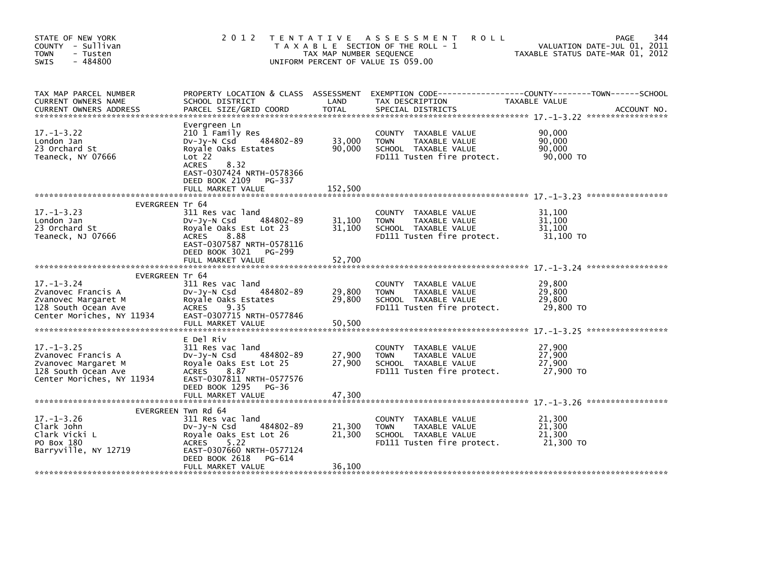| STATE OF NEW YORK<br>COUNTY - Sullivan<br><b>TOWN</b><br>- Tusten<br>SWIS<br>$-484800$                                                      | 2 0 1 2                                                                                                                                                                                               | TAX MAP NUMBER SEQUENCE     | <b>ROLL</b><br>TENTATIVE ASSESSMENT<br>T A X A B L E SECTION OF THE ROLL - 1<br>UNIFORM PERCENT OF VALUE IS 059.00 | 344<br>PAGE<br>VALUATION DATE-JUL 01, 2011<br>TAXABLE STATUS DATE-MAR 01, 2012               |
|---------------------------------------------------------------------------------------------------------------------------------------------|-------------------------------------------------------------------------------------------------------------------------------------------------------------------------------------------------------|-----------------------------|--------------------------------------------------------------------------------------------------------------------|----------------------------------------------------------------------------------------------|
| TAX MAP PARCEL NUMBER<br>CURRENT OWNERS NAME<br><b>CURRENT OWNERS ADDRESS</b>                                                               | PROPERTY LOCATION & CLASS ASSESSMENT<br>SCHOOL DISTRICT<br>PARCEL SIZE/GRID COORD                                                                                                                     | LAND<br>TOTAL               | TAX DESCRIPTION<br>SPECIAL DISTRICTS                                                                               | EXEMPTION CODE-----------------COUNTY-------TOWN------SCHOOL<br>TAXABLE VALUE<br>ACCOUNT NO. |
| $17. - 1 - 3.22$<br>London Jan<br>23 Orchard St<br>Teaneck, NY 07666                                                                        | Evergreen Ln<br>210 1 Family Res<br>484802-89<br>$Dv-Jy-N$ Csd<br>Royale Oaks Estates<br>Lot 22<br>8.32<br><b>ACRES</b><br>EAST-0307424 NRTH-0578366<br>DEED BOOK 2109<br>PG-337<br>FULL MARKET VALUE | 33,000<br>90,000<br>152,500 | COUNTY TAXABLE VALUE<br><b>TOWN</b><br>TAXABLE VALUE<br>SCHOOL TAXABLE VALUE<br>FD111 Tusten fire protect.         | 90,000<br>90,000<br>90,000<br>90,000 TO                                                      |
| <b>EVERGREEN Tr 64</b>                                                                                                                      |                                                                                                                                                                                                       |                             |                                                                                                                    |                                                                                              |
| $17. - 1 - 3.23$<br>London Jan<br>23 Orchard St<br>Teaneck, NJ 07666                                                                        | 311 Res vac land<br>484802-89<br>DV-JY-N Csd<br>Royale Oaks Est Lot 23<br>ACRES<br>8.88<br>EAST-0307587 NRTH-0578116<br>DEED BOOK 3021<br>PG-299                                                      | 31,100<br>31,100            | COUNTY TAXABLE VALUE<br><b>TOWN</b><br>TAXABLE VALUE<br>SCHOOL TAXABLE VALUE<br>FD111 Tusten fire protect.         | 31,100<br>31,100<br>31,100<br>31,100 TO                                                      |
|                                                                                                                                             | FULL MARKET VALUE                                                                                                                                                                                     | 52,700                      |                                                                                                                    |                                                                                              |
| <b>EVERGREEN Tr 64</b><br>$17. - 1 - 3.24$<br>Zvanovec Francis A<br>Zvanovec Margaret M<br>128 South Ocean Ave<br>Center Moriches, NY 11934 | 311 Res vac land<br>484802-89<br>DV-JY-N Csd<br>Royale Oaks Estates<br><b>ACRES</b><br>9.35<br>EAST-0307715 NRTH-0577846<br>FULL MARKET VALUE                                                         | 29,800<br>29,800<br>50,500  | COUNTY TAXABLE VALUE<br><b>TOWN</b><br>TAXABLE VALUE<br>SCHOOL TAXABLE VALUE<br>FD111 Tusten fire protect.         | 29,800<br>29,800<br>29,800<br>29,800 TO                                                      |
| $17. - 1 - 3.25$<br>Zvanovec Francis A<br>Zvanovec Margaret M<br>128 South Ocean Ave<br>Center Moriches, NY 11934                           | E Del Riv<br>311 Res vac land<br>$Dv-Jy-N$ Csd<br>484802-89<br>Royale Oaks Est Lot 25<br><b>ACRES</b><br>8.87<br>EAST-0307811 NRTH-0577576<br>DEED BOOK 1295 PG-36<br>FULL MARKET VALUE               | 27,900<br>27,900<br>47,300  | COUNTY TAXABLE VALUE<br>TAXABLE VALUE<br><b>TOWN</b><br>SCHOOL TAXABLE VALUE<br>FD111 Tusten fire protect.         | 27,900<br>27,900<br>27,900<br>27,900 TO                                                      |
|                                                                                                                                             | EVERGREEN Twn Rd 64                                                                                                                                                                                   |                             |                                                                                                                    |                                                                                              |
| $17. - 1 - 3.26$<br>Clark John<br>Clark Vicki L<br>PO Box 180<br>Barryville, NY 12719                                                       | 311 Res vac land<br>484802-89<br>$Dv-Jy-N$ Csd<br>Royale Oaks Est Lot 26<br><b>ACRES</b><br>5.22<br>EAST-0307660 NRTH-0577124<br>DEED BOOK 2618<br>PG-614<br>FULL MARKET VALUE                        | 21,300<br>21,300<br>36,100  | COUNTY TAXABLE VALUE<br>TAXABLE VALUE<br><b>TOWN</b><br>SCHOOL TAXABLE VALUE<br>FD111 Tusten fire protect.         | 21,300<br>21,300<br>21,300<br>21,300 TO                                                      |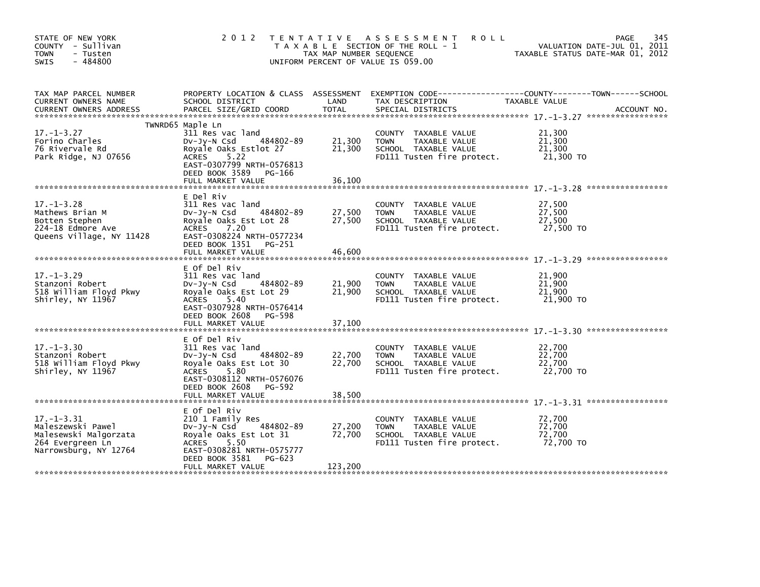| STATE OF NEW YORK<br>COUNTY - Sullivan<br><b>TOWN</b><br>- Tusten<br>$-484800$<br>SWIS                      | 2 0 1 2                                                                                                                                                                                      | TAX MAP NUMBER SEQUENCE     | TENTATIVE ASSESSMENT<br><b>ROLL</b><br>T A X A B L E SECTION OF THE ROLL - 1<br>UNIFORM PERCENT OF VALUE IS 059.00 | 345<br>PAGE<br>VALUATION DATE-JUL 01, 2011<br>TAXABLE STATUS DATE-MAR 01, 2012                 |
|-------------------------------------------------------------------------------------------------------------|----------------------------------------------------------------------------------------------------------------------------------------------------------------------------------------------|-----------------------------|--------------------------------------------------------------------------------------------------------------------|------------------------------------------------------------------------------------------------|
| TAX MAP PARCEL NUMBER<br>CURRENT OWNERS NAME<br><b>CURRENT OWNERS ADDRESS</b>                               | PROPERTY LOCATION & CLASS ASSESSMENT<br>SCHOOL DISTRICT<br>PARCEL SIZE/GRID COORD                                                                                                            | LAND<br><b>TOTAL</b>        | TAX DESCRIPTION<br>SPECIAL DISTRICTS                                                                               | EXEMPTION CODE------------------COUNTY--------TOWN------SCHOOL<br>TAXABLE VALUE<br>ACCOUNT NO. |
|                                                                                                             | TWNRD65 Maple Ln                                                                                                                                                                             |                             |                                                                                                                    |                                                                                                |
| $17. - 1 - 3.27$<br>Forino Charles<br>76 Rivervale Rd<br>Park Ridge, NJ 07656                               | 311 Res vac land<br>484802-89<br>DV-JY-N Csd<br>Royale Oaks Estlot 27<br>5.22<br>ACRES<br>EAST-0307799 NRTH-0576813<br>DEED BOOK 3589 PG-166                                                 | 21,300<br>21,300            | COUNTY TAXABLE VALUE<br><b>TOWN</b><br>TAXABLE VALUE<br>SCHOOL TAXABLE VALUE<br>FD111 Tusten fire protect.         | 21,300<br>21,300<br>21,300<br>21,300 TO                                                        |
|                                                                                                             | FULL MARKET VALUE                                                                                                                                                                            | 36,100                      |                                                                                                                    |                                                                                                |
| $17. - 1 - 3.28$<br>Mathews Brian M<br>Botten Stephen<br>224-18 Edmore Ave<br>Queens Village, NY 11428      | E Del Riv<br>311 Res vac land<br>484802-89<br>$Dv-Jv-N$ Csd<br>Royale Oaks Est Lot 28<br>ACRES<br>7.20<br>EAST-0308224 NRTH-0577234<br>DEED BOOK 1351 PG-251                                 | 27,500<br>27,500            | COUNTY TAXABLE VALUE<br>TAXABLE VALUE<br><b>TOWN</b><br>SCHOOL TAXABLE VALUE<br>FD111 Tusten fire protect.         | 27,500<br>27,500<br>27,500<br>27,500 TO                                                        |
|                                                                                                             | FULL MARKET VALUE                                                                                                                                                                            | 46,600                      |                                                                                                                    |                                                                                                |
| $17. - 1 - 3.29$<br>Stanzoni Robert<br>518 William Floyd Pkwy<br>Shirley, NY 11967                          | E Of Del Riv<br>311 Res vac land<br>DV-Jy-N Csd<br>484802-89<br>Royale Oaks Est Lot 29<br>ACRES<br>5.40<br>EAST-0307928 NRTH-0576414<br>DEED BOOK 2608 PG-598                                | 21,900<br>21,900            | COUNTY TAXABLE VALUE<br><b>TOWN</b><br>TAXABLE VALUE<br>SCHOOL TAXABLE VALUE<br>FD111 Tusten fire protect.         | 21,900<br>21,900<br>21,900<br>21,900 TO                                                        |
|                                                                                                             | FULL MARKET VALUE                                                                                                                                                                            | 37,100                      |                                                                                                                    |                                                                                                |
| $17. - 1 - 3.30$<br>Stanzoni Robert<br>518 William Floyd Pkwy<br>Shirley, NY 11967                          | E Of Del Riv<br>311 Res vac land<br>484802-89<br>DV-Jy-N Csd<br>Royale Oaks Est Lot 30<br><b>ACRES</b><br>5.80<br>EAST-0308112 NRTH-0576076<br>DEED BOOK 2608<br>PG-592                      | 22,700<br>22,700            | COUNTY TAXABLE VALUE<br>TAXABLE VALUE<br><b>TOWN</b><br>SCHOOL TAXABLE VALUE<br>FD111 Tusten fire protect.         | 22,700<br>22,700<br>22,700<br>22,700 TO                                                        |
|                                                                                                             |                                                                                                                                                                                              |                             |                                                                                                                    |                                                                                                |
| $17. - 1 - 3.31$<br>Maleszewski Pawel<br>Malesewski Malgorzata<br>264 Evergreen Ln<br>Narrowsburg, NY 12764 | E Of Del Riv<br>210 1 Family Res<br>484802-89<br>DV-Jy-N Csd<br>Royale Oaks Est Lot 31<br><b>ACRES</b><br>5.50<br>EAST-0308281 NRTH-0575777<br>DEED BOOK 3581<br>PG-623<br>FULL MARKET VALUE | 27,200<br>72,700<br>123,200 | COUNTY TAXABLE VALUE<br><b>TOWN</b><br>TAXABLE VALUE<br>SCHOOL TAXABLE VALUE<br>FD111 Tusten fire protect.         | 72,700<br>72,700<br>72,700<br>72,700 TO                                                        |
|                                                                                                             |                                                                                                                                                                                              |                             |                                                                                                                    |                                                                                                |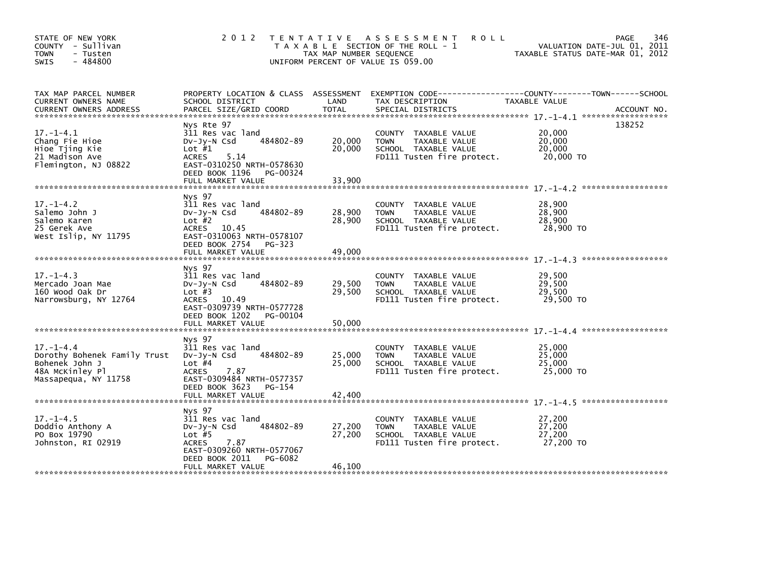| STATE OF NEW YORK<br>COUNTY - Sullivan<br>- Tusten<br><b>TOWN</b><br>$-484800$<br><b>SWIS</b>                | 2 0 1 2                                                                                                                                                                       | TAX MAP NUMBER SEQUENCE    | TENTATIVE ASSESSMENT<br><b>ROLL</b><br>T A X A B L E SECTION OF THE ROLL - 1<br>UNIFORM PERCENT OF VALUE IS 059.00   | 346<br>PAGE<br>VALUATION DATE-JUL 01, 2011<br>TAXABLE STATUS DATE-MAR 01, 2012                                                                                                                                                                   |
|--------------------------------------------------------------------------------------------------------------|-------------------------------------------------------------------------------------------------------------------------------------------------------------------------------|----------------------------|----------------------------------------------------------------------------------------------------------------------|--------------------------------------------------------------------------------------------------------------------------------------------------------------------------------------------------------------------------------------------------|
| TAX MAP PARCEL NUMBER<br>CURRENT OWNERS NAME                                                                 | PROPERTY LOCATION & CLASS ASSESSMENT<br>SCHOOL DISTRICT                                                                                                                       | LAND                       | TAX DESCRIPTION                                                                                                      | EXEMPTION CODE-----------------COUNTY-------TOWN------SCHOOL<br>TAXABLE VALUE<br>CURRENT OWNERS ADDRESS PARCEL SIZE/GRID COORD TOTAL SPECIAL DISTRICTS (CORRENT OWNERS ADDRESS PARCEL SIZE/GRID COORD TOTAL SPECIAL DISTRICTS (2001) ACCOUNT NO. |
| $17. - 1 - 4.1$<br>Chang Fie Hioe<br>Hioe Tjing Kie<br>21 Madison Ave<br>Flemington, NJ 08822                | Nys Rte 97<br>311 Res vac land<br>484802-89<br>$Dv-Jv-N$ Csd<br>Lot $#1$<br>5.14<br><b>ACRES</b><br>EAST-0310250 NRTH-0578630<br>DEED BOOK 1196 PG-00324<br>FULL MARKET VALUE | 20,000<br>20,000<br>33,900 | COUNTY TAXABLE VALUE<br><b>TOWN</b><br>TAXABLE VALUE<br>SCHOOL TAXABLE VALUE<br>FD111 Tusten fire protect.           | 138252<br>20,000<br>20,000<br>20,000<br>20,000 TO                                                                                                                                                                                                |
| $17. - 1 - 4.2$<br>Salemo John J<br>Salemo Karen<br>25 Gerek Ave<br>West Islip, NY 11795                     | Nys 97<br>311 Res vac land<br>484802-89<br>$Dv-Jv-N$ Csd<br>Lot $#2$<br>ACRES 10.45<br>EAST-0310063 NRTH-0578107<br>DEED BOOK 2754 PG-323<br>FULL MARKET VALUE                | 28,900<br>28,900<br>49,000 | <b>COUNTY</b><br>TAXABLE VALUE<br>TAXABLE VALUE<br><b>TOWN</b><br>SCHOOL TAXABLE VALUE<br>FD111 Tusten fire protect. | 28,900<br>28,900<br>28,900<br>28,900 TO                                                                                                                                                                                                          |
| $17. - 1 - 4.3$<br>Mercado Joan Mae<br>160 Wood Oak Dr<br>Narrowsburg, NY 12764                              | Nys 97<br>311 Res vac land<br>484802-89<br>$Dv-Jv-N$ Csd<br>Lot $#3$<br>ACRES 10.49<br>EAST-0309739 NRTH-0577728<br>DEED BOOK 1202<br>PG-00104<br>FULL MARKET VALUE           | 29,500<br>29,500<br>50,000 | <b>COUNTY</b><br>TAXABLE VALUE<br><b>TOWN</b><br>TAXABLE VALUE<br>SCHOOL TAXABLE VALUE<br>FD111 Tusten fire protect. | 29,500<br>29,500<br>29,500<br>29,500 TO                                                                                                                                                                                                          |
| $17. - 1 - 4.4$<br>Dorothy Bohenek Family Trust<br>Bohenek John J<br>48A McKinley Pl<br>Massapequa, NY 11758 | Nys 97<br>311 Res vac land<br>484802-89<br>$Dv-Jv-N$ Csd<br>Lot $#4$<br>7.87<br><b>ACRES</b><br>EAST-0309484 NRTH-0577357<br>DEED BOOK 3623<br>PG-154                         | 25,000<br>25,000           | TAXABLE VALUE<br><b>COUNTY</b><br><b>TOWN</b><br>TAXABLE VALUE<br>SCHOOL TAXABLE VALUE<br>FD111 Tusten fire protect. | 25,000<br>25,000<br>25,000<br>25,000 TO                                                                                                                                                                                                          |
| $17. - 1 - 4.5$<br>Doddio Anthony A<br>PO Box 19790<br>Johnston, RI 02919                                    | Nys 97<br>311 Res vac land<br>484802-89<br>$Dv-Jy-N$ Csd<br>Lot $#5$<br><b>ACRES</b><br>7.87<br>EAST-0309260 NRTH-0577067<br>DEED BOOK 2011<br>PG-6082<br>FULL MARKET VALUE   | 27,200<br>27,200<br>46,100 | <b>COUNTY</b><br>TAXABLE VALUE<br><b>TOWN</b><br>TAXABLE VALUE<br>SCHOOL TAXABLE VALUE<br>FD111 Tusten fire protect. | 27,200<br>27,200<br>27,200<br>27,200 TO                                                                                                                                                                                                          |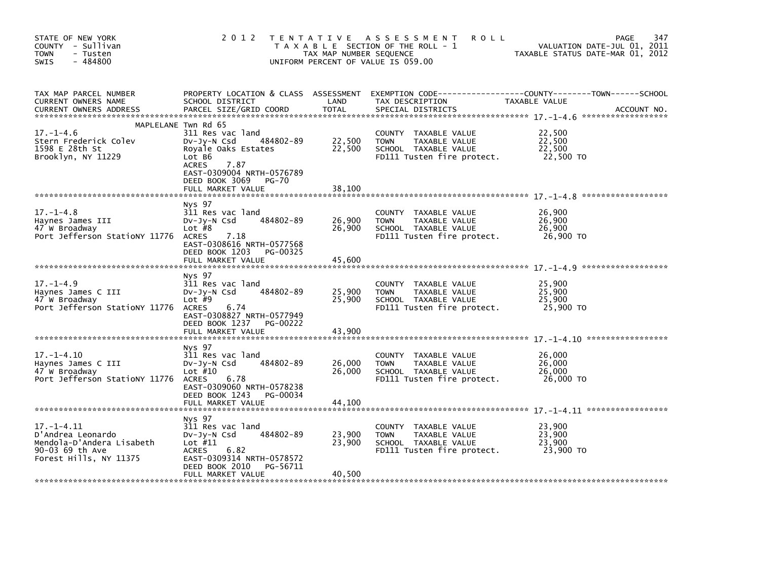| STATE OF NEW YORK<br>COUNTY - Sullivan<br><b>TOWN</b><br>- Tusten<br>$-484800$<br><b>SWIS</b>                   | 2 0 1 2                                                                                                                                                 | T E N T A T I V E<br>TAX MAP NUMBER SEQUENCE | A S S E S S M E N T<br><b>ROLL</b><br>T A X A B L E SECTION OF THE ROLL - 1<br>UNIFORM PERCENT OF VALUE IS 059.00    | PAGE<br>VALUATION DATE-JUL 01, 2011<br>TAXABLE STATUS DATE-MAR 01, 2012 | 347         |
|-----------------------------------------------------------------------------------------------------------------|---------------------------------------------------------------------------------------------------------------------------------------------------------|----------------------------------------------|----------------------------------------------------------------------------------------------------------------------|-------------------------------------------------------------------------|-------------|
| TAX MAP PARCEL NUMBER<br>CURRENT OWNERS NAME<br><b>CURRENT OWNERS ADDRESS</b>                                   | PROPERTY LOCATION & CLASS ASSESSMENT<br>SCHOOL DISTRICT<br>PARCEL SIZE/GRID COORD                                                                       | LAND<br><b>TOTAL</b>                         | TAX DESCRIPTION<br>SPECIAL DISTRICTS                                                                                 | TAXABLE VALUE                                                           | ACCOUNT NO. |
|                                                                                                                 | MAPLELANE Twn Rd 65                                                                                                                                     |                                              |                                                                                                                      |                                                                         |             |
| $17. - 1 - 4.6$<br>Stern Frederick Colev<br>1598 E 28th St<br>Brooklyn, NY 11229                                | 311 Res vac land<br>484802-89<br>$Dv-Jy-N$ Csd<br>Royale Oaks Estates<br>Lot B6<br><b>ACRES</b><br>7.87                                                 | 22,500<br>22,500                             | COUNTY TAXABLE VALUE<br>TAXABLE VALUE<br><b>TOWN</b><br>SCHOOL TAXABLE VALUE<br>FD111 Tusten fire protect.           | 22,500<br>22,500<br>22,500<br>22,500 TO                                 |             |
|                                                                                                                 | EAST-0309004 NRTH-0576789<br>DEED BOOK 3069<br>$PG-70$<br>FULL MARKET VALUE                                                                             | 38,100                                       |                                                                                                                      |                                                                         |             |
| $17. - 1 - 4.8$<br>Haynes James III<br>47 W Broadway<br>Port Jefferson Stationy 11776                           | Nys 97<br>311 Res vac land<br>484802-89<br>$Dv-Jv-N$ Csd<br>Lot $#8$<br><b>ACRES</b><br>7.18<br>EAST-0308616 NRTH-0577568<br>DEED BOOK 1203<br>PG-00325 | 26,900<br>26,900                             | <b>COUNTY</b><br>TAXABLE VALUE<br>TAXABLE VALUE<br><b>TOWN</b><br>SCHOOL TAXABLE VALUE<br>FD111 Tusten fire protect. | 26.900<br>26,900<br>26,900<br>26,900 TO                                 |             |
|                                                                                                                 | FULL MARKET VALUE                                                                                                                                       | 45,600                                       |                                                                                                                      |                                                                         |             |
| $17. - 1 - 4.9$<br>Haynes James C III<br>47 W Broadway<br>Port Jefferson StatioNY 11776                         | Nys 97<br>311 Res vac land<br>484802-89<br>Dv-Jy-N Csd<br>Lot $#9$<br><b>ACRES</b><br>6.74<br>EAST-0308827 NRTH-0577949<br>DEED BOOK 1237<br>PG-00222   | 25,900<br>25,900                             | <b>COUNTY</b><br>TAXABLE VALUE<br><b>TOWN</b><br>TAXABLE VALUE<br>SCHOOL TAXABLE VALUE<br>FD111 Tusten fire protect. | 25,900<br>25,900<br>25,900<br>25,900 TO                                 |             |
|                                                                                                                 | FULL MARKET VALUE                                                                                                                                       | 43,900                                       |                                                                                                                      |                                                                         |             |
| $17. - 1 - 4.10$<br>Haynes James C III<br>47 W Broadway<br>Port Jefferson Stationy 11776                        | Nys 97<br>311 Res vac land<br>484802-89<br>$Dv-Jv-N$ Csd<br>Lot $#10$<br>6.78<br><b>ACRES</b><br>EAST-0309060 NRTH-0578238                              | 26,000<br>26,000                             | <b>COUNTY</b><br>TAXABLE VALUE<br>TAXABLE VALUE<br><b>TOWN</b><br>SCHOOL TAXABLE VALUE<br>FD111 Tusten fire protect. | 26,000<br>26,000<br>26,000<br>26,000 TO                                 |             |
|                                                                                                                 | DEED BOOK 1243<br>PG-00034<br>FULL MARKET VALUE                                                                                                         | 44,100                                       |                                                                                                                      |                                                                         |             |
| $17. - 1 - 4.11$<br>D'Andrea Leonardo<br>Mendola-D'Andera Lisabeth<br>90-03 69 th Ave<br>Forest Hills, NY 11375 | Nys 97<br>311 Res vac land<br>484802-89<br>DV-Jy-N Csd<br>Lot $#11$<br>6.82<br><b>ACRES</b><br>EAST-0309314 NRTH-0578572<br>DEED BOOK 2010<br>PG-56711  | 23,900<br>23,900                             | TAXABLE VALUE<br><b>COUNTY</b><br><b>TOWN</b><br>TAXABLE VALUE<br>SCHOOL TAXABLE VALUE<br>FD111 Tusten fire protect. | 23,900<br>23,900<br>23,900<br>23,900 TO                                 |             |
|                                                                                                                 | FULL MARKET VALUE                                                                                                                                       | 40,500                                       |                                                                                                                      |                                                                         |             |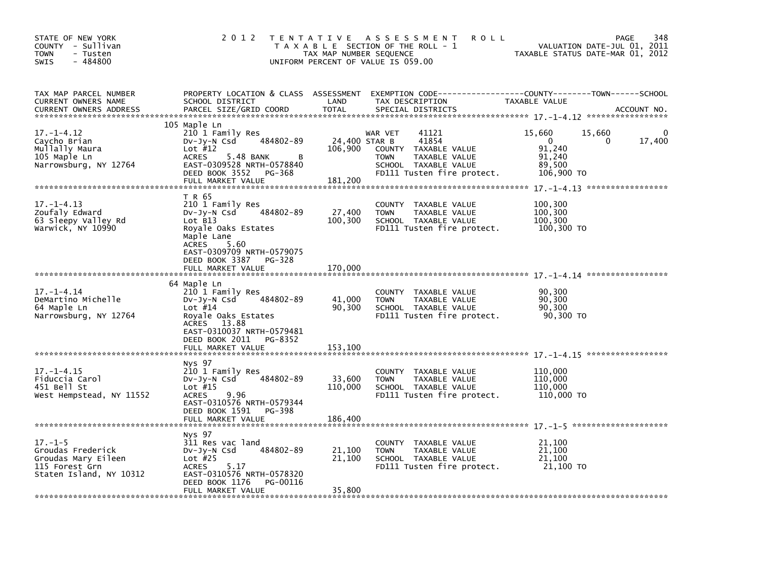| STATE OF NEW YORK<br>COUNTY - Sullivan<br>TOWN<br>- Tusten<br>$-484800$<br>SWIS                        | 2 0 1 2                                                                                                                                                                                                      | T E N T A T I V E<br>TAX MAP NUMBER SEQUENCE | A S S E S S M E N T<br><b>ROLL</b><br>T A X A B L E SECTION OF THE ROLL - 1<br>UNIFORM PERCENT OF VALUE IS 059.00                          | VALUATION DATE-JUL 01, 2011<br>TAXABLE STATUS DATE-MAR 01, 2012               | 348<br><b>PAGE</b> |
|--------------------------------------------------------------------------------------------------------|--------------------------------------------------------------------------------------------------------------------------------------------------------------------------------------------------------------|----------------------------------------------|--------------------------------------------------------------------------------------------------------------------------------------------|-------------------------------------------------------------------------------|--------------------|
| TAX MAP PARCEL NUMBER<br>CURRENT OWNERS NAME<br>CURRENT OWNERS ADDRESS                                 | PROPERTY LOCATION & CLASS ASSESSMENT<br>SCHOOL DISTRICT<br>PARCEL SIZE/GRID COORD                                                                                                                            | LAND<br><b>TOTAL</b>                         | EXEMPTION CODE-----------------COUNTY-------TOWN------SCHOOL<br>TAX DESCRIPTION<br>SPECIAL DISTRICTS                                       | TAXABLE VALUE                                                                 | ACCOUNT NO.        |
| $17. - 1 - 4.12$<br>Caycho Brian<br>Mullally Maura<br>105 Maple Ln<br>Narrowsburg, NY 12764            | 105 Maple Ln<br>210 1 Family Res<br>484802-89<br>DV-Jy-N Csd<br>Lot $#12$<br>5.48 BANK<br><b>ACRES</b><br>в<br>EAST-0309528 NRTH-0578840<br>DEED BOOK 3552<br>PG-368<br>FULL MARKET VALUE                    | 24,400 STAR B<br>106,900<br>181,200          | WAR VET<br>41121<br>41854<br>TAXABLE VALUE<br>COUNTY<br><b>TOWN</b><br>TAXABLE VALUE<br>SCHOOL TAXABLE VALUE<br>FD111 Tusten fire protect. | 15,660<br>15,660<br>0<br>$\Omega$<br>91.240<br>91,240<br>89,500<br>106,900 TO | 0<br>17,400        |
| $17. - 1 - 4.13$<br>Zoufaly Edward<br>63 Sleepy Valley Rd<br>Warwick, NY 10990                         | T R 65<br>210 1 Family Res<br>484802-89<br>DV-Jy-N Csd<br>Lot B13<br>Royale Oaks Estates<br>Maple Lane<br>5.60<br><b>ACRES</b><br>EAST-0309709 NRTH-0579075<br>DEED BOOK 3387<br>PG-328<br>FULL MARKET VALUE | 27,400<br>100,300<br>170,000                 | <b>COUNTY</b><br>TAXABLE VALUE<br>TAXABLE VALUE<br><b>TOWN</b><br>SCHOOL TAXABLE VALUE<br>FD111 Tusten fire protect.                       | 100,300<br>100,300<br>100,300<br>100,300 TO                                   |                    |
| $17. - 1 - 4.14$<br>DeMartino Michelle<br>64 Maple Ln<br>Narrowsburg, NY 12764                         | 64 Maple Ln<br>210 1 Family Res<br>484802-89<br>DV-Jy-N Csd<br>Lot $#14$<br>Royale Oaks Estates<br>13.88<br>ACRES<br>EAST-0310037 NRTH-0579481<br>DEED BOOK 2011<br>PG-8352<br>FULL MARKET VALUE             | 41,000<br>90,300<br>153,100                  | <b>COUNTY</b><br>TAXABLE VALUE<br><b>TOWN</b><br>TAXABLE VALUE<br>SCHOOL TAXABLE VALUE<br>FD111 Tusten fire protect.                       | 90,300<br>90,300<br>90,300<br>90,300 TO                                       |                    |
| $17. - 1 - 4.15$<br>Fiduccia Carol<br>451 Bell St<br>West Hempstead, NY 11552                          | Nys 97<br>210 1 Family Res<br>484802-89<br>$Dv-Jy-N$ Csd<br>Lot $#15$<br>9.96<br><b>ACRES</b><br>EAST-0310576 NRTH-0579344<br>DEED BOOK 1591<br>PG-398<br>FULL MARKET VALUE                                  | 33,600<br>110,000<br>186,400                 | COUNTY TAXABLE VALUE<br><b>TOWN</b><br>TAXABLE VALUE<br>SCHOOL TAXABLE VALUE<br>FD111 Tusten fire protect.                                 | 110,000<br>110.000<br>110,000<br>110,000 TO                                   |                    |
| $17. - 1 - 5$<br>Groudas Frederick<br>Groudas Mary Eileen<br>115 Forest Grn<br>Staten Island, NY 10312 | Nys 97<br>311 Res vac land<br>484802-89<br>$Dv-Jy-N$ Csd<br>Lot $#25$<br>5.17<br><b>ACRES</b><br>EAST-0310576 NRTH-0578320<br>DEED BOOK 1176<br>PG-00116<br>FULL MARKET VALUE                                | 21,100<br>21,100<br>35,800                   | TAXABLE VALUE<br><b>COUNTY</b><br>TAXABLE VALUE<br><b>TOWN</b><br>SCHOOL TAXABLE VALUE<br>FD111 Tusten fire protect.                       | 21,100<br>21,100<br>21,100<br>21,100 TO                                       |                    |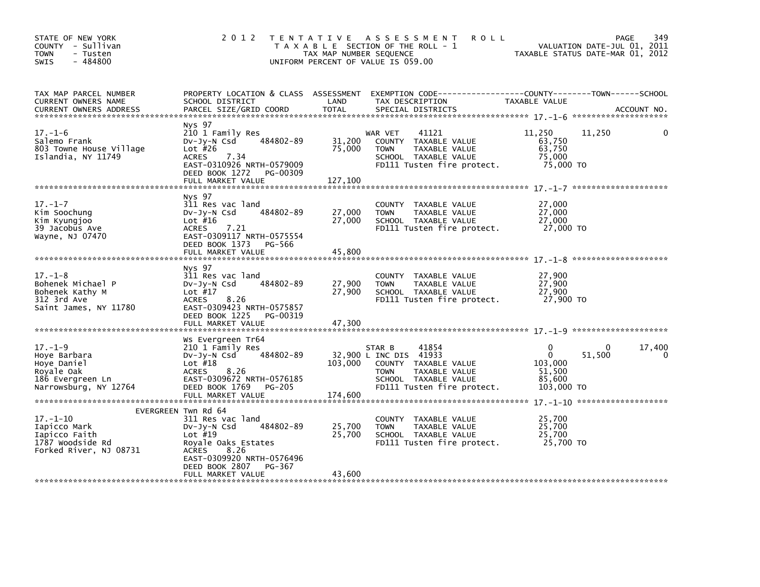| STATE OF NEW YORK<br>COUNTY - Sullivan<br><b>TOWN</b><br>- Tusten<br>$-484800$<br><b>SWIS</b>                      |                                                                                                                                                                                                | TAX MAP NUMBER SEQUENCE     | 2012 TENTATIVE ASSESSMENT<br><b>ROLL</b><br>T A X A B L E SECTION OF THE ROLL - 1<br>UNIFORM PERCENT OF VALUE IS 059.00                                 |                                                                   | 349<br>PAGE<br>VALUATION DATE-JUL 01, 2011<br>TAXABLE STATUS DATE-MAR 01, 2012 |
|--------------------------------------------------------------------------------------------------------------------|------------------------------------------------------------------------------------------------------------------------------------------------------------------------------------------------|-----------------------------|---------------------------------------------------------------------------------------------------------------------------------------------------------|-------------------------------------------------------------------|--------------------------------------------------------------------------------|
| TAX MAP PARCEL NUMBER<br>CURRENT OWNERS NAME<br><b>CURRENT OWNERS ADDRESS</b>                                      | SCHOOL DISIRICT LAND<br>PARCEL SIZE/GRID COORD TOTAL                                                                                                                                           | <b>TOTAL</b>                | PROPERTY LOCATION & CLASS ASSESSMENT EXEMPTION CODE----------------COUNTY-------TOWN------SCHOOL<br>TAX DESCRIPTION TAXABLE VALUE<br>SPECIAL DISTRICTS  |                                                                   | ACCOUNT NO.                                                                    |
| $17. - 1 - 6$<br>Salemo Frank<br>803 Towne House Village<br>Islandia, NY 11749                                     | Nys 97<br>210 1 Family Res<br>$Dv-Jy-N \text{ Csd}$ 484802-89<br>Lot #26<br>Lot $#26$<br>7.34<br><b>ACRES</b><br>EAST-0310926 NRTH-0579009<br>DEED BOOK 1272 PG-00309<br>FULL MARKET VALUE     | 31,200<br>75,000<br>127,100 | 41121<br>WAR VET<br>COUNTY TAXABLE VALUE<br>TOWN     TAXABLE VALUE<br>SCHOOL TAXABLE VALUE<br>FD111 Tusten fire protect.                                | 11,250<br>63,750<br>63,750<br>75,000<br>75,000 TO                 | 11,250                                                                         |
| $17. - 1 - 7$<br>Kim Soochung<br>Kim Kyungjoo<br>39 Jacobus Ave<br>Wayne, NJ 07470                                 | Nys 97<br>311 Res vac land<br>DV-Jy-N Csd 484802-89<br>Lot #16<br>ACRES<br>7.21<br>EAST-0309117 NRTH-0575554<br>DEED BOOK 1373 PG-566<br>FULL MARKET VALUE                                     | 27,000<br>27,000<br>45,800  |                                                                                                                                                         |                                                                   |                                                                                |
| $17. - 1 - 8$<br>Bohenek Michael P<br>Bohenek Kathy M<br>312 3rd Ave<br>Saint James, NY 11780                      | Nys 97<br>311 Res vac land<br>DV-Jy-N Csd 484802-89<br>Lot #17<br>ACRES 8.26<br>EAST-0309423 NRTH-0575857<br>DEED BOOK 1225 PG-00319<br>FULL MARKET VALUE                                      | 27,900<br>27,900<br>47,300  |                                                                                                                                                         |                                                                   |                                                                                |
| $17. - 1 - 9$<br>17.-1-9<br>Hoye Barbara<br>Roye Daniel<br>Royale Oak<br>186 Evergreen Ln<br>Narrowsburg, NY 12764 | Ws Evergreen Tr64<br>210 1 Family Res<br>DV-Jy-N Csd 484802-89<br>Lot #18<br>ACRES 8.26<br>EAST-0309672 NRTH-0576185<br>DEED BOOK 1769 PG-205<br>FULL MARKET VALUE                             | 103,000<br>174,600          | STAR B<br>41854<br>32,900 L INC DIS 41933<br>COUNTY TAXABLE VALUE<br><b>TOWN</b><br>TAXABLE VALUE<br>SCHOOL TAXABLE VALUE<br>FD111 Tusten fire protect. | $\Omega$<br>$\Omega$<br>103,000<br>51.500<br>85,600<br>103,000 TO | 17,400<br>0<br>51,500<br>0                                                     |
| $17. - 1 - 10$<br>Iapicco Mark<br>Iapicco Faith<br>1787 woodside Rd<br>Forked River, NJ 08731                      | EVERGREEN Twn Rd 64<br>311 Res vac land<br>Dv-Jy-N Csd 484802-89<br>Lot #19<br>Royale Oaks Estates<br>ACRES<br>8.26<br>EAST-0309920 NRTH-0576496<br>DEED BOOK 2807 PG-367<br>FULL MARKET VALUE | 25,700<br>25,700<br>43,600  | COUNTY TAXABLE VALUE<br><b>TOWN</b><br>TAXABLE VALUE<br>SCHOOL TAXABLE VALUE<br>FD111 Tusten fire protect. 25,700 TO                                    | 25,700<br>25,700<br>25,700                                        |                                                                                |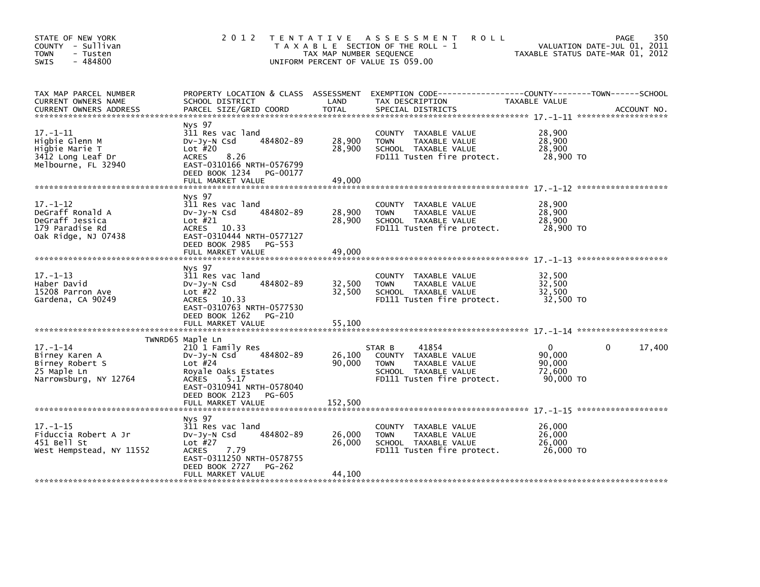| STATE OF NEW YORK<br>COUNTY - Sullivan<br><b>TOWN</b><br>- Tusten<br>$-484800$<br>SWIS          | 2012 TENTATIVE                                                                                                                                                            | TAX MAP NUMBER SEQUENCE    | ASSESSMENT<br><b>ROLL</b><br>T A X A B L E SECTION OF THE ROLL - 1<br>UNIFORM PERCENT OF VALUE IS 059.00                      |                                                         | 350<br>PAGE<br>VALUATION DATE-JUL 01, 2011<br>TAXABLE STATUS DATE-MAR 01, 2012 |
|-------------------------------------------------------------------------------------------------|---------------------------------------------------------------------------------------------------------------------------------------------------------------------------|----------------------------|-------------------------------------------------------------------------------------------------------------------------------|---------------------------------------------------------|--------------------------------------------------------------------------------|
| TAX MAP PARCEL NUMBER<br>CURRENT OWNERS NAME<br><b>CURRENT OWNERS ADDRESS</b>                   | PROPERTY LOCATION & CLASS ASSESSMENT<br>SCHOOL DISTRICT<br>PARCEL SIZE/GRID COORD                                                                                         | LAND<br><b>TOTAL</b>       | EXEMPTION CODE-----------------COUNTY-------TOWN------SCHOOL<br>TAX DESCRIPTION<br>SPECIAL DISTRICTS                          | TAXABLE VALUE                                           | ACCOUNT NO.                                                                    |
| $17. - 1 - 11$<br>Higbie Glenn M<br>Higbie Marie T<br>3412 Long Leaf Dr<br>Melbourne, FL 32940  | Nys 97<br>311 Res vac land<br>484802-89<br>$Dv-Jy-N$ Csd<br>Lot $#20$<br>8.26<br>ACRES<br>EAST-0310166 NRTH-0576799<br>DEED BOOK 1234<br>PG-00177<br>FULL MARKET VALUE    | 28,900<br>28,900<br>49,000 | COUNTY TAXABLE VALUE<br><b>TOWN</b><br>TAXABLE VALUE<br>SCHOOL TAXABLE VALUE<br>FD111 Tusten fire protect.                    | 28,900<br>28,900<br>28,900<br>28,900 TO                 |                                                                                |
| $17. - 1 - 12$<br>DeGraff Ronald A<br>DeGraff Jessica<br>179 Paradise Rd<br>Oak Ridge, NJ 07438 | Nys 97<br>311 Res vac land<br>484802-89<br>$Dv-Jy-N$ Csd<br>Lot #21<br>ACRES 10.33<br>EAST-0310444 NRTH-0577127<br>DEED BOOK 2985<br>PG-553<br>FULL MARKET VALUE          | 28,900<br>28,900<br>49,000 | COUNTY TAXABLE VALUE<br><b>TOWN</b><br>TAXABLE VALUE<br>SCHOOL TAXABLE VALUE<br>FD111 Tusten fire protect.                    | 28,900<br>28,900<br>28,900<br>28,900 TO                 |                                                                                |
| $17. - 1 - 13$<br>Haber David<br>15208 Parron Ave<br>Gardena, CA 90249                          | Nys 97<br>311 Res vac land<br>Dv-Jy-N Csd<br>484802-89<br>Lot $#22$<br>ACRES 10.33<br>EAST-0310763 NRTH-0577530<br>DEED BOOK 1262<br>PG-210<br>FULL MARKET VALUE          | 32,500<br>32,500<br>55,100 | COUNTY TAXABLE VALUE<br>TAXABLE VALUE<br><b>TOWN</b><br>SCHOOL TAXABLE VALUE<br>FD111 Tusten fire protect.                    | 32,500<br>32,500<br>32,500<br>32,500 TO                 |                                                                                |
|                                                                                                 | TWNRD65 Maple Ln                                                                                                                                                          |                            |                                                                                                                               |                                                         |                                                                                |
| $17. - 1 - 14$<br>Birney Karen A<br>Birney Robert S<br>25 Maple Ln<br>Narrowsburg, NY 12764     | 210 1 Family Res<br>484802-89<br>DV-Jy-N Csd<br>Lot $#24$<br>Royale Oaks Estates<br><b>ACRES</b><br>5.17<br>EAST-0310941 NRTH-0578040<br>DEED BOOK 2123<br>PG-605         | 26,100<br>90,000           | 41854<br>STAR B<br>COUNTY TAXABLE VALUE<br>TAXABLE VALUE<br><b>TOWN</b><br>SCHOOL TAXABLE VALUE<br>FD111 Tusten fire protect. | $\mathbf{0}$<br>90,000<br>90,000<br>72,600<br>90,000 TO | 17,400<br>0                                                                    |
|                                                                                                 | FULL MARKET VALUE                                                                                                                                                         | 152,500                    |                                                                                                                               |                                                         |                                                                                |
| $17. - 1 - 15$<br>Fiduccia Robert A Jr<br>451 Bell St<br>West Hempstead, NY 11552               | Nys 97<br>311 Res vac land<br>484802-89<br>DV-Jy-N Csd<br>Lot $#27$<br>7.79<br><b>ACRES</b><br>EAST-0311250 NRTH-0578755<br>DEED BOOK 2727<br>PG-262<br>FULL MARKET VALUE | 26,000<br>26,000<br>44,100 | COUNTY TAXABLE VALUE<br><b>TOWN</b><br>TAXABLE VALUE<br>SCHOOL TAXABLE VALUE<br>FD111 Tusten fire protect.                    | 26,000<br>26,000<br>26,000<br>26,000 TO                 |                                                                                |
|                                                                                                 |                                                                                                                                                                           |                            |                                                                                                                               |                                                         |                                                                                |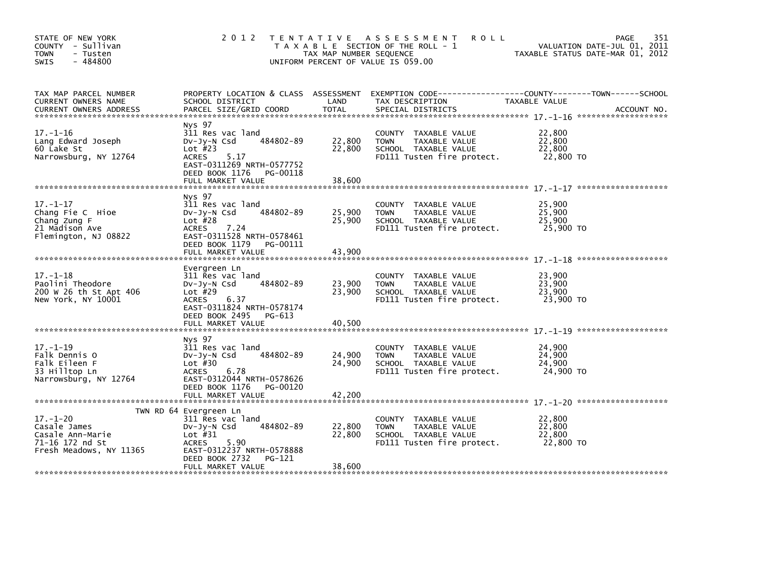| STATE OF NEW YORK<br>COUNTY - Sullivan<br><b>TOWN</b><br>- Tusten<br>$-484800$<br><b>SWIS</b>    | 2 0 1 2                                                                                                                                                                    | TAX MAP NUMBER SEQUENCE    | TENTATIVE ASSESSMENT<br><b>ROLL</b><br>T A X A B L E SECTION OF THE ROLL - 1<br>UNIFORM PERCENT OF VALUE IS 059.00 | 351<br>PAGE<br>VALUATION DATE-JUL 01, 2011<br>TAXABLE STATUS DATE-MAR 01, 2012 |
|--------------------------------------------------------------------------------------------------|----------------------------------------------------------------------------------------------------------------------------------------------------------------------------|----------------------------|--------------------------------------------------------------------------------------------------------------------|--------------------------------------------------------------------------------|
| TAX MAP PARCEL NUMBER<br>CURRENT OWNERS NAME                                                     | PROPERTY LOCATION & CLASS ASSESSMENT<br>SCHOOL DISTRICT                                                                                                                    | LAND                       | TAX DESCRIPTION                                                                                                    | TAXABLE VALUE                                                                  |
| $17. - 1 - 16$<br>Lang Edward Joseph<br>60 Lake St<br>Narrowsburg, NY 12764                      | Nys 97<br>311 Res vac land<br>484802-89<br>$Dv-Jy-N$ Csd<br>Lot $#23$<br><b>ACRES</b><br>5.17<br>EAST-0311269 NRTH-0577752<br>DEED BOOK 1176 PG-00118<br>FULL MARKET VALUE | 22,800<br>22,800<br>38,600 | COUNTY TAXABLE VALUE<br>TAXABLE VALUE<br><b>TOWN</b><br>SCHOOL TAXABLE VALUE<br>FD111 Tusten fire protect.         | 22,800<br>22,800<br>22,800<br>22,800 TO                                        |
|                                                                                                  |                                                                                                                                                                            |                            |                                                                                                                    |                                                                                |
| $17. - 1 - 17$<br>Chang Fie C Hioe<br>Chang Zung F<br>21 Madison Ave<br>Flemington, NJ 08822     | Nys 97<br>311 Res vac land<br>484802-89<br>$Dv-Jy-N$ Csd<br>Lot $#28$<br><b>ACRES</b><br>7.24<br>EAST-0311528 NRTH-0578461                                                 | 25,900<br>25,900           | COUNTY TAXABLE VALUE<br>TAXABLE VALUE<br>TOWN<br>SCHOOL TAXABLE VALUE<br>FD111 Tusten fire protect.                | 25,900<br>25,900<br>25,900<br>25,900 TO                                        |
|                                                                                                  | DEED BOOK 1179 PG-00111<br>FULL MARKET VALUE                                                                                                                               | 43,900                     |                                                                                                                    |                                                                                |
| $17. - 1 - 18$<br>Paolini Theodore<br>200 W 26 th St Apt 406<br>New York, NY 10001               | Evergreen Ln<br>311 Res vac land<br>484802-89<br>$Dv-Jv-N$ Csd<br>Lot $#29$<br>6.37<br>ACRES<br>EAST-0311824 NRTH-0578174<br>DEED BOOK 2495 PG-613                         | 23,900<br>23,900           | COUNTY TAXABLE VALUE<br>TAXABLE VALUE<br><b>TOWN</b><br>SCHOOL TAXABLE VALUE<br>FD111 Tusten fire protect.         | 23,900<br>23,900<br>23,900<br>23,900 TO                                        |
|                                                                                                  | FULL MARKET VALUE                                                                                                                                                          | 40,500                     |                                                                                                                    |                                                                                |
| $17. - 1 - 19$<br>Falk Dennis O<br>Falk Eileen F<br>33 Hilltop Ln<br>Narrowsburg, NY 12764       | Nys 97<br>311 Res vac land<br>484802-89<br>$Dv-Jy-N$ Csd<br>Lot $#30$<br><b>ACRES</b><br>6.78<br>EAST-0312044 NRTH-0578626<br>DEED BOOK 1176<br>PG-00120                   | 24,900<br>24,900           | COUNTY<br>TAXABLE VALUE<br><b>TOWN</b><br>TAXABLE VALUE<br>SCHOOL TAXABLE VALUE<br>FD111 Tusten fire protect.      | 24,900<br>24,900<br>24,900<br>24,900 TO                                        |
|                                                                                                  |                                                                                                                                                                            |                            |                                                                                                                    |                                                                                |
| $17. - 1 - 20$<br>Casale James<br>Casale Ann-Marie<br>71-16 172 nd St<br>Fresh Meadows, NY 11365 | TWN RD 64 Evergreen Ln<br>311 Res vac land<br>484802-89<br>$Dv-Jy-N$ Csd<br>Lot $#31$<br>5.90<br><b>ACRES</b><br>EAST-0312237 NRTH-0578888<br>DEED BOOK 2732<br>PG-121     | 22,800<br>22,800           | COUNTY<br>TAXABLE VALUE<br>TAXABLE VALUE<br><b>TOWN</b><br>SCHOOL TAXABLE VALUE<br>FD111 Tusten fire protect.      | 22,800<br>22,800<br>22,800<br>22,800 TO                                        |
|                                                                                                  | FULL MARKET VALUE                                                                                                                                                          | 38,600                     |                                                                                                                    |                                                                                |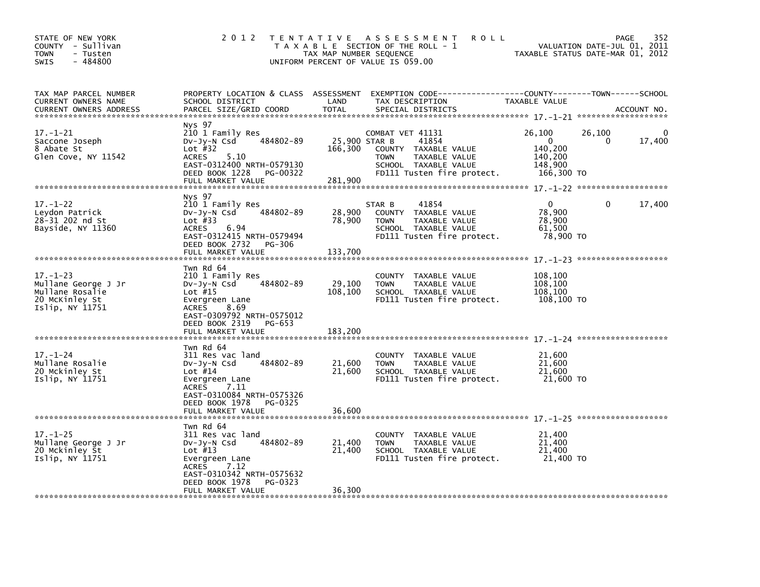| STATE OF NEW YORK<br>COUNTY - Sullivan<br>- Tusten<br><b>TOWN</b><br>$-484800$<br>SWIS        | 2 0 1 2                                                                                                                                                                                           | TAX MAP NUMBER SEQUENCE      | TENTATIVE ASSESSMENT<br><b>ROLL</b><br>T A X A B L E SECTION OF THE ROLL - 1<br>UNIFORM PERCENT OF VALUE IS 059.00                                       |                                                                   | 352<br><b>PAGE</b><br>VALUATION DATE-JUL 01, 2011<br>TAXABLE STATUS DATE-MAR 01, 2012 |
|-----------------------------------------------------------------------------------------------|---------------------------------------------------------------------------------------------------------------------------------------------------------------------------------------------------|------------------------------|----------------------------------------------------------------------------------------------------------------------------------------------------------|-------------------------------------------------------------------|---------------------------------------------------------------------------------------|
| TAX MAP PARCEL NUMBER<br>CURRENT OWNERS NAME<br><b>CURRENT OWNERS ADDRESS</b>                 | SCHOOL DISTRICT<br>PARCEL SIZE/GRID COORD                                                                                                                                                         | LAND<br><b>TOTAL</b>         | PROPERTY LOCATION & CLASS ASSESSMENT EXEMPTION CODE----------------COUNTY-------TOWN------SCHOOL<br>TAX DESCRIPTION<br>SPECIAL DISTRICTS                 | <b>TAXABLE VALUE</b>                                              | ACCOUNT NO.                                                                           |
| $17. - 1 - 21$<br>Saccone Joseph<br>8 Abate St<br>Glen Cove, NY 11542                         | Nys 97<br>210 1 Family Res<br>484802-89<br>DV-Jy-N Csd<br>Lot $#32$<br>5.10<br><b>ACRES</b><br>EAST-0312400 NRTH-0579130<br>DEED BOOK 1228<br>PG-00322<br>FULL MARKET VALUE                       | 166,300<br>281,900           | COMBAT VET 41131<br>25,900 STAR B<br>41854<br>COUNTY TAXABLE VALUE<br><b>TOWN</b><br>TAXABLE VALUE<br>SCHOOL TAXABLE VALUE<br>FD111 Tusten fire protect. | 26,100<br>$\Omega$<br>140,200<br>140,200<br>148.900<br>166,300 TO | 26,100<br>0<br>0<br>17,400                                                            |
| $17. - 1 - 22$<br>Leydon Patrick<br>28-31 202 nd St<br>Bayside, NY 11360                      | Nys 97<br>210 1 Family Res<br>484802-89<br>DV-Jy-N Csd<br>Lot $#33$<br><b>ACRES</b><br>6.94<br>EAST-0312415 NRTH-0579494<br>DEED BOOK 2732<br>PG-306<br>FULL MARKET VALUE                         | 28,900<br>78,900<br>133,700  | STAR B<br>41854<br>COUNTY TAXABLE VALUE<br><b>TOWN</b><br>TAXABLE VALUE<br>SCHOOL TAXABLE VALUE<br>FD111 Tusten fire protect.                            | 0<br>78,900<br>78.900<br>61,500<br>78,900 TO                      | 17,400<br>0                                                                           |
| $17. - 1 - 23$<br>Mullane George J Jr<br>Mullane Rosalie<br>20 McKinley St<br>Islip, NY 11751 | Twn Rd 64<br>210 1 Family Res<br>484802-89<br>$Dv-Jy-N$ Csd<br>Lot $#15$<br>Evergreen Lane<br>8.69<br><b>ACRES</b><br>EAST-0309792 NRTH-0575012<br>DEED BOOK 2319<br>PG-653<br>FULL MARKET VALUE  | 29,100<br>108,100<br>183,200 | COUNTY<br>TAXABLE VALUE<br>TAXABLE VALUE<br><b>TOWN</b><br>SCHOOL TAXABLE VALUE<br>FD111 Tusten fire protect.                                            | 108,100<br>108,100<br>108,100<br>108,100 TO                       |                                                                                       |
| $17. - 1 - 24$<br>Mullane Rosalie<br>20 Mckinley St<br>Islip, NY 11751                        | Twn Rd 64<br>311 Res vac land<br>484802-89<br>$Dv-Jy-N$ Csd<br>Lot $#14$<br>Evergreen Lane<br><b>ACRES</b><br>7.11<br>EAST-0310084 NRTH-0575326<br>DEED BOOK 1978<br>PG-0325<br>FULL MARKET VALUE | 21,600<br>21,600<br>36,600   | COUNTY TAXABLE VALUE<br><b>TOWN</b><br>TAXABLE VALUE<br>SCHOOL TAXABLE VALUE<br>FD111 Tusten fire protect.                                               | 21,600<br>21,600<br>21,600<br>21,600 TO                           |                                                                                       |
| $17. - 1 - 25$<br>Mullane George J Jr<br>20 Mckinley St<br>Islip, NY 11751                    | Twn Rd 64<br>311 Res vac land<br>484802-89<br>$Dv-Jy-N$ Csd<br>Lot $#13$<br>Evergreen Lane<br><b>ACRES</b><br>7.12<br>EAST-0310342 NRTH-0575632<br>DEED BOOK 1978<br>PG-0323<br>FULL MARKET VALUE | 21,400<br>21,400<br>36,300   | COUNTY TAXABLE VALUE<br><b>TOWN</b><br>TAXABLE VALUE<br>SCHOOL TAXABLE VALUE<br>FD111 Tusten fire protect.                                               | 21,400<br>21,400<br>21,400<br>21,400 TO                           |                                                                                       |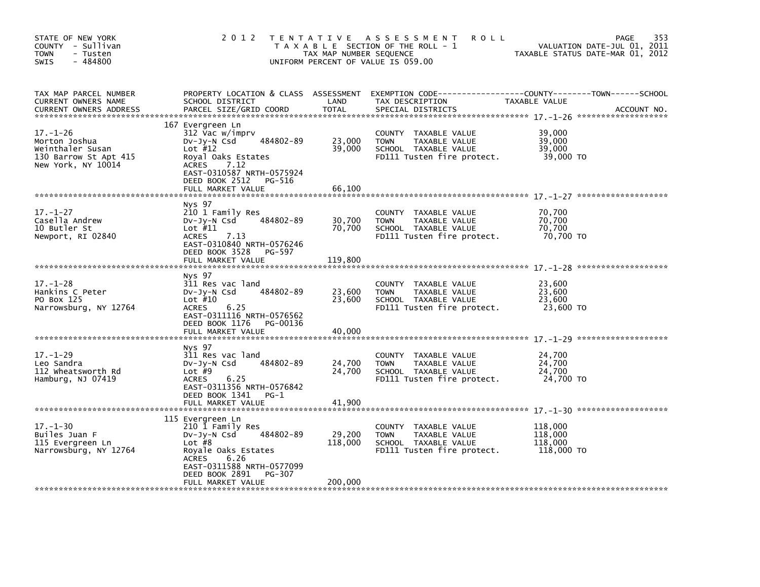| STATE OF NEW YORK<br>COUNTY - Sullivan<br><b>TOWN</b><br>- Tusten<br>$-484800$<br>SWIS             | 2 0 1 2                                                                                                                                                                                                    | TAX MAP NUMBER SEQUENCE      | TENTATIVE ASSESSMENT<br><b>ROLL</b><br>T A X A B L E SECTION OF THE ROLL - 1<br>UNIFORM PERCENT OF VALUE IS 059.00 | VALUATION DATE-JUL 01, 2011<br>TAXABLE STATUS DATE-MAR 01, 2012 | 353<br><b>PAGE</b> |
|----------------------------------------------------------------------------------------------------|------------------------------------------------------------------------------------------------------------------------------------------------------------------------------------------------------------|------------------------------|--------------------------------------------------------------------------------------------------------------------|-----------------------------------------------------------------|--------------------|
| TAX MAP PARCEL NUMBER<br>CURRENT OWNERS NAME<br><b>CURRENT OWNERS ADDRESS</b>                      | PROPERTY LOCATION & CLASS ASSESSMENT<br>SCHOOL DISTRICT<br>PARCEL SIZE/GRID COORD                                                                                                                          | LAND<br><b>TOTAL</b>         | TAX DESCRIPTION<br>SPECIAL DISTRICTS                                                                               | <b>TAXABLE VALUE</b>                                            | ACCOUNT NO.        |
| $17. - 1 - 26$<br>Morton Joshua<br>Weinthaler Susan<br>130 Barrow St Apt 415<br>New York, NY 10014 | 167 Evergreen Ln<br>312 Vac w/imprv<br>484802-89<br>$Dv-Jy-N$ Csd<br>Lot $#12$<br>Royal Oaks Estates<br><b>ACRES</b><br>7.12<br>EAST-0310587 NRTH-0575924<br>DEED BOOK 2512<br>PG-516<br>FULL MARKET VALUE | 23,000<br>39,000<br>66,100   | COUNTY TAXABLE VALUE<br>TAXABLE VALUE<br><b>TOWN</b><br>SCHOOL TAXABLE VALUE<br>FD111 Tusten fire protect.         | 39.000<br>39,000<br>39,000<br>39,000 TO                         |                    |
| $17. - 1 - 27$<br>Casella Andrew<br>10 Butler St<br>Newport, RI 02840                              | Nys 97<br>210 1 Family Res<br>484802-89<br>$Dv-Jy-N$ Csd<br>Lot $#11$<br><b>ACRES</b><br>7.13<br>EAST-0310840 NRTH-0576246<br>DEED BOOK 3528 PG-597<br>FULL MARKET VALUE                                   | 30,700<br>70,700<br>119,800  | COUNTY TAXABLE VALUE<br>TAXABLE VALUE<br><b>TOWN</b><br>SCHOOL TAXABLE VALUE<br>FD111 Tusten fire protect.         | 70,700<br>70,700<br>70,700<br>70,700 TO                         |                    |
| $17. - 1 - 28$<br>Hankins C Peter<br>PO Box 125<br>Narrowsburg, NY 12764                           | Nys 97<br>311 Res vac land<br>484802-89<br>$Dv-Jv-N$ Csd<br>Lot $#10$<br><b>ACRES</b><br>6.25<br>EAST-0311116 NRTH-0576562<br>DEED BOOK 1176<br>PG-00136<br>FULL MARKET VALUE                              | 23,600<br>23,600<br>40,000   | COUNTY TAXABLE VALUE<br>TAXABLE VALUE<br><b>TOWN</b><br>SCHOOL TAXABLE VALUE<br>FD111 Tusten fire protect.         | 23,600<br>23,600<br>23,600<br>23,600 TO                         |                    |
| $17. - 1 - 29$<br>Leo Sandra<br>112 Wheatsworth Rd<br>Hamburg, NJ 07419                            | Nys 97<br>311 Res vac land<br>484802-89<br>$Dv-Jy-N$ Csd<br>Lot $#9$<br><b>ACRES</b><br>6.25<br>EAST-0311356 NRTH-0576842<br>DEED BOOK 1341<br>$PG-1$<br>FULL MARKET VALUE                                 | 24,700<br>24,700<br>41,900   | COUNTY TAXABLE VALUE<br>TAXABLE VALUE<br><b>TOWN</b><br>SCHOOL TAXABLE VALUE<br>FD111 Tusten fire protect.         | 24,700<br>24,700<br>24.700<br>24,700 TO                         |                    |
| $17. - 1 - 30$<br>Builes Juan F<br>115 Evergreen Ln<br>Narrowsburg, NY 12764                       | 115 Evergreen Ln<br>210 1 Family Res<br>484802-89<br>DV-Jy-N Csd<br>Lot $#8$<br>Royale Oaks Estates<br>6.26<br><b>ACRES</b><br>EAST-0311588 NRTH-0577099<br>DEED BOOK 2891<br>PG-307<br>FULL MARKET VALUE  | 29,200<br>118,000<br>200,000 | COUNTY TAXABLE VALUE<br><b>TOWN</b><br>TAXABLE VALUE<br>SCHOOL TAXABLE VALUE<br>FD111 Tusten fire protect.         | 118,000<br>118,000<br>118,000<br>118,000 TO                     |                    |
|                                                                                                    |                                                                                                                                                                                                            |                              |                                                                                                                    |                                                                 |                    |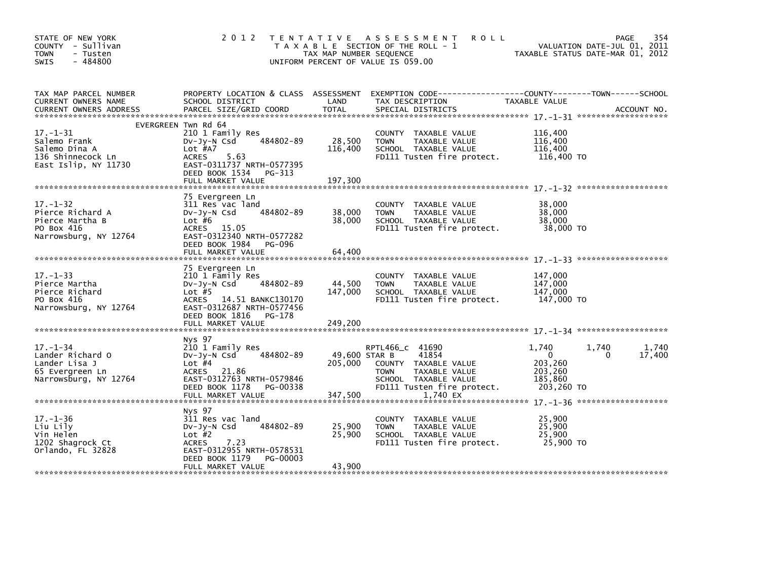| STATE OF NEW YORK<br>COUNTY - Sullivan<br><b>TOWN</b><br>- Tusten<br>$-484800$<br><b>SWIS</b>   | 2 0 1 2                                                                                                                                                        | TAX MAP NUMBER SEQUENCE  | TENTATIVE ASSESSMENT<br><b>ROLL</b><br>T A X A B L E SECTION OF THE ROLL - 1<br>UNIFORM PERCENT OF VALUE IS 059.00                     |                                                                      | 354<br>PAGE<br>VALUATION DATE-JUL 01, 2011<br>TAXABLE STATUS DATE-MAR 01, 2012 |
|-------------------------------------------------------------------------------------------------|----------------------------------------------------------------------------------------------------------------------------------------------------------------|--------------------------|----------------------------------------------------------------------------------------------------------------------------------------|----------------------------------------------------------------------|--------------------------------------------------------------------------------|
| TAX MAP PARCEL NUMBER<br>CURRENT OWNERS NAME<br><b>CURRENT OWNERS ADDRESS</b>                   | PROPERTY LOCATION & CLASS ASSESSMENT<br>SCHOOL DISTRICT<br>PARCEL SIZE/GRID COORD                                                                              | LAND<br><b>TOTAL</b>     | EXEMPTION CODE-----------------COUNTY-------TOWN------SCHOOL<br>TAX DESCRIPTION<br>SPECIAL DISTRICTS                                   | TAXABLE VALUE                                                        | ACCOUNT NO.                                                                    |
|                                                                                                 | EVERGREEN Twn Rd 64                                                                                                                                            |                          |                                                                                                                                        |                                                                      |                                                                                |
| $17. - 1 - 31$<br>Salemo Frank<br>Salemo Dina A<br>136 Shinnecock Ln<br>East Islip, NY 11730    | 210 1 Family Res<br>484802-89<br>$Dv-Jy-N$ Csd<br>Lot #A7<br>5.63<br>ACRES<br>EAST-0311737 NRTH-0577395<br>DEED BOOK 1534<br>PG-313                            | 28,500<br>116,400        | COUNTY TAXABLE VALUE<br>TAXABLE VALUE<br><b>TOWN</b><br>SCHOOL TAXABLE VALUE<br>FD111 Tusten fire protect.                             | 116,400<br>116,400<br>116,400<br>116,400 то                          |                                                                                |
|                                                                                                 | FULL MARKET VALUE                                                                                                                                              | 197,300                  |                                                                                                                                        |                                                                      |                                                                                |
| $17. - 1 - 32$<br>Pierce Richard A<br>Pierce Martha B<br>PO Box 416<br>Narrowsburg, NY 12764    | 75 Evergreen Ln<br>311 Res vac land<br>484802-89<br>$Dv-Jy-N$ Csd<br>Lot $#6$<br>ACRES 15.05<br>EAST-0312340 NRTH-0577282                                      | 38,000<br>38,000         | COUNTY TAXABLE VALUE<br>TAXABLE VALUE<br><b>TOWN</b><br>SCHOOL TAXABLE VALUE<br>FD111 Tusten fire protect.                             | 38,000<br>38,000<br>38,000<br>38,000 TO                              |                                                                                |
|                                                                                                 | DEED BOOK 1984<br>PG-096<br>FULL MARKET VALUE                                                                                                                  | 64,400                   |                                                                                                                                        |                                                                      |                                                                                |
| $17. - 1 - 33$<br>Pierce Martha<br>Pierce Richard<br>PO Box 416<br>Narrowsburg, NY 12764        | 75 Evergreen Ln<br>210 1 Family Res<br>484802-89<br>$Dv-Jy-N$ Csd<br>Lot $#5$<br>ACRES 14.51 BANKC130170<br>EAST-0312687 NRTH-0577456<br>DEED BOOK 1816 PG-178 | 44,500<br>147,000        | COUNTY TAXABLE VALUE<br>TAXABLE VALUE<br><b>TOWN</b><br>SCHOOL TAXABLE VALUE<br>FD111 Tusten fire protect.                             | 147.000<br>147,000<br>147,000<br>147,000 TO                          |                                                                                |
|                                                                                                 |                                                                                                                                                                |                          |                                                                                                                                        |                                                                      |                                                                                |
|                                                                                                 | Nys 97                                                                                                                                                         |                          |                                                                                                                                        |                                                                      |                                                                                |
| $17. - 1 - 34$<br>Lander Richard O<br>Lander Lisa J<br>65 Evergreen Ln<br>Narrowsburg, NY 12764 | 210 1 Family Res<br>484802-89<br>$Dv-Jy-N$ Csd<br>Lot $#4$<br>ACRES 21.86<br>EAST-0312763 NRTH-0579846<br>DEED BOOK 1178<br>PG-00338                           | 49,600 STAR B<br>205,000 | RPTL466_c 41690<br>41854<br>COUNTY TAXABLE VALUE<br><b>TOWN</b><br>TAXABLE VALUE<br>SCHOOL TAXABLE VALUE<br>FD111 Tusten fire protect. | 1.740<br>$\mathbf{0}$<br>203,260<br>203,260<br>185,860<br>203,260 TO | 1,740<br>1,740<br>17,400<br>0                                                  |
|                                                                                                 | FULL MARKET VALUE                                                                                                                                              | 347,500                  | 1,740 EX                                                                                                                               |                                                                      |                                                                                |
| $17. - 1 - 36$<br>Liu Lily<br>Vin Helen<br>1202 Shagrock Ct<br>Orlando, FL 32828                | Nys 97<br>311 Res vac land<br>484802-89<br>$Dv-Jv-N$ Csd<br>Lot $#2$<br><b>ACRES</b><br>7.23<br>EAST-0312955 NRTH-0578531<br>DEED BOOK 1179<br>PG-00003        | 25,900<br>25,900         | COUNTY TAXABLE VALUE<br>TAXABLE VALUE<br><b>TOWN</b><br>SCHOOL TAXABLE VALUE<br>FD111 Tusten fire protect.                             | 25,900<br>25,900<br>25,900<br>25,900 TO                              |                                                                                |
|                                                                                                 | FULL MARKET VALUE                                                                                                                                              | 43,900                   |                                                                                                                                        |                                                                      |                                                                                |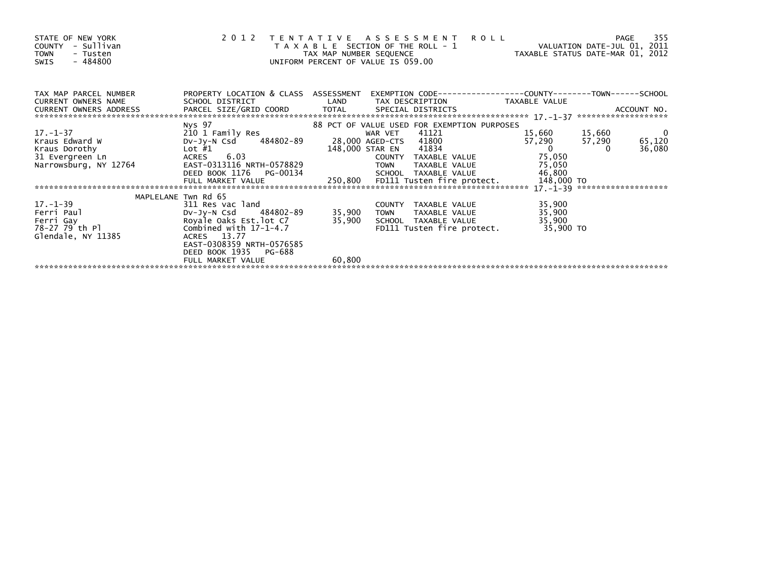| STATE OF NEW YORK<br>COUNTY - Sullivan<br><b>TOWN</b><br>- Tusten<br>$-484800$<br><b>SWIS</b> | 2012                                    | T A X A B L E SECTION OF THE ROLL - 1<br>TAX MAP NUMBER SEQUENCE<br>UNIFORM PERCENT OF VALUE IS 059.00 |               | TENTATIVE ASSESSMENT ROLL                   | ROLL - 1 VALUATION DATE-JUL 01, 2011<br>TAXABLE STATUS DATE-MAR 01, 2012 |        | 355<br>PAGE              |
|-----------------------------------------------------------------------------------------------|-----------------------------------------|--------------------------------------------------------------------------------------------------------|---------------|---------------------------------------------|--------------------------------------------------------------------------|--------|--------------------------|
| TAX MAP PARCEL NUMBER                                                                         | PROPERTY LOCATION & CLASS ASSESSMENT    |                                                                                                        |               |                                             |                                                                          |        |                          |
| <b>CURRENT OWNERS NAME</b>                                                                    |                                         |                                                                                                        |               |                                             |                                                                          |        |                          |
|                                                                                               | Nys 97                                  |                                                                                                        |               | 88 PCT OF VALUE USED FOR EXEMPTION PURPOSES |                                                                          |        |                          |
| $17. - 1 - 37$                                                                                | 210 1 Family Res                        |                                                                                                        | WAR VET 41121 |                                             | 15,660 15,660                                                            |        | $\overline{\phantom{0}}$ |
| Kraus Edward W                                                                                | DV-Jy-N Csd 484802-89                   |                                                                                                        |               | 28,000 AGED-CTS 41800                       | 57,290                                                                   | 57,290 | 65,120                   |
| Kraus Dorothy                                                                                 | Lot #1                                  | 148,000 STAR EN                                                                                        |               | 41834                                       | $\begin{array}{cc} 0 \end{array}$                                        |        | 36,080                   |
| 31 Evergreen Ln                                                                               | 6.03<br>ACRES                           |                                                                                                        |               | COUNTY TAXABLE VALUE                        | 75,050                                                                   |        |                          |
| Narrowsburg, NY 12764                                                                         | EAST-0313116 NRTH-0578829               |                                                                                                        | <b>TOWN</b>   | TAXABLE VALUE                               | 75,050                                                                   |        |                          |
|                                                                                               | DEED BOOK 1176 PG-00134                 |                                                                                                        |               | SCHOOL TAXABLE VALUE                        | 46,800                                                                   |        |                          |
|                                                                                               |                                         |                                                                                                        |               |                                             |                                                                          |        |                          |
|                                                                                               |                                         |                                                                                                        |               |                                             |                                                                          |        |                          |
| 17. –1–39                                                                                     | MAPLELANE Twn Rd 65<br>311 Res vac land |                                                                                                        |               |                                             | 35,900                                                                   |        |                          |
| Ferri Paul                                                                                    | DV-Jy-N Csd 484802-89                   | 35,900                                                                                                 | <b>TOWN</b>   | COUNTY TAXABLE VALUE<br>TAXABLE VALUE       | 35,900                                                                   |        |                          |
| Ferri Gay                                                                                     | Royale Oaks Est.lot C7                  | 35,900                                                                                                 |               | SCHOOL TAXABLE VALUE                        | 35,900                                                                   |        |                          |
| 78-27 79 th Pl                                                                                | Combined with $17-1-4.7$                |                                                                                                        |               | FD111 Tusten fire protect.                  | 35,900 TO                                                                |        |                          |
| Glendale, NY 11385                                                                            | ACRES 13.77                             |                                                                                                        |               |                                             |                                                                          |        |                          |
|                                                                                               | EAST-0308359 NRTH-0576585               |                                                                                                        |               |                                             |                                                                          |        |                          |
|                                                                                               | DEED BOOK 1935 PG-688                   |                                                                                                        |               |                                             |                                                                          |        |                          |
|                                                                                               | FULL MARKET VALUE                       | 60,800                                                                                                 |               |                                             |                                                                          |        |                          |
|                                                                                               |                                         |                                                                                                        |               |                                             |                                                                          |        |                          |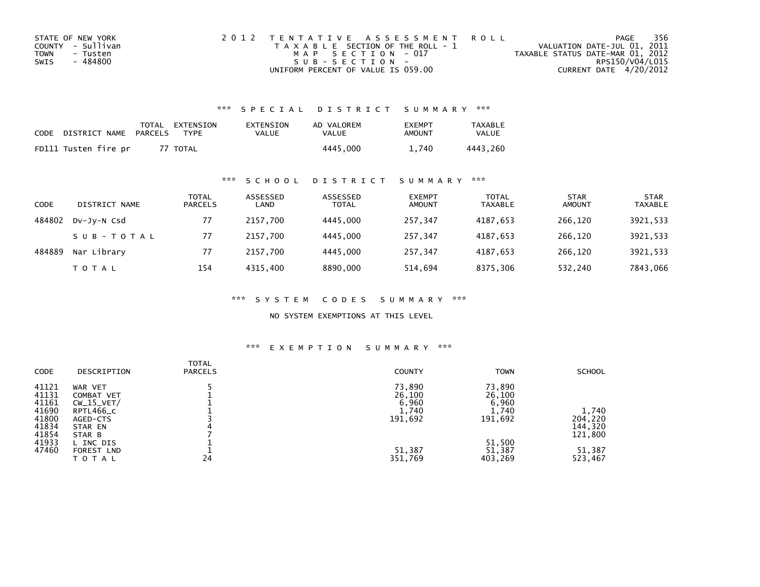| STATE OF NEW YORK | 2012 TENTATIVE ASSESSMENT ROLL        | PAGE                             | 356 |
|-------------------|---------------------------------------|----------------------------------|-----|
| COUNTY - Sullivan | T A X A B L E SECTION OF THE ROLL - 1 | VALUATION DATE-JUL 01, 2011      |     |
| TOWN<br>- Tusten  | MAP SECTION - 017                     | TAXABLE STATUS DATE-MAR 01, 2012 |     |
| - 484800<br>SWIS  | $SUB - SECTION -$                     | RPS150/V04/L015                  |     |
|                   | UNIFORM PERCENT OF VALUE IS 059.00    | CURRENT DATE 4/20/2012           |     |

### \*\*\* S P E C I A L D I S T R I C T S U M M A R Y \*\*\*

| CODE | DISTRICT NAME        | PARCELS | TOTAL EXTENSION<br><b>TYPF</b> | EXTENSION<br>VALUE | AD VALOREM<br>VALUE | <b>FXFMPT</b><br>AMOUNT | <b>TAXABLE</b><br>VALUE |
|------|----------------------|---------|--------------------------------|--------------------|---------------------|-------------------------|-------------------------|
|      | FD111 Tusten fire pr |         | 77 TOTAL                       |                    | 4445.000            | 740                     | 4443.260                |

### \*\*\* S C H O O L D I S T R I C T S U M M A R Y \*\*\*

| CODE   | DISTRICT NAME | TOTAL<br><b>PARCELS</b> | ASSESSED<br>LAND | ASSESSED<br><b>TOTAL</b> | <b>EXEMPT</b><br><b>AMOUNT</b> | <b>TOTAL</b><br><b>TAXABLE</b> | <b>STAR</b><br><b>AMOUNT</b> | <b>STAR</b><br><b>TAXABLE</b> |
|--------|---------------|-------------------------|------------------|--------------------------|--------------------------------|--------------------------------|------------------------------|-------------------------------|
| 484802 | DV-JV-N Csd   | 77                      | 2157.700         | 4445.000                 | 257.347                        | 4187,653                       | 266,120                      | 3921,533                      |
|        | SUB-TOTAL     | 77                      | 2157.700         | 4445.000                 | 257.347                        | 4187.653                       | 266.120                      | 3921,533                      |
| 484889 | Nar Library   | 77                      | 2157.700         | 4445.000                 | 257,347                        | 4187,653                       | 266,120                      | 3921,533                      |
|        | T O T A L     | 154                     | 4315.400         | 8890,000                 | 514,694                        | 8375,306                       | 532,240                      | 7843,066                      |

\*\*\* S Y S T E M C O D E S S U M M A R Y \*\*\*

NO SYSTEM EXEMPTIONS AT THIS LEVEL

#### \*\*\* E X E M P T I O N S U M M A R Y \*\*\*

| <b>CODE</b> | DESCRIPTION  | <b>TOTAL</b><br><b>PARCELS</b> | <b>COUNTY</b> | <b>TOWN</b> | <b>SCHOOL</b> |
|-------------|--------------|--------------------------------|---------------|-------------|---------------|
| 41121       | WAR VET      |                                | 73,890        | 73,890      |               |
| 41131       | COMBAT VET   |                                | 26,100        | 26,100      |               |
| 41161       | $CW_15_VET/$ |                                | 6,960         | 6,960       |               |
| 41690       | RPTL466_C    |                                | 1,740         | 1,740       | 1,740         |
| 41800       | AGED-CTS     |                                | 191,692       | 191,692     | 204,220       |
| 41834       | STAR EN      |                                |               |             | 144,320       |
| 41854       | STAR B       |                                |               |             | 121,800       |
| 41933       | L INC DIS    |                                |               | 51,500      |               |
| 47460       | FOREST LND   |                                | 51,387        | 51,387      | 51,387        |
|             | TOTAL        | 24                             | 351,769       | 403,269     | 523,467       |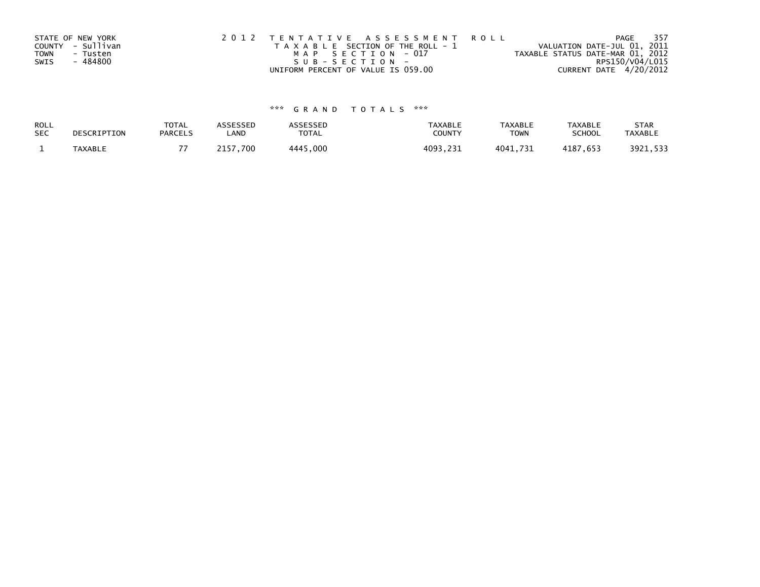|             | STATE OF NEW YORK | 2012 TENTATIVE ASSESSMENT ROLL        | - 357<br>PAGE                    |
|-------------|-------------------|---------------------------------------|----------------------------------|
|             | COUNTY - Sullivan | T A X A B L E SECTION OF THE ROLL - 1 | VALUATION DATE-JUL 01, 2011      |
| <b>TOWN</b> | - Tusten          | MAP SECTION - 017                     | TAXABLE STATUS DATE-MAR 01, 2012 |
| SWIS        | - 484800          | SUB-SECTION-                          | RPS150/V04/L015                  |
|             |                   | UNIFORM PERCENT OF VALUE IS 059.00    | CURRENT DATE 4/20/2012           |

# \*\*\* G R A N D T O T A L S \*\*\*

| ROLL       | DESCRIPTION | <b>TOTAL</b>   | <b>ASSESSED</b> | <b>ASSESSED</b> | <b>TAXABLE</b> | <b>TAXABLE</b> | TAXABLE       | <b>STAR</b>    |
|------------|-------------|----------------|-----------------|-----------------|----------------|----------------|---------------|----------------|
| <b>SEC</b> |             | <b>PARCELS</b> | LAND            | <b>TOTAL</b>    | COUNTY         | TOWN           | <b>SCHOOL</b> | <b>TAXABLE</b> |
|            | TAXABLE     |                | 2157.700        | 4445,000        | 4093,231       | 4041,731       | 4187,653      | 3921,533       |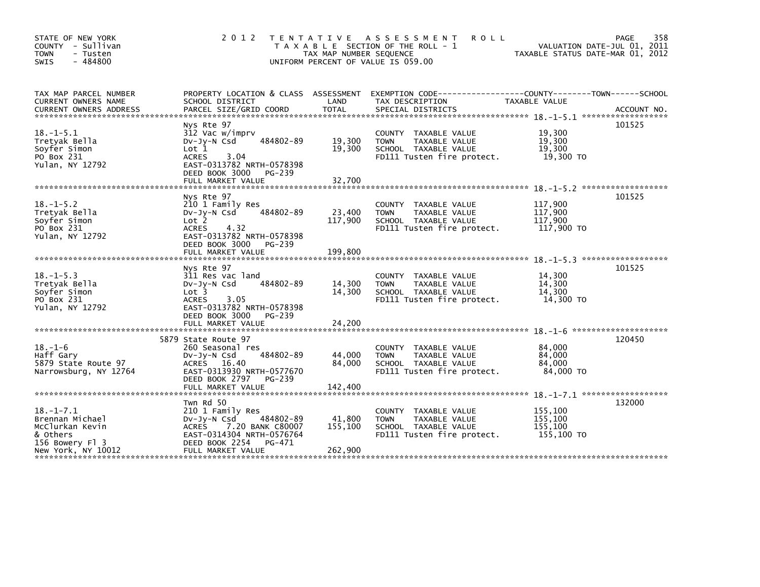| STATE OF NEW YORK<br>COUNTY - Sullivan<br><b>TOWN</b><br>- Tusten<br>$-484800$<br><b>SWIS</b>              | 2 0 1 2                                                                                                                                                                   | TAX MAP NUMBER SEQUENCE      | TENTATIVE ASSESSMENT<br><b>ROLL</b><br>T A X A B L E SECTION OF THE ROLL - 1<br>UNIFORM PERCENT OF VALUE IS 059.00 | TAXABLE STATUS DATE-MAR 01, 2012                                | 358<br><b>PAGE</b><br>VALUATION DATE-JUL 01, 2011 |
|------------------------------------------------------------------------------------------------------------|---------------------------------------------------------------------------------------------------------------------------------------------------------------------------|------------------------------|--------------------------------------------------------------------------------------------------------------------|-----------------------------------------------------------------|---------------------------------------------------|
| TAX MAP PARCEL NUMBER<br>CURRENT OWNERS NAME                                                               | PROPERTY LOCATION & CLASS ASSESSMENT EXEMPTION CODE--<br>SCHOOL DISTRICT                                                                                                  | LAND                         | TAX DESCRIPTION                                                                                                    | ----------------COUNTY--------TOWN------SCHOOL<br>TAXABLE VALUE |                                                   |
|                                                                                                            |                                                                                                                                                                           |                              |                                                                                                                    |                                                                 | 101525                                            |
| $18. - 1 - 5.1$<br>Tretyak Bella<br>Soyfer Simon<br>PO Box 231<br>Yulan, NY 12792                          | Nys Rte 97<br>312 Vac w/imprv<br>484802-89<br>$Dv-Jy-N$ Csd<br>Lot 1<br>3.04<br><b>ACRES</b><br>EAST-0313782 NRTH-0578398<br>DEED BOOK 3000<br>PG-239                     | 19,300<br>19,300             | COUNTY TAXABLE VALUE<br>TAXABLE VALUE<br><b>TOWN</b><br>SCHOOL TAXABLE VALUE<br>FD111 Tusten fire protect.         | 19,300<br>19,300<br>19.300<br>19,300 TO                         |                                                   |
|                                                                                                            | FULL MARKET VALUE                                                                                                                                                         | 32,700                       |                                                                                                                    |                                                                 |                                                   |
| $18. - 1 - 5.2$<br>Tretyak Bella<br>Soyfer Simon<br>PO Box 231<br>Yulan, NY 12792                          | Nys Rte 97<br>210 1 Family Res<br>484802-89<br>DV-Jy-N Csd<br>Lot 2<br>4.32<br><b>ACRES</b><br>EAST-0313782 NRTH-0578398<br>DEED BOOK 3000<br>PG-239<br>FULL MARKET VALUE | 23,400<br>117,900<br>199.800 | COUNTY TAXABLE VALUE<br>TAXABLE VALUE<br><b>TOWN</b><br>SCHOOL TAXABLE VALUE<br>FD111 Tusten fire protect.         | 117,900<br>117,900<br>117,900<br>117,900 TO                     | 101525                                            |
|                                                                                                            | Nys Rte 97                                                                                                                                                                |                              |                                                                                                                    |                                                                 | 101525                                            |
| $18. - 1 - 5.3$<br>Tretyak Bella<br>Soyfer Simon<br>PO Box 231<br>Yulan, NY 12792                          | 311 Res vac land<br>484802-89<br>$Dv-Jy-N$ Csd<br>Lot <sub>3</sub><br>3.05<br><b>ACRES</b><br>EAST-0313782 NRTH-0578398<br>DEED BOOK 3000<br>PG-239                       | 14,300<br>14,300             | COUNTY TAXABLE VALUE<br>TAXABLE VALUE<br><b>TOWN</b><br>SCHOOL TAXABLE VALUE<br>FD111 Tusten fire protect.         | 14,300<br>14,300<br>14,300<br>14,300 TO                         |                                                   |
|                                                                                                            | FULL MARKET VALUE                                                                                                                                                         | 24,200                       |                                                                                                                    | $18. - 1 - 6$ **********************                            |                                                   |
| $18. - 1 - 6$<br>Haff Gary<br>5879 State Route 97<br>Narrowsburg, NY 12764                                 | 5879 State Route 97<br>260 Seasonal res<br>484802-89<br>$Dv-Jy-N$ Csd<br>ACRES 16.40<br>EAST-0313930 NRTH-0577670<br>DEED BOOK 2797<br>PG-239                             | 44,000<br>84,000             | COUNTY TAXABLE VALUE<br><b>TOWN</b><br>TAXABLE VALUE<br>SCHOOL TAXABLE VALUE<br>FD111 Tusten fire protect.         | 84,000<br>84,000<br>84,000<br>84,000 TO                         | 120450                                            |
|                                                                                                            |                                                                                                                                                                           |                              |                                                                                                                    |                                                                 |                                                   |
| $18. - 1 - 7.1$<br>Brennan Michael<br>McClurkan Kevin<br>& Others<br>156 Bowery Fl 3<br>New York, NY 10012 | Twn Rd 50<br>210 1 Family Res<br>484802-89<br>$Dv-Jy-N$ Csd<br>ACRES 7.20 BANK C80007<br>EAST-0314304 NRTH-0576764<br>DEED BOOK 2254<br>PG-471<br>FULL MARKET VALUE       | 41,800<br>155,100<br>262,900 | COUNTY TAXABLE VALUE<br>TAXABLE VALUE<br><b>TOWN</b><br>SCHOOL TAXABLE VALUE<br>FD111 Tusten fire protect.         | 155,100<br>155,100<br>155,100<br>155,100 TO                     | 132000                                            |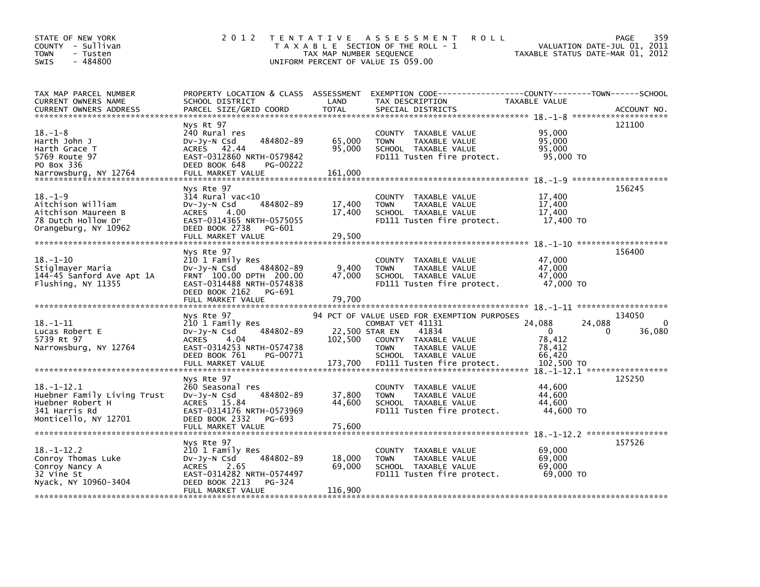| STATE OF NEW YORK<br>COUNTY - Sullivan<br><b>TOWN</b><br>- Tusten<br>$-484800$<br><b>SWIS</b>            | 2 0 1 2                                                                                                                                                               | TAX MAP NUMBER SEQUENCE              | TENTATIVE ASSESSMENT<br><b>ROLL</b><br>T A X A B L E SECTION OF THE ROLL - 1<br>UNIFORM PERCENT OF VALUE IS 059.00                                                                     | VALUATION DATE-JUL 01, 2011<br>TAXABLE STATUS DATE-MAR 01, 2012               | 359<br>PAGE           |
|----------------------------------------------------------------------------------------------------------|-----------------------------------------------------------------------------------------------------------------------------------------------------------------------|--------------------------------------|----------------------------------------------------------------------------------------------------------------------------------------------------------------------------------------|-------------------------------------------------------------------------------|-----------------------|
| TAX MAP PARCEL NUMBER<br>CURRENT OWNERS NAME<br><b>CURRENT OWNERS ADDRESS</b>                            | SCHOOL DISTRICT<br>PARCEL SIZE/GRID COORD                                                                                                                             | LAND<br><b>TOTAL</b>                 | PROPERTY LOCATION & CLASS ASSESSMENT EXEMPTION CODE-----------------COUNTY-------TOWN------SCHOOL<br>TAX DESCRIPTION<br>SPECIAL DISTRICTS                                              | TAXABLE VALUE                                                                 | ACCOUNT NO.           |
| $18. - 1 - 8$<br>Harth John J<br>Harth Grace T<br>5769 Route 97<br>PO Box 336<br>Narrowsburg, NY 12764   | Nys Rt 97<br>240 Rural res<br>484802-89<br>Dv-Jy-N Csd<br>42.44<br>ACRES<br>EAST-0312860 NRTH-0579842<br>DEED BOOK 648<br>PG-00222<br>FULL MARKET VALUE               | 65,000<br>95,000<br>161,000          | COUNTY TAXABLE VALUE<br><b>TAXABLE VALUE</b><br><b>TOWN</b><br>SCHOOL TAXABLE VALUE<br>FD111 Tusten fire protect.                                                                      | 95,000<br>95.000<br>95,000<br>95,000 TO                                       | 121100                |
| $18. - 1 - 9$<br>Aitchison William<br>Aitchison Maureen B<br>78 Dutch Hollow Dr<br>Orangeburg, NY 10962  | Nys Rte 97<br>$314$ Rural vac<10<br>DV-Jy-N Csd<br>484802-89<br><b>ACRES</b><br>4.00<br>EAST-0314365 NRTH-0575055<br>DEED BOOK 2738<br>PG-601<br>FULL MARKET VALUE    | 17,400<br>17,400<br>29.500           | COUNTY TAXABLE VALUE<br>TAXABLE VALUE<br><b>TOWN</b><br>SCHOOL TAXABLE VALUE<br>FD111 Tusten fire protect.                                                                             | 17,400<br>17,400<br>17,400<br>17,400 TO                                       | 156245                |
| $18. - 1 - 10$<br>Stiglmayer Maria<br>144-45 Sanford Ave Apt 1A<br>Flushing, NY 11355                    | Nys Rte 97<br>210 1 Family Res<br>$Dv-Jy-N$ Csd<br>484802-89<br>FRNT 100.00 DPTH 200.00<br>EAST-0314488 NRTH-0574838<br>DEED BOOK 2162<br>PG-691<br>FULL MARKET VALUE | 9,400<br>47,000<br>79,700            | COUNTY TAXABLE VALUE<br><b>TOWN</b><br>TAXABLE VALUE<br>SCHOOL TAXABLE VALUE<br>FD111 Tusten fire protect.                                                                             | 47,000<br>47,000<br>47.000<br>47,000 TO                                       | 156400                |
| $18. - 1 - 11$<br>Lucas Robert E<br>5739 Rt 97<br>Narrowsburg, NY 12764                                  | Nys Rte 97<br>210 1 Family Res<br>484802-89<br>$Dv-Jy-N$ Csd<br><b>ACRES</b><br>4.04<br>EAST-0314253 NRTH-0574738<br>DEED BOOK 761<br>PG-00771<br>FULL MARKET VALUE   | 22,500 STAR EN<br>102,500<br>173,700 | 94 PCT OF VALUE USED FOR EXEMPTION PURPOSES<br>COMBAT VET 41131<br>41834<br>COUNTY TAXABLE VALUE<br>TAXABLE VALUE<br><b>TOWN</b><br>SCHOOL TAXABLE VALUE<br>FD111 Tusten fire protect. | 24,088<br>24,088<br>$\Omega$<br>0<br>78,412<br>78,412<br>66,420<br>102,500 TO | 134050<br>0<br>36,080 |
| $18.-1-12.1$<br>Huebner Family Living Trust<br>Huebner Robert H<br>341 Harris Rd<br>Monticello, NY 12701 | Nys Rte 97<br>260 Seasonal res<br>484802-89<br>$Dv-Jy-N$ Csd<br>ACRES 15.84<br>EAST-0314176 NRTH-0573969<br>DEED BOOK 2332<br>PG-693<br>FULL MARKET VALUE             | 37,800<br>44,600<br>75,600           | COUNTY TAXABLE VALUE<br><b>TOWN</b><br>TAXABLE VALUE<br>SCHOOL TAXABLE VALUE<br>FD111 Tusten fire protect.                                                                             | 44,600<br>44,600<br>44.600<br>44,600 TO                                       | 125250                |
| $18. - 1 - 12.2$<br>Conroy Thomas Luke<br>Conroy Nancy A<br>32 Vine St<br>Nyack, NY 10960-3404           | Nys Rte 97<br>210 1 Family Res<br>484802-89<br>$Dv-Jy-N$ Csd<br><b>ACRES</b><br>2.65<br>EAST-0314282 NRTH-0574497<br>DEED BOOK 2213<br>PG-324<br>FULL MARKET VALUE    | 18,000<br>69,000<br>116,900          | COUNTY TAXABLE VALUE<br>TAXABLE VALUE<br><b>TOWN</b><br>SCHOOL TAXABLE VALUE<br>FD111 Tusten fire protect.                                                                             | 69,000<br>69,000<br>69,000<br>69,000 TO                                       | 157526                |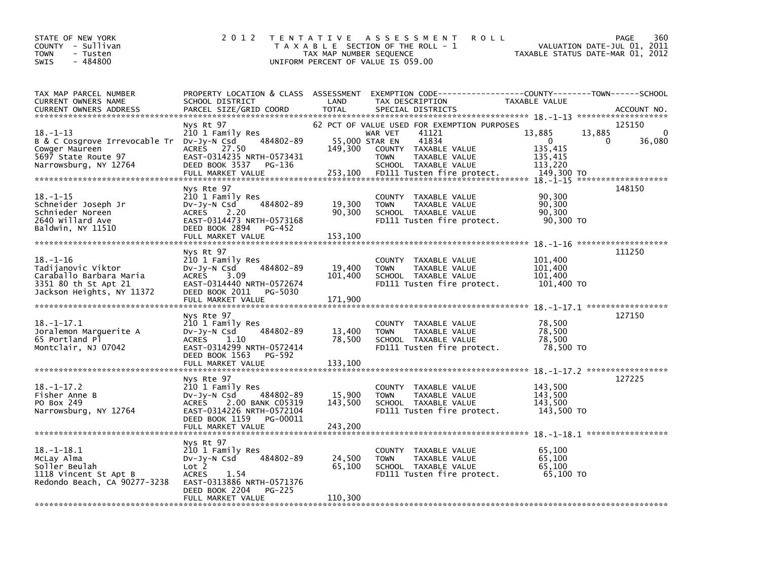| STATE OF NEW YORK<br>COUNTY - Sullivan<br><b>TOWN</b><br>- Tusten<br>$-484800$<br><b>SWIS</b>                                 | 2 0 1 2                                                                                                                                                                          | TAX MAP NUMBER SEQUENCE      | TENTATIVE ASSESSMENT<br><b>ROLL</b><br>T A X A B L E SECTION OF THE ROLL - 1<br>UNIFORM PERCENT OF VALUE IS 059.00                                                                                       | VALUATION DATE-JUL 01,<br>TAXABLE STATUS DATE-MAR 01, 2012                       | 360<br>PAGE<br>2011                |
|-------------------------------------------------------------------------------------------------------------------------------|----------------------------------------------------------------------------------------------------------------------------------------------------------------------------------|------------------------------|----------------------------------------------------------------------------------------------------------------------------------------------------------------------------------------------------------|----------------------------------------------------------------------------------|------------------------------------|
| TAX MAP PARCEL NUMBER<br>CURRENT OWNERS NAME<br><b>CURRENT OWNERS ADDRESS</b>                                                 | PROPERTY LOCATION & CLASS ASSESSMENT<br>SCHOOL DISTRICT<br>PARCEL SIZE/GRID COORD                                                                                                | LAND<br><b>TOTAL</b>         | EXEMPTION CODE-----------------COUNTY-------TOWN------SCHOOL<br>TAX DESCRIPTION<br>SPECIAL DISTRICTS                                                                                                     | TAXABLE VALUE                                                                    | ACCOUNT NO.<br>******************* |
| $18. - 1 - 13$<br>B & C Cosgrove Irrevocable Tr Dv-Jy-N Csd<br>Cowger Maureen<br>5697 State Route 97<br>Narrowsburg, NY 12764 | Nys Rt 97<br>210 1 Family Res<br>484802-89<br>27.50<br><b>ACRES</b><br>EAST-0314235 NRTH-0573431<br>DEED BOOK 3537<br>PG-136<br>FULL MARKET VALUE                                | 149,300<br>253,100           | 62 PCT OF VALUE USED FOR EXEMPTION PURPOSES<br>41121<br>WAR VET<br>41834<br>55,000 STAR EN<br>COUNTY TAXABLE VALUE<br><b>TOWN</b><br>TAXABLE VALUE<br>SCHOOL TAXABLE VALUE<br>FD111 Tusten fire protect. | 13,885<br>13,885<br>$\Omega$<br>0<br>135,415<br>135,415<br>113,220<br>149,300 TO | 125150<br>0<br>36,080              |
| $18. - 1 - 15$<br>Schneider Joseph Jr<br>Schnieder Noreen<br>2640 willard Ave<br>Baldwin, NY 11510                            | Nys Rte 97<br>210 1 Family Res<br>484802-89<br>DV-Jy-N Csd<br><b>ACRES</b><br>2.20<br>EAST-0314473 NRTH-0573168<br>DEED BOOK 2894<br>PG-452<br>FULL MARKET VALUE                 | 19,300<br>90,300<br>153,100  | <b>COUNTY</b><br>TAXABLE VALUE<br><b>TOWN</b><br>TAXABLE VALUE<br>SCHOOL TAXABLE VALUE<br>FD111 Tusten fire protect.                                                                                     | 90,300<br>90,300<br>90,300<br>90,300 TO                                          | 148150                             |
| $18. - 1 - 16$<br>Tadijanovic Viktor<br>Caraballo Barbara Maria<br>3351 80 th St Apt 21<br>Jackson Heights, NY 11372          | Nys Rt 97<br>210 1 Family Res<br>484802-89<br>DV-JY-N Csd<br><b>ACRES</b><br>3.09<br>EAST-0314440 NRTH-0572674<br>DEED BOOK 2011<br>PG-5030<br>FULL MARKET VALUE                 | 19,400<br>101,400<br>171,900 | COUNTY TAXABLE VALUE<br><b>TOWN</b><br>TAXABLE VALUE<br>SCHOOL TAXABLE VALUE<br>FD111 Tusten fire protect.                                                                                               | 101,400<br>101.400<br>101,400<br>101,400 TO                                      | 111250                             |
| 18.–1–17.1<br>Joralemon Marquerite A<br>65 Portland Pl<br>Montclair, NJ 07042                                                 | Nys Rte 97<br>210 1 Family Res<br>484802-89<br>DV-Jy-N Csd<br>1.10<br><b>ACRES</b><br>EAST-0314299 NRTH-0572414<br>DEED BOOK 1563<br>PG-592<br>FULL MARKET VALUE                 | 13,400<br>78,500<br>133,100  | COUNTY<br>TAXABLE VALUE<br><b>TOWN</b><br>TAXABLE VALUE<br>SCHOOL TAXABLE VALUE<br>FD111 Tusten fire protect.                                                                                            | 78,500<br>78,500<br>78,500<br>78,500 TO                                          | 127150                             |
| $18. - 1 - 17.2$<br>Fisher Anne B<br>PO Box 249<br>Narrowsburg, NY 12764                                                      | Nys Rte 97<br>210 1 Family Res<br>484802-89<br>$Dv-Jy-N$ Csd<br><b>ACRES</b><br>2.00 BANK C05319<br>EAST-0314226 NRTH-0572104<br>DEED BOOK 1159<br>PG-00011<br>FULL MARKET VALUE | 15,900<br>143,500<br>243,200 | <b>COUNTY</b><br>TAXABLE VALUE<br><b>TOWN</b><br>TAXABLE VALUE<br>SCHOOL TAXABLE VALUE<br>FD111 Tusten fire protect.                                                                                     | 143,500<br>143,500<br>143,500<br>143,500 TO                                      | 127225                             |
| $18. - 1 - 18.1$<br>McLay Alma<br>Soller Beulah<br>1118 Vincent St Apt B<br>Redondo Beach, CA 90277-3238                      | Nys Rt 97<br>210 1 Family Res<br>484802-89<br>DV-Jy-N Csd<br>Lot 2<br><b>ACRES</b><br>1.54<br>EAST-0313886 NRTH-0571376<br>DEED BOOK 2204<br><b>PG-225</b><br>FULL MARKET VALUE  | 24,500<br>65,100<br>110,300  | <b>COUNTY</b><br>TAXABLE VALUE<br><b>TOWN</b><br>TAXABLE VALUE<br>SCHOOL TAXABLE VALUE<br>FD111 Tusten fire protect.                                                                                     | 65.100<br>65.100<br>65.100<br>65,100 TO                                          |                                    |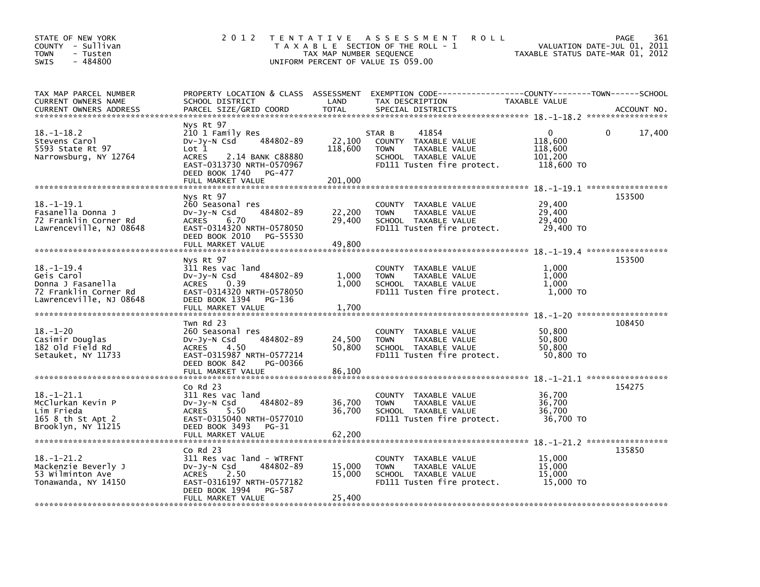| STATE OF NEW YORK<br>COUNTY - Sullivan<br>TOWN<br>- Tusten<br>$-484800$<br><b>SWIS</b>                                          | 2 0 1 2                                                                                                                                                                              | TAX MAP NUMBER SEQUENCE      | TENTATIVE ASSESSMENT<br><b>ROLL</b><br>T A X A B L E SECTION OF THE ROLL - 1<br>UNIFORM PERCENT OF VALUE IS 059.00            | VALUATION DATE-JUL 01, 2011<br>TAXABLE STATUS DATE-MAR 01, 2012 | PAGE<br>361 |
|---------------------------------------------------------------------------------------------------------------------------------|--------------------------------------------------------------------------------------------------------------------------------------------------------------------------------------|------------------------------|-------------------------------------------------------------------------------------------------------------------------------|-----------------------------------------------------------------|-------------|
| TAX MAP PARCEL NUMBER<br>CURRENT OWNERS NAME<br><b>CURRENT OWNERS ADDRESS</b>                                                   | PROPERTY LOCATION & CLASS ASSESSMENT<br>SCHOOL DISTRICT<br>PARCEL SIZE/GRID COORD                                                                                                    | LAND<br><b>TOTAL</b>         | EXEMPTION CODE-----------------COUNTY-------TOWN------SCHOOL<br>TAX DESCRIPTION<br>SPECIAL DISTRICTS                          | TAXABLE VALUE                                                   | ACCOUNT NO. |
| $18. - 1 - 18.2$<br>Stevens Carol<br>5593 State Rt 97<br>Narrowsburg, NY 12764                                                  | Nys Rt 97<br>210 1 Family Res<br>484802-89<br>DV-Jy-N Csd<br>Lot 1<br><b>ACRES</b><br>2.14 BANK C88880<br>EAST-0313730 NRTH-0570967<br>DEED BOOK 1740<br>PG-477<br>FULL MARKET VALUE | 22,100<br>118,600<br>201,000 | 41854<br>STAR B<br>COUNTY TAXABLE VALUE<br>TAXABLE VALUE<br><b>TOWN</b><br>SCHOOL TAXABLE VALUE<br>FD111 Tusten fire protect. | 0<br>118,600<br>118,600<br>101,200<br>118,600 TO                | 17,400<br>0 |
| $18. - 1 - 19.1$<br>Fasanella Donna J<br>72 Franklin Corner Rd<br>Lawrenceville, NJ 08648                                       | Nys Rt 97<br>260 Seasonal res<br>484802-89<br>DV-Jy-N Csd<br><b>ACRES</b><br>6.70<br>EAST-0314320 NRTH-0578050<br>DEED BOOK 2010<br>PG-55530<br>FULL MARKET VALUE                    | 22,200<br>29,400<br>49,800   | COUNTY TAXABLE VALUE<br><b>TOWN</b><br>TAXABLE VALUE<br>SCHOOL TAXABLE VALUE<br>FD111 Tusten fire protect.                    | 29,400<br>29,400<br>29,400<br>29,400 TO                         | 153500      |
|                                                                                                                                 |                                                                                                                                                                                      |                              |                                                                                                                               |                                                                 |             |
| $18. - 1 - 19.4$<br>Geis Carol<br>Donna J Fasanella<br>72 Franklin Corner Rd<br>Lawrenceville, NJ 08648                         | Nys Rt 97<br>311 Res vac land<br>484802-89<br>DV-Jy-N Csd<br><b>ACRES</b><br>0.39<br>EAST-0314320 NRTH-0578050<br>DEED BOOK 1394<br>PG-136<br>FULL MARKET VALUE                      | 1,000<br>1,000<br>1,700      | COUNTY TAXABLE VALUE<br>TAXABLE VALUE<br><b>TOWN</b><br>SCHOOL TAXABLE VALUE<br>FD111 Tusten fire protect.                    | 1,000<br>1,000<br>1,000<br>1,000 TO                             | 153500      |
| $18. - 1 - 20$<br>Casimir Douglas<br>182 old Field Rd<br>Setauket, NY 11733                                                     | Twn Rd 23<br>260 Seasonal res<br>484802-89<br>DV-Jy-N Csd<br><b>ACRES</b><br>4.50<br>EAST-0315987 NRTH-0577214<br>DEED BOOK 842<br>PG-00366<br>FULL MARKET VALUE                     | 24,500<br>50,800<br>86,100   | COUNTY TAXABLE VALUE<br>TAXABLE VALUE<br><b>TOWN</b><br>SCHOOL TAXABLE VALUE<br>FD111 Tusten fire protect.                    | 50,800<br>50,800<br>50,800<br>50,800 TO                         | 108450      |
| $18. - 1 - 21.1$<br>McClurkan Kevin P<br>Lim Frieda<br>165 8 th St Apt 2<br>Brooklyn, NY 11215<br>***************************** | Co Rd 23<br>311 Res vac land<br>484802-89<br>DV-Jy-N Csd<br>5.50<br><b>ACRES</b><br>EAST-0315040 NRTH-0577010<br>DEED BOOK 3493<br>PG-31<br>FULL MARKET VALUE                        | 36,700<br>36,700<br>62,200   | COUNTY TAXABLE VALUE<br><b>TOWN</b><br>TAXABLE VALUE<br>SCHOOL TAXABLE VALUE<br>FD111 Tusten fire protect.                    | 36,700<br>36,700<br>36,700<br>36,700 TO                         | 154275      |
| $18. - 1 - 21.2$<br>Mackenzie Beverly J<br>53 Wilminton Ave<br>Tonawanda, NY 14150                                              | Co Rd 23<br>311 Res vac land - WTRFNT<br>484802-89<br>DV-Jy-N Csd<br><b>ACRES</b><br>2.50<br>EAST-0316197 NRTH-0577182<br>DEED BOOK 1994<br>PG-587<br>FULL MARKET VALUE              | 15,000<br>15,000<br>25,400   | COUNTY TAXABLE VALUE<br><b>TOWN</b><br>TAXABLE VALUE<br>SCHOOL TAXABLE VALUE<br>FD111 Tusten fire protect.                    | 15,000<br>15,000<br>15,000<br>15,000 TO                         | 135850      |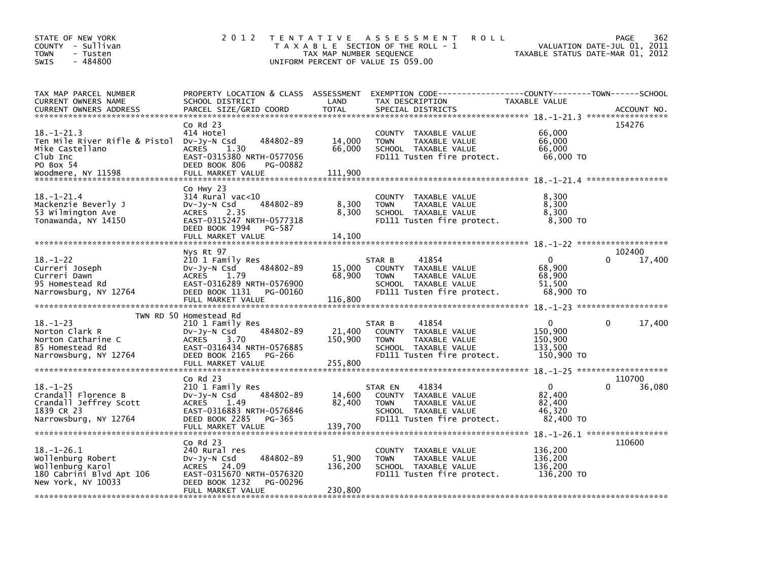| STATE OF NEW YORK<br>COUNTY - Sullivan<br><b>TOWN</b><br>- Tusten<br>$-484800$<br><b>SWIS</b>                                   | 2 0 1 2                                                                                                                                                    | TAX MAP NUMBER SEQUENCE      | TENTATIVE ASSESSMENT<br><b>ROLL</b><br>T A X A B L E SECTION OF THE ROLL - 1<br>UNIFORM PERCENT OF VALUE IS 059.00                       | TAXABLE STATUS DATE-MAR 01, 2012                            | 362<br><b>PAGE</b><br>VALUATION DATE-JUL 01, 2011 |
|---------------------------------------------------------------------------------------------------------------------------------|------------------------------------------------------------------------------------------------------------------------------------------------------------|------------------------------|------------------------------------------------------------------------------------------------------------------------------------------|-------------------------------------------------------------|---------------------------------------------------|
| TAX MAP PARCEL NUMBER<br>CURRENT OWNERS NAME<br><b>CURRENT OWNERS ADDRESS</b>                                                   | SCHOOL DISTRICT<br>PARCEL SIZE/GRID COORD                                                                                                                  | LAND<br><b>TOTAL</b>         | PROPERTY LOCATION & CLASS ASSESSMENT EXEMPTION CODE----------------COUNTY-------TOWN------SCHOOL<br>TAX DESCRIPTION<br>SPECIAL DISTRICTS | TAXABLE VALUE                                               | ACCOUNT NO.                                       |
| $18. - 1 - 21.3$<br>Ten Mile River Rifle & Pistol Dv-Jy-N Csd<br>Mike Castellano<br>Club Inc<br>PO Box 54<br>Woodmere, NY 11598 | $Co$ Rd $23$<br>414 Hotel<br>484802-89<br>1.30<br><b>ACRES</b><br>EAST-0315380 NRTH-0577056<br>DEED BOOK 806<br>PG-00882<br>FULL MARKET VALUE              | 14,000<br>66,000<br>111,900  | COUNTY TAXABLE VALUE<br>TAXABLE VALUE<br><b>TOWN</b><br>SCHOOL TAXABLE VALUE<br>FD111 Tusten fire protect.                               | 66,000<br>66,000<br>66,000<br>66,000 TO                     | 154276                                            |
| $18. - 1 - 21.4$<br>Mackenzie Beverly J<br>53 Wilmington Ave<br>Tonawanda, NY 14150                                             | Co Hwy 23<br>$314$ Rural vac< $10$<br>484802-89<br>DV-Jy-N Csd<br>ACRES 2.35<br>EAST-0315247 NRTH-0577318<br>DEED BOOK 1994<br>PG-587<br>FULL MARKET VALUE | 8,300<br>8,300<br>14.100     | COUNTY TAXABLE VALUE<br>TAXABLE VALUE<br><b>TOWN</b><br>SCHOOL TAXABLE VALUE<br>FD111 Tusten fire protect.                               | 8,300<br>8,300<br>8,300<br>8,300 TO                         |                                                   |
|                                                                                                                                 | Nys Rt 97                                                                                                                                                  |                              |                                                                                                                                          |                                                             | 102400                                            |
| $18. - 1 - 22$<br>Curreri Joseph<br>Curreri Dawn<br>95 Homestead Rd<br>Narrowsburg, NY 12764                                    | 210 1 Family Res<br>484802-89<br>DV-Jy-N Csd<br>ACRES 1.79<br>EAST-0316289 NRTH-0576900<br>DEED BOOK 1131<br>PG-00160<br>FULL MARKET VALUE                 | 15,000<br>68.900<br>116,800  | 41854<br>STAR B<br>COUNTY TAXABLE VALUE<br>TAXABLE VALUE<br><b>TOWN</b><br>SCHOOL TAXABLE VALUE<br>FD111 Tusten fire protect.            | $\mathbf{0}$<br>68,900<br>68,900<br>51.500<br>68,900 TO     | 17,400                                            |
|                                                                                                                                 | TWN RD 50 Homestead Rd                                                                                                                                     |                              |                                                                                                                                          |                                                             |                                                   |
| $18. - 1 - 23$<br>Norton Clark R<br>Norton Catharine C<br>85 Homestead Rd<br>Narrowsburg, NY 12764                              | 210 1 Family Res<br>484802-89<br>$Dv-Jy-N$ Csd<br>ACRES<br>3.70<br>EAST-0316434 NRTH-0576885<br>DEED BOOK 2165<br>PG-266<br>FULL MARKET VALUE              | 21,400<br>150,900<br>255,800 | 41854<br>STAR B<br>COUNTY TAXABLE VALUE<br>TAXABLE VALUE<br><b>TOWN</b><br>SCHOOL TAXABLE VALUE<br>FD111 Tusten fire protect.            | $\mathbf{0}$<br>150,900<br>150.900<br>133,500<br>150,900 TO | 17,400<br>0                                       |
|                                                                                                                                 |                                                                                                                                                            |                              |                                                                                                                                          |                                                             |                                                   |
| $18. - 1 - 25$<br>Crandall Florence B<br>Crandall Jeffrey Scott<br>1839 CR 23<br>Narrowsburg, NY 12764                          | $Co$ Rd $23$<br>210 1 Family Res<br>484802-89<br>$Dv-Jy-N$ Csd<br>1.49<br><b>ACRES</b><br>EAST-0316883 NRTH-0576846<br>DEED BOOK 2285<br>PG-365            | 14,600<br>82,400             | 41834<br>STAR EN<br>COUNTY TAXABLE VALUE<br>TAXABLE VALUE<br><b>TOWN</b><br>SCHOOL TAXABLE VALUE<br>FD111 Tusten fire protect.           | $\mathbf{0}$<br>82,400<br>82,400<br>46,320<br>82,400 TO     | 110700<br>36,080                                  |
| $18. - 1 - 26.1$<br>Wollenburg Robert<br>Wollenburg Karol<br>180 Cabrini Blvd Apt 106<br>New York, NY 10033                     | $Co$ Rd $23$<br>240 Rural res<br>484802-89<br>$Dv-Jy-N$ Csd<br>ACRES 24.09<br>EAST-0315670 NRTH-0576320<br>DEED BOOK 1232<br>PG-00296<br>FULL MARKET VALUE | 51,900<br>136,200<br>230,800 | COUNTY TAXABLE VALUE<br>TAXABLE VALUE<br><b>TOWN</b><br>SCHOOL TAXABLE VALUE<br>FD111 Tusten fire protect.                               | 136,200<br>136,200<br>136,200<br>136,200 TO                 | 110600                                            |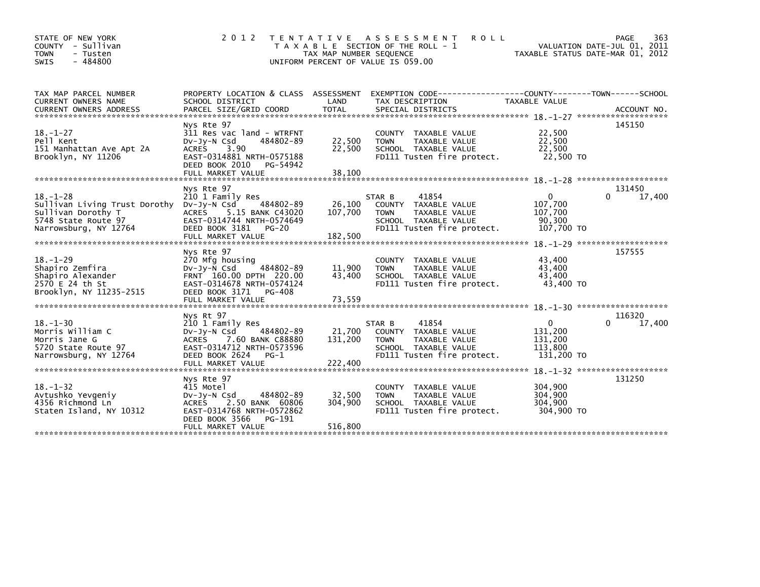| STATE OF NEW YORK<br>COUNTY - Sullivan<br><b>TOWN</b><br>- Tusten<br>$-484800$<br><b>SWIS</b>                                     | 2 0 1 2                                                                                                                                                                       | <b>TENTATIVE</b><br>TAX MAP NUMBER SEQUENCE<br>UNIFORM PERCENT OF VALUE IS 059.00 | <b>ROLL</b><br>A S S E S S M E N T<br>T A X A B L E SECTION OF THE ROLL - 1                                                          | TAXABLE STATUS DATE-MAR 01, 2012                            | PAGE<br>363<br>VALUATION DATE-JUL 01, 2011 |
|-----------------------------------------------------------------------------------------------------------------------------------|-------------------------------------------------------------------------------------------------------------------------------------------------------------------------------|-----------------------------------------------------------------------------------|--------------------------------------------------------------------------------------------------------------------------------------|-------------------------------------------------------------|--------------------------------------------|
| TAX MAP PARCEL NUMBER<br>CURRENT OWNERS NAME                                                                                      | PROPERTY LOCATION & CLASS ASSESSMENT<br>SCHOOL DISTRICT                                                                                                                       | LAND                                                                              | TAX DESCRIPTION                                                                                                                      | TAXABLE VALUE                                               |                                            |
| $18. - 1 - 27$<br>Pell Kent<br>151 Manhattan Ave Apt 2A<br>Brooklyn, NY 11206                                                     | Nys Rte 97<br>311 Res vac land - WTRFNT<br>$Dv-Jv-N$ Csd<br>484802-89<br><b>ACRES</b><br>3.90<br>EAST-0314881 NRTH-0575188<br>DEED BOOK 2010<br>PG-54942<br>FULL MARKET VALUE | 22,500<br>22,500<br>38,100                                                        | COUNTY TAXABLE VALUE<br><b>TOWN</b><br>TAXABLE VALUE<br>SCHOOL TAXABLE VALUE<br>FD111 Tusten fire protect.                           | 22,500<br>22,500<br>22,500<br>22.500 TO                     | 145150                                     |
|                                                                                                                                   | Nys Rte 97                                                                                                                                                                    |                                                                                   |                                                                                                                                      |                                                             | 131450                                     |
| $18. - 1 - 28$<br>Sullivan Living Trust Dorothy Dv-Jy-N Csd<br>Sullivan Dorothy T<br>5748 State Route 97<br>Narrowsburg, NY 12764 | 210 1 Family Res<br>484802-89<br><b>ACRES</b><br>5.15 BANK C43020<br>EAST-0314744 NRTH-0574649<br>DEED BOOK 3181<br>$PG-20$                                                   | 26,100<br>107.700                                                                 | 41854<br>STAR B<br>COUNTY TAXABLE VALUE<br><b>TOWN</b><br>TAXABLE VALUE<br>SCHOOL TAXABLE VALUE<br>FD111 Tusten fire protect.        | $\Omega$<br>107,700<br>107,700<br>90,300<br>107,700 TO      | 17,400                                     |
|                                                                                                                                   | FULL MARKET VALUE                                                                                                                                                             | 182,500                                                                           |                                                                                                                                      |                                                             |                                            |
|                                                                                                                                   | Nys Rte 97                                                                                                                                                                    |                                                                                   |                                                                                                                                      |                                                             | 157555                                     |
| $18. - 1 - 29$<br>Shapiro Zemfira<br>Shapiro Alexander<br>2570 E 24 th St<br>Brooklyn, NY 11235-2515                              | 270 Mfg housing<br>$Dv-Jy-N$ Csd<br>484802-89<br>FRNT 160.00 DPTH 220.00<br>EAST-0314678 NRTH-0574124<br>DEED BOOK 3171 PG-408                                                | 11,900<br>43,400                                                                  | COUNTY TAXABLE VALUE<br>TAXABLE VALUE<br><b>TOWN</b><br>SCHOOL TAXABLE VALUE<br>FD111 Tusten fire protect.                           | 43,400<br>43,400<br>43,400<br>43,400 TO                     |                                            |
|                                                                                                                                   |                                                                                                                                                                               |                                                                                   |                                                                                                                                      |                                                             |                                            |
|                                                                                                                                   |                                                                                                                                                                               |                                                                                   |                                                                                                                                      |                                                             |                                            |
| $18. - 1 - 30$<br>Morris William C<br>Morris Jane G<br>5720 State Route 97<br>Narrowsburg, NY 12764                               | Nys Rt 97<br>210 1 Family Res<br>484802-89<br>DV-Jy-N Csd<br><b>ACRES</b><br>7.60 BANK C88880<br>EAST-0314712 NRTH-0573596<br>DEED BOOK 2624<br>$PG-1$<br>FULL MARKET VALUE   | 21,700<br>131,200                                                                 | 41854<br>STAR B<br>COUNTY TAXABLE VALUE<br><b>TAXABLE VALUE</b><br><b>TOWN</b><br>SCHOOL TAXABLE VALUE<br>FD111 Tusten fire protect. | $\mathbf{0}$<br>131,200<br>131,200<br>113,800<br>131,200 TO | 116320<br>$\Omega$<br>17,400               |
|                                                                                                                                   |                                                                                                                                                                               |                                                                                   |                                                                                                                                      |                                                             | $18 - 1 - 32$ *********************        |
| $18. - 1 - 32$<br>Avtushko Yevgeniy<br>4356 Richmond Ln<br>Staten Island, NY 10312                                                | Nys Rte 97<br>415 Motel<br>484802-89<br>Dv-Jy-N Csd<br>2.50 BANK 60806<br><b>ACRES</b><br>EAST-0314768 NRTH-0572862<br>DEED BOOK 3566<br>PG-191                               | 32,500<br>304,900                                                                 | COUNTY<br>TAXABLE VALUE<br><b>TOWN</b><br>TAXABLE VALUE<br>SCHOOL TAXABLE VALUE<br>FD111 Tusten fire protect.                        | 304,900<br>304,900<br>304,900<br>304,900 TO                 | 131250                                     |
|                                                                                                                                   | FULL MARKET VALUE                                                                                                                                                             | 516,800                                                                           |                                                                                                                                      |                                                             |                                            |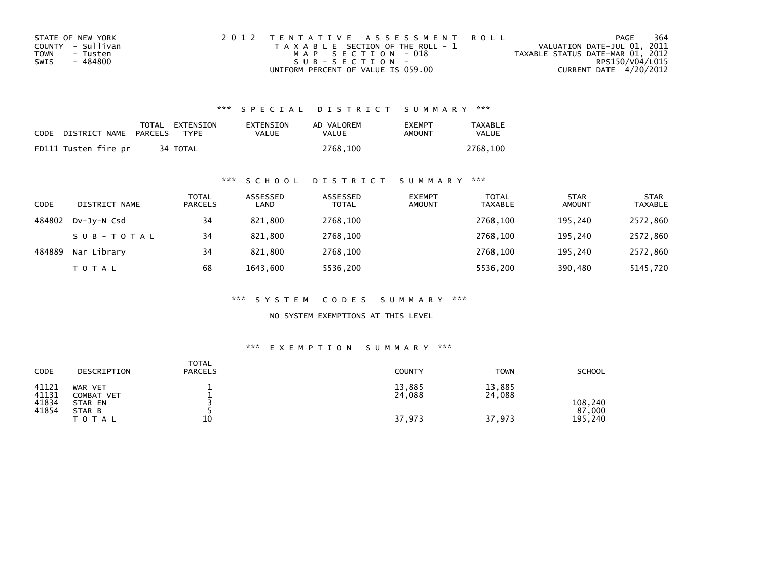| STATE OF NEW YORK | 2012 TENTATIVE ASSESSMENT ROLL        | PAGE                             | 364 |
|-------------------|---------------------------------------|----------------------------------|-----|
| COUNTY - Sullivan | T A X A B L E SECTION OF THE ROLL - 1 | VALUATION DATE-JUL 01, 2011      |     |
| TOWN<br>- Tusten  | MAP SECTION - 018                     | TAXABLE STATUS DATE-MAR 01, 2012 |     |
| - 484800<br>SWIS  | $SUB - SECTION -$                     | RPS150/V04/L015                  |     |
|                   | UNIFORM PERCENT OF VALUE IS 059.00    | CURRENT DATE 4/20/2012           |     |

| CODE | DISTRICT NAME        | PARCELS | TOTAL EXTENSION<br><b>TYPF</b> | EXTENSION<br>VALUE | AD VALOREM<br>VALUE | <b>FXFMPT</b><br>AMOUNT | <b>TAXABLE</b><br>VALUE |
|------|----------------------|---------|--------------------------------|--------------------|---------------------|-------------------------|-------------------------|
|      | FD111 Tusten fire pr |         | 34 TOTAL                       |                    | 2768.100            |                         | 2768.100                |

## \*\*\* S C H O O L D I S T R I C T S U M M A R Y \*\*\*

| CODE   | DISTRICT NAME | TOTAL<br><b>PARCELS</b> | ASSESSED<br>LAND | ASSESSED<br><b>TOTAL</b> | <b>EXEMPT</b><br><b>AMOUNT</b> | <b>TOTAL</b><br><b>TAXABLE</b> | <b>STAR</b><br><b>AMOUNT</b> | <b>STAR</b><br>TAXABLE |
|--------|---------------|-------------------------|------------------|--------------------------|--------------------------------|--------------------------------|------------------------------|------------------------|
| 484802 | Dv-Jy-N Csd   | 34                      | 821,800          | 2768,100                 |                                | 2768.100                       | 195,240                      | 2572,860               |
|        | SUB-TOTAL     | 34                      | 821,800          | 2768,100                 |                                | 2768.100                       | 195.240                      | 2572,860               |
| 484889 | Nar Library   | 34                      | 821,800          | 2768,100                 |                                | 2768.100                       | 195.240                      | 2572,860               |
|        | TOTAL         | 68                      | 1643,600         | 5536,200                 |                                | 5536,200                       | 390,480                      | 5145,720               |

\*\*\* S Y S T E M C O D E S S U M M A R Y \*\*\*

NO SYSTEM EXEMPTIONS AT THIS LEVEL

## \*\*\* E X E M P T I O N S U M M A R Y \*\*\*

| CODE                             | DESCRIPTION                                | <b>TOTAL</b><br><b>PARCELS</b> | COUNTY           | <b>TOWN</b>      | <b>SCHOOL</b>     |
|----------------------------------|--------------------------------------------|--------------------------------|------------------|------------------|-------------------|
| 41121<br>41131<br>41834<br>41854 | WAR VET<br>COMBAT VET<br>STAR EN<br>STAR B |                                | 13,885<br>24,088 | 13,885<br>24,088 | 108,240<br>87,000 |
|                                  | T O T A L                                  | 10                             | 37,973           | 37,973           | 195,240           |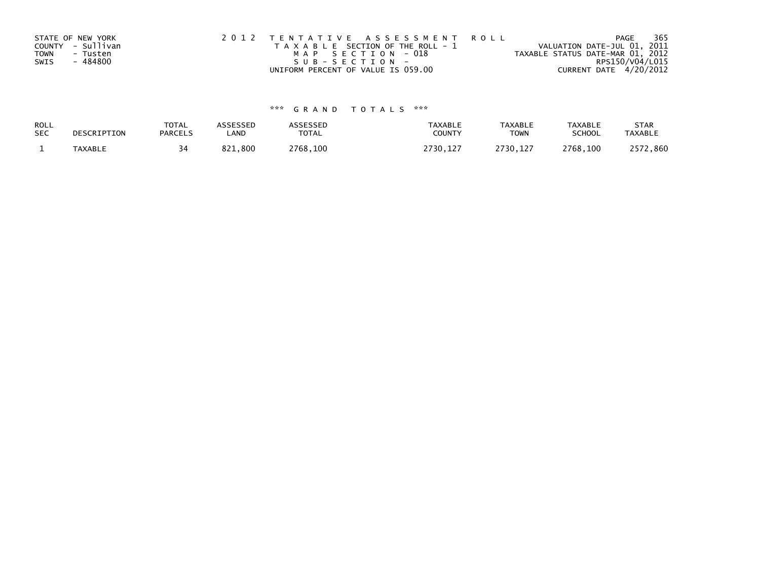|             | STATE OF NEW YORK | 2012 TENTATIVE ASSESSMENT ROLL        | PAGE                             | 365 |
|-------------|-------------------|---------------------------------------|----------------------------------|-----|
|             | COUNTY - Sullivan | T A X A B L E SECTION OF THE ROLL - 1 | VALUATION DATE-JUL 01, 2011      |     |
| <b>TOWN</b> | - Tusten          | MAP SECTION - 018                     | TAXABLE STATUS DATE-MAR 01, 2012 |     |
| SWIS        | - 484800          | SUB-SECTION-                          | RPS150/V04/L015                  |     |
|             |                   | UNIFORM PERCENT OF VALUE IS 059.00    | CURRENT DATE 4/20/2012           |     |

| ROLL       | DESCRIPTION    | <b>TOTAL</b>   | ASSESSED | ASSESSED | <b>TAXABLE</b> | <b>TAXABLE</b> | <b>TAXABLE</b> | <b>STAR</b>    |
|------------|----------------|----------------|----------|----------|----------------|----------------|----------------|----------------|
| <b>SEC</b> |                | <b>PARCELS</b> | _AND     | TOTAL    | <b>COUNT</b>   | TOWN           | <b>SCHOOL</b>  | <b>TAXABLE</b> |
|            | <b>TAXABLE</b> |                | 821,800  | 2768,100 | 2730.127       | 2730.127       | 2768.100       | 2572,860       |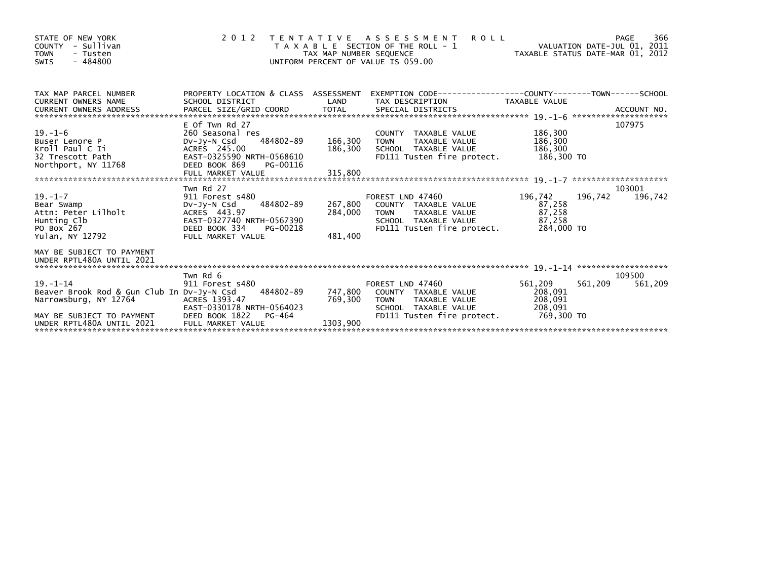| STATE OF NEW YORK<br>- Sullivan<br><b>COUNTY</b><br><b>TOWN</b><br>- Tusten<br>$-484800$<br><b>SWIS</b>                                                                                | 2 0 1 2                                                                                                                                                 | TAX MAP NUMBER SEQUENCE | <b>ROLL</b><br>TENTATIVE ASSESSMENT<br>VALUATION DATE-JUL 01, 2011<br>TAXABLE STATUS DATE-MAR 01, 2012<br>T A X A B L E SECTION OF THE ROLL - 1<br>UNIFORM PERCENT OF VALUE IS 059.00 |                                                        | PAGE              | 366     |
|----------------------------------------------------------------------------------------------------------------------------------------------------------------------------------------|---------------------------------------------------------------------------------------------------------------------------------------------------------|-------------------------|---------------------------------------------------------------------------------------------------------------------------------------------------------------------------------------|--------------------------------------------------------|-------------------|---------|
| TAX MAP PARCEL NUMBER<br><b>CURRENT OWNERS NAME</b><br><b>CURRENT OWNERS ADDRESS</b>                                                                                                   | SCHOOL DISTRICT                                                                                                                                         | LAND                    | PROPERTY LOCATION & CLASS ASSESSMENT EXEMPTION CODE----------------COUNTY-------TOWN-----SCHOOL<br>TAX DESCRIPTION                                                                    | TAXABLE VALUE                                          |                   |         |
| $19. - 1 - 6$<br>Buser Lenore P<br>Kroll Paul C Ii<br>32 Trescott Path<br>Northport, NY 11768                                                                                          | E Of Twn Rd 27<br>260 Seasonal res<br>484802-89<br>DV-Jy-N Csd<br>ACRES 245.00<br>EAST-0325590 NRTH-0568610<br>DEED BOOK 869<br>PG-00116                | 166,300 TOWN            | COUNTY TAXABLE VALUE<br>TAXABLE VALUE<br>186,300 SCHOOL TAXABLE VALUE<br>FD111 Tusten fire protect.                                                                                   | 186,300<br>186,300<br>186,300<br>186,300 TO            | 107975            |         |
| $19. - 1 - 7$<br>Bear Swamp<br>Attn: Peter Lilholt<br>Hunting Clb<br>PO Box 267<br>Yulan, NY 12792                                                                                     | Twn Rd 27<br>911 Forest s480<br>484802-89<br>DV-JY-N Csd<br>ACRES 443.97<br>EAST-0327740 NRTH-0567390<br>DEED BOOK 334<br>PG-00218<br>FULL MARKET VALUE | 481,400                 | FOREST LND 47460<br>267,800 COUNTY TAXABLE VALUE<br>284,000 TOWN TAXABLE VALUE<br>SCHOOL TAXABLE VALUE<br>FD111 Tusten fire protect.                                                  | 196,742<br>87,258<br>87,258<br>87,258<br>284,000 TO    | 103001<br>196,742 | 196,742 |
| MAY BE SUBJECT TO PAYMENT                                                                                                                                                              |                                                                                                                                                         |                         |                                                                                                                                                                                       |                                                        |                   |         |
| $19. - 1 - 14$<br>Beaver Brook Rod & Gun Club In Dv-Jy-N Csd 484802-89<br>Narrowsburg, NY 12764<br>MAY BE SUBJECT TO PAYMENT<br>UNDER RPTL480A UNTIL 2021<br>UNDER RPTL480A UNTIL 2021 | Twn Rd 6<br>911 Forest s480<br>ACRES 1393.47<br>EAST-0330178 NRTH-0564023<br>DEED BOOK 1822<br>PG-464<br>FULL MARKET VALUE                              | 769,300<br>1303,900     | FOREST LND 47460<br>747,800 COUNTY TAXABLE VALUE<br><b>TOWN</b><br>TAXABLE VALUE<br>SCHOOL TAXABLE VALUE<br>FD111 Tusten fire protect.                                                | 561,209<br>208,091<br>208,091<br>208,091<br>769,300 TO | 109500<br>561,209 | 561,209 |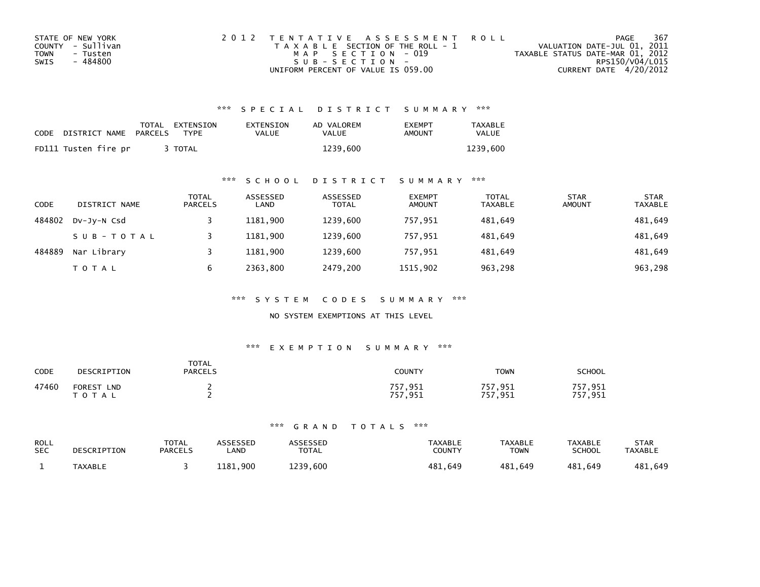| STATE OF NEW YORK | 2012 TENTATIVE ASSESSMENT ROLL        | PAGE                             | 367 |
|-------------------|---------------------------------------|----------------------------------|-----|
| COUNTY - Sullivan | T A X A B L E SECTION OF THE ROLL - 1 | VALUATION DATE-JUL 01, 2011      |     |
| TOWN<br>- Tusten  | MAP SECTION - 019                     | TAXABLE STATUS DATE-MAR 01, 2012 |     |
| - 484800<br>SWIS  | $SUB - SECTION -$                     | RPS150/V04/L015                  |     |
|                   | UNIFORM PERCENT OF VALUE IS 059.00    | CURRENT DATE 4/20/2012           |     |

| CODE | DISTRICT NAME        | PARCELS | TOTAL EXTENSION<br><b>TYPF</b> | EXTENSION<br><b>VALUE</b> | AD VALOREM<br>VALUE | <b>FXFMPT</b><br>AMOUNT | <b>TAXABLE</b><br>VALUE |
|------|----------------------|---------|--------------------------------|---------------------------|---------------------|-------------------------|-------------------------|
|      | FD111 Tusten fire pr |         | TOTAL                          |                           | 1239.600            |                         | 1239.600                |

### \*\*\* S C H O O L D I S T R I C T S U M M A R Y \*\*\*

| <b>CODE</b> | DISTRICT NAME | <b>TOTAL</b><br><b>PARCELS</b> | ASSESSED<br>LAND | ASSESSED<br><b>TOTAL</b> | <b>EXEMPT</b><br><b>AMOUNT</b> | <b>TOTAL</b><br><b>TAXABLE</b> | <b>STAR</b><br><b>AMOUNT</b> | <b>STAR</b><br><b>TAXABLE</b> |
|-------------|---------------|--------------------------------|------------------|--------------------------|--------------------------------|--------------------------------|------------------------------|-------------------------------|
| 484802      | DV-Jy-N Csd   |                                | 1181.900         | 1239.600                 | 757,951                        | 481,649                        |                              | 481,649                       |
|             | SUB-TOTAL     |                                | 1181.900         | 1239.600                 | 757.951                        | 481.649                        |                              | 481,649                       |
| 484889      | Nar Library   |                                | 1181.900         | 1239.600                 | 757.951                        | 481.649                        |                              | 481,649                       |
|             | <b>TOTAL</b>  | b                              | 2363.800         | 2479,200                 | 1515,902                       | 963,298                        |                              | 963,298                       |

\*\*\* S Y S T E M C O D E S S U M M A R Y \*\*\*

NO SYSTEM EXEMPTIONS AT THIS LEVEL

### \*\*\* E X E M P T I O N S U M M A R Y \*\*\*

| CODE  | DESCRIPTION                                 | <b>TOTAL</b><br><b>PARCELS</b> | COUNTY                           | TOWN               | SCHOOL                         |
|-------|---------------------------------------------|--------------------------------|----------------------------------|--------------------|--------------------------------|
| 47460 | <b>FOREST</b><br><b>LND</b><br><b>TOTAL</b> |                                | .951<br>757<br>757<br>- Q51<br>. | 757,951<br>757,951 | 757<br>1,951 '<br>'.951<br>757 |

| ROLL       | DESCRIPTION    | <b>TOTAL</b>   | ASSESSED | <b>ASSESSED</b> | <b>TAXABLE</b> | TAXABLE     | <b>TAXABLE</b> | <b>STAR</b>    |
|------------|----------------|----------------|----------|-----------------|----------------|-------------|----------------|----------------|
| <b>SEC</b> |                | <b>PARCELS</b> | _AND     | <b>TOTAL</b>    | COUNTY         | <b>TOWN</b> | <b>SCHOOL</b>  | <b>TAXABLE</b> |
|            | <b>TAXABLE</b> |                | 1181.900 | 1239.600        | 481,649        | 481,649     | 481.649        | 481,649        |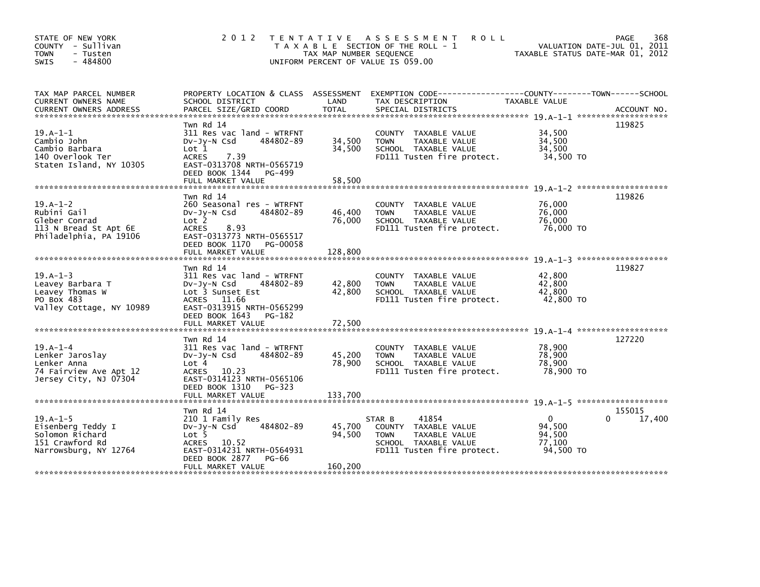| STATE OF NEW YORK<br>COUNTY - Sullivan<br>- Tusten<br><b>TOWN</b><br>$-484800$<br>SWIS          |                                                                                                                                                               | TAX MAP NUMBER SEQUENCE | 2012 TENTATIVE ASSESSMENT<br><b>ROLL</b><br>T A X A B L E SECTION OF THE ROLL - 1<br>UNIFORM PERCENT OF VALUE IS 059.00       | TAXABLE STATUS DATE-MAR 01, 2012                    | 368<br>PAGE<br>VALUATION DATE-JUL 01, 2011 |
|-------------------------------------------------------------------------------------------------|---------------------------------------------------------------------------------------------------------------------------------------------------------------|-------------------------|-------------------------------------------------------------------------------------------------------------------------------|-----------------------------------------------------|--------------------------------------------|
| TAX MAP PARCEL NUMBER<br>CURRENT OWNERS NAME                                                    | SCHOOL DISTRICT                                                                                                                                               | LAND                    | PROPERTY LOCATION & CLASS ASSESSMENT EXEMPTION CODE---------------COUNTY-------TOWN-----SCHOOL<br>TAX DESCRIPTION             | TAXABLE VALUE                                       |                                            |
| $19.A-1-1$<br>Cambio John<br>Cambio Barbara<br>140 Overlook Ter<br>Staten Island, NY 10305      | Twn Rd 14<br>311 Res vac land - WTRFNT<br>484802-89<br>$Dv-Jv-N$ Csd<br>Lot 1<br>7.39<br>ACRES<br>EAST-0313708 NRTH-0565719<br>DEED BOOK 1344 PG-499          | 34,500<br>34,500        | COUNTY TAXABLE VALUE<br><b>TOWN</b><br>TAXABLE VALUE<br>SCHOOL TAXABLE VALUE<br>FD111 Tusten fire protect.                    | 34,500<br>34,500<br>34,500<br>34,500 TO             | 119825                                     |
|                                                                                                 | Twn Rd 14                                                                                                                                                     |                         |                                                                                                                               |                                                     | 119826                                     |
| $19.A-1-2$<br>Rubini Gail<br>Gleber Conrad<br>113 N Bread St Apt 6E<br>Philadelphia, PA 19106   | 260 Seasonal res - WTRFNT<br>484802-89<br>$Dv-Jy-N$ Csd<br>Lot 2<br><b>ACRES</b><br>8.93<br>EAST-0313773 NRTH-0565517<br>DEED BOOK 1170 PG-00058              | 46,400<br>76,000        | COUNTY TAXABLE VALUE<br><b>TOWN</b><br>TAXABLE VALUE<br>SCHOOL TAXABLE VALUE<br>FD111 Tusten fire protect.                    | 76,000<br>76.000<br>76,000<br>76,000 TO             |                                            |
|                                                                                                 | FULL MARKET VALUE                                                                                                                                             | 128,800                 |                                                                                                                               |                                                     |                                            |
| $19.A-1-3$<br>Leavey Barbara T<br>Leavey Thomas W<br>PO Box 483<br>Valley Cottage, NY 10989     | Twn Rd 14<br>311 Res vac land - WTRFNT<br>$Dv-Jv-N$ Csd<br>484802-89<br>Lot 3 Sunset Est<br>ACRES 11.66<br>EAST-0313915 NRTH-0565299<br>DEED BOOK 1643 PG-182 | 42,800<br>42,800        | COUNTY TAXABLE VALUE<br><b>TOWN</b><br>TAXABLE VALUE<br>SCHOOL TAXABLE VALUE<br>FD111 Tusten fire protect.                    | 42,800<br>42,800<br>42,800<br>42,800 TO             | 119827                                     |
|                                                                                                 | Twn Rd 14                                                                                                                                                     |                         |                                                                                                                               |                                                     | 127220                                     |
| $19.A-1-4$<br>Lenker Jaroslay<br>Lenker Anna<br>74 Fairview Ave Apt 12<br>Jersey City, NJ 07304 | 311 Res vac land - WTRFNT<br>484802-89<br>$Dv-Jy-N$ Csd<br>Lot 4<br>ACRES 10.23<br>EAST-0314123 NRTH-0565106<br>DEED BOOK 1310 PG-323                         | 45,200<br>78,900        | COUNTY TAXABLE VALUE<br><b>TOWN</b><br>TAXABLE VALUE<br>SCHOOL TAXABLE VALUE<br>FD111 Tusten fire protect.                    | 78,900<br>78,900<br>78,900<br>78,900 TO             |                                            |
|                                                                                                 |                                                                                                                                                               |                         |                                                                                                                               |                                                     |                                            |
| $19.A-1-5$<br>Eisenberg Teddy I<br>Solomon Richard<br>151 Crawford Rd<br>Narrowsburg, NY 12764  | Twn Rd 14<br>210 1 Family Res<br>484802-89<br>$Dv-Jv-N$ Csd<br>Lot 5<br>ACRES 10.52<br>EAST-0314231 NRTH-0564931<br>DEED BOOK 2877<br><b>PG-66</b>            | 45.700<br>94,500        | 41854<br>STAR B<br>COUNTY TAXABLE VALUE<br><b>TOWN</b><br>TAXABLE VALUE<br>SCHOOL TAXABLE VALUE<br>FD111 Tusten fire protect. | $\Omega$<br>94.500<br>94,500<br>77,100<br>94.500 TO | 155015<br>17,400                           |
|                                                                                                 | FULL MARKET VALUE                                                                                                                                             | 160,200                 |                                                                                                                               |                                                     |                                            |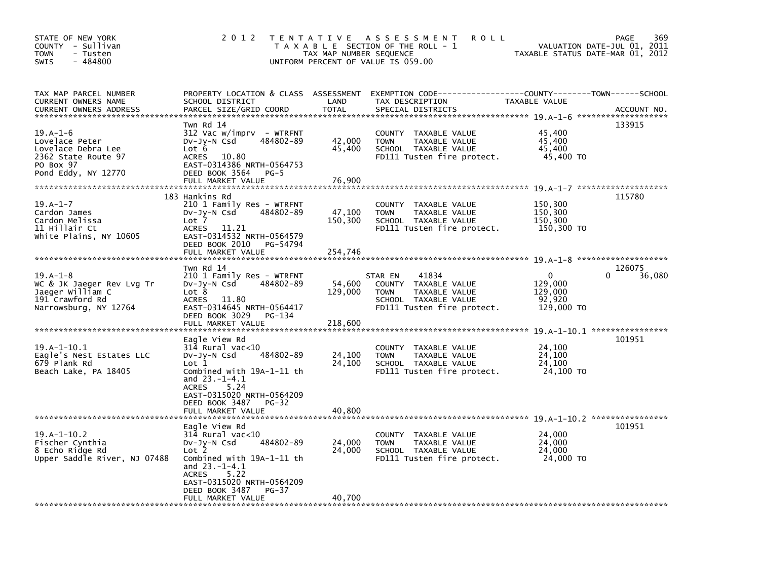| STATE OF NEW YORK<br>COUNTY - Sullivan<br>- Tusten<br><b>TOWN</b><br>- 484800<br>SWIS                         | 2 0 1 2                                                                                                                                                                                                                                | TAX MAP NUMBER SEQUENCE      | TENTATIVE ASSESSMENT<br>ROLL<br>T A X A B L E SECTION OF THE ROLL - 1<br>UNIFORM PERCENT OF VALUE IS 059.00                              | VALUATION DATE-JUL 01, 2011<br>TAXABLE STATUS DATE-MAR 01, 2012                     | 369<br>PAGE           |
|---------------------------------------------------------------------------------------------------------------|----------------------------------------------------------------------------------------------------------------------------------------------------------------------------------------------------------------------------------------|------------------------------|------------------------------------------------------------------------------------------------------------------------------------------|-------------------------------------------------------------------------------------|-----------------------|
| TAX MAP PARCEL NUMBER<br>CURRENT OWNERS NAME<br><b>CURRENT OWNERS ADDRESS</b>                                 | PROPERTY LOCATION & CLASS ASSESSMENT<br>SCHOOL DISTRICT<br>PARCEL SIZE/GRID COORD                                                                                                                                                      | LAND<br><b>TOTAL</b>         | EXEMPTION CODE-----------------COUNTY-------TOWN------SCHOOL<br>TAX DESCRIPTION<br>SPECIAL DISTRICTS                                     | TAXABLE VALUE                                                                       | ACCOUNT NO.           |
| $19.A-1-6$<br>Lovelace Peter<br>Lovelace Debra Lee<br>2362 State Route 97<br>PO Box 97<br>Pond Eddy, NY 12770 | Twn Rd 14<br>312 Vac w/imprv - WTRFNT<br>484802-89<br>DV-Jy-N Csd<br>Lot 6<br>10.80<br><b>ACRES</b><br>EAST-0314386 NRTH-0564753<br>DEED BOOK 3564<br>$PG-5$<br>FULL MARKET VALUE                                                      | 42,000<br>45,400<br>76,900   | COUNTY TAXABLE VALUE<br>TAXABLE VALUE<br><b>TOWN</b><br>SCHOOL TAXABLE VALUE<br>FD111 Tusten fire protect.                               | 45,400<br>45,400<br>45,400<br>45,400 TO                                             | 133915                |
| $19.A - 1 - 7$<br>Cardon James<br>Cardon Melissa<br>11 Hillair Ct<br>white Plains, NY 10605                   | 183 Hankins Rd<br>210 1 Family Res - WTRFNT<br>484802-89<br>DV-Jy-N Csd<br>Lot 7<br><b>ACRES</b><br>11.21<br>EAST-0314532 NRTH-0564579<br>DEED BOOK 2010<br>PG-54794<br>FULL MARKET VALUE                                              | 47,100<br>150,300<br>254,746 | <b>COUNTY</b><br>TAXABLE VALUE<br>TAXABLE VALUE<br><b>TOWN</b><br>SCHOOL TAXABLE VALUE<br>FD111 Tusten fire protect.                     | 150,300<br>150,300<br>150,300<br>150,300 TO<br>$19. A - 1 - 8$ ******************** | 115780                |
| $19. A - 1 - 8$<br>WC & JK Jaeger Rev Lvg Tr<br>Jaeger William C<br>191 Crawford Rd<br>Narrowsburg, NY 12764  | Twn Rd 14<br>210 1 Family Res - WTRFNT<br>484802-89<br>$Dv-Jy-N$ Csd<br>Lot 8<br>11.80<br><b>ACRES</b><br>EAST-0314645 NRTH-0564417<br>DEED BOOK 3029<br>PG-134<br>FULL MARKET VALUE                                                   | 54,600<br>129,000<br>218,600 | 41834<br>STAR EN<br><b>COUNTY</b><br>TAXABLE VALUE<br><b>TOWN</b><br>TAXABLE VALUE<br>SCHOOL TAXABLE VALUE<br>FD111 Tusten fire protect. | 0<br>129,000<br>129,000<br>92,920<br>129,000 TO                                     | 126075<br>36,080<br>0 |
| $19.A-1-10.1$<br>Eagle's Nest Estates LLC<br>679 Plank Rd<br>Beach Lake, PA 18405                             | Eagle View Rd<br>314 Rural vac<10<br>484802-89<br>DV-Jy-N Csd<br>$\mathsf{Lot} 1$<br>Combined with 19A-1-11 th<br>and 23.-1-4.1<br>5.24<br><b>ACRES</b><br>EAST-0315020 NRTH-0564209<br>DEED BOOK 3487<br>$PG-32$<br>FULL MARKET VALUE | 24,100<br>24,100<br>40,800   | <b>COUNTY</b><br>TAXABLE VALUE<br>TAXABLE VALUE<br><b>TOWN</b><br>SCHOOL TAXABLE VALUE<br>FD111 Tusten fire protect.                     | 19.A-1-10.1 *****************<br>24,100<br>24,100<br>24,100<br>24,100 TO            | 101951                |
| $19.A-1-10.2$<br>Fischer Cynthia<br>8 Echo Ridge Rd<br>Upper Saddle River, NJ 07488                           | Eagle View Rd<br>314 Rural vac<10<br>484802-89<br>$Dv-Jy-N$ Csd<br>Lot 2<br>Combined with 19A-1-11 th<br>and $23.-1-4.1$<br>5.22<br><b>ACRES</b><br>EAST-0315020 NRTH-0564209<br>DEED BOOK 3487<br>PG-37<br>FULL MARKET VALUE          | 24,000<br>24,000<br>40,700   | <b>COUNTY</b><br>TAXABLE VALUE<br>TAXABLE VALUE<br><b>TOWN</b><br>SCHOOL TAXABLE VALUE<br>FD111 Tusten fire protect.                     | 24,000<br>24,000<br>24,000<br>24,000 TO                                             | 101951                |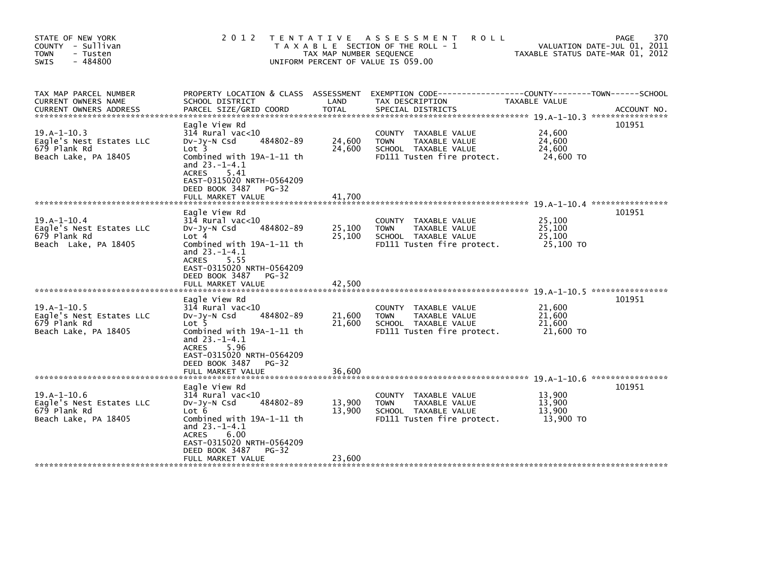| STATE OF NEW YORK<br>COUNTY - Sullivan<br>- Tusten<br><b>TOWN</b><br>$-484800$<br><b>SWIS</b> | 2 0 1 2                                                                                                                                                                                                                           | T E N T A T I V E<br>TAX MAP NUMBER SEQUENCE | ASSESSMENT<br><b>ROLL</b><br>T A X A B L E SECTION OF THE ROLL - 1<br>UNIFORM PERCENT OF VALUE IS 059.00             |                                         | 370<br><b>PAGE</b><br>VALUATION DATE-JUL 01, 2011<br>TAXABLE STATUS DATE-MAR 01, 2012 |
|-----------------------------------------------------------------------------------------------|-----------------------------------------------------------------------------------------------------------------------------------------------------------------------------------------------------------------------------------|----------------------------------------------|----------------------------------------------------------------------------------------------------------------------|-----------------------------------------|---------------------------------------------------------------------------------------|
| TAX MAP PARCEL NUMBER<br>CURRENT OWNERS NAME<br><b>CURRENT OWNERS ADDRESS</b>                 | PROPERTY LOCATION & CLASS ASSESSMENT<br>SCHOOL DISTRICT<br>PARCEL SIZE/GRID COORD                                                                                                                                                 | LAND<br><b>TOTAL</b>                         | TAX DESCRIPTION<br>SPECIAL DISTRICTS                                                                                 | TAXABLE VALUE                           | ACCOUNT NO.                                                                           |
| $19.A-1-10.3$<br>Eagle's Nest Estates LLC<br>679 Plank Rd<br>Beach Lake, PA 18405             | Eagle View Rd<br>314 Rural vac<10<br>484802-89<br>DV-Jy-N Csd<br>Lot 3<br>Combined with 19A-1-11 th<br>and $23.-1-4.1$<br><b>ACRES</b><br>5.41<br>EAST-0315020 NRTH-0564209<br>DEED BOOK 3487<br>$PG-32$<br>FULL MARKET VALUE     | 24,600<br>24,600<br>41.700                   | COUNTY TAXABLE VALUE<br>TAXABLE VALUE<br><b>TOWN</b><br>SCHOOL TAXABLE VALUE<br>FD111 Tusten fire protect.           | 24,600<br>24,600<br>24,600<br>24,600 TO | 101951                                                                                |
| $19.A-1-10.4$<br>Eagle's Nest Estates LLC<br>679 Plank Rd<br>Beach Lake, PA 18405             | Eagle View Rd<br>$314$ Rural vac<10<br>484802-89<br>$Dv-Jv-N$ Csd<br>Lot 4<br>Combined with 19A-1-11 th<br>and $23.-1-4.1$<br><b>ACRES</b><br>5.55<br>EAST-0315020 NRTH-0564209<br>DEED BOOK 3487<br>$PG-32$<br>FULL MARKET VALUE | 25,100<br>25,100<br>42,500                   | COUNTY TAXABLE VALUE<br><b>TOWN</b><br>TAXABLE VALUE<br>SCHOOL TAXABLE VALUE<br>FD111 Tusten fire protect.           | 25,100<br>25,100<br>25.100<br>25,100 TO | 101951                                                                                |
| $19.A-1-10.5$<br>Eagle's Nest Estates LLC<br>679 Plank Rd<br>Beach Lake, PA 18405             | Eagle View Rd<br>314 Rural vac<10<br>484802-89<br>DV-Jy-N Csd<br>Lot 5<br>Combined with 19A-1-11 th<br>and $23.-1-4.1$<br>ACRES<br>5.96<br>EAST-0315020 NRTH-0564209<br>DEED BOOK 3487<br>$PG-32$<br>FULL MARKET VALUE            | 21,600<br>21,600<br>36.600                   | <b>COUNTY</b><br>TAXABLE VALUE<br><b>TOWN</b><br>TAXABLE VALUE<br>SCHOOL TAXABLE VALUE<br>FD111 Tusten fire protect. | 21,600<br>21,600<br>21,600<br>21,600 TO | 101951                                                                                |
| $19.A-1-10.G$<br>Eagle's Nest Estates LLC<br>679 Plank Rd<br>Beach Lake, PA 18405             | Eagle View Rd<br>314 Rural vac<10<br>DV-Jy-N Csd<br>484802-89<br>Lot 6<br>Combined with 19A-1-11 th<br>and $23.-1-4.1$<br><b>ACRES</b><br>6.00<br>EAST-0315020 NRTH-0564209<br>DEED BOOK 3487<br>$PG-32$<br>FULL MARKET VALUE     | 13,900<br>13.900<br>23,600                   | COUNTY TAXABLE VALUE<br><b>TAXABLE VALUE</b><br><b>TOWN</b><br>SCHOOL TAXABLE VALUE<br>FD111 Tusten fire protect.    | 13,900<br>13,900<br>13.900<br>13,900 TO | 101951                                                                                |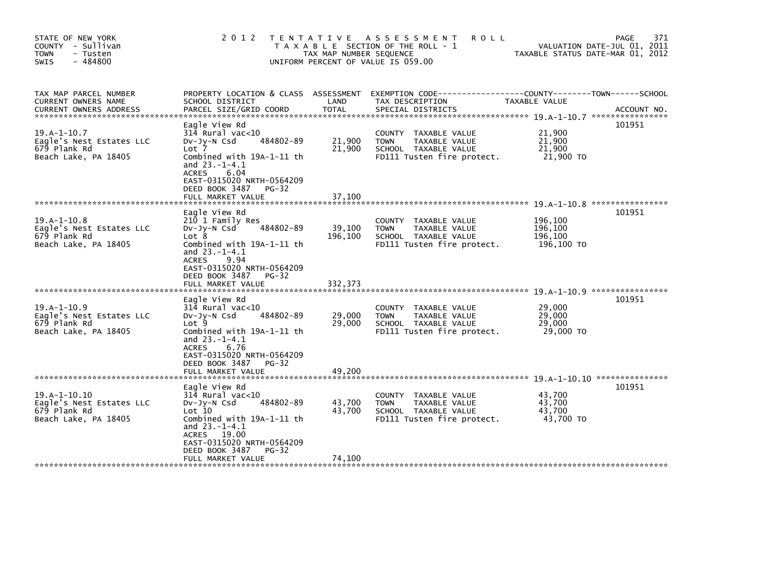| STATE OF NEW YORK<br>COUNTY - Sullivan<br>- Tusten<br><b>TOWN</b><br>$-484800$<br>SWIS | 2 0 1 2                                                                                                                                                                                                                           | T E N T A T I V E<br>TAX MAP NUMBER SEQUENCE | <b>ROLL</b><br>A S S E S S M E N T<br>T A X A B L E SECTION OF THE ROLL - 1<br>UNIFORM PERCENT OF VALUE IS 059.00 | TAXABLE STATUS DATE-MAR 01, 2012            | 371<br>PAGE<br>VALUATION DATE-JUL 01, 2011 |
|----------------------------------------------------------------------------------------|-----------------------------------------------------------------------------------------------------------------------------------------------------------------------------------------------------------------------------------|----------------------------------------------|-------------------------------------------------------------------------------------------------------------------|---------------------------------------------|--------------------------------------------|
| TAX MAP PARCEL NUMBER<br><b>CURRENT OWNERS NAME</b><br><b>CURRENT OWNERS ADDRESS</b>   | PROPERTY LOCATION & CLASS ASSESSMENT<br>SCHOOL DISTRICT<br>PARCEL SIZE/GRID COORD                                                                                                                                                 | LAND<br><b>TOTAL</b>                         | TAX DESCRIPTION<br>SPECIAL DISTRICTS                                                                              | TAXABLE VALUE                               | ACCOUNT NO.                                |
| $19.A-1-10.7$<br>Eagle's Nest Estates LLC<br>679 Plank Rd<br>Beach Lake, PA 18405      | Eagle View Rd<br>$314$ Rural vac<10<br>484802-89<br>$Dv-Jy-N$ Csd<br>Lot 7<br>Combined with 19A-1-11 th<br>and $23.-1-4.1$<br>6.04<br><b>ACRES</b><br>EAST-0315020 NRTH-0564209<br>DEED BOOK 3487<br>$PG-32$<br>FULL MARKET VALUE | 21,900<br>21,900<br>37.100                   | COUNTY TAXABLE VALUE<br><b>TOWN</b><br>TAXABLE VALUE<br>SCHOOL TAXABLE VALUE<br>FD111 Tusten fire protect.        | 21,900<br>21,900<br>21,900<br>21,900 TO     | 101951                                     |
|                                                                                        | Eagle View Rd                                                                                                                                                                                                                     |                                              |                                                                                                                   |                                             | 101951                                     |
| $19.A-1-10.8$<br>Eagle's Nest Estates LLC<br>679 Plank Rd<br>Beach Lake, PA 18405      | 210 1 Family Res<br>484802-89<br>DV-JV-N Csd<br>Lot 8<br>Combined with 19A-1-11 th<br>and $23.-1-4.1$<br><b>ACRES</b><br>9.94<br>EAST-0315020 NRTH-0564209<br>DEED BOOK 3487<br>$PG-32$                                           | 39,100<br>196,100                            | COUNTY TAXABLE VALUE<br>TAXABLE VALUE<br><b>TOWN</b><br>SCHOOL TAXABLE VALUE<br>FD111 Tusten fire protect.        | 196,100<br>196,100<br>196,100<br>196,100 TO |                                            |
|                                                                                        | FULL MARKET VALUE                                                                                                                                                                                                                 | 332,373                                      |                                                                                                                   |                                             |                                            |
| $19.A - 1 - 10.9$<br>Eagle's Nest Estates LLC<br>679 Plank Rd<br>Beach Lake, PA 18405  | Eagle View Rd<br>$314$ Rural vac<10<br>484802-89<br>$Dv-Jy-N$ Csd<br>Lot 9<br>Combined with 19A-1-11 th<br>and $23.-1-4.1$<br><b>ACRES</b><br>6.76<br>EAST-0315020 NRTH-0564209                                                   | 29,000<br>29,000                             | COUNTY TAXABLE VALUE<br>TAXABLE VALUE<br><b>TOWN</b><br>SCHOOL TAXABLE VALUE<br>FD111 Tusten fire protect.        | 29,000<br>29,000<br>29,000<br>29,000 TO     | 101951                                     |
|                                                                                        | DEED BOOK 3487<br>$PG-32$<br>FULL MARKET VALUE                                                                                                                                                                                    | 49.200                                       |                                                                                                                   |                                             |                                            |
|                                                                                        | Eagle View Rd                                                                                                                                                                                                                     |                                              |                                                                                                                   |                                             | 101951                                     |
| $19.A-1-10.10$<br>Eagle's Nest Estates LLC<br>679 Plank Rd<br>Beach Lake, PA 18405     | 314 Rural vac<10<br>484802-89<br>$Dv-Jy-N$ Csd<br>Lot 10<br>Combined with 19A-1-11 th<br>and $23.-1-4.1$<br>ACRES 19.00<br>EAST-0315020 NRTH-0564209<br>DEED BOOK 3487<br>$PG-32$                                                 | 43,700<br>43,700                             | COUNTY TAXABLE VALUE<br><b>TOWN</b><br>TAXABLE VALUE<br>SCHOOL TAXABLE VALUE<br>FD111 Tusten fire protect.        | 43,700<br>43,700<br>43.700<br>43,700 TO     |                                            |
|                                                                                        | FULL MARKET VALUE                                                                                                                                                                                                                 | 74,100                                       |                                                                                                                   |                                             |                                            |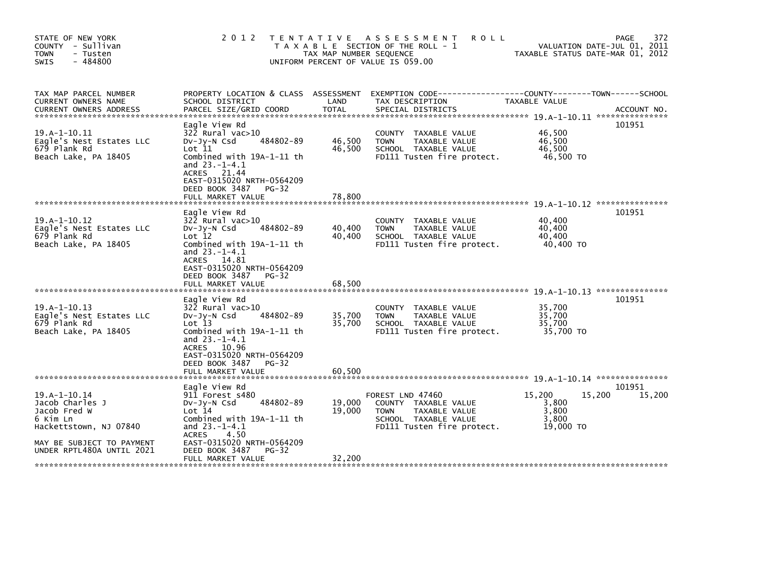| STATE OF NEW YORK<br>COUNTY - Sullivan<br>- Tusten<br><b>TOWN</b><br>$-484800$<br><b>SWIS</b> | 2 0 1 2                                                                                                                                                                                                             | T E N T A T I V E<br>TAX MAP NUMBER SEQUENCE | <b>ROLL</b><br>A S S E S S M E N T<br>T A X A B L E SECTION OF THE ROLL - 1<br>UNIFORM PERCENT OF VALUE IS 059.00              | TAXABLE STATUS DATE-MAR 01, 2012                         | 372<br>PAGE<br>VALUATION DATE-JUL 01, 2011 |
|-----------------------------------------------------------------------------------------------|---------------------------------------------------------------------------------------------------------------------------------------------------------------------------------------------------------------------|----------------------------------------------|--------------------------------------------------------------------------------------------------------------------------------|----------------------------------------------------------|--------------------------------------------|
| TAX MAP PARCEL NUMBER<br>CURRENT OWNERS NAME<br>CURRENT OWNERS ADDRESS                        | PROPERTY LOCATION & CLASS ASSESSMENT<br>SCHOOL DISTRICT<br>PARCEL SIZE/GRID COORD                                                                                                                                   | LAND<br><b>TOTAL</b>                         | EXEMPTION        CODE------------------COUNTY--------TOWN------SCHOOL<br>TAX DESCRIPTION<br>SPECIAL DISTRICTS                  | TAXABLE VALUE                                            | ACCOUNT NO.                                |
| $19.A-1-10.11$<br>Eagle's Nest Estates LLC<br>679 Plank Rd<br>Beach Lake, PA 18405            | Eagle View Rd<br>322 Rural vac>10<br>484802-89<br>DV-Jy-N Csd<br>Lot 11<br>Combined with 19A-1-11 th<br>and $23.-1-4.1$<br>ACRES 21.44<br>EAST-0315020 NRTH-0564209<br>DEED BOOK 3487<br>PG-32<br>FULL MARKET VALUE | 46,500<br>46,500<br>78,800                   | COUNTY TAXABLE VALUE<br><b>TOWN</b><br>TAXABLE VALUE<br>SCHOOL TAXABLE VALUE<br>FD111 Tusten fire protect.                     | 46.500<br>46,500<br>46,500<br>46,500 TO                  | 101951                                     |
|                                                                                               |                                                                                                                                                                                                                     |                                              |                                                                                                                                |                                                          |                                            |
| $19.A-1-10.12$<br>Eagle's Nest Estates LLC<br>679 Plank Rd<br>Beach Lake, PA 18405            | Eagle View Rd<br>322 Rural vac>10<br>484802-89<br>$Dv-Jy-N$ Csd<br>Lot 12<br>Combined with 19A-1-11 th<br>and $23.-1-4.1$<br>ACRES 14.81<br>EAST-0315020 NRTH-0564209<br>DEED BOOK 3487<br>PG-32                    | 40,400<br>40.400                             | COUNTY TAXABLE VALUE<br><b>TOWN</b><br>TAXABLE VALUE<br>SCHOOL TAXABLE VALUE<br>FD111 Tusten fire protect.                     | 40,400<br>40,400<br>40.400<br>40,400 TO                  | 101951                                     |
|                                                                                               | FULL MARKET VALUE                                                                                                                                                                                                   | 68,500                                       |                                                                                                                                |                                                          |                                            |
| $19.A-1-10.13$<br>Eagle's Nest Estates LLC<br>679 Plank Rd<br>Beach Lake, PA 18405            | Eagle View Rd<br>322 Rural vac>10<br>484802-89<br>$Dv-Jy-N$ Csd<br>$Lot$ $13$<br>Combined with 19A-1-11 th<br>and $23.-1-4.1$<br>ACRES 10.96<br>EAST-0315020 NRTH-0564209<br>DEED BOOK 3487<br>$PG-32$              | 35.700<br>35,700                             | COUNTY<br>TAXABLE VALUE<br><b>TAXABLE VALUE</b><br><b>TOWN</b><br>SCHOOL TAXABLE VALUE<br>FD111 Tusten fire protect.           | 35,700<br>35,700<br>35,700<br>35,700 TO                  | 101951                                     |
|                                                                                               | FULL MARKET VALUE                                                                                                                                                                                                   | 60.500                                       |                                                                                                                                |                                                          |                                            |
| $19.A-1-10.14$<br>Jacob Charles J<br>Jacob Fred W<br>6 Kim Ln<br>Hackettstown, NJ 07840       | Eagle View Rd<br>911 Forest s480<br>484802-89<br>$Dv-Jy-N$ Csd<br>Lot 14<br>Combined with 19A-1-11 th<br>and $23.-1-4.1$<br><b>ACRES</b><br>4.50<br>EAST-0315020 NRTH-0564209                                       | 19,000<br>19.000                             | FOREST LND 47460<br>COUNTY TAXABLE VALUE<br>TAXABLE VALUE<br><b>TOWN</b><br>SCHOOL TAXABLE VALUE<br>FD111 Tusten fire protect. | 15,200<br>15,200<br>3,800<br>3,800<br>3,800<br>19,000 TO | 101951<br>15,200                           |
| MAY BE SUBJECT TO PAYMENT<br>UNDER RPTL480A UNTIL 2021                                        | DEED BOOK 3487<br>$PG-32$<br>FULL MARKET VALUE                                                                                                                                                                      | 32,200                                       |                                                                                                                                |                                                          |                                            |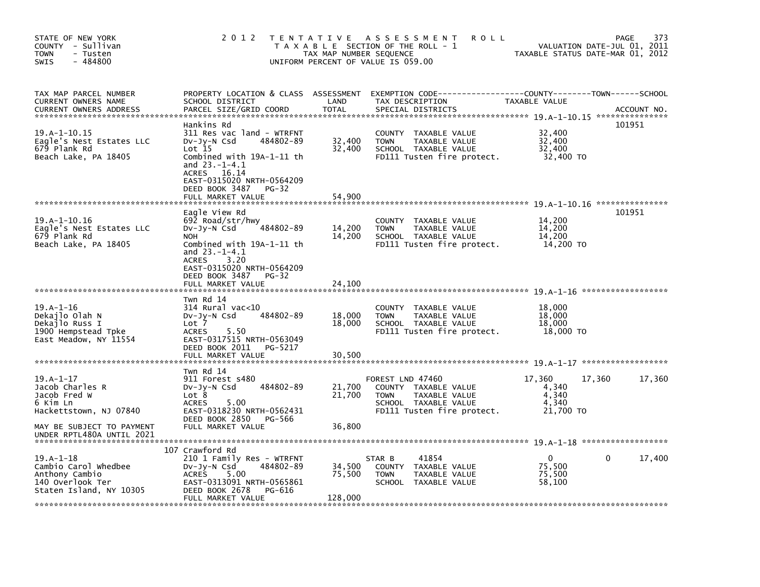| STATE OF NEW YORK<br>COUNTY - Sullivan<br><b>TOWN</b><br>- Tusten<br>- 484800<br><b>SWIS</b>         | 2 0 1 2                                                                                                                                                                                                                               | T E N T A T I V E<br>TAX MAP NUMBER SEQUENCE | A S S E S S M E N T<br>ROLL<br>T A X A B L E SECTION OF THE ROLL - 1<br>UNIFORM PERCENT OF VALUE IS 059.00                     | TAXABLE STATUS DATE-MAR 01, 2012                     | 373<br>PAGE<br>VALUATION DATE-JUL 01, 2011 |
|------------------------------------------------------------------------------------------------------|---------------------------------------------------------------------------------------------------------------------------------------------------------------------------------------------------------------------------------------|----------------------------------------------|--------------------------------------------------------------------------------------------------------------------------------|------------------------------------------------------|--------------------------------------------|
| TAX MAP PARCEL NUMBER<br>CURRENT OWNERS NAME<br><b>CURRENT OWNERS ADDRESS</b>                        | PROPERTY LOCATION & CLASS ASSESSMENT<br>SCHOOL DISTRICT<br>PARCEL SIZE/GRID COORD                                                                                                                                                     | LAND<br><b>TOTAL</b>                         | EXEMPTION CODE--<br>TAX DESCRIPTION<br>SPECIAL DISTRICTS                                                                       | -----COUNTY--------TOWN------SCHOOL<br>TAXABLE VALUE | ACCOUNT NO.                                |
| $19. A - 1 - 10.15$<br>Eagle's Nest Estates LLC<br>679 Plank Rd<br>Beach Lake, PA 18405              | Hankins Rd<br>311 Res vac land - WTRFNT<br>484802-89<br>DV-Jy-N Csd<br>Lot 15<br>Combined with 19A-1-11 th<br>and $23.-1-4.1$<br><b>ACRES</b><br>16.14<br>EAST-0315020 NRTH-0564209<br>DEED BOOK 3487<br>$PG-32$<br>FULL MARKET VALUE | 32,400<br>32,400<br>54,900                   | TAXABLE VALUE<br><b>COUNTY</b><br>TAXABLE VALUE<br><b>TOWN</b><br>SCHOOL TAXABLE VALUE<br>FD111 Tusten fire protect.           | 32,400<br>32,400<br>32,400<br>32,400 TO              | 101951                                     |
| $19.A-1-10.16$<br>Eagle's Nest Estates LLC<br>679 Plank Rd<br>Beach Lake, PA 18405                   | Eagle View Rd<br>692 Road/str/hwy<br>484802-89<br>DV-Jy-N Csd<br><b>NOH</b><br>Combined with 19A-1-11 th<br>and $23.-1-4.1$<br><b>ACRES</b><br>3.20<br>EAST-0315020 NRTH-0564209<br>DEED BOOK 3487<br>$PG-32$                         | 14,200<br>14,200                             | <b>COUNTY</b><br>TAXABLE VALUE<br><b>TOWN</b><br>TAXABLE VALUE<br>SCHOOL TAXABLE VALUE<br>FD111 Tusten fire protect.           | 14,200<br>14,200<br>14,200<br>14,200 TO              | 101951                                     |
|                                                                                                      | FULL MARKET VALUE                                                                                                                                                                                                                     | 24,100                                       |                                                                                                                                |                                                      |                                            |
| $19.A-1-16$<br>Dekajlo Olah N<br>Dekajlo Russ I<br>1900 Hempstead Tpke<br>East Meadow, NY 11554      | Twn Rd 14<br>$314$ Rural vac<10<br>484802-89<br>DV-JY-N Csd<br>Lot 7<br>5.50<br><b>ACRES</b><br>EAST-0317515 NRTH-0563049<br>DEED BOOK 2011<br>PG-5217<br>FULL MARKET VALUE                                                           | 18,000<br>18,000<br>30.500                   | COUNTY<br>TAXABLE VALUE<br><b>TOWN</b><br>TAXABLE VALUE<br>SCHOOL TAXABLE VALUE<br>FD111 Tusten fire protect.                  | 18,000<br>18,000<br>18,000<br>18,000 TO              |                                            |
|                                                                                                      | Twn Rd 14                                                                                                                                                                                                                             |                                              |                                                                                                                                |                                                      |                                            |
| $19.A-1-17$<br>Jacob Charles R<br>Jacob Fred W<br>6 Kim Ln<br>Hackettstown, NJ 07840                 | 911 Forest s480<br>484802-89<br>$Dv-Jy-N$ Csd<br>Lot 8<br>5.00<br><b>ACRES</b><br>EAST-0318230 NRTH-0562431                                                                                                                           | 21,700<br>21,700                             | FOREST LND 47460<br>COUNTY TAXABLE VALUE<br>TAXABLE VALUE<br><b>TOWN</b><br>SCHOOL TAXABLE VALUE<br>FD111 Tusten fire protect. | 17,360<br>4,340<br>4,340<br>4.340<br>21,700 TO       | 17,360<br>17,360                           |
| MAY BE SUBJECT TO PAYMENT<br>UNDER RPTL480A UNTIL 2021                                               | DEED BOOK 2850<br>PG-566<br>FULL MARKET VALUE                                                                                                                                                                                         | 36,800                                       |                                                                                                                                |                                                      |                                            |
|                                                                                                      | 107 Crawford Rd                                                                                                                                                                                                                       |                                              |                                                                                                                                |                                                      |                                            |
| $19.A-1-18$<br>Cambio Carol Whedbee<br>Anthony Cambio<br>140 Overlook Ter<br>Staten Island, NY 10305 | 210 1 Family Res - WTRFNT<br>484802-89<br>DV-JY-N Csd<br><b>ACRES</b><br>5.00<br>EAST-0313091 NRTH-0565861<br>DEED BOOK 2678<br>PG-616                                                                                                | 34,500<br>75,500                             | 41854<br>STAR B<br>COUNTY TAXABLE VALUE<br><b>TOWN</b><br>TAXABLE VALUE<br><b>SCHOOL</b><br>TAXABLE VALUE                      | $\mathbf{0}$<br>75,500<br>75,500<br>58,100           | 17,400<br>0                                |
|                                                                                                      | FULL MARKET VALUE                                                                                                                                                                                                                     | 128,000                                      |                                                                                                                                |                                                      |                                            |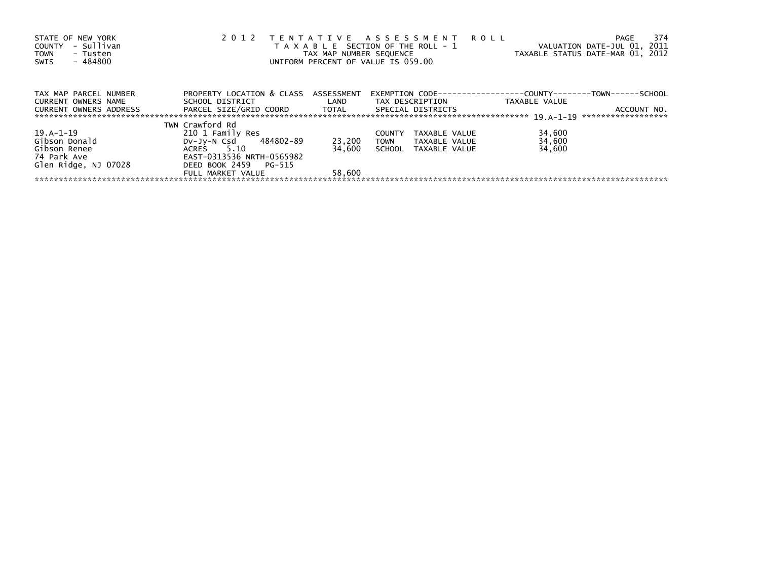| STATE OF NEW YORK<br>- Sullivan<br>COUNTY<br>TOWN<br>- Tusten<br>- 484800<br>SWIS | 2 0 1 2                              | TAX MAP NUMBER SEQUENCE | TENTATIVE ASSESSMENT ROLL<br>T A X A B L E SECTION OF THE ROLL - 1<br>UNIFORM PERCENT OF VALUE IS 059.00 | PAGE<br>VALUATION DATE-JUL 01, 2011<br>TAXABLE STATUS DATE-MAR 01, 2012 | 374 |
|-----------------------------------------------------------------------------------|--------------------------------------|-------------------------|----------------------------------------------------------------------------------------------------------|-------------------------------------------------------------------------|-----|
| TAX MAP PARCEL NUMBER                                                             | PROPERTY LOCATION & CLASS ASSESSMENT |                         |                                                                                                          | EXEMPTION        CODE-----------------COUNTY--------TOWN------SCHOOL    |     |
| CURRENT OWNERS NAME                                                               | SCHOOL DISTRICT                      | LAND                    | TAX DESCRIPTION                                                                                          | TAXABLE VALUE                                                           |     |
| CURRENT OWNERS ADDRESS                                                            | PARCEL SIZE/GRID COORD        TOTAL  |                         | SPECIAL DISTRICTS                                                                                        | ACCOUNT NO.                                                             |     |
|                                                                                   |                                      |                         |                                                                                                          | *******************                                                     |     |
|                                                                                   | TWN Crawford Rd                      |                         |                                                                                                          |                                                                         |     |
| 19.A-1-19                                                                         | 210 1 Family Res                     |                         | TAXABLE VALUE<br><b>COUNTY</b>                                                                           | 34,600                                                                  |     |
| Gibson Donald                                                                     | DV-Jy-N Csd 484802-89                | 23,200                  | <b>TOWN</b><br>TAXABLE VALUE                                                                             | 34,600                                                                  |     |
| Gibson Renee                                                                      | ACRES 5.10                           | 34.600                  | SCHOOL TAXABLE VALUE                                                                                     | 34,600                                                                  |     |
| 74 Park Ave                                                                       | EAST-0313536 NRTH-0565982            |                         |                                                                                                          |                                                                         |     |
| Glen Ridge, NJ 07028                                                              | DEED BOOK 2459 PG-515                |                         |                                                                                                          |                                                                         |     |
|                                                                                   | FULL MARKET VALUE                    | 58,600                  |                                                                                                          |                                                                         |     |
|                                                                                   |                                      |                         |                                                                                                          |                                                                         |     |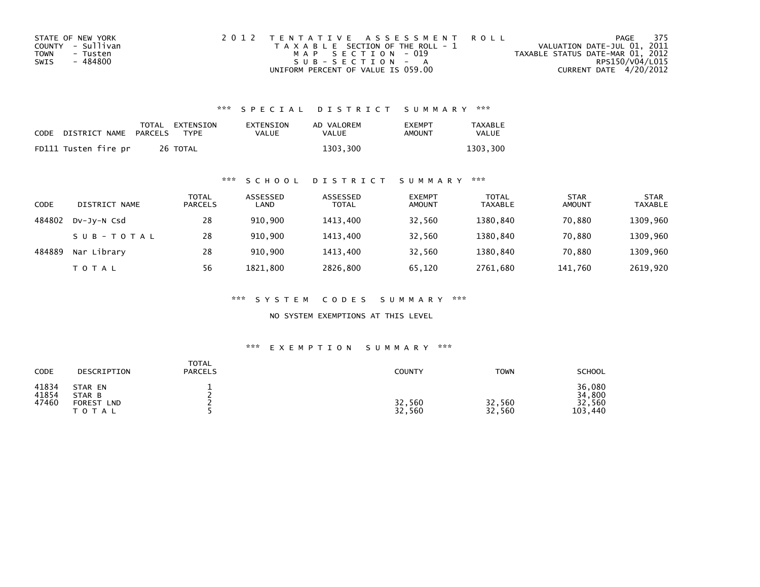| STATE OF NEW YORK | 2012 TENTATIVE ASSESSMENT ROLL        |                                  | PAGE 375 |
|-------------------|---------------------------------------|----------------------------------|----------|
| COUNTY - Sullivan | T A X A B L E SECTION OF THE ROLL - 1 | VALUATION DATE-JUL 01, 2011      |          |
| TOWN<br>- Tusten  | MAP SECTION - 019                     | TAXABLE STATUS DATE-MAR 01, 2012 |          |
| - 484800<br>SWIS  | $SUB - SECTION - A$                   | RPS150/V04/L015                  |          |
|                   | UNIFORM PERCENT OF VALUE IS 059.00    | CURRENT DATE 4/20/2012           |          |

| CODE | DISTRICT NAME PARCELS | TOTAL EXTENSION<br><b>TYPF</b> | EXTENSION<br><b>VALUE</b> | AD VALOREM<br>VALUE | <b>FXFMPT</b><br>AMOUNT | <b>TAXABLE</b><br>VALUE |
|------|-----------------------|--------------------------------|---------------------------|---------------------|-------------------------|-------------------------|
|      | FD111 Tusten fire pr  | 26 TOTAL                       |                           | 1303,300            |                         | 1303.300                |

## \*\*\* S C H O O L D I S T R I C T S U M M A R Y \*\*\*

| CODE   | DISTRICT NAME | TOTAL<br><b>PARCELS</b> | ASSESSED<br>LAND | ASSESSED<br><b>TOTAL</b> | <b>EXEMPT</b><br><b>AMOUNT</b> | <b>TOTAL</b><br><b>TAXABLE</b> | <b>STAR</b><br><b>AMOUNT</b> | <b>STAR</b><br>TAXABLE |
|--------|---------------|-------------------------|------------------|--------------------------|--------------------------------|--------------------------------|------------------------------|------------------------|
| 484802 | DV-JY-N Csd   | 28                      | 910.900          | 1413.400                 | 32,560                         | 1380.840                       | 70,880                       | 1309,960               |
|        | SUB-TOTAL     | 28                      | 910.900          | 1413.400                 | 32,560                         | 1380.840                       | 70.880                       | 1309,960               |
| 484889 | Nar Library   | 28                      | 910,900          | 1413.400                 | 32,560                         | 1380,840                       | 70,880                       | 1309,960               |
|        | T O T A L     | 56                      | 1821,800         | 2826,800                 | 65,120                         | 2761,680                       | 141,760                      | 2619,920               |

\*\*\* S Y S T E M C O D E S S U M M A R Y \*\*\*

NO SYSTEM EXEMPTIONS AT THIS LEVEL

## \*\*\* E X E M P T I O N S U M M A R Y \*\*\*

| CODE                    | DESCRIPTION                                               | TOTAL<br><b>PARCELS</b> | COUNTY           | <b>TOWN</b>      | <b>SCHOOL</b>                         |
|-------------------------|-----------------------------------------------------------|-------------------------|------------------|------------------|---------------------------------------|
| 41834<br>41854<br>47460 | STAR EN<br>STAR B<br><b>FOREST</b><br><b>LND</b><br>TOTAL |                         | 32,560<br>32,560 | 32,560<br>32,560 | 36,080<br>34,800<br>32,560<br>103,440 |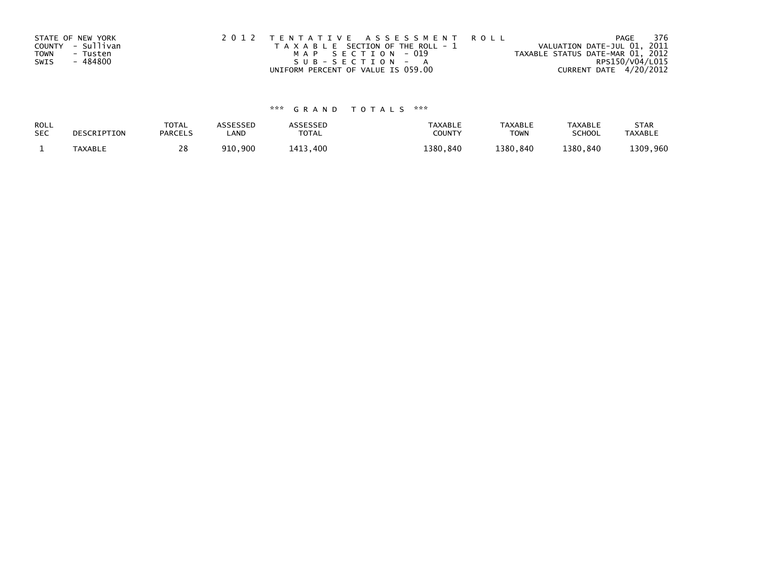| STATE OF NEW YORK |                   | 2012 TENTATIVE ASSESSMENT ROLL        | 376<br>PAGE                      |
|-------------------|-------------------|---------------------------------------|----------------------------------|
|                   | COUNTY - Sullivan | T A X A B L E SECTION OF THE ROLL - 1 | VALUATION DATE-JUL 01, 2011      |
| <b>TOWN</b>       | - Tusten          | MAP SECTION - 019                     | TAXABLE STATUS DATE-MAR 01, 2012 |
| SWIS              | - 484800          | $SUB - SECTION - A$                   | RPS150/V04/L015                  |
|                   |                   | UNIFORM PERCENT OF VALUE IS 059.00    | CURRENT DATE 4/20/2012           |

| ROLL       | DESCRIPTION | <b>TOTAL</b>   | <b>ASSESSED</b> | ASSESSED     | <b>TAXABLE</b> | <b>TAXABLE</b> | <b>TAXABLE</b> | <b>STAR</b>    |
|------------|-------------|----------------|-----------------|--------------|----------------|----------------|----------------|----------------|
| <b>SEC</b> |             | <b>PARCELS</b> | LAND            | <b>TOTAL</b> | COUNT          | <b>TOWN</b>    | <b>SCHOOL</b>  | <b>TAXABLE</b> |
|            | TAXABLE     | 28             | 910,900         | 1413,400     | 1380.840       | 1380,840       | 1380.840       | 1309,960       |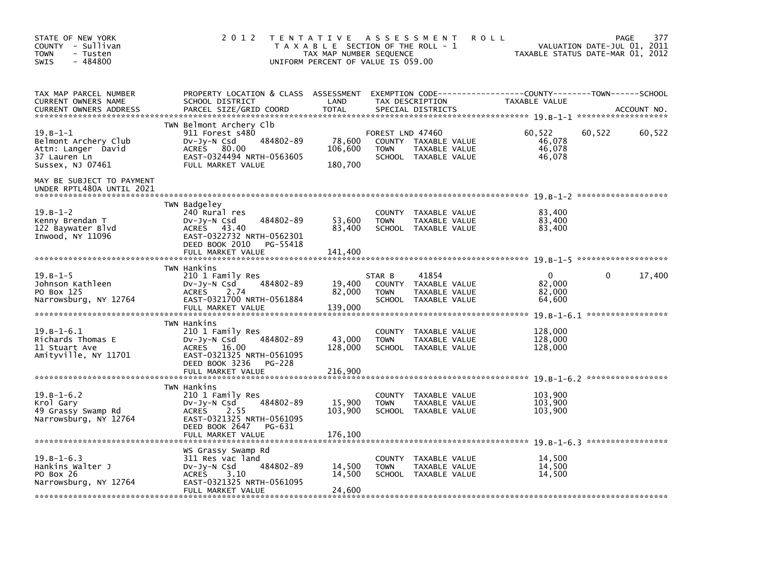| STATE OF NEW YORK<br>COUNTY - Sullivan<br><b>TOWN</b><br>- Tusten<br>$-484800$<br><b>SWIS</b>     | 2 0 1 2                                                                                                                                                             | T E N T A T I V E<br>T A X A B L E SECTION OF THE ROLL - 1<br>TAX MAP NUMBER SEQUENCE<br>UNIFORM PERCENT OF VALUE IS 059.00 |                                               | A S S E S S M E N T<br><b>ROLL</b>                              |                                            | <b>PAGE</b><br>VALUATION DATE-JUL 01, 2011<br>TAXABLE STATUS DATE-MAR 01, 2012 | 377    |
|---------------------------------------------------------------------------------------------------|---------------------------------------------------------------------------------------------------------------------------------------------------------------------|-----------------------------------------------------------------------------------------------------------------------------|-----------------------------------------------|-----------------------------------------------------------------|--------------------------------------------|--------------------------------------------------------------------------------|--------|
| TAX MAP PARCEL NUMBER<br>CURRENT OWNERS NAME<br><b>CURRENT OWNERS ADDRESS</b>                     | PROPERTY LOCATION & CLASS ASSESSMENT EXEMPTION CODE----------------COUNTY-------TOWN------SCHOOL<br>SCHOOL DISTRICT<br>PARCEL SIZE/GRID COORD                       | LAND<br><b>TOTAL</b>                                                                                                        |                                               | TAX DESCRIPTION<br>SPECIAL DISTRICTS                            | TAXABLE VALUE                              | ACCOUNT NO.                                                                    |        |
| $19. B - 1 - 1$<br>Belmont Archery Club<br>Attn: Langer David<br>37 Lauren Ln<br>Sussex, NJ 07461 | TWN Belmont Archery Clb<br>911 Forest s480<br>484802-89<br>$Dv-Jy-N$ Csd<br><b>ACRES</b><br>80.00<br>EAST-0324494 NRTH-0563605<br>FULL MARKET VALUE                 | 78,600<br>106,600<br>180,700                                                                                                | FOREST LND 47460<br><b>TOWN</b>               | COUNTY TAXABLE VALUE<br>TAXABLE VALUE<br>SCHOOL TAXABLE VALUE   | 60,522<br>46,078<br>46.078<br>46,078       | 60,522                                                                         | 60,522 |
| MAY BE SUBJECT TO PAYMENT<br>UNDER RPTL480A UNTIL 2021                                            |                                                                                                                                                                     |                                                                                                                             |                                               |                                                                 |                                            |                                                                                |        |
| $19. B - 1 - 2$<br>Kenny Brendan T<br>122 Baywater Blvd<br>Inwood, NY 11096                       | TWN Badgeley<br>240 Rural res<br>484802-89<br>DV-JY-N Csd<br>ACRES 43.40<br>EAST-0322732 NRTH-0562301<br>DEED BOOK 2010 PG-55418<br>FULL MARKET VALUE               | 53,600<br>83,400<br>141,400                                                                                                 | <b>TOWN</b>                                   | COUNTY TAXABLE VALUE<br>TAXABLE VALUE<br>SCHOOL TAXABLE VALUE   | 83.400<br>83,400<br>83,400                 |                                                                                |        |
|                                                                                                   |                                                                                                                                                                     |                                                                                                                             |                                               |                                                                 |                                            |                                                                                |        |
| $19. B - 1 - 5$<br>Johnson Kathleen<br>PO Box 125<br>Narrowsburg, NY 12764                        | TWN Hankins<br>210 1 Family Res<br>484802-89<br>DV-Jy-N Csd<br>2.74<br><b>ACRES</b><br>EAST-0321700 NRTH-0561884<br>FULL MARKET VALUE                               | 19,400<br>82,000<br>139,000                                                                                                 | STAR B<br>COUNTY<br><b>TOWN</b>               | 41854<br>TAXABLE VALUE<br>TAXABLE VALUE<br>SCHOOL TAXABLE VALUE | $\mathbf{0}$<br>82.000<br>82,000<br>64,600 | $\Omega$                                                                       | 17,400 |
|                                                                                                   | TWN Hankins                                                                                                                                                         |                                                                                                                             |                                               |                                                                 |                                            |                                                                                |        |
| $19. B - 1 - 6.1$<br>Richards Thomas E<br>11 Stuart Ave<br>Amityville, NY 11701                   | 210 1 Family Res<br>484802-89<br>$Dv-Jy-N$ Csd<br><b>ACRES</b><br>16.00<br>EAST-0321325 NRTH-0561095<br>DEED BOOK 3236<br>PG-228<br>FULL MARKET VALUE               | 43,000<br>128,000<br>216,900                                                                                                | <b>COUNTY</b><br><b>TOWN</b>                  | TAXABLE VALUE<br>TAXABLE VALUE<br>SCHOOL TAXABLE VALUE          | 128,000<br>128,000<br>128,000              |                                                                                |        |
|                                                                                                   |                                                                                                                                                                     |                                                                                                                             |                                               |                                                                 |                                            |                                                                                |        |
| $19.B-1-6.2$<br>Krol Gary<br>49 Grassy Swamp Rd<br>Narrowsburg, NY 12764                          | TWN Hankins<br>210 1 Family Res<br>484802-89<br>$Dv-Jy-N$ Csd<br>2.55<br><b>ACRES</b><br>EAST-0321325 NRTH-0561095<br>DEED BOOK 2647<br>PG-631<br>FULL MARKET VALUE | 15,900<br>103,900<br>176,100                                                                                                | <b>COUNTY</b><br><b>TOWN</b><br><b>SCHOOL</b> | TAXABLE VALUE<br>TAXABLE VALUE<br>TAXABLE VALUE                 | 103,900<br>103.900<br>103,900              |                                                                                |        |
|                                                                                                   |                                                                                                                                                                     |                                                                                                                             |                                               |                                                                 |                                            |                                                                                |        |
| $19.B-1-6.3$<br>Hankins Walter J<br>PO Box 26<br>Narrowsburg, NY 12764                            | WS Grassy Swamp Rd<br>311 Res vac land<br>484802-89<br>$Dv-Jy-N$ Csd<br><b>ACRES</b><br>3.10<br>EAST-0321325 NRTH-0561095<br>FULL MARKET VALUE                      | 14,500<br>14,500<br>24,600                                                                                                  | <b>COUNTY</b><br><b>TOWN</b><br>SCHOOL        | TAXABLE VALUE<br>TAXABLE VALUE<br>TAXABLE VALUE                 | 14,500<br>14,500<br>14,500                 |                                                                                |        |
|                                                                                                   |                                                                                                                                                                     |                                                                                                                             |                                               |                                                                 |                                            |                                                                                |        |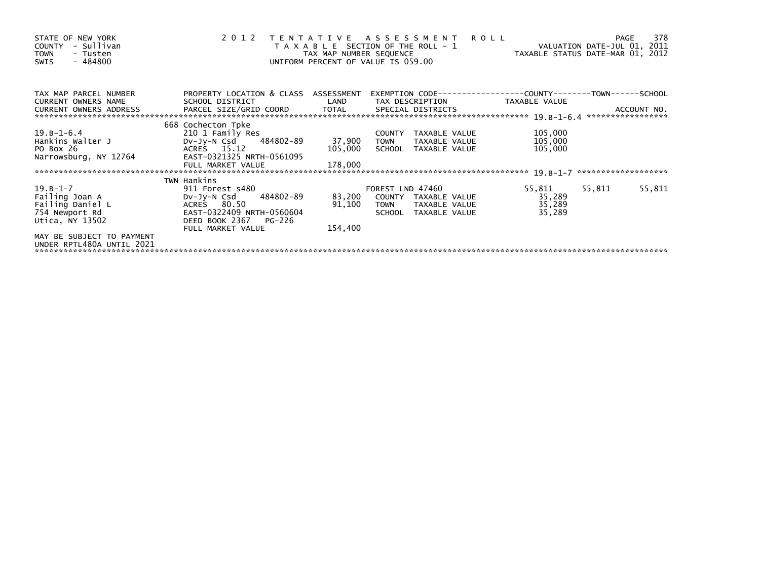| STATE OF NEW YORK<br>COUNTY - Sullivan<br><b>TOWN</b><br>- Tusten<br>$-484800$<br>SWIS | 2012 TENTATIVE ASSESSMENT ROLL                          | T A X A B L E SECTION OF THE ROLL - 1<br>TAX MAP NUMBER SEQUENCE<br>UNIFORM PERCENT OF VALUE IS 059.00 |                  |                      | VALUATION DATE-JUL 01, 2011<br>TAXABLE STATUS DATE-MAR 01, 2012 |        | 378<br><b>PAGE</b> |
|----------------------------------------------------------------------------------------|---------------------------------------------------------|--------------------------------------------------------------------------------------------------------|------------------|----------------------|-----------------------------------------------------------------|--------|--------------------|
| TAX MAP PARCEL NUMBER<br><b>CURRENT OWNERS NAME</b>                                    | PROPERTY LOCATION & CLASS ASSESSMENT<br>SCHOOL DISTRICT | LAND                                                                                                   |                  | TAX DESCRIPTION      | TAXABLE VALUE                                                   |        |                    |
| <b>CURRENT OWNERS ADDRESS</b>                                                          | PARCEL SIZE/GRID COORD TOTAL                            |                                                                                                        |                  | SPECIAL DISTRICTS    |                                                                 |        | ACCOUNT NO.        |
|                                                                                        |                                                         |                                                                                                        |                  |                      |                                                                 |        |                    |
|                                                                                        | 668 Cochecton Tpke                                      |                                                                                                        |                  |                      |                                                                 |        |                    |
| 19.B-1-6.4                                                                             | 210 1 Family Res                                        |                                                                                                        |                  | COUNTY TAXABLE VALUE | 105,000                                                         |        |                    |
| Hankins Walter J                                                                       | DV-Jy-N Csd 484802-89                                   | 37,900                                                                                                 | <b>TOWN</b>      | TAXABLE VALUE        | 105,000                                                         |        |                    |
| PO Box 26                                                                              | ACRES 15.12                                             | 105,000                                                                                                |                  | SCHOOL TAXABLE VALUE | 105,000                                                         |        |                    |
| Narrowsburg, NY 12764                                                                  | EAST-0321325 NRTH-0561095                               |                                                                                                        |                  |                      |                                                                 |        |                    |
|                                                                                        | FULL MARKET VALUE                                       | 178,000                                                                                                |                  |                      |                                                                 |        |                    |
|                                                                                        |                                                         |                                                                                                        |                  |                      |                                                                 |        |                    |
|                                                                                        | TWN Hankins                                             |                                                                                                        |                  |                      |                                                                 |        |                    |
| 19.B-1-7                                                                               | 911 Forest s480                                         |                                                                                                        | FOREST LND 47460 |                      | 55,811                                                          | 55,811 | 55,811             |
| Failing Joan A                                                                         | DV-JY-N Csd<br>484802-89                                | 83,200                                                                                                 |                  | COUNTY TAXABLE VALUE | 35,289                                                          |        |                    |
| Failing Daniel L                                                                       | ACRES 80.50                                             | 91,100                                                                                                 |                  | TOWN TAXABLE VALUE   | 35,289                                                          |        |                    |
| 754 Newport Rd                                                                         | EAST-0322409 NRTH-0560604                               |                                                                                                        |                  | SCHOOL TAXABLE VALUE | 35,289                                                          |        |                    |
| Utica, NY 13502                                                                        | DEED BOOK 2367 PG-226                                   |                                                                                                        |                  |                      |                                                                 |        |                    |
|                                                                                        | FULL MARKET VALUE                                       | 154,400                                                                                                |                  |                      |                                                                 |        |                    |
| MAY BE SUBJECT TO PAYMENT                                                              |                                                         |                                                                                                        |                  |                      |                                                                 |        |                    |
| UNDER RPTL480A UNTIL 2021                                                              |                                                         |                                                                                                        |                  |                      |                                                                 |        |                    |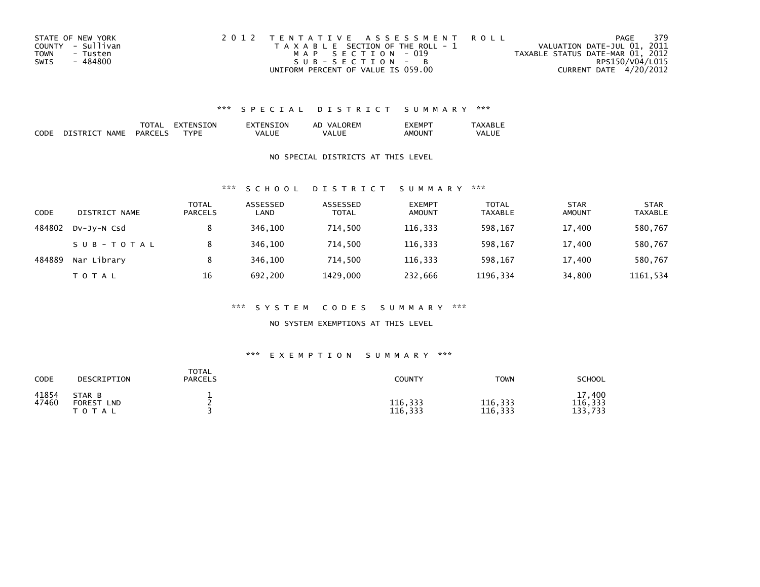| STATE OF NEW YORK       | 2012 TENTATIVE ASSESSMENT ROLL        | PAGE                             | - 379 |
|-------------------------|---------------------------------------|----------------------------------|-------|
| COUNTY - Sullivan       | T A X A B L E SECTION OF THE ROLL - 1 | VALUATION DATE-JUL 01, 2011      |       |
| <b>TOWN</b><br>- Tusten | MAP SECTION - 019                     | TAXABLE STATUS DATE-MAR 01, 2012 |       |
| - 484800<br>SWIS        | SUB-SECTION - B                       | RPS150/V04/L015                  |       |
|                         | UNIFORM PERCENT OF VALUE IS 059.00    | CURRENT DATE 4/20/2012           |       |

|                    |                              | 'I AL                 | 'ΩN<br>או - |         | ORFM<br>VA<br>ΑL | .EMP               | $\overline{\phantom{a}}$ |
|--------------------|------------------------------|-----------------------|-------------|---------|------------------|--------------------|--------------------------|
| <b>CODE</b><br>___ | <b>NAMF</b><br><b>DISTRT</b> | PART<br>$\sim$ $\sim$ | ™D⊩         | . / A L | Ш<br>VA.         | AMOUN <sup>-</sup> | <b>VALUE</b>             |

### NO SPECIAL DISTRICTS AT THIS LEVEL

### \*\*\* S C H O O L D I S T R I C T S U M M A R Y \*\*\*

| CODE   | DISTRICT NAME | TOTAL<br><b>PARCELS</b> | ASSESSED<br>LAND | ASSESSED<br><b>TOTAL</b> | <b>EXEMPT</b><br><b>AMOUNT</b> | <b>TOTAL</b><br><b>TAXABLE</b> | <b>STAR</b><br><b>AMOUNT</b> | <b>STAR</b><br><b>TAXABLE</b> |
|--------|---------------|-------------------------|------------------|--------------------------|--------------------------------|--------------------------------|------------------------------|-------------------------------|
| 484802 | DV-JY-N Csd   |                         | 346,100          | 714,500                  | 116,333                        | 598,167                        | 17,400                       | 580,767                       |
|        | SUB-TOTAL     |                         | 346.100          | 714.500                  | 116.333                        | 598.167                        | 17,400                       | 580,767                       |
| 484889 | Nar Library   | 8                       | 346,100          | 714.500                  | 116,333                        | 598,167                        | 17,400                       | 580,767                       |
|        | T O T A L     | 16                      | 692.200          | 1429.000                 | 232,666                        | 1196,334                       | 34,800                       | 1161.534                      |

### \*\*\* S Y S T E M C O D E S S U M M A R Y \*\*\*

### NO SYSTEM EXEMPTIONS AT THIS LEVEL

### \*\*\* E X E M P T I O N S U M M A R Y \*\*\*

| CODE           | DESCRIPTION                                           | <b>TOTAL</b><br><b>PARCELS</b> | <b>COUNTY</b>      | <b>TOWN</b>        | <b>SCHOOL</b>                |
|----------------|-------------------------------------------------------|--------------------------------|--------------------|--------------------|------------------------------|
| 41854<br>47460 | STAR B<br><b>FOREST</b><br><b>LND</b><br><b>TOTAL</b> |                                | 116,333<br>116,333 | 116,333<br>116,333 | 17,400<br>116,333<br>133,733 |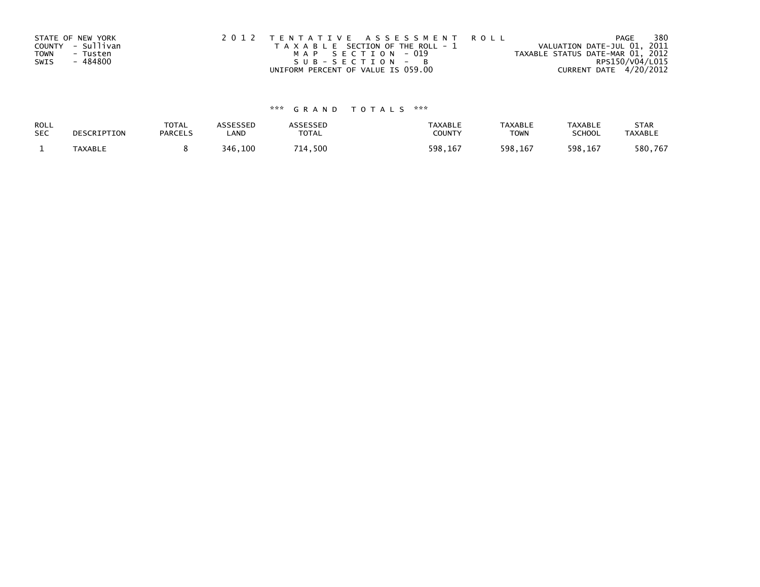| STATE OF NEW YORK       | 2012 TENTATIVE ASSESSMENT ROLL        | 380<br>PAGE                      |
|-------------------------|---------------------------------------|----------------------------------|
| COUNTY - Sullivan       | T A X A B L E SECTION OF THE ROLL - 1 | VALUATION DATE-JUL 01, 2011      |
| <b>TOWN</b><br>- Tusten | MAP SECTION - 019                     | TAXABLE STATUS DATE-MAR 01, 2012 |
| - 484800<br>SWIS        | SUB-SECTION-B                         | RPS150/V04/L015                  |
|                         | UNIFORM PERCENT OF VALUE IS 059.00    | CURRENT DATE 4/20/2012           |

| ROLL       | DESCRIPTION | <b>TOTAL</b>   | ASSESSED | ASSESSED | <b>TAXABLE</b> | <b>TAXABLE</b> | <b>TAXABLE</b> | <b>STAR</b>    |
|------------|-------------|----------------|----------|----------|----------------|----------------|----------------|----------------|
| <b>SEC</b> |             | <b>PARCELS</b> | LAND     | TOTAL    | <b>COUNTY</b>  | <b>TOWN</b>    | <b>SCHOOL</b>  | <b>TAXABLE</b> |
|            | TAXABLE     |                | 346,100  | 714,500  | 598,167        | 598,167        | 598,167        | 580,767        |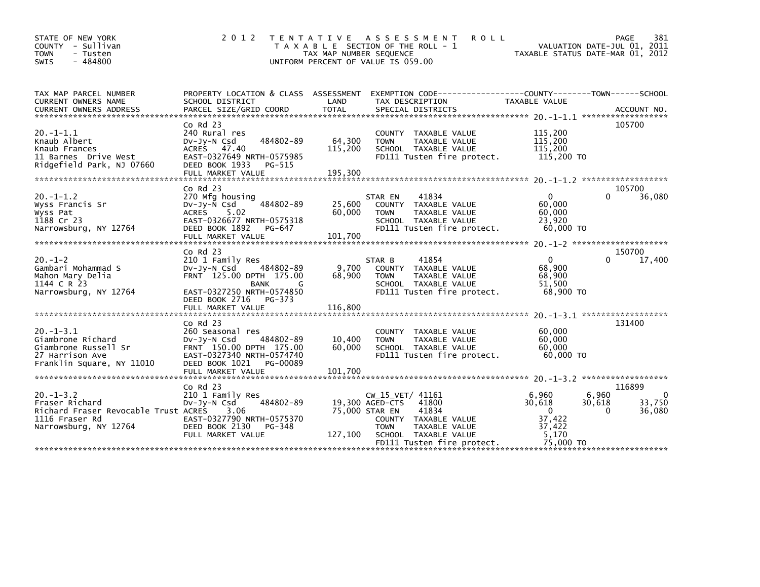| STATE OF NEW YORK<br>COUNTY - Sullivan<br><b>TOWN</b><br>- Tusten<br>$-484800$<br><b>SWIS</b>                       | 2 0 1 2                                                                                                                                                                   | T E N T A T I V E<br>TAX MAP NUMBER SEQUENCE | A S S E S S M E N T<br><b>ROLL</b><br>T A X A B L E SECTION OF THE ROLL - 1<br>UNIFORM PERCENT OF VALUE IS 059.00                                                    | TAXABLE STATUS DATE-MAR 01, 2012                                                         | 381<br>PAGE<br>VALUATION DATE-JUL 01, 2011         |
|---------------------------------------------------------------------------------------------------------------------|---------------------------------------------------------------------------------------------------------------------------------------------------------------------------|----------------------------------------------|----------------------------------------------------------------------------------------------------------------------------------------------------------------------|------------------------------------------------------------------------------------------|----------------------------------------------------|
| TAX MAP PARCEL NUMBER<br>CURRENT OWNERS NAME                                                                        | SCHOOL DISTRICT                                                                                                                                                           | LAND                                         | PROPERTY LOCATION & CLASS ASSESSMENT EXEMPTION CODE----------------COUNTY-------TOWN------SCHOOL<br>TAX DESCRIPTION                                                  | TAXABLE VALUE                                                                            |                                                    |
| $20. -1 - 1.1$<br>Knaub Albert<br>Knaub Frances<br>11 Barnes Drive West<br>Ridgefield Park, NJ 07660                | $Co$ Rd $23$<br>240 Rural res<br>484802-89<br>$Dv-Jy-N$ Csd<br>ACRES 47.40<br>EAST-0327649 NRTH-0575985<br>DEED BOOK 1933<br>PG-515<br>FULL MARKET VALUE                  | 64,300<br>115,200<br>195,300                 | COUNTY TAXABLE VALUE<br>TAXABLE VALUE<br><b>TOWN</b><br>SCHOOL TAXABLE VALUE<br>FD111 Tusten fire protect.                                                           | 115,200<br>115,200<br>115,200<br>115,200 TO                                              | 105700                                             |
| $20. -1 - 1.2$<br>Wyss Francis Sr<br>Wyss Pat<br>1188 Cr 23<br>Narrowsburg, NY 12764                                | $Co$ Rd $23$<br>270 Mfg housing<br>484802-89<br>$Dv-Jy-N$ Csd<br>ACRES 5.02<br>EAST-0326677 NRTH-0575318<br>DEED BOOK 1892<br>PG-647                                      | 25,600<br>60,000                             | 41834<br>STAR EN<br>COUNTY TAXABLE VALUE<br>TAXABLE VALUE<br><b>TOWN</b><br>SCHOOL TAXABLE VALUE<br>FD111 Tusten fire protect.                                       | $\Omega$<br>60,000<br>60,000<br>23.920<br>60,000 TO                                      | 105700<br>$\Omega$<br>36,080                       |
| $20. -1 - 2$<br>Gambari Mohammad S<br>Mahon Mary Delia<br>1144 C R 23<br>Narrowsburg, NY 12764                      | $Co$ Rd $23$<br>210 1 Family Res<br>484802-89<br>$Dv-Jv-N$ Csd<br>FRNT 125.00 DPTH 175.00<br><b>BANK</b><br>G<br>EAST-0327250 NRTH-0574850<br>DEED BOOK 2716 PG-373       | 9,700<br>68,900                              | 41854<br>STAR B<br>COUNTY TAXABLE VALUE<br>TAXABLE VALUE<br><b>TOWN</b><br>SCHOOL TAXABLE VALUE<br>FD111 Tusten fire protect.                                        | $\Omega$<br>68,900<br>68,900<br>51,500<br>68,900 TO                                      | 150700<br>17,400<br>O                              |
| $20. -1 - 3.1$<br>Giambrone Richard<br>Giambrone Russell Sr<br>27 Harrison Ave<br>Franklin Square, NY 11010         | $Co$ Rd $23$<br>260 Seasonal res<br>$Dv-Jy-N$ Csd<br>484802-89<br>FRNT 150.00 DPTH 175.00<br>EAST-0327340 NRTH-0574740<br>DEED BOOK 1021<br>PG-00089<br>FULL MARKET VALUE | 10,400<br>60,000<br>101,700                  | TAXABLE VALUE<br>COUNTY<br>TAXABLE VALUE<br><b>TOWN</b><br>SCHOOL TAXABLE VALUE<br>FD111 Tusten fire protect.                                                        | 60,000<br>60,000<br>60,000<br>60,000 TO                                                  | 131400                                             |
| $20. -1 - 3.2$<br>Fraser Richard<br>Richard Fraser Revocable Trust ACRES<br>1116 Fraser Rd<br>Narrowsburg, NY 12764 | $Co$ Rd $23$<br>210 1 Family Res<br>484802-89<br>$Dv-Jy-N$ Csd<br>3.06<br>EAST-0327790 NRTH-0575370<br>DEED BOOK 2130<br>PG-348<br>FULL MARKET VALUE                      | 75,000 STAR EN<br>127,100                    | $CW_15_VET/41161$<br>41800<br>19,300 AGED-CTS<br>41834<br>COUNTY TAXABLE VALUE<br>TAXABLE VALUE<br><b>TOWN</b><br>SCHOOL TAXABLE VALUE<br>FD111 Tusten fire protect. | 6,960<br>6,960<br>30,618<br>30,618<br>$\Omega$<br>37,422<br>37,422<br>5,170<br>75,000 TO | 116899<br>$\Omega$<br>33,750<br>$\Omega$<br>36,080 |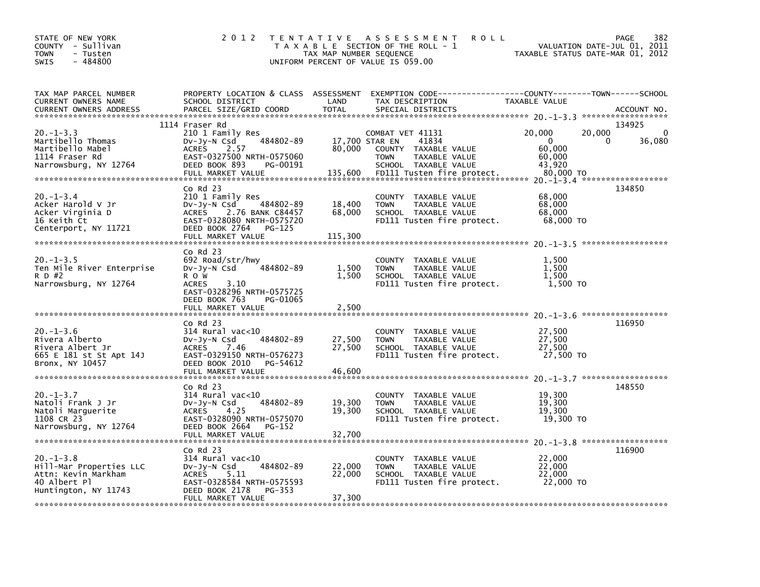| STATE OF NEW YORK<br>COUNTY - Sullivan<br><b>TOWN</b><br>- Tusten<br>$-484800$<br>SWIS                   | 2 0 1 2                                                                                                                                                                          | TAX MAP NUMBER SEQUENCE             | TENTATIVE ASSESSMENT<br><b>ROLL</b><br>T A X A B L E SECTION OF THE ROLL - 1<br>UNIFORM PERCENT OF VALUE IS 059.00                      | VALUATION DATE-JUL 01, 2011<br>TAXABLE STATUS DATE-MAR 01, 2012         | PAGE<br>382                |
|----------------------------------------------------------------------------------------------------------|----------------------------------------------------------------------------------------------------------------------------------------------------------------------------------|-------------------------------------|-----------------------------------------------------------------------------------------------------------------------------------------|-------------------------------------------------------------------------|----------------------------|
| TAX MAP PARCEL NUMBER<br>CURRENT OWNERS NAME<br><b>CURRENT OWNERS ADDRESS</b>                            | PROPERTY LOCATION & CLASS ASSESSMENT<br>SCHOOL DISTRICT<br>PARCEL SIZE/GRID COORD                                                                                                | LAND<br><b>TOTAL</b>                | EXEMPTION CODE-----------------COUNTY-------TOWN------SCHOOL<br>TAX DESCRIPTION<br>SPECIAL DISTRICTS                                    | TAXABLE VALUE                                                           | ACCOUNT NO.                |
| $20 - 1 - 3.3$<br>Martibello Thomas<br>Martibello Mabel<br>1114 Fraser Rd<br>Narrowsburg, NY 12764       | 1114 Fraser Rd<br>210 1 Family Res<br>484802-89<br>$Dv-Jy-N$ Csd<br><b>ACRES</b><br>2.57<br>EAST-0327500 NRTH-0575060<br>DEED BOOK 893<br>PG-00191<br>FULL MARKET VALUE          | 17,700 STAR EN<br>80,000<br>135,600 | COMBAT VET 41131<br>41834<br>COUNTY TAXABLE VALUE<br>TAXABLE VALUE<br><b>TOWN</b><br>SCHOOL TAXABLE VALUE<br>FD111 Tusten fire protect. | 20,000<br>20,000<br>$\Omega$<br>60,000<br>60,000<br>43,920<br>80,000 TO | 134925<br>0<br>36,080<br>0 |
| $20 - 1 - 3.4$<br>Acker Harold V Jr<br>Acker Virginia D<br>16 Keith Ct<br>Centerport, NY 11721           | $Co$ Rd $23$<br>210 1 Family Res<br>484802-89<br>$Dv-Jy-N$ Csd<br><b>ACRES</b><br>2.76 BANK C84457<br>EAST-0328080 NRTH-0575720<br>DEED BOOK 2764<br>PG-125<br>FULL MARKET VALUE | 18,400<br>68,000<br>115,300         | COUNTY TAXABLE VALUE<br>TAXABLE VALUE<br><b>TOWN</b><br>SCHOOL TAXABLE VALUE<br>FD111 Tusten fire protect.                              | 68,000<br>68,000<br>68,000<br>68,000 TO                                 | 134850                     |
| $20. -1 - 3.5$<br>Ten Mile River Enterprise<br>R D #2<br>Narrowsburg, NY 12764                           | $Co$ Rd $23$<br>692 Road/str/hwy<br>484802-89<br>$Dv-Jv-N$ Csd<br>R O W<br><b>ACRES</b><br>3.10<br>EAST-0328296 NRTH-0575725<br>DEED BOOK 763<br>PG-01065<br>FULL MARKET VALUE   | 1,500<br>1,500<br>2,500             | COUNTY TAXABLE VALUE<br>TAXABLE VALUE<br><b>TOWN</b><br>SCHOOL TAXABLE VALUE<br>FD111 Tusten fire protect.                              | 1,500<br>1.500<br>1,500<br>1,500 TO                                     |                            |
| $20. -1 - 3.6$<br>Rivera Alberto<br>Rivera Albert Jr<br>665 E 181 st St Apt 14J<br>Bronx, NY 10457       | $Co$ Rd $23$<br>314 Rural vac<10<br>$Dv-Jy-N$ Csd<br>484802-89<br>7.46<br>ACRES<br>EAST-0329150 NRTH-0576273<br>DEED BOOK 2010<br>PG-54612<br>FULL MARKET VALUE                  | 27,500<br>27,500<br>46,600          | COUNTY TAXABLE VALUE<br><b>TOWN</b><br>TAXABLE VALUE<br>SCHOOL TAXABLE VALUE<br>FD111 Tusten fire protect.                              | 27,500<br>27,500<br>27,500<br>27,500 TO                                 | 116950                     |
| $20. -1 - 3.7$<br>Natoli Frank J Jr<br>Natoli Marguerite<br>1108 CR 23<br>Narrowsburg, NY 12764          | $Co$ Rd $23$<br>$314$ Rural vac<10<br>484802-89<br>$Dv-Jy-N$ Csd<br>4.25<br><b>ACRES</b><br>EAST-0328090 NRTH-0575070<br>DEED BOOK 2664<br>PG-152<br>FULL MARKET VALUE           | 19,300<br>19,300<br>32,700          | <b>COUNTY</b><br>TAXABLE VALUE<br><b>TOWN</b><br>TAXABLE VALUE<br>SCHOOL TAXABLE VALUE<br>FD111 Tusten fire protect.                    | 19,300<br>19,300<br>19,300<br>19,300 TO                                 | 148550                     |
| $20 - 1 - 3.8$<br>Hill-Mar Properties LLC<br>Attn: Kevin Markham<br>40 Albert Pl<br>Huntington, NY 11743 | $Co$ Rd $23$<br>$314$ Rural vac<10<br>484802-89<br>$Dv-Jy-N$ Csd<br>5.11<br><b>ACRES</b><br>EAST-0328584 NRTH-0575593<br>DEED BOOK 2178<br>PG-353<br>FULL MARKET VALUE           | 22,000<br>22,000<br>37,300          | COUNTY TAXABLE VALUE<br><b>TOWN</b><br>TAXABLE VALUE<br>SCHOOL TAXABLE VALUE<br>FD111 Tusten fire protect.                              | 22,000<br>22,000<br>22,000<br>22,000 TO                                 | 116900                     |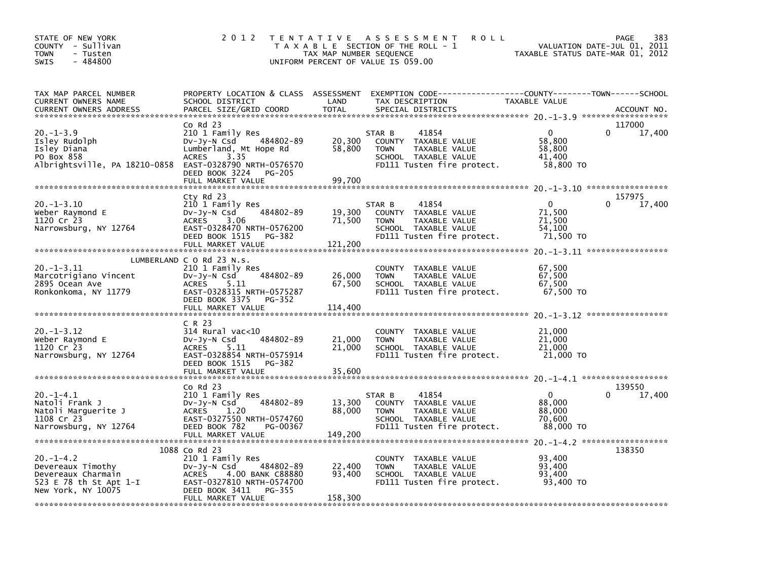| STATE OF NEW YORK<br>COUNTY - Sullivan<br>TOWN<br>- Tusten<br>$-484800$<br><b>SWIS</b>                    | 2 0 1 2                                                                                                                                                                     | T E N T A T I V E<br>TAX MAP NUMBER SEQUENCE | A S S E S S M E N T<br><b>ROLL</b><br>T A X A B L E SECTION OF THE ROLL - 1<br>UNIFORM PERCENT OF VALUE IS 059.00             | TAXABLE STATUS DATE-MAR 01, 2012                        | 383<br>PAGE<br>VALUATION DATE-JUL 01, 2011 |
|-----------------------------------------------------------------------------------------------------------|-----------------------------------------------------------------------------------------------------------------------------------------------------------------------------|----------------------------------------------|-------------------------------------------------------------------------------------------------------------------------------|---------------------------------------------------------|--------------------------------------------|
| TAX MAP PARCEL NUMBER<br>CURRENT OWNERS NAME<br><b>CURRENT OWNERS ADDRESS</b>                             | PROPERTY LOCATION & CLASS ASSESSMENT<br>SCHOOL DISTRICT<br>PARCEL SIZE/GRID COORD                                                                                           | LAND<br><b>TOTAL</b>                         | EXEMPTION CODE-----------------COUNTY-------TOWN------SCHOOL<br>TAX DESCRIPTION<br>SPECIAL DISTRICTS                          | TAXABLE VALUE                                           | ACCOUNT NO.                                |
|                                                                                                           | $Co$ Rd $23$                                                                                                                                                                |                                              |                                                                                                                               |                                                         | 117000                                     |
| $20. -1 - 3.9$<br>Isley Rudolph<br>Isley Diana<br>PO Box 858<br>Albrightsville, PA 18210-0858             | 210 1 Family Res<br>484802-89<br>$Dv-Jy-N$ Csd<br>Lumberland, Mt Hope Rd<br>3.35<br><b>ACRES</b><br>EAST-0328790 NRTH-0576570<br>DEED BOOK 3224 PG-205<br>FULL MARKET VALUE | 20,300<br>58,800<br>99,700                   | 41854<br>STAR B<br>COUNTY TAXABLE VALUE<br><b>TOWN</b><br>TAXABLE VALUE<br>SCHOOL TAXABLE VALUE<br>FD111 Tusten fire protect. | 0<br>58,800<br>58,800<br>41,400<br>58,800 TO            | 17,400<br>0                                |
|                                                                                                           |                                                                                                                                                                             |                                              |                                                                                                                               |                                                         |                                            |
| $20. -1 - 3.10$<br>Weber Raymond E<br>1120 Cr 23<br>Narrowsburg, NY 12764                                 | Cty Rd 23<br>210 1 Family Res<br>484802-89<br>$Dv-Jy-N$ Csd<br>3.06<br><b>ACRES</b><br>EAST-0328470 NRTH-0576200<br>DEED BOOK 1515<br>PG-382<br>FULL MARKET VALUE           | 19,300<br>71,500<br>121,200                  | 41854<br>STAR B<br>COUNTY TAXABLE VALUE<br>TAXABLE VALUE<br><b>TOWN</b><br>SCHOOL TAXABLE VALUE<br>FD111 Tusten fire protect. | $\mathbf{0}$<br>71,500<br>71,500<br>54,100<br>71,500 TO | 157975<br>17,400                           |
|                                                                                                           |                                                                                                                                                                             |                                              |                                                                                                                               |                                                         |                                            |
| $20. -1 - 3.11$<br>Marcotrigiano Vincent<br>2895 Ocean Ave<br>Ronkonkoma, NY 11779                        | LUMBERLAND C O Rd 23 N.S.<br>210 1 Family Res<br>484802-89<br>$Dv-Jv-N$ Csd<br>5.11<br><b>ACRES</b><br>EAST-0328315 NRTH-0575287<br>DEED BOOK 3375<br>PG-352                | 26,000<br>67,500                             | COUNTY TAXABLE VALUE<br>TAXABLE VALUE<br><b>TOWN</b><br>SCHOOL TAXABLE VALUE<br>FD111 Tusten fire protect.                    | 67,500<br>67.500<br>67,500<br>67,500 TO                 |                                            |
|                                                                                                           | FULL MARKET VALUE                                                                                                                                                           | 114,400                                      |                                                                                                                               |                                                         |                                            |
| $20. -1 - 3.12$<br>Weber Raymond E<br>1120 Cr 23<br>Narrowsburg, NY 12764                                 | C R 23<br>$314$ Rural vac< $10$<br>484802-89<br>DV-JV-N Csd<br>5.11<br><b>ACRES</b><br>EAST-0328854 NRTH-0575914<br>DEED BOOK 1515<br>PG-382<br>FULL MARKET VALUE           | 21,000<br>21,000<br>35,600                   | COUNTY TAXABLE VALUE<br><b>TOWN</b><br>TAXABLE VALUE<br>SCHOOL TAXABLE VALUE<br>FD111 Tusten fire protect.                    | 21,000<br>21,000<br>21,000<br>21,000 TO                 |                                            |
|                                                                                                           |                                                                                                                                                                             |                                              |                                                                                                                               |                                                         |                                            |
| $20. -1 - 4.1$<br>Natoli Frank J<br>Natoli Marguerite J<br>1108 Cr 23<br>Narrowsburg, NY 12764            | $Co$ Rd $23$<br>210 1 Family Res<br>484802-89<br>DV-Jy-N Csd<br><b>ACRES</b><br>1.20<br>EAST-0327550 NRTH-0574760<br>DEED BOOK 782<br>PG-00367<br>FULL MARKET VALUE         | 13,300<br>88,000<br>149,200                  | 41854<br>STAR B<br>COUNTY TAXABLE VALUE<br>TAXABLE VALUE<br><b>TOWN</b><br>SCHOOL TAXABLE VALUE<br>FD111 Tusten fire protect. | $\Omega$<br>88,000<br>88,000<br>70,600<br>88,000 TO     | 139550<br>17,400                           |
|                                                                                                           | 1088 Co Rd 23                                                                                                                                                               |                                              |                                                                                                                               |                                                         | 138350                                     |
| $20. -1 - 4.2$<br>Devereaux Timothy<br>Devereaux Charmain<br>523 E 78 th St Apt 1-I<br>New York, NY 10075 | 210 1 Family Res<br>484802-89<br>DV-Jy-N Csd<br><b>ACRES</b><br>4.00 BANK C88880<br>EAST-0327810 NRTH-0574700<br>DEED BOOK 3411<br>PG-355<br>FULL MARKET VALUE              | 22,400<br>93,400<br>158,300                  | COUNTY TAXABLE VALUE<br><b>TOWN</b><br>TAXABLE VALUE<br>SCHOOL TAXABLE VALUE<br>FD111 Tusten fire protect.                    | 93,400<br>93,400<br>93,400<br>93,400 TO                 |                                            |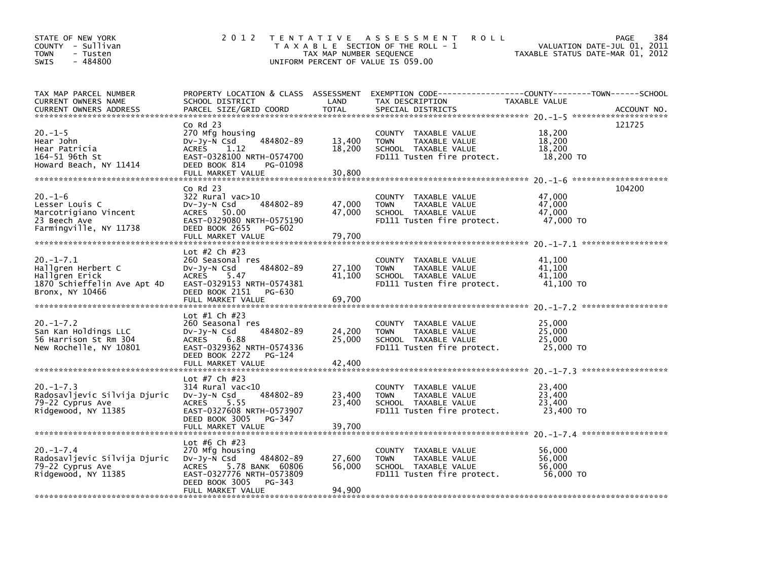| STATE OF NEW YORK<br>COUNTY - Sullivan<br><b>TOWN</b><br>- Tusten<br>$-484800$<br><b>SWIS</b>            | 2 0 1 2                                                                                                                                                                  | TAX MAP NUMBER SEQUENCE    | TENTATIVE ASSESSMENT<br><b>ROLL</b><br>T A X A B L E SECTION OF THE ROLL - 1<br>UNIFORM PERCENT OF VALUE IS 059.00 | 384<br>PAGE<br>VALUATION DATE-JUL 01, 2011<br>TAXABLE STATUS DATE-MAR 01, 2012                                                   |
|----------------------------------------------------------------------------------------------------------|--------------------------------------------------------------------------------------------------------------------------------------------------------------------------|----------------------------|--------------------------------------------------------------------------------------------------------------------|----------------------------------------------------------------------------------------------------------------------------------|
| TAX MAP PARCEL NUMBER<br>CURRENT OWNERS NAME<br><b>CURRENT OWNERS ADDRESS</b>                            | SCHOOL DISTRICT<br>PARCEL SIZE/GRID COORD                                                                                                                                | LAND<br><b>TOTAL</b>       | TAX DESCRIPTION<br>SPECIAL DISTRICTS                                                                               | PROPERTY LOCATION & CLASS ASSESSMENT EXEMPTION CODE----------------COUNTY-------TOWN------SCHOOL<br>TAXABLE VALUE<br>ACCOUNT NO. |
| $20. -1 - 5$<br>Hear John<br>Hear Patricia<br>164-51 96th St<br>Howard Beach, NY 11414                   | $Co$ Rd $23$<br>270 Mfg housing<br>Dv-Jy-N Csd<br>484802-89<br>1.12<br><b>ACRES</b><br>EAST-0328100 NRTH-0574700<br>DEED BOOK 814<br>PG-01098<br>FULL MARKET VALUE       | 13,400<br>18,200<br>30,800 | COUNTY TAXABLE VALUE<br>TAXABLE VALUE<br><b>TOWN</b><br>SCHOOL TAXABLE VALUE<br>FD111 Tusten fire protect.         | 121725<br>18,200<br>18,200<br>18,200<br>18,200 TO                                                                                |
| $20. - 1 - 6$<br>Lesser Louis C<br>Marcotrigiano Vincent<br>23 Beech Ave<br>Farmingville, NY 11738       | $CO$ Rd $23$<br>322 Rural vac>10<br>$Dv-Jy-N$ Csd<br>484802-89<br>ACRES 50.00<br>EAST-0329080 NRTH-0575190<br>DEED BOOK 2655<br>PG-602<br>FULL MARKET VALUE              | 47,000<br>47,000<br>79.700 | COUNTY TAXABLE VALUE<br>TAXABLE VALUE<br><b>TOWN</b><br>SCHOOL TAXABLE VALUE<br>FD111 Tusten fire protect.         | 104200<br>47,000<br>47,000<br>47,000<br>47,000 TO                                                                                |
| $20. -1 - 7.1$<br>Hallgren Herbert C<br>Hallgren Erick<br>1870 Schieffelin Ave Apt 4D<br>Bronx, NY 10466 | Lot #2 Ch #23<br>260 Seasonal res<br>DV-Jy-N Csd<br>484802-89<br>ACRES 5.47<br>EAST-0329153 NRTH-0574381<br>DEED BOOK 2151<br>PG-630<br>FULL MARKET VALUE                | 27,100<br>41,100<br>69,700 | COUNTY TAXABLE VALUE<br>TAXABLE VALUE<br><b>TOWN</b><br>SCHOOL TAXABLE VALUE<br>FD111 Tusten fire protect.         | 41,100<br>41,100<br>41.100<br>41,100 TO                                                                                          |
| $20. -1 - 7.2$<br>San Kan Holdings LLC<br>56 Harrison St Rm 304<br>New Rochelle, NY 10801                | Lot #1 Ch #23<br>260 Seasonal res<br>484802-89<br>DV-Jy-N Csd<br><b>ACRES</b><br>6.88<br>EAST-0329362 NRTH-0574336<br>DEED BOOK 2272<br>PG-124<br>FULL MARKET VALUE      | 24,200<br>25,000<br>42,400 | COUNTY TAXABLE VALUE<br>TAXABLE VALUE<br><b>TOWN</b><br>SCHOOL TAXABLE VALUE<br>FD111 Tusten fire protect.         | 25,000<br>25,000<br>25,000<br>25,000 TO                                                                                          |
| $20. -1 - 7.3$<br>Radosavljevic Silvija Djuric<br>79-22 Cyprus Ave<br>Ridgewood, NY 11385                | Lot #7 Ch #23<br>$314$ Rural vac< $10$<br>484802-89<br>DV-Jy-N Csd<br>5.55<br><b>ACRES</b><br>EAST-0327608 NRTH-0573907<br>DEED BOOK 3005<br>PG-347<br>FULL MARKET VALUE | 23,400<br>23,400<br>39,700 | COUNTY TAXABLE VALUE<br>TAXABLE VALUE<br><b>TOWN</b><br>SCHOOL TAXABLE VALUE<br>FD111 Tusten fire protect.         | 23,400<br>23,400<br>23,400<br>23,400 TO                                                                                          |
| $20. -1 - 7.4$<br>Radosavljevic Silvija Djuric<br>79-22 Cyprus Ave<br>Ridgewood, NY 11385                | Lot #6 Ch #23<br>270 Mfg housing<br>DV-Jy-N Csd<br>484802-89<br>5.78 BANK 60806<br>ACRES<br>EAST-0327776 NRTH-0573809<br>DEED BOOK 3005<br>PG-343<br>FULL MARKET VALUE   | 27,600<br>56,000<br>94.900 | COUNTY TAXABLE VALUE<br>TAXABLE VALUE<br><b>TOWN</b><br>SCHOOL TAXABLE VALUE<br>FD111 Tusten fire protect.         | 56,000<br>56,000<br>56,000<br>56,000 TO                                                                                          |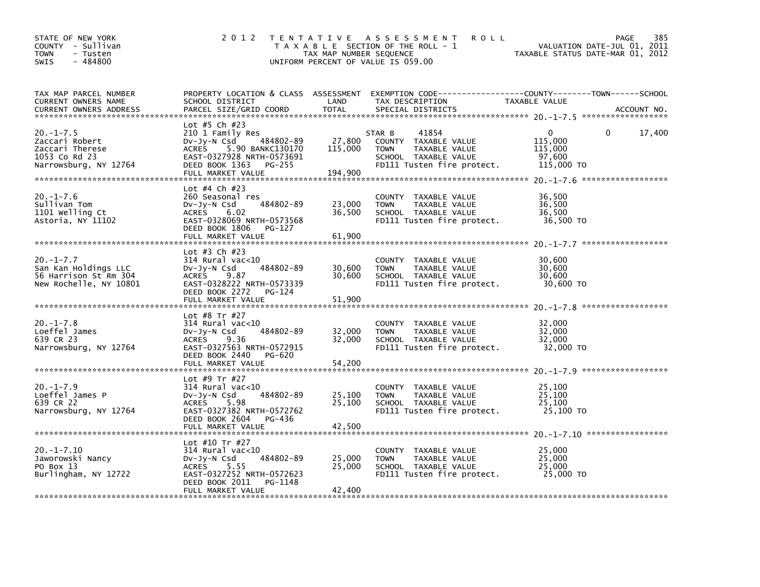| STATE OF NEW YORK<br>COUNTY - Sullivan<br><b>TOWN</b><br>- Tusten<br>$-484800$<br><b>SWIS</b> | 2 0 1 2                                                                                                                                                                    | TAX MAP NUMBER SEQUENCE      | TENTATIVE ASSESSMENT<br><b>ROLL</b><br>T A X A B L E SECTION OF THE ROLL - 1<br>UNIFORM PERCENT OF VALUE IS 059.00            | <b>PAGE</b><br>VALUATION DATE-JUL 01, 2011<br>TAXABLE STATUS DATE-MAR 01, 2012                                                 | 385 |
|-----------------------------------------------------------------------------------------------|----------------------------------------------------------------------------------------------------------------------------------------------------------------------------|------------------------------|-------------------------------------------------------------------------------------------------------------------------------|--------------------------------------------------------------------------------------------------------------------------------|-----|
| TAX MAP PARCEL NUMBER<br>CURRENT OWNERS NAME<br><b>CURRENT OWNERS ADDRESS</b>                 | SCHOOL DISTRICT<br>PARCEL SIZE/GRID COORD                                                                                                                                  | LAND<br><b>TOTAL</b>         | TAX DESCRIPTION<br>SPECIAL DISTRICTS                                                                                          | PROPERTY LOCATION & CLASS ASSESSMENT EXEMPTION CODE---------------COUNTY-------TOWN-----SCHOOL<br>TAXABLE VALUE<br>ACCOUNT NO. |     |
| $20. -1 - 7.5$<br>Zaccari Robert<br>Zaccari Therese<br>1053 Co Rd 23<br>Narrowsburg, NY 12764 | Lot #5 Ch #23<br>210 1 Family Res<br>484802-89<br>DV-Jy-N Csd<br>ACRES<br>5.90 BANKC130170<br>EAST-0327928 NRTH-0573691<br>DEED BOOK 1363<br>PG-255<br>FULL MARKET VALUE   | 27,800<br>115,000<br>194.900 | 41854<br>STAR B<br>COUNTY TAXABLE VALUE<br><b>TOWN</b><br>TAXABLE VALUE<br>SCHOOL TAXABLE VALUE<br>FD111 Tusten fire protect. | $\mathbf{0}$<br>17,400<br>0<br>115,000<br>115,000<br>97,600<br>115,000 TO                                                      |     |
| $20. -1 - 7.6$<br>Sullivan Tom<br>1101 Welling Ct<br>Astoria, NY 11102                        | Lot #4 Ch #23<br>260 Seasonal res<br>484802-89<br>DV-Jy-N Csd<br>ACRES 6.02<br>EAST-0328069 NRTH-0573568<br>DEED BOOK 1806<br>PG-127<br>FULL MARKET VALUE                  | 23,000<br>36,500<br>61,900   | COUNTY TAXABLE VALUE<br>TAXABLE VALUE<br><b>TOWN</b><br>SCHOOL TAXABLE VALUE<br>FD111 Tusten fire protect.                    | 36,500<br>36,500<br>36,500<br>36,500 TO                                                                                        |     |
| $20. -1 - 7.7$<br>San Kan Holdings LLC<br>56 Harrison St Rm 304<br>New Rochelle, NY 10801     | Lot #3 Ch #23<br>$314$ Rural vac<10<br>484802-89<br>DV-JY-N Csd<br>ACRES<br>9.87<br>EAST-0328222 NRTH-0573339<br>DEED BOOK 2272 PG-124<br>FULL MARKET VALUE                | 30,600<br>30,600<br>51,900   | COUNTY TAXABLE VALUE<br>TAXABLE VALUE<br><b>TOWN</b><br>SCHOOL TAXABLE VALUE<br>FD111 Tusten fire protect.                    | 30,600<br>30,600<br>30,600<br>30,600 TO                                                                                        |     |
| $20. -1 - 7.8$<br>Loeffel James<br>639 CR 23<br>Narrowsburg, NY 12764                         | Lot #8 Tr #27<br>$314$ Rural vac< $10$<br>484802-89<br>$Dv-Jy-N$ Csd<br>ACRES<br>9.36<br>EAST-0327563 NRTH-0572915<br>DEED BOOK 2440<br>PG-620<br>FULL MARKET VALUE        | 32,000<br>32,000<br>54,200   | COUNTY TAXABLE VALUE<br><b>TOWN</b><br>TAXABLE VALUE<br>SCHOOL TAXABLE VALUE<br>FD111 Tusten fire protect.                    | 32,000<br>32.000<br>32.000<br>32,000 TO                                                                                        |     |
| $20. -1 - 7.9$<br>Loeffel James P<br>639 CR 22<br>Narrowsburg, NY 12764                       | Lot #9 Tr #27<br>$314$ Rural vac< $10$<br>484802-89<br>Dv-Jy-N Csd<br>5.98<br>ACRES<br>EAST-0327382 NRTH-0572762<br>DEED BOOK 2604<br>PG-436<br>FULL MARKET VALUE          | 25,100<br>25,100<br>42,500   | COUNTY TAXABLE VALUE<br>TAXABLE VALUE<br><b>TOWN</b><br>SCHOOL TAXABLE VALUE<br>FD111 Tusten fire protect.                    | 25,100<br>25,100<br>25.100<br>25,100 TO                                                                                        |     |
| $20. -1 - 7.10$<br>Jaworowski Nancy<br>PO Box 13<br>Burlingham, NY 12722                      | Lot #10 Tr #27<br>$314$ Rural vac< $10$<br>484802-89<br>Dv-Jy-N Csd<br><b>ACRES</b><br>5.55<br>EAST-0327252 NRTH-0572623<br>DEED BOOK 2011<br>PG-1148<br>FULL MARKET VALUE | 25,000<br>25,000<br>42.400   | COUNTY TAXABLE VALUE<br>TAXABLE VALUE<br><b>TOWN</b><br>SCHOOL TAXABLE VALUE<br>FD111 Tusten fire protect.                    | 25,000<br>25,000<br>25,000<br>25,000 TO                                                                                        |     |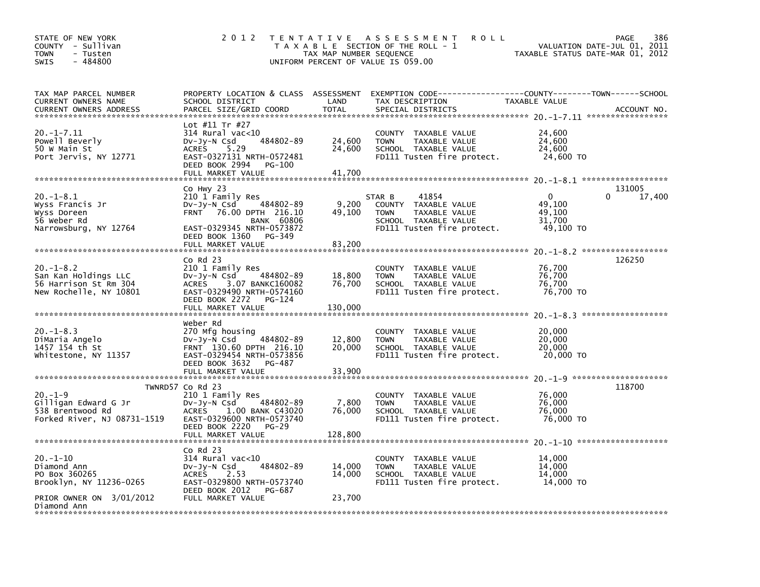| STATE OF NEW YORK<br>COUNTY - Sullivan<br><b>TOWN</b><br>- Tusten<br>$-484800$<br>SWIS | 2 0 1 2                                                       | TAX MAP NUMBER SEQUENCE | TENTATIVE ASSESSMENT<br><b>ROLL</b><br>T A X A B L E SECTION OF THE ROLL - 1<br>UNIFORM PERCENT OF VALUE IS 059.00 | VALUATION DATE-JUL 01,<br>TAXABLE STATUS DATE-MAR 01, 2012 | 386<br><b>PAGE</b><br>2011 |
|----------------------------------------------------------------------------------------|---------------------------------------------------------------|-------------------------|--------------------------------------------------------------------------------------------------------------------|------------------------------------------------------------|----------------------------|
| TAX MAP PARCEL NUMBER                                                                  |                                                               |                         | PROPERTY LOCATION & CLASS ASSESSMENT EXEMPTION CODE----------------COUNTY-------TOWN------SCHOOL                   |                                                            |                            |
| CURRENT OWNERS NAME<br><b>CURRENT OWNERS ADDRESS</b>                                   | SCHOOL DISTRICT<br>PARCEL SIZE/GRID COORD                     | LAND<br><b>TOTAL</b>    | TAX DESCRIPTION<br>SPECIAL DISTRICTS                                                                               | <b>TAXABLE VALUE</b>                                       | ACCOUNT NO.                |
|                                                                                        |                                                               |                         |                                                                                                                    |                                                            |                            |
| $20. -1 - 7.11$                                                                        | Lot #11 Tr #27<br>$314$ Rural vac<10                          |                         | COUNTY TAXABLE VALUE                                                                                               | 24,600                                                     |                            |
| Powell Beverly                                                                         | 484802-89<br>$Dv-Jy-N$ Csd                                    | 24,600                  | TAXABLE VALUE<br><b>TOWN</b>                                                                                       | 24,600                                                     |                            |
| 50 W Main St<br>Port Jervis, NY 12771                                                  | <b>ACRES</b><br>5.29<br>EAST-0327131 NRTH-0572481             | 24,600                  | SCHOOL TAXABLE VALUE<br>FD111 Tusten fire protect.                                                                 | 24,600<br>24,600 TO                                        |                            |
|                                                                                        | DEED BOOK 2994<br>PG-100                                      |                         |                                                                                                                    |                                                            |                            |
|                                                                                        | FULL MARKET VALUE                                             | 41,700                  |                                                                                                                    |                                                            |                            |
|                                                                                        | Co Hwy 23                                                     |                         |                                                                                                                    |                                                            | 131005                     |
| $20. -1 - 8.1$<br>Wyss Francis Jr                                                      | 210 1 Family Res<br>484802-89<br>$Dv-Jv-N$ Csd                | 9,200                   | 41854<br>STAR B<br>COUNTY TAXABLE VALUE                                                                            | $\Omega$<br>49,100                                         | 17,400<br>0                |
| Wyss Doreen                                                                            | FRNT 76.00 DPTH 216.10                                        | 49,100                  | TAXABLE VALUE<br><b>TOWN</b>                                                                                       | 49,100                                                     |                            |
| 56 Weber Rd<br>Narrowsburg, NY 12764                                                   | <b>BANK 60806</b><br>EAST-0329345 NRTH-0573872                |                         | SCHOOL TAXABLE VALUE<br>FD111 Tusten fire protect.                                                                 | 31,700<br>49,100 TO                                        |                            |
|                                                                                        | DEED BOOK 1360 PG-349                                         |                         |                                                                                                                    |                                                            |                            |
|                                                                                        | FULL MARKET VALUE                                             | 83,200                  |                                                                                                                    |                                                            |                            |
|                                                                                        | $Co$ Rd $23$                                                  |                         |                                                                                                                    |                                                            | 126250                     |
| $20. - 1 - 8.2$<br>San Kan Holdings LLC                                                | 210 1 Family Res<br>DV-Jy-N Csd<br>484802-89                  | 18,800                  | COUNTY TAXABLE VALUE<br><b>TOWN</b><br>TAXABLE VALUE                                                               | 76,700<br>76,700                                           |                            |
| 56 Harrison St Rm 304                                                                  | <b>ACRES</b><br>3.07 BANKC160082                              | 76,700                  | SCHOOL TAXABLE VALUE                                                                                               | 76,700                                                     |                            |
| New Rochelle, NY 10801                                                                 | EAST-0329490 NRTH-0574160<br>DEED BOOK 2272<br>PG-124         |                         | FD111 Tusten fire protect.                                                                                         | 76,700 TO                                                  |                            |
|                                                                                        | FULL MARKET VALUE                                             | 130,000                 |                                                                                                                    |                                                            |                            |
|                                                                                        | Weber Rd                                                      |                         |                                                                                                                    |                                                            |                            |
| $20. -1 - 8.3$                                                                         | 270 Mfg housing                                               |                         | <b>COUNTY</b><br>TAXABLE VALUE                                                                                     | 20,000                                                     |                            |
| DiMaria Angelo<br>1457 154 th St                                                       | 484802-89<br>DV-Jy-N Csd<br>FRNT 130.60 DPTH 216.10           | 12,800<br>20,000        | <b>TOWN</b><br>TAXABLE VALUE<br>SCHOOL TAXABLE VALUE                                                               | 20,000<br>20,000                                           |                            |
| Whitestone, NY 11357                                                                   | EAST-0329454 NRTH-0573856                                     |                         | FD111 Tusten fire protect.                                                                                         | 20,000 TO                                                  |                            |
|                                                                                        | DEED BOOK 3632<br>PG-487<br>FULL MARKET VALUE                 | 33,900                  |                                                                                                                    |                                                            |                            |
|                                                                                        |                                                               |                         |                                                                                                                    |                                                            |                            |
| $20. - 1 - 9$                                                                          | TWNRD57 Co Rd 23<br>210 1 Family Res                          |                         | COUNTY TAXABLE VALUE                                                                                               | 76,000                                                     | 118700                     |
| Gilligan Edward G Jr                                                                   | 484802-89<br>$Dv-Jv-N$ Csd                                    | 7,800                   | TAXABLE VALUE<br><b>TOWN</b>                                                                                       | 76,000                                                     |                            |
| 538 Brentwood Rd<br>Forked River, NJ 08731-1519                                        | <b>ACRES</b><br>1.00 BANK C43020<br>EAST-0329600 NRTH-0573740 | 76,000                  | SCHOOL TAXABLE VALUE<br>FD111 Tusten fire protect.                                                                 | 76,000<br>76,000 TO                                        |                            |
|                                                                                        | DEED BOOK 2220<br><b>PG-29</b>                                |                         |                                                                                                                    |                                                            |                            |
|                                                                                        | FULL MARKET VALUE                                             | 128,800                 |                                                                                                                    |                                                            |                            |
|                                                                                        | $Co$ Rd $23$                                                  |                         |                                                                                                                    |                                                            |                            |
| $20. -1 - 10$<br>Diamond Ann                                                           | $314$ Rural vac< $10$<br>484802-89<br>$Dv-Jy-N$ Csd           | 14,000                  | COUNTY TAXABLE VALUE<br><b>TOWN</b><br>TAXABLE VALUE                                                               | 14.000<br>14,000                                           |                            |
| PO Box 360265                                                                          | 2.53<br><b>ACRES</b>                                          | 14,000                  | SCHOOL TAXABLE VALUE                                                                                               | 14.000                                                     |                            |
| Brooklyn, NY 11236-0265                                                                | EAST-0329800 NRTH-0573740<br>DEED BOOK 2012<br>PG-687         |                         | FD111 Tusten fire protect.                                                                                         | 14,000 TO                                                  |                            |
| PRIOR OWNER ON 3/01/2012<br>Diamond Ann                                                | FULL MARKET VALUE                                             | 23,700                  |                                                                                                                    |                                                            |                            |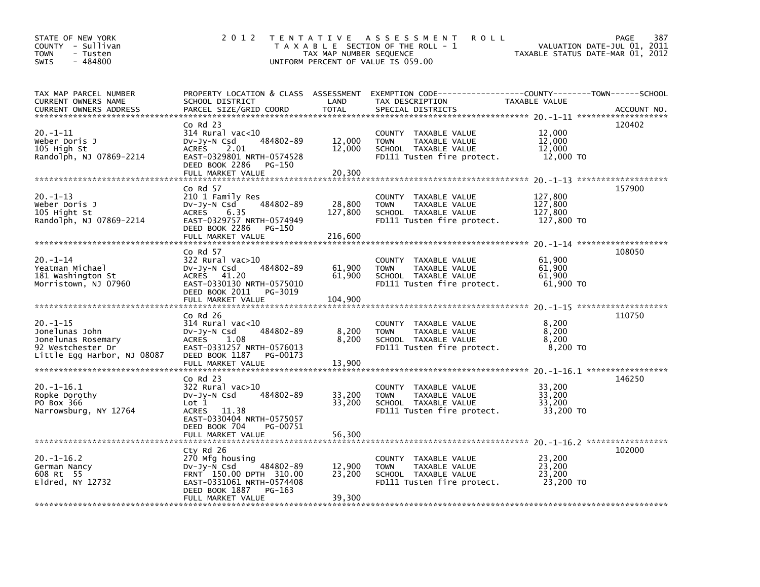| STATE OF NEW YORK<br>COUNTY - Sullivan<br>- Tusten<br><b>TOWN</b><br>$-484800$<br>SWIS                    | 2 0 1 2                                                                                                                                                                                  | T E N T A T I V E<br>TAX MAP NUMBER SEQUENCE | A S S E S S M E N T<br><b>ROLL</b><br>T A X A B L E SECTION OF THE ROLL - 1<br>UNIFORM PERCENT OF VALUE IS 059.00                      | VALUATION DATE-JUL 01, 2011<br>TAXABLE STATUS DATE-MAR 01, 2012 | 387<br><b>PAGE</b> |
|-----------------------------------------------------------------------------------------------------------|------------------------------------------------------------------------------------------------------------------------------------------------------------------------------------------|----------------------------------------------|----------------------------------------------------------------------------------------------------------------------------------------|-----------------------------------------------------------------|--------------------|
| TAX MAP PARCEL NUMBER<br>CURRENT OWNERS NAME<br>CURRENT OWNERS ADDRESS                                    | SCHOOL DISTRICT<br>PARCEL SIZE/GRID COORD                                                                                                                                                | LAND<br><b>TOTAL</b>                         | PROPERTY LOCATION & CLASS ASSESSMENT EXEMPTION CODE---------------COUNTY-------TOWN-----SCHOOL<br>TAX DESCRIPTION<br>SPECIAL DISTRICTS | TAXABLE VALUE                                                   | ACCOUNT NO.        |
| 20.-1-11<br>Weber Doris J<br>105 High St<br>Randolph, NJ 07869-2214                                       | $Co$ Rd $23$<br>$314$ Rural vac< $10$<br>484802-89<br>Dv-Jy-N Csd<br>2.01<br><b>ACRES</b><br>EAST-0329801 NRTH-0574528<br>DEED BOOK 2286<br>PG-150<br>FULL MARKET VALUE                  | 12,000<br>12,000<br>20,300                   | COUNTY TAXABLE VALUE<br>TAXABLE VALUE<br><b>TOWN</b><br>SCHOOL TAXABLE VALUE<br>FD111 Tusten fire protect.                             | 12,000<br>12,000<br>12,000<br>12,000 TO                         | 120402             |
| $20. -1 - 13$<br>Weber Doris J<br>105 Hight St<br>Randolph, NJ 07869-2214                                 | $Co$ Rd $57$<br>210 1 Family Res<br>484802-89<br>DV-Jy-N Csd<br><b>ACRES</b><br>6.35<br>EAST-0329757 NRTH-0574949<br>DEED BOOK 2286<br>PG-150<br>FULL MARKET VALUE                       | 28,800<br>127,800<br>216,600                 | COUNTY TAXABLE VALUE<br>TAXABLE VALUE<br><b>TOWN</b><br>SCHOOL TAXABLE VALUE<br>FD111 Tusten fire protect.                             | 127,800<br>127,800<br>127,800<br>127,800 TO                     | 157900             |
| 20.-1-14<br>Yeatman Michael<br>181 Washington St<br>Morristown, NJ 07960                                  | $Co$ Rd $57$<br>$322$ Rural vac $>10$<br>484802-89<br>$Dv-Jy-N$ Csd<br><b>ACRES</b><br>41.20<br>EAST-0330130 NRTH-0575010<br>DEED BOOK 2011<br>PG-3019<br>FULL MARKET VALUE              | 61,900<br>61,900<br>104,900                  | COUNTY TAXABLE VALUE<br>TAXABLE VALUE<br><b>TOWN</b><br>SCHOOL TAXABLE VALUE<br>FD111 Tusten fire protect.                             | 61,900<br>61,900<br>61,900<br>61,900 TO                         | 108050             |
| $20. -1 - 15$<br>Jonelunas John<br>Jonelunas Rosemary<br>92 Westchester Dr<br>Little Egg Harbor, NJ 08087 | $Co$ Rd $26$<br>$314$ Rural vac<10<br>484802-89<br>DV-Jy-N Csd<br><b>ACRES</b><br>1.08<br>EAST-0331257 NRTH-0576013<br>DEED BOOK 1187<br>PG-00173<br>FULL MARKET VALUE                   | 8,200<br>8.200<br>13,900                     | COUNTY TAXABLE VALUE<br>TAXABLE VALUE<br><b>TOWN</b><br>SCHOOL TAXABLE VALUE<br>FD111 Tusten fire protect.                             | 8,200<br>8,200<br>8.200<br>8,200 TO                             | 110750             |
| 20.-1-16.1<br>Ropke Dorothy<br>PO Box 366<br>Narrowsburg, NY 12764                                        | $Co$ Rd $23$<br>322 Rural vac>10<br>484802-89<br>DV-Jy-N Csd<br>Lot 1<br>ACRES 11.38<br>EAST-0330404 NRTH-0575057<br>DEED BOOK 704<br>PG-00751                                           | 33,200<br>33,200                             | COUNTY TAXABLE VALUE<br>TAXABLE VALUE<br><b>TOWN</b><br>SCHOOL TAXABLE VALUE<br>FD111 Tusten fire protect.                             | 33,200<br>33,200<br>33,200<br>33,200 TO                         | 146250             |
| $20. -1 - 16.2$<br>German Nancy<br>608 Rt 55<br>E1dred, NY 12732                                          | FULL MARKET VALUE<br>Cty Rd 26<br>270 Mfg housing<br>484802-89<br>$Dv-Jy-N$ Csd<br>FRNT 150.00 DPTH 310.00<br>EAST-0331061 NRTH-0574408<br>DEED BOOK 1887<br>PG-163<br>FULL MARKET VALUE | 56,300<br>12,900<br>23,200<br>39,300         | COUNTY TAXABLE VALUE<br><b>TOWN</b><br>TAXABLE VALUE<br>SCHOOL TAXABLE VALUE<br>FD111 Tusten fire protect.                             | 23,200<br>23,200<br>23,200<br>23,200 TO                         | 102000             |
|                                                                                                           |                                                                                                                                                                                          |                                              |                                                                                                                                        |                                                                 |                    |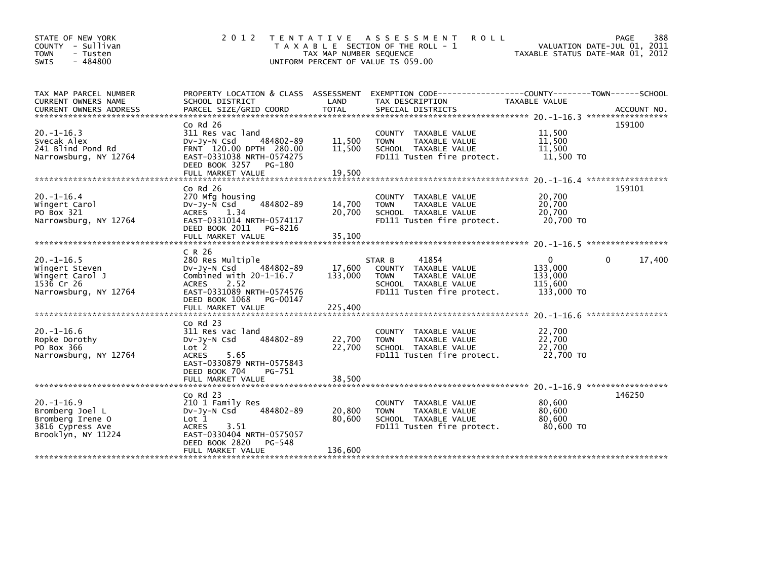| STATE OF NEW YORK<br>COUNTY - Sullivan<br><b>TOWN</b><br>- Tusten<br>$-484800$<br>SWIS           | 2 0 1 2                                                                                                                                                                  | TAX MAP NUMBER SEQUENCE | TENTATIVE ASSESSMENT<br><b>ROLL</b><br>T A X A B L E SECTION OF THE ROLL - 1<br>UNIFORM PERCENT OF VALUE IS 059.00                      | VALUATION DATE-JUL 01, 2011<br>TAXABLE STATUS DATE-MAR 01, 2012 | PAGE<br>388       |
|--------------------------------------------------------------------------------------------------|--------------------------------------------------------------------------------------------------------------------------------------------------------------------------|-------------------------|-----------------------------------------------------------------------------------------------------------------------------------------|-----------------------------------------------------------------|-------------------|
| TAX MAP PARCEL NUMBER<br>CURRENT OWNERS NAME                                                     | PROPERTY LOCATION & CLASS ASSESSMENT<br>SCHOOL DISTRICT                                                                                                                  | LAND                    | EXEMPTION CODE-----------------COUNTY-------TOWN------SCHOOL<br>TAX DESCRIPTION                                                         | TAXABLE VALUE                                                   |                   |
| $20. -1 - 16.3$<br>Svecak Alex<br>241 Blind Pond Rd                                              | $CO$ Rd $26$<br>311 Res vac land<br>$Dv-Jv-N$ Csd<br>484802-89<br>FRNT 120.00 DPTH 280.00                                                                                | 11,500<br>11,500        | COUNTY TAXABLE VALUE<br><b>TOWN</b><br>TAXABLE VALUE<br>SCHOOL TAXABLE VALUE                                                            | 11,500<br>11,500<br>11,500                                      | 159100            |
| Narrowsburg, NY 12764                                                                            | EAST-0331038 NRTH-0574275<br>DEED BOOK 3257<br>PG-180<br>FULL MARKET VALUE                                                                                               | 19,500                  | FD111 Tusten fire protect.                                                                                                              | 11,500 TO<br>20. -1-16. 4 ******************                    |                   |
| $20. -1 - 16.4$<br>Wingert Carol<br>PO Box 321<br>Narrowsburg, NY 12764                          | Co Rd 26<br>270 Mfg housing<br>484802-89<br>DV-Jy-N Csd<br>1.34<br><b>ACRES</b><br>EAST-0331014 NRTH-0574117<br>DEED BOOK 2011<br>PG-8216                                | 14,700<br>20,700        | TAXABLE VALUE<br><b>COUNTY</b><br>TAXABLE VALUE<br><b>TOWN</b><br>SCHOOL TAXABLE VALUE<br>FD111 Tusten fire protect.                    | 20,700<br>20,700<br>20.700<br>20,700 TO                         | 159101            |
|                                                                                                  |                                                                                                                                                                          |                         |                                                                                                                                         |                                                                 |                   |
| $20. -1 - 16.5$<br>Wingert Steven<br>Wingert Carol J<br>1536 Cr 26<br>Narrowsburg, NY 12764      | C R 26<br>280 Res Multiple<br>$Dv-Jy-N$ Csd<br>484802-89<br>Combined with $20-1-16.7$<br>2.52<br><b>ACRES</b><br>EAST-0331089 NRTH-0574576<br>DEED BOOK 1068<br>PG-00147 | 17,600<br>133,000       | 41854<br>STAR B<br>TAXABLE VALUE<br><b>COUNTY</b><br>TAXABLE VALUE<br><b>TOWN</b><br>SCHOOL TAXABLE VALUE<br>FD111 Tusten fire protect. | $\Omega$<br>133,000<br>133,000<br>115,600<br>133,000 TO         | 17,400<br>0       |
|                                                                                                  |                                                                                                                                                                          |                         |                                                                                                                                         |                                                                 | ***************** |
| $20. -1 - 16.6$<br>Ropke Dorothy<br>PO Box 366<br>Narrowsburg, NY 12764                          | $Co$ Rd $23$<br>311 Res vac land<br>484802-89<br>$Dv-Jv-N$ Csd<br>Lot 2<br><b>ACRES</b><br>5.65<br>EAST-0330879 NRTH-0575843<br>DEED BOOK 704<br>PG-751                  | 22,700<br>22,700        | <b>COUNTY</b><br>TAXABLE VALUE<br>TAXABLE VALUE<br><b>TOWN</b><br>SCHOOL TAXABLE VALUE<br>FD111 Tusten fire protect.                    | 22,700<br>22,700<br>22,700<br>22,700 TO                         |                   |
|                                                                                                  | FULL MARKET VALUE                                                                                                                                                        | 38,500                  |                                                                                                                                         | 20. -1-16.9 ******************                                  |                   |
| $20. -1 - 16.9$<br>Bromberg Joel L<br>Bromberg Irene O<br>3816 Cypress Ave<br>Brooklyn, NY 11224 | $Co$ Rd $23$<br>210 1 Family Res<br>484802-89<br>$Dv-Jy-N$ Csd<br>Lot 1<br><b>ACRES</b><br>3.51<br>EAST-0330404 NRTH-0575057<br>DEED BOOK 2820<br>PG-548                 | 20,800<br>80,600        | <b>COUNTY</b><br>TAXABLE VALUE<br>TAXABLE VALUE<br><b>TOWN</b><br>SCHOOL TAXABLE VALUE<br>FD111 Tusten fire protect.                    | 80,600<br>80,600<br>80,600<br>80,600 TO                         | 146250            |
|                                                                                                  | FULL MARKET VALUE                                                                                                                                                        | 136,600                 |                                                                                                                                         |                                                                 |                   |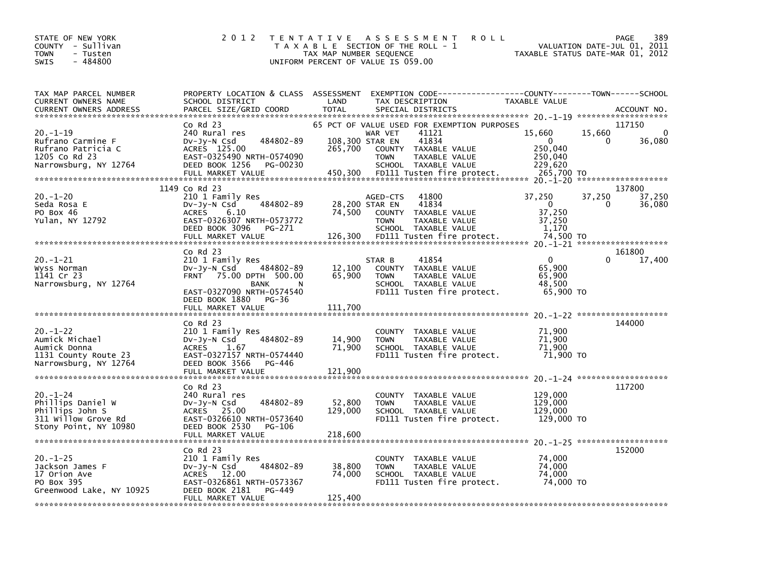| STATE OF NEW YORK<br>COUNTY - Sullivan<br><b>TOWN</b><br>- Tusten<br>$-484800$<br><b>SWIS</b>          | 2 0 1 2                                                                                                                                                         | TAX MAP NUMBER SEQUENCE      | TENTATIVE ASSESSMENT<br>T A X A B L E SECTION OF THE ROLL - 1<br>UNIFORM PERCENT OF VALUE IS 059.00                                                                         | <b>ROLL</b>                                                       | 389<br>PAGE<br>VALUATION DATE-JUL 01, 2011<br>TAXABLE STATUS DATE-MAR 01, 2012 |
|--------------------------------------------------------------------------------------------------------|-----------------------------------------------------------------------------------------------------------------------------------------------------------------|------------------------------|-----------------------------------------------------------------------------------------------------------------------------------------------------------------------------|-------------------------------------------------------------------|--------------------------------------------------------------------------------|
| TAX MAP PARCEL NUMBER<br>CURRENT OWNERS NAME<br><b>CURRENT OWNERS ADDRESS</b>                          | PROPERTY LOCATION & CLASS ASSESSMENT<br>SCHOOL DISTRICT<br>PARCEL SIZE/GRID COORD                                                                               | LAND<br><b>TOTAL</b>         | EXEMPTION        CODE-----------------COUNTY-------TOWN------SCHOOL<br>TAX DESCRIPTION<br>SPECIAL DISTRICTS                                                                 | TAXABLE VALUE                                                     | ACCOUNT NO.<br>*******************                                             |
| $20. -1 - 19$<br>Rufrano Carmine F<br>Rufrano Patricia C<br>1205 Co Rd 23<br>Narrowsburg, NY 12764     | $Co$ Rd $23$<br>240 Rural res<br>484802-89<br>$Dv-Jy-N$ Csd<br>ACRES 125.00<br>EAST-0325490 NRTH-0574090<br>DEED BOOK 1256<br>PG-00230                          | 265,700                      | 65 PCT OF VALUE USED FOR EXEMPTION PURPOSES<br>41121<br>WAR VET<br>41834<br>108,300 STAR EN<br>COUNTY TAXABLE VALUE<br>TAXABLE VALUE<br><b>TOWN</b><br>SCHOOL TAXABLE VALUE | 15,660<br>$\Omega$<br>250,040<br>250,040<br>229,620<br>265,700 TO | 117150<br>15,660<br>0<br>36,080<br>0                                           |
|                                                                                                        | 1149 Co Rd 23                                                                                                                                                   |                              |                                                                                                                                                                             |                                                                   | *******************<br>137800                                                  |
| $20. - 1 - 20$<br>Seda Rosa E<br>PO Box 46<br>Yulan, NY 12792                                          | 210 1 Family Res<br>484802-89<br>DV-Jy-N Csd<br><b>ACRES</b><br>6.10<br>EAST-0326307 NRTH-0573772<br>DEED BOOK 3096<br>PG-271<br>FULL MARKET VALUE              | 74,500<br>126,300            | 41800<br>AGED-CTS<br>41834<br>28,200 STAR EN<br>COUNTY<br>TAXABLE VALUE<br>TAXABLE VALUE<br><b>TOWN</b><br>SCHOOL TAXABLE VALUE<br>FD111 Tusten fire protect.               | 37,250<br>0<br>37,250<br>37,250<br>1,170<br>74,500 TO             | 37,250<br>37,250<br>0<br>36,080                                                |
|                                                                                                        |                                                                                                                                                                 |                              |                                                                                                                                                                             |                                                                   |                                                                                |
| $20. - 1 - 21$<br>Wyss Norman<br>1141 Cr 23<br>Narrowsburg, NY 12764                                   | $Co$ Rd $23$<br>210 1 Family Res<br>484802-89<br>$Dv-Jy-N$ Csd<br>FRNT 75.00 DPTH 500.00<br>BANK<br>N<br>EAST-0327090 NRTH-0574540<br>DEED BOOK 1880<br>$PG-36$ | 12,100<br>65,900             | 41854<br>STAR B<br>COUNTY TAXABLE VALUE<br><b>TOWN</b><br>TAXABLE VALUE<br>SCHOOL TAXABLE VALUE<br>FD111 Tusten fire protect.                                               | $\Omega$<br>65,900<br>65,900<br>48,500<br>65,900 TO               | 161800<br>$\Omega$<br>17,400                                                   |
|                                                                                                        | FULL MARKET VALUE                                                                                                                                               | 111,700                      |                                                                                                                                                                             |                                                                   |                                                                                |
| $20. - 1 - 22$<br>Aumick Michael<br>Aumick Donna<br>1131 County Route 23<br>Narrowsburg, NY 12764      | $Co$ Rd $23$<br>210 1 Family Res<br>484802-89<br>DV-Jy-N Csd<br>ACRES<br>1.67<br>EAST-0327157 NRTH-0574440<br>DEED BOOK 3566<br>PG-446<br>FULL MARKET VALUE     | 14,900<br>71,900<br>121,900  | COUNTY TAXABLE VALUE<br><b>TOWN</b><br>TAXABLE VALUE<br>SCHOOL TAXABLE VALUE<br>FD111 Tusten fire protect.                                                                  | 71,900<br>71,900<br>71,900<br>71,900 TO                           | 144000                                                                         |
| $20. - 1 - 24$<br>Phillips Daniel W<br>Phillips John S<br>311 Willow Grove Rd<br>Stony Point, NY 10980 | Co Rd 23<br>240 Rural res<br>484802-89<br>DV-Jy-N Csd<br>ACRES 25.00<br>EAST-0326610 NRTH-0573640<br>DEED BOOK 2530<br>PG-106<br>FULL MARKET VALUE              | 52,800<br>129,000<br>218,600 | COUNTY TAXABLE VALUE<br><b>TOWN</b><br>TAXABLE VALUE<br>SCHOOL TAXABLE VALUE<br>FD111 Tusten fire protect.                                                                  | 129,000<br>129,000<br>129,000<br>129,000 TO                       | 117200                                                                         |
| $20. - 1 - 25$<br>Jackson James F<br>17 Orion Ave<br>PO Box 395<br>Greenwood Lake, NY 10925            | Co Rd 23<br>210 1 Family Res<br>484802-89<br>DV-Jy-N Csd<br>ACRES 12.00<br>EAST-0326861 NRTH-0573367<br>DEED BOOK 2181<br>PG-449<br>FULL MARKET VALUE           | 38,800<br>74,000<br>125,400  | COUNTY TAXABLE VALUE<br><b>TOWN</b><br>TAXABLE VALUE<br>SCHOOL TAXABLE VALUE<br>FD111 Tusten fire protect.                                                                  | 74,000<br>74,000<br>74,000<br>74,000 TO                           | 152000                                                                         |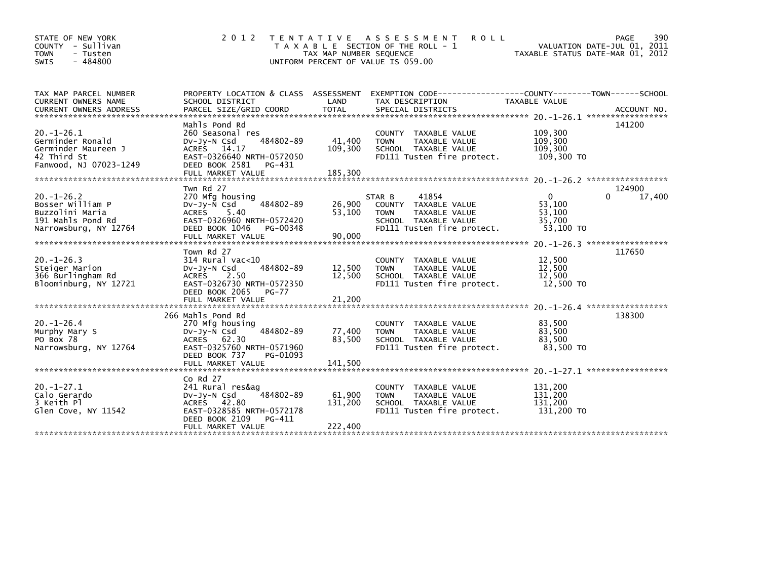| STATE OF NEW YORK<br>COUNTY - Sullivan<br><b>TOWN</b><br>- Tusten<br>$-484800$<br><b>SWIS</b>        | 2 0 1 2                                                                                                                                                          | T E N T A T I V E<br>TAX MAP NUMBER SEQUENCE | A S S E S S M E N T<br><b>ROLL</b><br>T A X A B L E SECTION OF THE ROLL - 1<br>UNIFORM PERCENT OF VALUE IS 059.00             | VALUATION DATE-JUL 01, 2011<br>TAXABLE STATUS DATE-MAR 01, 2012                | 390<br>PAGE      |
|------------------------------------------------------------------------------------------------------|------------------------------------------------------------------------------------------------------------------------------------------------------------------|----------------------------------------------|-------------------------------------------------------------------------------------------------------------------------------|--------------------------------------------------------------------------------|------------------|
| TAX MAP PARCEL NUMBER<br>CURRENT OWNERS NAME                                                         | PROPERTY LOCATION & CLASS ASSESSMENT<br>SCHOOL DISTRICT                                                                                                          | LAND                                         | EXEMPTION CODE-----------------COUNTY-------TOWN------SCHOOL<br>TAX DESCRIPTION                                               | TAXABLE VALUE                                                                  |                  |
| $20. -1 - 26.1$<br>Germinder Ronald<br>Germinder Maureen J<br>42 Third St<br>Fanwood, NJ 07023-1249  | Mahls Pond Rd<br>260 Seasonal res<br>484802-89<br>$Dv-Jy-N$ Csd<br>ACRES 14.17<br>EAST-0326640 NRTH-0572050<br>DEED BOOK 2581<br>PG-431<br>FULL MARKET VALUE     | 41,400<br>109,300<br>185,300                 | COUNTY TAXABLE VALUE<br><b>TOWN</b><br>TAXABLE VALUE<br>SCHOOL TAXABLE VALUE<br>FD111 Tusten fire protect.                    | 109,300<br>109,300<br>109.300<br>109,300 TO                                    | 141200           |
| $20. -1 - 26.2$<br>Bosser William P<br>Buzzolini Maria<br>191 Mahls Pond Rd<br>Narrowsburg, NY 12764 | Twn Rd 27<br>270 Mfg housing<br>484802-89<br>DV-Jy-N Csd<br><b>ACRES</b><br>5.40<br>EAST-0326960 NRTH-0572420<br>DEED BOOK 1046<br>PG-00348<br>FULL MARKET VALUE | 26,900<br>53,100<br>90,000                   | 41854<br>STAR B<br>COUNTY TAXABLE VALUE<br><b>TOWN</b><br>TAXABLE VALUE<br>SCHOOL TAXABLE VALUE<br>FD111 Tusten fire protect. | $\Omega$<br>53,100<br>53,100<br>35.700<br>53.100 TO                            | 124900<br>17,400 |
| $20. -1 - 26.3$<br>Steiger Marion<br>366 Burlingham Rd<br>Bloominburg, NY 12721                      | Town Rd 27<br>$314$ Rural vac<10<br>484802-89<br>$Dv-Jv-N$ Csd<br>2.50<br>ACRES<br>EAST-0326730 NRTH-0572350<br>DEED BOOK 2065<br>PG-77                          | 12,500<br>12,500                             | COUNTY TAXABLE VALUE<br>TAXABLE VALUE<br><b>TOWN</b><br>SCHOOL TAXABLE VALUE<br>FD111 Tusten fire protect.                    | 12,500<br>12,500<br>12,500<br>12,500 TO<br>$20. -1 - 26.4$ ******************* | 117650           |
| $20. - 1 - 26.4$<br>Murphy Mary S<br>PO Box 78<br>Narrowsburg, NY 12764                              | 266 Mahls Pond Rd<br>270 Mfg housing<br>484802-89<br>Dv-Jy-N Csd<br>ACRES 62.30<br>EAST-0325760 NRTH-0571960<br>DEED BOOK 737<br>PG-01093                        | 77,400<br>83,500                             | COUNTY TAXABLE VALUE<br><b>TOWN</b><br>TAXABLE VALUE<br>SCHOOL TAXABLE VALUE<br>FD111 Tusten fire protect.                    | 83,500<br>83,500<br>83,500<br>83,500 TO                                        | 138300           |
| $20. -1 - 27.1$<br>Calo Gerardo<br>3 Keith Pl<br>Glen Cove, NY 11542                                 | Co Rd 27<br>241 Rural res&ag<br>484802-89<br>Dv-Jy-N Csd<br><b>ACRES</b><br>42.80<br>EAST-0328585 NRTH-0572178<br>DEED BOOK 2109<br>PG-411<br>FULL MARKET VALUE  | 61,900<br>131,200<br>222,400                 | COUNTY<br>TAXABLE VALUE<br><b>TOWN</b><br>TAXABLE VALUE<br>SCHOOL TAXABLE VALUE<br>FD111 Tusten fire protect.                 | 131,200<br>131,200<br>131,200<br>131,200 TO                                    |                  |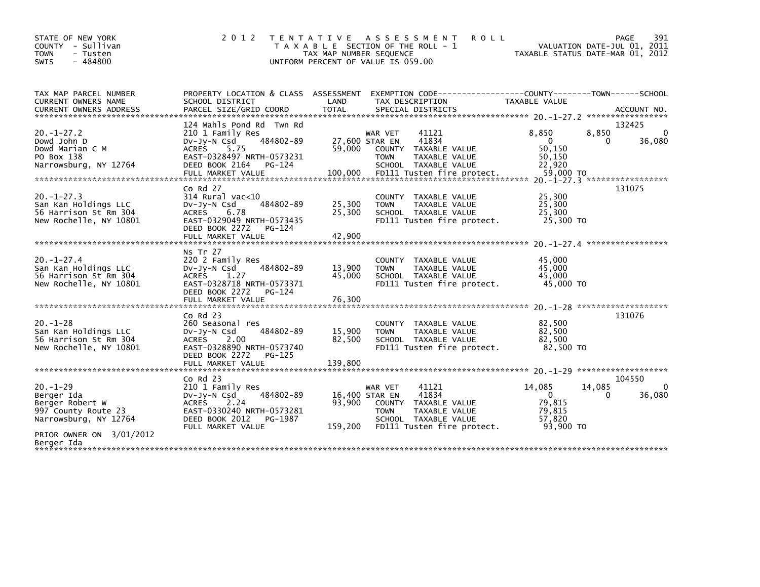| STATE OF NEW YORK<br>COUNTY - Sullivan<br><b>TOWN</b><br>- Tusten<br>$-484800$<br>SWIS                                     | 2 0 1 2                                                                                                                                                                 | T E N T A T I V E<br>TAX MAP NUMBER SEQUENCE | <b>ROLL</b><br>A S S E S S M E N T<br>T A X A B L E SECTION OF THE ROLL - 1<br>UNIFORM PERCENT OF VALUE IS 059.00                                         |                                                               | 391<br>PAGE<br>VALUATION DATE-JUL 01, 2011<br>TAXABLE STATUS DATE-MAR 01, 2012 |
|----------------------------------------------------------------------------------------------------------------------------|-------------------------------------------------------------------------------------------------------------------------------------------------------------------------|----------------------------------------------|-----------------------------------------------------------------------------------------------------------------------------------------------------------|---------------------------------------------------------------|--------------------------------------------------------------------------------|
| TAX MAP PARCEL NUMBER<br><b>CURRENT OWNERS NAME</b><br><b>CURRENT OWNERS ADDRESS</b>                                       | PROPERTY LOCATION & CLASS ASSESSMENT<br>SCHOOL DISTRICT<br>PARCEL SIZE/GRID COORD                                                                                       | LAND<br><b>TOTAL</b>                         | EXEMPTION CODE-----------------COUNTY-------TOWN------SCHOOL<br>TAX DESCRIPTION<br>SPECIAL DISTRICTS                                                      | <b>TAXABLE VALUE</b>                                          | ACCOUNT NO.                                                                    |
| $20. -1 - 27.2$<br>Dowd John D<br>Dowd Marian C M<br>PO Box 138<br>Narrowsburg, NY 12764                                   | 124 Mahls Pond Rd Twn Rd<br>210 1 Family Res<br>484802-89<br>$Dv-Jy-N$ Csd<br>5.75<br>ACRES<br>EAST-0328497 NRTH-0573231<br>DEED BOOK 2164<br>PG-124                    | 59.000                                       | WAR VET<br>41121<br>41834<br>27,600 STAR EN<br>COUNTY TAXABLE VALUE<br><b>TOWN</b><br>TAXABLE VALUE<br>SCHOOL TAXABLE VALUE                               | 8,850<br>$\Omega$<br>50.150<br>50,150<br>22,920               | 132425<br>8,850<br>$\mathbf{0}$<br>36,080<br>0                                 |
| $20. -1 - 27.3$<br>San Kan Holdings LLC<br>56 Harrison St Rm 304<br>New Rochelle, NY 10801                                 | $CO$ Rd $27$<br>$314$ Rural vac<10<br>484802-89<br>DV-Jy-N Csd<br><b>ACRES</b><br>6.78<br>EAST-0329049 NRTH-0573435<br>DEED BOOK 2272<br>PG-124<br>FULL MARKET VALUE    | 25,300<br>25,300<br>42,900                   | COUNTY TAXABLE VALUE<br>TAXABLE VALUE<br><b>TOWN</b><br>SCHOOL TAXABLE VALUE<br>FD111 Tusten fire protect.                                                | 25,300<br>25,300<br>25.300<br>25,300 TO                       | 131075                                                                         |
| $20. -1 - 27.4$<br>San Kan Holdings LLC<br>56 Harrison St Rm 304<br>New Rochelle, NY 10801                                 | <b>NS Tr 27</b><br>220 2 Family Res<br>484802-89<br>$Dv-Jy-N$ Csd<br><b>ACRES</b><br>1.27<br>EAST-0328718 NRTH-0573371<br>DEED BOOK 2272<br>PG-124<br>FULL MARKET VALUE | 13,900<br>45,000<br>76,300                   | COUNTY TAXABLE VALUE<br><b>TOWN</b><br>TAXABLE VALUE<br>SCHOOL TAXABLE VALUE<br>FD111 Tusten fire protect.                                                | 45,000<br>45,000<br>45.000<br>45,000 TO                       |                                                                                |
| $20. - 1 - 28$<br>San Kan Holdings LLC<br>56 Harrison St Rm 304<br>New Rochelle, NY 10801                                  | $Co$ Rd $23$<br>260 Seasonal res<br>484802-89<br>$Dv-Jy-N$ Csd<br>2.00<br>ACRES<br>EAST-0328890 NRTH-0573740<br>DEED BOOK 2272<br>$PG-125$                              | 15,900<br>82,500                             | COUNTY<br>TAXABLE VALUE<br><b>TAXABLE VALUE</b><br><b>TOWN</b><br>SCHOOL TAXABLE VALUE<br>FD111 Tusten fire protect.                                      | 82,500<br>82,500<br>82,500<br>82,500 TO                       | 131076                                                                         |
| $20. -1 - 29$<br>Berger Ida<br>Berger Robert W<br>997 County Route 23<br>Narrowsburg, NY 12764<br>PRIOR OWNER ON 3/01/2012 | $Co$ Rd $23$<br>210 1 Family Res<br>484802-89<br>$Dv-Jy-N$ Csd<br><b>ACRES</b><br>2.24<br>EAST-0330240 NRTH-0573281<br>DEED BOOK 2012<br>PG-1987<br>FULL MARKET VALUE   | 93.900<br>159,200                            | 41121<br>WAR VET<br>41834<br>16,400 STAR EN<br>COUNTY TAXABLE VALUE<br><b>TOWN</b><br>TAXABLE VALUE<br>SCHOOL TAXABLE VALUE<br>FD111 Tusten fire protect. | 14,085<br>$\Omega$<br>79,815<br>79,815<br>57,820<br>93.900 TO | 104550<br>14,085<br>$\mathbf{0}$<br>36,080<br>$\Omega$                         |
| Berger Ida                                                                                                                 |                                                                                                                                                                         |                                              |                                                                                                                                                           |                                                               |                                                                                |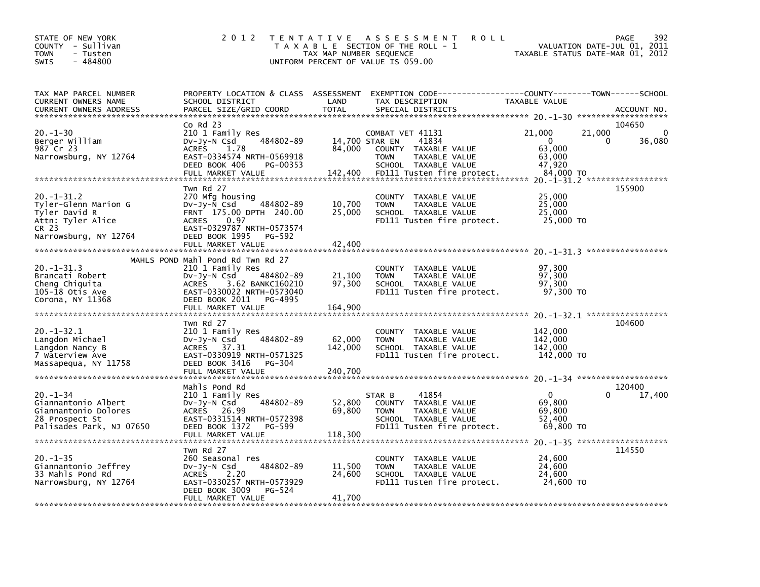| STATE OF NEW YORK<br>COUNTY - Sullivan<br><b>TOWN</b><br>- Tusten<br>$-484800$<br><b>SWIS</b>               | 2 0 1 2                                                                                                                                                                                                | T E N T A T I V E<br>TAX MAP NUMBER SEQUENCE | <b>ROLL</b><br>A S S E S S M E N T<br>T A X A B L E SECTION OF THE ROLL - 1<br>UNIFORM PERCENT OF VALUE IS 059.00                       |                                                               | 392<br>PAGE<br>VALUATION DATE-JUL 01, 2011<br>TAXABLE STATUS DATE-MAR 01, 2012 |
|-------------------------------------------------------------------------------------------------------------|--------------------------------------------------------------------------------------------------------------------------------------------------------------------------------------------------------|----------------------------------------------|-----------------------------------------------------------------------------------------------------------------------------------------|---------------------------------------------------------------|--------------------------------------------------------------------------------|
| TAX MAP PARCEL NUMBER<br>CURRENT OWNERS NAME<br><b>CURRENT OWNERS ADDRESS</b>                               | PROPERTY LOCATION & CLASS ASSESSMENT<br>SCHOOL DISTRICT<br>PARCEL SIZE/GRID COORD                                                                                                                      | LAND<br><b>TOTAL</b>                         | EXEMPTION CODE-----------------COUNTY-------TOWN------SCHOOL<br>TAX DESCRIPTION<br>SPECIAL DISTRICTS                                    | TAXABLE VALUE                                                 | ACCOUNT NO.                                                                    |
| $20. - 1 - 30$<br>Berger William<br>987 Cr 23<br>Narrowsburg, NY 12764                                      | $CO$ Rd $23$<br>210 1 Family Res<br>484802-89<br>$Dv-Jy-N$ Csd<br>1.78<br><b>ACRES</b><br>EAST-0334574 NRTH-0569918<br>DEED BOOK 406<br>PG-00353<br>FULL MARKET VALUE                                  | 14,700 STAR EN<br>84,000<br>142,400          | COMBAT VET 41131<br>41834<br>COUNTY TAXABLE VALUE<br>TAXABLE VALUE<br><b>TOWN</b><br>SCHOOL TAXABLE VALUE<br>FD111 Tusten fire protect. | 21,000<br>$\Omega$<br>63,000<br>63,000<br>47,920<br>84,000 TO | 104650<br>21,000<br>$\Omega$<br>36,080<br>0<br>20. -1-31.2 ******************  |
| 20. -1-31.2<br>Tyler-Glenn Marion G<br>Tyler David R<br>Attn: Tyler Alice<br>CR 23<br>Narrowsburg, NY 12764 | Twn Rd 27<br>270 Mfg housing<br>$Dv-Jv-N$ Csd<br>484802-89<br>FRNT 175.00 DPTH 240.00<br>0.97<br><b>ACRES</b><br>EAST-0329787 NRTH-0573574<br>DEED BOOK 1995<br>PG-592<br>FULL MARKET VALUE            | 10,700<br>25,000<br>42,400                   | COUNTY<br>TAXABLE VALUE<br>TAXABLE VALUE<br><b>TOWN</b><br>SCHOOL TAXABLE VALUE<br>FD111 Tusten fire protect.                           | 25,000<br>25,000<br>25,000<br>25,000 TO                       | 155900                                                                         |
| $20. -1 - 31.3$<br>Brancati Robert<br>Cheng Chiquita<br>$105 - \bar{1}8$ Otis Ave<br>Corona, NY 11368       | MAHLS POND Mahl Pond Rd Twn Rd 27<br>210 1 Family Res<br>484802-89<br>$Dv-Jv-N$ Csd<br>3.62 BANKC160210<br><b>ACRES</b><br>EAST-0330022 NRTH-0573040<br>DEED BOOK 2011<br>PG-4995<br>FULL MARKET VALUE | 21,100<br>97,300<br>164,900                  | COUNTY TAXABLE VALUE<br>TAXABLE VALUE<br><b>TOWN</b><br>SCHOOL TAXABLE VALUE<br>FD111 Tusten fire protect.                              | 97.300<br>97,300<br>97,300<br>97,300 TO                       |                                                                                |
| $20. -1 - 32.1$<br>Langdon Michael<br>Langdon Nancy B<br>7 Waterview Ave<br>Massapequa, NY 11758            | Twn Rd 27<br>210 1 Family Res<br>484802-89<br>DV-Jy-N Csd<br>ACRES<br>37.31<br>EAST-0330919 NRTH-0571325<br>DEED BOOK 3416<br>PG-304<br>FULL MARKET VALUE                                              | 62,000<br>142,000<br>240,700                 | COUNTY TAXABLE VALUE<br><b>TOWN</b><br>TAXABLE VALUE<br>SCHOOL TAXABLE VALUE<br>FD111 Tusten fire protect.                              | 142,000<br>142,000<br>142,000<br>142,000 TO                   | 104600                                                                         |
| $20. -1 - 34$<br>Giannantonio Albert<br>Giannantonio Dolores<br>28 Prospect St<br>Palisades Park, NJ 07650  | Mahls Pond Rd<br>210 1 Family Res<br>$Dv-Jy-N$ Csd<br>484802-89<br>ACRES 26.99<br>EAST-0331514 NRTH-0572398<br>DEED BOOK 1372<br>PG-599<br>FULL MARKET VALUE                                           | 52,800<br>69,800<br>118,300                  | 41854<br>STAR B<br>COUNTY TAXABLE VALUE<br>TAXABLE VALUE<br><b>TOWN</b><br>SCHOOL TAXABLE VALUE<br>FD111 Tusten fire protect.           | 0<br>69,800<br>69,800<br>52,400<br>69,800 TO                  | 120400<br>0<br>17,400                                                          |
| $20. -1 - 35$<br>Giannantonio Jeffrey<br>33 Mahls Pond Rd<br>Narrowsburg, NY 12764                          | Twn Rd 27<br>260 Seasonal res<br>484802-89<br>DV-Jy-N Csd<br>2.20<br><b>ACRES</b><br>EAST-0330257 NRTH-0573929<br>DEED BOOK 3009<br>PG-524<br>FULL MARKET VALUE                                        | 11,500<br>24,600<br>41,700                   | COUNTY TAXABLE VALUE<br><b>TOWN</b><br>TAXABLE VALUE<br>SCHOOL TAXABLE VALUE<br>FD111 Tusten fire protect.                              | 24,600<br>24,600<br>24,600<br>24,600 TO                       | 114550                                                                         |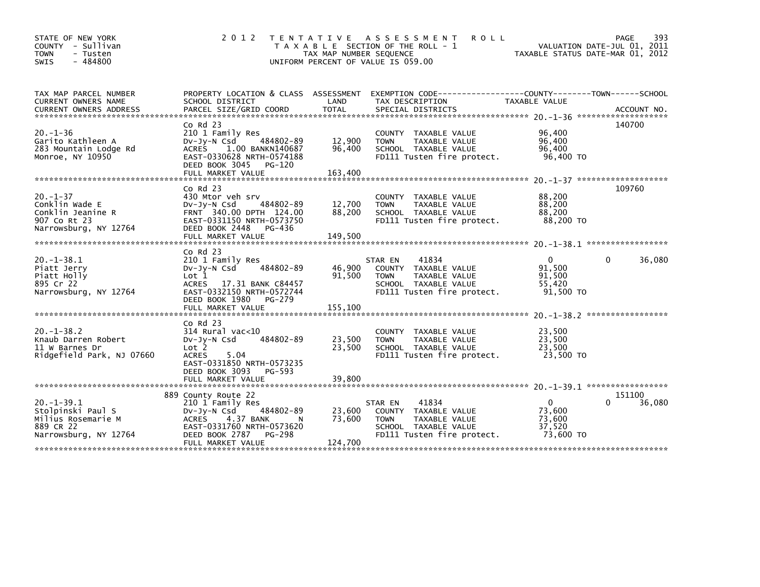| STATE OF NEW YORK<br>- Sullivan<br>COUNTY<br>- Tusten<br><b>TOWN</b><br>$-484800$<br><b>SWIS</b> | 2 0 1 2                                                                                                                                                                         | T E N T A T I V E<br>TAX MAP NUMBER SEQUENCE | A S S E S S M E N T<br><b>ROLL</b><br>T A X A B L E SECTION OF THE ROLL - 1<br>UNIFORM PERCENT OF VALUE IS 059.00              | TAXABLE STATUS DATE-MAR 01, 2012                        | PAGE<br>393<br>VALUATION DATE-JUL 01, 2011 |
|--------------------------------------------------------------------------------------------------|---------------------------------------------------------------------------------------------------------------------------------------------------------------------------------|----------------------------------------------|--------------------------------------------------------------------------------------------------------------------------------|---------------------------------------------------------|--------------------------------------------|
| TAX MAP PARCEL NUMBER<br>CURRENT OWNERS NAME                                                     | PROPERTY LOCATION & CLASS ASSESSMENT<br>SCHOOL DISTRICT                                                                                                                         | LAND                                         | EXEMPTION        CODE-----------------COUNTY-------TOWN------SCHOOL<br>TAX DESCRIPTION                                         | TAXABLE VALUE                                           |                                            |
| $20. -1 - 36$<br>Garito Kathleen A<br>283 Mountain Lodge Rd<br>Monroe, NY 10950                  | $Co$ Rd $23$<br>210 1 Family Res<br>484802-89<br>$Dv-Jy-N$ Csd<br>1.00 BANKN140687<br><b>ACRES</b><br>EAST-0330628 NRTH-0574188<br>DEED BOOK 3045<br>PG-120                     | 12,900<br>96,400                             | COUNTY TAXABLE VALUE<br>TAXABLE VALUE<br><b>TOWN</b><br>SCHOOL TAXABLE VALUE<br>FD111 Tusten fire protect.                     | 96,400<br>96,400<br>96,400<br>96.400 TO                 | 140700                                     |
| $20. - 1 - 37$<br>Conklin Wade E<br>Conklin Jeanine R<br>907 Co Rt 23<br>Narrowsburg, NY 12764   | $Co$ Rd $23$<br>430 Mtor veh srv<br>$Dv-Jv-N$ Csd<br>484802-89<br>FRNT 340.00 DPTH 124.00<br>EAST-0331150 NRTH-0573750<br>DEED BOOK 2448<br>PG-436<br>FULL MARKET VALUE         | 12,700<br>88,200<br>149,500                  | COUNTY TAXABLE VALUE<br>TAXABLE VALUE<br><b>TOWN</b><br>SCHOOL TAXABLE VALUE<br>FD111 Tusten fire protect.                     | 88,200<br>88,200<br>88,200<br>88,200 TO                 | 109760                                     |
| $20. -1 - 38.1$<br>Piatt Jerry<br>Piatt Holly<br>895 Cr 22<br>Narrowsburg, NY 12764              | $Co$ Rd $23$<br>210 1 Family Res<br>484802-89<br>$Dv-Jy-N$ Csd<br>Lot <sub>1</sub><br>ACRES 17.31 BANK C84457<br>EAST-0332150 NRTH-0572744<br>DEED BOOK 1980<br>PG-279          | 46,900<br>91,500                             | 41834<br>STAR EN<br>COUNTY TAXABLE VALUE<br>TAXABLE VALUE<br><b>TOWN</b><br>SCHOOL TAXABLE VALUE<br>FD111 Tusten fire protect. | $\mathbf{0}$<br>91,500<br>91,500<br>55,420<br>91,500 TO | 36,080<br>0                                |
| $20. -1 - 38.2$<br>Knaub Darren Robert<br>11 W Barnes Dr<br>Ridgefield Park, NJ 07660            | $Co$ Rd $23$<br>$314$ Rural vac<10<br>$Dv-Jv-N$ Csd<br>484802-89<br>Lot 2<br><b>ACRES</b><br>5.04<br>EAST-0331850 NRTH-0573235<br>DEED BOOK 3093<br>PG-593<br>FULL MARKET VALUE | 23,500<br>23,500<br>39,800                   | COUNTY TAXABLE VALUE<br>TAXABLE VALUE<br><b>TOWN</b><br>SCHOOL TAXABLE VALUE<br>FD111 Tusten fire protect.                     | 23,500<br>23,500<br>23,500<br>23,500 TO                 |                                            |
| $20. -1 - 39.1$<br>Stolpinski Paul S<br>Milius Rosemarie M<br>889 CR 22<br>Narrowsburg, NY 12764 | 889 County Route 22<br>210 1 Family Res<br>484802-89<br>Dv-Jy-N Csd<br>4.37 BANK<br><b>ACRES</b><br>EAST-0331760 NRTH-0573620<br>DEED BOOK 2787<br>PG-298<br>FULL MARKET VALUE  | 23,600<br>73,600<br>N<br>124,700             | 41834<br>STAR EN<br>COUNTY TAXABLE VALUE<br><b>TOWN</b><br>TAXABLE VALUE<br>SCHOOL TAXABLE VALUE<br>FD111 Tusten fire protect. | $\Omega$<br>73,600<br>73,600<br>37.520<br>73,600 TO     | 151100<br>36,080                           |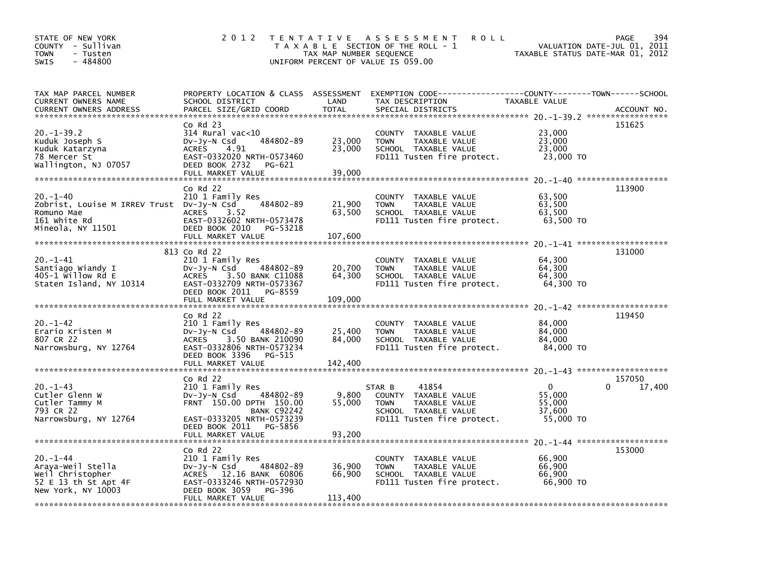| STATE OF NEW YORK<br>COUNTY - Sullivan<br>- Tusten<br>TOWN<br>$-484800$<br><b>SWIS</b>                                                                                                                   | 2 0 1 2                                                                                                                                                                                                                                                                       | TAX MAP NUMBER SEQUENCE     | TENTATIVE ASSESSMENT<br><b>ROLL</b><br>T A X A B L E SECTION OF THE ROLL - 1<br>UNIFORM PERCENT OF VALUE IS 059.00 | TAXABLE STATUS DATE-MAR 01, 2012        | 394<br>PAGE<br>VALUATION DATE-JUL 01, 2011 |
|----------------------------------------------------------------------------------------------------------------------------------------------------------------------------------------------------------|-------------------------------------------------------------------------------------------------------------------------------------------------------------------------------------------------------------------------------------------------------------------------------|-----------------------------|--------------------------------------------------------------------------------------------------------------------|-----------------------------------------|--------------------------------------------|
| TAX MAP PARCEL NUMBER<br>CURRENT OWNERS NAME<br>.CURRENT OWNERS ADDRESS PARCEL SIZE/GRID COORD TOTAL SPECIAL DISTRICTS (2011-09) ACCOUNT NO ACCOUNT NO AND ARCEL SIZE/GRID COORD TOTAL SPECIAL DISTRICTS | PROPERTY LOCATION & CLASS ASSESSMENT<br>SCHOOL DISTRICT                                                                                                                                                                                                                       | LAND                        | EXEMPTION CODE-----------------COUNTY-------TOWN------SCHOOL<br>TAX DESCRIPTION                                    | TAXABLE VALUE                           |                                            |
| $20. -1 - 39.2$<br>Kuduk Joseph S<br>Kuduk Katarzyna<br>78 Mercer St<br>Wallington, NJ 07057                                                                                                             | $CO$ Rd $23$<br>$314$ Rural vac< $10$<br>484802-89<br>DV-Jy-N Csd<br><b>ACRES</b><br>4.91<br>EAST-0332020 NRTH-0573460<br>DEED BOOK 2732<br>PG-621<br>FULL MARKET VALUE                                                                                                       | 23,000<br>23,000<br>39,000  | COUNTY TAXABLE VALUE<br><b>TOWN</b><br>TAXABLE VALUE<br>SCHOOL TAXABLE VALUE<br>FD111 Tusten fire protect.         | 23,000<br>23,000<br>23,000<br>23,000 TO | 151625                                     |
| $20. -1 - 40$<br>Zobrist, Louise M IRREV Trust Dv-Jy-N Csd<br>Romuno Mae<br>161 white Rd<br>Mineola, NY 11501                                                                                            | $Co$ Rd $22$<br>210 1 Family Res<br>484802-89<br>3.52<br><b>ACRES</b><br>EAST-0332602 NRTH-0573478<br>DEED BOOK 2010<br>PG-53218<br>FULL MARKET VALUE                                                                                                                         | 21,900<br>63,500<br>107,600 | COUNTY TAXABLE VALUE<br><b>TOWN</b><br>TAXABLE VALUE<br>SCHOOL TAXABLE VALUE<br>FD111 Tusten fire protect.         | 63,500<br>63,500<br>63,500<br>63,500 TO | 113900                                     |
| $20. - 1 - 41$<br>Santiago Wiandy I<br>$405 - 1$ willow Rd E<br>Staten Island, NY 10314                                                                                                                  | 813 Co Rd 22<br>210 1 Family Res<br>484802-89<br>DV-Jy-N Csd<br><b>ACRES</b><br>3.50 BANK C11088<br>EAST-0332709 NRTH-0573367<br>DEED BOOK 2011<br>PG-8559<br>FULL MARKET VALUE                                                                                               | 20,700<br>64,300<br>109,000 | COUNTY TAXABLE VALUE<br><b>TOWN</b><br>TAXABLE VALUE<br>SCHOOL TAXABLE VALUE<br>FD111 Tusten fire protect.         | 64,300<br>64,300<br>64,300<br>64,300 TO | 131000                                     |
| $20. - 1 - 42$<br>Erario Kristen M<br>807 CR 22<br>Narrowsburg, NY 12764                                                                                                                                 | $Co$ Rd $22$<br>210 1 Family Res<br>484802-89<br>$Dv-Jy-N$ Csd<br><b>ACRES</b><br>3.50 BANK 210090<br>EAST-0332806 NRTH-0573234<br>DEED BOOK 3396<br>PG-515<br>FULL MARKET VALUE                                                                                              | 25,400<br>84,000<br>142,400 | COUNTY TAXABLE VALUE<br><b>TOWN</b><br>TAXABLE VALUE<br>SCHOOL TAXABLE VALUE<br>FD111 Tusten fire protect.         | 84,000<br>84.000<br>84,000<br>84,000 TO | 119450                                     |
| $20. -1 - 43$<br>Cutler Glenn W<br>Cutler Tammy M                                                                                                                                                        | $Co$ Rd $22$<br>210 1 Family Res<br>484802-89<br>$Dv-Jy-N$ Csd<br>FRNT 150.00 DPTH 150.00                                                                                                                                                                                     | 9,800<br>55,000             | 41854<br>STAR B<br>COUNTY TAXABLE VALUE<br><b>TOWN</b><br>TAXABLE VALUE                                            | $\mathbf{0}$<br>55,000<br>55,000        | 157050<br>17,400<br><sup>0</sup>           |
| 793 CR 22<br>Narrowsburg, NY 12764                                                                                                                                                                       | <b>BANK C92242</b><br>EAST-0333205 NRTH-0573239<br>DEED BOOK 2011<br>PG-5856<br>FULL MARKET VALUE                                                                                                                                                                             | 93,200                      | SCHOOL TAXABLE VALUE<br>FD111 Tusten fire protect.                                                                 | 37,600<br>55,000 TO                     |                                            |
| $20. - 1 - 44$<br>Araya-Weil Stella<br>Weil Christopher<br>52 E 13 th St Apt 4F<br>New York, NY 10003                                                                                                    | $CO$ Rd $22$<br>210 1 Family Res<br>484802-89<br>$Dv-Jv-N$ Csd<br>ACRES 12.16 BANK 60806<br>EAST-0333246 NRTH-0572930<br>DEED BOOK 3059<br>PG-396<br>FULL MARKET VALUE<br>ول الله على الله عن الله عن الله عن الله عن الله عن الله عن الله عن الله عن الله عن الله عن الله عن | 36,900<br>66,900<br>113,400 | COUNTY TAXABLE VALUE<br>TAXABLE VALUE<br><b>TOWN</b><br>SCHOOL TAXABLE VALUE<br>FD111 Tusten fire protect.         | 66,900<br>66,900<br>66,900<br>66,900 TO | 153000                                     |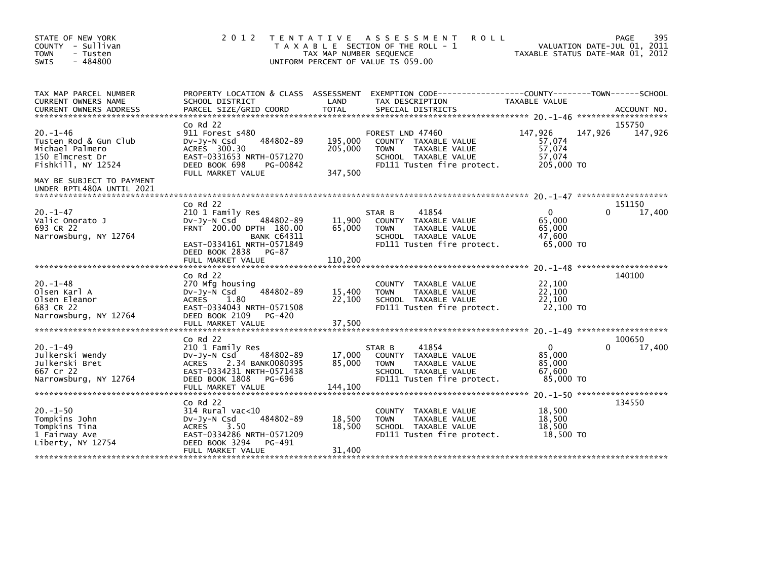| STATE OF NEW YORK<br>COUNTY - Sullivan<br><b>TOWN</b><br>- Tusten<br>$-484800$<br>SWIS                                          | 2 0 1 2                                                                                                                                                                                      | TAX MAP NUMBER SEQUENCE       | TENTATIVE ASSESSMENT<br><b>ROLL</b><br>T A X A B L E SECTION OF THE ROLL - 1<br>UNIFORM PERCENT OF VALUE IS 059.00             |                                                     | 395<br>PAGE<br>VALUATION DATE-JUL 01, 2011<br>TAXABLE STATUS DATE-MAR 01, 2012 |
|---------------------------------------------------------------------------------------------------------------------------------|----------------------------------------------------------------------------------------------------------------------------------------------------------------------------------------------|-------------------------------|--------------------------------------------------------------------------------------------------------------------------------|-----------------------------------------------------|--------------------------------------------------------------------------------|
| TAX MAP PARCEL NUMBER<br>CURRENT OWNERS NAME<br>CURRENT OWNERS ADDRESS                                                          | SCHOOL DISTRICT                                                                                                                                                                              | LAND                          | PROPERTY LOCATION & CLASS ASSESSMENT EXEMPTION CODE---------------COUNTY-------TOWN-----SCHOOL<br>TAX DESCRIPTION              | TAXABLE VALUE                                       |                                                                                |
| $20. -1 - 46$<br>Tusten Rod & Gun Club<br>Michael Palmero<br>150 Elmcrest Dr<br>Fishkill, NY 12524<br>MAY BE SUBJECT TO PAYMENT | $Co$ Rd $22$<br>911 Forest s480<br>484802-89<br>$Dv-Jy-N$ Csd<br>ACRES 300.30<br>EAST-0331653 NRTH-0571270<br>DEED BOOK 698<br>PG-00842<br>FULL MARKET VALUE                                 | 195,000<br>205,000<br>347,500 | FOREST LND 47460<br>COUNTY TAXABLE VALUE<br><b>TOWN</b><br>TAXABLE VALUE<br>SCHOOL TAXABLE VALUE<br>FD111 Tusten fire protect. | 147,926<br>57,074<br>57,074<br>57,074<br>205,000 TO | 155750<br>147,926<br>147,926                                                   |
| UNDER RPTL480A UNTIL 2021                                                                                                       |                                                                                                                                                                                              |                               |                                                                                                                                |                                                     |                                                                                |
| $20. - 1 - 47$<br>Valic Onorato J<br>693 CR 22<br>Narrowsburg, NY 12764                                                         | $Co$ Rd $22$<br>210 1 Family Res<br>484802-89<br>$Dv-Jy-N$ Csd<br>FRNT 200.00 DPTH 180.00<br><b>BANK C64311</b><br>EAST-0334161 NRTH-0571849<br>DEED BOOK 2838<br>PG-87<br>FULL MARKET VALUE | 11,900<br>65.000<br>110,200   | 41854<br>STAR B<br>COUNTY TAXABLE VALUE<br><b>TOWN</b><br>TAXABLE VALUE<br>SCHOOL TAXABLE VALUE<br>FD111 Tusten fire protect.  | $\Omega$<br>65,000<br>65.000<br>47,600<br>65,000 TO | 151150<br>17,400<br>0                                                          |
| $20. - 1 - 48$<br>Olsen Karl A<br>Olsen Eleanor<br>683 CR 22<br>Narrowsburg, NY 12764                                           | $Co$ Rd $22$<br>270 Mfg housing<br>484802-89<br>DV-Jy-N Csd<br><b>ACRES</b><br>1.80<br>EAST-0334043 NRTH-0571508<br>DEED BOOK 2109<br>PG-420                                                 | 15,400<br>22,100              | COUNTY TAXABLE VALUE<br><b>TOWN</b><br>TAXABLE VALUE<br>SCHOOL TAXABLE VALUE<br>FD111 Tusten fire protect.                     | 22,100<br>22,100<br>22,100<br>22,100 TO             | 140100                                                                         |
|                                                                                                                                 | FULL MARKET VALUE<br>$Co$ Rd $22$                                                                                                                                                            | 37,500                        |                                                                                                                                |                                                     | 100650                                                                         |
| $20. - 1 - 49$<br>Julkerski Wendy<br>Julkerski Bret<br>667 Cr 22                                                                | 210 1 Family Res<br>DV-Jy-N Csd<br>484802-89<br>ACRES<br>2.34 BANK0080395<br>EAST-0334231 NRTH-0571438                                                                                       | 17,000<br>85.000              | 41854<br>STAR B<br>COUNTY TAXABLE VALUE<br><b>TOWN</b><br>TAXABLE VALUE<br>SCHOOL TAXABLE VALUE                                | $\mathbf{0}$<br>85,000<br>85,000<br>67.600          | 17,400                                                                         |
| Narrowsburg, NY 12764                                                                                                           | DEED BOOK 1808<br>PG-696<br>FULL MARKET VALUE                                                                                                                                                | 144,100                       | FD111 Tusten fire protect.                                                                                                     | 85,000 TO                                           |                                                                                |
| $20. - 1 - 50$<br>Tompkins John<br>Tompkins Tina<br>1 Fairway Ave<br>Liberty, NY 12754                                          | $CO$ Rd $22$<br>314 Rural vac<10<br>484802-89<br>DV-Jy-N Csd<br><b>ACRES</b><br>3.50<br>EAST-0334286 NRTH-0571209<br>DEED BOOK 3294<br>PG-491<br>FULL MARKET VALUE                           | 18,500<br>18,500<br>31,400    | TAXABLE VALUE<br><b>COUNTY</b><br><b>TOWN</b><br>TAXABLE VALUE<br>SCHOOL TAXABLE VALUE<br>FD111 Tusten fire protect.           | 18,500<br>18,500<br>18,500<br>18,500 TO             | 134550                                                                         |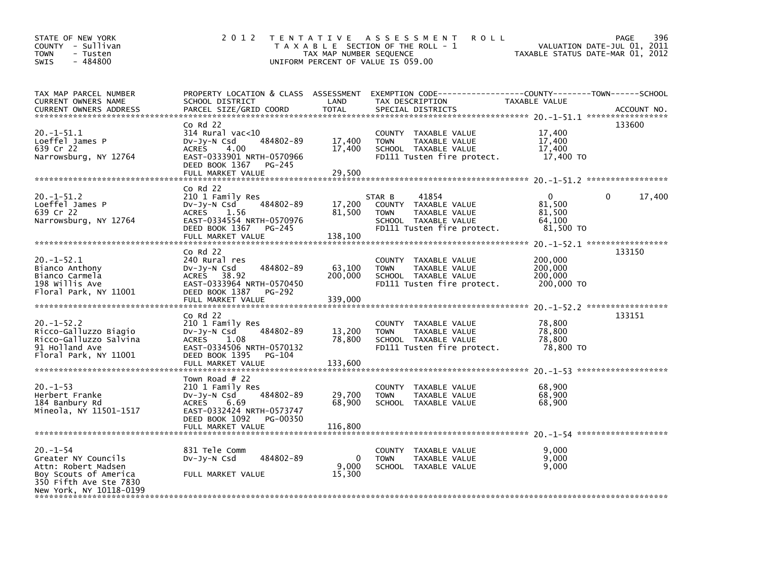| STATE OF NEW YORK<br>COUNTY - Sullivan<br><b>TOWN</b><br>- Tusten<br>$-484800$<br>SWIS                                                     | 2 0 1 2                                                                                                                                                            | T E N T A T I V E<br>TAX MAP NUMBER SEQUENCE | A S S E S S M E N T<br><b>ROLL</b><br>T A X A B L E SECTION OF THE ROLL - 1<br>UNIFORM PERCENT OF VALUE IS 059.00             | VALUATION DATE-JUL 01, 2011<br>TAXABLE STATUS DATE-MAR 01, 2012                    | 396<br>PAGE |
|--------------------------------------------------------------------------------------------------------------------------------------------|--------------------------------------------------------------------------------------------------------------------------------------------------------------------|----------------------------------------------|-------------------------------------------------------------------------------------------------------------------------------|------------------------------------------------------------------------------------|-------------|
| TAX MAP PARCEL NUMBER<br>CURRENT OWNERS NAME<br>CURRENT OWNERS ADDRESS                                                                     | PROPERTY LOCATION & CLASS ASSESSMENT<br>SCHOOL DISTRICT<br>PARCEL SIZE/GRID COORD                                                                                  | LAND<br><b>TOTAL</b>                         | TAX DESCRIPTION<br>SPECIAL DISTRICTS                                                                                          | TAXABLE VALUE                                                                      | ACCOUNT NO. |
| $20.-1-51.1$<br>Loeffel James P<br>639 Cr 22<br>Narrowsburg, NY 12764                                                                      | $CO$ Rd $22$<br>314 Rural vac<10<br>484802-89<br>DV-Jy-N Csd<br>4.00<br><b>ACRES</b><br>EAST-0333901 NRTH-0570966<br>DEED BOOK 1367<br>PG-245<br>FULL MARKET VALUE | 17,400<br>17,400<br>29,500                   | COUNTY TAXABLE VALUE<br>TAXABLE VALUE<br><b>TOWN</b><br>SCHOOL TAXABLE VALUE<br>FD111 Tusten fire protect.                    | 17,400<br>17,400<br>17,400<br>17,400 TO                                            | 133600      |
| $20. -1 - 51.2$<br>Loeffel James P<br>639 Cr 22<br>Narrowsburg, NY 12764                                                                   | $Co$ Rd $22$<br>210 1 Family Res<br>DV-Jy-N Csd<br>484802-89<br>1.56<br><b>ACRES</b><br>EAST-0334554 NRTH-0570976<br>DEED BOOK 1367<br>PG-245<br>FULL MARKET VALUE | 17,200<br>81,500<br>138,100                  | 41854<br>STAR B<br>COUNTY TAXABLE VALUE<br>TAXABLE VALUE<br><b>TOWN</b><br>SCHOOL TAXABLE VALUE<br>FD111 Tusten fire protect. | 0<br>81,500<br>81,500<br>64.100<br>81,500 TO                                       | 0<br>17,400 |
| $20. -1 - 52.1$<br>Bianco Anthony<br>Bianco Carmela<br>198 Willis Ave<br>Floral Park, NY 11001                                             | $CO$ Rd $22$<br>240 Rural res<br>484802-89<br>$Dv-Jy-N$ Csd<br>ACRES 38.92<br>EAST-0333964 NRTH-0570450<br>DEED BOOK 1387<br>PG-292<br>FULL MARKET VALUE           | 63,100<br>200,000<br>339,000                 | COUNTY TAXABLE VALUE<br><b>TOWN</b><br>TAXABLE VALUE<br>SCHOOL TAXABLE VALUE<br>FD111 Tusten fire protect.                    | 200,000<br>200,000<br>200,000<br>200,000 TO<br>$20. -1 - 52.2$ ******************* | 133150      |
| $20 - 1 - 52.2$<br>Ricco-Galluzzo Biagio<br>Ricco-Galluzzo Salvina<br>91 Holland Ave<br>Floral Park, NY 11001                              | $Co$ Rd $22$<br>210 1 Family Res<br>DV-Jy-N Csd<br>484802-89<br><b>ACRES</b><br>1.08<br>EAST-0334506 NRTH-0570132<br>DEED BOOK 1395<br>PG-104<br>FULL MARKET VALUE | 13,200<br>78,800<br>133,600                  | COUNTY TAXABLE VALUE<br><b>TAXABLE VALUE</b><br><b>TOWN</b><br>SCHOOL TAXABLE VALUE<br>FD111 Tusten fire protect.             | 78,800<br>78,800<br>78,800<br>78,800 TO                                            | 133151      |
| $20. -1 - 53$<br>Herbert Franke<br>184 Banbury Rd<br>Mineola, NY 11501-1517                                                                | Town Road $#$ 22<br>210 1 Family Res<br>484802-89<br>DV-Jy-N Csd<br><b>ACRES</b><br>6.69<br>EAST-0332424 NRTH-0573747<br>DEED BOOK 1092<br>PG-00350                | 29,700<br>68,900                             | COUNTY TAXABLE VALUE<br>TAXABLE VALUE<br><b>TOWN</b><br>SCHOOL TAXABLE VALUE                                                  | 68,900<br>68,900<br>68,900                                                         |             |
| $20. - 1 - 54$<br>Greater NY Councils<br>Attn: Robert Madsen<br>Boy Scouts of America<br>350 Fifth Ave Ste 7830<br>New York, NY 10118-0199 | 831 Tele Comm<br>484802-89<br>$Dv-Jy-N$ Csd<br>FULL MARKET VALUE                                                                                                   | 0<br>9,000<br>15,300                         | COUNTY TAXABLE VALUE<br>TAXABLE VALUE<br><b>TOWN</b><br>SCHOOL TAXABLE VALUE                                                  | 9.000<br>9,000<br>9,000                                                            |             |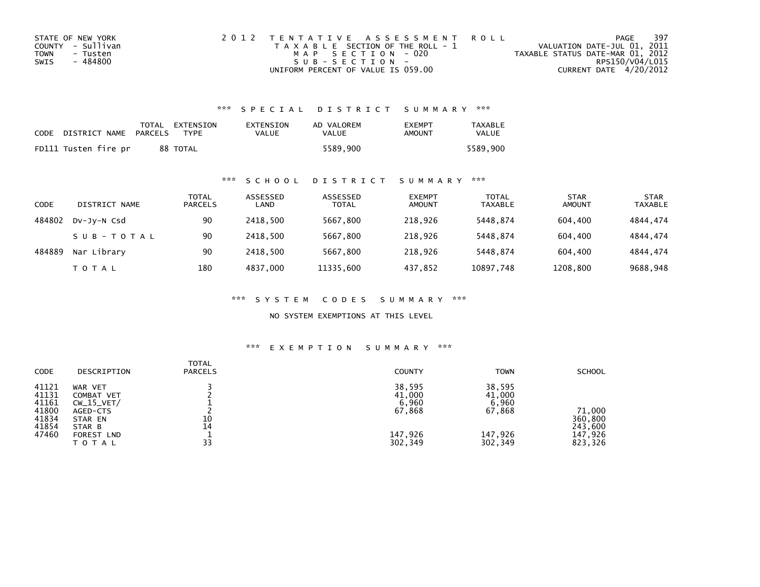| STATE OF NEW YORK | 2012 TENTATIVE ASSESSMENT ROLL        | PAGE                             | -397 |
|-------------------|---------------------------------------|----------------------------------|------|
| COUNTY - Sullivan | T A X A B L E SECTION OF THE ROLL - 1 | VALUATION DATE-JUL 01, 2011      |      |
| TOWN<br>- Tusten  | MAP SECTION - 020                     | TAXABLE STATUS DATE-MAR 01, 2012 |      |
| - 484800<br>SWIS  | $SUB - SECTION -$                     | RPS150/V04/L015                  |      |
|                   | UNIFORM PERCENT OF VALUE IS 059.00    | CURRENT DATE 4/20/2012           |      |

### \*\*\* S P E C I A L D I S T R I C T S U M M A R Y \*\*\*

| CODE | DISTRICT NAME        | PARCELS | TOTAL EXTENSION<br><b>TYPF</b> | EXTENSION<br>VALUE | AD VALOREM<br>VALUE | <b>EXEMPT</b><br>AMOUNT | <b>TAXABLE</b><br>VALUE |
|------|----------------------|---------|--------------------------------|--------------------|---------------------|-------------------------|-------------------------|
|      | FD111 Tusten fire pr |         | 88 TOTAL                       |                    | 5589.900            |                         | 5589.900                |

### \*\*\* S C H O O L D I S T R I C T S U M M A R Y \*\*\*

| CODE   | DISTRICT NAME | TOTAL<br><b>PARCELS</b> | ASSESSED<br>LAND | ASSESSED<br><b>TOTAL</b> | <b>EXEMPT</b><br><b>AMOUNT</b> | <b>TOTAL</b><br><b>TAXABLE</b> | <b>STAR</b><br><b>AMOUNT</b> | <b>STAR</b><br><b>TAXABLE</b> |
|--------|---------------|-------------------------|------------------|--------------------------|--------------------------------|--------------------------------|------------------------------|-------------------------------|
| 484802 | DV-JV-N Csd   | 90                      | 2418.500         | 5667.800                 | 218,926                        | 5448.874                       | 604,400                      | 4844.474                      |
|        | SUB-TOTAL     | 90                      | 2418.500         | 5667,800                 | 218,926                        | 5448.874                       | 604,400                      | 4844,474                      |
| 484889 | Nar Library   | 90                      | 2418.500         | 5667,800                 | 218,926                        | 5448.874                       | 604,400                      | 4844.474                      |
|        | T O T A L     | 180                     | 4837,000         | 11335,600                | 437,852                        | 10897,748                      | 1208,800                     | 9688,948                      |

\*\*\* S Y S T E M C O D E S S U M M A R Y \*\*\*

NO SYSTEM EXEMPTIONS AT THIS LEVEL

## \*\*\* E X E M P T I O N S U M M A R Y \*\*\*

| <b>CODE</b>                                                 | DESCRIPTION                                                                                                 | <b>TOTAL</b><br><b>PARCELS</b> | <b>COUNTY</b>                                             | <b>TOWN</b>                                               | <b>SCHOOL</b>                                      |
|-------------------------------------------------------------|-------------------------------------------------------------------------------------------------------------|--------------------------------|-----------------------------------------------------------|-----------------------------------------------------------|----------------------------------------------------|
| 41121<br>41131<br>41161<br>41800<br>41834<br>41854<br>47460 | WAR VET<br><b>COMBAT VET</b><br>$CW_15_VET/$<br>AGED-CTS<br>STAR EN<br>STAR B<br><b>FOREST LND</b><br>TOTAL | 10<br>14<br>33                 | 38,595<br>41,000<br>6,960<br>67,868<br>147,926<br>302,349 | 38,595<br>41,000<br>6,960<br>67,868<br>147,926<br>302,349 | 71,000<br>360,800<br>243,600<br>147,926<br>823,326 |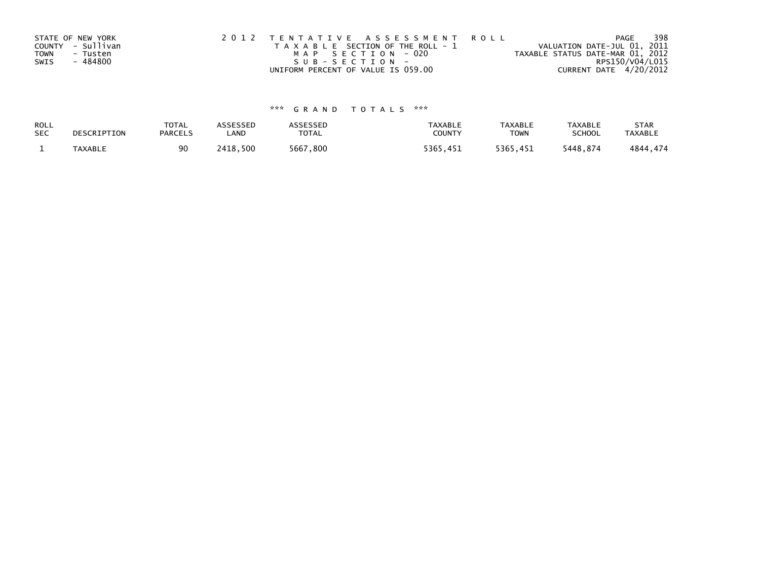| STATE OF NEW YORK       | 2012 TENTATIVE ASSESSMENT ROLL        | PAGE                             | 398 |
|-------------------------|---------------------------------------|----------------------------------|-----|
| COUNTY - Sullivan       | T A X A B L E SECTION OF THE ROLL - 1 | VALUATION DATE-JUL 01, 2011      |     |
| <b>TOWN</b><br>- Tusten | MAP SECTION - 020                     | TAXABLE STATUS DATE-MAR 01, 2012 |     |
| - 484800<br>SWIS        | SUB-SECTION-                          | RPS150/V04/L015                  |     |
|                         | UNIFORM PERCENT OF VALUE IS 059.00    | CURRENT DATE 4/20/2012           |     |

# \*\*\* G R A N D T O T A L S \*\*\*

| ROLL       | DESCRIPTION | <b>TOTAL</b>   | <b>ASSESSED</b> | <b>ASSESSED</b> | <b>TAXABLE</b> | <b>TAXABLE</b> | <b>TAXABLE</b> | <b>STAR</b>    |
|------------|-------------|----------------|-----------------|-----------------|----------------|----------------|----------------|----------------|
| <b>SEC</b> |             | <b>PARCELS</b> | LAND            | TOTAL           | COUNTY         | <b>TOWN</b>    | <b>SCHOOL</b>  | <b>TAXABLE</b> |
|            | TAXABLE     | 90             | 2418,500        | 5667,800        | 5365,451       | 5365,451       | 5448.874       | 4844,474       |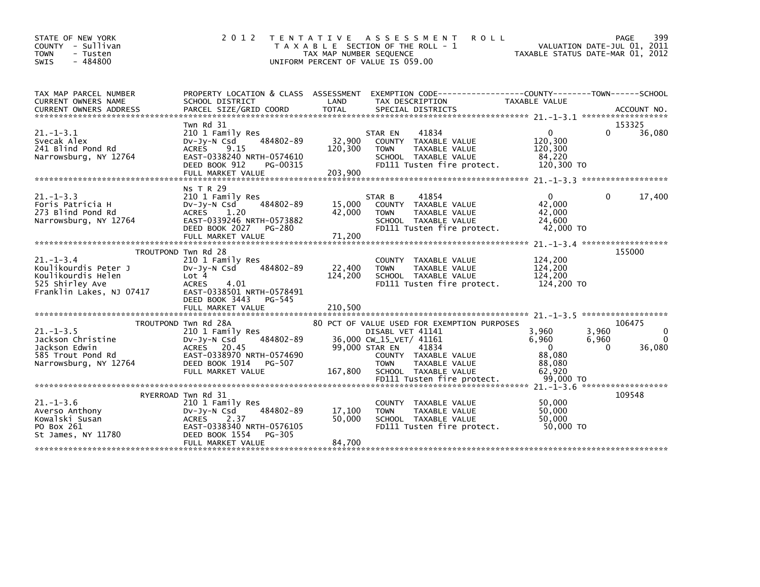| STATE OF NEW YORK<br>- Sullivan<br><b>COUNTY</b><br><b>TOWN</b><br>- Tusten<br>$-484800$<br><b>SWIS</b>     | 2 0 1 2                                                                                                                                                                              | T E N T A T I V E<br>TAX MAP NUMBER SEQUENCE | A S S E S S M E N T<br><b>ROLL</b><br>T A X A B L E SECTION OF THE ROLL - 1<br>UNIFORM PERCENT OF VALUE IS 059.00                                                                                                        | TAXABLE STATUS DATE-MAR 01, 2012                                                            | 399<br><b>PAGE</b><br>VALUATION DATE-JUL 01, 2011 |
|-------------------------------------------------------------------------------------------------------------|--------------------------------------------------------------------------------------------------------------------------------------------------------------------------------------|----------------------------------------------|--------------------------------------------------------------------------------------------------------------------------------------------------------------------------------------------------------------------------|---------------------------------------------------------------------------------------------|---------------------------------------------------|
| TAX MAP PARCEL NUMBER<br>CURRENT OWNERS NAME                                                                | SCHOOL DISTRICT                                                                                                                                                                      | LAND                                         | PROPERTY LOCATION & CLASS ASSESSMENT EXEMPTION CODE---------------COUNTY-------TOWN-----SCHOOL<br>TAX DESCRIPTION                                                                                                        | <b>TAXABLE VALUE</b>                                                                        |                                                   |
| $21. - 1 - 3.1$<br>Svecak Alex<br>241 Blind Pond Rd<br>Narrowsburg, NY 12764                                | Twn Rd 31<br>210 1 Family Res<br>484802-89<br>$Dv-Jy-N$ Csd<br>9.15<br><b>ACRES</b><br>EAST-0338240 NRTH-0574610<br>DEED BOOK 912<br>PG-00315                                        | 32,900<br>120,300                            | 41834<br>STAR EN<br>COUNTY TAXABLE VALUE<br><b>TOWN</b><br><b>TAXABLE VALUE</b><br>SCHOOL TAXABLE VALUE<br>FD111 Tusten fire protect.                                                                                    | $\Omega$<br>120,300<br>120,300<br>84,220<br>120,300 TO                                      | 153325<br>$\Omega$<br>36,080                      |
| $21. - 1 - 3.3$<br>Foris Patricia H<br>273 Blind Pond Rd<br>Narrowsburg, NY 12764                           | <b>NS T R 29</b><br>210 1 Family Res<br>484802-89<br>$Dv-Jv-N$ Csd<br><b>ACRES</b><br>1.20<br>EAST-0339246 NRTH-0573882<br>DEED BOOK 2027<br>PG-280<br>FULL MARKET VALUE             | 15,000<br>42,000<br>71,200                   | 41854<br>STAR B<br>COUNTY TAXABLE VALUE<br>TAXABLE VALUE<br><b>TOWN</b><br>SCHOOL TAXABLE VALUE<br>FD111 Tusten fire protect.                                                                                            | $\mathbf{0}$<br>42,000<br>42,000<br>24,600<br>42,000 TO                                     | 17,400<br>$\Omega$                                |
| $21. -1 - 3.4$<br>Koulikourdis Peter J<br>Koulikourdis Helen<br>525 Shirley Ave<br>Franklin Lakes, NJ 07417 | TROUTPOND Twn Rd 28<br>210 1 Family Res<br>484802-89<br>$Dv-Jy-N$ Csd<br>Lot 4<br>4.01<br><b>ACRES</b><br>EAST-0338501 NRTH-0578491<br>DEED BOOK 3443<br>PG-545<br>FULL MARKET VALUE | 22,400<br>124,200<br>210,500                 | <b>COUNTY</b><br>TAXABLE VALUE<br><b>TOWN</b><br>TAXABLE VALUE<br>SCHOOL TAXABLE VALUE<br>FD111 Tusten fire protect.                                                                                                     | 124,200<br>124,200<br>124,200<br>124,200 TO                                                 | $21. -1 - 3.4$ ********************<br>155000     |
| $21. - 1 - 3.5$<br>Jackson Christine<br>Jackson Edwin<br>585 Trout Pond Rd<br>Narrowsburg, NY 12764         | TROUTPOND Twn Rd 28A<br>210 1 Family Res<br>484802-89<br>$Dv-Jv-N$ Csd<br>ACRES 20.45<br>EAST-0338970 NRTH-0574690<br>DEED BOOK 1914<br>PG-507<br>FULL MARKET VALUE                  | 99,000 STAR EN<br>167,800                    | 80 PCT OF VALUE USED FOR EXEMPTION PURPOSES<br>DISABL VET 41141<br>36,000 CW_15_VET/ 41161<br>41834<br>COUNTY TAXABLE VALUE<br><b>TOWN</b><br><b>TAXABLE VALUE</b><br>SCHOOL TAXABLE VALUE<br>FD111 Tusten fire protect. | 3,960<br>3,960<br>6,960<br>6,960<br>$\mathbf{0}$<br>88,080<br>88,080<br>62.920<br>99,000 TO | 106475<br>0<br>$\Omega$<br>36,080<br>$\Omega$     |
| $21 - 1 - 3.6$<br>Averso Anthony<br>Kowalski Susan<br>PO Box 261<br>St James, NY 11780                      | RYERROAD Twn Rd 31<br>210 1 Family Res<br>484802-89<br>$Dv-Jy-N$ Csd<br>2.37<br><b>ACRES</b><br>EAST-0338340 NRTH-0576105<br>DEED BOOK 1554<br>PG-305<br>FULL MARKET VALUE           | 17,100<br>50,000<br>84,700                   | <b>COUNTY</b><br>TAXABLE VALUE<br><b>TOWN</b><br><b>TAXABLE VALUE</b><br>SCHOOL TAXABLE VALUE<br>FD111 Tusten fire protect.                                                                                              | 50,000<br>50,000<br>50,000<br>50,000 TO                                                     | $21 - 1 - 3$ . 6 ********************<br>109548   |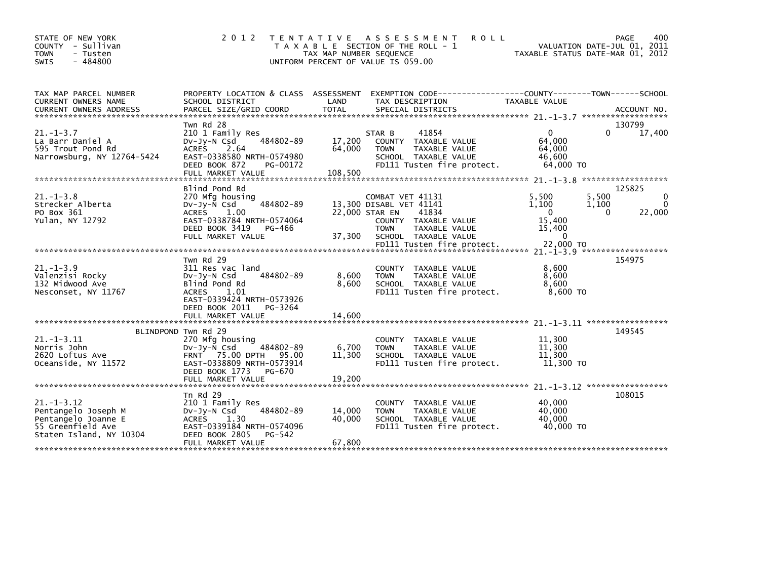| STATE OF NEW YORK<br>COUNTY - Sullivan<br><b>TOWN</b><br>- Tusten<br>$-484800$<br><b>SWIS</b>                  | 2 0 1 2                                                                                                                                                          | T E N T A T I V E<br>TAX MAP NUMBER SEQUENCE | A S S E S S M E N T<br><b>ROLL</b><br>T A X A B L E SECTION OF THE ROLL - 1<br>UNIFORM PERCENT OF VALUE IS 059.00             | VALUATION DATE-JUL 01, 2011<br>TAXABLE STATUS DATE-MAR 01, 2012 |                            | 400<br>PAGE                           |
|----------------------------------------------------------------------------------------------------------------|------------------------------------------------------------------------------------------------------------------------------------------------------------------|----------------------------------------------|-------------------------------------------------------------------------------------------------------------------------------|-----------------------------------------------------------------|----------------------------|---------------------------------------|
| TAX MAP PARCEL NUMBER<br>CURRENT OWNERS NAME<br><b>CURRENT OWNERS ADDRESS</b>                                  | PROPERTY LOCATION & CLASS ASSESSMENT<br>SCHOOL DISTRICT<br>PARCEL SIZE/GRID COORD                                                                                | LAND<br><b>TOTAL</b>                         | EXEMPTION        CODE-----------------COUNTY-------TOWN------SCHOOL<br>TAX DESCRIPTION<br>SPECIAL DISTRICTS                   | TAXABLE VALUE                                                   |                            | ACCOUNT NO.                           |
|                                                                                                                | Twn Rd 28                                                                                                                                                        |                                              |                                                                                                                               |                                                                 |                            | 130799                                |
| $21. - 1 - 3.7$<br>La Barr Daniel A<br>595 Trout Pond Rd<br>Narrowsburg, NY 12764-5424                         | 210 1 Family Res<br>484802-89<br>$Dv-Jv-N$ Csd<br>2.64<br><b>ACRES</b><br>EAST-0338580 NRTH-0574980<br>DEED BOOK 872<br>PG-00172<br>FULL MARKET VALUE            | 17,200<br>64,000<br>108,500                  | 41854<br>STAR B<br>COUNTY TAXABLE VALUE<br><b>TOWN</b><br>TAXABLE VALUE<br>SCHOOL TAXABLE VALUE<br>FD111 Tusten fire protect. | $\Omega$<br>64,000<br>64,000<br>46,600<br>64,000 TO             | 0                          | 17,400                                |
| ******************************                                                                                 |                                                                                                                                                                  |                                              |                                                                                                                               |                                                                 |                            | ******************                    |
| $21. -1 - 3.8$<br>Strecker Alberta<br>PO Box 361<br>Yulan, NY 12792                                            | Blind Pond Rd<br>270 Mfg housing<br>484802-89<br>$Dv-Jy-\bar{N}$ Csd<br><b>ACRES</b><br>1.00<br>EAST-0338784 NRTH-0574064                                        | 22,000 STAR EN                               | COMBAT VET 41131<br>13,300 DISABL VET 41141<br>41834<br>COUNTY TAXABLE VALUE                                                  | 5.500<br>1,100<br>$\Omega$<br>15,400                            | 5,500<br>1,100<br>$\Omega$ | 125825<br>$\mathbf{0}$<br>0<br>22,000 |
|                                                                                                                | DEED BOOK 3419<br>PG-466<br>FULL MARKET VALUE                                                                                                                    | 37,300                                       | <b>TOWN</b><br>TAXABLE VALUE<br>SCHOOL TAXABLE VALUE<br>FD111 Tusten fire protect.                                            | 15,400<br>$\mathbf{0}$<br>22,000 TO                             |                            |                                       |
|                                                                                                                | Twn Rd 29                                                                                                                                                        |                                              |                                                                                                                               |                                                                 |                            | 154975                                |
| $21. -1 - 3.9$<br>Valenzisi Rocky<br>132 Midwood Ave<br>Nesconset, NY 11767                                    | 311 Res vac land<br>484802-89<br>$Dv-Jv-N$ Csd<br>Blind Pond Rd<br><b>ACRES</b><br>1.01<br>EAST-0339424 NRTH-0573926<br>DEED BOOK 2011<br>PG-3264                | 8,600<br>8,600                               | <b>COUNTY</b><br>TAXABLE VALUE<br>TAXABLE VALUE<br><b>TOWN</b><br>SCHOOL TAXABLE VALUE<br>FD111 Tusten fire protect.          | 8,600<br>8.600<br>8,600<br>8,600 TO                             |                            |                                       |
|                                                                                                                | FULL MARKET VALUE                                                                                                                                                | 14,600                                       |                                                                                                                               |                                                                 |                            |                                       |
|                                                                                                                |                                                                                                                                                                  |                                              |                                                                                                                               |                                                                 |                            |                                       |
| $21. -1 - 3.11$<br>Norris John<br>2620 Loftus Ave<br>Oceanside, NY 11572                                       | BLINDPOND Twn Rd 29<br>270 Mfg housing<br>484802-89<br>$Dv-Jv-N$ Csd<br><b>FRNT</b> 75.00 DPTH<br>95.00<br>EAST-0338809 NRTH-0573914<br>DEED BOOK 1773<br>PG-670 | 6,700<br>11,300                              | COUNTY TAXABLE VALUE<br><b>TOWN</b><br><b>TAXABLE VALUE</b><br>SCHOOL TAXABLE VALUE<br>FD111 Tusten fire protect.             | 11,300<br>11.300<br>11,300<br>11,300 TO                         |                            | 149545                                |
|                                                                                                                | FULL MARKET VALUE                                                                                                                                                | 19,200                                       |                                                                                                                               |                                                                 |                            |                                       |
|                                                                                                                |                                                                                                                                                                  |                                              |                                                                                                                               |                                                                 |                            |                                       |
| $21. - 1 - 3.12$<br>Pentangelo Joseph M<br>Pentangelo Joanne E<br>55 Greenfield Ave<br>Staten Island, NY 10304 | Tn $Rd$ 29<br>210 1 Family Res<br>484802-89<br>DV-Jy-N Csd<br>ACRES 1.30<br>EAST-0339184 NRTH-0574096<br>DEED BOOK 2805<br>PG-542                                | 14,000<br>40,000                             | <b>COUNTY</b><br>TAXABLE VALUE<br>TAXABLE VALUE<br><b>TOWN</b><br>SCHOOL TAXABLE VALUE<br>FD111 Tusten fire protect.          | 40,000<br>40,000<br>40,000<br>40,000 TO                         |                            | 108015                                |
|                                                                                                                | FULL MARKET VALUE                                                                                                                                                | 67,800                                       |                                                                                                                               |                                                                 |                            |                                       |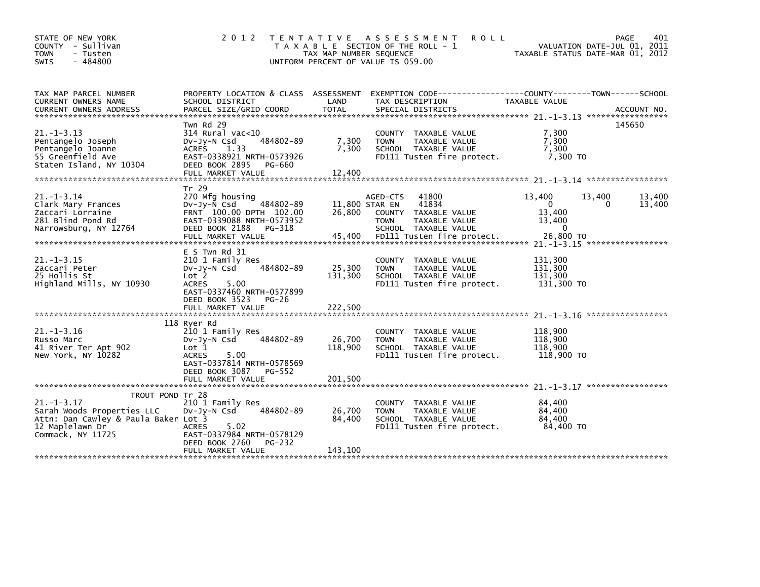| STATE OF NEW YORK<br>COUNTY - Sullivan<br>- Tusten<br><b>TOWN</b><br>$-484800$<br><b>SWIS</b>                                                      | 2 0 1 2                                                                                                                                                                           | T E N T A T I V E<br>TAX MAP NUMBER SEQUENCE | A S S E S S M E N T<br><b>ROLL</b><br>T A X A B L E SECTION OF THE ROLL - 1<br>UNIFORM PERCENT OF VALUE IS 059.00                           |                                                               | PAGE<br>VALUATION DATE-JUL 01, 2011<br>TAXABLE STATUS DATE-MAR 01, 2012 | 401              |
|----------------------------------------------------------------------------------------------------------------------------------------------------|-----------------------------------------------------------------------------------------------------------------------------------------------------------------------------------|----------------------------------------------|---------------------------------------------------------------------------------------------------------------------------------------------|---------------------------------------------------------------|-------------------------------------------------------------------------|------------------|
| TAX MAP PARCEL NUMBER<br>CURRENT OWNERS NAME<br><b>CURRENT OWNERS ADDRESS</b>                                                                      | PROPERTY LOCATION & CLASS ASSESSMENT<br>SCHOOL DISTRICT<br>PARCEL SIZE/GRID COORD                                                                                                 | LAND<br><b>TOTAL</b>                         | EXEMPTION CODE-<br>TAX DESCRIPTION<br>SPECIAL DISTRICTS                                                                                     | --------------COUNTY--------TOWN------SCHOOL<br>TAXABLE VALUE | ACCOUNT NO.                                                             |                  |
| $21. -1 - 3.13$<br>Pentangelo Joseph<br>Pentangelo Joanne<br>55 Greenfield Ave<br>Staten Island, NY 10304                                          | Twn Rd 29<br>$314$ Rural vac< $10$<br>484802-89<br>$Dv-Jv-N$ Csd<br><b>ACRES</b><br>1.33<br>EAST-0338921 NRTH-0573926<br>DEED BOOK 2895<br>PG-660<br>FULL MARKET VALUE            | 7,300<br>7.300<br>12,400                     | COUNTY TAXABLE VALUE<br><b>TOWN</b><br>TAXABLE VALUE<br>SCHOOL TAXABLE VALUE<br>FD111 Tusten fire protect.                                  | 7,300<br>7,300<br>7.300<br>7.300 TO                           | 145650                                                                  |                  |
| $21. - 1 - 3.14$<br>Clark Mary Frances<br>Zaccari Lorraine<br>281 Blind Pond Rd<br>Narrowsburg, NY 12764                                           | Tr 29<br>270 Mfg housing<br>$Dv-Jy-N$ Csd<br>484802-89<br>FRNT 100.00 DPTH 102.00<br>EAST-0339088 NRTH-0573952<br>DEED BOOK 2188<br>PG-318<br>FULL MARKET VALUE                   | 11,800 STAR EN<br>26,800<br>45,400           | 41800<br>AGED-CTS<br>41834<br>COUNTY<br>TAXABLE VALUE<br><b>TOWN</b><br>TAXABLE VALUE<br>SCHOOL TAXABLE VALUE<br>FD111 Tusten fire protect. | 13,400<br>0<br>13,400<br>13,400<br>$\mathbf{0}$<br>26,800 TO  | 13,400<br>$\Omega$<br>$21. -1 - 3.15$ ******************                | 13,400<br>13,400 |
| $21. -1 - 3.15$<br>Zaccari Peter<br>25 Hollis St<br>Highland Mills, NY 10930                                                                       | $E$ S Twn Rd 31<br>210 1 Family Res<br>484802-89<br>$Dv-Jv-N$ Csd<br>Lot 2<br><b>ACRES</b><br>5.00<br>EAST-0337460 NRTH-0577899<br>DEED BOOK 3523<br>$PG-26$<br>FULL MARKET VALUE | 25,300<br>131,300<br>222,500                 | COUNTY TAXABLE VALUE<br><b>TAXABLE VALUE</b><br><b>TOWN</b><br>SCHOOL TAXABLE VALUE<br>FD111 Tusten fire protect.                           | 131,300<br>131.300<br>131,300<br>131,300 TO                   |                                                                         |                  |
|                                                                                                                                                    | 118 Ryer Rd                                                                                                                                                                       |                                              |                                                                                                                                             |                                                               | $21 - 1 - 3$ , 16 ******************                                    |                  |
| $21. - 1 - 3.16$<br>Russo Marc<br>41 River Ter Apt 902<br>New York, NY 10282                                                                       | 210 1 Family Res<br>484802-89<br>$Dv-Jv-N$ Csd<br>Lot 1<br>5.00<br><b>ACRES</b><br>EAST-0337814 NRTH-0578569<br>DEED BOOK 3087<br>PG-552<br>FULL MARKET VALUE                     | 26,700<br>118,900<br>201.500                 | TAXABLE VALUE<br>COUNTY<br>TAXABLE VALUE<br><b>TOWN</b><br>SCHOOL TAXABLE VALUE<br>FD111 Tusten fire protect.                               | 118,900<br>118,900<br>118,900<br>118,900 TO                   |                                                                         |                  |
|                                                                                                                                                    |                                                                                                                                                                                   |                                              |                                                                                                                                             |                                                               | $21 - 1 - 3$ , 17 ******************                                    |                  |
| TROUT POND Tr 28<br>$21. - 1 - 3.17$<br>Sarah Woods Properties LLC<br>Attn: Dan Cawley & Paula Baker Lot 3<br>12 Maplelawn Dr<br>Commack, NY 11725 | 210 1 Family Res<br>484802-89<br>$Dv-Jv-N$ Csd<br><b>ACRES</b><br>5.02<br>EAST-0337984 NRTH-0578129<br>DEED BOOK 2760<br>PG-232                                                   | 26,700<br>84,400                             | COUNTY TAXABLE VALUE<br><b>TOWN</b><br>TAXABLE VALUE<br>SCHOOL TAXABLE VALUE<br>FD111 Tusten fire protect.                                  | 84,400<br>84,400<br>84,400<br>84,400 TO                       |                                                                         |                  |
|                                                                                                                                                    | FULL MARKET VALUE                                                                                                                                                                 | 143,100                                      |                                                                                                                                             |                                                               |                                                                         |                  |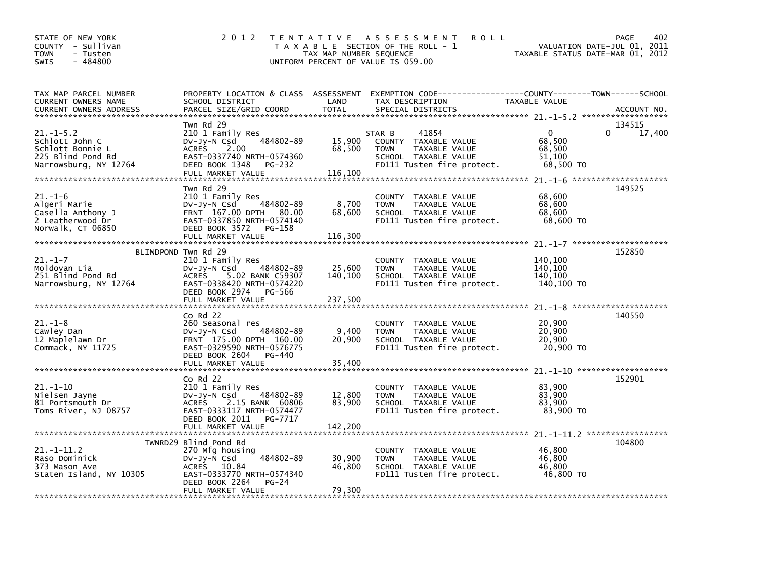| STATE OF NEW YORK<br>COUNTY - Sullivan<br><b>TOWN</b><br>- Tusten<br>$-484800$<br><b>SWIS</b>       | 2012                                                                                                                                                           | TAX MAP NUMBER SEQUENCE     | TENTATIVE ASSESSMENT<br><b>ROLL</b><br>T A X A B L E SECTION OF THE ROLL - 1<br>UNIFORM PERCENT OF VALUE IS 059.00                       | VALUATION DATE-JUL 01, 2011<br>TAXABLE STATUS DATE-MAR 01, 2012 | 402<br>PAGE           |
|-----------------------------------------------------------------------------------------------------|----------------------------------------------------------------------------------------------------------------------------------------------------------------|-----------------------------|------------------------------------------------------------------------------------------------------------------------------------------|-----------------------------------------------------------------|-----------------------|
| TAX MAP PARCEL NUMBER<br>CURRENT OWNERS NAME<br><b>CURRENT OWNERS ADDRESS</b>                       | SCHOOL DISTRICT<br>PARCEL SIZE/GRID COORD                                                                                                                      | LAND<br><b>TOTAL</b>        | PROPERTY LOCATION & CLASS ASSESSMENT EXEMPTION CODE----------------COUNTY-------TOWN------SCHOOL<br>TAX DESCRIPTION<br>SPECIAL DISTRICTS | TAXABLE VALUE                                                   | ACCOUNT NO.           |
| $21. - 1 - 5.2$<br>Schlott John C<br>Schlott Bonnie L<br>225 Blind Pond Rd<br>Narrowsburg, NY 12764 | Twn Rd 29<br>210 1 Family Res<br>484802-89<br>DV-Jy-N Csd<br>ACRES 2.00<br>EAST-0337740 NRTH-0574360<br>DEED BOOK 1348<br>PG-232<br>FULL MARKET VALUE          | 15,900<br>68,500<br>116,100 | 41854<br>STAR B<br>COUNTY TAXABLE VALUE<br><b>TOWN</b><br>TAXABLE VALUE<br>SCHOOL TAXABLE VALUE<br>FD111 Tusten fire protect.            | $\mathbf{0}$<br>68,500<br>68,500<br>51,100<br>68,500 TO         | 134515<br>0<br>17,400 |
| $21. - 1 - 6$<br>Algeri Marie<br>Casella Anthony J<br>2 Leatherwood Dr<br>Norwalk, CT 06850         | Twn Rd 29<br>210 1 Family Res<br>484802-89<br>Dv-Jy-N Csd<br>FRNT 167.00 DPTH 80.00<br>EAST-0337850 NRTH-0574140<br>DEED BOOK 3572 PG-158<br>FULL MARKET VALUE | 8,700<br>68,600<br>116,300  | COUNTY TAXABLE VALUE<br>TAXABLE VALUE<br><b>TOWN</b><br>SCHOOL TAXABLE VALUE<br>FD111 Tusten fire protect.                               | 68,600<br>68,600<br>68,600<br>68,600 TO                         | 149525                |
| $21. - 1 - 7$<br>Moldovan Lia<br>251 Blind Pond Rd<br>Narrowsburg, NY 12764                         | BLINDPOND Twn Rd 29<br>210 1 Family Res<br>484802-89<br>Dv-Jy-N Csd<br><b>ACRES</b><br>5.02 BANK C59307<br>EAST-0338420 NRTH-0574220<br>DEED BOOK 2974 PG-566  | 25,600<br>140,100           | COUNTY TAXABLE VALUE<br><b>TOWN</b><br>TAXABLE VALUE<br>SCHOOL TAXABLE VALUE<br>FD111 Tusten fire protect.                               | 140,100<br>140,100<br>140,100<br>140,100 TO                     | 152850                |
|                                                                                                     |                                                                                                                                                                |                             |                                                                                                                                          |                                                                 |                       |
| $21. - 1 - 8$<br>Cawley Dan<br>12 Maplelawn Dr<br>Commack, NY 11725                                 | $CO$ Rd $22$<br>260 Seasonal res<br>DV-Jy-N Csd<br>484802-89<br>FRNT 175.00 DPTH 160.00<br>EAST-0329590 NRTH-0576775<br>DEED BOOK 2604 PG-440                  | 9,400<br>20,900             | COUNTY TAXABLE VALUE<br>TAXABLE VALUE<br><b>TOWN</b><br>SCHOOL TAXABLE VALUE<br>FD111 Tusten fire protect.                               | 20,900<br>20,900<br>20,900<br>20,900 TO                         | 140550                |
|                                                                                                     | $Co$ Rd $22$                                                                                                                                                   |                             |                                                                                                                                          |                                                                 | 152901                |
| $21.-1-10$<br>Nielsen Jayne<br>81 Portsmouth Dr<br>Toms River, NJ 08757                             | 210 1 Family Res<br>484802-89<br>$Dv-Jy-N$ Csd<br><b>ACRES</b><br>2.15 BANK 60806<br>EAST-0333117 NRTH-0574477<br>DEED BOOK 2011 PG-7717                       | 12,800<br>83,900            | COUNTY TAXABLE VALUE<br><b>TOWN</b><br>TAXABLE VALUE<br>SCHOOL TAXABLE VALUE<br>FD111 Tusten fire protect.                               | 83,900<br>83,900<br>83,900<br>83,900 TO                         |                       |
|                                                                                                     | TWNRD29 Blind Pond Rd                                                                                                                                          |                             |                                                                                                                                          |                                                                 | 104800                |
| $21. -1 - 11.2$<br>Raso Dominick<br>373 Mason Ave<br>Staten Island, NY 10305                        | 270 Mtg housing<br>484802-89<br>Dv-Jy-N Csd<br>ACRES 10.84<br>EAST-0333770 NRTH-0574340<br>DEED BOOK 2264<br>$PG-24$<br>FULL MARKET VALUE                      | 30,900<br>46,800<br>79,300  | COUNTY TAXABLE VALUE<br><b>TOWN</b><br>TAXABLE VALUE<br>SCHOOL TAXABLE VALUE<br>FD111 Tusten fire protect.                               | 46,800<br>46,800<br>46,800<br>46,800 TO                         |                       |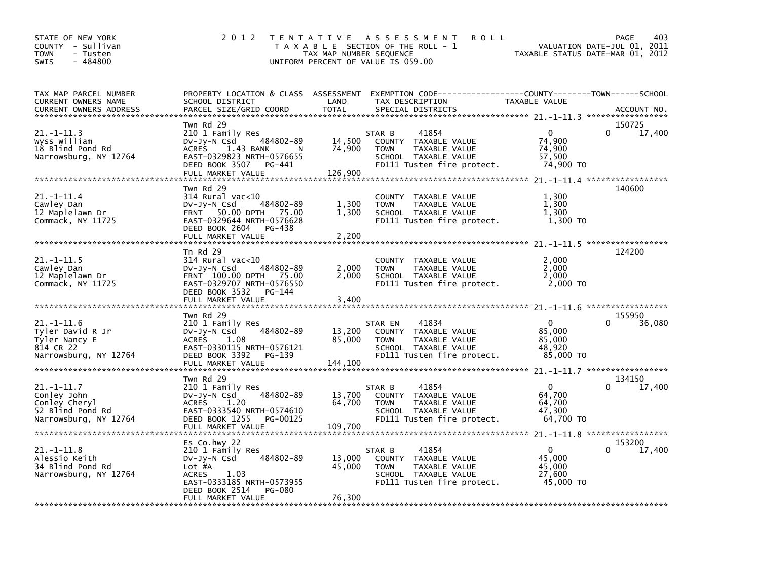| STATE OF NEW YORK<br>COUNTY - Sullivan<br>TOWN<br>- Tusten<br>$-484800$<br><b>SWIS</b>  | 2 0 1 2                                                                                                                                                                                | T E N T A T I V E<br>TAX MAP NUMBER SEQUENCE | A S S E S S M E N T<br><b>ROLL</b><br>T A X A B L E SECTION OF THE ROLL - 1<br>UNIFORM PERCENT OF VALUE IS 059.00                       | TAXABLE STATUS DATE-MAR 01, 2012                        | 403<br>PAGE<br>VALUATION DATE-JUL 01, 2011 |
|-----------------------------------------------------------------------------------------|----------------------------------------------------------------------------------------------------------------------------------------------------------------------------------------|----------------------------------------------|-----------------------------------------------------------------------------------------------------------------------------------------|---------------------------------------------------------|--------------------------------------------|
| TAX MAP PARCEL NUMBER<br>CURRENT OWNERS NAME<br><b>CURRENT OWNERS ADDRESS</b>           | PROPERTY LOCATION & CLASS ASSESSMENT<br>SCHOOL DISTRICT<br>PARCEL SIZE/GRID COORD                                                                                                      | LAND<br><b>TOTAL</b>                         | EXEMPTION CODE-----------------COUNTY-------TOWN------SCHOOL<br>TAX DESCRIPTION<br>SPECIAL DISTRICTS                                    | TAXABLE VALUE                                           | ACCOUNT NO.                                |
| 21.-1-11.3<br>wyss william<br>18 Blind Pond Rd<br>Narrowsburg, NY 12764                 | Twn Rd 29<br>210 1 Family Res<br>484802-89<br>DV-Jy-N Csd<br><b>ACRES</b><br>1.43 BANK<br><b>N</b><br>EAST-0329823 NRTH-0576655<br>DEED BOOK 3507<br>PG-441<br>FULL MARKET VALUE       | 14,500<br>74,900<br>126,900                  | 41854<br>STAR B<br>COUNTY TAXABLE VALUE<br><b>TOWN</b><br>TAXABLE VALUE<br>SCHOOL TAXABLE VALUE<br>FD111 Tusten fire protect.           | $\Omega$<br>74,900<br>74,900<br>57,500<br>74,900 TO     | 150725<br>$\Omega$<br>17,400               |
| 21.-1-11.4<br>Cawley Dan<br>12 Maplelawn Dr<br>Commack, NY 11725                        | Twn Rd 29<br>$314$ Rural vac<10<br>484802-89<br>$Dv-Jv-N$ Csd<br>50.00 DPTH 75.00<br><b>FRNT</b><br>EAST-0329644 NRTH-0576628<br>DEED BOOK 2604<br>PG-438<br>FULL MARKET VALUE         | 1,300<br>1,300<br>2,200                      | <b>COUNTY</b><br>TAXABLE VALUE<br>TAXABLE VALUE<br><b>TOWN</b><br>SCHOOL TAXABLE VALUE<br>FD111 Tusten fire protect.                    | 1,300<br>1,300<br>1.300<br>1,300 TO                     | 140600                                     |
| $21. -1 - 11.5$<br>Cawley Dan<br>12 Maplelawn Dr<br>Commack, NY 11725                   | Tn Rd 29<br>$314$ Rural vac<10<br>484802-89<br>$Dv-Jv-N$ Csd<br>FRNT 100.00 DPTH 75.00<br>EAST-0329707 NRTH-0576550<br>DEED BOOK 3532<br>PG-144<br>FULL MARKET VALUE                   | 2,000<br>2,000<br>3,400                      | COUNTY TAXABLE VALUE<br>TAXABLE VALUE<br><b>TOWN</b><br>SCHOOL TAXABLE VALUE<br>FD111 Tusten fire protect.                              | 2,000<br>2,000<br>2,000<br>2,000 TO                     | 124200                                     |
| 21.-1-11.6<br>Tyler David R Jr<br>Tyler Nancy E<br>814 CR 22<br>Narrowsburg, NY 12764   | Twn Rd 29<br>210 1 Family Res<br>484802-89<br>DV-Jy-N Csd<br><b>ACRES</b><br>1.08<br>EAST-0330115 NRTH-0576121<br>DEED BOOK 3392<br>PG-139                                             | 13,200<br>85,000                             | STAR EN<br>41834<br>COUNTY<br>TAXABLE VALUE<br><b>TOWN</b><br>TAXABLE VALUE<br>SCHOOL TAXABLE VALUE<br>FD111 Tusten fire protect.       | $\mathbf{0}$<br>85,000<br>85,000<br>48,920<br>85,000 TO | 155950<br>36,080<br>$\Omega$               |
| 21.-1-11.7<br>Conley John<br>Conley Cheryl<br>52 Blind Pond Rd<br>Narrowsburg, NY 12764 | FULL MARKET VALUE<br>Twn Rd 29<br>210 1 Family Res<br>484802-89<br>DV-Jy-N Csd<br><b>ACRES</b><br>1.20<br>EAST-0333540 NRTH-0574610<br>DEED BOOK 1255<br>PG-00125<br>FULL MARKET VALUE | 144,100<br>13,700<br>64,700                  | 41854<br>STAR B<br>COUNTY TAXABLE VALUE<br><b>TOWN</b><br>TAXABLE VALUE<br>SCHOOL TAXABLE VALUE<br>FD111 Tusten fire protect.           | $\Omega$<br>64,700<br>64,700<br>47,300<br>64,700 TO     | 134150<br>17,400                           |
| 21.–1–11.8<br>Alessio Keith<br>34 Blind Pond Rd<br>Narrowsburg, NY 12764                | Es Co.hwy 22<br>210 1 Family Res<br>484802-89<br>DV-Jy-N Csd<br>Lot #A<br><b>ACRES</b><br>1.03<br>EAST-0333185 NRTH-0573955<br>DEED BOOK 2514<br><b>PG-080</b><br>FULL MARKET VALUE    | 109,700<br>13,000<br>45,000<br>76,300        | 41854<br>STAR B<br><b>COUNTY</b><br>TAXABLE VALUE<br><b>TOWN</b><br>TAXABLE VALUE<br>SCHOOL TAXABLE VALUE<br>FD111 Tusten fire protect. | $\Omega$<br>45,000<br>45,000<br>27,600<br>45,000 TO     | 153200<br>0<br>17,400                      |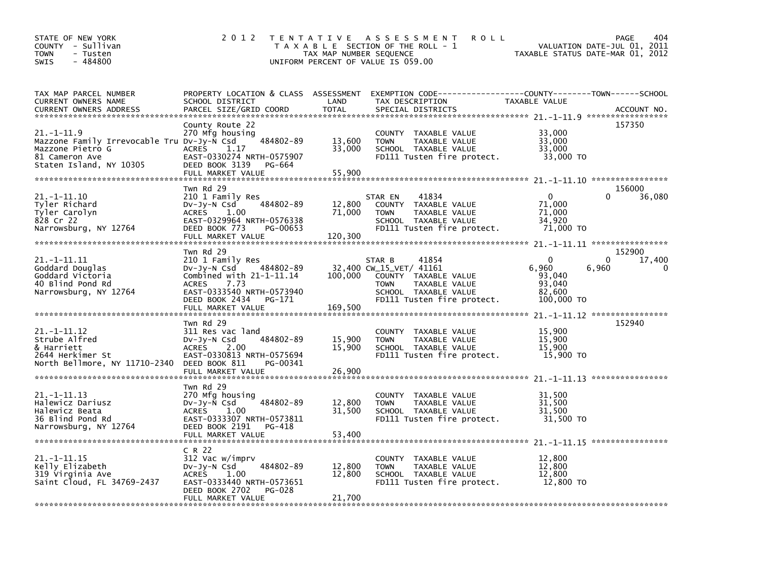| STATE OF NEW YORK<br>COUNTY - Sullivan<br><b>TOWN</b><br>- Tusten<br>$-484800$<br><b>SWIS</b>                                  | 2 0 1 2                                                                                                                                                                                         | TAX MAP NUMBER SEQUENCE     | TENTATIVE ASSESSMENT<br><b>ROLL</b><br>T A X A B L E SECTION OF THE ROLL - 1<br>UNIFORM PERCENT OF VALUE IS 059.00                                       | VALUATION DATE-JUL 01, 2011<br>TAXABLE STATUS DATE-MAR 01, 2012        | PAGE<br>404                       |
|--------------------------------------------------------------------------------------------------------------------------------|-------------------------------------------------------------------------------------------------------------------------------------------------------------------------------------------------|-----------------------------|----------------------------------------------------------------------------------------------------------------------------------------------------------|------------------------------------------------------------------------|-----------------------------------|
| TAX MAP PARCEL NUMBER<br>CURRENT OWNERS NAME<br><b>CURRENT OWNERS ADDRESS</b>                                                  | PROPERTY LOCATION & CLASS ASSESSMENT<br>SCHOOL DISTRICT<br>PARCEL SIZE/GRID COORD                                                                                                               | LAND<br><b>TOTAL</b>        | EXEMPTION CODE-----------------COUNTY-------TOWN------SCHOOL<br>TAX DESCRIPTION<br>SPECIAL DISTRICTS                                                     | TAXABLE VALUE                                                          | ACCOUNT NO.                       |
| $21. -1 - 11.9$<br>Mazzone Family Irrevocable Tru DV-Jy-N Csd<br>Mazzone Pietro G<br>81 Cameron Ave<br>Staten Island, NY 10305 | County Route 22<br>270 Mfg housing<br>484802-89<br><b>ACRES</b><br>1.17<br>EAST-0330274 NRTH-0575907<br>DEED BOOK 3139<br>PG-664<br>FULL MARKET VALUE                                           | 13,600<br>33,000<br>55.900  | COUNTY TAXABLE VALUE<br><b>TOWN</b><br>TAXABLE VALUE<br>SCHOOL TAXABLE VALUE<br>FD111 Tusten fire protect.                                               | 33,000<br>33,000<br>33,000<br>33,000 TO                                | 157350                            |
| 21. -1-11.10<br>Tyler Richard<br>Tyler Carolyn<br>828 Cr 22<br>Narrowsburg, NY 12764                                           | Twn Rd 29<br>210 1 Family Res<br>484802-89<br>$Dv-Jy-N$ Csd<br><b>ACRES</b><br>1.00<br>EAST-0329964 NRTH-0576338<br>DEED BOOK 773<br>PG-00653<br>FULL MARKET VALUE                              | 12,800<br>71,000<br>120,300 | 41834<br>STAR EN<br>COUNTY TAXABLE VALUE<br>TAXABLE VALUE<br><b>TOWN</b><br>SCHOOL TAXABLE VALUE<br>FD111 Tusten fire protect.                           | $\mathbf{0}$<br>71,000<br>71,000<br>34.920<br>71,000 TO                | 156000<br>0<br>36,080             |
| 21. -1-11.11<br>Goddard Douglas<br>Goddard Victoria<br>40 Blind Pond Rd<br>Narrowsburg, NY 12764                               | Twn Rd 29<br>210 1 Family Res<br>484802-89<br>$Dv-Jy-N$ Csd<br>Combined with $21-1-11.14$<br><b>ACRES</b><br>7.73<br>EAST-0333540 NRTH-0573940<br>DEED BOOK 2434<br>PG-171<br>FULL MARKET VALUE | 100,000<br>169,500          | 41854<br>STAR B<br>32,400 CW_15_VET/ 41161<br>COUNTY TAXABLE VALUE<br>TAXABLE VALUE<br><b>TOWN</b><br>SCHOOL TAXABLE VALUE<br>FD111 Tusten fire protect. | $\Omega$<br>6,960<br>6,960<br>93,040<br>93,040<br>82,600<br>100,000 TO | 152900<br>$\Omega$<br>17,400<br>0 |
| $21. -1 - 11.12$<br>Strube Alfred<br>& Harriett<br>2644 Herkimer St<br>North Bellmore, NY 11710-2340                           | Twn Rd 29<br>311 Res vac land<br>484802-89<br>DV-Jy-N Csd<br>2.00<br>ACRES<br>EAST-0330813 NRTH-0575694<br>DEED BOOK 811<br>PG-00341<br>FULL MARKET VALUE                                       | 15,900<br>15,900<br>26,900  | COUNTY TAXABLE VALUE<br><b>TOWN</b><br>TAXABLE VALUE<br>SCHOOL TAXABLE VALUE<br>FD111 Tusten fire protect.                                               | 15,900<br>15,900<br>15,900<br>15,900 TO                                | 152940                            |
| $21. -1 - 11.13$<br>Halewicz Dariusz<br>Halewicz Beata<br>36 Blind Pond Rd<br>Narrowsburg, NY 12764                            | Twn Rd 29<br>270 Mfg housing<br>$Dv-Jy-N$ Csd<br>484802-89<br>1.00<br><b>ACRES</b><br>EAST-0333307 NRTH-0573811<br>DEED BOOK 2191<br>PG-418<br>FULL MARKET VALUE                                | 12,800<br>31,500<br>53.400  | COUNTY TAXABLE VALUE<br><b>TOWN</b><br>TAXABLE VALUE<br>SCHOOL TAXABLE VALUE<br>FD111 Tusten fire protect.                                               | 31,500<br>31,500<br>31,500<br>31,500 TO                                |                                   |
| $21. -1 - 11.15$<br>Kelly Elizabeth<br>319 Virginia Ave<br>Saint Cloud, FL 34769-2437                                          | C R 22<br>312 Vac w/imprv<br>484802-89<br>$Dv-Jy-N$ Csd<br><b>ACRES</b><br>1.00<br>EAST-0333440 NRTH-0573651<br>DEED BOOK 2702<br><b>PG-028</b><br>FULL MARKET VALUE                            | 12,800<br>12,800<br>21,700  | COUNTY TAXABLE VALUE<br><b>TOWN</b><br><b>TAXABLE VALUE</b><br>SCHOOL TAXABLE VALUE<br>FD111 Tusten fire protect.                                        | 12,800<br>12,800<br>12,800<br>12,800 TO                                |                                   |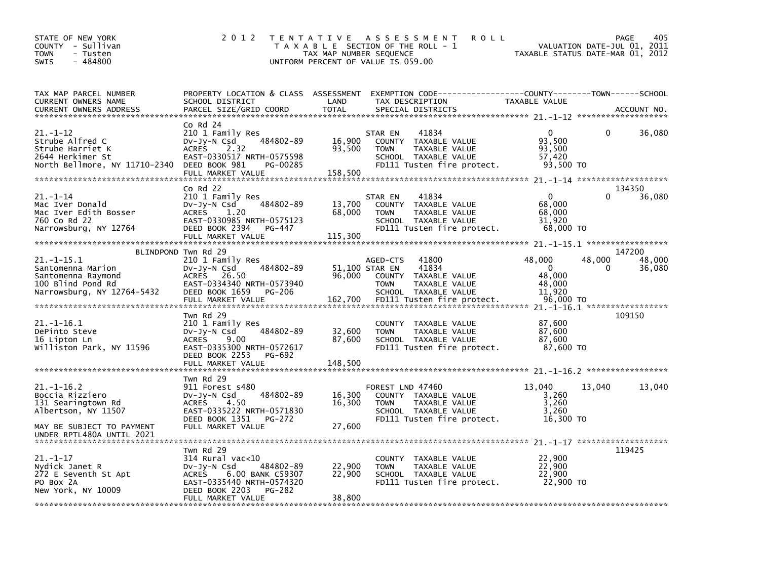| STATE OF NEW YORK<br>- Sullivan<br>COUNTY<br>TOWN<br>- Tusten<br>- 484800<br>SWIS                               | 2 0 1 2                                                                                                                                                                 | T E N T A T I V E<br>TAX MAP NUMBER SEQUENCE | <b>ROLL</b><br>A S S E S S M E N T<br>T A X A B L E SECTION OF THE ROLL - 1<br>UNIFORM PERCENT OF VALUE IS 059.00                                                    | VALUATION DATE-JUL 01, 2011<br>TAXABLE STATUS DATE-MAR 01, 2012                  | 405<br>PAGE      |
|-----------------------------------------------------------------------------------------------------------------|-------------------------------------------------------------------------------------------------------------------------------------------------------------------------|----------------------------------------------|----------------------------------------------------------------------------------------------------------------------------------------------------------------------|----------------------------------------------------------------------------------|------------------|
| TAX MAP PARCEL NUMBER<br>CURRENT OWNERS NAME<br><b>CURRENT OWNERS ADDRESS</b><br>****************************** | PROPERTY LOCATION & CLASS ASSESSMENT<br>SCHOOL DISTRICT<br>PARCEL SIZE/GRID COORD                                                                                       | LAND<br><b>TOTAL</b>                         | EXEMPTION CODE-------------<br>TAX DESCRIPTION<br>SPECIAL DISTRICTS                                                                                                  | -----COUNTY--------TOWN------SCHOOL<br>TAXABLE VALUE                             | ACCOUNT NO.      |
| 21.-1-12<br>Strube Alfred C<br>Strube Harriet K<br>2644 Herkimer St<br>North Bellmore, NY 11710-2340            | Co Rd 24<br>210 1 Family Res<br>484802-89<br>$Dv-Jy-N$ Csd<br>2.32<br><b>ACRES</b><br>EAST-0330517 NRTH-0575598<br>DEED BOOK 981<br>PG-00285<br>FULL MARKET VALUE       | 16,900<br>93,500<br>158,500                  | 41834<br>STAR EN<br>COUNTY TAXABLE VALUE<br>TAXABLE VALUE<br><b>TOWN</b><br>SCHOOL TAXABLE VALUE<br>FD111 Tusten fire protect.                                       | 0<br>0<br>93,500<br>93,500<br>57,420<br>93,500 TO                                | 36,080           |
|                                                                                                                 | Co Rd 22                                                                                                                                                                |                                              |                                                                                                                                                                      |                                                                                  | 134350           |
| 21.–1–14<br>Mac Iver Donald<br>Mac Iver Edith Bosser<br>760 Co Rd 22<br>Narrowsburg, NY 12764                   | 210 1 Family Res<br>484802-89<br>$Dv-Jv-N$ Csd<br><b>ACRES</b><br>1.20<br>EAST-0330985 NRTH-0575123<br>DEED BOOK 2394<br>PG-447                                         | 13,700<br>68,000                             | 41834<br>STAR EN<br>COUNTY TAXABLE VALUE<br><b>TOWN</b><br>TAXABLE VALUE<br>SCHOOL TAXABLE VALUE<br>FD111 Tusten fire protect.                                       | 0<br>0<br>68,000<br>68,000<br>31,920<br>68,000 TO                                | 36,080           |
|                                                                                                                 | BLINDPOND Twn Rd 29                                                                                                                                                     |                                              |                                                                                                                                                                      |                                                                                  | 147200           |
| 21. -1-15.1<br>Santomenna Marion<br>Santomenna Raymond<br>100 Blind Pond Rd<br>Narrowsburg, NY 12764-5432       | 210 1 Family Res<br>484802-89<br>DV-Jy-N Csd<br><b>ACRES</b><br>26.50<br>EAST-0334340 NRTH-0573940<br>DEED BOOK 1659<br><b>PG-206</b><br>FULL MARKET VALUE              | 96,000<br>162,700                            | 41800<br>AGED-CTS<br>51,100 STAR EN<br>41834<br><b>COUNTY</b><br>TAXABLE VALUE<br>TAXABLE VALUE<br><b>TOWN</b><br>SCHOOL TAXABLE VALUE<br>FD111 Tusten fire protect. | 48,000<br>48,000<br>$\mathbf{0}$<br>0<br>48,000<br>48,000<br>11,920<br>96,000 TO | 48,000<br>36,080 |
| 21.-1-16.1<br>DePinto Steve<br>16 Lipton Ln<br>Williston Park, NY 11596                                         | Twn Rd 29<br>210 1 Family Res<br>484802-89<br>DV-Jy-N Csd<br><b>ACRES</b><br>9.00<br>EAST-0335300 NRTH-0572617<br>DEED BOOK 2253<br>PG-692                              | 32,600<br>87,600                             | <b>COUNTY</b><br>TAXABLE VALUE<br>TAXABLE VALUE<br><b>TOWN</b><br>SCHOOL TAXABLE VALUE<br>FD111 Tusten fire protect.                                                 | 87,600<br>87,600<br>87,600<br>87,600 TO                                          | 109150           |
|                                                                                                                 | FULL MARKET VALUE                                                                                                                                                       | 148,500                                      |                                                                                                                                                                      |                                                                                  |                  |
| 21. –1–16.2<br>Boccia Rizziero<br>131 Searingtown Rd<br>Albertson, NY 11507<br>MAY BE SUBJECT TO PAYMENT        | Twn Rd 29<br>911 Forest s480<br>484802-89<br>$Dv-Jy-N$ Csd<br><b>ACRES</b><br>4.50<br>EAST-0335222 NRTH-0571830<br>DEED BOOK 1351<br><b>PG-272</b><br>FULL MARKET VALUE | 16,300<br>16,300<br>27,600                   | FOREST LND 47460<br>COUNTY TAXABLE VALUE<br><b>TOWN</b><br>TAXABLE VALUE<br>SCHOOL TAXABLE VALUE<br>FD111 Tusten fire protect.                                       | 13,040<br>13,040<br>3,260<br>3,260<br>3,260<br>16,300 TO                         | 13,040           |
| UNDER RPTL480A UNTIL 2021                                                                                       |                                                                                                                                                                         |                                              |                                                                                                                                                                      |                                                                                  |                  |
| $21.-1-17$<br>Nydick Janet R                                                                                    | Twn Rd 29<br>$314$ Rural vac<10<br>484802-89<br>DV-Jy-N Csd                                                                                                             | 22,900                                       | COUNTY TAXABLE VALUE<br><b>TOWN</b><br>TAXABLE VALUE                                                                                                                 | 22,900<br>22,900                                                                 | 119425           |
| 272 E Seventh St Apt<br>PO Box 2A<br>New York, NY 10009                                                         | 6.00 BANK C59307<br><b>ACRES</b><br>EAST-0335440 NRTH-0574320<br>DEED BOOK 2203<br>PG-282<br>FULL MARKET VALUE                                                          | 22,900<br>38,800                             | SCHOOL TAXABLE VALUE<br>FD111 Tusten fire protect.                                                                                                                   | 22,900<br>22,900 TO                                                              |                  |
|                                                                                                                 |                                                                                                                                                                         |                                              |                                                                                                                                                                      |                                                                                  |                  |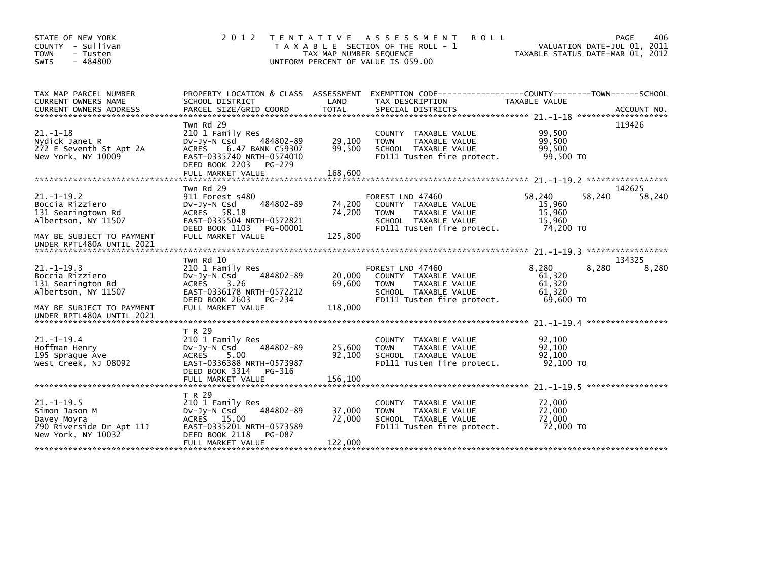| STATE OF NEW YORK<br>COUNTY - Sullivan<br><b>TOWN</b><br>- Tusten<br>$-484800$<br><b>SWIS</b>     | 2 0 1 2                                                                                                                                                                | T E N T A T I V E<br>TAX MAP NUMBER SEQUENCE | <b>ROLL</b><br>A S S E S S M E N T<br>T A X A B L E SECTION OF THE ROLL - 1<br>UNIFORM PERCENT OF VALUE IS 059.00              |                                                            | 406<br>PAGE<br>VALUATION DATE-JUL 01, 2011<br>TAXABLE STATUS DATE-MAR 01, 2012 |
|---------------------------------------------------------------------------------------------------|------------------------------------------------------------------------------------------------------------------------------------------------------------------------|----------------------------------------------|--------------------------------------------------------------------------------------------------------------------------------|------------------------------------------------------------|--------------------------------------------------------------------------------|
| TAX MAP PARCEL NUMBER<br>CURRENT OWNERS NAME<br><b>CURRENT OWNERS ADDRESS</b>                     | PROPERTY LOCATION & CLASS ASSESSMENT<br>SCHOOL DISTRICT<br>PARCEL SIZE/GRID COORD                                                                                      | LAND<br><b>TOTAL</b>                         | EXEMPTION CODE----<br>TAX DESCRIPTION<br>SPECIAL DISTRICTS                                                                     | ------------COUNTY-------TOWN------SCHOOL<br>TAXABLE VALUE | ACCOUNT NO.                                                                    |
| $21. - 1 - 18$<br>Nydick Janet R<br>272 E Seventh St Apt 2A<br>New York, NY 10009                 | Twn Rd 29<br>210 1 Family Res<br>484802-89<br>$Dv-Jy-N$ Csd<br>6.47 BANK C59307<br>ACRES<br>EAST-0335740 NRTH-0574010<br>DEED BOOK 2203<br>PG-279<br>FULL MARKET VALUE | 29,100<br>99,500<br>168,600                  | COUNTY TAXABLE VALUE<br>TAXABLE VALUE<br><b>TOWN</b><br>SCHOOL TAXABLE VALUE<br>FD111 Tusten fire protect.                     | 99,500<br>99,500<br>99,500<br>99,500 TO                    | 119426                                                                         |
|                                                                                                   |                                                                                                                                                                        |                                              |                                                                                                                                |                                                            |                                                                                |
| $21. - 1 - 19.2$<br>Boccia Rizziero<br>131 Searingtown Rd<br>Albertson, NY 11507                  | Twn Rd 29<br>911 Forest s480<br>484802-89<br>$Dv-Jy-N$ Csd<br>ACRES 58.18<br>EAST-0335504 NRTH-0572821<br>DEED BOOK 1103<br>PG-00001                                   | 74,200<br>74,200                             | FOREST LND 47460<br>COUNTY TAXABLE VALUE<br>TAXABLE VALUE<br><b>TOWN</b><br>SCHOOL TAXABLE VALUE<br>FD111 Tusten fire protect. | 58.240<br>15.960<br>15,960<br>15,960<br>74,200 TO          | 142625<br>58,240<br>58,240                                                     |
| MAY BE SUBJECT TO PAYMENT<br>UNDER RPTL480A UNTIL 2021                                            | FULL MARKET VALUE                                                                                                                                                      | 125,800                                      |                                                                                                                                |                                                            |                                                                                |
|                                                                                                   | Twn Rd 10                                                                                                                                                              |                                              |                                                                                                                                |                                                            | 134325                                                                         |
| $21. -1 - 19.3$<br>Boccia Rizziero<br>131 Searington Rd<br>Albertson, NY 11507                    | 210 1 Family Res<br>484802-89<br>$Dv-Jy-N$ Csd<br>ACRES<br>3.26<br>EAST-0336178 NRTH-0572212<br>DEED BOOK 2603<br>PG-234                                               | 20,000<br>69,600                             | FOREST LND 47460<br>COUNTY TAXABLE VALUE<br><b>TOWN</b><br>TAXABLE VALUE<br>SCHOOL TAXABLE VALUE<br>FD111 Tusten fire protect. | 8,280<br>61,320<br>61,320<br>61.320<br>69,600 TO           | 8,280<br>8,280                                                                 |
| MAY BE SUBJECT TO PAYMENT<br>UNDER RPTL480A UNTIL 2021                                            | FULL MARKET VALUE                                                                                                                                                      | 118,000                                      |                                                                                                                                |                                                            |                                                                                |
|                                                                                                   | T R 29                                                                                                                                                                 |                                              |                                                                                                                                |                                                            |                                                                                |
| $21 - 1 - 19.4$<br>Hoffman Henry<br>195 Sprague Ave<br>West Creek, NJ 08092                       | 210 1 Family Res<br>484802-89<br>DV-Jy-N Csd<br><b>ACRES</b><br>5.00<br>EAST-0336388 NRTH-0573987<br>DEED BOOK 3314<br>PG-316                                          | 25,600<br>92,100                             | COUNTY TAXABLE VALUE<br>TAXABLE VALUE<br><b>TOWN</b><br>SCHOOL TAXABLE VALUE<br>FD111 Tusten fire protect.                     | 92,100<br>92,100<br>92,100<br>92.100 TO                    |                                                                                |
|                                                                                                   | FULL MARKET VALUE                                                                                                                                                      | 156,100                                      |                                                                                                                                |                                                            |                                                                                |
| $21. -1 - 19.5$<br>Simon Jason M<br>Davey Moyra<br>790 Riverside Dr Apt 11J<br>New York, NY 10032 | T R 29<br>210 1 Family Res<br>484802-89<br>$Dv-Jy-N$ Csd<br>ACRES 15.00<br>EAST-0335201 NRTH-0573589<br>DEED BOOK 2118<br>PG-087<br>FULL MARKET VALUE                  | 37,000<br>72,000<br>122,000                  | TAXABLE VALUE<br>COUNTY<br><b>TOWN</b><br>TAXABLE VALUE<br>SCHOOL TAXABLE VALUE<br>FD111 Tusten fire protect.                  | 72,000<br>72,000<br>72,000<br>72,000 TO                    |                                                                                |
|                                                                                                   |                                                                                                                                                                        |                                              |                                                                                                                                |                                                            |                                                                                |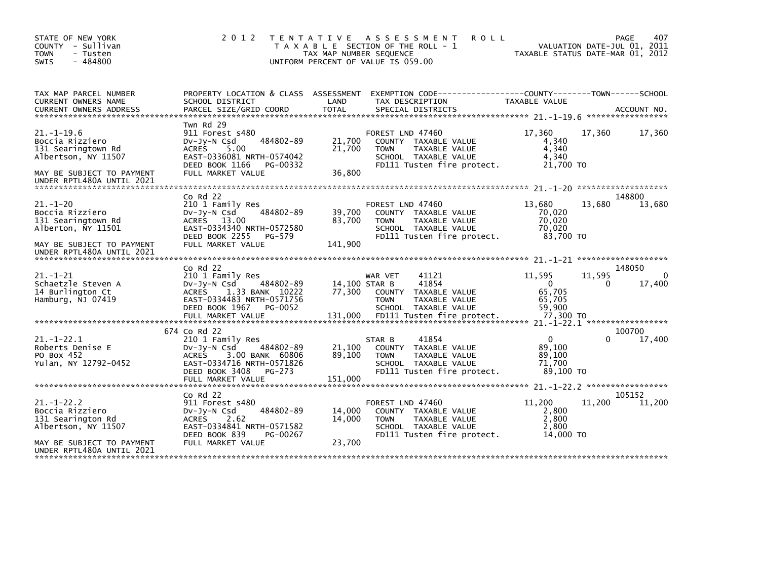| STATE OF NEW YORK<br>COUNTY - Sullivan<br><b>TOWN</b><br>- Tusten<br>$-484800$<br><b>SWIS</b>                                              | 2 0 1 2                                                                                                                                                              | T E N T A T I V E<br>TAX MAP NUMBER SEQUENCE | A S S E S S M E N T<br>T A X A B L E SECTION OF THE ROLL - 1<br>UNIFORM PERCENT OF VALUE IS 059.00                             | <b>ROLL</b><br>TAXABLE STATUS DATE-MAR 01, 2012     | VALUATION DATE-JUL 01, 2011 | 407<br>PAGE      |
|--------------------------------------------------------------------------------------------------------------------------------------------|----------------------------------------------------------------------------------------------------------------------------------------------------------------------|----------------------------------------------|--------------------------------------------------------------------------------------------------------------------------------|-----------------------------------------------------|-----------------------------|------------------|
| TAX MAP PARCEL NUMBER<br>CURRENT OWNERS NAME                                                                                               | PROPERTY LOCATION & CLASS ASSESSMENT<br>SCHOOL DISTRICT                                                                                                              | LAND                                         | EXEMPTION        CODE-----------------COUNTY-------TOWN------SCHOOL<br>TAX DESCRIPTION                                         | TAXABLE VALUE                                       |                             |                  |
| $21. - 1 - 19.6$<br>Boccia Rizziero<br>131 Searingtown Rd<br>Albertson, NY 11507<br>MAY BE SUBJECT TO PAYMENT<br>UNDER RPTL480A UNTIL 2021 | Twn Rd 29<br>911 Forest s480<br>484802-89<br>$Dv-Jv-N$ Csd<br>5.00<br><b>ACRES</b><br>EAST-0336081 NRTH-0574042<br>DEED BOOK 1166<br>PG-00332<br>FULL MARKET VALUE   | 21,700<br>21,700<br>36,800                   | FOREST LND 47460<br>COUNTY TAXABLE VALUE<br><b>TOWN</b><br>TAXABLE VALUE<br>SCHOOL TAXABLE VALUE<br>FD111 Tusten fire protect. | 17,360<br>4,340<br>4,340<br>4,340<br>21,700 TO      | 17,360                      | 17,360           |
|                                                                                                                                            | $Co$ Rd $22$                                                                                                                                                         |                                              |                                                                                                                                |                                                     |                             | 148800           |
| $21. - 1 - 20$<br>Boccia Rizziero<br>131 Searingtown Rd<br>Alberton, NY 11501<br>MAY BE SUBJECT TO PAYMENT<br>UNDER RPTL480A UNTIL 2021    | 210 1 Family Res<br>484802-89<br>DV-Jy-N Csd<br>ACRES 13.00<br>EAST-0334340 NRTH-0572580<br>DEED BOOK 2255<br>PG-579<br>FULL MARKET VALUE                            | 39,700<br>83,700<br>141,900                  | FOREST LND 47460<br>COUNTY TAXABLE VALUE<br>TAXABLE VALUE<br><b>TOWN</b><br>SCHOOL TAXABLE VALUE<br>FD111 Tusten fire protect. | 13,680<br>70,020<br>70,020<br>70.020<br>83,700 TO   | 13,680                      | 13,680           |
|                                                                                                                                            | $Co$ Rd $22$                                                                                                                                                         |                                              |                                                                                                                                |                                                     |                             | 148050           |
| $21. - 1 - 21$<br>Schaetzle Steven A<br>14 Burlington Ct<br>Hamburg, NJ 07419                                                              | 210 1 Family Res<br>DV-Jy-N Csd<br>484802-89<br><b>ACRES</b><br>1.33 BANK 10222<br>EAST-0334483 NRTH-0571756<br>DEED BOOK 1967<br>PG-0052                            | 14,100 STAR B<br>77,300                      | WAR VET<br>41121<br>41854<br>COUNTY<br>TAXABLE VALUE<br>TAXABLE VALUE<br><b>TOWN</b><br>SCHOOL TAXABLE VALUE                   | 11,595<br>$\Omega$<br>65,705<br>65,705<br>59.900    | 11,595<br>0                 | 17,400           |
|                                                                                                                                            | 674 Co Rd 22                                                                                                                                                         |                                              |                                                                                                                                |                                                     |                             | 100700           |
| $21. - 1 - 22.1$<br>Roberts Denise E<br>PO Box 452<br>Yulan, NY 12792-0452                                                                 | 210 1 Family Res<br>484802-89<br>$Dv-Jy-N$ Csd<br>3.00 BANK 60806<br><b>ACRES</b><br>EAST-0334716 NRTH-0571826<br>DEED BOOK 3408<br>PG-273<br>FULL MARKET VALUE      | 21,100<br>89,100<br>151,000                  | 41854<br>STAR B<br>COUNTY TAXABLE VALUE<br>TAXABLE VALUE<br><b>TOWN</b><br>SCHOOL TAXABLE VALUE<br>FD111 Tusten fire protect.  | $\Omega$<br>89,100<br>89,100<br>71.700<br>89,100 TO | 0                           | 17,400           |
|                                                                                                                                            |                                                                                                                                                                      |                                              |                                                                                                                                |                                                     |                             |                  |
| $21. - 1 - 22.2$<br>Boccia Rizziero<br>131 Searington Rd<br>Albertson, NY 11507<br>MAY BE SUBJECT TO PAYMENT<br>UNDER RPTL480A UNTIL 2021  | $CO$ Rd $22$<br>911 Forest s480<br>484802-89<br>$Dv-Jy-N$ Csd<br><b>ACRES</b><br>2.62<br>EAST-0334841 NRTH-0571582<br>DEED BOOK 839<br>PG-00267<br>FULL MARKET VALUE | 14,000<br>14,000<br>23,700                   | FOREST LND 47460<br>COUNTY TAXABLE VALUE<br><b>TOWN</b><br>TAXABLE VALUE<br>SCHOOL TAXABLE VALUE<br>FD111 Tusten fire protect. | 11,200<br>2,800<br>2,800<br>2,800<br>14,000 TO      | 11,200                      | 105152<br>11,200 |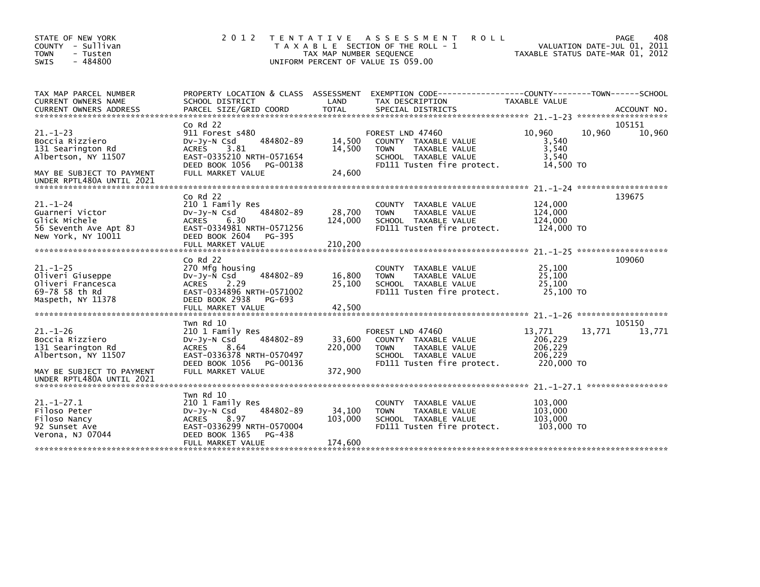| STATE OF NEW YORK<br>COUNTY - Sullivan<br><b>TOWN</b><br>- Tusten<br>$-484800$<br><b>SWIS</b>                                           | 2 0 1 2                                                                                                                                                               | TAX MAP NUMBER SEQUENCE      | TENTATIVE ASSESSMENT<br><b>ROLL</b><br>T A X A B L E SECTION OF THE ROLL - 1<br>UNIFORM PERCENT OF VALUE IS 059.00             | TAXABLE STATUS DATE-MAR 01, 2012                      |        | 408<br>PAGE<br>VALUATION DATE-JUL 01, 2011 |
|-----------------------------------------------------------------------------------------------------------------------------------------|-----------------------------------------------------------------------------------------------------------------------------------------------------------------------|------------------------------|--------------------------------------------------------------------------------------------------------------------------------|-------------------------------------------------------|--------|--------------------------------------------|
| TAX MAP PARCEL NUMBER<br>CURRENT OWNERS NAME<br><b>CURRENT OWNERS ADDRESS</b>                                                           | PROPERTY LOCATION & CLASS ASSESSMENT<br>SCHOOL DISTRICT<br>PARCEL SIZE/GRID COORD                                                                                     | LAND<br><b>TOTAL</b>         | EXEMPTION CODE-----------------COUNTY-------TOWN------SCHOOL<br>TAX DESCRIPTION<br>SPECIAL DISTRICTS                           | TAXABLE VALUE                                         |        | ACCOUNT NO.                                |
| $21 - 1 - 23$<br>Boccia Rizziero<br>131 Searington Rd<br>Albertson, NY 11507<br>MAY BE SUBJECT TO PAYMENT<br>UNDER RPTL480A UNTIL 2021  | $Co$ Rd $22$<br>911 Forest s480<br>484802-89<br>$Dv-Jy-N$ Csd<br>3.81<br><b>ACRES</b><br>EAST-0335210 NRTH-0571654<br>DEED BOOK 1056<br>PG-00138<br>FULL MARKET VALUE | 14,500<br>14,500<br>24,600   | FOREST LND 47460<br>COUNTY TAXABLE VALUE<br><b>TOWN</b><br>TAXABLE VALUE<br>SCHOOL TAXABLE VALUE<br>FD111 Tusten fire protect. | 10,960<br>3,540<br>3,540<br>3,540<br>14,500 TO        | 10,960 | 105151<br>10,960                           |
| $21 - 1 - 24$<br>Guarneri Victor<br>Glick Michele<br>56 Seventh Ave Apt 8J<br>New York, NY 10011                                        | $Co$ Rd $22$<br>210 1 Family Res<br>484802-89<br>DV-Jy-N Csd<br><b>ACRES</b><br>6.30<br>EAST-0334981 NRTH-0571256<br>DEED BOOK 2604<br>PG-395<br>FULL MARKET VALUE    | 28,700<br>124,000<br>210,200 | COUNTY TAXABLE VALUE<br><b>TOWN</b><br>TAXABLE VALUE<br>SCHOOL TAXABLE VALUE<br>FD111 Tusten fire protect.                     | 124,000<br>124,000<br>124,000<br>124.000 TO           |        | 139675                                     |
| $21. - 1 - 25$<br>Oliveri Giuseppe<br>Oliveri Francesca<br>69-78 58 th Rd<br>Maspeth, NY 11378                                          | $CO$ Rd $22$<br>270 Mfg housing<br>484802-89<br>$Dv-Jy-N$ Csd<br>ACRES<br>2.29<br>EAST-0334896 NRTH-0571002<br>DEED BOOK 2938<br>PG-693<br>FULL MARKET VALUE          | 16,800<br>25,100<br>42,500   | COUNTY TAXABLE VALUE<br>TAXABLE VALUE<br><b>TOWN</b><br>SCHOOL TAXABLE VALUE<br>FD111 Tusten fire protect.                     | 25,100<br>25.100<br>25,100<br>25,100 TO               |        | 109060<br>*******************              |
| $21. - 1 - 26$<br>Boccia Rizziero<br>131 Searington Rd<br>Albertson, NY 11507<br>MAY BE SUBJECT TO PAYMENT<br>UNDER RPTL480A UNTIL 2021 | Twn Rd 10<br>210 1 Family Res<br>484802-89<br>$Dv-Jy-N$ Csd<br>ACRES<br>8.64<br>EAST-0336378 NRTH-0570497<br>DEED BOOK 1056<br>PG-00136<br>FULL MARKET VALUE          | 33,600<br>220,000<br>372,900 | FOREST LND 47460<br>COUNTY TAXABLE VALUE<br><b>TOWN</b><br>TAXABLE VALUE<br>SCHOOL TAXABLE VALUE<br>FD111 Tusten fire protect. | 13,771<br>206,229<br>206,229<br>206,229<br>220,000 TO | 13,771 | 105150<br>13,771                           |
| $21. - 1 - 27.1$<br>Filoso Peter<br>Filoso Nancy<br>92 Sunset Ave<br>Verona, NJ 07044                                                   | Twn Rd 10<br>210 1 Family Res<br>484802-89<br>$Dv-Jy-N$ Csd<br>ACRES<br>8.97<br>EAST-0336299 NRTH-0570004<br>DEED BOOK 1365<br>PG-438<br>FULL MARKET VALUE            | 34,100<br>103,000<br>174,600 | <b>COUNTY</b><br>TAXABLE VALUE<br>TAXABLE VALUE<br><b>TOWN</b><br>SCHOOL TAXABLE VALUE<br>FD111 Tusten fire protect.           | 103,000<br>103,000<br>103,000<br>103,000 TO           |        |                                            |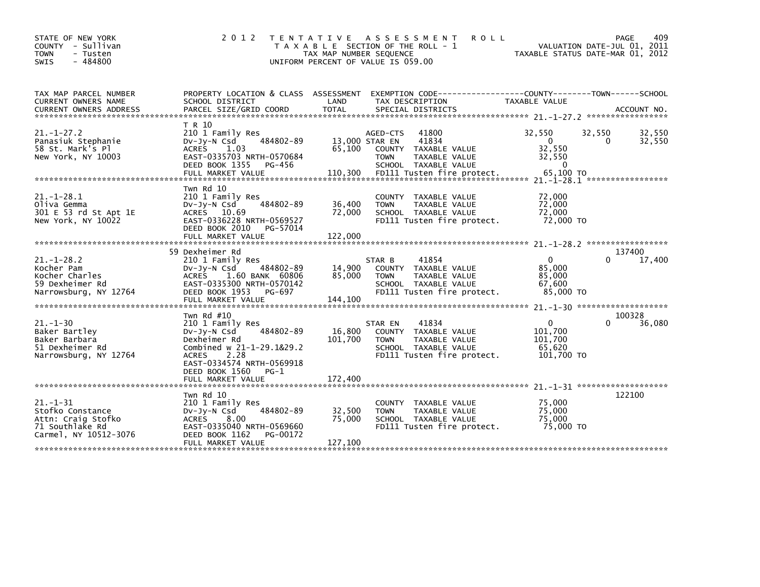| STATE OF NEW YORK<br>COUNTY - Sullivan<br><b>TOWN</b><br>- Tusten<br>$-484800$<br><b>SWIS</b>        | 2 0 1 2                                                                                                                                                       | TAX MAP NUMBER SEQUENCE  | TENTATIVE ASSESSMENT<br><b>ROLL</b><br>T A X A B L E SECTION OF THE ROLL - 1<br>UNIFORM PERCENT OF VALUE IS 059.00                       |                                                           | PAGE<br>409<br>VALUATION DATE-JUL 01, 2011<br>TAXABLE STATUS DATE-MAR 01, 2012 |
|------------------------------------------------------------------------------------------------------|---------------------------------------------------------------------------------------------------------------------------------------------------------------|--------------------------|------------------------------------------------------------------------------------------------------------------------------------------|-----------------------------------------------------------|--------------------------------------------------------------------------------|
|                                                                                                      |                                                                                                                                                               |                          |                                                                                                                                          |                                                           |                                                                                |
| TAX MAP PARCEL NUMBER<br>CURRENT OWNERS NAME                                                         | PROPERTY LOCATION & CLASS ASSESSMENT<br>SCHOOL DISTRICT                                                                                                       | LAND                     | EXEMPTION CODE-----------------COUNTY-------TOWN------SCHOOL<br>TAX DESCRIPTION                                                          | TAXABLE VALUE                                             |                                                                                |
|                                                                                                      |                                                                                                                                                               |                          |                                                                                                                                          |                                                           |                                                                                |
| $21. - 1 - 27.2$<br>Panasiuk Stephanie<br>58 St. Mark's Pl<br>New York, NY 10003                     | T R 10<br>210 1 Family Res<br>484802-89<br>$Dv-Jy-N$ Csd<br><b>ACRES</b><br>1.03<br>EAST-0335703 NRTH-0570684<br>DEED BOOK 1355<br>PG-456                     | 13,000 STAR EN<br>65,100 | 41800<br>AGED-CTS<br>41834<br>COUNTY TAXABLE VALUE<br><b>TOWN</b><br>TAXABLE VALUE<br>SCHOOL TAXABLE VALUE                               | 32,550<br>$\mathbf 0$<br>32,550<br>32,550<br>$\mathbf{0}$ | 32,550<br>32,550<br>32,550<br>$\Omega$                                         |
| $21. - 1 - 28.1$<br>Oliva Gemma<br>301 E 53 rd St Apt 1E<br>New York, NY 10022                       | Twn Rd 10<br>210 1 Family Res<br>484802-89<br>Dv-Jy-N Csd<br>ACRES 10.69<br>EAST-0336228 NRTH-0569527<br>DEED BOOK 2010<br>PG-57014                           | 36,400<br>72,000         | TAXABLE VALUE<br><b>COUNTY</b><br><b>TOWN</b><br>TAXABLE VALUE<br>SCHOOL TAXABLE VALUE<br>FD111 Tusten fire protect.                     | 72,000<br>72,000<br>72,000<br>72,000 TO                   |                                                                                |
|                                                                                                      | FULL MARKET VALUE                                                                                                                                             | 122,000                  |                                                                                                                                          |                                                           |                                                                                |
| $21 - 1 - 28.2$<br>Kocher Pam<br>Kocher Charles<br>59 Dexheimer Rd<br>Narrowsburg, NY 12764          | 59 Dexheimer Rd<br>210 1 Family Res<br>484802-89<br>$Dv-Jy-N$ Csd<br><b>ACRES</b><br>1.60 BANK 60806<br>EAST-0335300 NRTH-0570142<br>DEED BOOK 1953<br>PG-697 | 14,900<br>85,000         | 41854<br>STAR B<br>TAXABLE VALUE<br><b>COUNTY</b><br>TAXABLE VALUE<br><b>TOWN</b><br>SCHOOL TAXABLE VALUE<br>FD111 Tusten fire protect.  | $\Omega$<br>85,000<br>85,000<br>67,600<br>85,000 TO       | 137400<br>17,400                                                               |
|                                                                                                      | Twn Rd #10                                                                                                                                                    |                          |                                                                                                                                          |                                                           | 100328                                                                         |
| $21. - 1 - 30$<br>Baker Bartley<br>Baker Barbara<br>51 Dexheimer Rd<br>Narrowsburg, NY 12764         | 210 1 Family Res<br>484802-89<br>$Dv-Jy-N$ Csd<br>Dexheimer Rd<br>Combined w 21-1-29.1&29.2<br><b>ACRES</b><br>2.28<br>EAST-0334574 NRTH-0569918              | 16,800<br>101,700        | 41834<br>STAR EN<br>TAXABLE VALUE<br><b>COUNTY</b><br>TAXABLE VALUE<br><b>TOWN</b><br>SCHOOL TAXABLE VALUE<br>FD111 Tusten fire protect. | 0<br>101,700<br>101,700<br>65,620<br>101,700 TO           | $\Omega$<br>36,080                                                             |
|                                                                                                      | DEED BOOK 1560<br>$PG-1$                                                                                                                                      |                          |                                                                                                                                          |                                                           |                                                                                |
|                                                                                                      | Twn Rd 10                                                                                                                                                     |                          |                                                                                                                                          |                                                           | 122100                                                                         |
| $21. - 1 - 31$<br>Stofko Constance<br>Attn: Craig Stofko<br>71 Southlake Rd<br>Carmel, NY 10512-3076 | 210 1 Family Res<br>484802-89<br>DV-Jy-N Csd<br>8.00<br><b>ACRES</b><br>EAST-0335040 NRTH-0569660<br>DEED BOOK 1162<br>PG-00172                               | 32,500<br>75,000         | TAXABLE VALUE<br><b>COUNTY</b><br><b>TOWN</b><br>TAXABLE VALUE<br>SCHOOL TAXABLE VALUE<br>FD111 Tusten fire protect.                     | 75,000<br>75,000<br>75,000<br>75,000 TO                   |                                                                                |
|                                                                                                      | FULL MARKET VALUE                                                                                                                                             | 127,100                  |                                                                                                                                          |                                                           |                                                                                |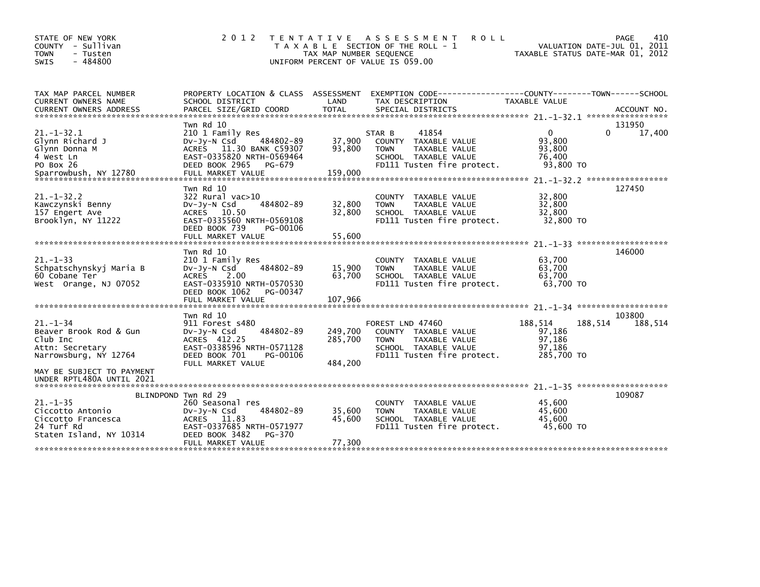| STATE OF NEW YORK<br>COUNTY - Sullivan<br><b>TOWN</b><br>- Tusten<br>$-484800$<br><b>SWIS</b>                                                                                                                                                                                  | 2 0 1 2                                                                                                                                                            | TAX MAP NUMBER SEQUENCE       | TENTATIVE ASSESSMENT<br><b>ROLL</b><br>T A X A B L E SECTION OF THE ROLL - 1<br>UNIFORM PERCENT OF VALUE IS 059.00             | VALUATION DATE-JUL 01, 2011<br>TAXABLE STATUS DATE-MAR 01, 2012 | 410<br>PAGE       |
|--------------------------------------------------------------------------------------------------------------------------------------------------------------------------------------------------------------------------------------------------------------------------------|--------------------------------------------------------------------------------------------------------------------------------------------------------------------|-------------------------------|--------------------------------------------------------------------------------------------------------------------------------|-----------------------------------------------------------------|-------------------|
| TAX MAP PARCEL NUMBER<br>CURRENT OWNERS NAME<br>.CURRENT OWNERS ADDRESS PARCEL SIZE/GRID COORD TOTAL SPECIAL DISTRICTS (ACCOUNT NO ACCOUNT NO ACCOUNT NO AND FREE ALL SERIES AND RESEARCH TOTAL SERIES AND RESEARCH AND RESEARCH TO A SERIES AND RESEARCH AND RESEARCH TO A SE | PROPERTY LOCATION & CLASS ASSESSMENT<br>SCHOOL DISTRICT                                                                                                            | LAND                          | EXEMPTION CODE-----------------COUNTY-------TOWN------SCHOOL<br>TAX DESCRIPTION                                                | <b>TAXABLE VALUE</b>                                            |                   |
| $21. - 1 - 32.1$<br>Glynn Richard J<br>Glynn Donna M<br>4 West Ln<br>PO Box 26<br>Sparrowbush, NY 12780                                                                                                                                                                        | Twn Rd 10<br>210 1 Family Res<br>484802-89<br>DV-Jy-N Csd<br>ACRES 11.30 BANK C59307<br>EAST-0335820 NRTH-0569464<br>DEED BOOK 2965<br>PG-679<br>FULL MARKET VALUE | 37,900<br>93,800<br>159,000   | 41854<br>STAR B<br>COUNTY TAXABLE VALUE<br>TAXABLE VALUE<br><b>TOWN</b><br>SCHOOL TAXABLE VALUE<br>FD111 Tusten fire protect.  | 0<br>$\Omega$<br>93,800<br>93.800<br>76,400<br>93,800 TO        | 131950<br>17,400  |
| $21 - 1 - 32.2$<br>Kawczynski Benny<br>157 Engert Ave<br>Brooklyn, NY 11222                                                                                                                                                                                                    | Twn Rd 10<br>322 Rural vac>10<br>484802-89<br>$Dv-Jy-N$ Csd<br>ACRES 10.50<br>EAST-0335560 NRTH-0569108<br>DEED BOOK 739<br>PG-00106<br>FULL MARKET VALUE          | 32,800<br>32,800<br>55,600    | COUNTY TAXABLE VALUE<br><b>TOWN</b><br>TAXABLE VALUE<br>SCHOOL TAXABLE VALUE<br>FD111 Tusten fire protect.                     | 32,800<br>32,800<br>32.800<br>32,800 TO                         | 127450            |
| $21 - 1 - 33$<br>Schpatschynskyj Maria B<br>60 Cobane Ter<br>West Orange, NJ 07052                                                                                                                                                                                             | Twn Rd 10<br>210 1 Family Res<br>484802-89<br>$Dv-Jy-N$ Csd<br>ACRES 2.00<br>EAST-0335910 NRTH-0570530<br>DEED BOOK 1062<br>PG-00347<br>FULL MARKET VALUE          | 15,900<br>63,700<br>107,966   | COUNTY TAXABLE VALUE<br>TAXABLE VALUE<br><b>TOWN</b><br>SCHOOL TAXABLE VALUE<br>FD111 Tusten fire protect.                     | 63,700<br>63,700<br>63,700<br>63.700 TO                         | 146000            |
| $21. - 1 - 34$<br>Beaver Brook Rod & Gun<br>Club Inc<br>Attn: Secretary<br>Narrowsburg, NY 12764                                                                                                                                                                               | Twn Rd 10<br>911 Forest s480<br>484802-89<br>$Dv-Jy-N$ Csd<br>ACRES 412.25<br>EAST-0338596 NRTH-0571128<br>DEED BOOK 701<br>PG-00106<br>FULL MARKET VALUE          | 249,700<br>285,700<br>484,200 | FOREST LND 47460<br>COUNTY TAXABLE VALUE<br><b>TOWN</b><br>TAXABLE VALUE<br>SCHOOL TAXABLE VALUE<br>FD111 Tusten fire protect. | 188,514<br>188,514<br>97,186<br>97,186<br>97,186<br>285,700 TO  | 103800<br>188,514 |
| MAY BE SUBJECT TO PAYMENT<br>UNDER RPTL480A UNTIL 2021<br>$21. - 1 - 35$<br>Ciccotto Antonio<br>Ciccotto Francesca<br>24 Turf Rd<br>Staten Island, NY 10314                                                                                                                    | BLINDPOND Twn Rd 29<br>260 Seasonal res<br>484802-89<br>DV-Jy-N Csd<br>ACRES 11.83<br>EAST-0337685 NRTH-0571977<br>DEED BOOK 3482<br>PG-370<br>FULL MARKET VALUE   | 35,600<br>45,600<br>77,300    | COUNTY TAXABLE VALUE<br>TAXABLE VALUE<br><b>TOWN</b><br>SCHOOL TAXABLE VALUE<br>FD111 Tusten fire protect.                     | 45,600<br>45,600<br>45.600<br>45,600 TO                         | 109087            |
|                                                                                                                                                                                                                                                                                |                                                                                                                                                                    |                               |                                                                                                                                |                                                                 |                   |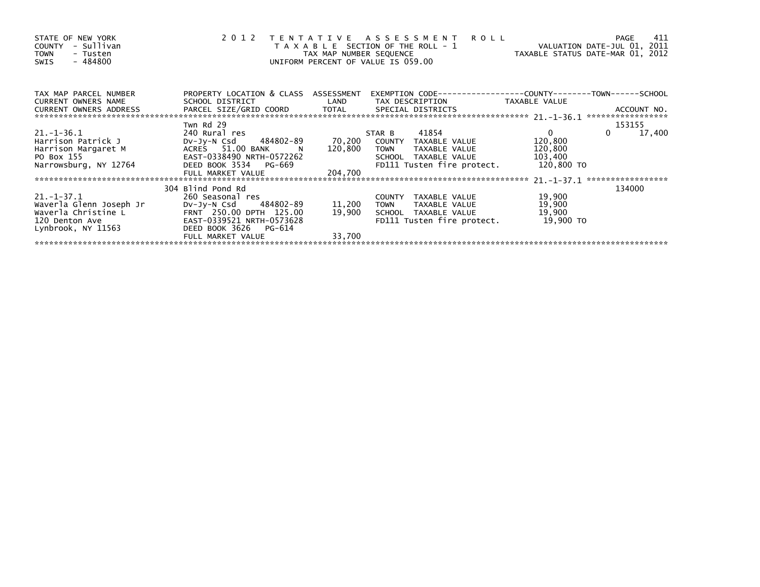| STATE OF NEW YORK<br>- Sullivan<br><b>COUNTY</b><br><b>TOWN</b><br>- Tusten<br>$-484800$<br><b>SWIS</b> | 2012                                 | TAX MAP NUMBER SEQUENCE | TENTATIVE ASSESSMENT<br><b>ROLL</b><br>T A X A B L E SECTION OF THE ROLL - 1<br>UNIFORM PERCENT OF VALUE IS 059.00 | TAXABLE STATUS DATE-MAR 01, 2012 | 411<br><b>PAGE</b><br>VALUATION DATE-JUL 01, 2011 |
|---------------------------------------------------------------------------------------------------------|--------------------------------------|-------------------------|--------------------------------------------------------------------------------------------------------------------|----------------------------------|---------------------------------------------------|
| TAX MAP PARCEL NUMBER                                                                                   | PROPERTY LOCATION & CLASS ASSESSMENT |                         |                                                                                                                    |                                  |                                                   |
| <b>CURRENT OWNERS NAME</b><br>CURRENT OWNERS ADDRESS<br>***********************************             | SCHOOL DISTRICT                      | LAND                    | TAX DESCRIPTION                                                                                                    | TAXABLE VALUE                    |                                                   |
|                                                                                                         | Twn Rd 29                            |                         |                                                                                                                    |                                  | 153155                                            |
| $21. - 1 - 36.1$                                                                                        | 240 Rural res                        |                         | 41854<br>STAR B                                                                                                    | $\overline{0}$                   | 17,400<br>$\Omega$                                |
| Harrison Patrick J                                                                                      | DV-JV-N Csd 484802-89                | 70,200                  | COUNTY TAXABLE VALUE                                                                                               | 120,800                          |                                                   |
| Harrison Margaret M                                                                                     | ACRES 51.00 BANK                     | 120,800                 | <b>TOWN</b><br>TAXABLE VALUE                                                                                       | 120,800                          |                                                   |
| PO Box 155                                                                                              | EAST-0338490 NRTH-0572262            |                         | SCHOOL TAXABLE VALUE                                                                                               | 103,400                          |                                                   |
| Narrowsburg, NY 12764                                                                                   | DEED BOOK 3534 PG-669                |                         | FD111 Tusten fire protect.                                                                                         | 120,800 TO                       |                                                   |
|                                                                                                         | FULL MARKET VALUE                    | 204,700                 |                                                                                                                    |                                  |                                                   |
|                                                                                                         |                                      |                         |                                                                                                                    |                                  | *****************                                 |
|                                                                                                         | 304 Blind Pond Rd                    |                         |                                                                                                                    |                                  | 134000                                            |
| 21.-1-37.1                                                                                              | 260 Seasonal res                     |                         | COUNTY TAXABLE VALUE                                                                                               | 19,900                           |                                                   |
| Waverla Glenn Joseph Jr                                                                                 | DV-Jy-N Csd 484802-89                | 11,200                  | TAXABLE VALUE<br>TOWN                                                                                              | 19,900                           |                                                   |
| Waverla Christine L                                                                                     | FRNT 250.00 DPTH 125.00              | 19,900                  | SCHOOL TAXABLE VALUE                                                                                               | 19,900                           |                                                   |
| 120 Denton Ave                                                                                          | EAST-0339521 NRTH-0573628            |                         | FD111 Tusten fire protect.                                                                                         | 19,900 TO                        |                                                   |
| Lynbrook, NY 11563                                                                                      | DEED BOOK 3626<br>PG-614             |                         |                                                                                                                    |                                  |                                                   |
|                                                                                                         | FULL MARKET VALUE                    | 33,700                  |                                                                                                                    |                                  |                                                   |
|                                                                                                         |                                      |                         |                                                                                                                    |                                  |                                                   |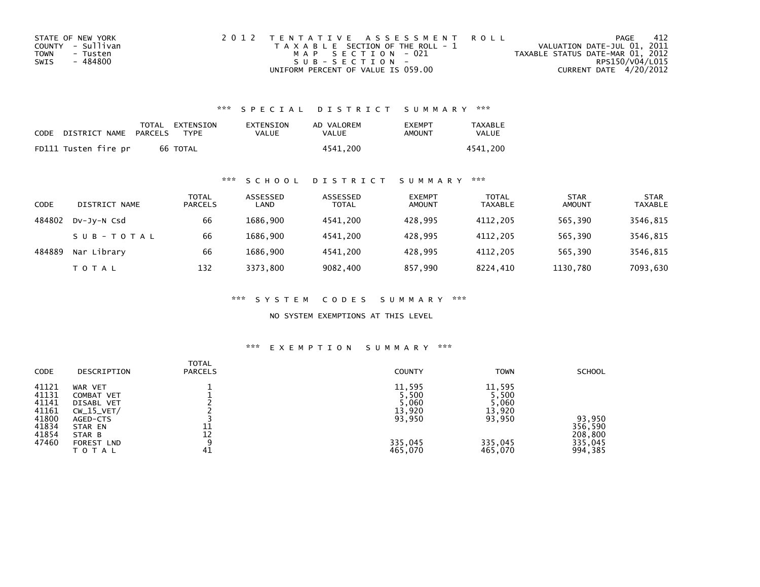| STATE OF NEW YORK | 2012 TENTATIVE ASSESSMENT ROLL        | PAGE                             | -412            |
|-------------------|---------------------------------------|----------------------------------|-----------------|
| COUNTY - Sullivan | T A X A B L E SECTION OF THE ROLL - 1 | VALUATION DATE-JUL 01, 2011      |                 |
| TOWN<br>- Tusten  | MAP SECTION - 021                     | TAXABLE STATUS DATE-MAR 01, 2012 |                 |
| - 484800<br>SWIS  | $SUB - SECTION -$                     |                                  | RPS150/V04/L015 |
|                   | UNIFORM PERCENT OF VALUE IS 059.00    | CURRENT DATE 4/20/2012           |                 |

### \*\*\* S P E C I A L D I S T R I C T S U M M A R Y \*\*\*

| CODE | DISTRICT NAME        | PARCELS | TOTAL EXTENSION<br><b>TYPF</b> | EXTENSION<br>VALUE | AD VALOREM<br>VALUE | <b>FXFMPT</b><br>AMOUNT | <b>TAXABLE</b><br><b>VALUE</b> |
|------|----------------------|---------|--------------------------------|--------------------|---------------------|-------------------------|--------------------------------|
|      | FD111 Tusten fire pr |         | 66 TOTAL                       |                    | 4541.200            |                         | 4541.200                       |

### \*\*\* S C H O O L D I S T R I C T S U M M A R Y \*\*\*

| CODE   | DISTRICT NAME | <b>TOTAL</b><br><b>PARCELS</b> | ASSESSED<br>LAND | ASSESSED<br><b>TOTAL</b> | <b>EXEMPT</b><br><b>AMOUNT</b> | <b>TOTAL</b><br><b>TAXABLE</b> | <b>STAR</b><br><b>AMOUNT</b> | <b>STAR</b><br><b>TAXABLE</b> |
|--------|---------------|--------------------------------|------------------|--------------------------|--------------------------------|--------------------------------|------------------------------|-------------------------------|
| 484802 | DV-JV-N Csd   | 66                             | 1686.900         | 4541.200                 | 428.995                        | 4112.205                       | 565.390                      | 3546,815                      |
|        | SUB-TOTAL     | 66                             | 1686.900         | 4541.200                 | 428,995                        | 4112.205                       | 565,390                      | 3546,815                      |
| 484889 | Nar Library   | 66                             | 1686.900         | 4541.200                 | 428.995                        | 4112.205                       | 565.390                      | 3546,815                      |
|        | <b>TOTAL</b>  | 132                            | 3373.800         | 9082,400                 | 857,990                        | 8224.410                       | 1130,780                     | 7093,630                      |

\*\*\* S Y S T E M C O D E S S U M M A R Y \*\*\*

NO SYSTEM EXEMPTIONS AT THIS LEVEL

## \*\*\* E X E M P T I O N S U M M A R Y \*\*\*

| <b>CODE</b>                                        | DESCRIPTION                                                                | TOTAL<br><b>PARCELS</b> | <b>COUNTY</b>                                | <b>TOWN</b>                                  | <b>SCHOOL</b>                 |
|----------------------------------------------------|----------------------------------------------------------------------------|-------------------------|----------------------------------------------|----------------------------------------------|-------------------------------|
| 41121<br>41131<br>41141<br>41161<br>41800<br>41834 | WAR VET<br>COMBAT VET<br>DISABL VET<br>$CW_15_VET/$<br>AGED-CTS<br>STAR EN | 11                      | 11,595<br>5,500<br>5,060<br>13,920<br>93,950 | 11,595<br>5,500<br>5,060<br>13,920<br>93,950 | 93,950<br>356,590             |
| 41854<br>47460                                     | STAR B<br>FOREST LND<br>TOTAL                                              | 12<br>a<br>41           | 335,045<br>465,070                           | 335,045<br>465,070                           | 208,800<br>335,045<br>994,385 |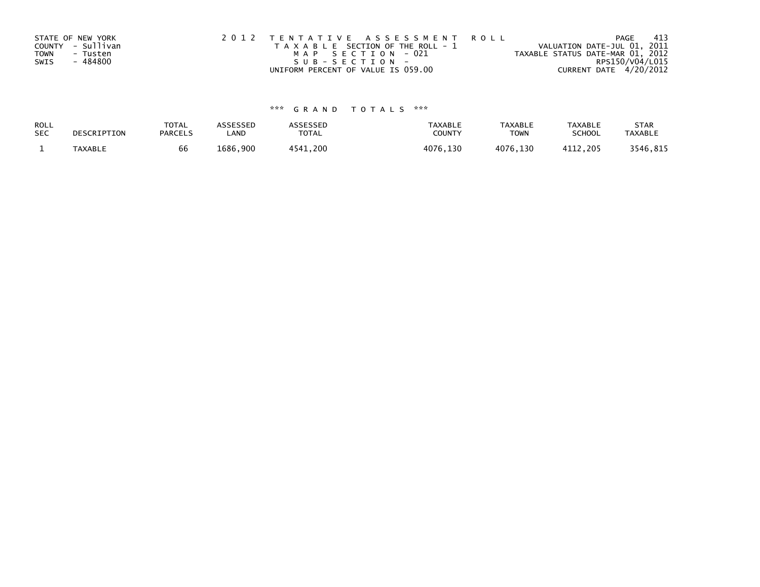| STATE OF NEW YORK | 2012 TENTATIVE ASSESSMENT ROLL        | - 413<br>PAGE                    |
|-------------------|---------------------------------------|----------------------------------|
| COUNTY - Sullivan | T A X A B L E SECTION OF THE ROLL - 1 | VALUATION DATE-JUL 01, 2011      |
| TOWN<br>- Tusten  | MAP SECTION - 021                     | TAXABLE STATUS DATE-MAR 01, 2012 |
| - 484800<br>SWIS  | $SUB - SECTION -$                     | RPS150/V04/L015                  |
|                   | UNIFORM PERCENT OF VALUE IS 059.00    | CURRENT DATE 4/20/2012           |

# \*\*\* G R A N D T O T A L S \*\*\*

| ROLL       | DESCRIPTION    | <b>TOTAL</b>   | ASSESSED | <b>ASSESSED</b> | <b>TAXABLE</b> | <b>TAXABLE</b> | <b>TAXABLE</b> | <b>STAR</b>    |
|------------|----------------|----------------|----------|-----------------|----------------|----------------|----------------|----------------|
| <b>SEC</b> |                | <b>PARCELS</b> | LAND     | TOTAL           | <b>COUNTY</b>  | <b>TOWN</b>    | <b>SCHOOL</b>  | <b>TAXABLE</b> |
|            | <b>TAXABLE</b> | bb             | 1686.900 | 4541.200        | 4076,130       | 4076,130       | 4112.205       | 3546,815       |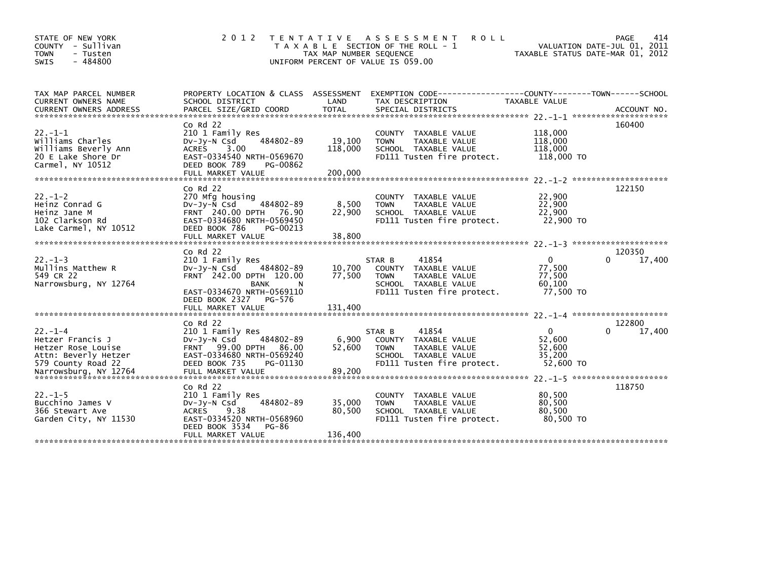| STATE OF NEW YORK<br>COUNTY<br>- Sullivan<br>- Tusten<br>TOWN<br>$-484800$<br>SWIS                    | 2 0 1 2                                                                                                                                                             | T E N T A T I V E<br>TAX MAP NUMBER SEQUENCE | A S S E S S M E N T<br><b>ROLL</b><br>T A X A B L E SECTION OF THE ROLL - 1<br>UNIFORM PERCENT OF VALUE IS 059.00             | TAXABLE STATUS DATE-MAR 01, 2012                    | 414<br>PAGE<br>VALUATION DATE-JUL 01, 2011 |
|-------------------------------------------------------------------------------------------------------|---------------------------------------------------------------------------------------------------------------------------------------------------------------------|----------------------------------------------|-------------------------------------------------------------------------------------------------------------------------------|-----------------------------------------------------|--------------------------------------------|
| TAX MAP PARCEL NUMBER<br><b>CURRENT OWNERS NAME</b>                                                   | SCHOOL DISTRICT                                                                                                                                                     | LAND                                         | PROPERTY LOCATION & CLASS ASSESSMENT EXEMPTION CODE----------------COUNTY-------TOWN------SCHOOL<br>TAX DESCRIPTION           | <b>TAXABLE VALUE</b>                                |                                            |
| $22. -1 - 1$<br>Williams Charles<br>Williams Beverly Ann<br>20 E Lake Shore Dr<br>Carmel, NY 10512    | $Co$ Rd $22$<br>210 1 Family Res<br>484802-89<br>DV-Jy-N Csd<br>ACRES 3.00<br>EAST-0334540 NRTH-0569670<br>DEED BOOK 789<br>PG-00862                                | 19,100<br>118,000                            | TAXABLE VALUE<br><b>COUNTY</b><br>TAXABLE VALUE<br><b>TOWN</b><br>SCHOOL TAXABLE VALUE<br>FD111 Tusten fire protect.          | 118,000<br>118,000<br>118,000<br>118,000 TO         | 160400                                     |
|                                                                                                       |                                                                                                                                                                     |                                              |                                                                                                                               |                                                     |                                            |
| $22. - 1 - 2$<br>Heinz Conrad G<br>Heinz Jane M<br>102 Clarkson Rd<br>Lake Carmel, NY 10512           | $Co$ Rd $22$<br>270 Mfg housing<br>484802-89<br>DV-Jy-N Csd<br>FRNT 240.00 DPTH 76.90<br>EAST-0334680 NRTH-0569450<br>DEED BOOK 786<br>PG-00213                     | 8,500<br>22,900                              | COUNTY TAXABLE VALUE<br>TAXABLE VALUE<br><b>TOWN</b><br>SCHOOL TAXABLE VALUE<br>FD111 Tusten fire protect.                    | 22,900<br>22,900<br>22,900<br>22,900 TO             | 122150                                     |
|                                                                                                       | FULL MARKET VALUE                                                                                                                                                   | 38,800                                       |                                                                                                                               |                                                     |                                            |
|                                                                                                       |                                                                                                                                                                     |                                              |                                                                                                                               |                                                     |                                            |
| $22. - 1 - 3$<br>Mullins Matthew R<br>549 CR 22<br>Narrowsburg, NY 12764                              | $Co$ Rd $22$<br>210 1 Family Res<br>484802-89<br>DV-Jy-N Csd<br>FRNT 242.00 DPTH 120.00<br><b>BANK</b><br>N<br>EAST-0334670 NRTH-0569110<br>DEED BOOK 2327 PG-576   | 10,700<br>77,500                             | 41854<br>STAR B<br>COUNTY TAXABLE VALUE<br>TAXABLE VALUE<br><b>TOWN</b><br>SCHOOL TAXABLE VALUE<br>FD111 Tusten fire protect. | $\Omega$<br>77,500<br>77,500<br>60,100<br>77,500 TO | 120350<br>0<br>17,400                      |
|                                                                                                       |                                                                                                                                                                     |                                              |                                                                                                                               |                                                     |                                            |
|                                                                                                       | $Co$ Rd $22$                                                                                                                                                        |                                              |                                                                                                                               |                                                     | 122800                                     |
| $22. - 1 - 4$<br>Hetzer Francis J<br>Hetzer Rose Louise<br>Attn: Beverly Hetzer<br>579 County Road 22 | 210 1 Family Res<br>484802-89<br>$Dv-Jy-N$ Csd<br>FRNT 99.00 DPTH 86.00<br>EAST-0334680 NRTH-0569240<br>DEED BOOK 735<br>PG-01130                                   | 6,900<br>52,600                              | 41854<br>STAR B<br>COUNTY TAXABLE VALUE<br><b>TOWN</b><br>TAXABLE VALUE<br>SCHOOL TAXABLE VALUE<br>FD111 Tusten fire protect. | $\Omega$<br>52,600<br>52,600<br>35,200<br>52,600 TO | 17,400                                     |
|                                                                                                       |                                                                                                                                                                     |                                              |                                                                                                                               |                                                     |                                            |
| $22. -1 - 5$<br>Bucchino James V<br>366 Stewart Ave<br>Garden City, NY 11530                          | $Co$ Rd $22$<br>210 1 Family Res<br>484802-89<br>$Dv-Jy-N$ Csd<br><b>ACRES</b><br>9.38<br>EAST-0334520 NRTH-0568960<br>DEED BOOK 3534<br>PG-86<br>FULL MARKET VALUE | 35,000<br>80,500<br>136,400                  | <b>COUNTY</b><br>TAXABLE VALUE<br>TAXABLE VALUE<br><b>TOWN</b><br>SCHOOL TAXABLE VALUE<br>FD111 Tusten fire protect.          | 80,500<br>80,500<br>80.500<br>80.500 TO             | 118750                                     |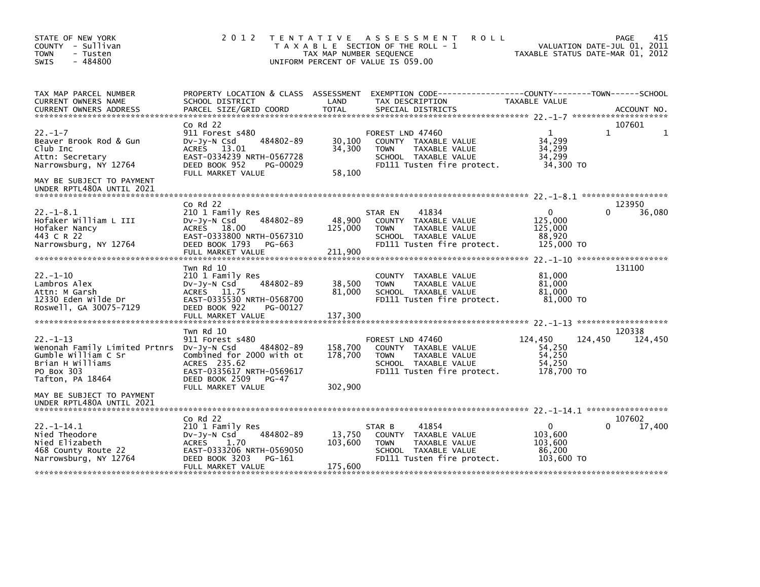| STATE OF NEW YORK<br>COUNTY - Sullivan<br>- Tusten<br><b>TOWN</b><br>$-484800$<br>SWIS                                                                                                             | 2 0 1 2                                                                                                                                                            | TAX MAP NUMBER SEQUENCE       | TENTATIVE ASSESSMENT<br><b>ROLL</b><br>T A X A B L E SECTION OF THE ROLL - 1<br>UNIFORM PERCENT OF VALUE IS 059.00                       | TAXABLE STATUS DATE-MAR 01, 2012                               | 415<br>PAGE<br>VALUATION DATE-JUL 01, 2011 |
|----------------------------------------------------------------------------------------------------------------------------------------------------------------------------------------------------|--------------------------------------------------------------------------------------------------------------------------------------------------------------------|-------------------------------|------------------------------------------------------------------------------------------------------------------------------------------|----------------------------------------------------------------|--------------------------------------------|
| TAX MAP PARCEL NUMBER<br>CURRENT OWNERS NAME<br>CURRENT OWNERS ADDRESS                                                                                                                             | SCHOOL DISTRICT<br>PARCEL SIZE/GRID COORD                                                                                                                          | LAND<br>TOTAL                 | PROPERTY LOCATION & CLASS ASSESSMENT EXEMPTION CODE-----------------COUNTY-------TOWN-----SCHOOL<br>TAX DESCRIPTION<br>SPECIAL DISTRICTS | TAXABLE VALUE                                                  | ACCOUNT NO.                                |
| $22. - 1 - 7$<br>Beaver Brook Rod & Gun<br>Club Inc<br>Attn: Secretary<br>Narrowsburg, NY 12764<br>MAY BE SUBJECT TO PAYMENT<br>UNDER RPTL480A UNTIL 2021                                          | $CO$ Rd $22$<br>911 Forest s480<br>484802-89<br>$Dv-Jv-N$ Csd<br>ACRES 13.01<br>EAST-0334239 NRTH-0567728<br>DEED BOOK 952<br>PG-00029<br>FULL MARKET VALUE        | 30,100<br>34,300<br>58,100    | FOREST LND 47460<br>COUNTY TAXABLE VALUE<br><b>TOWN</b><br>TAXABLE VALUE<br>SCHOOL TAXABLE VALUE<br>FD111 Tusten fire protect.           | 1<br>34,299<br>34.299<br>34,299<br>34,300 TO                   | 107601<br>$\mathbf{1}$<br>1                |
| $22. -1 - 8.1$<br>Hofaker William L III<br>Hofaker Nancy<br>443 C R 22<br>Narrowsburg, NY 12764                                                                                                    | $CO$ Rd $22$<br>210 1 Family Res<br>484802-89<br>DV-Jy-N Csd<br>ACRES 18.00<br>EAST-0333800 NRTH-0567310<br>DEED BOOK 1793 PG-663<br>FULL MARKET VALUE             | 48,900<br>125,000<br>211,900  | 41834<br>STAR EN<br>COUNTY TAXABLE VALUE<br>TAXABLE VALUE<br><b>TOWN</b><br>SCHOOL TAXABLE VALUE<br>FD111 Tusten fire protect.           | $\Omega$<br>125,000<br>125,000<br>88,920<br>125,000 TO         | 123950<br>36,080<br>0                      |
| $22. - 1 - 10$<br>Lambros Alex<br>Attn: M Garsh<br>12330 Eden wilde Dr<br>Roswell, GA 30075-7129                                                                                                   | Twn Rd 10<br>210 1 Family Res<br>484802-89<br>$Dv-Jy-N$ Csd<br>ACRES 11.75<br>EAST-0335530 NRTH-0568700<br>DEED BOOK 922<br>PG-00127<br>FULL MARKET VALUE          | 38,500<br>81,000<br>137,300   | COUNTY TAXABLE VALUE<br>TAXABLE VALUE<br><b>TOWN</b><br>SCHOOL TAXABLE VALUE<br>FD111 Tusten fire protect.                               | 81,000<br>81.000<br>81,000<br>81,000 TO                        | 131100                                     |
| $22. - 1 - 13$<br>Wenonah Family Limited Prtnrs DV-Jy-N Csd<br>Gumble William C Sr<br>Brian H Williams<br>PO Box 303<br>Tafton, PA 18464<br>MAY BE SUBJECT TO PAYMENT<br>UNDER RPTL480A UNTIL 2021 | Twn Rd 10<br>911 Forest s480<br>484802-89<br>Combined for 2000 with ot<br>ACRES 235.62<br>EAST-0335617 NRTH-0569617<br>DEED BOOK 2509 PG-47<br>FULL MARKET VALUE   | 158,700<br>178,700<br>302,900 | FOREST LND 47460<br>COUNTY TAXABLE VALUE<br>TAXABLE VALUE<br><b>TOWN</b><br>SCHOOL TAXABLE VALUE<br>FD111 Tusten fire protect.           | 124,450<br>124,450<br>54,250<br>54,250<br>54.250<br>178,700 TO | 120338<br>124,450                          |
| $22. -1 - 14.1$<br>Nied Theodore<br>Nied Elizabeth<br>468 County Route 22<br>Narrowsburg, NY 12764                                                                                                 | $Co$ Rd $22$<br>210 1 Family Res<br>484802-89<br>DV-Jy-N Csd<br><b>ACRES</b><br>1.70<br>EAST-0333206 NRTH-0569050<br>DEED BOOK 3203<br>PG-161<br>FULL MARKET VALUE | 13,750<br>103,600<br>175,600  | 41854<br>STAR B<br>COUNTY TAXABLE VALUE<br>TAXABLE VALUE<br><b>TOWN</b><br>SCHOOL TAXABLE VALUE<br>FD111 Tusten fire protect.            | $\mathbf{0}$<br>103.600<br>103,600<br>86,200<br>103,600 TO     | 107602<br>17,400<br><sup>0</sup>           |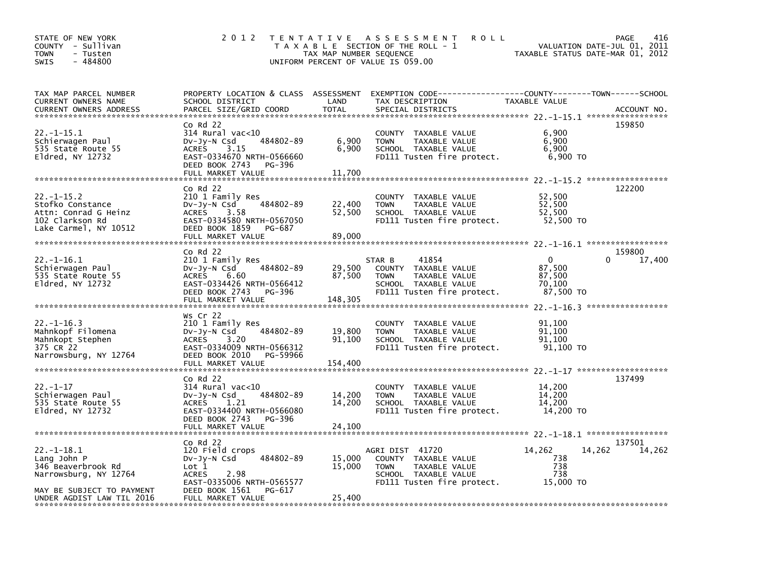| STATE OF NEW YORK<br>COUNTY - Sullivan<br><b>TOWN</b><br>- Tusten<br>$-484800$<br><b>SWIS</b>                                           | 2 0 1 2                                                                                                                                                                                 | TAX MAP NUMBER SEQUENCE     | TENTATIVE ASSESSMENT<br><b>ROLL</b><br>T A X A B L E SECTION OF THE ROLL - 1<br>UNIFORM PERCENT OF VALUE IS 059.00                       | TAXABLE STATUS DATE-MAR 01, 2012                    | 416<br>PAGE<br>VALUATION DATE-JUL 01, 2011 |
|-----------------------------------------------------------------------------------------------------------------------------------------|-----------------------------------------------------------------------------------------------------------------------------------------------------------------------------------------|-----------------------------|------------------------------------------------------------------------------------------------------------------------------------------|-----------------------------------------------------|--------------------------------------------|
| TAX MAP PARCEL NUMBER<br><b>CURRENT OWNERS NAME</b><br><b>CURRENT OWNERS ADDRESS</b>                                                    | SCHOOL DISTRICT<br>PARCEL SIZE/GRID COORD                                                                                                                                               | LAND<br><b>TOTAL</b>        | PROPERTY LOCATION & CLASS ASSESSMENT EXEMPTION CODE----------------COUNTY-------TOWN------SCHOOL<br>TAX DESCRIPTION<br>SPECIAL DISTRICTS | TAXABLE VALUE                                       | ACCOUNT NO.                                |
| 22.-1-15.1<br>Schierwagen Paul<br>535 State Route 55<br>Eldred, NY 12732                                                                | $co$ Rd 22<br>314 Rural vac<10<br>484802-89<br>$Dv-Jy-N$ Csd<br><b>ACRES</b><br>3.15<br>EAST-0334670 NRTH-0566660<br>DEED BOOK 2743<br>PG-396<br>FULL MARKET VALUE                      | 6,900<br>6,900<br>11,700    | COUNTY TAXABLE VALUE<br>TAXABLE VALUE<br><b>TOWN</b><br>SCHOOL TAXABLE VALUE<br>FD111 Tusten fire protect.                               | 6,900<br>6,900<br>6,900<br>6,900 TO                 | 159850                                     |
| $22. -1 - 15.2$<br>Stofko Constance<br>Attn: Conrad G Heinz<br>102 Clarkson Rd<br>Lake Carmel, NY 10512                                 | Co Rd 22<br>210 1 Family Res<br>484802-89<br>$Dv-Jy-N$ Csd<br><b>ACRES</b><br>3.58<br>EAST-0334580 NRTH-0567050<br>DEED BOOK 1859<br>PG-687<br>FULL MARKET VALUE                        | 22,400<br>52,500<br>89,000  | <b>COUNTY</b><br>TAXABLE VALUE<br><b>TOWN</b><br>TAXABLE VALUE<br>SCHOOL TAXABLE VALUE<br>FD111 Tusten fire protect.                     | 52,500<br>52.500<br>52,500<br>52,500 TO             | 122200                                     |
| 22.-1-16.1<br>Schierwagen Paul<br>535 State Route 55<br>E1dred, NY 12732                                                                | $Co$ Rd $22$<br>210 1 Family Res<br>484802-89<br>DV-Jy-N Csd<br><b>ACRES</b><br>6.60<br>EAST-0334426 NRTH-0566412<br>DEED BOOK 2743<br>PG-396<br>FULL MARKET VALUE                      | 29,500<br>87,500<br>148,305 | 41854<br>STAR B<br>COUNTY TAXABLE VALUE<br><b>TOWN</b><br>TAXABLE VALUE<br>SCHOOL TAXABLE VALUE<br>FD111 Tusten fire protect.            | $\Omega$<br>87,500<br>87,500<br>70,100<br>87,500 TO | 159800<br>17,400<br>0                      |
| $22. - 1 - 16.3$<br>Mahnkopf Filomena<br>Mahnkopt Stephen<br>375 CR 22<br>Narrowsburg, NY 12764                                         | Ws Cr 22<br>210 1 Family Res<br>484802-89<br>DV-Jy-N Csd<br>3.20<br><b>ACRES</b><br>EAST-0334009 NRTH-0566312<br>DEED BOOK 2010<br>PG-59966<br>FULL MARKET VALUE                        | 19,800<br>91,100<br>154,400 | TAXABLE VALUE<br><b>COUNTY</b><br>TAXABLE VALUE<br><b>TOWN</b><br>SCHOOL TAXABLE VALUE<br>FD111 Tusten fire protect.                     | 91,100<br>91,100<br>91,100<br>91,100 TO             |                                            |
| $22. - 1 - 17$<br>Schierwagen Paul<br>535 State Route 55<br>E1dred, NY 12732                                                            | Co Rd 22<br>314 Rural vac<10<br>DV-Jy-N Csd<br>484802-89<br><b>ACRES</b><br>1.21<br>EAST-0334400 NRTH-0566080<br>DEED BOOK 2743<br>PG-396<br>FULL MARKET VALUE                          | 14,200<br>14,200<br>24,100  | <b>COUNTY</b><br>TAXABLE VALUE<br>TAXABLE VALUE<br><b>TOWN</b><br>SCHOOL TAXABLE VALUE<br>FD111 Tusten fire protect.                     | 14,200<br>14,200<br>14,200<br>14,200 TO             | 137499                                     |
| $22. -1 - 18.1$<br>Lang John P<br>346 Beaverbrook Rd<br>Narrowsburg, NY 12764<br>MAY BE SUBJECT TO PAYMENT<br>UNDER AGDIST LAW TIL 2016 | $Co$ Rd $22$<br>120 Field crops<br>484802-89<br>$Dv-Jy-N$ Csd<br>$\mathsf{Lot} 1$<br><b>ACRES</b><br>2.98<br>EAST-0335006 NRTH-0565577<br>DEED BOOK 1561<br>PG-617<br>FULL MARKET VALUE | 15,000<br>15,000<br>25,400  | AGRI DIST 41720<br>COUNTY TAXABLE VALUE<br><b>TOWN</b><br>TAXABLE VALUE<br>SCHOOL TAXABLE VALUE<br>FD111 Tusten fire protect.            | 14,262<br>738<br>738<br>738<br>15,000 TO            | 137501<br>14,262<br>14,262                 |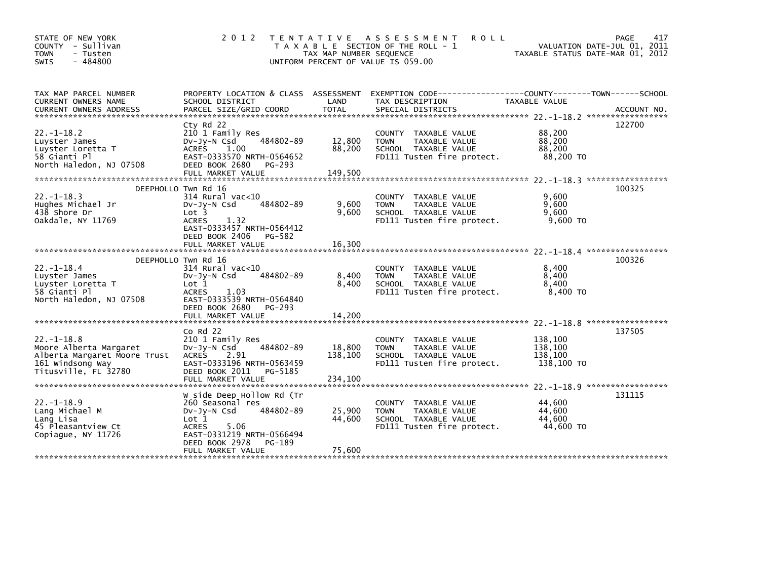| STATE OF NEW YORK<br>- Sullivan<br><b>COUNTY</b><br><b>TOWN</b><br>- Tusten<br>$-484800$<br><b>SWIS</b>                                                 | 2012                                                                                                                                                                                     | TAX MAP NUMBER SEQUENCE<br>UNIFORM PERCENT OF VALUE IS 059.00 | TENTATIVE ASSESSMENT<br><b>ROLL</b><br>T A X A B L E SECTION OF THE ROLL - 1                                                            | TAXABLE STATUS DATE-MAR 01, 2012                                                  | 417<br><b>PAGE</b><br>VALUATION DATE-JUL 01, 2011 |
|---------------------------------------------------------------------------------------------------------------------------------------------------------|------------------------------------------------------------------------------------------------------------------------------------------------------------------------------------------|---------------------------------------------------------------|-----------------------------------------------------------------------------------------------------------------------------------------|-----------------------------------------------------------------------------------|---------------------------------------------------|
| TAX MAP PARCEL NUMBER<br>CURRENT OWNERS NAME<br><b>CURRENT OWNERS ADDRESS</b>                                                                           | SCHOOL DISTRICT<br>PARCEL SIZE/GRID COORD<br>Cty Rd 22                                                                                                                                   | LAND<br><b>TOTAL</b>                                          | PROPERTY LOCATION & CLASS ASSESSMENT EXEMPTION CODE---------------COUNTY-------TOWN------SCHOOL<br>TAX DESCRIPTION<br>SPECIAL DISTRICTS | TAXABLE VALUE                                                                     | ACCOUNT NO.<br>122700                             |
| $22. -1 - 18.2$<br>Luyster James<br>Luyster Loretta T<br>58 Gianti Pl<br>North Haledon, NJ 07508                                                        | 210 1 Family Res<br>484802-89<br>DV-Jy-N Csd<br><b>ACRES</b><br>1.00<br>EAST-0333570 NRTH-0564652<br>DEED BOOK 2680<br>PG-293                                                            | 12,800<br>88,200<br>149,500                                   | COUNTY TAXABLE VALUE<br>TAXABLE VALUE<br><b>TOWN</b><br>SCHOOL TAXABLE VALUE<br>FD111 Tusten fire protect.                              | 88,200<br>88,200<br>88,200<br>88,200 TO                                           |                                                   |
|                                                                                                                                                         | FULL MARKET VALUE                                                                                                                                                                        |                                                               |                                                                                                                                         |                                                                                   |                                                   |
| $22. -1 - 18.3$<br>Hughes Michael Jr<br>438 Shore Dr<br>Oakdale, NY 11769                                                                               | DEEPHOLLO Twn Rd 16<br>$314$ Rural vac<10<br>484802-89<br>DV-Jy-N Csd<br>Lot <sub>3</sub><br>1.32<br><b>ACRES</b><br>EAST-0333457 NRTH-0564412<br>DEED BOOK 2406<br>PG-582               | 9,600<br>9.600                                                | <b>COUNTY</b><br>TAXABLE VALUE<br><b>TAXABLE VALUE</b><br><b>TOWN</b><br>SCHOOL TAXABLE VALUE<br>FD111 Tusten fire protect.             | 9,600<br>9.600<br>9.600<br>$9,600$ TO                                             | 100325                                            |
|                                                                                                                                                         | FULL MARKET VALUE                                                                                                                                                                        | 16,300                                                        |                                                                                                                                         |                                                                                   |                                                   |
| $22. - 1 - 18.4$<br>Luyster James<br>Luyster Loretta T<br>58 Gianti Pl<br>North Haledon, NJ 07508                                                       | DEEPHOLLO Twn Rd 16<br>$314$ Rural vac< $10$<br>484802-89<br>DV-Jy-N Csd<br>Lot 1<br><b>ACRES</b><br>1.03<br>EAST-0333539 NRTH-0564840<br>DEED BOOK 2680<br>PG-293                       | 8,400<br>8,400                                                | COUNTY TAXABLE VALUE<br>TAXABLE VALUE<br><b>TOWN</b><br>SCHOOL TAXABLE VALUE<br>FD111 Tusten fire protect.                              | 8,400<br>8,400<br>8,400<br>8,400 TO                                               | 100326                                            |
|                                                                                                                                                         |                                                                                                                                                                                          |                                                               |                                                                                                                                         |                                                                                   |                                                   |
| $22. -1 - 18.8$<br>Moore Alberta Margaret<br>Alberta Margaret Moore Trust<br>161 Windsong Way<br>Titusville, FL 32780<br>****************************** | $Co$ Rd $22$<br>210 1 Family Res<br>484802-89<br>DV-Jy-N Csd<br><b>ACRES</b><br>2.91<br>EAST-0333196 NRTH-0563459<br>DEED BOOK 2011<br>PG-5185<br>FULL MARKET VALUE                      | 18,800<br>138,100<br>234.100                                  | <b>COUNTY</b><br>TAXABLE VALUE<br>TAXABLE VALUE<br><b>TOWN</b><br>SCHOOL TAXABLE VALUE<br>FD111 Tusten fire protect.                    | 138,100<br>138,100<br>138,100<br>138,100 TO<br>$22. -1 - 18.9$ ****************** | 137505                                            |
| $22. -1 - 18.9$<br>Lang Michael M<br>Lang Lisa<br>45 Pleasantview Ct<br>Copiaque, NY 11726                                                              | W side Deep Hollow Rd (Tr<br>260 Seasonal res<br>DV-Jy-N Csd<br>484802-89<br>Lot 1<br><b>ACRES</b><br>5.06<br>EAST-0331219 NRTH-0566494<br>DEED BOOK 2978<br>PG-189<br>FULL MARKET VALUE | 25,900<br>44,600<br>75,600                                    | COUNTY TAXABLE VALUE<br><b>TAXABLE VALUE</b><br><b>TOWN</b><br>SCHOOL TAXABLE VALUE<br>FD111 Tusten fire protect.                       | 44,600<br>44.600<br>44,600<br>44,600 TO                                           | 131115                                            |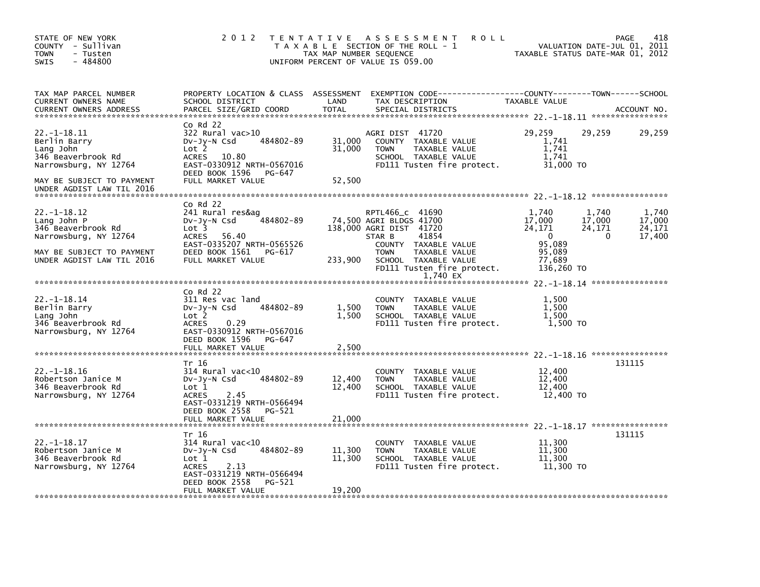| STATE OF NEW YORK<br>COUNTY - Sullivan<br><b>TOWN</b><br>- Tusten<br>$-484800$<br><b>SWIS</b>                                            | 2 0 1 2                                                                                                                                                                             | TAX MAP NUMBER SEQUENCE    | TENTATIVE ASSESSMENT<br><b>ROLL</b><br>T A X A B L E SECTION OF THE ROLL - 1<br>UNIFORM PERCENT OF VALUE IS 059.00                                                                                     |                                                                                   | 418<br>PAGE<br>VALUATION DATE-JUL 01, 2011<br>TAXABLE STATUS DATE-MAR 01, 2012 |
|------------------------------------------------------------------------------------------------------------------------------------------|-------------------------------------------------------------------------------------------------------------------------------------------------------------------------------------|----------------------------|--------------------------------------------------------------------------------------------------------------------------------------------------------------------------------------------------------|-----------------------------------------------------------------------------------|--------------------------------------------------------------------------------|
| TAX MAP PARCEL NUMBER<br>CURRENT OWNERS NAME<br><b>CURRENT OWNERS ADDRESS</b>                                                            | PROPERTY LOCATION & CLASS ASSESSMENT<br>SCHOOL DISTRICT<br>PARCEL SIZE/GRID COORD                                                                                                   | LAND<br><b>TOTAL</b>       | EXEMPTION CODE-----------------COUNTY-------TOWN------SCHOOL<br>TAX DESCRIPTION<br>SPECIAL DISTRICTS                                                                                                   | TAXABLE VALUE                                                                     | ACCOUNT NO.                                                                    |
| $22. -1 - 18.11$<br>Berlin Barry<br>Lang John<br>346 Beaverbrook Rd<br>Narrowsburg, NY 12764<br>MAY BE SUBJECT TO PAYMENT                | $Co$ Rd $22$<br>$322$ Rural vac $>10$<br>484802-89<br>$Dv-Jy-N$ Csd<br>Lot 2<br>10.80<br><b>ACRES</b><br>EAST-0330912 NRTH-0567016<br>DEED BOOK 1596<br>PG-647<br>FULL MARKET VALUE | 31,000<br>31,000<br>52,500 | AGRI DIST 41720<br>COUNTY TAXABLE VALUE<br><b>TOWN</b><br>TAXABLE VALUE<br>SCHOOL TAXABLE VALUE<br>FD111 Tusten fire protect.                                                                          | 29,259<br>1,741<br>1,741<br>1.741<br>31,000 TO                                    | 29,259<br>29,259                                                               |
| UNDER AGDIST LAW TIL 2016                                                                                                                |                                                                                                                                                                                     |                            |                                                                                                                                                                                                        |                                                                                   |                                                                                |
| $22. -1 - 18.12$<br>Lang John P<br>346 Beaverbrook Rd<br>Narrowsburg, NY 12764<br>MAY BE SUBJECT TO PAYMENT<br>UNDER AGDIST LAW TIL 2016 | $Co$ Rd $22$<br>241 Rural res&ag<br>484802-89<br>$Dv-Jy-N$ Csd<br>Lot <sub>3</sub><br>56.40<br>ACRES<br>EAST-0335207 NRTH-0565526<br>DEED BOOK 1561<br>PG-617<br>FULL MARKET VALUE  | 233,900                    | RPTL466_c 41690<br>74,500 AGRI BLDGS 41700<br>138,000 AGRI DIST 41720<br>41854<br>STAR B<br>COUNTY TAXABLE VALUE<br>TAXABLE VALUE<br><b>TOWN</b><br>SCHOOL TAXABLE VALUE<br>FD111 Tusten fire protect. | 1,740<br>17,000<br>24,171<br>$\Omega$<br>95,089<br>95,089<br>77,689<br>136,260 TO | 1.740<br>1,740<br>17,000<br>17.000<br>24,171<br>24,171<br>17,400<br>0          |
|                                                                                                                                          |                                                                                                                                                                                     |                            | 1,740 EX                                                                                                                                                                                               |                                                                                   |                                                                                |
| $22. - 1 - 18.14$<br>Berlin Barry<br>Lang John<br>346 Beaverbrook Rd<br>Narrowsburg, NY 12764                                            | $Co$ Rd $22$<br>311 Res vac land<br>484802-89<br>DV-Jy-N Csd<br>Lot 2<br><b>ACRES</b><br>0.29<br>EAST-0330912 NRTH-0567016<br>DEED BOOK 1596<br>PG-647                              | 1,500<br>1,500             | COUNTY TAXABLE VALUE<br><b>TOWN</b><br>TAXABLE VALUE<br>SCHOOL TAXABLE VALUE<br>FD111 Tusten fire protect.                                                                                             | 1,500<br>1.500<br>1.500<br>1,500 TO                                               |                                                                                |
|                                                                                                                                          | FULL MARKET VALUE                                                                                                                                                                   | 2,500                      |                                                                                                                                                                                                        |                                                                                   |                                                                                |
| $22. - 1 - 18.16$<br>Robertson Janice M<br>346 Beaverbrook Rd<br>Narrowsburg, NY 12764                                                   | Tr 16<br>$314$ Rural vac<10<br>484802-89<br>Dv-Jy-N Csd<br>Lot 1<br>2.45<br><b>ACRES</b><br>EAST-0331219 NRTH-0566494                                                               | 12,400<br>12,400           | COUNTY TAXABLE VALUE<br><b>TOWN</b><br>TAXABLE VALUE<br>SCHOOL TAXABLE VALUE<br>FD111 Tusten fire protect.                                                                                             | 12,400<br>12,400<br>12,400<br>12,400 TO                                           | 131115                                                                         |
|                                                                                                                                          | DEED BOOK 2558<br>PG-521<br>FULL MARKET VALUE                                                                                                                                       | 21,000                     |                                                                                                                                                                                                        |                                                                                   |                                                                                |
| $22. - 1 - 18.17$<br>Robertson Janice M<br>346 Beaverbrook Rd<br>Narrowsburg, NY 12764                                                   | Tr 16<br>314 Rural vac<10<br>484802-89<br>DV-Jy-N Csd<br>Lot 1<br><b>ACRES</b><br>2.13<br>EAST-0331219 NRTH-0566494<br>DEED BOOK 2558<br>PG-521<br>FULL MARKET VALUE                | 11,300<br>11,300<br>19,200 | TAXABLE VALUE<br><b>COUNTY</b><br>TAXABLE VALUE<br><b>TOWN</b><br>SCHOOL TAXABLE VALUE<br>FD111 Tusten fire protect.                                                                                   | 11,300<br>11,300<br>11,300<br>11,300 TO                                           | 131115                                                                         |
|                                                                                                                                          |                                                                                                                                                                                     |                            |                                                                                                                                                                                                        |                                                                                   |                                                                                |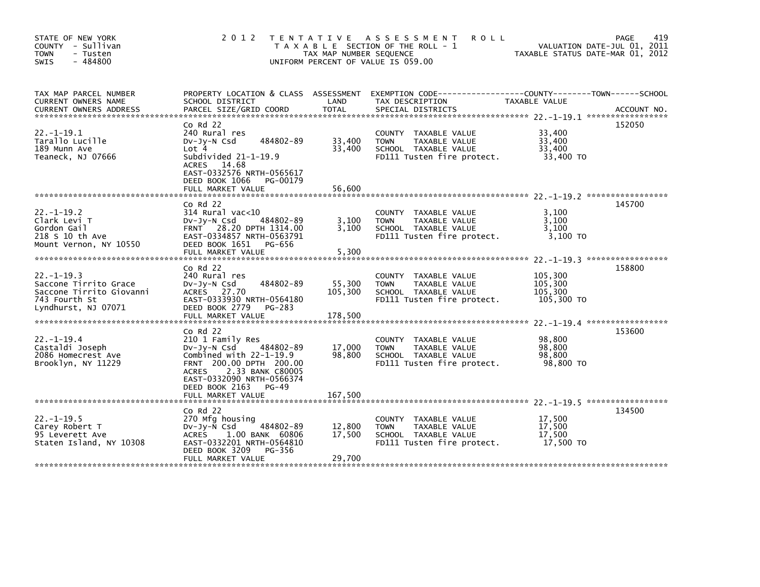| STATE OF NEW YORK<br>COUNTY - Sullivan<br><b>TOWN</b><br>- Tusten<br>$-484800$<br><b>SWIS</b>                | 2 0 1 2                                                                                                                                                                                                          | TAX MAP NUMBER SEQUENCE      | TENTATIVE ASSESSMENT<br><b>ROLL</b><br>T A X A B L E SECTION OF THE ROLL - 1<br>UNIFORM PERCENT OF VALUE IS 059.00 | TAXABLE STATUS DATE-MAR 01, 2012            | 419<br>PAGE<br>VALUATION DATE-JUL 01, 2011 |
|--------------------------------------------------------------------------------------------------------------|------------------------------------------------------------------------------------------------------------------------------------------------------------------------------------------------------------------|------------------------------|--------------------------------------------------------------------------------------------------------------------|---------------------------------------------|--------------------------------------------|
| TAX MAP PARCEL NUMBER<br>CURRENT OWNERS NAME<br><b>CURRENT OWNERS ADDRESS</b>                                | PROPERTY LOCATION & CLASS ASSESSMENT<br>SCHOOL DISTRICT<br>PARCEL SIZE/GRID COORD                                                                                                                                | LAND<br><b>TOTAL</b>         | EXEMPTION CODE-----------------COUNTY-------TOWN------SCHOOL<br>TAX DESCRIPTION<br>SPECIAL DISTRICTS               | TAXABLE VALUE                               | ACCOUNT NO.                                |
| $22. -1 - 19.1$<br>Tarallo Lucille<br>189 Munn Ave<br>Teaneck, NJ 07666                                      | $Co$ Rd $22$<br>240 Rural res<br>484802-89<br>$Dv-Jy-N$ Csd<br>Lot 4<br>Subdivided $21-1-19.9$<br>ACRES 14.68<br>EAST-0332576 NRTH-0565617<br>DEED BOOK 1066<br>PG-00179<br>FULL MARKET VALUE                    | 33,400<br>33,400<br>56,600   | COUNTY TAXABLE VALUE<br>TAXABLE VALUE<br><b>TOWN</b><br>SCHOOL TAXABLE VALUE<br>FD111 Tusten fire protect.         | 33,400<br>33,400<br>33.400<br>33,400 TO     | 152050                                     |
|                                                                                                              |                                                                                                                                                                                                                  |                              |                                                                                                                    |                                             |                                            |
| $22. -1 - 19.2$<br>Clark Levi T<br>Gordon Gail<br>218 S 10 th Ave<br>Mount Vernon, NY 10550                  | $Co$ Rd $22$<br>314 Rural vac<10<br>484802-89<br>$Dv-Jy-N$ Csd<br>FRNT 28.20 DPTH 1314.00<br>EAST-0334857 NRTH-0563791<br>DEED BOOK 1651<br>PG-656<br>FULL MARKET VALUE                                          | 3,100<br>3.100<br>5,300      | COUNTY TAXABLE VALUE<br>TAXABLE VALUE<br><b>TOWN</b><br>SCHOOL TAXABLE VALUE<br>FD111 Tusten fire protect.         | 3.100<br>3,100<br>3.100<br>3,100 TO         | 145700                                     |
|                                                                                                              | $Co$ Rd $22$                                                                                                                                                                                                     |                              |                                                                                                                    |                                             | 158800                                     |
| $22 - 1 - 19.3$<br>Saccone Tirrito Grace<br>Saccone Tirrito Giovanni<br>743 Fourth St<br>Lyndhurst, NJ 07071 | 240 Rural res<br>484802-89<br>DV-Jy-N Csd<br>ACRES 27.70<br>EAST-0333930 NRTH-0564180<br>DEED BOOK 2779<br>PG-283<br>FULL MARKET VALUE                                                                           | 55,300<br>105,300<br>178,500 | COUNTY TAXABLE VALUE<br>TAXABLE VALUE<br><b>TOWN</b><br>SCHOOL TAXABLE VALUE<br>FD111 Tusten fire protect.         | 105,300<br>105,300<br>105,300<br>105,300 TO |                                            |
|                                                                                                              |                                                                                                                                                                                                                  |                              |                                                                                                                    |                                             |                                            |
| $22. - 1 - 19.4$<br>Castaldi Joseph<br>2086 Homecrest Ave<br>Brooklyn, NY 11229                              | $Co$ Rd $22$<br>210 1 Family Res<br>DV-Jy-N Csd<br>484802-89<br>Combined with $22-1-19.9$<br>FRNT 200.00 DPTH 200.00<br>2.33 BANK C80005<br><b>ACRES</b><br>EAST-0332090 NRTH-0566374<br>DEED BOOK 2163<br>PG-49 | 17,000<br>98,800             | COUNTY TAXABLE VALUE<br><b>TOWN</b><br>TAXABLE VALUE<br>SCHOOL TAXABLE VALUE<br>FD111 Tusten fire protect.         | 98,800<br>98.800<br>98,800<br>98,800 TO     | 153600                                     |
|                                                                                                              | FULL MARKET VALUE                                                                                                                                                                                                | 167,500                      |                                                                                                                    |                                             |                                            |
| $22. -1 - 19.5$<br>Carey Robert T<br>95 Leverett Ave<br>Staten Island, NY 10308                              | Co Rd 22<br>270 Mfg housing<br>484802-89<br>$Dv-Jy-N$ Csd<br><b>ACRES</b><br>1.00 BANK 60806<br>EAST-0332201 NRTH-0564810<br>DEED BOOK 3209<br>PG-356<br>FULL MARKET VALUE                                       | 12,800<br>17,500<br>29,700   | COUNTY TAXABLE VALUE<br>TAXABLE VALUE<br><b>TOWN</b><br>SCHOOL TAXABLE VALUE<br>FD111 Tusten fire protect.         | 17,500<br>17,500<br>17,500<br>17,500 TO     | 134500                                     |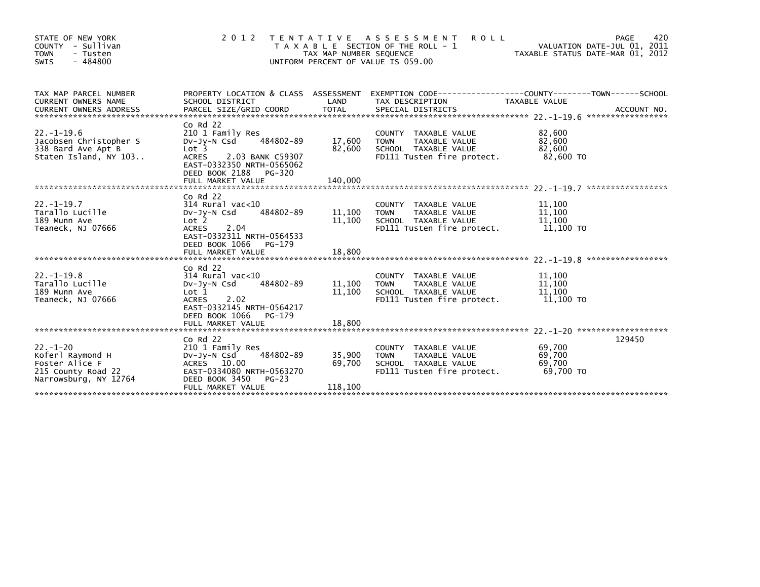| STATE OF NEW YORK<br>COUNTY - Sullivan<br><b>TOWN</b><br>- Tusten<br>$-484800$<br>SWIS             | 2 0 1 2                                                                                                                                                                                            | TAX MAP NUMBER SEQUENCE     | TENTATIVE ASSESSMENT<br><b>ROLL</b><br>T A X A B L E SECTION OF THE ROLL - 1<br>UNIFORM PERCENT OF VALUE IS 059.00 | TAXABLE STATUS DATE-MAR 01, 2012        | 420<br>PAGE<br>VALUATION DATE-JUL 01, 2011 |
|----------------------------------------------------------------------------------------------------|----------------------------------------------------------------------------------------------------------------------------------------------------------------------------------------------------|-----------------------------|--------------------------------------------------------------------------------------------------------------------|-----------------------------------------|--------------------------------------------|
| TAX MAP PARCEL NUMBER<br>CURRENT OWNERS NAME                                                       | SCHOOL DISTRICT                                                                                                                                                                                    | LAND                        | PROPERTY LOCATION & CLASS ASSESSMENT EXEMPTION CODE----------------COUNTY-------TOWN-----SCHOOL<br>TAX DESCRIPTION | <b>TAXABLE VALUE</b>                    |                                            |
| $22. -1 - 19.6$<br>Jacobsen Christopher S<br>338 Bard Ave Apt B<br>Staten Island, NY 103           | $Co$ Rd $22$<br>210 1 Family Res<br>484802-89<br>DV-Jy-N Csd<br>Lot <sub>3</sub><br><b>ACRES</b><br>2.03 BANK C59307<br>EAST-0332350 NRTH-0565062<br>DEED BOOK 2188<br>PG-320<br>FULL MARKET VALUE | 17,600<br>82.600<br>140,000 | COUNTY TAXABLE VALUE<br>TAXABLE VALUE<br><b>TOWN</b><br>SCHOOL TAXABLE VALUE<br>FD111 Tusten fire protect.         | 82,600<br>82,600<br>82.600<br>82,600 TO |                                            |
| $22. -1 - 19.7$<br>Tarallo Lucille<br>189 Munn Ave<br>Teaneck, NJ 07666                            | $Co$ Rd $22$<br>$314$ Rural vac<10<br>484802-89<br>$Dv-Jv-N$ Csd<br>Lot <sub>2</sub><br><b>ACRES</b><br>2.04<br>EAST-0332311 NRTH-0564533<br>DEED BOOK 1066<br>$PG-179$<br>FULL MARKET VALUE       | 11,100<br>11,100<br>18,800  | COUNTY TAXABLE VALUE<br><b>TOWN</b><br>TAXABLE VALUE<br>SCHOOL TAXABLE VALUE<br>FD111 Tusten fire protect.         | 11,100<br>11,100<br>11,100<br>11,100 TO |                                            |
| $22. - 1 - 19.8$<br>Tarallo Lucille<br>189 Munn Ave<br>Teaneck, NJ 07666                           | $Co$ Rd $22$<br>$314$ Rural vac<10<br>484802-89<br>$Dv-Jv-N$ Csd<br>Lot <sub>1</sub><br><b>ACRES</b><br>2.02<br>EAST-0332145 NRTH-0564217<br>DEED BOOK 1066<br>PG-179<br>FULL MARKET VALUE         | 11,100<br>11,100<br>18,800  | COUNTY TAXABLE VALUE<br><b>TOWN</b><br>TAXABLE VALUE<br>SCHOOL TAXABLE VALUE<br>FD111 Tusten fire protect.         | 11,100<br>11,100<br>11,100<br>11,100 TO |                                            |
| $22 - 1 - 20$<br>Koferl Raymond H<br>Foster Alice F<br>215 County Road 22<br>Narrowsburg, NY 12764 | $Co$ Rd $22$<br>210 1 Family Res<br>DV-Jy-N Csd<br>484802-89<br>ACRES 10.00<br>EAST-0334080 NRTH-0563270<br>DEED BOOK 3450<br>$PG-23$<br>FULL MARKET VALUE                                         | 35,900<br>69,700<br>118,100 | COUNTY TAXABLE VALUE<br>TAXABLE VALUE<br><b>TOWN</b><br>SCHOOL TAXABLE VALUE<br>FD111 Tusten fire protect.         | 69.700<br>69,700<br>69,700<br>69,700 TO | 129450                                     |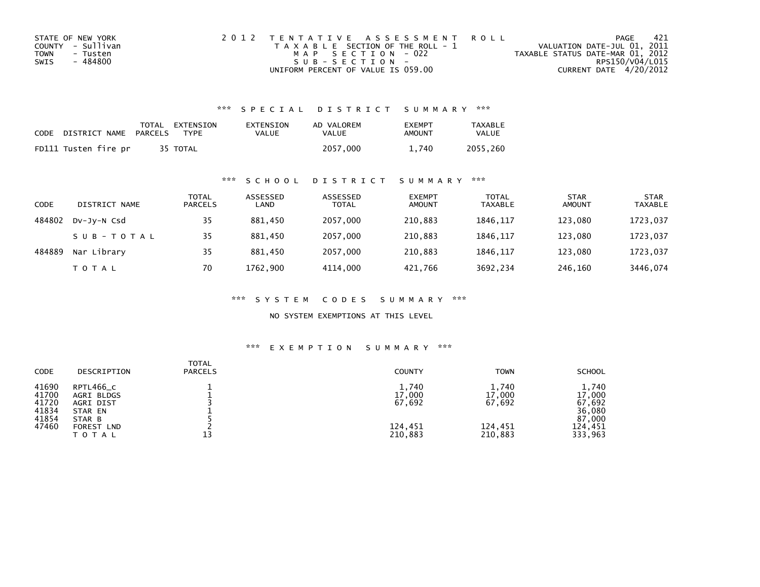| STATE OF NEW YORK | 2012 TENTATIVE ASSESSMENT ROLL        | PAGE                             | -421 |
|-------------------|---------------------------------------|----------------------------------|------|
| COUNTY - Sullivan | T A X A B L E SECTION OF THE ROLL - 1 | VALUATION DATE-JUL 01, 2011      |      |
| TOWN<br>- Tusten  | MAP SECTION - 022                     | TAXABLE STATUS DATE-MAR 01, 2012 |      |
| - 484800<br>SWIS  | $SUB - SECTION -$                     | RPS150/V04/L015                  |      |
|                   | UNIFORM PERCENT OF VALUE IS 059.00    | CURRENT DATE 4/20/2012           |      |

### \*\*\* S P E C I A L D I S T R I C T S U M M A R Y \*\*\*

| CODE | DISTRICT NAME        | PARCELS | TOTAL EXTENSION<br><b>TYPF</b> | EXTENSION<br>VALUE | AD VALOREM<br>VALUE | <b>FXFMPT</b><br>AMOUNT | <b>TAXABLE</b><br>VALUE |
|------|----------------------|---------|--------------------------------|--------------------|---------------------|-------------------------|-------------------------|
|      | FD111 Tusten fire pr |         | 35 TOTAL                       |                    | 2057.000            | 1.740                   | 2055.260                |

#### \*\*\* S C H O O L D I S T R I C T S U M M A R Y \*\*\*

| CODE   | DISTRICT NAME | TOTAL<br><b>PARCELS</b> | ASSESSED<br>LAND | ASSESSED<br><b>TOTAL</b> | <b>EXEMPT</b><br><b>AMOUNT</b> | <b>TOTAL</b><br><b>TAXABLE</b> | <b>STAR</b><br><b>AMOUNT</b> | <b>STAR</b><br><b>TAXABLE</b> |
|--------|---------------|-------------------------|------------------|--------------------------|--------------------------------|--------------------------------|------------------------------|-------------------------------|
| 484802 | DV-JY-N Csd   | 35                      | 881.450          | 2057,000                 | 210,883                        | 1846.117                       | 123.080                      | 1723,037                      |
|        | SUB-TOTAL     | 35                      | 881.450          | 2057,000                 | 210,883                        | 1846.117                       | 123.080                      | 1723,037                      |
| 484889 | Nar Library   | 35                      | 881,450          | 2057,000                 | 210,883                        | 1846.117                       | 123,080                      | 1723,037                      |
|        | T O T A L     | 70                      | 1762,900         | 4114,000                 | 421,766                        | 3692,234                       | 246,160                      | 3446,074                      |

\*\*\* S Y S T E M C O D E S S U M M A R Y \*\*\*

NO SYSTEM EXEMPTIONS AT THIS LEVEL

## \*\*\* E X E M P T I O N S U M M A R Y \*\*\*

| <b>TOTAL</b><br><b>CODE</b><br><b>PARCELS</b><br>DESCRIPTION                                                                                           | <b>COUNTY</b>                                   | <b>TOWN</b>                                     | <b>SCHOOL</b>                                                       |
|--------------------------------------------------------------------------------------------------------------------------------------------------------|-------------------------------------------------|-------------------------------------------------|---------------------------------------------------------------------|
| 41690<br>RPTL466_C<br>41700<br>AGRI BLDGS<br>41720<br>AGRI DIST<br>41834<br>STAR EN<br>41854<br>STAR B<br>47460<br>FOREST<br><b>LND</b><br>13<br>TOTAL | 1,740<br>17,000<br>67,692<br>124,451<br>210,883 | 1,740<br>17,000<br>67,692<br>124,451<br>210,883 | 1,740<br>17,000<br>67,692<br>36,080<br>87,000<br>124,451<br>333,963 |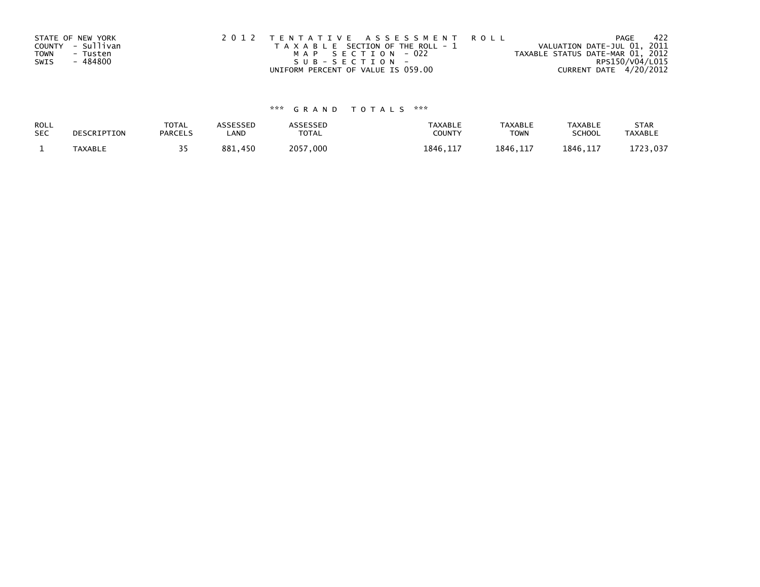|      | STATE OF NEW YORK | 2012 TENTATIVE ASSESSMENT ROLL        | PAGE                             | 422 |
|------|-------------------|---------------------------------------|----------------------------------|-----|
|      | COUNTY - Sullivan | T A X A B L E SECTION OF THE ROLL - 1 | VALUATION DATE-JUL 01, 2011      |     |
| TOWN | - Tusten          | MAP SECTION - 022                     | TAXABLE STATUS DATE-MAR 01, 2012 |     |
| SWIS | - 484800          | SUB-SECTION-                          | RPS150/V04/L015                  |     |
|      |                   | UNIFORM PERCENT OF VALUE IS 059.00    | CURRENT DATE 4/20/2012           |     |

# \*\*\* G R A N D T O T A L S \*\*\*

| ROLL       | DESCRIPTION | <b>TOTAL</b>   | <b>ASSESSED</b> | <b>\SSESSED</b> | <b>TAXABLE</b> | <b>TAXABLE</b> | <b>TAXABLE</b> | <b>STAR</b>    |
|------------|-------------|----------------|-----------------|-----------------|----------------|----------------|----------------|----------------|
| <b>SEC</b> |             | <b>PARCELS</b> | LAND            | <b>TOTAL</b>    | COUNTY         | <b>TOWN</b>    | <b>SCHOOL</b>  | <b>TAXABLE</b> |
|            | TAXABLE     |                | 881,450         | 2057,000        | 1846, 117      | 1846.117       | 1846.117       | 1723,037       |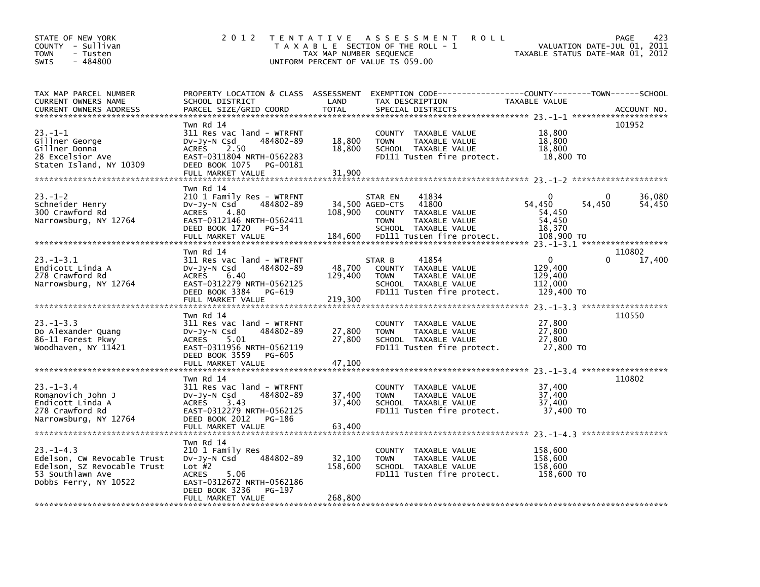| STATE OF NEW YORK<br>COUNTY - Sullivan<br><b>TOWN</b><br>- Tusten<br>$-484800$<br><b>SWIS</b>                             | 2 0 1 2                                                                                                                                                                                                                                                                                         | TAX MAP NUMBER SEQUENCE      | TENTATIVE ASSESSMENT<br><b>ROLL</b><br>T A X A B L E SECTION OF THE ROLL - 1<br>UNIFORM PERCENT OF VALUE IS 059.00                                                   |                                                                | 423<br>PAGE<br>VALUATION DATE-JUL 01, 2011<br>TAXABLE STATUS DATE-MAR 01, 2012 |
|---------------------------------------------------------------------------------------------------------------------------|-------------------------------------------------------------------------------------------------------------------------------------------------------------------------------------------------------------------------------------------------------------------------------------------------|------------------------------|----------------------------------------------------------------------------------------------------------------------------------------------------------------------|----------------------------------------------------------------|--------------------------------------------------------------------------------|
| TAX MAP PARCEL NUMBER<br>CURRENT OWNERS NAME<br><b>CURRENT OWNERS ADDRESS</b>                                             | PROPERTY LOCATION & CLASS ASSESSMENT<br>SCHOOL DISTRICT<br>PARCEL SIZE/GRID COORD                                                                                                                                                                                                               | LAND<br><b>TOTAL</b>         | TAX DESCRIPTION<br>SPECIAL DISTRICTS                                                                                                                                 | TAXABLE VALUE                                                  | ACCOUNT NO.                                                                    |
| 23.–1–1<br>Gillner George<br>Gillner Donna<br>28 Excelsior Ave<br>Staten Island, NY 10309                                 | Twn Rd 14<br>311 Res vac land - WTRFNT<br>484802-89<br>Dv-Jy-N Csd<br>2.50<br><b>ACRES</b><br>EAST-0311804 NRTH-0562283<br>DEED BOOK 1075<br>PG-00181<br>FULL MARKET VALUE                                                                                                                      | 18,800<br>18,800<br>31,900   | COUNTY TAXABLE VALUE<br><b>TOWN</b><br>TAXABLE VALUE<br>SCHOOL TAXABLE VALUE<br>FD111 Tusten fire protect.                                                           | 18,800<br>18,800<br>18,800<br>18,800 TO                        | 101952                                                                         |
| $23 - 1 - 2$<br>Schneider Henry<br>300 Crawford Rd<br>Narrowsburg, NY 12764                                               | Twn Rd 14<br>210 1 Family Res - WTRFNT<br>DV-Jy-N Csd<br>484802-89<br>4.80<br><b>ACRES</b><br>EAST-0312146 NRTH-0562411<br>DEED BOOK 1720<br>$PG-34$<br>FULL MARKET VALUE                                                                                                                       | 108,900<br>184,600           | 41834<br>STAR EN<br>34,500 AGED-CTS<br>41800<br><b>COUNTY</b><br>TAXABLE VALUE<br><b>TOWN</b><br>TAXABLE VALUE<br>SCHOOL TAXABLE VALUE<br>FD111 Tusten fire protect. | $\Omega$<br>54,450<br>54,450<br>54,450<br>18,370<br>108,900 TO | 0<br>36,080<br>54,450<br>54,450                                                |
| $23. - 1 - 3.1$<br>Endicott Linda A<br>278 Crawford Rd<br>Narrowsburg, NY 12764                                           | Twn Rd 14<br>311 Res vac land - WTRFNT<br>$Dv-Jy-N$ Csd<br>484802-89<br>6.40<br><b>ACRES</b><br>EAST-0312279 NRTH-0562125<br>DEED BOOK 3384<br>PG-619<br>FULL MARKET VALUE                                                                                                                      | 48.700<br>129,400<br>219,300 | 41854<br>STAR B<br>COUNTY TAXABLE VALUE<br><b>TOWN</b><br>TAXABLE VALUE<br>SCHOOL TAXABLE VALUE<br>FD111 Tusten fire protect.                                        | $\mathbf{0}$<br>129,400<br>129,400<br>112,000<br>129,400 TO    | 110802<br>17,400                                                               |
| $23 - 1 - 3.3$<br>Do Alexander Quang<br>86-11 Forest Pkwy<br>Woodhaven, NY 11421                                          | Twn Rd 14<br>311 Res vac land - WTRFNT<br>$Dv-Jy-N$ Csd<br>484802-89<br>5.01<br><b>ACRES</b><br>EAST-0311956 NRTH-0562119<br>DEED BOOK 3559<br>PG-605<br>FULL MARKET VALUE                                                                                                                      | 27,800<br>27,800<br>47,100   | TAXABLE VALUE<br><b>COUNTY</b><br><b>TOWN</b><br>TAXABLE VALUE<br>SCHOOL TAXABLE VALUE<br>FD111 Tusten fire protect.                                                 | 27,800<br>27,800<br>27,800<br>27,800 TO                        | 23. -1-3.3 ********************<br>110550                                      |
| $23 - 1 - 3.4$<br>Romanovich John J<br>Endicott Linda A<br>278 Crawford Rd<br>Narrowsburg, NY 12764                       | Twn Rd 14<br>311 Res vac land - WTRFNT<br>$Dv-Jy-N$ Csd<br>484802-89<br>3.43<br><b>ACRES</b><br>EAST-0312279 NRTH-0562125<br>DEED BOOK 2012<br>PG-186<br>FULL MARKET VALUE                                                                                                                      | 37,400<br>37,400<br>63,400   | TAXABLE VALUE<br><b>COUNTY</b><br>TAXABLE VALUE<br><b>TOWN</b><br>SCHOOL TAXABLE VALUE<br>FD111 Tusten fire protect.                                                 | 37,400<br>37,400<br>37,400<br>37,400 TO                        | 110802                                                                         |
| $23 - 1 - 4.3$<br>Edelson, CW Revocable Trust<br>Edelson, SZ Revocable Trust<br>53 Southlawn Ave<br>Dobbs Ferry, NY 10522 | Twn Rd 14<br>210 1 Family Res<br>484802-89<br>$Dv-Jy-N$ Csd<br>Lot $#2$<br><b>ACRES</b><br>5.06<br>EAST-0312672 NRTH-0562186<br>DEED BOOK 3236<br>PG-197<br>FULL MARKET VALUE<br>یہ مزالہ مزالہ مزالہ مزالہ مزالہ مزالہ مزالہ مزالہ مزالہ مزالہ مزالہ مزالہ مزالہ مزالہ مزالہ مزالہ مزالہ مزالہ | 32,100<br>158,600<br>268,800 | <b>COUNTY</b><br>TAXABLE VALUE<br>TAXABLE VALUE<br><b>TOWN</b><br>SCHOOL TAXABLE VALUE<br>FD111 Tusten fire protect.                                                 | 158,600<br>158,600<br>158,600<br>158,600 TO                    |                                                                                |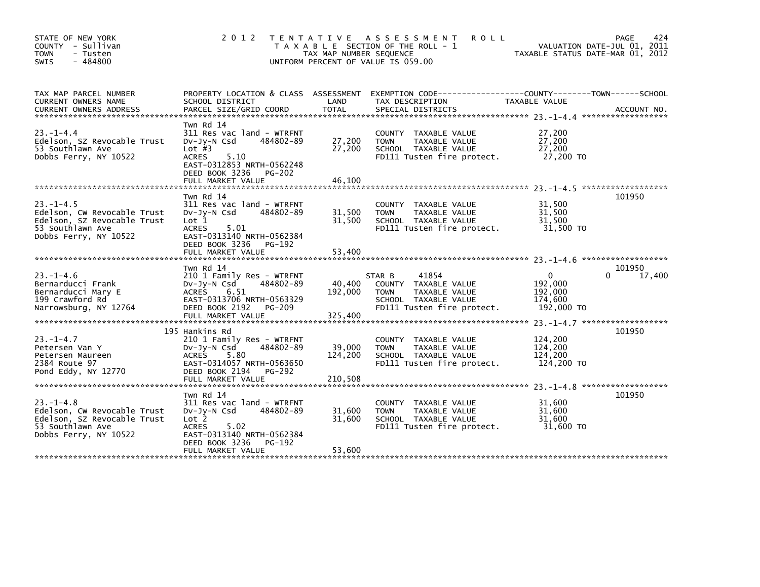| STATE OF NEW YORK<br>COUNTY - Sullivan<br><b>TOWN</b><br>- Tusten<br>$-484800$<br><b>SWIS</b>                              | 2 0 1 2                                                                                                                                                                                        | T E N T A T I V E<br>TAX MAP NUMBER SEQUENCE | A S S E S S M E N T<br><b>ROLL</b><br>T A X A B L E SECTION OF THE ROLL - 1<br>UNIFORM PERCENT OF VALUE IS 059.00             | TAXABLE STATUS DATE-MAR 01, 2012                        | 424<br>PAGE<br>VALUATION DATE-JUL 01, 2011 |
|----------------------------------------------------------------------------------------------------------------------------|------------------------------------------------------------------------------------------------------------------------------------------------------------------------------------------------|----------------------------------------------|-------------------------------------------------------------------------------------------------------------------------------|---------------------------------------------------------|--------------------------------------------|
| TAX MAP PARCEL NUMBER<br>CURRENT OWNERS NAME                                                                               | PROPERTY LOCATION & CLASS ASSESSMENT<br>SCHOOL DISTRICT                                                                                                                                        | LAND                                         | EXEMPTION CODE-----------------COUNTY-------TOWN------SCHOOL<br>TAX DESCRIPTION                                               | TAXABLE VALUE                                           |                                            |
| $23. -1 - 4.4$<br>Edelson, SZ Revocable Trust<br>53 Southlawn Ave<br>Dobbs Ferry, NY 10522                                 | Twn Rd 14<br>311 Res vac land - WTRFNT<br>DV-Jy-N Csd<br>484802-89<br>Lot $#3$<br><b>ACRES</b><br>5.10<br>EAST-0312853 NRTH-0562248<br>DEED BOOK 3236<br><b>PG-202</b><br>FULL MARKET VALUE    | 27,200<br>27,200<br>46.100                   | COUNTY TAXABLE VALUE<br>TAXABLE VALUE<br><b>TOWN</b><br>SCHOOL TAXABLE VALUE<br>FD111 Tusten fire protect.                    | 27,200<br>27,200<br>27,200<br>27,200 TO                 |                                            |
| $23 - 1 - 4.5$<br>Edelson, CW Revocable Trust<br>Edelson, SZ Revocable Trust<br>53 Southlawn Ave<br>Dobbs Ferry, NY 10522  | Twn Rd 14<br>311 Res vac land - WTRFNT<br>$Dv-Jy-N$ Csd<br>484802-89<br>Lot <sub>1</sub><br><b>ACRES</b><br>5.01<br>EAST-0313140 NRTH-0562384<br>DEED BOOK 3236<br>PG-192<br>FULL MARKET VALUE | 31,500<br>31,500<br>53,400                   | COUNTY TAXABLE VALUE<br>TAXABLE VALUE<br><b>TOWN</b><br>SCHOOL TAXABLE VALUE<br>FD111 Tusten fire protect.                    | 31,500<br>31,500<br>31,500<br>31,500 TO                 | 101950                                     |
| $23 - 1 - 4.6$<br>Bernarducci Frank<br>Bernarducci Mary E<br>199 Crawford Rd<br>Narrowsburg, NY 12764                      | Twn Rd 14<br>210 1 Family Res - WTRFNT<br>484802-89<br>DV-JY-N Csd<br>ACRES<br>6.51<br>EAST-0313706 NRTH-0563329<br>DEED BOOK 2192<br><b>PG-209</b><br>FULL MARKET VALUE                       | 40,400<br>192,000<br>325,400                 | 41854<br>STAR B<br>COUNTY TAXABLE VALUE<br>TAXABLE VALUE<br><b>TOWN</b><br>SCHOOL TAXABLE VALUE<br>FD111 Tusten fire protect. | $\Omega$<br>192,000<br>192,000<br>174,600<br>192,000 TO | 101950<br>17,400<br>0                      |
| $23. -1 - 4.7$<br>Petersen Van Y<br>Petersen Maureen<br>2384 Route 97<br>Pond Eddy, NY 12770                               | 195 Hankins Rd<br>210 1 Family Res - WTRFNT<br>484802-89<br>$Dv-Jy-N$ Csd<br>ACRES<br>5.80<br>EAST-0314057 NRTH-0563650<br>DEED BOOK 2194<br>PG-292<br>FULL MARKET VALUE                       | 39,000<br>124,200<br>210,508                 | COUNTY TAXABLE VALUE<br>TAXABLE VALUE<br><b>TOWN</b><br>SCHOOL TAXABLE VALUE<br>FD111 Tusten fire protect.                    | 124,200<br>124,200<br>124,200<br>124,200 TO             | 101950                                     |
| $23. - 1 - 4.8$<br>Edelson, CW Revocable Trust<br>Edelson, SZ Revocable Trust<br>53 Southlawn Ave<br>Dobbs Ferry, NY 10522 | Twn Rd 14<br>311 Res vac land - WTRFNT<br>DV-Jy-N Csd<br>484802-89<br>Lot 2<br><b>ACRES</b><br>5.02<br>EAST-0313140 NRTH-0562384<br>DEED BOOK 3236<br>PG-192<br>FULL MARKET VALUE              | 31,600<br>31.600<br>53,600                   | COUNTY TAXABLE VALUE<br><b>TOWN</b><br>TAXABLE VALUE<br>SCHOOL TAXABLE VALUE<br>FD111 Tusten fire protect.                    | 31,600<br>31,600<br>31,600<br>31,600 TO                 | 101950                                     |
|                                                                                                                            |                                                                                                                                                                                                |                                              |                                                                                                                               |                                                         |                                            |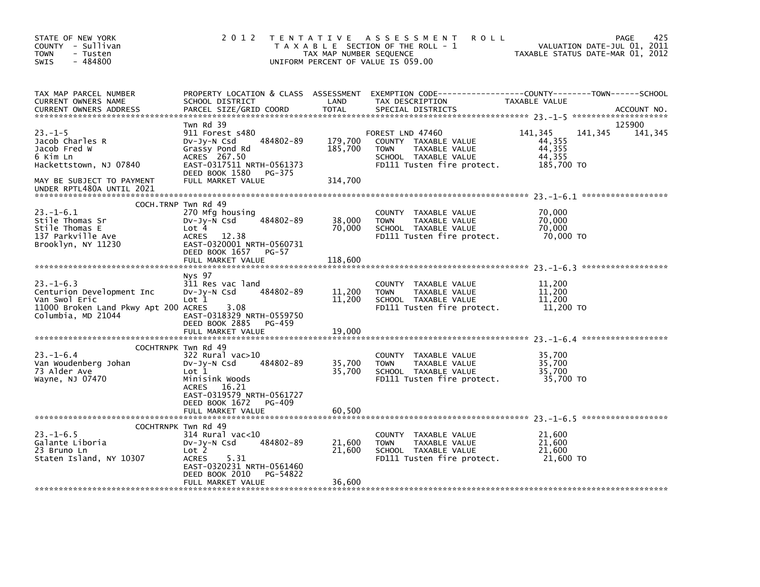| STATE OF NEW YORK<br>COUNTY - Sullivan<br><b>TOWN</b><br>- Tusten<br>$-484800$<br><b>SWIS</b>                              | 2 0 1 2                                                                                                                                                                                | TAX MAP NUMBER SEQUENCE       | TENTATIVE ASSESSMENT<br><b>ROLL</b><br>T A X A B L E SECTION OF THE ROLL - 1<br>UNIFORM PERCENT OF VALUE IS 059.00             | VALUATION DATE-JUL 01, 2011<br>TAXABLE STATUS DATE-MAR 01, 2012 | 425<br><b>PAGE</b> |
|----------------------------------------------------------------------------------------------------------------------------|----------------------------------------------------------------------------------------------------------------------------------------------------------------------------------------|-------------------------------|--------------------------------------------------------------------------------------------------------------------------------|-----------------------------------------------------------------|--------------------|
| TAX MAP PARCEL NUMBER<br>CURRENT OWNERS NAME<br><b>CURRENT OWNERS ADDRESS</b>                                              | PROPERTY LOCATION & CLASS ASSESSMENT<br>SCHOOL DISTRICT<br>PARCEL SIZE/GRID COORD                                                                                                      | LAND<br><b>TOTAL</b>          | TAX DESCRIPTION<br>SPECIAL DISTRICTS                                                                                           | <b>TAXABLE VALUE</b>                                            | ACCOUNT NO.        |
| $23. -1 - 5$<br>Jacob Charles R<br>Jacob Fred W<br>6 Kim Ln<br>Hackettstown, NJ 07840<br>MAY BE SUBJECT TO PAYMENT         | Twn Rd 39<br>911 Forest s480<br>484802-89<br>$Dv-Jy-N$ Csd<br>Grassy Pond Rd<br>ACRES 267.50<br>EAST-0317511 NRTH-0561373<br>DEED BOOK 1580 PG-375<br>FULL MARKET VALUE                | 179,700<br>185,700<br>314,700 | FOREST LND 47460<br>COUNTY TAXABLE VALUE<br><b>TOWN</b><br>TAXABLE VALUE<br>SCHOOL TAXABLE VALUE<br>FD111 Tusten fire protect. | 141,345<br>141,345<br>44,355<br>44,355<br>44,355<br>185,700 TO  | 125900<br>141,345  |
| UNDER RPTL480A UNTIL 2021                                                                                                  |                                                                                                                                                                                        |                               |                                                                                                                                |                                                                 |                    |
| $23. - 1 - 6.1$<br>Stile Thomas Sr<br>Stile Thomas E<br>137 Parkville Ave<br>Brooklyn, NY 11230                            | COCH.TRNP Twn Rd 49<br>270 Mfg housing<br>484802-89<br>$Dv-Jv-N$ Csd<br>Lot 4<br>12.38<br><b>ACRES</b><br>EAST-0320001 NRTH-0560731                                                    | 38,000<br>70,000              | COUNTY<br>TAXABLE VALUE<br><b>TOWN</b><br>TAXABLE VALUE<br>SCHOOL TAXABLE VALUE<br>FD111 Tusten fire protect.                  | 70,000<br>70,000<br>70.000<br>70,000 TO                         |                    |
|                                                                                                                            | DEED BOOK 1657 PG-57<br>FULL MARKET VALUE                                                                                                                                              | 118,600                       |                                                                                                                                |                                                                 |                    |
| $23. -1 - 6.3$<br>Centurion Development Inc<br>Van Swol Eric<br>11000 Broken Land Pkwy Apt 200 ACRES<br>Columbia, MD 21044 | Nys 97<br>311 Res vac land<br>484802-89<br>$Dv-Jy-N$ Csd<br>Lot 1<br>3.08<br>EAST-0318329 NRTH-0559750<br>DEED BOOK 2885<br>PG-459<br>FULL MARKET VALUE                                | 11,200<br>11,200<br>19,000    | COUNTY TAXABLE VALUE<br>TAXABLE VALUE<br>TOWN<br>SCHOOL TAXABLE VALUE<br>FD111 Tusten fire protect.                            | 11,200<br>11,200<br>11,200<br>11,200 TO                         |                    |
|                                                                                                                            | COCHTRNPK Twn Rd 49                                                                                                                                                                    |                               |                                                                                                                                |                                                                 |                    |
| $23 - 1 - 6.4$<br>Van Woudenberg Johan<br>73 Alder Ave<br>Wayne, NJ 07470                                                  | 322 Rural vac>10<br>$Dv-Jy-N$ Csd<br>484802-89<br>Lot 1<br>Minisink Woods<br>ACRES 16.21<br>EAST-0319579 NRTH-0561727<br>DEED BOOK 1672<br>PG-409                                      | 35,700<br>35,700              | COUNTY TAXABLE VALUE<br><b>TOWN</b><br><b>TAXABLE VALUE</b><br>SCHOOL TAXABLE VALUE<br>FD111 Tusten fire protect.              | 35,700<br>35,700<br>35,700<br>35,700 TO                         |                    |
|                                                                                                                            | FULL MARKET VALUE                                                                                                                                                                      | 60,500                        |                                                                                                                                |                                                                 |                    |
| $23. - 1 - 6.5$<br>Galante Liboria<br>23 Bruno Ln<br>Staten Island, NY 10307                                               | COCHTRNPK Twn Rd 49<br>314 Rural vac<10<br>484802-89<br>$Dv-Jv-N$ Csd<br>Lot 2<br><b>ACRES</b><br>5.31<br>EAST-0320231 NRTH-0561460<br>DEED BOOK 2010<br>PG-54822<br>FULL MARKET VALUE | 21,600<br>21,600<br>36,600    | COUNTY TAXABLE VALUE<br><b>TOWN</b><br>TAXABLE VALUE<br>SCHOOL TAXABLE VALUE<br>FD111 Tusten fire protect.                     | 21,600<br>21,600<br>21,600<br>21,600 TO                         |                    |
|                                                                                                                            |                                                                                                                                                                                        |                               |                                                                                                                                |                                                                 |                    |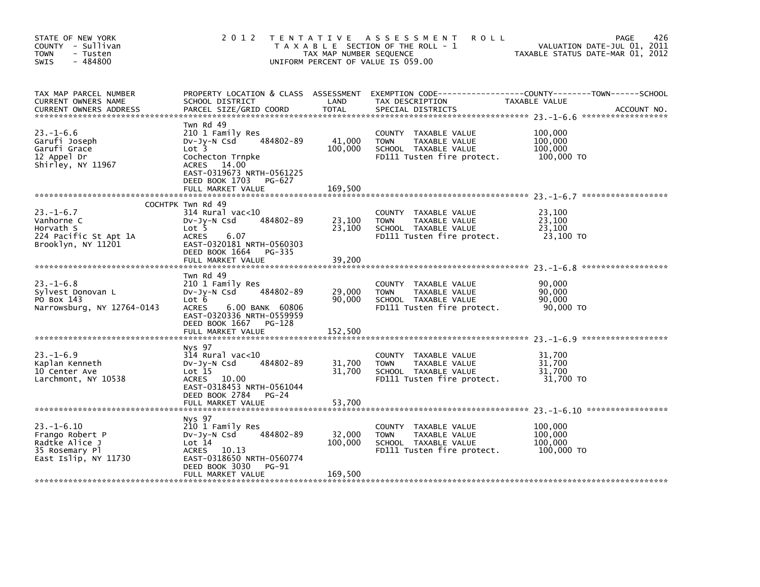| STATE OF NEW YORK<br>COUNTY - Sullivan<br><b>TOWN</b><br>- Tusten<br>$-484800$<br><b>SWIS</b>  | 2012                                                                                                                                                                                | TAX MAP NUMBER SEQUENCE      | TENTATIVE ASSESSMENT<br><b>ROLL</b><br>T A X A B L E SECTION OF THE ROLL - 1<br>UNIFORM PERCENT OF VALUE IS 059.00 | <b>PAGE</b><br>VALUATION DATE-JUL 01, 2011<br>TAXABLE STATUS DATE-MAR 01, 2012 | 426         |
|------------------------------------------------------------------------------------------------|-------------------------------------------------------------------------------------------------------------------------------------------------------------------------------------|------------------------------|--------------------------------------------------------------------------------------------------------------------|--------------------------------------------------------------------------------|-------------|
| TAX MAP PARCEL NUMBER<br>CURRENT OWNERS NAME<br><b>CURRENT OWNERS ADDRESS</b>                  | PROPERTY LOCATION & CLASS ASSESSMENT<br>SCHOOL DISTRICT<br>PARCEL SIZE/GRID COORD                                                                                                   | LAND<br><b>TOTAL</b>         | EXEMPTION CODE------------------COUNTY--------TOWN------SCHOOL<br>TAX DESCRIPTION<br>SPECIAL DISTRICTS             | TAXABLE VALUE                                                                  | ACCOUNT NO. |
| $23. - 1 - 6.6$<br>Garufi Joseph<br>Garufi Grace<br>12 Appel Dr<br>Shirley, NY 11967           | Twn Rd 49<br>210 1 Family Res<br>484802-89<br>DV-Jy-N Csd<br>Lot 3<br>Cochecton Trnpke<br>ACRES 14.00<br>EAST-0319673 NRTH-0561225<br>DEED BOOK 1703<br>PG-627<br>FULL MARKET VALUE | 41,000<br>100,000<br>169,500 | COUNTY TAXABLE VALUE<br>TAXABLE VALUE<br><b>TOWN</b><br>SCHOOL TAXABLE VALUE<br>FD111 Tusten fire protect.         | 100,000<br>100,000<br>100,000<br>100,000 TO                                    |             |
|                                                                                                |                                                                                                                                                                                     |                              |                                                                                                                    |                                                                                |             |
| $23. - 1 - 6.7$<br>Vanhorne C<br>Horvath S<br>224 Pacific St Apt 1A<br>Brooklyn, NY 11201      | COCHTPK Twn Rd 49<br>314 Rural vac<10<br>484802-89<br>$Dv-Jy-N$ Csd<br>Lot <sub>5</sub><br><b>ACRES</b><br>6.07<br>EAST-0320181 NRTH-0560303<br>DEED BOOK 1664 PG-335               | 23,100<br>23,100             | COUNTY TAXABLE VALUE<br><b>TOWN</b><br>TAXABLE VALUE<br>SCHOOL TAXABLE VALUE<br>FD111 Tusten fire protect.         | 23,100<br>23,100<br>23,100<br>23,100 TO                                        |             |
|                                                                                                | FULL MARKET VALUE                                                                                                                                                                   | 39,200                       |                                                                                                                    |                                                                                |             |
| $23 - 1 - 6.8$<br>Sylvest Donovan L<br>PO Box 143<br>Narrowsburg, NY 12764-0143                | Twn Rd 49<br>210 1 Family Res<br>484802-89<br>$Dv-Jy-N$ Csd<br>Lot 6<br><b>ACRES</b><br>6.00 BANK 60806<br>EAST-0320336 NRTH-0559959<br>DEED BOOK 1667 PG-128                       | 29,000<br>90,000             | COUNTY<br>TAXABLE VALUE<br>TAXABLE VALUE<br><b>TOWN</b><br>SCHOOL TAXABLE VALUE<br>FD111 Tusten fire protect.      | 90,000<br>90,000<br>90.000<br>90,000 TO                                        |             |
|                                                                                                | FULL MARKET VALUE                                                                                                                                                                   | 152,500                      |                                                                                                                    |                                                                                |             |
| $23. - 1 - 6.9$<br>Kaplan Kenneth<br>10 Center Ave<br>Larchmont, NY 10538                      | Nys 97<br>$314$ Rural vac<10<br>484802-89<br>$Dv-Jy-N$ Csd<br>Lot 15<br>ACRES 10.00<br>EAST-0318453 NRTH-0561044<br>DEED BOOK 2784<br>$PG-24$<br>FULL MARKET VALUE                  | 31,700<br>31,700<br>53,700   | COUNTY<br>TAXABLE VALUE<br>TAXABLE VALUE<br><b>TOWN</b><br>SCHOOL TAXABLE VALUE<br>FD111 Tusten fire protect.      | 31,700<br>31,700<br>31.700<br>31,700 TO                                        |             |
|                                                                                                |                                                                                                                                                                                     |                              |                                                                                                                    |                                                                                |             |
| $23 - 1 - 6.10$<br>Frango Robert P<br>Radtke Alice J<br>35 Rosemary Pl<br>East Islip, NY 11730 | Nys 97<br>210 1 Family Res<br>484802-89<br>DV-Jy-N Csd<br>Lot 14<br>ACRES 10.13<br>EAST-0318650 NRTH-0560774<br>DEED BOOK 3030<br><b>PG-91</b><br>FULL MARKET VALUE                 | 32,000<br>100,000            | COUNTY TAXABLE VALUE<br><b>TOWN</b><br>TAXABLE VALUE<br>SCHOOL TAXABLE VALUE<br>FD111 Tusten fire protect.         | 100,000<br>100,000<br>100,000<br>100,000 TO                                    |             |
|                                                                                                |                                                                                                                                                                                     | 169,500                      |                                                                                                                    |                                                                                |             |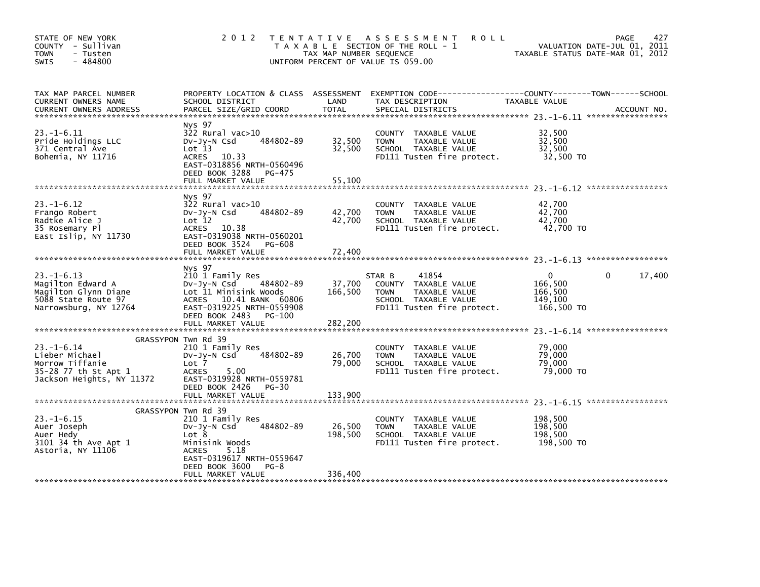| STATE OF NEW YORK<br>COUNTY - Sullivan<br><b>TOWN</b><br>- Tusten<br>$-484800$<br>SWIS                        | 2012 TENTATIVE                                                                                                                                                                       | TAX MAP NUMBER SEQUENCE      | ASSESSMENT<br><b>ROLL</b><br>T A X A B L E SECTION OF THE ROLL - 1<br>UNIFORM PERCENT OF VALUE IS 059.00                      | TAXABLE STATUS DATE-MAR 01, 2012                        | 427<br>PAGE<br>VALUATION DATE-JUL 01, 2011 |
|---------------------------------------------------------------------------------------------------------------|--------------------------------------------------------------------------------------------------------------------------------------------------------------------------------------|------------------------------|-------------------------------------------------------------------------------------------------------------------------------|---------------------------------------------------------|--------------------------------------------|
| TAX MAP PARCEL NUMBER<br>CURRENT OWNERS NAME<br><b>CURRENT OWNERS ADDRESS</b>                                 | PROPERTY LOCATION & CLASS ASSESSMENT<br>SCHOOL DISTRICT<br>PARCEL SIZE/GRID COORD                                                                                                    | LAND<br>TOTAL                | EXEMPTION CODE-----------------COUNTY-------TOWN------SCHOOL<br>TAX DESCRIPTION<br>SPECIAL DISTRICTS                          | TAXABLE VALUE                                           | ACCOUNT NO.                                |
| $23. -1 - 6.11$<br>Pride Holdings LLC<br>371 Central Ave<br>Bohemia, NY 11716                                 | Nys 97<br>322 Rural vac>10<br>484802-89<br>$Dv-Jy-N$ Csd<br>Lot 13<br>ACRES 10.33<br>EAST-0318856 NRTH-0560496<br>DEED BOOK 3288 PG-475                                              | 32,500<br>32,500<br>55,100   | COUNTY TAXABLE VALUE<br><b>TOWN</b><br>TAXABLE VALUE<br>SCHOOL TAXABLE VALUE<br>FD111 Tusten fire protect.                    | 32,500<br>32,500<br>32,500<br>32,500 TO                 |                                            |
|                                                                                                               | FULL MARKET VALUE                                                                                                                                                                    |                              |                                                                                                                               |                                                         |                                            |
| $23. - 1 - 6.12$<br>Frango Robert<br>Radtke Alice J<br>35 Rosemary Pl<br>East Islip, NY 11730                 | Nys 97<br>322 Rural vac>10<br>484802-89<br>DV-Jy-N Csd<br>Lot 12<br>ACRES 10.38<br>EAST-0319038 NRTH-0560201<br>DEED BOOK 3524 PG-608                                                | 42,700<br>42,700             | COUNTY TAXABLE VALUE<br>TAXABLE VALUE<br><b>TOWN</b><br>SCHOOL TAXABLE VALUE<br>FD111 Tusten fire protect.                    | 42,700<br>42,700<br>42.700<br>42,700 TO                 |                                            |
|                                                                                                               | FULL MARKET VALUE                                                                                                                                                                    | 72,400                       |                                                                                                                               |                                                         |                                            |
| $23. - 1 - 6.13$<br>Magilton Edward A<br>Magilton Glynn Diane<br>5088 State Route 97<br>Narrowsburg, NY 12764 | Nys 97<br>210 1 Family Res<br>DV-Jy-N Csd 484802-89<br>Lot 11 Minisink Woods<br>ACRES 10.41 BANK 60806<br>EAST-0319225 NRTH-0559908<br>DEED BOOK 2483<br>PG-100<br>FULL MARKET VALUE | 37,700<br>166,500<br>282,200 | 41854<br>STAR B<br>COUNTY TAXABLE VALUE<br>TAXABLE VALUE<br><b>TOWN</b><br>SCHOOL TAXABLE VALUE<br>FD111 Tusten fire protect. | $\Omega$<br>166,500<br>166,500<br>149.100<br>166,500 TO | 17,400<br>$\Omega$                         |
|                                                                                                               |                                                                                                                                                                                      |                              |                                                                                                                               |                                                         |                                            |
| $23. - 1 - 6.14$<br>Lieber Michael<br>Morrow Tiffanie<br>35-28 77 th St Apt 1<br>Jackson Heights, NY 11372    | GRASSYPON Twn Rd 39<br>210 1 Family Res<br>484802-89<br>Dv-Jy-N Csd<br>Lot 7<br><b>ACRES</b><br>5.00<br>EAST-0319928 NRTH-0559781<br>DEED BOOK 2426 PG-30                            | 26,700<br>79,000             | COUNTY TAXABLE VALUE<br><b>TOWN</b><br>TAXABLE VALUE<br>SCHOOL TAXABLE VALUE<br>FD111 Tusten fire protect.                    | 79,000<br>79,000<br>79,000<br>79,000 TO                 |                                            |
|                                                                                                               | FULL MARKET VALUE                                                                                                                                                                    | 133.900                      |                                                                                                                               |                                                         |                                            |
| $23. - 1 - 6.15$<br>Auer Joseph<br>Auer Hedy<br>3101 34 th Ave Apt 1<br>Astoria, NY 11106                     | GRASSYPON Twn Rd 39<br>210 1 Family Res<br>484802-89<br>DV-Jy-N Csd<br>Lot 8<br>Minisink Woods<br><b>ACRES</b><br>5.18<br>EAST-0319617 NRTH-0559647<br>DEED BOOK 3600<br>$PG-8$      | 26,500<br>198,500            | COUNTY TAXABLE VALUE<br><b>TOWN</b><br>TAXABLE VALUE<br>SCHOOL TAXABLE VALUE<br>FD111 Tusten fire protect.                    | 198,500<br>198,500<br>198,500<br>198,500 то             |                                            |
|                                                                                                               | FULL MARKET VALUE                                                                                                                                                                    | 336,400                      |                                                                                                                               |                                                         |                                            |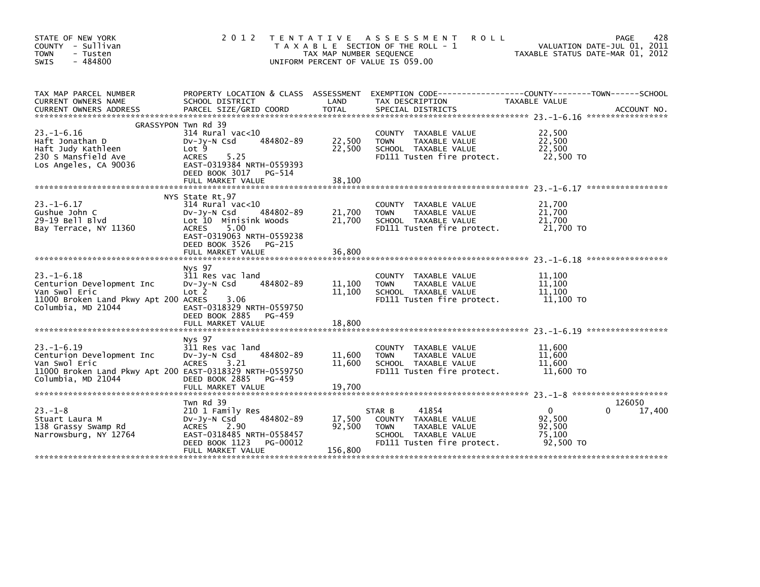| STATE OF NEW YORK<br>COUNTY - Sullivan<br>- Tusten<br><b>TOWN</b><br>$-484800$<br>SWIS                                       | 2 0 1 2                                                                                                                                                                                               | TAX MAP NUMBER SEQUENCE     | TENTATIVE ASSESSMENT<br><b>ROLL</b><br>T A X A B L E SECTION OF THE ROLL - 1<br>UNIFORM PERCENT OF VALUE IS 059.00            | TAXABLE STATUS DATE-MAR 01, 2012                        | 428<br><b>PAGE</b><br>VALUATION DATE-JUL 01, 2011 |
|------------------------------------------------------------------------------------------------------------------------------|-------------------------------------------------------------------------------------------------------------------------------------------------------------------------------------------------------|-----------------------------|-------------------------------------------------------------------------------------------------------------------------------|---------------------------------------------------------|---------------------------------------------------|
| TAX MAP PARCEL NUMBER<br>CURRENT OWNERS NAME                                                                                 | PROPERTY LOCATION & CLASS ASSESSMENT<br>SCHOOL DISTRICT                                                                                                                                               | LAND                        | EXEMPTION CODE-----------------COUNTY-------TOWN------SCHOOL<br>TAX DESCRIPTION                                               | TAXABLE VALUE                                           |                                                   |
|                                                                                                                              | GRASSYPON Twn Rd 39                                                                                                                                                                                   |                             |                                                                                                                               |                                                         |                                                   |
| $23. - 1 - 6.16$<br>Haft Jonathan D<br>Haft Judy Kathleen<br>230 S Mansfield Ave<br>Los Angeles, CA 90036                    | $314$ Rural vac< $10$<br>484802-89<br>$Dv-Jy-N$ Csd<br>Lot 9<br>5.25<br><b>ACRES</b><br>EAST-0319384 NRTH-0559393<br>DEED BOOK 3017<br>PG-514                                                         | 22,500<br>22,500            | COUNTY TAXABLE VALUE<br>TAXABLE VALUE<br><b>TOWN</b><br>SCHOOL TAXABLE VALUE<br>FD111 Tusten fire protect.                    | 22,500<br>22,500<br>22.500<br>22,500 TO                 |                                                   |
|                                                                                                                              | FULL MARKET VALUE                                                                                                                                                                                     | 38,100                      |                                                                                                                               |                                                         |                                                   |
| $23. - 1 - 6.17$<br>Gushue John C<br>$29-19$ Bell Blyd<br>Bay Terrace, NY 11360                                              | NYS State Rt.97<br>$314$ Rural vac< $10$<br>484802-89<br>$Dv-Jy-N$ Csd<br>Lot 10 Minisink Woods<br>5.00<br><b>ACRES</b><br>EAST-0319063 NRTH-0559238<br>DEED BOOK 3526<br>PG-215<br>FULL MARKET VALUE | 21,700<br>21,700<br>36.800  | COUNTY TAXABLE VALUE<br>TAXABLE VALUE<br><b>TOWN</b><br>SCHOOL TAXABLE VALUE<br>FD111 Tusten fire protect.                    | 21,700<br>21,700<br>21,700<br>21,700 TO                 |                                                   |
|                                                                                                                              | Nys 97                                                                                                                                                                                                |                             |                                                                                                                               |                                                         |                                                   |
| $23. - 1 - 6.18$<br>Centurion Development Inc<br>Van Swol Eric<br>11000 Broken Land Pkwy Apt 200 ACRES<br>Columbia, MD 21044 | 311 Res vac land<br>484802-89<br>DV-JY-N Csd<br>Lot 2<br>3.06<br>EAST-0318329 NRTH-0559750<br>DEED BOOK 2885<br>PG-459                                                                                | 11,100<br>11,100            | COUNTY TAXABLE VALUE<br>TAXABLE VALUE<br><b>TOWN</b><br>SCHOOL TAXABLE VALUE<br>FD111 Tusten fire protect.                    | 11,100<br>11,100<br>11,100<br>11,100 TO                 |                                                   |
|                                                                                                                              | FULL MARKET VALUE                                                                                                                                                                                     | 18,800                      |                                                                                                                               |                                                         |                                                   |
| $23. -1 - 6.19$<br>Centurion Development Inc<br>Van Swol Eric<br>11000 Broken Land Pkwy Apt 200 EAST-0318329 NRTH-0559750    | Nys 97<br>311 Res vac land<br>484802-89<br>$Dv-Jy-N$ Csd<br>3.21<br><b>ACRES</b>                                                                                                                      | 11,600<br>11,600            | COUNTY TAXABLE VALUE<br><b>TOWN</b><br>TAXABLE VALUE<br>SCHOOL TAXABLE VALUE<br>FD111 Tusten fire protect.                    | 11,600<br>11,600<br>11,600<br>11,600 TO                 |                                                   |
| Columbia, MD 21044                                                                                                           | DEED BOOK 2885<br>PG-459<br>FULL MARKET VALUE                                                                                                                                                         | 19,700                      |                                                                                                                               |                                                         |                                                   |
|                                                                                                                              |                                                                                                                                                                                                       |                             |                                                                                                                               |                                                         |                                                   |
| $23 - 1 - 8$<br>Stuart Laura M<br>138 Grassy Swamp Rd<br>Narrowsburg, NY 12764                                               | Twn Rd 39<br>210 1 Family Res<br>484802-89<br>DV-Jy-N Csd<br>ACRES<br>2.90<br>EAST-0318485 NRTH-0558457<br>DEED BOOK 1123<br>PG-00012<br>FULL MARKET VALUE                                            | 17,500<br>92.500<br>156,800 | STAR B<br>41854<br>COUNTY TAXABLE VALUE<br>TAXABLE VALUE<br><b>TOWN</b><br>SCHOOL TAXABLE VALUE<br>FD111 Tusten fire protect. | $\mathbf{0}$<br>92,500<br>92.500<br>75,100<br>92,500 TO | 126050<br>17,400<br>0                             |
|                                                                                                                              |                                                                                                                                                                                                       |                             |                                                                                                                               |                                                         |                                                   |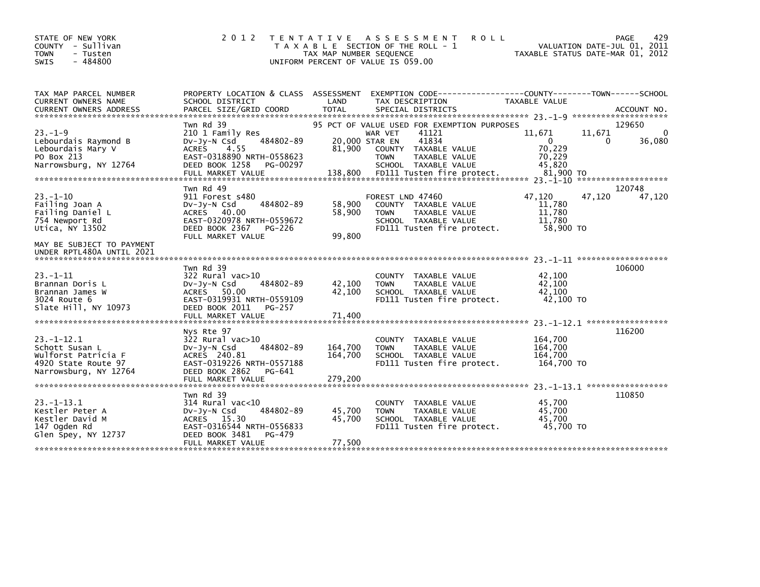| STATE OF NEW YORK<br>2 0 1 2<br>T E N T A T I V E<br>COUNTY<br>- Sullivan<br>TAX MAP NUMBER SEQUENCE<br>- Tusten<br>$-484800$<br>UNIFORM PERCENT OF VALUE IS 059.00                                                                                                                               | A S S E S S M E N T<br><b>ROLL</b><br>T A X A B L E SECTION OF THE ROLL - 1                                                    | VALUATION DATE-JUL 01,<br>TAXABLE STATUS DATE-MAR 01, 2012            | 429<br>PAGE<br>2011 |
|---------------------------------------------------------------------------------------------------------------------------------------------------------------------------------------------------------------------------------------------------------------------------------------------------|--------------------------------------------------------------------------------------------------------------------------------|-----------------------------------------------------------------------|---------------------|
| PROPERTY LOCATION & CLASS ASSESSMENT<br>TAX MAP PARCEL NUMBER<br><b>CURRENT OWNERS NAME</b><br>LAND<br>SCHOOL DISTRICT                                                                                                                                                                            | EXEMPTION CODE-----------------COUNTY-------TOWN------SCHOOL<br>TAX DESCRIPTION                                                | TAXABLE VALUE                                                         |                     |
| Twn Rd 39                                                                                                                                                                                                                                                                                         | 95 PCT OF VALUE USED FOR EXEMPTION PURPOSES                                                                                    |                                                                       | 129650              |
| $23. -1 - 9$<br>210 1 Family Res<br>484802-89<br>Lebourdais Raymond B<br>DV-Jy-N Csd<br>81,900<br>Lebourdais Mary V<br><b>ACRES</b><br>4.55<br>PO Box 213<br>EAST-0318890 NRTH-0558623<br>Narrowsburg, NY 12764<br>DEED BOOK 1258<br>PG-00297                                                     | 41121<br>WAR VET<br>41834<br>20,000 STAR EN<br>COUNTY TAXABLE VALUE<br><b>TOWN</b><br>TAXABLE VALUE<br>SCHOOL TAXABLE VALUE    | 11,671<br>11,671<br>0<br>0<br>70,229<br>70,229<br>45,820<br>81,900 TO | 0<br>36,080         |
|                                                                                                                                                                                                                                                                                                   |                                                                                                                                |                                                                       | ******************* |
| Twn Rd 49<br>$23. - 1 - 10$<br>911 Forest s480<br>Failing Joan A<br>484802-89<br>$Dv-Jv-N$ Csd<br>58,900<br>Failing Daniel L<br>ACRES 40.00<br>58.900<br>EAST-0320978 NRTH-0559672<br>754 Newport Rd<br>Utica, NY 13502<br>DEED BOOK 2367<br>PG-226                                               | FOREST LND 47460<br>COUNTY TAXABLE VALUE<br><b>TOWN</b><br>TAXABLE VALUE<br>SCHOOL TAXABLE VALUE<br>FD111 Tusten fire protect. | 47,120<br>47,120<br>11,780<br>11,780<br>11,780<br>58,900 TO           | 120748<br>47,120    |
| MAY BE SUBJECT TO PAYMENT<br>UNDER RPTL480A UNTIL 2021                                                                                                                                                                                                                                            |                                                                                                                                |                                                                       |                     |
| Twn Rd 39<br>$23 - 1 - 11$<br>$322$ Rural vac $>10$<br>484802-89<br>42,100<br>Brannan Doris L<br>$Dv-Jv-N$ Csd<br>42,100<br>ACRES 50.00<br>Brannan James W<br>EAST-0319931 NRTH-0559109<br>3024 Route 6<br>DEED BOOK 2011<br>Slate Hill, NY 10973<br><b>PG-257</b><br>71,400<br>FULL MARKET VALUE | COUNTY TAXABLE VALUE<br><b>TOWN</b><br>TAXABLE VALUE<br>SCHOOL TAXABLE VALUE<br>FD111 Tusten fire protect.                     | 42,100<br>42,100<br>42,100<br>42,100 TO                               | 106000              |
|                                                                                                                                                                                                                                                                                                   |                                                                                                                                |                                                                       |                     |
| $23. -1 - 12.1$<br>$322$ Rural vac $>10$<br>484802-89<br>Schott Susan L<br>164,700<br>$Dv-Jy-N$ Csd<br>ACRES 240.81<br>164,700<br>Wulforst Patricia F<br>4920 State Route 97<br>EAST-0319226 NRTH-0557188                                                                                         | COUNTY TAXABLE VALUE<br>TAXABLE VALUE<br><b>TOWN</b><br>SCHOOL TAXABLE VALUE<br>FD111 Tusten fire protect.                     | 164,700<br>164,700<br>164,700<br>164,700 TO                           |                     |
|                                                                                                                                                                                                                                                                                                   |                                                                                                                                |                                                                       |                     |
|                                                                                                                                                                                                                                                                                                   |                                                                                                                                | 23. -1-13. 1 ******************                                       |                     |
| $23 - 1 - 13.1$<br>$314$ Rural vac<10<br>Kestler Peter A<br>484802-89<br>45,700<br>Dv-Jy-N Csd<br>Kestler David M<br>ACRES 15.30<br>45,700<br>147 Ogden Rd<br>EAST-0316544 NRTH-0556833<br>Glen Spey, NY 12737<br>DEED BOOK 3481<br>PG-479<br>77,500<br>FULL MARKET VALUE                         | TAXABLE VALUE<br><b>COUNTY</b><br><b>TOWN</b><br>TAXABLE VALUE<br>SCHOOL TAXABLE VALUE<br>FD111 Tusten fire protect.           | 45,700<br>45.700<br>45,700<br>45,700 TO                               |                     |
| 99,800<br>FULL MARKET VALUE<br>Nys Rte 97<br>Narrowsburg, NY 12764<br>DEED BOOK 2862<br>PG-641<br>279,200<br>FULL MARKET VALUE<br>Twn Rd 39                                                                                                                                                       |                                                                                                                                | 23. -1-12. 1 ******************                                       | 116200<br>110850    |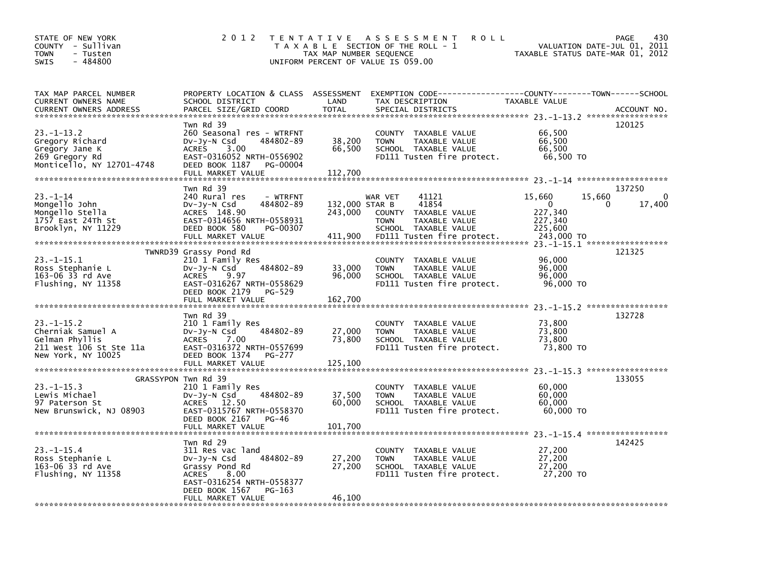| STATE OF NEW YORK<br>COUNTY - Sullivan<br><b>TOWN</b><br>- Tusten<br>$-484800$<br><b>SWIS</b>                   | 2 0 1 2                                                                                                                                                                           | T E N T A T I V E<br>TAX MAP NUMBER SEQUENCE | A S S E S S M E N T<br><b>ROLL</b><br>T A X A B L E SECTION OF THE ROLL - 1<br>UNIFORM PERCENT OF VALUE IS 059.00                          | TAXABLE STATUS DATE-MAR 01, 2012                                  | 430<br>PAGE<br>VALUATION DATE-JUL 01, 2011                                        |
|-----------------------------------------------------------------------------------------------------------------|-----------------------------------------------------------------------------------------------------------------------------------------------------------------------------------|----------------------------------------------|--------------------------------------------------------------------------------------------------------------------------------------------|-------------------------------------------------------------------|-----------------------------------------------------------------------------------|
| TAX MAP PARCEL NUMBER<br>CURRENT OWNERS NAME<br><b>CURRENT OWNERS ADDRESS</b><br>****************************** | PROPERTY LOCATION & CLASS ASSESSMENT<br>SCHOOL DISTRICT<br>PARCEL SIZE/GRID COORD                                                                                                 | LAND<br><b>TOTAL</b>                         | TAX DESCRIPTION<br>SPECIAL DISTRICTS                                                                                                       | TAXABLE VALUE                                                     | ACCOUNT NO.                                                                       |
| 23. –1–13.2<br>Gregory Richard<br>Gregory Jane K<br>269 Gregory Rd<br>Monticello, NY 12701-4748                 | Twn Rd 39<br>260 Seasonal res - WTRFNT<br>DV-Jy-N Csd<br>484802-89<br>3.00<br><b>ACRES</b><br>EAST-0316052 NRTH-0556902<br>DEED BOOK 1187<br><b>PG-00004</b><br>FULL MARKET VALUE | 38,200<br>66,500<br>112,700                  | COUNTY TAXABLE VALUE<br><b>TOWN</b><br>TAXABLE VALUE<br>SCHOOL TAXABLE VALUE<br>FD111 Tusten fire protect.                                 | 66,500<br>66,500<br>66,500<br>66,500 TO                           | 120125                                                                            |
| $23. - 1 - 14$<br>Mongello John<br>Mongello Stella<br>1757 East 24Th St<br>Brooklyn, NY 11229                   | Twn Rd 39<br>240 Rural res<br>- WTRFNT<br>484802-89<br>DV-Jy-N Csd<br>ACRES 148.90<br>EAST-0314656 NRTH-0558931<br>DEED BOOK 580<br>PG-00307<br>FULL MARKET VALUE                 | 132,000 STAR B<br>243,000<br>411,900         | 41121<br>WAR VET<br>41854<br>COUNTY<br>TAXABLE VALUE<br><b>TOWN</b><br>TAXABLE VALUE<br>SCHOOL TAXABLE VALUE<br>FD111 Tusten fire protect. | 15,660<br>$\Omega$<br>227,340<br>227,340<br>225,600<br>243,000 TO | 137250<br>$\mathbf 0$<br>15,660<br>17,400<br>0<br>23. -1-15.1 ******************* |
| $23. -1 - 15.1$<br>Ross Stephanie L<br>163-06 33 rd Ave<br>Flushing, NY 11358                                   | TWNRD39 Grassy Pond Rd<br>210 1 Family Res<br>484802-89<br>$Dv-Jy-N$ Csd<br><b>ACRES</b><br>9.97<br>EAST-0316267 NRTH-0558629<br>DEED BOOK 2179<br>PG-529<br>FULL MARKET VALUE    | 33,000<br>96,000<br>162,700                  | COUNTY TAXABLE VALUE<br><b>TOWN</b><br>TAXABLE VALUE<br>SCHOOL TAXABLE VALUE<br>FD111 Tusten fire protect.                                 | 96,000<br>96,000<br>96,000<br>96,000 TO                           | 121325                                                                            |
| $23. -1 - 15.2$<br>Cherniak Samuel A<br>Gelman Phyllis<br>211 West 106 St Ste 11a<br>New York, NY 10025         | Twn Rd 39<br>210 1 Family Res<br>484802-89<br>$Dv-Jy-N$ Csd<br>7.00<br><b>ACRES</b><br>EAST-0316372 NRTH-0557699<br>DEED BOOK 1374<br><b>PG-277</b><br>FULL MARKET VALUE          | 27,000<br>73,800<br>125,100                  | TAXABLE VALUE<br>COUNTY<br><b>TOWN</b><br>TAXABLE VALUE<br>SCHOOL TAXABLE VALUE<br>FD111 Tusten fire protect.                              | 73,800<br>73,800<br>73,800<br>73,800 TO                           | 132728                                                                            |
| $23. -1 - 15.3$<br>Lewis Michael<br>97 Paterson St<br>New Brunswick, NJ 08903                                   | GRASSYPON Twn Rd 39<br>210 1 Family Res<br>484802-89<br>$Dv-Jy-N$ Csd<br>ACRES 12.50<br>EAST-0315767 NRTH-0558370<br>DEED BOOK 2167<br>PG-46<br>FULL MARKET VALUE                 | 37,500<br>60,000<br>101,700                  | TAXABLE VALUE<br>COUNTY<br><b>TOWN</b><br>TAXABLE VALUE<br>SCHOOL TAXABLE VALUE<br>FD111 Tusten fire protect.                              | 60,000<br>60,000<br>60,000<br>60,000 TO                           | 133055                                                                            |
| $23. -1 - 15.4$<br>Ross Stephanie L<br>163-06 33 rd Ave<br>Flushing, NY 11358                                   | Twn Rd 29<br>311 Res vac land<br>484802-89<br>DV-Jy-N Csd<br>Grassy Pond Rd<br>8.00<br><b>ACRES</b><br>EAST-0316254 NRTH-0558377<br>DEED BOOK 1567<br>PG-163<br>FULL MARKET VALUE | 27,200<br>27,200<br>46,100                   | <b>COUNTY</b><br>TAXABLE VALUE<br>TAXABLE VALUE<br><b>TOWN</b><br>SCHOOL TAXABLE VALUE<br>FD111 Tusten fire protect.                       | 27,200<br>27,200<br>27,200<br>27,200 TO                           | 142425                                                                            |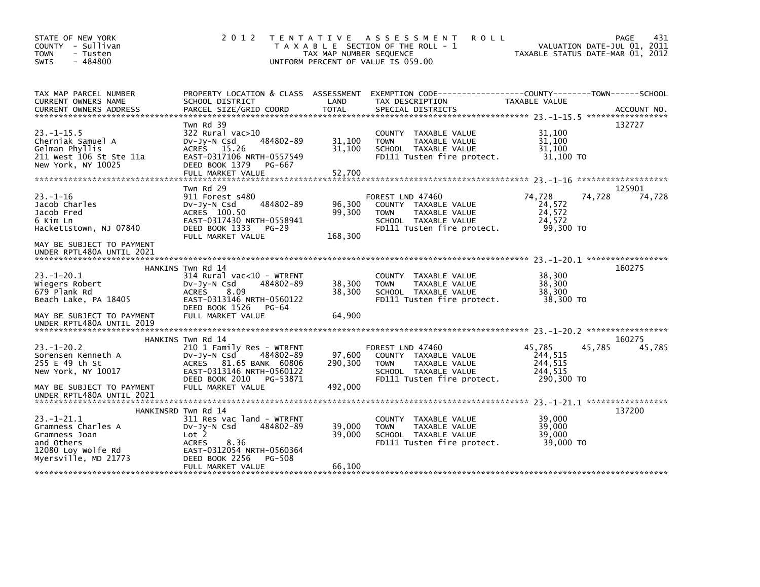| STATE OF NEW YORK<br>COUNTY - Sullivan<br><b>TOWN</b><br>- Tusten<br>$-484800$<br><b>SWIS</b>              | 2 0 1 2<br>T E N T A T I V E                                                                                                                                                        | TAX MAP NUMBER SEQUENCE      | <b>ROLL</b><br>A S S E S S M E N T<br>T A X A B L E SECTION OF THE ROLL - 1<br>UNIFORM PERCENT OF VALUE IS 059.00              | VALUATION DATE-JUL 01, 2011<br>TAXABLE STATUS DATE-MAR 01, 2012  | 431<br><b>PAGE</b> |
|------------------------------------------------------------------------------------------------------------|-------------------------------------------------------------------------------------------------------------------------------------------------------------------------------------|------------------------------|--------------------------------------------------------------------------------------------------------------------------------|------------------------------------------------------------------|--------------------|
| TAX MAP PARCEL NUMBER<br>CURRENT OWNERS NAME                                                               | PROPERTY LOCATION & CLASS ASSESSMENT<br>SCHOOL DISTRICT                                                                                                                             | LAND                         | EXEMPTION CODE-----------------COUNTY-------TOWN------SCHOOL<br>TAX DESCRIPTION                                                | TAXABLE VALUE                                                    |                    |
| $23. -1 - 15.5$<br>Cherniak Samuel A<br>Gelman Phyllis<br>211 West 106 St Ste 11a<br>New York, NY 10025    | Twn Rd 39<br>$322$ Rural vac $>10$<br>484802-89<br>DV-Jy-N Csd<br>ACRES 15.26<br>EAST-0317106 NRTH-0557549<br>DEED BOOK 1379<br>PG-667<br>FULL MARKET VALUE                         | 31,100<br>31,100<br>52,700   | COUNTY TAXABLE VALUE<br><b>TAXABLE VALUE</b><br><b>TOWN</b><br>SCHOOL TAXABLE VALUE<br>FD111 Tusten fire protect.              | 31,100<br>31.100<br>31,100<br>31,100 TO                          | 132727             |
| $23. - 1 - 16$<br>Jacob Charles<br>Jacob Fred<br>6 Kim Ln<br>Hackettstown, NJ 07840                        | Twn Rd 29<br>911 Forest s480<br>484802-89<br>DV-Jy-N Csd<br>ACRES 100.50<br>EAST-0317430 NRTH-0558941<br>DEED BOOK 1333<br>PG-29<br>FULL MARKET VALUE                               | 96,300<br>99,300<br>168,300  | FOREST LND 47460<br>COUNTY TAXABLE VALUE<br><b>TOWN</b><br>TAXABLE VALUE<br>SCHOOL TAXABLE VALUE<br>FD111 Tusten fire protect. | 74,728<br>74,728<br>24,572<br>24,572<br>24,572<br>99,300 TO      | 125901<br>74,728   |
| MAY BE SUBJECT TO PAYMENT<br>UNDER RPTL480A UNTIL 2021                                                     |                                                                                                                                                                                     |                              |                                                                                                                                |                                                                  |                    |
| $23 - 1 - 20.1$<br>Wiegers Robert<br>679 Plank Rd<br>Beach Lake, PA 18405                                  | HANKINS Twn Rd 14<br>314 Rural vac<10 - WTRFNT<br>484802-89<br>$Dv-Jv-N$ Csd<br>8.09<br><b>ACRES</b><br>EAST-0313146 NRTH-0560122<br>DEED BOOK 1526<br>PG-64                        | 38,300<br>38,300             | COUNTY TAXABLE VALUE<br>TAXABLE VALUE<br><b>TOWN</b><br>SCHOOL TAXABLE VALUE<br>FD111 Tusten fire protect.                     | 38,300<br>38,300<br>38,300<br>38,300 TO                          | 160275             |
| MAY BE SUBJECT TO PAYMENT<br>UNDER RPTL480A UNTIL 2019                                                     | FULL MARKET VALUE                                                                                                                                                                   | 64,900                       |                                                                                                                                |                                                                  |                    |
| $23 - 1 - 20.2$<br>Sorensen Kenneth A<br>255 E 49 th St<br>New York, NY 10017<br>MAY BE SUBJECT TO PAYMENT | HANKINS Twn Rd 14<br>210 1 Family Res - WTRFNT<br>484802-89<br>$Dv-Jy-N$ Csd<br>ACRES 81.65 BANK 60806<br>EAST-0313146 NRTH-0560122<br>DEED BOOK 2010 PG-53871<br>FULL MARKET VALUE | 97,600<br>290,300<br>492,000 | FOREST LND 47460<br>COUNTY TAXABLE VALUE<br>TAXABLE VALUE<br><b>TOWN</b><br>SCHOOL TAXABLE VALUE<br>FD111 Tusten fire protect. | 45,785<br>45,785<br>244,515<br>244,515<br>244, 515<br>290,300 TO | 160275<br>45,785   |
| UNDER RPTL480A UNTIL 2021                                                                                  | HANKINSRD Twn Rd 14                                                                                                                                                                 |                              |                                                                                                                                |                                                                  | 137200             |
| $23 - 1 - 21.1$<br>Gramness Charles A<br>Gramness Joan<br>and Others<br>12080 Loy Wolfe Rd                 | 311 Res vac land - WTRFNT<br>Dv-Jy-N Csd<br>484802-89<br>Lot 2<br><b>ACRES</b><br>8.36<br>EAST-0312054 NRTH-0560364                                                                 | 39,000<br>39,000             | COUNTY TAXABLE VALUE<br>TAXABLE VALUE<br><b>TOWN</b><br>SCHOOL TAXABLE VALUE<br>FD111 Tusten fire protect.                     | 39,000<br>39,000<br>39,000<br>39,000 TO                          |                    |
| Myersville, MD 21773                                                                                       | DEED BOOK 2256<br>PG-508<br>FULL MARKET VALUE                                                                                                                                       | 66,100                       |                                                                                                                                |                                                                  |                    |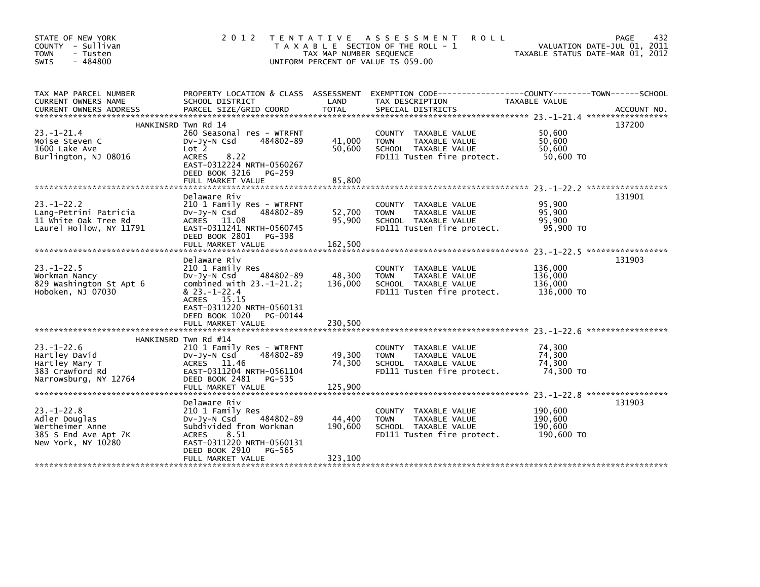| STATE OF NEW YORK<br>COUNTY - Sullivan<br><b>TOWN</b><br>- Tusten<br>$-484800$<br><b>SWIS</b>      | 2 0 1 2                                                                                                                                                                                                          | T E N T A T I V E<br>TAX MAP NUMBER SEQUENCE | A S S E S S M E N T<br><b>ROLL</b><br>T A X A B L E SECTION OF THE ROLL - 1<br>UNIFORM PERCENT OF VALUE IS 059.00 | TAXABLE STATUS DATE-MAR 01, 2012            | 432<br>PAGE<br>VALUATION DATE-JUL 01, 2011 |
|----------------------------------------------------------------------------------------------------|------------------------------------------------------------------------------------------------------------------------------------------------------------------------------------------------------------------|----------------------------------------------|-------------------------------------------------------------------------------------------------------------------|---------------------------------------------|--------------------------------------------|
| TAX MAP PARCEL NUMBER<br>CURRENT OWNERS NAME<br><b>CURRENT OWNERS ADDRESS</b>                      | PROPERTY LOCATION & CLASS ASSESSMENT<br>SCHOOL DISTRICT<br>PARCEL SIZE/GRID COORD                                                                                                                                | LAND<br><b>TOTAL</b>                         | EXEMPTION CODE-----------------COUNTY-------TOWN------SCHOOL<br>TAX DESCRIPTION<br>SPECIAL DISTRICTS              | TAXABLE VALUE                               | ACCOUNT NO.                                |
| $23. - 1 - 21.4$<br>Moise Steven C<br>1600 Lake Ave<br>Burlington, NJ 08016                        | HANKINSRD Twn Rd 14<br>260 Seasonal res - WTRFNT<br>484802-89<br>$Dv-Jy-N$ Csd<br>Lot 2<br><b>ACRES</b><br>8.22<br>EAST-0312224 NRTH-0560267<br>DEED BOOK 3216 PG-259<br>FULL MARKET VALUE                       | 41,000<br>50,600<br>85,800                   | COUNTY TAXABLE VALUE<br><b>TOWN</b><br>TAXABLE VALUE<br>SCHOOL TAXABLE VALUE<br>FD111 Tusten fire protect.        | 50,600<br>50.600<br>50,600<br>50,600 TO     | 137200                                     |
| $23 - 1 - 22.2$<br>Lang-Petrini Patricia<br>11 White Oak Tree Rd<br>Laurel Hollow, NY 11791        | Delaware Riv<br>210 1 Family Res - WTRFNT<br>484802-89<br>$Dv-Jy-N$ Csd<br>ACRES 11.08<br>EAST-0311241 NRTH-0560745<br>DEED BOOK 2801 PG-398<br>FULL MARKET VALUE                                                | 52,700<br>95,900<br>162,500                  | COUNTY TAXABLE VALUE<br><b>TOWN</b><br>TAXABLE VALUE<br>SCHOOL TAXABLE VALUE<br>FD111 Tusten fire protect.        | 95.900<br>95.900<br>95,900<br>95,900 TO     | 131901                                     |
| $23 - 1 - 22.5$<br>Workman Nancy<br>829 Washington St Apt 6<br>Hoboken, NJ 07030                   | Delaware Riv<br>210 1 Family Res<br>484802-89<br>DV-Jy-N Csd<br>combined with $23.-1-21.2$ ;<br>$& 23. -1 - 22.4$<br>ACRES 15.15<br>EAST-0311220 NRTH-0560131<br>DEED BOOK 1020<br>PG-00144<br>FULL MARKET VALUE | 48,300<br>136,000<br>230,500                 | COUNTY TAXABLE VALUE<br><b>TAXABLE VALUE</b><br><b>TOWN</b><br>SCHOOL TAXABLE VALUE<br>FD111 Tusten fire protect. | 136,000<br>136,000<br>136,000<br>136,000 TO | 131903                                     |
| $23. - 1 - 22.6$<br>Hartley David<br>Hartley Mary T<br>383 Crawford Rd<br>Narrowsburg, NY 12764    | HANKINSRD Twn Rd #14<br>210 1 Family Res - WTRFNT<br>484802-89<br>DV-Jy-N Csd<br>ACRES 11.46<br>EAST-0311204 NRTH-0561104<br>DEED BOOK 2481<br>PG-535<br>FULL MARKET VALUE                                       | 49,300<br>74,300<br>125,900                  | COUNTY TAXABLE VALUE<br><b>TOWN</b><br>TAXABLE VALUE<br>SCHOOL TAXABLE VALUE<br>FD111 Tusten fire protect.        | 74,300<br>74,300<br>74,300<br>74,300 TO     |                                            |
| $23. - 1 - 22.8$<br>Adler Douglas<br>Wertheimer Anne<br>385 S End Ave Apt 7K<br>New York, NY 10280 | Delaware Riv<br>210 1 Family Res<br>484802-89<br>$Dv-Jy-N$ Csd<br>Subdivided from Workman<br>8.51<br><b>ACRES</b><br>EAST-0311220 NRTH-0560131<br>DEED BOOK 2910<br>PG-565<br>FULL MARKET VALUE                  | 44,400<br>190,600<br>323,100                 | COUNTY TAXABLE VALUE<br>TAXABLE VALUE<br><b>TOWN</b><br>SCHOOL TAXABLE VALUE<br>FD111 Tusten fire protect.        | 190,600<br>190,600<br>190,600<br>190,600 TO | 131903                                     |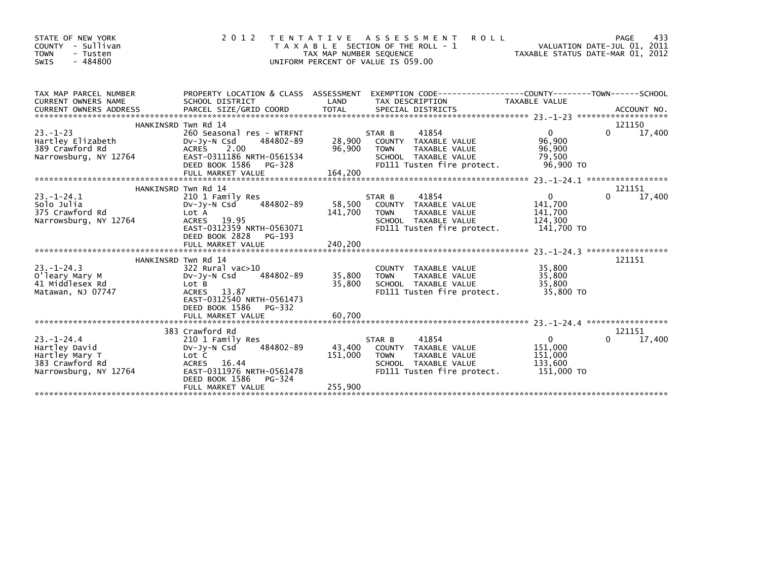| STATE OF NEW YORK<br>COUNTY - Sullivan<br><b>TOWN</b><br>- Tusten<br>$-484800$<br>SWIS          | 2 0 1 2                                                                                                                                                                     | TAX MAP NUMBER SEQUENCE      | <b>ROLL</b><br>TENTATIVE ASSESSMENT<br>T A X A B L E SECTION OF THE ROLL - 1<br>UNIFORM PERCENT OF VALUE IS 059.00            | TAXABLE STATUS DATE-MAR 01, 2012                              | 433<br>PAGE<br>VALUATION DATE-JUL 01, 2011 |
|-------------------------------------------------------------------------------------------------|-----------------------------------------------------------------------------------------------------------------------------------------------------------------------------|------------------------------|-------------------------------------------------------------------------------------------------------------------------------|---------------------------------------------------------------|--------------------------------------------|
| TAX MAP PARCEL NUMBER<br>CURRENT OWNERS NAME                                                    | PROPERTY LOCATION & CLASS ASSESSMENT<br>SCHOOL DISTRICT                                                                                                                     | LAND                         | EXEMPTION CODE-----------------COUNTY-------TOWN------SCHOOL<br>TAX DESCRIPTION                                               | TAXABLE VALUE                                                 |                                            |
|                                                                                                 | HANKINSRD Twn Rd 14                                                                                                                                                         |                              |                                                                                                                               |                                                               | 121150                                     |
| $23 - 1 - 23$<br>Hartley Elizabeth<br>389 Crawford Rd<br>Narrowsburg, NY 12764                  | 260 Seasonal res - WTRFNT<br>484802-89<br>DV-JY-N Csd<br>ACRES 2.00<br>EAST-0311186 NRTH-0561534<br>DEED BOOK 1586<br>PG-328<br>FULL MARKET VALUE                           | 28,900<br>96,900<br>164,200  | STAR B<br>41854<br>COUNTY TAXABLE VALUE<br>TAXABLE VALUE<br><b>TOWN</b><br>SCHOOL TAXABLE VALUE<br>FD111 Tusten fire protect. | $\overline{0}$<br>96,900<br>96,900<br>79,500<br>96,900 TO     | 17,400<br>0                                |
|                                                                                                 |                                                                                                                                                                             |                              |                                                                                                                               |                                                               |                                            |
| $23. - 1 - 24.1$<br>Solo Julia<br>375 Crawford Rd<br>Narrowsburg, NY 12764                      | HANKINSRD Twn Rd 14<br>210 1 Family Res<br>484802-89<br>$Dv-Jy-N$ Csd<br>Lot A<br>ACRES 19.95<br>EAST-0312359 NRTH-0563071<br>DEED BOOK 2828<br>PG-193<br>FULL MARKET VALUE | 58,500<br>141,700<br>240,200 | 41854<br>STAR B<br>COUNTY TAXABLE VALUE<br>TAXABLE VALUE<br><b>TOWN</b><br>SCHOOL TAXABLE VALUE<br>FD111 Tusten fire protect. | $\overline{0}$<br>141,700<br>141,700<br>124,300<br>141,700 TO | 121151<br>17,400<br>0                      |
|                                                                                                 | HANKINSRD Twn Rd 14                                                                                                                                                         |                              |                                                                                                                               |                                                               | 121151                                     |
| $23 - 1 - 24.3$<br>O'leary Mary M<br>41 Middlesex Rd<br>Matawan, NJ 07747                       | 322 Rural vac>10<br>484802-89<br>$Dv-Jv-N$ Csd<br>Lot B<br>ACRES 13.87<br>EAST-0312540 NRTH-0561473<br>DEED BOOK 1586 PG-332                                                | 35,800<br>35,800             | COUNTY TAXABLE VALUE<br>TAXABLE VALUE<br><b>TOWN</b><br>SCHOOL TAXABLE VALUE<br>FD111 Tusten fire protect.                    | 35,800<br>35.800<br>35,800<br>35,800 TO                       |                                            |
|                                                                                                 | FULL MARKET VALUE                                                                                                                                                           | 60.700                       |                                                                                                                               |                                                               |                                            |
|                                                                                                 |                                                                                                                                                                             |                              |                                                                                                                               |                                                               |                                            |
| $23. - 1 - 24.4$<br>Hartley David<br>Hartley Mary T<br>383 Crawford Rd<br>Narrowsburg, NY 12764 | 383 Crawford Rd<br>210 1 Family Res<br>484802-89<br>$Dv-Jy-N$ Csd<br>Lot C<br>16.44<br><b>ACRES</b><br>EAST-0311976 NRTH-0561478<br>DEED BOOK 1586<br>PG-324                | 43.400<br>151,000            | 41854<br>STAR B<br>COUNTY TAXABLE VALUE<br>TAXABLE VALUE<br><b>TOWN</b><br>SCHOOL TAXABLE VALUE<br>FD111 Tusten fire protect. | $\overline{0}$<br>151,000<br>151,000<br>133,600<br>151,000 TO | 121151<br>17,400<br>0                      |
|                                                                                                 | FULL MARKET VALUE                                                                                                                                                           | 255,900                      |                                                                                                                               |                                                               |                                            |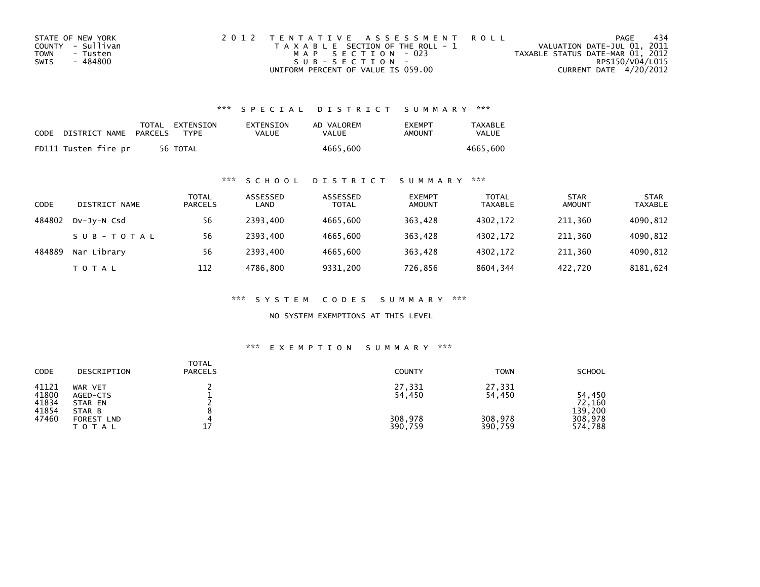| STATE OF NEW YORK | 2012 TENTATIVE ASSESSMENT ROLL        | PAGE                             | 434 |
|-------------------|---------------------------------------|----------------------------------|-----|
| COUNTY - Sullivan | T A X A B L E SECTION OF THE ROLL - 1 | VALUATION DATE-JUL 01, 2011      |     |
| TOWN<br>- Tusten  | MAP SECTION - 023                     | TAXABLE STATUS DATE-MAR 01, 2012 |     |
| - 484800<br>SWIS  | $SUB - SECTION -$                     | RPS150/V04/L015                  |     |
|                   | UNIFORM PERCENT OF VALUE IS 059.00    | CURRENT DATE 4/20/2012           |     |

| CODE | DISTRICT NAME        | PARCELS | TOTAL EXTENSION<br><b>TYPF</b> | EXTENSION<br>VALUE | AD VALOREM<br>VALUE | <b>FXFMPT</b><br>AMOUNT | <b>TAXABLE</b><br>VALUE |
|------|----------------------|---------|--------------------------------|--------------------|---------------------|-------------------------|-------------------------|
|      | FD111 Tusten fire pr |         | 56 TOTAL                       |                    | 4665.600            |                         | 4665.600                |

### \*\*\* S C H O O L D I S T R I C T S U M M A R Y \*\*\*

| CODE   | DISTRICT NAME | <b>TOTAL</b><br><b>PARCELS</b> | ASSESSED<br>LAND | ASSESSED<br><b>TOTAL</b> | <b>EXEMPT</b><br><b>AMOUNT</b> | TOTAL<br><b>TAXABLE</b> | <b>STAR</b><br><b>AMOUNT</b> | <b>STAR</b><br><b>TAXABLE</b> |
|--------|---------------|--------------------------------|------------------|--------------------------|--------------------------------|-------------------------|------------------------------|-------------------------------|
| 484802 | DV-JV-N Csd   | 56                             | 2393.400         | 4665.600                 | 363.428                        | 4302.172                | 211.360                      | 4090,812                      |
|        | SUB-TOTAL     | 56                             | 2393.400         | 4665.600                 | 363.428                        | 4302.172                | 211.360                      | 4090,812                      |
| 484889 | Nar Library   | 56                             | 2393.400         | 4665.600                 | 363,428                        | 4302,172                | 211,360                      | 4090,812                      |
|        | <b>TOTAL</b>  | 112                            | 4786.800         | 9331,200                 | 726,856                        | 8604,344                | 422,720                      | 8181,624                      |

\*\*\* S Y S T E M C O D E S S U M M A R Y \*\*\*

NO SYSTEM EXEMPTIONS AT THIS LEVEL

# \*\*\* E X E M P T I O N S U M M A R Y \*\*\*

| CODE                                      | DESCRIPTION                                                     | <b>TOTAL</b><br><b>PARCELS</b> | <b>COUNTY</b>                          | <b>TOWN</b>                            | <b>SCHOOL</b>                                     |
|-------------------------------------------|-----------------------------------------------------------------|--------------------------------|----------------------------------------|----------------------------------------|---------------------------------------------------|
| 41121<br>41800<br>41834<br>41854<br>47460 | WAR VET<br>AGED-CTS<br>STAR EN<br>STAR B<br>FOREST LND<br>ΤΟΤΑΙ | 17                             | 27,331<br>54,450<br>308,978<br>390,759 | 27,331<br>54,450<br>308,978<br>390,759 | 54,450<br>72,160<br>139,200<br>308,978<br>574,788 |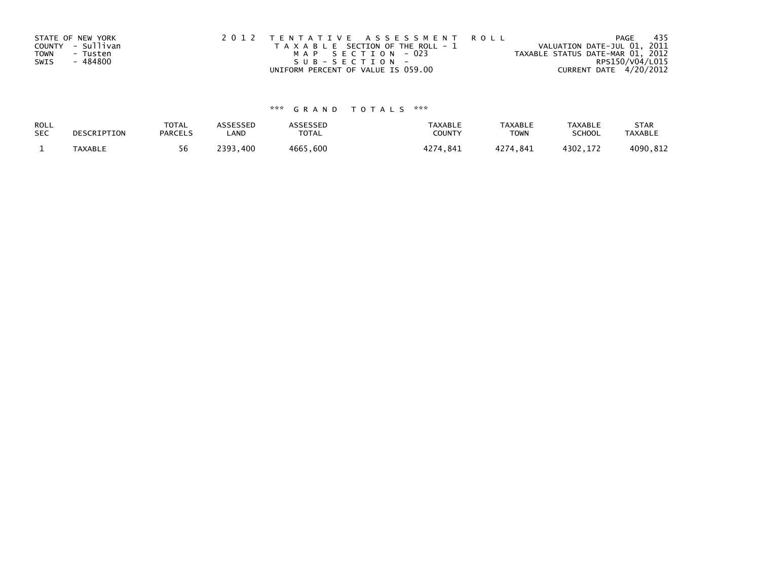| STATE OF NEW YORK       | 2012 TENTATIVE ASSESSMENT ROLL        | PAGE                             | - 435 |
|-------------------------|---------------------------------------|----------------------------------|-------|
| COUNTY - Sullivan       | T A X A B L E SECTION OF THE ROLL - 1 | VALUATION DATE-JUL 01, 2011      |       |
| <b>TOWN</b><br>- Tusten | MAP SECTION - 023                     | TAXABLE STATUS DATE-MAR 01, 2012 |       |
| - 484800<br>SWIS        | SUB-SECTION-                          | RPS150/V04/L015                  |       |
|                         | UNIFORM PERCENT OF VALUE IS 059.00    | CURRENT DATE 4/20/2012           |       |

# \*\*\* G R A N D T O T A L S \*\*\*

| ROLL       | DESCRIPTION    | <b>TOTAL</b>   | ASSESSED      | ASSESSED | <b>TAXABLE</b> | <b>TAXABLE</b> | <b>TAXABLE</b> | <b>STAR</b>    |
|------------|----------------|----------------|---------------|----------|----------------|----------------|----------------|----------------|
| <b>SEC</b> |                | <b>PARCELS</b> | LAND          | TOTAL    | <b>COUNTY</b>  | <b>TOWN</b>    | <b>SCHOOL</b>  | <b>TAXABLE</b> |
|            | <b>TAXABLE</b> | 56             | ?393.<br>.400 | 4665,600 | 4274.841       | 4274.841       | 4302.172       | 4090,812       |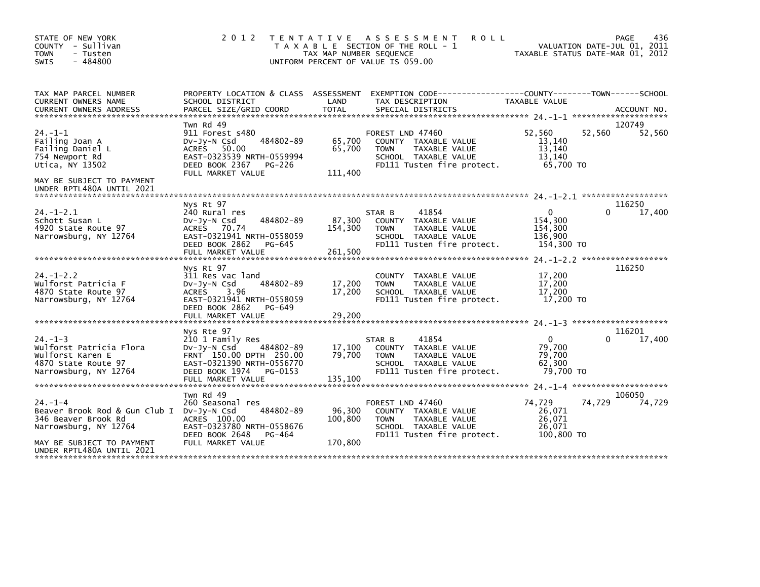| STATE OF NEW YORK<br>COUNTY - Sullivan<br><b>TOWN</b><br>- Tusten<br>$-484800$<br><b>SWIS</b>                                                                      | 2 0 1 2                                                                                                                                                                     | TAX MAP NUMBER SEQUENCE      | TENTATIVE ASSESSMENT<br><b>ROLL</b><br>T A X A B L E SECTION OF THE ROLL - 1<br>UNIFORM PERCENT OF VALUE IS 059.00             |                                                     | 436<br>PAGE<br>VALUATION DATE-JUL 01, 2011<br>TAXABLE STATUS DATE-MAR 01, 2012 |
|--------------------------------------------------------------------------------------------------------------------------------------------------------------------|-----------------------------------------------------------------------------------------------------------------------------------------------------------------------------|------------------------------|--------------------------------------------------------------------------------------------------------------------------------|-----------------------------------------------------|--------------------------------------------------------------------------------|
| TAX MAP PARCEL NUMBER<br>CURRENT OWNERS NAME                                                                                                                       | SCHOOL DISTRICT                                                                                                                                                             | LAND                         | PROPERTY LOCATION & CLASS ASSESSMENT EXEMPTION CODE----------------COUNTY-------TOWN------SCHOOL<br>TAX DESCRIPTION            | <b>TAXABLE VALUE</b>                                |                                                                                |
| $24. -1 - 1$<br>Failing Joan A<br>Failing Daniel L<br>754 Newport Rd<br>Utica, NY 13502<br>MAY BE SUBJECT TO PAYMENT<br>UNDER RPTL480A UNTIL 2021                  | Twn Rd 49<br>911 Forest s480<br>$Dv-Jy-N$ Csd<br>484802-89<br>ACRES 50.00<br>EAST-0323539 NRTH-0559994<br>DEED BOOK 2367<br><b>PG-226</b><br>FULL MARKET VALUE              | 65,700<br>65,700<br>111,400  | FOREST LND 47460<br>COUNTY TAXABLE VALUE<br><b>TOWN</b><br>TAXABLE VALUE<br>SCHOOL TAXABLE VALUE<br>FD111 Tusten fire protect. | 52.560<br>13,140<br>13,140<br>13,140<br>65.700 TO   | 120749<br>52,560<br>52,560                                                     |
| $24. - 1 - 2.1$<br>Schott Susan L<br>4920 State Route 97<br>Narrowsburg, NY 12764                                                                                  | Nys Rt 97<br>240 Rural res<br>484802-89<br>$Dv-Jy-N$ Csd<br>ACRES 70.74<br>EAST-0321941 NRTH-0558059<br>DEED BOOK 2862<br>PG-645<br>FULL MARKET VALUE                       | 87,300<br>154,300<br>261,500 | 41854<br>STAR B<br>COUNTY TAXABLE VALUE<br><b>TOWN</b><br>TAXABLE VALUE<br>SCHOOL TAXABLE VALUE<br>FD111 Tusten fire protect.  | 0<br>154,300<br>154,300<br>136,900<br>154,300 TO    | 116250<br>17,400<br>0                                                          |
| $24. - 1 - 2.2$<br>Wulforst Patricia F<br>4870 State Route 97<br>Narrowsburg, NY 12764                                                                             | Nys Rt 97<br>311 Res vac land<br>484802-89<br>$Dv-Jv-N$ Csd<br><b>ACRES</b><br>3.96<br>EAST-0321941 NRTH-0558059<br>DEED BOOK 2862<br>PG-649<br>FULL MARKET VALUE           | 17,200<br>17,200<br>29,200   | COUNTY TAXABLE VALUE<br><b>TAXABLE VALUE</b><br><b>TOWN</b><br>SCHOOL TAXABLE VALUE<br>FD111 Tusten fire protect.              | 17,200<br>17,200<br>17,200<br>17,200 TO             | 116250                                                                         |
| $24. -1 - 3$<br>Wulforst Patricia Flora<br>Wulforst Karen E<br>4870 State Route 97<br>Narrowsburg, NY 12764                                                        | Nys Rte 97<br>210 1 Family Res<br>484802-89<br>$Dv$ -J $v$ -N Csd<br>FRNT 150.00 DPTH 250.00<br>EAST-0321390 NRTH-0556770<br>DEED BOOK 1974<br>PG-0153<br>FULL MARKET VALUE | 17,100<br>79,700<br>135,100  | 41854<br>STAR B<br>COUNTY TAXABLE VALUE<br><b>TOWN</b><br>TAXABLE VALUE<br>SCHOOL TAXABLE VALUE<br>FD111 Tusten fire protect.  | $\Omega$<br>79,700<br>79,700<br>62,300<br>79,700 TO | 116201<br>17,400                                                               |
| $24. -1 -4$<br>Beaver Brook Rod & Gun Club I Dv-Jy-N Csd<br>346 Beaver Brook Rd<br>Narrowsburg, NY 12764<br>MAY BE SUBJECT TO PAYMENT<br>UNDER RPTL480A UNTIL 2021 | Twn Rd 49<br>260 Seasonal res<br>484802-89<br>ACRES 100.00<br>EAST-0323780 NRTH-0558676<br>DEED BOOK 2648<br>PG-464<br>FULL MARKET VALUE                                    | 96,300<br>100,800<br>170,800 | FOREST LND 47460<br>COUNTY TAXABLE VALUE<br><b>TOWN</b><br>TAXABLE VALUE<br>SCHOOL TAXABLE VALUE<br>FD111 Tusten fire protect. | 74.729<br>26,071<br>26,071<br>26.071<br>100,800 TO  | 106050<br>74,729<br>74,729                                                     |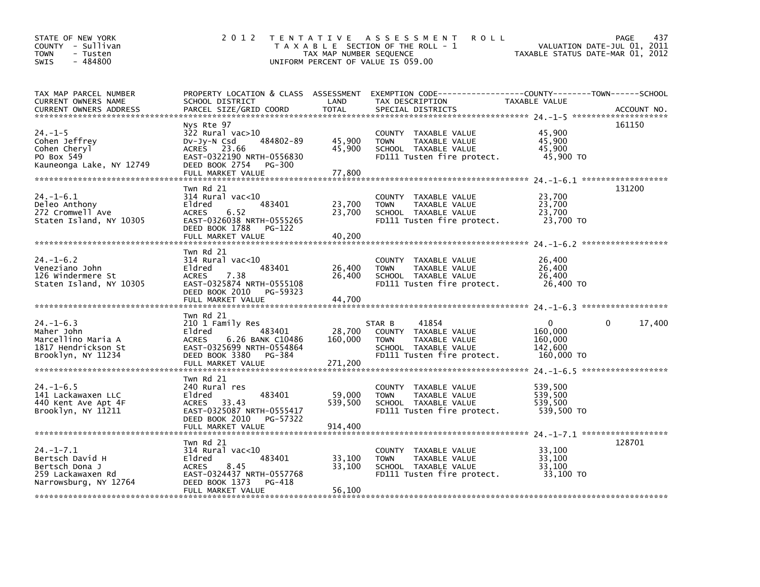| STATE OF NEW YORK<br>COUNTY - Sullivan<br><b>TOWN</b><br>- Tusten<br>$-484800$<br><b>SWIS</b>     | 2 0 1 2                                                                                                                                                             | TAX MAP NUMBER SEQUENCE      | <b>ROLL</b><br>TENTATIVE ASSESSMENT<br>T A X A B L E SECTION OF THE ROLL - 1<br>UNIFORM PERCENT OF VALUE IS 059.00                       | TAXABLE STATUS DATE-MAR 01, 2012                            | 437<br><b>PAGE</b><br>VALUATION DATE-JUL 01, 2011 |
|---------------------------------------------------------------------------------------------------|---------------------------------------------------------------------------------------------------------------------------------------------------------------------|------------------------------|------------------------------------------------------------------------------------------------------------------------------------------|-------------------------------------------------------------|---------------------------------------------------|
| TAX MAP PARCEL NUMBER<br>CURRENT OWNERS NAME<br>CURRENT OWNERS ADDRESS                            | SCHOOL DISTRICT<br>PARCEL SIZE/GRID COORD                                                                                                                           | LAND<br><b>TOTAL</b>         | PROPERTY LOCATION & CLASS ASSESSMENT EXEMPTION CODE----------------COUNTY-------TOWN------SCHOOL<br>TAX DESCRIPTION<br>SPECIAL DISTRICTS | TAXABLE VALUE                                               | ACCOUNT NO.                                       |
| $24. -1 - 5$<br>Cohen Jeffrey<br>Cohen Cheryl<br>PO Box 549<br>Kauneonga Lake, NY 12749           | Nys Rte 97<br>$322$ Rural vac $>10$<br>484802-89<br>$Dv-Jy-N$ Csd<br>ACRES 23.66<br>EAST-0322190 NRTH-0556830<br>DEED BOOK 2754<br>PG-300<br>FULL MARKET VALUE      | 45,900<br>45,900<br>77,800   | COUNTY TAXABLE VALUE<br><b>TOWN</b><br>TAXABLE VALUE<br>SCHOOL TAXABLE VALUE<br>FD111 Tusten fire protect.                               | 45,900<br>45,900<br>45,900<br>45,900 TO                     | 161150                                            |
| $24. - 1 - 6.1$<br>Deleo Anthony<br>272 Cromwell Ave<br>Staten Island, NY 10305                   | Twn Rd 21<br>$314$ Rural vac<10<br>Eldred<br>483401<br>6.52<br><b>ACRES</b><br>EAST-0326038 NRTH-0555265<br>DEED BOOK 1788<br>PG-122<br>FULL MARKET VALUE           | 23,700<br>23,700<br>40,200   | COUNTY TAXABLE VALUE<br><b>TOWN</b><br>TAXABLE VALUE<br>SCHOOL TAXABLE VALUE<br>FD111 Tusten fire protect.                               | 23,700<br>23,700<br>23,700<br>23,700 TO                     | 131200                                            |
| $24. - 1 - 6.2$<br>Veneziano John<br>126 Windermere St<br>Staten Island, NY 10305                 | Twn Rd 21<br>$314$ Rural vac<10<br>Eldred<br>483401<br>7.38<br><b>ACRES</b><br>EAST-0325874 NRTH-0555108<br>DEED BOOK 2010<br>PG-59323<br>FULL MARKET VALUE         | 26,400<br>26,400<br>44,700   | COUNTY TAXABLE VALUE<br><b>TOWN</b><br>TAXABLE VALUE<br>SCHOOL TAXABLE VALUE<br>FD111 Tusten fire protect.                               | 26,400<br>26,400<br>26,400<br>26,400 TO                     |                                                   |
| $24. - 1 - 6.3$<br>Maher John<br>Marcellino Maria A<br>1817 Hendrickson St<br>Brooklyn, NY 11234  | Twn Rd 21<br>210 1 Family Res<br>Eldred<br>483401<br><b>ACRES</b><br>6.26 BANK C10486<br>EAST-0325699 NRTH-0554864<br>DEED BOOK 3380<br>PG-384<br>FULL MARKET VALUE | 28,700<br>160,000<br>271,200 | 41854<br>STAR B<br>COUNTY TAXABLE VALUE<br>TAXABLE VALUE<br><b>TOWN</b><br>SCHOOL TAXABLE VALUE<br>FD111 Tusten fire protect.            | $\mathbf{0}$<br>160,000<br>160,000<br>142,600<br>160,000 TO | 17,400<br>$\Omega$                                |
| $24. -1 - 6.5$<br>141 Lackawaxen LLC<br>440 Kent Ave Apt 4F<br>Brooklyn, NY 11211                 | Twn Rd 21<br>240 Rural res<br>Eldred<br>483401<br>33.43<br><b>ACRES</b><br>EAST-0325087 NRTH-0555417<br>DEED BOOK 2010<br>PG-57322<br>FULL MARKET VALUE             | 59,000<br>539,500<br>914,400 | COUNTY TAXABLE VALUE<br><b>TOWN</b><br>TAXABLE VALUE<br>SCHOOL TAXABLE VALUE<br>FD111 Tusten fire protect.                               | 539,500<br>539,500<br>539,500<br>539,500 TO                 |                                                   |
| $24. -1 - 7.1$<br>Bertsch David H<br>Bertsch Dona J<br>259 Lackawaxen Rd<br>Narrowsburg, NY 12764 | Twn Rd 21<br>$314$ Rural vac<10<br>Eldred<br>483401<br>8.45<br><b>ACRES</b><br>EAST-0324437 NRTH-0557768<br>DEED BOOK 1373<br>PG-418<br>FULL MARKET VALUE           | 33,100<br>33,100<br>56,100   | <b>COUNTY</b><br>TAXABLE VALUE<br>TAXABLE VALUE<br><b>TOWN</b><br>SCHOOL TAXABLE VALUE<br>FD111 Tusten fire protect.                     | 33,100<br>33,100<br>33,100<br>33,100 TO                     | 128701                                            |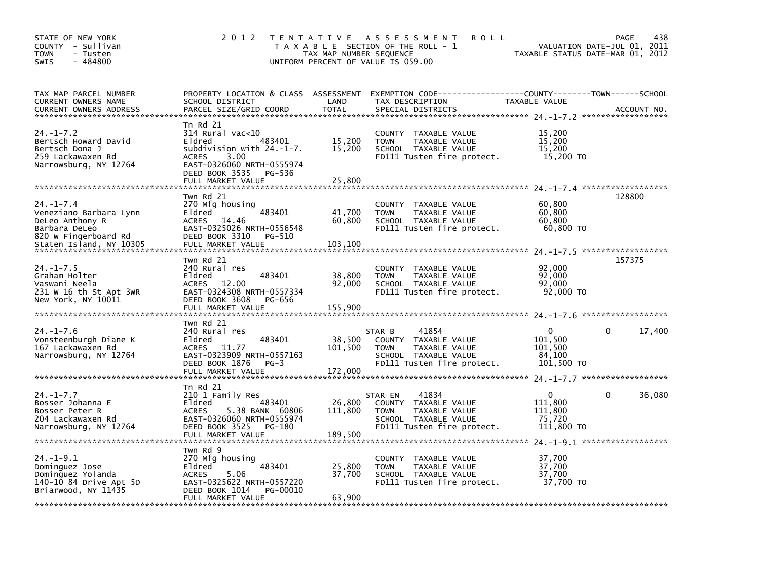| STATE OF NEW YORK<br>COUNTY - Sullivan<br><b>TOWN</b><br>- Tusten<br>$-484800$<br>SWIS                                      | 2 0 1 2                                                                                                                                                                                                                                                               | TAX MAP NUMBER SEQUENCE                | TENTATIVE ASSESSMENT<br><b>ROLL</b><br>T A X A B L E SECTION OF THE ROLL - 1<br>UNIFORM PERCENT OF VALUE IS 059.00             | TAXABLE STATUS DATE-MAR 01, 2012                | 438<br>PAGE<br>VALUATION DATE-JUL 01, 2011 |
|-----------------------------------------------------------------------------------------------------------------------------|-----------------------------------------------------------------------------------------------------------------------------------------------------------------------------------------------------------------------------------------------------------------------|----------------------------------------|--------------------------------------------------------------------------------------------------------------------------------|-------------------------------------------------|--------------------------------------------|
| TAX MAP PARCEL NUMBER<br>CURRENT OWNERS NAME<br>CURRENT OWNERS ADDRESS                                                      | PROPERTY LOCATION & CLASS ASSESSMENT<br>SCHOOL DISTRICT<br>PARCEL SIZE/GRID COORD                                                                                                                                                                                     | LAND<br><b>TOTAL</b>                   | TAX DESCRIPTION<br>SPECIAL DISTRICTS                                                                                           | TAXABLE VALUE                                   | ACCOUNT NO.                                |
| $24. -1 - 7.2$<br>Bertsch Howard David<br>Bertsch Dona J<br>259 Lackawaxen Rd<br>Narrowsburg, NY 12764                      | Tn Rd 21<br>$314$ Rural vac<10<br>483401<br>Eldred<br>subdivision with 24.-1-7.<br>3.00<br><b>ACRES</b><br>EAST-0326060 NRTH-0555974<br>DEED BOOK 3535 PG-536<br>FULL MARKET VALUE                                                                                    | 15,200<br>15,200<br>25,800             | COUNTY TAXABLE VALUE<br>TAXABLE VALUE<br><b>TOWN</b><br>SCHOOL TAXABLE VALUE<br>FD111 Tusten fire protect.                     | 15,200<br>15,200<br>15,200<br>15,200 TO         |                                            |
| $24. - 1 - 7.4$<br>Veneziano Barbara Lynn<br>DeLeo Anthony R<br>Barbara DeLeo<br>820 W Fingerboard Rd                       | Twn Rd 21<br>270 Mfg housing<br>Eldred<br>483401<br>ACRES<br>14.46<br>EAST-0325026 NRTH-0556548<br>DEED BOOK 3310<br>PG-510                                                                                                                                           | 41,700<br>60,800                       | COUNTY TAXABLE VALUE<br>TAXABLE VALUE<br><b>TOWN</b><br>SCHOOL TAXABLE VALUE<br>FD111 Tusten fire protect.                     | 60,800<br>60,800<br>60,800<br>60,800 TO         | 128800                                     |
| Staten Island, NY 10305<br>$24. -1 - 7.5$<br>Graham Holter<br>Vaswani Neela<br>231 W 16 th St Apt 3WR<br>New York, NY 10011 | FULL MARKET VALUE<br>Twn Rd 21<br>240 Rural res<br>483401<br>Eldred<br><b>ACRES</b><br>12.00<br>EAST-0324308 NRTH-0557334<br>DEED BOOK 3608<br>PG-656<br>FULL MARKET VALUE                                                                                            | 103,100<br>38,800<br>92,000<br>155,900 | TAXABLE VALUE<br><b>COUNTY</b><br><b>TOWN</b><br>TAXABLE VALUE<br>SCHOOL TAXABLE VALUE<br>FD111 Tusten fire protect.           | 92,000<br>92,000<br>92,000<br>92,000 TO         | 157375                                     |
| $24. - 1 - 7.6$<br>Vonsteenburgh Diane K<br>167 Lackawaxen Rd<br>Narrowsburg, NY 12764                                      | Twn Rd 21<br>240 Rural res<br>483401<br>Eldred<br><b>ACRES</b><br>11.77<br>EAST-0323909 NRTH-0557163<br>DEED BOOK 1876<br>$PG-3$<br>FULL MARKET VALUE                                                                                                                 | 38,500<br>101,500<br>172,000           | 41854<br>STAR B<br>COUNTY TAXABLE VALUE<br><b>TOWN</b><br>TAXABLE VALUE<br>SCHOOL TAXABLE VALUE<br>FD111 Tusten fire protect.  | 0<br>101,500<br>101,500<br>84,100<br>101,500 TO | 17,400<br>0                                |
| $24. -1 - 7.7$<br>Bosser Johanna E<br>Bosser Peter R<br>204 Lackawaxen Rd<br>Narrowsburg, NY 12764                          | Tn Rd 21<br>210 1 Family Res<br>483401<br>Eldred<br><b>ACRES</b><br>5.38 BANK 60806<br>EAST-0326060 NRTH-0555974<br>DEED BOOK 3525<br>PG-180<br>FULL MARKET VALUE                                                                                                     | 26,800<br>111,800<br>189,500           | 41834<br>STAR EN<br>COUNTY TAXABLE VALUE<br><b>TOWN</b><br>TAXABLE VALUE<br>SCHOOL TAXABLE VALUE<br>FD111 Tusten fire protect. | 0<br>111.800<br>111,800<br>75.720<br>111,800 TO | 36,080<br>0                                |
| $24. -1 - 9.1$<br>Dominguez Jose<br>Dominguez Yolanda<br>140-10 84 Drive Apt 5D<br>Briarwood, NY 11435                      | Twn Rd 9<br>270 Mfg housing<br>483401<br>Eldred<br><b>ACRES</b><br>5.06<br>EAST-0325622 NRTH-0557220<br>DEED BOOK 1014<br>PG-00010<br>FULL MARKET VALUE<br>واید مراہد مراہد مراہد مراہد مراہد مراہد مراہد مراہد مراہد مراہد مراہد مراہد مراہد مراہد مراہد مراہد مراہد | 25,800<br>37,700<br>63,900             | COUNTY<br>TAXABLE VALUE<br><b>TOWN</b><br>TAXABLE VALUE<br>SCHOOL TAXABLE VALUE<br>FD111 Tusten fire protect.                  | 37,700<br>37,700<br>37,700<br>37,700 TO         |                                            |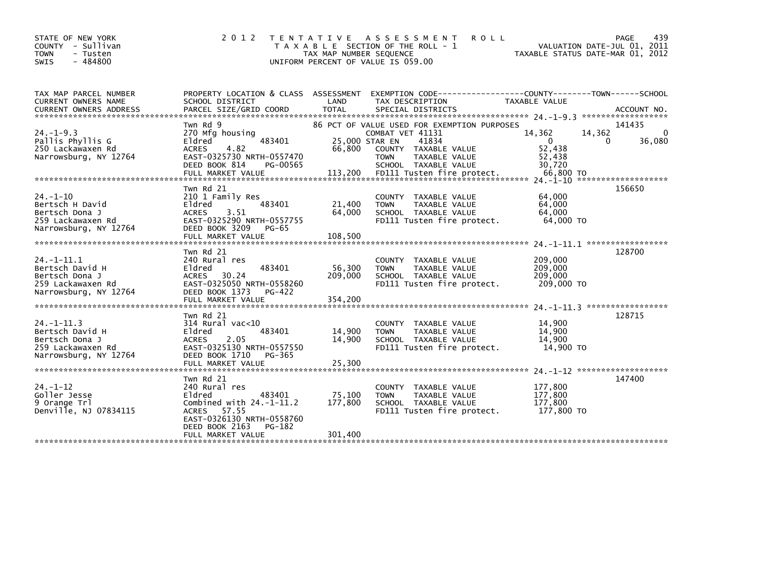| STATE OF NEW YORK<br>COUNTY - Sullivan<br><b>TOWN</b><br>- Tusten<br>$-484800$<br><b>SWIS</b>      | 2 0 1 2                                                                                                                                                                             | TAX MAP NUMBER SEQUENCE      | TENTATIVE ASSESSMENT<br><b>ROLL</b><br>T A X A B L E SECTION OF THE ROLL - 1<br>UNIFORM PERCENT OF VALUE IS 059.00                                       | VALUATION DATE-JUL 01, 2011<br>TAXABLE STATUS DATE-MAR 01, 2012 | PAGE<br>439                           |
|----------------------------------------------------------------------------------------------------|-------------------------------------------------------------------------------------------------------------------------------------------------------------------------------------|------------------------------|----------------------------------------------------------------------------------------------------------------------------------------------------------|-----------------------------------------------------------------|---------------------------------------|
| TAX MAP PARCEL NUMBER<br>CURRENT OWNERS NAME                                                       | SCHOOL DISTRICT                                                                                                                                                                     | LAND                         | PROPERTY LOCATION & CLASS ASSESSMENT EXEMPTION CODE----------------COUNTY-------TOWN------SCHOOL<br>TAX DESCRIPTION                                      | TAXABLE VALUE                                                   |                                       |
| $24. -1 - 9.3$<br>Pallis Phyllis G<br>250 Lackawaxen Rd<br>Narrowsburg, NY 12764                   | Twn Rd 9<br>270 Mfg housing<br>483401<br>Eldred<br>4.82<br><b>ACRES</b><br>EAST-0325730 NRTH-0557470<br>DEED BOOK 814<br>PG-00565                                                   | 25,000 STAR EN<br>66,800     | 86 PCT OF VALUE USED FOR EXEMPTION PURPOSES<br>COMBAT VET 41131<br>41834<br>COUNTY TAXABLE VALUE<br><b>TOWN</b><br>TAXABLE VALUE<br>SCHOOL TAXABLE VALUE | 14,362<br>14,362<br>$\Omega$<br>52,438<br>52,438<br>30,720      | 141435<br>$\mathbf{0}$<br>36,080<br>0 |
| 24. –1–10<br>Bertsch H David<br>Bertsch Dona J<br>259 Lackawaxen Rd<br>Narrowsburg, NY 12764       | Twn Rd 21<br>210 1 Family Res<br>483401<br>Eldred<br>ACRES<br>3.51<br>EAST-0325290 NRTH-0557755<br>DEED BOOK 3209<br>PG-65<br>FULL MARKET VALUE                                     | 21,400<br>64,000<br>108,500  | <b>COUNTY</b><br>TAXABLE VALUE<br>TAXABLE VALUE<br><b>TOWN</b><br>SCHOOL TAXABLE VALUE<br>FD111 Tusten fire protect.                                     | 64,000<br>64,000<br>64,000<br>64,000 TO                         | 156650                                |
| $24. -1 - 11.1$<br>Bertsch David H<br>Bertsch Dona J<br>259 Lackawaxen Rd<br>Narrowsburg, NY 12764 | Twn Rd 21<br>240 Rural res<br>483401<br>Eldred<br>30.24<br>ACRES<br>EAST-0325050 NRTH-0558260<br>DEED BOOK 1373<br>PG-422<br>FULL MARKET VALUE                                      | 56,300<br>209,000<br>354.200 | TAXABLE VALUE<br><b>COUNTY</b><br><b>TOWN</b><br><b>TAXABLE VALUE</b><br>SCHOOL TAXABLE VALUE<br>FD111 Tusten fire protect.                              | 209,000<br>209,000<br>209,000<br>209,000 TO                     | 128700                                |
| $24. -1 - 11.3$<br>Bertsch David H<br>Bertsch Dona J<br>259 Lackawaxen Rd<br>Narrowsburg, NY 12764 | Twn Rd 21<br>$314$ Rural vac<10<br>483401<br>Eldred<br>2.05<br><b>ACRES</b><br>EAST-0325130 NRTH-0557550<br>DEED BOOK 1710<br>PG-365<br>FULL MARKET VALUE                           | 14,900<br>14,900<br>25,300   | COUNTY TAXABLE VALUE<br><b>TOWN</b><br><b>TAXABLE VALUE</b><br>SCHOOL TAXABLE VALUE<br>FD111 Tusten fire protect.                                        | 14,900<br>14,900<br>14,900<br>14,900 TO                         | 128715                                |
| 24. -1-12<br>Goller Jesse<br>9 Orange Trl<br>Denville, NJ 07834115                                 | Twn Rd 21<br>240 Rural res<br>483401<br>Eldred<br>Combined with $24.-1-11.2$<br>57.55<br><b>ACRES</b><br>EAST-0326130 NRTH-0558760<br>DEED BOOK 2163<br>PG-182<br>FULL MARKET VALUE | 75,100<br>177,800<br>301.400 | <b>COUNTY</b><br>TAXABLE VALUE<br>TAXABLE VALUE<br><b>TOWN</b><br>SCHOOL TAXABLE VALUE<br>FD111 Tusten fire protect.                                     | 177,800<br>177,800<br>177,800<br>177,800 TO                     | 147400                                |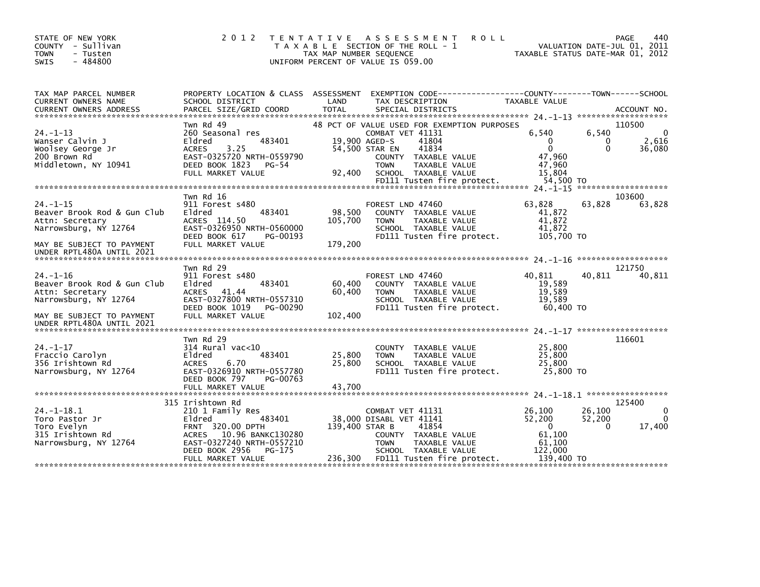| STATE OF NEW YORK<br>COUNTY - Sullivan<br><b>TOWN</b><br>- Tusten<br>$-484800$<br><b>SWIS</b>                         | 2 0 1 2                                                                                                                                                | T E N T A T I V E<br>TAX MAP NUMBER SEQUENCE | A S S E S S M E N T<br>T A X A B L E SECTION OF THE ROLL - 1<br>UNIFORM PERCENT OF VALUE IS 059.00                                                                                                                | <b>ROLL</b> | TAXABLE STATUS DATE-MAR 01, 2012                                             | <b>PAGE</b><br>VALUATION DATE-JUL 01, 2011 | 440                                   |
|-----------------------------------------------------------------------------------------------------------------------|--------------------------------------------------------------------------------------------------------------------------------------------------------|----------------------------------------------|-------------------------------------------------------------------------------------------------------------------------------------------------------------------------------------------------------------------|-------------|------------------------------------------------------------------------------|--------------------------------------------|---------------------------------------|
| TAX MAP PARCEL NUMBER<br>CURRENT OWNERS NAME<br><b>CURRENT OWNERS ADDRESS</b>                                         | PROPERTY LOCATION & CLASS ASSESSMENT EXEMPTION CODE----------------COUNTY-------TOWN------SCHOOL<br>SCHOOL DISTRICT<br>PARCEL SIZE/GRID COORD          | LAND<br><b>TOTAL</b>                         | TAX DESCRIPTION<br>SPECIAL DISTRICTS                                                                                                                                                                              |             | TAXABLE VALUE                                                                |                                            | ACCOUNT NO.                           |
| $24. -1 - 13$<br>Wanser Calvin J<br>Woolsey George Jr<br>200 Brown Rd<br>Middletown, NY 10941                         | Twn Rd 49<br>260 Seasonal res<br>483401<br>Eldred<br>3.25<br><b>ACRES</b><br>EAST-0325720 NRTH-0559790<br>DEED BOOK 1823<br>PG-54<br>FULL MARKET VALUE | 19.900 AGED-S<br>92,400                      | 48 PCT OF VALUE USED FOR EXEMPTION PURPOSES<br>COMBAT VET 41131<br>41804<br>41834<br>54,500 STAR EN<br>COUNTY TAXABLE VALUE<br><b>TOWN</b><br>TAXABLE VALUE<br>SCHOOL TAXABLE VALUE<br>FD111 Tusten fire protect. |             | 6,540<br>$\Omega$<br>$\mathbf{0}$<br>47,960<br>47,960<br>15.804<br>54.500 TO | 6,540<br>0<br>$\Omega$                     | 110500<br>$\Omega$<br>2,616<br>36,080 |
|                                                                                                                       |                                                                                                                                                        |                                              |                                                                                                                                                                                                                   |             |                                                                              | *******************                        |                                       |
| $24. -1 - 15$<br>Beaver Brook Rod & Gun Club<br>Attn: Secretary<br>Narrowsburg, NY 12764<br>MAY BE SUBJECT TO PAYMENT | Twn Rd 16<br>911 Forest s480<br>Eldred<br>483401<br>ACRES 114.50<br>EAST-0326950 NRTH-0560000<br>DEED BOOK 617<br>PG-00193<br>FULL MARKET VALUE        | 98,500<br>105,700<br>179,200                 | FOREST LND 47460<br>COUNTY TAXABLE VALUE<br><b>TOWN</b><br>TAXABLE VALUE<br>SCHOOL TAXABLE VALUE<br>FD111 Tusten fire protect.                                                                                    |             | 63,828<br>41,872<br>41,872<br>41,872<br>105,700 TO                           | 63,828                                     | 103600<br>63,828                      |
| UNDER RPTL480A UNTIL 2021                                                                                             |                                                                                                                                                        |                                              |                                                                                                                                                                                                                   |             |                                                                              |                                            |                                       |
| 24. –1–16<br>Beaver Brook Rod & Gun Club<br>Attn: Secretary<br>Narrowsburg, NY 12764                                  | Twn Rd 29<br>911 Forest s480<br>483401<br>Eldred<br>41.44<br>ACRES<br>EAST-0327800 NRTH-0557310                                                        | 60,400<br>60,400                             | FOREST LND 47460<br>COUNTY TAXABLE VALUE<br><b>TOWN</b><br>TAXABLE VALUE<br>SCHOOL TAXABLE VALUE                                                                                                                  |             | 40.811<br>19,589<br>19,589<br>19.589                                         | 40,811                                     | 121750<br>40,811                      |
| MAY BE SUBJECT TO PAYMENT                                                                                             | DEED BOOK 1019<br>PG-00290<br>FULL MARKET VALUE                                                                                                        | 102,400                                      | FD111 Tusten fire protect.                                                                                                                                                                                        |             | 60,400 TO                                                                    |                                            |                                       |
| UNDER RPTL480A UNTIL 2021                                                                                             | Twn Rd 29                                                                                                                                              |                                              |                                                                                                                                                                                                                   |             |                                                                              |                                            | 116601                                |
| $24. - 1 - 17$<br>Fraccio Carolyn<br>356 Irishtown Rd<br>Narrowsburg, NY 12764                                        | 314 Rural vac<10<br>483401<br>Eldred<br>6.70<br><b>ACRES</b><br>EAST-0326910 NRTH-0557780<br>DEED BOOK 797<br>PG-00763                                 | 25,800<br>25,800                             | COUNTY TAXABLE VALUE<br>TAXABLE VALUE<br><b>TOWN</b><br>SCHOOL TAXABLE VALUE<br>FD111 Tusten fire protect.                                                                                                        |             | 25,800<br>25,800<br>25,800<br>25,800 TO                                      |                                            |                                       |
|                                                                                                                       |                                                                                                                                                        |                                              |                                                                                                                                                                                                                   |             |                                                                              |                                            |                                       |
| $24 - 1 - 18.1$                                                                                                       | 315 Irishtown Rd<br>210 1 Family Res                                                                                                                   |                                              | COMBAT VET 41131                                                                                                                                                                                                  |             | 26.100                                                                       | 26,100                                     | 125400<br>0                           |
| Toro Pastor Jr<br>Toro Evelyn<br>315 Irishtown Rd<br>Narrowsburg, NY 12764                                            | Eldred<br>483401<br>FRNT 320.00 DPTH<br>10.96 BANKC130280<br>ACRES<br>EAST-0327240 NRTH-0557210<br>DEED BOOK 2956<br>PG-175                            | 139,400 STAR B                               | 38,000 DISABL VET 41141<br>41854<br>COUNTY TAXABLE VALUE<br>TAXABLE VALUE<br><b>TOWN</b><br>SCHOOL TAXABLE VALUE                                                                                                  |             | 52,200<br>$\Omega$<br>61,100<br>61,100<br>122,000                            | 52,200<br>$\Omega$                         | $\Omega$<br>17,400                    |
|                                                                                                                       | FULL MARKET VALUE                                                                                                                                      | 236,300                                      | FD111 Tusten fire protect.                                                                                                                                                                                        |             | 139,400 TO                                                                   |                                            |                                       |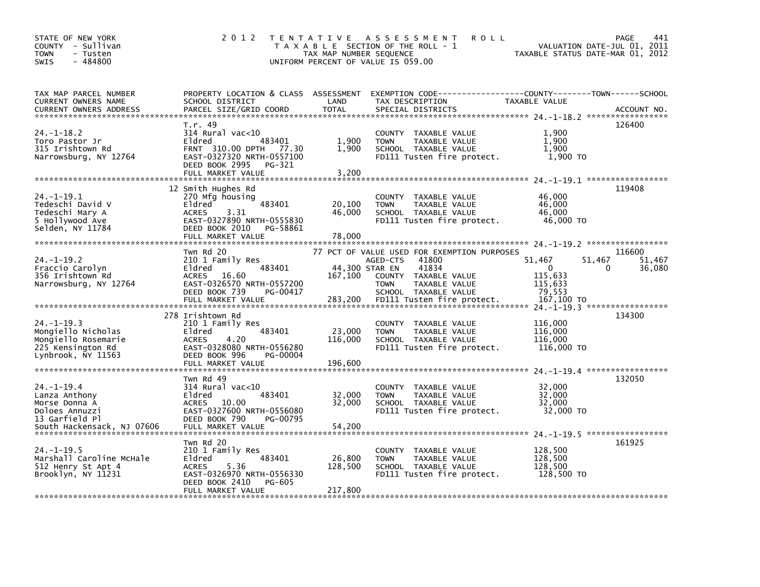| STATE OF NEW YORK<br>COUNTY - Sullivan<br>- Tusten<br><b>TOWN</b><br>$-484800$<br>SWIS                              | 2 0 1 2                                                                                                                                                           | T E N T A T I V E<br>TAX MAP NUMBER SEQUENCE | A S S E S S M E N T<br><b>ROLL</b><br>T A X A B L E SECTION OF THE ROLL - 1<br>UNIFORM PERCENT OF VALUE IS 059.00                                                                       | VALUATION DATE-JUL 01, 2011<br>TAXABLE STATUS DATE-MAR 01, 2012                 | PAGE<br>441                |
|---------------------------------------------------------------------------------------------------------------------|-------------------------------------------------------------------------------------------------------------------------------------------------------------------|----------------------------------------------|-----------------------------------------------------------------------------------------------------------------------------------------------------------------------------------------|---------------------------------------------------------------------------------|----------------------------|
| TAX MAP PARCEL NUMBER<br>CURRENT OWNERS NAME<br>CURRENT OWNERS ADDRESS                                              | SCHOOL DISTRICT<br>PARCEL SIZE/GRID COORD                                                                                                                         | LAND<br><b>TOTAL</b>                         | PROPERTY LOCATION & CLASS ASSESSMENT EXEMPTION CODE----------------COUNTY-------TOWN------SCHOOL<br>TAX DESCRIPTION<br>SPECIAL DISTRICTS                                                | TAXABLE VALUE                                                                   | ACCOUNT NO.                |
| $24. -1 - 18.2$<br>Toro Pastor Jr<br>315 Irishtown Rd<br>Narrowsburg, NY 12764                                      | T.r. 49<br>$314$ Rural vac<10<br>Eldred<br>483401<br>FRNT 310.00 DPTH 77.30<br>EAST-0327320 NRTH-0557100<br>DEED BOOK 2995<br>PG-321<br>FULL MARKET VALUE         | 1,900<br>1.900<br>3,200                      | COUNTY TAXABLE VALUE<br>TAXABLE VALUE<br><b>TOWN</b><br>SCHOOL TAXABLE VALUE<br>FD111 Tusten fire protect.                                                                              | 1,900<br>1,900<br>1.900<br>1,900 TO                                             | 126400                     |
| $24. -1 - 19.1$<br>Tedeschi David V<br>Tedeschi Mary A<br>5 Hollywood Ave<br>Selden, NY 11784                       | 12 Smith Hughes Rd<br>270 Mfg housing<br>483401<br>Eldred<br>3.31<br><b>ACRES</b><br>EAST-0327890 NRTH-0555830<br>DEED BOOK 2010<br>PG-58861<br>FULL MARKET VALUE | 20,100<br>46,000<br>78,000                   | COUNTY TAXABLE VALUE<br>TAXABLE VALUE<br><b>TOWN</b><br>SCHOOL TAXABLE VALUE<br>FD111 Tusten fire protect.                                                                              | 46,000<br>46,000<br>46,000<br>46,000 TO                                         | 119408                     |
| $24. -1 - 19.2$<br>Fraccio Carolyn<br>356 Irishtown Rd<br>Narrowsburg, NY 12764                                     | Twn Rd 20<br>210 1 Family Res<br>483401<br>Eldred<br>ACRES 16.60<br>EAST-0326570 NRTH-0557200<br>DEED BOOK 739<br>PG-00417<br>FULL MARKET VALUE                   | 44,300 STAR EN<br>167,100<br>283,200         | 77 PCT OF VALUE USED FOR EXEMPTION PURPOSES<br>41800<br>AGED-CTS<br>41834<br>COUNTY TAXABLE VALUE<br>TAXABLE VALUE<br><b>TOWN</b><br>SCHOOL TAXABLE VALUE<br>FD111 Tusten fire protect. | 51,467<br>51,467<br>$\Omega$<br>0<br>115,633<br>115,633<br>79,553<br>167,100 TO | 116600<br>51,467<br>36,080 |
| $24. -1 - 19.3$<br>Mongiello Nicholas<br>Mongiello Rosemarie<br>225 Kensington Rd<br>Lynbrook, NY 11563             | 278 Irishtown Rd<br>210 1 Family Res<br>Eldred<br>483401<br><b>ACRES</b><br>4.20<br>EAST-0328080 NRTH-0556280<br>DEED BOOK 996<br>PG-00004<br>FULL MARKET VALUE   | 23,000<br>116,000<br>196,600                 | COUNTY TAXABLE VALUE<br><b>TOWN</b><br><b>TAXABLE VALUE</b><br>SCHOOL TAXABLE VALUE<br>FD111 Tusten fire protect.                                                                       | 116,000<br>116,000<br>116,000<br>116,000 TO                                     | 134300                     |
| $24. -1 - 19.4$<br>Lanza Anthony<br>Morse Donna A<br>Doloes Annuzzi<br>13 Garfield Pl<br>South Hackensack, NJ 07606 | Twn Rd 49<br>$314$ Rural vac<10<br>Eldred<br>483401<br>ACRES 10.00<br>EAST-0327600 NRTH-0556080<br>DEED BOOK 790<br>PG-00795<br>FULL MARKET VALUE                 | 32,000<br>32.000<br>54,200                   | COUNTY TAXABLE VALUE<br><b>TAXABLE VALUE</b><br><b>TOWN</b><br>SCHOOL TAXABLE VALUE<br>FD111 Tusten fire protect.                                                                       | 32,000<br>32,000<br>32,000<br>32,000 TO                                         | 132050                     |
| $24. -1 - 19.5$<br>Marshall Caroline McHale<br>512 Henry St Apt 4<br>Brooklyn, NY 11231                             | Twn Rd 20<br>210 1 Family Res<br>483401<br>Eldred<br><b>ACRES</b><br>5.36<br>EAST-0326970 NRTH-0556330<br>DEED BOOK 2410<br><b>PG-605</b><br>FULL MARKET VALUE    | 26,800<br>128,500<br>217,800                 | COUNTY TAXABLE VALUE<br><b>TOWN</b><br>TAXABLE VALUE<br>SCHOOL TAXABLE VALUE<br>FD111 Tusten fire protect.                                                                              | 128,500<br>128,500<br>128,500<br>128,500 TO                                     | 161925                     |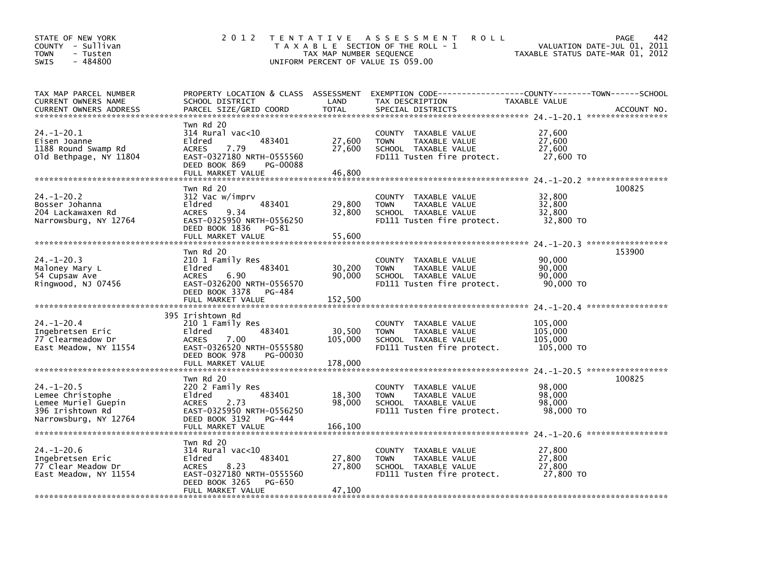| STATE OF NEW YORK<br>COUNTY - Sullivan<br><b>TOWN</b><br>- Tusten<br>$-484800$<br><b>SWIS</b>            | 2 0 1 2                                                                                                                                                         | T E N T A T I V E<br>TAX MAP NUMBER SEQUENCE | <b>ROLL</b><br>A S S E S S M E N T<br>T A X A B L E SECTION OF THE ROLL - 1<br>UNIFORM PERCENT OF VALUE IS 059.00 | VALUATION DATE-JUL 01, 2011<br>TAXABLE STATUS DATE-MAR 01, 2012 | 442<br>PAGE                 |
|----------------------------------------------------------------------------------------------------------|-----------------------------------------------------------------------------------------------------------------------------------------------------------------|----------------------------------------------|-------------------------------------------------------------------------------------------------------------------|-----------------------------------------------------------------|-----------------------------|
| TAX MAP PARCEL NUMBER<br>CURRENT OWNERS NAME<br><b>CURRENT OWNERS ADDRESS</b>                            | PROPERTY LOCATION & CLASS ASSESSMENT<br>SCHOOL DISTRICT<br>PARCEL SIZE/GRID COORD                                                                               | LAND<br><b>TOTAL</b>                         | EXEMPTION CODE-----------------COUNTY-------TOWN------SCHOOL<br>TAX DESCRIPTION<br>SPECIAL DISTRICTS              | TAXABLE VALUE                                                   | ACCOUNT NO.                 |
| $24. - 1 - 20.1$<br>Eisen Joanne<br>1188 Round Swamp Rd<br>old Bethpage, NY 11804                        | Twn Rd 20<br>314 Rural vac<10<br>Eldred<br>483401<br><b>ACRES</b><br>7.79<br>EAST-0327180 NRTH-0555560<br>DEED BOOK 869<br>PG-00088<br>FULL MARKET VALUE        | 27,600<br>27,600<br>46,800                   | COUNTY<br>TAXABLE VALUE<br>TAXABLE VALUE<br><b>TOWN</b><br>SCHOOL TAXABLE VALUE<br>FD111 Tusten fire protect.     | 27,600<br>27,600<br>27,600<br>27,600 TO                         |                             |
| $24. - 1 - 20.2$<br>Bosser Johanna<br>204 Lackawaxen Rd<br>Narrowsburg, NY 12764                         | Twn Rd 20<br>312 Vac w/imprv<br>483401<br>Eldred<br>9.34<br><b>ACRES</b><br>EAST-0325950 NRTH-0556250<br>DEED BOOK 1836<br>PG-81<br>FULL MARKET VALUE           | 29,800<br>32,800<br>55,600                   | COUNTY TAXABLE VALUE<br><b>TOWN</b><br>TAXABLE VALUE<br>SCHOOL TAXABLE VALUE<br>FD111 Tusten fire protect.        | 32,800<br>32,800<br>32,800<br>32,800 TO                         | 100825                      |
| $24. -1 - 20.3$<br>Maloney Mary L<br>54 Cupsaw Ave<br>Ringwood, NJ 07456                                 | Twn Rd 20<br>210 1 Family Res<br>483401<br>Eldred<br><b>ACRES</b><br>6.90<br>EAST-0326200 NRTH-0556570<br>DEED BOOK 3378<br>PG-484<br>FULL MARKET VALUE         | 30,200<br>90.000<br>152,500                  | COUNTY TAXABLE VALUE<br><b>TOWN</b><br>TAXABLE VALUE<br>SCHOOL TAXABLE VALUE<br>FD111 Tusten fire protect.        | 90,000<br>90,000<br>90.000<br>90,000 TO                         | 153900<br>***************** |
| $24. - 1 - 20.4$<br>Ingebretsen Eric<br>77 Clearmeadow Dr<br>East Meadow, NY 11554                       | 395 Irishtown Rd<br>210 1 Family Res<br>483401<br>Eldred<br><b>ACRES</b><br>7.00<br>EAST-0326520 NRTH-0555580<br>DEED BOOK 978<br>PG-00030<br>FULL MARKET VALUE | 30,500<br>105,000<br>178,000                 | COUNTY TAXABLE VALUE<br><b>TOWN</b><br>TAXABLE VALUE<br>SCHOOL TAXABLE VALUE<br>FD111 Tusten fire protect.        | 105,000<br>105,000<br>105,000<br>105,000 TO                     |                             |
| $24. - 1 - 20.5$<br>Lemee Christophe<br>Lemee Muriel Guepin<br>396 Irishtown Rd<br>Narrowsburg, NY 12764 | Twn Rd 20<br>220 2 Family Res<br>Eldred<br>483401<br>2.73<br><b>ACRES</b><br>EAST-0325950 NRTH-0556250<br>DEED BOOK 3192<br>PG-444<br>FULL MARKET VALUE         | 18,300<br>98.000<br>166,100                  | COUNTY TAXABLE VALUE<br><b>TOWN</b><br>TAXABLE VALUE<br>SCHOOL TAXABLE VALUE<br>FD111 Tusten fire protect.        | 98,000<br>98.000<br>98.000<br>98,000 TO                         | 100825                      |
| $24. - 1 - 20.6$<br>Ingebretsen Eric<br>77 Clear Meadow Dr<br>East Meadow, NY 11554                      | Twn Rd 20<br>314 Rural vac<10<br>483401<br>Eldred<br>8.23<br><b>ACRES</b><br>EAST-0327180 NRTH-0555560<br>DEED BOOK 3265<br>PG-650<br>FULL MARKET VALUE         | 27,800<br>27,800<br>47.100                   | COUNTY TAXABLE VALUE<br><b>TOWN</b><br>TAXABLE VALUE<br>SCHOOL TAXABLE VALUE<br>FD111 Tusten fire protect.        | 27,800<br>27,800<br>27,800<br>27,800 TO                         |                             |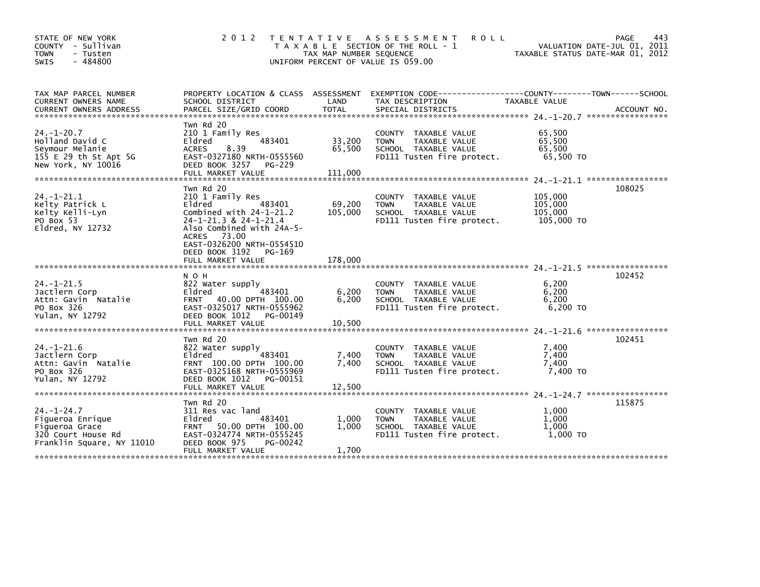| STATE OF NEW YORK<br>COUNTY - Sullivan<br><b>TOWN</b><br>- Tusten<br>$-484800$<br>SWIS                    | 2 0 1 2                                                                                                                                                                                                                           | TAX MAP NUMBER SEQUENCE      | TENTATIVE ASSESSMENT<br><b>ROLL</b><br>T A X A B L E SECTION OF THE ROLL - 1<br>UNIFORM PERCENT OF VALUE IS 059.00 | TAXABLE STATUS DATE-MAR 01, 2012            | PAGE<br>443<br>VALUATION DATE-JUL 01, 2011 |
|-----------------------------------------------------------------------------------------------------------|-----------------------------------------------------------------------------------------------------------------------------------------------------------------------------------------------------------------------------------|------------------------------|--------------------------------------------------------------------------------------------------------------------|---------------------------------------------|--------------------------------------------|
| TAX MAP PARCEL NUMBER<br><b>CURRENT OWNERS NAME</b><br><b>CURRENT OWNERS ADDRESS</b>                      | PROPERTY LOCATION & CLASS ASSESSMENT<br>SCHOOL DISTRICT<br>PARCEL SIZE/GRID COORD                                                                                                                                                 | LAND<br><b>TOTAL</b>         | EXEMPTION CODE-----------------COUNTY-------TOWN------SCHOOL<br>TAX DESCRIPTION<br>SPECIAL DISTRICTS               | TAXABLE VALUE                               | ACCOUNT NO.                                |
| $24. - 1 - 20.7$<br>Holland David C<br>Seymour Melanie<br>155 E 29 th St Apt 5G<br>New York, NY 10016     | Twn Rd 20<br>210 1 Family Res<br>483401<br>Eldred<br>8.39<br><b>ACRES</b><br>EAST-0327180 NRTH-0555560<br>DEED BOOK 3257<br>PG-229<br>FULL MARKET VALUE                                                                           | 33,200<br>65,500<br>111,000  | COUNTY TAXABLE VALUE<br>TAXABLE VALUE<br><b>TOWN</b><br>SCHOOL TAXABLE VALUE<br>FD111 Tusten fire protect.         | 65,500<br>65,500<br>65.500<br>65,500 TO     |                                            |
| $24. - 1 - 21.1$<br>Kelty Patrick L<br>Kelty Kelli-Lyn<br>PO Box 53<br>Eldred, NY 12732                   | Twn Rd 20<br>210 1 Family Res<br>Eldred<br>483401<br>Combined with $24-1-21.2$<br>24-1-21.3 & 24-1-21.4<br>Also Combined with 24A-5-<br>ACRES 73.00<br>EAST-0326200 NRTH-0554510<br>DEED BOOK 3192<br>PG-169<br>FULL MARKET VALUE | 69,200<br>105,000<br>178,000 | COUNTY TAXABLE VALUE<br><b>TOWN</b><br>TAXABLE VALUE<br>SCHOOL TAXABLE VALUE<br>FD111 Tusten fire protect.         | 105,000<br>105,000<br>105,000<br>105,000 TO | 108025                                     |
| $24. -1 - 21.5$<br>Jactlern Corp<br>Attn: Gavin Natalie<br>PO Box 326<br>Yulan, NY 12792                  | N O H<br>822 Water supply<br>483401<br>Eldred<br>FRNT 40.00 DPTH 100.00<br>EAST-0325017 NRTH-0555962<br>DEED BOOK 1012<br>PG-00149<br>FULL MARKET VALUE                                                                           | 6,200<br>6,200<br>10,500     | COUNTY TAXABLE VALUE<br>TAXABLE VALUE<br><b>TOWN</b><br>SCHOOL TAXABLE VALUE<br>FD111 Tusten fire protect.         | 6.200<br>6,200<br>6,200<br>6,200 TO         | 102452                                     |
| $24. - 1 - 21.6$<br>Jactlern Corp<br>Attn: Gavin Natalie<br>PO Box 326<br>Yulan, NY 12792                 | Twn Rd 20<br>822 Water supply<br>483401<br>Eldred<br>FRNT 100.00 DPTH 100.00<br>EAST-0325168 NRTH-0555969<br>DEED BOOK 1012<br>PG-00151<br>FULL MARKET VALUE                                                                      | 7,400<br>7,400<br>12,500     | COUNTY<br>TAXABLE VALUE<br>TAXABLE VALUE<br><b>TOWN</b><br>SCHOOL TAXABLE VALUE<br>FD111 Tusten fire protect.      | 7,400<br>7,400<br>7,400<br>7,400 TO         | *****************<br>102451                |
| $24. - 1 - 24.7$<br>Figueroa Enrique<br>Figueroa Grace<br>320 Court House Rd<br>Franklin Square, NY 11010 | Twn Rd 20<br>311 Res vac land<br>Eldred<br>483401<br>50.00 DPTH 100.00<br><b>FRNT</b><br>EAST-0324774 NRTH-0555245<br>DEED BOOK 975<br>PG-00242<br>FULL MARKET VALUE                                                              | 1,000<br>1.000<br>1,700      | COUNTY<br>TAXABLE VALUE<br>TAXABLE VALUE<br>TOWN<br>SCHOOL TAXABLE VALUE<br>FD111 Tusten fire protect.             | 1,000<br>1,000<br>1.000<br>$1,000$ TO       | 115875                                     |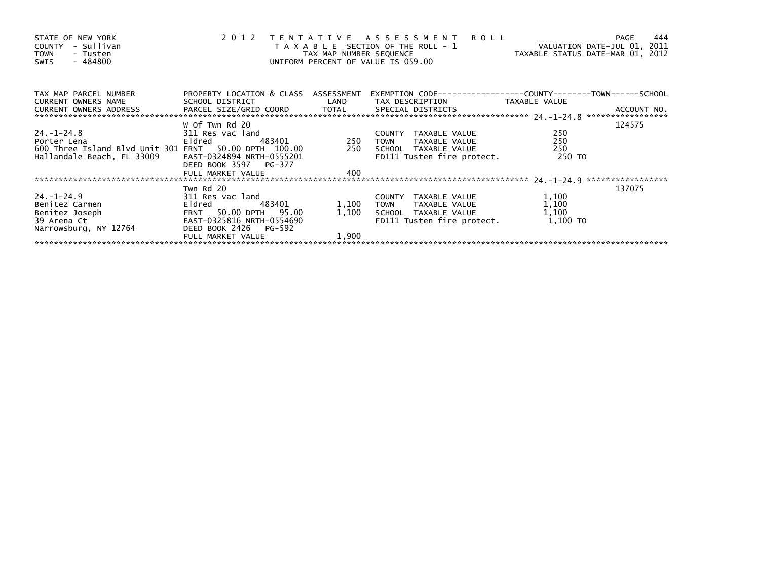| STATE OF NEW YORK<br>COUNTY - Sullivan<br><b>TOWN</b><br>- Tusten<br>- 484800<br>SWIS | 2 0 1 2                                            | TAX MAP NUMBER SEQUENCE | TENTATIVE ASSESSMENT ROLL<br>T A X A B L E SECTION OF THE ROLL - 1<br>UNIFORM PERCENT OF VALUE IS 059.00 | ROLL - 1<br>VALUATION DATE-JUL 01, 2011<br>TAXABLE STATUS DATE-MAR 01, 2012 | 444<br>PAGE |
|---------------------------------------------------------------------------------------|----------------------------------------------------|-------------------------|----------------------------------------------------------------------------------------------------------|-----------------------------------------------------------------------------|-------------|
| TAX MAP PARCEL NUMBER                                                                 | PROPERTY LOCATION & CLASS ASSESSMENT               |                         |                                                                                                          |                                                                             |             |
| <b>CURRENT OWNERS NAME</b>                                                            |                                                    |                         | SCHOOL DISTRICT                       LAND        TAX DESCRIPTION                 TAXABLE VALUE          |                                                                             |             |
|                                                                                       | w of Twn Rd 20                                     |                         |                                                                                                          |                                                                             | 124575      |
| 24. –1–24.8                                                                           | 311 Res vac land                                   |                         | COUNTY TAXABLE VALUE                                                                                     | 250                                                                         |             |
| Porter Lena                                                                           | Eldred Eldred                                      | 483401 250              | TAXABLE VALUE<br><b>TOWN</b>                                                                             | 250                                                                         |             |
| 600 Three Island Blvd Unit 301 FRNT 50.00 DPTH 100.00                                 |                                                    | 250                     | SCHOOL TAXABLE VALUE                                                                                     | 250                                                                         |             |
| Hallandale Beach, FL 33009                                                            | EAST-0324894 NRTH-0555201<br>DEED BOOK 3597 PG-377 |                         | FD111 Tusten fire protect.                                                                               | 250 TO                                                                      |             |
|                                                                                       | FULL MARKET VALUE                                  | 400                     |                                                                                                          |                                                                             |             |
|                                                                                       |                                                    |                         |                                                                                                          |                                                                             |             |
|                                                                                       | Twn Rd 20                                          |                         |                                                                                                          |                                                                             | 137075      |
| 24. –1–24.9                                                                           |                                                    |                         | COUNTY TAXABLE VALUE                                                                                     | 1,100                                                                       |             |
| Benitez Carmen                                                                        |                                                    | 1,100                   | TOWN TAXABLE VALUE                                                                                       | 1,100                                                                       |             |
| Benitez Joseph                                                                        |                                                    | 1,100                   | SCHOOL TAXABLE VALUE                                                                                     | 1,100                                                                       |             |
| 39 Arena Ct                                                                           |                                                    |                         | FD111 Tusten fire protect.                                                                               | 1,100 TO                                                                    |             |
| Narrowsburg, NY 12764                                                                 | DEED BOOK 2426 PG-592                              |                         |                                                                                                          |                                                                             |             |
|                                                                                       | FULL MARKET VALUE                                  | 1,900                   |                                                                                                          |                                                                             |             |
|                                                                                       |                                                    |                         |                                                                                                          |                                                                             |             |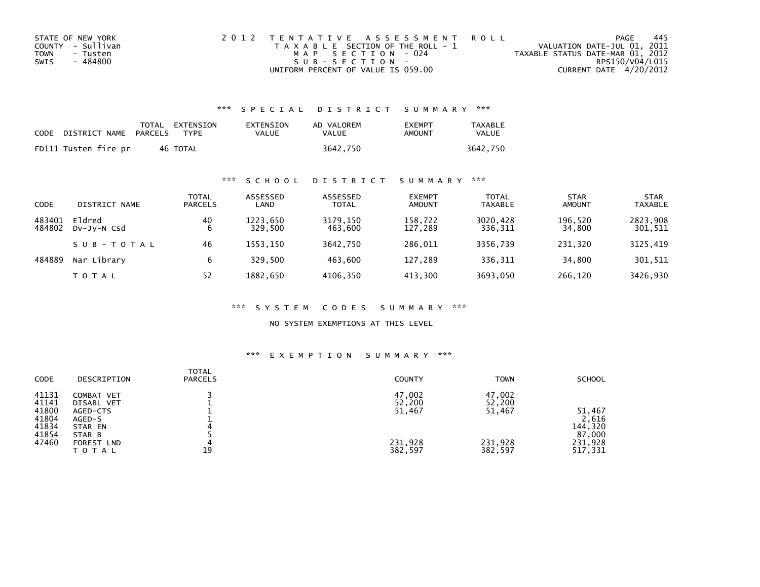| STATE OF NEW YORK | 2012 TENTATIVE ASSESSMENT ROLL        | PAGE                             | -445 |
|-------------------|---------------------------------------|----------------------------------|------|
| COUNTY - Sullivan | T A X A B L E SECTION OF THE ROLL - 1 | VALUATION DATE-JUL 01, 2011      |      |
| TOWN<br>- Tusten  | MAP SECTION - 024                     | TAXABLE STATUS DATE-MAR 01, 2012 |      |
| - 484800<br>SWIS  | $SUB - SECTION -$                     | RPS150/V04/L015                  |      |
|                   | UNIFORM PERCENT OF VALUE IS 059.00    | CURRENT DATE 4/20/2012           |      |

| <b>CODE</b> | DISTRICT NAME        | PARCELS | TOTAL EXTENSION<br><b>TYPF</b> | EXTENSION<br>VALUE | AD VALOREM<br>VALUE | <b>FXFMPT</b><br>AMOUNT | TAXABLE<br>VALUE |
|-------------|----------------------|---------|--------------------------------|--------------------|---------------------|-------------------------|------------------|
|             | FD111 Tusten fire pr |         | 46 TOTAL                       |                    | 3642.750            |                         | 3642.750         |

## \*\*\* S C H O O L D I S T R I C T S U M M A R Y \*\*\*

| CODE             | DISTRICT NAME         | TOTAL<br><b>PARCELS</b> | ASSESSED<br>LAND    | ASSESSED<br><b>TOTAL</b> | <b>EXEMPT</b><br><b>AMOUNT</b> | <b>TOTAL</b><br><b>TAXABLE</b> | <b>STAR</b><br><b>AMOUNT</b> | <b>STAR</b><br><b>TAXABLE</b> |
|------------------|-----------------------|-------------------------|---------------------|--------------------------|--------------------------------|--------------------------------|------------------------------|-------------------------------|
| 483401<br>484802 | Eldred<br>DV-JV-N Csd | 40<br>6                 | 1223.650<br>329.500 | 3179,150<br>463.600      | 158.722<br>127.289             | 3020,428<br>336,311            | 196,520<br>34,800            | 2823,908<br>301,511           |
|                  | SUB-TOTAL             | 46                      | 1553.150            | 3642.750                 | 286,011                        | 3356.739                       | 231,320                      | 3125,419                      |
| 484889           | Nar Library           | 6                       | 329.500             | 463.600                  | 127.289                        | 336,311                        | 34.800                       | 301,511                       |
|                  | <b>TOTAL</b>          | 52                      | 1882,650            | 4106,350                 | 413,300                        | 3693,050                       | 266,120                      | 3426,930                      |

#### \*\*\* S Y S T E M C O D E S S U M M A R Y \*\*\*

NO SYSTEM EXEMPTIONS AT THIS LEVEL

#### \*\*\* E X E M P T I O N S U M M A R Y \*\*\*

| <b>CODE</b>    | DESCRIPTION                       | <b>TOTAL</b><br><b>PARCELS</b> | <b>COUNTY</b>      | <b>TOWN</b>        | <b>SCHOOL</b>      |
|----------------|-----------------------------------|--------------------------------|--------------------|--------------------|--------------------|
| 41131<br>41141 | COMBAT VET<br>DISABL VET          |                                | 47,002<br>52,200   | 47,002<br>52,200   |                    |
| 41800<br>41804 | AGED-CTS<br>AGED-S                |                                | 51,467             | 51,467             | 51,467<br>2,616    |
| 41834<br>41854 | STAR EN<br>STAR B                 |                                |                    |                    | 144,320<br>87,000  |
| 47460          | <b>FOREST LND</b><br><b>TOTAL</b> | 19                             | 231,928<br>382,597 | 231,928<br>382,597 | 231,928<br>517,331 |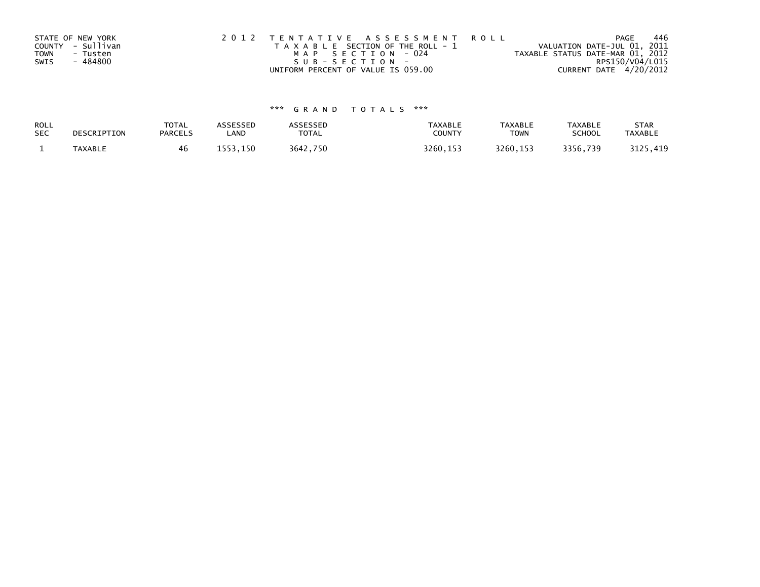|             | STATE OF NEW YORK | 2012 TENTATIVE ASSESSMENT ROLL        | 446<br>PAGE                      |
|-------------|-------------------|---------------------------------------|----------------------------------|
|             | COUNTY - Sullivan | T A X A B L E SECTION OF THE ROLL - 1 | VALUATION DATE-JUL 01, 2011      |
| <b>TOWN</b> | - Tusten          | MAP SECTION - 024                     | TAXABLE STATUS DATE-MAR 01, 2012 |
| SWIS        | - 484800          | SUB-SECTION-                          | RPS150/V04/L015                  |
|             |                   | UNIFORM PERCENT OF VALUE IS 059.00    | CURRENT DATE 4/20/2012           |

# \*\*\* G R A N D T O T A L S \*\*\*

| ROLL       | DESCRIPTION | <b>TOTAL</b>   | <b>ASSESSED</b> | ASSESSED     | <b>TAXABLE</b> | <b>TAXABLE</b> | <b>TAXABLE</b> | <b>STAR</b>    |
|------------|-------------|----------------|-----------------|--------------|----------------|----------------|----------------|----------------|
| <b>SEC</b> |             | <b>PARCELS</b> | LAND            | <b>TOTAL</b> | COUNTY         | <b>TOWN</b>    | <b>SCHOOL</b>  | <b>TAXABLE</b> |
|            | TAXABLE     | 46             | 1553.150        | 3642,750     | 3260, 153      | 3260.153       | 3356,739       | 3125,419       |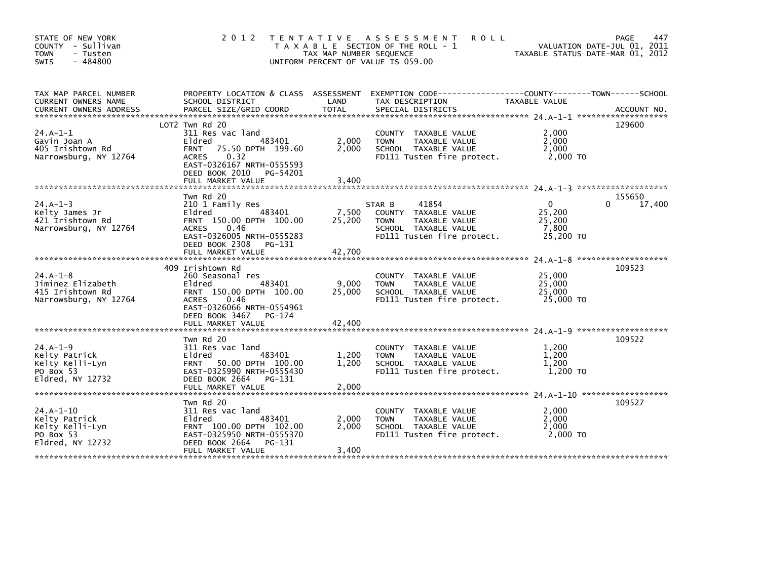| STATE OF NEW YORK<br>COUNTY - Sullivan<br><b>TOWN</b><br>- Tusten<br>$-484800$<br>SWIS | 2 0 1 2                                                                                                                                                                                            | TAX MAP NUMBER SEQUENCE   | TENTATIVE ASSESSMENT<br><b>ROLL</b><br>T A X A B L E SECTION OF THE ROLL - 1<br>UNIFORM PERCENT OF VALUE IS 059.00            | TAXABLE STATUS DATE-MAR 01, 2012                       | PAGE<br>447<br>VALUATION DATE-JUL 01, 2011 |
|----------------------------------------------------------------------------------------|----------------------------------------------------------------------------------------------------------------------------------------------------------------------------------------------------|---------------------------|-------------------------------------------------------------------------------------------------------------------------------|--------------------------------------------------------|--------------------------------------------|
| TAX MAP PARCEL NUMBER<br>CURRENT OWNERS NAME                                           | PROPERTY LOCATION & CLASS ASSESSMENT<br>SCHOOL DISTRICT                                                                                                                                            | LAND                      | TAX DESCRIPTION                                                                                                               | TAXABLE VALUE                                          |                                            |
| $24.A-1-1$<br>Gavin Joan A<br>405 Irishtown Rd<br>Narrowsburg, NY 12764                | LOT2 Twn Rd 20<br>311 Res vac land<br>483401<br>Eldred<br><b>FRNT</b><br>75.50 DPTH 199.60<br>0.32<br><b>ACRES</b><br>EAST-0326167 NRTH-0555593<br>DEED BOOK 2010<br>PG-54201<br>FULL MARKET VALUE | 2,000<br>2.000<br>3,400   | COUNTY TAXABLE VALUE<br><b>TOWN</b><br>TAXABLE VALUE<br>SCHOOL TAXABLE VALUE<br>FD111 Tusten fire protect.                    | 2,000<br>2,000<br>2.000<br>2,000 TO                    | 129600                                     |
| $24.A - 1 - 3$<br>Kelty James Jr<br>421 Irishtown Rd<br>Narrowsburg, NY 12764          | Twn Rd 20<br>210 1 Family Res<br>483401<br>Eldred<br>FRNT 150.00 DPTH 100.00<br>0.46<br><b>ACRES</b><br>EAST-0326005 NRTH-0555283<br>DEED BOOK 2308<br>PG-131<br>FULL MARKET VALUE                 | 7,500<br>25,200<br>42,700 | STAR B<br>41854<br>COUNTY TAXABLE VALUE<br><b>TOWN</b><br>TAXABLE VALUE<br>SCHOOL TAXABLE VALUE<br>FD111 Tusten fire protect. | $\mathbf{0}$<br>25,200<br>25,200<br>7.800<br>25,200 TO | 155650<br>17,400                           |
| $24.A-1-8$<br>Jiminez Elizabeth<br>415 Irishtown Rd<br>Narrowsburg, NY 12764           | 409 Irishtown Rd<br>260 Seasonal res<br>483401<br>Eldred<br>FRNT 150.00 DPTH 100.00<br><b>ACRES</b><br>0.46<br>EAST-0326066 NRTH-0554961<br>DEED BOOK 3467<br>PG-174<br>FULL MARKET VALUE          | 9,000<br>25,000<br>42,400 | COUNTY TAXABLE VALUE<br><b>TOWN</b><br>TAXABLE VALUE<br>SCHOOL TAXABLE VALUE<br>FD111 Tusten fire protect.                    | 25,000<br>25,000<br>25,000<br>25,000 TO                | 109523                                     |
| $24.A-1-9$<br>Kelty Patrick<br>Kelty Kelli-Lyn<br>PO Box 53<br>Eldred, NY 12732        | Twn Rd 20<br>311 Res vac land<br>483401<br>Eldred<br>FRNT 50.00 DPTH 100.00<br>EAST-0325990 NRTH-0555430<br>DEED BOOK 2664<br>PG-131<br>FULL MARKET VALUE                                          | 1,200<br>1,200<br>2,000   | COUNTY TAXABLE VALUE<br>TAXABLE VALUE<br><b>TOWN</b><br>SCHOOL TAXABLE VALUE<br>FD111 Tusten fire protect.                    | 1,200<br>1,200<br>1,200<br>1,200 TO                    | 109522                                     |
| $24.A-1-10$<br>Kelty Patrick<br>Kelty Kelli-Lyn<br>PO Box 53<br>Eldred, NY 12732       | Twn Rd 20<br>311 Res vac land<br>483401<br>Eldred<br>FRNT 100.00 DPTH 102.00<br>EAST-0325950 NRTH-0555370<br>DEED BOOK 2664<br>PG-131<br>FULL MARKET VALUE                                         | 2.000<br>2.000<br>3,400   | COUNTY TAXABLE VALUE<br>TAXABLE VALUE<br><b>TOWN</b><br>SCHOOL TAXABLE VALUE<br>FD111 Tusten fire protect.                    | 2,000<br>2,000<br>2.000<br>2,000 TO                    | 109527                                     |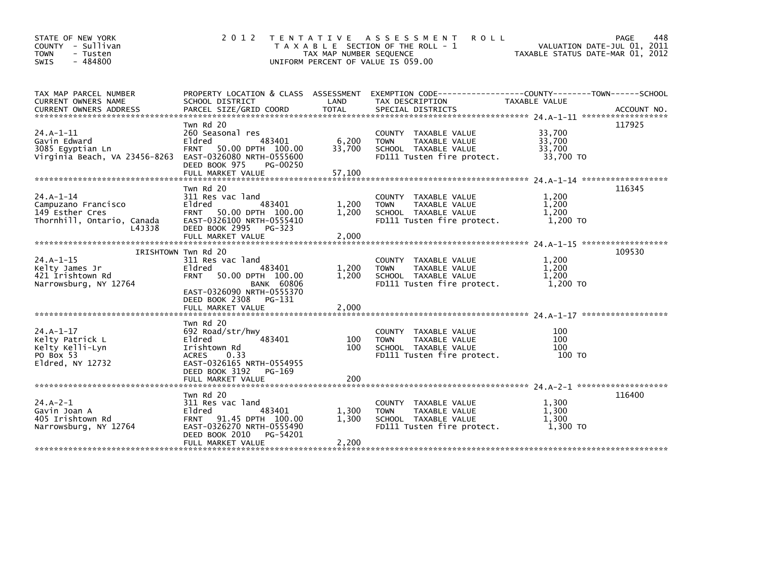| STATE OF NEW YORK<br>COUNTY - Sullivan<br>- Tusten<br><b>TOWN</b><br>$-484800$<br>SWIS        | 2 0 1 2                                                                                                                                                                       | T E N T A T I V E<br>TAX MAP NUMBER SEQUENCE<br>UNIFORM PERCENT OF VALUE IS 059.00 | A S S E S S M E N T<br><b>ROLL</b><br>T A X A B L E SECTION OF THE ROLL - 1                                        | VALUATION DATE-JUL 01, 2011<br>TAXABLE STATUS DATE-MAR 01, 2012 | 448<br>PAGE |
|-----------------------------------------------------------------------------------------------|-------------------------------------------------------------------------------------------------------------------------------------------------------------------------------|------------------------------------------------------------------------------------|--------------------------------------------------------------------------------------------------------------------|-----------------------------------------------------------------|-------------|
| TAX MAP PARCEL NUMBER<br>CURRENT OWNERS NAME                                                  | SCHOOL DISTRICT                                                                                                                                                               | LAND                                                                               | PROPERTY LOCATION & CLASS ASSESSMENT EXEMPTION CODE---------------COUNTY-------TOWN------SCHOOL<br>TAX DESCRIPTION | TAXABLE VALUE                                                   |             |
| $24.A-1-11$<br>Gavin Edward<br>3085 Egyptian Ln<br>Virginia Beach, VA 23456-8263              | Twn Rd 20<br>260 Seasonal res<br>Eldred<br>483401<br>50.00 DPTH 100.00<br><b>FRNT</b><br>EAST-0326080 NRTH-0555600<br>DEED BOOK 975<br>PG-00250                               | 6,200<br>33,700                                                                    | COUNTY TAXABLE VALUE<br>TAXABLE VALUE<br><b>TOWN</b><br>SCHOOL TAXABLE VALUE<br>FD111 Tusten fire protect.         | 33,700<br>33,700<br>33,700<br>33,700 TO                         | 117925      |
|                                                                                               | Twn Rd 20                                                                                                                                                                     |                                                                                    |                                                                                                                    |                                                                 | 116345      |
| $24.A-1-14$<br>Campuzano Francisco<br>149 Esther Cres<br>Thornhill, Ontario, Canada<br>L4J3J8 | 311 Res vac land<br>Eldred<br>483401<br><b>FRNT</b><br>50.00 DPTH 100.00<br>EAST-0326100 NRTH-0555410<br>DEED BOOK 2995 PG-323                                                | 1,200<br>1,200                                                                     | COUNTY TAXABLE VALUE<br><b>TOWN</b><br><b>TAXABLE VALUE</b><br>SCHOOL TAXABLE VALUE<br>FD111 Tusten fire protect.  | 1,200<br>1,200<br>1,200<br>1,200 TO                             |             |
|                                                                                               | FULL MARKET VALUE                                                                                                                                                             | 2,000                                                                              |                                                                                                                    |                                                                 |             |
| $24.A-1-15$<br>Kelty James Jr<br>421 Irishtown Rd<br>Narrowsburg, NY 12764                    | IRISHTOWN TWN Rd 20<br>311 Res vac land<br>Eldred<br>483401<br><b>FRNT</b><br>50.00 DPTH 100.00<br><b>BANK 60806</b><br>EAST-0326090 NRTH-0555370<br>DEED BOOK 2308<br>PG-131 | 1,200<br>1,200                                                                     | COUNTY TAXABLE VALUE<br>TAXABLE VALUE<br><b>TOWN</b><br>SCHOOL TAXABLE VALUE<br>FD111 Tusten fire protect.         | 1,200<br>1,200<br>1,200<br>1.200 TO                             | 109530      |
|                                                                                               |                                                                                                                                                                               |                                                                                    |                                                                                                                    |                                                                 |             |
| $24.A-1-17$<br>Kelty Patrick L<br>Kelty Kelli-Lyn<br>PO Box 53<br>$E1dred$ , NY 12732         | Twn Rd 20<br>692 Road/str/hwy<br>Eldred<br>483401<br>Irishtown Rd<br>0.33<br><b>ACRES</b><br>EAST-0326165 NRTH-0554955<br>DEED BOOK 3192<br>PG-169                            | 100<br>100                                                                         | COUNTY TAXABLE VALUE<br><b>TAXABLE VALUE</b><br><b>TOWN</b><br>SCHOOL TAXABLE VALUE<br>FD111 Tusten fire protect.  | 100<br>100<br>100<br>100 TO                                     |             |
|                                                                                               | FULL MARKET VALUE                                                                                                                                                             | 200                                                                                |                                                                                                                    |                                                                 |             |
| $24.A - 2 - 1$<br>Gavin Joan A<br>405 Irishtown Rd<br>Narrowsburg, NY 12764                   | Twn Rd 20<br>311 Res vac land<br>Eldred<br>483401<br><b>FRNT</b><br>91.45 DPTH 100.00<br>EAST-0326270 NRTH-0555490<br>DEED BOOK 2010<br>PG-54201<br>FULL MARKET VALUE         | 1,300<br>1,300<br>2,200                                                            | COUNTY TAXABLE VALUE<br><b>TAXABLE VALUE</b><br><b>TOWN</b><br>SCHOOL TAXABLE VALUE<br>FD111 Tusten fire protect.  | 1,300<br>1.300<br>1,300<br>1.300 TO                             | 116400      |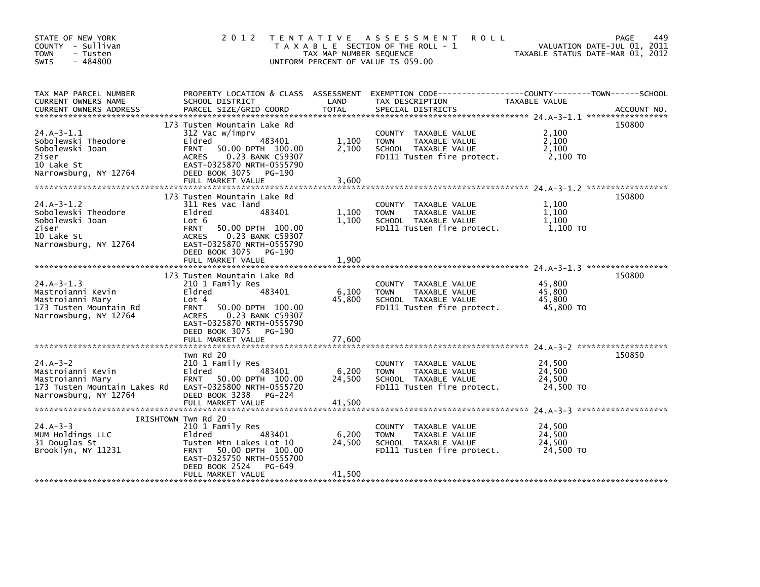| STATE OF NEW YORK<br>COUNTY - Sullivan<br><b>TOWN</b><br>- Tusten<br>$-484800$<br><b>SWIS</b>                    | 2 0 1 2                                                                                                                                                                                                                            | TAX MAP NUMBER SEQUENCE   | TENTATIVE ASSESSMENT<br><b>ROLL</b><br>T A X A B L E SECTION OF THE ROLL - 1<br>UNIFORM PERCENT OF VALUE IS 059.00 | TAXABLE STATUS DATE-MAR 01, 2012        | 449<br>PAGE<br>VALUATION DATE-JUL 01, 2011 |
|------------------------------------------------------------------------------------------------------------------|------------------------------------------------------------------------------------------------------------------------------------------------------------------------------------------------------------------------------------|---------------------------|--------------------------------------------------------------------------------------------------------------------|-----------------------------------------|--------------------------------------------|
| TAX MAP PARCEL NUMBER<br>CURRENT OWNERS NAME<br><b>CURRENT OWNERS ADDRESS</b>                                    | PROPERTY LOCATION & CLASS ASSESSMENT<br>SCHOOL DISTRICT<br>PARCEL SIZE/GRID COORD                                                                                                                                                  | LAND<br><b>TOTAL</b>      | EXEMPTION CODE-----------------COUNTY-------TOWN------SCHOOL<br>TAX DESCRIPTION<br>SPECIAL DISTRICTS               | TAXABLE VALUE                           | ACCOUNT NO.                                |
| $24.A-3-1.1$<br>Sobolewski Theodore<br>Sobolewski Joan<br>Ziser<br>10 Lake St<br>Narrowsburg, NY 12764           | 173 Tusten Mountain Lake Rd<br>312 Vac w/imprv<br>Eldred<br>483401<br><b>FRNT</b><br>50.00 DPTH 100.00<br>0.23 BANK C59307<br>ACRES<br>EAST-0325870 NRTH-0555790<br>DEED BOOK 3075 PG-190<br>FULL MARKET VALUE                     | 1,100<br>2,100<br>3,600   | COUNTY TAXABLE VALUE<br>TAXABLE VALUE<br><b>TOWN</b><br>SCHOOL TAXABLE VALUE<br>FD111 Tusten fire protect.         | 2,100<br>2,100<br>2,100<br>2,100 TO     | 150800                                     |
| $24.A - 3 - 1.2$<br>Sobolewski Theodore<br>Sobolewski Joan<br>Ziser<br>10 Lake St<br>Narrowsburg, NY 12764       | 173 Tusten Mountain Lake Rd<br>311 Res vac land<br>Eldred<br>483401<br>Lot 6<br><b>FRNT</b><br>50.00 DPTH 100.00<br>0.23 BANK C59307<br><b>ACRES</b><br>EAST-0325870 NRTH-0555790<br>DEED BOOK 3075<br>PG-190<br>FULL MARKET VALUE | 1,100<br>1.100<br>1,900   | COUNTY TAXABLE VALUE<br>TAXABLE VALUE<br><b>TOWN</b><br>SCHOOL TAXABLE VALUE<br>FD111 Tusten fire protect.         | 1,100<br>1,100<br>1.100<br>1,100 TO     | 150800                                     |
| $24.A-3-1.3$<br>Mastroianni Kevin<br>Mastroianni Mary<br>173 Tusten Mountain Rd<br>Narrowsburg, NY 12764         | 173 Tusten Mountain Lake Rd<br>210 1 Family Res<br>Eldred<br>483401<br>Lot 4<br>50.00 DPTH 100.00<br><b>FRNT</b><br>0.23 BANK C59307<br>ACRES<br>EAST-0325870 NRTH-0555790<br>DEED BOOK 3075 PG-190<br>FULL MARKET VALUE           | 6,100<br>45,800<br>77,600 | COUNTY TAXABLE VALUE<br>TAXABLE VALUE<br><b>TOWN</b><br>SCHOOL TAXABLE VALUE<br>FD111 Tusten fire protect.         | 45,800<br>45.800<br>45.800<br>45,800 TO | 150800                                     |
| $24.A - 3 - 2$<br>Mastroianni Kevin<br>Mastroianni Mary<br>173 Tusten Mountain Lakes Rd<br>Narrowsburg, NY 12764 | Twn Rd 20<br>210 1 Family Res<br>483401<br>Eldred<br>FRNT 50.00 DPTH 100.00<br>EAST-0325800 NRTH-0555720<br>DEED BOOK 3238<br>PG-224<br>FULL MARKET VALUE                                                                          | 6,200<br>24,500<br>41,500 | COUNTY TAXABLE VALUE<br>TAXABLE VALUE<br><b>TOWN</b><br>SCHOOL TAXABLE VALUE<br>FD111 Tusten fire protect.         | 24,500<br>24.500<br>24.500<br>24,500 TO | 150850                                     |
| $24.A - 3 - 3$<br>MUM Holdings LLC<br>31 Douglas St<br>Brooklyn, NY 11231                                        | IRISHTOWN Twn Rd 20<br>210 1 Family Res<br>Eldred<br>483401<br>Tusten Mtn Lakes Lot 10<br>50.00 DPTH 100.00<br><b>FRNT</b><br>EAST-0325750 NRTH-0555700<br>DEED BOOK 2524<br>PG-649<br>FULL MARKET VALUE                           | 6,200<br>24,500<br>41,500 | COUNTY TAXABLE VALUE<br><b>TOWN</b><br>TAXABLE VALUE<br>SCHOOL TAXABLE VALUE<br>FD111 Tusten fire protect.         | 24,500<br>24,500<br>24,500<br>24,500 TO |                                            |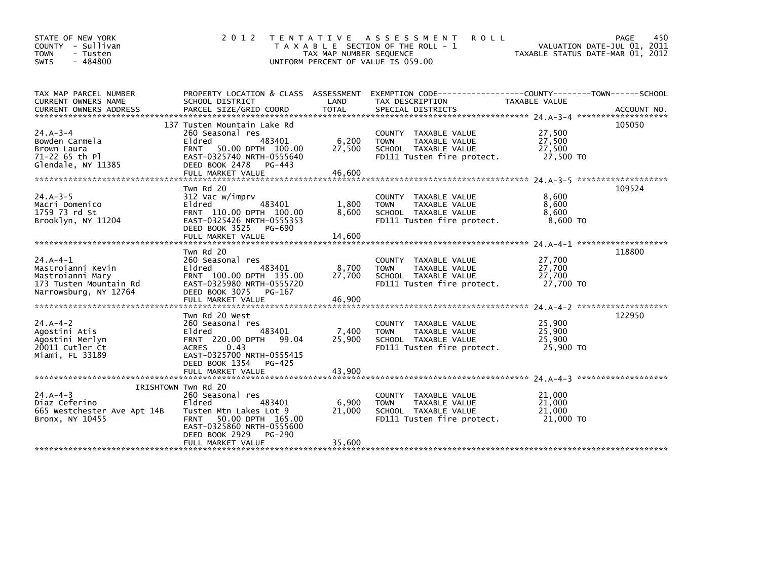| STATE OF NEW YORK<br>COUNTY - Sullivan<br><b>TOWN</b><br>- Tusten<br>$-484800$<br><b>SWIS</b>            | 2 0 1 2                                                                                                                                                                                                 | T E N T A T I V E<br>TAX MAP NUMBER SEQUENCE | A S S E S S M E N T<br><b>ROLL</b><br>T A X A B L E SECTION OF THE ROLL - 1<br>UNIFORM PERCENT OF VALUE IS 059.00           | VALUATION DATE-JUL 01, 2011<br>TAXABLE STATUS DATE-MAR 01, 2012 | 450<br>PAGE |
|----------------------------------------------------------------------------------------------------------|---------------------------------------------------------------------------------------------------------------------------------------------------------------------------------------------------------|----------------------------------------------|-----------------------------------------------------------------------------------------------------------------------------|-----------------------------------------------------------------|-------------|
| TAX MAP PARCEL NUMBER<br>CURRENT OWNERS NAME                                                             | SCHOOL DISTRICT                                                                                                                                                                                         | LAND                                         | PROPERTY LOCATION & CLASS ASSESSMENT EXEMPTION CODE----------------COUNTY-------TOWN------SCHOOL<br>TAX DESCRIPTION         | <b>TAXABLE VALUE</b>                                            |             |
| $24.A - 3 - 4$<br>Bowden Carmela<br>Brown Laura<br>71-22 65 th Pl<br>Glendale, NY 11385                  | 137 Tusten Mountain Lake Rd<br>260 Seasonal res<br>Eldred<br>483401<br>50.00 DPTH 100.00<br><b>FRNT</b><br>EAST-0325740 NRTH-0555640<br>DEED BOOK 2478<br>PG-443                                        | 6,200<br>27,500                              | COUNTY TAXABLE VALUE<br>TAXABLE VALUE<br><b>TOWN</b><br>SCHOOL TAXABLE VALUE<br>FD111 Tusten fire protect.                  | 27,500<br>27,500<br>27,500<br>27,500 TO                         | 105050      |
| $24.A - 3 - 5$<br>Macri Domenico<br>1759 73 rd St<br>Brooklyn, NY 11204                                  | Twn Rd 20<br>312 Vac w/imprv<br>Eldred<br>483401<br>FRNT 110.00 DPTH 100.00<br>EAST-0325426 NRTH-0555353<br>DEED BOOK 3525<br>PG-690<br>FULL MARKET VALUE                                               | 1,800<br>8,600<br>14,600                     | TAXABLE VALUE<br><b>COUNTY</b><br>TAXABLE VALUE<br><b>TOWN</b><br>SCHOOL TAXABLE VALUE<br>FD111 Tusten fire protect.        | 8.600<br>8,600<br>8,600<br>8,600 TO                             | 109524      |
| $24.A - 4-1$<br>Mastroianni Kevin<br>Mastroianni Mary<br>173 Tusten Mountain Rd<br>Narrowsburg, NY 12764 | Twn Rd 20<br>260 Seasonal res<br>Eldred<br>483401<br>FRNT 100.00 DPTH 135.00<br>EAST-0325980 NRTH-0555720<br>DEED BOOK 3075<br>PG-167                                                                   | 8,700<br>27,700                              | COUNTY TAXABLE VALUE<br>TAXABLE VALUE<br><b>TOWN</b><br>SCHOOL TAXABLE VALUE<br>FD111 Tusten fire protect.                  | 27,700<br>27,700<br>27,700<br>27,700 TO                         | 118800      |
| $24.A - 4 - 2$<br>Agostini Atis<br>Agostini Merlyn<br>20011 Cutler Ct<br>Miami, FL 33189                 | Twn Rd 20 West<br>260 Seasonal res<br>Eldred.<br>483401<br>99.04<br>FRNT 220.00 DPTH<br>0.43<br><b>ACRES</b><br>EAST-0325700 NRTH-0555415<br>DEED BOOK 1354<br>PG-425<br>FULL MARKET VALUE              | 7,400<br>25,900<br>43,900                    | TAXABLE VALUE<br><b>COUNTY</b><br><b>TAXABLE VALUE</b><br><b>TOWN</b><br>SCHOOL TAXABLE VALUE<br>FD111 Tusten fire protect. | 25,900<br>25,900<br>25,900<br>25,900 TO                         | 122950      |
| $24.A - 4-3$<br>Diaz Ceferino<br>665 Westchester Ave Apt 14B<br>Bronx, NY 10455                          | IRISHTOWN Twn Rd 20<br>260 Seasonal res<br>Eldred<br>483401<br>Tusten Mtn Lakes Lot 9<br>50.00 DPTH 165.00<br><b>FRNT</b><br>EAST-0325860 NRTH-0555600<br>DEED BOOK 2929<br>PG-290<br>FULL MARKET VALUE | 6,900<br>21,000<br>35,600                    | COUNTY TAXABLE VALUE<br><b>TAXABLE VALUE</b><br><b>TOWN</b><br>SCHOOL TAXABLE VALUE<br>FD111 Tusten fire protect.           | 21,000<br>21,000<br>21,000<br>21,000 TO                         |             |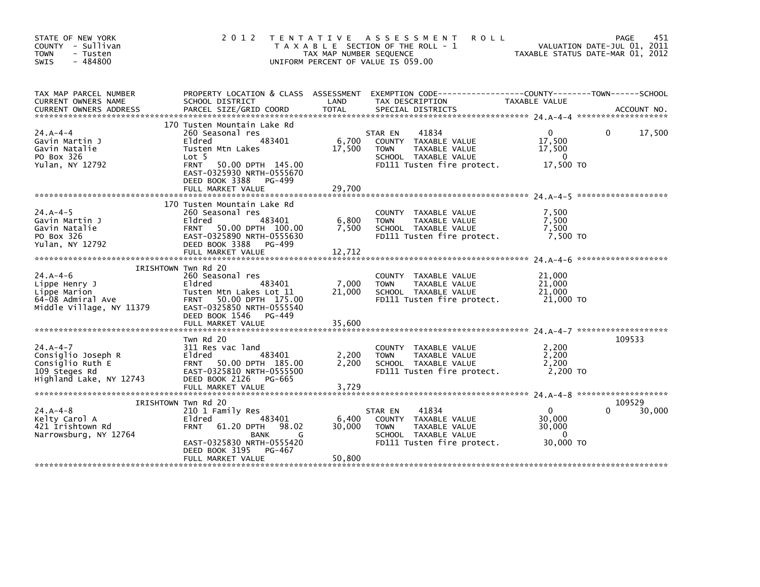| STATE OF NEW YORK<br>COUNTY - Sullivan<br>- Tusten<br><b>TOWN</b><br>$-484800$<br>SWIS             | 2 0 1 2                                                                                                                                                                                                  | T E N T A T I V E<br>TAX MAP NUMBER SEQUENCE | <b>ROLL</b><br>A S S E S S M E N T<br>T A X A B L E SECTION OF THE ROLL - 1<br>UNIFORM PERCENT OF VALUE IS 059.00              |                                                             | 451<br>PAGE<br>VALUATION DATE-JUL 01, 2011<br>TAXABLE STATUS DATE-MAR 01, 2012 |
|----------------------------------------------------------------------------------------------------|----------------------------------------------------------------------------------------------------------------------------------------------------------------------------------------------------------|----------------------------------------------|--------------------------------------------------------------------------------------------------------------------------------|-------------------------------------------------------------|--------------------------------------------------------------------------------|
| TAX MAP PARCEL NUMBER<br>CURRENT OWNERS NAME                                                       | PROPERTY LOCATION & CLASS ASSESSMENT<br>SCHOOL DISTRICT                                                                                                                                                  | LAND                                         | EXEMPTION CODE-----------------COUNTY-------TOWN------SCHOOL<br>TAX DESCRIPTION                                                | TAXABLE VALUE                                               |                                                                                |
| $24. A - 4 - 4$<br>Gavin Martin J<br>Gavin Natalie<br>PO Box 326<br>Yulan, NY 12792                | 170 Tusten Mountain Lake Rd<br>260 Seasonal res<br>483401<br>Eldred<br>Tusten Mtn Lakes<br>Lot 5<br>FRNT 50.00 DPTH 145.00<br>EAST-0325930 NRTH-0555670<br>DEED BOOK 3388<br>PG-499<br>FULL MARKET VALUE | 6,700<br>17,500<br>29,700                    | 41834<br>STAR EN<br>COUNTY TAXABLE VALUE<br><b>TOWN</b><br>TAXABLE VALUE<br>SCHOOL TAXABLE VALUE<br>FD111 Tusten fire protect. | $\Omega$<br>17,500<br>17,500<br>0<br>17,500 TO              | $\mathbf{0}$<br>17,500                                                         |
| $24.A - 4-5$<br>Gavin Martin J<br>Gavin Natalie<br>PO Box 326<br>Yulan, NY 12792                   | 170 Tusten Mountain Lake Rd<br>260 Seasonal res<br>Eldred<br>483401<br>FRNT 50.00 DPTH 100.00<br>EAST-0325890 NRTH-0555630<br>DEED BOOK 3388<br>PG-499<br>FULL MARKET VALUE                              | 6,800<br>7,500<br>12,712                     | COUNTY TAXABLE VALUE<br>TAXABLE VALUE<br><b>TOWN</b><br>SCHOOL TAXABLE VALUE<br>FD111 Tusten fire protect.                     | 7,500<br>7,500<br>7,500<br>7,500 TO                         |                                                                                |
| $24.A - 4-6$<br>Lippe Henry J<br>Lippe Marion<br>64-08 Admiral Ave<br>Middle Village, NY 11379     | IRISHTOWN Twn Rd 20<br>260 Seasonal res<br>483401<br>Eldred<br>Tusten Mtn Lakes Lot 11<br>FRNT 50.00 DPTH 175.00<br>EAST-0325850 NRTH-0555540<br>DEED BOOK 1546<br>PG-449<br>FULL MARKET VALUE           | 7,000<br>21,000<br>35,600                    | COUNTY TAXABLE VALUE<br>TAXABLE VALUE<br><b>TOWN</b><br>SCHOOL TAXABLE VALUE<br>FD111 Tusten fire protect.                     | 21,000<br>21,000<br>21,000<br>21,000 TO                     |                                                                                |
| $24.A - 4-7$<br>Consiglio Joseph R<br>Consiglio Ruth E<br>109 Steges Rd<br>Highland Lake, NY 12743 | Twn Rd 20<br>311 Res vac land<br>Eldred<br>483401<br>FRNT 50.00 DPTH 185.00<br>EAST-0325810 NRTH-0555500<br>DEED BOOK 2126<br>PG-665<br>FULL MARKET VALUE                                                | 2,200<br>2,200<br>3,729                      | COUNTY TAXABLE VALUE<br>TAXABLE VALUE<br><b>TOWN</b><br>SCHOOL TAXABLE VALUE<br>FD111 Tusten fire protect.                     | 2,200<br>2,200<br>2,200<br>2,200 TO                         | 109533                                                                         |
| $24.A - 4 - 8$<br>Kelty Carol A<br>421 Irishtown Rd<br>Narrowsburg, NY 12764                       | IRISHTOWN TWN Rd 20<br>210 1 Family Res<br>Eldred<br>483401<br>61.20 DPTH<br><b>FRNT</b><br>98.02<br>BANK<br>G<br>EAST-0325830 NRTH-0555420<br>DEED BOOK 3195<br>PG-467<br>FULL MARKET VALUE             | 6,400<br>30,000<br>50,800                    | 41834<br>STAR EN<br>COUNTY TAXABLE VALUE<br><b>TOWN</b><br>TAXABLE VALUE<br>SCHOOL TAXABLE VALUE<br>FD111 Tusten fire protect. | $\overline{0}$<br>30,000<br>30,000<br>$\Omega$<br>30,000 TO | 109529<br>30,000                                                               |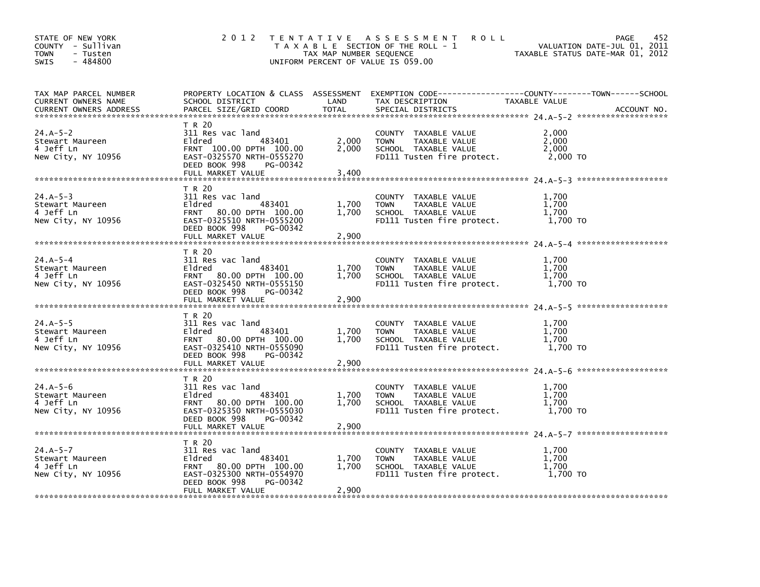| STATE OF NEW YORK<br>COUNTY - Sullivan<br><b>TOWN</b><br>- Tusten<br>$-484800$<br><b>SWIS</b> | 2 0 1 2                                                                                                                                                  | TAX MAP NUMBER SEQUENCE | TENTATIVE ASSESSMENT<br><b>ROLL</b><br>T A X A B L E SECTION OF THE ROLL - 1<br>UNIFORM PERCENT OF VALUE IS 059.00                      |                                     | 452<br><b>PAGE</b><br>VALUATION DATE-JUL 01, 2011<br>TAXABLE STATUS DATE-MAR 01, 2012 |
|-----------------------------------------------------------------------------------------------|----------------------------------------------------------------------------------------------------------------------------------------------------------|-------------------------|-----------------------------------------------------------------------------------------------------------------------------------------|-------------------------------------|---------------------------------------------------------------------------------------|
| TAX MAP PARCEL NUMBER<br><b>CURRENT OWNERS NAME</b><br><b>CURRENT OWNERS ADDRESS</b>          | SCHOOL DISTRICT<br>PARCEL SIZE/GRID COORD                                                                                                                | LAND<br><b>TOTAL</b>    | PROPERTY LOCATION & CLASS ASSESSMENT EXEMPTION CODE----------------COUNTY-------TOWN-----SCHOOL<br>TAX DESCRIPTION<br>SPECIAL DISTRICTS | TAXABLE VALUE                       | ACCOUNT NO.                                                                           |
| $24.A-5-2$<br>Stewart Maureen<br>4 Jeff Ln<br>New City, NY 10956                              | T R 20<br>311 Res vac land<br>483401<br>Eldred<br>FRNT 100.00 DPTH 100.00<br>EAST-0325570 NRTH-0555270<br>DEED BOOK 998<br>PG-00342<br>FULL MARKET VALUE | 2,000<br>2,000<br>3.400 | COUNTY TAXABLE VALUE<br><b>TOWN</b><br>TAXABLE VALUE<br>SCHOOL TAXABLE VALUE<br>FD111 Tusten fire protect.                              | 2.000<br>2.000<br>2,000<br>2,000 TO |                                                                                       |
|                                                                                               | T R 20                                                                                                                                                   |                         |                                                                                                                                         |                                     |                                                                                       |
| $24.A-5-3$<br>Stewart Maureen<br>4 Jeff Ln<br>New City, NY 10956                              | 311 Res vac land<br>483401<br>Eldred<br>FRNT 80.00 DPTH 100.00<br>EAST-0325510 NRTH-0555200<br>DEED BOOK 998<br>PG-00342                                 | 1.700<br>1,700          | COUNTY TAXABLE VALUE<br><b>TOWN</b><br>TAXABLE VALUE<br>SCHOOL TAXABLE VALUE<br>FD111 Tusten fire protect.                              | 1,700<br>1.700<br>1,700<br>1,700 TO |                                                                                       |
|                                                                                               | FULL MARKET VALUE                                                                                                                                        | 2,900                   |                                                                                                                                         |                                     |                                                                                       |
| $24.A-5-4$<br>Stewart Maureen<br>4 Jeff Ln<br>New City, NY 10956                              | T R 20<br>311 Res vac land<br>Eldred<br>483401<br>FRNT 80.00 DPTH 100.00<br>EAST-0325450 NRTH-0555150<br>DEED BOOK 998<br>PG-00342<br>FULL MARKET VALUE  | 1,700<br>1.700<br>2,900 | COUNTY TAXABLE VALUE<br>TAXABLE VALUE<br><b>TOWN</b><br>SCHOOL TAXABLE VALUE<br>FD111 Tusten fire protect.                              | 1,700<br>1,700<br>1,700<br>1,700 TO |                                                                                       |
|                                                                                               | T R 20                                                                                                                                                   |                         |                                                                                                                                         |                                     |                                                                                       |
| $24.A-5-5$<br>Stewart Maureen<br>4 Jeff Ln<br>New City, NY 10956                              | 311 Res vac land<br>483401<br>Eldred<br>FRNT 80.00 DPTH 100.00<br>EAST-0325410 NRTH-0555090<br>DEED BOOK 998<br>PG-00342                                 | 1,700<br>1,700          | COUNTY TAXABLE VALUE<br><b>TOWN</b><br>TAXABLE VALUE<br>SCHOOL TAXABLE VALUE<br>FD111 Tusten fire protect.                              | 1,700<br>1,700<br>1.700<br>1.700 TO |                                                                                       |
|                                                                                               | FULL MARKET VALUE                                                                                                                                        | 2,900                   |                                                                                                                                         |                                     |                                                                                       |
| $24.A-5-6$<br>Stewart Maureen<br>4 Jeff Ln<br>New City, NY 10956                              | T R 20<br>311 Res vac land<br>Eldred<br>483401<br>FRNT 80.00 DPTH 100.00<br>EAST-0325350 NRTH-0555030<br>DEED BOOK 998<br>PG-00342<br>FULL MARKET VALUE  | 1.700<br>1,700<br>2,900 | COUNTY TAXABLE VALUE<br><b>TOWN</b><br>TAXABLE VALUE<br>SCHOOL TAXABLE VALUE<br>FD111 Tusten fire protect.                              | 1,700<br>1.700<br>1.700<br>1,700 TO |                                                                                       |
|                                                                                               | T R 20                                                                                                                                                   |                         |                                                                                                                                         |                                     |                                                                                       |
| $24.A-5-7$<br>Stewart Maureen<br>4 Jeff Ln<br>New City, NY 10956                              | 311 Res vac land<br>Eldred<br>483401<br>FRNT 80.00 DPTH 100.00<br>EAST-0325300 NRTH-0554970<br>DEED BOOK 998<br>PG-00342                                 | 1,700<br>1.700          | COUNTY TAXABLE VALUE<br>TAXABLE VALUE<br><b>TOWN</b><br>SCHOOL TAXABLE VALUE<br>FD111 Tusten fire protect.                              | 1,700<br>1,700<br>1.700<br>1,700 TO |                                                                                       |
|                                                                                               | FULL MARKET VALUE                                                                                                                                        | 2,900                   |                                                                                                                                         |                                     |                                                                                       |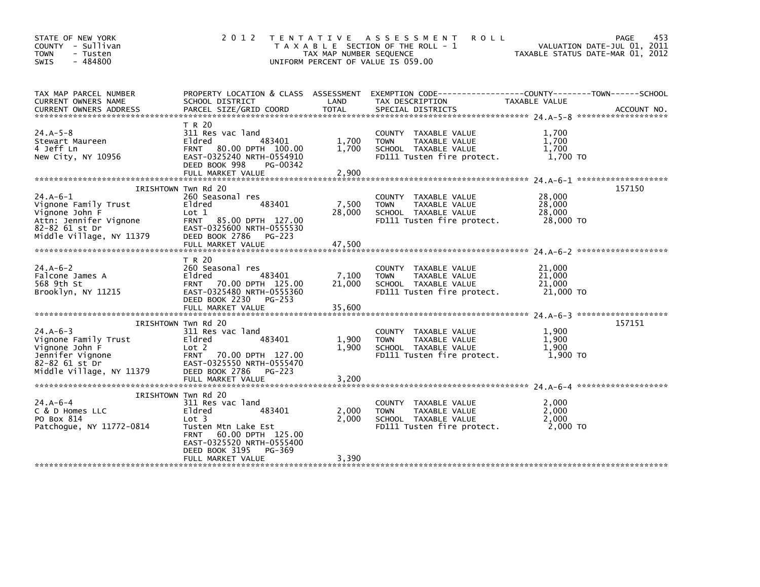| STATE OF NEW YORK<br>COUNTY - Sullivan<br>- Tusten<br><b>TOWN</b><br>$-484800$<br>SWIS                                       | 2 0 1 2                                                                                                                                                                                  | T E N T A T I V E<br>TAX MAP NUMBER SEQUENCE | <b>ROLL</b><br>A S S E S S M E N T<br>T A X A B L E SECTION OF THE ROLL - 1<br>UNIFORM PERCENT OF VALUE IS 059.00    |                                         | 453<br>PAGE<br>VALUATION DATE-JUL 01, 2011<br>TAXABLE STATUS DATE-MAR 01, 2012 |
|------------------------------------------------------------------------------------------------------------------------------|------------------------------------------------------------------------------------------------------------------------------------------------------------------------------------------|----------------------------------------------|----------------------------------------------------------------------------------------------------------------------|-----------------------------------------|--------------------------------------------------------------------------------|
| TAX MAP PARCEL NUMBER<br>CURRENT OWNERS NAME<br><b>CURRENT OWNERS ADDRESS</b>                                                | PROPERTY LOCATION & CLASS ASSESSMENT<br>SCHOOL DISTRICT<br>PARCEL SIZE/GRID COORD                                                                                                        | LAND<br><b>TOTAL</b>                         | EXEMPTION CODE-----------------COUNTY-------TOWN------SCHOOL<br>TAX DESCRIPTION<br>SPECIAL DISTRICTS                 | TAXABLE VALUE                           | ACCOUNT NO.                                                                    |
| $24.A-5-8$<br>Stewart Maureen<br>4 Jeff Ln<br>New City, NY 10956                                                             | T R 20<br>311 Res vac land<br>483401<br>Eldred<br>FRNT 80.00 DPTH 100.00<br>EAST-0325240 NRTH-0554910<br>DEED BOOK 998<br>PG-00342<br>FULL MARKET VALUE                                  | 1,700<br>1,700<br>2,900                      | COUNTY TAXABLE VALUE<br><b>TOWN</b><br>TAXABLE VALUE<br>SCHOOL TAXABLE VALUE<br>FD111 Tusten fire protect.           | 1,700<br>1,700<br>1,700<br>1,700 TO     |                                                                                |
| $24.A-6-1$<br>Vignone Family Trust<br>Vignone John F<br>Attn: Jennifer Vignone<br>82-82 61 st Dr<br>Middle Village, NY 11379 | IRISHTOWN Twn Rd 20<br>260 Seasonal res<br>483401<br>Eldred<br>Lot 1<br>FRNT 85.00 DPTH 127.00<br>EAST-0325600 NRTH-0555530<br>DEED BOOK 2786<br>$PG-223$                                | 7,500<br>28,000                              | <b>COUNTY</b><br>TAXABLE VALUE<br>TAXABLE VALUE<br><b>TOWN</b><br>SCHOOL TAXABLE VALUE<br>FD111 Tusten fire protect. | 28,000<br>28,000<br>28,000<br>28,000 TO | 157150                                                                         |
|                                                                                                                              | FULL MARKET VALUE                                                                                                                                                                        | 47.500                                       |                                                                                                                      |                                         |                                                                                |
| $24.A - 6 - 2$<br>Falcone James A<br>568 9th St<br>Brooklyn, NY 11215                                                        | T R 20<br>260 Seasonal res<br>483401<br>Eldred<br>FRNT 70.00 DPTH 125.00<br>EAST-0325480 NRTH-0555360<br>DEED BOOK 2230<br>PG-253<br>FULL MARKET VALUE                                   | 7,100<br>21,000<br>35,600                    | COUNTY TAXABLE VALUE<br><b>TOWN</b><br>TAXABLE VALUE<br>SCHOOL TAXABLE VALUE<br>FD111 Tusten fire protect.           | 21,000<br>21,000<br>21,000<br>21,000 TO |                                                                                |
| $24.A - 6 - 3$<br>Vignone Family Trust<br>Vignone John F<br>Jennifer Vignone<br>82-82 61 st Dr<br>Middle Village, NY 11379   | IRISHTOWN Twn Rd 20<br>311 Res vac land<br>483401<br>Eldred<br>Lot 2<br><b>FRNT</b><br>70.00 DPTH 127.00<br>EAST-0325550 NRTH-0555470<br>DEED BOOK 2786<br>PG-223                        | 1.900<br>1.900                               | COUNTY<br>TAXABLE VALUE<br>TAXABLE VALUE<br><b>TOWN</b><br>SCHOOL TAXABLE VALUE<br>FD111 Tusten fire protect.        | 1,900<br>1,900<br>1.900<br>$1,900$ TO   | 157151                                                                         |
| $24. A - 6 - 4$<br>C & D Homes LLC<br>PO Box 814<br>Patchogue, NY 11772-0814                                                 | IRISHTOWN Twn Rd 20<br>311 Res vac land<br>483401<br>Eldred<br>Lot 3<br>Tusten Mtn Lake Est<br>60.00 DPTH 125.00<br><b>FRNT</b><br>EAST-0325520 NRTH-0555400<br>DEED BOOK 3195<br>PG-369 | 2,000<br>2,000                               | <b>COUNTY</b><br>TAXABLE VALUE<br>TAXABLE VALUE<br><b>TOWN</b><br>SCHOOL TAXABLE VALUE<br>FD111 Tusten fire protect. | 2,000<br>2,000<br>2.000<br>2,000 TO     |                                                                                |
|                                                                                                                              | FULL MARKET VALUE                                                                                                                                                                        | 3,390                                        |                                                                                                                      |                                         |                                                                                |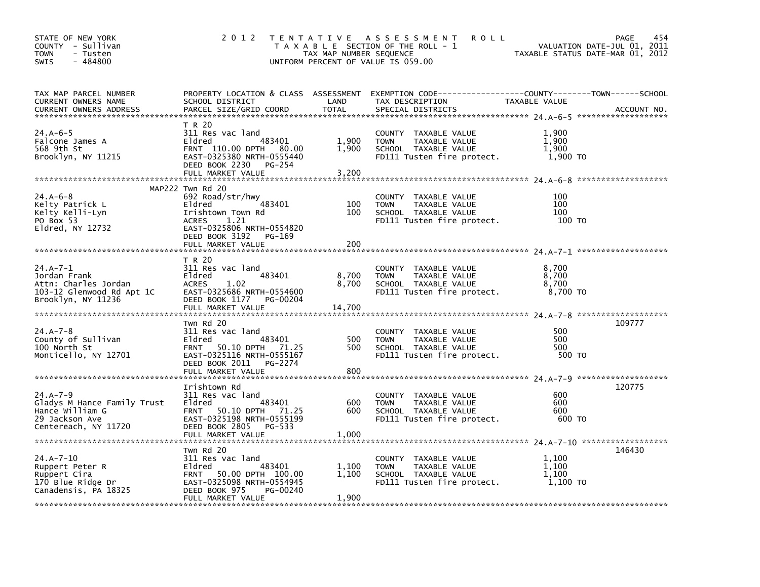| STATE OF NEW YORK<br>COUNTY - Sullivan<br><b>TOWN</b><br>- Tusten<br>$-484800$<br><b>SWIS</b>              | 2 0 1 2                                                                                                                                                     | T E N T A T I V E<br>TAX MAP NUMBER SEQUENCE | A S S E S S M E N T<br><b>ROLL</b><br>T A X A B L E SECTION OF THE ROLL - 1<br>UNIFORM PERCENT OF VALUE IS 059.00    |                                     | 454<br>PAGE<br>VALUATION DATE-JUL 01, 2011<br>TAXABLE STATUS DATE-MAR 01, 2012 |
|------------------------------------------------------------------------------------------------------------|-------------------------------------------------------------------------------------------------------------------------------------------------------------|----------------------------------------------|----------------------------------------------------------------------------------------------------------------------|-------------------------------------|--------------------------------------------------------------------------------|
| TAX MAP PARCEL NUMBER<br>CURRENT OWNERS NAME<br><b>CURRENT OWNERS ADDRESS</b>                              | PROPERTY LOCATION & CLASS ASSESSMENT<br>SCHOOL DISTRICT<br>PARCEL SIZE/GRID COORD                                                                           | LAND<br><b>TOTAL</b>                         | EXEMPTION CODE-----------------COUNTY-------TOWN------SCHOOL<br>TAX DESCRIPTION<br>SPECIAL DISTRICTS                 | TAXABLE VALUE                       | ACCOUNT NO.<br>*******************                                             |
| 24.A-6-5<br>Falcone James A<br>568 9th St<br>Brooklyn, NY 11215                                            | T R 20<br>311 Res vac land<br>483401<br>Eldred<br>FRNT 110.00 DPTH 80.00<br>EAST-0325380 NRTH-0555440<br>DEED BOOK 2230<br>PG-254<br>FULL MARKET VALUE      | 1.900<br>1,900<br>3,200                      | COUNTY TAXABLE VALUE<br><b>TOWN</b><br>TAXABLE VALUE<br>SCHOOL TAXABLE VALUE<br>FD111 Tusten fire protect.           | 1,900<br>1.900<br>1,900<br>1,900 TO |                                                                                |
|                                                                                                            | MAP222 Twn Rd 20                                                                                                                                            |                                              |                                                                                                                      |                                     |                                                                                |
| $24.A - 6 - 8$<br>Kelty Patrick L<br>Kelty Kelli-Lyn<br>PO Box 53<br>Eldred, NY 12732                      | 692 Road/str/hwy<br>483401<br>Eldred<br>Irishtown Town Rd<br>1.21<br><b>ACRES</b><br>EAST-0325806 NRTH-0554820                                              | 100<br>100                                   | COUNTY<br>TAXABLE VALUE<br>TAXABLE VALUE<br><b>TOWN</b><br>SCHOOL TAXABLE VALUE<br>FD111 Tusten fire protect.        | 100<br>100<br>100<br>100 TO         |                                                                                |
|                                                                                                            | DEED BOOK 3192<br>PG-169<br>FULL MARKET VALUE                                                                                                               | 200                                          |                                                                                                                      |                                     |                                                                                |
|                                                                                                            |                                                                                                                                                             |                                              |                                                                                                                      |                                     |                                                                                |
| $24.A - 7 - 1$<br>Jordan Frank<br>Attn: Charles Jordan<br>103-12 Glenwood Rd Apt 1C<br>Brooklyn, NY 11236  | T R 20<br>311 Res vac land<br>483401<br>Eldred<br>1.02<br><b>ACRES</b><br>EAST-0325686 NRTH-0554600<br>DEED BOOK 1177<br>PG-00204<br>FULL MARKET VALUE      | 8,700<br>8,700<br>14,700                     | COUNTY TAXABLE VALUE<br><b>TOWN</b><br>TAXABLE VALUE<br>SCHOOL TAXABLE VALUE<br>FD111 Tusten fire protect.           | 8,700<br>8,700<br>8,700<br>8,700 TO |                                                                                |
| $24.A - 7 - 8$<br>County of Sullivan<br>100 North St<br>Monticello, NY 12701                               | Twn Rd 20<br>311 Res vac land<br>483401<br>Eldred<br>FRNT 50.10 DPTH 71.25<br>EAST-0325116 NRTH-0555167<br>DEED BOOK 2011 PG-2274<br>FULL MARKET VALUE      | 500<br>500<br>800                            | COUNTY TAXABLE VALUE<br><b>TOWN</b><br>TAXABLE VALUE<br>SCHOOL TAXABLE VALUE<br>FD111 Tusten fire protect.           | 500<br>500<br>500<br>500 TO         | 109777                                                                         |
|                                                                                                            |                                                                                                                                                             |                                              |                                                                                                                      |                                     |                                                                                |
| $24.A - 7 - 9$<br>Gladys M Hance Family Trust<br>Hance William G<br>29 Jackson Ave<br>Centereach, NY 11720 | Irishtown Rd<br>311 Res vac land<br>483401<br>Eldred<br>FRNT 50.10 DPTH 71.25<br>EAST-0325198 NRTH-0555199<br>DEED BOOK 2805<br>PG-533<br>FULL MARKET VALUE | 600<br>600<br>1,000                          | COUNTY TAXABLE VALUE<br><b>TOWN</b><br>TAXABLE VALUE<br>SCHOOL TAXABLE VALUE<br>FD111 Tusten fire protect.           | 600<br>600<br>600<br>600 TO         | 120775                                                                         |
|                                                                                                            |                                                                                                                                                             |                                              |                                                                                                                      |                                     |                                                                                |
| $24.A - 7 - 10$<br>Ruppert Peter R<br>Ruppert Cira<br>170 Blue Ridge Dr<br>Canadensis, PA 18325            | Twn Rd 20<br>311 Res vac land<br>483401<br>Eldred<br>FRNT 50.00 DPTH 100.00<br>EAST-0325098 NRTH-0554945<br>DEED BOOK 975<br>PG-00240<br>FULL MARKET VALUE  | 1,100<br>1,100<br>1,900                      | <b>COUNTY</b><br>TAXABLE VALUE<br>TAXABLE VALUE<br><b>TOWN</b><br>SCHOOL TAXABLE VALUE<br>FD111 Tusten fire protect. | 1,100<br>1,100<br>1,100<br>1,100 TO | 146430                                                                         |
|                                                                                                            | یہ مزالہ مزالہ مزالہ مزالہ مزالہ مزالہ مزالہ مزالہ مزالہ مزالہ مزالہ مزالہ مزالہ مزالہ مزالہ مزالہ مزالہ                                                    |                                              |                                                                                                                      |                                     |                                                                                |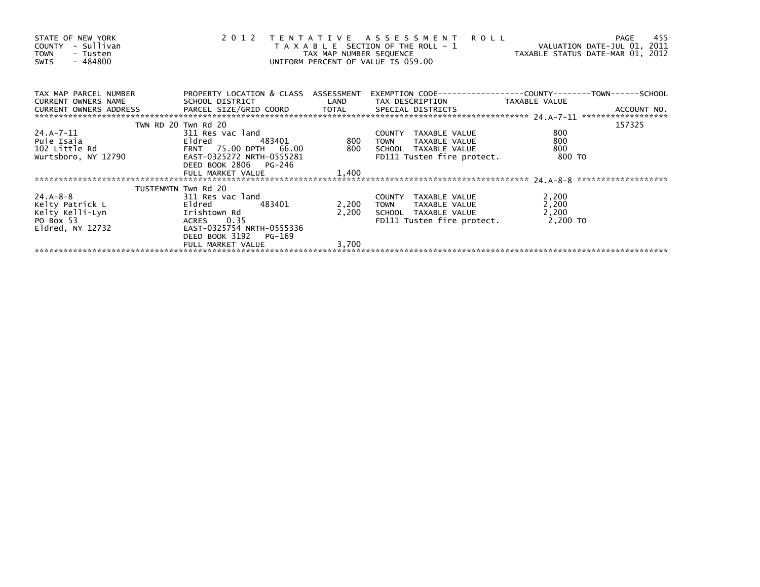| STATE OF NEW YORK<br>COUNTY - Sullivan<br><b>TOWN</b><br>- Tusten<br>- 484800<br>SWIS                                                                                                                                            |                                         |            | 2012 TENTATIVE ASSESSMENT ROLL<br>T A X A B L E SECTION OF THE ROLL - 1 TAXABLE STATUS DATE-JUL 01, 2011<br>TAX MAP NUMBER SEQUENCE<br>UNIFORM PERCENT OF VALUE IS 059.00 |                | 455<br>PAGE |
|----------------------------------------------------------------------------------------------------------------------------------------------------------------------------------------------------------------------------------|-----------------------------------------|------------|---------------------------------------------------------------------------------------------------------------------------------------------------------------------------|----------------|-------------|
| TAX MAP PARCEL NUMBER                                                                                                                                                                                                            | PROPERTY LOCATION & CLASS ASSESSMENT    |            |                                                                                                                                                                           |                |             |
|                                                                                                                                                                                                                                  |                                         |            |                                                                                                                                                                           |                |             |
|                                                                                                                                                                                                                                  | TWN RD 20 Twn Rd 20                     |            |                                                                                                                                                                           |                | 157325      |
|                                                                                                                                                                                                                                  |                                         | 483401 800 |                                                                                                                                                                           | 800            |             |
|                                                                                                                                                                                                                                  |                                         |            |                                                                                                                                                                           | 800            |             |
|                                                                                                                                                                                                                                  |                                         |            |                                                                                                                                                                           | 800            |             |
|                                                                                                                                                                                                                                  |                                         |            |                                                                                                                                                                           | 800 TO         |             |
|                                                                                                                                                                                                                                  | DEED BOOK 2806 PG-246                   |            |                                                                                                                                                                           |                |             |
|                                                                                                                                                                                                                                  |                                         |            |                                                                                                                                                                           |                |             |
|                                                                                                                                                                                                                                  |                                         |            |                                                                                                                                                                           |                |             |
| $24.A - 8 - 8$                                                                                                                                                                                                                   | TUSTENMTN Twn Rd 20<br>311 Res vac land |            |                                                                                                                                                                           |                |             |
|                                                                                                                                                                                                                                  |                                         | 2,200      | COUNTY TAXABLE VALUE<br>TOWN     TAXABLE VALUE                                                                                                                            | 2,200<br>2,200 |             |
|                                                                                                                                                                                                                                  |                                         | 2,200      | SCHOOL TAXABLE VALUE                                                                                                                                                      | 2,200          |             |
| Example of the state of the state of the state of the state of the state of the state of the state of the stat<br>Fided as a state of the state of the state of the state of the state of the state of the state of the state of | ACRES 0.35                              |            | FD111 Tusten fire protect. 2,200 TO                                                                                                                                       |                |             |
|                                                                                                                                                                                                                                  |                                         |            |                                                                                                                                                                           |                |             |
|                                                                                                                                                                                                                                  | DEED BOOK 3192 PG-169                   |            |                                                                                                                                                                           |                |             |
|                                                                                                                                                                                                                                  | FULL MARKET VALUE                       | 3,700      |                                                                                                                                                                           |                |             |
|                                                                                                                                                                                                                                  |                                         |            |                                                                                                                                                                           |                |             |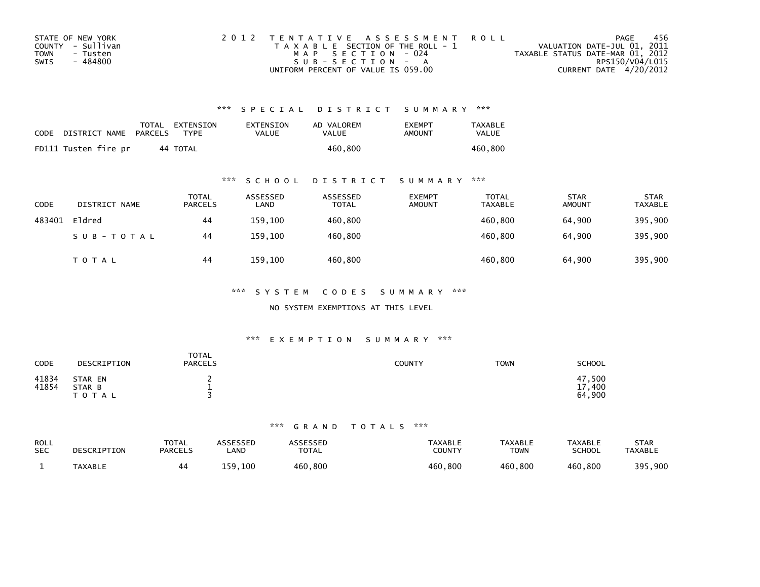| STATE OF NEW YORK       | 2012 TENTATIVE ASSESSMENT ROLL        | PAGE                             | -456 |
|-------------------------|---------------------------------------|----------------------------------|------|
| COUNTY - Sullivan       | T A X A B L E SECTION OF THE ROLL - 1 | VALUATION DATE-JUL 01, 2011      |      |
| <b>TOWN</b><br>- Tusten | MAP SECTION - 024                     | TAXABLE STATUS DATE-MAR 01, 2012 |      |
| - 484800<br>SWIS        | SUB-SECTION - A                       | RPS150/V04/L015                  |      |
|                         | UNIFORM PERCENT OF VALUE IS 059.00    | CURRENT DATE 4/20/2012           |      |

| CODE | DISTRICT NAME PARCELS | TOTAL EXTENSION<br>TYPF. | <b>EXTENSION</b><br>VALUE | AD VALOREM<br>VALUE | <b>FXFMPT</b><br>AMOUNT | <b>TAXABLE</b><br>VALUE |
|------|-----------------------|--------------------------|---------------------------|---------------------|-------------------------|-------------------------|
|      | FD111 Tusten fire pr  | 44 TOTAL                 |                           | 460.800             |                         | 460.800                 |

### \*\*\* S C H O O L D I S T R I C T S U M M A R Y \*\*\*

| CODE   | DISTRICT NAME | <b>TOTAL</b><br><b>PARCELS</b> | ASSESSED<br>LAND | ASSESSED<br>TOTAL | <b>EXEMPT</b><br><b>AMOUNT</b> | TOTAL<br><b>TAXABLE</b> | <b>STAR</b><br><b>AMOUNT</b> | <b>STAR</b><br><b>TAXABLE</b> |
|--------|---------------|--------------------------------|------------------|-------------------|--------------------------------|-------------------------|------------------------------|-------------------------------|
| 483401 | Eldred        | 44                             | 159.100          | 460,800           |                                | 460,800                 | 64.900                       | 395,900                       |
|        | SUB-TOTAL     | 44                             | 159,100          | 460,800           |                                | 460,800                 | 64,900                       | 395,900                       |
|        | <b>TOTAL</b>  | 44                             | 159,100          | 460,800           |                                | 460,800                 | 64,900                       | 395,900                       |

\*\*\* S Y S T E M C O D E S S U M M A R Y \*\*\*

NO SYSTEM EXEMPTIONS AT THIS LEVEL

### \*\*\* E X E M P T I O N S U M M A R Y \*\*\*

| <b>CODE</b>    | DESCRIPTION                    | TOTAL<br><b>PARCELS</b> | COUNTY | <b>TOWN</b> | <b>SCHOOL</b>                              |
|----------------|--------------------------------|-------------------------|--------|-------------|--------------------------------------------|
| 41834<br>41854 | STAR EN<br>STAR B<br>T O T A L | <b>.</b>                |        |             | 47,500<br>17<br>$^{\prime}$ ,400<br>64,900 |

#### \*\*\* G R A N D T O T A L S \*\*\*

| ROLL<br><b>SEC</b> | DESCRIPTION    | TOTAL<br><b>PARCELS</b> | <b>\SSESSED</b><br>.AND | <b>\SSESSED</b><br><b>TOTAL</b> | <b>TAXABLE</b><br>COUNTY | <b>TAXABLE</b><br>TOWN | <b>TAXABLE</b><br><b>SCHOOL</b> | <b>STAR</b><br><b>TAXABLE</b> |
|--------------------|----------------|-------------------------|-------------------------|---------------------------------|--------------------------|------------------------|---------------------------------|-------------------------------|
|                    | <b>TAXABLE</b> |                         | 159,100                 | 460,800                         | 460,800                  | 460.800                | 460.800                         | 395,900                       |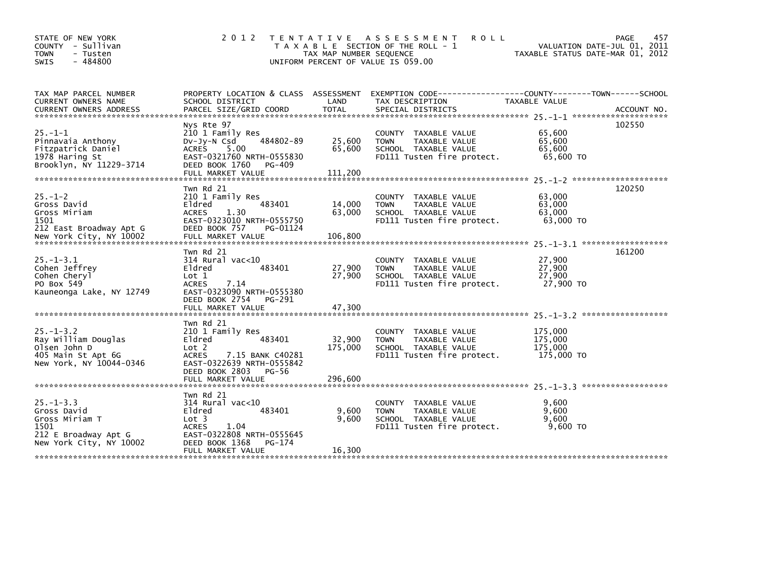| STATE OF NEW YORK<br>- Sullivan<br><b>COUNTY</b><br><b>TOWN</b><br>- Tusten<br>$-484800$<br>SWIS           | 2 0 1 2                                                                                                                                                                            | TAX MAP NUMBER SEQUENCE<br>UNIFORM PERCENT OF VALUE IS 059.00 | TENTATIVE ASSESSMENT<br>R O L L<br>T A X A B L E SECTION OF THE ROLL - 1                                                    | VALUATION DATE-JUL 01, 2011<br>TAXABLE STATUS DATE-MAR 01, 2012               | 457<br><b>PAGE</b> |
|------------------------------------------------------------------------------------------------------------|------------------------------------------------------------------------------------------------------------------------------------------------------------------------------------|---------------------------------------------------------------|-----------------------------------------------------------------------------------------------------------------------------|-------------------------------------------------------------------------------|--------------------|
| TAX MAP PARCEL NUMBER<br>CURRENT OWNERS NAME<br><b>CURRENT OWNERS ADDRESS</b>                              | PROPERTY LOCATION & CLASS ASSESSMENT<br>SCHOOL DISTRICT<br>PARCEL SIZE/GRID COORD                                                                                                  | LAND<br><b>TOTAL</b>                                          | TAX DESCRIPTION<br>SPECIAL DISTRICTS                                                                                        | TAXABLE VALUE                                                                 | ACCOUNT NO.        |
| $25. -1 - 1$<br>Pinnavaia Anthony<br>Fitzpatrick Daniel<br>1978 Haring St<br>Brooklyn, NY 11229-3714       | Nys Rte 97<br>210 1 Family Res<br>484802-89<br>$Dv-Jy-N$ Csd<br>5.00<br><b>ACRES</b><br>EAST-0321760 NRTH-0555830<br>DEED BOOK 1760<br>PG-409<br>FULL MARKET VALUE                 | 25,600<br>65,600<br>111,200                                   | TAXABLE VALUE<br>COUNTY<br><b>TOWN</b><br>TAXABLE VALUE<br>SCHOOL TAXABLE VALUE<br>FD111 Tusten fire protect.               | 65,600<br>65,600<br>65,600<br>65,600 TO<br>$25. -1 - 2$ ********************* | 102550             |
| $25. - 1 - 2$<br>Gross David<br>Gross Miriam<br>1501<br>212 East Broadway Apt G<br>New York City, NY 10002 | Twn Rd 21<br>210 1 Family Res<br>Eldred<br>483401<br><b>ACRES</b><br>1.30<br>EAST-0323010 NRTH-0555750<br>DEED BOOK 757<br>PG-01124<br>FULL MARKET VALUE                           | 14,000<br>63,000<br>106,800                                   | <b>COUNTY</b><br>TAXABLE VALUE<br><b>TOWN</b><br>TAXABLE VALUE<br>SCHOOL TAXABLE VALUE<br>FD111 Tusten fire protect.        | 63,000<br>63,000<br>63,000<br>63,000 TO                                       | 120250             |
| $25. - 1 - 3.1$<br>Cohen Jeffrey<br>Cohen Cheryl<br>PO Box 549<br>Kauneonga Lake, NY 12749                 | Twn Rd 21<br>$314$ Rural vac<10<br>Eldred<br>483401<br>Lot 1<br><b>ACRES</b><br>7.14<br>EAST-0323090 NRTH-0555380<br>DEED BOOK 2754<br>PG-291<br>FULL MARKET VALUE                 | 27,900<br>27,900<br>47,300                                    | <b>COUNTY</b><br>TAXABLE VALUE<br>TAXABLE VALUE<br><b>TOWN</b><br>SCHOOL TAXABLE VALUE<br>FD111 Tusten fire protect.        | 27,900<br>27,900<br>27,900<br>27,900 TO                                       | 161200             |
| $25. - 1 - 3.2$<br>Ray William Douglas<br>Olsen John D<br>405 Main St Apt 6G<br>New York, NY 10044-0346    | Twn Rd 21<br>210 1 Family Res<br>Eldred<br>483401<br>Lot 2<br><b>ACRES</b><br>7.15 BANK C40281<br>EAST-0322639 NRTH-0555842<br>DEED BOOK 2803<br><b>PG-56</b><br>FULL MARKET VALUE | 32,900<br>175,000<br>296,600                                  | <b>COUNTY</b><br>TAXABLE VALUE<br><b>TOWN</b><br>TAXABLE VALUE<br>SCHOOL TAXABLE VALUE<br>FD111 Tusten fire protect.        | 175,000<br>175,000<br>175,000<br>175,000 TO                                   |                    |
| $25. -1 - 3.3$<br>Gross David<br>Gross Miriam T<br>1501<br>212 E Broadway Apt G<br>New York City, NY 10002 | Twn Rd 21<br>$314$ Rural vac< $10$<br>Eldred<br>483401<br>Lot <sub>3</sub><br>1.04<br><b>ACRES</b><br>EAST-0322808 NRTH-0555645<br>DEED BOOK 1368<br>PG-174<br>FULL MARKET VALUE   | 9,600<br>9.600<br>16,300                                      | <b>COUNTY</b><br>TAXABLE VALUE<br><b>TAXABLE VALUE</b><br><b>TOWN</b><br>SCHOOL TAXABLE VALUE<br>FD111 Tusten fire protect. | 9,600<br>9.600<br>9.600<br>9.600 TO                                           |                    |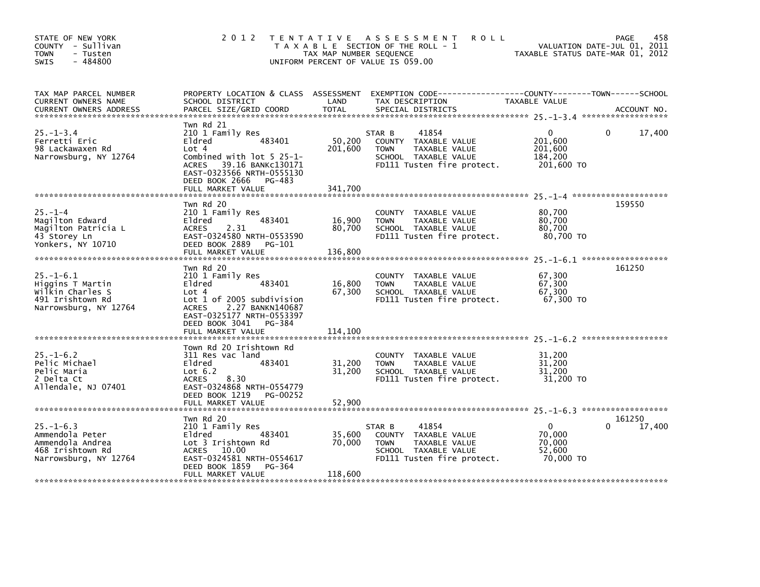| STATE OF NEW YORK<br>COUNTY - Sullivan<br><b>TOWN</b><br>- Tusten<br>$-484800$<br><b>SWIS</b>        |                                                                                                                                                                                                           | TAX MAP NUMBER SEQUENCE      | 2012 TENTATIVE ASSESSMENT<br><b>ROLL</b><br>T A X A B L E SECTION OF THE ROLL - 1<br>UNIFORM PERCENT OF VALUE IS 059.00       | TAXABLE STATUS DATE-MAR 01, 2012                            | 458<br>PAGE<br>VALUATION DATE-JUL 01, 2011 |
|------------------------------------------------------------------------------------------------------|-----------------------------------------------------------------------------------------------------------------------------------------------------------------------------------------------------------|------------------------------|-------------------------------------------------------------------------------------------------------------------------------|-------------------------------------------------------------|--------------------------------------------|
| TAX MAP PARCEL NUMBER<br>CURRENT OWNERS NAME<br><b>CURRENT OWNERS ADDRESS</b>                        | PROPERTY LOCATION & CLASS ASSESSMENT<br>SCHOOL DISTRICT<br>PARCEL SIZE/GRID COORD                                                                                                                         | LAND<br><b>TOTAL</b>         | EXEMPTION CODE-----------------COUNTY-------TOWN------SCHOOL<br>TAX DESCRIPTION<br>SPECIAL DISTRICTS                          | TAXABLE VALUE                                               | ACCOUNT NO.                                |
| $25. - 1 - 3.4$<br>Ferretti Eric<br>98 Lackawaxen Rd<br>Narrowsburg, NY 12764                        | Twn Rd 21<br>210 1 Family Res<br>483401<br>Eldred<br>Lot 4<br>Combined with lot 5 25-1-<br>ACRES 39.16 BANKC130171<br>EAST-0323566 NRTH-0555130<br>DEED BOOK 2666<br>PG-483<br>FULL MARKET VALUE          | 50,200<br>201,600<br>341,700 | 41854<br>STAR B<br>COUNTY TAXABLE VALUE<br>TAXABLE VALUE<br><b>TOWN</b><br>SCHOOL TAXABLE VALUE<br>FD111 Tusten fire protect. | $\mathbf{0}$<br>201,600<br>201,600<br>184,200<br>201,600 TO | 17,400<br>$\mathbf{0}$                     |
| $25. - 1 - 4$<br>Magilton Edward<br>Magilton Patricia L<br>43 Storey Ln<br>Yonkers, NY 10710         | Twn Rd 20<br>210 1 Family Res<br>483401<br>Eldred<br>2.31<br><b>ACRES</b><br>EAST-0324580 NRTH-0553590<br>DEED BOOK 2889<br>PG-101<br>FULL MARKET VALUE                                                   | 16,900<br>80,700<br>136,800  | COUNTY TAXABLE VALUE<br><b>TOWN</b><br>TAXABLE VALUE<br>SCHOOL TAXABLE VALUE<br>FD111 Tusten fire protect.                    | 80,700<br>80,700<br>80,700<br>80,700 TO                     | 159550                                     |
| $25. - 1 - 6.1$<br>Higgins T Martin<br>wilkin Charles S<br>491 Irishtown Rd<br>Narrowsburg, NY 12764 | Twn Rd 20<br>210 1 Family Res<br>Eldred<br>483401<br>Lot 4<br>Lot 1 of 2005 subdivision<br><b>ACRES</b><br>2.27 BANKN140687<br>EAST-0325177 NRTH-0553397<br>DEED BOOK 3041<br>PG-384<br>FULL MARKET VALUE | 16,800<br>67,300<br>114,100  | COUNTY TAXABLE VALUE<br>TAXABLE VALUE<br><b>TOWN</b><br>SCHOOL TAXABLE VALUE<br>FD111 Tusten fire protect.                    | 67,300<br>67,300<br>67,300<br>67,300 TO                     | 161250                                     |
| $25. - 1 - 6.2$<br>Pelic Michael<br>Pelic Maria<br>2 Delta Ct<br>Allendale, NJ 07401                 | Town Rd 20 Irishtown Rd<br>311 Res vac land<br>Eldred<br>483401<br>Lot $6.2$<br><b>ACRES</b><br>8.30<br>EAST-0324868 NRTH-0554779<br>DEED BOOK 1219<br>PG-00252<br>FULL MARKET VALUE                      | 31,200<br>31,200<br>52,900   | COUNTY TAXABLE VALUE<br>TAXABLE VALUE<br><b>TOWN</b><br>SCHOOL TAXABLE VALUE<br>FD111 Tusten fire protect.                    | 31,200<br>31,200<br>31,200<br>31,200 TO                     |                                            |
| $25. - 1 - 6.3$<br>Ammendola Peter<br>Ammendola Andrea<br>468 Irishtown Rd<br>Narrowsburg, NY 12764  | Twn Rd 20<br>210 1 Family Res<br>483401<br>Eldred<br>Lot 3 Irishtown Rd<br>ACRES 10.00<br>EAST-0324581 NRTH-0554617<br>PG-364<br>DEED BOOK 1859<br>FULL MARKET VALUE                                      | 35,600<br>70,000<br>118,600  | 41854<br>STAR B<br>COUNTY TAXABLE VALUE<br><b>TOWN</b><br>TAXABLE VALUE<br>SCHOOL TAXABLE VALUE<br>FD111 Tusten fire protect. | 0<br>70,000<br>70,000<br>52,600<br>70,000 TO                | 161250<br>17,400                           |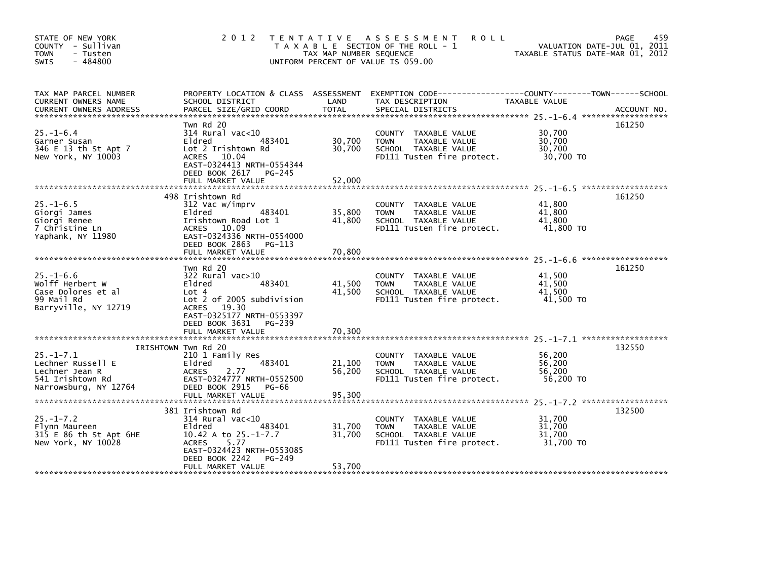| STATE OF NEW YORK<br>COUNTY - Sullivan<br><b>TOWN</b><br>- Tusten<br>$-484800$<br><b>SWIS</b>       | 2 0 1 2                                                                                                                                                                                      | T E N T A T I V E<br>TAX MAP NUMBER SEQUENCE | A S S E S S M E N T<br><b>ROLL</b><br>T A X A B L E SECTION OF THE ROLL - 1<br>UNIFORM PERCENT OF VALUE IS 059.00 | TAXABLE STATUS DATE-MAR 01, 2012        | 459<br>PAGE<br>VALUATION DATE-JUL 01, 2011 |
|-----------------------------------------------------------------------------------------------------|----------------------------------------------------------------------------------------------------------------------------------------------------------------------------------------------|----------------------------------------------|-------------------------------------------------------------------------------------------------------------------|-----------------------------------------|--------------------------------------------|
| TAX MAP PARCEL NUMBER<br>CURRENT OWNERS NAME<br><b>CURRENT OWNERS ADDRESS</b>                       | PROPERTY LOCATION & CLASS ASSESSMENT<br>SCHOOL DISTRICT<br>PARCEL SIZE/GRID COORD                                                                                                            | LAND<br><b>TOTAL</b>                         | EXEMPTION CODE-----------------COUNTY-------TOWN------SCHOOL<br>TAX DESCRIPTION<br>SPECIAL DISTRICTS              | TAXABLE VALUE                           | ACCOUNT NO.                                |
| $25. - 1 - 6.4$<br>Garner Susan<br>346 E 13 th St Apt 7<br>New York, NY 10003                       | Twn Rd 20<br>$314$ Rural vac<10<br>483401<br>Eldred<br>Lot 2 Irishtown Rd<br>ACRES 10.04<br>EAST-0324413 NRTH-0554344<br>DEED BOOK 2617 PG-245                                               | 30,700<br>30,700                             | COUNTY TAXABLE VALUE<br><b>TOWN</b><br>TAXABLE VALUE<br>SCHOOL TAXABLE VALUE<br>FD111 Tusten fire protect.        | 30,700<br>30,700<br>30,700<br>30,700 TO | 161250                                     |
|                                                                                                     | FULL MARKET VALUE                                                                                                                                                                            | 52.000                                       |                                                                                                                   |                                         |                                            |
| $25. -1 - 6.5$<br>Giorgi James<br>Giorgi Renee<br>7 Christine Ln<br>Yaphank, NY 11980               | 498 Irishtown Rd<br>312 Vac w/imprv<br>483401<br>Eldred<br>Irishtown Road Lot 1<br>ACRES 10.09<br>EAST-0324336 NRTH-0554000                                                                  | 35,800<br>41,800                             | COUNTY TAXABLE VALUE<br><b>TOWN</b><br>TAXABLE VALUE<br>SCHOOL TAXABLE VALUE<br>FD111 Tusten fire protect.        | 41,800<br>41,800<br>41,800<br>41,800 TO | 161250                                     |
|                                                                                                     | DEED BOOK 2863 PG-113<br>FULL MARKET VALUE                                                                                                                                                   | 70,800                                       |                                                                                                                   |                                         |                                            |
| $25. - 1 - 6.6$<br>Wolff Herbert W<br>Case Dolores et al<br>99 Mail Rd<br>Barryville, NY 12719      | Twn Rd 20<br>$322$ Rural vac $>10$<br>Eldred<br>483401<br>Lot 4<br>Lot 2 of 2005 subdivision<br><b>ACRES</b><br>19.30<br>EAST-0325177 NRTH-0553397<br>DEED BOOK 3631<br>PG-239               | 41,500<br>41,500                             | COUNTY<br>TAXABLE VALUE<br><b>TOWN</b><br>TAXABLE VALUE<br>SCHOOL TAXABLE VALUE<br>FD111 Tusten fire protect.     | 41.500<br>41,500<br>41,500<br>41,500 TO | 161250                                     |
|                                                                                                     | FULL MARKET VALUE                                                                                                                                                                            | 70,300                                       |                                                                                                                   |                                         |                                            |
| $25. - 1 - 7.1$<br>Lechner Russell E<br>Lechner Jean R<br>541 Irishtown Rd<br>Narrowsburg, NY 12764 | IRISHTOWN Twn Rd 20<br>210 1 Family Res<br>Eldred<br>483401<br><b>ACRES</b><br>2.77<br>EAST-0324777 NRTH-0552500<br>DEED BOOK 2915<br>PG-66                                                  | 21,100<br>56,200                             | COUNTY TAXABLE VALUE<br>TAXABLE VALUE<br><b>TOWN</b><br>SCHOOL TAXABLE VALUE<br>FD111 Tusten fire protect.        | 56,200<br>56,200<br>56,200<br>56,200 TO | 132550                                     |
|                                                                                                     |                                                                                                                                                                                              |                                              |                                                                                                                   |                                         |                                            |
| $25. - 1 - 7.2$<br>Flynn Maureen<br>315 E 86 th St Apt 6HE<br>New York, NY 10028                    | 381 Irishtown Rd<br>$314$ Rural vac $<$ 10<br>483401<br>Eldred<br>10.42 A to 25.-1-7.7<br>5.77<br><b>ACRES</b><br>EAST-0324423 NRTH-0553085<br>DEED BOOK 2242<br>PG-249<br>FULL MARKET VALUE | 31,700<br>31,700<br>53,700                   | COUNTY<br>TAXABLE VALUE<br>TAXABLE VALUE<br><b>TOWN</b><br>SCHOOL TAXABLE VALUE<br>FD111 Tusten fire protect.     | 31,700<br>31,700<br>31,700<br>31,700 TO | 132500                                     |
|                                                                                                     |                                                                                                                                                                                              |                                              |                                                                                                                   |                                         |                                            |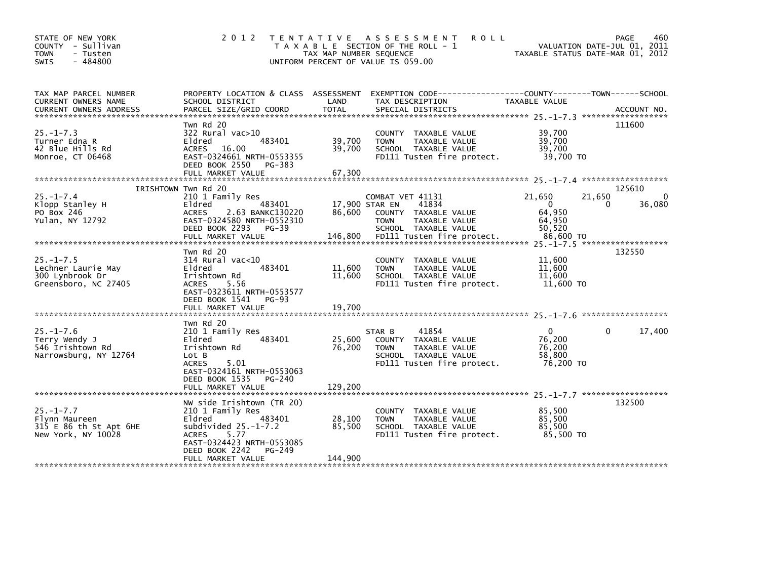| STATE OF NEW YORK<br>COUNTY - Sullivan<br><b>TOWN</b><br>- Tusten<br>$-484800$<br>SWIS | 2 0 1 2                                                                                                                                                                                           | T E N T A T I V E<br>TAX MAP NUMBER SEQUENCE | A S S E S S M E N T<br><b>ROLL</b><br>T A X A B L E SECTION OF THE ROLL - 1<br>UNIFORM PERCENT OF VALUE IS 059.00                    |                                                      | PAGE<br>460<br>VALUATION DATE-JUL 01, 2011<br>TAXABLE STATUS DATE-MAR 01, 2012 |
|----------------------------------------------------------------------------------------|---------------------------------------------------------------------------------------------------------------------------------------------------------------------------------------------------|----------------------------------------------|--------------------------------------------------------------------------------------------------------------------------------------|------------------------------------------------------|--------------------------------------------------------------------------------|
| TAX MAP PARCEL NUMBER<br>CURRENT OWNERS NAME                                           | PROPERTY LOCATION & CLASS ASSESSMENT<br>SCHOOL DISTRICT                                                                                                                                           | LAND                                         | TAX DESCRIPTION                                                                                                                      | TAXABLE VALUE                                        |                                                                                |
| $25 - 1 - 7.3$<br>Turner Edna R<br>42 Blue Hills Rd<br>Monroe, CT 06468                | Twn Rd 20<br>322 Rural vac>10<br>483401<br>Eldred<br><b>ACRES</b><br>16.00<br>EAST-0324661 NRTH-0553355<br>DEED BOOK 2550<br>PG-383<br>FULL MARKET VALUE                                          | 39,700<br>39,700<br>67,300                   | COUNTY TAXABLE VALUE<br><b>TOWN</b><br>TAXABLE VALUE<br>SCHOOL TAXABLE VALUE<br>FD111 Tusten fire protect.                           | 39,700<br>39,700<br>39,700<br>39,700 TO              | 111600                                                                         |
|                                                                                        | IRISHTOWN Twn Rd 20                                                                                                                                                                               |                                              |                                                                                                                                      |                                                      | 125610                                                                         |
| $25. - 1 - 7.4$<br>Klopp Stanley H<br>PO Box 246<br>Yulan, NY 12792                    | 210 1 Family Res<br>483401<br>Eldred<br><b>ACRES</b><br>2.63 BANKC130220<br>EAST-0324580 NRTH-0552310<br>DEED BOOK 2293<br>PG-39                                                                  | 86.600                                       | COMBAT VET 41131<br>41834<br>17,900 STAR EN<br>COUNTY TAXABLE VALUE<br>TAXABLE VALUE<br><b>TOWN</b><br>SCHOOL TAXABLE VALUE          | 21,650<br>$\mathbf{0}$<br>64,950<br>64,950<br>50,520 | 21,650<br>36,080<br>0                                                          |
|                                                                                        |                                                                                                                                                                                                   |                                              |                                                                                                                                      |                                                      |                                                                                |
| $25. -1 - 7.5$<br>Lechner Laurie May<br>300 Lynbrook Dr<br>Greensboro, NC 27405        | Twn Rd 20<br>314 Rural vac<10<br>483401<br>Eldred<br>Irishtown Rd<br><b>ACRES</b><br>5.56<br>EAST-0323611 NRTH-0553577<br>DEED BOOK 1541<br>$PG-93$<br>FULL MARKET VALUE                          | 11,600<br>11,600<br>19,700                   | TAXABLE VALUE<br><b>COUNTY</b><br><b>TOWN</b><br><b>TAXABLE VALUE</b><br>SCHOOL TAXABLE VALUE<br>FD111 Tusten fire protect.          | 11,600<br>11,600<br>11,600<br>11,600 TO              | 132550                                                                         |
|                                                                                        | Twn Rd 20                                                                                                                                                                                         |                                              |                                                                                                                                      |                                                      |                                                                                |
| $25. - 1 - 7.6$<br>Terry Wendy J<br>546 Irishtown Rd<br>Narrowsburg, NY 12764          | 210 1 Family Res<br>483401<br>Eldred<br>Irishtown Rd<br>Lot B<br><b>ACRES</b><br>5.01<br>EAST-0324161 NRTH-0553063<br>DEED BOOK 1535<br>PG-240                                                    | 25,600<br>76,200                             | 41854<br>STAR B<br>COUNTY TAXABLE VALUE<br><b>TOWN</b><br><b>TAXABLE VALUE</b><br>SCHOOL TAXABLE VALUE<br>FD111 Tusten fire protect. | $\Omega$<br>76,200<br>76,200<br>58,800<br>76,200 TO  | 17,400<br>0                                                                    |
|                                                                                        | FULL MARKET VALUE                                                                                                                                                                                 | 129,200                                      |                                                                                                                                      |                                                      |                                                                                |
| $25. - 1 - 7.7$<br>Flynn Maureen<br>315 E 86 th St Apt 6HE<br>New York, NY 10028       | NW side Irishtown (TR 20)<br>210 1 Family Res<br>Eldred<br>483401<br>subdivided $25.-1-7.2$<br>5.77<br><b>ACRES</b><br>EAST-0324423 NRTH-0553085<br>DEED BOOK 2242<br>PG-249<br>FULL MARKET VALUE | 28,100<br>85,500<br>144,900                  | COUNTY TAXABLE VALUE<br>TAXABLE VALUE<br><b>TOWN</b><br>SCHOOL TAXABLE VALUE<br>FD111 Tusten fire protect.                           | 85,500<br>85,500<br>85,500<br>85,500 TO              | 132500                                                                         |
|                                                                                        |                                                                                                                                                                                                   |                                              |                                                                                                                                      |                                                      |                                                                                |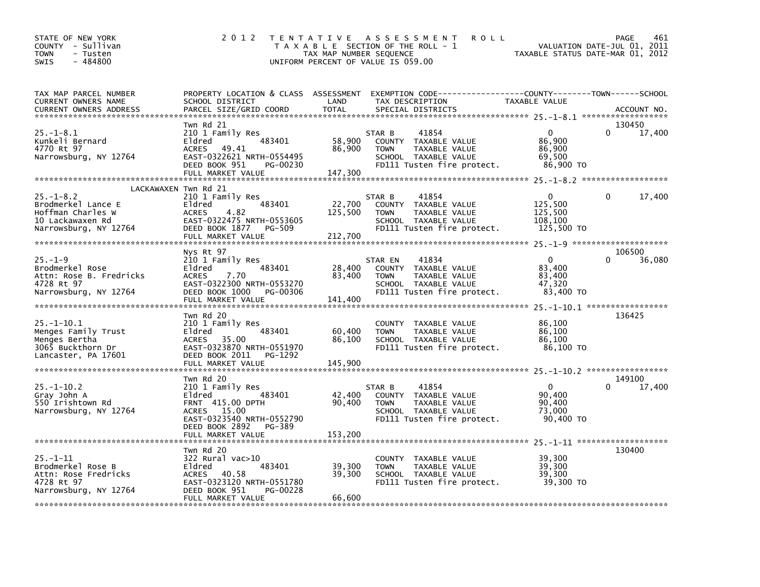| STATE OF NEW YORK<br>COUNTY - Sullivan<br>- Tusten<br><b>TOWN</b><br>- 484800<br>SWIS                                           | 2 0 1 2                                                                                                                                                               | TAX MAP NUMBER SEQUENCE      | TENTATIVE ASSESSMENT<br><b>ROLL</b><br>T A X A B L E SECTION OF THE ROLL - 1<br>UNIFORM PERCENT OF VALUE IS 059.00             | TAXABLE STATUS DATE-MAR 01, 2012                        | PAGE<br>461<br>VALUATION DATE-JUL 01, 2011 |
|---------------------------------------------------------------------------------------------------------------------------------|-----------------------------------------------------------------------------------------------------------------------------------------------------------------------|------------------------------|--------------------------------------------------------------------------------------------------------------------------------|---------------------------------------------------------|--------------------------------------------|
| TAX MAP PARCEL NUMBER<br>CURRENT OWNERS NAME<br><b>CURRENT OWNERS ADDRESS</b>                                                   | PROPERTY LOCATION & CLASS ASSESSMENT<br>SCHOOL DISTRICT<br>PARCEL SIZE/GRID COORD                                                                                     | LAND<br><b>TOTAL</b>         | EXEMPTION CODE-----------------COUNTY-------TOWN-----SCHOOL<br>TAX DESCRIPTION<br>SPECIAL DISTRICTS                            | TAXABLE VALUE                                           | ACCOUNT NO.                                |
| $25. - 1 - 8.1$<br>Kunkeli Bernard<br>4770 Rt 97<br>Narrowsburg, NY 12764                                                       | Twn Rd 21<br>210 1 Family Res<br>483401<br>Eldred<br>ACRES<br>49.41<br>EAST-0322621 NRTH-0554495<br>DEED BOOK 951<br>PG-00230<br>FULL MARKET VALUE                    | 58,900<br>86,900<br>147,300  | STAR B<br>41854<br>COUNTY TAXABLE VALUE<br>TAXABLE VALUE<br><b>TOWN</b><br>SCHOOL TAXABLE VALUE<br>FD111 Tusten fire protect.  | $\Omega$<br>86,900<br>86,900<br>69,500<br>86,900 TO     | 130450<br>$\Omega$<br>17,400               |
| LACKAWAXEN Twn Rd 21<br>$25. - 1 - 8.2$<br>Brodmerkel Lance E<br>Hoffman Charles W<br>10 Lackawaxen Rd<br>Narrowsburg, NY 12764 | 210 1 Family Res<br>483401<br>Eldred<br>4.82<br>ACRES<br>EAST-0322475 NRTH-0553605<br>DEED BOOK 1877<br><b>PG-509</b><br>FULL MARKET VALUE                            | 22,700<br>125,500<br>212,700 | STAR B<br>41854<br>COUNTY TAXABLE VALUE<br>TAXABLE VALUE<br><b>TOWN</b><br>SCHOOL TAXABLE VALUE<br>FD111 Tusten fire protect.  | 0<br>125,500<br>125,500<br>108,100<br>125,500 TO        | 17,400<br>0                                |
| $25. - 1 - 9$<br>Brodmerkel Rose<br>Attn: Rose B. Fredricks<br>4728 Rt 97<br>Narrowsburg, NY 12764                              | Nys Rt 97<br>210 1 Family Res<br>483401<br>Eldred<br>7.70<br><b>ACRES</b><br>EAST-0322300 NRTH-0553270<br>DEED BOOK 1000<br>PG-00306<br>FULL MARKET VALUE             | 28,400<br>83,400<br>141,400  | 41834<br>STAR EN<br>COUNTY TAXABLE VALUE<br>TAXABLE VALUE<br><b>TOWN</b><br>SCHOOL TAXABLE VALUE<br>FD111 Tusten fire protect. | $\mathbf{0}$<br>83.400<br>83.400<br>47,320<br>83,400 TO | 106500<br>36,080                           |
| 25. –1–10.1<br>Menges Family Trust<br>Menges Bertha<br>3065 Buckthorn Dr<br>Lancaster, PA 17601                                 | Twn Rd 20<br>210 1 Family Res<br>483401<br>Eldred<br>ACRES<br>35.00<br>EAST-0323870 NRTH-0551970<br>DEED BOOK 2011<br>PG-1292<br>FULL MARKET VALUE                    | 60,400<br>86,100<br>145,900  | <b>COUNTY</b><br>TAXABLE VALUE<br><b>TOWN</b><br>TAXABLE VALUE<br>SCHOOL TAXABLE VALUE<br>FD111 Tusten fire protect.           | 86,100<br>86,100<br>86,100<br>86,100 TO                 | 136425                                     |
| $25. - 1 - 10.2$<br>Gray John A<br>550 Irishtown Rd<br>Narrowsburg, NY 12764                                                    | Twn Rd 20<br>210 1 Family Res<br>Eldred<br>483401<br>FRNT 415.00 DPTH<br>ACRES<br>15.00<br>EAST-0323540 NRTH-0552790<br>DEED BOOK 2892<br>PG-389<br>FULL MARKET VALUE | 42,400<br>90,400<br>153,200  | 41854<br>STAR B<br>COUNTY TAXABLE VALUE<br>TAXABLE VALUE<br><b>TOWN</b><br>SCHOOL TAXABLE VALUE<br>FD111 Tusten fire protect.  | $\mathbf{0}$<br>90,400<br>90,400<br>73,000<br>90,400 TO | 149100<br>17,400                           |
| $25. -1 - 11$<br>Brodmerkel Rose B<br>Attn: Rose Fredricks<br>4728 Rt 97<br>Narrowsburg, NY 12764                               | Twn Rd 20<br>322 Rural vac>10<br>483401<br>Eldred<br><b>ACRES</b><br>40.58<br>EAST-0323120 NRTH-0551780<br>DEED BOOK 951<br>PG-00228<br>FULL MARKET VALUE             | 39,300<br>39,300<br>66,600   | COUNTY TAXABLE VALUE<br><b>TOWN</b><br>TAXABLE VALUE<br>SCHOOL TAXABLE VALUE<br>FD111 Tusten fire protect.                     | 39,300<br>39,300<br>39,300<br>39,300 TO                 | 130400                                     |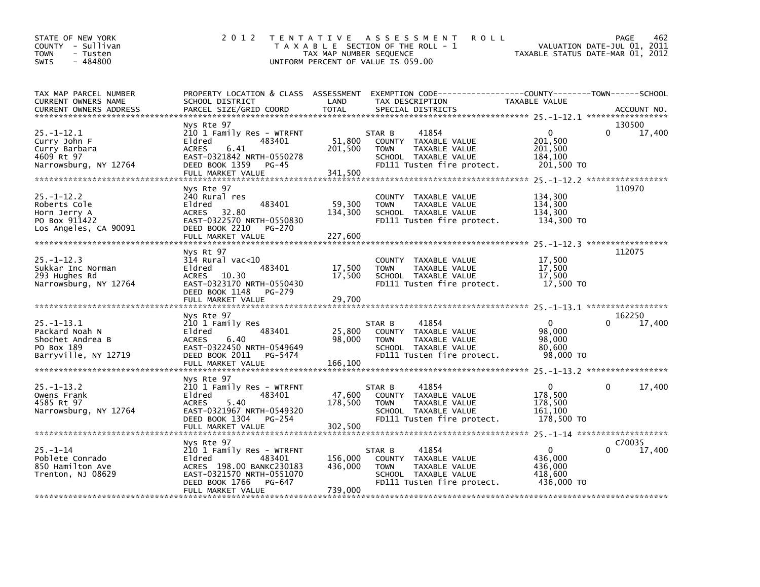| STATE OF NEW YORK<br>COUNTY - Sullivan<br><b>TOWN</b><br>- Tusten<br>$-484800$<br><b>SWIS</b> | 2 0 1 2                                                                                                                                                               | TAX MAP NUMBER SEQUENCE       | TENTATIVE ASSESSMENT<br><b>ROLL</b><br>T A X A B L E SECTION OF THE ROLL - 1<br>UNIFORM PERCENT OF VALUE IS 059.00                        | VALUATION DATE-JUL 01,<br>TAXABLE STATUS DATE-MAR 01, 2012  | <b>PAGE</b><br>462<br>2011 |
|-----------------------------------------------------------------------------------------------|-----------------------------------------------------------------------------------------------------------------------------------------------------------------------|-------------------------------|-------------------------------------------------------------------------------------------------------------------------------------------|-------------------------------------------------------------|----------------------------|
| TAX MAP PARCEL NUMBER<br>CURRENT OWNERS NAME<br><b>CURRENT OWNERS ADDRESS</b>                 | SCHOOL DISTRICT<br>PARCEL SIZE/GRID COORD                                                                                                                             | LAND<br><b>TOTAL</b>          | PROPERTY LOCATION & CLASS ASSESSMENT EXEMPTION CODE-----------------COUNTY-------TOWN------SCHOOL<br>TAX DESCRIPTION<br>SPECIAL DISTRICTS | TAXABLE VALUE                                               | ACCOUNT NO.                |
| $25. - 1 - 12.1$<br>Curry John F<br>Curry Barbara<br>4609 Rt 97<br>Narrowsburg, NY 12764      | Nys Rte 97<br>210 1 Family Res - WTRFNT<br>483401<br>Eldred<br>6.41<br><b>ACRES</b><br>EAST-0321842 NRTH-0550278<br>DEED BOOK 1359<br>PG-45<br>FULL MARKET VALUE      | 51,800<br>201,500<br>341,500  | 41854<br>STAR B<br>COUNTY TAXABLE VALUE<br><b>TOWN</b><br>TAXABLE VALUE<br>SCHOOL TAXABLE VALUE<br>FD111 Tusten fire protect.             | 0<br>201,500<br>201,500<br>184,100<br>201,500 TO            | 130500<br>0<br>17,400      |
| $25. - 1 - 12.2$<br>Roberts Cole<br>Horn Jerry A<br>PO Box 911422<br>Los Angeles, CA 90091    | Nys Rte 97<br>240 Rural res<br>Eldred<br>483401<br>32.80<br>ACRES<br>EAST-0322570 NRTH-0550830<br>DEED BOOK 2210<br>PG-270<br>FULL MARKET VALUE                       | 59,300<br>134,300<br>227,600  | COUNTY TAXABLE VALUE<br>TAXABLE VALUE<br><b>TOWN</b><br>SCHOOL TAXABLE VALUE<br>FD111 Tusten fire protect.                                | 134,300<br>134,300<br>134,300<br>134,300 TO                 | 110970                     |
| $25. - 1 - 12.3$<br>Sukkar Inc Norman<br>293 Hughes Rd<br>Narrowsburg, NY 12764               | Nys Rt 97<br>314 Rural vac<10<br>Eldred<br>483401<br>ACRES 10.30<br>EAST-0323170 NRTH-0550430<br>DEED BOOK 1148<br>PG-279<br>FULL MARKET VALUE                        | 17,500<br>17,500<br>29,700    | COUNTY TAXABLE VALUE<br><b>TOWN</b><br>TAXABLE VALUE<br>SCHOOL TAXABLE VALUE<br>FD111 Tusten fire protect.                                | 17,500<br>17,500<br>17.500<br>17,500 TO                     | 112075                     |
| $25. - 1 - 13.1$<br>Packard Noah N<br>Shochet Andrea B<br>PO Box 189<br>Barryville, NY 12719  | Nys Rte 97<br>210 1 Family Res<br>Eldred<br>483401<br>6.40<br>ACRES<br>EAST-0322450 NRTH-0549649<br>DEED BOOK 2011<br>PG-5474<br>FULL MARKET VALUE                    | 25,800<br>98,000<br>166,100   | 41854<br>STAR B<br>COUNTY TAXABLE VALUE<br>TAXABLE VALUE<br><b>TOWN</b><br>SCHOOL TAXABLE VALUE<br>FD111 Tusten fire protect.             | $\Omega$<br>98,000<br>98,000<br>80,600<br>98,000 TO         | 162250<br>0<br>17,400      |
| $25. -1 - 13.2$<br>Owens Frank<br>4585 Rt 97<br>Narrowsburg, NY 12764                         | Nys Rte 97<br>210 1 Family Res - WTRFNT<br>Eldred<br>483401<br>5.40<br><b>ACRES</b><br>EAST-0321967 NRTH-0549320<br>DEED BOOK 1304<br>PG-254                          | 47,600<br>178,500             | 41854<br>STAR B<br>COUNTY TAXABLE VALUE<br>TAXABLE VALUE<br><b>TOWN</b><br>SCHOOL TAXABLE VALUE<br>FD111 Tusten fire protect.             | $\mathbf{0}$<br>178,500<br>178,500<br>161,100<br>178,500 TO | 0<br>17,400                |
| $25. - 1 - 14$<br>Poblete Conrado<br>850 Hamilton Ave<br>Trenton, NJ 08629                    | Nys Rte 97<br>210 1 Family Res - WTRFNT<br>Eldred<br>483401<br>ACRES 198.00 BANKC230183<br>EAST-0321570 NRTH-0551070<br>DEED BOOK 1766<br>PG-647<br>FULL MARKET VALUE | 156,000<br>436,000<br>739.000 | 41854<br>STAR B<br>COUNTY TAXABLE VALUE<br>TAXABLE VALUE<br><b>TOWN</b><br>SCHOOL TAXABLE VALUE<br>FD111 Tusten fire protect.             | $\mathbf{0}$<br>436,000<br>436,000<br>418,600<br>436,000 TO | C70035<br>0<br>17,400      |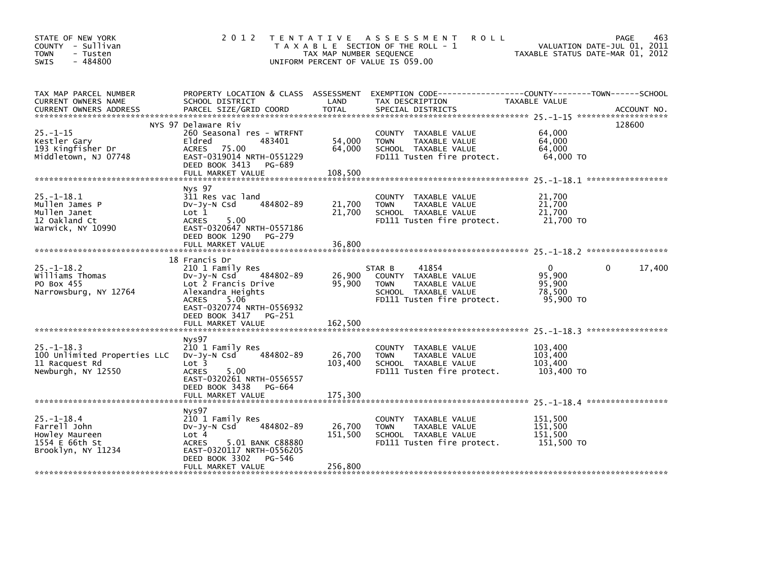| STATE OF NEW YORK<br>COUNTY - Sullivan<br><b>TOWN</b><br>- Tusten<br>$-484800$<br><b>SWIS</b> | 2 0 1 2                                                                                                                                                                                                             | TAX MAP NUMBER SEQUENCE      | TENTATIVE ASSESSMENT<br><b>ROLL</b><br>T A X A B L E SECTION OF THE ROLL - 1<br>UNIFORM PERCENT OF VALUE IS 059.00            | VALUATION DATE-JUL 01, 2011<br>TAXABLE STATUS DATE-MAR 01, 2012 | 463<br><b>PAGE</b> |
|-----------------------------------------------------------------------------------------------|---------------------------------------------------------------------------------------------------------------------------------------------------------------------------------------------------------------------|------------------------------|-------------------------------------------------------------------------------------------------------------------------------|-----------------------------------------------------------------|--------------------|
| TAX MAP PARCEL NUMBER<br>CURRENT OWNERS NAME                                                  | PROPERTY LOCATION & CLASS ASSESSMENT<br>SCHOOL DISTRICT                                                                                                                                                             | LAND                         | TAX DESCRIPTION                                                                                                               | TAXABLE VALUE                                                   |                    |
| $25. - 1 - 15$<br>Kestler Gary<br>193 Kingfisher Dr<br>Middletown, NJ 07748                   | NYS 97 Delaware Riv<br>260 Seasonal res - WTRFNT<br>Eldred<br>483401<br>75.00<br>ACRES<br>EAST-0319014 NRTH-0551229<br>DEED BOOK 3413<br>PG-689<br>FULL MARKET VALUE                                                | 54,000<br>64,000<br>108,500  | COUNTY TAXABLE VALUE<br><b>TOWN</b><br>TAXABLE VALUE<br>SCHOOL TAXABLE VALUE<br>FD111 Tusten fire protect.                    | 64,000<br>64.000<br>64,000<br>64,000 TO                         | 128600             |
| $25. - 1 - 18.1$<br>Mullen James P<br>Mullen Janet<br>12 Oakland Ct<br>Warwick, NY 10990      | <b>Nys 97</b><br>311 Res vac land<br>484802-89<br>$Dv-Jv-N$ Csd<br>Lot <sub>1</sub><br><b>ACRES</b><br>5.00<br>EAST-0320647 NRTH-0557186<br>DEED BOOK 1290<br>PG-279<br>FULL MARKET VALUE                           | 21,700<br>21,700<br>36,800   | COUNTY<br>TAXABLE VALUE<br>TAXABLE VALUE<br><b>TOWN</b><br>SCHOOL TAXABLE VALUE<br>FD111 Tusten fire protect.                 | 21,700<br>21,700<br>21,700<br>21,700 TO                         |                    |
| $25. - 1 - 18.2$<br>Williams Thomas<br>PO Box 455<br>Narrowsburg, NY 12764                    | 18 Francis Dr<br>210 1 Family Res<br>484802-89<br>$Dv$ -J $v$ -N Csd<br>Lot 2 Francis Drive<br>Alexandra Heights<br>5.06<br><b>ACRES</b><br>EAST-0320774 NRTH-0556932<br>DEED BOOK 3417 PG-251<br>FULL MARKET VALUE | 26,900<br>95,900<br>162,500  | 41854<br>STAR B<br>COUNTY TAXABLE VALUE<br><b>TOWN</b><br>TAXABLE VALUE<br>SCHOOL TAXABLE VALUE<br>FD111 Tusten fire protect. | $\Omega$<br>95.900<br>95,900<br>78,500<br>95,900 TO             | 17,400<br>0        |
| $25. - 1 - 18.3$<br>100 Unlimited Properties LLC<br>11 Racquest Rd<br>Newburgh, NY 12550      | Nys97<br>210 1 Family Res<br>484802-89<br>$Dv-Jv-N$ Csd<br>Lot <sub>3</sub><br><b>ACRES</b><br>5.00<br>EAST-0320261 NRTH-0556557<br>DEED BOOK 3438<br>PG-664                                                        | 26,700<br>103,400            | <b>COUNTY</b><br>TAXABLE VALUE<br><b>TOWN</b><br>TAXABLE VALUE<br>SCHOOL TAXABLE VALUE<br>FD111 Tusten fire protect.          | 103,400<br>103,400<br>103,400<br>103,400 TO                     |                    |
| $25. - 1 - 18.4$<br>Farrell John<br>Howley Maureen<br>1554 E 66th St<br>Brooklyn, NY 11234    | Nys97<br>210 1 Family Res<br>484802-89<br>$Dv-Jy-N$ Csd<br>Lot 4<br><b>ACRES</b><br>5.01 BANK C88880<br>EAST-0320117 NRTH-0556205<br>DEED BOOK 3302<br>PG-546<br>FULL MARKET VALUE                                  | 26,700<br>151,500<br>256,800 | COUNTY<br>TAXABLE VALUE<br>TAXABLE VALUE<br><b>TOWN</b><br>SCHOOL TAXABLE VALUE<br>FD111 Tusten fire protect.                 | 151.500<br>151,500<br>151,500<br>151,500 TO                     |                    |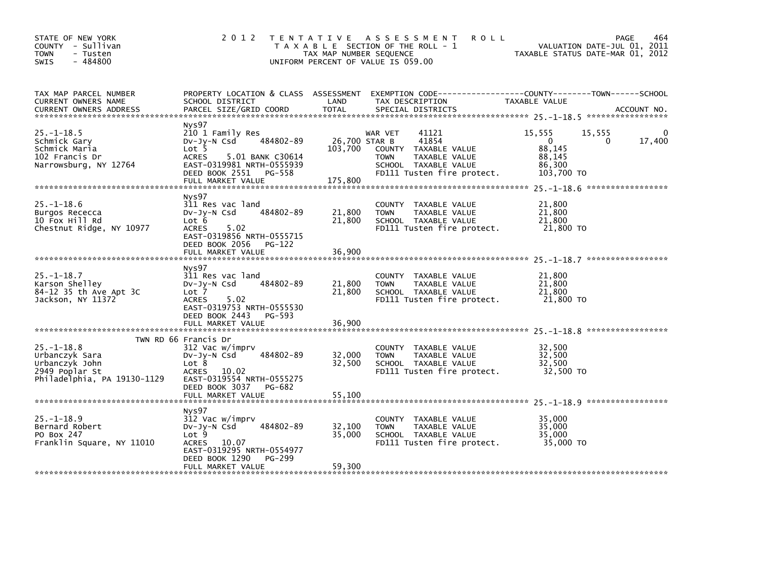| STATE OF NEW YORK<br>COUNTY - Sullivan<br><b>TOWN</b><br>- Tusten<br>- 484800<br><b>SWIS</b>          | 2 0 1 2                                                                                                                                                                                    | T E N T A T I V E<br>TAX MAP NUMBER SEQUENCE | ASSESSMENT<br><b>ROLL</b><br>T A X A B L E SECTION OF THE ROLL - 1<br>UNIFORM PERCENT OF VALUE IS 059.00                                | VALUATION DATE-JUL 01, 2011<br>TAXABLE STATUS DATE-MAR 01, 2012        | 464<br>PAGE |
|-------------------------------------------------------------------------------------------------------|--------------------------------------------------------------------------------------------------------------------------------------------------------------------------------------------|----------------------------------------------|-----------------------------------------------------------------------------------------------------------------------------------------|------------------------------------------------------------------------|-------------|
| TAX MAP PARCEL NUMBER<br>CURRENT OWNERS NAME<br><b>CURRENT OWNERS ADDRESS</b>                         | PROPERTY LOCATION & CLASS ASSESSMENT<br>SCHOOL DISTRICT<br>PARCEL SIZE/GRID COORD                                                                                                          | LAND<br><b>TOTAL</b>                         | TAX DESCRIPTION<br>SPECIAL DISTRICTS                                                                                                    | TAXABLE VALUE                                                          | ACCOUNT NO. |
| $25. -1 - 18.5$<br>Schmick Gary<br>Schmick Maria<br>102 Francis Dr<br>Narrowsburg, NY 12764           | Nys97<br>210 1 Family Res<br>484802-89<br>$Dv-Jy-N$ Csd<br>Lot <sub>5</sub><br><b>ACRES</b><br>5.01 BANK C30614<br>EAST-0319981 NRTH-0555939<br>DEED BOOK 2551 PG-558<br>FULL MARKET VALUE | 26,700 STAR B<br>103,700<br>175,800          | WAR VET<br>41121<br>41854<br>COUNTY TAXABLE VALUE<br>TAXABLE VALUE<br><b>TOWN</b><br>SCHOOL TAXABLE VALUE<br>FD111 Tusten fire protect. | 15,555<br>15,555<br>0<br>0<br>88,145<br>88,145<br>86,300<br>103,700 TO | 17,400      |
| $25. -1 - 18.6$<br>Burgos Rececca<br>10 Fox Hill Rd<br>Chestnut Ridge, NY 10977                       | Nys97<br>311 Res vac land<br>484802-89<br>DV-Jy-N Csd<br>Lot 6<br><b>ACRES</b><br>5.02<br>EAST-0319856 NRTH-0555715<br>DEED BOOK 2056 PG-122                                               | 21,800<br>21,800                             | TAXABLE VALUE<br><b>COUNTY</b><br>TAXABLE VALUE<br>TOWN<br>SCHOOL TAXABLE VALUE<br>FD111 Tusten fire protect.                           | 21,800<br>21,800<br>21,800<br>21,800 TO                                |             |
|                                                                                                       | FULL MARKET VALUE                                                                                                                                                                          | 36,900                                       |                                                                                                                                         |                                                                        |             |
| $25. -1 - 18.7$<br>Karson Shelley<br>84-12 35 th Ave Apt 3C<br>Jackson, NY 11372                      | Nys97<br>311 Res vac land<br>484802-89<br>$Dv-Jv-N$ Csd<br>Lot 7<br>5.02<br><b>ACRES</b><br>EAST-0319753 NRTH-0555530<br>DEED BOOK 2443 PG-593                                             | 21,800<br>21,800                             | COUNTY<br>TAXABLE VALUE<br>TAXABLE VALUE<br><b>TOWN</b><br>SCHOOL TAXABLE VALUE<br>FD111 Tusten fire protect.                           | 21,800<br>21,800<br>21,800<br>21,800 TO                                |             |
|                                                                                                       | FULL MARKET VALUE                                                                                                                                                                          | 36,900                                       |                                                                                                                                         |                                                                        |             |
| $25. - 1 - 18.8$<br>Urbanczyk Sara<br>Urbanczyk John<br>2949 Poplar St<br>Philadelphia, PA 19130-1129 | TWN RD 66 Francis Dr<br>312 Vac w/imprv<br>484802-89<br>$Dv-Jv-N$ Csd<br>Lot 8<br><b>ACRES</b><br>10.02<br>EAST-0319554 NRTH-0555275<br>DEED BOOK 3037<br>PG-682                           | 32,000<br>32,500                             | COUNTY TAXABLE VALUE<br><b>TOWN</b><br>TAXABLE VALUE<br>SCHOOL TAXABLE VALUE<br>FD111 Tusten fire protect.                              | 32,500<br>32,500<br>32,500<br>32,500 TO                                |             |
|                                                                                                       |                                                                                                                                                                                            |                                              |                                                                                                                                         |                                                                        |             |
| $25. -1 - 18.9$<br>Bernard Robert<br>PO Box 247<br>Franklin Square, NY 11010                          | Nys97<br>312 Vac w/imprv<br>484802-89<br>$Dv-Jy-N$ Csd<br>Lot <sub>9</sub><br>10.07<br><b>ACRES</b><br>EAST-0319295 NRTH-0554977<br>DEED BOOK 1290<br>PG-299                               | 32,100<br>35,000                             | <b>COUNTY</b><br>TAXABLE VALUE<br>TAXABLE VALUE<br><b>TOWN</b><br>SCHOOL TAXABLE VALUE<br>FD111 Tusten fire protect.                    | 35.000<br>35,000<br>35,000<br>35,000 TO                                |             |
|                                                                                                       | FULL MARKET VALUE                                                                                                                                                                          | 59,300                                       |                                                                                                                                         |                                                                        |             |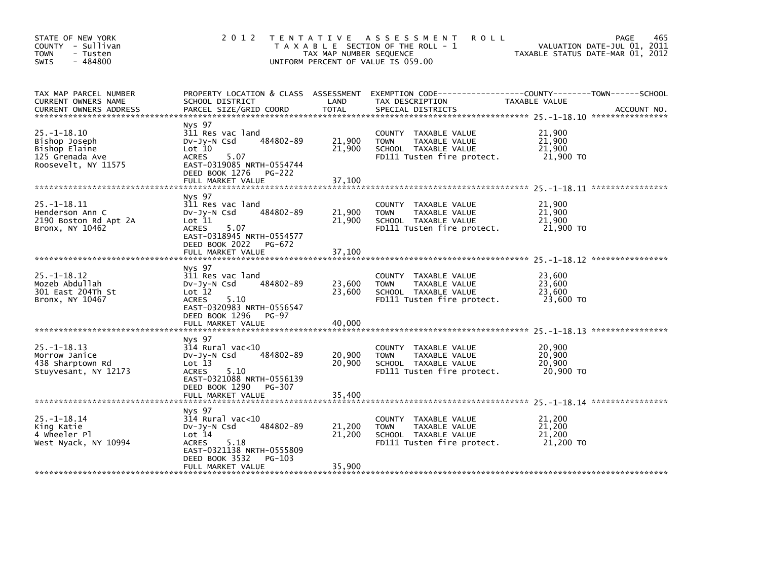| STATE OF NEW YORK<br>COUNTY - Sullivan<br>- Tusten<br><b>TOWN</b><br>$-484800$<br><b>SWIS</b> | 2 0 1 2                                                                                                                                                                       | T E N T A T I V E<br>TAX MAP NUMBER SEOUENCE | <b>ROLL</b><br>A S S E S S M E N T<br>T A X A B L E SECTION OF THE ROLL - 1<br>UNIFORM PERCENT OF VALUE IS 059.00    | 465<br><b>PAGE</b><br>VALUATION DATE-JUL 01, 2011<br>TAXABLE STATUS DATE-MAR 01, 2012 |
|-----------------------------------------------------------------------------------------------|-------------------------------------------------------------------------------------------------------------------------------------------------------------------------------|----------------------------------------------|----------------------------------------------------------------------------------------------------------------------|---------------------------------------------------------------------------------------|
| TAX MAP PARCEL NUMBER<br>CURRENT OWNERS NAME<br><b>CURRENT OWNERS ADDRESS</b>                 | PROPERTY LOCATION & CLASS ASSESSMENT<br>SCHOOL DISTRICT<br>PARCEL SIZE/GRID COORD                                                                                             | LAND<br><b>TOTAL</b>                         | TAX DESCRIPTION<br>SPECIAL DISTRICTS                                                                                 | TAXABLE VALUE<br>ACCOUNT NO.                                                          |
| $25. -1 - 18.10$<br>Bishop Joseph<br>Bishop Elaine<br>125 Grenada Ave<br>Roosevelt, NY 11575  | Nys 97<br>311 Res vac land<br>484802-89<br>$Dv-Jv-N$ Csd<br>Lot 10<br><b>ACRES</b><br>5.07<br>EAST-0319085 NRTH-0554744<br>DEED BOOK 1276 PG-222<br>FULL MARKET VALUE         | 21,900<br>21,900<br>37,100                   | COUNTY<br>TAXABLE VALUE<br><b>TOWN</b><br>TAXABLE VALUE<br>SCHOOL TAXABLE VALUE<br>FD111 Tusten fire protect.        | 21,900<br>21.900<br>21,900<br>21,900 TO                                               |
| $25. -1 - 18.11$<br>Henderson Ann C<br>2190 Boston Rd Apt 2A<br>Bronx, NY 10462               | Nys 97<br>311 Res vac land<br>484802-89<br>$Dv-Jv-N$ Csd<br>Lot 11<br>5.07<br><b>ACRES</b><br>EAST-0318945 NRTH-0554577<br>DEED BOOK 2022<br>PG-672<br>FULL MARKET VALUE      | 21,900<br>21,900<br>37,100                   | <b>COUNTY</b><br>TAXABLE VALUE<br>TAXABLE VALUE<br><b>TOWN</b><br>SCHOOL TAXABLE VALUE<br>FD111 Tusten fire protect. | 21,900<br>21,900<br>21,900<br>21,900 TO                                               |
| $25. -1 - 18.12$<br>Mozeb Abdullah<br>301 East 204Th St<br>Bronx, NY 10467                    | Nys 97<br>311 Res vac land<br>484802-89<br>$Dv-Jv-N$ Csd<br>Lot 12<br><b>ACRES</b><br>5.10<br>EAST-0320983 NRTH-0556547<br>DEED BOOK 1296<br>PG-97<br>FULL MARKET VALUE       | 23,600<br>23,600<br>40,000                   | <b>COUNTY</b><br>TAXABLE VALUE<br>TAXABLE VALUE<br><b>TOWN</b><br>SCHOOL TAXABLE VALUE<br>FD111 Tusten fire protect. | 23,600<br>23,600<br>23,600<br>23,600 TO                                               |
| $25. -1 - 18.13$<br>Morrow Janice<br>438 Sharptown Rd<br>Stuyvesant, NY 12173                 | Nys 97<br>$314$ Rural vac< $10$<br>484802-89<br>$Dv-Jv-N$ Csd<br>Lot 13<br><b>ACRES</b><br>5.10<br>EAST-0321088 NRTH-0556139<br>DEED BOOK 1290<br>PG-307<br>FULL MARKET VALUE | 20,900<br>20,900<br>35,400                   | TAXABLE VALUE<br><b>COUNTY</b><br>TAXABLE VALUE<br><b>TOWN</b><br>SCHOOL TAXABLE VALUE<br>FD111 Tusten fire protect. | 20,900<br>20,900<br>20,900<br>20,900 TO                                               |
| $25. - 1 - 18.14$<br>King Katie<br>4 Wheeler Pl<br>West Nyack, NY 10994                       | Nys 97<br>$314$ Rural vac< $10$<br>484802-89<br>$Dv-Jy-N$ Csd<br>Lot 14<br>5.18<br><b>ACRES</b><br>EAST-0321138 NRTH-0555809<br>DEED BOOK 3532<br>PG-103<br>FULL MARKET VALUE | 21,200<br>21,200<br>35,900                   | <b>COUNTY</b><br>TAXABLE VALUE<br>TAXABLE VALUE<br><b>TOWN</b><br>SCHOOL TAXABLE VALUE<br>FD111 Tusten fire protect. | 21,200<br>21,200<br>21,200<br>21,200 TO                                               |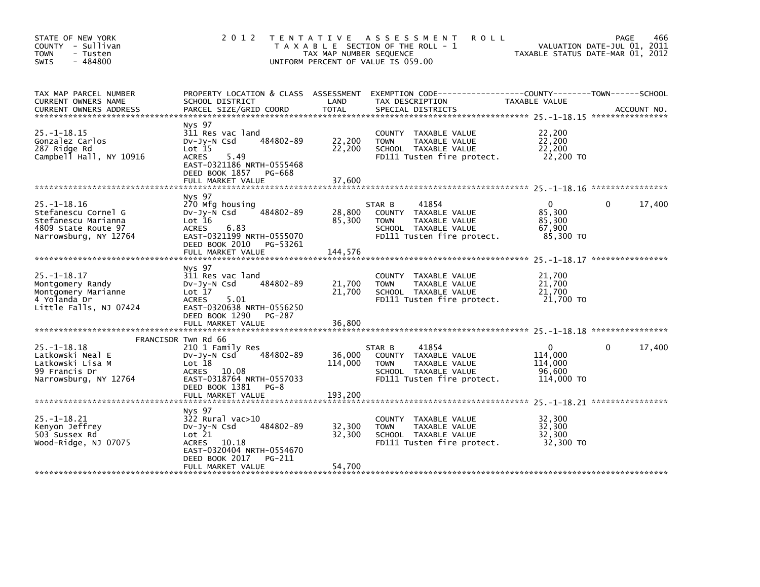| STATE OF NEW YORK<br>COUNTY - Sullivan<br><b>TOWN</b><br>- Tusten<br>$-484800$<br><b>SWIS</b>                   | 2 0 1 2                                                                                                                                                                 | TAX MAP NUMBER SEQUENCE    | TENTATIVE ASSESSMENT<br><b>ROLL</b><br>T A X A B L E SECTION OF THE ROLL - 1<br>UNIFORM PERCENT OF VALUE IS 059.00            |                                                            | 466<br>PAGE<br>VALUATION DATE-JUL 01, 2011<br>TAXABLE STATUS DATE-MAR 01, 2012 |
|-----------------------------------------------------------------------------------------------------------------|-------------------------------------------------------------------------------------------------------------------------------------------------------------------------|----------------------------|-------------------------------------------------------------------------------------------------------------------------------|------------------------------------------------------------|--------------------------------------------------------------------------------|
| TAX MAP PARCEL NUMBER<br>CURRENT OWNERS NAME<br>CURRENT OWNERS ADDRESS                                          | PROPERTY LOCATION & CLASS ASSESSMENT<br>SCHOOL DISTRICT<br>PARCEL SIZE/GRID COORD                                                                                       | LAND<br><b>TOTAL</b>       | EXEMPTION CODE-----------------COUNTY-------TOWN------SCHOOL<br>TAX DESCRIPTION<br>SPECIAL DISTRICTS                          | TAXABLE VALUE                                              | ACCOUNT NO.                                                                    |
| $25. - 1 - 18.15$<br>Gonzalez Carlos<br>287 Ridge Rd<br>Campbell Hall, NY 10916                                 | Nys 97<br>311 Res vac land<br>484802-89<br>$Dv-Jy-N$ Csd<br>$Lot$ 15<br><b>ACRES</b><br>5.49<br>EAST-0321186 NRTH-0555468<br>DEED BOOK 1857 PG-668<br>FULL MARKET VALUE | 22,200<br>22,200<br>37,600 | COUNTY TAXABLE VALUE<br><b>TOWN</b><br>TAXABLE VALUE<br>SCHOOL TAXABLE VALUE<br>FD111 Tusten fire protect.                    | 22,200<br>22.200<br>22,200<br>22,200 TO                    |                                                                                |
|                                                                                                                 |                                                                                                                                                                         |                            |                                                                                                                               |                                                            |                                                                                |
| $25. - 1 - 18.16$<br>Stefanescu Cornel G<br>Stefanescu Marianna<br>4809 State Route 97<br>Narrowsburg, NY 12764 | Nys 97<br>270 Mfg housing<br>484802-89<br>$Dv-Jv-N$ Csd<br>Lot 16<br><b>ACRES</b><br>6.83<br>EAST-0321199 NRTH-0555070                                                  | 28,800<br>85,300           | 41854<br>STAR B<br>COUNTY TAXABLE VALUE<br><b>TOWN</b><br>TAXABLE VALUE<br>SCHOOL TAXABLE VALUE<br>FD111 Tusten fire protect. | $\mathbf{0}$<br>85,300<br>85,300<br>67,900<br>85,300 TO    | 17,400<br>$\Omega$                                                             |
|                                                                                                                 | DEED BOOK 2010 PG-53261<br>FULL MARKET VALUE                                                                                                                            | 144,576                    |                                                                                                                               |                                                            |                                                                                |
| $25. - 1 - 18.17$<br>Montgomery Randy<br>Montgomery Marianne<br>4 Yolanda Dr<br>Little Falls, NJ 07424          | Nys 97<br>311 Res vac land<br>484802-89<br>$Dv-Jy-N$ Csd<br>Lot 17<br><b>ACRES</b><br>5.01<br>EAST-0320638 NRTH-0556250<br>DEED BOOK 1290 PG-287                        | 21,700<br>21,700           | COUNTY TAXABLE VALUE<br>TAXABLE VALUE<br><b>TOWN</b><br>SCHOOL TAXABLE VALUE<br>FD111 Tusten fire protect.                    | 21,700<br>21,700<br>21,700<br>21,700 TO                    |                                                                                |
|                                                                                                                 | FULL MARKET VALUE                                                                                                                                                       | 36,800                     |                                                                                                                               |                                                            |                                                                                |
|                                                                                                                 | FRANCISDR Twn Rd 66                                                                                                                                                     |                            |                                                                                                                               |                                                            |                                                                                |
| $25. - 1 - 18.18$<br>Latkowski Neal E<br>Latkowski Lisa M<br>99 Francis Dr<br>Narrowsburg, NY 12764             | 210 1 Family Res<br>484802-89<br>$Dv-Jy-N$ Csd<br>Lot 18<br>ACRES 10.08<br>EAST-0318764 NRTH-0557033<br>DEED BOOK 1381 PG-8                                             | 36,000<br>114,000          | 41854<br>STAR B<br>COUNTY TAXABLE VALUE<br><b>TOWN</b><br>TAXABLE VALUE<br>SCHOOL TAXABLE VALUE<br>FD111 Tusten fire protect. | $\mathbf{0}$<br>114,000<br>114,000<br>96.600<br>114,000 TO | 17,400<br>$\Omega$                                                             |
|                                                                                                                 | FULL MARKET VALUE                                                                                                                                                       | 193,200                    |                                                                                                                               |                                                            |                                                                                |
| $25. -1 - 18.21$<br>Kenyon Jeffrey<br>503 Sussex Rd<br>Wood-Ridge, NJ 07075                                     | Nys 97<br>322 Rural vac>10<br>484802-89<br>$Dv-Jy-N$ Csd<br>Lot 21<br>ACRES 10.18<br>EAST-0320404 NRTH-0554670<br>DEED BOOK 2017<br>PG-211                              | 32,300<br>32,300           | COUNTY TAXABLE VALUE<br>TAXABLE VALUE<br><b>TOWN</b><br>SCHOOL TAXABLE VALUE<br>FD111 Tusten fire protect.                    | 32,300<br>32,300<br>32,300<br>32,300 TO                    |                                                                                |
|                                                                                                                 | FULL MARKET VALUE                                                                                                                                                       | 54,700                     |                                                                                                                               |                                                            |                                                                                |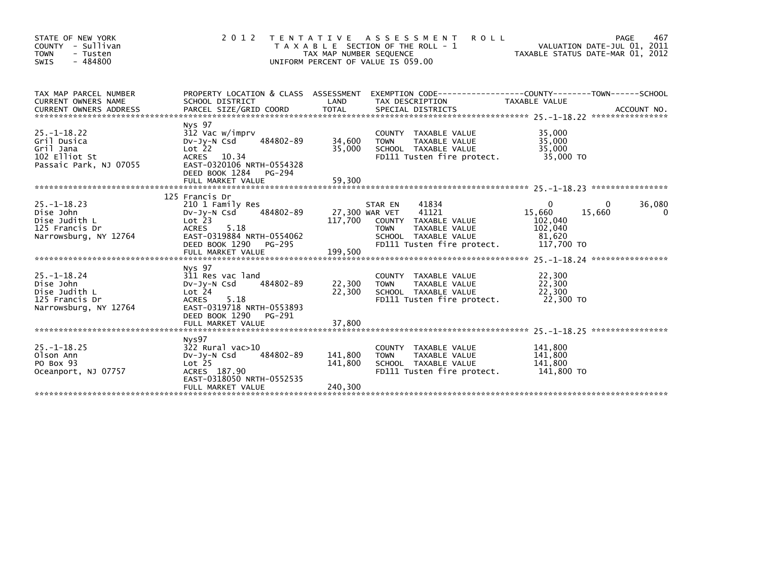| STATE OF NEW YORK<br>COUNTY - Sullivan<br><b>TOWN</b><br>- Tusten<br>$-484800$<br><b>SWIS</b> | 2 0 1 2                                                                                                                                                                           | TAX MAP NUMBER SEQUENCE       | TENTATIVE ASSESSMENT<br><b>ROLL</b><br>T A X A B L E SECTION OF THE ROLL - 1<br>UNIFORM PERCENT OF VALUE IS 059.00                                        | TAXABLE STATUS DATE-MAR 01, 2012                                 | 467<br>PAGE<br>VALUATION DATE-JUL 01, 2011 |
|-----------------------------------------------------------------------------------------------|-----------------------------------------------------------------------------------------------------------------------------------------------------------------------------------|-------------------------------|-----------------------------------------------------------------------------------------------------------------------------------------------------------|------------------------------------------------------------------|--------------------------------------------|
| TAX MAP PARCEL NUMBER<br>CURRENT OWNERS NAME                                                  | SCHOOL DISTRICT                                                                                                                                                                   | LAND                          | PROPERTY LOCATION & CLASS ASSESSMENT EXEMPTION CODE----------------COUNTY-------TOWN------SCHOOL<br>TAX DESCRIPTION                                       | <b>TAXABLE VALUE</b>                                             |                                            |
| $25. - 1 - 18.22$<br>Gril Dusica<br>Gril Jana<br>102 Elliot St<br>Passaic Park, NJ 07055      | Nys 97<br>312 Vac w/imprv<br>484802-89<br>DV-JY-N Csd<br>Lot <sub>22</sub><br>ACRES 10.34<br>EAST-0320106 NRTH-0554328<br>DEED BOOK 1284 PG-294<br>FULL MARKET VALUE              | 34,600<br>35,000<br>59,300    | COUNTY TAXABLE VALUE<br><b>TOWN</b><br>TAXABLE VALUE<br>SCHOOL TAXABLE VALUE<br>FD111 Tusten fire protect.                                                | 35,000<br>35,000<br>35,000<br>35,000 TO                          |                                            |
| $25. -1 - 18.23$<br>Dise John<br>Dise Judith L<br>125 Francis Dr<br>Narrowsburg, NY 12764     | 125 Francis Dr<br>210 1 Family Res<br>484802-89<br>$Dv-Jv-N$ Csd<br>$Lot$ $23$<br>ACRES<br>5.18<br>EAST-0319884 NRTH-0554062<br>DEED BOOK 1290<br>PG-295                          | 117,700                       | 41834<br>STAR EN<br>41121<br>27,300 WAR VET<br>COUNTY TAXABLE VALUE<br>TAXABLE VALUE<br><b>TOWN</b><br>SCHOOL TAXABLE VALUE<br>FD111 Tusten fire protect. | $\Omega$<br>15,660<br>102,040<br>102,040<br>81.620<br>117,700 TO | 36,080<br>15,660<br>0                      |
| $25. - 1 - 18.24$<br>Dise John<br>Dise Judith L<br>125 Francis Dr<br>Narrowsburg, NY 12764    | Nys 97<br>311 Res vac land<br>484802-89<br>DV-JV-N Csd<br>Lot <sub>24</sub><br><b>ACRES</b><br>5.18<br>EAST-0319718 NRTH-0553893<br>DEED BOOK 1290<br>PG-291<br>FULL MARKET VALUE | 22,300<br>22,300<br>37,800    | COUNTY TAXABLE VALUE<br>TAXABLE VALUE<br><b>TOWN</b><br>SCHOOL TAXABLE VALUE<br>FD111 Tusten fire protect.                                                | 22,300<br>22,300<br>22,300<br>22,300 TO                          |                                            |
| $25. - 1 - 18.25$<br>Olson Ann<br>PO Box 93<br>Oceanport, NJ 07757                            | Nys97<br>$322$ Rural vac $>10$<br>484802-89<br>$Dv-Jv-N$ Csd<br>Lot <sub>25</sub><br>ACRES 187.90<br>EAST-0318050 NRTH-0552535<br>FULL MARKET VALUE                               | 141,800<br>141,800<br>240,300 | COUNTY TAXABLE VALUE<br>TAXABLE VALUE<br>TOWN<br>SCHOOL TAXABLE VALUE<br>FD111 Tusten fire protect.                                                       | 141.800<br>141,800<br>141,800<br>141,800 TO                      |                                            |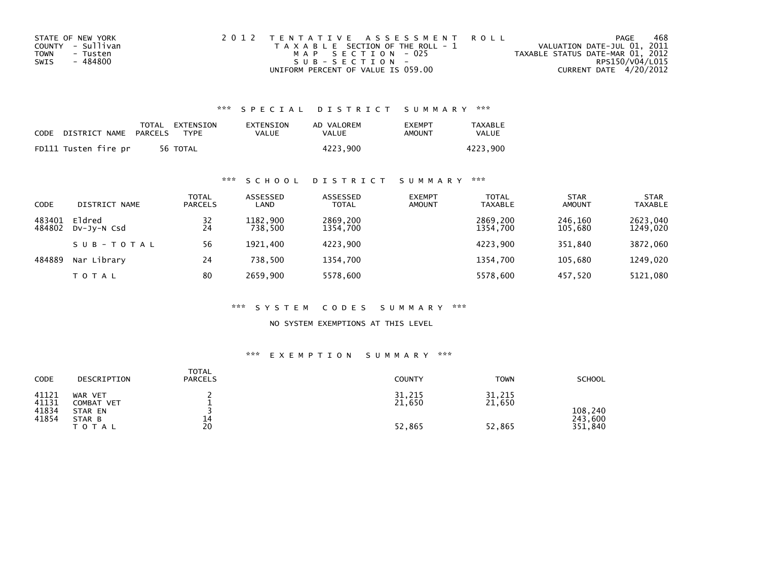| STATE OF NEW YORK | 2012 TENTATIVE ASSESSMENT ROLL        | PAGE                             | 468             |
|-------------------|---------------------------------------|----------------------------------|-----------------|
| COUNTY - Sullivan | T A X A B L E SECTION OF THE ROLL - 1 | VALUATION DATE-JUL 01, 2011      |                 |
| TOWN<br>- Tusten  | MAP SECTION - 025                     | TAXABLE STATUS DATE-MAR 01, 2012 |                 |
| - 484800<br>SWIS  | $SUB - SECTION -$                     |                                  | RPS150/V04/L015 |
|                   | UNIFORM PERCENT OF VALUE IS 059.00    | CURRENT DATE 4/20/2012           |                 |

| CODE | DISTRICT NAME PARCELS | TOTAL EXTENSION<br><b>TYPF</b> | EXTENSION<br>VALUE | AD VALOREM<br>VALUE | <b>FXFMPT</b><br>AMOUNT | TAXABLE<br>VALUE |
|------|-----------------------|--------------------------------|--------------------|---------------------|-------------------------|------------------|
|      | FD111 Tusten fire pr  | 56 TOTAL                       |                    | 4223.900            |                         | 4223.900         |

## \*\*\* S C H O O L D I S T R I C T S U M M A R Y \*\*\*

| CODE             | DISTRICT NAME         | TOTAL<br><b>PARCELS</b> | ASSESSED<br>LAND    | ASSESSED<br><b>TOTAL</b> | <b>EXEMPT</b><br><b>AMOUNT</b> | <b>TOTAL</b><br><b>TAXABLE</b> | <b>STAR</b><br><b>AMOUNT</b> | <b>STAR</b><br><b>TAXABLE</b> |
|------------------|-----------------------|-------------------------|---------------------|--------------------------|--------------------------------|--------------------------------|------------------------------|-------------------------------|
| 483401<br>484802 | Eldred<br>DV-JV-N Csd | 32<br>24                | 1182.900<br>738.500 | 2869,200<br>1354,700     |                                | 2869,200<br>1354,700           | 246,160<br>105,680           | 2623,040<br>1249,020          |
|                  | SUB-TOTAL             | 56                      | 1921.400            | 4223.900                 |                                | 4223.900                       | 351.840                      | 3872,060                      |
| 484889           | Nar Library           | 24                      | 738.500             | 1354.700                 |                                | 1354.700                       | 105.680                      | 1249.020                      |
|                  | TOTAL                 | 80                      | 2659.900            | 5578,600                 |                                | 5578.600                       | 457,520                      | 5121,080                      |

#### \*\*\* S Y S T E M C O D E S S U M M A R Y \*\*\*

NO SYSTEM EXEMPTIONS AT THIS LEVEL

#### \*\*\* E X E M P T I O N S U M M A R Y \*\*\*

| CODE                    | DESCRIPTION                      | TOTAL<br><b>PARCELS</b> | <b>COUNTY</b>    | <b>TOWN</b>      | <b>SCHOOL</b>      |
|-------------------------|----------------------------------|-------------------------|------------------|------------------|--------------------|
| 41121<br>41131<br>41834 | WAR VET<br>COMBAT VET<br>STAR EN |                         | 31,215<br>21,650 | 31,215<br>21,650 | 108,240            |
| 41854                   | STAR B<br><b>TOTAL</b>           | 14<br>20                | 52,865           | 52,865           | 243,600<br>351,840 |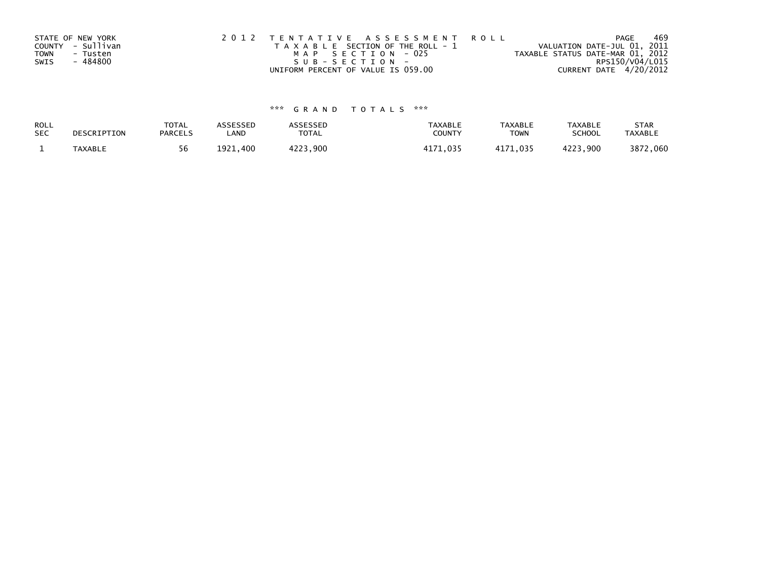| STATE OF NEW YORK       | 2012 TENTATIVE ASSESSMENT ROLL        | PAGE                             | 469 |
|-------------------------|---------------------------------------|----------------------------------|-----|
| COUNTY - Sullivan       | T A X A B L E SECTION OF THE ROLL - 1 | VALUATION DATE-JUL 01, 2011      |     |
| <b>TOWN</b><br>- Tusten | MAP SECTION - 025                     | TAXABLE STATUS DATE-MAR 01, 2012 |     |
| - 484800<br>SWIS        | SUB-SECTION-                          | RPS150/V04/L015                  |     |
|                         | UNIFORM PERCENT OF VALUE IS 059.00    | CURRENT DATE 4/20/2012           |     |

| ROLL       | DESCRIPTION | <b>TOTAL</b>   | ASSESSED      | <b>ASSESSED</b> | <b>TAXABLE</b> | <b>TAXABLE</b> | <b>TAXABLE</b> | <b>STAR</b>    |
|------------|-------------|----------------|---------------|-----------------|----------------|----------------|----------------|----------------|
| <b>SEC</b> |             | <b>PARCELS</b> | LAND          | TOTAL           | <b>COUNT</b>   | <b>TOWN</b>    | <b>SCHOOL</b>  | <b>TAXABLE</b> |
|            | TAXABLE     | 56             | 1921.<br>.400 | 4223,900        | 11 71<br>በ35   | 1171<br>71.035 | 4223,900       | 3872,060       |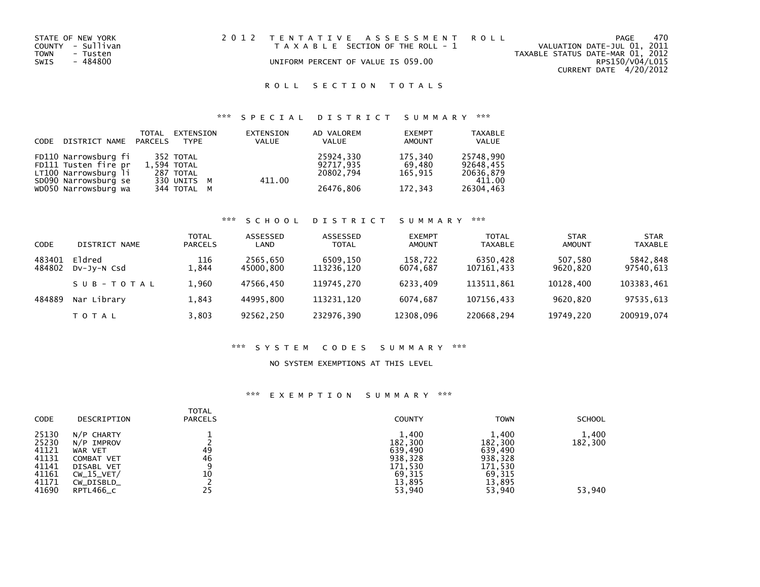| STATE OF NEW YORK | 2012 TENTATIVE ASSESSMENT ROLL        | 470<br>PAGE                      |
|-------------------|---------------------------------------|----------------------------------|
| COUNTY - Sullivan | T A X A B L E SECTION OF THE ROLL - 1 | VALUATION DATE-JUL 01, 2011      |
| TOWN<br>- Tusten  |                                       | TAXABLE STATUS DATE-MAR 01, 2012 |
| SWIS<br>- 484800  | UNIFORM PERCENT OF VALUE IS 059.00    | RPS150/V04/L015                  |
|                   |                                       | CURRENT DATE 4/20/2012           |

# \*\*\* S P E C I A L D I S T R I C T S U M M A R Y \*\*\*

| CODE DISTRICT NAME PARCELS | TOTAL | EXTENSION<br>TYPF | EXTENSION<br>VALUE | AD VALOREM<br>VALUE | <b>EXEMPT</b><br><b>AMOUNT</b> | <b>TAXABLE</b><br>VALUE |
|----------------------------|-------|-------------------|--------------------|---------------------|--------------------------------|-------------------------|
| FD110 Narrowsburg fi       |       | 352 TOTAL         |                    | 25924,330           | 175,340                        | 25748,990               |
| FD111 Tusten fire pr       |       | 1.594 TOTAL       |                    | 92717.935           | 69.480                         | 92648.455               |
| LT100 Narrowsburg li       |       | 287 TOTAL         |                    | 20802.794           | 165.915                        | 20636,879               |
| SD090 Narrowsburg se       |       | 330 UNITS M       | 411.00             |                     |                                | 411.00                  |
| WD050 Narrowsburg wa       |       | 344 TOTAL M       |                    | 26476,806           | 172,343                        | 26304,463               |

#### \*\*\* S C H O O L D I S T R I C T S U M M A R Y \*\*\*

| CODE             | DISTRICT NAME                | <b>TOTAL</b><br><b>PARCELS</b> | ASSESSED<br>LAND      | <b>ASSESSED</b><br><b>TOTAL</b> | <b>EXEMPT</b><br><b>AMOUNT</b> | <b>TOTAL</b><br><b>TAXABLE</b> | <b>STAR</b><br><b>AMOUNT</b> | <b>STAR</b><br><b>TAXABLE</b> |
|------------------|------------------------------|--------------------------------|-----------------------|---------------------------------|--------------------------------|--------------------------------|------------------------------|-------------------------------|
| 483401<br>484802 | Eldred<br>$Dv$ -J $v$ -N Csd | 116<br>1,844                   | 2565,650<br>45000.800 | 6509,150<br>113236,120          | 158,722<br>6074.687            | 6350,428<br>107161,433         | 507,580<br>9620.820          | 5842,848<br>97540,613         |
|                  | SUB-TOTAL                    | 1.960                          | 47566.450             | 119745.270                      | 6233.409                       | 113511.861                     | 10128.400                    | 103383,461                    |
| 484889           | Nar Library                  | 1.843                          | 44995.800             | 113231.120                      | 6074.687                       | 107156.433                     | 9620.820                     | 97535,613                     |
|                  | <b>TOTAL</b>                 | 3,803                          | 92562,250             | 232976,390                      | 12308,096                      | 220668,294                     | 19749,220                    | 200919,074                    |

#### \*\*\* S Y S T E M C O D E S S U M M A R Y \*\*\*

### NO SYSTEM EXEMPTIONS AT THIS LEVEL

| CODE                                                                 | DESCRIPTION                                                                                                | <b>TOTAL</b><br><b>PARCELS</b> | <b>COUNTY</b>                                                                   | <b>TOWN</b>                                                                     | <b>SCHOOL</b>              |
|----------------------------------------------------------------------|------------------------------------------------------------------------------------------------------------|--------------------------------|---------------------------------------------------------------------------------|---------------------------------------------------------------------------------|----------------------------|
| 25130<br>25230<br>41121<br>41131<br>41141<br>41161<br>41171<br>41690 | N/P CHARTY<br>N/P IMPROV<br>WAR VET<br>COMBAT VET<br>DISABL VET<br>$CW_15_VET/$<br>CW_DISBLD_<br>RPTL466_C | 49<br>46<br>9<br>10<br>25      | 1,400<br>182,300<br>639,490<br>938,328<br>171,530<br>69,315<br>13.895<br>53,940 | 1,400<br>182,300<br>639,490<br>938,328<br>171,530<br>69,315<br>13,895<br>53,940 | 1,400<br>182,300<br>53,940 |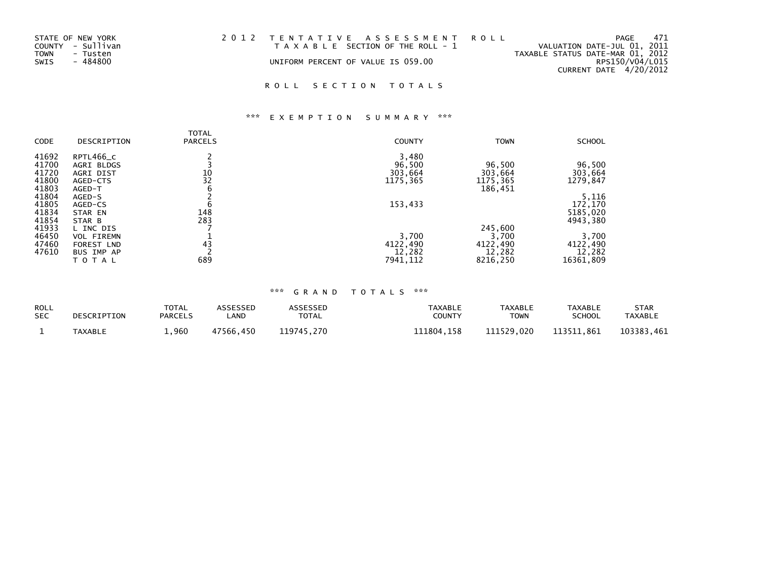| 2012 TENTATIVE ASSESSMENT ROLL<br>STATE OF NEW YORK<br>PAGE                               | 471             |
|-------------------------------------------------------------------------------------------|-----------------|
| COUNTY - Sullivan<br>VALUATION DATE-JUL 01, 2011<br>T A X A B L E SECTION OF THE ROLL - 1 |                 |
| TAXABLE STATUS DATE-MAR 01, 2012<br>TOWN<br>- Tusten                                      |                 |
| SWIS<br>- 484800<br>UNIFORM PERCENT OF VALUE IS 059.00                                    | RPS150/V04/L015 |
| CURRENT DATE 4/20/2012                                                                    |                 |

# \*\*\* E X E M P T I O N S U M M A R Y \*\*\*

|       |                   | TOTAL          |               |             |               |
|-------|-------------------|----------------|---------------|-------------|---------------|
| CODE  | DESCRIPTION       | <b>PARCELS</b> | <b>COUNTY</b> | <b>TOWN</b> | <b>SCHOOL</b> |
| 41692 | RPTL466_C         |                | 3,480         |             |               |
| 41700 | <b>AGRI BLDGS</b> |                | 96,500        | 96,500      | 96,500        |
| 41720 | AGRI DIST         | 10             | 303,664       | 303,664     | 303,664       |
| 41800 | AGED-CTS          | 32             | 1175,365      | 1175,365    | 1279,847      |
| 41803 | AGED-T            | 6              |               | 186,451     |               |
| 41804 | AGED-S            |                |               |             | 5,116         |
| 41805 | AGED-CS           | b              | 153,433       |             | 172,170       |
| 41834 | STAR EN           | 148            |               |             | 5185,020      |
| 41854 | STAR B            | 283            |               |             | 4943,380      |
| 41933 | L INC DIS         |                |               | 245,600     |               |
| 46450 | <b>VOL FIREMN</b> |                | 3,700         | 3,700       | 3,700         |
| 47460 | <b>FOREST LND</b> | 43             | 4122,490      | 4122,490    | 4122,490      |
| 47610 | <b>BUS IMP AP</b> |                | 12,282        | 12,282      | 12,282        |
|       | TOTAL             | 689            | 7941,112      | 8216,250    | 16361,809     |

| ROLL       | DESCRIPTION | <b>TOTAL</b>   | ASSESSED  | <b>ASSESSED</b> | <b>TAXABLE</b> | <b>TAXABLE</b> | <b>TAXABLE</b> | <b>STAR</b>    |
|------------|-------------|----------------|-----------|-----------------|----------------|----------------|----------------|----------------|
| <b>SEC</b> |             | <b>PARCELS</b> | _AND      | <b>TOTAL</b>    | COUNTY         | <b>TOWN</b>    | <b>SCHOOL</b>  | <b>TAXABLE</b> |
|            | TAXABLE     | ,960           | 47566.450 | 119745.270      | 111804.158     | 111529.020     | 113511.861     | 103383.461     |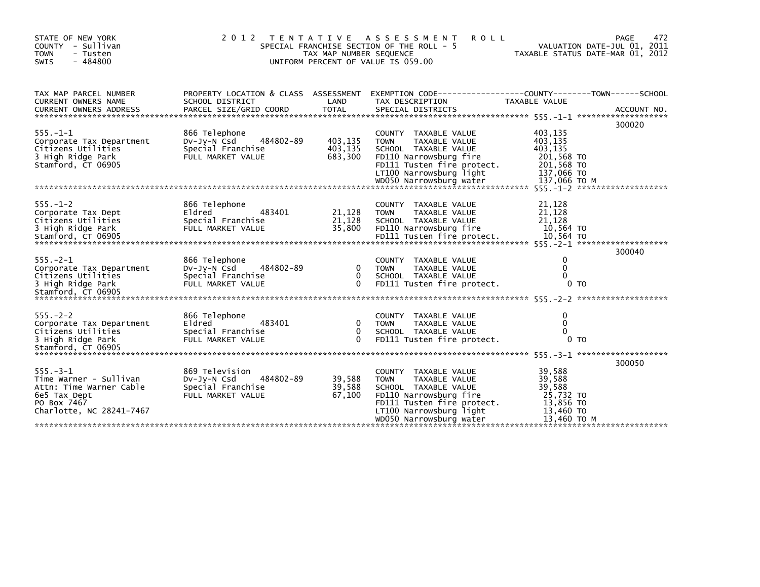| STATE OF NEW YORK<br>COUNTY - Sullivan<br><b>TOWN</b><br>- Tusten<br>- 484800<br><b>SWIS</b>                                   |                                                                                      | TAX MAP NUMBER SEQUENCE                  | 2012 TENTATIVE ASSESSMENT<br><b>ROLL</b><br>SPECIAL FRANCHISE SECTION OF THE ROLL - 5<br>UNIFORM PERCENT OF VALUE IS 059.00                                                                |                                                                                  | 472<br><b>PAGE</b><br>VALUATION DATE-JUL 01, 2011<br>TAXABLE STATUS DATE-MAR 01, 2012 |
|--------------------------------------------------------------------------------------------------------------------------------|--------------------------------------------------------------------------------------|------------------------------------------|--------------------------------------------------------------------------------------------------------------------------------------------------------------------------------------------|----------------------------------------------------------------------------------|---------------------------------------------------------------------------------------|
| TAX MAP PARCEL NUMBER<br>CURRENT OWNERS NAME<br>CURRENT OWNERS ADDRESS                                                         | PROPERTY LOCATION & CLASS ASSESSMENT<br>SCHOOL DISTRICT<br>PARCEL SIZE/GRID COORD    | LAND<br><b>TOTAL</b>                     | EXEMPTION CODE-----------------COUNTY-------TOWN------SCHOOL<br>TAX DESCRIPTION<br>SPECIAL DISTRICTS                                                                                       | TAXABLE VALUE                                                                    | ACCOUNT NO.                                                                           |
| $555. - 1 - 1$<br>Corporate Tax Department<br>Citizens Utilities<br>3 High Ridge Park<br>Stamford, CT 06905                    | 866 Telephone<br>484802-89<br>DV-Jy-N Csd<br>Special Franchise<br>FULL MARKET VALUE  | 403,135<br>403,135<br>683,300            | COUNTY TAXABLE VALUE<br>TAXABLE VALUE<br><b>TOWN</b><br>SCHOOL TAXABLE VALUE<br>FD110 Narrowsburg fire<br>FD111 Tusten fire protect.<br>LT100 Narrowsburg light                            | 403,135<br>403,135<br>403,135<br>201,568 TO<br>201,568 TO<br>137,066 TO          | 300020                                                                                |
| $555. - 1 - 2$<br>Corporate Tax Dept<br>Citizens Utilities<br>3 High Ridge Park                                                | 866 Telephone<br>Eldred<br>483401<br>Special Franchise<br>FULL MARKET VALUE          | 21,128<br>21,128<br>35,800               | COUNTY TAXABLE VALUE<br><b>TOWN</b><br>TAXABLE VALUE<br>SCHOOL TAXABLE VALUE<br>FD110 Narrowsburg fire                                                                                     | 21,128<br>21,128<br>21,128<br>10,564 TO                                          | 300040                                                                                |
| $555. -2 - 1$<br>Corporate Tax Department<br>Citizens Utilities<br>3 High Ridge Park                                           | 866 Telephone<br>484802-89<br>DV-Jy-N Csd<br>Special Franchise<br>FULL MARKET VALUE  | $\Omega$<br>$\mathbf{0}$<br>$\mathbf{0}$ | COUNTY TAXABLE VALUE<br>TAXABLE VALUE<br><b>TOWN</b><br>SCHOOL TAXABLE VALUE<br>FD111 Tusten fire protect.                                                                                 | $\mathbf{0}$<br>$\mathbf{0}$<br>$\Omega$<br>0 <sub>T</sub>                       |                                                                                       |
| $555. - 2 - 2$<br>Corporate Tax Department<br>Citizens Utilities<br>3 High Ridge Park<br>Stamford, CT 06905                    | 866 Telephone<br>483401<br>Eldred<br>Special Franchise<br>FULL MARKET VALUE          | 0<br>$\mathbf{0}$<br>$\Omega$            | COUNTY TAXABLE VALUE<br>TAXABLE VALUE<br><b>TOWN</b><br>SCHOOL TAXABLE VALUE<br>FD111 Tusten fire protect.                                                                                 | $\mathbf{0}$<br>$\mathbf{0}$<br>$\Omega$<br>0 <sub>T</sub>                       |                                                                                       |
| $555. - 3 - 1$<br>Time Warner - Sullivan<br>Attn: Time Warner Cable<br>6e5 Tax Dept<br>PO Box 7467<br>Charlotte, NC 28241-7467 | 869 Television<br>484802-89<br>Dv-Jy-N Csd<br>Special Franchise<br>FULL MARKET VALUE | 39,588<br>39,588<br>67,100               | COUNTY TAXABLE VALUE<br><b>TOWN</b><br>TAXABLE VALUE<br>SCHOOL TAXABLE VALUE<br>FD110 Narrowsburg fire<br>FD111 Tusten fire protect.<br>LT100 Narrowsburg light<br>WD050 Narrowsburg water | 39,588<br>39,588<br>39,588<br>25,732 TO<br>13,856 TO<br>13,460 TO<br>13,460 TO M | 300050                                                                                |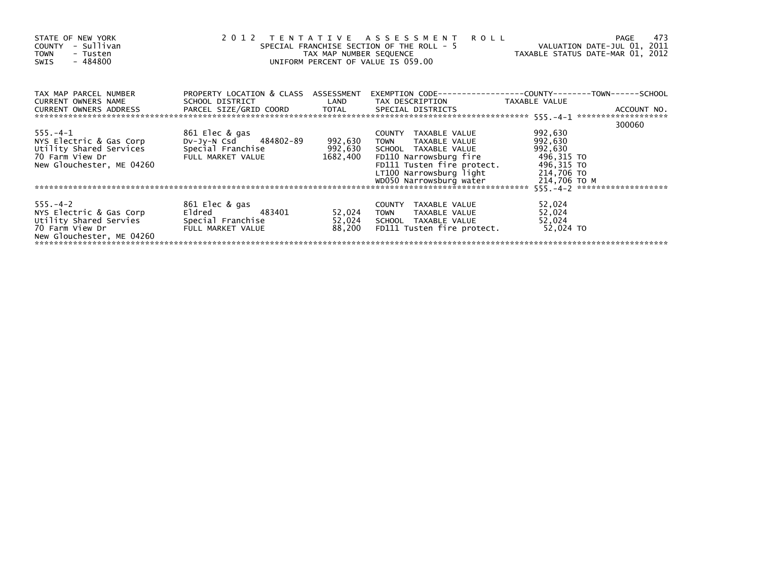| STATE OF NEW YORK<br>- Sullivan<br><b>COUNTY</b><br><b>TOWN</b><br>- Tusten<br>- 484800<br><b>SWIS</b>               |                                                                                            | TAX MAP NUMBER SEQUENCE        | 2012 TENTATIVE ASSESSMENT<br><b>ROLL</b><br>SPECIAL FRANCHISE SECTION OF THE ROLL - 5<br>UNIFORM PERCENT OF VALUE IS 059.00                                                                | VALUATION DATE-JUL 01, 2011<br>TAXABLE STATUS DATE-MAR 01, 2012                         | 473<br>PAGE |
|----------------------------------------------------------------------------------------------------------------------|--------------------------------------------------------------------------------------------|--------------------------------|--------------------------------------------------------------------------------------------------------------------------------------------------------------------------------------------|-----------------------------------------------------------------------------------------|-------------|
| TAX MAP PARCEL NUMBER<br><b>CURRENT OWNERS NAME</b><br><b>CURRENT OWNERS ADDRESS</b>                                 | PROPERTY LOCATION & CLASS ASSESSMENT<br>SCHOOL DISTRICT<br>PARCEL SIZE/GRID COORD TOTAL    | LAND                           | TAX DESCRIPTION<br>SPECIAL DISTRICTS                                                                                                                                                       | TAXABLE VALUE                                                                           | ACCOUNT NO. |
| $555. - 4 - 1$<br>NYS Electric & Gas Corp<br>Utility Shared Services<br>70 Farm View Dr<br>New Glouchester, ME 04260 | 861 Elec & gas<br>DV-Jy-N Csd 484802-89<br>Special Franchise<br>FULL MARKET VALUE          | 992,630<br>992,630<br>1682,400 | COUNTY TAXABLE VALUE<br><b>TOWN</b><br>TAXABLE VALUE<br>SCHOOL TAXABLE VALUE<br>FD110 Narrowsburg fire<br>FD111 Tusten fire protect.<br>LT100 Narrowsburg light<br>WD050 Narrowsburg water | 992,630<br>992,630<br>992,630<br>496,315 TO<br>496,315 TO<br>214,706 TO<br>214,706 TO M | 300060      |
| $555. - 4 - 2$<br>NYS Electric & Gas Corp<br>Utility Shared Servies<br>70 Farm View Dr<br>New Glouchester, ME 04260  | 861 Elec & gas<br>Eldred <b>Eldred</b><br>483401<br>Special Franchise<br>FULL MARKET VALUE | 52,024<br>52,024<br>88,200     | COUNTY TAXABLE VALUE<br><b>TOWN</b><br>TAXABLE VALUE<br>SCHOOL TAXABLE VALUE<br>FD111 Tusten fire protect.                                                                                 | 52,024<br>52,024<br>52,024<br>52,024 TO                                                 |             |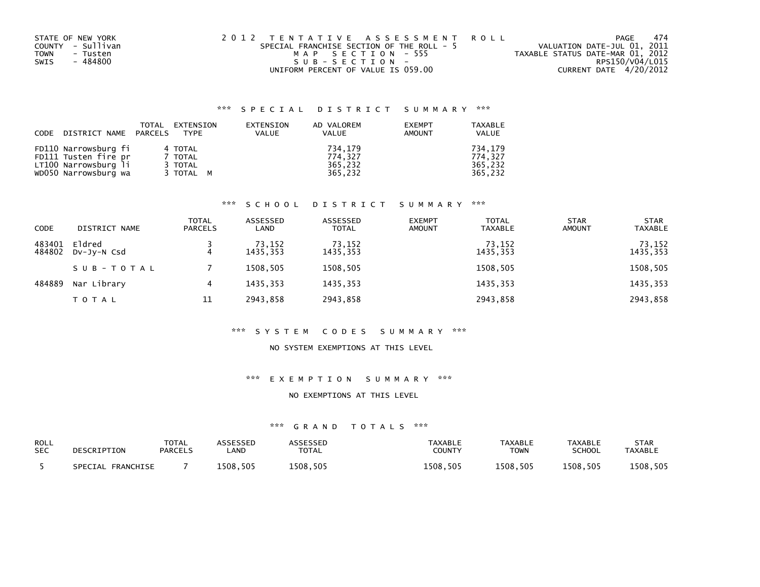| STATE OF NEW YORK | 2012 TENTATIVE ASSESSMENT ROLL            | PAGE                             | -474 |
|-------------------|-------------------------------------------|----------------------------------|------|
| COUNTY - Sullivan | SPECIAL FRANCHISE SECTION OF THE ROLL - 5 | VALUATION DATE-JUL 01, 2011      |      |
| TOWN<br>- Tusten  | MAP SECTION - 555                         | TAXABLE STATUS DATE-MAR 01, 2012 |      |
| - 484800<br>SWIS  | $SUB - SECTION -$                         | RPS150/V04/L015                  |      |
|                   | UNIFORM PERCENT OF VALUE IS 059.00        | CURRENT DATE 4/20/2012           |      |

| CODE | DISTRICT NAME PARCELS                        | TOTAL | EXTENSION<br><b>TYPF</b> | EXTENSION<br>VALUE | AD VALOREM<br><b>VALUE</b> | <b>EXEMPT</b><br>AMOUNT | <b>TAXABLE</b><br><b>VALUE</b> |
|------|----------------------------------------------|-------|--------------------------|--------------------|----------------------------|-------------------------|--------------------------------|
|      | FD110 Narrowsburg fi                         |       | 4 TOTAL                  |                    | 734.179                    |                         | 734.179                        |
|      | FD111 Tusten fire pr                         |       | 7 TOTAL                  |                    | 774.327                    |                         | 774.327                        |
|      | LT100 Narrowsburg li<br>WD050 Narrowsburg wa |       | 3 TOTAL<br>3 TOTAL M     |                    | 365.232<br>365,232         |                         | 365.232<br>365.232             |

## \*\*\* S C H O O L D I S T R I C T S U M M A R Y \*\*\*

| <b>CODE</b>      | DISTRICT NAME         | TOTAL<br><b>PARCELS</b> | ASSESSED<br>LAND   | ASSESSED<br><b>TOTAL</b> | <b>EXEMPT</b><br><b>AMOUNT</b> | <b>TOTAL</b><br><b>TAXABLE</b> | <b>STAR</b><br><b>AMOUNT</b> | <b>STAR</b><br><b>TAXABLE</b> |
|------------------|-----------------------|-------------------------|--------------------|--------------------------|--------------------------------|--------------------------------|------------------------------|-------------------------------|
| 483401<br>484802 | Eldred<br>DV-JY-N Csd |                         | 73,152<br>1435.353 | 73,152<br>1435,353       |                                | 73,152<br>1435,353             |                              | 73,152<br>1435,353            |
|                  | SUB-TOTAL             |                         | 1508.505           | 1508,505                 |                                | 1508,505                       |                              | 1508,505                      |
| 484889           | Nar Library           | 4                       | 1435.353           | 1435,353                 |                                | 1435,353                       |                              | 1435,353                      |
|                  | <b>TOTAL</b>          | 11                      | 2943.858           | 2943,858                 |                                | 2943,858                       |                              | 2943,858                      |

#### \*\*\* S Y S T E M C O D E S S U M M A R Y \*\*\*

### NO SYSTEM EXEMPTIONS AT THIS LEVEL

## \*\*\* E X E M P T I O N S U M M A R Y \*\*\*

#### NO EXEMPTIONS AT THIS LEVEL

| ROLL       | DESCRIPTION          | TOTAL          | <b>\SSESSED</b> | <b>ASSESSED</b> | <b>TAXABLE</b> | <b>TAXABLE</b> | <b>TAXABLE</b> | <b>STAR</b>    |
|------------|----------------------|----------------|-----------------|-----------------|----------------|----------------|----------------|----------------|
| <b>SEC</b> |                      | <b>PARCELS</b> | .AND            | TOTAL           | <b>COUNTY</b>  | <b>TOWN</b>    | SCHOOL         | <b>TAXABLE</b> |
|            | FRANCHISE<br>SPECIAL |                | 1508.505        | 1508.505        | 1508.505       | 1508.505       | 1508,505       | 1508,505       |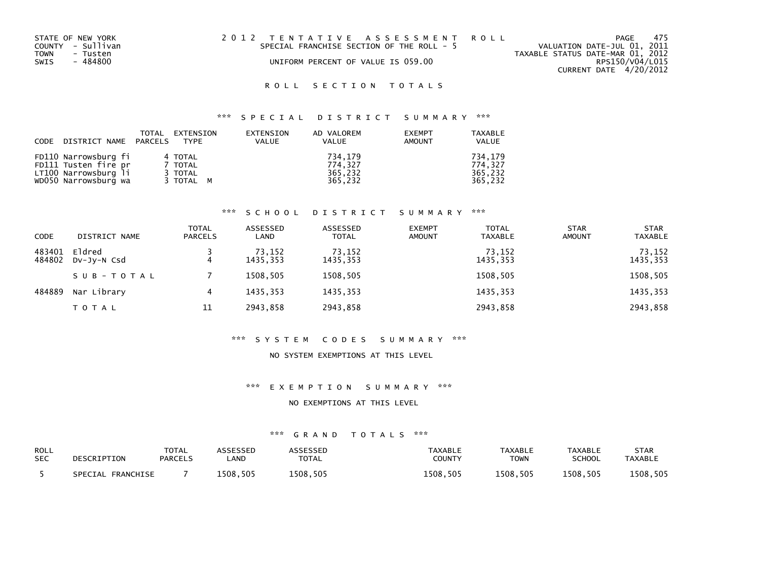| STATE OF NEW YORK | 2012 TENTATIVE ASSESSMENT ROLL            | 475<br>PAGE                      |
|-------------------|-------------------------------------------|----------------------------------|
| COUNTY - Sullivan | SPECIAL FRANCHISE SECTION OF THE ROLL - 5 | VALUATION DATE-JUL 01, 2011      |
| TOWN<br>- Tusten  |                                           | TAXABLE STATUS DATE-MAR 01, 2012 |
| SWIS<br>- 484800  | UNIFORM PERCENT OF VALUE IS 059.00        | RPS150/V04/L015                  |
|                   |                                           | CURRENT DATE 4/20/2012           |

#### \*\*\* S P E C I A L D I S T R I C T S U M M A R Y \*\*\*

| CODE DISTRICT NAME PARCELS TYPE | TOTAL | EXTENSION | EXTENSION<br><b>VALUE</b> | AD VALOREM<br><b>VALUE</b> | <b>EXEMPT</b><br><b>AMOUNT</b> | TAXABLE<br><b>VALUE</b> |
|---------------------------------|-------|-----------|---------------------------|----------------------------|--------------------------------|-------------------------|
| FD110 Narrowsburg fi            |       | 4 TOTAL   |                           | 734.179                    |                                | 734.179                 |
| FD111 Tusten fire pr            |       | 7 TOTAL   |                           | 774.327                    |                                | 774.327                 |
| LT100 Narrowsburg li            |       | 3 TOTAL   |                           | 365,232                    |                                | 365.232                 |
| WD050 Narrowsburg wa            |       | 3 TOTAL M |                           | 365,232                    |                                | 365,232                 |

## \*\*\* S C H O O L D I S T R I C T S U M M A R Y \*\*\*

| <b>CODE</b>      | DISTRICT NAME         | <b>TOTAL</b><br><b>PARCELS</b> | ASSESSED<br>LAND   | ASSESSED<br><b>TOTAL</b> | <b>EXEMPT</b><br><b>AMOUNT</b> | <b>TOTAL</b><br><b>TAXABLE</b> | <b>STAR</b><br><b>AMOUNT</b> | <b>STAR</b><br><b>TAXABLE</b> |
|------------------|-----------------------|--------------------------------|--------------------|--------------------------|--------------------------------|--------------------------------|------------------------------|-------------------------------|
| 483401<br>484802 | Eldred<br>DV-JY-N Csd | 4                              | 73,152<br>1435.353 | 73,152<br>1435,353       |                                | 73,152<br>1435,353             |                              | 73,152<br>1435,353            |
|                  | SUB-TOTAL             |                                | 1508.505           | 1508,505                 |                                | 1508,505                       |                              | 1508,505                      |
| 484889           | Nar Library           | 4                              | 1435.353           | 1435,353                 |                                | 1435,353                       |                              | 1435,353                      |
|                  | TOTAL                 | 11                             | 2943.858           | 2943,858                 |                                | 2943,858                       |                              | 2943,858                      |

#### \*\*\* S Y S T E M C O D E S S U M M A R Y \*\*\*

#### NO SYSTEM EXEMPTIONS AT THIS LEVEL

#### \*\*\* E X E M P T I O N S U M M A R Y \*\*\*

#### NO EXEMPTIONS AT THIS LEVEL

| <b>ROLL</b> | DESCRIPTION       | TOTAL          | <b>ASSESSED</b> | ASSESSED     | TAXABLE       | <b>TAXABLE</b> | <b>TAXABLE</b> | <b>STAR</b>    |
|-------------|-------------------|----------------|-----------------|--------------|---------------|----------------|----------------|----------------|
| <b>SEC</b>  |                   | <b>PARCELS</b> | .AND            | <b>TOTAL</b> | <b>COUNTY</b> | TOWN           | <b>SCHOOL</b>  | <b>TAXABLE</b> |
|             | SPECIAL FRANCHISE |                | 1508.505        | 1508.505     | 1508.505      | 1508.505       | 1508.505       | 1508.505       |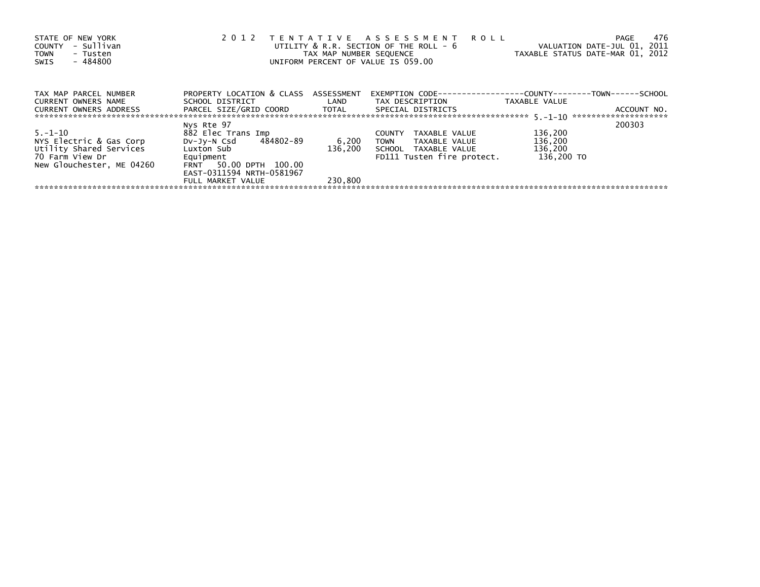| STATE OF NEW YORK<br>- Sullivan<br><b>COUNTY</b><br><b>TOWN</b><br>- Tusten<br>- 484800<br>SWIS | 2 0 1 2                                             | TAX MAP NUMBER SEOUENCE | TENTATIVE ASSESSMENT<br><b>ROLL</b><br>UTILITY $&$ R.R. SECTION OF THE ROLL - $&$<br>UNIFORM PERCENT OF VALUE IS 059.00 | VALUATION DATE-JUL 01, 2011<br>TAXABLE STATUS DATE-MAR 01, 2012 | 476<br>PAGE |
|-------------------------------------------------------------------------------------------------|-----------------------------------------------------|-------------------------|-------------------------------------------------------------------------------------------------------------------------|-----------------------------------------------------------------|-------------|
| TAX MAP PARCEL NUMBER<br>CURRENT OWNERS NAME                                                    | PROPERTY LOCATION & CLASS<br>SCHOOL DISTRICT        | ASSESSMENT<br>LAND      | EXEMPTION        CODE-----------------COUNTY--------TOWN------SCHOOL<br>TAX DESCRIPTION                                 | TAXABLE VALUE                                                   |             |
| <b>CURRENT OWNERS ADDRESS</b>                                                                   | PARCEL SIZE/GRID COORD TOTAL                        |                         | SPECIAL DISTRICTS                                                                                                       |                                                                 | ACCOUNT NO. |
|                                                                                                 | Nys Rte 97                                          |                         |                                                                                                                         |                                                                 | 200303      |
| 5.–1–10                                                                                         | 882 Elec Trans Imp                                  |                         | TAXABLE VALUE<br><b>COUNTY</b>                                                                                          | 136,200                                                         |             |
| NYS Electric & Gas Corp                                                                         | DV-Jy-N Csd 484802-89                               | 6,200                   | <b>TOWN</b><br>TAXABLE VALUE                                                                                            | 136,200                                                         |             |
| Utility Shared Services<br>70 Farm View Dr                                                      | Luxton Sub<br>Equipment                             | 136,200                 | SCHOOL TAXABLE VALUE<br>FD111 Tusten fire protect.                                                                      | 136,200<br>136.200 TO                                           |             |
| New Glouchester, ME 04260                                                                       | FRNT 50.00 DPTH 100.00<br>EAST-0311594 NRTH-0581967 |                         |                                                                                                                         |                                                                 |             |
|                                                                                                 | FULL MARKET VALUE                                   | 230,800                 |                                                                                                                         |                                                                 |             |
|                                                                                                 |                                                     |                         |                                                                                                                         |                                                                 |             |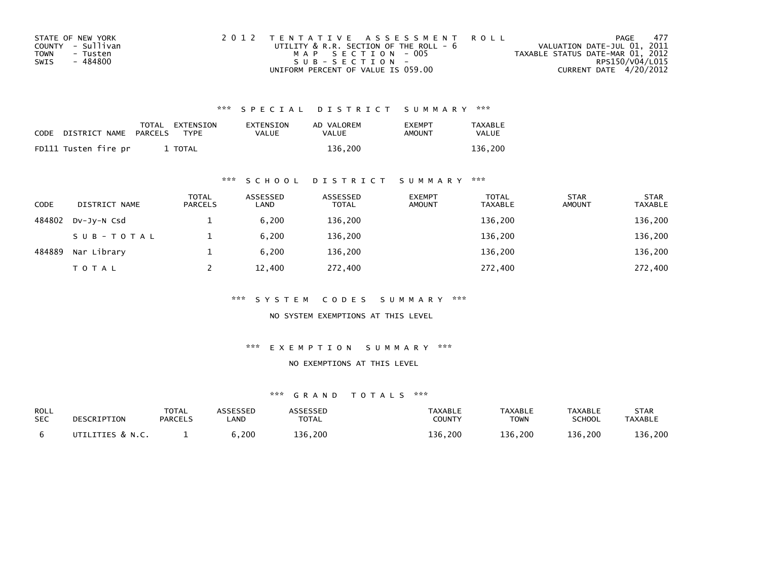| STATE OF NEW YORK | 2012 TENTATIVE ASSESSMENT ROLL         |                                  | PAGE | - 477 |
|-------------------|----------------------------------------|----------------------------------|------|-------|
| COUNTY - Sullivan | UTILITY & R.R. SECTION OF THE ROLL - 6 | VALUATION DATE-JUL 01, 2011      |      |       |
| TOWN<br>- Tusten  | MAP SECTION - 005                      | TAXABLE STATUS DATE-MAR 01, 2012 |      |       |
| - 484800<br>SWIS  | $SUB - SECTION -$                      | RPS150/V04/L015                  |      |       |
|                   | UNIFORM PERCENT OF VALUE IS 059.00     | CURRENT DATE 4/20/2012           |      |       |

| CODE | DISTRICT NAME PARCELS | TOTAL EXTENSION<br><b>TYPF</b> | EXTENSION<br>VALUE | AD VALOREM<br>VALUE | <b>FXFMPT</b><br>AMOUNT | <b>TAXABLE</b><br>VALUE |
|------|-----------------------|--------------------------------|--------------------|---------------------|-------------------------|-------------------------|
|      | FD111 Tusten fire pr  | <b>TOTAL</b>                   |                    | 136.200             |                         | 136.200                 |

## \*\*\* S C H O O L D I S T R I C T S U M M A R Y \*\*\*

| <b>CODE</b> | DISTRICT NAME | <b>TOTAL</b><br><b>PARCELS</b> | ASSESSED<br>LAND | ASSESSED<br><b>TOTAL</b> | <b>EXEMPT</b><br><b>AMOUNT</b> | <b>TOTAL</b><br><b>TAXABLE</b> | <b>STAR</b><br><b>AMOUNT</b> | <b>STAR</b><br><b>TAXABLE</b> |
|-------------|---------------|--------------------------------|------------------|--------------------------|--------------------------------|--------------------------------|------------------------------|-------------------------------|
| 484802      | DV-JY-N Csd   |                                | 6,200            | 136,200                  |                                | 136,200                        |                              | 136,200                       |
|             | SUB-TOTAL     |                                | 6.200            | 136,200                  |                                | 136,200                        |                              | 136,200                       |
| 484889      | Nar Library   |                                | 6.200            | 136,200                  |                                | 136,200                        |                              | 136,200                       |
|             | <b>TOTAL</b>  |                                | 12,400           | 272,400                  |                                | 272,400                        |                              | 272,400                       |

\*\*\* S Y S T E M C O D E S S U M M A R Y \*\*\*

NO SYSTEM EXEMPTIONS AT THIS LEVEL

\*\*\* E X E M P T I O N S U M M A R Y \*\*\*

#### NO EXEMPTIONS AT THIS LEVEL

| ROLL       | DESCRIPTION      | <b>TOTAL</b>   | ASSESSED | ASSESSED     | <b>TAXABLE</b> | TAXABLE     | <b>TAXABLE</b> | STAR           |
|------------|------------------|----------------|----------|--------------|----------------|-------------|----------------|----------------|
| <b>SEC</b> |                  | <b>PARCELS</b> | .AND     | <b>TOTAL</b> | <b>COUNTY</b>  | <b>TOWN</b> | <b>SCHOOL</b>  | <b>TAXABLE</b> |
|            | UTILITIES & N.C. |                | ة,200    | 136,200      | 136,200        | 136.200     | 136.200        | 136,200        |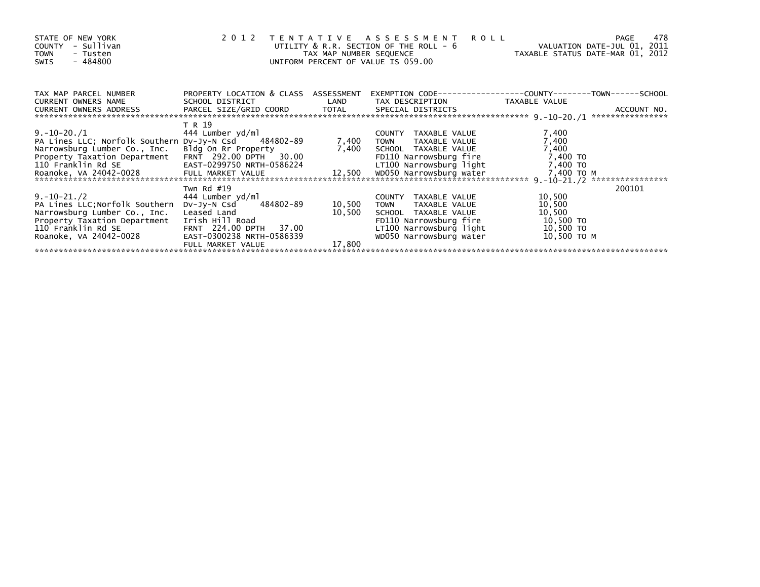| STATE OF NEW YORK<br>- Sullivan<br><b>COUNTY</b><br><b>TOWN</b><br>- Tusten<br>- 484800<br>SWIS | 2 0 1 2                                                 | TAX MAP NUMBER SEQUENCE | TENTATIVE ASSESSMENT<br>UTILITY & R.R. SECTION OF THE ROLL - 6<br>UNIFORM PERCENT OF VALUE IS 059.00 | <b>ROLL</b><br>TAXABLE STATUS DATE-MAR 01, 2012 | 478<br><b>PAGE</b><br>VALUATION DATE-JUL 01, 2011 |
|-------------------------------------------------------------------------------------------------|---------------------------------------------------------|-------------------------|------------------------------------------------------------------------------------------------------|-------------------------------------------------|---------------------------------------------------|
| TAX MAP PARCEL NUMBER<br>CURRENT OWNERS NAME                                                    | PROPERTY LOCATION & CLASS ASSESSMENT<br>SCHOOL DISTRICT | LAND                    | TAX DESCRIPTION                                                                                      | TAXABLE VALUE                                   |                                                   |
| CURRENT OWNERS ADDRESS                                                                          | PARCEL SIZE/GRID COORD TOTAL                            |                         | SPECIAL DISTRICTS                                                                                    |                                                 | ACCOUNT NO.<br>****************                   |
|                                                                                                 | T R 19                                                  |                         |                                                                                                      |                                                 |                                                   |
| $9.-10-20./1$                                                                                   | 444 Lumber yd/ml                                        |                         | COUNTY TAXABLE VALUE                                                                                 | 7,400                                           |                                                   |
| PA Lines LLC; Norfolk Southern Dv-Jy-N Csd 484802-89                                            |                                                         | 7,400                   | <b>TOWN</b><br>TAXABLE VALUE                                                                         | 7,400                                           |                                                   |
| Narrowsburg Lumber Co., Inc.                                                                    | Bldg On Rr Property                                     |                         | 7,400 SCHOOL TAXABLE VALUE                                                                           | 7,400                                           |                                                   |
| Property Taxation Department                                                                    | FRNT 292.00 DPTH<br>30.00                               |                         | FD110 Narrowsburg fire                                                                               | 7,400 TO                                        |                                                   |
| 110 Franklin Rd SE                                                                              | EAST-0299750 NRTH-0586224                               |                         | LT100 Narrowsburg light                                                                              | 7,400 TO                                        |                                                   |
| Roanoke, VA 24042-0028                                                                          |                                                         |                         |                                                                                                      | 7,400 TO M                                      | ****************                                  |
|                                                                                                 | Twn Rd $#19$                                            |                         |                                                                                                      |                                                 | 200101                                            |
| $9.-10-21./2$                                                                                   | 444 Lumber yd/ml                                        |                         | COUNTY TAXABLE VALUE                                                                                 | 10,500                                          |                                                   |
| PA Lines LLC; Norfolk Southern                                                                  | 484802-89<br>DV-Jy-N Csd                                | 10,500                  | TAXABLE VALUE<br><b>TOWN</b>                                                                         | 10,500                                          |                                                   |
| Narrowsburg Lumber Co., Inc.                                                                    | Leased Land                                             | 10,500                  | SCHOOL TAXABLE VALUE                                                                                 | 10,500                                          |                                                   |
| Property Taxation Department                                                                    | Irish Hill Road                                         |                         | FD110 Narrowsburg fire                                                                               | 10,500 TO                                       |                                                   |
| 110 Franklin Rd SE                                                                              | FRNT 224.00 DPTH<br>37.00                               |                         | LT100 Narrowsburg light                                                                              | 10,500 TO                                       |                                                   |
| Roanoke, VA 24042-0028                                                                          | EAST-0300238 NRTH-0586339                               |                         | WD050 Narrowsburg water                                                                              | 10,500 то м                                     |                                                   |
|                                                                                                 | FULL MARKET VALUE                                       | 17,800                  |                                                                                                      |                                                 |                                                   |
|                                                                                                 |                                                         |                         |                                                                                                      |                                                 |                                                   |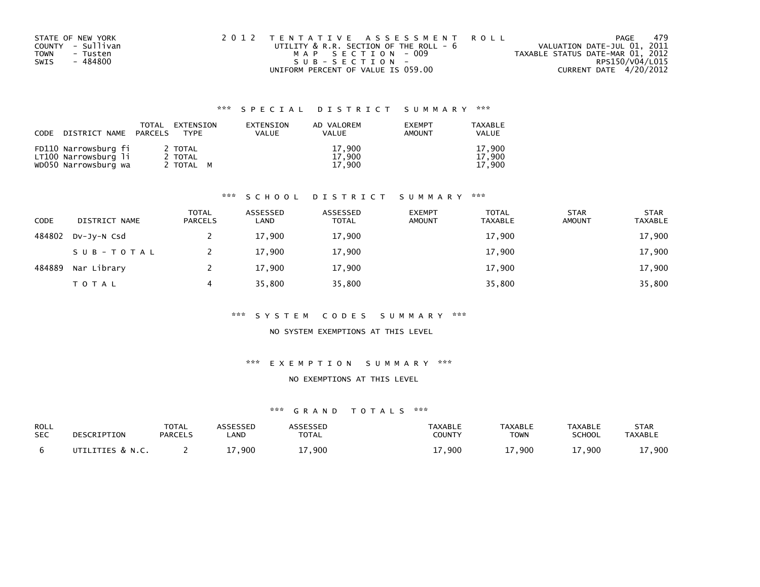| STATE OF NEW YORK       | 2012 TENTATIVE ASSESSMENT ROLL              | PAGE                             | 479 |
|-------------------------|---------------------------------------------|----------------------------------|-----|
| COUNTY - Sullivan       | UTILITY $\&$ R.R. SECTION OF THE ROLL - $6$ | VALUATION DATE-JUL 01, 2011      |     |
| <b>TOWN</b><br>- Tusten | MAP SECTION - 009                           | TAXABLE STATUS DATE-MAR 01, 2012 |     |
| - 484800<br>SWIS        | SUB-SECTION-                                | RPS150/V04/L015                  |     |
|                         | UNIFORM PERCENT OF VALUE IS 059.00          | CURRENT DATE 4/20/2012           |     |

| CODE DISTRICT NAME PARCELS                   | TOTAL | EXTENSION<br><b>TYPF</b> | EXTENSION<br><b>VALUE</b> | AD VALOREM<br><b>VALUE</b> | <b>EXEMPT</b><br>AMOUNT | TAXABLE<br><b>VALUE</b> |
|----------------------------------------------|-------|--------------------------|---------------------------|----------------------------|-------------------------|-------------------------|
| FD110 Narrowsburg fi<br>LT100 Narrowsburg li |       | 2 TOTAL<br>2 TOTAL       |                           | 17.900<br>17,900           |                         | 17.900<br>17.900        |
| WD050 Narrowsburg wa                         |       | 2 TOTAL M                |                           | 17.900                     |                         | 17.900                  |

## \*\*\* S C H O O L D I S T R I C T S U M M A R Y \*\*\*

| <b>CODE</b> | DISTRICT NAME | <b>TOTAL</b><br><b>PARCELS</b> | ASSESSED<br>LAND | ASSESSED<br><b>TOTAL</b> | <b>EXEMPT</b><br><b>AMOUNT</b> | <b>TOTAL</b><br><b>TAXABLE</b> | <b>STAR</b><br><b>AMOUNT</b> | <b>STAR</b><br><b>TAXABLE</b> |
|-------------|---------------|--------------------------------|------------------|--------------------------|--------------------------------|--------------------------------|------------------------------|-------------------------------|
| 484802      | DV-JV-N Csd   |                                | 17,900           | 17,900                   |                                | 17,900                         |                              | 17,900                        |
|             | SUB-TOTAL     |                                | 17,900           | 17,900                   |                                | 17,900                         |                              | 17,900                        |
| 484889      | Nar Library   |                                | 17,900           | 17,900                   |                                | 17,900                         |                              | 17,900                        |
|             | T O T A L     | 4                              | 35,800           | 35,800                   |                                | 35,800                         |                              | 35,800                        |

#### \*\*\* S Y S T E M C O D E S S U M M A R Y \*\*\*

### NO SYSTEM EXEMPTIONS AT THIS LEVEL

#### \*\*\* E X E M P T I O N S U M M A R Y \*\*\*

#### NO EXEMPTIONS AT THIS LEVEL

| ROLL       | DESCRIPTION      | TOTAL          | ASSESSED | ASSESSED     | <b>TAXABLE</b> | <b>TAXABLE</b> | TAXABLE       | <b>STAR</b>    |
|------------|------------------|----------------|----------|--------------|----------------|----------------|---------------|----------------|
| <b>SEC</b> |                  | <b>PARCELS</b> | _AND     | <b>TOTAL</b> | <b>COUNTY</b>  | TOWN           | <b>SCHOOL</b> | <b>TAXABLE</b> |
|            | UTILITIES & N.C. |                | ⊥7,900   | 7,900        | 17,900         | 17,900         | 17,900        | 17,900         |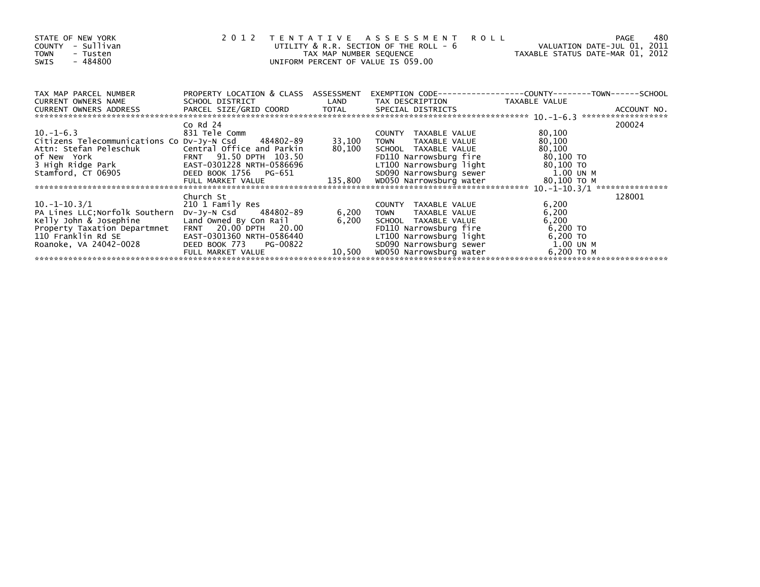| STATE OF NEW YORK<br>- Sullivan<br><b>COUNTY</b><br><b>TOWN</b><br>- Tusten<br>$-484800$<br>SWIS | 2012                                                    | TAX MAP NUMBER SEQUENCE | TENTATIVE ASSESSMENT<br>UTILITY & R.R. SECTION OF THE ROLL - 6<br>UNIFORM PERCENT OF VALUE IS 059.00 | <b>ROLL</b><br>VALUATION DATE-JUL 01, 2011<br>TAXABLE STATUS DATE-MAR 01, 2012 | 480<br>PAGE |
|--------------------------------------------------------------------------------------------------|---------------------------------------------------------|-------------------------|------------------------------------------------------------------------------------------------------|--------------------------------------------------------------------------------|-------------|
| TAX MAP PARCEL NUMBER<br>CURRENT OWNERS NAME                                                     | PROPERTY LOCATION & CLASS ASSESSMENT<br>SCHOOL DISTRICT | LAND                    | TAX DESCRIPTION                                                                                      | EXEMPTION CODE-----------------COUNTY-------TOWN------SCHOOL<br>TAXABLE VALUE  |             |
|                                                                                                  |                                                         |                         |                                                                                                      |                                                                                |             |
|                                                                                                  | $Co$ Rd $24$                                            |                         |                                                                                                      |                                                                                | 200024      |
| $10.-1-6.3$                                                                                      | 831 Tele Comm                                           |                         | COUNTY TAXABLE VALUE                                                                                 | 80,100                                                                         |             |
| Citizens Telecommunications Co Dv-Jy-N Csd 484802-89                                             |                                                         | 33,100                  | TAXABLE VALUE<br><b>TOWN</b>                                                                         | 80,100                                                                         |             |
|                                                                                                  |                                                         | 80,100                  | SCHOOL TAXABLE VALUE<br>FD110 Narrowsburg fire                                                       | 80,100<br>80,100 TO                                                            |             |
|                                                                                                  | EAST-0301228 NRTH-0586696                               |                         | LT100 Narrowsburg light                                                                              | 80,100 TO                                                                      |             |
| 3 High Ridge Park<br>Stamford. CT 06905<br>Stamford, CT 06905                                    | DEED BOOK 1756 PG-651                                   |                         | SD090 Narrowsburg sewer                                                                              | 1.00 UN M                                                                      |             |
|                                                                                                  |                                                         |                         |                                                                                                      |                                                                                |             |
|                                                                                                  |                                                         |                         |                                                                                                      |                                                                                |             |
|                                                                                                  | Church St                                               |                         |                                                                                                      |                                                                                | 128001      |
| $10. -1 - 10.3/1$                                                                                | 210 1 Family Res                                        |                         | COUNTY TAXABLE VALUE                                                                                 | 6,200                                                                          |             |
| PA Lines LLC; Norfolk Southern                                                                   | DV-JV-N Csd<br>484802-89                                | 6,200                   | <b>TOWN</b><br>TAXABLE VALUE                                                                         | 6,200                                                                          |             |
| Kelly John & Josephine                                                                           | Land Owned By Con Rail                                  | 6,200                   | SCHOOL TAXABLE VALUE                                                                                 | 6,200                                                                          |             |
| Property Taxation Departmnet                                                                     | FRNT 20.00 DPTH 20.00                                   |                         | FD110 Narrowsburg fire                                                                               | 6,200 TO                                                                       |             |
| 110 Franklin Rd SE                                                                               | EAST-0301360 NRTH-0586440                               |                         | LT100 Narrowsburg light                                                                              | 6,200 TO                                                                       |             |
| Roanoke, VA 24042-0028                                                                           | DEED BOOK 773<br>PG-00822                               |                         | SD090 Narrowsburg sewer                                                                              | 1.00 UN M                                                                      |             |
|                                                                                                  | FULL MARKET VALUE                                       | 10,500                  | WD050 Narrowsburg water                                                                              | 6,200 ТО М                                                                     |             |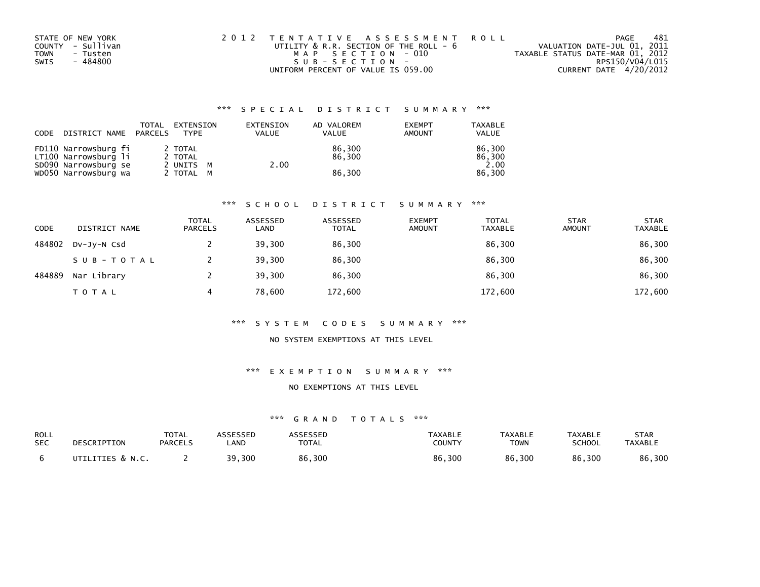| STATE OF NEW YORK       | 2012 TENTATIVE ASSESSMENT ROLL              | PAGE                             | 481 |
|-------------------------|---------------------------------------------|----------------------------------|-----|
| COUNTY - Sullivan       | UTILITY $\&$ R.R. SECTION OF THE ROLL - $6$ | VALUATION DATE-JUL 01, 2011      |     |
| <b>TOWN</b><br>- Tusten | MAP SECTION - 010                           | TAXABLE STATUS DATE-MAR 01, 2012 |     |
| - 484800<br>SWIS        | SUB-SECTION-                                | RPS150/V04/L015                  |     |
|                         | UNIFORM PERCENT OF VALUE IS 059.00          | CURRENT DATE 4/20/2012           |     |

| CODE | DISTRICT NAME                                | TOTAL<br>PARCELS | EXTENSION<br><b>TYPF</b> | EXTENSION<br>VALUE | AD VALOREM<br><b>VALUE</b> | <b>EXEMPT</b><br>AMOUNT | <b>TAXABLE</b><br><b>VALUE</b> |
|------|----------------------------------------------|------------------|--------------------------|--------------------|----------------------------|-------------------------|--------------------------------|
|      | FD110 Narrowsburg fi<br>LT100 Narrowsburg li |                  | 2 TOTAL<br>2 TOTAL       |                    | 86.300<br>86.300           |                         | 86.300<br>86.300               |
|      | SD090 Narrowsburg se                         |                  | 2 UNITS M                | 2.00               |                            |                         | 2.00                           |
|      | WD050 Narrowsburg wa                         |                  | 2 TOTAL M                |                    | 86.300                     |                         | 86.300                         |

#### \*\*\* S C H O O L D I S T R I C T S U M M A R Y \*\*\*

| CODE   | DISTRICT NAME | <b>TOTAL</b><br><b>PARCELS</b> | ASSESSED<br>LAND | ASSESSED<br><b>TOTAL</b> | <b>EXEMPT</b><br><b>AMOUNT</b> | <b>TOTAL</b><br><b>TAXABLE</b> | <b>STAR</b><br><b>AMOUNT</b> | <b>STAR</b><br><b>TAXABLE</b> |
|--------|---------------|--------------------------------|------------------|--------------------------|--------------------------------|--------------------------------|------------------------------|-------------------------------|
| 484802 | DV-JV-N Csd   |                                | 39,300           | 86,300                   |                                | 86,300                         |                              | 86,300                        |
|        | SUB-TOTAL     |                                | 39,300           | 86,300                   |                                | 86,300                         |                              | 86,300                        |
| 484889 | Nar Library   |                                | 39,300           | 86.300                   |                                | 86,300                         |                              | 86,300                        |
|        | TOTAL         | 4                              | 78,600           | 172,600                  |                                | 172,600                        |                              | 172,600                       |

#### \*\*\* S Y S T E M C O D E S S U M M A R Y \*\*\*

#### NO SYSTEM EXEMPTIONS AT THIS LEVEL

#### \*\*\* E X E M P T I O N S U M M A R Y \*\*\*

#### NO EXEMPTIONS AT THIS LEVEL

| ROLL       | DESCRIPTION      | <b>TOTAL</b>   | <b>ASSESSED</b> | <b>ASSESSED</b> | <b>TAXABLE</b> | <b>TAXABLE</b> | <b>TAXABLE</b> | <b>STAR</b>    |
|------------|------------------|----------------|-----------------|-----------------|----------------|----------------|----------------|----------------|
| <b>SEC</b> |                  | <b>PARCELS</b> | <b>_AND</b>     | <b>TOTAL</b>    | COUNTY         | <b>TOWN</b>    | <b>SCHOOL</b>  | <b>TAXABLE</b> |
|            | UTILITIES & N.C. |                | 39,300          | 86,300          | 86,300         | 86,300         | 86,300         | 86,300         |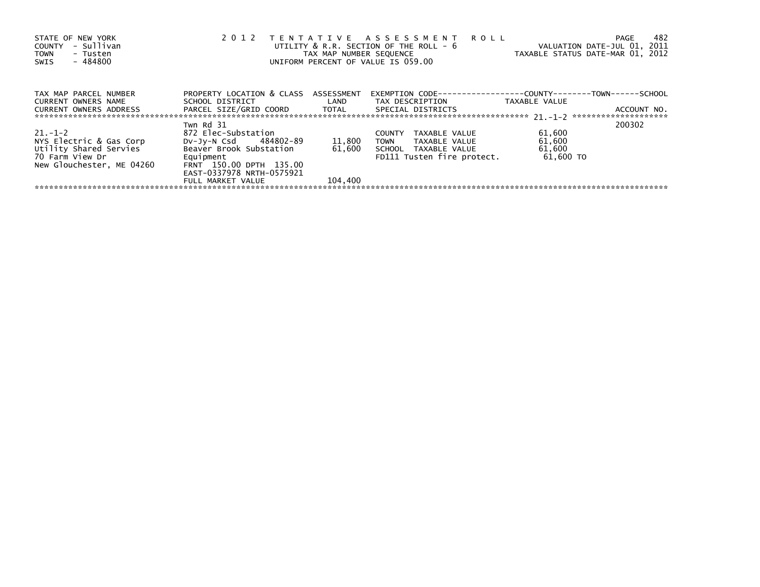| STATE OF NEW YORK<br>- Sullivan<br>COUNTY<br>- Tusten<br><b>TOWN</b><br>- 484800<br>SWIS | 2 0 1 2<br>TENTATIVE ASSESSMENT ROLL<br>VALUATION DATE-JUL 01, 2011<br>UTILITY $\&$ R.R. SECTION OF THE ROLL - $6$<br>TAXABLE STATUS DATE-MAR 01, 2012<br>TAX MAP NUMBER SEOUENCE<br>UNIFORM PERCENT OF VALUE IS 059.00 |                   |                                                                      |                     |             |  |  |
|------------------------------------------------------------------------------------------|-------------------------------------------------------------------------------------------------------------------------------------------------------------------------------------------------------------------------|-------------------|----------------------------------------------------------------------|---------------------|-------------|--|--|
| TAX MAP PARCEL NUMBER                                                                    | PROPERTY LOCATION & CLASS ASSESSMENT                                                                                                                                                                                    |                   | EXEMPTION        CODE-----------------COUNTY--------TOWN------SCHOOL |                     |             |  |  |
| CURRENT OWNERS NAME<br><b>CURRENT OWNERS ADDRESS</b>                                     | SCHOOL DISTRICT<br>PARCEL SIZE/GRID COORD TOTAL                                                                                                                                                                         | <b>Example 12</b> | TAX DESCRIPTION<br>SPECIAL DISTRICTS                                 | TAXABLE VALUE       | ACCOUNT NO. |  |  |
|                                                                                          | Twn Rd 31                                                                                                                                                                                                               |                   |                                                                      |                     | 200302      |  |  |
| $21. - 1 - 2$                                                                            | 872 Elec-Substation                                                                                                                                                                                                     |                   | <b>COUNTY</b><br>TAXABLE VALUE                                       | 61,600              |             |  |  |
| NYS Electric & Gas Corp                                                                  | DV-Jy-N Csd 484802-89                                                                                                                                                                                                   | 11,800            | TOWN<br>TAXABLE VALUE                                                | 61,600              |             |  |  |
| Utility Shared Servies<br>70 Farm View Dr<br>New Glouchester, ME 04260                   | Beaver Brook Substation<br>Equipment<br>FRNT 150.00 DPTH 135.00<br>EAST-0337978 NRTH-0575921                                                                                                                            | 61,600            | SCHOOL TAXABLE VALUE<br>FD111 Tusten fire protect.                   | 61,600<br>61,600 TO |             |  |  |
|                                                                                          | FULL MARKET VALUE                                                                                                                                                                                                       | 104,400           |                                                                      |                     |             |  |  |
|                                                                                          |                                                                                                                                                                                                                         |                   |                                                                      |                     |             |  |  |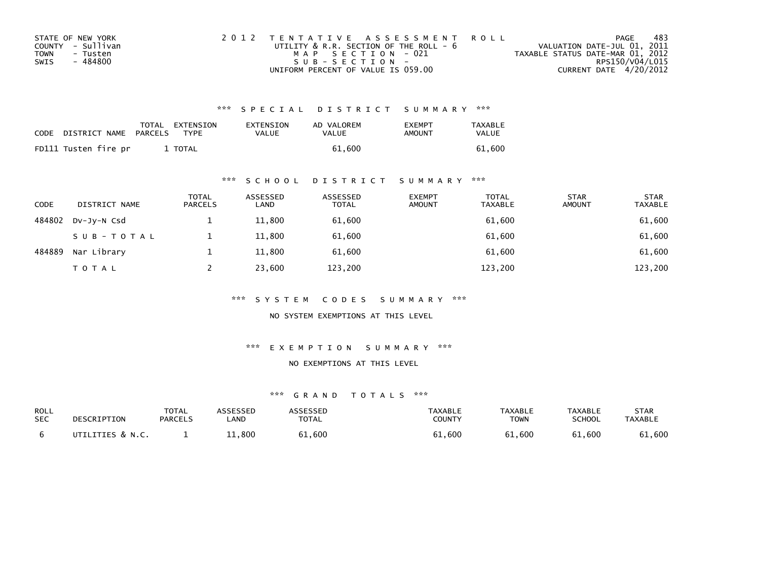| STATE OF NEW YORK       | 2012 TENTATIVE ASSESSMENT ROLL         | PAGE                             | -483            |
|-------------------------|----------------------------------------|----------------------------------|-----------------|
| COUNTY - Sullivan       | UTILITY & R.R. SECTION OF THE ROLL - 6 | VALUATION DATE-JUL 01, 2011      |                 |
| <b>TOWN</b><br>- Tusten | MAP SECTION - 021                      | TAXABLE STATUS DATE-MAR 01, 2012 |                 |
| SWIS<br>- 484800        | $SUB - SECTION -$                      |                                  | RPS150/V04/L015 |
|                         | UNIFORM PERCENT OF VALUE IS 059.00     | CURRENT DATE 4/20/2012           |                 |

| <b>CODE</b> | DISTRICT NAME        | TOTAL<br>PARCELS | EXTENSION<br><b>TYPE</b> | EXTENSION<br>VALUE | AD VALOREM<br>VALUE | <b>EXEMPT</b><br>AMOUNT | <b>TAXABLE</b><br>VALUE |
|-------------|----------------------|------------------|--------------------------|--------------------|---------------------|-------------------------|-------------------------|
|             | FD111 Tusten fire pr |                  | <b>TOTAL</b>             |                    | 61.600              |                         | 61.600                  |

## \*\*\* S C H O O L D I S T R I C T S U M M A R Y \*\*\*

| <b>CODE</b> | DISTRICT NAME | <b>TOTAL</b><br><b>PARCELS</b> | ASSESSED<br>LAND | ASSESSED<br><b>TOTAL</b> | <b>EXEMPT</b><br><b>AMOUNT</b> | <b>TOTAL</b><br>TAXABLE | <b>STAR</b><br><b>AMOUNT</b> | <b>STAR</b><br><b>TAXABLE</b> |
|-------------|---------------|--------------------------------|------------------|--------------------------|--------------------------------|-------------------------|------------------------------|-------------------------------|
| 484802      | DV-JY-N Csd   |                                | 11,800           | 61,600                   |                                | 61,600                  |                              | 61,600                        |
|             | SUB-TOTAL     |                                | 11,800           | 61,600                   |                                | 61,600                  |                              | 61,600                        |
| 484889      | Nar Library   |                                | 11,800           | 61,600                   |                                | 61,600                  |                              | 61,600                        |
|             | <b>TOTAL</b>  |                                | 23,600           | 123,200                  |                                | 123,200                 |                              | 123,200                       |

\*\*\* S Y S T E M C O D E S S U M M A R Y \*\*\*

NO SYSTEM EXEMPTIONS AT THIS LEVEL

\*\*\* E X E M P T I O N S U M M A R Y \*\*\*

#### NO EXEMPTIONS AT THIS LEVEL

| ROLL       | DESCRIPTION      | <b>TOTAL</b>   | ASSESSED   | <b>ASSESSED</b> | TAXABLE       | <b>TAXABLE</b> | <b>TAXABLE</b> | STAR           |
|------------|------------------|----------------|------------|-----------------|---------------|----------------|----------------|----------------|
| <b>SEC</b> |                  | <b>PARCELS</b> | <b>AND</b> | <b>TOTAL</b>    | <b>COUNTY</b> | TOWN           | <b>SCHOOL</b>  | <b>TAXABLE</b> |
|            | UTILITIES & N.C. |                | 11,800     | 61,600          | 61,600        | 61,600         | 61,600         | 61,600         |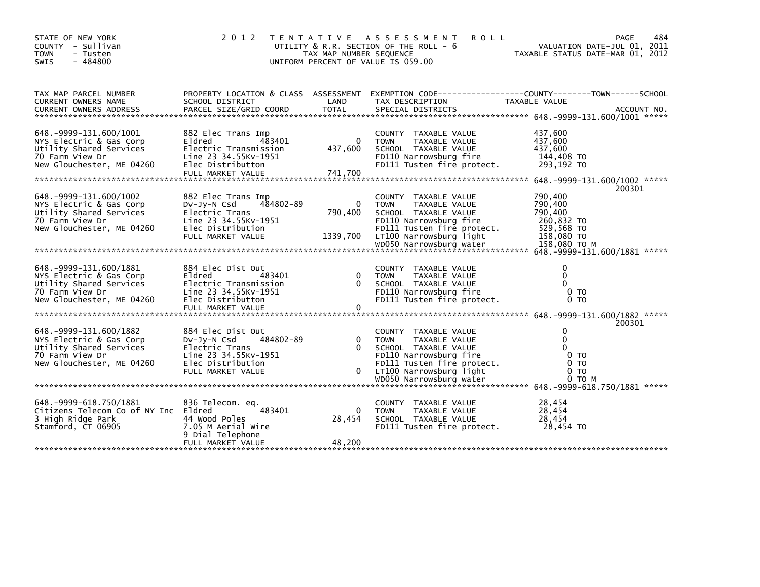| STATE OF NEW YORK<br>COUNTY - Sullivan<br><b>TOWN</b><br>- Tusten<br>$-484800$<br><b>SWIS</b>                                     |                                                                                                                                     | TAX MAP NUMBER SEQUENCE              | 2012 TENTATIVE ASSESSMENT<br><b>ROLL</b><br>UTILITY & R.R. SECTION OF THE ROLL - 6<br>UNIFORM PERCENT OF VALUE IS 059.00                                        | VALUATION DATE-JUL 01, 2011<br>TAXABLE STATUS DATE-MAR 01, 2012                     | 484<br>PAGE |
|-----------------------------------------------------------------------------------------------------------------------------------|-------------------------------------------------------------------------------------------------------------------------------------|--------------------------------------|-----------------------------------------------------------------------------------------------------------------------------------------------------------------|-------------------------------------------------------------------------------------|-------------|
| TAX MAP PARCEL NUMBER<br>CURRENT OWNERS NAME                                                                                      | PROPERTY LOCATION & CLASS ASSESSMENT<br>SCHOOL DISTRICT                                                                             | LAND                                 | EXEMPTION        CODE-----------------COUNTY-------TOWN------SCHOOL<br>TAX DESCRIPTION                                                                          | TAXABLE VALUE                                                                       |             |
| 648. -9999-131. 600/1001<br>NYS Electric & Gas Corp<br>Utility Shared Services<br>70 Farm View Dr<br>New Glouchester, ME 04260    | 882 Elec Trans Imp<br>Eldred<br>483401<br>Electric Transmission<br>Line 23 34.55KV-1951<br>Elec Distributton                        | $\Omega$<br>437,600                  | COUNTY TAXABLE VALUE<br>TAXABLE VALUE<br><b>TOWN</b><br>SCHOOL TAXABLE VALUE<br>FD110 Narrowsburg fire<br>FD111 Tusten fire protect.                            | 437,600<br>437,600<br>437,600<br>144,408 TO<br>293,192 TO                           |             |
| 648. -9999-131. 600/1002<br>NYS Electric & Gas Corp<br>Utility Shared Services<br>70 Farm View Dr<br>New Glouchester, ME 04260    | 882 Elec Trans Imp<br>484802-89<br>DV-Jy-N Csd<br>Electric Trans<br>Line 23 34.55Kv-1951<br>Elec Distribution<br>FULL MARKET VALUE  | $\mathbf{0}$<br>790,400<br>1339,700  | COUNTY TAXABLE VALUE<br><b>TOWN</b><br>TAXABLE VALUE<br>SCHOOL TAXABLE VALUE<br>FD110 Narrowsburg fire<br>FD111 Tusten fire protect.<br>LT100 Narrowsburg light | 790,400<br>790,400<br>790,400<br>260,832 TO<br>529,568 TO<br>158,080 TO             | 200301      |
| 648. - 9999 - 131. 600/1881<br>NYS Electric & Gas Corp<br>Utility Shared Services<br>70 Farm View Dr<br>New Glouchester, ME 04260 | 884 Elec Dist Out<br>Eldred<br>483401<br>Electric Transmission<br>Line 23 34.55Kv-1951<br>Elec Distributton<br>FULL MARKET VALUE    | $\Omega$<br>$\Omega$<br>$\mathbf{0}$ | COUNTY<br>TAXABLE VALUE<br><b>TOWN</b><br>TAXABLE VALUE<br>SCHOOL TAXABLE VALUE<br>FD110 Narrowsburg fire<br>FD111 Tusten fire protect.                         | 0<br>$\mathbf{0}$<br>$\Omega$<br>0 <sub>T</sub><br>0 <sub>T</sub>                   |             |
| 648.-9999-131.600/1882<br>NYS Electric & Gas Corp<br>Utility Shared Services<br>70 Farm View Dr<br>New Glouchester, ME 04260      | 884 Elec Dist Out<br>484802-89<br>$Dv-Jy-N$ Csd<br>Electric Trans<br>Line 23 34.55KV-1951<br>Elec Distribution<br>FULL MARKET VALUE | $\Omega$<br>$\Omega$<br>0            | COUNTY TAXABLE VALUE<br><b>TOWN</b><br>TAXABLE VALUE<br>SCHOOL TAXABLE VALUE<br>FD110 Narrowsburg fire<br>FD111 Tusten fire protect.<br>LT100 Narrowsburg light | 0<br>$\mathbf{0}$<br>$\Omega$<br>0 <sub>T</sub><br>0 <sub>T</sub><br>0 <sub>T</sub> | 200301      |
| 648. -9999-618. 750/1881<br>Citizens Telecom Co of NY Inc Eldred<br>3 High Ridge Park<br>Stamford, CT 06905                       | 836 Telecom. eq.<br>483401<br>44 Wood Poles<br>7.05 M Aerial Wire<br>9 Dial Telephone<br>FULL MARKET VALUE                          | $\Omega$<br>28,454<br>48,200         | COUNTY TAXABLE VALUE<br><b>TOWN</b><br>TAXABLE VALUE<br>SCHOOL TAXABLE VALUE<br>FD111 Tusten fire protect.                                                      | 28,454<br>28,454<br>28,454<br>28,454 TO                                             |             |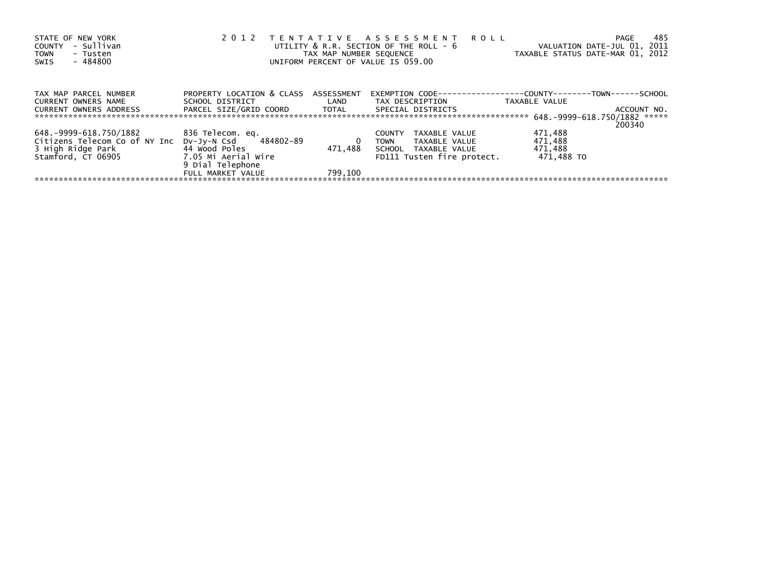| STATE OF NEW YORK<br>- Sullivan<br><b>COUNTY</b><br><b>TOWN</b><br>- Tusten<br>$-484800$<br>SWIS | 2012                                    | TAX MAP NUMBER SEQUENCE | TENTATIVE ASSESSMENT<br>ROLL<br>UTILITY $&$ R.R. SECTION OF THE ROLL - $&$<br>UNIFORM PERCENT OF VALUE IS 059.00 | VALUATION DATE-JUL 01, 2011<br>TAXABLE STATUS DATE-MAR 01, 2012 | -485<br>PAGE |
|--------------------------------------------------------------------------------------------------|-----------------------------------------|-------------------------|------------------------------------------------------------------------------------------------------------------|-----------------------------------------------------------------|--------------|
| TAX MAP PARCEL NUMBER                                                                            | PROPERTY LOCATION & CLASS ASSESSMENT    |                         | EXEMPTION CODE---                                                                                                | ---------------COUNTY--------TOWN------SCHOOL                   |              |
| <b>CURRENT OWNERS NAME</b>                                                                       | SCHOOL DISTRICT                         | LAND                    | TAX DESCRIPTION                                                                                                  | TAXABLE VALUE                                                   |              |
| <b>CURRENT OWNERS ADDRESS</b>                                                                    | PARCEL SIZE/GRID COORD TOTAL            |                         | SPECIAL DISTRICTS                                                                                                |                                                                 | ACCOUNT NO.  |
|                                                                                                  |                                         |                         |                                                                                                                  |                                                                 | 200340       |
| 648.-9999-618.750/1882                                                                           | 836 Telecom. eq.                        |                         | TAXABLE VALUE<br><b>COUNTY</b>                                                                                   | 471,488                                                         |              |
| Citizens Telecom Co of NY Inc                                                                    | DV-Jy-N Csd 484802-89                   | 0                       | TAXABLE VALUE<br><b>TOWN</b>                                                                                     | 471,488                                                         |              |
| 3 High Ridge Park                                                                                | 44 Wood Poles                           | 471.488                 | SCHOOL TAXABLE VALUE                                                                                             | 471,488                                                         |              |
| Stamford. CT 06905                                                                               | 7.05 Mi Aerial Wire<br>9 Dial Telephone |                         | FD111 Tusten fire protect.                                                                                       | 471.488 TO                                                      |              |
|                                                                                                  | FULL MARKET VALUE                       | 799.100                 |                                                                                                                  |                                                                 |              |
|                                                                                                  |                                         |                         |                                                                                                                  |                                                                 |              |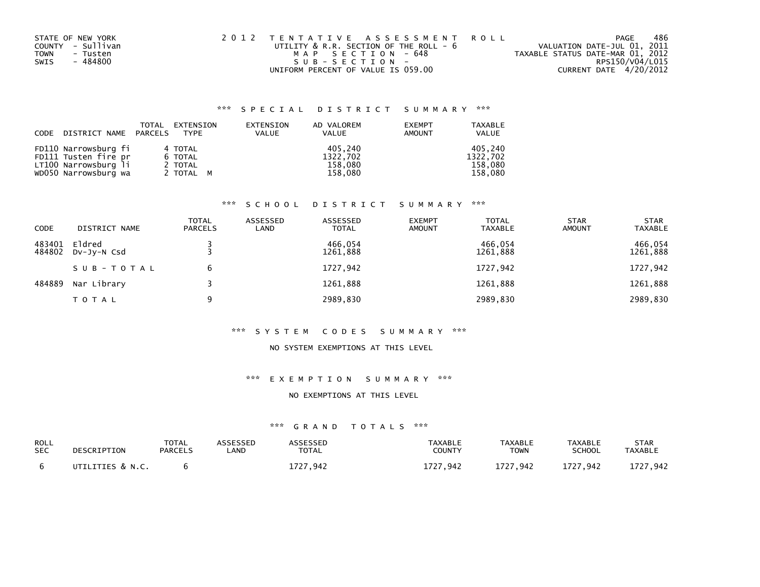| STATE OF NEW YORK | 2012 TENTATIVE ASSESSMENT ROLL         |                                  | PAGE            | 486 |
|-------------------|----------------------------------------|----------------------------------|-----------------|-----|
| COUNTY - Sullivan | UTILITY & R.R. SECTION OF THE ROLL - 6 | VALUATION DATE-JUL 01, 2011      |                 |     |
| TOWN<br>- Tusten  | MAP SECTION - 648                      | TAXABLE STATUS DATE-MAR 01, 2012 |                 |     |
| - 484800<br>SWIS  | $SUB - SECTION -$                      |                                  | RPS150/V04/L015 |     |
|                   | UNIFORM PERCENT OF VALUE IS 059.00     | CURRENT DATE 4/20/2012           |                 |     |

|      |                       | TOTAL | EXTENSION | EXTENSION    | AD VALOREM   | <b>EXEMPT</b> | <b>TAXABLE</b> |
|------|-----------------------|-------|-----------|--------------|--------------|---------------|----------------|
| CODE | DISTRICT NAME PARCELS |       | TYPE      | <b>VALUE</b> | <b>VALUE</b> | AMOUNT        | <b>VALUE</b>   |
|      |                       |       |           |              |              |               |                |
|      | FD110 Narrowsburg fi  |       | 4 TOTAL   |              | 405.240      |               | 405.240        |
|      | FD111 Tusten fire pr  |       | 6 TOTAL   |              | 1322,702     |               | 1322.702       |
|      | LT100 Narrowsburg li  |       | 2 TOTAL   |              | 158,080      |               | 158.080        |
|      | WD050 Narrowsburg wa  |       | 2 TOTAL M |              | 158,080      |               | 158.080        |

## \*\*\* S C H O O L D I S T R I C T S U M M A R Y \*\*\*

| CODE             | DISTRICT NAME         | <b>TOTAL</b><br><b>PARCELS</b> | ASSESSED<br>LAND | ASSESSED<br><b>TOTAL</b> | <b>EXEMPT</b><br><b>AMOUNT</b> | <b>TOTAL</b><br><b>TAXABLE</b> | <b>STAR</b><br><b>AMOUNT</b> | <b>STAR</b><br><b>TAXABLE</b> |
|------------------|-----------------------|--------------------------------|------------------|--------------------------|--------------------------------|--------------------------------|------------------------------|-------------------------------|
| 483401<br>484802 | Eldred<br>DV-JY-N Csd |                                |                  | 466.054<br>1261,888      |                                | 466.054<br>1261,888            |                              | 466,054<br>1261,888           |
|                  | SUB-TOTAL             | 6                              |                  | 1727,942                 |                                | 1727,942                       |                              | 1727,942                      |
| 484889           | Nar Library           |                                |                  | 1261,888                 |                                | 1261,888                       |                              | 1261,888                      |
|                  | TOTAL                 | 9                              |                  | 2989,830                 |                                | 2989,830                       |                              | 2989,830                      |

#### \*\*\* S Y S T E M C O D E S S U M M A R Y \*\*\*

## NO SYSTEM EXEMPTIONS AT THIS LEVEL

## \*\*\* E X E M P T I O N S U M M A R Y \*\*\*

#### NO EXEMPTIONS AT THIS LEVEL

| ROLL       | DESCRIPTION      | TOTAL          | <b>\SSESSED</b> | <b>\SSESSED</b> | <b>TAXABLE</b> | <b>TAXABLE</b> | <b>TAXABLE</b> | <b>STAR</b>    |
|------------|------------------|----------------|-----------------|-----------------|----------------|----------------|----------------|----------------|
| <b>SEC</b> |                  | <b>PARCELS</b> | .AND            | TOTAL           | COUNTY         | <b>TOWN</b>    | SCHOOL         | <b>TAXABLE</b> |
|            | UTILITIES & N.C. |                |                 | 727.942         | 1727.942       | 1727.942       | 1727,942       | L727.942       |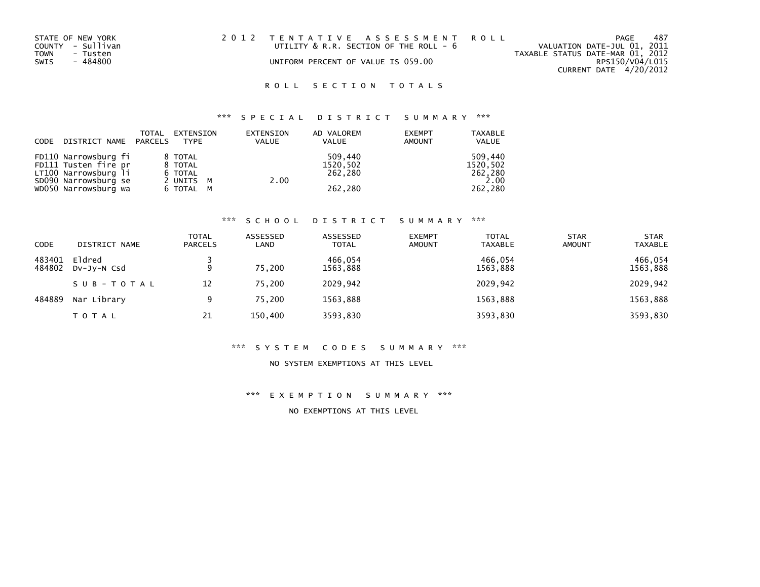| STATE OF NEW YORK | 2012 TENTATIVE ASSESSMENT ROLL         | 487<br>PAGE                      |
|-------------------|----------------------------------------|----------------------------------|
| COUNTY - Sullivan | UTILITY & R.R. SECTION OF THE ROLL - 6 | VALUATION DATE-JUL 01, 2011      |
| TOWN<br>- Tusten  |                                        | TAXABLE STATUS DATE-MAR 01, 2012 |
| SWIS<br>- 484800  | UNIFORM PERCENT OF VALUE IS 059.00     | RPS150/V04/L015                  |
|                   |                                        | CURRENT DATE 4/20/2012           |

# \*\*\* S P E C I A L D I S T R I C T S U M M A R Y \*\*\*

| CODE | DISTRICT NAME PARCELS | TOTAL | EXTENSION<br>TYPE | EXTENSION<br><b>VALUE</b> | AD VALOREM<br><b>VALUE</b> | <b>EXEMPT</b><br><b>AMOUNT</b> | <b>TAXABLE</b><br><b>VALUE</b> |
|------|-----------------------|-------|-------------------|---------------------------|----------------------------|--------------------------------|--------------------------------|
|      | FD110 Narrowsburg fi  |       | 8 TOTAL           |                           | 509.440                    |                                | 509.440                        |
|      | FD111 Tusten fire pr  |       | 8 TOTAL           |                           | 1520,502                   |                                | 1520,502                       |
|      | LT100 Narrowsburg li  |       | 6 TOTAL           |                           | 262,280                    |                                | 262,280                        |
|      | SD090 Narrowsburg se  |       | 2 UNITS M         |                           | 2.00                       |                                | 2.00                           |
|      | WD050 Narrowsburg wa  |       | 6 TOTAL M         |                           | 262,280                    |                                | 262,280                        |

#### \*\*\* S C H O O L D I S T R I C T S U M M A R Y \*\*\*

| CODE             | DISTRICT NAME         | <b>TOTAL</b><br><b>PARCELS</b> | ASSESSED<br>LAND | ASSESSED<br><b>TOTAL</b> | <b>EXEMPT</b><br><b>AMOUNT</b> | <b>TOTAL</b><br><b>TAXABLE</b> | <b>STAR</b><br><b>AMOUNT</b> | <b>STAR</b><br><b>TAXABLE</b> |
|------------------|-----------------------|--------------------------------|------------------|--------------------------|--------------------------------|--------------------------------|------------------------------|-------------------------------|
| 483401<br>484802 | Eldred<br>DV-JV-N Csd | 9                              | 75.200           | 466.054<br>1563,888      |                                | 466.054<br>1563,888            |                              | 466,054<br>1563,888           |
|                  | SUB-TOTAL             | 12                             | 75.200           | 2029,942                 |                                | 2029,942                       |                              | 2029,942                      |
| 484889           | Nar Library           | 9                              | 75,200           | 1563,888                 |                                | 1563,888                       |                              | 1563,888                      |
|                  | <b>TOTAL</b>          | 21                             | 150,400          | 3593,830                 |                                | 3593,830                       |                              | 3593,830                      |

#### \*\*\* S Y S T E M C O D E S S U M M A R Y \*\*\*

### NO SYSTEM EXEMPTIONS AT THIS LEVEL

\*\*\* E X E M P T I O N S U M M A R Y \*\*\*

NO EXEMPTIONS AT THIS LEVEL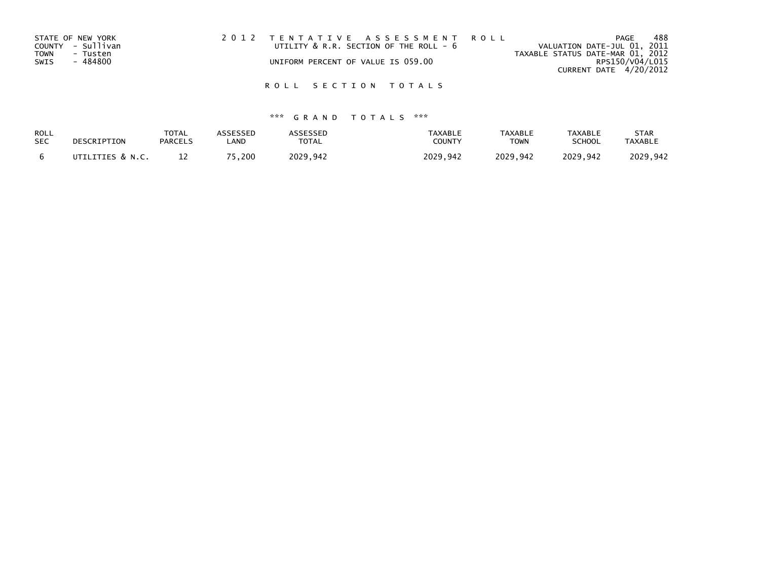| STATE OF NEW YORK       | 2012 TENTATIVE ASSESSMENT ROLL         | PAGE                             | 488 |
|-------------------------|----------------------------------------|----------------------------------|-----|
| COUNTY - Sullivan       | UTILITY & R.R. SECTION OF THE ROLL - 6 | VALUATION DATE-JUL 01, 2011      |     |
| <b>TOWN</b><br>- Tusten |                                        | TAXABLE STATUS DATE-MAR 01, 2012 |     |
| - 484800<br>SWIS        | UNIFORM PERCENT OF VALUE IS 059.00     | RPS150/V04/L015                  |     |
|                         |                                        | CURRENT DATE 4/20/2012           |     |
|                         |                                        |                                  |     |

| ROLL       | DESCRIPTION      | <b>TOTAL</b>   | ASSESSED | <b>ASSESSED</b> | <b>TAXABLE</b> | <b>TAXABLE</b> | <b>TAXABLE</b> | <b>STAR</b>    |
|------------|------------------|----------------|----------|-----------------|----------------|----------------|----------------|----------------|
| <b>SEC</b> |                  | <b>PARCELS</b> | _AND     | <b>TOTAL</b>    | COUNTY         | <b>TOWN</b>    | <b>SCHOOL</b>  | <b>TAXABLE</b> |
|            | UTILITIES & N.C. |                | 75.200   | 2029.942        | 2029.942       | 2029.942       | 2029.942       | 2029.942       |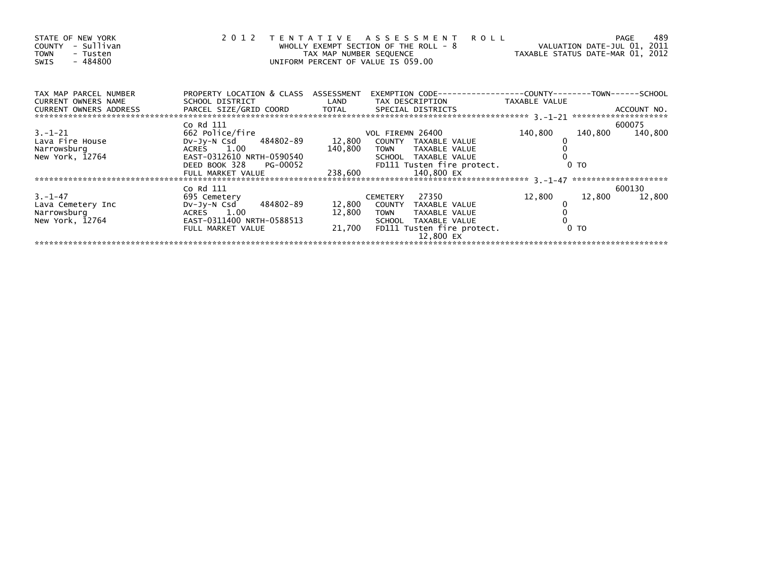| STATE OF NEW YORK<br>- Sullivan<br>COUNTY<br><b>TOWN</b><br>- Tusten<br>- 484800<br>SWIS |                                                     | TAX MAP NUMBER SEQUENCE | 2012 TENTATIVE ASSESSMENT ROLL<br>WHOLLY EXEMPT SECTION OF THE ROLL - 8<br>UNIFORM PERCENT OF VALUE IS 059.00 | VALUATION DATE-JUL 01, 2011<br>TAXABLE STATUS DATE-MAR 01, 2012 | 489<br><b>PAGE</b> |
|------------------------------------------------------------------------------------------|-----------------------------------------------------|-------------------------|---------------------------------------------------------------------------------------------------------------|-----------------------------------------------------------------|--------------------|
| TAX MAP PARCEL NUMBER                                                                    | PROPERTY LOCATION & CLASS ASSESSMENT                |                         |                                                                                                               |                                                                 |                    |
| <b>CURRENT OWNERS NAME</b><br>CURRENT OWNERS ADDRESS                                     | SCHOOL DISTRICT NOTES                               | LAND                    | TAX DESCRIPTION TAXABLE VALUE                                                                                 |                                                                 |                    |
|                                                                                          | Co Rd 111                                           |                         |                                                                                                               |                                                                 | 600075             |
| $3. - 1 - 21$                                                                            | 662 Police/fire                                     |                         | VOL FIREMN 26400                                                                                              | 140,800                                                         | 140,800 140,800    |
| Lava Fire House                                                                          | DV-Jy-N Csd 484802-89 12,800                        |                         | COUNTY TAXABLE VALUE                                                                                          |                                                                 |                    |
| Narrowsburg                                                                              | ACRES 1.00                                          | 140,800                 | TOWN TAXABLE VALUE                                                                                            |                                                                 |                    |
| New York, 12764                                                                          | EAST-0312610 NRTH-0590540<br>DEED BOOK 328 PG-00052 |                         | SCHOOL TAXABLE VALUE                                                                                          | 0 <sub>T</sub>                                                  |                    |
|                                                                                          |                                                     |                         | FD111 Tusten fire protect.<br>140,800 EX                                                                      |                                                                 |                    |
|                                                                                          | FULL MARKET VALUE                                   | 238,600                 |                                                                                                               |                                                                 |                    |
|                                                                                          | Co Rd 111                                           |                         |                                                                                                               |                                                                 | 600130             |
| $3. -1 - 47$                                                                             | 695 Cemetery                                        |                         | 27350<br>CEMETERY                                                                                             | 12,800<br>12,800                                                | 12,800             |
| Lava Cemetery Inc                                                                        | DV-Jy-N Csd 484802-89                               | 12,800                  | COUNTY TAXABLE VALUE                                                                                          |                                                                 |                    |
| Narrowsburg                                                                              | ACRES 1.00                                          | 12,800                  | <b>TOWN</b><br>TAXABLE VALUE                                                                                  |                                                                 |                    |
| New York, 12764                                                                          | EAST-0311400 NRTH-0588513                           |                         | SCHOOL TAXABLE VALUE                                                                                          |                                                                 |                    |
|                                                                                          | FULL MARKET VALUE                                   |                         | 21,700 FD111 Tusten fire protect.<br>12.800 EX                                                                | 0 <sub>T</sub>                                                  |                    |
|                                                                                          |                                                     |                         |                                                                                                               |                                                                 |                    |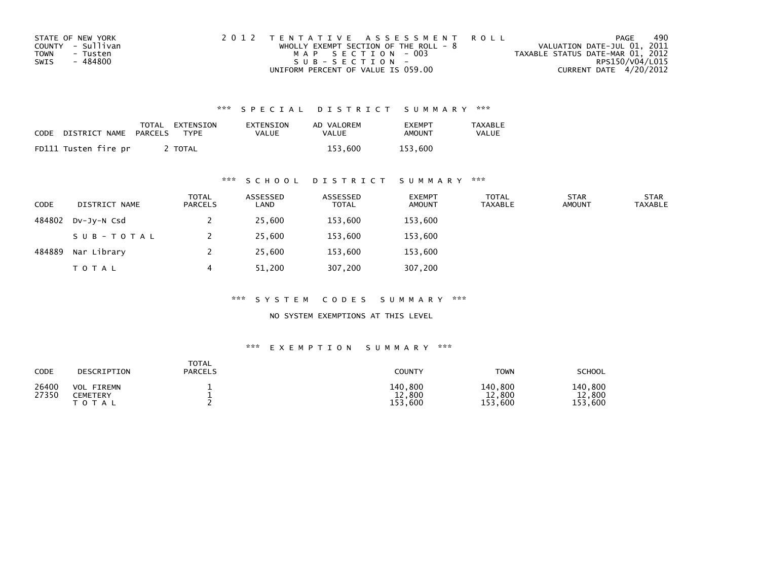| STATE OF NEW YORK       | 2012 TENTATIVE ASSESSMENT ROLL          | PAGE                             | 490             |
|-------------------------|-----------------------------------------|----------------------------------|-----------------|
| COUNTY - Sullivan       | WHOLLY EXEMPT SECTION OF THE ROLL - $8$ | VALUATION DATE-JUL 01, 2011      |                 |
| <b>TOWN</b><br>- Tusten | MAP SECTION - 003                       | TAXABLE STATUS DATE-MAR 01, 2012 |                 |
| SWIS<br>- 484800        | $SUB - SECTION -$                       |                                  | RPS150/V04/L015 |
|                         | UNIFORM PERCENT OF VALUE IS 059.00      | CURRENT DATE 4/20/2012           |                 |

| CODE | DISTRICT NAME        | TOTAL<br>PARCELS | EXTENSION<br><b>TYPF</b> | EXTENSION<br><b>VALUE</b> | AD VALOREM<br>VALUE | <b>FXFMPT</b><br><b>AMOUNT</b> | <b>TAXABLE</b><br>VALUE |
|------|----------------------|------------------|--------------------------|---------------------------|---------------------|--------------------------------|-------------------------|
|      | FD111 Tusten fire pr |                  | <b>TOTAL</b>             |                           | 153.600             | 153.600                        |                         |

## \*\*\* S C H O O L D I S T R I C T S U M M A R Y \*\*\*

| <b>CODE</b> | DISTRICT NAME | <b>TOTAL</b><br>PARCELS | ASSESSED<br>LAND | ASSESSED<br><b>TOTAL</b> | <b>EXEMPT</b><br><b>AMOUNT</b> | <b>TOTAL</b><br><b>TAXABLE</b> | <b>STAR</b><br><b>AMOUNT</b> | <b>STAR</b><br><b>TAXABLE</b> |
|-------------|---------------|-------------------------|------------------|--------------------------|--------------------------------|--------------------------------|------------------------------|-------------------------------|
| 484802      | $Dv-Jv-N$ Csd |                         | 25,600           | 153,600                  | 153,600                        |                                |                              |                               |
|             | SUB-TOTAL     |                         | 25,600           | 153,600                  | 153,600                        |                                |                              |                               |
| 484889      | Nar Library   |                         | 25,600           | 153,600                  | 153,600                        |                                |                              |                               |
|             | <b>TOTAL</b>  | 4                       | 51,200           | 307,200                  | 307,200                        |                                |                              |                               |

\*\*\* S Y S T E M C O D E S S U M M A R Y \*\*\*

NO SYSTEM EXEMPTIONS AT THIS LEVEL

| CODE           | DESCRIPTION                                          | <b>TOTAL</b><br><b>PARCELS</b> | <b>COUNTY</b>                    | <b>TOWN</b>                      | <b>SCHOOL</b>                    |
|----------------|------------------------------------------------------|--------------------------------|----------------------------------|----------------------------------|----------------------------------|
| 26400<br>27350 | <b>VOL FIREMN</b><br><b>CEMETERY</b><br><b>TOTAL</b> |                                | 140,800<br>12,800<br>.600<br>153 | 140,800<br>,800<br>12<br>153,600 | 140,800<br>12,800<br>.600<br>153 |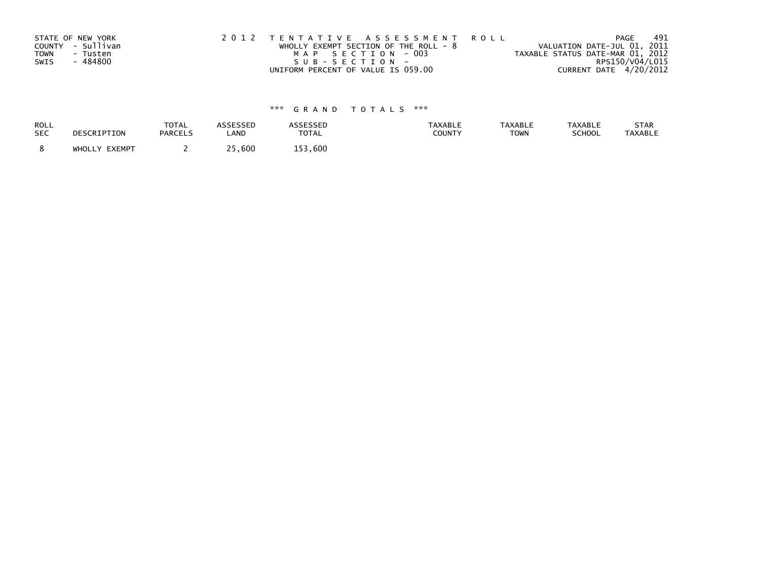| STATE OF NEW YORK       | 2012 TENTATIVE ASSESSMENT ROLL          | PAGE                             | 491 |
|-------------------------|-----------------------------------------|----------------------------------|-----|
| COUNTY - Sullivan       | WHOLLY EXEMPT SECTION OF THE ROLL - $8$ | VALUATION DATE-JUL 01, 2011      |     |
| <b>TOWN</b><br>- Tusten | MAP SECTION - 003                       | TAXABLE STATUS DATE-MAR 01, 2012 |     |
| - 484800<br>SWIS        | SUB-SECTION-                            | RPS150/V04/L015                  |     |
|                         | UNIFORM PERCENT OF VALUE IS 059.00      | CURRENT DATE 4/20/2012           |     |

| <b>ROLL</b> | DESCRIPTION   | <b>TOTAL</b>   | <b>ASSESSED</b> | ASSESSED | <b>TAXABLE</b> | <b>TAXABLE</b> | <b>TAXABLE</b> | STAR           |
|-------------|---------------|----------------|-----------------|----------|----------------|----------------|----------------|----------------|
| <b>SEC</b>  |               | <b>PARCELS</b> | LAND            | TOTAL    | COUNTY         | <b>TOWN</b>    | SCHOOL         | <b>TAXABLE</b> |
|             | WHOLLY EXEMPT |                | 25,600          | 153.600  |                |                |                |                |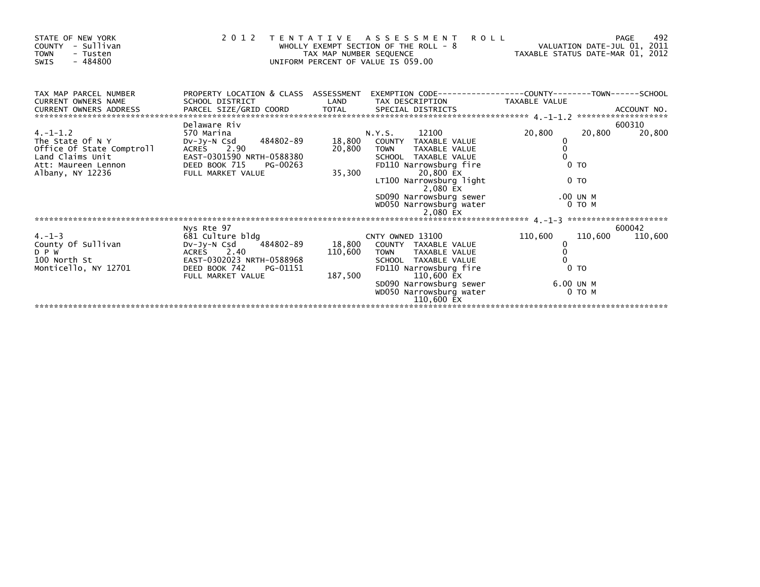| STATE OF NEW YORK<br>- Sullivan<br><b>COUNTY</b><br><b>TOWN</b><br>- Tusten<br>- 484800<br>SWIS                                                                        |                                                         | TAX MAP NUMBER SEQUENCE | 2012 TENTATIVE ASSESSMENT<br><b>ROLL</b><br>WHOLLY EXEMPT SECTION OF THE ROLL - 8<br>UNIFORM PERCENT OF VALUE IS 059.00 |                     | 492<br>PAGE |
|------------------------------------------------------------------------------------------------------------------------------------------------------------------------|---------------------------------------------------------|-------------------------|-------------------------------------------------------------------------------------------------------------------------|---------------------|-------------|
| TAX MAP PARCEL NUMBER<br><b>CURRENT OWNERS NAME</b>                                                                                                                    | PROPERTY LOCATION & CLASS ASSESSMENT<br>SCHOOL DISTRICT | LAND                    | EXEMPTION        CODE-----------------COUNTY-------TOWN------SCHOOL<br>TAX DESCRIPTION TAXABLE VALUE                    |                     |             |
| CURRENT OWNERS ADDRESS FARCEL SIZE/GRID COORD TOTAL SPECIAL DISTRICTS (2008) ACCOUNT NO.<br>EXAMPLE STARCEL SIZE/GRID COORD TOTAL SPECIAL DISTRICTS (2008) ACCOUNT NO. |                                                         |                         |                                                                                                                         |                     |             |
|                                                                                                                                                                        | Delaware Riv                                            |                         |                                                                                                                         |                     | 600310      |
| $4. -1 - 1.2$                                                                                                                                                          | 570 Marina                                              |                         | N.Y.S. 12100                                                                                                            | 20,800<br>20,800    | 20,800      |
| The State Of N Y                                                                                                                                                       | DV-Jy-N Csd 484802-89                                   | 18,800                  | COUNTY TAXABLE VALUE                                                                                                    |                     |             |
| Office Of State Comptroll<br>Land Claims Unit<br>Att: Maureen Lennon                                                                                                   | ACRES 2.90<br>EAST-0301590 NRTH-0588380                 |                         | 20,800 TOWN<br>TAXABLE VALUE<br>SCHOOL TAXABLE VALUE                                                                    |                     |             |
|                                                                                                                                                                        | DEED BOOK 715<br>PG-00263                               |                         | FD110 Narrowsburg fire                                                                                                  | 0 <sub>T</sub>      |             |
| Albany, NY 12236                                                                                                                                                       | FULL MARKET VALUE                                       | 35,300                  | 20,800 EX                                                                                                               |                     |             |
|                                                                                                                                                                        |                                                         |                         | LT100 Narrowsburg light<br>2,080 EX                                                                                     | 0 <sub>T</sub>      |             |
|                                                                                                                                                                        |                                                         |                         | SD090 Narrowsburg sewer                                                                                                 | .00 UN M            |             |
|                                                                                                                                                                        |                                                         |                         | WD050 Narrowsburg water                                                                                                 | $0$ TO M            |             |
|                                                                                                                                                                        |                                                         |                         |                                                                                                                         |                     |             |
|                                                                                                                                                                        |                                                         |                         |                                                                                                                         |                     | 600042      |
| $4. - 1 - 3$                                                                                                                                                           | Nys Rte 97<br>681 Culture bldg                          |                         | CNTY OWNED 13100                                                                                                        | 110,600<br>110,600  | 110,600     |
| County Of Sullivan                                                                                                                                                     | DV-Jy-N Csd 484802-89                                   |                         | 18,800 COUNTY TAXABLE VALUE                                                                                             | 0                   |             |
| D P W                                                                                                                                                                  | ACRES 2.40                                              |                         | 110,600 TOWN TAXABLE VALUE                                                                                              |                     |             |
| 100 North St                                                                                                                                                           | EAST-0302023 NRTH-0588968                               |                         | SCHOOL TAXABLE VALUE                                                                                                    |                     |             |
| Monticello, NY 12701                                                                                                                                                   | DEED BOOK 742<br>PG-01151                               |                         | FD110 Narrowsburg fire                                                                                                  | 0 <sub>T</sub>      |             |
|                                                                                                                                                                        | FULL MARKET VALUE                                       |                         | 187,500 110,600 EX                                                                                                      |                     |             |
|                                                                                                                                                                        |                                                         |                         | SD090 Narrowsburg sewer<br>WD050 Narrowsburg water                                                                      | 6.00 UN M<br>0 TO M |             |
|                                                                                                                                                                        |                                                         |                         | 110,600 EX                                                                                                              |                     |             |
|                                                                                                                                                                        |                                                         |                         |                                                                                                                         |                     |             |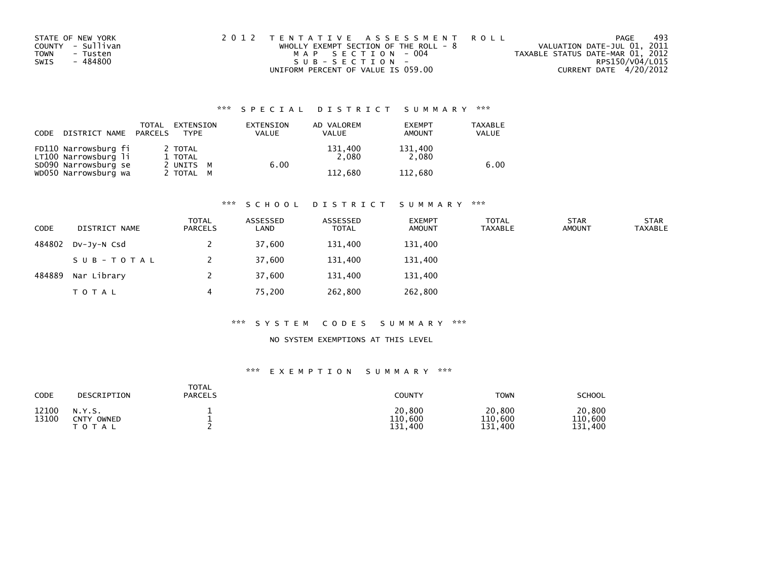| STATE OF NEW YORK       | 2012 TENTATIVE ASSESSMENT ROLL          | PAGE                             | 493             |
|-------------------------|-----------------------------------------|----------------------------------|-----------------|
| COUNTY - Sullivan       | WHOLLY EXEMPT SECTION OF THE ROLL - $8$ | VALUATION DATE-JUL 01, 2011      |                 |
| <b>TOWN</b><br>- Tusten | MAP SECTION - 004                       | TAXABLE STATUS DATE-MAR 01, 2012 |                 |
| - 484800<br>SWIS        | SUB-SECTION-                            |                                  | RPS150/V04/L015 |
|                         | UNIFORM PERCENT OF VALUE IS 059.00      | CURRENT DATE 4/20/2012           |                 |

| CODE | DISTRICT NAME                                | TOTAL<br>PARCELS | EXTENSION<br><b>TYPF</b> | EXTENSION<br>VALUE | AD VALOREM<br><b>VALUE</b> | <b>EXEMPT</b><br><b>AMOUNT</b> | <b>TAXABLE</b><br><b>VALUE</b> |
|------|----------------------------------------------|------------------|--------------------------|--------------------|----------------------------|--------------------------------|--------------------------------|
|      | FD110 Narrowsburg fi<br>LT100 Narrowsburg li |                  | 2 TOTAL<br>1 TOTAL       |                    | 131,400<br>2.080           | 131,400<br>2.080               |                                |
|      | SD090 Narrowsburg se<br>WD050 Narrowsburg wa |                  | 2 UNITS M<br>2 TOTAL M   |                    | 6.00<br>112.680            | 112.680                        | 6.00                           |

#### \*\*\* S C H O O L D I S T R I C T S U M M A R Y \*\*\*

| <b>CODE</b> | DISTRICT NAME | <b>TOTAL</b><br><b>PARCELS</b> | ASSESSED<br>LAND | ASSESSED<br>TOTAL | <b>EXEMPT</b><br><b>AMOUNT</b> | <b>TOTAL</b><br>TAXABLE | <b>STAR</b><br><b>AMOUNT</b> | <b>STAR</b><br><b>TAXABLE</b> |
|-------------|---------------|--------------------------------|------------------|-------------------|--------------------------------|-------------------------|------------------------------|-------------------------------|
| 484802      | DV-JY-N Csd   |                                | 37,600           | 131,400           | 131,400                        |                         |                              |                               |
|             | SUB-TOTAL     |                                | 37,600           | 131,400           | 131,400                        |                         |                              |                               |
| 484889      | Nar Library   |                                | 37,600           | 131,400           | 131,400                        |                         |                              |                               |
|             | T O T A L     | 4                              | 75,200           | 262,800           | 262,800                        |                         |                              |                               |

#### \*\*\* S Y S T E M C O D E S S U M M A R Y \*\*\*

## NO SYSTEM EXEMPTIONS AT THIS LEVEL

| CODE           | DESCRIPTION                             | TOTAL<br><b>PARCELS</b> | <b>COUNTY</b>                | <b>TOWN</b>                  | <b>SCHOOL</b>                |
|----------------|-----------------------------------------|-------------------------|------------------------------|------------------------------|------------------------------|
| 12100<br>13100 | N.Y.S.<br>CNTY<br>OWNED<br><b>TOTAL</b> | -<br>-                  | 20,800<br>110,600<br>131.400 | 20,800<br>110,600<br>131,400 | 20,800<br>110,600<br>131,400 |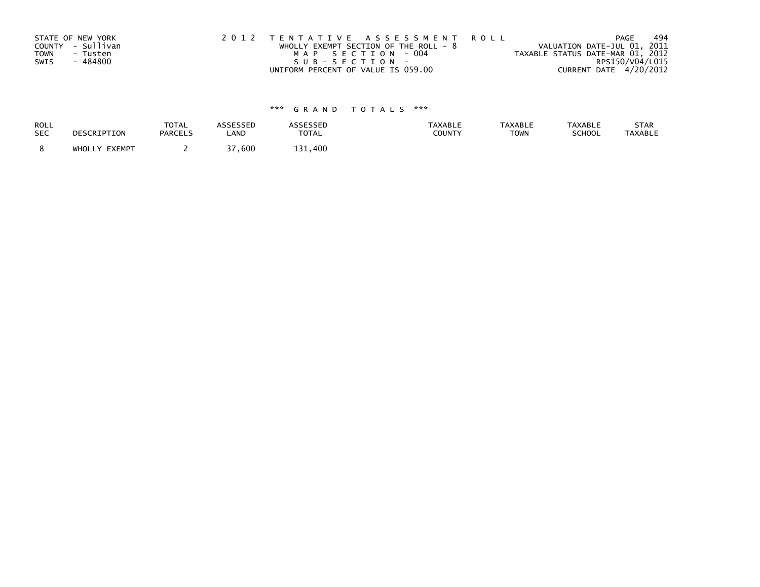|      | STATE OF NEW YORK | 2012 TENTATIVE ASSESSMENT ROLL          | PAGE                             | 494 |
|------|-------------------|-----------------------------------------|----------------------------------|-----|
|      | COUNTY - Sullivan | WHOLLY EXEMPT SECTION OF THE ROLL - $8$ | VALUATION DATE-JUL 01, 2011      |     |
| TOWN | - Tusten          | MAP SECTION - 004                       | TAXABLE STATUS DATE-MAR 01, 2012 |     |
| SWIS | - 484800          | SUB-SECTION-                            | RPS150/V04/L015                  |     |
|      |                   | UNIFORM PERCENT OF VALUE IS 059.00      | CURRENT DATE 4/20/2012           |     |

| ROLL       | DESCRIPTION   | <b>TOTAL</b>   | ASSESSED | <b>ASSESSED</b> | <b>TAXABLE</b> | <b>TAXABLE</b> | <b>TAXABLE</b> | STAR           |
|------------|---------------|----------------|----------|-----------------|----------------|----------------|----------------|----------------|
| <b>SEC</b> |               | <b>PARCELS</b> | LAND     | <b>TOTAL</b>    | <b>COUNTY</b>  | <b>TOWN</b>    | <b>SCHOOL</b>  | <b>TAXABLE</b> |
|            | WHOLLY EXEMPT |                | 37,600   | 131,400         |                |                |                |                |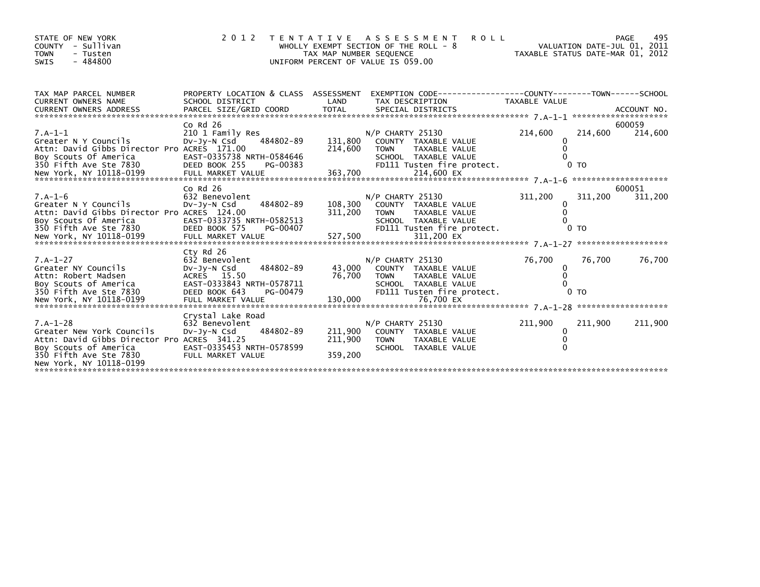| STATE OF NEW YORK<br>- Sullivan<br>COUNTY<br><b>TOWN</b><br>- Tusten<br>$-484800$<br>SWIS                                                                                                                                                                            | 2 0 1 2                                                                                                 | TENTATIVE ASSESSMENT<br>WHOLLY EXEMPT SECTION OF THE ROLL - 8<br>TAX MAP NUMBER SEQUENCE<br>UNIFORM PERCENT OF VALUE IS 059.00 |                                   | <b>ROLL</b>                                                                                        | VALUATION DATE-JUL 01, 2011<br>TAXABLE STATUS DATE-MAR 01, 2012 |                           | PAGE<br>495       |
|----------------------------------------------------------------------------------------------------------------------------------------------------------------------------------------------------------------------------------------------------------------------|---------------------------------------------------------------------------------------------------------|--------------------------------------------------------------------------------------------------------------------------------|-----------------------------------|----------------------------------------------------------------------------------------------------|-----------------------------------------------------------------|---------------------------|-------------------|
| TAX MAP PARCEL NUMBER<br><b>CURRENT OWNERS NAME</b><br>CURRENT OWNERS ADDRESS FORCEL SIZE/GRID COORD TOTAL SPECIAL DISTRICTS (ALL AND ACCOUNT NO .<br>EURRENT OWNERS ADDRESS FARCEL SIZE/GRID COORD TOTAL SPECIAL DISTRICTS (A-1-1 ********************************* | PROPERTY LOCATION & CLASS ASSESSMENT<br>SCHOOL DISTRICT                                                 | LAND                                                                                                                           | TAX DESCRIPTION                   | EXEMPTION CODE-----------------COUNTY-------TOWN------SCHOOL                                       | TAXABLE VALUE                                                   |                           |                   |
| $7.A-1-1$<br>Greater N Y Councils<br>Attn: David Gibbs Director Pro ACRES 171.00<br>Boy Scouts Of America<br>350 Fifth Ave Ste 7830                                                                                                                                  | $Co$ Rd $26$<br>210 1 Family Res<br>DV-Jy-N Csd<br>EAST-0335738 NRTH-0584646<br>DEED BOOK 255           | 131,800<br>484802-89<br>214,600<br>PG-00383                                                                                    | $N/P$ CHARTY 25130<br><b>TOWN</b> | COUNTY TAXABLE VALUE<br>TAXABLE VALUE<br>SCHOOL TAXABLE VALUE<br>FD111 Tusten fire protect.        | 214,600<br>$\Omega$                                             | 214,600<br>0 <sub>T</sub> | 600059<br>214,600 |
| $7.A-1-6$<br>Greater N Y Councils<br>Attn: David Gibbs Director Pro ACRES 124.00<br>Boy Scouts Of America                                                                                                                                                            | $Co$ Rd $26$<br>632 Benevolent<br>DV-JY-N Csd<br>EAST-0333735 NRTH-0582513                              | 484802-89<br>108,300<br>311,200                                                                                                | N/P CHARTY 25130<br><b>TOWN</b>   | COUNTY TAXABLE VALUE<br><b>TAXABLE VALUE</b>                                                       | 311,200<br>$\Omega$<br>$\Omega$                                 | 311,200                   | 600051<br>311,200 |
| $7.A-1-27$<br>Greater NY Councils<br>Attn: Robert Madsen<br>Boy Scouts of America<br>350 Fifth Ave Ste 7830                                                                                                                                                          | Cty Rd 26<br>632 Benevolent<br>DV-JY-N Csd<br>ACRES 15.50<br>EAST-0333843 NRTH-0578711<br>DEED BOOK 643 | 484802-89<br>43.000<br>76,700<br>PG-00479                                                                                      | N/P CHARTY 25130<br>TOWN          | COUNTY TAXABLE VALUE<br><b>TAXABLE VALUE</b><br>SCHOOL TAXABLE VALUE<br>FD111 Tusten fire protect. | 76,700<br>0<br>$\Omega$                                         | 76,700<br>0 <sub>T</sub>  | 76,700            |
| $7.A-1-28$<br>Greater New York Councils<br>Attn: David Gibbs Director Pro ACRES 341.25<br>Boy Scouts of America<br>350 Fifth Ave Ste 7830<br>New York, NY 10118-0199                                                                                                 | Crystal Lake Road<br>632 Benevolent<br>DV-JY-N Csd<br>EAST-0335453 NRTH-0578599<br>FULL MARKET VALUE    | 484802-89<br>211,900<br>211,900<br>359,200                                                                                     | N/P CHARTY 25130<br><b>TOWN</b>   | COUNTY TAXABLE VALUE<br>TAXABLE VALUE<br>SCHOOL TAXABLE VALUE                                      | 211,900<br>$\mathbf{0}$                                         | 211,900                   | 211,900           |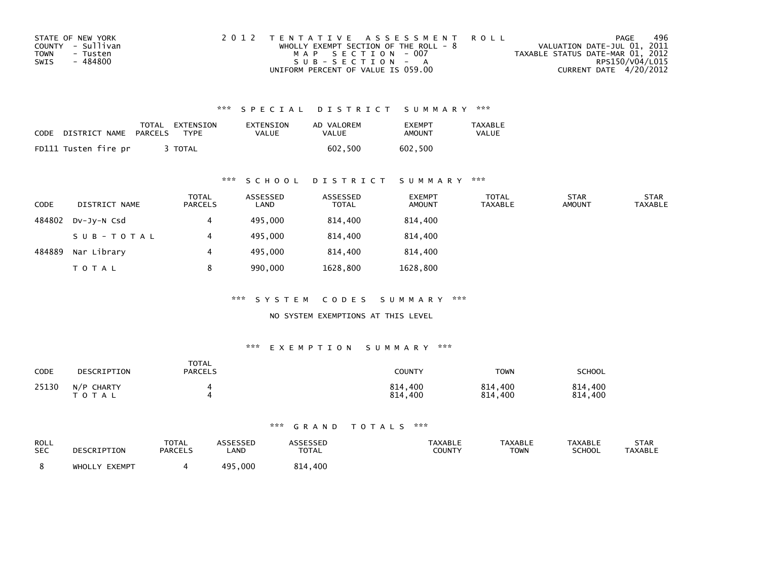| STATE OF NEW YORK       | 2012 TENTATIVE ASSESSMENT ROLL          | PAGE                             | 496 |
|-------------------------|-----------------------------------------|----------------------------------|-----|
| COUNTY - Sullivan       | WHOLLY EXEMPT SECTION OF THE ROLL - $8$ | VALUATION DATE-JUL 01, 2011      |     |
| <b>TOWN</b><br>- Tusten | MAP SECTION - 007                       | TAXABLE STATUS DATE-MAR 01, 2012 |     |
| - 484800<br>SWIS        | SUB-SECTION - A                         | RPS150/V04/L015                  |     |
|                         | UNIFORM PERCENT OF VALUE IS 059.00      | CURRENT DATE 4/20/2012           |     |

| CODE | DISTRICT NAME        | TOTAL<br>PARCELS | EXTENSION<br>TYPF | EXTENSION<br>VALUE | AD VALOREM<br>VALUE | <b>FXFMPT</b><br>AMOUNT | TAXABLE<br><b>VALUE</b> |
|------|----------------------|------------------|-------------------|--------------------|---------------------|-------------------------|-------------------------|
|      | FD111 Tusten fire pr |                  | TOTAL             |                    | 602.500             | 602.500                 |                         |

## \*\*\* S C H O O L D I S T R I C T S U M M A R Y \*\*\*

| <b>CODE</b> | DISTRICT NAME | TOTAL<br>PARCELS | ASSESSED<br>LAND | ASSESSED<br><b>TOTAL</b> | <b>EXEMPT</b><br><b>AMOUNT</b> | <b>TOTAL</b><br><b>TAXABLE</b> | <b>STAR</b><br><b>AMOUNT</b> | <b>STAR</b><br><b>TAXABLE</b> |
|-------------|---------------|------------------|------------------|--------------------------|--------------------------------|--------------------------------|------------------------------|-------------------------------|
| 484802      | DV-JV-N Csd   | 4                | 495,000          | 814,400                  | 814,400                        |                                |                              |                               |
|             | SUB-TOTAL     |                  | 495,000          | 814,400                  | 814,400                        |                                |                              |                               |
| 484889      | Nar Library   | 4                | 495,000          | 814.400                  | 814,400                        |                                |                              |                               |
|             | <b>TOTAL</b>  | 8                | 990,000          | 1628,800                 | 1628,800                       |                                |                              |                               |

\*\*\* S Y S T E M C O D E S S U M M A R Y \*\*\*

NO SYSTEM EXEMPTIONS AT THIS LEVEL

#### \*\*\* E X E M P T I O N S U M M A R Y \*\*\*

| CODE  | DESCRIPTION                | <b>TOTAL</b><br><b>PARCELS</b> | <b>COUNTY</b>           | TOWN               | <b>SCHOOL</b>      |
|-------|----------------------------|--------------------------------|-------------------------|--------------------|--------------------|
| 25130 | N/P CHARTY<br><b>TOTAL</b> |                                | 814,400<br>814.<br>.400 | 814,400<br>814,400 | 814,400<br>814,400 |

| ROLL<br><b>SEC</b> | DESCRIPTION   | <b>TOTAL</b><br><b>PARCELS</b> | ASSESSED<br>LAND | <b>\SSESSED</b><br><b>TOTAL</b> | <b>TAXABLE</b><br>COUNTY | <b>TAXABLE</b><br>TOWN | <b>TAXABLE</b><br><b>SCHOOL</b> | <b>STAR</b><br><b>TAXABLE</b> |
|--------------------|---------------|--------------------------------|------------------|---------------------------------|--------------------------|------------------------|---------------------------------|-------------------------------|
|                    | WHOLLY EXEMPT |                                | 495<br>,000      | ,400<br>814                     |                          |                        |                                 |                               |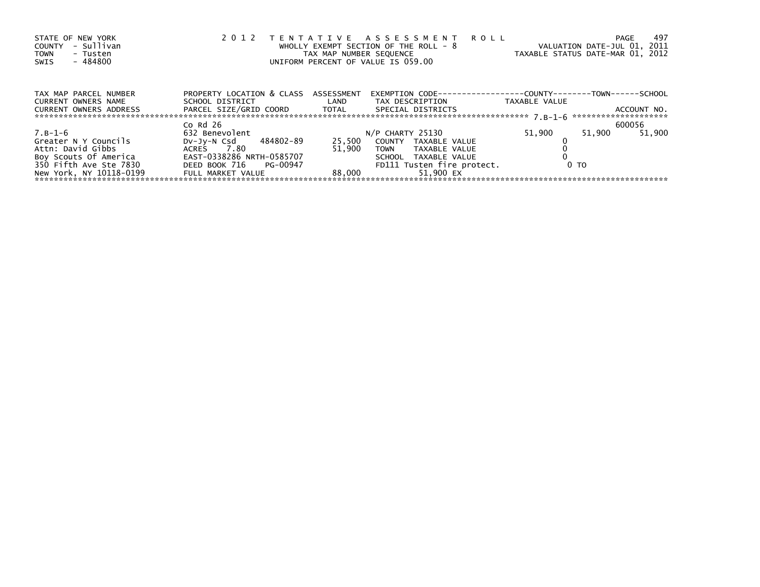| STATE OF NEW YORK<br>- Sullivan<br>COUNTY<br><b>TOWN</b><br>- Tusten<br>- 484800<br>SWIS | 2 0 1 2                                        | TAX MAP NUMBER SEQUENCE | TENTATIVE ASSESSMENT ROLL<br>WHOLLY EXEMPT SECTION OF THE ROLL - 8<br>UNIFORM PERCENT OF VALUE IS 059.00 |                | 497<br>PAGE<br>VALUATION DATE-JUL 01, 2011<br>TAXABLE STATUS DATE-MAR 01, 2012 |
|------------------------------------------------------------------------------------------|------------------------------------------------|-------------------------|----------------------------------------------------------------------------------------------------------|----------------|--------------------------------------------------------------------------------|
| TAX MAP PARCEL NUMBER                                                                    | PROPERTY LOCATION & CLASS ASSESSMENT           |                         | EXEMPTION        CODE-----------------COUNTY-------TOWN------SCHOOL                                      |                |                                                                                |
| <b>CURRENT OWNERS NAME</b>                                                               | SCHOOL DISTRICT                                | <b>Example 12</b>       | TAX DESCRIPTION                                                                                          | TAXABLE VALUE  |                                                                                |
| <b>CURRENT OWNERS ADDRESS</b>                                                            | PARCEL SIZE/GRID COORD TOTAL SPECIAL DISTRICTS |                         |                                                                                                          |                | ACCOUNT NO.                                                                    |
|                                                                                          | Co $Rd$ 26                                     |                         |                                                                                                          |                | 600056                                                                         |
| 7.B-1-6                                                                                  | 632 Benevolent                                 |                         | N/P CHARTY 25130                                                                                         | 51,900         | 51.900<br>51,900                                                               |
| Greater N Y Councils                                                                     | DV-Jy-N Csd 484802-89                          | 25,500                  | COUNTY TAXABLE VALUE                                                                                     |                |                                                                                |
| Attn: David Gibbs                                                                        | ACRES 7.80                                     | 51.900                  | TOWN TAXABLE VALUE                                                                                       |                |                                                                                |
| Boy Scouts Of America                                                                    | EAST-0338286 NRTH-0585707                      |                         | SCHOOL TAXABLE VALUE                                                                                     |                |                                                                                |
| 350 Fifth Ave Ste 7830                                                                   | DEED BOOK 716 PG-00947                         |                         | FD111 Tusten fire protect.                                                                               | 0 <sub>T</sub> |                                                                                |
| New York, NY 10118-0199                                                                  | FULL MARKET VALUE                              | 88.000                  | 51.900 EX                                                                                                |                |                                                                                |
|                                                                                          |                                                |                         |                                                                                                          |                |                                                                                |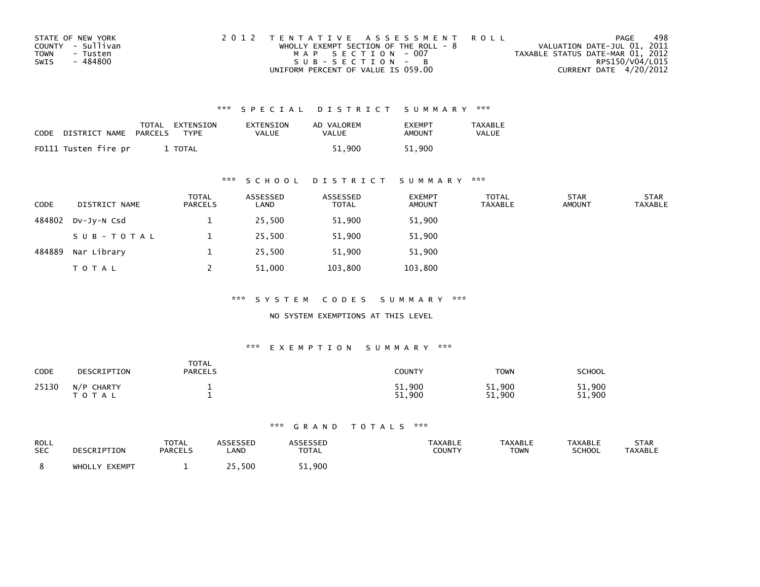| STATE OF NEW YORK       | 2012 TENTATIVE ASSESSMENT ROLL          | PAGE                             | 498 |
|-------------------------|-----------------------------------------|----------------------------------|-----|
| COUNTY - Sullivan       | WHOLLY EXEMPT SECTION OF THE ROLL - $8$ | VALUATION DATE-JUL 01, 2011      |     |
| <b>TOWN</b><br>- Tusten | MAP SECTION - 007                       | TAXABLE STATUS DATE-MAR 01, 2012 |     |
| - 484800<br>SWIS        | SUB-SECTION - B                         | RPS150/V04/L015                  |     |
|                         | UNIFORM PERCENT OF VALUE IS 059.00      | CURRENT DATE 4/20/2012           |     |

| CODE | DISTRICT NAME        | TOTAL<br>PARCELS | EXTENSION<br>TYPF | EXTENSION<br>VALUE | AD VALOREM<br>VALUE | <b>FXFMPT</b><br>AMOUNT | <b>TAXABLE</b><br><b>VALUE</b> |
|------|----------------------|------------------|-------------------|--------------------|---------------------|-------------------------|--------------------------------|
|      | FD111 Tusten fire pr |                  | TOTAL             |                    | 51.900              | 51.900                  |                                |

## \*\*\* S C H O O L D I S T R I C T S U M M A R Y \*\*\*

| <b>CODE</b> | DISTRICT NAME | <b>TOTAL</b><br>PARCELS | ASSESSED<br>LAND | ASSESSED<br><b>TOTAL</b> | <b>EXEMPT</b><br><b>AMOUNT</b> | <b>TOTAL</b><br><b>TAXABLE</b> | <b>STAR</b><br><b>AMOUNT</b> | <b>STAR</b><br><b>TAXABLE</b> |
|-------------|---------------|-------------------------|------------------|--------------------------|--------------------------------|--------------------------------|------------------------------|-------------------------------|
| 484802      | $Dv-Jv-N$ Csd |                         | 25,500           | 51,900                   | 51,900                         |                                |                              |                               |
|             | SUB-TOTAL     |                         | 25,500           | 51,900                   | 51,900                         |                                |                              |                               |
| 484889      | Nar Library   |                         | 25,500           | 51,900                   | 51,900                         |                                |                              |                               |
|             | <b>TOTAL</b>  |                         | 51,000           | 103,800                  | 103,800                        |                                |                              |                               |

\*\*\* S Y S T E M C O D E S S U M M A R Y \*\*\*

NO SYSTEM EXEMPTIONS AT THIS LEVEL

#### \*\*\* E X E M P T I O N S U M M A R Y \*\*\*

| <b>CODE</b> | DESCRIPTION             | <b>TOTAL</b><br><b>PARCELS</b> | COUNTY           | TOWN             | <b>SCHOOL</b>    |
|-------------|-------------------------|--------------------------------|------------------|------------------|------------------|
| 25130       | N/P CHARTY<br>T O T A L |                                | 51,900<br>900.51 | 51,900<br>51,900 | 51,900<br>51,900 |

| ROLL       | DESCRIPTION   | TOTAL          | <b>ASSESSED</b> | <b>ASSESSED</b> | <b>TAXABLE</b> | TAXABLE | <b>TAXABLE</b> | STAR           |
|------------|---------------|----------------|-----------------|-----------------|----------------|---------|----------------|----------------|
| <b>SEC</b> |               | <b>PARCELS</b> | LAND            | <b>TOTAL</b>    | COUNTY         | TOWN    | <b>SCHOOL</b>  | <b>TAXABLE</b> |
|            | WHOLLY EXEMPT |                | 25,500          | 51,900          |                |         |                |                |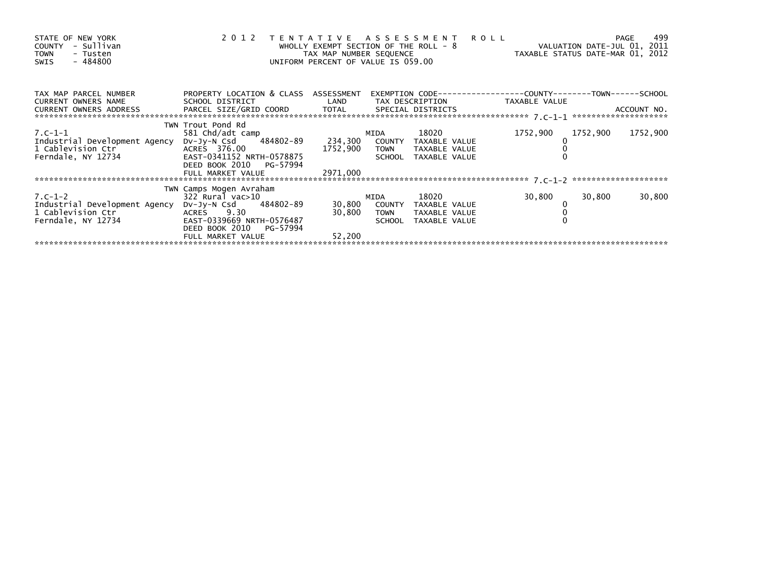| STATE OF NEW YORK<br>- Sullivan<br>COUNTY<br><b>TOWN</b><br>- Tusten<br>- 484800<br>SWIS | 2012                                                                   | WHOLLY EXEMPT SECTION OF THE ROLL - 8<br>TAX MAP NUMBER SEQUENCE<br>UNIFORM PERCENT OF VALUE IS 059.00 |             | TENTATIVE ASSESSMENT ROLL                                                                                                                                                                                                       | ROLL - 8<br>VALUATION DATE-JUL 01, 2011<br>TAXABLE STATUS DATE-MAR 01, 2012 |          | 499<br>PAGE |
|------------------------------------------------------------------------------------------|------------------------------------------------------------------------|--------------------------------------------------------------------------------------------------------|-------------|---------------------------------------------------------------------------------------------------------------------------------------------------------------------------------------------------------------------------------|-----------------------------------------------------------------------------|----------|-------------|
| TAX MAP PARCEL NUMBER                                                                    | PROPERTY LOCATION & CLASS ASSESSMENT                                   |                                                                                                        |             |                                                                                                                                                                                                                                 | EXEMPTION CODE-----------------COUNTY-------TOWN------SCHOOL                |          |             |
| CURRENT OWNERS NAME                                                                      |                                                                        |                                                                                                        |             |                                                                                                                                                                                                                                 |                                                                             |          |             |
|                                                                                          | TWN Trout Pond Rd                                                      |                                                                                                        |             |                                                                                                                                                                                                                                 |                                                                             |          |             |
| $7. C - 1 - 1$                                                                           | 581 Chd/adt camp<br>DV-Jy-N Csd 484802-89 234,300 COUNTY TAXABLE VALUE |                                                                                                        | MIDA        |                                                                                                                                                                                                                                 | 1752,900                                                                    | 1752,900 | 1752,900    |
| Industrial Development Agency                                                            |                                                                        |                                                                                                        |             | TOWN TAXABLE VALUE                                                                                                                                                                                                              |                                                                             |          |             |
|                                                                                          |                                                                        | 1752,900                                                                                               |             | SCHOOL TAXABLE VALUE                                                                                                                                                                                                            |                                                                             |          |             |
|                                                                                          | DEED BOOK 2010 PG-57994                                                |                                                                                                        |             |                                                                                                                                                                                                                                 |                                                                             |          |             |
|                                                                                          | FULL MARKET VALUE                                                      | 2971,000                                                                                               |             |                                                                                                                                                                                                                                 |                                                                             |          |             |
|                                                                                          |                                                                        |                                                                                                        |             |                                                                                                                                                                                                                                 |                                                                             |          |             |
|                                                                                          | TWN Camps Mogen Avraham                                                |                                                                                                        |             |                                                                                                                                                                                                                                 |                                                                             |          |             |
| $7. C - 1 - 2$                                                                           | 322 Rural vac>10                                                       |                                                                                                        | MIDA        | 18020 — 18020 — 18020 — 18020 — 18020 — 18020 — 18020 — 18020 — 18020 — 18020 — 18020 — 18020 — 18020 — 18020 — 18020 — 18020 — 18020 — 18020 — 18020 — 18020 — 18020 — 18020 — 18020 — 18020 — 18020 — 18020 — 18020 — 18020 — | 30,800                                                                      | 30,800   | 30,800      |
| Industrial Development Agency                                                            | DV-Jy-N Csd 484802-89                                                  |                                                                                                        |             | 30,800 COUNTY TAXABLE VALUE                                                                                                                                                                                                     |                                                                             |          |             |
| 1 Cablevision Ctr <sup>:</sup><br>Ferndale, NY 12734                                     | ACRES 9.30                                                             | 30,800                                                                                                 | <b>TOWN</b> | TAXABLE VALUE                                                                                                                                                                                                                   |                                                                             |          |             |
|                                                                                          | EAST-0339669 NRTH-0576487                                              |                                                                                                        |             | SCHOOL TAXABLE VALUE                                                                                                                                                                                                            |                                                                             |          |             |
|                                                                                          | DEED BOOK 2010 PG-57994                                                |                                                                                                        |             |                                                                                                                                                                                                                                 |                                                                             |          |             |
|                                                                                          | FULL MARKET VALUE                                                      | 52,200                                                                                                 |             |                                                                                                                                                                                                                                 |                                                                             |          |             |
|                                                                                          |                                                                        |                                                                                                        |             |                                                                                                                                                                                                                                 |                                                                             |          |             |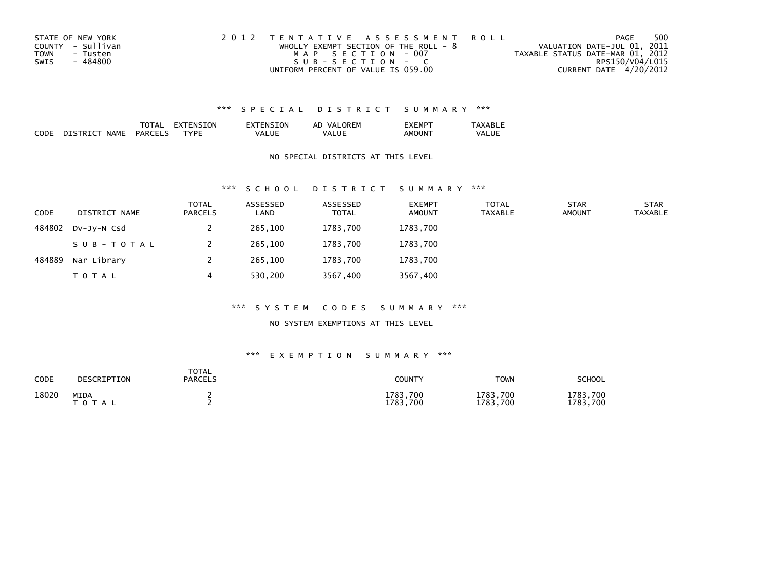| STATE OF NEW YORK       | 2012 TENTATIVE ASSESSMENT ROLL          | PAGE                             | 500 |
|-------------------------|-----------------------------------------|----------------------------------|-----|
| COUNTY - Sullivan       | WHOLLY EXEMPT SECTION OF THE ROLL - $8$ | VALUATION DATE-JUL 01, 2011      |     |
| <b>TOWN</b><br>- Tusten | MAP SECTION - 007                       | TAXABLE STATUS DATE-MAR 01, 2012 |     |
| - 484800<br>SWIS        | SUB-SECTION - C                         | RPS150/V04/L015                  |     |
|                         | UNIFORM PERCENT OF VALUE IS 059.00      | CURRENT DATE 4/20/2012           |     |

|             |             | 'AA                            | TON.<br>- רי | NSION     | <b>ORFM</b><br>AD<br>vΔ<br>'⊢lv. | -MP        | $\Lambda$ VADI $\tau$ |
|-------------|-------------|--------------------------------|--------------|-----------|----------------------------------|------------|-----------------------|
| CODE<br>___ | NAME<br>י נ | <b>PARCEL</b><br>$\sim$ $\sim$ | <b>TVPL</b>  | UL<br>{∞∆ | VΔ                               | ΔМ<br>אווי | VAI<br>---            |

### NO SPECIAL DISTRICTS AT THIS LEVEL

#### \*\*\* S C H O O L D I S T R I C T S U M M A R Y \*\*\*

| <b>CODE</b> | DISTRICT NAME | TOTAL<br><b>PARCELS</b> | ASSESSED<br>LAND | ASSESSED<br><b>TOTAL</b> | <b>EXEMPT</b><br><b>AMOUNT</b> | <b>TOTAL</b><br>TAXABLE | <b>STAR</b><br><b>AMOUNT</b> | <b>STAR</b><br><b>TAXABLE</b> |
|-------------|---------------|-------------------------|------------------|--------------------------|--------------------------------|-------------------------|------------------------------|-------------------------------|
| 484802      | DV-JV-N Csd   |                         | 265,100          | 1783,700                 | 1783,700                       |                         |                              |                               |
|             | SUB-TOTAL     |                         | 265,100          | 1783,700                 | 1783,700                       |                         |                              |                               |
| 484889      | Nar Library   |                         | 265.100          | 1783,700                 | 1783.700                       |                         |                              |                               |
|             | <b>TOTAL</b>  | 4                       | 530,200          | 3567,400                 | 3567,400                       |                         |                              |                               |

#### \*\*\* S Y S T E M C O D E S S U M M A R Y \*\*\*

#### NO SYSTEM EXEMPTIONS AT THIS LEVEL

| CODE  | DESCRIPTION              | TOTAL<br>PARCELS | COUNTY               | <b>TOWN</b>          | SCHOOL                   |
|-------|--------------------------|------------------|----------------------|----------------------|--------------------------|
| 18020 | <b>MIDA</b><br>T O T A L |                  | 1783,700<br>1783.700 | 1783,700<br>1783,700 | 1783<br>.700<br>1783,700 |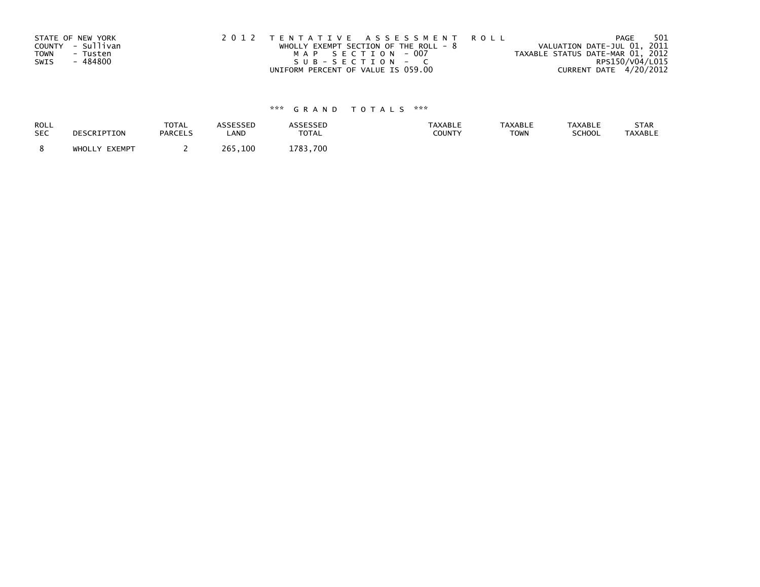| STATE OF NEW YORK       | 2012 TENTATIVE ASSESSMENT ROLL          | 501<br>PAGE                      |
|-------------------------|-----------------------------------------|----------------------------------|
| COUNTY - Sullivan       | WHOLLY EXEMPT SECTION OF THE ROLL - $8$ | VALUATION DATE-JUL 01, 2011      |
| <b>TOWN</b><br>- Tusten | MAP SECTION - 007                       | TAXABLE STATUS DATE-MAR 01, 2012 |
| - 484800<br>SWIS        | $SUB - SECTION - C$                     | RPS150/V04/L015                  |
|                         | UNIFORM PERCENT OF VALUE IS 059.00      | CURRENT DATE 4/20/2012           |

| ROLL       | DESCRIPTION   | <b>TOTAL</b>   | ASSESSED | ASSESSED     | <b>TAXABLE</b> | <b>TAXABLE</b> | <b>TAXABLE</b> | STAR           |
|------------|---------------|----------------|----------|--------------|----------------|----------------|----------------|----------------|
| <b>SEC</b> |               | <b>PARCELS</b> | LAND     | <b>TOTAL</b> | <b>COUNTY</b>  | <b>TOWN</b>    | <b>SCHOOL</b>  | <b>TAXABLE</b> |
|            | WHOLLY EXEMPT |                | 265,100  | 1783.700     |                |                |                |                |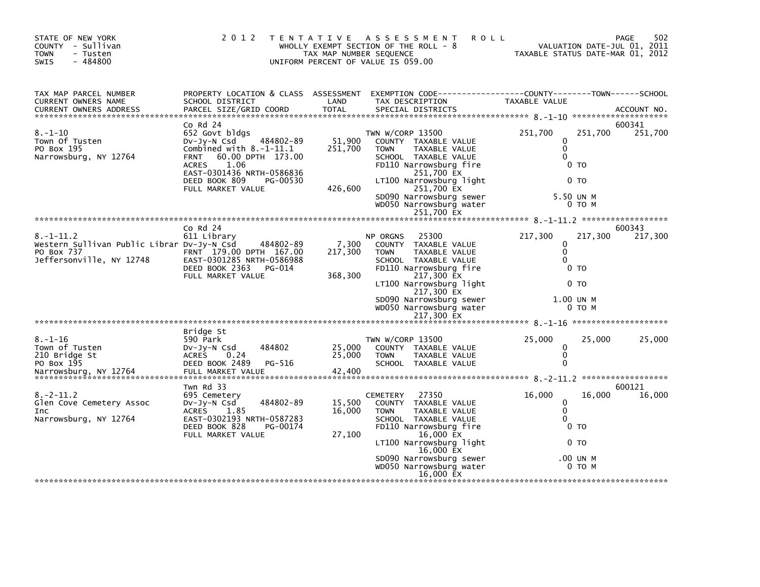| STATE OF NEW YORK<br>COUNTY - Sullivan<br><b>TOWN</b><br>- Tusten<br>$-484800$<br><b>SWIS</b>           | 2 0 1 2                                                                                                                                                                                                                            | TAX MAP NUMBER SEQUENCE      | TENTATIVE ASSESSMENT<br><b>ROLL</b><br>WHOLLY EXEMPT SECTION OF THE ROLL - 8<br>UNIFORM PERCENT OF VALUE IS 059.00                                                                                                                              | TAXABLE STATUS DATE-MAR 01, 2012                                                          |                              | 502<br>PAGE<br>VALUATION DATE-JUL 01, 2011 |
|---------------------------------------------------------------------------------------------------------|------------------------------------------------------------------------------------------------------------------------------------------------------------------------------------------------------------------------------------|------------------------------|-------------------------------------------------------------------------------------------------------------------------------------------------------------------------------------------------------------------------------------------------|-------------------------------------------------------------------------------------------|------------------------------|--------------------------------------------|
| TAX MAP PARCEL NUMBER<br>CURRENT OWNERS NAME<br><b>CURRENT OWNERS ADDRESS</b>                           | PROPERTY LOCATION & CLASS ASSESSMENT<br>SCHOOL DISTRICT<br>PARCEL SIZE/GRID COORD                                                                                                                                                  | LAND<br><b>TOTAL</b>         | EXEMPTION CODE-----------------COUNTY-------TOWN------SCHOOL<br>TAX DESCRIPTION<br>SPECIAL DISTRICTS                                                                                                                                            | <b>TAXABLE VALUE</b>                                                                      |                              | ACCOUNT NO.                                |
| $8. - 1 - 10$<br>Town Of Tusten<br>PO Box 195<br>Narrowsburg, NY 12764                                  | $Co$ Rd $24$<br>652 Govt bldgs<br>484802-89<br>DV-JY-N Csd<br>Combined with $8.-1-11.1$<br>60.00 DPTH 173.00<br><b>FRNT</b><br>1.06<br><b>ACRES</b><br>EAST-0301436 NRTH-0586836<br>DEED BOOK 809<br>PG-00530<br>FULL MARKET VALUE | 51,900<br>251,700<br>426,600 | TWN W/CORP 13500<br>COUNTY TAXABLE VALUE<br><b>TOWN</b><br>TAXABLE VALUE<br>SCHOOL TAXABLE VALUE<br>FD110 Narrowsburg fire<br>251,700 EX<br>LT100 Narrowsburg light<br>251,700 EX<br>SD090 Narrowsburg sewer                                    | 251,700<br>0<br>$\mathbf 0$<br>$\Omega$<br>0 <sub>T</sub><br>0 <sub>T</sub><br>5.50 UN M  | 251,700                      | 600341<br>251,700                          |
|                                                                                                         |                                                                                                                                                                                                                                    |                              | WD050 Narrowsburg water<br>251,700 EX                                                                                                                                                                                                           |                                                                                           | 0 TO M                       |                                            |
|                                                                                                         |                                                                                                                                                                                                                                    |                              |                                                                                                                                                                                                                                                 |                                                                                           |                              |                                            |
| $8. - 1 - 11.2$<br>Western Sullivan Public Librar Dv-Jy-N Csd<br>PO Box 737<br>Jeffersonville, NY 12748 | $CO$ Rd $24$<br>611 Library<br>484802-89<br>FRNT 179.00 DPTH 167.00<br>EAST-0301285 NRTH-0586988<br>DEED BOOK 2363<br>PG-014<br>FULL MARKET VALUE                                                                                  | 7,300<br>217,300<br>368,300  | 25300<br><b>NP ORGNS</b><br>COUNTY TAXABLE VALUE<br>TAXABLE VALUE<br><b>TOWN</b><br>SCHOOL TAXABLE VALUE<br>FD110 Narrowsburg fire<br>217,300 EX<br>LT100 Narrowsburg light<br>217,300 EX<br>SD090 Narrowsburg sewer<br>WD050 Narrowsburg water | 217,300<br>0<br>$\mathbf{0}$<br>$\Omega$<br>0 <sub>T</sub><br>0 <sub>T</sub><br>1.00 UN M | 217,300<br>0 TO M            | 600343<br>217,300                          |
|                                                                                                         |                                                                                                                                                                                                                                    |                              |                                                                                                                                                                                                                                                 |                                                                                           |                              |                                            |
| $8. - 1 - 16$<br>Town of Tusten<br>210 Bridge St<br>PO Box 195<br>Narrowsburg, NY 12764                 | Bridge St<br>590 Park<br>484802<br>DV-JY-N Csd<br><b>ACRES</b><br>0.24<br>DEED BOOK 2489<br>PG-516<br>FULL MARKET VALUE                                                                                                            | 25,000<br>25,000<br>42,400   | TWN W/CORP 13500<br>COUNTY TAXABLE VALUE<br><b>TOWN</b><br>TAXABLE VALUE<br>SCHOOL TAXABLE VALUE                                                                                                                                                | 25,000<br>0<br>$\mathbf 0$<br>$\Omega$                                                    | 25,000                       | 25,000                                     |
|                                                                                                         |                                                                                                                                                                                                                                    |                              |                                                                                                                                                                                                                                                 |                                                                                           |                              |                                            |
| $8.-2-11.2$<br>Glen Cove Cemetery Assoc<br><b>Inc</b><br>Narrowsburg, NY 12764                          | Twn Rd 33<br>695 Cemetery<br>484802-89<br>DV-Jy-N Csd<br>ACRES 1.85<br>EAST-0302193 NRTH-0587283<br>DEED BOOK 828<br>PG-00174<br>FULL MARKET VALUE                                                                                 | 15,500<br>16,000<br>27,100   | CEMETERY 27350<br>COUNTY TAXABLE VALUE<br>TAXABLE VALUE<br><b>TOWN</b><br>SCHOOL TAXABLE VALUE<br>FD110 Narrowsburg fire<br>16,000 EX<br>LT100 Narrowsburg light<br>16,000 EX<br>SD090 Narrowsburg sewer<br>WD050 Narrowsburg water             | 16,000<br>0<br>$\mathbf{0}$<br>$\Omega$<br>0 <sub>T</sub><br>0 <sub>T</sub>               | 16,000<br>.00 UN M<br>0 TO M | 600121<br>16,000                           |
|                                                                                                         |                                                                                                                                                                                                                                    |                              | 16,000 EX                                                                                                                                                                                                                                       |                                                                                           |                              |                                            |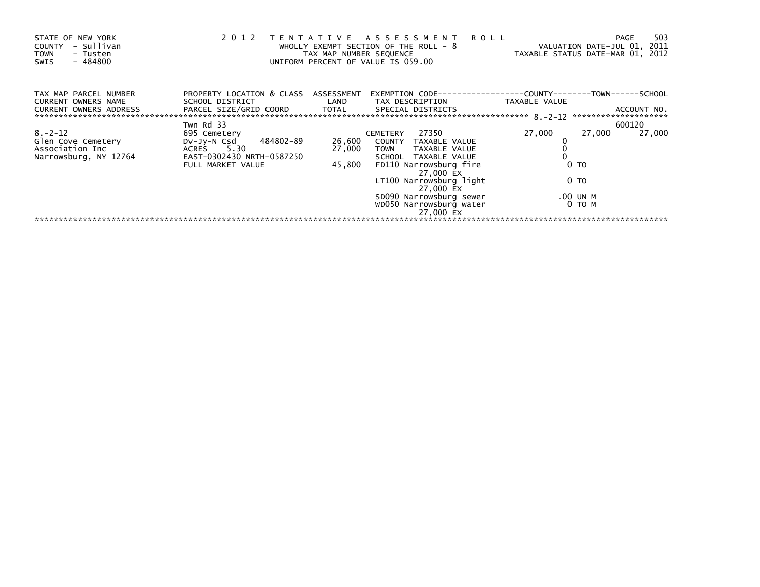| STATE OF NEW YORK<br>- Sullivan<br>COUNTY<br><b>TOWN</b><br>- Tusten<br>$-484800$<br>SWIS | 2 0 1 2                                                                                       | TAX MAP NUMBER SEQUENCE | TENTATIVE ASSESSMENT ROLL<br>WHOLLY EXEMPT SECTION OF THE ROLL - 8<br>UNIFORM PERCENT OF VALUE IS 059.00 | VALUATION DATE-JUL 01, 2011<br>TAXABLE STATUS DATE-MAR 01, 2012 | 503<br>PAGE |
|-------------------------------------------------------------------------------------------|-----------------------------------------------------------------------------------------------|-------------------------|----------------------------------------------------------------------------------------------------------|-----------------------------------------------------------------|-------------|
| TAX MAP PARCEL NUMBER<br><b>CURRENT OWNERS NAME</b><br><b>CURRENT OWNERS ADDRESS</b>      | PROPERTY LOCATION & CLASS ASSESSMENT<br>SCHOOL DISTRICT NOTES<br>PARCEL SIZE/GRID COORD TOTAL |                         | LAND TAX DESCRIPTION<br>SPECIAL DISTRICTS                                                                | TAXABLE VALUE                                                   | ACCOUNT NO. |
|                                                                                           | Twn Rd 33                                                                                     |                         |                                                                                                          |                                                                 | 600120      |
| $8. -2 - 12$                                                                              | 695 Cemetery                                                                                  |                         | CEMETERY 27350                                                                                           | 27,000<br>27,000                                                | 27,000      |
| Glen Cove Cemetery<br>Association Inc                                                     | DV-Jy-N Csd 484802-89<br>ACRES 5.30                                                           | 26,600<br>27,000        | COUNTY TAXABLE VALUE<br>TOWN TAXABLE VALUE                                                               |                                                                 |             |
| Narrowsburg, NY 12764                                                                     | EAST-0302430 NRTH-0587250<br>FULL MARKET VALUE                                                | 45,800                  | SCHOOL TAXABLE VALUE<br>FD110 Narrowsburg fire<br>27,000 EX                                              | 0 <sub>T</sub>                                                  |             |
|                                                                                           |                                                                                               |                         | LT100 Narrowsburg light<br>27,000 EX                                                                     | 0 TO                                                            |             |
|                                                                                           |                                                                                               |                         | SD090 Narrowsburg sewer                                                                                  | .00 UN M                                                        |             |
|                                                                                           |                                                                                               |                         | WD050 Narrowsburg water<br>27,000 EX                                                                     | 0 то м                                                          |             |
|                                                                                           |                                                                                               |                         |                                                                                                          |                                                                 |             |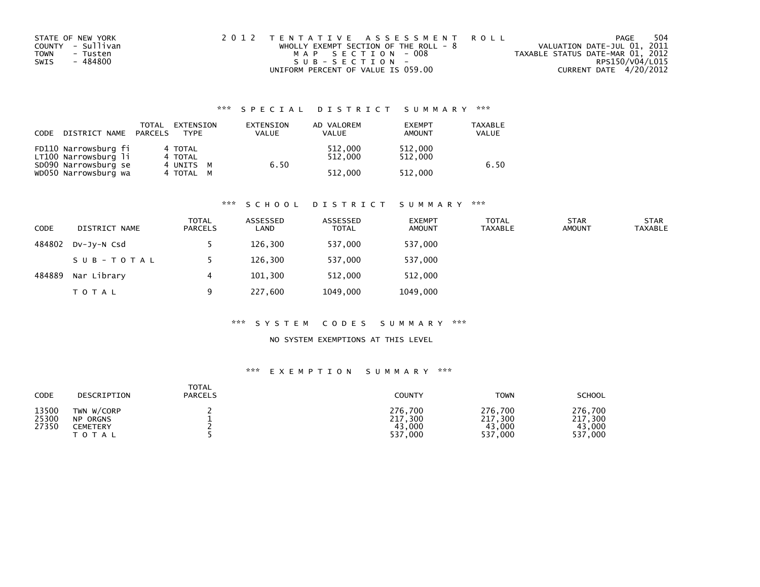|      | STATE OF NEW YORK | 2012 TENTATIVE ASSESSMENT ROLL        |  |                                  | PAGE                   | 504 |
|------|-------------------|---------------------------------------|--|----------------------------------|------------------------|-----|
|      | COUNTY - Sullivan | WHOLLY EXEMPT SECTION OF THE ROLL - 8 |  | VALUATION DATE-JUL 01, 2011      |                        |     |
| TOWN | - Tusten          | MAP SECTION - 008                     |  | TAXABLE STATUS DATE-MAR 01, 2012 |                        |     |
| SWIS | - 484800          | SUB-SECTION-                          |  |                                  | RPS150/V04/L015        |     |
|      |                   | UNIFORM PERCENT OF VALUE IS 059.00    |  |                                  | CURRENT DATE 4/20/2012 |     |

| CODE | DISTRICT NAME                                | TOTAL<br>PARCELS | EXTENSION<br><b>TYPF</b> | EXTENSION<br>VALUE | AD VALOREM<br><b>VALUE</b> | <b>EXEMPT</b><br><b>AMOUNT</b> | TAXABLE<br><b>VALUE</b> |
|------|----------------------------------------------|------------------|--------------------------|--------------------|----------------------------|--------------------------------|-------------------------|
|      | FD110 Narrowsburg fi<br>LT100 Narrowsburg li |                  | 4 TOTAL<br>4 TOTAL       |                    | 512,000<br>512.000<br>6.50 | 512,000<br>512,000             | 6.50                    |
|      | SD090 Narrowsburg se<br>WD050 Narrowsburg wa |                  | 4 UNITS M<br>4 TOTAL M   |                    | 512,000                    | 512,000                        |                         |

#### \*\*\* S C H O O L D I S T R I C T S U M M A R Y \*\*\*

| <b>CODE</b> | DISTRICT NAME | <b>TOTAL</b><br><b>PARCELS</b> | ASSESSED<br>LAND | ASSESSED<br><b>TOTAL</b> | <b>EXEMPT</b><br><b>AMOUNT</b> | <b>TOTAL</b><br>TAXABLE | <b>STAR</b><br><b>AMOUNT</b> | <b>STAR</b><br><b>TAXABLE</b> |
|-------------|---------------|--------------------------------|------------------|--------------------------|--------------------------------|-------------------------|------------------------------|-------------------------------|
| 484802      | DV-JY-N Csd   |                                | 126,300          | 537,000                  | 537,000                        |                         |                              |                               |
|             | SUB-TOTAL     |                                | 126.300          | 537.000                  | 537,000                        |                         |                              |                               |
| 484889      | Nar Library   | 4                              | 101,300          | 512.000                  | 512,000                        |                         |                              |                               |
|             | T O T A L     | q                              | 227,600          | 1049,000                 | 1049,000                       |                         |                              |                               |

#### \*\*\* S Y S T E M C O D E S S U M M A R Y \*\*\*

## NO SYSTEM EXEMPTIONS AT THIS LEVEL

| CODE                    | DESCRIPTION                                                   | <b>TOTAL</b><br><b>PARCELS</b> | <b>COUNTY</b>                           | <b>TOWN</b>                             | <b>SCHOOL</b>                           |
|-------------------------|---------------------------------------------------------------|--------------------------------|-----------------------------------------|-----------------------------------------|-----------------------------------------|
| 13500<br>25300<br>27350 | TWN W/CORP<br><b>NP ORGNS</b><br><b>CEMETERY</b><br>T O T A L |                                | 276,700<br>217,300<br>43,000<br>537,000 | 276,700<br>217,300<br>43,000<br>537,000 | 276,700<br>217,300<br>43.000<br>537,000 |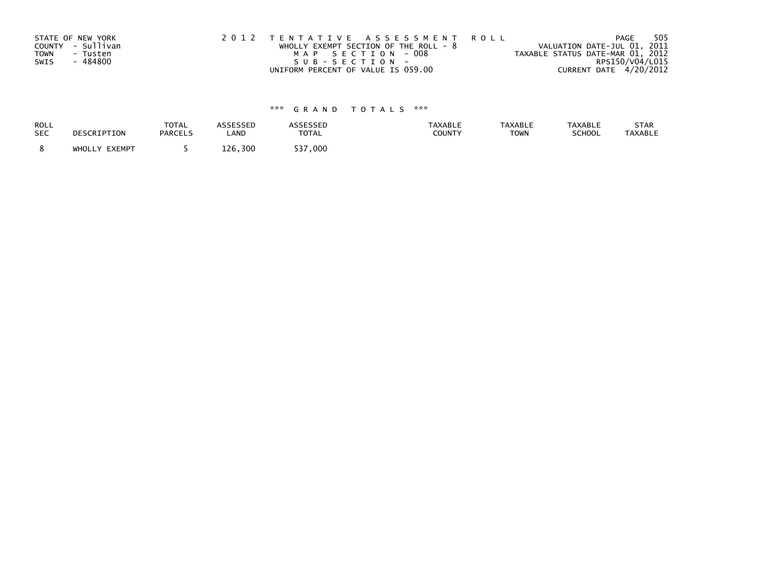| STATE OF NEW YORK<br>COUNTY - Sullivan<br>TOWN<br>- Tusten | 2012 TENTATIVE ASSESSMENT ROLL<br>WHOLLY EXEMPT SECTION OF THE ROLL - $8$<br>MAP SECTION - 008 | VALUATION DATE-JUL 01, 2011<br>TAXABLE STATUS DATE-MAR 01, 2012 | PAGE            | 505 |
|------------------------------------------------------------|------------------------------------------------------------------------------------------------|-----------------------------------------------------------------|-----------------|-----|
| - 484800<br>SWIS                                           | SUB-SECTION-<br>UNIFORM PERCENT OF VALUE IS 059.00                                             | CURRENT DATE 4/20/2012                                          | RPS150/V04/L015 |     |

| ROLL       | DESCRIPTION   | <b>TOTAL</b>   | <b>ASSESSED</b> | <b>ASSESSED</b> | <b>TAXABLE</b> | <b>TAXABLE</b> | <b>TAXABLE</b> | STAR    |
|------------|---------------|----------------|-----------------|-----------------|----------------|----------------|----------------|---------|
| <b>SEC</b> |               | <b>PARCELS</b> | LAND            | <b>TOTAL</b>    | COUNTY         | <b>TOWN</b>    | SCHOOL         | TAXABLE |
|            | WHOLLY EXEMPT |                | 126,300         | 537,000         |                |                |                |         |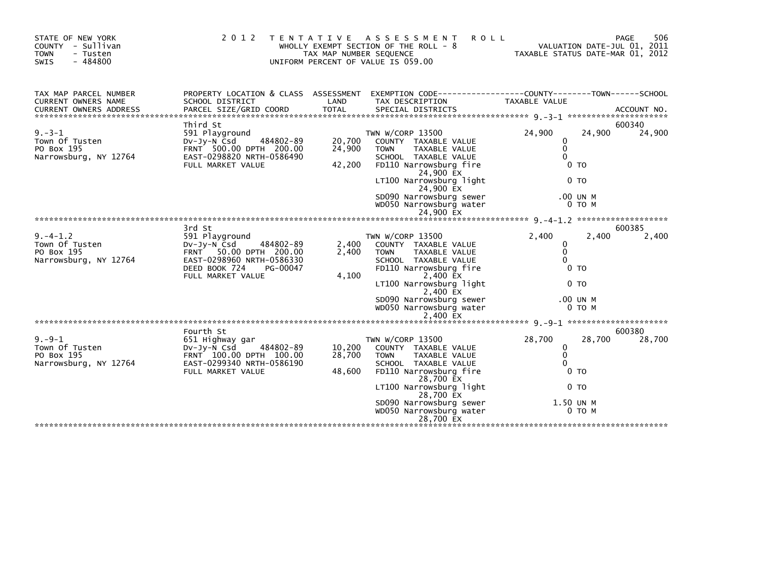| STATE OF NEW YORK<br>COUNTY - Sullivan<br><b>TOWN</b><br>- Tusten<br>SWIS<br>$-484800$ | 2 0 1 2                                                                                                                                                                 | <b>TENTATIVE</b><br>TAX MAP NUMBER SEQUENCE | <b>ROLL</b><br>ASSESSMENT<br>WHOLLY EXEMPT SECTION OF THE ROLL - 8<br>UNIFORM PERCENT OF VALUE IS 059.00                                                                                                                                           | TAXABLE STATUS DATE-MAR 01, 2012                      |                                                                     | 506<br>PAGE<br>VALUATION DATE-JUL 01, 2011 |
|----------------------------------------------------------------------------------------|-------------------------------------------------------------------------------------------------------------------------------------------------------------------------|---------------------------------------------|----------------------------------------------------------------------------------------------------------------------------------------------------------------------------------------------------------------------------------------------------|-------------------------------------------------------|---------------------------------------------------------------------|--------------------------------------------|
| TAX MAP PARCEL NUMBER<br>CURRENT OWNERS NAME<br>CURRENT OWNERS ADDRESS                 | SCHOOL DISTRICT                                                                                                                                                         | LAND                                        | PROPERTY LOCATION & CLASS ASSESSMENT EXEMPTION CODE----------------COUNTY-------TOWN------SCHOOL<br>TAX DESCRIPTION                                                                                                                                | TAXABLE VALUE                                         |                                                                     |                                            |
| $9 - 3 - 1$<br>Town Of Tusten<br>PO Box 195<br>Narrowsburg, NY 12764                   | Third St<br>591 Playground<br>484802-89<br>$Dv-Jv-N$ Csd<br>FRNT 500.00 DPTH 200.00<br>EAST-0298820 NRTH-0586490<br>FULL MARKET VALUE                                   | 20,700<br>24,900<br>42,200                  | TWN W/CORP 13500<br>COUNTY TAXABLE VALUE<br><b>TOWN</b><br>TAXABLE VALUE<br>SCHOOL TAXABLE VALUE<br>FD110 Narrowsburg fire<br>24,900 EX<br>LT100 Narrowsburg light<br>24,900 EX<br>SD090 Narrowsburg sewer<br>WD050 Narrowsburg water<br>24,900 EX | 24,900<br>$\Omega$<br>$\mathbf{0}$<br>$\Omega$        | 24,900<br>0 <sub>T</sub><br>0 <sub>T</sub><br>.00 UN M<br>0 TO M    | 600340<br>24,900                           |
|                                                                                        |                                                                                                                                                                         |                                             |                                                                                                                                                                                                                                                    |                                                       |                                                                     |                                            |
| $9. -4 - 1.2$<br>Town Of Tusten<br>PO Box 195<br>Narrowsburg, NY 12764                 | 3rd St<br>591 Playground<br>$Dv-Jv-N$ $\bar{C}sd$<br>484802-89<br>FRNT 50.00 DPTH 200.00<br>EAST-0298960 NRTH-0586330<br>DEED BOOK 724<br>PG-00047<br>FULL MARKET VALUE | 2,400<br>2,400<br>4,100                     | TWN W/CORP 13500<br>COUNTY TAXABLE VALUE<br><b>TOWN</b><br>TAXABLE VALUE<br>SCHOOL TAXABLE VALUE<br>FD110 Narrowsburg fire<br>2,400 EX<br>LT100 Narrowsburg light<br>2,400 EX<br>SD090 Narrowsburg sewer<br>WD050 Narrowsburg water<br>2,400 EX    | 2,400<br>0<br>$\Omega$<br>$\Omega$                    | 2,400<br>0 <sub>T</sub><br>0 <sub>T</sub><br>.00 UN M<br>$0$ TO $M$ | 600385<br>2,400                            |
| $9 - 9 - 1$                                                                            | Fourth St<br>651 Highway gar                                                                                                                                            |                                             | TWN W/CORP 13500                                                                                                                                                                                                                                   | 28,700                                                | 28,700                                                              | 600380<br>28,700                           |
| Town Of Tusten<br>PO Box 195<br>Narrowsburg, NY 12764                                  | 484802-89<br>$Dv-Jv-N$ Csd<br>FRNT 100.00 DPTH 100.00<br>EAST-0299340 NRTH-0586190<br>FULL MARKET VALUE                                                                 | 10,200<br>28,700<br>48,600                  | COUNTY TAXABLE VALUE<br><b>TAXABLE VALUE</b><br><b>TOWN</b><br>SCHOOL TAXABLE VALUE<br>FD110 Narrowsburg fire<br>28,700 EX<br>LT100 Narrowsburg light<br>28,700 EX<br>SD090 Narrowsburg sewer<br>WD050 Narrowsburg water<br>28,700 EX              | $\mathbf{0}$<br>$\mathbf{0}$<br>$\Omega$<br>1.50 UN M | 0 <sub>T</sub><br>0 <sub>T</sub><br>$0$ TO M                        |                                            |
|                                                                                        |                                                                                                                                                                         |                                             |                                                                                                                                                                                                                                                    |                                                       |                                                                     |                                            |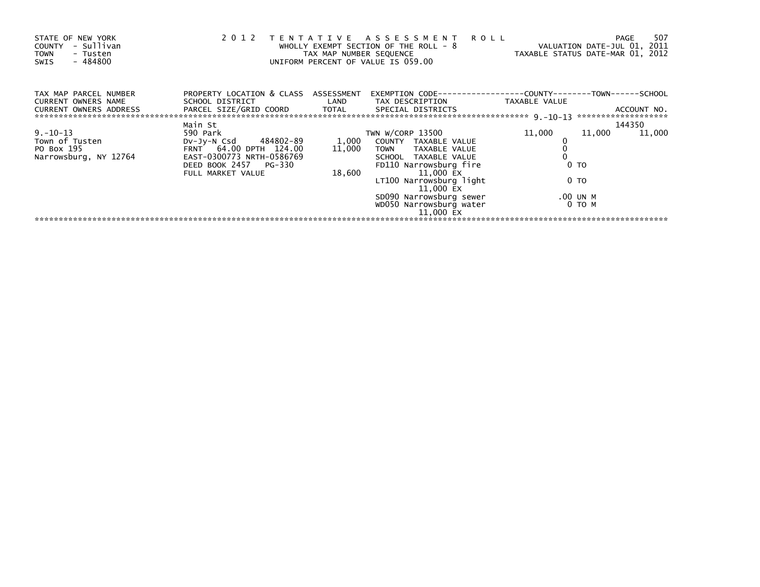| STATE OF NEW YORK<br>- Sullivan<br><b>COUNTY</b><br><b>TOWN</b><br>- Tusten<br>- 484800<br>SWIS | 2 0 1 2                                                                           | T E N T A T I V E<br>TAX MAP NUMBER SEQUENCE | A S S E S S M E N T R O L L<br>WHOLLY EXEMPT SECTION OF THE ROLL - 8<br>UNIFORM PERCENT OF VALUE IS 059.00 | VALUATION DATE-JUL 01, 2011<br>TAXABLE STATUS DATE-MAR 01, 2012 | 507<br><b>PAGE</b>               |
|-------------------------------------------------------------------------------------------------|-----------------------------------------------------------------------------------|----------------------------------------------|------------------------------------------------------------------------------------------------------------|-----------------------------------------------------------------|----------------------------------|
| TAX MAP PARCEL NUMBER<br><b>CURRENT OWNERS NAME</b><br>CURRENT OWNERS ADDRESS                   | PROPERTY LOCATION & CLASS ASSESSMENT<br>SCHOOL DISTRICT<br>PARCEL SIZE/GRID COORD | LAND<br>TOTAL                                | EXEMPTION CODE-----------------COUNTY-------<br>TAX DESCRIPTION<br>SPECIAL DISTRICTS                       | TAXABLE VALUE                                                   | -T0WN------SCHOOL<br>ACCOUNT NO. |
|                                                                                                 | Main St                                                                           |                                              |                                                                                                            |                                                                 | 144350                           |
| $9. - 10 - 13$                                                                                  | 590 Park                                                                          |                                              | TWN W/CORP 13500                                                                                           | 11,000<br>11,000                                                | 11,000                           |
| Town of Tusten                                                                                  | DV-Jy-N Csd 484802-89                                                             | 1,000                                        | COUNTY TAXABLE VALUE                                                                                       |                                                                 |                                  |
| PO Box 195<br>Narrowsburg, NY 12764                                                             | FRNT 64.00 DPTH 124.00<br>EAST-0300773 NRTH-0586769                               | 11,000                                       | TOWN TAXABLE VALUE<br>SCHOOL TAXABLE VALUE                                                                 |                                                                 |                                  |
|                                                                                                 | DEED BOOK 2457 PG-330<br>FULL MARKET VALUE                                        | 18,600                                       | FD110 Narrowsburg fire<br>11,000 EX                                                                        | 0 <sub>T</sub>                                                  |                                  |
|                                                                                                 |                                                                                   |                                              | LT100 Narrowsburg light<br>11,000 EX                                                                       | 0 TO                                                            |                                  |
|                                                                                                 |                                                                                   |                                              | SD090 Narrowsburg sewer                                                                                    | .00 UN M                                                        |                                  |
|                                                                                                 |                                                                                   |                                              | WD050 Narrowsburg water<br>11,000 EX                                                                       | 0 то м                                                          |                                  |
|                                                                                                 |                                                                                   |                                              |                                                                                                            |                                                                 |                                  |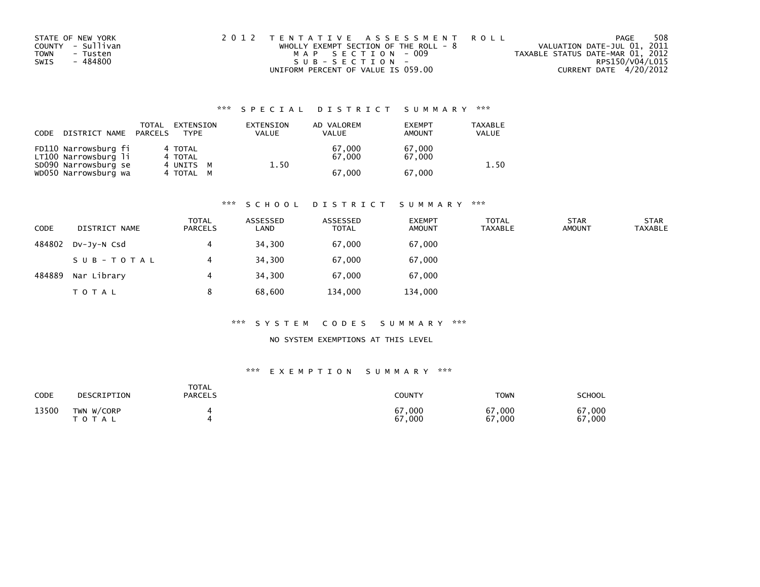| STATE OF NEW YORK |          | 2012 TENTATIVE ASSESSMENT ROLL        |  |                                  | PAGE                   | 508 |
|-------------------|----------|---------------------------------------|--|----------------------------------|------------------------|-----|
| COUNTY - Sullivan |          | WHOLLY EXEMPT SECTION OF THE ROLL - 8 |  | VALUATION DATE-JUL 01, 2011      |                        |     |
| TOWN              | - Tusten | MAP SECTION - 009                     |  | TAXABLE STATUS DATE-MAR 01, 2012 |                        |     |
| SWIS              | - 484800 | SUB-SECTION-                          |  |                                  | RPS150/V04/L015        |     |
|                   |          | UNIFORM PERCENT OF VALUE IS 059.00    |  |                                  | CURRENT DATE 4/20/2012 |     |

| CODE | DISTRICT NAME                                | TOTAL<br>PARCELS | EXTENSION<br><b>TYPF</b>         | EXTENSION<br><b>VALUE</b> | AD VALOREM<br><b>VALUE</b> | <b>EXEMPT</b><br>AMOUNT | TAXABLE<br><b>VALUE</b> |
|------|----------------------------------------------|------------------|----------------------------------|---------------------------|----------------------------|-------------------------|-------------------------|
|      | FD110 Narrowsburg fi<br>LT100 Narrowsburg li |                  | 4 TOTAL<br>4 TOTAL               |                           | 67,000<br>67.000           | 67,000<br>67,000        | 1.50                    |
|      | SD090 Narrowsburg se<br>WD050 Narrowsburg wa |                  | 4 UNITS<br><b>M</b><br>4 TOTAL M | 1.50                      | 67.000                     | 67,000                  |                         |

#### \*\*\* S C H O O L D I S T R I C T S U M M A R Y \*\*\*

| <b>CODE</b> | DISTRICT NAME | <b>TOTAL</b><br><b>PARCELS</b> | ASSESSED<br>LAND | ASSESSED<br><b>TOTAL</b> | <b>EXEMPT</b><br><b>AMOUNT</b> | <b>TOTAL</b><br><b>TAXABLE</b> | <b>STAR</b><br><b>AMOUNT</b> | <b>STAR</b><br><b>TAXABLE</b> |
|-------------|---------------|--------------------------------|------------------|--------------------------|--------------------------------|--------------------------------|------------------------------|-------------------------------|
| 484802      | DV-JY-N Csd   | 4                              | 34,300           | 67,000                   | 67,000                         |                                |                              |                               |
|             | SUB-TOTAL     | 4                              | 34,300           | 67,000                   | 67,000                         |                                |                              |                               |
| 484889      | Nar Library   | 4                              | 34,300           | 67.000                   | 67,000                         |                                |                              |                               |
|             | T O T A L     |                                | 68,600           | 134,000                  | 134,000                        |                                |                              |                               |

#### \*\*\* S Y S T E M C O D E S S U M M A R Y \*\*\*

### NO SYSTEM EXEMPTIONS AT THIS LEVEL

| <b>CODE</b> | DESCRIPTION             | <b>TOTAL</b><br><b>PARCELS</b> | <b>COUNTY</b>    | <b>TOWN</b>      | <b>SCHOOL</b>    |
|-------------|-------------------------|--------------------------------|------------------|------------------|------------------|
| 13500       | TWN W/CORP<br>T O T A L |                                | 67,000<br>67,000 | 67,000<br>67,000 | 67,000<br>67,000 |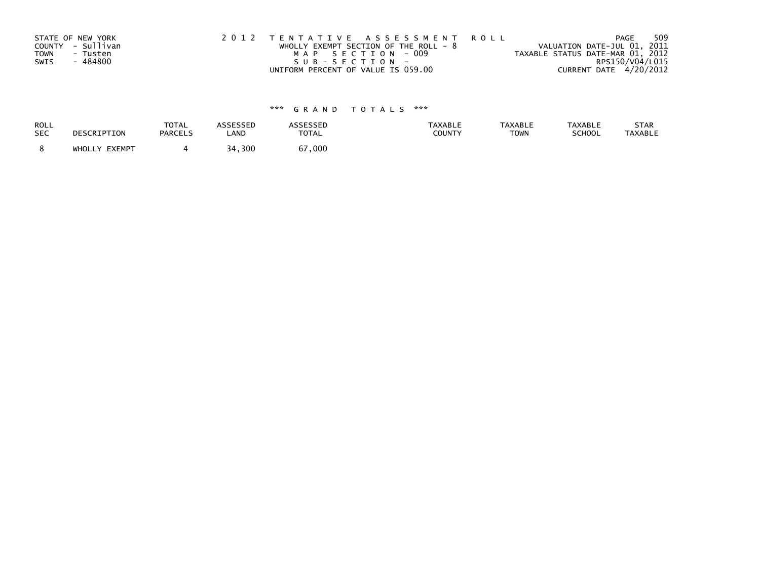|      | STATE OF NEW YORK | 2012 TENTATIVE ASSESSMENT ROLL          | PAGE                             | 509 |
|------|-------------------|-----------------------------------------|----------------------------------|-----|
|      | COUNTY - Sullivan | WHOLLY EXEMPT SECTION OF THE ROLL - $8$ | VALUATION DATE-JUL 01, 2011      |     |
| TOWN | - Tusten          | MAP SECTION - 009                       | TAXABLE STATUS DATE-MAR 01, 2012 |     |
| SWIS | - 484800          | SUB-SECTION-                            | RPS150/V04/L015                  |     |
|      |                   | UNIFORM PERCENT OF VALUE IS 059.00      | CURRENT DATE 4/20/2012           |     |

| ROLL       | DESCRIPTION   | <b>TOTAL</b>   | <b>ASSESSED</b> | <b>ASSESSED</b> | <b>TAXABLE</b> | <b>TAXABLE</b> | <b>TAXABLE</b> | STAR           |
|------------|---------------|----------------|-----------------|-----------------|----------------|----------------|----------------|----------------|
| <b>SEC</b> |               | <b>PARCELS</b> | LAND            | <b>TOTAL</b>    | COUNTY         | <b>TOWN</b>    | SCHOOL         | <b>TAXABLE</b> |
|            | WHOLLY EXEMPT |                | 34,300          | 67,000          |                |                |                |                |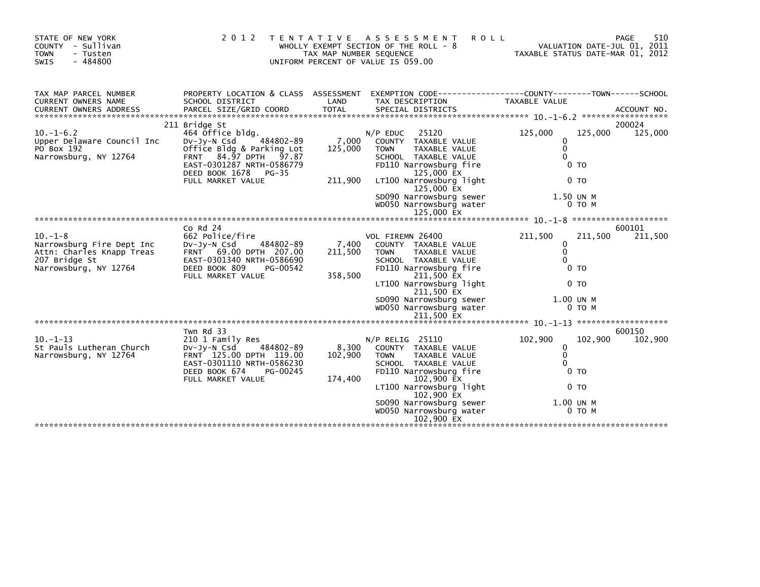| STATE OF NEW YORK<br>COUNTY - Sullivan<br><b>TOWN</b><br>- Tusten<br>$-484800$<br>SWIS                           | 2012                                                                                                                                                                                                         | T E N T A T I V E<br>TAX MAP NUMBER SEQUENCE | ASSESSMENT<br><b>ROLL</b><br>WHOLLY EXEMPT SECTION OF THE ROLL - 8<br>UNIFORM PERCENT OF VALUE IS 059.00                                                                                                                                                     | TAXABLE STATUS DATE-MAR 01, 2012                                |                                                           | 510<br>PAGE<br>VALUATION DATE-JUL 01, 2011 |
|------------------------------------------------------------------------------------------------------------------|--------------------------------------------------------------------------------------------------------------------------------------------------------------------------------------------------------------|----------------------------------------------|--------------------------------------------------------------------------------------------------------------------------------------------------------------------------------------------------------------------------------------------------------------|-----------------------------------------------------------------|-----------------------------------------------------------|--------------------------------------------|
| TAX MAP PARCEL NUMBER<br>CURRENT OWNERS NAME                                                                     | PROPERTY LOCATION & CLASS ASSESSMENT<br>SCHOOL DISTRICT                                                                                                                                                      | LAND                                         | EXEMPTION CODE------------------COUNTY--------TOWN------SCHOOL<br>TAX DESCRIPTION                                                                                                                                                                            | TAXABLE VALUE                                                   |                                                           |                                            |
| $10. -1 - 6.2$<br>Upper Delaware Council Inc<br>PO Box 192<br>Narrowsburg, NY 12764                              | 211 Bridge St<br>464 Office bldg.<br>484802-89<br>$Dv-Jv-N$ Csd<br>Office Bldg & Parking Lot<br><b>FRNT</b><br>84.97 DPTH 97.87<br>EAST-0301287 NRTH-0586779<br>DEED BOOK 1678<br>PG-35<br>FULL MARKET VALUE | 7,000<br>125,000<br>211,900                  | $N/P$ EDUC<br>25120<br>COUNTY TAXABLE VALUE<br><b>TOWN</b><br>TAXABLE VALUE<br>SCHOOL TAXABLE VALUE<br>FD110 Narrowsburg fire<br>125,000 EX<br>LT100 Narrowsburg light<br>125,000 EX<br>SD090 Narrowsburg sewer<br>WD050 Narrowsburg water<br>125,000 EX     | 125,000<br>0<br>$\mathbf{0}$<br>$\Omega$<br>1.50 UN M           | 125,000<br>0 <sub>T</sub><br>0 <sub>T</sub><br>0 TO M     | 200024<br>125,000                          |
|                                                                                                                  |                                                                                                                                                                                                              |                                              |                                                                                                                                                                                                                                                              |                                                                 |                                                           |                                            |
| $10. -1 - 8$<br>Narrowsburg Fire Dept Inc<br>Attn: Charles Knapp Treas<br>207 Bridge St<br>Narrowsburg, NY 12764 | $Co$ Rd $24$<br>662 Police/fire<br>484802-89<br>DV-JY-N Csd<br>FRNT 69.00 DPTH 207.00<br>EAST-0301340 NRTH-0586690<br>DEED BOOK 809<br>PG-00542<br>FULL MARKET VALUE                                         | 7,400<br>211,500<br>358,500                  | VOL FIREMN 26400<br>COUNTY TAXABLE VALUE<br><b>TAXABLE VALUE</b><br><b>TOWN</b><br>SCHOOL TAXABLE VALUE<br>FD110 Narrowsburg fire<br>211,500 EX<br>LT100 Narrowsburg light<br>211,500 EX<br>SD090 Narrowsburg sewer<br>WD050 Narrowsburg water<br>211,500 EX | 211,500<br>$\mathbf{0}$<br>$\mathbf 0$<br>$\Omega$<br>1.00 UN M | 211,500<br>0 <sub>T</sub><br>0 <sub>T</sub><br>$0$ TO $M$ | 600101<br>211,500                          |
| $10. -1 - 13$<br>St Pauls Lutheran Church<br>Narrowsburg, NY 12764                                               | Twn Rd 33<br>210 1 Family Res<br>484802-89<br>$Dv-Jv-N$ Csd<br>FRNT 125.00 DPTH 119.00<br>EAST-0301110 NRTH-0586230<br>DEED BOOK 674<br>PG-00245<br>FULL MARKET VALUE                                        | 8,300<br>102,900<br>174,400                  | $N/P$ RELIG 25110<br>COUNTY TAXABLE VALUE<br><b>TOWN</b><br>TAXABLE VALUE<br>SCHOOL TAXABLE VALUE<br>FD110 Narrowsburg fire<br>102,900 EX<br>LT100 Narrowsburg light<br>102,900 EX<br>SD090 Narrowsburg sewer<br>WD050 Narrowsburg water<br>102,900 EX       | 102,900<br>0<br>$\mathbf{0}$<br>$\Omega$<br>1.00 UN M           | 102,900<br>$0$ TO<br>0 <sub>T</sub><br>$0$ TO M           | 600150<br>102,900                          |
|                                                                                                                  |                                                                                                                                                                                                              |                                              |                                                                                                                                                                                                                                                              |                                                                 |                                                           |                                            |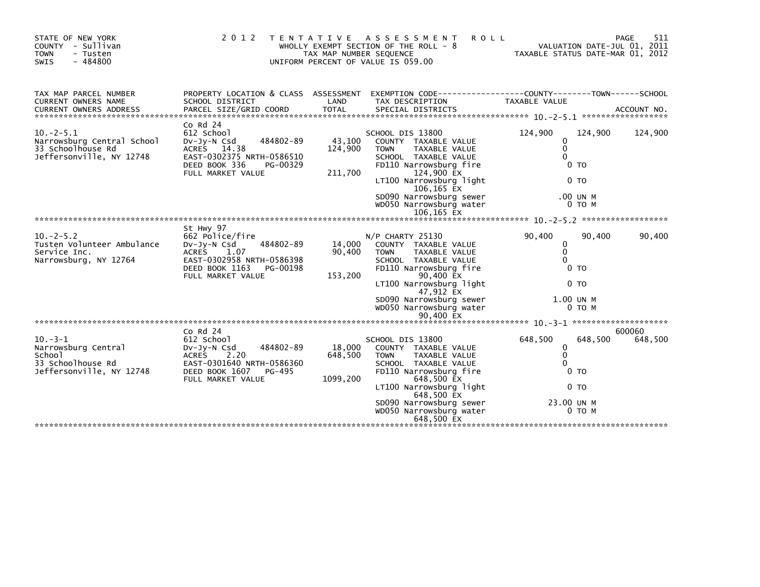| STATE OF NEW YORK<br>COUNTY - Sullivan<br><b>TOWN</b><br>- Tusten<br>$-484800$<br>SWIS                                                                                                                                                                                         | 2 0 1 2<br>T E N T A T I V E                                                                                                                                     | TAX MAP NUMBER SEQUENCE       | ASSESSMENT<br><b>ROLL</b><br>WHOLLY EXEMPT SECTION OF THE ROLL - 8<br>UNIFORM PERCENT OF VALUE IS 059.00                                                                                                                                                     | VALUATION DATE-JUL 01, 2011<br>TAXABLE STATUS DATE-MAR 01, 2012                                                         | 511<br>PAGE       |
|--------------------------------------------------------------------------------------------------------------------------------------------------------------------------------------------------------------------------------------------------------------------------------|------------------------------------------------------------------------------------------------------------------------------------------------------------------|-------------------------------|--------------------------------------------------------------------------------------------------------------------------------------------------------------------------------------------------------------------------------------------------------------|-------------------------------------------------------------------------------------------------------------------------|-------------------|
| TAX MAP PARCEL NUMBER<br>CURRENT OWNERS NAME<br>CURRENT OWNERS ADDRESS PARCEL SIZE/GRID COORD TOTAL SPECIAL DISTRICTS AND MO. ACCOUNT NO. ACCOUNT NO. AND A SERVER AND TOTAL SPECIAL DISTRICTS AND A SERVER AND A SERVER AND TOTAL SERVER AND TOTAL THE SERVER OF THE SERVER O | PROPERTY LOCATION & CLASS ASSESSMENT<br>SCHOOL DISTRICT                                                                                                          | LAND                          | EXEMPTION CODE-----------------COUNTY-------TOWN------SCHOOL<br>TAX DESCRIPTION                                                                                                                                                                              | TAXABLE VALUE                                                                                                           |                   |
| $10. -2 - 5.1$<br>Narrowsburg Central School<br>33 Schoolhouse Rd<br>Jeffersonville, NY 12748                                                                                                                                                                                  | $Co$ Rd $24$<br>612 School<br>484802-89<br>$Dv-Jy-N$ Csd<br>ACRES 14.38<br>EAST-0302375 NRTH-0586510<br>DEED BOOK 336<br>PG-00329<br>FULL MARKET VALUE           | 43,100<br>124,900<br>211,700  | SCHOOL DIS 13800<br>COUNTY TAXABLE VALUE<br>TAXABLE VALUE<br><b>TOWN</b><br>SCHOOL TAXABLE VALUE<br>FD110 Narrowsburg fire<br>124,900 EX<br>LT100 Narrowsburg light<br>106,165 EX<br>SD090 Narrowsburg sewer<br>WD050 Narrowsburg water<br>106,165 EX        | 124,900<br>124,900<br>$\Omega$<br>$\mathbf{0}$<br>$\Omega$<br>0 <sub>T</sub><br>0 <sub>T</sub><br>.00 UN M<br>0 TO M    | 124,900           |
|                                                                                                                                                                                                                                                                                |                                                                                                                                                                  |                               |                                                                                                                                                                                                                                                              |                                                                                                                         |                   |
| $10. -2 - 5.2$<br>Tusten Volunteer Ambulance<br>Service Inc.<br>Narrowsburg, NY 12764                                                                                                                                                                                          | St Hwy 97<br>662 Police/fire<br>DV-Jy-N Csd<br>484802-89<br><b>ACRES</b><br>1.07<br>EAST-0302958 NRTH-0586398<br>DEED BOOK 1163<br>PG-00198<br>FULL MARKET VALUE | 14,000<br>90,400<br>153,200   | N/P CHARTY 25130<br>COUNTY TAXABLE VALUE<br>TAXABLE VALUE<br><b>TOWN</b><br>SCHOOL TAXABLE VALUE<br>FD110 Narrowsburg fire<br>90,400 EX<br>LT100 Narrowsburg light<br>47,912 EX<br>SD090 Narrowsburg sewer<br>WD050 Narrowsburg water<br>90,400 EX           | 90,400<br>90,400<br>$\mathbf{0}$<br>$\mathbf{0}$<br>$\Omega$<br>0 <sub>T</sub><br>0 <sub>T</sub><br>1.00 UN M<br>0 TO M | 90,400            |
|                                                                                                                                                                                                                                                                                |                                                                                                                                                                  |                               |                                                                                                                                                                                                                                                              |                                                                                                                         |                   |
| $10. -3 - 1$<br>Narrowsburg Central<br>School<br>33 Schoolhouse Rd<br>Jeffersonville, NY 12748                                                                                                                                                                                 | $Co$ Rd $24$<br>612 School<br>484802-89<br>$Dv-Jv-N$ Csd<br>2.20<br>ACRES<br>EAST-0301640 NRTH-0586360<br>DEED BOOK 1607<br>PG-495<br>FULL MARKET VALUE          | 18,000<br>648,500<br>1099,200 | SCHOOL DIS 13800<br>COUNTY TAXABLE VALUE<br><b>TOWN</b><br><b>TAXABLE VALUE</b><br>SCHOOL TAXABLE VALUE<br>FD110 Narrowsburg fire<br>648,500 EX<br>LT100 Narrowsburg light<br>648,500 EX<br>SD090 Narrowsburg sewer<br>WD050 Narrowsburg water<br>648.500 EX | 648,500<br>648,500<br>0<br>$\mathbf 0$<br>$\Omega$<br>0 <sub>T</sub><br>0 <sub>T</sub><br>23.00 UN M<br>$0$ TO M        | 600060<br>648,500 |
|                                                                                                                                                                                                                                                                                |                                                                                                                                                                  |                               |                                                                                                                                                                                                                                                              |                                                                                                                         |                   |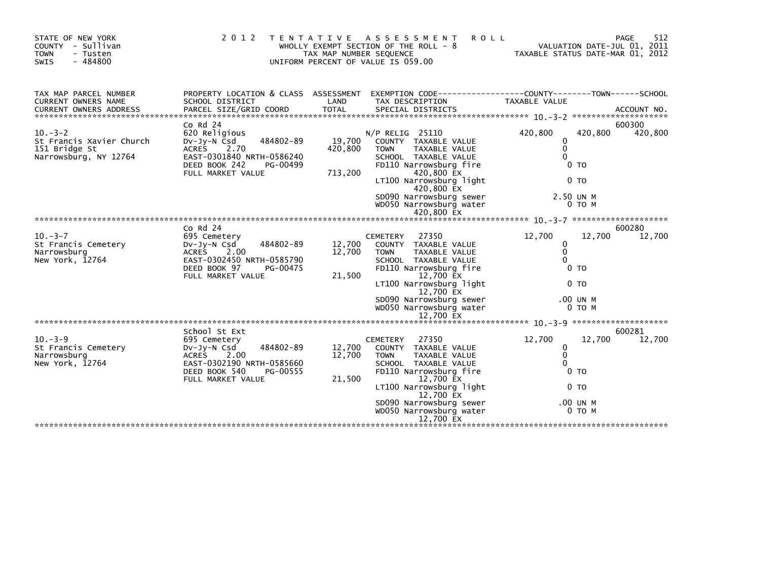| STATE OF NEW YORK<br>COUNTY - Sullivan<br><b>TOWN</b><br>- Tusten<br>$-484800$<br>SWIS | 2 0 1 2                                                                                                                                                            | T E N T A T I V E<br>TAX MAP NUMBER SEQUENCE | A S S E S S M E N T<br><b>ROLL</b><br>WHOLLY EXEMPT SECTION OF THE ROLL - 8<br>UNIFORM PERCENT OF VALUE IS 059.00                                                                                                                                          | VALUATION DATE-JUL 01, 2011<br>TAXABLE STATUS DATE-MAR 01, 2012                                                       | 512<br>PAGE       |
|----------------------------------------------------------------------------------------|--------------------------------------------------------------------------------------------------------------------------------------------------------------------|----------------------------------------------|------------------------------------------------------------------------------------------------------------------------------------------------------------------------------------------------------------------------------------------------------------|-----------------------------------------------------------------------------------------------------------------------|-------------------|
| TAX MAP PARCEL NUMBER<br>CURRENT OWNERS NAME                                           | SCHOOL DISTRICT                                                                                                                                                    | LAND                                         | PROPERTY LOCATION & CLASS ASSESSMENT EXEMPTION CODE----------------COUNTY-------TOWN-----SCHOOL<br>TAX DESCRIPTION                                                                                                                                         | TAXABLE VALUE                                                                                                         |                   |
| $10. -3 - 2$<br>St Francis Xavier Church<br>151 Bridge St<br>Narrowsburg, NY 12764     | $Co$ Rd $24$<br>620 Religious<br>484802-89<br>$Dv-Jy-N$ Csd<br><b>ACRES</b><br>2.70<br>EAST-0301840 NRTH-0586240<br>DEED BOOK 242<br>PG-00499<br>FULL MARKET VALUE | 19,700<br>420,800<br>713,200                 | N/P RELIG 25110<br>COUNTY TAXABLE VALUE<br><b>TOWN</b><br>TAXABLE VALUE<br>SCHOOL TAXABLE VALUE<br>FD110 Narrowsburg fire<br>420,800 EX<br>LT100 Narrowsburg light<br>420,800 EX<br>SD090 Narrowsburg sewer<br>WD050 Narrowsburg water<br>420,800 EX       | 420,800<br>420,800<br>$\Omega$<br>$\mathbf{0}$<br>$\Omega$<br>0 <sub>T</sub><br>0 <sub>T</sub><br>2.50 UN M<br>0 TO M | 600300<br>420,800 |
|                                                                                        |                                                                                                                                                                    |                                              |                                                                                                                                                                                                                                                            |                                                                                                                       |                   |
| $10. -3 - 7$<br>St Francis Cemetery<br>Narrowsburg<br>New York, 12764                  | Co Rd 24<br>695 Cemetery<br>484802-89<br>DV-Jy-N Csd<br>2.00<br>ACRES<br>EAST-0302450 NRTH-0585790<br>DEED BOOK 97<br>PG-00475<br>FULL MARKET VALUE                | 12,700<br>12,700<br>21,500                   | 27350<br><b>CEMETERY</b><br>COUNTY TAXABLE VALUE<br><b>TOWN</b><br>TAXABLE VALUE<br>SCHOOL TAXABLE VALUE<br>FD110 Narrowsburg fire<br>12,700 EX<br>LT100 Narrowsburg light<br>12,700 EX<br>SD090 Narrowsburg sewer<br>WD050 Narrowsburg water<br>12,700 EX | 12,700<br>12,700<br>0<br>$\mathbf{0}$<br>$\Omega$<br>0 <sub>T</sub><br>0 <sub>T</sub><br>.00 UN M<br>$0$ TO $M$       | 600280<br>12,700  |
|                                                                                        |                                                                                                                                                                    |                                              |                                                                                                                                                                                                                                                            |                                                                                                                       |                   |
| $10 - 3 - 9$<br>St Francis Cemetery<br>Narrowsburg<br>New York, 12764                  | School St Ext<br>695 Cemetery<br>484802-89<br>$Dv-Jy-N$ Csd<br><b>ACRES</b><br>2.00<br>EAST-0302190 NRTH-0585660<br>DEED BOOK 540<br>PG-00555<br>FULL MARKET VALUE | 12,700<br>12,700<br>21,500                   | <b>CEMETERY</b><br>27350<br>COUNTY TAXABLE VALUE<br><b>TOWN</b><br>TAXABLE VALUE<br>SCHOOL TAXABLE VALUE<br>FD110 Narrowsburg fire<br>12,700 EX<br>LT100 Narrowsburg light<br>12,700 EX<br>SD090 Narrowsburg sewer<br>WD050 Narrowsburg water<br>12,700 EX | 12,700<br>12,700<br>$\Omega$<br>$\mathbf{0}$<br>$\Omega$<br>0 <sub>T</sub><br>0 <sub>T</sub><br>.00 UN M<br>$0$ TO M  | 600281<br>12,700  |
|                                                                                        |                                                                                                                                                                    |                                              |                                                                                                                                                                                                                                                            |                                                                                                                       |                   |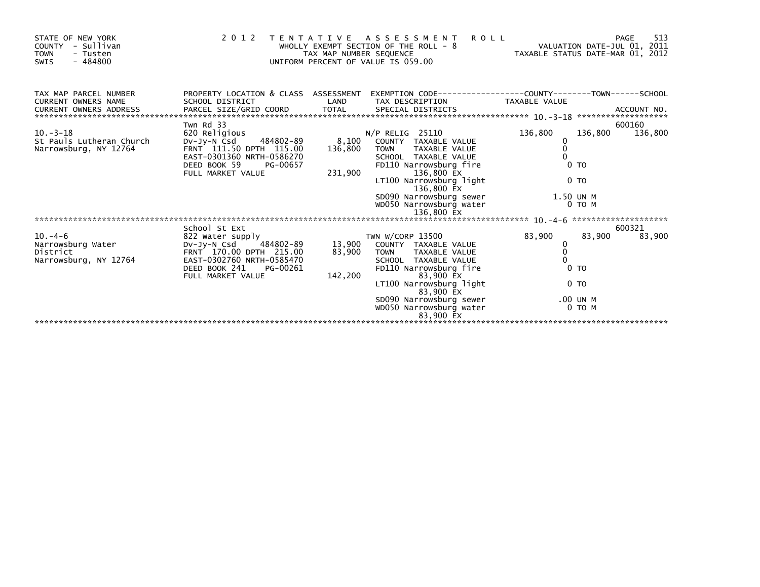| STATE OF NEW YORK<br>COUNTY - Sullivan<br><b>TOWN</b><br>- Tusten<br>$-484800$<br>SWIS |                                                                                                                                                                 |                             | 2012 TENTATIVE ASSESSMENT<br><b>ROLL</b><br>.11<br>VALUATION DATE-JUL 01, 2011 TAX MAP NUMBER SEQUENCE<br>UNIFORM PERCENT OF VALUE IS 059.00                                                                                                                     |                                                          |                    | 513<br>PAGE       |
|----------------------------------------------------------------------------------------|-----------------------------------------------------------------------------------------------------------------------------------------------------------------|-----------------------------|------------------------------------------------------------------------------------------------------------------------------------------------------------------------------------------------------------------------------------------------------------------|----------------------------------------------------------|--------------------|-------------------|
| TAX MAP PARCEL NUMBER<br><b>CURRENT OWNERS NAME</b>                                    | SCHOOL DISTRICT                                                                                                                                                 | LAND                        | PROPERTY LOCATION & CLASS ASSESSMENT EXEMPTION CODE----------------COUNTY-------TOWN-----SCHOOL<br>TAX DESCRIPTION                                                                                                                                               | TAXABLE VALUE                                            |                    |                   |
| $10. -3 - 18$<br>St Pauls Lutheran Church<br>Narrowsburg, NY 12764                     | Twn Rd 33<br>620 Religious<br>DV-Jy-N Csd<br>484802-89<br>FRNT 111.50 DPTH 115.00<br>EAST-0301360 NRTH-0586270<br>DEED BOOK 59<br>PG-00657<br>FULL MARKET VALUE | 8,100<br>136,800<br>231,900 | $N/P$ RELIG 25110<br>COUNTY TAXABLE VALUE<br><b>TOWN</b><br>TAXABLE VALUE<br>SCHOOL TAXABLE VALUE<br>FD110 Narrowsburg fire<br>136,800 EX<br>LT100 Narrowsburg light<br>136,800 EX<br>SD090 Narrowsburg sewer 1.50 UN M<br>WD050 Narrowsburg water<br>136,800 EX | 136,800<br>0<br>$\mathbf{0}$<br>$0$ TO<br>0 <sub>T</sub> | 136,800<br>0 TO M  | 600160<br>136,800 |
|                                                                                        | School St Ext                                                                                                                                                   |                             |                                                                                                                                                                                                                                                                  |                                                          |                    | 600321            |
| $10. -4 - 6$<br>Narrowsburg Water<br>District<br>Narrowsburg, NY 12764                 | 822 Water supply<br>484802-89<br>Dv-Jy-N Csd<br>FRNT 170.00 DPTH 215.00<br>EAST-0302760 NRTH-0585470<br>DEED BOOK 241<br>PG-00261<br>FULL MARKET VALUE          | 13,900<br>83,900<br>142,200 | TWN W/CORP 13500<br>COUNTY TAXABLE VALUE<br>TOWN TAXABLE VALUE<br>SCHOOL TAXABLE VALUE<br>FD110 Narrowsburg fire<br>83,900 EX                                                                                                                                    | 83,900<br>0<br>$\mathbf 0$<br>$\Omega$<br>$0$ TO         | 83,900             | 83,900            |
|                                                                                        |                                                                                                                                                                 |                             | LT100 Narrowsburg light<br>83,900 EX<br>SD090 Narrowsburg sewer<br>WD050 Narrowsburg water<br>83.900 EX                                                                                                                                                          | 0 <sub>T</sub>                                           | .00 UN M<br>0 TO M |                   |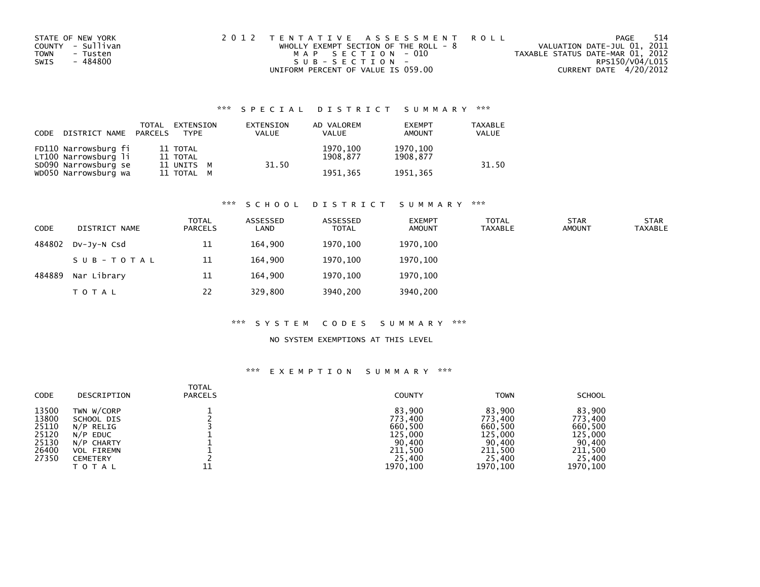| STATE OF NEW YORK       | 2012 TENTATIVE ASSESSMENT ROLL          | -514<br>PAGE                     |
|-------------------------|-----------------------------------------|----------------------------------|
| COUNTY - Sullivan       | WHOLLY EXEMPT SECTION OF THE ROLL - $8$ | VALUATION DATE-JUL 01, 2011      |
| <b>TOWN</b><br>- Tusten | MAP SECTION - 010                       | TAXABLE STATUS DATE-MAR 01, 2012 |
| - 484800<br>SWIS        | SUB-SECTION-                            | RPS150/V04/L015                  |
|                         | UNIFORM PERCENT OF VALUE IS 059.00      | CURRENT DATE 4/20/2012           |

| CODE | DISTRICT NAME                                | TOTAL<br>PARCELS | EXTENSION<br><b>TYPF</b> | EXTENSION<br><b>VALUE</b> | AD VALOREM<br><b>VALUE</b> | <b>EXEMPT</b><br>AMOUNT | <b>TAXABLE</b><br>VALUE |
|------|----------------------------------------------|------------------|--------------------------|---------------------------|----------------------------|-------------------------|-------------------------|
|      | FD110 Narrowsburg fi<br>LT100 Narrowsburg li |                  | 11 TOTAL<br>11 TOTAL     | 31.50                     | 1970,100<br>1908.877       | 1970,100<br>1908.877    | 31.50                   |
|      | SD090 Narrowsburg se<br>WD050 Narrowsburg wa |                  | 11 UNITS M<br>11 TOTAL M |                           | 1951.365                   | 1951.365                |                         |

#### \*\*\* S C H O O L D I S T R I C T S U M M A R Y \*\*\*

| <b>CODE</b> | DISTRICT NAME | <b>TOTAL</b><br><b>PARCELS</b> | ASSESSED<br>LAND | ASSESSED<br><b>TOTAL</b> | <b>EXEMPT</b><br><b>AMOUNT</b> | <b>TOTAL</b><br><b>TAXABLE</b> | <b>STAR</b><br><b>AMOUNT</b> | <b>STAR</b><br>TAXABLE |
|-------------|---------------|--------------------------------|------------------|--------------------------|--------------------------------|--------------------------------|------------------------------|------------------------|
| 484802      | DV-JY-N Csd   | 11                             | 164.900          | 1970,100                 | 1970,100                       |                                |                              |                        |
|             | SUB-TOTAL     | 11                             | 164.900          | 1970.100                 | 1970.100                       |                                |                              |                        |
| 484889      | Nar Library   | 11                             | 164.900          | 1970.100                 | 1970.100                       |                                |                              |                        |
|             | <b>TOTAL</b>  | 22                             | 329,800          | 3940,200                 | 3940,200                       |                                |                              |                        |

#### \*\*\* S Y S T E M C O D E S S U M M A R Y \*\*\*

### NO SYSTEM EXEMPTIONS AT THIS LEVEL

| <b>CODE</b> | DESCRIPTION       | <b>TOTAL</b><br><b>PARCELS</b> | <b>COUNTY</b> | <b>TOWN</b> | <b>SCHOOL</b> |
|-------------|-------------------|--------------------------------|---------------|-------------|---------------|
| 13500       | TWN W/CORP        |                                | 83.900        | 83,900      | 83.900        |
| 13800       | SCHOOL DIS        |                                | 773,400       | 773.400     | 773.400       |
| 25110       | N/P RELIG         |                                | 660,500       | 660,500     | 660,500       |
| 25120       | N/P EDUC          |                                | 125,000       | 125,000     | 125,000       |
| 25130       | N/P CHARTY        |                                | 90,400        | 90,400      | 90,400        |
| 26400       | <b>VOL FIREMN</b> |                                | 211,500       | 211,500     | 211,500       |
| 27350       | <b>CEMETERY</b>   |                                | 25,400        | 25,400      | 25,400        |
|             | <b>TOTAL</b>      | 11                             | 1970,100      | 1970, 100   | 1970, 100     |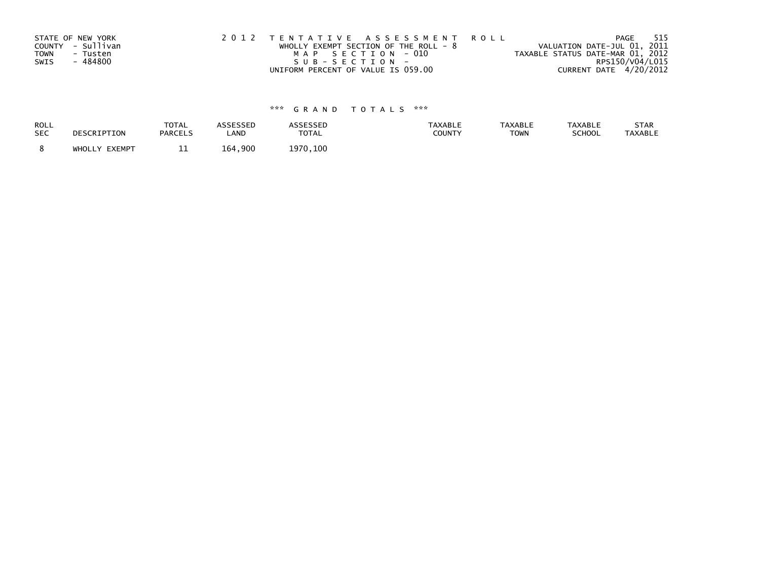| STATE OF NEW YORK | 2012 TENTATIVE ASSESSMENT ROLL          | 515<br>PAGE                      |
|-------------------|-----------------------------------------|----------------------------------|
| COUNTY - Sullivan | WHOLLY EXEMPT SECTION OF THE ROLL - $8$ | VALUATION DATE-JUL 01, 2011      |
| TOWN<br>- Tusten  | MAP SECTION - 010                       | TAXABLE STATUS DATE-MAR 01, 2012 |
| - 484800<br>SWIS  | SUB-SECTION-                            | RPS150/V04/L015                  |
|                   | UNIFORM PERCENT OF VALUE IS 059.00      | CURRENT DATE 4/20/2012           |

| ROLL       | DESCRIPTION   | TOTAL          | ASSESSED                  | <b>ASSESSED</b> | <b>TAXABLE</b> | <b>TAXABLE</b> | <b>TAXABLE</b> | STAR           |
|------------|---------------|----------------|---------------------------|-----------------|----------------|----------------|----------------|----------------|
| <b>SEC</b> |               | <b>PARCELS</b> | LAND                      | <b>TOTAL</b>    | <b>COUNTY</b>  | <b>TOWN</b>    | <b>SCHOOL</b>  | <b>TAXABLE</b> |
|            | WHOLLY EXEMPT | --             | $\overline{.}$ 900<br>164 | 1970, 100       |                |                |                |                |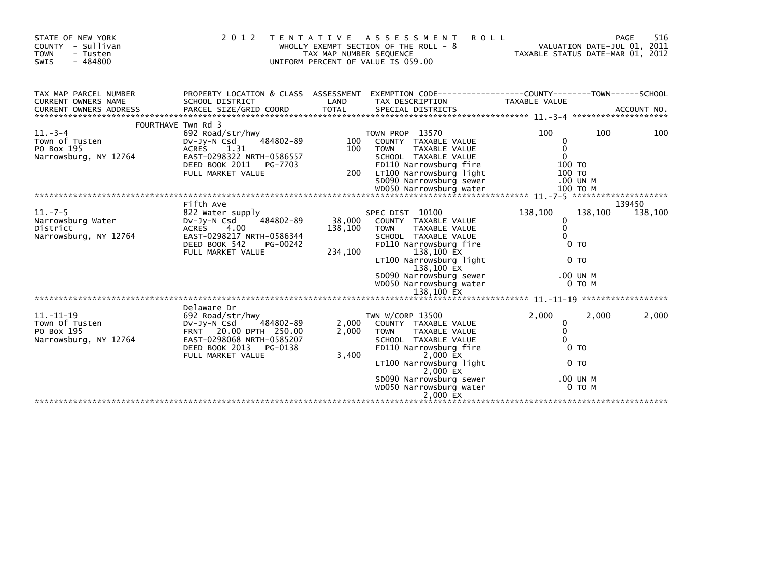| STATE OF NEW YORK<br>- Sullivan<br>COUNTY<br><b>TOWN</b><br>- Tusten<br>$-484800$<br><b>SWIS</b> | 2 0 1 2                                                                                                                                                                   | T E N T A T I V E<br>TAX MAP NUMBER SEQUENCE | ASSESSMENT<br><b>ROLL</b><br>WHOLLY EXEMPT SECTION OF THE ROLL - 8<br>UNIFORM PERCENT OF VALUE IS 059.00                                                                                                                                                       | TAXABLE STATUS DATE-MAR 01, 2012                                            |                     | 516<br>PAGE<br>VALUATION DATE-JUL 01, 2011 |
|--------------------------------------------------------------------------------------------------|---------------------------------------------------------------------------------------------------------------------------------------------------------------------------|----------------------------------------------|----------------------------------------------------------------------------------------------------------------------------------------------------------------------------------------------------------------------------------------------------------------|-----------------------------------------------------------------------------|---------------------|--------------------------------------------|
| TAX MAP PARCEL NUMBER<br>CURRENT OWNERS NAME                                                     | PROPERTY LOCATION & CLASS ASSESSMENT<br>SCHOOL DISTRICT                                                                                                                   | LAND                                         | EXEMPTION CODE-----------------COUNTY-------TOWN------SCHOOL<br>TAX DESCRIPTION                                                                                                                                                                                | TAXABLE VALUE                                                               |                     |                                            |
| $11.-3-4$<br>Town of Tusten<br>PO Box 195<br>Narrowsburg, NY 12764                               | FOURTHAVE Twn Rd 3<br>692 Road/str/hwy<br>484802-89<br>DV-JY-N Csd<br>1.31<br><b>ACRES</b><br>EAST-0298322 NRTH-0586557<br>DEED BOOK 2011<br>PG-7703<br>FULL MARKET VALUE | 100<br>100<br>200                            | TOWN PROP 13570<br>COUNTY TAXABLE VALUE<br><b>TOWN</b><br>TAXABLE VALUE<br>SCHOOL TAXABLE VALUE<br>FD110 Narrowsburg fire<br>LT100 Narrowsburg light<br>SD090 Narrowsburg sewer                                                                                | 100<br>0<br>0<br>$\mathbf{0}$<br>100 TO<br>100 TO<br>.00 UN M               | 100                 | 100                                        |
|                                                                                                  |                                                                                                                                                                           |                                              |                                                                                                                                                                                                                                                                |                                                                             |                     |                                            |
| $11. -7 - 5$<br>Narrowsburg Water<br>District<br>Narrowsburg, NY 12764                           | Fifth Ave<br>822 Water supply<br>484802-89<br>DV-Jy-N Csd<br>4.00<br><b>ACRES</b><br>EAST-0298217 NRTH-0586344<br>DEED BOOK 542<br>PG-00242<br>FULL MARKET VALUE          | 38,000<br>138,100<br>234,100                 | SPEC DIST 10100<br>COUNTY TAXABLE VALUE<br><b>TOWN</b><br>TAXABLE VALUE<br>SCHOOL TAXABLE VALUE<br>FD110 Narrowsburg fire<br>138,100 EX<br>LT100 Narrowsburg light<br>138,100 EX<br>SD090 Narrowsburg sewer<br>WD050 Narrowsburg water                         | 138,100<br>0<br>0<br>0<br>0 <sub>T</sub><br>0 <sub>T</sub><br>.00 UN M      | 138,100<br>$0$ TO M | 139450<br>138,100                          |
|                                                                                                  |                                                                                                                                                                           |                                              |                                                                                                                                                                                                                                                                |                                                                             |                     |                                            |
| $11. - 11 - 19$<br>Town Of Tusten<br>PO Box 195<br>Narrowsburg, NY 12764                         | Delaware Dr<br>692 Road/str/hwy<br>$Dv-Jy-N$ Csd<br>484802-89<br>FRNT 20.00 DPTH 250.00<br>EAST-0298068 NRTH-0585207<br>DEED BOOK 2013<br>PG-0138<br>FULL MARKET VALUE    | 2,000<br>2,000<br>3,400                      | TWN W/CORP 13500<br>COUNTY TAXABLE VALUE<br>TAXABLE VALUE<br><b>TOWN</b><br>SCHOOL TAXABLE VALUE<br>FD110 Narrowsburg fire<br>2,000 EX<br>LT100 Narrowsburg light<br>2,000 EX<br>SD090 Narrowsburg sewer<br>WD050 Narrowsburg water<br>$2.000$ $\overline{E}X$ | 2,000<br>0<br>0<br>$\Omega$<br>0 <sub>T</sub><br>0 <sub>T</sub><br>.00 UN M | 2,000<br>$0$ TO M   | 2,000                                      |
|                                                                                                  |                                                                                                                                                                           |                                              |                                                                                                                                                                                                                                                                |                                                                             |                     |                                            |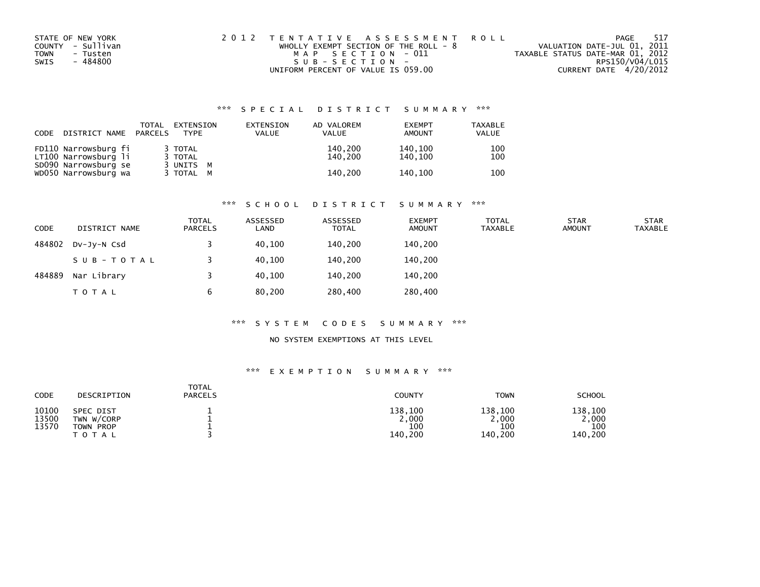| STATE OF NEW YORK       | 2012 TENTATIVE ASSESSMENT ROLL          | 517<br>PAGE                      |
|-------------------------|-----------------------------------------|----------------------------------|
| COUNTY - Sullivan       | WHOLLY EXEMPT SECTION OF THE ROLL - $8$ | VALUATION DATE-JUL 01, 2011      |
| <b>TOWN</b><br>- Tusten | MAP SECTION - 011                       | TAXABLE STATUS DATE-MAR 01, 2012 |
| - 484800<br>SWIS        | SUB-SECTION-                            | RPS150/V04/L015                  |
|                         | UNIFORM PERCENT OF VALUE IS 059.00      | CURRENT DATE 4/20/2012           |

| CODE | DISTRICT NAME                                | TOTAL<br>PARCELS | EXTENSION<br><b>TYPE</b>        | EXTENSION<br><b>VALUE</b> | AD VALOREM<br><b>VALUE</b> | <b>EXEMPT</b><br>AMOUNT | <b>TAXABLE</b><br>VALUE |
|------|----------------------------------------------|------------------|---------------------------------|---------------------------|----------------------------|-------------------------|-------------------------|
|      | FD110 Narrowsburg fi<br>LT100 Narrowsburg li |                  | 3 TOTAL<br>3 TOTAL<br>3 UNITS M |                           | 140.200<br>140.200         | 140,100<br>140.100      | 100<br>100              |
|      | SD090 Narrowsburg se<br>WD050 Narrowsburg wa |                  | 3 TOTAL M                       |                           | 140.200                    | 140.100                 | 100                     |

#### \*\*\* S C H O O L D I S T R I C T S U M M A R Y \*\*\*

| <b>CODE</b> | DISTRICT NAME | TOTAL<br><b>PARCELS</b> | ASSESSED<br>LAND | ASSESSED<br><b>TOTAL</b> | <b>EXEMPT</b><br><b>AMOUNT</b> | <b>TOTAL</b><br><b>TAXABLE</b> | <b>STAR</b><br><b>AMOUNT</b> | <b>STAR</b><br><b>TAXABLE</b> |
|-------------|---------------|-------------------------|------------------|--------------------------|--------------------------------|--------------------------------|------------------------------|-------------------------------|
| 484802      | DV-JY-N Csd   |                         | 40,100           | 140,200                  | 140,200                        |                                |                              |                               |
|             | SUB-TOTAL     |                         | 40.100           | 140.200                  | 140,200                        |                                |                              |                               |
| 484889      | Nar Library   |                         | 40.100           | 140.200                  | 140,200                        |                                |                              |                               |
|             | <b>TOTAL</b>  | 6                       | 80,200           | 280,400                  | 280,400                        |                                |                              |                               |

#### \*\*\* S Y S T E M C O D E S S U M M A R Y \*\*\*

### NO SYSTEM EXEMPTIONS AT THIS LEVEL

| CODE                    | DESCRIPTION                                          | <b>TOTAL</b><br><b>PARCELS</b> | <b>COUNTY</b>                      | <b>TOWN</b>                       | <b>SCHOOL</b>                      |
|-------------------------|------------------------------------------------------|--------------------------------|------------------------------------|-----------------------------------|------------------------------------|
| 10100<br>13500<br>13570 | SPEC DIST<br>TWN W/CORP<br>TOWN PROP<br><b>TOTAL</b> |                                | 138,100<br>2,000<br>100<br>140,200 | 138,100<br>,000<br>100<br>140,200 | 138.100<br>2,000<br>100<br>140,200 |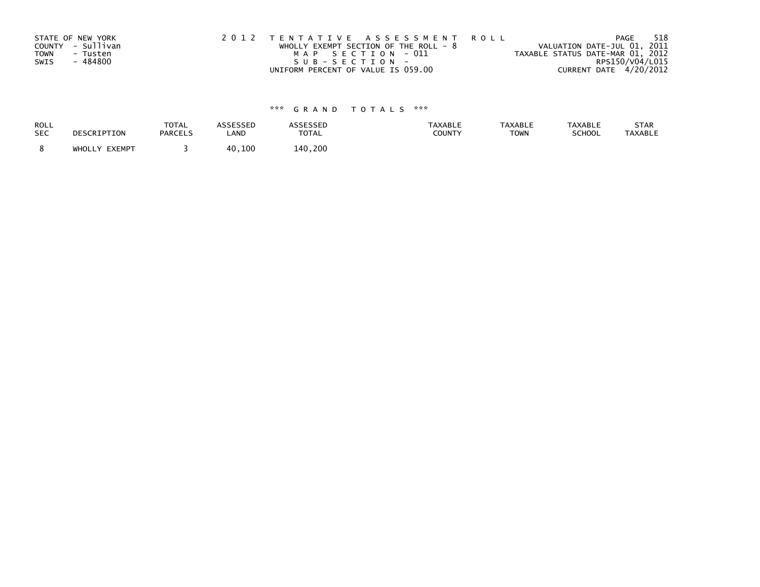|      | STATE OF NEW YORK | 2012 TENTATIVE ASSESSMENT ROLL          | PAGE                             | 518 |
|------|-------------------|-----------------------------------------|----------------------------------|-----|
|      | COUNTY - Sullivan | WHOLLY EXEMPT SECTION OF THE ROLL - $8$ | VALUATION DATE-JUL 01, 2011      |     |
| TOWN | - Tusten          | MAP SECTION - 011                       | TAXABLE STATUS DATE-MAR 01, 2012 |     |
| SWIS | - 484800          | SUB-SECTION-                            | RPS150/V04/L015                  |     |
|      |                   | UNIFORM PERCENT OF VALUE IS 059.00      | CURRENT DATE 4/20/2012           |     |

| ROLL       | DESCRIPTION   | <b>TOTAL</b>   | ASSESSED | <b>ASSESSED</b> | <b>TAXABLE</b> | <b>TAXABLE</b> | <b>TAXABLE</b> | STAR           |
|------------|---------------|----------------|----------|-----------------|----------------|----------------|----------------|----------------|
| <b>SEC</b> |               | <b>PARCELS</b> | LAND     | <b>TOTAL</b>    | <b>COUNTY</b>  | <b>TOWN</b>    | <b>SCHOOL</b>  | <b>TAXABLE</b> |
|            | WHOLLY EXEMPT |                | 40,100   | 140.200         |                |                |                |                |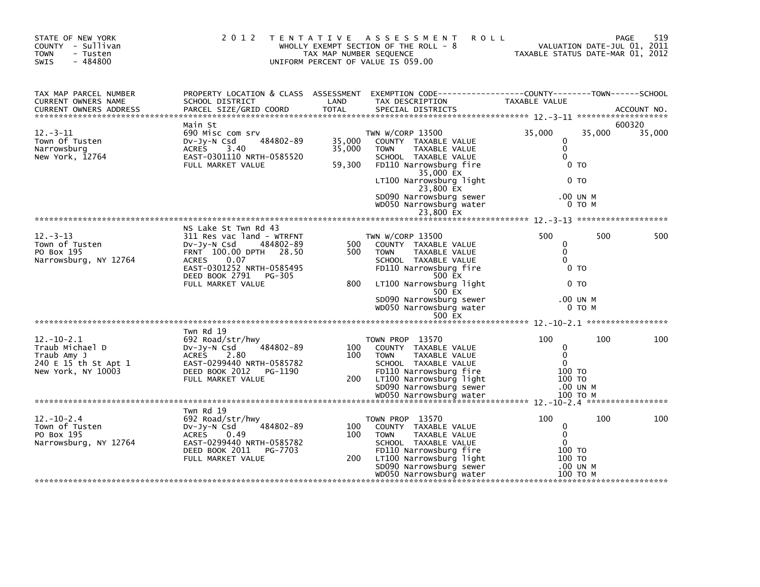| STATE OF NEW YORK<br>COUNTY - Sullivan<br><b>TOWN</b><br>- Tusten<br>SWIS<br>- 484800            | 2 0 1 2                                                                                                                                                                                                    | TAX MAP NUMBER SEQUENCE    | <b>ROLL</b><br>TENTATIVE ASSESSMENT<br>WHOLLY EXEMPT SECTION OF THE ROLL - 8<br>UNIFORM PERCENT OF VALUE IS 059.00                                                                                                                        | TAXABLE STATUS DATE-MAR 01, 2012                                            | VALUATION DATE-JUL 01, 2011 | 519<br>PAGE      |
|--------------------------------------------------------------------------------------------------|------------------------------------------------------------------------------------------------------------------------------------------------------------------------------------------------------------|----------------------------|-------------------------------------------------------------------------------------------------------------------------------------------------------------------------------------------------------------------------------------------|-----------------------------------------------------------------------------|-----------------------------|------------------|
| TAX MAP PARCEL NUMBER<br>CURRENT OWNERS NAME                                                     | SCHOOL DISTRICT                                                                                                                                                                                            | LAND                       | PROPERTY LOCATION & CLASS ASSESSMENT EXEMPTION CODE----------------COUNTY-------TOWN------SCHOOL<br>TAX DESCRIPTION                                                                                                                       | TAXABLE VALUE                                                               |                             |                  |
| $12 - 3 - 11$<br>Town Of Tusten<br>Narrowsburg<br>New York, 12764                                | Main St<br>690 Misc com srv<br>484802-89<br>DV-Jy-N Csd<br>ACRES<br>3.40<br>EAST-0301110 NRTH-0585520<br>FULL MARKET VALUE                                                                                 | 35,000<br>35,000<br>59,300 | TWN W/CORP 13500<br>COUNTY TAXABLE VALUE<br>TAXABLE VALUE<br><b>TOWN</b><br>SCHOOL TAXABLE VALUE<br>FD110 Narrowsburg fire<br>35,000 EX<br>LT100 Narrowsburg light<br>23,800 EX                                                           | 35,000<br>0<br>$\mathbf 0$<br>$\Omega$<br>0 TO<br>0 <sub>T</sub>            | 35,000                      | 600320<br>35,000 |
|                                                                                                  |                                                                                                                                                                                                            |                            | SD090 Narrowsburg sewer<br>WD050 Narrowsburg water<br>23,800 EX                                                                                                                                                                           |                                                                             | .00 UN M<br>0 TO M          |                  |
| $12 - 3 - 13$<br>Town of Tusten<br>PO Box 195<br>Narrowsburg, NY 12764                           | NS Lake St Twn Rd 43<br>311 Res vac land - WTRFNT<br>Dv-Jy-N Csd<br>484802-89<br>FRNT 100.00 DPTH 28.50<br><b>ACRES</b><br>0.07<br>EAST-0301252 NRTH-0585495<br>DEED BOOK 2791 PG-305<br>FULL MARKET VALUE | 500<br>500<br>800          | TWN W/CORP 13500<br>COUNTY TAXABLE VALUE<br>TAXABLE VALUE<br><b>TOWN</b><br>SCHOOL TAXABLE VALUE<br>FD110 Narrowsburg fire<br>500 EX<br>LT100 Narrowsburg light<br>500 EX<br>SD090 Narrowsburg sewer<br>WD050 Narrowsburg water<br>500 EX | 500<br>0<br>$\mathbf 0$<br>$\mathbf{0}$<br>0 <sub>T</sub><br>0 <sub>T</sub> | 500<br>.00 UN M<br>0 TO M   | 500              |
|                                                                                                  | Twn Rd 19                                                                                                                                                                                                  |                            |                                                                                                                                                                                                                                           |                                                                             |                             |                  |
| $12. - 10 - 2.1$<br>Traub Michael D<br>Traub Amy J<br>240 E 15 th St Apt 1<br>New York, NY 10003 | 692 Road/str/hwy<br>484802-89<br>DV-Jy-N Csd<br>ACRES<br>2.80<br>EAST-0299440 NRTH-0585782<br>DEED BOOK 2012 PG-1190<br>FULL MARKET VALUE                                                                  | 100<br>100<br>200          | TOWN PROP 13570<br>COUNTY TAXABLE VALUE<br>TAXABLE VALUE<br><b>TOWN</b><br>SCHOOL TAXABLE VALUE<br>FD110 Narrowsburg fire<br>LT100 Narrowsburg light<br>SD090 Narrowsburg sewer                                                           | 100<br>0<br>$\Omega$<br>$\Omega$<br>100 TO<br>100 TO                        | 100<br>.00 UN M             | 100              |
|                                                                                                  |                                                                                                                                                                                                            |                            |                                                                                                                                                                                                                                           |                                                                             |                             |                  |
| $12.-10-2.4$<br>Town of Tusten<br>PO Box 195<br>Narrowsburg, NY 12764                            | Twn Rd 19<br>692 Road/str/hwy<br>484802-89<br>DV-Jy-N Csd<br><b>ACRES</b><br>0.49<br>EAST-0299440 NRTH-0585782<br>DEED BOOK 2011<br>PG-7703<br>FULL MARKET VALUE                                           | 100<br>100<br>200          | TOWN PROP 13570<br>COUNTY TAXABLE VALUE<br>TAXABLE VALUE<br><b>TOWN</b><br>SCHOOL TAXABLE VALUE<br>FD110 Narrowsburg fire<br>LT100 Narrowsburg light<br>SD090 Narrowsburg sewer                                                           | 100<br>$\mathbf 0$<br>$\mathbf{0}$<br>$\mathbf{0}$<br>100 TO<br>100 TO      | 100<br>.00 UN M             | 100              |
|                                                                                                  |                                                                                                                                                                                                            |                            | WD050 Narrowsburg water                                                                                                                                                                                                                   | 100 то м                                                                    |                             |                  |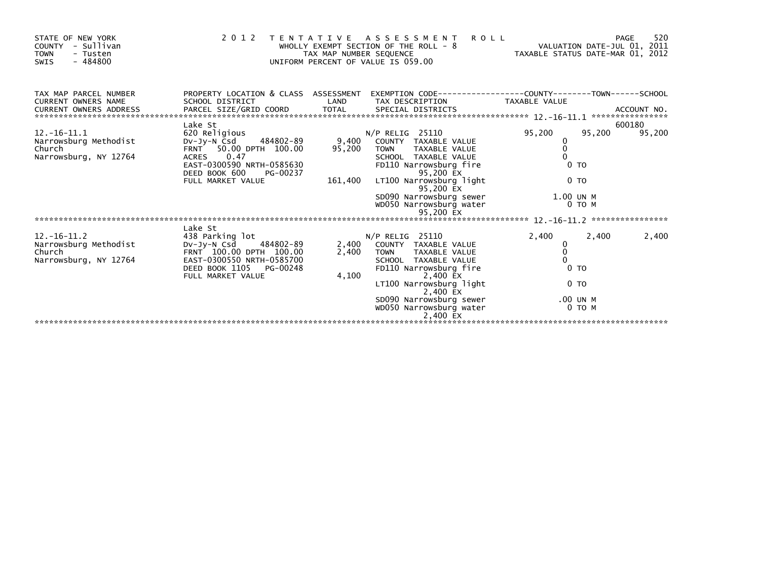| STATE OF NEW YORK<br>- Sullivan<br>COUNTY<br><b>TOWN</b><br>- Tusten<br>$-484800$<br>SWIS | 2 0 1 2                                            | TAX MAP NUMBER SEQUENCE | TENTATIVE ASSESSMENT<br><b>ROLL</b><br>WHOLLY EXEMPT SECTION OF THE ROLL - 8<br>UNIFORM PERCENT OF VALUE IS 059.00 | VALUATION DATE-JUL 01, 2011<br>VALUATION DATE-JUL 01, 2011<br>TAXABLE STATUS DATE-MAR 01, 2012 |                | 520<br>PAGE |
|-------------------------------------------------------------------------------------------|----------------------------------------------------|-------------------------|--------------------------------------------------------------------------------------------------------------------|------------------------------------------------------------------------------------------------|----------------|-------------|
| TAX MAP PARCEL NUMBER<br><b>CURRENT OWNERS NAME</b>                                       | SCHOOL DISTRICT                                    | LAND                    | PROPERTY LOCATION & CLASS ASSESSMENT EXEMPTION CODE----------------COUNTY-------TOWN-----SCHOOL<br>TAX DESCRIPTION | TAXABLE VALUE                                                                                  |                |             |
| <b>CURRENT OWNERS ADDRESS</b>                                                             |                                                    |                         |                                                                                                                    |                                                                                                |                |             |
|                                                                                           | Lake St                                            |                         |                                                                                                                    |                                                                                                |                | 600180      |
| $12. - 16 - 11.1$                                                                         | 620 Religious                                      |                         | $N/P$ RELIG 25110                                                                                                  | 95,200                                                                                         | 95,200         | 95,200      |
| Narrowsburg Methodist<br>Church                                                           | 484802-89<br>Dv-Jy-N Csd<br>FRNT 50.00 DPTH 100.00 | 9,400<br>95,200         | COUNTY TAXABLE VALUE<br>TAXABLE VALUE<br><b>TOWN</b>                                                               | 0<br>0                                                                                         |                |             |
| Narrowsburg, NY 12764                                                                     | ACRES 0.47                                         |                         | SCHOOL TAXABLE VALUE                                                                                               |                                                                                                |                |             |
|                                                                                           | EAST-0300590 NRTH-0585630                          |                         | FD110 Narrowsburg fire                                                                                             |                                                                                                | 0 <sub>T</sub> |             |
|                                                                                           | DEED BOOK 600<br>PG-00237                          |                         | 95,200 EX                                                                                                          |                                                                                                |                |             |
|                                                                                           | FULL MARKET VALUE                                  | 161.400                 | LT100 Narrowsburg light<br>95,200 EX                                                                               |                                                                                                | 0 <sub>T</sub> |             |
|                                                                                           |                                                    |                         | SD090 Narrowsburg sewer                                                                                            | 1.00 UN M                                                                                      |                |             |
|                                                                                           |                                                    |                         | WD050 Narrowsburg water                                                                                            |                                                                                                | 0 TO M         |             |
|                                                                                           |                                                    |                         |                                                                                                                    |                                                                                                |                |             |
|                                                                                           | Lake St                                            |                         |                                                                                                                    |                                                                                                |                |             |
| $12. - 16 - 11.2$                                                                         | 438 Parking lot                                    |                         | $N/P$ RELIG 25110                                                                                                  | 2,400                                                                                          | 2,400          | 2,400       |
| Narrowsburg Methodist DV-Jy-N Csd                                                         | 484802-89                                          | 2,400                   | COUNTY TAXABLE VALUE                                                                                               | 0                                                                                              |                |             |
| Church                                                                                    | FRNT 100.00 DPTH 100.00                            | 2,400                   | TAXABLE VALUE<br><b>TOWN</b>                                                                                       | 0                                                                                              |                |             |
| Narrowsburg, NY 12764                                                                     | EAST-0300550 NRTH-0585700                          |                         | SCHOOL TAXABLE VALUE                                                                                               | $\Omega$                                                                                       |                |             |
|                                                                                           | DEED BOOK 1105 PG-00248                            |                         | FD110 Narrowsburg fire                                                                                             |                                                                                                | 0 <sub>T</sub> |             |
|                                                                                           | FULL MARKET VALUE                                  | 4,100                   | 2,400 EX                                                                                                           |                                                                                                | 0 <sub>T</sub> |             |
|                                                                                           |                                                    |                         | LT100 Narrowsburg light<br>2,400 EX                                                                                |                                                                                                |                |             |
|                                                                                           |                                                    |                         | SD090 Narrowsburg sewer                                                                                            |                                                                                                | .00 UN M       |             |
|                                                                                           |                                                    |                         | WD050 Narrowsburg water                                                                                            |                                                                                                | 0 TO M         |             |
|                                                                                           |                                                    |                         | 2,400 EX                                                                                                           |                                                                                                |                |             |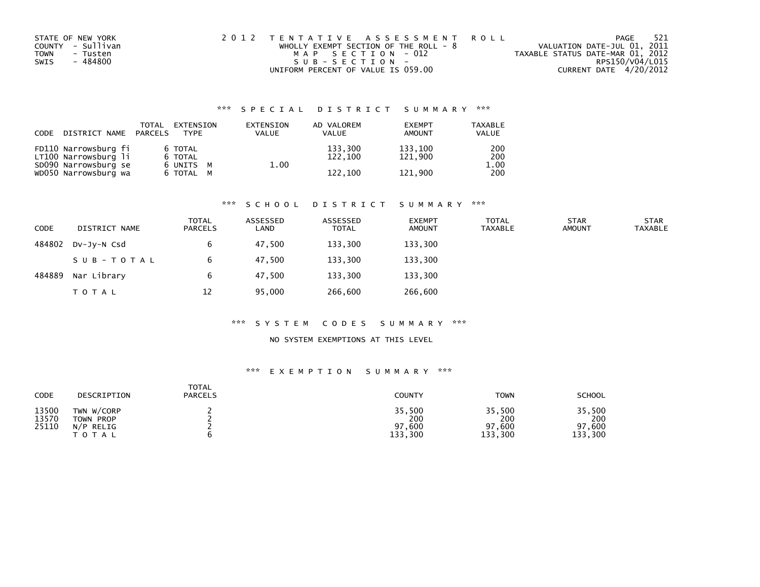| STATE OF NEW YORK       | 2012 TENTATIVE ASSESSMENT ROLL          | PAGE                             | -521 |
|-------------------------|-----------------------------------------|----------------------------------|------|
| COUNTY - Sullivan       | WHOLLY EXEMPT SECTION OF THE ROLL - $8$ | VALUATION DATE-JUL 01, 2011      |      |
| <b>TOWN</b><br>- Tusten | MAP SECTION - 012                       | TAXABLE STATUS DATE-MAR 01, 2012 |      |
| - 484800<br>SWIS        | SUB-SECTION-                            | RPS150/V04/L015                  |      |
|                         | UNIFORM PERCENT OF VALUE IS 059.00      | CURRENT DATE 4/20/2012           |      |

| CODE | DISTRICT NAME PARCELS                                                | TOTAL                           | EXTENSION<br><b>TYPF</b> | EXTENSION<br><b>VALUE</b> | AD VALOREM<br><b>VALUE</b> | <b>EXEMPT</b><br><b>AMOUNT</b> | <b>TAXABLE</b><br><b>VALUE</b> |
|------|----------------------------------------------------------------------|---------------------------------|--------------------------|---------------------------|----------------------------|--------------------------------|--------------------------------|
|      | FD110 Narrowsburg fi<br>LT100 Narrowsburg li<br>SD090 Narrowsburg se | 6 TOTAL<br>6 TOTAL<br>6 UNITS M |                          | 1.00                      | 133,300<br>122,100         | 133.100<br>121.900             | 200<br>200<br>1.00             |
|      | WD050 Narrowsburg wa                                                 | 6 TOTAL M                       |                          |                           | 122,100                    | 121.900                        | 200                            |

#### \*\*\* S C H O O L D I S T R I C T S U M M A R Y \*\*\*

| <b>CODE</b> | DISTRICT NAME | <b>TOTAL</b><br><b>PARCELS</b> | ASSESSED<br>LAND | ASSESSED<br><b>TOTAL</b> | <b>EXEMPT</b><br><b>AMOUNT</b> | <b>TOTAL</b><br><b>TAXABLE</b> | <b>STAR</b><br><b>AMOUNT</b> | <b>STAR</b><br><b>TAXABLE</b> |
|-------------|---------------|--------------------------------|------------------|--------------------------|--------------------------------|--------------------------------|------------------------------|-------------------------------|
| 484802      | DV-JY-N Csd   |                                | 47,500           | 133,300                  | 133,300                        |                                |                              |                               |
|             | SUB-TOTAL     |                                | 47.500           | 133,300                  | 133,300                        |                                |                              |                               |
| 484889      | Nar Library   |                                | 47.500           | 133.300                  | 133,300                        |                                |                              |                               |
|             | T O T A L     | 12                             | 95,000           | 266,600                  | 266,600                        |                                |                              |                               |

#### \*\*\* S Y S T E M C O D E S S U M M A R Y \*\*\*

### NO SYSTEM EXEMPTIONS AT THIS LEVEL

| CODE                    | DESCRIPTION                                     | TOTAL<br><b>PARCELS</b> | <b>COUNTY</b>                      | <b>TOWN</b>                        | <b>SCHOOL</b>                      |
|-------------------------|-------------------------------------------------|-------------------------|------------------------------------|------------------------------------|------------------------------------|
| 13500<br>13570<br>25110 | TWN W/CORP<br>TOWN PROP<br>$N/P$ RELIG<br>TOTAL |                         | 35,500<br>200<br>97,600<br>133,300 | 35,500<br>200<br>97,600<br>133,300 | 35,500<br>200<br>97,600<br>133,300 |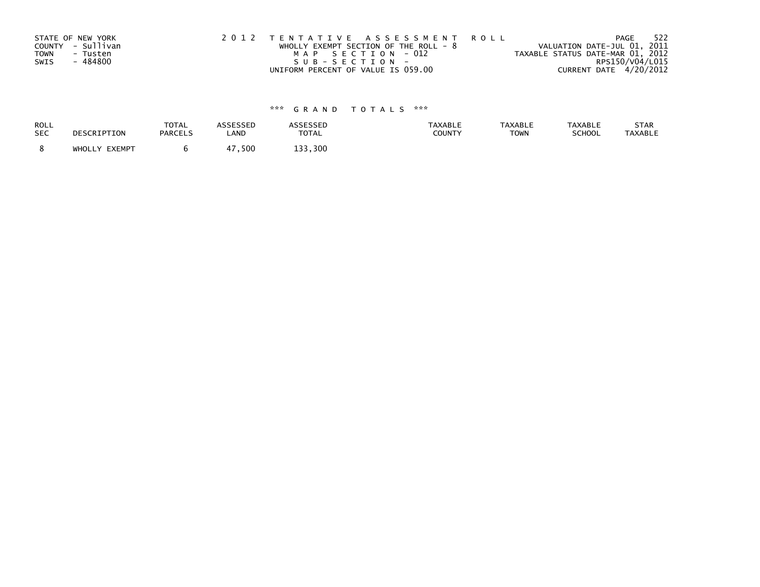| STATE OF NEW YORK |                   | 2012 TENTATIVE ASSESSMENT ROLL          |  |                                  |                        | PAGE | - 522 |
|-------------------|-------------------|-----------------------------------------|--|----------------------------------|------------------------|------|-------|
|                   | COUNTY - Sullivan | WHOLLY EXEMPT SECTION OF THE ROLL - $8$ |  | VALUATION DATE-JUL 01, 2011      |                        |      |       |
| TOWN              | - Tusten          | MAP SECTION - 012                       |  | TAXABLE STATUS DATE-MAR 01, 2012 |                        |      |       |
| SWIS              | - 484800          | SUB-SECTION-                            |  |                                  | RPS150/V04/L015        |      |       |
|                   |                   | UNIFORM PERCENT OF VALUE IS 059.00      |  |                                  | CURRENT DATE 4/20/2012 |      |       |

| <b>ROLL</b> | DESCRIPTION   | <b>TOTAL</b>   | ASSESSED   | <b>ASSESSED</b> | <b>TAXABLE</b> | <b>TAXABLE</b> | <b>TAXABLE</b> | STAR           |
|-------------|---------------|----------------|------------|-----------------|----------------|----------------|----------------|----------------|
| <b>SEC</b>  |               | <b>PARCELS</b> | LAND       | <b>TOTAL</b>    | COUNTY         | <b>TOWN</b>    | SCHOOL         | <b>TAXABLE</b> |
|             | WHOLLY EXEMPT |                | .500<br>47 | 133.300         |                |                |                |                |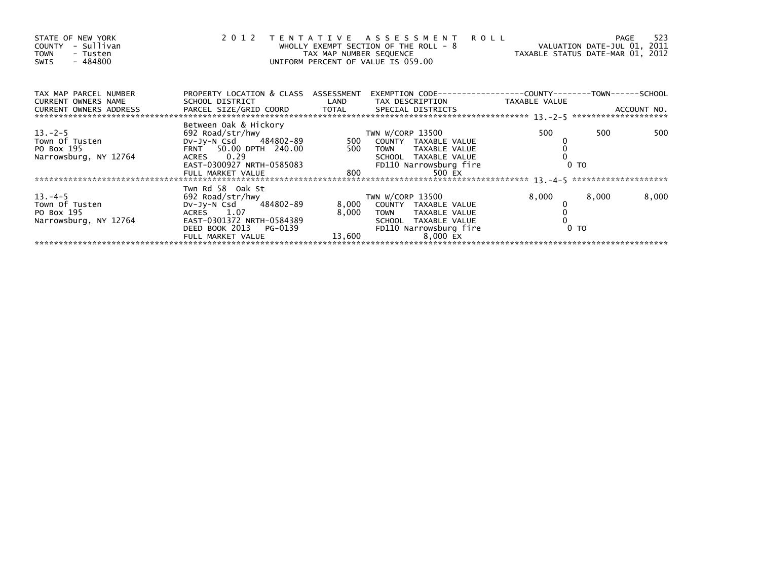| STATE OF NEW YORK<br>COUNTY - Sullivan<br>- Tusten<br>TOWN<br>- 484800<br>SWIS                                                                                                                                                            |                                                                                                              |       | 2012 TENTATIVE ASSESSMENT ROLL<br>WHOLLY EXEMPT SECTION OF THE ROLL - 8<br>TAX MAP NUMBER SEQUENCE TAXABLE STATUS DATE-MAR 01, 2012<br>UNTFORM PERCENT OF VALUE TS 059.00<br>UNIFORM PERCENT OF VALUE IS 059.00 |                                                              |       |       |
|-------------------------------------------------------------------------------------------------------------------------------------------------------------------------------------------------------------------------------------------|--------------------------------------------------------------------------------------------------------------|-------|-----------------------------------------------------------------------------------------------------------------------------------------------------------------------------------------------------------------|--------------------------------------------------------------|-------|-------|
| TAX MAP PARCEL NUMBER                                                                                                                                                                                                                     | PROPERTY LOCATION & CLASS ASSESSMENT                                                                         |       |                                                                                                                                                                                                                 | EXEMPTION CODE-----------------COUNTY-------TOWN------SCHOOL |       |       |
| CURRENT OWNERS NAME                                                                                                                                                                                                                       | SCHOOL DISTRICT                          LAND         TAX DESCRIPTION                   TAXABLE VALUE        |       |                                                                                                                                                                                                                 |                                                              |       |       |
|                                                                                                                                                                                                                                           | Between Oak & Hickory                                                                                        |       |                                                                                                                                                                                                                 | 500                                                          | 500   | 500   |
| 13.-2-5<br>Town Of Tusten<br>PO Box 195<br>Narrowsburg. NY 12764                                                                                                                                                                          | ветиеен оак & нтскогу<br>692 Road/str/hwy<br>Dv-Jy-N Csd    484802-89            500   COUNTY  TAXABLE VALUE |       |                                                                                                                                                                                                                 |                                                              |       |       |
| PO BOX 195<br>PO BOX 195<br>Narrowsburg, NY 12764 FRIT 50.00 DPTH 240.00 500 TOWN TAXABLE VALUE 0<br>EAST-0300927 NRTH-0585083 FD110 Narrowsburg fire 0 TO<br>FULL MARKET VALUE 800 500 EX<br>FULL MARKET VALUE 800 500 EX<br>FULL MARKET |                                                                                                              |       |                                                                                                                                                                                                                 |                                                              |       |       |
|                                                                                                                                                                                                                                           |                                                                                                              |       |                                                                                                                                                                                                                 |                                                              |       |       |
|                                                                                                                                                                                                                                           |                                                                                                              |       |                                                                                                                                                                                                                 |                                                              |       |       |
|                                                                                                                                                                                                                                           |                                                                                                              |       |                                                                                                                                                                                                                 |                                                              |       |       |
|                                                                                                                                                                                                                                           | Twn Rd 58 Oak St                                                                                             |       |                                                                                                                                                                                                                 |                                                              |       |       |
| $13. -4 - 5$                                                                                                                                                                                                                              | 692 Road/str/hwy                                                                                             |       | TWN W/CORP 13500                                                                                                                                                                                                | 8,000                                                        | 8,000 | 8,000 |
| Town Of Tusten                                                                                                                                                                                                                            | DV-Jy-N Csd 484802-89                                                                                        |       | 8,000 COUNTY TAXABLE VALUE                                                                                                                                                                                      |                                                              |       |       |
| PO Box 195                                                                                                                                                                                                                                | ACRES 1.07                                                                                                   | 8,000 | TOWN TAXABLE VALUE                                                                                                                                                                                              |                                                              |       |       |
| Narrowsburg, NY 12764                                                                                                                                                                                                                     | EAST-0301372 NRTH-0584389                                                                                    |       | SCHOOL TAXABLE VALUE                                                                                                                                                                                            |                                                              |       |       |
|                                                                                                                                                                                                                                           | DEED BOOK 2013 PG-0139                                                                                       |       | FD110 Narrowsburg fire                                                                                                                                                                                          | 0 <sub>T</sub>                                               |       |       |
|                                                                                                                                                                                                                                           | FULL MARKET VALUE 13,600                                                                                     |       | 8,000 EX                                                                                                                                                                                                        |                                                              |       |       |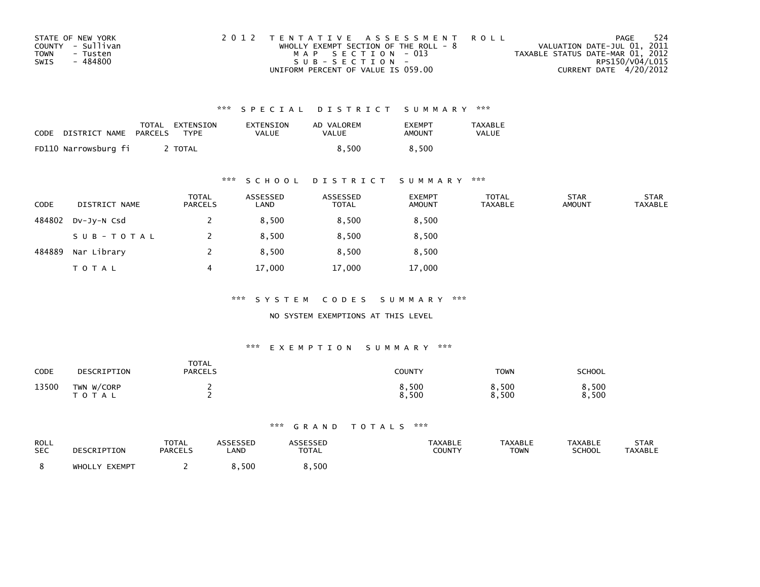| STATE OF NEW YORK       | 2012 TENTATIVE ASSESSMENT ROLL          | PAGE                             | 524 |
|-------------------------|-----------------------------------------|----------------------------------|-----|
| COUNTY - Sullivan       | WHOLLY EXEMPT SECTION OF THE ROLL - $8$ | VALUATION DATE-JUL 01, 2011      |     |
| <b>TOWN</b><br>- Tusten | MAP SECTION - 013                       | TAXABLE STATUS DATE-MAR 01, 2012 |     |
| - 484800<br>SWIS        | SUB-SECTION-                            | RPS150/V04/L015                  |     |
|                         | UNIFORM PERCENT OF VALUE IS 059.00      | CURRENT DATE 4/20/2012           |     |

| CODE | DISTRICT NAME        | PARCELS | TOTAL EXTENSION<br><b>TYPF</b> | EXTENSION<br>VALUE | AD VALOREM<br><b>VALUE</b> | <b>EXEMPT</b><br>AMOUNT | TAXABLE<br><b>VALUE</b> |
|------|----------------------|---------|--------------------------------|--------------------|----------------------------|-------------------------|-------------------------|
|      | FD110 Narrowsburg fi |         | TOTAL                          |                    | 8.500                      | 8.500                   |                         |

### \*\*\* S C H O O L D I S T R I C T S U M M A R Y \*\*\*

| <b>CODE</b> | DISTRICT NAME | <b>TOTAL</b><br>PARCELS | ASSESSED<br>LAND | ASSESSED<br><b>TOTAL</b> | <b>EXEMPT</b><br><b>AMOUNT</b> | <b>TOTAL</b><br><b>TAXABLE</b> | <b>STAR</b><br><b>AMOUNT</b> | <b>STAR</b><br><b>TAXABLE</b> |
|-------------|---------------|-------------------------|------------------|--------------------------|--------------------------------|--------------------------------|------------------------------|-------------------------------|
| 484802      | $Dv-Jv-N$ Csd |                         | 8,500            | 8,500                    | 8,500                          |                                |                              |                               |
|             | SUB-TOTAL     |                         | 8,500            | 8,500                    | 8,500                          |                                |                              |                               |
| 484889      | Nar Library   |                         | 8.500            | 8.500                    | 8,500                          |                                |                              |                               |
|             | <b>TOTAL</b>  | 4                       | 17,000           | 17,000                   | 17,000                         |                                |                              |                               |

\*\*\* S Y S T E M C O D E S S U M M A R Y \*\*\*

#### NO SYSTEM EXEMPTIONS AT THIS LEVEL

#### \*\*\* E X E M P T I O N S U M M A R Y \*\*\*

| CODE  | DESCRIPTION             | <b>TOTAL</b><br><b>PARCELS</b> | COUNTY         | <b>TOWN</b>    | SCHOOL         |
|-------|-------------------------|--------------------------------|----------------|----------------|----------------|
| 13500 | TWN W/CORP<br>T O T A L |                                | 8,500<br>8,500 | 8,500<br>8,500 | 8,500<br>8,500 |

| ROLL       | DESCRIPTION   | TOTAL          | <b>ASSESSED</b> | ASSESSED     | <b>TAXABLE</b> | TAXABLE | <b>TAXABLE</b> | STAR           |
|------------|---------------|----------------|-----------------|--------------|----------------|---------|----------------|----------------|
| <b>SEC</b> |               | <b>PARCELS</b> | LAND            | <b>TOTAL</b> | COUNTY         | TOWN    | <b>SCHOOL</b>  | <b>TAXABLE</b> |
|            | WHOLLY EXEMPT |                | 8.500           | 8,500        |                |         |                |                |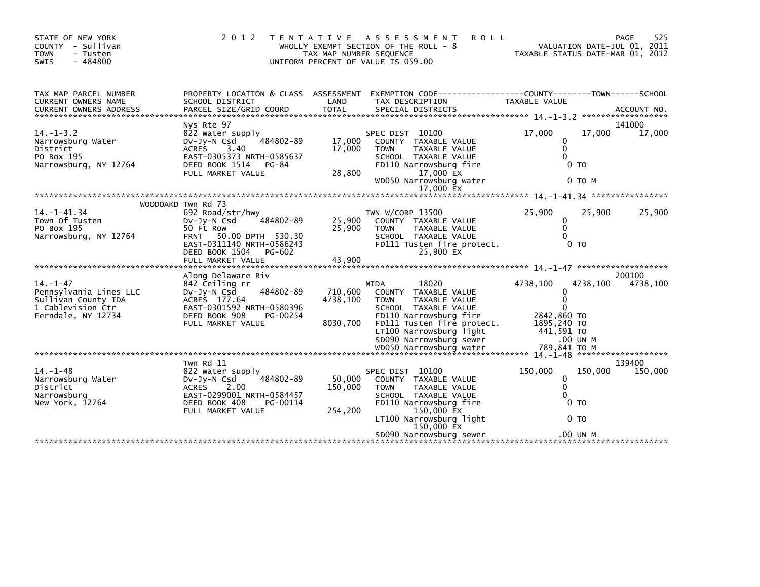| STATE OF NEW YORK<br>COUNTY - Sullivan<br>- Tusten<br><b>TOWN</b><br>$-484800$<br>SWIS                     | 2 0 1 2                                                                                                                                                            | T E N T A T I V E<br>TAX MAP NUMBER SEQUENCE | <b>ASSESSMENT</b><br><b>ROLL</b><br>WHOLLY EXEMPT SECTION OF THE ROLL - 8<br>UNIFORM PERCENT OF VALUE IS 059.00                                                                                                    | TAXABLE STATUS DATE-MAR 01, 2012                               | PAGE<br>VALUATION DATE-JUL 01, 2011 | 525               |
|------------------------------------------------------------------------------------------------------------|--------------------------------------------------------------------------------------------------------------------------------------------------------------------|----------------------------------------------|--------------------------------------------------------------------------------------------------------------------------------------------------------------------------------------------------------------------|----------------------------------------------------------------|-------------------------------------|-------------------|
| TAX MAP PARCEL NUMBER<br>CURRENT OWNERS NAME                                                               | PROPERTY LOCATION & CLASS ASSESSMENT<br>SCHOOL DISTRICT                                                                                                            | LAND                                         | EXEMPTION        CODE-----------------COUNTY-------TOWN------SCHOOL<br>TAX DESCRIPTION                                                                                                                             | TAXABLE VALUE                                                  |                                     |                   |
|                                                                                                            | Nys Rte 97                                                                                                                                                         |                                              |                                                                                                                                                                                                                    |                                                                |                                     | 141000            |
| $14. -1 - 3.2$<br>Narrowsburg Water<br>District<br>PO Box 195<br>Narrowsburg, NY 12764                     | 822 Water supply<br>484802-89<br>$Dv-Jy-N$ Csd<br>ACRES 3.40<br>EAST-0305373 NRTH-0585637<br>DEED BOOK 1514<br>PG-84<br>FULL MARKET VALUE                          | 17,000<br>17,000<br>28,800                   | SPEC DIST 10100<br>COUNTY TAXABLE VALUE<br><b>TOWN</b><br><b>TAXABLE VALUE</b><br>SCHOOL TAXABLE VALUE<br>FD110 Narrowsburg fire<br>17,000 EX                                                                      | 17,000<br>0<br>0<br>$\Omega$                                   | 17,000<br>0 TO                      | 17,000            |
|                                                                                                            |                                                                                                                                                                    |                                              | WD050 Narrowsburg water                                                                                                                                                                                            |                                                                | 0 TO M                              |                   |
|                                                                                                            |                                                                                                                                                                    |                                              | 17,000 EX                                                                                                                                                                                                          |                                                                |                                     |                   |
|                                                                                                            |                                                                                                                                                                    |                                              |                                                                                                                                                                                                                    |                                                                |                                     |                   |
| $14. - 1 - 41.34$<br>Town Of Tusten<br>PO Box 195<br>Narrowsburg, NY 12764                                 | WOODOAKD Twn Rd 73<br>692 Road/str/hwy<br>DV-JV-N Csd<br>484802-89<br>50 Ft Row<br>FRNT 50.00 DPTH 530.30<br>EAST-0311140 NRTH-0586243<br>DEED BOOK 1504<br>PG-602 | 25,900<br>25,900                             | TWN W/CORP 13500<br>COUNTY TAXABLE VALUE<br>TAXABLE VALUE<br><b>TOWN</b><br>SCHOOL TAXABLE VALUE<br>FD111 Tusten fire protect.<br>25,900 EX                                                                        | 25,900<br>0<br>$\mathbf{0}$<br>$\Omega$                        | 25.900<br>0 <sub>T</sub>            | 25,900            |
|                                                                                                            |                                                                                                                                                                    |                                              |                                                                                                                                                                                                                    |                                                                |                                     |                   |
|                                                                                                            | Along Delaware Riv                                                                                                                                                 |                                              |                                                                                                                                                                                                                    |                                                                |                                     | 200100            |
| $14. - 1 - 47$<br>Pennsylvania Lines LLC<br>Sullivan County IDA<br>1 Cablevision Ctr<br>Ferndale, NY 12734 | 842 Ceiling rr<br>484802-89<br>$Dv-Jy-N$ Csd<br>ACRES 177.64<br>EAST-0301592 NRTH-0580396<br>DEED BOOK 908<br>PG-00254<br>FULL MARKET VALUE                        | 710,600<br>4738,100<br>8030,700              | <b>MIDA</b><br>18020<br>COUNTY TAXABLE VALUE<br><b>TOWN</b><br>TAXABLE VALUE<br>SCHOOL TAXABLE VALUE<br>FD110 Narrowsburg fire<br>FD111 Tusten fire protect.<br>LT100 Narrowsburg light<br>SD090 Narrowsburg sewer | 4738,100<br>0<br>0<br>2842,860 TO<br>1895,240 TO<br>441,591 TO | 4738,100<br>.00 UN M                | 4738,100          |
|                                                                                                            |                                                                                                                                                                    |                                              |                                                                                                                                                                                                                    |                                                                |                                     |                   |
| $14. - 1 - 48$<br>Narrowsburg Water                                                                        | Twn Rd 11<br>822 Water supply<br>Dv-Jy-N Csd<br>484802-89                                                                                                          | 50.000                                       | SPEC DIST 10100<br>COUNTY TAXABLE VALUE                                                                                                                                                                            | 150,000<br>$\mathbf{0}$                                        | 150,000                             | 139400<br>150,000 |
| District<br>Narrowsburg<br>New York, 12764                                                                 | ACRES<br>2.00<br>EAST-0299001 NRTH-0584457<br>DEED BOOK 408<br>PG-00114<br>FULL MARKET VALUE                                                                       | 150,000<br>254,200                           | <b>TOWN</b><br>TAXABLE VALUE<br>SCHOOL TAXABLE VALUE<br>FD110 Narrowsburg fire<br>150,000 EX<br>LT100 Narrowsburg light                                                                                            | 0<br>0                                                         | 0 <sub>T</sub><br>0 <sub>T</sub>    |                   |
|                                                                                                            |                                                                                                                                                                    |                                              | 150,000 EX<br>SD090 Narrowsburg sewer                                                                                                                                                                              |                                                                | .00 UN M                            |                   |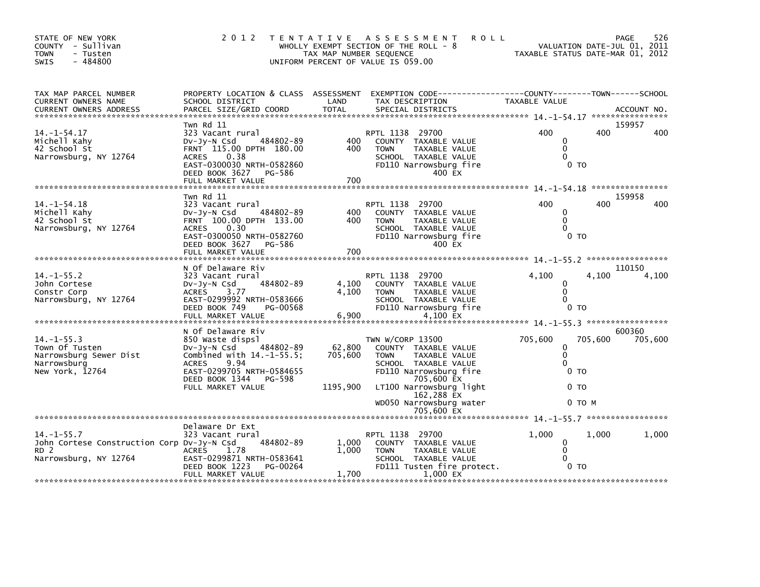| STATE OF NEW YORK<br>COUNTY - Sullivan<br>TOWN<br>- Tusten<br>$-484800$<br>SWIS                           | 2 0 1 2                                                                                                                                                                                              | TAX MAP NUMBER SEQUENCE       | TENTATIVE ASSESSMENT<br><b>ROLL</b><br>WHOLLY EXEMPT SECTION OF THE ROLL - 8<br>UNIFORM PERCENT OF VALUE IS 059.00                                                                                           | TAXABLE STATUS DATE-MAR 01, 2012                                                | PAGE<br>VALUATION DATE-JUL 01, 2011 | 526     |
|-----------------------------------------------------------------------------------------------------------|------------------------------------------------------------------------------------------------------------------------------------------------------------------------------------------------------|-------------------------------|--------------------------------------------------------------------------------------------------------------------------------------------------------------------------------------------------------------|---------------------------------------------------------------------------------|-------------------------------------|---------|
| TAX MAP PARCEL NUMBER<br>CURRENT OWNERS NAME<br><b>CURRENT OWNERS ADDRESS</b>                             | SCHOOL DISTRICT                                                                                                                                                                                      | LAND                          | PROPERTY LOCATION & CLASS ASSESSMENT EXEMPTION CODE---------------COUNTY-------TOWN------SCHOOL<br>TAX DESCRIPTION                                                                                           | TAXABLE VALUE                                                                   |                                     |         |
| $14. - 1 - 54.17$<br>Michell Kahy<br>42 School St<br>Narrowsburg, NY 12764                                | Twn Rd 11<br>323 Vacant rural<br>484802-89<br>DV-Jy-N Csd<br>FRNT 115.00 DPTH 180.00<br>ACRES<br>0.38<br>EAST-0300030 NRTH-0582860<br>DEED BOOK 3627<br>PG-586<br>FULL MARKET VALUE                  | 400<br>400<br>700             | RPTL 1138 29700<br>COUNTY TAXABLE VALUE<br><b>TOWN</b><br>TAXABLE VALUE<br>SCHOOL TAXABLE VALUE<br>FD110 Narrowsburg fire<br>400 EX                                                                          | 400<br>$\mathbf{0}$<br>$\mathbf{0}$<br>$\Omega$<br>0 <sub>T</sub>               | 159957<br>400                       | 400     |
| $14. - 1 - 54.18$<br>Michell Kahy<br>42 School St<br>Narrowsburg, NY 12764                                | Twn Rd 11<br>323 Vacant rural<br>484802-89<br>Dv-Jy-N Csd<br>FRNT 100.00 DPTH 133.00<br>ACRES 0.30<br>EAST-0300050 NRTH-0582760<br>DEED BOOK 3627 PG-586<br>FULL MARKET VALUE                        | 400<br>400<br>700             | RPTL 1138 29700<br>COUNTY TAXABLE VALUE<br><b>TOWN</b><br>TAXABLE VALUE<br>SCHOOL TAXABLE VALUE<br>FD110 Narrowsburg fire<br>400 EX                                                                          | 400<br>0<br>$\mathbf{0}$<br>$\Omega$<br>0 <sub>T</sub>                          | 159958<br>400                       | 400     |
| $14. -1 - 55.2$<br>John Cortese<br>Constr Corp<br>Narrowsburg, NY 12764                                   | N Of Delaware Riv<br>323 Vacant rural<br>484802-89<br>DV-JY-N Csd<br>ACRES 3.77<br>EAST-0299992 NRTH-0583666<br>DEED BOOK 749<br>PG-00568<br>FULL MARKET VALUE                                       | 4,100<br>4.100<br>6,900       | RPTL 1138 29700<br>COUNTY TAXABLE VALUE<br><b>TOWN</b><br>TAXABLE VALUE<br>SCHOOL TAXABLE VALUE<br>FD110 Narrowsburg fire<br>4,100 EX                                                                        | 4,100<br>0<br>$\mathbf{0}$<br>$\Omega$<br>0 <sub>T</sub>                        | 110150<br>4,100                     | 4,100   |
| $14. -1 - 55.3$<br>Town Of Tusten<br>Narrowsburg Sewer Dist<br>Narrowsburg<br>New York, 12764             | N Of Delaware Riv<br>850 Waste dispsl<br>DV-Jy-N Csd 484802-89<br>Combined with $14.-1-55.5$ ;<br>9.94<br><b>ACRES</b><br>EAST-0299705 NRTH-0584655<br>DEED BOOK 1344<br>PG-598<br>FULL MARKET VALUE | 62,800<br>705,600<br>1195,900 | TWN W/CORP 13500<br>COUNTY TAXABLE VALUE<br>TAXABLE VALUE<br><b>TOWN</b><br>SCHOOL TAXABLE VALUE<br>FD110 Narrowsburg fire<br>705,600 EX<br>LT100 Narrowsburg light<br>162,288 EX<br>WD050 Narrowsburg water | 705,600<br>0<br>$\mathbf 0$<br>$\mathbf{0}$<br>0 <sub>T</sub><br>0 <sub>T</sub> | 600360<br>705,600<br>0 то м         | 705,600 |
|                                                                                                           |                                                                                                                                                                                                      |                               | 705,600 EX                                                                                                                                                                                                   |                                                                                 |                                     |         |
| $14. -1 - 55.7$<br>John Cortese Construction Corp Dv-Jy-N Csd<br>RD <sub>2</sub><br>Narrowsburg, NY 12764 | Delaware Dr Ext<br>323 Vacant rural<br>484802-89<br><b>ACRES</b><br>1.78<br>EAST-0299871 NRTH-0583641<br>PG-00264<br>DEED BOOK 1223<br>FULL MARKET VALUE                                             | 1,000<br>1.000<br>1,700       | RPTL 1138 29700<br>COUNTY TAXABLE VALUE<br><b>TOWN</b><br>TAXABLE VALUE<br>SCHOOL TAXABLE VALUE<br>FD111 Tusten fire protect.<br>1.000 EX                                                                    | 1,000<br>$\mathbf 0$<br>$\mathbf 0$<br>$\Omega$<br>0 <sub>T</sub>               | 1.000                               | 1,000   |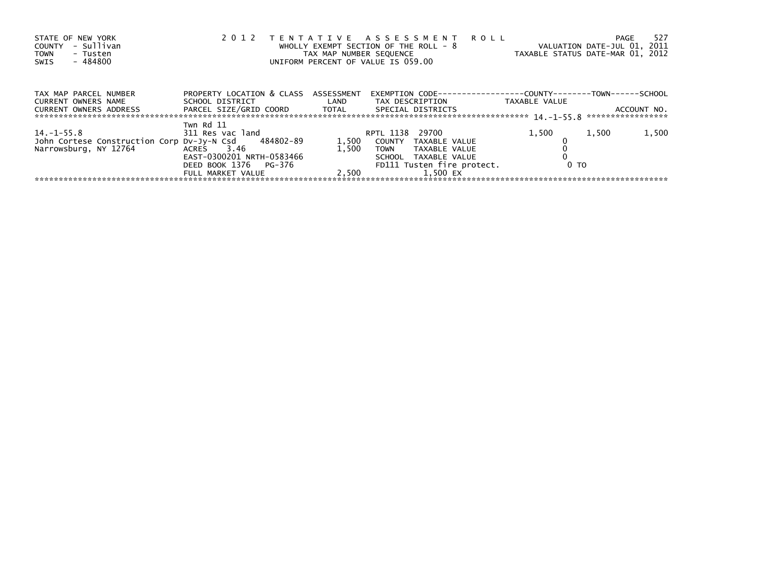| STATE OF NEW YORK<br>- Sullivan<br>COUNTY<br><b>TOWN</b><br>- Tusten<br>- 484800<br>SWIS | 2 0 1 2                                                                                                   |       | TENTATIVE ASSESSMENT ROLL<br>WHOLLY EXEMPT SECTION OF THE ROLL - 8<br>TAX MAP NUMBER SEQUENCE<br>UNIFORM PERCENT OF VALUE IS 059.00 |                | 527<br>PAGE<br>VALUATION DATE-JUL 01, 2011<br>TAXABLE STATUS DATE-MAR 01, 2012 |
|------------------------------------------------------------------------------------------|-----------------------------------------------------------------------------------------------------------|-------|-------------------------------------------------------------------------------------------------------------------------------------|----------------|--------------------------------------------------------------------------------|
| TAX MAP PARCEL NUMBER<br>CURRENT OWNERS NAME<br>CURRENT OWNERS ADDRESS                   | PROPERTY LOCATION & CLASS ASSESSMENT<br>SCHOOL DISTRICT<br>PARCEL SIZE/GRID COORD TOTAL SPECIAL DISTRICTS |       | EXEMPTION        CODE-----------------COUNTY--------TOWN------SCHOOL<br>LAND TAX DESCRIPTION                                        | TAXABLE VALUE  | ACCOUNT NO.                                                                    |
|                                                                                          | Twn Rd 11                                                                                                 |       |                                                                                                                                     |                |                                                                                |
| $14. - 1 - 55.8$                                                                         | 311 Res vac land                                                                                          |       | RPTL 1138 29700                                                                                                                     | 1,500          | 1,500<br>1,500                                                                 |
| John Cortese Construction Corp Dv-Jy-N Csd 484802-89                                     |                                                                                                           | 1,500 | COUNTY TAXABLE VALUE                                                                                                                |                |                                                                                |
| Narrowsburg, NY 12764                                                                    | ACRES 3.46                                                                                                | 1.500 | <b>TOWN</b><br>TAXABLE VALUE                                                                                                        |                |                                                                                |
|                                                                                          | EAST-0300201 NRTH-0583466                                                                                 |       | SCHOOL TAXABLE VALUE                                                                                                                |                |                                                                                |
|                                                                                          | DEED BOOK 1376 PG-376                                                                                     |       | FD111 Tusten fire protect.                                                                                                          | 0 <sub>T</sub> |                                                                                |
|                                                                                          | FULL MARKET VALUE                                                                                         | 2.500 | 1.500 EX                                                                                                                            |                |                                                                                |
|                                                                                          |                                                                                                           |       |                                                                                                                                     |                |                                                                                |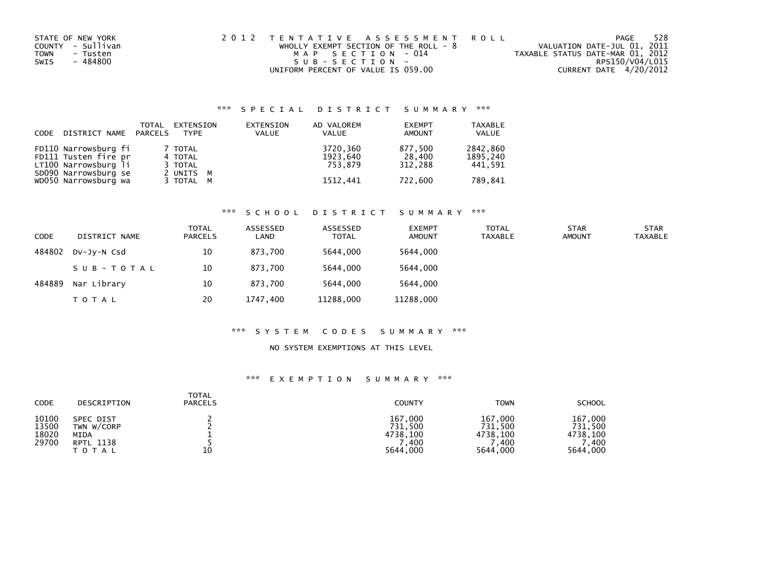| STATE OF NEW YORK       | 2012 TENTATIVE ASSESSMENT ROLL          | 528<br>PAGE                      |
|-------------------------|-----------------------------------------|----------------------------------|
| COUNTY - Sullivan       | WHOLLY EXEMPT SECTION OF THE ROLL - $8$ | VALUATION DATE-JUL 01, 2011      |
| <b>TOWN</b><br>- Tusten | MAP SECTION - 014                       | TAXABLE STATUS DATE-MAR 01, 2012 |
| - 484800<br>SWIS        | SUB-SECTION-                            | RPS150/V04/L015                  |
|                         | UNIFORM PERCENT OF VALUE IS 059.00      | CURRENT DATE 4/20/2012           |

| CODE | DISTRICT NAME                                                                                                        | TOTAL<br>PARCELS | EXTENSION<br><b>TYPE</b>                                | EXTENSION<br><b>VALUE</b> | AD VALOREM<br><b>VALUE</b>                  | <b>EXEMPT</b><br>AMOUNT                 | <b>TAXABLE</b><br><b>VALUE</b>             |
|------|----------------------------------------------------------------------------------------------------------------------|------------------|---------------------------------------------------------|---------------------------|---------------------------------------------|-----------------------------------------|--------------------------------------------|
|      | FD110 Narrowsburg fi<br>FD111 Tusten fire pr<br>LT100 Narrowsburg li<br>SD090 Narrowsburg se<br>WD050 Narrowsburg wa |                  | 7 TOTAL<br>4 TOTAL<br>3 TOTAL<br>2 UNITS M<br>3 TOTAL M |                           | 3720,360<br>1923,640<br>753.879<br>1512.441 | 877,500<br>28.400<br>312.288<br>722.600 | 2842,860<br>1895,240<br>441,591<br>789.841 |

# \*\*\* S C H O O L D I S T R I C T S U M M A R Y \*\*\*

| <b>CODE</b> | DISTRICT NAME | TOTAL<br><b>PARCELS</b> | ASSESSED<br>LAND | ASSESSED<br><b>TOTAL</b> | <b>EXEMPT</b><br><b>AMOUNT</b> | <b>TOTAL</b><br>TAXABLE | <b>STAR</b><br><b>AMOUNT</b> | <b>STAR</b><br><b>TAXABLE</b> |
|-------------|---------------|-------------------------|------------------|--------------------------|--------------------------------|-------------------------|------------------------------|-------------------------------|
| 484802      | DV-JY-N Csd   | 10                      | 873.700          | 5644.000                 | 5644.000                       |                         |                              |                               |
|             | SUB-TOTAL     | 10                      | 873.700          | 5644.000                 | 5644,000                       |                         |                              |                               |
| 484889      | Nar Library   | 10                      | 873.700          | 5644.000                 | 5644.000                       |                         |                              |                               |
|             | <b>TOTAL</b>  | 20                      | 1747.400         | 11288,000                | 11288,000                      |                         |                              |                               |

### \*\*\* S Y S T E M C O D E S S U M M A R Y \*\*\*

#### NO SYSTEM EXEMPTIONS AT THIS LEVEL

| CODE                             | DESCRIPTION                                                         | <b>TOTAL</b><br><b>PARCELS</b> | <b>COUNTY</b>                                      | <b>TOWN</b>                                          | <b>SCHOOL</b>                                      |
|----------------------------------|---------------------------------------------------------------------|--------------------------------|----------------------------------------------------|------------------------------------------------------|----------------------------------------------------|
| 10100<br>13500<br>18020<br>29700 | SPEC DIST<br>TWN W/CORP<br><b>MIDA</b><br><b>RPTL 1138</b><br>ΤΟΤΑΙ | 10                             | 167,000<br>731,500<br>4738.100<br>,400<br>5644,000 | 167,000<br>731,500<br>4738.100<br>400. '<br>5644,000 | 167,000<br>731,500<br>4738,100<br>.400<br>5644,000 |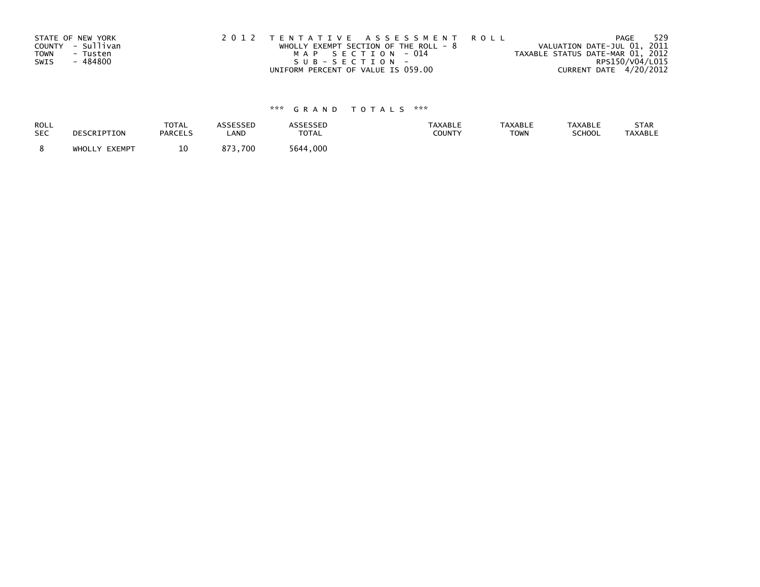| STATE OF NEW YORK<br>COUNTY - Sullivan<br><b>TOWN</b><br>- Tusten | 2012 TENTATIVE ASSESSMENT ROLL<br>WHOLLY EXEMPT SECTION OF THE ROLL - $8$<br>MAP SECTION - 014 | PAGE<br>VALUATION DATE-JUL 01, 2011<br>TAXABLE STATUS DATE-MAR 01, 2012 | 529 |
|-------------------------------------------------------------------|------------------------------------------------------------------------------------------------|-------------------------------------------------------------------------|-----|
| - 484800<br>SWIS                                                  | SUB-SECTION-                                                                                   | RPS150/V04/L015                                                         |     |
|                                                                   | UNIFORM PERCENT OF VALUE IS 059.00                                                             | CURRENT DATE 4/20/2012                                                  |     |

| <b>ROLL</b> | DESCRIPTION   | <b>TOTAL</b>   | <b>ASSESSED</b> | <b>ASSESSED</b> | TAXABLE | <b>TAXABLE</b> | <b>TAXABLE</b> | STAR           |
|-------------|---------------|----------------|-----------------|-----------------|---------|----------------|----------------|----------------|
| <b>SEC</b>  |               | <b>PARCELS</b> | LAND            | TOTAL           | COUNTY  | <b>TOWN</b>    | SCHOOL         | <b>TAXABLE</b> |
|             | WHOLLY EXEMPT | 10             | 873.700         | 5644.000        |         |                |                |                |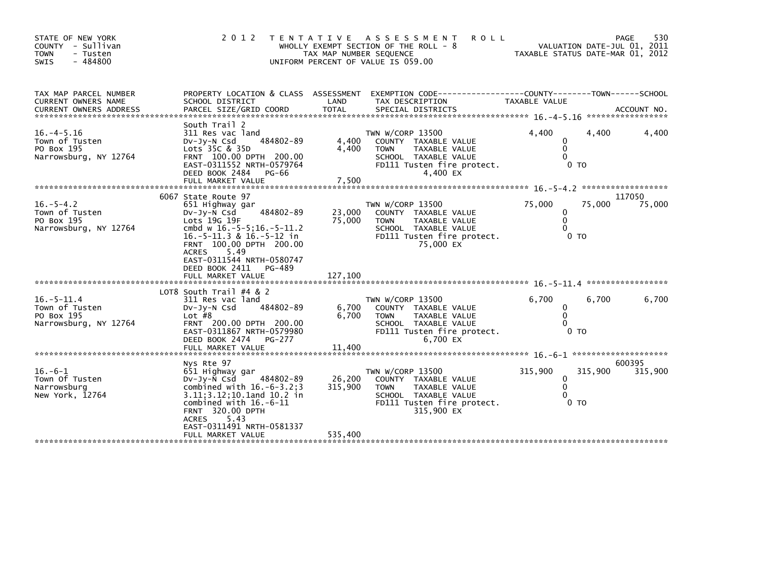| STATE OF NEW YORK<br>COUNTY - Sullivan<br><b>TOWN</b><br>- Tusten<br>$-484800$<br>SWIS | 2 0 1 2                                                                                                                                                                                                                                                       | T E N T A T I V E<br>TAX MAP NUMBER SEQUENCE | <b>ROLL</b><br>A S S E S S M E N T<br>WHOLLY EXEMPT SECTION OF THE ROLL - 8<br>UNIFORM PERCENT OF VALUE IS 059.00                                   |                                                            | 530<br>PAGE<br>VALUATION DATE-JUL 01, 2011<br>TAXABLE STATUS DATE-MAR 01, 2012 |
|----------------------------------------------------------------------------------------|---------------------------------------------------------------------------------------------------------------------------------------------------------------------------------------------------------------------------------------------------------------|----------------------------------------------|-----------------------------------------------------------------------------------------------------------------------------------------------------|------------------------------------------------------------|--------------------------------------------------------------------------------|
| TAX MAP PARCEL NUMBER<br>CURRENT OWNERS NAME                                           | PROPERTY LOCATION & CLASS ASSESSMENT<br>SCHOOL DISTRICT                                                                                                                                                                                                       | LAND                                         | EXEMPTION CODE-----------------COUNTY-------TOWN------SCHOOL<br>TAX DESCRIPTION                                                                     | TAXABLE VALUE                                              | ACCOUNT NO.<br>*****************                                               |
| $16. -4 - 5.16$<br>Town of Tusten<br>PO Box 195<br>Narrowsburg, NY 12764               | South Trail 2<br>311 Res vac land<br>484802-89<br>$Dv-Jy-N$ Csd<br>Lots 35C & 35D<br>FRNT 100.00 DPTH 200.00<br>EAST-0311552 NRTH-0579764<br>DEED BOOK 2484<br>PG-66<br>FULL MARKET VALUE                                                                     | 4,400<br>4,400<br>7,500                      | TWN W/CORP 13500<br>COUNTY TAXABLE VALUE<br><b>TAXABLE VALUE</b><br><b>TOWN</b><br>SCHOOL TAXABLE VALUE<br>FD111 Tusten fire protect.<br>4,400 EX   | 4.400<br>0<br>$\mathbf{0}$<br>$\Omega$<br>0 <sub>T</sub>   | 4,400<br>4,400                                                                 |
|                                                                                        |                                                                                                                                                                                                                                                               |                                              |                                                                                                                                                     |                                                            |                                                                                |
| $16. - 5 - 4.2$<br>Town of Tusten<br>PO Box 195<br>Narrowsburg, NY 12764               | 6067 State Route 97<br>651 Highway gar<br>484802-89<br>$Dv-Jv-N$ Csd<br>Lots 19G 19F<br>cmbd w 16.-5-5;16.-5-11.2<br>$16.-5-11.3$ & $16.-5-12$ in<br>FRNT 100.00 DPTH 200.00<br><b>ACRES</b><br>5.49<br>EAST-0311544 NRTH-0580747<br>DEED BOOK 2411<br>PG-489 | 23,000<br>75.000                             | TWN W/CORP 13500<br>COUNTY TAXABLE VALUE<br>TAXABLE VALUE<br><b>TOWN</b><br>SCHOOL TAXABLE VALUE<br>FD111 Tusten fire protect.<br>75,000 EX         | 75,000<br>0<br>$\mathbf{0}$<br>$\Omega$<br>0 <sub>T</sub>  | 117050<br>75,000<br>75,000                                                     |
|                                                                                        | FULL MARKET VALUE                                                                                                                                                                                                                                             | 127,100                                      |                                                                                                                                                     |                                                            |                                                                                |
| $16 - 5 - 11.4$<br>Town of Tusten<br>PO Box 195<br>Narrowsburg, NY 12764               | LOT8 South Trail $#4 & 2$<br>311 Res vac land<br>484802-89<br>Dv-Jy-N Csd<br>Lot $#8$<br>FRNT 200.00 DPTH 200.00<br>EAST-0311867 NRTH-0579980<br>DEED BOOK 2474<br>PG-277<br>FULL MARKET VALUE                                                                | 6,700<br>6,700<br>11,400                     | TWN W/CORP 13500<br>COUNTY TAXABLE VALUE<br><b>TOWN</b><br>TAXABLE VALUE<br>SCHOOL TAXABLE VALUE<br>FD111 Tusten fire protect.<br>6,700 EX          | 6,700<br>0<br>$\mathbf{0}$<br>$\Omega$<br>0 <sub>T</sub>   | 6,700<br>6,700                                                                 |
|                                                                                        |                                                                                                                                                                                                                                                               |                                              |                                                                                                                                                     |                                                            | 600395                                                                         |
| $16. -6 - 1$<br>Town Of Tusten<br>Narrowsburg<br>New York, 12764                       | Nys Rte 97<br>651 Highway gar<br>$Dv-Jv-N$ Csd<br>484802-89<br>combined with $16.-6-3.2;3$<br>3.11; 3.12; 10.1 and 10.2 in<br>combined with $16.-6-11$<br><b>FRNT 320.00 DPTH</b><br>5.43<br><b>ACRES</b><br>EAST-0311491 NRTH-0581337                        | 26,200<br>315,900                            | TWN W/CORP 13500<br>COUNTY TAXABLE VALUE<br><b>TAXABLE VALUE</b><br><b>TOWN</b><br>SCHOOL TAXABLE VALUE<br>FD111 Tusten fire protect.<br>315,900 EX | 315,900<br>0<br>$\mathbf{0}$<br>$\Omega$<br>0 <sub>T</sub> | 315,900<br>315,900                                                             |
|                                                                                        | FULL MARKET VALUE                                                                                                                                                                                                                                             | 535,400                                      |                                                                                                                                                     |                                                            |                                                                                |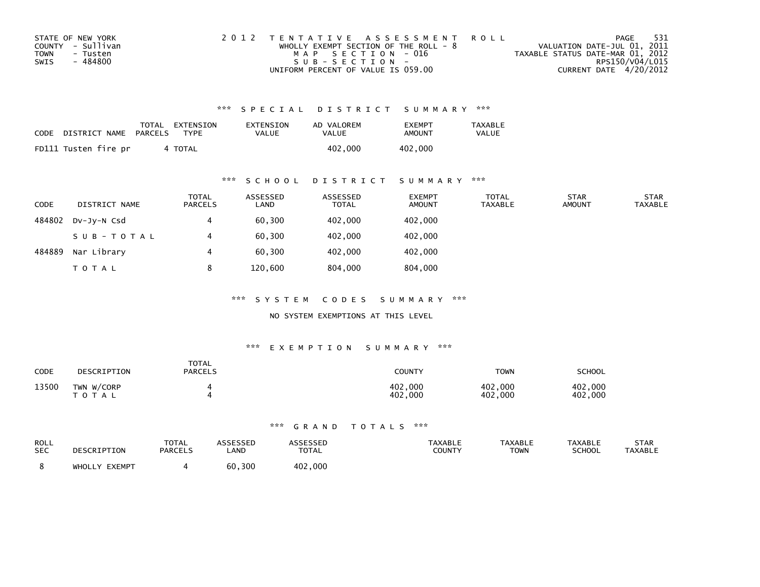| STATE OF NEW YORK       | 2012 TENTATIVE ASSESSMENT ROLL          | PAGE                             | - 531 |
|-------------------------|-----------------------------------------|----------------------------------|-------|
| COUNTY - Sullivan       | WHOLLY EXEMPT SECTION OF THE ROLL - $8$ | VALUATION DATE-JUL 01, 2011      |       |
| <b>TOWN</b><br>- Tusten | MAP SECTION - 016                       | TAXABLE STATUS DATE-MAR 01, 2012 |       |
| SWIS<br>- 484800        | $SUB - SECTION -$                       | RPS150/V04/L015                  |       |
|                         | UNIFORM PERCENT OF VALUE IS 059.00      | CURRENT DATE 4/20/2012           |       |

| CODE | DISTRICT NAME        | PARCELS | TOTAL EXTENSION<br>TYPF | EXTENSION<br>VALUE | AD VALOREM<br><b>VALUE</b> | <b>EXEMPT</b><br>AMOUNT | TAXABLE<br><b>VALUE</b> |
|------|----------------------|---------|-------------------------|--------------------|----------------------------|-------------------------|-------------------------|
|      | FD111 Tusten fire pr |         | 4 TOTAL                 |                    | 402,000                    | 402,000                 |                         |

### \*\*\* S C H O O L D I S T R I C T S U M M A R Y \*\*\*

| <b>CODE</b> | DISTRICT NAME | <b>TOTAL</b><br><b>PARCELS</b> | ASSESSED<br>LAND | ASSESSED<br><b>TOTAL</b> | <b>EXEMPT</b><br><b>AMOUNT</b> | <b>TOTAL</b><br><b>TAXABLE</b> | <b>STAR</b><br><b>AMOUNT</b> | <b>STAR</b><br><b>TAXABLE</b> |
|-------------|---------------|--------------------------------|------------------|--------------------------|--------------------------------|--------------------------------|------------------------------|-------------------------------|
| 484802      | $Dv-Jv-N$ Csd | 4                              | 60,300           | 402,000                  | 402,000                        |                                |                              |                               |
|             | SUB-TOTAL     |                                | 60,300           | 402,000                  | 402,000                        |                                |                              |                               |
| 484889      | Nar Library   | 4                              | 60,300           | 402,000                  | 402,000                        |                                |                              |                               |
|             | T O T A L     | 8                              | 120,600          | 804,000                  | 804,000                        |                                |                              |                               |

\*\*\* S Y S T E M C O D E S S U M M A R Y \*\*\*

#### NO SYSTEM EXEMPTIONS AT THIS LEVEL

#### \*\*\* E X E M P T I O N S U M M A R Y \*\*\*

| <b>CODE</b> | DESCRIPTION                | <b>TOTAL</b><br><b>PARCELS</b> | <b>COUNTY</b>      | <b>TOWN</b>        | <b>SCHOOL</b>      |
|-------------|----------------------------|--------------------------------|--------------------|--------------------|--------------------|
| 13500       | TWN W/CORP<br><b>TOTAL</b> |                                | 402,000<br>402,000 | 402,000<br>402,000 | 402,000<br>402,000 |

| ROLL<br><b>SEC</b> | DESCRIPTION   | <b>TOTAL</b><br><b>PARCELS</b> | <b>\SSESSED</b><br>LAND | <b>\SSESSED</b><br><b>TOTAL</b> | <b>TAXABLE</b><br>COUNTY | <b>TAXABLE</b><br>TOWN | <b>TAXABLE</b><br><b>SCHOOL</b> | <b>STAR</b><br><b>TAXABLE</b> |
|--------------------|---------------|--------------------------------|-------------------------|---------------------------------|--------------------------|------------------------|---------------------------------|-------------------------------|
|                    | WHOLLY EXEMPT |                                | 60,300                  | 402,000                         |                          |                        |                                 |                               |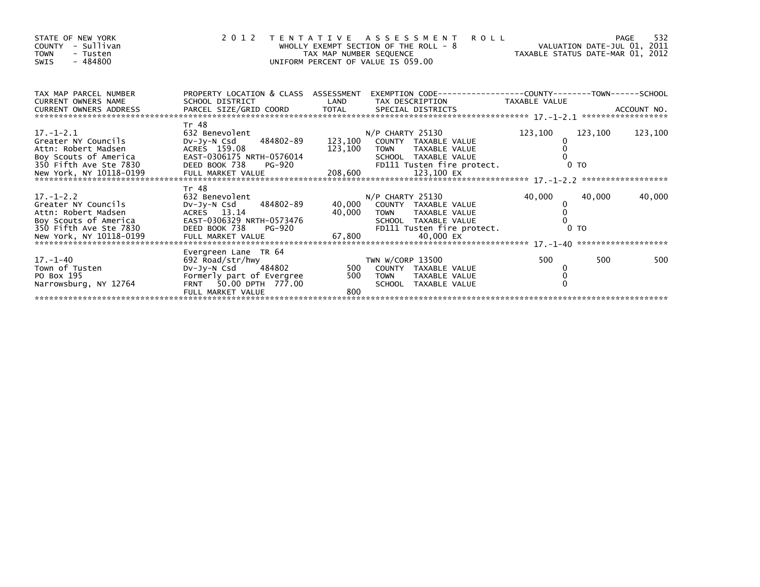| STATE OF NEW YORK<br>- Sullivan<br>COUNTY<br><b>TOWN</b><br>- Tusten<br>$-484800$<br><b>SWIS</b>                                                                                                                                                                                                        |                                                                                                                                            | TAX MAP NUMBER SEQUENCE | 2012 TENTATIVE ASSESSMENT ROLL<br>WHOLLY EXEMPT SECTION OF THE ROLL - 8<br>UNIFORM PERCENT OF VALUE IS 059.00 | PAGE - 8<br>VALUATION DATE-JUL 01, 2011<br>TAXABLE STATUS DATE-MAR 01, 2012<br>.00 |         | 532<br><b>PAGE</b> |
|---------------------------------------------------------------------------------------------------------------------------------------------------------------------------------------------------------------------------------------------------------------------------------------------------------|--------------------------------------------------------------------------------------------------------------------------------------------|-------------------------|---------------------------------------------------------------------------------------------------------------|------------------------------------------------------------------------------------|---------|--------------------|
| TAX MAP PARCEL NUMBER<br><b>CURRENT OWNERS NAME</b>                                                                                                                                                                                                                                                     | PROPERTY LOCATION & CLASS ASSESSMENT EXEMPTION CODE----------------COUNTY-------TOWN-----SCHOOL<br>SCHOOL DISTRICT                         | LAND                    | TAX DESCRIPTION TAXABLE VALUE                                                                                 |                                                                                    |         |                    |
| $17. - 1 - 2.1$<br>Greater NY Councils<br>Attn: Robert Madsen<br>ACCORDINATION CONTROL CONTROL CONTROL CONTROL CONTROL CONTROL CONTROL CONTROL CONTROL CONTROL CONTROL CONTROL C<br>SON FIFT AND SCHOOL TAXABLE VALUE<br>New York, NY 10118-0199 FULL MARKET VALUE 208,600 123,100 EX<br>New York, NY   | Tr 48<br>632 Benevolent<br>DV-Jy-N Csd 484802-89<br>ACRES 159.08                                                                           | 123,100 TOWN            | $N/P$ CHARTY 25130<br>123,100 COUNTY TAXABLE VALUE<br>TAXABLE VALUE                                           | 123,100<br>0                                                                       | 123,100 | 123,100            |
| $17. - 1 - 2.2$<br>Greater NY Councils<br>Attn: Robert Madsen<br>Accounts the course of America (AST-0306329 NRTH-0573476 SCHOOL TAXABLE VALUE 10<br>SOMETHER SCHOOL TAXABLE VALUE 10<br>New York, NY 10118-0199 FULL MARKET VALUE 67,800 40,000 EX<br>ARRESENT VALUE 67,800 40,000 EX<br>ARRESENT 17.- | Tr 48<br>632 Benevolent<br>484802-89<br>Dv-Jy-N Csd<br>ACRES 13.14                                                                         | 40,000                  | $N/P$ CHARTY 25130<br>40,000 COUNTY TAXABLE VALUE<br>TAXABLE VALUE<br><b>TOWN</b>                             | 40,000<br>0                                                                        | 40,000  | 40,000             |
| $17. - 1 - 40$<br>Town of Tusten<br>PO Box 195<br>Narrowsburg, NY 12764                                                                                                                                                                                                                                 | Evergreen Lane TR 64<br>692 Road/str/hwy<br>DV-Jy-N Csd 484802<br>Formerly part of Evergree<br>FRNT 50.00 DPTH 777.00<br>FULL MARKET VALUE | 500<br>800              | TWN W/CORP 13500<br>500 COUNTY TAXABLE VALUE<br>TAXABLE VALUE<br>TOWN<br>SCHOOL TAXABLE VALUE                 | 500<br>0<br>$\Omega$                                                               | 500     | 500                |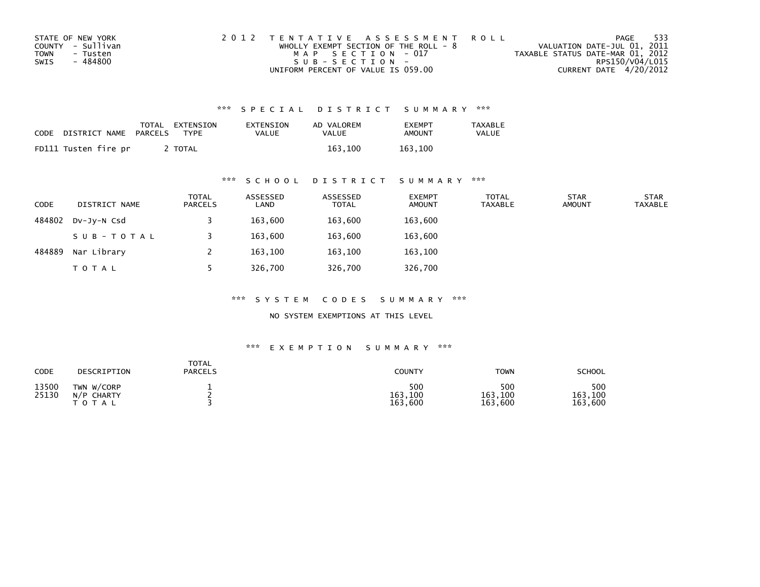| STATE OF NEW YORK | 2012 TENTATIVE ASSESSMENT ROLL          | PAGE                             | - 533 |
|-------------------|-----------------------------------------|----------------------------------|-------|
| COUNTY - Sullivan | WHOLLY EXEMPT SECTION OF THE ROLL - $8$ | VALUATION DATE-JUL 01, 2011      |       |
| TOWN<br>- Tusten  | MAP SECTION - 017                       | TAXABLE STATUS DATE-MAR 01, 2012 |       |
| - 484800<br>SWIS  | $SUB - SECTION -$                       | RPS150/V04/L015                  |       |
|                   | UNIFORM PERCENT OF VALUE IS 059.00      | CURRENT DATE 4/20/2012           |       |

| <b>CODE</b> | DISTRICT NAME        | TOTAL<br>PARCELS | EXTENSION<br><b>TYPF</b> | EXTENSION<br><b>VALUE</b> | AD VALOREM<br>VALUE | <b>FXFMPT</b><br><b>AMOUNT</b> | <b>TAXABLE</b><br>VALUE |
|-------------|----------------------|------------------|--------------------------|---------------------------|---------------------|--------------------------------|-------------------------|
|             | FD111 Tusten fire pr |                  | <b>TOTAL</b>             |                           | 163.100             | 163.100                        |                         |

### \*\*\* S C H O O L D I S T R I C T S U M M A R Y \*\*\*

| <b>CODE</b> | DISTRICT NAME | <b>TOTAL</b><br><b>PARCELS</b> | ASSESSED<br>LAND | ASSESSED<br><b>TOTAL</b> | <b>EXEMPT</b><br><b>AMOUNT</b> | <b>TOTAL</b><br><b>TAXABLE</b> | <b>STAR</b><br><b>AMOUNT</b> | <b>STAR</b><br><b>TAXABLE</b> |
|-------------|---------------|--------------------------------|------------------|--------------------------|--------------------------------|--------------------------------|------------------------------|-------------------------------|
| 484802      | DV-JY-N Csd   |                                | 163,600          | 163,600                  | 163,600                        |                                |                              |                               |
|             | SUB-TOTAL     |                                | 163.600          | 163,600                  | 163,600                        |                                |                              |                               |
| 484889      | Nar Library   |                                | 163,100          | 163,100                  | 163,100                        |                                |                              |                               |
|             | <b>TOTAL</b>  |                                | 326,700          | 326,700                  | 326,700                        |                                |                              |                               |

\*\*\* S Y S T E M C O D E S S U M M A R Y \*\*\*

NO SYSTEM EXEMPTIONS AT THIS LEVEL

| CODE           | DESCRIPTION                                | TOTAL<br><b>PARCELS</b> | <b>COUNTY</b>             | <b>TOWN</b>               | <b>SCHOOL</b>             |
|----------------|--------------------------------------------|-------------------------|---------------------------|---------------------------|---------------------------|
| 13500<br>25130 | TWN W/CORP<br>$N/P$ CHARTY<br><b>TOTAL</b> |                         | 500<br>163,100<br>163,600 | 500<br>163,100<br>163,600 | 500<br>163,100<br>163,600 |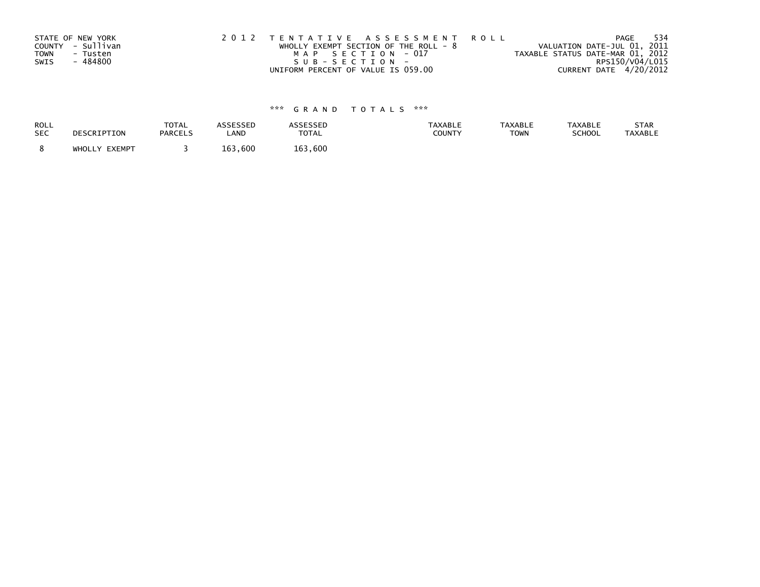| STATE OF NEW YORK<br>COUNTY - Sullivan | 2012 TENTATIVE ASSESSMENT ROLL<br>WHOLLY EXEMPT SECTION OF THE ROLL - $8$ | VALUATION DATE-JUL 01, 2011      | - 534<br>PAGE   |
|----------------------------------------|---------------------------------------------------------------------------|----------------------------------|-----------------|
| <b>TOWN</b><br>- Tusten                | MAP SECTION - 017                                                         | TAXABLE STATUS DATE-MAR 01, 2012 |                 |
| - 484800<br>SWIS                       | SUB-SECTION-<br>UNIFORM PERCENT OF VALUE IS 059.00                        | CURRENT DATE 4/20/2012           | RPS150/V04/L015 |
|                                        |                                                                           |                                  |                 |

| ROLL       | DESCRIPTION   | <b>TOTAL</b>   | ASSESSED | <b>ASSESSED</b> | <b>TAXABLE</b> | <b>TAXABLE</b> | <b>TAXABLE</b> | STAR           |
|------------|---------------|----------------|----------|-----------------|----------------|----------------|----------------|----------------|
| <b>SEC</b> |               | <b>PARCELS</b> | LAND     | TOTAL           | COUNTY         | <b>TOWN</b>    | SCHOOL         | <b>TAXABLE</b> |
|            | WHOLLY EXEMPT |                | 163,600  | 163.600         |                |                |                |                |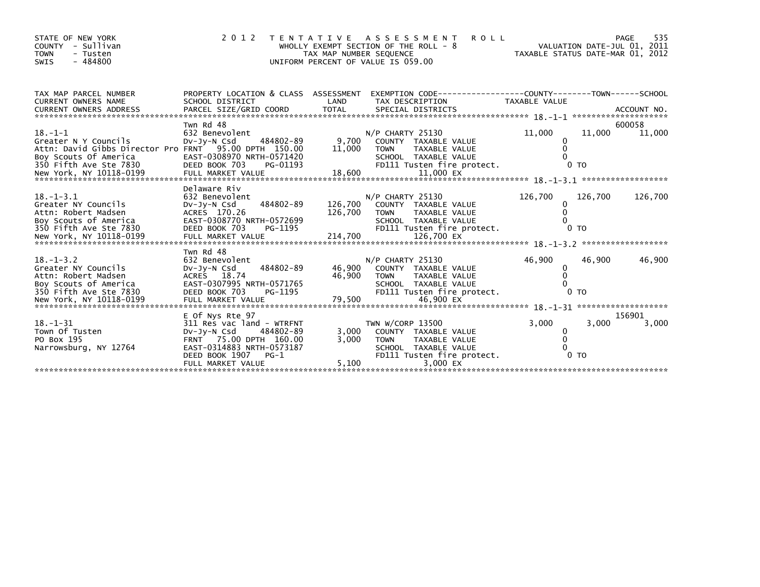| STATE OF NEW YORK<br>- Sullivan<br>COUNTY<br><b>TOWN</b><br>- Tusten<br>$-484800$<br>SWIS                                                         | 2 0 1 2                                                                                                                                                                          | TAX MAP NUMBER SEQUENCE | <b>ROLL</b><br>TENTATIVE ASSESSMENT<br>WHOLLY EXEMPT SECTION OF THE ROLL - 8<br>UNIFORM PERCENT OF VALUE IS 059.00                         | VALUATION DATE-JUL 01, 2011<br>VALUATION DATE-JUL 01, 2011<br>TAXABLE STATUS DATE-MAR 01, 2012 |                           | 535<br>PAGE      |
|---------------------------------------------------------------------------------------------------------------------------------------------------|----------------------------------------------------------------------------------------------------------------------------------------------------------------------------------|-------------------------|--------------------------------------------------------------------------------------------------------------------------------------------|------------------------------------------------------------------------------------------------|---------------------------|------------------|
| TAX MAP PARCEL NUMBER<br><b>CURRENT OWNERS NAME</b>                                                                                               | PROPERTY LOCATION & CLASS ASSESSMENT<br>SCHOOL DISTRICT                                                                                                                          | LAND                    | EXEMPTION CODE-----------------COUNTY-------TOWN------SCHOOL<br>TAX DESCRIPTION                                                            | <b>TAXABLE VALUE</b>                                                                           |                           |                  |
| $18. - 1 - 1$<br>Greater N Y Councils<br>Attn: David Gibbs Director Pro FRNT 95.00 DPTH 150.00<br>Boy Scouts Of America<br>350 Fifth Ave Ste 7830 | Twn Rd 48<br>632 Benevolent<br>484802-89<br>DV-Jy-N Csd<br>EAST-0308970 NRTH-0571420<br>DEED BOOK 703<br>PG-01193                                                                | 9,700<br>11,000         | $N/P$ CHARTY 25130<br>COUNTY TAXABLE VALUE<br>TAXABLE VALUE<br><b>TOWN</b><br>SCHOOL TAXABLE VALUE<br>FD111 Tusten fire protect.           | 11,000<br>0                                                                                    | 11,000<br>0 <sub>T</sub>  | 600058<br>11,000 |
| $18. - 1 - 3.1$<br>Greater NY Councils<br>Attn: Robert Madsen<br>Boy Scouts of America<br>350 Fifth Ave Ste 7830                                  | Delaware Riv<br>632 Benevolent<br>484802-89<br>$Dv-Jy-N$ Csd<br>ACRES 170.26<br>EAST-0308770 NRTH-0572699<br>DEED BOOK 703<br>PG-1195                                            | 126,700<br>126,700      | $N/P$ CHARTY 25130<br>COUNTY TAXABLE VALUE<br><b>TOWN</b><br>TAXABLE VALUE<br>SCHOOL TAXABLE VALUE<br>FD111 Tusten fire protect.           | 126,700<br>0                                                                                   | 126,700<br>0 <sub>T</sub> | 126,700          |
| $18. - 1 - 3.2$<br>Greater NY Councils<br>Attn: Robert Madsen<br>Boy Scouts of America<br>350 Fifth Ave Ste 7830                                  | Twn Rd 48<br>632 Benevolent<br>484802-89<br>$Dv-Jy-N$ Csd<br>ACRES 18.74<br>EAST-0307995 NRTH-0571765<br>DEED BOOK 703<br>PG-1195                                                | 46,900<br>46,900        | $N/P$ CHARTY 25130<br>COUNTY TAXABLE VALUE<br><b>TOWN</b><br>TAXABLE VALUE<br>SCHOOL TAXABLE VALUE<br>FD111 Tusten fire protect.           | 46,900<br>0                                                                                    | 46,900<br>$0$ TO          | 46,900           |
| $18. - 1 - 31$<br>Town Of Tusten<br>PO Box 195<br>Narrowsburg, NY 12764                                                                           | E Of Nys Rte 97<br>311 Res vac land - WTRFNT<br>DV-Jy-N Csd<br>484802-89<br>FRNT 75.00 DPTH 160.00<br>EAST-0314883 NRTH-0573187<br>DEED BOOK 1907<br>$PG-1$<br>FULL MARKET VALUE | 3,000<br>3,000<br>5,100 | TWN W/CORP 13500<br>COUNTY TAXABLE VALUE<br><b>TOWN</b><br>TAXABLE VALUE<br>SCHOOL TAXABLE VALUE<br>FD111 Tusten fire protect.<br>3.000 EX | 3,000<br>0<br>$\Omega$                                                                         | 3,000<br>0 <sub>T</sub>   | 156901<br>3,000  |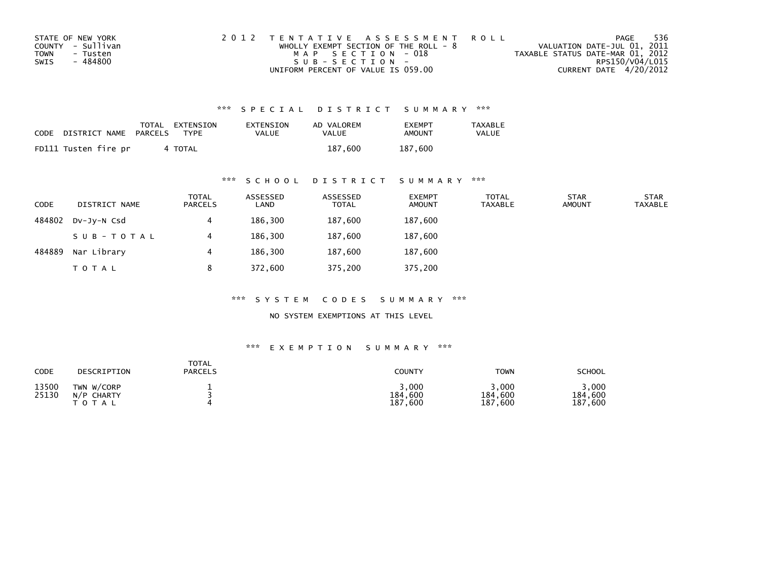| STATE OF NEW YORK       | 2012 TENTATIVE ASSESSMENT ROLL          | PAGE                             | 536             |
|-------------------------|-----------------------------------------|----------------------------------|-----------------|
| COUNTY - Sullivan       | WHOLLY EXEMPT SECTION OF THE ROLL - $8$ | VALUATION DATE-JUL 01, 2011      |                 |
| <b>TOWN</b><br>- Tusten | MAP SECTION - 018                       | TAXABLE STATUS DATE-MAR 01, 2012 |                 |
| - 484800<br>SWIS        | SUB-SECTION-                            |                                  | RPS150/V04/L015 |
|                         | UNIFORM PERCENT OF VALUE IS 059.00      | CURRENT DATE 4/20/2012           |                 |

| <b>CODE</b> | DISTRICT NAME        | TOTAL<br>PARCELS | EXTENSION<br>TYPF | EXTENSION<br>VALUE | AD VALOREM<br>VALUE | <b>FXFMPT</b><br>AMOUNT | <b>TAXABLE</b><br><b>VALUE</b> |
|-------------|----------------------|------------------|-------------------|--------------------|---------------------|-------------------------|--------------------------------|
|             | FD111 Tusten fire pr |                  | 4 TOTAL           |                    | 187.600             | 187,600                 |                                |

### \*\*\* S C H O O L D I S T R I C T S U M M A R Y \*\*\*

| <b>CODE</b> | DISTRICT NAME | <b>TOTAL</b><br>PARCELS | ASSESSED<br>LAND | ASSESSED<br><b>TOTAL</b> | <b>EXEMPT</b><br><b>AMOUNT</b> | <b>TOTAL</b><br>TAXABLE | <b>STAR</b><br><b>AMOUNT</b> | <b>STAR</b><br><b>TAXABLE</b> |
|-------------|---------------|-------------------------|------------------|--------------------------|--------------------------------|-------------------------|------------------------------|-------------------------------|
| 484802      | DV-JV-N Csd   |                         | 186,300          | 187,600                  | 187,600                        |                         |                              |                               |
|             | SUB-TOTAL     |                         | 186,300          | 187,600                  | 187,600                        |                         |                              |                               |
| 484889      | Nar Library   | 4                       | 186,300          | 187,600                  | 187,600                        |                         |                              |                               |
|             | <b>TOTAL</b>  | 8                       | 372,600          | 375,200                  | 375,200                        |                         |                              |                               |

\*\*\* S Y S T E M C O D E S S U M M A R Y \*\*\*

NO SYSTEM EXEMPTIONS AT THIS LEVEL

| CODE           | DESCRIPTION                           | <b>TOTAL</b><br><b>PARCELS</b> | <b>COUNTY</b>               | TOWN                             | <b>SCHOOL</b>              |
|----------------|---------------------------------------|--------------------------------|-----------------------------|----------------------------------|----------------------------|
| 13500<br>25130 | TWN W/CORP<br>N/P CHARTY<br>T O T A L |                                | 3,000<br>184,600<br>187,600 | ,000,<br>184,600<br>187.<br>,600 | ,000<br>184,600<br>187,600 |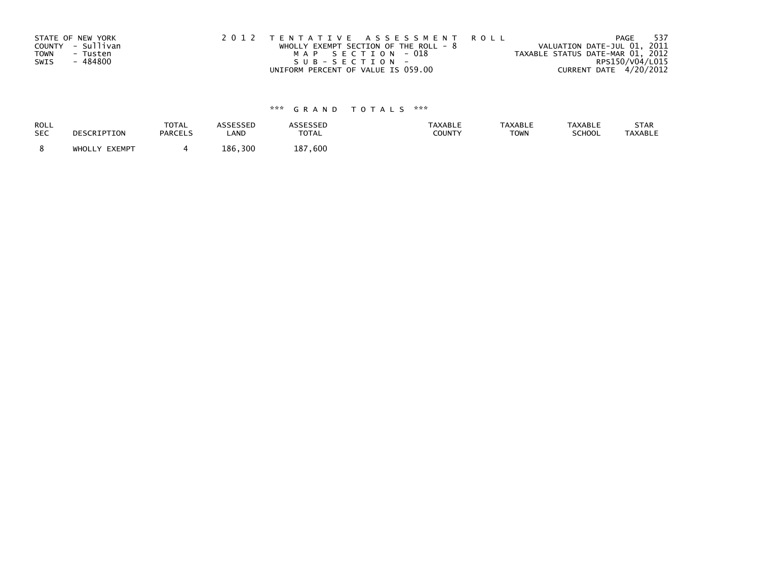| STATE OF NEW YORK<br>COUNTY - Sullivan<br>TOWN<br>- Tusten<br>- 484800<br>SWIS | 2012 TENTATIVE ASSESSMENT ROLL<br>WHOLLY EXEMPT SECTION OF THE ROLL - $8$<br>MAP SECTION - 018<br>SUB-SECTION- | PAGE<br>VALUATION DATE-JUL 01, 2011<br>TAXABLE STATUS DATE-MAR 01, 2012<br>RPS150/V04/L015 | 537 |
|--------------------------------------------------------------------------------|----------------------------------------------------------------------------------------------------------------|--------------------------------------------------------------------------------------------|-----|
|                                                                                | UNIFORM PERCENT OF VALUE IS 059.00                                                                             | CURRENT DATE 4/20/2012                                                                     |     |

| ROLL       | DESCRIPTION   | <b>TOTAL</b>   | <b>ASSESSED</b> | <b>ASSESSED</b> | <b>TAXABLE</b> | <b>TAXABLE</b> | <b>TAXABLE</b> | STAR    |
|------------|---------------|----------------|-----------------|-----------------|----------------|----------------|----------------|---------|
| <b>SEC</b> |               | <b>PARCELS</b> | LAND            | <b>TOTAL</b>    | COUNTY         | <b>TOWN</b>    | SCHOOL         | TAXABLE |
|            | WHOLLY EXEMPT |                | 186.300         | 187.600         |                |                |                |         |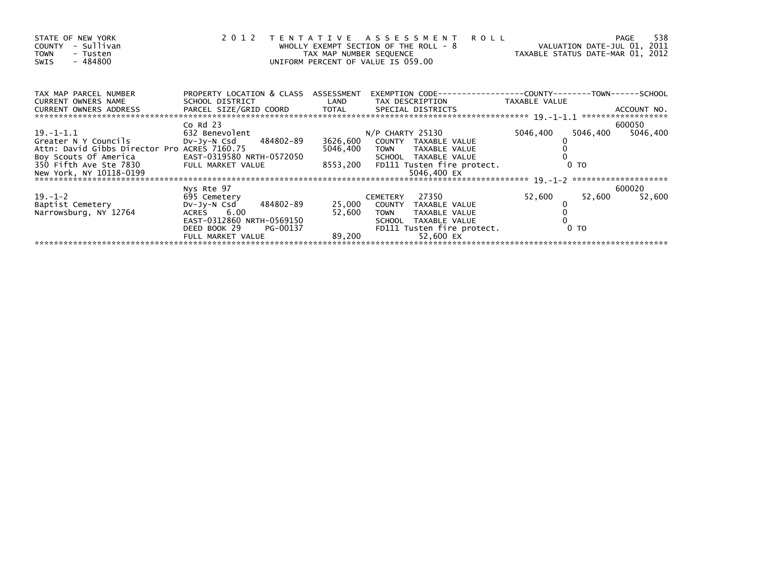| STATE OF NEW YORK<br>- Sullivan<br>COUNTY<br><b>TOWN</b><br>- Tusten<br>$-484800$<br>SWIS | 2 0 1 2                                                 | TAX MAP NUMBER SEQUENCE | <b>ROLL</b><br>TENTATIVE ASSESSMENT<br>WHOLLY EXEMPT SECTION OF THE ROLL - 8<br>UNIFORM PERCENT OF VALUE IS 059.00 | VALUATION DATE-JUL 01, 2011<br>TAXABLE STATUS DATE-MAR 01, 2012 | 538<br>PAGE        |
|-------------------------------------------------------------------------------------------|---------------------------------------------------------|-------------------------|--------------------------------------------------------------------------------------------------------------------|-----------------------------------------------------------------|--------------------|
| TAX MAP PARCEL NUMBER<br><b>CURRENT OWNERS NAME</b>                                       | PROPERTY LOCATION & CLASS ASSESSMENT<br>SCHOOL DISTRICT | LAND                    | EXEMPTION        CODE-----------------COUNTY-------TOWN------SCHOOL<br>TAX DESCRIPTION                             | TAXABLE VALUE                                                   |                    |
| CURRENT OWNERS ADDRESS<br>,**********************************                             |                                                         |                         |                                                                                                                    |                                                                 |                    |
| $19. - 1 - 1.1$                                                                           | $Co$ Rd $23$<br>632 Benevolent                          |                         | $N/P$ CHARTY 25130                                                                                                 | 5046,400<br>5046,400                                            | 600050<br>5046,400 |
| Greater N Y Councils                                                                      | DV-JV-N Csd 484802-89                                   | 3626,600                | COUNTY TAXABLE VALUE                                                                                               |                                                                 |                    |
| Attn: David Gibbs Director Pro ACRES 7160.75                                              |                                                         | 5046,400                | TOWN TAXABLE VALUE                                                                                                 |                                                                 |                    |
| Boy Scouts Of America                                                                     | EAST-0319580 NRTH-0572050                               |                         | SCHOOL TAXABLE VALUE                                                                                               |                                                                 |                    |
| 350 Fifth Ave Ste 7830                                                                    | FULL MARKET VALUE                                       |                         | 8553,200 FD111 Tusten fire protect.                                                                                | 0 <sub>T</sub>                                                  |                    |
| New York, NY 10118-0199                                                                   |                                                         |                         | 5046,400 EX                                                                                                        |                                                                 |                    |
|                                                                                           |                                                         |                         |                                                                                                                    |                                                                 |                    |
| $19. - 1 - 2$                                                                             | Nys Rte 97<br>695 Cemetery                              |                         | 27350<br><b>CEMETERY</b>                                                                                           | 52,600<br>52,600                                                | 600020<br>52,600   |
| Baptist Cemetery                                                                          | 484802-89<br>DV-Jy-N Csd                                | 25,000                  | COUNTY TAXABLE VALUE                                                                                               |                                                                 |                    |
| Narrowsburg, NY 12764                                                                     | ACRES 6.00                                              | 52,600                  | TAXABLE VALUE<br><b>TOWN</b>                                                                                       |                                                                 |                    |
|                                                                                           | EAST-0312860 NRTH-0569150                               |                         | SCHOOL TAXABLE VALUE                                                                                               |                                                                 |                    |
|                                                                                           | DEED BOOK 29<br>PG-00137                                |                         | FD111 Tusten fire protect.                                                                                         | 0 TO                                                            |                    |
|                                                                                           | FULL MARKET VALUE                                       | 89,200                  | 52,600 EX                                                                                                          |                                                                 |                    |
|                                                                                           |                                                         |                         |                                                                                                                    |                                                                 |                    |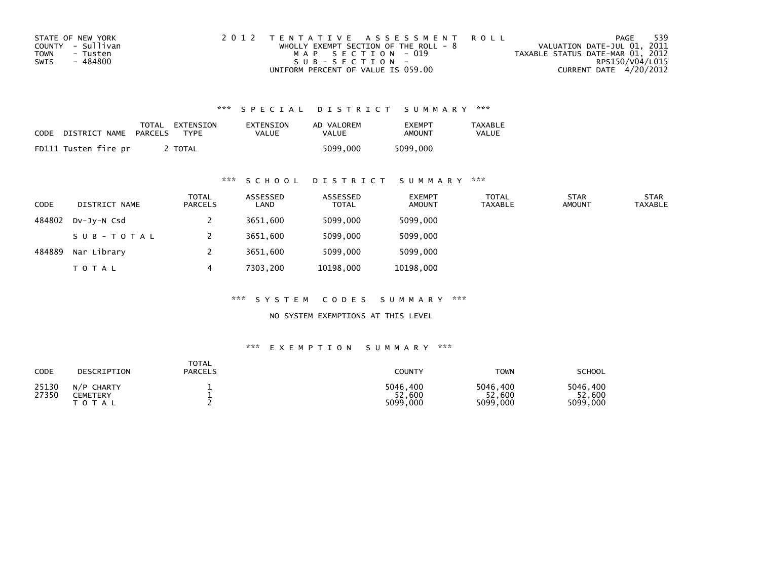| STATE OF NEW YORK | 2012 TENTATIVE ASSESSMENT ROLL          | PAGE                             | -539 |
|-------------------|-----------------------------------------|----------------------------------|------|
| COUNTY - Sullivan | WHOLLY EXEMPT SECTION OF THE ROLL - $8$ | VALUATION DATE-JUL 01, 2011      |      |
| TOWN<br>- Tusten  | MAP SECTION - 019                       | TAXABLE STATUS DATE-MAR 01, 2012 |      |
| SWIS<br>- 484800  | $SUB - SECTION -$                       | RPS150/V04/L015                  |      |
|                   | UNIFORM PERCENT OF VALUE IS 059.00      | CURRENT DATE 4/20/2012           |      |

| <b>CODE</b> | DISTRICT NAME        | TOTAL<br>PARCELS | EXTENSION<br>TYPF | EXTENSION<br>VALUE | AD VALOREM<br>VALUE | <b>FXFMPT</b><br>AMOUNT | TAXABLE<br><b>VALUE</b> |
|-------------|----------------------|------------------|-------------------|--------------------|---------------------|-------------------------|-------------------------|
|             | FD111 Tusten fire pr |                  | TOTAL             |                    | 5099.000            | 5099,000                |                         |

## \*\*\* S C H O O L D I S T R I C T S U M M A R Y \*\*\*

| <b>CODE</b> | DISTRICT NAME | <b>TOTAL</b><br>PARCELS | ASSESSED<br>LAND | ASSESSED<br><b>TOTAL</b> | <b>EXEMPT</b><br><b>AMOUNT</b> | <b>TOTAL</b><br><b>TAXABLE</b> | <b>STAR</b><br><b>AMOUNT</b> | <b>STAR</b><br><b>TAXABLE</b> |
|-------------|---------------|-------------------------|------------------|--------------------------|--------------------------------|--------------------------------|------------------------------|-------------------------------|
| 484802      | DV-JV-N Csd   |                         | 3651,600         | 5099,000                 | 5099,000                       |                                |                              |                               |
|             | SUB-TOTAL     |                         | 3651,600         | 5099,000                 | 5099,000                       |                                |                              |                               |
| 484889      | Nar Library   |                         | 3651,600         | 5099,000                 | 5099,000                       |                                |                              |                               |
|             | <b>TOTAL</b>  | 4                       | 7303.200         | 10198,000                | 10198,000                      |                                |                              |                               |

\*\*\* S Y S T E M C O D E S S U M M A R Y \*\*\*

NO SYSTEM EXEMPTIONS AT THIS LEVEL

| CODE           | DESCRIPTION                         | <b>TOTAL</b><br><b>PARCELS</b> | COUNTY                         | <b>TOWN</b>                    | <b>SCHOOL</b>                  |
|----------------|-------------------------------------|--------------------------------|--------------------------------|--------------------------------|--------------------------------|
| 25130<br>27350 | N/P CHARTY<br>CEMETERY<br>T O T A L |                                | 5046,400<br>52,600<br>5099,000 | 5046.400<br>52,600<br>5099,000 | 5046.400<br>52,600<br>5099,000 |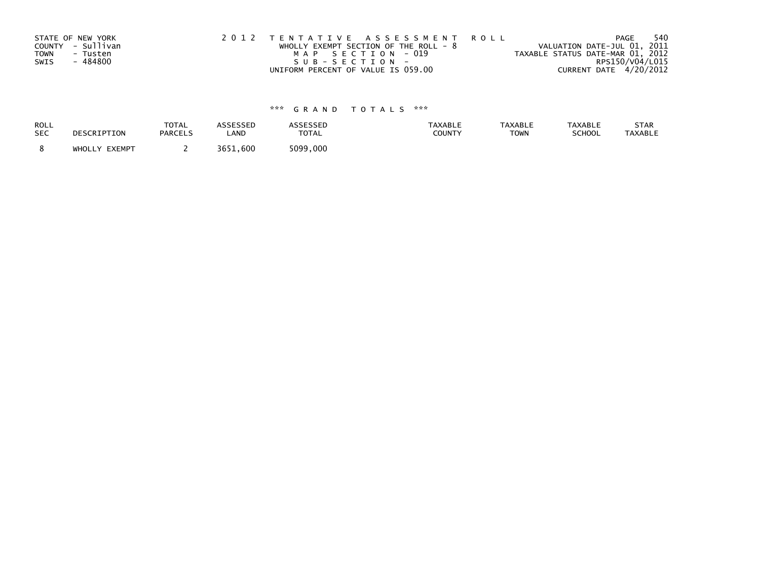| STATE OF NEW YORK<br>COUNTY - Sullivan<br><b>TOWN</b><br>- Tusten | 2012 TENTATIVE ASSESSMENT ROLL<br>WHOLLY EXEMPT SECTION OF THE ROLL - $8$<br>MAP SECTION - 019 | PAGE<br>VALUATION DATE-JUL 01, 2011<br>TAXABLE STATUS DATE-MAR 01, 2012 | 540 |
|-------------------------------------------------------------------|------------------------------------------------------------------------------------------------|-------------------------------------------------------------------------|-----|
| - 484800<br>SWIS                                                  | SUB-SECTION-                                                                                   | RPS150/V04/L015                                                         |     |
|                                                                   | UNIFORM PERCENT OF VALUE IS 059.00                                                             | CURRENT DATE 4/20/2012                                                  |     |

| ROLL       | DESCRIPTION   | <b>TOTAL</b>   | ASSESSED | <b>ASSESSED</b> | <b>TAXABLE</b> | <b>TAXABLE</b> | <b>TAXABLE</b> | STAR           |
|------------|---------------|----------------|----------|-----------------|----------------|----------------|----------------|----------------|
| <b>SEC</b> |               | <b>PARCELS</b> | LAND     | <b>TOTAL</b>    | COUNTY         | <b>TOWN</b>    | SCHOOL         | <b>TAXABLE</b> |
|            | WHOLLY EXEMPT |                | 3651.600 | 5099,000        |                |                |                |                |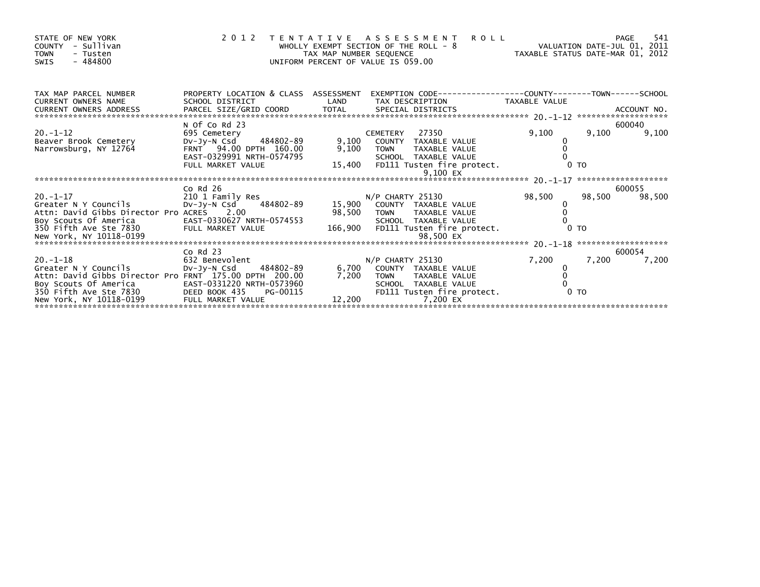| STATE OF NEW YORK<br>- Sullivan<br><b>COUNTY</b><br><b>TOWN</b><br>- Tusten<br>$-484800$<br>SWIS                         |                                                                                                                            | TAX MAP NUMBER SEQUENCE | <b>ROLL</b><br>2012 TENTATIVE ASSESSMENT<br>WHOLLY EXEMPT SECTION OF THE ROLL - 8<br>UNIFORM PERCENT OF VALUE IS 059.00                      | VALUATION DATE-JUL 01, 2011<br>TAXABLE STATUS DATE-MAR 01, 2012 |        | 541<br>PAGE      |
|--------------------------------------------------------------------------------------------------------------------------|----------------------------------------------------------------------------------------------------------------------------|-------------------------|----------------------------------------------------------------------------------------------------------------------------------------------|-----------------------------------------------------------------|--------|------------------|
| TAX MAP PARCEL NUMBER<br><b>CURRENT OWNERS NAME</b>                                                                      | PROPERTY LOCATION & CLASS ASSESSMENT<br>SCHOOL DISTRICT                                                                    | LAND                    | EXEMPTION CODE-----------------COUNTY-------TOWN------SCHOOL<br>TAX DESCRIPTION TAXABLE VALUE                                                |                                                                 |        |                  |
| CURRENT OWNERS ADDRESS                                                                                                   |                                                                                                                            |                         |                                                                                                                                              |                                                                 |        |                  |
|                                                                                                                          | N Of Co Rd 23                                                                                                              |                         |                                                                                                                                              |                                                                 |        | 600040           |
| $20. -1 - 12$<br>Beaver Brook Cemetery<br>Narrowsburg, NY 12764                                                          | 695 Cemetery<br>484802-89 9,100<br>DV-JY-N Csd<br>FRNT 94.00 DPTH 160.00<br>EAST-0329991 NRTH-0574795<br>FULL MARKET VALUE |                         | 27350<br><b>CEMETERY</b><br>COUNTY TAXABLE VALUE<br>9,100 TOWN<br>TAXABLE VALUE<br>SCHOOL TAXABLE VALUE<br>15,400 FD111 Tusten fire protect. | 9,100<br>0 <sub>T</sub>                                         | 9,100  | 9,100            |
|                                                                                                                          |                                                                                                                            |                         | 9,100 EX                                                                                                                                     |                                                                 |        |                  |
|                                                                                                                          |                                                                                                                            |                         |                                                                                                                                              |                                                                 |        |                  |
| $20. - 1 - 17$                                                                                                           | Co $Rd$ 26                                                                                                                 |                         |                                                                                                                                              | 98,500                                                          | 98,500 | 600055<br>98,500 |
| Greater N Y Councils<br>Attn: David Gibbs Director Pro ACRES 2.00                                                        | 210 1 Family Res<br>Dv-Jy-N Csd     484802-89        15,900   COUNTY TAXABLE VALUE                                         |                         | 98,500 TOWN TAXABLE VALUE<br>SCHOOL TAXABLE VALUE                                                                                            |                                                                 |        |                  |
| Boy Scouts Of America EAST-0330627 NRTH-0574553<br>350 Fifth Ave Ste 7830 FULL MARKET VALUE<br>New York, NY 10118-0199   |                                                                                                                            |                         | 166,900 FD111 Tusten fire protect.                                                                                                           | 0 <sub>T</sub>                                                  |        |                  |
|                                                                                                                          | $Co$ Rd $23$                                                                                                               |                         |                                                                                                                                              |                                                                 |        | 600054           |
| $20. -1 - 18$<br>Greater N Y Councils<br>Attn: David Gibbs Director Pro FRNT 175.00 DPTH 200.00<br>Boy Scouts Of America | 632 Benevolent<br>DV-Jy-N Csd 484802-89<br>EAST-0331220 NRTH-0573960                                                       | 6,700<br>7.200          | $N/P$ CHARTY 25130<br>COUNTY TAXABLE VALUE<br>TOWN TAXABLE VALUE<br>SCHOOL TAXABLE VALUE                                                     | 7,200                                                           | 7,200  | 7,200            |
|                                                                                                                          |                                                                                                                            |                         |                                                                                                                                              |                                                                 |        |                  |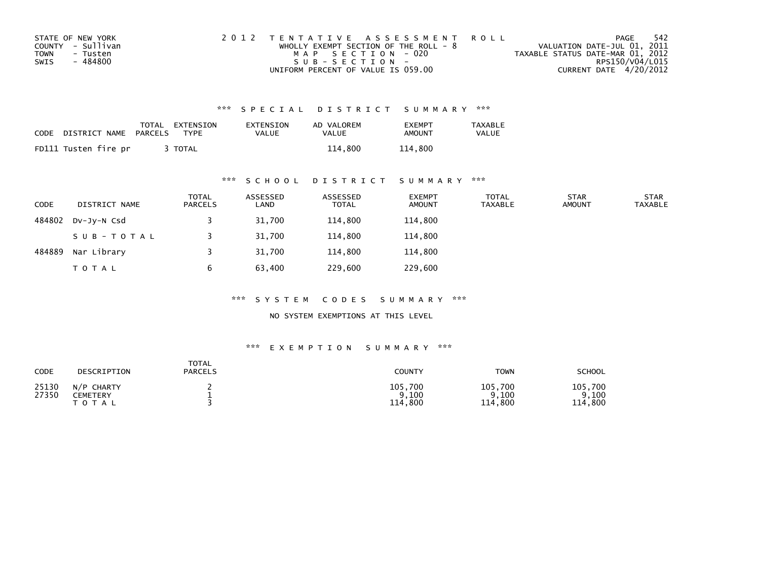| STATE OF NEW YORK | 2012 TENTATIVE ASSESSMENT ROLL          | PAGE                             | - 542           |
|-------------------|-----------------------------------------|----------------------------------|-----------------|
| COUNTY - Sullivan | WHOLLY EXEMPT SECTION OF THE ROLL - $8$ | VALUATION DATE-JUL 01, 2011      |                 |
| TOWN<br>- Tusten  | MAP SECTION - 020                       | TAXABLE STATUS DATE-MAR 01, 2012 |                 |
| SWIS<br>- 484800  | $SUB - SECTION -$                       |                                  | RPS150/V04/L015 |
|                   | UNIFORM PERCENT OF VALUE IS 059.00      | CURRENT DATE 4/20/2012           |                 |

| CODE | DISTRICT NAME        | TOTAL<br>PARCELS | EXTENSION<br>TYPF | EXTENSION<br><b>VALUE</b> | AD VALOREM<br>VALUE | <b>FXFMPT</b><br><b>AMOUNT</b> | <b>TAXABLE</b><br>VALUE |
|------|----------------------|------------------|-------------------|---------------------------|---------------------|--------------------------------|-------------------------|
|      | FD111 Tusten fire pr |                  | <b>TOTAL</b>      |                           | 114,800             | 114,800                        |                         |

## \*\*\* S C H O O L D I S T R I C T S U M M A R Y \*\*\*

| <b>CODE</b> | DISTRICT NAME | <b>TOTAL</b><br>PARCELS | ASSESSED<br>LAND | ASSESSED<br><b>TOTAL</b> | <b>EXEMPT</b><br><b>AMOUNT</b> | <b>TOTAL</b><br>TAXABLE | <b>STAR</b><br><b>AMOUNT</b> | <b>STAR</b><br><b>TAXABLE</b> |
|-------------|---------------|-------------------------|------------------|--------------------------|--------------------------------|-------------------------|------------------------------|-------------------------------|
| 484802      | DV-JV-N Csd   |                         | 31,700           | 114,800                  | 114,800                        |                         |                              |                               |
|             | SUB-TOTAL     |                         | 31,700           | 114,800                  | 114,800                        |                         |                              |                               |
| 484889      | Nar Library   |                         | 31,700           | 114,800                  | 114,800                        |                         |                              |                               |
|             | <b>TOTAL</b>  | b                       | 63,400           | 229,600                  | 229,600                        |                         |                              |                               |

\*\*\* S Y S T E M C O D E S S U M M A R Y \*\*\*

NO SYSTEM EXEMPTIONS AT THIS LEVEL

| CODE           | DESCRIPTION                         | TOTAL<br><b>PARCELS</b> | COUNTY                          | <b>TOWN</b>                     | <b>SCHOOL</b>                        |
|----------------|-------------------------------------|-------------------------|---------------------------------|---------------------------------|--------------------------------------|
| 25130<br>27350 | N/P CHARTY<br>CEMETERY<br>T O T A L |                         | 105,700<br>9,100<br>,800<br>114 | 105,700<br>, 100<br>,800<br>114 | 105,700<br>9.100<br>Q<br>.800<br>114 |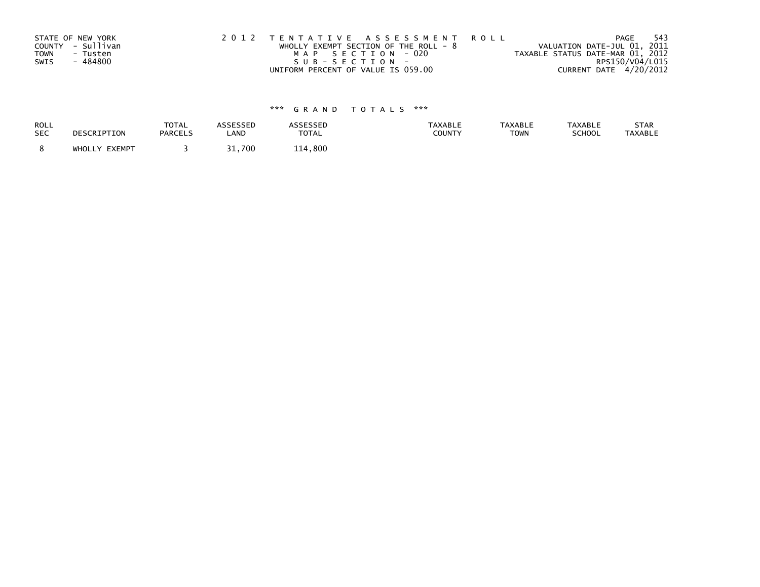| STATE OF NEW YORK       | 2012 TENTATIVE ASSESSMENT ROLL          |  |                                  | -543<br>PAGE    |
|-------------------------|-----------------------------------------|--|----------------------------------|-----------------|
| COUNTY - Sullivan       | WHOLLY EXEMPT SECTION OF THE ROLL - $8$ |  | VALUATION DATE-JUL 01, 2011      |                 |
| <b>TOWN</b><br>- Tusten | MAP SECTION - 020                       |  | TAXABLE STATUS DATE-MAR 01, 2012 |                 |
| - 484800<br>SWIS        | SUB-SECTION-                            |  |                                  | RPS150/V04/L015 |
|                         | UNIFORM PERCENT OF VALUE IS 059.00      |  | CURRENT DATE 4/20/2012           |                 |

| ROLL       | DESCRIPTION   | <b>TOTAL</b>   | ASSESSED | <b>ASSESSED</b> | <b>TAXABLE</b> | <b>TAXABLE</b> | <b>TAXABLE</b> | STAR           |
|------------|---------------|----------------|----------|-----------------|----------------|----------------|----------------|----------------|
| <b>SEC</b> |               | <b>PARCELS</b> | LAND     | <b>TOTAL</b>    | <b>COUNTY</b>  | <b>TOWN</b>    | <b>SCHOOL</b>  | <b>TAXABLE</b> |
|            | WHOLLY EXEMPT |                | 1,700د   | 114,800         |                |                |                |                |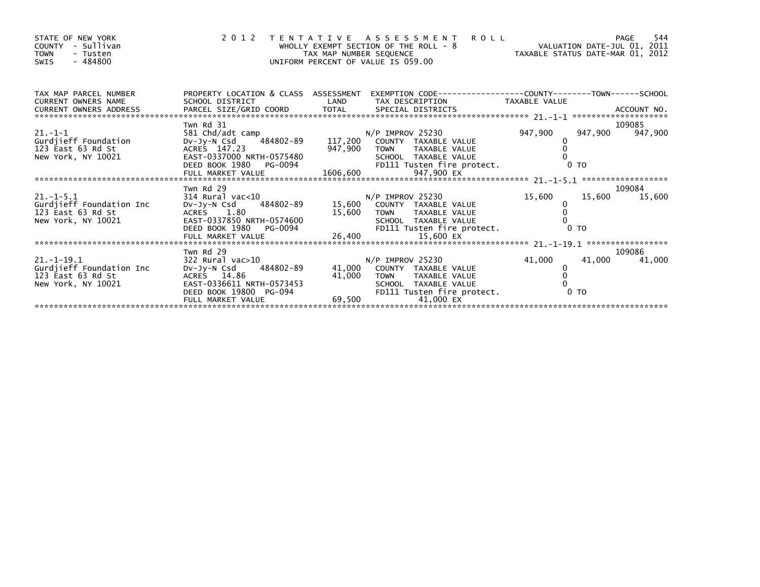| STATE OF NEW YORK<br>- Sullivan<br>COUNTY<br><b>TOWN</b><br>- Tusten<br>$-484800$<br>SWIS | 2 0 1 2                                                                                                                   |         | <b>ROLL</b><br>TENTATIVE ASSESSMENT<br>WHOLLY EXEMPT SECTION OF THE ROLL - 8 VALUATION DATE-JUL 01, 2011<br>TAX MAP NUMBER SEQUENCE TAXIBLE STATUS DATE-MAR 01, 2012<br>UNIFORM PERCENT OF VALUE IS 059.00 |         | PAGE           | 544               |
|-------------------------------------------------------------------------------------------|---------------------------------------------------------------------------------------------------------------------------|---------|------------------------------------------------------------------------------------------------------------------------------------------------------------------------------------------------------------|---------|----------------|-------------------|
| TAX MAP PARCEL NUMBER<br>CURRENT OWNERS NAME                                              | SCHOOL DISTRICT                                                                                                           | LAND    | PROPERTY LOCATION & CLASS ASSESSMENT EXEMPTION CODE----------------COUNTY-------TOWN-----SCHOOL<br>TAX DESCRIPTION TAXABLE VALUE                                                                           |         |                |                   |
| $21. -1 - 1$                                                                              | Twn Rd 31<br>581 Chd/adt camp                                                                                             |         | N/P IMPROV 25230                                                                                                                                                                                           | 947,900 | 947,900        | 109085<br>947,900 |
| Gurdjieff Foundation<br>123 East 63 Rd St<br>New York, NY 10021                           | DV-Jy-N Csd 484802-89<br>ACRES 147.23<br>EAST-0337000 NRTH-0575480<br>EAST-0337000 NRTH-0575480<br>DEED BOOK 1980 PG-0094 | 947,900 | 117,200 COUNTY TAXABLE VALUE<br>TAXABLE VALUE<br>TOWN<br>SCHOOL TAXABLE VALUE                                                                                                                              |         | 0 <sub>T</sub> |                   |
|                                                                                           |                                                                                                                           |         | FD111 Tusten fire protect.                                                                                                                                                                                 |         |                |                   |
|                                                                                           | Twn Rd 29                                                                                                                 |         |                                                                                                                                                                                                            |         |                | 109084            |
| $21 - 1 - 5.1$<br>Gurdjieff Foundation Inc<br>123 East 63 Rd St                           | 314 Rural vac<10<br>DV-Jy-N Csd 484802-89 15,600 COUNTY TAXABLE VALUE<br>ACRES 1.80                                       |         | N/P IMPROV 25230<br>15,600 TOWN TAXABLE VALUE                                                                                                                                                              | 15,600  | 15,600         | 15,600            |
|                                                                                           |                                                                                                                           |         |                                                                                                                                                                                                            |         |                |                   |
|                                                                                           | Twn Rd 29                                                                                                                 |         |                                                                                                                                                                                                            |         |                | 109086            |
| $21. - 1 - 19.1$                                                                          | 322 Rural vac>10                                                                                                          |         | N/P IMPROV 25230                                                                                                                                                                                           | 41,000  | 41,000         | 41,000            |
| Gurdjieff Foundation Inc                                                                  | Dv-Jy-N Csd 484802-89                                                                                                     |         | 41,000 COUNTY TAXABLE VALUE                                                                                                                                                                                |         |                |                   |
| 123 East 63 Rd St                                                                         | ACRES 14.86                                                                                                               | 41,000  | TAXABLE VALUE<br><b>TOWN</b>                                                                                                                                                                               |         |                |                   |
| New York, NY 10021                                                                        | EAST-0336611 NRTH-0573453<br>DEED BOOK 19800 PG-094<br>FULL MARKET VALUE                                                  |         | SCHOOL TAXABLE VALUE<br>FD111 Tusten fire protect.<br>69,500<br>41,000 EX                                                                                                                                  |         | 0 <sub>T</sub> |                   |
|                                                                                           |                                                                                                                           |         |                                                                                                                                                                                                            |         |                |                   |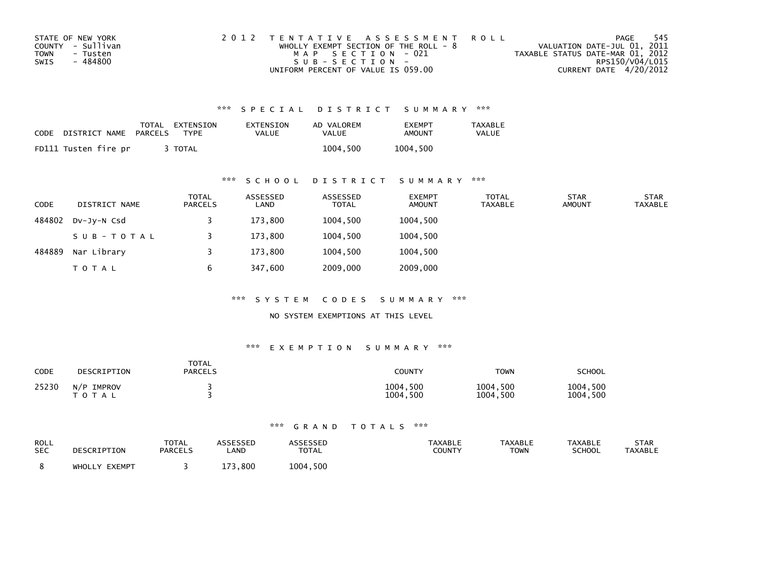| STATE OF NEW YORK | 2012 TENTATIVE ASSESSMENT ROLL          | PAGE                             | - 545 |
|-------------------|-----------------------------------------|----------------------------------|-------|
| COUNTY - Sullivan | WHOLLY EXEMPT SECTION OF THE ROLL - $8$ | VALUATION DATE-JUL 01, 2011      |       |
| TOWN<br>- Tusten  | MAP SECTION - 021                       | TAXABLE STATUS DATE-MAR 01, 2012 |       |
| SWIS<br>- 484800  | $SUB - SECTION -$                       | RPS150/V04/L015                  |       |
|                   | UNIFORM PERCENT OF VALUE IS 059.00      | CURRENT DATE 4/20/2012           |       |

| CODE | DISTRICT NAME        | PARCELS | TOTAL EXTENSION<br>TYPF | EXTENSION<br>VALUE | AD VALOREM<br><b>VALUE</b> | EXEMPT<br>AMOUNT | TAXABLE<br><b>VALUE</b> |
|------|----------------------|---------|-------------------------|--------------------|----------------------------|------------------|-------------------------|
|      | FD111 Tusten fire pr |         | TOTAL                   |                    | 1004.500                   | 1004.500         |                         |

### \*\*\* S C H O O L D I S T R I C T S U M M A R Y \*\*\*

| <b>CODE</b> | DISTRICT NAME | <b>TOTAL</b><br>PARCELS | ASSESSED<br>LAND | ASSESSED<br><b>TOTAL</b> | <b>EXEMPT</b><br>AMOUNT | <b>TOTAL</b><br><b>TAXABLE</b> | <b>STAR</b><br><b>AMOUNT</b> | <b>STAR</b><br><b>TAXABLE</b> |
|-------------|---------------|-------------------------|------------------|--------------------------|-------------------------|--------------------------------|------------------------------|-------------------------------|
| 484802      | DV-JV-N Csd   |                         | 173,800          | 1004,500                 | 1004,500                |                                |                              |                               |
|             | SUB-TOTAL     |                         | 173,800          | 1004,500                 | 1004,500                |                                |                              |                               |
| 484889      | Nar Library   |                         | 173.800          | 1004.500                 | 1004,500                |                                |                              |                               |
|             | <b>TOTAL</b>  | 6                       | 347,600          | 2009,000                 | 2009,000                |                                |                              |                               |

\*\*\* S Y S T E M C O D E S S U M M A R Y \*\*\*

NO SYSTEM EXEMPTIONS AT THIS LEVEL

#### \*\*\* E X E M P T I O N S U M M A R Y \*\*\*

| CODE  | DESCRIPTION                | <b>TOTAL</b><br><b>PARCELS</b> | COUNTY               | <b>TOWN</b>          | SCHOOL               |
|-------|----------------------------|--------------------------------|----------------------|----------------------|----------------------|
| 25230 | N/P<br>IMPROV<br>T O T A L |                                | 1004,500<br>1004,500 | 1004,500<br>1004,500 | 1004,500<br>1004,500 |

| ROLL       | DESCRIPTION   | <b>TOTAL</b>   | ASSESSEP    | ASSESSED     | <b>TAXABLE</b> | <b>TAXABLE</b> | <b>TAXABLE</b> | STAR           |
|------------|---------------|----------------|-------------|--------------|----------------|----------------|----------------|----------------|
| <b>SEC</b> |               | <b>PARCELS</b> | <b>_AND</b> | <b>TOTAL</b> | <b>COUNTY</b>  | <b>TOWN</b>    | <b>SCHOOL</b>  | <b>TAXABLE</b> |
|            | WHOLLY EXEMPT |                | .800<br>172 | 1004,500     |                |                |                |                |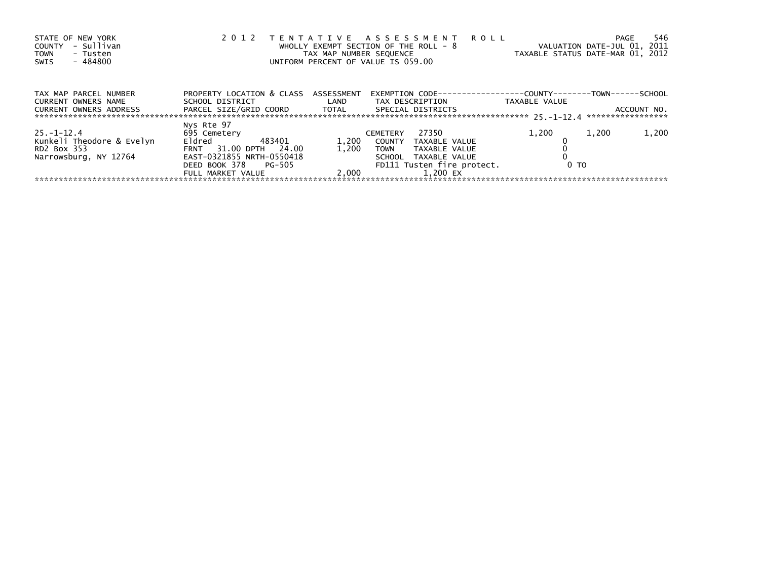| STATE OF NEW YORK<br>- Sullivan<br><b>COUNTY</b><br>TOWN<br>- Tusten<br>- 484800<br>SWIS | 2 0 1 2                                                                                                   | TAX MAP NUMBER SEQUENCE | TENTATIVE ASSESSMENT ROLL<br>WHOLLY EXEMPT SECTION OF THE ROLL - $8$<br>UNIFORM PERCENT OF VALUE IS 059.00 | VALUATION DATE-JUL 01, 2011<br>TAXABLE STATUS DATE-MAR 01, 2012                      | 546<br>PAGE |
|------------------------------------------------------------------------------------------|-----------------------------------------------------------------------------------------------------------|-------------------------|------------------------------------------------------------------------------------------------------------|--------------------------------------------------------------------------------------|-------------|
| TAX MAP PARCEL NUMBER<br><b>CURRENT OWNERS NAME</b><br>CURRENT OWNERS ADDRESS            | PROPERTY LOCATION & CLASS ASSESSMENT<br>SCHOOL DISTRICT<br>PARCEL SIZE/GRID COORD TOTAL SPECIAL DISTRICTS | LAND                    | TAX DESCRIPTION                                                                                            | EXEMPTION        CODE-----------------COUNTY-------TOWN------SCHOOL<br>TAXABLE VALUE | ACCOUNT NO. |
|                                                                                          |                                                                                                           |                         |                                                                                                            |                                                                                      |             |
| $25 - 1 - 12.4$                                                                          | Nys Rte 97<br>695 Cemetery                                                                                |                         | 27350<br><b>CEMETERY</b>                                                                                   | 1,200<br>1,200                                                                       | 1,200       |
| Kunkeli Theodore & Evelyn                                                                | Eldred<br>483401                                                                                          | 1,200                   | COUNTY<br>TAXABLE VALUE                                                                                    |                                                                                      |             |
| RD2 Box 353                                                                              | FRNT 31.00 DPTH<br>24.00                                                                                  | 1.200                   | <b>TOWN</b><br>TAXABLE VALUE                                                                               |                                                                                      |             |
| Narrowsburg, NY 12764                                                                    | EAST-0321855 NRTH-0550418                                                                                 |                         | SCHOOL TAXABLE VALUE                                                                                       |                                                                                      |             |
|                                                                                          | DEED BOOK 378 PG-505                                                                                      |                         | FD111 Tusten fire protect.                                                                                 | 0 <sub>T</sub>                                                                       |             |
|                                                                                          | FULL MARKET VALUE                                                                                         | 2.000                   | 1.200 EX                                                                                                   |                                                                                      |             |
|                                                                                          |                                                                                                           |                         |                                                                                                            |                                                                                      |             |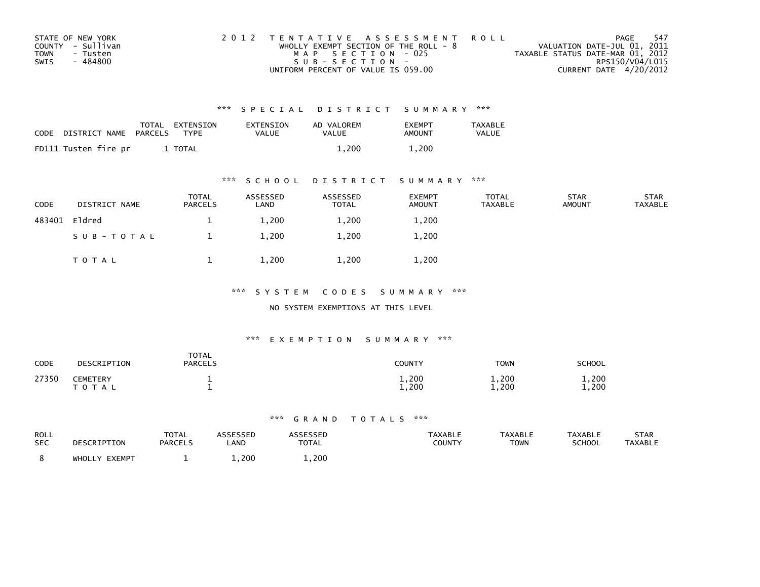| STATE OF NEW YORK       | 2012 TENTATIVE ASSESSMENT ROLL          | PAGE                             | -547 |
|-------------------------|-----------------------------------------|----------------------------------|------|
| COUNTY - Sullivan       | WHOLLY EXEMPT SECTION OF THE ROLL - $8$ | VALUATION DATE-JUL 01, 2011      |      |
| <b>TOWN</b><br>- Tusten | MAP SECTION - 025                       | TAXABLE STATUS DATE-MAR 01, 2012 |      |
| - 484800<br>SWIS        | SUB-SECTION-                            | RPS150/V04/L015                  |      |
|                         | UNIFORM PERCENT OF VALUE IS 059.00      | CURRENT DATE 4/20/2012           |      |

| CODE | DISTRICT NAME        | TOTAL<br>PARCELS | EXTENSION<br>TYPF | EXTENSION<br>VALUE | AD VALOREM<br>VALUE | <b>FXFMPT</b><br>AMOUNT | <b>TAXABLE</b><br><b>VALUE</b> |
|------|----------------------|------------------|-------------------|--------------------|---------------------|-------------------------|--------------------------------|
|      | FD111 Tusten fire pr |                  | TOTAL             |                    | 1.200               | 1,200                   |                                |

### \*\*\* S C H O O L D I S T R I C T S U M M A R Y \*\*\*

| CODE   | DISTRICT NAME | <b>TOTAL</b><br>PARCELS | ASSESSED<br>LAND | ASSESSED<br><b>TOTAL</b> | <b>EXEMPT</b><br><b>AMOUNT</b> | <b>TOTAL</b><br><b>TAXABLE</b> | <b>STAR</b><br><b>AMOUNT</b> | <b>STAR</b><br>TAXABLE |
|--------|---------------|-------------------------|------------------|--------------------------|--------------------------------|--------------------------------|------------------------------|------------------------|
| 483401 | Eldred        | <u>д.</u>               | 1,200            | 1,200                    | 1,200                          |                                |                              |                        |
|        | SUB-TOTAL     |                         | 1,200            | 1,200                    | 1,200                          |                                |                              |                        |
|        | T O T A L     |                         | 1,200            | 1,200                    | 1,200                          |                                |                              |                        |

### \*\*\* S Y S T E M C O D E S S U M M A R Y \*\*\*

#### NO SYSTEM EXEMPTIONS AT THIS LEVEL

### \*\*\* E X E M P T I O N S U M M A R Y \*\*\*

| CODE  | DESCRIPTION           | <b>TOTAL</b><br><b>PARCELS</b> | <b>COUNTY</b>  | <b>TOWN</b>    | <b>SCHOOL</b>  |
|-------|-----------------------|--------------------------------|----------------|----------------|----------------|
| 27350 | CEMETERY<br>T O T A L |                                | 1,200<br>1,200 | 1,200<br>1,200 | 1,200<br>1.200 |

| ROLL<br><b>SEC</b> | DESCRIPTION      | TOTAL<br><b>PARCELS</b> | ASSESSED<br>LAND | ASSESSED<br><b>TOTAL</b> | <b>TAXABLE</b><br>COUNTY | <b>TAXABLE</b><br><b>TOWN</b> | <b>TAXABLE</b><br><b>SCHOOL</b> | <b>STAR</b><br><b>TAXABLE</b> |
|--------------------|------------------|-------------------------|------------------|--------------------------|--------------------------|-------------------------------|---------------------------------|-------------------------------|
|                    | EXEMPT<br>WHOLLY |                         | 1,200            | 1,200                    |                          |                               |                                 |                               |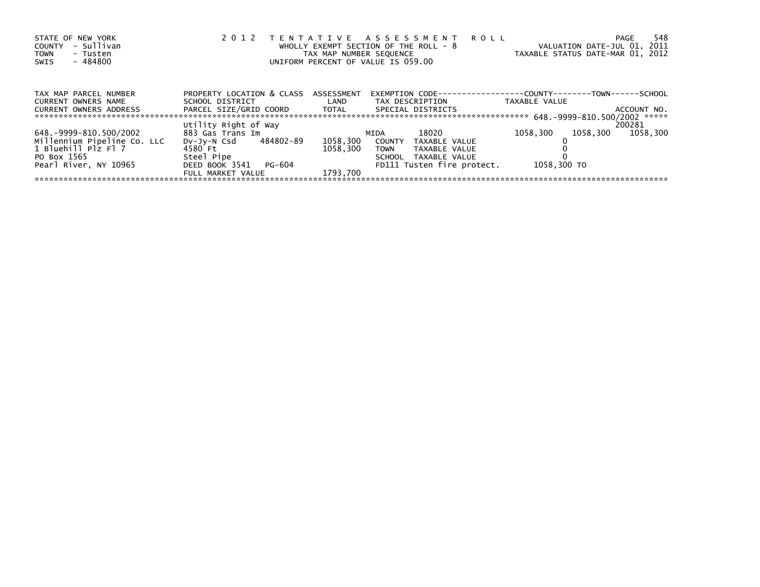| STATE OF NEW YORK<br>- Sullivan<br><b>COUNTY</b><br><b>TOWN</b><br>- Tusten<br>- 484800<br>SWIS | 2 0 1 2                   | TAX MAP NUMBER SEQUENCE<br>UNIFORM PERCENT OF VALUE IS 059.00 | TENTATIVE ASSESSMENT ROLL<br>WHOLLY EXEMPT SECTION OF THE ROLL - 8 | VALUATION DATE-JUL 01, 2011<br>TAXABLE STATUS DATE-MAR 01, 2012      | 548<br><b>PAGE</b> |
|-------------------------------------------------------------------------------------------------|---------------------------|---------------------------------------------------------------|--------------------------------------------------------------------|----------------------------------------------------------------------|--------------------|
| TAX MAP PARCEL NUMBER                                                                           | PROPERTY LOCATION & CLASS | ASSESSMENT                                                    |                                                                    | EXEMPTION        CODE-----------------COUNTY--------TOWN------SCHOOL |                    |
| <b>CURRENT OWNERS NAME</b>                                                                      | SCHOOL DISTRICT           | LAND                                                          | TAX DESCRIPTION                                                    | TAXABLE VALUE                                                        |                    |
| <b>CURRENT OWNERS ADDRESS</b>                                                                   | PARCEL SIZE/GRID COORD    | TOTAL                                                         | SPECIAL DISTRICTS                                                  |                                                                      | ACCOUNT NO.        |
|                                                                                                 | Utility Right of Way      |                                                               |                                                                    |                                                                      | 200281             |
| 648.-9999-810.500/2002                                                                          | 883 Gas Trans Im          |                                                               | 18020<br>MIDA                                                      | 1058.300<br>1058.300                                                 | 1058.300           |
| Millennium Pipeline Co. LLC                                                                     | DV-JV-N Csd 484802-89     | 1058,300                                                      | <b>COUNTY</b><br>TAXABLE VALUE                                     |                                                                      |                    |
| 1 Bluehill Plz Fl 7                                                                             | 4580 Ft                   | 1058.300                                                      | TAXABLE VALUE<br><b>TOWN</b>                                       |                                                                      |                    |
| PO Box 1565                                                                                     | Steel Pipe                |                                                               | SCHOOL<br>TAXABLE VALUE                                            |                                                                      |                    |
| Pearl River, NY 10965                                                                           | DEED BOOK 3541<br>PG-604  |                                                               | FD111 Tusten fire protect.                                         | 1058,300 TO                                                          |                    |
|                                                                                                 | FULL MARKET VALUE         | 1793.700                                                      |                                                                    |                                                                      |                    |
|                                                                                                 |                           |                                                               |                                                                    |                                                                      |                    |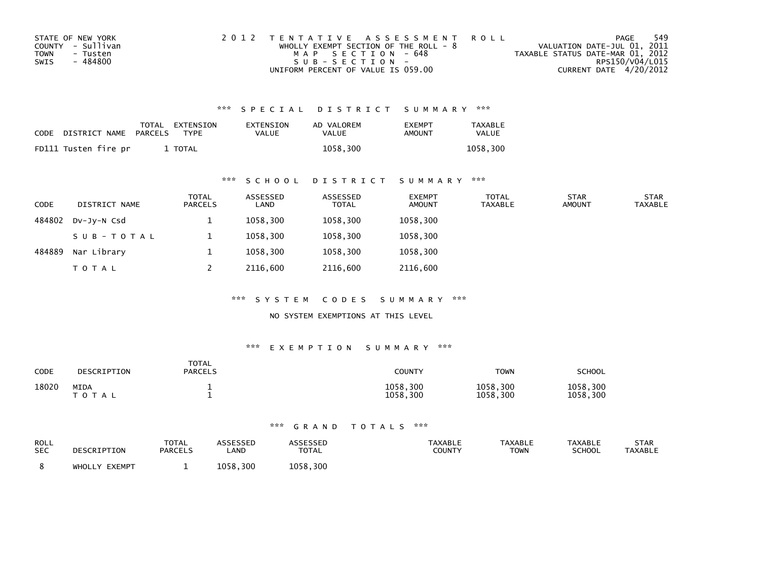| STATE OF NEW YORK       | 2012 TENTATIVE ASSESSMENT ROLL          | PAGE                             | 549             |
|-------------------------|-----------------------------------------|----------------------------------|-----------------|
| COUNTY - Sullivan       | WHOLLY EXEMPT SECTION OF THE ROLL - $8$ | VALUATION DATE-JUL 01, 2011      |                 |
| <b>TOWN</b><br>- Tusten | MAP SECTION - 648                       | TAXABLE STATUS DATE-MAR 01, 2012 |                 |
| SWIS<br>- 484800        | $SUB - SECTION -$                       |                                  | RPS150/V04/L015 |
|                         | UNIFORM PERCENT OF VALUE IS 059.00      | CURRENT DATE 4/20/2012           |                 |

| CODE | DISTRICT NAME PARCELS | TOTAL EXTENSION<br>TYPF | EXTENSION<br>VALUE | AD VALOREM<br>VALUE | <b>EXEMPT</b><br><b>AMOUNT</b> | <b>TAXABLE</b><br><b>VALUE</b> |
|------|-----------------------|-------------------------|--------------------|---------------------|--------------------------------|--------------------------------|
|      | FD111 Tusten fire pr  | TOTAL                   |                    | 1058.300            |                                | 1058.300                       |

### \*\*\* S C H O O L D I S T R I C T S U M M A R Y \*\*\*

| <b>CODE</b> | DISTRICT NAME | <b>TOTAL</b><br>PARCELS | ASSESSED<br>LAND | ASSESSED<br><b>TOTAL</b> | <b>EXEMPT</b><br><b>AMOUNT</b> | TOTAL<br><b>TAXABLE</b> | <b>STAR</b><br><b>AMOUNT</b> | <b>STAR</b><br><b>TAXABLE</b> |
|-------------|---------------|-------------------------|------------------|--------------------------|--------------------------------|-------------------------|------------------------------|-------------------------------|
| 484802      | DV-JY-N Csd   | <b>.</b>                | 1058,300         | 1058,300                 | 1058,300                       |                         |                              |                               |
|             | SUB-TOTAL     |                         | 1058,300         | 1058,300                 | 1058,300                       |                         |                              |                               |
| 484889      | Nar Library   |                         | 1058.300         | 1058.300                 | 1058,300                       |                         |                              |                               |
|             | T O T A L     |                         | 2116,600         | 2116,600                 | 2116,600                       |                         |                              |                               |

\*\*\* S Y S T E M C O D E S S U M M A R Y \*\*\*

NO SYSTEM EXEMPTIONS AT THIS LEVEL

#### \*\*\* E X E M P T I O N S U M M A R Y \*\*\*

| <b>CODE</b> | DESCRIPTION                 | <b>TOTAL</b><br><b>PARCELS</b> | <b>COUNTY</b>        | <b>TOWN</b>          | SCHOOL               |
|-------------|-----------------------------|--------------------------------|----------------------|----------------------|----------------------|
| 18020       | <b>MIDA</b><br><b>TOTAL</b> |                                | 1058,300<br>1058,300 | 1058,300<br>1058,300 | 1058,300<br>1058,300 |

| ROLL       | DESCRIPTION   | <b>TOTAL</b>   | ASSESSEP    | ASSESSED     | <b>TAXABLE</b> | <b>TAXABLE</b> | <b>TAXABLE</b> | STAR           |
|------------|---------------|----------------|-------------|--------------|----------------|----------------|----------------|----------------|
| <b>SEC</b> |               | <b>PARCELS</b> | <b>_AND</b> | <b>TOTAL</b> | <b>COUNTY</b>  | <b>TOWN</b>    | <b>SCHOOL</b>  | <b>TAXABLE</b> |
|            | WHOLLY EXEMPT |                | 1058.300    | 1058,300     |                |                |                |                |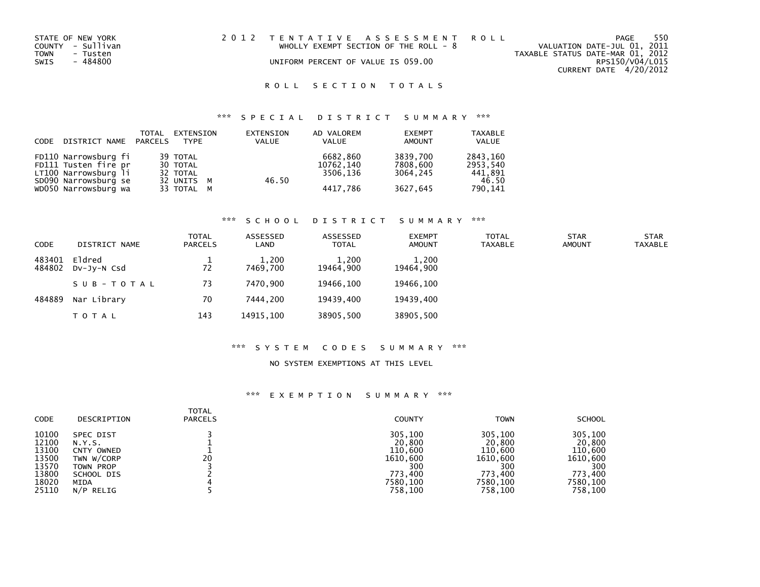| STATE OF NEW YORK | 2012 TENTATIVE ASSESSMENT ROLL          | 550<br>PAGE                      |
|-------------------|-----------------------------------------|----------------------------------|
| COUNTY - Sullivan | WHOLLY EXEMPT SECTION OF THE ROLL - $8$ | VALUATION DATE-JUL 01, 2011      |
| TOWN<br>- Tusten  |                                         | TAXABLE STATUS DATE-MAR 01, 2012 |
| - 484800<br>SWIS  | UNIFORM PERCENT OF VALUE IS 059.00      | RPS150/V04/L015                  |
|                   |                                         | CURRENT DATE 4/20/2012           |

### ROLL SECTION TOTALS

## \*\*\* S P E C I A L D I S T R I C T S U M M A R Y \*\*\*

| CODE DISTRICT NAME PARCELS | TOTAL | EXTENSION<br><b>TYPF</b> | EXTENSION<br><b>VALUE</b> | AD VALOREM<br>VALUE | <b>EXEMPT</b><br><b>AMOUNT</b> | <b>TAXABLE</b><br>VALUE |
|----------------------------|-------|--------------------------|---------------------------|---------------------|--------------------------------|-------------------------|
| FD110 Narrowsburg fi       |       | 39 TOTAL                 |                           | 6682.860            | 3839,700                       | 2843,160                |
| FD111 Tusten fire pr       |       | 30 TOTAL                 |                           | 10762.140           | 7808,600                       | 2953,540                |
| LT100 Narrowsburg li       |       | 32 TOTAL                 |                           | 3506.136            | 3064.245                       | 441,891                 |
| SD090 Narrowsburg se       |       | 32 UNITS M               | 46.50                     |                     |                                | 46.50                   |
| WD050 Narrowsburg wa       |       | 33 TOTAL M               |                           | 4417.786            | 3627,645                       | 790,141                 |

#### \*\*\* S C H O O L D I S T R I C T S U M M A R Y \*\*\*

| CODE             | DISTRICT NAME         | <b>TOTAL</b><br>PARCELS | ASSESSED<br>LAND  | ASSESSED<br><b>TOTAL</b> | <b>EXEMPT</b><br><b>AMOUNT</b> | <b>TOTAL</b><br>TAXABLE | <b>STAR</b><br><b>AMOUNT</b> | <b>STAR</b><br><b>TAXABLE</b> |
|------------------|-----------------------|-------------------------|-------------------|--------------------------|--------------------------------|-------------------------|------------------------------|-------------------------------|
| 483401<br>484802 | Eldred<br>DV-JV-N Csd | 72                      | 1,200<br>7469.700 | 1,200<br>19464.900       | 1,200<br>19464,900             |                         |                              |                               |
|                  | SUB-TOTAL             | 73                      | 7470.900          | 19466.100                | 19466.100                      |                         |                              |                               |
| 484889           | Nar Library           | 70                      | 7444.200          | 19439,400                | 19439.400                      |                         |                              |                               |
|                  | <b>TOTAL</b>          | 143                     | 14915.100         | 38905,500                | 38905,500                      |                         |                              |                               |

#### \*\*\* S Y S T E M C O D E S S U M M A R Y \*\*\*

#### NO SYSTEM EXEMPTIONS AT THIS LEVEL

| CODE  | DESCRIPTION | <b>TOTAL</b><br><b>PARCELS</b> | <b>COUNTY</b> | <b>TOWN</b> | <b>SCHOOL</b> |
|-------|-------------|--------------------------------|---------------|-------------|---------------|
| 10100 | SPEC DIST   | 20                             | 305,100       | 305,100     | 305,100       |
| 12100 | N.Y.S.      |                                | 20,800        | 20,800      | 20,800        |
| 13100 | CNTY OWNED  |                                | 110,600       | 110,600     | 110,600       |
| 13500 | TWN W/CORP  |                                | 1610.600      | 1610.600    | 1610,600      |
| 13570 | TOWN PROP   |                                | 300           | 300         | 300           |
| 13800 | SCHOOL DIS  |                                | 773.400       | 773.400     | 773.400       |
| 18020 | MIDA        |                                | 7580,100      | 7580,100    | 7580,100      |
| 25110 | N/P RELIG   |                                | 758.100       | 758,100     | 758,100       |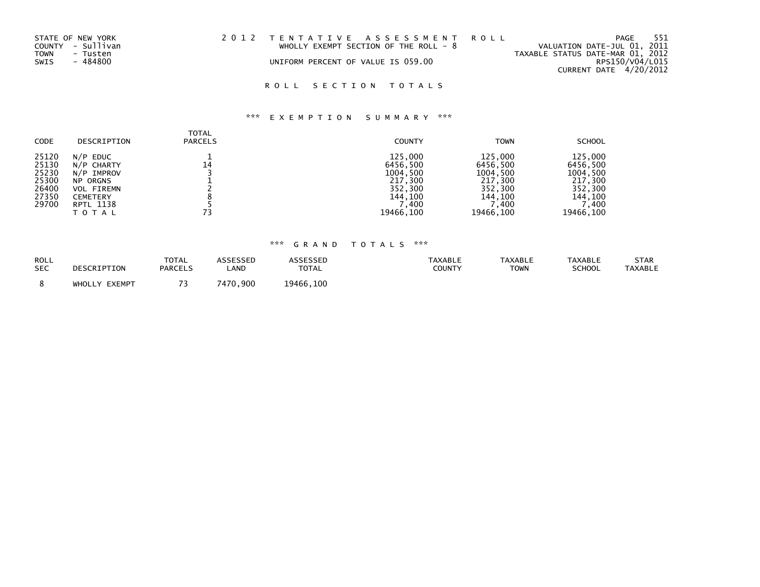| STATE OF NEW YORK | 2012 TENTATIVE ASSESSMENT ROLL          | -551<br>PAGE                     |
|-------------------|-----------------------------------------|----------------------------------|
| COUNTY - Sullivan | WHOLLY EXEMPT SECTION OF THE ROLL - $8$ | VALUATION DATE-JUL 01, 2011      |
| TOWN<br>- Tusten  |                                         | TAXABLE STATUS DATE-MAR 01, 2012 |
| SWIS<br>- 484800  | UNIFORM PERCENT OF VALUE IS 059.00      | RPS150/V04/L015                  |
|                   |                                         | CURRENT DATE 4/20/2012           |

## ROLL SECTION TOTALS

# \*\*\* E X E M P T I O N S U M M A R Y \*\*\*

| <b>CODE</b>                                                 | DESCRIPTION                                                                                                             | TOTAL<br><b>PARCELS</b> | <b>COUNTY</b>                                                                         | <b>TOWN</b>                                                                             | <b>SCHOOL</b>                                                                          |
|-------------------------------------------------------------|-------------------------------------------------------------------------------------------------------------------------|-------------------------|---------------------------------------------------------------------------------------|-----------------------------------------------------------------------------------------|----------------------------------------------------------------------------------------|
| 25120<br>25130<br>25230<br>25300<br>26400<br>27350<br>29700 | $N/P$ EDUC<br>N/P CHARTY<br>N/P IMPROV<br><b>NP ORGNS</b><br><b>VOL FIREMN</b><br><b>CEMETERY</b><br>RPTL 1138<br>TOTAL | 14<br>73                | 125,000<br>6456,500<br>1004,500<br>217,300<br>352,300<br>144.100<br>,400<br>19466,100 | 125,000<br>6456,500<br>1004,500<br>217,300<br>352,300<br>144.100<br>400, '<br>19466,100 | 125,000<br>6456,500<br>1004,500<br>217,300<br>352,300<br>144.100<br>'.400<br>19466.100 |

| <b>ROLL</b> | DESCRIPTION      | <b>TOTAL</b>   | ASSESSED | <b>ASSESSED</b> | <b>TAXABLE</b> | <b>TAXABLE</b> | <b>TAXABLE</b> | <b>STAR</b> |
|-------------|------------------|----------------|----------|-----------------|----------------|----------------|----------------|-------------|
| <b>SEC</b>  |                  | <b>PARCELS</b> | .AND     | <b>TOTAL</b>    | COUNTY         | <b>TOWN</b>    | <b>SCHOOL</b>  | TAXABLE     |
|             | EXEMPT<br>WHOLLY |                | 7470,900 | 19466,100       |                |                |                |             |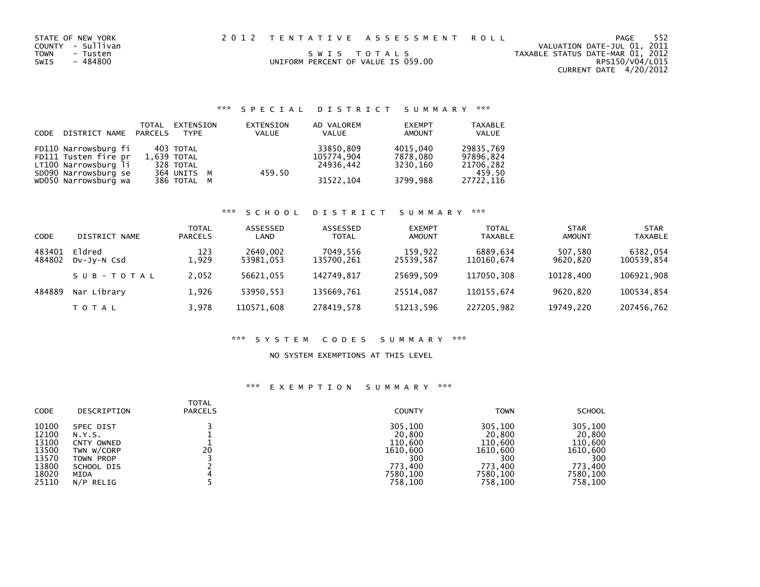| STATE OF NEW YORK<br>COUNTY - Sullivan<br>TOWN<br>- Tusten<br>SWIS<br>- 484800 | UNIFORM PERCENT OF VALUE IS 059.00 | 2012 TENTATIVE ASSESSMENT ROLL<br>SWIS TOTALS | VALUATION DATE-JUL 01, 2011<br>TAXABLE STATUS DATE-MAR 01, 2012<br>CURRENT DATE 4/20/2012 | PAGE<br>RPS150/V04/L015 | 552 |
|--------------------------------------------------------------------------------|------------------------------------|-----------------------------------------------|-------------------------------------------------------------------------------------------|-------------------------|-----|
|                                                                                |                                    |                                               |                                                                                           |                         |     |

| CODE | DISTRICT NAME PARCELS | TOTAL | EXTENSION<br>TYPF | EXTENSION<br>VALUE | AD VALOREM<br><b>VALUE</b> | <b>EXEMPT</b><br>AMOUNT | <b>TAXABLE</b><br>VALUE |
|------|-----------------------|-------|-------------------|--------------------|----------------------------|-------------------------|-------------------------|
|      | FD110 Narrowsburg fi  |       | 403 TOTAL         |                    | 33850,809                  | 4015,040                | 29835,769               |
|      | FD111 Tusten fire pr  |       | 1.639 TOTAL       |                    | 105774,904                 | 7878,080                | 97896.824               |
|      | LT100 Narrowsburg li  |       | 328 TOTAL         |                    | 24936.442                  | 3230.160                | 21706,282               |
|      | SD090 Narrowsburg se  |       | 364 UNITS M       | 459.50             |                            |                         | 459.50                  |
|      | WD050 Narrowsburg wa  |       | 386 TOTAL M       |                    | 31522, 104                 | 3799,988                | 27722,116               |

# \*\*\* S C H O O L D I S T R I C T S U M M A R Y \*\*\*

| CODE             | DISTRICT NAME         | <b>TOTAL</b><br><b>PARCELS</b> | ASSESSED<br>LAND      | ASSESSED<br><b>TOTAL</b> | <b>EXEMPT</b><br>AMOUNT | <b>TOTAL</b><br><b>TAXABLE</b> | STAR<br>AMOUNT      | <b>STAR</b><br><b>TAXABLE</b> |
|------------------|-----------------------|--------------------------------|-----------------------|--------------------------|-------------------------|--------------------------------|---------------------|-------------------------------|
| 483401<br>484802 | Eldred<br>DV-JV-N Csd | 123<br>L.929                   | 2640,002<br>53981,053 | 7049.556<br>135700,261   | 159,922<br>25539,587    | 6889.634<br>110160,674         | 507,580<br>9620,820 | 6382,054<br>100539,854        |
|                  | SUB-TOTAL             | 2,052                          | 56621.055             | 142749.817               | 25699.509               | 117050.308                     | 10128.400           | 106921.908                    |
| 484889           | Nar Library           | 1,926                          | 53950.553             | 135669.761               | 25514.087               | 110155.674                     | 9620.820            | 100534,854                    |
|                  | T O T A L             | 3,978                          | 110571.608            | 278419.578               | 51213,596               | 227205.982                     | 19749.220           | 207456,762                    |

#### \*\*\* S Y S T E M C O D E S S U M M A R Y \*\*\*

#### NO SYSTEM EXEMPTIONS AT THIS LEVEL

| <b>CODE</b> | DESCRIPTION | <b>TOTAL</b><br><b>PARCELS</b> | <b>COUNTY</b> | <b>TOWN</b> | <b>SCHOOL</b> |
|-------------|-------------|--------------------------------|---------------|-------------|---------------|
| 10100       | SPEC DIST   | 20                             | 305,100       | 305,100     | 305,100       |
| 12100       | N.Y.S.      |                                | 20,800        | 20,800      | 20,800        |
| 13100       | CNTY OWNED  |                                | 110,600       | 110,600     | 110,600       |
| 13500       | TWN W/CORP  |                                | 1610,600      | 1610,600    | 1610,600      |
| 13570       | TOWN PROP   |                                | 300           | 300         | 300           |
| 13800       | SCHOOL DIS  |                                | 773.400       | 773.400     | 773.400       |
| 18020       | MIDA        |                                | 7580,100      | 7580,100    | 7580,100      |
| 25110       | N/P RELIG   |                                | 758,100       | 758,100     | 758,100       |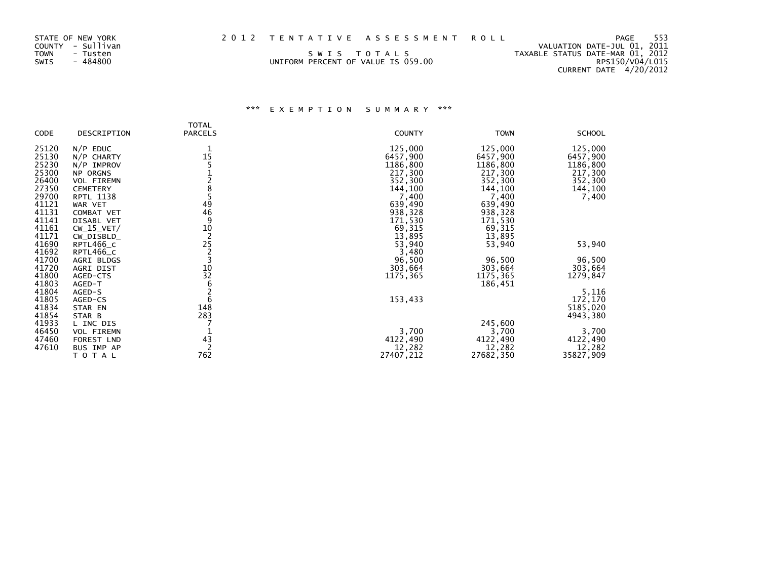| STATE OF NEW YORK<br>COUNTY - Sullivan<br>TOWN<br>- Tusten<br>SWIS<br>- 484800 | UNIFORM PERCENT OF VALUE IS 059.00 | 2012 TENTATIVE ASSESSMENT ROLL<br>SWIS TOTALS | VALUATION DATE-JUL 01, 2011<br>TAXABLE STATUS DATE-MAR 01, 2012<br>CURRENT DATE 4/20/2012 | PAGE<br>RPS150/V04/L015 | 553 |
|--------------------------------------------------------------------------------|------------------------------------|-----------------------------------------------|-------------------------------------------------------------------------------------------|-------------------------|-----|
|                                                                                |                                    |                                               |                                                                                           |                         |     |

|                |                   | <b>TOTAL</b>   |               |             |               |
|----------------|-------------------|----------------|---------------|-------------|---------------|
| CODE           | DESCRIPTION       | <b>PARCELS</b> | <b>COUNTY</b> | <b>TOWN</b> | <b>SCHOOL</b> |
| 25120          | $N/P$ EDUC        |                | 125,000       | 125,000     | 125,000       |
| 25130          | N/P CHARTY        | 15             | 6457,900      | 6457,900    | 6457,900      |
| 25230          | N/P IMPROV        |                | 1186,800      | 1186,800    | 1186,800      |
| 25300          | <b>NP ORGNS</b>   |                | 217,300       | 217,300     | 217,300       |
| 26400          | <b>VOL FIREMN</b> |                | 352,300       | 352,300     | 352,300       |
| 27350          | <b>CEMETERY</b>   |                | 144,100       | 144,100     | 144,100       |
| 29700          | <b>RPTL 1138</b>  |                | 7,400         | 7,400       | 7,400         |
| 41121          | WAR VET           | 49             | 639,490       | 639,490     |               |
| 41131          | COMBAT VET        | 46<br>9        | 938,328       | 938,328     |               |
| 41141          | DISABL VET        |                | 171,530       | 171,530     |               |
| 41161          | $CW_15_VET/$      | 10             | 69,315        | 69,315      |               |
| 41171          | CW_DISBLD_        | $\overline{2}$ | 13,895        | 13,895      |               |
| 41690          | RPTL466_C         | 25             | 53,940        | 53,940      | 53,940        |
| 41692          | RPTL466_C         | 2              | 3,480         |             |               |
| 41700          | AGRI BLDGS        |                | 96,500        | 96,500      | 96,500        |
| 41720<br>41800 | AGRI DIST         | 10<br>32       | 303,664       | 303,664     | 303,664       |
| 41803          | AGED-CTS          | 6              | 1175,365      | 1175,365    | 1279,847      |
| 41804          | AGED-T<br>AGED-S  | $\overline{c}$ |               | 186,451     | 5,116         |
| 41805          | AGED-CS           | 6              | 153,433       |             | 172,170       |
| 41834          | STAR EN           | 148            |               |             | 5185,020      |
| 41854          | STAR B            | 283            |               |             | 4943,380      |
| 41933          | L INC DIS         |                |               | 245,600     |               |
| 46450          | VOL FIREMN        |                | 3,700         | 3,700       | 3,700         |
| 47460          | FOREST LND        | 43             | 4122,490      | 4122,490    | 4122,490      |
| 47610          | BUS IMP AP        |                | 12,282        | 12,282      | 12,282        |
|                | TOTAL             | 762            | 27407,212     | 27682,350   | 35827,909     |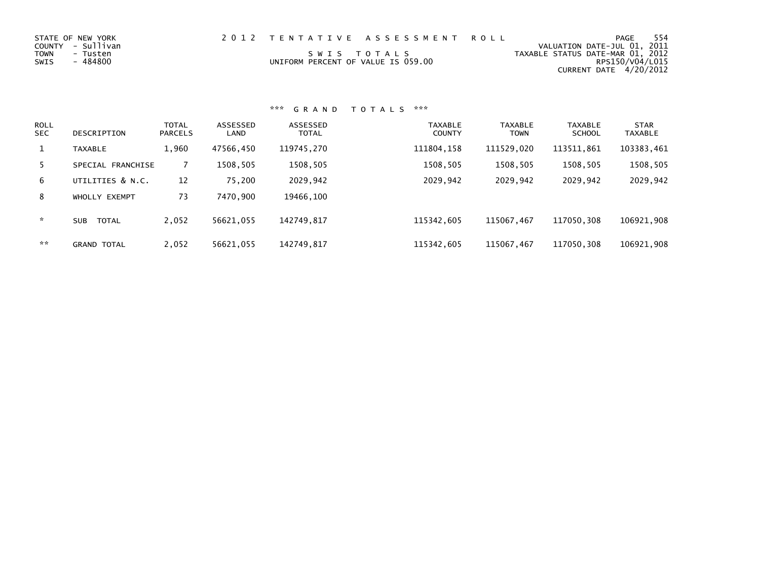| STATE OF NEW YORK<br>COUNTY - Sullivan<br>TOWN<br>- Tusten<br>SWIS<br>- 484800 | 2012 TENTATIVE ASSESSMENT ROLL<br>SWIS TOTALS<br>UNIFORM PERCENT OF VALUE IS 059.00 | 554<br>PAGE<br>VALUATION DATE-JUL 01, 2011<br>TAXABLE STATUS DATE-MAR 01, 2012<br>RPS150/V04/L015 |
|--------------------------------------------------------------------------------|-------------------------------------------------------------------------------------|---------------------------------------------------------------------------------------------------|
|                                                                                |                                                                                     | CURRENT DATE 4/20/2012                                                                            |

| <b>ROLL</b><br><b>SEC</b> | DESCRIPTION                | <b>TOTAL</b><br><b>PARCELS</b> | ASSESSED<br>LAND | ASSESSED<br><b>TOTAL</b> | <b>TAXABLE</b><br><b>COUNTY</b> | <b>TAXABLE</b><br><b>TOWN</b> | <b>TAXABLE</b><br><b>SCHOOL</b> | <b>STAR</b><br><b>TAXABLE</b> |
|---------------------------|----------------------------|--------------------------------|------------------|--------------------------|---------------------------------|-------------------------------|---------------------------------|-------------------------------|
| 1                         | <b>TAXABLE</b>             | 1,960                          | 47566,450        | 119745,270               | 111804, 158                     | 111529,020                    | 113511,861                      | 103383,461                    |
| 5.                        | SPECIAL FRANCHISE          |                                | 1508,505         | 1508,505                 | 1508,505                        | 1508,505                      | 1508,505                        | 1508,505                      |
| 6                         | UTILITIES & N.C.           | 12                             | 75,200           | 2029,942                 | 2029,942                        | 2029,942                      | 2029,942                        | 2029,942                      |
| 8                         | WHOLLY EXEMPT              | 73                             | 7470.900         | 19466,100                |                                 |                               |                                 |                               |
| *                         | <b>TOTAL</b><br><b>SUB</b> | 2.052                          | 56621.055        | 142749.817               | 115342.605                      | 115067.467                    | 117050.308                      | 106921,908                    |
| **                        | <b>GRAND TOTAL</b>         | 2,052                          | 56621,055        | 142749,817               | 115342,605                      | 115067,467                    | 117050,308                      | 106921,908                    |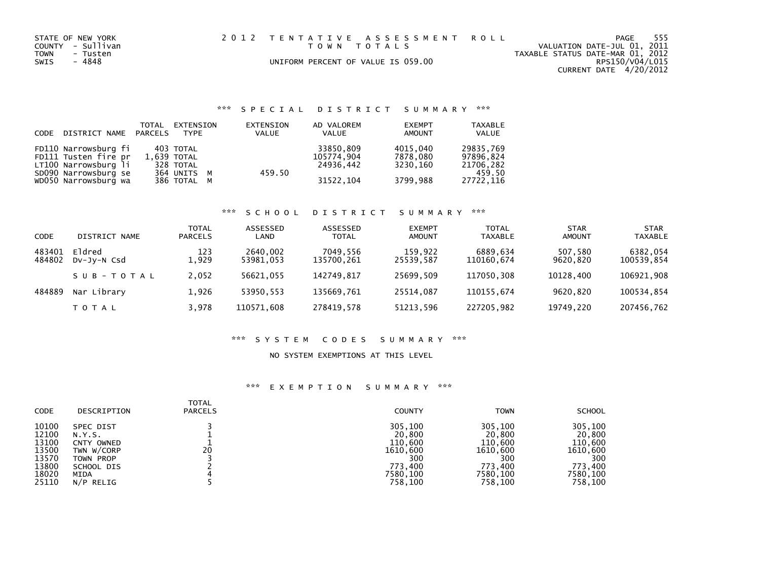| STATE OF NEW YORK<br>COUNTY - Sullivan<br>TOWN<br>- Tusten<br>SWIS<br>- 4848 | 2012 TENTATIVE ASSESSMENT ROLL<br>UNIFORM PERCENT OF VALUE IS 059.00 | TOWN TOTALS |  | TAXABLE STATUS DATE-MAR 01, 2012 | PAGE<br>VALUATION DATE-JUL 01, 2011<br>RPS150/V04/L015 | 555 |
|------------------------------------------------------------------------------|----------------------------------------------------------------------|-------------|--|----------------------------------|--------------------------------------------------------|-----|
|                                                                              |                                                                      |             |  |                                  | CURRENT DATE $4/20/2012$                               |     |

| CODE DISTRICT NAME PARCELS | TOTAL | EXTENSION<br>TYPE | EXTENSION<br>VALUE | AD VALOREM<br><b>VALUE</b> | <b>EXEMPT</b><br>AMOUNT | <b>TAXABLE</b><br><b>VALUE</b> |
|----------------------------|-------|-------------------|--------------------|----------------------------|-------------------------|--------------------------------|
| FD110 Narrowsburg fi       |       | 403 TOTAL         |                    | 33850,809                  | 4015,040                | 29835,769                      |
| FD111 Tusten fire pr       |       | 1.639 TOTAL       |                    | 105774,904                 | 7878.080                | 97896.824                      |
| LT100 Narrowsburg li       |       | 328 TOTAL         |                    | 24936.442                  | 3230.160                | 21706,282                      |
| SD090 Narrowsburg se       |       | 364 UNITS M       | 459.50             |                            |                         | 459.50                         |
| WD050 Narrowsburg wa       |       | 386 TOTAL M       |                    | 31522, 104                 | 3799,988                | 27722,116                      |

# \*\*\* S C H O O L D I S T R I C T S U M M A R Y \*\*\*

| CODE             | DISTRICT NAME         | <b>TOTAL</b><br><b>PARCELS</b> | ASSESSED<br>LAND      | ASSESSED<br><b>TOTAL</b> | <b>EXEMPT</b><br>AMOUNT | <b>TOTAL</b><br><b>TAXABLE</b> | STAR<br>AMOUNT      | <b>STAR</b><br><b>TAXABLE</b> |
|------------------|-----------------------|--------------------------------|-----------------------|--------------------------|-------------------------|--------------------------------|---------------------|-------------------------------|
| 483401<br>484802 | Eldred<br>DV-JV-N Csd | 123<br>L.929                   | 2640,002<br>53981,053 | 7049.556<br>135700,261   | 159,922<br>25539,587    | 6889.634<br>110160,674         | 507,580<br>9620,820 | 6382,054<br>100539,854        |
|                  | SUB-TOTAL             | 2,052                          | 56621.055             | 142749.817               | 25699.509               | 117050.308                     | 10128.400           | 106921.908                    |
| 484889           | Nar Library           | 1,926                          | 53950.553             | 135669.761               | 25514.087               | 110155.674                     | 9620.820            | 100534,854                    |
|                  | T O T A L             | 3,978                          | 110571.608            | 278419.578               | 51213,596               | 227205.982                     | 19749.220           | 207456,762                    |

### \*\*\* S Y S T E M C O D E S S U M M A R Y \*\*\*

#### NO SYSTEM EXEMPTIONS AT THIS LEVEL

| <b>CODE</b> | DESCRIPTION | <b>TOTAL</b><br><b>PARCELS</b> | <b>COUNTY</b> | <b>TOWN</b> | <b>SCHOOL</b> |
|-------------|-------------|--------------------------------|---------------|-------------|---------------|
| 10100       | SPEC DIST   | 20                             | 305,100       | 305,100     | 305,100       |
| 12100       | N.Y.S.      |                                | 20,800        | 20,800      | 20,800        |
| 13100       | CNTY OWNED  |                                | 110,600       | 110,600     | 110,600       |
| 13500       | TWN W/CORP  |                                | 1610,600      | 1610.600    | 1610,600      |
| 13570       | TOWN PROP   |                                | 300           | 300         | 300           |
| 13800       | SCHOOL DIS  |                                | 773.400       | 773.400     | 773,400       |
| 18020       | MIDA        |                                | 7580.100      | 7580,100    | 7580,100      |
| 25110       | N/P RELIG   |                                | 758,100       | 758,100     | 758,100       |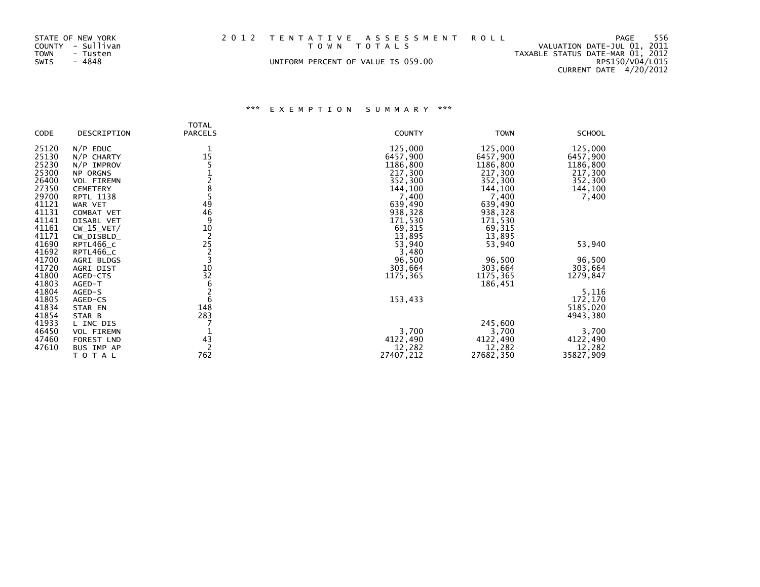| STATE OF NEW YORK<br>COUNTY - Sullivan<br>TOWN<br>- Tusten<br>- 4848<br>SWIS | 2012 TENTATIVE ASSESSMENT ROLL<br>TOWN TOTALS<br>UNIFORM PERCENT OF VALUE IS 059.00 | PAGE<br>VALUATION DATE-JUL 01, 2011<br>TAXABLE STATUS DATE-MAR 01, 2012<br>RPS150/V04/L015<br>CURRENT DATE 4/20/2012 | - 556 |
|------------------------------------------------------------------------------|-------------------------------------------------------------------------------------|----------------------------------------------------------------------------------------------------------------------|-------|
|                                                                              |                                                                                     |                                                                                                                      |       |

|                |                   | <b>TOTAL</b>   |               |             |               |
|----------------|-------------------|----------------|---------------|-------------|---------------|
| CODE           | DESCRIPTION       | <b>PARCELS</b> | <b>COUNTY</b> | <b>TOWN</b> | <b>SCHOOL</b> |
| 25120          | $N/P$ EDUC        |                | 125,000       | 125,000     | 125,000       |
| 25130          | N/P CHARTY        | 15             | 6457,900      | 6457,900    | 6457,900      |
| 25230          | $N/P$ IMPROV      |                | 1186,800      | 1186,800    | 1186,800      |
| 25300          | NP ORGNS          |                | 217,300       | 217,300     | 217,300       |
| 26400          | VOL FIREMN        |                | 352,300       | 352,300     | 352,300       |
| 27350          | <b>CEMETERY</b>   | 8              | 144,100       | 144,100     | 144,100       |
| 29700          | <b>RPTL 1138</b>  | 5              | 7,400         | 7,400       | 7,400         |
| 41121          | WAR VET           | 49             | 639,490       | 639,490     |               |
| 41131          | COMBAT VET        | 46             | 938,328       | 938,328     |               |
| 41141          | DISABL VET        | 9              | 171,530       | 171,530     |               |
| 41161          | $CW_15_VET/$      | 10             | 69,315        | 69,315      |               |
| 41171          | CW_DISBLD_        | $\overline{c}$ | 13,895        | 13,895      |               |
| 41690          | RPTL466_C         | 25             | 53,940        | 53,940      | 53,940        |
| 41692          | RPTL466_C         | $\overline{c}$ | 3,480         |             |               |
| 41700          | AGRI BLDGS        | 3              | 96,500        | 96,500      | 96,500        |
| 41720          | AGRI DIST         | 10             | 303,664       | 303,664     | 303,664       |
| 41800<br>41803 | AGED-CTS          | 32<br>6        | 1175,365      | 1175,365    | 1279,847      |
| 41804          | AGED-T<br>AGED-S  |                |               | 186,451     | 5,116         |
| 41805          | AGED-CS           | 6              | 153,433       |             | 172,170       |
| 41834          | STAR EN           | 148            |               |             | 5185,020      |
| 41854          | STAR B            | 283            |               |             | 4943,380      |
| 41933          | L INC DIS         |                |               | 245,600     |               |
| 46450          | <b>VOL FIREMN</b> |                | 3,700         | 3,700       | 3,700         |
| 47460          | <b>FOREST LND</b> | 43             | 4122,490      | 4122,490    | 4122,490      |
| 47610          | BUS IMP AP        | $\overline{c}$ | 12,282        | 12,282      | 12,282        |
|                | TOTAL             | 762            | 27407,212     | 27682,350   | 35827,909     |